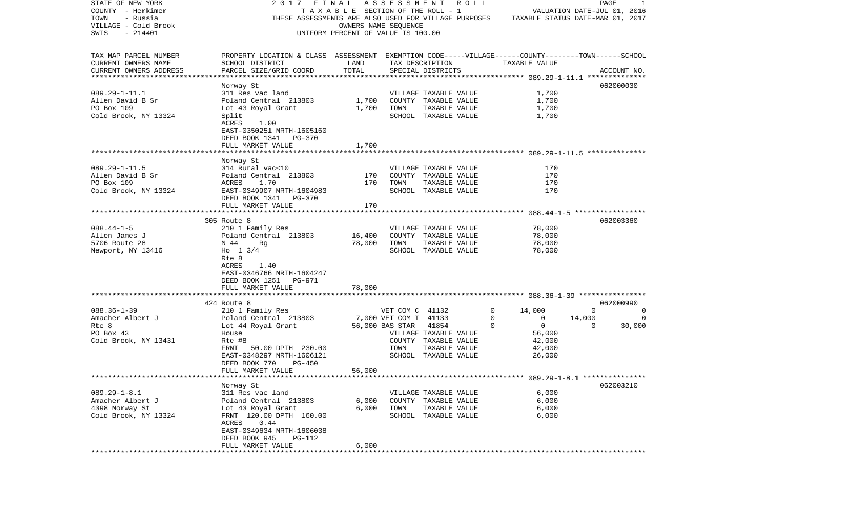| STATE OF NEW YORK         |                                                                                                    |                                       |                       | 2017 FINAL ASSESSMENT ROLL                           |                |                                  | PAGE           | 1           |
|---------------------------|----------------------------------------------------------------------------------------------------|---------------------------------------|-----------------------|------------------------------------------------------|----------------|----------------------------------|----------------|-------------|
| COUNTY - Herkimer         |                                                                                                    | T A X A B L E SECTION OF THE ROLL - 1 |                       |                                                      |                | VALUATION DATE-JUL 01, 2016      |                |             |
| TOWN<br>- Russia          |                                                                                                    |                                       |                       | THESE ASSESSMENTS ARE ALSO USED FOR VILLAGE PURPOSES |                | TAXABLE STATUS DATE-MAR 01, 2017 |                |             |
| VILLAGE - Cold Brook      |                                                                                                    |                                       | OWNERS NAME SEQUENCE  |                                                      |                |                                  |                |             |
| SWIS<br>$-214401$         |                                                                                                    | UNIFORM PERCENT OF VALUE IS 100.00    |                       |                                                      |                |                                  |                |             |
|                           |                                                                                                    |                                       |                       |                                                      |                |                                  |                |             |
| TAX MAP PARCEL NUMBER     | PROPERTY LOCATION & CLASS ASSESSMENT EXEMPTION CODE-----VILLAGE------COUNTY-------TOWN------SCHOOL |                                       |                       |                                                      |                |                                  |                |             |
| CURRENT OWNERS NAME       | SCHOOL DISTRICT                                                                                    | LAND                                  |                       | TAX DESCRIPTION                                      |                | TAXABLE VALUE                    |                |             |
| CURRENT OWNERS ADDRESS    | PARCEL SIZE/GRID COORD                                                                             | TOTAL                                 |                       | SPECIAL DISTRICTS                                    |                |                                  |                | ACCOUNT NO. |
| ************************* |                                                                                                    |                                       |                       |                                                      |                |                                  |                |             |
|                           | Norway St                                                                                          |                                       |                       |                                                      |                |                                  |                | 062000030   |
| $089.29 - 1 - 11.1$       | 311 Res vac land                                                                                   |                                       |                       | VILLAGE TAXABLE VALUE                                |                | 1,700                            |                |             |
| Allen David B Sr          | Poland Central 213803                                                                              |                                       |                       | 1,700 COUNTY TAXABLE VALUE                           |                | 1,700                            |                |             |
| PO Box 109                | Lot 43 Royal Grant                                                                                 | 1,700                                 | TOWN                  | TAXABLE VALUE                                        |                | 1,700                            |                |             |
|                           |                                                                                                    |                                       |                       |                                                      |                |                                  |                |             |
| Cold Brook, NY 13324      | Split                                                                                              |                                       |                       | SCHOOL TAXABLE VALUE                                 |                | 1,700                            |                |             |
|                           | 1.00<br>ACRES                                                                                      |                                       |                       |                                                      |                |                                  |                |             |
|                           | EAST-0350251 NRTH-1605160                                                                          |                                       |                       |                                                      |                |                                  |                |             |
|                           | DEED BOOK 1341 PG-370                                                                              |                                       |                       |                                                      |                |                                  |                |             |
|                           | FULL MARKET VALUE                                                                                  | 1,700                                 |                       |                                                      |                |                                  |                |             |
|                           |                                                                                                    |                                       |                       |                                                      |                |                                  |                |             |
|                           | Norway St                                                                                          |                                       |                       |                                                      |                |                                  |                |             |
| $089.29 - 1 - 11.5$       | 314 Rural vac<10                                                                                   |                                       |                       | VILLAGE TAXABLE VALUE                                |                | 170                              |                |             |
| Allen David B Sr          | Poland Central 213803                                                                              | 170                                   |                       | COUNTY TAXABLE VALUE                                 |                | 170                              |                |             |
| PO Box 109                | ACRES<br>1.70                                                                                      | 170                                   | TOWN                  | TAXABLE VALUE                                        |                | 170                              |                |             |
| Cold Brook, NY 13324      | EAST-0349907 NRTH-1604983                                                                          |                                       |                       | SCHOOL TAXABLE VALUE                                 |                | 170                              |                |             |
|                           | DEED BOOK 1341 PG-370                                                                              |                                       |                       |                                                      |                |                                  |                |             |
|                           | FULL MARKET VALUE                                                                                  | 170                                   |                       |                                                      |                |                                  |                |             |
|                           |                                                                                                    |                                       |                       |                                                      |                |                                  |                |             |
|                           | 305 Route 8                                                                                        |                                       |                       |                                                      |                |                                  |                | 062003360   |
| $088.44 - 1 - 5$          | 210 1 Family Res                                                                                   |                                       |                       | VILLAGE TAXABLE VALUE                                |                | 78,000                           |                |             |
| Allen James J             | Poland Central 213803                                                                              | 16,400                                |                       | COUNTY TAXABLE VALUE                                 |                | 78,000                           |                |             |
| 5706 Route 28             | N 44<br>Rq                                                                                         | 78,000                                | TOWN                  | TAXABLE VALUE                                        |                | 78,000                           |                |             |
| Newport, NY 13416         | Ho $1 \frac{3}{4}$                                                                                 |                                       |                       | SCHOOL TAXABLE VALUE                                 |                | 78,000                           |                |             |
|                           | Rte 8                                                                                              |                                       |                       |                                                      |                |                                  |                |             |
|                           | ACRES<br>1.40                                                                                      |                                       |                       |                                                      |                |                                  |                |             |
|                           | EAST-0346766 NRTH-1604247                                                                          |                                       |                       |                                                      |                |                                  |                |             |
|                           | DEED BOOK 1251 PG-971                                                                              |                                       |                       |                                                      |                |                                  |                |             |
|                           | FULL MARKET VALUE                                                                                  | 78,000                                |                       |                                                      |                |                                  |                |             |
|                           | ********************************                                                                   |                                       |                       |                                                      |                |                                  |                |             |
|                           |                                                                                                    |                                       |                       |                                                      |                |                                  |                |             |
|                           | 424 Route 8                                                                                        |                                       |                       |                                                      |                |                                  |                | 062000990   |
| $088.36 - 1 - 39$         | 210 1 Family Res                                                                                   |                                       | VET COM C 41132       |                                                      | $\overline{0}$ | 14,000                           | $\overline{0}$ | 0           |
| Amacher Albert J          | Poland Central 213803                                                                              |                                       | 7,000 VET COM T 41133 |                                                      | 0              | $\overline{0}$                   | 14,000         | 0           |
| Rte 8                     | Lot 44 Royal Grant                                                                                 |                                       | 56,000 BAS STAR       | 41854                                                | $\Omega$       | $\overline{0}$                   | $\Omega$       | 30,000      |
| PO Box 43                 | House                                                                                              |                                       |                       | VILLAGE TAXABLE VALUE                                |                | 56,000                           |                |             |
| Cold Brook, NY 13431      | Rte #8                                                                                             |                                       |                       | COUNTY TAXABLE VALUE                                 |                | 42,000                           |                |             |
|                           | 50.00 DPTH 230.00<br>FRNT                                                                          |                                       | TOWN                  | TAXABLE VALUE                                        |                | 42,000                           |                |             |
|                           | EAST-0348297 NRTH-1606121                                                                          |                                       |                       | SCHOOL TAXABLE VALUE                                 |                | 26,000                           |                |             |
|                           | PG-450<br>DEED BOOK 770                                                                            |                                       |                       |                                                      |                |                                  |                |             |
|                           | FULL MARKET VALUE                                                                                  | 56,000                                |                       |                                                      |                |                                  |                |             |
|                           |                                                                                                    |                                       |                       |                                                      |                |                                  |                |             |
|                           | Norway St                                                                                          |                                       |                       |                                                      |                |                                  |                | 062003210   |
| $089.29 - 1 - 8.1$        | 311 Res vac land                                                                                   |                                       |                       | VILLAGE TAXABLE VALUE                                |                | 6,000                            |                |             |
| Amacher Albert J          | Poland Central 213803                                                                              | 6,000                                 |                       | COUNTY TAXABLE VALUE                                 |                | 6,000                            |                |             |
| 4398 Norway St            | Lot 43 Royal Grant                                                                                 | 6,000                                 | TOWN                  | TAXABLE VALUE                                        |                | 6,000                            |                |             |
| Cold Brook, NY 13324      | FRNT 120.00 DPTH 160.00                                                                            |                                       |                       | SCHOOL TAXABLE VALUE                                 |                | 6,000                            |                |             |
|                           | 0.44<br>ACRES                                                                                      |                                       |                       |                                                      |                |                                  |                |             |
|                           | EAST-0349634 NRTH-1606038                                                                          |                                       |                       |                                                      |                |                                  |                |             |
|                           | DEED BOOK 945<br><b>PG-112</b>                                                                     |                                       |                       |                                                      |                |                                  |                |             |
|                           | FULL MARKET VALUE                                                                                  | 6,000                                 |                       |                                                      |                |                                  |                |             |
| *********                 |                                                                                                    |                                       |                       |                                                      |                |                                  |                |             |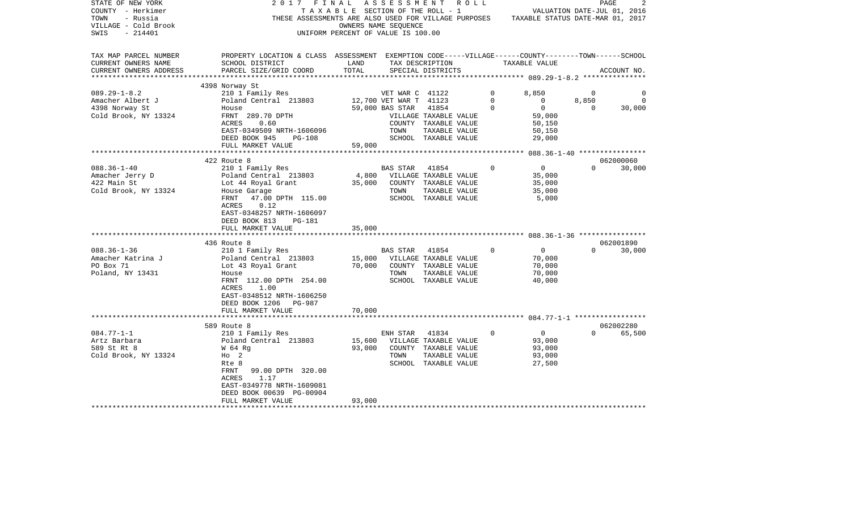| STATE OF NEW YORK<br>COUNTY - Herkimer<br>TOWN<br>- Russia<br>VILLAGE - Cold Brook<br>$-214401$<br>SWIS | 2017<br>FINAL                                                                                                                                   | OWNERS NAME SEQUENCE<br>UNIFORM PERCENT OF VALUE IS 100.00 | A S S E S S M E N T<br>R O L L<br>TAXABLE SECTION OF THE ROLL - 1<br>THESE ASSESSMENTS ARE ALSO USED FOR VILLAGE PURPOSES TAXABLE STATUS DATE-MAR 01, 2017 |                                  | VALUATION DATE-JUL 01, 2016 | PAGE        |
|---------------------------------------------------------------------------------------------------------|-------------------------------------------------------------------------------------------------------------------------------------------------|------------------------------------------------------------|------------------------------------------------------------------------------------------------------------------------------------------------------------|----------------------------------|-----------------------------|-------------|
| TAX MAP PARCEL NUMBER<br>CURRENT OWNERS NAME<br>CURRENT OWNERS ADDRESS                                  | PROPERTY LOCATION & CLASS ASSESSMENT EXEMPTION CODE-----VILLAGE------COUNTY-------TOWN------SCHOOL<br>SCHOOL DISTRICT<br>PARCEL SIZE/GRID COORD | LAND<br>TOTAL                                              | TAX DESCRIPTION<br>SPECIAL DISTRICTS                                                                                                                       | TAXABLE VALUE                    |                             | ACCOUNT NO. |
| ***********************                                                                                 |                                                                                                                                                 |                                                            |                                                                                                                                                            |                                  |                             |             |
|                                                                                                         | 4398 Norway St                                                                                                                                  |                                                            |                                                                                                                                                            |                                  |                             |             |
| $089.29 - 1 - 8.2$<br>Amacher Albert J                                                                  | 210 1 Family Res<br>Poland Central 213803                                                                                                       |                                                            | VET WAR C 41122<br>12,700 VET WAR T 41123                                                                                                                  | $\circ$<br>8,850<br>0<br>$\circ$ | $\overline{0}$<br>8,850     | 0<br>0      |
| 4398 Norway St                                                                                          | House                                                                                                                                           | 59,000 BAS STAR                                            | 41854                                                                                                                                                      | $\Omega$<br>$\overline{0}$       | $\Omega$                    | 30,000      |
| Cold Brook, NY 13324                                                                                    | FRNT 289.70 DPTH                                                                                                                                |                                                            | VILLAGE TAXABLE VALUE                                                                                                                                      | 59,000                           |                             |             |
|                                                                                                         | ACRES<br>0.60                                                                                                                                   |                                                            | COUNTY TAXABLE VALUE                                                                                                                                       | 50,150                           |                             |             |
|                                                                                                         | EAST-0349509 NRTH-1606096                                                                                                                       |                                                            | TOWN<br>TAXABLE VALUE                                                                                                                                      | 50,150                           |                             |             |
|                                                                                                         | DEED BOOK 945<br><b>PG-108</b>                                                                                                                  |                                                            | SCHOOL TAXABLE VALUE                                                                                                                                       | 29,000                           |                             |             |
|                                                                                                         | FULL MARKET VALUE                                                                                                                               | 59,000                                                     |                                                                                                                                                            |                                  |                             |             |
|                                                                                                         | 422 Route 8                                                                                                                                     |                                                            |                                                                                                                                                            |                                  |                             | 062000060   |
| $088.36 - 1 - 40$                                                                                       | 210 1 Family Res                                                                                                                                |                                                            | 41854<br>BAS STAR                                                                                                                                          | $\mathbf 0$<br>$\overline{0}$    | $\Omega$                    | 30,000      |
| Amacher Jerry D                                                                                         | Poland Central 213803                                                                                                                           |                                                            | 4,800 VILLAGE TAXABLE VALUE                                                                                                                                | 35,000                           |                             |             |
| 422 Main St                                                                                             | Lot 44 Royal Grant                                                                                                                              | 35,000                                                     | COUNTY TAXABLE VALUE                                                                                                                                       | 35,000                           |                             |             |
| Cold Brook, NY 13324                                                                                    | House Garage                                                                                                                                    |                                                            | TOWN<br>TAXABLE VALUE                                                                                                                                      | 35,000                           |                             |             |
|                                                                                                         | 47.00 DPTH 115.00<br>FRNT                                                                                                                       |                                                            | SCHOOL TAXABLE VALUE                                                                                                                                       | 5,000                            |                             |             |
|                                                                                                         | 0.12<br>ACRES                                                                                                                                   |                                                            |                                                                                                                                                            |                                  |                             |             |
|                                                                                                         | EAST-0348257 NRTH-1606097                                                                                                                       |                                                            |                                                                                                                                                            |                                  |                             |             |
|                                                                                                         | DEED BOOK 813<br>PG-181                                                                                                                         |                                                            |                                                                                                                                                            |                                  |                             |             |
|                                                                                                         | FULL MARKET VALUE                                                                                                                               | 35,000                                                     |                                                                                                                                                            |                                  |                             |             |
|                                                                                                         | 436 Route 8                                                                                                                                     |                                                            |                                                                                                                                                            |                                  |                             | 062001890   |
| $088.36 - 1 - 36$                                                                                       | 210 1 Family Res                                                                                                                                |                                                            | BAS STAR<br>41854                                                                                                                                          | $\mathbf 0$<br>$\overline{0}$    | $\Omega$                    | 30,000      |
| Amacher Katrina J                                                                                       | Poland Central 213803                                                                                                                           |                                                            | 15,000 VILLAGE TAXABLE VALUE                                                                                                                               | 70,000                           |                             |             |
| PO Box 71                                                                                               | Lot 43 Royal Grant                                                                                                                              | 70,000                                                     | COUNTY TAXABLE VALUE                                                                                                                                       | 70,000                           |                             |             |
| Poland, NY 13431                                                                                        | House                                                                                                                                           |                                                            | TOWN<br>TAXABLE VALUE                                                                                                                                      | 70,000                           |                             |             |
|                                                                                                         | FRNT 112.00 DPTH 254.00                                                                                                                         |                                                            | SCHOOL TAXABLE VALUE                                                                                                                                       | 40,000                           |                             |             |
|                                                                                                         | ACRES<br>1.00                                                                                                                                   |                                                            |                                                                                                                                                            |                                  |                             |             |
|                                                                                                         | EAST-0348512 NRTH-1606250                                                                                                                       |                                                            |                                                                                                                                                            |                                  |                             |             |
|                                                                                                         | DEED BOOK 1206<br>PG-987<br>FULL MARKET VALUE                                                                                                   | 70,000                                                     |                                                                                                                                                            |                                  |                             |             |
|                                                                                                         |                                                                                                                                                 |                                                            |                                                                                                                                                            |                                  |                             |             |
|                                                                                                         | 589 Route 8                                                                                                                                     |                                                            |                                                                                                                                                            |                                  |                             | 062002280   |
| $084.77 - 1 - 1$                                                                                        | 210 1 Family Res                                                                                                                                |                                                            | ENH STAR 41834                                                                                                                                             | $\Omega$<br>$\overline{0}$       | $\Omega$                    | 65,500      |
| Artz Barbara                                                                                            | Poland Central 213803                                                                                                                           | 15,600                                                     | VILLAGE TAXABLE VALUE                                                                                                                                      | 93,000                           |                             |             |
| 589 St Rt 8                                                                                             | W 64 Rg                                                                                                                                         | 93,000                                                     | COUNTY TAXABLE VALUE                                                                                                                                       | 93,000                           |                             |             |
| Cold Brook, NY 13324                                                                                    | $HO$ 2                                                                                                                                          |                                                            | TOWN<br>TAXABLE VALUE                                                                                                                                      | 93,000                           |                             |             |
|                                                                                                         | Rte 8                                                                                                                                           |                                                            | SCHOOL TAXABLE VALUE                                                                                                                                       | 27,500                           |                             |             |
|                                                                                                         | FRNT<br>99.00 DPTH 320.00                                                                                                                       |                                                            |                                                                                                                                                            |                                  |                             |             |
|                                                                                                         | ACRES<br>1.17<br>EAST-0349778 NRTH-1609081                                                                                                      |                                                            |                                                                                                                                                            |                                  |                             |             |
|                                                                                                         | DEED BOOK 00639 PG-00904                                                                                                                        |                                                            |                                                                                                                                                            |                                  |                             |             |
|                                                                                                         | FULL MARKET VALUE                                                                                                                               | 93,000                                                     |                                                                                                                                                            |                                  |                             |             |
|                                                                                                         |                                                                                                                                                 |                                                            |                                                                                                                                                            |                                  |                             |             |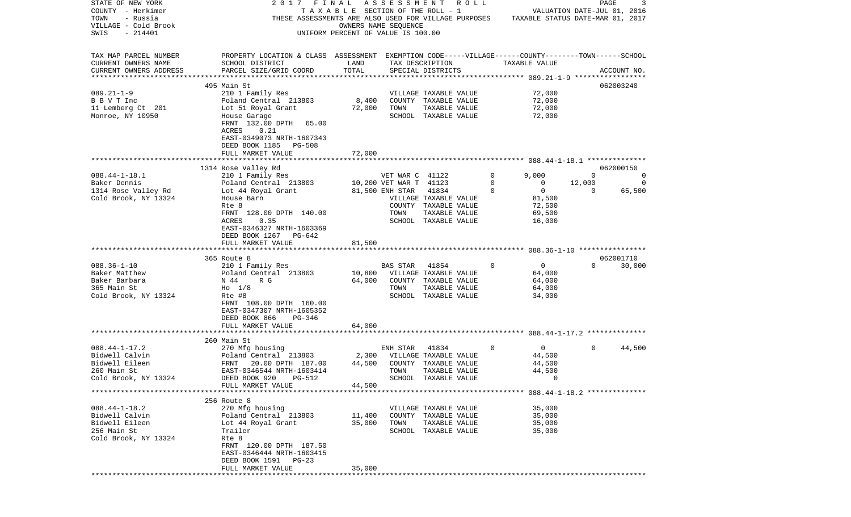| STATE OF NEW YORK                                | 2017<br>FINAL                                                                                      |                                       | ASSESSMENT             | R O L L               |               |                                  | PAGE        | 3           |
|--------------------------------------------------|----------------------------------------------------------------------------------------------------|---------------------------------------|------------------------|-----------------------|---------------|----------------------------------|-------------|-------------|
| COUNTY - Herkimer                                |                                                                                                    | T A X A B L E SECTION OF THE ROLL - 1 |                        |                       |               | VALUATION DATE-JUL 01, 2016      |             |             |
| TOWN<br>- Russia                                 | THESE ASSESSMENTS ARE ALSO USED FOR VILLAGE PURPOSES                                               |                                       |                        |                       |               | TAXABLE STATUS DATE-MAR 01, 2017 |             |             |
| VILLAGE - Cold Brook                             |                                                                                                    | OWNERS NAME SEQUENCE                  |                        |                       |               |                                  |             |             |
| $-214401$<br>SWIS                                |                                                                                                    | UNIFORM PERCENT OF VALUE IS 100.00    |                        |                       |               |                                  |             |             |
|                                                  |                                                                                                    |                                       |                        |                       |               |                                  |             |             |
| TAX MAP PARCEL NUMBER                            | PROPERTY LOCATION & CLASS ASSESSMENT EXEMPTION CODE-----VILLAGE------COUNTY-------TOWN------SCHOOL |                                       |                        |                       |               |                                  |             |             |
| CURRENT OWNERS NAME                              | SCHOOL DISTRICT                                                                                    | LAND                                  |                        | TAX DESCRIPTION       | TAXABLE VALUE |                                  |             |             |
| CURRENT OWNERS ADDRESS<br>********************** | PARCEL SIZE/GRID COORD                                                                             | TOTAL                                 |                        | SPECIAL DISTRICTS     |               |                                  |             | ACCOUNT NO. |
|                                                  |                                                                                                    |                                       |                        |                       |               |                                  |             |             |
|                                                  | 495 Main St                                                                                        |                                       |                        |                       |               |                                  |             | 062003240   |
| $089.21 - 1 - 9$                                 | 210 1 Family Res                                                                                   |                                       |                        | VILLAGE TAXABLE VALUE |               | 72,000                           |             |             |
| B B V T Inc                                      | Poland Central 213803                                                                              | 8,400                                 |                        | COUNTY TAXABLE VALUE  |               | 72,000                           |             |             |
| 11 Lemberg Ct 201                                | Lot 51 Royal Grant                                                                                 | 72,000                                | TOWN                   | TAXABLE VALUE         |               | 72,000                           |             |             |
| Monroe, NY 10950                                 | House Garage                                                                                       |                                       |                        | SCHOOL TAXABLE VALUE  |               | 72,000                           |             |             |
|                                                  | FRNT 132.00 DPTH<br>65.00                                                                          |                                       |                        |                       |               |                                  |             |             |
|                                                  | 0.21<br>ACRES                                                                                      |                                       |                        |                       |               |                                  |             |             |
|                                                  | EAST-0349073 NRTH-1607343                                                                          |                                       |                        |                       |               |                                  |             |             |
|                                                  | DEED BOOK 1185<br>PG-508                                                                           |                                       |                        |                       |               |                                  |             |             |
|                                                  | FULL MARKET VALUE                                                                                  | 72,000                                |                        |                       |               |                                  |             |             |
|                                                  |                                                                                                    |                                       |                        |                       |               |                                  |             |             |
|                                                  | 1314 Rose Valley Rd                                                                                |                                       |                        |                       |               |                                  |             | 062000150   |
| $088.44 - 1 - 18.1$                              | 210 1 Family Res                                                                                   |                                       | VET WAR C 41122        |                       | 0<br>9,000    |                                  | $\mathbf 0$ | 0           |
| Baker Dennis                                     | Poland Central 213803                                                                              |                                       | 10,200 VET WAR T 41123 |                       | 0             | 0                                | 12,000      | 0           |
| 1314 Rose Valley Rd                              | Lot 44 Royal Grant                                                                                 |                                       | 81,500 ENH STAR        | 41834                 | $\Omega$      | $\mathbf 0$                      | 0           | 65,500      |
| Cold Brook, NY 13324                             | House Barn                                                                                         |                                       |                        | VILLAGE TAXABLE VALUE |               | 81,500                           |             |             |
|                                                  | Rte 8                                                                                              |                                       |                        | COUNTY TAXABLE VALUE  |               | 72,500                           |             |             |
|                                                  | FRNT 128.00 DPTH 140.00                                                                            |                                       | TOWN                   | TAXABLE VALUE         |               | 69,500                           |             |             |
|                                                  | 0.35<br>ACRES                                                                                      |                                       |                        | SCHOOL TAXABLE VALUE  |               | 16,000                           |             |             |
|                                                  | EAST-0346327 NRTH-1603369                                                                          |                                       |                        |                       |               |                                  |             |             |
|                                                  | DEED BOOK 1267<br>PG-642                                                                           |                                       |                        |                       |               |                                  |             |             |
|                                                  | FULL MARKET VALUE                                                                                  | 81,500                                |                        |                       |               |                                  |             |             |
|                                                  |                                                                                                    |                                       |                        |                       |               |                                  |             |             |
|                                                  | 365 Route 8                                                                                        |                                       |                        |                       |               |                                  |             | 062001710   |
| $088.36 - 1 - 10$                                | 210 1 Family Res                                                                                   |                                       | <b>BAS STAR</b>        | 41854                 | 0             | 0                                | $\Omega$    | 30,000      |
| Baker Matthew                                    | Poland Central 213803                                                                              | 10,800                                |                        | VILLAGE TAXABLE VALUE |               | 64,000                           |             |             |
| Baker Barbara                                    | R G<br>N 44                                                                                        | 64,000                                | COUNTY                 | TAXABLE VALUE         |               | 64,000                           |             |             |
| 365 Main St                                      | $H_0$ 1/8                                                                                          |                                       | TOWN                   | TAXABLE VALUE         |               | 64,000                           |             |             |
| Cold Brook, NY 13324                             | Rte #8                                                                                             |                                       |                        | SCHOOL TAXABLE VALUE  |               | 34,000                           |             |             |
|                                                  | FRNT 108.00 DPTH 160.00                                                                            |                                       |                        |                       |               |                                  |             |             |
|                                                  | EAST-0347307 NRTH-1605352                                                                          |                                       |                        |                       |               |                                  |             |             |
|                                                  | DEED BOOK 866<br>PG-346                                                                            |                                       |                        |                       |               |                                  |             |             |
|                                                  | FULL MARKET VALUE                                                                                  | 64,000                                |                        |                       |               |                                  |             |             |
|                                                  | ***************<br>**********                                                                      |                                       |                        |                       |               |                                  |             |             |
|                                                  | 260 Main St                                                                                        |                                       |                        |                       |               |                                  |             |             |
| $088.44 - 1 - 17.2$                              | 270 Mfg housing                                                                                    |                                       | ENH STAR               | 41834                 | 0             | 0                                | 0           | 44,500      |
| Bidwell Calvin                                   | Poland Central 213803                                                                              | 2,300                                 |                        | VILLAGE TAXABLE VALUE |               | 44,500                           |             |             |
| Bidwell Eileen                                   | FRNT<br>20.00 DPTH 187.00                                                                          | 44,500                                |                        | COUNTY TAXABLE VALUE  |               | 44,500                           |             |             |
| 260 Main St                                      | EAST-0346544 NRTH-1603414                                                                          |                                       | TOWN                   | TAXABLE VALUE         |               | 44,500                           |             |             |
| Cold Brook, NY 13324                             | DEED BOOK 920 PG-512                                                                               |                                       | SCHOOL                 | TAXABLE VALUE         |               | $\overline{0}$                   |             |             |
|                                                  | FULL MARKET VALUE                                                                                  | 44,500                                |                        |                       |               |                                  |             |             |
|                                                  |                                                                                                    |                                       |                        |                       |               |                                  |             |             |
|                                                  | 256 Route 8                                                                                        |                                       |                        |                       |               |                                  |             |             |
| $088.44 - 1 - 18.2$                              | 270 Mfg housing                                                                                    |                                       |                        | VILLAGE TAXABLE VALUE |               | 35,000                           |             |             |
| Bidwell Calvin                                   | Poland Central 213803                                                                              | 11,400                                |                        | COUNTY TAXABLE VALUE  |               | 35,000                           |             |             |
| Bidwell Eileen                                   | Lot 44 Royal Grant                                                                                 | 35,000                                | TOWN                   | TAXABLE VALUE         |               | 35,000                           |             |             |
| 256 Main St                                      | Trailer                                                                                            |                                       |                        | SCHOOL TAXABLE VALUE  |               | 35,000                           |             |             |
| Cold Brook, NY 13324                             | Rte 8                                                                                              |                                       |                        |                       |               |                                  |             |             |
|                                                  | FRNT 120.00 DPTH 187.50                                                                            |                                       |                        |                       |               |                                  |             |             |
|                                                  | EAST-0346444 NRTH-1603415                                                                          |                                       |                        |                       |               |                                  |             |             |
|                                                  | DEED BOOK 1591<br>PG-23                                                                            |                                       |                        |                       |               |                                  |             |             |
|                                                  | FULL MARKET VALUE                                                                                  | 35,000                                |                        |                       |               |                                  |             |             |
|                                                  |                                                                                                    |                                       |                        |                       |               |                                  |             |             |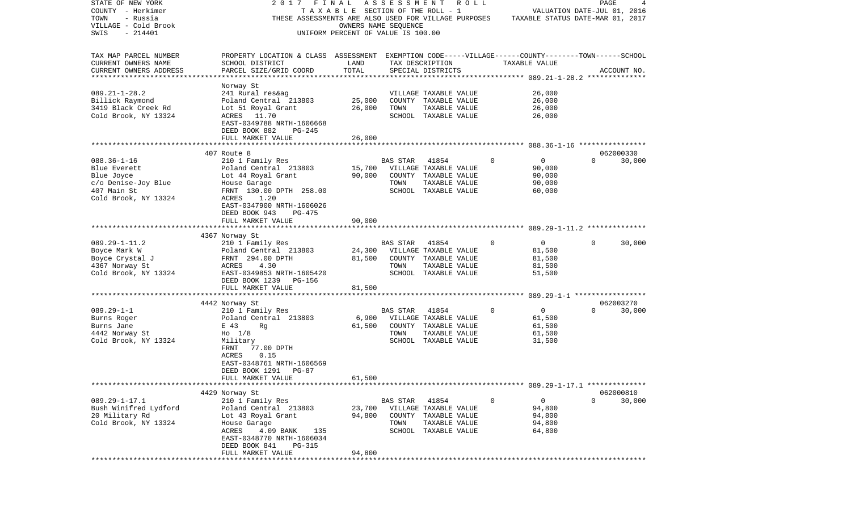| STATE OF NEW YORK      | 2017<br>FINAL                                                                                      |        |                      | A S S E S S M E N T R O L L     |              |                                  | PAGE     | 4           |
|------------------------|----------------------------------------------------------------------------------------------------|--------|----------------------|---------------------------------|--------------|----------------------------------|----------|-------------|
| COUNTY - Herkimer      |                                                                                                    |        |                      | TAXABLE SECTION OF THE ROLL - 1 |              | VALUATION DATE-JUL 01, 2016      |          |             |
| TOWN<br>- Russia       | THESE ASSESSMENTS ARE ALSO USED FOR VILLAGE PURPOSES                                               |        |                      |                                 |              | TAXABLE STATUS DATE-MAR 01, 2017 |          |             |
| VILLAGE - Cold Brook   |                                                                                                    |        | OWNERS NAME SEQUENCE |                                 |              |                                  |          |             |
| SWIS<br>$-214401$      | UNIFORM PERCENT OF VALUE IS 100.00                                                                 |        |                      |                                 |              |                                  |          |             |
|                        |                                                                                                    |        |                      |                                 |              |                                  |          |             |
| TAX MAP PARCEL NUMBER  | PROPERTY LOCATION & CLASS ASSESSMENT EXEMPTION CODE-----VILLAGE------COUNTY-------TOWN------SCHOOL |        |                      |                                 |              |                                  |          |             |
| CURRENT OWNERS NAME    | SCHOOL DISTRICT                                                                                    | LAND   |                      | TAX DESCRIPTION                 |              | TAXABLE VALUE                    |          |             |
| CURRENT OWNERS ADDRESS | PARCEL SIZE/GRID COORD                                                                             | TOTAL  |                      | SPECIAL DISTRICTS               |              |                                  |          | ACCOUNT NO. |
|                        | Norway St                                                                                          |        |                      |                                 |              |                                  |          |             |
| $089.21 - 1 - 28.2$    | 241 Rural res&ag                                                                                   |        |                      | VILLAGE TAXABLE VALUE           |              | 26,000                           |          |             |
| Billick Raymond        | Poland Central 213803                                                                              | 25,000 |                      | COUNTY TAXABLE VALUE            |              | 26,000                           |          |             |
| 3419 Black Creek Rd    | Lot 51 Royal Grant                                                                                 | 26,000 | TOWN                 | TAXABLE VALUE                   |              | 26,000                           |          |             |
| Cold Brook, NY 13324   | ACRES 11.70                                                                                        |        |                      | SCHOOL TAXABLE VALUE            |              | 26,000                           |          |             |
|                        | EAST-0349788 NRTH-1606668                                                                          |        |                      |                                 |              |                                  |          |             |
|                        | DEED BOOK 882<br>PG-245                                                                            |        |                      |                                 |              |                                  |          |             |
|                        | FULL MARKET VALUE                                                                                  | 26,000 |                      |                                 |              |                                  |          |             |
|                        |                                                                                                    |        |                      |                                 |              |                                  |          |             |
|                        | 407 Route 8                                                                                        |        |                      |                                 |              |                                  |          | 062000330   |
| $088.36 - 1 - 16$      | 210 1 Family Res                                                                                   |        | BAS STAR             | 41854                           | $\mathbf{0}$ | $\overline{0}$                   | $\Omega$ | 30,000      |
| Blue Everett           | Poland Central 213803                                                                              | 15,700 |                      | VILLAGE TAXABLE VALUE           |              | 90,000                           |          |             |
| Blue Joyce             | Lot 44 Royal Grant                                                                                 | 90,000 |                      | COUNTY TAXABLE VALUE            |              | 90,000                           |          |             |
| c/o Denise-Joy Blue    | House Garage                                                                                       |        | TOWN                 | TAXABLE VALUE                   |              | 90,000                           |          |             |
| 407 Main St            | FRNT 130.00 DPTH 258.00                                                                            |        |                      | SCHOOL TAXABLE VALUE            |              | 60,000                           |          |             |
| Cold Brook, NY 13324   | ACRES<br>1.20                                                                                      |        |                      |                                 |              |                                  |          |             |
|                        | EAST-0347900 NRTH-1606026                                                                          |        |                      |                                 |              |                                  |          |             |
|                        | DEED BOOK 943<br>PG-475                                                                            |        |                      |                                 |              |                                  |          |             |
|                        | FULL MARKET VALUE                                                                                  | 90,000 |                      |                                 |              |                                  |          |             |
|                        |                                                                                                    |        |                      |                                 |              |                                  |          |             |
|                        | 4367 Norway St                                                                                     |        |                      |                                 |              |                                  |          |             |
| $089.29 - 1 - 11.2$    | 210 1 Family Res                                                                                   |        | BAS STAR             | 41854                           | $\Omega$     | $\overline{0}$                   | $\Omega$ | 30,000      |
| Boyce Mark W           | Poland Central 213803                                                                              | 24,300 |                      | VILLAGE TAXABLE VALUE           |              | 81,500                           |          |             |
| Boyce Crystal J        | FRNT 294.00 DPTH                                                                                   | 81,500 |                      | COUNTY TAXABLE VALUE            |              | 81,500                           |          |             |
| 4367 Norway St         | 4.30<br>ACRES                                                                                      |        | TOWN                 | TAXABLE VALUE                   |              | 81,500                           |          |             |
| Cold Brook, NY 13324   | EAST-0349853 NRTH-1605420                                                                          |        |                      | SCHOOL TAXABLE VALUE            |              | 51,500                           |          |             |
|                        | DEED BOOK 1239 PG-156                                                                              |        |                      |                                 |              |                                  |          |             |
|                        | FULL MARKET VALUE                                                                                  | 81,500 |                      |                                 |              |                                  |          |             |
|                        |                                                                                                    |        |                      |                                 |              |                                  |          |             |
|                        | 4442 Norway St                                                                                     |        |                      |                                 |              |                                  |          | 062003270   |
| $089.29 - 1 - 1$       | 210 1 Family Res                                                                                   |        | <b>BAS STAR</b>      | 41854                           | $\mathbf{0}$ | $\overline{0}$                   | $\Omega$ | 30,000      |
| Burns Roger            | Poland Central 213803                                                                              |        |                      | 6,900 VILLAGE TAXABLE VALUE     |              | 61,500                           |          |             |
| Burns Jane             | E 43<br>Rg                                                                                         | 61,500 |                      | COUNTY TAXABLE VALUE            |              | 61,500                           |          |             |
| 4442 Norway St         | $H_0$ 1/8                                                                                          |        | TOWN                 | TAXABLE VALUE                   |              | 61,500                           |          |             |
| Cold Brook, NY 13324   | Military                                                                                           |        |                      | SCHOOL TAXABLE VALUE            |              | 31,500                           |          |             |
|                        | 77.00 DPTH<br>FRNT                                                                                 |        |                      |                                 |              |                                  |          |             |
|                        | ACRES<br>0.15                                                                                      |        |                      |                                 |              |                                  |          |             |
|                        | EAST-0348761 NRTH-1606569                                                                          |        |                      |                                 |              |                                  |          |             |
|                        | DEED BOOK 1291<br>PG-87                                                                            |        |                      |                                 |              |                                  |          |             |
|                        | FULL MARKET VALUE                                                                                  | 61,500 |                      |                                 |              |                                  |          |             |
|                        |                                                                                                    |        |                      |                                 |              |                                  |          |             |
|                        | 4429 Norway St                                                                                     |        |                      |                                 |              |                                  |          | 062000810   |
| $089.29 - 1 - 17.1$    | 210 1 Family Res                                                                                   |        | BAS STAR 41854       |                                 | $\mathbf 0$  | $\mathsf{O}$                     | $\Omega$ | 30,000      |
| Bush Winifred Lydford  | Poland Central 213803                                                                              |        |                      | 23,700 VILLAGE TAXABLE VALUE    |              | 94,800                           |          |             |
| 20 Military Rd         | Lot 43 Royal Grant                                                                                 | 94,800 |                      | COUNTY TAXABLE VALUE            |              | 94,800                           |          |             |
| Cold Brook, NY 13324   | House Garage                                                                                       |        | TOWN                 | TAXABLE VALUE                   |              | 94,800                           |          |             |
|                        | 4.09 BANK<br>135<br>ACRES                                                                          |        |                      | SCHOOL TAXABLE VALUE            |              | 64,800                           |          |             |
|                        | EAST-0348770 NRTH-1606034                                                                          |        |                      |                                 |              |                                  |          |             |
|                        | DEED BOOK 841<br>PG-315                                                                            |        |                      |                                 |              |                                  |          |             |
|                        | FULL MARKET VALUE                                                                                  | 94,800 |                      |                                 |              |                                  |          |             |
|                        |                                                                                                    |        |                      |                                 |              |                                  |          |             |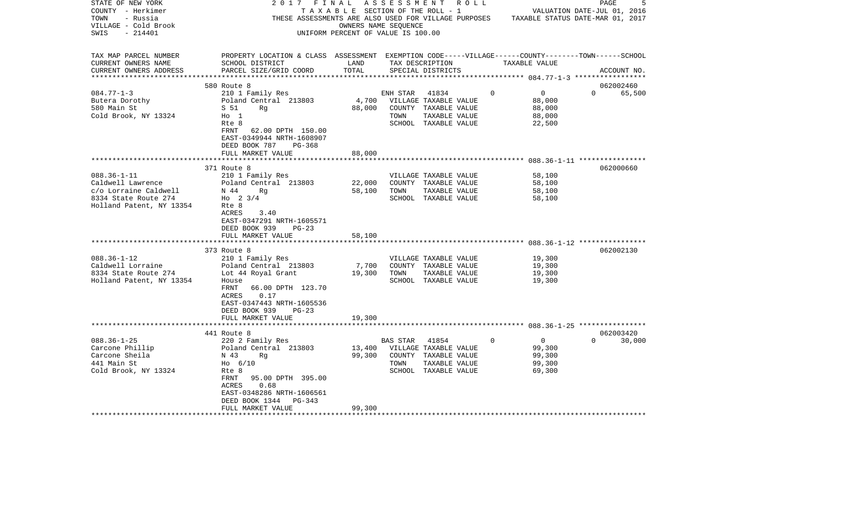| STATE OF NEW YORK<br>COUNTY - Herkimer<br>- Russia<br>TOWN<br>VILLAGE - Cold Brook<br>$-214401$<br>SWIS |                                                                                                                                                 | OWNERS NAME SEQUENCE<br>UNIFORM PERCENT OF VALUE IS 100.00 |                | 2017 FINAL ASSESSMENT ROLL<br>T A X A B L E SECTION OF THE ROLL - 1 |             |                  | 5<br>PAGE<br>VALUATION DATE-JUL 01, 2016<br>THESE ASSESSMENTS ARE ALSO USED FOR VILLAGE PURPOSES TAXABLE STATUS DATE-MAR 01, 2017 |
|---------------------------------------------------------------------------------------------------------|-------------------------------------------------------------------------------------------------------------------------------------------------|------------------------------------------------------------|----------------|---------------------------------------------------------------------|-------------|------------------|-----------------------------------------------------------------------------------------------------------------------------------|
| TAX MAP PARCEL NUMBER<br>CURRENT OWNERS NAME<br>CURRENT OWNERS ADDRESS                                  | PROPERTY LOCATION & CLASS ASSESSMENT EXEMPTION CODE-----VILLAGE------COUNTY-------TOWN------SCHOOL<br>SCHOOL DISTRICT<br>PARCEL SIZE/GRID COORD | LAND<br>TOTAL                                              |                | TAX DESCRIPTION<br>SPECIAL DISTRICTS                                |             | TAXABLE VALUE    | ACCOUNT NO.                                                                                                                       |
|                                                                                                         |                                                                                                                                                 |                                                            |                |                                                                     |             |                  |                                                                                                                                   |
| $084.77 - 1 - 3$                                                                                        | 580 Route 8<br>210 1 Family Res                                                                                                                 |                                                            | ENH STAR       | 41834                                                               | $\Omega$    | $\overline{0}$   | 062002460<br>$\Omega$<br>65,500                                                                                                   |
| Butera Dorothy                                                                                          | Poland Central 213803                                                                                                                           |                                                            |                | 4,700 VILLAGE TAXABLE VALUE                                         |             | 88,000           |                                                                                                                                   |
| 580 Main St                                                                                             | S 51<br>Rq                                                                                                                                      | 88,000                                                     |                | COUNTY TAXABLE VALUE                                                |             | 88,000           |                                                                                                                                   |
| Cold Brook, NY 13324                                                                                    | $H_0$ 1                                                                                                                                         |                                                            | TOWN           | TAXABLE VALUE                                                       |             | 88,000           |                                                                                                                                   |
|                                                                                                         | Rte 8                                                                                                                                           |                                                            |                | SCHOOL TAXABLE VALUE                                                |             | 22,500           |                                                                                                                                   |
|                                                                                                         | FRNT<br>62.00 DPTH 150.00<br>EAST-0349944 NRTH-1608907                                                                                          |                                                            |                |                                                                     |             |                  |                                                                                                                                   |
|                                                                                                         | DEED BOOK 787<br>$PG-368$                                                                                                                       |                                                            |                |                                                                     |             |                  |                                                                                                                                   |
|                                                                                                         | FULL MARKET VALUE                                                                                                                               | 88,000                                                     |                |                                                                     |             |                  |                                                                                                                                   |
|                                                                                                         | ********************                                                                                                                            |                                                            |                |                                                                     |             |                  |                                                                                                                                   |
|                                                                                                         | 371 Route 8                                                                                                                                     |                                                            |                |                                                                     |             |                  | 062000660                                                                                                                         |
| $088.36 - 1 - 11$                                                                                       | 210 1 Family Res                                                                                                                                |                                                            |                | VILLAGE TAXABLE VALUE                                               |             | 58,100           |                                                                                                                                   |
| Caldwell Lawrence                                                                                       | Poland Central 213803                                                                                                                           | 22,000                                                     |                | COUNTY TAXABLE VALUE                                                |             | 58,100           |                                                                                                                                   |
| c/o Lorraine Caldwell<br>8334 State Route 274                                                           | N 44<br>Rq<br>Ho $2 \frac{3}{4}$                                                                                                                | 58,100                                                     | TOWN           | TAXABLE VALUE<br>SCHOOL TAXABLE VALUE                               |             | 58,100<br>58,100 |                                                                                                                                   |
| Holland Patent, NY 13354                                                                                | Rte 8                                                                                                                                           |                                                            |                |                                                                     |             |                  |                                                                                                                                   |
|                                                                                                         | ACRES<br>3.40                                                                                                                                   |                                                            |                |                                                                     |             |                  |                                                                                                                                   |
|                                                                                                         | EAST-0347291 NRTH-1605571                                                                                                                       |                                                            |                |                                                                     |             |                  |                                                                                                                                   |
|                                                                                                         | DEED BOOK 939<br>$PG-23$                                                                                                                        |                                                            |                |                                                                     |             |                  |                                                                                                                                   |
|                                                                                                         | FULL MARKET VALUE<br>****************************                                                                                               | 58,100                                                     |                |                                                                     |             |                  |                                                                                                                                   |
|                                                                                                         | 373 Route 8                                                                                                                                     |                                                            |                |                                                                     |             |                  | 062002130                                                                                                                         |
| $088.36 - 1 - 12$                                                                                       | 210 1 Family Res                                                                                                                                |                                                            |                | VILLAGE TAXABLE VALUE                                               |             | 19,300           |                                                                                                                                   |
| Caldwell Lorraine                                                                                       | Poland Central 213803                                                                                                                           | 7,700                                                      |                | COUNTY TAXABLE VALUE                                                |             | 19,300           |                                                                                                                                   |
| 8334 State Route 274                                                                                    | Lot 44 Royal Grant                                                                                                                              | 19,300                                                     | TOWN           | TAXABLE VALUE                                                       |             | 19,300           |                                                                                                                                   |
| Holland Patent, NY 13354                                                                                | House                                                                                                                                           |                                                            |                | SCHOOL TAXABLE VALUE                                                |             | 19,300           |                                                                                                                                   |
|                                                                                                         | FRNT 66.00 DPTH 123.70<br>ACRES<br>0.17                                                                                                         |                                                            |                |                                                                     |             |                  |                                                                                                                                   |
|                                                                                                         | EAST-0347443 NRTH-1605536                                                                                                                       |                                                            |                |                                                                     |             |                  |                                                                                                                                   |
|                                                                                                         | DEED BOOK 939<br>$PG-23$                                                                                                                        |                                                            |                |                                                                     |             |                  |                                                                                                                                   |
|                                                                                                         | FULL MARKET VALUE                                                                                                                               | 19,300                                                     |                |                                                                     |             |                  |                                                                                                                                   |
|                                                                                                         |                                                                                                                                                 |                                                            |                |                                                                     |             |                  |                                                                                                                                   |
|                                                                                                         | 441 Route 8                                                                                                                                     |                                                            |                |                                                                     |             |                  | 062003420                                                                                                                         |
| $088.36 - 1 - 25$                                                                                       | 220 2 Family Res                                                                                                                                |                                                            | BAS STAR 41854 |                                                                     | $\mathbf 0$ | $\overline{0}$   | $\Omega$<br>30,000                                                                                                                |
| Carcone Phillip<br>Carcone Sheila                                                                       | Poland Central 213803<br>N 43<br>Rq                                                                                                             | 13,400<br>99,300                                           |                | VILLAGE TAXABLE VALUE<br>COUNTY TAXABLE VALUE                       |             | 99,300<br>99,300 |                                                                                                                                   |
| 441 Main St                                                                                             | $H_0$ 6/10                                                                                                                                      |                                                            | TOWN           | TAXABLE VALUE                                                       |             | 99,300           |                                                                                                                                   |
| Cold Brook, NY 13324                                                                                    | Rte 8                                                                                                                                           |                                                            |                | SCHOOL TAXABLE VALUE                                                |             | 69,300           |                                                                                                                                   |
|                                                                                                         | FRNT<br>95.00 DPTH 395.00                                                                                                                       |                                                            |                |                                                                     |             |                  |                                                                                                                                   |
|                                                                                                         | ACRES<br>0.68                                                                                                                                   |                                                            |                |                                                                     |             |                  |                                                                                                                                   |
|                                                                                                         | EAST-0348286 NRTH-1606561                                                                                                                       |                                                            |                |                                                                     |             |                  |                                                                                                                                   |
|                                                                                                         | DEED BOOK 1344<br>PG-343<br>FULL MARKET VALUE                                                                                                   | 99,300                                                     |                |                                                                     |             |                  |                                                                                                                                   |
|                                                                                                         |                                                                                                                                                 |                                                            |                |                                                                     |             |                  |                                                                                                                                   |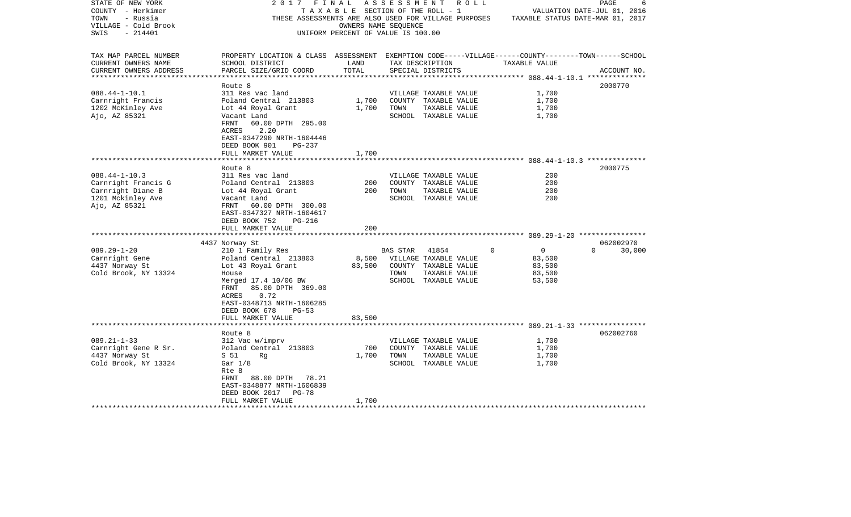| STATE OF NEW YORK<br>COUNTY - Herkimer        | 2017                                                                                               | FINAL<br>TAXABLE SECTION OF THE ROLL - 1 | A S S E S S M E N T |                                      | R O L L  |               | PAGE<br>6<br>VALUATION DATE-JUL 01, 2016 |
|-----------------------------------------------|----------------------------------------------------------------------------------------------------|------------------------------------------|---------------------|--------------------------------------|----------|---------------|------------------------------------------|
| TOWN<br>- Russia                              |                                                                                                    |                                          |                     |                                      |          |               |                                          |
| VILLAGE - Cold Brook                          | THESE ASSESSMENTS ARE ALSO USED FOR VILLAGE PURPOSES                                               |                                          |                     |                                      |          |               | TAXABLE STATUS DATE-MAR 01, 2017         |
| $-214401$                                     |                                                                                                    | OWNERS NAME SEQUENCE                     |                     |                                      |          |               |                                          |
| SWIS                                          |                                                                                                    | UNIFORM PERCENT OF VALUE IS 100.00       |                     |                                      |          |               |                                          |
|                                               |                                                                                                    |                                          |                     |                                      |          |               |                                          |
| TAX MAP PARCEL NUMBER                         | PROPERTY LOCATION & CLASS ASSESSMENT EXEMPTION CODE-----VILLAGE------COUNTY-------TOWN------SCHOOL |                                          |                     |                                      |          |               |                                          |
| CURRENT OWNERS NAME<br>CURRENT OWNERS ADDRESS | SCHOOL DISTRICT<br>PARCEL SIZE/GRID COORD                                                          | LAND<br>TOTAL                            |                     | TAX DESCRIPTION<br>SPECIAL DISTRICTS |          | TAXABLE VALUE | ACCOUNT NO.                              |
|                                               |                                                                                                    |                                          |                     |                                      |          |               |                                          |
|                                               | Route 8                                                                                            |                                          |                     |                                      |          |               | 2000770                                  |
| $088.44 - 1 - 10.1$                           | 311 Res vac land                                                                                   |                                          |                     | VILLAGE TAXABLE VALUE                |          | 1,700         |                                          |
| Carnright Francis                             | Poland Central 213803                                                                              | 1,700                                    |                     | COUNTY TAXABLE VALUE                 |          | 1,700         |                                          |
| 1202 McKinley Ave                             | Lot 44 Royal Grant                                                                                 | 1,700                                    | TOWN                | TAXABLE VALUE                        |          | 1,700         |                                          |
| Ajo, AZ 85321                                 | Vacant Land                                                                                        |                                          |                     | SCHOOL TAXABLE VALUE                 |          | 1,700         |                                          |
|                                               | 60.00 DPTH 295.00<br>FRNT                                                                          |                                          |                     |                                      |          |               |                                          |
|                                               | 2.20<br>ACRES                                                                                      |                                          |                     |                                      |          |               |                                          |
|                                               | EAST-0347290 NRTH-1604446                                                                          |                                          |                     |                                      |          |               |                                          |
|                                               |                                                                                                    |                                          |                     |                                      |          |               |                                          |
|                                               | DEED BOOK 901<br>PG-237<br>FULL MARKET VALUE                                                       | 1,700                                    |                     |                                      |          |               |                                          |
|                                               | **********************                                                                             | ************                             |                     |                                      |          |               |                                          |
|                                               | Route 8                                                                                            |                                          |                     |                                      |          |               | 2000775                                  |
| $088.44 - 1 - 10.3$                           | 311 Res vac land                                                                                   |                                          |                     | VILLAGE TAXABLE VALUE                |          | 200           |                                          |
| Carnright Francis G                           | Poland Central 213803                                                                              | 200                                      |                     | COUNTY TAXABLE VALUE                 |          | 200           |                                          |
| Carnright Diane B                             | Lot 44 Royal Grant                                                                                 | 200                                      | TOWN                | TAXABLE VALUE                        |          | 200           |                                          |
| 1201 Mckinley Ave                             | Vacant Land                                                                                        |                                          |                     | SCHOOL TAXABLE VALUE                 |          | 200           |                                          |
| Ajo, AZ 85321                                 | 60.00 DPTH 300.00<br>FRNT                                                                          |                                          |                     |                                      |          |               |                                          |
|                                               | EAST-0347327 NRTH-1604617                                                                          |                                          |                     |                                      |          |               |                                          |
|                                               | DEED BOOK 752<br>PG-216                                                                            |                                          |                     |                                      |          |               |                                          |
|                                               | FULL MARKET VALUE                                                                                  | 200                                      |                     |                                      |          |               |                                          |
|                                               |                                                                                                    |                                          |                     |                                      |          |               |                                          |
|                                               | 4437 Norway St                                                                                     |                                          |                     |                                      |          |               | 062002970                                |
| $089.29 - 1 - 20$                             | 210 1 Family Res                                                                                   |                                          | BAS STAR            | 41854                                | $\Omega$ | $\mathbf 0$   | $\Omega$<br>30,000                       |
| Carnright Gene                                | Poland Central 213803                                                                              | 8,500                                    |                     | VILLAGE TAXABLE VALUE                |          | 83,500        |                                          |
| 4437 Norway St                                | Lot 43 Royal Grant                                                                                 | 83,500                                   |                     | COUNTY TAXABLE VALUE                 |          | 83,500        |                                          |
| Cold Brook, NY 13324                          | House                                                                                              |                                          | TOWN                | TAXABLE VALUE                        |          | 83,500        |                                          |
|                                               | Merged 17.4 10/06 BW                                                                               |                                          |                     | SCHOOL TAXABLE VALUE                 |          | 53,500        |                                          |
|                                               | 85.00 DPTH 369.00<br>FRNT                                                                          |                                          |                     |                                      |          |               |                                          |
|                                               | 0.72<br>ACRES                                                                                      |                                          |                     |                                      |          |               |                                          |
|                                               | EAST-0348713 NRTH-1606285                                                                          |                                          |                     |                                      |          |               |                                          |
|                                               | DEED BOOK 678<br>$PG-53$                                                                           |                                          |                     |                                      |          |               |                                          |
|                                               | FULL MARKET VALUE                                                                                  | 83,500                                   |                     |                                      |          |               |                                          |
|                                               |                                                                                                    |                                          |                     |                                      |          |               |                                          |
|                                               | Route 8                                                                                            |                                          |                     |                                      |          |               | 062002760                                |
| $089.21 - 1 - 33$                             | 312 Vac w/imprv                                                                                    |                                          |                     | VILLAGE TAXABLE VALUE                |          | 1,700         |                                          |
| Carnright Gene R Sr.                          | Poland Central 213803                                                                              | 700                                      |                     | COUNTY TAXABLE VALUE                 |          | 1,700         |                                          |
| 4437 Norway St                                | S 51<br>Ra                                                                                         | 1,700                                    | TOWN                | TAXABLE VALUE                        |          | 1,700         |                                          |
| Cold Brook, NY 13324                          | Gar $1/8$                                                                                          |                                          |                     | SCHOOL TAXABLE VALUE                 |          | 1,700         |                                          |
|                                               | Rte 8                                                                                              |                                          |                     |                                      |          |               |                                          |
|                                               | 88.00 DPTH 78.21<br>FRNT                                                                           |                                          |                     |                                      |          |               |                                          |
|                                               | EAST-0348877 NRTH-1606839                                                                          |                                          |                     |                                      |          |               |                                          |
|                                               | DEED BOOK 2017<br><b>PG-78</b>                                                                     |                                          |                     |                                      |          |               |                                          |
|                                               | FULL MARKET VALUE                                                                                  | 1,700                                    |                     |                                      |          |               |                                          |
| *******************                           | **********************                                                                             |                                          |                     |                                      |          |               |                                          |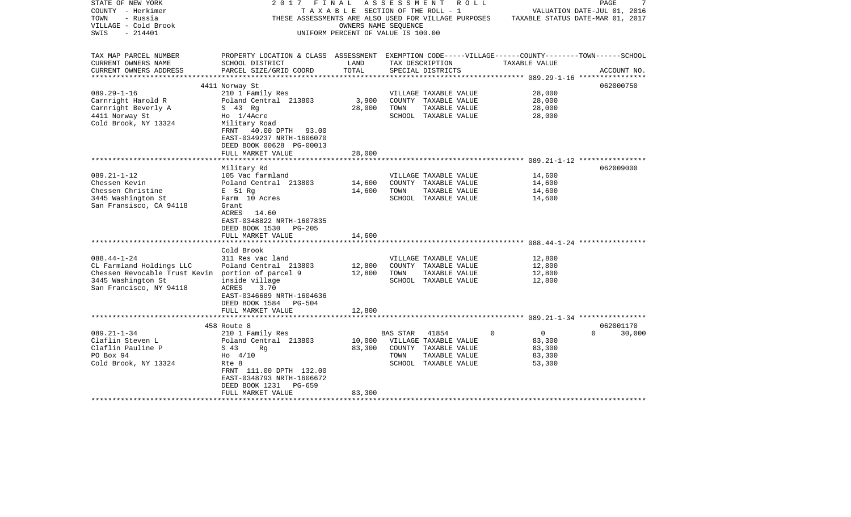| STATE OF NEW YORK                                 | 2017                                                                                               | FINAL                              |          | A S S E S S M E N T R O L L |          |                | PAGE                             |        |
|---------------------------------------------------|----------------------------------------------------------------------------------------------------|------------------------------------|----------|-----------------------------|----------|----------------|----------------------------------|--------|
| COUNTY - Herkimer                                 |                                                                                                    | TAXABLE SECTION OF THE ROLL - 1    |          |                             |          |                | VALUATION DATE-JUL 01, 2016      |        |
| TOWN<br>- Russia                                  | THESE ASSESSMENTS ARE ALSO USED FOR VILLAGE PURPOSES                                               |                                    |          |                             |          |                | TAXABLE STATUS DATE-MAR 01, 2017 |        |
| VILLAGE - Cold Brook                              |                                                                                                    | OWNERS NAME SEOUENCE               |          |                             |          |                |                                  |        |
| $-214401$<br>SWIS                                 |                                                                                                    | UNIFORM PERCENT OF VALUE IS 100.00 |          |                             |          |                |                                  |        |
|                                                   |                                                                                                    |                                    |          |                             |          |                |                                  |        |
|                                                   |                                                                                                    |                                    |          |                             |          |                |                                  |        |
| TAX MAP PARCEL NUMBER                             | PROPERTY LOCATION & CLASS ASSESSMENT EXEMPTION CODE-----VILLAGE------COUNTY-------TOWN------SCHOOL |                                    |          |                             |          |                |                                  |        |
| CURRENT OWNERS NAME                               | SCHOOL DISTRICT                                                                                    | LAND                               |          | TAX DESCRIPTION             |          | TAXABLE VALUE  |                                  |        |
| CURRENT OWNERS ADDRESS<br>*******************     | PARCEL SIZE/GRID COORD                                                                             | TOTAL<br>****************          |          | SPECIAL DISTRICTS           |          |                | ACCOUNT NO.                      |        |
|                                                   | 4411 Norway St                                                                                     |                                    |          |                             |          |                | 062000750                        |        |
| $089.29 - 1 - 16$                                 | 210 1 Family Res                                                                                   |                                    |          | VILLAGE TAXABLE VALUE       |          | 28,000         |                                  |        |
| Carnright Harold R                                | Poland Central 213803                                                                              | 3,900                              |          | COUNTY TAXABLE VALUE        |          | 28,000         |                                  |        |
| Carnright Beverly A                               | S 43 Rg                                                                                            | 28,000                             | TOWN     | TAXABLE VALUE               |          | 28,000         |                                  |        |
| 4411 Norway St                                    | Ho 1/4Acre                                                                                         |                                    |          | SCHOOL TAXABLE VALUE        |          | 28,000         |                                  |        |
| Cold Brook, NY 13324                              | Military Road                                                                                      |                                    |          |                             |          |                |                                  |        |
|                                                   |                                                                                                    |                                    |          |                             |          |                |                                  |        |
|                                                   | FRNT 40.00 DPTH 93.00                                                                              |                                    |          |                             |          |                |                                  |        |
|                                                   | EAST-0349237 NRTH-1606070                                                                          |                                    |          |                             |          |                |                                  |        |
|                                                   | DEED BOOK 00628 PG-00013                                                                           |                                    |          |                             |          |                |                                  |        |
|                                                   | FULL MARKET VALUE                                                                                  | 28,000                             |          |                             |          |                |                                  |        |
|                                                   |                                                                                                    |                                    |          |                             |          |                | 062009000                        |        |
| $089.21 - 1 - 12$                                 | Military Rd                                                                                        |                                    |          |                             |          |                |                                  |        |
|                                                   | 105 Vac farmland                                                                                   |                                    |          | VILLAGE TAXABLE VALUE       |          | 14,600         |                                  |        |
| Chessen Kevin                                     | Poland Central 213803                                                                              | 14,600                             |          | COUNTY TAXABLE VALUE        |          | 14,600         |                                  |        |
| Chessen Christine                                 | E 51 Rg                                                                                            | 14,600                             | TOWN     | TAXABLE VALUE               |          | 14,600         |                                  |        |
| 3445 Washington St                                | Farm 10 Acres                                                                                      |                                    |          | SCHOOL TAXABLE VALUE        |          | 14,600         |                                  |        |
| San Fransisco, CA 94118                           | Grant                                                                                              |                                    |          |                             |          |                |                                  |        |
|                                                   | ACRES<br>14.60                                                                                     |                                    |          |                             |          |                |                                  |        |
|                                                   | EAST-0348822 NRTH-1607835                                                                          |                                    |          |                             |          |                |                                  |        |
|                                                   | DEED BOOK 1530<br><b>PG-205</b>                                                                    |                                    |          |                             |          |                |                                  |        |
|                                                   | FULL MARKET VALUE                                                                                  | 14,600                             |          |                             |          |                |                                  |        |
|                                                   |                                                                                                    |                                    |          |                             |          |                |                                  |        |
|                                                   | Cold Brook                                                                                         |                                    |          |                             |          |                |                                  |        |
| $088.44 - 1 - 24$                                 | 311 Res vac land                                                                                   |                                    |          | VILLAGE TAXABLE VALUE       |          | 12,800         |                                  |        |
| CL Farmland Holdings LLC                          | Poland Central 213803                                                                              | 12,800                             |          | COUNTY TAXABLE VALUE        |          | 12,800         |                                  |        |
| Chessen Revocable Trust Kevin portion of parcel 9 |                                                                                                    | 12,800                             | TOWN     | TAXABLE VALUE               |          | 12,800         |                                  |        |
| 3445 Washington St                                | inside village                                                                                     |                                    |          | SCHOOL TAXABLE VALUE        |          | 12,800         |                                  |        |
| San Francisco, NY 94118                           | 3.70<br>ACRES                                                                                      |                                    |          |                             |          |                |                                  |        |
|                                                   | EAST-0346689 NRTH-1604636                                                                          |                                    |          |                             |          |                |                                  |        |
|                                                   | DEED BOOK 1584 PG-504                                                                              |                                    |          |                             |          |                |                                  |        |
|                                                   | FULL MARKET VALUE                                                                                  | 12,800                             |          |                             |          |                |                                  |        |
|                                                   |                                                                                                    |                                    |          |                             |          |                |                                  |        |
|                                                   | 458 Route 8                                                                                        |                                    |          |                             |          |                | 062001170                        |        |
| $089.21 - 1 - 34$                                 | 210 1 Family Res                                                                                   |                                    | BAS STAR | 41854                       | $\Omega$ | $\overline{0}$ | $\Omega$                         | 30,000 |
| Claflin Steven L                                  | Poland Central 213803                                                                              | 10,000                             |          | VILLAGE TAXABLE VALUE       |          | 83,300         |                                  |        |
| Claflin Pauline P                                 | S 43<br>Rg                                                                                         | 83,300                             |          | COUNTY TAXABLE VALUE        |          | 83,300         |                                  |        |
| PO Box 94                                         | $H_0$ 4/10                                                                                         |                                    | TOWN     | TAXABLE VALUE               |          | 83,300         |                                  |        |
|                                                   |                                                                                                    |                                    |          |                             |          |                |                                  |        |
| Cold Brook, NY 13324                              | Rte 8                                                                                              |                                    |          | SCHOOL TAXABLE VALUE        |          | 53,300         |                                  |        |
|                                                   | FRNT 111.00 DPTH 132.00                                                                            |                                    |          |                             |          |                |                                  |        |
|                                                   | EAST-0348793 NRTH-1606672                                                                          |                                    |          |                             |          |                |                                  |        |
|                                                   | DEED BOOK 1231<br>PG-659                                                                           |                                    |          |                             |          |                |                                  |        |
|                                                   | FULL MARKET VALUE                                                                                  | 83,300                             |          |                             |          |                |                                  |        |
| *******************                               |                                                                                                    |                                    |          |                             |          |                |                                  |        |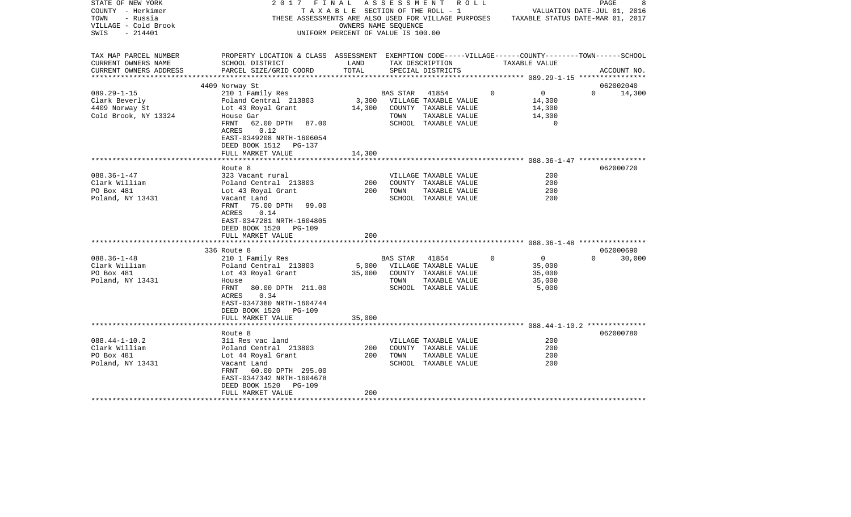| STATE OF NEW YORK<br>COUNTY - Herkimer<br>TOWN<br>- Russia<br>VILLAGE - Cold Brook<br>- 214401<br>SWIS |                                                                                                                                                                                 | OWNERS NAME SEOUENCE<br>UNIFORM PERCENT OF VALUE IS 100.00 |                  | 2017 FINAL ASSESSMENT ROLL<br>T A X A B L E SECTION OF THE ROLL - 1<br>THESE ASSESSMENTS ARE ALSO USED FOR VILLAGE PURPOSES TAXABLE STATUS DATE-MAR 01, 2017 |               |                                                       | PAGE<br>VALUATION DATE-JUL 01, 2016 | 8      |
|--------------------------------------------------------------------------------------------------------|---------------------------------------------------------------------------------------------------------------------------------------------------------------------------------|------------------------------------------------------------|------------------|--------------------------------------------------------------------------------------------------------------------------------------------------------------|---------------|-------------------------------------------------------|-------------------------------------|--------|
| TAX MAP PARCEL NUMBER<br>CURRENT OWNERS NAME<br>CURRENT OWNERS ADDRESS                                 | PROPERTY LOCATION & CLASS ASSESSMENT EXEMPTION CODE-----VILLAGE------COUNTY-------TOWN------SCHOOL<br>SCHOOL DISTRICT<br>PARCEL SIZE/GRID COORD                                 | LAND<br>TOTAL                                              |                  | TAX DESCRIPTION<br>SPECIAL DISTRICTS                                                                                                                         | TAXABLE VALUE |                                                       | ACCOUNT NO.                         |        |
| **********************                                                                                 |                                                                                                                                                                                 |                                                            |                  |                                                                                                                                                              |               |                                                       |                                     |        |
|                                                                                                        | 4409 Norway St                                                                                                                                                                  |                                                            |                  |                                                                                                                                                              |               |                                                       | 062002040                           |        |
| $089.29 - 1 - 15$<br>Clark Beverly<br>4409 Norway St<br>Cold Brook, NY 13324                           | 210 1 Family Res<br>Poland Central 213803<br>Lot 43 Royal Grant<br>House Gar<br>FRNT<br>62.00 DPTH 87.00<br>ACRES 0.12<br>EAST-0349208 NRTH-1606054                             |                                                            | BAS STAR<br>TOWN | 41854<br>3,300 VILLAGE TAXABLE VALUE<br>14,300 COUNTY TAXABLE VALUE<br>TAXABLE VALUE<br>SCHOOL TAXABLE VALUE                                                 | $\Omega$      | $\overline{0}$<br>14,300<br>14,300<br>14,300<br>0     | $\Omega$<br>14,300                  |        |
|                                                                                                        | DEED BOOK 1512 PG-137                                                                                                                                                           |                                                            |                  |                                                                                                                                                              |               |                                                       |                                     |        |
|                                                                                                        | FULL MARKET VALUE                                                                                                                                                               | 14,300                                                     |                  |                                                                                                                                                              |               |                                                       |                                     |        |
|                                                                                                        | Route 8                                                                                                                                                                         |                                                            |                  |                                                                                                                                                              |               |                                                       | 062000720                           |        |
| $088.36 - 1 - 47$<br>Clark William                                                                     | 323 Vacant rural<br>Poland Central 213803                                                                                                                                       | 200                                                        |                  | VILLAGE TAXABLE VALUE<br>COUNTY TAXABLE VALUE                                                                                                                |               | 200<br>200                                            |                                     |        |
| PO Box 481                                                                                             | Lot 43 Royal Grant                                                                                                                                                              | 200                                                        | TOWN             | TAXABLE VALUE                                                                                                                                                |               | 200                                                   |                                     |        |
| Poland, NY 13431                                                                                       | Vacant Land<br>FRNT<br>75.00 DPTH 99.00<br>0.14<br>ACRES<br>EAST-0347281 NRTH-1604805<br>DEED BOOK 1520<br>PG-109<br>FULL MARKET VALUE                                          | 200                                                        |                  | SCHOOL TAXABLE VALUE                                                                                                                                         |               | 200                                                   |                                     |        |
|                                                                                                        |                                                                                                                                                                                 |                                                            |                  |                                                                                                                                                              |               |                                                       |                                     |        |
|                                                                                                        | 336 Route 8                                                                                                                                                                     |                                                            |                  |                                                                                                                                                              |               |                                                       | 062000690                           |        |
| $088.36 - 1 - 48$<br>Clark William<br>PO Box 481<br>Poland, NY 13431                                   | 210 1 Family Res<br>Poland Central 213803<br>Lot 43 Royal Grant<br>House<br>FRNT<br>80.00 DPTH 211.00<br>0.34<br>ACRES<br>EAST-0347380 NRTH-1604744<br>DEED BOOK 1520 PG-109    | 5,000<br>35,000                                            | BAS STAR<br>TOWN | 41854<br>VILLAGE TAXABLE VALUE<br>COUNTY TAXABLE VALUE<br>TAXABLE VALUE<br>SCHOOL TAXABLE VALUE                                                              | $\Omega$      | $\overline{0}$<br>35,000<br>35,000<br>35,000<br>5,000 | $\Omega$                            | 30,000 |
|                                                                                                        | FULL MARKET VALUE                                                                                                                                                               | 35,000                                                     |                  |                                                                                                                                                              |               |                                                       |                                     |        |
|                                                                                                        |                                                                                                                                                                                 |                                                            |                  |                                                                                                                                                              |               |                                                       |                                     |        |
| $088.44 - 1 - 10.2$<br>Clark William<br>PO Box 481<br>Poland, NY 13431                                 | Route 8<br>311 Res vac land<br>Poland Central 213803<br>Lot 44 Royal Grant<br>Vacant Land<br>FRNT<br>60.00 DPTH 295.00<br>EAST-0347342 NRTH-1604678<br>DEED BOOK 1520<br>PG-109 | 200<br>200                                                 | TOWN             | VILLAGE TAXABLE VALUE<br>COUNTY TAXABLE VALUE<br>TAXABLE VALUE<br>SCHOOL TAXABLE VALUE                                                                       |               | 200<br>200<br>200<br>200                              | 062000780                           |        |
|                                                                                                        | FULL MARKET VALUE                                                                                                                                                               | 200                                                        |                  |                                                                                                                                                              |               |                                                       |                                     |        |
|                                                                                                        |                                                                                                                                                                                 |                                                            |                  |                                                                                                                                                              |               |                                                       |                                     |        |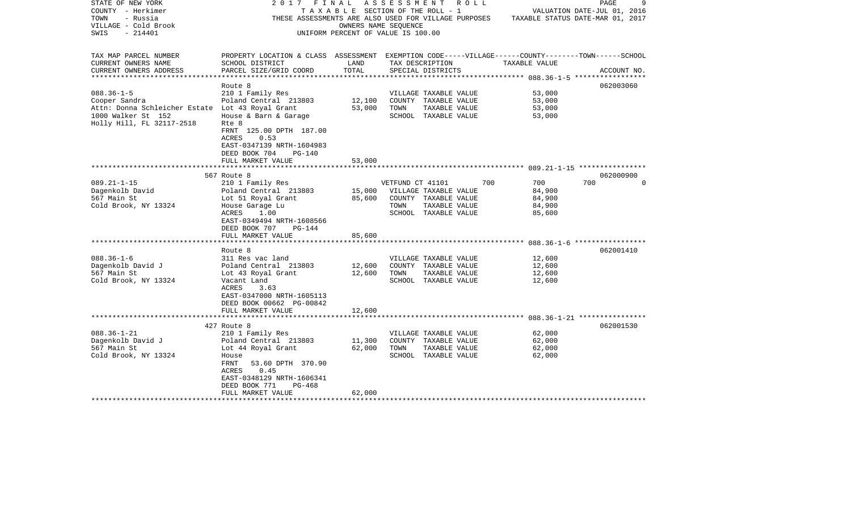| STATE OF NEW YORK                                | 2017<br>FINAL                                                                                      |                                       |                  | A S S E S S M E N T A O L L |               | 9<br>PAGE                        |
|--------------------------------------------------|----------------------------------------------------------------------------------------------------|---------------------------------------|------------------|-----------------------------|---------------|----------------------------------|
| COUNTY - Herkimer                                |                                                                                                    | T A X A B L E SECTION OF THE ROLL - 1 |                  |                             |               | VALUATION DATE-JUL 01, 2016      |
| TOWN<br>- Russia                                 | THESE ASSESSMENTS ARE ALSO USED FOR VILLAGE PURPOSES                                               |                                       |                  |                             |               | TAXABLE STATUS DATE-MAR 01, 2017 |
| VILLAGE - Cold Brook                             |                                                                                                    | OWNERS NAME SEOUENCE                  |                  |                             |               |                                  |
| $-214401$<br>SWIS                                |                                                                                                    | UNIFORM PERCENT OF VALUE IS 100.00    |                  |                             |               |                                  |
|                                                  |                                                                                                    |                                       |                  |                             |               |                                  |
|                                                  |                                                                                                    |                                       |                  |                             |               |                                  |
| TAX MAP PARCEL NUMBER                            | PROPERTY LOCATION & CLASS ASSESSMENT EXEMPTION CODE-----VILLAGE------COUNTY-------TOWN------SCHOOL |                                       |                  |                             |               |                                  |
| CURRENT OWNERS NAME                              | SCHOOL DISTRICT                                                                                    | LAND                                  |                  | TAX DESCRIPTION             | TAXABLE VALUE |                                  |
| CURRENT OWNERS ADDRESS                           | PARCEL SIZE/GRID COORD                                                                             | TOTAL                                 |                  | SPECIAL DISTRICTS           |               | ACCOUNT NO.                      |
| ***********************                          |                                                                                                    |                                       |                  |                             |               |                                  |
|                                                  | Route 8                                                                                            |                                       |                  |                             |               | 062003060                        |
| $088.36 - 1 - 5$                                 | 210 1 Family Res                                                                                   |                                       |                  | VILLAGE TAXABLE VALUE       | 53,000        |                                  |
| Cooper Sandra                                    | Poland Central 213803                                                                              | 12,100                                |                  | COUNTY TAXABLE VALUE        | 53,000        |                                  |
| Attn: Donna Schleicher Estate Lot 43 Royal Grant |                                                                                                    | 53,000                                | TOWN             | TAXABLE VALUE               | 53,000        |                                  |
| 1000 Walker St 152                               | House & Barn & Garage                                                                              |                                       |                  | SCHOOL TAXABLE VALUE        | 53,000        |                                  |
| Holly Hill, FL 32117-2518                        | Rte 8                                                                                              |                                       |                  |                             |               |                                  |
|                                                  | FRNT 125.00 DPTH 187.00                                                                            |                                       |                  |                             |               |                                  |
|                                                  | ACRES<br>0.53                                                                                      |                                       |                  |                             |               |                                  |
|                                                  |                                                                                                    |                                       |                  |                             |               |                                  |
|                                                  | EAST-0347139 NRTH-1604983                                                                          |                                       |                  |                             |               |                                  |
|                                                  | DEED BOOK 704<br>PG-140                                                                            |                                       |                  |                             |               |                                  |
|                                                  | FULL MARKET VALUE                                                                                  | 53,000                                |                  |                             |               |                                  |
|                                                  |                                                                                                    |                                       |                  |                             |               | 062000900                        |
|                                                  | 567 Route 8                                                                                        |                                       |                  |                             |               |                                  |
| $089.21 - 1 - 15$                                | 210 1 Family Res                                                                                   |                                       | VETFUND CT 41101 |                             | 700<br>700    | 700<br>$\Omega$                  |
| Dagenkolb David                                  | Poland Central 213803                                                                              | 15,000                                |                  | VILLAGE TAXABLE VALUE       | 84,900        |                                  |
| 567 Main St                                      | Lot 51 Royal Grant                                                                                 | 85,600                                |                  | COUNTY TAXABLE VALUE        | 84,900        |                                  |
| Cold Brook, NY 13324                             | House Garage Lu                                                                                    |                                       | TOWN             | TAXABLE VALUE               | 84,900        |                                  |
|                                                  | ACRES<br>1.00                                                                                      |                                       |                  | SCHOOL TAXABLE VALUE        | 85,600        |                                  |
|                                                  | EAST-0349494 NRTH-1608566                                                                          |                                       |                  |                             |               |                                  |
|                                                  | DEED BOOK 707<br>PG-144                                                                            |                                       |                  |                             |               |                                  |
|                                                  | FULL MARKET VALUE                                                                                  | 85,600                                |                  |                             |               |                                  |
|                                                  |                                                                                                    |                                       |                  |                             |               |                                  |
|                                                  | Route 8                                                                                            |                                       |                  |                             |               | 062001410                        |
| $088.36 - 1 - 6$                                 | 311 Res vac land                                                                                   |                                       |                  | VILLAGE TAXABLE VALUE       | 12,600        |                                  |
| Dagenkolb David J                                | Poland Central 213803                                                                              | 12,600                                |                  | COUNTY TAXABLE VALUE        | 12,600        |                                  |
| 567 Main St                                      | Lot 43 Royal Grant                                                                                 | 12,600                                | TOWN             | TAXABLE VALUE               | 12,600        |                                  |
| Cold Brook, NY 13324                             | Vacant Land                                                                                        |                                       |                  | SCHOOL TAXABLE VALUE        | 12,600        |                                  |
|                                                  | ACRES<br>3.63                                                                                      |                                       |                  |                             |               |                                  |
|                                                  | EAST-0347000 NRTH-1605113                                                                          |                                       |                  |                             |               |                                  |
|                                                  | DEED BOOK 00662 PG-00842                                                                           |                                       |                  |                             |               |                                  |
|                                                  | FULL MARKET VALUE                                                                                  | 12,600                                |                  |                             |               |                                  |
|                                                  |                                                                                                    |                                       |                  |                             |               |                                  |
|                                                  | 427 Route 8                                                                                        |                                       |                  |                             |               | 062001530                        |
| $088.36 - 1 - 21$                                | 210 1 Family Res                                                                                   |                                       |                  | VILLAGE TAXABLE VALUE       | 62,000        |                                  |
| Dagenkolb David J                                | Poland Central 213803                                                                              | 11,300                                |                  | COUNTY TAXABLE VALUE        | 62,000        |                                  |
| 567 Main St                                      | Lot 44 Royal Grant                                                                                 | 62,000                                | TOWN             | TAXABLE VALUE               | 62,000        |                                  |
| Cold Brook, NY 13324                             | House                                                                                              |                                       |                  | SCHOOL TAXABLE VALUE        | 62,000        |                                  |
|                                                  | FRNT<br>53.60 DPTH 370.90                                                                          |                                       |                  |                             |               |                                  |
|                                                  | 0.45<br>ACRES                                                                                      |                                       |                  |                             |               |                                  |
|                                                  | EAST-0348129 NRTH-1606341                                                                          |                                       |                  |                             |               |                                  |
|                                                  | DEED BOOK 771<br>PG-468                                                                            |                                       |                  |                             |               |                                  |
|                                                  | FULL MARKET VALUE                                                                                  | 62,000                                |                  |                             |               |                                  |
| *********************                            | *************************************                                                              |                                       |                  |                             |               |                                  |
|                                                  |                                                                                                    |                                       |                  |                             |               |                                  |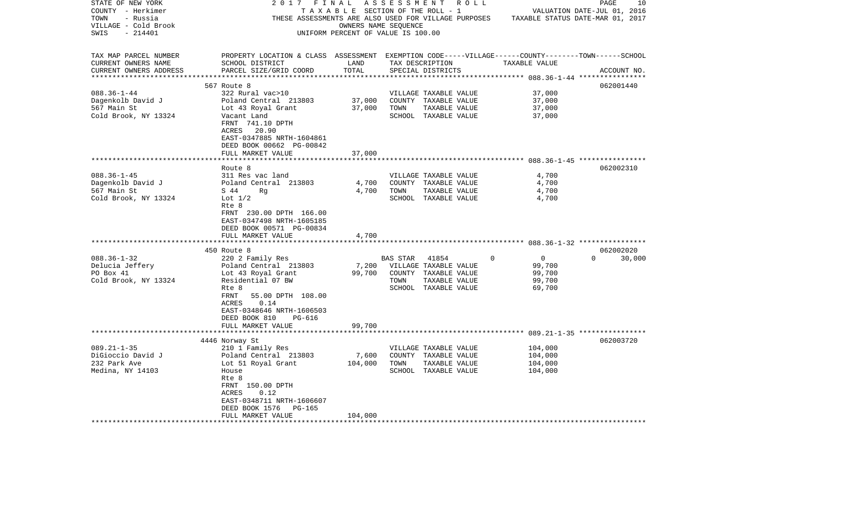| STATE OF NEW YORK<br>COUNTY - Herkimer<br>TOWN<br>- Russia<br>VILLAGE - Cold Brook<br>$-214401$<br>SWIS | 2017<br>THESE ASSESSMENTS ARE ALSO USED FOR VILLAGE PURPOSES                                                            | FINAL<br>TAXABLE SECTION OF THE ROLL - 1<br>OWNERS NAME SEQUENCE<br>UNIFORM PERCENT OF VALUE IS 100.00 |          | ASSESSMENT ROLL                       |                     | PAGE<br>VALUATION DATE-JUL 01, 2016<br>TAXABLE STATUS DATE-MAR 01, 2017 | 10          |
|---------------------------------------------------------------------------------------------------------|-------------------------------------------------------------------------------------------------------------------------|--------------------------------------------------------------------------------------------------------|----------|---------------------------------------|---------------------|-------------------------------------------------------------------------|-------------|
| TAX MAP PARCEL NUMBER                                                                                   | PROPERTY LOCATION & CLASS ASSESSMENT EXEMPTION CODE-----VILLAGE------COUNTY-------TOWN------SCHOOL                      |                                                                                                        |          |                                       |                     |                                                                         |             |
| CURRENT OWNERS NAME<br>CURRENT OWNERS ADDRESS                                                           | SCHOOL DISTRICT<br>PARCEL SIZE/GRID COORD                                                                               | LAND<br>TOTAL                                                                                          |          | TAX DESCRIPTION<br>SPECIAL DISTRICTS  | TAXABLE VALUE       |                                                                         | ACCOUNT NO. |
| ***********************                                                                                 |                                                                                                                         |                                                                                                        |          |                                       |                     |                                                                         |             |
|                                                                                                         | 567 Route 8                                                                                                             |                                                                                                        |          |                                       |                     |                                                                         | 062001440   |
| $088.36 - 1 - 44$                                                                                       | 322 Rural vac>10                                                                                                        |                                                                                                        |          | VILLAGE TAXABLE VALUE                 | 37,000              |                                                                         |             |
| Dagenkolb David J                                                                                       | Poland Central 213803                                                                                                   | 37,000                                                                                                 |          | COUNTY TAXABLE VALUE                  | 37,000              |                                                                         |             |
| 567 Main St                                                                                             | Lot 43 Royal Grant                                                                                                      | 37,000                                                                                                 | TOWN     | TAXABLE VALUE                         | 37,000              |                                                                         |             |
| Cold Brook, NY 13324                                                                                    | Vacant Land<br>FRNT 741.10 DPTH<br>ACRES<br>20.90<br>EAST-0347885 NRTH-1604861<br>DEED BOOK 00662 PG-00842              |                                                                                                        |          | SCHOOL TAXABLE VALUE                  | 37,000              |                                                                         |             |
|                                                                                                         | FULL MARKET VALUE                                                                                                       | 37,000                                                                                                 |          |                                       |                     |                                                                         |             |
|                                                                                                         |                                                                                                                         |                                                                                                        |          |                                       |                     |                                                                         |             |
|                                                                                                         | Route 8                                                                                                                 |                                                                                                        |          |                                       |                     |                                                                         | 062002310   |
| $088.36 - 1 - 45$                                                                                       | 311 Res vac land                                                                                                        |                                                                                                        |          | VILLAGE TAXABLE VALUE                 |                     | 4,700                                                                   |             |
| Dagenkolb David J                                                                                       | Poland Central 213803                                                                                                   | 4,700                                                                                                  |          | COUNTY TAXABLE VALUE                  |                     | 4,700                                                                   |             |
| 567 Main St<br>Cold Brook, NY 13324                                                                     | S 44<br>Rg<br>Lot $1/2$                                                                                                 | 4,700                                                                                                  | TOWN     | TAXABLE VALUE<br>SCHOOL TAXABLE VALUE |                     | 4,700<br>4,700                                                          |             |
|                                                                                                         | Rte 8<br>FRNT 230.00 DPTH 166.00<br>EAST-0347498 NRTH-1605185<br>DEED BOOK 00571 PG-00834<br>FULL MARKET VALUE          | 4,700                                                                                                  |          |                                       |                     |                                                                         |             |
|                                                                                                         |                                                                                                                         |                                                                                                        |          |                                       |                     |                                                                         |             |
|                                                                                                         | 450 Route 8                                                                                                             |                                                                                                        |          |                                       |                     |                                                                         | 062002020   |
| $088.36 - 1 - 32$                                                                                       | 220 2 Family Res                                                                                                        |                                                                                                        | BAS STAR | 41854                                 | $\overline{0}$<br>0 | $\Omega$                                                                | 30,000      |
| Delucia Jeffery                                                                                         | Poland Central 213803                                                                                                   | 7,200                                                                                                  |          | VILLAGE TAXABLE VALUE                 | 99,700              |                                                                         |             |
| PO Box 41                                                                                               | Lot 43 Royal Grant                                                                                                      | 99,700                                                                                                 |          | COUNTY TAXABLE VALUE                  | 99,700              |                                                                         |             |
| Cold Brook, NY 13324                                                                                    | Residential 07 BW                                                                                                       |                                                                                                        | TOWN     | TAXABLE VALUE                         | 99,700              |                                                                         |             |
|                                                                                                         | Rte 8                                                                                                                   |                                                                                                        |          | SCHOOL TAXABLE VALUE                  | 69,700              |                                                                         |             |
|                                                                                                         | FRNT<br>55.00 DPTH 108.00<br>ACRES<br>0.14<br>EAST-0348646 NRTH-1606503<br>DEED BOOK 810<br>PG-616<br>FULL MARKET VALUE | 99,700                                                                                                 |          |                                       |                     |                                                                         |             |
|                                                                                                         |                                                                                                                         |                                                                                                        |          |                                       |                     |                                                                         |             |
|                                                                                                         | 4446 Norway St                                                                                                          |                                                                                                        |          |                                       |                     |                                                                         | 062003720   |
| $089.21 - 1 - 35$                                                                                       | 210 1 Family Res                                                                                                        |                                                                                                        |          | VILLAGE TAXABLE VALUE                 | 104,000             |                                                                         |             |
| DiGioccio David J                                                                                       | Poland Central 213803                                                                                                   | 7,600                                                                                                  |          | COUNTY TAXABLE VALUE                  | 104,000             |                                                                         |             |
| 232 Park Ave                                                                                            | Lot 51 Royal Grant                                                                                                      | 104,000                                                                                                | TOWN     | TAXABLE VALUE                         | 104,000             |                                                                         |             |
| Medina, NY 14103                                                                                        | House<br>Rte 8<br>FRNT 150.00 DPTH<br>ACRES<br>0.12<br>EAST-0348711 NRTH-1606607<br>DEED BOOK 1576<br>PG-165            |                                                                                                        |          | SCHOOL TAXABLE VALUE                  | 104,000             |                                                                         |             |
|                                                                                                         | FULL MARKET VALUE                                                                                                       | 104,000                                                                                                |          |                                       |                     |                                                                         |             |
|                                                                                                         |                                                                                                                         |                                                                                                        |          |                                       |                     |                                                                         |             |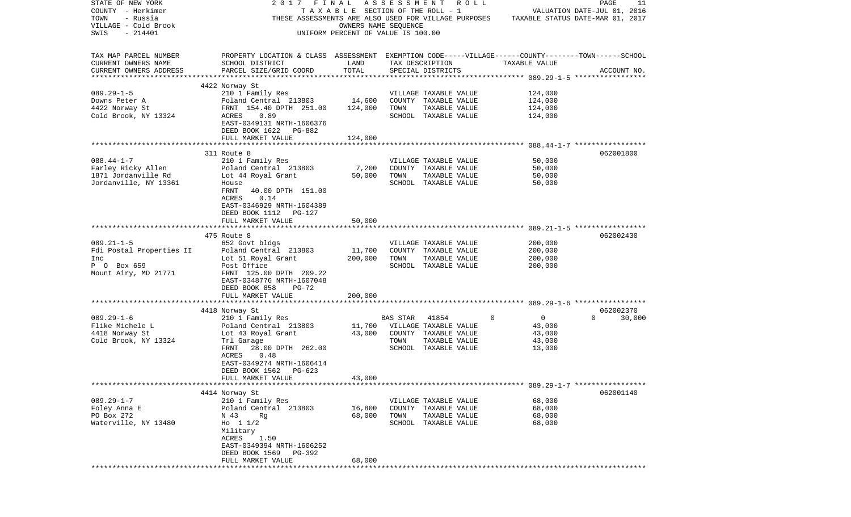| STATE OF NEW YORK        | 2017 FINAL ASSESSMENT ROLL                                                                         |                                    |          |                       |                |                                  | PAGE     | 11          |
|--------------------------|----------------------------------------------------------------------------------------------------|------------------------------------|----------|-----------------------|----------------|----------------------------------|----------|-------------|
| COUNTY - Herkimer        |                                                                                                    | TAXABLE SECTION OF THE ROLL - 1    |          |                       |                | VALUATION DATE-JUL 01, 2016      |          |             |
| TOWN<br>- Russia         | THESE ASSESSMENTS ARE ALSO USED FOR VILLAGE PURPOSES                                               |                                    |          |                       |                | TAXABLE STATUS DATE-MAR 01, 2017 |          |             |
| VILLAGE - Cold Brook     |                                                                                                    | OWNERS NAME SEOUENCE               |          |                       |                |                                  |          |             |
| SWIS<br>$-214401$        |                                                                                                    | UNIFORM PERCENT OF VALUE IS 100.00 |          |                       |                |                                  |          |             |
|                          |                                                                                                    |                                    |          |                       |                |                                  |          |             |
|                          |                                                                                                    |                                    |          |                       |                |                                  |          |             |
| TAX MAP PARCEL NUMBER    | PROPERTY LOCATION & CLASS ASSESSMENT EXEMPTION CODE-----VILLAGE------COUNTY-------TOWN------SCHOOL |                                    |          |                       |                |                                  |          |             |
| CURRENT OWNERS NAME      | SCHOOL DISTRICT                                                                                    | LAND                               |          | TAX DESCRIPTION       |                | TAXABLE VALUE                    |          |             |
| CURRENT OWNERS ADDRESS   | PARCEL SIZE/GRID COORD                                                                             | TOTAL                              |          | SPECIAL DISTRICTS     |                |                                  |          | ACCOUNT NO. |
|                          |                                                                                                    |                                    |          |                       |                |                                  |          |             |
|                          | 4422 Norway St                                                                                     |                                    |          |                       |                |                                  |          |             |
| $089.29 - 1 - 5$         | 210 1 Family Res                                                                                   |                                    |          | VILLAGE TAXABLE VALUE |                | 124,000                          |          |             |
| Downs Peter A            | Poland Central 213803                                                                              | 14,600                             |          | COUNTY TAXABLE VALUE  |                | 124,000                          |          |             |
| 4422 Norway St           | FRNT 154.40 DPTH 251.00                                                                            | 124,000                            | TOWN     | TAXABLE VALUE         |                | 124,000                          |          |             |
| Cold Brook, NY 13324     | ACRES<br>0.89                                                                                      |                                    |          | SCHOOL TAXABLE VALUE  |                | 124,000                          |          |             |
|                          | EAST-0349131 NRTH-1606376                                                                          |                                    |          |                       |                |                                  |          |             |
|                          | DEED BOOK 1622 PG-882                                                                              |                                    |          |                       |                |                                  |          |             |
|                          | FULL MARKET VALUE                                                                                  | 124,000                            |          |                       |                |                                  |          |             |
|                          |                                                                                                    |                                    |          |                       |                |                                  |          |             |
|                          | 311 Route 8                                                                                        |                                    |          |                       |                |                                  |          | 062001800   |
| $088.44 - 1 - 7$         | 210 1 Family Res                                                                                   |                                    |          | VILLAGE TAXABLE VALUE |                | 50,000                           |          |             |
| Farley Ricky Allen       | Poland Central 213803                                                                              | 7,200                              |          | COUNTY TAXABLE VALUE  |                | 50,000                           |          |             |
| 1871 Jordanville Rd      | Lot 44 Royal Grant                                                                                 | 50,000                             | TOWN     | TAXABLE VALUE         |                | 50,000                           |          |             |
| Jordanville, NY 13361    | House                                                                                              |                                    |          | SCHOOL TAXABLE VALUE  |                | 50,000                           |          |             |
|                          | 40.00 DPTH 151.00<br>FRNT                                                                          |                                    |          |                       |                |                                  |          |             |
|                          | ACRES<br>0.14                                                                                      |                                    |          |                       |                |                                  |          |             |
|                          | EAST-0346929 NRTH-1604389                                                                          |                                    |          |                       |                |                                  |          |             |
|                          | DEED BOOK 1112 PG-127                                                                              |                                    |          |                       |                |                                  |          |             |
|                          | FULL MARKET VALUE                                                                                  | 50,000                             |          |                       |                |                                  |          |             |
|                          |                                                                                                    |                                    |          |                       |                |                                  |          |             |
|                          | 475 Route 8                                                                                        |                                    |          |                       |                |                                  |          | 062002430   |
| $089.21 - 1 - 5$         | 652 Govt bldgs                                                                                     |                                    |          | VILLAGE TAXABLE VALUE |                | 200,000                          |          |             |
| Fdi Postal Properties II | Poland Central 213803                                                                              | 11,700                             |          | COUNTY TAXABLE VALUE  |                | 200,000                          |          |             |
| Inc                      | Lot 51 Royal Grant                                                                                 | 200,000                            | TOWN     | TAXABLE VALUE         |                | 200,000                          |          |             |
| P O Box 659              | Post Office                                                                                        |                                    |          | SCHOOL TAXABLE VALUE  |                | 200,000                          |          |             |
| Mount Airy, MD 21771     | FRNT 125.00 DPTH 209.22                                                                            |                                    |          |                       |                |                                  |          |             |
|                          | EAST-0348776 NRTH-1607048                                                                          |                                    |          |                       |                |                                  |          |             |
|                          | DEED BOOK 858<br>PG-72                                                                             |                                    |          |                       |                |                                  |          |             |
|                          | FULL MARKET VALUE                                                                                  | 200,000                            |          |                       |                |                                  |          |             |
|                          |                                                                                                    |                                    |          |                       |                |                                  |          |             |
|                          | 4418 Norway St                                                                                     |                                    |          |                       |                |                                  |          | 062002370   |
| $089.29 - 1 - 6$         | 210 1 Family Res                                                                                   |                                    | BAS STAR | 41854                 | $\overline{0}$ | $\overline{0}$                   | $\Omega$ | 30,000      |
| Flike Michele L          | Poland Central 213803                                                                              | 11,700                             |          | VILLAGE TAXABLE VALUE |                | 43,000                           |          |             |
| 4418 Norway St           | Lot 43 Royal Grant                                                                                 | 43,000                             |          | COUNTY TAXABLE VALUE  |                | 43,000                           |          |             |
| Cold Brook, NY 13324     | Trl Garage                                                                                         |                                    | TOWN     | TAXABLE VALUE         |                | 43,000                           |          |             |
|                          | FRNT<br>28.00 DPTH 262.00                                                                          |                                    |          | SCHOOL TAXABLE VALUE  |                | 13,000                           |          |             |
|                          | 0.48<br>ACRES                                                                                      |                                    |          |                       |                |                                  |          |             |
|                          | EAST-0349274 NRTH-1606414                                                                          |                                    |          |                       |                |                                  |          |             |
|                          |                                                                                                    |                                    |          |                       |                |                                  |          |             |
|                          | DEED BOOK 1562 PG-623                                                                              |                                    |          |                       |                |                                  |          |             |
|                          | FULL MARKET VALUE                                                                                  | 43,000                             |          |                       |                |                                  |          |             |
|                          |                                                                                                    |                                    |          |                       |                |                                  |          | 062001140   |
|                          | 4414 Norway St                                                                                     |                                    |          |                       |                |                                  |          |             |
| $089.29 - 1 - 7$         | 210 1 Family Res                                                                                   |                                    |          | VILLAGE TAXABLE VALUE |                | 68,000                           |          |             |
| Foley Anna E             | Poland Central 213803                                                                              | 16,800                             |          | COUNTY TAXABLE VALUE  |                | 68,000                           |          |             |
| PO Box 272               | N 43<br>Rg                                                                                         | 68,000                             | TOWN     | TAXABLE VALUE         |                | 68,000                           |          |             |
| Waterville, NY 13480     | Ho $11/2$                                                                                          |                                    |          | SCHOOL TAXABLE VALUE  |                | 68,000                           |          |             |
|                          | Military                                                                                           |                                    |          |                       |                |                                  |          |             |
|                          | ACRES<br>1.50                                                                                      |                                    |          |                       |                |                                  |          |             |
|                          | EAST-0349394 NRTH-1606252                                                                          |                                    |          |                       |                |                                  |          |             |
|                          | DEED BOOK 1569<br>PG-392                                                                           |                                    |          |                       |                |                                  |          |             |
|                          | FULL MARKET VALUE                                                                                  | 68,000                             |          |                       |                |                                  |          |             |
|                          |                                                                                                    |                                    |          |                       |                |                                  |          |             |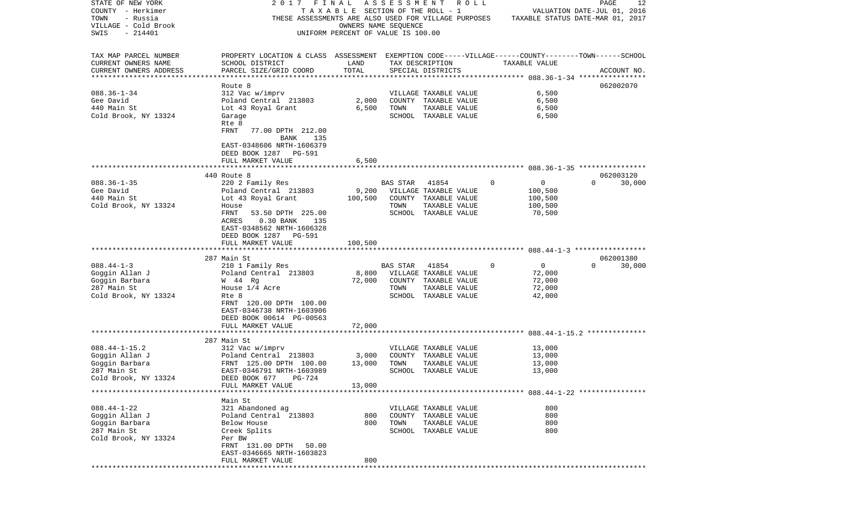| STATE OF NEW YORK                     | 2017                                                                                               | FINAL                              | ASSESSMENT |                         | R O L L |                  | PAGE<br>12                                                      |
|---------------------------------------|----------------------------------------------------------------------------------------------------|------------------------------------|------------|-------------------------|---------|------------------|-----------------------------------------------------------------|
| COUNTY - Herkimer<br>- Russia<br>TOWN | TAXABLE<br>THESE ASSESSMENTS ARE ALSO USED FOR VILLAGE PURPOSES                                    |                                    |            | SECTION OF THE ROLL - 1 |         |                  | VALUATION DATE-JUL 01, 2016<br>TAXABLE STATUS DATE-MAR 01, 2017 |
| VILLAGE - Cold Brook                  |                                                                                                    | OWNERS NAME SEOUENCE               |            |                         |         |                  |                                                                 |
| SWIS<br>$-214401$                     |                                                                                                    | UNIFORM PERCENT OF VALUE IS 100.00 |            |                         |         |                  |                                                                 |
|                                       |                                                                                                    |                                    |            |                         |         |                  |                                                                 |
|                                       |                                                                                                    |                                    |            |                         |         |                  |                                                                 |
| TAX MAP PARCEL NUMBER                 | PROPERTY LOCATION & CLASS ASSESSMENT EXEMPTION CODE-----VILLAGE------COUNTY-------TOWN------SCHOOL |                                    |            |                         |         |                  |                                                                 |
| CURRENT OWNERS NAME                   | SCHOOL DISTRICT                                                                                    | LAND                               |            | TAX DESCRIPTION         |         | TAXABLE VALUE    |                                                                 |
| CURRENT OWNERS ADDRESS                | PARCEL SIZE/GRID COORD                                                                             | TOTAL                              |            | SPECIAL DISTRICTS       |         |                  | ACCOUNT NO.                                                     |
| ************************              |                                                                                                    |                                    |            |                         |         |                  |                                                                 |
|                                       | Route 8                                                                                            |                                    |            |                         |         |                  | 062002070                                                       |
| $088.36 - 1 - 34$                     | 312 Vac w/imprv                                                                                    |                                    |            | VILLAGE TAXABLE VALUE   |         | 6,500            |                                                                 |
| Gee David                             | Poland Central 213803                                                                              | 2,000                              |            | COUNTY TAXABLE VALUE    |         | 6,500            |                                                                 |
| 440 Main St                           | Lot 43 Royal Grant                                                                                 | 6,500                              | TOWN       | TAXABLE VALUE           |         | 6,500            |                                                                 |
| Cold Brook, NY 13324                  | Garage                                                                                             |                                    |            | SCHOOL TAXABLE VALUE    |         | 6,500            |                                                                 |
|                                       | Rte 8                                                                                              |                                    |            |                         |         |                  |                                                                 |
|                                       | FRNT<br>77.00 DPTH 212.00                                                                          |                                    |            |                         |         |                  |                                                                 |
|                                       | BANK<br>135                                                                                        |                                    |            |                         |         |                  |                                                                 |
|                                       | EAST-0348606 NRTH-1606379                                                                          |                                    |            |                         |         |                  |                                                                 |
|                                       | DEED BOOK 1287 PG-591                                                                              |                                    |            |                         |         |                  |                                                                 |
|                                       | FULL MARKET VALUE                                                                                  | 6,500                              |            |                         |         |                  |                                                                 |
|                                       |                                                                                                    |                                    |            |                         |         |                  |                                                                 |
|                                       | 440 Route 8                                                                                        |                                    |            |                         |         |                  | 062003120                                                       |
| $088.36 - 1 - 35$                     | 220 2 Family Res                                                                                   |                                    | BAS STAR   | 41854                   |         | 0<br>$\mathbf 0$ | $\Omega$<br>30,000                                              |
| Gee David                             | Poland Central 213803                                                                              | 9,200                              |            | VILLAGE TAXABLE VALUE   |         | 100,500          |                                                                 |
| 440 Main St                           | Lot 43 Royal Grant                                                                                 | 100,500                            |            | COUNTY TAXABLE VALUE    |         | 100,500          |                                                                 |
| Cold Brook, NY 13324                  | House                                                                                              |                                    | TOWN       | TAXABLE VALUE           |         | 100,500          |                                                                 |
|                                       | FRNT<br>53.50 DPTH 225.00                                                                          |                                    |            | SCHOOL TAXABLE VALUE    |         | 70,500           |                                                                 |
|                                       | $0.30$ BANK<br><b>ACRES</b><br>135                                                                 |                                    |            |                         |         |                  |                                                                 |
|                                       | EAST-0348562 NRTH-1606328                                                                          |                                    |            |                         |         |                  |                                                                 |
|                                       | DEED BOOK 1287<br>PG-591                                                                           |                                    |            |                         |         |                  |                                                                 |
|                                       | FULL MARKET VALUE                                                                                  | 100,500                            |            |                         |         |                  |                                                                 |
|                                       | 287 Main St                                                                                        |                                    |            |                         |         |                  | 062001380                                                       |
| $088.44 - 1 - 3$                      | 210 1 Family Res                                                                                   |                                    | BAS STAR   | 41854                   |         | 0<br>0           | $\Omega$<br>30,000                                              |
| Goggin Allan J                        | Poland Central 213803                                                                              | 8,800                              |            | VILLAGE TAXABLE VALUE   |         | 72,000           |                                                                 |
| Goggin Barbara                        | W 44 Rg                                                                                            | 72,000                             |            | COUNTY TAXABLE VALUE    |         | 72,000           |                                                                 |
| 287 Main St                           | House 1/4 Acre                                                                                     |                                    | TOWN       | TAXABLE VALUE           |         | 72,000           |                                                                 |
| Cold Brook, NY 13324                  | Rte 8                                                                                              |                                    |            | SCHOOL TAXABLE VALUE    |         | 42,000           |                                                                 |
|                                       | FRNT 120.00 DPTH 100.00                                                                            |                                    |            |                         |         |                  |                                                                 |
|                                       | EAST-0346738 NRTH-1603906                                                                          |                                    |            |                         |         |                  |                                                                 |
|                                       | DEED BOOK 00614 PG-00563                                                                           |                                    |            |                         |         |                  |                                                                 |
|                                       | FULL MARKET VALUE                                                                                  | 72,000                             |            |                         |         |                  |                                                                 |
|                                       |                                                                                                    |                                    |            |                         |         |                  |                                                                 |
|                                       | 287 Main St                                                                                        |                                    |            |                         |         |                  |                                                                 |
| $088.44 - 1 - 15.2$                   | 312 Vac w/imprv                                                                                    |                                    |            | VILLAGE TAXABLE VALUE   |         | 13,000           |                                                                 |
| Goggin Allan J                        | Poland Central 213803                                                                              | 3,000                              |            | COUNTY TAXABLE VALUE    |         | 13,000           |                                                                 |
| Goggin Barbara                        | FRNT 125.00 DPTH 100.00                                                                            | 13,000                             | TOWN       | TAXABLE VALUE           |         | 13,000           |                                                                 |
| 287 Main St                           | EAST-0346791 NRTH-1603989                                                                          |                                    |            | SCHOOL TAXABLE VALUE    |         | 13,000           |                                                                 |
| Cold Brook, NY 13324                  | DEED BOOK 677 PG-724                                                                               |                                    |            |                         |         |                  |                                                                 |
|                                       | FULL MARKET VALUE                                                                                  | 13,000                             |            |                         |         |                  |                                                                 |
|                                       |                                                                                                    |                                    |            |                         |         |                  |                                                                 |
|                                       | Main St                                                                                            |                                    |            |                         |         |                  |                                                                 |
| $088.44 - 1 - 22$                     | 321 Abandoned ag                                                                                   |                                    |            | VILLAGE TAXABLE VALUE   |         | 800              |                                                                 |
| Goggin Allan J                        | Poland Central 213803                                                                              | 800                                |            | COUNTY TAXABLE VALUE    |         | 800              |                                                                 |
| Goggin Barbara                        | Below House                                                                                        | 800                                | TOWN       | TAXABLE VALUE           |         | 800              |                                                                 |
| 287 Main St                           | Creek Splits                                                                                       |                                    |            | SCHOOL TAXABLE VALUE    |         | 800              |                                                                 |
| Cold Brook, NY 13324                  | Per BW                                                                                             |                                    |            |                         |         |                  |                                                                 |
|                                       | FRNT 131.00 DPTH<br>50.00                                                                          |                                    |            |                         |         |                  |                                                                 |
|                                       | EAST-0346665 NRTH-1603823                                                                          |                                    |            |                         |         |                  |                                                                 |
|                                       | FULL MARKET VALUE                                                                                  | 800                                |            |                         |         |                  |                                                                 |
|                                       |                                                                                                    |                                    |            |                         |         |                  |                                                                 |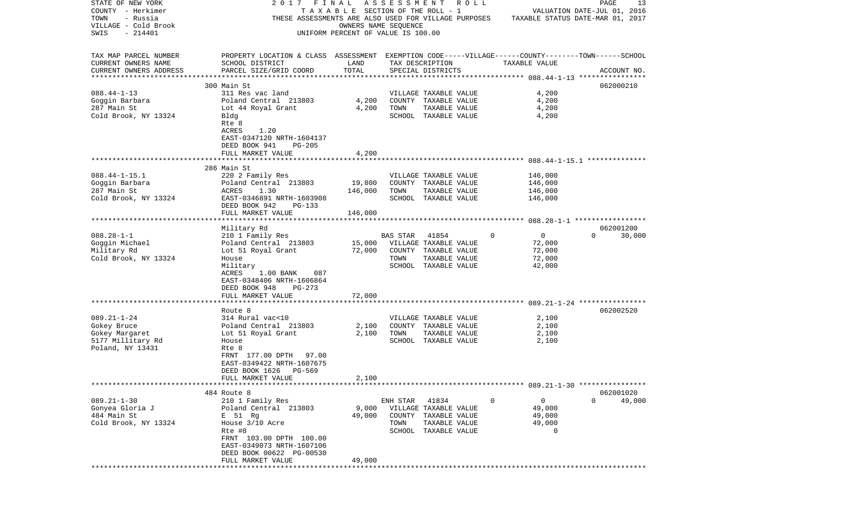| STATE OF NEW YORK        | 2017                                                                                               | FINAL                              |                 | ASSESSMENT ROLL                                      |                         | PAGE<br>13                       |
|--------------------------|----------------------------------------------------------------------------------------------------|------------------------------------|-----------------|------------------------------------------------------|-------------------------|----------------------------------|
| COUNTY - Herkimer        |                                                                                                    | TAXABLE SECTION OF THE ROLL - 1    |                 |                                                      |                         | VALUATION DATE-JUL 01, 2016      |
| TOWN<br>- Russia         |                                                                                                    |                                    |                 | THESE ASSESSMENTS ARE ALSO USED FOR VILLAGE PURPOSES |                         | TAXABLE STATUS DATE-MAR 01, 2017 |
| VILLAGE - Cold Brook     |                                                                                                    | OWNERS NAME SEOUENCE               |                 |                                                      |                         |                                  |
| SWIS<br>$-214401$        |                                                                                                    | UNIFORM PERCENT OF VALUE IS 100.00 |                 |                                                      |                         |                                  |
|                          |                                                                                                    |                                    |                 |                                                      |                         |                                  |
|                          |                                                                                                    |                                    |                 |                                                      |                         |                                  |
| TAX MAP PARCEL NUMBER    | PROPERTY LOCATION & CLASS ASSESSMENT EXEMPTION CODE-----VILLAGE------COUNTY-------TOWN------SCHOOL |                                    |                 |                                                      |                         |                                  |
|                          |                                                                                                    |                                    |                 |                                                      |                         |                                  |
| CURRENT OWNERS NAME      | SCHOOL DISTRICT                                                                                    | LAND                               |                 | TAX DESCRIPTION                                      | TAXABLE VALUE           |                                  |
| CURRENT OWNERS ADDRESS   | PARCEL SIZE/GRID COORD                                                                             | TOTAL                              |                 | SPECIAL DISTRICTS                                    |                         | ACCOUNT NO.                      |
| ************************ |                                                                                                    |                                    |                 |                                                      |                         |                                  |
|                          | 300 Main St                                                                                        |                                    |                 |                                                      |                         | 062000210                        |
| $088.44 - 1 - 13$        | 311 Res vac land                                                                                   |                                    |                 | VILLAGE TAXABLE VALUE                                | 4,200                   |                                  |
| Goggin Barbara           | Poland Central 213803                                                                              | 4,200                              |                 | COUNTY TAXABLE VALUE                                 | 4,200                   |                                  |
| 287 Main St              | Lot 44 Royal Grant                                                                                 | 4,200                              | TOWN            | TAXABLE VALUE                                        | 4,200                   |                                  |
| Cold Brook, NY 13324     | Bldg                                                                                               |                                    |                 | SCHOOL TAXABLE VALUE                                 | 4,200                   |                                  |
|                          | Rte 8                                                                                              |                                    |                 |                                                      |                         |                                  |
|                          |                                                                                                    |                                    |                 |                                                      |                         |                                  |
|                          | ACRES<br>1.20                                                                                      |                                    |                 |                                                      |                         |                                  |
|                          | EAST-0347120 NRTH-1604137                                                                          |                                    |                 |                                                      |                         |                                  |
|                          | DEED BOOK 941<br>$PG-205$                                                                          |                                    |                 |                                                      |                         |                                  |
|                          | FULL MARKET VALUE                                                                                  | 4,200                              |                 |                                                      |                         |                                  |
|                          |                                                                                                    |                                    |                 |                                                      |                         |                                  |
|                          | 286 Main St                                                                                        |                                    |                 |                                                      |                         |                                  |
| $088.44 - 1 - 15.1$      | 220 2 Family Res                                                                                   |                                    |                 | VILLAGE TAXABLE VALUE                                | 146,000                 |                                  |
| Goggin Barbara           | Poland Central 213803                                                                              | 19,800                             |                 | COUNTY TAXABLE VALUE                                 | 146,000                 |                                  |
|                          |                                                                                                    |                                    |                 |                                                      |                         |                                  |
| 287 Main St              | ACRES<br>1.30                                                                                      | 146,000                            | TOWN            | TAXABLE VALUE                                        | 146,000                 |                                  |
| Cold Brook, NY 13324     | EAST-0346891 NRTH-1603908                                                                          |                                    |                 | SCHOOL TAXABLE VALUE                                 | 146,000                 |                                  |
|                          | DEED BOOK 942<br>PG-133                                                                            |                                    |                 |                                                      |                         |                                  |
|                          | FULL MARKET VALUE                                                                                  | 146,000                            |                 |                                                      |                         |                                  |
|                          |                                                                                                    |                                    |                 |                                                      |                         |                                  |
|                          | Military Rd                                                                                        |                                    |                 |                                                      |                         | 062001200                        |
| $088.28 - 1 - 1$         | 210 1 Family Res                                                                                   |                                    | <b>BAS STAR</b> | 41854                                                | $\Omega$<br>0           | 30,000<br>$\Omega$               |
| Goggin Michael           | Poland Central 213803                                                                              | 15,000                             |                 | VILLAGE TAXABLE VALUE                                | 72,000                  |                                  |
| Military Rd              | Lot 51 Royal Grant                                                                                 | 72,000                             |                 | COUNTY TAXABLE VALUE                                 | 72,000                  |                                  |
|                          |                                                                                                    |                                    |                 |                                                      |                         |                                  |
| Cold Brook, NY 13324     | House                                                                                              |                                    | TOWN            | TAXABLE VALUE                                        | 72,000                  |                                  |
|                          | Military                                                                                           |                                    |                 | SCHOOL TAXABLE VALUE                                 | 42,000                  |                                  |
|                          | ACRES<br>087<br>$1.00$ BANK                                                                        |                                    |                 |                                                      |                         |                                  |
|                          | EAST-0348406 NRTH-1606864                                                                          |                                    |                 |                                                      |                         |                                  |
|                          | DEED BOOK 948<br>PG-273                                                                            |                                    |                 |                                                      |                         |                                  |
|                          | FULL MARKET VALUE                                                                                  | 72,000                             |                 |                                                      |                         |                                  |
|                          | *********************                                                                              |                                    |                 |                                                      |                         |                                  |
|                          | Route 8                                                                                            |                                    |                 |                                                      |                         | 062002520                        |
| $089.21 - 1 - 24$        | 314 Rural vac<10                                                                                   |                                    |                 | VILLAGE TAXABLE VALUE                                | 2,100                   |                                  |
|                          |                                                                                                    |                                    |                 |                                                      |                         |                                  |
| Gokey Bruce              | Poland Central 213803                                                                              | 2,100                              |                 | COUNTY TAXABLE VALUE                                 | 2,100                   |                                  |
| Gokey Margaret           | Lot 51 Royal Grant                                                                                 | 2,100                              | TOWN            | TAXABLE VALUE                                        | 2,100                   |                                  |
| 5177 Millitary Rd        | House                                                                                              |                                    |                 | SCHOOL TAXABLE VALUE                                 | 2,100                   |                                  |
| Poland, NY 13431         | Rte 8                                                                                              |                                    |                 |                                                      |                         |                                  |
|                          | FRNT 177.00 DPTH<br>97.00                                                                          |                                    |                 |                                                      |                         |                                  |
|                          | EAST-0349422 NRTH-1607675                                                                          |                                    |                 |                                                      |                         |                                  |
|                          | DEED BOOK 1626 PG-569                                                                              |                                    |                 |                                                      |                         |                                  |
|                          | FULL MARKET VALUE                                                                                  |                                    |                 |                                                      |                         |                                  |
|                          |                                                                                                    | 2,100                              |                 |                                                      |                         |                                  |
|                          |                                                                                                    |                                    |                 |                                                      |                         |                                  |
|                          | 484 Route 8                                                                                        |                                    |                 |                                                      |                         | 062001020                        |
| $089.21 - 1 - 30$        | 210 1 Family Res                                                                                   |                                    | ENH STAR 41834  |                                                      | $\mathsf{O}$<br>$\circ$ | $\Omega$<br>49,000               |
| Gonyea Gloria J          | Poland Central 213803                                                                              | 9,000                              |                 | VILLAGE TAXABLE VALUE                                | 49,000                  |                                  |
| 484 Main St              | E 51 Rg                                                                                            | 49,000                             |                 | COUNTY TAXABLE VALUE                                 | 49,000                  |                                  |
| Cold Brook, NY 13324     | House 3/10 Acre                                                                                    |                                    | TOWN            | TAXABLE VALUE                                        | 49,000                  |                                  |
|                          | Rte #8                                                                                             |                                    |                 | SCHOOL TAXABLE VALUE                                 | $\Omega$                |                                  |
|                          | FRNT 103.00 DPTH 100.00                                                                            |                                    |                 |                                                      |                         |                                  |
|                          | EAST-0349073 NRTH-1607106                                                                          |                                    |                 |                                                      |                         |                                  |
|                          |                                                                                                    |                                    |                 |                                                      |                         |                                  |
|                          | DEED BOOK 00622 PG-00530                                                                           |                                    |                 |                                                      |                         |                                  |
|                          | FULL MARKET VALUE                                                                                  | 49,000                             |                 |                                                      |                         |                                  |
|                          |                                                                                                    |                                    |                 |                                                      |                         |                                  |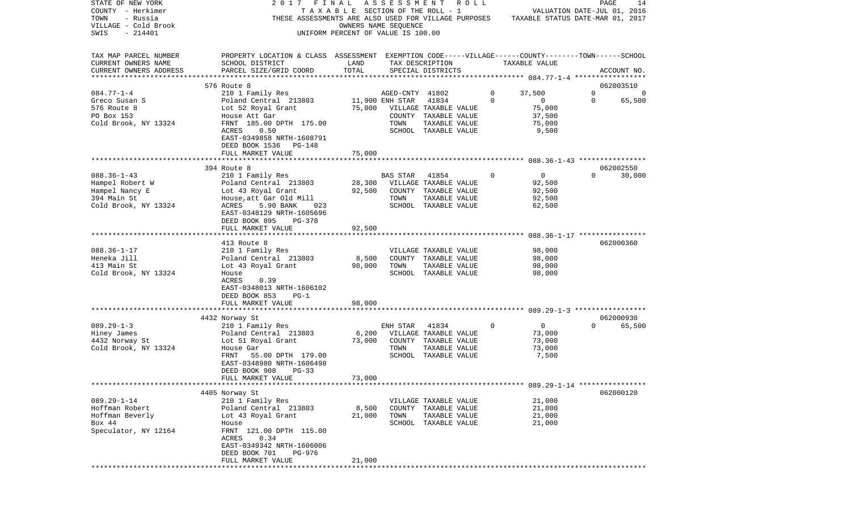| STATE OF NEW YORK        | 2017 FINAL ASSESSMENT                                                                              |                                       |                 |                       | R O L L |             |                                  | PAGE     | 14          |
|--------------------------|----------------------------------------------------------------------------------------------------|---------------------------------------|-----------------|-----------------------|---------|-------------|----------------------------------|----------|-------------|
| COUNTY - Herkimer        |                                                                                                    | T A X A B L E SECTION OF THE ROLL - 1 |                 |                       |         |             | VALUATION DATE-JUL 01, 2016      |          |             |
| TOWN<br>- Russia         | THESE ASSESSMENTS ARE ALSO USED FOR VILLAGE PURPOSES                                               |                                       |                 |                       |         |             | TAXABLE STATUS DATE-MAR 01, 2017 |          |             |
| VILLAGE - Cold Brook     |                                                                                                    | OWNERS NAME SEQUENCE                  |                 |                       |         |             |                                  |          |             |
| SWIS<br>$-214401$        |                                                                                                    | UNIFORM PERCENT OF VALUE IS 100.00    |                 |                       |         |             |                                  |          |             |
|                          |                                                                                                    |                                       |                 |                       |         |             |                                  |          |             |
|                          |                                                                                                    |                                       |                 |                       |         |             |                                  |          |             |
| TAX MAP PARCEL NUMBER    | PROPERTY LOCATION & CLASS ASSESSMENT EXEMPTION CODE-----VILLAGE------COUNTY-------TOWN------SCHOOL |                                       |                 |                       |         |             |                                  |          |             |
| CURRENT OWNERS NAME      | SCHOOL DISTRICT                                                                                    | LAND                                  |                 | TAX DESCRIPTION       |         |             | TAXABLE VALUE                    |          |             |
| CURRENT OWNERS ADDRESS   | PARCEL SIZE/GRID COORD                                                                             | TOTAL                                 |                 | SPECIAL DISTRICTS     |         |             |                                  |          | ACCOUNT NO. |
| ************************ |                                                                                                    |                                       |                 |                       |         |             |                                  |          |             |
|                          | 576 Route 8                                                                                        |                                       |                 |                       |         |             |                                  |          | 062003510   |
| $084.77 - 1 - 4$         | 210 1 Family Res                                                                                   |                                       | AGED-CNTY 41802 |                       |         | 0           | 37,500                           | 0        | -0          |
| Greco Susan S            | Poland Central 213803                                                                              |                                       | 11,900 ENH STAR | 41834                 |         | $\mathbf 0$ | 0                                | 0        | 65,500      |
| 576 Route 8              | Lot 52 Royal Grant                                                                                 | 75,000                                |                 | VILLAGE TAXABLE VALUE |         |             | 75,000                           |          |             |
| PO Box 153               | House Att Gar                                                                                      |                                       |                 | COUNTY TAXABLE VALUE  |         |             | 37,500                           |          |             |
| Cold Brook, NY 13324     | FRNT 185.00 DPTH 175.00                                                                            |                                       | TOWN            | TAXABLE VALUE         |         |             | 75,000                           |          |             |
|                          | ACRES<br>0.50                                                                                      |                                       |                 | SCHOOL TAXABLE VALUE  |         |             | 9,500                            |          |             |
|                          | EAST-0349858 NRTH-1608791                                                                          |                                       |                 |                       |         |             |                                  |          |             |
|                          | DEED BOOK 1536 PG-148                                                                              |                                       |                 |                       |         |             |                                  |          |             |
|                          | FULL MARKET VALUE                                                                                  | 75,000                                |                 |                       |         |             |                                  |          |             |
|                          |                                                                                                    |                                       |                 |                       |         |             |                                  |          |             |
|                          |                                                                                                    |                                       |                 |                       |         |             |                                  |          |             |
|                          | 394 Route 8                                                                                        |                                       |                 |                       |         |             |                                  | $\Omega$ | 062002550   |
| $088.36 - 1 - 43$        | 210 1 Family Res                                                                                   |                                       | <b>BAS STAR</b> | 41854                 |         | 0           | $\overline{0}$                   |          | 30,000      |
| Hampel Robert W          | Poland Central 213803                                                                              | 28,300                                |                 | VILLAGE TAXABLE VALUE |         |             | 92,500                           |          |             |
| Hampel Nancy E           | Lot 43 Royal Grant                                                                                 | 92,500                                |                 | COUNTY TAXABLE VALUE  |         |             | 92,500                           |          |             |
| 394 Main St              | House, att Gar Old Mill                                                                            |                                       | TOWN            | TAXABLE VALUE         |         |             | 92,500                           |          |             |
| Cold Brook, NY 13324     | ACRES<br>5.90 BANK<br>023                                                                          |                                       |                 | SCHOOL TAXABLE VALUE  |         |             | 62,500                           |          |             |
|                          | EAST-0348129 NRTH-1605696                                                                          |                                       |                 |                       |         |             |                                  |          |             |
|                          | DEED BOOK 895<br>PG-378                                                                            |                                       |                 |                       |         |             |                                  |          |             |
|                          | FULL MARKET VALUE                                                                                  | 92,500                                |                 |                       |         |             |                                  |          |             |
|                          |                                                                                                    |                                       |                 |                       |         |             |                                  |          |             |
|                          | 413 Route 8                                                                                        |                                       |                 |                       |         |             |                                  |          | 062000360   |
| $088.36 - 1 - 17$        | 210 1 Family Res                                                                                   |                                       |                 | VILLAGE TAXABLE VALUE |         |             | 98,000                           |          |             |
| Heneka Jill              | Poland Central 213803                                                                              | 8,500                                 |                 | COUNTY TAXABLE VALUE  |         |             | 98,000                           |          |             |
| 413 Main St              | Lot 43 Royal Grant                                                                                 | 98,000                                | TOWN            | TAXABLE VALUE         |         |             | 98,000                           |          |             |
| Cold Brook, NY 13324     | House                                                                                              |                                       |                 | SCHOOL TAXABLE VALUE  |         |             | 98,000                           |          |             |
|                          | ACRES<br>0.39                                                                                      |                                       |                 |                       |         |             |                                  |          |             |
|                          | EAST-0348013 NRTH-1606102                                                                          |                                       |                 |                       |         |             |                                  |          |             |
|                          | DEED BOOK 853<br>$PG-1$                                                                            |                                       |                 |                       |         |             |                                  |          |             |
|                          | FULL MARKET VALUE                                                                                  | 98,000                                |                 |                       |         |             |                                  |          |             |
|                          |                                                                                                    | **********                            |                 |                       |         |             |                                  |          |             |
|                          | 4432 Norway St                                                                                     |                                       |                 |                       |         |             |                                  |          | 062000930   |
| $089.29 - 1 - 3$         | 210 1 Family Res                                                                                   |                                       | ENH STAR        | 41834                 |         | 0           | 0                                | $\Omega$ | 65,500      |
| Hiney James              | Poland Central 213803                                                                              | 6,200                                 |                 | VILLAGE TAXABLE VALUE |         |             | 73,000                           |          |             |
| 4432 Norway St           | Lot 51 Royal Grant                                                                                 | 73,000                                |                 |                       |         |             | 73,000                           |          |             |
|                          |                                                                                                    |                                       |                 | COUNTY TAXABLE VALUE  |         |             |                                  |          |             |
| Cold Brook, NY 13324     | House Gar                                                                                          |                                       | TOWN            | TAXABLE VALUE         |         |             | 73,000                           |          |             |
|                          | 55.00 DPTH 179.00<br>FRNT                                                                          |                                       |                 | SCHOOL TAXABLE VALUE  |         |             | 7,500                            |          |             |
|                          | EAST-0348980 NRTH-1606498                                                                          |                                       |                 |                       |         |             |                                  |          |             |
|                          | DEED BOOK 908<br>$PG-33$                                                                           |                                       |                 |                       |         |             |                                  |          |             |
|                          | FULL MARKET VALUE                                                                                  | 73,000                                |                 |                       |         |             |                                  |          |             |
|                          |                                                                                                    |                                       |                 |                       |         |             |                                  |          |             |
|                          | 4405 Norway St                                                                                     |                                       |                 |                       |         |             |                                  |          | 062000120   |
| $089.29 - 1 - 14$        | 210 1 Family Res                                                                                   |                                       |                 | VILLAGE TAXABLE VALUE |         |             | 21,000                           |          |             |
| Hoffman Robert           | Poland Central 213803                                                                              | 8,500                                 |                 | COUNTY TAXABLE VALUE  |         |             | 21,000                           |          |             |
| Hoffman Beverly          | Lot 43 Royal Grant                                                                                 | 21,000                                | TOWN            | TAXABLE VALUE         |         |             | 21,000                           |          |             |
| Box 44                   | House                                                                                              |                                       |                 | SCHOOL TAXABLE VALUE  |         |             | 21,000                           |          |             |
| Speculator, NY 12164     | FRNT 121.00 DPTH 115.00                                                                            |                                       |                 |                       |         |             |                                  |          |             |
|                          | ACRES<br>0.34                                                                                      |                                       |                 |                       |         |             |                                  |          |             |
|                          | EAST-0349342 NRTH-1606006                                                                          |                                       |                 |                       |         |             |                                  |          |             |
|                          | DEED BOOK 701<br>PG-976                                                                            |                                       |                 |                       |         |             |                                  |          |             |
|                          | FULL MARKET VALUE                                                                                  | 21,000                                |                 |                       |         |             |                                  |          |             |
|                          |                                                                                                    |                                       |                 |                       |         |             |                                  |          |             |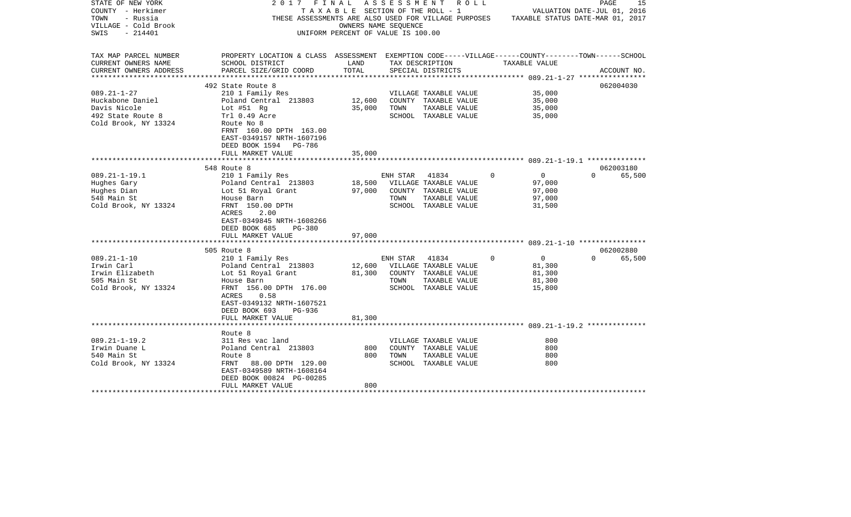| STATE OF NEW YORK      | 2017 FINAL ASSESSMENT ROLL                                                                                            |                                       |                |                       |          |                             | PAGE     |             | 15 |
|------------------------|-----------------------------------------------------------------------------------------------------------------------|---------------------------------------|----------------|-----------------------|----------|-----------------------------|----------|-------------|----|
| COUNTY - Herkimer      |                                                                                                                       | T A X A B L E SECTION OF THE ROLL - 1 |                |                       |          | VALUATION DATE-JUL 01, 2016 |          |             |    |
| - Russia<br>TOWN       | THESE ASSESSMENTS ARE ALSO USED FOR VILLAGE PURPOSES TAXABLE STATUS DATE-MAR 01, 2017                                 |                                       |                |                       |          |                             |          |             |    |
| VILLAGE - Cold Brook   |                                                                                                                       | OWNERS NAME SEQUENCE                  |                |                       |          |                             |          |             |    |
| SWIS<br>- 214401       |                                                                                                                       | UNIFORM PERCENT OF VALUE IS 100.00    |                |                       |          |                             |          |             |    |
|                        |                                                                                                                       |                                       |                |                       |          |                             |          |             |    |
| TAX MAP PARCEL NUMBER  |                                                                                                                       |                                       |                |                       |          |                             |          |             |    |
| CURRENT OWNERS NAME    | PROPERTY LOCATION & CLASS ASSESSMENT EXEMPTION CODE-----VILLAGE------COUNTY-------TOWN------SCHOOL<br>SCHOOL DISTRICT | LAND                                  |                | TAX DESCRIPTION       |          | TAXABLE VALUE               |          |             |    |
| CURRENT OWNERS ADDRESS | PARCEL SIZE/GRID COORD                                                                                                | TOTAL                                 |                | SPECIAL DISTRICTS     |          |                             |          | ACCOUNT NO. |    |
|                        |                                                                                                                       |                                       |                |                       |          |                             |          |             |    |
|                        | 492 State Route 8                                                                                                     |                                       |                |                       |          |                             |          | 062004030   |    |
| $089.21 - 1 - 27$      | 210 1 Family Res                                                                                                      |                                       |                | VILLAGE TAXABLE VALUE |          | 35,000                      |          |             |    |
| Huckabone Daniel       | Poland Central 213803                                                                                                 | 12,600                                |                | COUNTY TAXABLE VALUE  |          | 35,000                      |          |             |    |
| Davis Nicole           |                                                                                                                       | 35,000                                | TOWN           | TAXABLE VALUE         |          | 35,000                      |          |             |    |
| 492 State Route 8      | Lot #51 Rg<br>Trl 0.49 Acre                                                                                           |                                       |                | SCHOOL TAXABLE VALUE  |          | 35,000                      |          |             |    |
| Cold Brook, NY 13324   | Route No 8                                                                                                            |                                       |                |                       |          |                             |          |             |    |
|                        | FRNT 160.00 DPTH 163.00                                                                                               |                                       |                |                       |          |                             |          |             |    |
|                        | EAST-0349157 NRTH-1607196                                                                                             |                                       |                |                       |          |                             |          |             |    |
|                        | DEED BOOK 1594 PG-786                                                                                                 |                                       |                |                       |          |                             |          |             |    |
|                        | FULL MARKET VALUE                                                                                                     | 35,000                                |                |                       |          |                             |          |             |    |
|                        |                                                                                                                       |                                       |                |                       |          |                             |          |             |    |
|                        | 548 Route 8                                                                                                           |                                       |                |                       |          |                             |          | 062003180   |    |
| $089.21 - 1 - 19.1$    | 210 1 Family Res                                                                                                      |                                       | ENH STAR 41834 |                       | $\circ$  | $\overline{0}$              |          | 0 65,500    |    |
| Hughes Gary            | Poland Central 213803                                                                                                 | 18,500 VILLAGE TAXABLE VALUE          |                |                       |          | 97,000                      |          |             |    |
| Hughes Dian            | Lot 51 Royal Grant                                                                                                    | 97,000                                |                | COUNTY TAXABLE VALUE  |          | 97,000                      |          |             |    |
| 548 Main St            | House Barn                                                                                                            |                                       | TOWN           | TAXABLE VALUE         |          | 97,000                      |          |             |    |
| Cold Brook, NY 13324   | FRNT 150.00 DPTH                                                                                                      |                                       |                | SCHOOL TAXABLE VALUE  |          | 31,500                      |          |             |    |
|                        | ACRES<br>2.00                                                                                                         |                                       |                |                       |          |                             |          |             |    |
|                        | EAST-0349845 NRTH-1608266                                                                                             |                                       |                |                       |          |                             |          |             |    |
|                        | DEED BOOK 685<br><b>PG-380</b>                                                                                        |                                       |                |                       |          |                             |          |             |    |
|                        | FULL MARKET VALUE                                                                                                     | 97,000                                |                |                       |          |                             |          |             |    |
|                        |                                                                                                                       |                                       |                |                       |          |                             |          |             |    |
|                        | 505 Route 8                                                                                                           |                                       |                |                       |          |                             |          | 062002880   |    |
| $089.21 - 1 - 10$      | 210 1 Family Res                                                                                                      |                                       | ENH STAR 41834 |                       | $\Omega$ | $\overline{0}$              | $\Omega$ | 65,500      |    |
| Irwin Carl             |                                                                                                                       | 12,600 VILLAGE TAXABLE VALUE          |                |                       |          | 81,300                      |          |             |    |
| Irwin Elizabeth        | Poland Central   213803<br>Lot 51 Royal Grant                                                                         | 81,300                                |                | COUNTY TAXABLE VALUE  |          | 81,300                      |          |             |    |
| 505 Main St            | House Barn                                                                                                            |                                       | TOWN           | TAXABLE VALUE         |          | 81,300                      |          |             |    |
| Cold Brook, NY 13324   | FRNT 156.00 DPTH 176.00                                                                                               |                                       |                | SCHOOL TAXABLE VALUE  |          | 15,800                      |          |             |    |
|                        | ACRES 0.58                                                                                                            |                                       |                |                       |          |                             |          |             |    |
|                        | EAST-0349132 NRTH-1607521                                                                                             |                                       |                |                       |          |                             |          |             |    |
|                        | DEED BOOK 693<br>PG-936                                                                                               |                                       |                |                       |          |                             |          |             |    |
|                        | FULL MARKET VALUE                                                                                                     | 81,300                                |                |                       |          |                             |          |             |    |
|                        |                                                                                                                       |                                       |                |                       |          |                             |          |             |    |
|                        | Route 8                                                                                                               |                                       |                |                       |          |                             |          |             |    |
| $089.21 - 1 - 19.2$    | 311 Res vac land                                                                                                      |                                       |                | VILLAGE TAXABLE VALUE |          | 800                         |          |             |    |
| Irwin Duane L          | Poland Central 213803                                                                                                 | 800                                   |                | COUNTY TAXABLE VALUE  |          | 800                         |          |             |    |
| 540 Main St            | Route 8                                                                                                               | 800                                   | TOWN           | TAXABLE VALUE         |          | 800                         |          |             |    |
| Cold Brook, NY 13324   | FRNT 88.00 DPTH 129.00                                                                                                |                                       |                | SCHOOL TAXABLE VALUE  |          | 800                         |          |             |    |
|                        | EAST-0349589 NRTH-1608164                                                                                             |                                       |                |                       |          |                             |          |             |    |
|                        | DEED BOOK 00824 PG-00285                                                                                              |                                       |                |                       |          |                             |          |             |    |
|                        | FULL MARKET VALUE                                                                                                     | 800                                   |                |                       |          |                             |          |             |    |
|                        |                                                                                                                       |                                       |                |                       |          |                             |          |             |    |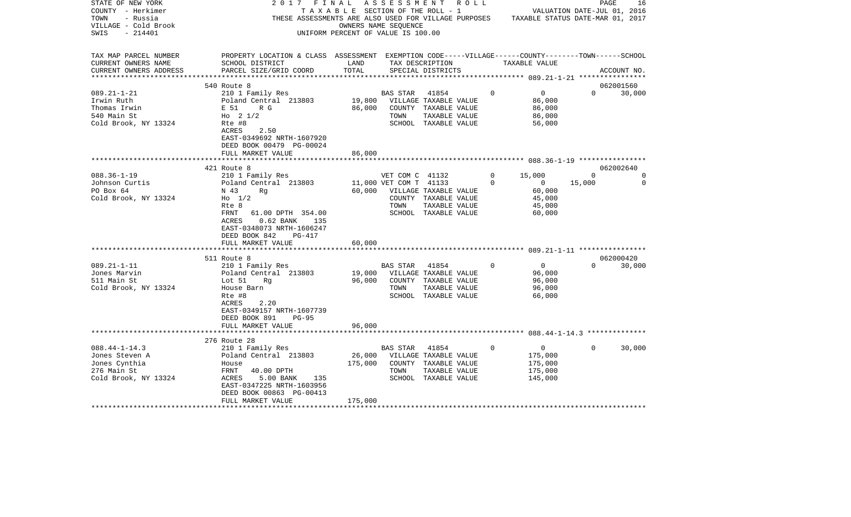| STATE OF NEW YORK<br>COUNTY - Herkimer<br>TOWN<br>- Russia                                    | 2017                                                                                                                                                           | FINAL<br>T A X A B L E SECTION OF THE ROLL - 1             |                         | ASSESSMENT ROLL<br>THESE ASSESSMENTS ARE ALSO USED FOR VILLAGE PURPOSES TAXABLE STATUS DATE-MAR 01, 2017 |          |                                                            | VALUATION DATE-JUL 01, 2016 | 16<br>PAGE  |
|-----------------------------------------------------------------------------------------------|----------------------------------------------------------------------------------------------------------------------------------------------------------------|------------------------------------------------------------|-------------------------|----------------------------------------------------------------------------------------------------------|----------|------------------------------------------------------------|-----------------------------|-------------|
| VILLAGE - Cold Brook<br>$-214401$<br>SWIS                                                     |                                                                                                                                                                | OWNERS NAME SEQUENCE<br>UNIFORM PERCENT OF VALUE IS 100.00 |                         |                                                                                                          |          |                                                            |                             |             |
| TAX MAP PARCEL NUMBER<br>CURRENT OWNERS NAME                                                  | PROPERTY LOCATION & CLASS ASSESSMENT EXEMPTION CODE-----VILLAGE------COUNTY-------TOWN------SCHOOL<br>SCHOOL DISTRICT                                          | LAND                                                       |                         | TAX DESCRIPTION                                                                                          |          | TAXABLE VALUE                                              |                             |             |
| CURRENT OWNERS ADDRESS                                                                        | PARCEL SIZE/GRID COORD                                                                                                                                         | TOTAL                                                      |                         | SPECIAL DISTRICTS                                                                                        |          |                                                            |                             | ACCOUNT NO. |
|                                                                                               | 540 Route 8                                                                                                                                                    |                                                            |                         |                                                                                                          |          |                                                            |                             | 062001560   |
| $089.21 - 1 - 21$<br>Irwin Ruth                                                               | 210 1 Family Res<br>Poland Central 213803                                                                                                                      | 19,800                                                     | <b>BAS STAR</b>         | 41854<br>VILLAGE TAXABLE VALUE                                                                           | $\Omega$ | $\overline{0}$<br>86,000                                   | $\Omega$                    | 30,000      |
| Thomas Irwin<br>540 Main St                                                                   | E 51<br>R G<br>Ho $2 \frac{1}{2}$                                                                                                                              | 86,000                                                     | TOWN                    | COUNTY TAXABLE VALUE<br>TAXABLE VALUE                                                                    |          | 86,000<br>86,000                                           |                             |             |
| Cold Brook, NY 13324                                                                          | Rte #8<br>ACRES<br>2.50<br>EAST-0349692 NRTH-1607920<br>DEED BOOK 00479 PG-00024<br>FULL MARKET VALUE                                                          | 86,000                                                     |                         | SCHOOL TAXABLE VALUE                                                                                     |          | 56,000                                                     |                             |             |
|                                                                                               | **********************                                                                                                                                         | **********                                                 |                         |                                                                                                          |          |                                                            |                             |             |
|                                                                                               | 421 Route 8                                                                                                                                                    |                                                            |                         |                                                                                                          |          |                                                            |                             | 062002640   |
| $088.36 - 1 - 19$                                                                             | 210 1 Family Res                                                                                                                                               |                                                            | VET COM C 41132         |                                                                                                          | $\Omega$ | 15,000                                                     | $\Omega$                    | 0           |
| Johnson Curtis                                                                                | Poland Central 213803                                                                                                                                          |                                                            | 11,000 VET COM T 41133  |                                                                                                          | $\Omega$ | $\overline{0}$                                             | 15,000                      | $\Omega$    |
| PO Box 64<br>Cold Brook, NY 13324                                                             | N 43<br>Rq<br>$H_0$ 1/2<br>Rte 8<br>FRNT<br>61.00 DPTH 354.00<br>$0.62$ BANK<br>ACRES<br>135<br>EAST-0348073 NRTH-1606247                                      | 60,000                                                     | TOWN                    | VILLAGE TAXABLE VALUE<br>COUNTY TAXABLE VALUE<br>TAXABLE VALUE<br>SCHOOL TAXABLE VALUE                   |          | 60,000<br>45,000<br>45,000<br>60,000                       |                             |             |
|                                                                                               | DEED BOOK 842<br>PG-417<br>FULL MARKET VALUE                                                                                                                   | 60,000                                                     |                         |                                                                                                          |          |                                                            |                             |             |
|                                                                                               | ****************************                                                                                                                                   |                                                            |                         |                                                                                                          |          |                                                            |                             |             |
|                                                                                               | 511 Route 8                                                                                                                                                    |                                                            |                         |                                                                                                          |          |                                                            |                             | 062000420   |
| $089.21 - 1 - 11$<br>Jones Marvin<br>511 Main St<br>Cold Brook, NY 13324                      | 210 1 Family Res<br>Poland Central 213803<br>Lot 51<br>Rq<br>House Barn<br>Rte #8<br>ACRES<br>2.20<br>EAST-0349157 NRTH-1607739<br>DEED BOOK 891<br>$PG-95$    | 19,000<br>96,000                                           | <b>BAS STAR</b><br>TOWN | 41854<br>VILLAGE TAXABLE VALUE<br>COUNTY TAXABLE VALUE<br>TAXABLE VALUE<br>SCHOOL TAXABLE VALUE          | $\Omega$ | $\overline{0}$<br>96,000<br>96,000<br>96,000<br>66,000     | $\Omega$                    | 30,000      |
|                                                                                               | FULL MARKET VALUE                                                                                                                                              | 96,000                                                     |                         |                                                                                                          |          |                                                            |                             |             |
|                                                                                               | 276 Route 28                                                                                                                                                   |                                                            |                         |                                                                                                          |          |                                                            |                             |             |
| $088.44 - 1 - 14.3$<br>Jones Steven A<br>Jones Cynthia<br>276 Main St<br>Cold Brook, NY 13324 | 210 1 Family Res<br>Poland Central 213803<br>House<br>FRNT<br>40.00 DPTH<br>ACRES<br>5.00 BANK<br>135<br>EAST-0347225 NRTH-1603956<br>DEED BOOK 00863 PG-00413 | 26,000<br>175,000                                          | BAS STAR<br>TOWN        | 41854<br>VILLAGE TAXABLE VALUE<br>COUNTY TAXABLE VALUE<br>TAXABLE VALUE<br>SCHOOL TAXABLE VALUE          | $\Omega$ | $\overline{0}$<br>175,000<br>175,000<br>175,000<br>145,000 | $\Omega$                    | 30,000      |
|                                                                                               | FULL MARKET VALUE                                                                                                                                              | 175,000                                                    |                         |                                                                                                          |          |                                                            |                             |             |
|                                                                                               |                                                                                                                                                                |                                                            |                         |                                                                                                          |          |                                                            |                             |             |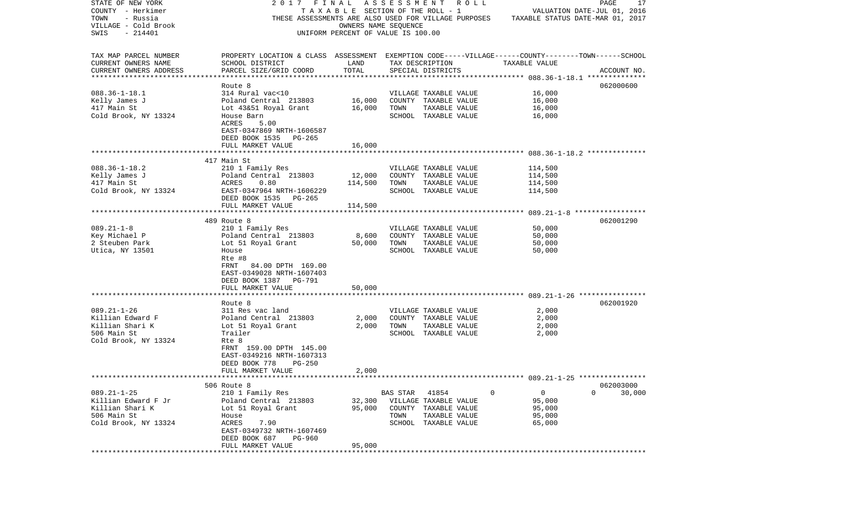| STATE OF NEW YORK         | 2017 FINAL                                                                                         |                                       |                 | A S S E S S M E N T R O L L |               | PAGE<br>17                       |
|---------------------------|----------------------------------------------------------------------------------------------------|---------------------------------------|-----------------|-----------------------------|---------------|----------------------------------|
| COUNTY - Herkimer         |                                                                                                    | T A X A B L E SECTION OF THE ROLL - 1 |                 |                             |               | VALUATION DATE-JUL 01, 2016      |
| TOWN<br>- Russia          | THESE ASSESSMENTS ARE ALSO USED FOR VILLAGE PURPOSES                                               |                                       |                 |                             |               | TAXABLE STATUS DATE-MAR 01, 2017 |
| VILLAGE - Cold Brook      |                                                                                                    | OWNERS NAME SEQUENCE                  |                 |                             |               |                                  |
| SWIS<br>$-214401$         |                                                                                                    | UNIFORM PERCENT OF VALUE IS 100.00    |                 |                             |               |                                  |
|                           |                                                                                                    |                                       |                 |                             |               |                                  |
| TAX MAP PARCEL NUMBER     | PROPERTY LOCATION & CLASS ASSESSMENT EXEMPTION CODE-----VILLAGE------COUNTY-------TOWN------SCHOOL |                                       |                 |                             |               |                                  |
| CURRENT OWNERS NAME       | SCHOOL DISTRICT                                                                                    | LAND                                  |                 | TAX DESCRIPTION             | TAXABLE VALUE |                                  |
| CURRENT OWNERS ADDRESS    | PARCEL SIZE/GRID COORD                                                                             | TOTAL                                 |                 | SPECIAL DISTRICTS           |               | ACCOUNT NO.                      |
| ************************* |                                                                                                    |                                       |                 |                             |               |                                  |
|                           | Route 8                                                                                            |                                       |                 |                             |               | 062000600                        |
| $088.36 - 1 - 18.1$       | 314 Rural vac<10                                                                                   |                                       |                 | VILLAGE TAXABLE VALUE       | 16,000        |                                  |
| Kelly James J             | Poland Central 213803                                                                              | 16,000                                |                 | COUNTY TAXABLE VALUE        | 16,000        |                                  |
| 417 Main St               | Lot 43&51 Royal Grant                                                                              | 16,000                                | TOWN            | TAXABLE VALUE               | 16,000        |                                  |
| Cold Brook, NY 13324      | House Barn                                                                                         |                                       |                 |                             |               |                                  |
|                           |                                                                                                    |                                       |                 | SCHOOL TAXABLE VALUE        | 16,000        |                                  |
|                           | ACRES<br>5.00                                                                                      |                                       |                 |                             |               |                                  |
|                           | EAST-0347869 NRTH-1606587                                                                          |                                       |                 |                             |               |                                  |
|                           | DEED BOOK 1535 PG-265                                                                              |                                       |                 |                             |               |                                  |
|                           | FULL MARKET VALUE                                                                                  | 16,000                                |                 |                             |               |                                  |
|                           |                                                                                                    |                                       |                 |                             |               |                                  |
|                           | 417 Main St                                                                                        |                                       |                 |                             |               |                                  |
| $088.36 - 1 - 18.2$       | 210 1 Family Res                                                                                   |                                       |                 | VILLAGE TAXABLE VALUE       | 114,500       |                                  |
| Kelly James J             | Poland Central 213803                                                                              | 12,000                                |                 | COUNTY TAXABLE VALUE        | 114,500       |                                  |
| 417 Main St               | ACRES<br>0.80                                                                                      | 114,500                               | TOWN            | TAXABLE VALUE               | 114,500       |                                  |
| Cold Brook, NY 13324      | EAST-0347964 NRTH-1606229                                                                          |                                       |                 | SCHOOL TAXABLE VALUE        | 114,500       |                                  |
|                           | DEED BOOK 1535 PG-265                                                                              |                                       |                 |                             |               |                                  |
|                           | FULL MARKET VALUE                                                                                  | 114,500                               |                 |                             |               |                                  |
|                           |                                                                                                    |                                       |                 |                             |               |                                  |
|                           | 489 Route 8                                                                                        |                                       |                 |                             |               | 062001290                        |
| $089.21 - 1 - 8$          | 210 1 Family Res                                                                                   |                                       |                 | VILLAGE TAXABLE VALUE       | 50,000        |                                  |
| Key Michael P             | Poland Central 213803                                                                              | 8,600                                 |                 | COUNTY TAXABLE VALUE        | 50,000        |                                  |
| 2 Steuben Park            | Lot 51 Royal Grant                                                                                 | 50,000                                | TOWN            | TAXABLE VALUE               | 50,000        |                                  |
| Utica, NY 13501           | House                                                                                              |                                       |                 | SCHOOL TAXABLE VALUE        | 50,000        |                                  |
|                           | Rte #8                                                                                             |                                       |                 |                             |               |                                  |
|                           | 84.00 DPTH 169.00<br>FRNT                                                                          |                                       |                 |                             |               |                                  |
|                           | EAST-0349028 NRTH-1607403                                                                          |                                       |                 |                             |               |                                  |
|                           | DEED BOOK 1387 PG-791                                                                              |                                       |                 |                             |               |                                  |
|                           | FULL MARKET VALUE                                                                                  | 50,000                                |                 |                             |               |                                  |
|                           |                                                                                                    |                                       |                 |                             |               |                                  |
|                           | Route 8                                                                                            |                                       |                 |                             |               | 062001920                        |
| $089.21 - 1 - 26$         | 311 Res vac land                                                                                   |                                       |                 | VILLAGE TAXABLE VALUE       | 2,000         |                                  |
| Killian Edward F          | Poland Central 213803                                                                              | 2,000                                 |                 | COUNTY TAXABLE VALUE        | 2,000         |                                  |
| Killian Shari K           | Lot 51 Royal Grant                                                                                 | 2,000                                 | TOWN            | TAXABLE VALUE               | 2,000         |                                  |
| 506 Main St               | Trailer                                                                                            |                                       |                 | SCHOOL TAXABLE VALUE        | 2,000         |                                  |
| Cold Brook, NY 13324      | Rte 8                                                                                              |                                       |                 |                             |               |                                  |
|                           | FRNT 159.00 DPTH 145.00                                                                            |                                       |                 |                             |               |                                  |
|                           | EAST-0349216 NRTH-1607313                                                                          |                                       |                 |                             |               |                                  |
|                           | $PG-250$<br>DEED BOOK 778                                                                          |                                       |                 |                             |               |                                  |
|                           | FULL MARKET VALUE                                                                                  | 2,000                                 |                 |                             |               |                                  |
|                           |                                                                                                    |                                       |                 |                             |               |                                  |
|                           | 506 Route 8                                                                                        |                                       |                 |                             |               | 062003000                        |
| $089.21 - 1 - 25$         | 210 1 Family Res                                                                                   |                                       | <b>BAS STAR</b> | 41854                       | 0<br>0        | 0<br>30,000                      |
| Killian Edward F Jr       | Poland Central 213803                                                                              | 32,300                                |                 | VILLAGE TAXABLE VALUE       | 95,000        |                                  |
| Killian Shari K           | Lot 51 Royal Grant                                                                                 | 95,000                                | COUNTY          | TAXABLE VALUE               | 95,000        |                                  |
| 506 Main St               | House                                                                                              |                                       | TOWN            | TAXABLE VALUE               | 95,000        |                                  |
| Cold Brook, NY 13324      | ACRES<br>7.90                                                                                      |                                       | SCHOOL          | TAXABLE VALUE               | 65,000        |                                  |
|                           | EAST-0349732 NRTH-1607469                                                                          |                                       |                 |                             |               |                                  |
|                           | DEED BOOK 687<br><b>PG-960</b>                                                                     |                                       |                 |                             |               |                                  |
|                           | FULL MARKET VALUE                                                                                  | 95,000                                |                 |                             |               |                                  |
| ******                    | ************************                                                                           | ***********************               |                 |                             |               |                                  |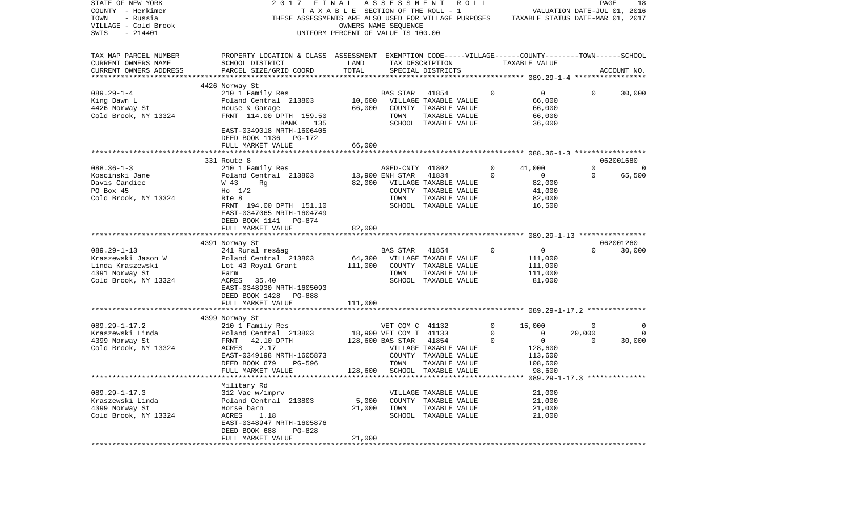| STATE OF NEW YORK<br>COUNTY - Herkimer<br>TOWN<br>- Russia<br>VILLAGE - Cold Brook<br>SWIS<br>$-214401$ | 2017 FINAL<br>THESE ASSESSMENTS ARE ALSO USED FOR VILLAGE PURPOSES                                                    | TAXABLE SECTION OF THE ROLL - 1<br>UNIFORM PERCENT OF VALUE IS 100.00 | A S S E S S M E N T<br>OWNERS NAME SEQUENCE                         | R O L L                                                                         |                       | TAXABLE STATUS DATE-MAR 01, 2017                       | PAGE<br>VALUATION DATE-JUL 01, 2016 | 18                 |
|---------------------------------------------------------------------------------------------------------|-----------------------------------------------------------------------------------------------------------------------|-----------------------------------------------------------------------|---------------------------------------------------------------------|---------------------------------------------------------------------------------|-----------------------|--------------------------------------------------------|-------------------------------------|--------------------|
| TAX MAP PARCEL NUMBER<br>CURRENT OWNERS NAME                                                            | PROPERTY LOCATION & CLASS ASSESSMENT EXEMPTION CODE-----VILLAGE------COUNTY-------TOWN------SCHOOL<br>SCHOOL DISTRICT | LAND                                                                  |                                                                     | TAX DESCRIPTION                                                                 |                       | TAXABLE VALUE                                          |                                     |                    |
| CURRENT OWNERS ADDRESS<br>*************************                                                     | PARCEL SIZE/GRID COORD                                                                                                | TOTAL                                                                 |                                                                     | SPECIAL DISTRICTS                                                               |                       |                                                        |                                     | ACCOUNT NO.        |
|                                                                                                         | 4426 Norway St                                                                                                        |                                                                       |                                                                     |                                                                                 |                       |                                                        |                                     |                    |
| $089.29 - 1 - 4$<br>King Dawn L<br>4426 Norway St<br>Cold Brook, NY 13324                               | 210 1 Family Res<br>Poland Central 213803<br>House & Garage<br>FRNT 114.00 DPTH 159.50                                | 66,000                                                                | BAS STAR<br>TOWN                                                    | 41854<br>10,600 VILLAGE TAXABLE VALUE<br>COUNTY TAXABLE VALUE<br>TAXABLE VALUE  | $\circ$               | $\circ$<br>66,000<br>66,000<br>66,000                  | 0                                   | 30,000             |
|                                                                                                         | BANK<br>135<br>EAST-0349018 NRTH-1606405<br>DEED BOOK 1136 PG-172                                                     |                                                                       |                                                                     | SCHOOL TAXABLE VALUE                                                            |                       | 36,000                                                 |                                     |                    |
|                                                                                                         | FULL MARKET VALUE                                                                                                     | 66,000                                                                |                                                                     |                                                                                 |                       |                                                        |                                     |                    |
|                                                                                                         | 331 Route 8                                                                                                           |                                                                       |                                                                     |                                                                                 |                       |                                                        |                                     | 062001680          |
| $088.36 - 1 - 3$<br>Koscinski Jane<br>Davis Candice<br>PO Box 45                                        | 210 1 Family Res<br>Poland Central 213803<br>W 43<br>Rg<br>$H_0$ 1/2                                                  | 13,900 ENH STAR<br>82,000                                             | AGED-CNTY 41802                                                     | 41834<br>VILLAGE TAXABLE VALUE<br>COUNTY TAXABLE VALUE                          | 0<br>$\Omega$         | 41,000<br>$\circ$<br>82,000<br>41,000                  | $\mathbf{0}$<br>$\mathbf 0$         | $\Omega$<br>65,500 |
| Cold Brook, NY 13324                                                                                    | Rte 8<br>FRNT 194.00 DPTH 151.10<br>EAST-0347065 NRTH-1604749<br>DEED BOOK 1141 PG-874                                |                                                                       | TOWN                                                                | TAXABLE VALUE<br>SCHOOL TAXABLE VALUE                                           |                       | 82,000<br>16,500                                       |                                     |                    |
|                                                                                                         | FULL MARKET VALUE                                                                                                     | 82,000                                                                |                                                                     |                                                                                 |                       |                                                        |                                     |                    |
|                                                                                                         | 4391 Norway St                                                                                                        |                                                                       |                                                                     |                                                                                 |                       |                                                        |                                     | 062001260          |
| $089.29 - 1 - 13$                                                                                       | 241 Rural res&ag                                                                                                      |                                                                       | <b>BAS STAR</b>                                                     | 41854                                                                           | $\Omega$              | $\mathbf{0}$                                           | $\Omega$                            | 30,000             |
| Kraszewski Jason W                                                                                      | Poland Central 213803                                                                                                 | 64,300                                                                |                                                                     | VILLAGE TAXABLE VALUE                                                           |                       | 111,000                                                |                                     |                    |
| Linda Kraszewski                                                                                        | Lot 43 Royal Grant                                                                                                    | 111,000                                                               |                                                                     | COUNTY TAXABLE VALUE                                                            |                       | 111,000                                                |                                     |                    |
| 4391 Norway St                                                                                          | Farm                                                                                                                  |                                                                       | TOWN                                                                | TAXABLE VALUE                                                                   |                       | 111,000                                                |                                     |                    |
| Cold Brook, NY 13324                                                                                    | ACRES 35.40<br>EAST-0348930 NRTH-1605093<br>DEED BOOK 1428<br>PG-888                                                  |                                                                       |                                                                     | SCHOOL TAXABLE VALUE                                                            |                       | 81,000                                                 |                                     |                    |
|                                                                                                         | FULL MARKET VALUE<br>***********************                                                                          | 111,000<br>***********                                                |                                                                     |                                                                                 |                       |                                                        |                                     |                    |
|                                                                                                         | 4399 Norway St                                                                                                        |                                                                       |                                                                     |                                                                                 |                       |                                                        |                                     |                    |
| $089.29 - 1 - 17.2$<br>Kraszewski Linda<br>4399 Norway St<br>Cold Brook, NY 13324                       | 210 1 Family Res<br>Poland Central 213803<br>FRNT<br>42.10 DPTH<br>2.17<br>ACRES<br>EAST-0349198 NRTH-1605873         |                                                                       | VET COM C 41132<br>18,900 VET COM T 41133<br>128,600 BAS STAR 41854 | VILLAGE TAXABLE VALUE<br>COUNTY TAXABLE VALUE                                   | 0<br>0<br>$\mathbf 0$ | 15,000<br>$\mathbf 0$<br>$\circ$<br>128,600<br>113,600 | 0<br>20,000<br>$\Omega$             | 0<br>0<br>30,000   |
|                                                                                                         | DEED BOOK 679<br>PG-596                                                                                               |                                                                       | TOWN                                                                | TAXABLE VALUE                                                                   |                       | 108,600                                                |                                     |                    |
|                                                                                                         | FULL MARKET VALUE                                                                                                     |                                                                       |                                                                     | 128,600 SCHOOL TAXABLE VALUE                                                    |                       | 98,600                                                 |                                     |                    |
|                                                                                                         | Military Rd                                                                                                           |                                                                       |                                                                     |                                                                                 |                       |                                                        |                                     |                    |
| $089.29 - 1 - 17.3$<br>Kraszewski Linda<br>4399 Norway St<br>Cold Brook, NY 13324                       | 312 Vac w/imprv<br>Poland Central 213803<br>Horse barn<br>ACRES<br>1.18                                               | 5,000<br>21,000                                                       | TOWN<br>SCHOOL                                                      | VILLAGE TAXABLE VALUE<br>COUNTY TAXABLE VALUE<br>TAXABLE VALUE<br>TAXABLE VALUE |                       | 21,000<br>21,000<br>21,000<br>21,000                   |                                     |                    |
|                                                                                                         | EAST-0348947 NRTH-1605876<br>DEED BOOK 688<br>PG-828<br>FULL MARKET VALUE                                             | 21,000                                                                |                                                                     |                                                                                 |                       |                                                        |                                     |                    |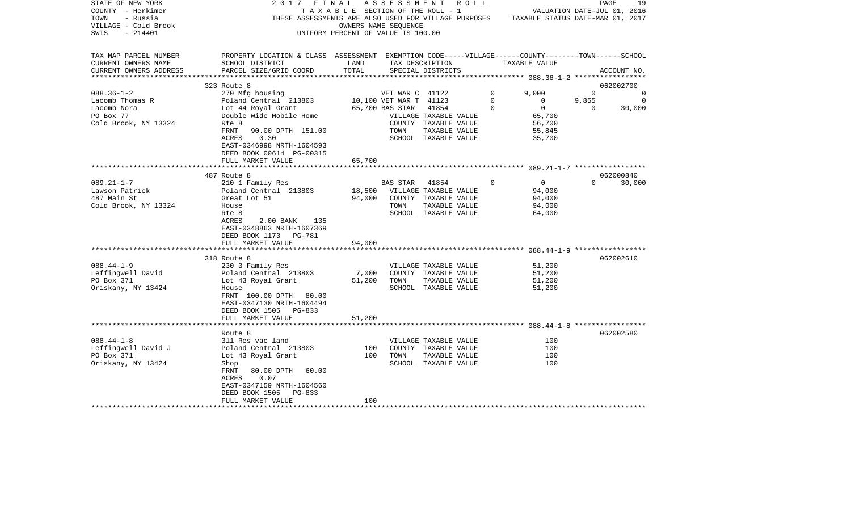| STATE OF NEW YORK<br>COUNTY - Herkimer | 2017                                                                                              | FINAL<br>TAXABLE SECTION OF THE ROLL - 1 |                        | A S S E S S M E N T A O L L                          |             |                                  |              | 19<br>PAGE<br>VALUATION DATE-JUL 01, 2016 |
|----------------------------------------|---------------------------------------------------------------------------------------------------|------------------------------------------|------------------------|------------------------------------------------------|-------------|----------------------------------|--------------|-------------------------------------------|
| TOWN<br>- Russia                       |                                                                                                   |                                          |                        | THESE ASSESSMENTS ARE ALSO USED FOR VILLAGE PURPOSES |             | TAXABLE STATUS DATE-MAR 01, 2017 |              |                                           |
| VILLAGE - Cold Brook                   |                                                                                                   |                                          | OWNERS NAME SEQUENCE   |                                                      |             |                                  |              |                                           |
| $-214401$<br>SWIS                      |                                                                                                   | UNIFORM PERCENT OF VALUE IS 100.00       |                        |                                                      |             |                                  |              |                                           |
|                                        |                                                                                                   |                                          |                        |                                                      |             |                                  |              |                                           |
| TAX MAP PARCEL NUMBER                  | PROPERTY LOCATION & CLASS ASSESSMENT EXEMPTION CODE-----VILLAGE------COUNTY-------TOWN-----SCHOOL |                                          |                        |                                                      |             |                                  |              |                                           |
| CURRENT OWNERS NAME                    | SCHOOL DISTRICT                                                                                   | LAND                                     |                        | TAX DESCRIPTION                                      |             | TAXABLE VALUE                    |              |                                           |
| CURRENT OWNERS ADDRESS                 | PARCEL SIZE/GRID COORD                                                                            | TOTAL                                    |                        | SPECIAL DISTRICTS                                    |             |                                  |              | ACCOUNT NO.                               |
|                                        |                                                                                                   |                                          |                        |                                                      |             |                                  |              |                                           |
|                                        | 323 Route 8                                                                                       |                                          |                        |                                                      |             |                                  |              | 062002700                                 |
| $088.36 - 1 - 2$                       | 270 Mfg housing                                                                                   |                                          | VET WAR C 41122        |                                                      | $\mathbf 0$ | 9.000                            | $\Omega$     | $\mathbf 0$                               |
| Lacomb Thomas R                        | Poland Central 213803                                                                             |                                          | 10,100 VET WAR T 41123 |                                                      | 0           | $\mathbf 0$                      | 9,855        | $\Omega$                                  |
| Lacomb Nora                            | Lot 44 Royal Grant                                                                                |                                          | 65,700 BAS STAR        | 41854                                                | 0           | $\overline{0}$                   | $\mathbf{0}$ | 30,000                                    |
| PO Box 77                              | Double Wide Mobile Home                                                                           |                                          |                        | VILLAGE TAXABLE VALUE                                |             | 65,700                           |              |                                           |
| Cold Brook, NY 13324                   | Rte 8                                                                                             |                                          |                        | COUNTY TAXABLE VALUE                                 |             | 56,700                           |              |                                           |
|                                        | FRNT<br>90.00 DPTH 151.00                                                                         |                                          | TOWN                   | TAXABLE VALUE                                        |             | 55,845                           |              |                                           |
|                                        | ACRES<br>0.30                                                                                     |                                          |                        | SCHOOL TAXABLE VALUE                                 |             | 35,700                           |              |                                           |
|                                        | EAST-0346998 NRTH-1604593                                                                         |                                          |                        |                                                      |             |                                  |              |                                           |
|                                        | DEED BOOK 00614 PG-00315                                                                          |                                          |                        |                                                      |             |                                  |              |                                           |
|                                        | FULL MARKET VALUE                                                                                 | 65,700                                   |                        |                                                      |             |                                  |              |                                           |
|                                        | *********************                                                                             |                                          |                        |                                                      |             |                                  |              |                                           |
|                                        | 487 Route 8                                                                                       |                                          |                        |                                                      | $\mathbf 0$ |                                  | $\Omega$     | 062000840                                 |
| $089.21 - 1 - 7$                       | 210 1 Family Res                                                                                  |                                          | <b>BAS STAR</b>        | 41854                                                |             | $\overline{0}$                   |              | 30,000                                    |
| Lawson Patrick<br>487 Main St          | Poland Central 213803<br>Great Lot 51                                                             | 18,500<br>94,000                         |                        | VILLAGE TAXABLE VALUE<br>COUNTY TAXABLE VALUE        |             | 94,000<br>94,000                 |              |                                           |
| Cold Brook, NY 13324                   | House                                                                                             |                                          | TOWN                   | TAXABLE VALUE                                        |             | 94,000                           |              |                                           |
|                                        | Rte 8                                                                                             |                                          |                        | SCHOOL TAXABLE VALUE                                 |             | 64,000                           |              |                                           |
|                                        | ACRES<br>2.00 BANK<br>135                                                                         |                                          |                        |                                                      |             |                                  |              |                                           |
|                                        | EAST-0348863 NRTH-1607369                                                                         |                                          |                        |                                                      |             |                                  |              |                                           |
|                                        | DEED BOOK 1173 PG-781                                                                             |                                          |                        |                                                      |             |                                  |              |                                           |
|                                        | FULL MARKET VALUE                                                                                 | 94,000                                   |                        |                                                      |             |                                  |              |                                           |
|                                        |                                                                                                   |                                          |                        |                                                      |             |                                  |              |                                           |
|                                        | 318 Route 8                                                                                       |                                          |                        |                                                      |             |                                  |              | 062002610                                 |
| $088.44 - 1 - 9$                       | 230 3 Family Res                                                                                  |                                          |                        | VILLAGE TAXABLE VALUE                                |             | 51,200                           |              |                                           |
| Leffingwell David                      | Poland Central 213803                                                                             | 7,000                                    |                        | COUNTY TAXABLE VALUE                                 |             | 51,200                           |              |                                           |
| PO Box 371                             | Lot 43 Royal Grant                                                                                | 51,200                                   | TOWN                   | TAXABLE VALUE                                        |             | 51,200                           |              |                                           |
| Oriskany, NY 13424                     | House                                                                                             |                                          |                        | SCHOOL TAXABLE VALUE                                 |             | 51,200                           |              |                                           |
|                                        | FRNT 100.00 DPTH 80.00                                                                            |                                          |                        |                                                      |             |                                  |              |                                           |
|                                        | EAST-0347130 NRTH-1604494                                                                         |                                          |                        |                                                      |             |                                  |              |                                           |
|                                        | DEED BOOK 1505<br>$PG-833$                                                                        |                                          |                        |                                                      |             |                                  |              |                                           |
|                                        | FULL MARKET VALUE                                                                                 | 51,200                                   |                        |                                                      |             |                                  |              |                                           |
|                                        | Route 8                                                                                           |                                          |                        |                                                      |             |                                  |              | 062002580                                 |
| $088.44 - 1 - 8$                       | 311 Res vac land                                                                                  |                                          |                        | VILLAGE TAXABLE VALUE                                |             | 100                              |              |                                           |
| Leffingwell David J                    | Poland Central 213803                                                                             | 100                                      |                        | COUNTY TAXABLE VALUE                                 |             | 100                              |              |                                           |
| PO Box 371                             | Lot 43 Royal Grant                                                                                | 100                                      | TOWN                   | TAXABLE VALUE                                        |             | 100                              |              |                                           |
| Oriskany, NY 13424                     | Shop                                                                                              |                                          |                        | SCHOOL TAXABLE VALUE                                 |             | 100                              |              |                                           |
|                                        | FRNT<br>80.00 DPTH<br>60.00                                                                       |                                          |                        |                                                      |             |                                  |              |                                           |
|                                        | ACRES<br>0.07                                                                                     |                                          |                        |                                                      |             |                                  |              |                                           |
|                                        | EAST-0347159 NRTH-1604560                                                                         |                                          |                        |                                                      |             |                                  |              |                                           |
|                                        | DEED BOOK 1505<br>PG-833                                                                          |                                          |                        |                                                      |             |                                  |              |                                           |
|                                        | FULL MARKET VALUE                                                                                 | 100                                      |                        |                                                      |             |                                  |              |                                           |
|                                        |                                                                                                   |                                          |                        |                                                      |             |                                  |              |                                           |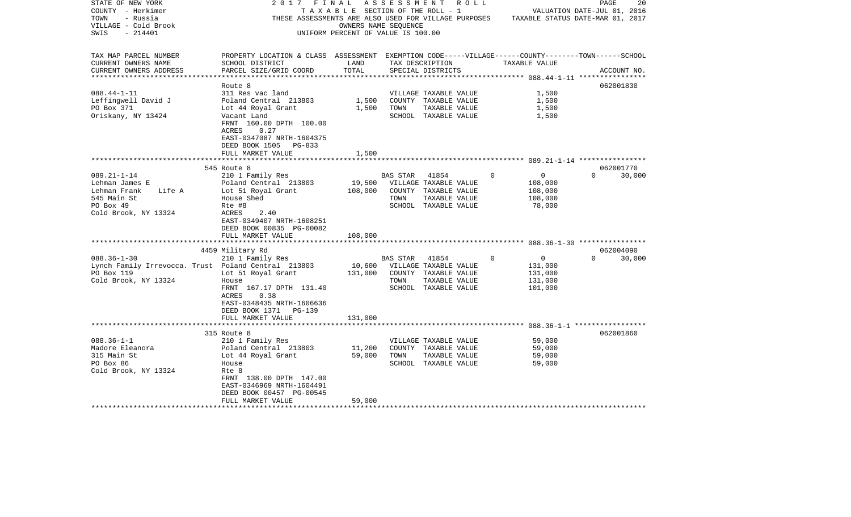| STATE OF NEW YORK<br>COUNTY - Herkimer<br>- Russia<br>TOWN<br>VILLAGE - Cold Brook<br>$-214401$<br>SWIS | 2017<br>FINAL<br>THESE ASSESSMENTS ARE ALSO USED FOR VILLAGE PURPOSES TAXABLE STATUS DATE-MAR 01, 2017                                          | OWNERS NAME SEQUENCE<br>UNIFORM PERCENT OF VALUE IS 100.00 |          | A S S E S S M E N T A O L L<br>TAXABLE SECTION OF THE ROLL - 1 |             | VALUATION DATE-JUL 01, 2016 | PAGE     | 20          |
|---------------------------------------------------------------------------------------------------------|-------------------------------------------------------------------------------------------------------------------------------------------------|------------------------------------------------------------|----------|----------------------------------------------------------------|-------------|-----------------------------|----------|-------------|
| TAX MAP PARCEL NUMBER<br>CURRENT OWNERS NAME<br>CURRENT OWNERS ADDRESS                                  | PROPERTY LOCATION & CLASS ASSESSMENT EXEMPTION CODE-----VILLAGE------COUNTY-------TOWN------SCHOOL<br>SCHOOL DISTRICT<br>PARCEL SIZE/GRID COORD | LAND<br>TOTAL                                              |          | TAX DESCRIPTION<br>SPECIAL DISTRICTS                           |             | TAXABLE VALUE               |          | ACCOUNT NO. |
|                                                                                                         |                                                                                                                                                 |                                                            |          |                                                                |             |                             |          |             |
|                                                                                                         | Route 8                                                                                                                                         |                                                            |          |                                                                |             |                             |          | 062001830   |
| $088.44 - 1 - 11$                                                                                       | 311 Res vac land                                                                                                                                |                                                            |          | VILLAGE TAXABLE VALUE                                          |             | 1,500                       |          |             |
| Leffingwell David J                                                                                     | Poland Central 213803                                                                                                                           | 1,500                                                      |          | COUNTY TAXABLE VALUE                                           |             | 1,500                       |          |             |
| PO Box 371                                                                                              | Lot 44 Royal Grant                                                                                                                              | 1,500                                                      | TOWN     | TAXABLE VALUE                                                  |             | 1,500                       |          |             |
| Oriskany, NY 13424                                                                                      | Vacant Land<br>FRNT 160.00 DPTH 100.00<br>ACRES<br>0.27<br>EAST-0347087 NRTH-1604375<br>DEED BOOK 1505<br>PG-833<br>FULL MARKET VALUE           | 1,500                                                      |          | SCHOOL TAXABLE VALUE                                           |             | 1,500                       |          |             |
|                                                                                                         |                                                                                                                                                 |                                                            |          |                                                                |             |                             |          |             |
|                                                                                                         | 545 Route 8                                                                                                                                     |                                                            |          |                                                                |             |                             |          | 062001770   |
| $089.21 - 1 - 14$                                                                                       | 210 1 Family Res                                                                                                                                |                                                            | BAS STAR | 41854                                                          | $\Omega$    | $\overline{0}$              | $\Omega$ | 30,000      |
| Lehman James E                                                                                          | Poland Central 213803                                                                                                                           | 19,500                                                     |          | VILLAGE TAXABLE VALUE                                          |             | 108,000                     |          |             |
| Lehman Frank<br>Life A                                                                                  | Lot 51 Royal Grant                                                                                                                              | 108,000                                                    |          | COUNTY TAXABLE VALUE                                           |             | 108,000                     |          |             |
| 545 Main St                                                                                             | House Shed                                                                                                                                      |                                                            | TOWN     | TAXABLE VALUE                                                  |             | 108,000                     |          |             |
| PO Box 49                                                                                               | Rte #8                                                                                                                                          |                                                            |          | SCHOOL TAXABLE VALUE                                           |             | 78,000                      |          |             |
| Cold Brook, NY 13324                                                                                    | ACRES<br>2.40                                                                                                                                   |                                                            |          |                                                                |             |                             |          |             |
|                                                                                                         | EAST-0349407 NRTH-1608251                                                                                                                       |                                                            |          |                                                                |             |                             |          |             |
|                                                                                                         | DEED BOOK 00835 PG-00082<br>FULL MARKET VALUE                                                                                                   |                                                            |          |                                                                |             |                             |          |             |
|                                                                                                         |                                                                                                                                                 | 108,000                                                    |          |                                                                |             |                             |          |             |
|                                                                                                         | 4459 Military Rd                                                                                                                                |                                                            |          |                                                                |             |                             |          | 062004090   |
| $088.36 - 1 - 30$                                                                                       | 210 1 Family Res                                                                                                                                |                                                            | BAS STAR | 41854                                                          | $\mathbf 0$ | $\overline{0}$              | $\Omega$ | 30,000      |
| Lynch Family Irrevocca. Trust Poland Central 213803                                                     |                                                                                                                                                 | 10,600                                                     |          | VILLAGE TAXABLE VALUE                                          |             | 131,000                     |          |             |
| PO Box 119                                                                                              | Lot 51 Royal Grant                                                                                                                              | 131,000                                                    |          | COUNTY TAXABLE VALUE                                           |             | 131,000                     |          |             |
| Cold Brook, NY 13324                                                                                    | House                                                                                                                                           |                                                            | TOWN     | TAXABLE VALUE                                                  |             | 131,000                     |          |             |
|                                                                                                         | FRNT 167.17 DPTH 131.40                                                                                                                         |                                                            |          | SCHOOL TAXABLE VALUE                                           |             | 101,000                     |          |             |
|                                                                                                         | 0.38<br>ACRES                                                                                                                                   |                                                            |          |                                                                |             |                             |          |             |
|                                                                                                         | EAST-0348435 NRTH-1606636                                                                                                                       |                                                            |          |                                                                |             |                             |          |             |
|                                                                                                         | DEED BOOK 1371<br>PG-139                                                                                                                        |                                                            |          |                                                                |             |                             |          |             |
|                                                                                                         | FULL MARKET VALUE                                                                                                                               | 131,000                                                    |          |                                                                |             |                             |          |             |
|                                                                                                         |                                                                                                                                                 |                                                            |          |                                                                |             |                             |          |             |
| $088.36 - 1 - 1$                                                                                        | 315 Route 8<br>210 1 Family Res                                                                                                                 |                                                            |          | VILLAGE TAXABLE VALUE                                          |             | 59,000                      |          | 062001860   |
| Madore Eleanora                                                                                         | Poland Central 213803                                                                                                                           | 11,200                                                     |          | COUNTY TAXABLE VALUE                                           |             | 59,000                      |          |             |
| 315 Main St                                                                                             | Lot 44 Royal Grant                                                                                                                              | 59,000                                                     | TOWN     | TAXABLE VALUE                                                  |             | 59,000                      |          |             |
| PO Box 86                                                                                               | House                                                                                                                                           |                                                            |          | SCHOOL TAXABLE VALUE                                           |             | 59,000                      |          |             |
| Cold Brook, NY 13324                                                                                    | Rte 8                                                                                                                                           |                                                            |          |                                                                |             |                             |          |             |
|                                                                                                         | FRNT 138.00 DPTH 147.00                                                                                                                         |                                                            |          |                                                                |             |                             |          |             |
|                                                                                                         | EAST-0346969 NRTH-1604491                                                                                                                       |                                                            |          |                                                                |             |                             |          |             |
|                                                                                                         | DEED BOOK 00457 PG-00545                                                                                                                        |                                                            |          |                                                                |             |                             |          |             |
|                                                                                                         | FULL MARKET VALUE                                                                                                                               | 59,000                                                     |          |                                                                |             |                             |          |             |
| ********************                                                                                    | ***********************                                                                                                                         |                                                            |          |                                                                |             |                             |          |             |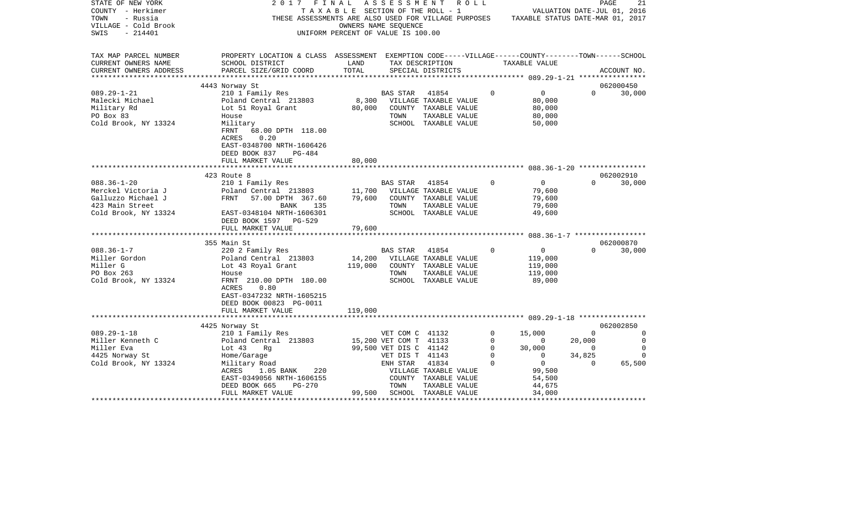| STATE OF NEW YORK<br>COUNTY - Herkimer<br>TOWN<br>- Russia<br>VILLAGE - Cold Brook<br>$-214401$<br>SWIS | 2017<br>FINAL                                                                                                         | OWNERS NAME SEOUENCE<br>UNIFORM PERCENT OF VALUE IS 100.00 | ASSESSMENT                                | R O L L<br>TAXABLE SECTION OF THE ROLL - 1<br>THESE ASSESSMENTS ARE ALSO USED FOR VILLAGE PURPOSES |             | VALUATION DATE-JUL 01, 2016<br>TAXABLE STATUS DATE-MAR 01, 2017 | PAGE                     | 21          |
|---------------------------------------------------------------------------------------------------------|-----------------------------------------------------------------------------------------------------------------------|------------------------------------------------------------|-------------------------------------------|----------------------------------------------------------------------------------------------------|-------------|-----------------------------------------------------------------|--------------------------|-------------|
| TAX MAP PARCEL NUMBER<br>CURRENT OWNERS NAME                                                            | PROPERTY LOCATION & CLASS ASSESSMENT EXEMPTION CODE-----VILLAGE------COUNTY-------TOWN------SCHOOL<br>SCHOOL DISTRICT | LAND                                                       |                                           | TAX DESCRIPTION                                                                                    |             | TAXABLE VALUE                                                   |                          |             |
| CURRENT OWNERS ADDRESS                                                                                  | PARCEL SIZE/GRID COORD                                                                                                | TOTAL                                                      |                                           | SPECIAL DISTRICTS                                                                                  |             |                                                                 |                          | ACCOUNT NO. |
|                                                                                                         |                                                                                                                       |                                                            |                                           |                                                                                                    |             |                                                                 |                          |             |
|                                                                                                         | 4443 Norway St                                                                                                        |                                                            |                                           |                                                                                                    |             |                                                                 |                          | 062000450   |
| $089.29 - 1 - 21$                                                                                       | 210 1 Family Res                                                                                                      |                                                            | <b>BAS STAR</b>                           | 41854                                                                                              | $\mathbf 0$ | $0 \qquad \qquad$                                               | $\Omega$                 | 30,000      |
| Malecki Michael                                                                                         | Poland Central 213803                                                                                                 | 8,300                                                      |                                           | VILLAGE TAXABLE VALUE                                                                              |             | 80,000                                                          |                          |             |
| Military Rd                                                                                             | Lot 51 Royal Grant                                                                                                    | 80,000                                                     |                                           | COUNTY TAXABLE VALUE                                                                               |             | 80,000                                                          |                          |             |
| PO Box 83                                                                                               | House                                                                                                                 |                                                            | TOWN                                      | TAXABLE VALUE                                                                                      |             | 80,000                                                          |                          |             |
| Cold Brook, NY 13324                                                                                    | Military<br>FRNT<br>68.00 DPTH 118.00<br>ACRES<br>0.20<br>EAST-0348700 NRTH-1606426<br>DEED BOOK 837<br>PG-484        |                                                            |                                           | SCHOOL TAXABLE VALUE                                                                               |             | 50,000                                                          |                          |             |
|                                                                                                         | FULL MARKET VALUE                                                                                                     | 80,000                                                     |                                           |                                                                                                    |             |                                                                 |                          |             |
|                                                                                                         |                                                                                                                       |                                                            |                                           |                                                                                                    |             |                                                                 |                          |             |
|                                                                                                         | 423 Route 8                                                                                                           |                                                            |                                           |                                                                                                    | $\Omega$    | $\overline{0}$                                                  | $\Omega$                 | 062002910   |
| $088.36 - 1 - 20$<br>Merckel Victoria J                                                                 | 210 1 Family Res<br>Poland Central 213803                                                                             | 11,700                                                     | BAS STAR                                  | 41854<br>VILLAGE TAXABLE VALUE                                                                     |             | 79,600                                                          |                          | 30,000      |
| Galluzzo Michael J                                                                                      | FRNT<br>57.00 DPTH 367.60                                                                                             | 79,600                                                     |                                           | COUNTY TAXABLE VALUE                                                                               |             | 79,600                                                          |                          |             |
| 423 Main Street                                                                                         | BANK<br>135                                                                                                           |                                                            | TOWN                                      | TAXABLE VALUE                                                                                      |             | 79,600                                                          |                          |             |
| Cold Brook, NY 13324                                                                                    | EAST-0348104 NRTH-1606301<br>DEED BOOK 1597 PG-529                                                                    |                                                            |                                           | SCHOOL TAXABLE VALUE                                                                               |             | 49,600                                                          |                          |             |
|                                                                                                         | FULL MARKET VALUE                                                                                                     | 79,600                                                     |                                           |                                                                                                    |             |                                                                 |                          |             |
|                                                                                                         |                                                                                                                       |                                                            |                                           |                                                                                                    |             |                                                                 |                          |             |
|                                                                                                         | 355 Main St                                                                                                           |                                                            |                                           |                                                                                                    |             |                                                                 |                          | 062000870   |
| $088.36 - 1 - 7$                                                                                        | 220 2 Family Res                                                                                                      | 14,200                                                     | BAS STAR 41854                            |                                                                                                    | $\mathbf 0$ | $\overline{0}$                                                  | $\Omega$                 | 30,000      |
| Miller Gordon<br>Miller G                                                                               | Poland Central 213803<br>Lot 43 Royal Grant                                                                           | 119,000                                                    |                                           | VILLAGE TAXABLE VALUE<br>COUNTY TAXABLE VALUE                                                      |             | 119,000<br>119,000                                              |                          |             |
| PO Box 263                                                                                              | House                                                                                                                 |                                                            | TOWN                                      | TAXABLE VALUE                                                                                      |             | 119,000                                                         |                          |             |
| Cold Brook, NY 13324                                                                                    | FRNT 210.00 DPTH 180.00                                                                                               |                                                            |                                           | SCHOOL TAXABLE VALUE                                                                               |             | 89,000                                                          |                          |             |
|                                                                                                         | ACRES<br>0.80<br>EAST-0347232 NRTH-1605215                                                                            |                                                            |                                           |                                                                                                    |             |                                                                 |                          |             |
|                                                                                                         | DEED BOOK 00823 PG-0011                                                                                               |                                                            |                                           |                                                                                                    |             |                                                                 |                          |             |
|                                                                                                         | FULL MARKET VALUE                                                                                                     | 119,000                                                    |                                           |                                                                                                    |             |                                                                 |                          |             |
|                                                                                                         |                                                                                                                       |                                                            |                                           |                                                                                                    |             |                                                                 |                          |             |
|                                                                                                         | 4425 Norway St                                                                                                        |                                                            |                                           |                                                                                                    |             |                                                                 |                          | 062002850   |
| $089.29 - 1 - 18$                                                                                       | 210 1 Family Res                                                                                                      |                                                            | VET COM C 41132                           |                                                                                                    | $\circ$     | 15,000                                                          | $\Omega$                 | 0           |
| Miller Kenneth C<br>Miller Eva                                                                          | Poland Central 213803                                                                                                 |                                                            | 15,200 VET COM T 41133                    |                                                                                                    | 0<br>0      | $\mathbf{0}$<br>30,000                                          | 20,000<br>$\overline{0}$ | 0<br>0      |
| 4425 Norway St                                                                                          | Lot $43$<br>Rg<br>Home/Garage                                                                                         |                                                            | 99,500 VET DIS C 41142<br>VET DIS T 41143 |                                                                                                    | $\mathbf 0$ | $\mathbf{0}$                                                    | 34,825                   | $\Omega$    |
| Cold Brook, NY 13324                                                                                    | Military Road                                                                                                         |                                                            | ENH STAR                                  | 41834                                                                                              | $\Omega$    | $\overline{0}$                                                  | $\Omega$                 | 65,500      |
|                                                                                                         | ACRES<br>$1.05$ BANK<br>220                                                                                           |                                                            |                                           | VILLAGE TAXABLE VALUE                                                                              |             | 99,500                                                          |                          |             |
|                                                                                                         | EAST-0349056 NRTH-1606155                                                                                             |                                                            |                                           | COUNTY TAXABLE VALUE                                                                               |             | 54,500                                                          |                          |             |
|                                                                                                         | DEED BOOK 665<br>PG-270                                                                                               |                                                            | TOWN                                      | TAXABLE VALUE                                                                                      |             | 44,675                                                          |                          |             |
|                                                                                                         | FULL MARKET VALUE                                                                                                     | 99,500                                                     |                                           | SCHOOL TAXABLE VALUE                                                                               |             | 34,000                                                          |                          |             |
|                                                                                                         |                                                                                                                       |                                                            |                                           |                                                                                                    |             |                                                                 |                          |             |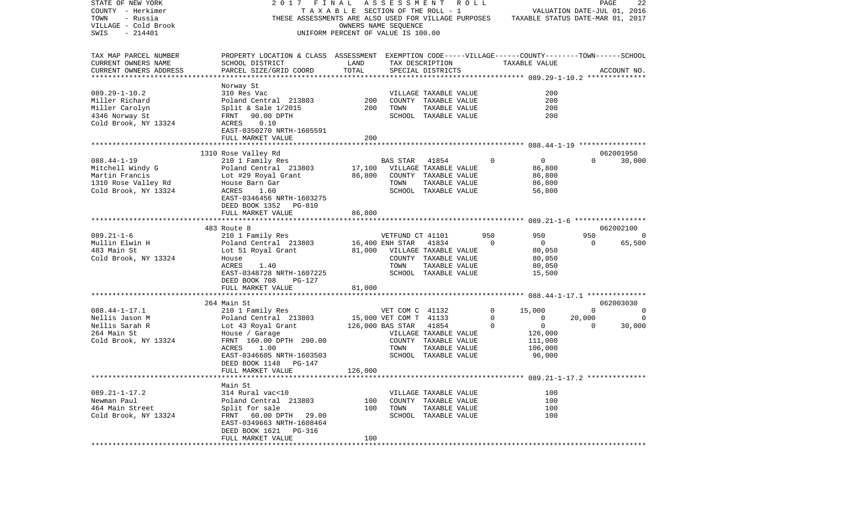| THESE ASSESSMENTS ARE ALSO USED FOR VILLAGE PURPOSES<br>TAXABLE STATUS DATE-MAR 01, 2017<br>VILLAGE - Cold Brook<br>OWNERS NAME SEOUENCE<br>$-214401$<br>SWIS<br>UNIFORM PERCENT OF VALUE IS 100.00<br>TAX MAP PARCEL NUMBER<br>PROPERTY LOCATION & CLASS ASSESSMENT EXEMPTION CODE-----VILLAGE------COUNTY-------TOWN------SCHOOL<br>CURRENT OWNERS NAME<br>SCHOOL DISTRICT<br>LAND<br>TAX DESCRIPTION<br>TAXABLE VALUE<br>TOTAL<br>CURRENT OWNERS ADDRESS<br>PARCEL SIZE/GRID COORD<br>SPECIAL DISTRICTS<br>ACCOUNT NO.<br>***********************<br>Norway St<br>200<br>$089.29 - 1 - 10.2$<br>VILLAGE TAXABLE VALUE<br>310 Res Vac<br>Miller Richard<br>200<br>COUNTY TAXABLE VALUE<br>200<br>Poland Central 213803<br>200<br>Miller Carolyn<br>Split & Sale $1/2015$<br>200<br>TOWN<br>TAXABLE VALUE<br>4346 Norway St<br>FRNT 90.00 DPTH<br>SCHOOL TAXABLE VALUE<br>200<br>Cold Brook, NY 13324<br>0.10<br>ACRES<br>EAST-0350270 NRTH-1605591<br>FULL MARKET VALUE<br>200<br>1310 Rose Valley Rd<br>062001950<br>30,000<br>$088.44 - 1 - 19$<br>210 1 Family Res<br>BAS STAR<br>41854<br>$\Omega$<br>$\overline{0}$<br>$\Omega$<br>Mitchell Windy G<br>Poland Central 213803<br>17,100<br>VILLAGE TAXABLE VALUE<br>86,800<br>86,800<br>COUNTY TAXABLE VALUE<br>86,800<br>Martin Francis<br>Lot #29 Royal Grant<br>1310 Rose Valley Rd<br>TOWN<br>TAXABLE VALUE<br>86,800<br>House Barn Gar<br>Cold Brook, NY 13324<br>ACRES<br>1.60<br>SCHOOL TAXABLE VALUE<br>56,800<br>EAST-0346456 NRTH-1603275<br>DEED BOOK 1352<br>PG-810<br>86,800<br>FULL MARKET VALUE<br>483 Route 8<br>062002100<br>$089.21 - 1 - 6$<br>210 1 Family Res<br>VETFUND CT 41101<br>950<br>950<br>950<br>0<br>65,500<br>Mullin Elwin H<br>Poland Central 213803<br>16,400 ENH STAR<br>41834<br>$\Omega$<br>$\overline{0}$<br>$\Omega$<br>81,000 VILLAGE TAXABLE VALUE<br>483 Main St<br>Lot 51 Royal Grant<br>80,050<br>Cold Brook, NY 13324<br>COUNTY TAXABLE VALUE<br>80,050<br>House<br>ACRES<br>TOWN<br>TAXABLE VALUE<br>80,050<br>1.40<br>EAST-0348728 NRTH-1607225<br>15,500<br>SCHOOL TAXABLE VALUE<br>DEED BOOK 708<br>PG-127<br>FULL MARKET VALUE<br>81,000<br>*************************<br>264 Main St<br>062003030<br>$088.44 - 1 - 17.1$<br>210 1 Family Res<br>VET COM C 41132<br>0<br>15,000<br>$\Omega$<br>0<br>Nellis Jason M<br>Poland Central 213803<br>15,000 VET COM T 41133<br>$\mathbf{0}$<br>$\overline{0}$<br>20,000<br>0<br>0<br>Nellis Sarah R<br>Lot 43 Royal Grant<br>126,000 BAS STAR<br>41854<br>0<br>$\Omega$<br>30,000<br>264 Main St<br>House / Garage<br>VILLAGE TAXABLE VALUE<br>126,000<br>Cold Brook, NY 13324<br>FRNT 160.00 DPTH 290.00<br>COUNTY TAXABLE VALUE<br>111,000<br>1.00<br>106,000<br>ACRES<br>TOWN<br>TAXABLE VALUE<br>EAST-0346605 NRTH-1603503<br>SCHOOL TAXABLE VALUE<br>96,000<br>PG-147<br>DEED BOOK 1148<br>126,000<br>FULL MARKET VALUE<br>Main St<br>$089.21 - 1 - 17.2$<br>314 Rural vac<10<br>100<br>VILLAGE TAXABLE VALUE<br>100<br>Newman Paul<br>Poland Central 213803<br>COUNTY TAXABLE VALUE<br>100<br>464 Main Street<br>100<br>TAXABLE VALUE<br>100<br>Split for sale<br>TOWN<br>Cold Brook, NY 13324<br>FRNT 60.00 DPTH 29.00<br>SCHOOL TAXABLE VALUE<br>100<br>EAST-0349663 NRTH-1608464<br>DEED BOOK 1621<br>PG-316<br>FULL MARKET VALUE<br>100 | STATE OF NEW YORK<br>COUNTY - Herkimer | 2017 | FINAL<br>TAXABLE SECTION OF THE ROLL - 1 | A S S E S S M E N T R O L L |  | VALUATION DATE-JUL 01, 2016 | PAGE | 22 |
|----------------------------------------------------------------------------------------------------------------------------------------------------------------------------------------------------------------------------------------------------------------------------------------------------------------------------------------------------------------------------------------------------------------------------------------------------------------------------------------------------------------------------------------------------------------------------------------------------------------------------------------------------------------------------------------------------------------------------------------------------------------------------------------------------------------------------------------------------------------------------------------------------------------------------------------------------------------------------------------------------------------------------------------------------------------------------------------------------------------------------------------------------------------------------------------------------------------------------------------------------------------------------------------------------------------------------------------------------------------------------------------------------------------------------------------------------------------------------------------------------------------------------------------------------------------------------------------------------------------------------------------------------------------------------------------------------------------------------------------------------------------------------------------------------------------------------------------------------------------------------------------------------------------------------------------------------------------------------------------------------------------------------------------------------------------------------------------------------------------------------------------------------------------------------------------------------------------------------------------------------------------------------------------------------------------------------------------------------------------------------------------------------------------------------------------------------------------------------------------------------------------------------------------------------------------------------------------------------------------------------------------------------------------------------------------------------------------------------------------------------------------------------------------------------------------------------------------------------------------------------------------------------------------------------------------------------------------------------------------------------------------------------------------------------------------------------------------------------------------------------------------------------------------------------------------------------------------------------------------------------------------------------------------------------|----------------------------------------|------|------------------------------------------|-----------------------------|--|-----------------------------|------|----|
|                                                                                                                                                                                                                                                                                                                                                                                                                                                                                                                                                                                                                                                                                                                                                                                                                                                                                                                                                                                                                                                                                                                                                                                                                                                                                                                                                                                                                                                                                                                                                                                                                                                                                                                                                                                                                                                                                                                                                                                                                                                                                                                                                                                                                                                                                                                                                                                                                                                                                                                                                                                                                                                                                                                                                                                                                                                                                                                                                                                                                                                                                                                                                                                                                                                                                                    | TOWN<br>- Russia                       |      |                                          |                             |  |                             |      |    |
|                                                                                                                                                                                                                                                                                                                                                                                                                                                                                                                                                                                                                                                                                                                                                                                                                                                                                                                                                                                                                                                                                                                                                                                                                                                                                                                                                                                                                                                                                                                                                                                                                                                                                                                                                                                                                                                                                                                                                                                                                                                                                                                                                                                                                                                                                                                                                                                                                                                                                                                                                                                                                                                                                                                                                                                                                                                                                                                                                                                                                                                                                                                                                                                                                                                                                                    |                                        |      |                                          |                             |  |                             |      |    |
|                                                                                                                                                                                                                                                                                                                                                                                                                                                                                                                                                                                                                                                                                                                                                                                                                                                                                                                                                                                                                                                                                                                                                                                                                                                                                                                                                                                                                                                                                                                                                                                                                                                                                                                                                                                                                                                                                                                                                                                                                                                                                                                                                                                                                                                                                                                                                                                                                                                                                                                                                                                                                                                                                                                                                                                                                                                                                                                                                                                                                                                                                                                                                                                                                                                                                                    |                                        |      |                                          |                             |  |                             |      |    |
|                                                                                                                                                                                                                                                                                                                                                                                                                                                                                                                                                                                                                                                                                                                                                                                                                                                                                                                                                                                                                                                                                                                                                                                                                                                                                                                                                                                                                                                                                                                                                                                                                                                                                                                                                                                                                                                                                                                                                                                                                                                                                                                                                                                                                                                                                                                                                                                                                                                                                                                                                                                                                                                                                                                                                                                                                                                                                                                                                                                                                                                                                                                                                                                                                                                                                                    |                                        |      |                                          |                             |  |                             |      |    |
|                                                                                                                                                                                                                                                                                                                                                                                                                                                                                                                                                                                                                                                                                                                                                                                                                                                                                                                                                                                                                                                                                                                                                                                                                                                                                                                                                                                                                                                                                                                                                                                                                                                                                                                                                                                                                                                                                                                                                                                                                                                                                                                                                                                                                                                                                                                                                                                                                                                                                                                                                                                                                                                                                                                                                                                                                                                                                                                                                                                                                                                                                                                                                                                                                                                                                                    |                                        |      |                                          |                             |  |                             |      |    |
|                                                                                                                                                                                                                                                                                                                                                                                                                                                                                                                                                                                                                                                                                                                                                                                                                                                                                                                                                                                                                                                                                                                                                                                                                                                                                                                                                                                                                                                                                                                                                                                                                                                                                                                                                                                                                                                                                                                                                                                                                                                                                                                                                                                                                                                                                                                                                                                                                                                                                                                                                                                                                                                                                                                                                                                                                                                                                                                                                                                                                                                                                                                                                                                                                                                                                                    |                                        |      |                                          |                             |  |                             |      |    |
|                                                                                                                                                                                                                                                                                                                                                                                                                                                                                                                                                                                                                                                                                                                                                                                                                                                                                                                                                                                                                                                                                                                                                                                                                                                                                                                                                                                                                                                                                                                                                                                                                                                                                                                                                                                                                                                                                                                                                                                                                                                                                                                                                                                                                                                                                                                                                                                                                                                                                                                                                                                                                                                                                                                                                                                                                                                                                                                                                                                                                                                                                                                                                                                                                                                                                                    |                                        |      |                                          |                             |  |                             |      |    |
|                                                                                                                                                                                                                                                                                                                                                                                                                                                                                                                                                                                                                                                                                                                                                                                                                                                                                                                                                                                                                                                                                                                                                                                                                                                                                                                                                                                                                                                                                                                                                                                                                                                                                                                                                                                                                                                                                                                                                                                                                                                                                                                                                                                                                                                                                                                                                                                                                                                                                                                                                                                                                                                                                                                                                                                                                                                                                                                                                                                                                                                                                                                                                                                                                                                                                                    |                                        |      |                                          |                             |  |                             |      |    |
|                                                                                                                                                                                                                                                                                                                                                                                                                                                                                                                                                                                                                                                                                                                                                                                                                                                                                                                                                                                                                                                                                                                                                                                                                                                                                                                                                                                                                                                                                                                                                                                                                                                                                                                                                                                                                                                                                                                                                                                                                                                                                                                                                                                                                                                                                                                                                                                                                                                                                                                                                                                                                                                                                                                                                                                                                                                                                                                                                                                                                                                                                                                                                                                                                                                                                                    |                                        |      |                                          |                             |  |                             |      |    |
|                                                                                                                                                                                                                                                                                                                                                                                                                                                                                                                                                                                                                                                                                                                                                                                                                                                                                                                                                                                                                                                                                                                                                                                                                                                                                                                                                                                                                                                                                                                                                                                                                                                                                                                                                                                                                                                                                                                                                                                                                                                                                                                                                                                                                                                                                                                                                                                                                                                                                                                                                                                                                                                                                                                                                                                                                                                                                                                                                                                                                                                                                                                                                                                                                                                                                                    |                                        |      |                                          |                             |  |                             |      |    |
|                                                                                                                                                                                                                                                                                                                                                                                                                                                                                                                                                                                                                                                                                                                                                                                                                                                                                                                                                                                                                                                                                                                                                                                                                                                                                                                                                                                                                                                                                                                                                                                                                                                                                                                                                                                                                                                                                                                                                                                                                                                                                                                                                                                                                                                                                                                                                                                                                                                                                                                                                                                                                                                                                                                                                                                                                                                                                                                                                                                                                                                                                                                                                                                                                                                                                                    |                                        |      |                                          |                             |  |                             |      |    |
|                                                                                                                                                                                                                                                                                                                                                                                                                                                                                                                                                                                                                                                                                                                                                                                                                                                                                                                                                                                                                                                                                                                                                                                                                                                                                                                                                                                                                                                                                                                                                                                                                                                                                                                                                                                                                                                                                                                                                                                                                                                                                                                                                                                                                                                                                                                                                                                                                                                                                                                                                                                                                                                                                                                                                                                                                                                                                                                                                                                                                                                                                                                                                                                                                                                                                                    |                                        |      |                                          |                             |  |                             |      |    |
|                                                                                                                                                                                                                                                                                                                                                                                                                                                                                                                                                                                                                                                                                                                                                                                                                                                                                                                                                                                                                                                                                                                                                                                                                                                                                                                                                                                                                                                                                                                                                                                                                                                                                                                                                                                                                                                                                                                                                                                                                                                                                                                                                                                                                                                                                                                                                                                                                                                                                                                                                                                                                                                                                                                                                                                                                                                                                                                                                                                                                                                                                                                                                                                                                                                                                                    |                                        |      |                                          |                             |  |                             |      |    |
|                                                                                                                                                                                                                                                                                                                                                                                                                                                                                                                                                                                                                                                                                                                                                                                                                                                                                                                                                                                                                                                                                                                                                                                                                                                                                                                                                                                                                                                                                                                                                                                                                                                                                                                                                                                                                                                                                                                                                                                                                                                                                                                                                                                                                                                                                                                                                                                                                                                                                                                                                                                                                                                                                                                                                                                                                                                                                                                                                                                                                                                                                                                                                                                                                                                                                                    |                                        |      |                                          |                             |  |                             |      |    |
|                                                                                                                                                                                                                                                                                                                                                                                                                                                                                                                                                                                                                                                                                                                                                                                                                                                                                                                                                                                                                                                                                                                                                                                                                                                                                                                                                                                                                                                                                                                                                                                                                                                                                                                                                                                                                                                                                                                                                                                                                                                                                                                                                                                                                                                                                                                                                                                                                                                                                                                                                                                                                                                                                                                                                                                                                                                                                                                                                                                                                                                                                                                                                                                                                                                                                                    |                                        |      |                                          |                             |  |                             |      |    |
|                                                                                                                                                                                                                                                                                                                                                                                                                                                                                                                                                                                                                                                                                                                                                                                                                                                                                                                                                                                                                                                                                                                                                                                                                                                                                                                                                                                                                                                                                                                                                                                                                                                                                                                                                                                                                                                                                                                                                                                                                                                                                                                                                                                                                                                                                                                                                                                                                                                                                                                                                                                                                                                                                                                                                                                                                                                                                                                                                                                                                                                                                                                                                                                                                                                                                                    |                                        |      |                                          |                             |  |                             |      |    |
|                                                                                                                                                                                                                                                                                                                                                                                                                                                                                                                                                                                                                                                                                                                                                                                                                                                                                                                                                                                                                                                                                                                                                                                                                                                                                                                                                                                                                                                                                                                                                                                                                                                                                                                                                                                                                                                                                                                                                                                                                                                                                                                                                                                                                                                                                                                                                                                                                                                                                                                                                                                                                                                                                                                                                                                                                                                                                                                                                                                                                                                                                                                                                                                                                                                                                                    |                                        |      |                                          |                             |  |                             |      |    |
|                                                                                                                                                                                                                                                                                                                                                                                                                                                                                                                                                                                                                                                                                                                                                                                                                                                                                                                                                                                                                                                                                                                                                                                                                                                                                                                                                                                                                                                                                                                                                                                                                                                                                                                                                                                                                                                                                                                                                                                                                                                                                                                                                                                                                                                                                                                                                                                                                                                                                                                                                                                                                                                                                                                                                                                                                                                                                                                                                                                                                                                                                                                                                                                                                                                                                                    |                                        |      |                                          |                             |  |                             |      |    |
|                                                                                                                                                                                                                                                                                                                                                                                                                                                                                                                                                                                                                                                                                                                                                                                                                                                                                                                                                                                                                                                                                                                                                                                                                                                                                                                                                                                                                                                                                                                                                                                                                                                                                                                                                                                                                                                                                                                                                                                                                                                                                                                                                                                                                                                                                                                                                                                                                                                                                                                                                                                                                                                                                                                                                                                                                                                                                                                                                                                                                                                                                                                                                                                                                                                                                                    |                                        |      |                                          |                             |  |                             |      |    |
|                                                                                                                                                                                                                                                                                                                                                                                                                                                                                                                                                                                                                                                                                                                                                                                                                                                                                                                                                                                                                                                                                                                                                                                                                                                                                                                                                                                                                                                                                                                                                                                                                                                                                                                                                                                                                                                                                                                                                                                                                                                                                                                                                                                                                                                                                                                                                                                                                                                                                                                                                                                                                                                                                                                                                                                                                                                                                                                                                                                                                                                                                                                                                                                                                                                                                                    |                                        |      |                                          |                             |  |                             |      |    |
|                                                                                                                                                                                                                                                                                                                                                                                                                                                                                                                                                                                                                                                                                                                                                                                                                                                                                                                                                                                                                                                                                                                                                                                                                                                                                                                                                                                                                                                                                                                                                                                                                                                                                                                                                                                                                                                                                                                                                                                                                                                                                                                                                                                                                                                                                                                                                                                                                                                                                                                                                                                                                                                                                                                                                                                                                                                                                                                                                                                                                                                                                                                                                                                                                                                                                                    |                                        |      |                                          |                             |  |                             |      |    |
|                                                                                                                                                                                                                                                                                                                                                                                                                                                                                                                                                                                                                                                                                                                                                                                                                                                                                                                                                                                                                                                                                                                                                                                                                                                                                                                                                                                                                                                                                                                                                                                                                                                                                                                                                                                                                                                                                                                                                                                                                                                                                                                                                                                                                                                                                                                                                                                                                                                                                                                                                                                                                                                                                                                                                                                                                                                                                                                                                                                                                                                                                                                                                                                                                                                                                                    |                                        |      |                                          |                             |  |                             |      |    |
|                                                                                                                                                                                                                                                                                                                                                                                                                                                                                                                                                                                                                                                                                                                                                                                                                                                                                                                                                                                                                                                                                                                                                                                                                                                                                                                                                                                                                                                                                                                                                                                                                                                                                                                                                                                                                                                                                                                                                                                                                                                                                                                                                                                                                                                                                                                                                                                                                                                                                                                                                                                                                                                                                                                                                                                                                                                                                                                                                                                                                                                                                                                                                                                                                                                                                                    |                                        |      |                                          |                             |  |                             |      |    |
|                                                                                                                                                                                                                                                                                                                                                                                                                                                                                                                                                                                                                                                                                                                                                                                                                                                                                                                                                                                                                                                                                                                                                                                                                                                                                                                                                                                                                                                                                                                                                                                                                                                                                                                                                                                                                                                                                                                                                                                                                                                                                                                                                                                                                                                                                                                                                                                                                                                                                                                                                                                                                                                                                                                                                                                                                                                                                                                                                                                                                                                                                                                                                                                                                                                                                                    |                                        |      |                                          |                             |  |                             |      |    |
|                                                                                                                                                                                                                                                                                                                                                                                                                                                                                                                                                                                                                                                                                                                                                                                                                                                                                                                                                                                                                                                                                                                                                                                                                                                                                                                                                                                                                                                                                                                                                                                                                                                                                                                                                                                                                                                                                                                                                                                                                                                                                                                                                                                                                                                                                                                                                                                                                                                                                                                                                                                                                                                                                                                                                                                                                                                                                                                                                                                                                                                                                                                                                                                                                                                                                                    |                                        |      |                                          |                             |  |                             |      |    |
|                                                                                                                                                                                                                                                                                                                                                                                                                                                                                                                                                                                                                                                                                                                                                                                                                                                                                                                                                                                                                                                                                                                                                                                                                                                                                                                                                                                                                                                                                                                                                                                                                                                                                                                                                                                                                                                                                                                                                                                                                                                                                                                                                                                                                                                                                                                                                                                                                                                                                                                                                                                                                                                                                                                                                                                                                                                                                                                                                                                                                                                                                                                                                                                                                                                                                                    |                                        |      |                                          |                             |  |                             |      |    |
|                                                                                                                                                                                                                                                                                                                                                                                                                                                                                                                                                                                                                                                                                                                                                                                                                                                                                                                                                                                                                                                                                                                                                                                                                                                                                                                                                                                                                                                                                                                                                                                                                                                                                                                                                                                                                                                                                                                                                                                                                                                                                                                                                                                                                                                                                                                                                                                                                                                                                                                                                                                                                                                                                                                                                                                                                                                                                                                                                                                                                                                                                                                                                                                                                                                                                                    |                                        |      |                                          |                             |  |                             |      |    |
|                                                                                                                                                                                                                                                                                                                                                                                                                                                                                                                                                                                                                                                                                                                                                                                                                                                                                                                                                                                                                                                                                                                                                                                                                                                                                                                                                                                                                                                                                                                                                                                                                                                                                                                                                                                                                                                                                                                                                                                                                                                                                                                                                                                                                                                                                                                                                                                                                                                                                                                                                                                                                                                                                                                                                                                                                                                                                                                                                                                                                                                                                                                                                                                                                                                                                                    |                                        |      |                                          |                             |  |                             |      |    |
|                                                                                                                                                                                                                                                                                                                                                                                                                                                                                                                                                                                                                                                                                                                                                                                                                                                                                                                                                                                                                                                                                                                                                                                                                                                                                                                                                                                                                                                                                                                                                                                                                                                                                                                                                                                                                                                                                                                                                                                                                                                                                                                                                                                                                                                                                                                                                                                                                                                                                                                                                                                                                                                                                                                                                                                                                                                                                                                                                                                                                                                                                                                                                                                                                                                                                                    |                                        |      |                                          |                             |  |                             |      |    |
|                                                                                                                                                                                                                                                                                                                                                                                                                                                                                                                                                                                                                                                                                                                                                                                                                                                                                                                                                                                                                                                                                                                                                                                                                                                                                                                                                                                                                                                                                                                                                                                                                                                                                                                                                                                                                                                                                                                                                                                                                                                                                                                                                                                                                                                                                                                                                                                                                                                                                                                                                                                                                                                                                                                                                                                                                                                                                                                                                                                                                                                                                                                                                                                                                                                                                                    |                                        |      |                                          |                             |  |                             |      |    |
|                                                                                                                                                                                                                                                                                                                                                                                                                                                                                                                                                                                                                                                                                                                                                                                                                                                                                                                                                                                                                                                                                                                                                                                                                                                                                                                                                                                                                                                                                                                                                                                                                                                                                                                                                                                                                                                                                                                                                                                                                                                                                                                                                                                                                                                                                                                                                                                                                                                                                                                                                                                                                                                                                                                                                                                                                                                                                                                                                                                                                                                                                                                                                                                                                                                                                                    |                                        |      |                                          |                             |  |                             |      |    |
|                                                                                                                                                                                                                                                                                                                                                                                                                                                                                                                                                                                                                                                                                                                                                                                                                                                                                                                                                                                                                                                                                                                                                                                                                                                                                                                                                                                                                                                                                                                                                                                                                                                                                                                                                                                                                                                                                                                                                                                                                                                                                                                                                                                                                                                                                                                                                                                                                                                                                                                                                                                                                                                                                                                                                                                                                                                                                                                                                                                                                                                                                                                                                                                                                                                                                                    |                                        |      |                                          |                             |  |                             |      |    |
|                                                                                                                                                                                                                                                                                                                                                                                                                                                                                                                                                                                                                                                                                                                                                                                                                                                                                                                                                                                                                                                                                                                                                                                                                                                                                                                                                                                                                                                                                                                                                                                                                                                                                                                                                                                                                                                                                                                                                                                                                                                                                                                                                                                                                                                                                                                                                                                                                                                                                                                                                                                                                                                                                                                                                                                                                                                                                                                                                                                                                                                                                                                                                                                                                                                                                                    |                                        |      |                                          |                             |  |                             |      |    |
|                                                                                                                                                                                                                                                                                                                                                                                                                                                                                                                                                                                                                                                                                                                                                                                                                                                                                                                                                                                                                                                                                                                                                                                                                                                                                                                                                                                                                                                                                                                                                                                                                                                                                                                                                                                                                                                                                                                                                                                                                                                                                                                                                                                                                                                                                                                                                                                                                                                                                                                                                                                                                                                                                                                                                                                                                                                                                                                                                                                                                                                                                                                                                                                                                                                                                                    |                                        |      |                                          |                             |  |                             |      |    |
|                                                                                                                                                                                                                                                                                                                                                                                                                                                                                                                                                                                                                                                                                                                                                                                                                                                                                                                                                                                                                                                                                                                                                                                                                                                                                                                                                                                                                                                                                                                                                                                                                                                                                                                                                                                                                                                                                                                                                                                                                                                                                                                                                                                                                                                                                                                                                                                                                                                                                                                                                                                                                                                                                                                                                                                                                                                                                                                                                                                                                                                                                                                                                                                                                                                                                                    |                                        |      |                                          |                             |  |                             |      |    |
|                                                                                                                                                                                                                                                                                                                                                                                                                                                                                                                                                                                                                                                                                                                                                                                                                                                                                                                                                                                                                                                                                                                                                                                                                                                                                                                                                                                                                                                                                                                                                                                                                                                                                                                                                                                                                                                                                                                                                                                                                                                                                                                                                                                                                                                                                                                                                                                                                                                                                                                                                                                                                                                                                                                                                                                                                                                                                                                                                                                                                                                                                                                                                                                                                                                                                                    |                                        |      |                                          |                             |  |                             |      |    |
|                                                                                                                                                                                                                                                                                                                                                                                                                                                                                                                                                                                                                                                                                                                                                                                                                                                                                                                                                                                                                                                                                                                                                                                                                                                                                                                                                                                                                                                                                                                                                                                                                                                                                                                                                                                                                                                                                                                                                                                                                                                                                                                                                                                                                                                                                                                                                                                                                                                                                                                                                                                                                                                                                                                                                                                                                                                                                                                                                                                                                                                                                                                                                                                                                                                                                                    |                                        |      |                                          |                             |  |                             |      |    |
|                                                                                                                                                                                                                                                                                                                                                                                                                                                                                                                                                                                                                                                                                                                                                                                                                                                                                                                                                                                                                                                                                                                                                                                                                                                                                                                                                                                                                                                                                                                                                                                                                                                                                                                                                                                                                                                                                                                                                                                                                                                                                                                                                                                                                                                                                                                                                                                                                                                                                                                                                                                                                                                                                                                                                                                                                                                                                                                                                                                                                                                                                                                                                                                                                                                                                                    |                                        |      |                                          |                             |  |                             |      |    |
|                                                                                                                                                                                                                                                                                                                                                                                                                                                                                                                                                                                                                                                                                                                                                                                                                                                                                                                                                                                                                                                                                                                                                                                                                                                                                                                                                                                                                                                                                                                                                                                                                                                                                                                                                                                                                                                                                                                                                                                                                                                                                                                                                                                                                                                                                                                                                                                                                                                                                                                                                                                                                                                                                                                                                                                                                                                                                                                                                                                                                                                                                                                                                                                                                                                                                                    |                                        |      |                                          |                             |  |                             |      |    |
|                                                                                                                                                                                                                                                                                                                                                                                                                                                                                                                                                                                                                                                                                                                                                                                                                                                                                                                                                                                                                                                                                                                                                                                                                                                                                                                                                                                                                                                                                                                                                                                                                                                                                                                                                                                                                                                                                                                                                                                                                                                                                                                                                                                                                                                                                                                                                                                                                                                                                                                                                                                                                                                                                                                                                                                                                                                                                                                                                                                                                                                                                                                                                                                                                                                                                                    |                                        |      |                                          |                             |  |                             |      |    |
|                                                                                                                                                                                                                                                                                                                                                                                                                                                                                                                                                                                                                                                                                                                                                                                                                                                                                                                                                                                                                                                                                                                                                                                                                                                                                                                                                                                                                                                                                                                                                                                                                                                                                                                                                                                                                                                                                                                                                                                                                                                                                                                                                                                                                                                                                                                                                                                                                                                                                                                                                                                                                                                                                                                                                                                                                                                                                                                                                                                                                                                                                                                                                                                                                                                                                                    |                                        |      |                                          |                             |  |                             |      |    |
|                                                                                                                                                                                                                                                                                                                                                                                                                                                                                                                                                                                                                                                                                                                                                                                                                                                                                                                                                                                                                                                                                                                                                                                                                                                                                                                                                                                                                                                                                                                                                                                                                                                                                                                                                                                                                                                                                                                                                                                                                                                                                                                                                                                                                                                                                                                                                                                                                                                                                                                                                                                                                                                                                                                                                                                                                                                                                                                                                                                                                                                                                                                                                                                                                                                                                                    |                                        |      |                                          |                             |  |                             |      |    |
|                                                                                                                                                                                                                                                                                                                                                                                                                                                                                                                                                                                                                                                                                                                                                                                                                                                                                                                                                                                                                                                                                                                                                                                                                                                                                                                                                                                                                                                                                                                                                                                                                                                                                                                                                                                                                                                                                                                                                                                                                                                                                                                                                                                                                                                                                                                                                                                                                                                                                                                                                                                                                                                                                                                                                                                                                                                                                                                                                                                                                                                                                                                                                                                                                                                                                                    |                                        |      |                                          |                             |  |                             |      |    |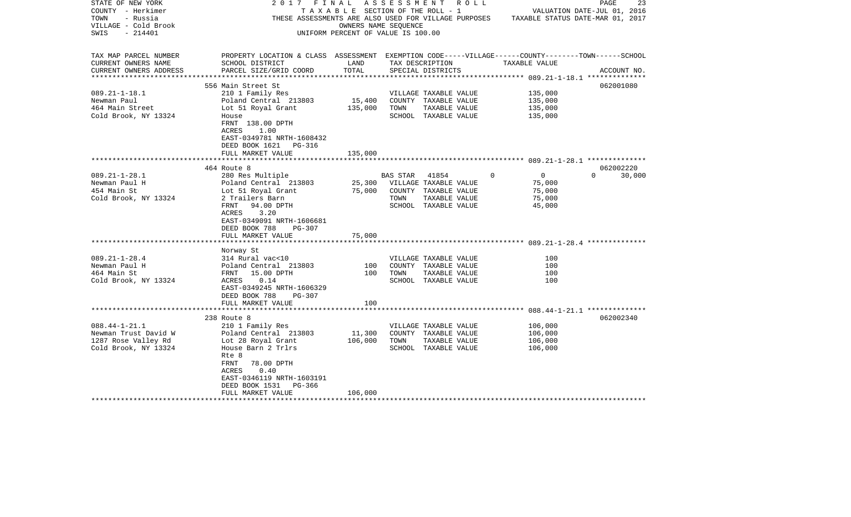| STATE OF NEW YORK<br>COUNTY - Herkimer<br>TOWN<br>- Russia<br>VILLAGE - Cold Brook<br>- 214401<br>SWIS | 2017                                                                                                                  | FINAL<br>TAXABLE SECTION OF THE ROLL - 1<br>OWNERS NAME SEOUENCE<br>UNIFORM PERCENT OF VALUE IS 100.00 | ASSESSMENT | R O L L<br>THESE ASSESSMENTS ARE ALSO USED FOR VILLAGE PURPOSES |                               | 23<br>PAGE<br>VALUATION DATE-JUL 01, 2016<br>TAXABLE STATUS DATE-MAR 01, 2017 |
|--------------------------------------------------------------------------------------------------------|-----------------------------------------------------------------------------------------------------------------------|--------------------------------------------------------------------------------------------------------|------------|-----------------------------------------------------------------|-------------------------------|-------------------------------------------------------------------------------|
|                                                                                                        |                                                                                                                       |                                                                                                        |            |                                                                 |                               |                                                                               |
| TAX MAP PARCEL NUMBER<br>CURRENT OWNERS NAME                                                           | PROPERTY LOCATION & CLASS ASSESSMENT EXEMPTION CODE-----VILLAGE------COUNTY-------TOWN------SCHOOL<br>SCHOOL DISTRICT | LAND                                                                                                   |            | TAX DESCRIPTION                                                 | TAXABLE VALUE                 |                                                                               |
| CURRENT OWNERS ADDRESS                                                                                 | PARCEL SIZE/GRID COORD                                                                                                | TOTAL<br>**************                                                                                |            | SPECIAL DISTRICTS                                               |                               | ACCOUNT NO.                                                                   |
|                                                                                                        | 556 Main Street St                                                                                                    |                                                                                                        |            |                                                                 |                               | 062001080                                                                     |
| $089.21 - 1 - 18.1$                                                                                    | 210 1 Family Res                                                                                                      |                                                                                                        |            | VILLAGE TAXABLE VALUE                                           | 135,000                       |                                                                               |
| Newman Paul                                                                                            | Poland Central 213803                                                                                                 | 15,400                                                                                                 |            | COUNTY TAXABLE VALUE                                            | 135,000                       |                                                                               |
| 464 Main Street                                                                                        | Lot 51 Royal Grant                                                                                                    | 135,000                                                                                                | TOWN       | TAXABLE VALUE                                                   | 135,000                       |                                                                               |
| Cold Brook, NY 13324                                                                                   | House                                                                                                                 |                                                                                                        |            | SCHOOL TAXABLE VALUE                                            | 135,000                       |                                                                               |
|                                                                                                        | FRNT 138.00 DPTH<br>ACRES<br>1.00<br>EAST-0349781 NRTH-1608432                                                        |                                                                                                        |            |                                                                 |                               |                                                                               |
|                                                                                                        | DEED BOOK 1621<br>PG-316                                                                                              |                                                                                                        |            |                                                                 |                               |                                                                               |
|                                                                                                        | FULL MARKET VALUE                                                                                                     | 135,000                                                                                                |            |                                                                 |                               |                                                                               |
|                                                                                                        |                                                                                                                       |                                                                                                        |            |                                                                 |                               |                                                                               |
|                                                                                                        | 464 Route 8                                                                                                           |                                                                                                        |            |                                                                 |                               | 062002220                                                                     |
| $089.21 - 1 - 28.1$                                                                                    | 280 Res Multiple                                                                                                      |                                                                                                        | BAS STAR   | 41854                                                           | $\mathbf 0$<br>$\overline{0}$ | 30,000<br>$\Omega$                                                            |
| Newman Paul H                                                                                          | Poland Central 213803                                                                                                 | 25,300                                                                                                 |            | VILLAGE TAXABLE VALUE                                           | 75,000                        |                                                                               |
| 454 Main St                                                                                            | Lot 51 Royal Grant                                                                                                    | 75,000                                                                                                 |            | COUNTY TAXABLE VALUE                                            | 75,000                        |                                                                               |
| Cold Brook, NY 13324                                                                                   | 2 Trailers Barn<br>FRNT<br>94.00 DPTH<br>3.20<br>ACRES                                                                |                                                                                                        | TOWN       | TAXABLE VALUE<br>SCHOOL TAXABLE VALUE                           | 75,000<br>45,000              |                                                                               |
|                                                                                                        | EAST-0349091 NRTH-1606681<br>DEED BOOK 788<br>PG-307<br>FULL MARKET VALUE                                             | 75,000                                                                                                 |            |                                                                 |                               |                                                                               |
|                                                                                                        |                                                                                                                       |                                                                                                        |            |                                                                 |                               |                                                                               |
|                                                                                                        | Norway St                                                                                                             |                                                                                                        |            |                                                                 |                               |                                                                               |
| $089.21 - 1 - 28.4$                                                                                    | 314 Rural vac<10                                                                                                      |                                                                                                        |            | VILLAGE TAXABLE VALUE                                           | 100                           |                                                                               |
| Newman Paul H                                                                                          | Poland Central 213803                                                                                                 | 100                                                                                                    |            | COUNTY TAXABLE VALUE                                            | 100                           |                                                                               |
| 464 Main St                                                                                            | FRNT 15.00 DPTH                                                                                                       | 100                                                                                                    | TOWN       | TAXABLE VALUE                                                   | 100                           |                                                                               |
| Cold Brook, NY 13324                                                                                   | ACRES<br>0.14<br>EAST-0349245 NRTH-1606329<br>DEED BOOK 788<br>PG-307                                                 |                                                                                                        |            | SCHOOL TAXABLE VALUE                                            | 100                           |                                                                               |
|                                                                                                        | FULL MARKET VALUE                                                                                                     | 100                                                                                                    |            |                                                                 |                               |                                                                               |
|                                                                                                        | 238 Route 8                                                                                                           |                                                                                                        |            |                                                                 |                               | 062002340                                                                     |
| $088.44 - 1 - 21.1$                                                                                    | 210 1 Family Res                                                                                                      |                                                                                                        |            | VILLAGE TAXABLE VALUE                                           | 106,000                       |                                                                               |
| Newman Trust David W                                                                                   | Poland Central 213803                                                                                                 | 11,300                                                                                                 |            | COUNTY TAXABLE VALUE                                            | 106,000                       |                                                                               |
| 1287 Rose Valley Rd                                                                                    | Lot 28 Royal Grant                                                                                                    | 106,000                                                                                                | TOWN       | TAXABLE VALUE                                                   | 106,000                       |                                                                               |
| Cold Brook, NY 13324                                                                                   | House Barn 2 Trlrs<br>Rte 8<br>78.00 DPTH<br>FRNT                                                                     |                                                                                                        |            | SCHOOL TAXABLE VALUE                                            | 106,000                       |                                                                               |
|                                                                                                        | ACRES<br>0.40<br>EAST-0346119 NRTH-1603191                                                                            |                                                                                                        |            |                                                                 |                               |                                                                               |
|                                                                                                        | DEED BOOK 1531<br>PG-366<br>FULL MARKET VALUE                                                                         | 106,000                                                                                                |            |                                                                 |                               |                                                                               |
|                                                                                                        |                                                                                                                       |                                                                                                        |            |                                                                 |                               |                                                                               |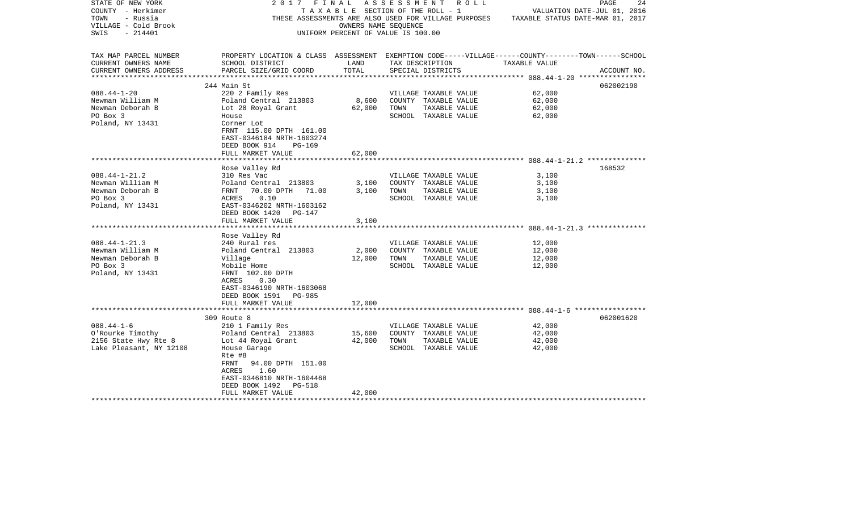| STATE OF NEW YORK                             | 2017                                                                                               | FINAL                              | A S S E S S M E N T | R O L L               |                                                                                       | 24<br>PAGE                  |
|-----------------------------------------------|----------------------------------------------------------------------------------------------------|------------------------------------|---------------------|-----------------------|---------------------------------------------------------------------------------------|-----------------------------|
| COUNTY - Herkimer                             |                                                                                                    | TAXABLE SECTION OF THE ROLL - 1    |                     |                       |                                                                                       | VALUATION DATE-JUL 01, 2016 |
| TOWN<br>- Russia                              |                                                                                                    |                                    |                     |                       | THESE ASSESSMENTS ARE ALSO USED FOR VILLAGE PURPOSES TAXABLE STATUS DATE-MAR 01, 2017 |                             |
| VILLAGE - Cold Brook                          |                                                                                                    | OWNERS NAME SEOUENCE               |                     |                       |                                                                                       |                             |
| SWIS<br>- 214401                              |                                                                                                    | UNIFORM PERCENT OF VALUE IS 100.00 |                     |                       |                                                                                       |                             |
|                                               |                                                                                                    |                                    |                     |                       |                                                                                       |                             |
|                                               |                                                                                                    |                                    |                     |                       |                                                                                       |                             |
| TAX MAP PARCEL NUMBER                         | PROPERTY LOCATION & CLASS ASSESSMENT EXEMPTION CODE-----VILLAGE------COUNTY-------TOWN------SCHOOL |                                    |                     |                       |                                                                                       |                             |
| CURRENT OWNERS NAME                           | SCHOOL DISTRICT                                                                                    | LAND                               |                     | TAX DESCRIPTION       | TAXABLE VALUE                                                                         |                             |
| CURRENT OWNERS ADDRESS<br>******************* | PARCEL SIZE/GRID COORD                                                                             | TOTAL                              |                     | SPECIAL DISTRICTS     |                                                                                       | ACCOUNT NO.                 |
|                                               | 244 Main St                                                                                        |                                    |                     |                       |                                                                                       | 062002190                   |
| $088.44 - 1 - 20$                             | 220 2 Family Res                                                                                   |                                    |                     | VILLAGE TAXABLE VALUE | 62,000                                                                                |                             |
| Newman William M                              | Poland Central 213803                                                                              | 8,600                              |                     | COUNTY TAXABLE VALUE  | 62,000                                                                                |                             |
| Newman Deborah B                              | Lot 28 Royal Grant                                                                                 | 62,000                             | TOWN                | TAXABLE VALUE         | 62,000                                                                                |                             |
| PO Box 3                                      | House                                                                                              |                                    |                     | SCHOOL TAXABLE VALUE  | 62,000                                                                                |                             |
|                                               |                                                                                                    |                                    |                     |                       |                                                                                       |                             |
| Poland, NY 13431                              | Corner Lot                                                                                         |                                    |                     |                       |                                                                                       |                             |
|                                               | FRNT 115.00 DPTH 161.00                                                                            |                                    |                     |                       |                                                                                       |                             |
|                                               | EAST-0346184 NRTH-1603274                                                                          |                                    |                     |                       |                                                                                       |                             |
|                                               | DEED BOOK 914<br>PG-169                                                                            |                                    |                     |                       |                                                                                       |                             |
|                                               | FULL MARKET VALUE                                                                                  | 62,000                             |                     |                       |                                                                                       |                             |
|                                               |                                                                                                    |                                    |                     |                       |                                                                                       |                             |
|                                               | Rose Valley Rd                                                                                     |                                    |                     |                       |                                                                                       | 168532                      |
| $088.44 - 1 - 21.2$                           | 310 Res Vac                                                                                        |                                    |                     | VILLAGE TAXABLE VALUE | 3,100                                                                                 |                             |
| Newman William M                              | Poland Central 213803                                                                              | 3,100                              |                     | COUNTY TAXABLE VALUE  | 3,100                                                                                 |                             |
| Newman Deborah B                              | FRNT<br>70.00 DPTH 71.00                                                                           | 3,100                              | TOWN                | TAXABLE VALUE         | 3,100                                                                                 |                             |
| PO Box 3                                      | 0.10<br>ACRES                                                                                      |                                    |                     | SCHOOL TAXABLE VALUE  | 3,100                                                                                 |                             |
| Poland, NY 13431                              | EAST-0346202 NRTH-1603162                                                                          |                                    |                     |                       |                                                                                       |                             |
|                                               | DEED BOOK 1420<br>PG-147                                                                           |                                    |                     |                       |                                                                                       |                             |
|                                               | FULL MARKET VALUE                                                                                  | 3,100                              |                     |                       |                                                                                       |                             |
|                                               |                                                                                                    |                                    |                     |                       |                                                                                       |                             |
|                                               | Rose Valley Rd                                                                                     |                                    |                     |                       |                                                                                       |                             |
| $088.44 - 1 - 21.3$                           | 240 Rural res                                                                                      |                                    |                     | VILLAGE TAXABLE VALUE | 12,000                                                                                |                             |
| Newman William M                              | Poland Central 213803                                                                              | 2,000                              |                     | COUNTY TAXABLE VALUE  | 12,000                                                                                |                             |
| Newman Deborah B                              | Village                                                                                            | 12,000                             | TOWN                | TAXABLE VALUE         | 12,000                                                                                |                             |
| PO Box 3                                      | Mobile Home                                                                                        |                                    |                     | SCHOOL TAXABLE VALUE  | 12,000                                                                                |                             |
| Poland, NY 13431                              | FRNT 102.00 DPTH                                                                                   |                                    |                     |                       |                                                                                       |                             |
|                                               | ACRES<br>0.30                                                                                      |                                    |                     |                       |                                                                                       |                             |
|                                               | EAST-0346190 NRTH-1603068                                                                          |                                    |                     |                       |                                                                                       |                             |
|                                               | DEED BOOK 1591 PG-985                                                                              |                                    |                     |                       |                                                                                       |                             |
|                                               |                                                                                                    |                                    |                     |                       |                                                                                       |                             |
|                                               | FULL MARKET VALUE                                                                                  | 12,000                             |                     |                       |                                                                                       |                             |
|                                               | 309 Route 8                                                                                        |                                    |                     |                       |                                                                                       | 062001620                   |
| $088.44 - 1 - 6$                              | 210 1 Family Res                                                                                   |                                    |                     | VILLAGE TAXABLE VALUE | 42,000                                                                                |                             |
|                                               |                                                                                                    |                                    |                     | COUNTY TAXABLE VALUE  | 42,000                                                                                |                             |
| O'Rourke Timothy                              | Poland Central 213803                                                                              | 15,600                             |                     |                       |                                                                                       |                             |
| 2156 State Hwy Rte 8                          | Lot 44 Royal Grant                                                                                 | 42,000                             | TOWN                | TAXABLE VALUE         | 42,000                                                                                |                             |
| Lake Pleasant, NY 12108                       | House Garage                                                                                       |                                    |                     | SCHOOL TAXABLE VALUE  | 42,000                                                                                |                             |
|                                               | Rte #8                                                                                             |                                    |                     |                       |                                                                                       |                             |
|                                               | FRNT<br>94.00 DPTH 151.00                                                                          |                                    |                     |                       |                                                                                       |                             |
|                                               | 1.60<br>ACRES                                                                                      |                                    |                     |                       |                                                                                       |                             |
|                                               | EAST-0346810 NRTH-1604468                                                                          |                                    |                     |                       |                                                                                       |                             |
|                                               | DEED BOOK 1492<br>PG-518                                                                           |                                    |                     |                       |                                                                                       |                             |
|                                               | FULL MARKET VALUE                                                                                  | 42,000                             |                     |                       |                                                                                       |                             |
|                                               |                                                                                                    |                                    |                     |                       |                                                                                       |                             |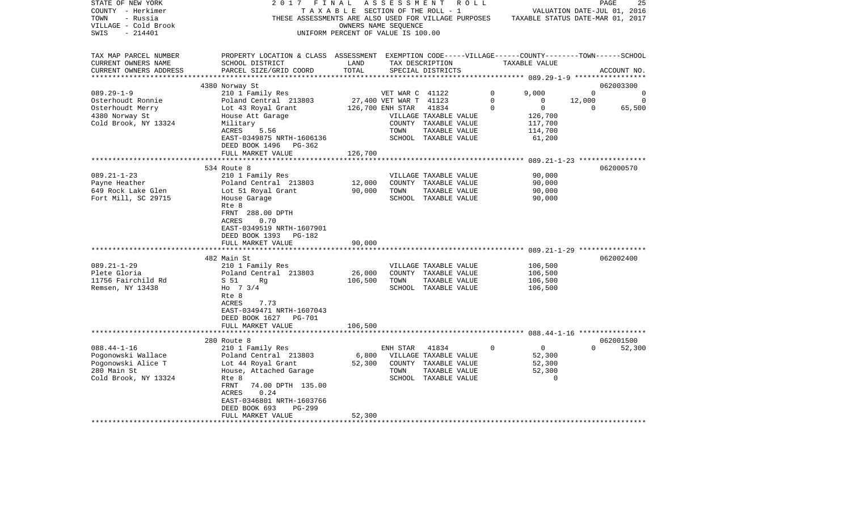| STATE OF NEW YORK       | 2017                                                                                               | FINAL                              | ASSESSMENT             | R O L L               |             |                                  |             | 25<br>PAGE                  |
|-------------------------|----------------------------------------------------------------------------------------------------|------------------------------------|------------------------|-----------------------|-------------|----------------------------------|-------------|-----------------------------|
| COUNTY - Herkimer       |                                                                                                    | TAXABLE SECTION OF THE ROLL - 1    |                        |                       |             |                                  |             | VALUATION DATE-JUL 01, 2016 |
| TOWN<br>- Russia        | THESE ASSESSMENTS ARE ALSO USED FOR VILLAGE PURPOSES                                               |                                    |                        |                       |             | TAXABLE STATUS DATE-MAR 01, 2017 |             |                             |
| VILLAGE - Cold Brook    |                                                                                                    |                                    | OWNERS NAME SEQUENCE   |                       |             |                                  |             |                             |
| $-214401$<br>SWIS       |                                                                                                    | UNIFORM PERCENT OF VALUE IS 100.00 |                        |                       |             |                                  |             |                             |
|                         |                                                                                                    |                                    |                        |                       |             |                                  |             |                             |
| TAX MAP PARCEL NUMBER   | PROPERTY LOCATION & CLASS ASSESSMENT EXEMPTION CODE-----VILLAGE------COUNTY-------TOWN------SCHOOL |                                    |                        |                       |             |                                  |             |                             |
| CURRENT OWNERS NAME     | SCHOOL DISTRICT                                                                                    | LAND                               |                        | TAX DESCRIPTION       |             | TAXABLE VALUE                    |             |                             |
| CURRENT OWNERS ADDRESS  | PARCEL SIZE/GRID COORD                                                                             | TOTAL                              |                        | SPECIAL DISTRICTS     |             |                                  |             | ACCOUNT NO.                 |
| *********************** |                                                                                                    |                                    |                        |                       |             |                                  |             |                             |
|                         | 4380 Norway St                                                                                     |                                    |                        |                       |             |                                  |             | 062003300                   |
| $089.29 - 1 - 9$        | 210 1 Family Res                                                                                   |                                    | VET WAR C 41122        |                       | $\Omega$    | 9,000                            | $\Omega$    | $\mathbf 0$                 |
| Osterhoudt Ronnie       | Poland Central 213803                                                                              |                                    | 27,400 VET WAR T 41123 |                       | $\Omega$    | 0                                | 12,000      | $\mathbf 0$                 |
| Osterhoudt Merry        | Lot 43 Royal Grant                                                                                 |                                    | 126,700 ENH STAR       | 41834                 | $\mathbf 0$ | $\mathbf 0$                      | $\mathbf 0$ | 65,500                      |
| 4380 Norway St          | House Att Garage                                                                                   |                                    |                        | VILLAGE TAXABLE VALUE |             | 126,700                          |             |                             |
| Cold Brook, NY 13324    | Military                                                                                           |                                    |                        | COUNTY TAXABLE VALUE  |             | 117,700                          |             |                             |
|                         | ACRES<br>5.56                                                                                      |                                    | TOWN                   | TAXABLE VALUE         |             | 114,700                          |             |                             |
|                         | EAST-0349875 NRTH-1606136                                                                          |                                    |                        | SCHOOL TAXABLE VALUE  |             | 61,200                           |             |                             |
|                         | DEED BOOK 1496<br>PG-362<br>FULL MARKET VALUE                                                      | 126,700                            |                        |                       |             |                                  |             |                             |
|                         |                                                                                                    |                                    |                        |                       |             |                                  |             |                             |
|                         | 534 Route 8                                                                                        |                                    |                        |                       |             |                                  |             | 062000570                   |
| $089.21 - 1 - 23$       | 210 1 Family Res                                                                                   |                                    |                        | VILLAGE TAXABLE VALUE |             | 90,000                           |             |                             |
| Payne Heather           | Poland Central 213803                                                                              | 12,000                             |                        | COUNTY TAXABLE VALUE  |             | 90,000                           |             |                             |
| 649 Rock Lake Glen      | Lot 51 Royal Grant                                                                                 | 90,000                             | TOWN                   | TAXABLE VALUE         |             | 90,000                           |             |                             |
| Fort Mill, SC 29715     | House Garage                                                                                       |                                    |                        | SCHOOL TAXABLE VALUE  |             | 90,000                           |             |                             |
|                         | Rte 8                                                                                              |                                    |                        |                       |             |                                  |             |                             |
|                         | FRNT 288.00 DPTH                                                                                   |                                    |                        |                       |             |                                  |             |                             |
|                         | ACRES<br>0.70                                                                                      |                                    |                        |                       |             |                                  |             |                             |
|                         | EAST-0349519 NRTH-1607901                                                                          |                                    |                        |                       |             |                                  |             |                             |
|                         | DEED BOOK 1393 PG-182                                                                              |                                    |                        |                       |             |                                  |             |                             |
|                         | FULL MARKET VALUE                                                                                  | 90,000                             |                        |                       |             |                                  |             |                             |
|                         | ***********************                                                                            |                                    |                        |                       |             |                                  |             |                             |
|                         | 482 Main St                                                                                        |                                    |                        |                       |             |                                  |             | 062002400                   |
| $089.21 - 1 - 29$       | 210 1 Family Res                                                                                   |                                    |                        | VILLAGE TAXABLE VALUE |             | 106,500                          |             |                             |
| Plete Gloria            | Poland Central 213803                                                                              | 26,000                             |                        | COUNTY TAXABLE VALUE  |             | 106,500                          |             |                             |
| 11756 Fairchild Rd      | S 51<br>Rq                                                                                         | 106,500                            | TOWN                   | TAXABLE VALUE         |             | 106,500                          |             |                             |
| Remsen, NY 13438        | Ho $7 \frac{3}{4}$                                                                                 |                                    |                        | SCHOOL TAXABLE VALUE  |             | 106,500                          |             |                             |
|                         | Rte 8                                                                                              |                                    |                        |                       |             |                                  |             |                             |
|                         | ACRES<br>7.73                                                                                      |                                    |                        |                       |             |                                  |             |                             |
|                         | EAST-0349471 NRTH-1607043                                                                          |                                    |                        |                       |             |                                  |             |                             |
|                         | DEED BOOK 1627<br>PG-701                                                                           |                                    |                        |                       |             |                                  |             |                             |
|                         | FULL MARKET VALUE                                                                                  | 106,500                            |                        |                       |             |                                  |             |                             |
|                         |                                                                                                    |                                    |                        |                       |             |                                  |             |                             |
|                         | 280 Route 8                                                                                        |                                    |                        |                       |             |                                  |             | 062001500                   |
| $088.44 - 1 - 16$       | 210 1 Family Res                                                                                   |                                    | ENH STAR               | 41834                 | $\Omega$    | $\Omega$                         | $\Omega$    | 52,300                      |
| Pogonowski Wallace      | Poland Central 213803                                                                              | 6,800                              |                        | VILLAGE TAXABLE VALUE |             | 52,300                           |             |                             |
| Pogonowski Alice T      | Lot 44 Royal Grant                                                                                 | 52,300                             |                        | COUNTY TAXABLE VALUE  |             | 52,300                           |             |                             |
| 280 Main St             | House, Attached Garage                                                                             |                                    | TOWN                   | TAXABLE VALUE         |             | 52,300                           |             |                             |
| Cold Brook, NY 13324    | Rte 8                                                                                              |                                    |                        | SCHOOL TAXABLE VALUE  |             | $\Omega$                         |             |                             |
|                         | FRNT<br>74.00 DPTH 135.00                                                                          |                                    |                        |                       |             |                                  |             |                             |
|                         | ACRES<br>0.24                                                                                      |                                    |                        |                       |             |                                  |             |                             |
|                         | EAST-0346801 NRTH-1603766                                                                          |                                    |                        |                       |             |                                  |             |                             |
|                         | DEED BOOK 693<br>PG-299                                                                            |                                    |                        |                       |             |                                  |             |                             |
|                         | FULL MARKET VALUE<br>* * * * * * * * * * * * * * * * * * *                                         | 52,300                             |                        |                       |             |                                  |             |                             |
|                         |                                                                                                    |                                    |                        |                       |             |                                  |             |                             |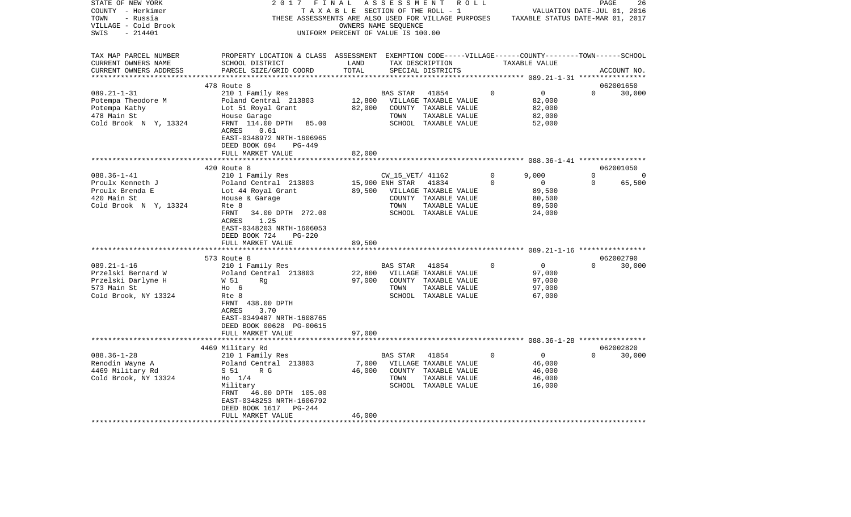| STATE OF NEW YORK                                 | 2017                                         | FINAL                                 | A S S E S S M E N T  | R O L L                                              |          |                                                               | PAGE     | 26             |
|---------------------------------------------------|----------------------------------------------|---------------------------------------|----------------------|------------------------------------------------------|----------|---------------------------------------------------------------|----------|----------------|
| COUNTY - Herkimer                                 |                                              | T A X A B L E SECTION OF THE ROLL - 1 |                      |                                                      |          | VALUATION DATE-JUL 01, 2016                                   |          |                |
| TOWN<br>- Russia                                  |                                              |                                       |                      | THESE ASSESSMENTS ARE ALSO USED FOR VILLAGE PURPOSES |          | TAXABLE STATUS DATE-MAR 01, 2017                              |          |                |
| VILLAGE - Cold Brook                              |                                              |                                       | OWNERS NAME SEQUENCE |                                                      |          |                                                               |          |                |
| $-214401$<br>SWIS                                 |                                              | UNIFORM PERCENT OF VALUE IS 100.00    |                      |                                                      |          |                                                               |          |                |
|                                                   |                                              |                                       |                      |                                                      |          |                                                               |          |                |
| TAX MAP PARCEL NUMBER                             | PROPERTY LOCATION & CLASS                    | ASSESSMENT                            |                      |                                                      |          | EXEMPTION CODE-----VILLAGE------COUNTY-------TOWN------SCHOOL |          |                |
| CURRENT OWNERS NAME                               | SCHOOL DISTRICT                              | LAND                                  |                      | TAX DESCRIPTION                                      |          | TAXABLE VALUE                                                 |          |                |
| CURRENT OWNERS ADDRESS<br>*********************** | PARCEL SIZE/GRID COORD                       | TOTAL                                 |                      | SPECIAL DISTRICTS                                    |          |                                                               |          | ACCOUNT NO.    |
|                                                   |                                              |                                       |                      |                                                      |          |                                                               |          |                |
|                                                   | 478 Route 8                                  |                                       |                      |                                                      |          |                                                               |          | 062001650      |
| $089.21 - 1 - 31$                                 | 210 1 Family Res                             |                                       | <b>BAS STAR</b>      | 41854                                                | 0        | $\mathbf 0$                                                   | $\Omega$ | 30,000         |
| Potempa Theodore M                                | Poland Central 213803                        | 12,800                                |                      | VILLAGE TAXABLE VALUE                                |          | 82,000                                                        |          |                |
| Potempa Kathy                                     | Lot 51 Royal Grant                           | 82,000                                |                      | COUNTY TAXABLE VALUE                                 |          | 82,000                                                        |          |                |
| 478 Main St                                       | House Garage                                 |                                       | TOWN                 | TAXABLE VALUE                                        |          | 82,000                                                        |          |                |
| Cold Brook N Y, 13324                             | FRNT 114.00 DPTH<br>85.00                    |                                       |                      | SCHOOL TAXABLE VALUE                                 |          | 52,000                                                        |          |                |
|                                                   | ACRES<br>0.61                                |                                       |                      |                                                      |          |                                                               |          |                |
|                                                   | EAST-0348972 NRTH-1606965                    |                                       |                      |                                                      |          |                                                               |          |                |
|                                                   | DEED BOOK 694<br>PG-449<br>FULL MARKET VALUE | 82,000                                |                      |                                                      |          |                                                               |          |                |
|                                                   |                                              |                                       |                      |                                                      |          |                                                               |          |                |
|                                                   | 420 Route 8                                  |                                       |                      |                                                      |          |                                                               |          | 062001050      |
| $088.36 - 1 - 41$                                 | 210 1 Family Res                             |                                       | CW_15_VET/ 41162     |                                                      | 0        | 9,000                                                         | $\Omega$ | $\overline{0}$ |
| Proulx Kenneth J                                  | Poland Central 213803                        |                                       | 15,900 ENH STAR      | 41834                                                | $\Omega$ | $\mathbf 0$                                                   | $\Omega$ | 65,500         |
| Proulx Brenda E                                   | Lot 44 Royal Grant                           | 89,500                                |                      | VILLAGE TAXABLE VALUE                                |          | 89,500                                                        |          |                |
| 420 Main St                                       | House & Garage                               |                                       |                      | COUNTY TAXABLE VALUE                                 |          | 80,500                                                        |          |                |
| Cold Brook N Y, 13324                             | Rte 8                                        |                                       | TOWN                 | TAXABLE VALUE                                        |          | 89,500                                                        |          |                |
|                                                   | FRNT<br>34.00 DPTH 272.00                    |                                       |                      | SCHOOL TAXABLE VALUE                                 |          | 24,000                                                        |          |                |
|                                                   | 1.25<br>ACRES                                |                                       |                      |                                                      |          |                                                               |          |                |
|                                                   | EAST-0348203 NRTH-1606053                    |                                       |                      |                                                      |          |                                                               |          |                |
|                                                   | DEED BOOK 724<br><b>PG-220</b>               |                                       |                      |                                                      |          |                                                               |          |                |
|                                                   | FULL MARKET VALUE                            | 89,500                                |                      |                                                      |          |                                                               |          |                |
|                                                   |                                              |                                       |                      |                                                      |          |                                                               |          |                |
|                                                   | 573 Route 8                                  |                                       |                      |                                                      |          |                                                               |          | 062002790      |
| $089.21 - 1 - 16$                                 | 210 1 Family Res                             |                                       | BAS STAR             | 41854                                                | $\Omega$ | 0                                                             | $\Omega$ | 30,000         |
| Przelski Bernard W                                | Poland Central 213803                        | 22,800                                |                      | VILLAGE TAXABLE VALUE                                |          | 97,000                                                        |          |                |
| Przelski Darlyne H                                | W 51<br>Rq                                   | 97,000                                | COUNTY               | TAXABLE VALUE                                        |          | 97,000                                                        |          |                |
| 573 Main St                                       | но 6                                         |                                       | TOWN                 | TAXABLE VALUE                                        |          | 97,000                                                        |          |                |
| Cold Brook, NY 13324                              | Rte 8                                        |                                       |                      | SCHOOL TAXABLE VALUE                                 |          | 67,000                                                        |          |                |
|                                                   | FRNT 438.00 DPTH                             |                                       |                      |                                                      |          |                                                               |          |                |
|                                                   | ACRES<br>3.70                                |                                       |                      |                                                      |          |                                                               |          |                |
|                                                   | EAST-0349487 NRTH-1608765                    |                                       |                      |                                                      |          |                                                               |          |                |
|                                                   | DEED BOOK 00628 PG-00615                     |                                       |                      |                                                      |          |                                                               |          |                |
|                                                   | FULL MARKET VALUE                            | 97,000                                |                      |                                                      |          |                                                               |          |                |
|                                                   |                                              |                                       |                      |                                                      |          |                                                               |          |                |
|                                                   | 4469 Military Rd                             |                                       |                      |                                                      |          |                                                               |          | 062002820      |
| $088.36 - 1 - 28$                                 | 210 1 Family Res                             |                                       | <b>BAS STAR</b>      | 41854                                                | $\Omega$ | 0                                                             | $\Omega$ | 30,000         |
| Renodin Wayne A                                   | Poland Central 213803                        | 7,000                                 |                      | VILLAGE TAXABLE VALUE                                |          | 46,000                                                        |          |                |
| 4469 Military Rd                                  | R G<br>S 51                                  | 46,000                                | COUNTY               | TAXABLE VALUE                                        |          | 46,000                                                        |          |                |
| Cold Brook, NY 13324                              | $H_0$ 1/4                                    |                                       | TOWN                 | TAXABLE VALUE                                        |          | 46,000                                                        |          |                |
|                                                   | Military                                     |                                       |                      | SCHOOL TAXABLE VALUE                                 |          | 16,000                                                        |          |                |
|                                                   | FRNT<br>46.00 DPTH 105.00                    |                                       |                      |                                                      |          |                                                               |          |                |
|                                                   | EAST-0348253 NRTH-1606792                    |                                       |                      |                                                      |          |                                                               |          |                |
|                                                   | DEED BOOK 1617<br>PG-244                     |                                       |                      |                                                      |          |                                                               |          |                |
|                                                   | FULL MARKET VALUE                            | 46,000                                |                      |                                                      |          |                                                               |          |                |
|                                                   |                                              |                                       |                      |                                                      |          |                                                               |          |                |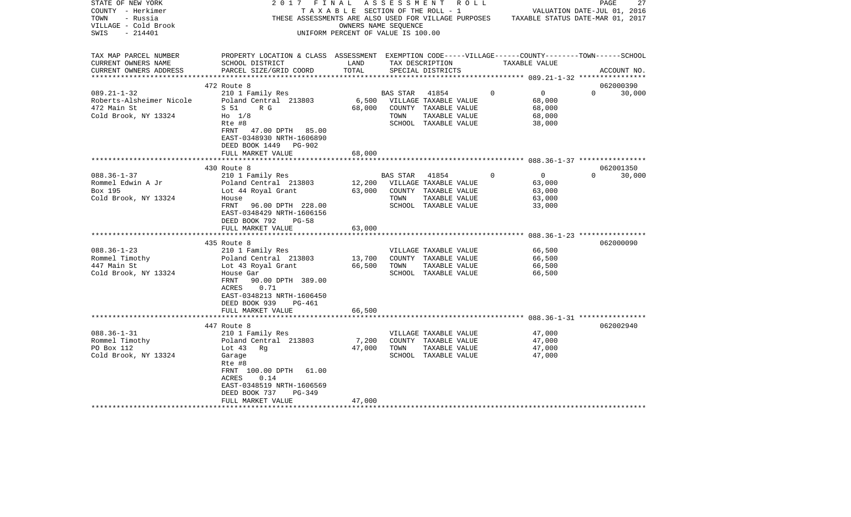| STATE OF NEW YORK<br>COUNTY - Herkimer<br>TOWN<br>- Russia<br>VILLAGE - Cold Brook<br>$-214401$<br>SWIS | 2017<br>FINAL<br>THESE ASSESSMENTS ARE ALSO USED FOR VILLAGE PURPOSES TAXABLE STATUS DATE-MAR 01, 2017                                                                                                                 | TAXABLE SECTION OF THE ROLL - 1<br>OWNERS NAME SEQUENCE<br>UNIFORM PERCENT OF VALUE IS 100.00 | ASSESSMENT       | R O L L                                                                                         |             | VALUATION DATE-JUL 01, 2016                            | PAGE     | 27                  |
|---------------------------------------------------------------------------------------------------------|------------------------------------------------------------------------------------------------------------------------------------------------------------------------------------------------------------------------|-----------------------------------------------------------------------------------------------|------------------|-------------------------------------------------------------------------------------------------|-------------|--------------------------------------------------------|----------|---------------------|
| TAX MAP PARCEL NUMBER<br>CURRENT OWNERS NAME<br>CURRENT OWNERS ADDRESS                                  | PROPERTY LOCATION & CLASS ASSESSMENT EXEMPTION CODE-----VILLAGE------COUNTY-------TOWN------SCHOOL<br>SCHOOL DISTRICT<br>PARCEL SIZE/GRID COORD                                                                        | LAND<br>TOTAL                                                                                 |                  | TAX DESCRIPTION<br>SPECIAL DISTRICTS                                                            |             | TAXABLE VALUE                                          |          | ACCOUNT NO.         |
|                                                                                                         |                                                                                                                                                                                                                        |                                                                                               |                  |                                                                                                 |             |                                                        |          |                     |
| $089.21 - 1 - 32$<br>Roberts-Alsheimer Nicole<br>472 Main St<br>Cold Brook, NY 13324                    | 472 Route 8<br>210 1 Family Res<br>Poland Central 213803<br>S 51<br>R G<br>$H0$ 1/8<br>Rte #8<br>FRNT 47.00 DPTH 85.00                                                                                                 | 6,500<br>68,000                                                                               | BAS STAR<br>TOWN | 41854<br>VILLAGE TAXABLE VALUE<br>COUNTY TAXABLE VALUE<br>TAXABLE VALUE<br>SCHOOL TAXABLE VALUE | $\mathbf 0$ | $\overline{0}$<br>68,000<br>68,000<br>68,000<br>38,000 | $\Omega$ | 062000390<br>30,000 |
|                                                                                                         | EAST-0348930 NRTH-1606890<br>DEED BOOK 1449<br>PG-902<br>FULL MARKET VALUE                                                                                                                                             | 68,000                                                                                        |                  |                                                                                                 |             |                                                        |          |                     |
|                                                                                                         | 430 Route 8                                                                                                                                                                                                            |                                                                                               |                  |                                                                                                 |             |                                                        |          | 062001350           |
| $088.36 - 1 - 37$<br>Rommel Edwin A Jr<br>Box 195<br>Cold Brook, NY 13324                               | 210 1 Family Res<br>Poland Central 213803<br>Lot 44 Royal Grant<br>House<br>FRNT<br>96.00 DPTH 228.00<br>EAST-0348429 NRTH-1606156<br>DEED BOOK 792<br>$PG-58$<br>FULL MARKET VALUE                                    | 12,200<br>63,000<br>63,000                                                                    | BAS STAR<br>TOWN | 41854<br>VILLAGE TAXABLE VALUE<br>COUNTY TAXABLE VALUE<br>TAXABLE VALUE<br>SCHOOL TAXABLE VALUE | $\Omega$    | $\overline{0}$<br>63,000<br>63,000<br>63,000<br>33,000 | $\Omega$ | 30,000              |
|                                                                                                         |                                                                                                                                                                                                                        |                                                                                               |                  |                                                                                                 |             |                                                        |          |                     |
| $088.36 - 1 - 23$<br>Rommel Timothy<br>447 Main St<br>Cold Brook, NY 13324                              | 435 Route 8<br>210 1 Family Res<br>Poland Central 213803<br>Lot 43 Royal Grant<br>House Gar<br>FRNT<br>90.00 DPTH 389.00<br>0.71<br>ACRES<br>EAST-0348213 NRTH-1606450<br>DEED BOOK 939<br>PG-461<br>FULL MARKET VALUE | 13,700<br>66,500<br>66,500                                                                    | TOWN             | VILLAGE TAXABLE VALUE<br>COUNTY TAXABLE VALUE<br>TAXABLE VALUE<br>SCHOOL TAXABLE VALUE          |             | 66,500<br>66,500<br>66,500<br>66,500                   |          | 062000090           |
|                                                                                                         |                                                                                                                                                                                                                        |                                                                                               |                  |                                                                                                 |             |                                                        |          |                     |
| $088.36 - 1 - 31$<br>Rommel Timothy<br>PO Box 112<br>Cold Brook, NY 13324                               | 447 Route 8<br>210 1 Family Res<br>Poland Central 213803<br>Lot $43$<br>Rq<br>Garage<br>Rte #8<br>FRNT 100.00 DPTH<br>61.00<br>ACRES<br>0.14<br>EAST-0348519 NRTH-1606569                                              | 7,200<br>47,000                                                                               | TOWN             | VILLAGE TAXABLE VALUE<br>COUNTY TAXABLE VALUE<br>TAXABLE VALUE<br>SCHOOL TAXABLE VALUE          |             | 47,000<br>47,000<br>47,000<br>47,000                   |          | 062002940           |
|                                                                                                         | DEED BOOK 737<br>$PG-349$<br>FULL MARKET VALUE                                                                                                                                                                         | 47,000                                                                                        |                  |                                                                                                 |             |                                                        |          |                     |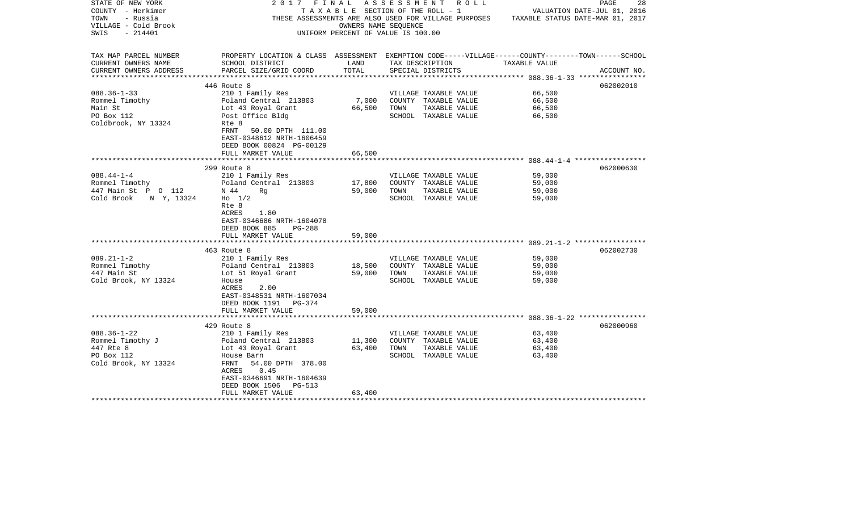| STATE OF NEW YORK                                | 2017                                                                                               |                                    |      | FINAL ASSESSMENT ROLL           |                                                                                       | 28<br>PAGE                  |
|--------------------------------------------------|----------------------------------------------------------------------------------------------------|------------------------------------|------|---------------------------------|---------------------------------------------------------------------------------------|-----------------------------|
| COUNTY - Herkimer                                |                                                                                                    |                                    |      | TAXABLE SECTION OF THE ROLL - 1 |                                                                                       | VALUATION DATE-JUL 01, 2016 |
| TOWN<br>- Russia                                 |                                                                                                    |                                    |      |                                 | THESE ASSESSMENTS ARE ALSO USED FOR VILLAGE PURPOSES TAXABLE STATUS DATE-MAR 01, 2017 |                             |
| VILLAGE - Cold Brook                             |                                                                                                    | OWNERS NAME SEOUENCE               |      |                                 |                                                                                       |                             |
| - 214401<br>SWIS                                 |                                                                                                    | UNIFORM PERCENT OF VALUE IS 100.00 |      |                                 |                                                                                       |                             |
|                                                  |                                                                                                    |                                    |      |                                 |                                                                                       |                             |
|                                                  |                                                                                                    |                                    |      |                                 |                                                                                       |                             |
| TAX MAP PARCEL NUMBER                            | PROPERTY LOCATION & CLASS ASSESSMENT EXEMPTION CODE-----VILLAGE------COUNTY-------TOWN------SCHOOL |                                    |      |                                 |                                                                                       |                             |
| CURRENT OWNERS NAME                              | SCHOOL DISTRICT                                                                                    | LAND                               |      | TAX DESCRIPTION                 | TAXABLE VALUE                                                                         |                             |
| CURRENT OWNERS ADDRESS<br>********************** | PARCEL SIZE/GRID COORD                                                                             | TOTAL                              |      | SPECIAL DISTRICTS               |                                                                                       | ACCOUNT NO.                 |
|                                                  | 446 Route 8                                                                                        |                                    |      |                                 |                                                                                       | 062002010                   |
| $088.36 - 1 - 33$                                | 210 1 Family Res                                                                                   |                                    |      | VILLAGE TAXABLE VALUE           | 66,500                                                                                |                             |
|                                                  |                                                                                                    |                                    |      |                                 |                                                                                       |                             |
| Rommel Timothy                                   | Poland Central 213803                                                                              | 7,000                              |      | COUNTY TAXABLE VALUE            | 66,500                                                                                |                             |
| Main St                                          | Lot 43 Royal Grant                                                                                 | 66,500                             | TOWN | TAXABLE VALUE                   | 66,500                                                                                |                             |
| PO Box 112                                       | Post Office Bldg                                                                                   |                                    |      | SCHOOL TAXABLE VALUE            | 66,500                                                                                |                             |
| Coldbrook, NY 13324                              | Rte 8                                                                                              |                                    |      |                                 |                                                                                       |                             |
|                                                  | FRNT<br>50.00 DPTH 111.00                                                                          |                                    |      |                                 |                                                                                       |                             |
|                                                  | EAST-0348612 NRTH-1606459                                                                          |                                    |      |                                 |                                                                                       |                             |
|                                                  | DEED BOOK 00824 PG-00129                                                                           |                                    |      |                                 |                                                                                       |                             |
|                                                  | FULL MARKET VALUE                                                                                  | 66,500                             |      |                                 |                                                                                       |                             |
|                                                  |                                                                                                    |                                    |      |                                 |                                                                                       |                             |
|                                                  | 299 Route 8                                                                                        |                                    |      |                                 |                                                                                       | 062000630                   |
| $088.44 - 1 - 4$                                 | 210 1 Family Res                                                                                   |                                    |      | VILLAGE TAXABLE VALUE           | 59,000                                                                                |                             |
| Rommel Timothy                                   | Poland Central 213803                                                                              | 17,800                             |      | COUNTY TAXABLE VALUE            | 59,000                                                                                |                             |
| 447 Main St P O 112                              | N 44<br>Rq                                                                                         | 59,000                             | TOWN | TAXABLE VALUE                   | 59,000                                                                                |                             |
| Cold Brook<br>N Y, 13324                         | $Ho$ 1/2                                                                                           |                                    |      | SCHOOL TAXABLE VALUE            | 59,000                                                                                |                             |
|                                                  | Rte 8                                                                                              |                                    |      |                                 |                                                                                       |                             |
|                                                  |                                                                                                    |                                    |      |                                 |                                                                                       |                             |
|                                                  | ACRES<br>1.80                                                                                      |                                    |      |                                 |                                                                                       |                             |
|                                                  | EAST-0346686 NRTH-1604078                                                                          |                                    |      |                                 |                                                                                       |                             |
|                                                  | DEED BOOK 885<br><b>PG-288</b>                                                                     |                                    |      |                                 |                                                                                       |                             |
|                                                  | FULL MARKET VALUE                                                                                  | 59,000                             |      |                                 |                                                                                       |                             |
|                                                  |                                                                                                    |                                    |      |                                 |                                                                                       |                             |
|                                                  | 463 Route 8                                                                                        |                                    |      |                                 |                                                                                       | 062002730                   |
| $089.21 - 1 - 2$                                 | 210 1 Family Res                                                                                   |                                    |      | VILLAGE TAXABLE VALUE           | 59,000                                                                                |                             |
| Rommel Timothy                                   | Poland Central 213803                                                                              | 18,500                             |      | COUNTY TAXABLE VALUE            | 59,000                                                                                |                             |
| 447 Main St                                      | Lot 51 Royal Grant                                                                                 | 59,000                             | TOWN | TAXABLE VALUE                   | 59,000                                                                                |                             |
| Cold Brook, NY 13324                             | House                                                                                              |                                    |      | SCHOOL TAXABLE VALUE            | 59,000                                                                                |                             |
|                                                  | ACRES<br>2.00                                                                                      |                                    |      |                                 |                                                                                       |                             |
|                                                  | EAST-0348531 NRTH-1607034                                                                          |                                    |      |                                 |                                                                                       |                             |
|                                                  | DEED BOOK 1191 PG-374                                                                              |                                    |      |                                 |                                                                                       |                             |
|                                                  |                                                                                                    |                                    |      |                                 |                                                                                       |                             |
|                                                  | FULL MARKET VALUE                                                                                  | 59,000                             |      |                                 |                                                                                       |                             |
|                                                  | 429 Route 8                                                                                        |                                    |      |                                 |                                                                                       | 062000960                   |
|                                                  |                                                                                                    |                                    |      |                                 |                                                                                       |                             |
| $088.36 - 1 - 22$                                | 210 1 Family Res                                                                                   |                                    |      | VILLAGE TAXABLE VALUE           | 63,400                                                                                |                             |
| Rommel Timothy J                                 | Poland Central 213803<br>Lot 43 Royal Grant                                                        | 11,300                             |      | COUNTY TAXABLE VALUE            | 63,400                                                                                |                             |
| 447 Rte 8                                        |                                                                                                    | 63,400                             | TOWN | TAXABLE VALUE                   | 63,400                                                                                |                             |
| PO Box 112                                       | House Barn                                                                                         |                                    |      | SCHOOL TAXABLE VALUE            | 63,400                                                                                |                             |
| Cold Brook, NY 13324                             | 54.00 DPTH 378.00<br>FRNT                                                                          |                                    |      |                                 |                                                                                       |                             |
|                                                  | ACRES<br>0.45                                                                                      |                                    |      |                                 |                                                                                       |                             |
|                                                  | EAST-0346691 NRTH-1604639                                                                          |                                    |      |                                 |                                                                                       |                             |
|                                                  | DEED BOOK 1506<br>PG-513                                                                           |                                    |      |                                 |                                                                                       |                             |
|                                                  | FULL MARKET VALUE                                                                                  | 63,400                             |      |                                 |                                                                                       |                             |
|                                                  |                                                                                                    |                                    |      |                                 |                                                                                       |                             |
|                                                  |                                                                                                    |                                    |      |                                 |                                                                                       |                             |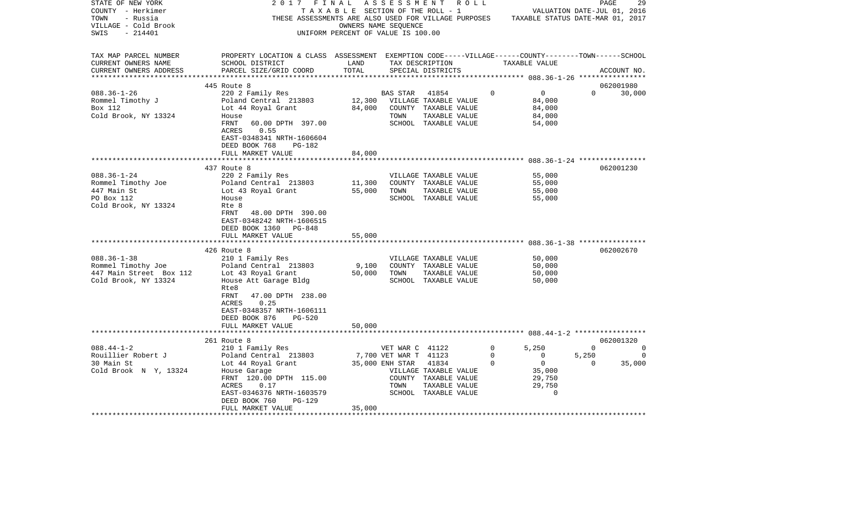| STATE OF NEW YORK<br>COUNTY - Herkimer<br>- Russia<br>TOWN<br>VILLAGE - Cold Brook<br>$-214401$<br>SWIS | 2 0 1 7<br>FINAL                                                                                                                                | OWNERS NAME SEQUENCE<br>UNIFORM PERCENT OF VALUE IS 100.00 |                       | ASSESSMENT ROLL<br>T A X A B L E SECTION OF THE ROLL - 1<br>THESE ASSESSMENTS ARE ALSO USED FOR VILLAGE PURPOSES TAXABLE STATUS DATE-MAR 01, 2017 |             |                          | PAGE<br>VALUATION DATE-JUL 01, 2016 | 29       |
|---------------------------------------------------------------------------------------------------------|-------------------------------------------------------------------------------------------------------------------------------------------------|------------------------------------------------------------|-----------------------|---------------------------------------------------------------------------------------------------------------------------------------------------|-------------|--------------------------|-------------------------------------|----------|
| TAX MAP PARCEL NUMBER<br>CURRENT OWNERS NAME<br>CURRENT OWNERS ADDRESS                                  | PROPERTY LOCATION & CLASS ASSESSMENT EXEMPTION CODE-----VILLAGE------COUNTY-------TOWN------SCHOOL<br>SCHOOL DISTRICT<br>PARCEL SIZE/GRID COORD | LAND<br>TOTAL                                              |                       | TAX DESCRIPTION<br>SPECIAL DISTRICTS                                                                                                              |             | TAXABLE VALUE            | ACCOUNT NO.                         |          |
|                                                                                                         |                                                                                                                                                 |                                                            |                       |                                                                                                                                                   |             |                          |                                     |          |
|                                                                                                         | 445 Route 8                                                                                                                                     |                                                            |                       |                                                                                                                                                   |             |                          | 062001980                           |          |
| $088.36 - 1 - 26$<br>Rommel Timothy J                                                                   | 220 2 Family Res<br>Poland Central 213803                                                                                                       |                                                            | BAS STAR              | 41854<br>12,300 VILLAGE TAXABLE VALUE                                                                                                             | $\circ$     | $\overline{0}$<br>84,000 | $\Omega$                            | 30,000   |
| Box 112                                                                                                 | Lot 44 Royal Grant                                                                                                                              | 84,000                                                     |                       | COUNTY TAXABLE VALUE                                                                                                                              |             | 84,000                   |                                     |          |
| Cold Brook, NY 13324                                                                                    | House                                                                                                                                           |                                                            | TOWN                  | TAXABLE VALUE                                                                                                                                     |             | 84,000                   |                                     |          |
|                                                                                                         | FRNT<br>60.00 DPTH 397.00                                                                                                                       |                                                            |                       | SCHOOL TAXABLE VALUE                                                                                                                              |             | 54,000                   |                                     |          |
|                                                                                                         | ACRES<br>0.55                                                                                                                                   |                                                            |                       |                                                                                                                                                   |             |                          |                                     |          |
|                                                                                                         | EAST-0348341 NRTH-1606604                                                                                                                       |                                                            |                       |                                                                                                                                                   |             |                          |                                     |          |
|                                                                                                         | DEED BOOK 768<br>PG-182<br>FULL MARKET VALUE                                                                                                    | 84,000                                                     |                       |                                                                                                                                                   |             |                          |                                     |          |
|                                                                                                         | **************************                                                                                                                      |                                                            |                       |                                                                                                                                                   |             |                          |                                     |          |
|                                                                                                         | 437 Route 8                                                                                                                                     |                                                            |                       |                                                                                                                                                   |             |                          | 062001230                           |          |
| $088.36 - 1 - 24$                                                                                       | 220 2 Family Res                                                                                                                                |                                                            |                       | VILLAGE TAXABLE VALUE                                                                                                                             |             | 55,000                   |                                     |          |
| Rommel Timothy Joe                                                                                      | Poland Central 213803                                                                                                                           | 11,300                                                     |                       | COUNTY TAXABLE VALUE                                                                                                                              |             | 55,000                   |                                     |          |
| 447 Main St                                                                                             | Lot 43 Royal Grant                                                                                                                              | 55,000                                                     | TOWN                  | TAXABLE VALUE                                                                                                                                     |             | 55,000                   |                                     |          |
| PO Box 112                                                                                              | House                                                                                                                                           |                                                            |                       | SCHOOL TAXABLE VALUE                                                                                                                              |             | 55,000                   |                                     |          |
| Cold Brook, NY 13324                                                                                    | Rte 8<br>FRNT<br>48.00 DPTH 390.00<br>EAST-0348242 NRTH-1606515<br>DEED BOOK 1360 PG-848                                                        |                                                            |                       |                                                                                                                                                   |             |                          |                                     |          |
|                                                                                                         | FULL MARKET VALUE                                                                                                                               | 55,000                                                     |                       |                                                                                                                                                   |             |                          |                                     |          |
|                                                                                                         | *******************************                                                                                                                 |                                                            |                       |                                                                                                                                                   |             |                          |                                     |          |
|                                                                                                         | 426 Route 8                                                                                                                                     |                                                            |                       |                                                                                                                                                   |             |                          | 062002670                           |          |
| $088.36 - 1 - 38$                                                                                       | 210 1 Family Res                                                                                                                                |                                                            |                       | VILLAGE TAXABLE VALUE                                                                                                                             |             | 50,000                   |                                     |          |
| Rommel Timothy Joe<br>447 Main Street Box 112                                                           | Poland Central 213803<br>Lot 43 Royal Grant                                                                                                     | 9,100<br>50,000                                            | TOWN                  | COUNTY TAXABLE VALUE<br>TAXABLE VALUE                                                                                                             |             | 50,000<br>50,000         |                                     |          |
| Cold Brook, NY 13324                                                                                    | House Att Garage Bldg                                                                                                                           |                                                            |                       | SCHOOL TAXABLE VALUE                                                                                                                              |             | 50,000                   |                                     |          |
|                                                                                                         | Rte8                                                                                                                                            |                                                            |                       |                                                                                                                                                   |             |                          |                                     |          |
|                                                                                                         | FRNT<br>47.00 DPTH 238.00                                                                                                                       |                                                            |                       |                                                                                                                                                   |             |                          |                                     |          |
|                                                                                                         | ACRES<br>0.25                                                                                                                                   |                                                            |                       |                                                                                                                                                   |             |                          |                                     |          |
|                                                                                                         | EAST-0348357 NRTH-1606111                                                                                                                       |                                                            |                       |                                                                                                                                                   |             |                          |                                     |          |
|                                                                                                         | DEED BOOK 876<br><b>PG-520</b>                                                                                                                  | 50,000                                                     |                       |                                                                                                                                                   |             |                          |                                     |          |
|                                                                                                         | FULL MARKET VALUE                                                                                                                               |                                                            |                       |                                                                                                                                                   |             |                          |                                     |          |
|                                                                                                         | 261 Route 8                                                                                                                                     |                                                            |                       |                                                                                                                                                   |             |                          | 062001320                           |          |
| $088.44 - 1 - 2$                                                                                        | 210 1 Family Res                                                                                                                                |                                                            | VET WAR C 41122       |                                                                                                                                                   | $\mathbf 0$ | 5,250                    | $\Omega$                            | $\Omega$ |
| Rouillier Robert J                                                                                      | Poland Central 213803                                                                                                                           |                                                            | 7,700 VET WAR T 41123 |                                                                                                                                                   | $\mathbf 0$ | $\mathbf{0}$             | 5,250                               | $\circ$  |
| 30 Main St                                                                                              | Lot 44 Royal Grant                                                                                                                              |                                                            | 35,000 ENH STAR       | 41834                                                                                                                                             | $\Omega$    | $\overline{0}$           | $\overline{0}$                      | 35,000   |
| Cold Brook N Y, 13324                                                                                   | House Garage                                                                                                                                    |                                                            |                       | VILLAGE TAXABLE VALUE                                                                                                                             |             | 35,000                   |                                     |          |
|                                                                                                         | FRNT 120.00 DPTH 115.00<br>ACRES<br>0.17                                                                                                        |                                                            | TOWN                  | COUNTY TAXABLE VALUE<br>TAXABLE VALUE                                                                                                             |             | 29,750<br>29,750         |                                     |          |
|                                                                                                         | EAST-0346376 NRTH-1603579                                                                                                                       |                                                            |                       | SCHOOL TAXABLE VALUE                                                                                                                              |             | $\Omega$                 |                                     |          |
|                                                                                                         | DEED BOOK 760<br>$PG-129$                                                                                                                       |                                                            |                       |                                                                                                                                                   |             |                          |                                     |          |
|                                                                                                         | FULL MARKET VALUE                                                                                                                               | 35,000                                                     |                       |                                                                                                                                                   |             |                          |                                     |          |
|                                                                                                         | **************************************                                                                                                          |                                                            |                       |                                                                                                                                                   |             |                          |                                     |          |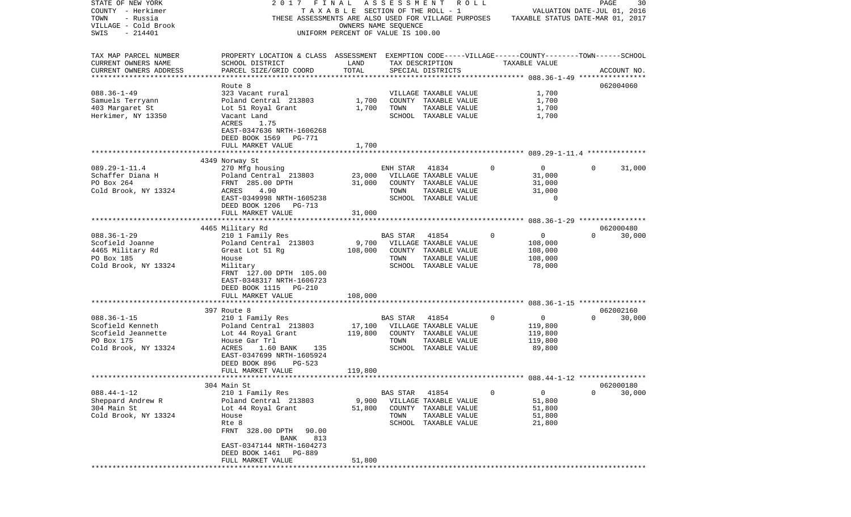| STATE OF NEW YORK       | 2017                                                                                               | FINAL                              | ASSESSMENT |                       | R O L L     |                                  | PAGE                        | 30          |
|-------------------------|----------------------------------------------------------------------------------------------------|------------------------------------|------------|-----------------------|-------------|----------------------------------|-----------------------------|-------------|
| COUNTY - Herkimer       |                                                                                                    | TAXABLE SECTION OF THE ROLL - 1    |            |                       |             |                                  | VALUATION DATE-JUL 01, 2016 |             |
| TOWN<br>- Russia        | THESE ASSESSMENTS ARE ALSO USED FOR VILLAGE PURPOSES                                               |                                    |            |                       |             | TAXABLE STATUS DATE-MAR 01, 2017 |                             |             |
| VILLAGE - Cold Brook    |                                                                                                    | OWNERS NAME SEQUENCE               |            |                       |             |                                  |                             |             |
| $-214401$<br>SWIS       |                                                                                                    | UNIFORM PERCENT OF VALUE IS 100.00 |            |                       |             |                                  |                             |             |
|                         |                                                                                                    |                                    |            |                       |             |                                  |                             |             |
|                         |                                                                                                    |                                    |            |                       |             |                                  |                             |             |
| TAX MAP PARCEL NUMBER   | PROPERTY LOCATION & CLASS ASSESSMENT EXEMPTION CODE-----VILLAGE------COUNTY-------TOWN------SCHOOL |                                    |            |                       |             |                                  |                             |             |
| CURRENT OWNERS NAME     | SCHOOL DISTRICT                                                                                    | LAND                               |            | TAX DESCRIPTION       |             | TAXABLE VALUE                    |                             |             |
| CURRENT OWNERS ADDRESS  | PARCEL SIZE/GRID COORD                                                                             | TOTAL                              |            | SPECIAL DISTRICTS     |             |                                  |                             | ACCOUNT NO. |
| *********************** |                                                                                                    |                                    |            |                       |             |                                  |                             |             |
|                         | Route 8                                                                                            |                                    |            |                       |             |                                  |                             | 062004060   |
| $088.36 - 1 - 49$       | 323 Vacant rural                                                                                   |                                    |            | VILLAGE TAXABLE VALUE |             | 1,700                            |                             |             |
| Samuels Terryann        | Poland Central 213803                                                                              | 1,700                              |            | COUNTY TAXABLE VALUE  |             | 1,700                            |                             |             |
| 403 Margaret St         | Lot 51 Royal Grant                                                                                 | 1,700                              | TOWN       | TAXABLE VALUE         |             | 1,700                            |                             |             |
| Herkimer, NY 13350      | Vacant Land                                                                                        |                                    |            | SCHOOL TAXABLE VALUE  |             | 1,700                            |                             |             |
|                         | ACRES<br>1.75                                                                                      |                                    |            |                       |             |                                  |                             |             |
|                         | EAST-0347636 NRTH-1606268                                                                          |                                    |            |                       |             |                                  |                             |             |
|                         | DEED BOOK 1569<br>PG-771                                                                           |                                    |            |                       |             |                                  |                             |             |
|                         | FULL MARKET VALUE                                                                                  | 1,700                              |            |                       |             |                                  |                             |             |
|                         |                                                                                                    |                                    |            |                       |             |                                  |                             |             |
|                         | 4349 Norway St                                                                                     |                                    |            |                       |             |                                  |                             |             |
| $089.29 - 1 - 11.4$     | 270 Mfg housing                                                                                    |                                    | ENH STAR   | 41834                 | $\Omega$    | $\overline{0}$                   | $\Omega$                    | 31,000      |
| Schaffer Diana H        | Poland Central 213803                                                                              | 23,000                             |            | VILLAGE TAXABLE VALUE |             | 31,000                           |                             |             |
| PO Box 264              | FRNT 285.00 DPTH                                                                                   | 31,000                             |            | COUNTY TAXABLE VALUE  |             | 31,000                           |                             |             |
| Cold Brook, NY 13324    | 4.90<br>ACRES                                                                                      |                                    | TOWN       | TAXABLE VALUE         |             | 31,000                           |                             |             |
|                         | EAST-0349998 NRTH-1605238                                                                          |                                    |            | SCHOOL TAXABLE VALUE  |             | 0                                |                             |             |
|                         | DEED BOOK 1206<br>PG-713                                                                           |                                    |            |                       |             |                                  |                             |             |
|                         | FULL MARKET VALUE                                                                                  | 31,000                             |            |                       |             |                                  |                             |             |
|                         |                                                                                                    |                                    |            |                       |             |                                  |                             |             |
|                         | 4465 Military Rd                                                                                   |                                    |            |                       |             |                                  |                             | 062000480   |
| $088.36 - 1 - 29$       | 210 1 Family Res                                                                                   |                                    | BAS STAR   | 41854                 | $\Omega$    | $\mathbf 0$                      | $\Omega$                    | 30,000      |
| Scofield Joanne         | Poland Central 213803                                                                              | 9,700                              |            | VILLAGE TAXABLE VALUE |             | 108,000                          |                             |             |
| 4465 Military Rd        | Great Lot 51 Rq                                                                                    | 108,000                            |            | COUNTY TAXABLE VALUE  |             | 108,000                          |                             |             |
| PO Box 185              | House                                                                                              |                                    | TOWN       | TAXABLE VALUE         |             | 108,000                          |                             |             |
| Cold Brook, NY 13324    | Military                                                                                           |                                    |            | SCHOOL TAXABLE VALUE  |             | 78,000                           |                             |             |
|                         | FRNT 127.00 DPTH 105.00                                                                            |                                    |            |                       |             |                                  |                             |             |
|                         | EAST-0348317 NRTH-1606723                                                                          |                                    |            |                       |             |                                  |                             |             |
|                         | DEED BOOK 1115 PG-210                                                                              |                                    |            |                       |             |                                  |                             |             |
|                         | FULL MARKET VALUE                                                                                  | 108,000                            |            |                       |             |                                  |                             |             |
|                         | ***************************                                                                        |                                    |            |                       |             |                                  |                             |             |
|                         | 397 Route 8                                                                                        |                                    |            |                       |             |                                  |                             | 062002160   |
| $088.36 - 1 - 15$       | 210 1 Family Res                                                                                   |                                    | BAS STAR   | 41854                 | $\mathbf 0$ | $\overline{0}$                   | $\Omega$                    | 30,000      |
| Scofield Kenneth        | Poland Central 213803                                                                              | 17,100                             |            | VILLAGE TAXABLE VALUE |             | 119,800                          |                             |             |
| Scofield Jeannette      | Lot 44 Royal Grant                                                                                 | 119,800                            |            | COUNTY TAXABLE VALUE  |             | 119,800                          |                             |             |
| PO Box 175              | House Gar Trl                                                                                      |                                    | TOWN       | TAXABLE VALUE         |             | 119,800                          |                             |             |
| Cold Brook, NY 13324    | ACRES<br>1.60 BANK<br>135                                                                          |                                    |            | SCHOOL TAXABLE VALUE  |             | 89,800                           |                             |             |
|                         | EAST-0347699 NRTH-1605924                                                                          |                                    |            |                       |             |                                  |                             |             |
|                         | DEED BOOK 896<br>PG-523                                                                            |                                    |            |                       |             |                                  |                             |             |
|                         | FULL MARKET VALUE                                                                                  | 119,800                            |            |                       |             |                                  |                             |             |
|                         |                                                                                                    |                                    |            |                       |             |                                  |                             |             |
|                         | 304 Main St                                                                                        |                                    |            |                       |             |                                  |                             | 062000180   |
| $088.44 - 1 - 12$       | 210 1 Family Res                                                                                   |                                    | BAS STAR   | 41854                 | 0           | 0                                | 0                           | 30,000      |
| Sheppard Andrew R       | Poland Central 213803                                                                              | 9,900                              |            | VILLAGE TAXABLE VALUE |             | 51,800                           |                             |             |
| 304 Main St             | Lot 44 Royal Grant                                                                                 | 51,800                             | COUNTY     | TAXABLE VALUE         |             | 51,800                           |                             |             |
| Cold Brook, NY 13324    | House                                                                                              |                                    | TOWN       | TAXABLE VALUE         |             | 51,800                           |                             |             |
|                         | Rte 8                                                                                              |                                    | SCHOOL     | TAXABLE VALUE         |             | 21,800                           |                             |             |
|                         | FRNT 328.00 DPTH<br>90.00                                                                          |                                    |            |                       |             |                                  |                             |             |
|                         | 813<br>BANK                                                                                        |                                    |            |                       |             |                                  |                             |             |
|                         | EAST-0347144 NRTH-1604273                                                                          |                                    |            |                       |             |                                  |                             |             |
|                         | DEED BOOK 1461<br>PG-889                                                                           |                                    |            |                       |             |                                  |                             |             |
|                         | FULL MARKET VALUE                                                                                  | 51,800                             |            |                       |             |                                  |                             |             |
|                         | ***********************                                                                            |                                    |            |                       |             |                                  |                             |             |
|                         |                                                                                                    |                                    |            |                       |             |                                  |                             |             |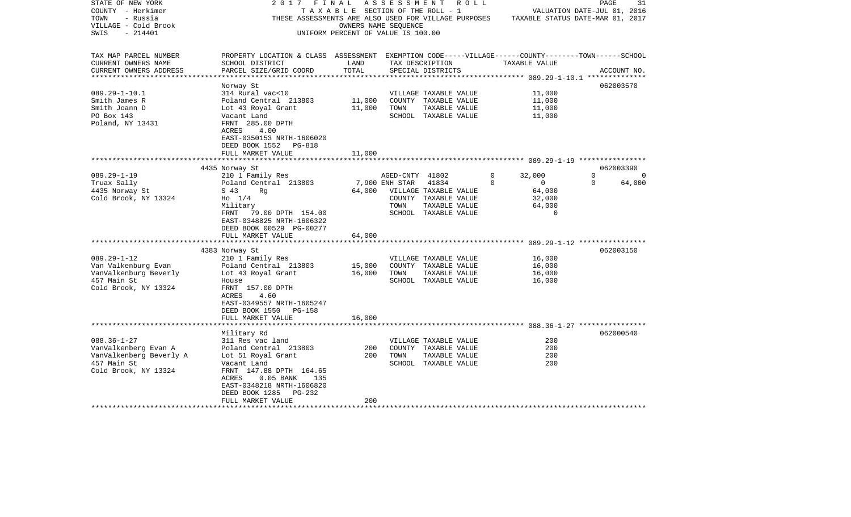| STATE OF NEW YORK       | 2017                                                                                               | FINAL                                 |                      | ASSESSMENT ROLL                                      |          |                                  | PAGE     | 31          |
|-------------------------|----------------------------------------------------------------------------------------------------|---------------------------------------|----------------------|------------------------------------------------------|----------|----------------------------------|----------|-------------|
| COUNTY - Herkimer       |                                                                                                    | T A X A B L E SECTION OF THE ROLL - 1 |                      |                                                      |          | VALUATION DATE-JUL 01, 2016      |          |             |
| TOWN<br>- Russia        |                                                                                                    |                                       |                      | THESE ASSESSMENTS ARE ALSO USED FOR VILLAGE PURPOSES |          | TAXABLE STATUS DATE-MAR 01, 2017 |          |             |
| VILLAGE - Cold Brook    |                                                                                                    |                                       | OWNERS NAME SEQUENCE |                                                      |          |                                  |          |             |
| $-214401$<br>SWIS       |                                                                                                    | UNIFORM PERCENT OF VALUE IS 100.00    |                      |                                                      |          |                                  |          |             |
|                         |                                                                                                    |                                       |                      |                                                      |          |                                  |          |             |
| TAX MAP PARCEL NUMBER   | PROPERTY LOCATION & CLASS ASSESSMENT EXEMPTION CODE-----VILLAGE------COUNTY-------TOWN------SCHOOL |                                       |                      |                                                      |          |                                  |          |             |
| CURRENT OWNERS NAME     | SCHOOL DISTRICT                                                                                    | LAND                                  |                      | TAX DESCRIPTION                                      |          | TAXABLE VALUE                    |          |             |
| CURRENT OWNERS ADDRESS  | PARCEL SIZE/GRID COORD                                                                             | TOTAL                                 |                      | SPECIAL DISTRICTS                                    |          |                                  |          | ACCOUNT NO. |
|                         | Norway St                                                                                          |                                       |                      |                                                      |          |                                  |          | 062003570   |
| $089.29 - 1 - 10.1$     | 314 Rural vac<10                                                                                   |                                       |                      | VILLAGE TAXABLE VALUE                                |          | 11,000                           |          |             |
| Smith James R           | Poland Central 213803                                                                              | 11,000                                |                      | COUNTY TAXABLE VALUE                                 |          | 11,000                           |          |             |
| Smith Joann D           | Lot 43 Royal Grant                                                                                 | 11,000                                | TOWN                 | TAXABLE VALUE                                        |          | 11,000                           |          |             |
| PO Box 143              | Vacant Land                                                                                        |                                       |                      | SCHOOL TAXABLE VALUE                                 |          | 11,000                           |          |             |
| Poland, NY 13431        | FRNT 285.00 DPTH                                                                                   |                                       |                      |                                                      |          |                                  |          |             |
|                         | ACRES<br>4.00                                                                                      |                                       |                      |                                                      |          |                                  |          |             |
|                         | EAST-0350153 NRTH-1606020                                                                          |                                       |                      |                                                      |          |                                  |          |             |
|                         | DEED BOOK 1552<br>PG-818                                                                           |                                       |                      |                                                      |          |                                  |          |             |
|                         | FULL MARKET VALUE                                                                                  | 11,000                                |                      |                                                      |          |                                  |          |             |
|                         |                                                                                                    | **********                            |                      |                                                      |          |                                  |          |             |
|                         | 4435 Norway St                                                                                     |                                       |                      |                                                      |          |                                  |          | 062003390   |
| $089.29 - 1 - 19$       | 210 1 Family Res                                                                                   |                                       | AGED-CNTY 41802      |                                                      | $\Omega$ | 32,000                           | $\Omega$ | $\Omega$    |
| Truax Sally             | Poland Central 213803                                                                              |                                       | 7,900 ENH STAR       | 41834                                                | $\Omega$ | $\overline{0}$                   | $\Omega$ | 64,000      |
| 4435 Norway St          | S 43<br>Rg                                                                                         | 64,000                                |                      | VILLAGE TAXABLE VALUE                                |          | 64,000                           |          |             |
| Cold Brook, NY 13324    | $H_0$ 1/4                                                                                          |                                       |                      | COUNTY TAXABLE VALUE                                 |          | 32,000                           |          |             |
|                         | Military<br>FRNT                                                                                   |                                       | TOWN                 | TAXABLE VALUE                                        |          | 64,000<br>$\overline{0}$         |          |             |
|                         | 79.00 DPTH 154.00<br>EAST-0348825 NRTH-1606322                                                     |                                       |                      | SCHOOL TAXABLE VALUE                                 |          |                                  |          |             |
|                         | DEED BOOK 00529 PG-00277                                                                           |                                       |                      |                                                      |          |                                  |          |             |
|                         | FULL MARKET VALUE                                                                                  | 64,000                                |                      |                                                      |          |                                  |          |             |
|                         |                                                                                                    |                                       |                      |                                                      |          |                                  |          |             |
|                         | 4383 Norway St                                                                                     |                                       |                      |                                                      |          |                                  |          | 062003150   |
| $089.29 - 1 - 12$       | 210 1 Family Res                                                                                   |                                       |                      | VILLAGE TAXABLE VALUE                                |          | 16,000                           |          |             |
| Van Valkenburg Evan     | Poland Central 213803                                                                              | 15,000                                |                      | COUNTY TAXABLE VALUE                                 |          | 16,000                           |          |             |
| VanValkenburg Beverly   | Lot 43 Royal Grant                                                                                 | 16,000                                | TOWN                 | TAXABLE VALUE                                        |          | 16,000                           |          |             |
| 457 Main St             | House                                                                                              |                                       |                      | SCHOOL TAXABLE VALUE                                 |          | 16,000                           |          |             |
| Cold Brook, NY 13324    | FRNT 157.00 DPTH                                                                                   |                                       |                      |                                                      |          |                                  |          |             |
|                         | ACRES<br>4.60                                                                                      |                                       |                      |                                                      |          |                                  |          |             |
|                         | EAST-0349557 NRTH-1605247                                                                          |                                       |                      |                                                      |          |                                  |          |             |
|                         | DEED BOOK 1550<br>PG-158                                                                           |                                       |                      |                                                      |          |                                  |          |             |
|                         | FULL MARKET VALUE                                                                                  | 16,000                                |                      |                                                      |          |                                  |          |             |
|                         | Military Rd                                                                                        |                                       |                      |                                                      |          |                                  |          | 062000540   |
| $088.36 - 1 - 27$       | 311 Res vac land                                                                                   |                                       |                      | VILLAGE TAXABLE VALUE                                |          | 200                              |          |             |
| VanValkenberg Evan A    | Poland Central 213803                                                                              | 200                                   |                      | COUNTY TAXABLE VALUE                                 |          | 200                              |          |             |
| VanValkenberg Beverly A | Lot 51 Royal Grant                                                                                 | 200                                   | TOWN                 | TAXABLE VALUE                                        |          | 200                              |          |             |
| 457 Main St             | Vacant Land                                                                                        |                                       |                      | SCHOOL TAXABLE VALUE                                 |          | 200                              |          |             |
| Cold Brook, NY 13324    | FRNT 147.88 DPTH 164.65                                                                            |                                       |                      |                                                      |          |                                  |          |             |
|                         | ACRES<br>$0.05$ BANK<br>135                                                                        |                                       |                      |                                                      |          |                                  |          |             |
|                         | EAST-0348218 NRTH-1606820                                                                          |                                       |                      |                                                      |          |                                  |          |             |
|                         | DEED BOOK 1285<br>PG-232                                                                           |                                       |                      |                                                      |          |                                  |          |             |
|                         | FULL MARKET VALUE                                                                                  | 200                                   |                      |                                                      |          |                                  |          |             |
| *******************     |                                                                                                    |                                       |                      |                                                      |          |                                  |          |             |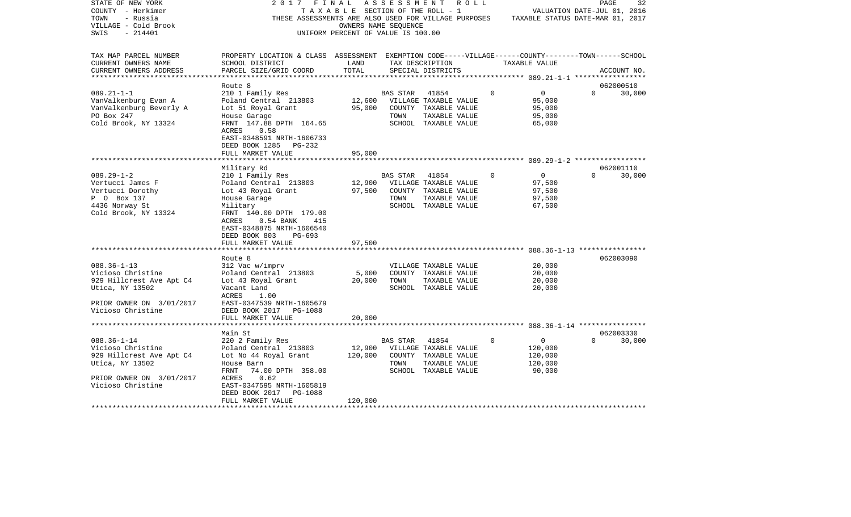| STATE OF NEW YORK<br>COUNTY - Herkimer<br>TOWN<br>- Russia<br>VILLAGE - Cold Brook<br>$-214401$<br>SWIS                                                                                                                                                     | 2017                                                                                                                                                                                                                                                                                                                                                                                                                       | FINAL<br>T A X A B L E SECTION OF THE ROLL - 1<br>OWNERS NAME SEQUENCE<br>UNIFORM PERCENT OF VALUE IS 100.00 | A S S E S S M E N T             | R O L L<br>THESE ASSESSMENTS ARE ALSO USED FOR VILLAGE PURPOSES                                                                                                                           |          | TAXABLE STATUS DATE-MAR 01, 2017                                                            | PAGE<br>VALUATION DATE-JUL 01, 2016 | 32                               |
|-------------------------------------------------------------------------------------------------------------------------------------------------------------------------------------------------------------------------------------------------------------|----------------------------------------------------------------------------------------------------------------------------------------------------------------------------------------------------------------------------------------------------------------------------------------------------------------------------------------------------------------------------------------------------------------------------|--------------------------------------------------------------------------------------------------------------|---------------------------------|-------------------------------------------------------------------------------------------------------------------------------------------------------------------------------------------|----------|---------------------------------------------------------------------------------------------|-------------------------------------|----------------------------------|
| TAX MAP PARCEL NUMBER<br>CURRENT OWNERS NAME<br>CURRENT OWNERS ADDRESS                                                                                                                                                                                      | PROPERTY LOCATION & CLASS ASSESSMENT EXEMPTION CODE-----VILLAGE------COUNTY-------TOWN------SCHOOL<br>SCHOOL DISTRICT<br>PARCEL SIZE/GRID COORD                                                                                                                                                                                                                                                                            | LAND<br>TOTAL                                                                                                |                                 | TAX DESCRIPTION<br>SPECIAL DISTRICTS                                                                                                                                                      |          | TAXABLE VALUE                                                                               |                                     | ACCOUNT NO.                      |
| ***********************                                                                                                                                                                                                                                     |                                                                                                                                                                                                                                                                                                                                                                                                                            |                                                                                                              |                                 |                                                                                                                                                                                           |          |                                                                                             |                                     |                                  |
| $089.21 - 1 - 1$<br>VanValkenburg Evan A<br>VanValkenburg Beverly A<br>PO Box 247<br>Cold Brook, NY 13324                                                                                                                                                   | Route 8<br>210 1 Family Res<br>Poland Central 213803<br>Lot 51 Royal Grant<br>House Garage<br>FRNT 147.88 DPTH 164.65                                                                                                                                                                                                                                                                                                      | 12,600<br>95,000                                                                                             | <b>BAS STAR</b><br>TOWN         | 41854<br>VILLAGE TAXABLE VALUE<br>COUNTY TAXABLE VALUE<br>TAXABLE VALUE<br>SCHOOL TAXABLE VALUE                                                                                           | $\Omega$ | $\overline{0}$<br>95,000<br>95,000<br>95,000<br>65,000                                      | $\Omega$                            | 062000510<br>30,000              |
|                                                                                                                                                                                                                                                             | ACRES<br>0.58<br>EAST-0348591 NRTH-1606733<br>DEED BOOK 1285<br>PG-232<br>FULL MARKET VALUE                                                                                                                                                                                                                                                                                                                                | 95,000                                                                                                       |                                 |                                                                                                                                                                                           |          |                                                                                             |                                     |                                  |
|                                                                                                                                                                                                                                                             |                                                                                                                                                                                                                                                                                                                                                                                                                            |                                                                                                              |                                 |                                                                                                                                                                                           |          |                                                                                             |                                     |                                  |
| $089.29 - 1 - 2$<br>Vertucci James F<br>Vertucci Dorothy<br>P 0 Box 137<br>4436 Norway St<br>Cold Brook, NY 13324<br>$088.36 - 1 - 13$<br>Vicioso Christine<br>929 Hillcrest Ave Apt C4<br>Utica, NY 13502<br>PRIOR OWNER ON 3/01/2017<br>Vicioso Christine | Military Rd<br>210 1 Family Res<br>Poland Central 213803<br>Lot 43 Royal Grant<br>House Garage<br>Military<br>FRNT 140.00 DPTH 179.00<br>ACRES<br>$0.54$ BANK<br>415<br>EAST-0348875 NRTH-1606540<br>DEED BOOK 803<br>$PG-693$<br>FULL MARKET VALUE<br>Route 8<br>312 Vac w/imprv<br>Poland Central 213803<br>Lot 43 Royal Grant<br>Vacant Land<br>ACRES<br>1.00<br>EAST-0347539 NRTH-1605679<br>DEED BOOK 2017<br>PG-1088 | 12,900<br>97,500<br>97,500<br>5,000<br>20,000                                                                | <b>BAS STAR</b><br>TOWN<br>TOWN | 41854<br>VILLAGE TAXABLE VALUE<br>COUNTY TAXABLE VALUE<br>TAXABLE VALUE<br>SCHOOL TAXABLE VALUE<br>VILLAGE TAXABLE VALUE<br>COUNTY TAXABLE VALUE<br>TAXABLE VALUE<br>SCHOOL TAXABLE VALUE | $\Omega$ | $\mathbf 0$<br>97,500<br>97,500<br>97,500<br>67,500<br>20,000<br>20,000<br>20,000<br>20,000 | $\Omega$                            | 062001110<br>30,000<br>062003090 |
|                                                                                                                                                                                                                                                             | FULL MARKET VALUE                                                                                                                                                                                                                                                                                                                                                                                                          | 20,000                                                                                                       |                                 |                                                                                                                                                                                           |          |                                                                                             |                                     |                                  |
| ***********************                                                                                                                                                                                                                                     | ********************                                                                                                                                                                                                                                                                                                                                                                                                       |                                                                                                              |                                 |                                                                                                                                                                                           |          |                                                                                             |                                     |                                  |
| $088.36 - 1 - 14$<br>Vicioso Christine<br>929 Hillcrest Ave Apt C4<br>Utica, NY 13502<br>PRIOR OWNER ON 3/01/2017<br>Vicioso Christine                                                                                                                      | Main St<br>220 2 Family Res<br>Poland Central 213803<br>Lot No 44 Royal Grant<br>House Barn<br>FRNT<br>74.00 DPTH 358.00<br>ACRES<br>0.62<br>EAST-0347595 NRTH-1605819<br>DEED BOOK 2017<br>PG-1088                                                                                                                                                                                                                        | 12,900<br>120,000                                                                                            | BAS STAR<br>TOWN                | 41854<br>VILLAGE TAXABLE VALUE<br>COUNTY TAXABLE VALUE<br>TAXABLE VALUE<br>SCHOOL TAXABLE VALUE                                                                                           | 0        | $\mathbf 0$<br>120,000<br>120,000<br>120,000<br>90,000                                      | $\Omega$                            | 062003330<br>30,000              |
| *******************                                                                                                                                                                                                                                         | FULL MARKET VALUE                                                                                                                                                                                                                                                                                                                                                                                                          | 120,000                                                                                                      |                                 |                                                                                                                                                                                           |          |                                                                                             |                                     |                                  |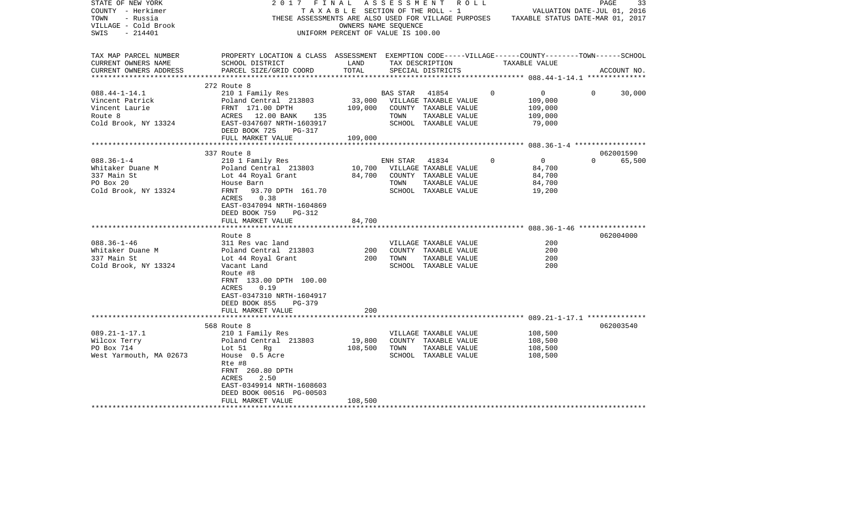| STATE OF NEW YORK<br>COUNTY - Herkimer<br>TOWN<br>- Russia<br>VILLAGE - Cold Brook<br>SWIS<br>- 214401 | 2017 FINAL                                                                                                                                                                          | T A X A B L E SECTION OF THE ROLL - 1<br>OWNERS NAME SEQUENCE<br>UNIFORM PERCENT OF VALUE IS 100.00 | A S S E S S M E N T    |                                                                                                 | R O L L     | VALUATION DATE-JUL 01, 2016<br>THESE ASSESSMENTS ARE ALSO USED FOR VILLAGE PURPOSES TAXABLE STATUS DATE-MAR 01, 2017 | PAGE     | 33          |
|--------------------------------------------------------------------------------------------------------|-------------------------------------------------------------------------------------------------------------------------------------------------------------------------------------|-----------------------------------------------------------------------------------------------------|------------------------|-------------------------------------------------------------------------------------------------|-------------|----------------------------------------------------------------------------------------------------------------------|----------|-------------|
| TAX MAP PARCEL NUMBER<br>CURRENT OWNERS NAME<br>CURRENT OWNERS ADDRESS                                 | PROPERTY LOCATION & CLASS ASSESSMENT EXEMPTION CODE-----VILLAGE------COUNTY-------TOWN------SCHOOL<br>SCHOOL DISTRICT<br>PARCEL SIZE/GRID COORD                                     | LAND<br>TOTAL                                                                                       |                        | TAX DESCRIPTION<br>SPECIAL DISTRICTS                                                            |             | TAXABLE VALUE                                                                                                        |          | ACCOUNT NO. |
|                                                                                                        | 272 Route 8                                                                                                                                                                         |                                                                                                     |                        |                                                                                                 |             |                                                                                                                      |          |             |
| $088.44 - 1 - 14.1$<br>Vincent Patrick<br>Vincent Laurie<br>Route 8<br>Cold Brook, NY 13324            | 210 1 Family Res<br>Poland Central 213803<br>FRNT 171.00 DPTH<br>135<br>ACRES 12.00 BANK<br>EAST-0347607 NRTH-1603917                                                               | 33,000<br>109,000                                                                                   | BAS STAR 41854<br>TOWN | VILLAGE TAXABLE VALUE<br>COUNTY TAXABLE VALUE<br>TAXABLE VALUE<br>SCHOOL TAXABLE VALUE          | $\Omega$    | $\overline{0}$<br>109,000<br>109,000<br>109,000<br>79,000                                                            | $\Omega$ | 30,000      |
|                                                                                                        | DEED BOOK 725<br>PG-317                                                                                                                                                             |                                                                                                     |                        |                                                                                                 |             |                                                                                                                      |          |             |
|                                                                                                        | FULL MARKET VALUE                                                                                                                                                                   | 109,000                                                                                             |                        |                                                                                                 |             |                                                                                                                      |          |             |
|                                                                                                        | 337 Route 8                                                                                                                                                                         |                                                                                                     |                        |                                                                                                 |             |                                                                                                                      |          | 062001590   |
| $088.36 - 1 - 4$<br>Whitaker Duane M<br>337 Main St<br>PO Box 20<br>Cold Brook, NY 13324               | 210 1 Family Res<br>Poland Central 213803<br>Lot 44 Royal Grant<br>House Barn<br>FRNT<br>93.70 DPTH 161.70<br>ACRES<br>0.38<br>EAST-0347094 NRTH-1604869<br>DEED BOOK 759<br>PG-312 | 10,700<br>84,700                                                                                    | ENH STAR<br>TOWN       | 41834<br>VILLAGE TAXABLE VALUE<br>COUNTY TAXABLE VALUE<br>TAXABLE VALUE<br>SCHOOL TAXABLE VALUE | $\mathbf 0$ | $\overline{0}$<br>84,700<br>84,700<br>84,700<br>19,200                                                               | $\Omega$ | 65,500      |
|                                                                                                        | FULL MARKET VALUE                                                                                                                                                                   | 84,700                                                                                              |                        |                                                                                                 |             |                                                                                                                      |          |             |
|                                                                                                        |                                                                                                                                                                                     |                                                                                                     |                        |                                                                                                 |             |                                                                                                                      |          |             |
| $088.36 - 1 - 46$<br>Whitaker Duane M<br>337 Main St<br>Cold Brook, NY 13324                           | Route 8<br>311 Res vac land<br>Poland Central 213803<br>Lot 44 Royal Grant<br>Vacant Land<br>Route #8<br>FRNT 133.00 DPTH 100.00<br>ACRES<br>0.19<br>EAST-0347310 NRTH-1604917      | 200<br>200                                                                                          | TOWN                   | VILLAGE TAXABLE VALUE<br>COUNTY TAXABLE VALUE<br>TAXABLE VALUE<br>SCHOOL TAXABLE VALUE          |             | 200<br>200<br>200<br>200                                                                                             |          | 062004000   |
|                                                                                                        | DEED BOOK 855<br>PG-379<br>FULL MARKET VALUE                                                                                                                                        | 200                                                                                                 |                        |                                                                                                 |             |                                                                                                                      |          |             |
|                                                                                                        | 568 Route 8                                                                                                                                                                         |                                                                                                     |                        |                                                                                                 |             |                                                                                                                      |          | 062003540   |
| $089.21 - 1 - 17.1$<br>Wilcox Terry<br>PO Box 714<br>West Yarmouth, MA 02673                           | 210 1 Family Res<br>Poland Central 213803<br>Lot 51<br>Rg<br>House 0.5 Acre<br>Rte #8<br>FRNT 260.80 DPTH<br>ACRES<br>2.50<br>EAST-0349914 NRTH-1608603<br>DEED BOOK 00516 PG-00503 | 19,800<br>108,500                                                                                   | TOWN                   | VILLAGE TAXABLE VALUE<br>COUNTY TAXABLE VALUE<br>TAXABLE VALUE<br>SCHOOL TAXABLE VALUE          |             | 108,500<br>108,500<br>108,500<br>108,500                                                                             |          |             |
|                                                                                                        | FULL MARKET VALUE                                                                                                                                                                   | 108,500                                                                                             |                        |                                                                                                 |             |                                                                                                                      |          |             |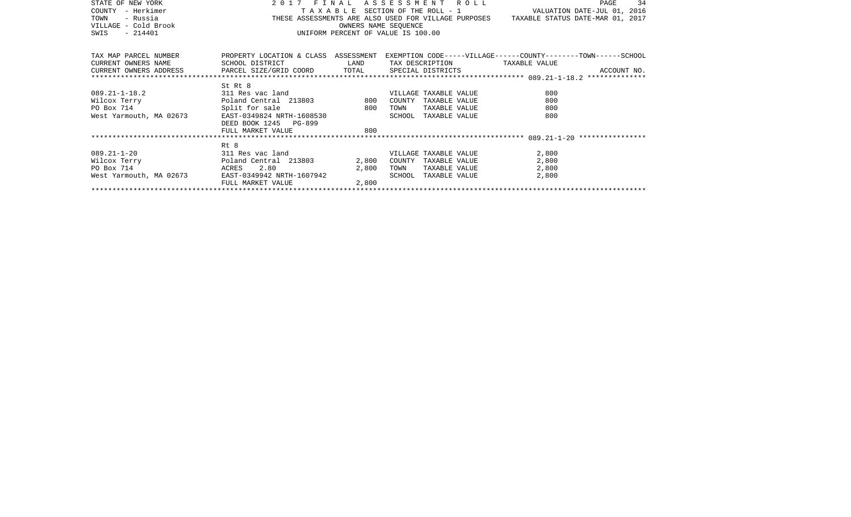| STATE OF NEW YORK                        | 2 0 1 7                                                                                                                                                                                      |       |      | FINAL ASSESSMENT ROLL | 34<br>PAGE                                                                                                                                                                                                                                                                                                                                                                                                                                                                                                             |  |  |  |
|------------------------------------------|----------------------------------------------------------------------------------------------------------------------------------------------------------------------------------------------|-------|------|-----------------------|------------------------------------------------------------------------------------------------------------------------------------------------------------------------------------------------------------------------------------------------------------------------------------------------------------------------------------------------------------------------------------------------------------------------------------------------------------------------------------------------------------------------|--|--|--|
| COUNTY - Herkimer                        |                                                                                                                                                                                              |       |      |                       |                                                                                                                                                                                                                                                                                                                                                                                                                                                                                                                        |  |  |  |
| - Russia<br>TOWN                         |                                                                                                                                                                                              |       |      |                       |                                                                                                                                                                                                                                                                                                                                                                                                                                                                                                                        |  |  |  |
| VILLAGE - Cold Brook                     | T A X A B L E SECTION OF THE ROLL - 1<br>THESE ASSESSMENTS ARE ALSO USED FOR VILLAGE PURPOSES TAXABLE STATUS DATE-JUL 01, 2016<br>OWNERS NAME SEQUENCE<br>UNIFORM PERCENT OF VALUE IS 100.00 |       |      |                       |                                                                                                                                                                                                                                                                                                                                                                                                                                                                                                                        |  |  |  |
| $-214401$<br>SWIS                        |                                                                                                                                                                                              |       |      |                       |                                                                                                                                                                                                                                                                                                                                                                                                                                                                                                                        |  |  |  |
|                                          |                                                                                                                                                                                              |       |      |                       |                                                                                                                                                                                                                                                                                                                                                                                                                                                                                                                        |  |  |  |
| TAX MAP PARCEL NUMBER                    |                                                                                                                                                                                              |       |      |                       | PROPERTY LOCATION & CLASS ASSESSMENT EXEMPTION CODE-----VILLAGE------COUNTY-------TOWN------SCHOOL                                                                                                                                                                                                                                                                                                                                                                                                                     |  |  |  |
| CURRENT OWNERS NAME                      | SCHOOL DISTRICT LAND                                                                                                                                                                         |       |      |                       | TAX DESCRIPTION TAXABLE VALUE                                                                                                                                                                                                                                                                                                                                                                                                                                                                                          |  |  |  |
|                                          |                                                                                                                                                                                              |       |      |                       |                                                                                                                                                                                                                                                                                                                                                                                                                                                                                                                        |  |  |  |
|                                          |                                                                                                                                                                                              |       |      |                       | $\begin{minipage}{.45\textwidth} \begin{minipage}{.45\textwidth} \begin{minipage}{.45\textwidth} \begin{minipage}{.45\textwidth} \begin{minipage}{.45\textwidth} \begin{minipage}{.45\textwidth} \begin{minipage}{.45\textwidth} \begin{minipage}{.45\textwidth} \begin{minipage}{.45\textwidth} \begin{minipage}{.45\textwidth} \begin{minipage}{.45\textwidth} \begin{minipage}{.45\textwidth} \begin{minipage}{.45\textwidth} \begin{minipage}{.45\textwidth} \begin{minipage}{.45\textwidth} \begin{minipage}{.45$ |  |  |  |
|                                          | St Rt 8                                                                                                                                                                                      |       |      |                       |                                                                                                                                                                                                                                                                                                                                                                                                                                                                                                                        |  |  |  |
|                                          |                                                                                                                                                                                              |       |      | VILLAGE TAXABLE VALUE | 800                                                                                                                                                                                                                                                                                                                                                                                                                                                                                                                    |  |  |  |
|                                          |                                                                                                                                                                                              |       |      | COUNTY TAXABLE VALUE  | 800                                                                                                                                                                                                                                                                                                                                                                                                                                                                                                                    |  |  |  |
|                                          |                                                                                                                                                                                              |       | TOWN | TAXABLE VALUE         | 800                                                                                                                                                                                                                                                                                                                                                                                                                                                                                                                    |  |  |  |
|                                          |                                                                                                                                                                                              |       |      | SCHOOL TAXABLE VALUE  | 800                                                                                                                                                                                                                                                                                                                                                                                                                                                                                                                    |  |  |  |
|                                          | DEED BOOK 1245 PG-899                                                                                                                                                                        |       |      |                       |                                                                                                                                                                                                                                                                                                                                                                                                                                                                                                                        |  |  |  |
|                                          | FULL MARKET VALUE                                                                                                                                                                            | 800   |      |                       |                                                                                                                                                                                                                                                                                                                                                                                                                                                                                                                        |  |  |  |
|                                          |                                                                                                                                                                                              |       |      |                       |                                                                                                                                                                                                                                                                                                                                                                                                                                                                                                                        |  |  |  |
|                                          | Rt 8                                                                                                                                                                                         |       |      |                       |                                                                                                                                                                                                                                                                                                                                                                                                                                                                                                                        |  |  |  |
| 089.21-1-20 311 Res vac land             |                                                                                                                                                                                              |       |      | VILLAGE TAXABLE VALUE | 2,800                                                                                                                                                                                                                                                                                                                                                                                                                                                                                                                  |  |  |  |
| Wilcox Terry <b>Example 213803</b> 2,800 |                                                                                                                                                                                              |       |      | COUNTY TAXABLE VALUE  | 2,800                                                                                                                                                                                                                                                                                                                                                                                                                                                                                                                  |  |  |  |
| PO Box 714                               |                                                                                                                                                                                              |       | TOWN | TAXABLE VALUE         | 2,800                                                                                                                                                                                                                                                                                                                                                                                                                                                                                                                  |  |  |  |
| West Yarmouth, MA 02673                  |                                                                                                                                                                                              |       |      | SCHOOL TAXABLE VALUE  | 2,800                                                                                                                                                                                                                                                                                                                                                                                                                                                                                                                  |  |  |  |
|                                          | FULL MARKET VALUE                                                                                                                                                                            | 2,800 |      |                       |                                                                                                                                                                                                                                                                                                                                                                                                                                                                                                                        |  |  |  |
|                                          |                                                                                                                                                                                              |       |      |                       |                                                                                                                                                                                                                                                                                                                                                                                                                                                                                                                        |  |  |  |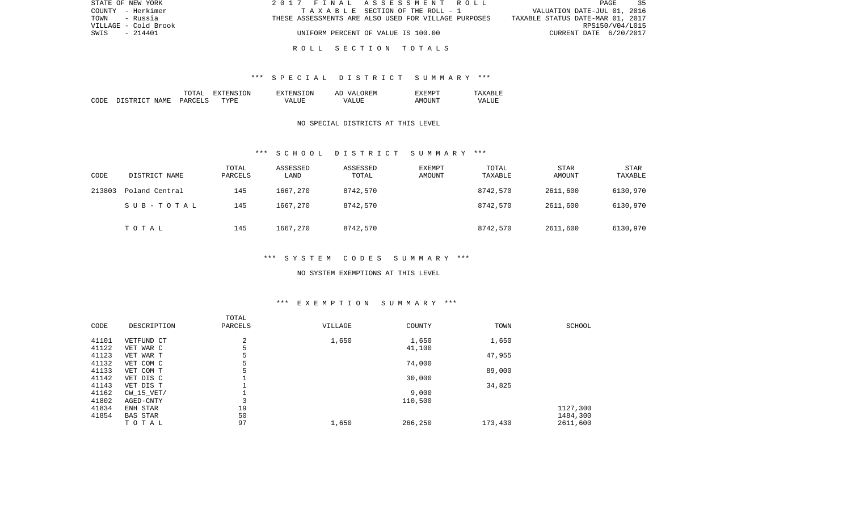| STATE OF NEW YORK    | 2017 FINAL ASSESSMENT ROLL                           | $-35$<br>PAGE                    |
|----------------------|------------------------------------------------------|----------------------------------|
| COUNTY - Herkimer    | TAXABLE SECTION OF THE ROLL - 1                      | VALUATION DATE-JUL 01, 2016      |
| TOWN<br>- Russia     | THESE ASSESSMENTS ARE ALSO USED FOR VILLAGE PURPOSES | TAXABLE STATUS DATE-MAR 01, 2017 |
| VILLAGE - Cold Brook |                                                      | RPS150/V04/L015                  |
| $-214401$<br>SWIS    | UNIFORM PERCENT OF VALUE IS 100.00                   | CURRENT DATE 6/20/2017           |
|                      |                                                      |                                  |

### R O L L S E C T I O N T O T A L S

### \*\*\* S P E C I A L D I S T R I C T S U M M A R Y \*\*\*

|      |                   | ͲႶͲϪͳ                           | ON<br>$\tau$<br>. А | TON<br>$\neg$ v $\neg$ FNS $\neg$ | OREM<br>77 D<br>AΓ   | "XEMPT |                  |
|------|-------------------|---------------------------------|---------------------|-----------------------------------|----------------------|--------|------------------|
| CODE | ገ ደጥ በጣጥ<br>NAME. | <b>PARCELS</b><br>$\sim$ $\sim$ | TYPF.               | $- - - -$<br>VД                   | $- - - -$<br>۲Z<br>. | AMOUNT | VALU.<br>_______ |

### NO SPECIAL DISTRICTS AT THIS LEVEL

#### \*\*\* S C H O O L D I S T R I C T S U M M A R Y \*\*\*

| CODE   | DISTRICT NAME  | TOTAL<br>PARCELS | ASSESSED<br>LAND | ASSESSED<br>TOTAL | EXEMPT<br>AMOUNT | TOTAL<br>TAXABLE | <b>STAR</b><br>AMOUNT | <b>STAR</b><br>TAXABLE |
|--------|----------------|------------------|------------------|-------------------|------------------|------------------|-----------------------|------------------------|
| 213803 | Poland Central | 145              | 1667,270         | 8742,570          |                  | 8742,570         | 2611,600              | 6130,970               |
|        | SUB-TOTAL      | 145              | 1667,270         | 8742,570          |                  | 8742,570         | 2611,600              | 6130,970               |
|        | TOTAL          | 145              | 1667,270         | 8742,570          |                  | 8742,570         | 2611,600              | 6130,970               |

## \*\*\* S Y S T E M C O D E S S U M M A R Y \*\*\*

#### NO SYSTEM EXEMPTIONS AT THIS LEVEL

# \*\*\* E X E M P T I O N S U M M A R Y \*\*\*

| CODE  | DESCRIPTION  | TOTAL<br>PARCELS | VILLAGE | COUNTY  | TOWN    | SCHOOL   |
|-------|--------------|------------------|---------|---------|---------|----------|
| 41101 | VETFUND CT   | 2                | 1,650   | 1,650   | 1,650   |          |
| 41122 | VET WAR C    | 5                |         | 41,100  |         |          |
| 41123 | VET WAR T    | 5                |         |         | 47,955  |          |
| 41132 | VET COM C    | 5                |         | 74,000  |         |          |
| 41133 | VET COM T    | 5                |         |         | 89,000  |          |
| 41142 | VET DIS C    |                  |         | 30,000  |         |          |
| 41143 | VET DIS T    |                  |         |         | 34,825  |          |
| 41162 | $CW_15_VET/$ |                  |         | 9,000   |         |          |
| 41802 | AGED-CNTY    | 3                |         | 110,500 |         |          |
| 41834 | ENH STAR     | 19               |         |         |         | 1127,300 |
| 41854 | BAS STAR     | 50               |         |         |         | 1484,300 |
|       | TOTAL        | 97               | 1,650   | 266,250 | 173,430 | 2611,600 |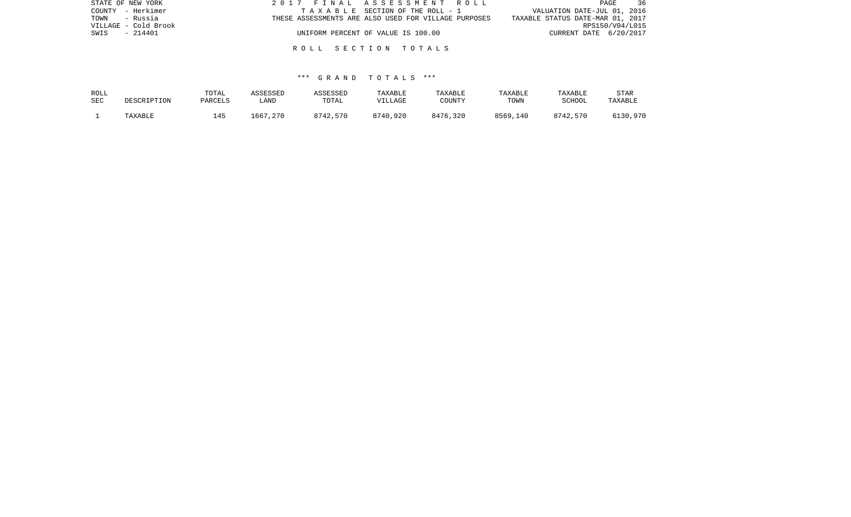| STATE OF NEW YORK    | 2017 FINAL ASSESSMENT ROLL                           | - 36<br>PAGE                     |
|----------------------|------------------------------------------------------|----------------------------------|
| COUNTY - Herkimer    | TAXABLE SECTION OF THE ROLL - 1                      | VALUATION DATE-JUL 01, 2016      |
| - Russia<br>TOWN     | THESE ASSESSMENTS ARE ALSO USED FOR VILLAGE PURPOSES | TAXABLE STATUS DATE-MAR 01, 2017 |
| VILLAGE - Cold Brook |                                                      | RPS150/V04/L015                  |
| $-214401$<br>SWIS    | UNIFORM PERCENT OF VALUE IS 100.00                   | CURRENT DATE 6/20/2017           |
|                      |                                                      |                                  |

| ROLL       | DESCRIPTION | TOTAL   | ASSESSED | ASSESSED | TAXABLE  | TAXABLE  | TAXABLE  | TAXABLE       | STAR     |
|------------|-------------|---------|----------|----------|----------|----------|----------|---------------|----------|
| <b>SEC</b> |             | PARCELS | LAND     | TOTAL    | VILLAGE  | COUNTY   | TOWN     | <b>SCHOOL</b> | TAXABLE  |
|            | TAXABLE     | 145     | 1667,270 | 8742,570 | 8740,920 | 8476,320 | 8569,140 | 8742,570      | 6130,970 |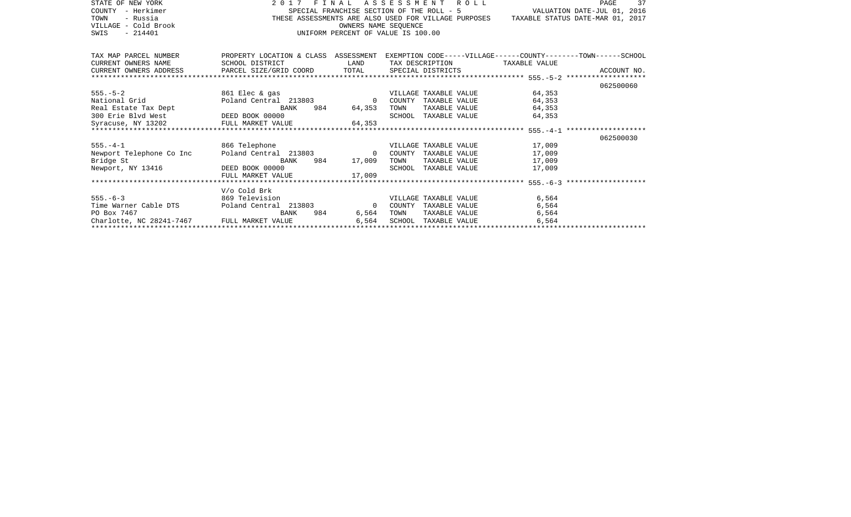| STATE OF NEW YORK<br>- Herkimer<br>COUNTY<br>- Russia<br>TOWN                                                                                                                                                                                                                                                                                                                                                                                                                                                          |                                                                                                    |                                    |      | 2017 FINAL ASSESSMENT ROLL    | SPECIAL FRANCHISE SECTION OF THE ROLL $-$ 5 $\,$ VALUATION DATE–JUL 01, 2016 THESE ASSESSMENTS ARE ALSO USED FOR VILLAGE PURPOSES TAXABLE STATUS DATE–MAR 01, 2017 | PAGE<br>37 |
|------------------------------------------------------------------------------------------------------------------------------------------------------------------------------------------------------------------------------------------------------------------------------------------------------------------------------------------------------------------------------------------------------------------------------------------------------------------------------------------------------------------------|----------------------------------------------------------------------------------------------------|------------------------------------|------|-------------------------------|--------------------------------------------------------------------------------------------------------------------------------------------------------------------|------------|
| VILLAGE - Cold Brook                                                                                                                                                                                                                                                                                                                                                                                                                                                                                                   |                                                                                                    | OWNERS NAME SEOUENCE               |      |                               |                                                                                                                                                                    |            |
| SWIS - 214401                                                                                                                                                                                                                                                                                                                                                                                                                                                                                                          |                                                                                                    | UNIFORM PERCENT OF VALUE IS 100.00 |      |                               |                                                                                                                                                                    |            |
|                                                                                                                                                                                                                                                                                                                                                                                                                                                                                                                        |                                                                                                    |                                    |      |                               |                                                                                                                                                                    |            |
| TAX MAP PARCEL NUMBER                                                                                                                                                                                                                                                                                                                                                                                                                                                                                                  | PROPERTY LOCATION & CLASS ASSESSMENT EXEMPTION CODE-----VILLAGE------COUNTY-------TOWN------SCHOOL |                                    |      |                               |                                                                                                                                                                    |            |
| CURRENT OWNERS NAME                                                                                                                                                                                                                                                                                                                                                                                                                                                                                                    | SCHOOL DISTRICT                                                                                    | <b>LAND</b>                        |      | TAX DESCRIPTION TAXABLE VALUE |                                                                                                                                                                    |            |
| $\begin{minipage}{.45\textwidth} \begin{minipage}{.45\textwidth} \begin{minipage}{.45\textwidth} \begin{minipage}{.45\textwidth} \begin{minipage}{.45\textwidth} \begin{minipage}{.45\textwidth} \begin{minipage}{.45\textwidth} \begin{minipage}{.45\textwidth} \begin{minipage}{.45\textwidth} \begin{minipage}{.45\textwidth} \begin{minipage}{.45\textwidth} \begin{minipage}{.45\textwidth} \begin{minipage}{.45\textwidth} \begin{minipage}{.45\textwidth} \begin{minipage}{.45\textwidth} \begin{minipage}{.45$ |                                                                                                    |                                    |      |                               |                                                                                                                                                                    |            |
|                                                                                                                                                                                                                                                                                                                                                                                                                                                                                                                        |                                                                                                    |                                    |      |                               |                                                                                                                                                                    |            |
|                                                                                                                                                                                                                                                                                                                                                                                                                                                                                                                        |                                                                                                    |                                    |      |                               |                                                                                                                                                                    | 062500060  |
| 985.-5-2<br>Mational Grid<br>Poland Central 213803<br>Real Estate Tax Dept<br>BANK 984 64,353<br>PEED BOOK 00000<br>BANK 984 64,353<br>SCHOOL TAXABLE VALUE 64,353<br>SCHOOL TAXABLE VALUE 64,353<br>SCHOOL TAXABLE VALUE 64,353<br>SCHOOL TAXABLE                                                                                                                                                                                                                                                                     |                                                                                                    |                                    |      | VILLAGE TAXABLE VALUE 64,353  |                                                                                                                                                                    |            |
|                                                                                                                                                                                                                                                                                                                                                                                                                                                                                                                        |                                                                                                    |                                    |      |                               |                                                                                                                                                                    |            |
|                                                                                                                                                                                                                                                                                                                                                                                                                                                                                                                        |                                                                                                    |                                    |      |                               |                                                                                                                                                                    |            |
|                                                                                                                                                                                                                                                                                                                                                                                                                                                                                                                        |                                                                                                    |                                    |      |                               |                                                                                                                                                                    |            |
|                                                                                                                                                                                                                                                                                                                                                                                                                                                                                                                        |                                                                                                    |                                    |      |                               |                                                                                                                                                                    |            |
|                                                                                                                                                                                                                                                                                                                                                                                                                                                                                                                        |                                                                                                    |                                    |      |                               |                                                                                                                                                                    |            |
|                                                                                                                                                                                                                                                                                                                                                                                                                                                                                                                        |                                                                                                    |                                    |      |                               |                                                                                                                                                                    | 062500030  |
|                                                                                                                                                                                                                                                                                                                                                                                                                                                                                                                        |                                                                                                    |                                    |      |                               |                                                                                                                                                                    |            |
|                                                                                                                                                                                                                                                                                                                                                                                                                                                                                                                        |                                                                                                    |                                    |      |                               |                                                                                                                                                                    |            |
| BA<br>Bridge St<br>Newport, NY 13416 DEED BOOK 00000                                                                                                                                                                                                                                                                                                                                                                                                                                                                   | BANK                                                                                               | 984 17,009                         | TOWN | TAXABLE VALUE 17,009          |                                                                                                                                                                    |            |
|                                                                                                                                                                                                                                                                                                                                                                                                                                                                                                                        |                                                                                                    |                                    |      | SCHOOL TAXABLE VALUE 17,009   |                                                                                                                                                                    |            |
|                                                                                                                                                                                                                                                                                                                                                                                                                                                                                                                        | FULL MARKET VALUE                                                                                  | 17,009                             |      |                               |                                                                                                                                                                    |            |
|                                                                                                                                                                                                                                                                                                                                                                                                                                                                                                                        | V/o Cold Brk                                                                                       |                                    |      |                               |                                                                                                                                                                    |            |
|                                                                                                                                                                                                                                                                                                                                                                                                                                                                                                                        |                                                                                                    |                                    |      |                               | 6,564                                                                                                                                                              |            |
|                                                                                                                                                                                                                                                                                                                                                                                                                                                                                                                        |                                                                                                    |                                    |      |                               | 6,564                                                                                                                                                              |            |
| PO Box 7467                                                                                                                                                                                                                                                                                                                                                                                                                                                                                                            | BANK                                                                                               | 984 6,564                          | TOWN | TAXABLE VALUE                 | 6,564                                                                                                                                                              |            |
| Charlotte, NC 28241-7467 FULL MARKET VALUE                                                                                                                                                                                                                                                                                                                                                                                                                                                                             |                                                                                                    |                                    |      |                               |                                                                                                                                                                    |            |
|                                                                                                                                                                                                                                                                                                                                                                                                                                                                                                                        |                                                                                                    |                                    |      |                               |                                                                                                                                                                    |            |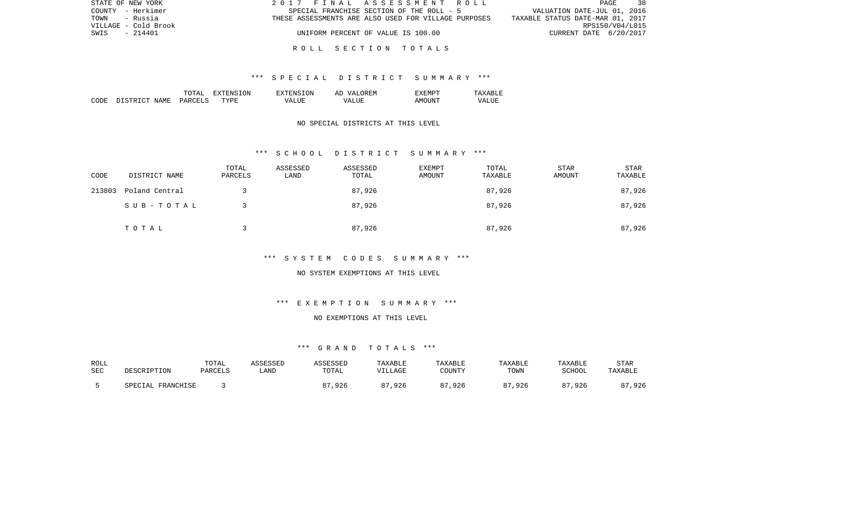| STATE OF NEW YORK    | 2017 FINAL ASSESSMENT ROLL                           | 38<br>PAGE                       |
|----------------------|------------------------------------------------------|----------------------------------|
| COUNTY - Herkimer    | SPECIAL FRANCHISE SECTION OF THE ROLL - 5            | VALUATION DATE-JUL 01, 2016      |
| TOWN<br>- Russia     | THESE ASSESSMENTS ARE ALSO USED FOR VILLAGE PURPOSES | TAXABLE STATUS DATE-MAR 01, 2017 |
| VILLAGE - Cold Brook |                                                      | RPS150/V04/L015                  |
| SWIS<br>$-214401$    | UNIFORM PERCENT OF VALUE IS 100.00                   | CURRENT DATE 6/20/2017           |
|                      |                                                      |                                  |

#### \*\*\* S P E C I A L D I S T R I C T S U M M A R Y \*\*\*

|       |                                  | ͲႶͲϪͳ                          | ON.<br>. . | TON.<br>$\neg$ v $\neg$ F.N.s. | <b>777</b><br>`F.N.<br>AΓ | "XFMPT        |                  |
|-------|----------------------------------|--------------------------------|------------|--------------------------------|---------------------------|---------------|------------------|
| CODE: | <b>NAME</b><br>$\sim$<br>־ פרי פ | <b>PARCET</b><br>$\sim$ $\sim$ | TYPF.      | $- - - -$<br>VА                | - ---<br>∖7∆<br>.         | TINT.<br>AMOT | VALU.<br>_______ |

## NO SPECIAL DISTRICTS AT THIS LEVEL

#### \*\*\* S C H O O L D I S T R I C T S U M M A R Y \*\*\*

| CODE   | DISTRICT NAME  | TOTAL<br>PARCELS | ASSESSED<br>LAND | ASSESSED<br>TOTAL | EXEMPT<br>AMOUNT | TOTAL<br>TAXABLE | STAR<br>AMOUNT | <b>STAR</b><br>TAXABLE |
|--------|----------------|------------------|------------------|-------------------|------------------|------------------|----------------|------------------------|
| 213803 | Poland Central |                  |                  | 87,926            |                  | 87,926           |                | 87,926                 |
|        | SUB-TOTAL      |                  |                  | 87,926            |                  | 87,926           |                | 87,926                 |
|        | TOTAL          |                  |                  | 87,926            |                  | 87,926           |                | 87,926                 |

# \*\*\* S Y S T E M C O D E S S U M M A R Y \*\*\*

#### NO SYSTEM EXEMPTIONS AT THIS LEVEL

# \*\*\* E X E M P T I O N S U M M A R Y \*\*\*

## NO EXEMPTIONS AT THIS LEVEL

| ROLL |                      | TOTAL   | ASSESSED | ASSESSED | <b>TAXABLE</b> | TAXABLE    | TAXABLE                | TAXABLE | STAR    |
|------|----------------------|---------|----------|----------|----------------|------------|------------------------|---------|---------|
| SEC  | DESCRIPTION          | PARCELS | LAND     | TOTAL    | VILLAGE        | COUNTY     | TOWN                   | SCHOOL  | TAXABLE |
|      | FRANCHISE<br>SPECIAL |         |          | ,926     | ,926<br>07     | 87<br>,926 | 0 <sub>7</sub><br>,926 | ,926    | ,926    |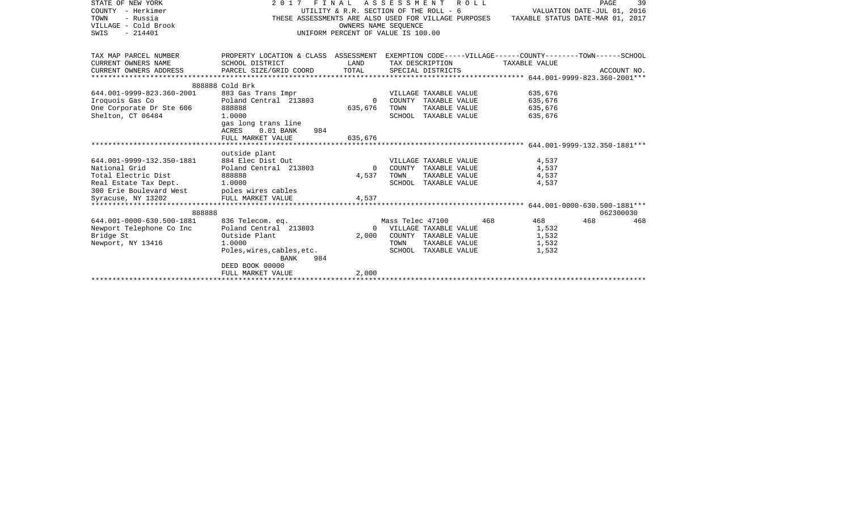| STATE OF NEW YORK         | 2017 FINAL ASSESSMENT ROLL                                                                         |                                        |                  |                       |     |                                  | PAGE                        | 39          |
|---------------------------|----------------------------------------------------------------------------------------------------|----------------------------------------|------------------|-----------------------|-----|----------------------------------|-----------------------------|-------------|
| COUNTY - Herkimer         |                                                                                                    | UTILITY & R.R. SECTION OF THE ROLL - 6 |                  |                       |     |                                  | VALUATION DATE-JUL 01, 2016 |             |
| TOWN<br>- Russia          | THESE ASSESSMENTS ARE ALSO USED FOR VILLAGE PURPOSES                                               |                                        |                  |                       |     | TAXABLE STATUS DATE-MAR 01, 2017 |                             |             |
| VILLAGE - Cold Brook      |                                                                                                    | OWNERS NAME SEOUENCE                   |                  |                       |     |                                  |                             |             |
| $-214401$<br>SWIS         |                                                                                                    | UNIFORM PERCENT OF VALUE IS 100.00     |                  |                       |     |                                  |                             |             |
|                           |                                                                                                    |                                        |                  |                       |     |                                  |                             |             |
|                           |                                                                                                    |                                        |                  |                       |     |                                  |                             |             |
| TAX MAP PARCEL NUMBER     | PROPERTY LOCATION & CLASS ASSESSMENT EXEMPTION CODE-----VILLAGE------COUNTY-------TOWN------SCHOOL |                                        |                  |                       |     |                                  |                             |             |
| CURRENT OWNERS NAME       | SCHOOL DISTRICT                                                                                    | LAND                                   |                  | TAX DESCRIPTION       |     | TAXABLE VALUE                    |                             |             |
| CURRENT OWNERS ADDRESS    | PARCEL SIZE/GRID COORD                                                                             | TOTAL                                  |                  | SPECIAL DISTRICTS     |     |                                  |                             | ACCOUNT NO. |
|                           |                                                                                                    |                                        |                  |                       |     |                                  |                             |             |
|                           |                                                                                                    |                                        |                  |                       |     |                                  |                             |             |
|                           | 888888 Cold Brk                                                                                    |                                        |                  |                       |     |                                  |                             |             |
| 644.001-9999-823.360-2001 | 883 Gas Trans Impr                                                                                 |                                        |                  | VILLAGE TAXABLE VALUE |     | 635,676                          |                             |             |
| Iroquois Gas Co           | Poland Central 213803                                                                              | $\Omega$                               |                  | COUNTY TAXABLE VALUE  |     | 635,676                          |                             |             |
| One Corporate Dr Ste 606  | 888888                                                                                             | 635,676                                | TOWN             | TAXABLE VALUE         |     | 635,676                          |                             |             |
| Shelton, CT 06484         | 1,0000                                                                                             |                                        |                  | SCHOOL TAXABLE VALUE  |     | 635,676                          |                             |             |
|                           | gas long trans line                                                                                |                                        |                  |                       |     |                                  |                             |             |
|                           | ACRES<br>$0.01$ BANK<br>984                                                                        |                                        |                  |                       |     |                                  |                             |             |
|                           | FULL MARKET VALUE                                                                                  | 635,676                                |                  |                       |     |                                  |                             |             |
|                           |                                                                                                    |                                        |                  |                       |     |                                  |                             |             |
|                           | outside plant                                                                                      |                                        |                  |                       |     |                                  |                             |             |
| 644.001-9999-132.350-1881 | 884 Elec Dist Out                                                                                  |                                        |                  | VILLAGE TAXABLE VALUE |     | 4,537                            |                             |             |
| National Grid             | Poland Central 213803                                                                              | $\Omega$                               |                  | COUNTY TAXABLE VALUE  |     | 4,537                            |                             |             |
| Total Electric Dist       | 888888                                                                                             | 4,537                                  | TOWN             | TAXABLE VALUE         |     | 4,537                            |                             |             |
| Real Estate Tax Dept.     | 1,0000                                                                                             |                                        |                  | SCHOOL TAXABLE VALUE  |     | 4,537                            |                             |             |
| 300 Erie Boulevard West   | poles wires cables                                                                                 |                                        |                  |                       |     |                                  |                             |             |
| Syracuse, NY 13202        | FULL MARKET VALUE                                                                                  | 4,537                                  |                  |                       |     |                                  |                             |             |
|                           |                                                                                                    |                                        |                  |                       |     |                                  |                             |             |
| 888888                    |                                                                                                    |                                        |                  |                       |     |                                  | 062300030                   |             |
| 644.001-0000-630.500-1881 | 836 Telecom. eq.                                                                                   |                                        | Mass Telec 47100 |                       | 468 | 468                              | 468                         | 468         |
| Newport Telephone Co Inc  | Poland Central 213803                                                                              | $\Omega$                               |                  | VILLAGE TAXABLE VALUE |     | 1,532                            |                             |             |
| Bridge St                 | Outside Plant                                                                                      | 2,000                                  |                  | COUNTY TAXABLE VALUE  |     | 1,532                            |                             |             |
| Newport, NY 13416         | 1,0000                                                                                             |                                        | TOWN             | TAXABLE VALUE         |     | 1,532                            |                             |             |
|                           |                                                                                                    |                                        |                  |                       |     |                                  |                             |             |
|                           | Poles, wires, cables, etc.                                                                         |                                        |                  | SCHOOL TAXABLE VALUE  |     | 1,532                            |                             |             |
|                           | 984<br>BANK                                                                                        |                                        |                  |                       |     |                                  |                             |             |
|                           | DEED BOOK 00000                                                                                    |                                        |                  |                       |     |                                  |                             |             |
|                           |                                                                                                    |                                        |                  |                       |     |                                  |                             |             |
|                           | FULL MARKET VALUE                                                                                  | 2,000                                  |                  |                       |     |                                  |                             |             |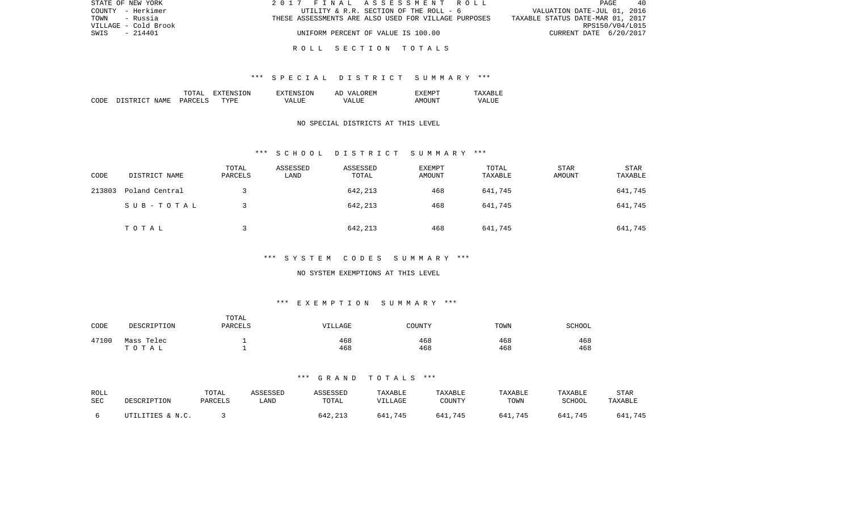| STATE OF NEW YORK    |                                    | 2017 FINAL ASSESSMENT ROLL                           | PAGE<br>40                       |
|----------------------|------------------------------------|------------------------------------------------------|----------------------------------|
| COUNTY - Herkimer    |                                    | UTILITY & R.R. SECTION OF THE ROLL - 6               | VALUATION DATE-JUL 01, 2016      |
| TOWN<br>- Russia     |                                    | THESE ASSESSMENTS ARE ALSO USED FOR VILLAGE PURPOSES | TAXABLE STATUS DATE-MAR 01, 2017 |
| VILLAGE - Cold Brook |                                    |                                                      | RPS150/V04/L015                  |
| $-214401$<br>SWIS    | UNIFORM PERCENT OF VALUE IS 100.00 |                                                      | CURRENT DATE 6/20/2017           |
|                      |                                    |                                                      |                                  |

### \*\*\* S P E C I A L D I S T R I C T S U M M A R Y \*\*\*

|      |                          | TOTAT                           | ON<br>$\tau$<br>. А | TON<br>$\neg$ v $\neg$ FNS $\neg$ | OREM<br>77 D<br>AΓ   | "XEMPT |                  |
|------|--------------------------|---------------------------------|---------------------|-----------------------------------|----------------------|--------|------------------|
| CODE | ገ ገ ደ ግ ዝ ገ ግ ገ<br>NAME. | <b>PARCELS</b><br>$\sim$ $\sim$ | TYPF.               | $- - - -$<br>VД                   | $- - - -$<br>۲Z<br>. | AMOUNT | VALU.<br>_______ |

## NO SPECIAL DISTRICTS AT THIS LEVEL

### \*\*\* S C H O O L D I S T R I C T S U M M A R Y \*\*\*

| CODE   | DISTRICT NAME  | TOTAL<br>PARCELS | ASSESSED<br>LAND | ASSESSED<br>TOTAL | EXEMPT<br>AMOUNT | TOTAL<br>TAXABLE | <b>STAR</b><br>AMOUNT | STAR<br>TAXABLE |
|--------|----------------|------------------|------------------|-------------------|------------------|------------------|-----------------------|-----------------|
| 213803 | Poland Central |                  |                  | 642,213           | 468              | 641,745          |                       | 641,745         |
|        | SUB-TOTAL      |                  |                  | 642,213           | 468              | 641,745          |                       | 641,745         |
|        | TOTAL          |                  |                  | 642,213           | 468              | 641,745          |                       | 641,745         |

# \*\*\* S Y S T E M C O D E S S U M M A R Y \*\*\*

#### NO SYSTEM EXEMPTIONS AT THIS LEVEL

# \*\*\* E X E M P T I O N S U M M A R Y \*\*\*

| CODE  | DESCRIPTION         | TOTAL<br>PARCELS | VILLAGE    | COUNTY     | TOWN       | SCHOOL     |
|-------|---------------------|------------------|------------|------------|------------|------------|
| 47100 | Mass Telec<br>TOTAL |                  | 468<br>468 | 468<br>468 | 468<br>468 | 468<br>468 |

| ROLL | DESCRIPTION      | TOTAL   | ASSESSED | <b>ASSESSED</b> | <b>TAXABLE</b> | TAXABLE | TAXABLE | TAXABLE     | <b>STAR</b> |
|------|------------------|---------|----------|-----------------|----------------|---------|---------|-------------|-------------|
| SEC  |                  | PARCELS | LAND     | TOTAL           | VILLAGE        | COUNTY  | TOWN    | SCHOOL      | TAXABLE     |
|      | UTILITIES & N.C. |         |          | 642,213         | 641,745        | 641,745 | 641,745 | 641.<br>745 | 641,745     |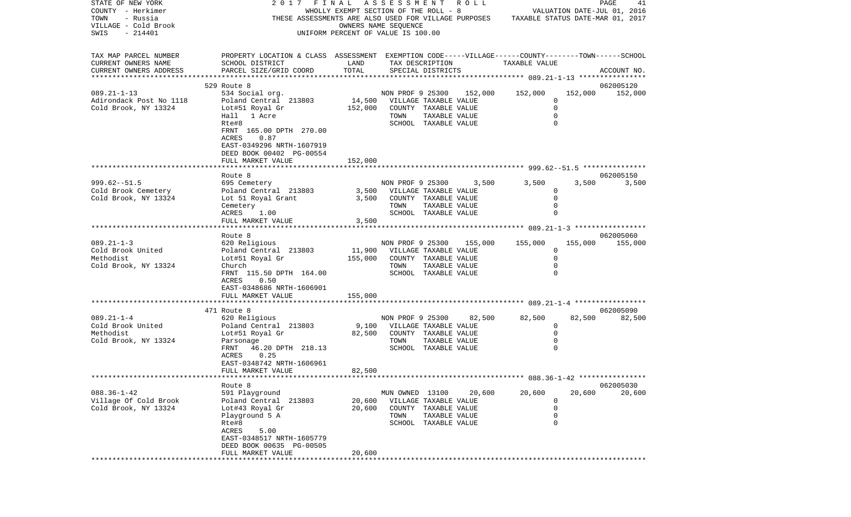| STATE OF NEW YORK<br>COUNTY - Herkimer<br>TOWN<br>- Russia             | 2017 FINAL ASSESSMENT ROLL<br>THESE ASSESSMENTS ARE ALSO USED FOR VILLAGE PURPOSES TAXABLE STATUS DATE-MAR 01, 2017                             | WHOLLY EXEMPT SECTION OF THE ROLL - 8 |                              |                                      |                          |                 |                            | PAGE<br>41<br>VALUATION DATE-JUL 01, 2016 |
|------------------------------------------------------------------------|-------------------------------------------------------------------------------------------------------------------------------------------------|---------------------------------------|------------------------------|--------------------------------------|--------------------------|-----------------|----------------------------|-------------------------------------------|
| VILLAGE - Cold Brook<br>SWIS<br>$-214401$                              |                                                                                                                                                 | UNIFORM PERCENT OF VALUE IS 100.00    | OWNERS NAME SEQUENCE         |                                      |                          |                 |                            |                                           |
| TAX MAP PARCEL NUMBER<br>CURRENT OWNERS NAME<br>CURRENT OWNERS ADDRESS | PROPERTY LOCATION & CLASS ASSESSMENT EXEMPTION CODE-----VILLAGE------COUNTY-------TOWN------SCHOOL<br>SCHOOL DISTRICT<br>PARCEL SIZE/GRID COORD | LAND<br>TOTAL                         |                              | TAX DESCRIPTION<br>SPECIAL DISTRICTS |                          | TAXABLE VALUE   |                            | ACCOUNT NO.                               |
|                                                                        |                                                                                                                                                 |                                       |                              |                                      |                          |                 |                            |                                           |
|                                                                        | 529 Route 8                                                                                                                                     |                                       |                              |                                      |                          |                 |                            | 062005120                                 |
| $089.21 - 1 - 13$                                                      | 534 Social org.                                                                                                                                 |                                       |                              |                                      | NON PROF 9 25300 152,000 | 152,000         | 152,000                    | 152,000                                   |
| Adirondack Post No 1118<br>Cold Brook, NY 13324                        | Poland Central 213803<br>Lot#51 Royal Gr                                                                                                        | 152,000                               | 14,500 VILLAGE TAXABLE VALUE | COUNTY TAXABLE VALUE                 |                          |                 | 0<br>$\mathbf 0$           |                                           |
|                                                                        | Hall 1 Acre                                                                                                                                     |                                       | TOWN                         | TAXABLE VALUE                        |                          |                 | $\mathbf 0$                |                                           |
|                                                                        | Rte#8                                                                                                                                           |                                       |                              | SCHOOL TAXABLE VALUE                 |                          |                 | $\Omega$                   |                                           |
|                                                                        | FRNT 165.00 DPTH 270.00<br>ACRES<br>0.87                                                                                                        |                                       |                              |                                      |                          |                 |                            |                                           |
|                                                                        | EAST-0349296 NRTH-1607919<br>DEED BOOK 00402 PG-00554                                                                                           |                                       |                              |                                      |                          |                 |                            |                                           |
|                                                                        | FULL MARKET VALUE                                                                                                                               | 152,000                               |                              |                                      |                          |                 |                            |                                           |
|                                                                        |                                                                                                                                                 |                                       |                              |                                      |                          |                 |                            | 062005150                                 |
| $999.62 - 51.5$                                                        | Route 8<br>695 Cemetery                                                                                                                         |                                       |                              |                                      | NON PROF 9 25300 3,500   | 3,500           | 3,500                      | 3,500                                     |
| Cold Brook Cemetery                                                    | Poland Central 213803                                                                                                                           |                                       | 3,500 VILLAGE TAXABLE VALUE  |                                      |                          |                 | 0                          |                                           |
| Cold Brook, NY 13324                                                   | Lot 51 Royal Grant                                                                                                                              | 3,500                                 |                              | COUNTY TAXABLE VALUE                 |                          |                 | $\mathbf 0$                |                                           |
|                                                                        | Cemetery                                                                                                                                        |                                       | TOWN                         | TAXABLE VALUE                        |                          |                 | $\mathbf 0$                |                                           |
|                                                                        | ACRES<br>1.00                                                                                                                                   |                                       |                              | SCHOOL TAXABLE VALUE                 |                          |                 | $\mathbf 0$                |                                           |
|                                                                        | FULL MARKET VALUE                                                                                                                               | 3,500                                 |                              |                                      |                          |                 |                            |                                           |
|                                                                        |                                                                                                                                                 |                                       |                              |                                      |                          |                 |                            |                                           |
| $089.21 - 1 - 3$                                                       | Route 8<br>620 Religious                                                                                                                        |                                       | NON PROF 9 25300             |                                      |                          | 155,000 155,000 |                            | 062005060<br>155,000 155,000              |
| Cold Brook United                                                      | Poland Central 213803                                                                                                                           | 11,900                                | VILLAGE TAXABLE VALUE        |                                      |                          |                 | $\Omega$                   |                                           |
| Methodist                                                              | Lot#51 Royal Gr                                                                                                                                 | 155,000                               |                              | COUNTY TAXABLE VALUE                 |                          |                 | $\mathbf 0$                |                                           |
| Cold Brook, NY 13324                                                   | Church                                                                                                                                          |                                       | TOWN                         | TAXABLE VALUE                        |                          |                 | $\Omega$                   |                                           |
|                                                                        | FRNT 115.50 DPTH 164.00                                                                                                                         |                                       |                              | SCHOOL TAXABLE VALUE                 |                          |                 | $\Omega$                   |                                           |
|                                                                        | 0.50<br>ACRES                                                                                                                                   |                                       |                              |                                      |                          |                 |                            |                                           |
|                                                                        | EAST-0348686 NRTH-1606901                                                                                                                       |                                       |                              |                                      |                          |                 |                            |                                           |
|                                                                        | FULL MARKET VALUE                                                                                                                               | 155,000                               |                              |                                      |                          |                 |                            |                                           |
|                                                                        | 471 Route 8                                                                                                                                     |                                       |                              |                                      |                          |                 |                            | 062005090                                 |
| $089.21 - 1 - 4$                                                       | 620 Religious                                                                                                                                   |                                       |                              |                                      | NON PROF 9 25300 82,500  | 82,500          | 82,500                     | 82,500                                    |
| Cold Brook United                                                      | Poland Central 213803                                                                                                                           |                                       | 9,100 VILLAGE TAXABLE VALUE  |                                      |                          |                 | $\mathbf 0$                |                                           |
| Methodist                                                              | Lot#51 Royal Gr                                                                                                                                 | 82,500                                | COUNTY TAXABLE VALUE         |                                      |                          |                 | $\mathbf 0$                |                                           |
| Cold Brook, NY 13324                                                   | Parsonage                                                                                                                                       |                                       | TOWN                         | TAXABLE VALUE                        |                          |                 | $\mathbf 0$                |                                           |
|                                                                        | FRNT 46.20 DPTH 218.13                                                                                                                          |                                       |                              | SCHOOL TAXABLE VALUE                 |                          |                 | $\Omega$                   |                                           |
|                                                                        | 0.25<br>ACRES<br>EAST-0348742 NRTH-1606961                                                                                                      |                                       |                              |                                      |                          |                 |                            |                                           |
|                                                                        | FULL MARKET VALUE                                                                                                                               | 82,500                                |                              |                                      |                          |                 |                            |                                           |
|                                                                        |                                                                                                                                                 |                                       |                              |                                      |                          |                 |                            |                                           |
|                                                                        | Route 8                                                                                                                                         |                                       |                              |                                      |                          |                 |                            | 062005030                                 |
| $088.36 - 1 - 42$                                                      | 591 Playground                                                                                                                                  |                                       | MUN OWNED 13100              |                                      | 20,600                   | 20,600          | 20,600                     | 20,600                                    |
| Village Of Cold Brook                                                  | Poland Central 213803                                                                                                                           | 20,600                                |                              | VILLAGE TAXABLE VALUE                |                          |                 | 0                          |                                           |
| Cold Brook, NY 13324                                                   | Lot#43 Royal Gr                                                                                                                                 | 20,600                                |                              | COUNTY TAXABLE VALUE                 |                          |                 | 0                          |                                           |
|                                                                        | Playground 5 A                                                                                                                                  |                                       | TOWN                         | TAXABLE VALUE                        |                          |                 | $\mathsf 0$<br>$\mathbf 0$ |                                           |
|                                                                        | Rte#8<br>ACRES<br>5.00                                                                                                                          |                                       |                              | SCHOOL TAXABLE VALUE                 |                          |                 |                            |                                           |
|                                                                        | EAST-0348517 NRTH-1605779                                                                                                                       |                                       |                              |                                      |                          |                 |                            |                                           |
|                                                                        | DEED BOOK 00635 PG-00505                                                                                                                        |                                       |                              |                                      |                          |                 |                            |                                           |
|                                                                        | FULL MARKET VALUE                                                                                                                               | 20,600                                |                              |                                      |                          |                 |                            |                                           |
|                                                                        |                                                                                                                                                 |                                       |                              |                                      |                          |                 |                            |                                           |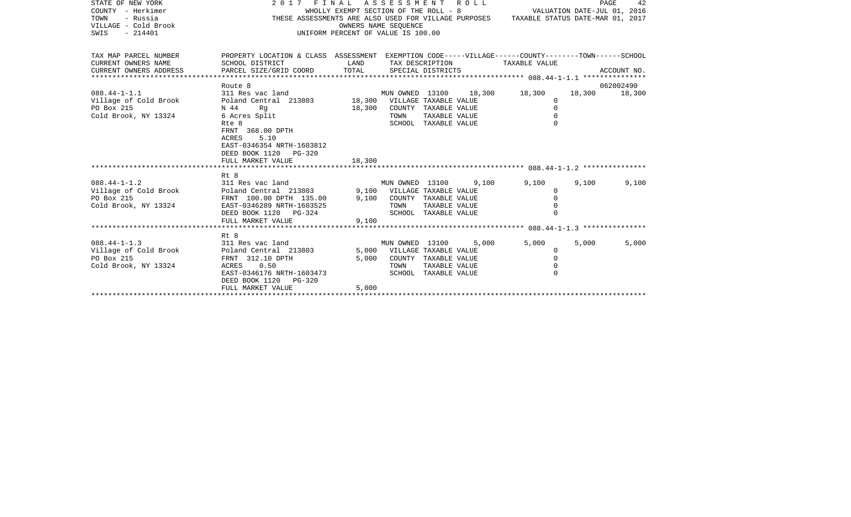| STATE OF NEW YORK<br>COUNTY - Herkimer<br>TOWN<br>- Russia<br>VILLAGE - Cold Brook<br>SWIS<br>$-214401$ | 2017 FINAL ASSESSMENT                                                                                                                           | WHOLLY EXEMPT SECTION OF THE ROLL - 8<br>UNIFORM PERCENT OF VALUE IS 100.00 | OWNERS NAME SEOUENCE        |                                      | ROLL                 | VALUATION DATE-JUL 01, 2016<br>THESE ASSESSMENTS ARE ALSO USED FOR VILLAGE PURPOSES TAXABLE STATUS DATE-MAR 01, 2017 |       | PAGE<br>42    |
|---------------------------------------------------------------------------------------------------------|-------------------------------------------------------------------------------------------------------------------------------------------------|-----------------------------------------------------------------------------|-----------------------------|--------------------------------------|----------------------|----------------------------------------------------------------------------------------------------------------------|-------|---------------|
| TAX MAP PARCEL NUMBER<br>CURRENT OWNERS NAME<br>CURRENT OWNERS ADDRESS                                  | PROPERTY LOCATION & CLASS ASSESSMENT EXEMPTION CODE-----VILLAGE------COUNTY-------TOWN------SCHOOL<br>SCHOOL DISTRICT<br>PARCEL SIZE/GRID COORD | LAND<br>TOTAL                                                               |                             | TAX DESCRIPTION<br>SPECIAL DISTRICTS |                      | TAXABLE VALUE                                                                                                        |       | ACCOUNT NO.   |
|                                                                                                         | Route 8                                                                                                                                         |                                                                             |                             |                                      |                      |                                                                                                                      |       | 062002490     |
| $088.44 - 1 - 1.1$                                                                                      | 311 Res vac land                                                                                                                                |                                                                             | MUN OWNED 13100             |                                      | 18,300               | 18,300                                                                                                               |       | 18,300 18,300 |
| Village of Cold Brook                                                                                   | Poland Central 213803 18,300 VILLAGE TAXABLE VALUE                                                                                              |                                                                             |                             |                                      |                      | $\Omega$                                                                                                             |       |               |
| PO Box 215                                                                                              | N 44<br>Rq                                                                                                                                      | 18,300                                                                      |                             | COUNTY TAXABLE VALUE                 |                      | $\Omega$                                                                                                             |       |               |
| Cold Brook, NY 13324                                                                                    | 6 Acres Split                                                                                                                                   |                                                                             | TOWN                        | TAXABLE VALUE                        |                      | $\Omega$                                                                                                             |       |               |
|                                                                                                         | Rte 8                                                                                                                                           |                                                                             |                             | SCHOOL TAXABLE VALUE                 |                      |                                                                                                                      |       |               |
|                                                                                                         | FRNT 368.00 DPTH<br>5.10<br>ACRES<br>EAST-0346354 NRTH-1603812<br>DEED BOOK 1120 PG-320<br>FULL MARKET VALUE                                    | 18,300                                                                      |                             |                                      |                      |                                                                                                                      |       |               |
|                                                                                                         |                                                                                                                                                 |                                                                             |                             |                                      |                      |                                                                                                                      |       |               |
|                                                                                                         | Rt 8                                                                                                                                            |                                                                             |                             |                                      |                      |                                                                                                                      |       |               |
| $088.44 - 1 - 1.2$                                                                                      | 311 Res vac land                                                                                                                                |                                                                             | MUN OWNED 13100             |                                      | 9,100                | 9,100                                                                                                                | 9,100 | 9,100         |
| Village of Cold Brook                                                                                   |                                                                                                                                                 |                                                                             | 9,100 VILLAGE TAXABLE VALUE |                                      |                      | 0                                                                                                                    |       |               |
| PO Box 215                                                                                              | Poland Central 213803<br>FRNT 100.00 DPTH 135.00                                                                                                | 9,100                                                                       |                             |                                      | COUNTY TAXABLE VALUE | $\Omega$                                                                                                             |       |               |
| Cold Brook, NY 13324                                                                                    | EAST-0346289 NRTH-1603525                                                                                                                       |                                                                             | TOWN                        | TAXABLE VALUE                        |                      |                                                                                                                      |       |               |
|                                                                                                         | DEED BOOK 1120 PG-324                                                                                                                           |                                                                             |                             | SCHOOL TAXABLE VALUE                 |                      |                                                                                                                      |       |               |
|                                                                                                         | FULL MARKET VALUE                                                                                                                               | 9,100                                                                       |                             |                                      |                      |                                                                                                                      |       |               |
|                                                                                                         |                                                                                                                                                 |                                                                             |                             |                                      |                      |                                                                                                                      |       |               |
|                                                                                                         | Rt 8                                                                                                                                            |                                                                             |                             |                                      |                      |                                                                                                                      |       |               |
| $088.44 - 1 - 1.3$                                                                                      | 311 Res vac land                                                                                                                                |                                                                             | MUN OWNED 13100             |                                      | 5,000                | 5,000                                                                                                                | 5,000 | 5,000         |
| Village of Cold Brook                                                                                   | Poland Central 213803                                                                                                                           |                                                                             | 5,000 VILLAGE TAXABLE VALUE |                                      |                      | $\Omega$                                                                                                             |       |               |
| PO Box 215                                                                                              | FRNT 312.10 DPTH                                                                                                                                | 5,000                                                                       |                             |                                      | COUNTY TAXABLE VALUE | $\mathbf 0$                                                                                                          |       |               |
| Cold Brook, NY 13324                                                                                    | 0.50<br>ACRES                                                                                                                                   |                                                                             | TOWN                        | TAXABLE VALUE                        |                      | $\Omega$                                                                                                             |       |               |
|                                                                                                         | EAST-0346176 NRTH-1603473                                                                                                                       |                                                                             |                             | SCHOOL TAXABLE VALUE                 |                      |                                                                                                                      |       |               |
|                                                                                                         | DEED BOOK 1120 PG-320<br>FULL MARKET VALUE                                                                                                      | 5,000                                                                       |                             |                                      |                      |                                                                                                                      |       |               |
|                                                                                                         |                                                                                                                                                 |                                                                             |                             |                                      |                      |                                                                                                                      |       |               |
|                                                                                                         |                                                                                                                                                 |                                                                             |                             |                                      |                      |                                                                                                                      |       |               |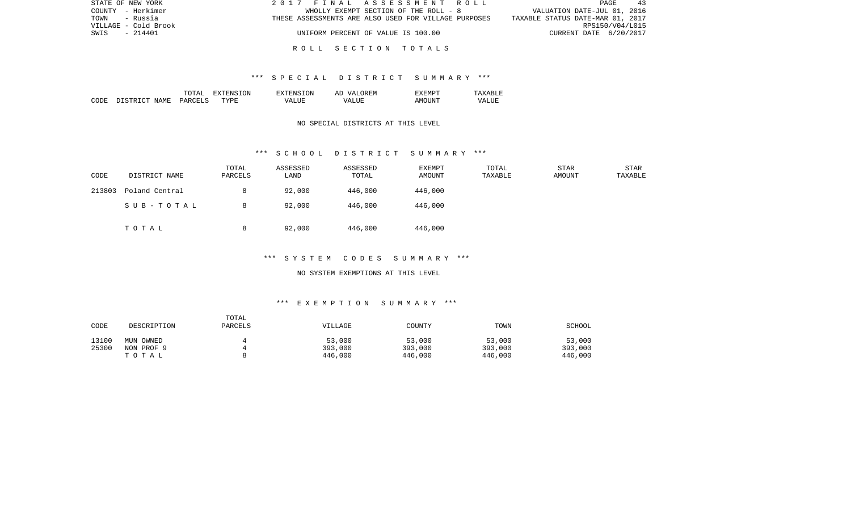| STATE OF NEW YORK    | 2017 FINAL ASSESSMENT ROLL                           | PAGE<br>-43                      |
|----------------------|------------------------------------------------------|----------------------------------|
| COUNTY - Herkimer    | WHOLLY EXEMPT SECTION OF THE ROLL - 8                | VALUATION DATE-JUL 01, 2016      |
| - Russia<br>TOWN     | THESE ASSESSMENTS ARE ALSO USED FOR VILLAGE PURPOSES | TAXABLE STATUS DATE-MAR 01, 2017 |
| VILLAGE - Cold Brook |                                                      | RPS150/V04/L015                  |
| SWIS<br>- 214401     | UNIFORM PERCENT OF VALUE IS 100.00                   | CURRENT DATE 6/20/2017           |
|                      |                                                      |                                  |

### \*\*\* S P E C I A L D I S T R I C T S U M M A R Y \*\*\*

|      |                        | ͲႶͲϪͳ   | ∟ הרידי<br>. х і | TON.<br>TYTENS. | OREM<br>AP<br>VΖD. |                                             | <u>д х</u><br>$\cdots$ |
|------|------------------------|---------|------------------|-----------------|--------------------|---------------------------------------------|------------------------|
| CODE | ידי אידי אידי<br>NAMF. | PARCELS | TYPE             | VALUE           | ALUF<br>74 A       | $\wedge$ M $\bigcap$ <sup>T</sup><br>'ות ונ | VALUI<br>_______       |

## NO SPECIAL DISTRICTS AT THIS LEVEL

### \*\*\* S C H O O L D I S T R I C T S U M M A R Y \*\*\*

| CODE   | DISTRICT NAME  | TOTAL<br>PARCELS | ASSESSED<br>LAND | ASSESSED<br>TOTAL | EXEMPT<br>AMOUNT | TOTAL<br>TAXABLE | <b>STAR</b><br>AMOUNT | STAR<br>TAXABLE |
|--------|----------------|------------------|------------------|-------------------|------------------|------------------|-----------------------|-----------------|
| 213803 | Poland Central | 8                | 92,000           | 446,000           | 446,000          |                  |                       |                 |
|        | SUB-TOTAL      | 8                | 92,000           | 446,000           | 446,000          |                  |                       |                 |
|        | TOTAL          | 8                | 92,000           | 446,000           | 446,000          |                  |                       |                 |

# \*\*\* S Y S T E M C O D E S S U M M A R Y \*\*\*

#### NO SYSTEM EXEMPTIONS AT THIS LEVEL

# \*\*\* E X E M P T I O N S U M M A R Y \*\*\*

| CODE  | DESCRIPTION | TOTAL<br><b>PARCELS</b> | VILLAGE | COUNTY  | TOWN    | SCHOOL  |
|-------|-------------|-------------------------|---------|---------|---------|---------|
| 13100 | MUN OWNED   |                         | 53,000  | 53,000  | 53,000  | 53,000  |
| 25300 | NON PROF 9  |                         | 393,000 | 393,000 | 393,000 | 393,000 |
|       | тотаь       |                         | 446,000 | 446,000 | 446,000 | 446,000 |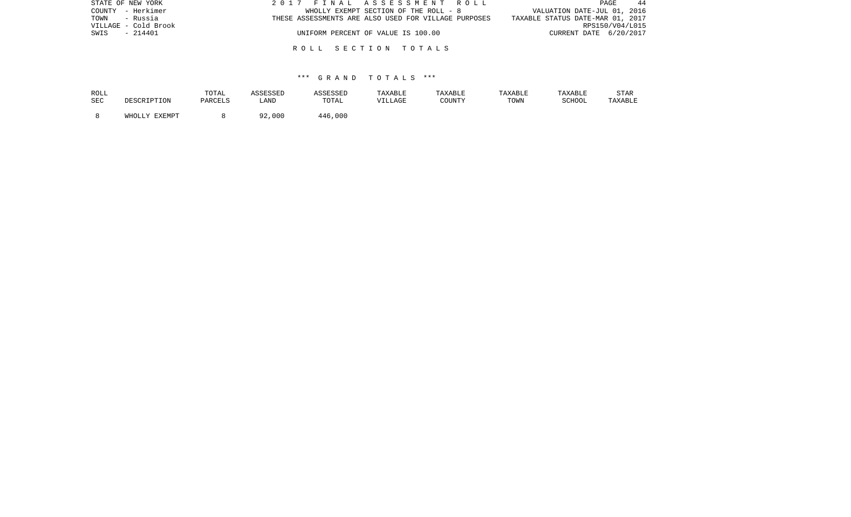| STATE OF NEW YORK    | 2017 FINAL ASSESSMENT ROLL                           | 44<br>PAGE                       |
|----------------------|------------------------------------------------------|----------------------------------|
| COUNTY - Herkimer    | WHOLLY EXEMPT SECTION OF THE ROLL - 8                | VALUATION DATE-JUL 01, 2016      |
| TOWN - Russia        | THESE ASSESSMENTS ARE ALSO USED FOR VILLAGE PURPOSES | TAXABLE STATUS DATE-MAR 01, 2017 |
| VILLAGE - Cold Brook |                                                      | RPS150/V04/L015                  |
| - 214401<br>SWIS     | UNIFORM PERCENT OF VALUE IS 100.00                   | CURRENT DATE 6/20/2017           |
|                      |                                                      |                                  |
|                      | ROLL SECTION TOTALS                                  |                                  |

| ROLL |                          | TOTAL   | ASSESSED | ASSESSED | TAXABLE | TAXABLE | TAXABLE | TAXABLE | <b>STAR</b> |
|------|--------------------------|---------|----------|----------|---------|---------|---------|---------|-------------|
| SEC  | MRSCRIPTON               | PARCELS | LAND     | TOTAL    | VILLAGE | COUNTY  | TOWN    | SCHOOL  | TAXABLE     |
|      | EXEMPT<br>WHOLL)<br>T TZ |         | ,000 کو  | 446,000  |         |         |         |         |             |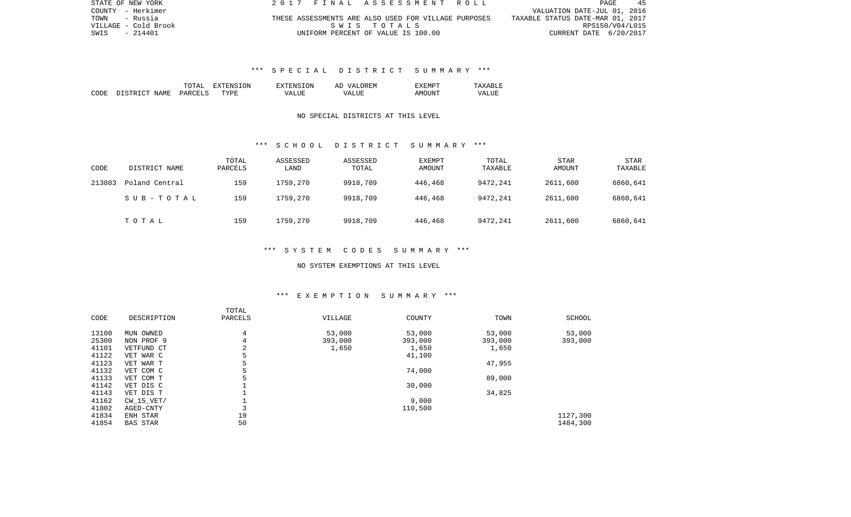| STATE OF NEW YORK    | 2017 FINAL ASSESSMENT ROLL                           | 45<br>PAGE                       |
|----------------------|------------------------------------------------------|----------------------------------|
| COUNTY - Herkimer    |                                                      | VALUATION DATE-JUL 01, 2016      |
| TOWN<br>- Russia     | THESE ASSESSMENTS ARE ALSO USED FOR VILLAGE PURPOSES | TAXABLE STATUS DATE-MAR 01, 2017 |
| VILLAGE - Cold Brook | SWIS TOTALS                                          | RPS150/V04/L015                  |
| SWIS<br>- 214401     | UNIFORM PERCENT OF VALUE IS 100.00                   | CURRENT DATE 6/20/2017           |

# \*\*\* S P E C I A L D I S T R I C T S U M M A R Y \*\*\*

|      |                    | TOTAL   | ENSION<br>西班牙市场<br>÷Х | EXTENSION       | OREM<br><b>TZAT</b><br>AD | YEML   | . .<br>' Δ x<br>∸ |
|------|--------------------|---------|-----------------------|-----------------|---------------------------|--------|-------------------|
| CODE | DISTRICT.<br>NAME. | PARCELS | TYPR.                 | $- - - -$<br>VА | T.TTF<br>(7∆              | AMOUNT | VALUL             |

# NO SPECIAL DISTRICTS AT THIS LEVEL

### \*\*\* S C H O O L D I S T R I C T S U M M A R Y \*\*\*

| CODE   | DISTRICT NAME  | TOTAL<br>PARCELS | ASSESSED<br>LAND | ASSESSED<br>TOTAL | EXEMPT<br>AMOUNT | TOTAL<br>TAXABLE | <b>STAR</b><br>AMOUNT | <b>STAR</b><br>TAXABLE |
|--------|----------------|------------------|------------------|-------------------|------------------|------------------|-----------------------|------------------------|
| 213803 | Poland Central | 159              | 1759,270         | 9918,709          | 446,468          | 9472,241         | 2611,600              | 6860,641               |
|        | SUB-TOTAL      | 159              | 1759,270         | 9918,709          | 446,468          | 9472,241         | 2611,600              | 6860,641               |
|        | TOTAL          | 159              | 1759,270         | 9918,709          | 446,468          | 9472,241         | 2611,600              | 6860,641               |

#### \*\*\* S Y S T E M C O D E S S U M M A R Y \*\*\*

#### NO SYSTEM EXEMPTIONS AT THIS LEVEL

### \*\*\* E X E M P T I O N S U M M A R Y \*\*\*

| CODE  | DESCRIPTION     | TOTAL<br>PARCELS | VILLAGE | COUNTY  | TOWN    | SCHOOL   |
|-------|-----------------|------------------|---------|---------|---------|----------|
| 13100 | MUN OWNED       | 4                | 53,000  | 53,000  | 53,000  | 53,000   |
| 25300 | NON PROF 9      | 4                | 393,000 | 393,000 | 393,000 | 393,000  |
| 41101 | VETFUND CT      | 2                | 1,650   | 1,650   | 1,650   |          |
| 41122 | VET WAR C       | 5                |         | 41,100  |         |          |
| 41123 | VET WAR T       | 5                |         |         | 47,955  |          |
| 41132 | VET COM C       | 5                |         | 74,000  |         |          |
| 41133 | VET COM T       | 5                |         |         | 89,000  |          |
| 41142 | VET DIS C       |                  |         | 30,000  |         |          |
| 41143 | VET DIS T       |                  |         |         | 34,825  |          |
| 41162 | $CW$ 15 $VET/$  |                  |         | 9,000   |         |          |
| 41802 | AGED-CNTY       | 3                |         | 110,500 |         |          |
| 41834 | ENH STAR        | 19               |         |         |         | 1127,300 |
| 41854 | <b>BAS STAR</b> | 50               |         |         |         | 1484,300 |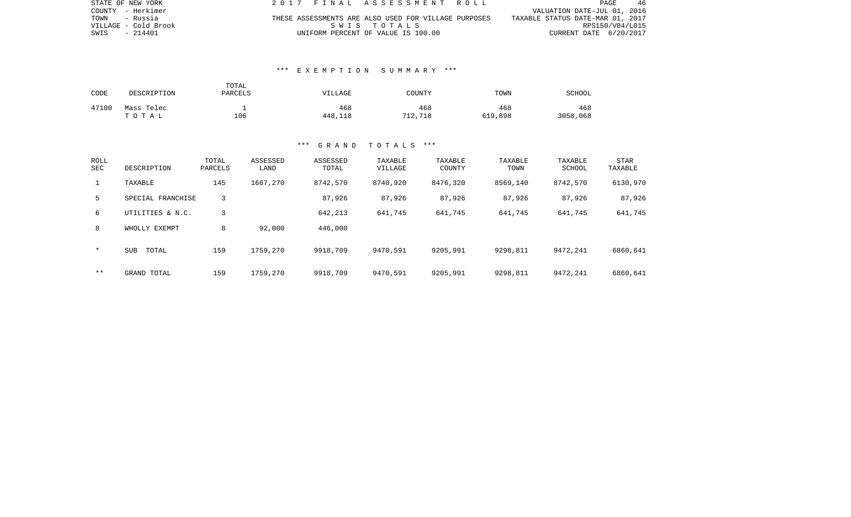| STATE OF NEW YORK    | 2017 FINAL ASSESSMENT ROLL                           | PAGE.<br>-46                     |
|----------------------|------------------------------------------------------|----------------------------------|
| COUNTY - Herkimer    |                                                      | VALUATION DATE-JUL 01, 2016      |
| TOWN<br>- Russia     | THESE ASSESSMENTS ARE ALSO USED FOR VILLAGE PURPOSES | TAXABLE STATUS DATE-MAR 01, 2017 |
| VILLAGE - Cold Brook | SWIS TOTALS                                          | RPS150/V04/L015                  |
| SWIS - 214401        | UNIFORM PERCENT OF VALUE IS 100.00                   | CURRENT DATE 6/20/2017           |

## \*\*\* E X E M P T I O N S U M M A R Y \*\*\*

| CODE  | DESCRIPTION         | TOTAL<br>PARCELS | VILLAGE        | COUNTY         | TOWN           | <b>SCHOOL</b>   |
|-------|---------------------|------------------|----------------|----------------|----------------|-----------------|
| 47100 | Mass Telec<br>TOTAL | 106              | 468<br>448,118 | 468<br>712,718 | 468<br>619,898 | 468<br>3058,068 |

| ROLL<br><b>SEC</b> | DESCRIPTION         | TOTAL<br>PARCELS | ASSESSED<br>LAND | ASSESSED<br>TOTAL | TAXABLE<br>VILLAGE | TAXABLE<br>COUNTY | TAXABLE<br>TOWN | TAXABLE<br>SCHOOL | STAR<br>TAXABLE |
|--------------------|---------------------|------------------|------------------|-------------------|--------------------|-------------------|-----------------|-------------------|-----------------|
|                    | TAXABLE             | 145              | 1667,270         | 8742,570          | 8740,920           | 8476,320          | 8569,140        | 8742,570          | 6130,970        |
| 5                  | SPECIAL FRANCHISE   | 3                |                  | 87,926            | 87,926             | 87,926            | 87,926          | 87,926            | 87,926          |
| 6                  | UTILITIES & N.C.    | 3                |                  | 642,213           | 641,745            | 641,745           | 641,745         | 641,745           | 641,745         |
| 8                  | WHOLLY EXEMPT       | 8                | 92,000           | 446,000           |                    |                   |                 |                   |                 |
| $\star$            | <b>SUB</b><br>TOTAL | 159              | 1759,270         | 9918,709          | 9470,591           | 9205,991          | 9298,811        | 9472,241          | 6860,641        |
| * *                | GRAND TOTAL         | 159              | 1759,270         | 9918,709          | 9470,591           | 9205,991          | 9298,811        | 9472,241          | 6860,641        |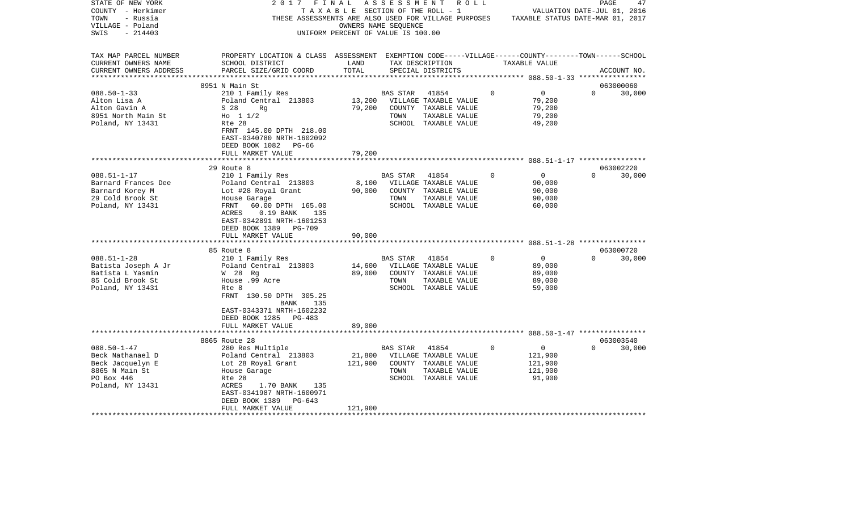| STATE OF NEW YORK      | 2017                                                                                               | FINAL                                 | A S S E S S M E N T | R O L L               |             |                                  | PAGE                        | 47          |
|------------------------|----------------------------------------------------------------------------------------------------|---------------------------------------|---------------------|-----------------------|-------------|----------------------------------|-----------------------------|-------------|
| COUNTY - Herkimer      |                                                                                                    | T A X A B L E SECTION OF THE ROLL - 1 |                     |                       |             |                                  | VALUATION DATE-JUL 01, 2016 |             |
| TOWN<br>- Russia       | THESE ASSESSMENTS ARE ALSO USED FOR VILLAGE PURPOSES                                               |                                       |                     |                       |             | TAXABLE STATUS DATE-MAR 01, 2017 |                             |             |
| VILLAGE - Poland       |                                                                                                    | OWNERS NAME SEQUENCE                  |                     |                       |             |                                  |                             |             |
| SWIS<br>$-214403$      |                                                                                                    | UNIFORM PERCENT OF VALUE IS 100.00    |                     |                       |             |                                  |                             |             |
|                        |                                                                                                    |                                       |                     |                       |             |                                  |                             |             |
| TAX MAP PARCEL NUMBER  | PROPERTY LOCATION & CLASS ASSESSMENT EXEMPTION CODE-----VILLAGE------COUNTY-------TOWN------SCHOOL |                                       |                     |                       |             |                                  |                             |             |
| CURRENT OWNERS NAME    | SCHOOL DISTRICT                                                                                    | LAND                                  |                     | TAX DESCRIPTION       |             | TAXABLE VALUE                    |                             |             |
| CURRENT OWNERS ADDRESS | PARCEL SIZE/GRID COORD                                                                             | TOTAL                                 |                     | SPECIAL DISTRICTS     |             |                                  |                             | ACCOUNT NO. |
|                        |                                                                                                    |                                       |                     |                       |             |                                  |                             |             |
|                        | 8951 N Main St                                                                                     |                                       |                     |                       |             |                                  | 063000060                   |             |
| $088.50 - 1 - 33$      | 210 1 Family Res                                                                                   |                                       | <b>BAS STAR</b>     | 41854                 | $\Omega$    | 0                                | $\Omega$                    | 30,000      |
| Alton Lisa A           | Poland Central 213803                                                                              | 13,200                                |                     | VILLAGE TAXABLE VALUE |             | 79,200                           |                             |             |
| Alton Gavin A          | S 28<br>Rg                                                                                         | 79,200                                |                     | COUNTY TAXABLE VALUE  |             | 79,200                           |                             |             |
| 8951 North Main St     | Ho $11/2$                                                                                          |                                       | TOWN                | TAXABLE VALUE         |             | 79,200                           |                             |             |
| Poland, NY 13431       | Rte 28                                                                                             |                                       |                     | SCHOOL TAXABLE VALUE  |             | 49,200                           |                             |             |
|                        | FRNT 145.00 DPTH 218.00                                                                            |                                       |                     |                       |             |                                  |                             |             |
|                        | EAST-0340780 NRTH-1602092                                                                          |                                       |                     |                       |             |                                  |                             |             |
|                        | DEED BOOK 1082<br>PG-66                                                                            |                                       |                     |                       |             |                                  |                             |             |
|                        | FULL MARKET VALUE                                                                                  | 79,200                                |                     |                       |             |                                  |                             |             |
|                        |                                                                                                    |                                       |                     |                       |             |                                  |                             |             |
|                        | 29 Route 8                                                                                         |                                       |                     |                       |             |                                  | 063002220                   |             |
| $088.51 - 1 - 17$      | 210 1 Family Res                                                                                   |                                       | BAS STAR            | 41854                 | $\Omega$    | 0                                | $\Omega$                    | 30,000      |
| Barnard Frances Dee    | Poland Central 213803                                                                              | 8,100                                 |                     | VILLAGE TAXABLE VALUE |             | 90,000                           |                             |             |
| Barnard Korey M        | Lot #28 Royal Grant                                                                                | 90,000                                |                     | COUNTY TAXABLE VALUE  |             | 90,000                           |                             |             |
| 29 Cold Brook St       | House Garage                                                                                       |                                       | TOWN                | TAXABLE VALUE         |             | 90,000                           |                             |             |
| Poland, NY 13431       | 60.00 DPTH 165.00<br>FRNT                                                                          |                                       |                     | SCHOOL TAXABLE VALUE  |             | 60,000                           |                             |             |
|                        | ACRES<br>$0.19$ BANK<br>135                                                                        |                                       |                     |                       |             |                                  |                             |             |
|                        | EAST-0342891 NRTH-1601253                                                                          |                                       |                     |                       |             |                                  |                             |             |
|                        | DEED BOOK 1389<br>PG-709                                                                           |                                       |                     |                       |             |                                  |                             |             |
|                        | FULL MARKET VALUE                                                                                  | 90,000                                |                     |                       |             |                                  |                             |             |
|                        | * * * * * * * *                                                                                    |                                       |                     |                       |             |                                  |                             |             |
|                        | 85 Route 8                                                                                         |                                       |                     |                       |             |                                  | 063000720                   |             |
| $088.51 - 1 - 28$      | 210 1 Family Res                                                                                   |                                       | BAS STAR            | 41854                 | $\circ$     | 0                                | $\Omega$                    | 30,000      |
| Batista Joseph A Jr    | Poland Central 213803                                                                              | 14,600                                |                     | VILLAGE TAXABLE VALUE |             | 89,000                           |                             |             |
| Batista L Yasmin       | W 28 Rq                                                                                            | 89,000                                |                     | COUNTY TAXABLE VALUE  |             | 89,000                           |                             |             |
| 85 Cold Brook St       | House .99 Acre                                                                                     |                                       | TOWN                | TAXABLE VALUE         |             | 89,000                           |                             |             |
| Poland, NY 13431       | Rte 8                                                                                              |                                       |                     | SCHOOL TAXABLE VALUE  |             | 59,000                           |                             |             |
|                        | FRNT 130.50 DPTH 305.25                                                                            |                                       |                     |                       |             |                                  |                             |             |
|                        | BANK<br>135                                                                                        |                                       |                     |                       |             |                                  |                             |             |
|                        | EAST-0343371 NRTH-1602232                                                                          |                                       |                     |                       |             |                                  |                             |             |
|                        | DEED BOOK 1285<br>PG-483                                                                           |                                       |                     |                       |             |                                  |                             |             |
|                        | FULL MARKET VALUE                                                                                  | 89,000                                |                     |                       |             |                                  |                             |             |
|                        |                                                                                                    |                                       |                     |                       |             |                                  |                             |             |
|                        | 8865 Route 28                                                                                      |                                       |                     |                       |             |                                  | 063003540                   |             |
| $088.50 - 1 - 47$      | 280 Res Multiple                                                                                   |                                       | <b>BAS STAR</b>     | 41854                 | $\mathbf 0$ | $\mathbf 0$                      | $\Omega$                    | 30,000      |
| Beck Nathanael D       | Poland Central 213803                                                                              | 21,800                                |                     | VILLAGE TAXABLE VALUE |             | 121,900                          |                             |             |
| Beck Jacquelyn E       | Lot 28 Royal Grant                                                                                 | 121,900                               |                     | COUNTY TAXABLE VALUE  |             | 121,900                          |                             |             |
| 8865 N Main St         | House Garage                                                                                       |                                       | TOWN                | TAXABLE VALUE         |             | 121,900                          |                             |             |
| PO Box 446             | Rte 28                                                                                             |                                       |                     | SCHOOL TAXABLE VALUE  |             | 91,900                           |                             |             |
| Poland, NY 13431       | ACRES<br>1.70 BANK<br>135                                                                          |                                       |                     |                       |             |                                  |                             |             |
|                        | EAST-0341987 NRTH-1600971                                                                          |                                       |                     |                       |             |                                  |                             |             |
|                        | DEED BOOK 1389<br>$PG-643$                                                                         |                                       |                     |                       |             |                                  |                             |             |
|                        | FULL MARKET VALUE                                                                                  | 121,900                               |                     |                       |             |                                  |                             |             |
|                        |                                                                                                    |                                       |                     |                       |             |                                  |                             |             |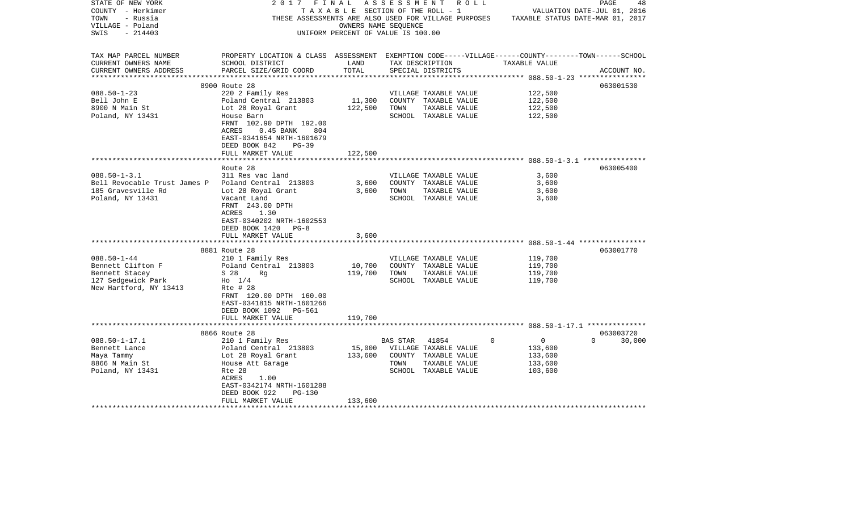| STATE OF NEW YORK                                  | 2017                                                                                              | FINAL                              |          | A S S E S S M E N T A O L L     |                             | PAGE<br>48                                                                            |
|----------------------------------------------------|---------------------------------------------------------------------------------------------------|------------------------------------|----------|---------------------------------|-----------------------------|---------------------------------------------------------------------------------------|
| COUNTY - Herkimer                                  |                                                                                                   |                                    |          | TAXABLE SECTION OF THE ROLL - 1 |                             | VALUATION DATE-JUL 01, 2016                                                           |
| TOWN<br>- Russia                                   |                                                                                                   |                                    |          |                                 |                             | THESE ASSESSMENTS ARE ALSO USED FOR VILLAGE PURPOSES TAXABLE STATUS DATE-MAR 01, 2017 |
| VILLAGE - Poland                                   |                                                                                                   | OWNERS NAME SEQUENCE               |          |                                 |                             |                                                                                       |
| $-214403$<br>SWIS                                  |                                                                                                   | UNIFORM PERCENT OF VALUE IS 100.00 |          |                                 |                             |                                                                                       |
|                                                    |                                                                                                   |                                    |          |                                 |                             |                                                                                       |
| TAX MAP PARCEL NUMBER                              | PROPERTY LOCATION & CLASS ASSESSMENT EXEMPTION CODE-----VILLAGE------COUNTY-------TOWN-----SCHOOL |                                    |          |                                 |                             |                                                                                       |
| CURRENT OWNERS NAME                                | SCHOOL DISTRICT                                                                                   | LAND                               |          | TAX DESCRIPTION                 | TAXABLE VALUE               |                                                                                       |
| CURRENT OWNERS ADDRESS                             | PARCEL SIZE/GRID COORD                                                                            | TOTAL                              |          | SPECIAL DISTRICTS               |                             | ACCOUNT NO.                                                                           |
|                                                    |                                                                                                   |                                    |          |                                 |                             |                                                                                       |
|                                                    | 8900 Route 28                                                                                     |                                    |          |                                 |                             | 063001530                                                                             |
| $088.50 - 1 - 23$                                  | 220 2 Family Res                                                                                  |                                    |          | VILLAGE TAXABLE VALUE           | 122,500                     |                                                                                       |
| Bell John E                                        | Poland Central 213803                                                                             | 11,300                             |          | COUNTY TAXABLE VALUE            | 122,500                     |                                                                                       |
| 8900 N Main St                                     | Lot 28 Royal Grant                                                                                | 122,500                            | TOWN     | TAXABLE VALUE                   | 122,500                     |                                                                                       |
| Poland, NY 13431                                   | House Barn                                                                                        |                                    |          | SCHOOL TAXABLE VALUE            | 122,500                     |                                                                                       |
|                                                    | FRNT 102.90 DPTH 192.00                                                                           |                                    |          |                                 |                             |                                                                                       |
|                                                    | ACRES<br>$0.45$ BANK<br>804                                                                       |                                    |          |                                 |                             |                                                                                       |
|                                                    | EAST-0341654 NRTH-1601679                                                                         |                                    |          |                                 |                             |                                                                                       |
|                                                    | DEED BOOK 842<br>$PG-39$                                                                          |                                    |          |                                 |                             |                                                                                       |
|                                                    | FULL MARKET VALUE                                                                                 | 122,500                            |          |                                 |                             |                                                                                       |
|                                                    |                                                                                                   |                                    |          |                                 |                             |                                                                                       |
|                                                    | Route 28                                                                                          |                                    |          |                                 |                             | 063005400                                                                             |
| $088.50 - 1 - 3.1$                                 | 311 Res vac land                                                                                  |                                    |          | VILLAGE TAXABLE VALUE           | 3,600                       |                                                                                       |
| Bell Revocable Trust James P Poland Central 213803 |                                                                                                   | 3,600                              |          | COUNTY TAXABLE VALUE            | 3,600                       |                                                                                       |
| 185 Gravesville Rd                                 | Lot 28 Royal Grant                                                                                | 3,600                              | TOWN     | TAXABLE VALUE                   | 3,600                       |                                                                                       |
| Poland, NY 13431                                   | Vacant Land                                                                                       |                                    |          | SCHOOL TAXABLE VALUE            | 3,600                       |                                                                                       |
|                                                    | FRNT 243.00 DPTH                                                                                  |                                    |          |                                 |                             |                                                                                       |
|                                                    | ACRES<br>1.30                                                                                     |                                    |          |                                 |                             |                                                                                       |
|                                                    | EAST-0340202 NRTH-1602553                                                                         |                                    |          |                                 |                             |                                                                                       |
|                                                    | DEED BOOK 1420<br>$PG-8$                                                                          |                                    |          |                                 |                             |                                                                                       |
|                                                    | FULL MARKET VALUE                                                                                 | 3,600                              |          |                                 |                             |                                                                                       |
|                                                    |                                                                                                   | ***********                        |          |                                 |                             |                                                                                       |
|                                                    | 8881 Route 28                                                                                     |                                    |          |                                 |                             | 063001770                                                                             |
| $088.50 - 1 - 44$                                  | 210 1 Family Res                                                                                  |                                    |          | VILLAGE TAXABLE VALUE           | 119,700                     |                                                                                       |
| Bennett Clifton F                                  | Poland Central 213803                                                                             | 10,700                             |          | COUNTY TAXABLE VALUE            | 119,700                     |                                                                                       |
| Bennett Stacey                                     | S 28<br>Rg                                                                                        | 119,700                            | TOWN     | TAXABLE VALUE                   | 119,700                     |                                                                                       |
| 127 Sedgewick Park                                 | $H_0$ 1/4                                                                                         |                                    |          | SCHOOL TAXABLE VALUE            | 119,700                     |                                                                                       |
| New Hartford, NY 13413                             | Rte # 28                                                                                          |                                    |          |                                 |                             |                                                                                       |
|                                                    | FRNT 120.00 DPTH 160.00                                                                           |                                    |          |                                 |                             |                                                                                       |
|                                                    | EAST-0341815 NRTH-1601266                                                                         |                                    |          |                                 |                             |                                                                                       |
|                                                    | DEED BOOK 1092 PG-561                                                                             |                                    |          |                                 |                             |                                                                                       |
|                                                    | FULL MARKET VALUE                                                                                 | 119,700                            |          |                                 |                             |                                                                                       |
|                                                    | 8866 Route 28                                                                                     |                                    |          |                                 |                             | 063003720                                                                             |
| $088.50 - 1 - 17.1$                                | 210 1 Family Res                                                                                  |                                    | BAS STAR | 41854                           | $\mathbf 0$<br>$\mathbf{0}$ | $\Omega$<br>30,000                                                                    |
| Bennett Lance                                      | Poland Central 213803                                                                             | 15,000                             |          | VILLAGE TAXABLE VALUE           | 133,600                     |                                                                                       |
| Maya Tammy                                         | Lot 28 Royal Grant                                                                                | 133,600                            |          | COUNTY TAXABLE VALUE            | 133,600                     |                                                                                       |
| 8866 N Main St                                     | House Att Garage                                                                                  |                                    | TOWN     | TAXABLE VALUE                   | 133,600                     |                                                                                       |
| Poland, NY 13431                                   | Rte 28                                                                                            |                                    |          | SCHOOL TAXABLE VALUE            | 103,600                     |                                                                                       |
|                                                    | ACRES<br>1.00                                                                                     |                                    |          |                                 |                             |                                                                                       |
|                                                    | EAST-0342174 NRTH-1601288                                                                         |                                    |          |                                 |                             |                                                                                       |
|                                                    | DEED BOOK 922<br><b>PG-130</b>                                                                    |                                    |          |                                 |                             |                                                                                       |
|                                                    | FULL MARKET VALUE                                                                                 | 133,600                            |          |                                 |                             |                                                                                       |
| **********************                             | *****************************                                                                     |                                    |          |                                 |                             |                                                                                       |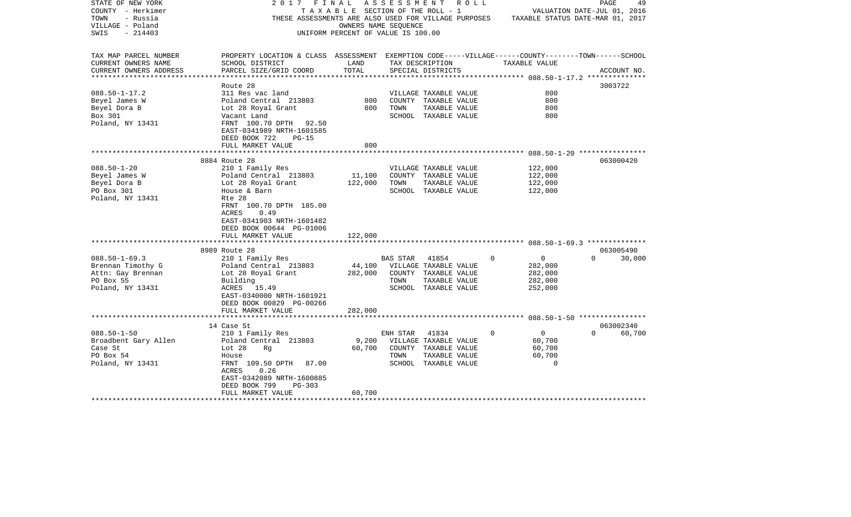| STATE OF NEW YORK      | 2017<br>FINAL                                                                                      |                                    | A S S E S S M E N T | ROLL ROLL                                            |          |                    | PAGE                             | 49     |
|------------------------|----------------------------------------------------------------------------------------------------|------------------------------------|---------------------|------------------------------------------------------|----------|--------------------|----------------------------------|--------|
| COUNTY - Herkimer      |                                                                                                    | TAXABLE SECTION OF THE ROLL - 1    |                     |                                                      |          |                    | VALUATION DATE-JUL 01, 2016      |        |
| TOWN<br>- Russia       |                                                                                                    |                                    |                     | THESE ASSESSMENTS ARE ALSO USED FOR VILLAGE PURPOSES |          |                    | TAXABLE STATUS DATE-MAR 01, 2017 |        |
| VILLAGE - Poland       |                                                                                                    | OWNERS NAME SEQUENCE               |                     |                                                      |          |                    |                                  |        |
| $-214403$<br>SWIS      |                                                                                                    | UNIFORM PERCENT OF VALUE IS 100.00 |                     |                                                      |          |                    |                                  |        |
|                        |                                                                                                    |                                    |                     |                                                      |          |                    |                                  |        |
|                        |                                                                                                    |                                    |                     |                                                      |          |                    |                                  |        |
| TAX MAP PARCEL NUMBER  | PROPERTY LOCATION & CLASS ASSESSMENT EXEMPTION CODE-----VILLAGE------COUNTY-------TOWN------SCHOOL |                                    |                     |                                                      |          |                    |                                  |        |
| CURRENT OWNERS NAME    | SCHOOL DISTRICT                                                                                    | LAND                               |                     | TAX DESCRIPTION                                      |          | TAXABLE VALUE      |                                  |        |
| CURRENT OWNERS ADDRESS | PARCEL SIZE/GRID COORD                                                                             | TOTAL                              |                     | SPECIAL DISTRICTS                                    |          |                    | ACCOUNT NO.                      |        |
|                        |                                                                                                    |                                    |                     |                                                      |          |                    |                                  |        |
|                        | Route 28                                                                                           |                                    |                     |                                                      |          |                    | 3003722                          |        |
| $088.50 - 1 - 17.2$    | 311 Res vac land                                                                                   |                                    |                     | VILLAGE TAXABLE VALUE                                |          | 800                |                                  |        |
| Beyel James W          | Poland Central 213803                                                                              | 800                                |                     | COUNTY TAXABLE VALUE                                 |          | 800                |                                  |        |
| Beyel Dora B           | Lot 28 Royal Grant                                                                                 | 800                                | TOWN                | TAXABLE VALUE                                        |          | 800                |                                  |        |
| Box 301                | Vacant Land                                                                                        |                                    |                     | SCHOOL TAXABLE VALUE                                 |          | 800                |                                  |        |
| Poland, NY 13431       | FRNT 100.70 DPTH 92.50                                                                             |                                    |                     |                                                      |          |                    |                                  |        |
|                        | EAST-0341989 NRTH-1601585                                                                          |                                    |                     |                                                      |          |                    |                                  |        |
|                        | DEED BOOK 722<br>$PG-15$                                                                           |                                    |                     |                                                      |          |                    |                                  |        |
|                        | FULL MARKET VALUE                                                                                  | 800                                |                     |                                                      |          |                    |                                  |        |
|                        |                                                                                                    | * * * * * * * * * *                |                     |                                                      |          |                    |                                  |        |
|                        | 8884 Route 28                                                                                      |                                    |                     |                                                      |          |                    | 063000420                        |        |
| $088.50 - 1 - 20$      | 210 1 Family Res                                                                                   |                                    |                     | VILLAGE TAXABLE VALUE                                |          | 122,000            |                                  |        |
| Beyel James W          | Poland Central 213803                                                                              | 11,100                             |                     | COUNTY TAXABLE VALUE                                 |          | 122,000            |                                  |        |
| Beyel Dora B           | Lot 28 Royal Grant                                                                                 | 122,000                            | TOWN                | TAXABLE VALUE                                        |          | 122,000            |                                  |        |
| PO Box 301             | House & Barn                                                                                       |                                    |                     | SCHOOL TAXABLE VALUE                                 |          | 122,000            |                                  |        |
| Poland, NY 13431       | Rte 28                                                                                             |                                    |                     |                                                      |          |                    |                                  |        |
|                        | FRNT 100.70 DPTH 185.00                                                                            |                                    |                     |                                                      |          |                    |                                  |        |
|                        | 0.49<br>ACRES                                                                                      |                                    |                     |                                                      |          |                    |                                  |        |
|                        | EAST-0341903 NRTH-1601482                                                                          |                                    |                     |                                                      |          |                    |                                  |        |
|                        | DEED BOOK 00644 PG-01006                                                                           |                                    |                     |                                                      |          |                    |                                  |        |
|                        | FULL MARKET VALUE                                                                                  | 122,000                            |                     |                                                      |          |                    |                                  |        |
|                        |                                                                                                    |                                    |                     |                                                      |          |                    |                                  |        |
|                        | 8989 Route 28                                                                                      |                                    |                     |                                                      |          |                    | 063005490                        |        |
| $088.50 - 1 - 69.3$    | 210 1 Family Res                                                                                   |                                    | BAS STAR            | 41854                                                | $\Omega$ | $\mathsf{O}$       | $\Omega$                         | 30,000 |
| Brennan Timothy G      | Poland Central 213803                                                                              | 44,100                             |                     | VILLAGE TAXABLE VALUE                                |          | 282,000            |                                  |        |
| Attn: Gay Brennan      | Lot 28 Royal Grant                                                                                 | 282,000                            |                     | COUNTY TAXABLE VALUE                                 |          | 282,000            |                                  |        |
| PO Box 55              | Building                                                                                           |                                    | TOWN                | TAXABLE VALUE                                        |          | 282,000            |                                  |        |
| Poland, NY 13431       | ACRES 15.49                                                                                        |                                    |                     | SCHOOL TAXABLE VALUE                                 |          | 252,000            |                                  |        |
|                        | EAST-0340000 NRTH-1601921                                                                          |                                    |                     |                                                      |          |                    |                                  |        |
|                        | DEED BOOK 00829 PG-00266                                                                           |                                    |                     |                                                      |          |                    |                                  |        |
|                        | FULL MARKET VALUE                                                                                  | 282,000                            |                     |                                                      |          |                    |                                  |        |
|                        |                                                                                                    |                                    |                     |                                                      |          |                    |                                  |        |
|                        | 14 Case St                                                                                         |                                    |                     |                                                      |          |                    | 063002340                        |        |
| $088.50 - 1 - 50$      |                                                                                                    |                                    |                     |                                                      | $\Omega$ | $\mathbf 0$        | $\Omega$                         |        |
|                        | 210 1 Family Res                                                                                   | 9,200                              | ENH STAR            | 41834                                                |          | 60,700             |                                  | 60,700 |
| Broadbent Gary Allen   | Poland Central 213803                                                                              |                                    |                     | VILLAGE TAXABLE VALUE                                |          |                    |                                  |        |
| Case St                | Lot 28<br>Rg                                                                                       | 60,700                             |                     | COUNTY TAXABLE VALUE                                 |          | 60,700             |                                  |        |
| PO Box 54              | House                                                                                              |                                    | TOWN                | TAXABLE VALUE                                        |          | 60,700<br>$\Omega$ |                                  |        |
| Poland, NY 13431       | FRNT 109.50 DPTH<br>87.00                                                                          |                                    |                     | SCHOOL TAXABLE VALUE                                 |          |                    |                                  |        |
|                        | 0.26<br>ACRES                                                                                      |                                    |                     |                                                      |          |                    |                                  |        |
|                        | EAST-0342089 NRTH-1600885                                                                          |                                    |                     |                                                      |          |                    |                                  |        |
|                        | DEED BOOK 799<br>PG-303                                                                            |                                    |                     |                                                      |          |                    |                                  |        |
|                        | FULL MARKET VALUE                                                                                  | 60,700                             |                     |                                                      |          |                    |                                  |        |
|                        |                                                                                                    |                                    |                     |                                                      |          |                    |                                  |        |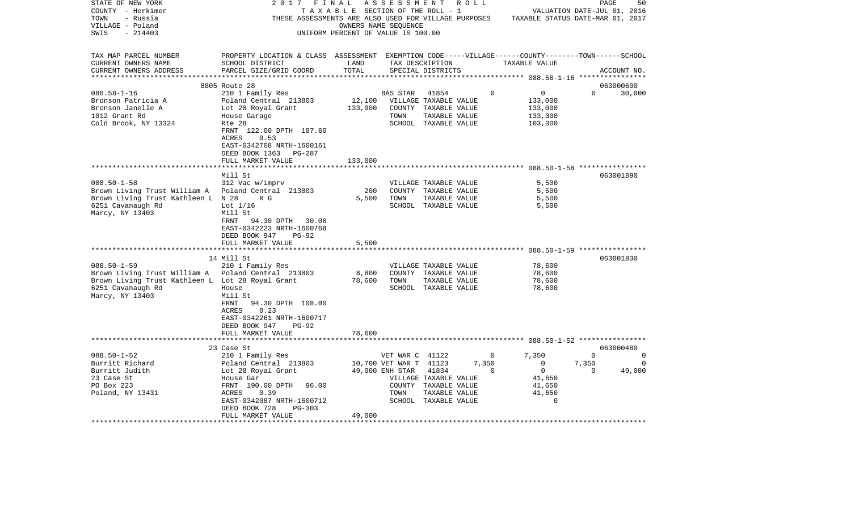| STATE OF NEW YORK<br>COUNTY - Herkimer<br>- Russia<br>TOWN<br>VILLAGE - Poland<br>$-214403$<br>SWIS    | 2017<br>THESE ASSESSMENTS ARE ALSO USED FOR VILLAGE PURPOSES                                                                                                                                       | FINAL<br>TAXABLE SECTION OF THE ROLL - 1<br>OWNERS NAME SEQUENCE<br>UNIFORM PERCENT OF VALUE IS 100.00 | ASSESSMENT                                                           |                                                                                                 | R O L L | TAXABLE STATUS DATE-MAR 01, 2017                                                        |                               | PAGE<br>50<br>VALUATION DATE-JUL 01, 2016 |
|--------------------------------------------------------------------------------------------------------|----------------------------------------------------------------------------------------------------------------------------------------------------------------------------------------------------|--------------------------------------------------------------------------------------------------------|----------------------------------------------------------------------|-------------------------------------------------------------------------------------------------|---------|-----------------------------------------------------------------------------------------|-------------------------------|-------------------------------------------|
| TAX MAP PARCEL NUMBER<br>CURRENT OWNERS NAME<br>CURRENT OWNERS ADDRESS                                 | PROPERTY LOCATION & CLASS ASSESSMENT EXEMPTION CODE-----VILLAGE------COUNTY-------TOWN------SCHOOL<br>SCHOOL DISTRICT<br>PARCEL SIZE/GRID COORD                                                    | LAND<br>TOTAL                                                                                          |                                                                      | TAX DESCRIPTION<br>SPECIAL DISTRICTS                                                            |         | TAXABLE VALUE                                                                           |                               | ACCOUNT NO.                               |
|                                                                                                        | 8805 Route 28                                                                                                                                                                                      |                                                                                                        |                                                                      |                                                                                                 |         |                                                                                         |                               | 063000600                                 |
| $088.58 - 1 - 16$                                                                                      | 210 1 Family Res                                                                                                                                                                                   |                                                                                                        | BAS STAR                                                             | 41854                                                                                           |         | $\mathbf 0$<br>0                                                                        | $\Omega$                      | 30,000                                    |
| Bronson Patricia A<br>Bronson Janelle A<br>1012 Grant Rd<br>Cold Brook, NY 13324                       | Poland Central 213803<br>Lot 28 Royal Grant<br>House Garage<br>Rte 28<br>FRNT 122.00 DPTH 187.60<br>ACRES<br>0.53                                                                                  | 12,100<br>133,000                                                                                      | TOWN                                                                 | VILLAGE TAXABLE VALUE<br>COUNTY TAXABLE VALUE<br>TAXABLE VALUE<br>SCHOOL TAXABLE VALUE          |         | 133,000<br>133,000<br>133,000<br>103,000                                                |                               |                                           |
|                                                                                                        | EAST-0342708 NRTH-1600161                                                                                                                                                                          |                                                                                                        |                                                                      |                                                                                                 |         |                                                                                         |                               |                                           |
|                                                                                                        | DEED BOOK 1363<br>PG-287<br>FULL MARKET VALUE                                                                                                                                                      | 133,000                                                                                                |                                                                      |                                                                                                 |         |                                                                                         |                               |                                           |
|                                                                                                        | * * * * * * * * * * * * * * * * * * *                                                                                                                                                              | ***********                                                                                            |                                                                      |                                                                                                 |         |                                                                                         |                               |                                           |
|                                                                                                        | Mill St                                                                                                                                                                                            |                                                                                                        |                                                                      |                                                                                                 |         |                                                                                         |                               | 063001890                                 |
| $088.50 - 1 - 58$                                                                                      | 312 Vac w/imprv                                                                                                                                                                                    |                                                                                                        |                                                                      | VILLAGE TAXABLE VALUE                                                                           |         | 5,500                                                                                   |                               |                                           |
| Brown Living Trust William A                                                                           | Poland Central 213803                                                                                                                                                                              | 200                                                                                                    |                                                                      | COUNTY TAXABLE VALUE                                                                            |         | 5,500                                                                                   |                               |                                           |
| Brown Living Trust Kathleen L N 28<br>6251 Cavanaugh Rd<br>Marcy, NY 13403                             | R G<br>Lot $1/16$<br>Mill St<br>94.30 DPTH<br>30.08<br>FRNT<br>EAST-0342223 NRTH-1600768<br>DEED BOOK 947<br>$PG-92$                                                                               | 5,500                                                                                                  | TOWN                                                                 | TAXABLE VALUE<br>SCHOOL TAXABLE VALUE                                                           |         | 5,500<br>5,500                                                                          |                               |                                           |
|                                                                                                        | FULL MARKET VALUE                                                                                                                                                                                  | 5,500                                                                                                  |                                                                      |                                                                                                 |         |                                                                                         |                               |                                           |
|                                                                                                        | *********************                                                                                                                                                                              | ************                                                                                           |                                                                      |                                                                                                 |         |                                                                                         |                               |                                           |
|                                                                                                        | 14 Mill St                                                                                                                                                                                         |                                                                                                        |                                                                      |                                                                                                 |         |                                                                                         |                               | 063001830                                 |
| $088.50 - 1 - 59$                                                                                      | 210 1 Family Res                                                                                                                                                                                   |                                                                                                        |                                                                      | VILLAGE TAXABLE VALUE                                                                           |         | 78,600                                                                                  |                               |                                           |
| Brown Living Trust William A                                                                           | Poland Central 213803                                                                                                                                                                              | 8,800<br>78,600                                                                                        | TOWN                                                                 | COUNTY TAXABLE VALUE                                                                            |         | 78,600<br>78,600                                                                        |                               |                                           |
| Brown Living Trust Kathleen L Lot 28 Royal Grant<br>6251 Cavanaugh Rd<br>Marcy, NY 13403               | House<br>Mill St<br>FRNT<br>94.30 DPTH 108.00<br>0.23<br>ACRES<br>EAST-0342261 NRTH-1600717<br>DEED BOOK 947<br>PG-92                                                                              |                                                                                                        |                                                                      | TAXABLE VALUE<br>SCHOOL TAXABLE VALUE                                                           |         | 78,600                                                                                  |                               |                                           |
|                                                                                                        | FULL MARKET VALUE                                                                                                                                                                                  | 78,600                                                                                                 |                                                                      |                                                                                                 |         |                                                                                         |                               |                                           |
|                                                                                                        |                                                                                                                                                                                                    |                                                                                                        |                                                                      |                                                                                                 |         |                                                                                         |                               |                                           |
| $088.50 - 1 - 52$<br>Burritt Richard<br>Burritt Judith<br>23 Case St<br>PO Box 223<br>Poland, NY 13431 | 23 Case St<br>210 1 Family Res<br>Poland Central 213803<br>Lot 28 Royal Grant<br>House Gar<br>FRNT 190.00 DPTH<br>96.00<br>0.39<br>ACRES<br>EAST-0342087 NRTH-1600712<br>DEED BOOK 728<br>$PG-303$ |                                                                                                        | VET WAR C 41122<br>10,700 VET WAR T 41123<br>49,000 ENH STAR<br>TOWN | 41834<br>VILLAGE TAXABLE VALUE<br>COUNTY TAXABLE VALUE<br>TAXABLE VALUE<br>SCHOOL TAXABLE VALUE | 7,350   | 7,350<br>0<br>$\mathbf 0$<br>$\mathbf 0$<br>0<br>41,650<br>41,650<br>41,650<br>$\Omega$ | $\Omega$<br>7,350<br>$\Omega$ | 063000480<br>0<br>0<br>49,000             |
|                                                                                                        | FULL MARKET VALUE<br>******************                                                                                                                                                            | 49,000                                                                                                 |                                                                      |                                                                                                 |         |                                                                                         |                               |                                           |
|                                                                                                        |                                                                                                                                                                                                    |                                                                                                        |                                                                      |                                                                                                 |         |                                                                                         |                               |                                           |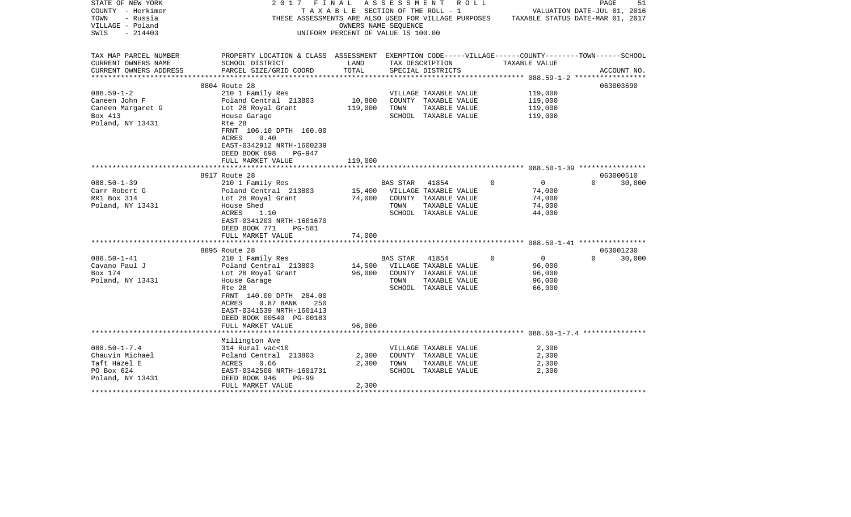| STATE OF NEW YORK        | 2017<br>FINAL                                                                                      |                  | A S S E S S M E N T A O L L                                                           |          |                | PAGE                        | 51     |
|--------------------------|----------------------------------------------------------------------------------------------------|------------------|---------------------------------------------------------------------------------------|----------|----------------|-----------------------------|--------|
| COUNTY - Herkimer        |                                                                                                    |                  | TAXABLE SECTION OF THE ROLL - 1                                                       |          |                | VALUATION DATE-JUL 01, 2016 |        |
| TOWN<br>- Russia         |                                                                                                    |                  | THESE ASSESSMENTS ARE ALSO USED FOR VILLAGE PURPOSES TAXABLE STATUS DATE-MAR 01, 2017 |          |                |                             |        |
| VILLAGE - Poland         |                                                                                                    |                  | OWNERS NAME SEQUENCE                                                                  |          |                |                             |        |
| SWIS<br>$-214403$        |                                                                                                    |                  | UNIFORM PERCENT OF VALUE IS 100.00                                                    |          |                |                             |        |
|                          |                                                                                                    |                  |                                                                                       |          |                |                             |        |
|                          |                                                                                                    |                  |                                                                                       |          |                |                             |        |
| TAX MAP PARCEL NUMBER    | PROPERTY LOCATION & CLASS ASSESSMENT EXEMPTION CODE-----VILLAGE------COUNTY-------TOWN------SCHOOL |                  |                                                                                       |          |                |                             |        |
| CURRENT OWNERS NAME      | SCHOOL DISTRICT                                                                                    | LAND             | TAX DESCRIPTION                                                                       |          | TAXABLE VALUE  |                             |        |
| CURRENT OWNERS ADDRESS   | PARCEL SIZE/GRID COORD                                                                             | TOTAL            | SPECIAL DISTRICTS                                                                     |          |                | ACCOUNT NO.                 |        |
| ************************ |                                                                                                    |                  |                                                                                       |          |                |                             |        |
|                          | 8804 Route 28                                                                                      |                  |                                                                                       |          |                | 063003690                   |        |
| $088.59 - 1 - 2$         | 210 1 Family Res                                                                                   |                  | VILLAGE TAXABLE VALUE                                                                 |          | 119,000        |                             |        |
| Caneen John F            | Poland Central 213803                                                                              | 10,800           | COUNTY TAXABLE VALUE                                                                  |          | 119,000        |                             |        |
| Caneen Margaret G        | Lot 28 Royal Grant                                                                                 | 119,000          | TOWN<br>TAXABLE VALUE                                                                 |          | 119,000        |                             |        |
| Box 413                  | House Garage                                                                                       |                  | SCHOOL TAXABLE VALUE                                                                  |          | 119,000        |                             |        |
| Poland, NY 13431         | Rte 28                                                                                             |                  |                                                                                       |          |                |                             |        |
|                          | FRNT 106.10 DPTH 160.00                                                                            |                  |                                                                                       |          |                |                             |        |
|                          | ACRES<br>0.40                                                                                      |                  |                                                                                       |          |                |                             |        |
|                          | EAST-0342912 NRTH-1600239                                                                          |                  |                                                                                       |          |                |                             |        |
|                          | DEED BOOK 698<br>PG-947                                                                            |                  |                                                                                       |          |                |                             |        |
|                          | FULL MARKET VALUE                                                                                  | 119,000          |                                                                                       |          |                |                             |        |
|                          |                                                                                                    |                  |                                                                                       |          |                |                             |        |
|                          | 8917 Route 28                                                                                      |                  |                                                                                       |          |                | 063000510                   |        |
| $088.50 - 1 - 39$        | 210 1 Family Res                                                                                   |                  | BAS STAR<br>41854                                                                     | $\Omega$ | $\overline{0}$ | $\Omega$                    | 30,000 |
| Carr Robert G            | Poland Central 213803                                                                              |                  | VILLAGE TAXABLE VALUE                                                                 |          | 74,000         |                             |        |
| RR1 Box 314              |                                                                                                    | 15,400<br>74,000 | COUNTY TAXABLE VALUE                                                                  |          | 74,000         |                             |        |
|                          | Lot 28 Royal Grant                                                                                 |                  |                                                                                       |          |                |                             |        |
| Poland, NY 13431         | House Shed                                                                                         |                  | TOWN<br>TAXABLE VALUE                                                                 |          | 74,000         |                             |        |
|                          | ACRES<br>1.10                                                                                      |                  | SCHOOL TAXABLE VALUE                                                                  |          | 44,000         |                             |        |
|                          | EAST-0341203 NRTH-1601670                                                                          |                  |                                                                                       |          |                |                             |        |
|                          | DEED BOOK 771<br>PG-581                                                                            |                  |                                                                                       |          |                |                             |        |
|                          | FULL MARKET VALUE                                                                                  | 74,000           |                                                                                       |          |                |                             |        |
|                          |                                                                                                    |                  |                                                                                       |          |                |                             |        |
|                          | 8895 Route 28                                                                                      |                  |                                                                                       |          |                | 063001230                   |        |
| $088.50 - 1 - 41$        | 210 1 Family Res                                                                                   |                  | BAS STAR 41854                                                                        | $\Omega$ | $\overline{0}$ | $\Omega$                    | 30,000 |
| Cavano Paul J            | Poland Central 213803                                                                              |                  | 14,500 VILLAGE TAXABLE VALUE                                                          |          | 96,000         |                             |        |
| Box 174                  | Lot 28 Royal Grant                                                                                 | 96,000           | COUNTY TAXABLE VALUE                                                                  |          | 96,000         |                             |        |
| Poland, NY 13431         | House Garage                                                                                       |                  | TOWN<br>TAXABLE VALUE                                                                 |          | 96,000         |                             |        |
|                          | Rte 28                                                                                             |                  | SCHOOL TAXABLE VALUE                                                                  |          | 66,000         |                             |        |
|                          | FRNT 140.00 DPTH 284.00                                                                            |                  |                                                                                       |          |                |                             |        |
|                          | $0.87$ BANK<br>ACRES<br>250                                                                        |                  |                                                                                       |          |                |                             |        |
|                          | EAST-0341539 NRTH-1601413                                                                          |                  |                                                                                       |          |                |                             |        |
|                          | DEED BOOK 00540 PG-00183                                                                           |                  |                                                                                       |          |                |                             |        |
|                          | FULL MARKET VALUE                                                                                  | 96,000           |                                                                                       |          |                |                             |        |
|                          |                                                                                                    |                  |                                                                                       |          |                |                             |        |
|                          | Millington Ave                                                                                     |                  |                                                                                       |          |                |                             |        |
| $088.50 - 1 - 7.4$       | 314 Rural vac<10                                                                                   |                  | VILLAGE TAXABLE VALUE                                                                 |          | 2,300          |                             |        |
| Chauvin Michael          | Poland Central 213803                                                                              | 2,300            | COUNTY TAXABLE VALUE                                                                  |          | 2,300          |                             |        |
| Taft Hazel E             | ACRES<br>0.66                                                                                      | 2,300            | TOWN<br>TAXABLE VALUE                                                                 |          | 2,300          |                             |        |
| PO Box 624               | EAST-0342508 NRTH-1601731                                                                          |                  | SCHOOL TAXABLE VALUE                                                                  |          | 2,300          |                             |        |
| Poland, NY 13431         | DEED BOOK 946<br>$PG-99$                                                                           |                  |                                                                                       |          |                |                             |        |
|                          | FULL MARKET VALUE                                                                                  | 2,300            |                                                                                       |          |                |                             |        |
|                          |                                                                                                    |                  |                                                                                       |          |                |                             |        |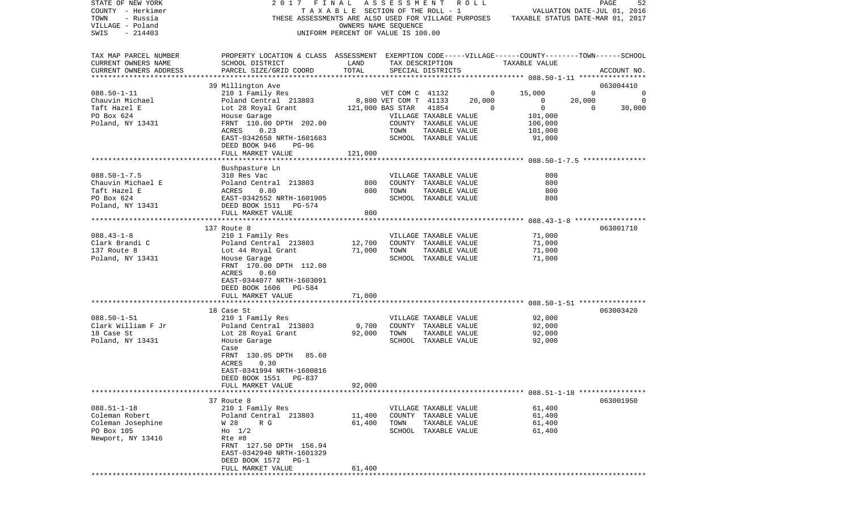| STATE OF NEW YORK      | 2017                                                                                               | FINAL                              | ASSESSMENT ROLL       |                       |        |                                       |          | PAGE<br>52                  |
|------------------------|----------------------------------------------------------------------------------------------------|------------------------------------|-----------------------|-----------------------|--------|---------------------------------------|----------|-----------------------------|
| COUNTY - Herkimer      |                                                                                                    | TAXABLE SECTION OF THE ROLL - 1    |                       |                       |        |                                       |          | VALUATION DATE-JUL 01, 2016 |
| - Russia<br>TOWN       | THESE ASSESSMENTS ARE ALSO USED FOR VILLAGE PURPOSES                                               |                                    |                       |                       |        | TAXABLE STATUS DATE-MAR 01, 2017      |          |                             |
| VILLAGE - Poland       |                                                                                                    |                                    | OWNERS NAME SEQUENCE  |                       |        |                                       |          |                             |
| $-214403$<br>SWIS      |                                                                                                    | UNIFORM PERCENT OF VALUE IS 100.00 |                       |                       |        |                                       |          |                             |
|                        |                                                                                                    |                                    |                       |                       |        |                                       |          |                             |
| TAX MAP PARCEL NUMBER  | PROPERTY LOCATION & CLASS ASSESSMENT EXEMPTION CODE-----VILLAGE------COUNTY-------TOWN------SCHOOL |                                    |                       |                       |        |                                       |          |                             |
| CURRENT OWNERS NAME    | SCHOOL DISTRICT                                                                                    | LAND                               |                       | TAX DESCRIPTION       |        | TAXABLE VALUE                         |          |                             |
| CURRENT OWNERS ADDRESS | PARCEL SIZE/GRID COORD                                                                             | TOTAL                              |                       | SPECIAL DISTRICTS     |        |                                       |          | ACCOUNT NO.                 |
| ********************** |                                                                                                    |                                    |                       |                       |        |                                       |          |                             |
|                        | 39 Millington Ave                                                                                  |                                    |                       |                       |        |                                       |          | 063004410                   |
| $088.50 - 1 - 11$      | 210 1 Family Res                                                                                   |                                    | VET COM C 41132       |                       | 0      | 15,000                                | $\Omega$ | 0                           |
| Chauvin Michael        | Poland Central 213803                                                                              |                                    | 8,800 VET COM T 41133 |                       | 20,000 | 0                                     | 20,000   | $\mathbf 0$                 |
| Taft Hazel E           | Lot 28 Royal Grant                                                                                 |                                    | 121,000 BAS STAR      | 41854                 | 0      | $\mathbf 0$                           | 0        | 30,000                      |
| PO Box 624             | House Garage                                                                                       |                                    |                       | VILLAGE TAXABLE VALUE |        | 101,000                               |          |                             |
| Poland, NY 13431       | FRNT 110.00 DPTH 202.00                                                                            |                                    |                       | COUNTY TAXABLE VALUE  |        | 106,000                               |          |                             |
|                        | 0.23<br>ACRES                                                                                      |                                    | TOWN                  | TAXABLE VALUE         |        | 101,000                               |          |                             |
|                        | EAST-0342658 NRTH-1601683                                                                          |                                    |                       | SCHOOL TAXABLE VALUE  |        | 91,000                                |          |                             |
|                        | DEED BOOK 946<br>PG-96                                                                             |                                    |                       |                       |        |                                       |          |                             |
|                        | FULL MARKET VALUE                                                                                  | 121,000                            |                       |                       |        |                                       |          |                             |
|                        |                                                                                                    |                                    |                       |                       |        |                                       |          |                             |
|                        | Bushpasture Ln                                                                                     |                                    |                       |                       |        |                                       |          |                             |
| $088.50 - 1 - 7.5$     | 310 Res Vac                                                                                        |                                    |                       | VILLAGE TAXABLE VALUE |        | 800                                   |          |                             |
| Chauvin Michael E      | Poland Central 213803                                                                              | 800                                |                       | COUNTY TAXABLE VALUE  |        | 800                                   |          |                             |
| Taft Hazel E           | 0.80<br>ACRES                                                                                      | 800                                | TOWN                  | TAXABLE VALUE         |        | 800                                   |          |                             |
| PO Box 624             | EAST-0342552 NRTH-1601905                                                                          |                                    |                       | SCHOOL TAXABLE VALUE  |        | 800                                   |          |                             |
| Poland, NY 13431       | DEED BOOK 1511<br>PG-574                                                                           |                                    |                       |                       |        |                                       |          |                             |
|                        | FULL MARKET VALUE                                                                                  | 800                                |                       |                       |        |                                       |          |                             |
|                        |                                                                                                    |                                    |                       |                       |        |                                       |          |                             |
|                        | 137 Route 8                                                                                        |                                    |                       |                       |        |                                       |          | 063001710                   |
| $088.43 - 1 - 8$       | 210 1 Family Res                                                                                   |                                    |                       | VILLAGE TAXABLE VALUE |        | 71,000                                |          |                             |
| Clark Brandi C         | Poland Central 213803                                                                              | 12,700                             |                       | COUNTY TAXABLE VALUE  |        | 71,000                                |          |                             |
| 137 Route 8            | Lot 44 Royal Grant                                                                                 | 71,000                             | TOWN                  | TAXABLE VALUE         |        | 71,000                                |          |                             |
| Poland, NY 13431       | House Garage                                                                                       |                                    |                       | SCHOOL TAXABLE VALUE  |        | 71,000                                |          |                             |
|                        | FRNT 170.00 DPTH 112.00                                                                            |                                    |                       |                       |        |                                       |          |                             |
|                        | 0.60<br>ACRES                                                                                      |                                    |                       |                       |        |                                       |          |                             |
|                        | EAST-0344077 NRTH-1603091                                                                          |                                    |                       |                       |        |                                       |          |                             |
|                        | DEED BOOK 1606<br>PG-584                                                                           |                                    |                       |                       |        |                                       |          |                             |
|                        | FULL MARKET VALUE                                                                                  | 71,000                             |                       |                       |        |                                       |          |                             |
|                        | *******************                                                                                |                                    |                       |                       |        | ******** 088.50-1-51 **************** |          |                             |
|                        | 18 Case St                                                                                         |                                    |                       |                       |        |                                       |          | 063003420                   |
| $088.50 - 1 - 51$      | 210 1 Family Res                                                                                   |                                    |                       | VILLAGE TAXABLE VALUE |        | 92,000                                |          |                             |
| Clark William F Jr     | Poland Central 213803                                                                              | 9,700                              |                       | COUNTY TAXABLE VALUE  |        | 92,000                                |          |                             |
| 18 Case St             | Lot 28 Royal Grant                                                                                 | 92,000                             | TOWN                  | TAXABLE VALUE         |        | 92,000                                |          |                             |
| Poland, NY 13431       | House Garage                                                                                       |                                    |                       | SCHOOL TAXABLE VALUE  |        | 92,000                                |          |                             |
|                        | Case                                                                                               |                                    |                       |                       |        |                                       |          |                             |
|                        | 85.60<br>FRNT 130.05 DPTH                                                                          |                                    |                       |                       |        |                                       |          |                             |
|                        | ACRES<br>0.30                                                                                      |                                    |                       |                       |        |                                       |          |                             |
|                        | EAST-0341994 NRTH-1600816                                                                          |                                    |                       |                       |        |                                       |          |                             |
|                        | DEED BOOK 1551 PG-837                                                                              |                                    |                       |                       |        |                                       |          |                             |
|                        | FULL MARKET VALUE                                                                                  | 92,000                             |                       |                       |        |                                       |          |                             |
|                        |                                                                                                    |                                    |                       |                       |        |                                       |          |                             |
|                        | 37 Route 8                                                                                         |                                    |                       |                       |        |                                       |          | 063001950                   |
| $088.51 - 1 - 18$      | 210 1 Family Res                                                                                   |                                    |                       | VILLAGE TAXABLE VALUE |        | 61,400                                |          |                             |
| Coleman Robert         | Poland Central 213803                                                                              | 11,400                             |                       | COUNTY TAXABLE VALUE  |        | 61,400                                |          |                             |
| Coleman Josephine      | W 28<br>R G                                                                                        | 61,400                             | TOWN                  | TAXABLE VALUE         |        | 61,400                                |          |                             |
| PO Box 105             | $H_0$ 1/2                                                                                          |                                    |                       | SCHOOL TAXABLE VALUE  |        | 61,400                                |          |                             |
| Newport, NY 13416      | Rte #8                                                                                             |                                    |                       |                       |        |                                       |          |                             |
|                        | FRNT 127.50 DPTH 156.94                                                                            |                                    |                       |                       |        |                                       |          |                             |
|                        | EAST-0342940 NRTH-1601329                                                                          |                                    |                       |                       |        |                                       |          |                             |
|                        | DEED BOOK 1572<br>$PG-1$                                                                           |                                    |                       |                       |        |                                       |          |                             |
|                        | FULL MARKET VALUE                                                                                  | 61,400                             |                       |                       |        |                                       |          |                             |
|                        |                                                                                                    | ******                             |                       |                       |        |                                       |          |                             |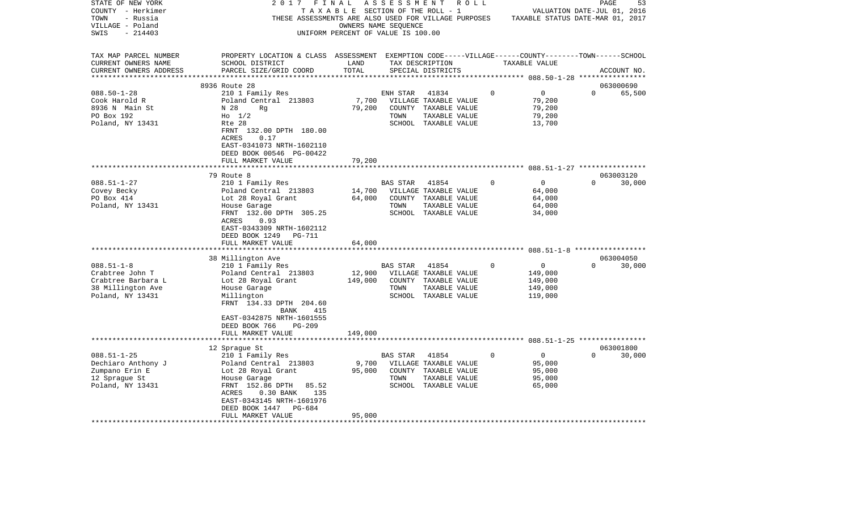| STATE OF NEW YORK                            | 2017                                                                                                                  | FINAL                                 | A S S E S S M E N T | R O L L                                              |          |                                  | PAGE     | 53          |
|----------------------------------------------|-----------------------------------------------------------------------------------------------------------------------|---------------------------------------|---------------------|------------------------------------------------------|----------|----------------------------------|----------|-------------|
| COUNTY - Herkimer                            |                                                                                                                       | T A X A B L E SECTION OF THE ROLL - 1 |                     |                                                      |          | VALUATION DATE-JUL 01, 2016      |          |             |
| TOWN<br>- Russia                             |                                                                                                                       |                                       |                     | THESE ASSESSMENTS ARE ALSO USED FOR VILLAGE PURPOSES |          | TAXABLE STATUS DATE-MAR 01, 2017 |          |             |
| VILLAGE - Poland                             |                                                                                                                       | OWNERS NAME SEQUENCE                  |                     |                                                      |          |                                  |          |             |
| $-214403$<br>SWIS                            |                                                                                                                       | UNIFORM PERCENT OF VALUE IS 100.00    |                     |                                                      |          |                                  |          |             |
|                                              |                                                                                                                       |                                       |                     |                                                      |          |                                  |          |             |
| TAX MAP PARCEL NUMBER<br>CURRENT OWNERS NAME | PROPERTY LOCATION & CLASS ASSESSMENT EXEMPTION CODE-----VILLAGE------COUNTY-------TOWN------SCHOOL<br>SCHOOL DISTRICT | LAND                                  |                     | TAX DESCRIPTION                                      |          |                                  |          |             |
| CURRENT OWNERS ADDRESS                       | PARCEL SIZE/GRID COORD                                                                                                | TOTAL                                 |                     | SPECIAL DISTRICTS                                    |          | TAXABLE VALUE                    |          | ACCOUNT NO. |
| **********************                       |                                                                                                                       |                                       |                     |                                                      |          |                                  |          |             |
|                                              | 8936 Route 28                                                                                                         |                                       |                     |                                                      |          |                                  |          | 063000690   |
| $088.50 - 1 - 28$                            | 210 1 Family Res                                                                                                      |                                       | ENH STAR            | 41834                                                | 0        | $\mathbf 0$                      | $\Omega$ | 65,500      |
| Cook Harold R                                | Poland Central 213803                                                                                                 | 7,700                                 |                     | VILLAGE TAXABLE VALUE                                |          | 79,200                           |          |             |
| 8936 N Main St                               | N 28<br>Rg                                                                                                            | 79,200                                | COUNTY              | TAXABLE VALUE                                        |          | 79,200                           |          |             |
| PO Box 192                                   | $H_0$ 1/2                                                                                                             |                                       | TOWN                | TAXABLE VALUE                                        |          | 79,200                           |          |             |
| Poland, NY 13431                             | Rte 28                                                                                                                |                                       |                     | SCHOOL TAXABLE VALUE                                 |          | 13,700                           |          |             |
|                                              | FRNT 132.00 DPTH 180.00                                                                                               |                                       |                     |                                                      |          |                                  |          |             |
|                                              | <b>ACRES</b><br>0.17                                                                                                  |                                       |                     |                                                      |          |                                  |          |             |
|                                              | EAST-0341073 NRTH-1602110                                                                                             |                                       |                     |                                                      |          |                                  |          |             |
|                                              | DEED BOOK 00546 PG-00422                                                                                              |                                       |                     |                                                      |          |                                  |          |             |
|                                              | FULL MARKET VALUE                                                                                                     | 79,200                                |                     |                                                      |          |                                  |          |             |
|                                              | **************                                                                                                        | **********                            |                     |                                                      |          |                                  |          |             |
|                                              | 79 Route 8                                                                                                            |                                       |                     |                                                      |          |                                  |          | 063003120   |
| $088.51 - 1 - 27$                            | 210 1 Family Res                                                                                                      |                                       | BAS STAR            | 41854                                                | $\Omega$ | $\mathbf 0$                      | $\Omega$ | 30,000      |
| Covey Becky                                  | Poland Central 213803                                                                                                 | 14,700                                |                     | VILLAGE TAXABLE VALUE                                |          | 64,000                           |          |             |
| PO Box 414                                   | Lot 28 Royal Grant                                                                                                    | 64,000                                |                     | COUNTY TAXABLE VALUE                                 |          | 64,000                           |          |             |
| Poland, NY 13431                             | House Garage                                                                                                          |                                       | TOWN                | TAXABLE VALUE                                        |          | 64,000                           |          |             |
|                                              | FRNT 132.00 DPTH 305.25                                                                                               |                                       |                     | SCHOOL TAXABLE VALUE                                 |          | 34,000                           |          |             |
|                                              | 0.93<br>ACRES                                                                                                         |                                       |                     |                                                      |          |                                  |          |             |
|                                              | EAST-0343309 NRTH-1602112                                                                                             |                                       |                     |                                                      |          |                                  |          |             |
|                                              | DEED BOOK 1249<br><b>PG-711</b>                                                                                       |                                       |                     |                                                      |          |                                  |          |             |
|                                              | FULL MARKET VALUE                                                                                                     | 64,000                                |                     |                                                      |          |                                  |          |             |
|                                              | ********************                                                                                                  |                                       |                     |                                                      |          |                                  |          |             |
|                                              | 38 Millington Ave                                                                                                     |                                       |                     |                                                      |          |                                  |          | 063004050   |
| $088.51 - 1 - 8$                             | 210 1 Family Res                                                                                                      |                                       | BAS STAR            | 41854                                                | $\Omega$ | 0                                | $\Omega$ | 30,000      |
| Crabtree John T                              | Poland Central 213803                                                                                                 | 12,900                                |                     | VILLAGE TAXABLE VALUE                                |          | 149,000                          |          |             |
| Crabtree Barbara L                           | Lot 28 Royal Grant                                                                                                    | 149,000                               |                     | COUNTY TAXABLE VALUE                                 |          | 149,000                          |          |             |
| 38 Millington Ave                            | House Garage                                                                                                          |                                       | TOWN                | TAXABLE VALUE                                        |          | 149,000                          |          |             |
| Poland, NY 13431                             | Millington                                                                                                            |                                       |                     | SCHOOL TAXABLE VALUE                                 |          | 119,000                          |          |             |
|                                              | FRNT 134.33 DPTH 204.60                                                                                               |                                       |                     |                                                      |          |                                  |          |             |
|                                              | BANK<br>415                                                                                                           |                                       |                     |                                                      |          |                                  |          |             |
|                                              | EAST-0342875 NRTH-1601555                                                                                             |                                       |                     |                                                      |          |                                  |          |             |
|                                              | DEED BOOK 766<br>PG-209                                                                                               |                                       |                     |                                                      |          |                                  |          |             |
|                                              | FULL MARKET VALUE                                                                                                     | 149,000                               |                     |                                                      |          |                                  |          |             |
|                                              |                                                                                                                       |                                       |                     |                                                      |          |                                  |          |             |
|                                              | 12 Sprague St                                                                                                         |                                       |                     |                                                      |          |                                  |          | 063001800   |
| $088.51 - 1 - 25$                            | 210 1 Family Res                                                                                                      |                                       | BAS STAR            | 41854                                                | $\Omega$ | 0                                | $\Omega$ | 30,000      |
| Dechiaro Anthony J                           | Poland Central 213803                                                                                                 | 9,700                                 |                     | VILLAGE TAXABLE VALUE                                |          | 95,000                           |          |             |
| Zumpano Erin E                               | Lot 28 Royal Grant                                                                                                    | 95,000                                | COUNTY              | TAXABLE VALUE                                        |          | 95,000                           |          |             |
| 12 Sprague St                                | House Garage                                                                                                          |                                       | TOWN                | TAXABLE VALUE<br>SCHOOL TAXABLE VALUE                |          | 95,000                           |          |             |
| Poland, NY 13431                             | FRNT 152.86 DPTH<br>85.52<br><b>ACRES</b><br>135                                                                      |                                       |                     |                                                      |          | 65,000                           |          |             |
|                                              | 0.30 BANK<br>EAST-0343145 NRTH-1601976                                                                                |                                       |                     |                                                      |          |                                  |          |             |
|                                              | DEED BOOK 1447<br>PG-684                                                                                              |                                       |                     |                                                      |          |                                  |          |             |
|                                              | FULL MARKET VALUE                                                                                                     | 95,000                                |                     |                                                      |          |                                  |          |             |
|                                              | *************                                                                                                         |                                       |                     |                                                      |          |                                  |          |             |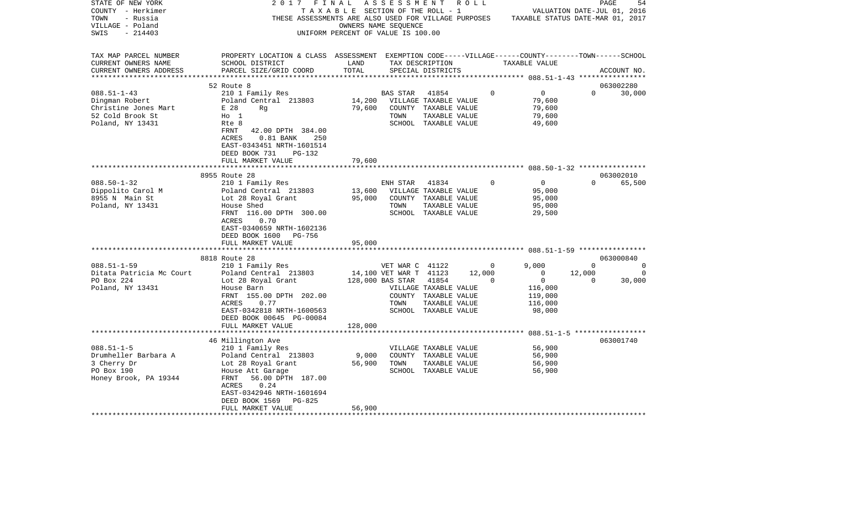| STATE OF NEW YORK                                 | 2017                                                                                               | FINAL                                 | A S S E S S M E N T R O L L  |                       |        |             |                                                                                                                      |          | PAGE<br>54  |
|---------------------------------------------------|----------------------------------------------------------------------------------------------------|---------------------------------------|------------------------------|-----------------------|--------|-------------|----------------------------------------------------------------------------------------------------------------------|----------|-------------|
| COUNTY - Herkimer<br>TOWN<br>- Russia             |                                                                                                    | T A X A B L E SECTION OF THE ROLL - 1 |                              |                       |        |             | VALUATION DATE-JUL 01, 2016<br>THESE ASSESSMENTS ARE ALSO USED FOR VILLAGE PURPOSES TAXABLE STATUS DATE-MAR 01, 2017 |          |             |
|                                                   |                                                                                                    |                                       | OWNERS NAME SEQUENCE         |                       |        |             |                                                                                                                      |          |             |
| VILLAGE - Poland<br>SWIS<br>$-214403$             |                                                                                                    | UNIFORM PERCENT OF VALUE IS 100.00    |                              |                       |        |             |                                                                                                                      |          |             |
|                                                   |                                                                                                    |                                       |                              |                       |        |             |                                                                                                                      |          |             |
| TAX MAP PARCEL NUMBER                             | PROPERTY LOCATION & CLASS ASSESSMENT EXEMPTION CODE-----VILLAGE------COUNTY-------TOWN------SCHOOL |                                       |                              |                       |        |             |                                                                                                                      |          |             |
| CURRENT OWNERS NAME                               | SCHOOL DISTRICT                                                                                    | LAND                                  |                              | TAX DESCRIPTION       |        |             | TAXABLE VALUE                                                                                                        |          |             |
| CURRENT OWNERS ADDRESS                            | PARCEL SIZE/GRID COORD                                                                             | TOTAL                                 |                              | SPECIAL DISTRICTS     |        |             |                                                                                                                      |          | ACCOUNT NO. |
|                                                   |                                                                                                    |                                       |                              |                       |        |             |                                                                                                                      |          |             |
|                                                   | 52 Route 8                                                                                         |                                       |                              |                       |        |             |                                                                                                                      |          | 063002280   |
| $088.51 - 1 - 43$                                 | 210 1 Family Res                                                                                   |                                       | BAS STAR                     | 41854                 |        | $\Omega$    | $\overline{0}$                                                                                                       | $\Omega$ | 30,000      |
| Dingman Robert                                    | Poland Central 213803                                                                              |                                       | 14,200 VILLAGE TAXABLE VALUE |                       |        |             | 79,600                                                                                                               |          |             |
| Christine Jones Mart                              | E 28<br>Rq                                                                                         | 79,600                                |                              | COUNTY TAXABLE VALUE  |        |             | 79,600                                                                                                               |          |             |
| 52 Cold Brook St                                  | $H_0$ 1                                                                                            |                                       | TOWN                         | TAXABLE VALUE         |        |             | 79,600                                                                                                               |          |             |
| Poland, NY 13431                                  | Rte 8                                                                                              |                                       |                              | SCHOOL TAXABLE VALUE  |        |             | 49,600                                                                                                               |          |             |
|                                                   | FRNT<br>42.00 DPTH 384.00                                                                          |                                       |                              |                       |        |             |                                                                                                                      |          |             |
|                                                   | 250<br>ACRES<br>$0.81$ BANK                                                                        |                                       |                              |                       |        |             |                                                                                                                      |          |             |
|                                                   | EAST-0343451 NRTH-1601514                                                                          |                                       |                              |                       |        |             |                                                                                                                      |          |             |
|                                                   | DEED BOOK 731<br>PG-132                                                                            |                                       |                              |                       |        |             |                                                                                                                      |          |             |
|                                                   | FULL MARKET VALUE                                                                                  | 79,600                                |                              |                       |        |             |                                                                                                                      |          |             |
|                                                   |                                                                                                    |                                       |                              |                       |        |             |                                                                                                                      |          |             |
|                                                   | 8955 Route 28                                                                                      |                                       |                              |                       |        |             |                                                                                                                      |          | 063002010   |
| $088.50 - 1 - 32$                                 | 210 1 Family Res                                                                                   |                                       | ENH STAR 41834               |                       |        | $\Omega$    | $\overline{0}$                                                                                                       | $\Omega$ | 65,500      |
| U88.50 + -.<br>Dippolito Carol M<br>-- * Moin St. | Poland Central 213803<br>Lot 28 Royal Grant                                                        |                                       | 13,600 VILLAGE TAXABLE VALUE |                       |        |             | 95,000                                                                                                               |          |             |
|                                                   |                                                                                                    | 95,000                                |                              | COUNTY TAXABLE VALUE  |        |             | 95,000                                                                                                               |          |             |
| Poland, NY 13431                                  | House Shed                                                                                         |                                       | TOWN                         | TAXABLE VALUE         |        |             | 95,000                                                                                                               |          |             |
|                                                   | FRNT 116.00 DPTH 300.00                                                                            |                                       |                              | SCHOOL TAXABLE VALUE  |        |             | 29,500                                                                                                               |          |             |
|                                                   | ACRES<br>0.70<br>EAST-0340659 NRTH-1602136                                                         |                                       |                              |                       |        |             |                                                                                                                      |          |             |
|                                                   | PG-756<br>DEED BOOK 1600                                                                           |                                       |                              |                       |        |             |                                                                                                                      |          |             |
|                                                   | FULL MARKET VALUE                                                                                  | 95,000                                |                              |                       |        |             |                                                                                                                      |          |             |
|                                                   |                                                                                                    |                                       |                              |                       |        |             |                                                                                                                      |          |             |
|                                                   | 8818 Route 28                                                                                      |                                       |                              |                       |        |             |                                                                                                                      |          | 063000840   |
| $088.51 - 1 - 59$                                 | 210 1 Family Res                                                                                   |                                       | VET WAR C 41122              |                       |        | $\mathbf 0$ | 9.000                                                                                                                | $\Omega$ | $\Omega$    |
| Ditata Patricia Mc Court                          | Poland Central 213803                                                                              |                                       | 14,100 VET WAR T 41123       |                       | 12,000 |             | $\overline{0}$                                                                                                       | 12,000   | $\Omega$    |
| PO Box 224                                        | Lot 28 Royal Grant                                                                                 |                                       | 128,000 BAS STAR             | 41854                 |        | 0           | $\overline{0}$                                                                                                       | $\Omega$ | 30,000      |
| Poland, NY 13431                                  | House Barn                                                                                         |                                       |                              | VILLAGE TAXABLE VALUE |        |             | 116,000                                                                                                              |          |             |
|                                                   | FRNT 155.00 DPTH 202.00                                                                            |                                       |                              | COUNTY TAXABLE VALUE  |        |             | 119,000                                                                                                              |          |             |
|                                                   | ACRES<br>0.77                                                                                      |                                       | TOWN                         | TAXABLE VALUE         |        |             | 116,000                                                                                                              |          |             |
|                                                   | EAST-0342818 NRTH-1600563                                                                          |                                       |                              | SCHOOL TAXABLE VALUE  |        |             | 98,000                                                                                                               |          |             |
|                                                   | DEED BOOK 00645 PG-00084                                                                           |                                       |                              |                       |        |             |                                                                                                                      |          |             |
|                                                   | FULL MARKET VALUE                                                                                  | 128,000                               |                              |                       |        |             |                                                                                                                      |          |             |
|                                                   |                                                                                                    |                                       |                              |                       |        |             |                                                                                                                      |          |             |
|                                                   | 46 Millington Ave                                                                                  |                                       |                              |                       |        |             |                                                                                                                      |          | 063001740   |
| $088.51 - 1 - 5$                                  | 210 1 Family Res                                                                                   |                                       |                              | VILLAGE TAXABLE VALUE |        |             | 56,900                                                                                                               |          |             |
| Drumheller Barbara A                              | Poland Central 213803                                                                              | 9,000                                 |                              | COUNTY TAXABLE VALUE  |        |             | 56,900                                                                                                               |          |             |
| 3 Cherry Dr                                       | Lot 28 Royal Grant                                                                                 | 56,900                                | TOWN                         | TAXABLE VALUE         |        |             | 56,900                                                                                                               |          |             |
| PO Box 190                                        | House Att Garage                                                                                   |                                       |                              | SCHOOL TAXABLE VALUE  |        |             | 56,900                                                                                                               |          |             |
| Honey Brook, PA 19344                             | FRNT<br>56.00 DPTH 187.00<br>0.24                                                                  |                                       |                              |                       |        |             |                                                                                                                      |          |             |
|                                                   | ACRES<br>EAST-0342946 NRTH-1601694                                                                 |                                       |                              |                       |        |             |                                                                                                                      |          |             |
|                                                   | DEED BOOK 1569<br>PG-825                                                                           |                                       |                              |                       |        |             |                                                                                                                      |          |             |
|                                                   | FULL MARKET VALUE                                                                                  | 56,900                                |                              |                       |        |             |                                                                                                                      |          |             |
| **********************                            |                                                                                                    |                                       |                              |                       |        |             |                                                                                                                      |          |             |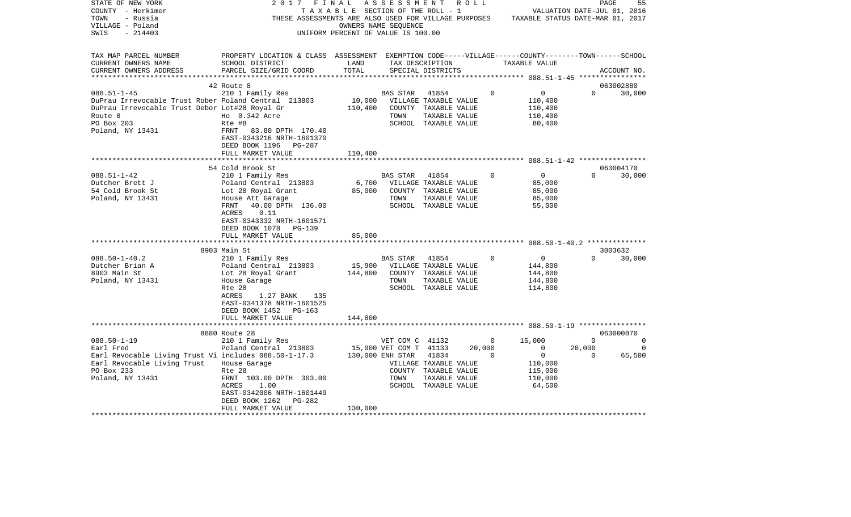| STATE OF NEW YORK<br>COUNTY - Herkimer<br>TOWN<br>- Russia<br>VILLAGE - Poland<br>$-214403$<br>SWIS                                 | 2 0 1 7                                                                                                                                                                                                                                                               | FINAL<br>T A X A B L E SECTION OF THE ROLL - 1<br>OWNERS NAME SEQUENCE<br>UNIFORM PERCENT OF VALUE IS 100.00 | ASSESSMENT                          |                                                                                                          | R O L L            | THESE ASSESSMENTS ARE ALSO USED FOR VILLAGE PURPOSES TAXABLE STATUS DATE-MAR 01, 2017 | PAGE<br>VALUATION DATE-JUL 01, 2016 | 55                  |
|-------------------------------------------------------------------------------------------------------------------------------------|-----------------------------------------------------------------------------------------------------------------------------------------------------------------------------------------------------------------------------------------------------------------------|--------------------------------------------------------------------------------------------------------------|-------------------------------------|----------------------------------------------------------------------------------------------------------|--------------------|---------------------------------------------------------------------------------------|-------------------------------------|---------------------|
| TAX MAP PARCEL NUMBER<br>CURRENT OWNERS NAME<br>CURRENT OWNERS ADDRESS                                                              | PROPERTY LOCATION & CLASS ASSESSMENT EXEMPTION CODE-----VILLAGE------COUNTY-------TOWN-----SCHOOL<br>SCHOOL DISTRICT<br>PARCEL SIZE/GRID COORD                                                                                                                        | LAND<br>TOTAL                                                                                                |                                     | TAX DESCRIPTION<br>SPECIAL DISTRICTS                                                                     |                    | TAXABLE VALUE                                                                         |                                     | ACCOUNT NO.         |
| $088.51 - 1 - 45$<br>DuPrau Irrevocable Trust Rober Poland Central 213803                                                           | 42 Route 8<br>210 1 Family Res                                                                                                                                                                                                                                        | 10,000                                                                                                       | <b>BAS STAR</b>                     | 41854<br>VILLAGE TAXABLE VALUE                                                                           | $\Omega$           | $\overline{0}$<br>110,400                                                             | $\Omega$                            | 063002880<br>30,000 |
| DuPrau Irrevocable Trust Debor Lot#28 Royal Gr<br>Route 8<br>PO Box 203<br>Poland, NY 13431                                         | Ho 0.342 Acre<br>Rte #8<br>FRNT<br>83.80 DPTH 170.40                                                                                                                                                                                                                  | 110,400                                                                                                      | TOWN                                | COUNTY TAXABLE VALUE<br>TAXABLE VALUE<br>SCHOOL TAXABLE VALUE                                            |                    | 110,400<br>110,400<br>80,400                                                          |                                     |                     |
|                                                                                                                                     | EAST-0343216 NRTH-1601370<br>DEED BOOK 1196<br>PG-287<br>FULL MARKET VALUE                                                                                                                                                                                            | 110,400                                                                                                      |                                     |                                                                                                          |                    |                                                                                       |                                     |                     |
|                                                                                                                                     | 54 Cold Brook St                                                                                                                                                                                                                                                      |                                                                                                              |                                     |                                                                                                          |                    |                                                                                       |                                     | 063004170           |
| $088.51 - 1 - 42$<br>Dutcher Brett J<br>54 Cold Brook St<br>Poland, NY 13431<br>***********<br>$088.50 - 1 - 40.2$                  | 210 1 Family Res<br>Poland Central 213803<br>Lot 28 Royal Grant<br>House Att Garage<br>40.00 DPTH 136.00<br>FRNT<br>ACRES<br>0.11<br>EAST-0343332 NRTH-1601571<br>DEED BOOK 1078 PG-139<br>FULL MARKET VALUE<br>*****************<br>8903 Main St<br>210 1 Family Res | 6,700<br>85,000<br>85,000                                                                                    | <b>BAS STAR</b><br>TOWN<br>BAS STAR | 41854<br>VILLAGE TAXABLE VALUE<br>COUNTY TAXABLE VALUE<br>TAXABLE VALUE<br>SCHOOL TAXABLE VALUE<br>41854 | $\mathbf 0$<br>0   | $\overline{0}$<br>85,000<br>85,000<br>85,000<br>55,000<br>$\overline{0}$              | $\Omega$<br>3003632<br>$\Omega$     | 30,000<br>30,000    |
| Dutcher Brian A<br>8903 Main St<br>Poland, NY 13431                                                                                 | Poland Central 213803<br>Lot 28 Royal Grant<br>House Garage<br>Rte 28<br>135<br>ACRES<br>1.27 BANK<br>EAST-0341378 NRTH-1601525<br>PG-163<br>DEED BOOK 1452<br>FULL MARKET VALUE                                                                                      | 15,900<br>144,800<br>144,800                                                                                 | TOWN                                | VILLAGE TAXABLE VALUE<br>COUNTY TAXABLE VALUE<br>TAXABLE VALUE<br>SCHOOL TAXABLE VALUE                   |                    | 144,800<br>144,800<br>144,800<br>114,800                                              |                                     |                     |
|                                                                                                                                     | 8880 Route 28                                                                                                                                                                                                                                                         |                                                                                                              |                                     |                                                                                                          |                    |                                                                                       |                                     | 063000870           |
| $088.50 - 1 - 19$                                                                                                                   | 210 1 Family Res                                                                                                                                                                                                                                                      |                                                                                                              | VET COM C 41132                     |                                                                                                          | $\overline{0}$     | 15,000                                                                                | $\Omega$                            | $\Omega$            |
| Earl Fred<br>Earl Revocable Living Trust Vi includes 088.50-1-17.3<br>Earl Revocable Living Trust<br>PO Box 233<br>Poland, NY 13431 | Poland Central 213803<br>House Garage<br>Rte 28<br>FRNT 103.00 DPTH 303.00<br>ACRES<br>1.00<br>EAST-0342006 NRTH-1601449<br>DEED BOOK 1262<br>$PG-282$                                                                                                                | 130,000 ENH STAR                                                                                             | 15,000 VET COM T 41133<br>TOWN      | 41834<br>VILLAGE TAXABLE VALUE<br>COUNTY TAXABLE VALUE<br>TAXABLE VALUE<br>SCHOOL TAXABLE VALUE          | 20,000<br>$\Omega$ | $\circ$<br>$\overline{0}$<br>110,000<br>115,000<br>110,000<br>64,500                  | 20,000<br>$\Omega$                  | $\Omega$<br>65,500  |
| **********************                                                                                                              | FULL MARKET VALUE                                                                                                                                                                                                                                                     | 130,000                                                                                                      |                                     |                                                                                                          |                    |                                                                                       |                                     |                     |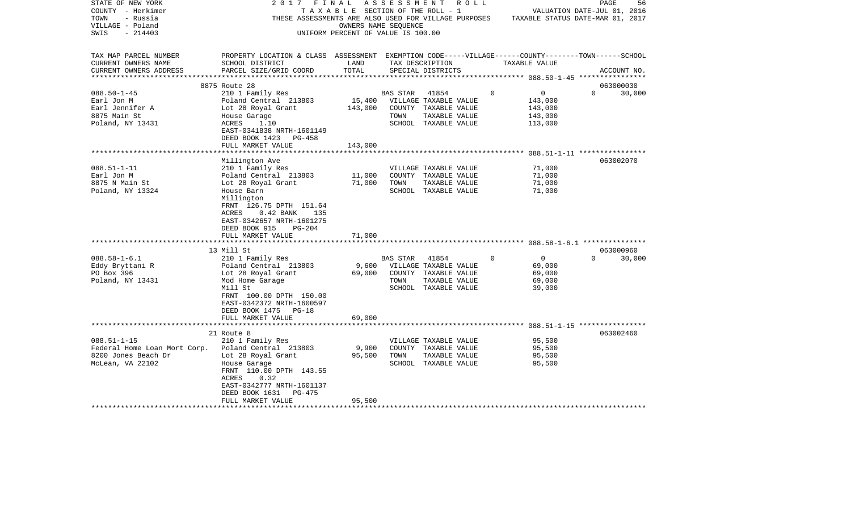| STATE OF NEW YORK<br>COUNTY - Herkimer<br>TOWN<br>- Russia<br>VILLAGE - Poland<br>$-214403$<br>SWIS | 2017                                                                                                                                                                             | FINAL<br>T A X A B L E SECTION OF THE ROLL - 1<br>OWNERS NAME SEQUENCE<br>UNIFORM PERCENT OF VALUE IS 100.00 | A S S E S S M E N T     | R O L L<br>THESE ASSESSMENTS ARE ALSO USED FOR VILLAGE PURPOSES                                 |             | TAXABLE STATUS DATE-MAR 01, 2017                       | PAGE<br>VALUATION DATE-JUL 01, 2016 | 56     |
|-----------------------------------------------------------------------------------------------------|----------------------------------------------------------------------------------------------------------------------------------------------------------------------------------|--------------------------------------------------------------------------------------------------------------|-------------------------|-------------------------------------------------------------------------------------------------|-------------|--------------------------------------------------------|-------------------------------------|--------|
| TAX MAP PARCEL NUMBER<br>CURRENT OWNERS NAME<br>CURRENT OWNERS ADDRESS                              | PROPERTY LOCATION & CLASS ASSESSMENT EXEMPTION CODE-----VILLAGE------COUNTY-------TOWN------SCHOOL<br>SCHOOL DISTRICT<br>PARCEL SIZE/GRID COORD                                  | LAND<br>TOTAL                                                                                                |                         | TAX DESCRIPTION<br>SPECIAL DISTRICTS                                                            |             | TAXABLE VALUE                                          | ACCOUNT NO.                         |        |
| ***********************                                                                             |                                                                                                                                                                                  |                                                                                                              |                         |                                                                                                 |             |                                                        |                                     |        |
|                                                                                                     | 8875 Route 28                                                                                                                                                                    |                                                                                                              |                         |                                                                                                 |             |                                                        | 063000030                           |        |
| $088.50 - 1 - 45$<br>Earl Jon M<br>Earl Jennifer A                                                  | 210 1 Family Res<br>Poland Central 213803<br>Lot 28 Royal Grant                                                                                                                  | 15,400<br>143,000                                                                                            | BAS STAR                | 41854<br>VILLAGE TAXABLE VALUE<br>COUNTY TAXABLE VALUE                                          | $\mathbf 0$ | $\overline{0}$<br>143,000<br>143,000                   | $\Omega$                            | 30,000 |
| 8875 Main St<br>Poland, NY 13431                                                                    | House Garage<br>ACRES<br>1.10<br>EAST-0341838 NRTH-1601149<br>DEED BOOK 1423<br>PG-458                                                                                           |                                                                                                              | TOWN                    | TAXABLE VALUE<br>SCHOOL TAXABLE VALUE                                                           |             | 143,000<br>113,000                                     |                                     |        |
|                                                                                                     | FULL MARKET VALUE                                                                                                                                                                | 143,000                                                                                                      |                         |                                                                                                 |             |                                                        |                                     |        |
|                                                                                                     | ************************                                                                                                                                                         |                                                                                                              |                         |                                                                                                 |             | **************** 088.51-1-11 *****************         |                                     |        |
|                                                                                                     | Millington Ave                                                                                                                                                                   |                                                                                                              |                         |                                                                                                 |             |                                                        | 063002070                           |        |
| $088.51 - 1 - 11$                                                                                   | 210 1 Family Res                                                                                                                                                                 |                                                                                                              |                         | VILLAGE TAXABLE VALUE                                                                           |             | 71,000                                                 |                                     |        |
| Earl Jon M                                                                                          | Poland Central 213803                                                                                                                                                            | 11,000                                                                                                       |                         | COUNTY TAXABLE VALUE                                                                            |             | 71,000<br>71,000                                       |                                     |        |
| 8875 N Main St<br>Poland, NY 13324                                                                  | Lot 28 Royal Grant<br>House Barn<br>Millington<br>FRNT 126.75 DPTH 151.64<br>ACRES<br>$0.42$ BANK<br>135<br>EAST-0342657 NRTH-1601275<br>DEED BOOK 915<br>$PG-204$               | 71,000                                                                                                       | TOWN                    | TAXABLE VALUE<br>SCHOOL TAXABLE VALUE                                                           |             | 71,000                                                 |                                     |        |
|                                                                                                     | FULL MARKET VALUE                                                                                                                                                                | 71,000                                                                                                       |                         |                                                                                                 |             |                                                        |                                     |        |
|                                                                                                     |                                                                                                                                                                                  |                                                                                                              |                         |                                                                                                 |             |                                                        |                                     |        |
|                                                                                                     | 13 Mill St                                                                                                                                                                       |                                                                                                              |                         |                                                                                                 |             |                                                        | 063000960                           |        |
| $088.58 - 1 - 6.1$<br>Eddy Bryttani R<br>PO Box 396<br>Poland, NY 13431                             | 210 1 Family Res<br>Poland Central 213803<br>Lot 28 Royal Grant<br>Mod Home Garage<br>Mill St<br>FRNT 100.00 DPTH 150.00<br>EAST-0342372 NRTH-1600597<br>DEED BOOK 1475<br>PG-18 | 9,600<br>69,000                                                                                              | <b>BAS STAR</b><br>TOWN | 41854<br>VILLAGE TAXABLE VALUE<br>COUNTY TAXABLE VALUE<br>TAXABLE VALUE<br>SCHOOL TAXABLE VALUE | $\mathbf 0$ | $\overline{0}$<br>69,000<br>69,000<br>69,000<br>39,000 | $\Omega$                            | 30,000 |
|                                                                                                     | FULL MARKET VALUE                                                                                                                                                                | 69,000                                                                                                       |                         |                                                                                                 |             |                                                        |                                     |        |
|                                                                                                     |                                                                                                                                                                                  |                                                                                                              |                         |                                                                                                 |             |                                                        | 063002460                           |        |
| $088.51 - 1 - 15$                                                                                   | 21 Route 8<br>210 1 Family Res                                                                                                                                                   |                                                                                                              |                         | VILLAGE TAXABLE VALUE                                                                           |             | 95,500<br>95,500                                       |                                     |        |
| Federal Home Loan Mort Corp.<br>8200 Jones Beach Dr                                                 | Poland Central 213803<br>Lot 28 Royal Grant                                                                                                                                      | 9,900<br>95,500                                                                                              | TOWN                    | COUNTY TAXABLE VALUE<br>TAXABLE VALUE                                                           |             | 95,500                                                 |                                     |        |
| McLean, VA 22102                                                                                    | House Garage<br>FRNT 110.00 DPTH 143.55<br>ACRES<br>0.32<br>EAST-0342777 NRTH-1601137<br>DEED BOOK 1631<br>PG-475                                                                |                                                                                                              |                         | SCHOOL TAXABLE VALUE                                                                            |             | 95,500                                                 |                                     |        |
|                                                                                                     | FULL MARKET VALUE                                                                                                                                                                | 95,500                                                                                                       |                         |                                                                                                 |             |                                                        |                                     |        |
|                                                                                                     |                                                                                                                                                                                  |                                                                                                              |                         |                                                                                                 |             |                                                        |                                     |        |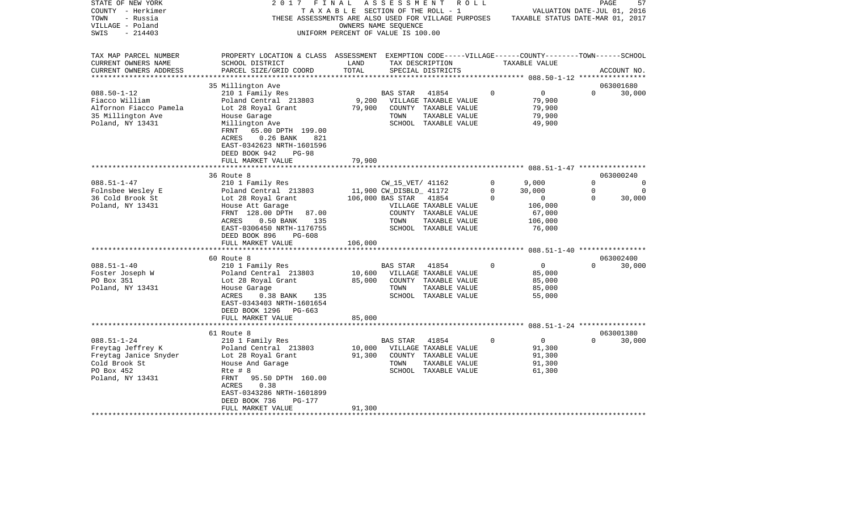| STATE OF NEW YORK<br>COUNTY - Herkimer<br>TOWN<br>- Russia<br>VILLAGE - Poland<br>SWIS<br>$-214403$                | 2017                                                                                                                                                                                                                                                                  | FINAL<br>TAXABLE SECTION OF THE ROLL - 1<br>UNIFORM PERCENT OF VALUE IS 100.00 | A S S E S S M E N T<br>OWNERS NAME SEQUENCE                             | R O L L                                                                                               |                                    | VALUATION DATE-JUL 01, 2016<br>THESE ASSESSMENTS ARE ALSO USED FOR VILLAGE PURPOSES TAXABLE STATUS DATE-MAR 01, 2017 |                                     | 57<br>PAGE                        |
|--------------------------------------------------------------------------------------------------------------------|-----------------------------------------------------------------------------------------------------------------------------------------------------------------------------------------------------------------------------------------------------------------------|--------------------------------------------------------------------------------|-------------------------------------------------------------------------|-------------------------------------------------------------------------------------------------------|------------------------------------|----------------------------------------------------------------------------------------------------------------------|-------------------------------------|-----------------------------------|
| TAX MAP PARCEL NUMBER<br>CURRENT OWNERS NAME<br>CURRENT OWNERS ADDRESS                                             | PROPERTY LOCATION & CLASS ASSESSMENT EXEMPTION CODE-----VILLAGE------COUNTY-------TOWN------SCHOOL<br>SCHOOL DISTRICT<br>PARCEL SIZE/GRID COORD                                                                                                                       | LAND<br>TOTAL                                                                  |                                                                         | TAX DESCRIPTION<br>SPECIAL DISTRICTS                                                                  |                                    | TAXABLE VALUE                                                                                                        |                                     | ACCOUNT NO.                       |
| $088.50 - 1 - 12$<br>Fiacco William<br>Alfornon Fiacco Pamela<br>35 Millington Ave<br>Poland, NY 13431             | 35 Millington Ave<br>210 1 Family Res<br>Poland Central 213803<br>Lot 28 Royal Grant<br>House Garage<br>Millington Ave<br>65.00 DPTH 199.00<br>FRNT<br>ACRES<br>$0.26$ BANK<br>821<br>EAST-0342623 NRTH-1601596<br>DEED BOOK 942<br><b>PG-98</b><br>FULL MARKET VALUE | 79,900<br>79,900                                                               | BAS STAR<br>TOWN                                                        | 41854<br>9,200 VILLAGE TAXABLE VALUE<br>COUNTY TAXABLE VALUE<br>TAXABLE VALUE<br>SCHOOL TAXABLE VALUE | $\Omega$                           | $\overline{0}$<br>79,900<br>79,900<br>79,900<br>49,900                                                               | $\Omega$                            | 063001680<br>30,000               |
|                                                                                                                    | 36 Route 8                                                                                                                                                                                                                                                            |                                                                                |                                                                         |                                                                                                       |                                    |                                                                                                                      |                                     | 063000240                         |
| $088.51 - 1 - 47$<br>Folnsbee Wesley E<br>36 Cold Brook St<br>Poland, NY 13431                                     | 210 1 Family Res<br>Poland Central 213803<br>Lot 28 Royal Grant<br>House Att Garage<br>FRNT 128.00 DPTH<br>87.00<br>ACRES<br>$0.50$ BANK<br>135<br>EAST-0306450 NRTH-1176755<br>PG-608<br>DEED BOOK 896<br>FULL MARKET VALUE                                          | 106,000                                                                        | CW_15_VET/ 41162<br>11,900 CW_DISBLD_ 41172<br>106,000 BAS STAR<br>TOWN | 41854<br>VILLAGE TAXABLE VALUE<br>COUNTY TAXABLE VALUE<br>TAXABLE VALUE<br>SCHOOL TAXABLE VALUE       | $\circ$<br>$\mathbf 0$<br>$\Omega$ | 9,000<br>30,000<br>$\overline{0}$<br>106,000<br>67,000<br>106,000<br>76,000                                          | $\Omega$<br>$\mathbf 0$<br>$\Omega$ | $\Omega$<br>$\mathbf 0$<br>30,000 |
| $088.51 - 1 - 40$<br>Foster Joseph W<br>PO Box 351<br>Poland, NY 13431                                             | 60 Route 8<br>210 1 Family Res<br>Poland Central 213803<br>Lot 28 Royal Grant<br>House Garage<br>House Garage<br>0.38 BANK 135<br>ACRES<br>EAST-0343403 NRTH-1601654<br>DEED BOOK 1296<br>PG-663<br>FULL MARKET VALUE                                                 | 10,600<br>85,000<br>85,000                                                     | <b>BAS STAR</b><br>TOWN                                                 | 41854<br>VILLAGE TAXABLE VALUE<br>COUNTY TAXABLE VALUE<br>TAXABLE VALUE<br>SCHOOL TAXABLE VALUE       | $\Omega$                           | $\overline{0}$<br>85,000<br>85,000<br>85,000<br>55,000                                                               | $\Omega$                            | 063002400<br>30,000               |
|                                                                                                                    | 61 Route 8                                                                                                                                                                                                                                                            |                                                                                |                                                                         |                                                                                                       |                                    |                                                                                                                      |                                     | 063001380                         |
| $088.51 - 1 - 24$<br>Freytag Jeffrey K<br>Freytag Janice Snyder<br>Cold Brook St<br>PO Box 452<br>Poland, NY 13431 | 210 1 Family Res<br>Poland Central 213803<br>Lot 28 Royal Grant<br>House And Garage<br>Rte # 8<br>FRNT<br>95.50 DPTH 160.00<br>0.38<br>ACRES<br>EAST-0343286 NRTH-1601899<br>DEED BOOK 736<br>PG-177                                                                  | 10,000<br>91,300                                                               | BAS STAR<br>TOWN                                                        | 41854<br>VILLAGE TAXABLE VALUE<br>COUNTY TAXABLE VALUE<br>TAXABLE VALUE<br>SCHOOL TAXABLE VALUE       | $\Omega$                           | $\overline{0}$<br>91,300<br>91,300<br>91,300<br>61,300                                                               | $\Omega$                            | 30,000                            |
|                                                                                                                    | FULL MARKET VALUE                                                                                                                                                                                                                                                     | 91,300                                                                         |                                                                         |                                                                                                       |                                    |                                                                                                                      |                                     |                                   |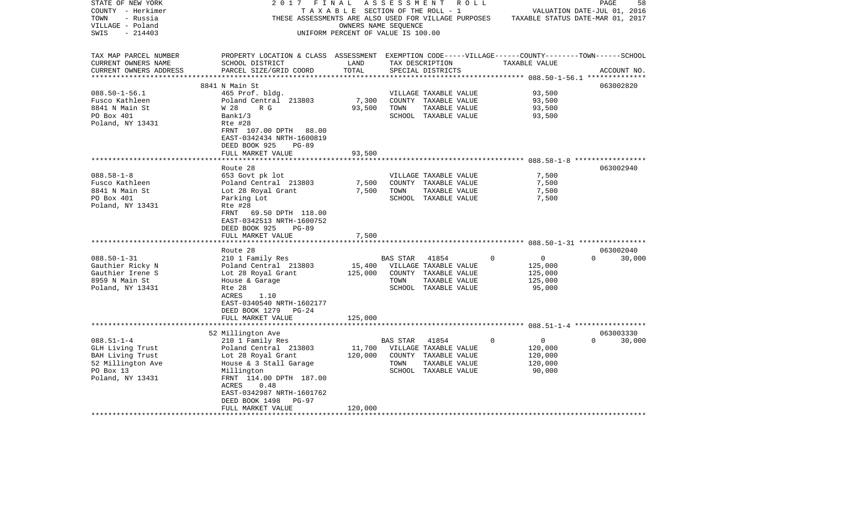| STATE OF NEW YORK      | 2017                                                                                               | FINAL                              | A S S E S S M E N T |                       | R O L L     |                                  | PAGE                        | 58     |
|------------------------|----------------------------------------------------------------------------------------------------|------------------------------------|---------------------|-----------------------|-------------|----------------------------------|-----------------------------|--------|
| COUNTY - Herkimer      |                                                                                                    | TAXABLE SECTION OF THE ROLL - 1    |                     |                       |             |                                  | VALUATION DATE-JUL 01, 2016 |        |
| TOWN<br>- Russia       | THESE ASSESSMENTS ARE ALSO USED FOR VILLAGE PURPOSES                                               |                                    |                     |                       |             | TAXABLE STATUS DATE-MAR 01, 2017 |                             |        |
| VILLAGE - Poland       |                                                                                                    | OWNERS NAME SEQUENCE               |                     |                       |             |                                  |                             |        |
| SWIS<br>$-214403$      |                                                                                                    | UNIFORM PERCENT OF VALUE IS 100.00 |                     |                       |             |                                  |                             |        |
|                        |                                                                                                    |                                    |                     |                       |             |                                  |                             |        |
|                        |                                                                                                    |                                    |                     |                       |             |                                  |                             |        |
| TAX MAP PARCEL NUMBER  | PROPERTY LOCATION & CLASS ASSESSMENT EXEMPTION CODE-----VILLAGE------COUNTY-------TOWN------SCHOOL |                                    |                     |                       |             |                                  |                             |        |
| CURRENT OWNERS NAME    | SCHOOL DISTRICT                                                                                    | LAND                               |                     | TAX DESCRIPTION       |             | TAXABLE VALUE                    |                             |        |
| CURRENT OWNERS ADDRESS | PARCEL SIZE/GRID COORD                                                                             | TOTAL                              |                     | SPECIAL DISTRICTS     |             |                                  | ACCOUNT NO.                 |        |
|                        |                                                                                                    |                                    |                     |                       |             |                                  |                             |        |
|                        | 8841 N Main St                                                                                     |                                    |                     |                       |             |                                  | 063002820                   |        |
| $088.50 - 1 - 56.1$    | 465 Prof. bldg.                                                                                    |                                    |                     | VILLAGE TAXABLE VALUE |             | 93,500                           |                             |        |
| Fusco Kathleen         | Poland Central 213803                                                                              | 7,300                              |                     | COUNTY TAXABLE VALUE  |             | 93,500                           |                             |        |
| 8841 N Main St         | R G<br>W 28                                                                                        | 93,500                             | TOWN                | TAXABLE VALUE         |             | 93,500                           |                             |        |
| PO Box 401             | Bank1/3                                                                                            |                                    |                     | SCHOOL TAXABLE VALUE  |             | 93,500                           |                             |        |
| Poland, NY 13431       | Rte #28                                                                                            |                                    |                     |                       |             |                                  |                             |        |
|                        | FRNT 107.00 DPTH 88.00                                                                             |                                    |                     |                       |             |                                  |                             |        |
|                        |                                                                                                    |                                    |                     |                       |             |                                  |                             |        |
|                        | EAST-0342434 NRTH-1600819                                                                          |                                    |                     |                       |             |                                  |                             |        |
|                        | DEED BOOK 925<br>$PG-89$                                                                           |                                    |                     |                       |             |                                  |                             |        |
|                        | FULL MARKET VALUE                                                                                  | 93,500                             |                     |                       |             |                                  |                             |        |
|                        |                                                                                                    |                                    |                     |                       |             |                                  |                             |        |
|                        | Route 28                                                                                           |                                    |                     |                       |             |                                  | 063002940                   |        |
| $088.58 - 1 - 8$       | 653 Govt pk lot                                                                                    |                                    |                     | VILLAGE TAXABLE VALUE |             | 7,500                            |                             |        |
| Fusco Kathleen         | Poland Central 213803                                                                              | 7,500                              |                     | COUNTY TAXABLE VALUE  |             | 7,500                            |                             |        |
| 8841 N Main St         | Lot 28 Royal Grant                                                                                 | 7,500                              | TOWN                | TAXABLE VALUE         |             | 7,500                            |                             |        |
| PO Box 401             | Parking Lot                                                                                        |                                    |                     | SCHOOL TAXABLE VALUE  |             | 7,500                            |                             |        |
| Poland, NY 13431       | Rte #28                                                                                            |                                    |                     |                       |             |                                  |                             |        |
|                        | 69.50 DPTH 118.00<br>FRNT                                                                          |                                    |                     |                       |             |                                  |                             |        |
|                        | EAST-0342513 NRTH-1600752                                                                          |                                    |                     |                       |             |                                  |                             |        |
|                        | DEED BOOK 925<br>$PG-89$                                                                           |                                    |                     |                       |             |                                  |                             |        |
|                        | FULL MARKET VALUE                                                                                  | 7,500                              |                     |                       |             |                                  |                             |        |
|                        |                                                                                                    |                                    |                     |                       |             |                                  |                             |        |
|                        | Route 28                                                                                           |                                    |                     |                       |             |                                  | 063002040                   |        |
| $088.50 - 1 - 31$      | 210 1 Family Res                                                                                   |                                    | BAS STAR            | 41854                 | 0           | $\mathbf 0$                      | $\Omega$                    | 30,000 |
| Gauthier Ricky N       | Poland Central 213803                                                                              | 15,400                             |                     | VILLAGE TAXABLE VALUE |             | 125,000                          |                             |        |
| Gauthier Irene S       | Lot 28 Royal Grant                                                                                 | 125,000                            |                     | COUNTY TAXABLE VALUE  |             | 125,000                          |                             |        |
| 8959 N Main St         | House & Garage                                                                                     |                                    | TOWN                | TAXABLE VALUE         |             | 125,000                          |                             |        |
| Poland, NY 13431       | Rte 28                                                                                             |                                    |                     | SCHOOL TAXABLE VALUE  |             | 95,000                           |                             |        |
|                        | ACRES<br>1.10                                                                                      |                                    |                     |                       |             |                                  |                             |        |
|                        |                                                                                                    |                                    |                     |                       |             |                                  |                             |        |
|                        | EAST-0340540 NRTH-1602177                                                                          |                                    |                     |                       |             |                                  |                             |        |
|                        | DEED BOOK 1279<br>$PG-24$                                                                          |                                    |                     |                       |             |                                  |                             |        |
|                        | FULL MARKET VALUE                                                                                  | 125,000                            |                     |                       |             |                                  |                             |        |
|                        |                                                                                                    |                                    |                     |                       |             |                                  |                             |        |
|                        | 52 Millington Ave                                                                                  |                                    |                     |                       |             |                                  | 063003330                   |        |
| $088.51 - 1 - 4$       | 210 1 Family Res                                                                                   |                                    | BAS STAR            | 41854                 | $\mathbf 0$ | $\overline{0}$                   | $\cap$                      | 30,000 |
| GLH Living Trust       | Poland Central 213803                                                                              | 11,700                             |                     | VILLAGE TAXABLE VALUE |             | 120,000                          |                             |        |
| BAH Living Trust       | Lot 28 Royal Grant                                                                                 | 120,000                            |                     | COUNTY TAXABLE VALUE  |             | 120,000                          |                             |        |
| 52 Millington Ave      | House & 3 Stall Garage                                                                             |                                    | TOWN                | TAXABLE VALUE         |             | 120,000                          |                             |        |
| PO Box 13              | Millington                                                                                         |                                    |                     | SCHOOL TAXABLE VALUE  |             | 90,000                           |                             |        |
| Poland, NY 13431       | FRNT 114.00 DPTH 187.00                                                                            |                                    |                     |                       |             |                                  |                             |        |
|                        | ACRES<br>0.48                                                                                      |                                    |                     |                       |             |                                  |                             |        |
|                        | EAST-0342987 NRTH-1601762                                                                          |                                    |                     |                       |             |                                  |                             |        |
|                        | DEED BOOK 1498<br>$PG-97$                                                                          |                                    |                     |                       |             |                                  |                             |        |
|                        | FULL MARKET VALUE                                                                                  | 120,000                            |                     |                       |             |                                  |                             |        |
|                        |                                                                                                    |                                    |                     |                       |             |                                  |                             |        |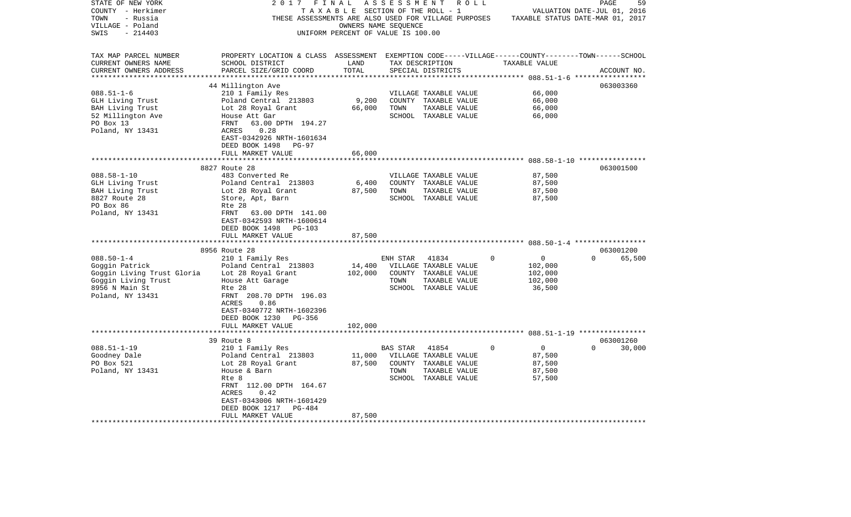| STATE OF NEW YORK<br>COUNTY - Herkimer | 2017                                                                                               | FINAL<br>TAXABLE SECTION OF THE ROLL - 1 | ASSESSMENT      | R O L L                               |   |                                  | PAGE<br>VALUATION DATE-JUL 01, 2016 | 59          |
|----------------------------------------|----------------------------------------------------------------------------------------------------|------------------------------------------|-----------------|---------------------------------------|---|----------------------------------|-------------------------------------|-------------|
| TOWN<br>- Russia                       | THESE ASSESSMENTS ARE ALSO USED FOR VILLAGE PURPOSES                                               |                                          |                 |                                       |   | TAXABLE STATUS DATE-MAR 01, 2017 |                                     |             |
| VILLAGE - Poland                       |                                                                                                    | OWNERS NAME SEQUENCE                     |                 |                                       |   |                                  |                                     |             |
| $-214403$<br>SWIS                      |                                                                                                    | UNIFORM PERCENT OF VALUE IS 100.00       |                 |                                       |   |                                  |                                     |             |
| TAX MAP PARCEL NUMBER                  | PROPERTY LOCATION & CLASS ASSESSMENT EXEMPTION CODE-----VILLAGE------COUNTY-------TOWN------SCHOOL |                                          |                 |                                       |   |                                  |                                     |             |
| CURRENT OWNERS NAME                    | SCHOOL DISTRICT                                                                                    | LAND                                     |                 | TAX DESCRIPTION                       |   | TAXABLE VALUE                    |                                     |             |
| CURRENT OWNERS ADDRESS                 | PARCEL SIZE/GRID COORD                                                                             | TOTAL                                    |                 | SPECIAL DISTRICTS                     |   |                                  |                                     | ACCOUNT NO. |
| ***********************                |                                                                                                    |                                          |                 |                                       |   |                                  |                                     |             |
|                                        | 44 Millington Ave                                                                                  |                                          |                 |                                       |   |                                  | 063003360                           |             |
| $088.51 - 1 - 6$                       | 210 1 Family Res                                                                                   |                                          |                 | VILLAGE TAXABLE VALUE                 |   | 66,000                           |                                     |             |
| GLH Living Trust                       | Poland Central 213803                                                                              | 9,200                                    |                 | COUNTY TAXABLE VALUE                  |   | 66,000                           |                                     |             |
| BAH Living Trust                       | Lot 28 Royal Grant                                                                                 | 66,000                                   | TOWN            | TAXABLE VALUE                         |   | 66,000                           |                                     |             |
| 52 Millington Ave                      | House Att Gar                                                                                      |                                          |                 | SCHOOL TAXABLE VALUE                  |   | 66,000                           |                                     |             |
| PO Box 13                              | 63.00 DPTH 194.27<br>FRNT                                                                          |                                          |                 |                                       |   |                                  |                                     |             |
| Poland, NY 13431                       | ACRES<br>0.28                                                                                      |                                          |                 |                                       |   |                                  |                                     |             |
|                                        | EAST-0342926 NRTH-1601634                                                                          |                                          |                 |                                       |   |                                  |                                     |             |
|                                        | DEED BOOK 1498<br>PG-97                                                                            |                                          |                 |                                       |   |                                  |                                     |             |
|                                        | FULL MARKET VALUE                                                                                  | 66,000                                   |                 |                                       |   |                                  |                                     |             |
|                                        |                                                                                                    |                                          |                 |                                       |   |                                  |                                     |             |
|                                        | 8827 Route 28                                                                                      |                                          |                 |                                       |   |                                  | 063001500                           |             |
| $088.58 - 1 - 10$                      | 483 Converted Re                                                                                   |                                          |                 | VILLAGE TAXABLE VALUE                 |   | 87,500                           |                                     |             |
| GLH Living Trust                       | Poland Central 213803                                                                              | 6,400                                    |                 | COUNTY TAXABLE VALUE                  |   | 87,500                           |                                     |             |
| BAH Living Trust<br>8827 Route 28      | Lot 28 Royal Grant<br>Store, Apt, Barn                                                             | 87,500                                   | TOWN            | TAXABLE VALUE<br>SCHOOL TAXABLE VALUE |   | 87,500<br>87,500                 |                                     |             |
| PO Box 86                              | Rte 28                                                                                             |                                          |                 |                                       |   |                                  |                                     |             |
| Poland, NY 13431                       | FRNT<br>63.00 DPTH 141.00                                                                          |                                          |                 |                                       |   |                                  |                                     |             |
|                                        | EAST-0342593 NRTH-1600614                                                                          |                                          |                 |                                       |   |                                  |                                     |             |
|                                        | DEED BOOK 1498<br>PG-103                                                                           |                                          |                 |                                       |   |                                  |                                     |             |
|                                        | FULL MARKET VALUE                                                                                  | 87,500                                   |                 |                                       |   |                                  |                                     |             |
|                                        |                                                                                                    |                                          |                 |                                       |   |                                  |                                     |             |
|                                        | 8956 Route 28                                                                                      |                                          |                 |                                       |   |                                  | 063001200                           |             |
| $088.50 - 1 - 4$                       | 210 1 Family Res                                                                                   |                                          | ENH STAR        | 41834                                 | 0 | $\mathbf 0$                      | $\Omega$                            | 65,500      |
| Goggin Patrick                         | Poland Central 213803                                                                              | 14,400                                   |                 | VILLAGE TAXABLE VALUE                 |   | 102,000                          |                                     |             |
| Goggin Living Trust Gloria             | Lot 28 Royal Grant                                                                                 | 102,000                                  |                 | COUNTY TAXABLE VALUE                  |   | 102,000                          |                                     |             |
| Goggin Living Trust                    | House Att Garage                                                                                   |                                          | TOWN            | TAXABLE VALUE                         |   | 102,000                          |                                     |             |
| 8956 N Main St                         | Rte 28                                                                                             |                                          |                 | SCHOOL TAXABLE VALUE                  |   | 36,500                           |                                     |             |
| Poland, NY 13431                       | FRNT 208.70 DPTH 196.03                                                                            |                                          |                 |                                       |   |                                  |                                     |             |
|                                        | ACRES<br>0.86                                                                                      |                                          |                 |                                       |   |                                  |                                     |             |
|                                        | EAST-0340772 NRTH-1602396                                                                          |                                          |                 |                                       |   |                                  |                                     |             |
|                                        | DEED BOOK 1230<br>PG-356                                                                           |                                          |                 |                                       |   |                                  |                                     |             |
|                                        | FULL MARKET VALUE                                                                                  | 102,000                                  |                 |                                       |   |                                  |                                     |             |
|                                        | 39 Route 8                                                                                         |                                          |                 |                                       |   |                                  | 063001260                           |             |
| $088.51 - 1 - 19$                      | 210 1 Family Res                                                                                   |                                          | <b>BAS STAR</b> | 41854                                 | 0 | $\overline{0}$                   | $\Omega$                            | 30,000      |
| Goodney Dale                           | Poland Central 213803                                                                              | 11,000                                   |                 | VILLAGE TAXABLE VALUE                 |   | 87,500                           |                                     |             |
| PO Box 521                             | Lot 28 Royal Grant                                                                                 | 87,500                                   |                 | COUNTY TAXABLE VALUE                  |   | 87,500                           |                                     |             |
| Poland, NY 13431                       | House & Barn                                                                                       |                                          | TOWN            | TAXABLE VALUE                         |   | 87,500                           |                                     |             |
|                                        | Rte 8                                                                                              |                                          |                 | SCHOOL TAXABLE VALUE                  |   | 57,500                           |                                     |             |
|                                        | FRNT 112.00 DPTH 164.67                                                                            |                                          |                 |                                       |   |                                  |                                     |             |
|                                        | ACRES<br>0.42                                                                                      |                                          |                 |                                       |   |                                  |                                     |             |
|                                        | EAST-0343006 NRTH-1601429                                                                          |                                          |                 |                                       |   |                                  |                                     |             |
|                                        | DEED BOOK 1217<br>PG-484                                                                           |                                          |                 |                                       |   |                                  |                                     |             |
|                                        | FULL MARKET VALUE                                                                                  | 87,500                                   |                 |                                       |   |                                  |                                     |             |
|                                        |                                                                                                    |                                          |                 |                                       |   |                                  |                                     |             |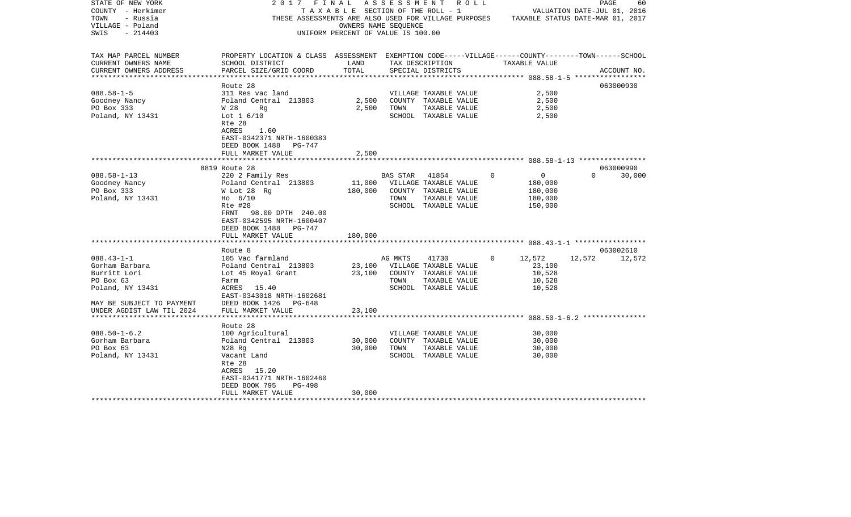| STATE OF NEW YORK         | FINAL<br>2017                                                                                      |                                    |          | A S S E S S M E N T R O L L                          |          |                                  |                             | PAGE        | 60     |
|---------------------------|----------------------------------------------------------------------------------------------------|------------------------------------|----------|------------------------------------------------------|----------|----------------------------------|-----------------------------|-------------|--------|
| COUNTY - Herkimer         |                                                                                                    | TAXABLE SECTION OF THE ROLL - 1    |          |                                                      |          |                                  | VALUATION DATE-JUL 01, 2016 |             |        |
| TOWN<br>- Russia          |                                                                                                    |                                    |          | THESE ASSESSMENTS ARE ALSO USED FOR VILLAGE PURPOSES |          | TAXABLE STATUS DATE-MAR 01, 2017 |                             |             |        |
| VILLAGE - Poland          |                                                                                                    | OWNERS NAME SEQUENCE               |          |                                                      |          |                                  |                             |             |        |
| SWIS<br>$-214403$         |                                                                                                    | UNIFORM PERCENT OF VALUE IS 100.00 |          |                                                      |          |                                  |                             |             |        |
|                           |                                                                                                    |                                    |          |                                                      |          |                                  |                             |             |        |
| TAX MAP PARCEL NUMBER     | PROPERTY LOCATION & CLASS ASSESSMENT EXEMPTION CODE-----VILLAGE------COUNTY-------TOWN------SCHOOL |                                    |          |                                                      |          |                                  |                             |             |        |
|                           |                                                                                                    | LAND                               |          |                                                      |          |                                  |                             |             |        |
| CURRENT OWNERS NAME       | SCHOOL DISTRICT                                                                                    |                                    |          | TAX DESCRIPTION                                      |          | TAXABLE VALUE                    |                             |             |        |
| CURRENT OWNERS ADDRESS    | PARCEL SIZE/GRID COORD                                                                             | TOTAL                              |          | SPECIAL DISTRICTS                                    |          |                                  |                             | ACCOUNT NO. |        |
|                           | Route 28                                                                                           |                                    |          |                                                      |          |                                  |                             | 063000930   |        |
| $088.58 - 1 - 5$          | 311 Res vac land                                                                                   |                                    |          | VILLAGE TAXABLE VALUE                                |          | 2,500                            |                             |             |        |
| Goodney Nancy             | Poland Central 213803                                                                              | 2,500                              |          | COUNTY TAXABLE VALUE                                 |          | 2,500                            |                             |             |        |
| PO Box 333                | W 28<br>Rg                                                                                         | 2,500                              | TOWN     | TAXABLE VALUE                                        |          | 2,500                            |                             |             |        |
| Poland, NY 13431          | Lot $1\,6/10$                                                                                      |                                    |          | SCHOOL TAXABLE VALUE                                 |          | 2,500                            |                             |             |        |
|                           | Rte 28                                                                                             |                                    |          |                                                      |          |                                  |                             |             |        |
|                           | ACRES<br>1.60                                                                                      |                                    |          |                                                      |          |                                  |                             |             |        |
|                           | EAST-0342371 NRTH-1600383                                                                          |                                    |          |                                                      |          |                                  |                             |             |        |
|                           |                                                                                                    |                                    |          |                                                      |          |                                  |                             |             |        |
|                           | DEED BOOK 1488<br>PG-747                                                                           |                                    |          |                                                      |          |                                  |                             |             |        |
|                           | FULL MARKET VALUE                                                                                  | 2,500                              |          |                                                      |          |                                  |                             |             |        |
|                           | 8819 Route 28                                                                                      |                                    |          |                                                      |          |                                  |                             | 063000990   |        |
| $088.58 - 1 - 13$         |                                                                                                    |                                    | BAS STAR | 41854                                                | $\Omega$ | $\mathbf{0}$                     | $\Omega$                    |             | 30,000 |
|                           | 220 2 Family Res                                                                                   |                                    |          |                                                      |          |                                  |                             |             |        |
| Goodney Nancy             | Poland Central 213803                                                                              | 11,000                             |          | VILLAGE TAXABLE VALUE                                |          | 180,000                          |                             |             |        |
| PO Box 333                | W Lot 28 Rg                                                                                        | 180,000                            |          | COUNTY TAXABLE VALUE                                 |          | 180,000                          |                             |             |        |
| Poland, NY 13431          | $H_0$ 6/10                                                                                         |                                    | TOWN     | TAXABLE VALUE                                        |          | 180,000                          |                             |             |        |
|                           | Rte #28                                                                                            |                                    |          | SCHOOL TAXABLE VALUE                                 |          | 150,000                          |                             |             |        |
|                           | 98.00 DPTH 240.00<br>FRNT                                                                          |                                    |          |                                                      |          |                                  |                             |             |        |
|                           | EAST-0342595 NRTH-1600407                                                                          |                                    |          |                                                      |          |                                  |                             |             |        |
|                           | DEED BOOK 1488<br>PG-747                                                                           |                                    |          |                                                      |          |                                  |                             |             |        |
|                           | FULL MARKET VALUE                                                                                  | 180,000                            |          |                                                      |          |                                  |                             |             |        |
|                           |                                                                                                    |                                    |          |                                                      |          |                                  |                             |             |        |
|                           | Route 8                                                                                            |                                    |          |                                                      |          |                                  |                             | 063002610   |        |
| $088.43 - 1 - 1$          | 105 Vac farmland                                                                                   |                                    | AG MKTS  | 41730                                                | $\Omega$ | 12,572                           | 12,572                      |             | 12,572 |
| Gorham Barbara            | Poland Central 213803                                                                              | 23,100                             |          | VILLAGE TAXABLE VALUE                                |          | 23,100                           |                             |             |        |
| Burritt Lori              | Lot 45 Royal Grant                                                                                 | 23,100                             |          | COUNTY TAXABLE VALUE                                 |          | 10,528                           |                             |             |        |
| PO Box 63                 | Farm                                                                                               |                                    | TOWN     | TAXABLE VALUE                                        |          | 10,528                           |                             |             |        |
| Poland, NY 13431          | ACRES<br>15.40                                                                                     |                                    |          | SCHOOL TAXABLE VALUE                                 |          | 10,528                           |                             |             |        |
|                           | EAST-0343018 NRTH-1602681                                                                          |                                    |          |                                                      |          |                                  |                             |             |        |
| MAY BE SUBJECT TO PAYMENT | DEED BOOK 1426<br>PG-648                                                                           |                                    |          |                                                      |          |                                  |                             |             |        |
| UNDER AGDIST LAW TIL 2024 | FULL MARKET VALUE                                                                                  | 23,100                             |          |                                                      |          |                                  |                             |             |        |
|                           |                                                                                                    |                                    |          |                                                      |          |                                  |                             |             |        |
|                           | Route 28                                                                                           |                                    |          |                                                      |          |                                  |                             |             |        |
| $088.50 - 1 - 6.2$        | 100 Agricultural                                                                                   |                                    |          | VILLAGE TAXABLE VALUE                                |          | 30,000                           |                             |             |        |
| Gorham Barbara            | Poland Central 213803                                                                              | 30,000                             |          | COUNTY TAXABLE VALUE                                 |          | 30,000                           |                             |             |        |
| PO Box 63                 | N28 Rg                                                                                             | 30,000                             | TOWN     | TAXABLE VALUE                                        |          | 30,000                           |                             |             |        |
| Poland, NY 13431          | Vacant Land                                                                                        |                                    |          | SCHOOL TAXABLE VALUE                                 |          | 30,000                           |                             |             |        |
|                           | Rte 28                                                                                             |                                    |          |                                                      |          |                                  |                             |             |        |
|                           | ACRES 15.20                                                                                        |                                    |          |                                                      |          |                                  |                             |             |        |
|                           | EAST-0341771 NRTH-1602460                                                                          |                                    |          |                                                      |          |                                  |                             |             |        |
|                           |                                                                                                    |                                    |          |                                                      |          |                                  |                             |             |        |
|                           | DEED BOOK 795<br>PG-498                                                                            |                                    |          |                                                      |          |                                  |                             |             |        |
|                           | FULL MARKET VALUE                                                                                  | 30,000                             |          |                                                      |          |                                  |                             |             |        |
|                           |                                                                                                    |                                    |          |                                                      |          |                                  |                             |             |        |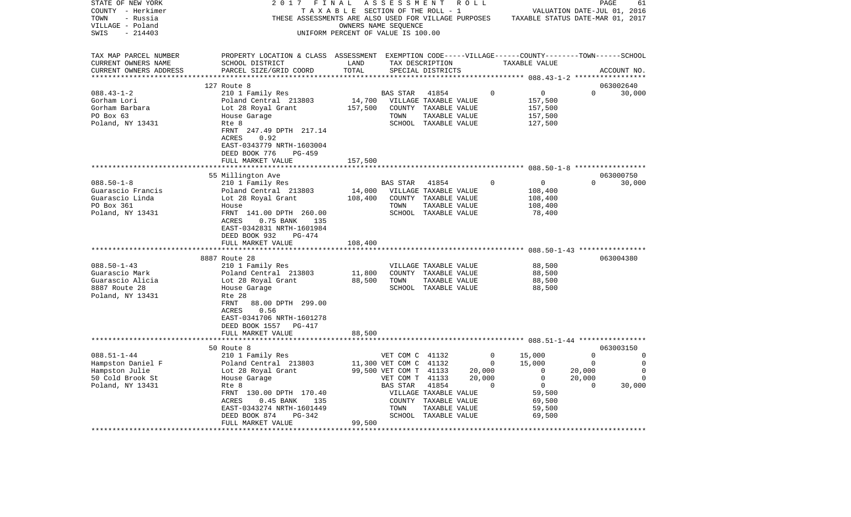| STATE OF NEW YORK      | 2017                                                                                               | FINAL                                 | A S S E S S M E N T    |                       | R O L L  |                                                   |                             | 61<br>PAGE  |
|------------------------|----------------------------------------------------------------------------------------------------|---------------------------------------|------------------------|-----------------------|----------|---------------------------------------------------|-----------------------------|-------------|
| COUNTY - Herkimer      |                                                                                                    | T A X A B L E SECTION OF THE ROLL - 1 |                        |                       |          |                                                   | VALUATION DATE-JUL 01, 2016 |             |
| TOWN<br>- Russia       | THESE ASSESSMENTS ARE ALSO USED FOR VILLAGE PURPOSES                                               |                                       |                        |                       |          | TAXABLE STATUS DATE-MAR 01, 2017                  |                             |             |
| VILLAGE - Poland       |                                                                                                    | OWNERS NAME SEQUENCE                  |                        |                       |          |                                                   |                             |             |
| SWIS<br>$-214403$      |                                                                                                    | UNIFORM PERCENT OF VALUE IS 100.00    |                        |                       |          |                                                   |                             |             |
| TAX MAP PARCEL NUMBER  | PROPERTY LOCATION & CLASS ASSESSMENT EXEMPTION CODE-----VILLAGE------COUNTY-------TOWN------SCHOOL |                                       |                        |                       |          |                                                   |                             |             |
| CURRENT OWNERS NAME    | SCHOOL DISTRICT                                                                                    | LAND                                  |                        | TAX DESCRIPTION       |          | TAXABLE VALUE                                     |                             |             |
| CURRENT OWNERS ADDRESS | PARCEL SIZE/GRID COORD                                                                             | TOTAL                                 |                        | SPECIAL DISTRICTS     |          |                                                   |                             | ACCOUNT NO. |
|                        |                                                                                                    |                                       |                        |                       |          | ********** 088.43-1-2 ******************          |                             |             |
|                        | 127 Route 8                                                                                        |                                       |                        |                       |          |                                                   |                             | 063002640   |
| $088.43 - 1 - 2$       | 210 1 Family Res                                                                                   |                                       | BAS STAR               | 41854                 | $\Omega$ | 0                                                 | $\Omega$                    | 30,000      |
| Gorham Lori            | Poland Central 213803                                                                              | 14,700                                |                        | VILLAGE TAXABLE VALUE |          | 157,500                                           |                             |             |
| Gorham Barbara         | Lot 28 Royal Grant                                                                                 | 157,500                               |                        | COUNTY TAXABLE VALUE  |          | 157,500                                           |                             |             |
| PO Box 63              | House Garage                                                                                       |                                       | TOWN                   | TAXABLE VALUE         |          | 157,500                                           |                             |             |
| Poland, NY 13431       | Rte 8                                                                                              |                                       |                        | SCHOOL TAXABLE VALUE  |          | 127,500                                           |                             |             |
|                        | FRNT 247.49 DPTH 217.14                                                                            |                                       |                        |                       |          |                                                   |                             |             |
|                        | ACRES<br>0.92                                                                                      |                                       |                        |                       |          |                                                   |                             |             |
|                        | EAST-0343779 NRTH-1603004                                                                          |                                       |                        |                       |          |                                                   |                             |             |
|                        | DEED BOOK 776<br>PG-459                                                                            |                                       |                        |                       |          |                                                   |                             |             |
|                        | FULL MARKET VALUE                                                                                  | 157,500                               |                        |                       |          |                                                   |                             |             |
|                        | ***************************                                                                        |                                       |                        |                       |          |                                                   |                             |             |
|                        | 55 Millington Ave                                                                                  |                                       |                        |                       |          |                                                   |                             | 063000750   |
| $088.50 - 1 - 8$       | 210 1 Family Res                                                                                   |                                       | BAS STAR               | 41854                 | $\Omega$ | 0                                                 | $\Omega$                    | 30,000      |
| Guarascio Francis      | Poland Central 213803                                                                              | 14,000                                |                        | VILLAGE TAXABLE VALUE |          | 108,400                                           |                             |             |
| Guarascio Linda        | Lot 28 Royal Grant                                                                                 | 108,400                               |                        | COUNTY TAXABLE VALUE  |          | 108,400                                           |                             |             |
| PO Box 361             | House                                                                                              |                                       | TOWN                   | TAXABLE VALUE         |          | 108,400                                           |                             |             |
| Poland, NY 13431       | FRNT 141.00 DPTH 260.00                                                                            |                                       |                        | SCHOOL TAXABLE VALUE  |          | 78,400                                            |                             |             |
|                        | ACRES<br>$0.75$ BANK<br>135                                                                        |                                       |                        |                       |          |                                                   |                             |             |
|                        | EAST-0342831 NRTH-1601984                                                                          |                                       |                        |                       |          |                                                   |                             |             |
|                        | DEED BOOK 932<br>PG-474                                                                            |                                       |                        |                       |          |                                                   |                             |             |
|                        | FULL MARKET VALUE                                                                                  | 108,400                               |                        |                       |          |                                                   |                             |             |
|                        |                                                                                                    |                                       |                        |                       |          | ******************* 088.50-1-43 ***************** |                             |             |
|                        | 8887 Route 28                                                                                      |                                       |                        |                       |          |                                                   |                             | 063004380   |
| $088.50 - 1 - 43$      | 210 1 Family Res                                                                                   |                                       |                        | VILLAGE TAXABLE VALUE |          | 88,500                                            |                             |             |
| Guarascio Mark         | Poland Central 213803                                                                              | 11,800                                |                        | COUNTY TAXABLE VALUE  |          | 88,500                                            |                             |             |
| Guarascio Alicia       | Lot 28 Royal Grant                                                                                 | 88,500                                | TOWN                   | TAXABLE VALUE         |          | 88,500                                            |                             |             |
| 8887 Route 28          | House Garage                                                                                       |                                       |                        | SCHOOL TAXABLE VALUE  |          | 88,500                                            |                             |             |
| Poland, NY 13431       | Rte 28                                                                                             |                                       |                        |                       |          |                                                   |                             |             |
|                        | FRNT<br>88.00 DPTH 299.00                                                                          |                                       |                        |                       |          |                                                   |                             |             |
|                        | ACRES<br>0.56                                                                                      |                                       |                        |                       |          |                                                   |                             |             |
|                        | EAST-0341706 NRTH-1601278                                                                          |                                       |                        |                       |          |                                                   |                             |             |
|                        | DEED BOOK 1557 PG-417                                                                              |                                       |                        |                       |          |                                                   |                             |             |
|                        | FULL MARKET VALUE                                                                                  | 88,500                                |                        |                       |          |                                                   |                             |             |
|                        | **************************                                                                         |                                       |                        |                       |          |                                                   |                             |             |
|                        | 50 Route 8                                                                                         |                                       |                        |                       |          |                                                   |                             | 063003150   |
| $088.51 - 1 - 44$      | 210 1 Family Res                                                                                   |                                       | VET COM C 41132        |                       | $\Omega$ | 15,000                                            | $\Omega$                    | 0           |
| Hampston Daniel F      | Poland Central 213803                                                                              |                                       | 11,300 VET COM C 41132 |                       | 0        | 15,000                                            | $\overline{0}$              | $\mathbf 0$ |
| Hampston Julie         | Lot 28 Royal Grant                                                                                 |                                       | 99,500 VET COM T 41133 |                       | 20,000   | $\mathbf 0$                                       | 20,000                      | 0           |
| 50 Cold Brook St       | House Garage                                                                                       |                                       | VET COM T 41133        |                       | 20,000   | $\mathbf 0$                                       | 20,000                      | $\Omega$    |
| Poland, NY 13431       | Rte 8                                                                                              |                                       | BAS STAR               | 41854                 | 0        | $\overline{0}$                                    | $\mathbf 0$                 | 30,000      |
|                        | FRNT 130.00 DPTH 170.40                                                                            |                                       |                        | VILLAGE TAXABLE VALUE |          | 59,500                                            |                             |             |
|                        | ACRES<br>$0.45$ BANK<br>135                                                                        |                                       | COUNTY                 | TAXABLE VALUE         |          | 69,500                                            |                             |             |
|                        | EAST-0343274 NRTH-1601449                                                                          |                                       | TOWN                   | TAXABLE VALUE         |          | 59,500                                            |                             |             |
|                        | DEED BOOK 874<br>PG-342                                                                            |                                       |                        | SCHOOL TAXABLE VALUE  |          | 69,500                                            |                             |             |
|                        | FULL MARKET VALUE                                                                                  | 99,500                                |                        |                       |          |                                                   |                             |             |
|                        |                                                                                                    |                                       |                        |                       |          |                                                   |                             |             |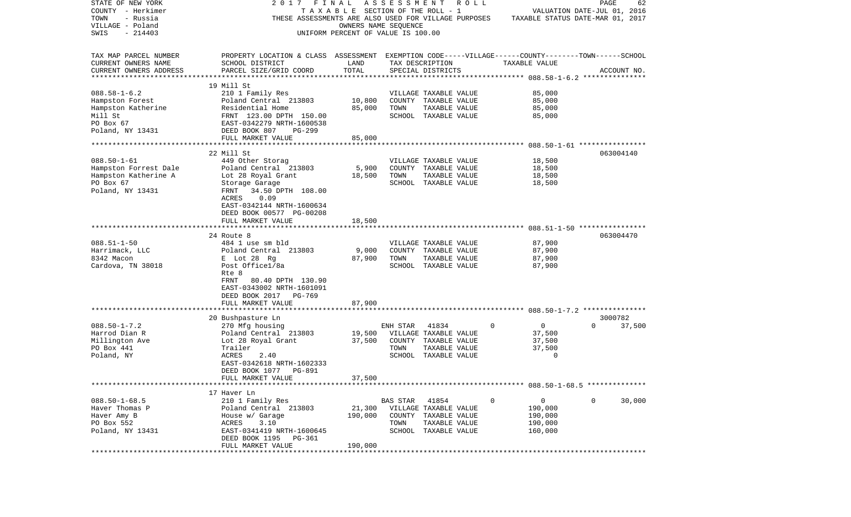| STATE OF NEW YORK                                    | 2017 FINAL                                                                                         |                                    | ASSESSMENT      | R O L L               |             |                                  | PAGE                        | 62          |
|------------------------------------------------------|----------------------------------------------------------------------------------------------------|------------------------------------|-----------------|-----------------------|-------------|----------------------------------|-----------------------------|-------------|
| COUNTY - Herkimer                                    |                                                                                                    | TAXABLE SECTION OF THE ROLL - 1    |                 |                       |             |                                  | VALUATION DATE-JUL 01, 2016 |             |
| TOWN<br>- Russia                                     | THESE ASSESSMENTS ARE ALSO USED FOR VILLAGE PURPOSES                                               |                                    |                 |                       |             | TAXABLE STATUS DATE-MAR 01, 2017 |                             |             |
| VILLAGE - Poland                                     |                                                                                                    | OWNERS NAME SEOUENCE               |                 |                       |             |                                  |                             |             |
| SWIS<br>$-214403$                                    |                                                                                                    | UNIFORM PERCENT OF VALUE IS 100.00 |                 |                       |             |                                  |                             |             |
|                                                      |                                                                                                    |                                    |                 |                       |             |                                  |                             |             |
| TAX MAP PARCEL NUMBER                                | PROPERTY LOCATION & CLASS ASSESSMENT EXEMPTION CODE-----VILLAGE------COUNTY-------TOWN------SCHOOL |                                    |                 |                       |             |                                  |                             |             |
|                                                      |                                                                                                    | LAND                               |                 |                       |             | TAXABLE VALUE                    |                             |             |
| CURRENT OWNERS NAME                                  | SCHOOL DISTRICT                                                                                    | TOTAL                              | TAX DESCRIPTION |                       |             |                                  |                             |             |
| CURRENT OWNERS ADDRESS<br>************************** | PARCEL SIZE/GRID COORD                                                                             |                                    |                 | SPECIAL DISTRICTS     |             |                                  |                             | ACCOUNT NO. |
|                                                      | 19 Mill St                                                                                         |                                    |                 |                       |             |                                  |                             |             |
| $088.58 - 1 - 6.2$                                   | 210 1 Family Res                                                                                   |                                    |                 | VILLAGE TAXABLE VALUE |             | 85,000                           |                             |             |
| Hampston Forest                                      | Poland Central 213803                                                                              | 10,800                             |                 | COUNTY TAXABLE VALUE  |             | 85,000                           |                             |             |
| Hampston Katherine                                   | Residential Home                                                                                   | 85,000                             | TOWN            | TAXABLE VALUE         |             | 85,000                           |                             |             |
| Mill St                                              | FRNT 123.00 DPTH 150.00                                                                            |                                    |                 | SCHOOL TAXABLE VALUE  |             | 85,000                           |                             |             |
| PO Box 67                                            | EAST-0342279 NRTH-1600538                                                                          |                                    |                 |                       |             |                                  |                             |             |
| Poland, NY 13431                                     | DEED BOOK 807<br>PG-299                                                                            |                                    |                 |                       |             |                                  |                             |             |
|                                                      | FULL MARKET VALUE                                                                                  | 85,000                             |                 |                       |             |                                  |                             |             |
|                                                      |                                                                                                    |                                    |                 |                       |             |                                  |                             |             |
|                                                      | 22 Mill St                                                                                         |                                    |                 |                       |             |                                  |                             | 063004140   |
| $088.50 - 1 - 61$                                    | 449 Other Storag                                                                                   |                                    |                 | VILLAGE TAXABLE VALUE |             | 18,500                           |                             |             |
| Hampston Forrest Dale                                | Poland Central 213803                                                                              | 5,900                              |                 | COUNTY TAXABLE VALUE  |             | 18,500                           |                             |             |
| Hampston Katherine A                                 | Lot 28 Royal Grant                                                                                 | 18,500                             | TOWN            | TAXABLE VALUE         |             | 18,500                           |                             |             |
| PO Box 67                                            | Storage Garage                                                                                     |                                    |                 | SCHOOL TAXABLE VALUE  |             | 18,500                           |                             |             |
| Poland, NY 13431                                     | 34.50 DPTH 108.00<br>FRNT                                                                          |                                    |                 |                       |             |                                  |                             |             |
|                                                      | ACRES<br>0.09                                                                                      |                                    |                 |                       |             |                                  |                             |             |
|                                                      | EAST-0342144 NRTH-1600634                                                                          |                                    |                 |                       |             |                                  |                             |             |
|                                                      | DEED BOOK 00577 PG-00208                                                                           |                                    |                 |                       |             |                                  |                             |             |
|                                                      | FULL MARKET VALUE                                                                                  | 18,500                             |                 |                       |             |                                  |                             |             |
|                                                      |                                                                                                    |                                    |                 |                       |             |                                  |                             |             |
|                                                      | 24 Route 8                                                                                         |                                    |                 |                       |             |                                  |                             | 063004470   |
| $088.51 - 1 - 50$                                    | 484 1 use sm bld                                                                                   |                                    |                 | VILLAGE TAXABLE VALUE |             | 87,900                           |                             |             |
| Harrimack, LLC                                       | Poland Central 213803                                                                              | 9,000                              |                 | COUNTY TAXABLE VALUE  |             | 87,900                           |                             |             |
| 8342 Macon                                           | E Lot 28 Rg                                                                                        | 87,900                             | TOWN            | TAXABLE VALUE         |             | 87,900                           |                             |             |
| Cardova, TN 38018                                    | Post Office1/8a                                                                                    |                                    |                 | SCHOOL TAXABLE VALUE  |             | 87,900                           |                             |             |
|                                                      | Rte 8                                                                                              |                                    |                 |                       |             |                                  |                             |             |
|                                                      | FRNT<br>80.40 DPTH 130.90                                                                          |                                    |                 |                       |             |                                  |                             |             |
|                                                      | EAST-0343002 NRTH-1601091                                                                          |                                    |                 |                       |             |                                  |                             |             |
|                                                      |                                                                                                    |                                    |                 |                       |             |                                  |                             |             |
|                                                      | DEED BOOK 2017 PG-769                                                                              |                                    |                 |                       |             |                                  |                             |             |
|                                                      | FULL MARKET VALUE                                                                                  | 87,900<br>*************            |                 |                       |             |                                  |                             |             |
|                                                      | 20 Bushpasture Ln                                                                                  |                                    |                 |                       |             |                                  | 3000782                     |             |
| $088.50 - 1 - 7.2$                                   | 270 Mfg housing                                                                                    |                                    | ENH STAR        | 41834                 | $\mathbf 0$ | $\mathbf 0$                      | $\Omega$                    | 37,500      |
| Harrod Dian R                                        | Poland Central 213803                                                                              | 19,500                             |                 | VILLAGE TAXABLE VALUE |             | 37,500                           |                             |             |
| Millington Ave                                       | Lot 28 Royal Grant                                                                                 | 37,500                             |                 | COUNTY TAXABLE VALUE  |             | 37,500                           |                             |             |
| PO Box 441                                           | Trailer                                                                                            |                                    | TOWN            | TAXABLE VALUE         |             | 37,500                           |                             |             |
|                                                      |                                                                                                    |                                    |                 |                       |             | $\mathbf{0}$                     |                             |             |
| Poland, NY                                           | 2.40<br>ACRES<br>EAST-0342618 NRTH-1602333                                                         |                                    |                 | SCHOOL TAXABLE VALUE  |             |                                  |                             |             |
|                                                      |                                                                                                    |                                    |                 |                       |             |                                  |                             |             |
|                                                      | DEED BOOK 1077 PG-891                                                                              |                                    |                 |                       |             |                                  |                             |             |
|                                                      | FULL MARKET VALUE                                                                                  | 37,500                             |                 |                       |             |                                  |                             |             |
|                                                      | 17 Haver Ln                                                                                        |                                    |                 |                       |             |                                  |                             |             |
| $088.50 - 1 - 68.5$                                  | 210 1 Family Res                                                                                   |                                    | BAS STAR        | 41854                 | 0           | $\overline{0}$                   | $\mathbf 0$                 | 30,000      |
|                                                      |                                                                                                    |                                    |                 |                       |             |                                  |                             |             |
| Haver Thomas P<br>Haver Amy B                        | Poland Central 213803                                                                              | 21,300                             |                 | VILLAGE TAXABLE VALUE |             | 190,000                          |                             |             |
|                                                      | House w/ Garage                                                                                    | 190,000                            |                 | COUNTY TAXABLE VALUE  |             | 190,000                          |                             |             |
| PO Box 552                                           | ACRES<br>3.10                                                                                      |                                    | TOWN            | TAXABLE VALUE         |             | 190,000                          |                             |             |
| Poland, NY 13431                                     | EAST-0341419 NRTH-1600645                                                                          |                                    |                 | SCHOOL TAXABLE VALUE  |             | 160,000                          |                             |             |
|                                                      | DEED BOOK 1195 PG-361                                                                              |                                    |                 |                       |             |                                  |                             |             |
| **********                                           | FULL MARKET VALUE                                                                                  | 190,000                            |                 |                       |             |                                  |                             |             |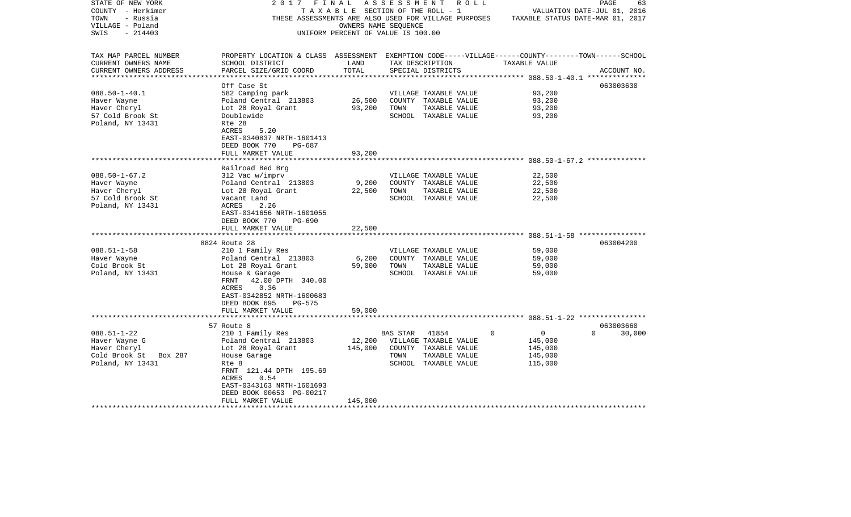| STATE OF NEW YORK                    | FINAL<br>2017                                                                                      |                                    |          | ASSESSMENT ROLL       |                            | PAGE<br>63                       |
|--------------------------------------|----------------------------------------------------------------------------------------------------|------------------------------------|----------|-----------------------|----------------------------|----------------------------------|
| COUNTY - Herkimer                    |                                                                                                    | TAXABLE SECTION OF THE ROLL - 1    |          |                       |                            | VALUATION DATE-JUL 01, 2016      |
| TOWN<br>- Russia                     | THESE ASSESSMENTS ARE ALSO USED FOR VILLAGE PURPOSES                                               |                                    |          |                       |                            | TAXABLE STATUS DATE-MAR 01, 2017 |
| VILLAGE - Poland                     |                                                                                                    | OWNERS NAME SEQUENCE               |          |                       |                            |                                  |
| SWIS<br>$-214403$                    |                                                                                                    | UNIFORM PERCENT OF VALUE IS 100.00 |          |                       |                            |                                  |
|                                      |                                                                                                    |                                    |          |                       |                            |                                  |
| TAX MAP PARCEL NUMBER                | PROPERTY LOCATION & CLASS ASSESSMENT EXEMPTION CODE-----VILLAGE------COUNTY-------TOWN------SCHOOL |                                    |          |                       |                            |                                  |
| CURRENT OWNERS NAME                  | SCHOOL DISTRICT                                                                                    | LAND                               |          | TAX DESCRIPTION       | TAXABLE VALUE              |                                  |
| CURRENT OWNERS ADDRESS               | PARCEL SIZE/GRID COORD                                                                             | TOTAL                              |          | SPECIAL DISTRICTS     |                            | ACCOUNT NO.                      |
|                                      |                                                                                                    |                                    |          |                       |                            |                                  |
|                                      | Off Case St                                                                                        |                                    |          |                       |                            | 063003630                        |
| $088.50 - 1 - 40.1$                  | 582 Camping park                                                                                   |                                    |          | VILLAGE TAXABLE VALUE | 93,200                     |                                  |
| Haver Wayne                          | Poland Central 213803                                                                              | 26,500                             |          | COUNTY TAXABLE VALUE  | 93,200                     |                                  |
| Haver Cheryl                         | Lot 28 Royal Grant                                                                                 | 93,200                             | TOWN     | TAXABLE VALUE         | 93,200                     |                                  |
| 57 Cold Brook St<br>Poland, NY 13431 | Doublewide<br>Rte 28                                                                               |                                    |          | SCHOOL TAXABLE VALUE  | 93,200                     |                                  |
|                                      | ACRES<br>5.20                                                                                      |                                    |          |                       |                            |                                  |
|                                      | EAST-0340837 NRTH-1601413                                                                          |                                    |          |                       |                            |                                  |
|                                      | DEED BOOK 770<br>PG-687                                                                            |                                    |          |                       |                            |                                  |
|                                      | FULL MARKET VALUE                                                                                  | 93,200                             |          |                       |                            |                                  |
|                                      |                                                                                                    |                                    |          |                       |                            |                                  |
|                                      | Railroad Bed Brg                                                                                   |                                    |          |                       |                            |                                  |
| $088.50 - 1 - 67.2$                  | 312 Vac w/imprv                                                                                    |                                    |          | VILLAGE TAXABLE VALUE | 22,500                     |                                  |
| Haver Wayne                          | Poland Central 213803                                                                              | 9,200                              |          | COUNTY TAXABLE VALUE  | 22,500                     |                                  |
| Haver Cheryl                         | Lot 28 Royal Grant                                                                                 | 22,500                             | TOWN     | TAXABLE VALUE         | 22,500                     |                                  |
| 57 Cold Brook St                     | Vacant Land                                                                                        |                                    |          | SCHOOL TAXABLE VALUE  | 22,500                     |                                  |
| Poland, NY 13431                     | ACRES<br>2.26                                                                                      |                                    |          |                       |                            |                                  |
|                                      | EAST-0341656 NRTH-1601055                                                                          |                                    |          |                       |                            |                                  |
|                                      | DEED BOOK 770<br>PG-690                                                                            |                                    |          |                       |                            |                                  |
|                                      | FULL MARKET VALUE                                                                                  | 22,500                             |          |                       |                            |                                  |
|                                      |                                                                                                    |                                    |          |                       |                            |                                  |
|                                      | 8824 Route 28                                                                                      |                                    |          |                       |                            | 063004200                        |
| $088.51 - 1 - 58$                    | 210 1 Family Res                                                                                   |                                    |          | VILLAGE TAXABLE VALUE | 59,000                     |                                  |
| Haver Wayne                          | Poland Central 213803                                                                              | 6,200                              |          | COUNTY TAXABLE VALUE  | 59,000                     |                                  |
| Cold Brook St                        | Lot 28 Royal Grant                                                                                 | 59,000                             | TOWN     | TAXABLE VALUE         | 59,000                     |                                  |
| Poland, NY 13431                     | House & Garage                                                                                     |                                    |          | SCHOOL TAXABLE VALUE  | 59,000                     |                                  |
|                                      | FRNT<br>42.00 DPTH 340.00                                                                          |                                    |          |                       |                            |                                  |
|                                      | ACRES<br>0.36                                                                                      |                                    |          |                       |                            |                                  |
|                                      | EAST-0342852 NRTH-1600683                                                                          |                                    |          |                       |                            |                                  |
|                                      | DEED BOOK 695<br>PG-575                                                                            |                                    |          |                       |                            |                                  |
|                                      | FULL MARKET VALUE                                                                                  | 59,000                             |          |                       |                            |                                  |
|                                      | 57 Route 8                                                                                         |                                    |          |                       |                            | 063003660                        |
| $088.51 - 1 - 22$                    | 210 1 Family Res                                                                                   |                                    | BAS STAR | 41854                 | $\Omega$<br>$\overline{0}$ | $\Omega$<br>30,000               |
| Haver Wayne G                        | Poland Central 213803                                                                              | 12,200                             |          | VILLAGE TAXABLE VALUE | 145,000                    |                                  |
| Haver Cheryl                         | Lot 28 Royal Grant                                                                                 | 145,000                            |          | COUNTY TAXABLE VALUE  | 145,000                    |                                  |
| Cold Brook St Box 287                | House Garage                                                                                       |                                    | TOWN     | TAXABLE VALUE         | 145,000                    |                                  |
| Poland, NY 13431                     | Rte 8                                                                                              |                                    |          | SCHOOL TAXABLE VALUE  | 115,000                    |                                  |
|                                      | FRNT 121.44 DPTH 195.69                                                                            |                                    |          |                       |                            |                                  |
|                                      | ACRES<br>0.54                                                                                      |                                    |          |                       |                            |                                  |
|                                      | EAST-0343163 NRTH-1601693                                                                          |                                    |          |                       |                            |                                  |
|                                      | DEED BOOK 00653 PG-00217                                                                           |                                    |          |                       |                            |                                  |
|                                      | FULL MARKET VALUE                                                                                  | 145,000                            |          |                       |                            |                                  |
| ********************                 | ***********************                                                                            |                                    |          |                       |                            |                                  |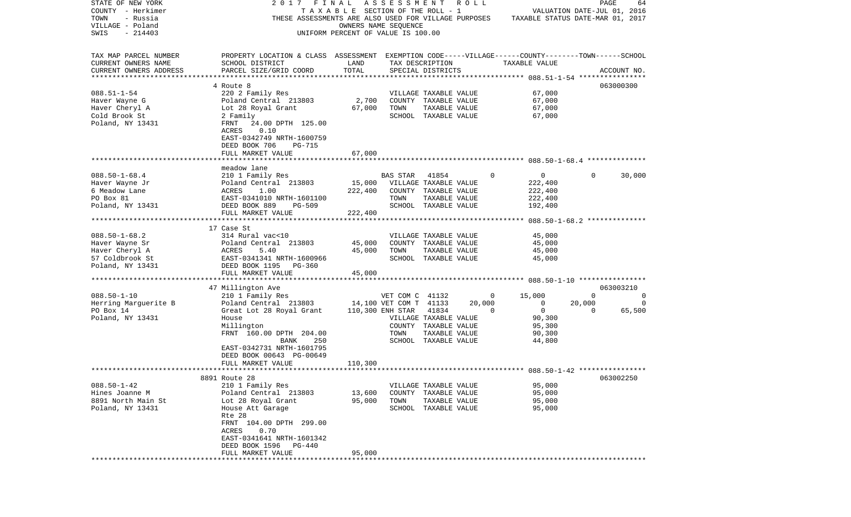| STATE OF NEW YORK      | 2017                                                                                               | FINAL                              | ASSESSMENT             |                                       | R O L L |   |                                  |          | PAGE        | 64     |
|------------------------|----------------------------------------------------------------------------------------------------|------------------------------------|------------------------|---------------------------------------|---------|---|----------------------------------|----------|-------------|--------|
| COUNTY - Herkimer      |                                                                                                    | TAXABLE SECTION OF THE ROLL - 1    |                        |                                       |         |   | VALUATION DATE-JUL 01, 2016      |          |             |        |
| TOWN<br>- Russia       | THESE ASSESSMENTS ARE ALSO USED FOR VILLAGE PURPOSES                                               |                                    |                        |                                       |         |   | TAXABLE STATUS DATE-MAR 01, 2017 |          |             |        |
| VILLAGE - Poland       |                                                                                                    |                                    | OWNERS NAME SEOUENCE   |                                       |         |   |                                  |          |             |        |
| SWIS<br>$-214403$      |                                                                                                    | UNIFORM PERCENT OF VALUE IS 100.00 |                        |                                       |         |   |                                  |          |             |        |
| TAX MAP PARCEL NUMBER  | PROPERTY LOCATION & CLASS ASSESSMENT EXEMPTION CODE-----VILLAGE------COUNTY-------TOWN------SCHOOL |                                    |                        |                                       |         |   |                                  |          |             |        |
| CURRENT OWNERS NAME    | SCHOOL DISTRICT                                                                                    | LAND                               |                        | TAX DESCRIPTION                       |         |   | TAXABLE VALUE                    |          |             |        |
| CURRENT OWNERS ADDRESS | PARCEL SIZE/GRID COORD                                                                             | TOTAL                              |                        | SPECIAL DISTRICTS                     |         |   |                                  |          | ACCOUNT NO. |        |
| *********************  |                                                                                                    |                                    |                        |                                       |         |   |                                  |          |             |        |
|                        | 4 Route 8                                                                                          |                                    |                        |                                       |         |   |                                  |          | 063000300   |        |
| $088.51 - 1 - 54$      | 220 2 Family Res                                                                                   |                                    |                        | VILLAGE TAXABLE VALUE                 |         |   | 67,000                           |          |             |        |
| Haver Wayne G          | Poland Central 213803                                                                              | 2,700                              |                        | COUNTY TAXABLE VALUE                  |         |   | 67,000                           |          |             |        |
| Haver Cheryl A         | Lot 28 Royal Grant                                                                                 | 67,000                             | TOWN                   | TAXABLE VALUE                         |         |   | 67,000                           |          |             |        |
| Cold Brook St          | 2 Family                                                                                           |                                    |                        | SCHOOL TAXABLE VALUE                  |         |   | 67,000                           |          |             |        |
| Poland, NY 13431       | 24.00 DPTH 125.00<br>FRNT                                                                          |                                    |                        |                                       |         |   |                                  |          |             |        |
|                        | ACRES<br>0.10                                                                                      |                                    |                        |                                       |         |   |                                  |          |             |        |
|                        | EAST-0342749 NRTH-1600759                                                                          |                                    |                        |                                       |         |   |                                  |          |             |        |
|                        | DEED BOOK 706<br>PG-715                                                                            |                                    |                        |                                       |         |   |                                  |          |             |        |
|                        | FULL MARKET VALUE                                                                                  | 67,000                             |                        |                                       |         |   |                                  |          |             |        |
|                        |                                                                                                    |                                    |                        |                                       |         |   |                                  |          |             |        |
|                        | meadow lane                                                                                        |                                    |                        |                                       |         |   |                                  |          |             |        |
| $088.50 - 1 - 68.4$    | 210 1 Family Res                                                                                   |                                    | BAS STAR               | 41854                                 |         | 0 | 0                                | $\Omega$ |             | 30,000 |
| Haver Wayne Jr         | Poland Central 213803                                                                              | 15,000                             |                        | VILLAGE TAXABLE VALUE                 |         |   | 222,400                          |          |             |        |
| 6 Meadow Lane          | 1.00<br>ACRES                                                                                      | 222,400                            |                        | COUNTY TAXABLE VALUE                  |         |   | 222,400                          |          |             |        |
| PO Box 81              | EAST-0341010 NRTH-1601100                                                                          |                                    | TOWN                   | TAXABLE VALUE                         |         |   | 222,400                          |          |             |        |
| Poland, NY 13431       | DEED BOOK 889<br><b>PG-509</b>                                                                     |                                    |                        | SCHOOL TAXABLE VALUE                  |         |   | 192,400                          |          |             |        |
|                        | FULL MARKET VALUE                                                                                  | 222,400                            |                        |                                       |         |   |                                  |          |             |        |
|                        |                                                                                                    |                                    |                        |                                       |         |   |                                  |          |             |        |
|                        | 17 Case St                                                                                         |                                    |                        |                                       |         |   |                                  |          |             |        |
| $088.50 - 1 - 68.2$    | 314 Rural vac<10                                                                                   |                                    |                        | VILLAGE TAXABLE VALUE                 |         |   | 45,000                           |          |             |        |
| Haver Wayne Sr         | Poland Central 213803                                                                              | 45,000                             |                        | COUNTY TAXABLE VALUE                  |         |   | 45,000                           |          |             |        |
| Haver Cheryl A         | 5.40<br>ACRES                                                                                      | 45,000                             | TOWN                   | TAXABLE VALUE                         |         |   | 45,000                           |          |             |        |
| 57 Coldbrook St        | EAST-0341341 NRTH-1600966                                                                          |                                    |                        | SCHOOL TAXABLE VALUE                  |         |   | 45,000                           |          |             |        |
| Poland, NY 13431       | DEED BOOK 1195<br>PG-360                                                                           |                                    |                        |                                       |         |   |                                  |          |             |        |
|                        | FULL MARKET VALUE                                                                                  | 45,000                             |                        |                                       |         |   |                                  |          |             |        |
|                        | ***********************                                                                            | * * * * * * * * * * * * *          |                        |                                       |         |   |                                  |          |             |        |
|                        | 47 Millington Ave                                                                                  |                                    |                        |                                       |         |   |                                  |          | 063003210   |        |
| $088.50 - 1 - 10$      | 210 1 Family Res                                                                                   |                                    | VET COM C 41132        |                                       |         | 0 | 15,000                           | 0        |             | 0      |
| Herring Marguerite B   | Poland Central 213803                                                                              |                                    | 14,100 VET COM T 41133 |                                       | 20,000  |   | 0                                | 20,000   |             | 0      |
| PO Box 14              | Great Lot 28 Royal Grant                                                                           |                                    | 110,300 ENH STAR       | 41834                                 |         | 0 | $\mathbf 0$                      | 0        |             | 65,500 |
| Poland, NY 13431       | House                                                                                              |                                    |                        | VILLAGE TAXABLE VALUE                 |         |   | 90,300                           |          |             |        |
|                        | Millington                                                                                         |                                    |                        | COUNTY TAXABLE VALUE                  |         |   | 95,300                           |          |             |        |
|                        | FRNT 160.00 DPTH 204.00                                                                            |                                    | TOWN                   | TAXABLE VALUE                         |         |   | 90,300                           |          |             |        |
|                        | 250<br>BANK                                                                                        |                                    |                        | SCHOOL TAXABLE VALUE                  |         |   | 44,800                           |          |             |        |
|                        | EAST-0342731 NRTH-1601795                                                                          |                                    |                        |                                       |         |   |                                  |          |             |        |
|                        | DEED BOOK 00643 PG-00649                                                                           |                                    |                        |                                       |         |   |                                  |          |             |        |
|                        | FULL MARKET VALUE                                                                                  | 110,300                            |                        |                                       |         |   |                                  |          |             |        |
|                        |                                                                                                    |                                    |                        |                                       |         |   |                                  |          |             |        |
| $088.50 - 1 - 42$      | 8891 Route 28<br>210 1 Family Res                                                                  |                                    |                        | VILLAGE TAXABLE VALUE                 |         |   | 95,000                           |          | 063002250   |        |
| Hines Joanne M         |                                                                                                    |                                    |                        |                                       |         |   |                                  |          |             |        |
| 8891 North Main St     | Poland Central 213803<br>Lot 28 Royal Grant                                                        | 13,600                             | TOWN                   | COUNTY TAXABLE VALUE                  |         |   | 95,000                           |          |             |        |
| Poland, NY 13431       |                                                                                                    | 95,000                             |                        | TAXABLE VALUE<br>SCHOOL TAXABLE VALUE |         |   | 95,000                           |          |             |        |
|                        | House Att Garage                                                                                   |                                    |                        |                                       |         |   | 95,000                           |          |             |        |
|                        | Rte 28<br>FRNT 104.00 DPTH 299.00                                                                  |                                    |                        |                                       |         |   |                                  |          |             |        |
|                        |                                                                                                    |                                    |                        |                                       |         |   |                                  |          |             |        |
|                        | ACRES<br>0.70<br>EAST-0341641 NRTH-1601342                                                         |                                    |                        |                                       |         |   |                                  |          |             |        |
|                        | DEED BOOK 1596                                                                                     |                                    |                        |                                       |         |   |                                  |          |             |        |
|                        | PG-440<br>FULL MARKET VALUE                                                                        | 95,000                             |                        |                                       |         |   |                                  |          |             |        |
|                        |                                                                                                    |                                    |                        |                                       |         |   |                                  |          |             |        |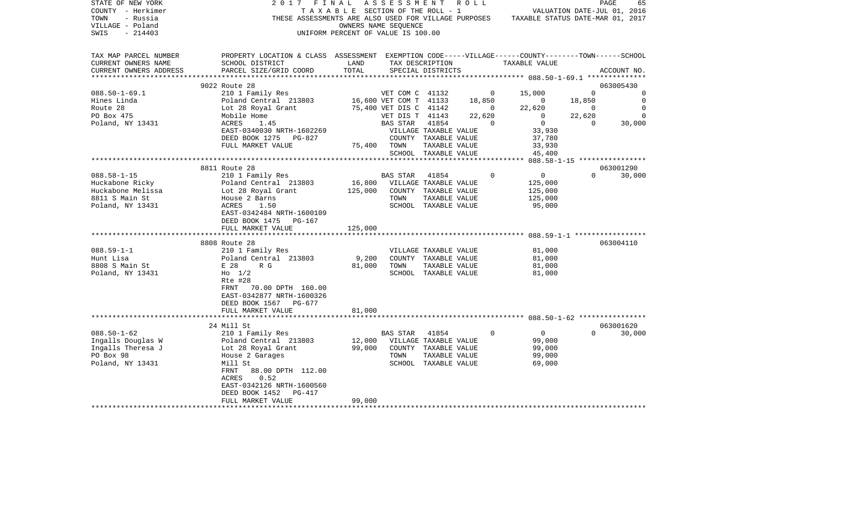| STATE OF NEW YORK<br>COUNTY - Herkimer<br>- Russia<br>TOWN<br>VILLAGE - Poland<br>SWIS<br>$-214403$ | 2017 FINAL                                                                                                                                                 | UNIFORM PERCENT OF VALUE IS 100.00 | A S S E S S M E N T R O L L<br>OWNERS NAME SEQUENCE         |                      |                       | T A X A B L E SECTION OF THE ROLL - 1 VALUATION DATE-JUL 01, 2016<br>THESE ASSESSMENTS ARE ALSO USED FOR VILLAGE PURPOSES TAXABLE STATUS DATE-MAR 01, 2017 |                | PAGE<br>65                                    |
|-----------------------------------------------------------------------------------------------------|------------------------------------------------------------------------------------------------------------------------------------------------------------|------------------------------------|-------------------------------------------------------------|----------------------|-----------------------|------------------------------------------------------------------------------------------------------------------------------------------------------------|----------------|-----------------------------------------------|
| TAX MAP PARCEL NUMBER<br>CURRENT OWNERS NAME<br>CURRENT OWNERS ADDRESS                              | PROPERTY LOCATION & CLASS ASSESSMENT EXEMPTION CODE-----VILLAGE------COUNTY-------TOWN------SCHOOL<br>SCHOOL DISTRICT<br>PARCEL SIZE/GRID COORD            | LAND<br>TOTAL                      |                                                             | SPECIAL DISTRICTS    | TAX DESCRIPTION       | TAXABLE VALUE                                                                                                                                              |                | ACCOUNT NO.                                   |
|                                                                                                     | 9022 Route 28                                                                                                                                              |                                    |                                                             |                      |                       |                                                                                                                                                            |                | 063005430                                     |
| $088.50 - 1 - 69.1$                                                                                 | 210 1 Family Res                                                                                                                                           |                                    | VET COM C 41132                                             |                      |                       | $0 \t 15,000$                                                                                                                                              | $\overline{0}$ | $\Omega$                                      |
| Hines Linda                                                                                         | Poland Central 213803 16,600 VET COM T 41133 18,850                                                                                                        |                                    |                                                             |                      |                       |                                                                                                                                                            | 18,850         | $\overline{\phantom{0}}$                      |
| Route 28                                                                                            |                                                                                                                                                            |                                    | 75,400 VET DIS C 41142 0                                    |                      |                       | $\begin{array}{c} 0 \\ 22,620 \end{array}$<br>22,620                                                                                                       | $\sim$ 0       | $\overline{0}$                                |
| PO Box 475                                                                                          | Poland Central   213803<br>Lot 28 Royal Grant<br>Mobile Home                                                                                               |                                    | VET DIS T 41143                                             |                      | 22,620                | $\overline{0}$                                                                                                                                             | 22,620         | $\Omega$                                      |
| Poland, NY 13431                                                                                    | ACRES<br>1.45                                                                                                                                              |                                    | BAS STAR                                                    | 41854                | $\overline{0}$        | $\overline{0}$                                                                                                                                             | $\sim$ 0       | $\begin{smallmatrix}0\0\0\0\end{smallmatrix}$ |
|                                                                                                     | EAST-0340030 NRTH-1602269                                                                                                                                  |                                    | VILLAGE TAXABLE VALUE                                       |                      |                       | 33,930                                                                                                                                                     |                |                                               |
|                                                                                                     | DEED BOOK 1275 PG-827                                                                                                                                      |                                    | COUNTY TAXABLE VALUE                                        |                      |                       | 37,780<br>33,930                                                                                                                                           |                |                                               |
|                                                                                                     | FULL MARKET VALUE                                                                                                                                          | 75,400 TOWN                        |                                                             | TAXABLE VALUE        |                       |                                                                                                                                                            |                |                                               |
|                                                                                                     |                                                                                                                                                            |                                    |                                                             | SCHOOL TAXABLE VALUE |                       | 45,400                                                                                                                                                     |                |                                               |
|                                                                                                     |                                                                                                                                                            |                                    |                                                             |                      |                       |                                                                                                                                                            |                |                                               |
|                                                                                                     | 8811 Route 28                                                                                                                                              |                                    |                                                             |                      |                       |                                                                                                                                                            |                | 063001290                                     |
| $088.58 - 1 - 15$                                                                                   | 210 1 Family Res                                                                                                                                           |                                    | BAS STAR 41854                                              |                      | $\circ$               | $\overline{0}$                                                                                                                                             |                | $\Omega$<br>30,000                            |
| Huckabone Ricky                                                                                     |                                                                                                                                                            |                                    |                                                             |                      |                       | 125,000                                                                                                                                                    |                |                                               |
| Huckabone Melissa                                                                                   |                                                                                                                                                            |                                    |                                                             |                      |                       | 125,000                                                                                                                                                    |                |                                               |
| 8811 S Main St<br>Poland, NY 13431                                                                  | Poland Central 213803<br>Lot 28 Royal Grant 125,000 VILLAGE TAXABLE VALUE<br>House 2 Barns 125,000 COUNTY TAXABLE VALUE<br>ACRES 1.50 SCHOOL TAXABLE VALUE |                                    |                                                             | TAXABLE VALUE        |                       | 125,000<br>95,000                                                                                                                                          |                |                                               |
|                                                                                                     | EAST-0342484 NRTH-1600109<br>DEED BOOK 1475 PG-167                                                                                                         |                                    |                                                             |                      |                       |                                                                                                                                                            |                |                                               |
|                                                                                                     | FULL MARKET VALUE                                                                                                                                          | 125,000                            |                                                             |                      |                       |                                                                                                                                                            |                |                                               |
|                                                                                                     |                                                                                                                                                            |                                    |                                                             |                      |                       |                                                                                                                                                            |                |                                               |
|                                                                                                     | 8808 Route 28                                                                                                                                              |                                    |                                                             |                      |                       |                                                                                                                                                            |                | 063004110                                     |
| $088.59 - 1 - 1$                                                                                    | 210 1 Family Res                                                                                                                                           |                                    |                                                             |                      | VILLAGE TAXABLE VALUE | 81,000                                                                                                                                                     |                |                                               |
| Hunt Lisa                                                                                           | Poland Central 213803                                                                                                                                      | 9,200                              |                                                             | COUNTY TAXABLE VALUE |                       | 81,000                                                                                                                                                     |                |                                               |
| 8808 S Main St                                                                                      | $\begin{array}{c}\n\text{POL} \sim \\ \text{E} \quad 28 \\ \text{H} \quad \eta \quad \eta\n\end{array}$<br>R G                                             | 81,000                             | TOWN                                                        | TAXABLE VALUE        |                       | 81,000                                                                                                                                                     |                |                                               |
| Poland, NY 13431                                                                                    | $Ho$ 1/2                                                                                                                                                   |                                    |                                                             | SCHOOL TAXABLE VALUE |                       | 81,000                                                                                                                                                     |                |                                               |
|                                                                                                     | Rte #28<br>70.00 DPTH 160.00                                                                                                                               |                                    |                                                             |                      |                       |                                                                                                                                                            |                |                                               |
|                                                                                                     | FRNT<br>EAST-0342877 NRTH-1600326                                                                                                                          |                                    |                                                             |                      |                       |                                                                                                                                                            |                |                                               |
|                                                                                                     | DEED BOOK 1567 PG-677                                                                                                                                      |                                    |                                                             |                      |                       |                                                                                                                                                            |                |                                               |
|                                                                                                     | FULL MARKET VALUE                                                                                                                                          | 81,000                             |                                                             |                      |                       |                                                                                                                                                            |                |                                               |
|                                                                                                     |                                                                                                                                                            |                                    |                                                             |                      |                       |                                                                                                                                                            |                |                                               |
|                                                                                                     | 24 Mill St                                                                                                                                                 |                                    |                                                             |                      |                       |                                                                                                                                                            |                | 063001620                                     |
| $088.50 - 1 - 62$                                                                                   | 210 1 Family Res                                                                                                                                           |                                    | BAS STAR 41854                                              |                      | $\circ$               | $\overline{0}$                                                                                                                                             | $\Omega$       | 30,000                                        |
| Ingalls Douglas W                                                                                   | Poland Central 213803                                                                                                                                      |                                    |                                                             |                      |                       | 99,000                                                                                                                                                     |                |                                               |
| Ingalls Theresa J                                                                                   |                                                                                                                                                            |                                    | 12,000 VILLAGE TAXABLE VALUE<br>99,000 COUNTY TAXABLE VALUE |                      |                       | 99,000                                                                                                                                                     |                |                                               |
| PO Box 98                                                                                           | Poland Central 213803<br>Lot 28 Royal Grant<br>House 2 Garages                                                                                             |                                    | TOWN                                                        | TAXABLE VALUE        |                       | 99,000                                                                                                                                                     |                |                                               |
| Poland, NY 13431                                                                                    | Mill St                                                                                                                                                    |                                    |                                                             | SCHOOL TAXABLE VALUE |                       | 69,000                                                                                                                                                     |                |                                               |
|                                                                                                     | FRNT 88.00 DPTH 112.00                                                                                                                                     |                                    |                                                             |                      |                       |                                                                                                                                                            |                |                                               |
|                                                                                                     | ACRES<br>0.52                                                                                                                                              |                                    |                                                             |                      |                       |                                                                                                                                                            |                |                                               |
|                                                                                                     | EAST-0342126 NRTH-1600560                                                                                                                                  |                                    |                                                             |                      |                       |                                                                                                                                                            |                |                                               |
|                                                                                                     | DEED BOOK 1452 PG-417                                                                                                                                      |                                    |                                                             |                      |                       |                                                                                                                                                            |                |                                               |
| **********************                                                                              | FULL MARKET VALUE                                                                                                                                          | 99,000                             |                                                             |                      |                       |                                                                                                                                                            |                |                                               |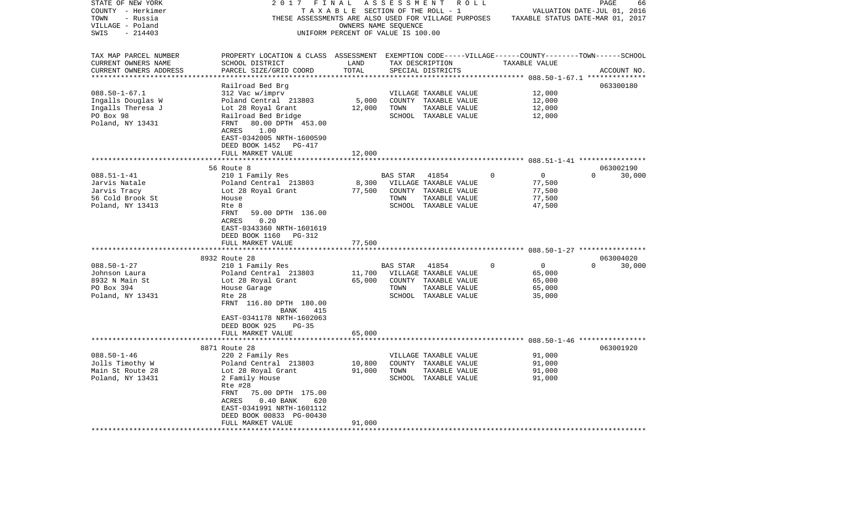| STATE OF NEW YORK                     | 2017                                                                                               | FINAL                | A S S E S S M E N T<br>R O L L                                 |          |                                  | PAGE                        | 66          |
|---------------------------------------|----------------------------------------------------------------------------------------------------|----------------------|----------------------------------------------------------------|----------|----------------------------------|-----------------------------|-------------|
| COUNTY - Herkimer                     |                                                                                                    |                      | T A X A B L E SECTION OF THE ROLL - 1                          |          |                                  | VALUATION DATE-JUL 01, 2016 |             |
| TOWN<br>- Russia                      |                                                                                                    |                      | THESE ASSESSMENTS ARE ALSO USED FOR VILLAGE PURPOSES           |          | TAXABLE STATUS DATE-MAR 01, 2017 |                             |             |
| VILLAGE - Poland<br>$-214403$<br>SWIS |                                                                                                    | OWNERS NAME SEQUENCE | UNIFORM PERCENT OF VALUE IS 100.00                             |          |                                  |                             |             |
|                                       |                                                                                                    |                      |                                                                |          |                                  |                             |             |
| TAX MAP PARCEL NUMBER                 | PROPERTY LOCATION & CLASS ASSESSMENT EXEMPTION CODE-----VILLAGE------COUNTY-------TOWN------SCHOOL |                      |                                                                |          |                                  |                             |             |
| CURRENT OWNERS NAME                   | SCHOOL DISTRICT                                                                                    | LAND                 | TAX DESCRIPTION                                                |          | TAXABLE VALUE                    |                             |             |
| CURRENT OWNERS ADDRESS                | PARCEL SIZE/GRID COORD                                                                             | TOTAL                | SPECIAL DISTRICTS                                              |          |                                  |                             | ACCOUNT NO. |
|                                       |                                                                                                    |                      |                                                                |          | ******* 088.50-1-67.1 **         |                             |             |
|                                       | Railroad Bed Brg                                                                                   |                      |                                                                |          |                                  | 063300180                   |             |
| $088.50 - 1 - 67.1$                   | 312 Vac w/imprv                                                                                    |                      | VILLAGE TAXABLE VALUE                                          |          | 12,000                           |                             |             |
| Ingalls Douglas W                     | Poland Central 213803                                                                              | 5,000                | COUNTY TAXABLE VALUE                                           |          | 12,000                           |                             |             |
| Ingalls Theresa J                     | Lot 28 Royal Grant                                                                                 | 12,000               | TOWN<br>TAXABLE VALUE                                          |          | 12,000                           |                             |             |
| PO Box 98                             | Railroad Bed Bridge                                                                                |                      | SCHOOL TAXABLE VALUE                                           |          | 12,000                           |                             |             |
| Poland, NY 13431                      | 80.00 DPTH 453.00<br>FRNT                                                                          |                      |                                                                |          |                                  |                             |             |
|                                       | ACRES<br>1.00                                                                                      |                      |                                                                |          |                                  |                             |             |
|                                       | EAST-0342005 NRTH-1600590                                                                          |                      |                                                                |          |                                  |                             |             |
|                                       | DEED BOOK 1452<br>PG-417                                                                           |                      |                                                                |          |                                  |                             |             |
|                                       | FULL MARKET VALUE                                                                                  | 12,000               |                                                                |          |                                  |                             |             |
|                                       | 56 Route 8                                                                                         |                      |                                                                |          |                                  | 063002190                   |             |
| $088.51 - 1 - 41$                     | 210 1 Family Res                                                                                   |                      | BAS STAR<br>41854                                              | 0        | 0                                | $\Omega$                    | 30,000      |
| Jarvis Natale                         | Poland Central 213803                                                                              | 8,300                | VILLAGE TAXABLE VALUE                                          |          | 77,500                           |                             |             |
| Jarvis Tracy                          | Lot 28 Royal Grant                                                                                 | 77,500               | COUNTY TAXABLE VALUE                                           |          | 77,500                           |                             |             |
| 56 Cold Brook St                      | House                                                                                              |                      | TOWN<br>TAXABLE VALUE                                          |          | 77,500                           |                             |             |
| Poland, NY 13413                      | Rte 8                                                                                              |                      | SCHOOL TAXABLE VALUE                                           |          | 47,500                           |                             |             |
|                                       | 59.00 DPTH 136.00<br>FRNT                                                                          |                      |                                                                |          |                                  |                             |             |
|                                       | ACRES<br>0.20                                                                                      |                      |                                                                |          |                                  |                             |             |
|                                       | EAST-0343360 NRTH-1601619                                                                          |                      |                                                                |          |                                  |                             |             |
|                                       | DEED BOOK 1160<br>PG-312                                                                           |                      |                                                                |          |                                  |                             |             |
|                                       | FULL MARKET VALUE                                                                                  | 77,500               |                                                                |          |                                  |                             |             |
|                                       |                                                                                                    |                      |                                                                |          |                                  |                             |             |
|                                       | 8932 Route 28                                                                                      |                      |                                                                |          |                                  | 063004020                   |             |
| $088.50 - 1 - 27$                     | 210 1 Family Res                                                                                   |                      | 41854<br>BAS STAR                                              | $\Omega$ | $\mathbf 0$                      | $\Omega$                    | 30,000      |
| Johnson Laura                         | Poland Central 213803                                                                              | 11,700               | VILLAGE TAXABLE VALUE                                          |          | 65,000                           |                             |             |
| 8932 N Main St                        | Lot 28 Royal Grant                                                                                 | 65,000               | COUNTY TAXABLE VALUE                                           |          | 65,000                           |                             |             |
| PO Box 394                            | House Garage                                                                                       |                      | TOWN<br>TAXABLE VALUE                                          |          | 65,000                           |                             |             |
| Poland, NY 13431                      | Rte 28                                                                                             |                      | SCHOOL TAXABLE VALUE                                           |          | 35,000                           |                             |             |
|                                       | FRNT 116.80 DPTH 180.00                                                                            |                      |                                                                |          |                                  |                             |             |
|                                       | 415<br>BANK<br>EAST-0341178 NRTH-1602063                                                           |                      |                                                                |          |                                  |                             |             |
|                                       | DEED BOOK 925<br>$PG-35$                                                                           |                      |                                                                |          |                                  |                             |             |
|                                       | FULL MARKET VALUE                                                                                  | 65,000               |                                                                |          |                                  |                             |             |
|                                       |                                                                                                    |                      | ************************************688.50-1-46 ************** |          |                                  |                             |             |
|                                       | 8871 Route 28                                                                                      |                      |                                                                |          |                                  | 063001920                   |             |
| $088.50 - 1 - 46$                     | 220 2 Family Res                                                                                   |                      | VILLAGE TAXABLE VALUE                                          |          | 91,000                           |                             |             |
| Jolls Timothy W                       | Poland Central 213803                                                                              | 10,800               | COUNTY TAXABLE VALUE                                           |          | 91,000                           |                             |             |
| Main St Route 28                      | Lot 28 Royal Grant                                                                                 | 91,000               | TOWN<br>TAXABLE VALUE                                          |          | 91,000                           |                             |             |
| Poland, NY 13431                      | 2 Family House                                                                                     |                      | SCHOOL TAXABLE VALUE                                           |          | 91,000                           |                             |             |
|                                       | Rte #28                                                                                            |                      |                                                                |          |                                  |                             |             |
|                                       | FRNT<br>75.00 DPTH 175.00                                                                          |                      |                                                                |          |                                  |                             |             |
|                                       | $0.40$ BANK<br>ACRES<br>620                                                                        |                      |                                                                |          |                                  |                             |             |
|                                       | EAST-0341991 NRTH-1601112                                                                          |                      |                                                                |          |                                  |                             |             |
|                                       | DEED BOOK 00833 PG-00430                                                                           |                      |                                                                |          |                                  |                             |             |
|                                       | FULL MARKET VALUE                                                                                  | 91,000               |                                                                |          |                                  |                             |             |
|                                       |                                                                                                    |                      |                                                                |          |                                  |                             |             |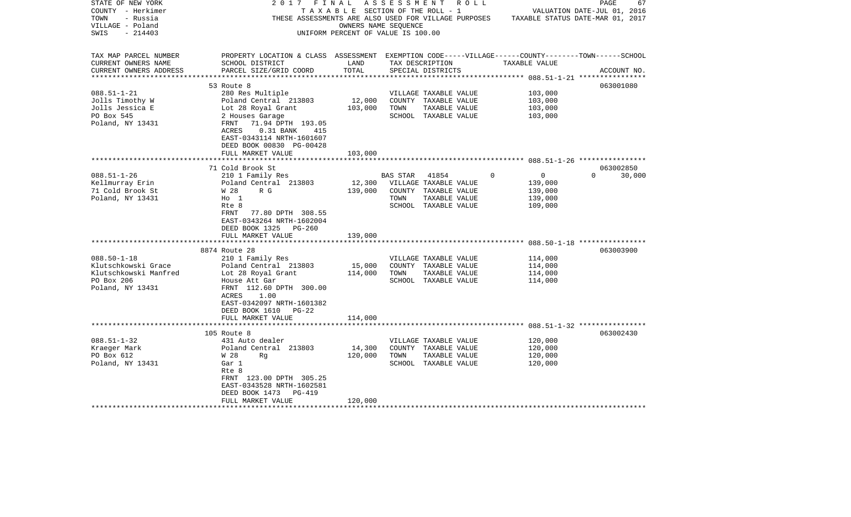| STATE OF NEW YORK      | 2017                                                                                               | FINAL                              | ASSESSMENT | R O L L               |          |                                  | PAGE     | 67          |
|------------------------|----------------------------------------------------------------------------------------------------|------------------------------------|------------|-----------------------|----------|----------------------------------|----------|-------------|
| COUNTY - Herkimer      |                                                                                                    | TAXABLE SECTION OF THE ROLL - 1    |            |                       |          | VALUATION DATE-JUL 01, 2016      |          |             |
| TOWN<br>- Russia       | THESE ASSESSMENTS ARE ALSO USED FOR VILLAGE PURPOSES                                               |                                    |            |                       |          | TAXABLE STATUS DATE-MAR 01, 2017 |          |             |
| VILLAGE - Poland       |                                                                                                    | OWNERS NAME SEQUENCE               |            |                       |          |                                  |          |             |
| $-214403$<br>SWIS      |                                                                                                    | UNIFORM PERCENT OF VALUE IS 100.00 |            |                       |          |                                  |          |             |
|                        |                                                                                                    |                                    |            |                       |          |                                  |          |             |
| TAX MAP PARCEL NUMBER  | PROPERTY LOCATION & CLASS ASSESSMENT EXEMPTION CODE-----VILLAGE------COUNTY-------TOWN------SCHOOL |                                    |            |                       |          |                                  |          |             |
| CURRENT OWNERS NAME    | SCHOOL DISTRICT                                                                                    | LAND                               |            | TAX DESCRIPTION       |          | TAXABLE VALUE                    |          |             |
| CURRENT OWNERS ADDRESS | PARCEL SIZE/GRID COORD                                                                             | TOTAL                              |            | SPECIAL DISTRICTS     |          |                                  |          | ACCOUNT NO. |
|                        |                                                                                                    |                                    |            |                       |          |                                  |          |             |
|                        | 53 Route 8                                                                                         |                                    |            |                       |          |                                  |          | 063001080   |
| $088.51 - 1 - 21$      | 280 Res Multiple                                                                                   |                                    |            | VILLAGE TAXABLE VALUE |          | 103,000                          |          |             |
| Jolls Timothy W        | Poland Central 213803                                                                              | 12,000                             |            | COUNTY TAXABLE VALUE  |          | 103,000                          |          |             |
| Jolls Jessica E        | Lot 28 Royal Grant                                                                                 | 103,000                            | TOWN       | TAXABLE VALUE         |          | 103,000                          |          |             |
| PO Box 545             | 2 Houses Garage                                                                                    |                                    |            | SCHOOL TAXABLE VALUE  |          | 103,000                          |          |             |
| Poland, NY 13431       | FRNT<br>71.94 DPTH 193.05                                                                          |                                    |            |                       |          |                                  |          |             |
|                        | ACRES<br>$0.31$ BANK<br>415                                                                        |                                    |            |                       |          |                                  |          |             |
|                        | EAST-0343114 NRTH-1601607                                                                          |                                    |            |                       |          |                                  |          |             |
|                        | DEED BOOK 00830 PG-00428                                                                           |                                    |            |                       |          |                                  |          |             |
|                        | FULL MARKET VALUE                                                                                  | 103,000                            |            |                       |          |                                  |          |             |
|                        |                                                                                                    |                                    |            |                       |          |                                  |          |             |
|                        | 71 Cold Brook St                                                                                   |                                    |            |                       |          |                                  |          | 063002850   |
| $088.51 - 1 - 26$      | 210 1 Family Res                                                                                   |                                    | BAS STAR   | 41854                 | $\Omega$ | $\mathsf{O}$                     | $\Omega$ | 30,000      |
| Kellmurray Erin        | Poland Central 213803                                                                              | 12,300                             |            | VILLAGE TAXABLE VALUE |          | 139,000                          |          |             |
| 71 Cold Brook St       | W 28<br>R G                                                                                        | 139,000                            |            | COUNTY TAXABLE VALUE  |          | 139,000                          |          |             |
| Poland, NY 13431       | $H_0$ 1                                                                                            |                                    | TOWN       | TAXABLE VALUE         |          | 139,000                          |          |             |
|                        | Rte 8                                                                                              |                                    |            | SCHOOL TAXABLE VALUE  |          | 109,000                          |          |             |
|                        | 77.80 DPTH 308.55<br>FRNT                                                                          |                                    |            |                       |          |                                  |          |             |
|                        | EAST-0343264 NRTH-1602004                                                                          |                                    |            |                       |          |                                  |          |             |
|                        | DEED BOOK 1325<br>PG-260                                                                           |                                    |            |                       |          |                                  |          |             |
|                        | FULL MARKET VALUE                                                                                  | 139,000                            |            |                       |          |                                  |          |             |
|                        | *********************                                                                              |                                    |            |                       |          |                                  |          |             |
|                        | 8874 Route 28                                                                                      |                                    |            |                       |          |                                  |          | 063003900   |
| $088.50 - 1 - 18$      | 210 1 Family Res                                                                                   |                                    |            | VILLAGE TAXABLE VALUE |          | 114,000                          |          |             |
| Klutschkowski Grace    | Poland Central 213803                                                                              | 15,000                             |            | COUNTY TAXABLE VALUE  |          | 114,000                          |          |             |
| Klutschkowski Manfred  | Lot 28 Royal Grant                                                                                 | 114,000                            | TOWN       | TAXABLE VALUE         |          | 114,000                          |          |             |
| PO Box 206             | House Att Gar                                                                                      |                                    |            | SCHOOL TAXABLE VALUE  |          | 114,000                          |          |             |
| Poland, NY 13431       | FRNT 112.60 DPTH 300.00                                                                            |                                    |            |                       |          |                                  |          |             |
|                        | ACRES<br>1.00                                                                                      |                                    |            |                       |          |                                  |          |             |
|                        | EAST-0342097 NRTH-1601382                                                                          |                                    |            |                       |          |                                  |          |             |
|                        | DEED BOOK 1610<br>$PG-22$                                                                          |                                    |            |                       |          |                                  |          |             |
|                        | FULL MARKET VALUE                                                                                  | 114,000                            |            |                       |          |                                  |          |             |
|                        |                                                                                                    |                                    |            |                       |          |                                  |          |             |
|                        | 105 Route 8                                                                                        |                                    |            |                       |          |                                  |          | 063002430   |
| $088.51 - 1 - 32$      | 431 Auto dealer                                                                                    |                                    |            | VILLAGE TAXABLE VALUE |          | 120,000                          |          |             |
| Kraeger Mark           | Poland Central 213803                                                                              | 14,300                             |            | COUNTY TAXABLE VALUE  |          | 120,000                          |          |             |
| PO Box 612             | W 28<br>Rq                                                                                         | 120,000                            | TOWN       | TAXABLE VALUE         |          | 120,000                          |          |             |
| Poland, NY 13431       | Gar 1                                                                                              |                                    |            | SCHOOL TAXABLE VALUE  |          | 120,000                          |          |             |
|                        | Rte 8                                                                                              |                                    |            |                       |          |                                  |          |             |
|                        | FRNT 123.00 DPTH 305.25                                                                            |                                    |            |                       |          |                                  |          |             |
|                        | EAST-0343528 NRTH-1602581                                                                          |                                    |            |                       |          |                                  |          |             |
|                        | DEED BOOK 1473<br>PG-419                                                                           |                                    |            |                       |          |                                  |          |             |
|                        | FULL MARKET VALUE                                                                                  | 120,000                            |            |                       |          |                                  |          |             |
|                        |                                                                                                    |                                    |            |                       |          |                                  |          |             |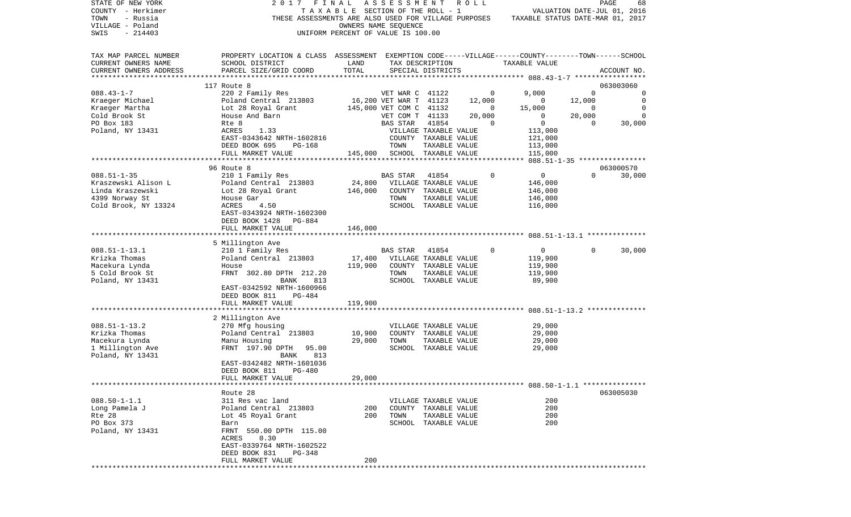| STATE OF NEW YORK      | 2017                                                                                               | FINAL                              | ASSESSMENT              |                       | R O L L |                                  |                | PAGE<br>68                  |
|------------------------|----------------------------------------------------------------------------------------------------|------------------------------------|-------------------------|-----------------------|---------|----------------------------------|----------------|-----------------------------|
| COUNTY - Herkimer      |                                                                                                    | TAXABLE SECTION OF THE ROLL - 1    |                         |                       |         |                                  |                | VALUATION DATE-JUL 01, 2016 |
| TOWN<br>- Russia       | THESE ASSESSMENTS ARE ALSO USED FOR VILLAGE PURPOSES                                               |                                    |                         |                       |         | TAXABLE STATUS DATE-MAR 01, 2017 |                |                             |
| VILLAGE - Poland       |                                                                                                    |                                    | OWNERS NAME SEQUENCE    |                       |         |                                  |                |                             |
| SWIS<br>$-214403$      |                                                                                                    | UNIFORM PERCENT OF VALUE IS 100.00 |                         |                       |         |                                  |                |                             |
| TAX MAP PARCEL NUMBER  | PROPERTY LOCATION & CLASS ASSESSMENT EXEMPTION CODE-----VILLAGE------COUNTY-------TOWN------SCHOOL |                                    |                         |                       |         |                                  |                |                             |
| CURRENT OWNERS NAME    | SCHOOL DISTRICT                                                                                    | LAND                               |                         | TAX DESCRIPTION       |         | TAXABLE VALUE                    |                |                             |
| CURRENT OWNERS ADDRESS | PARCEL SIZE/GRID COORD                                                                             | TOTAL                              |                         | SPECIAL DISTRICTS     |         |                                  |                | ACCOUNT NO.                 |
| ********************** |                                                                                                    |                                    |                         |                       |         |                                  |                |                             |
|                        | 117 Route 8                                                                                        |                                    |                         |                       |         |                                  |                | 063003060                   |
| $088.43 - 1 - 7$       | 220 2 Family Res                                                                                   |                                    | VET WAR C 41122         |                       |         | 9,000<br>0                       | $\Omega$       | 0                           |
| Kraeger Michael        | Poland Central 213803                                                                              |                                    | 16,200 VET WAR T 41123  |                       | 12,000  | $\overline{0}$                   | 12,000         | $\mathbf 0$                 |
| Kraeger Martha         | Lot 28 Royal Grant                                                                                 |                                    | 145,000 VET COM C 41132 |                       |         | 15,000<br>0                      | $\overline{0}$ | $\mathbf 0$                 |
| Cold Brook St          | House And Barn                                                                                     |                                    | VET COM T 41133         |                       | 20,000  | $\mathbf{0}$                     | 20,000         | $\mathbf 0$                 |
| PO Box 183             | Rte 8                                                                                              |                                    | <b>BAS STAR</b>         | 41854                 |         | 0<br>0                           | 0              | 30,000                      |
| Poland, NY 13431       | ACRES<br>1.33                                                                                      |                                    |                         | VILLAGE TAXABLE VALUE |         | 113,000                          |                |                             |
|                        | EAST-0343642 NRTH-1602816                                                                          |                                    | COUNTY                  | TAXABLE VALUE         |         | 121,000                          |                |                             |
|                        | DEED BOOK 695<br><b>PG-168</b>                                                                     |                                    | TOWN                    | TAXABLE VALUE         |         | 113,000                          |                |                             |
|                        | FULL MARKET VALUE                                                                                  | 145,000                            |                         | SCHOOL TAXABLE VALUE  |         | 115,000                          |                |                             |
|                        |                                                                                                    |                                    |                         |                       |         |                                  |                |                             |
|                        | 96 Route 8                                                                                         |                                    |                         |                       |         |                                  |                | 063000570                   |
| $088.51 - 1 - 35$      | 210 1 Family Res                                                                                   |                                    | BAS STAR                | 41854                 |         | $\mathbf 0$<br>$\mathbf 0$       | $\Omega$       | 30,000                      |
| Kraszewski Alison L    | Poland Central 213803                                                                              | 24,800                             |                         | VILLAGE TAXABLE VALUE |         | 146,000                          |                |                             |
| Linda Kraszewski       | Lot 28 Royal Grant                                                                                 | 146,000                            |                         | COUNTY TAXABLE VALUE  |         | 146,000                          |                |                             |
| 4399 Norway St         | House Gar                                                                                          |                                    | TOWN                    | TAXABLE VALUE         |         | 146,000                          |                |                             |
| Cold Brook, NY 13324   | ACRES<br>4.50                                                                                      |                                    |                         | SCHOOL TAXABLE VALUE  |         | 116,000                          |                |                             |
|                        | EAST-0343924 NRTH-1602300<br>DEED BOOK 1428<br>PG-884                                              |                                    |                         |                       |         |                                  |                |                             |
|                        | FULL MARKET VALUE                                                                                  | 146,000                            |                         |                       |         |                                  |                |                             |
|                        |                                                                                                    |                                    |                         |                       |         |                                  |                |                             |
|                        | 5 Millington Ave                                                                                   |                                    |                         |                       |         |                                  |                |                             |
| $088.51 - 1 - 13.1$    | 210 1 Family Res                                                                                   |                                    | BAS STAR                | 41854                 |         | $\mathbf 0$<br>0                 | $\Omega$       | 30,000                      |
| Krizka Thomas          | Poland Central 213803                                                                              | 17,400                             |                         | VILLAGE TAXABLE VALUE |         | 119,900                          |                |                             |
| Macekura Lynda         | House                                                                                              | 119,900                            |                         | COUNTY TAXABLE VALUE  |         | 119,900                          |                |                             |
| 5 Cold Brook St        | FRNT 302.80 DPTH 212.20                                                                            |                                    | TOWN                    | TAXABLE VALUE         |         | 119,900                          |                |                             |
| Poland, NY 13431       | 813<br>BANK                                                                                        |                                    |                         | SCHOOL TAXABLE VALUE  |         | 89,900                           |                |                             |
|                        | EAST-0342592 NRTH-1600966                                                                          |                                    |                         |                       |         |                                  |                |                             |
|                        | DEED BOOK 811<br>PG-484                                                                            |                                    |                         |                       |         |                                  |                |                             |
|                        | FULL MARKET VALUE                                                                                  | 119,900                            |                         |                       |         |                                  |                |                             |
|                        |                                                                                                    | ********                           |                         |                       |         |                                  |                |                             |
|                        | 2 Millington Ave                                                                                   |                                    |                         |                       |         |                                  |                |                             |
| $088.51 - 1 - 13.2$    | 270 Mfg housing                                                                                    |                                    |                         | VILLAGE TAXABLE VALUE |         | 29,000                           |                |                             |
| Krizka Thomas          | Poland Central 213803                                                                              | 10,900                             |                         | COUNTY TAXABLE VALUE  |         | 29,000                           |                |                             |
| Macekura Lynda         | Manu Housing                                                                                       | 29,000                             | TOWN                    | TAXABLE VALUE         |         | 29,000                           |                |                             |
| 1 Millington Ave       | FRNT 197.90 DPTH<br>95.00                                                                          |                                    |                         | SCHOOL TAXABLE VALUE  |         | 29,000                           |                |                             |
| Poland, NY 13431       | BANK<br>813                                                                                        |                                    |                         |                       |         |                                  |                |                             |
|                        | EAST-0342482 NRTH-1601036                                                                          |                                    |                         |                       |         |                                  |                |                             |
|                        | <b>PG-480</b><br>DEED BOOK 811                                                                     |                                    |                         |                       |         |                                  |                |                             |
|                        | FULL MARKET VALUE                                                                                  | 29,000                             |                         |                       |         |                                  |                |                             |
|                        |                                                                                                    |                                    |                         |                       |         |                                  |                |                             |
|                        | Route 28                                                                                           |                                    |                         |                       |         |                                  |                | 063005030                   |
| $088.50 - 1 - 1.1$     | 311 Res vac land                                                                                   |                                    |                         | VILLAGE TAXABLE VALUE |         | 200                              |                |                             |
| Long Pamela J          | Poland Central 213803                                                                              | 200                                |                         | COUNTY TAXABLE VALUE  |         | 200                              |                |                             |
| Rte 28                 | Lot 45 Royal Grant                                                                                 | 200                                | TOWN                    | TAXABLE VALUE         |         | 200                              |                |                             |
| PO Box 373             | Barn<br>FRNT 550.00 DPTH 115.00                                                                    |                                    |                         | SCHOOL TAXABLE VALUE  |         | 200                              |                |                             |
| Poland, NY 13431       | 0.30<br>ACRES                                                                                      |                                    |                         |                       |         |                                  |                |                             |
|                        | EAST-0339764 NRTH-1602522                                                                          |                                    |                         |                       |         |                                  |                |                             |
|                        | DEED BOOK 831<br>PG-348                                                                            |                                    |                         |                       |         |                                  |                |                             |
|                        | FULL MARKET VALUE                                                                                  | 200                                |                         |                       |         |                                  |                |                             |
| **************         |                                                                                                    |                                    |                         |                       |         |                                  |                |                             |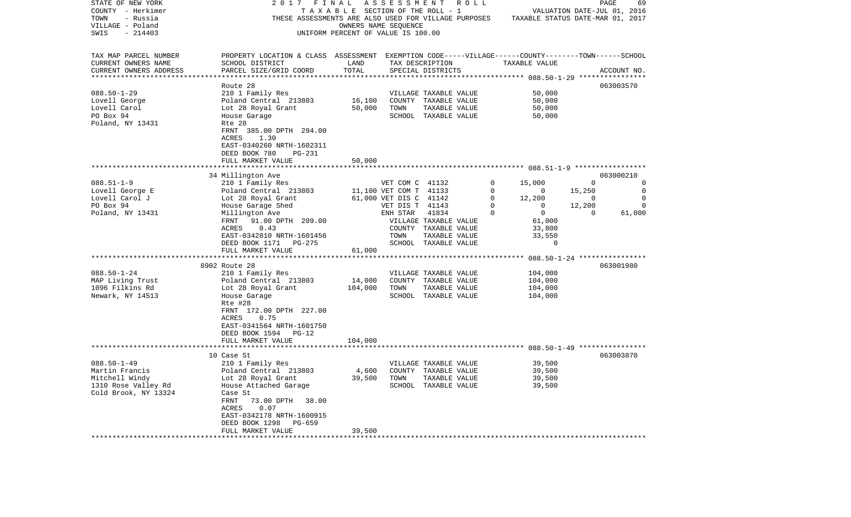| STATE OF NEW YORK                               | 2017                                                                                               | FINAL                                 | A S S E S S M E N T    | R O L L                                              |          |                                  |                             | PAGE<br>69  |
|-------------------------------------------------|----------------------------------------------------------------------------------------------------|---------------------------------------|------------------------|------------------------------------------------------|----------|----------------------------------|-----------------------------|-------------|
| COUNTY - Herkimer                               |                                                                                                    | T A X A B L E SECTION OF THE ROLL - 1 |                        |                                                      |          |                                  | VALUATION DATE-JUL 01, 2016 |             |
| TOWN<br>- Russia                                |                                                                                                    |                                       |                        | THESE ASSESSMENTS ARE ALSO USED FOR VILLAGE PURPOSES |          | TAXABLE STATUS DATE-MAR 01, 2017 |                             |             |
| VILLAGE - Poland                                |                                                                                                    | OWNERS NAME SEQUENCE                  |                        |                                                      |          |                                  |                             |             |
| $-214403$<br>SWIS                               |                                                                                                    | UNIFORM PERCENT OF VALUE IS 100.00    |                        |                                                      |          |                                  |                             |             |
|                                                 |                                                                                                    |                                       |                        |                                                      |          |                                  |                             |             |
| TAX MAP PARCEL NUMBER                           | PROPERTY LOCATION & CLASS ASSESSMENT EXEMPTION CODE-----VILLAGE------COUNTY-------TOWN------SCHOOL |                                       |                        |                                                      |          |                                  |                             |             |
| CURRENT OWNERS NAME                             | SCHOOL DISTRICT                                                                                    | LAND                                  |                        | TAX DESCRIPTION                                      |          | TAXABLE VALUE                    |                             |             |
| CURRENT OWNERS ADDRESS<br>********************* | PARCEL SIZE/GRID COORD                                                                             | TOTAL<br>***********                  |                        | SPECIAL DISTRICTS                                    |          |                                  |                             | ACCOUNT NO. |
|                                                 |                                                                                                    |                                       |                        |                                                      |          |                                  |                             |             |
|                                                 | Route 28                                                                                           |                                       |                        |                                                      |          |                                  |                             | 063003570   |
| $088.50 - 1 - 29$                               | 210 1 Family Res                                                                                   |                                       |                        | VILLAGE TAXABLE VALUE                                |          | 50,000                           |                             |             |
| Lovell George                                   | Poland Central 213803                                                                              | 16,100                                |                        | COUNTY TAXABLE VALUE                                 |          | 50,000                           |                             |             |
| Lovell Carol                                    | Lot 28 Royal Grant                                                                                 | 50,000                                | TOWN                   | TAXABLE VALUE                                        |          | 50,000                           |                             |             |
| PO Box 94                                       | House Garage                                                                                       |                                       |                        | SCHOOL TAXABLE VALUE                                 |          | 50,000                           |                             |             |
| Poland, NY 13431                                | Rte 28                                                                                             |                                       |                        |                                                      |          |                                  |                             |             |
|                                                 | FRNT 385.00 DPTH 294.00                                                                            |                                       |                        |                                                      |          |                                  |                             |             |
|                                                 | 1.30<br>ACRES                                                                                      |                                       |                        |                                                      |          |                                  |                             |             |
|                                                 | EAST-0340260 NRTH-1602311                                                                          |                                       |                        |                                                      |          |                                  |                             |             |
|                                                 | DEED BOOK 780<br>PG-231                                                                            |                                       |                        |                                                      |          |                                  |                             |             |
|                                                 | FULL MARKET VALUE                                                                                  | 50,000                                |                        |                                                      |          |                                  |                             |             |
|                                                 |                                                                                                    |                                       |                        |                                                      |          |                                  |                             |             |
|                                                 | 34 Millington Ave                                                                                  |                                       |                        |                                                      |          |                                  |                             | 063000210   |
| $088.51 - 1 - 9$                                | 210 1 Family Res                                                                                   |                                       | VET COM C 41132        |                                                      | 0        | 15,000                           | $\Omega$                    | 0           |
| Lovell George E                                 | Poland Central 213803                                                                              |                                       | 11,100 VET COM T 41133 |                                                      | $\Omega$ | 0                                | 15,250                      | $\mathbf 0$ |
| Lovell Carol J                                  | Lot 28 Royal Grant                                                                                 |                                       | 61,000 VET DIS C 41142 |                                                      | 0        | 12,200                           | 0                           | $\mathbf 0$ |
| PO Box 94                                       | House Garage Shed                                                                                  |                                       | VET DIS T              | 41143                                                | $\Omega$ | $\mathbf 0$                      | 12,200                      | $\mathbf 0$ |
| Poland, NY 13431                                | Millington Ave                                                                                     |                                       | ENH STAR               | 41834                                                | $\Omega$ | $\overline{0}$                   | $\Omega$                    | 61,000      |
|                                                 | FRNT<br>91.00 DPTH 209.00                                                                          |                                       |                        | VILLAGE TAXABLE VALUE                                |          | 61,000                           |                             |             |
|                                                 | ACRES<br>0.43                                                                                      |                                       |                        | COUNTY TAXABLE VALUE                                 |          | 33,800                           |                             |             |
|                                                 | EAST-0342810 NRTH-1601456                                                                          |                                       | TOWN                   | TAXABLE VALUE                                        |          | 33,550                           |                             |             |
|                                                 | DEED BOOK 1171<br>PG-275                                                                           |                                       |                        | SCHOOL TAXABLE VALUE                                 |          | 0                                |                             |             |
|                                                 | FULL MARKET VALUE<br>**************************                                                    | 61,000                                |                        |                                                      |          |                                  |                             |             |
|                                                 |                                                                                                    |                                       |                        |                                                      |          |                                  |                             |             |
|                                                 | 8902 Route 28                                                                                      |                                       |                        |                                                      |          |                                  |                             | 063001980   |
| $088.50 - 1 - 24$                               | 210 1 Family Res                                                                                   |                                       |                        | VILLAGE TAXABLE VALUE                                |          | 104,000                          |                             |             |
| MAP Living Trust                                | Poland Central 213803                                                                              | 14,000                                |                        | COUNTY TAXABLE VALUE                                 |          | 104,000                          |                             |             |
| 1096 Filkins Rd                                 | Lot 28 Royal Grant                                                                                 | 104,000                               | TOWN                   | TAXABLE VALUE                                        |          | 104,000                          |                             |             |
| Newark, NY 14513                                | House Garage                                                                                       |                                       |                        | SCHOOL TAXABLE VALUE                                 |          | 104,000                          |                             |             |
|                                                 | Rte #28                                                                                            |                                       |                        |                                                      |          |                                  |                             |             |
|                                                 | FRNT 172.00 DPTH 227.00                                                                            |                                       |                        |                                                      |          |                                  |                             |             |
|                                                 | 0.75<br>ACRES                                                                                      |                                       |                        |                                                      |          |                                  |                             |             |
|                                                 | EAST-0341564 NRTH-1601750                                                                          |                                       |                        |                                                      |          |                                  |                             |             |
|                                                 | DEED BOOK 1594<br>PG-12                                                                            |                                       |                        |                                                      |          |                                  |                             |             |
|                                                 | FULL MARKET VALUE                                                                                  | 104,000                               |                        |                                                      |          |                                  |                             |             |
|                                                 |                                                                                                    |                                       |                        |                                                      |          |                                  |                             | 063003870   |
| $088.50 - 1 - 49$                               | 10 Case St<br>210 1 Family Res                                                                     |                                       |                        | VILLAGE TAXABLE VALUE                                |          | 39,500                           |                             |             |
| Martin Francis                                  |                                                                                                    | 4,600                                 |                        |                                                      |          | 39,500                           |                             |             |
| Mitchell Windy                                  | Poland Central 213803<br>Lot 28 Royal Grant                                                        |                                       | TOWN                   | COUNTY TAXABLE VALUE                                 |          | 39,500                           |                             |             |
| 1310 Rose Valley Rd                             |                                                                                                    | 39,500                                |                        | TAXABLE VALUE                                        |          |                                  |                             |             |
|                                                 | House Attached Garage                                                                              |                                       |                        | SCHOOL TAXABLE VALUE                                 |          | 39,500                           |                             |             |
| Cold Brook, NY 13324                            | Case St<br>73.00 DPTH<br>FRNT<br>38.00                                                             |                                       |                        |                                                      |          |                                  |                             |             |
|                                                 | ACRES<br>0.07                                                                                      |                                       |                        |                                                      |          |                                  |                             |             |
|                                                 | EAST-0342178 NRTH-1600915                                                                          |                                       |                        |                                                      |          |                                  |                             |             |
|                                                 | DEED BOOK 1298<br>PG-659                                                                           |                                       |                        |                                                      |          |                                  |                             |             |
|                                                 | FULL MARKET VALUE                                                                                  | 39,500                                |                        |                                                      |          |                                  |                             |             |
| ********************                            | .                                                                                                  |                                       |                        |                                                      |          |                                  |                             |             |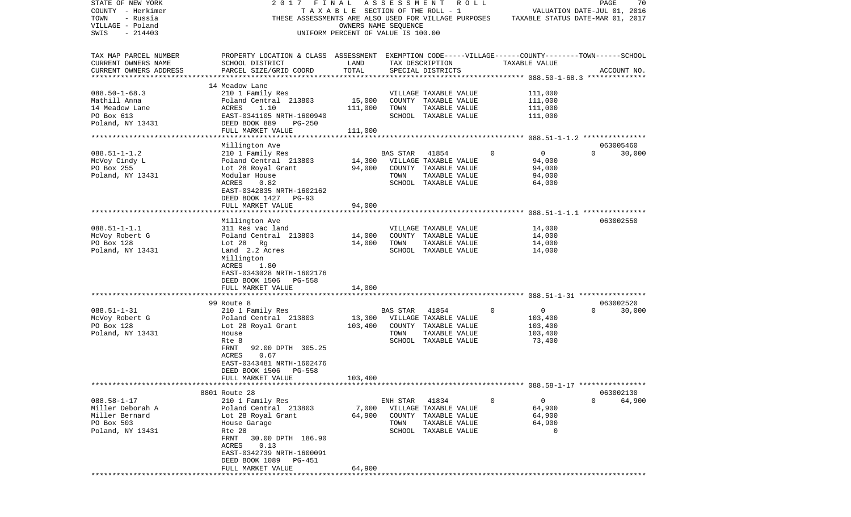| STATE OF NEW YORK<br>COUNTY - Herkimer | 2017                                                                                               | FINAL<br>TAXABLE SECTION OF THE ROLL - 1 | A S S E S S M E N T R O L L                     |                       |              | VALUATION DATE-JUL 01, 2016      |              | PAGE<br>70  |
|----------------------------------------|----------------------------------------------------------------------------------------------------|------------------------------------------|-------------------------------------------------|-----------------------|--------------|----------------------------------|--------------|-------------|
| TOWN<br>- Russia                       | THESE ASSESSMENTS ARE ALSO USED FOR VILLAGE PURPOSES                                               |                                          |                                                 |                       |              | TAXABLE STATUS DATE-MAR 01, 2017 |              |             |
| VILLAGE - Poland                       |                                                                                                    | OWNERS NAME SEQUENCE                     |                                                 |                       |              |                                  |              |             |
| SWIS<br>$-214403$                      |                                                                                                    | UNIFORM PERCENT OF VALUE IS 100.00       |                                                 |                       |              |                                  |              |             |
| TAX MAP PARCEL NUMBER                  | PROPERTY LOCATION & CLASS ASSESSMENT EXEMPTION CODE-----VILLAGE------COUNTY-------TOWN------SCHOOL |                                          |                                                 |                       |              |                                  |              |             |
| CURRENT OWNERS NAME                    | SCHOOL DISTRICT                                                                                    | LAND                                     |                                                 | TAX DESCRIPTION       |              | TAXABLE VALUE                    |              |             |
| CURRENT OWNERS ADDRESS                 | PARCEL SIZE/GRID COORD                                                                             | TOTAL                                    |                                                 | SPECIAL DISTRICTS     |              |                                  |              | ACCOUNT NO. |
|                                        | 14 Meadow Lane                                                                                     |                                          |                                                 |                       |              |                                  |              |             |
| $088.50 - 1 - 68.3$                    | 210 1 Family Res                                                                                   |                                          |                                                 | VILLAGE TAXABLE VALUE |              | 111,000                          |              |             |
| Mathill Anna                           | Poland Central 213803                                                                              | 15,000                                   |                                                 | COUNTY TAXABLE VALUE  |              | 111,000                          |              |             |
| 14 Meadow Lane                         | ACRES<br>1.10                                                                                      | 111,000                                  | TOWN                                            | TAXABLE VALUE         |              | 111,000                          |              |             |
| PO Box 613                             | EAST-0341105 NRTH-1600940                                                                          |                                          |                                                 | SCHOOL TAXABLE VALUE  |              | 111,000                          |              |             |
| Poland, NY 13431                       | DEED BOOK 889<br>PG-250                                                                            |                                          |                                                 |                       |              |                                  |              |             |
|                                        | FULL MARKET VALUE                                                                                  | 111,000                                  |                                                 |                       |              |                                  |              |             |
|                                        | Millington Ave                                                                                     |                                          |                                                 |                       |              |                                  |              | 063005460   |
| $088.51 - 1 - 1.2$                     | 210 1 Family Res                                                                                   |                                          | BAS STAR                                        | 41854                 | 0            | $\mathbf{0}$                     | $\Omega$     | 30,000      |
| McVoy Cindy L                          | Poland Central 213803                                                                              |                                          | 14,300 VILLAGE TAXABLE VALUE                    |                       |              | 94,000                           |              |             |
| PO Box 255                             | Lot 28 Royal Grant                                                                                 | 94,000                                   |                                                 | COUNTY TAXABLE VALUE  |              | 94,000                           |              |             |
| Poland, NY 13431                       | Modular House                                                                                      |                                          | TOWN                                            | TAXABLE VALUE         |              | 94,000                           |              |             |
|                                        | 0.82<br>ACRES                                                                                      |                                          |                                                 | SCHOOL TAXABLE VALUE  |              | 64,000                           |              |             |
|                                        | EAST-0342835 NRTH-1602162<br>DEED BOOK 1427 PG-93                                                  |                                          |                                                 |                       |              |                                  |              |             |
|                                        | FULL MARKET VALUE                                                                                  | 94,000                                   |                                                 |                       |              |                                  |              |             |
|                                        |                                                                                                    |                                          |                                                 |                       |              |                                  |              |             |
|                                        | Millington Ave                                                                                     |                                          |                                                 |                       |              |                                  |              | 063002550   |
| $088.51 - 1 - 1.1$                     | 311 Res vac land                                                                                   |                                          |                                                 | VILLAGE TAXABLE VALUE |              | 14,000                           |              |             |
| McVoy Robert G                         | Poland Central 213803                                                                              | 14,000                                   |                                                 | COUNTY TAXABLE VALUE  |              | 14,000                           |              |             |
| PO Box 128                             | Lot 28 Rg                                                                                          | 14,000                                   | TOWN                                            | TAXABLE VALUE         |              | 14,000                           |              |             |
| Poland, NY 13431                       | Land 2.2 Acres                                                                                     |                                          |                                                 | SCHOOL TAXABLE VALUE  |              | 14,000                           |              |             |
|                                        | Millington<br>ACRES<br>1.80                                                                        |                                          |                                                 |                       |              |                                  |              |             |
|                                        | EAST-0343028 NRTH-1602176                                                                          |                                          |                                                 |                       |              |                                  |              |             |
|                                        | DEED BOOK 1506<br>PG-558                                                                           |                                          |                                                 |                       |              |                                  |              |             |
|                                        | FULL MARKET VALUE                                                                                  | 14,000                                   |                                                 |                       |              |                                  |              |             |
|                                        |                                                                                                    |                                          |                                                 |                       |              |                                  |              |             |
|                                        | 99 Route 8                                                                                         |                                          |                                                 |                       |              |                                  |              | 063002520   |
| $088.51 - 1 - 31$<br>McVoy Robert G    | 210 1 Family Res<br>Poland Central 213803                                                          |                                          | <b>BAS STAR</b><br>13,300 VILLAGE TAXABLE VALUE | 41854                 | 0            | $\overline{0}$<br>103,400        | $\mathbf{0}$ | 30,000      |
| PO Box 128                             | Lot 28 Royal Grant                                                                                 | 103,400                                  |                                                 | COUNTY TAXABLE VALUE  |              | 103,400                          |              |             |
| Poland, NY 13431                       | House                                                                                              |                                          | TOWN                                            | TAXABLE VALUE         |              | 103,400                          |              |             |
|                                        | Rte 8                                                                                              |                                          |                                                 | SCHOOL TAXABLE VALUE  |              | 73,400                           |              |             |
|                                        | 92.00 DPTH 305.25<br>FRNT                                                                          |                                          |                                                 |                       |              |                                  |              |             |
|                                        | 0.67<br>ACRES                                                                                      |                                          |                                                 |                       |              |                                  |              |             |
|                                        | EAST-0343481 NRTH-1602476                                                                          |                                          |                                                 |                       |              |                                  |              |             |
|                                        | DEED BOOK 1506<br>PG-558                                                                           |                                          |                                                 |                       |              |                                  |              |             |
|                                        | FULL MARKET VALUE                                                                                  | 103,400                                  |                                                 |                       |              |                                  |              |             |
|                                        | 8801 Route 28                                                                                      |                                          |                                                 |                       |              |                                  |              | 063002130   |
| $088.58 - 1 - 17$                      | 210 1 Family Res                                                                                   |                                          | ENH STAR 41834                                  |                       | $\mathbf{0}$ | $\overline{0}$                   | $\Omega$     | 64,900      |
| Miller Deborah A                       | Poland Central 213803                                                                              |                                          | 7,000 VILLAGE TAXABLE VALUE                     |                       |              | 64,900                           |              |             |
| Miller Bernard                         | Lot 28 Royal Grant                                                                                 |                                          | 64,900 COUNTY TAXABLE VALUE                     |                       |              | 64,900                           |              |             |
| PO Box 503                             | House Garage                                                                                       |                                          | TOWN                                            | TAXABLE VALUE         |              | 64,900                           |              |             |
| Poland, NY 13431                       | Rte 28                                                                                             |                                          |                                                 | SCHOOL TAXABLE VALUE  |              | $\mathbf 0$                      |              |             |
|                                        | FRNT 30.00 DPTH 186.90<br>ACRES 0.13                                                               |                                          |                                                 |                       |              |                                  |              |             |
|                                        | EAST-0342739 NRTH-1600091                                                                          |                                          |                                                 |                       |              |                                  |              |             |
|                                        | DEED BOOK 1089 PG-451                                                                              |                                          |                                                 |                       |              |                                  |              |             |
|                                        | FULL MARKET VALUE                                                                                  | 64,900                                   |                                                 |                       |              |                                  |              |             |
|                                        |                                                                                                    |                                          |                                                 |                       |              |                                  |              |             |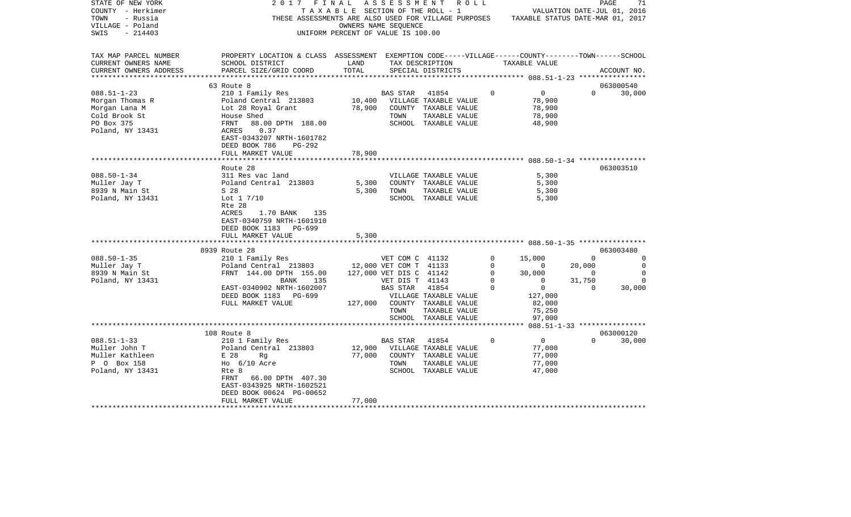| STATE OF NEW YORK      | 2017 FINAL                                                                                         |                                    | ASSESSMENT              |                                       | R O L L     |                                                                                       |                          | PAGE        | 71             |
|------------------------|----------------------------------------------------------------------------------------------------|------------------------------------|-------------------------|---------------------------------------|-------------|---------------------------------------------------------------------------------------|--------------------------|-------------|----------------|
| COUNTY - Herkimer      |                                                                                                    | TAXABLE SECTION OF THE ROLL - 1    |                         |                                       |             | VALUATION DATE-JUL 01, 2016                                                           |                          |             |                |
| TOWN<br>- Russia       |                                                                                                    |                                    |                         |                                       |             | THESE ASSESSMENTS ARE ALSO USED FOR VILLAGE PURPOSES TAXABLE STATUS DATE-MAR 01, 2017 |                          |             |                |
| VILLAGE - Poland       |                                                                                                    |                                    | OWNERS NAME SEQUENCE    |                                       |             |                                                                                       |                          |             |                |
| - 214403<br>SWIS       |                                                                                                    | UNIFORM PERCENT OF VALUE IS 100.00 |                         |                                       |             |                                                                                       |                          |             |                |
|                        |                                                                                                    |                                    |                         |                                       |             |                                                                                       |                          |             |                |
|                        |                                                                                                    |                                    |                         |                                       |             |                                                                                       |                          |             |                |
| TAX MAP PARCEL NUMBER  | PROPERTY LOCATION & CLASS ASSESSMENT EXEMPTION CODE-----VILLAGE------COUNTY-------TOWN------SCHOOL |                                    |                         |                                       |             |                                                                                       |                          |             |                |
| CURRENT OWNERS NAME    | SCHOOL DISTRICT                                                                                    | LAND                               |                         | TAX DESCRIPTION                       |             | TAXABLE VALUE                                                                         |                          |             |                |
| CURRENT OWNERS ADDRESS | PARCEL SIZE/GRID COORD                                                                             | TOTAL                              |                         | SPECIAL DISTRICTS                     |             |                                                                                       |                          | ACCOUNT NO. |                |
|                        |                                                                                                    |                                    |                         |                                       |             |                                                                                       |                          |             |                |
|                        | 63 Route 8                                                                                         |                                    |                         |                                       |             |                                                                                       |                          | 063000540   |                |
| $088.51 - 1 - 23$      | 210 1 Family Res                                                                                   |                                    | BAS STAR                | 41854                                 | $\Omega$    | $\overline{0}$                                                                        | $\Omega$                 | 30,000      |                |
| Morgan Thomas R        | Poland Central 213803                                                                              | 10,400                             |                         | VILLAGE TAXABLE VALUE                 |             | 78,900                                                                                |                          |             |                |
| Morgan Lana M          | Lot 28 Royal Grant                                                                                 | 78,900                             |                         | COUNTY TAXABLE VALUE                  |             | 78,900                                                                                |                          |             |                |
| Cold Brook St          | House Shed                                                                                         |                                    | TOWN                    | TAXABLE VALUE                         |             | 78,900                                                                                |                          |             |                |
| PO Box 375             | FRNT<br>88.00 DPTH 188.00                                                                          |                                    |                         | SCHOOL TAXABLE VALUE                  |             | 48,900                                                                                |                          |             |                |
| Poland, NY 13431       | 0.37<br>ACRES                                                                                      |                                    |                         |                                       |             |                                                                                       |                          |             |                |
|                        | EAST-0343207 NRTH-1601782                                                                          |                                    |                         |                                       |             |                                                                                       |                          |             |                |
|                        | DEED BOOK 786<br>PG-292                                                                            |                                    |                         |                                       |             |                                                                                       |                          |             |                |
|                        | FULL MARKET VALUE                                                                                  | 78,900                             |                         |                                       |             |                                                                                       |                          |             |                |
|                        |                                                                                                    |                                    |                         |                                       |             |                                                                                       |                          |             |                |
|                        | Route 28                                                                                           |                                    |                         |                                       |             |                                                                                       |                          | 063003510   |                |
| $088.50 - 1 - 34$      | 311 Res vac land                                                                                   |                                    |                         | VILLAGE TAXABLE VALUE                 |             | 5,300                                                                                 |                          |             |                |
| Muller Jay T           | Poland Central 213803                                                                              | 5,300                              |                         | COUNTY TAXABLE VALUE                  |             | 5,300                                                                                 |                          |             |                |
| 8939 N Main St         | S 28                                                                                               | 5,300                              | TOWN                    | TAXABLE VALUE                         |             | 5,300                                                                                 |                          |             |                |
| Poland, NY 13431       | Lot $1 \frac{7}{10}$                                                                               |                                    |                         | SCHOOL TAXABLE VALUE                  |             | 5,300                                                                                 |                          |             |                |
|                        | Rte 28                                                                                             |                                    |                         |                                       |             |                                                                                       |                          |             |                |
|                        | ACRES<br>1.70 BANK 135                                                                             |                                    |                         |                                       |             |                                                                                       |                          |             |                |
|                        | EAST-0340759 NRTH-1601910                                                                          |                                    |                         |                                       |             |                                                                                       |                          |             |                |
|                        | DEED BOOK 1183 PG-699                                                                              |                                    |                         |                                       |             |                                                                                       |                          |             |                |
|                        | FULL MARKET VALUE                                                                                  | 5,300                              |                         |                                       |             |                                                                                       |                          |             |                |
|                        | *********************                                                                              |                                    |                         |                                       |             |                                                                                       |                          |             |                |
|                        | 8939 Route 28                                                                                      |                                    |                         |                                       |             |                                                                                       |                          | 063003480   |                |
| $088.50 - 1 - 35$      | 210 1 Family Res                                                                                   |                                    | VET COM C 41132         |                                       | $\mathbf 0$ | 15,000                                                                                | $\Omega$                 |             | $\Omega$       |
| Muller Jay T           | Poland Central 213803 12,000 VET COM T 41133                                                       |                                    |                         |                                       | $\mathbf 0$ | $\mathbf{0}$                                                                          | 20,000                   |             | $\overline{0}$ |
| 8939 N Main St         | FRNT 144.00 DPTH 155.00                                                                            |                                    | 127,000 VET DIS C 41142 |                                       | 0           | 30,000                                                                                | $\overline{\phantom{0}}$ |             | $\mathbf 0$    |
| Poland, NY 13431       | 135<br>BANK                                                                                        |                                    | VET DIS T 41143         |                                       | 0           | $\overline{0}$                                                                        | 31,750                   |             | 0              |
|                        | EAST-0340902 NRTH-1602007                                                                          |                                    | <b>BAS STAR</b>         | 41854                                 | $\Omega$    | $\overline{0}$                                                                        | $\Omega$                 | 30,000      |                |
|                        | DEED BOOK 1183 PG-699                                                                              |                                    |                         | VILLAGE TAXABLE VALUE                 |             | 127,000                                                                               |                          |             |                |
|                        | FULL MARKET VALUE                                                                                  |                                    |                         | 127,000 COUNTY TAXABLE VALUE          |             | 82,000                                                                                |                          |             |                |
|                        |                                                                                                    |                                    | TOWN                    |                                       |             |                                                                                       |                          |             |                |
|                        |                                                                                                    |                                    |                         | TAXABLE VALUE<br>SCHOOL TAXABLE VALUE |             | 75,250<br>97,000                                                                      |                          |             |                |
|                        | **************************************                                                             |                                    |                         | *******************************       |             | ****** 088.51-1-33 ****************                                                   |                          |             |                |
|                        | 108 Route 8                                                                                        |                                    |                         |                                       |             |                                                                                       |                          | 063000120   |                |
| $088.51 - 1 - 33$      | 210 1 Family Res                                                                                   |                                    | BAS STAR                | 41854                                 | $\mathbf 0$ | $\overline{0}$                                                                        | $\Omega$                 | 30,000      |                |
| Muller John T          | Poland Central 213803                                                                              | 12,900                             |                         | VILLAGE TAXABLE VALUE                 |             | 77,000                                                                                |                          |             |                |
| Muller Kathleen        | E 28<br>Rq                                                                                         | 77,000                             |                         | COUNTY TAXABLE VALUE                  |             | 77,000                                                                                |                          |             |                |
| P 0 Box 158            | Ho 6/10 Acre                                                                                       |                                    | TOWN                    | TAXABLE VALUE                         |             | 77,000                                                                                |                          |             |                |
|                        | Rte 8                                                                                              |                                    |                         |                                       |             |                                                                                       |                          |             |                |
| Poland, NY 13431       |                                                                                                    |                                    |                         | SCHOOL TAXABLE VALUE                  |             | 47,000                                                                                |                          |             |                |
|                        | FRNT 66.00 DPTH 407.30<br>EAST-0343925 NRTH-1602521                                                |                                    |                         |                                       |             |                                                                                       |                          |             |                |
|                        |                                                                                                    |                                    |                         |                                       |             |                                                                                       |                          |             |                |
|                        | DEED BOOK 00624 PG-00652                                                                           | 77,000                             |                         |                                       |             |                                                                                       |                          |             |                |
|                        | FULL MARKET VALUE                                                                                  |                                    |                         |                                       |             |                                                                                       |                          |             |                |
|                        |                                                                                                    |                                    |                         |                                       |             |                                                                                       |                          |             |                |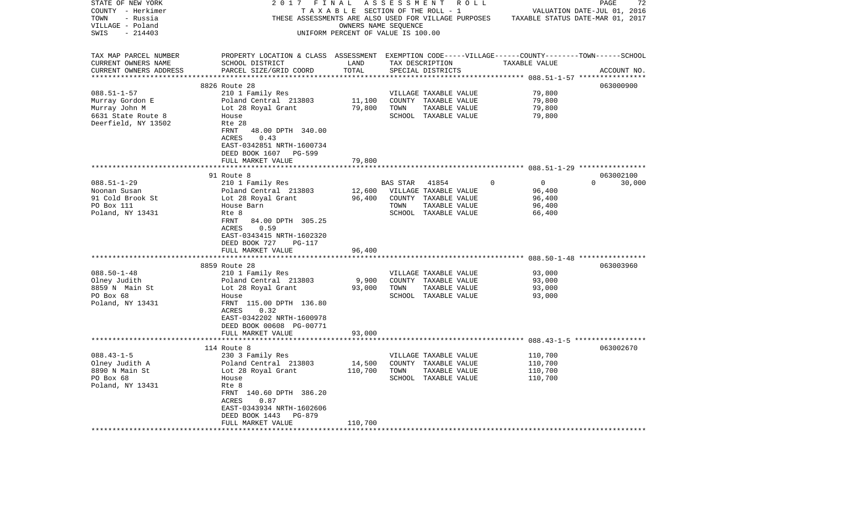| STATE OF NEW YORK      | 2017                                                  | FINAL   | A S S E S S M E N T<br>R O L L                                                                     |                              | 72<br>PAGE                       |
|------------------------|-------------------------------------------------------|---------|----------------------------------------------------------------------------------------------------|------------------------------|----------------------------------|
| COUNTY - Herkimer      |                                                       |         | T A X A B L E SECTION OF THE ROLL - 1                                                              |                              | VALUATION DATE-JUL 01, 2016      |
| TOWN<br>- Russia       |                                                       |         | THESE ASSESSMENTS ARE ALSO USED FOR VILLAGE PURPOSES                                               |                              | TAXABLE STATUS DATE-MAR 01, 2017 |
| VILLAGE - Poland       |                                                       |         | OWNERS NAME SEQUENCE                                                                               |                              |                                  |
| $-214403$<br>SWIS      |                                                       |         | UNIFORM PERCENT OF VALUE IS 100.00                                                                 |                              |                                  |
| TAX MAP PARCEL NUMBER  |                                                       |         | PROPERTY LOCATION & CLASS ASSESSMENT EXEMPTION CODE-----VILLAGE------COUNTY-------TOWN------SCHOOL |                              |                                  |
| CURRENT OWNERS NAME    | SCHOOL DISTRICT                                       | LAND    | TAX DESCRIPTION                                                                                    | TAXABLE VALUE                |                                  |
| CURRENT OWNERS ADDRESS | PARCEL SIZE/GRID COORD                                | TOTAL   | SPECIAL DISTRICTS                                                                                  |                              | ACCOUNT NO.                      |
|                        |                                                       |         |                                                                                                    | *********** 088.51-1-57 **** |                                  |
|                        | 8826 Route 28                                         |         |                                                                                                    |                              | 063000900                        |
| $088.51 - 1 - 57$      | 210 1 Family Res                                      |         | VILLAGE TAXABLE VALUE                                                                              | 79,800                       |                                  |
| Murray Gordon E        | Poland Central 213803                                 | 11,100  | COUNTY TAXABLE VALUE                                                                               | 79,800                       |                                  |
| Murray John M          | Lot 28 Royal Grant                                    | 79,800  | TOWN<br>TAXABLE VALUE                                                                              | 79,800                       |                                  |
| 6631 State Route 8     | House                                                 |         | SCHOOL TAXABLE VALUE                                                                               | 79,800                       |                                  |
| Deerfield, NY 13502    | Rte 28                                                |         |                                                                                                    |                              |                                  |
|                        | FRNT<br>48.00 DPTH 340.00<br>0.43<br>ACRES            |         |                                                                                                    |                              |                                  |
|                        | EAST-0342851 NRTH-1600734<br>DEED BOOK 1607<br>PG-599 |         |                                                                                                    |                              |                                  |
|                        | FULL MARKET VALUE                                     | 79,800  |                                                                                                    |                              |                                  |
|                        |                                                       |         |                                                                                                    |                              |                                  |
|                        | 91 Route 8                                            |         |                                                                                                    |                              | 063002100                        |
| $088.51 - 1 - 29$      | 210 1 Family Res                                      |         | BAS STAR<br>41854                                                                                  | $\mathbf 0$<br>$\Omega$      | $\Omega$<br>30,000               |
| Noonan Susan           | Poland Central 213803                                 | 12,600  | VILLAGE TAXABLE VALUE                                                                              | 96,400                       |                                  |
| 91 Cold Brook St       | Lot 28 Royal Grant                                    | 96,400  | COUNTY TAXABLE VALUE                                                                               | 96,400                       |                                  |
| PO Box 111             | House Barn                                            |         | TOWN<br>TAXABLE VALUE                                                                              | 96,400                       |                                  |
| Poland, NY 13431       | Rte 8                                                 |         | SCHOOL TAXABLE VALUE                                                                               | 66,400                       |                                  |
|                        | FRNT<br>84.00 DPTH 305.25                             |         |                                                                                                    |                              |                                  |
|                        | 0.59<br>ACRES                                         |         |                                                                                                    |                              |                                  |
|                        | EAST-0343415 NRTH-1602320                             |         |                                                                                                    |                              |                                  |
|                        | DEED BOOK 727<br>PG-117                               |         |                                                                                                    |                              |                                  |
|                        | FULL MARKET VALUE                                     | 96,400  |                                                                                                    |                              |                                  |
|                        |                                                       |         |                                                                                                    |                              |                                  |
|                        | 8859 Route 28                                         |         |                                                                                                    |                              | 063003960                        |
| $088.50 - 1 - 48$      | 210 1 Family Res                                      |         | VILLAGE TAXABLE VALUE                                                                              | 93,000                       |                                  |
| Olney Judith           | Poland Central 213803                                 | 9,900   | COUNTY TAXABLE VALUE                                                                               | 93,000                       |                                  |
| 8859 N Main St         | Lot 28 Royal Grant                                    | 93,000  | TOWN<br>TAXABLE VALUE                                                                              | 93,000                       |                                  |
| PO Box 68              | House                                                 |         | SCHOOL TAXABLE VALUE                                                                               | 93,000                       |                                  |
| Poland, NY 13431       | FRNT 115.00 DPTH 136.80                               |         |                                                                                                    |                              |                                  |
|                        | ACRES<br>0.32                                         |         |                                                                                                    |                              |                                  |
|                        | EAST-0342202 NRTH-1600978                             |         |                                                                                                    |                              |                                  |
|                        | DEED BOOK 00608 PG-00771                              |         |                                                                                                    |                              |                                  |
|                        | FULL MARKET VALUE<br>********************             | 93,000  |                                                                                                    |                              |                                  |
|                        | 114 Route 8                                           |         |                                                                                                    |                              | 063002670                        |
| $088.43 - 1 - 5$       | 230 3 Family Res                                      |         | VILLAGE TAXABLE VALUE                                                                              | 110,700                      |                                  |
| Olney Judith A         | Poland Central 213803                                 | 14,500  | COUNTY TAXABLE VALUE                                                                               | 110,700                      |                                  |
| 8890 N Main St         | Lot 28 Royal Grant                                    | 110,700 | TAXABLE VALUE<br>TOWN                                                                              | 110,700                      |                                  |
| PO Box 68              | House                                                 |         | SCHOOL TAXABLE VALUE                                                                               | 110,700                      |                                  |
| Poland, NY 13431       | Rte 8                                                 |         |                                                                                                    |                              |                                  |
|                        | FRNT 140.60 DPTH 386.20                               |         |                                                                                                    |                              |                                  |
|                        | ACRES<br>0.87                                         |         |                                                                                                    |                              |                                  |
|                        | EAST-0343934 NRTH-1602606                             |         |                                                                                                    |                              |                                  |
|                        | DEED BOOK 1443<br>PG-879                              |         |                                                                                                    |                              |                                  |
|                        | FULL MARKET VALUE                                     | 110,700 |                                                                                                    |                              |                                  |
|                        |                                                       |         |                                                                                                    |                              |                                  |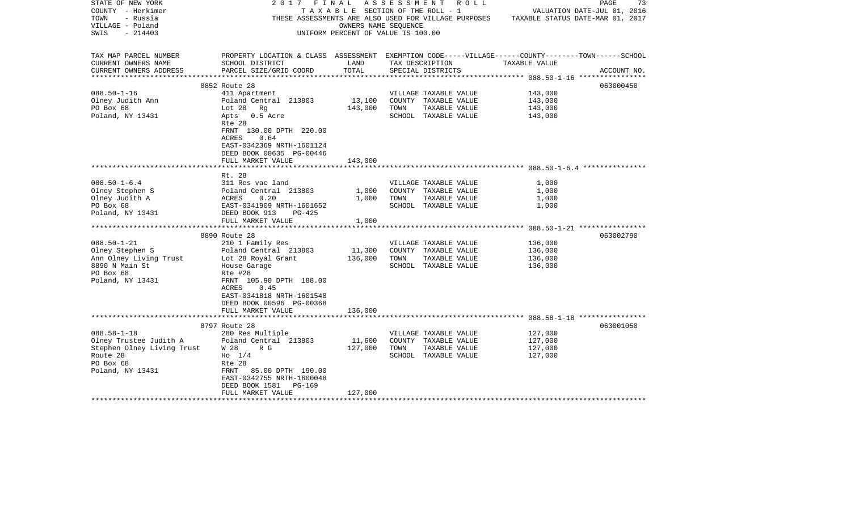| STATE OF NEW YORK<br>COUNTY - Herkimer<br>TOWN<br>- Russia | 2017<br>F I N A L                                                                                  | TAXABLE SECTION OF THE ROLL - 1                            |      | A S S E S S M E N T R O L L<br>THESE ASSESSMENTS ARE ALSO USED FOR VILLAGE PURPOSES |               | $\mathop{\mathtt{PAGE}}$<br>73<br>VALUATION DATE-JUL 01, 2016<br>TAXABLE STATUS DATE-MAR 01, 2017 |
|------------------------------------------------------------|----------------------------------------------------------------------------------------------------|------------------------------------------------------------|------|-------------------------------------------------------------------------------------|---------------|---------------------------------------------------------------------------------------------------|
| VILLAGE - Poland<br>$-214403$<br>SWIS                      |                                                                                                    | OWNERS NAME SEQUENCE<br>UNIFORM PERCENT OF VALUE IS 100.00 |      |                                                                                     |               |                                                                                                   |
| TAX MAP PARCEL NUMBER                                      | PROPERTY LOCATION & CLASS ASSESSMENT EXEMPTION CODE-----VILLAGE------COUNTY-------TOWN------SCHOOL |                                                            |      |                                                                                     |               |                                                                                                   |
| CURRENT OWNERS NAME<br>CURRENT OWNERS ADDRESS              | SCHOOL DISTRICT<br>PARCEL SIZE/GRID COORD                                                          | LAND<br>TOTAL                                              |      | TAX DESCRIPTION<br>SPECIAL DISTRICTS                                                | TAXABLE VALUE | ACCOUNT NO.                                                                                       |
|                                                            | 8852 Route 28                                                                                      |                                                            |      |                                                                                     |               | 063000450                                                                                         |
| $088.50 - 1 - 16$                                          | 411 Apartment                                                                                      |                                                            |      | VILLAGE TAXABLE VALUE                                                               | 143,000       |                                                                                                   |
| Olney Judith Ann                                           | Poland Central 213803                                                                              | 13,100                                                     |      | COUNTY TAXABLE VALUE                                                                | 143,000       |                                                                                                   |
| PO Box 68                                                  | Lot 28 Rg                                                                                          | 143,000                                                    | TOWN | TAXABLE VALUE                                                                       | 143,000       |                                                                                                   |
| Poland, NY 13431                                           | Apts 0.5 Acre<br>Rte 28                                                                            |                                                            |      | SCHOOL TAXABLE VALUE                                                                | 143,000       |                                                                                                   |
|                                                            | FRNT 130.00 DPTH 220.00<br>0.64<br>ACRES                                                           |                                                            |      |                                                                                     |               |                                                                                                   |
|                                                            | EAST-0342369 NRTH-1601124<br>DEED BOOK 00635 PG-00446                                              |                                                            |      |                                                                                     |               |                                                                                                   |
|                                                            | FULL MARKET VALUE                                                                                  | 143,000                                                    |      |                                                                                     |               |                                                                                                   |
|                                                            |                                                                                                    |                                                            |      |                                                                                     |               |                                                                                                   |
| $088.50 - 1 - 6.4$                                         | Rt. 28<br>311 Res vac land                                                                         |                                                            |      | VILLAGE TAXABLE VALUE                                                               | 1,000         |                                                                                                   |
| Olney Stephen S                                            | Poland Central 213803                                                                              | 1,000                                                      |      | COUNTY TAXABLE VALUE                                                                | 1,000         |                                                                                                   |
| Olney Judith A                                             | ACRES<br>0.20                                                                                      | 1,000                                                      | TOWN | TAXABLE VALUE                                                                       | 1,000         |                                                                                                   |
| PO Box 68                                                  | EAST-0341909 NRTH-1601652                                                                          |                                                            |      | SCHOOL TAXABLE VALUE                                                                | 1,000         |                                                                                                   |
| Poland, NY 13431                                           | DEED BOOK 913<br>PG-425                                                                            |                                                            |      |                                                                                     |               |                                                                                                   |
|                                                            | FULL MARKET VALUE<br>*********************                                                         | 1,000<br>***********                                       |      |                                                                                     |               |                                                                                                   |
|                                                            | 8890 Route 28                                                                                      |                                                            |      |                                                                                     |               | 063002790                                                                                         |
| $088.50 - 1 - 21$                                          | 210 1 Family Res                                                                                   |                                                            |      | VILLAGE TAXABLE VALUE                                                               | 136,000       |                                                                                                   |
| Olney Stephen S                                            | Poland Central 213803                                                                              | 11,300                                                     |      | COUNTY TAXABLE VALUE                                                                | 136,000       |                                                                                                   |
| Ann Olney Living Trust                                     | Lot 28 Royal Grant                                                                                 | 136,000                                                    | TOWN | TAXABLE VALUE                                                                       | 136,000       |                                                                                                   |
| 8890 N Main St                                             | House Garage                                                                                       |                                                            |      | SCHOOL TAXABLE VALUE                                                                | 136,000       |                                                                                                   |
| PO Box 68                                                  | Rte #28                                                                                            |                                                            |      |                                                                                     |               |                                                                                                   |
| Poland, NY 13431                                           | FRNT 105.90 DPTH 188.00<br>0.45<br>ACRES                                                           |                                                            |      |                                                                                     |               |                                                                                                   |
|                                                            | EAST-0341818 NRTH-1601548<br>DEED BOOK 00596 PG-00368                                              |                                                            |      |                                                                                     |               |                                                                                                   |
|                                                            | FULL MARKET VALUE                                                                                  | 136,000                                                    |      |                                                                                     |               |                                                                                                   |
|                                                            |                                                                                                    |                                                            |      |                                                                                     |               |                                                                                                   |
|                                                            | 8797 Route 28                                                                                      |                                                            |      |                                                                                     |               | 063001050                                                                                         |
| $088.58 - 1 - 18$                                          | 280 Res Multiple                                                                                   |                                                            |      | VILLAGE TAXABLE VALUE                                                               | 127,000       |                                                                                                   |
| Olney Trustee Judith A                                     | Poland Central 213803                                                                              | 11,600                                                     |      | COUNTY TAXABLE VALUE                                                                | 127,000       |                                                                                                   |
| Stephen Olney Living Trust                                 | W 28<br>R G                                                                                        | 127,000                                                    | TOWN | TAXABLE VALUE                                                                       | 127,000       |                                                                                                   |
| Route 28                                                   | $H_0$ 1/4                                                                                          |                                                            |      | SCHOOL TAXABLE VALUE                                                                | 127,000       |                                                                                                   |
| PO Box 68                                                  | Rte 28                                                                                             |                                                            |      |                                                                                     |               |                                                                                                   |
| Poland, NY 13431                                           | 85.00 DPTH 190.00<br>FRNT                                                                          |                                                            |      |                                                                                     |               |                                                                                                   |
|                                                            | EAST-0342755 NRTH-1600048                                                                          |                                                            |      |                                                                                     |               |                                                                                                   |
|                                                            | DEED BOOK 1581<br>PG-169<br>FULL MARKET VALUE                                                      | 127,000                                                    |      |                                                                                     |               |                                                                                                   |
|                                                            |                                                                                                    |                                                            |      | *****************************                                                       |               |                                                                                                   |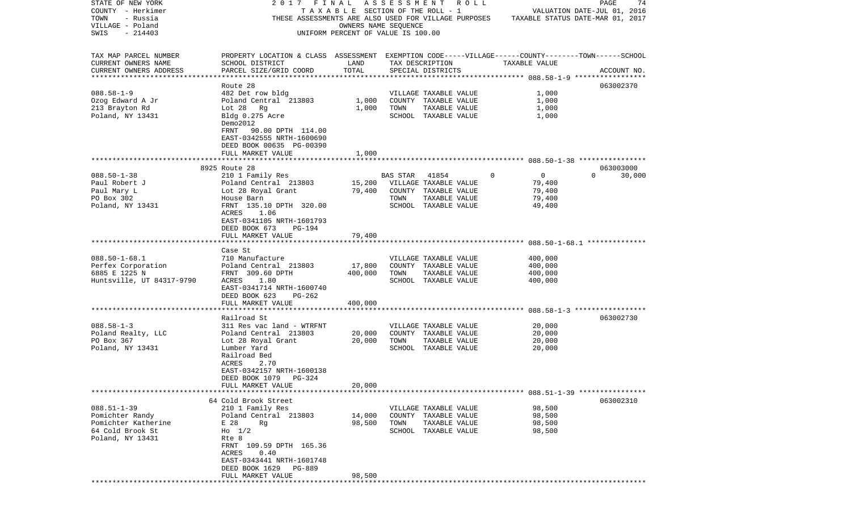| STATE OF NEW YORK         | 2017                                                                                               | FINAL                              | ASSESSMENT ROLL |                       |              |                                                          | PAGE     | 74          |
|---------------------------|----------------------------------------------------------------------------------------------------|------------------------------------|-----------------|-----------------------|--------------|----------------------------------------------------------|----------|-------------|
| COUNTY - Herkimer         |                                                                                                    | TAXABLE SECTION OF THE ROLL - 1    |                 |                       |              | VALUATION DATE-JUL 01, 2016                              |          |             |
| TOWN<br>- Russia          | THESE ASSESSMENTS ARE ALSO USED FOR VILLAGE PURPOSES                                               |                                    |                 |                       |              | TAXABLE STATUS DATE-MAR 01, 2017                         |          |             |
| VILLAGE - Poland          |                                                                                                    | OWNERS NAME SEQUENCE               |                 |                       |              |                                                          |          |             |
| SWIS<br>$-214403$         |                                                                                                    | UNIFORM PERCENT OF VALUE IS 100.00 |                 |                       |              |                                                          |          |             |
| TAX MAP PARCEL NUMBER     | PROPERTY LOCATION & CLASS ASSESSMENT EXEMPTION CODE-----VILLAGE------COUNTY-------TOWN------SCHOOL |                                    |                 |                       |              |                                                          |          |             |
| CURRENT OWNERS NAME       | SCHOOL DISTRICT                                                                                    | LAND                               |                 | TAX DESCRIPTION       |              | TAXABLE VALUE                                            |          |             |
| CURRENT OWNERS ADDRESS    | PARCEL SIZE/GRID COORD                                                                             | TOTAL                              |                 | SPECIAL DISTRICTS     |              |                                                          |          | ACCOUNT NO. |
| ***********************   |                                                                                                    |                                    |                 |                       |              |                                                          |          |             |
|                           | Route 28                                                                                           |                                    |                 |                       |              |                                                          |          | 063002370   |
| $088.58 - 1 - 9$          | 482 Det row bldg                                                                                   |                                    |                 | VILLAGE TAXABLE VALUE |              | 1,000                                                    |          |             |
| Ozog Edward A Jr          | Poland Central 213803                                                                              | 1,000                              |                 | COUNTY TAXABLE VALUE  |              | 1,000                                                    |          |             |
| 213 Brayton Rd            | Lot 28<br>Rg                                                                                       | 1,000                              | TOWN            | TAXABLE VALUE         |              | 1,000                                                    |          |             |
| Poland, NY 13431          | Bldg 0.275 Acre<br>Demo2012                                                                        |                                    |                 | SCHOOL TAXABLE VALUE  |              | 1,000                                                    |          |             |
|                           | 90.00 DPTH 114.00<br>FRNT<br>EAST-0342555 NRTH-1600690                                             |                                    |                 |                       |              |                                                          |          |             |
|                           | DEED BOOK 00635 PG-00390                                                                           |                                    |                 |                       |              |                                                          |          |             |
|                           | FULL MARKET VALUE                                                                                  | 1,000                              |                 |                       |              |                                                          |          |             |
|                           |                                                                                                    |                                    |                 |                       |              |                                                          |          |             |
|                           | 8925 Route 28                                                                                      |                                    |                 |                       |              |                                                          |          | 063003000   |
| $088.50 - 1 - 38$         | 210 1 Family Res                                                                                   |                                    | BAS STAR        | 41854                 | $\mathbf{0}$ | $\overline{0}$                                           | $\Omega$ | 30,000      |
| Paul Robert J             | Poland Central 213803                                                                              | 15,200                             |                 | VILLAGE TAXABLE VALUE |              | 79,400                                                   |          |             |
| Paul Mary L               | Lot 28 Royal Grant                                                                                 | 79,400                             |                 | COUNTY TAXABLE VALUE  |              | 79,400                                                   |          |             |
| PO Box 302                | House Barn                                                                                         |                                    | TOWN            | TAXABLE VALUE         |              | 79,400                                                   |          |             |
| Poland, NY 13431          | FRNT 135.10 DPTH 320.00<br>ACRES<br>1.06                                                           |                                    |                 | SCHOOL TAXABLE VALUE  |              | 49,400                                                   |          |             |
|                           | EAST-0341105 NRTH-1601793                                                                          |                                    |                 |                       |              |                                                          |          |             |
|                           | DEED BOOK 673<br>PG-194                                                                            |                                    |                 |                       |              |                                                          |          |             |
|                           | FULL MARKET VALUE                                                                                  | 79,400                             |                 |                       |              |                                                          |          |             |
|                           |                                                                                                    |                                    |                 |                       |              |                                                          |          |             |
|                           | Case St                                                                                            |                                    |                 |                       |              |                                                          |          |             |
| $088.50 - 1 - 68.1$       | 710 Manufacture                                                                                    |                                    |                 | VILLAGE TAXABLE VALUE |              | 400,000                                                  |          |             |
| Perfex Corporation        | Poland Central 213803                                                                              | 17,800                             |                 | COUNTY TAXABLE VALUE  |              | 400,000                                                  |          |             |
| 6885 E 1225 N             | FRNT 309.60 DPTH                                                                                   | 400,000                            | TOWN            | TAXABLE VALUE         |              | 400,000                                                  |          |             |
| Huntsville, UT 84317-9790 | ACRES<br>1.80                                                                                      |                                    |                 | SCHOOL TAXABLE VALUE  |              | 400,000                                                  |          |             |
|                           | EAST-0341714 NRTH-1600740                                                                          |                                    |                 |                       |              |                                                          |          |             |
|                           | DEED BOOK 623<br>PG-262                                                                            |                                    |                 |                       |              |                                                          |          |             |
|                           | FULL MARKET VALUE<br>*************************                                                     | 400,000<br>**********              |                 |                       |              | *************************** 088.58-1-3 ***************** |          |             |
|                           | Railroad St                                                                                        |                                    |                 |                       |              |                                                          |          | 063002730   |
| $088.58 - 1 - 3$          | 311 Res vac land - WTRFNT                                                                          |                                    |                 | VILLAGE TAXABLE VALUE |              | 20,000                                                   |          |             |
| Poland Realty, LLC        | Poland Central 213803                                                                              | 20,000                             |                 | COUNTY TAXABLE VALUE  |              | 20,000                                                   |          |             |
| PO Box 367                | Lot 28 Royal Grant                                                                                 | 20,000                             | TOWN            | TAXABLE VALUE         |              | 20,000                                                   |          |             |
| Poland, NY 13431          | Lumber Yard                                                                                        |                                    |                 | SCHOOL TAXABLE VALUE  |              | 20,000                                                   |          |             |
|                           | Railroad Bed<br>ACRES<br>2.70                                                                      |                                    |                 |                       |              |                                                          |          |             |
|                           | EAST-0342157 NRTH-1600138                                                                          |                                    |                 |                       |              |                                                          |          |             |
|                           | DEED BOOK 1079 PG-324                                                                              |                                    |                 |                       |              |                                                          |          |             |
|                           | FULL MARKET VALUE                                                                                  | 20,000                             |                 |                       |              |                                                          |          |             |
|                           |                                                                                                    |                                    |                 |                       |              |                                                          |          |             |
|                           | 64 Cold Brook Street                                                                               |                                    |                 |                       |              |                                                          |          | 063002310   |
| $088.51 - 1 - 39$         | 210 1 Family Res                                                                                   |                                    |                 | VILLAGE TAXABLE VALUE |              | 98,500                                                   |          |             |
| Pomichter Randy           | Poland Central 213803                                                                              | 14,000                             |                 | COUNTY TAXABLE VALUE  |              | 98,500                                                   |          |             |
| Pomichter Katherine       | E 28<br>Rq                                                                                         | 98,500                             | TOWN            | TAXABLE VALUE         |              | 98,500                                                   |          |             |
| 64 Cold Brook St          | $H_0$ 1/2                                                                                          |                                    |                 | SCHOOL TAXABLE VALUE  |              | 98,500                                                   |          |             |
| Poland, NY 13431          | Rte 8                                                                                              |                                    |                 |                       |              |                                                          |          |             |
|                           | FRNT 109.59 DPTH 165.36                                                                            |                                    |                 |                       |              |                                                          |          |             |
|                           | ACRES<br>0.40<br>EAST-0343441 NRTH-1601748                                                         |                                    |                 |                       |              |                                                          |          |             |
|                           | DEED BOOK 1629<br>PG-889                                                                           |                                    |                 |                       |              |                                                          |          |             |
|                           | FULL MARKET VALUE                                                                                  | 98,500                             |                 |                       |              |                                                          |          |             |
|                           |                                                                                                    |                                    |                 |                       |              |                                                          |          |             |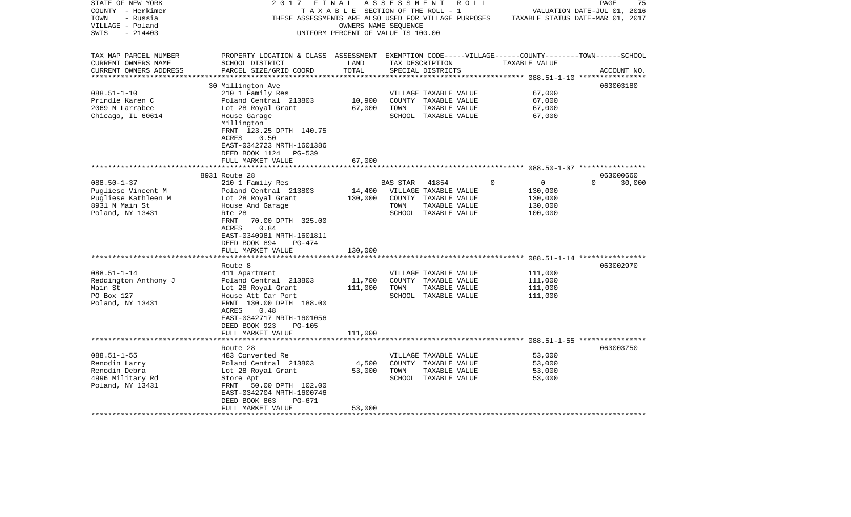| STATE OF NEW YORK      | 2017                                                                                               | FINAL                              | A S S E S S M E N T  |                       | R O L L  |                                  | PAGE                        | 75     |
|------------------------|----------------------------------------------------------------------------------------------------|------------------------------------|----------------------|-----------------------|----------|----------------------------------|-----------------------------|--------|
| COUNTY - Herkimer      |                                                                                                    | TAXABLE SECTION OF THE ROLL - 1    |                      |                       |          |                                  | VALUATION DATE-JUL 01, 2016 |        |
| TOWN<br>- Russia       | THESE ASSESSMENTS ARE ALSO USED FOR VILLAGE PURPOSES                                               |                                    |                      |                       |          | TAXABLE STATUS DATE-MAR 01, 2017 |                             |        |
| VILLAGE - Poland       |                                                                                                    |                                    | OWNERS NAME SEOUENCE |                       |          |                                  |                             |        |
| $-214403$<br>SWIS      |                                                                                                    | UNIFORM PERCENT OF VALUE IS 100.00 |                      |                       |          |                                  |                             |        |
|                        |                                                                                                    |                                    |                      |                       |          |                                  |                             |        |
| TAX MAP PARCEL NUMBER  | PROPERTY LOCATION & CLASS ASSESSMENT EXEMPTION CODE-----VILLAGE------COUNTY-------TOWN------SCHOOL |                                    |                      |                       |          |                                  |                             |        |
| CURRENT OWNERS NAME    | SCHOOL DISTRICT                                                                                    | LAND                               |                      | TAX DESCRIPTION       |          | TAXABLE VALUE                    |                             |        |
| CURRENT OWNERS ADDRESS | PARCEL SIZE/GRID COORD                                                                             | TOTAL                              |                      | SPECIAL DISTRICTS     |          |                                  | ACCOUNT NO.                 |        |
|                        |                                                                                                    |                                    |                      |                       |          |                                  |                             |        |
|                        | 30 Millington Ave                                                                                  |                                    |                      |                       |          |                                  | 063003180                   |        |
| $088.51 - 1 - 10$      | 210 1 Family Res                                                                                   |                                    |                      | VILLAGE TAXABLE VALUE |          | 67,000                           |                             |        |
| Prindle Karen C        | Poland Central 213803                                                                              | 10,900                             |                      | COUNTY TAXABLE VALUE  |          | 67,000                           |                             |        |
|                        |                                                                                                    |                                    |                      |                       |          |                                  |                             |        |
| 2069 N Larrabee        | Lot 28 Royal Grant                                                                                 | 67,000                             | TOWN                 | TAXABLE VALUE         |          | 67,000                           |                             |        |
| Chicago, IL 60614      | House Garage                                                                                       |                                    |                      | SCHOOL TAXABLE VALUE  |          | 67,000                           |                             |        |
|                        | Millington                                                                                         |                                    |                      |                       |          |                                  |                             |        |
|                        | FRNT 123.25 DPTH 140.75                                                                            |                                    |                      |                       |          |                                  |                             |        |
|                        | 0.50<br>ACRES                                                                                      |                                    |                      |                       |          |                                  |                             |        |
|                        | EAST-0342723 NRTH-1601386                                                                          |                                    |                      |                       |          |                                  |                             |        |
|                        | DEED BOOK 1124 PG-539                                                                              |                                    |                      |                       |          |                                  |                             |        |
|                        | FULL MARKET VALUE                                                                                  | 67,000                             |                      |                       |          |                                  |                             |        |
|                        |                                                                                                    |                                    |                      |                       |          |                                  |                             |        |
|                        | 8931 Route 28                                                                                      |                                    |                      |                       |          |                                  | 063000660                   |        |
| $088.50 - 1 - 37$      | 210 1 Family Res                                                                                   |                                    | BAS STAR             | 41854                 | $\Omega$ | $\mathbf 0$                      | $\Omega$                    | 30,000 |
| Pugliese Vincent M     | Poland Central 213803                                                                              | 14,400                             |                      | VILLAGE TAXABLE VALUE |          | 130,000                          |                             |        |
| Pugliese Kathleen M    | Lot 28 Royal Grant                                                                                 | 130,000                            |                      | COUNTY TAXABLE VALUE  |          | 130,000                          |                             |        |
| 8931 N Main St         | House And Garage                                                                                   |                                    | TOWN                 | TAXABLE VALUE         |          | 130,000                          |                             |        |
| Poland, NY 13431       | Rte 28                                                                                             |                                    |                      | SCHOOL TAXABLE VALUE  |          | 100,000                          |                             |        |
|                        | 70.00 DPTH 325.00<br>FRNT                                                                          |                                    |                      |                       |          |                                  |                             |        |
|                        | ACRES<br>0.84                                                                                      |                                    |                      |                       |          |                                  |                             |        |
|                        | EAST-0340981 NRTH-1601811                                                                          |                                    |                      |                       |          |                                  |                             |        |
|                        | DEED BOOK 894<br>$PG-474$                                                                          |                                    |                      |                       |          |                                  |                             |        |
|                        | FULL MARKET VALUE                                                                                  | 130,000                            |                      |                       |          |                                  |                             |        |
|                        |                                                                                                    |                                    |                      |                       |          |                                  |                             |        |
|                        | Route 8                                                                                            |                                    |                      |                       |          |                                  | 063002970                   |        |
| $088.51 - 1 - 14$      | 411 Apartment                                                                                      |                                    |                      | VILLAGE TAXABLE VALUE |          | 111,000                          |                             |        |
| Reddington Anthony J   | Poland Central 213803                                                                              | 11,700                             |                      | COUNTY TAXABLE VALUE  |          | 111,000                          |                             |        |
| Main St                | Lot 28 Royal Grant                                                                                 | 111,000                            | TOWN                 | TAXABLE VALUE         |          | 111,000                          |                             |        |
| PO Box 127             | House Att Car Port                                                                                 |                                    |                      | SCHOOL TAXABLE VALUE  |          | 111,000                          |                             |        |
| Poland, NY 13431       | FRNT 130.00 DPTH 188.00                                                                            |                                    |                      |                       |          |                                  |                             |        |
|                        | 0.48<br>ACRES                                                                                      |                                    |                      |                       |          |                                  |                             |        |
|                        | EAST-0342717 NRTH-1601056                                                                          |                                    |                      |                       |          |                                  |                             |        |
|                        | DEED BOOK 923<br><b>PG-105</b>                                                                     |                                    |                      |                       |          |                                  |                             |        |
|                        | FULL MARKET VALUE                                                                                  | 111,000                            |                      |                       |          |                                  |                             |        |
|                        |                                                                                                    |                                    |                      |                       |          |                                  |                             |        |
|                        | Route 28                                                                                           |                                    |                      |                       |          |                                  | 063003750                   |        |
| $088.51 - 1 - 55$      | 483 Converted Re                                                                                   |                                    |                      | VILLAGE TAXABLE VALUE |          | 53,000                           |                             |        |
| Renodin Larry          | Poland Central 213803                                                                              | 4,500                              |                      | COUNTY TAXABLE VALUE  |          | 53,000                           |                             |        |
| Renodin Debra          | Lot 28 Royal Grant                                                                                 | 53,000                             | TOWN                 | TAXABLE VALUE         |          | 53,000                           |                             |        |
| 4996 Military Rd       |                                                                                                    |                                    |                      |                       |          |                                  |                             |        |
|                        | Store Apt                                                                                          |                                    |                      | SCHOOL TAXABLE VALUE  |          | 53,000                           |                             |        |
| Poland, NY 13431       | 50.00 DPTH 102.00<br>FRNT                                                                          |                                    |                      |                       |          |                                  |                             |        |
|                        | EAST-0342704 NRTH-1600746                                                                          |                                    |                      |                       |          |                                  |                             |        |
|                        | DEED BOOK 863<br>PG-671                                                                            |                                    |                      |                       |          |                                  |                             |        |
| *******************    | FULL MARKET VALUE                                                                                  | 53,000                             |                      |                       |          |                                  |                             |        |
|                        |                                                                                                    |                                    |                      |                       |          |                                  |                             |        |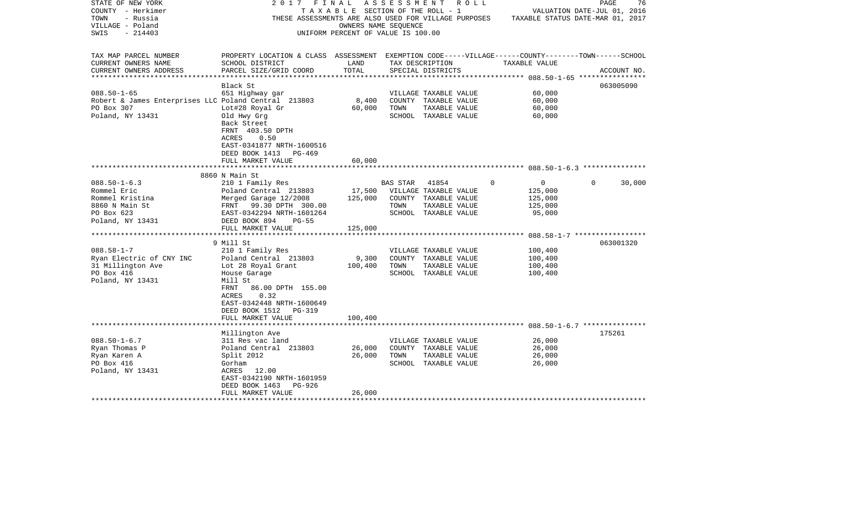| STATE OF NEW YORK                                    | 2017<br>FINAL                                                                                      |                                       | A S S E S S M E N T |                       | R O L L |                                                                                       | PAGE | 76          |
|------------------------------------------------------|----------------------------------------------------------------------------------------------------|---------------------------------------|---------------------|-----------------------|---------|---------------------------------------------------------------------------------------|------|-------------|
| COUNTY - Herkimer                                    |                                                                                                    | T A X A B L E SECTION OF THE ROLL - 1 |                     |                       |         | VALUATION DATE-JUL 01, 2016                                                           |      |             |
| TOWN<br>- Russia                                     |                                                                                                    |                                       |                     |                       |         | THESE ASSESSMENTS ARE ALSO USED FOR VILLAGE PURPOSES TAXABLE STATUS DATE-MAR 01, 2017 |      |             |
| VILLAGE - Poland                                     |                                                                                                    | OWNERS NAME SEOUENCE                  |                     |                       |         |                                                                                       |      |             |
| - 214403<br>SWIS                                     |                                                                                                    | UNIFORM PERCENT OF VALUE IS 100.00    |                     |                       |         |                                                                                       |      |             |
|                                                      |                                                                                                    |                                       |                     |                       |         |                                                                                       |      |             |
| TAX MAP PARCEL NUMBER                                | PROPERTY LOCATION & CLASS ASSESSMENT EXEMPTION CODE-----VILLAGE------COUNTY-------TOWN------SCHOOL |                                       |                     |                       |         |                                                                                       |      |             |
| CURRENT OWNERS NAME                                  | SCHOOL DISTRICT                                                                                    | LAND                                  |                     | TAX DESCRIPTION       |         | TAXABLE VALUE                                                                         |      |             |
|                                                      |                                                                                                    | TOTAL                                 |                     |                       |         |                                                                                       |      |             |
| CURRENT OWNERS ADDRESS<br>***********************    | PARCEL SIZE/GRID COORD                                                                             |                                       |                     | SPECIAL DISTRICTS     |         |                                                                                       |      | ACCOUNT NO. |
|                                                      | Black St                                                                                           |                                       |                     |                       |         |                                                                                       |      | 063005090   |
| $088.50 - 1 - 65$                                    | 651 Highway gar                                                                                    |                                       |                     | VILLAGE TAXABLE VALUE |         | 60,000                                                                                |      |             |
| Robert & James Enterprises LLC Poland Central 213803 |                                                                                                    | 8,400                                 |                     | COUNTY TAXABLE VALUE  |         | 60,000                                                                                |      |             |
| PO Box 307                                           | Lot#28 Royal Gr                                                                                    | 60,000                                | TOWN                | TAXABLE VALUE         |         | 60,000                                                                                |      |             |
| Poland, NY 13431                                     | Old Hwy Grg                                                                                        |                                       |                     | SCHOOL TAXABLE VALUE  |         | 60,000                                                                                |      |             |
|                                                      | Back Street                                                                                        |                                       |                     |                       |         |                                                                                       |      |             |
|                                                      | FRNT 403.50 DPTH                                                                                   |                                       |                     |                       |         |                                                                                       |      |             |
|                                                      |                                                                                                    |                                       |                     |                       |         |                                                                                       |      |             |
|                                                      | ACRES<br>0.50                                                                                      |                                       |                     |                       |         |                                                                                       |      |             |
|                                                      | EAST-0341877 NRTH-1600516                                                                          |                                       |                     |                       |         |                                                                                       |      |             |
|                                                      | DEED BOOK 1413 PG-469                                                                              |                                       |                     |                       |         |                                                                                       |      |             |
|                                                      | FULL MARKET VALUE                                                                                  | 60,000                                |                     |                       |         |                                                                                       |      |             |
|                                                      |                                                                                                    |                                       |                     |                       |         |                                                                                       |      |             |
|                                                      | 8860 N Main St                                                                                     |                                       |                     |                       |         |                                                                                       |      |             |
| $088.50 - 1 - 6.3$                                   | 210 1 Family Res                                                                                   |                                       | BAS STAR 41854      |                       | 0       | $\overline{0}$                                                                        | 0    | 30,000      |
| Rommel Eric                                          | Poland Central 213803                                                                              | 17,500                                |                     | VILLAGE TAXABLE VALUE |         | 125,000                                                                               |      |             |
| Rommel Kristina                                      | Merged Garage 12/2008                                                                              | 125,000                               |                     | COUNTY TAXABLE VALUE  |         | 125,000                                                                               |      |             |
| 8860 N Main St                                       | FRNT 99.30 DPTH 300.00                                                                             |                                       | TOWN                | TAXABLE VALUE         |         | 125,000                                                                               |      |             |
| PO Box 623                                           | EAST-0342294 NRTH-1601264                                                                          |                                       |                     | SCHOOL TAXABLE VALUE  |         | 95,000                                                                                |      |             |
| Poland, NY 13431                                     | DEED BOOK 894<br><b>PG-55</b>                                                                      |                                       |                     |                       |         |                                                                                       |      |             |
|                                                      | FULL MARKET VALUE                                                                                  | 125,000                               |                     |                       |         |                                                                                       |      |             |
|                                                      |                                                                                                    |                                       |                     |                       |         |                                                                                       |      |             |
|                                                      | 9 Mill St                                                                                          |                                       |                     |                       |         |                                                                                       |      | 063001320   |
| $088.58 - 1 - 7$                                     | 210 1 Family Res                                                                                   |                                       |                     | VILLAGE TAXABLE VALUE |         | 100,400                                                                               |      |             |
| Ryan Electric of CNY INC                             | Poland Central 213803                                                                              | 9,300                                 |                     | COUNTY TAXABLE VALUE  |         | 100,400                                                                               |      |             |
| 31 Millington Ave                                    | Lot 28 Royal Grant                                                                                 | 100,400                               | TOWN                | TAXABLE VALUE         |         | 100,400                                                                               |      |             |
| PO Box 416                                           | House Garage                                                                                       |                                       |                     | SCHOOL TAXABLE VALUE  |         | 100,400                                                                               |      |             |
| Poland, NY 13431                                     | Mill St                                                                                            |                                       |                     |                       |         |                                                                                       |      |             |
|                                                      | 86.00 DPTH 155.00<br>FRNT                                                                          |                                       |                     |                       |         |                                                                                       |      |             |
|                                                      | 0.32<br>ACRES                                                                                      |                                       |                     |                       |         |                                                                                       |      |             |
|                                                      | EAST-0342448 NRTH-1600649                                                                          |                                       |                     |                       |         |                                                                                       |      |             |
|                                                      | DEED BOOK 1512 PG-319                                                                              |                                       |                     |                       |         |                                                                                       |      |             |
|                                                      | FULL MARKET VALUE                                                                                  | 100,400                               |                     |                       |         |                                                                                       |      |             |
|                                                      |                                                                                                    |                                       |                     |                       |         |                                                                                       |      |             |
|                                                      | Millington Ave                                                                                     |                                       |                     |                       |         |                                                                                       |      | 175261      |
| $088.50 - 1 - 6.7$                                   | 311 Res vac land                                                                                   |                                       |                     | VILLAGE TAXABLE VALUE |         | 26,000                                                                                |      |             |
| Ryan Thomas P                                        | Poland Central 213803                                                                              | 26,000                                |                     | COUNTY TAXABLE VALUE  |         | 26,000                                                                                |      |             |
| Ryan Karen A                                         | Split 2012                                                                                         | 26,000                                | TOWN                | TAXABLE VALUE         |         | 26,000                                                                                |      |             |
| PO Box 416                                           | Gorham                                                                                             |                                       |                     | SCHOOL TAXABLE VALUE  |         | 26,000                                                                                |      |             |
| Poland, NY 13431                                     | ACRES 12.00                                                                                        |                                       |                     |                       |         |                                                                                       |      |             |
|                                                      | EAST-0342190 NRTH-1601959                                                                          |                                       |                     |                       |         |                                                                                       |      |             |
|                                                      | DEED BOOK 1463<br>PG-926                                                                           |                                       |                     |                       |         |                                                                                       |      |             |
|                                                      |                                                                                                    | 26,000                                |                     |                       |         |                                                                                       |      |             |
|                                                      | FULL MARKET VALUE                                                                                  |                                       |                     |                       |         |                                                                                       |      |             |
|                                                      |                                                                                                    |                                       |                     |                       |         |                                                                                       |      |             |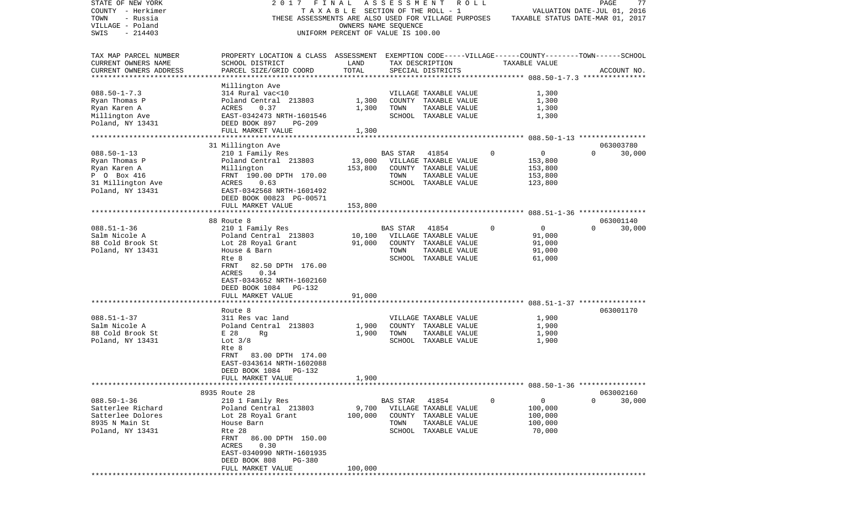| STATE OF NEW YORK      | 2017                                                                                               | FINAL                              | ASSESSMENT ROLL              |                       |                                                      |                                  |          | PAGE        | 77     |
|------------------------|----------------------------------------------------------------------------------------------------|------------------------------------|------------------------------|-----------------------|------------------------------------------------------|----------------------------------|----------|-------------|--------|
| COUNTY - Herkimer      |                                                                                                    | TAXABLE SECTION OF THE ROLL - 1    |                              |                       |                                                      | VALUATION DATE-JUL 01, 2016      |          |             |        |
| TOWN<br>- Russia       | THESE ASSESSMENTS ARE ALSO USED FOR VILLAGE PURPOSES                                               |                                    |                              |                       |                                                      | TAXABLE STATUS DATE-MAR 01, 2017 |          |             |        |
| VILLAGE - Poland       |                                                                                                    | OWNERS NAME SEQUENCE               |                              |                       |                                                      |                                  |          |             |        |
| SWIS<br>$-214403$      |                                                                                                    | UNIFORM PERCENT OF VALUE IS 100.00 |                              |                       |                                                      |                                  |          |             |        |
| TAX MAP PARCEL NUMBER  | PROPERTY LOCATION & CLASS ASSESSMENT EXEMPTION CODE-----VILLAGE------COUNTY-------TOWN------SCHOOL |                                    |                              |                       |                                                      |                                  |          |             |        |
| CURRENT OWNERS NAME    | SCHOOL DISTRICT                                                                                    | LAND                               |                              | TAX DESCRIPTION       | TAXABLE VALUE                                        |                                  |          |             |        |
| CURRENT OWNERS ADDRESS | PARCEL SIZE/GRID COORD                                                                             | TOTAL                              |                              | SPECIAL DISTRICTS     |                                                      |                                  |          | ACCOUNT NO. |        |
| ********************** |                                                                                                    |                                    |                              |                       |                                                      |                                  |          |             |        |
| $088.50 - 1 - 7.3$     | Millington Ave                                                                                     |                                    |                              |                       |                                                      |                                  |          |             |        |
|                        | 314 Rural vac<10                                                                                   |                                    |                              | VILLAGE TAXABLE VALUE |                                                      | 1,300                            |          |             |        |
| Ryan Thomas P          | Poland Central 213803                                                                              | 1,300                              |                              | COUNTY TAXABLE VALUE  |                                                      | 1,300                            |          |             |        |
| Ryan Karen A           | 0.37<br>ACRES                                                                                      | 1,300                              | TOWN                         | TAXABLE VALUE         |                                                      | 1,300                            |          |             |        |
| Millington Ave         | EAST-0342473 NRTH-1601546                                                                          |                                    |                              | SCHOOL TAXABLE VALUE  |                                                      | 1,300                            |          |             |        |
| Poland, NY 13431       | DEED BOOK 897<br>PG-209<br>FULL MARKET VALUE                                                       | 1,300                              |                              |                       |                                                      |                                  |          |             |        |
|                        | *******************************                                                                    | * * * * * * * * * * * * *          |                              |                       | ********************** 088.50-1-13 ***************** |                                  |          |             |        |
|                        | 31 Millington Ave                                                                                  |                                    |                              |                       |                                                      |                                  |          | 063003780   |        |
| $088.50 - 1 - 13$      | 210 1 Family Res                                                                                   |                                    | BAS STAR                     | 41854                 | 0                                                    | 0                                | $\Omega$ |             | 30,000 |
| Ryan Thomas P          | Poland Central 213803                                                                              | 13,000                             |                              | VILLAGE TAXABLE VALUE |                                                      | 153,800                          |          |             |        |
| Ryan Karen A           | Millington                                                                                         | 153,800                            |                              | COUNTY TAXABLE VALUE  |                                                      | 153,800                          |          |             |        |
| P 0 Box 416            | FRNT 190.00 DPTH 170.00                                                                            |                                    | TOWN                         | TAXABLE VALUE         |                                                      | 153,800                          |          |             |        |
| 31 Millington Ave      | ACRES<br>0.63                                                                                      |                                    |                              | SCHOOL TAXABLE VALUE  |                                                      | 123,800                          |          |             |        |
| Poland, NY 13431       | EAST-0342568 NRTH-1601492                                                                          |                                    |                              |                       |                                                      |                                  |          |             |        |
|                        | DEED BOOK 00823 PG-00571                                                                           |                                    |                              |                       |                                                      |                                  |          |             |        |
|                        | FULL MARKET VALUE                                                                                  | 153,800                            |                              |                       |                                                      |                                  |          |             |        |
|                        |                                                                                                    |                                    |                              |                       |                                                      |                                  |          |             |        |
|                        | 88 Route 8                                                                                         |                                    |                              |                       |                                                      |                                  |          | 063001140   |        |
| $088.51 - 1 - 36$      | 210 1 Family Res                                                                                   |                                    | BAS STAR                     | 41854                 | 0                                                    | $\mathbf 0$                      | $\Omega$ |             | 30,000 |
| Salm Nicole A          | Poland Central 213803                                                                              | 10,100                             |                              | VILLAGE TAXABLE VALUE |                                                      | 91,000                           |          |             |        |
| 88 Cold Brook St       | Lot 28 Royal Grant                                                                                 | 91,000                             |                              | COUNTY TAXABLE VALUE  |                                                      | 91,000                           |          |             |        |
| Poland, NY 13431       | House & Barn                                                                                       |                                    | TOWN                         | TAXABLE VALUE         |                                                      | 91,000                           |          |             |        |
|                        | Rte 8                                                                                              |                                    |                              | SCHOOL TAXABLE VALUE  |                                                      | 61,000                           |          |             |        |
|                        | 82.50 DPTH 176.00<br>FRNT                                                                          |                                    |                              |                       |                                                      |                                  |          |             |        |
|                        | ACRES<br>0.34<br>EAST-0343652 NRTH-1602160                                                         |                                    |                              |                       |                                                      |                                  |          |             |        |
|                        | DEED BOOK 1084 PG-132                                                                              |                                    |                              |                       |                                                      |                                  |          |             |        |
|                        | FULL MARKET VALUE                                                                                  | 91,000                             |                              |                       |                                                      |                                  |          |             |        |
|                        |                                                                                                    |                                    |                              |                       |                                                      |                                  |          |             |        |
|                        | Route 8                                                                                            |                                    |                              |                       |                                                      |                                  |          | 063001170   |        |
| $088.51 - 1 - 37$      | 311 Res vac land                                                                                   |                                    |                              | VILLAGE TAXABLE VALUE |                                                      | 1,900                            |          |             |        |
| Salm Nicole A          | Poland Central 213803                                                                              | 1,900                              |                              | COUNTY TAXABLE VALUE  |                                                      | 1,900                            |          |             |        |
| 88 Cold Brook St       | E 28<br>Rg                                                                                         | 1,900                              | TOWN                         | TAXABLE VALUE         |                                                      | 1,900                            |          |             |        |
| Poland, NY 13431       | Lot $3/8$                                                                                          |                                    |                              | SCHOOL TAXABLE VALUE  |                                                      | 1,900                            |          |             |        |
|                        | Rte 8                                                                                              |                                    |                              |                       |                                                      |                                  |          |             |        |
|                        | FRNT<br>83.00 DPTH 174.00                                                                          |                                    |                              |                       |                                                      |                                  |          |             |        |
|                        | EAST-0343614 NRTH-1602088                                                                          |                                    |                              |                       |                                                      |                                  |          |             |        |
|                        | DEED BOOK 1084<br>PG-132                                                                           |                                    |                              |                       |                                                      |                                  |          |             |        |
|                        | FULL MARKET VALUE                                                                                  | 1,900                              |                              |                       |                                                      |                                  |          |             |        |
|                        |                                                                                                    |                                    |                              |                       |                                                      |                                  |          |             |        |
|                        | 8935 Route 28                                                                                      |                                    |                              |                       |                                                      |                                  |          | 063002160   |        |
| $088.50 - 1 - 36$      | 210 1 Family Res                                                                                   |                                    | BAS STAR                     | 41854                 | $\mathbf 0$                                          | $\overline{0}$                   | $\Omega$ |             | 30,000 |
| Satterlee Richard      | Poland Central 213803                                                                              |                                    | 9,700 VILLAGE TAXABLE VALUE  |                       |                                                      | 100,000                          |          |             |        |
| Satterlee Dolores      | Lot 28 Royal Grant                                                                                 |                                    | 100,000 COUNTY TAXABLE VALUE |                       |                                                      | 100,000                          |          |             |        |
| 8935 N Main St         | House Barn                                                                                         |                                    | TOWN                         | TAXABLE VALUE         |                                                      | 100,000                          |          |             |        |
| Poland, NY 13431       | Rte 28                                                                                             |                                    |                              | SCHOOL TAXABLE VALUE  |                                                      | 70,000                           |          |             |        |
|                        | FRNT 86.00 DPTH 150.00                                                                             |                                    |                              |                       |                                                      |                                  |          |             |        |
|                        | 0.30<br>ACRES                                                                                      |                                    |                              |                       |                                                      |                                  |          |             |        |
|                        | EAST-0340990 NRTH-1601935                                                                          |                                    |                              |                       |                                                      |                                  |          |             |        |
|                        | DEED BOOK 808<br>PG-380                                                                            |                                    |                              |                       |                                                      |                                  |          |             |        |
|                        | FULL MARKET VALUE                                                                                  | 100,000                            |                              |                       |                                                      |                                  |          |             |        |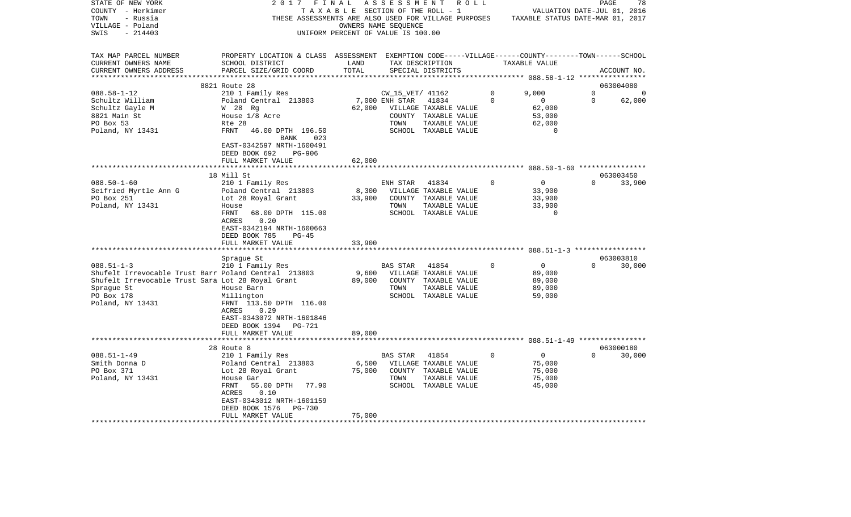| STATE OF NEW YORK                                    | 2017                                                                                               | FINAL                              | A S S E S S M E N T     | R O L L                     |          |                                  | PAGE     | 78                  |
|------------------------------------------------------|----------------------------------------------------------------------------------------------------|------------------------------------|-------------------------|-----------------------------|----------|----------------------------------|----------|---------------------|
| COUNTY - Herkimer                                    | TAXABLE                                                                                            |                                    | SECTION OF THE ROLL - 1 |                             |          | VALUATION DATE-JUL 01, 2016      |          |                     |
| TOWN<br>- Russia                                     | THESE ASSESSMENTS ARE ALSO USED FOR VILLAGE PURPOSES                                               |                                    |                         |                             |          | TAXABLE STATUS DATE-MAR 01, 2017 |          |                     |
| VILLAGE - Poland                                     |                                                                                                    |                                    | OWNERS NAME SEQUENCE    |                             |          |                                  |          |                     |
| $-214403$<br>SWIS                                    |                                                                                                    | UNIFORM PERCENT OF VALUE IS 100.00 |                         |                             |          |                                  |          |                     |
|                                                      |                                                                                                    |                                    |                         |                             |          |                                  |          |                     |
| TAX MAP PARCEL NUMBER                                | PROPERTY LOCATION & CLASS ASSESSMENT EXEMPTION CODE-----VILLAGE------COUNTY-------TOWN------SCHOOL |                                    |                         |                             |          |                                  |          |                     |
| CURRENT OWNERS NAME                                  | SCHOOL DISTRICT                                                                                    | LAND                               |                         | TAX DESCRIPTION             |          | TAXABLE VALUE                    |          |                     |
| CURRENT OWNERS ADDRESS<br>*************************  | PARCEL SIZE/GRID COORD                                                                             | TOTAL                              |                         | SPECIAL DISTRICTS           |          |                                  |          | ACCOUNT NO.         |
|                                                      | 8821 Route 28                                                                                      |                                    |                         |                             |          |                                  |          | 063004080           |
| $088.58 - 1 - 12$                                    | 210 1 Family Res                                                                                   |                                    | CW 15 VET/ 41162        |                             | 0        | 9,000                            | 0        | 0                   |
| Schultz William                                      | Poland Central 213803                                                                              |                                    | 7,000 ENH STAR          | 41834                       | 0        | 0                                | 0        | 62,000              |
| Schultz Gayle M                                      | W 28 Rg                                                                                            | 62,000                             |                         | VILLAGE TAXABLE VALUE       |          | 62,000                           |          |                     |
| 8821 Main St                                         | House 1/8 Acre                                                                                     |                                    |                         | COUNTY TAXABLE VALUE        |          | 53,000                           |          |                     |
| PO Box 53                                            | Rte 28                                                                                             |                                    | TOWN                    | TAXABLE VALUE               |          | 62,000                           |          |                     |
| Poland, NY 13431                                     | FRNT<br>46.00 DPTH 196.50<br>023                                                                   |                                    |                         | SCHOOL TAXABLE VALUE        |          | 0                                |          |                     |
|                                                      | BANK<br>EAST-0342597 NRTH-1600491                                                                  |                                    |                         |                             |          |                                  |          |                     |
|                                                      | DEED BOOK 692<br>PG-906                                                                            |                                    |                         |                             |          |                                  |          |                     |
|                                                      | FULL MARKET VALUE                                                                                  | 62,000                             |                         |                             |          |                                  |          |                     |
|                                                      | **********************                                                                             |                                    |                         |                             |          |                                  |          |                     |
|                                                      | 18 Mill St                                                                                         |                                    |                         |                             |          |                                  |          | 063003450           |
| $088.50 - 1 - 60$                                    | 210 1 Family Res                                                                                   |                                    | ENH STAR                | 41834                       | $\Omega$ | $\mathbf 0$                      | $\Omega$ | 33,900              |
| Seifried Myrtle Ann G                                | Poland Central 213803                                                                              | 8,300                              |                         | VILLAGE TAXABLE VALUE       |          | 33,900                           |          |                     |
| PO Box 251                                           | Lot 28 Royal Grant                                                                                 | 33,900                             |                         | COUNTY TAXABLE VALUE        |          | 33,900                           |          |                     |
| Poland, NY 13431                                     | House                                                                                              |                                    | TOWN                    | TAXABLE VALUE               |          | 33,900                           |          |                     |
|                                                      | FRNT<br>68.00 DPTH 115.00                                                                          |                                    |                         | SCHOOL TAXABLE VALUE        |          | $\Omega$                         |          |                     |
|                                                      | 0.20<br>ACRES                                                                                      |                                    |                         |                             |          |                                  |          |                     |
|                                                      | EAST-0342194 NRTH-1600663                                                                          |                                    |                         |                             |          |                                  |          |                     |
|                                                      | DEED BOOK 785<br>$PG-45$                                                                           |                                    |                         |                             |          |                                  |          |                     |
|                                                      | FULL MARKET VALUE                                                                                  | 33,900                             |                         |                             |          |                                  |          |                     |
|                                                      |                                                                                                    |                                    |                         |                             |          |                                  |          |                     |
| $088.51 - 1 - 3$                                     | Sprague St<br>210 1 Family Res                                                                     |                                    |                         | 41854                       | $\Omega$ | $\mathsf{O}$                     | $\Omega$ | 063003810<br>30,000 |
| Shufelt Irrevocable Trust Barr Poland Central 213803 |                                                                                                    | 9,600                              | BAS STAR                | VILLAGE TAXABLE VALUE       |          | 89,000                           |          |                     |
| Shufelt Irrevocable Trust Sara Lot 28 Royal Grant    |                                                                                                    | 89,000                             |                         | COUNTY TAXABLE VALUE        |          | 89,000                           |          |                     |
| Sprague St                                           | House Barn                                                                                         |                                    | TOWN                    | TAXABLE VALUE               |          | 89,000                           |          |                     |
| PO Box 178                                           | Millington                                                                                         |                                    |                         | SCHOOL TAXABLE VALUE        |          | 59,000                           |          |                     |
| Poland, NY 13431                                     | FRNT 113.50 DPTH 116.00                                                                            |                                    |                         |                             |          |                                  |          |                     |
|                                                      | 0.29<br>ACRES                                                                                      |                                    |                         |                             |          |                                  |          |                     |
|                                                      | EAST-0343072 NRTH-1601846                                                                          |                                    |                         |                             |          |                                  |          |                     |
|                                                      | DEED BOOK 1394 PG-721                                                                              |                                    |                         |                             |          |                                  |          |                     |
|                                                      | FULL MARKET VALUE                                                                                  | 89,000                             |                         |                             |          |                                  |          |                     |
|                                                      | **********************                                                                             |                                    |                         |                             |          |                                  |          |                     |
|                                                      | 28 Route 8                                                                                         |                                    |                         |                             |          |                                  |          | 063000180           |
| $088.51 - 1 - 49$                                    | 210 1 Family Res                                                                                   |                                    | BAS STAR                | 41854                       | 0        | $\mathbf{0}$                     | $\Omega$ | 30,000              |
| Smith Donna D                                        | Poland Central 213803                                                                              | 6,500                              |                         | VILLAGE TAXABLE VALUE       |          | 75,000                           |          |                     |
| PO Box 371                                           | Lot 28 Royal Grant                                                                                 | 75,000                             |                         | COUNTY TAXABLE VALUE        |          | 75,000                           |          |                     |
| Poland, NY 13431                                     | House Gar                                                                                          |                                    | TOWN                    | TAXABLE VALUE               |          | 75,000                           |          |                     |
|                                                      | FRNT<br>55.00 DPTH<br>77.90                                                                        |                                    |                         | SCHOOL TAXABLE VALUE        |          | 45,000                           |          |                     |
|                                                      | ACRES<br>0.10                                                                                      |                                    |                         |                             |          |                                  |          |                     |
|                                                      | EAST-0343012 NRTH-1601159                                                                          |                                    |                         |                             |          |                                  |          |                     |
|                                                      | DEED BOOK 1576<br>PG-730                                                                           | 75,000                             |                         |                             |          |                                  |          |                     |
|                                                      | FULL MARKET VALUE                                                                                  |                                    |                         | *************************** |          |                                  |          |                     |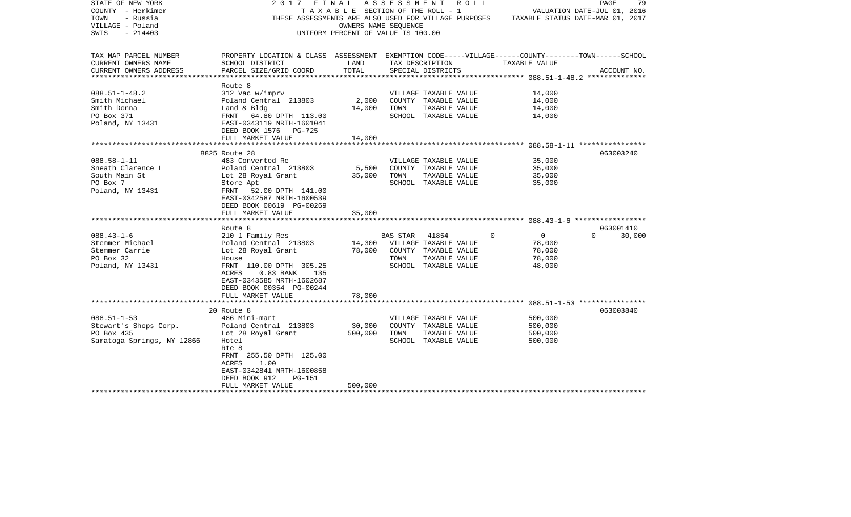| STATE OF NEW YORK<br>COUNTY - Herkimer<br>TOWN<br>- Russia<br>VILLAGE - Poland<br>SWIS<br>$-214403$ | 2017                                                                                                                  | FINAL<br>T A X A B L E SECTION OF THE ROLL - 1<br>OWNERS NAME SEQUENCE<br>UNIFORM PERCENT OF VALUE IS 100.00 |          | ASSESSMENT ROLL<br>THESE ASSESSMENTS ARE ALSO USED FOR VILLAGE PURPOSES |                            | 79<br>PAGE<br>VALUATION DATE-JUL 01, 2016<br>TAXABLE STATUS DATE-MAR 01, 2017 |
|-----------------------------------------------------------------------------------------------------|-----------------------------------------------------------------------------------------------------------------------|--------------------------------------------------------------------------------------------------------------|----------|-------------------------------------------------------------------------|----------------------------|-------------------------------------------------------------------------------|
| TAX MAP PARCEL NUMBER<br>CURRENT OWNERS NAME                                                        | PROPERTY LOCATION & CLASS ASSESSMENT EXEMPTION CODE-----VILLAGE------COUNTY-------TOWN------SCHOOL<br>SCHOOL DISTRICT | LAND                                                                                                         |          | TAX DESCRIPTION                                                         | TAXABLE VALUE              |                                                                               |
| CURRENT OWNERS ADDRESS                                                                              | PARCEL SIZE/GRID COORD                                                                                                | TOTAL                                                                                                        |          | SPECIAL DISTRICTS                                                       |                            | ACCOUNT NO.                                                                   |
| ********************                                                                                |                                                                                                                       |                                                                                                              |          |                                                                         |                            |                                                                               |
|                                                                                                     | Route 8                                                                                                               |                                                                                                              |          |                                                                         |                            |                                                                               |
| $088.51 - 1 - 48.2$                                                                                 | 312 Vac w/imprv                                                                                                       |                                                                                                              |          | VILLAGE TAXABLE VALUE                                                   | 14,000                     |                                                                               |
| Smith Michael                                                                                       | Poland Central 213803                                                                                                 | 2,000                                                                                                        |          | COUNTY TAXABLE VALUE                                                    | 14,000                     |                                                                               |
| Smith Donna                                                                                         | Land & Bldg                                                                                                           | 14,000                                                                                                       | TOWN     | TAXABLE VALUE                                                           | 14,000                     |                                                                               |
| PO Box 371<br>Poland, NY 13431                                                                      | FRNT 64.80 DPTH 113.00<br>EAST-0343119 NRTH-1601041                                                                   |                                                                                                              |          | SCHOOL TAXABLE VALUE                                                    | 14,000                     |                                                                               |
|                                                                                                     | DEED BOOK 1576 PG-725                                                                                                 |                                                                                                              |          |                                                                         |                            |                                                                               |
|                                                                                                     | FULL MARKET VALUE                                                                                                     | 14,000                                                                                                       |          |                                                                         |                            |                                                                               |
|                                                                                                     |                                                                                                                       |                                                                                                              |          |                                                                         |                            |                                                                               |
|                                                                                                     | 8825 Route 28                                                                                                         |                                                                                                              |          |                                                                         |                            | 063003240                                                                     |
| $088.58 - 1 - 11$                                                                                   | 483 Converted Re                                                                                                      |                                                                                                              |          | VILLAGE TAXABLE VALUE                                                   | 35,000                     |                                                                               |
| Sneath Clarence L                                                                                   | Poland Central 213803                                                                                                 | 5,500                                                                                                        |          | COUNTY TAXABLE VALUE                                                    | 35,000                     |                                                                               |
| South Main St                                                                                       | Lot 28 Royal Grant                                                                                                    | 35,000                                                                                                       | TOWN     | TAXABLE VALUE                                                           | 35,000                     |                                                                               |
| PO Box 7<br>Poland, NY 13431                                                                        | Store Apt<br>52.00 DPTH 141.00<br>FRNT                                                                                |                                                                                                              |          | SCHOOL TAXABLE VALUE                                                    | 35,000                     |                                                                               |
|                                                                                                     | EAST-0342587 NRTH-1600539                                                                                             |                                                                                                              |          |                                                                         |                            |                                                                               |
|                                                                                                     | DEED BOOK 00619 PG-00269                                                                                              |                                                                                                              |          |                                                                         |                            |                                                                               |
|                                                                                                     | FULL MARKET VALUE                                                                                                     | 35,000                                                                                                       |          |                                                                         |                            |                                                                               |
|                                                                                                     |                                                                                                                       |                                                                                                              |          |                                                                         |                            |                                                                               |
|                                                                                                     | Route 8                                                                                                               |                                                                                                              |          |                                                                         |                            | 063001410                                                                     |
| $088.43 - 1 - 6$<br>Stemmer Michael                                                                 | 210 1 Family Res                                                                                                      | 14,300                                                                                                       | BAS STAR | 41854                                                                   | $\overline{0}$<br>$\Omega$ | 30,000<br>$\Omega$                                                            |
| Stemmer Carrie                                                                                      | Poland Central 213803<br>Lot 28 Royal Grant                                                                           | 78,000                                                                                                       |          | VILLAGE TAXABLE VALUE<br>COUNTY TAXABLE VALUE                           | 78,000<br>78,000           |                                                                               |
| PO Box 32                                                                                           | House                                                                                                                 |                                                                                                              | TOWN     | TAXABLE VALUE                                                           | 78,000                     |                                                                               |
| Poland, NY 13431                                                                                    | FRNT 110.00 DPTH 305.25                                                                                               |                                                                                                              |          | SCHOOL TAXABLE VALUE                                                    | 48,000                     |                                                                               |
|                                                                                                     | ACRES<br>$0.83$ BANK<br>135                                                                                           |                                                                                                              |          |                                                                         |                            |                                                                               |
|                                                                                                     | EAST-0343585 NRTH-1602687                                                                                             |                                                                                                              |          |                                                                         |                            |                                                                               |
|                                                                                                     | DEED BOOK 00354 PG-00244                                                                                              |                                                                                                              |          |                                                                         |                            |                                                                               |
|                                                                                                     | FULL MARKET VALUE                                                                                                     | 78,000                                                                                                       |          |                                                                         |                            |                                                                               |
|                                                                                                     | 20 Route 8                                                                                                            |                                                                                                              |          |                                                                         |                            | 063003840                                                                     |
| $088.51 - 1 - 53$                                                                                   | 486 Mini-mart                                                                                                         |                                                                                                              |          | VILLAGE TAXABLE VALUE                                                   | 500,000                    |                                                                               |
| Stewart's Shops Corp.                                                                               | Poland Central 213803                                                                                                 | 30,000                                                                                                       |          | COUNTY TAXABLE VALUE                                                    | 500,000                    |                                                                               |
| PO Box 435                                                                                          | Lot 28 Royal Grant                                                                                                    | 500,000                                                                                                      | TOWN     | TAXABLE VALUE                                                           | 500,000                    |                                                                               |
| Saratoga Springs, NY 12866                                                                          | Hotel                                                                                                                 |                                                                                                              |          | SCHOOL TAXABLE VALUE                                                    | 500,000                    |                                                                               |
|                                                                                                     | Rte 8                                                                                                                 |                                                                                                              |          |                                                                         |                            |                                                                               |
|                                                                                                     | FRNT 255.50 DPTH 125.00                                                                                               |                                                                                                              |          |                                                                         |                            |                                                                               |
|                                                                                                     | ACRES<br>1.00                                                                                                         |                                                                                                              |          |                                                                         |                            |                                                                               |
|                                                                                                     | EAST-0342841 NRTH-1600858                                                                                             |                                                                                                              |          |                                                                         |                            |                                                                               |
|                                                                                                     | DEED BOOK 912<br>PG-151<br>FULL MARKET VALUE                                                                          | 500,000                                                                                                      |          |                                                                         |                            |                                                                               |
|                                                                                                     |                                                                                                                       |                                                                                                              |          |                                                                         |                            |                                                                               |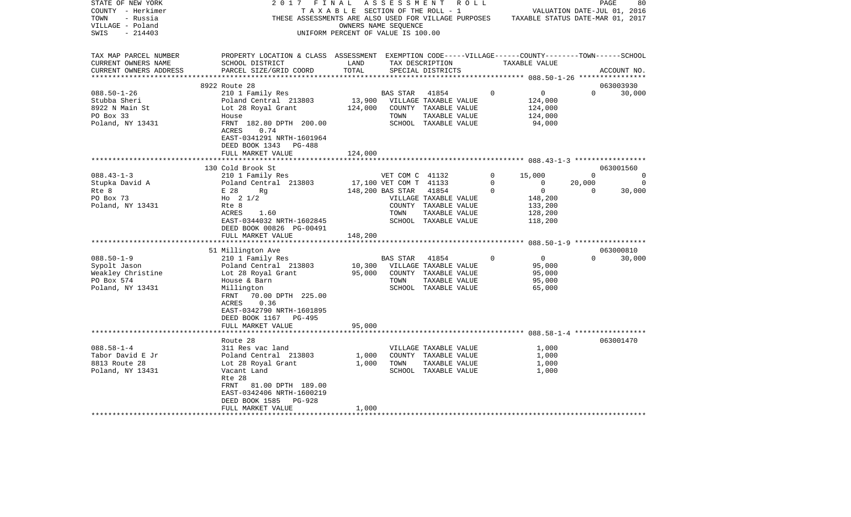| STATE OF NEW YORK      | 2017                                                                                               | FINAL                                 | A S S E S S M E N T    | ROLL ROLL                                            |             |                                  |          | 80<br>PAGE                  |
|------------------------|----------------------------------------------------------------------------------------------------|---------------------------------------|------------------------|------------------------------------------------------|-------------|----------------------------------|----------|-----------------------------|
| COUNTY - Herkimer      |                                                                                                    | T A X A B L E SECTION OF THE ROLL - 1 |                        |                                                      |             |                                  |          | VALUATION DATE-JUL 01, 2016 |
| TOWN<br>- Russia       |                                                                                                    |                                       |                        | THESE ASSESSMENTS ARE ALSO USED FOR VILLAGE PURPOSES |             | TAXABLE STATUS DATE-MAR 01, 2017 |          |                             |
| VILLAGE - Poland       |                                                                                                    | OWNERS NAME SEQUENCE                  |                        |                                                      |             |                                  |          |                             |
| SWIS<br>$-214403$      |                                                                                                    | UNIFORM PERCENT OF VALUE IS 100.00    |                        |                                                      |             |                                  |          |                             |
|                        |                                                                                                    |                                       |                        |                                                      |             |                                  |          |                             |
| TAX MAP PARCEL NUMBER  | PROPERTY LOCATION & CLASS ASSESSMENT EXEMPTION CODE-----VILLAGE------COUNTY-------TOWN------SCHOOL |                                       |                        |                                                      |             |                                  |          |                             |
| CURRENT OWNERS NAME    | SCHOOL DISTRICT                                                                                    | LAND                                  |                        | TAX DESCRIPTION                                      |             | TAXABLE VALUE                    |          |                             |
| CURRENT OWNERS ADDRESS | PARCEL SIZE/GRID COORD                                                                             | TOTAL                                 |                        | SPECIAL DISTRICTS                                    |             |                                  |          | ACCOUNT NO.                 |
|                        |                                                                                                    |                                       |                        |                                                      |             |                                  |          |                             |
|                        | 8922 Route 28                                                                                      |                                       |                        |                                                      |             |                                  |          | 063003930                   |
| $088.50 - 1 - 26$      | 210 1 Family Res                                                                                   |                                       | <b>BAS STAR</b>        | 41854                                                | $\Omega$    | 0                                | $\Omega$ | 30,000                      |
| Stubba Sheri           | Poland Central 213803                                                                              | 13,900                                |                        | VILLAGE TAXABLE VALUE                                |             | 124,000                          |          |                             |
| 8922 N Main St         | Lot 28 Royal Grant                                                                                 | 124,000                               |                        | COUNTY TAXABLE VALUE                                 |             | 124,000                          |          |                             |
| PO Box 33              | House                                                                                              |                                       | TOWN                   | TAXABLE VALUE                                        |             | 124,000                          |          |                             |
| Poland, NY 13431       | FRNT 182.80 DPTH 200.00                                                                            |                                       |                        | SCHOOL TAXABLE VALUE                                 |             | 94,000                           |          |                             |
|                        | ACRES<br>0.74                                                                                      |                                       |                        |                                                      |             |                                  |          |                             |
|                        | EAST-0341291 NRTH-1601964                                                                          |                                       |                        |                                                      |             |                                  |          |                             |
|                        | DEED BOOK 1343<br>PG-488                                                                           |                                       |                        |                                                      |             |                                  |          |                             |
|                        | FULL MARKET VALUE                                                                                  | 124,000                               |                        |                                                      |             |                                  |          |                             |
|                        |                                                                                                    |                                       |                        |                                                      |             |                                  |          |                             |
|                        | 130 Cold Brook St                                                                                  |                                       |                        |                                                      |             |                                  |          | 063001560                   |
| $088.43 - 1 - 3$       | 210 1 Family Res                                                                                   |                                       | VET COM C 41132        |                                                      | 0           | 15,000                           | $\Omega$ | 0                           |
| Stupka David A         | Poland Central 213803                                                                              |                                       | 17,100 VET COM T 41133 |                                                      | $\mathbf 0$ | $\mathbf 0$                      | 20,000   | $\overline{0}$              |
| Rte 8                  | E 28<br>Rq                                                                                         |                                       | 148,200 BAS STAR       | 41854                                                | $\Omega$    | $\mathbf 0$                      | $\Omega$ | 30,000                      |
| PO Box 73              | Ho $2 \frac{1}{2}$                                                                                 |                                       |                        | VILLAGE TAXABLE VALUE                                |             | 148,200                          |          |                             |
| Poland, NY 13431       | Rte 8                                                                                              |                                       |                        | COUNTY TAXABLE VALUE                                 |             | 133,200                          |          |                             |
|                        | ACRES<br>1.60                                                                                      |                                       | TOWN                   | TAXABLE VALUE                                        |             | 128,200                          |          |                             |
|                        | EAST-0344032 NRTH-1602845                                                                          |                                       |                        | SCHOOL TAXABLE VALUE                                 |             | 118,200                          |          |                             |
|                        | DEED BOOK 00826 PG-00491                                                                           |                                       |                        |                                                      |             |                                  |          |                             |
|                        | FULL MARKET VALUE                                                                                  | 148,200                               |                        |                                                      |             |                                  |          |                             |
|                        | ***************************                                                                        |                                       |                        |                                                      |             |                                  |          |                             |
|                        | 51 Millington Ave                                                                                  |                                       |                        |                                                      |             |                                  |          | 063000810                   |
| $088.50 - 1 - 9$       | 210 1 Family Res                                                                                   |                                       | BAS STAR               | 41854                                                | $\circ$     | $\mathbf 0$                      | $\Omega$ | 30,000                      |
| Sypolt Jason           | Poland Central 213803                                                                              | 10,300                                |                        | VILLAGE TAXABLE VALUE                                |             | 95,000                           |          |                             |
| Weakley Christine      | Lot 28 Royal Grant                                                                                 | 95,000                                |                        | COUNTY TAXABLE VALUE                                 |             | 95,000                           |          |                             |
| PO Box 574             | House & Barn                                                                                       |                                       | TOWN                   | TAXABLE VALUE                                        |             | 95,000                           |          |                             |
| Poland, NY 13431       | Millington                                                                                         |                                       |                        | SCHOOL TAXABLE VALUE                                 |             | 65,000                           |          |                             |
|                        | 70.00 DPTH 225.00<br>FRNT                                                                          |                                       |                        |                                                      |             |                                  |          |                             |
|                        | 0.36<br>ACRES                                                                                      |                                       |                        |                                                      |             |                                  |          |                             |
|                        | EAST-0342790 NRTH-1601895                                                                          |                                       |                        |                                                      |             |                                  |          |                             |
|                        | DEED BOOK 1167<br>PG-495                                                                           |                                       |                        |                                                      |             |                                  |          |                             |
|                        | FULL MARKET VALUE                                                                                  | 95,000                                |                        |                                                      |             |                                  |          |                             |
|                        |                                                                                                    |                                       |                        |                                                      |             |                                  |          |                             |
|                        | Route 28                                                                                           |                                       |                        |                                                      |             |                                  |          | 063001470                   |
| $088.58 - 1 - 4$       | 311 Res vac land                                                                                   |                                       |                        | VILLAGE TAXABLE VALUE                                |             | 1,000                            |          |                             |
| Tabor David E Jr       | Poland Central 213803                                                                              | 1,000                                 |                        | COUNTY TAXABLE VALUE                                 |             | 1,000                            |          |                             |
| 8813 Route 28          | Lot 28 Royal Grant                                                                                 | 1,000                                 | TOWN                   | TAXABLE VALUE                                        |             | 1,000                            |          |                             |
| Poland, NY 13431       | Vacant Land                                                                                        |                                       |                        | SCHOOL TAXABLE VALUE                                 |             | 1,000                            |          |                             |
|                        | Rte 28                                                                                             |                                       |                        |                                                      |             |                                  |          |                             |
|                        | 81.00 DPTH 189.00<br>FRNT                                                                          |                                       |                        |                                                      |             |                                  |          |                             |
|                        | EAST-0342406 NRTH-1600219                                                                          |                                       |                        |                                                      |             |                                  |          |                             |
|                        | DEED BOOK 1585<br>PG-928                                                                           |                                       |                        |                                                      |             |                                  |          |                             |
|                        | FULL MARKET VALUE                                                                                  | 1,000                                 |                        |                                                      |             |                                  |          |                             |
|                        |                                                                                                    |                                       |                        |                                                      |             |                                  |          |                             |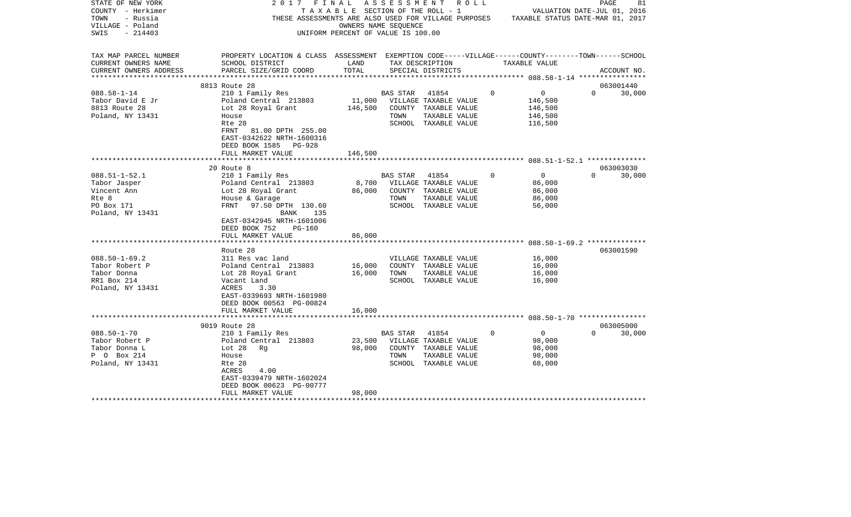| STATE OF NEW YORK      | 2017<br>FINAL                                                                                      |                                       |                 | A S S E S S M E N T R O L L                                                           |             |                | PAGE                        | 81     |
|------------------------|----------------------------------------------------------------------------------------------------|---------------------------------------|-----------------|---------------------------------------------------------------------------------------|-------------|----------------|-----------------------------|--------|
| COUNTY - Herkimer      |                                                                                                    | T A X A B L E SECTION OF THE ROLL - 1 |                 |                                                                                       |             |                | VALUATION DATE-JUL 01, 2016 |        |
| TOWN<br>- Russia       |                                                                                                    |                                       |                 | THESE ASSESSMENTS ARE ALSO USED FOR VILLAGE PURPOSES TAXABLE STATUS DATE-MAR 01, 2017 |             |                |                             |        |
| VILLAGE - Poland       |                                                                                                    | OWNERS NAME SEQUENCE                  |                 |                                                                                       |             |                |                             |        |
| $-214403$<br>SWIS      |                                                                                                    | UNIFORM PERCENT OF VALUE IS 100.00    |                 |                                                                                       |             |                |                             |        |
|                        |                                                                                                    |                                       |                 |                                                                                       |             |                |                             |        |
|                        |                                                                                                    |                                       |                 |                                                                                       |             |                |                             |        |
| TAX MAP PARCEL NUMBER  | PROPERTY LOCATION & CLASS ASSESSMENT EXEMPTION CODE-----VILLAGE------COUNTY-------TOWN------SCHOOL |                                       |                 |                                                                                       |             |                |                             |        |
| CURRENT OWNERS NAME    | SCHOOL DISTRICT                                                                                    | LAND                                  |                 | TAX DESCRIPTION                                                                       |             | TAXABLE VALUE  |                             |        |
| CURRENT OWNERS ADDRESS | PARCEL SIZE/GRID COORD                                                                             | TOTAL                                 |                 | SPECIAL DISTRICTS                                                                     |             |                | ACCOUNT NO.                 |        |
|                        |                                                                                                    |                                       |                 |                                                                                       |             |                |                             |        |
|                        | 8813 Route 28                                                                                      |                                       |                 |                                                                                       |             |                | 063001440                   |        |
| $088.58 - 1 - 14$      | 210 1 Family Res                                                                                   |                                       | BAS STAR        | 41854                                                                                 | $\mathbf 0$ | $\overline{0}$ | $\Omega$                    | 30,000 |
| Tabor David E Jr       | Poland Central 213803                                                                              |                                       |                 | 11,000 VILLAGE TAXABLE VALUE                                                          |             | 146,500        |                             |        |
| 8813 Route 28          | Lot 28 Royal Grant                                                                                 | 146,500                               |                 | COUNTY TAXABLE VALUE                                                                  |             | 146,500        |                             |        |
| Poland, NY 13431       | House                                                                                              |                                       | TOWN            | TAXABLE VALUE                                                                         |             | 146,500        |                             |        |
|                        | Rte 28                                                                                             |                                       |                 | SCHOOL TAXABLE VALUE                                                                  |             | 116,500        |                             |        |
|                        | 81.00 DPTH 255.00<br>FRNT                                                                          |                                       |                 |                                                                                       |             |                |                             |        |
|                        | EAST-0342622 NRTH-1600316                                                                          |                                       |                 |                                                                                       |             |                |                             |        |
|                        | DEED BOOK 1585 PG-928                                                                              |                                       |                 |                                                                                       |             |                |                             |        |
|                        | FULL MARKET VALUE                                                                                  | 146,500                               |                 |                                                                                       |             |                |                             |        |
|                        | *****************************                                                                      |                                       |                 |                                                                                       |             |                |                             |        |
|                        | 20 Route 8                                                                                         |                                       |                 |                                                                                       |             |                | 063003030                   |        |
| $088.51 - 1 - 52.1$    | 210 1 Family Res                                                                                   |                                       | BAS STAR        | 41854                                                                                 | $\Omega$    | $\mathbf{0}$   | $\Omega$                    | 30,000 |
| Tabor Jasper           | Poland Central 213803                                                                              | 8,700                                 |                 | VILLAGE TAXABLE VALUE                                                                 |             | 86,000         |                             |        |
| Vincent Ann            |                                                                                                    | 86,000                                |                 | COUNTY TAXABLE VALUE                                                                  |             | 86,000         |                             |        |
| Rte 8                  | Lot 28 Royal Grant                                                                                 |                                       | TOWN            |                                                                                       |             | 86,000         |                             |        |
|                        | House & Garage                                                                                     |                                       |                 | TAXABLE VALUE                                                                         |             |                |                             |        |
| PO Box 171             | FRNT<br>97.50 DPTH 130.60                                                                          |                                       |                 | SCHOOL TAXABLE VALUE                                                                  |             | 56,000         |                             |        |
| Poland, NY 13431       | BANK<br>135                                                                                        |                                       |                 |                                                                                       |             |                |                             |        |
|                        | EAST-0342945 NRTH-1601006                                                                          |                                       |                 |                                                                                       |             |                |                             |        |
|                        | DEED BOOK 752<br>PG-160                                                                            |                                       |                 |                                                                                       |             |                |                             |        |
|                        | FULL MARKET VALUE                                                                                  | 86,000                                |                 |                                                                                       |             |                |                             |        |
|                        |                                                                                                    |                                       |                 |                                                                                       |             |                |                             |        |
|                        | Route 28                                                                                           |                                       |                 |                                                                                       |             |                | 063001590                   |        |
| $088.50 - 1 - 69.2$    | 311 Res vac land                                                                                   |                                       |                 | VILLAGE TAXABLE VALUE                                                                 |             | 16,000         |                             |        |
| Tabor Robert P         | Poland Central 213803                                                                              | 16,000                                |                 | COUNTY TAXABLE VALUE                                                                  |             | 16,000         |                             |        |
| Tabor Donna            | Lot 28 Royal Grant                                                                                 | 16,000                                | TOWN            | TAXABLE VALUE                                                                         |             | 16,000         |                             |        |
| RR1 Box 214            | Vacant Land                                                                                        |                                       |                 | SCHOOL TAXABLE VALUE                                                                  |             | 16,000         |                             |        |
| Poland, NY 13431       | ACRES<br>3.30                                                                                      |                                       |                 |                                                                                       |             |                |                             |        |
|                        | EAST-0339693 NRTH-1601980                                                                          |                                       |                 |                                                                                       |             |                |                             |        |
|                        | DEED BOOK 00563 PG-00824                                                                           |                                       |                 |                                                                                       |             |                |                             |        |
|                        | FULL MARKET VALUE                                                                                  | 16,000                                |                 |                                                                                       |             |                |                             |        |
|                        |                                                                                                    |                                       |                 |                                                                                       |             |                |                             |        |
|                        | 9019 Route 28                                                                                      |                                       |                 |                                                                                       |             |                | 063005000                   |        |
| $088.50 - 1 - 70$      | 210 1 Family Res                                                                                   |                                       | <b>BAS STAR</b> | 41854                                                                                 | $\Omega$    | $\circ$        | $\Omega$                    | 30,000 |
| Tabor Robert P         | Poland Central 213803                                                                              | 23,500                                |                 | VILLAGE TAXABLE VALUE                                                                 |             | 98,000         |                             |        |
| Tabor Donna L          | Lot 28<br>Rq                                                                                       | 98,000                                |                 | COUNTY TAXABLE VALUE                                                                  |             | 98,000         |                             |        |
| P 0 Box 214            | House                                                                                              |                                       | TOWN            | TAXABLE VALUE                                                                         |             | 98,000         |                             |        |
| Poland, NY 13431       | Rte 28                                                                                             |                                       |                 | SCHOOL TAXABLE VALUE                                                                  |             | 68,000         |                             |        |
|                        | ACRES<br>4.00                                                                                      |                                       |                 |                                                                                       |             |                |                             |        |
|                        | EAST-0339479 NRTH-1602024                                                                          |                                       |                 |                                                                                       |             |                |                             |        |
|                        | DEED BOOK 00623 PG-00777                                                                           |                                       |                 |                                                                                       |             |                |                             |        |
|                        | FULL MARKET VALUE                                                                                  | 98,000                                |                 |                                                                                       |             |                |                             |        |
|                        |                                                                                                    |                                       |                 |                                                                                       |             |                |                             |        |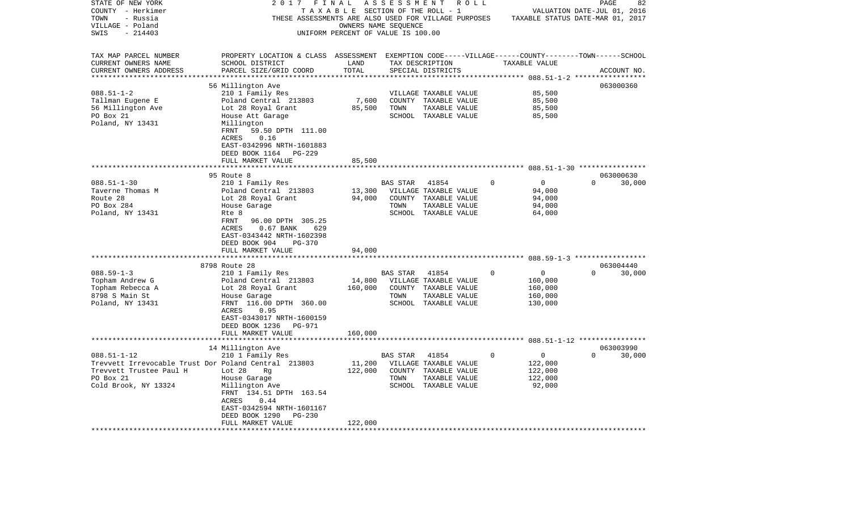| STATE OF NEW YORK                                    | 2017                                                                                               | FINAL                              | A S S E S S M E N T |                       | R O L L |             |                                              | PAGE     | 82          |
|------------------------------------------------------|----------------------------------------------------------------------------------------------------|------------------------------------|---------------------|-----------------------|---------|-------------|----------------------------------------------|----------|-------------|
| COUNTY - Herkimer                                    |                                                                                                    | TAXABLE SECTION OF THE ROLL - 1    |                     |                       |         |             | VALUATION DATE-JUL 01, 2016                  |          |             |
| TOWN<br>- Russia                                     | THESE ASSESSMENTS ARE ALSO USED FOR VILLAGE PURPOSES                                               |                                    |                     |                       |         |             | TAXABLE STATUS DATE-MAR 01, 2017             |          |             |
| VILLAGE - Poland                                     |                                                                                                    | OWNERS NAME SEQUENCE               |                     |                       |         |             |                                              |          |             |
| SWIS<br>$-214403$                                    |                                                                                                    | UNIFORM PERCENT OF VALUE IS 100.00 |                     |                       |         |             |                                              |          |             |
| TAX MAP PARCEL NUMBER                                | PROPERTY LOCATION & CLASS ASSESSMENT EXEMPTION CODE-----VILLAGE------COUNTY-------TOWN------SCHOOL |                                    |                     |                       |         |             |                                              |          |             |
| CURRENT OWNERS NAME                                  | SCHOOL DISTRICT                                                                                    | LAND                               |                     | TAX DESCRIPTION       |         |             | TAXABLE VALUE                                |          |             |
| CURRENT OWNERS ADDRESS                               | PARCEL SIZE/GRID COORD                                                                             | TOTAL                              |                     | SPECIAL DISTRICTS     |         |             |                                              |          | ACCOUNT NO. |
|                                                      |                                                                                                    |                                    |                     |                       |         |             | *************************** 088.51-1-2 ***** |          |             |
|                                                      | 56 Millington Ave                                                                                  |                                    |                     |                       |         |             |                                              |          | 063000360   |
| $088.51 - 1 - 2$                                     | 210 1 Family Res                                                                                   |                                    |                     | VILLAGE TAXABLE VALUE |         |             | 85,500                                       |          |             |
| Tallman Eugene E                                     | Poland Central 213803                                                                              | 7,600                              |                     | COUNTY TAXABLE VALUE  |         |             | 85,500                                       |          |             |
| 56 Millington Ave                                    | Lot 28 Royal Grant                                                                                 | 85,500                             | TOWN                | TAXABLE VALUE         |         |             | 85,500                                       |          |             |
| PO Box 21                                            | House Att Garage                                                                                   |                                    |                     | SCHOOL TAXABLE VALUE  |         |             | 85,500                                       |          |             |
| Poland, NY 13431                                     | Millington                                                                                         |                                    |                     |                       |         |             |                                              |          |             |
|                                                      | FRNT<br>59.50 DPTH 111.00<br>0.16<br>ACRES                                                         |                                    |                     |                       |         |             |                                              |          |             |
|                                                      | EAST-0342996 NRTH-1601883                                                                          |                                    |                     |                       |         |             |                                              |          |             |
|                                                      | DEED BOOK 1164<br>PG-229                                                                           |                                    |                     |                       |         |             |                                              |          |             |
|                                                      | FULL MARKET VALUE                                                                                  | 85,500                             |                     |                       |         |             |                                              |          |             |
|                                                      |                                                                                                    |                                    |                     |                       |         |             |                                              |          |             |
|                                                      | 95 Route 8                                                                                         |                                    |                     |                       |         |             |                                              |          | 063000630   |
| $088.51 - 1 - 30$                                    | 210 1 Family Res                                                                                   |                                    | <b>BAS STAR</b>     | 41854                 |         | $\Omega$    | $\overline{0}$                               | $\Omega$ | 30,000      |
| Taverne Thomas M                                     | Poland Central 213803                                                                              | 13,300                             |                     | VILLAGE TAXABLE VALUE |         |             | 94,000                                       |          |             |
| Route 28                                             | Lot 28 Royal Grant                                                                                 | 94,000                             |                     | COUNTY TAXABLE VALUE  |         |             | 94,000                                       |          |             |
| PO Box 284                                           | House Garage                                                                                       |                                    | TOWN                | TAXABLE VALUE         |         |             | 94,000                                       |          |             |
| Poland, NY 13431                                     | Rte 8                                                                                              |                                    |                     | SCHOOL TAXABLE VALUE  |         |             | 64,000                                       |          |             |
|                                                      | FRNT<br>96.00 DPTH 305.25                                                                          |                                    |                     |                       |         |             |                                              |          |             |
|                                                      | ACRES<br>$0.67$ BANK<br>629                                                                        |                                    |                     |                       |         |             |                                              |          |             |
|                                                      | EAST-0343442 NRTH-1602398<br>DEED BOOK 904<br>PG-370                                               |                                    |                     |                       |         |             |                                              |          |             |
|                                                      | FULL MARKET VALUE                                                                                  | 94,000                             |                     |                       |         |             |                                              |          |             |
|                                                      |                                                                                                    |                                    |                     |                       |         |             |                                              |          |             |
|                                                      | 8798 Route 28                                                                                      |                                    |                     |                       |         |             |                                              |          | 063004440   |
| $088.59 - 1 - 3$                                     | 210 1 Family Res                                                                                   |                                    | BAS STAR            | 41854                 |         | $\mathbf 0$ | $\overline{0}$                               | $\Omega$ | 30,000      |
| Topham Andrew G                                      | Poland Central 213803                                                                              | 14,800                             |                     | VILLAGE TAXABLE VALUE |         |             | 160,000                                      |          |             |
| Topham Rebecca A                                     | Lot 28 Royal Grant                                                                                 | 160,000                            |                     | COUNTY TAXABLE VALUE  |         |             | 160,000                                      |          |             |
| 8798 S Main St                                       | House Garage                                                                                       |                                    | TOWN                | TAXABLE VALUE         |         |             | 160,000                                      |          |             |
| Poland, NY 13431                                     | FRNT 116.00 DPTH 360.00                                                                            |                                    |                     | SCHOOL TAXABLE VALUE  |         |             | 130,000                                      |          |             |
|                                                      | ACRES<br>0.95                                                                                      |                                    |                     |                       |         |             |                                              |          |             |
|                                                      | EAST-0343017 NRTH-1600159                                                                          |                                    |                     |                       |         |             |                                              |          |             |
|                                                      | DEED BOOK 1236<br>PG-971<br>FULL MARKET VALUE                                                      | 160,000                            |                     |                       |         |             |                                              |          |             |
|                                                      | * * * * * * * * * * * * * * * * * * * *                                                            | *************                      |                     |                       |         |             |                                              |          |             |
|                                                      | 14 Millington Ave                                                                                  |                                    |                     |                       |         |             |                                              |          | 063003990   |
| $088.51 - 1 - 12$                                    | 210 1 Family Res                                                                                   |                                    | BAS STAR            | 41854                 |         | $\Omega$    | $\overline{0}$                               | $\Omega$ | 30,000      |
| Trevvett Irrevocable Trust Dor Poland Central 213803 |                                                                                                    | 11,200                             |                     | VILLAGE TAXABLE VALUE |         |             | 122,000                                      |          |             |
| Trevvett Trustee Paul H                              | Lot 28<br>Rq                                                                                       | 122,000                            |                     | COUNTY TAXABLE VALUE  |         |             | 122,000                                      |          |             |
| PO Box 21                                            | House Garage                                                                                       |                                    | TOWN                | TAXABLE VALUE         |         |             | 122,000                                      |          |             |
| Cold Brook, NY 13324                                 | Millington Ave                                                                                     |                                    |                     | SCHOOL TAXABLE VALUE  |         |             | 92,000                                       |          |             |
|                                                      | FRNT 134.51 DPTH 163.54                                                                            |                                    |                     |                       |         |             |                                              |          |             |
|                                                      | ACRES<br>0.44                                                                                      |                                    |                     |                       |         |             |                                              |          |             |
|                                                      | EAST-0342594 NRTH-1601167                                                                          |                                    |                     |                       |         |             |                                              |          |             |
|                                                      | DEED BOOK 1290<br>PG-230<br>FULL MARKET VALUE                                                      | 122,000                            |                     |                       |         |             |                                              |          |             |
|                                                      |                                                                                                    |                                    |                     |                       |         |             |                                              |          |             |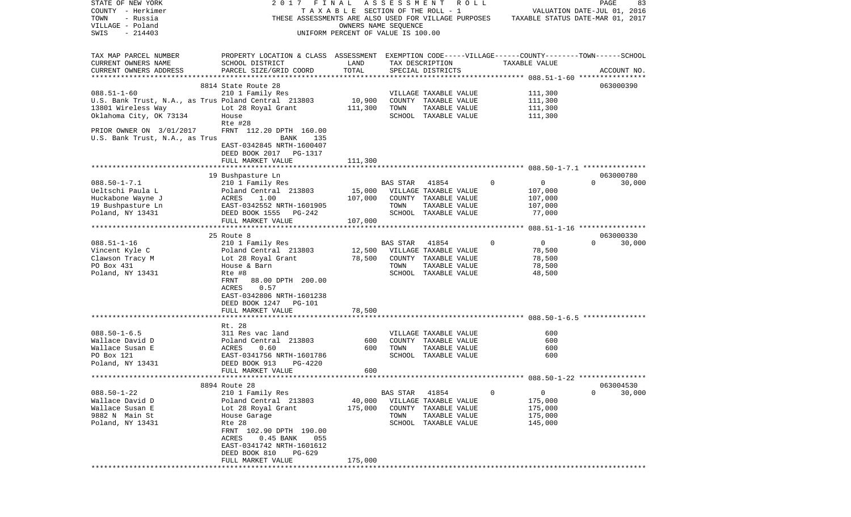| STATE OF NEW YORK                                    | 2017 FINAL                                                                                         |                                    |                 | ASSESSMENT ROLL       |   |               | PAGE<br>83                       |
|------------------------------------------------------|----------------------------------------------------------------------------------------------------|------------------------------------|-----------------|-----------------------|---|---------------|----------------------------------|
| COUNTY - Herkimer                                    |                                                                                                    | TAXABLE SECTION OF THE ROLL - 1    |                 |                       |   |               | VALUATION DATE-JUL 01, 2016      |
| - Russia<br>TOWN                                     | THESE ASSESSMENTS ARE ALSO USED FOR VILLAGE PURPOSES                                               |                                    |                 |                       |   |               | TAXABLE STATUS DATE-MAR 01, 2017 |
| VILLAGE - Poland                                     |                                                                                                    | OWNERS NAME SEQUENCE               |                 |                       |   |               |                                  |
| SWIS<br>$-214403$                                    |                                                                                                    | UNIFORM PERCENT OF VALUE IS 100.00 |                 |                       |   |               |                                  |
|                                                      |                                                                                                    |                                    |                 |                       |   |               |                                  |
|                                                      |                                                                                                    |                                    |                 |                       |   |               |                                  |
| TAX MAP PARCEL NUMBER                                | PROPERTY LOCATION & CLASS ASSESSMENT EXEMPTION CODE-----VILLAGE------COUNTY-------TOWN------SCHOOL |                                    |                 |                       |   |               |                                  |
| CURRENT OWNERS NAME                                  | SCHOOL DISTRICT                                                                                    | LAND                               |                 | TAX DESCRIPTION       |   | TAXABLE VALUE |                                  |
| CURRENT OWNERS ADDRESS                               | PARCEL SIZE/GRID COORD                                                                             | TOTAL                              |                 | SPECIAL DISTRICTS     |   |               | ACCOUNT NO.                      |
| ************************                             |                                                                                                    |                                    |                 |                       |   |               |                                  |
|                                                      | 8814 State Route 28                                                                                |                                    |                 |                       |   |               | 063000390                        |
| $088.51 - 1 - 60$                                    | 210 1 Family Res                                                                                   |                                    |                 | VILLAGE TAXABLE VALUE |   | 111,300       |                                  |
| U.S. Bank Trust, N.A., as Trus Poland Central 213803 |                                                                                                    | 10,900                             |                 | COUNTY TAXABLE VALUE  |   | 111,300       |                                  |
| 13801 Wireless Way                                   | Lot 28 Royal Grant                                                                                 | 111,300                            | TOWN            | TAXABLE VALUE         |   | 111,300       |                                  |
| Oklahoma City, OK 73134                              | House                                                                                              |                                    |                 | SCHOOL TAXABLE VALUE  |   | 111,300       |                                  |
|                                                      | Rte #28                                                                                            |                                    |                 |                       |   |               |                                  |
| PRIOR OWNER ON 3/01/2017                             | FRNT 112.20 DPTH 160.00                                                                            |                                    |                 |                       |   |               |                                  |
| U.S. Bank Trust, N.A., as Trus                       | BANK<br>135                                                                                        |                                    |                 |                       |   |               |                                  |
|                                                      | EAST-0342845 NRTH-1600407                                                                          |                                    |                 |                       |   |               |                                  |
|                                                      | DEED BOOK 2017 PG-1317                                                                             |                                    |                 |                       |   |               |                                  |
|                                                      | FULL MARKET VALUE                                                                                  | 111,300                            |                 |                       |   |               |                                  |
|                                                      |                                                                                                    |                                    |                 |                       |   |               |                                  |
|                                                      | 19 Bushpasture Ln                                                                                  |                                    |                 |                       |   |               | 063000780                        |
| $088.50 - 1 - 7.1$                                   | 210 1 Family Res                                                                                   |                                    | BAS STAR        | 41854                 | 0 | 0             | $\Omega$<br>30,000               |
| Ueltschi Paula L                                     | Poland Central 213803                                                                              | 15,000                             |                 | VILLAGE TAXABLE VALUE |   | 107,000       |                                  |
| Huckabone Wayne J                                    | ACRES<br>1.00                                                                                      | 107,000                            |                 | COUNTY TAXABLE VALUE  |   | 107,000       |                                  |
|                                                      |                                                                                                    |                                    | TOWN            | TAXABLE VALUE         |   |               |                                  |
| 19 Bushpasture Ln                                    | EAST-0342552 NRTH-1601905<br>$PG-242$                                                              |                                    |                 | SCHOOL TAXABLE VALUE  |   | 107,000       |                                  |
| Poland, NY 13431                                     | DEED BOOK 1555                                                                                     |                                    |                 |                       |   | 77,000        |                                  |
|                                                      | FULL MARKET VALUE                                                                                  | 107,000                            |                 |                       |   |               |                                  |
|                                                      |                                                                                                    |                                    |                 |                       |   |               |                                  |
|                                                      | 25 Route 8                                                                                         |                                    |                 |                       | 0 | $\mathbf 0$   | 063000330<br>$\Omega$            |
| $088.51 - 1 - 16$                                    | 210 1 Family Res                                                                                   |                                    | BAS STAR        | 41854                 |   |               | 30,000                           |
| Vincent Kyle C                                       | Poland Central 213803                                                                              | 12,500                             |                 | VILLAGE TAXABLE VALUE |   | 78,500        |                                  |
| Clawson Tracy M                                      | Lot 28 Royal Grant                                                                                 | 78,500                             |                 | COUNTY TAXABLE VALUE  |   | 78,500        |                                  |
| PO Box 431                                           | House & Barn                                                                                       |                                    | TOWN            | TAXABLE VALUE         |   | 78,500        |                                  |
| Poland, NY 13431                                     | Rte #8                                                                                             |                                    |                 | SCHOOL TAXABLE VALUE  |   | 48,500        |                                  |
|                                                      | FRNT<br>88.00 DPTH 200.00                                                                          |                                    |                 |                       |   |               |                                  |
|                                                      | ACRES<br>0.57                                                                                      |                                    |                 |                       |   |               |                                  |
|                                                      | EAST-0342806 NRTH-1601238                                                                          |                                    |                 |                       |   |               |                                  |
|                                                      | DEED BOOK 1247<br>PG-101                                                                           |                                    |                 |                       |   |               |                                  |
|                                                      | FULL MARKET VALUE                                                                                  | 78,500                             |                 |                       |   |               |                                  |
|                                                      |                                                                                                    |                                    |                 |                       |   |               |                                  |
|                                                      | Rt. 28                                                                                             |                                    |                 |                       |   |               |                                  |
| $088.50 - 1 - 6.5$                                   | 311 Res vac land                                                                                   |                                    |                 | VILLAGE TAXABLE VALUE |   | 600           |                                  |
| Wallace David D                                      | Poland Central 213803                                                                              | 600                                |                 | COUNTY TAXABLE VALUE  |   | 600           |                                  |
| Wallace Susan E                                      | ACRES<br>0.60                                                                                      | 600                                | TOWN            | TAXABLE VALUE         |   | 600           |                                  |
| PO Box 121                                           | EAST-0341756 NRTH-1601786                                                                          |                                    |                 | SCHOOL TAXABLE VALUE  |   | 600           |                                  |
| Poland, NY 13431                                     | DEED BOOK 913<br>PG-4220                                                                           |                                    |                 |                       |   |               |                                  |
|                                                      | FULL MARKET VALUE                                                                                  | 600                                |                 |                       |   |               |                                  |
|                                                      |                                                                                                    |                                    |                 |                       |   |               |                                  |
|                                                      | 8894 Route 28                                                                                      |                                    |                 |                       |   |               | 063004530                        |
| $088.50 - 1 - 22$                                    | 210 1 Family Res                                                                                   |                                    | <b>BAS STAR</b> | 41854                 | 0 | 0             | 0<br>30,000                      |
| Wallace David D                                      | Poland Central 213803                                                                              | 40,000                             |                 | VILLAGE TAXABLE VALUE |   | 175,000       |                                  |
| Wallace Susan E                                      | Lot 28 Royal Grant                                                                                 | 175,000                            | COUNTY          | TAXABLE VALUE         |   | 175,000       |                                  |
| 9882 N Main St                                       | House Garage                                                                                       |                                    | TOWN            | TAXABLE VALUE         |   | 175,000       |                                  |
| Poland, NY 13431                                     | Rte 28                                                                                             |                                    | SCHOOL          | TAXABLE VALUE         |   | 145,000       |                                  |
|                                                      | FRNT 102.90 DPTH 190.00                                                                            |                                    |                 |                       |   |               |                                  |
|                                                      | ACRES<br>$0.45$ BANK<br>055                                                                        |                                    |                 |                       |   |               |                                  |
|                                                      | EAST-0341742 NRTH-1601612                                                                          |                                    |                 |                       |   |               |                                  |
|                                                      | DEED BOOK 810<br>PG-629                                                                            |                                    |                 |                       |   |               |                                  |
|                                                      | FULL MARKET VALUE                                                                                  | 175,000                            |                 |                       |   |               |                                  |
|                                                      | **********************                                                                             |                                    |                 |                       |   |               |                                  |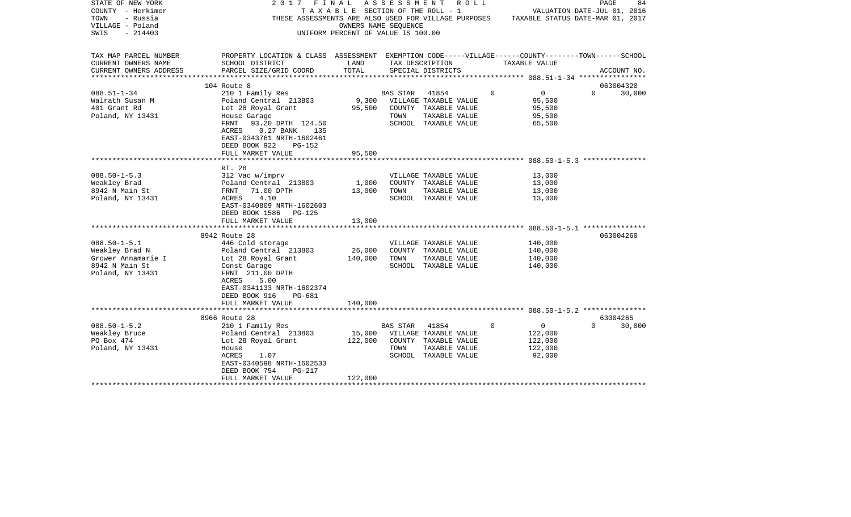| STATE OF NEW YORK<br>COUNTY - Herkimer | 2017 FINAL                                                                                         |                                    |                | A S S E S S M E N T A O L L<br>T A X A B L E SECTION OF THE ROLL - 1                  |          | VALUATION DATE-JUL 01, 2016 | PAGE     | 84          |
|----------------------------------------|----------------------------------------------------------------------------------------------------|------------------------------------|----------------|---------------------------------------------------------------------------------------|----------|-----------------------------|----------|-------------|
| TOWN<br>- Russia                       |                                                                                                    |                                    |                | THESE ASSESSMENTS ARE ALSO USED FOR VILLAGE PURPOSES TAXABLE STATUS DATE-MAR 01, 2017 |          |                             |          |             |
| VILLAGE - Poland                       |                                                                                                    | OWNERS NAME SEQUENCE               |                |                                                                                       |          |                             |          |             |
| $-214403$<br>SWIS                      |                                                                                                    | UNIFORM PERCENT OF VALUE IS 100.00 |                |                                                                                       |          |                             |          |             |
|                                        |                                                                                                    |                                    |                |                                                                                       |          |                             |          |             |
| TAX MAP PARCEL NUMBER                  | PROPERTY LOCATION & CLASS ASSESSMENT EXEMPTION CODE-----VILLAGE------COUNTY-------TOWN------SCHOOL |                                    |                |                                                                                       |          |                             |          |             |
| CURRENT OWNERS NAME                    | SCHOOL DISTRICT                                                                                    | LAND                               |                | TAX DESCRIPTION                                                                       |          | TAXABLE VALUE               |          |             |
| CURRENT OWNERS ADDRESS                 | PARCEL SIZE/GRID COORD                                                                             | TOTAL                              |                | SPECIAL DISTRICTS                                                                     |          |                             |          | ACCOUNT NO. |
|                                        |                                                                                                    |                                    |                |                                                                                       |          |                             |          |             |
|                                        | 104 Route 8                                                                                        |                                    |                |                                                                                       |          |                             |          | 063004320   |
| $088.51 - 1 - 34$                      | 210 1 Family Res                                                                                   |                                    | BAS STAR 41854 |                                                                                       | $\Omega$ | $\overline{0}$              | $\Omega$ | 30,000      |
| Walrath Susan M<br>401 Grant Rd        | Poland Central 213803                                                                              | 9,300                              |                | VILLAGE TAXABLE VALUE                                                                 |          | 95,500                      |          |             |
|                                        | Lot 28 Royal Grant                                                                                 | 95,500                             | TOWN           | COUNTY TAXABLE VALUE<br>TAXABLE VALUE                                                 |          | 95,500<br>95,500            |          |             |
| Poland, NY 13431                       | House Garage<br>FRNT 93.20 DPTH 124.50                                                             |                                    |                | SCHOOL TAXABLE VALUE                                                                  |          | 65,500                      |          |             |
|                                        | $0.27$ BANK<br>ACRES<br>135                                                                        |                                    |                |                                                                                       |          |                             |          |             |
|                                        | EAST-0343761 NRTH-1602461                                                                          |                                    |                |                                                                                       |          |                             |          |             |
|                                        | DEED BOOK 922<br>PG-152                                                                            |                                    |                |                                                                                       |          |                             |          |             |
|                                        | FULL MARKET VALUE                                                                                  | 95,500                             |                |                                                                                       |          |                             |          |             |
|                                        |                                                                                                    |                                    |                |                                                                                       |          |                             |          |             |
|                                        | RT. 28                                                                                             |                                    |                |                                                                                       |          |                             |          |             |
| $088.50 - 1 - 5.3$                     | 312 Vac w/imprv                                                                                    |                                    |                | VILLAGE TAXABLE VALUE                                                                 |          | 13,000                      |          |             |
| Weakley Brad                           | Poland Central 213803<br>FRNT   71.00 DPTH                                                         | 1,000                              |                | COUNTY TAXABLE VALUE                                                                  |          | 13,000                      |          |             |
| 8942 N Main St                         | 71.00 DPTH<br>FRNT                                                                                 | 13,000                             | TOWN           | TAXABLE VALUE                                                                         |          | 13,000                      |          |             |
| Poland, NY 13431                       | 4.10<br>ACRES                                                                                      |                                    |                | SCHOOL TAXABLE VALUE                                                                  |          | 13,000                      |          |             |
|                                        | EAST-0340809 NRTH-1602603                                                                          |                                    |                |                                                                                       |          |                             |          |             |
|                                        | DEED BOOK 1586<br>PG-125                                                                           |                                    |                |                                                                                       |          |                             |          |             |
|                                        | FULL MARKET VALUE                                                                                  | 13,000                             |                |                                                                                       |          |                             |          |             |
|                                        |                                                                                                    |                                    |                |                                                                                       |          |                             |          |             |
|                                        | 8942 Route 28                                                                                      |                                    |                |                                                                                       |          |                             |          | 063004260   |
| $088.50 - 1 - 5.1$                     | 446 Cold storage                                                                                   |                                    |                | VILLAGE TAXABLE VALUE                                                                 |          | 140,000                     |          |             |
| Weakley Brad N                         | Poland Central 213803                                                                              | 26,000                             |                | COUNTY TAXABLE VALUE                                                                  |          | 140,000                     |          |             |
| Grower Annamarie I                     | Lot 28 Royal Grant                                                                                 | 140,000                            | TOWN           | TAXABLE VALUE                                                                         |          | 140,000                     |          |             |
| 8942 N Main St                         | Const Garage                                                                                       |                                    |                | SCHOOL TAXABLE VALUE                                                                  |          | 140,000                     |          |             |
| Poland, NY 13431                       | FRNT 211.00 DPTH                                                                                   |                                    |                |                                                                                       |          |                             |          |             |
|                                        | ACRES<br>5.00                                                                                      |                                    |                |                                                                                       |          |                             |          |             |
|                                        | EAST-0341133 NRTH-1602374                                                                          |                                    |                |                                                                                       |          |                             |          |             |
|                                        | DEED BOOK 916<br>PG-681                                                                            |                                    |                |                                                                                       |          |                             |          |             |
|                                        | FULL MARKET VALUE                                                                                  | 140,000                            |                |                                                                                       |          |                             |          |             |
|                                        | 8966 Route 28                                                                                      |                                    |                |                                                                                       |          |                             |          | 63004265    |
| $088.50 - 1 - 5.2$                     | 210 1 Family Res                                                                                   |                                    | BAS STAR 41854 |                                                                                       | $\Omega$ | $\overline{0}$              | $\Omega$ | 30,000      |
| Weakley Bruce                          | Poland Central 213803                                                                              | 15,000                             |                | VILLAGE TAXABLE VALUE                                                                 |          | 122,000                     |          |             |
| PO Box 474                             | Lot 28 Royal Grant                                                                                 | 122,000                            |                | COUNTY TAXABLE VALUE                                                                  |          | 122,000                     |          |             |
| Poland, NY 13431                       | House                                                                                              |                                    | TOWN           | TAXABLE VALUE                                                                         |          | 122,000                     |          |             |
|                                        | 1.07<br>ACRES                                                                                      |                                    |                | SCHOOL TAXABLE VALUE                                                                  |          | 92,000                      |          |             |
|                                        | EAST-0340598 NRTH-1602533                                                                          |                                    |                |                                                                                       |          |                             |          |             |
|                                        | DEED BOOK 754<br>PG-217                                                                            |                                    |                |                                                                                       |          |                             |          |             |
|                                        | FULL MARKET VALUE                                                                                  | 122,000                            |                |                                                                                       |          |                             |          |             |
|                                        |                                                                                                    |                                    |                |                                                                                       |          |                             |          |             |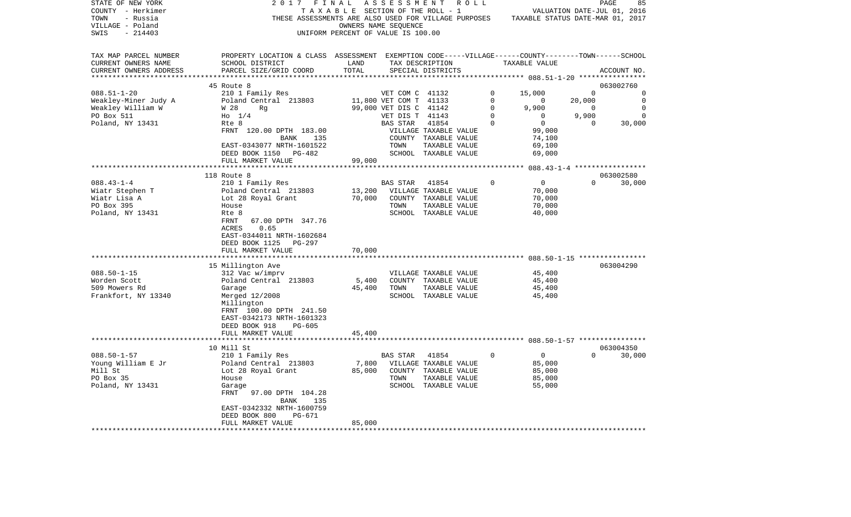| STATE OF NEW YORK             | 2017                                                                                               | FINAL                              | A S S E S S M E N T     |                                       | R O L L  |                                  |                | PAGE<br>85                  |
|-------------------------------|----------------------------------------------------------------------------------------------------|------------------------------------|-------------------------|---------------------------------------|----------|----------------------------------|----------------|-----------------------------|
| COUNTY - Herkimer             | TAXABLE                                                                                            |                                    | SECTION OF THE ROLL - 1 |                                       |          |                                  |                | VALUATION DATE-JUL 01, 2016 |
| TOWN<br>- Russia              | THESE ASSESSMENTS ARE ALSO USED FOR VILLAGE PURPOSES                                               |                                    |                         |                                       |          | TAXABLE STATUS DATE-MAR 01, 2017 |                |                             |
| VILLAGE - Poland              |                                                                                                    |                                    | OWNERS NAME SEQUENCE    |                                       |          |                                  |                |                             |
| $-214403$<br>SWIS             |                                                                                                    | UNIFORM PERCENT OF VALUE IS 100.00 |                         |                                       |          |                                  |                |                             |
| TAX MAP PARCEL NUMBER         | PROPERTY LOCATION & CLASS ASSESSMENT EXEMPTION CODE-----VILLAGE------COUNTY-------TOWN------SCHOOL |                                    |                         |                                       |          |                                  |                |                             |
| CURRENT OWNERS NAME           | SCHOOL DISTRICT                                                                                    | LAND                               |                         | TAX DESCRIPTION                       |          | TAXABLE VALUE                    |                |                             |
| CURRENT OWNERS ADDRESS        | PARCEL SIZE/GRID COORD                                                                             | TOTAL                              |                         | SPECIAL DISTRICTS                     |          |                                  |                | ACCOUNT NO.                 |
|                               |                                                                                                    |                                    |                         |                                       |          | ****** 088.51-1-20 ****          |                |                             |
|                               | 45 Route 8                                                                                         |                                    |                         |                                       |          |                                  |                | 063002760                   |
| $088.51 - 1 - 20$             | 210 1 Family Res                                                                                   |                                    | VET COM C 41132         |                                       | 0        | 15,000                           | $\mathbf 0$    | 0                           |
| Weakley-Miner Judy A          | Poland Central 213803                                                                              |                                    | 11,800 VET COM T 41133  |                                       | 0        | 0                                | 20,000         | 0                           |
| Weakley William W             | W 28<br>Rq                                                                                         |                                    | 99,000 VET DIS C 41142  |                                       | 0        | 9,900                            | $\overline{0}$ | $\Omega$                    |
| PO Box 511                    | $H_0$ 1/4                                                                                          |                                    | VET DIS T 41143         |                                       | 0        | 0                                | 9,900          | 0                           |
| Poland, NY 13431              | Rte 8                                                                                              |                                    | BAS STAR                | 41854                                 | $\Omega$ | 0                                | $\Omega$       | 30,000                      |
|                               | FRNT 120.00 DPTH 183.00                                                                            |                                    |                         | VILLAGE TAXABLE VALUE                 |          | 99,000                           |                |                             |
|                               | BANK<br>135                                                                                        |                                    |                         | COUNTY TAXABLE VALUE                  |          | 74,100                           |                |                             |
|                               | EAST-0343077 NRTH-1601522                                                                          |                                    | TOWN                    | TAXABLE VALUE                         |          | 69,100                           |                |                             |
|                               | DEED BOOK 1150 PG-482                                                                              |                                    |                         | SCHOOL TAXABLE VALUE                  |          | 69,000                           |                |                             |
|                               | FULL MARKET VALUE                                                                                  | 99,000                             |                         |                                       |          |                                  |                |                             |
|                               | ************************                                                                           |                                    |                         |                                       |          |                                  |                |                             |
|                               | 118 Route 8                                                                                        |                                    |                         |                                       |          |                                  |                | 063002580                   |
| $088.43 - 1 - 4$              | 210 1 Family Res                                                                                   |                                    | BAS STAR                | 41854                                 | $\cap$   | 0                                | $\Omega$       | 30,000                      |
| Wiatr Stephen T               | Poland Central 213803                                                                              | 13,200                             |                         | VILLAGE TAXABLE VALUE                 |          | 70,000                           |                |                             |
| Wiatr Lisa A                  |                                                                                                    | 70,000                             |                         | COUNTY TAXABLE VALUE                  |          | 70,000                           |                |                             |
| PO Box 395                    | Lot 28 Royal Grant<br>House                                                                        |                                    | TOWN                    |                                       |          | 70,000                           |                |                             |
|                               |                                                                                                    |                                    |                         | TAXABLE VALUE                         |          | 40,000                           |                |                             |
| Poland, NY 13431              | Rte 8<br>FRNT<br>67.00 DPTH 347.76                                                                 |                                    |                         | SCHOOL TAXABLE VALUE                  |          |                                  |                |                             |
|                               |                                                                                                    |                                    |                         |                                       |          |                                  |                |                             |
|                               | 0.65<br>ACRES                                                                                      |                                    |                         |                                       |          |                                  |                |                             |
|                               | EAST-0344011 NRTH-1602684                                                                          |                                    |                         |                                       |          |                                  |                |                             |
|                               | DEED BOOK 1125<br>PG-297                                                                           |                                    |                         |                                       |          |                                  |                |                             |
|                               | FULL MARKET VALUE<br>**************                                                                | 70,000                             |                         |                                       |          |                                  |                |                             |
|                               |                                                                                                    |                                    |                         |                                       |          |                                  |                |                             |
|                               | 15 Millington Ave                                                                                  |                                    |                         |                                       |          |                                  |                | 063004290                   |
| $088.50 - 1 - 15$             | 312 Vac w/imprv                                                                                    |                                    |                         | VILLAGE TAXABLE VALUE                 |          | 45,400                           |                |                             |
| Worden Scott<br>509 Mowers Rd | Poland Central 213803                                                                              | 5,400<br>45,400                    | TOWN                    | COUNTY TAXABLE VALUE                  |          | 45,400                           |                |                             |
| Frankfort, NY 13340           | Garage                                                                                             |                                    |                         | TAXABLE VALUE<br>SCHOOL TAXABLE VALUE |          | 45,400<br>45,400                 |                |                             |
|                               | Merged 12/2008                                                                                     |                                    |                         |                                       |          |                                  |                |                             |
|                               | Millington                                                                                         |                                    |                         |                                       |          |                                  |                |                             |
|                               | FRNT 100.00 DPTH 241.50                                                                            |                                    |                         |                                       |          |                                  |                |                             |
|                               | EAST-0342173 NRTH-1601323                                                                          |                                    |                         |                                       |          |                                  |                |                             |
|                               | DEED BOOK 918<br>PG-605                                                                            |                                    |                         |                                       |          |                                  |                |                             |
|                               | FULL MARKET VALUE                                                                                  | 45,400                             |                         |                                       |          |                                  |                |                             |
|                               | 10 Mill St                                                                                         |                                    |                         |                                       |          |                                  |                | 063004350                   |
| $088.50 - 1 - 57$             | 210 1 Family Res                                                                                   |                                    | BAS STAR                | 41854                                 | $\Omega$ | $\mathbf 0$                      | $\Omega$       | 30,000                      |
| Young William E Jr            | Poland Central 213803                                                                              | 7,800                              |                         | VILLAGE TAXABLE VALUE                 |          | 85,000                           |                |                             |
| Mill St                       |                                                                                                    |                                    |                         |                                       |          | 85,000                           |                |                             |
| PO Box 35                     | Lot 28 Royal Grant                                                                                 | 85,000                             | TOWN                    | COUNTY TAXABLE VALUE                  |          | 85,000                           |                |                             |
| Poland, NY 13431              | House                                                                                              |                                    |                         | TAXABLE VALUE<br>SCHOOL TAXABLE VALUE |          | 55,000                           |                |                             |
|                               | Garage                                                                                             |                                    |                         |                                       |          |                                  |                |                             |
|                               | FRNT<br>97.00 DPTH 104.28                                                                          |                                    |                         |                                       |          |                                  |                |                             |
|                               | BANK<br>135                                                                                        |                                    |                         |                                       |          |                                  |                |                             |
|                               | EAST-0342332 NRTH-1600759                                                                          |                                    |                         |                                       |          |                                  |                |                             |
|                               | DEED BOOK 800<br>PG-671                                                                            | 85,000                             |                         |                                       |          |                                  |                |                             |
|                               | FULL MARKET VALUE                                                                                  |                                    |                         |                                       |          |                                  |                |                             |
|                               |                                                                                                    |                                    |                         |                                       |          |                                  |                |                             |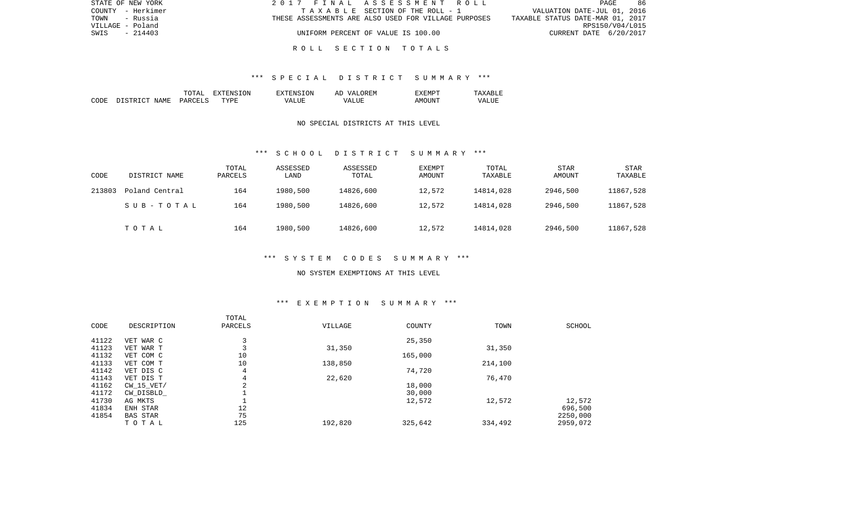| STATE OF NEW YORK | 2017 FINAL ASSESSMENT ROLL                           | - 86<br>PAGE                     |
|-------------------|------------------------------------------------------|----------------------------------|
| COUNTY - Herkimer | TAXABLE SECTION OF THE ROLL - 1                      | VALUATION DATE-JUL 01, 2016      |
| TOWN - Russia     | THESE ASSESSMENTS ARE ALSO USED FOR VILLAGE PURPOSES | TAXABLE STATUS DATE-MAR 01, 2017 |
| VILLAGE - Poland  |                                                      | RPS150/V04/L015                  |
| SWIS<br>$-214403$ | UNIFORM PERCENT OF VALUE IS 100.00                   | CURRENT DATE 6/20/2017           |
|                   |                                                      |                                  |

### \*\*\* S P E C I A L D I S T R I C T S U M M A R Y \*\*\*

|      |                           | ו ב⊬יו        | .ON.<br>. л. | <b>TON</b><br>ENS.      | OREM<br>AĽ<br>$\sqrt{ }$ |           | $\cdots$<br>.       |
|------|---------------------------|---------------|--------------|-------------------------|--------------------------|-----------|---------------------|
| CODE | NAME.<br>$\sim$<br>T STR' | PARCET<br>$-$ | TYPE         | TJIR.<br>™Д.<br>د لله ا | T.ITR:<br>$\sqrt{A}$     | <b>IN</b> | vд<br>LU.<br>______ |

### NO SPECIAL DISTRICTS AT THIS LEVEL

#### \*\*\* S C H O O L D I S T R I C T S U M M A R Y \*\*\*

| CODE   | DISTRICT NAME  | TOTAL<br>PARCELS | ASSESSED<br>LAND | ASSESSED<br>TOTAL | EXEMPT<br>AMOUNT | TOTAL<br>TAXABLE | STAR<br>AMOUNT | STAR<br>TAXABLE |
|--------|----------------|------------------|------------------|-------------------|------------------|------------------|----------------|-----------------|
| 213803 | Poland Central | 164              | 1980,500         | 14826,600         | 12,572           | 14814,028        | 2946,500       | 11867,528       |
|        | SUB-TOTAL      | 164              | 1980,500         | 14826,600         | 12,572           | 14814,028        | 2946,500       | 11867,528       |
|        | TOTAL          | 164              | 1980,500         | 14826,600         | 12,572           | 14814,028        | 2946,500       | 11867,528       |

# \*\*\* S Y S T E M C O D E S S U M M A R Y \*\*\*

#### NO SYSTEM EXEMPTIONS AT THIS LEVEL

# \*\*\* E X E M P T I O N S U M M A R Y \*\*\*

| CODE  | DESCRIPTION     | TOTAL<br>PARCELS | VILLAGE | COUNTY  | TOWN    | SCHOOL   |
|-------|-----------------|------------------|---------|---------|---------|----------|
| 41122 | VET WAR C       | 3                |         | 25,350  |         |          |
| 41123 | VET WAR T       | 3                | 31,350  |         | 31,350  |          |
| 41132 | VET COM C       | 10               |         | 165,000 |         |          |
| 41133 | VET COM T       | 10               | 138,850 |         | 214,100 |          |
| 41142 | VET DIS C       | 4                |         | 74,720  |         |          |
| 41143 | VET DIS T       | 4                | 22,620  |         | 76,470  |          |
| 41162 | $CW$ 15 $VET/$  | 2                |         | 18,000  |         |          |
| 41172 | CW DISBLD       |                  |         | 30,000  |         |          |
| 41730 | AG MKTS         |                  |         | 12,572  | 12,572  | 12,572   |
| 41834 | ENH STAR        | 12               |         |         |         | 696,500  |
| 41854 | <b>BAS STAR</b> | 75               |         |         |         | 2250,000 |
|       | TOTAL           | 125              | 192,820 | 325,642 | 334,492 | 2959,072 |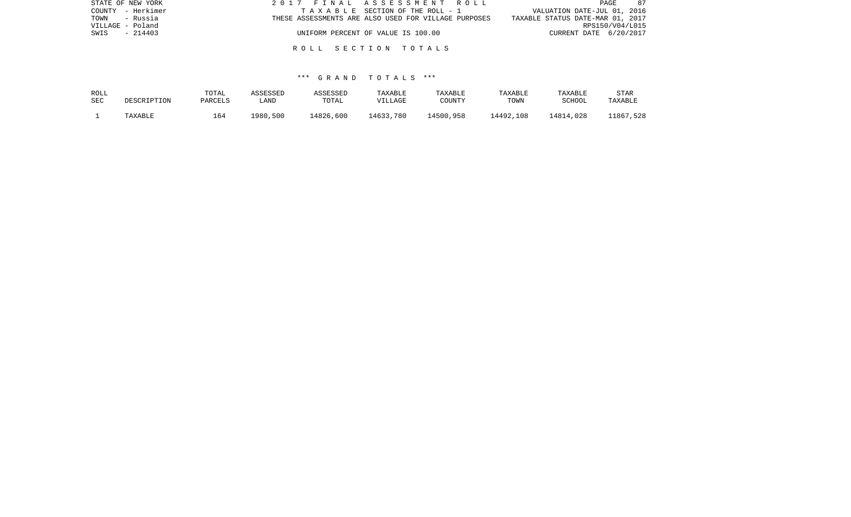| STATE OF NEW YORK | 2017 FINAL ASSESSMENT ROLL                           | 87<br>PAGE                       |
|-------------------|------------------------------------------------------|----------------------------------|
| COUNTY - Herkimer | TAXABLE SECTION OF THE ROLL - 1                      | VALUATION DATE-JUL 01, 2016      |
| TOWN - Russia     | THESE ASSESSMENTS ARE ALSO USED FOR VILLAGE PURPOSES | TAXABLE STATUS DATE-MAR 01, 2017 |
| VILLAGE - Poland  |                                                      | RPS150/V04/L015                  |
| - 214403<br>SWIS  | UNIFORM PERCENT OF VALUE IS 100.00                   | CURRENT DATE 6/20/2017           |
|                   |                                                      |                                  |
|                   | ROLL SECTION TOTALS                                  |                                  |

| ROLL       | DESCRIPTION | TOTAL   | ASSESSED | ASSESSED  | TAXABLE   | TAXABLE   | TAXABLE   | TAXABLE   | STAR      |
|------------|-------------|---------|----------|-----------|-----------|-----------|-----------|-----------|-----------|
| <b>SEC</b> |             | PARCELS | ∟AND     | TOTAL     | VILLAGE   | COUNTY    | TOWN      | SCHOOL    | TAXABLE   |
|            | TAXABLE     | 164     | 1980,500 | 14826,600 | 14633,780 | 14500,958 | 14492,108 | 14814,028 | 11867,528 |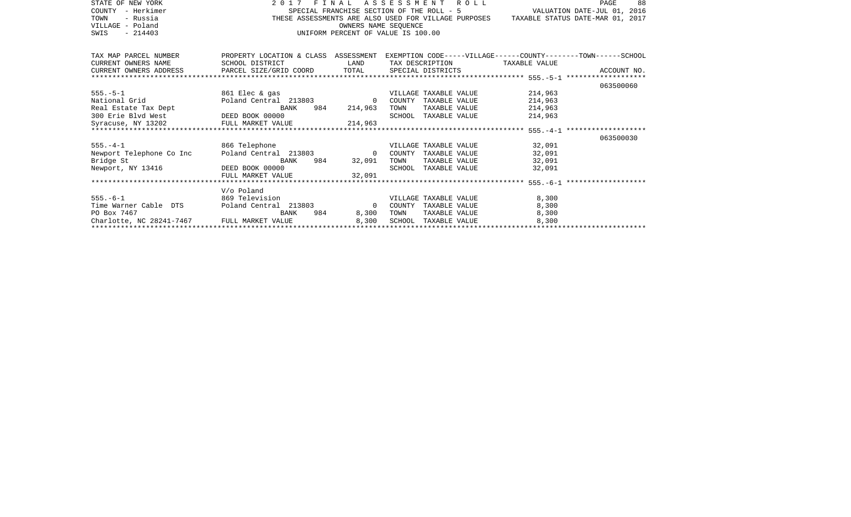| STATE OF NEW YORK<br>COUNTY - Herkimer                                                                   | 2017                                                                                  |                                                                                                                        | FINAL ASSESSMENT ROLL<br>88<br>PAGE<br>VALUATION DATE-JUL 01, 2016<br>SPECIAL FRANCHISE SECTION OF THE ROLL - 5                                                                                                               |  |  |  |  |  |  |
|----------------------------------------------------------------------------------------------------------|---------------------------------------------------------------------------------------|------------------------------------------------------------------------------------------------------------------------|-------------------------------------------------------------------------------------------------------------------------------------------------------------------------------------------------------------------------------|--|--|--|--|--|--|
| TOWN<br>- Russia                                                                                         | THESE ASSESSMENTS ARE ALSO USED FOR VILLAGE PURPOSES TAXABLE STATUS DATE-MAR 01, 2017 |                                                                                                                        |                                                                                                                                                                                                                               |  |  |  |  |  |  |
| VILLAGE - Poland                                                                                         | SINGLE SINGLE                                                                         |                                                                                                                        | OWNERS NAME SEOUENCE                                                                                                                                                                                                          |  |  |  |  |  |  |
| $-214403$<br>SWIS                                                                                        | UNIFORM PERCENT OF VALUE IS 100.00                                                    |                                                                                                                        |                                                                                                                                                                                                                               |  |  |  |  |  |  |
|                                                                                                          |                                                                                       |                                                                                                                        |                                                                                                                                                                                                                               |  |  |  |  |  |  |
|                                                                                                          |                                                                                       |                                                                                                                        |                                                                                                                                                                                                                               |  |  |  |  |  |  |
| TAX MAP PARCEL NUMBER                                                                                    |                                                                                       |                                                                                                                        | PROPERTY LOCATION & CLASS ASSESSMENT EXEMPTION CODE-----VILLAGE------COUNTY-------TOWN------SCHOOL                                                                                                                            |  |  |  |  |  |  |
| CURRENT OWNERS NAME                                                                                      | SCHOOL DISTRICT                                                                       | <b>EXAMPLE SERVICE SERVICE SERVICE SERVICE SERVICE SERVICE SERVICE SERVICE SERVICE SERVICE SERVICE SERVICE SERVICE</b> | TAX DESCRIPTION TAXABLE VALUE                                                                                                                                                                                                 |  |  |  |  |  |  |
|                                                                                                          |                                                                                       |                                                                                                                        |                                                                                                                                                                                                                               |  |  |  |  |  |  |
|                                                                                                          |                                                                                       |                                                                                                                        |                                                                                                                                                                                                                               |  |  |  |  |  |  |
|                                                                                                          |                                                                                       |                                                                                                                        | 063500060                                                                                                                                                                                                                     |  |  |  |  |  |  |
|                                                                                                          | 555.-5-1 861 Elec & gas                                                               |                                                                                                                        | VILLAGE TAXABLE VALUE 214,963                                                                                                                                                                                                 |  |  |  |  |  |  |
| National Grid<br>Real Estate Tax Dept<br>300 Erie Blvd West<br>200 Erie Blvd West<br>200 DEED BOOK 00000 |                                                                                       |                                                                                                                        | Poland Central 213803 0 COUNTY TAXABLE VALUE<br>214,963                                                                                                                                                                       |  |  |  |  |  |  |
|                                                                                                          | BANK                                                                                  | 984 214,963                                                                                                            | 214,963<br>TOWN<br>TAXABLE VALUE                                                                                                                                                                                              |  |  |  |  |  |  |
|                                                                                                          | 300 Erie Blvd West<br>Syracuse, NY 13202 FULL MARKET VALUE 214,963                    |                                                                                                                        | SCHOOL TAXABLE VALUE<br>214,963                                                                                                                                                                                               |  |  |  |  |  |  |
|                                                                                                          |                                                                                       |                                                                                                                        |                                                                                                                                                                                                                               |  |  |  |  |  |  |
|                                                                                                          |                                                                                       |                                                                                                                        |                                                                                                                                                                                                                               |  |  |  |  |  |  |
|                                                                                                          |                                                                                       |                                                                                                                        | 063500030                                                                                                                                                                                                                     |  |  |  |  |  |  |
|                                                                                                          | 555.-4-1 866 Telephone                                                                |                                                                                                                        | VILLAGE TAXABLE VALUE 32,091                                                                                                                                                                                                  |  |  |  |  |  |  |
| Newport Telephone Co Inc                                                                                 |                                                                                       |                                                                                                                        | Poland Central 213803 0 COUNTY TAXABLE VALUE 32,091                                                                                                                                                                           |  |  |  |  |  |  |
| Bridge St<br>Newport, NY 13416 DEED BOOK 00000                                                           | BANK                                                                                  | 984 32,091                                                                                                             | TAXABLE VALUE 32,091<br>TOWN                                                                                                                                                                                                  |  |  |  |  |  |  |
|                                                                                                          |                                                                                       |                                                                                                                        | SCHOOL TAXABLE VALUE 32,091                                                                                                                                                                                                   |  |  |  |  |  |  |
|                                                                                                          | FULL MARKET VALUE                                                                     | 32.091                                                                                                                 |                                                                                                                                                                                                                               |  |  |  |  |  |  |
|                                                                                                          |                                                                                       |                                                                                                                        |                                                                                                                                                                                                                               |  |  |  |  |  |  |
|                                                                                                          | V/o Poland                                                                            |                                                                                                                        |                                                                                                                                                                                                                               |  |  |  |  |  |  |
|                                                                                                          | 555.-6-1 869 Television                                                               |                                                                                                                        | 8,300<br>VILLAGE TAXABLE VALUE<br>Poland Central 213803 0 COUNTY TAXABLE VALUE                                                                                                                                                |  |  |  |  |  |  |
| Time Warner Cable DTS                                                                                    |                                                                                       |                                                                                                                        | 8,300                                                                                                                                                                                                                         |  |  |  |  |  |  |
| PO Box 7467                                                                                              | BANK<br>Charlotte, NC 28241-7467 FULL MARKET VALUE                                    | 984 — 100<br>8,300                                                                                                     | TOWN<br>TAXABLE VALUE<br>8,300                                                                                                                                                                                                |  |  |  |  |  |  |
|                                                                                                          |                                                                                       |                                                                                                                        | Charlotte, NC 28241-7467 FULL MARKET VALUE 8,300 SCHOOL TAXABLE VALUE 8,300 8,300 8.300 8.300 8.300 FHXABLE VALUE 8,300 8.300 8.300 8.300 8.300 8.300 8.300 8.300 8.300 8.300 8.300 8.300 8.300 8.300 8.300 8.300 8.300 8.300 |  |  |  |  |  |  |
|                                                                                                          |                                                                                       |                                                                                                                        |                                                                                                                                                                                                                               |  |  |  |  |  |  |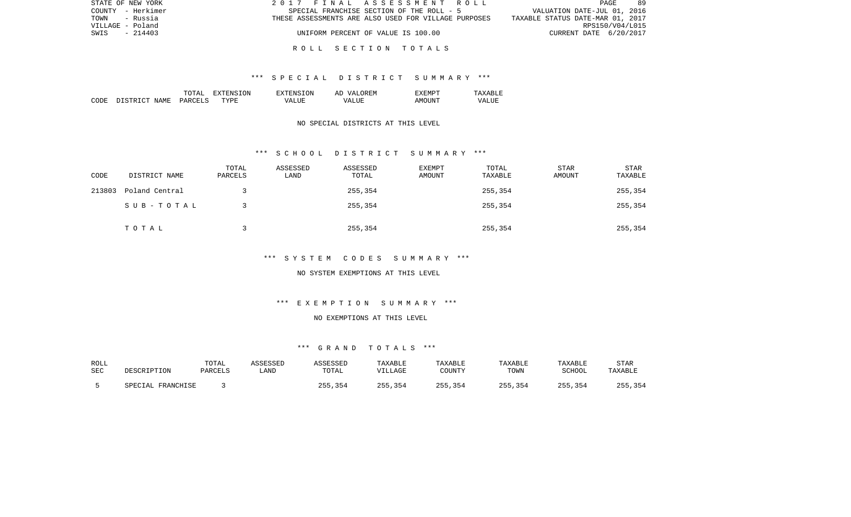| STATE OF NEW YORK | 2017 FINAL ASSESSMENT ROLL                           | 89<br>PAGE                       |
|-------------------|------------------------------------------------------|----------------------------------|
| COUNTY - Herkimer | SPECIAL FRANCHISE SECTION OF THE ROLL - 5            | VALUATION DATE-JUL 01, 2016      |
| TOWN<br>- Russia  | THESE ASSESSMENTS ARE ALSO USED FOR VILLAGE PURPOSES | TAXABLE STATUS DATE-MAR 01, 2017 |
| VILLAGE - Poland  |                                                      | RPS150/V04/L015                  |
| SWIS<br>$-214403$ | UNIFORM PERCENT OF VALUE IS 100.00                   | CURRENT DATE 6/20/2017           |
|                   |                                                      |                                  |

### \*\*\* S P E C I A L D I S T R I C T S U M M A R Y \*\*\*

|      |                          | ͲႶͲϪͳ                           | ON<br>$\tau$<br>. А | TON<br>$\neg$ v $\neg$ FNS $\neg$ | OREM<br>77 D<br>AΓ   | "XEMPT |                  |
|------|--------------------------|---------------------------------|---------------------|-----------------------------------|----------------------|--------|------------------|
| CODE | ገ ገ ደ ግ ዝ ገ ግ ገ<br>NAME. | <b>PARCELS</b><br>$\sim$ $\sim$ | TYPF.               | $- - - -$<br>VД                   | $- - - -$<br>۲Z<br>. | AMOUNT | VALU.<br>_______ |

## NO SPECIAL DISTRICTS AT THIS LEVEL

### \*\*\* S C H O O L D I S T R I C T S U M M A R Y \*\*\*

| CODE   | DISTRICT NAME  | TOTAL<br>PARCELS | ASSESSED<br>LAND | ASSESSED<br>TOTAL | EXEMPT<br>AMOUNT | TOTAL<br>TAXABLE | STAR<br>AMOUNT | STAR<br>TAXABLE |
|--------|----------------|------------------|------------------|-------------------|------------------|------------------|----------------|-----------------|
| 213803 | Poland Central |                  |                  | 255,354           |                  | 255,354          |                | 255,354         |
|        | SUB-TOTAL      |                  |                  | 255,354           |                  | 255,354          |                | 255,354         |
|        | TOTAL          |                  |                  | 255,354           |                  | 255,354          |                | 255,354         |

# \*\*\* S Y S T E M C O D E S S U M M A R Y \*\*\*

### NO SYSTEM EXEMPTIONS AT THIS LEVEL

# \*\*\* E X E M P T I O N S U M M A R Y \*\*\*

### NO EXEMPTIONS AT THIS LEVEL

| ROLL | DESCRIPTION       | TOTAL   | ASSESSED    | ASSESSED | TAXABLE | TAXABLE | TAXABLE | TAXABLE       | <b>STAR</b> |
|------|-------------------|---------|-------------|----------|---------|---------|---------|---------------|-------------|
| SEC  |                   | PARCELS | <b>LAND</b> | TOTAL    | VILLAGE | COUNTY  | TOWN    | <b>SCHOOL</b> | TAXABLE     |
|      | SPECIAL FRANCHISE |         |             | 255,354  | 255,354 | 255,354 | 255,354 | 255,354       | 255,354     |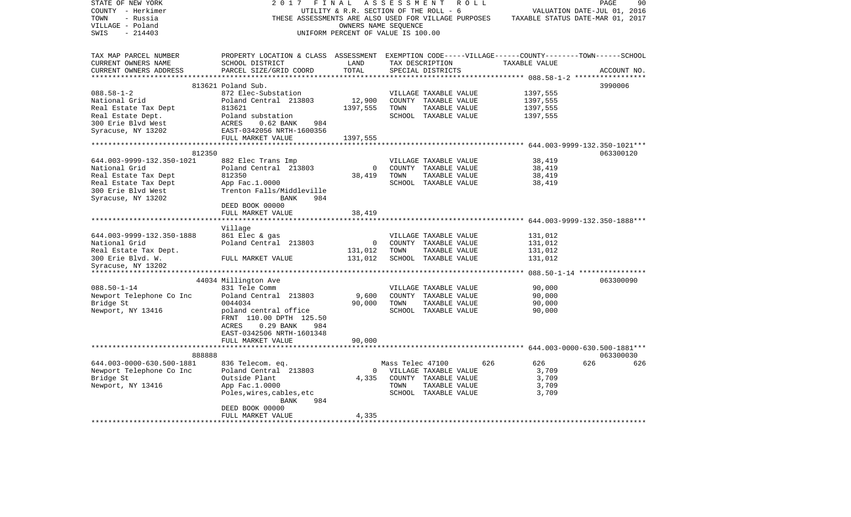| STATE OF NEW YORK                       | 2017                                                                                               | FINAL                                  | A S S E S S M E N T | R O L L                                              |                                                                   | PAGE<br>90                       |
|-----------------------------------------|----------------------------------------------------------------------------------------------------|----------------------------------------|---------------------|------------------------------------------------------|-------------------------------------------------------------------|----------------------------------|
| COUNTY - Herkimer                       |                                                                                                    | UTILITY & R.R. SECTION OF THE ROLL - 6 |                     |                                                      |                                                                   | VALUATION DATE-JUL 01, 2016      |
| TOWN<br>- Russia                        |                                                                                                    |                                        |                     | THESE ASSESSMENTS ARE ALSO USED FOR VILLAGE PURPOSES |                                                                   | TAXABLE STATUS DATE-MAR 01, 2017 |
| VILLAGE - Poland                        |                                                                                                    | OWNERS NAME SEQUENCE                   |                     |                                                      |                                                                   |                                  |
| $-214403$<br>SWIS                       |                                                                                                    | UNIFORM PERCENT OF VALUE IS 100.00     |                     |                                                      |                                                                   |                                  |
|                                         |                                                                                                    |                                        |                     |                                                      |                                                                   |                                  |
| TAX MAP PARCEL NUMBER                   | PROPERTY LOCATION & CLASS ASSESSMENT EXEMPTION CODE-----VILLAGE------COUNTY-------TOWN------SCHOOL |                                        |                     |                                                      |                                                                   |                                  |
| CURRENT OWNERS NAME                     | SCHOOL DISTRICT                                                                                    | LAND                                   |                     | TAX DESCRIPTION                                      | TAXABLE VALUE                                                     |                                  |
| CURRENT OWNERS ADDRESS                  | PARCEL SIZE/GRID COORD                                                                             | TOTAL                                  |                     | SPECIAL DISTRICTS                                    |                                                                   | ACCOUNT NO.                      |
|                                         |                                                                                                    |                                        |                     |                                                      |                                                                   |                                  |
|                                         | 813621 Poland Sub.                                                                                 |                                        |                     |                                                      |                                                                   | 3990006                          |
| $088.58 - 1 - 2$                        | 872 Elec-Substation                                                                                |                                        |                     | VILLAGE TAXABLE VALUE                                | 1397,555                                                          |                                  |
| National Grid                           | Poland Central 213803                                                                              | 12,900                                 |                     | COUNTY TAXABLE VALUE                                 | 1397,555                                                          |                                  |
| Real Estate Tax Dept                    | 813621                                                                                             | 1397,555                               | TOWN                | TAXABLE VALUE                                        | 1397,555                                                          |                                  |
| Real Estate Dept.<br>300 Erie Blvd West | Poland substation<br>ACRES<br>$0.62$ BANK<br>984                                                   |                                        |                     | SCHOOL TAXABLE VALUE                                 | 1397,555                                                          |                                  |
|                                         |                                                                                                    |                                        |                     |                                                      |                                                                   |                                  |
| Syracuse, NY 13202                      | EAST-0342056 NRTH-1600356                                                                          |                                        |                     |                                                      |                                                                   |                                  |
|                                         | FULL MARKET VALUE                                                                                  | 1397,555                               |                     |                                                      |                                                                   |                                  |
| 812350                                  |                                                                                                    |                                        |                     |                                                      |                                                                   | 063300120                        |
| 644.003-9999-132.350-1021               |                                                                                                    |                                        |                     | VILLAGE TAXABLE VALUE                                | 38,419                                                            |                                  |
| National Grid                           | 882 Elec Trans Imp<br>Poland Central 213803                                                        | $\mathbf 0$                            |                     | COUNTY TAXABLE VALUE                                 | 38,419                                                            |                                  |
| Real Estate Tax Dept                    | 812350                                                                                             | 38,419                                 | TOWN                | TAXABLE VALUE                                        | 38,419                                                            |                                  |
| Real Estate Tax Dept                    | App Fac.1.0000                                                                                     |                                        |                     | SCHOOL TAXABLE VALUE                                 | 38,419                                                            |                                  |
| 300 Erie Blvd West                      | Trenton Falls/Middleville                                                                          |                                        |                     |                                                      |                                                                   |                                  |
| Syracuse, NY 13202                      | 984<br>BANK                                                                                        |                                        |                     |                                                      |                                                                   |                                  |
|                                         | DEED BOOK 00000                                                                                    |                                        |                     |                                                      |                                                                   |                                  |
|                                         | FULL MARKET VALUE                                                                                  | 38,419                                 |                     |                                                      |                                                                   |                                  |
|                                         |                                                                                                    |                                        |                     |                                                      | *********************************    644.003-9999-132.350-1888*** |                                  |
|                                         | Village                                                                                            |                                        |                     |                                                      |                                                                   |                                  |
| 644.003-9999-132.350-1888               | 861 Elec & gas                                                                                     |                                        |                     | VILLAGE TAXABLE VALUE                                | 131,012                                                           |                                  |
| National Grid                           | Poland Central 213803                                                                              | $\overline{\phantom{0}}$               |                     | COUNTY TAXABLE VALUE                                 | 131,012                                                           |                                  |
| Real Estate Tax Dept.                   |                                                                                                    | 131,012                                | TOWN                | TAXABLE VALUE                                        | 131,012                                                           |                                  |
| 300 Erie Blvd. W.                       | FULL MARKET VALUE                                                                                  | 131,012                                |                     | SCHOOL TAXABLE VALUE                                 | 131,012                                                           |                                  |
| Syracuse, NY 13202                      |                                                                                                    |                                        |                     |                                                      |                                                                   |                                  |
|                                         |                                                                                                    |                                        |                     |                                                      |                                                                   |                                  |
|                                         | 44034 Millington Ave                                                                               |                                        |                     |                                                      |                                                                   | 063300090                        |
| $088.50 - 1 - 14$                       | 831 Tele Comm                                                                                      |                                        |                     | VILLAGE TAXABLE VALUE                                | 90,000                                                            |                                  |
| Newport Telephone Co Inc                | Poland Central 213803                                                                              | 9,600                                  |                     | COUNTY TAXABLE VALUE                                 | 90,000                                                            |                                  |
| Bridge St                               | 0044034                                                                                            | 90,000                                 | TOWN                | TAXABLE VALUE                                        | 90,000                                                            |                                  |
| Newport, NY 13416                       | poland central office                                                                              |                                        |                     | SCHOOL TAXABLE VALUE                                 | 90,000                                                            |                                  |
|                                         | FRNT 110.00 DPTH 125.50                                                                            |                                        |                     |                                                      |                                                                   |                                  |
|                                         | $0.29$ BANK<br>ACRES<br>984                                                                        |                                        |                     |                                                      |                                                                   |                                  |
|                                         | EAST-0342506 NRTH-1601348                                                                          |                                        |                     |                                                      |                                                                   |                                  |
|                                         | FULL MARKET VALUE                                                                                  | 90,000                                 |                     |                                                      |                                                                   |                                  |
|                                         |                                                                                                    |                                        |                     |                                                      |                                                                   |                                  |
| 888888                                  |                                                                                                    |                                        |                     |                                                      |                                                                   | 063300030                        |
| 644.003-0000-630.500-1881               | 836 Telecom. eq.                                                                                   |                                        | Mass Telec 47100    |                                                      | 626<br>626                                                        | 626<br>626                       |
| Newport Telephone Co Inc                | Poland Central 213803                                                                              | $\overline{0}$                         |                     | VILLAGE TAXABLE VALUE                                | 3,709                                                             |                                  |
| Bridge St                               | Outside Plant                                                                                      | 4,335                                  |                     | COUNTY TAXABLE VALUE                                 | 3,709                                                             |                                  |
| Newport, NY 13416                       | App Fac.1.0000                                                                                     |                                        | TOWN                | TAXABLE VALUE                                        | 3,709                                                             |                                  |
|                                         | Poles, wires, cables, etc                                                                          |                                        |                     | SCHOOL TAXABLE VALUE                                 | 3,709                                                             |                                  |
|                                         | BANK<br>984                                                                                        |                                        |                     |                                                      |                                                                   |                                  |
|                                         | DEED BOOK 00000                                                                                    |                                        |                     |                                                      |                                                                   |                                  |
|                                         | FULL MARKET VALUE                                                                                  | 4,335                                  |                     |                                                      |                                                                   |                                  |
|                                         |                                                                                                    |                                        |                     |                                                      |                                                                   |                                  |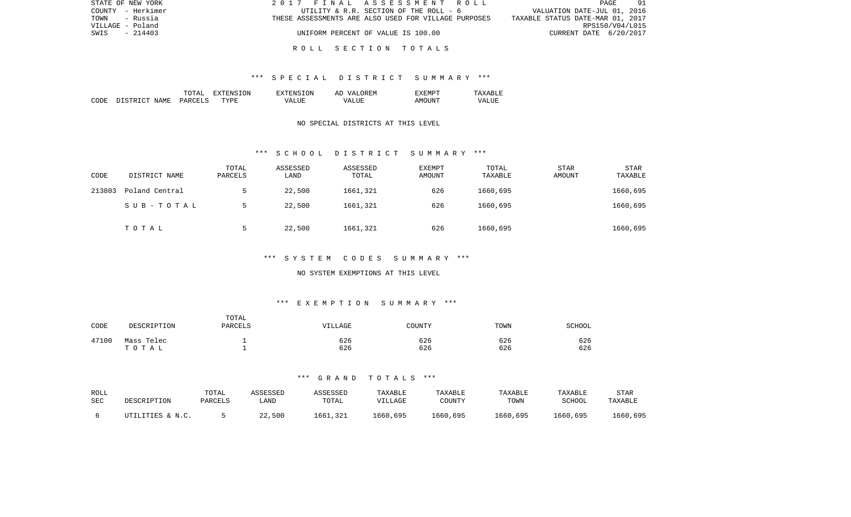| STATE OF NEW YORK | 2017 FINAL ASSESSMENT ROLL                           | 91<br>PAGE                       |
|-------------------|------------------------------------------------------|----------------------------------|
| COUNTY - Herkimer | UTILITY & R.R. SECTION OF THE ROLL - 6               | VALUATION DATE-JUL 01, 2016      |
| TOWN<br>- Russia  | THESE ASSESSMENTS ARE ALSO USED FOR VILLAGE PURPOSES | TAXABLE STATUS DATE-MAR 01, 2017 |
| VILLAGE - Poland  |                                                      | RPS150/V04/L015                  |
| SWIS<br>- 214403  | UNIFORM PERCENT OF VALUE IS 100.00                   | CURRENT DATE 6/20/2017           |
|                   |                                                      |                                  |

#### \*\*\* S P E C I A L D I S T R I C T S U M M A R Y \*\*\*

|       |                                  | ͲႶͲϪͳ                          | ON.<br>. . | TON.<br>$\neg$ v $\neg$ F.N.s. | <b>777</b><br>`F.N.<br>AΓ | "XFMPT        |                  |
|-------|----------------------------------|--------------------------------|------------|--------------------------------|---------------------------|---------------|------------------|
| CODE: | <b>NAME</b><br>$\sim$<br>־ פרי פ | <b>PARCET</b><br>$\sim$ $\sim$ | TYPF.      | $- - - -$<br>VА                | - ---<br>∖7∆<br>.         | TINT.<br>AMOT | VALU.<br>_______ |

### NO SPECIAL DISTRICTS AT THIS LEVEL

#### \*\*\* S C H O O L D I S T R I C T S U M M A R Y \*\*\*

| CODE   | DISTRICT NAME  | TOTAL<br>PARCELS | ASSESSED<br>LAND | ASSESSED<br>TOTAL | EXEMPT<br>AMOUNT | TOTAL<br>TAXABLE | <b>STAR</b><br>AMOUNT | <b>STAR</b><br>TAXABLE |
|--------|----------------|------------------|------------------|-------------------|------------------|------------------|-----------------------|------------------------|
| 213803 | Poland Central |                  | 22,500           | 1661,321          | 626              | 1660,695         |                       | 1660,695               |
|        | SUB-TOTAL      |                  | 22,500           | 1661,321          | 626              | 1660,695         |                       | 1660,695               |
|        | TOTAL          |                  | 22,500           | 1661,321          | 626              | 1660,695         |                       | 1660,695               |

# \*\*\* S Y S T E M C O D E S S U M M A R Y \*\*\*

#### NO SYSTEM EXEMPTIONS AT THIS LEVEL

# \*\*\* E X E M P T I O N S U M M A R Y \*\*\*

| CODE  | DESCRIPTION | TOTAL<br>PARCELS | VILLAGE | COUNTY | TOWN | SCHOOL |
|-------|-------------|------------------|---------|--------|------|--------|
| 47100 | Mass Telec  |                  | 626     | 626    | 626  | 626    |
|       | тотаь       |                  | 626     | 626    | 626  | 626    |

| ROLL<br>SEC | DESCRIPTION      | TOTAL<br>PARCELS | <i><b>\SSESSED</b></i><br>LAND | ASSESSED<br>TOTAL | TAXABLE<br>VILLAGE | TAXABLE<br>COUNTY | TAXABLE<br>TOWN | TAXABLE<br>SCHOOL | STAR<br>TAXABLE |
|-------------|------------------|------------------|--------------------------------|-------------------|--------------------|-------------------|-----------------|-------------------|-----------------|
|             | UTILITIES & N.C. |                  | 22,500                         | 1661,321          | 1660,695           | 1660,695          | 1660,695        | 1660,695          | 1660,695        |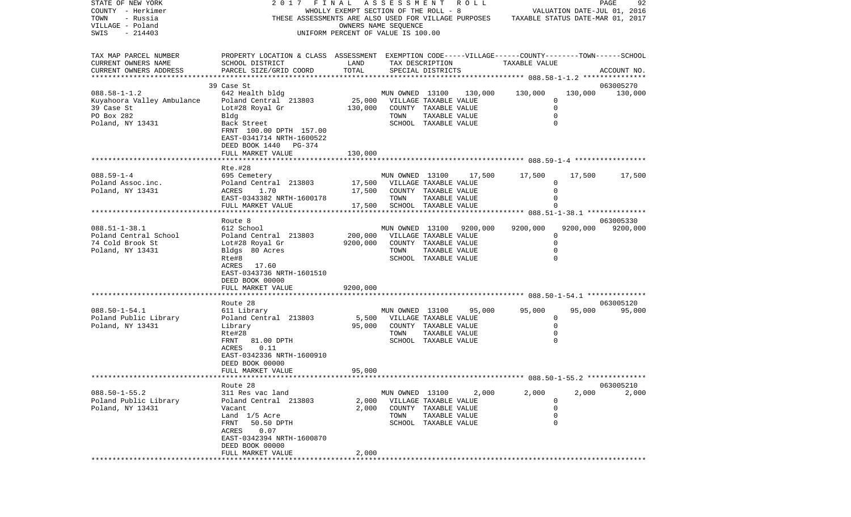| STATE OF NEW YORK          | 2017<br>FINAL                                                                                      |                                       | ASSESSMENT               |                       | R O L L |               |             | PAGE<br>92                       |
|----------------------------|----------------------------------------------------------------------------------------------------|---------------------------------------|--------------------------|-----------------------|---------|---------------|-------------|----------------------------------|
| COUNTY - Herkimer          |                                                                                                    | WHOLLY EXEMPT SECTION OF THE ROLL - 8 |                          |                       |         |               |             | VALUATION DATE-JUL 01, 2016      |
| TOWN<br>- Russia           | THESE ASSESSMENTS ARE ALSO USED FOR VILLAGE PURPOSES                                               |                                       |                          |                       |         |               |             | TAXABLE STATUS DATE-MAR 01, 2017 |
| VILLAGE - Poland           |                                                                                                    |                                       | OWNERS NAME SEQUENCE     |                       |         |               |             |                                  |
| SWIS<br>$-214403$          |                                                                                                    | UNIFORM PERCENT OF VALUE IS 100.00    |                          |                       |         |               |             |                                  |
| TAX MAP PARCEL NUMBER      | PROPERTY LOCATION & CLASS ASSESSMENT EXEMPTION CODE-----VILLAGE------COUNTY-------TOWN------SCHOOL |                                       |                          |                       |         |               |             |                                  |
| CURRENT OWNERS NAME        | SCHOOL DISTRICT                                                                                    | LAND                                  |                          | TAX DESCRIPTION       |         | TAXABLE VALUE |             |                                  |
| CURRENT OWNERS ADDRESS     | PARCEL SIZE/GRID COORD                                                                             | TOTAL                                 |                          | SPECIAL DISTRICTS     |         |               |             | ACCOUNT NO.                      |
| **********************     |                                                                                                    |                                       |                          |                       |         |               |             |                                  |
|                            | 39 Case St                                                                                         |                                       |                          |                       |         |               |             | 063005270                        |
| $088.58 - 1 - 1.2$         | 642 Health bldg                                                                                    |                                       | MUN OWNED 13100          |                       | 130,000 | 130,000       | 130,000     | 130,000                          |
| Kuyahoora Valley Ambulance | Poland Central 213803                                                                              | 25,000                                | VILLAGE TAXABLE VALUE    |                       |         |               | $\Omega$    |                                  |
| 39 Case St                 | Lot#28 Royal Gr                                                                                    | 130,000                               |                          | COUNTY TAXABLE VALUE  |         |               | $\mathbf 0$ |                                  |
| PO Box 282                 | Bldg                                                                                               |                                       | TOWN                     | TAXABLE VALUE         |         |               | 0           |                                  |
| Poland, NY 13431           | Back Street                                                                                        |                                       |                          | SCHOOL TAXABLE VALUE  |         |               | $\Omega$    |                                  |
|                            | FRNT 100.00 DPTH 157.00                                                                            |                                       |                          |                       |         |               |             |                                  |
|                            | EAST-0341714 NRTH-1600522                                                                          |                                       |                          |                       |         |               |             |                                  |
|                            | DEED BOOK 1440<br>PG-374                                                                           |                                       |                          |                       |         |               |             |                                  |
|                            | FULL MARKET VALUE                                                                                  | 130,000                               |                          |                       |         |               |             |                                  |
|                            |                                                                                                    |                                       |                          |                       |         |               |             |                                  |
|                            | Rte.#28                                                                                            |                                       |                          |                       |         |               |             |                                  |
| $088.59 - 1 - 4$           | 695 Cemetery                                                                                       |                                       | MUN OWNED 13100          |                       | 17,500  | 17,500        | 17,500      | 17,500                           |
| Poland Assoc.inc.          | Poland Central 213803                                                                              | 17,500                                | VILLAGE TAXABLE VALUE    |                       |         |               | 0           |                                  |
| Poland, NY 13431           | 1.70<br>ACRES                                                                                      | 17,500                                |                          | COUNTY TAXABLE VALUE  |         |               | 0           |                                  |
|                            | EAST-0343382 NRTH-1600178                                                                          |                                       | TOWN                     | TAXABLE VALUE         |         |               | $\Omega$    |                                  |
|                            | FULL MARKET VALUE                                                                                  | 17,500                                |                          | SCHOOL TAXABLE VALUE  |         |               |             |                                  |
|                            | Route 8                                                                                            |                                       |                          |                       |         |               |             | 063005330                        |
| $088.51 - 1 - 38.1$        | 612 School                                                                                         |                                       | MUN OWNED 13100 9200,000 |                       |         | 9200,000      | 9200,000    | 9200,000                         |
| Poland Central School      | Poland Central 213803                                                                              | 200,000                               |                          | VILLAGE TAXABLE VALUE |         |               | 0           |                                  |
| 74 Cold Brook St           | Lot#28 Royal Gr                                                                                    | 9200,000                              |                          | COUNTY TAXABLE VALUE  |         |               | $\Omega$    |                                  |
| Poland, NY 13431           | Bldgs 80 Acres                                                                                     |                                       | TOWN                     | TAXABLE VALUE         |         |               | $\Omega$    |                                  |
|                            | Rte#8                                                                                              |                                       |                          | SCHOOL TAXABLE VALUE  |         |               |             |                                  |
|                            | ACRES 17.60                                                                                        |                                       |                          |                       |         |               |             |                                  |
|                            | EAST-0343736 NRTH-1601510                                                                          |                                       |                          |                       |         |               |             |                                  |
|                            | DEED BOOK 00000                                                                                    |                                       |                          |                       |         |               |             |                                  |
|                            | FULL MARKET VALUE                                                                                  | 9200,000                              |                          |                       |         |               |             |                                  |
|                            |                                                                                                    |                                       |                          |                       |         |               |             |                                  |
|                            | Route 28                                                                                           |                                       |                          |                       |         |               |             | 063005120                        |
| $088.50 - 1 - 54.1$        | 611 Library                                                                                        |                                       | MUN OWNED 13100          |                       | 95,000  | 95,000        | 95,000      | 95,000                           |
| Poland Public Library      | Poland Central 213803                                                                              | 5,500                                 | VILLAGE TAXABLE VALUE    |                       |         |               | 0           |                                  |
| Poland, NY 13431           | Library                                                                                            | 95,000                                |                          | COUNTY TAXABLE VALUE  |         |               | 0           |                                  |
|                            | Rte#28                                                                                             |                                       | TOWN                     | TAXABLE VALUE         |         |               | 0           |                                  |
|                            | FRNT<br>81.00 DPTH                                                                                 |                                       |                          | SCHOOL TAXABLE VALUE  |         |               |             |                                  |
|                            | 0.11<br>ACRES                                                                                      |                                       |                          |                       |         |               |             |                                  |
|                            | EAST-0342336 NRTH-1600910                                                                          |                                       |                          |                       |         |               |             |                                  |
|                            | DEED BOOK 00000                                                                                    |                                       |                          |                       |         |               |             |                                  |
|                            | FULL MARKET VALUE                                                                                  | 95,000                                |                          |                       |         |               |             |                                  |
|                            | Route 28                                                                                           |                                       |                          |                       |         |               |             | 063005210                        |
| $088.50 - 1 - 55.2$        | 311 Res vac land                                                                                   |                                       | MUN OWNED 13100          |                       | 2,000   | 2,000         | 2,000       | 2,000                            |
| Poland Public Library      | Poland Central 213803                                                                              | 2,000                                 |                          | VILLAGE TAXABLE VALUE |         |               | 0           |                                  |
| Poland, NY 13431           | Vacant                                                                                             | 2,000                                 |                          | COUNTY TAXABLE VALUE  |         |               | $\mathbf 0$ |                                  |
|                            | Land 1/5 Acre                                                                                      |                                       | TOWN                     | TAXABLE VALUE         |         |               | $\mathbf 0$ |                                  |
|                            | FRNT<br>50.50 DPTH                                                                                 |                                       |                          | SCHOOL TAXABLE VALUE  |         |               | $\Omega$    |                                  |
|                            | 0.07<br>ACRES                                                                                      |                                       |                          |                       |         |               |             |                                  |
|                            | EAST-0342394 NRTH-1600870                                                                          |                                       |                          |                       |         |               |             |                                  |
|                            | DEED BOOK 00000                                                                                    |                                       |                          |                       |         |               |             |                                  |
|                            | FULL MARKET VALUE                                                                                  | 2,000                                 |                          |                       |         |               |             |                                  |
|                            |                                                                                                    |                                       |                          |                       |         |               |             |                                  |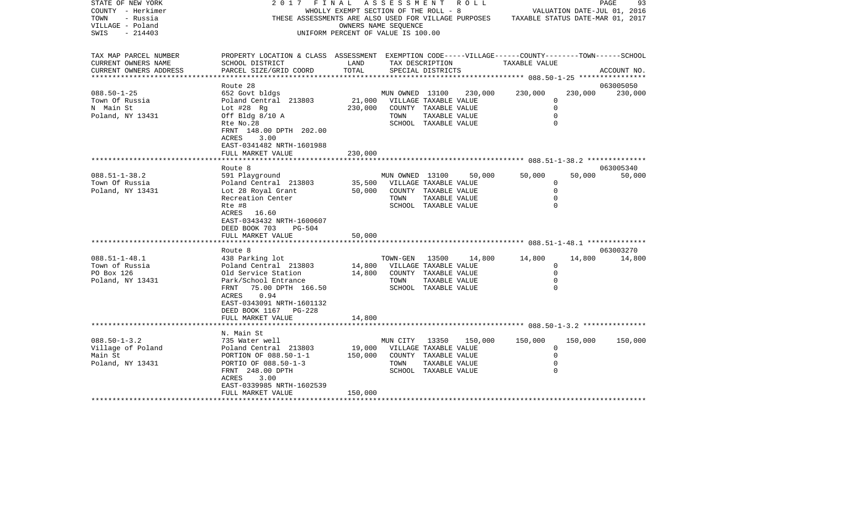| STATE OF NEW YORK<br>COUNTY - Herkimer<br>TOWN<br>- Russia<br>VILLAGE - Poland<br>$-214403$<br>SWIS | 2 0 1 7<br>THESE ASSESSMENTS ARE ALSO USED FOR VILLAGE PURPOSES                                                                                                                                               | FINAL<br>WHOLLY EXEMPT SECTION OF THE ROLL - 8<br>UNIFORM PERCENT OF VALUE IS 100.00 | ASSESSMENT<br>OWNERS NAME SEQUENCE               |                                                                                                 | R O L L | TAXABLE STATUS DATE-MAR 01, 2017                                |         | PAGE<br>93<br>VALUATION DATE-JUL 01, 2016 |
|-----------------------------------------------------------------------------------------------------|---------------------------------------------------------------------------------------------------------------------------------------------------------------------------------------------------------------|--------------------------------------------------------------------------------------|--------------------------------------------------|-------------------------------------------------------------------------------------------------|---------|-----------------------------------------------------------------|---------|-------------------------------------------|
| TAX MAP PARCEL NUMBER<br>CURRENT OWNERS NAME<br>CURRENT OWNERS ADDRESS                              | PROPERTY LOCATION & CLASS ASSESSMENT EXEMPTION CODE-----VILLAGE------COUNTY-------TOWN------SCHOOL<br>SCHOOL DISTRICT<br>PARCEL SIZE/GRID COORD                                                               | LAND<br>TOTAL                                                                        |                                                  | TAX DESCRIPTION<br>SPECIAL DISTRICTS                                                            |         | TAXABLE VALUE                                                   |         | ACCOUNT NO.                               |
| $088.50 - 1 - 25$<br>Town Of Russia<br>N Main St<br>Poland, NY 13431                                | Route 28<br>652 Govt bldgs<br>Poland Central 213803<br>Lot $#28$ Rg<br>Off Bldg $8/10$ A<br>Rte No.28<br>FRNT 148.00 DPTH 202.00<br>ACRES<br>3.00<br>EAST-0341482 NRTH-1601988                                | 21,000<br>230,000                                                                    | MUN OWNED 13100<br>VILLAGE TAXABLE VALUE<br>TOWN | COUNTY TAXABLE VALUE<br>TAXABLE VALUE<br>SCHOOL TAXABLE VALUE                                   | 230,000 | 230,000<br>0<br>$\mathbf 0$<br>$\mathbf 0$<br>$\Omega$          | 230,000 | 063005050<br>230,000                      |
|                                                                                                     | FULL MARKET VALUE                                                                                                                                                                                             | 230,000                                                                              |                                                  |                                                                                                 |         |                                                                 |         |                                           |
| $088.51 - 1 - 38.2$<br>Town Of Russia<br>Poland, NY 13431                                           | Route 8<br>591 Playground<br>Poland Central 213803<br>Lot 28 Royal Grant<br>Recreation Center<br>Rte #8<br>ACRES<br>16.60<br>EAST-0343432 NRTH-1600607<br>DEED BOOK 703<br><b>PG-504</b><br>FULL MARKET VALUE | 35,500<br>50,000<br>50,000                                                           | MUN OWNED 13100<br>TOWN                          | VILLAGE TAXABLE VALUE<br>COUNTY TAXABLE VALUE<br>TAXABLE VALUE<br>SCHOOL TAXABLE VALUE          | 50,000  | 50,000<br>$\mathbf 0$<br>$\mathbf 0$<br>$\mathbf 0$<br>$\Omega$ | 50,000  | 063005340<br>50,000                       |
|                                                                                                     | *********************                                                                                                                                                                                         |                                                                                      |                                                  |                                                                                                 |         |                                                                 |         |                                           |
| $088.51 - 1 - 48.1$<br>Town of Russia<br>PO Box 126<br>Poland, NY 13431                             | Route 8<br>438 Parking lot<br>Poland Central 213803<br>Old Service Station<br>Park/School Entrance<br>75.00 DPTH 166.50<br>FRNT<br>0.94<br>ACRES<br>EAST-0343091 NRTH-1601132<br>DEED BOOK 1167<br>PG-228     | 14,800<br>14,800                                                                     | TOWN-GEN<br>VILLAGE TAXABLE VALUE<br>TOWN        | 13500<br>COUNTY TAXABLE VALUE<br>TAXABLE VALUE<br>SCHOOL TAXABLE VALUE                          | 14,800  | 14,800<br>$\Omega$<br>$\mathbf 0$<br>$\mathbf 0$<br>0           | 14,800  | 063003270<br>14,800                       |
|                                                                                                     | FULL MARKET VALUE                                                                                                                                                                                             | 14,800                                                                               |                                                  |                                                                                                 |         |                                                                 |         |                                           |
| $088.50 - 1 - 3.2$<br>Village of Poland<br>Main St<br>Poland, NY 13431                              | N. Main St<br>735 Water well<br>Poland Central 213803<br>PORTION OF 088.50-1-1<br>PORTIO OF 088.50-1-3<br>FRNT 248.00 DPTH<br>ACRES<br>3.00                                                                   | 19,000<br>150,000                                                                    | MUN CITY<br>TOWN                                 | 13350<br>VILLAGE TAXABLE VALUE<br>COUNTY TAXABLE VALUE<br>TAXABLE VALUE<br>SCHOOL TAXABLE VALUE | 150,000 | 150,000<br>0<br>$\mathbf 0$<br>0<br>$\Omega$                    | 150,000 | 150,000                                   |
|                                                                                                     | EAST-0339985 NRTH-1602539<br>FULL MARKET VALUE<br>*********************                                                                                                                                       | 150,000                                                                              |                                                  |                                                                                                 |         |                                                                 |         |                                           |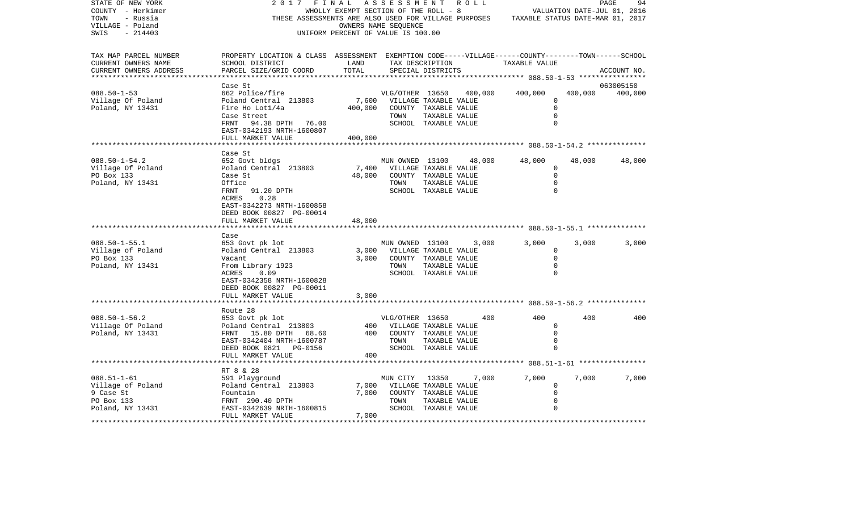| STATE OF NEW YORK<br>COUNTY - Herkimer<br>- Russia<br>TOWN<br>VILLAGE - Poland<br>$-214403$<br>SWIS | 2017<br>FINAL<br>THESE ASSESSMENTS ARE ALSO USED FOR VILLAGE PURPOSES                                                                                                                        | WHOLLY EXEMPT SECTION OF THE ROLL - 8<br>UNIFORM PERCENT OF VALUE IS 100.00 | A S S E S S M E N T<br>OWNERS NAME SEQUENCE |                                                                                                 | R O L L |                                        |                                                          | PAGE<br>94<br>VALUATION DATE-JUL 01, 2016<br>TAXABLE STATUS DATE-MAR 01, 2017 |
|-----------------------------------------------------------------------------------------------------|----------------------------------------------------------------------------------------------------------------------------------------------------------------------------------------------|-----------------------------------------------------------------------------|---------------------------------------------|-------------------------------------------------------------------------------------------------|---------|----------------------------------------|----------------------------------------------------------|-------------------------------------------------------------------------------|
| TAX MAP PARCEL NUMBER<br>CURRENT OWNERS NAME<br>CURRENT OWNERS ADDRESS<br>********************      | PROPERTY LOCATION & CLASS ASSESSMENT EXEMPTION CODE-----VILLAGE------COUNTY-------TOWN------SCHOOL<br>SCHOOL DISTRICT<br>PARCEL SIZE/GRID COORD                                              | LAND<br>TOTAL                                                               |                                             | TAX DESCRIPTION<br>SPECIAL DISTRICTS                                                            |         | TAXABLE VALUE                          |                                                          | ACCOUNT NO.                                                                   |
|                                                                                                     | Case St                                                                                                                                                                                      |                                                                             |                                             |                                                                                                 |         |                                        |                                                          | 063005150                                                                     |
| $088.50 - 1 - 53$<br>Village Of Poland<br>Poland, NY 13431                                          | 662 Police/fire<br>Poland Central 213803<br>Fire Ho Lot1/4a<br>Case Street<br>94.38 DPTH<br>FRNT<br>76.00<br>EAST-0342193 NRTH-1600807                                                       | 7,600<br>400,000                                                            | VLG/OTHER 13650<br>TOWN                     | VILLAGE TAXABLE VALUE<br>COUNTY TAXABLE VALUE<br>TAXABLE VALUE<br>SCHOOL TAXABLE VALUE          | 400,000 | 400,000                                | 400,000<br>0<br>$\Omega$<br>$\mathbf 0$<br>$\Omega$      | 400,000                                                                       |
|                                                                                                     | FULL MARKET VALUE<br>********************                                                                                                                                                    | 400,000                                                                     |                                             |                                                                                                 |         |                                        |                                                          |                                                                               |
| $088.50 - 1 - 54.2$<br>Village Of Poland<br>PO Box 133<br>Poland, NY 13431                          | Case St<br>652 Govt bldgs<br>Poland Central 213803<br>Case St<br>Office<br>91.20 DPTH<br>FRNT<br>ACRES<br>0.28<br>EAST-0342273 NRTH-1600858<br>DEED BOOK 00827 PG-00014<br>FULL MARKET VALUE | 7,400<br>48,000<br>48,000                                                   | MUN OWNED 13100<br>TOWN                     | VILLAGE TAXABLE VALUE<br>COUNTY TAXABLE VALUE<br>TAXABLE VALUE<br>SCHOOL TAXABLE VALUE          | 48,000  | 48,000                                 | 48,000<br>0<br>$\mathbf 0$<br>$\mathbf 0$<br>$\mathbf 0$ | 48,000                                                                        |
|                                                                                                     | Case                                                                                                                                                                                         |                                                                             |                                             |                                                                                                 |         |                                        |                                                          |                                                                               |
| $088.50 - 1 - 55.1$<br>Village of Poland<br>PO Box 133<br>Poland, NY 13431                          | 653 Govt pk lot<br>Poland Central 213803<br>Vacant<br>From Library 1923<br>ACRES<br>0.09<br>EAST-0342358 NRTH-1600828<br>DEED BOOK 00827 PG-00011                                            | 3,000<br>3,000                                                              | MUN OWNED 13100<br>TOWN                     | VILLAGE TAXABLE VALUE<br>COUNTY TAXABLE VALUE<br>TAXABLE VALUE<br>SCHOOL TAXABLE VALUE          | 3,000   | 3,000                                  | 3,000<br>0<br>$\Omega$<br>$\mathbf 0$<br>$\Omega$        | 3,000                                                                         |
|                                                                                                     | FULL MARKET VALUE                                                                                                                                                                            | 3,000                                                                       |                                             |                                                                                                 |         |                                        |                                                          |                                                                               |
|                                                                                                     |                                                                                                                                                                                              |                                                                             |                                             |                                                                                                 |         | ********* 088.50-1-56.2 ************** |                                                          |                                                                               |
| $088.50 - 1 - 56.2$<br>Village Of Poland<br>Poland, NY 13431                                        | Route 28<br>653 Govt pk lot<br>Poland Central 213803<br>FRNT 15.80 DPTH<br>68.60<br>EAST-0342404 NRTH-1600787<br>DEED BOOK 0821 PG-0156<br>FULL MARKET VALUE                                 | 400<br>400<br>400                                                           | VLG/OTHER 13650<br>TOWN                     | VILLAGE TAXABLE VALUE<br>COUNTY TAXABLE VALUE<br>TAXABLE VALUE<br>SCHOOL TAXABLE VALUE          | 400     | 400                                    | 400<br>$\mathbf 0$<br>$\mathbf 0$<br>0<br>$\Omega$       | 400                                                                           |
|                                                                                                     | ******************                                                                                                                                                                           |                                                                             |                                             |                                                                                                 |         |                                        |                                                          |                                                                               |
| $088.51 - 1 - 61$<br>Village of Poland<br>9 Case St<br>PO Box 133<br>Poland, NY 13431               | RT 8 & 28<br>591 Playground<br>Poland Central 213803<br>Fountain<br>FRNT 290.40 DPTH<br>EAST-0342639 NRTH-1600815                                                                            | 7,000<br>7,000                                                              | MUN CITY<br>TOWN                            | 13350<br>VILLAGE TAXABLE VALUE<br>COUNTY TAXABLE VALUE<br>TAXABLE VALUE<br>SCHOOL TAXABLE VALUE | 7,000   | 7,000                                  | 7,000<br>0<br>$\Omega$<br>$\mathbf 0$<br>$\Omega$        | 7,000                                                                         |
|                                                                                                     | FULL MARKET VALUE                                                                                                                                                                            | 7,000<br>**************                                                     |                                             |                                                                                                 |         |                                        |                                                          |                                                                               |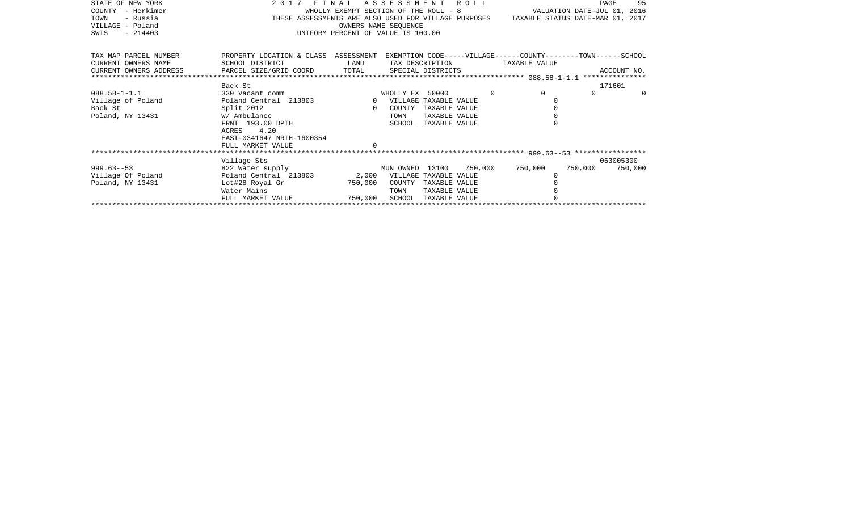| STATE OF NEW YORK      | 2017 FINAL ASSESSMENT ROLL           |                                       |                             |                      |          |                                                                                       |         | 95<br>PAGE  |          |
|------------------------|--------------------------------------|---------------------------------------|-----------------------------|----------------------|----------|---------------------------------------------------------------------------------------|---------|-------------|----------|
| - Herkimer<br>COUNTY   |                                      | WHOLLY EXEMPT SECTION OF THE ROLL - 8 |                             |                      |          | VALUATION DATE-JUL 01, 2016                                                           |         |             |          |
| - Russia<br>TOWN       |                                      |                                       |                             |                      |          | THESE ASSESSMENTS ARE ALSO USED FOR VILLAGE PURPOSES TAXABLE STATUS DATE-MAR 01, 2017 |         |             |          |
| VILLAGE - Poland       |                                      |                                       | OWNERS NAME SEOUENCE        |                      |          |                                                                                       |         |             |          |
| $-214403$<br>SWIS      |                                      | UNIFORM PERCENT OF VALUE IS 100.00    |                             |                      |          |                                                                                       |         |             |          |
|                        |                                      |                                       |                             |                      |          |                                                                                       |         |             |          |
| TAX MAP PARCEL NUMBER  | PROPERTY LOCATION & CLASS ASSESSMENT |                                       |                             |                      |          | EXEMPTION CODE-----VILLAGE------COUNTY-------TOWN------SCHOOL                         |         |             |          |
| CURRENT OWNERS NAME    | SCHOOL DISTRICT                      | LAND                                  |                             | TAX DESCRIPTION      |          | TAXABLE VALUE                                                                         |         |             |          |
| CURRENT OWNERS ADDRESS | PARCEL SIZE/GRID COORD TOTAL         |                                       | SPECIAL DISTRICTS           |                      |          |                                                                                       |         | ACCOUNT NO. |          |
|                        |                                      |                                       |                             |                      |          |                                                                                       |         |             |          |
|                        | Back St                              |                                       |                             |                      |          |                                                                                       |         | 171601      |          |
| $088.58 - 1 - 1.1$     | 330 Vacant comm                      |                                       | WHOLLY EX 50000             |                      | $\Omega$ | $\Omega$                                                                              | $\cap$  |             | $\Omega$ |
| Village of Poland      | Poland Central 213803                |                                       | 0 VILLAGE TAXABLE VALUE     |                      |          |                                                                                       |         |             |          |
| Back St                | Split 2012                           | $\Omega$                              | COUNTY                      | TAXABLE VALUE        |          |                                                                                       |         |             |          |
| Poland, NY 13431       | W/ Ambulance                         |                                       | TOWN                        | TAXABLE VALUE        |          |                                                                                       |         |             |          |
|                        | FRNT 193.00 DPTH                     |                                       | SCHOOL                      | TAXABLE VALUE        |          |                                                                                       |         |             |          |
|                        | ACRES 4.20                           |                                       |                             |                      |          |                                                                                       |         |             |          |
|                        | EAST-0341647 NRTH-1600354            |                                       |                             |                      |          |                                                                                       |         |             |          |
|                        | FULL MARKET VALUE                    |                                       |                             |                      |          |                                                                                       |         |             |          |
|                        |                                      |                                       |                             |                      |          |                                                                                       |         |             |          |
|                        | Village Sts                          |                                       |                             |                      |          |                                                                                       |         | 063005300   |          |
| $999.63 - 53$          | 822 Water supply                     |                                       | MUN OWNED 13100 750,000     |                      |          | 750,000                                                                               | 750,000 | 750,000     |          |
| Village Of Poland      | Poland Central 213803                |                                       | 2,000 VILLAGE TAXABLE VALUE |                      |          |                                                                                       |         |             |          |
| Poland, NY 13431       | Lot#28 Royal Gr                      | 750,000                               | COUNTY                      | TAXABLE VALUE        |          |                                                                                       |         |             |          |
|                        | Water Mains                          |                                       | TOWN                        | TAXABLE VALUE        |          |                                                                                       |         |             |          |
|                        | FULL MARKET VALUE                    | 750,000                               |                             | SCHOOL TAXABLE VALUE |          |                                                                                       |         |             |          |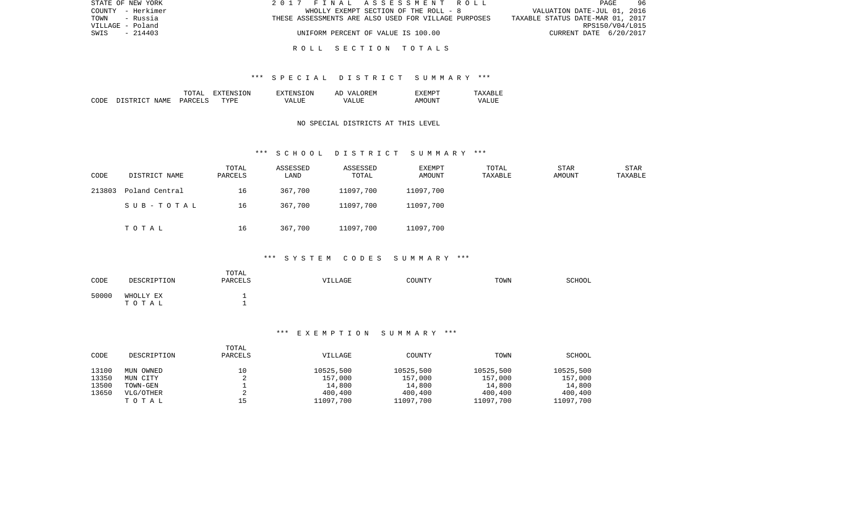| STATE OF NEW YORK | 2017 FINAL ASSESSMENT ROLL                           | 96<br>PAGE                       |
|-------------------|------------------------------------------------------|----------------------------------|
| COUNTY - Herkimer | WHOLLY EXEMPT SECTION OF THE ROLL - 8                | VALUATION DATE-JUL 01, 2016      |
| TOWN<br>- Russia  | THESE ASSESSMENTS ARE ALSO USED FOR VILLAGE PURPOSES | TAXABLE STATUS DATE-MAR 01, 2017 |
| VILLAGE - Poland  |                                                      | RPS150/V04/L015                  |
| SWIS<br>$-214403$ | UNIFORM PERCENT OF VALUE IS 100.00                   | CURRENT DATE 6/20/2017           |
|                   |                                                      |                                  |

### \*\*\* S P E C I A L D I S T R I C T S U M M A R Y \*\*\*

|      |                           | ו ב∠יוי       | .ON.<br>. л. | <b>TON</b><br>ENS.      | OREM<br>AĽ<br>$\sqrt{ }$ |           | $\cdots$<br>.       |
|------|---------------------------|---------------|--------------|-------------------------|--------------------------|-----------|---------------------|
| CODE | NAME.<br>$\sim$<br>T STR' | PARCET<br>$-$ | TYPE         | TJIR.<br>™Д.<br>د لله ا | T.ITR:<br>$\sqrt{A}$     | <b>IN</b> | vд<br>LU.<br>______ |

### NO SPECIAL DISTRICTS AT THIS LEVEL

#### \*\*\* S C H O O L D I S T R I C T S U M M A R Y \*\*\*

| CODE   | DISTRICT NAME  | TOTAL<br>PARCELS | ASSESSED<br>LAND | ASSESSED<br>TOTAL | EXEMPT<br>AMOUNT | TOTAL<br>TAXABLE | <b>STAR</b><br>AMOUNT | STAR<br>TAXABLE |
|--------|----------------|------------------|------------------|-------------------|------------------|------------------|-----------------------|-----------------|
| 213803 | Poland Central | 16               | 367,700          | 11097,700         | 11097,700        |                  |                       |                 |
|        | SUB-TOTAL      | 16               | 367,700          | 11097,700         | 11097,700        |                  |                       |                 |
|        | TOTAL          | 16               | 367,700          | 11097,700         | 11097,700        |                  |                       |                 |

# \*\*\* S Y S T E M C O D E S S U M M A R Y \*\*\*

| CODE  | DESCRIPTION        | TOTAL<br>PARCELS | VILLAGE | COUNTY | TOWN | SCHOOL |
|-------|--------------------|------------------|---------|--------|------|--------|
| 50000 | WHOLLY EX<br>TOTAL | -                |         |        |      |        |

### \*\*\* E X E M P T I O N S U M M A R Y \*\*\*

| CODE  | DESCRIPTION | TOTAL<br>PARCELS | VILLAGE   | COUNTY    | TOWN      | SCHOOL    |
|-------|-------------|------------------|-----------|-----------|-----------|-----------|
| 13100 | MUN OWNED   | 10               | 10525,500 | 10525,500 | 10525,500 | 10525,500 |
| 13350 | MUN CITY    |                  | 157,000   | 157,000   | 157,000   | 157,000   |
| 13500 | TOWN-GEN    |                  | 14,800    | 14,800    | 14,800    | 14,800    |
| 13650 | VLG/OTHER   |                  | 400,400   | 400,400   | 400,400   | 400,400   |
|       | TOTAL       | 15               | 11097,700 | 11097,700 | 11097,700 | 11097,700 |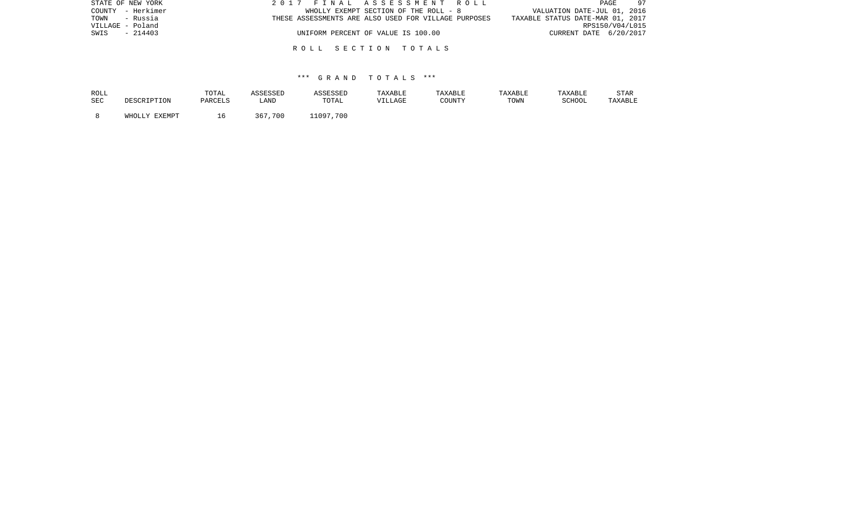| STATE OF NEW YORK | 2017 FINAL ASSESSMENT ROLL                           | 97<br>PAGE                       |
|-------------------|------------------------------------------------------|----------------------------------|
| COUNTY - Herkimer | WHOLLY EXEMPT SECTION OF THE ROLL - 8                | VALUATION DATE-JUL 01, 2016      |
| TOWN - Russia     | THESE ASSESSMENTS ARE ALSO USED FOR VILLAGE PURPOSES | TAXABLE STATUS DATE-MAR 01, 2017 |
| VILLAGE - Poland  |                                                      | RPS150/V04/L015                  |
| $-214403$<br>SWIS | UNIFORM PERCENT OF VALUE IS 100.00                   | CURRENT DATE 6/20/2017           |
|                   |                                                      |                                  |
|                   | ROLL SECTION TOTALS                                  |                                  |

| ROLL |               | TOTAL   | ASSESSED    | <i><b>ISSESSED</b></i> | TAXABLE | TAXABLE | <b>TAXABLE</b> | TAXABLE | <b>STAR</b> |
|------|---------------|---------|-------------|------------------------|---------|---------|----------------|---------|-------------|
| SEC  |               | PARCELS | LAND        | TOTAL                  | VILLAGE | COUNTY  | TOWN           | SCHOOL  | TAXABLE     |
|      | WHOLLY EXEMPT | h       | .700<br>367 | 700<br>11097           |         |         |                |         |             |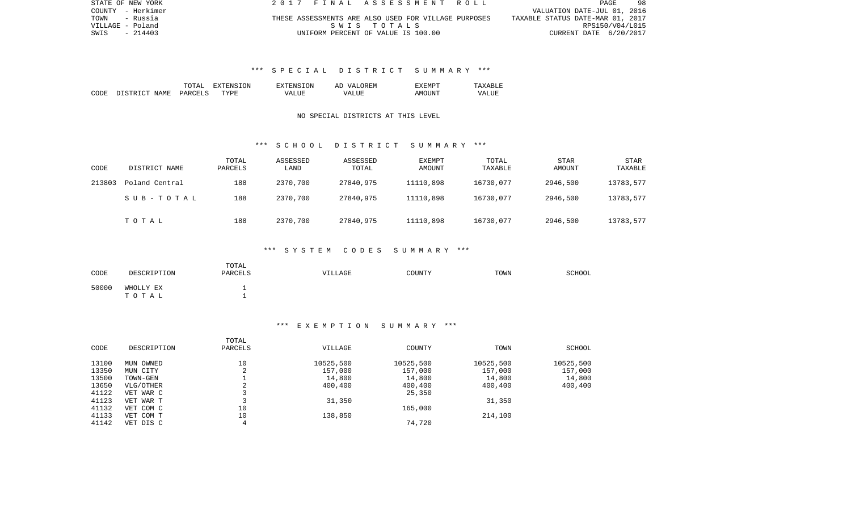| STATE OF NEW YORK | 2017 FINAL ASSESSMENT ROLL                           | PAGE<br>-98                      |
|-------------------|------------------------------------------------------|----------------------------------|
| COUNTY - Herkimer |                                                      | VALUATION DATE-JUL 01, 2016      |
| TOWN<br>- Russia  | THESE ASSESSMENTS ARE ALSO USED FOR VILLAGE PURPOSES | TAXABLE STATUS DATE-MAR 01, 2017 |
| VILLAGE - Poland  | SWIS TOTALS                                          | RPS150/V04/L015                  |
| SWIS<br>- 214403  | UNIFORM PERCENT OF VALUE IS 100.00                   | CURRENT DATE 6/20/2017           |

# \*\*\* S P E C I A L D I S T R I C T S U M M A R Y \*\*\*

|      |                   | $m \wedge m \wedge r$<br>LOTAL | 3ION<br>EXTENS<br>н: х | 'SION<br>CNS-         | OREM<br><b>T77</b><br>АC | EXEMPT       |              |
|------|-------------------|--------------------------------|------------------------|-----------------------|--------------------------|--------------|--------------|
| CODE | NAME<br>DI STRICT | <b>DARCELS</b>                 | TYPF                   | T TTF<br>$\sqrt{A}$ . | VALIJE                   | AMC<br>ntint | <b>VALUI</b> |

## NO SPECIAL DISTRICTS AT THIS LEVEL

### \*\*\* S C H O O L D I S T R I C T S U M M A R Y \*\*\*

| CODE   | DISTRICT NAME  | TOTAL<br>PARCELS | ASSESSED<br>LAND | ASSESSED<br>TOTAL | <b>EXEMPT</b><br>AMOUNT | TOTAL<br>TAXABLE | <b>STAR</b><br>AMOUNT | STAR<br>TAXABLE |
|--------|----------------|------------------|------------------|-------------------|-------------------------|------------------|-----------------------|-----------------|
| 213803 | Poland Central | 188              | 2370,700         | 27840,975         | 11110,898               | 16730,077        | 2946,500              | 13783,577       |
|        | SUB-TOTAL      | 188              | 2370,700         | 27840,975         | 11110,898               | 16730,077        | 2946,500              | 13783,577       |
|        | тотаь          | 188              | 2370,700         | 27840,975         | 11110,898               | 16730,077        | 2946,500              | 13783,577       |

### \*\*\* S Y S T E M C O D E S S U M M A R Y \*\*\*

| CODE  | DESCRIPTION        | TOTAL<br>PARCELS | <b>VILLAGE</b> | COUNTY | TOWN | SCHOOL |
|-------|--------------------|------------------|----------------|--------|------|--------|
| 50000 | WHOLLY EX<br>TOTAL |                  |                |        |      |        |

### \*\*\* E X E M P T I O N S U M M A R Y \*\*\*

|       |             | TOTAL         |           |           |           |           |
|-------|-------------|---------------|-----------|-----------|-----------|-----------|
| CODE  | DESCRIPTION | PARCELS       | VILLAGE   | COUNTY    | TOWN      | SCHOOL    |
| 13100 | MUN OWNED   | 10            | 10525,500 | 10525,500 | 10525,500 | 10525,500 |
| 13350 | MUN CITY    | $\Omega$<br>∠ | 157,000   | 157,000   | 157,000   | 157,000   |
| 13500 | TOWN-GEN    |               | 14,800    | 14,800    | 14,800    | 14,800    |
| 13650 | VLG/OTHER   | $\sim$<br>z.  | 400,400   | 400,400   | 400,400   | 400,400   |
| 41122 | VET WAR C   |               |           | 25,350    |           |           |
| 41123 | VET WAR T   |               | 31,350    |           | 31,350    |           |
| 41132 | VET COM C   | 10            |           | 165,000   |           |           |
| 41133 | VET COM T   | 10            | 138,850   |           | 214,100   |           |
| 41142 | VET DIS C   | 4             |           | 74,720    |           |           |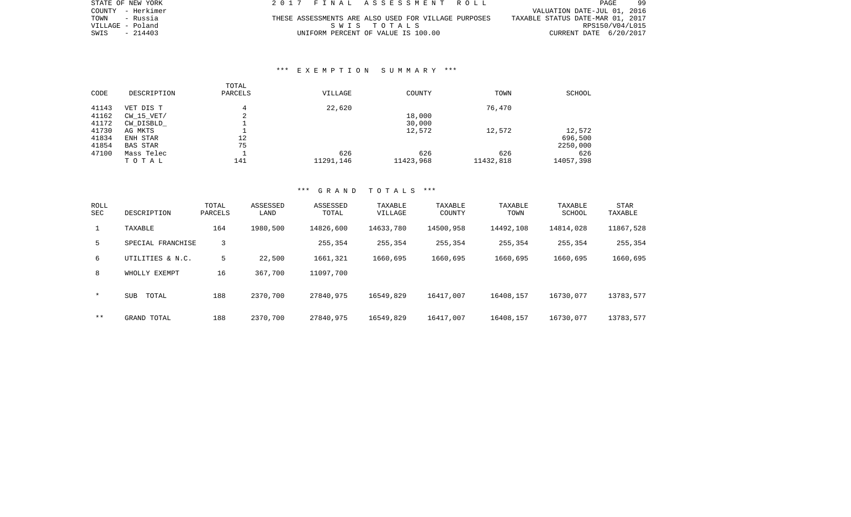| STATE OF NEW YORK |          |  |                                    |             |  |  | 2017 FINAL ASSESSMENT ROLL                           |                                  | PAGE            | -99 |
|-------------------|----------|--|------------------------------------|-------------|--|--|------------------------------------------------------|----------------------------------|-----------------|-----|
| COUNTY - Herkimer |          |  |                                    |             |  |  |                                                      | VALUATION DATE-JUL 01, 2016      |                 |     |
| TOWN              | - Russia |  |                                    |             |  |  | THESE ASSESSMENTS ARE ALSO USED FOR VILLAGE PURPOSES | TAXABLE STATUS DATE-MAR 01, 2017 |                 |     |
| VILLAGE - Poland  |          |  |                                    | SWIS TOTALS |  |  |                                                      |                                  | RPS150/V04/L015 |     |
| SWIS              | - 214403 |  | UNIFORM PERCENT OF VALUE IS 100.00 |             |  |  |                                                      | CURRENT DATE 6/20/2017           |                 |     |

### \*\*\* E X E M P T I O N S U M M A R Y \*\*\*

|       |             | TOTAL   |           |           |           |               |
|-------|-------------|---------|-----------|-----------|-----------|---------------|
| CODE  | DESCRIPTION | PARCELS | VILLAGE   | COUNTY    | TOWN      | <b>SCHOOL</b> |
| 41143 | VET DIS T   | 4       | 22,620    |           | 76,470    |               |
| 41162 | CW 15 VET/  | ◠<br>∠  |           | 18,000    |           |               |
| 41172 | CW DISBLD   |         |           | 30,000    |           |               |
| 41730 | AG MKTS     |         |           | 12,572    | 12,572    | 12,572        |
| 41834 | ENH STAR    | 12      |           |           |           | 696,500       |
| 41854 | BAS STAR    | 75      |           |           |           | 2250,000      |
| 47100 | Mass Telec  |         | 626       | 626       | 626       | 626           |
|       | TOTAL       | 141     | 11291,146 | 11423,968 | 11432,818 | 14057,398     |

| ROLL<br>SEC | DESCRIPTION         | TOTAL<br>PARCELS | ASSESSED<br>LAND | ASSESSED<br>TOTAL | TAXABLE<br>VILLAGE | TAXABLE<br>COUNTY | TAXABLE<br>TOWN | TAXABLE<br>SCHOOL | STAR<br>TAXABLE |
|-------------|---------------------|------------------|------------------|-------------------|--------------------|-------------------|-----------------|-------------------|-----------------|
|             | TAXABLE             | 164              | 1980,500         | 14826,600         | 14633,780          | 14500,958         | 14492,108       | 14814,028         | 11867,528       |
| 5           | SPECIAL FRANCHISE   | 3                |                  | 255,354           | 255,354            | 255,354           | 255,354         | 255,354           | 255,354         |
| 6           | UTILITIES & N.C.    | 5                | 22,500           | 1661,321          | 1660,695           | 1660,695          | 1660,695        | 1660,695          | 1660,695        |
| 8           | WHOLLY EXEMPT       | 16               | 367,700          | 11097,700         |                    |                   |                 |                   |                 |
| $\ast$      | <b>SUB</b><br>TOTAL | 188              | 2370,700         | 27840,975         | 16549,829          | 16417,007         | 16408,157       | 16730,077         | 13783,577       |
| $* *$       | GRAND TOTAL         | 188              | 2370,700         | 27840,975         | 16549,829          | 16417,007         | 16408,157       | 16730,077         | 13783,577       |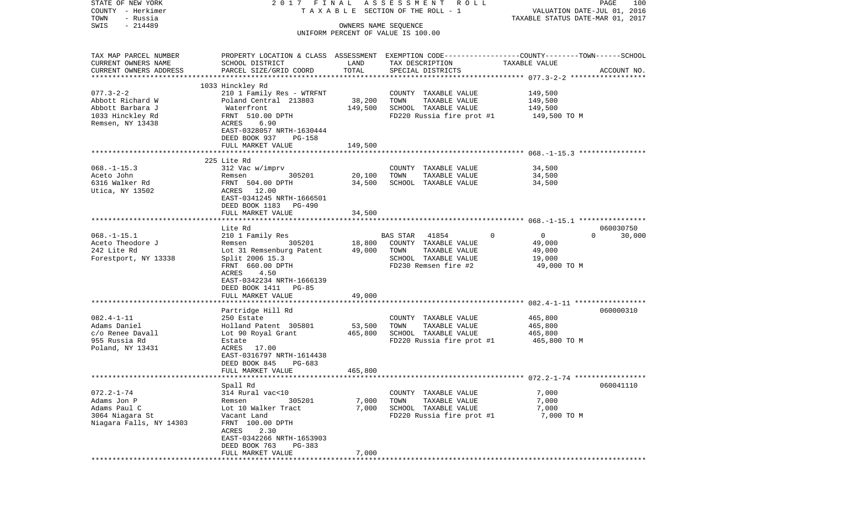| STATE OF NEW YORK                | 2017 FINAL                                  |                   | A S S E S S M E N T R O L L                                                                     |                                  | PAGE<br>100                 |
|----------------------------------|---------------------------------------------|-------------------|-------------------------------------------------------------------------------------------------|----------------------------------|-----------------------------|
| COUNTY - Herkimer                |                                             |                   | TAXABLE SECTION OF THE ROLL - 1                                                                 |                                  | VALUATION DATE-JUL 01, 2016 |
| TOWN<br>- Russia                 |                                             |                   |                                                                                                 | TAXABLE STATUS DATE-MAR 01, 2017 |                             |
| $-214489$<br>SWIS                |                                             |                   | OWNERS NAME SEQUENCE                                                                            |                                  |                             |
|                                  |                                             |                   | UNIFORM PERCENT OF VALUE IS 100.00                                                              |                                  |                             |
| TAX MAP PARCEL NUMBER            |                                             |                   | PROPERTY LOCATION & CLASS ASSESSMENT EXEMPTION CODE---------------COUNTY-------TOWN------SCHOOL |                                  |                             |
| CURRENT OWNERS NAME              | SCHOOL DISTRICT                             | LAND              | TAX DESCRIPTION                                                                                 | TAXABLE VALUE                    |                             |
| CURRENT OWNERS ADDRESS           | PARCEL SIZE/GRID COORD                      | TOTAL             | SPECIAL DISTRICTS                                                                               |                                  | ACCOUNT NO.                 |
| *************************        |                                             |                   |                                                                                                 |                                  |                             |
|                                  | 1033 Hinckley Rd                            |                   |                                                                                                 |                                  |                             |
| $077.3 - 2 - 2$                  | 210 1 Family Res - WTRFNT                   |                   | COUNTY TAXABLE VALUE                                                                            | 149,500                          |                             |
| Abbott Richard W                 | Poland Central 213803                       | 38,200            | TOWN<br>TAXABLE VALUE                                                                           | 149,500                          |                             |
| Abbott Barbara J                 | Waterfront                                  | 149,500           | SCHOOL TAXABLE VALUE                                                                            | 149,500                          |                             |
| 1033 Hinckley Rd                 | FRNT 510.00 DPTH                            |                   | FD220 Russia fire prot #1                                                                       | 149,500 TO M                     |                             |
| Remsen, NY 13438                 | ACRES<br>6.90                               |                   |                                                                                                 |                                  |                             |
|                                  | EAST-0328057 NRTH-1630444                   |                   |                                                                                                 |                                  |                             |
|                                  | DEED BOOK 937<br>PG-158                     |                   |                                                                                                 |                                  |                             |
|                                  | FULL MARKET VALUE                           | 149,500           |                                                                                                 |                                  |                             |
|                                  |                                             |                   |                                                                                                 |                                  |                             |
|                                  | 225 Lite Rd                                 |                   |                                                                                                 |                                  |                             |
| $068. -1 - 15.3$<br>Aceto John   | 312 Vac w/imprv<br>305201                   |                   | COUNTY TAXABLE VALUE                                                                            | 34,500<br>34,500                 |                             |
| 6316 Walker Rd                   | Remsen<br>FRNT 504.00 DPTH                  | 20,100<br>34,500  | TAXABLE VALUE<br>TOWN<br>SCHOOL TAXABLE VALUE                                                   | 34,500                           |                             |
| Utica, NY 13502                  | ACRES 12.00                                 |                   |                                                                                                 |                                  |                             |
|                                  | EAST-0341245 NRTH-1666501                   |                   |                                                                                                 |                                  |                             |
|                                  | DEED BOOK 1183 PG-490                       |                   |                                                                                                 |                                  |                             |
|                                  | FULL MARKET VALUE                           | 34,500            |                                                                                                 |                                  |                             |
|                                  |                                             |                   |                                                                                                 |                                  |                             |
|                                  | Lite Rd                                     |                   |                                                                                                 |                                  | 060030750                   |
| $068. - 1 - 15.1$                | 210 1 Family Res                            |                   | BAS STAR<br>41854<br>$\Omega$                                                                   | $\mathbf 0$                      | $\Omega$<br>30,000          |
| Aceto Theodore J                 | 305201<br>Remsen                            | 18,800            | COUNTY TAXABLE VALUE                                                                            | 49,000                           |                             |
| 242 Lite Rd                      | Lot 31 Remsenburg Patent                    | 49,000            | TOWN<br>TAXABLE VALUE                                                                           | 49,000                           |                             |
| Forestport, NY 13338             | Split 2006 15.3                             |                   | SCHOOL TAXABLE VALUE                                                                            | 19,000                           |                             |
|                                  | FRNT 660.00 DPTH                            |                   | FD230 Remsen fire #2                                                                            | 49,000 TO M                      |                             |
|                                  | ACRES<br>4.50                               |                   |                                                                                                 |                                  |                             |
|                                  | EAST-0342234 NRTH-1666139                   |                   |                                                                                                 |                                  |                             |
|                                  | DEED BOOK 1411 PG-85                        |                   |                                                                                                 |                                  |                             |
|                                  | FULL MARKET VALUE<br>*******************    | 49,000            |                                                                                                 |                                  |                             |
|                                  |                                             |                   |                                                                                                 |                                  |                             |
|                                  | Partridge Hill Rd                           |                   |                                                                                                 |                                  | 060000310                   |
| $082.4 - 1 - 11$<br>Adams Daniel | 250 Estate                                  |                   | COUNTY TAXABLE VALUE<br>TOWN                                                                    | 465,800                          |                             |
| c/o Renee Davall                 | Holland Patent 305801<br>Lot 90 Royal Grant | 53,500<br>465,800 | TAXABLE VALUE<br>SCHOOL TAXABLE VALUE                                                           | 465,800<br>465,800               |                             |
| 955 Russia Rd                    | Estate                                      |                   | FD220 Russia fire prot #1                                                                       | 465,800 TO M                     |                             |
| Poland, NY 13431                 | ACRES 17.00                                 |                   |                                                                                                 |                                  |                             |
|                                  | EAST-0316797 NRTH-1614438                   |                   |                                                                                                 |                                  |                             |
|                                  | DEED BOOK 845<br>PG-683                     |                   |                                                                                                 |                                  |                             |
|                                  | FULL MARKET VALUE                           | 465,800           |                                                                                                 |                                  |                             |
|                                  |                                             |                   |                                                                                                 |                                  |                             |
|                                  | Spall Rd                                    |                   |                                                                                                 |                                  | 060041110                   |
| $072.2 - 1 - 74$                 | 314 Rural vac<10                            |                   | COUNTY<br>TAXABLE VALUE                                                                         | 7,000                            |                             |
| Adams Jon P                      | Remsen<br>305201                            | 7,000             | TOWN<br>TAXABLE VALUE                                                                           | 7,000                            |                             |
| Adams Paul C                     | Lot 10 Walker Tract                         | 7,000             | SCHOOL TAXABLE VALUE                                                                            | 7,000                            |                             |
| 3064 Niagara St                  | Vacant Land                                 |                   | FD220 Russia fire prot #1                                                                       | 7,000 TO M                       |                             |
| Niagara Falls, NY 14303          | FRNT 100.00 DPTH                            |                   |                                                                                                 |                                  |                             |
|                                  | 2.30<br>ACRES                               |                   |                                                                                                 |                                  |                             |
|                                  | EAST-0342266 NRTH-1653903                   |                   |                                                                                                 |                                  |                             |
|                                  | DEED BOOK 763<br>PG-383                     |                   |                                                                                                 |                                  |                             |
|                                  | FULL MARKET VALUE                           | 7,000             |                                                                                                 |                                  |                             |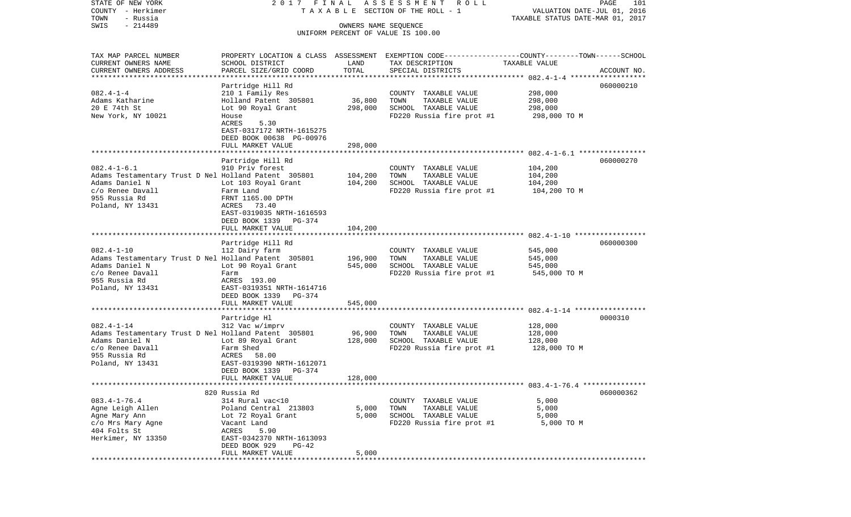COUNTY - Herkimer T A X A B L E SECTION OF THE ROLL - 1 VALUATION DATE-JUL 01, 2016 TOWN - Russia TAXABLE STATUS DATE-MAR 01, 2017 SWIS - 214489 OWNERS NAME SEQUENCE UNIFORM PERCENT OF VALUE IS 100.00TAX MAP PARCEL NUMBER PROPERTY LOCATION & CLASS ASSESSMENT EXEMPTION CODE------------------COUNTY--------TOWN------SCHOOL CURRENT OWNERS NAME SCHOOL DISTRICT LAND TAX DESCRIPTION TAXABLE VALUECURRENT OWNERS ADDRESS PARCEL SIZE/GRID COORD TOTAL SPECIAL DISTRICTS ACCOUNT NO. \*\*\*\*\*\*\*\*\*\*\*\*\*\*\*\*\*\*\*\*\*\*\*\*\*\*\*\*\*\*\*\*\*\*\*\*\*\*\*\*\*\*\*\*\*\*\*\*\*\*\*\*\*\*\*\*\*\*\*\*\*\*\*\*\*\*\*\*\*\*\*\*\*\*\*\*\*\*\*\*\*\*\*\*\*\*\*\*\*\*\*\*\*\*\*\*\*\*\*\*\*\*\* 082.4-1-4 \*\*\*\*\*\*\*\*\*\*\*\*\*\*\*\*\*\* Partridge Hill Rd 060000210 082.4-1-4 210 1 Family Res COUNTY TAXABLE VALUE 298,000 Adams Katharine Holland Patent 305801 36,800 TOWN TAXABLE VALUE 298,000 20 E 74th St Lot 90 Royal Grant 298,000 SCHOOL TAXABLE VALUE 298,000 New York, NY 10021 House House FD220 Russia fire prot #1 298,000 TO M ACRES EAST-0317172 NRTH-1615275 DEED BOOK 00638 PG-00976 FULL MARKET VALUE 298,000 \*\*\*\*\*\*\*\*\*\*\*\*\*\*\*\*\*\*\*\*\*\*\*\*\*\*\*\*\*\*\*\*\*\*\*\*\*\*\*\*\*\*\*\*\*\*\*\*\*\*\*\*\*\*\*\*\*\*\*\*\*\*\*\*\*\*\*\*\*\*\*\*\*\*\*\*\*\*\*\*\*\*\*\*\*\*\*\*\*\*\*\*\*\*\*\*\*\*\*\*\*\*\* 082.4-1-6.1 \*\*\*\*\*\*\*\*\*\*\*\*\*\*\*\* Partridge Hill Rd 060000270 082.4-1-6.1 910 Priv forest COUNTY TAXABLE VALUE 104,200 Adams Testamentary Trust D Nel Holland Patent 305801 104,200 TOWN TAXABLE VALUE 104,200 Adams Daniel N Lot 103 Royal Grant 104,200 SCHOOL TAXABLE VALUE 104,200 c/o Renee Davall Farm Land FD220 Russia fire prot #1 104,200 TO M 955 Russia Rd FRNT 1165.00 DPTH Poland, NY 13431 ACRES 73.40 EAST-0319035 NRTH-1616593 DEED BOOK 1339 PG-374FULL MARKET VALUE 104,200 \*\*\*\*\*\*\*\*\*\*\*\*\*\*\*\*\*\*\*\*\*\*\*\*\*\*\*\*\*\*\*\*\*\*\*\*\*\*\*\*\*\*\*\*\*\*\*\*\*\*\*\*\*\*\*\*\*\*\*\*\*\*\*\*\*\*\*\*\*\*\*\*\*\*\*\*\*\*\*\*\*\*\*\*\*\*\*\*\*\*\*\*\*\*\*\*\*\*\*\*\*\*\* 082.4-1-10 \*\*\*\*\*\*\*\*\*\*\*\*\*\*\*\*\* Partridge Hill Rd 060000300 082.4-1-10 112 Dairy farm COUNTY TAXABLE VALUE 545,000 Adams Testamentary Trust D Nel Holland Patent 305801 196,900 TOWN TAXABLE VALUE 545,000<br>Adams Daniel N Lot 90 Roval Grant 545,000 SCHOOL TAXABLE VALUE 545 Lot 90 Royal Grant 545,000 SCHOOL TAXABLE VALUE c/o Renee Davall Farm FD220 Russia fire prot #1 545,000 TO M 955 Russia Rd ACRES 193.00Poland, NY 13431 EAST-0319351 NRTH-1614716 DEED BOOK 1339 PG-374 FULL MARKET VALUE 545,000 \*\*\*\*\*\*\*\*\*\*\*\*\*\*\*\*\*\*\*\*\*\*\*\*\*\*\*\*\*\*\*\*\*\*\*\*\*\*\*\*\*\*\*\*\*\*\*\*\*\*\*\*\*\*\*\*\*\*\*\*\*\*\*\*\*\*\*\*\*\*\*\*\*\*\*\*\*\*\*\*\*\*\*\*\*\*\*\*\*\*\*\*\*\*\*\*\*\*\*\*\*\*\* 082.4-1-14 \*\*\*\*\*\*\*\*\*\*\*\*\*\*\*\*\* Partridge Hl 0000310 082.4-1-14 312 Vac w/imprv COUNTY TAXABLE VALUE 128,000 Adams Testamentary Trust D Nel Holland Patent 305801 96,900 TOWN TAXABLE VALUE 128,000 Adams Daniel N **Lot 89 Royal Grant** 128,000 SCHOOL TAXABLE VALUE 128,000 c/o Renee Davall Farm Shed Farm Shed FD220 Russia fire prot #1 128,000 TO M<br>955 Russia Rd 955 Russia Rd ACRES 58.00Poland, NY 13431 EAST-0319390 NRTH-1612071 DEED BOOK 1339 PG-374FULL MARKET VALUE 128,000 \*\*\*\*\*\*\*\*\*\*\*\*\*\*\*\*\*\*\*\*\*\*\*\*\*\*\*\*\*\*\*\*\*\*\*\*\*\*\*\*\*\*\*\*\*\*\*\*\*\*\*\*\*\*\*\*\*\*\*\*\*\*\*\*\*\*\*\*\*\*\*\*\*\*\*\*\*\*\*\*\*\*\*\*\*\*\*\*\*\*\*\*\*\*\*\*\*\*\*\*\*\*\* 083.4-1-76.4 \*\*\*\*\*\*\*\*\*\*\*\*\*\*\* 820 Russia Rd 060000362083.4-1-76.4 314 Rural vac<10 COUNTY TAXABLE VALUE 5,000 Agne Leigh Allen Poland Central 213803 5,000 TOWN TAXABLE VALUE 5,000 Agne Mary Ann Lot 72 Royal Grant 5,000 SCHOOL TAXABLE VALUE 5,000 c/o Mrs Mary Agne Vacant Land FD220 Russia fire prot #1 5,000 TO M 404 Folts St ACRES 5.90 Herkimer, NY 13350 EAST-0342370 NRTH-1613093 DEED BOOK 929 PG-42FULL MARKET VALUE 5,000 \*\*\*\*\*\*\*\*\*\*\*\*\*\*\*\*\*\*\*\*\*\*\*\*\*\*\*\*\*\*\*\*\*\*\*\*\*\*\*\*\*\*\*\*\*\*\*\*\*\*\*\*\*\*\*\*\*\*\*\*\*\*\*\*\*\*\*\*\*\*\*\*\*\*\*\*\*\*\*\*\*\*\*\*\*\*\*\*\*\*\*\*\*\*\*\*\*\*\*\*\*\*\*\*\*\*\*\*\*\*\*\*\*\*\*\*\*\*\*\*\*\*\*\*\*\*\*\*\*\*\*\*

STATE OF NEW YORK 2 0 1 7 F I N A L A S S E S S M E N T R O L L PAGE 101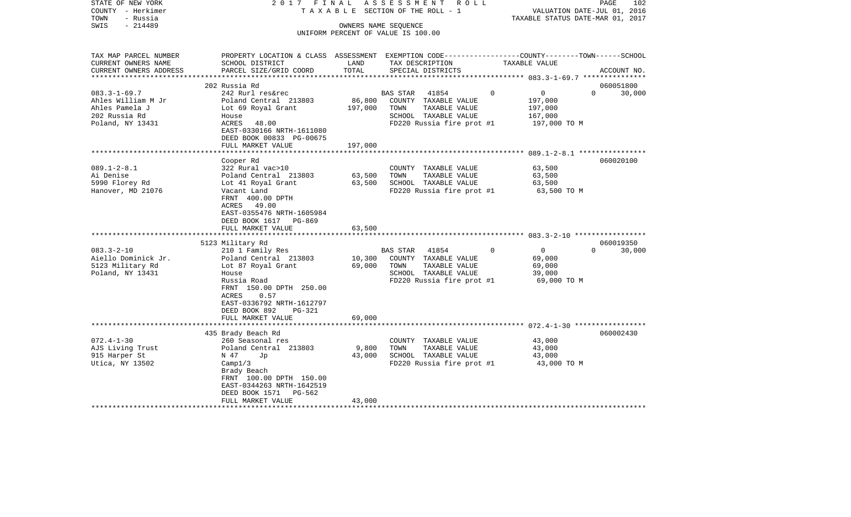| STATE OF NEW YORK<br>COUNTY - Herkimer<br>- Russia<br>TOWN | 2017 FINAL                                                                                       |               | ASSESSMENT ROLL<br>TAXABLE SECTION OF THE ROLL - 1         |          | VALUATION DATE-JUL 01, 2016<br>TAXABLE STATUS DATE-MAR 01, 2017 | PAGE<br>102        |
|------------------------------------------------------------|--------------------------------------------------------------------------------------------------|---------------|------------------------------------------------------------|----------|-----------------------------------------------------------------|--------------------|
| $-214489$<br>SWIS                                          |                                                                                                  |               | OWNERS NAME SEQUENCE<br>UNIFORM PERCENT OF VALUE IS 100.00 |          |                                                                 |                    |
|                                                            |                                                                                                  |               |                                                            |          |                                                                 |                    |
| TAX MAP PARCEL NUMBER                                      | PROPERTY LOCATION & CLASS ASSESSMENT EXEMPTION CODE----------------COUNTY-------TOWN------SCHOOL |               | TAX DESCRIPTION                                            |          |                                                                 |                    |
| CURRENT OWNERS NAME<br>CURRENT OWNERS ADDRESS              | SCHOOL DISTRICT<br>PARCEL SIZE/GRID COORD                                                        | LAND<br>TOTAL | SPECIAL DISTRICTS                                          |          | TAXABLE VALUE                                                   | ACCOUNT NO.        |
|                                                            | 202 Russia Rd                                                                                    |               |                                                            |          |                                                                 | 060051800          |
| $083.3 - 1 - 69.7$                                         | 242 Rurl res&rec                                                                                 |               | <b>BAS STAR</b><br>41854                                   | $\Omega$ | $\overline{0}$                                                  | $\Omega$<br>30,000 |
| Ahles William M Jr                                         | Poland Central 213803                                                                            | 86,800        | COUNTY TAXABLE VALUE                                       |          | 197,000                                                         |                    |
| Ahles Pamela J                                             | Lot 69 Royal Grant                                                                               | 197,000       | TOWN<br>TAXABLE VALUE                                      |          | 197,000                                                         |                    |
| 202 Russia Rd                                              | House                                                                                            |               | SCHOOL TAXABLE VALUE                                       |          | 167,000                                                         |                    |
| Poland, NY 13431                                           | ACRES<br>48.00                                                                                   |               | FD220 Russia fire prot #1                                  |          | 197,000 TO M                                                    |                    |
|                                                            | EAST-0330166 NRTH-1611080                                                                        |               |                                                            |          |                                                                 |                    |
|                                                            | DEED BOOK 00833 PG-00675                                                                         |               |                                                            |          |                                                                 |                    |
|                                                            | FULL MARKET VALUE                                                                                | 197,000       |                                                            |          |                                                                 |                    |
|                                                            |                                                                                                  |               |                                                            |          |                                                                 |                    |
|                                                            | Cooper Rd                                                                                        |               |                                                            |          |                                                                 | 060020100          |
| $089.1 - 2 - 8.1$                                          | 322 Rural vac>10                                                                                 |               | COUNTY TAXABLE VALUE                                       |          | 63,500                                                          |                    |
| Ai Denise                                                  | Poland Central 213803                                                                            | 63,500        | TOWN<br>TAXABLE VALUE                                      |          | 63,500                                                          |                    |
| 5990 Florey Rd                                             | Lot 41 Royal Grant                                                                               | 63,500        | SCHOOL TAXABLE VALUE                                       |          | 63,500                                                          |                    |
| Hanover, MD 21076                                          | Vacant Land                                                                                      |               | FD220 Russia fire prot #1                                  |          | 63,500 TO M                                                     |                    |
|                                                            | FRNT 400.00 DPTH                                                                                 |               |                                                            |          |                                                                 |                    |
|                                                            | ACRES 49.00                                                                                      |               |                                                            |          |                                                                 |                    |
|                                                            | EAST-0355476 NRTH-1605984                                                                        |               |                                                            |          |                                                                 |                    |
|                                                            | DEED BOOK 1617 PG-869                                                                            |               |                                                            |          |                                                                 |                    |
|                                                            | FULL MARKET VALUE                                                                                | 63,500        |                                                            |          |                                                                 |                    |
|                                                            |                                                                                                  |               |                                                            |          |                                                                 |                    |
|                                                            | 5123 Military Rd                                                                                 |               |                                                            |          |                                                                 | 060019350          |
| $083.3 - 2 - 10$                                           | 210 1 Family Res                                                                                 |               | BAS STAR 41854                                             | $\Omega$ | $\overline{0}$                                                  | 30,000<br>$\Omega$ |
| Aiello Dominick Jr.                                        | Poland Central 213803                                                                            | 10,300        | COUNTY TAXABLE VALUE                                       |          | 69,000                                                          |                    |
| 5123 Military Rd                                           | Lot 87 Royal Grant                                                                               | 69,000        | TAXABLE VALUE<br>TOWN                                      |          | 69,000                                                          |                    |
| Poland, NY 13431                                           | House                                                                                            |               | SCHOOL TAXABLE VALUE                                       |          | 39,000                                                          |                    |
|                                                            | Russia Road                                                                                      |               | FD220 Russia fire prot #1                                  |          | 69,000 TO M                                                     |                    |
|                                                            | FRNT 150.00 DPTH 250.00                                                                          |               |                                                            |          |                                                                 |                    |
|                                                            | ACRES<br>0.57                                                                                    |               |                                                            |          |                                                                 |                    |
|                                                            | EAST-0336792 NRTH-1612797                                                                        |               |                                                            |          |                                                                 |                    |
|                                                            | DEED BOOK 892<br><b>PG-321</b>                                                                   |               |                                                            |          |                                                                 |                    |
|                                                            | FULL MARKET VALUE                                                                                | 69,000        |                                                            |          |                                                                 |                    |
|                                                            |                                                                                                  |               |                                                            |          |                                                                 |                    |
|                                                            | 435 Brady Beach Rd                                                                               |               |                                                            |          |                                                                 | 060002430          |
| $072.4 - 1 - 30$                                           | 260 Seasonal res                                                                                 |               | COUNTY TAXABLE VALUE                                       |          | 43,000                                                          |                    |
| AJS Living Trust                                           | Poland Central 213803                                                                            | 9,800         | TOWN<br>TAXABLE VALUE                                      |          | 43,000                                                          |                    |
| 915 Harper St                                              | N 47<br>Jp                                                                                       | 43,000        | SCHOOL TAXABLE VALUE                                       |          | 43,000                                                          |                    |
| Utica, NY 13502                                            | Campl/3                                                                                          |               | FD220 Russia fire prot #1                                  |          | 43,000 TO M                                                     |                    |
|                                                            | Brady Beach                                                                                      |               |                                                            |          |                                                                 |                    |
|                                                            | FRNT 100.00 DPTH 150.00                                                                          |               |                                                            |          |                                                                 |                    |
|                                                            | EAST-0344263 NRTH-1642519                                                                        |               |                                                            |          |                                                                 |                    |
|                                                            | DEED BOOK 1571<br>PG-562                                                                         |               |                                                            |          |                                                                 |                    |
|                                                            | FULL MARKET VALUE                                                                                | 43,000        |                                                            |          |                                                                 |                    |
|                                                            |                                                                                                  |               |                                                            |          |                                                                 |                    |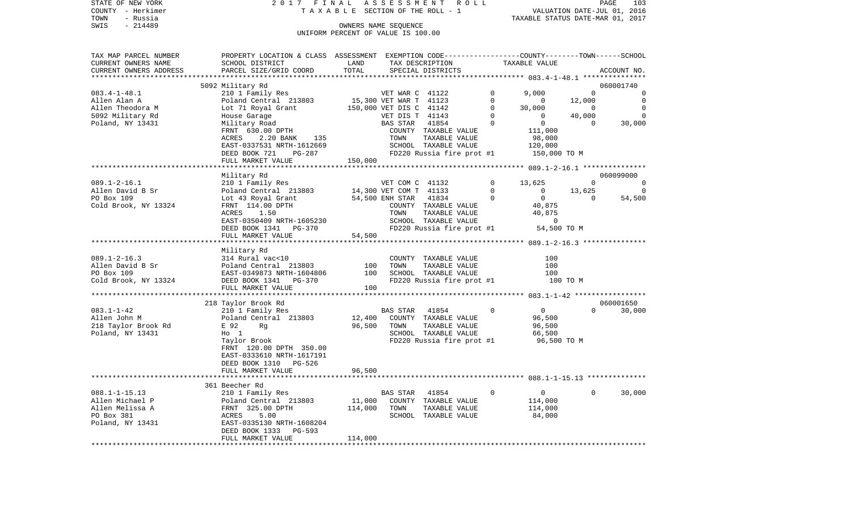|      | STATE OF NEW YORK | 2017 FINAL ASSESSMENT ROLL         |                                  | <b>PAGE</b> | 103 |
|------|-------------------|------------------------------------|----------------------------------|-------------|-----|
|      | COUNTY - Herkimer | TAXABLE SECTION OF THE ROLL - 1    | VALUATION DATE-JUL 01, 2016      |             |     |
| TOWN | - Russia          |                                    | TAXABLE STATUS DATE-MAR 01, 2017 |             |     |
| SWIS | - 214489          | OWNERS NAME SEOUENCE               |                                  |             |     |
|      |                   | UNIFORM PERCENT OF VALUE IS 100.00 |                                  |             |     |

| TAX MAP PARCEL NUMBER                | PROPERTY LOCATION & CLASS ASSESSMENT EXEMPTION CODE---------------COUNTY-------TOWN-----SCHOOL |                        |                             |                           |             |                    |                    |                |
|--------------------------------------|------------------------------------------------------------------------------------------------|------------------------|-----------------------------|---------------------------|-------------|--------------------|--------------------|----------------|
| CURRENT OWNERS NAME                  | SCHOOL DISTRICT                                                                                | LAND                   |                             | TAX DESCRIPTION           |             | TAXABLE VALUE      |                    |                |
| CURRENT OWNERS ADDRESS               | PARCEL SIZE/GRID COORD                                                                         | TOTAL                  |                             | SPECIAL DISTRICTS         |             |                    |                    | ACCOUNT NO.    |
|                                      |                                                                                                |                        |                             |                           |             |                    |                    | 060001740      |
| $083.4 - 1 - 48.1$                   | 5092 Military Rd<br>210 1 Family Res                                                           |                        |                             |                           | $\Omega$    | 9.000              | $\Omega$           | 0              |
| Allen Alan A                         | Poland Central 213803                                                                          | 15,300 VET WAR T 41123 | VET WAR C 41122             |                           | $\Omega$    | $\circ$            | 12,000             | $\Omega$       |
| Allen Theodora M                     |                                                                                                |                        |                             |                           | $\mathbf 0$ |                    | $\sim$ 0           | $\overline{0}$ |
|                                      | Lot 71 Royal Grant                                                                             |                        | 150,000 VET DIS C 41142     |                           | $\mathbf 0$ | 30,000<br>$\Omega$ |                    | $\Omega$       |
| 5092 Military Rd<br>Poland, NY 13431 | House Garage<br>Military Road                                                                  |                        | VET DIS T 41143<br>BAS STAR | 41854                     | $\Omega$    | $\overline{0}$     | 40,000<br>$\Omega$ | 30,000         |
|                                      |                                                                                                |                        |                             |                           |             |                    |                    |                |
|                                      | FRNT 630.00 DPTH                                                                               |                        |                             | COUNTY TAXABLE VALUE      |             | 111,000            |                    |                |
|                                      | ACRES<br>2.20 BANK<br>135                                                                      |                        | TOWN                        | TAXABLE VALUE             |             | 98,000             |                    |                |
|                                      | EAST-0337531 NRTH-1612669                                                                      |                        |                             | SCHOOL TAXABLE VALUE      |             | 120,000            |                    |                |
|                                      | DEED BOOK 721<br>PG-287                                                                        |                        |                             | FD220 Russia fire prot #1 |             | 150,000 TO M       |                    |                |
|                                      | FULL MARKET VALUE                                                                              | 150,000                |                             |                           |             |                    |                    |                |
|                                      |                                                                                                |                        |                             |                           |             |                    |                    |                |
|                                      | Military Rd                                                                                    |                        |                             |                           |             |                    |                    | 060099000      |
| $089.1 - 2 - 16.1$                   | 210 1 Family Res                                                                               |                        | VET COM C 41132             |                           | $\Omega$    | 13,625             | $\Omega$           | $\overline{0}$ |
| Allen David B Sr                     | Poland Central 213803                                                                          |                        | 14,300 VET COM T 41133      |                           | $\mathbf 0$ | $\mathsf{O}$       | 13,625             | $\Omega$       |
| PO Box 109                           | Lot 43 Royal Grant                                                                             | 54,500 ENH STAR        |                             | 41834                     | $\Omega$    | $\overline{0}$     | $\Omega$           | 54,500         |
| Cold Brook, NY 13324                 | FRNT 114.00 DPTH                                                                               |                        |                             | COUNTY TAXABLE VALUE      |             | 40,875             |                    |                |
|                                      | ACRES 1.50                                                                                     |                        | TOWN                        | TAXABLE VALUE             |             | 40,875             |                    |                |
|                                      | EAST-0350409 NRTH-1605230                                                                      |                        |                             | SCHOOL TAXABLE VALUE      |             | $\mathbf 0$        |                    |                |
|                                      | DEED BOOK 1341 PG-370                                                                          |                        |                             | FD220 Russia fire prot #1 |             | 54,500 TO M        |                    |                |
|                                      | FULL MARKET VALUE                                                                              | 54,500                 |                             |                           |             |                    |                    |                |
|                                      |                                                                                                |                        |                             |                           |             |                    |                    |                |
|                                      | Military Rd                                                                                    |                        |                             |                           |             |                    |                    |                |
| $089.1 - 2 - 16.3$                   | 314 Rural vac<10                                                                               |                        |                             | COUNTY TAXABLE VALUE      |             | 100                |                    |                |
| Allen David B Sr                     | Poland Central 213803                                                                          | 100                    | TOWN                        | TAXABLE VALUE             |             | 100                |                    |                |
| PO Box 109                           | EAST-0349873 NRTH-1604806                                                                      | 100                    |                             | SCHOOL TAXABLE VALUE      |             | 100                |                    |                |
| Cold Brook, NY 13324                 | DEED BOOK 1341<br>PG-370                                                                       |                        |                             | FD220 Russia fire prot #1 |             | 100 TO M           |                    |                |
|                                      | FULL MARKET VALUE                                                                              | 100                    |                             |                           |             |                    |                    |                |
|                                      |                                                                                                |                        |                             |                           |             |                    |                    |                |
|                                      | 218 Taylor Brook Rd                                                                            |                        |                             |                           |             |                    |                    | 060001650      |
| $083.1 - 1 - 42$                     | 210 1 Family Res                                                                               |                        | BAS STAR                    | 41854                     | $\Omega$    | $\overline{0}$     | $\Omega$           | 30,000         |
| Allen John M                         | Poland Central 213803                                                                          | 12,400                 |                             | COUNTY TAXABLE VALUE      |             | 96,500             |                    |                |
| 218 Taylor Brook Rd                  | E 92<br>Rq                                                                                     | 96,500                 | TOWN                        | TAXABLE VALUE             |             | 96,500             |                    |                |
| Poland, NY 13431                     | $H_0$ 1                                                                                        |                        |                             | SCHOOL TAXABLE VALUE      |             | 66,500             |                    |                |
|                                      | Taylor Brook                                                                                   |                        |                             | FD220 Russia fire prot #1 |             | 96,500 TO M        |                    |                |
|                                      | FRNT 120.00 DPTH 350.00                                                                        |                        |                             |                           |             |                    |                    |                |
|                                      | EAST-0333610 NRTH-1617191                                                                      |                        |                             |                           |             |                    |                    |                |
|                                      | DEED BOOK 1310 PG-526                                                                          |                        |                             |                           |             |                    |                    |                |
|                                      | FULL MARKET VALUE                                                                              | 96,500                 |                             |                           |             |                    |                    |                |
|                                      |                                                                                                |                        |                             |                           |             |                    |                    |                |
|                                      | 361 Beecher Rd                                                                                 |                        |                             |                           |             |                    |                    |                |
| $088.1 - 1 - 15.13$                  | 210 1 Family Res                                                                               |                        | BAS STAR 41854              |                           | $\mathbf 0$ | $\overline{0}$     | $\Omega$           | 30,000         |
| Allen Michael P                      | Poland Central 213803                                                                          | 11,000                 |                             | COUNTY TAXABLE VALUE      |             | 114,000            |                    |                |
| Allen Melissa A                      | FRNT 325.00 DPTH                                                                               | 114,000                | TOWN                        | TAXABLE VALUE             |             | 114,000            |                    |                |
| PO Box 381                           | ACRES<br>5.00                                                                                  |                        |                             | SCHOOL TAXABLE VALUE      |             | 84,000             |                    |                |
| Poland, NY 13431                     | EAST-0335130 NRTH-1608204                                                                      |                        |                             |                           |             |                    |                    |                |
|                                      | DEED BOOK 1333 PG-593                                                                          |                        |                             |                           |             |                    |                    |                |
|                                      | FULL MARKET VALUE                                                                              | 114,000                |                             |                           |             |                    |                    |                |
|                                      |                                                                                                |                        |                             |                           |             |                    |                    |                |
|                                      |                                                                                                |                        |                             |                           |             |                    |                    |                |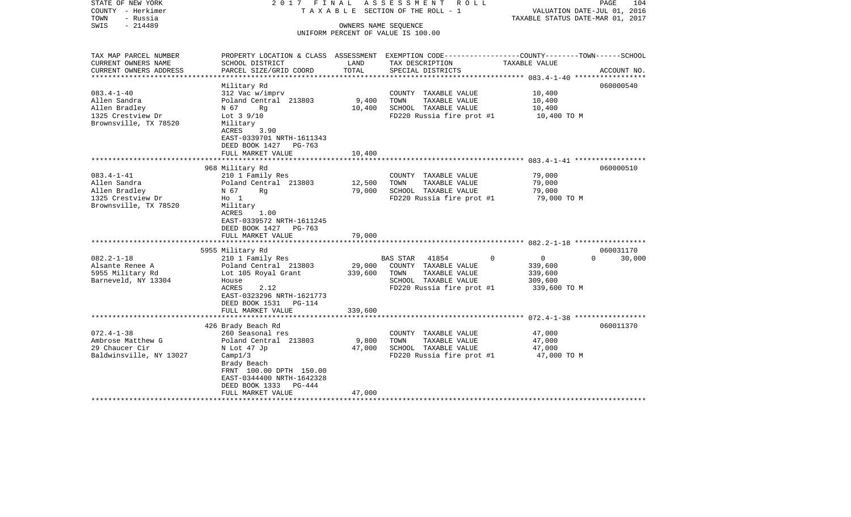| STATE OF NEW YORK<br>COUNTY - Herkimer<br>- Russia<br>TOWN<br>$-214489$<br>SWIS                  | 2017 FINAL                                                                                                                                                                                           |                              | ASSESSMENT<br>R O L L<br>TAXABLE SECTION OF THE ROLL - 1<br>OWNERS NAME SEQUENCE<br>UNIFORM PERCENT OF VALUE IS 100.00         | PAGE<br>VALUATION DATE-JUL 01, 2016<br>TAXABLE STATUS DATE-MAR 01, 2017                                                        | 104    |
|--------------------------------------------------------------------------------------------------|------------------------------------------------------------------------------------------------------------------------------------------------------------------------------------------------------|------------------------------|--------------------------------------------------------------------------------------------------------------------------------|--------------------------------------------------------------------------------------------------------------------------------|--------|
|                                                                                                  |                                                                                                                                                                                                      |                              |                                                                                                                                |                                                                                                                                |        |
| TAX MAP PARCEL NUMBER<br>CURRENT OWNERS NAME<br>CURRENT OWNERS ADDRESS<br>********************** | SCHOOL DISTRICT<br>PARCEL SIZE/GRID COORD                                                                                                                                                            | LAND<br>TOTAL                | TAX DESCRIPTION<br>SPECIAL DISTRICTS                                                                                           | PROPERTY LOCATION & CLASS ASSESSMENT EXEMPTION CODE---------------COUNTY-------TOWN-----SCHOOL<br>TAXABLE VALUE<br>ACCOUNT NO. |        |
| $083.4 - 1 - 40$<br>Allen Sandra<br>Allen Bradley<br>1325 Crestview Dr<br>Brownsville, TX 78520  | Military Rd<br>312 Vac w/imprv<br>Poland Central 213803<br>N 67<br>Rg<br>Lot $3\frac{9}{10}$<br>Military<br>ACRES<br>3.90<br>EAST-0339701 NRTH-1611343<br>DEED BOOK 1427 PG-763<br>FULL MARKET VALUE | 9,400<br>10,400<br>10,400    | COUNTY TAXABLE VALUE<br>TAXABLE VALUE<br>TOWN<br>SCHOOL TAXABLE VALUE<br>FD220 Russia fire prot #1                             | 060000540<br>10,400<br>10,400<br>10,400<br>10,400 TO M                                                                         |        |
|                                                                                                  |                                                                                                                                                                                                      |                              |                                                                                                                                |                                                                                                                                |        |
| $083.4 - 1 - 41$<br>Allen Sandra<br>Allen Bradley<br>1325 Crestview Dr<br>Brownsville, TX 78520  | 968 Military Rd<br>210 1 Family Res<br>Poland Central 213803<br>N 67<br>Rg<br>$H_0$ 1<br>Military<br>ACRES<br>1.00<br>EAST-0339572 NRTH-1611245<br>DEED BOOK 1427 PG-763                             | 12,500<br>79,000             | COUNTY TAXABLE VALUE<br>TOWN<br>TAXABLE VALUE<br>SCHOOL TAXABLE VALUE<br>FD220 Russia fire prot #1                             | 060000510<br>79,000<br>79,000<br>79,000<br>79,000 TO M                                                                         |        |
|                                                                                                  | FULL MARKET VALUE                                                                                                                                                                                    | 79,000                       |                                                                                                                                |                                                                                                                                |        |
|                                                                                                  | 5955 Military Rd                                                                                                                                                                                     |                              |                                                                                                                                | 060031170                                                                                                                      |        |
| $082.2 - 1 - 18$<br>Alsante Renee A<br>5955 Military Rd<br>Barneveld, NY 13304                   | 210 1 Family Res<br>Poland Central 213803<br>Lot 105 Royal Grant<br>House<br><b>ACRES</b><br>2.12<br>EAST-0323296 NRTH-1621773<br>DEED BOOK 1531<br>PG-114<br>FULL MARKET VALUE                      | 29,000<br>339,600<br>339,600 | <b>BAS STAR</b><br>41854<br>COUNTY TAXABLE VALUE<br>TOWN<br>TAXABLE VALUE<br>SCHOOL TAXABLE VALUE<br>FD220 Russia fire prot #1 | 0<br>$\Omega$<br>0<br>339,600<br>339,600<br>309,600<br>339,600 TO M                                                            | 30,000 |
|                                                                                                  |                                                                                                                                                                                                      |                              |                                                                                                                                |                                                                                                                                |        |
| $072.4 - 1 - 38$<br>Ambrose Matthew G<br>29 Chaucer Cir<br>Baldwinsville, NY 13027               | 426 Brady Beach Rd<br>260 Seasonal res<br>Poland Central 213803<br>N Lot 47 Jp<br>Camp1/3<br>Brady Beach<br>FRNT 100.00 DPTH 150.00<br>EAST-0344400 NRTH-1642328<br>DEED BOOK 1333<br>PG-444         | 9,800<br>47,000              | COUNTY TAXABLE VALUE<br>TAXABLE VALUE<br>TOWN<br>SCHOOL TAXABLE VALUE<br>FD220 Russia fire prot #1                             | 060011370<br>47,000<br>47,000<br>47,000<br>47,000 TO M                                                                         |        |
|                                                                                                  | FULL MARKET VALUE<br>********************                                                                                                                                                            | 47,000                       |                                                                                                                                |                                                                                                                                |        |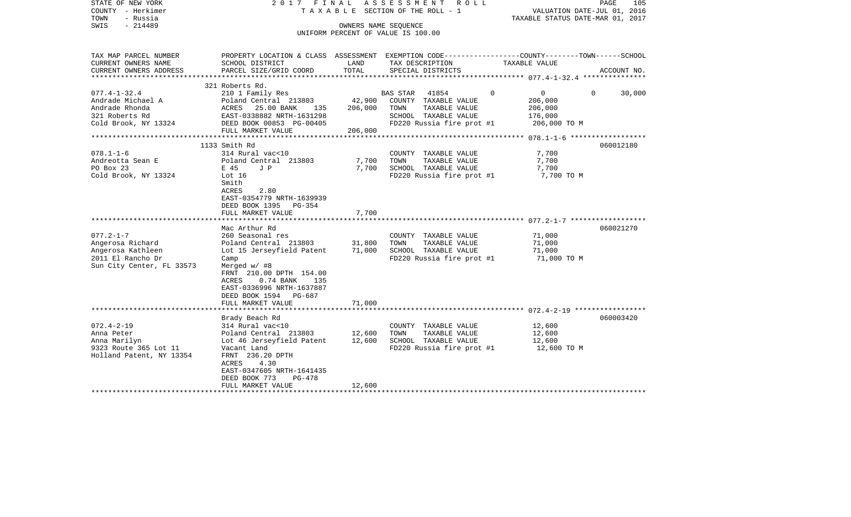| STATE OF NEW YORK<br>COUNTY - Herkimer<br>TOWN<br>- Russia<br>SWIS<br>$-214489$                                                                                                        |                                                                                                                                                                                                                                                                                                                | OWNERS NAME SEQUENCE                        | 2017 FINAL ASSESSMENT ROLL<br>TAXABLE SECTION OF THE ROLL - 1<br>UNIFORM PERCENT OF VALUE IS 100.00                                                                                                      | VALUATION DATE-JUL 01, 2016<br>TAXABLE STATUS DATE-MAR 01, 2017                                                   | PAGE<br>105            |
|----------------------------------------------------------------------------------------------------------------------------------------------------------------------------------------|----------------------------------------------------------------------------------------------------------------------------------------------------------------------------------------------------------------------------------------------------------------------------------------------------------------|---------------------------------------------|----------------------------------------------------------------------------------------------------------------------------------------------------------------------------------------------------------|-------------------------------------------------------------------------------------------------------------------|------------------------|
| TAX MAP PARCEL NUMBER<br>CURRENT OWNERS NAME                                                                                                                                           | SCHOOL DISTRICT                                                                                                                                                                                                                                                                                                | LAND                                        | TAX DESCRIPTION                                                                                                                                                                                          | PROPERTY LOCATION & CLASS ASSESSMENT EXEMPTION CODE----------------COUNTY-------TOWN------SCHOOL<br>TAXABLE VALUE |                        |
| CURRENT OWNERS ADDRESS                                                                                                                                                                 | PARCEL SIZE/GRID COORD                                                                                                                                                                                                                                                                                         | TOTAL                                       | SPECIAL DISTRICTS                                                                                                                                                                                        |                                                                                                                   | ACCOUNT NO.            |
|                                                                                                                                                                                        | 321 Roberts Rd.                                                                                                                                                                                                                                                                                                |                                             |                                                                                                                                                                                                          |                                                                                                                   |                        |
| $077.4 - 1 - 32.4$<br>Andrade Michael A<br>Andrade Rhonda<br>321 Roberts Rd<br>Cold Brook, NY 13324                                                                                    | 210 1 Family Res<br>Poland Central 213803<br>ACRES<br>25.00 BANK<br>135<br>EAST-0338882 NRTH-1631298<br>DEED BOOK 00853 PG-00405                                                                                                                                                                               | 42,900<br>206,000                           | BAS STAR 41854<br>COUNTY TAXABLE VALUE<br>TOWN<br>TAXABLE VALUE<br>SCHOOL TAXABLE VALUE<br>FD220 Russia fire prot #1                                                                                     | $\overline{0}$<br>$\Omega$<br>$\Omega$<br>206,000<br>206,000<br>176,000<br>206,000 TO M                           | 30,000                 |
|                                                                                                                                                                                        | FULL MARKET VALUE                                                                                                                                                                                                                                                                                              | 206,000                                     |                                                                                                                                                                                                          |                                                                                                                   |                        |
| $078.1 - 1 - 6$<br>Andreotta Sean E<br>PO Box 23<br>Cold Brook, NY 13324<br>$077.2 - 1 - 7$<br>Angerosa Richard<br>Angerosa Kathleen<br>2011 El Rancho Dr<br>Sun City Center, FL 33573 | 1133 Smith Rd<br>314 Rural vac<10<br>Poland Central 213803<br>E 45<br>J P<br>Lot 16<br>Smith<br>ACRES<br>2.80<br>EAST-0354779 NRTH-1639939<br>DEED BOOK 1395<br>PG-354<br>FULL MARKET VALUE<br>Mac Arthur Rd<br>260 Seasonal res<br>Poland Central 213803<br>Lot 15 Jerseyfield Patent<br>Camp<br>Merged w/ #8 | 7,700<br>7,700<br>7,700<br>31,800<br>71,000 | COUNTY TAXABLE VALUE<br>TOWN<br>TAXABLE VALUE<br>SCHOOL TAXABLE VALUE<br>FD220 Russia fire prot #1<br>COUNTY TAXABLE VALUE<br>TOWN<br>TAXABLE VALUE<br>SCHOOL TAXABLE VALUE<br>FD220 Russia fire prot #1 | 7,700<br>7,700<br>7,700<br>7,700 TO M<br>71,000<br>71,000<br>71,000<br>71,000 TO M                                | 060012180<br>060021270 |
|                                                                                                                                                                                        | FRNT 210.00 DPTH 154.00<br>ACRES<br>$0.74$ BANK<br>135<br>EAST-0336996 NRTH-1637887<br>DEED BOOK 1594<br>PG-687<br>FULL MARKET VALUE                                                                                                                                                                           | 71,000                                      |                                                                                                                                                                                                          |                                                                                                                   |                        |
|                                                                                                                                                                                        | Brady Beach Rd                                                                                                                                                                                                                                                                                                 |                                             |                                                                                                                                                                                                          |                                                                                                                   | 060003420              |
| $072.4 - 2 - 19$<br>Anna Peter<br>Anna Marilyn<br>9323 Route 365 Lot 11<br>Holland Patent, NY 13354                                                                                    | 314 Rural vac<10<br>Poland Central 213803<br>Lot 46 Jerseyfield Patent<br>Vacant Land<br>FRNT 236.20 DPTH<br>ACRES<br>4.30<br>EAST-0347605 NRTH-1641435<br>DEED BOOK 773<br>PG-478<br>FULL MARKET VALUE                                                                                                        | 12,600<br>12,600<br>12,600                  | COUNTY TAXABLE VALUE<br>TOWN<br>TAXABLE VALUE<br>SCHOOL TAXABLE VALUE<br>FD220 Russia fire prot #1                                                                                                       | 12,600<br>12,600<br>12,600<br>12,600 TO M                                                                         |                        |
| *******************                                                                                                                                                                    |                                                                                                                                                                                                                                                                                                                |                                             |                                                                                                                                                                                                          |                                                                                                                   |                        |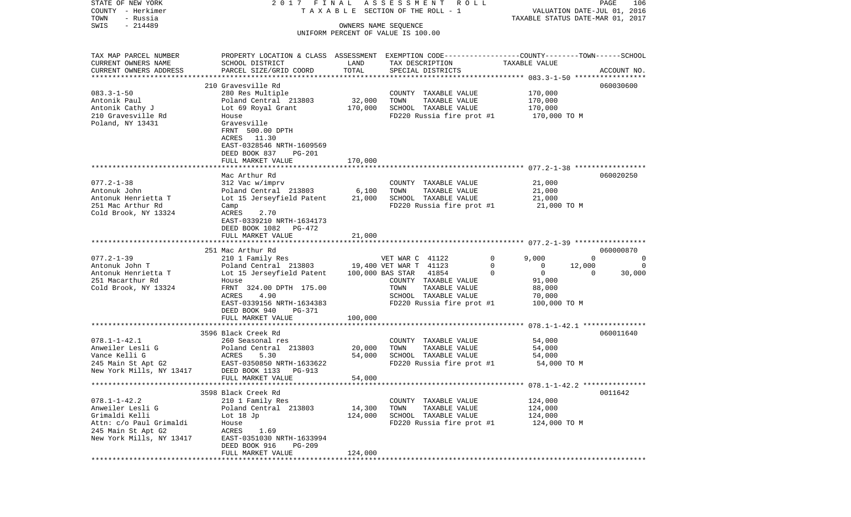| STATE OF NEW YORK        | 2017 FINAL                                                                                      |         | ASSESSMENT ROLL                       |                         | PAGE<br>106                      |
|--------------------------|-------------------------------------------------------------------------------------------------|---------|---------------------------------------|-------------------------|----------------------------------|
| COUNTY - Herkimer        |                                                                                                 |         | T A X A B L E SECTION OF THE ROLL - 1 |                         | VALUATION DATE-JUL 01, 2016      |
| TOWN<br>- Russia         |                                                                                                 |         |                                       |                         | TAXABLE STATUS DATE-MAR 01, 2017 |
| $-214489$<br>SWIS        |                                                                                                 |         | OWNERS NAME SEQUENCE                  |                         |                                  |
|                          |                                                                                                 |         | UNIFORM PERCENT OF VALUE IS 100.00    |                         |                                  |
|                          |                                                                                                 |         |                                       |                         |                                  |
| TAX MAP PARCEL NUMBER    | PROPERTY LOCATION & CLASS ASSESSMENT EXEMPTION CODE---------------COUNTY-------TOWN------SCHOOL |         |                                       |                         |                                  |
| CURRENT OWNERS NAME      | SCHOOL DISTRICT                                                                                 | LAND    | TAX DESCRIPTION                       | TAXABLE VALUE           |                                  |
| CURRENT OWNERS ADDRESS   | PARCEL SIZE/GRID COORD                                                                          | TOTAL   | SPECIAL DISTRICTS                     |                         | ACCOUNT NO.                      |
| ************************ |                                                                                                 |         |                                       |                         |                                  |
|                          | 210 Gravesville Rd                                                                              |         |                                       |                         | 060030600                        |
| $083.3 - 1 - 50$         | 280 Res Multiple                                                                                |         | COUNTY TAXABLE VALUE                  | 170,000                 |                                  |
| Antonik Paul             | Poland Central 213803                                                                           | 32,000  | TOWN<br>TAXABLE VALUE                 | 170,000                 |                                  |
| Antonik Cathy J          | Lot 69 Royal Grant                                                                              | 170,000 | SCHOOL TAXABLE VALUE                  | 170,000                 |                                  |
| 210 Gravesville Rd       | House                                                                                           |         | FD220 Russia fire prot #1             | 170,000 TO M            |                                  |
| Poland, NY 13431         | Gravesville                                                                                     |         |                                       |                         |                                  |
|                          | FRNT 500.00 DPTH                                                                                |         |                                       |                         |                                  |
|                          | ACRES 11.30                                                                                     |         |                                       |                         |                                  |
|                          | EAST-0328546 NRTH-1609569                                                                       |         |                                       |                         |                                  |
|                          | DEED BOOK 837<br>PG-201                                                                         |         |                                       |                         |                                  |
|                          | FULL MARKET VALUE                                                                               | 170,000 |                                       |                         |                                  |
|                          |                                                                                                 |         |                                       |                         |                                  |
|                          | Mac Arthur Rd                                                                                   |         |                                       |                         | 060020250                        |
| $077.2 - 1 - 38$         | 312 Vac w/imprv                                                                                 |         | COUNTY TAXABLE VALUE                  | 21,000                  |                                  |
| Antonuk John             | Poland Central 213803                                                                           | 6,100   | TOWN<br>TAXABLE VALUE                 | 21,000                  |                                  |
| Antonuk Henrietta T      | Lot 15 Jerseyfield Patent                                                                       | 21,000  | SCHOOL TAXABLE VALUE                  | 21,000                  |                                  |
| 251 Mac Arthur Rd        | Camp                                                                                            |         | FD220 Russia fire prot #1             | 21,000 TO M             |                                  |
| Cold Brook, NY 13324     | <b>ACRES</b><br>2.70                                                                            |         |                                       |                         |                                  |
|                          | EAST-0339210 NRTH-1634173                                                                       |         |                                       |                         |                                  |
|                          | DEED BOOK 1082 PG-472                                                                           |         |                                       |                         |                                  |
|                          | FULL MARKET VALUE                                                                               | 21,000  |                                       |                         |                                  |
|                          |                                                                                                 |         |                                       |                         | 060000870                        |
| $077.2 - 1 - 39$         | 251 Mac Arthur Rd                                                                               |         | VET WAR C 41122                       | $\mathbf 0$<br>9,000    | $\Omega$<br>0                    |
| Antonuk John T           | 210 1 Family Res<br>Poland Central 213803                                                       |         | 19,400 VET WAR T 41123                | 0<br>0                  | 12,000<br>0                      |
| Antonuk Henrietta T      | Lot 15 Jerseyfield Patent                                                                       |         | 100,000 BAS STAR<br>41854             | $\mathbf 0$<br>$\Omega$ | $\Omega$<br>30,000               |
| 251 Macarthur Rd         | House                                                                                           |         | COUNTY TAXABLE VALUE                  | 91,000                  |                                  |
| Cold Brook, NY 13324     | FRNT 324.00 DPTH 175.00                                                                         |         | TOWN<br>TAXABLE VALUE                 | 88,000                  |                                  |
|                          | ACRES<br>4.90                                                                                   |         | SCHOOL TAXABLE VALUE                  | 70,000                  |                                  |
|                          | EAST-0339156 NRTH-1634383                                                                       |         | FD220 Russia fire prot #1             | 100,000 TO M            |                                  |
|                          | DEED BOOK 940<br>PG-371                                                                         |         |                                       |                         |                                  |
|                          | FULL MARKET VALUE                                                                               | 100,000 |                                       |                         |                                  |
|                          |                                                                                                 |         |                                       |                         |                                  |
|                          | 3596 Black Creek Rd                                                                             |         |                                       |                         | 060011640                        |
| $078.1 - 1 - 42.1$       | 260 Seasonal res                                                                                |         | COUNTY TAXABLE VALUE                  | 54,000                  |                                  |
| Anweiler Lesli G         | Poland Central 213803                                                                           | 20,000  | TOWN<br>TAXABLE VALUE                 | 54,000                  |                                  |
| Vance Kelli G            | ACRES<br>5.30                                                                                   | 54,000  | SCHOOL TAXABLE VALUE                  | 54,000                  |                                  |
| 245 Main St Apt G2       | EAST-0350850 NRTH-1633622                                                                       |         | FD220 Russia fire prot #1             | 54,000 TO M             |                                  |
| New York Mills, NY 13417 | DEED BOOK 1133<br>PG-913                                                                        |         |                                       |                         |                                  |
|                          | FULL MARKET VALUE                                                                               | 54,000  |                                       |                         |                                  |
|                          |                                                                                                 |         |                                       |                         |                                  |
|                          | 3598 Black Creek Rd                                                                             |         |                                       |                         | 0011642                          |
| $078.1 - 1 - 42.2$       | 210 1 Family Res                                                                                |         | COUNTY TAXABLE VALUE                  | 124,000                 |                                  |
| Anweiler Lesli G         | Poland Central 213803                                                                           | 14,300  | TAXABLE VALUE<br>TOWN                 | 124,000                 |                                  |
| Grimaldi Kelli           | Lot $18$ Jp                                                                                     | 124,000 | SCHOOL TAXABLE VALUE                  | 124,000                 |                                  |
| Attn: c/o Paul Grimaldi  | House                                                                                           |         | FD220 Russia fire prot #1             | 124,000 TO M            |                                  |
| 245 Main St Apt G2       | ACRES<br>1.69                                                                                   |         |                                       |                         |                                  |
| New York Mills, NY 13417 | EAST-0351030 NRTH-1633994                                                                       |         |                                       |                         |                                  |
|                          | DEED BOOK 916<br>PG-209                                                                         |         |                                       |                         |                                  |
|                          | FULL MARKET VALUE                                                                               | 124,000 |                                       |                         |                                  |
|                          |                                                                                                 |         |                                       |                         |                                  |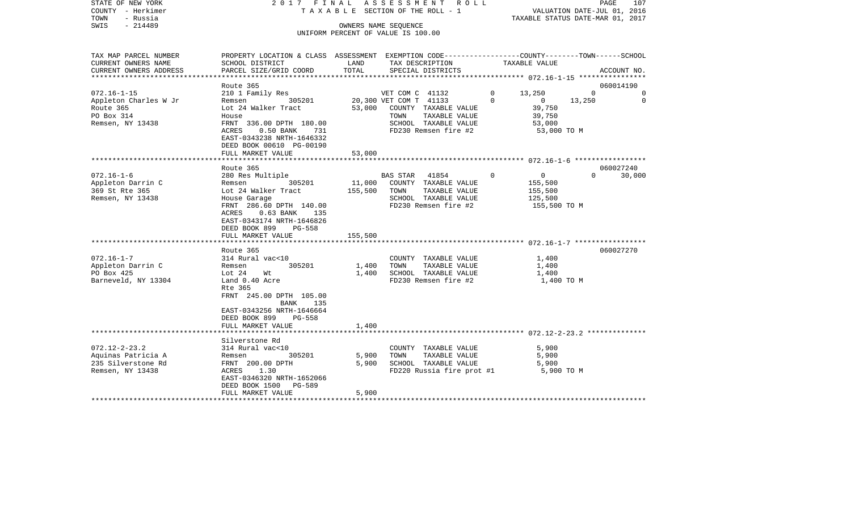| STATE OF NEW YORK<br>COUNTY - Herkimer |                                                                                                  |              | 2017 FINAL ASSESSMENT ROLL<br>TAXABLE SECTION OF THE ROLL - 1 |              | VALUATION DATE-JUL 01, 2016      |          | PAGE<br>107 |
|----------------------------------------|--------------------------------------------------------------------------------------------------|--------------|---------------------------------------------------------------|--------------|----------------------------------|----------|-------------|
| TOWN<br>- Russia                       |                                                                                                  |              |                                                               |              | TAXABLE STATUS DATE-MAR 01, 2017 |          |             |
| SWIS - 214489                          |                                                                                                  |              | OWNERS NAME SEQUENCE                                          |              |                                  |          |             |
|                                        |                                                                                                  |              | UNIFORM PERCENT OF VALUE IS 100.00                            |              |                                  |          |             |
|                                        |                                                                                                  |              |                                                               |              |                                  |          |             |
| TAX MAP PARCEL NUMBER                  | PROPERTY LOCATION & CLASS ASSESSMENT EXEMPTION CODE----------------COUNTY-------TOWN------SCHOOL |              |                                                               |              |                                  |          |             |
| CURRENT OWNERS NAME                    | SCHOOL DISTRICT                                                                                  | LAND         | TAX DESCRIPTION                                               |              | TAXABLE VALUE                    |          |             |
| CURRENT OWNERS ADDRESS                 | PARCEL SIZE/GRID COORD                                                                           | TOTAL        | SPECIAL DISTRICTS                                             |              |                                  |          | ACCOUNT NO. |
|                                        |                                                                                                  |              |                                                               |              |                                  |          |             |
|                                        | Route 365                                                                                        |              |                                                               |              |                                  |          | 060014190   |
| 072.16-1-15                            | 210 1 Family Res                                                                                 |              | VET COM C 41132                                               | $\mathbf{0}$ | 13,250                           | $\Omega$ | 0           |
| Appleton Charles W Jr                  | Remsen 305201                                                                                    |              | 20,300 VET COM T 41133                                        | $\Omega$     | $\sim$ 0                         | 13,250   | $\mathbf 0$ |
| Route 365                              | Lot 24 Walker Tract                                                                              |              | 53,000 COUNTY TAXABLE VALUE                                   |              | 39,750                           |          |             |
| PO Box 314                             | House                                                                                            |              | TOWN<br>TAXABLE VALUE                                         |              | 39,750                           |          |             |
| Remsen, NY 13438                       | FRNT 336.00 DPTH 180.00                                                                          |              | SCHOOL TAXABLE VALUE                                          |              | 53,000                           |          |             |
|                                        | ACRES 0.50 BANK 731                                                                              |              | FD230 Remsen fire #2                                          |              | 53,000 TO M                      |          |             |
|                                        | EAST-0343238 NRTH-1646332                                                                        |              |                                                               |              |                                  |          |             |
|                                        | DEED BOOK 00610 PG-00190                                                                         |              |                                                               |              |                                  |          |             |
|                                        | FULL MARKET VALUE                                                                                | 53,000       |                                                               |              |                                  |          |             |
|                                        | Route 365                                                                                        |              |                                                               |              |                                  |          | 060027240   |
| 072.16-1-6                             | 280 Res Multiple                                                                                 |              | BAS STAR 41854                                                | $\circ$      | $\overline{0}$                   | $\Omega$ | 30,000      |
| Appleton Darrin C                      | Remsen 305201                                                                                    |              | 11,000 COUNTY TAXABLE VALUE                                   |              | 155,500                          |          |             |
| 369 St Rte 365                         | Lot 24 Walker Tract                                                                              | 155,500 TOWN | TAXABLE VALUE                                                 |              | 155,500                          |          |             |
| Remsen, NY 13438                       | House Garage                                                                                     |              | SCHOOL TAXABLE VALUE                                          |              | 125,500                          |          |             |
|                                        | FRNT 286.60 DPTH 140.00                                                                          |              | FD230 Remsen fire #2                                          |              | 155,500 TO M                     |          |             |
|                                        | ACRES<br>0.63 BANK 135                                                                           |              |                                                               |              |                                  |          |             |
|                                        | EAST-0343174 NRTH-1646826                                                                        |              |                                                               |              |                                  |          |             |
|                                        | DEED BOOK 899 PG-558                                                                             |              |                                                               |              |                                  |          |             |
|                                        | FULL MARKET VALUE                                                                                | 155,500      |                                                               |              |                                  |          |             |
|                                        | **************************                                                                       |              |                                                               |              |                                  |          |             |
|                                        | Route 365                                                                                        |              |                                                               |              |                                  |          | 060027270   |
| 072.16-1-7                             | 314 Rural vac<10                                                                                 |              | COUNTY TAXABLE VALUE                                          |              | 1,400                            |          |             |
| Appleton Darrin C                      | 305201<br>Remsen                                                                                 | 1,400        | TOWN<br>TAXABLE VALUE                                         |              | 1,400                            |          |             |
| PO Box 425                             | Lot 24<br>Wt                                                                                     | 1,400        | SCHOOL TAXABLE VALUE                                          |              | 1,400                            |          |             |
| Barneveld, NY 13304                    | Land 0.40 Acre                                                                                   |              | FD230 Remsen fire #2                                          |              | 1,400 TO M                       |          |             |
|                                        | Rte 365                                                                                          |              |                                                               |              |                                  |          |             |
|                                        | FRNT 245.00 DPTH 105.00                                                                          |              |                                                               |              |                                  |          |             |
|                                        | BANK 135                                                                                         |              |                                                               |              |                                  |          |             |
|                                        | EAST-0343256 NRTH-1646664                                                                        |              |                                                               |              |                                  |          |             |
|                                        | DEED BOOK 899 PG-558                                                                             |              |                                                               |              |                                  |          |             |
|                                        | FULL MARKET VALUE                                                                                | 1,400        |                                                               |              |                                  |          |             |
|                                        | Silverstone Rd                                                                                   |              |                                                               |              |                                  |          |             |
| $072.12 - 2 - 23.2$                    | 314 Rural vac<10                                                                                 |              | COUNTY TAXABLE VALUE                                          |              | 5,900                            |          |             |
| Aquinas Patricia A                     | Remsen<br>305201                                                                                 | 5,900        | TOWN<br>TAXABLE VALUE                                         |              | 5,900                            |          |             |
| 235 Silverstone Rd                     | FRNT 200.00 DPTH                                                                                 | 5,900        | SCHOOL TAXABLE VALUE                                          |              | 5,900                            |          |             |
| Remsen, NY 13438                       | ACRES 1.30                                                                                       |              | FD220 Russia fire prot #1                                     |              | 5,900 TO M                       |          |             |
|                                        | EAST-0346320 NRTH-1652066                                                                        |              |                                                               |              |                                  |          |             |
|                                        | PG-589<br>DEED BOOK 1500                                                                         |              |                                                               |              |                                  |          |             |
|                                        | FULL MARKET VALUE                                                                                | 5,900        |                                                               |              |                                  |          |             |
|                                        |                                                                                                  |              |                                                               |              |                                  |          |             |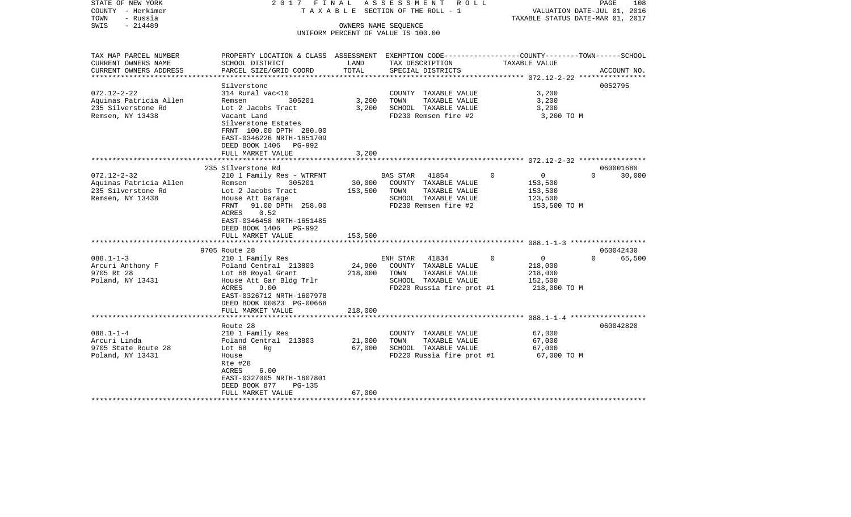| STATE OF NEW YORK<br>COUNTY - Herkimer<br>TOWN<br>- Russia<br>$-214489$<br>SWIS                     | 2017 FINAL                                                                                                                                                                                                            |                              | A S S E S S M E N T R O L L<br>TAXABLE SECTION OF THE ROLL - 1<br>OWNERS NAME SEQUENCE<br>UNIFORM PERCENT OF VALUE IS 100.00 |             |                                                                 | PAGE<br>108<br>VALUATION DATE-JUL 01, 2016<br>TAXABLE STATUS DATE-MAR 01, 2017 |
|-----------------------------------------------------------------------------------------------------|-----------------------------------------------------------------------------------------------------------------------------------------------------------------------------------------------------------------------|------------------------------|------------------------------------------------------------------------------------------------------------------------------|-------------|-----------------------------------------------------------------|--------------------------------------------------------------------------------|
| TAX MAP PARCEL NUMBER<br>CURRENT OWNERS NAME<br>CURRENT OWNERS ADDRESS<br>************************* | PROPERTY LOCATION & CLASS ASSESSMENT EXEMPTION CODE---------------COUNTY-------TOWN-----SCHOOL<br>SCHOOL DISTRICT<br>PARCEL SIZE/GRID COORD                                                                           | LAND<br>TOTAL                | TAX DESCRIPTION<br>SPECIAL DISTRICTS                                                                                         |             | TAXABLE VALUE                                                   | ACCOUNT NO.                                                                    |
| $072.12 - 2 - 22$<br>Aquinas Patricia Allen<br>235 Silverstone Rd<br>Remsen, NY 13438               | Silverstone<br>314 Rural vac<10<br>305201<br>Remsen<br>Lot 2 Jacobs Tract<br>Vacant Land<br>Silverstone Estates<br>FRNT 100.00 DPTH 280.00<br>EAST-0346226 NRTH-1651709<br>DEED BOOK 1406 PG-992<br>FULL MARKET VALUE | 3,200<br>3,200<br>3,200      | COUNTY TAXABLE VALUE<br>TOWN<br>TAXABLE VALUE<br>SCHOOL TAXABLE VALUE<br>FD230 Remsen fire #2                                |             | 3,200<br>3,200<br>3,200<br>3,200 TO M                           | 0052795                                                                        |
| $072.12 - 2 - 32$                                                                                   | 235 Silverstone Rd<br>210 1 Family Res - WTRFNT                                                                                                                                                                       |                              | BAS STAR 41854                                                                                                               | $\mathbf 0$ | $\overline{0}$                                                  | 060001680<br>30,000<br>$\Omega$                                                |
| Aquinas Patricia Allen<br>235 Silverstone Rd<br>Remsen, NY 13438                                    | Remsen 305201<br>Lot 2 Jacobs Tract<br>House Att Garage<br>91.00 DPTH 258.00<br>FRNT<br>0.52<br>ACRES<br>EAST-0346458 NRTH-1651485<br>DEED BOOK 1406 PG-992                                                           | 153,500                      | 30,000 COUNTY TAXABLE VALUE<br>TOWN<br>TAXABLE VALUE<br>SCHOOL TAXABLE VALUE<br>FD230 Remsen fire #2                         |             | 153,500<br>153,500<br>123,500<br>153,500 TO M                   |                                                                                |
|                                                                                                     | FULL MARKET VALUE                                                                                                                                                                                                     | 153,500                      |                                                                                                                              |             |                                                                 |                                                                                |
| $088.1 - 1 - 3$<br>Arcuri Anthony F<br>9705 Rt 28<br>Poland, NY 13431                               | 9705 Route 28<br>210 1 Family Res<br>Poland Central 213803<br>Lot 68 Royal Grant<br>House Att Gar Bldg Trlr<br>ACRES<br>9.00<br>EAST-0326712 NRTH-1607978<br>DEED BOOK 00823 PG-00668<br>FULL MARKET VALUE            | 24,900<br>218,000<br>218,000 | ENH STAR 41834<br>COUNTY TAXABLE VALUE<br>TOWN<br>TAXABLE VALUE<br>SCHOOL TAXABLE VALUE<br>FD220 Russia fire prot #1         | $\Omega$    | $\overline{0}$<br>218,000<br>218,000<br>152,500<br>218,000 TO M | 060042430<br>$\Omega$<br>65,500                                                |
| ************************                                                                            |                                                                                                                                                                                                                       |                              |                                                                                                                              |             |                                                                 |                                                                                |
| $088.1 - 1 - 4$<br>Arcuri Linda<br>9705 State Route 28<br>Poland, NY 13431                          | Route 28<br>210 1 Family Res<br>Poland Central 213803<br>Lot $68$<br>Rq<br>House<br>Rte #28<br>6.00<br>ACRES<br>EAST-0327005 NRTH-1607801<br>DEED BOOK 877<br>PG-135<br>FULL MARKET VALUE                             | 21,000<br>67,000<br>67,000   | COUNTY TAXABLE VALUE<br>TOWN<br>TAXABLE VALUE<br>SCHOOL TAXABLE VALUE<br>FD220 Russia fire prot #1                           |             | 67,000<br>67,000<br>67,000<br>67,000 TO M                       | 060042820                                                                      |
| *******************                                                                                 |                                                                                                                                                                                                                       |                              |                                                                                                                              |             |                                                                 |                                                                                |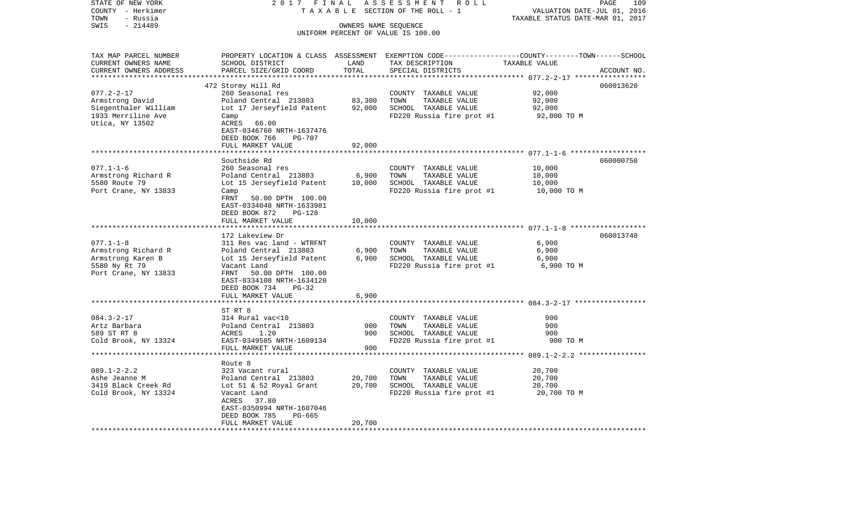| STATE OF NEW YORK                          | 2017 FINAL                                                 |                | ASSESSMENT<br>R O L L                             | PAGE<br>109                                                                                      |  |  |  |
|--------------------------------------------|------------------------------------------------------------|----------------|---------------------------------------------------|--------------------------------------------------------------------------------------------------|--|--|--|
| COUNTY - Herkimer                          |                                                            |                | TAXABLE SECTION OF THE ROLL - 1                   | VALUATION DATE-JUL 01, 2016                                                                      |  |  |  |
| TOWN<br>- Russia                           |                                                            |                |                                                   | TAXABLE STATUS DATE-MAR 01, 2017                                                                 |  |  |  |
| $-214489$<br>SWIS                          | OWNERS NAME SEQUENCE<br>UNIFORM PERCENT OF VALUE IS 100.00 |                |                                                   |                                                                                                  |  |  |  |
|                                            |                                                            |                |                                                   |                                                                                                  |  |  |  |
|                                            |                                                            |                |                                                   |                                                                                                  |  |  |  |
| TAX MAP PARCEL NUMBER                      |                                                            |                |                                                   | PROPERTY LOCATION & CLASS ASSESSMENT EXEMPTION CODE----------------COUNTY-------TOWN------SCHOOL |  |  |  |
| CURRENT OWNERS NAME                        | SCHOOL DISTRICT                                            | LAND           | TAX DESCRIPTION                                   | TAXABLE VALUE                                                                                    |  |  |  |
| CURRENT OWNERS ADDRESS                     | PARCEL SIZE/GRID COORD                                     | TOTAL          | SPECIAL DISTRICTS                                 | ACCOUNT NO.                                                                                      |  |  |  |
| **********************                     |                                                            | ************** |                                                   |                                                                                                  |  |  |  |
|                                            | 472 Stormy Hill Rd                                         |                |                                                   | 060013620                                                                                        |  |  |  |
| $077.2 - 2 - 17$                           | 260 Seasonal res                                           |                | COUNTY TAXABLE VALUE                              | 92,000                                                                                           |  |  |  |
| Armstrong David                            | Poland Central 213803                                      | 83,300         | TOWN<br>TAXABLE VALUE                             | 92,000                                                                                           |  |  |  |
| Siegenthaler William<br>1933 Merriline Ave | Lot 17 Jerseyfield Patent<br>Camp                          | 92,000         | SCHOOL TAXABLE VALUE<br>FD220 Russia fire prot #1 | 92,000                                                                                           |  |  |  |
| Utica, NY 13502                            | ACRES<br>66.00                                             |                |                                                   | 92,000 TO M                                                                                      |  |  |  |
|                                            | EAST-0346760 NRTH-1637476                                  |                |                                                   |                                                                                                  |  |  |  |
|                                            | DEED BOOK 766<br><b>PG-707</b>                             |                |                                                   |                                                                                                  |  |  |  |
|                                            | FULL MARKET VALUE                                          | 92,000         |                                                   |                                                                                                  |  |  |  |
|                                            |                                                            |                |                                                   | ************************ 077.1-1-6 *******************                                           |  |  |  |
|                                            | Southside Rd                                               |                |                                                   | 060000750                                                                                        |  |  |  |
| $077.1 - 1 - 6$                            | 260 Seasonal res                                           |                | COUNTY TAXABLE VALUE                              | 10,000                                                                                           |  |  |  |
| Armstrong Richard R                        | Poland Central 213803                                      | 6,900          | TOWN<br>TAXABLE VALUE                             | 10,000                                                                                           |  |  |  |
| 5580 Route 79                              | Lot 15 Jerseyfield Patent                                  | 10,000         | SCHOOL TAXABLE VALUE                              | 10,000                                                                                           |  |  |  |
| Port Crane, NY 13833                       | Camp                                                       |                | FD220 Russia fire prot #1                         | 10,000 TO M                                                                                      |  |  |  |
|                                            | FRNT<br>50.00 DPTH 100.00                                  |                |                                                   |                                                                                                  |  |  |  |
|                                            | EAST-0334048 NRTH-1633981                                  |                |                                                   |                                                                                                  |  |  |  |
|                                            | DEED BOOK 872<br>$PG-128$                                  |                |                                                   |                                                                                                  |  |  |  |
|                                            | FULL MARKET VALUE                                          | 10,000         |                                                   |                                                                                                  |  |  |  |
|                                            |                                                            |                |                                                   |                                                                                                  |  |  |  |
|                                            | 172 Lakeview Dr                                            |                |                                                   | 060013740                                                                                        |  |  |  |
| $077.1 - 1 - 8$                            | 311 Res vac land - WTRFNT                                  |                | COUNTY TAXABLE VALUE                              | 6,900                                                                                            |  |  |  |
| Armstrong Richard R                        | Poland Central 213803                                      | 6,900          | TOWN<br>TAXABLE VALUE                             | 6,900                                                                                            |  |  |  |
| Armstrong Karen B                          | Lot 15 Jerseyfield Patent                                  | 6,900          | SCHOOL TAXABLE VALUE                              | 6,900                                                                                            |  |  |  |
| 5580 Ny Rt 79                              | Vacant Land                                                |                | FD220 Russia fire prot #1                         | 6,900 TO M                                                                                       |  |  |  |
| Port Crane, NY 13833                       | 50.00 DPTH 100.00<br>FRNT                                  |                |                                                   |                                                                                                  |  |  |  |
|                                            | EAST-0334108 NRTH-1634120<br>DEED BOOK 734<br>PG-32        |                |                                                   |                                                                                                  |  |  |  |
|                                            | FULL MARKET VALUE                                          | 6,900          |                                                   |                                                                                                  |  |  |  |
|                                            |                                                            |                |                                                   |                                                                                                  |  |  |  |
|                                            | ST RT 8                                                    |                |                                                   |                                                                                                  |  |  |  |
| $084.3 - 2 - 17$                           | 314 Rural vac<10                                           |                | COUNTY TAXABLE VALUE                              | 900                                                                                              |  |  |  |
| Artz Barbara                               | Poland Central 213803                                      | 900            | TOWN<br>TAXABLE VALUE                             | 900                                                                                              |  |  |  |
| 589 ST RT 8                                | ACRES<br>1.20                                              | 900            | SCHOOL TAXABLE VALUE                              | 900                                                                                              |  |  |  |
| Cold Brook, NY 13324                       | EAST-0349585 NRTH-1609134                                  |                | FD220 Russia fire prot #1                         | 900 TO M                                                                                         |  |  |  |
|                                            | FULL MARKET VALUE                                          | 900            |                                                   |                                                                                                  |  |  |  |
|                                            |                                                            | *********      |                                                   |                                                                                                  |  |  |  |
|                                            | Route 8                                                    |                |                                                   |                                                                                                  |  |  |  |
| $089.1 - 2 - 2.2$                          | 323 Vacant rural                                           |                | COUNTY TAXABLE VALUE                              | 20,700                                                                                           |  |  |  |
| Ashe Jeanne M                              | Poland Central 213803                                      | 20,700         | TAXABLE VALUE<br>TOWN                             | 20,700                                                                                           |  |  |  |
| 3419 Black Creek Rd                        | Lot 51 & 52 Royal Grant                                    | 20,700         | SCHOOL TAXABLE VALUE                              | 20,700                                                                                           |  |  |  |
| Cold Brook, NY 13324                       | Vacant Land                                                |                | FD220 Russia fire prot #1                         | 20,700 TO M                                                                                      |  |  |  |
|                                            | ACRES<br>37.80                                             |                |                                                   |                                                                                                  |  |  |  |
|                                            | EAST-0350994 NRTH-1607046                                  |                |                                                   |                                                                                                  |  |  |  |
|                                            | DEED BOOK 785<br>PG-665                                    |                |                                                   |                                                                                                  |  |  |  |
|                                            | FULL MARKET VALUE                                          | 20,700         |                                                   |                                                                                                  |  |  |  |
|                                            |                                                            |                |                                                   |                                                                                                  |  |  |  |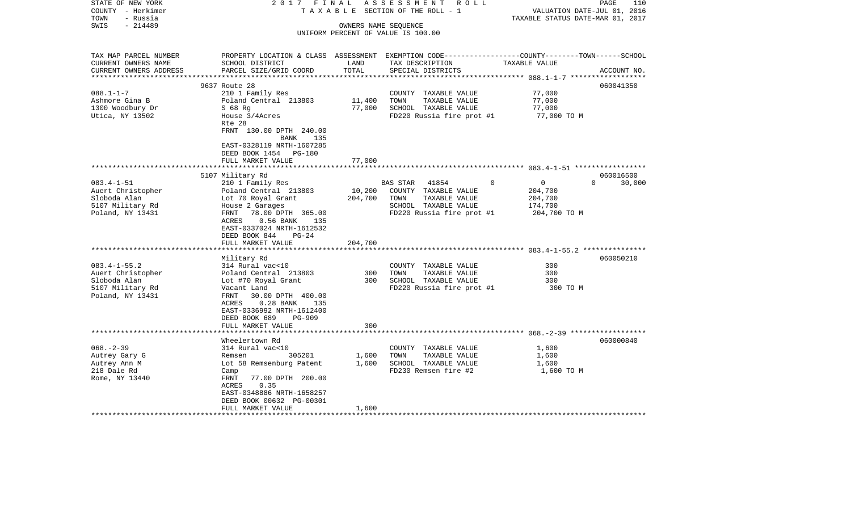| STATE OF NEW YORK<br>COUNTY - Herkimer<br>- Russia<br>TOWN             | 2017 FINAL<br>TAXABLE                                                                                                                        |               | ASSESSMENT ROLL<br>SECTION OF THE ROLL - 1                 | VALUATION DATE-JUL 01, 2016<br>TAXABLE STATUS DATE-MAR 01, 2017 | 110<br>PAGE |
|------------------------------------------------------------------------|----------------------------------------------------------------------------------------------------------------------------------------------|---------------|------------------------------------------------------------|-----------------------------------------------------------------|-------------|
| $-214489$<br>SWIS                                                      |                                                                                                                                              |               | OWNERS NAME SEQUENCE<br>UNIFORM PERCENT OF VALUE IS 100.00 |                                                                 |             |
| TAX MAP PARCEL NUMBER<br>CURRENT OWNERS NAME<br>CURRENT OWNERS ADDRESS | PROPERTY LOCATION & CLASS ASSESSMENT EXEMPTION CODE---------------COUNTY-------TOWN------SCHOOL<br>SCHOOL DISTRICT<br>PARCEL SIZE/GRID COORD | LAND<br>TOTAL | TAX DESCRIPTION<br>SPECIAL DISTRICTS                       | TAXABLE VALUE                                                   | ACCOUNT NO. |
|                                                                        |                                                                                                                                              |               |                                                            |                                                                 |             |
|                                                                        | 9637 Route 28                                                                                                                                |               |                                                            |                                                                 | 060041350   |
| $088.1 - 1 - 7$<br>Ashmore Gina B                                      | 210 1 Family Res<br>Poland Central 213803                                                                                                    | 11,400        | COUNTY TAXABLE VALUE<br>TOWN<br>TAXABLE VALUE              | 77,000<br>77,000                                                |             |
| 1300 Woodbury Dr                                                       | $S$ 68 Rg                                                                                                                                    | 77,000        | SCHOOL TAXABLE VALUE                                       | 77,000                                                          |             |
| Utica, NY 13502                                                        | House 3/4Acres<br>Rte 28                                                                                                                     |               | FD220 Russia fire prot #1                                  | 77,000 TO M                                                     |             |
|                                                                        | FRNT 130.00 DPTH 240.00<br>135<br>BANK<br>EAST-0328119 NRTH-1607285<br>DEED BOOK 1454 PG-180                                                 |               |                                                            |                                                                 |             |
|                                                                        | FULL MARKET VALUE                                                                                                                            | 77,000        |                                                            |                                                                 |             |
|                                                                        | 5107 Military Rd                                                                                                                             |               |                                                            |                                                                 | 060016500   |
| $083.4 - 1 - 51$                                                       | 210 1 Family Res                                                                                                                             |               | BAS STAR<br>41854                                          | $\Omega$<br>$\overline{0}$<br>$\Omega$                          | 30,000      |
| Auert Christopher                                                      | Poland Central 213803                                                                                                                        | 10,200        | COUNTY TAXABLE VALUE                                       | 204,700                                                         |             |
| Sloboda Alan                                                           | Lot 70 Royal Grant                                                                                                                           | 204,700       | TAXABLE VALUE<br>TOWN                                      | 204,700                                                         |             |
| 5107 Military Rd                                                       | House 2 Garages                                                                                                                              |               | SCHOOL TAXABLE VALUE                                       | 174,700                                                         |             |
| Poland, NY 13431                                                       | 78.00 DPTH 365.00<br>FRNT<br>$0.56$ BANK<br>ACRES<br>135<br>EAST-0337024 NRTH-1612532<br>DEED BOOK 844<br>$PG-24$<br>FULL MARKET VALUE       | 204,700       | FD220 Russia fire prot #1                                  | 204,700 TO M                                                    |             |
|                                                                        |                                                                                                                                              |               |                                                            |                                                                 |             |
|                                                                        | Military Rd                                                                                                                                  |               |                                                            |                                                                 | 060050210   |
| $083.4 - 1 - 55.2$                                                     | 314 Rural vac<10                                                                                                                             |               | COUNTY TAXABLE VALUE                                       | 300                                                             |             |
| Auert Christopher                                                      | Poland Central 213803                                                                                                                        | 300           | TOWN<br>TAXABLE VALUE                                      | 300                                                             |             |
| Sloboda Alan                                                           | Lot #70 Royal Grant                                                                                                                          | 300           | SCHOOL TAXABLE VALUE                                       | 300                                                             |             |
| 5107 Military Rd<br>Poland, NY 13431                                   | Vacant Land<br>30.00 DPTH 400.00<br>FRNT<br>$0.28$ BANK<br>ACRES<br>135<br>EAST-0336992 NRTH-1612400<br>DEED BOOK 689<br><b>PG-909</b>       |               | FD220 Russia fire prot #1                                  | 300 TO M                                                        |             |
|                                                                        | FULL MARKET VALUE                                                                                                                            | 300           |                                                            |                                                                 |             |
|                                                                        |                                                                                                                                              |               |                                                            |                                                                 |             |
| $068. - 2 - 39$                                                        | Wheelertown Rd<br>314 Rural vac<10                                                                                                           |               | COUNTY TAXABLE VALUE                                       | 1,600                                                           | 060000840   |
| Autrey Gary G                                                          | 305201<br>Remsen                                                                                                                             | 1,600         | TOWN<br>TAXABLE VALUE                                      | 1,600                                                           |             |
| Autrey Ann M                                                           | Lot 58 Remsenburg Patent                                                                                                                     | 1,600         | SCHOOL TAXABLE VALUE                                       | 1,600                                                           |             |
| 218 Dale Rd                                                            | Camp                                                                                                                                         |               | FD230 Remsen fire #2                                       | 1,600 TO M                                                      |             |
| Rome, NY 13440                                                         | 77.00 DPTH 200.00<br>FRNT<br>0.35<br>ACRES                                                                                                   |               |                                                            |                                                                 |             |
|                                                                        | EAST-0348886 NRTH-1658257<br>DEED BOOK 00632 PG-00301                                                                                        |               |                                                            |                                                                 |             |
|                                                                        | FULL MARKET VALUE                                                                                                                            | 1,600         | **************************************                     |                                                                 |             |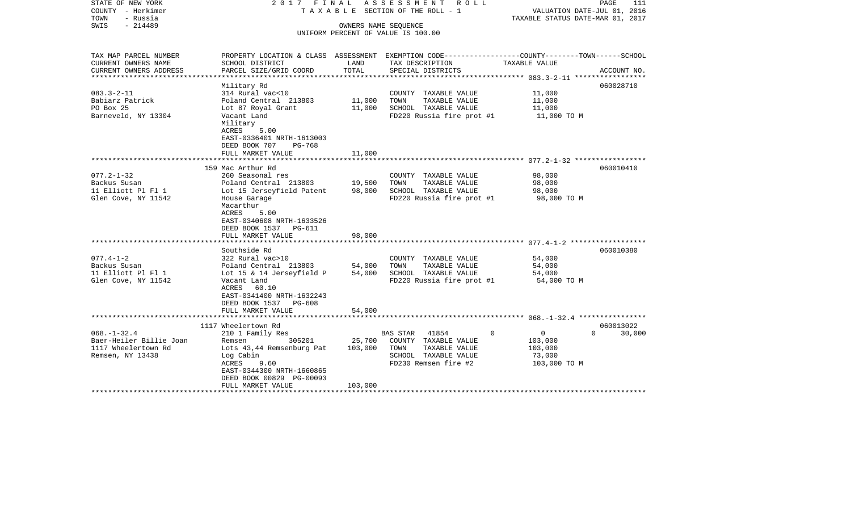|                                                                                                                                                                               |                                                                                                                                   | ROLL ROLL                                                                                              | VALUATION DATE-JUL 01, 2016<br>TAXABLE STATUS DATE-MAR 01, 2017                                                                                             | PAGE<br>111                                                                                                                                                                                            |
|-------------------------------------------------------------------------------------------------------------------------------------------------------------------------------|-----------------------------------------------------------------------------------------------------------------------------------|--------------------------------------------------------------------------------------------------------|-------------------------------------------------------------------------------------------------------------------------------------------------------------|--------------------------------------------------------------------------------------------------------------------------------------------------------------------------------------------------------|
| SCHOOL DISTRICT                                                                                                                                                               | LAND                                                                                                                              | TAX DESCRIPTION                                                                                        | TAXABLE VALUE                                                                                                                                               |                                                                                                                                                                                                        |
|                                                                                                                                                                               |                                                                                                                                   |                                                                                                        |                                                                                                                                                             | ACCOUNT NO.                                                                                                                                                                                            |
| Military Rd                                                                                                                                                                   |                                                                                                                                   |                                                                                                        |                                                                                                                                                             | 060028710                                                                                                                                                                                              |
| 314 Rural vac<10<br>Poland Central 213803<br>Lot 87 Royal Grant<br>Vacant Land<br>Military                                                                                    | 11,000<br>11,000                                                                                                                  | COUNTY TAXABLE VALUE<br>TOWN<br>TAXABLE VALUE<br>SCHOOL TAXABLE VALUE                                  | 11,000<br>11,000<br>11,000<br>11,000 TO M                                                                                                                   |                                                                                                                                                                                                        |
| EAST-0336401 NRTH-1613003<br>DEED BOOK 707<br><b>PG-768</b><br>FULL MARKET VALUE                                                                                              | 11,000                                                                                                                            |                                                                                                        |                                                                                                                                                             |                                                                                                                                                                                                        |
|                                                                                                                                                                               |                                                                                                                                   |                                                                                                        |                                                                                                                                                             | 060010410                                                                                                                                                                                              |
| 260 Seasonal res<br>Poland Central 213803<br>Lot 15 Jerseyfield Patent<br>House Garage<br>Macarthur<br>ACRES<br>5.00<br>EAST-0340608 NRTH-1633526                             | 19,500<br>98,000                                                                                                                  | COUNTY TAXABLE VALUE<br>TOWN<br>TAXABLE VALUE<br>SCHOOL TAXABLE VALUE                                  | 98,000<br>98,000<br>98,000<br>98,000 TO M                                                                                                                   |                                                                                                                                                                                                        |
| DEED BOOK 1537 PG-611                                                                                                                                                         |                                                                                                                                   |                                                                                                        |                                                                                                                                                             |                                                                                                                                                                                                        |
|                                                                                                                                                                               |                                                                                                                                   |                                                                                                        |                                                                                                                                                             |                                                                                                                                                                                                        |
| Southside Rd<br>322 Rural vac>10<br>Poland Central 213803<br>Lot 15 & 14 Jerseyfield P<br>Vacant Land<br>ACRES<br>60.10<br>EAST-0341400 NRTH-1632243                          | 54,000<br>54,000                                                                                                                  | COUNTY TAXABLE VALUE<br>TOWN<br>TAXABLE VALUE<br>SCHOOL TAXABLE VALUE                                  | 54,000<br>54,000<br>54,000<br>54,000 TO M                                                                                                                   | 060010380                                                                                                                                                                                              |
| FULL MARKET VALUE                                                                                                                                                             | 54,000                                                                                                                            |                                                                                                        |                                                                                                                                                             |                                                                                                                                                                                                        |
|                                                                                                                                                                               |                                                                                                                                   |                                                                                                        |                                                                                                                                                             | 060013022                                                                                                                                                                                              |
| 210 1 Family Res<br>305201<br>Remsen<br>Lots 43,44 Remsenburg Pat<br>Log Cabin<br>ACRES<br>9.60<br>EAST-0344300 NRTH-1660865<br>DEED BOOK 00829 PG-00093<br>FULL MARKET VALUE | 25,700<br>103,000<br>103,000                                                                                                      | 41854<br>COUNTY TAXABLE VALUE<br>TOWN<br>TAXABLE VALUE<br>SCHOOL TAXABLE VALUE<br>FD230 Remsen fire #2 | $\overline{0}$<br>103,000<br>103,000<br>73,000<br>103,000 TO M                                                                                              | $\cap$<br>30,000                                                                                                                                                                                       |
|                                                                                                                                                                               | PARCEL SIZE/GRID COORD<br>ACRES<br>5.00<br>159 Mac Arthur Rd<br>FULL MARKET VALUE<br>DEED BOOK 1537 PG-608<br>1117 Wheelertown Rd | 2017 FINAL<br>TOTAL<br>98,000                                                                          | A S S E S S M E N T<br>T A X A B L E SECTION OF THE ROLL - 1<br>OWNERS NAME SEQUENCE<br>UNIFORM PERCENT OF VALUE IS 100.00<br>SPECIAL DISTRICTS<br>BAS STAR | PROPERTY LOCATION & CLASS ASSESSMENT EXEMPTION CODE----------------COUNTY-------TOWN------SCHOOL<br>FD220 Russia fire prot #1<br>FD220 Russia fire prot #1<br>FD220 Russia fire prot #1<br>$\mathbf 0$ |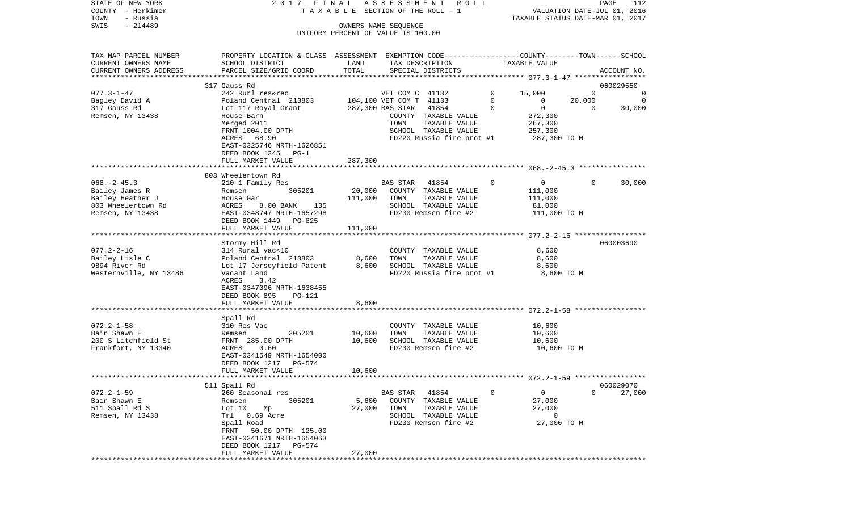| STATE OF NEW YORK                            | 2017 FINAL                                                                                                          |                     | ASSESSMENT                         | R O L L                               |          |                                  |          | PAGE<br>112                 |
|----------------------------------------------|---------------------------------------------------------------------------------------------------------------------|---------------------|------------------------------------|---------------------------------------|----------|----------------------------------|----------|-----------------------------|
| COUNTY - Herkimer<br>TOWN<br>- Russia        |                                                                                                                     |                     | TAXABLE SECTION OF THE ROLL - 1    |                                       |          | TAXABLE STATUS DATE-MAR 01, 2017 |          | VALUATION DATE-JUL 01, 2016 |
| $-214489$<br>SWIS                            |                                                                                                                     |                     | OWNERS NAME SEQUENCE               |                                       |          |                                  |          |                             |
|                                              |                                                                                                                     |                     | UNIFORM PERCENT OF VALUE IS 100.00 |                                       |          |                                  |          |                             |
|                                              |                                                                                                                     |                     |                                    |                                       |          |                                  |          |                             |
|                                              |                                                                                                                     |                     |                                    |                                       |          |                                  |          |                             |
| TAX MAP PARCEL NUMBER<br>CURRENT OWNERS NAME | PROPERTY LOCATION & CLASS ASSESSMENT EXEMPTION CODE----------------COUNTY-------TOWN------SCHOOL<br>SCHOOL DISTRICT | LAND                |                                    | TAX DESCRIPTION                       |          | TAXABLE VALUE                    |          |                             |
| CURRENT OWNERS ADDRESS                       | PARCEL SIZE/GRID COORD                                                                                              | TOTAL               |                                    | SPECIAL DISTRICTS                     |          |                                  |          | ACCOUNT NO.                 |
| **********************                       |                                                                                                                     |                     |                                    |                                       |          |                                  |          |                             |
|                                              | 317 Gauss Rd                                                                                                        |                     |                                    |                                       |          |                                  |          | 060029550                   |
| $077.3 - 1 - 47$                             | 242 Rurl res&rec                                                                                                    |                     | VET COM C 41132                    |                                       | 0        | 15,000                           | $\Omega$ | 0                           |
| Bagley David A                               | Poland Central 213803                                                                                               |                     | 104,100 VET COM T 41133            |                                       | 0        | 0                                | 20,000   | 0                           |
| 317 Gauss Rd                                 | Lot 117 Royal Grant                                                                                                 |                     | 287,300 BAS STAR                   | 41854                                 | $\Omega$ | $\mathbf 0$                      | $\Omega$ | 30,000                      |
| Remsen, NY 13438                             | House Barn                                                                                                          |                     |                                    | COUNTY TAXABLE VALUE                  |          | 272,300                          |          |                             |
|                                              | Merged 2011                                                                                                         |                     | TOWN                               | TAXABLE VALUE                         |          | 267,300                          |          |                             |
|                                              | FRNT 1004.00 DPTH                                                                                                   |                     |                                    | SCHOOL TAXABLE VALUE                  |          | 257,300                          |          |                             |
|                                              | ACRES 68.90                                                                                                         |                     |                                    | FD220 Russia fire prot #1             |          | 287,300 TO M                     |          |                             |
|                                              | EAST-0325746 NRTH-1626851                                                                                           |                     |                                    |                                       |          |                                  |          |                             |
|                                              | DEED BOOK 1345 PG-1                                                                                                 |                     |                                    |                                       |          |                                  |          |                             |
|                                              | FULL MARKET VALUE                                                                                                   | 287,300             |                                    |                                       |          |                                  |          |                             |
|                                              | 803 Wheelertown Rd                                                                                                  |                     |                                    |                                       |          |                                  |          |                             |
| $068. -2 - 45.3$                             | 210 1 Family Res                                                                                                    |                     | <b>BAS STAR</b>                    | 41854                                 | 0        | 0                                | 0        |                             |
| Bailey James R                               | 305201<br>Remsen                                                                                                    | 20,000              |                                    | COUNTY TAXABLE VALUE                  |          | 111,000                          |          | 30,000                      |
| Bailey Heather J                             | House Gar                                                                                                           | 111,000             | TOWN                               | TAXABLE VALUE                         |          | 111,000                          |          |                             |
| 803 Wheelertown Rd                           | ACRES<br>8.00 BANK<br>135                                                                                           |                     |                                    | SCHOOL TAXABLE VALUE                  |          | 81,000                           |          |                             |
| Remsen, NY 13438                             | EAST-0348747 NRTH-1657298                                                                                           |                     |                                    | FD230 Remsen fire #2                  |          | 111,000 TO M                     |          |                             |
|                                              | DEED BOOK 1449 PG-825                                                                                               |                     |                                    |                                       |          |                                  |          |                             |
|                                              | FULL MARKET VALUE                                                                                                   | 111,000             |                                    |                                       |          |                                  |          |                             |
|                                              |                                                                                                                     |                     |                                    |                                       |          |                                  |          |                             |
|                                              | Stormy Hill Rd                                                                                                      |                     |                                    |                                       |          |                                  |          | 060003690                   |
| $077.2 - 2 - 16$                             | 314 Rural vac<10                                                                                                    |                     |                                    | COUNTY TAXABLE VALUE                  |          | 8,600                            |          |                             |
| Bailey Lisle C                               | Poland Central 213803                                                                                               | 8,600               | TOWN                               | TAXABLE VALUE                         |          | 8,600                            |          |                             |
| 9894 River Rd                                | Lot 17 Jerseyfield Patent                                                                                           | 8,600               |                                    | SCHOOL TAXABLE VALUE                  |          | 8,600                            |          |                             |
| Westernville, NY 13486                       | Vacant Land                                                                                                         |                     |                                    | FD220 Russia fire prot #1             |          | 8,600 TO M                       |          |                             |
|                                              | ACRES<br>3.42                                                                                                       |                     |                                    |                                       |          |                                  |          |                             |
|                                              | EAST-0347096 NRTH-1638455                                                                                           |                     |                                    |                                       |          |                                  |          |                             |
|                                              | DEED BOOK 895<br>PG-121                                                                                             |                     |                                    |                                       |          |                                  |          |                             |
|                                              | FULL MARKET VALUE<br>******************                                                                             | 8,600               |                                    |                                       |          |                                  |          |                             |
|                                              |                                                                                                                     | * * * * * * * * * * |                                    |                                       |          |                                  |          |                             |
| $072.2 - 1 - 58$                             | Spall Rd                                                                                                            |                     |                                    |                                       |          |                                  |          |                             |
|                                              | 310 Res Vac                                                                                                         |                     |                                    | COUNTY TAXABLE VALUE                  |          | 10,600                           |          |                             |
| Bain Shawn E<br>200 S Litchfield St          | 305201<br>Remsen<br>FRNT 285.00 DPTH                                                                                | 10,600<br>10,600    | TOWN                               | TAXABLE VALUE<br>SCHOOL TAXABLE VALUE |          | 10,600<br>10,600                 |          |                             |
| Frankfort, NY 13340                          | ACRES<br>0.60                                                                                                       |                     |                                    | FD230 Remsen fire #2                  |          | 10,600 TO M                      |          |                             |
|                                              | EAST-0341549 NRTH-1654000                                                                                           |                     |                                    |                                       |          |                                  |          |                             |
|                                              | DEED BOOK 1217<br>PG-574                                                                                            |                     |                                    |                                       |          |                                  |          |                             |
|                                              | FULL MARKET VALUE                                                                                                   | 10,600              |                                    |                                       |          |                                  |          |                             |
| ***********************                      |                                                                                                                     |                     |                                    |                                       |          |                                  |          |                             |
|                                              | 511 Spall Rd                                                                                                        |                     |                                    |                                       |          |                                  |          | 060029070                   |
| $072.2 - 1 - 59$                             | 260 Seasonal res                                                                                                    |                     | BAS STAR                           | 41854                                 | 0        | 0                                | 0        | 27,000                      |
| Bain Shawn E                                 | 305201<br>Remsen                                                                                                    | 5,600               |                                    | COUNTY TAXABLE VALUE                  |          | 27,000                           |          |                             |
| 511 Spall Rd S                               | Lot $10$<br>Mp                                                                                                      | 27,000              | TOWN                               | TAXABLE VALUE                         |          | 27,000                           |          |                             |
| Remsen, NY 13438                             | 0.69 Acre<br>Trl                                                                                                    |                     |                                    | SCHOOL TAXABLE VALUE                  |          | 0                                |          |                             |
|                                              | Spall Road                                                                                                          |                     |                                    | FD230 Remsen fire #2                  |          | 27,000 TO M                      |          |                             |
|                                              | FRNT<br>50.00 DPTH 125.00                                                                                           |                     |                                    |                                       |          |                                  |          |                             |
|                                              | EAST-0341671 NRTH-1654063                                                                                           |                     |                                    |                                       |          |                                  |          |                             |
|                                              | DEED BOOK 1217<br>PG-574                                                                                            |                     |                                    |                                       |          |                                  |          |                             |
|                                              | FULL MARKET VALUE                                                                                                   | 27,000              |                                    |                                       |          |                                  |          |                             |
|                                              |                                                                                                                     |                     |                                    |                                       |          |                                  |          |                             |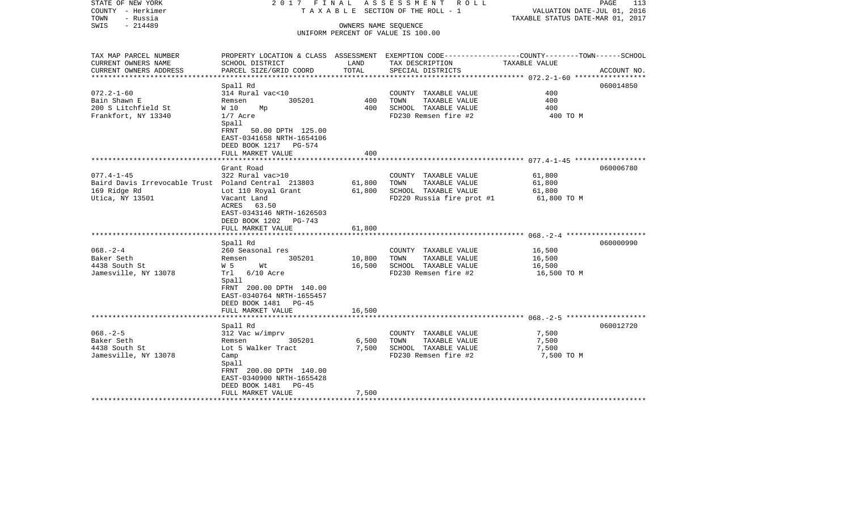| STATE OF NEW YORK<br>COUNTY - Herkimer<br>- Russia<br>TOWN | 2017 FINAL                    |        | ASSESSMENT ROLL<br>TAXABLE SECTION OF THE ROLL - 1 | PAGE<br>VALUATION DATE-JUL 01, 2016<br>TAXABLE STATUS DATE-MAR 01, 2017                         | 113         |
|------------------------------------------------------------|-------------------------------|--------|----------------------------------------------------|-------------------------------------------------------------------------------------------------|-------------|
| $-214489$<br>SWIS                                          |                               |        | OWNERS NAME SEQUENCE                               |                                                                                                 |             |
|                                                            |                               |        | UNIFORM PERCENT OF VALUE IS 100.00                 |                                                                                                 |             |
|                                                            |                               |        |                                                    |                                                                                                 |             |
| TAX MAP PARCEL NUMBER                                      |                               |        |                                                    | PROPERTY LOCATION & CLASS ASSESSMENT EXEMPTION CODE---------------COUNTY-------TOWN------SCHOOL |             |
| CURRENT OWNERS NAME                                        | SCHOOL DISTRICT               | LAND   | TAX DESCRIPTION                                    | TAXABLE VALUE                                                                                   |             |
| CURRENT OWNERS ADDRESS                                     | PARCEL SIZE/GRID COORD        | TOTAL  | SPECIAL DISTRICTS                                  |                                                                                                 | ACCOUNT NO. |
| **********************                                     |                               |        |                                                    |                                                                                                 |             |
|                                                            | Spall Rd                      |        |                                                    |                                                                                                 | 060014850   |
| $072.2 - 1 - 60$                                           | 314 Rural vac<10              |        | COUNTY TAXABLE VALUE                               | 400<br>400                                                                                      |             |
| Bain Shawn E                                               | 305201<br>Remsen              | 400    | TAXABLE VALUE<br>TOWN                              |                                                                                                 |             |
| 200 S Litchfield St                                        | W 10<br>Мp                    | 400    | SCHOOL TAXABLE VALUE                               | 400                                                                                             |             |
| Frankfort, NY 13340                                        | $1/7$ Acre<br>Spall           |        | FD230 Remsen fire #2                               | 400 TO M                                                                                        |             |
|                                                            | FRNT 50.00 DPTH 125.00        |        |                                                    |                                                                                                 |             |
|                                                            | EAST-0341658 NRTH-1654106     |        |                                                    |                                                                                                 |             |
|                                                            | DEED BOOK 1217 PG-574         |        |                                                    |                                                                                                 |             |
|                                                            | FULL MARKET VALUE             | 400    |                                                    |                                                                                                 |             |
|                                                            |                               |        |                                                    |                                                                                                 |             |
|                                                            | Grant Road                    |        |                                                    |                                                                                                 | 060006780   |
| $077.4 - 1 - 45$                                           | 322 Rural vac>10              |        | COUNTY TAXABLE VALUE                               | 61,800                                                                                          |             |
| Baird Davis Irrevocable Trust Poland Central 213803        |                               | 61,800 | TOWN<br>TAXABLE VALUE                              | 61,800                                                                                          |             |
| 169 Ridge Rd                                               | Lot 110 Royal Grant           | 61,800 | SCHOOL TAXABLE VALUE                               | 61,800                                                                                          |             |
| Utica, NY 13501                                            | Vacant Land                   |        | FD220 Russia fire prot #1                          | 61,800 TO M                                                                                     |             |
|                                                            | ACRES 63.50                   |        |                                                    |                                                                                                 |             |
|                                                            | EAST-0343146 NRTH-1626503     |        |                                                    |                                                                                                 |             |
|                                                            | DEED BOOK 1202 PG-743         |        |                                                    |                                                                                                 |             |
|                                                            | FULL MARKET VALUE             | 61,800 |                                                    |                                                                                                 |             |
|                                                            | ***************************** |        |                                                    |                                                                                                 |             |
|                                                            | Spall Rd                      |        |                                                    |                                                                                                 | 060000990   |
| $068. - 2 - 4$                                             | 260 Seasonal res              |        | COUNTY TAXABLE VALUE                               | 16,500                                                                                          |             |
| Baker Seth                                                 | 305201<br>Remsen              | 10,800 | TOWN<br>TAXABLE VALUE                              | 16,500                                                                                          |             |
| 4438 South St                                              | W 5<br>Wt                     | 16,500 | SCHOOL TAXABLE VALUE                               | 16,500                                                                                          |             |
| Jamesville, NY 13078                                       | Trl 6/10 Acre                 |        | FD230 Remsen fire #2                               | 16,500 TO M                                                                                     |             |
|                                                            | Spall                         |        |                                                    |                                                                                                 |             |
|                                                            | FRNT 200.00 DPTH 140.00       |        |                                                    |                                                                                                 |             |
|                                                            | EAST-0340764 NRTH-1655457     |        |                                                    |                                                                                                 |             |
|                                                            | DEED BOOK 1481 PG-45          |        |                                                    |                                                                                                 |             |
|                                                            | FULL MARKET VALUE             | 16,500 |                                                    |                                                                                                 |             |
|                                                            | Spall Rd                      |        |                                                    |                                                                                                 | 060012720   |
| $068. - 2 - 5$                                             | 312 Vac w/imprv               |        | COUNTY TAXABLE VALUE                               | 7,500                                                                                           |             |
| Baker Seth                                                 | 305201<br>Remsen              | 6,500  | TOWN<br>TAXABLE VALUE                              | 7,500                                                                                           |             |
| 4438 South St                                              | Lot 5 Walker Tract            | 7,500  | SCHOOL TAXABLE VALUE                               | 7,500                                                                                           |             |
| Jamesville, NY 13078                                       | Camp                          |        | FD230 Remsen fire #2                               | 7,500 TO M                                                                                      |             |
|                                                            | Spall                         |        |                                                    |                                                                                                 |             |
|                                                            | FRNT 200.00 DPTH 140.00       |        |                                                    |                                                                                                 |             |
|                                                            | EAST-0340900 NRTH-1655428     |        |                                                    |                                                                                                 |             |
|                                                            | DEED BOOK 1481<br>PG-45       |        |                                                    |                                                                                                 |             |
|                                                            | FULL MARKET VALUE             | 7,500  |                                                    |                                                                                                 |             |
|                                                            |                               |        |                                                    |                                                                                                 |             |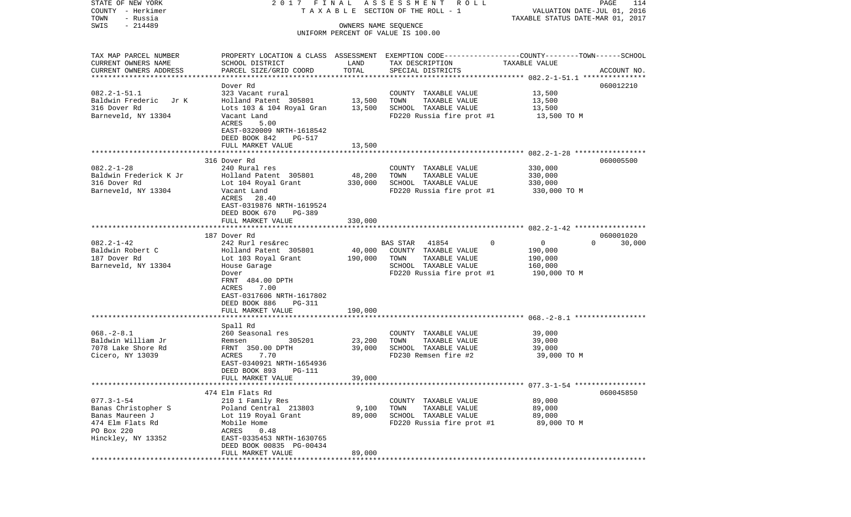STATE OF NEW YORK 2 0 1 7 F I N A L A S S E S S M E N T R O L L PAGE 114COUNTY - Herkimer T A X A B L E SECTION OF THE ROLL - 1 VALUATION DATE-JUL 01, 2016 TOWN - Russia TAXABLE STATUS DATE-MAR 01, 2017 SWIS - 214489 OWNERS NAME SEQUENCE UNIFORM PERCENT OF VALUE IS 100.00TAX MAP PARCEL NUMBER PROPERTY LOCATION & CLASS ASSESSMENT EXEMPTION CODE------------------COUNTY--------TOWN------SCHOOL CURRENT OWNERS NAME SCHOOL DISTRICT LAND TAX DESCRIPTION TAXABLE VALUECURRENT OWNERS ADDRESS PARCEL SIZE/GRID COORD TOTAL SPECIAL DISTRICTS ACCOUNT NO. \*\*\*\*\*\*\*\*\*\*\*\*\*\*\*\*\*\*\*\*\*\*\*\*\*\*\*\*\*\*\*\*\*\*\*\*\*\*\*\*\*\*\*\*\*\*\*\*\*\*\*\*\*\*\*\*\*\*\*\*\*\*\*\*\*\*\*\*\*\*\*\*\*\*\*\*\*\*\*\*\*\*\*\*\*\*\*\*\*\*\*\*\*\*\*\*\*\*\*\*\*\*\* 082.2-1-51.1 \*\*\*\*\*\*\*\*\*\*\*\*\*\*\* Dover Rd 060012210082.2-1-51.1 323 Vacant rural COUNTY TAXABLE VALUE 13,500 Baldwin Frederic Jr K Holland Patent 305801 13,500 TOWN TAXABLE VALUE 13,500 316 Dover Rd Lots 103 & 104 Royal Gran 13,500 SCHOOL TAXABLE VALUE 13,500 Barneveld, NY 13304 Vacant Land FD220 Russia fire prot #1 13,500 TO M ACRES 5.00 EAST-0320009 NRTH-1618542 DEED BOOK 842 PG-517 FULL MARKET VALUE 13,500 \*\*\*\*\*\*\*\*\*\*\*\*\*\*\*\*\*\*\*\*\*\*\*\*\*\*\*\*\*\*\*\*\*\*\*\*\*\*\*\*\*\*\*\*\*\*\*\*\*\*\*\*\*\*\*\*\*\*\*\*\*\*\*\*\*\*\*\*\*\*\*\*\*\*\*\*\*\*\*\*\*\*\*\*\*\*\*\*\*\*\*\*\*\*\*\*\*\*\*\*\*\*\* 082.2-1-28 \*\*\*\*\*\*\*\*\*\*\*\*\*\*\*\*\* 316 Dover Rd 060005500082.2-1-28 240 Rural res COUNTY TAXABLE VALUE 330,000 Baldwin Frederick K Jr Holland Patent 305801 48,200 TOWN TAXABLE VALUE 330,000 316 Dover Rd Lot 104 Royal Grant 330,000 SCHOOL TAXABLE VALUE 330,000 Barneveld, NY 13304 Vacant Land FD220 Russia fire prot #1 330,000 TO M ACRES 28.40 EAST-0319876 NRTH-1619524 DEED BOOK 670 PG-389 FULL MARKET VALUE 330,000 \*\*\*\*\*\*\*\*\*\*\*\*\*\*\*\*\*\*\*\*\*\*\*\*\*\*\*\*\*\*\*\*\*\*\*\*\*\*\*\*\*\*\*\*\*\*\*\*\*\*\*\*\*\*\*\*\*\*\*\*\*\*\*\*\*\*\*\*\*\*\*\*\*\*\*\*\*\*\*\*\*\*\*\*\*\*\*\*\*\*\*\*\*\*\*\*\*\*\*\*\*\*\* 082.2-1-42 \*\*\*\*\*\*\*\*\*\*\*\*\*\*\*\*\* 187 Dover Rd 060001020082.2-1-42 242 Rurl res&rec BAS STAR 41854 0 0 0 30,000 Baldwin Robert C 6 6 Holland Patent 305801 40,000 COUNTY TAXABLE VALUE 190,000 187 Dover Rd Lot 103 Royal Grant 190,000 TOWN TAXABLE VALUE 190,000 Barnevel Garage 160,000 House Garage SCHOOL TAXABLE VALUE 160,000 Dover **FD220** Russia fire prot #1 190,000 TO M FRNT 484.00 DPTH ACRES 7.00 EAST-0317606 NRTH-1617802 DEED BOOK 886 PG-311FULL MARKET VALUE 190.000 \*\*\*\*\*\*\*\*\*\*\*\*\*\*\*\*\*\*\*\*\*\*\*\*\*\*\*\*\*\*\*\*\*\*\*\*\*\*\*\*\*\*\*\*\*\*\*\*\*\*\*\*\*\*\*\*\*\*\*\*\*\*\*\*\*\*\*\*\*\*\*\*\*\*\*\*\*\*\*\*\*\*\*\*\*\*\*\*\*\*\*\*\*\*\*\*\*\*\*\*\*\*\* 068.-2-8.1 \*\*\*\*\*\*\*\*\*\*\*\*\*\*\*\*\* Spall Rd 068.-2-8.1 260 Seasonal res COUNTY TAXABLE VALUE 39,000 Baldwin William Jr Remsen 305201 23,200 TOWN TAXABLE VALUE 39,000 7078 Lake Shore Rd FRNT 350.00 DPTH 39,000 SCHOOL TAXABLE VALUE 39,000  $Cicero$ , NY 13039  $Cicero$ , NY 13039  $Cicero$ ,  $NY$  13039  $S = Cicero$ ,  $S = Cicero$ ,  $S = Cicero$ ,  $S = Cicero$ ,  $S = Cicero$ ,  $S = Cicero$ ,  $S = Cicero$ ,  $S = Cicero$ ,  $S = Cicero$ ,  $S = Cicero$ ,  $S = Cicero$ ,  $S = Cicero$ ,  $S = Cicero$ ,  $S = Cicero$ ,  $S = Cicero$ ,  $S = Cicero$ ,  $S = Cicero$ ,  $S = Cicero$ ,  $S = Cicero$ , EAST-0340921 NRTH-1654936 DEED BOOK 893 PG-111 FULL MARKET VALUE 39,000 \*\*\*\*\*\*\*\*\*\*\*\*\*\*\*\*\*\*\*\*\*\*\*\*\*\*\*\*\*\*\*\*\*\*\*\*\*\*\*\*\*\*\*\*\*\*\*\*\*\*\*\*\*\*\*\*\*\*\*\*\*\*\*\*\*\*\*\*\*\*\*\*\*\*\*\*\*\*\*\*\*\*\*\*\*\*\*\*\*\*\*\*\*\*\*\*\*\*\*\*\*\*\* 077.3-1-54 \*\*\*\*\*\*\*\*\*\*\*\*\*\*\*\*\* 474 Elm Flats Rd 060045850077.3-1-54 210 1 Family Res COUNTY TAXABLE VALUE 89,000 Banas Christopher S Poland Central 213803 9,100 TOWN TAXABLE VALUE 89,000 Banas Maureen J Lot 119 Royal Grant 89,000 SCHOOL TAXABLE VALUE 89,000 474 Elm Flats Rd Mobile Home FD220 Russia fire prot #1 89,000 TO M PO Box 220 ACRES 0.48 Hinckley, NY 13352 EAST-0335453 NRTH-1630765 DEED BOOK 00835 PG-00434FULL MARKET VALUE 89,000 \*\*\*\*\*\*\*\*\*\*\*\*\*\*\*\*\*\*\*\*\*\*\*\*\*\*\*\*\*\*\*\*\*\*\*\*\*\*\*\*\*\*\*\*\*\*\*\*\*\*\*\*\*\*\*\*\*\*\*\*\*\*\*\*\*\*\*\*\*\*\*\*\*\*\*\*\*\*\*\*\*\*\*\*\*\*\*\*\*\*\*\*\*\*\*\*\*\*\*\*\*\*\*\*\*\*\*\*\*\*\*\*\*\*\*\*\*\*\*\*\*\*\*\*\*\*\*\*\*\*\*\*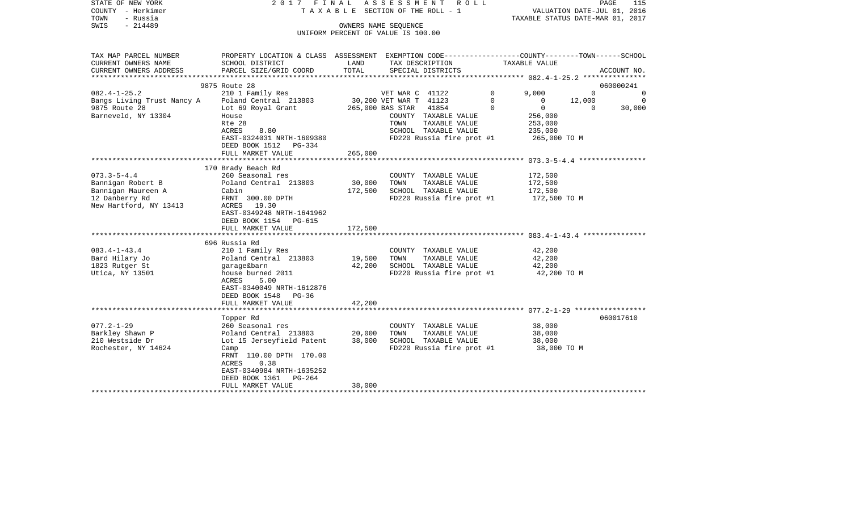| STATE OF NEW YORK<br>COUNTY - Herkimer<br>TOWN<br>- Russia<br>$-214489$<br>SWIS                          | 2017 FINAL                                                                                                                                                                            |                      | ASSESSMENT ROLL<br>T A X A B L E SECTION OF THE ROLL - 1                                                                        |              | VALUATION DATE-JUL 01, 2016<br>TAXABLE STATUS DATE-MAR 01, 2017 | PAGE        | 115         |
|----------------------------------------------------------------------------------------------------------|---------------------------------------------------------------------------------------------------------------------------------------------------------------------------------------|----------------------|---------------------------------------------------------------------------------------------------------------------------------|--------------|-----------------------------------------------------------------|-------------|-------------|
|                                                                                                          |                                                                                                                                                                                       | OWNERS NAME SEQUENCE | UNIFORM PERCENT OF VALUE IS 100.00                                                                                              |              |                                                                 |             |             |
| TAX MAP PARCEL NUMBER<br>CURRENT OWNERS NAME                                                             | PROPERTY LOCATION & CLASS ASSESSMENT EXEMPTION CODE---------------COUNTY-------TOWN------SCHOOL<br>SCHOOL DISTRICT                                                                    | LAND                 | TAX DESCRIPTION                                                                                                                 |              | TAXABLE VALUE                                                   |             |             |
| CURRENT OWNERS ADDRESS<br>*******************                                                            | PARCEL SIZE/GRID COORD                                                                                                                                                                | TOTAL                | SPECIAL DISTRICTS                                                                                                               |              |                                                                 |             | ACCOUNT NO. |
|                                                                                                          | 9875 Route 28                                                                                                                                                                         |                      |                                                                                                                                 |              | ******************** 082.4-1-25.2 ****************              | 060000241   |             |
| $082.4 - 1 - 25.2$                                                                                       | 210 1 Family Res                                                                                                                                                                      |                      | VET WAR C 41122                                                                                                                 | $\mathbf{0}$ | 9,000                                                           | $\mathbf 0$ | 0           |
| Bangs Living Trust Nancy A                                                                               | Poland Central 213803                                                                                                                                                                 |                      | 30,200 VET WAR T 41123                                                                                                          | $\mathbf 0$  | 0                                                               | 12,000      | $\mathbf 0$ |
| 9875 Route 28<br>Barneveld, NY 13304                                                                     | Lot 69 Royal Grant<br>House<br>Rte 28<br>8.80<br>ACRES<br>EAST-0324031 NRTH-1609380<br>DEED BOOK 1512 PG-334                                                                          |                      | 41854<br>265,000 BAS STAR<br>COUNTY TAXABLE VALUE<br>TOWN<br>TAXABLE VALUE<br>SCHOOL TAXABLE VALUE<br>FD220 Russia fire prot #1 | $\Omega$     | $\Omega$<br>256,000<br>253,000<br>235,000<br>265,000 TO M       | $\Omega$    | 30,000      |
|                                                                                                          | FULL MARKET VALUE                                                                                                                                                                     | 265,000              |                                                                                                                                 |              |                                                                 |             |             |
|                                                                                                          |                                                                                                                                                                                       |                      |                                                                                                                                 |              |                                                                 |             |             |
| $073.3 - 5 - 4.4$<br>Bannigan Robert B<br>Bannigan Maureen A<br>12 Danberry Rd<br>New Hartford, NY 13413 | 170 Brady Beach Rd<br>260 Seasonal res<br>Poland Central 213803<br>Cabin<br>FRNT 300.00 DPTH<br>ACRES 19.30<br>EAST-0349248 NRTH-1641962<br>DEED BOOK 1154 PG-615                     | 30,000<br>172,500    | COUNTY TAXABLE VALUE<br>TAXABLE VALUE<br>TOWN<br>SCHOOL TAXABLE VALUE<br>FD220 Russia fire prot #1                              |              | 172,500<br>172,500<br>172,500<br>172,500 TO M                   |             |             |
|                                                                                                          | FULL MARKET VALUE                                                                                                                                                                     | 172,500              |                                                                                                                                 |              |                                                                 |             |             |
|                                                                                                          |                                                                                                                                                                                       |                      |                                                                                                                                 |              |                                                                 |             |             |
| $083.4 - 1 - 43.4$<br>Bard Hilary Jo<br>1823 Rutger St<br>Utica, NY 13501                                | 696 Russia Rd<br>210 1 Family Res<br>Poland Central 213803<br>garage&barn<br>house burned 2011<br>ACRES<br>5.00<br>EAST-0340049 NRTH-1612876<br>DEED BOOK 1548<br>PG-36               | 19,500<br>42,200     | COUNTY TAXABLE VALUE<br>TOWN<br>TAXABLE VALUE<br>SCHOOL TAXABLE VALUE<br>FD220 Russia fire prot #1                              |              | 42,200<br>42,200<br>42,200<br>42,200 TO M                       |             |             |
|                                                                                                          | FULL MARKET VALUE                                                                                                                                                                     | 42,200               |                                                                                                                                 |              |                                                                 |             |             |
|                                                                                                          | Topper Rd                                                                                                                                                                             |                      |                                                                                                                                 |              |                                                                 | 060017610   |             |
| $077.2 - 1 - 29$<br>Barkley Shawn P<br>210 Westside Dr<br>Rochester, NY 14624                            | 260 Seasonal res<br>Poland Central 213803<br>Lot 15 Jerseyfield Patent<br>Camp<br>FRNT 110.00 DPTH 170.00<br>ACRES<br>0.38<br>EAST-0340984 NRTH-1635252<br>$PG-264$<br>DEED BOOK 1361 | 20,000<br>38,000     | COUNTY TAXABLE VALUE<br>TAXABLE VALUE<br>TOWN<br>SCHOOL TAXABLE VALUE<br>FD220 Russia fire prot #1                              |              | 38,000<br>38,000<br>38,000<br>38,000 TO M                       |             |             |
|                                                                                                          | FULL MARKET VALUE                                                                                                                                                                     | 38,000               |                                                                                                                                 |              |                                                                 |             |             |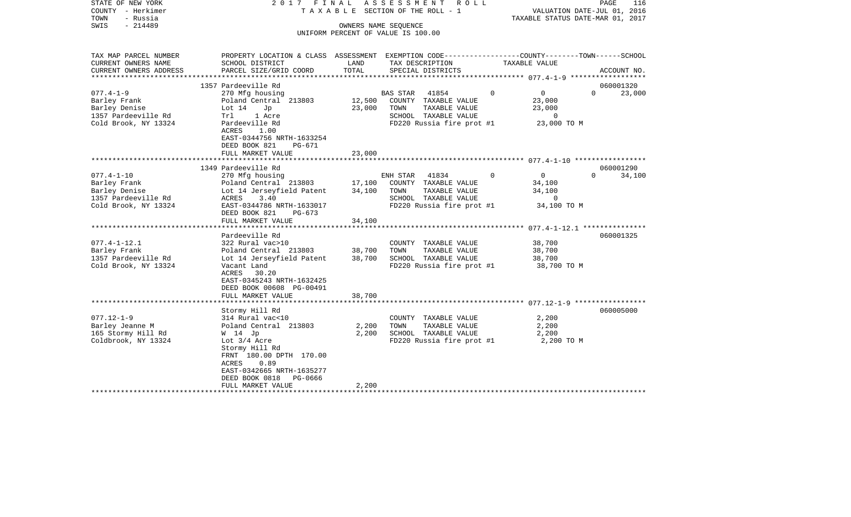| STATE OF NEW YORK<br>COUNTY - Herkimer<br>TOWN<br>- Russia<br>SWIS<br>$-214489$                 | 2017 FINAL                                                                                                                                                                                                       | OWNERS NAME SEQUENCE | ASSESSMENT<br>R O L L<br>TAXABLE SECTION OF THE ROLL - 1                                                                |                                                                              | PAGE<br>116<br>VALUATION DATE-JUL 01, 2016<br>TAXABLE STATUS DATE-MAR 01, 2017 |
|-------------------------------------------------------------------------------------------------|------------------------------------------------------------------------------------------------------------------------------------------------------------------------------------------------------------------|----------------------|-------------------------------------------------------------------------------------------------------------------------|------------------------------------------------------------------------------|--------------------------------------------------------------------------------|
|                                                                                                 |                                                                                                                                                                                                                  |                      | UNIFORM PERCENT OF VALUE IS 100.00                                                                                      |                                                                              |                                                                                |
| TAX MAP PARCEL NUMBER<br>CURRENT OWNERS NAME                                                    | PROPERTY LOCATION & CLASS ASSESSMENT EXEMPTION CODE---------------COUNTY-------TOWN-----SCHOOL<br>SCHOOL DISTRICT                                                                                                | LAND                 | TAX DESCRIPTION                                                                                                         | TAXABLE VALUE                                                                |                                                                                |
| CURRENT OWNERS ADDRESS<br>****************                                                      | PARCEL SIZE/GRID COORD                                                                                                                                                                                           | TOTAL                | SPECIAL DISTRICTS                                                                                                       |                                                                              | ACCOUNT NO.                                                                    |
|                                                                                                 | 1357 Pardeeville Rd                                                                                                                                                                                              |                      |                                                                                                                         |                                                                              | 060001320                                                                      |
| $077.4 - 1 - 9$<br>Barley Frank<br>Barley Denise<br>1357 Pardeeville Rd<br>Cold Brook, NY 13324 | 270 Mfg housing<br>Poland Central 213803<br>Lot $14$<br>Jp<br>Trl<br>1 Acre<br>Pardeeville Rd<br>ACRES<br>1.00<br>EAST-0344756 NRTH-1633254                                                                      | 12,500<br>23,000     | BAS STAR<br>41854<br>COUNTY TAXABLE VALUE<br>TAXABLE VALUE<br>TOWN<br>SCHOOL TAXABLE VALUE<br>FD220 Russia fire prot #1 | $\mathbf 0$<br>$\overline{0}$<br>23,000<br>23,000<br>$\Omega$<br>23,000 TO M | $\Omega$<br>23,000                                                             |
|                                                                                                 | DEED BOOK 821<br>PG-671<br>FULL MARKET VALUE                                                                                                                                                                     | 23,000               |                                                                                                                         |                                                                              |                                                                                |
|                                                                                                 | 1349 Pardeeville Rd                                                                                                                                                                                              |                      |                                                                                                                         |                                                                              | 060001290                                                                      |
| $077.4 - 1 - 10$<br>Barley Frank<br>Barley Denise<br>1357 Pardeeville Rd                        | 270 Mfg housing<br>Poland Central 213803<br>Lot 14 Jerseyfield Patent<br>3.40<br>ACRES                                                                                                                           | 17,100<br>34,100     | ENH STAR<br>41834<br>COUNTY TAXABLE VALUE<br>TOWN<br>TAXABLE VALUE<br>SCHOOL TAXABLE VALUE                              | $\mathbf 0$<br>$\overline{0}$<br>34,100<br>34,100<br>$\circ$                 | $\Omega$<br>34,100                                                             |
| Cold Brook, NY 13324                                                                            | EAST-0344786 NRTH-1633017<br>DEED BOOK 821<br>PG-673<br>FULL MARKET VALUE                                                                                                                                        | 34,100               | FD220 Russia fire prot #1                                                                                               | 34,100 TO M                                                                  |                                                                                |
|                                                                                                 |                                                                                                                                                                                                                  |                      |                                                                                                                         |                                                                              |                                                                                |
| $077.4 - 1 - 12.1$<br>Barley Frank<br>1357 Pardeeville Rd<br>Cold Brook, NY 13324               | Pardeeville Rd<br>322 Rural vac>10<br>Poland Central 213803<br>Lot 14 Jerseyfield Patent<br>Vacant Land<br>ACRES<br>30.20<br>EAST-0345243 NRTH-1632425<br>DEED BOOK 00608 PG-00491                               | 38,700<br>38,700     | COUNTY TAXABLE VALUE<br>TAXABLE VALUE<br>TOWN<br>SCHOOL TAXABLE VALUE<br>FD220 Russia fire prot #1                      | 38,700<br>38,700<br>38,700<br>38,700 TO M                                    | 060001325                                                                      |
|                                                                                                 | FULL MARKET VALUE                                                                                                                                                                                                | 38,700               |                                                                                                                         |                                                                              |                                                                                |
| $077.12 - 1 - 9$<br>Barley Jeanne M<br>165 Stormy Hill Rd<br>Coldbrook, NY 13324                | Stormy Hill Rd<br>314 Rural vac<10<br>Poland Central 213803<br>W 14 Jp<br>Lot $3/4$ Acre<br>Stormy Hill Rd<br>FRNT 180.00 DPTH 170.00<br>0.89<br>ACRES<br>EAST-0342665 NRTH-1635277<br>DEED BOOK 0818<br>PG-0666 | 2,200<br>2,200       | COUNTY TAXABLE VALUE<br>TOWN<br>TAXABLE VALUE<br>SCHOOL TAXABLE VALUE<br>FD220 Russia fire prot #1                      | 2,200<br>2,200<br>2,200<br>2,200 TO M                                        | 060005000                                                                      |
|                                                                                                 | FULL MARKET VALUE                                                                                                                                                                                                | 2,200                |                                                                                                                         |                                                                              |                                                                                |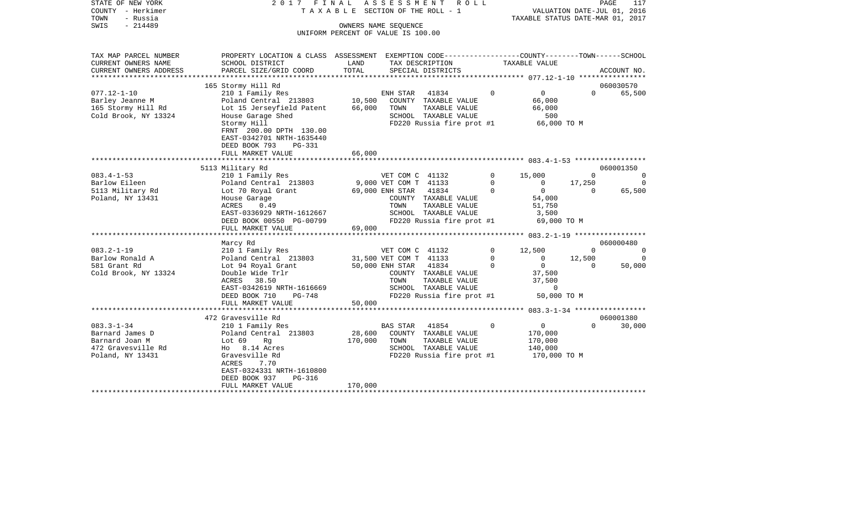| STATE OF NEW YORK<br>COUNTY - Herkimer<br>TOWN<br>- Russia<br>SWIS<br>$-214489$                 | 2017 FINAL                                                                                                                                                                |                   | ASSESSMENT<br>R O L L<br>TAXABLE SECTION OF THE ROLL - 1<br>OWNERS NAME SEQUENCE<br>UNIFORM PERCENT OF VALUE IS 100.00  |                                      | VALUATION DATE-JUL 01, 2016<br>TAXABLE STATUS DATE-MAR 01, 2017 |                                      | PAGE<br>117                    |
|-------------------------------------------------------------------------------------------------|---------------------------------------------------------------------------------------------------------------------------------------------------------------------------|-------------------|-------------------------------------------------------------------------------------------------------------------------|--------------------------------------|-----------------------------------------------------------------|--------------------------------------|--------------------------------|
|                                                                                                 |                                                                                                                                                                           |                   |                                                                                                                         |                                      |                                                                 |                                      |                                |
| TAX MAP PARCEL NUMBER<br>CURRENT OWNERS NAME                                                    | PROPERTY LOCATION & CLASS ASSESSMENT EXEMPTION CODE---------------COUNTY-------TOWN-----SCHOOL<br>SCHOOL DISTRICT                                                         | LAND              | TAX DESCRIPTION                                                                                                         |                                      | TAXABLE VALUE                                                   |                                      |                                |
| CURRENT OWNERS ADDRESS                                                                          | PARCEL SIZE/GRID COORD                                                                                                                                                    | TOTAL             | SPECIAL DISTRICTS                                                                                                       |                                      |                                                                 |                                      | ACCOUNT NO.                    |
|                                                                                                 | 165 Stormy Hill Rd                                                                                                                                                        |                   |                                                                                                                         |                                      |                                                                 |                                      | 060030570                      |
| $077.12 - 1 - 10$<br>Barley Jeanne M<br>165 Stormy Hill Rd<br>Cold Brook, NY 13324              | 210 1 Family Res<br>Poland Central 213803 10,500<br>Lot 15 Jerseyfield Patent<br>House Garage Shed<br>Stormy Hill<br>FRNT 200.00 DPTH 130.00<br>EAST-0342701 NRTH-1635440 | 66,000            | ENH STAR<br>41834<br>COUNTY TAXABLE VALUE<br>TOWN<br>TAXABLE VALUE<br>SCHOOL TAXABLE VALUE<br>FD220 Russia fire prot #1 | $\Omega$                             | $0 \qquad \qquad$<br>66,000<br>66,000<br>500<br>66,000 TO M     | $\Omega$                             | 65,500                         |
|                                                                                                 | DEED BOOK 793<br>PG-331<br>FULL MARKET VALUE                                                                                                                              | 66,000            |                                                                                                                         |                                      |                                                                 |                                      |                                |
|                                                                                                 | 5113 Military Rd                                                                                                                                                          |                   |                                                                                                                         |                                      |                                                                 |                                      | 060001350                      |
| $083.4 - 1 - 53$<br>Barlow Eileen<br>5113 Military Rd                                           | 210 1 Family Res<br>Poland Central 213803<br>Lot 70 Royal Grant                                                                                                           |                   | VET COM C 41132<br>9,000 VET COM T 41133<br>69,000 ENH STAR<br>41834                                                    | $\mathbf{0}$<br>$\Omega$<br>$\Omega$ | 15,000<br>$\overline{0}$<br>$\overline{0}$                      | $\Omega$<br>17,250<br>$\overline{0}$ | $\Omega$<br>$\Omega$<br>65,500 |
| Poland, NY 13431                                                                                | House Garage<br>ACRES<br>0.49<br>EAST-0336929 NRTH-1612667<br>DEED BOOK 00550 PG-00799                                                                                    |                   | COUNTY TAXABLE VALUE<br>TAXABLE VALUE<br>TOWN<br>SCHOOL TAXABLE VALUE<br>FD220 Russia fire prot #1                      |                                      | 54,000<br>51,750<br>3,500<br>69,000 TO M                        |                                      |                                |
|                                                                                                 | FULL MARKET VALUE                                                                                                                                                         | 69,000            |                                                                                                                         |                                      |                                                                 |                                      |                                |
|                                                                                                 | Marcy Rd                                                                                                                                                                  |                   |                                                                                                                         |                                      |                                                                 |                                      | 060000480                      |
| $083.2 - 1 - 19$<br>Barlow Ronald A<br>581 Grant Rd                                             | 210 1 Family Res<br>Poland Central 213803<br>Lot 94 Royal Grant                                                                                                           |                   | VET COM C 41132<br>31,500 VET COM T 41133<br>50,000 ENH STAR 41834                                                      | $\Omega$<br>$\Omega$<br>$\mathbf 0$  | 12,500<br>$\overline{0}$<br>$\overline{0}$                      | $\Omega$<br>12,500<br>$\Omega$       | $\Omega$<br>50,000             |
| Cold Brook, NY 13324                                                                            | Double Wide Trlr<br>ACRES 38.50<br>EAST-0342619 NRTH-1616669                                                                                                              |                   | COUNTY TAXABLE VALUE<br>TAXABLE VALUE<br>TOWN<br>SCHOOL TAXABLE VALUE                                                   |                                      | 37,500<br>37,500<br>$\mathbf 0$                                 |                                      |                                |
|                                                                                                 | DEED BOOK 710<br>PG-748                                                                                                                                                   | 50,000            | FD220 Russia fire prot #1                                                                                               |                                      | 50,000 TO M                                                     |                                      |                                |
|                                                                                                 | FULL MARKET VALUE                                                                                                                                                         |                   |                                                                                                                         |                                      |                                                                 |                                      |                                |
|                                                                                                 | 472 Gravesville Rd                                                                                                                                                        |                   |                                                                                                                         |                                      |                                                                 |                                      | 060001380                      |
| $083.3 - 1 - 34$<br>Barnard James D<br>Barnard Joan M<br>472 Gravesville Rd<br>Poland, NY 13431 | 210 1 Family Res<br>Poland Central 213803<br>Lot 69<br>Rg<br>Ho 8.14 Acres<br>Gravesville Rd<br>ACRES<br>7.70<br>EAST-0324331 NRTH-1610800<br>DEED BOOK 937<br>PG-316     | 28,600<br>170,000 | BAS STAR 41854<br>COUNTY TAXABLE VALUE<br>TAXABLE VALUE<br>TOWN<br>SCHOOL TAXABLE VALUE<br>FD220 Russia fire prot #1    | $\Omega$                             | $\overline{0}$<br>170,000<br>170,000<br>140,000<br>170,000 TO M | $\Omega$                             | 30,000                         |
|                                                                                                 | FULL MARKET VALUE                                                                                                                                                         | 170,000           |                                                                                                                         |                                      |                                                                 |                                      |                                |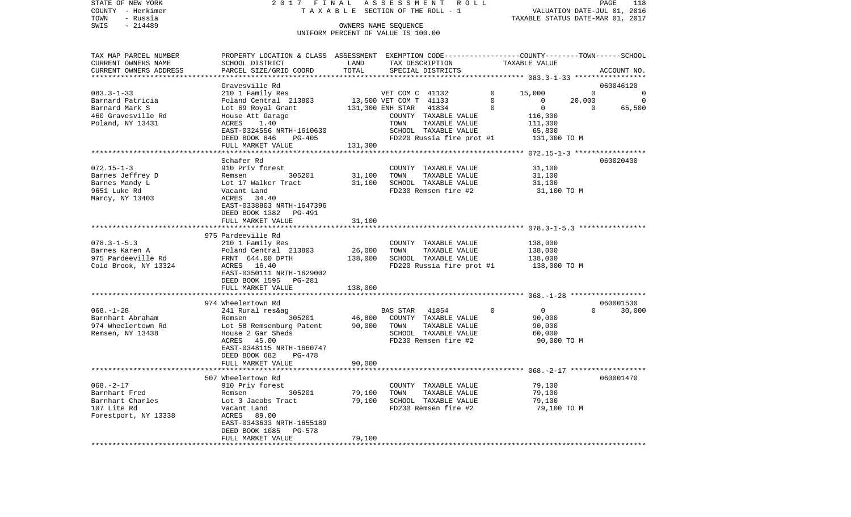| STATE OF NEW YORK                             | 2017 FINAL ASSESSMENT ROLL                                                                      |               |                                                            |                           |          |                                                        |          | PAGE<br>118                 |
|-----------------------------------------------|-------------------------------------------------------------------------------------------------|---------------|------------------------------------------------------------|---------------------------|----------|--------------------------------------------------------|----------|-----------------------------|
| COUNTY - Herkimer                             |                                                                                                 |               | TAXABLE SECTION OF THE ROLL - 1                            |                           |          |                                                        |          | VALUATION DATE-JUL 01, 2016 |
| TOWN<br>- Russia                              |                                                                                                 |               |                                                            |                           |          | TAXABLE STATUS DATE-MAR 01, 2017                       |          |                             |
| $-214489$<br>SWIS                             |                                                                                                 |               | OWNERS NAME SEQUENCE<br>UNIFORM PERCENT OF VALUE IS 100.00 |                           |          |                                                        |          |                             |
|                                               |                                                                                                 |               |                                                            |                           |          |                                                        |          |                             |
|                                               |                                                                                                 |               |                                                            |                           |          |                                                        |          |                             |
| TAX MAP PARCEL NUMBER                         | PROPERTY LOCATION & CLASS ASSESSMENT EXEMPTION CODE---------------COUNTY-------TOWN------SCHOOL |               |                                                            |                           |          |                                                        |          |                             |
| CURRENT OWNERS NAME<br>CURRENT OWNERS ADDRESS | SCHOOL DISTRICT<br>PARCEL SIZE/GRID COORD                                                       | LAND<br>TOTAL | TAX DESCRIPTION<br>SPECIAL DISTRICTS                       |                           |          | TAXABLE VALUE                                          |          | ACCOUNT NO.                 |
| ********************                          |                                                                                                 |               |                                                            |                           |          |                                                        |          |                             |
|                                               | Gravesville Rd                                                                                  |               |                                                            |                           |          |                                                        |          | 060046120                   |
| $083.3 - 1 - 33$                              | 210 1 Family Res                                                                                |               | VET COM C 41132                                            |                           | 0        | 15,000                                                 | $\Omega$ | 0                           |
| Barnard Patricia                              | Poland Central 213803                                                                           |               | 13,500 VET COM T 41133                                     |                           | $\Omega$ | $\mathbf{0}$                                           | 20,000   | 0                           |
| Barnard Mark S                                | Lot 69 Royal Grant                                                                              |               | 131,300 ENH STAR                                           | 41834                     | 0        | $\mathbf 0$                                            | 0        | 65,500                      |
| 460 Gravesville Rd                            | House Att Garage                                                                                |               | COUNTY TAXABLE VALUE                                       |                           |          | 116,300                                                |          |                             |
| Poland, NY 13431                              | ACRES<br>1.40                                                                                   |               | TOWN                                                       | TAXABLE VALUE             |          | 111,300                                                |          |                             |
|                                               | EAST-0324556 NRTH-1610630                                                                       |               | SCHOOL TAXABLE VALUE                                       |                           |          | 65,800                                                 |          |                             |
|                                               | DEED BOOK 846<br><b>PG-405</b>                                                                  |               |                                                            | FD220 Russia fire prot #1 |          | 131,300 TO M                                           |          |                             |
|                                               | FULL MARKET VALUE                                                                               | 131,300       |                                                            |                           |          | ************************ 072.15-1-3 ****************** |          |                             |
|                                               | Schafer Rd                                                                                      |               |                                                            |                           |          |                                                        |          | 060020400                   |
| $072.15 - 1 - 3$                              | 910 Priv forest                                                                                 |               | COUNTY TAXABLE VALUE                                       |                           |          | 31,100                                                 |          |                             |
| Barnes Jeffrey D                              | 305201<br>Remsen                                                                                | 31,100        | TOWN                                                       | TAXABLE VALUE             |          | 31,100                                                 |          |                             |
| Barnes Mandy L                                | Lot 17 Walker Tract                                                                             | 31,100        | SCHOOL TAXABLE VALUE                                       |                           |          | 31,100                                                 |          |                             |
| 9651 Luke Rd                                  | Vacant Land                                                                                     |               | FD230 Remsen fire #2                                       |                           |          | 31,100 TO M                                            |          |                             |
| Marcy, NY 13403                               | ACRES 34.40                                                                                     |               |                                                            |                           |          |                                                        |          |                             |
|                                               | EAST-0338803 NRTH-1647396                                                                       |               |                                                            |                           |          |                                                        |          |                             |
|                                               | DEED BOOK 1382<br>PG-491                                                                        |               |                                                            |                           |          |                                                        |          |                             |
|                                               | FULL MARKET VALUE                                                                               | 31,100        |                                                            |                           |          |                                                        |          |                             |
|                                               | 975 Pardeeville Rd                                                                              |               |                                                            |                           |          |                                                        |          |                             |
| $078.3 - 1 - 5.3$                             | 210 1 Family Res                                                                                |               | COUNTY TAXABLE VALUE                                       |                           |          | 138,000                                                |          |                             |
| Barnes Karen A                                | Poland Central 213803                                                                           | 26,000        | TOWN                                                       | TAXABLE VALUE             |          | 138,000                                                |          |                             |
| 975 Pardeeville Rd                            | FRNT 644.00 DPTH                                                                                | 138,000       | SCHOOL TAXABLE VALUE                                       |                           |          | 138,000                                                |          |                             |
| Cold Brook, NY 13324                          | ACRES 16.40                                                                                     |               |                                                            | FD220 Russia fire prot #1 |          | 138,000 TO M                                           |          |                             |
|                                               | EAST-0350111 NRTH-1629002                                                                       |               |                                                            |                           |          |                                                        |          |                             |
|                                               | DEED BOOK 1595<br>PG-281                                                                        |               |                                                            |                           |          |                                                        |          |                             |
|                                               | FULL MARKET VALUE                                                                               | 138,000       |                                                            |                           |          |                                                        |          |                             |
|                                               |                                                                                                 |               |                                                            |                           |          |                                                        |          |                             |
| $068. - 1 - 28$                               | 974 Wheelertown Rd                                                                              |               |                                                            |                           | $\Omega$ | $\overline{0}$                                         | $\Omega$ | 060001530                   |
| Barnhart Abraham                              | 241 Rural res&ag<br>Remsen<br>305201                                                            | 46,800        | BAS STAR<br>COUNTY TAXABLE VALUE                           | 41854                     |          | 90,000                                                 |          | 30,000                      |
| 974 Wheelertown Rd                            | Lot 58 Remsenburg Patent                                                                        | 90,000        | TOWN                                                       | TAXABLE VALUE             |          | 90,000                                                 |          |                             |
| Remsen, NY 13438                              | House 2 Gar Sheds                                                                               |               | SCHOOL TAXABLE VALUE                                       |                           |          | 60,000                                                 |          |                             |
|                                               | ACRES 45.00                                                                                     |               | FD230 Remsen fire #2                                       |                           |          | 90,000 TO M                                            |          |                             |
|                                               | EAST-0348115 NRTH-1660747                                                                       |               |                                                            |                           |          |                                                        |          |                             |
|                                               | DEED BOOK 682<br>$PG-478$                                                                       |               |                                                            |                           |          |                                                        |          |                             |
|                                               | FULL MARKET VALUE                                                                               | 90,000        |                                                            |                           |          |                                                        |          |                             |
|                                               |                                                                                                 |               |                                                            |                           |          |                                                        |          |                             |
|                                               | 507 Wheelertown Rd                                                                              |               |                                                            |                           |          |                                                        |          | 060001470                   |
| $068. - 2 - 17$<br>Barnhart Fred              | 910 Priv forest<br>305201<br>Remsen                                                             | 79,100        | COUNTY TAXABLE VALUE<br>TOWN                               | TAXABLE VALUE             |          | 79,100<br>79,100                                       |          |                             |
| Barnhart Charles                              | Lot 3 Jacobs Tract                                                                              | 79.100        | SCHOOL TAXABLE VALUE                                       |                           |          | 79.100                                                 |          |                             |
|                                               |                                                                                                 |               |                                                            |                           |          |                                                        |          |                             |

107 Lite Rd Vacant Land FD230 Remsen fire #2 79,100 TO M

FULL MARKET VALUE 79,100 \*\*\*\*\*\*\*\*\*\*\*\*\*\*\*\*\*\*\*\*\*\*\*\*\*\*\*\*\*\*\*\*\*\*\*\*\*\*\*\*\*\*\*\*\*\*\*\*\*\*\*\*\*\*\*\*\*\*\*\*\*\*\*\*\*\*\*\*\*\*\*\*\*\*\*\*\*\*\*\*\*\*\*\*\*\*\*\*\*\*\*\*\*\*\*\*\*\*\*\*\*\*\*\*\*\*\*\*\*\*\*\*\*\*\*\*\*\*\*\*\*\*\*\*\*\*\*\*\*\*\*\*

Forestport, NY 13338 ACRES 89.00

 EAST-0343633 NRTH-1655189 DEED BOOK 1085 PG-578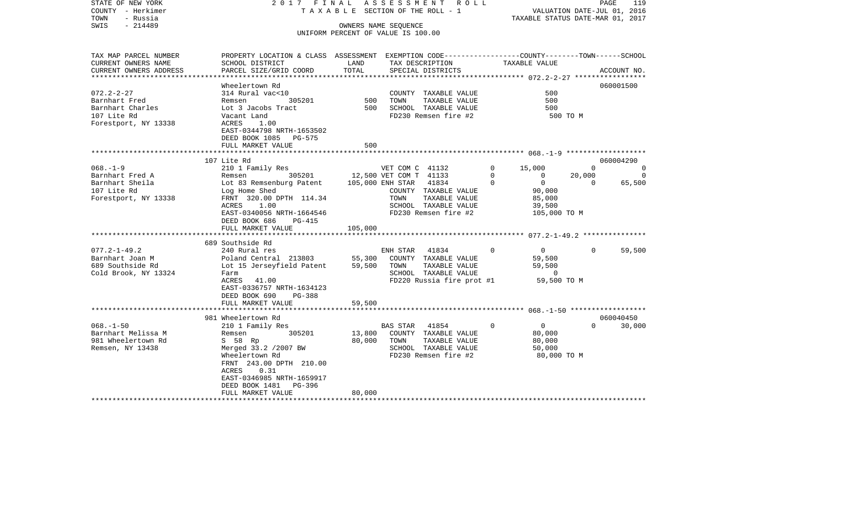| COUNTY<br>– Herkimer<br>TOWN<br>- Russia<br>SWIS<br>$-214489$                                |                                                                                                                                                                                                |                  | T A X A B L E SECTION OF THE ROLL - 1<br>OWNERS NAME SEQUENCE<br>UNIFORM PERCENT OF VALUE IS 100.00                     |                           | TAXABLE STATUS DATE-MAR 01, 2017                          | VALUATION DATE-JUL 01, 2016 |                                      |
|----------------------------------------------------------------------------------------------|------------------------------------------------------------------------------------------------------------------------------------------------------------------------------------------------|------------------|-------------------------------------------------------------------------------------------------------------------------|---------------------------|-----------------------------------------------------------|-----------------------------|--------------------------------------|
| TAX MAP PARCEL NUMBER<br>CURRENT OWNERS NAME                                                 | PROPERTY LOCATION & CLASS ASSESSMENT EXEMPTION CODE---------------COUNTY-------TOWN------SCHOOL<br>SCHOOL DISTRICT                                                                             | LAND             | TAX DESCRIPTION                                                                                                         |                           | TAXABLE VALUE                                             |                             |                                      |
| CURRENT OWNERS ADDRESS                                                                       | PARCEL SIZE/GRID COORD                                                                                                                                                                         | TOTAL            | SPECIAL DISTRICTS                                                                                                       |                           |                                                           |                             | ACCOUNT NO.                          |
|                                                                                              | Wheelertown Rd                                                                                                                                                                                 |                  |                                                                                                                         |                           |                                                           |                             | 060001500                            |
| $072.2 - 2 - 27$<br>Barnhart Fred<br>Barnhart Charles<br>107 Lite Rd<br>Forestport, NY 13338 | 314 Rural vac<10<br>Remsen<br>305201<br>Lot 3 Jacobs Tract<br>Vacant Land<br>ACRES<br>1.00<br>EAST-0344798 NRTH-1653502<br>DEED BOOK 1085<br><b>PG-575</b>                                     | 500<br>500       | COUNTY TAXABLE VALUE<br>TOWN<br>TAXABLE VALUE<br>SCHOOL TAXABLE VALUE<br>FD230 Remsen fire #2                           |                           | 500<br>500<br>500                                         | 500 TO M                    |                                      |
|                                                                                              | FULL MARKET VALUE                                                                                                                                                                              | 500              |                                                                                                                         |                           |                                                           |                             |                                      |
|                                                                                              |                                                                                                                                                                                                | ***********      |                                                                                                                         |                           |                                                           |                             |                                      |
| $068. - 1 - 9$<br>Barnhart Fred A<br>Barnhart Sheila                                         | 107 Lite Rd<br>210 1 Family Res<br>305201<br>Remsen<br>Lot 83 Remsenburg Patent                                                                                                                |                  | VET COM C 41132<br>12,500 VET COM T 41133<br>41834<br>105,000 ENH STAR                                                  | 0<br>$\Omega$<br>$\Omega$ | 15,000<br>$\Omega$<br>$\mathbf{0}$                        | 0<br>20,000<br>$\Omega$     | 060004290<br>0<br>$\Omega$<br>65,500 |
| 107 Lite Rd<br>Forestport, NY 13338                                                          | Log Home Shed<br>FRNT 320.00 DPTH 114.34<br>1.00<br>ACRES<br>EAST-0340056 NRTH-1664546<br>DEED BOOK 686<br>PG-415<br>FULL MARKET VALUE                                                         | 105,000          | COUNTY TAXABLE VALUE<br>TOWN<br>TAXABLE VALUE<br>SCHOOL TAXABLE VALUE<br>FD230 Remsen fire #2                           |                           | 90,000<br>85,000<br>39,500<br>105,000 TO M                |                             |                                      |
|                                                                                              | *************************<br>689 Southside Rd                                                                                                                                                  |                  |                                                                                                                         |                           |                                                           |                             |                                      |
| $077.2 - 1 - 49.2$<br>Barnhart Joan M<br>689 Southside Rd<br>Cold Brook, NY 13324            | 240 Rural res<br>Poland Central 213803<br>Lot 15 Jerseyfield Patent<br>Farm<br>ACRES<br>41.00<br>EAST-0336757 NRTH-1634123<br>DEED BOOK 690<br>PG-388                                          | 55,300<br>59,500 | ENH STAR<br>41834<br>COUNTY TAXABLE VALUE<br>TOWN<br>TAXABLE VALUE<br>SCHOOL TAXABLE VALUE<br>FD220 Russia fire prot #1 | $\Omega$                  | $\mathbf 0$<br>59,500<br>59,500<br>0<br>59,500 TO M       | $\Omega$                    | 59,500                               |
|                                                                                              | FULL MARKET VALUE<br>*******************                                                                                                                                                       | 59,500           |                                                                                                                         |                           |                                                           |                             |                                      |
|                                                                                              | 981 Wheelertown Rd                                                                                                                                                                             | ********         |                                                                                                                         |                           |                                                           |                             | 060040450                            |
| $068. - 1 - 50$<br>Barnhart Melissa M<br>981 Wheelertown Rd<br>Remsen, NY 13438              | 210 1 Family Res<br>305201<br>Remsen<br>S 58 Rp<br>Merged 33.2 /2007 BW<br>Wheelertown Rd<br>FRNT 243.00 DPTH 210.00<br>ACRES<br>0.31<br>EAST-0346985 NRTH-1659917<br>DEED BOOK 1481<br>PG-396 | 13,800<br>80,000 | 41854<br>BAS STAR<br>COUNTY TAXABLE VALUE<br>TAXABLE VALUE<br>TOWN<br>SCHOOL TAXABLE VALUE<br>FD230 Remsen fire #2      | $\Omega$                  | $\mathbf{0}$<br>80,000<br>80,000<br>50,000<br>80,000 TO M | $\Omega$                    | 30,000                               |
|                                                                                              | FULL MARKET VALUE                                                                                                                                                                              | 80,000           |                                                                                                                         |                           |                                                           |                             |                                      |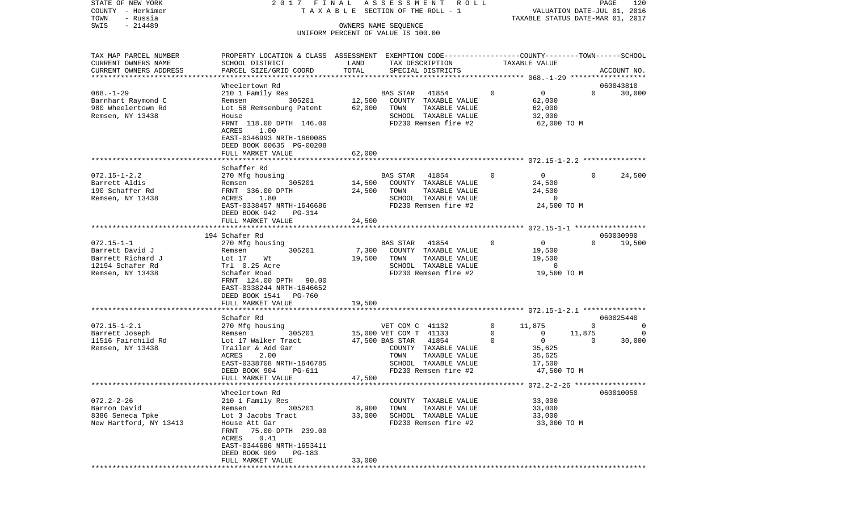| COUNTY<br>– Herkimer                  |                                                                                                 |        | T A X A B L E SECTION OF THE ROLL - 1 |             | VALUATION DATE-JUL 01, 2016                |          |                     |
|---------------------------------------|-------------------------------------------------------------------------------------------------|--------|---------------------------------------|-------------|--------------------------------------------|----------|---------------------|
| TOWN<br>- Russia<br>SWIS<br>$-214489$ |                                                                                                 |        | OWNERS NAME SEQUENCE                  |             | TAXABLE STATUS DATE-MAR 01, 2017           |          |                     |
|                                       |                                                                                                 |        | UNIFORM PERCENT OF VALUE IS 100.00    |             |                                            |          |                     |
| TAX MAP PARCEL NUMBER                 | PROPERTY LOCATION & CLASS ASSESSMENT EXEMPTION CODE---------------COUNTY-------TOWN------SCHOOL |        |                                       |             |                                            |          |                     |
| CURRENT OWNERS NAME                   | SCHOOL DISTRICT                                                                                 | LAND   | TAX DESCRIPTION                       |             | TAXABLE VALUE                              |          |                     |
| CURRENT OWNERS ADDRESS                | PARCEL SIZE/GRID COORD                                                                          | TOTAL  | SPECIAL DISTRICTS                     |             |                                            |          | ACCOUNT NO.         |
| ************************              |                                                                                                 |        |                                       |             |                                            |          |                     |
| $068. - 1 - 29$                       | Wheelertown Rd                                                                                  |        | <b>BAS STAR</b>                       | 0           | $\overline{0}$                             | $\Omega$ | 060043810<br>30,000 |
| Barnhart Raymond C                    | 210 1 Family Res<br>305201<br>Remsen                                                            | 12,500 | 41854<br>COUNTY TAXABLE VALUE         |             | 62,000                                     |          |                     |
| 980 Wheelertown Rd                    | Lot 58 Remsenburg Patent                                                                        | 62,000 | TAXABLE VALUE<br>TOWN                 |             | 62,000                                     |          |                     |
| Remsen, NY 13438                      | House                                                                                           |        | SCHOOL TAXABLE VALUE                  |             | 32,000                                     |          |                     |
|                                       | FRNT 118.00 DPTH 146.00                                                                         |        | FD230 Remsen fire #2                  |             | 62,000 TO M                                |          |                     |
|                                       | ACRES<br>1.00                                                                                   |        |                                       |             |                                            |          |                     |
|                                       | EAST-0346993 NRTH-1660085                                                                       |        |                                       |             |                                            |          |                     |
|                                       | DEED BOOK 00635 PG-00208                                                                        |        |                                       |             |                                            |          |                     |
|                                       | FULL MARKET VALUE                                                                               | 62,000 |                                       |             |                                            |          |                     |
|                                       | Schaffer Rd                                                                                     |        |                                       |             |                                            |          |                     |
| $072.15 - 1 - 2.2$                    | 270 Mfg housing                                                                                 |        | BAS STAR<br>41854                     | $\mathbf 0$ | $\overline{0}$                             | $\Omega$ | 24,500              |
| Barrett Aldis                         | 305201<br>Remsen                                                                                | 14,500 | COUNTY TAXABLE VALUE                  |             | 24,500                                     |          |                     |
| 190 Schaffer Rd                       | FRNT 336.00 DPTH                                                                                | 24,500 | TAXABLE VALUE<br>TOWN                 |             | 24,500                                     |          |                     |
| Remsen, NY 13438                      | 1.80<br>ACRES                                                                                   |        | SCHOOL TAXABLE VALUE                  |             | 0                                          |          |                     |
|                                       | EAST-0338457 NRTH-1646686                                                                       |        | FD230 Remsen fire #2                  |             | 24,500 TO M                                |          |                     |
|                                       | DEED BOOK 942<br>PG-314                                                                         |        |                                       |             |                                            |          |                     |
|                                       | FULL MARKET VALUE                                                                               | 24,500 |                                       |             | ******** 072.15-1-1 *****************      |          |                     |
|                                       | 194 Schafer Rd                                                                                  |        |                                       |             |                                            |          | 060030990           |
| $072.15 - 1 - 1$                      | 270 Mfg housing                                                                                 |        | 41854<br>BAS STAR                     | 0           | $\overline{0}$                             | $\Omega$ | 19,500              |
| Barrett David J                       | 305201<br>Remsen                                                                                | 7,300  | COUNTY TAXABLE VALUE                  |             | 19,500                                     |          |                     |
| Barrett Richard J                     | Lot 17<br>Wt                                                                                    | 19,500 | TOWN<br>TAXABLE VALUE                 |             | 19,500                                     |          |                     |
| 12194 Schafer Rd                      | Trl 0.25 Acre                                                                                   |        | SCHOOL TAXABLE VALUE                  |             | 0                                          |          |                     |
| Remsen, NY 13438                      | Schafer Road                                                                                    |        | FD230 Remsen fire #2                  |             | 19,500 TO M                                |          |                     |
|                                       | FRNT 124.00 DPTH 90.00                                                                          |        |                                       |             |                                            |          |                     |
|                                       | EAST-0338244 NRTH-1646652<br>DEED BOOK 1541<br><b>PG-760</b>                                    |        |                                       |             |                                            |          |                     |
|                                       | FULL MARKET VALUE                                                                               | 19,500 |                                       |             |                                            |          |                     |
|                                       | *********************                                                                           |        |                                       |             |                                            |          |                     |
|                                       | Schafer Rd                                                                                      |        |                                       |             |                                            |          | 060025440           |
| $072.15 - 1 - 2.1$                    | 270 Mfg housing                                                                                 |        | VET COM C 41132                       | 0           | 11,875                                     | 0        | 0                   |
| Barrett Joseph                        | 305201<br>Remsen                                                                                |        | 15,000 VET COM T 41133                | 0           | $\mathbf{0}$                               | 11,875   | $\Omega$            |
| 11516 Fairchild Rd                    | Lot 17 Walker Tract                                                                             |        | 47,500 BAS STAR<br>41854              | $\Omega$    | $\overline{0}$                             | 0        | 30,000              |
| Remsen, NY 13438                      | Trailer & Add Gar<br><b>ACRES</b>                                                               |        | COUNTY TAXABLE VALUE<br>TAXABLE VALUE |             | 35,625                                     |          |                     |
|                                       | 2.00<br>EAST-0338708 NRTH-1646785                                                               |        | TOWN<br>SCHOOL TAXABLE VALUE          |             | 35,625<br>17,500                           |          |                     |
|                                       | DEED BOOK 904<br>PG-611                                                                         |        | FD230 Remsen fire #2                  |             | 47,500 TO M                                |          |                     |
|                                       | FULL MARKET VALUE                                                                               | 47,500 |                                       |             |                                            |          |                     |
|                                       |                                                                                                 |        |                                       |             | ****************** 072.2-2-26 ************ |          |                     |
|                                       | Wheelertown Rd                                                                                  |        |                                       |             |                                            |          | 060010050           |
| $072.2 - 2 - 26$                      | 210 1 Family Res                                                                                |        | TAXABLE VALUE<br>COUNTY               |             | 33,000                                     |          |                     |
| Barron David                          | 305201<br>Remsen                                                                                | 8,900  | TOWN<br>TAXABLE VALUE                 |             | 33,000                                     |          |                     |
| 8386 Seneca Tpke                      | Lot 3 Jacobs Tract                                                                              | 33,000 | SCHOOL TAXABLE VALUE                  |             | 33,000                                     |          |                     |
| New Hartford, NY 13413                | House Att Gar<br>75.00 DPTH 239.00<br>FRNT                                                      |        | FD230 Remsen fire #2                  |             | 33,000 TO M                                |          |                     |
|                                       | 0.41<br>ACRES                                                                                   |        |                                       |             |                                            |          |                     |
|                                       | EAST-0344686 NRTH-1653411                                                                       |        |                                       |             |                                            |          |                     |
|                                       | DEED BOOK 909<br>PG-183                                                                         |        |                                       |             |                                            |          |                     |
|                                       | FULL MARKET VALUE                                                                               | 33,000 |                                       |             |                                            |          |                     |
|                                       |                                                                                                 |        |                                       |             |                                            |          |                     |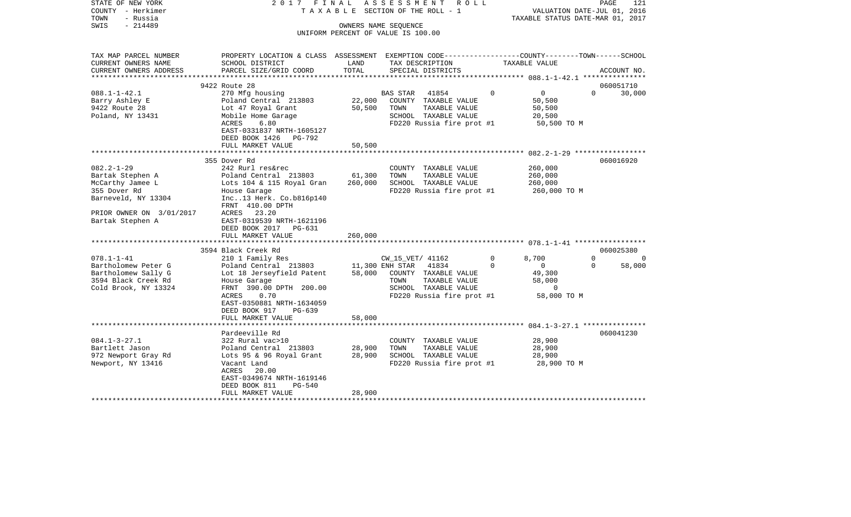| STATE OF NEW YORK<br>COUNTY - Herkimer | 2017                                                                                            | FINAL               | ASSESSMENT<br>R O L L<br>TAXABLE SECTION OF THE ROLL - 1 |                          | PAGE<br>121<br>VALUATION DATE-JUL 01, 2016 |
|----------------------------------------|-------------------------------------------------------------------------------------------------|---------------------|----------------------------------------------------------|--------------------------|--------------------------------------------|
| TOWN<br>- Russia                       |                                                                                                 |                     |                                                          |                          | TAXABLE STATUS DATE-MAR 01, 2017           |
| SWIS<br>$-214489$                      |                                                                                                 |                     | OWNERS NAME SEQUENCE                                     |                          |                                            |
|                                        |                                                                                                 |                     | UNIFORM PERCENT OF VALUE IS 100.00                       |                          |                                            |
|                                        |                                                                                                 |                     |                                                          |                          |                                            |
| TAX MAP PARCEL NUMBER                  | PROPERTY LOCATION & CLASS ASSESSMENT EXEMPTION CODE---------------COUNTY-------TOWN------SCHOOL |                     |                                                          |                          |                                            |
| CURRENT OWNERS NAME                    | SCHOOL DISTRICT                                                                                 | LAND                | TAX DESCRIPTION                                          | TAXABLE VALUE            |                                            |
| CURRENT OWNERS ADDRESS                 | PARCEL SIZE/GRID COORD                                                                          | TOTAL               | SPECIAL DISTRICTS                                        |                          | ACCOUNT NO.                                |
| ***********************                |                                                                                                 |                     |                                                          |                          |                                            |
|                                        | 9422 Route 28                                                                                   |                     |                                                          |                          | 060051710                                  |
| $088.1 - 1 - 42.1$                     | 270 Mfg housing                                                                                 |                     | BAS STAR<br>41854                                        | 0<br>$\mathbf{0}$        | $\Omega$<br>30,000                         |
| Barry Ashley E                         | Poland Central 213803                                                                           | 22,000              | COUNTY TAXABLE VALUE                                     | 50,500                   |                                            |
| 9422 Route 28                          | Lot 47 Royal Grant                                                                              | 50,500              | TOWN<br>TAXABLE VALUE                                    | 50,500                   |                                            |
| Poland, NY 13431                       | Mobile Home Garage                                                                              |                     | SCHOOL TAXABLE VALUE                                     | 20,500                   |                                            |
|                                        | ACRES<br>6.80                                                                                   |                     | FD220 Russia fire prot #1                                | 50,500 TO M              |                                            |
|                                        | EAST-0331837 NRTH-1605127                                                                       |                     |                                                          |                          |                                            |
|                                        | DEED BOOK 1426<br>PG-792                                                                        |                     |                                                          |                          |                                            |
|                                        | FULL MARKET VALUE                                                                               | 50,500              |                                                          |                          |                                            |
|                                        |                                                                                                 | * * * * * * * * * * |                                                          |                          |                                            |
|                                        | 355 Dover Rd                                                                                    |                     |                                                          |                          | 060016920                                  |
| $082.2 - 1 - 29$                       | 242 Rurl res&rec                                                                                |                     | COUNTY TAXABLE VALUE                                     | 260,000                  |                                            |
| Bartak Stephen A                       | Poland Central 213803                                                                           | 61,300              | TOWN<br>TAXABLE VALUE                                    | 260,000                  |                                            |
| McCarthy Jamee L                       | Lots 104 & 115 Royal Gran                                                                       | 260,000             | SCHOOL TAXABLE VALUE                                     | 260,000                  |                                            |
| 355 Dover Rd                           | House Garage                                                                                    |                     | FD220 Russia fire prot #1                                | 260,000 TO M             |                                            |
| Barneveld, NY 13304                    | Inc13 Herk. Co.b816p140                                                                         |                     |                                                          |                          |                                            |
|                                        | FRNT 410.00 DPTH                                                                                |                     |                                                          |                          |                                            |
| PRIOR OWNER ON 3/01/2017               | ACRES 23.20                                                                                     |                     |                                                          |                          |                                            |
| Bartak Stephen A                       | EAST-0319539 NRTH-1621196                                                                       |                     |                                                          |                          |                                            |
|                                        | DEED BOOK 2017<br>PG-631                                                                        |                     |                                                          |                          |                                            |
|                                        | FULL MARKET VALUE                                                                               | 260,000             |                                                          |                          |                                            |
|                                        | **********************                                                                          |                     |                                                          |                          |                                            |
|                                        | 3594 Black Creek Rd                                                                             |                     |                                                          |                          | 060025380                                  |
| $078.1 - 1 - 41$                       | 210 1 Family Res                                                                                |                     | CW_15_VET/ 41162                                         | $\Omega$<br>8,700        | $\Omega$<br>$\Omega$                       |
| Bartholomew Peter G                    | Poland Central 213803                                                                           |                     | 11,300 ENH STAR<br>41834                                 | $\mathbf{0}$<br>$\Omega$ | 58,000<br>0                                |
| Bartholomew Sally G                    | Lot 18 Jerseyfield Patent                                                                       | 58,000              | COUNTY TAXABLE VALUE                                     | 49,300                   |                                            |
| 3594 Black Creek Rd                    | House Garage                                                                                    |                     | TOWN<br>TAXABLE VALUE                                    | 58,000                   |                                            |
| Cold Brook, NY 13324                   | FRNT 390.00 DPTH 200.00                                                                         |                     | SCHOOL TAXABLE VALUE                                     | $\Omega$                 |                                            |
|                                        | ACRES<br>0.70                                                                                   |                     | FD220 Russia fire prot #1                                | 58,000 TO M              |                                            |
|                                        | EAST-0350881 NRTH-1634059                                                                       |                     |                                                          |                          |                                            |
|                                        | DEED BOOK 917<br>PG-639                                                                         |                     |                                                          |                          |                                            |
|                                        | FULL MARKET VALUE                                                                               | 58,000              |                                                          |                          |                                            |
|                                        |                                                                                                 |                     |                                                          |                          |                                            |
| $084.1 - 3 - 27.1$                     | Pardeeville Rd                                                                                  |                     |                                                          |                          | 060041230                                  |
|                                        | 322 Rural vac>10                                                                                |                     | COUNTY TAXABLE VALUE                                     | 28,900                   |                                            |
| Bartlett Jason                         | Poland Central 213803                                                                           | 28,900              | TOWN<br>TAXABLE VALUE                                    | 28,900                   |                                            |
| 972 Newport Gray Rd                    | Lots 95 & 96 Royal Grant                                                                        | 28,900              | SCHOOL TAXABLE VALUE                                     | 28,900                   |                                            |
| Newport, NY 13416                      | Vacant Land                                                                                     |                     | FD220 Russia fire prot #1                                | 28,900 TO M              |                                            |
|                                        | ACRES<br>20.00                                                                                  |                     |                                                          |                          |                                            |
|                                        | EAST-0349674 NRTH-1619146                                                                       |                     |                                                          |                          |                                            |
|                                        | <b>PG-540</b><br>DEED BOOK 811                                                                  |                     |                                                          |                          |                                            |
|                                        | FULL MARKET VALUE                                                                               | 28,900              |                                                          |                          |                                            |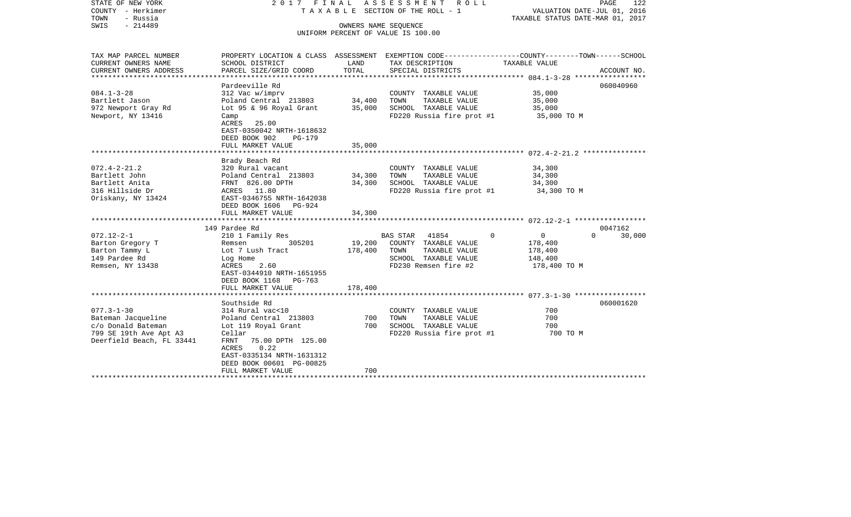| STATE OF NEW YORK<br>COUNTY - Herkimer<br>TOWN<br>- Russia<br>$-214489$<br>SWIS                                     | 2017 FINAL                                                                                                                                                                                                             | OWNERS NAME SEQUENCE         | ASSESSMENT<br>R O L L<br>TAXABLE SECTION OF THE ROLL - 1<br>UNIFORM PERCENT OF VALUE IS 100.00                     | PAGE<br>122<br>VALUATION DATE-JUL 01, 2016<br>TAXABLE STATUS DATE-MAR 01, 2017                                                 |  |  |
|---------------------------------------------------------------------------------------------------------------------|------------------------------------------------------------------------------------------------------------------------------------------------------------------------------------------------------------------------|------------------------------|--------------------------------------------------------------------------------------------------------------------|--------------------------------------------------------------------------------------------------------------------------------|--|--|
| TAX MAP PARCEL NUMBER<br>CURRENT OWNERS NAME<br>CURRENT OWNERS ADDRESS<br>**********************                    | SCHOOL DISTRICT<br>PARCEL SIZE/GRID COORD<br>***********************                                                                                                                                                   | LAND<br>TOTAL                | TAX DESCRIPTION<br>SPECIAL DISTRICTS                                                                               | PROPERTY LOCATION & CLASS ASSESSMENT EXEMPTION CODE---------------COUNTY-------TOWN-----SCHOOL<br>TAXABLE VALUE<br>ACCOUNT NO. |  |  |
| $084.1 - 3 - 28$<br>Bartlett Jason<br>972 Newport Gray Rd<br>Newport, NY 13416                                      | Pardeeville Rd<br>312 Vac w/imprv<br>Poland Central 213803<br>Lot 95 & 96 Royal Grant<br>Camp<br>ACRES 25.00<br>EAST-0350042 NRTH-1618632<br>DEED BOOK 902<br>PG-179<br>FULL MARKET VALUE                              | 34,400<br>35,000<br>35,000   | COUNTY TAXABLE VALUE<br>TOWN<br>TAXABLE VALUE<br>SCHOOL TAXABLE VALUE<br>FD220 Russia fire prot #1                 | 060040960<br>35,000<br>35,000<br>35,000<br>35,000 TO M                                                                         |  |  |
| $072.4 - 2 - 21.2$<br>Bartlett John<br>Bartlett Anita<br>316 Hillside Dr<br>Oriskany, NY 13424                      | Brady Beach Rd<br>320 Rural vacant<br>Poland Central 213803<br>FRNT 826.00 DPTH<br>ACRES 11.80<br>EAST-0346755 NRTH-1642038<br>DEED BOOK 1606 PG-924<br>FULL MARKET VALUE                                              | 34,300<br>34,300<br>34,300   | COUNTY TAXABLE VALUE<br>TOWN<br>TAXABLE VALUE<br>SCHOOL TAXABLE VALUE<br>FD220 Russia fire prot #1                 | 34,300<br>34,300<br>34,300<br>34,300 TO M                                                                                      |  |  |
|                                                                                                                     | *************************                                                                                                                                                                                              | * * * * * * * * * *          |                                                                                                                    |                                                                                                                                |  |  |
| $072.12 - 2 - 1$<br>Barton Gregory T<br>Barton Tammy L<br>149 Pardee Rd<br>Remsen, NY 13438                         | 149 Pardee Rd<br>210 1 Family Res<br>305201<br>Remsen<br>Lot 7 Lush Tract<br>Log Home<br>ACRES<br>2.60<br>EAST-0344910 NRTH-1651955<br>DEED BOOK 1168 PG-763<br>FULL MARKET VALUE                                      | 19,200<br>178,400<br>178,400 | 41854<br>BAS STAR<br>COUNTY TAXABLE VALUE<br>TOWN<br>TAXABLE VALUE<br>SCHOOL TAXABLE VALUE<br>FD230 Remsen fire #2 | 0047162<br>$\mathbf 0$<br>$\mathbf 0$<br>30,000<br>$\Omega$<br>178,400<br>178,400<br>148,400<br>178,400 TO M                   |  |  |
|                                                                                                                     |                                                                                                                                                                                                                        |                              |                                                                                                                    |                                                                                                                                |  |  |
| $077.3 - 1 - 30$<br>Bateman Jacqueline<br>c/o Donald Bateman<br>799 SE 19th Ave Apt A3<br>Deerfield Beach, FL 33441 | Southside Rd<br>314 Rural vac<10<br>Poland Central 213803<br>Lot 119 Royal Grant<br>Cellar<br>FRNT<br>75.00 DPTH 125.00<br>0.22<br>ACRES<br>EAST-0335134 NRTH-1631312<br>DEED BOOK 00601 PG-00825<br>FULL MARKET VALUE | 700<br>700<br>700            | COUNTY TAXABLE VALUE<br>TOWN<br>TAXABLE VALUE<br>SCHOOL TAXABLE VALUE<br>FD220 Russia fire prot #1                 | 060001620<br>700<br>700<br>700<br>700 TO M                                                                                     |  |  |
|                                                                                                                     |                                                                                                                                                                                                                        |                              |                                                                                                                    |                                                                                                                                |  |  |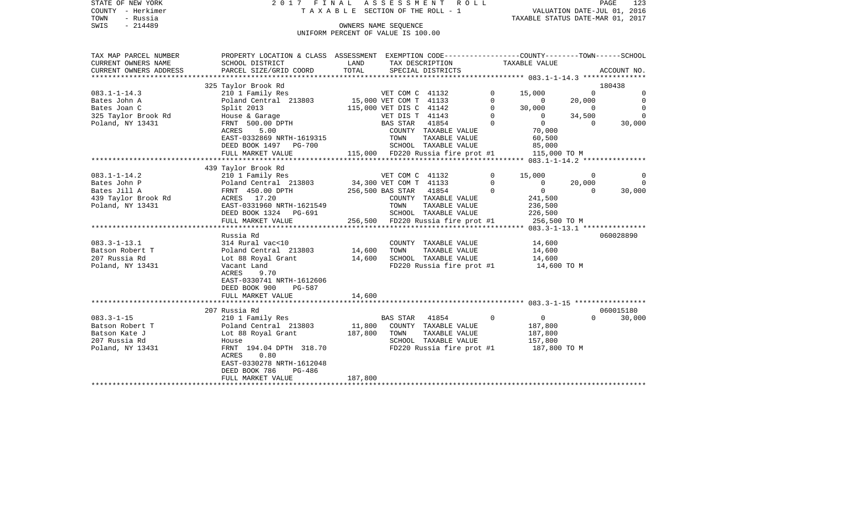|      | STATE OF NEW YORK | 2017 FINAL ASSESSMENT ROLL      |                                  | PAGE | 123 |
|------|-------------------|---------------------------------|----------------------------------|------|-----|
|      | COUNTY - Herkimer | TAXABLE SECTION OF THE ROLL - 1 | VALUATION DATE-JUL 01, 2016      |      |     |
| TOWN | - Russia          |                                 | TAXABLE STATUS DATE-MAR 01, 2017 |      |     |
| SWIS | - 214489          | OWNERS NAME SEOUENCE            |                                  |      |     |

UNIFORM PERCENT OF VALUE IS 100.00

| TAX MAP PARCEL NUMBER  | PROPERTY LOCATION & CLASS ASSESSMENT EXEMPTION CODE---------------COUNTY-------TOWN------SCHOOL |                        |                         |                                   |          |                |                |                |  |
|------------------------|-------------------------------------------------------------------------------------------------|------------------------|-------------------------|-----------------------------------|----------|----------------|----------------|----------------|--|
| CURRENT OWNERS NAME    | SCHOOL DISTRICT                                                                                 | LAND                   |                         | TAX DESCRIPTION                   |          | TAXABLE VALUE  |                |                |  |
| CURRENT OWNERS ADDRESS | PARCEL SIZE/GRID COORD                                                                          | TOTAL                  |                         | SPECIAL DISTRICTS                 |          |                |                | ACCOUNT NO.    |  |
|                        |                                                                                                 |                        |                         |                                   |          |                |                |                |  |
|                        | 325 Taylor Brook Rd                                                                             |                        |                         |                                   |          |                |                | 180438         |  |
| $083.1 - 1 - 14.3$     | 210 1 Family Res<br>Poland Central 213803 15,000 VET COM T 41133                                |                        |                         |                                   | $\circ$  | 15,000         | $\overline{0}$ | 0              |  |
| Bates John A           |                                                                                                 |                        |                         |                                   | $\circ$  | $\overline{0}$ | 20,000         | $\mathbf 0$    |  |
| Bates Joan C           | Split 2013                                                                                      |                        | 115,000 VET DIS C 41142 |                                   | $\Omega$ | 30,000         | $\overline{0}$ | $\Omega$       |  |
| 325 Taylor Brook Rd    | House & Garage                                                                                  |                        | VET DIS T 41143         |                                   | $\circ$  | $\overline{0}$ | 34,500         | $\overline{0}$ |  |
| Poland, NY 13431       | FRNT 500.00 DPTH                                                                                |                        | BAS STAR 41854          |                                   | $\Omega$ | $\overline{0}$ | $\overline{0}$ | 30,000         |  |
|                        | 5.00<br>ACRES                                                                                   |                        |                         | COUNTY TAXABLE VALUE              |          | 70,000         |                |                |  |
|                        | EAST-0332869 NRTH-1619315                                                                       |                        | TOWN<br>SCHOO           | TAXABLE VALUE                     |          | 60,500         |                |                |  |
|                        | DEED BOOK 1497 PG-700                                                                           |                        |                         | SCHOOL TAXABLE VALUE              |          | 85,000         |                |                |  |
|                        | FULL MARKET VALUE                                                                               |                        |                         | 115,000 FD220 Russia fire prot #1 |          | 115,000 TO M   |                |                |  |
|                        |                                                                                                 |                        |                         |                                   |          |                |                |                |  |
|                        | 439 Taylor Brook Rd                                                                             |                        |                         |                                   |          |                |                |                |  |
| $083.1 - 1 - 14.2$     | 210 1 Family Res                                                                                |                        |                         | VET COM C 41132                   |          | 15,000         | 0              | 0              |  |
| Bates John P           | Poland Central 213803                                                                           | 34,300 VET COM T 41133 |                         |                                   | $\circ$  | $\overline{0}$ | 20,000         | $\overline{0}$ |  |
| Bates Jill A           | FRNT 450.00 DPTH                                                                                |                        | 256,500 BAS STAR 41854  |                                   | $\Omega$ | $\overline{0}$ | $\Omega$       | 30,000         |  |
| 439 Taylor Brook Rd    | ACRES 17.20                                                                                     |                        |                         | COUNTY TAXABLE VALUE              |          | 241,500        |                |                |  |
| Poland, NY 13431       | EAST-0331960 NRTH-1621549                                                                       |                        | TOWN                    | TAXABLE VALUE                     |          | 236,500        |                |                |  |
|                        | DEED BOOK 1324 PG-691                                                                           |                        |                         | SCHOOL TAXABLE VALUE              |          | 226,500        |                |                |  |
|                        | FULL MARKET VALUE                                                                               |                        |                         | 256,500 FD220 Russia fire prot #1 |          | 256,500 TO M   |                |                |  |
|                        |                                                                                                 |                        |                         |                                   |          |                |                |                |  |
|                        | Russia Rd                                                                                       |                        |                         |                                   |          |                |                | 060028890      |  |
| $083.3 - 1 - 13.1$     | 314 Rural vac<10                                                                                |                        |                         | COUNTY TAXABLE VALUE              |          | 14,600         |                |                |  |
| Batson Robert T        | Poland Central 213803 14,600 TOWN                                                               |                        |                         | TAXABLE VALUE                     |          | 14,600         |                |                |  |
| 207 Russia Rd          | Lot 88 Royal Grant                                                                              |                        |                         | 14,600 SCHOOL TAXABLE VALUE       |          | 14,600         |                |                |  |
| Poland, NY 13431       | Vacant Land                                                                                     |                        |                         | FD220 Russia fire prot #1         |          | 14,600 TO M    |                |                |  |
|                        | ACRES<br>9.70                                                                                   |                        |                         |                                   |          |                |                |                |  |
|                        | EAST-0330741 NRTH-1612606                                                                       |                        |                         |                                   |          |                |                |                |  |
|                        | DEED BOOK 900<br>PG-587                                                                         |                        |                         |                                   |          |                |                |                |  |
|                        | FULL MARKET VALUE                                                                               | 14,600                 |                         |                                   |          |                |                |                |  |
|                        |                                                                                                 |                        |                         |                                   |          |                |                |                |  |
|                        | 207 Russia Rd                                                                                   |                        |                         |                                   |          |                |                | 060015180      |  |
| $083.3 - 1 - 15$       | 210 1 Family Res                                                                                |                        | BAS STAR                | $\sim$ 0<br>41854                 |          | $\overline{0}$ | $\Omega$       | 30,000         |  |
| Batson Robert T        | Poland Central 213803 11,800 COUNTY TAXABLE VALUE                                               |                        |                         |                                   |          | 187,800        |                |                |  |
| Batson Kate J          | Lot 88 Royal Grant                                                                              | 187,800 TOWN           |                         | TAXABLE VALUE                     |          | 187,800        |                |                |  |
| 207 Russia Rd          | House                                                                                           |                        |                         | SCHOOL TAXABLE VALUE              |          | 157,800        |                |                |  |
| Poland, NY 13431       | FRNT 194.04 DPTH 318.70                                                                         |                        |                         | FD220 Russia fire prot #1         |          | 187,800 TO M   |                |                |  |
|                        | ACRES<br>0.80                                                                                   |                        |                         |                                   |          |                |                |                |  |
|                        | EAST-0330278 NRTH-1612048                                                                       |                        |                         |                                   |          |                |                |                |  |
|                        | DEED BOOK 786<br>PG-486                                                                         |                        |                         |                                   |          |                |                |                |  |
|                        | FULL MARKET VALUE                                                                               | 187,800                |                         |                                   |          |                |                |                |  |
|                        |                                                                                                 |                        |                         |                                   |          |                |                |                |  |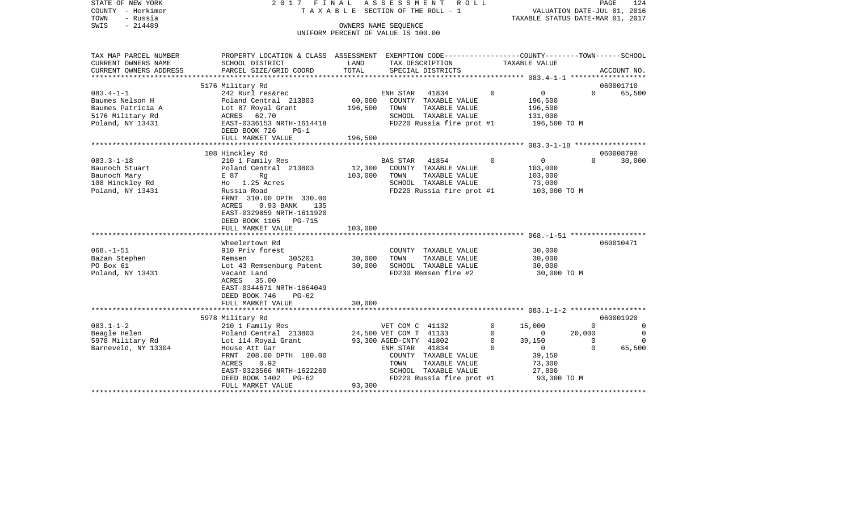| STATE OF NEW YORK        | 2017 FINAL ASSESSMENT ROLL<br>TAXABLE SECTION OF THE ROLL - 1                                   |                                                            |                        |                           |             |                                                                 | PAGE<br>124 |             |  |
|--------------------------|-------------------------------------------------------------------------------------------------|------------------------------------------------------------|------------------------|---------------------------|-------------|-----------------------------------------------------------------|-------------|-------------|--|
| COUNTY - Herkimer        |                                                                                                 |                                                            |                        |                           |             | VALUATION DATE-JUL 01, 2016<br>TAXABLE STATUS DATE-MAR 01, 2017 |             |             |  |
| TOWN<br>- Russia         |                                                                                                 |                                                            |                        |                           |             |                                                                 |             |             |  |
| SWIS<br>$-214489$        |                                                                                                 | OWNERS NAME SEOUENCE<br>UNIFORM PERCENT OF VALUE IS 100.00 |                        |                           |             |                                                                 |             |             |  |
|                          |                                                                                                 |                                                            |                        |                           |             |                                                                 |             |             |  |
| TAX MAP PARCEL NUMBER    | PROPERTY LOCATION & CLASS ASSESSMENT EXEMPTION CODE---------------COUNTY-------TOWN------SCHOOL |                                                            |                        |                           |             |                                                                 |             |             |  |
| CURRENT OWNERS NAME      | SCHOOL DISTRICT                                                                                 | LAND                                                       |                        | TAX DESCRIPTION           |             | TAXABLE VALUE                                                   |             |             |  |
| CURRENT OWNERS ADDRESS   | PARCEL SIZE/GRID COORD                                                                          | TOTAL                                                      |                        | SPECIAL DISTRICTS         |             |                                                                 |             | ACCOUNT NO. |  |
| ************************ |                                                                                                 |                                                            |                        |                           |             |                                                                 |             |             |  |
|                          | 5176 Military Rd                                                                                |                                                            |                        |                           |             |                                                                 |             | 060001710   |  |
| $083.4 - 1 - 1$          | 242 Rurl res&rec                                                                                |                                                            | ENH STAR               | 41834                     | 0           | $\mathbf 0$                                                     | $\Omega$    | 65,500      |  |
| Baumes Nelson H          | Poland Central 213803                                                                           | 60,000                                                     |                        | COUNTY TAXABLE VALUE      |             | 196,500                                                         |             |             |  |
| Baumes Patricia A        | Lot 87 Royal Grant                                                                              | 196,500                                                    | TOWN                   | TAXABLE VALUE             |             | 196,500                                                         |             |             |  |
| 5176 Military Rd         | ACRES<br>62.70                                                                                  |                                                            |                        | SCHOOL TAXABLE VALUE      |             | 131,000                                                         |             |             |  |
| Poland, NY 13431         | EAST-0336153 NRTH-1614418                                                                       |                                                            |                        | FD220 Russia fire prot #1 |             | 196,500 ТО М                                                    |             |             |  |
|                          | DEED BOOK 726<br>PG-1                                                                           |                                                            |                        |                           |             |                                                                 |             |             |  |
|                          | FULL MARKET VALUE                                                                               | 196,500                                                    |                        |                           |             |                                                                 |             |             |  |
|                          |                                                                                                 |                                                            |                        |                           |             |                                                                 |             |             |  |
|                          | 108 Hinckley Rd                                                                                 |                                                            |                        |                           |             |                                                                 |             | 060008790   |  |
| $083.3 - 1 - 18$         | 210 1 Family Res                                                                                |                                                            | BAS STAR               | 41854                     | $\mathbf 0$ | $\overline{0}$                                                  | $\Omega$    | 30,000      |  |
| Baunoch Stuart           | Poland Central 213803                                                                           | 12,300                                                     |                        | COUNTY TAXABLE VALUE      |             | 103,000                                                         |             |             |  |
| Baunoch Mary             | Rg<br>E 87                                                                                      | 103,000                                                    | TOWN                   | TAXABLE VALUE             |             | 103,000                                                         |             |             |  |
| 108 Hinckley Rd          | Ho 1.25 Acres                                                                                   |                                                            |                        | SCHOOL TAXABLE VALUE      |             | 73,000                                                          |             |             |  |
| Poland, NY 13431         | Russia Road                                                                                     |                                                            |                        | FD220 Russia fire prot #1 |             | 103,000 TO M                                                    |             |             |  |
|                          | FRNT 310.00 DPTH 330.00<br>0.93 BANK<br>ACRES<br>135                                            |                                                            |                        |                           |             |                                                                 |             |             |  |
|                          | EAST-0329859 NRTH-1611920                                                                       |                                                            |                        |                           |             |                                                                 |             |             |  |
|                          | DEED BOOK 1105<br>PG-715                                                                        |                                                            |                        |                           |             |                                                                 |             |             |  |
|                          | FULL MARKET VALUE                                                                               | 103,000                                                    |                        |                           |             |                                                                 |             |             |  |
|                          |                                                                                                 |                                                            |                        |                           |             |                                                                 |             |             |  |
|                          | Wheelertown Rd                                                                                  |                                                            |                        |                           |             |                                                                 |             | 060010471   |  |
| $068. - 1 - 51$          | 910 Priv forest                                                                                 |                                                            |                        | COUNTY TAXABLE VALUE      |             | 30,000                                                          |             |             |  |
| Bazan Stephen            | 305201<br>Remsen                                                                                | 30,000                                                     | TOWN                   | TAXABLE VALUE             |             | 30,000                                                          |             |             |  |
| PO Box 61                | Lot 43 Remsenburg Patent                                                                        | 30,000                                                     |                        | SCHOOL TAXABLE VALUE      |             | 30,000                                                          |             |             |  |
| Poland, NY 13431         | Vacant Land                                                                                     |                                                            |                        | FD230 Remsen fire #2      |             | 30,000 TO M                                                     |             |             |  |
|                          | ACRES<br>35.00                                                                                  |                                                            |                        |                           |             |                                                                 |             |             |  |
|                          | EAST-0344671 NRTH-1664049                                                                       |                                                            |                        |                           |             |                                                                 |             |             |  |
|                          | DEED BOOK 746<br>$PG-62$                                                                        |                                                            |                        |                           |             |                                                                 |             |             |  |
|                          | FULL MARKET VALUE                                                                               | 30,000                                                     |                        |                           |             |                                                                 |             |             |  |
|                          |                                                                                                 |                                                            |                        |                           |             |                                                                 |             |             |  |
|                          | 5978 Military Rd                                                                                |                                                            |                        |                           |             |                                                                 |             | 060001920   |  |
| $083.1 - 1 - 2$          | 210 1 Family Res                                                                                |                                                            | VET COM C 41132        |                           | 0           | 15,000                                                          | $\Omega$    | 0           |  |
| Beagle Helen             | Poland Central 213803                                                                           |                                                            | 24,500 VET COM T 41133 |                           | $\Omega$    | $\circ$                                                         | 20,000      | 0           |  |
| 5978 Military Rd         | Lot 114 Royal Grant                                                                             |                                                            | 93,300 AGED-CNTY 41802 |                           | $\Omega$    | 39,150                                                          | $\Omega$    | $\Omega$    |  |
| Barneveld, NY 13304      | House Att Gar                                                                                   |                                                            | ENH STAR               | 41834                     | $\Omega$    | $\mathbf{0}$                                                    | $\mathbf 0$ | 65,500      |  |
|                          | FRNT 208.00 DPTH 180.00                                                                         |                                                            |                        | COUNTY TAXABLE VALUE      |             | 39,150                                                          |             |             |  |
|                          | ACRES<br>0.92                                                                                   |                                                            | TOWN                   | TAXABLE VALUE             |             | 73,300                                                          |             |             |  |
|                          | EAST-0323566 NRTH-1622260                                                                       |                                                            |                        | SCHOOL TAXABLE VALUE      |             | 27,800                                                          |             |             |  |
|                          | DEED BOOK 1402<br>PG-62                                                                         |                                                            |                        | FD220 Russia fire prot #1 |             | 93,300 TO M                                                     |             |             |  |
|                          | FULL MARKET VALUE                                                                               | 93,300                                                     |                        |                           |             |                                                                 |             |             |  |
|                          |                                                                                                 |                                                            |                        |                           |             |                                                                 |             |             |  |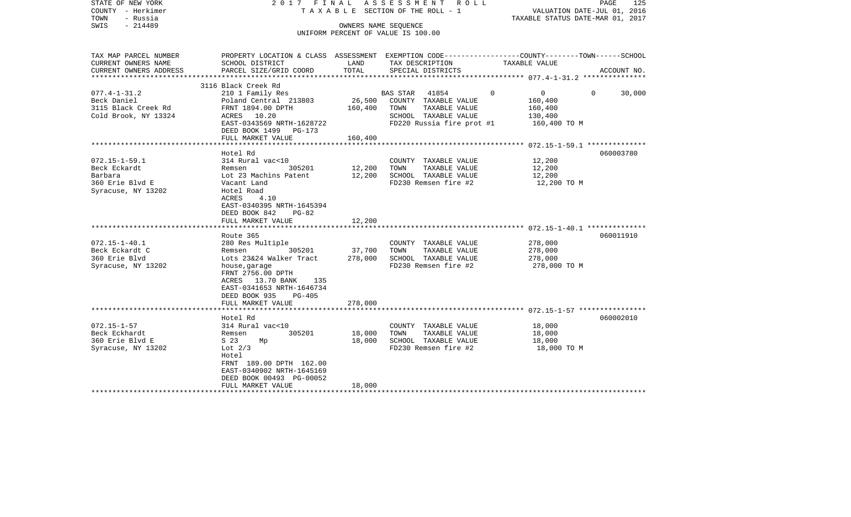| STATE OF NEW YORK<br>COUNTY - Herkimer<br>TOWN<br>- Russia<br>$-214489$<br>SWIS         | 2017 FINAL ASSESSMENT ROLL<br>TAXABLE SECTION OF THE ROLL - 1<br>UNIFORM PERCENT OF VALUE IS 100.00                                                                                                                        | PAGE<br>125<br>VALUATION DATE-JUL 01, 2016<br>TAXABLE STATUS DATE-MAR 01, 2017 |                                                                                                                      |                                                                                                                                 |  |
|-----------------------------------------------------------------------------------------|----------------------------------------------------------------------------------------------------------------------------------------------------------------------------------------------------------------------------|--------------------------------------------------------------------------------|----------------------------------------------------------------------------------------------------------------------|---------------------------------------------------------------------------------------------------------------------------------|--|
| TAX MAP PARCEL NUMBER<br>CURRENT OWNERS NAME<br>CURRENT OWNERS ADDRESS                  | SCHOOL DISTRICT<br>PARCEL SIZE/GRID COORD                                                                                                                                                                                  | LAND<br>TOTAL                                                                  | TAX DESCRIPTION<br>SPECIAL DISTRICTS                                                                                 | PROPERTY LOCATION & CLASS ASSESSMENT EXEMPTION CODE---------------COUNTY-------TOWN------SCHOOL<br>TAXABLE VALUE<br>ACCOUNT NO. |  |
|                                                                                         | 3116 Black Creek Rd                                                                                                                                                                                                        |                                                                                |                                                                                                                      |                                                                                                                                 |  |
| $077.4 - 1 - 31.2$<br>Beck Daniel<br>3115 Black Creek Rd<br>Cold Brook, NY 13324        | 210 1 Family Res<br>Poland Central 213803<br>FRNT 1894.00 DPTH<br>ACRES 10.20<br>EAST-0343569 NRTH-1628722<br>DEED BOOK 1499 PG-173<br>FULL MARKET VALUE                                                                   | 26,500<br>160,400<br>160,400                                                   | BAS STAR 41854<br>COUNTY TAXABLE VALUE<br>TOWN<br>TAXABLE VALUE<br>SCHOOL TAXABLE VALUE<br>FD220 Russia fire prot #1 | $\Omega$<br>$\overline{0}$<br>30,000<br>$\Omega$<br>160,400<br>160,400<br>130,400<br>160,400 TO M                               |  |
|                                                                                         |                                                                                                                                                                                                                            |                                                                                |                                                                                                                      |                                                                                                                                 |  |
| $072.15 - 1 - 59.1$<br>Beck Eckardt<br>Barbara<br>360 Erie Blvd E<br>Syracuse, NY 13202 | Hotel Rd<br>314 Rural vac<10<br>305201<br>Remsen<br>Lot 23 Machins Patent<br>Vacant Land<br>Hotel Road<br>ACRES<br>4.10<br>EAST-0340395 NRTH-1645394<br>DEED BOOK 842<br>$PG-82$<br>FULL MARKET VALUE                      | 12,200<br>12,200<br>12,200                                                     | COUNTY TAXABLE VALUE<br>TOWN<br>TAXABLE VALUE<br>SCHOOL TAXABLE VALUE<br>FD230 Remsen fire #2                        | 060003780<br>12,200<br>12,200<br>12,200<br>12,200 TO M                                                                          |  |
|                                                                                         |                                                                                                                                                                                                                            |                                                                                |                                                                                                                      |                                                                                                                                 |  |
| $072.15 - 1 - 40.1$<br>Beck Eckardt C<br>360 Erie Blvd<br>Syracuse, NY 13202            | Route 365<br>280 Res Multiple<br>305201<br>Remsen<br>Lots 23&24 Walker Tract<br>house, garage<br>FRNT 2756.00 DPTH<br>ACRES 13.70 BANK<br>135<br>EAST-0341653 NRTH-1646734<br>DEED BOOK 935<br>PG-405<br>FULL MARKET VALUE | 37,700<br>278,000<br>278,000                                                   | COUNTY TAXABLE VALUE<br>TOWN<br>TAXABLE VALUE<br>SCHOOL TAXABLE VALUE<br>FD230 Remsen fire #2                        | 060011910<br>278,000<br>278,000<br>278,000<br>278,000 TO M                                                                      |  |
|                                                                                         |                                                                                                                                                                                                                            |                                                                                |                                                                                                                      |                                                                                                                                 |  |
| $072.15 - 1 - 57$<br>Beck Eckhardt<br>360 Erie Blvd E<br>Syracuse, NY 13202             | Hotel Rd<br>314 Rural vac<10<br>Remsen<br>305201<br>S 23<br>Mp<br>Lot $2/3$<br>Hotel<br>FRNT 189.00 DPTH 162.00<br>EAST-0340902 NRTH-1645169<br>DEED BOOK 00493 PG-00052<br>FULL MARKET VALUE                              | 18,000<br>18,000<br>18,000                                                     | COUNTY TAXABLE VALUE<br>TAXABLE VALUE<br>TOWN<br>SCHOOL TAXABLE VALUE<br>FD230 Remsen fire #2                        | 060002010<br>18,000<br>18,000<br>18,000<br>18,000 TO M                                                                          |  |
|                                                                                         | **********************                                                                                                                                                                                                     |                                                                                |                                                                                                                      |                                                                                                                                 |  |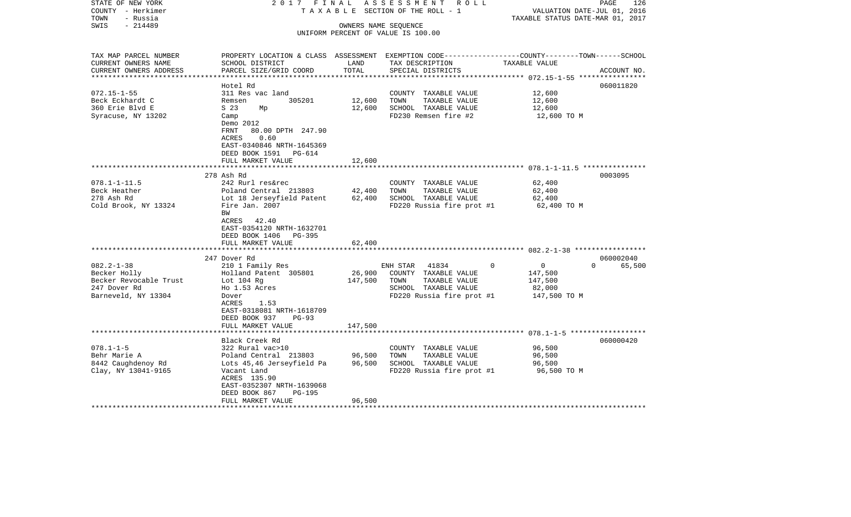| STATE OF NEW YORK<br>COUNTY - Herkimer<br>- Russia<br>TOWN | 2017 FINAL                                                                                       |                      | ASSESSMENT ROLL<br>T A X A B L E SECTION OF THE ROLL - 1 | VALUATION DATE-JUL 01, 2016<br>TAXABLE STATUS DATE-MAR 01, 2017 | PAGE<br>126        |
|------------------------------------------------------------|--------------------------------------------------------------------------------------------------|----------------------|----------------------------------------------------------|-----------------------------------------------------------------|--------------------|
| $-214489$<br>SWIS                                          |                                                                                                  | OWNERS NAME SEQUENCE |                                                          |                                                                 |                    |
|                                                            |                                                                                                  |                      | UNIFORM PERCENT OF VALUE IS 100.00                       |                                                                 |                    |
|                                                            |                                                                                                  |                      |                                                          |                                                                 |                    |
|                                                            |                                                                                                  |                      |                                                          |                                                                 |                    |
| TAX MAP PARCEL NUMBER                                      | PROPERTY LOCATION & CLASS ASSESSMENT EXEMPTION CODE----------------COUNTY-------TOWN------SCHOOL |                      |                                                          |                                                                 |                    |
| CURRENT OWNERS NAME                                        | SCHOOL DISTRICT                                                                                  | LAND                 | TAX DESCRIPTION                                          | TAXABLE VALUE                                                   |                    |
| CURRENT OWNERS ADDRESS                                     | PARCEL SIZE/GRID COORD                                                                           | TOTAL                | SPECIAL DISTRICTS                                        |                                                                 | ACCOUNT NO.        |
|                                                            |                                                                                                  |                      |                                                          |                                                                 |                    |
|                                                            | Hotel Rd                                                                                         |                      |                                                          |                                                                 | 060011820          |
| $072.15 - 1 - 55$                                          | 311 Res vac land                                                                                 |                      | COUNTY TAXABLE VALUE                                     | 12,600                                                          |                    |
| Beck Eckhardt C                                            | 305201<br>Remsen                                                                                 | 12,600               | TAXABLE VALUE<br>TOWN                                    | 12,600                                                          |                    |
| 360 Erie Blvd E                                            | S 23<br>Mp                                                                                       | 12,600               | SCHOOL TAXABLE VALUE                                     | 12,600                                                          |                    |
| Syracuse, NY 13202                                         | Camp                                                                                             |                      | FD230 Remsen fire #2                                     | 12,600 TO M                                                     |                    |
|                                                            | Demo 2012                                                                                        |                      |                                                          |                                                                 |                    |
|                                                            | FRNT<br>80.00 DPTH 247.90                                                                        |                      |                                                          |                                                                 |                    |
|                                                            | 0.60<br>ACRES                                                                                    |                      |                                                          |                                                                 |                    |
|                                                            | EAST-0340846 NRTH-1645369                                                                        |                      |                                                          |                                                                 |                    |
|                                                            | DEED BOOK 1591 PG-614                                                                            |                      |                                                          |                                                                 |                    |
|                                                            | FULL MARKET VALUE                                                                                | 12,600               |                                                          |                                                                 |                    |
|                                                            |                                                                                                  |                      |                                                          |                                                                 |                    |
|                                                            | 278 Ash Rd                                                                                       |                      |                                                          |                                                                 | 0003095            |
| $078.1 - 1 - 11.5$                                         | 242 Rurl res&rec                                                                                 |                      | COUNTY TAXABLE VALUE                                     | 62,400                                                          |                    |
| Beck Heather                                               | Poland Central 213803                                                                            | 42,400               | TOWN<br>TAXABLE VALUE                                    | 62,400                                                          |                    |
| 278 Ash Rd                                                 | Lot 18 Jerseyfield Patent                                                                        | 62,400               | SCHOOL TAXABLE VALUE                                     | 62,400                                                          |                    |
| Cold Brook, NY 13324                                       | Fire Jan. 2007                                                                                   |                      | FD220 Russia fire prot #1                                | 62,400 TO M                                                     |                    |
|                                                            | BW                                                                                               |                      |                                                          |                                                                 |                    |
|                                                            | ACRES 42.40                                                                                      |                      |                                                          |                                                                 |                    |
|                                                            | EAST-0354120 NRTH-1632701                                                                        |                      |                                                          |                                                                 |                    |
|                                                            | DEED BOOK 1406 PG-395                                                                            |                      |                                                          |                                                                 |                    |
|                                                            | FULL MARKET VALUE                                                                                | 62,400               |                                                          |                                                                 |                    |
|                                                            |                                                                                                  | *************        |                                                          |                                                                 |                    |
|                                                            | 247 Dover Rd                                                                                     |                      |                                                          |                                                                 | 060002040          |
| $082.2 - 1 - 38$                                           | 210 1 Family Res                                                                                 |                      | 41834<br>ENH STAR                                        | $\Omega$<br>$\mathbf 0$                                         | 65,500<br>$\Omega$ |
| Becker Holly                                               | Holland Patent 305801                                                                            | 26,900               | COUNTY TAXABLE VALUE                                     | 147,500                                                         |                    |
| Becker Revocable Trust                                     | Lot $104$ Rq                                                                                     | 147,500              | TAXABLE VALUE<br>TOWN                                    | 147,500                                                         |                    |
| 247 Dover Rd                                               | Ho 1.53 Acres                                                                                    |                      | SCHOOL TAXABLE VALUE                                     | 82,000                                                          |                    |
| Barneveld, NY 13304                                        | Dover                                                                                            |                      | FD220 Russia fire prot #1                                | 147,500 TO M                                                    |                    |
|                                                            | ACRES<br>1.53                                                                                    |                      |                                                          |                                                                 |                    |
|                                                            | EAST-0318081 NRTH-1618709                                                                        |                      |                                                          |                                                                 |                    |
|                                                            | DEED BOOK 937<br>$PG-93$                                                                         |                      |                                                          |                                                                 |                    |
|                                                            | FULL MARKET VALUE                                                                                | 147,500              |                                                          |                                                                 |                    |
|                                                            |                                                                                                  |                      |                                                          |                                                                 |                    |
|                                                            | Black Creek Rd                                                                                   |                      |                                                          |                                                                 | 060000420          |
| $078.1 - 1 - 5$                                            | 322 Rural vac>10                                                                                 |                      | COUNTY TAXABLE VALUE                                     | 96,500                                                          |                    |
| Behr Marie A                                               | Poland Central 213803                                                                            | 96,500               | TOWN<br>TAXABLE VALUE                                    | 96,500                                                          |                    |
| 8442 Caughdenoy Rd                                         | Lots 45,46 Jerseyfield Pa                                                                        | 96,500               | SCHOOL TAXABLE VALUE                                     | 96,500                                                          |                    |
| Clay, NY 13041-9165                                        | Vacant Land                                                                                      |                      | FD220 Russia fire prot #1                                | 96,500 TO M                                                     |                    |
|                                                            | ACRES 135.90                                                                                     |                      |                                                          |                                                                 |                    |
|                                                            | EAST-0352307 NRTH-1639068                                                                        |                      |                                                          |                                                                 |                    |
|                                                            | DEED BOOK 867<br>PG-195                                                                          |                      |                                                          |                                                                 |                    |
|                                                            | FULL MARKET VALUE                                                                                | 96,500               |                                                          |                                                                 |                    |
| ******************                                         |                                                                                                  |                      |                                                          |                                                                 |                    |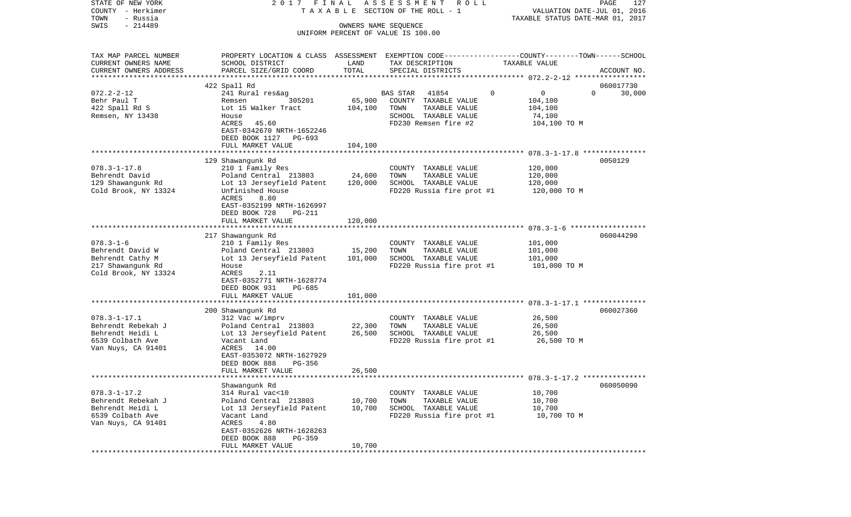| STATE OF NEW YORK<br>COUNTY - Herkimer<br>- Russia<br>TOWN |                                                                                                |               | 2017 FINAL ASSESSMENT<br>ROLL<br>T A X A B L E SECTION OF THE ROLL - 1 | TAXABLE STATUS DATE-MAR 01, 2017 | PAGE<br>127<br>VALUATION DATE-JUL 01, 2016 |  |  |
|------------------------------------------------------------|------------------------------------------------------------------------------------------------|---------------|------------------------------------------------------------------------|----------------------------------|--------------------------------------------|--|--|
| $-214489$<br>SWIS                                          | OWNERS NAME SEQUENCE<br>UNIFORM PERCENT OF VALUE IS 100.00                                     |               |                                                                        |                                  |                                            |  |  |
| TAX MAP PARCEL NUMBER                                      | PROPERTY LOCATION & CLASS ASSESSMENT EXEMPTION CODE---------------COUNTY-------TOWN-----SCHOOL |               |                                                                        |                                  |                                            |  |  |
| CURRENT OWNERS NAME<br>CURRENT OWNERS ADDRESS              | SCHOOL DISTRICT<br>PARCEL SIZE/GRID COORD                                                      | LAND<br>TOTAL | TAX DESCRIPTION<br>SPECIAL DISTRICTS                                   | TAXABLE VALUE                    | ACCOUNT NO.                                |  |  |
|                                                            | 422 Spall Rd                                                                                   |               |                                                                        |                                  | 060017730                                  |  |  |
| $072.2 - 2 - 12$                                           | 241 Rural res&ag                                                                               |               | 41854<br>BAS STAR                                                      | 0<br>$\mathbf 0$                 | $\Omega$<br>30,000                         |  |  |
| Behr Paul T                                                | 305201<br>Remsen                                                                               | 65,900        | COUNTY TAXABLE VALUE                                                   | 104,100                          |                                            |  |  |
| 422 Spall Rd S                                             | Lot 15 Walker Tract                                                                            | 104,100       | TOWN<br>TAXABLE VALUE                                                  | 104,100                          |                                            |  |  |
| Remsen, NY 13438                                           | House                                                                                          |               | SCHOOL TAXABLE VALUE                                                   | 74,100                           |                                            |  |  |
|                                                            | ACRES<br>45.60                                                                                 |               | FD230 Remsen fire #2                                                   | 104,100 TO M                     |                                            |  |  |
|                                                            | EAST-0342670 NRTH-1652246<br>DEED BOOK 1127 PG-693                                             |               |                                                                        |                                  |                                            |  |  |
|                                                            | FULL MARKET VALUE                                                                              | 104,100       |                                                                        |                                  |                                            |  |  |
|                                                            |                                                                                                |               |                                                                        |                                  |                                            |  |  |
|                                                            | 129 Shawangunk Rd                                                                              |               |                                                                        |                                  | 0050129                                    |  |  |
| $078.3 - 1 - 17.8$                                         | 210 1 Family Res                                                                               |               | COUNTY TAXABLE VALUE                                                   | 120,000                          |                                            |  |  |
| Behrendt David                                             | Poland Central 213803                                                                          | 24,600        | TOWN<br>TAXABLE VALUE                                                  | 120,000                          |                                            |  |  |
| 129 Shawangunk Rd                                          | Lot 13 Jerseyfield Patent                                                                      | 120,000       | SCHOOL TAXABLE VALUE                                                   | 120,000                          |                                            |  |  |
| Cold Brook, NY 13324                                       | Unfinished House                                                                               |               | FD220 Russia fire prot #1                                              | 120,000 TO M                     |                                            |  |  |
|                                                            | ACRES<br>8.80                                                                                  |               |                                                                        |                                  |                                            |  |  |
|                                                            | EAST-0352199 NRTH-1626997                                                                      |               |                                                                        |                                  |                                            |  |  |
|                                                            | DEED BOOK 728<br>PG-211                                                                        |               |                                                                        |                                  |                                            |  |  |
|                                                            | FULL MARKET VALUE                                                                              | 120,000       |                                                                        |                                  |                                            |  |  |
|                                                            |                                                                                                |               |                                                                        |                                  |                                            |  |  |
|                                                            | 217 Shawangunk Rd                                                                              |               |                                                                        |                                  | 060044290                                  |  |  |
| $078.3 - 1 - 6$                                            | 210 1 Family Res                                                                               |               | COUNTY TAXABLE VALUE                                                   | 101,000                          |                                            |  |  |
| Behrendt David W                                           | Poland Central 213803                                                                          | 15,200        | TAXABLE VALUE<br>TOWN                                                  | 101,000                          |                                            |  |  |
| Behrendt Cathy M                                           | Lot 13 Jerseyfield Patent                                                                      | 101,000       | SCHOOL TAXABLE VALUE                                                   | 101,000                          |                                            |  |  |
| 217 Shawangunk Rd                                          | House                                                                                          |               | FD220 Russia fire prot #1                                              | 101,000 TO M                     |                                            |  |  |
| Cold Brook, NY 13324                                       | ACRES<br>2.11                                                                                  |               |                                                                        |                                  |                                            |  |  |
|                                                            | EAST-0352771 NRTH-1628774<br>DEED BOOK 931<br>PG-685                                           |               |                                                                        |                                  |                                            |  |  |
|                                                            | FULL MARKET VALUE                                                                              | 101,000       |                                                                        |                                  |                                            |  |  |
|                                                            |                                                                                                |               |                                                                        |                                  |                                            |  |  |
|                                                            | 200 Shawangunk Rd                                                                              |               |                                                                        |                                  | 060027360                                  |  |  |
| $078.3 - 1 - 17.1$                                         | 312 Vac w/imprv                                                                                |               | COUNTY TAXABLE VALUE                                                   | 26,500                           |                                            |  |  |
| Behrendt Rebekah J                                         | Poland Central 213803                                                                          | 22,300        | TOWN<br>TAXABLE VALUE                                                  | 26,500                           |                                            |  |  |
| Behrendt Heidi L                                           | Lot 13 Jerseyfield Patent                                                                      | 26,500        | SCHOOL TAXABLE VALUE                                                   | 26,500                           |                                            |  |  |
| 6539 Colbath Ave                                           | Vacant Land                                                                                    |               | FD220 Russia fire prot #1                                              | 26,500 TO M                      |                                            |  |  |
| Van Nuys, CA 91401                                         | ACRES<br>14.00                                                                                 |               |                                                                        |                                  |                                            |  |  |
|                                                            | EAST-0353072 NRTH-1627929                                                                      |               |                                                                        |                                  |                                            |  |  |
|                                                            | DEED BOOK 888<br>PG-356                                                                        |               |                                                                        |                                  |                                            |  |  |
|                                                            | FULL MARKET VALUE                                                                              | 26,500        |                                                                        |                                  |                                            |  |  |
|                                                            |                                                                                                |               |                                                                        |                                  |                                            |  |  |
|                                                            | Shawangunk Rd                                                                                  |               |                                                                        |                                  | 060050090                                  |  |  |
| $078.3 - 1 - 17.2$                                         | 314 Rural vac<10                                                                               |               | COUNTY TAXABLE VALUE                                                   | 10,700                           |                                            |  |  |
| Behrendt Rebekah J                                         | Poland Central 213803                                                                          | 10,700        | TOWN<br>TAXABLE VALUE                                                  | 10,700                           |                                            |  |  |
| Behrendt Heidi L                                           | Lot 13 Jerseyfield Patent                                                                      | 10,700        | SCHOOL TAXABLE VALUE                                                   | 10,700                           |                                            |  |  |
| 6539 Colbath Ave                                           | Vacant Land                                                                                    |               | FD220 Russia fire prot #1                                              | 10,700 TO M                      |                                            |  |  |
| Van Nuys, CA 91401                                         | ACRES<br>4.80                                                                                  |               |                                                                        |                                  |                                            |  |  |
|                                                            | EAST-0352626 NRTH-1628263                                                                      |               |                                                                        |                                  |                                            |  |  |
|                                                            | DEED BOOK 888<br>PG-359                                                                        |               |                                                                        |                                  |                                            |  |  |
|                                                            | FULL MARKET VALUE                                                                              | 10,700        |                                                                        |                                  |                                            |  |  |
|                                                            |                                                                                                |               |                                                                        |                                  |                                            |  |  |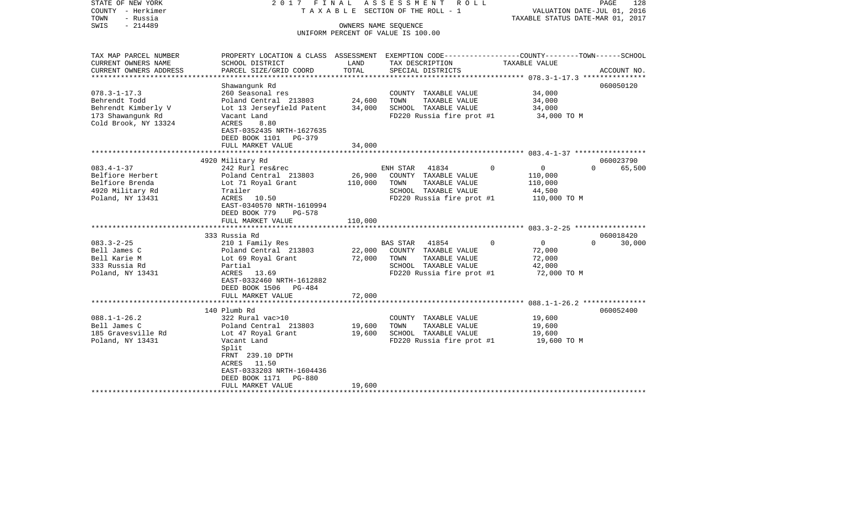| STATE OF NEW YORK<br>COUNTY - Herkimer<br>TOWN<br>- Russia<br>$-214489$<br>SWIS | 2017 FINAL<br>T A X A B L E SECTION OF THE ROLL - 1<br>UNIFORM PERCENT OF VALUE IS 100.00                           |         | PAGE<br>128<br>VALUATION DATE-JUL 01, 2016<br>TAXABLE STATUS DATE-MAR 01, 2017 |                          |                                 |  |
|---------------------------------------------------------------------------------|---------------------------------------------------------------------------------------------------------------------|---------|--------------------------------------------------------------------------------|--------------------------|---------------------------------|--|
| TAX MAP PARCEL NUMBER<br>CURRENT OWNERS NAME                                    | PROPERTY LOCATION & CLASS ASSESSMENT EXEMPTION CODE----------------COUNTY-------TOWN------SCHOOL<br>SCHOOL DISTRICT | LAND    | TAX DESCRIPTION                                                                | TAXABLE VALUE            |                                 |  |
| CURRENT OWNERS ADDRESS                                                          | PARCEL SIZE/GRID COORD                                                                                              | TOTAL   | SPECIAL DISTRICTS                                                              |                          | ACCOUNT NO.                     |  |
|                                                                                 |                                                                                                                     |         |                                                                                |                          |                                 |  |
| $078.3 - 1 - 17.3$                                                              | Shawangunk Rd                                                                                                       |         |                                                                                |                          | 060050120                       |  |
| Behrendt Todd                                                                   | 260 Seasonal res<br>Poland Central 213803                                                                           | 24,600  | COUNTY TAXABLE VALUE<br>TAXABLE VALUE<br>TOWN                                  | 34,000<br>34,000         |                                 |  |
| Behrendt Kimberly V                                                             | Lot 13 Jerseyfield Patent                                                                                           | 34,000  | SCHOOL TAXABLE VALUE                                                           | 34,000                   |                                 |  |
| 173 Shawangunk Rd                                                               | Vacant Land                                                                                                         |         | FD220 Russia fire prot #1                                                      | 34,000 TO M              |                                 |  |
| Cold Brook, NY 13324                                                            | ACRES<br>8.80                                                                                                       |         |                                                                                |                          |                                 |  |
|                                                                                 | EAST-0352435 NRTH-1627635                                                                                           |         |                                                                                |                          |                                 |  |
|                                                                                 | DEED BOOK 1101<br>PG-379                                                                                            |         |                                                                                |                          |                                 |  |
|                                                                                 | FULL MARKET VALUE                                                                                                   | 34,000  |                                                                                |                          |                                 |  |
|                                                                                 |                                                                                                                     |         |                                                                                |                          |                                 |  |
| $083.4 - 1 - 37$                                                                | 4920 Military Rd<br>242 Rurl res&rec                                                                                |         | ENH STAR<br>41834                                                              | $\Omega$<br>$\mathbf{0}$ | 060023790<br>$\Omega$<br>65,500 |  |
| Belfiore Herbert                                                                | Poland Central 213803                                                                                               | 26,900  | COUNTY TAXABLE VALUE                                                           | 110,000                  |                                 |  |
| Belfiore Brenda                                                                 | Lot 71 Royal Grant                                                                                                  | 110,000 | TOWN<br>TAXABLE VALUE                                                          | 110,000                  |                                 |  |
| 4920 Military Rd                                                                | Trailer                                                                                                             |         | SCHOOL TAXABLE VALUE                                                           | 44,500                   |                                 |  |
| Poland, NY 13431                                                                | ACRES 10.50                                                                                                         |         | FD220 Russia fire prot #1                                                      | 110,000 TO M             |                                 |  |
|                                                                                 | EAST-0340570 NRTH-1610994                                                                                           |         |                                                                                |                          |                                 |  |
|                                                                                 | DEED BOOK 779<br>$PG-578$                                                                                           |         |                                                                                |                          |                                 |  |
|                                                                                 | FULL MARKET VALUE<br>*****************************                                                                  | 110,000 |                                                                                |                          |                                 |  |
|                                                                                 | 333 Russia Rd                                                                                                       |         |                                                                                |                          | 060018420                       |  |
| $083.3 - 2 - 25$                                                                | 210 1 Family Res                                                                                                    |         | BAS STAR<br>41854                                                              | $\overline{0}$<br>0      | 30,000<br>$\Omega$              |  |
| Bell James C                                                                    | Poland Central 213803                                                                                               | 22,000  | COUNTY TAXABLE VALUE                                                           | 72,000                   |                                 |  |
| Bell Karie M                                                                    | Lot 69 Royal Grant                                                                                                  | 72,000  | TAXABLE VALUE<br>TOWN                                                          | 72,000                   |                                 |  |
| 333 Russia Rd                                                                   | Partial                                                                                                             |         | SCHOOL TAXABLE VALUE                                                           | 42,000                   |                                 |  |
| Poland, NY 13431                                                                | ACRES 13.69                                                                                                         |         | FD220 Russia fire prot #1                                                      | 72,000 TO M              |                                 |  |
|                                                                                 | EAST-0332460 NRTH-1612882                                                                                           |         |                                                                                |                          |                                 |  |
|                                                                                 | DEED BOOK 1506 PG-484                                                                                               |         |                                                                                |                          |                                 |  |
|                                                                                 | FULL MARKET VALUE                                                                                                   | 72,000  |                                                                                |                          |                                 |  |
|                                                                                 | 140 Plumb Rd                                                                                                        |         |                                                                                |                          | 060052400                       |  |
| $088.1 - 1 - 26.2$                                                              | 322 Rural vac>10                                                                                                    |         | COUNTY TAXABLE VALUE                                                           | 19,600                   |                                 |  |
| Bell James C                                                                    | Poland Central 213803                                                                                               | 19,600  | TOWN<br>TAXABLE VALUE                                                          | 19,600                   |                                 |  |
| 185 Gravesville Rd                                                              | Lot 47 Royal Grant                                                                                                  | 19,600  | SCHOOL TAXABLE VALUE                                                           | 19,600                   |                                 |  |
| Poland, NY 13431                                                                | Vacant Land                                                                                                         |         | FD220 Russia fire prot #1                                                      | 19,600 TO M              |                                 |  |
|                                                                                 | Split                                                                                                               |         |                                                                                |                          |                                 |  |
|                                                                                 | FRNT 239.10 DPTH                                                                                                    |         |                                                                                |                          |                                 |  |
|                                                                                 | ACRES<br>11.50                                                                                                      |         |                                                                                |                          |                                 |  |
|                                                                                 | EAST-0333203 NRTH-1604436<br>DEED BOOK 1171<br>PG-880                                                               |         |                                                                                |                          |                                 |  |
|                                                                                 | FULL MARKET VALUE                                                                                                   | 19,600  |                                                                                |                          |                                 |  |
|                                                                                 |                                                                                                                     |         |                                                                                |                          |                                 |  |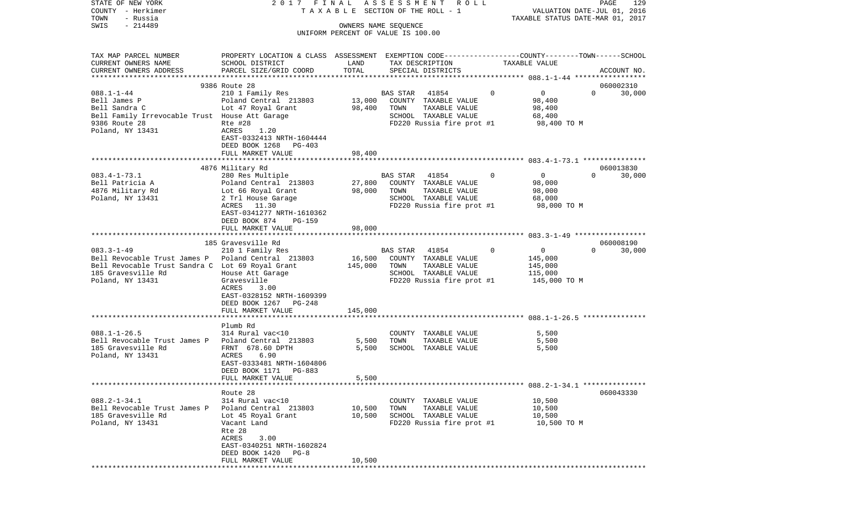| COUNTY<br>– Herkimer                               | T A X A B L E SECTION OF THE ROLL - 1                                                           | VALUATION DATE-JUL 01, 2016<br>TAXABLE STATUS DATE-MAR 01, 2017 |                                                            |                         |                    |
|----------------------------------------------------|-------------------------------------------------------------------------------------------------|-----------------------------------------------------------------|------------------------------------------------------------|-------------------------|--------------------|
| TOWN<br>- Russia<br>SWIS<br>$-214489$              |                                                                                                 |                                                                 |                                                            |                         |                    |
|                                                    |                                                                                                 |                                                                 | OWNERS NAME SEQUENCE<br>UNIFORM PERCENT OF VALUE IS 100.00 |                         |                    |
|                                                    |                                                                                                 |                                                                 |                                                            |                         |                    |
| TAX MAP PARCEL NUMBER                              | PROPERTY LOCATION & CLASS ASSESSMENT EXEMPTION CODE---------------COUNTY-------TOWN------SCHOOL |                                                                 |                                                            |                         |                    |
| CURRENT OWNERS NAME                                | SCHOOL DISTRICT                                                                                 | LAND                                                            | TAX DESCRIPTION                                            | TAXABLE VALUE           |                    |
| CURRENT OWNERS ADDRESS                             | PARCEL SIZE/GRID COORD                                                                          | TOTAL                                                           | SPECIAL DISTRICTS                                          |                         | ACCOUNT NO.        |
|                                                    | 9386 Route 28                                                                                   |                                                                 |                                                            |                         | 060002310          |
| $088.1 - 1 - 44$                                   | 210 1 Family Res                                                                                |                                                                 | 41854<br><b>BAS STAR</b>                                   | $\Omega$<br>$\mathbf 0$ | 30,000<br>$\Omega$ |
| Bell James P                                       | Poland Central 213803                                                                           | 13,000                                                          | COUNTY TAXABLE VALUE                                       | 98,400                  |                    |
| Bell Sandra C                                      | Lot 47 Royal Grant                                                                              | 98,400                                                          | TAXABLE VALUE<br>TOWN                                      | 98,400                  |                    |
| Bell Family Irrevocable Trust House Att Garage     |                                                                                                 |                                                                 | SCHOOL TAXABLE VALUE                                       | 68,400                  |                    |
| 9386 Route 28                                      | Rte #28                                                                                         |                                                                 | FD220 Russia fire prot #1                                  | 98,400 TO M             |                    |
| Poland, NY 13431                                   | ACRES<br>1.20                                                                                   |                                                                 |                                                            |                         |                    |
|                                                    | EAST-0332413 NRTH-1604444                                                                       |                                                                 |                                                            |                         |                    |
|                                                    | DEED BOOK 1268<br>PG-403                                                                        | 98,400                                                          |                                                            |                         |                    |
|                                                    | FULL MARKET VALUE                                                                               |                                                                 |                                                            |                         |                    |
|                                                    | 4876 Military Rd                                                                                |                                                                 |                                                            |                         | 060013830          |
| $083.4 - 1 - 73.1$                                 | 280 Res Multiple                                                                                |                                                                 | BAS STAR<br>41854                                          | $\Omega$<br>$\mathbf 0$ | $\Omega$<br>30,000 |
| Bell Patricia A                                    | Poland Central 213803                                                                           | 27,800                                                          | COUNTY TAXABLE VALUE                                       | 98,000                  |                    |
| 4876 Military Rd                                   | Lot 66 Royal Grant                                                                              | 98,000                                                          | TOWN<br>TAXABLE VALUE                                      | 98,000                  |                    |
| Poland, NY 13431                                   | 2 Trl House Garage                                                                              |                                                                 | SCHOOL TAXABLE VALUE                                       | 68,000                  |                    |
|                                                    | ACRES 11.30                                                                                     |                                                                 | FD220 Russia fire prot #1                                  | 98,000 TO M             |                    |
|                                                    | EAST-0341277 NRTH-1610362                                                                       |                                                                 |                                                            |                         |                    |
|                                                    | DEED BOOK 874<br>PG-159                                                                         |                                                                 |                                                            |                         |                    |
|                                                    | FULL MARKET VALUE                                                                               | 98,000                                                          |                                                            |                         |                    |
|                                                    | 185 Gravesville Rd                                                                              |                                                                 |                                                            |                         | 060008190          |
| $083.3 - 1 - 49$                                   | 210 1 Family Res                                                                                |                                                                 | BAS STAR<br>41854                                          | 0<br>0                  | 30,000<br>$\Omega$ |
| Bell Revocable Trust James P Poland Central 213803 |                                                                                                 | 16,500                                                          | COUNTY TAXABLE VALUE                                       | 145,000                 |                    |
| Bell Revocable Trust Sandra C Lot 69 Royal Grant   |                                                                                                 | 145,000                                                         | TOWN<br>TAXABLE VALUE                                      | 145,000                 |                    |
| 185 Gravesville Rd                                 | House Att Garage                                                                                |                                                                 | SCHOOL TAXABLE VALUE                                       | 115,000                 |                    |
| Poland, NY 13431                                   | Gravesville                                                                                     |                                                                 | FD220 Russia fire prot #1                                  | 145,000 TO M            |                    |
|                                                    | ACRES<br>3.00                                                                                   |                                                                 |                                                            |                         |                    |
|                                                    | EAST-0328152 NRTH-1609399                                                                       |                                                                 |                                                            |                         |                    |
|                                                    | DEED BOOK 1267<br>PG-248                                                                        |                                                                 |                                                            |                         |                    |
|                                                    | FULL MARKET VALUE<br>* * * * * * * * * * * * * * * * * * * *                                    | 145,000                                                         |                                                            |                         |                    |
|                                                    | Plumb Rd                                                                                        |                                                                 |                                                            |                         |                    |
| $088.1 - 1 - 26.5$                                 | 314 Rural vac<10                                                                                |                                                                 | COUNTY TAXABLE VALUE                                       | 5,500                   |                    |
| Bell Revocable Trust James P Poland Central 213803 |                                                                                                 | 5,500                                                           | TOWN<br>TAXABLE VALUE                                      | 5,500                   |                    |
| 185 Gravesville Rd                                 | FRNT 678.60 DPTH                                                                                | 5,500                                                           | SCHOOL TAXABLE VALUE                                       | 5,500                   |                    |
| Poland, NY 13431                                   | 6.90<br>ACRES                                                                                   |                                                                 |                                                            |                         |                    |
|                                                    | EAST-0333481 NRTH-1604806                                                                       |                                                                 |                                                            |                         |                    |
|                                                    | DEED BOOK 1171<br>PG-883                                                                        |                                                                 |                                                            |                         |                    |
|                                                    | FULL MARKET VALUE                                                                               | 5,500                                                           |                                                            |                         |                    |
|                                                    | Route 28                                                                                        |                                                                 |                                                            |                         | 060043330          |
| $088.2 - 1 - 34.1$                                 | 314 Rural vac<10                                                                                |                                                                 | TAXABLE VALUE<br>COUNTY                                    | 10,500                  |                    |
| Bell Revocable Trust James P                       | Poland Central 213803                                                                           | 10,500                                                          | TAXABLE VALUE<br>TOWN                                      | 10,500                  |                    |
| 185 Gravesville Rd                                 | Lot 45 Royal Grant                                                                              | 10,500                                                          | SCHOOL TAXABLE VALUE                                       | 10,500                  |                    |
| Poland, NY 13431                                   | Vacant Land                                                                                     |                                                                 | FD220 Russia fire prot #1                                  | 10,500 TO M             |                    |
|                                                    | Rte 28                                                                                          |                                                                 |                                                            |                         |                    |
|                                                    | ACRES<br>3.00                                                                                   |                                                                 |                                                            |                         |                    |
|                                                    | EAST-0340251 NRTH-1602824                                                                       |                                                                 |                                                            |                         |                    |
|                                                    | DEED BOOK 1420<br>PG-8                                                                          |                                                                 |                                                            |                         |                    |
|                                                    | FULL MARKET VALUE                                                                               | 10,500                                                          |                                                            |                         |                    |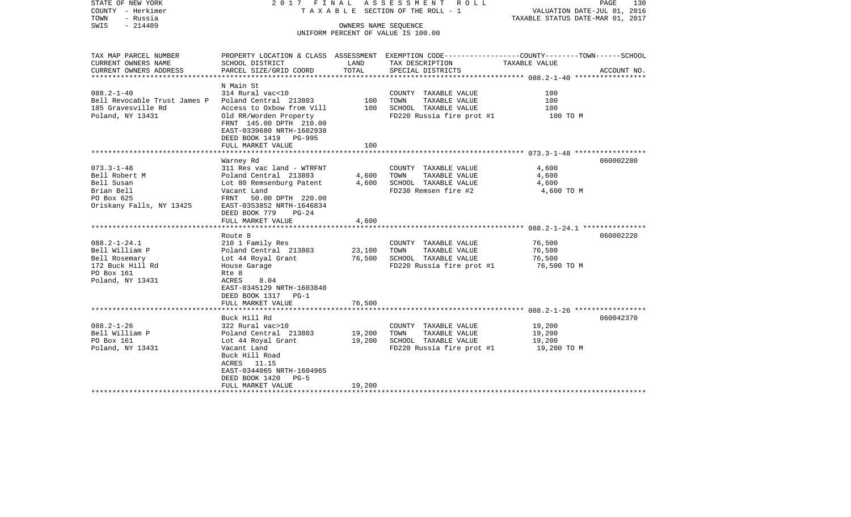| STATE OF NEW YORK<br>COUNTY - Herkimer<br>TOWN<br>- Russia<br>$-214489$<br>SWIS                                                                                                                                        |                                                                                                                                                                                                                                                                                                                                                                                                | OWNERS NAME SEQUENCE                        | 2017 FINAL ASSESSMENT ROLL<br>TAXABLE SECTION OF THE ROLL - 1<br>UNIFORM PERCENT OF VALUE IS 100.00                                                                                                 | PAGE<br>130<br>VALUATION DATE-JUL 01, 2016<br>TAXABLE STATUS DATE-MAR 01, 2017     |                        |  |  |
|------------------------------------------------------------------------------------------------------------------------------------------------------------------------------------------------------------------------|------------------------------------------------------------------------------------------------------------------------------------------------------------------------------------------------------------------------------------------------------------------------------------------------------------------------------------------------------------------------------------------------|---------------------------------------------|-----------------------------------------------------------------------------------------------------------------------------------------------------------------------------------------------------|------------------------------------------------------------------------------------|------------------------|--|--|
| TAX MAP PARCEL NUMBER<br>CURRENT OWNERS NAME                                                                                                                                                                           | SCHOOL DISTRICT                                                                                                                                                                                                                                                                                                                                                                                | LAND                                        | PROPERTY LOCATION & CLASS ASSESSMENT EXEMPTION CODE---------------COUNTY-------TOWN------SCHOOL<br>TAX DESCRIPTION                                                                                  | TAXABLE VALUE                                                                      |                        |  |  |
| CURRENT OWNERS ADDRESS                                                                                                                                                                                                 | PARCEL SIZE/GRID COORD                                                                                                                                                                                                                                                                                                                                                                         | TOTAL                                       | SPECIAL DISTRICTS                                                                                                                                                                                   |                                                                                    | ACCOUNT NO.            |  |  |
| *************************                                                                                                                                                                                              |                                                                                                                                                                                                                                                                                                                                                                                                |                                             |                                                                                                                                                                                                     |                                                                                    |                        |  |  |
| $088.2 - 1 - 40$<br>Bell Revocable Trust James P Poland Central 213803<br>185 Gravesville Rd<br>Poland, NY 13431                                                                                                       | N Main St<br>314 Rural vac<10<br>Access to Oxbow from Vill<br>Old RR/Worden Property<br>FRNT 145.00 DPTH 210.00<br>EAST-0339680 NRTH-1602938<br>DEED BOOK 1419 PG-995                                                                                                                                                                                                                          | 100<br>100                                  | COUNTY TAXABLE VALUE<br>TAXABLE VALUE<br>TOWN<br>SCHOOL TAXABLE VALUE<br>FD220 Russia fire prot #1                                                                                                  | 100<br>100<br>100<br>100 TO M                                                      |                        |  |  |
|                                                                                                                                                                                                                        | FULL MARKET VALUE                                                                                                                                                                                                                                                                                                                                                                              | 100                                         |                                                                                                                                                                                                     |                                                                                    |                        |  |  |
|                                                                                                                                                                                                                        |                                                                                                                                                                                                                                                                                                                                                                                                |                                             |                                                                                                                                                                                                     |                                                                                    |                        |  |  |
| $073.3 - 1 - 48$<br>Bell Robert M<br>Bell Susan<br>Brian Bell<br>PO Box 625<br>Oriskany Falls, NY 13425<br>$088.2 - 1 - 24.1$<br>Bell William P<br>Bell Rosemary<br>172 Buck Hill Rd<br>PO Box 161<br>Poland, NY 13431 | Warney Rd<br>311 Res vac land - WTRFNT<br>Poland Central 213803<br>Lot 80 Remsenburg Patent<br>Vacant Land<br>FRNT 50.00 DPTH 220.00<br>EAST-0353852 NRTH-1646834<br>DEED BOOK 779<br>$PG-24$<br>FULL MARKET VALUE<br>Route 8<br>210 1 Family Res<br>Poland Central 213803<br>Lot 44 Royal Grant<br>House Garage<br>Rte 8<br>ACRES<br>8.04<br>EAST-0345129 NRTH-1603840<br>DEED BOOK 1317 PG-1 | 4,600<br>4,600<br>4,600<br>23,100<br>76,500 | COUNTY TAXABLE VALUE<br>TOWN<br>TAXABLE VALUE<br>SCHOOL TAXABLE VALUE<br>FD230 Remsen fire #2<br>COUNTY TAXABLE VALUE<br>TAXABLE VALUE<br>TOWN<br>SCHOOL TAXABLE VALUE<br>FD220 Russia fire prot #1 | 4,600<br>4,600<br>4,600<br>4,600 TO M<br>76,500<br>76,500<br>76,500<br>76,500 TO M | 060002280<br>060002220 |  |  |
|                                                                                                                                                                                                                        | FULL MARKET VALUE                                                                                                                                                                                                                                                                                                                                                                              | 76,500                                      |                                                                                                                                                                                                     |                                                                                    |                        |  |  |
| $088.2 - 1 - 26$<br>Bell William P<br>PO Box 161<br>Poland, NY 13431                                                                                                                                                   | Buck Hill Rd<br>322 Rural vac>10<br>Poland Central 213803<br>Lot 44 Royal Grant<br>Vacant Land<br>Buck Hill Road<br>ACRES 11.15<br>EAST-0344065 NRTH-1604965<br>DEED BOOK 1420 PG-5<br>FULL MARKET VALUE                                                                                                                                                                                       | 19,200<br>19,200<br>19,200                  | COUNTY TAXABLE VALUE<br>TAXABLE VALUE<br>TOWN<br>SCHOOL TAXABLE VALUE<br>FD220 Russia fire prot #1                                                                                                  | 19,200<br>19,200<br>19,200<br>19,200 TO M                                          | 060042370              |  |  |
|                                                                                                                                                                                                                        |                                                                                                                                                                                                                                                                                                                                                                                                |                                             |                                                                                                                                                                                                     |                                                                                    |                        |  |  |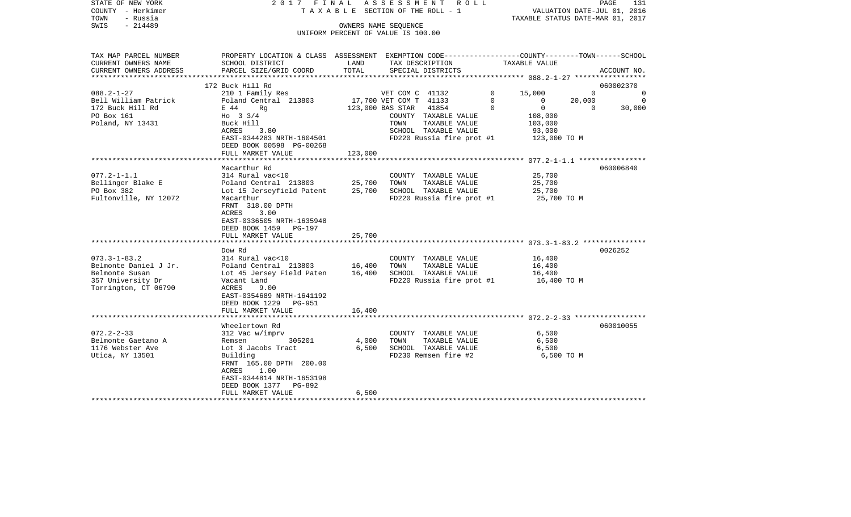| STATE OF NEW YORK<br>COUNTY - Herkimer<br>TOWN<br>- Russia<br>$-214489$<br>SWIS | 2017 FINAL<br>TAXABLE SECTION OF THE ROLL - 1                                                   | A S S E S S M E N T R O L L<br>PAGE<br>131<br>VALUATION DATE-JUL 01, 2016<br>TAXABLE STATUS DATE-MAR 01, 2017 |                                                                   |               |                            |             |
|---------------------------------------------------------------------------------|-------------------------------------------------------------------------------------------------|---------------------------------------------------------------------------------------------------------------|-------------------------------------------------------------------|---------------|----------------------------|-------------|
|                                                                                 |                                                                                                 |                                                                                                               | OWNERS NAME SEQUENCE<br>UNIFORM PERCENT OF VALUE IS 100.00        |               |                            |             |
| TAX MAP PARCEL NUMBER                                                           | PROPERTY LOCATION & CLASS ASSESSMENT EXEMPTION CODE---------------COUNTY-------TOWN------SCHOOL |                                                                                                               |                                                                   |               |                            |             |
| CURRENT OWNERS NAME                                                             | SCHOOL DISTRICT                                                                                 | LAND                                                                                                          | TAX DESCRIPTION                                                   | TAXABLE VALUE |                            |             |
| CURRENT OWNERS ADDRESS                                                          | PARCEL SIZE/GRID COORD                                                                          | TOTAL                                                                                                         | SPECIAL DISTRICTS                                                 |               |                            | ACCOUNT NO. |
| ***********************                                                         | 172 Buck Hill Rd                                                                                |                                                                                                               |                                                                   |               |                            | 060002370   |
| $088.2 - 1 - 27$                                                                | 210 1 Family Res                                                                                |                                                                                                               | VET COM C 41132                                                   | $\Omega$      | 15,000<br>$\Omega$         | $\Omega$    |
| Bell William Patrick                                                            | Poland Central 213803                                                                           |                                                                                                               | 17,700 VET COM T 41133                                            | $\mathbf 0$   | $\mathbf{0}$<br>20,000     | - 0         |
| 172 Buck Hill Rd                                                                | E 44<br>Rq                                                                                      |                                                                                                               | 123,000 BAS STAR<br>41854                                         | $\Omega$      | $\overline{0}$<br>$\Omega$ | 30,000      |
| PO Box 161                                                                      | Ho $3 \frac{3}{4}$                                                                              |                                                                                                               | COUNTY TAXABLE VALUE                                              |               | 108,000                    |             |
| Poland, NY 13431                                                                | Buck Hill                                                                                       |                                                                                                               | TAXABLE VALUE<br>TOWN                                             |               | 103,000                    |             |
|                                                                                 | ACRES<br>3.80                                                                                   |                                                                                                               | SCHOOL TAXABLE VALUE                                              |               | 93,000                     |             |
|                                                                                 | EAST-0344283 NRTH-1604501                                                                       |                                                                                                               | FD220 Russia fire prot #1                                         |               | 123,000 TO M               |             |
|                                                                                 | DEED BOOK 00598 PG-00268                                                                        |                                                                                                               |                                                                   |               |                            |             |
|                                                                                 | FULL MARKET VALUE                                                                               | 123,000                                                                                                       |                                                                   |               |                            |             |
|                                                                                 | Macarthur Rd                                                                                    |                                                                                                               |                                                                   |               |                            | 060006840   |
| $077.2 - 1 - 1.1$                                                               | 314 Rural vac<10                                                                                |                                                                                                               | COUNTY TAXABLE VALUE                                              |               | 25,700                     |             |
| Bellinger Blake E                                                               | Poland Central 213803                                                                           | 25,700                                                                                                        | TOWN<br>TAXABLE VALUE                                             |               | 25,700                     |             |
| PO Box 382                                                                      | Lot 15 Jerseyfield Patent                                                                       | 25,700                                                                                                        | SCHOOL TAXABLE VALUE                                              |               | 25,700                     |             |
| Fultonville, NY 12072                                                           | Macarthur                                                                                       |                                                                                                               | FD220 Russia fire prot #1                                         |               | 25,700 TO M                |             |
|                                                                                 | FRNT 318.00 DPTH                                                                                |                                                                                                               |                                                                   |               |                            |             |
|                                                                                 | 3.00<br>ACRES                                                                                   |                                                                                                               |                                                                   |               |                            |             |
|                                                                                 | EAST-0336505 NRTH-1635948                                                                       |                                                                                                               |                                                                   |               |                            |             |
|                                                                                 | DEED BOOK 1459 PG-197                                                                           |                                                                                                               |                                                                   |               |                            |             |
|                                                                                 | FULL MARKET VALUE                                                                               | 25,700                                                                                                        |                                                                   |               |                            |             |
|                                                                                 |                                                                                                 |                                                                                                               |                                                                   |               |                            |             |
|                                                                                 | Dow Rd                                                                                          |                                                                                                               |                                                                   |               |                            | 0026252     |
| $073.3 - 1 - 83.2$<br>Belmonte Daniel J Jr.                                     | 314 Rural vac<10<br>Poland Central 213803                                                       | 16,400                                                                                                        | COUNTY TAXABLE VALUE<br>TOWN<br>TAXABLE VALUE                     |               | 16,400<br>16,400           |             |
| Belmonte Susan                                                                  |                                                                                                 |                                                                                                               |                                                                   |               |                            |             |
| 357 University Dr                                                               | Lot 45 Jersey Field Paten<br>Vacant Land                                                        | 16,400                                                                                                        | SCHOOL TAXABLE VALUE<br>$FD220$ Russia fire prot #1 $16,400$ TO M |               | 16,400                     |             |
| Torrington, CT 06790                                                            | ACRES<br>9.00                                                                                   |                                                                                                               |                                                                   |               |                            |             |
|                                                                                 | EAST-0354689 NRTH-1641192                                                                       |                                                                                                               |                                                                   |               |                            |             |
|                                                                                 | DEED BOOK 1229<br>PG-951                                                                        |                                                                                                               |                                                                   |               |                            |             |
|                                                                                 | FULL MARKET VALUE                                                                               | 16,400                                                                                                        |                                                                   |               |                            |             |
|                                                                                 | *************************                                                                       |                                                                                                               |                                                                   |               |                            |             |
|                                                                                 | Wheelertown Rd                                                                                  |                                                                                                               |                                                                   |               |                            | 060010055   |
| $072.2 - 2 - 33$                                                                | 312 Vac w/imprv                                                                                 |                                                                                                               | COUNTY TAXABLE VALUE                                              |               | 6,500                      |             |
| Belmonte Gaetano A                                                              | 305201<br>Remsen                                                                                | 4,000                                                                                                         | TOWN<br>TAXABLE VALUE                                             |               | 6,500                      |             |
| 1176 Webster Ave                                                                | Lot 3 Jacobs Tract                                                                              | 6,500                                                                                                         | SCHOOL TAXABLE VALUE                                              |               | 6,500                      |             |
| Utica, NY 13501                                                                 | Building                                                                                        |                                                                                                               | FD230 Remsen fire #2                                              |               | 6,500 TO M                 |             |
|                                                                                 | FRNT 165.00 DPTH 200.00                                                                         |                                                                                                               |                                                                   |               |                            |             |
|                                                                                 | 1.00<br>ACRES                                                                                   |                                                                                                               |                                                                   |               |                            |             |
|                                                                                 | EAST-0344814 NRTH-1653198<br>PG-892                                                             |                                                                                                               |                                                                   |               |                            |             |
|                                                                                 | DEED BOOK 1377<br>FULL MARKET VALUE                                                             | 6,500                                                                                                         |                                                                   |               |                            |             |
|                                                                                 |                                                                                                 |                                                                                                               |                                                                   |               |                            |             |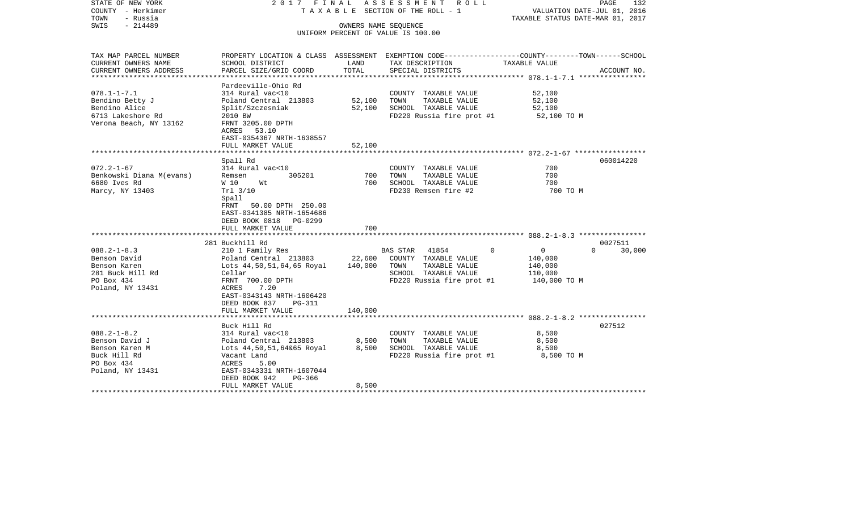| STATE OF NEW YORK<br>COUNTY - Herkimer<br>TOWN<br>- Russia<br>$-214489$<br>SWIS                         |                                                                                                                                                                                                     |                            | 2017 FINAL ASSESSMENT ROLL<br>TAXABLE SECTION OF THE ROLL - 1<br>OWNERS NAME SEOUENCE<br>UNIFORM PERCENT OF VALUE IS 100.00 | PAGE<br>132<br>VALUATION DATE-JUL 01, 2016<br>TAXABLE STATUS DATE-MAR 01, 2017                                                   |
|---------------------------------------------------------------------------------------------------------|-----------------------------------------------------------------------------------------------------------------------------------------------------------------------------------------------------|----------------------------|-----------------------------------------------------------------------------------------------------------------------------|----------------------------------------------------------------------------------------------------------------------------------|
| TAX MAP PARCEL NUMBER<br>CURRENT OWNERS NAME<br>CURRENT OWNERS ADDRESS                                  | SCHOOL DISTRICT<br>PARCEL SIZE/GRID COORD                                                                                                                                                           | LAND<br>TOTAL              | TAX DESCRIPTION<br>SPECIAL DISTRICTS                                                                                        | PROPERTY LOCATION & CLASS ASSESSMENT EXEMPTION CODE----------------COUNTY-------TOWN------SCHOOL<br>TAXABLE VALUE<br>ACCOUNT NO. |
| $078.1 - 1 - 7.1$<br>Bendino Betty J<br>Bendino Alice<br>6713 Lakeshore Rd<br>Verona Beach, NY 13162    | Pardeeville-Ohio Rd<br>314 Rural vac<10<br>Poland Central 213803<br>Split/Szczesniak<br>2010 BW<br>FRNT 3205.00 DPTH<br>ACRES 53.10<br>EAST-0354367 NRTH-1638557<br>FULL MARKET VALUE               | 52,100<br>52,100<br>52,100 | COUNTY TAXABLE VALUE<br>TAXABLE VALUE<br>TOWN<br>SCHOOL TAXABLE VALUE<br>FD220 Russia fire prot #1                          | 52,100<br>52,100<br>52,100<br>52,100 TO M                                                                                        |
|                                                                                                         |                                                                                                                                                                                                     |                            |                                                                                                                             |                                                                                                                                  |
| $072.2 - 1 - 67$<br>Benkowski Diana M(evans)<br>6680 Ives Rd<br>Marcy, NY 13403                         | Spall Rd<br>314 Rural vac<10<br>305201<br>Remsen<br>W 10<br>Wt<br>Trl 3/10<br>Spall<br>FRNT 50.00 DPTH 250.00<br>EAST-0341385 NRTH-1654686<br>DEED BOOK 0818 PG-0299                                | 700<br>700                 | COUNTY TAXABLE VALUE<br>TOWN<br>TAXABLE VALUE<br>SCHOOL TAXABLE VALUE<br>FD230 Remsen fire #2                               | 060014220<br>700<br>700<br>700<br>700 TO M                                                                                       |
|                                                                                                         | FULL MARKET VALUE                                                                                                                                                                                   | 700                        |                                                                                                                             |                                                                                                                                  |
| $088.2 - 1 - 8.3$<br>Benson David<br>Benson Karen<br>281 Buck Hill Rd<br>PO Box 434<br>Poland, NY 13431 | 281 Buckhill Rd<br>210 1 Family Res<br>Poland Central 213803<br>Lots 44,50,51,64,65 Royal<br>Cellar<br>FRNT 700.00 DPTH<br>7.20<br>ACRES<br>EAST-0343143 NRTH-1606420<br>DEED BOOK 837<br>PG-311    | 22,600<br>140,000          | BAS STAR 41854<br>COUNTY TAXABLE VALUE<br>TOWN<br>TAXABLE VALUE<br>SCHOOL TAXABLE VALUE<br>FD220 Russia fire prot #1        | 0027511<br>$\Omega$<br>$\overline{0}$<br>$\Omega$<br>30,000<br>140,000<br>140,000<br>110,000<br>140,000 TO M                     |
|                                                                                                         | FULL MARKET VALUE                                                                                                                                                                                   | 140,000                    |                                                                                                                             |                                                                                                                                  |
| $088.2 - 1 - 8.2$<br>Benson David J<br>Benson Karen M<br>Buck Hill Rd<br>PO Box 434<br>Poland, NY 13431 | Buck Hill Rd<br>314 Rural vac<10<br>Poland Central 213803<br>Lots 44,50,51,64&65 Royal<br>Vacant Land<br>5.00<br>ACRES<br>EAST-0343331 NRTH-1607044<br>DEED BOOK 942<br>PG-366<br>FULL MARKET VALUE | 8,500<br>8,500<br>8,500    | COUNTY TAXABLE VALUE<br>TAXABLE VALUE<br>TOWN<br>SCHOOL TAXABLE VALUE<br>FD220 Russia fire prot #1 8,500 TO M               | 027512<br>8,500<br>8,500<br>8,500                                                                                                |
|                                                                                                         |                                                                                                                                                                                                     |                            |                                                                                                                             |                                                                                                                                  |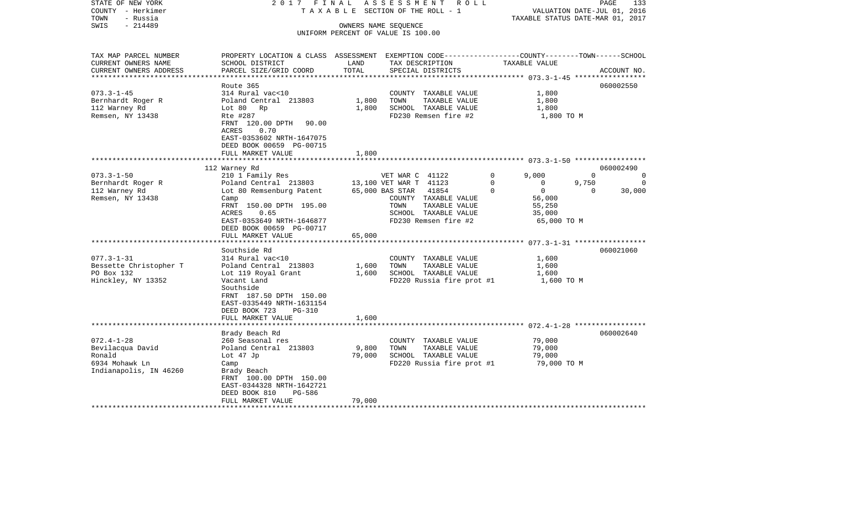| STATE OF NEW YORK<br>COUNTY - Herkimer<br>TOWN<br>- Russia                                                                                                   | 2017 FINAL                                                                                                                                                                                                                                                                                                                                                                      |                           | ASSESSMENT<br>R O L L<br>TAXABLE SECTION OF THE ROLL - 1                                                                                                                                                                                                                     |                           | TAXABLE STATUS DATE-MAR 01, 2017                                                                                              | PAGE<br>VALUATION DATE-JUL 01, 2016 | 133                                         |
|--------------------------------------------------------------------------------------------------------------------------------------------------------------|---------------------------------------------------------------------------------------------------------------------------------------------------------------------------------------------------------------------------------------------------------------------------------------------------------------------------------------------------------------------------------|---------------------------|------------------------------------------------------------------------------------------------------------------------------------------------------------------------------------------------------------------------------------------------------------------------------|---------------------------|-------------------------------------------------------------------------------------------------------------------------------|-------------------------------------|---------------------------------------------|
| $-214489$<br>SWIS                                                                                                                                            |                                                                                                                                                                                                                                                                                                                                                                                 |                           | OWNERS NAME SEQUENCE<br>UNIFORM PERCENT OF VALUE IS 100.00                                                                                                                                                                                                                   |                           |                                                                                                                               |                                     |                                             |
| TAX MAP PARCEL NUMBER<br>CURRENT OWNERS NAME<br>CURRENT OWNERS ADDRESS<br>**********************                                                             | PROPERTY LOCATION & CLASS ASSESSMENT EXEMPTION CODE----------------COUNTY-------TOWN------SCHOOL<br>SCHOOL DISTRICT<br>PARCEL SIZE/GRID COORD                                                                                                                                                                                                                                   | LAND<br>TOTAL             | TAX DESCRIPTION<br>SPECIAL DISTRICTS                                                                                                                                                                                                                                         |                           | TAXABLE VALUE                                                                                                                 |                                     | ACCOUNT NO.                                 |
| $073.3 - 1 - 45$<br>Bernhardt Roger R<br>112 Warney Rd<br>Remsen, NY 13438                                                                                   | Route 365<br>314 Rural vac<10<br>Poland Central 213803<br>Lot 80<br>Rp<br>Rte #287<br>FRNT 120.00 DPTH<br>90.00<br>ACRES<br>0.70<br>EAST-0353602 NRTH-1647075<br>DEED BOOK 00659 PG-00715<br>FULL MARKET VALUE                                                                                                                                                                  | 1,800<br>1,800<br>1,800   | COUNTY TAXABLE VALUE<br>TOWN<br>TAXABLE VALUE<br>SCHOOL TAXABLE VALUE<br>FD230 Remsen fire #2                                                                                                                                                                                |                           | 1,800<br>1,800<br>1,800<br>1,800 TO M                                                                                         |                                     | 060002550                                   |
|                                                                                                                                                              | 112 Warney Rd                                                                                                                                                                                                                                                                                                                                                                   |                           | ************************** 073.3-1-50 ******************                                                                                                                                                                                                                     |                           |                                                                                                                               |                                     | 060002490                                   |
| $073.3 - 1 - 50$<br>Bernhardt Roger R<br>112 Warney Rd<br>Remsen, NY 13438<br>$077.3 - 1 - 31$<br>Bessette Christopher T<br>PO Box 132<br>Hinckley, NY 13352 | 210 1 Family Res<br>Poland Central 213803<br>Lot 80 Remsenburg Patent<br>Camp<br>FRNT 150.00 DPTH 195.00<br>0.65<br>ACRES<br>EAST-0353649 NRTH-1646877<br>DEED BOOK 00659 PG-00717<br>FULL MARKET VALUE<br>Southside Rd<br>314 Rural vac<10<br>Poland Central 213803<br>Lot 119 Royal Grant<br>Vacant Land<br>Southside<br>FRNT 187.50 DPTH 150.00<br>EAST-0335449 NRTH-1631154 | 65,000<br>1,600<br>1,600  | VET WAR C 41122<br>13,100 VET WAR T 41123<br>65,000 BAS STAR<br>41854<br>COUNTY TAXABLE VALUE<br>TAXABLE VALUE<br>TOWN<br>SCHOOL TAXABLE VALUE<br>FD230 Remsen fire #2<br>COUNTY TAXABLE VALUE<br>TOWN<br>TAXABLE VALUE<br>SCHOOL TAXABLE VALUE<br>FD220 Russia fire prot #1 | $\Omega$<br>$\Omega$<br>0 | 9,000<br>$\mathbf{0}$<br>$\overline{0}$<br>56,000<br>55,250<br>35,000<br>65,000 TO M<br>1,600<br>1,600<br>1,600<br>1,600 TO M | $\Omega$<br>9,750<br>$\mathbf 0$    | $\Omega$<br>$\Omega$<br>30,000<br>060021060 |
|                                                                                                                                                              | DEED BOOK 723<br><b>PG-310</b><br>FULL MARKET VALUE<br>*********************                                                                                                                                                                                                                                                                                                    | 1,600                     |                                                                                                                                                                                                                                                                              |                           |                                                                                                                               |                                     |                                             |
| $072.4 - 1 - 28$<br>Bevilacqua David<br>Ronald<br>6934 Mohawk Ln<br>Indianapolis, IN 46260                                                                   | Brady Beach Rd<br>260 Seasonal res<br>Poland Central 213803<br>Lot 47 Jp<br>Camp<br>Brady Beach<br>FRNT 100.00 DPTH 150.00<br>EAST-0344328 NRTH-1642721<br>DEED BOOK 810<br>PG-586<br>FULL MARKET VALUE                                                                                                                                                                         | 9,800<br>79,000<br>79,000 | COUNTY TAXABLE VALUE<br>TOWN<br>TAXABLE VALUE<br>SCHOOL TAXABLE VALUE<br>FD220 Russia fire prot #1                                                                                                                                                                           |                           | 79,000<br>79,000<br>79,000<br>79,000 TO M                                                                                     |                                     | 060002640                                   |
|                                                                                                                                                              |                                                                                                                                                                                                                                                                                                                                                                                 |                           |                                                                                                                                                                                                                                                                              |                           |                                                                                                                               |                                     |                                             |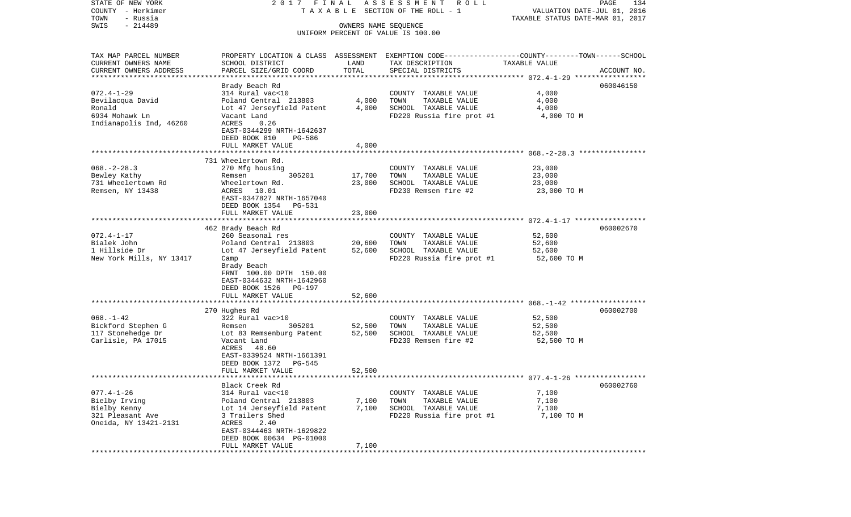| TAXABLE SECTION OF THE ROLL - 1<br>VALUATION DATE-JUL 01, 2016<br>TOWN<br>- Russia<br>TAXABLE STATUS DATE-MAR 01, 2017<br>$-214489$<br>SWIS<br>OWNERS NAME SEQUENCE<br>UNIFORM PERCENT OF VALUE IS 100.00<br>TAX MAP PARCEL NUMBER<br>PROPERTY LOCATION & CLASS ASSESSMENT EXEMPTION CODE---------------COUNTY-------TOWN------SCHOOL<br>CURRENT OWNERS NAME<br>SCHOOL DISTRICT<br>LAND<br>TAX DESCRIPTION<br>TAXABLE VALUE<br>TOTAL<br>CURRENT OWNERS ADDRESS<br>PARCEL SIZE/GRID COORD<br>SPECIAL DISTRICTS<br>ACCOUNT NO.<br>***********************<br>Brady Beach Rd<br>060046150<br>4,000<br>314 Rural vac<10<br>COUNTY TAXABLE VALUE<br>Poland Central 213803<br>4,000<br>TOWN<br>TAXABLE VALUE<br>4,000<br>Ronald<br>SCHOOL TAXABLE VALUE<br>Lot 47 Jerseyfield Patent<br>4,000<br>4,000<br>6934 Mohawk Ln<br>FD220 Russia fire prot #1<br>Vacant Land<br>4,000 TO M<br>Indianapolis Ind, 46260<br>ACRES<br>0.26<br>EAST-0344299 NRTH-1642637<br>DEED BOOK 810<br>PG-586<br>4,000<br>FULL MARKET VALUE<br>731 Wheelertown Rd.<br>$068. - 2 - 28.3$<br>23,000<br>270 Mfg housing<br>COUNTY TAXABLE VALUE<br>Bewley Kathy<br>305201<br>17,700<br>TAXABLE VALUE<br>23,000<br>Remsen<br>TOWN<br>731 Wheelertown Rd<br>Wheelertown Rd.<br>23,000<br>SCHOOL TAXABLE VALUE<br>23,000<br>Remsen, NY 13438<br>ACRES<br>10.01<br>FD230 Remsen fire #2<br>23,000 TO M<br>EAST-0347827 NRTH-1657040<br>DEED BOOK 1354 PG-531<br>FULL MARKET VALUE<br>23,000<br>462 Brady Beach Rd<br>060002670<br>$072.4 - 1 - 17$<br>260 Seasonal res<br>COUNTY TAXABLE VALUE<br>52,600<br>Bialek John<br>Poland Central 213803<br>20,600<br>TOWN<br>TAXABLE VALUE<br>52,600<br>1 Hillside Dr<br>Lot 47 Jerseyfield Patent<br>52,600<br>SCHOOL TAXABLE VALUE<br>52,600<br>FD220 Russia fire prot #1<br>New York Mills, NY 13417<br>52,600 TO M<br>Camp<br>Brady Beach<br>FRNT 100.00 DPTH 150.00<br>EAST-0344632 NRTH-1642960<br>DEED BOOK 1526 PG-197<br>52,600<br>FULL MARKET VALUE<br>270 Hughes Rd<br>060002700<br>322 Rural vac>10<br>COUNTY TAXABLE VALUE<br>52,500<br>Bickford Stephen G<br>305201<br>52,500<br>TOWN<br>TAXABLE VALUE<br>52,500<br>Remsen<br>117 Stonehedge Dr<br>Lot 83 Remsenburg Patent<br>52,500<br>SCHOOL TAXABLE VALUE<br>52,500<br>Carlisle, PA 17015<br>FD230 Remsen fire #2<br>Vacant Land<br>52,500 TO M<br>48.60<br>ACRES<br>EAST-0339524 NRTH-1661391<br>DEED BOOK 1372<br>PG-545<br>52,500<br>FULL MARKET VALUE<br>**********************<br>Black Creek Rd<br>060002760<br>314 Rural vac<10<br>COUNTY TAXABLE VALUE<br>7,100<br>Poland Central 213803<br>7,100<br>TOWN<br>TAXABLE VALUE<br>7,100<br>Lot 14 Jerseyfield Patent<br>7,100<br>SCHOOL TAXABLE VALUE<br>7,100<br>3 Trailers Shed<br>FD220 Russia fire prot #1<br>7,100 TO M<br>2.40<br>ACRES<br>EAST-0344463 NRTH-1629822<br>DEED BOOK 00634 PG-01000<br>7,100<br>FULL MARKET VALUE<br>*********************************** | STATE OF NEW YORK     | 2017 FINAL                    | A S S E S S M E N T<br>ROLL | PAGE<br>134 |
|--------------------------------------------------------------------------------------------------------------------------------------------------------------------------------------------------------------------------------------------------------------------------------------------------------------------------------------------------------------------------------------------------------------------------------------------------------------------------------------------------------------------------------------------------------------------------------------------------------------------------------------------------------------------------------------------------------------------------------------------------------------------------------------------------------------------------------------------------------------------------------------------------------------------------------------------------------------------------------------------------------------------------------------------------------------------------------------------------------------------------------------------------------------------------------------------------------------------------------------------------------------------------------------------------------------------------------------------------------------------------------------------------------------------------------------------------------------------------------------------------------------------------------------------------------------------------------------------------------------------------------------------------------------------------------------------------------------------------------------------------------------------------------------------------------------------------------------------------------------------------------------------------------------------------------------------------------------------------------------------------------------------------------------------------------------------------------------------------------------------------------------------------------------------------------------------------------------------------------------------------------------------------------------------------------------------------------------------------------------------------------------------------------------------------------------------------------------------------------------------------------------------------------------------------------------------------------------------------------------------------------------------------------------------------------------------------------------------------------------------------------------------------------------------------------------------------------------------------------------------------------------------------------|-----------------------|-------------------------------|-----------------------------|-------------|
|                                                                                                                                                                                                                                                                                                                                                                                                                                                                                                                                                                                                                                                                                                                                                                                                                                                                                                                                                                                                                                                                                                                                                                                                                                                                                                                                                                                                                                                                                                                                                                                                                                                                                                                                                                                                                                                                                                                                                                                                                                                                                                                                                                                                                                                                                                                                                                                                                                                                                                                                                                                                                                                                                                                                                                                                                                                                                                        | COUNTY - Herkimer     |                               |                             |             |
|                                                                                                                                                                                                                                                                                                                                                                                                                                                                                                                                                                                                                                                                                                                                                                                                                                                                                                                                                                                                                                                                                                                                                                                                                                                                                                                                                                                                                                                                                                                                                                                                                                                                                                                                                                                                                                                                                                                                                                                                                                                                                                                                                                                                                                                                                                                                                                                                                                                                                                                                                                                                                                                                                                                                                                                                                                                                                                        |                       |                               |                             |             |
|                                                                                                                                                                                                                                                                                                                                                                                                                                                                                                                                                                                                                                                                                                                                                                                                                                                                                                                                                                                                                                                                                                                                                                                                                                                                                                                                                                                                                                                                                                                                                                                                                                                                                                                                                                                                                                                                                                                                                                                                                                                                                                                                                                                                                                                                                                                                                                                                                                                                                                                                                                                                                                                                                                                                                                                                                                                                                                        |                       |                               |                             |             |
|                                                                                                                                                                                                                                                                                                                                                                                                                                                                                                                                                                                                                                                                                                                                                                                                                                                                                                                                                                                                                                                                                                                                                                                                                                                                                                                                                                                                                                                                                                                                                                                                                                                                                                                                                                                                                                                                                                                                                                                                                                                                                                                                                                                                                                                                                                                                                                                                                                                                                                                                                                                                                                                                                                                                                                                                                                                                                                        |                       |                               |                             |             |
|                                                                                                                                                                                                                                                                                                                                                                                                                                                                                                                                                                                                                                                                                                                                                                                                                                                                                                                                                                                                                                                                                                                                                                                                                                                                                                                                                                                                                                                                                                                                                                                                                                                                                                                                                                                                                                                                                                                                                                                                                                                                                                                                                                                                                                                                                                                                                                                                                                                                                                                                                                                                                                                                                                                                                                                                                                                                                                        |                       |                               |                             |             |
|                                                                                                                                                                                                                                                                                                                                                                                                                                                                                                                                                                                                                                                                                                                                                                                                                                                                                                                                                                                                                                                                                                                                                                                                                                                                                                                                                                                                                                                                                                                                                                                                                                                                                                                                                                                                                                                                                                                                                                                                                                                                                                                                                                                                                                                                                                                                                                                                                                                                                                                                                                                                                                                                                                                                                                                                                                                                                                        |                       |                               |                             |             |
|                                                                                                                                                                                                                                                                                                                                                                                                                                                                                                                                                                                                                                                                                                                                                                                                                                                                                                                                                                                                                                                                                                                                                                                                                                                                                                                                                                                                                                                                                                                                                                                                                                                                                                                                                                                                                                                                                                                                                                                                                                                                                                                                                                                                                                                                                                                                                                                                                                                                                                                                                                                                                                                                                                                                                                                                                                                                                                        |                       |                               |                             |             |
|                                                                                                                                                                                                                                                                                                                                                                                                                                                                                                                                                                                                                                                                                                                                                                                                                                                                                                                                                                                                                                                                                                                                                                                                                                                                                                                                                                                                                                                                                                                                                                                                                                                                                                                                                                                                                                                                                                                                                                                                                                                                                                                                                                                                                                                                                                                                                                                                                                                                                                                                                                                                                                                                                                                                                                                                                                                                                                        |                       |                               |                             |             |
|                                                                                                                                                                                                                                                                                                                                                                                                                                                                                                                                                                                                                                                                                                                                                                                                                                                                                                                                                                                                                                                                                                                                                                                                                                                                                                                                                                                                                                                                                                                                                                                                                                                                                                                                                                                                                                                                                                                                                                                                                                                                                                                                                                                                                                                                                                                                                                                                                                                                                                                                                                                                                                                                                                                                                                                                                                                                                                        |                       |                               |                             |             |
|                                                                                                                                                                                                                                                                                                                                                                                                                                                                                                                                                                                                                                                                                                                                                                                                                                                                                                                                                                                                                                                                                                                                                                                                                                                                                                                                                                                                                                                                                                                                                                                                                                                                                                                                                                                                                                                                                                                                                                                                                                                                                                                                                                                                                                                                                                                                                                                                                                                                                                                                                                                                                                                                                                                                                                                                                                                                                                        | $072.4 - 1 - 29$      |                               |                             |             |
|                                                                                                                                                                                                                                                                                                                                                                                                                                                                                                                                                                                                                                                                                                                                                                                                                                                                                                                                                                                                                                                                                                                                                                                                                                                                                                                                                                                                                                                                                                                                                                                                                                                                                                                                                                                                                                                                                                                                                                                                                                                                                                                                                                                                                                                                                                                                                                                                                                                                                                                                                                                                                                                                                                                                                                                                                                                                                                        | Bevilacqua David      |                               |                             |             |
|                                                                                                                                                                                                                                                                                                                                                                                                                                                                                                                                                                                                                                                                                                                                                                                                                                                                                                                                                                                                                                                                                                                                                                                                                                                                                                                                                                                                                                                                                                                                                                                                                                                                                                                                                                                                                                                                                                                                                                                                                                                                                                                                                                                                                                                                                                                                                                                                                                                                                                                                                                                                                                                                                                                                                                                                                                                                                                        |                       |                               |                             |             |
|                                                                                                                                                                                                                                                                                                                                                                                                                                                                                                                                                                                                                                                                                                                                                                                                                                                                                                                                                                                                                                                                                                                                                                                                                                                                                                                                                                                                                                                                                                                                                                                                                                                                                                                                                                                                                                                                                                                                                                                                                                                                                                                                                                                                                                                                                                                                                                                                                                                                                                                                                                                                                                                                                                                                                                                                                                                                                                        |                       |                               |                             |             |
|                                                                                                                                                                                                                                                                                                                                                                                                                                                                                                                                                                                                                                                                                                                                                                                                                                                                                                                                                                                                                                                                                                                                                                                                                                                                                                                                                                                                                                                                                                                                                                                                                                                                                                                                                                                                                                                                                                                                                                                                                                                                                                                                                                                                                                                                                                                                                                                                                                                                                                                                                                                                                                                                                                                                                                                                                                                                                                        |                       |                               |                             |             |
|                                                                                                                                                                                                                                                                                                                                                                                                                                                                                                                                                                                                                                                                                                                                                                                                                                                                                                                                                                                                                                                                                                                                                                                                                                                                                                                                                                                                                                                                                                                                                                                                                                                                                                                                                                                                                                                                                                                                                                                                                                                                                                                                                                                                                                                                                                                                                                                                                                                                                                                                                                                                                                                                                                                                                                                                                                                                                                        |                       |                               |                             |             |
|                                                                                                                                                                                                                                                                                                                                                                                                                                                                                                                                                                                                                                                                                                                                                                                                                                                                                                                                                                                                                                                                                                                                                                                                                                                                                                                                                                                                                                                                                                                                                                                                                                                                                                                                                                                                                                                                                                                                                                                                                                                                                                                                                                                                                                                                                                                                                                                                                                                                                                                                                                                                                                                                                                                                                                                                                                                                                                        |                       |                               |                             |             |
|                                                                                                                                                                                                                                                                                                                                                                                                                                                                                                                                                                                                                                                                                                                                                                                                                                                                                                                                                                                                                                                                                                                                                                                                                                                                                                                                                                                                                                                                                                                                                                                                                                                                                                                                                                                                                                                                                                                                                                                                                                                                                                                                                                                                                                                                                                                                                                                                                                                                                                                                                                                                                                                                                                                                                                                                                                                                                                        |                       |                               |                             |             |
|                                                                                                                                                                                                                                                                                                                                                                                                                                                                                                                                                                                                                                                                                                                                                                                                                                                                                                                                                                                                                                                                                                                                                                                                                                                                                                                                                                                                                                                                                                                                                                                                                                                                                                                                                                                                                                                                                                                                                                                                                                                                                                                                                                                                                                                                                                                                                                                                                                                                                                                                                                                                                                                                                                                                                                                                                                                                                                        |                       |                               |                             |             |
|                                                                                                                                                                                                                                                                                                                                                                                                                                                                                                                                                                                                                                                                                                                                                                                                                                                                                                                                                                                                                                                                                                                                                                                                                                                                                                                                                                                                                                                                                                                                                                                                                                                                                                                                                                                                                                                                                                                                                                                                                                                                                                                                                                                                                                                                                                                                                                                                                                                                                                                                                                                                                                                                                                                                                                                                                                                                                                        |                       |                               |                             |             |
|                                                                                                                                                                                                                                                                                                                                                                                                                                                                                                                                                                                                                                                                                                                                                                                                                                                                                                                                                                                                                                                                                                                                                                                                                                                                                                                                                                                                                                                                                                                                                                                                                                                                                                                                                                                                                                                                                                                                                                                                                                                                                                                                                                                                                                                                                                                                                                                                                                                                                                                                                                                                                                                                                                                                                                                                                                                                                                        |                       |                               |                             |             |
|                                                                                                                                                                                                                                                                                                                                                                                                                                                                                                                                                                                                                                                                                                                                                                                                                                                                                                                                                                                                                                                                                                                                                                                                                                                                                                                                                                                                                                                                                                                                                                                                                                                                                                                                                                                                                                                                                                                                                                                                                                                                                                                                                                                                                                                                                                                                                                                                                                                                                                                                                                                                                                                                                                                                                                                                                                                                                                        |                       |                               |                             |             |
|                                                                                                                                                                                                                                                                                                                                                                                                                                                                                                                                                                                                                                                                                                                                                                                                                                                                                                                                                                                                                                                                                                                                                                                                                                                                                                                                                                                                                                                                                                                                                                                                                                                                                                                                                                                                                                                                                                                                                                                                                                                                                                                                                                                                                                                                                                                                                                                                                                                                                                                                                                                                                                                                                                                                                                                                                                                                                                        |                       |                               |                             |             |
|                                                                                                                                                                                                                                                                                                                                                                                                                                                                                                                                                                                                                                                                                                                                                                                                                                                                                                                                                                                                                                                                                                                                                                                                                                                                                                                                                                                                                                                                                                                                                                                                                                                                                                                                                                                                                                                                                                                                                                                                                                                                                                                                                                                                                                                                                                                                                                                                                                                                                                                                                                                                                                                                                                                                                                                                                                                                                                        |                       |                               |                             |             |
|                                                                                                                                                                                                                                                                                                                                                                                                                                                                                                                                                                                                                                                                                                                                                                                                                                                                                                                                                                                                                                                                                                                                                                                                                                                                                                                                                                                                                                                                                                                                                                                                                                                                                                                                                                                                                                                                                                                                                                                                                                                                                                                                                                                                                                                                                                                                                                                                                                                                                                                                                                                                                                                                                                                                                                                                                                                                                                        |                       |                               |                             |             |
|                                                                                                                                                                                                                                                                                                                                                                                                                                                                                                                                                                                                                                                                                                                                                                                                                                                                                                                                                                                                                                                                                                                                                                                                                                                                                                                                                                                                                                                                                                                                                                                                                                                                                                                                                                                                                                                                                                                                                                                                                                                                                                                                                                                                                                                                                                                                                                                                                                                                                                                                                                                                                                                                                                                                                                                                                                                                                                        |                       |                               |                             |             |
|                                                                                                                                                                                                                                                                                                                                                                                                                                                                                                                                                                                                                                                                                                                                                                                                                                                                                                                                                                                                                                                                                                                                                                                                                                                                                                                                                                                                                                                                                                                                                                                                                                                                                                                                                                                                                                                                                                                                                                                                                                                                                                                                                                                                                                                                                                                                                                                                                                                                                                                                                                                                                                                                                                                                                                                                                                                                                                        |                       |                               |                             |             |
|                                                                                                                                                                                                                                                                                                                                                                                                                                                                                                                                                                                                                                                                                                                                                                                                                                                                                                                                                                                                                                                                                                                                                                                                                                                                                                                                                                                                                                                                                                                                                                                                                                                                                                                                                                                                                                                                                                                                                                                                                                                                                                                                                                                                                                                                                                                                                                                                                                                                                                                                                                                                                                                                                                                                                                                                                                                                                                        |                       |                               |                             |             |
|                                                                                                                                                                                                                                                                                                                                                                                                                                                                                                                                                                                                                                                                                                                                                                                                                                                                                                                                                                                                                                                                                                                                                                                                                                                                                                                                                                                                                                                                                                                                                                                                                                                                                                                                                                                                                                                                                                                                                                                                                                                                                                                                                                                                                                                                                                                                                                                                                                                                                                                                                                                                                                                                                                                                                                                                                                                                                                        |                       |                               |                             |             |
|                                                                                                                                                                                                                                                                                                                                                                                                                                                                                                                                                                                                                                                                                                                                                                                                                                                                                                                                                                                                                                                                                                                                                                                                                                                                                                                                                                                                                                                                                                                                                                                                                                                                                                                                                                                                                                                                                                                                                                                                                                                                                                                                                                                                                                                                                                                                                                                                                                                                                                                                                                                                                                                                                                                                                                                                                                                                                                        |                       |                               |                             |             |
|                                                                                                                                                                                                                                                                                                                                                                                                                                                                                                                                                                                                                                                                                                                                                                                                                                                                                                                                                                                                                                                                                                                                                                                                                                                                                                                                                                                                                                                                                                                                                                                                                                                                                                                                                                                                                                                                                                                                                                                                                                                                                                                                                                                                                                                                                                                                                                                                                                                                                                                                                                                                                                                                                                                                                                                                                                                                                                        |                       |                               |                             |             |
|                                                                                                                                                                                                                                                                                                                                                                                                                                                                                                                                                                                                                                                                                                                                                                                                                                                                                                                                                                                                                                                                                                                                                                                                                                                                                                                                                                                                                                                                                                                                                                                                                                                                                                                                                                                                                                                                                                                                                                                                                                                                                                                                                                                                                                                                                                                                                                                                                                                                                                                                                                                                                                                                                                                                                                                                                                                                                                        |                       |                               |                             |             |
|                                                                                                                                                                                                                                                                                                                                                                                                                                                                                                                                                                                                                                                                                                                                                                                                                                                                                                                                                                                                                                                                                                                                                                                                                                                                                                                                                                                                                                                                                                                                                                                                                                                                                                                                                                                                                                                                                                                                                                                                                                                                                                                                                                                                                                                                                                                                                                                                                                                                                                                                                                                                                                                                                                                                                                                                                                                                                                        |                       |                               |                             |             |
|                                                                                                                                                                                                                                                                                                                                                                                                                                                                                                                                                                                                                                                                                                                                                                                                                                                                                                                                                                                                                                                                                                                                                                                                                                                                                                                                                                                                                                                                                                                                                                                                                                                                                                                                                                                                                                                                                                                                                                                                                                                                                                                                                                                                                                                                                                                                                                                                                                                                                                                                                                                                                                                                                                                                                                                                                                                                                                        |                       |                               |                             |             |
|                                                                                                                                                                                                                                                                                                                                                                                                                                                                                                                                                                                                                                                                                                                                                                                                                                                                                                                                                                                                                                                                                                                                                                                                                                                                                                                                                                                                                                                                                                                                                                                                                                                                                                                                                                                                                                                                                                                                                                                                                                                                                                                                                                                                                                                                                                                                                                                                                                                                                                                                                                                                                                                                                                                                                                                                                                                                                                        |                       |                               |                             |             |
|                                                                                                                                                                                                                                                                                                                                                                                                                                                                                                                                                                                                                                                                                                                                                                                                                                                                                                                                                                                                                                                                                                                                                                                                                                                                                                                                                                                                                                                                                                                                                                                                                                                                                                                                                                                                                                                                                                                                                                                                                                                                                                                                                                                                                                                                                                                                                                                                                                                                                                                                                                                                                                                                                                                                                                                                                                                                                                        |                       |                               |                             |             |
|                                                                                                                                                                                                                                                                                                                                                                                                                                                                                                                                                                                                                                                                                                                                                                                                                                                                                                                                                                                                                                                                                                                                                                                                                                                                                                                                                                                                                                                                                                                                                                                                                                                                                                                                                                                                                                                                                                                                                                                                                                                                                                                                                                                                                                                                                                                                                                                                                                                                                                                                                                                                                                                                                                                                                                                                                                                                                                        |                       |                               |                             |             |
|                                                                                                                                                                                                                                                                                                                                                                                                                                                                                                                                                                                                                                                                                                                                                                                                                                                                                                                                                                                                                                                                                                                                                                                                                                                                                                                                                                                                                                                                                                                                                                                                                                                                                                                                                                                                                                                                                                                                                                                                                                                                                                                                                                                                                                                                                                                                                                                                                                                                                                                                                                                                                                                                                                                                                                                                                                                                                                        |                       |                               |                             |             |
|                                                                                                                                                                                                                                                                                                                                                                                                                                                                                                                                                                                                                                                                                                                                                                                                                                                                                                                                                                                                                                                                                                                                                                                                                                                                                                                                                                                                                                                                                                                                                                                                                                                                                                                                                                                                                                                                                                                                                                                                                                                                                                                                                                                                                                                                                                                                                                                                                                                                                                                                                                                                                                                                                                                                                                                                                                                                                                        | $068. - 1 - 42$       |                               |                             |             |
|                                                                                                                                                                                                                                                                                                                                                                                                                                                                                                                                                                                                                                                                                                                                                                                                                                                                                                                                                                                                                                                                                                                                                                                                                                                                                                                                                                                                                                                                                                                                                                                                                                                                                                                                                                                                                                                                                                                                                                                                                                                                                                                                                                                                                                                                                                                                                                                                                                                                                                                                                                                                                                                                                                                                                                                                                                                                                                        |                       |                               |                             |             |
|                                                                                                                                                                                                                                                                                                                                                                                                                                                                                                                                                                                                                                                                                                                                                                                                                                                                                                                                                                                                                                                                                                                                                                                                                                                                                                                                                                                                                                                                                                                                                                                                                                                                                                                                                                                                                                                                                                                                                                                                                                                                                                                                                                                                                                                                                                                                                                                                                                                                                                                                                                                                                                                                                                                                                                                                                                                                                                        |                       |                               |                             |             |
|                                                                                                                                                                                                                                                                                                                                                                                                                                                                                                                                                                                                                                                                                                                                                                                                                                                                                                                                                                                                                                                                                                                                                                                                                                                                                                                                                                                                                                                                                                                                                                                                                                                                                                                                                                                                                                                                                                                                                                                                                                                                                                                                                                                                                                                                                                                                                                                                                                                                                                                                                                                                                                                                                                                                                                                                                                                                                                        |                       |                               |                             |             |
|                                                                                                                                                                                                                                                                                                                                                                                                                                                                                                                                                                                                                                                                                                                                                                                                                                                                                                                                                                                                                                                                                                                                                                                                                                                                                                                                                                                                                                                                                                                                                                                                                                                                                                                                                                                                                                                                                                                                                                                                                                                                                                                                                                                                                                                                                                                                                                                                                                                                                                                                                                                                                                                                                                                                                                                                                                                                                                        |                       |                               |                             |             |
|                                                                                                                                                                                                                                                                                                                                                                                                                                                                                                                                                                                                                                                                                                                                                                                                                                                                                                                                                                                                                                                                                                                                                                                                                                                                                                                                                                                                                                                                                                                                                                                                                                                                                                                                                                                                                                                                                                                                                                                                                                                                                                                                                                                                                                                                                                                                                                                                                                                                                                                                                                                                                                                                                                                                                                                                                                                                                                        |                       |                               |                             |             |
|                                                                                                                                                                                                                                                                                                                                                                                                                                                                                                                                                                                                                                                                                                                                                                                                                                                                                                                                                                                                                                                                                                                                                                                                                                                                                                                                                                                                                                                                                                                                                                                                                                                                                                                                                                                                                                                                                                                                                                                                                                                                                                                                                                                                                                                                                                                                                                                                                                                                                                                                                                                                                                                                                                                                                                                                                                                                                                        |                       |                               |                             |             |
|                                                                                                                                                                                                                                                                                                                                                                                                                                                                                                                                                                                                                                                                                                                                                                                                                                                                                                                                                                                                                                                                                                                                                                                                                                                                                                                                                                                                                                                                                                                                                                                                                                                                                                                                                                                                                                                                                                                                                                                                                                                                                                                                                                                                                                                                                                                                                                                                                                                                                                                                                                                                                                                                                                                                                                                                                                                                                                        |                       |                               |                             |             |
|                                                                                                                                                                                                                                                                                                                                                                                                                                                                                                                                                                                                                                                                                                                                                                                                                                                                                                                                                                                                                                                                                                                                                                                                                                                                                                                                                                                                                                                                                                                                                                                                                                                                                                                                                                                                                                                                                                                                                                                                                                                                                                                                                                                                                                                                                                                                                                                                                                                                                                                                                                                                                                                                                                                                                                                                                                                                                                        |                       |                               |                             |             |
|                                                                                                                                                                                                                                                                                                                                                                                                                                                                                                                                                                                                                                                                                                                                                                                                                                                                                                                                                                                                                                                                                                                                                                                                                                                                                                                                                                                                                                                                                                                                                                                                                                                                                                                                                                                                                                                                                                                                                                                                                                                                                                                                                                                                                                                                                                                                                                                                                                                                                                                                                                                                                                                                                                                                                                                                                                                                                                        | $077.4 - 1 - 26$      |                               |                             |             |
|                                                                                                                                                                                                                                                                                                                                                                                                                                                                                                                                                                                                                                                                                                                                                                                                                                                                                                                                                                                                                                                                                                                                                                                                                                                                                                                                                                                                                                                                                                                                                                                                                                                                                                                                                                                                                                                                                                                                                                                                                                                                                                                                                                                                                                                                                                                                                                                                                                                                                                                                                                                                                                                                                                                                                                                                                                                                                                        | Bielby Irving         |                               |                             |             |
|                                                                                                                                                                                                                                                                                                                                                                                                                                                                                                                                                                                                                                                                                                                                                                                                                                                                                                                                                                                                                                                                                                                                                                                                                                                                                                                                                                                                                                                                                                                                                                                                                                                                                                                                                                                                                                                                                                                                                                                                                                                                                                                                                                                                                                                                                                                                                                                                                                                                                                                                                                                                                                                                                                                                                                                                                                                                                                        | Bielby Kenny          |                               |                             |             |
|                                                                                                                                                                                                                                                                                                                                                                                                                                                                                                                                                                                                                                                                                                                                                                                                                                                                                                                                                                                                                                                                                                                                                                                                                                                                                                                                                                                                                                                                                                                                                                                                                                                                                                                                                                                                                                                                                                                                                                                                                                                                                                                                                                                                                                                                                                                                                                                                                                                                                                                                                                                                                                                                                                                                                                                                                                                                                                        | 321 Pleasant Ave      |                               |                             |             |
|                                                                                                                                                                                                                                                                                                                                                                                                                                                                                                                                                                                                                                                                                                                                                                                                                                                                                                                                                                                                                                                                                                                                                                                                                                                                                                                                                                                                                                                                                                                                                                                                                                                                                                                                                                                                                                                                                                                                                                                                                                                                                                                                                                                                                                                                                                                                                                                                                                                                                                                                                                                                                                                                                                                                                                                                                                                                                                        | Oneida, NY 13421-2131 |                               |                             |             |
|                                                                                                                                                                                                                                                                                                                                                                                                                                                                                                                                                                                                                                                                                                                                                                                                                                                                                                                                                                                                                                                                                                                                                                                                                                                                                                                                                                                                                                                                                                                                                                                                                                                                                                                                                                                                                                                                                                                                                                                                                                                                                                                                                                                                                                                                                                                                                                                                                                                                                                                                                                                                                                                                                                                                                                                                                                                                                                        |                       |                               |                             |             |
|                                                                                                                                                                                                                                                                                                                                                                                                                                                                                                                                                                                                                                                                                                                                                                                                                                                                                                                                                                                                                                                                                                                                                                                                                                                                                                                                                                                                                                                                                                                                                                                                                                                                                                                                                                                                                                                                                                                                                                                                                                                                                                                                                                                                                                                                                                                                                                                                                                                                                                                                                                                                                                                                                                                                                                                                                                                                                                        |                       |                               |                             |             |
|                                                                                                                                                                                                                                                                                                                                                                                                                                                                                                                                                                                                                                                                                                                                                                                                                                                                                                                                                                                                                                                                                                                                                                                                                                                                                                                                                                                                                                                                                                                                                                                                                                                                                                                                                                                                                                                                                                                                                                                                                                                                                                                                                                                                                                                                                                                                                                                                                                                                                                                                                                                                                                                                                                                                                                                                                                                                                                        |                       | ***************************** |                             |             |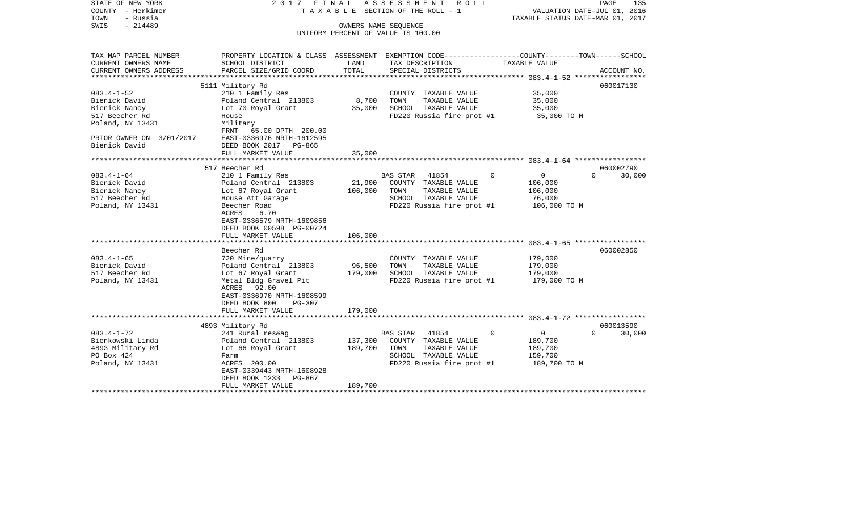| STATE OF NEW YORK<br>COUNTY - Herkimer<br>- Russia<br>TOWN | A S S E S S M E N T R O L L<br>2017 FINAL<br>TAXABLE SECTION OF THE ROLL - 1 |         |                                               | PAGE<br>135<br>VALUATION DATE-JUL 01, 2016<br>TAXABLE STATUS DATE-MAR 01, 2017                                    |  |  |
|------------------------------------------------------------|------------------------------------------------------------------------------|---------|-----------------------------------------------|-------------------------------------------------------------------------------------------------------------------|--|--|
| $-214489$<br>SWIS                                          | OWNERS NAME SEQUENCE<br>UNIFORM PERCENT OF VALUE IS 100.00                   |         |                                               |                                                                                                                   |  |  |
|                                                            |                                                                              |         |                                               |                                                                                                                   |  |  |
|                                                            |                                                                              |         |                                               |                                                                                                                   |  |  |
| TAX MAP PARCEL NUMBER<br>CURRENT OWNERS NAME               | SCHOOL DISTRICT                                                              | LAND    | TAX DESCRIPTION                               | PROPERTY LOCATION & CLASS ASSESSMENT EXEMPTION CODE----------------COUNTY-------TOWN------SCHOOL<br>TAXABLE VALUE |  |  |
| CURRENT OWNERS ADDRESS                                     | PARCEL SIZE/GRID COORD                                                       | TOTAL   | SPECIAL DISTRICTS                             | ACCOUNT NO.                                                                                                       |  |  |
|                                                            |                                                                              |         |                                               |                                                                                                                   |  |  |
|                                                            | 5111 Military Rd                                                             |         |                                               | 060017130                                                                                                         |  |  |
| $083.4 - 1 - 52$<br>Bienick David                          | 210 1 Family Res<br>Poland Central 213803                                    | 8,700   | COUNTY TAXABLE VALUE<br>TOWN<br>TAXABLE VALUE | 35,000<br>35,000                                                                                                  |  |  |
| Bienick Nancy                                              | Lot 70 Royal Grant                                                           | 35,000  | SCHOOL TAXABLE VALUE                          | 35,000                                                                                                            |  |  |
| 517 Beecher Rd                                             | House                                                                        |         | FD220 Russia fire prot #1                     | 35,000 TO M                                                                                                       |  |  |
| Poland, NY 13431                                           | Military                                                                     |         |                                               |                                                                                                                   |  |  |
|                                                            | FRNT 65.00 DPTH 200.00                                                       |         |                                               |                                                                                                                   |  |  |
| PRIOR OWNER ON 3/01/2017                                   | EAST-0336976 NRTH-1612595                                                    |         |                                               |                                                                                                                   |  |  |
| Bienick David                                              | DEED BOOK 2017 PG-865                                                        |         |                                               |                                                                                                                   |  |  |
|                                                            | FULL MARKET VALUE                                                            | 35,000  |                                               |                                                                                                                   |  |  |
| **********************                                     |                                                                              |         |                                               |                                                                                                                   |  |  |
| $083.4 - 1 - 64$                                           | 517 Beecher Rd                                                               |         | BAS STAR 41854                                | 060002790<br>$\Omega$<br>$\overline{0}$<br>$\Omega$<br>30,000                                                     |  |  |
| Bienick David                                              | 210 1 Family Res<br>Poland Central 213803                                    | 21,900  | COUNTY TAXABLE VALUE                          | 106,000                                                                                                           |  |  |
| Bienick Nancy                                              | Lot 67 Royal Grant                                                           | 106,000 | TOWN<br>TAXABLE VALUE                         | 106,000                                                                                                           |  |  |
| 517 Beecher Rd                                             | House Att Garage                                                             |         | SCHOOL TAXABLE VALUE                          | 76,000                                                                                                            |  |  |
| Poland, NY 13431                                           | Beecher Road                                                                 |         | FD220 Russia fire prot #1                     | 106,000 TO M                                                                                                      |  |  |
|                                                            | 6.70<br>ACRES                                                                |         |                                               |                                                                                                                   |  |  |
|                                                            | EAST-0336579 NRTH-1609856                                                    |         |                                               |                                                                                                                   |  |  |
|                                                            | DEED BOOK 00598 PG-00724                                                     |         |                                               |                                                                                                                   |  |  |
|                                                            | FULL MARKET VALUE                                                            | 106,000 |                                               |                                                                                                                   |  |  |
|                                                            | Beecher Rd                                                                   |         |                                               | 060002850                                                                                                         |  |  |
| $083.4 - 1 - 65$                                           | 720 Mine/quarry                                                              |         | COUNTY TAXABLE VALUE                          | 179,000                                                                                                           |  |  |
| Bienick David                                              | Poland Central 213803                                                        | 96,500  | TOWN<br>TAXABLE VALUE                         | 179,000                                                                                                           |  |  |
| 517 Beecher Rd                                             | Lot 67 Royal Grant                                                           | 179,000 | SCHOOL TAXABLE VALUE                          | 179,000                                                                                                           |  |  |
| Poland, NY 13431                                           | Metal Bldg Gravel Pit                                                        |         | FD220 Russia fire prot #1                     | 179,000 TO M                                                                                                      |  |  |
|                                                            | 92.00<br>ACRES                                                               |         |                                               |                                                                                                                   |  |  |
|                                                            | EAST-0336970 NRTH-1608599                                                    |         |                                               |                                                                                                                   |  |  |
|                                                            | DEED BOOK 800<br>PG-307                                                      |         |                                               |                                                                                                                   |  |  |
|                                                            | FULL MARKET VALUE                                                            | 179,000 |                                               |                                                                                                                   |  |  |
|                                                            | 4893 Military Rd                                                             |         |                                               | 060013590                                                                                                         |  |  |
| $083.4 - 1 - 72$                                           | 241 Rural res&ag                                                             |         | BAS STAR 41854                                | $\Omega$<br>$\overline{0}$<br>$\Omega$<br>30,000                                                                  |  |  |
| Bienkowski Linda                                           | Poland Central 213803                                                        | 137,300 | COUNTY TAXABLE VALUE                          | 189,700                                                                                                           |  |  |
| 4893 Military Rd                                           | Lot 66 Royal Grant                                                           | 189,700 | TOWN<br>TAXABLE VALUE                         | 189,700                                                                                                           |  |  |
| PO Box 424                                                 | Farm                                                                         |         | SCHOOL TAXABLE VALUE                          | 159,700                                                                                                           |  |  |
| Poland, NY 13431                                           | ACRES 200.00                                                                 |         | FD220 Russia fire prot #1                     | 189,700 TO M                                                                                                      |  |  |
|                                                            | EAST-0339443 NRTH-1608928                                                    |         |                                               |                                                                                                                   |  |  |
|                                                            | DEED BOOK 1233 PG-867                                                        |         |                                               |                                                                                                                   |  |  |
|                                                            | FULL MARKET VALUE<br>***********************                                 | 189,700 |                                               |                                                                                                                   |  |  |
|                                                            |                                                                              |         |                                               |                                                                                                                   |  |  |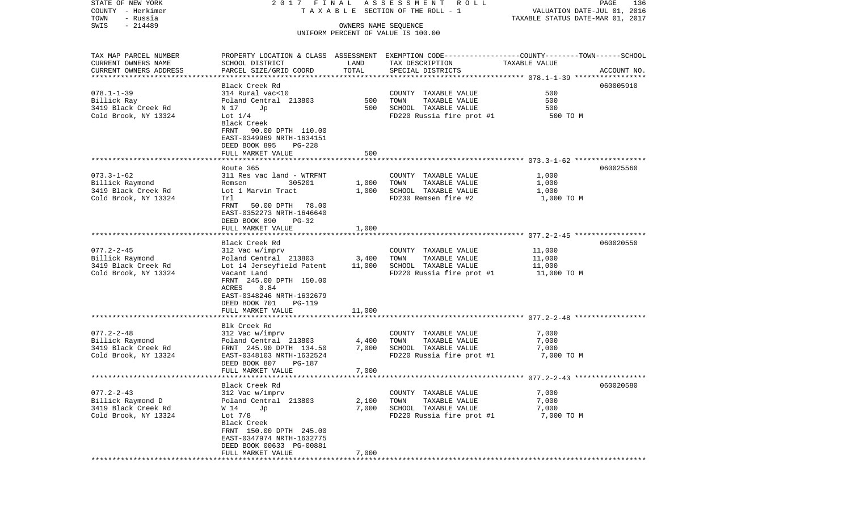| COUNTY - Herkimer                  | TAXABLE SECTION OF THE ROLL - 1 | VALUATION DATE-JUL 01, 2016 |                                                                                                 |                                  |             |
|------------------------------------|---------------------------------|-----------------------------|-------------------------------------------------------------------------------------------------|----------------------------------|-------------|
| TOWN<br>- Russia                   |                                 |                             |                                                                                                 | TAXABLE STATUS DATE-MAR 01, 2017 |             |
| SWIS<br>$-214489$                  |                                 |                             | OWNERS NAME SEQUENCE                                                                            |                                  |             |
|                                    |                                 |                             | UNIFORM PERCENT OF VALUE IS 100.00                                                              |                                  |             |
|                                    |                                 |                             |                                                                                                 |                                  |             |
| TAX MAP PARCEL NUMBER              |                                 |                             | PROPERTY LOCATION & CLASS ASSESSMENT EXEMPTION CODE---------------COUNTY-------TOWN------SCHOOL |                                  |             |
| CURRENT OWNERS NAME                | SCHOOL DISTRICT                 | LAND                        | TAX DESCRIPTION                                                                                 | TAXABLE VALUE                    |             |
|                                    | PARCEL SIZE/GRID COORD          | TOTAL                       |                                                                                                 |                                  | ACCOUNT NO. |
| CURRENT OWNERS ADDRESS             |                                 |                             | SPECIAL DISTRICTS                                                                               |                                  |             |
|                                    | Black Creek Rd                  |                             |                                                                                                 |                                  | 060005910   |
| $078.1 - 1 - 39$                   | 314 Rural vac<10                |                             |                                                                                                 | 500                              |             |
|                                    |                                 | 500                         | COUNTY TAXABLE VALUE<br>TOWN                                                                    | 500                              |             |
| Billick Ray<br>3419 Black Creek Rd | Poland Central 213803           | 500                         | TAXABLE VALUE<br>SCHOOL TAXABLE VALUE                                                           |                                  |             |
|                                    | N 17<br>Jp                      |                             |                                                                                                 | 500                              |             |
| Cold Brook, NY 13324               | Lot $1/4$                       |                             | FD220 Russia fire prot #1                                                                       | 500 TO M                         |             |
|                                    | Black Creek                     |                             |                                                                                                 |                                  |             |
|                                    | FRNT 90.00 DPTH 110.00          |                             |                                                                                                 |                                  |             |
|                                    | EAST-0349969 NRTH-1634151       |                             |                                                                                                 |                                  |             |
|                                    | DEED BOOK 895<br>PG-228         |                             |                                                                                                 |                                  |             |
|                                    | FULL MARKET VALUE               | 500                         |                                                                                                 |                                  |             |
|                                    |                                 |                             |                                                                                                 |                                  |             |
| $073.3 - 1 - 62$                   | Route 365                       |                             |                                                                                                 |                                  | 060025560   |
|                                    | 311 Res vac land - WTRFNT       |                             | COUNTY TAXABLE VALUE                                                                            | 1,000                            |             |
| Billick Raymond                    | 305201<br>Remsen                | 1,000                       | TOWN<br>TAXABLE VALUE                                                                           | 1,000                            |             |
| 3419 Black Creek Rd                | Lot 1 Marvin Tract              | 1,000                       | SCHOOL TAXABLE VALUE                                                                            | 1,000                            |             |
| Cold Brook, NY 13324               | Trl                             |                             | FD230 Remsen fire #2                                                                            | 1,000 TO M                       |             |
|                                    | FRNT<br>50.00 DPTH 78.00        |                             |                                                                                                 |                                  |             |
|                                    | EAST-0352273 NRTH-1646640       |                             |                                                                                                 |                                  |             |
|                                    | DEED BOOK 890<br>PG-32          |                             |                                                                                                 |                                  |             |
|                                    | FULL MARKET VALUE               | 1,000                       |                                                                                                 |                                  |             |
|                                    | Black Creek Rd                  |                             |                                                                                                 |                                  | 060020550   |
| $077.2 - 2 - 45$                   | 312 Vac w/imprv                 |                             | COUNTY TAXABLE VALUE                                                                            | 11,000                           |             |
| Billick Raymond                    | Poland Central 213803           | 3,400                       | TOWN<br>TAXABLE VALUE                                                                           | 11,000                           |             |
| 3419 Black Creek Rd                | Lot 14 Jerseyfield Patent       | 11,000                      | SCHOOL TAXABLE VALUE                                                                            | 11,000                           |             |
| Cold Brook, NY 13324               | Vacant Land                     |                             | FD220 Russia fire prot #1                                                                       | 11,000 TO M                      |             |
|                                    | FRNT 245.00 DPTH 150.00         |                             |                                                                                                 |                                  |             |
|                                    | ACRES<br>0.84                   |                             |                                                                                                 |                                  |             |
|                                    | EAST-0348246 NRTH-1632679       |                             |                                                                                                 |                                  |             |
|                                    | DEED BOOK 701<br>PG-119         |                             |                                                                                                 |                                  |             |
|                                    | FULL MARKET VALUE               | 11,000                      |                                                                                                 |                                  |             |
|                                    |                                 |                             |                                                                                                 |                                  |             |
|                                    | Blk Creek Rd                    |                             |                                                                                                 |                                  |             |
| $077.2 - 2 - 48$                   | 312 Vac w/imprv                 |                             | COUNTY TAXABLE VALUE                                                                            | 7,000                            |             |
| Billick Raymond                    | Poland Central 213803           | 4,400                       | TOWN<br>TAXABLE VALUE                                                                           | 7,000                            |             |
| 3419 Black Creek Rd                | FRNT 245.90 DPTH 134.50         | 7,000                       | SCHOOL TAXABLE VALUE                                                                            | 7,000                            |             |
| Cold Brook, NY 13324               | EAST-0348103 NRTH-1632524       |                             | FD220 Russia fire prot #1                                                                       | 7,000 TO M                       |             |
|                                    | DEED BOOK 807<br>PG-187         |                             |                                                                                                 |                                  |             |
|                                    | FULL MARKET VALUE               | 7,000                       |                                                                                                 |                                  |             |
|                                    |                                 |                             |                                                                                                 |                                  |             |
|                                    | Black Creek Rd                  |                             |                                                                                                 |                                  | 060020580   |
| $077.2 - 2 - 43$                   | 312 Vac w/imprv                 |                             | COUNTY TAXABLE VALUE                                                                            | 7,000                            |             |
| Billick Raymond D                  | Poland Central 213803           | 2,100                       | TOWN<br>TAXABLE VALUE                                                                           | 7,000                            |             |
| 3419 Black Creek Rd                | W 14<br>Jp                      | 7,000                       | SCHOOL TAXABLE VALUE                                                                            | 7,000                            |             |
| Cold Brook, NY 13324               | Lot $7/8$                       |                             | FD220 Russia fire prot #1                                                                       | 7,000 TO M                       |             |
|                                    | Black Creek                     |                             |                                                                                                 |                                  |             |
|                                    | FRNT 150.00 DPTH 245.00         |                             |                                                                                                 |                                  |             |
|                                    | EAST-0347974 NRTH-1632775       |                             |                                                                                                 |                                  |             |
|                                    | DEED BOOK 00633 PG-00881        |                             |                                                                                                 |                                  |             |
|                                    | FULL MARKET VALUE               | 7,000                       |                                                                                                 |                                  |             |
| ************                       |                                 |                             |                                                                                                 |                                  |             |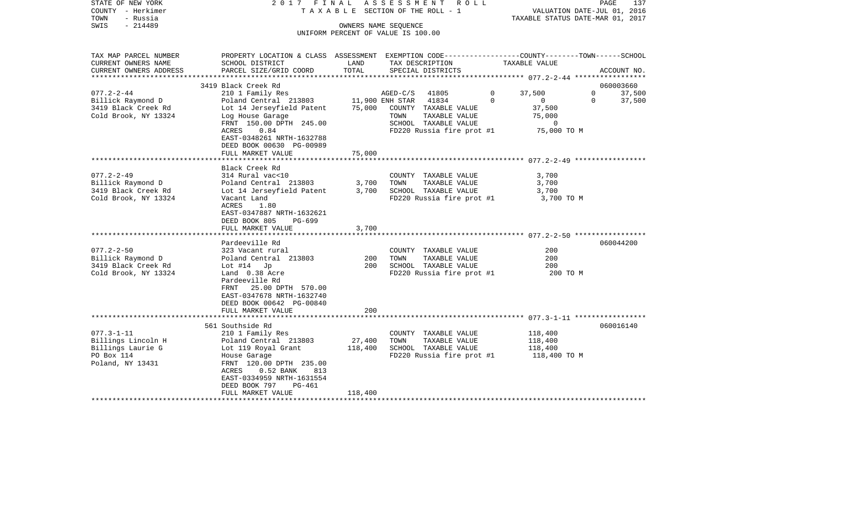| STATE OF NEW YORK<br>COUNTY - Herkimer<br>TOWN<br>- Russia<br>$-214489$<br>SWIS               |                                                                                                                                                                                                                                             |                              | 2017 FINAL ASSESSMENT ROLL<br>TAXABLE SECTION OF THE ROLL - 1<br>OWNERS NAME SEQUENCE<br>UNIFORM PERCENT OF VALUE IS 100.00 |                                                                               | PAGE<br>137<br>VALUATION DATE-JUL 01, 2016<br>TAXABLE STATUS DATE-MAR 01, 2017 |
|-----------------------------------------------------------------------------------------------|---------------------------------------------------------------------------------------------------------------------------------------------------------------------------------------------------------------------------------------------|------------------------------|-----------------------------------------------------------------------------------------------------------------------------|-------------------------------------------------------------------------------|--------------------------------------------------------------------------------|
| TAX MAP PARCEL NUMBER<br>CURRENT OWNERS NAME<br>CURRENT OWNERS ADDRESS                        | PROPERTY LOCATION & CLASS ASSESSMENT EXEMPTION CODE---------------COUNTY-------TOWN-----SCHOOL<br>SCHOOL DISTRICT<br>PARCEL SIZE/GRID COORD                                                                                                 | LAND<br>TOTAL                | TAX DESCRIPTION<br>SPECIAL DISTRICTS                                                                                        | TAXABLE VALUE                                                                 | ACCOUNT NO.                                                                    |
|                                                                                               |                                                                                                                                                                                                                                             |                              |                                                                                                                             |                                                                               |                                                                                |
| $077.2 - 2 - 44$                                                                              | 3419 Black Creek Rd                                                                                                                                                                                                                         |                              |                                                                                                                             |                                                                               | 060003660<br>$\overline{0}$                                                    |
| Billick Raymond D<br>3419 Black Creek Rd<br>Cold Brook, NY 13324                              | 210 1 Family Res<br>Poland Central 213803 11,900 ENH STAR 41834<br>Lot 14 Jerseyfield Patent<br>Log House Garage<br>FRNT 150.00 DPTH 245.00                                                                                                 | 75,000                       | AGED-C/S<br>41805<br>COUNTY TAXABLE VALUE<br>TOWN<br>TAXABLE VALUE<br>SCHOOL TAXABLE VALUE                                  | 37,500<br>$\mathbf{0}$<br>$\Omega$<br>$\sim$ 0<br>37,500<br>75,000<br>$\circ$ | 37,500<br>$\Omega$<br>37,500                                                   |
|                                                                                               | ACRES<br>0.84<br>EAST-0348261 NRTH-1632788<br>DEED BOOK 00630 PG-00989<br>FULL MARKET VALUE                                                                                                                                                 | 75,000                       | FD220 Russia fire prot #1 75,000 TO M                                                                                       |                                                                               |                                                                                |
|                                                                                               | Black Creek Rd                                                                                                                                                                                                                              |                              |                                                                                                                             |                                                                               |                                                                                |
| $077.2 - 2 - 49$<br>Billick Raymond D<br>3419 Black Creek Rd<br>Cold Brook, NY 13324          | 314 Rural vac<10<br>Poland Central 213803<br>Lot 14 Jerseyfield Patent<br>Vacant Land<br>ACRES<br>1.80<br>EAST-0347887 NRTH-1632621<br>DEED BOOK 805<br>PG-699                                                                              | 3,700<br>3,700               | COUNTY TAXABLE VALUE<br>TOWN<br>TAXABLE VALUE<br>SCHOOL TAXABLE VALUE<br>FD220 Russia fire prot #1                          | 3,700<br>3,700<br>3,700<br>3,700 TO M                                         |                                                                                |
|                                                                                               | FULL MARKET VALUE                                                                                                                                                                                                                           | 3,700                        |                                                                                                                             |                                                                               |                                                                                |
| $077.2 - 2 - 50$<br>Billick Raymond D                                                         | Pardeeville Rd<br>323 Vacant rural<br>Poland Central 213803                                                                                                                                                                                 | 200                          | COUNTY TAXABLE VALUE<br>TOWN<br>TAXABLE VALUE                                                                               | 200<br>200                                                                    | 060044200                                                                      |
| 3419 Black Creek Rd<br>Cold Brook, NY 13324                                                   | Lot $#14$ Jp<br>Land 0.38 Acre<br>Pardeeville Rd<br>FRNT 25.00 DPTH 570.00<br>EAST-0347678 NRTH-1632740<br>DEED BOOK 00642 PG-00840<br>FULL MARKET VALUE                                                                                    | 200<br>200                   | SCHOOL TAXABLE VALUE<br>FD220 Russia fire prot #1                                                                           | 200<br>200 TO M                                                               |                                                                                |
|                                                                                               |                                                                                                                                                                                                                                             |                              |                                                                                                                             |                                                                               |                                                                                |
| $077.3 - 1 - 11$<br>Billings Lincoln H<br>Billings Laurie G<br>PO Box 114<br>Poland, NY 13431 | 561 Southside Rd<br>210 1 Family Res<br>Poland Central 213803<br>Lot 119 Royal Grant<br>House Garage<br>FRNT 120.00 DPTH 235.00<br>$0.52$ BANK<br>ACRES<br>813<br>EAST-0334959 NRTH-1631554<br>DEED BOOK 797<br>PG-461<br>FULL MARKET VALUE | 27,400<br>118,400<br>118,400 | COUNTY TAXABLE VALUE<br>TAXABLE VALUE<br>TOWN<br>SCHOOL TAXABLE VALUE<br>FD220 Russia fire prot #1 118,400 TO M             | 118,400<br>118,400<br>118,400                                                 | 060016140                                                                      |
| *********************                                                                         |                                                                                                                                                                                                                                             |                              |                                                                                                                             |                                                                               |                                                                                |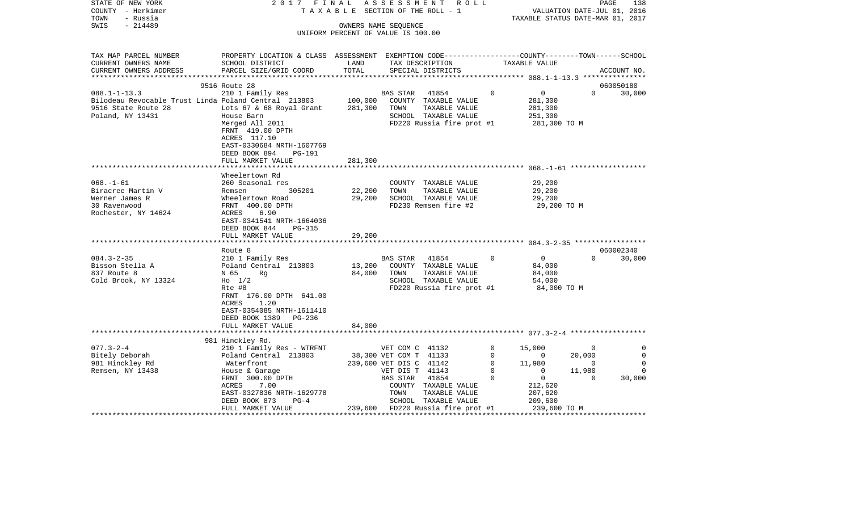| STATE OF NEW YORK<br>COUNTY - Herkimer<br>- Russia<br>TOWN             | 2017 FINAL<br>TAXABLE                                                                                                                       |                                                            |                             | ASSESSMENT ROLL<br>SECTION OF THE ROLL - 1   |                          | TAXABLE STATUS DATE-MAR 01, 2017 | VALUATION DATE-JUL 01, 2016 | PAGE<br>138   |
|------------------------------------------------------------------------|---------------------------------------------------------------------------------------------------------------------------------------------|------------------------------------------------------------|-----------------------------|----------------------------------------------|--------------------------|----------------------------------|-----------------------------|---------------|
| $-214489$<br>SWIS                                                      |                                                                                                                                             | OWNERS NAME SEQUENCE<br>UNIFORM PERCENT OF VALUE IS 100.00 |                             |                                              |                          |                                  |                             |               |
| TAX MAP PARCEL NUMBER<br>CURRENT OWNERS NAME<br>CURRENT OWNERS ADDRESS | PROPERTY LOCATION & CLASS ASSESSMENT EXEMPTION CODE--------------COUNTY-------TOWN------SCHOOL<br>SCHOOL DISTRICT<br>PARCEL SIZE/GRID COORD | LAND<br>TOTAL                                              |                             | TAX DESCRIPTION<br>SPECIAL DISTRICTS         |                          | TAXABLE VALUE                    |                             | ACCOUNT NO.   |
|                                                                        | 9516 Route 28                                                                                                                               |                                                            |                             |                                              |                          |                                  |                             | 060050180     |
| $088.1 - 1 - 13.3$                                                     | 210 1 Family Res                                                                                                                            |                                                            | BAS STAR                    | 41854                                        | $\Omega$                 | $\overline{0}$                   | $\Omega$                    | 30,000        |
| Bilodeau Revocable Trust Linda Poland Central 213803                   |                                                                                                                                             | 100,000                                                    |                             | COUNTY TAXABLE VALUE                         |                          | 281,300                          |                             |               |
| 9516 State Route 28                                                    | Lots 67 & 68 Royal Grant                                                                                                                    | 281,300                                                    | TOWN                        | TAXABLE VALUE                                |                          | 281,300                          |                             |               |
| Poland, NY 13431                                                       | House Barn                                                                                                                                  |                                                            |                             | SCHOOL TAXABLE VALUE                         |                          | 251,300                          |                             |               |
|                                                                        | Merged All 2011<br>FRNT 419.00 DPTH<br>ACRES 117.10<br>EAST-0330684 NRTH-1607769                                                            |                                                            |                             | FD220 Russia fire prot #1                    |                          | 281,300 TO M                     |                             |               |
|                                                                        | DEED BOOK 894<br>PG-191                                                                                                                     |                                                            |                             |                                              |                          |                                  |                             |               |
|                                                                        | FULL MARKET VALUE                                                                                                                           | 281,300                                                    |                             |                                              |                          |                                  |                             |               |
|                                                                        |                                                                                                                                             |                                                            |                             |                                              |                          |                                  |                             |               |
|                                                                        | Wheelertown Rd                                                                                                                              |                                                            |                             |                                              |                          |                                  |                             |               |
| $068. - 1 - 61$                                                        | 260 Seasonal res                                                                                                                            |                                                            |                             | COUNTY TAXABLE VALUE                         |                          | 29,200                           |                             |               |
| Biracree Martin V                                                      | 305201<br>Remsen                                                                                                                            | 22,200                                                     | TOWN                        | TAXABLE VALUE                                |                          | 29,200                           |                             |               |
| Werner James R<br>30 Ravenwood                                         | Wheelertown Road<br>FRNT 400.00 DPTH                                                                                                        | 29,200                                                     |                             | SCHOOL TAXABLE VALUE<br>FD230 Remsen fire #2 |                          | 29,200<br>29,200 TO M            |                             |               |
| Rochester, NY 14624                                                    | ACRES<br>6.90<br>EAST-0341541 NRTH-1664036<br>DEED BOOK 844<br>PG-315                                                                       |                                                            |                             |                                              |                          |                                  |                             |               |
|                                                                        | FULL MARKET VALUE                                                                                                                           | 29,200                                                     |                             |                                              |                          |                                  |                             |               |
|                                                                        | ***************************                                                                                                                 |                                                            |                             |                                              |                          |                                  |                             |               |
|                                                                        | Route 8                                                                                                                                     |                                                            |                             |                                              |                          |                                  |                             | 060002340     |
| $084.3 - 2 - 35$                                                       | 210 1 Family Res                                                                                                                            |                                                            | BAS STAR                    | 41854                                        | $\mathbf{0}$             | $\overline{0}$                   | $\Omega$                    | 30,000        |
| Bisson Stella A                                                        | Poland Central 213803                                                                                                                       | 13,200                                                     |                             | COUNTY TAXABLE VALUE                         |                          | 84,000                           |                             |               |
| 837 Route 8<br>Cold Brook, NY 13324                                    | N 65<br>Rq<br>$H_0$ 1/2                                                                                                                     | 84,000                                                     | TOWN                        | TAXABLE VALUE<br>SCHOOL TAXABLE VALUE        |                          | 84,000<br>54,000                 |                             |               |
|                                                                        | Rte #8                                                                                                                                      |                                                            |                             | FD220 Russia fire prot #1                    |                          | 84,000 TO M                      |                             |               |
|                                                                        | FRNT 176.00 DPTH 641.00<br>ACRES<br>1.20<br>EAST-0354085 NRTH-1611410<br>DEED BOOK 1389<br>PG-236<br>FULL MARKET VALUE                      | 84,000                                                     |                             |                                              |                          |                                  |                             |               |
|                                                                        |                                                                                                                                             |                                                            |                             |                                              |                          |                                  |                             |               |
|                                                                        | 981 Hinckley Rd.                                                                                                                            |                                                            |                             |                                              |                          |                                  |                             |               |
| $077.3 - 2 - 4$                                                        | 210 1 Family Res - WTRFNT                                                                                                                   |                                                            | VET COM C 41132             |                                              | $\mathbf 0$              | 15,000                           | $\overline{0}$              | 0             |
| Bitely Deborah                                                         | Poland Central 213803                                                                                                                       |                                                            | 38,300 VET COM T 41133      |                                              | $\mathbf{0}$             | $\sim$ 0                         | 20,000                      | 0             |
| 981 Hinckley Rd                                                        | Waterfront                                                                                                                                  |                                                            | 239,600 VET DIS C 41142     |                                              | $\mathbf{0}$<br>$\Omega$ | 11,980<br>$\Omega$               | $\overline{0}$              | 0<br>$\Omega$ |
| Remsen, NY 13438                                                       | House & Garage<br>FRNT 300.00 DPTH                                                                                                          |                                                            | VET DIS T 41143<br>BAS STAR | 41854                                        | $\mathbf 0$              | $\overline{0}$                   | 11,980<br>$\mathbf 0$       | 30,000        |
|                                                                        | ACRES<br>7.00                                                                                                                               |                                                            |                             | COUNTY TAXABLE VALUE                         |                          | 212,620                          |                             |               |
|                                                                        | EAST-0327836 NRTH-1629778                                                                                                                   |                                                            | TOWN                        | TAXABLE VALUE                                |                          | 207,620                          |                             |               |
|                                                                        | DEED BOOK 873<br>$PG-4$                                                                                                                     |                                                            |                             | SCHOOL TAXABLE VALUE                         |                          | 209,600                          |                             |               |
|                                                                        | FULL MARKET VALUE                                                                                                                           | 239,600                                                    |                             | FD220 Russia fire prot #1                    |                          | 239,600 TO M                     |                             |               |
|                                                                        |                                                                                                                                             |                                                            |                             |                                              |                          |                                  |                             |               |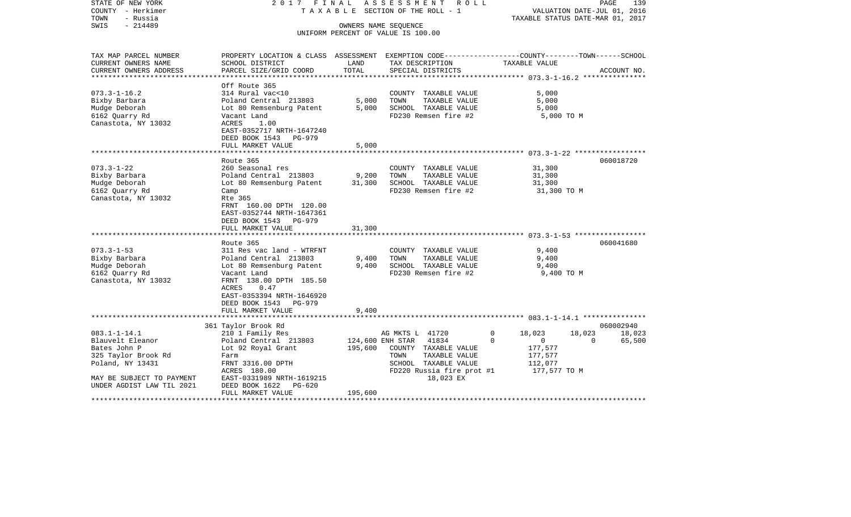| STATE OF NEW YORK<br>COUNTY - Herkimer<br>TOWN<br>- Russia | 2017 FINAL<br>ASSESSMENT ROLL<br>TAXABLE SECTION OF THE ROLL - 1                                |                         |                                                            | PAGE<br>139<br>VALUATION DATE-JUL 01, 2016<br>TAXABLE STATUS DATE-MAR 01, 2017 |                                                                        |  |  |
|------------------------------------------------------------|-------------------------------------------------------------------------------------------------|-------------------------|------------------------------------------------------------|--------------------------------------------------------------------------------|------------------------------------------------------------------------|--|--|
| $-214489$<br>SWIS                                          |                                                                                                 |                         | OWNERS NAME SEQUENCE<br>UNIFORM PERCENT OF VALUE IS 100.00 |                                                                                |                                                                        |  |  |
| TAX MAP PARCEL NUMBER                                      | PROPERTY LOCATION & CLASS ASSESSMENT EXEMPTION CODE---------------COUNTY-------TOWN------SCHOOL |                         |                                                            |                                                                                |                                                                        |  |  |
| CURRENT OWNERS NAME                                        | SCHOOL DISTRICT                                                                                 | LAND                    | TAX DESCRIPTION                                            | TAXABLE VALUE                                                                  |                                                                        |  |  |
| CURRENT OWNERS ADDRESS<br>**************                   | PARCEL SIZE/GRID COORD                                                                          | TOTAL                   | SPECIAL DISTRICTS                                          |                                                                                | ACCOUNT NO.<br>************************* 073.3-1-16.2 **************** |  |  |
|                                                            | Off Route 365                                                                                   |                         |                                                            |                                                                                |                                                                        |  |  |
| $073.3 - 1 - 16.2$                                         | 314 Rural vac<10                                                                                |                         | COUNTY TAXABLE VALUE                                       | 5,000                                                                          |                                                                        |  |  |
| Bixby Barbara                                              | Poland Central 213803                                                                           | 5,000                   | TOWN<br>TAXABLE VALUE                                      | 5,000                                                                          |                                                                        |  |  |
| Mudge Deborah                                              | Lot 80 Remsenburg Patent                                                                        | 5,000                   | SCHOOL TAXABLE VALUE                                       | 5,000                                                                          |                                                                        |  |  |
| 6162 Quarry Rd                                             | Vacant Land                                                                                     |                         | FD230 Remsen fire #2                                       |                                                                                | 5,000 TO M                                                             |  |  |
| Canastota, NY 13032                                        | ACRES<br>1.00                                                                                   |                         |                                                            |                                                                                |                                                                        |  |  |
|                                                            | EAST-0352717 NRTH-1647240                                                                       |                         |                                                            |                                                                                |                                                                        |  |  |
|                                                            | DEED BOOK 1543 PG-979                                                                           |                         |                                                            |                                                                                |                                                                        |  |  |
|                                                            | FULL MARKET VALUE                                                                               | 5,000                   |                                                            |                                                                                |                                                                        |  |  |
|                                                            |                                                                                                 | * * * * * * * * * * * * |                                                            |                                                                                |                                                                        |  |  |
|                                                            | Route 365                                                                                       |                         |                                                            |                                                                                | 060018720                                                              |  |  |
| $073.3 - 1 - 22$                                           | 260 Seasonal res                                                                                |                         | COUNTY TAXABLE VALUE                                       | 31,300                                                                         |                                                                        |  |  |
| Bixby Barbara                                              | Poland Central 213803                                                                           | 9,200                   | TAXABLE VALUE<br>TOWN<br>SCHOOL TAXABLE VALUE              | 31,300                                                                         |                                                                        |  |  |
| Mudge Deborah<br>6162 Quarry Rd                            | Lot 80 Remsenburg Patent                                                                        | 31,300                  | FD230 Remsen fire #2                                       | 31,300                                                                         | 31,300 TO M                                                            |  |  |
| Canastota, NY 13032                                        | Camp<br>Rte 365                                                                                 |                         |                                                            |                                                                                |                                                                        |  |  |
|                                                            | FRNT 160.00 DPTH 120.00                                                                         |                         |                                                            |                                                                                |                                                                        |  |  |
|                                                            | EAST-0352744 NRTH-1647361                                                                       |                         |                                                            |                                                                                |                                                                        |  |  |
|                                                            | DEED BOOK 1543 PG-979                                                                           |                         |                                                            |                                                                                |                                                                        |  |  |
|                                                            | FULL MARKET VALUE                                                                               | 31,300                  |                                                            |                                                                                |                                                                        |  |  |
|                                                            |                                                                                                 |                         |                                                            |                                                                                |                                                                        |  |  |
|                                                            | Route 365                                                                                       |                         |                                                            |                                                                                | 060041680                                                              |  |  |
| $073.3 - 1 - 53$                                           | 311 Res vac land - WTRFNT                                                                       |                         | COUNTY TAXABLE VALUE                                       | 9,400                                                                          |                                                                        |  |  |
| Bixby Barbara                                              | Poland Central 213803                                                                           | 9,400                   | TOWN<br>TAXABLE VALUE                                      | 9,400                                                                          |                                                                        |  |  |
| Mudge Deborah                                              | Lot 80 Remsenburg Patent                                                                        | 9,400                   | SCHOOL TAXABLE VALUE                                       | 9,400                                                                          |                                                                        |  |  |
| 6162 Quarry Rd                                             | Vacant Land                                                                                     |                         | FD230 Remsen fire #2                                       |                                                                                | 9,400 TO M                                                             |  |  |
| Canastota, NY 13032                                        | FRNT 138.00 DPTH 185.50                                                                         |                         |                                                            |                                                                                |                                                                        |  |  |
|                                                            | 0.47<br>ACRES                                                                                   |                         |                                                            |                                                                                |                                                                        |  |  |
|                                                            | EAST-0353394 NRTH-1646920                                                                       |                         |                                                            |                                                                                |                                                                        |  |  |
|                                                            | DEED BOOK 1543<br>PG-979                                                                        |                         |                                                            |                                                                                |                                                                        |  |  |
|                                                            | FULL MARKET VALUE                                                                               | 9,400                   |                                                            |                                                                                |                                                                        |  |  |
|                                                            | 361 Taylor Brook Rd                                                                             |                         |                                                            |                                                                                | 060002940                                                              |  |  |
| $083.1 - 1 - 14.1$                                         | 210 1 Family Res                                                                                |                         | AG MKTS L 41720                                            | 0<br>18,023                                                                    | 18,023<br>18,023                                                       |  |  |
| Blauvelt Eleanor                                           | Poland Central 213803                                                                           |                         | 41834<br>124,600 ENH STAR                                  | $\Omega$<br>$\overline{0}$                                                     | $\mathbf 0$<br>65,500                                                  |  |  |
| Bates John P                                               | Lot 92 Royal Grant                                                                              | 195,600                 | COUNTY TAXABLE VALUE                                       | 177,577                                                                        |                                                                        |  |  |
| 325 Taylor Brook Rd                                        | Farm                                                                                            |                         | TOWN<br>TAXABLE VALUE                                      | 177,577                                                                        |                                                                        |  |  |
| Poland, NY 13431                                           | FRNT 3316.00 DPTH                                                                               |                         | SCHOOL TAXABLE VALUE                                       | 112,077                                                                        |                                                                        |  |  |
|                                                            | ACRES 180.00                                                                                    |                         | FD220 Russia fire prot #1                                  |                                                                                | 177,577 TO M                                                           |  |  |
| MAY BE SUBJECT TO PAYMENT                                  | EAST-0331989 NRTH-1619215                                                                       |                         | 18,023 EX                                                  |                                                                                |                                                                        |  |  |
| UNDER AGDIST LAW TIL 2021                                  | DEED BOOK 1622<br>PG-620                                                                        |                         |                                                            |                                                                                |                                                                        |  |  |
|                                                            | FULL MARKET VALUE                                                                               | 195,600                 |                                                            |                                                                                |                                                                        |  |  |
|                                                            |                                                                                                 |                         |                                                            |                                                                                |                                                                        |  |  |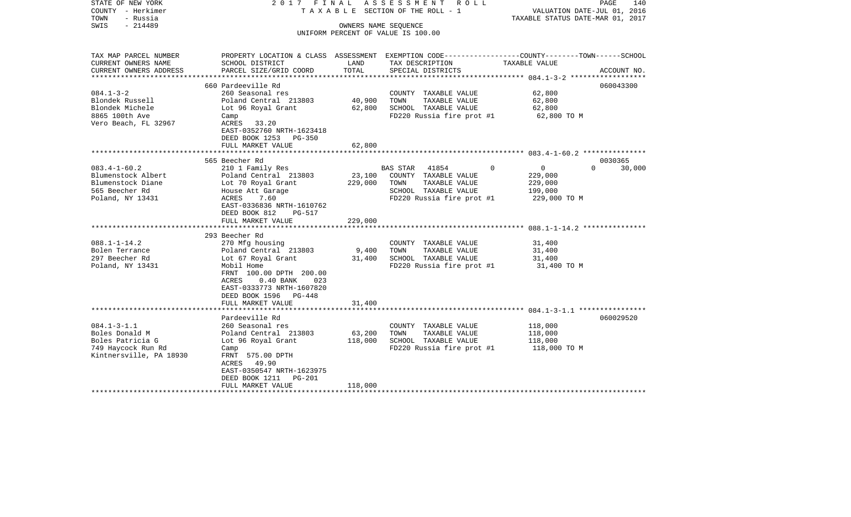| STATE OF NEW YORK<br>COUNTY - Herkimer<br>TOWN<br>- Russia<br>$-214489$<br>SWIS                          |                                                                                                                                                                                                                                     |                              | 2017 FINAL ASSESSMENT ROLL<br>TAXABLE SECTION OF THE ROLL - 1<br>OWNERS NAME SEQUENCE<br>UNIFORM PERCENT OF VALUE IS 100.00              | VALUATION DATE-JUL 01, 2016<br>TAXABLE STATUS DATE-MAR 01, 2017 | PAGE<br>140                   |
|----------------------------------------------------------------------------------------------------------|-------------------------------------------------------------------------------------------------------------------------------------------------------------------------------------------------------------------------------------|------------------------------|------------------------------------------------------------------------------------------------------------------------------------------|-----------------------------------------------------------------|-------------------------------|
| TAX MAP PARCEL NUMBER<br>CURRENT OWNERS NAME<br>CURRENT OWNERS ADDRESS                                   | SCHOOL DISTRICT<br>PARCEL SIZE/GRID COORD                                                                                                                                                                                           | LAND<br>TOTAL                | PROPERTY LOCATION & CLASS ASSESSMENT EXEMPTION CODE----------------COUNTY-------TOWN------SCHOOL<br>TAX DESCRIPTION<br>SPECIAL DISTRICTS | TAXABLE VALUE                                                   | ACCOUNT NO.                   |
|                                                                                                          |                                                                                                                                                                                                                                     |                              |                                                                                                                                          |                                                                 |                               |
| $084.1 - 3 - 2$<br>Blondek Russell<br>Blondek Michele<br>8865 100th Ave<br>Vero Beach, FL 32967          | 660 Pardeeville Rd<br>260 Seasonal res<br>Poland Central 213803<br>Lot 96 Royal Grant<br>Camp<br>ACRES 33.20<br>EAST-0352760 NRTH-1623418<br>DEED BOOK 1253 PG-350                                                                  | 40,900<br>62,800             | COUNTY TAXABLE VALUE<br>TOWN<br>TAXABLE VALUE<br>SCHOOL TAXABLE VALUE<br>FD220 Russia fire prot #1                                       | 62,800<br>62,800<br>62,800<br>62,800 TO M                       | 060043300                     |
|                                                                                                          | FULL MARKET VALUE                                                                                                                                                                                                                   | 62,800                       |                                                                                                                                          |                                                                 |                               |
|                                                                                                          |                                                                                                                                                                                                                                     |                              |                                                                                                                                          |                                                                 |                               |
| $083.4 - 1 - 60.2$<br>Blumenstock Albert<br>Blumenstock Diane<br>565 Beecher Rd<br>Poland, NY 13431      | 565 Beecher Rd<br>210 1 Family Res<br>Poland Central 213803<br>Lot 70 Royal Grant<br>House Att Garage<br>ACRES<br>7.60<br>EAST-0336836 NRTH-1610762<br>DEED BOOK 812<br>PG-517<br>FULL MARKET VALUE                                 | 23,100<br>229,000<br>229,000 | $\Omega$<br>BAS STAR 41854<br>COUNTY TAXABLE VALUE<br>TOWN<br>TAXABLE VALUE<br>SCHOOL TAXABLE VALUE<br>FD220 Russia fire prot #1         | $\overline{0}$<br>229,000<br>229,000<br>199,000<br>229,000 TO M | 0030365<br>$\Omega$<br>30,000 |
|                                                                                                          |                                                                                                                                                                                                                                     |                              |                                                                                                                                          |                                                                 |                               |
| $088.1 - 1 - 14.2$<br>Bolen Terrance<br>297 Beecher Rd<br>Poland, NY 13431                               | 293 Beecher Rd<br>270 Mfg housing<br>Poland Central 213803<br>Lot 67 Royal Grant<br>Mobil Home<br>FRNT 100.00 DPTH 200.00<br>ACRES<br>$0.40$ BANK<br>023<br>EAST-0333773 NRTH-1607820<br>DEED BOOK 1596 PG-448<br>FULL MARKET VALUE | 9,400<br>31,400<br>31,400    | COUNTY TAXABLE VALUE<br>TOWN<br>TAXABLE VALUE<br>SCHOOL TAXABLE VALUE<br>FD220 Russia fire prot #1                                       | 31,400<br>31,400<br>31,400<br>31,400 TO M                       |                               |
|                                                                                                          |                                                                                                                                                                                                                                     |                              |                                                                                                                                          |                                                                 |                               |
| $084.1 - 3 - 1.1$<br>Boles Donald M<br>Boles Patricia G<br>749 Haycock Run Rd<br>Kintnersville, PA 18930 | Pardeeville Rd<br>260 Seasonal res<br>Poland Central 213803<br>Lot 96 Royal Grant<br>Camp<br>FRNT 575.00 DPTH<br>ACRES 49.90<br>EAST-0350547 NRTH-1623975<br>DEED BOOK 1211 PG-201<br>FULL MARKET VALUE                             | 63,200<br>118,000<br>118,000 | COUNTY TAXABLE VALUE<br>TAXABLE VALUE<br>TOWN<br>SCHOOL TAXABLE VALUE<br>FD220 Russia fire prot #1                                       | 118,000<br>118,000<br>118,000<br>118,000 TO M                   | 060029520                     |
| ************************                                                                                 |                                                                                                                                                                                                                                     |                              |                                                                                                                                          |                                                                 |                               |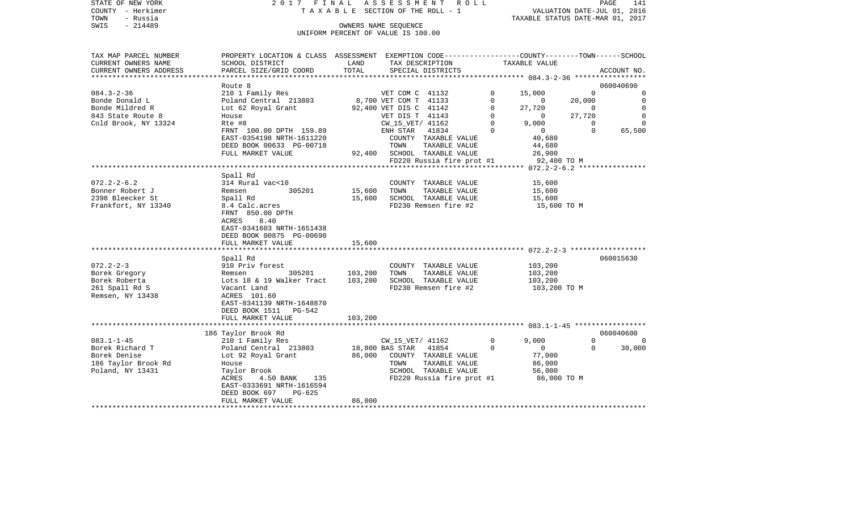|      | STATE OF NEW YORK | 2017 FINAL ASSESSMENT ROLL                                           | PAGE | 141 |
|------|-------------------|----------------------------------------------------------------------|------|-----|
|      | COUNTY - Herkimer | VALUATION DATE-JUL 01, 2016<br>T A X A B L E SECTION OF THE ROLL - 1 |      |     |
| TOWN | - Russia          | TAXABLE STATUS DATE-MAR 01, 2017                                     |      |     |
| SWIS | - 214489          | OWNERS NAME SEOUENCE                                                 |      |     |
|      |                   | UNIFORM PERCENT OF VALUE IS 100.00                                   |      |     |

| TAX MAP PARCEL NUMBER  | PROPERTY LOCATION & CLASS ASSESSMENT EXEMPTION CODE----------------COUNTY-------TOWN------SCHOOL |         |                        |                                             |                |                                                                                  |                |                |
|------------------------|--------------------------------------------------------------------------------------------------|---------|------------------------|---------------------------------------------|----------------|----------------------------------------------------------------------------------|----------------|----------------|
| CURRENT OWNERS NAME    | SCHOOL DISTRICT                                                                                  | LAND    | TAX DESCRIPTION        |                                             |                | TAXABLE VALUE                                                                    |                |                |
| CURRENT OWNERS ADDRESS | PARCEL SIZE/GRID COORD                                                                           | TOTAL   |                        | SPECIAL DISTRICTS                           |                |                                                                                  |                | ACCOUNT NO.    |
|                        |                                                                                                  |         |                        |                                             |                |                                                                                  |                |                |
|                        | Route 8                                                                                          |         |                        |                                             |                |                                                                                  |                | 060040690      |
| $084.3 - 2 - 36$       | 210 1 Family Res                                                                                 |         | VET COM C 41132        |                                             | $\overline{0}$ | 15,000                                                                           | $\Omega$       | $\overline{0}$ |
| Bonde Donald L         | Poland Central 213803 8,700 VET COM T 41133                                                      |         |                        |                                             |                |                                                                                  | 20,000         | $\overline{0}$ |
| Bonde Mildred R        | Lot 62 Royal Grant                                                                               |         | 92,400 VET DIS C 41142 |                                             |                |                                                                                  | $\overline{0}$ | $\overline{0}$ |
| 843 State Route 8      | House                                                                                            |         | VET DIS T 41143        |                                             |                | $\begin{bmatrix} 1 & 27 & 720 \\ 0 & 0 \\ 0 & 9 & 00 \\ 0 & 0 & 0 \end{bmatrix}$ | 27,720         | $\overline{0}$ |
| Cold Brook, NY 13324   | Rte #8                                                                                           |         | CW_15_VET/ 41162       |                                             |                |                                                                                  | $\sim$ 0       | $\Omega$       |
|                        | FRNT 100.00 DPTH 159.89                                                                          |         |                        | ENH STAR 41834 0                            |                | $0$<br>40,680<br>44,680                                                          | $\Omega$       | 65,500         |
|                        | EAST-0354198 NRTH-1611220                                                                        |         |                        | COUNTY TAXABLE VALUE<br>TOWN די מאצאת הארצה |                |                                                                                  |                |                |
|                        | DEED BOOK 00633 PG-00718                                                                         |         |                        |                                             |                |                                                                                  |                |                |
|                        | FULL MARKET VALUE                                                                                |         |                        | 92,400 SCHOOL TAXABLE VALUE                 |                | $26,900$<br>#1 92,400 TO M                                                       |                |                |
|                        |                                                                                                  |         |                        | FD220 Russia fire prot #1                   |                |                                                                                  |                |                |
|                        |                                                                                                  |         |                        |                                             |                |                                                                                  |                |                |
|                        | Spall Rd                                                                                         |         |                        |                                             |                |                                                                                  |                |                |
| $072.2 - 2 - 6.2$      | 314 Rural vac<10                                                                                 |         |                        | COUNTY TAXABLE VALUE                        |                | 15,600                                                                           |                |                |
| Bonner Robert J        | Remsen<br>305201                                                                                 | 15,600  | TOWN                   | TAXABLE VALUE                               |                | 15,600                                                                           |                |                |
| 2398 Bleecker St       | Spall Rd                                                                                         | 15,600  |                        | SCHOOL TAXABLE VALUE                        |                | 15,600                                                                           |                |                |
| Frankfort, NY 13340    | 8.4 Calc.acres                                                                                   |         |                        | FD230 Remsen fire #2                        |                | 15,600 TO M                                                                      |                |                |
|                        | FRNT 850.00 DPTH                                                                                 |         |                        |                                             |                |                                                                                  |                |                |
|                        | 8.40<br>ACRES                                                                                    |         |                        |                                             |                |                                                                                  |                |                |
|                        | EAST-0341603 NRTH-1651438                                                                        |         |                        |                                             |                |                                                                                  |                |                |
|                        | DEED BOOK 00875 PG-00690                                                                         |         |                        |                                             |                |                                                                                  |                |                |
|                        | FULL MARKET VALUE                                                                                | 15,600  |                        |                                             |                |                                                                                  |                |                |
|                        |                                                                                                  |         |                        |                                             |                |                                                                                  |                |                |
| $072.2 - 2 - 3$        | Spall Rd<br>910 Priv forest                                                                      |         |                        | COUNTY TAXABLE VALUE 103,200                |                |                                                                                  |                | 060015630      |
| Borek Gregory          |                                                                                                  |         |                        | TOWN TAXABLE VALUE                          |                |                                                                                  |                |                |
| Borek Roberta          | Remsen 305201 103,200<br>Lots 18 & 19 Walker Tract 103,200                                       |         |                        | SCHOOL TAXABLE VALUE                        |                | 103,200<br>103,200                                                               |                |                |
| 261 Spall Rd S         | Vacant Land                                                                                      |         |                        | FD230 Remsen fire #2 103,200 TO M           |                |                                                                                  |                |                |
| Remsen, NY 13438       | ACRES 101.60                                                                                     |         |                        |                                             |                |                                                                                  |                |                |
|                        | EAST-0341139 NRTH-1648870                                                                        |         |                        |                                             |                |                                                                                  |                |                |
|                        |                                                                                                  |         |                        |                                             |                |                                                                                  |                |                |
|                        | DEED BOOK 1511 PG-542<br>FULL MARKET VALUE                                                       | 103,200 |                        |                                             |                |                                                                                  |                |                |
|                        |                                                                                                  |         |                        |                                             |                |                                                                                  |                |                |
|                        | 186 Taylor Brook Rd                                                                              |         |                        |                                             |                |                                                                                  |                | 060040600      |
| $083.1 - 1 - 45$       |                                                                                                  |         |                        |                                             | $\overline{0}$ | 9.000                                                                            | $\Omega$       | $\Omega$       |
| Borek Richard T        | 210 1 Family Res<br>Poland Central 213803 18,800 BAS STAR 41854                                  |         |                        |                                             | $\Omega$       | $\overline{0}$                                                                   | $\Omega$       | 30,000         |
| Borek Denise           | Lot 92 Royal Grant 66,000 COUNTY TAXABLE VALUE                                                   |         |                        |                                             |                | 77,000                                                                           |                |                |
| 186 Taylor Brook Rd    | House                                                                                            |         | TOWN                   | TAXABLE VALUE                               |                | 86,000                                                                           |                |                |
| Poland, NY 13431       | Taylor Brook                                                                                     |         |                        | SCHOOL TAXABLE VALUE                        |                | 56,000                                                                           |                |                |
|                        | ACRES<br>4.50 BANK 135                                                                           |         |                        | FD220 Russia fire prot #1 86,000 TO M       |                |                                                                                  |                |                |
|                        | EAST-0333691 NRTH-1616594                                                                        |         |                        |                                             |                |                                                                                  |                |                |
|                        | PG-625<br>DEED BOOK 697                                                                          |         |                        |                                             |                |                                                                                  |                |                |
|                        | FULL MARKET VALUE                                                                                | 86,000  |                        |                                             |                |                                                                                  |                |                |
|                        |                                                                                                  |         |                        |                                             |                |                                                                                  |                |                |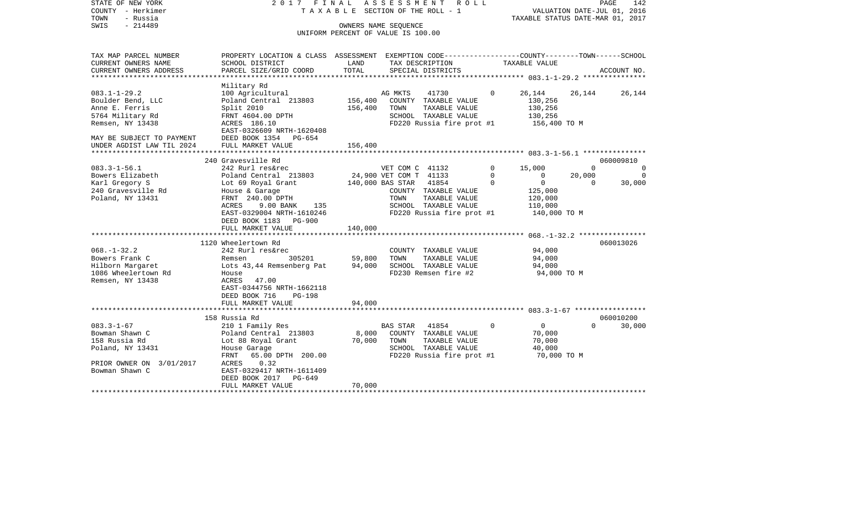| COUNTY<br>– Herkimer<br>TOWN<br>- Russia<br>$-214489$<br>SWIS |                                                                                                                    |         | T A X A B L E SECTION OF THE ROLL - 1<br>OWNERS NAME SEQUENCE |               |                                                    | VALUATION DATE-JUL 01, 2016<br>TAXABLE STATUS DATE-MAR 01, 2017 |                     |  |
|---------------------------------------------------------------|--------------------------------------------------------------------------------------------------------------------|---------|---------------------------------------------------------------|---------------|----------------------------------------------------|-----------------------------------------------------------------|---------------------|--|
|                                                               |                                                                                                                    |         | UNIFORM PERCENT OF VALUE IS 100.00                            |               |                                                    |                                                                 |                     |  |
| TAX MAP PARCEL NUMBER<br>CURRENT OWNERS NAME                  | PROPERTY LOCATION & CLASS ASSESSMENT EXEMPTION CODE---------------COUNTY-------TOWN------SCHOOL<br>SCHOOL DISTRICT | LAND    | TAX DESCRIPTION                                               |               | TAXABLE VALUE                                      |                                                                 |                     |  |
| CURRENT OWNERS ADDRESS                                        | PARCEL SIZE/GRID COORD                                                                                             | TOTAL   | SPECIAL DISTRICTS                                             |               |                                                    |                                                                 | ACCOUNT NO.         |  |
| **********************                                        |                                                                                                                    |         |                                                               |               |                                                    |                                                                 |                     |  |
| $083.1 - 1 - 29.2$                                            | Military Rd<br>100 Agricultural                                                                                    |         | AG MKTS<br>41730                                              | $\Omega$      | 26,144                                             | 26,144                                                          | 26,144              |  |
| Boulder Bend, LLC                                             | Poland Central 213803                                                                                              | 156,400 | COUNTY TAXABLE VALUE                                          |               | 130,256                                            |                                                                 |                     |  |
| Anne E. Ferris                                                | Split 2010                                                                                                         | 156,400 | TOWN<br>TAXABLE VALUE                                         |               | 130,256                                            |                                                                 |                     |  |
| 5764 Military Rd                                              | FRNT 4604.00 DPTH                                                                                                  |         | SCHOOL TAXABLE VALUE                                          |               | 130,256                                            |                                                                 |                     |  |
| Remsen, NY 13438                                              | ACRES 186.10                                                                                                       |         | FD220 Russia fire prot #1                                     |               | 156,400 ТО М                                       |                                                                 |                     |  |
|                                                               | EAST-0326609 NRTH-1620408                                                                                          |         |                                                               |               |                                                    |                                                                 |                     |  |
| MAY BE SUBJECT TO PAYMENT                                     | DEED BOOK 1354 PG-654                                                                                              |         |                                                               |               |                                                    |                                                                 |                     |  |
| UNDER AGDIST LAW TIL 2024                                     | FULL MARKET VALUE                                                                                                  | 156,400 |                                                               |               |                                                    |                                                                 |                     |  |
|                                                               |                                                                                                                    |         |                                                               |               |                                                    |                                                                 |                     |  |
|                                                               | 240 Gravesville Rd                                                                                                 |         |                                                               |               |                                                    |                                                                 | 060009810           |  |
| $083.3 - 1 - 56.1$<br>Bowers Elizabeth                        | 242 Rurl res&rec<br>Poland Central 213803                                                                          |         | VET COM C 41132<br>24,900 VET COM T 41133                     | $\Omega$<br>0 | 15,000<br>0                                        | $\Omega$<br>20,000                                              | $\Omega$<br>$\circ$ |  |
| Karl Gregory S                                                | Lot 69 Royal Grant                                                                                                 |         | 140,000 BAS STAR<br>41854                                     | $\Omega$      | $\overline{0}$                                     | $\Omega$                                                        | 30,000              |  |
| 240 Gravesville Rd                                            | House & Garage                                                                                                     |         | COUNTY TAXABLE VALUE                                          |               | 125,000                                            |                                                                 |                     |  |
| Poland, NY 13431                                              | FRNT 240.00 DPTH                                                                                                   |         | TOWN<br>TAXABLE VALUE                                         |               | 120,000                                            |                                                                 |                     |  |
|                                                               | ACRES<br>9.00 BANK<br>135                                                                                          |         | SCHOOL TAXABLE VALUE                                          |               | 110,000                                            |                                                                 |                     |  |
|                                                               | EAST-0329004 NRTH-1610246                                                                                          |         | FD220 Russia fire prot #1                                     |               | 140,000 TO M                                       |                                                                 |                     |  |
|                                                               | DEED BOOK 1183 PG-900                                                                                              |         |                                                               |               |                                                    |                                                                 |                     |  |
|                                                               | FULL MARKET VALUE                                                                                                  | 140,000 |                                                               |               |                                                    |                                                                 |                     |  |
|                                                               | *********************                                                                                              |         |                                                               |               | ******************** 068.-1-32.2 ***************** |                                                                 |                     |  |
|                                                               | 1120 Wheelertown Rd                                                                                                |         |                                                               |               |                                                    |                                                                 | 060013026           |  |
| $068. - 1 - 32.2$                                             | 242 Rurl res&rec                                                                                                   |         | COUNTY TAXABLE VALUE                                          |               | 94,000                                             |                                                                 |                     |  |
| Bowers Frank C                                                | 305201<br>Remsen                                                                                                   | 59,800  | TOWN<br>TAXABLE VALUE<br>SCHOOL TAXABLE VALUE                 |               | 94,000                                             |                                                                 |                     |  |
| Hilborn Margaret<br>1086 Wheelertown Rd                       | Lots 43,44 Remsenberg Pat<br>House                                                                                 | 94,000  | FD230 Remsen fire #2                                          |               | 94,000<br>94,000 TO M                              |                                                                 |                     |  |
| Remsen, NY 13438                                              | 47.00<br>ACRES                                                                                                     |         |                                                               |               |                                                    |                                                                 |                     |  |
|                                                               | EAST-0344756 NRTH-1662118                                                                                          |         |                                                               |               |                                                    |                                                                 |                     |  |
|                                                               | DEED BOOK 716<br><b>PG-198</b>                                                                                     |         |                                                               |               |                                                    |                                                                 |                     |  |
|                                                               | FULL MARKET VALUE                                                                                                  | 94,000  |                                                               |               |                                                    |                                                                 |                     |  |
|                                                               | **********************                                                                                             |         |                                                               |               |                                                    |                                                                 |                     |  |
|                                                               | 158 Russia Rd                                                                                                      |         |                                                               |               |                                                    |                                                                 | 060010200           |  |
| $083.3 - 1 - 67$                                              | 210 1 Family Res                                                                                                   |         | <b>BAS STAR</b><br>41854                                      | $\mathbf 0$   | $\overline{0}$                                     | $\Omega$                                                        | 30,000              |  |
| Bowman Shawn C                                                | Poland Central 213803                                                                                              | 8,000   | COUNTY TAXABLE VALUE                                          |               | 70,000                                             |                                                                 |                     |  |
| 158 Russia Rd                                                 | Lot 88 Royal Grant                                                                                                 | 70,000  | TOWN<br>TAXABLE VALUE                                         |               | 70,000                                             |                                                                 |                     |  |
| Poland, NY 13431                                              | House Garage                                                                                                       |         | SCHOOL TAXABLE VALUE                                          |               | 40,000                                             |                                                                 |                     |  |
| PRIOR OWNER ON 3/01/2017                                      | FRNT<br>65.00 DPTH 200.00<br>0.32<br>ACRES                                                                         |         | FD220 Russia fire prot #1                                     |               | 70,000 TO M                                        |                                                                 |                     |  |
| Bowman Shawn C                                                | EAST-0329417 NRTH-1611409                                                                                          |         |                                                               |               |                                                    |                                                                 |                     |  |
|                                                               | DEED BOOK 2017<br>PG-649                                                                                           |         |                                                               |               |                                                    |                                                                 |                     |  |
|                                                               | FULL MARKET VALUE                                                                                                  | 70,000  |                                                               |               |                                                    |                                                                 |                     |  |
|                                                               |                                                                                                                    |         |                                                               |               |                                                    |                                                                 |                     |  |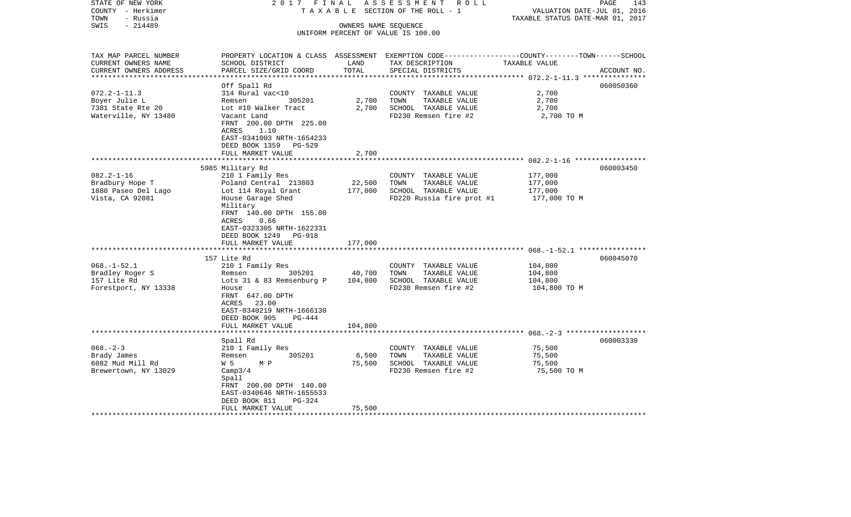| STATE OF NEW YORK<br>COUNTY - Herkimer<br>- Russia<br>TOWN             | 2017 FINAL<br>ASSESSMENT ROLL<br>SECTION OF THE ROLL - 1<br>TAXABLE<br>TAXABLE STATUS DATE-MAR 01, 2017                            |                      |                                                                                                                                         |               | 143<br>PAGE<br>VALUATION DATE-JUL 01, 2016 |
|------------------------------------------------------------------------|------------------------------------------------------------------------------------------------------------------------------------|----------------------|-----------------------------------------------------------------------------------------------------------------------------------------|---------------|--------------------------------------------|
| $-214489$<br>SWIS                                                      |                                                                                                                                    | OWNERS NAME SEQUENCE | UNIFORM PERCENT OF VALUE IS 100.00                                                                                                      |               |                                            |
| TAX MAP PARCEL NUMBER<br>CURRENT OWNERS NAME<br>CURRENT OWNERS ADDRESS | SCHOOL DISTRICT<br>PARCEL SIZE/GRID COORD                                                                                          | LAND<br>TOTAL        | PROPERTY LOCATION & CLASS ASSESSMENT EXEMPTION CODE---------------COUNTY-------TOWN------SCHOOL<br>TAX DESCRIPTION<br>SPECIAL DISTRICTS | TAXABLE VALUE | ACCOUNT NO.                                |
|                                                                        |                                                                                                                                    |                      |                                                                                                                                         |               | 060050360                                  |
| $072.2 - 1 - 11.3$                                                     | Off Spall Rd<br>314 Rural vac<10                                                                                                   |                      | COUNTY TAXABLE VALUE                                                                                                                    | 2,700         |                                            |
| Boyer Julie L                                                          | 305201<br>Remsen                                                                                                                   | 2,700                | TOWN<br>TAXABLE VALUE                                                                                                                   | 2,700         |                                            |
| 7381 State Rte 20                                                      | Lot #10 Walker Tract                                                                                                               | 2,700                | SCHOOL TAXABLE VALUE                                                                                                                    | 2,700         |                                            |
| Waterville, NY 13480                                                   | Vacant Land<br>FRNT 200.00 DPTH 225.00<br>1.10<br>ACRES<br>EAST-0341003 NRTH-1654233<br>DEED BOOK 1359<br>PG-529                   |                      | FD230 Remsen fire #2                                                                                                                    | 2,700 TO M    |                                            |
|                                                                        | FULL MARKET VALUE                                                                                                                  | 2,700                |                                                                                                                                         |               |                                            |
| 5985 Military Rd                                                       |                                                                                                                                    |                      |                                                                                                                                         |               |                                            |
| $082.2 - 1 - 16$                                                       | 210 1 Family Res                                                                                                                   |                      | COUNTY TAXABLE VALUE                                                                                                                    | 177,000       | 060003450                                  |
| Bradbury Hope T                                                        | Poland Central 213803                                                                                                              | 22,500               | TOWN<br>TAXABLE VALUE                                                                                                                   | 177,000       |                                            |
| 1880 Paseo Del Lago                                                    | Lot 114 Royal Grant                                                                                                                | 177,000              | SCHOOL TAXABLE VALUE                                                                                                                    | 177,000       |                                            |
| Vista, CA 92081                                                        | House Garage Shed<br>Military<br>FRNT 140.00 DPTH 155.00<br>ACRES<br>0.66<br>EAST-0323305 NRTH-1622331<br>DEED BOOK 1249<br>PG-918 |                      | FD220 Russia fire prot #1                                                                                                               | 177,000 TO M  |                                            |
|                                                                        | FULL MARKET VALUE                                                                                                                  | 177,000              |                                                                                                                                         |               |                                            |
|                                                                        | ***********************<br>157 Lite Rd                                                                                             |                      |                                                                                                                                         |               | 060045070                                  |
| $068. - 1 - 52.1$                                                      | 210 1 Family Res                                                                                                                   |                      | COUNTY TAXABLE VALUE                                                                                                                    | 104,800       |                                            |
| Bradley Roger S                                                        | 305201<br>Remsen                                                                                                                   | 40,700               | TOWN<br>TAXABLE VALUE                                                                                                                   | 104,800       |                                            |
| 157 Lite Rd                                                            | Lots 31 & 83 Remsenburg P                                                                                                          | 104,800              | SCHOOL TAXABLE VALUE                                                                                                                    | 104,800       |                                            |
| Forestport, NY 13338                                                   | House<br>FRNT 647.00 DPTH<br>ACRES 23.00<br>EAST-0340219 NRTH-1666130<br>DEED BOOK 905<br>$PG-444$                                 |                      | FD230 Remsen fire #2                                                                                                                    | 104,800 TO M  |                                            |
|                                                                        | FULL MARKET VALUE                                                                                                                  | 104,800              |                                                                                                                                         |               |                                            |
|                                                                        |                                                                                                                                    |                      |                                                                                                                                         |               |                                            |
| $068. - 2 - 3$                                                         | Spall Rd<br>210 1 Family Res                                                                                                       |                      | COUNTY TAXABLE VALUE                                                                                                                    | 75,500        | 060003330                                  |
| Brady James                                                            | 305201<br>Remsen                                                                                                                   | 6,500                | TOWN<br>TAXABLE VALUE                                                                                                                   | 75,500        |                                            |
| 6082 Mud Mill Rd                                                       | W 5<br>M P                                                                                                                         | 75,500               | SCHOOL TAXABLE VALUE                                                                                                                    | 75,500        |                                            |
| Brewertown, NY 13029                                                   | Camp3/4<br>Spall<br>FRNT 200.00 DPTH 140.00<br>EAST-0340646 NRTH-1655533<br>DEED BOOK 811<br>$PG-324$                              |                      | FD230 Remsen fire #2                                                                                                                    | 75,500 TO M   |                                            |
|                                                                        | FULL MARKET VALUE                                                                                                                  | 75,500               |                                                                                                                                         |               |                                            |
|                                                                        |                                                                                                                                    |                      | *****************************                                                                                                           |               |                                            |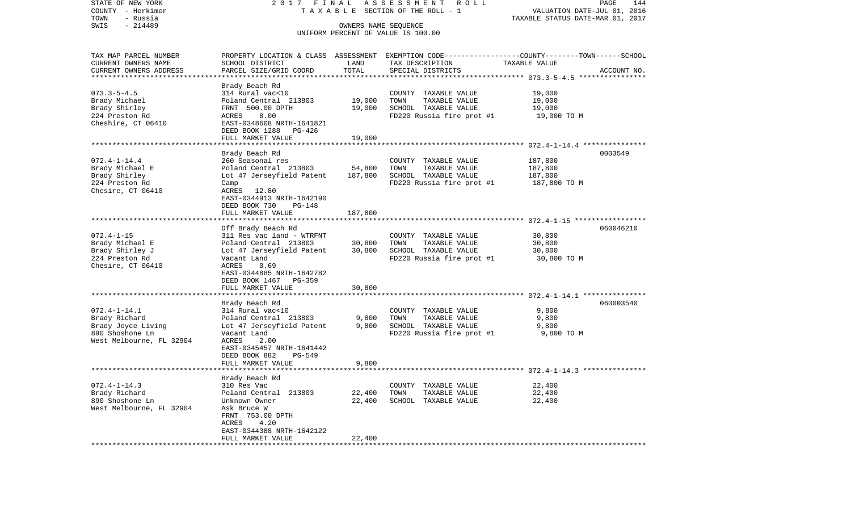| T A X A B L E SECTION OF THE ROLL - 1<br>VALUATION DATE-JUL 01, 2016<br>TOWN<br>- Russia<br>TAXABLE STATUS DATE-MAR 01, 2017<br>$-214489$<br>OWNERS NAME SEQUENCE<br>UNIFORM PERCENT OF VALUE IS 100.00<br>PROPERTY LOCATION & CLASS ASSESSMENT EXEMPTION CODE----------------COUNTY-------TOWN------SCHOOL<br>TAX MAP PARCEL NUMBER<br>CURRENT OWNERS NAME<br>SCHOOL DISTRICT<br>LAND<br>TAX DESCRIPTION<br>TAXABLE VALUE<br>CURRENT OWNERS ADDRESS<br>TOTAL<br>PARCEL SIZE/GRID COORD<br>SPECIAL DISTRICTS<br>ACCOUNT NO.<br>*********************<br>Brady Beach Rd<br>$073.3 - 5 - 4.5$<br>19,000<br>314 Rural vac<10<br>COUNTY TAXABLE VALUE<br>19,000<br>Poland Central 213803<br>19,000<br>TOWN<br>TAXABLE VALUE<br>SCHOOL TAXABLE VALUE<br>FRNT 500.00 DPTH<br>19,000<br>19,000<br>8.00<br>FD220 Russia fire prot #1<br>ACRES<br>19,000 TO M<br>EAST-0348608 NRTH-1641821<br>DEED BOOK 1288<br>PG-426<br>FULL MARKET VALUE<br>19,000<br>Brady Beach Rd<br>0003549<br>$072.4 - 1 - 14.4$<br>260 Seasonal res<br>187,800<br>COUNTY TAXABLE VALUE<br>Poland Central 213803<br>54,800<br>TAXABLE VALUE<br>Brady Michael E<br>TOWN<br>187,800<br>Brady Shirley<br>Lot 47 Jerseyfield Patent<br>187,800<br>SCHOOL TAXABLE VALUE<br>187,800<br>FD220 Russia fire prot #1<br>187,800 TO M<br>Camp<br>ACRES 12.80<br>EAST-0344913 NRTH-1642190<br>DEED BOOK 730<br>PG-148<br>FULL MARKET VALUE<br>187,800<br>060046210<br>Off Brady Beach Rd<br>311 Res vac land - WTRFNT<br>$072.4 - 1 - 15$<br>COUNTY TAXABLE VALUE<br>30,800<br>TAXABLE VALUE<br>Brady Michael E<br>Poland Central 213803<br>30,800<br>TOWN<br>30,800<br>30,800<br>Brady Shirley J<br>Lot 47 Jerseyfield Patent<br>SCHOOL TAXABLE VALUE<br>30,800<br>FD220 Russia fire prot #1<br>224 Preston Rd<br>Vacant Land<br>30,800 TO M<br>ACRES<br>0.69<br>EAST-0344885 NRTH-1642782<br>DEED BOOK 1467 PG-359<br>FULL MARKET VALUE<br>30,800<br>********************<br>Brady Beach Rd<br>060003540<br>$072.4 - 1 - 14.1$<br>9,800<br>314 Rural vac<10<br>COUNTY TAXABLE VALUE<br>Brady Richard<br>Poland Central 213803<br>9,800<br>TOWN<br>TAXABLE VALUE<br>9,800<br>Brady Joyce Living<br>Lot 47 Jerseyfield Patent<br>9,800<br>SCHOOL TAXABLE VALUE<br>9,800<br>890 Shoshone Ln<br>FD220 Russia fire prot #1<br>Vacant Land<br>9,800 TO M<br>ACRES<br>2.00<br>EAST-0345457 NRTH-1641442<br>DEED BOOK 882<br>PG-549<br>FULL MARKET VALUE<br>9,800<br>Brady Beach Rd<br>$072.4 - 1 - 14.3$<br>COUNTY TAXABLE VALUE<br>22,400<br>310 Res Vac<br>Brady Richard<br>Poland Central 213803<br>22,400<br>TOWN<br>TAXABLE VALUE<br>22,400<br>890 Shoshone Ln<br>22,400<br>SCHOOL<br>TAXABLE VALUE<br>22,400<br>Unknown Owner<br>Ask Bruce W<br>FRNT 753.00 DPTH<br><b>ACRES</b><br>4.20<br>EAST-0344388 NRTH-1642122 | STATE OF NEW YORK        | 2017 FINAL        |        | A S S E S S M E N T R O L L | PAGE<br>144 |
|---------------------------------------------------------------------------------------------------------------------------------------------------------------------------------------------------------------------------------------------------------------------------------------------------------------------------------------------------------------------------------------------------------------------------------------------------------------------------------------------------------------------------------------------------------------------------------------------------------------------------------------------------------------------------------------------------------------------------------------------------------------------------------------------------------------------------------------------------------------------------------------------------------------------------------------------------------------------------------------------------------------------------------------------------------------------------------------------------------------------------------------------------------------------------------------------------------------------------------------------------------------------------------------------------------------------------------------------------------------------------------------------------------------------------------------------------------------------------------------------------------------------------------------------------------------------------------------------------------------------------------------------------------------------------------------------------------------------------------------------------------------------------------------------------------------------------------------------------------------------------------------------------------------------------------------------------------------------------------------------------------------------------------------------------------------------------------------------------------------------------------------------------------------------------------------------------------------------------------------------------------------------------------------------------------------------------------------------------------------------------------------------------------------------------------------------------------------------------------------------------------------------------------------------------------------------------------------------------------------------------------------------------------------------------------------------------------------------------------------------------------------------------|--------------------------|-------------------|--------|-----------------------------|-------------|
|                                                                                                                                                                                                                                                                                                                                                                                                                                                                                                                                                                                                                                                                                                                                                                                                                                                                                                                                                                                                                                                                                                                                                                                                                                                                                                                                                                                                                                                                                                                                                                                                                                                                                                                                                                                                                                                                                                                                                                                                                                                                                                                                                                                                                                                                                                                                                                                                                                                                                                                                                                                                                                                                                                                                                                           | COUNTY - Herkimer        |                   |        |                             |             |
|                                                                                                                                                                                                                                                                                                                                                                                                                                                                                                                                                                                                                                                                                                                                                                                                                                                                                                                                                                                                                                                                                                                                                                                                                                                                                                                                                                                                                                                                                                                                                                                                                                                                                                                                                                                                                                                                                                                                                                                                                                                                                                                                                                                                                                                                                                                                                                                                                                                                                                                                                                                                                                                                                                                                                                           | SWIS                     |                   |        |                             |             |
|                                                                                                                                                                                                                                                                                                                                                                                                                                                                                                                                                                                                                                                                                                                                                                                                                                                                                                                                                                                                                                                                                                                                                                                                                                                                                                                                                                                                                                                                                                                                                                                                                                                                                                                                                                                                                                                                                                                                                                                                                                                                                                                                                                                                                                                                                                                                                                                                                                                                                                                                                                                                                                                                                                                                                                           |                          |                   |        |                             |             |
|                                                                                                                                                                                                                                                                                                                                                                                                                                                                                                                                                                                                                                                                                                                                                                                                                                                                                                                                                                                                                                                                                                                                                                                                                                                                                                                                                                                                                                                                                                                                                                                                                                                                                                                                                                                                                                                                                                                                                                                                                                                                                                                                                                                                                                                                                                                                                                                                                                                                                                                                                                                                                                                                                                                                                                           |                          |                   |        |                             |             |
|                                                                                                                                                                                                                                                                                                                                                                                                                                                                                                                                                                                                                                                                                                                                                                                                                                                                                                                                                                                                                                                                                                                                                                                                                                                                                                                                                                                                                                                                                                                                                                                                                                                                                                                                                                                                                                                                                                                                                                                                                                                                                                                                                                                                                                                                                                                                                                                                                                                                                                                                                                                                                                                                                                                                                                           |                          |                   |        |                             |             |
|                                                                                                                                                                                                                                                                                                                                                                                                                                                                                                                                                                                                                                                                                                                                                                                                                                                                                                                                                                                                                                                                                                                                                                                                                                                                                                                                                                                                                                                                                                                                                                                                                                                                                                                                                                                                                                                                                                                                                                                                                                                                                                                                                                                                                                                                                                                                                                                                                                                                                                                                                                                                                                                                                                                                                                           |                          |                   |        |                             |             |
|                                                                                                                                                                                                                                                                                                                                                                                                                                                                                                                                                                                                                                                                                                                                                                                                                                                                                                                                                                                                                                                                                                                                                                                                                                                                                                                                                                                                                                                                                                                                                                                                                                                                                                                                                                                                                                                                                                                                                                                                                                                                                                                                                                                                                                                                                                                                                                                                                                                                                                                                                                                                                                                                                                                                                                           |                          |                   |        |                             |             |
|                                                                                                                                                                                                                                                                                                                                                                                                                                                                                                                                                                                                                                                                                                                                                                                                                                                                                                                                                                                                                                                                                                                                                                                                                                                                                                                                                                                                                                                                                                                                                                                                                                                                                                                                                                                                                                                                                                                                                                                                                                                                                                                                                                                                                                                                                                                                                                                                                                                                                                                                                                                                                                                                                                                                                                           |                          |                   |        |                             |             |
|                                                                                                                                                                                                                                                                                                                                                                                                                                                                                                                                                                                                                                                                                                                                                                                                                                                                                                                                                                                                                                                                                                                                                                                                                                                                                                                                                                                                                                                                                                                                                                                                                                                                                                                                                                                                                                                                                                                                                                                                                                                                                                                                                                                                                                                                                                                                                                                                                                                                                                                                                                                                                                                                                                                                                                           |                          |                   |        |                             |             |
|                                                                                                                                                                                                                                                                                                                                                                                                                                                                                                                                                                                                                                                                                                                                                                                                                                                                                                                                                                                                                                                                                                                                                                                                                                                                                                                                                                                                                                                                                                                                                                                                                                                                                                                                                                                                                                                                                                                                                                                                                                                                                                                                                                                                                                                                                                                                                                                                                                                                                                                                                                                                                                                                                                                                                                           | Brady Michael            |                   |        |                             |             |
|                                                                                                                                                                                                                                                                                                                                                                                                                                                                                                                                                                                                                                                                                                                                                                                                                                                                                                                                                                                                                                                                                                                                                                                                                                                                                                                                                                                                                                                                                                                                                                                                                                                                                                                                                                                                                                                                                                                                                                                                                                                                                                                                                                                                                                                                                                                                                                                                                                                                                                                                                                                                                                                                                                                                                                           | Brady Shirley            |                   |        |                             |             |
|                                                                                                                                                                                                                                                                                                                                                                                                                                                                                                                                                                                                                                                                                                                                                                                                                                                                                                                                                                                                                                                                                                                                                                                                                                                                                                                                                                                                                                                                                                                                                                                                                                                                                                                                                                                                                                                                                                                                                                                                                                                                                                                                                                                                                                                                                                                                                                                                                                                                                                                                                                                                                                                                                                                                                                           | 224 Preston Rd           |                   |        |                             |             |
|                                                                                                                                                                                                                                                                                                                                                                                                                                                                                                                                                                                                                                                                                                                                                                                                                                                                                                                                                                                                                                                                                                                                                                                                                                                                                                                                                                                                                                                                                                                                                                                                                                                                                                                                                                                                                                                                                                                                                                                                                                                                                                                                                                                                                                                                                                                                                                                                                                                                                                                                                                                                                                                                                                                                                                           | Cheshire, CT 06410       |                   |        |                             |             |
|                                                                                                                                                                                                                                                                                                                                                                                                                                                                                                                                                                                                                                                                                                                                                                                                                                                                                                                                                                                                                                                                                                                                                                                                                                                                                                                                                                                                                                                                                                                                                                                                                                                                                                                                                                                                                                                                                                                                                                                                                                                                                                                                                                                                                                                                                                                                                                                                                                                                                                                                                                                                                                                                                                                                                                           |                          |                   |        |                             |             |
|                                                                                                                                                                                                                                                                                                                                                                                                                                                                                                                                                                                                                                                                                                                                                                                                                                                                                                                                                                                                                                                                                                                                                                                                                                                                                                                                                                                                                                                                                                                                                                                                                                                                                                                                                                                                                                                                                                                                                                                                                                                                                                                                                                                                                                                                                                                                                                                                                                                                                                                                                                                                                                                                                                                                                                           |                          |                   |        |                             |             |
|                                                                                                                                                                                                                                                                                                                                                                                                                                                                                                                                                                                                                                                                                                                                                                                                                                                                                                                                                                                                                                                                                                                                                                                                                                                                                                                                                                                                                                                                                                                                                                                                                                                                                                                                                                                                                                                                                                                                                                                                                                                                                                                                                                                                                                                                                                                                                                                                                                                                                                                                                                                                                                                                                                                                                                           |                          |                   |        |                             |             |
|                                                                                                                                                                                                                                                                                                                                                                                                                                                                                                                                                                                                                                                                                                                                                                                                                                                                                                                                                                                                                                                                                                                                                                                                                                                                                                                                                                                                                                                                                                                                                                                                                                                                                                                                                                                                                                                                                                                                                                                                                                                                                                                                                                                                                                                                                                                                                                                                                                                                                                                                                                                                                                                                                                                                                                           |                          |                   |        |                             |             |
|                                                                                                                                                                                                                                                                                                                                                                                                                                                                                                                                                                                                                                                                                                                                                                                                                                                                                                                                                                                                                                                                                                                                                                                                                                                                                                                                                                                                                                                                                                                                                                                                                                                                                                                                                                                                                                                                                                                                                                                                                                                                                                                                                                                                                                                                                                                                                                                                                                                                                                                                                                                                                                                                                                                                                                           |                          |                   |        |                             |             |
|                                                                                                                                                                                                                                                                                                                                                                                                                                                                                                                                                                                                                                                                                                                                                                                                                                                                                                                                                                                                                                                                                                                                                                                                                                                                                                                                                                                                                                                                                                                                                                                                                                                                                                                                                                                                                                                                                                                                                                                                                                                                                                                                                                                                                                                                                                                                                                                                                                                                                                                                                                                                                                                                                                                                                                           |                          |                   |        |                             |             |
|                                                                                                                                                                                                                                                                                                                                                                                                                                                                                                                                                                                                                                                                                                                                                                                                                                                                                                                                                                                                                                                                                                                                                                                                                                                                                                                                                                                                                                                                                                                                                                                                                                                                                                                                                                                                                                                                                                                                                                                                                                                                                                                                                                                                                                                                                                                                                                                                                                                                                                                                                                                                                                                                                                                                                                           | 224 Preston Rd           |                   |        |                             |             |
|                                                                                                                                                                                                                                                                                                                                                                                                                                                                                                                                                                                                                                                                                                                                                                                                                                                                                                                                                                                                                                                                                                                                                                                                                                                                                                                                                                                                                                                                                                                                                                                                                                                                                                                                                                                                                                                                                                                                                                                                                                                                                                                                                                                                                                                                                                                                                                                                                                                                                                                                                                                                                                                                                                                                                                           | Chesire, CT 06410        |                   |        |                             |             |
|                                                                                                                                                                                                                                                                                                                                                                                                                                                                                                                                                                                                                                                                                                                                                                                                                                                                                                                                                                                                                                                                                                                                                                                                                                                                                                                                                                                                                                                                                                                                                                                                                                                                                                                                                                                                                                                                                                                                                                                                                                                                                                                                                                                                                                                                                                                                                                                                                                                                                                                                                                                                                                                                                                                                                                           |                          |                   |        |                             |             |
|                                                                                                                                                                                                                                                                                                                                                                                                                                                                                                                                                                                                                                                                                                                                                                                                                                                                                                                                                                                                                                                                                                                                                                                                                                                                                                                                                                                                                                                                                                                                                                                                                                                                                                                                                                                                                                                                                                                                                                                                                                                                                                                                                                                                                                                                                                                                                                                                                                                                                                                                                                                                                                                                                                                                                                           |                          |                   |        |                             |             |
|                                                                                                                                                                                                                                                                                                                                                                                                                                                                                                                                                                                                                                                                                                                                                                                                                                                                                                                                                                                                                                                                                                                                                                                                                                                                                                                                                                                                                                                                                                                                                                                                                                                                                                                                                                                                                                                                                                                                                                                                                                                                                                                                                                                                                                                                                                                                                                                                                                                                                                                                                                                                                                                                                                                                                                           |                          |                   |        |                             |             |
|                                                                                                                                                                                                                                                                                                                                                                                                                                                                                                                                                                                                                                                                                                                                                                                                                                                                                                                                                                                                                                                                                                                                                                                                                                                                                                                                                                                                                                                                                                                                                                                                                                                                                                                                                                                                                                                                                                                                                                                                                                                                                                                                                                                                                                                                                                                                                                                                                                                                                                                                                                                                                                                                                                                                                                           |                          |                   |        |                             |             |
|                                                                                                                                                                                                                                                                                                                                                                                                                                                                                                                                                                                                                                                                                                                                                                                                                                                                                                                                                                                                                                                                                                                                                                                                                                                                                                                                                                                                                                                                                                                                                                                                                                                                                                                                                                                                                                                                                                                                                                                                                                                                                                                                                                                                                                                                                                                                                                                                                                                                                                                                                                                                                                                                                                                                                                           |                          |                   |        |                             |             |
|                                                                                                                                                                                                                                                                                                                                                                                                                                                                                                                                                                                                                                                                                                                                                                                                                                                                                                                                                                                                                                                                                                                                                                                                                                                                                                                                                                                                                                                                                                                                                                                                                                                                                                                                                                                                                                                                                                                                                                                                                                                                                                                                                                                                                                                                                                                                                                                                                                                                                                                                                                                                                                                                                                                                                                           |                          |                   |        |                             |             |
|                                                                                                                                                                                                                                                                                                                                                                                                                                                                                                                                                                                                                                                                                                                                                                                                                                                                                                                                                                                                                                                                                                                                                                                                                                                                                                                                                                                                                                                                                                                                                                                                                                                                                                                                                                                                                                                                                                                                                                                                                                                                                                                                                                                                                                                                                                                                                                                                                                                                                                                                                                                                                                                                                                                                                                           |                          |                   |        |                             |             |
|                                                                                                                                                                                                                                                                                                                                                                                                                                                                                                                                                                                                                                                                                                                                                                                                                                                                                                                                                                                                                                                                                                                                                                                                                                                                                                                                                                                                                                                                                                                                                                                                                                                                                                                                                                                                                                                                                                                                                                                                                                                                                                                                                                                                                                                                                                                                                                                                                                                                                                                                                                                                                                                                                                                                                                           |                          |                   |        |                             |             |
|                                                                                                                                                                                                                                                                                                                                                                                                                                                                                                                                                                                                                                                                                                                                                                                                                                                                                                                                                                                                                                                                                                                                                                                                                                                                                                                                                                                                                                                                                                                                                                                                                                                                                                                                                                                                                                                                                                                                                                                                                                                                                                                                                                                                                                                                                                                                                                                                                                                                                                                                                                                                                                                                                                                                                                           | Chesire, CT 06410        |                   |        |                             |             |
|                                                                                                                                                                                                                                                                                                                                                                                                                                                                                                                                                                                                                                                                                                                                                                                                                                                                                                                                                                                                                                                                                                                                                                                                                                                                                                                                                                                                                                                                                                                                                                                                                                                                                                                                                                                                                                                                                                                                                                                                                                                                                                                                                                                                                                                                                                                                                                                                                                                                                                                                                                                                                                                                                                                                                                           |                          |                   |        |                             |             |
|                                                                                                                                                                                                                                                                                                                                                                                                                                                                                                                                                                                                                                                                                                                                                                                                                                                                                                                                                                                                                                                                                                                                                                                                                                                                                                                                                                                                                                                                                                                                                                                                                                                                                                                                                                                                                                                                                                                                                                                                                                                                                                                                                                                                                                                                                                                                                                                                                                                                                                                                                                                                                                                                                                                                                                           |                          |                   |        |                             |             |
|                                                                                                                                                                                                                                                                                                                                                                                                                                                                                                                                                                                                                                                                                                                                                                                                                                                                                                                                                                                                                                                                                                                                                                                                                                                                                                                                                                                                                                                                                                                                                                                                                                                                                                                                                                                                                                                                                                                                                                                                                                                                                                                                                                                                                                                                                                                                                                                                                                                                                                                                                                                                                                                                                                                                                                           |                          |                   |        |                             |             |
|                                                                                                                                                                                                                                                                                                                                                                                                                                                                                                                                                                                                                                                                                                                                                                                                                                                                                                                                                                                                                                                                                                                                                                                                                                                                                                                                                                                                                                                                                                                                                                                                                                                                                                                                                                                                                                                                                                                                                                                                                                                                                                                                                                                                                                                                                                                                                                                                                                                                                                                                                                                                                                                                                                                                                                           |                          |                   |        |                             |             |
|                                                                                                                                                                                                                                                                                                                                                                                                                                                                                                                                                                                                                                                                                                                                                                                                                                                                                                                                                                                                                                                                                                                                                                                                                                                                                                                                                                                                                                                                                                                                                                                                                                                                                                                                                                                                                                                                                                                                                                                                                                                                                                                                                                                                                                                                                                                                                                                                                                                                                                                                                                                                                                                                                                                                                                           |                          |                   |        |                             |             |
|                                                                                                                                                                                                                                                                                                                                                                                                                                                                                                                                                                                                                                                                                                                                                                                                                                                                                                                                                                                                                                                                                                                                                                                                                                                                                                                                                                                                                                                                                                                                                                                                                                                                                                                                                                                                                                                                                                                                                                                                                                                                                                                                                                                                                                                                                                                                                                                                                                                                                                                                                                                                                                                                                                                                                                           |                          |                   |        |                             |             |
|                                                                                                                                                                                                                                                                                                                                                                                                                                                                                                                                                                                                                                                                                                                                                                                                                                                                                                                                                                                                                                                                                                                                                                                                                                                                                                                                                                                                                                                                                                                                                                                                                                                                                                                                                                                                                                                                                                                                                                                                                                                                                                                                                                                                                                                                                                                                                                                                                                                                                                                                                                                                                                                                                                                                                                           |                          |                   |        |                             |             |
|                                                                                                                                                                                                                                                                                                                                                                                                                                                                                                                                                                                                                                                                                                                                                                                                                                                                                                                                                                                                                                                                                                                                                                                                                                                                                                                                                                                                                                                                                                                                                                                                                                                                                                                                                                                                                                                                                                                                                                                                                                                                                                                                                                                                                                                                                                                                                                                                                                                                                                                                                                                                                                                                                                                                                                           |                          |                   |        |                             |             |
|                                                                                                                                                                                                                                                                                                                                                                                                                                                                                                                                                                                                                                                                                                                                                                                                                                                                                                                                                                                                                                                                                                                                                                                                                                                                                                                                                                                                                                                                                                                                                                                                                                                                                                                                                                                                                                                                                                                                                                                                                                                                                                                                                                                                                                                                                                                                                                                                                                                                                                                                                                                                                                                                                                                                                                           | West Melbourne, FL 32904 |                   |        |                             |             |
|                                                                                                                                                                                                                                                                                                                                                                                                                                                                                                                                                                                                                                                                                                                                                                                                                                                                                                                                                                                                                                                                                                                                                                                                                                                                                                                                                                                                                                                                                                                                                                                                                                                                                                                                                                                                                                                                                                                                                                                                                                                                                                                                                                                                                                                                                                                                                                                                                                                                                                                                                                                                                                                                                                                                                                           |                          |                   |        |                             |             |
|                                                                                                                                                                                                                                                                                                                                                                                                                                                                                                                                                                                                                                                                                                                                                                                                                                                                                                                                                                                                                                                                                                                                                                                                                                                                                                                                                                                                                                                                                                                                                                                                                                                                                                                                                                                                                                                                                                                                                                                                                                                                                                                                                                                                                                                                                                                                                                                                                                                                                                                                                                                                                                                                                                                                                                           |                          |                   |        |                             |             |
|                                                                                                                                                                                                                                                                                                                                                                                                                                                                                                                                                                                                                                                                                                                                                                                                                                                                                                                                                                                                                                                                                                                                                                                                                                                                                                                                                                                                                                                                                                                                                                                                                                                                                                                                                                                                                                                                                                                                                                                                                                                                                                                                                                                                                                                                                                                                                                                                                                                                                                                                                                                                                                                                                                                                                                           |                          |                   |        |                             |             |
|                                                                                                                                                                                                                                                                                                                                                                                                                                                                                                                                                                                                                                                                                                                                                                                                                                                                                                                                                                                                                                                                                                                                                                                                                                                                                                                                                                                                                                                                                                                                                                                                                                                                                                                                                                                                                                                                                                                                                                                                                                                                                                                                                                                                                                                                                                                                                                                                                                                                                                                                                                                                                                                                                                                                                                           |                          |                   |        |                             |             |
|                                                                                                                                                                                                                                                                                                                                                                                                                                                                                                                                                                                                                                                                                                                                                                                                                                                                                                                                                                                                                                                                                                                                                                                                                                                                                                                                                                                                                                                                                                                                                                                                                                                                                                                                                                                                                                                                                                                                                                                                                                                                                                                                                                                                                                                                                                                                                                                                                                                                                                                                                                                                                                                                                                                                                                           |                          |                   |        |                             |             |
|                                                                                                                                                                                                                                                                                                                                                                                                                                                                                                                                                                                                                                                                                                                                                                                                                                                                                                                                                                                                                                                                                                                                                                                                                                                                                                                                                                                                                                                                                                                                                                                                                                                                                                                                                                                                                                                                                                                                                                                                                                                                                                                                                                                                                                                                                                                                                                                                                                                                                                                                                                                                                                                                                                                                                                           |                          |                   |        |                             |             |
|                                                                                                                                                                                                                                                                                                                                                                                                                                                                                                                                                                                                                                                                                                                                                                                                                                                                                                                                                                                                                                                                                                                                                                                                                                                                                                                                                                                                                                                                                                                                                                                                                                                                                                                                                                                                                                                                                                                                                                                                                                                                                                                                                                                                                                                                                                                                                                                                                                                                                                                                                                                                                                                                                                                                                                           |                          |                   |        |                             |             |
|                                                                                                                                                                                                                                                                                                                                                                                                                                                                                                                                                                                                                                                                                                                                                                                                                                                                                                                                                                                                                                                                                                                                                                                                                                                                                                                                                                                                                                                                                                                                                                                                                                                                                                                                                                                                                                                                                                                                                                                                                                                                                                                                                                                                                                                                                                                                                                                                                                                                                                                                                                                                                                                                                                                                                                           | West Melbourne, FL 32904 |                   |        |                             |             |
|                                                                                                                                                                                                                                                                                                                                                                                                                                                                                                                                                                                                                                                                                                                                                                                                                                                                                                                                                                                                                                                                                                                                                                                                                                                                                                                                                                                                                                                                                                                                                                                                                                                                                                                                                                                                                                                                                                                                                                                                                                                                                                                                                                                                                                                                                                                                                                                                                                                                                                                                                                                                                                                                                                                                                                           |                          |                   |        |                             |             |
|                                                                                                                                                                                                                                                                                                                                                                                                                                                                                                                                                                                                                                                                                                                                                                                                                                                                                                                                                                                                                                                                                                                                                                                                                                                                                                                                                                                                                                                                                                                                                                                                                                                                                                                                                                                                                                                                                                                                                                                                                                                                                                                                                                                                                                                                                                                                                                                                                                                                                                                                                                                                                                                                                                                                                                           |                          |                   |        |                             |             |
|                                                                                                                                                                                                                                                                                                                                                                                                                                                                                                                                                                                                                                                                                                                                                                                                                                                                                                                                                                                                                                                                                                                                                                                                                                                                                                                                                                                                                                                                                                                                                                                                                                                                                                                                                                                                                                                                                                                                                                                                                                                                                                                                                                                                                                                                                                                                                                                                                                                                                                                                                                                                                                                                                                                                                                           |                          |                   |        |                             |             |
|                                                                                                                                                                                                                                                                                                                                                                                                                                                                                                                                                                                                                                                                                                                                                                                                                                                                                                                                                                                                                                                                                                                                                                                                                                                                                                                                                                                                                                                                                                                                                                                                                                                                                                                                                                                                                                                                                                                                                                                                                                                                                                                                                                                                                                                                                                                                                                                                                                                                                                                                                                                                                                                                                                                                                                           |                          | FULL MARKET VALUE | 22,400 |                             |             |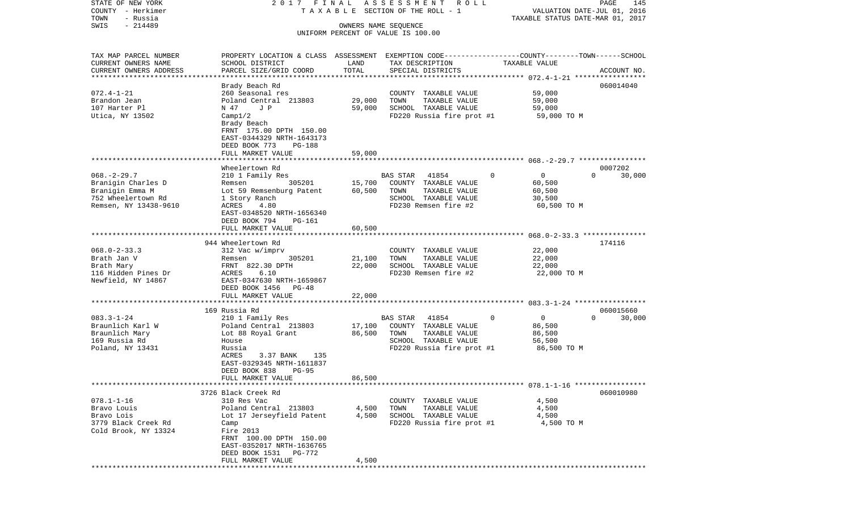COUNTY - Herkimer **T A X A B L E** SECTION OF THE ROLL - 1 VALUATION DATE-JUL 01, 2016 TOWN - Russia TAXABLE STATUS DATE-MAR 01, 2017 SWIS - 214489 OWNERS NAME SEQUENCE UNIFORM PERCENT OF VALUE IS 100.00TAX MAP PARCEL NUMBER PROPERTY LOCATION & CLASS ASSESSMENT EXEMPTION CODE------------------COUNTY--------TOWN------SCHOOL CURRENT OWNERS NAME SCHOOL DISTRICT LAND TAX DESCRIPTION TAXABLE VALUECURRENT OWNERS ADDRESS PARCEL SIZE/GRID COORD TOTAL SPECIAL DISTRICTS ACCOUNT NO. \*\*\*\*\*\*\*\*\*\*\*\*\*\*\*\*\*\*\*\*\*\*\*\*\*\*\*\*\*\*\*\*\*\*\*\*\*\*\*\*\*\*\*\*\*\*\*\*\*\*\*\*\*\*\*\*\*\*\*\*\*\*\*\*\*\*\*\*\*\*\*\*\*\*\*\*\*\*\*\*\*\*\*\*\*\*\*\*\*\*\*\*\*\*\*\*\*\*\*\*\*\*\* 072.4-1-21 \*\*\*\*\*\*\*\*\*\*\*\*\*\*\*\*\* Brady Beach Rd 060014040 072.4-1-21 260 Seasonal res COUNTY TAXABLE VALUE 59,000 Brandon Jean Poland Central 213803 29,000 TOWN TAXABLE VALUE 59,000 107 Harter Pl N 47 J P 59,000 SCHOOL TAXABLE VALUE 59,000 Utica, NY 13502 Camp1/2 Camp20 Camp20 Camp3020 Russia fire prot #1 59,000 TO M Brady Beach FRNT 175.00 DPTH 150.00 EAST-0344329 NRTH-1643173 DEED BOOK 773 PG-188FULL MARKET VALUE 59,000 \*\*\*\*\*\*\*\*\*\*\*\*\*\*\*\*\*\*\*\*\*\*\*\*\*\*\*\*\*\*\*\*\*\*\*\*\*\*\*\*\*\*\*\*\*\*\*\*\*\*\*\*\*\*\*\*\*\*\*\*\*\*\*\*\*\*\*\*\*\*\*\*\*\*\*\*\*\*\*\*\*\*\*\*\*\*\*\*\*\*\*\*\*\*\*\*\*\*\*\*\*\*\* 068.-2-29.7 \*\*\*\*\*\*\*\*\*\*\*\*\*\*\*\* Wheelertown Rd 0007202068.-2-29.7 210 1 Family Res BAS STAR 41854 0 0 0 30,000 Branigin Charles D Remsen 305201 15,700 COUNTY TAXABLE VALUE 60,500 Branigin Emma M **M** Lot 59 Remsenburg Patent 60,500 TOWN TAXABLE VALUE 60,500 752 Wheelertown Rd 1 Story Ranch SCHOOL TAXABLE VALUE 30,500 Remsen, NY 13438-9610 ACRES 4.80 **FD230** Remsen fire #2 60,500 TO M EAST-0348520 NRTH-1656340 DEED BOOK 794 PG-161FULL MARKET VALUE 60,500 \*\*\*\*\*\*\*\*\*\*\*\*\*\*\*\*\*\*\*\*\*\*\*\*\*\*\*\*\*\*\*\*\*\*\*\*\*\*\*\*\*\*\*\*\*\*\*\*\*\*\*\*\*\*\*\*\*\*\*\*\*\*\*\*\*\*\*\*\*\*\*\*\*\*\*\*\*\*\*\*\*\*\*\*\*\*\*\*\*\*\*\*\*\*\*\*\*\*\*\*\*\*\* 068.0-2-33.3 \*\*\*\*\*\*\*\*\*\*\*\*\*\*\*944 Wheelertown Rd 174116 068.0-2-33.3 312 Vac w/imprv COUNTY TAXABLE VALUE 22,000 Brath Jan V Remsen 305201 21,100 TOWN TAXABLE VALUE 22,000 Brath Mary **FRNT 822.30 DPTH** 22,000 SCHOOL TAXABLE VALUE 22,000 116 Hidden Pines Dr ACRES 6.10 FD230 Remsen fire #2 22,000 TO M Newfield, NY 14867 EAST-0347630 NRTH-1659867 DEED BOOK 1456 PG-48 FULL MARKET VALUE 22,000 \*\*\*\*\*\*\*\*\*\*\*\*\*\*\*\*\*\*\*\*\*\*\*\*\*\*\*\*\*\*\*\*\*\*\*\*\*\*\*\*\*\*\*\*\*\*\*\*\*\*\*\*\*\*\*\*\*\*\*\*\*\*\*\*\*\*\*\*\*\*\*\*\*\*\*\*\*\*\*\*\*\*\*\*\*\*\*\*\*\*\*\*\*\*\*\*\*\*\*\*\*\*\* 083.3-1-24 \*\*\*\*\*\*\*\*\*\*\*\*\*\*\*\*\* 169 Russia Rd 060015660083.3-1-24 210 1 Family Res BAS STAR 41854 0 0 0 30,000 Braunlich Karl W **Poland Central 213803** 17,100 COUNTY TAXABLE VALUE 86,500 Braunlich Mary 66,500 Lot 88 Royal Grant 66,500 TOWN TAXABLE VALUE 86,500 POWN 169 Russia Rd House SCHOOL TAXABLE VALUE 56,500 Poland, NY 13431 Russia Russia Russia Russia FD220 Russia fire prot #1 86,500 TO M 3.37 BANK 135 EAST-0329345 NRTH-1611837 DEED BOOK 838 PG-95FULL MARKET VALUE 86,500 \*\*\*\*\*\*\*\*\*\*\*\*\*\*\*\*\*\*\*\*\*\*\*\*\*\*\*\*\*\*\*\*\*\*\*\*\*\*\*\*\*\*\*\*\*\*\*\*\*\*\*\*\*\*\*\*\*\*\*\*\*\*\*\*\*\*\*\*\*\*\*\*\*\*\*\*\*\*\*\*\*\*\*\*\*\*\*\*\*\*\*\*\*\*\*\*\*\*\*\*\*\*\* 078.1-1-16 \*\*\*\*\*\*\*\*\*\*\*\*\*\*\*\*\* 3726 Black Creek Rd 060010980078.1-1-16 310 Res Vac COUNTY TAXABLE VALUE 4,500 Bravo Louis Poland Central 213803 4,500 TOWN TAXABLE VALUE 4,500 Bravo Lois **Lot 17 Jerseyfield Patent** 4,500 SCHOOL TAXABLE VALUE 4,500 3779 Black Creek Rd Camp Camp Camp FD220 Russia fire prot #1 4,500 TO M Cold Brook, NY 13324 Fire 2013 FRNT 100.00 DPTH 150.00 EAST-0352017 NRTH-1636765 DEED BOOK 1531 PG-772FULL MARKET VALUE 4,500 \*\*\*\*\*\*\*\*\*\*\*\*\*\*\*\*\*\*\*\*\*\*\*\*\*\*\*\*\*\*\*\*\*\*\*\*\*\*\*\*\*\*\*\*\*\*\*\*\*\*\*\*\*\*\*\*\*\*\*\*\*\*\*\*\*\*\*\*\*\*\*\*\*\*\*\*\*\*\*\*\*\*\*\*\*\*\*\*\*\*\*\*\*\*\*\*\*\*\*\*\*\*\*\*\*\*\*\*\*\*\*\*\*\*\*\*\*\*\*\*\*\*\*\*\*\*\*\*\*\*\*\*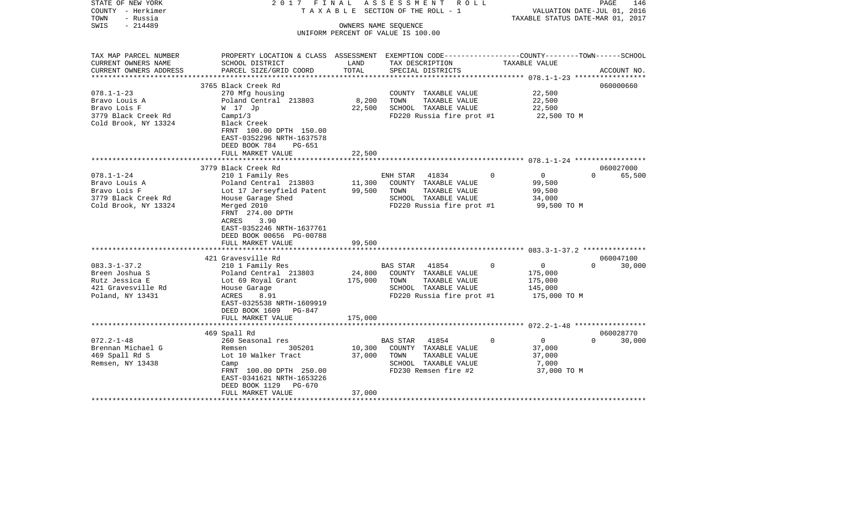| STATE OF NEW YORK<br>COUNTY - Herkimer<br>TOWN<br>- Russia<br>$-214489$<br>SWIS | 2017 FINAL                                                                                     |                   | A S S E S S M E N T R O L L<br>TAXABLE SECTION OF THE ROLL - 1<br>OWNERS NAME SEQUENCE | TAXABLE STATUS DATE-MAR 01, 2017 | PAGE<br>146<br>VALUATION DATE-JUL 01, 2016 |
|---------------------------------------------------------------------------------|------------------------------------------------------------------------------------------------|-------------------|----------------------------------------------------------------------------------------|----------------------------------|--------------------------------------------|
|                                                                                 |                                                                                                |                   | UNIFORM PERCENT OF VALUE IS 100.00                                                     |                                  |                                            |
|                                                                                 |                                                                                                |                   |                                                                                        |                                  |                                            |
| TAX MAP PARCEL NUMBER                                                           | PROPERTY LOCATION & CLASS ASSESSMENT EXEMPTION CODE---------------COUNTY-------TOWN-----SCHOOL |                   |                                                                                        |                                  |                                            |
| CURRENT OWNERS NAME<br>CURRENT OWNERS ADDRESS                                   | SCHOOL DISTRICT                                                                                | LAND<br>TOTAL     | TAX DESCRIPTION                                                                        | TAXABLE VALUE                    | ACCOUNT NO.                                |
| **********************                                                          | PARCEL SIZE/GRID COORD                                                                         |                   | SPECIAL DISTRICTS                                                                      |                                  |                                            |
|                                                                                 | 3765 Black Creek Rd                                                                            |                   |                                                                                        |                                  | 060000660                                  |
| $078.1 - 1 - 23$                                                                | 270 Mfg housing                                                                                |                   | COUNTY TAXABLE VALUE                                                                   | 22,500                           |                                            |
| Bravo Louis A                                                                   | Poland Central 213803                                                                          | 8,200             | TOWN<br>TAXABLE VALUE                                                                  | 22,500                           |                                            |
| Bravo Lois F                                                                    | W 17 Jp                                                                                        | 22,500            | SCHOOL TAXABLE VALUE                                                                   | 22,500                           |                                            |
| 3779 Black Creek Rd                                                             | Campl/3                                                                                        |                   | FD220 Russia fire prot #1                                                              | 22,500 TO M                      |                                            |
| Cold Brook, NY 13324                                                            | Black Creek<br>FRNT 100.00 DPTH 150.00                                                         |                   |                                                                                        |                                  |                                            |
|                                                                                 | EAST-0352296 NRTH-1637578                                                                      |                   |                                                                                        |                                  |                                            |
|                                                                                 | DEED BOOK 784<br>$PG-651$                                                                      |                   |                                                                                        |                                  |                                            |
|                                                                                 | FULL MARKET VALUE                                                                              | 22,500            |                                                                                        |                                  |                                            |
|                                                                                 |                                                                                                |                   |                                                                                        |                                  |                                            |
|                                                                                 | 3779 Black Creek Rd                                                                            |                   |                                                                                        |                                  | 060027000                                  |
| $078.1 - 1 - 24$                                                                | 210 1 Family Res                                                                               |                   | ENH STAR 41834                                                                         | $\circ$<br>$\overline{0}$        | $\Omega$<br>65,500                         |
| Bravo Louis A                                                                   | Poland Central 213803                                                                          | 11,300            | COUNTY TAXABLE VALUE                                                                   | 99,500                           |                                            |
| Bravo Lois F                                                                    | Lot 17 Jerseyfield Patent                                                                      | 99,500            | TAXABLE VALUE<br>TOWN                                                                  | 99,500                           |                                            |
| 3779 Black Creek Rd<br>Cold Brook, NY 13324                                     | House Garage Shed                                                                              |                   | SCHOOL TAXABLE VALUE<br>FD220 Russia fire prot #1                                      | 34,000                           |                                            |
|                                                                                 | Merged 2010<br>FRNT 274.00 DPTH                                                                |                   |                                                                                        | 99,500 TO M                      |                                            |
|                                                                                 | ACRES<br>3.90                                                                                  |                   |                                                                                        |                                  |                                            |
|                                                                                 | EAST-0352246 NRTH-1637761                                                                      |                   |                                                                                        |                                  |                                            |
|                                                                                 | DEED BOOK 00656 PG-00788                                                                       |                   |                                                                                        |                                  |                                            |
|                                                                                 | FULL MARKET VALUE                                                                              | 99,500            |                                                                                        |                                  |                                            |
|                                                                                 |                                                                                                |                   |                                                                                        |                                  |                                            |
|                                                                                 | 421 Gravesville Rd                                                                             |                   |                                                                                        |                                  | 060047100<br>$\Omega$                      |
| $083.3 - 1 - 37.2$                                                              | 210 1 Family Res                                                                               |                   | <b>BAS STAR</b><br>41854                                                               | $\overline{0}$<br>$\mathbf 0$    | 30,000                                     |
| Breen Joshua S<br>Rutz Jessica E                                                | Poland Central 213803<br>Lot 69 Royal Grant                                                    | 24,800<br>175,000 | COUNTY TAXABLE VALUE<br>TOWN<br>TAXABLE VALUE                                          | 175,000<br>175,000               |                                            |
| 421 Gravesville Rd                                                              | House Garage                                                                                   |                   | SCHOOL TAXABLE VALUE                                                                   | 145,000                          |                                            |
| Poland, NY 13431                                                                | ACRES<br>8.91                                                                                  |                   | FD220 Russia fire prot #1                                                              | 175,000 TO M                     |                                            |
|                                                                                 | EAST-0325538 NRTH-1609919                                                                      |                   |                                                                                        |                                  |                                            |
|                                                                                 | DEED BOOK 1609 PG-847                                                                          |                   |                                                                                        |                                  |                                            |
|                                                                                 | FULL MARKET VALUE                                                                              | 175,000           |                                                                                        |                                  |                                            |
|                                                                                 |                                                                                                |                   |                                                                                        |                                  |                                            |
|                                                                                 | 469 Spall Rd                                                                                   |                   |                                                                                        |                                  | 060028770<br>$\Omega$                      |
| $072.2 - 1 - 48$                                                                | 260 Seasonal res<br>305201                                                                     |                   | 41854<br>BAS STAR                                                                      | $\mathbf 0$<br>$\overline{0}$    | 30,000                                     |
| Brennan Michael G<br>469 Spall Rd S                                             | Remsen<br>Lot 10 Walker Tract                                                                  | 10,300<br>37,000  | COUNTY TAXABLE VALUE<br>TOWN<br>TAXABLE VALUE                                          | 37,000<br>37,000                 |                                            |
| Remsen, NY 13438                                                                | Camp                                                                                           |                   | SCHOOL TAXABLE VALUE                                                                   | 7,000                            |                                            |
|                                                                                 | FRNT 100.00 DPTH 250.00                                                                        |                   | FD230 Remsen fire #2                                                                   | 37,000 TO M                      |                                            |
|                                                                                 | EAST-0341621 NRTH-1653226                                                                      |                   |                                                                                        |                                  |                                            |
|                                                                                 | DEED BOOK 1129<br>PG-670                                                                       |                   |                                                                                        |                                  |                                            |
|                                                                                 | FULL MARKET VALUE                                                                              | 37,000            |                                                                                        |                                  |                                            |
|                                                                                 |                                                                                                |                   |                                                                                        |                                  |                                            |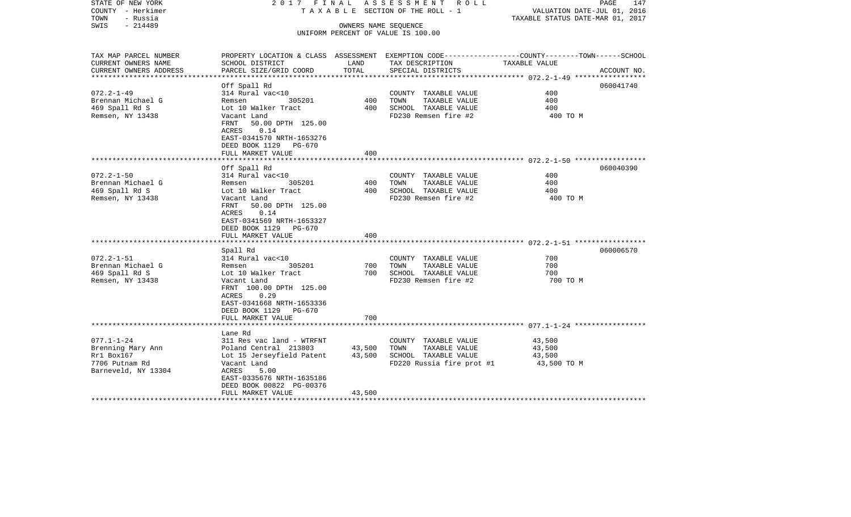| STATE OF NEW YORK<br>COUNTY - Herkimer<br>TOWN<br>- Russia | 2017 FINAL                                 |        | A S S E S S M E N T R O L L<br>TAXABLE SECTION OF THE ROLL - 1                                  | VALUATION DATE-JUL 01, 2016<br>TAXABLE STATUS DATE-MAR 01, 2017 | PAGE<br>147 |
|------------------------------------------------------------|--------------------------------------------|--------|-------------------------------------------------------------------------------------------------|-----------------------------------------------------------------|-------------|
| $-214489$<br>SWIS                                          |                                            |        | OWNERS NAME SEQUENCE                                                                            |                                                                 |             |
|                                                            |                                            |        | UNIFORM PERCENT OF VALUE IS 100.00                                                              |                                                                 |             |
|                                                            |                                            |        |                                                                                                 |                                                                 |             |
| TAX MAP PARCEL NUMBER                                      |                                            |        | PROPERTY LOCATION & CLASS ASSESSMENT EXEMPTION CODE---------------COUNTY-------TOWN------SCHOOL |                                                                 |             |
| CURRENT OWNERS NAME                                        | SCHOOL DISTRICT                            | LAND   | TAX DESCRIPTION                                                                                 | TAXABLE VALUE                                                   |             |
| CURRENT OWNERS ADDRESS                                     | PARCEL SIZE/GRID COORD                     | TOTAL  | SPECIAL DISTRICTS                                                                               |                                                                 | ACCOUNT NO. |
| ***********************                                    |                                            |        |                                                                                                 |                                                                 |             |
|                                                            | Off Spall Rd                               |        |                                                                                                 |                                                                 | 060041740   |
| $072.2 - 1 - 49$                                           | 314 Rural vac<10<br>305201                 |        | COUNTY TAXABLE VALUE                                                                            | 400<br>400                                                      |             |
| Brennan Michael G                                          | Remsen                                     | 400    | TAXABLE VALUE<br>TOWN                                                                           |                                                                 |             |
| 469 Spall Rd S                                             | Lot 10 Walker Tract                        | 400    | SCHOOL TAXABLE VALUE                                                                            | 400                                                             |             |
| Remsen, NY 13438                                           | Vacant Land                                |        | FD230 Remsen fire #2                                                                            | 400 TO M                                                        |             |
|                                                            | FRNT<br>50.00 DPTH 125.00                  |        |                                                                                                 |                                                                 |             |
|                                                            | ACRES<br>0.14                              |        |                                                                                                 |                                                                 |             |
|                                                            | EAST-0341570 NRTH-1653276                  |        |                                                                                                 |                                                                 |             |
|                                                            | DEED BOOK 1129 PG-670<br>FULL MARKET VALUE | 400    |                                                                                                 |                                                                 |             |
|                                                            |                                            |        |                                                                                                 |                                                                 |             |
|                                                            | Off Spall Rd                               |        |                                                                                                 |                                                                 | 060040390   |
| $072.2 - 1 - 50$                                           | 314 Rural vac<10                           |        | COUNTY TAXABLE VALUE                                                                            | 400                                                             |             |
| Brennan Michael G                                          | 305201<br>Remsen                           | 400    | TOWN<br>TAXABLE VALUE                                                                           | 400                                                             |             |
| 469 Spall Rd S                                             | Lot 10 Walker Tract                        | 400    | SCHOOL TAXABLE VALUE                                                                            | 400                                                             |             |
| Remsen, NY 13438                                           | Vacant Land                                |        | FD230 Remsen fire #2                                                                            | 400 TO M                                                        |             |
|                                                            | FRNT<br>50.00 DPTH 125.00                  |        |                                                                                                 |                                                                 |             |
|                                                            | 0.14<br>ACRES                              |        |                                                                                                 |                                                                 |             |
|                                                            | EAST-0341569 NRTH-1653327                  |        |                                                                                                 |                                                                 |             |
|                                                            | DEED BOOK 1129<br>PG-670                   |        |                                                                                                 |                                                                 |             |
|                                                            | FULL MARKET VALUE                          | 400    |                                                                                                 |                                                                 |             |
|                                                            |                                            |        |                                                                                                 |                                                                 |             |
|                                                            | Spall Rd                                   |        |                                                                                                 |                                                                 | 060006570   |
| $072.2 - 1 - 51$                                           | 314 Rural vac<10                           |        | COUNTY TAXABLE VALUE                                                                            | 700                                                             |             |
| Brennan Michael G                                          | 305201<br>Remsen                           | 700    | TAXABLE VALUE<br>TOWN                                                                           | 700                                                             |             |
| 469 Spall Rd S                                             | Lot 10 Walker Tract                        | 700    | SCHOOL TAXABLE VALUE                                                                            | 700                                                             |             |
| Remsen, NY 13438                                           | Vacant Land                                |        | FD230 Remsen fire #2                                                                            | 700 TO M                                                        |             |
|                                                            | FRNT 100.00 DPTH 125.00                    |        |                                                                                                 |                                                                 |             |
|                                                            | ACRES<br>0.29                              |        |                                                                                                 |                                                                 |             |
|                                                            | EAST-0341668 NRTH-1653336                  |        |                                                                                                 |                                                                 |             |
|                                                            | DEED BOOK 1129 PG-670                      |        |                                                                                                 |                                                                 |             |
|                                                            | FULL MARKET VALUE                          | 700    |                                                                                                 |                                                                 |             |
|                                                            |                                            |        |                                                                                                 |                                                                 |             |
|                                                            | Lane Rd                                    |        |                                                                                                 |                                                                 |             |
| $077.1 - 1 - 24$                                           | 311 Res vac land - WTRFNT                  |        | COUNTY TAXABLE VALUE                                                                            | 43,500                                                          |             |
| Brenning Mary Ann                                          | Poland Central 213803                      | 43,500 | TOWN<br>TAXABLE VALUE                                                                           | 43,500                                                          |             |
| Rr1 Box167                                                 | Lot 15 Jerseyfield Patent                  | 43,500 | SCHOOL TAXABLE VALUE                                                                            | 43,500                                                          |             |
| 7706 Putnam Rd                                             | Vacant Land                                |        | FD220 Russia fire prot #1                                                                       | 43,500 TO M                                                     |             |
| Barneveld, NY 13304                                        | ACRES<br>5.00                              |        |                                                                                                 |                                                                 |             |
|                                                            | EAST-0335676 NRTH-1635186                  |        |                                                                                                 |                                                                 |             |
|                                                            | DEED BOOK 00822 PG-00376                   |        |                                                                                                 |                                                                 |             |
| *********************                                      | FULL MARKET VALUE<br>*******************   | 43,500 |                                                                                                 |                                                                 |             |
|                                                            |                                            |        |                                                                                                 |                                                                 |             |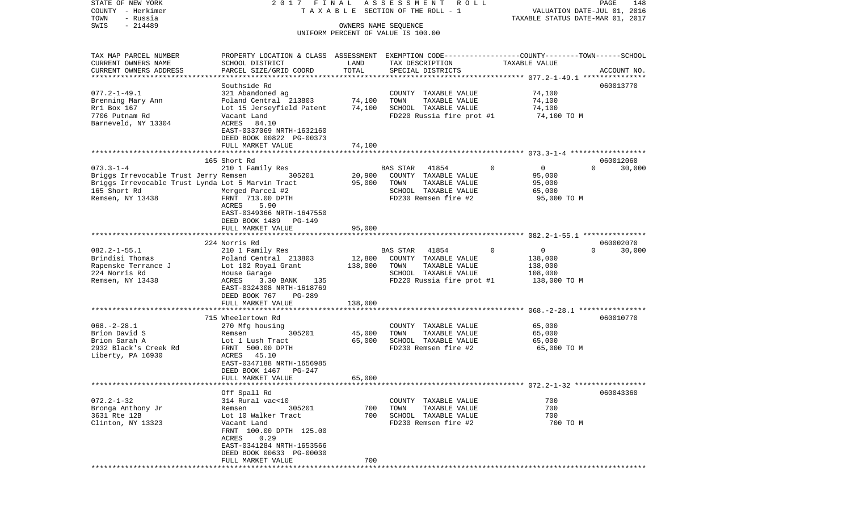COUNTY - Herkimer **T A X A B L E** SECTION OF THE ROLL - 1 VALUATION DATE-JUL 01, 2016 TOWN - Russia TAXABLE STATUS DATE-MAR 01, 2017 SWIS - 214489 OWNERS NAME SEQUENCE UNIFORM PERCENT OF VALUE IS 100.00TAX MAP PARCEL NUMBER PROPERTY LOCATION & CLASS ASSESSMENT EXEMPTION CODE------------------COUNTY--------TOWN------SCHOOL CURRENT OWNERS NAME SCHOOL DISTRICT LAND TAX DESCRIPTION TAXABLE VALUECURRENT OWNERS ADDRESS PARCEL SIZE/GRID COORD TOTAL SPECIAL DISTRICTS ACCOUNT NO. \*\*\*\*\*\*\*\*\*\*\*\*\*\*\*\*\*\*\*\*\*\*\*\*\*\*\*\*\*\*\*\*\*\*\*\*\*\*\*\*\*\*\*\*\*\*\*\*\*\*\*\*\*\*\*\*\*\*\*\*\*\*\*\*\*\*\*\*\*\*\*\*\*\*\*\*\*\*\*\*\*\*\*\*\*\*\*\*\*\*\*\*\*\*\*\*\*\*\*\*\*\*\* 077.2-1-49.1 \*\*\*\*\*\*\*\*\*\*\*\*\*\*\*Southside Rd 060013770 077.2-1-49.1 321 Abandoned ag COUNTY TAXABLE VALUE 74,100 Brenning Mary Ann **Poland Central 213803** 74,100 TOWN TAXABLE VALUE 74,100 Rr1 Box 167 **Lot 15 Jerseyfield Patent** 74,100 SCHOOL TAXABLE VALUE 74,100 7706 Putnam Rd Vacant Land FD220 Russia fire prot #1 74,100 TO M Barneveld, NY 13304 ACRES 84.10 EAST-0337069 NRTH-1632160 DEED BOOK 00822 PG-00373 FULL MARKET VALUE 74,100 \*\*\*\*\*\*\*\*\*\*\*\*\*\*\*\*\*\*\*\*\*\*\*\*\*\*\*\*\*\*\*\*\*\*\*\*\*\*\*\*\*\*\*\*\*\*\*\*\*\*\*\*\*\*\*\*\*\*\*\*\*\*\*\*\*\*\*\*\*\*\*\*\*\*\*\*\*\*\*\*\*\*\*\*\*\*\*\*\*\*\*\*\*\*\*\*\*\*\*\*\*\*\* 073.3-1-4 \*\*\*\*\*\*\*\*\*\*\*\*\*\*\*\*\*\* 165 Short Rd 060012060073.3-1-4 210 1 Family Res BAS STAR 41854 0 0 0 30,000 Briggs Irrevocable Trust Jerry Remsen 305201 20,900 COUNTY TAXABLE VALUE 95,000 Briggs Irrevocable Trust Lynda Lot 5 Marvin Tract 95,000 TOWN TAXABLE VALUE 95,000 165 Short Rd Merged Parcel #2 SCHOOL TAXABLE VALUE 65,000 Remsen, NY 13438 FRNT 713.00 DPTH FD230 Remsen fire #2 95,000 TO M ACRES 5.90 EAST-0349366 NRTH-1647550 DEED BOOK 1489 PG-149FULL MARKET VALUE 95,000 \*\*\*\*\*\*\*\*\*\*\*\*\*\*\*\*\*\*\*\*\*\*\*\*\*\*\*\*\*\*\*\*\*\*\*\*\*\*\*\*\*\*\*\*\*\*\*\*\*\*\*\*\*\*\*\*\*\*\*\*\*\*\*\*\*\*\*\*\*\*\*\*\*\*\*\*\*\*\*\*\*\*\*\*\*\*\*\*\*\*\*\*\*\*\*\*\*\*\*\*\*\*\* 082.2-1-55.1 \*\*\*\*\*\*\*\*\*\*\*\*\*\*\* 224 Norris Rd 060002070082.2-1-55.1 210 1 Family Res BAS STAR 41854 0 0 0 30,000 Brindisi Thomas Poland Central 213803 12,800 COUNTY TAXABLE VALUE 138,000 Rapenske Terrance J Lot 102 Royal Grant 138,000 TOWN TAXABLE VALUE 138,000 224 Norris Rd House Garage SCHOOL TAXABLE VALUE 108,000 Remsen, NY 13438 68 ACRES 3.30 BANK 135 68 FD220 Russia fire prot #1 138,000 TO M EAST-0324308 NRTH-1618769 DEED BOOK 767 PG-289FULL MARKET VALUE 138,000 \*\*\*\*\*\*\*\*\*\*\*\*\*\*\*\*\*\*\*\*\*\*\*\*\*\*\*\*\*\*\*\*\*\*\*\*\*\*\*\*\*\*\*\*\*\*\*\*\*\*\*\*\*\*\*\*\*\*\*\*\*\*\*\*\*\*\*\*\*\*\*\*\*\*\*\*\*\*\*\*\*\*\*\*\*\*\*\*\*\*\*\*\*\*\*\*\*\*\*\*\*\*\* 068.-2-28.1 \*\*\*\*\*\*\*\*\*\*\*\*\*\*\*\* 715 Wheelertown Rd 060010770068.-2-28.1 270 Mfg housing COUNTY TAXABLE VALUE 65,000 Brion David S **Remsen** 305201 45,000 TOWN TAXABLE VALUE 65,000 Brion Sarah A **Lot 1 Lush Tract** 65,000 SCHOOL TAXABLE VALUE 65,000 2932 Black's Creek Rd FRNT 500.00 DPTH FD230 Remsen fire #2 65,000 TO M Liberty, PA 16930 ACRES 45.10 EAST-0347188 NRTH-1656985 DEED BOOK 1467 PG-247FULL MARKET VALUE 65,000 \*\*\*\*\*\*\*\*\*\*\*\*\*\*\*\*\*\*\*\*\*\*\*\*\*\*\*\*\*\*\*\*\*\*\*\*\*\*\*\*\*\*\*\*\*\*\*\*\*\*\*\*\*\*\*\*\*\*\*\*\*\*\*\*\*\*\*\*\*\*\*\*\*\*\*\*\*\*\*\*\*\*\*\*\*\*\*\*\*\*\*\*\*\*\*\*\*\*\*\*\*\*\* 072.2-1-32 \*\*\*\*\*\*\*\*\*\*\*\*\*\*\*\*\* Off Spall Rd 060043360 072.2-1-32 314 Rural vac<10 COUNTY TAXABLE VALUE 700Bronga Anthony Jr Remsen 305201 700 TOWN TAXABLE VALUE 700 3631 Rte 12B Lot 10 Walker Tract 700 SCHOOL TAXABLE VALUE 700Clinton, NY 13323 Vacant Land FD230 Remsen fire #2 700 TO M FRNT 100.00 DPTH 125.00 ACRES 0.29 EAST-0341284 NRTH-1653566 DEED BOOK 00633 PG-00030FULL MARKET VALUE 700 \*\*\*\*\*\*\*\*\*\*\*\*\*\*\*\*\*\*\*\*\*\*\*\*\*\*\*\*\*\*\*\*\*\*\*\*\*\*\*\*\*\*\*\*\*\*\*\*\*\*\*\*\*\*\*\*\*\*\*\*\*\*\*\*\*\*\*\*\*\*\*\*\*\*\*\*\*\*\*\*\*\*\*\*\*\*\*\*\*\*\*\*\*\*\*\*\*\*\*\*\*\*\*\*\*\*\*\*\*\*\*\*\*\*\*\*\*\*\*\*\*\*\*\*\*\*\*\*\*\*\*\*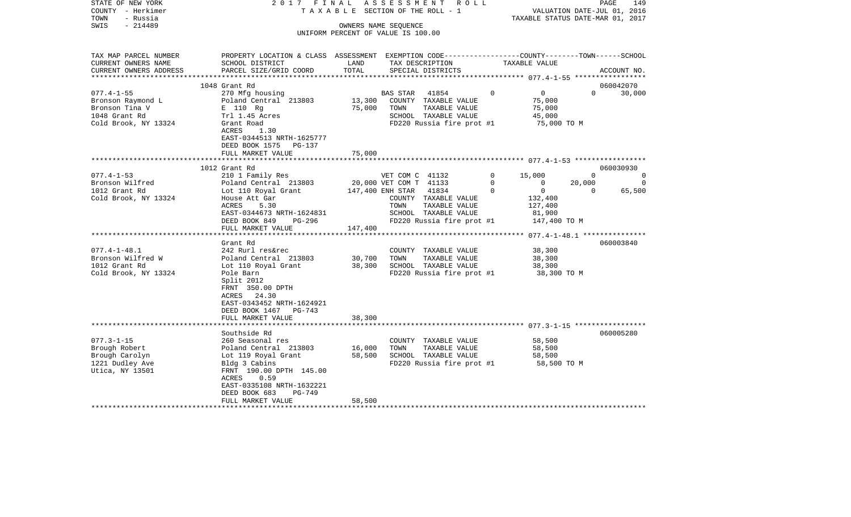| STATE OF NEW YORK<br>COUNTY - Herkimer<br>- Russia<br>TOWN<br>$-214489$<br>SWIS                                                                                                               | 2017 FINAL                                                                                                                                                                                                                                                                                                                                                                                              |                             | ASSESSMENT ROLL<br>TAXABLE SECTION OF THE ROLL - 1<br>OWNERS NAME SEQUENCE<br>UNIFORM PERCENT OF VALUE IS 100.00                                                                                                                                                                                                    |                              | VALUATION DATE-JUL 01, 2016<br>TAXABLE STATUS DATE-MAR 01, 2017                                                                                                                  |                                    | PAGE<br>149                                       |
|-----------------------------------------------------------------------------------------------------------------------------------------------------------------------------------------------|---------------------------------------------------------------------------------------------------------------------------------------------------------------------------------------------------------------------------------------------------------------------------------------------------------------------------------------------------------------------------------------------------------|-----------------------------|---------------------------------------------------------------------------------------------------------------------------------------------------------------------------------------------------------------------------------------------------------------------------------------------------------------------|------------------------------|----------------------------------------------------------------------------------------------------------------------------------------------------------------------------------|------------------------------------|---------------------------------------------------|
|                                                                                                                                                                                               |                                                                                                                                                                                                                                                                                                                                                                                                         |                             |                                                                                                                                                                                                                                                                                                                     |                              |                                                                                                                                                                                  |                                    |                                                   |
| TAX MAP PARCEL NUMBER<br>CURRENT OWNERS NAME<br>CURRENT OWNERS ADDRESS<br>***********************                                                                                             | PROPERTY LOCATION & CLASS ASSESSMENT EXEMPTION CODE---------------COUNTY-------TOWN------SCHOOL<br>SCHOOL DISTRICT<br>PARCEL SIZE/GRID COORD                                                                                                                                                                                                                                                            | LAND<br>TOTAL               | TAX DESCRIPTION<br>SPECIAL DISTRICTS                                                                                                                                                                                                                                                                                |                              | TAXABLE VALUE                                                                                                                                                                    |                                    | ACCOUNT NO.                                       |
|                                                                                                                                                                                               | 1048 Grant Rd                                                                                                                                                                                                                                                                                                                                                                                           |                             |                                                                                                                                                                                                                                                                                                                     |                              |                                                                                                                                                                                  |                                    | 060042070                                         |
| $077.4 - 1 - 55$<br>Bronson Raymond L<br>Bronson Tina V<br>1048 Grant Rd<br>Cold Brook, NY 13324                                                                                              | 270 Mfg housing<br>Poland Central 213803<br>E 110 Rg<br>Trl 1.45 Acres<br>Grant Road<br>ACRES<br>1.30<br>EAST-0344513 NRTH-1625777<br>DEED BOOK 1575 PG-137                                                                                                                                                                                                                                             | 13,300<br>75,000            | <b>BAS STAR</b><br>41854<br>COUNTY TAXABLE VALUE<br>TOWN<br>TAXABLE VALUE<br>SCHOOL TAXABLE VALUE<br>FD220 Russia fire prot #1                                                                                                                                                                                      | $\Omega$                     | $\overline{0}$<br>75,000<br>75,000<br>45,000<br>75,000 TO M                                                                                                                      | $\Omega$                           | 30,000                                            |
|                                                                                                                                                                                               | FULL MARKET VALUE                                                                                                                                                                                                                                                                                                                                                                                       | 75,000                      |                                                                                                                                                                                                                                                                                                                     |                              |                                                                                                                                                                                  |                                    |                                                   |
|                                                                                                                                                                                               |                                                                                                                                                                                                                                                                                                                                                                                                         | *******                     |                                                                                                                                                                                                                                                                                                                     |                              |                                                                                                                                                                                  |                                    |                                                   |
| $077.4 - 1 - 53$<br>Bronson Wilfred<br>1012 Grant Rd<br>Cold Brook, NY 13324<br>*************************<br>$077.4 - 1 - 48.1$<br>Bronson Wilfred W<br>1012 Grant Rd<br>Cold Brook, NY 13324 | 1012 Grant Rd<br>210 1 Family Res<br>Poland Central 213803<br>Lot 110 Royal Grant<br>House Att Gar<br>ACRES<br>5.30<br>EAST-0344673 NRTH-1624831<br>DEED BOOK 849<br>PG-296<br>FULL MARKET VALUE<br>************************<br>Grant Rd<br>242 Rurl res&rec<br>Poland Central 213803<br>Lot 110 Royal Grant<br>Pole Barn<br>Split 2012<br>FRNT 350.00 DPTH<br>ACRES 24.30<br>EAST-0343452 NRTH-1624921 | 147,400<br>30,700<br>38,300 | VET COM C 41132<br>20,000 VET COM T 41133<br>147,400 ENH STAR 41834<br>COUNTY TAXABLE VALUE<br>TAXABLE VALUE<br>TOWN<br>SCHOOL TAXABLE VALUE<br>FD220 Russia fire prot #1<br>********************************<br>COUNTY TAXABLE VALUE<br>TAXABLE VALUE<br>TOWN<br>SCHOOL TAXABLE VALUE<br>FD220 Russia fire prot #1 | 0<br>$\Omega$<br>$\mathbf 0$ | 15,000<br>$\Omega$<br>$\overline{0}$<br>132,400<br>127,400<br>81,900<br>147,400 TO M<br>************* 077.4-1-48.1 ****************<br>38,300<br>38,300<br>38,300<br>38,300 TO M | $\mathbf{0}$<br>20,000<br>$\Omega$ | 060030930<br>0<br>$\Omega$<br>65,500<br>060003840 |
|                                                                                                                                                                                               | DEED BOOK 1467 PG-743<br>FULL MARKET VALUE                                                                                                                                                                                                                                                                                                                                                              | 38,300                      |                                                                                                                                                                                                                                                                                                                     |                              |                                                                                                                                                                                  |                                    |                                                   |
|                                                                                                                                                                                               |                                                                                                                                                                                                                                                                                                                                                                                                         |                             |                                                                                                                                                                                                                                                                                                                     |                              |                                                                                                                                                                                  |                                    |                                                   |
| $077.3 - 1 - 15$<br>Brough Robert<br>Brough Carolyn<br>1221 Dudley Ave<br>Utica, NY 13501                                                                                                     | Southside Rd<br>260 Seasonal res<br>Poland Central 213803<br>Lot 119 Royal Grant<br>Bldg 3 Cabins<br>FRNT 190.00 DPTH 145.00<br>ACRES<br>0.59<br>EAST-0335108 NRTH-1632221<br>DEED BOOK 683<br>PG-749                                                                                                                                                                                                   | 16,000<br>58,500            | COUNTY TAXABLE VALUE<br>TOWN<br>TAXABLE VALUE<br>SCHOOL TAXABLE VALUE<br>FD220 Russia fire prot #1                                                                                                                                                                                                                  |                              | 58,500<br>58,500<br>58,500<br>58,500 TO M                                                                                                                                        |                                    | 060005280                                         |
|                                                                                                                                                                                               | FULL MARKET VALUE                                                                                                                                                                                                                                                                                                                                                                                       | 58,500                      |                                                                                                                                                                                                                                                                                                                     |                              |                                                                                                                                                                                  |                                    |                                                   |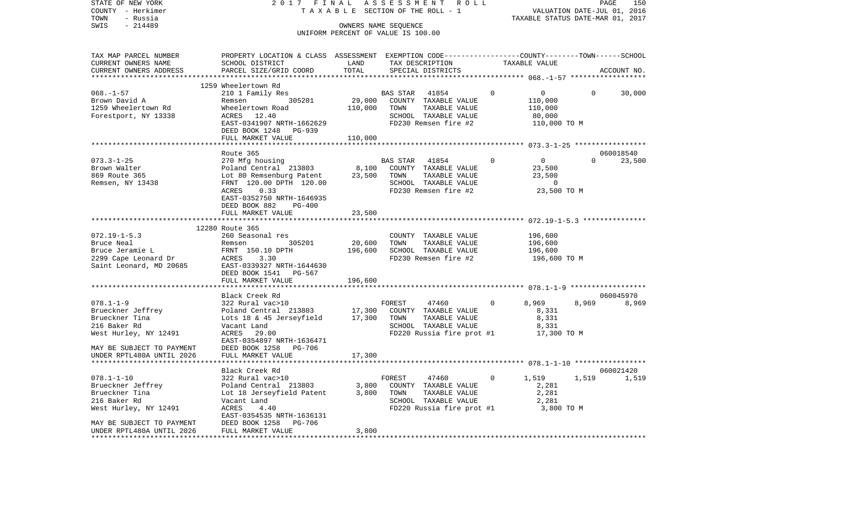| VALUATION DATE-JUL 01, 2016<br>TAXABLE SECTION OF THE ROLL - 1<br>TAXABLE STATUS DATE-MAR 01, 2017<br>TOWN<br>- Russia<br>SWIS<br>$-214489$<br>OWNERS NAME SEQUENCE<br>UNIFORM PERCENT OF VALUE IS 100.00<br>TAX MAP PARCEL NUMBER<br>PROPERTY LOCATION & CLASS ASSESSMENT EXEMPTION CODE--------------COUNTY-------TOWN-----SCHOOL<br>TAX DESCRIPTION<br>TAXABLE VALUE<br>CURRENT OWNERS NAME<br>SCHOOL DISTRICT<br>LAND<br>CURRENT OWNERS ADDRESS<br>PARCEL SIZE/GRID COORD<br>TOTAL<br>SPECIAL DISTRICTS<br>ACCOUNT NO.<br>*******************<br>1259 Wheelertown Rd<br>$068. - 1 - 57$<br>210 1 Family Res<br>BAS STAR 41854<br>$\overline{0}$<br>$\overline{0}$<br>$\mathbf{0}$<br>30,000<br>305201<br>29,000 COUNTY TAXABLE VALUE<br>Brown David A<br>110,000<br>Remsen<br>Wheelertown Road<br>110,000<br>TOWN<br>1259 Wheelertown Rd<br>TAXABLE VALUE<br>110,000<br>Forestport, NY 13338<br>12.40<br>SCHOOL TAXABLE VALUE<br>80,000<br>ACRES<br>EAST-0341907 NRTH-1662629<br>FD230 Remsen fire #2<br>110,000 TO M<br>DEED BOOK 1248 PG-939<br>FULL MARKET VALUE<br>110,000<br>Route 365<br>060018540<br>$\overline{0}$<br>$073.3 - 1 - 25$<br>$0 \qquad \qquad$<br>23,500<br>270 Mfg housing<br>BAS STAR 41854<br>$\overline{0}$<br>Poland Central 213803<br>8,100<br>23,500<br>Brown Walter<br>COUNTY TAXABLE VALUE<br>869 Route 365<br>Lot 80 Remsenburg Patent<br>23,500<br>TAXABLE VALUE<br>TOWN<br>23,500<br>Remsen, NY 13438<br>FRNT 120.00 DPTH 120.00<br>SCHOOL TAXABLE VALUE<br>$\overline{0}$<br>23,500 TO M<br>0.33<br>FD230 Remsen fire #2<br>ACRES<br>EAST-0352750 NRTH-1646935<br>DEED BOOK 882<br>PG-400<br>FULL MARKET VALUE<br>23,500<br>12280 Route 365<br>$072.19 - 1 - 5.3$<br>196,600<br>260 Seasonal res<br>COUNTY TAXABLE VALUE<br>20,600<br>305201<br>TOWN<br>TAXABLE VALUE<br>196,600<br>Bruce Neal<br>Remsen<br>Bruce Jeramie L<br>FRNT 150.10 DPTH<br>196,600<br>SCHOOL TAXABLE VALUE<br>196,600<br>2299 Cape Leonard Dr<br>FD230 Remsen fire #2<br>ACRES<br>3.30<br>196,600 ТО М<br>Saint Leonard, MD 20685<br>EAST-0339327 NRTH-1644630<br>DEED BOOK 1541 PG-567<br>FULL MARKET VALUE<br>196,600<br>*********************<br>****************************<br>060045970<br>Black Creek Rd<br>$078.1 - 1 - 9$<br>8,969<br>8,969<br>322 Rural vac>10<br>FOREST<br>47460<br>8,969<br>$\Omega$<br>Poland Central 213803<br>17,300<br>Brueckner Jeffrey<br>COUNTY TAXABLE VALUE<br>8,331<br>Lots 18 & 45 Jerseyfield $17,300$<br>Brueckner Tina<br>TOWN<br>TAXABLE VALUE<br>8,331<br>216 Baker Rd<br>SCHOOL TAXABLE VALUE<br>8,331<br>Vacant Land<br>West Hurley, NY 12491<br>ACRES<br>29.00<br>FD220 Russia fire prot #1<br>17,300 TO M<br>EAST-0354897 NRTH-1636471<br>MAY BE SUBJECT TO PAYMENT<br>DEED BOOK 1258 PG-706<br>UNDER RPTL480A UNTIL 2026<br>FULL MARKET VALUE<br>17,300<br>Black Creek Rd<br>060021420<br>$078.1 - 1 - 10$<br>322 Rural vac>10<br>FOREST<br>47460<br>$\mathbf{0}$<br>1,519<br>1,519<br>1,519<br>Poland Central 213803<br>3,800<br>Brueckner Jeffrey<br>COUNTY TAXABLE VALUE<br>2,281<br>Brueckner Tina<br>Lot 18 Jerseyfield Patent<br>3,800<br>TOWN<br>TAXABLE VALUE<br>2,281<br>216 Baker Rd<br>Vacant Land<br>SCHOOL TAXABLE VALUE<br>FD220 Russia fire prot #1 3,800 TO M<br>West Hurley, NY 12491<br>ACRES<br>4.40<br>EAST-0354535 NRTH-1636131<br><b>PG-706</b><br>MAY BE SUBJECT TO PAYMENT<br>DEED BOOK 1258<br>UNDER RPTL480A UNTIL 2026<br>FULL MARKET VALUE<br>3,800 | STATE OF NEW YORK | 2017 FINAL | ASSESSMENT ROLL |  |  |
|------------------------------------------------------------------------------------------------------------------------------------------------------------------------------------------------------------------------------------------------------------------------------------------------------------------------------------------------------------------------------------------------------------------------------------------------------------------------------------------------------------------------------------------------------------------------------------------------------------------------------------------------------------------------------------------------------------------------------------------------------------------------------------------------------------------------------------------------------------------------------------------------------------------------------------------------------------------------------------------------------------------------------------------------------------------------------------------------------------------------------------------------------------------------------------------------------------------------------------------------------------------------------------------------------------------------------------------------------------------------------------------------------------------------------------------------------------------------------------------------------------------------------------------------------------------------------------------------------------------------------------------------------------------------------------------------------------------------------------------------------------------------------------------------------------------------------------------------------------------------------------------------------------------------------------------------------------------------------------------------------------------------------------------------------------------------------------------------------------------------------------------------------------------------------------------------------------------------------------------------------------------------------------------------------------------------------------------------------------------------------------------------------------------------------------------------------------------------------------------------------------------------------------------------------------------------------------------------------------------------------------------------------------------------------------------------------------------------------------------------------------------------------------------------------------------------------------------------------------------------------------------------------------------------------------------------------------------------------------------------------------------------------------------------------------------------------------------------------------------------------------------------------------------------------------------------------------------------------------------------------------------------------------------------------------------------------------------------------------------------------------------------------------------------------------------------|-------------------|------------|-----------------|--|--|
|                                                                                                                                                                                                                                                                                                                                                                                                                                                                                                                                                                                                                                                                                                                                                                                                                                                                                                                                                                                                                                                                                                                                                                                                                                                                                                                                                                                                                                                                                                                                                                                                                                                                                                                                                                                                                                                                                                                                                                                                                                                                                                                                                                                                                                                                                                                                                                                                                                                                                                                                                                                                                                                                                                                                                                                                                                                                                                                                                                                                                                                                                                                                                                                                                                                                                                                                                                                                                                                | COUNTY - Herkimer |            |                 |  |  |
|                                                                                                                                                                                                                                                                                                                                                                                                                                                                                                                                                                                                                                                                                                                                                                                                                                                                                                                                                                                                                                                                                                                                                                                                                                                                                                                                                                                                                                                                                                                                                                                                                                                                                                                                                                                                                                                                                                                                                                                                                                                                                                                                                                                                                                                                                                                                                                                                                                                                                                                                                                                                                                                                                                                                                                                                                                                                                                                                                                                                                                                                                                                                                                                                                                                                                                                                                                                                                                                |                   |            |                 |  |  |
|                                                                                                                                                                                                                                                                                                                                                                                                                                                                                                                                                                                                                                                                                                                                                                                                                                                                                                                                                                                                                                                                                                                                                                                                                                                                                                                                                                                                                                                                                                                                                                                                                                                                                                                                                                                                                                                                                                                                                                                                                                                                                                                                                                                                                                                                                                                                                                                                                                                                                                                                                                                                                                                                                                                                                                                                                                                                                                                                                                                                                                                                                                                                                                                                                                                                                                                                                                                                                                                |                   |            |                 |  |  |
|                                                                                                                                                                                                                                                                                                                                                                                                                                                                                                                                                                                                                                                                                                                                                                                                                                                                                                                                                                                                                                                                                                                                                                                                                                                                                                                                                                                                                                                                                                                                                                                                                                                                                                                                                                                                                                                                                                                                                                                                                                                                                                                                                                                                                                                                                                                                                                                                                                                                                                                                                                                                                                                                                                                                                                                                                                                                                                                                                                                                                                                                                                                                                                                                                                                                                                                                                                                                                                                |                   |            |                 |  |  |
|                                                                                                                                                                                                                                                                                                                                                                                                                                                                                                                                                                                                                                                                                                                                                                                                                                                                                                                                                                                                                                                                                                                                                                                                                                                                                                                                                                                                                                                                                                                                                                                                                                                                                                                                                                                                                                                                                                                                                                                                                                                                                                                                                                                                                                                                                                                                                                                                                                                                                                                                                                                                                                                                                                                                                                                                                                                                                                                                                                                                                                                                                                                                                                                                                                                                                                                                                                                                                                                |                   |            |                 |  |  |
|                                                                                                                                                                                                                                                                                                                                                                                                                                                                                                                                                                                                                                                                                                                                                                                                                                                                                                                                                                                                                                                                                                                                                                                                                                                                                                                                                                                                                                                                                                                                                                                                                                                                                                                                                                                                                                                                                                                                                                                                                                                                                                                                                                                                                                                                                                                                                                                                                                                                                                                                                                                                                                                                                                                                                                                                                                                                                                                                                                                                                                                                                                                                                                                                                                                                                                                                                                                                                                                |                   |            |                 |  |  |
|                                                                                                                                                                                                                                                                                                                                                                                                                                                                                                                                                                                                                                                                                                                                                                                                                                                                                                                                                                                                                                                                                                                                                                                                                                                                                                                                                                                                                                                                                                                                                                                                                                                                                                                                                                                                                                                                                                                                                                                                                                                                                                                                                                                                                                                                                                                                                                                                                                                                                                                                                                                                                                                                                                                                                                                                                                                                                                                                                                                                                                                                                                                                                                                                                                                                                                                                                                                                                                                |                   |            |                 |  |  |
|                                                                                                                                                                                                                                                                                                                                                                                                                                                                                                                                                                                                                                                                                                                                                                                                                                                                                                                                                                                                                                                                                                                                                                                                                                                                                                                                                                                                                                                                                                                                                                                                                                                                                                                                                                                                                                                                                                                                                                                                                                                                                                                                                                                                                                                                                                                                                                                                                                                                                                                                                                                                                                                                                                                                                                                                                                                                                                                                                                                                                                                                                                                                                                                                                                                                                                                                                                                                                                                |                   |            |                 |  |  |
|                                                                                                                                                                                                                                                                                                                                                                                                                                                                                                                                                                                                                                                                                                                                                                                                                                                                                                                                                                                                                                                                                                                                                                                                                                                                                                                                                                                                                                                                                                                                                                                                                                                                                                                                                                                                                                                                                                                                                                                                                                                                                                                                                                                                                                                                                                                                                                                                                                                                                                                                                                                                                                                                                                                                                                                                                                                                                                                                                                                                                                                                                                                                                                                                                                                                                                                                                                                                                                                |                   |            |                 |  |  |
|                                                                                                                                                                                                                                                                                                                                                                                                                                                                                                                                                                                                                                                                                                                                                                                                                                                                                                                                                                                                                                                                                                                                                                                                                                                                                                                                                                                                                                                                                                                                                                                                                                                                                                                                                                                                                                                                                                                                                                                                                                                                                                                                                                                                                                                                                                                                                                                                                                                                                                                                                                                                                                                                                                                                                                                                                                                                                                                                                                                                                                                                                                                                                                                                                                                                                                                                                                                                                                                |                   |            |                 |  |  |
|                                                                                                                                                                                                                                                                                                                                                                                                                                                                                                                                                                                                                                                                                                                                                                                                                                                                                                                                                                                                                                                                                                                                                                                                                                                                                                                                                                                                                                                                                                                                                                                                                                                                                                                                                                                                                                                                                                                                                                                                                                                                                                                                                                                                                                                                                                                                                                                                                                                                                                                                                                                                                                                                                                                                                                                                                                                                                                                                                                                                                                                                                                                                                                                                                                                                                                                                                                                                                                                |                   |            |                 |  |  |
|                                                                                                                                                                                                                                                                                                                                                                                                                                                                                                                                                                                                                                                                                                                                                                                                                                                                                                                                                                                                                                                                                                                                                                                                                                                                                                                                                                                                                                                                                                                                                                                                                                                                                                                                                                                                                                                                                                                                                                                                                                                                                                                                                                                                                                                                                                                                                                                                                                                                                                                                                                                                                                                                                                                                                                                                                                                                                                                                                                                                                                                                                                                                                                                                                                                                                                                                                                                                                                                |                   |            |                 |  |  |
|                                                                                                                                                                                                                                                                                                                                                                                                                                                                                                                                                                                                                                                                                                                                                                                                                                                                                                                                                                                                                                                                                                                                                                                                                                                                                                                                                                                                                                                                                                                                                                                                                                                                                                                                                                                                                                                                                                                                                                                                                                                                                                                                                                                                                                                                                                                                                                                                                                                                                                                                                                                                                                                                                                                                                                                                                                                                                                                                                                                                                                                                                                                                                                                                                                                                                                                                                                                                                                                |                   |            |                 |  |  |
|                                                                                                                                                                                                                                                                                                                                                                                                                                                                                                                                                                                                                                                                                                                                                                                                                                                                                                                                                                                                                                                                                                                                                                                                                                                                                                                                                                                                                                                                                                                                                                                                                                                                                                                                                                                                                                                                                                                                                                                                                                                                                                                                                                                                                                                                                                                                                                                                                                                                                                                                                                                                                                                                                                                                                                                                                                                                                                                                                                                                                                                                                                                                                                                                                                                                                                                                                                                                                                                |                   |            |                 |  |  |
|                                                                                                                                                                                                                                                                                                                                                                                                                                                                                                                                                                                                                                                                                                                                                                                                                                                                                                                                                                                                                                                                                                                                                                                                                                                                                                                                                                                                                                                                                                                                                                                                                                                                                                                                                                                                                                                                                                                                                                                                                                                                                                                                                                                                                                                                                                                                                                                                                                                                                                                                                                                                                                                                                                                                                                                                                                                                                                                                                                                                                                                                                                                                                                                                                                                                                                                                                                                                                                                |                   |            |                 |  |  |
|                                                                                                                                                                                                                                                                                                                                                                                                                                                                                                                                                                                                                                                                                                                                                                                                                                                                                                                                                                                                                                                                                                                                                                                                                                                                                                                                                                                                                                                                                                                                                                                                                                                                                                                                                                                                                                                                                                                                                                                                                                                                                                                                                                                                                                                                                                                                                                                                                                                                                                                                                                                                                                                                                                                                                                                                                                                                                                                                                                                                                                                                                                                                                                                                                                                                                                                                                                                                                                                |                   |            |                 |  |  |
|                                                                                                                                                                                                                                                                                                                                                                                                                                                                                                                                                                                                                                                                                                                                                                                                                                                                                                                                                                                                                                                                                                                                                                                                                                                                                                                                                                                                                                                                                                                                                                                                                                                                                                                                                                                                                                                                                                                                                                                                                                                                                                                                                                                                                                                                                                                                                                                                                                                                                                                                                                                                                                                                                                                                                                                                                                                                                                                                                                                                                                                                                                                                                                                                                                                                                                                                                                                                                                                |                   |            |                 |  |  |
|                                                                                                                                                                                                                                                                                                                                                                                                                                                                                                                                                                                                                                                                                                                                                                                                                                                                                                                                                                                                                                                                                                                                                                                                                                                                                                                                                                                                                                                                                                                                                                                                                                                                                                                                                                                                                                                                                                                                                                                                                                                                                                                                                                                                                                                                                                                                                                                                                                                                                                                                                                                                                                                                                                                                                                                                                                                                                                                                                                                                                                                                                                                                                                                                                                                                                                                                                                                                                                                |                   |            |                 |  |  |
|                                                                                                                                                                                                                                                                                                                                                                                                                                                                                                                                                                                                                                                                                                                                                                                                                                                                                                                                                                                                                                                                                                                                                                                                                                                                                                                                                                                                                                                                                                                                                                                                                                                                                                                                                                                                                                                                                                                                                                                                                                                                                                                                                                                                                                                                                                                                                                                                                                                                                                                                                                                                                                                                                                                                                                                                                                                                                                                                                                                                                                                                                                                                                                                                                                                                                                                                                                                                                                                |                   |            |                 |  |  |
|                                                                                                                                                                                                                                                                                                                                                                                                                                                                                                                                                                                                                                                                                                                                                                                                                                                                                                                                                                                                                                                                                                                                                                                                                                                                                                                                                                                                                                                                                                                                                                                                                                                                                                                                                                                                                                                                                                                                                                                                                                                                                                                                                                                                                                                                                                                                                                                                                                                                                                                                                                                                                                                                                                                                                                                                                                                                                                                                                                                                                                                                                                                                                                                                                                                                                                                                                                                                                                                |                   |            |                 |  |  |
|                                                                                                                                                                                                                                                                                                                                                                                                                                                                                                                                                                                                                                                                                                                                                                                                                                                                                                                                                                                                                                                                                                                                                                                                                                                                                                                                                                                                                                                                                                                                                                                                                                                                                                                                                                                                                                                                                                                                                                                                                                                                                                                                                                                                                                                                                                                                                                                                                                                                                                                                                                                                                                                                                                                                                                                                                                                                                                                                                                                                                                                                                                                                                                                                                                                                                                                                                                                                                                                |                   |            |                 |  |  |
|                                                                                                                                                                                                                                                                                                                                                                                                                                                                                                                                                                                                                                                                                                                                                                                                                                                                                                                                                                                                                                                                                                                                                                                                                                                                                                                                                                                                                                                                                                                                                                                                                                                                                                                                                                                                                                                                                                                                                                                                                                                                                                                                                                                                                                                                                                                                                                                                                                                                                                                                                                                                                                                                                                                                                                                                                                                                                                                                                                                                                                                                                                                                                                                                                                                                                                                                                                                                                                                |                   |            |                 |  |  |
|                                                                                                                                                                                                                                                                                                                                                                                                                                                                                                                                                                                                                                                                                                                                                                                                                                                                                                                                                                                                                                                                                                                                                                                                                                                                                                                                                                                                                                                                                                                                                                                                                                                                                                                                                                                                                                                                                                                                                                                                                                                                                                                                                                                                                                                                                                                                                                                                                                                                                                                                                                                                                                                                                                                                                                                                                                                                                                                                                                                                                                                                                                                                                                                                                                                                                                                                                                                                                                                |                   |            |                 |  |  |
|                                                                                                                                                                                                                                                                                                                                                                                                                                                                                                                                                                                                                                                                                                                                                                                                                                                                                                                                                                                                                                                                                                                                                                                                                                                                                                                                                                                                                                                                                                                                                                                                                                                                                                                                                                                                                                                                                                                                                                                                                                                                                                                                                                                                                                                                                                                                                                                                                                                                                                                                                                                                                                                                                                                                                                                                                                                                                                                                                                                                                                                                                                                                                                                                                                                                                                                                                                                                                                                |                   |            |                 |  |  |
|                                                                                                                                                                                                                                                                                                                                                                                                                                                                                                                                                                                                                                                                                                                                                                                                                                                                                                                                                                                                                                                                                                                                                                                                                                                                                                                                                                                                                                                                                                                                                                                                                                                                                                                                                                                                                                                                                                                                                                                                                                                                                                                                                                                                                                                                                                                                                                                                                                                                                                                                                                                                                                                                                                                                                                                                                                                                                                                                                                                                                                                                                                                                                                                                                                                                                                                                                                                                                                                |                   |            |                 |  |  |
|                                                                                                                                                                                                                                                                                                                                                                                                                                                                                                                                                                                                                                                                                                                                                                                                                                                                                                                                                                                                                                                                                                                                                                                                                                                                                                                                                                                                                                                                                                                                                                                                                                                                                                                                                                                                                                                                                                                                                                                                                                                                                                                                                                                                                                                                                                                                                                                                                                                                                                                                                                                                                                                                                                                                                                                                                                                                                                                                                                                                                                                                                                                                                                                                                                                                                                                                                                                                                                                |                   |            |                 |  |  |
|                                                                                                                                                                                                                                                                                                                                                                                                                                                                                                                                                                                                                                                                                                                                                                                                                                                                                                                                                                                                                                                                                                                                                                                                                                                                                                                                                                                                                                                                                                                                                                                                                                                                                                                                                                                                                                                                                                                                                                                                                                                                                                                                                                                                                                                                                                                                                                                                                                                                                                                                                                                                                                                                                                                                                                                                                                                                                                                                                                                                                                                                                                                                                                                                                                                                                                                                                                                                                                                |                   |            |                 |  |  |
|                                                                                                                                                                                                                                                                                                                                                                                                                                                                                                                                                                                                                                                                                                                                                                                                                                                                                                                                                                                                                                                                                                                                                                                                                                                                                                                                                                                                                                                                                                                                                                                                                                                                                                                                                                                                                                                                                                                                                                                                                                                                                                                                                                                                                                                                                                                                                                                                                                                                                                                                                                                                                                                                                                                                                                                                                                                                                                                                                                                                                                                                                                                                                                                                                                                                                                                                                                                                                                                |                   |            |                 |  |  |
|                                                                                                                                                                                                                                                                                                                                                                                                                                                                                                                                                                                                                                                                                                                                                                                                                                                                                                                                                                                                                                                                                                                                                                                                                                                                                                                                                                                                                                                                                                                                                                                                                                                                                                                                                                                                                                                                                                                                                                                                                                                                                                                                                                                                                                                                                                                                                                                                                                                                                                                                                                                                                                                                                                                                                                                                                                                                                                                                                                                                                                                                                                                                                                                                                                                                                                                                                                                                                                                |                   |            |                 |  |  |
|                                                                                                                                                                                                                                                                                                                                                                                                                                                                                                                                                                                                                                                                                                                                                                                                                                                                                                                                                                                                                                                                                                                                                                                                                                                                                                                                                                                                                                                                                                                                                                                                                                                                                                                                                                                                                                                                                                                                                                                                                                                                                                                                                                                                                                                                                                                                                                                                                                                                                                                                                                                                                                                                                                                                                                                                                                                                                                                                                                                                                                                                                                                                                                                                                                                                                                                                                                                                                                                |                   |            |                 |  |  |
|                                                                                                                                                                                                                                                                                                                                                                                                                                                                                                                                                                                                                                                                                                                                                                                                                                                                                                                                                                                                                                                                                                                                                                                                                                                                                                                                                                                                                                                                                                                                                                                                                                                                                                                                                                                                                                                                                                                                                                                                                                                                                                                                                                                                                                                                                                                                                                                                                                                                                                                                                                                                                                                                                                                                                                                                                                                                                                                                                                                                                                                                                                                                                                                                                                                                                                                                                                                                                                                |                   |            |                 |  |  |
|                                                                                                                                                                                                                                                                                                                                                                                                                                                                                                                                                                                                                                                                                                                                                                                                                                                                                                                                                                                                                                                                                                                                                                                                                                                                                                                                                                                                                                                                                                                                                                                                                                                                                                                                                                                                                                                                                                                                                                                                                                                                                                                                                                                                                                                                                                                                                                                                                                                                                                                                                                                                                                                                                                                                                                                                                                                                                                                                                                                                                                                                                                                                                                                                                                                                                                                                                                                                                                                |                   |            |                 |  |  |
|                                                                                                                                                                                                                                                                                                                                                                                                                                                                                                                                                                                                                                                                                                                                                                                                                                                                                                                                                                                                                                                                                                                                                                                                                                                                                                                                                                                                                                                                                                                                                                                                                                                                                                                                                                                                                                                                                                                                                                                                                                                                                                                                                                                                                                                                                                                                                                                                                                                                                                                                                                                                                                                                                                                                                                                                                                                                                                                                                                                                                                                                                                                                                                                                                                                                                                                                                                                                                                                |                   |            |                 |  |  |
|                                                                                                                                                                                                                                                                                                                                                                                                                                                                                                                                                                                                                                                                                                                                                                                                                                                                                                                                                                                                                                                                                                                                                                                                                                                                                                                                                                                                                                                                                                                                                                                                                                                                                                                                                                                                                                                                                                                                                                                                                                                                                                                                                                                                                                                                                                                                                                                                                                                                                                                                                                                                                                                                                                                                                                                                                                                                                                                                                                                                                                                                                                                                                                                                                                                                                                                                                                                                                                                |                   |            |                 |  |  |
|                                                                                                                                                                                                                                                                                                                                                                                                                                                                                                                                                                                                                                                                                                                                                                                                                                                                                                                                                                                                                                                                                                                                                                                                                                                                                                                                                                                                                                                                                                                                                                                                                                                                                                                                                                                                                                                                                                                                                                                                                                                                                                                                                                                                                                                                                                                                                                                                                                                                                                                                                                                                                                                                                                                                                                                                                                                                                                                                                                                                                                                                                                                                                                                                                                                                                                                                                                                                                                                |                   |            |                 |  |  |
|                                                                                                                                                                                                                                                                                                                                                                                                                                                                                                                                                                                                                                                                                                                                                                                                                                                                                                                                                                                                                                                                                                                                                                                                                                                                                                                                                                                                                                                                                                                                                                                                                                                                                                                                                                                                                                                                                                                                                                                                                                                                                                                                                                                                                                                                                                                                                                                                                                                                                                                                                                                                                                                                                                                                                                                                                                                                                                                                                                                                                                                                                                                                                                                                                                                                                                                                                                                                                                                |                   |            |                 |  |  |
|                                                                                                                                                                                                                                                                                                                                                                                                                                                                                                                                                                                                                                                                                                                                                                                                                                                                                                                                                                                                                                                                                                                                                                                                                                                                                                                                                                                                                                                                                                                                                                                                                                                                                                                                                                                                                                                                                                                                                                                                                                                                                                                                                                                                                                                                                                                                                                                                                                                                                                                                                                                                                                                                                                                                                                                                                                                                                                                                                                                                                                                                                                                                                                                                                                                                                                                                                                                                                                                |                   |            |                 |  |  |
|                                                                                                                                                                                                                                                                                                                                                                                                                                                                                                                                                                                                                                                                                                                                                                                                                                                                                                                                                                                                                                                                                                                                                                                                                                                                                                                                                                                                                                                                                                                                                                                                                                                                                                                                                                                                                                                                                                                                                                                                                                                                                                                                                                                                                                                                                                                                                                                                                                                                                                                                                                                                                                                                                                                                                                                                                                                                                                                                                                                                                                                                                                                                                                                                                                                                                                                                                                                                                                                |                   |            |                 |  |  |
|                                                                                                                                                                                                                                                                                                                                                                                                                                                                                                                                                                                                                                                                                                                                                                                                                                                                                                                                                                                                                                                                                                                                                                                                                                                                                                                                                                                                                                                                                                                                                                                                                                                                                                                                                                                                                                                                                                                                                                                                                                                                                                                                                                                                                                                                                                                                                                                                                                                                                                                                                                                                                                                                                                                                                                                                                                                                                                                                                                                                                                                                                                                                                                                                                                                                                                                                                                                                                                                |                   |            |                 |  |  |
|                                                                                                                                                                                                                                                                                                                                                                                                                                                                                                                                                                                                                                                                                                                                                                                                                                                                                                                                                                                                                                                                                                                                                                                                                                                                                                                                                                                                                                                                                                                                                                                                                                                                                                                                                                                                                                                                                                                                                                                                                                                                                                                                                                                                                                                                                                                                                                                                                                                                                                                                                                                                                                                                                                                                                                                                                                                                                                                                                                                                                                                                                                                                                                                                                                                                                                                                                                                                                                                |                   |            |                 |  |  |
|                                                                                                                                                                                                                                                                                                                                                                                                                                                                                                                                                                                                                                                                                                                                                                                                                                                                                                                                                                                                                                                                                                                                                                                                                                                                                                                                                                                                                                                                                                                                                                                                                                                                                                                                                                                                                                                                                                                                                                                                                                                                                                                                                                                                                                                                                                                                                                                                                                                                                                                                                                                                                                                                                                                                                                                                                                                                                                                                                                                                                                                                                                                                                                                                                                                                                                                                                                                                                                                |                   |            |                 |  |  |
|                                                                                                                                                                                                                                                                                                                                                                                                                                                                                                                                                                                                                                                                                                                                                                                                                                                                                                                                                                                                                                                                                                                                                                                                                                                                                                                                                                                                                                                                                                                                                                                                                                                                                                                                                                                                                                                                                                                                                                                                                                                                                                                                                                                                                                                                                                                                                                                                                                                                                                                                                                                                                                                                                                                                                                                                                                                                                                                                                                                                                                                                                                                                                                                                                                                                                                                                                                                                                                                |                   |            |                 |  |  |
|                                                                                                                                                                                                                                                                                                                                                                                                                                                                                                                                                                                                                                                                                                                                                                                                                                                                                                                                                                                                                                                                                                                                                                                                                                                                                                                                                                                                                                                                                                                                                                                                                                                                                                                                                                                                                                                                                                                                                                                                                                                                                                                                                                                                                                                                                                                                                                                                                                                                                                                                                                                                                                                                                                                                                                                                                                                                                                                                                                                                                                                                                                                                                                                                                                                                                                                                                                                                                                                |                   |            |                 |  |  |
|                                                                                                                                                                                                                                                                                                                                                                                                                                                                                                                                                                                                                                                                                                                                                                                                                                                                                                                                                                                                                                                                                                                                                                                                                                                                                                                                                                                                                                                                                                                                                                                                                                                                                                                                                                                                                                                                                                                                                                                                                                                                                                                                                                                                                                                                                                                                                                                                                                                                                                                                                                                                                                                                                                                                                                                                                                                                                                                                                                                                                                                                                                                                                                                                                                                                                                                                                                                                                                                |                   |            |                 |  |  |
|                                                                                                                                                                                                                                                                                                                                                                                                                                                                                                                                                                                                                                                                                                                                                                                                                                                                                                                                                                                                                                                                                                                                                                                                                                                                                                                                                                                                                                                                                                                                                                                                                                                                                                                                                                                                                                                                                                                                                                                                                                                                                                                                                                                                                                                                                                                                                                                                                                                                                                                                                                                                                                                                                                                                                                                                                                                                                                                                                                                                                                                                                                                                                                                                                                                                                                                                                                                                                                                |                   |            |                 |  |  |
|                                                                                                                                                                                                                                                                                                                                                                                                                                                                                                                                                                                                                                                                                                                                                                                                                                                                                                                                                                                                                                                                                                                                                                                                                                                                                                                                                                                                                                                                                                                                                                                                                                                                                                                                                                                                                                                                                                                                                                                                                                                                                                                                                                                                                                                                                                                                                                                                                                                                                                                                                                                                                                                                                                                                                                                                                                                                                                                                                                                                                                                                                                                                                                                                                                                                                                                                                                                                                                                |                   |            |                 |  |  |
|                                                                                                                                                                                                                                                                                                                                                                                                                                                                                                                                                                                                                                                                                                                                                                                                                                                                                                                                                                                                                                                                                                                                                                                                                                                                                                                                                                                                                                                                                                                                                                                                                                                                                                                                                                                                                                                                                                                                                                                                                                                                                                                                                                                                                                                                                                                                                                                                                                                                                                                                                                                                                                                                                                                                                                                                                                                                                                                                                                                                                                                                                                                                                                                                                                                                                                                                                                                                                                                |                   |            |                 |  |  |
|                                                                                                                                                                                                                                                                                                                                                                                                                                                                                                                                                                                                                                                                                                                                                                                                                                                                                                                                                                                                                                                                                                                                                                                                                                                                                                                                                                                                                                                                                                                                                                                                                                                                                                                                                                                                                                                                                                                                                                                                                                                                                                                                                                                                                                                                                                                                                                                                                                                                                                                                                                                                                                                                                                                                                                                                                                                                                                                                                                                                                                                                                                                                                                                                                                                                                                                                                                                                                                                |                   |            |                 |  |  |
|                                                                                                                                                                                                                                                                                                                                                                                                                                                                                                                                                                                                                                                                                                                                                                                                                                                                                                                                                                                                                                                                                                                                                                                                                                                                                                                                                                                                                                                                                                                                                                                                                                                                                                                                                                                                                                                                                                                                                                                                                                                                                                                                                                                                                                                                                                                                                                                                                                                                                                                                                                                                                                                                                                                                                                                                                                                                                                                                                                                                                                                                                                                                                                                                                                                                                                                                                                                                                                                |                   |            |                 |  |  |
|                                                                                                                                                                                                                                                                                                                                                                                                                                                                                                                                                                                                                                                                                                                                                                                                                                                                                                                                                                                                                                                                                                                                                                                                                                                                                                                                                                                                                                                                                                                                                                                                                                                                                                                                                                                                                                                                                                                                                                                                                                                                                                                                                                                                                                                                                                                                                                                                                                                                                                                                                                                                                                                                                                                                                                                                                                                                                                                                                                                                                                                                                                                                                                                                                                                                                                                                                                                                                                                |                   |            |                 |  |  |
|                                                                                                                                                                                                                                                                                                                                                                                                                                                                                                                                                                                                                                                                                                                                                                                                                                                                                                                                                                                                                                                                                                                                                                                                                                                                                                                                                                                                                                                                                                                                                                                                                                                                                                                                                                                                                                                                                                                                                                                                                                                                                                                                                                                                                                                                                                                                                                                                                                                                                                                                                                                                                                                                                                                                                                                                                                                                                                                                                                                                                                                                                                                                                                                                                                                                                                                                                                                                                                                |                   |            |                 |  |  |
|                                                                                                                                                                                                                                                                                                                                                                                                                                                                                                                                                                                                                                                                                                                                                                                                                                                                                                                                                                                                                                                                                                                                                                                                                                                                                                                                                                                                                                                                                                                                                                                                                                                                                                                                                                                                                                                                                                                                                                                                                                                                                                                                                                                                                                                                                                                                                                                                                                                                                                                                                                                                                                                                                                                                                                                                                                                                                                                                                                                                                                                                                                                                                                                                                                                                                                                                                                                                                                                |                   |            |                 |  |  |
|                                                                                                                                                                                                                                                                                                                                                                                                                                                                                                                                                                                                                                                                                                                                                                                                                                                                                                                                                                                                                                                                                                                                                                                                                                                                                                                                                                                                                                                                                                                                                                                                                                                                                                                                                                                                                                                                                                                                                                                                                                                                                                                                                                                                                                                                                                                                                                                                                                                                                                                                                                                                                                                                                                                                                                                                                                                                                                                                                                                                                                                                                                                                                                                                                                                                                                                                                                                                                                                |                   |            |                 |  |  |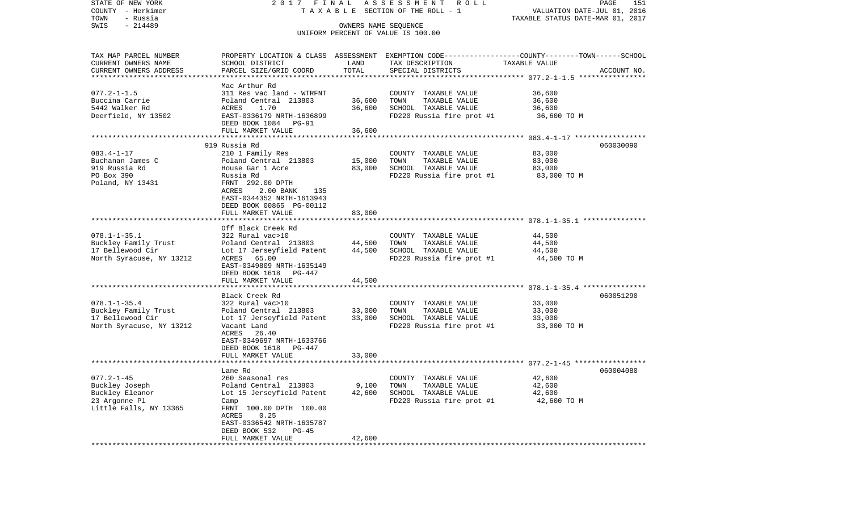| STATE OF NEW YORK<br>COUNTY - Herkimer | 2017 FINAL                                                                                      |                      | ASSESSMENT<br>R O L L<br>TAXABLE SECTION OF THE ROLL - 1 |                                  | PAGE<br>151<br>VALUATION DATE-JUL 01, 2016 |
|----------------------------------------|-------------------------------------------------------------------------------------------------|----------------------|----------------------------------------------------------|----------------------------------|--------------------------------------------|
| - Russia<br>TOWN                       |                                                                                                 |                      |                                                          | TAXABLE STATUS DATE-MAR 01, 2017 |                                            |
| $-214489$<br>SWIS                      |                                                                                                 | OWNERS NAME SEOUENCE | UNIFORM PERCENT OF VALUE IS 100.00                       |                                  |                                            |
| TAX MAP PARCEL NUMBER                  | PROPERTY LOCATION & CLASS ASSESSMENT EXEMPTION CODE---------------COUNTY-------TOWN------SCHOOL |                      |                                                          |                                  |                                            |
| CURRENT OWNERS NAME                    | SCHOOL DISTRICT                                                                                 | LAND                 | TAX DESCRIPTION                                          | TAXABLE VALUE                    |                                            |
| CURRENT OWNERS ADDRESS                 | PARCEL SIZE/GRID COORD                                                                          | TOTAL                | SPECIAL DISTRICTS                                        |                                  | ACCOUNT NO.                                |
| ***********************                |                                                                                                 |                      |                                                          |                                  |                                            |
|                                        | Mac Arthur Rd                                                                                   |                      |                                                          |                                  |                                            |
| $077.2 - 1 - 1.5$<br>Buccina Carrie    | 311 Res vac land - WTRFNT                                                                       |                      | COUNTY TAXABLE VALUE                                     | 36,600                           |                                            |
| 5442 Walker Rd                         | Poland Central 213803<br>ACRES                                                                  | 36,600<br>36,600     | TOWN<br>TAXABLE VALUE                                    | 36,600                           |                                            |
| Deerfield, NY 13502                    | 1.70<br>EAST-0336179 NRTH-1636899                                                               |                      | SCHOOL TAXABLE VALUE<br>FD220 Russia fire prot #1        | 36,600                           |                                            |
|                                        | DEED BOOK 1084 PG-91                                                                            |                      |                                                          | 36,600 TO M                      |                                            |
|                                        | FULL MARKET VALUE                                                                               | 36,600               |                                                          |                                  |                                            |
|                                        |                                                                                                 | ************         |                                                          |                                  |                                            |
|                                        | 919 Russia Rd                                                                                   |                      |                                                          |                                  | 060030090                                  |
| $083.4 - 1 - 17$                       | 210 1 Family Res                                                                                |                      | COUNTY TAXABLE VALUE                                     | 83,000                           |                                            |
| Buchanan James C                       | Poland Central 213803                                                                           | 15,000               | TOWN<br>TAXABLE VALUE                                    | 83,000                           |                                            |
| 919 Russia Rd                          | House Gar 1 Acre                                                                                | 83,000               | SCHOOL TAXABLE VALUE                                     | 83,000                           |                                            |
| PO Box 390                             | Russia Rd                                                                                       |                      | FD220 Russia fire prot #1                                | 83,000 TO M                      |                                            |
| Poland, NY 13431                       | FRNT 292.00 DPTH                                                                                |                      |                                                          |                                  |                                            |
|                                        | ACRES<br>2.00 BANK<br>135                                                                       |                      |                                                          |                                  |                                            |
|                                        | EAST-0344352 NRTH-1613943                                                                       |                      |                                                          |                                  |                                            |
|                                        | DEED BOOK 00865 PG-00112                                                                        |                      |                                                          |                                  |                                            |
|                                        | FULL MARKET VALUE                                                                               | 83,000               |                                                          |                                  |                                            |
|                                        |                                                                                                 |                      |                                                          |                                  |                                            |
| $078.1 - 1 - 35.1$                     | Off Black Creek Rd<br>322 Rural vac>10                                                          |                      | COUNTY TAXABLE VALUE                                     |                                  |                                            |
| Buckley Family Trust                   | Poland Central 213803                                                                           | 44,500               | TOWN<br>TAXABLE VALUE                                    | 44,500<br>44,500                 |                                            |
| 17 Bellewood Cir                       | Lot 17 Jerseyfield Patent                                                                       | 44,500               | SCHOOL TAXABLE VALUE                                     | 44,500                           |                                            |
| North Syracuse, NY 13212               | ACRES 65.00                                                                                     |                      | FD220 Russia fire prot #1                                | 44,500 TO M                      |                                            |
|                                        | EAST-0349809 NRTH-1635149                                                                       |                      |                                                          |                                  |                                            |
|                                        | DEED BOOK 1618 PG-447                                                                           |                      |                                                          |                                  |                                            |
|                                        | FULL MARKET VALUE                                                                               | 44,500               |                                                          |                                  |                                            |
|                                        | *************************                                                                       |                      |                                                          |                                  |                                            |
|                                        | Black Creek Rd                                                                                  |                      |                                                          |                                  | 060051290                                  |
| $078.1 - 1 - 35.4$                     | 322 Rural vac>10                                                                                |                      | COUNTY TAXABLE VALUE                                     | 33,000                           |                                            |
| Buckley Family Trust                   | Poland Central 213803                                                                           | 33,000               | TOWN<br>TAXABLE VALUE                                    | 33,000                           |                                            |
| 17 Bellewood Cir                       | Lot 17 Jerseyfield Patent                                                                       | 33,000               | SCHOOL TAXABLE VALUE                                     | 33,000                           |                                            |
| North Syracuse, NY 13212               | Vacant Land                                                                                     |                      | FD220 Russia fire prot #1                                | 33,000 TO M                      |                                            |
|                                        | ACRES<br>26.40                                                                                  |                      |                                                          |                                  |                                            |
|                                        | EAST-0349697 NRTH-1633766                                                                       |                      |                                                          |                                  |                                            |
|                                        | DEED BOOK 1618 PG-447                                                                           |                      |                                                          |                                  |                                            |
|                                        | FULL MARKET VALUE                                                                               | 33,000               |                                                          |                                  |                                            |
|                                        |                                                                                                 |                      |                                                          |                                  | 060004080                                  |
| $077.2 - 1 - 45$                       | Lane Rd<br>260 Seasonal res                                                                     |                      |                                                          |                                  |                                            |
| Buckley Joseph                         | Poland Central 213803                                                                           | 9,100                | COUNTY TAXABLE VALUE<br>TOWN<br>TAXABLE VALUE            | 42,600<br>42,600                 |                                            |
| Buckley Eleanor                        | Lot 15 Jerseyfield Patent                                                                       | 42,600               | SCHOOL TAXABLE VALUE                                     | 42,600                           |                                            |
| 23 Argonne Pl                          | Camp                                                                                            |                      | FD220 Russia fire prot #1                                | 42,600 TO M                      |                                            |
| Little Falls, NY 13365                 | FRNT 100.00 DPTH 100.00                                                                         |                      |                                                          |                                  |                                            |
|                                        | ACRES<br>0.25                                                                                   |                      |                                                          |                                  |                                            |
|                                        | EAST-0336542 NRTH-1635787                                                                       |                      |                                                          |                                  |                                            |
|                                        | DEED BOOK 532<br>PG-45                                                                          |                      |                                                          |                                  |                                            |
|                                        | FULL MARKET VALUE                                                                               | 42,600               |                                                          |                                  |                                            |
|                                        |                                                                                                 |                      |                                                          |                                  |                                            |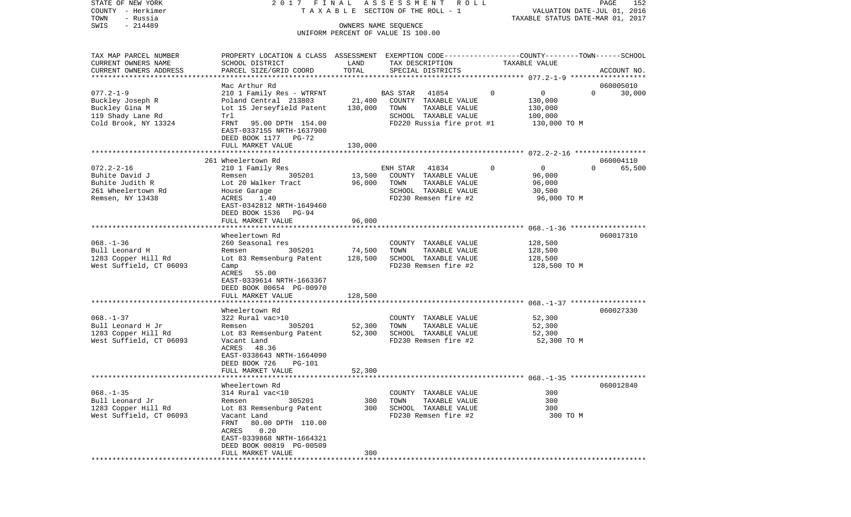STATE OF NEW YORK 2 0 1 7 F I N A L A S S E S S M E N T R O L L PAGE 152COUNTY - Herkimer T A X A B L E SECTION OF THE ROLL - 1 VALUATION DATE-JUL 01, 2016 TOWN - Russia TAXABLE STATUS DATE-MAR 01, 2017 SWIS - 214489 OWNERS NAME SEQUENCE UNIFORM PERCENT OF VALUE IS 100.00TAX MAP PARCEL NUMBER PROPERTY LOCATION & CLASS ASSESSMENT EXEMPTION CODE------------------COUNTY--------TOWN------SCHOOL CURRENT OWNERS NAME SCHOOL DISTRICT LAND TAX DESCRIPTION TAXABLE VALUECURRENT OWNERS ADDRESS PARCEL SIZE/GRID COORD TOTAL SPECIAL DISTRICTS ACCOUNT NO. \*\*\*\*\*\*\*\*\*\*\*\*\*\*\*\*\*\*\*\*\*\*\*\*\*\*\*\*\*\*\*\*\*\*\*\*\*\*\*\*\*\*\*\*\*\*\*\*\*\*\*\*\*\*\*\*\*\*\*\*\*\*\*\*\*\*\*\*\*\*\*\*\*\*\*\*\*\*\*\*\*\*\*\*\*\*\*\*\*\*\*\*\*\*\*\*\*\*\*\*\*\*\* 077.2-1-9 \*\*\*\*\*\*\*\*\*\*\*\*\*\*\*\*\*\* Mac Arthur Rd 060005010077.2-1-9 210 1 Family Res - WTRFNT BAS STAR 41854 0 0 0 30,000 Buckley Joseph R <sup>Poland</sup> Central 213803 21,400 COUNTY TAXABLE VALUE 130,000 Buckley Gina M **Lot 15 Jerseyfield Patent** 130,000 TOWN TAXABLE VALUE 130,000 119 Shady Lane Rd Trl SCHOOL TAXABLE VALUE 100,000 Cold Brook, NY 13324 FRNT 95.00 DPTH 154.00 FD220 Russia fire prot #1 130,000 TO M EAST-0337155 NRTH-1637900 DEED BOOK 1177 PG-72 FULL MARKET VALUE 130,000 \*\*\*\*\*\*\*\*\*\*\*\*\*\*\*\*\*\*\*\*\*\*\*\*\*\*\*\*\*\*\*\*\*\*\*\*\*\*\*\*\*\*\*\*\*\*\*\*\*\*\*\*\*\*\*\*\*\*\*\*\*\*\*\*\*\*\*\*\*\*\*\*\*\*\*\*\*\*\*\*\*\*\*\*\*\*\*\*\*\*\*\*\*\*\*\*\*\*\*\*\*\*\* 072.2-2-16 \*\*\*\*\*\*\*\*\*\*\*\*\*\*\*\*\* 261 Wheelertown Rd 060004110072.2-2-16 210 1 Family Res ENH STAR 41834 0 0 0 65,500 Buhite David J Remsen 305201 13,500 COUNTY TAXABLE VALUE 96,000 Buhite Judith R Lot 20 Walker Tract 96,000 TOWN TAXABLE VALUE 96,000 261 Wheelertown Rd House Garage SCHOOL TAXABLE VALUE 30,500 Remsen, NY 13438 ACRES 1.40 FD230 Remsen fire #2 96,000 TO M EAST-0342812 NRTH-1649460 DEED BOOK 1536 PG-94FULL MARKET VALUE 96,000 \*\*\*\*\*\*\*\*\*\*\*\*\*\*\*\*\*\*\*\*\*\*\*\*\*\*\*\*\*\*\*\*\*\*\*\*\*\*\*\*\*\*\*\*\*\*\*\*\*\*\*\*\*\*\*\*\*\*\*\*\*\*\*\*\*\*\*\*\*\*\*\*\*\*\*\*\*\*\*\*\*\*\*\*\*\*\*\*\*\*\*\*\*\*\*\*\*\*\*\*\*\*\* 068.-1-36 \*\*\*\*\*\*\*\*\*\*\*\*\*\*\*\*\*\* Wheelertown Rd 060017310068.-1-36 260 Seasonal res COUNTY TAXABLE VALUE 128,500 Bull Leonard H **Remsen** 305201 74,500 TOWN TAXABLE VALUE 128,500 1283 Copper Hill Rd Lot 83 Remsenburg Patent 128,500 SCHOOL TAXABLE VALUE 128,500 West Suffield, CT 06093 Camp ACRES 55.00 EAST-0339614 NRTH-1663367 DEED BOOK 00654 PG-00970 FULL MARKET VALUE 128,500 \*\*\*\*\*\*\*\*\*\*\*\*\*\*\*\*\*\*\*\*\*\*\*\*\*\*\*\*\*\*\*\*\*\*\*\*\*\*\*\*\*\*\*\*\*\*\*\*\*\*\*\*\*\*\*\*\*\*\*\*\*\*\*\*\*\*\*\*\*\*\*\*\*\*\*\*\*\*\*\*\*\*\*\*\*\*\*\*\*\*\*\*\*\*\*\*\*\*\*\*\*\*\* 068.-1-37 \*\*\*\*\*\*\*\*\*\*\*\*\*\*\*\*\*\*Wheelertown Rd 060027330 068.-1-37 322 Rural vac>10 COUNTY TAXABLE VALUE 52,300 Bull Leonard H Jr Remsen 305201 52,300 TOWN TAXABLE VALUE 52,300 1283 Copper Hill Rd Lot 83 Remsenburg Patent 52,300 SCHOOL TAXABLE VALUE 52,300 West Suffield, CT 06093 Vacant Land FD230 Remsen fire #2 52,300 TO M ACRES 48.36 EAST-0338643 NRTH-1664090 DEED BOOK 726 PG-101 FULL MARKET VALUE 52,300 \*\*\*\*\*\*\*\*\*\*\*\*\*\*\*\*\*\*\*\*\*\*\*\*\*\*\*\*\*\*\*\*\*\*\*\*\*\*\*\*\*\*\*\*\*\*\*\*\*\*\*\*\*\*\*\*\*\*\*\*\*\*\*\*\*\*\*\*\*\*\*\*\*\*\*\*\*\*\*\*\*\*\*\*\*\*\*\*\*\*\*\*\*\*\*\*\*\*\*\*\*\*\* 068.-1-35 \*\*\*\*\*\*\*\*\*\*\*\*\*\*\*\*\*\* Wheelertown Rd 060012840068.-1-35 314 Rural vac<10 COUNTY TAXABLE VALUE 300300 Bull Leonard Jr **Remsen** 305201 300 TOWN TAXABLE VALUE 1283 Copper Hill Rd Lot 83 Remsenburg Patent 300 SCHOOL TAXABLE VALUE 300 West Suffield, CT 06093 Vacant Land FRAME FD230 Remsen fire #2 300 TO M FRNT 80.00 DPTH 110.00 ACRES 0.20 EAST-0339868 NRTH-1664321 DEED BOOK 00819 PG-00509 FULL MARKET VALUE 300\*\*\*\*\*\*\*\*\*\*\*\*\*\*\*\*\*\*\*\*\*\*\*\*\*\*\*\*\*\*\*\*\*\*\*\*\*\*\*\*\*\*\*\*\*\*\*\*\*\*\*\*\*\*\*\*\*\*\*\*\*\*\*\*\*\*\*\*\*\*\*\*\*\*\*\*\*\*\*\*\*\*\*\*\*\*\*\*\*\*\*\*\*\*\*\*\*\*\*\*\*\*\*\*\*\*\*\*\*\*\*\*\*\*\*\*\*\*\*\*\*\*\*\*\*\*\*\*\*\*\*\*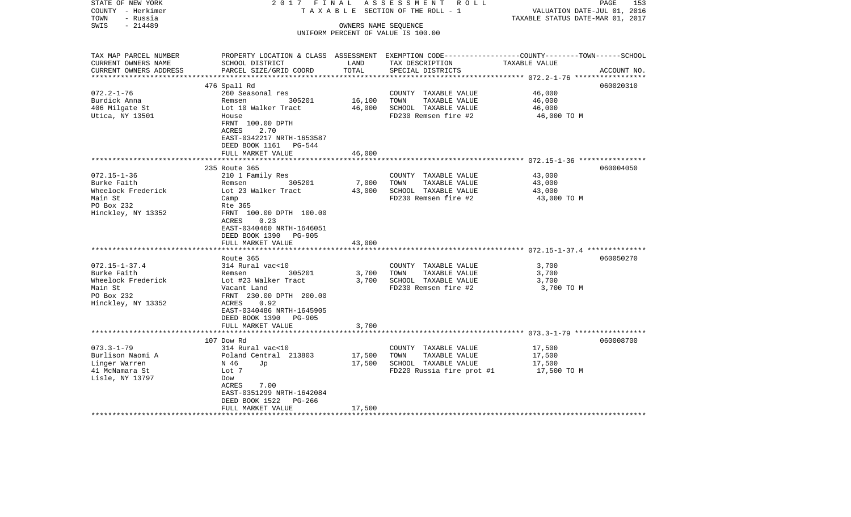| STATE OF NEW YORK<br>COUNTY - Herkimer<br>- Russia<br>TOWN | 2017 FINAL<br>TAXABLE                        |                      | ASSESSMENT ROLL<br>SECTION OF THE ROLL - 1                                                       | VALUATION DATE-JUL 01, 2016<br>TAXABLE STATUS DATE-MAR 01, 2017 | 153<br>PAGE |
|------------------------------------------------------------|----------------------------------------------|----------------------|--------------------------------------------------------------------------------------------------|-----------------------------------------------------------------|-------------|
| SWIS<br>$-214489$                                          |                                              | OWNERS NAME SEQUENCE |                                                                                                  |                                                                 |             |
|                                                            |                                              |                      | UNIFORM PERCENT OF VALUE IS 100.00                                                               |                                                                 |             |
|                                                            |                                              |                      |                                                                                                  |                                                                 |             |
| TAX MAP PARCEL NUMBER                                      |                                              |                      | PROPERTY LOCATION & CLASS ASSESSMENT EXEMPTION CODE----------------COUNTY-------TOWN------SCHOOL |                                                                 |             |
| CURRENT OWNERS NAME                                        | SCHOOL DISTRICT                              | LAND                 | TAX DESCRIPTION                                                                                  | TAXABLE VALUE                                                   |             |
| CURRENT OWNERS ADDRESS                                     | PARCEL SIZE/GRID COORD                       | TOTAL                | SPECIAL DISTRICTS                                                                                |                                                                 | ACCOUNT NO. |
|                                                            |                                              |                      |                                                                                                  |                                                                 |             |
|                                                            | 476 Spall Rd                                 |                      |                                                                                                  |                                                                 | 060020310   |
| $072.2 - 1 - 76$                                           | 260 Seasonal res                             |                      | COUNTY TAXABLE VALUE                                                                             | 46,000                                                          |             |
| Burdick Anna<br>406 Milgate St                             | 305201<br>Remsen<br>Lot 10 Walker Tract      | 16,100<br>46,000     | TOWN<br>TAXABLE VALUE<br>SCHOOL TAXABLE VALUE                                                    | 46,000<br>46,000                                                |             |
| Utica, NY 13501                                            | House                                        |                      | FD230 Remsen fire #2                                                                             | 46,000 TO M                                                     |             |
|                                                            | FRNT 100.00 DPTH                             |                      |                                                                                                  |                                                                 |             |
|                                                            | <b>ACRES</b><br>2.70                         |                      |                                                                                                  |                                                                 |             |
|                                                            | EAST-0342217 NRTH-1653587                    |                      |                                                                                                  |                                                                 |             |
|                                                            | DEED BOOK 1161 PG-544                        |                      |                                                                                                  |                                                                 |             |
|                                                            | FULL MARKET VALUE                            | 46,000               |                                                                                                  |                                                                 |             |
|                                                            | *************************                    |                      |                                                                                                  |                                                                 |             |
|                                                            | 235 Route 365                                |                      |                                                                                                  |                                                                 | 060004050   |
| $072.15 - 1 - 36$                                          | 210 1 Family Res                             |                      | COUNTY TAXABLE VALUE                                                                             | 43,000                                                          |             |
| Burke Faith                                                | Remsen<br>305201                             | 7,000                | TAXABLE VALUE<br>TOWN                                                                            | 43,000                                                          |             |
| Wheelock Frederick                                         | Lot 23 Walker Tract                          | 43,000               | SCHOOL TAXABLE VALUE                                                                             | 43,000                                                          |             |
| Main St                                                    | Camp                                         |                      | FD230 Remsen fire #2                                                                             | 43,000 TO M                                                     |             |
| PO Box 232                                                 | Rte 365                                      |                      |                                                                                                  |                                                                 |             |
| Hinckley, NY 13352                                         | FRNT 100.00 DPTH 100.00                      |                      |                                                                                                  |                                                                 |             |
|                                                            | ACRES<br>0.23                                |                      |                                                                                                  |                                                                 |             |
|                                                            | EAST-0340460 NRTH-1646051                    |                      |                                                                                                  |                                                                 |             |
|                                                            | DEED BOOK 1390<br>PG-905                     |                      |                                                                                                  |                                                                 |             |
|                                                            | FULL MARKET VALUE<br>*********************** | 43,000               |                                                                                                  |                                                                 |             |
|                                                            | Route 365                                    |                      |                                                                                                  |                                                                 | 060050270   |
| $072.15 - 1 - 37.4$                                        | 314 Rural vac<10                             |                      | COUNTY TAXABLE VALUE                                                                             | 3,700                                                           |             |
| Burke Faith                                                | 305201<br>Remsen                             | 3,700                | TOWN<br>TAXABLE VALUE                                                                            | 3,700                                                           |             |
| Wheelock Frederick                                         | Lot #23 Walker Tract                         | 3,700                | SCHOOL TAXABLE VALUE                                                                             | 3,700                                                           |             |
| Main St                                                    | Vacant Land                                  |                      | FD230 Remsen fire #2                                                                             | 3,700 TO M                                                      |             |
| PO Box 232                                                 | FRNT 230.00 DPTH 200.00                      |                      |                                                                                                  |                                                                 |             |
| Hinckley, NY 13352                                         | 0.92<br>ACRES                                |                      |                                                                                                  |                                                                 |             |
|                                                            | EAST-0340486 NRTH-1645905                    |                      |                                                                                                  |                                                                 |             |
|                                                            | DEED BOOK 1390 PG-905                        |                      |                                                                                                  |                                                                 |             |
|                                                            | FULL MARKET VALUE                            | 3,700                |                                                                                                  |                                                                 |             |
|                                                            |                                              |                      |                                                                                                  |                                                                 |             |
|                                                            | 107 Dow Rd                                   |                      |                                                                                                  |                                                                 | 060008700   |
| $073.3 - 1 - 79$                                           | 314 Rural vac<10                             |                      | COUNTY TAXABLE VALUE                                                                             | 17,500                                                          |             |
| Burlison Naomi A                                           | Poland Central 213803                        | 17,500               | TOWN<br>TAXABLE VALUE                                                                            | 17,500                                                          |             |
| Linger Warren                                              | N 46<br>Jp                                   | 17,500               | SCHOOL TAXABLE VALUE                                                                             | 17,500                                                          |             |
| 41 McNamara St<br>Lisle, NY 13797                          | Lot 7<br>Dow                                 |                      | FD220 Russia fire prot #1                                                                        | 17,500 TO M                                                     |             |
|                                                            | 7.00<br>ACRES                                |                      |                                                                                                  |                                                                 |             |
|                                                            | EAST-0351299 NRTH-1642084                    |                      |                                                                                                  |                                                                 |             |
|                                                            | DEED BOOK 1522<br>PG-266                     |                      |                                                                                                  |                                                                 |             |
|                                                            | FULL MARKET VALUE                            | 17,500               |                                                                                                  |                                                                 |             |
|                                                            |                                              |                      |                                                                                                  |                                                                 |             |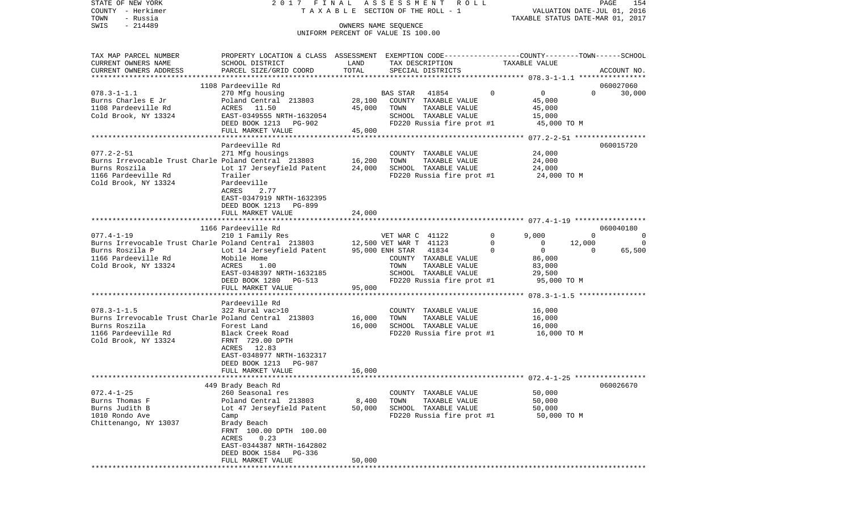STATE OF NEW YORK 2 0 1 7 F I N A L A S S E S S M E N T R O L L PAGE 154COUNTY - Herkimer T A X A B L E SECTION OF THE ROLL - 1 VALUATION DATE-JUL 01, 2016 TOWN - Russia TAXABLE STATUS DATE-MAR 01, 2017 SWIS - 214489 OWNERS NAME SEQUENCE UNIFORM PERCENT OF VALUE IS 100.00TAX MAP PARCEL NUMBER PROPERTY LOCATION & CLASS ASSESSMENT EXEMPTION CODE------------------COUNTY--------TOWN------SCHOOL CURRENT OWNERS NAME SCHOOL DISTRICT LAND TAX DESCRIPTION TAXABLE VALUECURRENT OWNERS ADDRESS PARCEL SIZE/GRID COORD TOTAL SPECIAL DISTRICTS ACCOUNT NO. \*\*\*\*\*\*\*\*\*\*\*\*\*\*\*\*\*\*\*\*\*\*\*\*\*\*\*\*\*\*\*\*\*\*\*\*\*\*\*\*\*\*\*\*\*\*\*\*\*\*\*\*\*\*\*\*\*\*\*\*\*\*\*\*\*\*\*\*\*\*\*\*\*\*\*\*\*\*\*\*\*\*\*\*\*\*\*\*\*\*\*\*\*\*\*\*\*\*\*\*\*\*\* 078.3-1-1.1 \*\*\*\*\*\*\*\*\*\*\*\*\*\*\*\* 1108 Pardeeville Rd 060027060078.3-1-1.1 270 Mfg housing BAS STAR 41854 0 0 0 30,000 Burns Charles E Jr Poland Central 213803 28,100 COUNTY TAXABLE VALUE 45,000 1108 Pardeeville Rd ACRES 11.50 45,000 TOWN TAXABLE VALUE 45,000 Cold Brook, NY 13324 EAST-0349555 NRTH-1632054 SCHOOL TAXABLE VALUE 15,000 DEED BOOK 1213 PG-902 FD220 Russia fire prot #1 45,000 TO M FULL MARKET VALUE 45,000 \*\*\*\*\*\*\*\*\*\*\*\*\*\*\*\*\*\*\*\*\*\*\*\*\*\*\*\*\*\*\*\*\*\*\*\*\*\*\*\*\*\*\*\*\*\*\*\*\*\*\*\*\*\*\*\*\*\*\*\*\*\*\*\*\*\*\*\*\*\*\*\*\*\*\*\*\*\*\*\*\*\*\*\*\*\*\*\*\*\*\*\*\*\*\*\*\*\*\*\*\*\*\* 077.2-2-51 \*\*\*\*\*\*\*\*\*\*\*\*\*\*\*\*\* Pardeeville Rd 060015720077.2-2-51 271 Mfg housings COUNTY TAXABLE VALUE 24,000<br>Burns Irrevocable Trust Charle Poland Central 213803 216.200 TOWN TAXABLE VALUE 24.000 Burns Irrevocable Trust Charle Poland Central 213803 16,200 TOWN Burns Roszila Lot 17 Jerseyfield Patent 24,000 SCHOOL TAXABLE VALUE 24,000 1166 Pardeeville Rd Trailer FD220 Russia fire prot #1 24,000 TO M Cold Brook, NY 13324 Pardeeville ACRES 2.77 EAST-0347919 NRTH-1632395 DEED BOOK 1213 PG-899 FULL MARKET VALUE 24,000 \*\*\*\*\*\*\*\*\*\*\*\*\*\*\*\*\*\*\*\*\*\*\*\*\*\*\*\*\*\*\*\*\*\*\*\*\*\*\*\*\*\*\*\*\*\*\*\*\*\*\*\*\*\*\*\*\*\*\*\*\*\*\*\*\*\*\*\*\*\*\*\*\*\*\*\*\*\*\*\*\*\*\*\*\*\*\*\*\*\*\*\*\*\*\*\*\*\*\*\*\*\*\* 077.4-1-19 \*\*\*\*\*\*\*\*\*\*\*\*\*\*\*\*\* 1166 Pardeeville Rd 060040180077.4-1-19 210 1 Family Res VET WAR C 41122 0 9,000 0 0 Burns Irrevocable Trust Charle Poland Central 213803 12,500 VET WAR T 41123 0 0 12,000 0 0 Burns Roszila P <sup>Lot 14</sup> Jerseyfield Patent 95,000 ENH STAR 41834 0 0 0 0 65,500 1166 Pardeeville Rd Mobile Home COUNTY TAXABLE VALUE 86,000 Cold Brook, NY 13324 ACRES 1.00 Cold Brook, NY 13324 ACRES 1.00 EAST-0348397 NRTH-1632185 SCHOOL TAXABLE VALUE 29,500 DEED BOOK 1280 PG-513 FD220 Russia fire prot #1 95,000 TO M FULL MARKET VALUE 95,000 \*\*\*\*\*\*\*\*\*\*\*\*\*\*\*\*\*\*\*\*\*\*\*\*\*\*\*\*\*\*\*\*\*\*\*\*\*\*\*\*\*\*\*\*\*\*\*\*\*\*\*\*\*\*\*\*\*\*\*\*\*\*\*\*\*\*\*\*\*\*\*\*\*\*\*\*\*\*\*\*\*\*\*\*\*\*\*\*\*\*\*\*\*\*\*\*\*\*\*\*\*\*\* 078.3-1-1.5 \*\*\*\*\*\*\*\*\*\*\*\*\*\*\*\* Pardeeville Rd078.3-1-1.5 322 Rural vac>10 COUNTY TAXABLE VALUE 16,000 Burns Irrevocable Trust Charle Poland Central 213803 16,000 TOWN TAXABLE VALUE 16,000 Burns Roszila Forest Land 16,000 SCHOOL TAXABLE VALUE 16,000 1166 Pardeeville Rd Black Creek Road FD220 Russia fire prot #1 16,000 TO M Cold Brook, NY 13324 FRNT 729.00 DPTH ACRES 12.83 EAST-0348977 NRTH-1632317 DEED BOOK 1213 PG-987 FULL MARKET VALUE 16,000 \*\*\*\*\*\*\*\*\*\*\*\*\*\*\*\*\*\*\*\*\*\*\*\*\*\*\*\*\*\*\*\*\*\*\*\*\*\*\*\*\*\*\*\*\*\*\*\*\*\*\*\*\*\*\*\*\*\*\*\*\*\*\*\*\*\*\*\*\*\*\*\*\*\*\*\*\*\*\*\*\*\*\*\*\*\*\*\*\*\*\*\*\*\*\*\*\*\*\*\*\*\*\* 072.4-1-25 \*\*\*\*\*\*\*\*\*\*\*\*\*\*\*\*\* 449 Brady Beach Rd 060026670 072.4-1-25 260 Seasonal res COUNTY TAXABLE VALUE 50,000 Burns Thomas F **Poland Central 213803** 8,400 TOWN TAXABLE VALUE 50,000 Burns Judith B Lot 47 Jerseyfield Patent 50,000 SCHOOL TAXABLE VALUE 50,000 1010 Rondo Ave Camp FD220 Russia fire prot #1 50,000 TO M Chittenango, NY 13037 Brady Beach FRNT 100.00 DPTH 100.00 ACRES 0.23 EAST-0344387 NRTH-1642802 DEED BOOK 1584 PG-336FULL MARKET VALUE 50,000 \*\*\*\*\*\*\*\*\*\*\*\*\*\*\*\*\*\*\*\*\*\*\*\*\*\*\*\*\*\*\*\*\*\*\*\*\*\*\*\*\*\*\*\*\*\*\*\*\*\*\*\*\*\*\*\*\*\*\*\*\*\*\*\*\*\*\*\*\*\*\*\*\*\*\*\*\*\*\*\*\*\*\*\*\*\*\*\*\*\*\*\*\*\*\*\*\*\*\*\*\*\*\*\*\*\*\*\*\*\*\*\*\*\*\*\*\*\*\*\*\*\*\*\*\*\*\*\*\*\*\*\*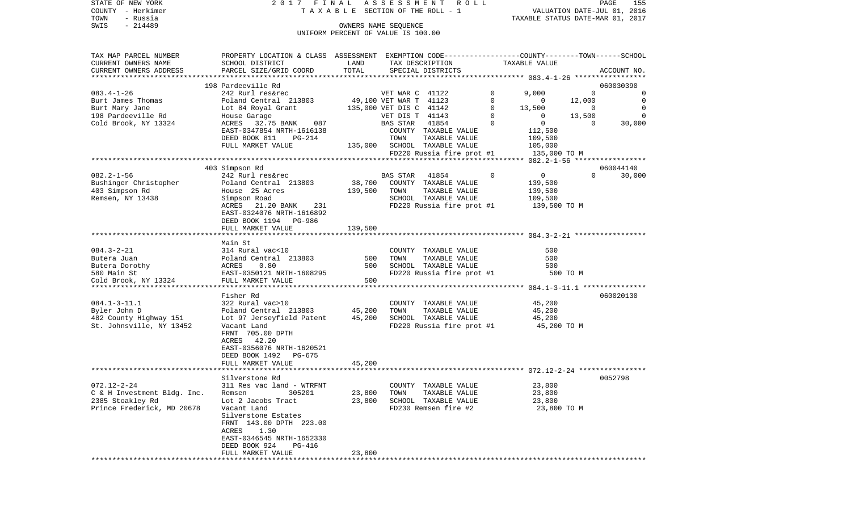|      | STATE OF NEW YORK | 2017 FINAL ASSESSMENT ROLL         |                                  | PAGE | 155 |
|------|-------------------|------------------------------------|----------------------------------|------|-----|
|      | COUNTY - Herkimer | TAXABLE SECTION OF THE ROLL - 1    | VALUATION DATE-JUL 01, 2016      |      |     |
| TOWN | - Russia          |                                    | TAXABLE STATUS DATE-MAR 01, 2017 |      |     |
| SWIS | $-214489$         | OWNERS NAME SEOUENCE               |                                  |      |     |
|      |                   | UNIFORM PERCENT OF VALUE IS 100.00 |                                  |      |     |
|      |                   |                                    |                                  |      |     |

| TAX MAP PARCEL NUMBER<br>CURRENT OWNERS NAME      | PROPERTY LOCATION & CLASS ASSESSMENT EXEMPTION CODE---------------COUNTY-------TOWN-----SCHOOL<br>SCHOOL DISTRICT | LAND                             |                         | TAX DESCRIPTION              |          | TAXABLE VALUE  |             |             |
|---------------------------------------------------|-------------------------------------------------------------------------------------------------------------------|----------------------------------|-------------------------|------------------------------|----------|----------------|-------------|-------------|
| CURRENT OWNERS ADDRESS<br>*********************** | PARCEL SIZE/GRID COORD<br>*****************************                                                           | TOTAL<br>*********************** |                         | SPECIAL DISTRICTS            |          |                |             | ACCOUNT NO. |
|                                                   | 198 Pardeeville Rd                                                                                                |                                  |                         |                              |          |                |             | 060030390   |
| $083.4 - 1 - 26$                                  | 242 Rurl res&rec                                                                                                  |                                  | VET WAR C 41122         |                              | 0        | 9,000          | $\mathbf 0$ | 0           |
| Burt James Thomas                                 | Poland Central 213803                                                                                             |                                  | 49,100 VET WAR T 41123  |                              | 0        | 0              | 12,000      | $\mathbf 0$ |
| Burt Mary Jane                                    | Lot 84 Royal Grant                                                                                                |                                  | 135,000 VET DIS C 41142 |                              | $\Omega$ | 13,500         | $\mathbf 0$ | $\Omega$    |
| 198 Pardeeville Rd                                | House Garage                                                                                                      |                                  | VET DIS T 41143         |                              | $\Omega$ | $\mathbf{0}$   | 13,500      | $\mathbf 0$ |
| Cold Brook, NY 13324                              | 087<br>ACRES 32.75 BANK                                                                                           |                                  | BAS STAR                | 41854                        | $\Omega$ | $\overline{0}$ | $\Omega$    | 30,000      |
|                                                   | EAST-0347854 NRTH-1616138                                                                                         |                                  |                         | COUNTY TAXABLE VALUE         |          | 112,500        |             |             |
|                                                   | DEED BOOK 811<br>PG-214                                                                                           |                                  | TOWN                    | TAXABLE VALUE                |          | 109,500        |             |             |
|                                                   | FULL MARKET VALUE                                                                                                 |                                  |                         | 135,000 SCHOOL TAXABLE VALUE |          | 105,000        |             |             |
|                                                   |                                                                                                                   |                                  |                         | FD220 Russia fire prot #1    |          | 135,000 TO M   |             |             |
|                                                   |                                                                                                                   |                                  |                         |                              |          |                |             |             |
|                                                   | 403 Simpson Rd                                                                                                    |                                  |                         |                              |          |                |             | 060044140   |
| $082.2 - 1 - 56$                                  | 242 Rurl res&rec                                                                                                  |                                  | BAS STAR                | 41854                        | $\Omega$ | $\overline{0}$ | $\Omega$    | 30,000      |
| Bushinger Christopher                             | Poland Central 213803                                                                                             | 38,700                           |                         | COUNTY TAXABLE VALUE         |          | 139,500        |             |             |
| 403 Simpson Rd                                    | House 25 Acres                                                                                                    | 139,500                          | TOWN                    | TAXABLE VALUE                |          | 139,500        |             |             |
| Remsen, NY 13438                                  | Simpson Road                                                                                                      |                                  |                         | SCHOOL TAXABLE VALUE         |          | 109,500        |             |             |
|                                                   | ACRES<br>21.20 BANK<br>231                                                                                        |                                  |                         | FD220 Russia fire prot #1    |          | 139,500 ТО М   |             |             |
|                                                   | EAST-0324076 NRTH-1616892                                                                                         |                                  |                         |                              |          |                |             |             |
|                                                   | DEED BOOK 1194 PG-986                                                                                             |                                  |                         |                              |          |                |             |             |
|                                                   | FULL MARKET VALUE                                                                                                 | 139,500                          |                         |                              |          |                |             |             |
|                                                   |                                                                                                                   |                                  |                         |                              |          |                |             |             |
|                                                   | Main St                                                                                                           |                                  |                         |                              |          |                |             |             |
| $084.3 - 2 - 21$                                  | 314 Rural vac<10                                                                                                  |                                  |                         | COUNTY TAXABLE VALUE         |          | 500            |             |             |
| Butera Juan                                       | Poland Central 213803                                                                                             | 500<br>500                       | TOWN                    | TAXABLE VALUE                |          | 500<br>500     |             |             |
| Butera Dorothy                                    | ACRES<br>0.80                                                                                                     |                                  |                         | SCHOOL TAXABLE VALUE         |          | 500 TO M       |             |             |
| 580 Main St<br>Cold Brook, NY 13324               | EAST-0350121 NRTH-1608295<br>FULL MARKET VALUE                                                                    | 500                              |                         | FD220 Russia fire prot #1    |          |                |             |             |
|                                                   |                                                                                                                   |                                  |                         |                              |          |                |             |             |
|                                                   | Fisher Rd                                                                                                         |                                  |                         |                              |          |                |             | 060020130   |
| $084.1 - 3 - 11.1$                                | 322 Rural vac>10                                                                                                  |                                  |                         | COUNTY TAXABLE VALUE         |          | 45,200         |             |             |
| Byler John D                                      | Poland Central 213803                                                                                             | 45,200                           | TOWN                    | TAXABLE VALUE                |          | 45,200         |             |             |
| 482 County Highway 151                            | Lot 97 Jerseyfield Patent                                                                                         | 45,200                           |                         | SCHOOL TAXABLE VALUE         |          | 45,200         |             |             |
| St. Johnsville, NY 13452                          | Vacant Land                                                                                                       |                                  |                         | FD220 Russia fire prot #1    |          | 45,200 TO M    |             |             |
|                                                   | FRNT 705.00 DPTH                                                                                                  |                                  |                         |                              |          |                |             |             |
|                                                   | 42.20<br>ACRES                                                                                                    |                                  |                         |                              |          |                |             |             |
|                                                   | EAST-0356076 NRTH-1620521                                                                                         |                                  |                         |                              |          |                |             |             |
|                                                   | DEED BOOK 1492 PG-675                                                                                             |                                  |                         |                              |          |                |             |             |
|                                                   | FULL MARKET VALUE                                                                                                 | 45,200                           |                         |                              |          |                |             |             |
|                                                   |                                                                                                                   |                                  |                         |                              |          |                |             |             |
|                                                   | Silverstone Rd                                                                                                    |                                  |                         |                              |          |                |             | 0052798     |
| $072.12 - 2 - 24$                                 | 311 Res vac land - WTRFNT                                                                                         |                                  |                         | COUNTY TAXABLE VALUE         |          | 23,800         |             |             |
| C & H Investment Bldg. Inc.                       | 305201<br>Remsen                                                                                                  | 23,800                           | TOWN                    | TAXABLE VALUE                |          | 23,800         |             |             |
| 2385 Stoakley Rd                                  | Lot 2 Jacobs Tract                                                                                                | 23,800                           |                         | SCHOOL TAXABLE VALUE         |          | 23,800         |             |             |
| Prince Frederick, MD 20678                        | Vacant Land                                                                                                       |                                  |                         | FD230 Remsen fire #2         |          | 23,800 TO M    |             |             |
|                                                   | Silverstone Estates                                                                                               |                                  |                         |                              |          |                |             |             |
|                                                   | FRNT 143.00 DPTH 223.00                                                                                           |                                  |                         |                              |          |                |             |             |
|                                                   | 1.30<br>ACRES                                                                                                     |                                  |                         |                              |          |                |             |             |
|                                                   | EAST-0346545 NRTH-1652330                                                                                         |                                  |                         |                              |          |                |             |             |
|                                                   | DEED BOOK 924<br>PG-416                                                                                           |                                  |                         |                              |          |                |             |             |
|                                                   | FULL MARKET VALUE                                                                                                 | 23,800                           |                         |                              |          |                |             |             |
|                                                   |                                                                                                                   |                                  |                         |                              |          |                |             |             |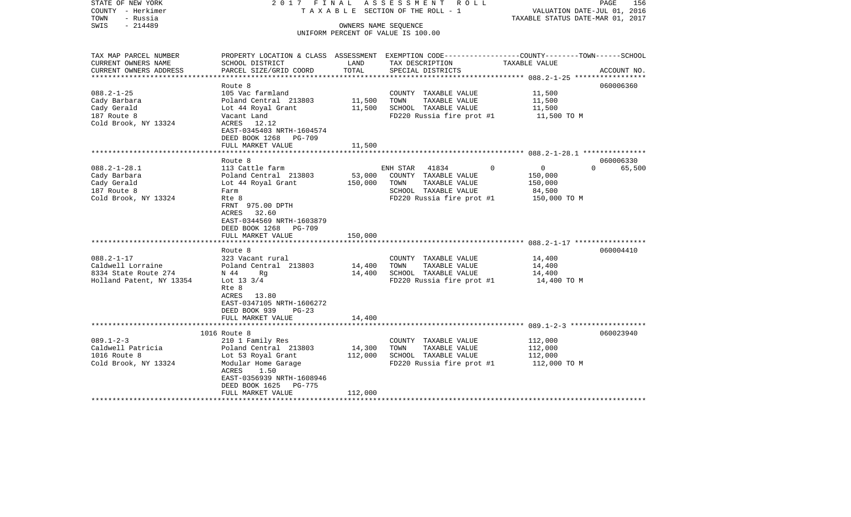| STATE OF NEW YORK<br>COUNTY - Herkimer | 2017 FINAL                                    |         | A S S E S S M E N T R O L L<br>TAXABLE SECTION OF THE ROLL - 1                                  | VALUATION DATE-JUL 01, 2016                         | PAGE<br>156 |
|----------------------------------------|-----------------------------------------------|---------|-------------------------------------------------------------------------------------------------|-----------------------------------------------------|-------------|
| TOWN<br>- Russia                       |                                               |         |                                                                                                 | TAXABLE STATUS DATE-MAR 01, 2017                    |             |
| $-214489$<br>SWIS                      |                                               |         | OWNERS NAME SEQUENCE                                                                            |                                                     |             |
|                                        |                                               |         | UNIFORM PERCENT OF VALUE IS 100.00                                                              |                                                     |             |
|                                        |                                               |         |                                                                                                 |                                                     |             |
| TAX MAP PARCEL NUMBER                  |                                               |         | PROPERTY LOCATION & CLASS ASSESSMENT EXEMPTION CODE---------------COUNTY-------TOWN------SCHOOL |                                                     |             |
| CURRENT OWNERS NAME                    | SCHOOL DISTRICT                               | LAND    | TAX DESCRIPTION                                                                                 | TAXABLE VALUE                                       |             |
| CURRENT OWNERS ADDRESS                 | PARCEL SIZE/GRID COORD                        | TOTAL   | SPECIAL DISTRICTS                                                                               |                                                     | ACCOUNT NO. |
|                                        |                                               |         |                                                                                                 | ********************* 088.2-1-25 ****************** |             |
|                                        | Route 8                                       |         |                                                                                                 |                                                     | 060006360   |
| $088.2 - 1 - 25$                       | 105 Vac farmland                              |         | COUNTY TAXABLE VALUE                                                                            | 11,500                                              |             |
| Cady Barbara                           | Poland Central 213803                         | 11,500  | TOWN<br>TAXABLE VALUE                                                                           | 11,500                                              |             |
| Cady Gerald                            | Lot 44 Royal Grant                            | 11,500  | SCHOOL TAXABLE VALUE                                                                            | 11,500                                              |             |
| 187 Route 8                            | Vacant Land                                   |         | FD220 Russia fire prot #1                                                                       | 11,500 TO M                                         |             |
| Cold Brook, NY 13324                   | ACRES 12.12                                   |         |                                                                                                 |                                                     |             |
|                                        | EAST-0345403 NRTH-1604574                     |         |                                                                                                 |                                                     |             |
|                                        | DEED BOOK 1268<br>PG-709                      |         |                                                                                                 |                                                     |             |
|                                        | FULL MARKET VALUE                             | 11,500  |                                                                                                 |                                                     |             |
|                                        |                                               |         |                                                                                                 |                                                     | 060006330   |
| $088.2 - 1 - 28.1$                     | Route 8<br>113 Cattle farm                    |         | 41834<br>ENH STAR                                                                               | $\mathbf 0$<br>$\overline{0}$<br>$\Omega$           | 65,500      |
| Cady Barbara                           | Poland Central 213803                         | 53,000  | COUNTY TAXABLE VALUE                                                                            | 150,000                                             |             |
| Cady Gerald                            | Lot 44 Royal Grant                            | 150,000 | TOWN<br>TAXABLE VALUE                                                                           | 150,000                                             |             |
| 187 Route 8                            | Farm                                          |         | SCHOOL TAXABLE VALUE                                                                            | 84,500                                              |             |
| Cold Brook, NY 13324                   | Rte 8                                         |         | FD220 Russia fire prot #1                                                                       | 150,000 TO M                                        |             |
|                                        | FRNT 975.00 DPTH                              |         |                                                                                                 |                                                     |             |
|                                        | 32.60<br>ACRES                                |         |                                                                                                 |                                                     |             |
|                                        | EAST-0344569 NRTH-1603879                     |         |                                                                                                 |                                                     |             |
|                                        | DEED BOOK 1268<br><b>PG-709</b>               |         |                                                                                                 |                                                     |             |
|                                        | FULL MARKET VALUE                             | 150,000 |                                                                                                 |                                                     |             |
|                                        |                                               |         |                                                                                                 |                                                     |             |
|                                        | Route 8                                       |         |                                                                                                 |                                                     | 060004410   |
| $088.2 - 1 - 17$                       | 323 Vacant rural                              |         | COUNTY TAXABLE VALUE                                                                            | 14,400                                              |             |
| Caldwell Lorraine                      | Poland Central 213803                         | 14,400  | TAXABLE VALUE<br>TOWN                                                                           | 14,400                                              |             |
| 8334 State Route 274                   | N 44<br>Rg                                    | 14,400  | SCHOOL TAXABLE VALUE                                                                            | 14,400                                              |             |
| Holland Patent, NY 13354               | Lot 13 $3/4$<br>Rte 8                         |         | FD220 Russia fire prot #1                                                                       | 14,400 TO M                                         |             |
|                                        | ACRES<br>13.80                                |         |                                                                                                 |                                                     |             |
|                                        | EAST-0347105 NRTH-1606272                     |         |                                                                                                 |                                                     |             |
|                                        | DEED BOOK 939<br>$PG-23$                      |         |                                                                                                 |                                                     |             |
|                                        | FULL MARKET VALUE                             | 14,400  |                                                                                                 |                                                     |             |
|                                        |                                               |         |                                                                                                 |                                                     |             |
|                                        | 1016 Route 8                                  |         |                                                                                                 |                                                     | 060023940   |
| $089.1 - 2 - 3$                        | 210 1 Family Res                              |         | COUNTY TAXABLE VALUE                                                                            | 112,000                                             |             |
| Caldwell Patricia                      | Poland Central 213803                         | 14,300  | TOWN<br>TAXABLE VALUE                                                                           | 112,000                                             |             |
| 1016 Route 8                           | Lot 53 Royal Grant                            | 112,000 | SCHOOL TAXABLE VALUE                                                                            | 112,000                                             |             |
| Cold Brook, NY 13324                   | Modular Home Garage                           |         | FD220 Russia fire prot #1                                                                       | 112,000 TO M                                        |             |
|                                        | ACRES<br>1.50                                 |         |                                                                                                 |                                                     |             |
|                                        | EAST-0356939 NRTH-1608946                     |         |                                                                                                 |                                                     |             |
|                                        | DEED BOOK 1625<br>PG-775<br>FULL MARKET VALUE | 112,000 |                                                                                                 |                                                     |             |
|                                        |                                               |         |                                                                                                 |                                                     |             |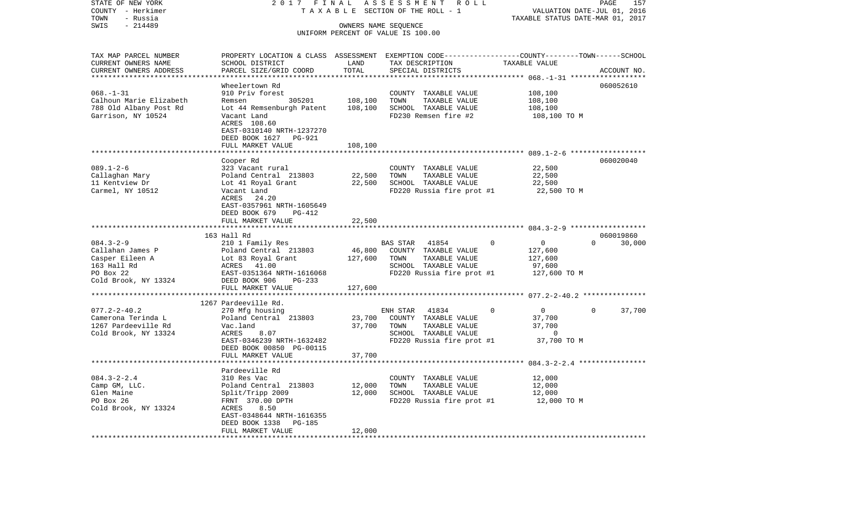| STATE OF NEW YORK       | 2017 FINAL                                                                                      |                     | ASSESSMENT ROLL                                            |               |                                  | PAGE        | 157    |
|-------------------------|-------------------------------------------------------------------------------------------------|---------------------|------------------------------------------------------------|---------------|----------------------------------|-------------|--------|
| COUNTY - Herkimer       |                                                                                                 |                     | TAXABLE SECTION OF THE ROLL - 1                            |               | VALUATION DATE-JUL 01, 2016      |             |        |
| TOWN<br>- Russia        |                                                                                                 |                     |                                                            |               | TAXABLE STATUS DATE-MAR 01, 2017 |             |        |
| SWIS<br>$-214489$       |                                                                                                 |                     | OWNERS NAME SEQUENCE<br>UNIFORM PERCENT OF VALUE IS 100.00 |               |                                  |             |        |
|                         |                                                                                                 |                     |                                                            |               |                                  |             |        |
|                         |                                                                                                 |                     |                                                            |               |                                  |             |        |
| TAX MAP PARCEL NUMBER   | PROPERTY LOCATION & CLASS ASSESSMENT EXEMPTION CODE---------------COUNTY-------TOWN------SCHOOL |                     |                                                            |               |                                  |             |        |
| CURRENT OWNERS NAME     | SCHOOL DISTRICT                                                                                 | LAND<br>TOTAL       | TAX DESCRIPTION                                            | TAXABLE VALUE |                                  |             |        |
| CURRENT OWNERS ADDRESS  | PARCEL SIZE/GRID COORD                                                                          | * * * * * * * * * * | SPECIAL DISTRICTS                                          |               | *********** 068.-1-31 ******     | ACCOUNT NO. |        |
|                         | Wheelertown Rd                                                                                  |                     |                                                            |               |                                  | 060052610   |        |
| $068. - 1 - 31$         | 910 Priv forest                                                                                 |                     | COUNTY TAXABLE VALUE                                       |               | 108,100                          |             |        |
| Calhoun Marie Elizabeth | Remsen 305201                                                                                   | 108,100             | TOWN<br>TAXABLE VALUE                                      |               | 108,100                          |             |        |
| 788 Old Albany Post Rd  | Lot 44 Remsenburgh Patent                                                                       | 108,100             | SCHOOL TAXABLE VALUE                                       |               | 108,100                          |             |        |
| Garrison, NY 10524      | Vacant Land                                                                                     |                     | FD230 Remsen fire #2                                       |               | 108,100 TO M                     |             |        |
|                         | ACRES 108.60                                                                                    |                     |                                                            |               |                                  |             |        |
|                         | EAST-0310140 NRTH-1237270                                                                       |                     |                                                            |               |                                  |             |        |
|                         | DEED BOOK 1627 PG-921                                                                           |                     |                                                            |               |                                  |             |        |
|                         | FULL MARKET VALUE                                                                               | 108,100             |                                                            |               |                                  |             |        |
|                         |                                                                                                 |                     |                                                            |               |                                  |             |        |
|                         | Cooper Rd                                                                                       |                     |                                                            |               |                                  | 060020040   |        |
| $089.1 - 2 - 6$         | 323 Vacant rural                                                                                |                     | COUNTY TAXABLE VALUE                                       |               | 22,500                           |             |        |
| Callaghan Mary          | Poland Central 213803                                                                           | 22,500              | TOWN<br>TAXABLE VALUE                                      |               | 22,500                           |             |        |
| 11 Kentview Dr          | Lot 41 Royal Grant                                                                              | 22,500              | SCHOOL TAXABLE VALUE                                       |               | 22,500                           |             |        |
| Carmel, NY 10512        | Vacant Land                                                                                     |                     | FD220 Russia fire prot #1                                  |               | 22,500 TO M                      |             |        |
|                         | ACRES 24.20                                                                                     |                     |                                                            |               |                                  |             |        |
|                         | EAST-0357961 NRTH-1605649                                                                       |                     |                                                            |               |                                  |             |        |
|                         | DEED BOOK 679<br>PG-412                                                                         |                     |                                                            |               |                                  |             |        |
|                         | FULL MARKET VALUE                                                                               | 22,500              |                                                            |               |                                  |             |        |
|                         |                                                                                                 | ***************     |                                                            |               |                                  |             |        |
|                         | 163 Hall Rd                                                                                     |                     |                                                            |               |                                  | 060019860   |        |
| $084.3 - 2 - 9$         | 210 1 Family Res                                                                                |                     | 41854<br>BAS STAR                                          | $\Omega$      | $\overline{0}$<br>$\Omega$       |             | 30,000 |
| Callahan James P        | Poland Central 213803                                                                           | 46,800              | COUNTY TAXABLE VALUE                                       |               | 127,600                          |             |        |
| Casper Eileen A         | Lot 83 Royal Grant                                                                              | 127,600             | TOWN<br>TAXABLE VALUE                                      |               | 127,600                          |             |        |
| 163 Hall Rd             | ACRES 41.00                                                                                     |                     | SCHOOL TAXABLE VALUE                                       |               | 97,600                           |             |        |
| PO Box 22               | EAST-0351364 NRTH-1616068                                                                       |                     | FD220 Russia fire prot #1                                  |               | 127,600 TO M                     |             |        |
| Cold Brook, NY 13324    | DEED BOOK 906<br>PG-233                                                                         |                     |                                                            |               |                                  |             |        |
|                         | FULL MARKET VALUE                                                                               | 127,600             |                                                            |               |                                  |             |        |
|                         |                                                                                                 |                     |                                                            |               |                                  |             |        |
|                         | 1267 Pardeeville Rd.                                                                            |                     |                                                            |               |                                  |             |        |
| $077.2 - 2 - 40.2$      | 270 Mfg housing                                                                                 |                     | ENH STAR<br>41834                                          | 0             | $\overline{0}$<br>$\mathbf 0$    |             | 37,700 |
| Camerona Terinda L      | Poland Central 213803                                                                           | 23,700              | COUNTY TAXABLE VALUE                                       |               | 37,700                           |             |        |
| 1267 Pardeeville Rd     | Vac.land                                                                                        | 37,700              | TOWN<br>TAXABLE VALUE                                      |               | 37,700                           |             |        |
| Cold Brook, NY 13324    | ACRES<br>8.07                                                                                   |                     | SCHOOL TAXABLE VALUE                                       |               | $\Omega$                         |             |        |
|                         | EAST-0346239 NRTH-1632482                                                                       |                     | FD220 Russia fire prot #1                                  |               | 37,700 TO M                      |             |        |
|                         | DEED BOOK 00850 PG-00115                                                                        |                     |                                                            |               |                                  |             |        |
|                         | FULL MARKET VALUE                                                                               | 37,700              |                                                            |               |                                  |             |        |
|                         | *******************                                                                             |                     |                                                            |               |                                  |             |        |
|                         | Pardeeville Rd                                                                                  |                     |                                                            |               |                                  |             |        |
| $084.3 - 2 - 2.4$       | 310 Res Vac                                                                                     |                     | COUNTY TAXABLE VALUE                                       |               | 12,000                           |             |        |
| Camp GM, LLC.           | Poland Central 213803                                                                           | 12,000              | TOWN<br>TAXABLE VALUE                                      |               | 12,000                           |             |        |
| Glen Maine              | Split/Tripp 2009                                                                                | 12,000              | SCHOOL TAXABLE VALUE                                       |               | 12,000                           |             |        |
| PO Box 26               | FRNT 370.00 DPTH                                                                                |                     | FD220 Russia fire prot #1                                  |               | 12,000 TO M                      |             |        |
| Cold Brook, NY 13324    | ACRES<br>8.50                                                                                   |                     |                                                            |               |                                  |             |        |
|                         | EAST-0348644 NRTH-1616355                                                                       |                     |                                                            |               |                                  |             |        |
|                         | DEED BOOK 1338<br>PG-185                                                                        |                     |                                                            |               |                                  |             |        |
| *********************** | FULL MARKET VALUE<br>* * * * * * * * * * * * * * * * * * * *                                    | 12,000              |                                                            |               |                                  |             |        |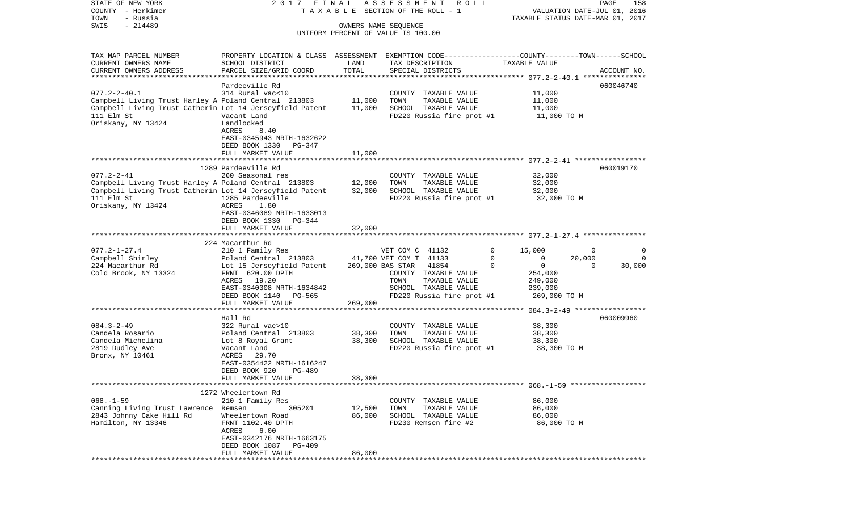| STATE OF NEW YORK                                        | 2017 FINAL                                                                                      |         | ASSESSMENT ROLL                    |                                        | 158<br>PAGE                      |
|----------------------------------------------------------|-------------------------------------------------------------------------------------------------|---------|------------------------------------|----------------------------------------|----------------------------------|
| COUNTY - Herkimer                                        |                                                                                                 |         | TAXABLE SECTION OF THE ROLL - 1    |                                        | VALUATION DATE-JUL 01, 2016      |
| TOWN<br>- Russia                                         |                                                                                                 |         |                                    |                                        | TAXABLE STATUS DATE-MAR 01, 2017 |
| $-214489$<br>SWIS                                        |                                                                                                 |         | OWNERS NAME SEOUENCE               |                                        |                                  |
|                                                          |                                                                                                 |         | UNIFORM PERCENT OF VALUE IS 100.00 |                                        |                                  |
|                                                          |                                                                                                 |         |                                    |                                        |                                  |
| TAX MAP PARCEL NUMBER                                    | PROPERTY LOCATION & CLASS ASSESSMENT EXEMPTION CODE---------------COUNTY-------TOWN------SCHOOL |         |                                    |                                        |                                  |
| CURRENT OWNERS NAME                                      | SCHOOL DISTRICT                                                                                 | LAND    | TAX DESCRIPTION                    | TAXABLE VALUE                          |                                  |
| CURRENT OWNERS ADDRESS                                   | PARCEL SIZE/GRID COORD                                                                          | TOTAL   | SPECIAL DISTRICTS                  |                                        | ACCOUNT NO.                      |
| *************************                                |                                                                                                 |         |                                    |                                        |                                  |
|                                                          | Pardeeville Rd                                                                                  |         |                                    |                                        | 060046740                        |
| $077.2 - 2 - 40.1$                                       | 314 Rural vac<10                                                                                |         | COUNTY TAXABLE VALUE               | 11,000                                 |                                  |
| Campbell Living Trust Harley A Poland Central 213803     |                                                                                                 | 11,000  | TOWN<br>TAXABLE VALUE              | 11,000                                 |                                  |
| Campbell Living Trust Catherin Lot 14 Jerseyfield Patent |                                                                                                 | 11,000  | SCHOOL TAXABLE VALUE               | 11,000                                 |                                  |
| 111 Elm St                                               | Vacant Land                                                                                     |         | FD220 Russia fire prot #1          | 11,000 TO M                            |                                  |
| Oriskany, NY 13424                                       | Landlocked                                                                                      |         |                                    |                                        |                                  |
|                                                          | ACRES<br>8.40                                                                                   |         |                                    |                                        |                                  |
|                                                          | EAST-0345943 NRTH-1632622                                                                       |         |                                    |                                        |                                  |
|                                                          | DEED BOOK 1330<br>PG-347                                                                        |         |                                    |                                        |                                  |
|                                                          | FULL MARKET VALUE                                                                               | 11,000  |                                    |                                        |                                  |
|                                                          |                                                                                                 |         |                                    |                                        |                                  |
|                                                          | 1289 Pardeeville Rd                                                                             |         |                                    |                                        | 060019170                        |
| $077.2 - 2 - 41$                                         | 260 Seasonal res                                                                                |         | COUNTY TAXABLE VALUE               | 32,000                                 |                                  |
| Campbell Living Trust Harley A Poland Central 213803     |                                                                                                 | 12,000  | TOWN<br>TAXABLE VALUE              | 32,000                                 |                                  |
| Campbell Living Trust Catherin Lot 14 Jerseyfield Patent |                                                                                                 | 32,000  | SCHOOL TAXABLE VALUE               | 32,000                                 |                                  |
| 111 Elm St                                               | 1285 Pardeeville                                                                                |         | FD220 Russia fire prot #1          | 32,000 TO M                            |                                  |
| Oriskany, NY 13424                                       | 1.80<br>ACRES                                                                                   |         |                                    |                                        |                                  |
|                                                          | EAST-0346089 NRTH-1633013                                                                       |         |                                    |                                        |                                  |
|                                                          | DEED BOOK 1330<br>PG-344                                                                        |         |                                    |                                        |                                  |
|                                                          | FULL MARKET VALUE                                                                               | 32,000  |                                    |                                        |                                  |
|                                                          |                                                                                                 |         |                                    |                                        |                                  |
|                                                          | 224 Macarthur Rd                                                                                |         |                                    |                                        |                                  |
| $077.2 - 1 - 27.4$                                       | 210 1 Family Res                                                                                |         | VET COM C 41132                    | 0<br>15,000                            | 0<br>0                           |
| Campbell Shirley                                         | Poland Central 213803                                                                           |         | 41,700 VET COM T 41133             | $\mathbf 0$<br>0                       | $\mathbf 0$<br>20,000            |
| 224 Macarthur Rd                                         | Lot 15 Jerseyfield Patent                                                                       |         | 269,000 BAS STAR<br>41854          | $\mathbf 0$<br>$\Omega$                | 30,000<br>$\Omega$               |
| Cold Brook, NY 13324                                     | FRNT 620.00 DPTH                                                                                |         | COUNTY TAXABLE VALUE               | 254,000                                |                                  |
|                                                          | 19.20<br>ACRES                                                                                  |         | TOWN<br>TAXABLE VALUE              | 249,000                                |                                  |
|                                                          | EAST-0340308 NRTH-1634842                                                                       |         | SCHOOL TAXABLE VALUE               | 239,000                                |                                  |
|                                                          | DEED BOOK 1140<br>PG-565                                                                        |         | FD220 Russia fire prot #1          | 269,000 TO M                           |                                  |
|                                                          | FULL MARKET VALUE                                                                               | 269,000 |                                    |                                        |                                  |
|                                                          | *****************                                                                               |         |                                    | ******** 084.3-2-49 ****************** |                                  |
|                                                          | Hall Rd                                                                                         |         |                                    |                                        | 060009960                        |
| $084.3 - 2 - 49$                                         | 322 Rural vac>10                                                                                |         | COUNTY TAXABLE VALUE               | 38,300                                 |                                  |
| Candela Rosario                                          | Poland Central 213803                                                                           | 38,300  | TOWN<br>TAXABLE VALUE              | 38,300                                 |                                  |
| Candela Michelina                                        | Lot 8 Royal Grant                                                                               | 38,300  | SCHOOL TAXABLE VALUE               | 38,300                                 |                                  |
| 2819 Dudley Ave                                          | Vacant Land                                                                                     |         | FD220 Russia fire prot #1          | 38,300 TO M                            |                                  |
| Bronx, NY 10461                                          | ACRES<br>29.70                                                                                  |         |                                    |                                        |                                  |
|                                                          | EAST-0354422 NRTH-1616247                                                                       |         |                                    |                                        |                                  |
|                                                          | DEED BOOK 920<br><b>PG-489</b>                                                                  |         |                                    |                                        |                                  |
|                                                          | FULL MARKET VALUE                                                                               | 38,300  |                                    |                                        |                                  |
|                                                          |                                                                                                 |         |                                    |                                        |                                  |
|                                                          | 1272 Wheelertown Rd                                                                             |         |                                    |                                        |                                  |
| $068. - 1 - 59$                                          | 210 1 Family Res                                                                                |         | COUNTY TAXABLE VALUE               | 86,000                                 |                                  |
| Canning Living Trust Lawrence Remsen                     | 305201                                                                                          | 12,500  | TOWN<br>TAXABLE VALUE              | 86,000                                 |                                  |
| 2843 Johnny Cake Hill Rd                                 | Wheelertown Road                                                                                | 86,000  | SCHOOL TAXABLE VALUE               | 86,000                                 |                                  |
| Hamilton, NY 13346                                       | FRNT 1102.40 DPTH                                                                               |         | FD230 Remsen fire #2               | 86,000 TO M                            |                                  |
|                                                          | ACRES 6.00                                                                                      |         |                                    |                                        |                                  |
|                                                          | EAST-0342176 NRTH-1663175                                                                       |         |                                    |                                        |                                  |
|                                                          | DEED BOOK 1087 PG-409                                                                           |         |                                    |                                        |                                  |
|                                                          | FULL MARKET VALUE                                                                               | 86,000  |                                    |                                        |                                  |
|                                                          |                                                                                                 |         |                                    |                                        |                                  |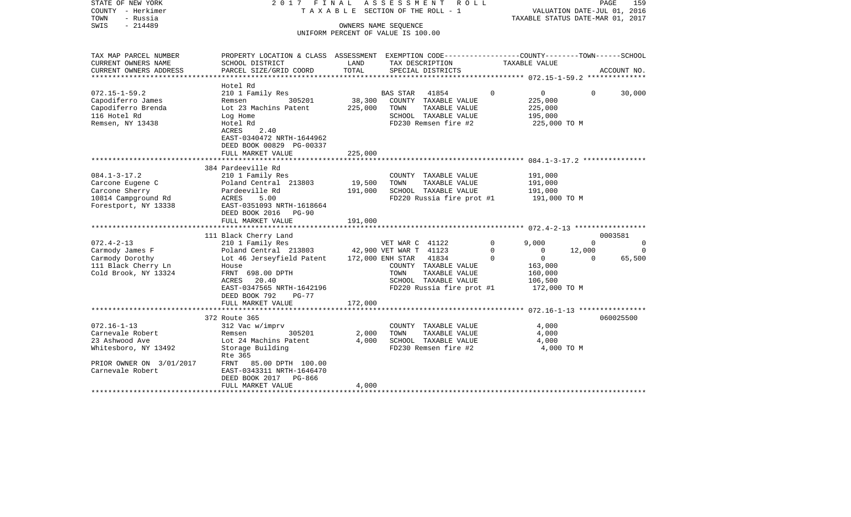| STATE OF NEW YORK<br>COUNTY - Herkimer<br>- Russia<br>TOWN<br>SWIS<br>$-214489$                                                 | 2017 FINAL                                                                                                                                                                                                               |                              | TAXABLE SECTION OF THE ROLL - 1<br>OWNERS NAME SEOUENCE<br>UNIFORM PERCENT OF VALUE IS 100.00 | ASSESSMENT ROLL                                                                            |                         | VALUATION DATE-JUL 01, 2016<br>TAXABLE STATUS DATE-MAR 01, 2017             |                    | PAGE<br>159         |
|---------------------------------------------------------------------------------------------------------------------------------|--------------------------------------------------------------------------------------------------------------------------------------------------------------------------------------------------------------------------|------------------------------|-----------------------------------------------------------------------------------------------|--------------------------------------------------------------------------------------------|-------------------------|-----------------------------------------------------------------------------|--------------------|---------------------|
| TAX MAP PARCEL NUMBER<br>CURRENT OWNERS NAME                                                                                    | PROPERTY LOCATION & CLASS ASSESSMENT EXEMPTION CODE---------------COUNTY-------TOWN-----SCHOOL<br>SCHOOL DISTRICT                                                                                                        | LAND                         | TAX DESCRIPTION                                                                               |                                                                                            |                         | TAXABLE VALUE                                                               |                    |                     |
| CURRENT OWNERS ADDRESS                                                                                                          | PARCEL SIZE/GRID COORD                                                                                                                                                                                                   | TOTAL                        | SPECIAL DISTRICTS                                                                             |                                                                                            |                         |                                                                             |                    | ACCOUNT NO.         |
|                                                                                                                                 | Hotel Rd                                                                                                                                                                                                                 |                              |                                                                                               |                                                                                            |                         |                                                                             |                    |                     |
| $072.15 - 1 - 59.2$<br>Capodiferro James<br>Capodiferro Brenda<br>116 Hotel Rd<br>Remsen, NY 13438                              | 210 1 Family Res<br>Remsen<br>305201<br>Lot 23 Machins Patent<br>Log Home<br>Hotel Rd<br>2.40<br>ACRES<br>EAST-0340472 NRTH-1644962<br>DEED BOOK 00829 PG-00337                                                          | 38,300<br>225,000            | BAS STAR 41854<br>TOWN                                                                        | COUNTY TAXABLE VALUE<br>TAXABLE VALUE<br>SCHOOL TAXABLE VALUE<br>FD230 Remsen fire #2      | $\Omega$                | $\overline{0}$<br>225,000<br>225,000<br>195,000<br>225,000 TO M             | $\Omega$           | 30,000              |
|                                                                                                                                 | FULL MARKET VALUE                                                                                                                                                                                                        | 225,000                      |                                                                                               |                                                                                            |                         |                                                                             |                    |                     |
| $084.1 - 3 - 17.2$<br>Carcone Eugene C<br>Carcone Sherry<br>10814 Campground Rd<br>Forestport, NY 13338                         | 384 Pardeeville Rd<br>210 1 Family Res<br>Poland Central 213803<br>Pardeeville Rd<br>ACRES<br>5.00<br>EAST-0351093 NRTH-1618664<br>DEED BOOK 2016 PG-90<br>FULL MARKET VALUE                                             | 19,500<br>191,000<br>191,000 | TOWN                                                                                          | COUNTY TAXABLE VALUE<br>TAXABLE VALUE<br>SCHOOL TAXABLE VALUE<br>FD220 Russia fire prot #1 |                         | 191,000<br>191,000<br>191,000<br>191,000 TO M                               |                    |                     |
|                                                                                                                                 |                                                                                                                                                                                                                          |                              |                                                                                               |                                                                                            |                         |                                                                             |                    |                     |
| $072.4 - 2 - 13$                                                                                                                | 111 Black Cherry Land<br>210 1 Family Res                                                                                                                                                                                |                              | VET WAR C 41122                                                                               |                                                                                            | $\Omega$                | 9,000                                                                       | $\Omega$           | 0003581<br>$\Omega$ |
| Carmody James F<br>Carmody Dorothy<br>111 Black Cherry Ln<br>Cold Brook, NY 13324                                               | Poland Central 213803 42,900 VET WAR T 41123<br>Lot 46 Jerseyfield Patent 172,000 ENH STAR 41834<br>House<br>FRNT 698.00 DPTH<br>ACRES 20.40<br>EAST-0347565 NRTH-1642196<br>DEED BOOK 792<br>PG-77<br>FULL MARKET VALUE | 172,000                      | TOWN                                                                                          | COUNTY TAXABLE VALUE<br>TAXABLE VALUE<br>SCHOOL TAXABLE VALUE<br>FD220 Russia fire prot #1 | $\Omega$<br>$\mathbf 0$ | $\Omega$<br>$\overline{0}$<br>163,000<br>160,000<br>106,500<br>172,000 TO M | 12,000<br>$\Omega$ | $\Omega$<br>65,500  |
|                                                                                                                                 |                                                                                                                                                                                                                          |                              |                                                                                               |                                                                                            |                         |                                                                             |                    |                     |
| $072.16 - 1 - 13$<br>Carnevale Robert<br>23 Ashwood Ave<br>Whitesboro, NY 13492<br>PRIOR OWNER ON 3/01/2017<br>Carnevale Robert | 372 Route 365<br>312 Vac w/imprv<br>Remsen<br>305201<br>Lot 24 Machins Patent<br>Storage Building<br>Rte 365<br>FRNT 85.00 DPTH 100.00<br>EAST-0343311 NRTH-1646470                                                      | 2,000<br>4,000               | TOWN                                                                                          | COUNTY TAXABLE VALUE<br>TAXABLE VALUE<br>SCHOOL TAXABLE VALUE<br>FD230 Remsen fire #2      |                         | 4,000<br>4,000<br>4,000<br>4,000 TO M                                       |                    | 060025500           |
|                                                                                                                                 | DEED BOOK 2017 PG-866<br>FULL MARKET VALUE                                                                                                                                                                               | 4,000                        |                                                                                               |                                                                                            |                         |                                                                             |                    |                     |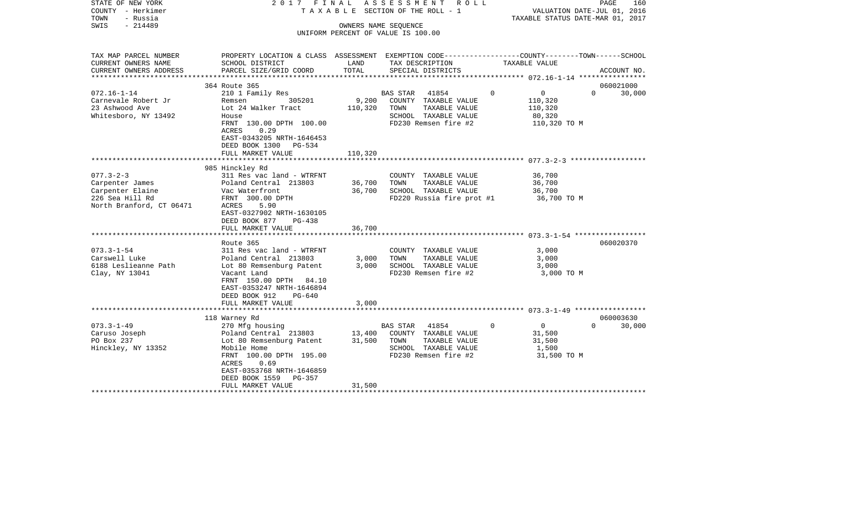| STATE OF NEW YORK<br>COUNTY - Herkimer<br>TOWN<br>- Russia<br>SWIS<br>- 214489 | 2017 FINAL                                                                                                                                                                                                           |                  | ASSESSMENT ROLL<br>TAXABLE SECTION OF THE ROLL - 1<br>OWNERS NAME SEOUENCE                                         |               | PAGE<br>VALUATION DATE-JUL 01, 2016<br>TAXABLE STATUS DATE-MAR 01, 2017 | 160    |
|--------------------------------------------------------------------------------|----------------------------------------------------------------------------------------------------------------------------------------------------------------------------------------------------------------------|------------------|--------------------------------------------------------------------------------------------------------------------|---------------|-------------------------------------------------------------------------|--------|
|                                                                                |                                                                                                                                                                                                                      |                  | UNIFORM PERCENT OF VALUE IS 100.00                                                                                 |               |                                                                         |        |
| TAX MAP PARCEL NUMBER<br>CURRENT OWNERS NAME                                   | PROPERTY LOCATION & CLASS ASSESSMENT EXEMPTION CODE---------------COUNTY-------TOWN------SCHOOL<br>SCHOOL DISTRICT                                                                                                   | LAND             | TAX DESCRIPTION                                                                                                    | TAXABLE VALUE |                                                                         |        |
| CURRENT OWNERS ADDRESS                                                         | PARCEL SIZE/GRID COORD                                                                                                                                                                                               | TOTAL            | SPECIAL DISTRICTS                                                                                                  |               | ACCOUNT NO.                                                             |        |
|                                                                                | 364 Route 365                                                                                                                                                                                                        |                  |                                                                                                                    |               | 060021000                                                               |        |
| $072.16 - 1 - 14$                                                              | 210 1 Family Res                                                                                                                                                                                                     |                  | BAS STAR 41854                                                                                                     | $\Omega$      | $\overline{0}$<br>$\Omega$                                              | 30,000 |
| Carnevale Robert Jr<br>23 Ashwood Ave                                          | Remsen 305201<br>Lot 24 Walker Tract                                                                                                                                                                                 | 110,320          | 9,200 COUNTY TAXABLE VALUE<br>TOWN<br>TAXABLE VALUE                                                                |               | 110,320<br>110,320                                                      |        |
| Whitesboro, NY 13492                                                           | House<br>FRNT 130.00 DPTH 100.00<br>0.29<br>ACRES<br>EAST-0343205 NRTH-1646453<br>DEED BOOK 1300 PG-534                                                                                                              |                  | SCHOOL TAXABLE VALUE<br>FD230 Remsen fire #2                                                                       |               | 80,320<br>110,320 TO M                                                  |        |
|                                                                                | FULL MARKET VALUE<br>*************************                                                                                                                                                                       | 110,320          |                                                                                                                    |               |                                                                         |        |
|                                                                                | 985 Hinckley Rd                                                                                                                                                                                                      |                  |                                                                                                                    |               |                                                                         |        |
| $077.3 - 2 - 3$<br>Carpenter James                                             | 311 Res vac land - WTRFNT<br>Poland Central 213803                                                                                                                                                                   | 36,700           | COUNTY TAXABLE VALUE<br>TAXABLE VALUE<br>TOWN                                                                      |               | 36,700<br>36,700                                                        |        |
| Carpenter Elaine                                                               | Vac Waterfront                                                                                                                                                                                                       | 36,700           | SCHOOL TAXABLE VALUE                                                                                               |               | 36,700                                                                  |        |
| 226 Sea Hill Rd<br>North Branford, CT 06471                                    | FRNT 300.00 DPTH<br>ACRES<br>5.90<br>EAST-0327902 NRTH-1630105<br>DEED BOOK 877<br>PG-438                                                                                                                            |                  | FD220 Russia fire prot #1                                                                                          |               | 36,700 TO M                                                             |        |
|                                                                                | FULL MARKET VALUE                                                                                                                                                                                                    | 36,700           |                                                                                                                    |               |                                                                         |        |
|                                                                                | Route 365                                                                                                                                                                                                            |                  |                                                                                                                    |               | 060020370                                                               |        |
| $073.3 - 1 - 54$                                                               | 311 Res vac land - WTRFNT                                                                                                                                                                                            |                  | COUNTY TAXABLE VALUE                                                                                               |               | 3,000                                                                   |        |
| Carswell Luke<br>6188 Leslieanne Path                                          | Poland Central 213803<br>Lot 80 Remsenburg Patent                                                                                                                                                                    | 3,000<br>3,000   | TOWN<br>TAXABLE VALUE<br>SCHOOL TAXABLE VALUE                                                                      |               | 3,000<br>3,000                                                          |        |
| Clay, NY 13041                                                                 | Vacant Land<br>FRNT 150.00 DPTH 84.10<br>EAST-0353247 NRTH-1646894<br>DEED BOOK 912<br>PG-640<br>FULL MARKET VALUE                                                                                                   | 3,000            | FD230 Remsen fire #2                                                                                               |               | 3,000 TO M                                                              |        |
|                                                                                |                                                                                                                                                                                                                      |                  |                                                                                                                    |               |                                                                         |        |
|                                                                                | 118 Warney Rd                                                                                                                                                                                                        |                  |                                                                                                                    |               | 060003630                                                               |        |
| $073.3 - 1 - 49$<br>Caruso Joseph<br>PO Box 237<br>Hinckley, NY 13352          | 270 Mfg housing<br>Poland Central 213803<br>Lot 80 Remsenburg Patent 31,500<br>Mobile Home<br>FRNT 100.00 DPTH 195.00<br>0.69<br>ACRES<br>EAST-0353768 NRTH-1646859<br>DEED BOOK 1559<br>PG-357<br>FULL MARKET VALUE | 13,400<br>31,500 | BAS STAR<br>41854<br>COUNTY TAXABLE VALUE<br>TOWN<br>TAXABLE VALUE<br>SCHOOL TAXABLE VALUE<br>FD230 Remsen fire #2 | $\Omega$      | $\overline{0}$<br>$\Omega$<br>31,500<br>31,500<br>1,500<br>31,500 TO M  | 30,000 |
|                                                                                |                                                                                                                                                                                                                      |                  |                                                                                                                    |               |                                                                         |        |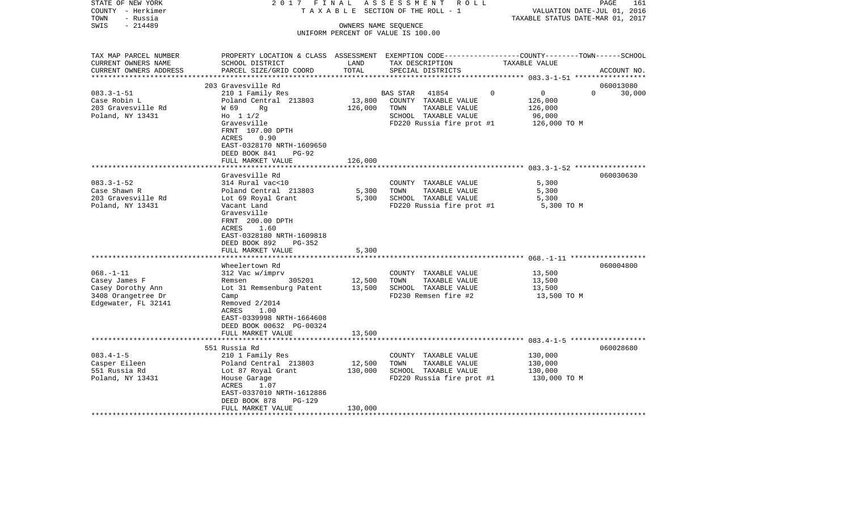| STATE OF NEW YORK<br>COUNTY - Herkimer<br>- Russia<br>TOWN                                        | 2017 FINAL<br>TAXABLE                                                                                                                        |                      | ASSESSMENT ROLL<br>SECTION OF THE ROLL - 1    | VALUATION DATE-JUL 01, 2016<br>TAXABLE STATUS DATE-MAR 01, 2017 | PAGE<br>161        |
|---------------------------------------------------------------------------------------------------|----------------------------------------------------------------------------------------------------------------------------------------------|----------------------|-----------------------------------------------|-----------------------------------------------------------------|--------------------|
| SWIS<br>$-214489$                                                                                 |                                                                                                                                              | OWNERS NAME SEQUENCE | UNIFORM PERCENT OF VALUE IS 100.00            |                                                                 |                    |
| TAX MAP PARCEL NUMBER<br>CURRENT OWNERS NAME<br>CURRENT OWNERS ADDRESS<br>*********************** | PROPERTY LOCATION & CLASS ASSESSMENT EXEMPTION CODE---------------COUNTY-------TOWN------SCHOOL<br>SCHOOL DISTRICT<br>PARCEL SIZE/GRID COORD | LAND<br>TOTAL        | TAX DESCRIPTION<br>SPECIAL DISTRICTS          | TAXABLE VALUE                                                   | ACCOUNT NO.        |
|                                                                                                   | 203 Gravesville Rd                                                                                                                           |                      |                                               |                                                                 | 060013080          |
| $083.3 - 1 - 51$                                                                                  | 210 1 Family Res                                                                                                                             |                      | <b>BAS STAR</b><br>41854                      | $\overline{0}$<br>$\Omega$                                      | $\Omega$<br>30,000 |
| Case Robin L                                                                                      | Poland Central 213803                                                                                                                        | 13,800               | COUNTY TAXABLE VALUE                          | 126,000                                                         |                    |
| 203 Gravesville Rd                                                                                | W 69<br>Rg                                                                                                                                   | 126,000              | TOWN<br>TAXABLE VALUE                         | 126,000                                                         |                    |
| Poland, NY 13431                                                                                  | Ho $11/2$                                                                                                                                    |                      | SCHOOL TAXABLE VALUE                          | 96,000                                                          |                    |
|                                                                                                   | Gravesville                                                                                                                                  |                      | FD220 Russia fire prot #1                     | 126,000 ТО М                                                    |                    |
|                                                                                                   | FRNT 107.00 DPTH                                                                                                                             |                      |                                               |                                                                 |                    |
|                                                                                                   | 0.90<br>ACRES                                                                                                                                |                      |                                               |                                                                 |                    |
|                                                                                                   | EAST-0328170 NRTH-1609650<br>DEED BOOK 841<br>$PG-92$                                                                                        |                      |                                               |                                                                 |                    |
|                                                                                                   | FULL MARKET VALUE                                                                                                                            | 126,000              |                                               |                                                                 |                    |
|                                                                                                   |                                                                                                                                              |                      |                                               |                                                                 |                    |
|                                                                                                   | Gravesville Rd                                                                                                                               |                      |                                               |                                                                 | 060030630          |
| $083.3 - 1 - 52$                                                                                  | 314 Rural vac<10                                                                                                                             |                      | COUNTY TAXABLE VALUE                          | 5,300                                                           |                    |
| Case Shawn R                                                                                      | Poland Central 213803                                                                                                                        | 5,300                | TOWN<br>TAXABLE VALUE                         | 5,300                                                           |                    |
| 203 Gravesville Rd                                                                                | Lot 69 Royal Grant                                                                                                                           | 5,300                | SCHOOL TAXABLE VALUE                          | 5,300                                                           |                    |
| Poland, NY 13431                                                                                  | Vacant Land                                                                                                                                  |                      | FD220 Russia fire prot #1                     | 5,300 TO M                                                      |                    |
|                                                                                                   | Gravesville                                                                                                                                  |                      |                                               |                                                                 |                    |
|                                                                                                   | FRNT 200.00 DPTH                                                                                                                             |                      |                                               |                                                                 |                    |
|                                                                                                   | 1.60<br>ACRES                                                                                                                                |                      |                                               |                                                                 |                    |
|                                                                                                   | EAST-0328180 NRTH-1609818<br>DEED BOOK 892<br>PG-352                                                                                         |                      |                                               |                                                                 |                    |
|                                                                                                   | FULL MARKET VALUE                                                                                                                            | 5,300                |                                               |                                                                 |                    |
|                                                                                                   |                                                                                                                                              |                      |                                               |                                                                 |                    |
|                                                                                                   | Wheelertown Rd                                                                                                                               |                      |                                               |                                                                 | 060004800          |
| $068. - 1 - 11$                                                                                   | 312 Vac w/imprv                                                                                                                              |                      | COUNTY TAXABLE VALUE                          | 13,500                                                          |                    |
| Casey James F                                                                                     | 305201<br>Remsen                                                                                                                             | 12,500               | TOWN<br>TAXABLE VALUE                         | 13,500                                                          |                    |
| Casey Dorothy Ann                                                                                 | Lot 31 Remsenburg Patent                                                                                                                     | 13,500               | SCHOOL TAXABLE VALUE                          | 13,500                                                          |                    |
| 3408 Orangetree Dr                                                                                | Camp                                                                                                                                         |                      | FD230 Remsen fire #2                          | 13,500 TO M                                                     |                    |
| Edgewater, FL 32141                                                                               | Removed $2/2014$                                                                                                                             |                      |                                               |                                                                 |                    |
|                                                                                                   | ACRES<br>1.00                                                                                                                                |                      |                                               |                                                                 |                    |
|                                                                                                   | EAST-0339998 NRTH-1664608                                                                                                                    |                      |                                               |                                                                 |                    |
|                                                                                                   | DEED BOOK 00632 PG-00324                                                                                                                     |                      |                                               |                                                                 |                    |
|                                                                                                   | FULL MARKET VALUE<br>************************                                                                                                | 13,500               |                                               |                                                                 |                    |
|                                                                                                   |                                                                                                                                              |                      |                                               |                                                                 |                    |
|                                                                                                   | 551 Russia Rd                                                                                                                                |                      |                                               |                                                                 | 060028680          |
| $083.4 - 1 - 5$<br>Casper Eileen                                                                  | 210 1 Family Res<br>Poland Central 213803                                                                                                    | 12,500               | COUNTY TAXABLE VALUE<br>TOWN<br>TAXABLE VALUE | 130,000<br>130,000                                              |                    |
| 551 Russia Rd                                                                                     | Lot 87 Royal Grant                                                                                                                           | 130,000              | SCHOOL TAXABLE VALUE                          | 130,000                                                         |                    |
| Poland, NY 13431                                                                                  | House Garage                                                                                                                                 |                      | FD220 Russia fire prot #1                     | 130,000 TO M                                                    |                    |
|                                                                                                   | ACRES<br>1.07                                                                                                                                |                      |                                               |                                                                 |                    |
|                                                                                                   | EAST-0337010 NRTH-1612886                                                                                                                    |                      |                                               |                                                                 |                    |
|                                                                                                   | DEED BOOK 878<br>$PG-129$                                                                                                                    |                      |                                               |                                                                 |                    |
|                                                                                                   | FULL MARKET VALUE                                                                                                                            | 130,000              |                                               |                                                                 |                    |
| *******************                                                                               |                                                                                                                                              |                      |                                               |                                                                 |                    |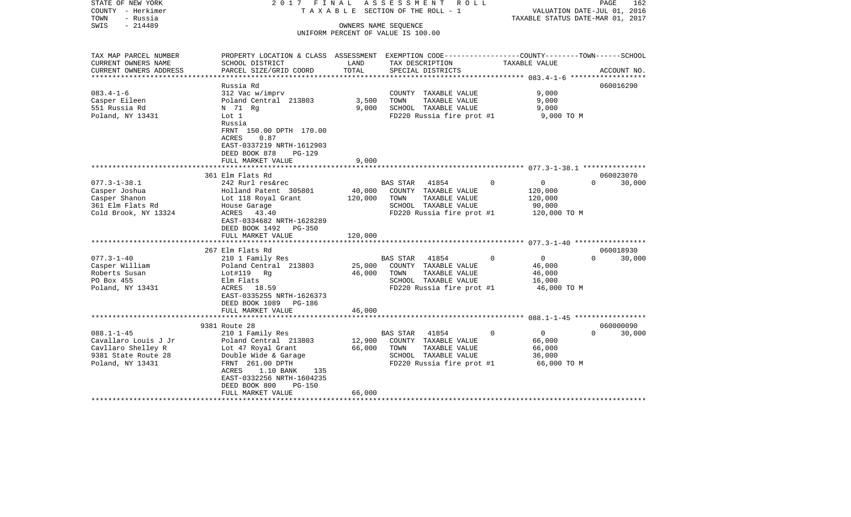| - Herkimer<br>COUNTY<br>TOWN<br>- Russia<br>SWIS<br>$-214489$                                             |                                                                                                                                                                                                         | TAXABLE SECTION OF THE ROLL - 1<br>OWNERS NAME SEQUENCE<br>UNIFORM PERCENT OF VALUE IS 100.00 |                                                                                                                                |                                                                          | VALUATION DATE-JUL 01, 2016<br>TAXABLE STATUS DATE-MAR 01, 2017 |  |  |
|-----------------------------------------------------------------------------------------------------------|---------------------------------------------------------------------------------------------------------------------------------------------------------------------------------------------------------|-----------------------------------------------------------------------------------------------|--------------------------------------------------------------------------------------------------------------------------------|--------------------------------------------------------------------------|-----------------------------------------------------------------|--|--|
| TAX MAP PARCEL NUMBER<br>CURRENT OWNERS NAME<br>CURRENT OWNERS ADDRESS                                    | PROPERTY LOCATION & CLASS ASSESSMENT EXEMPTION CODE---------------COUNTY-------TOWN------SCHOOL<br>SCHOOL DISTRICT<br>PARCEL SIZE/GRID COORD                                                            | LAND<br>TOTAL                                                                                 | TAX DESCRIPTION<br>SPECIAL DISTRICTS                                                                                           | TAXABLE VALUE                                                            |                                                                 |  |  |
| **********************                                                                                    |                                                                                                                                                                                                         |                                                                                               |                                                                                                                                |                                                                          | ACCOUNT NO.                                                     |  |  |
|                                                                                                           | Russia Rd                                                                                                                                                                                               |                                                                                               |                                                                                                                                |                                                                          | 060016290                                                       |  |  |
| $083.4 - 1 - 6$<br>Casper Eileen<br>551 Russia Rd<br>Poland, NY 13431                                     | 312 Vac w/imprv<br>Poland Central 213803<br>N 71 Rg<br>Lot 1<br>Russia                                                                                                                                  | 3,500<br>9,000                                                                                | COUNTY TAXABLE VALUE<br>TAXABLE VALUE<br>TOWN<br>SCHOOL TAXABLE VALUE<br>FD220 Russia fire prot #1                             | 9,000<br>9,000<br>9,000<br>9,000 TO M                                    |                                                                 |  |  |
|                                                                                                           | FRNT 150.00 DPTH 170.00<br>0.87<br>ACRES<br>EAST-0337219 NRTH-1612903<br>DEED BOOK 878<br><b>PG-129</b><br>FULL MARKET VALUE                                                                            | 9,000                                                                                         |                                                                                                                                |                                                                          |                                                                 |  |  |
|                                                                                                           | 361 Elm Flats Rd                                                                                                                                                                                        |                                                                                               |                                                                                                                                |                                                                          | 060023070                                                       |  |  |
| $077.3 - 1 - 38.1$<br>Casper Joshua<br>Casper Shanon<br>361 Elm Flats Rd<br>Cold Brook, NY 13324          | 242 Rurl res&rec<br>Holland Patent 305801<br>Lot 118 Royal Grant<br>House Garage<br>ACRES 43.40<br>EAST-0334682 NRTH-1628289<br>DEED BOOK 1492<br>PG-350<br>FULL MARKET VALUE                           | 40,000<br>120,000<br>120,000                                                                  | <b>BAS STAR</b><br>41854<br>COUNTY TAXABLE VALUE<br>TAXABLE VALUE<br>TOWN<br>SCHOOL TAXABLE VALUE<br>FD220 Russia fire prot #1 | $\Omega$<br>$\mathbf{0}$<br>120,000<br>120,000<br>90,000<br>120,000 TO M | $\Omega$<br>30,000                                              |  |  |
|                                                                                                           |                                                                                                                                                                                                         |                                                                                               |                                                                                                                                |                                                                          |                                                                 |  |  |
| $077.3 - 1 - 40$<br>Casper William<br>Roberts Susan<br>PO Box 455<br>Poland, NY 13431                     | 267 Elm Flats Rd<br>210 1 Family Res<br>Poland Central 213803<br>Lot#119 Rg<br>Elm Flats<br>18.59<br>ACRES<br>EAST-0335255 NRTH-1626373<br>DEED BOOK 1089<br>PG-186<br>FULL MARKET VALUE                | 25,000<br>46,000<br>46,000                                                                    | 41854<br><b>BAS STAR</b><br>COUNTY TAXABLE VALUE<br>TOWN<br>TAXABLE VALUE<br>SCHOOL TAXABLE VALUE<br>FD220 Russia fire prot #1 | $\Omega$<br>$\mathbf 0$<br>46,000<br>46,000<br>16,000<br>46,000 TO M     | 060018930<br>$\Omega$<br>30,000                                 |  |  |
|                                                                                                           | ************************                                                                                                                                                                                |                                                                                               |                                                                                                                                |                                                                          |                                                                 |  |  |
|                                                                                                           | 9381 Route 28                                                                                                                                                                                           |                                                                                               |                                                                                                                                |                                                                          | 060000090                                                       |  |  |
| $088.1 - 1 - 45$<br>Cavallaro Louis J Jr<br>Cavllaro Shelley R<br>9381 State Route 28<br>Poland, NY 13431 | 210 1 Family Res<br>Poland Central 213803<br>Lot 47 Royal Grant<br>Double Wide & Garage<br>FRNT 261.00 DPTH<br>ACRES<br>1.10 BANK<br>135<br>EAST-0332256 NRTH-1604235<br>DEED BOOK 800<br><b>PG-150</b> | 12,900<br>66,000                                                                              | BAS STAR<br>41854<br>COUNTY TAXABLE VALUE<br>TOWN<br>TAXABLE VALUE<br>SCHOOL TAXABLE VALUE<br>FD220 Russia fire prot #1        | $\overline{0}$<br>0<br>66,000<br>66,000<br>36,000<br>66,000 TO M         | $\Omega$<br>30,000                                              |  |  |
|                                                                                                           | FULL MARKET VALUE                                                                                                                                                                                       | 66,000                                                                                        |                                                                                                                                |                                                                          |                                                                 |  |  |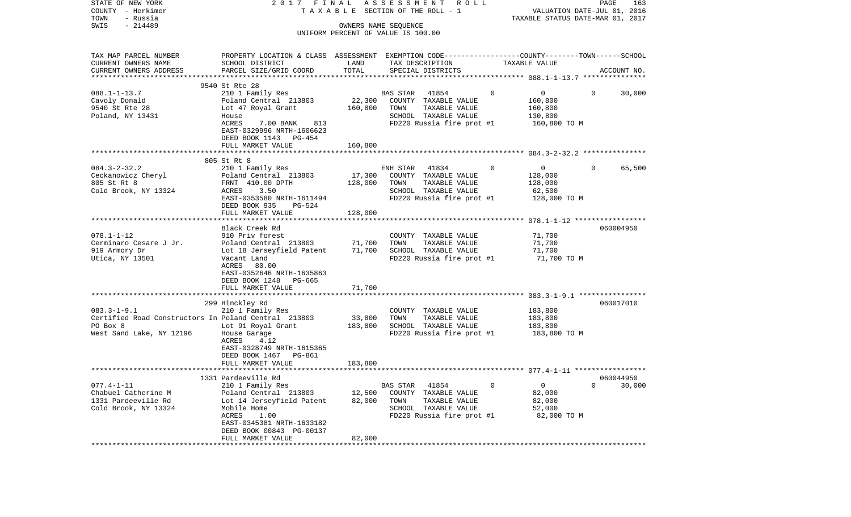| STATE OF NEW YORK<br>COUNTY - Herkimer               | 2017 FINAL                                                                                     |         | ASSESSMENT<br>R O L L<br>TAXABLE SECTION OF THE ROLL - 1 |          | VALUATION DATE-JUL 01, 2016      | PAGE           | 163         |
|------------------------------------------------------|------------------------------------------------------------------------------------------------|---------|----------------------------------------------------------|----------|----------------------------------|----------------|-------------|
| - Russia<br>TOWN                                     |                                                                                                |         |                                                          |          | TAXABLE STATUS DATE-MAR 01, 2017 |                |             |
| $-214489$<br>SWIS                                    |                                                                                                |         | OWNERS NAME SEQUENCE                                     |          |                                  |                |             |
|                                                      |                                                                                                |         | UNIFORM PERCENT OF VALUE IS 100.00                       |          |                                  |                |             |
|                                                      |                                                                                                |         |                                                          |          |                                  |                |             |
| TAX MAP PARCEL NUMBER                                | PROPERTY LOCATION & CLASS ASSESSMENT EXEMPTION CODE---------------COUNTY-------TOWN-----SCHOOL |         |                                                          |          |                                  |                |             |
| CURRENT OWNERS NAME                                  | SCHOOL DISTRICT                                                                                | LAND    | TAX DESCRIPTION                                          |          | TAXABLE VALUE                    |                |             |
| CURRENT OWNERS ADDRESS                               | PARCEL SIZE/GRID COORD                                                                         | TOTAL   | SPECIAL DISTRICTS                                        |          |                                  |                | ACCOUNT NO. |
| *************************                            |                                                                                                |         |                                                          |          |                                  |                |             |
|                                                      | 9540 St Rte 28                                                                                 |         |                                                          |          |                                  |                |             |
| $088.1 - 1 - 13.7$                                   | 210 1 Family Res                                                                               |         | <b>BAS STAR</b><br>41854                                 | $\Omega$ | 0                                | $\Omega$       | 30,000      |
| Cavoly Donald                                        | Poland Central 213803                                                                          | 22,300  | COUNTY TAXABLE VALUE                                     |          | 160,800                          |                |             |
| 9540 St Rte 28                                       | Lot 47 Royal Grant                                                                             | 160,800 | TOWN<br>TAXABLE VALUE                                    |          | 160,800                          |                |             |
| Poland, NY 13431                                     | House                                                                                          |         | SCHOOL TAXABLE VALUE                                     |          | 130,800                          |                |             |
|                                                      | ACRES<br>7.00 BANK<br>813                                                                      |         | FD220 Russia fire prot #1                                |          | 160,800 TO M                     |                |             |
|                                                      | EAST-0329996 NRTH-1606623                                                                      |         |                                                          |          |                                  |                |             |
|                                                      | DEED BOOK 1143 PG-454                                                                          |         |                                                          |          |                                  |                |             |
|                                                      | FULL MARKET VALUE                                                                              | 160,800 |                                                          |          |                                  |                |             |
|                                                      |                                                                                                |         |                                                          |          |                                  |                |             |
|                                                      | 805 St Rt 8                                                                                    |         |                                                          |          |                                  |                |             |
| $084.3 - 2 - 32.2$                                   | 210 1 Family Res                                                                               |         | ENH STAR<br>41834                                        | $\Omega$ | $\overline{0}$                   | $\Omega$       | 65,500      |
| Ceckanowicz Cheryl                                   | Poland Central 213803                                                                          | 17,300  | COUNTY TAXABLE VALUE                                     |          | 128,000                          |                |             |
| 805 St Rt 8                                          | FRNT 410.00 DPTH                                                                               | 128,000 | TOWN<br>TAXABLE VALUE                                    |          | 128,000                          |                |             |
| Cold Brook, NY 13324                                 | 3.50<br>ACRES                                                                                  |         | SCHOOL TAXABLE VALUE                                     |          | 62,500                           |                |             |
|                                                      | EAST-0353580 NRTH-1611494                                                                      |         | FD220 Russia fire prot #1                                |          | 128,000 TO M                     |                |             |
|                                                      | DEED BOOK 935<br>PG-524                                                                        |         |                                                          |          |                                  |                |             |
|                                                      | FULL MARKET VALUE                                                                              | 128,000 |                                                          |          |                                  |                |             |
|                                                      | Black Creek Rd                                                                                 |         |                                                          |          |                                  |                | 060004950   |
| $078.1 - 1 - 12$                                     | 910 Priv forest                                                                                |         | COUNTY TAXABLE VALUE                                     |          | 71,700                           |                |             |
| Cerminaro Cesare J Jr.                               | Poland Central 213803                                                                          | 71,700  | TOWN<br>TAXABLE VALUE                                    |          | 71,700                           |                |             |
| 919 Armory Dr                                        | Lot 18 Jerseyfield Patent                                                                      | 71,700  | SCHOOL TAXABLE VALUE                                     |          | 71,700                           |                |             |
| Utica, NY 13501                                      | Vacant Land                                                                                    |         | FD220 Russia fire prot #1                                |          | 71,700 TO M                      |                |             |
|                                                      | ACRES<br>80.00                                                                                 |         |                                                          |          |                                  |                |             |
|                                                      | EAST-0352646 NRTH-1635863                                                                      |         |                                                          |          |                                  |                |             |
|                                                      | DEED BOOK 1248 PG-665                                                                          |         |                                                          |          |                                  |                |             |
|                                                      | FULL MARKET VALUE                                                                              | 71,700  |                                                          |          |                                  |                |             |
|                                                      |                                                                                                |         |                                                          |          |                                  |                |             |
|                                                      | 299 Hinckley Rd                                                                                |         |                                                          |          |                                  |                | 060017010   |
| $083.3 - 1 - 9.1$                                    | 210 1 Family Res                                                                               |         | COUNTY TAXABLE VALUE                                     |          | 183,800                          |                |             |
| Certified Road Constructors In Poland Central 213803 |                                                                                                | 33,800  | TOWN<br>TAXABLE VALUE                                    |          | 183,800                          |                |             |
| PO Box 8                                             | Lot 91 Royal Grant                                                                             | 183,800 | SCHOOL TAXABLE VALUE                                     |          | 183,800                          |                |             |
| West Sand Lake, NY 12196                             | House Garage                                                                                   |         | FD220 Russia fire prot #1                                |          | 183,800 TO M                     |                |             |
|                                                      | ACRES<br>4.12                                                                                  |         |                                                          |          |                                  |                |             |
|                                                      | EAST-0328749 NRTH-1615365                                                                      |         |                                                          |          |                                  |                |             |
|                                                      | DEED BOOK 1467 PG-861                                                                          |         |                                                          |          |                                  |                |             |
|                                                      | FULL MARKET VALUE                                                                              | 183,800 |                                                          |          |                                  |                |             |
|                                                      |                                                                                                |         |                                                          |          |                                  |                |             |
|                                                      | 1331 Pardeeville Rd                                                                            |         |                                                          |          |                                  |                | 060044950   |
| $077.4 - 1 - 11$                                     | 210 1 Family Res                                                                               |         | 41854<br>BAS STAR                                        | 0        | $\mathbf 0$                      | $\overline{0}$ | 30,000      |
| Chabuel Catherine M                                  | Poland Central 213803                                                                          | 12,500  | COUNTY TAXABLE VALUE                                     |          | 82,000                           |                |             |
| 1331 Pardeeville Rd                                  | Lot 14 Jerseyfield Patent                                                                      | 82,000  | TOWN<br>TAXABLE VALUE                                    |          | 82,000                           |                |             |
| Cold Brook, NY 13324                                 | Mobile Home                                                                                    |         | SCHOOL TAXABLE VALUE                                     |          | 52,000                           |                |             |
|                                                      | ACRES<br>1.00                                                                                  |         | FD220 Russia fire prot #1                                |          | 82,000 TO M                      |                |             |
|                                                      | EAST-0345381 NRTH-1633182                                                                      |         |                                                          |          |                                  |                |             |
|                                                      | DEED BOOK 00843 PG-00137                                                                       |         |                                                          |          |                                  |                |             |
|                                                      | FULL MARKET VALUE                                                                              | 82,000  |                                                          |          |                                  |                |             |
|                                                      |                                                                                                |         |                                                          |          |                                  |                |             |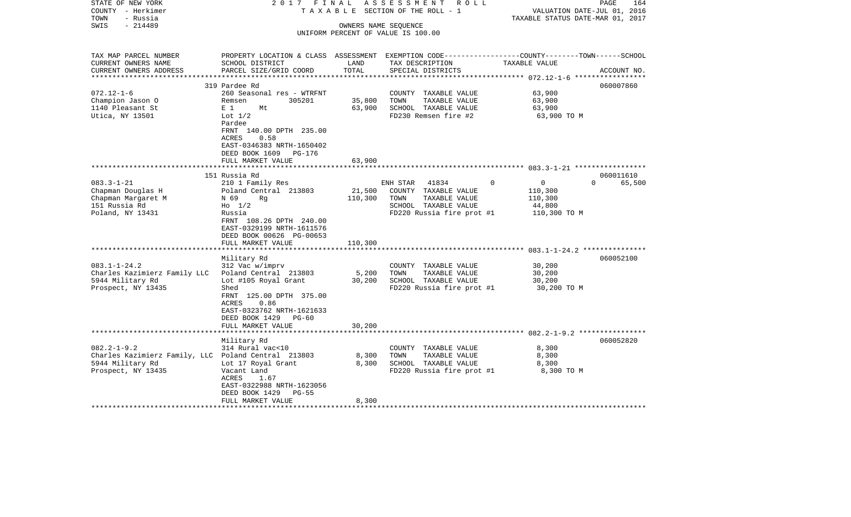| STATE OF NEW YORK<br>COUNTY - Herkimer              | 2017<br>FINAL<br>TAXABLE                                                                        |                           | ASSESSMENT<br>R O L L<br>SECTION OF THE ROLL - 1 |                                  | 164<br>PAGE<br>VALUATION DATE-JUL 01, 2016 |
|-----------------------------------------------------|-------------------------------------------------------------------------------------------------|---------------------------|--------------------------------------------------|----------------------------------|--------------------------------------------|
| - Russia<br>TOWN                                    |                                                                                                 |                           |                                                  | TAXABLE STATUS DATE-MAR 01, 2017 |                                            |
| $-214489$<br>SWIS                                   |                                                                                                 |                           | OWNERS NAME SEQUENCE                             |                                  |                                            |
|                                                     |                                                                                                 |                           | UNIFORM PERCENT OF VALUE IS 100.00               |                                  |                                            |
|                                                     |                                                                                                 |                           |                                                  |                                  |                                            |
| TAX MAP PARCEL NUMBER                               | PROPERTY LOCATION & CLASS ASSESSMENT EXEMPTION CODE---------------COUNTY-------TOWN------SCHOOL |                           |                                                  |                                  |                                            |
| CURRENT OWNERS NAME                                 | SCHOOL DISTRICT                                                                                 | LAND                      | TAX DESCRIPTION                                  | TAXABLE VALUE                    |                                            |
| CURRENT OWNERS ADDRESS                              | PARCEL SIZE/GRID COORD                                                                          | TOTAL                     | SPECIAL DISTRICTS                                |                                  | ACCOUNT NO.                                |
| *********************                               |                                                                                                 |                           |                                                  |                                  |                                            |
|                                                     | 319 Pardee Rd                                                                                   |                           |                                                  |                                  | 060007860                                  |
| $072.12 - 1 - 6$                                    | 260 Seasonal res - WTRFNT                                                                       |                           | COUNTY TAXABLE VALUE                             | 63,900                           |                                            |
| Champion Jason O                                    | 305201<br>Remsen                                                                                | 35,800                    | TOWN<br>TAXABLE VALUE                            | 63,900                           |                                            |
| 1140 Pleasant St                                    | E <sub>1</sub><br>Mt                                                                            | 63,900                    | SCHOOL TAXABLE VALUE                             | 63,900                           |                                            |
| Utica, NY 13501                                     | Lot $1/2$                                                                                       |                           | FD230 Remsen fire #2                             | 63,900 TO M                      |                                            |
|                                                     | Pardee                                                                                          |                           |                                                  |                                  |                                            |
|                                                     | FRNT 140.00 DPTH 235.00                                                                         |                           |                                                  |                                  |                                            |
|                                                     | 0.58<br>ACRES                                                                                   |                           |                                                  |                                  |                                            |
|                                                     | EAST-0346383 NRTH-1650402                                                                       |                           |                                                  |                                  |                                            |
|                                                     | DEED BOOK 1609<br>PG-176                                                                        | 63,900                    |                                                  |                                  |                                            |
|                                                     | FULL MARKET VALUE                                                                               |                           |                                                  |                                  |                                            |
|                                                     | 151 Russia Rd                                                                                   |                           |                                                  |                                  | 060011610                                  |
| $083.3 - 1 - 21$                                    | 210 1 Family Res                                                                                |                           | ENH STAR<br>41834                                | $\Omega$<br>$\mathbf{0}$         | $\Omega$<br>65,500                         |
| Chapman Douglas H                                   | Poland Central 213803                                                                           | 21,500                    | COUNTY TAXABLE VALUE                             | 110,300                          |                                            |
| Chapman Margaret M                                  | N 69<br>Rg                                                                                      | 110,300                   | TOWN<br>TAXABLE VALUE                            | 110,300                          |                                            |
| 151 Russia Rd                                       | $H_0$ 1/2                                                                                       |                           | SCHOOL TAXABLE VALUE                             | 44,800                           |                                            |
| Poland, NY 13431                                    | Russia                                                                                          |                           | FD220 Russia fire prot #1                        | 110,300 TO M                     |                                            |
|                                                     | FRNT 108.26 DPTH 240.00                                                                         |                           |                                                  |                                  |                                            |
|                                                     | EAST-0329199 NRTH-1611576                                                                       |                           |                                                  |                                  |                                            |
|                                                     | DEED BOOK 00626 PG-00653                                                                        |                           |                                                  |                                  |                                            |
|                                                     | FULL MARKET VALUE                                                                               | 110,300                   |                                                  |                                  |                                            |
|                                                     |                                                                                                 | * * * * * * * * * * * * * |                                                  |                                  |                                            |
|                                                     | Military Rd                                                                                     |                           |                                                  |                                  | 060052100                                  |
| $083.1 - 1 - 24.2$                                  | 312 Vac w/imprv                                                                                 |                           | COUNTY TAXABLE VALUE                             | 30,200                           |                                            |
| Charles Kazimierz Family LLC                        | Poland Central 213803                                                                           | 5,200                     | TOWN<br>TAXABLE VALUE                            | 30,200                           |                                            |
| 5944 Military Rd                                    | Lot #105 Royal Grant                                                                            | 30,200                    | SCHOOL TAXABLE VALUE                             | 30,200                           |                                            |
| Prospect, NY 13435                                  | Shed                                                                                            |                           | FD220 Russia fire prot #1                        | 30,200 TO M                      |                                            |
|                                                     | FRNT 125.00 DPTH 375.00<br><b>ACRES</b><br>0.86                                                 |                           |                                                  |                                  |                                            |
|                                                     | EAST-0323762 NRTH-1621633                                                                       |                           |                                                  |                                  |                                            |
|                                                     | DEED BOOK 1429<br>PG-60                                                                         |                           |                                                  |                                  |                                            |
|                                                     | FULL MARKET VALUE                                                                               | 30,200                    |                                                  |                                  |                                            |
|                                                     |                                                                                                 |                           |                                                  |                                  |                                            |
|                                                     | Military Rd                                                                                     |                           |                                                  |                                  | 060052820                                  |
| $082.2 - 1 - 9.2$                                   | 314 Rural vac<10                                                                                |                           | COUNTY TAXABLE VALUE                             | 8,300                            |                                            |
| Charles Kazimierz Family, LLC Poland Central 213803 |                                                                                                 | 8,300                     | TOWN<br>TAXABLE VALUE                            | 8,300                            |                                            |
| 5944 Military Rd                                    | Lot 17 Royal Grant                                                                              | 8,300                     | SCHOOL TAXABLE VALUE                             | 8,300                            |                                            |
| Prospect, NY 13435                                  | Vacant Land                                                                                     |                           | FD220 Russia fire prot #1                        | 8,300 TO M                       |                                            |
|                                                     | ACRES<br>1.67                                                                                   |                           |                                                  |                                  |                                            |
|                                                     | EAST-0322988 NRTH-1623056                                                                       |                           |                                                  |                                  |                                            |
|                                                     | DEED BOOK 1429<br>$PG-55$                                                                       |                           |                                                  |                                  |                                            |
|                                                     | FULL MARKET VALUE                                                                               | 8,300                     |                                                  |                                  |                                            |
|                                                     |                                                                                                 |                           |                                                  |                                  |                                            |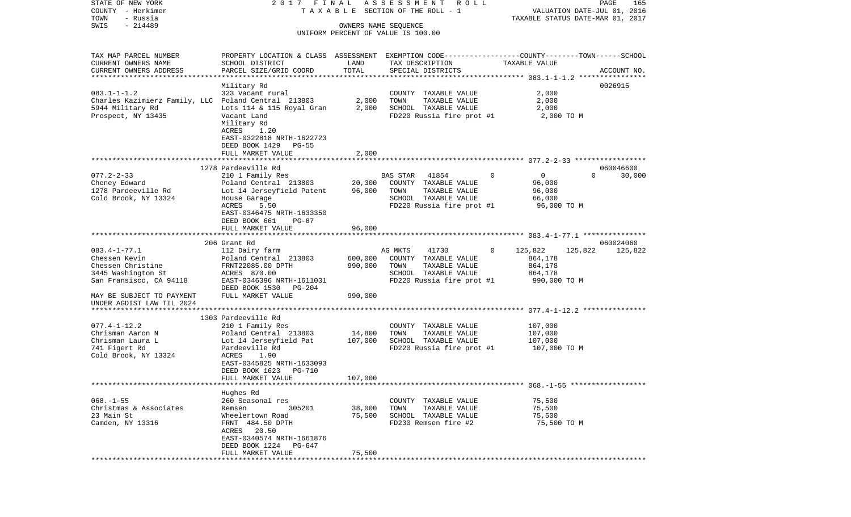COUNTY - Herkimer **T A X A B L E** SECTION OF THE ROLL - 1 VALUATION DATE-JUL 01, 2016 TOWN - Russia TAXABLE STATUS DATE-MAR 01, 2017 SWIS - 214489 OWNERS NAME SEQUENCE UNIFORM PERCENT OF VALUE IS 100.00TAX MAP PARCEL NUMBER PROPERTY LOCATION & CLASS ASSESSMENT EXEMPTION CODE------------------COUNTY--------TOWN------SCHOOL CURRENT OWNERS NAME SCHOOL DISTRICT LAND TAX DESCRIPTION TAXABLE VALUECURRENT OWNERS ADDRESS PARCEL SIZE/GRID COORD TOTAL SPECIAL DISTRICTS ACCOUNT NO. \*\*\*\*\*\*\*\*\*\*\*\*\*\*\*\*\*\*\*\*\*\*\*\*\*\*\*\*\*\*\*\*\*\*\*\*\*\*\*\*\*\*\*\*\*\*\*\*\*\*\*\*\*\*\*\*\*\*\*\*\*\*\*\*\*\*\*\*\*\*\*\*\*\*\*\*\*\*\*\*\*\*\*\*\*\*\*\*\*\*\*\*\*\*\*\*\*\*\*\*\*\*\* 083.1-1-1.2 \*\*\*\*\*\*\*\*\*\*\*\*\*\*\*\* Military Rd 0026915 083.1-1-1.2 323 Vacant rural COUNTY TAXABLE VALUE 2,000 Charles Kazimierz Family, LLC Poland Central 213803 2,000 TOWN TAXABLE VALUE 2,000 5944 Military Rd Lots 114 & 115 Royal Gran 2,000 SCHOOL TAXABLE VALUE 2,000 Prospect, NY 13435 Vacant Land FD220 Russia fire prot #1 2,000 TO M Military Rd ACRES 1.20 EAST-0322818 NRTH-1622723 DEED BOOK 1429 PG-55FULL MARKET VALUE 2,000 \*\*\*\*\*\*\*\*\*\*\*\*\*\*\*\*\*\*\*\*\*\*\*\*\*\*\*\*\*\*\*\*\*\*\*\*\*\*\*\*\*\*\*\*\*\*\*\*\*\*\*\*\*\*\*\*\*\*\*\*\*\*\*\*\*\*\*\*\*\*\*\*\*\*\*\*\*\*\*\*\*\*\*\*\*\*\*\*\*\*\*\*\*\*\*\*\*\*\*\*\*\*\* 077.2-2-33 \*\*\*\*\*\*\*\*\*\*\*\*\*\*\*\*\* 1278 Pardeeville Rd 060046600077.2-2-33 210 1 Family Res BAS STAR 41854 0 0 0 30,000 Cheney Edward Poland Central 213803 20,300 COUNTY TAXABLE VALUE 96,000 1278 Pardeeville Rd Lot 14 Jerseyfield Patent 96,000 TOWN TAXABLE VALUE 96,000 Cold Brook, NY 13324 House Garage SCHOOL TAXABLE VALUE 66,000 ACRES 5.50 FD220 Russia fire prot #1 96,000 TO M EAST-0346475 NRTH-1633350 DEED BOOK 661 PG-87FULL MARKET VALUE 96,000 \*\*\*\*\*\*\*\*\*\*\*\*\*\*\*\*\*\*\*\*\*\*\*\*\*\*\*\*\*\*\*\*\*\*\*\*\*\*\*\*\*\*\*\*\*\*\*\*\*\*\*\*\*\*\*\*\*\*\*\*\*\*\*\*\*\*\*\*\*\*\*\*\*\*\*\*\*\*\*\*\*\*\*\*\*\*\*\*\*\*\*\*\*\*\*\*\*\*\*\*\*\*\* 083.4-1-77.1 \*\*\*\*\*\*\*\*\*\*\*\*\*\*\* 206 Grant Rd 060024060083.4-1-77.1 112 Dairy farm AG MKTS 41730 0 125,822 125,822 125,822 Chessen Kevin **Poland Central 213803** 600,000 COUNTY TAXABLE VALUE 864,178 Chessen Christine FRNT22085.00 DPTH 990,000 TOWN TAXABLE VALUE 864,178 3445 Washington St ACRES 870.00 SCHOOL TAXABLE VALUE 864,178 San Fransisco, CA 94118 EAST-0346396 NRTH-1611031 FD220 Russia fire prot #1 990,000 TO M DEED BOOK 1530 PG-204MAY BE SUBJECT TO PAYMENT FULL MARKET VALUE 990,000 UNDER AGDIST LAW TIL 2024 \*\*\*\*\*\*\*\*\*\*\*\*\*\*\*\*\*\*\*\*\*\*\*\*\*\*\*\*\*\*\*\*\*\*\*\*\*\*\*\*\*\*\*\*\*\*\*\*\*\*\*\*\*\*\*\*\*\*\*\*\*\*\*\*\*\*\*\*\*\*\*\*\*\*\*\*\*\*\*\*\*\*\*\*\*\*\*\*\*\*\*\*\*\*\*\*\*\*\*\*\*\*\* 077.4-1-12.2 \*\*\*\*\*\*\*\*\*\*\*\*\*\*\* 1303 Pardeeville Rd210 1 Family Res 077.4-1-12.2 2001 Family Res COUNTY TAXABLE VALUE 107,000 Chrisman Aaron N Poland Central 213803 14,800 TOWN TAXABLE VALUE 107,000 Chrisman Laura L Chrisman Laura Lot 14 Jerseyfield Pat 107,000 SCHOOL TAXABLE VALUE 107,000 The Figert Rd Fardeeville Rd FD220 Russia fire prot #1 107,000 TO M<br>Cold Brook. NY 13324 ACRES 1.90 Cold Brook, NY 13324 EAST-0345825 NRTH-1633093 DEED BOOK 1623 PG-710 FULL MARKET VALUE 107,000 \*\*\*\*\*\*\*\*\*\*\*\*\*\*\*\*\*\*\*\*\*\*\*\*\*\*\*\*\*\*\*\*\*\*\*\*\*\*\*\*\*\*\*\*\*\*\*\*\*\*\*\*\*\*\*\*\*\*\*\*\*\*\*\*\*\*\*\*\*\*\*\*\*\*\*\*\*\*\*\*\*\*\*\*\*\*\*\*\*\*\*\*\*\*\*\*\*\*\*\*\*\*\* 068.-1-55 \*\*\*\*\*\*\*\*\*\*\*\*\*\*\*\*\*\* Hughes Rd 068.-1-55 260 Seasonal res COUNTY TAXABLE VALUE 75,500 Christmas & Associates Remsen 305201 38,000 TOWN TAXABLE VALUE 75,500 23 Main St Wheelertown Road 75,500 SCHOOL TAXABLE VALUE 75,500 Camden, NY 13316 FRNT 484.50 DPTH FD230 Remsen fire #2 75,500 TO M ACRES 20.50 EAST-0340574 NRTH-1661876 DEED BOOK 1224 PG-647FULL MARKET VALUE 75,500 \*\*\*\*\*\*\*\*\*\*\*\*\*\*\*\*\*\*\*\*\*\*\*\*\*\*\*\*\*\*\*\*\*\*\*\*\*\*\*\*\*\*\*\*\*\*\*\*\*\*\*\*\*\*\*\*\*\*\*\*\*\*\*\*\*\*\*\*\*\*\*\*\*\*\*\*\*\*\*\*\*\*\*\*\*\*\*\*\*\*\*\*\*\*\*\*\*\*\*\*\*\*\*\*\*\*\*\*\*\*\*\*\*\*\*\*\*\*\*\*\*\*\*\*\*\*\*\*\*\*\*\*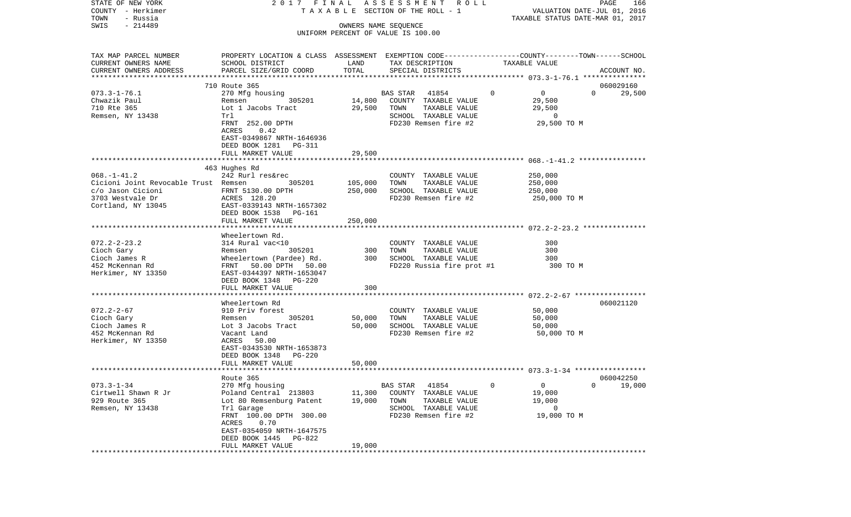| STATE OF NEW YORK                                | 2017 FINAL                                                                                      |                   | A S S E S S M E N T R O L L           |                            | PAGE<br>166                      |
|--------------------------------------------------|-------------------------------------------------------------------------------------------------|-------------------|---------------------------------------|----------------------------|----------------------------------|
| COUNTY - Herkimer                                |                                                                                                 |                   | T A X A B L E SECTION OF THE ROLL - 1 |                            | VALUATION DATE-JUL 01, 2016      |
| TOWN<br>- Russia                                 |                                                                                                 |                   |                                       |                            | TAXABLE STATUS DATE-MAR 01, 2017 |
| $-214489$<br>SWIS                                |                                                                                                 |                   | OWNERS NAME SEQUENCE                  |                            |                                  |
|                                                  |                                                                                                 |                   | UNIFORM PERCENT OF VALUE IS 100.00    |                            |                                  |
| TAX MAP PARCEL NUMBER                            | PROPERTY LOCATION & CLASS ASSESSMENT EXEMPTION CODE---------------COUNTY-------TOWN------SCHOOL |                   |                                       |                            |                                  |
| CURRENT OWNERS NAME                              | SCHOOL DISTRICT                                                                                 | LAND              | TAX DESCRIPTION                       | TAXABLE VALUE              |                                  |
|                                                  |                                                                                                 | TOTAL             |                                       |                            |                                  |
| CURRENT OWNERS ADDRESS<br>********************** | PARCEL SIZE/GRID COORD                                                                          |                   | SPECIAL DISTRICTS                     |                            | ACCOUNT NO.                      |
|                                                  | 710 Route 365                                                                                   |                   |                                       |                            | 060029160                        |
|                                                  |                                                                                                 |                   |                                       | $\Omega$<br>$\overline{0}$ | $\Omega$                         |
| $073.3 - 1 - 76.1$                               | 270 Mfg housing                                                                                 |                   | <b>BAS STAR</b><br>41854              |                            | 29,500                           |
| Chwazik Paul                                     | 305201<br>Remsen                                                                                | 14,800            | COUNTY TAXABLE VALUE                  | 29,500                     |                                  |
| 710 Rte 365                                      | Lot 1 Jacobs Tract                                                                              | 29,500            | TOWN<br>TAXABLE VALUE                 | 29,500                     |                                  |
| Remsen, NY 13438                                 | Trl                                                                                             |                   | SCHOOL TAXABLE VALUE                  | $\overline{0}$             |                                  |
|                                                  | FRNT 252.00 DPTH                                                                                |                   | FD230 Remsen fire #2                  | 29,500 TO M                |                                  |
|                                                  | ACRES<br>0.42                                                                                   |                   |                                       |                            |                                  |
|                                                  | EAST-0349867 NRTH-1646936                                                                       |                   |                                       |                            |                                  |
|                                                  | DEED BOOK 1281 PG-311                                                                           |                   |                                       |                            |                                  |
|                                                  | FULL MARKET VALUE                                                                               | 29,500            |                                       |                            |                                  |
|                                                  |                                                                                                 |                   |                                       |                            |                                  |
|                                                  | 463 Hughes Rd                                                                                   |                   |                                       |                            |                                  |
| $068. - 1 - 41.2$                                | 242 Rurl res&rec                                                                                |                   | COUNTY TAXABLE VALUE                  | 250,000                    |                                  |
| Cicioni Joint Revocable Trust Remsen             | 305201                                                                                          | 105,000           | TOWN<br>TAXABLE VALUE                 | 250,000                    |                                  |
| c/o Jason Cicioni                                | FRNT 5130.00 DPTH                                                                               | 250,000           | SCHOOL TAXABLE VALUE                  | 250,000                    |                                  |
| 3703 Westvale Dr                                 | ACRES 128.20                                                                                    |                   | FD230 Remsen fire #2                  | 250,000 TO M               |                                  |
| Cortland, NY 13045                               | EAST-0339143 NRTH-1657302                                                                       |                   |                                       |                            |                                  |
|                                                  | DEED BOOK 1538<br>PG-161                                                                        |                   |                                       |                            |                                  |
|                                                  | FULL MARKET VALUE                                                                               | 250,000           |                                       |                            |                                  |
|                                                  |                                                                                                 |                   |                                       |                            |                                  |
|                                                  | Wheelertown Rd.                                                                                 |                   |                                       |                            |                                  |
| $072.2 - 2 - 23.2$                               | 314 Rural vac<10                                                                                |                   | COUNTY TAXABLE VALUE                  | 300                        |                                  |
| Cioch Gary                                       | 305201<br>Remsen                                                                                | 300               | TAXABLE VALUE<br>TOWN                 | 300                        |                                  |
| Cioch James R                                    | Wheelertown (Pardee) Rd.                                                                        | 300               | SCHOOL TAXABLE VALUE                  | 300                        |                                  |
| 452 McKennan Rd                                  | FRNT<br>50.00 DPTH 50.00                                                                        |                   | FD220 Russia fire prot #1             | 300 TO M                   |                                  |
| Herkimer, NY 13350                               | EAST-0344397 NRTH-1653047                                                                       |                   |                                       |                            |                                  |
|                                                  | DEED BOOK 1348<br>PG-220                                                                        |                   |                                       |                            |                                  |
|                                                  | FULL MARKET VALUE                                                                               | 300               |                                       |                            |                                  |
|                                                  | *******************************                                                                 | ***************** |                                       |                            |                                  |
|                                                  | Wheelertown Rd                                                                                  |                   |                                       |                            | 060021120                        |
| $072.2 - 2 - 67$                                 | 910 Priv forest                                                                                 |                   | COUNTY TAXABLE VALUE                  | 50,000                     |                                  |
| Cioch Gary                                       | 305201<br>Remsen                                                                                | 50,000            | TOWN<br>TAXABLE VALUE                 | 50,000                     |                                  |
| Cioch James R                                    | Lot 3 Jacobs Tract                                                                              | 50,000            | SCHOOL TAXABLE VALUE                  | 50,000                     |                                  |
| 452 McKennan Rd                                  | Vacant Land                                                                                     |                   | FD230 Remsen fire #2                  | 50,000 TO M                |                                  |
| Herkimer, NY 13350                               | ACRES 50.00                                                                                     |                   |                                       |                            |                                  |
|                                                  | EAST-0343530 NRTH-1653873                                                                       |                   |                                       |                            |                                  |
|                                                  | DEED BOOK 1348<br>PG-220                                                                        |                   |                                       |                            |                                  |
|                                                  | FULL MARKET VALUE                                                                               | 50,000            |                                       |                            |                                  |
|                                                  |                                                                                                 |                   |                                       |                            |                                  |
|                                                  | Route 365                                                                                       |                   |                                       |                            | 060042250                        |
| $073.3 - 1 - 34$                                 | 270 Mfg housing                                                                                 |                   | 41854<br>BAS STAR                     | $\circ$<br>0               | $\overline{0}$<br>19,000         |
| Cirtwell Shawn R Jr                              | Poland Central 213803                                                                           | 11,300            | COUNTY TAXABLE VALUE                  | 19,000                     |                                  |
| 929 Route 365                                    | Lot 80 Remsenburg Patent                                                                        | 19,000            | TOWN<br>TAXABLE VALUE                 | 19,000                     |                                  |
| Remsen, NY 13438                                 | Trl Garage                                                                                      |                   | SCHOOL TAXABLE VALUE                  | 0                          |                                  |
|                                                  | FRNT 100.00 DPTH 300.00                                                                         |                   | FD230 Remsen fire #2                  | 19,000 TO M                |                                  |
|                                                  | 0.70<br>ACRES                                                                                   |                   |                                       |                            |                                  |
|                                                  | EAST-0354059 NRTH-1647575                                                                       |                   |                                       |                            |                                  |
|                                                  | DEED BOOK 1445<br>PG-822                                                                        |                   |                                       |                            |                                  |
|                                                  | FULL MARKET VALUE                                                                               | 19,000            |                                       |                            |                                  |
|                                                  |                                                                                                 |                   |                                       |                            |                                  |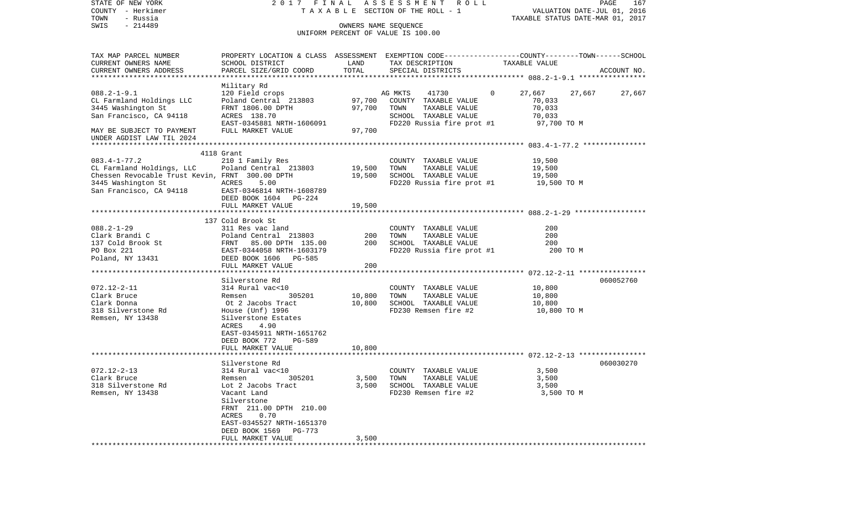| STATE OF NEW YORK                               |                                                                                                 |        | 2017 FINAL ASSESSMENT ROLL            |                       | PAGE<br>167                      |
|-------------------------------------------------|-------------------------------------------------------------------------------------------------|--------|---------------------------------------|-----------------------|----------------------------------|
| COUNTY - Herkimer                               |                                                                                                 |        | T A X A B L E SECTION OF THE ROLL - 1 |                       | VALUATION DATE-JUL 01, 2016      |
| - Russia<br>TOWN                                |                                                                                                 |        |                                       |                       | TAXABLE STATUS DATE-MAR 01, 2017 |
| $-214489$<br>SWIS                               |                                                                                                 |        | OWNERS NAME SEOUENCE                  |                       |                                  |
|                                                 |                                                                                                 |        | UNIFORM PERCENT OF VALUE IS 100.00    |                       |                                  |
| TAX MAP PARCEL NUMBER                           | PROPERTY LOCATION & CLASS ASSESSMENT EXEMPTION CODE---------------COUNTY-------TOWN------SCHOOL |        |                                       |                       |                                  |
| CURRENT OWNERS NAME                             | SCHOOL DISTRICT                                                                                 | LAND   | TAX DESCRIPTION                       | TAXABLE VALUE         |                                  |
| CURRENT OWNERS ADDRESS                          | PARCEL SIZE/GRID COORD                                                                          | TOTAL  | SPECIAL DISTRICTS                     |                       | ACCOUNT NO.                      |
|                                                 |                                                                                                 |        |                                       |                       |                                  |
|                                                 | Military Rd                                                                                     |        |                                       |                       |                                  |
| $088.2 - 1 - 9.1$                               | 120 Field crops                                                                                 |        | AG MKTS<br>41730                      | $\mathbf 0$<br>27,667 | 27,667<br>27,667                 |
| CL Farmland Holdings LLC                        | Poland Central 213803                                                                           | 97,700 | COUNTY TAXABLE VALUE                  | 70,033                |                                  |
| 3445 Washington St                              | FRNT 1806.00 DPTH                                                                               | 97,700 | TOWN<br>TAXABLE VALUE                 | 70,033                |                                  |
| San Francisco, CA 94118                         | ACRES 138.70                                                                                    |        | SCHOOL TAXABLE VALUE                  | 70,033                |                                  |
|                                                 | EAST-0345881 NRTH-1606091                                                                       |        | FD220 Russia fire prot #1             | 97,700 TO M           |                                  |
| MAY BE SUBJECT TO PAYMENT                       | FULL MARKET VALUE                                                                               | 97,700 |                                       |                       |                                  |
| UNDER AGDIST LAW TIL 2024                       |                                                                                                 |        |                                       |                       |                                  |
|                                                 |                                                                                                 |        |                                       |                       |                                  |
|                                                 | 4118 Grant                                                                                      |        |                                       |                       |                                  |
| $083.4 - 1 - 77.2$                              | 210 1 Family Res                                                                                |        | COUNTY TAXABLE VALUE                  | 19,500                |                                  |
| CL Farmland Holdings, LLC                       | Poland Central 213803                                                                           | 19,500 | TOWN<br>TAXABLE VALUE                 | 19,500                |                                  |
| Chessen Revocable Trust Kevin, FRNT 300.00 DPTH |                                                                                                 | 19,500 | SCHOOL TAXABLE VALUE                  | 19,500                |                                  |
| 3445 Washington St                              | ACRES<br>5.00                                                                                   |        | FD220 Russia fire prot #1 19,500 TO M |                       |                                  |
|                                                 | EAST-0346814 NRTH-1608789                                                                       |        |                                       |                       |                                  |
| San Francisco, CA 94118                         |                                                                                                 |        |                                       |                       |                                  |
|                                                 | DEED BOOK 1604 PG-224<br>FULL MARKET VALUE                                                      |        |                                       |                       |                                  |
|                                                 |                                                                                                 | 19,500 |                                       |                       |                                  |
|                                                 | 137 Cold Brook St                                                                               |        |                                       |                       |                                  |
| $088.2 - 1 - 29$                                | 311 Res vac land                                                                                |        | COUNTY TAXABLE VALUE                  | 200                   |                                  |
| Clark Brandi C                                  | Poland Central 213803                                                                           | 200    | TAXABLE VALUE<br>TOWN                 | 200                   |                                  |
| 137 Cold Brook St                               | FRNT 85.00 DPTH 135.00                                                                          | 200    | SCHOOL TAXABLE VALUE                  | 200                   |                                  |
| PO Box 221                                      | EAST-0344058 NRTH-1603179                                                                       |        | FD220 Russia fire prot #1             | 200 TO M              |                                  |
| Poland, NY 13431                                | DEED BOOK 1606 PG-585                                                                           |        |                                       |                       |                                  |
|                                                 | FULL MARKET VALUE                                                                               | 200    |                                       |                       |                                  |
|                                                 |                                                                                                 |        |                                       |                       |                                  |
|                                                 | Silverstone Rd                                                                                  |        |                                       |                       | 060052760                        |
| $072.12 - 2 - 11$                               | 314 Rural vac<10                                                                                |        | COUNTY TAXABLE VALUE                  | 10,800                |                                  |
| Clark Bruce                                     | 305201<br>Remsen                                                                                | 10,800 | TOWN<br>TAXABLE VALUE                 | 10,800                |                                  |
| Clark Donna                                     | Ot 2 Jacobs Tract                                                                               | 10,800 | SCHOOL TAXABLE VALUE                  | 10,800                |                                  |
| 318 Silverstone Rd                              | House (Unf) 1996                                                                                |        | FD230 Remsen fire #2                  | 10,800 TO M           |                                  |
| Remsen, NY 13438                                | Silverstone Estates                                                                             |        |                                       |                       |                                  |
|                                                 | ACRES<br>4.90                                                                                   |        |                                       |                       |                                  |
|                                                 | EAST-0345911 NRTH-1651762                                                                       |        |                                       |                       |                                  |
|                                                 | <b>PG-589</b><br>DEED BOOK 772                                                                  |        |                                       |                       |                                  |
|                                                 | FULL MARKET VALUE                                                                               | 10,800 |                                       |                       |                                  |
|                                                 |                                                                                                 |        |                                       |                       |                                  |
|                                                 | Silverstone Rd                                                                                  |        |                                       |                       | 060030270                        |
| $072.12 - 2 - 13$                               | 314 Rural vac<10                                                                                |        | COUNTY TAXABLE VALUE                  | 3,500                 |                                  |
| Clark Bruce                                     | 305201<br>Remsen                                                                                | 3,500  | TOWN<br>TAXABLE VALUE                 | 3,500                 |                                  |
| 318 Silverstone Rd                              | Lot 2 Jacobs Tract                                                                              | 3,500  | SCHOOL TAXABLE VALUE                  | 3,500                 |                                  |
| Remsen, NY 13438                                | Vacant Land                                                                                     |        | FD230 Remsen fire #2                  | 3,500 TO M            |                                  |
|                                                 | Silverstone                                                                                     |        |                                       |                       |                                  |
|                                                 | FRNT 211.00 DPTH 210.00                                                                         |        |                                       |                       |                                  |
|                                                 | ACRES<br>0.70                                                                                   |        |                                       |                       |                                  |
|                                                 | EAST-0345527 NRTH-1651370                                                                       |        |                                       |                       |                                  |
|                                                 | DEED BOOK 1569<br>PG-773                                                                        |        |                                       |                       |                                  |
|                                                 | FULL MARKET VALUE                                                                               | 3,500  |                                       |                       |                                  |
|                                                 |                                                                                                 |        |                                       |                       |                                  |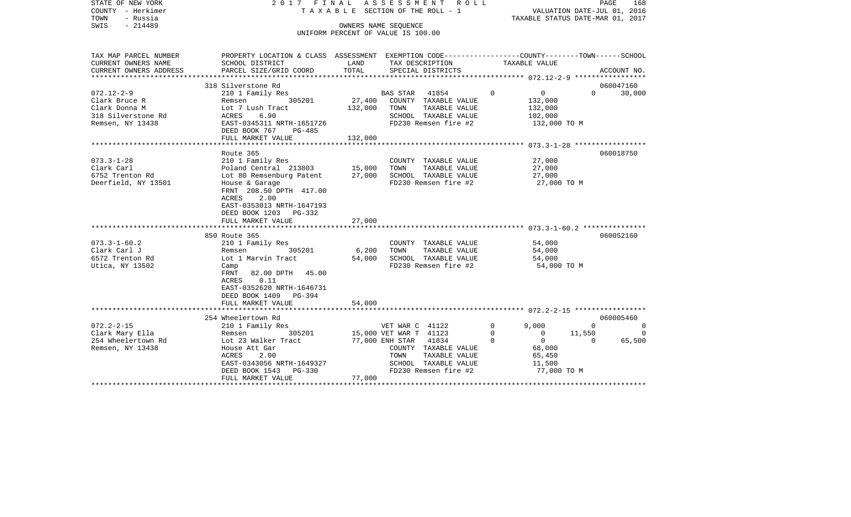| STATE OF NEW YORK<br>COUNTY - Herkimer<br>- Russia<br>TOWN<br>$-214489$<br>SWIS | 2017 FINAL ASSESSMENT                                                                           | T A X A B L E SECTION OF THE ROLL - 1<br>OWNERS NAME SEOUENCE<br>UNIFORM PERCENT OF VALUE IS 100.00 |                        | R O L L              |          | TAXABLE STATUS DATE-MAR 01, 2017 |          | PAGE<br>168<br>VALUATION DATE-JUL 01, 2016 |
|---------------------------------------------------------------------------------|-------------------------------------------------------------------------------------------------|-----------------------------------------------------------------------------------------------------|------------------------|----------------------|----------|----------------------------------|----------|--------------------------------------------|
| TAX MAP PARCEL NUMBER                                                           | PROPERTY LOCATION & CLASS ASSESSMENT EXEMPTION CODE---------------COUNTY-------TOWN------SCHOOL |                                                                                                     |                        |                      |          |                                  |          |                                            |
| CURRENT OWNERS NAME                                                             | SCHOOL DISTRICT                                                                                 | LAND                                                                                                | TAX DESCRIPTION        |                      |          | TAXABLE VALUE                    |          |                                            |
| CURRENT OWNERS ADDRESS                                                          | PARCEL SIZE/GRID COORD                                                                          | TOTAL                                                                                               |                        | SPECIAL DISTRICTS    |          |                                  |          | ACCOUNT NO.                                |
|                                                                                 | 318 Silverstone Rd                                                                              |                                                                                                     |                        |                      |          |                                  |          | 060047160                                  |
| $072.12 - 2 - 9$                                                                | 210 1 Family Res                                                                                |                                                                                                     | BAS STAR               | 41854                | $\Omega$ | $\mathbf 0$                      | $\Omega$ | 30,000                                     |
| Clark Bruce R                                                                   | 305201<br>Remsen                                                                                | 27,400                                                                                              |                        | COUNTY TAXABLE VALUE |          | 132,000                          |          |                                            |
| Clark Donna M                                                                   | Lot 7 Lush Tract                                                                                | 132,000                                                                                             | TOWN                   | TAXABLE VALUE        |          | 132,000                          |          |                                            |
| 318 Silverstone Rd                                                              | ACRES<br>6.90                                                                                   |                                                                                                     |                        | SCHOOL TAXABLE VALUE |          | 102,000                          |          |                                            |
| Remsen, NY 13438                                                                | EAST-0345311 NRTH-1651726<br>DEED BOOK 767<br>PG-485                                            |                                                                                                     |                        | FD230 Remsen fire #2 |          | 132,000 TO M                     |          |                                            |
|                                                                                 | FULL MARKET VALUE                                                                               | 132,000                                                                                             |                        |                      |          |                                  |          |                                            |
|                                                                                 |                                                                                                 |                                                                                                     |                        |                      |          |                                  |          |                                            |
|                                                                                 | Route 365                                                                                       |                                                                                                     |                        |                      |          |                                  |          | 060018750                                  |
| $073.3 - 1 - 28$                                                                | 210 1 Family Res                                                                                |                                                                                                     |                        | COUNTY TAXABLE VALUE |          | 27,000                           |          |                                            |
| Clark Carl                                                                      | Poland Central 213803                                                                           | 15,000                                                                                              | TOWN                   | TAXABLE VALUE        |          | 27,000                           |          |                                            |
| 6752 Trenton Rd                                                                 | Lot 80 Remsenburg Patent                                                                        | 27,000                                                                                              |                        | SCHOOL TAXABLE VALUE |          | 27,000                           |          |                                            |
| Deerfield, NY 13501                                                             | House & Garage<br>FRNT 208.50 DPTH 417.00                                                       |                                                                                                     |                        | FD230 Remsen fire #2 |          | 27,000 TO M                      |          |                                            |
|                                                                                 | <b>ACRES</b><br>2.00<br>EAST-0353013 NRTH-1647193<br>DEED BOOK 1203 PG-332                      |                                                                                                     |                        |                      |          |                                  |          |                                            |
|                                                                                 | FULL MARKET VALUE                                                                               | 27,000                                                                                              |                        |                      |          |                                  |          |                                            |
|                                                                                 |                                                                                                 |                                                                                                     |                        |                      |          |                                  |          |                                            |
|                                                                                 | 850 Route 365                                                                                   |                                                                                                     |                        |                      |          |                                  |          | 060052160                                  |
| $073.3 - 1 - 60.2$                                                              | 210 1 Family Res                                                                                |                                                                                                     |                        | COUNTY TAXABLE VALUE |          | 54,000                           |          |                                            |
| Clark Carl J                                                                    | 305201<br>Remsen                                                                                | 6,200                                                                                               | TOWN                   | TAXABLE VALUE        |          | 54,000                           |          |                                            |
| 6572 Trenton Rd                                                                 | Lot 1 Marvin Tract                                                                              | 54,000                                                                                              |                        | SCHOOL TAXABLE VALUE |          | 54,000                           |          |                                            |
| Utica, NY 13502                                                                 | Camp<br>FRNT<br>82.00 DPTH 45.00                                                                |                                                                                                     |                        | FD230 Remsen fire #2 |          | 54,000 TO M                      |          |                                            |
|                                                                                 | <b>ACRES</b><br>0.11<br>EAST-0352620 NRTH-1646731                                               |                                                                                                     |                        |                      |          |                                  |          |                                            |
|                                                                                 | DEED BOOK 1409 PG-394                                                                           |                                                                                                     |                        |                      |          |                                  |          |                                            |
|                                                                                 | FULL MARKET VALUE                                                                               | 54,000                                                                                              |                        |                      |          |                                  |          |                                            |
|                                                                                 |                                                                                                 |                                                                                                     |                        |                      |          |                                  |          |                                            |
|                                                                                 | 254 Wheelertown Rd                                                                              |                                                                                                     |                        |                      |          |                                  |          | 060005460                                  |
| $072.2 - 2 - 15$                                                                | 210 1 Family Res                                                                                |                                                                                                     | VET WAR C 41122        |                      | 0        | 9.000                            | $\Omega$ | $\Omega$                                   |
| Clark Mary Ella                                                                 | Remsen<br>305201                                                                                |                                                                                                     | 15,000 VET WAR T 41123 |                      | $\Omega$ | $\Omega$                         | 11,550   | $\Omega$                                   |
| 254 Wheelertown Rd                                                              | Lot 23 Walker Tract                                                                             |                                                                                                     | 77,000 ENH STAR 41834  |                      | $\Omega$ | $\mathbf{0}$                     | $\Omega$ | 65,500                                     |
| Remsen, NY 13438                                                                | House Att Gar                                                                                   |                                                                                                     |                        | COUNTY TAXABLE VALUE |          | 68,000                           |          |                                            |
|                                                                                 | <b>ACRES</b><br>2.00                                                                            |                                                                                                     | TOWN                   | TAXABLE VALUE        |          | 65,450                           |          |                                            |
|                                                                                 | EAST-0343056 NRTH-1649327                                                                       |                                                                                                     |                        | SCHOOL TAXABLE VALUE |          | 11,500                           |          |                                            |
|                                                                                 | DEED BOOK 1543<br>PG-330                                                                        |                                                                                                     |                        | FD230 Remsen fire #2 |          | 77,000 TO M                      |          |                                            |
|                                                                                 | FULL MARKET VALUE                                                                               | 77,000                                                                                              |                        |                      |          |                                  |          |                                            |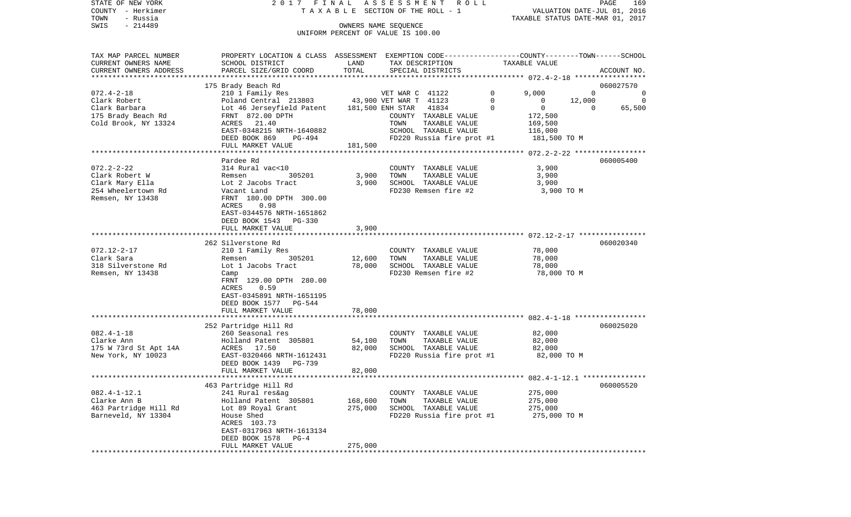STATE OF NEW YORK 2 0 1 7 F I N A L A S S E S S M E N T R O L L PAGE 169COUNTY - Herkimer T A X A B L E SECTION OF THE ROLL - 1 VALUATION DATE-JUL 01, 2016 TOWN - Russia TAXABLE STATUS DATE-MAR 01, 2017 SWIS - 214489 OWNERS NAME SEQUENCE UNIFORM PERCENT OF VALUE IS 100.00

TAX MAP PARCEL NUMBER PROPERTY LOCATION & CLASS ASSESSMENT EXEMPTION CODE------------------COUNTY--------TOWN------SCHOOL CURRENT OWNERS NAME SCHOOL DISTRICT LAND TAX DESCRIPTION TAXABLE VALUECURRENT OWNERS ADDRESS PARCEL SIZE/GRID COORD TOTAL SPECIAL DISTRICTS ACCOUNT NO. \*\*\*\*\*\*\*\*\*\*\*\*\*\*\*\*\*\*\*\*\*\*\*\*\*\*\*\*\*\*\*\*\*\*\*\*\*\*\*\*\*\*\*\*\*\*\*\*\*\*\*\*\*\*\*\*\*\*\*\*\*\*\*\*\*\*\*\*\*\*\*\*\*\*\*\*\*\*\*\*\*\*\*\*\*\*\*\*\*\*\*\*\*\*\*\*\*\*\*\*\*\*\* 072.4-2-18 \*\*\*\*\*\*\*\*\*\*\*\*\*\*\*\*\* 175 Brady Beach Rd 060027570 072.4-2-18 210 1 Family Res VET WAR C 41122 0 9,000 0 0 Clark Robert Poland Central 213803 43,900 VET WAR T 41123 0 0 12,000 0 Clark Barbara Lot 46 Jerseyfield Patent 181,500 ENH STAR 41834 0 0 0 65,500 175 Brady Beach Rd FRNT 872.00 DPTH COUNTY TAXABLE VALUE 172,500 Cold Brook, NY 13324 ACRES 21.40 TOWN TAXABLE VALUE 169,500 EAST-0348215 NRTH-1640882 SCHOOL TAXABLE VALUE 116,000 DEED BOOK 869 PG-494 FD220 Russia fire prot #1 181,500 TO M FULL MARKET VALUE 181,500 \*\*\*\*\*\*\*\*\*\*\*\*\*\*\*\*\*\*\*\*\*\*\*\*\*\*\*\*\*\*\*\*\*\*\*\*\*\*\*\*\*\*\*\*\*\*\*\*\*\*\*\*\*\*\*\*\*\*\*\*\*\*\*\*\*\*\*\*\*\*\*\*\*\*\*\*\*\*\*\*\*\*\*\*\*\*\*\*\*\*\*\*\*\*\*\*\*\*\*\*\*\*\* 072.2-2-22 \*\*\*\*\*\*\*\*\*\*\*\*\*\*\*\*\* Pardee Rd 060005400072.2-2-22 314 Rural vac<10 COUNTY TAXABLE VALUE 3,900 Clark Robert W Remsen 305201 3,900 TOWN TAXABLE VALUE 3,900 Clark Mary Ella Lot 2 Jacobs Tract 3,900 SCHOOL TAXABLE VALUE 3,900 254 Wheelertown Rd Vacant Land FD230 Remsen fire #2 3,900 TO M Remsen, NY 13438 FRNT 180.00 DPTH 300.00 ACRES 0.98 EAST-0344576 NRTH-1651862 DEED BOOK 1543 PG-330FULL MARKET VALUE 3,900 \*\*\*\*\*\*\*\*\*\*\*\*\*\*\*\*\*\*\*\*\*\*\*\*\*\*\*\*\*\*\*\*\*\*\*\*\*\*\*\*\*\*\*\*\*\*\*\*\*\*\*\*\*\*\*\*\*\*\*\*\*\*\*\*\*\*\*\*\*\*\*\*\*\*\*\*\*\*\*\*\*\*\*\*\*\*\*\*\*\*\*\*\*\*\*\*\*\*\*\*\*\*\* 072.12-2-17 \*\*\*\*\*\*\*\*\*\*\*\*\*\*\*\* 262 Silverstone Rd 060020340072.12-2-17 210 1 Family Res COUNTY TAXABLE VALUE 78,000 Clark Sara Remsen 305201 12,600 TOWN TAXABLE VALUE 78,000 318 Silverstone Rd Lot 1 Jacobs Tract 78,000 SCHOOL TAXABLE VALUE 78,000 Remsen, NY 13438 Camp Camp Camp Camp Camp FD230 Remsen fire #2 78,000 TO M FRNT 129.00 DPTH 280.00 ACRES 0.59 EAST-0345891 NRTH-1651195 DEED BOOK 1577 PG-544FULL MARKET VALUE 78,000 \*\*\*\*\*\*\*\*\*\*\*\*\*\*\*\*\*\*\*\*\*\*\*\*\*\*\*\*\*\*\*\*\*\*\*\*\*\*\*\*\*\*\*\*\*\*\*\*\*\*\*\*\*\*\*\*\*\*\*\*\*\*\*\*\*\*\*\*\*\*\*\*\*\*\*\*\*\*\*\*\*\*\*\*\*\*\*\*\*\*\*\*\*\*\*\*\*\*\*\*\*\*\* 082.4-1-18 \*\*\*\*\*\*\*\*\*\*\*\*\*\*\*\*\* 252 Partridge Hill Rd 060025020 082.4-1-18 260 Seasonal res COUNTY TAXABLE VALUE 82,000 Clarke Ann Holland Patent 305801 54,100 TOWN TAXABLE VALUE 82,000 175 W 73rd St Apt 14A ACRES 17.50 82,000 SCHOOL TAXABLE VALUE 82,000 FD220 Russia fire prot #1 DEED BOOK 1439 PG-739 FULL MARKET VALUE 82,000 \*\*\*\*\*\*\*\*\*\*\*\*\*\*\*\*\*\*\*\*\*\*\*\*\*\*\*\*\*\*\*\*\*\*\*\*\*\*\*\*\*\*\*\*\*\*\*\*\*\*\*\*\*\*\*\*\*\*\*\*\*\*\*\*\*\*\*\*\*\*\*\*\*\*\*\*\*\*\*\*\*\*\*\*\*\*\*\*\*\*\*\*\*\*\*\*\*\*\*\*\*\*\* 082.4-1-12.1 \*\*\*\*\*\*\*\*\*\*\*\*\*\*\* 463 Partridge Hill Rd 060005520 082.4-1-12.1 241 Rural res&ag COUNTY TAXABLE VALUE 275,000 Clarke Ann B Holland Patent 305801 168,600 TOWN TAXABLE VALUE 275,000 463 Partridge Hill Rd Lot 89 Royal Grant 275,000 SCHOOL TAXABLE VALUE 275,000 Barneveld, NY 13304 House Shed FORCH FD220 Russia fire prot #1 275,000 TO M ACRES 103.73 EAST-0317963 NRTH-1613134 DEED BOOK 1578 PG-4 FULL MARKET VALUE 275,000 \*\*\*\*\*\*\*\*\*\*\*\*\*\*\*\*\*\*\*\*\*\*\*\*\*\*\*\*\*\*\*\*\*\*\*\*\*\*\*\*\*\*\*\*\*\*\*\*\*\*\*\*\*\*\*\*\*\*\*\*\*\*\*\*\*\*\*\*\*\*\*\*\*\*\*\*\*\*\*\*\*\*\*\*\*\*\*\*\*\*\*\*\*\*\*\*\*\*\*\*\*\*\*\*\*\*\*\*\*\*\*\*\*\*\*\*\*\*\*\*\*\*\*\*\*\*\*\*\*\*\*\*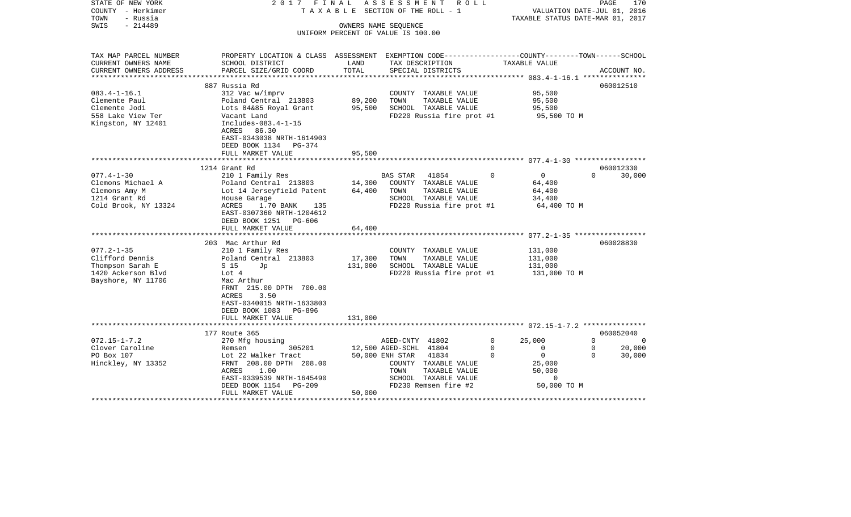| STATE OF NEW YORK<br>COUNTY - Herkimer<br>TOWN<br>- Russia<br>$-214489$<br>SWIS | 2017 FINAL                                                                                       |               | ASSESSMENT ROLL<br>TAXABLE SECTION OF THE ROLL - 1<br>OWNERS NAME SEOUENCE |                                                   | PAGE<br>170<br>VALUATION DATE-JUL 01, 2016<br>TAXABLE STATUS DATE-MAR 01, 2017 |
|---------------------------------------------------------------------------------|--------------------------------------------------------------------------------------------------|---------------|----------------------------------------------------------------------------|---------------------------------------------------|--------------------------------------------------------------------------------|
|                                                                                 |                                                                                                  |               | UNIFORM PERCENT OF VALUE IS 100.00                                         |                                                   |                                                                                |
|                                                                                 |                                                                                                  |               |                                                                            |                                                   |                                                                                |
| TAX MAP PARCEL NUMBER                                                           | PROPERTY LOCATION & CLASS ASSESSMENT EXEMPTION CODE----------------COUNTY-------TOWN------SCHOOL |               |                                                                            |                                                   |                                                                                |
| CURRENT OWNERS NAME<br>CURRENT OWNERS ADDRESS                                   | SCHOOL DISTRICT<br>PARCEL SIZE/GRID COORD                                                        | LAND<br>TOTAL | TAX DESCRIPTION                                                            | TAXABLE VALUE                                     | ACCOUNT NO.                                                                    |
| **********************                                                          |                                                                                                  |               | SPECIAL DISTRICTS                                                          |                                                   |                                                                                |
|                                                                                 | 887 Russia Rd                                                                                    |               |                                                                            |                                                   | 060012510                                                                      |
| $083.4 - 1 - 16.1$                                                              | 312 Vac w/imprv                                                                                  |               | COUNTY TAXABLE VALUE                                                       | 95,500                                            |                                                                                |
| Clemente Paul                                                                   | Poland Central 213803                                                                            | 89,200        | TOWN<br>TAXABLE VALUE                                                      | 95,500                                            |                                                                                |
| Clemente Jodi                                                                   | Lots 84&85 Royal Grant                                                                           | 95,500        | SCHOOL TAXABLE VALUE                                                       | 95,500                                            |                                                                                |
| 558 Lake View Ter                                                               | Vacant Land                                                                                      |               | FD220 Russia fire prot #1                                                  | 95,500 TO M                                       |                                                                                |
| Kingston, NY 12401                                                              | Includes-083.4-1-15                                                                              |               |                                                                            |                                                   |                                                                                |
|                                                                                 | ACRES 86.30                                                                                      |               |                                                                            |                                                   |                                                                                |
|                                                                                 | EAST-0343038 NRTH-1614903<br>DEED BOOK 1134 PG-374                                               |               |                                                                            |                                                   |                                                                                |
|                                                                                 | FULL MARKET VALUE                                                                                | 95,500        |                                                                            |                                                   |                                                                                |
|                                                                                 |                                                                                                  |               |                                                                            |                                                   |                                                                                |
|                                                                                 | 1214 Grant Rd                                                                                    |               |                                                                            |                                                   | 060012330                                                                      |
| $077.4 - 1 - 30$                                                                | 210 1 Family Res                                                                                 |               | BAS STAR 41854                                                             | $\Omega$<br>$\overline{0}$                        | 30,000<br>$\Omega$                                                             |
| Clemons Michael A                                                               | Poland Central 213803                                                                            | 14,300        | COUNTY TAXABLE VALUE                                                       | 64,400                                            |                                                                                |
| Clemons Amy M                                                                   | Lot 14 Jerseyfield Patent                                                                        | 64,400        | TOWN<br>TAXABLE VALUE                                                      | 64,400                                            |                                                                                |
| 1214 Grant Rd                                                                   | House Garage                                                                                     |               | SCHOOL TAXABLE VALUE                                                       | 34,400                                            |                                                                                |
| Cold Brook, NY 13324                                                            | ACRES<br>1.70 BANK<br>135<br>EAST-0307360 NRTH-1204612                                           |               | FD220 Russia fire prot #1                                                  | 64,400 TO M                                       |                                                                                |
|                                                                                 | DEED BOOK 1251 PG-606                                                                            |               |                                                                            |                                                   |                                                                                |
|                                                                                 | FULL MARKET VALUE                                                                                | 64,400        |                                                                            |                                                   |                                                                                |
|                                                                                 | 203 Mac Arthur Rd                                                                                |               |                                                                            |                                                   | 060028830                                                                      |
| $077.2 - 1 - 35$                                                                | 210 1 Family Res                                                                                 |               | COUNTY TAXABLE VALUE                                                       | 131,000                                           |                                                                                |
| Clifford Dennis                                                                 | Poland Central 213803                                                                            | 17,300        | TOWN<br>TAXABLE VALUE                                                      | 131,000                                           |                                                                                |
| Thompson Sarah E                                                                | S 15<br>Jp                                                                                       | 131,000       | SCHOOL TAXABLE VALUE                                                       | 131,000                                           |                                                                                |
| 1420 Ackerson Blvd                                                              | Lot 4                                                                                            |               | FD220 Russia fire prot #1                                                  | 131,000 TO M                                      |                                                                                |
| Bayshore, NY 11706                                                              | Mac Arthur                                                                                       |               |                                                                            |                                                   |                                                                                |
|                                                                                 | FRNT 215.00 DPTH 700.00                                                                          |               |                                                                            |                                                   |                                                                                |
|                                                                                 | ACRES<br>3.50                                                                                    |               |                                                                            |                                                   |                                                                                |
|                                                                                 | EAST-0340015 NRTH-1633803                                                                        |               |                                                                            |                                                   |                                                                                |
|                                                                                 | DEED BOOK 1083 PG-896                                                                            |               |                                                                            |                                                   |                                                                                |
|                                                                                 | FULL MARKET VALUE                                                                                | 131,000       |                                                                            |                                                   |                                                                                |
|                                                                                 |                                                                                                  |               |                                                                            |                                                   |                                                                                |
|                                                                                 | 177 Route 365                                                                                    |               |                                                                            |                                                   | 060052040<br>$\Omega$                                                          |
| $072.15 - 1 - 7.2$                                                              | 270 Mfg housing                                                                                  |               | AGED-CNTY 41802                                                            | 25,000<br>$\Omega$                                | $\overline{0}$<br>$\mathbf 0$                                                  |
| Clover Caroline<br>PO Box 107                                                   | 305201<br>Remsen<br>Lot 22 Walker Tract                                                          |               | 12,500 AGED-SCHL 41804<br>50,000 ENH STAR 41834                            | 0<br>$\overline{0}$<br>$\overline{0}$<br>$\Omega$ | 20,000<br>$\Omega$<br>30,000                                                   |
| Hinckley, NY 13352                                                              | FRNT 208.00 DPTH 208.00                                                                          |               | COUNTY TAXABLE VALUE                                                       | 25,000                                            |                                                                                |
|                                                                                 | ACRES<br>1.00                                                                                    |               | TOWN<br>TAXABLE VALUE                                                      | 50,000                                            |                                                                                |
|                                                                                 | EAST-0339539 NRTH-1645490                                                                        |               | SCHOOL TAXABLE VALUE                                                       | $\mathbf 0$                                       |                                                                                |
|                                                                                 | DEED BOOK 1154 PG-209                                                                            |               | FD230 Remsen fire #2                                                       | 50,000 TO M                                       |                                                                                |
|                                                                                 | FULL MARKET VALUE                                                                                | 50,000        |                                                                            |                                                   |                                                                                |
|                                                                                 |                                                                                                  |               |                                                                            |                                                   |                                                                                |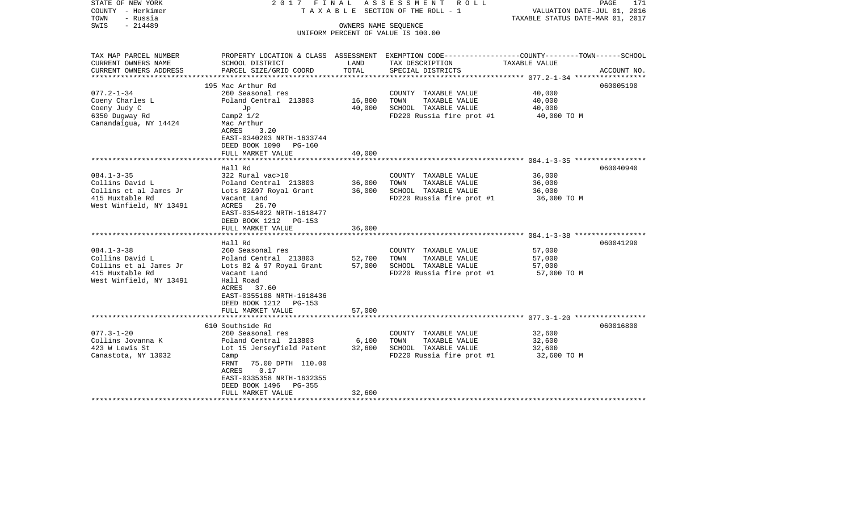| STATE OF NEW YORK<br>COUNTY - Herkimer<br>TOWN<br>- Russia | 2017 FINAL                                                 |               | ASSESSMENT ROLL<br>TAXABLE SECTION OF THE ROLL - 1                                             | VALUATION DATE-JUL 01, 2016<br>TAXABLE STATUS DATE-MAR 01, 2017 | PAGE<br>171 |
|------------------------------------------------------------|------------------------------------------------------------|---------------|------------------------------------------------------------------------------------------------|-----------------------------------------------------------------|-------------|
| - 214489<br>SWIS                                           | OWNERS NAME SEQUENCE<br>UNIFORM PERCENT OF VALUE IS 100.00 |               |                                                                                                |                                                                 |             |
|                                                            |                                                            |               |                                                                                                |                                                                 |             |
|                                                            |                                                            |               |                                                                                                |                                                                 |             |
| TAX MAP PARCEL NUMBER                                      |                                                            |               | PROPERTY LOCATION & CLASS ASSESSMENT EXEMPTION CODE---------------COUNTY-------TOWN-----SCHOOL |                                                                 |             |
| CURRENT OWNERS NAME                                        | SCHOOL DISTRICT                                            | LAND<br>TOTAL | TAX DESCRIPTION                                                                                | TAXABLE VALUE                                                   |             |
| CURRENT OWNERS ADDRESS                                     | PARCEL SIZE/GRID COORD                                     |               | SPECIAL DISTRICTS                                                                              |                                                                 | ACCOUNT NO. |
|                                                            | 195 Mac Arthur Rd                                          |               |                                                                                                |                                                                 | 060005190   |
| $077.2 - 1 - 34$                                           | 260 Seasonal res                                           |               | COUNTY TAXABLE VALUE                                                                           | 40,000                                                          |             |
| Coeny Charles L                                            | Poland Central 213803                                      | 16,800        | TOWN<br>TAXABLE VALUE                                                                          | 40,000                                                          |             |
| Coeny Judy C                                               | Jp                                                         | 40,000        | SCHOOL TAXABLE VALUE                                                                           | 40,000                                                          |             |
| 6350 Dugway Rd                                             | Camp $2 \frac{1}{2}$                                       |               | FD220 Russia fire prot #1                                                                      | 40,000 TO M                                                     |             |
| Canandaigua, NY 14424                                      | Mac Arthur                                                 |               |                                                                                                |                                                                 |             |
|                                                            | ACRES<br>3.20                                              |               |                                                                                                |                                                                 |             |
|                                                            | EAST-0340203 NRTH-1633744                                  |               |                                                                                                |                                                                 |             |
|                                                            | DEED BOOK 1090 PG-160<br>FULL MARKET VALUE                 | 40,000        |                                                                                                |                                                                 |             |
|                                                            |                                                            |               |                                                                                                |                                                                 |             |
|                                                            | Hall Rd                                                    |               |                                                                                                |                                                                 | 060040940   |
| $084.1 - 3 - 35$                                           | 322 Rural vac>10                                           |               | COUNTY TAXABLE VALUE                                                                           | 36,000                                                          |             |
| Collins David L                                            | Poland Central 213803                                      | 36,000        | TOWN<br>TAXABLE VALUE                                                                          | 36,000                                                          |             |
| Collins et al James Jr                                     | Lots 82&97 Royal Grant                                     | 36,000        | SCHOOL TAXABLE VALUE                                                                           | 36,000                                                          |             |
| 415 Huxtable Rd                                            | Vacant Land                                                |               | FD220 Russia fire prot #1                                                                      | 36,000 TO M                                                     |             |
| West Winfield, NY 13491                                    | ACRES 26.70                                                |               |                                                                                                |                                                                 |             |
|                                                            | EAST-0354022 NRTH-1618477                                  |               |                                                                                                |                                                                 |             |
|                                                            | DEED BOOK 1212 PG-153<br>FULL MARKET VALUE                 | 36,000        |                                                                                                |                                                                 |             |
|                                                            |                                                            |               |                                                                                                |                                                                 |             |
|                                                            | Hall Rd                                                    |               |                                                                                                |                                                                 | 060041290   |
| $084.1 - 3 - 38$                                           | 260 Seasonal res                                           |               | COUNTY TAXABLE VALUE                                                                           | 57,000                                                          |             |
| Collins David L                                            | Poland Central 213803                                      | 52,700        | TOWN<br>TAXABLE VALUE                                                                          | 57,000                                                          |             |
| Collins et al James Jr                                     | Lots 82 & 97 Royal Grant 57,000                            |               | SCHOOL TAXABLE VALUE                                                                           | 57,000                                                          |             |
| 415 Huxtable Rd                                            | Vacant Land                                                |               | FD220 Russia fire prot #1                                                                      | 57,000 TO M                                                     |             |
| West Winfield, NY 13491                                    | Hall Road                                                  |               |                                                                                                |                                                                 |             |
|                                                            | ACRES 37.60                                                |               |                                                                                                |                                                                 |             |
|                                                            | EAST-0355188 NRTH-1618436<br>DEED BOOK 1212 PG-153         |               |                                                                                                |                                                                 |             |
|                                                            | FULL MARKET VALUE                                          | 57,000        |                                                                                                |                                                                 |             |
|                                                            | *************************                                  |               |                                                                                                |                                                                 |             |
|                                                            | 610 Southside Rd                                           |               |                                                                                                |                                                                 | 060016800   |
| $077.3 - 1 - 20$                                           | 260 Seasonal res                                           |               | COUNTY TAXABLE VALUE                                                                           | 32,600                                                          |             |
| Collins Jovanna K                                          | Poland Central 213803                                      | 6,100         | TOWN<br>TAXABLE VALUE                                                                          | 32,600                                                          |             |
| 423 W Lewis St                                             | Lot 15 Jerseyfield Patent                                  | 32,600        | SCHOOL TAXABLE VALUE                                                                           | 32,600                                                          |             |
| Canastota, NY 13032                                        | Camp                                                       |               | FD220 Russia fire prot #1                                                                      | 32,600 TO M                                                     |             |
|                                                            | FRNT<br>75.00 DPTH 110.00                                  |               |                                                                                                |                                                                 |             |
|                                                            | ACRES<br>0.17                                              |               |                                                                                                |                                                                 |             |
|                                                            | EAST-0335358 NRTH-1632355<br>DEED BOOK 1496<br>PG-355      |               |                                                                                                |                                                                 |             |
|                                                            | FULL MARKET VALUE                                          | 32,600        |                                                                                                |                                                                 |             |
|                                                            |                                                            |               |                                                                                                |                                                                 |             |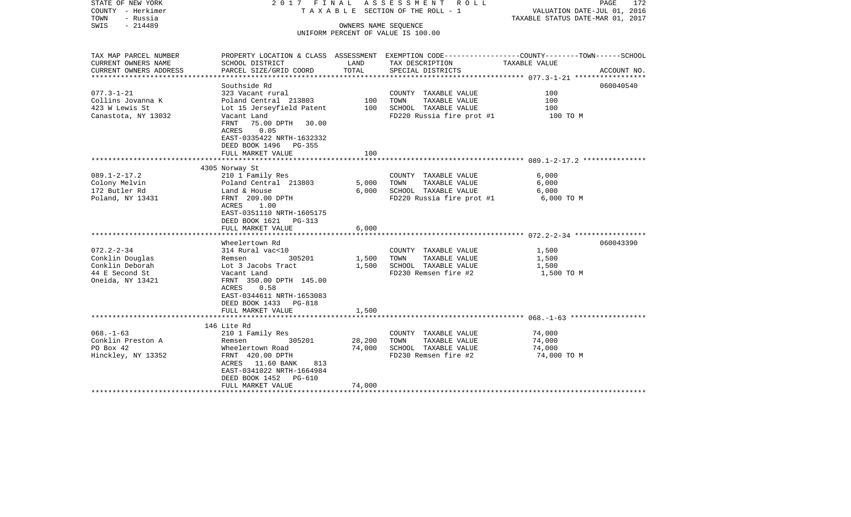| STATE OF NEW YORK<br>COUNTY - Herkimer<br>TOWN<br>- Russia<br>$-214489$<br>SWIS              |                                                                                                                                                                                                                         |                            | 2017 FINAL ASSESSMENT ROLL<br>TAXABLE SECTION OF THE ROLL - 1<br>OWNERS NAME SEOUENCE<br>UNIFORM PERCENT OF VALUE IS 100.00 | PAGE<br>172<br>VALUATION DATE-JUL 01, 2016<br>TAXABLE STATUS DATE-MAR 01, 2017                                                   |
|----------------------------------------------------------------------------------------------|-------------------------------------------------------------------------------------------------------------------------------------------------------------------------------------------------------------------------|----------------------------|-----------------------------------------------------------------------------------------------------------------------------|----------------------------------------------------------------------------------------------------------------------------------|
| TAX MAP PARCEL NUMBER<br>CURRENT OWNERS NAME<br>CURRENT OWNERS ADDRESS                       | SCHOOL DISTRICT<br>PARCEL SIZE/GRID COORD                                                                                                                                                                               | LAND<br>TOTAL              | TAX DESCRIPTION<br>SPECIAL DISTRICTS                                                                                        | PROPERTY LOCATION & CLASS ASSESSMENT EXEMPTION CODE----------------COUNTY-------TOWN------SCHOOL<br>TAXABLE VALUE<br>ACCOUNT NO. |
| $077.3 - 1 - 21$<br>Collins Jovanna K<br>423 W Lewis St<br>Canastota, NY 13032               | Southside Rd<br>323 Vacant rural<br>Poland Central 213803<br>Lot 15 Jerseyfield Patent<br>Vacant Land<br>FRNT 75.00 DPTH 30.00<br>ACRES 0.05<br>EAST-0335422 NRTH-1632332<br>DEED BOOK 1496 PG-355<br>FULL MARKET VALUE | 100<br>100<br>100          | COUNTY TAXABLE VALUE<br>TAXABLE VALUE<br>TOWN<br>SCHOOL TAXABLE VALUE<br>FD220 Russia fire prot #1                          | 060040540<br>100<br>100<br>100<br>100 TO M                                                                                       |
| $089.1 - 2 - 17.2$                                                                           | 4305 Norway St<br>210 1 Family Res                                                                                                                                                                                      |                            | COUNTY TAXABLE VALUE                                                                                                        | 6,000                                                                                                                            |
| Colony Melvin<br>172 Butler Rd<br>Poland, NY 13431                                           | Poland Central 213803<br>Land & House<br>FRNT 209.00 DPTH<br>ACRES<br>1.00<br>EAST-0351110 NRTH-1605175<br>DEED BOOK 1621 PG-313                                                                                        | 5,000<br>6,000             | TOWN<br>TAXABLE VALUE<br>SCHOOL TAXABLE VALUE<br>FD220 Russia fire prot #1                                                  | 6,000<br>6,000<br>6,000 TO M                                                                                                     |
|                                                                                              | FULL MARKET VALUE                                                                                                                                                                                                       | 6,000                      |                                                                                                                             |                                                                                                                                  |
| $072.2 - 2 - 34$<br>Conklin Douglas<br>Conklin Deborah<br>44 E Second St<br>Oneida, NY 13421 | Wheelertown Rd<br>314 Rural vac<10<br>305201<br>Remsen<br>Lot 3 Jacobs Tract<br>Vacant Land<br>FRNT 350.00 DPTH 145.00<br>0.58<br>ACRES<br>EAST-0344611 NRTH-1653083<br>DEED BOOK 1433 PG-818                           | 1,500<br>1,500             | COUNTY TAXABLE VALUE<br>TOWN<br>TAXABLE VALUE<br>SCHOOL TAXABLE VALUE<br>FD230 Remsen fire #2                               | 060043390<br>1,500<br>1,500<br>1,500<br>1,500 TO M                                                                               |
|                                                                                              | FULL MARKET VALUE                                                                                                                                                                                                       | 1,500                      |                                                                                                                             |                                                                                                                                  |
| $068. - 1 - 63$<br>Conklin Preston A<br>PO Box 42<br>Hinckley, NY 13352                      | 146 Lite Rd<br>210 1 Family Res<br>305201<br>Remsen<br>Wheelertown Road<br>FRNT 420.00 DPTH<br>ACRES 11.60 BANK<br>813<br>EAST-0341022 NRTH-1664984<br>DEED BOOK 1452 PG-610<br>FULL MARKET VALUE                       | 28,200<br>74,000<br>74,000 | COUNTY TAXABLE VALUE<br>TOWN<br>TAXABLE VALUE<br>SCHOOL TAXABLE VALUE<br>FD230 Remsen fire #2                               | 74,000<br>74,000<br>74,000<br>74,000 TO M                                                                                        |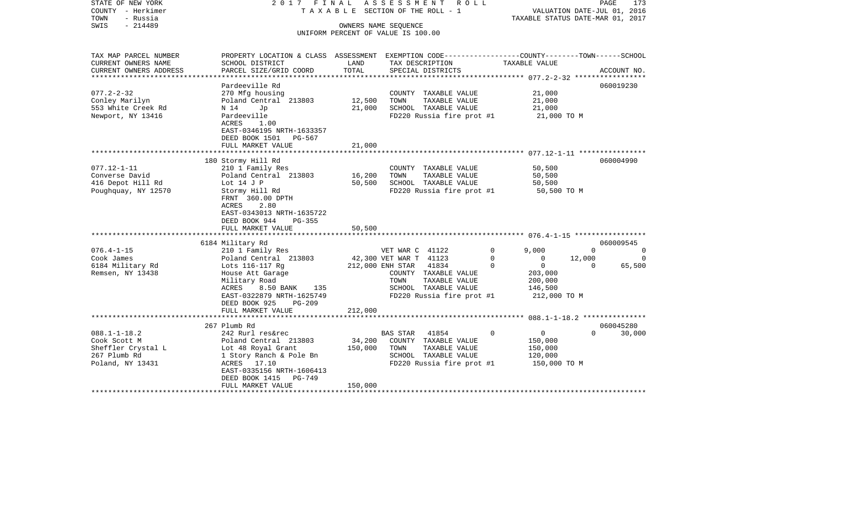| STATE OF NEW YORK<br>COUNTY - Herkimer<br>TOWN<br>- Russia<br>$-214489$<br>SWIS                                   | 2017 FINAL                                                                                                                                                                                                                                                                           |                              | ASSESSMENT ROLL<br>TAXABLE SECTION OF THE ROLL - 1<br>OWNERS NAME SEQUENCE                                                                      | TAXABLE STATUS DATE-MAR 01, 2017                                                             | PAGE<br>173<br>VALUATION DATE-JUL 01, 2016                 |
|-------------------------------------------------------------------------------------------------------------------|--------------------------------------------------------------------------------------------------------------------------------------------------------------------------------------------------------------------------------------------------------------------------------------|------------------------------|-------------------------------------------------------------------------------------------------------------------------------------------------|----------------------------------------------------------------------------------------------|------------------------------------------------------------|
|                                                                                                                   |                                                                                                                                                                                                                                                                                      |                              | UNIFORM PERCENT OF VALUE IS 100.00                                                                                                              |                                                                                              |                                                            |
| TAX MAP PARCEL NUMBER<br>CURRENT OWNERS NAME                                                                      | PROPERTY LOCATION & CLASS ASSESSMENT EXEMPTION CODE----------------COUNTY-------TOWN------SCHOOL<br>SCHOOL DISTRICT                                                                                                                                                                  | LAND                         | TAX DESCRIPTION                                                                                                                                 | TAXABLE VALUE                                                                                |                                                            |
| CURRENT OWNERS ADDRESS<br>****************                                                                        | PARCEL SIZE/GRID COORD                                                                                                                                                                                                                                                               | TOTAL                        | SPECIAL DISTRICTS                                                                                                                               |                                                                                              | ACCOUNT NO.                                                |
| $077.2 - 2 - 32$<br>Conley Marilyn<br>553 White Creek Rd<br>Newport, NY 13416                                     | Pardeeville Rd<br>270 Mfg housing<br>Poland Central 213803<br>N 14<br>Jp<br>Pardeeville<br>ACRES<br>1.00<br>EAST-0346195 NRTH-1633357                                                                                                                                                | 12,500<br>21,000             | COUNTY TAXABLE VALUE<br>TOWN<br>TAXABLE VALUE<br>SCHOOL TAXABLE VALUE<br>FD220 Russia fire prot #1                                              | 21,000<br>21,000<br>21,000<br>21,000 TO M                                                    | 060019230                                                  |
|                                                                                                                   | DEED BOOK 1501<br>PG-567<br>FULL MARKET VALUE                                                                                                                                                                                                                                        | 21,000                       |                                                                                                                                                 |                                                                                              |                                                            |
| $077.12 - 1 - 11$<br>Converse David<br>416 Depot Hill Rd<br>Poughquay, NY 12570<br>$076.4 - 1 - 15$<br>Cook James | 180 Stormy Hill Rd<br>210 1 Family Res<br>Poland Central 213803<br>Lot $14$ J P<br>Stormy Hill Rd<br>FRNT 360.00 DPTH<br>ACRES<br>2.80<br>EAST-0343013 NRTH-1635722<br>DEED BOOK 944<br>PG-355<br>FULL MARKET VALUE<br>6184 Military Rd<br>210 1 Family Res<br>Poland Central 213803 | 16,200<br>50,500<br>50,500   | COUNTY TAXABLE VALUE<br>TOWN<br>TAXABLE VALUE<br>SCHOOL TAXABLE VALUE<br>FD220 Russia fire prot #1<br>VET WAR C 41122<br>42,300 VET WAR T 41123 | 50,500<br>50,500<br>50,500<br>50,500 TO M<br>9.000<br>$\Omega$<br>0<br>$\mathbf 0$<br>12,000 | 060004990<br>060009545<br>$\Omega$<br>$\Omega$<br>$\Omega$ |
| 6184 Military Rd<br>Remsen, NY 13438                                                                              | Lots 116-117 Rg<br>House Att Garage<br>Military Road<br>ACRES<br>8.50 BANK<br>135<br>EAST-0322879 NRTH-1625749<br>DEED BOOK 925<br><b>PG-209</b><br>FULL MARKET VALUE<br>**********************                                                                                      | 212,000                      | 212,000 ENH STAR<br>41834<br>COUNTY TAXABLE VALUE<br>TOWN<br>TAXABLE VALUE<br>SCHOOL TAXABLE VALUE<br>FD220 Russia fire prot #1                 | $\overline{0}$<br>$\Omega$<br>203,000<br>200,000<br>146,500<br>212,000 TO M                  | 65,500<br>$\Omega$                                         |
|                                                                                                                   | 267 Plumb Rd                                                                                                                                                                                                                                                                         |                              |                                                                                                                                                 |                                                                                              | 060045280                                                  |
| $088.1 - 1 - 18.2$<br>Cook Scott M<br>Sheffler Crystal L<br>267 Plumb Rd<br>Poland, NY 13431                      | 242 Rurl res&rec<br>Poland Central 213803<br>Lot 48 Royal Grant<br>1 Story Ranch & Pole Bn<br>ACRES 17.10<br>EAST-0335156 NRTH-1606413<br>DEED BOOK 1415<br>PG-749<br>FULL MARKET VALUE                                                                                              | 34,200<br>150,000<br>150,000 | BAS STAR<br>41854<br>COUNTY TAXABLE VALUE<br>TOWN<br>TAXABLE VALUE<br>SCHOOL TAXABLE VALUE<br>FD220 Russia fire prot #1                         | $\overline{0}$<br>0<br>150,000<br>150,000<br>120,000<br>150,000 TO M                         | $\Omega$<br>30,000                                         |
|                                                                                                                   |                                                                                                                                                                                                                                                                                      |                              |                                                                                                                                                 |                                                                                              |                                                            |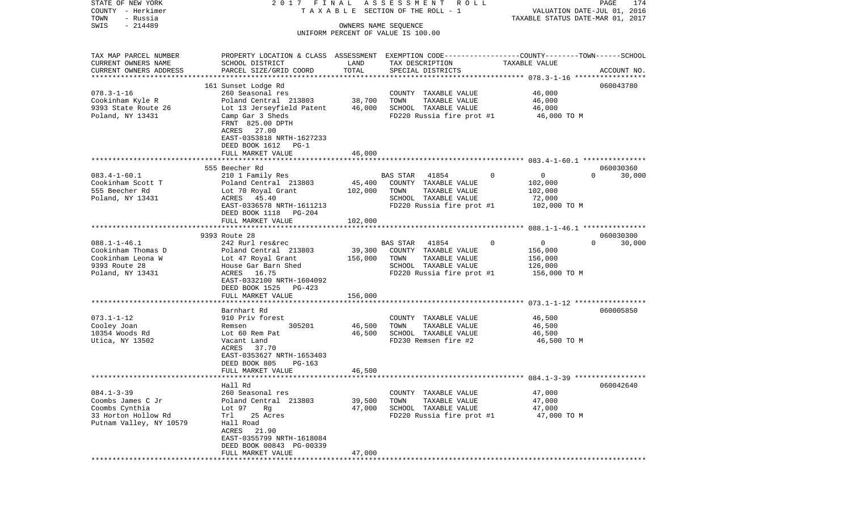| STATE OF NEW YORK                     | 2017 FINAL                                            |         | A S S E S S M E N T<br>R O L L                                                                  |                                  | PAGE<br>174        |
|---------------------------------------|-------------------------------------------------------|---------|-------------------------------------------------------------------------------------------------|----------------------------------|--------------------|
| COUNTY - Herkimer                     |                                                       |         | TAXABLE SECTION OF THE ROLL - 1                                                                 | VALUATION DATE-JUL 01, 2016      |                    |
| TOWN<br>- Russia<br>$-214489$<br>SWIS |                                                       |         | OWNERS NAME SEQUENCE                                                                            | TAXABLE STATUS DATE-MAR 01, 2017 |                    |
|                                       |                                                       |         | UNIFORM PERCENT OF VALUE IS 100.00                                                              |                                  |                    |
|                                       |                                                       |         |                                                                                                 |                                  |                    |
| TAX MAP PARCEL NUMBER                 |                                                       |         | PROPERTY LOCATION & CLASS ASSESSMENT EXEMPTION CODE---------------COUNTY-------TOWN------SCHOOL |                                  |                    |
| CURRENT OWNERS NAME                   | SCHOOL DISTRICT                                       | LAND    | TAX DESCRIPTION                                                                                 | TAXABLE VALUE                    |                    |
| CURRENT OWNERS ADDRESS                | PARCEL SIZE/GRID COORD                                | TOTAL   | SPECIAL DISTRICTS                                                                               |                                  | ACCOUNT NO.        |
| ***********************               |                                                       |         |                                                                                                 |                                  |                    |
|                                       | 161 Sunset Lodge Rd                                   |         |                                                                                                 | 46,000                           | 060043780          |
| $078.3 - 1 - 16$<br>Cookinham Kyle R  | 260 Seasonal res<br>Poland Central 213803             | 38,700  | COUNTY TAXABLE VALUE<br>TOWN<br>TAXABLE VALUE                                                   | 46,000                           |                    |
| 9393 State Route 26                   | Lot 13 Jerseyfield Patent                             | 46,000  | SCHOOL TAXABLE VALUE                                                                            | 46,000                           |                    |
| Poland, NY 13431                      | Camp Gar 3 Sheds                                      |         | FD220 Russia fire prot #1                                                                       | 46,000 TO M                      |                    |
|                                       | FRNT 825.00 DPTH                                      |         |                                                                                                 |                                  |                    |
|                                       | ACRES 27.00                                           |         |                                                                                                 |                                  |                    |
|                                       | EAST-0353818 NRTH-1627233                             |         |                                                                                                 |                                  |                    |
|                                       | DEED BOOK 1612 PG-1                                   |         |                                                                                                 |                                  |                    |
|                                       | FULL MARKET VALUE                                     | 46,000  |                                                                                                 |                                  |                    |
|                                       |                                                       |         |                                                                                                 |                                  |                    |
|                                       | 555 Beecher Rd                                        |         |                                                                                                 |                                  | 060030360          |
| $083.4 - 1 - 60.1$                    | 210 1 Family Res                                      |         | BAS STAR 41854<br>$\mathbf{0}$                                                                  | $\overline{0}$                   | 30,000<br>$\Omega$ |
| Cookinham Scott T                     | Poland Central 213803                                 | 45,400  | COUNTY TAXABLE VALUE                                                                            | 102,000                          |                    |
| 555 Beecher Rd                        | Lot 70 Royal Grant                                    | 102,000 | TOWN<br>TAXABLE VALUE                                                                           | 102,000                          |                    |
| Poland, NY 13431                      | ACRES 45.40                                           |         | SCHOOL TAXABLE VALUE                                                                            | 72,000                           |                    |
|                                       | EAST-0336578 NRTH-1611213                             |         | FD220 Russia fire prot #1                                                                       | 102,000 TO M                     |                    |
|                                       | DEED BOOK 1118<br>PG-204                              |         |                                                                                                 |                                  |                    |
|                                       | FULL MARKET VALUE                                     | 102,000 |                                                                                                 |                                  |                    |
|                                       | 9393 Route 28                                         |         |                                                                                                 |                                  | 060030300          |
| $088.1 - 1 - 46.1$                    | 242 Rurl res&rec                                      |         | 41854<br>$\Omega$<br>BAS STAR                                                                   | $\mathbf 0$                      | $\Omega$<br>30,000 |
| Cookinham Thomas D                    | Poland Central 213803                                 | 39,300  | COUNTY TAXABLE VALUE                                                                            | 156,000                          |                    |
| Cookinham Leona W                     | Lot 47 Royal Grant                                    | 156,000 | TOWN<br>TAXABLE VALUE                                                                           | 156,000                          |                    |
| 9393 Route 28                         | House Gar Barn Shed                                   |         | SCHOOL TAXABLE VALUE                                                                            | 126,000                          |                    |
| Poland, NY 13431                      | ACRES 16.75                                           |         | FD220 Russia fire prot #1                                                                       | 156,000 TO M                     |                    |
|                                       | EAST-0332100 NRTH-1604092                             |         |                                                                                                 |                                  |                    |
|                                       | DEED BOOK 1525 PG-423                                 |         |                                                                                                 |                                  |                    |
|                                       | FULL MARKET VALUE                                     | 156,000 |                                                                                                 |                                  |                    |
|                                       | ***************************                           |         |                                                                                                 |                                  |                    |
|                                       | Barnhart Rd                                           |         |                                                                                                 |                                  | 060005850          |
| $073.1 - 1 - 12$                      | 910 Priv forest                                       |         | COUNTY TAXABLE VALUE                                                                            | 46,500                           |                    |
| Cooley Joan                           | 305201<br>Remsen                                      | 46,500  | TOWN<br>TAXABLE VALUE                                                                           | 46,500                           |                    |
| 10354 Woods Rd<br>Utica, NY 13502     | Lot 60 Rem Pat<br>Vacant Land                         | 46,500  | SCHOOL TAXABLE VALUE<br>FD230 Remsen fire #2                                                    | 46,500<br>46,500 TO M            |                    |
|                                       | 37.70<br>ACRES                                        |         |                                                                                                 |                                  |                    |
|                                       | EAST-0353627 NRTH-1653403                             |         |                                                                                                 |                                  |                    |
|                                       | DEED BOOK 805<br>$PG-163$                             |         |                                                                                                 |                                  |                    |
|                                       | FULL MARKET VALUE                                     | 46,500  |                                                                                                 |                                  |                    |
|                                       |                                                       |         |                                                                                                 |                                  |                    |
|                                       | Hall Rd                                               |         |                                                                                                 |                                  | 060042640          |
| $084.1 - 3 - 39$                      | 260 Seasonal res                                      |         | COUNTY<br>TAXABLE VALUE                                                                         | 47,000                           |                    |
| Coombs James C Jr                     | Poland Central 213803                                 | 39,500  | TOWN<br>TAXABLE VALUE                                                                           | 47,000                           |                    |
| Coombs Cynthia                        | Lot 97<br>Rg                                          | 47,000  | SCHOOL TAXABLE VALUE                                                                            | 47,000                           |                    |
| 33 Horton Hollow Rd                   | 25 Acres<br>Trl                                       |         | FD220 Russia fire prot #1                                                                       | 47,000 TO M                      |                    |
| Putnam Valley, NY 10579               | Hall Road                                             |         |                                                                                                 |                                  |                    |
|                                       | 21.90<br>ACRES                                        |         |                                                                                                 |                                  |                    |
|                                       | EAST-0355799 NRTH-1618084<br>DEED BOOK 00843 PG-00339 |         |                                                                                                 |                                  |                    |
|                                       | FULL MARKET VALUE                                     | 47,000  |                                                                                                 |                                  |                    |
|                                       |                                                       |         |                                                                                                 |                                  |                    |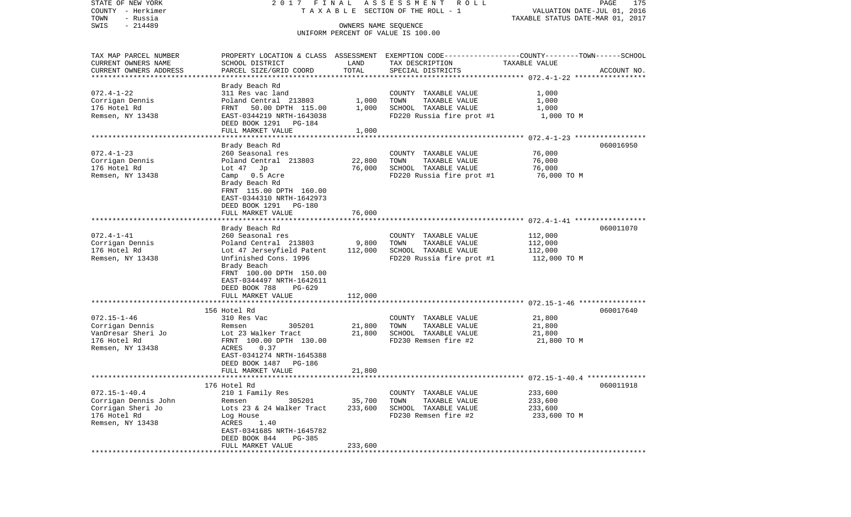| STATE OF NEW YORK<br>COUNTY - Herkimer | 2017 FINAL                                        |                      | ASSESSMENT<br>R O L L<br>TAXABLE SECTION OF THE ROLL - 1                                        |                                  | PAGE<br>175<br>VALUATION DATE-JUL 01, 2016 |
|----------------------------------------|---------------------------------------------------|----------------------|-------------------------------------------------------------------------------------------------|----------------------------------|--------------------------------------------|
| - Russia<br>TOWN                       |                                                   |                      |                                                                                                 | TAXABLE STATUS DATE-MAR 01, 2017 |                                            |
| $-214489$<br>SWIS                      |                                                   | OWNERS NAME SEQUENCE | UNIFORM PERCENT OF VALUE IS 100.00                                                              |                                  |                                            |
|                                        |                                                   |                      |                                                                                                 |                                  |                                            |
| TAX MAP PARCEL NUMBER                  |                                                   |                      | PROPERTY LOCATION & CLASS ASSESSMENT EXEMPTION CODE---------------COUNTY-------TOWN------SCHOOL |                                  |                                            |
| CURRENT OWNERS NAME                    | SCHOOL DISTRICT                                   | LAND                 | TAX DESCRIPTION                                                                                 | TAXABLE VALUE                    |                                            |
| CURRENT OWNERS ADDRESS                 | PARCEL SIZE/GRID COORD                            | TOTAL                | SPECIAL DISTRICTS                                                                               |                                  | ACCOUNT NO.                                |
| *********************                  |                                                   |                      |                                                                                                 |                                  |                                            |
|                                        | Brady Beach Rd                                    |                      |                                                                                                 |                                  |                                            |
| $072.4 - 1 - 22$                       | 311 Res vac land                                  |                      | COUNTY TAXABLE VALUE                                                                            | 1,000                            |                                            |
| Corrigan Dennis                        | Poland Central 213803                             | 1,000                | TOWN<br>TAXABLE VALUE                                                                           | 1,000                            |                                            |
| 176 Hotel Rd                           | FRNT<br>50.00 DPTH 115.00                         | 1,000                | SCHOOL TAXABLE VALUE                                                                            | 1,000                            |                                            |
| Remsen, NY 13438                       | EAST-0344219 NRTH-1643038                         |                      | FD220 Russia fire prot #1                                                                       | 1,000 TO M                       |                                            |
|                                        | DEED BOOK 1291 PG-184                             |                      |                                                                                                 |                                  |                                            |
|                                        | FULL MARKET VALUE<br>**************************** | 1,000                |                                                                                                 |                                  |                                            |
|                                        | Brady Beach Rd                                    |                      |                                                                                                 |                                  | 060016950                                  |
| $072.4 - 1 - 23$                       | 260 Seasonal res                                  |                      | COUNTY TAXABLE VALUE                                                                            | 76,000                           |                                            |
| Corrigan Dennis                        | Poland Central 213803                             | 22,800               | TOWN<br>TAXABLE VALUE                                                                           | 76,000                           |                                            |
| 176 Hotel Rd                           | Lot $47$ Jp                                       | 76,000               | SCHOOL TAXABLE VALUE                                                                            | 76,000                           |                                            |
| Remsen, NY 13438                       | Camp 0.5 Acre                                     |                      | FD220 Russia fire prot #1                                                                       | 76,000 то м                      |                                            |
|                                        | Brady Beach Rd                                    |                      |                                                                                                 |                                  |                                            |
|                                        | FRNT 115.00 DPTH 160.00                           |                      |                                                                                                 |                                  |                                            |
|                                        | EAST-0344310 NRTH-1642973                         |                      |                                                                                                 |                                  |                                            |
|                                        | DEED BOOK 1291 PG-180                             |                      |                                                                                                 |                                  |                                            |
|                                        | FULL MARKET VALUE                                 | 76,000               |                                                                                                 |                                  |                                            |
|                                        | ***********************                           |                      |                                                                                                 |                                  |                                            |
|                                        | Brady Beach Rd                                    |                      |                                                                                                 |                                  | 060011070                                  |
| $072.4 - 1 - 41$                       | 260 Seasonal res                                  |                      | COUNTY TAXABLE VALUE                                                                            | 112,000                          |                                            |
| Corrigan Dennis                        | Poland Central 213803                             | 9,800                | TOWN<br>TAXABLE VALUE                                                                           | 112,000                          |                                            |
| 176 Hotel Rd                           | Lot 47 Jerseyfield Patent                         | 112,000              | SCHOOL TAXABLE VALUE                                                                            | 112,000                          |                                            |
| Remsen, NY 13438                       | Unfinished Cons. 1996                             |                      | FD220 Russia fire prot #1                                                                       | 112,000 TO M                     |                                            |
|                                        | Brady Beach                                       |                      |                                                                                                 |                                  |                                            |
|                                        | FRNT 100.00 DPTH 150.00                           |                      |                                                                                                 |                                  |                                            |
|                                        | EAST-0344497 NRTH-1642611                         |                      |                                                                                                 |                                  |                                            |
|                                        | DEED BOOK 788<br>PG-629                           |                      |                                                                                                 |                                  |                                            |
|                                        | FULL MARKET VALUE                                 | 112,000              |                                                                                                 |                                  |                                            |
|                                        | *******************                               |                      |                                                                                                 |                                  |                                            |
|                                        | 156 Hotel Rd                                      |                      |                                                                                                 |                                  | 060017640                                  |
| $072.15 - 1 - 46$                      | 310 Res Vac                                       |                      | COUNTY TAXABLE VALUE                                                                            | 21,800                           |                                            |
| Corrigan Dennis                        | 305201<br>Remsen                                  | 21,800               | TOWN<br>TAXABLE VALUE                                                                           | 21,800                           |                                            |
| VanDresar Sheri Jo                     | Lot 23 Walker Tract                               | 21,800               | SCHOOL TAXABLE VALUE                                                                            | 21,800                           |                                            |
| 176 Hotel Rd                           | FRNT 100.00 DPTH 130.00<br>0.37                   |                      | FD230 Remsen fire #2                                                                            | 21,800 TO M                      |                                            |
| Remsen, NY 13438                       | ACRES<br>EAST-0341274 NRTH-1645388                |                      |                                                                                                 |                                  |                                            |
|                                        | DEED BOOK 1487 PG-186                             |                      |                                                                                                 |                                  |                                            |
|                                        | FULL MARKET VALUE                                 | 21,800               |                                                                                                 |                                  |                                            |
|                                        |                                                   |                      | ******************************* 072.15-1-40.4 **************                                    |                                  |                                            |
|                                        | 176 Hotel Rd                                      |                      |                                                                                                 |                                  | 060011918                                  |
| $072.15 - 1 - 40.4$                    | 210 1 Family Res                                  |                      | COUNTY TAXABLE VALUE                                                                            | 233,600                          |                                            |
| Corrigan Dennis John                   | 305201<br>Remsen                                  | 35,700               | TOWN<br>TAXABLE VALUE                                                                           | 233,600                          |                                            |
| Corrigan Sheri Jo                      | Lots 23 & 24 Walker Tract                         | 233,600              | SCHOOL TAXABLE VALUE                                                                            | 233,600                          |                                            |
| 176 Hotel Rd                           | Log House                                         |                      | FD230 Remsen fire #2                                                                            | 233,600 TO M                     |                                            |
| Remsen, NY 13438                       | ACRES<br>1.40                                     |                      |                                                                                                 |                                  |                                            |
|                                        | EAST-0341685 NRTH-1645782                         |                      |                                                                                                 |                                  |                                            |
|                                        | DEED BOOK 844<br>PG-385                           |                      |                                                                                                 |                                  |                                            |
|                                        | FULL MARKET VALUE                                 | 233,600              |                                                                                                 |                                  |                                            |
|                                        | ************************                          |                      | ***************************                                                                     |                                  |                                            |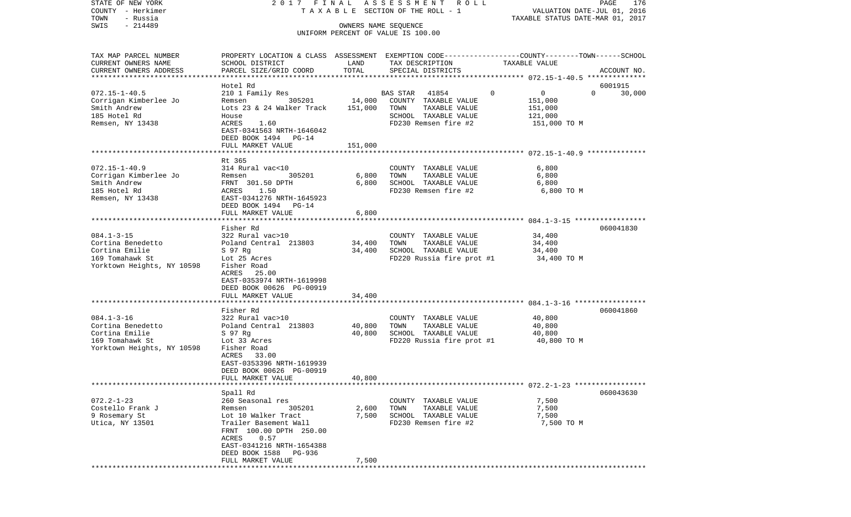| STATE OF NEW YORK<br>COUNTY - Herkimer<br>TOWN<br>- Russia                                               | 2017 FINAL                                                                                                                                                                             |                              | A S S E S S M E N T R O L L<br>TAXABLE SECTION OF THE ROLL - 1                                                     | VALUATION DATE-JUL 01, 2016<br>TAXABLE STATUS DATE-MAR 01, 2017 | PAGE<br>176        |
|----------------------------------------------------------------------------------------------------------|----------------------------------------------------------------------------------------------------------------------------------------------------------------------------------------|------------------------------|--------------------------------------------------------------------------------------------------------------------|-----------------------------------------------------------------|--------------------|
| $-214489$<br>SWIS                                                                                        |                                                                                                                                                                                        | OWNERS NAME SEQUENCE         | UNIFORM PERCENT OF VALUE IS 100.00                                                                                 |                                                                 |                    |
| TAX MAP PARCEL NUMBER<br>CURRENT OWNERS NAME<br>CURRENT OWNERS ADDRESS<br>*************************      | PROPERTY LOCATION & CLASS ASSESSMENT EXEMPTION CODE---------------COUNTY-------TOWN------SCHOOL<br>SCHOOL DISTRICT<br>PARCEL SIZE/GRID COORD                                           | LAND<br>TOTAL                | TAX DESCRIPTION<br>SPECIAL DISTRICTS                                                                               | TAXABLE VALUE                                                   | ACCOUNT NO.        |
|                                                                                                          | Hotel Rd                                                                                                                                                                               |                              |                                                                                                                    |                                                                 | 6001915            |
| $072.15 - 1 - 40.5$<br>Corrigan Kimberlee Jo<br>Smith Andrew<br>185 Hotel Rd<br>Remsen, NY 13438         | 210 1 Family Res<br>305201<br>Remsen<br>Lots 23 & 24 Walker Track<br>House<br>ACRES<br>1.60<br>EAST-0341563 NRTH-1646042<br>DEED BOOK 1494 PG-14<br>FULL MARKET VALUE                  | 14,000<br>151,000<br>151,000 | 41854<br>BAS STAR<br>COUNTY TAXABLE VALUE<br>TOWN<br>TAXABLE VALUE<br>SCHOOL TAXABLE VALUE<br>FD230 Remsen fire #2 | 0<br>0<br>151,000<br>151,000<br>121,000<br>151,000 TO M         | $\Omega$<br>30,000 |
|                                                                                                          |                                                                                                                                                                                        |                              |                                                                                                                    |                                                                 |                    |
| $072.15 - 1 - 40.9$<br>Corrigan Kimberlee Jo<br>Smith Andrew<br>185 Hotel Rd<br>Remsen, NY 13438         | Rt 365<br>314 Rural vac<10<br>305201<br>Remsen<br>FRNT 301.50 DPTH<br>1.50<br>ACRES<br>EAST-0341276 NRTH-1645923<br>DEED BOOK 1494 PG-14                                               | 6,800<br>6,800               | COUNTY TAXABLE VALUE<br>TOWN<br>TAXABLE VALUE<br>SCHOOL TAXABLE VALUE<br>FD230 Remsen fire #2                      | 6,800<br>6,800<br>6,800<br>6,800 TO M                           |                    |
|                                                                                                          | FULL MARKET VALUE                                                                                                                                                                      | 6,800                        |                                                                                                                    |                                                                 |                    |
|                                                                                                          |                                                                                                                                                                                        |                              |                                                                                                                    |                                                                 |                    |
| $084.1 - 3 - 15$<br>Cortina Benedetto<br>Cortina Emilie<br>169 Tomahawk St<br>Yorktown Heights, NY 10598 | Fisher Rd<br>322 Rural vac>10<br>Poland Central 213803<br>S 97 Rg<br>Lot 25 Acres<br>Fisher Road<br>ACRES 25.00<br>EAST-0353974 NRTH-1619998<br>DEED BOOK 00626 PG-00919               | 34,400<br>34,400             | COUNTY TAXABLE VALUE<br>TOWN<br>TAXABLE VALUE<br>SCHOOL TAXABLE VALUE<br>FD220 Russia fire prot #1                 | 34,400<br>34,400<br>34,400<br>34,400 TO M                       | 060041830          |
|                                                                                                          | FULL MARKET VALUE                                                                                                                                                                      | 34,400                       |                                                                                                                    |                                                                 |                    |
| $084.1 - 3 - 16$<br>Cortina Benedetto<br>Cortina Emilie<br>169 Tomahawk St<br>Yorktown Heights, NY 10598 | *****************************<br>Fisher Rd<br>322 Rural vac>10<br>Poland Central 213803<br>S 97 Rg<br>Lot 33 Acres<br>Fisher Road<br>ACRES<br>33.00<br>EAST-0353396 NRTH-1619939       | 40,800<br>40,800             | COUNTY TAXABLE VALUE<br>TOWN<br>TAXABLE VALUE<br>SCHOOL TAXABLE VALUE<br>FD220 Russia fire prot #1                 | 40,800<br>40,800<br>40,800<br>40,800 TO M                       | 060041860          |
|                                                                                                          | DEED BOOK 00626 PG-00919<br>FULL MARKET VALUE                                                                                                                                          | 40,800                       |                                                                                                                    |                                                                 |                    |
|                                                                                                          | Spall Rd                                                                                                                                                                               |                              |                                                                                                                    |                                                                 | 060043630          |
| $072.2 - 1 - 23$<br>Costello Frank J<br>9 Rosemary St<br>Utica, NY 13501                                 | 260 Seasonal res<br>305201<br>Remsen<br>Lot 10 Walker Tract<br>Trailer Basement Wall<br>FRNT 100.00 DPTH 250.00<br>0.57<br>ACRES<br>EAST-0341216 NRTH-1654388<br>DEED BOOK 1588 PG-936 | 2,600<br>7,500               | COUNTY TAXABLE VALUE<br>TOWN<br>TAXABLE VALUE<br>SCHOOL TAXABLE VALUE<br>FD230 Remsen fire #2                      | 7,500<br>7,500<br>7,500<br>7,500 TO M                           |                    |
|                                                                                                          | FULL MARKET VALUE                                                                                                                                                                      | 7,500                        |                                                                                                                    |                                                                 |                    |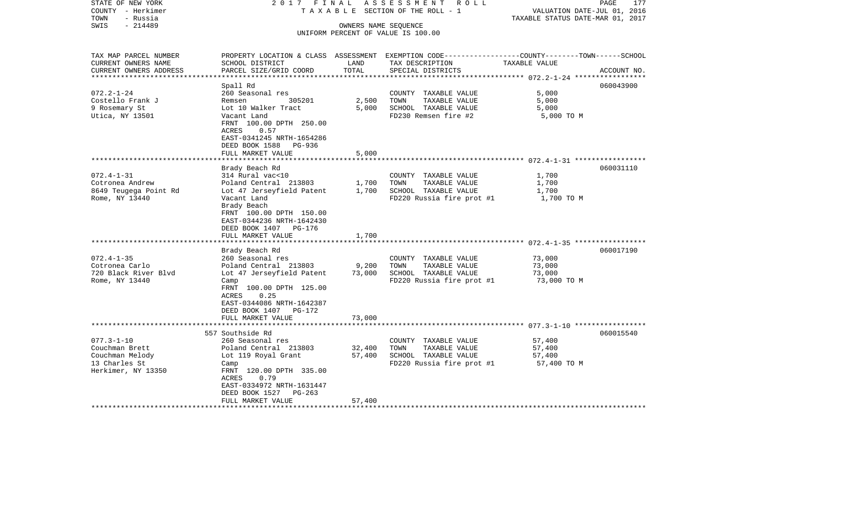| STATE OF NEW YORK<br>COUNTY - Herkimer<br>- Russia<br>TOWN                     | 2017 FINAL                                                                                                                                                                                         |                            | ASSESSMENT<br>R O L L<br>TAXABLE SECTION OF THE ROLL - 1                                                                                 | VALUATION DATE-JUL 01, 2016<br>TAXABLE STATUS DATE-MAR 01, 2017 | PAGE<br>177 |
|--------------------------------------------------------------------------------|----------------------------------------------------------------------------------------------------------------------------------------------------------------------------------------------------|----------------------------|------------------------------------------------------------------------------------------------------------------------------------------|-----------------------------------------------------------------|-------------|
| $-214489$<br>SWIS                                                              |                                                                                                                                                                                                    | OWNERS NAME SEQUENCE       | UNIFORM PERCENT OF VALUE IS 100.00                                                                                                       |                                                                 |             |
| TAX MAP PARCEL NUMBER<br>CURRENT OWNERS NAME<br>CURRENT OWNERS ADDRESS         | SCHOOL DISTRICT<br>PARCEL SIZE/GRID COORD                                                                                                                                                          | LAND<br>TOTAL              | PROPERTY LOCATION & CLASS ASSESSMENT EXEMPTION CODE----------------COUNTY-------TOWN------SCHOOL<br>TAX DESCRIPTION<br>SPECIAL DISTRICTS | TAXABLE VALUE                                                   | ACCOUNT NO. |
| ********************                                                           |                                                                                                                                                                                                    | ***************            |                                                                                                                                          |                                                                 |             |
| $072.2 - 1 - 24$<br>Costello Frank J<br>9 Rosemary St<br>Utica, NY 13501       | Spall Rd<br>260 Seasonal res<br>305201<br>Remsen<br>Lot 10 Walker Tract<br>Vacant Land<br>FRNT 100.00 DPTH 250.00<br>0.57<br>ACRES<br>EAST-0341245 NRTH-1654286                                    | 2,500<br>5,000             | COUNTY TAXABLE VALUE<br>TOWN<br>TAXABLE VALUE<br>SCHOOL TAXABLE VALUE<br>FD230 Remsen fire #2                                            | 5,000<br>5,000<br>5,000<br>5,000 TO M                           | 060043900   |
|                                                                                | DEED BOOK 1588<br>PG-936<br>FULL MARKET VALUE                                                                                                                                                      | 5,000                      |                                                                                                                                          |                                                                 |             |
|                                                                                | Brady Beach Rd                                                                                                                                                                                     | **********                 |                                                                                                                                          |                                                                 | 060031110   |
| $072.4 - 1 - 31$<br>Cotronea Andrew<br>8649 Teugega Point Rd<br>Rome, NY 13440 | 314 Rural vac<10<br>Poland Central 213803<br>Lot 47 Jerseyfield Patent<br>Vacant Land<br>Brady Beach<br>FRNT 100.00 DPTH 150.00<br>EAST-0344236 NRTH-1642430<br>DEED BOOK 1407 PG-176              | 1,700<br>1,700             | COUNTY TAXABLE VALUE<br>TAXABLE VALUE<br>TOWN<br>SCHOOL TAXABLE VALUE<br>FD220 Russia fire prot #1                                       | 1,700<br>1,700<br>1,700<br>1,700 TO M                           |             |
|                                                                                | FULL MARKET VALUE                                                                                                                                                                                  | 1,700                      |                                                                                                                                          |                                                                 |             |
| $072.4 - 1 - 35$<br>Cotronea Carlo<br>720 Black River Blvd<br>Rome, NY 13440   | Brady Beach Rd<br>260 Seasonal res<br>Poland Central 213803<br>Lot 47 Jerseyfield Patent<br>Camp<br>FRNT 100.00 DPTH 125.00<br>ACRES<br>0.25<br>EAST-0344086 NRTH-1642387<br>DEED BOOK 1407 PG-172 | 9,200<br>73,000            | COUNTY TAXABLE VALUE<br>TAXABLE VALUE<br>TOWN<br>SCHOOL TAXABLE VALUE<br>FD220 Russia fire prot #1                                       | 73,000<br>73,000<br>73,000<br>73,000 TO M                       | 060017190   |
|                                                                                | FULL MARKET VALUE                                                                                                                                                                                  | 73,000                     |                                                                                                                                          |                                                                 |             |
| $077.3 - 1 - 10$                                                               | 557 Southside Rd<br>260 Seasonal res                                                                                                                                                               |                            | COUNTY TAXABLE VALUE                                                                                                                     | 57,400                                                          | 060015540   |
| Couchman Brett<br>Couchman Melody<br>13 Charles St<br>Herkimer, NY 13350       | Poland Central 213803<br>Lot 119 Royal Grant<br>Camp<br>FRNT 120.00 DPTH 335.00<br>ACRES<br>0.79<br>EAST-0334972 NRTH-1631447<br>DEED BOOK 1527<br>$PG-263$<br>FULL MARKET VALUE                   | 32,400<br>57,400<br>57,400 | TOWN<br>TAXABLE VALUE<br>SCHOOL TAXABLE VALUE<br>FD220 Russia fire prot #1                                                               | 57,400<br>57,400<br>57,400 TO M                                 |             |
|                                                                                |                                                                                                                                                                                                    |                            |                                                                                                                                          |                                                                 |             |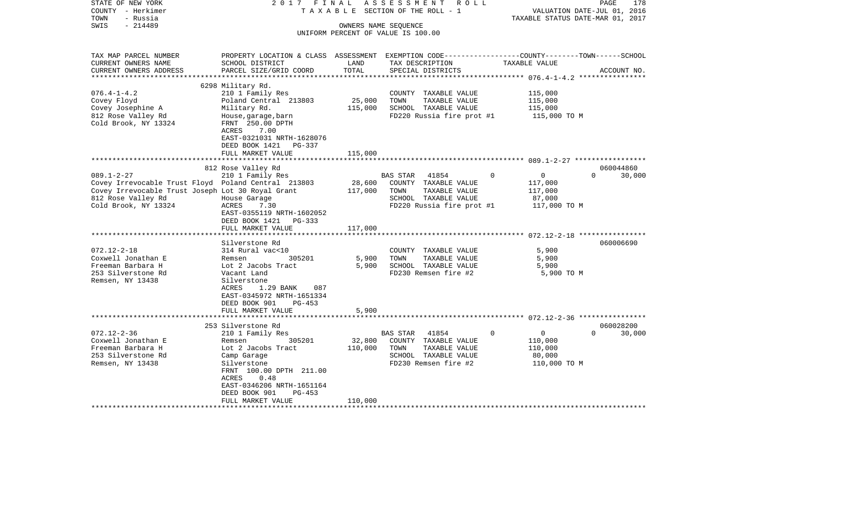| STATE OF NEW YORK<br>COUNTY - Herkimer<br>- Russia<br>TOWN<br>SWIS<br>$-214489$                                                                                            | 2017<br>FINAL<br>TAXABLE                                                                                                                                                                                                 | OWNERS NAME SEQUENCE         | ASSESSMENT<br>R O L L<br>SECTION OF THE ROLL - 1                                                                           |                                                                     | 178<br>PAGE<br>VALUATION DATE-JUL 01, 2016<br>TAXABLE STATUS DATE-MAR 01, 2017 |
|----------------------------------------------------------------------------------------------------------------------------------------------------------------------------|--------------------------------------------------------------------------------------------------------------------------------------------------------------------------------------------------------------------------|------------------------------|----------------------------------------------------------------------------------------------------------------------------|---------------------------------------------------------------------|--------------------------------------------------------------------------------|
|                                                                                                                                                                            |                                                                                                                                                                                                                          |                              | UNIFORM PERCENT OF VALUE IS 100.00                                                                                         |                                                                     |                                                                                |
| TAX MAP PARCEL NUMBER<br>CURRENT OWNERS NAME<br>CURRENT OWNERS ADDRESS<br>***********************                                                                          | PROPERTY LOCATION & CLASS ASSESSMENT EXEMPTION CODE---------------COUNTY-------TOWN------SCHOOL<br>SCHOOL DISTRICT<br>PARCEL SIZE/GRID COORD                                                                             | LAND<br>TOTAL                | TAX DESCRIPTION<br>SPECIAL DISTRICTS                                                                                       | TAXABLE VALUE                                                       | ACCOUNT NO.                                                                    |
| $076.4 - 1 - 4.2$<br>Covey Floyd<br>Covey Josephine A<br>812 Rose Valley Rd<br>Cold Brook, NY 13324                                                                        | 6298 Military Rd.<br>210 1 Family Res<br>Poland Central 213803<br>Military Rd.<br>House, garage, barn<br>FRNT 250.00 DPTH<br>ACRES<br>7.00<br>EAST-0321031 NRTH-1628076<br>DEED BOOK 1421<br>PG-337<br>FULL MARKET VALUE | 25,000<br>115,000<br>115,000 | COUNTY TAXABLE VALUE<br>TOWN<br>TAXABLE VALUE<br>SCHOOL TAXABLE VALUE<br>FD220 Russia fire prot #1                         | 115,000<br>115,000<br>115,000<br>115,000 TO M                       |                                                                                |
|                                                                                                                                                                            |                                                                                                                                                                                                                          | ********                     |                                                                                                                            | ************************* 089.1-2-27 ******************             |                                                                                |
| $089.1 - 2 - 27$<br>Covey Irrevocable Trust Floyd Poland Central 213803<br>Covey Irrevocable Trust Joseph Lot 30 Royal Grant<br>812 Rose Valley Rd<br>Cold Brook, NY 13324 | 812 Rose Valley Rd<br>210 1 Family Res<br>House Garage<br>ACRES<br>7.30<br>EAST-0355119 NRTH-1602052<br>DEED BOOK 1421<br>PG-333<br>FULL MARKET VALUE                                                                    | 28,600<br>117,000<br>117,000 | BAS STAR<br>41854<br>COUNTY<br>TAXABLE VALUE<br>TOWN<br>TAXABLE VALUE<br>SCHOOL TAXABLE VALUE<br>FD220 Russia fire prot #1 | 0<br>0<br>117,000<br>117,000<br>87,000<br>117,000 TO M              | 060044860<br>$\Omega$<br>30,000                                                |
|                                                                                                                                                                            | **********************                                                                                                                                                                                                   |                              |                                                                                                                            |                                                                     |                                                                                |
| $072.12 - 2 - 18$<br>Coxwell Jonathan E<br>Freeman Barbara H<br>253 Silverstone Rd<br>Remsen, NY 13438                                                                     | Silverstone Rd<br>314 Rural vac<10<br>Remsen<br>305201<br>Lot 2 Jacobs Tract<br>Vacant Land<br>Silverstone<br>ACRES<br>1.29 BANK<br>087<br>EAST-0345972 NRTH-1651334<br>DEED BOOK 901<br>PG-453                          | 5,900<br>5,900               | COUNTY TAXABLE VALUE<br>TOWN<br>TAXABLE VALUE<br>SCHOOL TAXABLE VALUE<br>FD230 Remsen fire #2                              | 5,900<br>5,900<br>5,900<br>5,900 TO M                               | 060006690                                                                      |
|                                                                                                                                                                            | FULL MARKET VALUE<br>********************                                                                                                                                                                                | 5,900                        |                                                                                                                            |                                                                     |                                                                                |
|                                                                                                                                                                            | 253 Silverstone Rd                                                                                                                                                                                                       |                              |                                                                                                                            |                                                                     | 060028200                                                                      |
| $072.12 - 2 - 36$<br>Coxwell Jonathan E<br>Freeman Barbara H<br>253 Silverstone Rd<br>Remsen, NY 13438                                                                     | 210 1 Family Res<br>305201<br>Remsen<br>Lot 2 Jacobs Tract<br>Camp Garage<br>Silverstone<br>FRNT 100.00 DPTH 211.00<br><b>ACRES</b><br>0.48<br>EAST-0346206 NRTH-1651164<br>DEED BOOK 901<br>$PG-453$                    | 32,800<br>110,000            | BAS STAR<br>41854<br>COUNTY TAXABLE VALUE<br>TAXABLE VALUE<br>TOWN<br>SCHOOL TAXABLE VALUE<br>FD230 Remsen fire #2         | 0<br>$\overline{0}$<br>110,000<br>110,000<br>80,000<br>110,000 TO M | $\Omega$<br>30,000                                                             |
|                                                                                                                                                                            | FULL MARKET VALUE<br>*******************                                                                                                                                                                                 | 110,000                      | ***************************                                                                                                |                                                                     |                                                                                |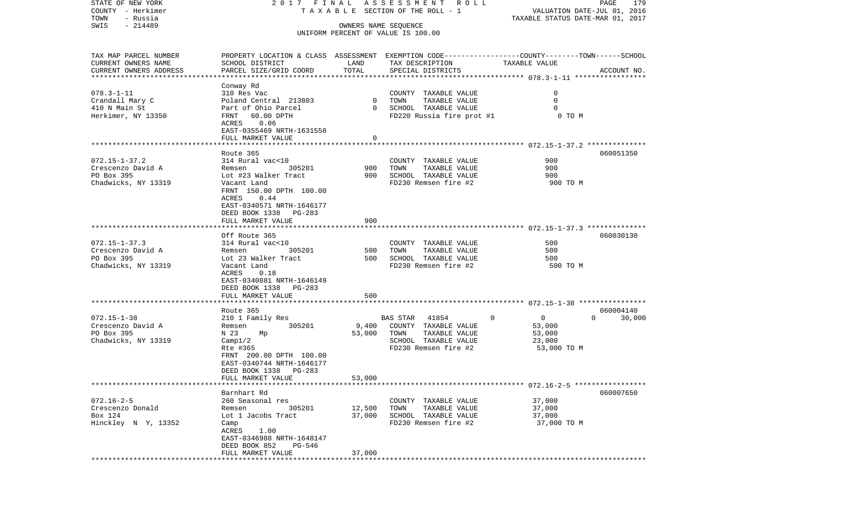| COUNTY - Herkimer         |                           |              | T A X A B L E SECTION OF THE ROLL - 1 | VALUATION DATE-JUL 01, 2016                                                                    |             |
|---------------------------|---------------------------|--------------|---------------------------------------|------------------------------------------------------------------------------------------------|-------------|
| TOWN<br>- Russia          |                           |              |                                       | TAXABLE STATUS DATE-MAR 01, 2017                                                               |             |
| SWIS<br>$-214489$         |                           |              | OWNERS NAME SEQUENCE                  |                                                                                                |             |
|                           |                           |              | UNIFORM PERCENT OF VALUE IS 100.00    |                                                                                                |             |
|                           |                           |              |                                       |                                                                                                |             |
| TAX MAP PARCEL NUMBER     |                           |              |                                       | PROPERTY LOCATION & CLASS ASSESSMENT EXEMPTION CODE--------------COUNTY-------TOWN------SCHOOL |             |
| CURRENT OWNERS NAME       | SCHOOL DISTRICT           | LAND         | TAX DESCRIPTION                       | TAXABLE VALUE                                                                                  |             |
| CURRENT OWNERS ADDRESS    | PARCEL SIZE/GRID COORD    | TOTAL        | SPECIAL DISTRICTS                     |                                                                                                | ACCOUNT NO. |
| ************************* |                           |              |                                       |                                                                                                |             |
|                           | Conway Rd                 |              |                                       |                                                                                                |             |
| $078.3 - 1 - 11$          | 310 Res Vac               |              | COUNTY TAXABLE VALUE                  | $\mathbf 0$                                                                                    |             |
| Crandall Mary C           | Poland Central 213803     | $\mathbf{0}$ | TOWN<br>TAXABLE VALUE                 | 0                                                                                              |             |
| 410 N Main St             | Part of Ohio Parcel       | $\Omega$     | SCHOOL TAXABLE VALUE                  | $\Omega$                                                                                       |             |
| Herkimer, NY 13350        | 60.00 DPTH<br>FRNT        |              | FD220 Russia fire prot #1             | 0 TO M                                                                                         |             |
|                           | 0.06<br>ACRES             |              |                                       |                                                                                                |             |
|                           | EAST-0355469 NRTH-1631558 |              |                                       |                                                                                                |             |
|                           | FULL MARKET VALUE         | 0            |                                       |                                                                                                |             |
|                           | *******************       |              |                                       |                                                                                                |             |
|                           | Route 365                 |              |                                       |                                                                                                | 060051350   |
| $072.15 - 1 - 37.2$       | 314 Rural vac<10          |              | COUNTY TAXABLE VALUE                  | 900                                                                                            |             |
| Crescenzo David A         | 305201<br>Remsen          | 900          | TOWN<br>TAXABLE VALUE                 | 900                                                                                            |             |
| PO Box 395                | Lot #23 Walker Tract      | 900          | SCHOOL TAXABLE VALUE                  | 900                                                                                            |             |
| Chadwicks, NY 13319       | Vacant Land               |              | FD230 Remsen fire #2                  | 900 TO M                                                                                       |             |
|                           | FRNT 150.00 DPTH 100.00   |              |                                       |                                                                                                |             |
|                           | 0.44<br>ACRES             |              |                                       |                                                                                                |             |
|                           | EAST-0340571 NRTH-1646177 |              |                                       |                                                                                                |             |
|                           | DEED BOOK 1338<br>PG-283  |              |                                       |                                                                                                |             |
|                           | FULL MARKET VALUE         | 900          |                                       |                                                                                                |             |
|                           |                           |              |                                       | ************************* 072.15-1-37.3 **************                                         |             |
|                           | Off Route 365             |              |                                       |                                                                                                | 060030130   |
| $072.15 - 1 - 37.3$       | 314 Rural vac<10          |              | COUNTY TAXABLE VALUE                  | 500                                                                                            |             |
| Crescenzo David A         | 305201<br>Remsen          | 500          | TOWN<br>TAXABLE VALUE                 | 500                                                                                            |             |
| PO Box 395                | Lot 23 Walker Tract       | 500          | SCHOOL TAXABLE VALUE                  | 500                                                                                            |             |
| Chadwicks, NY 13319       | Vacant Land               |              | FD230 Remsen fire #2                  | 500 TO M                                                                                       |             |
|                           | ACRES<br>0.18             |              |                                       |                                                                                                |             |
|                           | EAST-0340881 NRTH-1646149 |              |                                       |                                                                                                |             |
|                           | DEED BOOK 1338<br>PG-283  |              |                                       |                                                                                                |             |
|                           | FULL MARKET VALUE         | 500          |                                       |                                                                                                |             |
|                           |                           |              |                                       |                                                                                                |             |
|                           | Route 365                 |              |                                       |                                                                                                | 060004140   |
| $072.15 - 1 - 38$         | 210 1 Family Res          |              | BAS STAR<br>41854                     | 0<br>$\overline{0}$<br>$\Omega$                                                                | 30,000      |
| Crescenzo David A         | 305201<br>Remsen          | 9,400        | COUNTY TAXABLE VALUE                  | 53,000                                                                                         |             |
| PO Box 395                | N 23<br>Mp                | 53,000       | TOWN<br>TAXABLE VALUE                 | 53,000                                                                                         |             |
| Chadwicks, NY 13319       | Camp1/2                   |              | SCHOOL TAXABLE VALUE                  | 23,000                                                                                         |             |
|                           | Rte #365                  |              | FD230 Remsen fire #2                  | 53,000 TO M                                                                                    |             |
|                           | FRNT 200.00 DPTH 100.00   |              |                                       |                                                                                                |             |
|                           | EAST-0340744 NRTH-1646177 |              |                                       |                                                                                                |             |
|                           | DEED BOOK 1338<br>PG-283  |              |                                       |                                                                                                |             |
|                           | FULL MARKET VALUE         | 53,000       |                                       |                                                                                                |             |
|                           |                           |              |                                       | *********************************** 072.16-2-5 ************                                    |             |
|                           | Barnhart Rd               |              |                                       |                                                                                                | 060007650   |
| $072.16 - 2 - 5$          | 260 Seasonal res          |              | COUNTY TAXABLE VALUE                  | 37,000                                                                                         |             |
| Crescenzo Donald          | 305201<br>Remsen          | 12,500       | TOWN<br>TAXABLE VALUE                 | 37,000                                                                                         |             |
| Box 124                   | Lot 1 Jacobs Tract        | 37,000       | SCHOOL TAXABLE VALUE                  | 37,000                                                                                         |             |
| Hinckley N Y, 13352       | Camp                      |              | FD230 Remsen fire #2                  | 37,000 TO M                                                                                    |             |
|                           | 1.00<br>ACRES             |              |                                       |                                                                                                |             |
|                           | EAST-0346988 NRTH-1648147 |              |                                       |                                                                                                |             |
|                           | DEED BOOK 852<br>PG-546   |              |                                       |                                                                                                |             |
|                           | FULL MARKET VALUE         | 37,000       |                                       |                                                                                                |             |
|                           |                           |              |                                       |                                                                                                |             |

STATE OF NEW YORK 2017 FINAL ASSESSMENT ROLL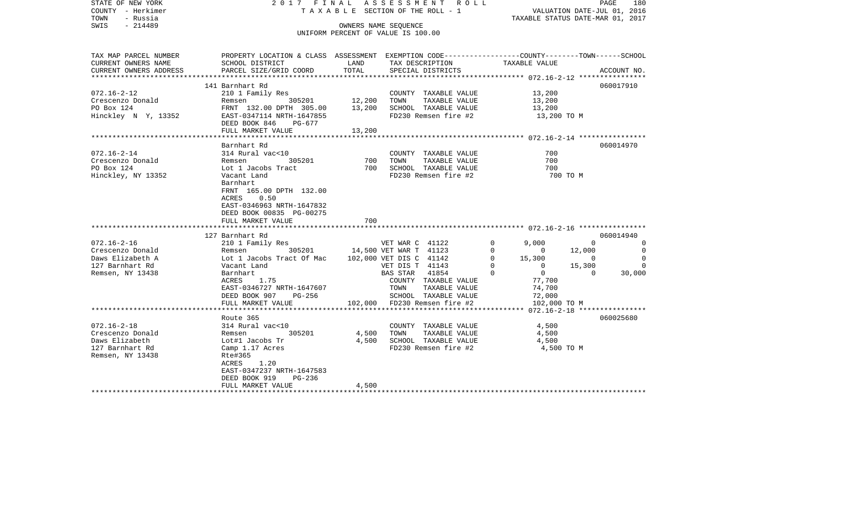| STATE OF NEW YORK<br>COUNTY - Herkimer<br>TOWN<br>- Russia |                                                                                                                   |        | 2017 FINAL ASSESSMENT ROLL<br>TAXABLE SECTION OF THE ROLL - 1 |                                           | PAGE<br>180<br>VALUATION DATE-JUL 01, 2016<br>TAXABLE STATUS DATE-MAR 01, 2017 |
|------------------------------------------------------------|-------------------------------------------------------------------------------------------------------------------|--------|---------------------------------------------------------------|-------------------------------------------|--------------------------------------------------------------------------------|
| $-214489$<br>SWIS                                          |                                                                                                                   |        | OWNERS NAME SEOUENCE<br>UNIFORM PERCENT OF VALUE IS 100.00    |                                           |                                                                                |
| TAX MAP PARCEL NUMBER<br>CURRENT OWNERS NAME               | PROPERTY LOCATION & CLASS ASSESSMENT EXEMPTION CODE---------------COUNTY-------TOWN-----SCHOOL<br>SCHOOL DISTRICT | LAND   | TAX DESCRIPTION                                               | TAXABLE VALUE                             |                                                                                |
| CURRENT OWNERS ADDRESS                                     | PARCEL SIZE/GRID COORD                                                                                            | TOTAL  | SPECIAL DISTRICTS                                             | ***************** 072.16-2-12 *********** | ACCOUNT NO.                                                                    |
|                                                            | 141 Barnhart Rd                                                                                                   |        |                                                               |                                           | 060017910                                                                      |
| $072.16 - 2 - 12$                                          | 210 1 Family Res                                                                                                  |        | COUNTY TAXABLE VALUE                                          | 13,200                                    |                                                                                |
| Crescenzo Donald                                           | Remsen 305201                                                                                                     | 12,200 | TAXABLE VALUE<br>TOWN                                         | 13,200                                    |                                                                                |
| PO Box 124                                                 | FRNT 132.00 DPTH 305.00                                                                                           | 13,200 | SCHOOL TAXABLE VALUE                                          | 13,200                                    |                                                                                |
| Hinckley N Y, 13352                                        | EAST-0347114 NRTH-1647855                                                                                         |        | FD230 Remsen fire #2                                          | 13,200 TO M                               |                                                                                |
|                                                            | DEED BOOK 846<br>PG-677                                                                                           |        |                                                               |                                           |                                                                                |
|                                                            | FULL MARKET VALUE                                                                                                 | 13,200 |                                                               |                                           |                                                                                |
|                                                            | Barnhart Rd                                                                                                       |        |                                                               |                                           | 060014970                                                                      |
| $072.16 - 2 - 14$                                          | 314 Rural vac<10                                                                                                  |        | COUNTY TAXABLE VALUE                                          | 700                                       |                                                                                |
| Crescenzo Donald                                           | 305201<br>Remsen                                                                                                  | 700    | TOWN<br>TAXABLE VALUE                                         | 700                                       |                                                                                |
| PO Box 124                                                 | Lot 1 Jacobs Tract                                                                                                |        | 700 SCHOOL TAXABLE VALUE                                      | 700                                       |                                                                                |
| Hinckley, NY 13352                                         | Vacant Land                                                                                                       |        | FD230 Remsen fire #2                                          |                                           | 700 TO M                                                                       |
|                                                            | Barnhart                                                                                                          |        |                                                               |                                           |                                                                                |
|                                                            | FRNT 165.00 DPTH 132.00                                                                                           |        |                                                               |                                           |                                                                                |
|                                                            | 0.50<br>ACRES                                                                                                     |        |                                                               |                                           |                                                                                |
|                                                            | EAST-0346963 NRTH-1647832                                                                                         |        |                                                               |                                           |                                                                                |
|                                                            | DEED BOOK 00835 PG-00275                                                                                          | 700    |                                                               |                                           |                                                                                |
|                                                            | FULL MARKET VALUE                                                                                                 |        |                                                               |                                           |                                                                                |
|                                                            | 127 Barnhart Rd                                                                                                   |        |                                                               |                                           | 060014940                                                                      |
| $072.16 - 2 - 16$                                          | 210 1 Family Res                                                                                                  |        | VET WAR C 41122                                               | 9,000<br>$\mathbf 0$                      | $\Omega$<br>$\Omega$                                                           |
| Crescenzo Donald                                           | 305201<br>Remsen                                                                                                  |        | 14,500 VET WAR T 41123                                        | $\Omega$<br>$\overline{0}$                | 12,000<br>$\Omega$                                                             |
| Daws Elizabeth A                                           | Lot 1 Jacobs Tract Of Mac                                                                                         |        | 102,000 VET DIS C 41142                                       | $\mathbf 0$<br>15,300                     | $\Omega$<br>$\sim$ 0                                                           |
| 127 Barnhart Rd                                            | Vacant Land                                                                                                       |        | VET DIS T 41143                                               | $\mathbf 0$<br>$\mathbf{0}$               | 15,300<br>$\Omega$                                                             |
| Remsen, NY 13438                                           | Barnhart                                                                                                          |        | BAS STAR 41854                                                | $\mathbf 0$<br>$\overline{0}$             | $\overline{0}$<br>30,000                                                       |
|                                                            | ACRES<br>1.75                                                                                                     |        | COUNTY TAXABLE VALUE                                          | 77,700                                    |                                                                                |
|                                                            | EAST-0346727 NRTH-1647607                                                                                         |        | TAXABLE VALUE<br>TOWN                                         | 74,700                                    |                                                                                |
|                                                            | DEED BOOK 907<br>PG-256                                                                                           |        | SCHOOL TAXABLE VALUE                                          | 72,000                                    |                                                                                |
|                                                            | FULL MARKET VALUE                                                                                                 |        | 102,000 FD230 Remsen fire #2                                  | 102,000 TO M                              |                                                                                |
|                                                            | Route 365                                                                                                         |        |                                                               |                                           | 060025680                                                                      |
| $072.16 - 2 - 18$                                          | 314 Rural vac<10                                                                                                  |        | COUNTY TAXABLE VALUE                                          | 4,500                                     |                                                                                |
| Crescenzo Donald                                           | Remsen<br>305201                                                                                                  | 4,500  | TOWN<br>TAXABLE VALUE                                         | 4,500                                     |                                                                                |
| Daws Elizabeth                                             | Lot#1 Jacobs Tr                                                                                                   |        | 4,500 SCHOOL TAXABLE VALUE                                    | 4,500                                     |                                                                                |
| 127 Barnhart Rd                                            | Camp 1.17 Acres                                                                                                   |        | FD230 Remsen fire #2                                          | 4,500 TO M                                |                                                                                |
| Remsen, NY 13438                                           | Rte#365                                                                                                           |        |                                                               |                                           |                                                                                |
|                                                            | ACRES<br>1.20                                                                                                     |        |                                                               |                                           |                                                                                |
|                                                            | EAST-0347237 NRTH-1647583                                                                                         |        |                                                               |                                           |                                                                                |
|                                                            | DEED BOOK 919<br>$PG-236$                                                                                         |        |                                                               |                                           |                                                                                |
| *********************                                      | FULL MARKET VALUE                                                                                                 | 4,500  |                                                               |                                           |                                                                                |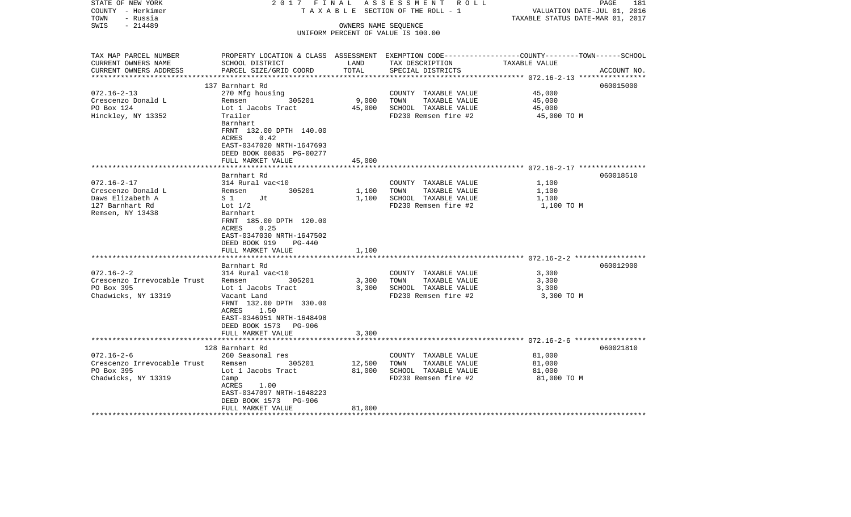| T A X A B L E SECTION OF THE ROLL - 1<br>VALUATION DATE-JUL 01, 2016<br>TOWN<br>- Russia<br>TAXABLE STATUS DATE-MAR 01, 2017<br>$-214489$<br>SWIS<br>OWNERS NAME SEQUENCE<br>UNIFORM PERCENT OF VALUE IS 100.00<br>PROPERTY LOCATION & CLASS ASSESSMENT EXEMPTION CODE----------------COUNTY-------TOWN------SCHOOL<br>SCHOOL DISTRICT<br>LAND<br>TAX DESCRIPTION<br>TAXABLE VALUE<br>TOTAL<br>PARCEL SIZE/GRID COORD<br>SPECIAL DISTRICTS<br>ACCOUNT NO.<br>***********************<br>060015000<br>137 Barnhart Rd<br>$072.16 - 2 - 13$<br>270 Mfg housing<br>COUNTY TAXABLE VALUE<br>45,000<br>9,000<br>Crescenzo Donald L<br>305201<br>TOWN<br>TAXABLE VALUE<br>45,000<br>Remsen<br>PO Box 124<br>45,000<br>SCHOOL TAXABLE VALUE<br>45,000<br>Lot 1 Jacobs Tract<br>Hinckley, NY 13352<br>Trailer<br>FD230 Remsen fire #2<br>45,000 TO M<br>Barnhart<br>FRNT 132.00 DPTH 140.00<br>ACRES<br>0.42<br>EAST-0347020 NRTH-1647693<br>DEED BOOK 00835 PG-00277<br>FULL MARKET VALUE<br>45,000<br>060018510<br>Barnhart Rd<br>$072.16 - 2 - 17$<br>314 Rural vac<10<br>COUNTY TAXABLE VALUE<br>1,100<br>Crescenzo Donald L<br>305201<br>1,100<br>TOWN<br>TAXABLE VALUE<br>1,100<br>Remsen<br>Daws Elizabeth A<br>$S_1$ 1<br>1,100<br>SCHOOL TAXABLE VALUE<br>1,100<br>Jt<br>127 Barnhart Rd<br>Lot $1/2$<br>FD230 Remsen fire #2<br>1,100 TO M<br>Remsen, NY 13438<br>Barnhart<br>FRNT 185.00 DPTH 120.00<br>0.25<br>ACRES<br>EAST-0347030 NRTH-1647502<br>DEED BOOK 919<br>PG-440<br>FULL MARKET VALUE<br>1,100<br>************************* 072.16-2-2 *************<br>060012900<br>Barnhart Rd<br>314 Rural vac<10<br>COUNTY TAXABLE VALUE<br>3,300<br>305201<br>3,300<br>TOWN<br>TAXABLE VALUE<br>3,300<br>Remsen<br>PO Box 395<br>SCHOOL TAXABLE VALUE<br>Lot 1 Jacobs Tract<br>3,300<br>3,300<br>Chadwicks, NY 13319<br>FD230 Remsen fire #2<br>3,300 TO M<br>Vacant Land<br>FRNT 132.00 DPTH 330.00<br>1.50<br>ACRES<br>EAST-0346951 NRTH-1648498<br>DEED BOOK 1573<br>PG-906<br>FULL MARKET VALUE<br>3,300<br>**************************<br>060021810<br>128 Barnhart Rd<br>260 Seasonal res<br>81,000<br>COUNTY TAXABLE VALUE<br>305201<br>12,500<br>TOWN<br>TAXABLE VALUE<br>81,000<br>Remsen<br>81,000<br>SCHOOL TAXABLE VALUE<br>81,000<br>Lot 1 Jacobs Tract<br>FD230 Remsen fire #2<br>81,000 TO M<br>Camp<br>ACRES<br>1.00<br>EAST-0347097 NRTH-1648223<br>DEED BOOK 1573<br>PG-906<br>FULL MARKET VALUE<br>81,000 | STATE OF NEW YORK           | 2017 FINAL | ASSESSMENT ROLL | PAGE | 181 |
|----------------------------------------------------------------------------------------------------------------------------------------------------------------------------------------------------------------------------------------------------------------------------------------------------------------------------------------------------------------------------------------------------------------------------------------------------------------------------------------------------------------------------------------------------------------------------------------------------------------------------------------------------------------------------------------------------------------------------------------------------------------------------------------------------------------------------------------------------------------------------------------------------------------------------------------------------------------------------------------------------------------------------------------------------------------------------------------------------------------------------------------------------------------------------------------------------------------------------------------------------------------------------------------------------------------------------------------------------------------------------------------------------------------------------------------------------------------------------------------------------------------------------------------------------------------------------------------------------------------------------------------------------------------------------------------------------------------------------------------------------------------------------------------------------------------------------------------------------------------------------------------------------------------------------------------------------------------------------------------------------------------------------------------------------------------------------------------------------------------------------------------------------------------------------------------------------------------------------------------------------------------------------------------------------------------------------------------------------------------------------------------------------------------------------------|-----------------------------|------------|-----------------|------|-----|
|                                                                                                                                                                                                                                                                                                                                                                                                                                                                                                                                                                                                                                                                                                                                                                                                                                                                                                                                                                                                                                                                                                                                                                                                                                                                                                                                                                                                                                                                                                                                                                                                                                                                                                                                                                                                                                                                                                                                                                                                                                                                                                                                                                                                                                                                                                                                                                                                                                  | COUNTY - Herkimer           |            |                 |      |     |
|                                                                                                                                                                                                                                                                                                                                                                                                                                                                                                                                                                                                                                                                                                                                                                                                                                                                                                                                                                                                                                                                                                                                                                                                                                                                                                                                                                                                                                                                                                                                                                                                                                                                                                                                                                                                                                                                                                                                                                                                                                                                                                                                                                                                                                                                                                                                                                                                                                  |                             |            |                 |      |     |
|                                                                                                                                                                                                                                                                                                                                                                                                                                                                                                                                                                                                                                                                                                                                                                                                                                                                                                                                                                                                                                                                                                                                                                                                                                                                                                                                                                                                                                                                                                                                                                                                                                                                                                                                                                                                                                                                                                                                                                                                                                                                                                                                                                                                                                                                                                                                                                                                                                  |                             |            |                 |      |     |
|                                                                                                                                                                                                                                                                                                                                                                                                                                                                                                                                                                                                                                                                                                                                                                                                                                                                                                                                                                                                                                                                                                                                                                                                                                                                                                                                                                                                                                                                                                                                                                                                                                                                                                                                                                                                                                                                                                                                                                                                                                                                                                                                                                                                                                                                                                                                                                                                                                  |                             |            |                 |      |     |
|                                                                                                                                                                                                                                                                                                                                                                                                                                                                                                                                                                                                                                                                                                                                                                                                                                                                                                                                                                                                                                                                                                                                                                                                                                                                                                                                                                                                                                                                                                                                                                                                                                                                                                                                                                                                                                                                                                                                                                                                                                                                                                                                                                                                                                                                                                                                                                                                                                  | TAX MAP PARCEL NUMBER       |            |                 |      |     |
|                                                                                                                                                                                                                                                                                                                                                                                                                                                                                                                                                                                                                                                                                                                                                                                                                                                                                                                                                                                                                                                                                                                                                                                                                                                                                                                                                                                                                                                                                                                                                                                                                                                                                                                                                                                                                                                                                                                                                                                                                                                                                                                                                                                                                                                                                                                                                                                                                                  | CURRENT OWNERS NAME         |            |                 |      |     |
|                                                                                                                                                                                                                                                                                                                                                                                                                                                                                                                                                                                                                                                                                                                                                                                                                                                                                                                                                                                                                                                                                                                                                                                                                                                                                                                                                                                                                                                                                                                                                                                                                                                                                                                                                                                                                                                                                                                                                                                                                                                                                                                                                                                                                                                                                                                                                                                                                                  | CURRENT OWNERS ADDRESS      |            |                 |      |     |
|                                                                                                                                                                                                                                                                                                                                                                                                                                                                                                                                                                                                                                                                                                                                                                                                                                                                                                                                                                                                                                                                                                                                                                                                                                                                                                                                                                                                                                                                                                                                                                                                                                                                                                                                                                                                                                                                                                                                                                                                                                                                                                                                                                                                                                                                                                                                                                                                                                  |                             |            |                 |      |     |
|                                                                                                                                                                                                                                                                                                                                                                                                                                                                                                                                                                                                                                                                                                                                                                                                                                                                                                                                                                                                                                                                                                                                                                                                                                                                                                                                                                                                                                                                                                                                                                                                                                                                                                                                                                                                                                                                                                                                                                                                                                                                                                                                                                                                                                                                                                                                                                                                                                  |                             |            |                 |      |     |
|                                                                                                                                                                                                                                                                                                                                                                                                                                                                                                                                                                                                                                                                                                                                                                                                                                                                                                                                                                                                                                                                                                                                                                                                                                                                                                                                                                                                                                                                                                                                                                                                                                                                                                                                                                                                                                                                                                                                                                                                                                                                                                                                                                                                                                                                                                                                                                                                                                  |                             |            |                 |      |     |
|                                                                                                                                                                                                                                                                                                                                                                                                                                                                                                                                                                                                                                                                                                                                                                                                                                                                                                                                                                                                                                                                                                                                                                                                                                                                                                                                                                                                                                                                                                                                                                                                                                                                                                                                                                                                                                                                                                                                                                                                                                                                                                                                                                                                                                                                                                                                                                                                                                  |                             |            |                 |      |     |
|                                                                                                                                                                                                                                                                                                                                                                                                                                                                                                                                                                                                                                                                                                                                                                                                                                                                                                                                                                                                                                                                                                                                                                                                                                                                                                                                                                                                                                                                                                                                                                                                                                                                                                                                                                                                                                                                                                                                                                                                                                                                                                                                                                                                                                                                                                                                                                                                                                  |                             |            |                 |      |     |
|                                                                                                                                                                                                                                                                                                                                                                                                                                                                                                                                                                                                                                                                                                                                                                                                                                                                                                                                                                                                                                                                                                                                                                                                                                                                                                                                                                                                                                                                                                                                                                                                                                                                                                                                                                                                                                                                                                                                                                                                                                                                                                                                                                                                                                                                                                                                                                                                                                  |                             |            |                 |      |     |
|                                                                                                                                                                                                                                                                                                                                                                                                                                                                                                                                                                                                                                                                                                                                                                                                                                                                                                                                                                                                                                                                                                                                                                                                                                                                                                                                                                                                                                                                                                                                                                                                                                                                                                                                                                                                                                                                                                                                                                                                                                                                                                                                                                                                                                                                                                                                                                                                                                  |                             |            |                 |      |     |
|                                                                                                                                                                                                                                                                                                                                                                                                                                                                                                                                                                                                                                                                                                                                                                                                                                                                                                                                                                                                                                                                                                                                                                                                                                                                                                                                                                                                                                                                                                                                                                                                                                                                                                                                                                                                                                                                                                                                                                                                                                                                                                                                                                                                                                                                                                                                                                                                                                  |                             |            |                 |      |     |
|                                                                                                                                                                                                                                                                                                                                                                                                                                                                                                                                                                                                                                                                                                                                                                                                                                                                                                                                                                                                                                                                                                                                                                                                                                                                                                                                                                                                                                                                                                                                                                                                                                                                                                                                                                                                                                                                                                                                                                                                                                                                                                                                                                                                                                                                                                                                                                                                                                  |                             |            |                 |      |     |
|                                                                                                                                                                                                                                                                                                                                                                                                                                                                                                                                                                                                                                                                                                                                                                                                                                                                                                                                                                                                                                                                                                                                                                                                                                                                                                                                                                                                                                                                                                                                                                                                                                                                                                                                                                                                                                                                                                                                                                                                                                                                                                                                                                                                                                                                                                                                                                                                                                  |                             |            |                 |      |     |
|                                                                                                                                                                                                                                                                                                                                                                                                                                                                                                                                                                                                                                                                                                                                                                                                                                                                                                                                                                                                                                                                                                                                                                                                                                                                                                                                                                                                                                                                                                                                                                                                                                                                                                                                                                                                                                                                                                                                                                                                                                                                                                                                                                                                                                                                                                                                                                                                                                  |                             |            |                 |      |     |
|                                                                                                                                                                                                                                                                                                                                                                                                                                                                                                                                                                                                                                                                                                                                                                                                                                                                                                                                                                                                                                                                                                                                                                                                                                                                                                                                                                                                                                                                                                                                                                                                                                                                                                                                                                                                                                                                                                                                                                                                                                                                                                                                                                                                                                                                                                                                                                                                                                  |                             |            |                 |      |     |
|                                                                                                                                                                                                                                                                                                                                                                                                                                                                                                                                                                                                                                                                                                                                                                                                                                                                                                                                                                                                                                                                                                                                                                                                                                                                                                                                                                                                                                                                                                                                                                                                                                                                                                                                                                                                                                                                                                                                                                                                                                                                                                                                                                                                                                                                                                                                                                                                                                  |                             |            |                 |      |     |
|                                                                                                                                                                                                                                                                                                                                                                                                                                                                                                                                                                                                                                                                                                                                                                                                                                                                                                                                                                                                                                                                                                                                                                                                                                                                                                                                                                                                                                                                                                                                                                                                                                                                                                                                                                                                                                                                                                                                                                                                                                                                                                                                                                                                                                                                                                                                                                                                                                  |                             |            |                 |      |     |
|                                                                                                                                                                                                                                                                                                                                                                                                                                                                                                                                                                                                                                                                                                                                                                                                                                                                                                                                                                                                                                                                                                                                                                                                                                                                                                                                                                                                                                                                                                                                                                                                                                                                                                                                                                                                                                                                                                                                                                                                                                                                                                                                                                                                                                                                                                                                                                                                                                  |                             |            |                 |      |     |
|                                                                                                                                                                                                                                                                                                                                                                                                                                                                                                                                                                                                                                                                                                                                                                                                                                                                                                                                                                                                                                                                                                                                                                                                                                                                                                                                                                                                                                                                                                                                                                                                                                                                                                                                                                                                                                                                                                                                                                                                                                                                                                                                                                                                                                                                                                                                                                                                                                  |                             |            |                 |      |     |
|                                                                                                                                                                                                                                                                                                                                                                                                                                                                                                                                                                                                                                                                                                                                                                                                                                                                                                                                                                                                                                                                                                                                                                                                                                                                                                                                                                                                                                                                                                                                                                                                                                                                                                                                                                                                                                                                                                                                                                                                                                                                                                                                                                                                                                                                                                                                                                                                                                  |                             |            |                 |      |     |
|                                                                                                                                                                                                                                                                                                                                                                                                                                                                                                                                                                                                                                                                                                                                                                                                                                                                                                                                                                                                                                                                                                                                                                                                                                                                                                                                                                                                                                                                                                                                                                                                                                                                                                                                                                                                                                                                                                                                                                                                                                                                                                                                                                                                                                                                                                                                                                                                                                  |                             |            |                 |      |     |
|                                                                                                                                                                                                                                                                                                                                                                                                                                                                                                                                                                                                                                                                                                                                                                                                                                                                                                                                                                                                                                                                                                                                                                                                                                                                                                                                                                                                                                                                                                                                                                                                                                                                                                                                                                                                                                                                                                                                                                                                                                                                                                                                                                                                                                                                                                                                                                                                                                  |                             |            |                 |      |     |
|                                                                                                                                                                                                                                                                                                                                                                                                                                                                                                                                                                                                                                                                                                                                                                                                                                                                                                                                                                                                                                                                                                                                                                                                                                                                                                                                                                                                                                                                                                                                                                                                                                                                                                                                                                                                                                                                                                                                                                                                                                                                                                                                                                                                                                                                                                                                                                                                                                  |                             |            |                 |      |     |
|                                                                                                                                                                                                                                                                                                                                                                                                                                                                                                                                                                                                                                                                                                                                                                                                                                                                                                                                                                                                                                                                                                                                                                                                                                                                                                                                                                                                                                                                                                                                                                                                                                                                                                                                                                                                                                                                                                                                                                                                                                                                                                                                                                                                                                                                                                                                                                                                                                  |                             |            |                 |      |     |
|                                                                                                                                                                                                                                                                                                                                                                                                                                                                                                                                                                                                                                                                                                                                                                                                                                                                                                                                                                                                                                                                                                                                                                                                                                                                                                                                                                                                                                                                                                                                                                                                                                                                                                                                                                                                                                                                                                                                                                                                                                                                                                                                                                                                                                                                                                                                                                                                                                  |                             |            |                 |      |     |
|                                                                                                                                                                                                                                                                                                                                                                                                                                                                                                                                                                                                                                                                                                                                                                                                                                                                                                                                                                                                                                                                                                                                                                                                                                                                                                                                                                                                                                                                                                                                                                                                                                                                                                                                                                                                                                                                                                                                                                                                                                                                                                                                                                                                                                                                                                                                                                                                                                  |                             |            |                 |      |     |
|                                                                                                                                                                                                                                                                                                                                                                                                                                                                                                                                                                                                                                                                                                                                                                                                                                                                                                                                                                                                                                                                                                                                                                                                                                                                                                                                                                                                                                                                                                                                                                                                                                                                                                                                                                                                                                                                                                                                                                                                                                                                                                                                                                                                                                                                                                                                                                                                                                  |                             |            |                 |      |     |
|                                                                                                                                                                                                                                                                                                                                                                                                                                                                                                                                                                                                                                                                                                                                                                                                                                                                                                                                                                                                                                                                                                                                                                                                                                                                                                                                                                                                                                                                                                                                                                                                                                                                                                                                                                                                                                                                                                                                                                                                                                                                                                                                                                                                                                                                                                                                                                                                                                  | $072.16 - 2 - 2$            |            |                 |      |     |
|                                                                                                                                                                                                                                                                                                                                                                                                                                                                                                                                                                                                                                                                                                                                                                                                                                                                                                                                                                                                                                                                                                                                                                                                                                                                                                                                                                                                                                                                                                                                                                                                                                                                                                                                                                                                                                                                                                                                                                                                                                                                                                                                                                                                                                                                                                                                                                                                                                  | Crescenzo Irrevocable Trust |            |                 |      |     |
|                                                                                                                                                                                                                                                                                                                                                                                                                                                                                                                                                                                                                                                                                                                                                                                                                                                                                                                                                                                                                                                                                                                                                                                                                                                                                                                                                                                                                                                                                                                                                                                                                                                                                                                                                                                                                                                                                                                                                                                                                                                                                                                                                                                                                                                                                                                                                                                                                                  |                             |            |                 |      |     |
|                                                                                                                                                                                                                                                                                                                                                                                                                                                                                                                                                                                                                                                                                                                                                                                                                                                                                                                                                                                                                                                                                                                                                                                                                                                                                                                                                                                                                                                                                                                                                                                                                                                                                                                                                                                                                                                                                                                                                                                                                                                                                                                                                                                                                                                                                                                                                                                                                                  |                             |            |                 |      |     |
|                                                                                                                                                                                                                                                                                                                                                                                                                                                                                                                                                                                                                                                                                                                                                                                                                                                                                                                                                                                                                                                                                                                                                                                                                                                                                                                                                                                                                                                                                                                                                                                                                                                                                                                                                                                                                                                                                                                                                                                                                                                                                                                                                                                                                                                                                                                                                                                                                                  |                             |            |                 |      |     |
|                                                                                                                                                                                                                                                                                                                                                                                                                                                                                                                                                                                                                                                                                                                                                                                                                                                                                                                                                                                                                                                                                                                                                                                                                                                                                                                                                                                                                                                                                                                                                                                                                                                                                                                                                                                                                                                                                                                                                                                                                                                                                                                                                                                                                                                                                                                                                                                                                                  |                             |            |                 |      |     |
|                                                                                                                                                                                                                                                                                                                                                                                                                                                                                                                                                                                                                                                                                                                                                                                                                                                                                                                                                                                                                                                                                                                                                                                                                                                                                                                                                                                                                                                                                                                                                                                                                                                                                                                                                                                                                                                                                                                                                                                                                                                                                                                                                                                                                                                                                                                                                                                                                                  |                             |            |                 |      |     |
|                                                                                                                                                                                                                                                                                                                                                                                                                                                                                                                                                                                                                                                                                                                                                                                                                                                                                                                                                                                                                                                                                                                                                                                                                                                                                                                                                                                                                                                                                                                                                                                                                                                                                                                                                                                                                                                                                                                                                                                                                                                                                                                                                                                                                                                                                                                                                                                                                                  |                             |            |                 |      |     |
|                                                                                                                                                                                                                                                                                                                                                                                                                                                                                                                                                                                                                                                                                                                                                                                                                                                                                                                                                                                                                                                                                                                                                                                                                                                                                                                                                                                                                                                                                                                                                                                                                                                                                                                                                                                                                                                                                                                                                                                                                                                                                                                                                                                                                                                                                                                                                                                                                                  |                             |            |                 |      |     |
|                                                                                                                                                                                                                                                                                                                                                                                                                                                                                                                                                                                                                                                                                                                                                                                                                                                                                                                                                                                                                                                                                                                                                                                                                                                                                                                                                                                                                                                                                                                                                                                                                                                                                                                                                                                                                                                                                                                                                                                                                                                                                                                                                                                                                                                                                                                                                                                                                                  |                             |            |                 |      |     |
|                                                                                                                                                                                                                                                                                                                                                                                                                                                                                                                                                                                                                                                                                                                                                                                                                                                                                                                                                                                                                                                                                                                                                                                                                                                                                                                                                                                                                                                                                                                                                                                                                                                                                                                                                                                                                                                                                                                                                                                                                                                                                                                                                                                                                                                                                                                                                                                                                                  | $072.16 - 2 - 6$            |            |                 |      |     |
|                                                                                                                                                                                                                                                                                                                                                                                                                                                                                                                                                                                                                                                                                                                                                                                                                                                                                                                                                                                                                                                                                                                                                                                                                                                                                                                                                                                                                                                                                                                                                                                                                                                                                                                                                                                                                                                                                                                                                                                                                                                                                                                                                                                                                                                                                                                                                                                                                                  | Crescenzo Irrevocable Trust |            |                 |      |     |
|                                                                                                                                                                                                                                                                                                                                                                                                                                                                                                                                                                                                                                                                                                                                                                                                                                                                                                                                                                                                                                                                                                                                                                                                                                                                                                                                                                                                                                                                                                                                                                                                                                                                                                                                                                                                                                                                                                                                                                                                                                                                                                                                                                                                                                                                                                                                                                                                                                  | PO Box 395                  |            |                 |      |     |
|                                                                                                                                                                                                                                                                                                                                                                                                                                                                                                                                                                                                                                                                                                                                                                                                                                                                                                                                                                                                                                                                                                                                                                                                                                                                                                                                                                                                                                                                                                                                                                                                                                                                                                                                                                                                                                                                                                                                                                                                                                                                                                                                                                                                                                                                                                                                                                                                                                  | Chadwicks, NY 13319         |            |                 |      |     |
|                                                                                                                                                                                                                                                                                                                                                                                                                                                                                                                                                                                                                                                                                                                                                                                                                                                                                                                                                                                                                                                                                                                                                                                                                                                                                                                                                                                                                                                                                                                                                                                                                                                                                                                                                                                                                                                                                                                                                                                                                                                                                                                                                                                                                                                                                                                                                                                                                                  |                             |            |                 |      |     |
|                                                                                                                                                                                                                                                                                                                                                                                                                                                                                                                                                                                                                                                                                                                                                                                                                                                                                                                                                                                                                                                                                                                                                                                                                                                                                                                                                                                                                                                                                                                                                                                                                                                                                                                                                                                                                                                                                                                                                                                                                                                                                                                                                                                                                                                                                                                                                                                                                                  |                             |            |                 |      |     |
|                                                                                                                                                                                                                                                                                                                                                                                                                                                                                                                                                                                                                                                                                                                                                                                                                                                                                                                                                                                                                                                                                                                                                                                                                                                                                                                                                                                                                                                                                                                                                                                                                                                                                                                                                                                                                                                                                                                                                                                                                                                                                                                                                                                                                                                                                                                                                                                                                                  |                             |            |                 |      |     |
|                                                                                                                                                                                                                                                                                                                                                                                                                                                                                                                                                                                                                                                                                                                                                                                                                                                                                                                                                                                                                                                                                                                                                                                                                                                                                                                                                                                                                                                                                                                                                                                                                                                                                                                                                                                                                                                                                                                                                                                                                                                                                                                                                                                                                                                                                                                                                                                                                                  | *******************         |            |                 |      |     |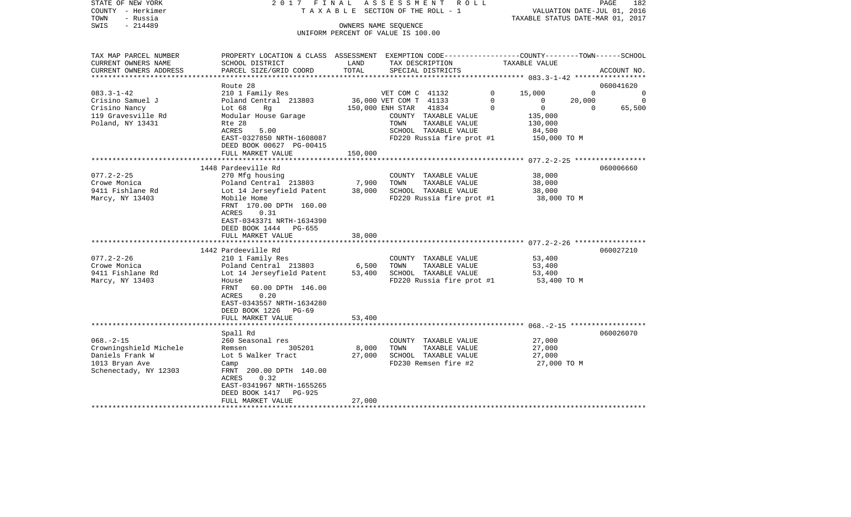| COUNTY<br>– Herkimer<br>TOWN<br>- Russia |                                                                                                |               | T A X A B L E SECTION OF THE ROLL - 1         | TAXABLE STATUS DATE-MAR 01, 2017                 | VALUATION DATE-JUL 01, 2016       |
|------------------------------------------|------------------------------------------------------------------------------------------------|---------------|-----------------------------------------------|--------------------------------------------------|-----------------------------------|
| SWIS<br>$-214489$                        |                                                                                                |               | OWNERS NAME SEQUENCE                          |                                                  |                                   |
|                                          |                                                                                                |               | UNIFORM PERCENT OF VALUE IS 100.00            |                                                  |                                   |
|                                          |                                                                                                |               |                                               |                                                  |                                   |
| TAX MAP PARCEL NUMBER                    | PROPERTY LOCATION & CLASS ASSESSMENT EXEMPTION CODE---------------COUNTY-------TOWN-----SCHOOL |               |                                               |                                                  |                                   |
| CURRENT OWNERS NAME                      | SCHOOL DISTRICT                                                                                | LAND          | TAX DESCRIPTION                               | TAXABLE VALUE                                    |                                   |
| CURRENT OWNERS ADDRESS                   | PARCEL SIZE/GRID COORD                                                                         | TOTAL         | SPECIAL DISTRICTS                             |                                                  | ACCOUNT NO.                       |
| *********************                    | **********************                                                                         | ************* |                                               |                                                  |                                   |
|                                          | Route 28                                                                                       |               |                                               |                                                  | 060041620                         |
| $083.3 - 1 - 42$                         | 210 1 Family Res                                                                               |               | VET COM C 41132                               | 15,000<br>0                                      | $\mathbf 0$<br>0                  |
| Crisino Samuel J                         | Poland Central 213803                                                                          |               | 36,000 VET COM T 41133                        | 0<br>0                                           | 20,000<br>$\mathbf 0$             |
| Crisino Nancy                            | Lot $68$<br>Rg                                                                                 |               | 150,000 ENH STAR<br>41834                     | $\mathbf 0$<br>$\Omega$                          | 65,500<br>$\Omega$                |
| 119 Gravesville Rd                       | Modular House Garage                                                                           |               | COUNTY TAXABLE VALUE                          | 135,000                                          |                                   |
| Poland, NY 13431                         | Rte 28                                                                                         |               | TOWN<br>TAXABLE VALUE                         | 130,000                                          |                                   |
|                                          | ACRES<br>5.00                                                                                  |               | SCHOOL TAXABLE VALUE                          | 84,500                                           |                                   |
|                                          | EAST-0327850 NRTH-1608087                                                                      |               | FD220 Russia fire prot #1                     | 150,000 TO M                                     |                                   |
|                                          | DEED BOOK 00627 PG-00415<br>FULL MARKET VALUE                                                  | 150,000       |                                               |                                                  |                                   |
|                                          | ******************                                                                             |               |                                               | ************************ 077.2-2-25 ************ |                                   |
|                                          | 1448 Pardeeville Rd                                                                            |               |                                               |                                                  | 060006660                         |
| $077.2 - 2 - 25$                         | 270 Mfg housing                                                                                |               | COUNTY TAXABLE VALUE                          | 38,000                                           |                                   |
| Crowe Monica                             | Poland Central 213803                                                                          | 7,900         | TAXABLE VALUE<br>TOWN                         | 38,000                                           |                                   |
| 9411 Fishlane Rd                         | Lot 14 Jerseyfield Patent                                                                      | 38,000        | SCHOOL TAXABLE VALUE                          | 38,000                                           |                                   |
| Marcy, NY 13403                          | Mobile Home                                                                                    |               | FD220 Russia fire prot #1                     | 38,000 TO M                                      |                                   |
|                                          | FRNT 170.00 DPTH 160.00                                                                        |               |                                               |                                                  |                                   |
|                                          | <b>ACRES</b><br>0.31                                                                           |               |                                               |                                                  |                                   |
|                                          | EAST-0343371 NRTH-1634390                                                                      |               |                                               |                                                  |                                   |
|                                          | DEED BOOK 1444<br>PG-655                                                                       |               |                                               |                                                  |                                   |
|                                          | FULL MARKET VALUE                                                                              | 38,000        |                                               |                                                  |                                   |
|                                          |                                                                                                |               |                                               |                                                  |                                   |
|                                          | 1442 Pardeeville Rd                                                                            |               |                                               |                                                  | 060027210                         |
| $077.2 - 2 - 26$<br>Crowe Monica         | 210 1 Family Res<br>Poland Central 213803                                                      | 6,500         | COUNTY TAXABLE VALUE<br>TOWN<br>TAXABLE VALUE | 53,400<br>53,400                                 |                                   |
| 9411 Fishlane Rd                         | Lot 14 Jerseyfield Patent                                                                      | 53,400        | SCHOOL TAXABLE VALUE                          | 53,400                                           |                                   |
| Marcy, NY 13403                          | House                                                                                          |               | FD220 Russia fire prot #1                     | 53,400 TO M                                      |                                   |
|                                          | FRNT<br>60.00 DPTH 146.00                                                                      |               |                                               |                                                  |                                   |
|                                          | 0.20<br>ACRES                                                                                  |               |                                               |                                                  |                                   |
|                                          | EAST-0343557 NRTH-1634280                                                                      |               |                                               |                                                  |                                   |
|                                          | DEED BOOK 1226<br>PG-69                                                                        |               |                                               |                                                  |                                   |
|                                          | FULL MARKET VALUE                                                                              | 53,400        |                                               |                                                  |                                   |
|                                          |                                                                                                | ******        |                                               |                                                  | $068, -2 - 15$ ****************** |
|                                          | Spall Rd                                                                                       |               |                                               |                                                  | 060026070                         |
| $068. - 2 - 15$                          | 260 Seasonal res                                                                               |               | COUNTY TAXABLE VALUE                          | 27,000                                           |                                   |
| Crowningshield Michele                   | 305201<br>Remsen                                                                               | 8,000         | TOWN<br>TAXABLE VALUE                         | 27,000                                           |                                   |
| Daniels Frank W                          | Lot 5 Walker Tract                                                                             | 27,000        | SCHOOL TAXABLE VALUE                          | 27,000                                           |                                   |
| 1013 Bryan Ave                           | Camp                                                                                           |               | FD230 Remsen fire #2                          | 27,000 TO M                                      |                                   |
| Schenectady, NY 12303                    | FRNT 200.00 DPTH 140.00                                                                        |               |                                               |                                                  |                                   |
|                                          | ACRES<br>0.32<br>EAST-0341967 NRTH-1655265                                                     |               |                                               |                                                  |                                   |
|                                          | DEED BOOK 1417<br>$PG-925$                                                                     |               |                                               |                                                  |                                   |
|                                          | FULL MARKET VALUE                                                                              | 27,000        |                                               |                                                  |                                   |
| **********************                   | ************************************                                                           |               |                                               |                                                  |                                   |

PAGE 182

STATE OF NEW YORK 2 0 1 7 F I N A L A S S E S S M E N T R O L L PAGE 182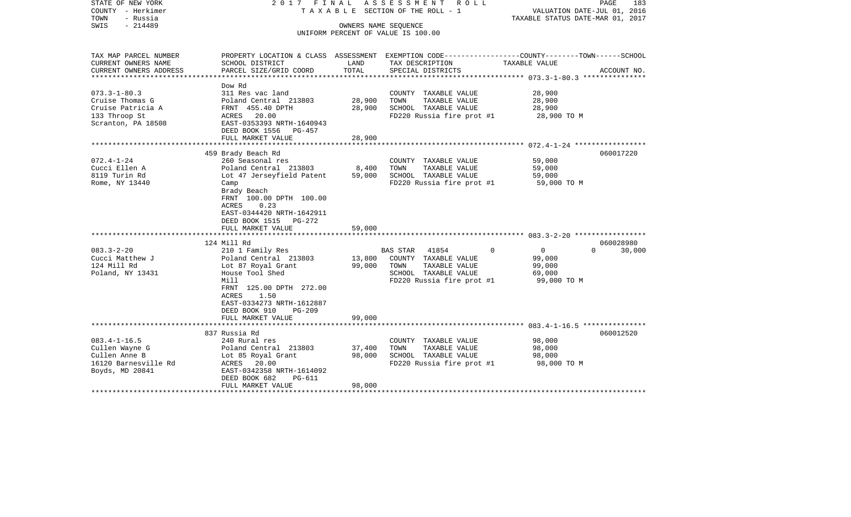| STATE OF NEW YORK<br>COUNTY - Herkimer<br>TOWN<br>- Russia<br>$-214489$<br>SWIS                   | 2017 FINAL                                                                                                                                                                                                            |                            | ASSESSMENT<br>R O L L<br>T A X A B L E SECTION OF THE ROLL - 1<br>OWNERS NAME SEQUENCE<br>UNIFORM PERCENT OF VALUE IS 100.00   | PAGE<br>183<br>VALUATION DATE-JUL 01, 2016<br>TAXABLE STATUS DATE-MAR 01, 2017                                                 |
|---------------------------------------------------------------------------------------------------|-----------------------------------------------------------------------------------------------------------------------------------------------------------------------------------------------------------------------|----------------------------|--------------------------------------------------------------------------------------------------------------------------------|--------------------------------------------------------------------------------------------------------------------------------|
| TAX MAP PARCEL NUMBER<br>CURRENT OWNERS NAME<br>CURRENT OWNERS ADDRESS                            | SCHOOL DISTRICT<br>PARCEL SIZE/GRID COORD                                                                                                                                                                             | LAND<br>TOTAL              | TAX DESCRIPTION<br>SPECIAL DISTRICTS                                                                                           | PROPERTY LOCATION & CLASS ASSESSMENT EXEMPTION CODE---------------COUNTY-------TOWN-----SCHOOL<br>TAXABLE VALUE<br>ACCOUNT NO. |
| ********************                                                                              |                                                                                                                                                                                                                       |                            | *****************************                                                                                                  | ****************** 073.3-1-80.3 ****************                                                                               |
| $073.3 - 1 - 80.3$<br>Cruise Thomas G<br>Cruise Patricia A<br>133 Throop St<br>Scranton, PA 18508 | Dow Rd<br>311 Res vac land<br>Poland Central 213803<br>FRNT 455.40 DPTH<br>ACRES 20.00<br>EAST-0353393 NRTH-1640943<br>DEED BOOK 1556 PG-457                                                                          | 28,900<br>28,900           | COUNTY TAXABLE VALUE<br>TAXABLE VALUE<br>TOWN<br>SCHOOL TAXABLE VALUE<br>FD220 Russia fire prot #1                             | 28,900<br>28,900<br>28,900<br>28,900 TO M                                                                                      |
|                                                                                                   | FULL MARKET VALUE                                                                                                                                                                                                     | 28,900                     |                                                                                                                                |                                                                                                                                |
| $072.4 - 1 - 24$<br>Cucci Ellen A<br>8119 Turin Rd<br>Rome, NY 13440                              | 459 Brady Beach Rd<br>260 Seasonal res<br>Poland Central 213803<br>Lot 47 Jerseyfield Patent<br>Camp                                                                                                                  | 8,400<br>59,000            | COUNTY TAXABLE VALUE<br>TOWN<br>TAXABLE VALUE<br>SCHOOL TAXABLE VALUE<br>FD220 Russia fire prot #1                             | 060017220<br>59,000<br>59,000<br>59,000<br>59,000 TO M                                                                         |
|                                                                                                   | Brady Beach<br>FRNT 100.00 DPTH 100.00<br>0.23<br>ACRES<br>EAST-0344420 NRTH-1642911<br>DEED BOOK 1515 PG-272<br>FULL MARKET VALUE                                                                                    | 59,000                     |                                                                                                                                |                                                                                                                                |
|                                                                                                   | 124 Mill Rd                                                                                                                                                                                                           |                            |                                                                                                                                | 060028980                                                                                                                      |
| $083.3 - 2 - 20$<br>Cucci Matthew J<br>124 Mill Rd<br>Poland, NY 13431                            | 210 1 Family Res<br>Poland Central 213803<br>Lot 87 Royal Grant<br>House Tool Shed<br>Mill<br>FRNT 125.00 DPTH 272.00<br>1.50<br>ACRES<br>EAST-0334273 NRTH-1612887<br>DEED BOOK 910<br>$PG-209$<br>FULL MARKET VALUE | 13,800<br>99,000<br>99,000 | 41854<br><b>BAS STAR</b><br>COUNTY TAXABLE VALUE<br>TOWN<br>TAXABLE VALUE<br>SCHOOL TAXABLE VALUE<br>FD220 Russia fire prot #1 | $\Omega$<br>$\overline{0}$<br>$\Omega$<br>30,000<br>99,000<br>99,000<br>69,000<br>99,000 TO M                                  |
|                                                                                                   |                                                                                                                                                                                                                       |                            |                                                                                                                                |                                                                                                                                |
| $083.4 - 1 - 16.5$<br>Cullen Wayne G<br>Cullen Anne B<br>16120 Barnesville Rd<br>Boyds, MD 20841  | 837 Russia Rd<br>240 Rural res<br>Poland Central 213803<br>Lot 85 Royal Grant<br>ACRES 20.00<br>EAST-0342358 NRTH-1614092<br>DEED BOOK 682<br><b>PG-611</b><br>FULL MARKET VALUE                                      | 37,400<br>98,000<br>98,000 | COUNTY TAXABLE VALUE<br>TOWN<br>TAXABLE VALUE<br>SCHOOL TAXABLE VALUE<br>FD220 Russia fire prot #1                             | 060012520<br>98,000<br>98,000<br>98,000<br>98,000 TO M                                                                         |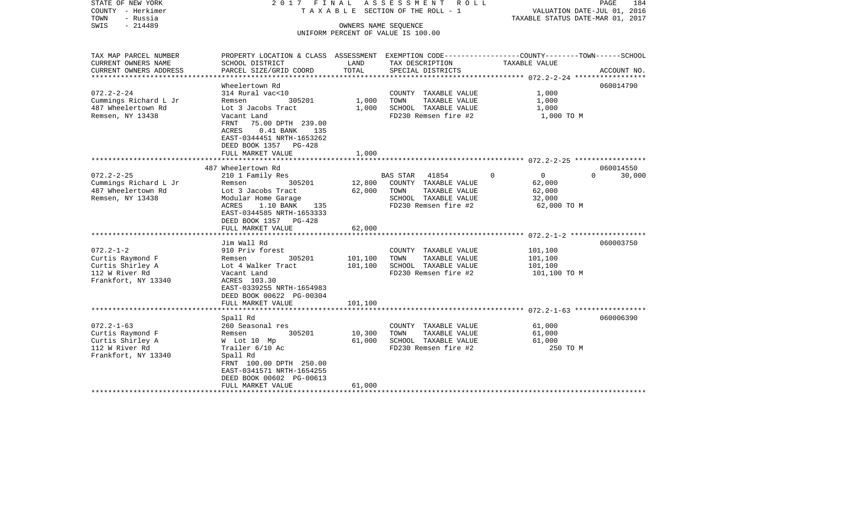| STATE OF NEW YORK<br>COUNTY - Herkimer<br>TOWN<br>- Russia<br>SWIS<br>$-214489$                   | 2017 FINAL                                                                                                                                                                                                                    |                               | ASSESSMENT ROLL<br>TAXABLE SECTION OF THE ROLL - 1<br>OWNERS NAME SEOUENCE<br>UNIFORM PERCENT OF VALUE IS 100.00          | VALUATION DATE-JUL 01, 2016<br>TAXABLE STATUS DATE-MAR 01, 2017         | PAGE<br>184                     |
|---------------------------------------------------------------------------------------------------|-------------------------------------------------------------------------------------------------------------------------------------------------------------------------------------------------------------------------------|-------------------------------|---------------------------------------------------------------------------------------------------------------------------|-------------------------------------------------------------------------|---------------------------------|
| TAX MAP PARCEL NUMBER<br>CURRENT OWNERS NAME<br>CURRENT OWNERS ADDRESS                            | PROPERTY LOCATION & CLASS ASSESSMENT EXEMPTION CODE---------------COUNTY-------TOWN------SCHOOL<br>SCHOOL DISTRICT<br>PARCEL SIZE/GRID COORD                                                                                  | LAND<br>TOTAL                 | TAX DESCRIPTION<br>SPECIAL DISTRICTS                                                                                      | TAXABLE VALUE                                                           | ACCOUNT NO.                     |
|                                                                                                   |                                                                                                                                                                                                                               |                               |                                                                                                                           |                                                                         |                                 |
| $072.2 - 2 - 24$<br>Cummings Richard L Jr<br>487 Wheelertown Rd<br>Remsen, NY 13438               | Wheelertown Rd<br>314 Rural vac<10<br>Remsen<br>305201<br>Lot 3 Jacobs Tract<br>Vacant Land<br>FRNT<br>75.00 DPTH 239.00<br>0.41 BANK 135<br>ACRES<br>EAST-0344451 NRTH-1653262<br>DEED BOOK 1357 PG-428<br>FULL MARKET VALUE | 1,000<br>1,000<br>1,000       | COUNTY TAXABLE VALUE<br>TAXABLE VALUE<br>TOWN<br>SCHOOL TAXABLE VALUE<br>FD230 Remsen fire #2                             | 1,000<br>1,000<br>1,000<br>1,000 TO M                                   | 060014790                       |
|                                                                                                   | ***********************                                                                                                                                                                                                       |                               |                                                                                                                           |                                                                         |                                 |
| $072.2 - 2 - 25$<br>Cummings Richard L Jr<br>487 Wheelertown Rd<br>Remsen, NY 13438               | 487 Wheelertown Rd<br>210 1 Family Res<br>305201<br>Remsen<br>Lot 3 Jacobs Tract<br>Modular Home Garage<br>ACRES<br>1.10 BANK<br>135<br>EAST-0344585 NRTH-1653333<br>DEED BOOK 1357 PG-428                                    | 12,800<br>62,000              | <b>BAS STAR</b><br>41854<br>COUNTY TAXABLE VALUE<br>TAXABLE VALUE<br>TOWN<br>SCHOOL TAXABLE VALUE<br>FD230 Remsen fire #2 | $\Omega$<br>$\overline{0}$<br>62,000<br>62,000<br>32,000<br>62,000 TO M | 060014550<br>$\Omega$<br>30,000 |
|                                                                                                   | FULL MARKET VALUE                                                                                                                                                                                                             | 62,000                        |                                                                                                                           |                                                                         |                                 |
| $072.2 - 1 - 2$<br>Curtis Raymond F<br>Curtis Shirley A<br>112 W River Rd<br>Frankfort, NY 13340  | Jim Wall Rd<br>910 Priv forest<br>Remsen<br>305201<br>Lot 4 Walker Tract<br>Vacant Land<br>ACRES 103.30<br>EAST-0339255 NRTH-1654983<br>DEED BOOK 00622 PG-00304<br>FULL MARKET VALUE                                         | 101,100<br>101,100<br>101,100 | COUNTY TAXABLE VALUE<br>TOWN<br>TAXABLE VALUE<br>SCHOOL TAXABLE VALUE<br>FD230 Remsen fire #2                             | 101,100<br>101,100<br>101,100<br>101,100 TO M                           | 060003750                       |
|                                                                                                   |                                                                                                                                                                                                                               |                               |                                                                                                                           |                                                                         |                                 |
| $072.2 - 1 - 63$<br>Curtis Raymond F<br>Curtis Shirley A<br>112 W River Rd<br>Frankfort, NY 13340 | Spall Rd<br>260 Seasonal res<br>Remsen<br>305201<br>W Lot 10 Mp<br>Trailer 6/10 Ac<br>Spall Rd<br>FRNT 100.00 DPTH 250.00<br>EAST-0341571 NRTH-1654255<br>DEED BOOK 00602 PG-00613<br>FULL MARKET VALUE                       | 10,300<br>61,000<br>61,000    | COUNTY TAXABLE VALUE<br>TAXABLE VALUE<br>TOWN<br>SCHOOL TAXABLE VALUE<br>FD230 Remsen fire #2                             | 61,000<br>61,000<br>61,000<br>250 TO M                                  | 060006390                       |
|                                                                                                   | *******************                                                                                                                                                                                                           |                               | *****************************                                                                                             |                                                                         |                                 |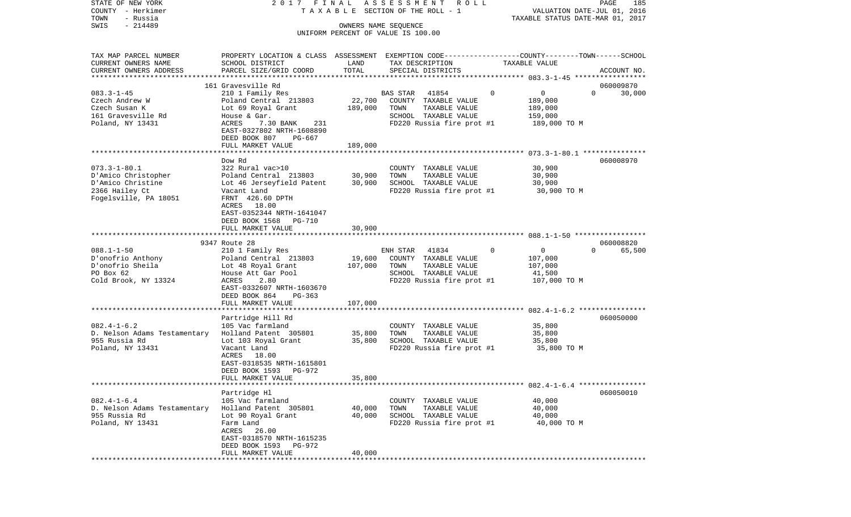| STATE OF NEW YORK<br>COUNTY - Herkimer<br>TOWN<br>- Russia | 2017 FINAL                                                                                                         |                      | ASSESSMENT<br>R O L L<br>TAXABLE SECTION OF THE ROLL - 1 | TAXABLE STATUS DATE-MAR 01, 2017 | PAGE<br>185<br>VALUATION DATE-JUL 01, 2016 |
|------------------------------------------------------------|--------------------------------------------------------------------------------------------------------------------|----------------------|----------------------------------------------------------|----------------------------------|--------------------------------------------|
| $-214489$<br>SWIS                                          |                                                                                                                    | OWNERS NAME SEQUENCE |                                                          |                                  |                                            |
|                                                            |                                                                                                                    |                      | UNIFORM PERCENT OF VALUE IS 100.00                       |                                  |                                            |
| TAX MAP PARCEL NUMBER<br>CURRENT OWNERS NAME               | PROPERTY LOCATION & CLASS ASSESSMENT EXEMPTION CODE---------------COUNTY-------TOWN------SCHOOL<br>SCHOOL DISTRICT | LAND                 | TAX DESCRIPTION                                          | TAXABLE VALUE                    |                                            |
| CURRENT OWNERS ADDRESS<br>************************         | PARCEL SIZE/GRID COORD                                                                                             | TOTAL                | SPECIAL DISTRICTS                                        |                                  | ACCOUNT NO.                                |
|                                                            | 161 Gravesville Rd                                                                                                 |                      |                                                          |                                  | 060009870                                  |
| $083.3 - 1 - 45$                                           | 210 1 Family Res                                                                                                   |                      | 41854<br>BAS STAR                                        | $\mathbf 0$<br>0                 | 30,000<br>$\Omega$                         |
| Czech Andrew W                                             | Poland Central 213803                                                                                              | 22,700               | COUNTY TAXABLE VALUE                                     | 189,000                          |                                            |
| Czech Susan K                                              | Lot 69 Royal Grant                                                                                                 | 189,000              | TOWN<br>TAXABLE VALUE                                    | 189,000                          |                                            |
| 161 Gravesville Rd                                         | House & Gar.                                                                                                       |                      | SCHOOL TAXABLE VALUE                                     | 159,000                          |                                            |
| Poland, NY 13431                                           | 7.30 BANK<br>ACRES<br>231<br>EAST-0327802 NRTH-1608890                                                             |                      | FD220 Russia fire prot #1                                | 189,000 TO M                     |                                            |
|                                                            | DEED BOOK 807<br>PG-667                                                                                            |                      |                                                          |                                  |                                            |
|                                                            | FULL MARKET VALUE                                                                                                  | 189,000              |                                                          |                                  |                                            |
|                                                            | Dow Rd                                                                                                             |                      |                                                          |                                  | 060008970                                  |
| $073.3 - 1 - 80.1$                                         | 322 Rural vac>10                                                                                                   |                      | COUNTY TAXABLE VALUE                                     | 30,900                           |                                            |
| D'Amico Christopher                                        | Poland Central 213803                                                                                              | 30,900               | TOWN<br>TAXABLE VALUE                                    | 30,900                           |                                            |
| D'Amico Christine                                          | Lot 46 Jerseyfield Patent                                                                                          | 30,900               | SCHOOL TAXABLE VALUE                                     | 30,900                           |                                            |
| 2366 Hailey Ct                                             | Vacant Land                                                                                                        |                      | FD220 Russia fire prot #1                                | 30,900 TO M                      |                                            |
| Fogelsville, PA 18051                                      | FRNT 426.60 DPTH                                                                                                   |                      |                                                          |                                  |                                            |
|                                                            | 18.00<br>ACRES                                                                                                     |                      |                                                          |                                  |                                            |
|                                                            | EAST-0352344 NRTH-1641047                                                                                          |                      |                                                          |                                  |                                            |
|                                                            | DEED BOOK 1568<br>PG-710                                                                                           |                      |                                                          |                                  |                                            |
|                                                            | FULL MARKET VALUE                                                                                                  | 30,900               |                                                          |                                  |                                            |
|                                                            | 9347 Route 28                                                                                                      |                      |                                                          |                                  | 060008820                                  |
| $088.1 - 1 - 50$                                           | 210 1 Family Res                                                                                                   |                      | 41834<br>ENH STAR                                        | 0<br>$\Omega$                    | $\Omega$<br>65,500                         |
| D'onofrio Anthony                                          | Poland Central 213803                                                                                              | 19,600               | COUNTY TAXABLE VALUE                                     | 107,000                          |                                            |
| D'onofrio Sheila                                           | Lot 48 Royal Grant                                                                                                 | 107,000              | TOWN<br>TAXABLE VALUE                                    | 107,000                          |                                            |
| PO Box 62                                                  | House Att Gar Pool                                                                                                 |                      | SCHOOL TAXABLE VALUE                                     | 41,500                           |                                            |
| Cold Brook, NY 13324                                       | ACRES<br>2.80                                                                                                      |                      | FD220 Russia fire prot #1                                | 107,000 TO M                     |                                            |
|                                                            | EAST-0332607 NRTH-1603670                                                                                          |                      |                                                          |                                  |                                            |
|                                                            | DEED BOOK 864<br>PG-363                                                                                            |                      |                                                          |                                  |                                            |
|                                                            | FULL MARKET VALUE<br>**********************                                                                        | 107,000<br>********* |                                                          |                                  |                                            |
|                                                            | Partridge Hill Rd                                                                                                  |                      |                                                          |                                  | 060050000                                  |
| $082.4 - 1 - 6.2$                                          | 105 Vac farmland                                                                                                   |                      | COUNTY TAXABLE VALUE                                     | 35,800                           |                                            |
| D. Nelson Adams Testamentary                               | Holland Patent 305801                                                                                              | 35,800               | TOWN<br>TAXABLE VALUE                                    | 35,800                           |                                            |
| 955 Russia Rd                                              | Lot 103 Royal Grant                                                                                                | 35,800               | SCHOOL TAXABLE VALUE                                     | 35,800                           |                                            |
| Poland, NY 13431                                           | Vacant Land                                                                                                        |                      | FD220 Russia fire prot #1                                | 35,800 TO M                      |                                            |
|                                                            | ACRES 18.00                                                                                                        |                      |                                                          |                                  |                                            |
|                                                            | EAST-0318535 NRTH-1615801                                                                                          |                      |                                                          |                                  |                                            |
|                                                            | PG-972<br>DEED BOOK 1593                                                                                           |                      |                                                          |                                  |                                            |
|                                                            | FULL MARKET VALUE                                                                                                  | 35,800               |                                                          |                                  |                                            |
|                                                            | Partridge Hl                                                                                                       |                      |                                                          |                                  | 060050010                                  |
| $082.4 - 1 - 6.4$                                          | 105 Vac farmland                                                                                                   |                      | COUNTY TAXABLE VALUE                                     | 40,000                           |                                            |
| D. Nelson Adams Testamentary Holland Patent 305801         |                                                                                                                    | 40,000               | TAXABLE VALUE<br>TOWN                                    | 40,000                           |                                            |
| 955 Russia Rd                                              | Lot 90 Royal Grant                                                                                                 | 40,000               | SCHOOL TAXABLE VALUE                                     | 40,000                           |                                            |
| Poland, NY 13431                                           | Farm Land                                                                                                          |                      | FD220 Russia fire prot #1                                | 40,000 TO M                      |                                            |
|                                                            | ACRES 26.00                                                                                                        |                      |                                                          |                                  |                                            |
|                                                            | EAST-0318570 NRTH-1615235                                                                                          |                      |                                                          |                                  |                                            |
|                                                            | DEED BOOK 1593 PG-972                                                                                              |                      |                                                          |                                  |                                            |
|                                                            | FULL MARKET VALUE                                                                                                  | 40,000               |                                                          |                                  |                                            |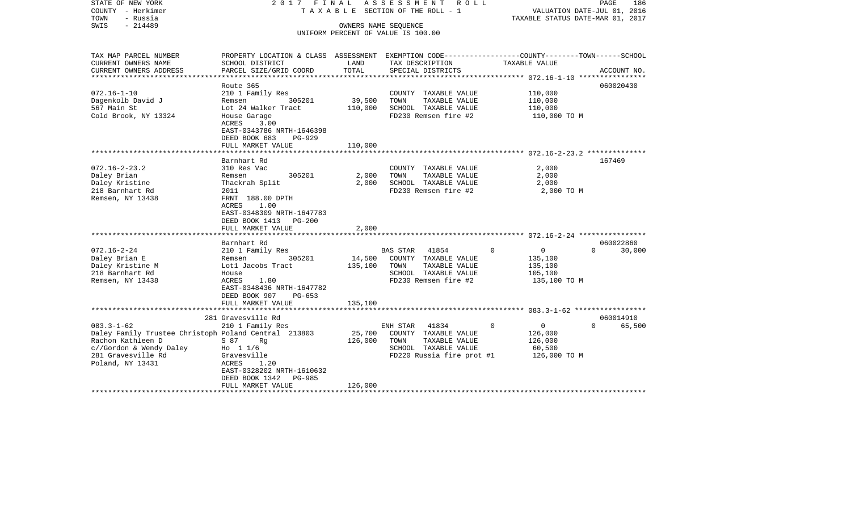| STATE OF NEW YORK<br>COUNTY - Herkimer<br>TOWN<br>- Russia<br>$-214489$<br>SWIS                                                                                    | 2017 FINAL                                                                                                                                                                               |                              | ASSESSMENT<br>ROLL<br>T A X A B L E SECTION OF THE ROLL - 1<br>OWNERS NAME SEQUENCE<br>UNIFORM PERCENT OF VALUE IS 100.00 | VALUATION DATE-JUL 01, 2016<br>TAXABLE STATUS DATE-MAR 01, 2017             | PAGE<br>186                     |
|--------------------------------------------------------------------------------------------------------------------------------------------------------------------|------------------------------------------------------------------------------------------------------------------------------------------------------------------------------------------|------------------------------|---------------------------------------------------------------------------------------------------------------------------|-----------------------------------------------------------------------------|---------------------------------|
| TAX MAP PARCEL NUMBER<br>CURRENT OWNERS NAME<br>CURRENT OWNERS ADDRESS                                                                                             | PROPERTY LOCATION & CLASS ASSESSMENT EXEMPTION CODE----------------COUNTY-------TOWN------SCHOOL<br>SCHOOL DISTRICT<br>PARCEL SIZE/GRID COORD                                            | LAND<br>TOTAL                | TAX DESCRIPTION<br>SPECIAL DISTRICTS                                                                                      | TAXABLE VALUE                                                               | ACCOUNT NO.                     |
| $072.16 - 1 - 10$<br>Dagenkolb David J<br>567 Main St<br>Cold Brook, NY 13324                                                                                      | Route 365<br>210 1 Family Res<br>Remsen<br>305201<br>Lot 24 Walker Tract<br>House Garage<br>ACRES<br>3.00<br>EAST-0343786 NRTH-1646398<br>DEED BOOK 683<br>$PG-929$<br>FULL MARKET VALUE | 39,500<br>110,000<br>110,000 | COUNTY TAXABLE VALUE<br>TOWN<br>TAXABLE VALUE<br>SCHOOL TAXABLE VALUE<br>FD230 Remsen fire #2                             | 110,000<br>110,000<br>110,000<br>110,000 TO M                               | 060020430                       |
| $072.16 - 2 - 23.2$<br>Daley Brian<br>Daley Kristine<br>218 Barnhart Rd<br>Remsen, NY 13438                                                                        | Barnhart Rd<br>310 Res Vac<br>305201<br>Remsen<br>Thackrah Split<br>2011<br>FRNT 188.00 DPTH<br>ACRES<br>1.00<br>EAST-0348309 NRTH-1647783<br>DEED BOOK 1413 PG-200<br>FULL MARKET VALUE | 2,000<br>2,000<br>2,000      | COUNTY TAXABLE VALUE<br>TOWN<br>TAXABLE VALUE<br>SCHOOL TAXABLE VALUE<br>FD230 Remsen fire #2                             | 2,000<br>2,000<br>2,000<br>2,000 TO M                                       | 167469                          |
| $072.16 - 2 - 24$<br>Daley Brian E<br>Daley Kristine M<br>218 Barnhart Rd<br>Remsen, NY 13438                                                                      | Barnhart Rd<br>210 1 Family Res<br>Remsen<br>305201<br>Lotl Jacobs Tract<br>House<br>ACRES<br>1.80<br>EAST-0348436 NRTH-1647782<br>DEED BOOK 907<br>PG-653<br>FULL MARKET VALUE          | 14,500<br>135,100<br>135,100 | BAS STAR<br>41854<br>COUNTY TAXABLE VALUE<br>TOWN<br>TAXABLE VALUE<br>SCHOOL TAXABLE VALUE<br>FD230 Remsen fire #2        | $\overline{0}$<br>$\Omega$<br>135,100<br>135,100<br>105,100<br>135,100 TO M | 060022860<br>$\Omega$<br>30,000 |
|                                                                                                                                                                    | 281 Gravesville Rd                                                                                                                                                                       |                              |                                                                                                                           |                                                                             | 060014910                       |
| $083.3 - 1 - 62$<br>Daley Family Trustee Christoph Poland Central 213803<br>Rachon Kathleen D<br>c//Gordon & Wendy Daley<br>281 Gravesville Rd<br>Poland, NY 13431 | 210 1 Family Res<br>S 87 Rg<br>Ho $11/6$<br>Gravesville<br>ACRES<br>1.20<br>EAST-0328202 NRTH-1610632<br>DEED BOOK 1342<br>PG-985<br>FULL MARKET VALUE                                   | 25,700<br>126,000<br>126,000 | 41834<br>ENH STAR<br>COUNTY TAXABLE VALUE<br>TOWN<br>TAXABLE VALUE<br>SCHOOL TAXABLE VALUE<br>FD220 Russia fire prot #1   | $\mathbf 0$<br>$\mathsf{O}$<br>126,000<br>126,000<br>60,500<br>126,000 TO M | 65,500<br>$\Omega$              |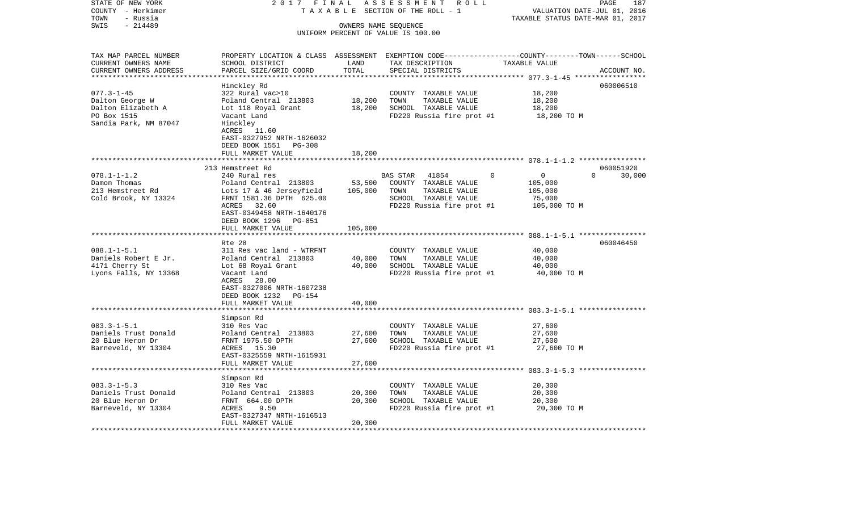| STATE OF NEW YORK                     | 2017 FINAL                                   |         | ASSESSMENT ROLL                               | PAGE<br>187                                                                                      |
|---------------------------------------|----------------------------------------------|---------|-----------------------------------------------|--------------------------------------------------------------------------------------------------|
| COUNTY - Herkimer                     |                                              |         | TAXABLE SECTION OF THE ROLL - 1               | VALUATION DATE-JUL 01, 2016                                                                      |
| - Russia<br>TOWN<br>SWIS<br>$-214489$ |                                              |         | OWNERS NAME SEQUENCE                          | TAXABLE STATUS DATE-MAR 01, 2017                                                                 |
|                                       |                                              |         | UNIFORM PERCENT OF VALUE IS 100.00            |                                                                                                  |
|                                       |                                              |         |                                               |                                                                                                  |
| TAX MAP PARCEL NUMBER                 |                                              |         |                                               | PROPERTY LOCATION & CLASS ASSESSMENT EXEMPTION CODE----------------COUNTY-------TOWN------SCHOOL |
| CURRENT OWNERS NAME                   | SCHOOL DISTRICT                              | LAND    | TAX DESCRIPTION                               | TAXABLE VALUE                                                                                    |
| CURRENT OWNERS ADDRESS                | PARCEL SIZE/GRID COORD                       | TOTAL   | SPECIAL DISTRICTS                             | ACCOUNT NO.                                                                                      |
| ***********************               |                                              |         |                                               |                                                                                                  |
|                                       | Hinckley Rd                                  |         |                                               | 060006510                                                                                        |
| $077.3 - 1 - 45$                      | 322 Rural vac>10                             | 18,200  | COUNTY TAXABLE VALUE<br>TOWN<br>TAXABLE VALUE | 18,200<br>18,200                                                                                 |
| Dalton George W<br>Dalton Elizabeth A | Poland Central 213803<br>Lot 118 Royal Grant | 18,200  | SCHOOL TAXABLE VALUE                          | 18,200                                                                                           |
| PO Box 1515                           | Vacant Land                                  |         | FD220 Russia fire prot #1                     | 18,200 TO M                                                                                      |
| Sandia Park, NM 87047                 | Hinckley                                     |         |                                               |                                                                                                  |
|                                       | ACRES 11.60                                  |         |                                               |                                                                                                  |
|                                       | EAST-0327952 NRTH-1626032                    |         |                                               |                                                                                                  |
|                                       | DEED BOOK 1551<br>PG-308                     |         |                                               |                                                                                                  |
|                                       | FULL MARKET VALUE                            | 18,200  |                                               |                                                                                                  |
|                                       |                                              |         |                                               |                                                                                                  |
|                                       | 213 Hemstreet Rd                             |         |                                               | 060051920                                                                                        |
| $078.1 - 1 - 1.2$                     | 240 Rural res                                |         | $\Omega$<br>BAS STAR<br>41854                 | $\mathbf 0$<br>$\Omega$<br>30,000                                                                |
| Damon Thomas                          | Poland Central 213803                        | 53,500  | COUNTY TAXABLE VALUE                          | 105,000                                                                                          |
| 213 Hemstreet Rd                      | Lots 17 & 46 Jerseyfield                     | 105,000 | TOWN<br>TAXABLE VALUE                         | 105,000                                                                                          |
| Cold Brook, NY 13324                  | FRNT 1581.36 DPTH 625.00                     |         | SCHOOL TAXABLE VALUE                          | 75,000                                                                                           |
|                                       | 32.60<br>ACRES                               |         | FD220 Russia fire prot #1                     | 105,000 TO M                                                                                     |
|                                       | EAST-0349458 NRTH-1640176                    |         |                                               |                                                                                                  |
|                                       | DEED BOOK 1296<br>PG-851                     |         |                                               |                                                                                                  |
|                                       | FULL MARKET VALUE                            | 105,000 |                                               |                                                                                                  |
|                                       | Rte 28                                       |         |                                               | ***************************** 088.1-1-5.1 ****************<br>060046450                          |
| $088.1 - 1 - 5.1$                     | 311 Res vac land - WTRFNT                    |         | COUNTY TAXABLE VALUE                          | 40,000                                                                                           |
| Daniels Robert E Jr.                  | Poland Central 213803                        | 40,000  | TOWN<br>TAXABLE VALUE                         | 40,000                                                                                           |
| 4171 Cherry St                        | Lot 68 Royal Grant                           | 40,000  | SCHOOL TAXABLE VALUE                          | 40,000                                                                                           |
| Lyons Falls, NY 13368                 | Vacant Land                                  |         | FD220 Russia fire prot #1                     | 40,000 TO M                                                                                      |
|                                       | ACRES<br>28.00                               |         |                                               |                                                                                                  |
|                                       | EAST-0327006 NRTH-1607238                    |         |                                               |                                                                                                  |
|                                       | DEED BOOK 1232<br>PG-154                     |         |                                               |                                                                                                  |
|                                       | FULL MARKET VALUE                            | 40,000  |                                               |                                                                                                  |
|                                       | **********                                   |         |                                               |                                                                                                  |
|                                       | Simpson Rd                                   |         |                                               |                                                                                                  |
| $083.3 - 1 - 5.1$                     | 310 Res Vac                                  |         | COUNTY TAXABLE VALUE                          | 27,600                                                                                           |
| Daniels Trust Donald                  | Poland Central 213803                        | 27,600  | TOWN<br>TAXABLE VALUE                         | 27,600                                                                                           |
| 20 Blue Heron Dr                      | FRNT 1975.50 DPTH                            | 27,600  | SCHOOL TAXABLE VALUE                          | 27,600                                                                                           |
| Barneveld, NY 13304                   | ACRES 15.30                                  |         | FD220 Russia fire prot #1                     | 27,600 TO M                                                                                      |
|                                       | EAST-0325559 NRTH-1615931                    |         |                                               |                                                                                                  |
|                                       | FULL MARKET VALUE                            | 27,600  |                                               |                                                                                                  |
|                                       | Simpson Rd                                   |         |                                               |                                                                                                  |
| $083.3 - 1 - 5.3$                     | 310 Res Vac                                  |         | COUNTY TAXABLE VALUE                          | 20,300                                                                                           |
| Daniels Trust Donald                  | Poland Central 213803                        | 20,300  | TOWN<br>TAXABLE VALUE                         | 20,300                                                                                           |
| 20 Blue Heron Dr                      | FRNT 664.00 DPTH                             | 20,300  | SCHOOL TAXABLE VALUE                          | 20,300                                                                                           |
| Barneveld, NY 13304                   | ACRES<br>9.50                                |         | FD220 Russia fire prot #1                     | 20,300 TO M                                                                                      |
|                                       | EAST-0327347 NRTH-1616513                    |         |                                               |                                                                                                  |
|                                       | FULL MARKET VALUE                            | 20,300  |                                               |                                                                                                  |
|                                       |                                              |         |                                               |                                                                                                  |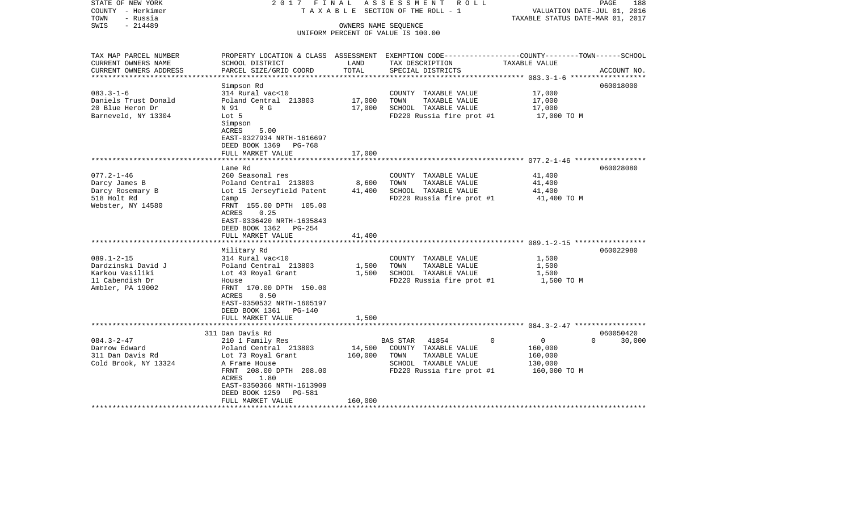| STATE OF NEW YORK<br>COUNTY - Herkimer<br>- Russia<br>TOWN                                                                                                                                    | 2017 FINAL<br>TAXABLE                                                                                                                                                                                                                                                                                                                                                                                                |                                             | ASSESSMENT<br>R O L L<br>SECTION OF THE ROLL - 1                                                                                                                                                         | VALUATION DATE-JUL 01, 2016<br>TAXABLE STATUS DATE-MAR 01, 2017                                                                                           | PAGE<br>188            |
|-----------------------------------------------------------------------------------------------------------------------------------------------------------------------------------------------|----------------------------------------------------------------------------------------------------------------------------------------------------------------------------------------------------------------------------------------------------------------------------------------------------------------------------------------------------------------------------------------------------------------------|---------------------------------------------|----------------------------------------------------------------------------------------------------------------------------------------------------------------------------------------------------------|-----------------------------------------------------------------------------------------------------------------------------------------------------------|------------------------|
| $-214489$<br>SWIS                                                                                                                                                                             |                                                                                                                                                                                                                                                                                                                                                                                                                      |                                             | OWNERS NAME SEQUENCE<br>UNIFORM PERCENT OF VALUE IS 100.00                                                                                                                                               |                                                                                                                                                           |                        |
| TAX MAP PARCEL NUMBER<br>CURRENT OWNERS NAME<br>CURRENT OWNERS ADDRESS                                                                                                                        | PROPERTY LOCATION & CLASS ASSESSMENT EXEMPTION CODE----------------COUNTY-------TOWN------SCHOOL<br>SCHOOL DISTRICT<br>PARCEL SIZE/GRID COORD                                                                                                                                                                                                                                                                        | LAND<br>TOTAL                               | TAX DESCRIPTION<br>SPECIAL DISTRICTS                                                                                                                                                                     | TAXABLE VALUE                                                                                                                                             | ACCOUNT NO.            |
| **********************                                                                                                                                                                        |                                                                                                                                                                                                                                                                                                                                                                                                                      |                                             |                                                                                                                                                                                                          |                                                                                                                                                           |                        |
| $083.3 - 1 - 6$<br>Daniels Trust Donald<br>20 Blue Heron Dr<br>Barneveld, NY 13304                                                                                                            | Simpson Rd<br>314 Rural vac<10<br>Poland Central 213803<br>R G<br>N 91<br>Lot 5<br>Simpson<br>ACRES<br>5.00<br>EAST-0327934 NRTH-1616697                                                                                                                                                                                                                                                                             | 17,000<br>17,000                            | COUNTY TAXABLE VALUE<br>TOWN<br>TAXABLE VALUE<br>SCHOOL TAXABLE VALUE<br>FD220 Russia fire prot #1                                                                                                       | 17,000<br>17,000<br>17,000<br>17,000 TO M                                                                                                                 | 060018000              |
|                                                                                                                                                                                               | DEED BOOK 1369<br>PG-768                                                                                                                                                                                                                                                                                                                                                                                             |                                             |                                                                                                                                                                                                          |                                                                                                                                                           |                        |
|                                                                                                                                                                                               | FULL MARKET VALUE                                                                                                                                                                                                                                                                                                                                                                                                    | 17,000                                      |                                                                                                                                                                                                          |                                                                                                                                                           |                        |
|                                                                                                                                                                                               |                                                                                                                                                                                                                                                                                                                                                                                                                      |                                             |                                                                                                                                                                                                          |                                                                                                                                                           |                        |
| $077.2 - 1 - 46$<br>Darcy James B<br>Darcy Rosemary B<br>518 Holt Rd<br>Webster, NY 14580<br>$089.1 - 2 - 15$<br>Dardzinski David J<br>Karkou Vasiliki<br>11 Cabendish Dr<br>Ambler, PA 19002 | Lane Rd<br>260 Seasonal res<br>Poland Central 213803<br>Lot 15 Jerseyfield Patent<br>Camp<br>FRNT 155.00 DPTH 105.00<br>0.25<br>ACRES<br>EAST-0336420 NRTH-1635843<br>DEED BOOK 1362 PG-254<br>FULL MARKET VALUE<br>Military Rd<br>314 Rural vac<10<br>Poland Central 213803<br>Lot 43 Royal Grant<br>House<br>FRNT 170.00 DPTH 150.00<br><b>ACRES</b><br>0.50<br>EAST-0350532 NRTH-1605197<br>DEED BOOK 1361 PG-140 | 8,600<br>41,400<br>41,400<br>1,500<br>1,500 | COUNTY TAXABLE VALUE<br>TAXABLE VALUE<br>TOWN<br>SCHOOL TAXABLE VALUE<br>FD220 Russia fire prot #1<br>COUNTY TAXABLE VALUE<br>TOWN<br>TAXABLE VALUE<br>SCHOOL TAXABLE VALUE<br>FD220 Russia fire prot #1 | 41,400<br>41,400<br>41,400<br>41,400 TO M<br>**************************************599.1-2-15 ******************<br>1,500<br>1,500<br>1,500<br>1,500 TO M | 060028080<br>060022980 |
|                                                                                                                                                                                               | FULL MARKET VALUE<br>**********************                                                                                                                                                                                                                                                                                                                                                                          | 1,500                                       |                                                                                                                                                                                                          |                                                                                                                                                           |                        |
|                                                                                                                                                                                               | 311 Dan Davis Rd                                                                                                                                                                                                                                                                                                                                                                                                     |                                             |                                                                                                                                                                                                          |                                                                                                                                                           | 060050420              |
| $084.3 - 2 - 47$<br>Darrow Edward<br>311 Dan Davis Rd<br>Cold Brook, NY 13324                                                                                                                 | 210 1 Family Res<br>Poland Central 213803<br>Lot 73 Royal Grant<br>A Frame House<br>FRNT 208.00 DPTH 208.00<br>1.80<br>ACRES<br>EAST-0350366 NRTH-1613909<br>DEED BOOK 1259<br>PG-581<br>FULL MARKET VALUE                                                                                                                                                                                                           | 14,500<br>160,000<br>160,000                | <b>BAS STAR</b><br>41854<br>COUNTY TAXABLE VALUE<br>TOWN<br>TAXABLE VALUE<br>SCHOOL TAXABLE VALUE<br>FD220 Russia fire prot #1                                                                           | 0<br>$\overline{0}$<br>160,000<br>160,000<br>130,000<br>160,000 TO M                                                                                      | $\Omega$<br>30,000     |
|                                                                                                                                                                                               |                                                                                                                                                                                                                                                                                                                                                                                                                      |                                             |                                                                                                                                                                                                          |                                                                                                                                                           |                        |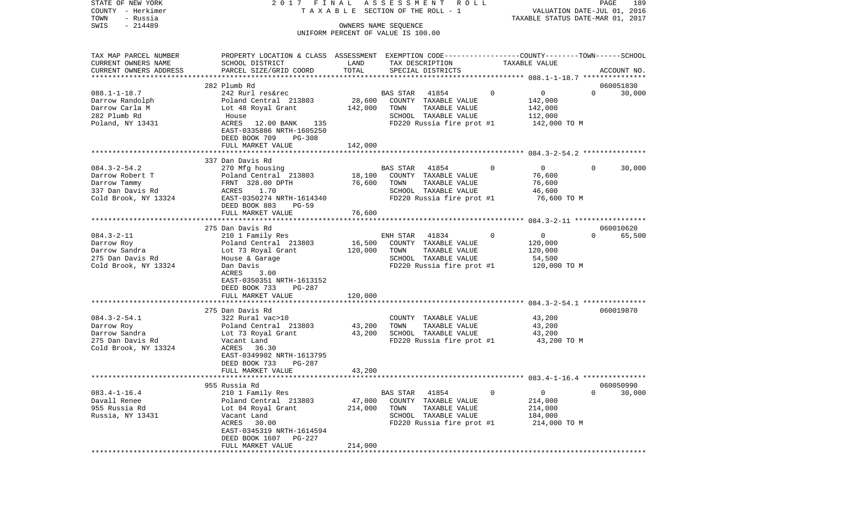| STATE OF NEW YORK      | 2017 FINAL                                                                                      |         | ASSESSMENT<br>R O L L              |                             | PAGE<br>189                      |
|------------------------|-------------------------------------------------------------------------------------------------|---------|------------------------------------|-----------------------------|----------------------------------|
| COUNTY - Herkimer      |                                                                                                 |         | TAXABLE SECTION OF THE ROLL - 1    |                             | VALUATION DATE-JUL 01, 2016      |
| TOWN<br>- Russia       |                                                                                                 |         |                                    |                             | TAXABLE STATUS DATE-MAR 01, 2017 |
| $-214489$<br>SWIS      |                                                                                                 |         | OWNERS NAME SEQUENCE               |                             |                                  |
|                        |                                                                                                 |         | UNIFORM PERCENT OF VALUE IS 100.00 |                             |                                  |
| TAX MAP PARCEL NUMBER  | PROPERTY LOCATION & CLASS ASSESSMENT EXEMPTION CODE---------------COUNTY-------TOWN------SCHOOL |         |                                    |                             |                                  |
| CURRENT OWNERS NAME    | SCHOOL DISTRICT                                                                                 | LAND    | TAX DESCRIPTION                    | TAXABLE VALUE               |                                  |
| CURRENT OWNERS ADDRESS | PARCEL SIZE/GRID COORD                                                                          | TOTAL   | SPECIAL DISTRICTS                  |                             | ACCOUNT NO.                      |
| ********************** |                                                                                                 |         |                                    |                             |                                  |
|                        | 282 Plumb Rd                                                                                    |         |                                    |                             | 060051830                        |
| $088.1 - 1 - 18.7$     | 242 Rurl res&rec                                                                                |         | 41854<br>BAS STAR                  | $\mathbf 0$<br>$\mathbf{0}$ | $\Omega$<br>30,000               |
| Darrow Randolph        | Poland Central 213803                                                                           | 28,600  | COUNTY TAXABLE VALUE               | 142,000                     |                                  |
| Darrow Carla M         | Lot 48 Royal Grant                                                                              | 142,000 | TOWN<br>TAXABLE VALUE              | 142,000                     |                                  |
| 282 Plumb Rd           | House                                                                                           |         | SCHOOL TAXABLE VALUE               | 112,000                     |                                  |
| Poland, NY 13431       | ACRES<br>12.00 BANK<br>135                                                                      |         | FD220 Russia fire prot #1          | 142,000 TO M                |                                  |
|                        | EAST-0335886 NRTH-1605250                                                                       |         |                                    |                             |                                  |
|                        | DEED BOOK 709<br><b>PG-308</b>                                                                  |         |                                    |                             |                                  |
|                        | FULL MARKET VALUE                                                                               | 142,000 |                                    |                             |                                  |
|                        |                                                                                                 |         |                                    |                             |                                  |
|                        | 337 Dan Davis Rd                                                                                |         |                                    |                             |                                  |
| $084.3 - 2 - 54.2$     | 270 Mfg housing                                                                                 |         | BAS STAR<br>41854                  | $\overline{0}$<br>0         | $\Omega$<br>30,000               |
| Darrow Robert T        | Poland Central 213803                                                                           | 18,100  | COUNTY TAXABLE VALUE               | 76,600                      |                                  |
| Darrow Tammy           | FRNT 328.00 DPTH                                                                                | 76,600  | TOWN<br>TAXABLE VALUE              | 76,600                      |                                  |
| 337 Dan Davis Rd       | ACRES<br>1.70                                                                                   |         | SCHOOL TAXABLE VALUE               | 46,600                      |                                  |
| Cold Brook, NY 13324   | EAST-0350274 NRTH-1614340                                                                       |         | FD220 Russia fire prot #1          |                             | 76,600 TO M                      |
|                        | DEED BOOK 883<br>$PG-59$                                                                        |         |                                    |                             |                                  |
|                        | FULL MARKET VALUE                                                                               | 76,600  |                                    |                             |                                  |
|                        | *********************************                                                               |         |                                    |                             |                                  |
|                        | 275 Dan Davis Rd                                                                                |         |                                    |                             | 060010620                        |
| $084.3 - 2 - 11$       | 210 1 Family Res                                                                                |         | 41834<br>ENH STAR                  | 0<br>$\mathbf{0}$           | $\Omega$<br>65,500               |
| Darrow Roy             | Poland Central 213803                                                                           | 16,500  | COUNTY TAXABLE VALUE               | 120,000                     |                                  |
| Darrow Sandra          | Lot 73 Royal Grant                                                                              | 120,000 | TAXABLE VALUE<br>TOWN              | 120,000                     |                                  |
| 275 Dan Davis Rd       | House & Garage                                                                                  |         | SCHOOL TAXABLE VALUE               | 54,500                      |                                  |
| Cold Brook, NY 13324   | Dan Davis                                                                                       |         | FD220 Russia fire prot #1          |                             | 120,000 TO M                     |
|                        | ACRES<br>3.00                                                                                   |         |                                    |                             |                                  |
|                        | EAST-0350351 NRTH-1613152                                                                       |         |                                    |                             |                                  |
|                        | DEED BOOK 733<br><b>PG-287</b>                                                                  |         |                                    |                             |                                  |
|                        | FULL MARKET VALUE                                                                               | 120,000 |                                    |                             |                                  |
|                        | *********************                                                                           |         |                                    |                             |                                  |
|                        | 275 Dan Davis Rd                                                                                |         |                                    |                             | 060019870                        |
| $084.3 - 2 - 54.1$     | 322 Rural vac>10                                                                                |         | COUNTY TAXABLE VALUE               | 43,200                      |                                  |
| Darrow Roy             | Poland Central 213803                                                                           | 43,200  | TOWN<br>TAXABLE VALUE              | 43,200                      |                                  |
| Darrow Sandra          | Lot 73 Royal Grant                                                                              | 43,200  | SCHOOL TAXABLE VALUE               | 43,200                      |                                  |
| 275 Dan Davis Rd       | Vacant Land                                                                                     |         | FD220 Russia fire prot #1          |                             | 43,200 TO M                      |
| Cold Brook, NY 13324   | 36.30<br>ACRES                                                                                  |         |                                    |                             |                                  |
|                        | EAST-0349902 NRTH-1613795                                                                       |         |                                    |                             |                                  |
|                        | DEED BOOK 733<br>PG-287                                                                         |         |                                    |                             |                                  |
| ********************** | FULL MARKET VALUE                                                                               | 43,200  |                                    |                             |                                  |
|                        |                                                                                                 |         |                                    |                             |                                  |
|                        | 955 Russia Rd                                                                                   |         |                                    |                             | 060050990                        |
| $083.4 - 1 - 16.4$     | 210 1 Family Res                                                                                |         | <b>BAS STAR</b><br>41854           | 0<br>0                      | 0<br>30,000                      |
| Davall Renee           | Poland Central 213803                                                                           | 47,000  | COUNTY<br>TAXABLE VALUE            | 214,000                     |                                  |
| 955 Russia Rd          | Lot 84 Royal Grant                                                                              | 214,000 | TOWN<br>TAXABLE VALUE              | 214,000                     |                                  |
| Russia, NY 13431       | Vacant Land                                                                                     |         | SCHOOL TAXABLE VALUE               | 184,000                     |                                  |
|                        | ACRES<br>30.00                                                                                  |         | FD220 Russia fire prot #1          |                             | 214,000 TO M                     |
|                        | EAST-0345319 NRTH-1614594                                                                       |         |                                    |                             |                                  |
|                        | DEED BOOK 1607<br>PG-227                                                                        |         |                                    |                             |                                  |
|                        | FULL MARKET VALUE<br>***************                                                            | 214,000 |                                    |                             |                                  |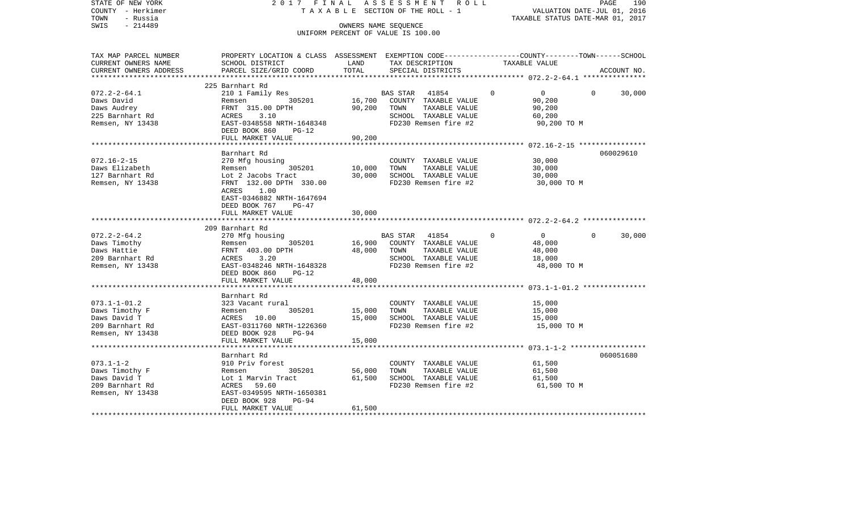| STATE OF NEW YORK<br>COUNTY - Herkimer<br>- Russia<br>TOWN<br>$-214489$<br>SWIS                   | 2017 FINAL                                                                                                                                    |                                   | ASSESSMENT<br>ROLL<br>T A X A B L E SECTION OF THE ROLL - 1<br>OWNERS NAME SEQUENCE<br>UNIFORM PERCENT OF VALUE IS 100.00 |                                                                             | PAGE<br>190<br>VALUATION DATE-JUL 01, 2016<br>TAXABLE STATUS DATE-MAR 01, 2017 |
|---------------------------------------------------------------------------------------------------|-----------------------------------------------------------------------------------------------------------------------------------------------|-----------------------------------|---------------------------------------------------------------------------------------------------------------------------|-----------------------------------------------------------------------------|--------------------------------------------------------------------------------|
| TAX MAP PARCEL NUMBER<br>CURRENT OWNERS NAME<br>CURRENT OWNERS ADDRESS<br>*********************** | PROPERTY LOCATION & CLASS ASSESSMENT EXEMPTION CODE----------------COUNTY-------TOWN------SCHOOL<br>SCHOOL DISTRICT<br>PARCEL SIZE/GRID COORD | LAND<br>TOTAL                     | TAX DESCRIPTION<br>SPECIAL DISTRICTS                                                                                      | TAXABLE VALUE                                                               | ACCOUNT NO.                                                                    |
|                                                                                                   | 225 Barnhart Rd                                                                                                                               |                                   |                                                                                                                           |                                                                             |                                                                                |
| $072.2 - 2 - 64.1$<br>Daws David<br>Daws Audrey<br>225 Barnhart Rd                                | 210 1 Family Res<br>305201<br>Remsen<br>FRNT 315.00 DPTH<br>ACRES<br>3.10                                                                     | 16,700<br>90,200                  | BAS STAR<br>41854<br>COUNTY TAXABLE VALUE<br>TOWN<br>TAXABLE VALUE<br>SCHOOL TAXABLE VALUE                                | $\Omega$<br>$\overline{0}$<br>90,200<br>90,200<br>60,200                    | $\Omega$<br>30,000                                                             |
| Remsen, NY 13438                                                                                  | EAST-0348558 NRTH-1648348<br>DEED BOOK 860<br>$PG-12$<br>FULL MARKET VALUE                                                                    | 90,200                            | FD230 Remsen fire #2                                                                                                      | 90,200 TO M                                                                 |                                                                                |
|                                                                                                   |                                                                                                                                               |                                   |                                                                                                                           |                                                                             |                                                                                |
| $072.16 - 2 - 15$<br>Daws Elizabeth<br>127 Barnhart Rd<br>Remsen, NY 13438                        | Barnhart Rd<br>270 Mfg housing<br>305201<br>Remsen<br>Lot 2 Jacobs Tract<br>FRNT 132.00 DPTH 330.00<br>ACRES<br>1.00                          | 10,000<br>30,000                  | COUNTY TAXABLE VALUE<br>TOWN<br>TAXABLE VALUE<br>SCHOOL TAXABLE VALUE<br>FD230 Remsen fire #2                             | 30,000<br>30,000<br>30,000<br>30,000 TO M                                   | 060029610                                                                      |
|                                                                                                   | EAST-0346882 NRTH-1647694<br>DEED BOOK 767<br>$PG-47$<br>FULL MARKET VALUE<br>*************************                                       | 30,000<br>* * * * * * * * * * * * |                                                                                                                           |                                                                             |                                                                                |
|                                                                                                   | 209 Barnhart Rd                                                                                                                               |                                   |                                                                                                                           |                                                                             |                                                                                |
| $072.2 - 2 - 64.2$<br>Daws Timothy<br>Daws Hattie<br>209 Barnhart Rd<br>Remsen, NY 13438          | 270 Mfg housing<br>305201<br>Remsen<br>FRNT 403.00 DPTH<br>ACRES<br>3.20<br>EAST-0348246 NRTH-1648328<br>DEED BOOK 860<br>$PG-12$             | 16,900<br>48,000<br>48,000        | BAS STAR<br>41854<br>COUNTY TAXABLE VALUE<br>TAXABLE VALUE<br>TOWN<br>SCHOOL TAXABLE VALUE<br>FD230 Remsen fire #2        | $\mathbf{0}$<br>$\overline{0}$<br>48,000<br>48,000<br>18,000<br>48,000 TO M | 30,000<br>$\overline{0}$                                                       |
|                                                                                                   | FULL MARKET VALUE                                                                                                                             |                                   |                                                                                                                           |                                                                             |                                                                                |
| $073.1 - 1 - 01.2$<br>Daws Timothy F<br>Daws David T<br>209 Barnhart Rd<br>Remsen, NY 13438       | Barnhart Rd<br>323 Vacant rural<br>305201<br>Remsen<br>ACRES 10.00<br>EAST-0311760 NRTH-1226360<br>DEED BOOK 928<br>$PG-94$                   | 15,000<br>15,000                  | COUNTY TAXABLE VALUE<br>TOWN<br>TAXABLE VALUE<br>SCHOOL TAXABLE VALUE<br>FD230 Remsen fire #2                             | 15,000<br>15,000<br>15,000<br>15,000 TO M                                   |                                                                                |
|                                                                                                   | FULL MARKET VALUE                                                                                                                             | 15,000                            |                                                                                                                           |                                                                             |                                                                                |
|                                                                                                   | ************************<br>Barnhart Rd                                                                                                       |                                   |                                                                                                                           |                                                                             | 060051680                                                                      |
| $073.1 - 1 - 2$<br>Daws Timothy F<br>Daws David T<br>209 Barnhart Rd<br>Remsen, NY 13438          | 910 Priv forest<br>305201<br>Remsen<br>Lot 1 Marvin Tract<br>59.60<br>ACRES<br>EAST-0349595 NRTH-1650381<br>DEED BOOK 928<br>$PG-94$          | 56,000<br>61,500                  | COUNTY TAXABLE VALUE<br>TOWN<br>TAXABLE VALUE<br>SCHOOL TAXABLE VALUE<br>FD230 Remsen fire #2                             | 61,500<br>61,500<br>61,500<br>61,500 TO M                                   |                                                                                |
|                                                                                                   | FULL MARKET VALUE                                                                                                                             | 61,500                            |                                                                                                                           |                                                                             |                                                                                |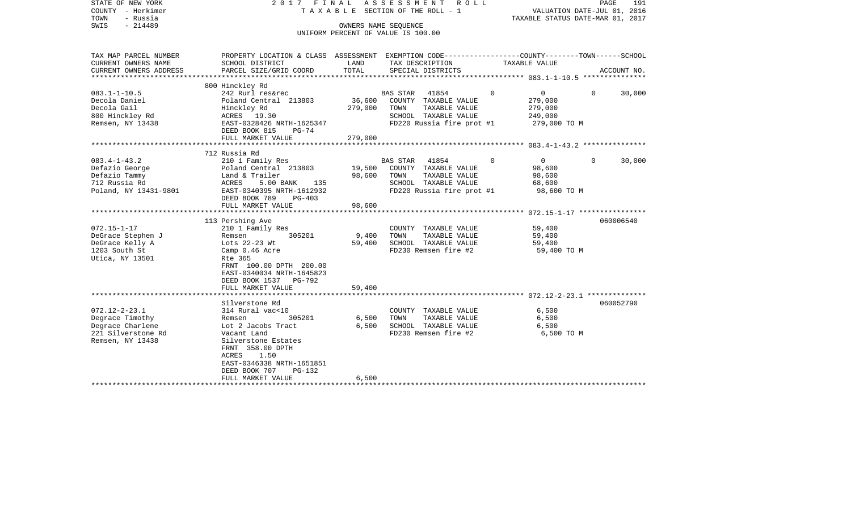| STATE OF NEW YORK<br>COUNTY - Herkimer<br>- Russia<br>TOWN<br>$-214489$<br>SWIS                                                                                                                  |                                                                                                                                                                                                                                                                                                                                                                                                                    | OWNERS NAME SEQUENCE                          | 2017 FINAL ASSESSMENT<br>R O L L<br>TAXABLE SECTION OF THE ROLL - 1<br>UNIFORM PERCENT OF VALUE IS 100.00                                                                                                                                        | TAXABLE STATUS DATE-MAR 01, 2017                                                                                                                                            | PAGE<br>191<br>VALUATION DATE-JUL 01, 2016 |
|--------------------------------------------------------------------------------------------------------------------------------------------------------------------------------------------------|--------------------------------------------------------------------------------------------------------------------------------------------------------------------------------------------------------------------------------------------------------------------------------------------------------------------------------------------------------------------------------------------------------------------|-----------------------------------------------|--------------------------------------------------------------------------------------------------------------------------------------------------------------------------------------------------------------------------------------------------|-----------------------------------------------------------------------------------------------------------------------------------------------------------------------------|--------------------------------------------|
| TAX MAP PARCEL NUMBER<br>CURRENT OWNERS NAME                                                                                                                                                     | PROPERTY LOCATION & CLASS ASSESSMENT EXEMPTION CODE---------------COUNTY-------TOWN------SCHOOL<br>SCHOOL DISTRICT                                                                                                                                                                                                                                                                                                 | LAND                                          | TAX DESCRIPTION                                                                                                                                                                                                                                  | TAXABLE VALUE                                                                                                                                                               |                                            |
| CURRENT OWNERS ADDRESS                                                                                                                                                                           | PARCEL SIZE/GRID COORD                                                                                                                                                                                                                                                                                                                                                                                             | TOTAL                                         | SPECIAL DISTRICTS                                                                                                                                                                                                                                |                                                                                                                                                                             | ACCOUNT NO.                                |
|                                                                                                                                                                                                  | 800 Hinckley Rd                                                                                                                                                                                                                                                                                                                                                                                                    |                                               |                                                                                                                                                                                                                                                  |                                                                                                                                                                             |                                            |
| $083.1 - 1 - 10.5$<br>Decola Daniel<br>Decola Gail<br>800 Hinckley Rd<br>Remsen, NY 13438                                                                                                        | 242 Rurl res&rec<br>Poland Central 213803<br>Hinckley Rd<br>ACRES 19.30<br>EAST-0328426 NRTH-1625347<br>DEED BOOK 815<br>$PG-74$                                                                                                                                                                                                                                                                                   | 36,600<br>279,000                             | BAS STAR<br>41854<br>COUNTY TAXABLE VALUE<br>TOWN<br>TAXABLE VALUE<br>SCHOOL TAXABLE VALUE<br>FD220 Russia fire prot #1                                                                                                                          | $\Omega$<br>0<br>279,000<br>279,000<br>249,000<br>279,000 TO M                                                                                                              | $\Omega$<br>30,000                         |
|                                                                                                                                                                                                  | FULL MARKET VALUE                                                                                                                                                                                                                                                                                                                                                                                                  | 279,000                                       |                                                                                                                                                                                                                                                  |                                                                                                                                                                             |                                            |
|                                                                                                                                                                                                  |                                                                                                                                                                                                                                                                                                                                                                                                                    |                                               |                                                                                                                                                                                                                                                  |                                                                                                                                                                             |                                            |
| $083.4 - 1 - 43.2$<br>Defazio George<br>Defazio Tammy<br>712 Russia Rd<br>Poland, NY 13431-9801<br>$072.15 - 1 - 17$<br>DeGrace Stephen J<br>DeGrace Kelly A<br>1203 South St<br>Utica, NY 13501 | 712 Russia Rd<br>210 1 Family Res<br>Poland Central 213803<br>Land & Trailer<br>ACRES<br>5.00 BANK<br>135<br>EAST-0340395 NRTH-1612932<br>DEED BOOK 789<br>$PG-403$<br>FULL MARKET VALUE<br>************************<br>113 Pershing Ave<br>210 1 Family Res<br>305201<br>Remsen<br>Lots 22-23 Wt<br>Camp 0.46 Acre<br>Rte 365<br>FRNT 100.00 DPTH 200.00<br>EAST-0340034 NRTH-1645823<br>DEED BOOK 1537<br>PG-792 | 19,500<br>98,600<br>98,600<br>9,400<br>59,400 | BAS STAR 41854<br>COUNTY TAXABLE VALUE<br>TOWN<br>TAXABLE VALUE<br>SCHOOL TAXABLE VALUE<br>FD220 Russia fire prot #1<br>***********************<br>COUNTY TAXABLE VALUE<br>TOWN<br>TAXABLE VALUE<br>SCHOOL TAXABLE VALUE<br>FD230 Remsen fire #2 | $\Omega$<br>$\overline{0}$<br>98,600<br>98,600<br>68,600<br>98,600 TO M<br>********************* 072.15-1-17 *****************<br>59,400<br>59,400<br>59,400<br>59,400 TO M | $\Omega$<br>30,000<br>060006540            |
|                                                                                                                                                                                                  | FULL MARKET VALUE                                                                                                                                                                                                                                                                                                                                                                                                  | 59,400                                        |                                                                                                                                                                                                                                                  |                                                                                                                                                                             |                                            |
| $072.12 - 2 - 23.1$<br>Degrace Timothy<br>Degrace Charlene<br>221 Silverstone Rd<br>Remsen, NY 13438                                                                                             | Silverstone Rd<br>314 Rural vac<10<br>Remsen<br>305201<br>Lot 2 Jacobs Tract<br>Vacant Land<br>Silverstone Estates<br>FRNT 358.00 DPTH<br>1.50<br>ACRES<br>EAST-0346338 NRTH-1651851<br>DEED BOOK 707<br><b>PG-132</b>                                                                                                                                                                                             | 6,500<br>6,500                                | COUNTY TAXABLE VALUE<br>TOWN<br>TAXABLE VALUE<br>SCHOOL TAXABLE VALUE<br>FD230 Remsen fire #2                                                                                                                                                    | 6,500<br>6,500<br>6,500<br>6,500 TO M                                                                                                                                       | 060052790                                  |
|                                                                                                                                                                                                  | FULL MARKET VALUE                                                                                                                                                                                                                                                                                                                                                                                                  | 6,500                                         |                                                                                                                                                                                                                                                  |                                                                                                                                                                             |                                            |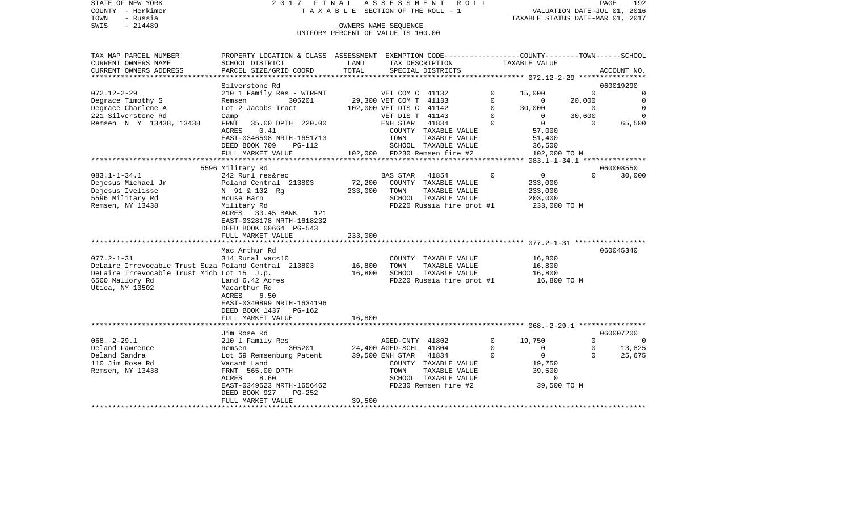|      | STATE OF NEW YORK | 2017 FINAL ASSESSMENT ROLL         |                                  | <b>PAGE</b> | 192 |
|------|-------------------|------------------------------------|----------------------------------|-------------|-----|
|      | COUNTY - Herkimer | TAXABLE SECTION OF THE ROLL - 1    | VALUATION DATE-JUL 01, 2016      |             |     |
| TOWN | - Russia          |                                    | TAXABLE STATUS DATE-MAR 01, 2017 |             |     |
| SWIS | $-214489$         | OWNERS NAME SEOUENCE               |                                  |             |     |
|      |                   | UNIFORM PERCENT OF VALUE IS 100.00 |                                  |             |     |

| TAX MAP PARCEL NUMBER                                       | PROPERTY LOCATION & CLASS ASSESSMENT EXEMPTION CODE-----------------COUNTY-------TOWN------SCHOOL |                       |                                           |                              |             |                |              |                |
|-------------------------------------------------------------|---------------------------------------------------------------------------------------------------|-----------------------|-------------------------------------------|------------------------------|-------------|----------------|--------------|----------------|
| CURRENT OWNERS NAME                                         | SCHOOL DISTRICT                                                                                   | LAND                  |                                           | TAX DESCRIPTION              |             | TAXABLE VALUE  |              |                |
| CURRENT OWNERS ADDRESS                                      | PARCEL SIZE/GRID COORD                                                                            | TOTAL                 |                                           | SPECIAL DISTRICTS            |             |                |              | ACCOUNT NO.    |
|                                                             |                                                                                                   |                       |                                           |                              |             |                |              |                |
|                                                             | Silverstone Rd                                                                                    |                       |                                           |                              |             |                |              | 060019290      |
| $072.12 - 2 - 29$                                           | 210 1 Family Res - WTRFNT                                                                         |                       |                                           |                              | $\mathbf 0$ | 15,000         | $\Omega$     | $\mathbf 0$    |
| Degrace Timothy S                                           | 305201<br>Remsen                                                                                  |                       | VET COM C 41132<br>29,300 VET COM T 41133 |                              | $\Omega$    | 0              | 20,000       | $\overline{0}$ |
| Degrace Charlene A                                          | Lot 2 Jacobs Tract                                                                                |                       | 102,000 VET DIS C 41142                   |                              | $\Omega$    | 30,000         | $\Omega$     | $\bigcirc$     |
| 221 Silverstone Rd                                          | Camp                                                                                              |                       | VET DIS T 41143                           |                              | $\mathbf 0$ | $\overline{0}$ | 30,600       | $\Omega$       |
| Remsen N Y 13438, 13438                                     | 35.00 DPTH 220.00<br>FRNT                                                                         |                       | ENH STAR                                  | 41834                        | $\Omega$    | $\overline{0}$ | $\Omega$     | 65,500         |
|                                                             | <b>ACRES</b><br>0.41                                                                              |                       |                                           | COUNTY TAXABLE VALUE         |             | 57,000         |              |                |
|                                                             |                                                                                                   |                       |                                           |                              |             |                |              |                |
|                                                             | EAST-0346598 NRTH-1651713                                                                         |                       | TOWN                                      | TAXABLE VALUE                |             | 51,400         |              |                |
|                                                             | DEED BOOK 709<br>PG-112                                                                           |                       |                                           | SCHOOL TAXABLE VALUE         |             | 36,500         |              |                |
|                                                             | FULL MARKET VALUE                                                                                 |                       |                                           | 102,000 FD230 Remsen fire #2 |             | 102,000 TO M   |              |                |
|                                                             |                                                                                                   |                       |                                           |                              |             |                |              |                |
|                                                             | 5596 Military Rd                                                                                  |                       |                                           |                              |             |                |              | 060008550      |
| $083.1 - 1 - 34.1$                                          | 242 Rurl res&rec                                                                                  |                       | BAS STAR                                  | 41854                        | $\Omega$    | $\overline{0}$ | $\Omega$     | 30,000         |
| Dejesus Michael Jr                                          | Poland Central 213803                                                                             | 72,200                |                                           | COUNTY TAXABLE VALUE         |             | 233,000        |              |                |
| Dejesus Ivelisse                                            | N 91 & 102 Rq                                                                                     | 233,000               | TOWN                                      | TAXABLE VALUE                |             | 233,000        |              |                |
| 5596 Military Rd                                            | House Barn                                                                                        |                       |                                           | SCHOOL TAXABLE VALUE         |             | 203,000        |              |                |
| Remsen, NY 13438                                            | Military Rd                                                                                       |                       |                                           | FD220 Russia fire prot #1    |             | 233,000 TO M   |              |                |
|                                                             | ACRES 33.45 BANK<br>121                                                                           |                       |                                           |                              |             |                |              |                |
|                                                             | EAST-0328178 NRTH-1618232                                                                         |                       |                                           |                              |             |                |              |                |
|                                                             | DEED BOOK 00664 PG-543                                                                            |                       |                                           |                              |             |                |              |                |
|                                                             | FULL MARKET VALUE                                                                                 | 233,000               |                                           |                              |             |                |              |                |
|                                                             |                                                                                                   |                       |                                           |                              |             |                |              |                |
|                                                             | Mac Arthur Rd                                                                                     |                       |                                           |                              |             |                |              | 060045340      |
| $077.2 - 1 - 31$                                            | 314 Rural vac<10                                                                                  |                       |                                           | COUNTY TAXABLE VALUE         |             | 16,800         |              |                |
| DeLaire Irrevocable Trust Suza Poland Central 213803 16,800 |                                                                                                   |                       | TOWN                                      | TAXABLE VALUE                |             | 16,800         |              |                |
| DeLaire Irrevocable Trust Mich Lot 15 J.p.                  |                                                                                                   | 16,800                |                                           | SCHOOL TAXABLE VALUE         |             | 16,800         |              |                |
|                                                             |                                                                                                   |                       |                                           |                              |             |                |              |                |
| 6500 Mallory Rd                                             | Land 6.42 Acres                                                                                   |                       |                                           | FD220 Russia fire prot #1    |             | 16,800 TO M    |              |                |
| Utica, NY 13502                                             | Macarthur Rd                                                                                      |                       |                                           |                              |             |                |              |                |
|                                                             | ACRES<br>6.50                                                                                     |                       |                                           |                              |             |                |              |                |
|                                                             | EAST-0340899 NRTH-1634196                                                                         |                       |                                           |                              |             |                |              |                |
|                                                             | DEED BOOK 1437 PG-162                                                                             |                       |                                           |                              |             |                |              |                |
|                                                             | FULL MARKET VALUE                                                                                 | 16,800                |                                           |                              |             |                |              |                |
|                                                             |                                                                                                   |                       |                                           |                              |             |                |              |                |
|                                                             | Jim Rose Rd                                                                                       |                       |                                           |                              |             |                |              | 060007200      |
| $068. - 2 - 29.1$                                           | 210 1 Family Res                                                                                  |                       | AGED-CNTY 41802                           |                              | $\Omega$    | 19,750         | $\Omega$     | $\overline{0}$ |
| Deland Lawrence                                             | 305201<br>Remsen                                                                                  |                       | 24,400 AGED-SCHL 41804                    |                              | $\mathbf 0$ | $\mathbf 0$    | $\mathbf{0}$ | 13,825         |
| Deland Sandra                                               | Lot 59 Remsenburg Patent                                                                          | 39,500 ENH STAR 41834 |                                           |                              | $\Omega$    | $\circ$        | $\Omega$     | 25,675         |
| 110 Jim Rose Rd                                             | Vacant Land                                                                                       |                       |                                           | COUNTY TAXABLE VALUE         |             | 19,750         |              |                |
| Remsen, NY 13438                                            | FRNT 565.00 DPTH                                                                                  |                       | TOWN                                      | TAXABLE VALUE                |             | 39,500         |              |                |
|                                                             | ACRES<br>8.60                                                                                     |                       |                                           | SCHOOL TAXABLE VALUE         |             | 0              |              |                |
|                                                             | EAST-0349523 NRTH-1656462                                                                         |                       |                                           | FD230 Remsen fire #2         |             | 39,500 TO M    |              |                |
|                                                             | DEED BOOK 927<br>PG-252                                                                           |                       |                                           |                              |             |                |              |                |
|                                                             | FULL MARKET VALUE                                                                                 | 39,500                |                                           |                              |             |                |              |                |
|                                                             |                                                                                                   |                       |                                           |                              |             |                |              |                |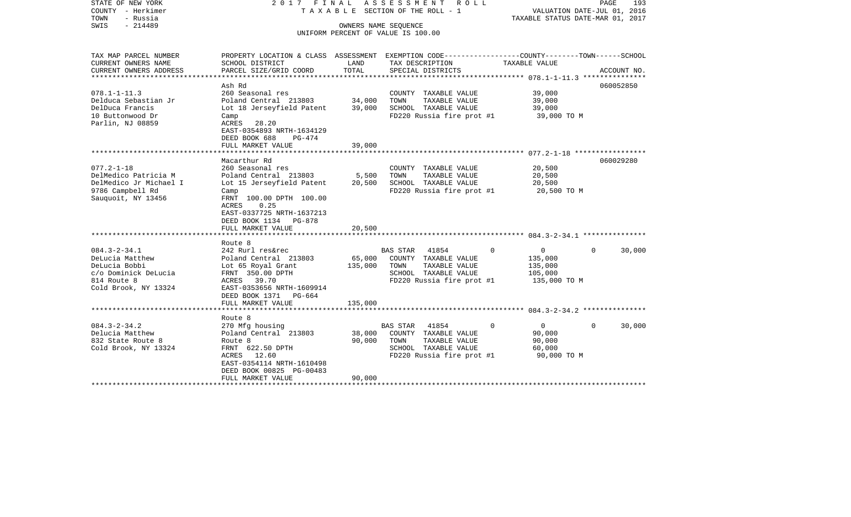| STATE OF NEW YORK<br>COUNTY - Herkimer<br>TOWN<br>- Russia<br>$-214489$<br>SWIS                                       | 2017                                                                                                                                                                                                                  | FINAL<br>OWNERS NAME SEQUENCE | ASSESSMENT<br>R O L L<br>T A X A B L E SECTION OF THE ROLL - 1                                                                                | TAXABLE STATUS DATE-MAR 01, 2017                            | PAGE<br>193<br>VALUATION DATE-JUL 01, 2016 |
|-----------------------------------------------------------------------------------------------------------------------|-----------------------------------------------------------------------------------------------------------------------------------------------------------------------------------------------------------------------|-------------------------------|-----------------------------------------------------------------------------------------------------------------------------------------------|-------------------------------------------------------------|--------------------------------------------|
|                                                                                                                       |                                                                                                                                                                                                                       |                               | UNIFORM PERCENT OF VALUE IS 100.00                                                                                                            |                                                             |                                            |
| TAX MAP PARCEL NUMBER<br>CURRENT OWNERS NAME<br>CURRENT OWNERS ADDRESS<br>********************                        | SCHOOL DISTRICT<br>PARCEL SIZE/GRID COORD                                                                                                                                                                             | LAND<br>TOTAL                 | PROPERTY LOCATION & CLASS ASSESSMENT EXEMPTION CODE----------------COUNTY-------TOWN------SCHOOL<br>TAX DESCRIPTION<br>SPECIAL DISTRICTS      | TAXABLE VALUE                                               | ACCOUNT NO.                                |
| $078.1 - 1 - 11.3$<br>Delduca Sebastian Jr<br>DelDuca Francis<br>10 Buttonwood Dr<br>Parlin, NJ 08859                 | Ash Rd<br>260 Seasonal res<br>Poland Central 213803<br>Lot 18 Jerseyfield Patent<br>Camp<br>ACRES<br>28.20<br>EAST-0354893 NRTH-1634129<br>DEED BOOK 688<br>PG-474                                                    | 34,000<br>39,000              | COUNTY TAXABLE VALUE<br>TAXABLE VALUE<br>TOWN<br>SCHOOL TAXABLE VALUE<br>FD220 Russia fire prot #1                                            | 39,000<br>39,000<br>39,000<br>39,000 TO M                   | 060052850                                  |
|                                                                                                                       | FULL MARKET VALUE<br>******************************                                                                                                                                                                   | 39,000                        |                                                                                                                                               |                                                             |                                            |
| $077.2 - 1 - 18$<br>DelMedico Patricia M<br>DelMedico Jr Michael I<br>9786 Campbell Rd<br>Sauquoit, NY 13456          | Macarthur Rd<br>260 Seasonal res<br>Poland Central 213803<br>Lot 15 Jerseyfield Patent<br>Camp<br>FRNT 100.00 DPTH 100.00<br>ACRES<br>0.25<br>EAST-0337725 NRTH-1637213<br>DEED BOOK 1134 PG-878<br>FULL MARKET VALUE | 5,500<br>20,500<br>20,500     | COUNTY TAXABLE VALUE<br>TAXABLE VALUE<br>TOWN<br>SCHOOL TAXABLE VALUE<br>FD220 Russia fire prot #1                                            | 20,500<br>20,500<br>20,500<br>20,500 TO M                   | 060029280                                  |
|                                                                                                                       |                                                                                                                                                                                                                       |                               |                                                                                                                                               |                                                             |                                            |
| $084.3 - 2 - 34.1$<br>DeLucia Matthew<br>DeLucia Bobbi<br>c/o Dominick DeLucia<br>814 Route 8<br>Cold Brook, NY 13324 | Route 8<br>242 Rurl res&rec<br>Poland Central 213803<br>Lot 65 Royal Grant<br>FRNT 350.00 DPTH<br><b>ACRES</b><br>39.70<br>EAST-0353656 NRTH-1609914<br>DEED BOOK 1371<br>PG-664                                      | 65,000<br>135,000             | 41854<br>$\mathbf 0$<br><b>BAS STAR</b><br>COUNTY TAXABLE VALUE<br>TAXABLE VALUE<br>TOWN<br>SCHOOL TAXABLE VALUE<br>FD220 Russia fire prot #1 | 0<br>135,000<br>135,000<br>105,000<br>135,000 TO M          | 30,000<br>$\Omega$                         |
|                                                                                                                       | FULL MARKET VALUE                                                                                                                                                                                                     | 135,000                       |                                                                                                                                               |                                                             |                                            |
|                                                                                                                       |                                                                                                                                                                                                                       |                               |                                                                                                                                               |                                                             |                                            |
| $084.3 - 2 - 34.2$<br>Delucia Matthew<br>832 State Route 8<br>Cold Brook, NY 13324                                    | Route 8<br>270 Mfg housing<br>Poland Central 213803<br>Route 8<br>FRNT 622.50 DPTH<br>ACRES<br>12.60<br>EAST-0354114 NRTH-1610498<br>DEED BOOK 00825 PG-00483                                                         | 38,000<br>90,000              | <b>BAS STAR</b><br>41854<br>0<br>COUNTY TAXABLE VALUE<br>TOWN<br>TAXABLE VALUE<br>SCHOOL TAXABLE VALUE<br>FD220 Russia fire prot #1           | $\overline{0}$<br>90,000<br>90,000<br>60,000<br>90,000 TO M | $\Omega$<br>30,000                         |
| ********************                                                                                                  | FULL MARKET VALUE                                                                                                                                                                                                     | 90,000                        |                                                                                                                                               |                                                             |                                            |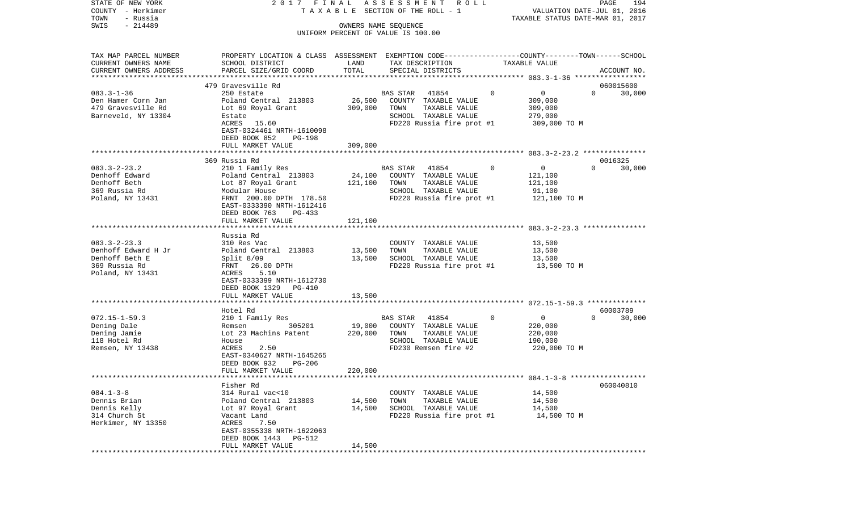| STATE OF NEW YORK<br>COUNTY - Herkimer<br>TOWN<br>- Russia | 2017 FINAL                                                                                      |         | ASSESSMENT ROLL<br>TAXABLE SECTION OF THE ROLL - 1         |                           | PAGE<br>194<br>VALUATION DATE-JUL 01, 2016<br>TAXABLE STATUS DATE-MAR 01, 2017 |
|------------------------------------------------------------|-------------------------------------------------------------------------------------------------|---------|------------------------------------------------------------|---------------------------|--------------------------------------------------------------------------------|
| $-214489$<br>SWIS                                          |                                                                                                 |         | OWNERS NAME SEQUENCE<br>UNIFORM PERCENT OF VALUE IS 100.00 |                           |                                                                                |
|                                                            |                                                                                                 |         |                                                            |                           |                                                                                |
| TAX MAP PARCEL NUMBER                                      | PROPERTY LOCATION & CLASS ASSESSMENT EXEMPTION CODE----------------COUNTY-------TOWN-----SCHOOL |         |                                                            |                           |                                                                                |
| CURRENT OWNERS NAME                                        | SCHOOL DISTRICT                                                                                 | LAND    | TAX DESCRIPTION                                            | TAXABLE VALUE             |                                                                                |
| CURRENT OWNERS ADDRESS<br>**********************           | PARCEL SIZE/GRID COORD                                                                          | TOTAL   | SPECIAL DISTRICTS                                          |                           | ACCOUNT NO.                                                                    |
|                                                            | 479 Gravesville Rd                                                                              |         |                                                            |                           | 060015600                                                                      |
| $083.3 - 1 - 36$                                           | 250 Estate                                                                                      |         | 41854<br>BAS STAR                                          | $\mathbf 0$<br>0          | $\Omega$<br>30,000                                                             |
| Den Hamer Corn Jan                                         | Poland Central 213803                                                                           | 26,500  | COUNTY TAXABLE VALUE                                       | 309,000                   |                                                                                |
| 479 Gravesville Rd                                         | Lot 69 Royal Grant                                                                              | 309,000 | TOWN<br>TAXABLE VALUE                                      | 309,000                   |                                                                                |
| Barneveld, NY 13304                                        | Estate                                                                                          |         | SCHOOL TAXABLE VALUE                                       | 279,000                   |                                                                                |
|                                                            | ACRES 15.60                                                                                     |         | FD220 Russia fire prot #1                                  | 309,000 TO M              |                                                                                |
|                                                            | EAST-0324461 NRTH-1610098                                                                       |         |                                                            |                           |                                                                                |
|                                                            | DEED BOOK 852<br>PG-198                                                                         |         |                                                            |                           |                                                                                |
|                                                            | FULL MARKET VALUE                                                                               | 309,000 |                                                            |                           |                                                                                |
|                                                            |                                                                                                 |         |                                                            |                           |                                                                                |
| $083.3 - 2 - 23.2$                                         | 369 Russia Rd<br>210 1 Family Res                                                               |         | BAS STAR<br>41854                                          | 0<br>$\overline{0}$       | 0016325<br>$\Omega$<br>30,000                                                  |
| Denhoff Edward                                             | Poland Central 213803                                                                           | 24,100  | COUNTY TAXABLE VALUE                                       | 121,100                   |                                                                                |
| Denhoff Beth                                               | Lot 87 Royal Grant                                                                              | 121,100 | TAXABLE VALUE<br>TOWN                                      | 121,100                   |                                                                                |
| 369 Russia Rd                                              | Modular House                                                                                   |         | SCHOOL TAXABLE VALUE                                       | 91,100                    |                                                                                |
| Poland, NY 13431                                           | FRNT 200.00 DPTH 178.50                                                                         |         | FD220 Russia fire prot #1                                  | 121,100 TO M              |                                                                                |
|                                                            | EAST-0333390 NRTH-1612416                                                                       |         |                                                            |                           |                                                                                |
|                                                            | DEED BOOK 763<br>PG-433                                                                         |         |                                                            |                           |                                                                                |
|                                                            | FULL MARKET VALUE                                                                               | 121,100 |                                                            |                           |                                                                                |
|                                                            |                                                                                                 |         |                                                            |                           |                                                                                |
| $083.3 - 2 - 23.3$                                         | Russia Rd                                                                                       |         |                                                            | 13,500                    |                                                                                |
| Denhoff Edward H Jr                                        | 310 Res Vac<br>Poland Central 213803                                                            | 13,500  | COUNTY TAXABLE VALUE<br>TOWN<br>TAXABLE VALUE              | 13,500                    |                                                                                |
| Denhoff Beth E                                             | Split $8/09$                                                                                    | 13,500  | SCHOOL TAXABLE VALUE                                       | 13,500                    |                                                                                |
| 369 Russia Rd                                              | FRNT 26.00 DPTH                                                                                 |         | FD220 Russia fire prot #1                                  | 13,500 TO M               |                                                                                |
| Poland, NY 13431                                           | 5.10<br>ACRES                                                                                   |         |                                                            |                           |                                                                                |
|                                                            | EAST-0333399 NRTH-1612730                                                                       |         |                                                            |                           |                                                                                |
|                                                            | DEED BOOK 1329 PG-410                                                                           |         |                                                            |                           |                                                                                |
|                                                            | FULL MARKET VALUE                                                                               | 13,500  |                                                            |                           |                                                                                |
|                                                            | ******************                                                                              |         |                                                            |                           |                                                                                |
|                                                            | Hotel Rd                                                                                        |         |                                                            | $\mathbf{0}$              | 60003789<br>$\Omega$                                                           |
| $072.15 - 1 - 59.3$<br>Dening Dale                         | 210 1 Family Res<br>305201<br>Remsen                                                            | 19,000  | BAS STAR<br>41854<br>COUNTY TAXABLE VALUE                  | $\overline{0}$<br>220,000 | 30,000                                                                         |
| Dening Jamie                                               | Lot 23 Machins Patent                                                                           | 220,000 | TOWN<br>TAXABLE VALUE                                      | 220,000                   |                                                                                |
| 118 Hotel Rd                                               | House                                                                                           |         | SCHOOL TAXABLE VALUE                                       | 190,000                   |                                                                                |
| Remsen, NY 13438                                           | 2.50<br>ACRES                                                                                   |         | FD230 Remsen fire #2                                       | 220,000 TO M              |                                                                                |
|                                                            | EAST-0340627 NRTH-1645265                                                                       |         |                                                            |                           |                                                                                |
|                                                            | DEED BOOK 932<br><b>PG-206</b>                                                                  |         |                                                            |                           |                                                                                |
|                                                            | FULL MARKET VALUE                                                                               | 220,000 |                                                            |                           |                                                                                |
|                                                            |                                                                                                 |         |                                                            |                           |                                                                                |
|                                                            | Fisher Rd                                                                                       |         |                                                            |                           | 060040810                                                                      |
| $084.1 - 3 - 8$                                            | 314 Rural vac<10                                                                                |         | COUNTY TAXABLE VALUE                                       | 14,500                    |                                                                                |
| Dennis Brian                                               | Poland Central 213803                                                                           | 14,500  | TOWN<br>TAXABLE VALUE                                      | 14,500                    |                                                                                |
| Dennis Kelly<br>314 Church St                              | Lot 97 Royal Grant<br>Vacant Land                                                               | 14,500  | SCHOOL TAXABLE VALUE<br>FD220 Russia fire prot #1          | 14,500<br>14,500 TO M     |                                                                                |
| Herkimer, NY 13350                                         | ACRES<br>7.50                                                                                   |         |                                                            |                           |                                                                                |
|                                                            | EAST-0355338 NRTH-1622063                                                                       |         |                                                            |                           |                                                                                |
|                                                            | DEED BOOK 1443<br>PG-512                                                                        |         |                                                            |                           |                                                                                |
|                                                            | FULL MARKET VALUE                                                                               | 14,500  |                                                            |                           |                                                                                |
|                                                            |                                                                                                 |         |                                                            |                           |                                                                                |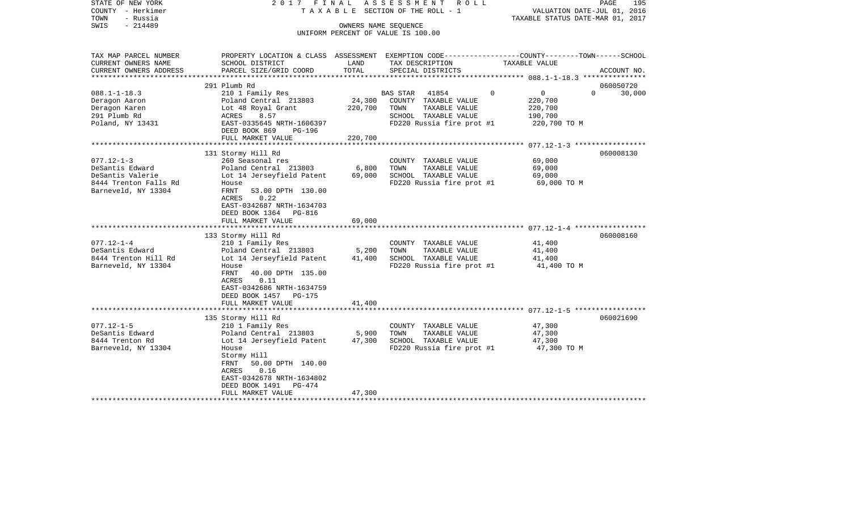| STATE OF NEW YORK                   | 2017 FINAL                                                                                       |         | ASSESSMENT ROLL                               |                               | PAGE<br>195        |
|-------------------------------------|--------------------------------------------------------------------------------------------------|---------|-----------------------------------------------|-------------------------------|--------------------|
| COUNTY - Herkimer                   | T A X A B L E SECTION OF THE ROLL - 1                                                            |         | VALUATION DATE-JUL 01, 2016                   |                               |                    |
| TOWN<br>- Russia                    |                                                                                                  |         | TAXABLE STATUS DATE-MAR 01, 2017              |                               |                    |
| $-214489$<br>SWIS                   | OWNERS NAME SEQUENCE<br>UNIFORM PERCENT OF VALUE IS 100.00                                       |         |                                               |                               |                    |
|                                     |                                                                                                  |         |                                               |                               |                    |
| TAX MAP PARCEL NUMBER               | PROPERTY LOCATION & CLASS ASSESSMENT EXEMPTION CODE----------------COUNTY-------TOWN------SCHOOL |         |                                               |                               |                    |
| CURRENT OWNERS NAME                 | SCHOOL DISTRICT                                                                                  | LAND    | TAX DESCRIPTION                               | TAXABLE VALUE                 |                    |
| CURRENT OWNERS ADDRESS              | PARCEL SIZE/GRID COORD                                                                           | TOTAL   | SPECIAL DISTRICTS                             |                               | ACCOUNT NO.        |
| ***********************             |                                                                                                  |         |                                               |                               |                    |
|                                     | 291 Plumb Rd                                                                                     |         |                                               |                               | 060050720          |
| $088.1 - 1 - 18.3$                  | 210 1 Family Res                                                                                 |         | <b>BAS STAR</b><br>41854                      | $\Omega$<br>$0 \qquad \qquad$ | $\Omega$<br>30,000 |
| Deragon Aaron                       | Poland Central 213803                                                                            | 24,300  | COUNTY TAXABLE VALUE                          | 220,700                       |                    |
| Deragon Karen                       | Lot 48 Royal Grant                                                                               | 220,700 | TOWN<br>TAXABLE VALUE                         | 220,700                       |                    |
| 291 Plumb Rd                        | 8.57<br>ACRES                                                                                    |         | SCHOOL TAXABLE VALUE                          | 190,700                       |                    |
| Poland, NY 13431                    | EAST-0335645 NRTH-1606397                                                                        |         | FD220 Russia fire prot #1                     | 220,700 TO M                  |                    |
|                                     | DEED BOOK 869<br>PG-196                                                                          |         |                                               |                               |                    |
|                                     | FULL MARKET VALUE                                                                                | 220,700 |                                               |                               |                    |
|                                     | 131 Stormy Hill Rd                                                                               |         |                                               |                               | 060008130          |
| $077.12 - 1 - 3$                    | 260 Seasonal res                                                                                 |         | COUNTY TAXABLE VALUE                          | 69,000                        |                    |
| DeSantis Edward                     | Poland Central 213803                                                                            | 6,800   | TOWN<br>TAXABLE VALUE                         | 69,000                        |                    |
| DeSantis Valerie                    | Lot 14 Jerseyfield Patent                                                                        | 69,000  | SCHOOL TAXABLE VALUE                          | 69,000                        |                    |
| 8444 Trenton Falls Rd               | House                                                                                            |         | FD220 Russia fire prot #1                     | 69,000 TO M                   |                    |
| Barneveld, NY 13304                 | FRNT<br>53.00 DPTH 130.00                                                                        |         |                                               |                               |                    |
|                                     | 0.22<br>ACRES                                                                                    |         |                                               |                               |                    |
|                                     | EAST-0342687 NRTH-1634703                                                                        |         |                                               |                               |                    |
|                                     | DEED BOOK 1364 PG-816                                                                            |         |                                               |                               |                    |
|                                     | FULL MARKET VALUE                                                                                | 69,000  |                                               |                               |                    |
|                                     |                                                                                                  |         |                                               |                               |                    |
| $077.12 - 1 - 4$                    | 133 Stormy Hill Rd<br>210 1 Family Res                                                           |         |                                               | 41,400                        | 060008160          |
| DeSantis Edward                     | Poland Central 213803                                                                            | 5,200   | COUNTY TAXABLE VALUE<br>TOWN<br>TAXABLE VALUE | 41,400                        |                    |
| 8444 Trenton Hill Rd                | Lot 14 Jerseyfield Patent                                                                        | 41,400  | SCHOOL TAXABLE VALUE                          | 41,400                        |                    |
| Barneveld, NY 13304                 | House                                                                                            |         | FD220 Russia fire prot #1                     | 41,400 TO M                   |                    |
|                                     | FRNT<br>40.00 DPTH 135.00                                                                        |         |                                               |                               |                    |
|                                     | ACRES<br>0.11                                                                                    |         |                                               |                               |                    |
|                                     | EAST-0342686 NRTH-1634759                                                                        |         |                                               |                               |                    |
|                                     | DEED BOOK 1457<br>PG-175                                                                         |         |                                               |                               |                    |
|                                     | FULL MARKET VALUE                                                                                | 41,400  |                                               |                               |                    |
|                                     |                                                                                                  |         |                                               |                               |                    |
|                                     | 135 Stormy Hill Rd                                                                               |         |                                               |                               | 060021690          |
| $077.12 - 1 - 5$<br>DeSantis Edward | 210 1 Family Res<br>Poland Central 213803                                                        | 5,900   | COUNTY TAXABLE VALUE<br>TOWN<br>TAXABLE VALUE | 47,300<br>47,300              |                    |
| 8444 Trenton Rd                     | Lot 14 Jerseyfield Patent                                                                        | 47,300  | SCHOOL TAXABLE VALUE                          | 47,300                        |                    |
| Barneveld, NY 13304                 | House                                                                                            |         | FD220 Russia fire prot #1                     | 47,300 TO M                   |                    |
|                                     | Stormy Hill                                                                                      |         |                                               |                               |                    |
|                                     | 50.00 DPTH 140.00<br>FRNT                                                                        |         |                                               |                               |                    |
|                                     | ACRES<br>0.16                                                                                    |         |                                               |                               |                    |
|                                     | EAST-0342678 NRTH-1634802                                                                        |         |                                               |                               |                    |
|                                     | DEED BOOK 1491<br>PG-474                                                                         |         |                                               |                               |                    |
|                                     | FULL MARKET VALUE                                                                                | 47,300  |                                               |                               |                    |
|                                     |                                                                                                  |         |                                               |                               |                    |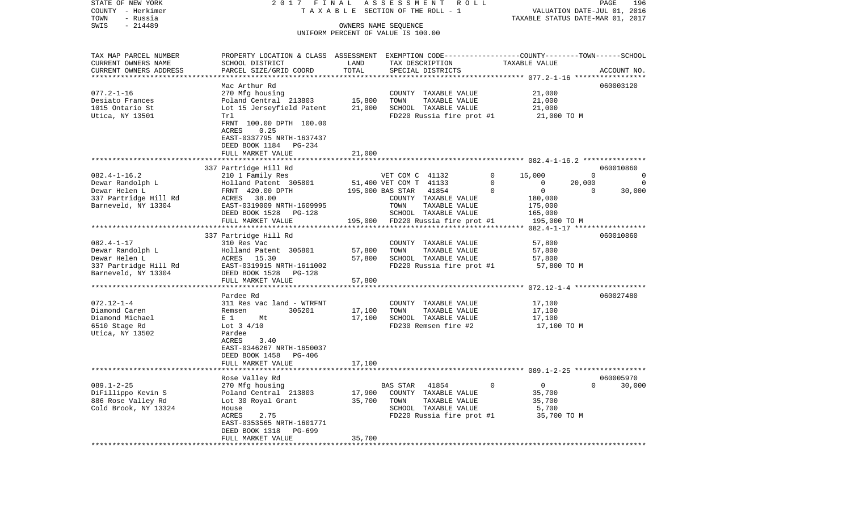COUNTY - Herkimer T A X A B L E SECTION OF THE ROLL - 1 VALUATION DATE-JUL 01, 2016 TOWN - Russia TAXABLE STATUS DATE-MAR 01, 2017 SWIS - 214489 OWNERS NAME SEQUENCE UNIFORM PERCENT OF VALUE IS 100.00TAX MAP PARCEL NUMBER PROPERTY LOCATION & CLASS ASSESSMENT EXEMPTION CODE------------------COUNTY--------TOWN------SCHOOL CURRENT OWNERS NAME SCHOOL DISTRICT LAND TAX DESCRIPTION TAXABLE VALUECURRENT OWNERS ADDRESS PARCEL SIZE/GRID COORD TOTAL SPECIAL DISTRICTS ACCOUNT NO. \*\*\*\*\*\*\*\*\*\*\*\*\*\*\*\*\*\*\*\*\*\*\*\*\*\*\*\*\*\*\*\*\*\*\*\*\*\*\*\*\*\*\*\*\*\*\*\*\*\*\*\*\*\*\*\*\*\*\*\*\*\*\*\*\*\*\*\*\*\*\*\*\*\*\*\*\*\*\*\*\*\*\*\*\*\*\*\*\*\*\*\*\*\*\*\*\*\*\*\*\*\*\* 077.2-1-16 \*\*\*\*\*\*\*\*\*\*\*\*\*\*\*\*\*Mac Arthur Rd 060003120 077.2-1-16 270 Mfg housing COUNTY TAXABLE VALUE 21,000 Desiato Frances 6 1,000 Poland Central 213803 15,800 TOWN TAXABLE VALUE 21,000 1015 Ontario St Lot 15 Jerseyfield Patent 21,000 SCHOOL TAXABLE VALUE 21,000 Utica, NY 13501 Trl True Treater and Treater Control FD220 Russia fire prot #1 21,000 TO M FRNT 100.00 DPTH 100.00 ACRES 0.25 EAST-0337795 NRTH-1637437 DEED BOOK 1184 PG-234 FULL MARKET VALUE 21,000 \*\*\*\*\*\*\*\*\*\*\*\*\*\*\*\*\*\*\*\*\*\*\*\*\*\*\*\*\*\*\*\*\*\*\*\*\*\*\*\*\*\*\*\*\*\*\*\*\*\*\*\*\*\*\*\*\*\*\*\*\*\*\*\*\*\*\*\*\*\*\*\*\*\*\*\*\*\*\*\*\*\*\*\*\*\*\*\*\*\*\*\*\*\*\*\*\*\*\*\*\*\*\* 082.4-1-16.2 \*\*\*\*\*\*\*\*\*\*\*\*\*\*\* 337 Partridge Hill Rd 060010860 082.4-1-16.2 210 1 Family Res VET COM C 41132 0 15,000 0 0 Dewar Randolph L Holland Patent 305801 51,400 VET COM T 41133 0 0 20,000 0 Dewar Helen L FRNT 420.00 DPTH 195,000 BAS STAR 41854 0 0 0 30,000 337 Partridge Hill Rd  $ACRES$  38.00 COUNTY TAXABLE VALUE 180,000 Barneveld, NY 13304 **EAST-0319009 NRTH-1609995** TOWN TAXABLE VALUE 175,000 DEED BOOK 1528 PG-128 SCHOOL TAXABLE VALUE 165,000 FULL MARKET VALUE 195,000 FD220 Russia fire prot #1 195,000 TO M \*\*\*\*\*\*\*\*\*\*\*\*\*\*\*\*\*\*\*\*\*\*\*\*\*\*\*\*\*\*\*\*\*\*\*\*\*\*\*\*\*\*\*\*\*\*\*\*\*\*\*\*\*\*\*\*\*\*\*\*\*\*\*\*\*\*\*\*\*\*\*\*\*\*\*\*\*\*\*\*\*\*\*\*\*\*\*\*\*\*\*\*\*\*\*\*\*\*\*\*\*\*\* 082.4-1-17 \*\*\*\*\*\*\*\*\*\*\*\*\*\*\*\*\* 337 Partridge Hill Rd 060010860 082.4-1-17 310 Res Vac COUNTY TAXABLE VALUE 57,800 Dewar Randolph L Holland Patent 305801 57,800 TOWN TAXABLE VALUE 57,800 Dewar Helen L ACRES 15.30 57,800 SCHOOL TAXABLE VALUE 57,800 337 Partridge Hill Rd EAST-0319915 NRTH-1611002 FD220 Russia fire prot #1 57,800 TO M Barneveld, NY 13304 DEED BOOK 1528 PG-128 FULL MARKET VALUE 57,800 \*\*\*\*\*\*\*\*\*\*\*\*\*\*\*\*\*\*\*\*\*\*\*\*\*\*\*\*\*\*\*\*\*\*\*\*\*\*\*\*\*\*\*\*\*\*\*\*\*\*\*\*\*\*\*\*\*\*\*\*\*\*\*\*\*\*\*\*\*\*\*\*\*\*\*\*\*\*\*\*\*\*\*\*\*\*\*\*\*\*\*\*\*\*\*\*\*\*\*\*\*\*\* 072.12-1-4 \*\*\*\*\*\*\*\*\*\*\*\*\*\*\*\*\* Pardee Rd 060027480072.12-1-4 311 Res vac land - WTRFNT COUNTY TAXABLE VALUE 17,100 Diamond Caren Remsen 305201 17,100 TOWN TAXABLE VALUE 17,100 Diamond Michael  $E 1$  Mt 17,100 SCHOOL TAXABLE VALUE 17,100 6510 Stage Rd Lot 3 4/10 FD230 Remsen fire #2 17,100 TO M Utica, NY 13502 Pardee ACRES 3.40 EAST-0346267 NRTH-1650037 DEED BOOK 1458 PG-406 FULL MARKET VALUE 17,100 \*\*\*\*\*\*\*\*\*\*\*\*\*\*\*\*\*\*\*\*\*\*\*\*\*\*\*\*\*\*\*\*\*\*\*\*\*\*\*\*\*\*\*\*\*\*\*\*\*\*\*\*\*\*\*\*\*\*\*\*\*\*\*\*\*\*\*\*\*\*\*\*\*\*\*\*\*\*\*\*\*\*\*\*\*\*\*\*\*\*\*\*\*\*\*\*\*\*\*\*\*\*\* 089.1-2-25 \*\*\*\*\*\*\*\*\*\*\*\*\*\*\*\*\* Rose Valley Rd 060005970 089.1-2-25 270 Mfg housing BAS STAR 41854 0 0 0 30,000 DiFillippo Kevin S Poland Central 213803 17,900 COUNTY TAXABLE VALUE 35,700 886 Rose Valley Rd Lot 30 Royal Grant 35,700 TOWN TAXABLE VALUE 35,700 Cold Brook, NY 13324 House House House SCHOOL TAXABLE VALUE 5,700 ACRES 2.75 FD220 Russia fire prot #1 35,700 TO M EAST-0353565 NRTH-1601771 DEED BOOK 1318 PG-699FULL MARKET VALUE 35,700 \*\*\*\*\*\*\*\*\*\*\*\*\*\*\*\*\*\*\*\*\*\*\*\*\*\*\*\*\*\*\*\*\*\*\*\*\*\*\*\*\*\*\*\*\*\*\*\*\*\*\*\*\*\*\*\*\*\*\*\*\*\*\*\*\*\*\*\*\*\*\*\*\*\*\*\*\*\*\*\*\*\*\*\*\*\*\*\*\*\*\*\*\*\*\*\*\*\*\*\*\*\*\*\*\*\*\*\*\*\*\*\*\*\*\*\*\*\*\*\*\*\*\*\*\*\*\*\*\*\*\*\*

STATE OF NEW YORK 2 0 1 7 F I N A L A S S E S S M E N T R O L L PAGE 196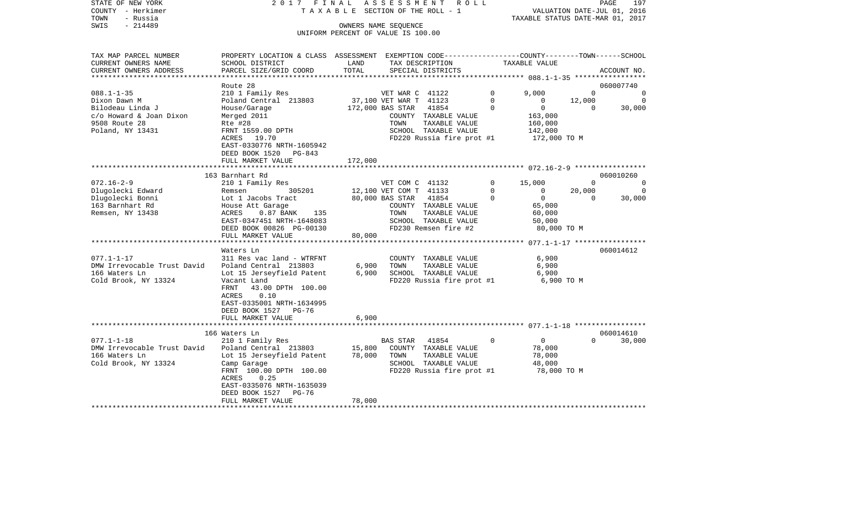| STATE OF NEW YORK<br>COUNTY - Herkimer<br>TOWN<br>- Russia | 2017 FINAL<br>TAXABLE SECTION OF THE ROLL - 1                                                   | ASSESSMENT ROLL |                                    |               | PAGE<br>197<br>VALUATION DATE-JUL 01, 2016 |                          |                |
|------------------------------------------------------------|-------------------------------------------------------------------------------------------------|-----------------|------------------------------------|---------------|--------------------------------------------|--------------------------|----------------|
| $-214489$<br>SWIS                                          | TAXABLE STATUS DATE-MAR 01, 2017<br>OWNERS NAME SEQUENCE                                        |                 |                                    |               |                                            |                          |                |
|                                                            |                                                                                                 |                 | UNIFORM PERCENT OF VALUE IS 100.00 |               |                                            |                          |                |
|                                                            |                                                                                                 |                 |                                    |               |                                            |                          |                |
|                                                            |                                                                                                 |                 |                                    |               |                                            |                          |                |
| TAX MAP PARCEL NUMBER                                      | PROPERTY LOCATION & CLASS ASSESSMENT EXEMPTION CODE---------------COUNTY-------TOWN------SCHOOL |                 |                                    |               |                                            |                          |                |
| CURRENT OWNERS NAME                                        | SCHOOL DISTRICT                                                                                 | LAND            | TAX DESCRIPTION                    |               | TAXABLE VALUE                              |                          |                |
| CURRENT OWNERS ADDRESS                                     | PARCEL SIZE/GRID COORD                                                                          | TOTAL           | SPECIAL DISTRICTS                  |               |                                            |                          | ACCOUNT NO.    |
| ***********************                                    |                                                                                                 |                 |                                    |               |                                            |                          |                |
|                                                            | Route 28                                                                                        |                 |                                    |               |                                            |                          | 060007740      |
| $088.1 - 1 - 35$                                           | 210 1 Family Res                                                                                |                 | VET WAR C 41122                    |               | $\circ$<br>9,000                           | $\Omega$                 | $\Omega$       |
| Dixon Dawn M                                               | Poland Central 213803                                                                           |                 | 37,100 VET WAR T 41123             |               | $\circ$<br>$\overline{0}$                  | 12,000                   | $\overline{0}$ |
| Bilodeau Linda J                                           | House/Garage                                                                                    |                 | 172,000 BAS STAR 41854             |               | $\mathbf 0$<br>$\overline{0}$              | $\overline{\phantom{0}}$ | 30,000         |
| c/o Howard & Joan Dixon<br>9508 Route 28                   | Merged 2011<br>Rte #28                                                                          |                 | COUNTY TAXABLE VALUE<br>TOWN       | TAXABLE VALUE | 163,000<br>160,000                         |                          |                |
| Poland, NY 13431                                           | FRNT 1559.00 DPTH                                                                               |                 | SCHOOL TAXABLE VALUE               |               | 142,000                                    |                          |                |
|                                                            | ACRES 19.70                                                                                     |                 | FD220 Russia fire prot #1          |               | 172,000 TO M                               |                          |                |
|                                                            | EAST-0330776 NRTH-1605942                                                                       |                 |                                    |               |                                            |                          |                |
|                                                            | DEED BOOK 1520<br>PG-843                                                                        |                 |                                    |               |                                            |                          |                |
|                                                            | FULL MARKET VALUE                                                                               | 172,000         |                                    |               |                                            |                          |                |
|                                                            | ***********************                                                                         |                 |                                    |               |                                            |                          |                |
|                                                            | 163 Barnhart Rd                                                                                 |                 |                                    |               |                                            |                          | 060010260      |
| $072.16 - 2 - 9$                                           | 210 1 Family Res                                                                                |                 | VET COM C 41132                    |               | $\mathbf 0$<br>15,000                      | $\Omega$                 | $\Omega$       |
| Dlugolecki Edward                                          | 305201<br>Remsen                                                                                |                 | 12,100 VET COM T 41133             |               | $\Omega$<br>$\overline{0}$                 | 20,000                   | $\Omega$       |
| Dlugolecki Bonni                                           | Lot 1 Jacobs Tract                                                                              |                 | 80,000 BAS STAR 41854              |               | 0<br>0                                     | $\Omega$                 | 30,000         |
| 163 Barnhart Rd                                            | House Att Garage                                                                                |                 | COUNTY TAXABLE VALUE               |               | 65,000                                     |                          |                |
| Remsen, NY 13438                                           | ACRES<br>0.87 BANK 135                                                                          |                 | TOWN                               | TAXABLE VALUE | 60,000                                     |                          |                |
|                                                            | EAST-0347451 NRTH-1648083                                                                       |                 | SCHOOL TAXABLE VALUE               |               | 50,000                                     |                          |                |
|                                                            | DEED BOOK 00826 PG-00130                                                                        |                 | FD230 Remsen fire #2               |               | 80,000 TO M                                |                          |                |
|                                                            | FULL MARKET VALUE<br>******************                                                         | 80,000          |                                    |               |                                            |                          |                |
|                                                            |                                                                                                 |                 |                                    |               |                                            |                          |                |
|                                                            | Waters Ln                                                                                       |                 |                                    |               |                                            |                          | 060014612      |
| $077.1 - 1 - 17$<br>DMW Irrevocable Trust David            | 311 Res vac land - WTRFNT<br>Poland Central 213803                                              | 6,900           | COUNTY TAXABLE VALUE<br>TOWN       | TAXABLE VALUE | 6,900<br>6,900                             |                          |                |
| 166 Waters Ln                                              | Lot 15 Jerseyfield Patent                                                                       | 6,900           | SCHOOL TAXABLE VALUE               |               | 6,900                                      |                          |                |
| Cold Brook, NY 13324                                       | Vacant Land                                                                                     |                 | FD220 Russia fire prot #1          |               | 6,900 TO M                                 |                          |                |
|                                                            | FRNT 43.00 DPTH 100.00                                                                          |                 |                                    |               |                                            |                          |                |
|                                                            | ACRES<br>0.10                                                                                   |                 |                                    |               |                                            |                          |                |
|                                                            | EAST-0335001 NRTH-1634995                                                                       |                 |                                    |               |                                            |                          |                |
|                                                            | DEED BOOK 1527 PG-76                                                                            |                 |                                    |               |                                            |                          |                |
|                                                            | FULL MARKET VALUE                                                                               | 6,900           |                                    |               |                                            |                          |                |
|                                                            |                                                                                                 |                 |                                    |               |                                            |                          |                |
|                                                            | 166 Waters Ln                                                                                   |                 |                                    |               |                                            |                          | 060014610      |
| $077.1 - 1 - 18$                                           | 210 1 Family Res                                                                                |                 | BAS STAR 41854                     |               | $\overline{0}$<br>$\Omega$                 | $\Omega$                 | 30,000         |
| DMW Irrevocable Trust David                                | Poland Central 213803                                                                           | 15,800          | COUNTY TAXABLE VALUE               |               | 78,000                                     |                          |                |
| 166 Waters Ln                                              | Lot 15 Jerseyfield Patent                                                                       | 78,000          | TOWN                               | TAXABLE VALUE | 78,000                                     |                          |                |
| Cold Brook, NY 13324                                       | Camp Garage                                                                                     |                 | SCHOOL TAXABLE VALUE               |               | 48,000                                     |                          |                |
|                                                            | FRNT 100.00 DPTH 100.00                                                                         |                 | FD220 Russia fire prot #1          |               | 78,000 TO M                                |                          |                |
|                                                            | ACRES<br>0.25                                                                                   |                 |                                    |               |                                            |                          |                |
|                                                            | EAST-0335076 NRTH-1635039                                                                       |                 |                                    |               |                                            |                          |                |
|                                                            | DEED BOOK 1527<br>PG-76                                                                         |                 |                                    |               |                                            |                          |                |
|                                                            | FULL MARKET VALUE                                                                               | 78,000          |                                    |               |                                            |                          |                |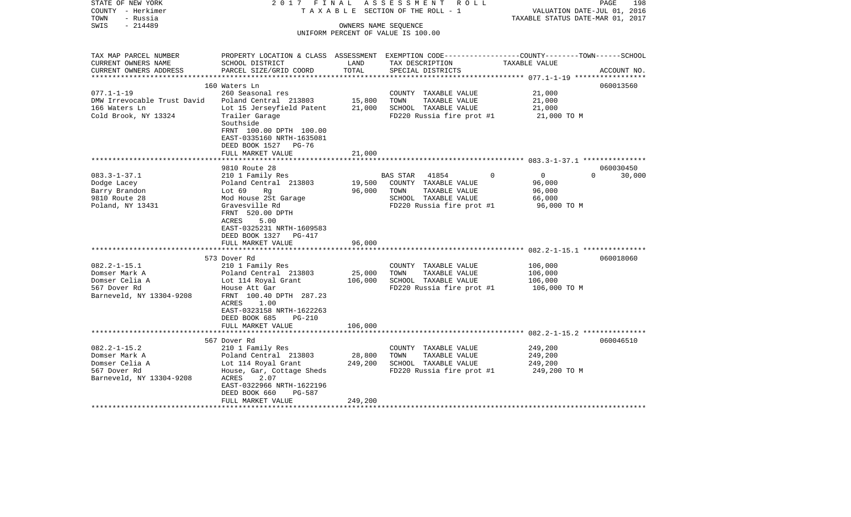| STATE OF NEW YORK<br>COUNTY - Herkimer<br>- Russia<br>TOWN | 2017 FINAL<br>TAXABLE                                        |                      | ASSESSMENT<br>R O L L<br>SECTION OF THE ROLL - 1                                                | VALUATION DATE-JUL 01, 2016<br>TAXABLE STATUS DATE-MAR 01, 2017 | 198<br>PAGE |
|------------------------------------------------------------|--------------------------------------------------------------|----------------------|-------------------------------------------------------------------------------------------------|-----------------------------------------------------------------|-------------|
| $-214489$<br>SWIS                                          |                                                              | OWNERS NAME SEQUENCE |                                                                                                 |                                                                 |             |
|                                                            |                                                              |                      | UNIFORM PERCENT OF VALUE IS 100.00                                                              |                                                                 |             |
|                                                            |                                                              |                      |                                                                                                 |                                                                 |             |
| TAX MAP PARCEL NUMBER                                      |                                                              |                      | PROPERTY LOCATION & CLASS ASSESSMENT EXEMPTION CODE---------------COUNTY-------TOWN------SCHOOL |                                                                 |             |
| CURRENT OWNERS NAME                                        | SCHOOL DISTRICT                                              | LAND                 | TAX DESCRIPTION                                                                                 | TAXABLE VALUE                                                   |             |
| CURRENT OWNERS ADDRESS<br>**********************           | PARCEL SIZE/GRID COORD                                       | TOTAL                | SPECIAL DISTRICTS                                                                               |                                                                 | ACCOUNT NO. |
|                                                            | 160 Waters Ln                                                |                      |                                                                                                 |                                                                 | 060013560   |
| $077.1 - 1 - 19$                                           | 260 Seasonal res                                             |                      | COUNTY TAXABLE VALUE                                                                            | 21,000                                                          |             |
| DMW Irrevocable Trust David                                | Poland Central 213803                                        | 15,800               | TOWN<br>TAXABLE VALUE                                                                           | 21,000                                                          |             |
| 166 Waters Ln                                              | Lot 15 Jerseyfield Patent                                    | 21,000               | SCHOOL TAXABLE VALUE                                                                            | 21,000                                                          |             |
| Cold Brook, NY 13324                                       | Trailer Garage                                               |                      | FD220 Russia fire prot #1                                                                       | 21,000 TO M                                                     |             |
|                                                            | Southside                                                    |                      |                                                                                                 |                                                                 |             |
|                                                            | FRNT 100.00 DPTH 100.00                                      |                      |                                                                                                 |                                                                 |             |
|                                                            | EAST-0335160 NRTH-1635081                                    |                      |                                                                                                 |                                                                 |             |
|                                                            | DEED BOOK 1527<br>$PG-76$                                    |                      |                                                                                                 |                                                                 |             |
|                                                            | FULL MARKET VALUE                                            | 21,000               |                                                                                                 |                                                                 |             |
|                                                            |                                                              |                      |                                                                                                 |                                                                 |             |
|                                                            | 9810 Route 28                                                |                      |                                                                                                 |                                                                 | 060030450   |
| $083.3 - 1 - 37.1$                                         | 210 1 Family Res                                             |                      | <b>BAS STAR</b><br>41854<br>0                                                                   | $\overline{0}$<br>$\Omega$                                      | 30,000      |
| Dodge Lacey                                                | Poland Central 213803                                        | 19,500               | COUNTY TAXABLE VALUE                                                                            | 96,000                                                          |             |
| Barry Brandon                                              | Lot 69<br>Rg                                                 | 96,000               | TOWN<br>TAXABLE VALUE                                                                           | 96,000                                                          |             |
| 9810 Route 28                                              | Mod House 2St Garage                                         |                      | SCHOOL TAXABLE VALUE                                                                            | 66,000                                                          |             |
| Poland, NY 13431                                           | Gravesville Rd                                               |                      | FD220 Russia fire prot #1                                                                       | 96,000 TO M                                                     |             |
|                                                            | FRNT 520.00 DPTH                                             |                      |                                                                                                 |                                                                 |             |
|                                                            | ACRES<br>5.00                                                |                      |                                                                                                 |                                                                 |             |
|                                                            | EAST-0325231 NRTH-1609583<br>DEED BOOK 1327<br><b>PG-417</b> |                      |                                                                                                 |                                                                 |             |
|                                                            | FULL MARKET VALUE                                            | 96,000               |                                                                                                 |                                                                 |             |
|                                                            |                                                              |                      |                                                                                                 |                                                                 |             |
|                                                            | 573 Dover Rd                                                 |                      |                                                                                                 |                                                                 | 060018060   |
| $082.2 - 1 - 15.1$                                         | 210 1 Family Res                                             |                      | COUNTY TAXABLE VALUE                                                                            | 106,000                                                         |             |
| Domser Mark A                                              | Poland Central 213803                                        | 25,000               | TOWN<br>TAXABLE VALUE                                                                           | 106,000                                                         |             |
| Domser Celia A                                             | Lot 114 Royal Grant                                          | 106,000              | SCHOOL TAXABLE VALUE                                                                            | 106,000                                                         |             |
| 567 Dover Rd                                               | House Att Gar                                                |                      | FD220 Russia fire prot #1                                                                       | 106,000 TO M                                                    |             |
| Barneveld, NY 13304-9208                                   | FRNT 100.40 DPTH 287.23                                      |                      |                                                                                                 |                                                                 |             |
|                                                            | ACRES<br>1.00                                                |                      |                                                                                                 |                                                                 |             |
|                                                            | EAST-0323158 NRTH-1622263                                    |                      |                                                                                                 |                                                                 |             |
|                                                            | DEED BOOK 685<br>PG-210                                      |                      |                                                                                                 |                                                                 |             |
|                                                            | FULL MARKET VALUE                                            | 106,000              |                                                                                                 |                                                                 |             |
|                                                            |                                                              |                      |                                                                                                 |                                                                 |             |
|                                                            | 567 Dover Rd                                                 |                      |                                                                                                 |                                                                 | 060046510   |
| $082.2 - 1 - 15.2$                                         | 210 1 Family Res                                             |                      | COUNTY TAXABLE VALUE                                                                            | 249,200                                                         |             |
| Domser Mark A                                              | Poland Central 213803                                        | 28,800               | TOWN<br>TAXABLE VALUE                                                                           | 249,200                                                         |             |
| Domser Celia A                                             | Lot 114 Royal Grant                                          | 249,200              | SCHOOL TAXABLE VALUE                                                                            | 249,200                                                         |             |
| 567 Dover Rd                                               | House, Gar, Cottage Sheds                                    |                      | FD220 Russia fire prot #1                                                                       | 249,200 TO M                                                    |             |
| Barneveld, NY 13304-9208                                   | ACRES<br>2.07                                                |                      |                                                                                                 |                                                                 |             |
|                                                            | EAST-0322966 NRTH-1622196                                    |                      |                                                                                                 |                                                                 |             |
|                                                            | DEED BOOK 660<br><b>PG-587</b>                               |                      |                                                                                                 |                                                                 |             |
|                                                            | FULL MARKET VALUE                                            | 249,200              |                                                                                                 |                                                                 |             |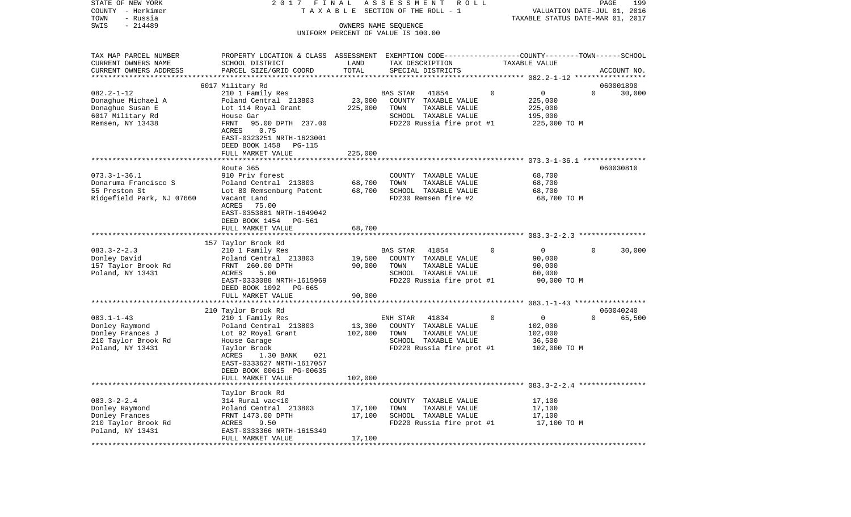| STATE OF NEW YORK<br>COUNTY - Herkimer | 2 0 1 7                                                                                         | FINAL   | ASSESSMENT<br>R O L L<br>TAXABLE SECTION OF THE ROLL - 1 |              | VALUATION DATE-JUL 01, 2016      | PAGE        | 199    |
|----------------------------------------|-------------------------------------------------------------------------------------------------|---------|----------------------------------------------------------|--------------|----------------------------------|-------------|--------|
| TOWN<br>- Russia                       |                                                                                                 |         |                                                          |              | TAXABLE STATUS DATE-MAR 01, 2017 |             |        |
| $-214489$<br>SWIS                      |                                                                                                 |         | OWNERS NAME SEQUENCE                                     |              |                                  |             |        |
|                                        |                                                                                                 |         | UNIFORM PERCENT OF VALUE IS 100.00                       |              |                                  |             |        |
| TAX MAP PARCEL NUMBER                  | PROPERTY LOCATION & CLASS ASSESSMENT EXEMPTION CODE---------------COUNTY-------TOWN------SCHOOL |         |                                                          |              |                                  |             |        |
| CURRENT OWNERS NAME                    | SCHOOL DISTRICT                                                                                 | LAND    | TAX DESCRIPTION                                          |              | TAXABLE VALUE                    |             |        |
| CURRENT OWNERS ADDRESS                 | PARCEL SIZE/GRID COORD                                                                          | TOTAL   | SPECIAL DISTRICTS                                        |              |                                  | ACCOUNT NO. |        |
| *************************              |                                                                                                 |         |                                                          |              |                                  |             |        |
|                                        | 6017 Military Rd                                                                                |         |                                                          |              |                                  | 060001890   |        |
| $082.2 - 1 - 12$                       | 210 1 Family Res                                                                                |         | 41854<br>BAS STAR                                        | 0            | 0                                | $\Omega$    | 30,000 |
| Donaghue Michael A                     | Poland Central 213803                                                                           | 23,000  | COUNTY TAXABLE VALUE                                     |              | 225,000                          |             |        |
| Donaghue Susan E                       | Lot 114 Royal Grant                                                                             | 225,000 | TOWN<br>TAXABLE VALUE                                    |              | 225,000                          |             |        |
| 6017 Military Rd                       | House Gar                                                                                       |         | SCHOOL TAXABLE VALUE                                     |              | 195,000                          |             |        |
| Remsen, NY 13438                       | 95.00 DPTH 237.00<br>FRNT                                                                       |         | FD220 Russia fire prot #1                                |              | 225,000 TO M                     |             |        |
|                                        | ACRES<br>0.75                                                                                   |         |                                                          |              |                                  |             |        |
|                                        | EAST-0323251 NRTH-1623001                                                                       |         |                                                          |              |                                  |             |        |
|                                        | DEED BOOK 1458<br>PG-115                                                                        |         |                                                          |              |                                  |             |        |
|                                        | FULL MARKET VALUE                                                                               | 225,000 |                                                          |              |                                  |             |        |
|                                        |                                                                                                 |         |                                                          |              |                                  |             |        |
|                                        | Route 365                                                                                       |         |                                                          |              |                                  | 060030810   |        |
| $073.3 - 1 - 36.1$                     | 910 Priv forest                                                                                 |         | COUNTY TAXABLE VALUE                                     |              | 68,700                           |             |        |
| Donaruma Francisco S                   | Poland Central 213803                                                                           | 68,700  | TOWN<br>TAXABLE VALUE                                    |              | 68,700                           |             |        |
| 55 Preston St                          | Lot 80 Remsenburg Patent                                                                        | 68,700  | SCHOOL TAXABLE VALUE                                     |              | 68,700                           |             |        |
| Ridgefield Park, NJ 07660              | Vacant Land                                                                                     |         | FD230 Remsen fire #2                                     |              | 68,700 TO M                      |             |        |
|                                        | ACRES<br>75.00                                                                                  |         |                                                          |              |                                  |             |        |
|                                        | EAST-0353881 NRTH-1649042                                                                       |         |                                                          |              |                                  |             |        |
|                                        | DEED BOOK 1454 PG-561                                                                           |         |                                                          |              |                                  |             |        |
|                                        | FULL MARKET VALUE                                                                               | 68,700  |                                                          |              |                                  |             |        |
|                                        |                                                                                                 |         |                                                          |              |                                  |             |        |
|                                        | 157 Taylor Brook Rd                                                                             |         |                                                          |              |                                  |             |        |
| $083.3 - 2 - 2.3$                      | 210 1 Family Res                                                                                |         | 41854<br>BAS STAR                                        | $\Omega$     | 0                                | $\Omega$    | 30,000 |
| Donley David                           | Poland Central 213803                                                                           | 19,500  | COUNTY TAXABLE VALUE                                     |              | 90,000                           |             |        |
| 157 Taylor Brook Rd                    | FRNT 260.00 DPTH                                                                                | 90,000  | TOWN<br>TAXABLE VALUE                                    |              | 90,000                           |             |        |
| Poland, NY 13431                       | ACRES<br>5.00                                                                                   |         | SCHOOL TAXABLE VALUE                                     |              | 60,000                           |             |        |
|                                        | EAST-0333088 NRTH-1615969                                                                       |         | FD220 Russia fire prot #1                                |              | 90,000 TO M                      |             |        |
|                                        | DEED BOOK 1092<br>PG-665                                                                        |         |                                                          |              |                                  |             |        |
|                                        | FULL MARKET VALUE                                                                               | 90,000  |                                                          |              |                                  |             |        |
|                                        | ***************************                                                                     |         |                                                          |              |                                  |             |        |
|                                        | 210 Taylor Brook Rd                                                                             |         |                                                          |              |                                  | 060040240   |        |
| $083.1 - 1 - 43$                       | 210 1 Family Res                                                                                |         | ENH STAR<br>41834                                        | $\mathbf{0}$ | $\mathbf 0$                      | $\Omega$    | 65,500 |
| Donley Raymond                         | Poland Central 213803                                                                           | 13,300  | COUNTY TAXABLE VALUE                                     |              | 102,000                          |             |        |
| Donley Frances J                       | Lot 92 Royal Grant                                                                              | 102,000 | TOWN<br>TAXABLE VALUE                                    |              | 102,000                          |             |        |
| 210 Taylor Brook Rd                    | House Garage                                                                                    |         | SCHOOL TAXABLE VALUE                                     |              | 36,500                           |             |        |
| Poland, NY 13431                       | Taylor Brook                                                                                    |         | FD220 Russia fire prot #1                                |              | 102,000 TO M                     |             |        |
|                                        | 021<br>ACRES<br>1.30 BANK                                                                       |         |                                                          |              |                                  |             |        |
|                                        | EAST-0333627 NRTH-1617057                                                                       |         |                                                          |              |                                  |             |        |
|                                        | DEED BOOK 00615 PG-00635                                                                        |         |                                                          |              |                                  |             |        |
|                                        | FULL MARKET VALUE                                                                               | 102,000 |                                                          |              |                                  |             |        |
|                                        |                                                                                                 |         |                                                          |              |                                  |             |        |
|                                        | Taylor Brook Rd                                                                                 |         |                                                          |              |                                  |             |        |
| $083.3 - 2 - 2.4$                      | 314 Rural vac<10                                                                                |         | COUNTY TAXABLE VALUE                                     |              | 17,100                           |             |        |
| Donley Raymond                         | Poland Central 213803                                                                           | 17,100  | TOWN<br>TAXABLE VALUE                                    |              | 17,100                           |             |        |
| Donley Frances                         | FRNT 1473.00 DPTH                                                                               | 17,100  | SCHOOL TAXABLE VALUE                                     |              | 17,100                           |             |        |
| 210 Taylor Brook Rd                    | ACRES<br>9.50                                                                                   |         | FD220 Russia fire prot #1                                |              | 17,100 TO M                      |             |        |
| Poland, NY 13431                       | EAST-0333366 NRTH-1615349                                                                       |         |                                                          |              |                                  |             |        |
|                                        | FULL MARKET VALUE                                                                               | 17,100  |                                                          |              |                                  |             |        |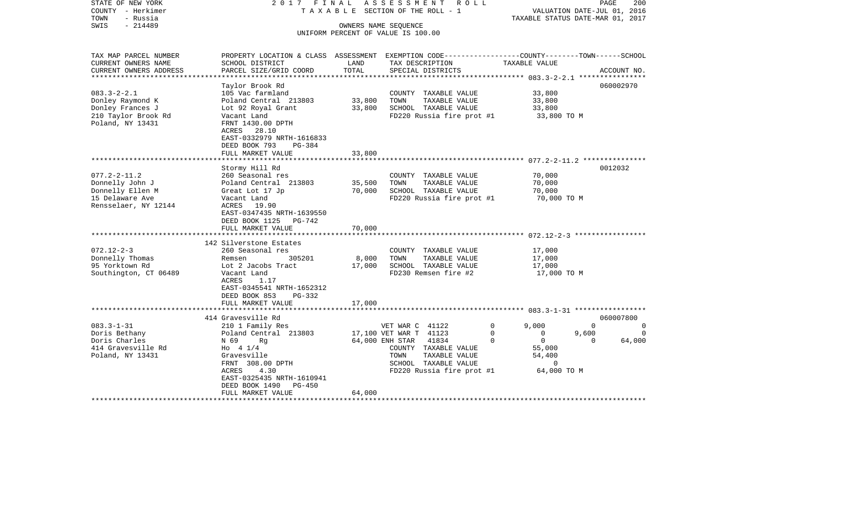| STATE OF NEW YORK<br>COUNTY - Herkimer<br>TOWN<br>- Russia<br>$-214489$<br>SWIS | 2017 FINAL                                                                                                         |        | ASSESSMENT<br>R O L L<br>TAXABLE SECTION OF THE ROLL - 1<br>OWNERS NAME SEQUENCE | TAXABLE STATUS DATE-MAR 01, 2017    | PAGE<br>VALUATION DATE-JUL 01, 2016 | 200         |
|---------------------------------------------------------------------------------|--------------------------------------------------------------------------------------------------------------------|--------|----------------------------------------------------------------------------------|-------------------------------------|-------------------------------------|-------------|
|                                                                                 |                                                                                                                    |        | UNIFORM PERCENT OF VALUE IS 100.00                                               |                                     |                                     |             |
|                                                                                 |                                                                                                                    |        |                                                                                  |                                     |                                     |             |
| TAX MAP PARCEL NUMBER<br>CURRENT OWNERS NAME                                    | PROPERTY LOCATION & CLASS ASSESSMENT EXEMPTION CODE---------------COUNTY-------TOWN------SCHOOL<br>SCHOOL DISTRICT | LAND   | TAX DESCRIPTION                                                                  | TAXABLE VALUE                       |                                     |             |
| CURRENT OWNERS ADDRESS<br>**********************                                | PARCEL SIZE/GRID COORD                                                                                             | TOTAL  | SPECIAL DISTRICTS                                                                |                                     |                                     | ACCOUNT NO. |
|                                                                                 | Taylor Brook Rd                                                                                                    |        |                                                                                  |                                     | 060002970                           |             |
| $083.3 - 2 - 2.1$                                                               | 105 Vac farmland                                                                                                   |        | COUNTY TAXABLE VALUE                                                             | 33,800                              |                                     |             |
| Donley Raymond K                                                                | Poland Central 213803                                                                                              | 33,800 | TOWN<br>TAXABLE VALUE                                                            | 33,800                              |                                     |             |
| Donley Frances J                                                                | Lot 92 Royal Grant                                                                                                 | 33,800 | SCHOOL TAXABLE VALUE                                                             | 33,800                              |                                     |             |
| 210 Taylor Brook Rd                                                             | Vacant Land                                                                                                        |        | FD220 Russia fire prot #1                                                        | 33,800 TO M                         |                                     |             |
| Poland, NY 13431                                                                | FRNT 1430.00 DPTH                                                                                                  |        |                                                                                  |                                     |                                     |             |
|                                                                                 | ACRES<br>28.10<br>EAST-0332979 NRTH-1616833                                                                        |        |                                                                                  |                                     |                                     |             |
|                                                                                 | DEED BOOK 793<br>PG-384                                                                                            |        |                                                                                  |                                     |                                     |             |
|                                                                                 | FULL MARKET VALUE                                                                                                  | 33,800 |                                                                                  |                                     |                                     |             |
|                                                                                 |                                                                                                                    |        |                                                                                  |                                     |                                     |             |
|                                                                                 | Stormy Hill Rd                                                                                                     |        |                                                                                  |                                     | 0012032                             |             |
| $077.2 - 2 - 11.2$                                                              | 260 Seasonal res                                                                                                   |        | COUNTY TAXABLE VALUE                                                             | 70,000                              |                                     |             |
| Donnelly John J                                                                 | Poland Central 213803                                                                                              | 35,500 | TOWN<br>TAXABLE VALUE                                                            | 70,000                              |                                     |             |
| Donnelly Ellen M                                                                | Great Lot 17 Jp                                                                                                    | 70,000 | SCHOOL TAXABLE VALUE                                                             | 70,000                              |                                     |             |
| 15 Delaware Ave                                                                 | Vacant Land                                                                                                        |        | FD220 Russia fire prot #1                                                        | 70,000 TO M                         |                                     |             |
| Rensselaer, NY 12144                                                            | ACRES 19.90                                                                                                        |        |                                                                                  |                                     |                                     |             |
|                                                                                 | EAST-0347435 NRTH-1639550                                                                                          |        |                                                                                  |                                     |                                     |             |
|                                                                                 | DEED BOOK 1125 PG-742                                                                                              |        |                                                                                  |                                     |                                     |             |
|                                                                                 | FULL MARKET VALUE                                                                                                  | 70,000 |                                                                                  |                                     |                                     |             |
|                                                                                 | 142 Silverstone Estates                                                                                            |        |                                                                                  |                                     |                                     |             |
| $072.12 - 2 - 3$                                                                | 260 Seasonal res                                                                                                   |        | COUNTY TAXABLE VALUE                                                             | 17,000                              |                                     |             |
| Donnelly Thomas                                                                 | 305201<br>Remsen                                                                                                   | 8,000  | TOWN<br>TAXABLE VALUE                                                            | 17,000                              |                                     |             |
| 95 Yorktown Rd                                                                  | Lot 2 Jacobs Tract                                                                                                 | 17,000 | SCHOOL TAXABLE VALUE                                                             | 17,000                              |                                     |             |
| Southington, CT 06489                                                           | Vacant Land                                                                                                        |        | FD230 Remsen fire #2                                                             | 17,000 TO M                         |                                     |             |
|                                                                                 | ACRES<br>1.17                                                                                                      |        |                                                                                  |                                     |                                     |             |
|                                                                                 | EAST-0345541 NRTH-1652312                                                                                          |        |                                                                                  |                                     |                                     |             |
|                                                                                 | DEED BOOK 853<br>PG-332                                                                                            |        |                                                                                  |                                     |                                     |             |
|                                                                                 | FULL MARKET VALUE                                                                                                  | 17,000 |                                                                                  |                                     |                                     |             |
|                                                                                 | ***********************                                                                                            |        |                                                                                  |                                     |                                     |             |
|                                                                                 | 414 Gravesville Rd                                                                                                 |        |                                                                                  |                                     | 060007800                           |             |
| $083.3 - 1 - 31$                                                                | 210 1 Family Res                                                                                                   |        | VET WAR C 41122                                                                  | $\mathbf 0$<br>9,000                | $\Omega$                            | $\Omega$    |
| Doris Bethany                                                                   | Poland Central 213803                                                                                              |        | 17,100 VET WAR T 41123                                                           | $\Omega$<br>$\Omega$<br>$\mathbf 0$ | 9,600                               | $\Omega$    |
| Doris Charles<br>414 Gravesville Rd                                             | N 69<br>Rg<br>Ho $4 \frac{1}{4}$                                                                                   |        | 64,000 ENH STAR<br>41834<br>COUNTY TAXABLE VALUE                                 | $\overline{0}$<br>55,000            | $\mathbf{0}$                        | 64,000      |
|                                                                                 |                                                                                                                    |        | TOWN<br>TAXABLE VALUE                                                            | 54,400                              |                                     |             |
| Poland, NY 13431                                                                | Gravesville<br>FRNT 308.00 DPTH                                                                                    |        | SCHOOL TAXABLE VALUE                                                             | 0                                   |                                     |             |
|                                                                                 | 4.30<br>ACRES                                                                                                      |        | FD220 Russia fire prot #1                                                        | 64,000 TO M                         |                                     |             |
|                                                                                 | EAST-0325435 NRTH-1610941                                                                                          |        |                                                                                  |                                     |                                     |             |
|                                                                                 | DEED BOOK 1490<br>PG-450                                                                                           |        |                                                                                  |                                     |                                     |             |
|                                                                                 | FULL MARKET VALUE                                                                                                  | 64,000 |                                                                                  |                                     |                                     |             |
|                                                                                 |                                                                                                                    |        |                                                                                  |                                     |                                     |             |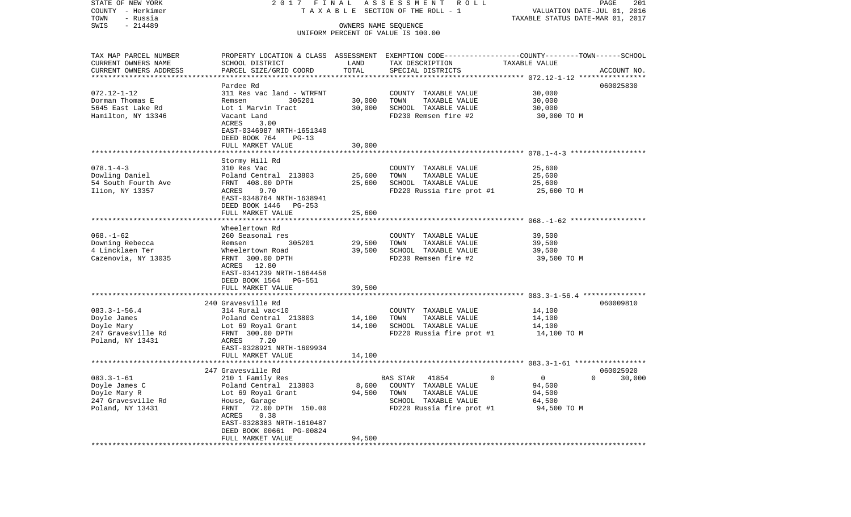| STATE OF NEW YORK                     | 2017 FINAL                        |        | ASSESSMENT ROLL                                                                                 |                                                                 | 201<br>PAGE   |
|---------------------------------------|-----------------------------------|--------|-------------------------------------------------------------------------------------------------|-----------------------------------------------------------------|---------------|
| COUNTY - Herkimer<br>TOWN<br>- Russia |                                   |        | T A X A B L E SECTION OF THE ROLL - 1                                                           | VALUATION DATE-JUL 01, 2016<br>TAXABLE STATUS DATE-MAR 01, 2017 |               |
| $-214489$<br>SWIS                     |                                   |        | OWNERS NAME SEQUENCE                                                                            |                                                                 |               |
|                                       |                                   |        | UNIFORM PERCENT OF VALUE IS 100.00                                                              |                                                                 |               |
|                                       |                                   |        |                                                                                                 |                                                                 |               |
| TAX MAP PARCEL NUMBER                 |                                   |        | PROPERTY LOCATION & CLASS ASSESSMENT EXEMPTION CODE---------------COUNTY-------TOWN------SCHOOL |                                                                 |               |
| CURRENT OWNERS NAME                   | SCHOOL DISTRICT                   | LAND   | TAX DESCRIPTION                                                                                 | TAXABLE VALUE                                                   |               |
| CURRENT OWNERS ADDRESS                | PARCEL SIZE/GRID COORD            | TOTAL  | SPECIAL DISTRICTS                                                                               |                                                                 | ACCOUNT NO.   |
| **********************                |                                   |        |                                                                                                 |                                                                 |               |
|                                       | Pardee Rd                         |        |                                                                                                 |                                                                 | 060025830     |
| $072.12 - 1 - 12$                     | 311 Res vac land - WTRFNT         |        | COUNTY TAXABLE VALUE                                                                            | 30,000                                                          |               |
| Dorman Thomas E                       | 305201<br>Remsen                  | 30,000 | TAXABLE VALUE<br>TOWN                                                                           | 30,000                                                          |               |
| 5645 East Lake Rd                     | Lot 1 Marvin Tract                | 30,000 | SCHOOL TAXABLE VALUE                                                                            | 30,000                                                          |               |
| Hamilton, NY 13346                    | Vacant Land                       |        | FD230 Remsen fire #2                                                                            | 30,000 TO M                                                     |               |
|                                       | ACRES<br>3.00                     |        |                                                                                                 |                                                                 |               |
|                                       | EAST-0346987 NRTH-1651340         |        |                                                                                                 |                                                                 |               |
|                                       | DEED BOOK 764<br>$PG-13$          |        |                                                                                                 |                                                                 |               |
|                                       | FULL MARKET VALUE                 | 30,000 |                                                                                                 |                                                                 |               |
|                                       |                                   |        |                                                                                                 |                                                                 |               |
|                                       | Stormy Hill Rd                    |        |                                                                                                 |                                                                 |               |
| $078.1 - 4 - 3$                       | 310 Res Vac                       |        | COUNTY TAXABLE VALUE                                                                            | 25,600                                                          |               |
| Dowling Daniel<br>54 South Fourth Ave | Poland Central 213803             | 25,600 | TOWN<br>TAXABLE VALUE<br>SCHOOL TAXABLE VALUE                                                   | 25,600                                                          |               |
| Ilion, NY 13357                       | FRNT 408.00 DPTH<br>9.70<br>ACRES | 25,600 |                                                                                                 | 25,600                                                          |               |
|                                       | EAST-0348764 NRTH-1638941         |        | FD220 Russia fire prot #1                                                                       | 25,600 TO M                                                     |               |
|                                       | DEED BOOK 1446 PG-253             |        |                                                                                                 |                                                                 |               |
|                                       | FULL MARKET VALUE                 | 25,600 |                                                                                                 |                                                                 |               |
|                                       |                                   |        |                                                                                                 |                                                                 |               |
|                                       | Wheelertown Rd                    |        |                                                                                                 |                                                                 |               |
| $068. - 1 - 62$                       | 260 Seasonal res                  |        | COUNTY TAXABLE VALUE                                                                            | 39,500                                                          |               |
| Downing Rebecca                       | 305201<br>Remsen                  | 29,500 | TOWN<br>TAXABLE VALUE                                                                           | 39,500                                                          |               |
| 4 Lincklaen Ter                       | Wheelertown Road                  | 39,500 | SCHOOL TAXABLE VALUE                                                                            | 39,500                                                          |               |
| Cazenovia, NY 13035                   | FRNT 300.00 DPTH                  |        | FD230 Remsen fire #2                                                                            | 39,500 TO M                                                     |               |
|                                       | ACRES 12.80                       |        |                                                                                                 |                                                                 |               |
|                                       | EAST-0341239 NRTH-1664458         |        |                                                                                                 |                                                                 |               |
|                                       | DEED BOOK 1564 PG-551             |        |                                                                                                 |                                                                 |               |
|                                       | FULL MARKET VALUE                 | 39,500 |                                                                                                 |                                                                 |               |
|                                       | ***********************           |        |                                                                                                 |                                                                 |               |
|                                       | 240 Gravesville Rd                |        |                                                                                                 |                                                                 | 060009810     |
| $083.3 - 1 - 56.4$                    | 314 Rural vac<10                  |        | COUNTY TAXABLE VALUE                                                                            | 14,100                                                          |               |
| Doyle James                           | Poland Central 213803             | 14,100 | TOWN<br>TAXABLE VALUE                                                                           | 14,100                                                          |               |
| Doyle Mary                            | Lot 69 Royal Grant                | 14,100 | SCHOOL TAXABLE VALUE                                                                            | 14,100                                                          |               |
| 247 Gravesville Rd                    | FRNT 300.00 DPTH                  |        | FD220 Russia fire prot #1                                                                       | 14,100 TO M                                                     |               |
| Poland, NY 13431                      | ACRES<br>7.20                     |        |                                                                                                 |                                                                 |               |
|                                       | EAST-0328921 NRTH-1609934         |        |                                                                                                 |                                                                 |               |
|                                       | FULL MARKET VALUE                 | 14,100 |                                                                                                 |                                                                 |               |
|                                       | 247 Gravesville Rd                |        |                                                                                                 |                                                                 | 060025920     |
| $083.3 - 1 - 61$                      | 210 1 Family Res                  |        | BAS STAR<br>41854                                                                               | $\Omega$<br>$\mathbf{0}$                                        | $0 \t 30,000$ |
| Doyle James C                         | Poland Central 213803             | 8,600  | COUNTY TAXABLE VALUE                                                                            | 94,500                                                          |               |
| Doyle Mary R                          | Lot 69 Royal Grant                | 94,500 | TAXABLE VALUE<br>TOWN                                                                           | 94,500                                                          |               |
| 247 Gravesville Rd                    | House, Garage                     |        | SCHOOL TAXABLE VALUE                                                                            | 64,500                                                          |               |
| Poland, NY 13431                      | FRNT 72.00 DPTH 150.00            |        | FD220 Russia fire prot #1                                                                       | 94,500 TO M                                                     |               |
|                                       | ACRES<br>0.38                     |        |                                                                                                 |                                                                 |               |
|                                       | EAST-0328383 NRTH-1610487         |        |                                                                                                 |                                                                 |               |
|                                       | DEED BOOK 00661 PG-00824          |        |                                                                                                 |                                                                 |               |
|                                       | FULL MARKET VALUE                 | 94,500 |                                                                                                 |                                                                 |               |
|                                       |                                   |        |                                                                                                 |                                                                 |               |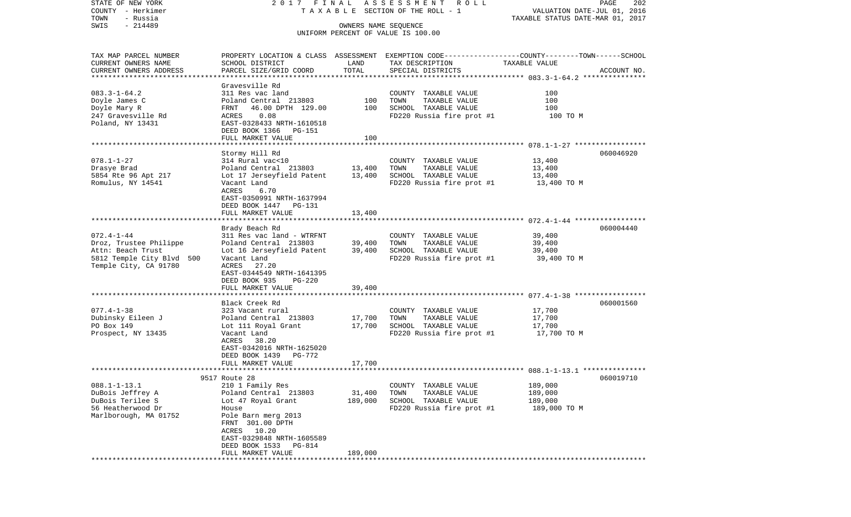STATE OF NEW YORK 2 0 1 7 F I N A L A S S E S S M E N T R O L L PAGE 202COUNTY - Herkimer T A X A B L E SECTION OF THE ROLL - 1 VALUATION DATE-JUL 01, 2016 TOWN - Russia TAXABLE STATUS DATE-MAR 01, 2017 SWIS - 214489 OWNERS NAME SEQUENCE UNIFORM PERCENT OF VALUE IS 100.00TAX MAP PARCEL NUMBER PROPERTY LOCATION & CLASS ASSESSMENT EXEMPTION CODE------------------COUNTY--------TOWN------SCHOOL CURRENT OWNERS NAME SCHOOL DISTRICT LAND TAX DESCRIPTION TAXABLE VALUECURRENT OWNERS ADDRESS PARCEL SIZE/GRID COORD TOTAL SPECIAL DISTRICTS ACCOUNT NO. \*\*\*\*\*\*\*\*\*\*\*\*\*\*\*\*\*\*\*\*\*\*\*\*\*\*\*\*\*\*\*\*\*\*\*\*\*\*\*\*\*\*\*\*\*\*\*\*\*\*\*\*\*\*\*\*\*\*\*\*\*\*\*\*\*\*\*\*\*\*\*\*\*\*\*\*\*\*\*\*\*\*\*\*\*\*\*\*\*\*\*\*\*\*\*\*\*\*\*\*\*\*\* 083.3-1-64.2 \*\*\*\*\*\*\*\*\*\*\*\*\*\*\* Gravesville Rd 083.3-1-64.2 311 Res vac land COUNTY TAXABLE VALUE 100Doyle James C Poland Central 213803 100 TOWN TAXABLE VALUE 100 Doyle Mary R FRNT 46.00 DPTH 129.00 100 SCHOOL TAXABLE VALUE 100 247 Gravesville Rd ACRES 0.08 FD220 Russia fire prot #1 100 TO M EAST-0328433 NRTH-1610518 DEED BOOK 1366 PG-151FULL MARKET VALUE 100 \*\*\*\*\*\*\*\*\*\*\*\*\*\*\*\*\*\*\*\*\*\*\*\*\*\*\*\*\*\*\*\*\*\*\*\*\*\*\*\*\*\*\*\*\*\*\*\*\*\*\*\*\*\*\*\*\*\*\*\*\*\*\*\*\*\*\*\*\*\*\*\*\*\*\*\*\*\*\*\*\*\*\*\*\*\*\*\*\*\*\*\*\*\*\*\*\*\*\*\*\*\*\* 078.1-1-27 \*\*\*\*\*\*\*\*\*\*\*\*\*\*\*\*\* Stormy Hill Rd 060046920 078.1-1-27 314 Rural vac<10 COUNTY TAXABLE VALUE 13,400 Drasye Brad Poland Central 213803 13,400 TOWN TAXABLE VALUE 13,400 5854 Rte 96 Apt 217 Lot 17 Jerseyfield Patent 13,400 SCHOOL TAXABLE VALUE 13,400 Romulus, NY 14541 Vacant Land FD220 Russia fire prot #1 13,400 TO M ACRES 6.70 EAST-0350991 NRTH-1637994 DEED BOOK 1447 PG-131FULL MARKET VALUE 13,400 \*\*\*\*\*\*\*\*\*\*\*\*\*\*\*\*\*\*\*\*\*\*\*\*\*\*\*\*\*\*\*\*\*\*\*\*\*\*\*\*\*\*\*\*\*\*\*\*\*\*\*\*\*\*\*\*\*\*\*\*\*\*\*\*\*\*\*\*\*\*\*\*\*\*\*\*\*\*\*\*\*\*\*\*\*\*\*\*\*\*\*\*\*\*\*\*\*\*\*\*\*\*\* 072.4-1-44 \*\*\*\*\*\*\*\*\*\*\*\*\*\*\*\*\* Brady Beach Rd 060004440 072.4-1-44 311 Res vac land - WTRFNT COUNTY TAXABLE VALUE 39,400 Droz, Trustee Philippe  $P$ oland Central 213803 39,400 TOWN TAXABLE VALUE 39,400 Attn: Beach Trust Lot 16 Jerseyfield Patent 39,400 SCHOOL TAXABLE VALUE 39,400 5812 Temple City Blvd 500 Vacant Land 1986 1986 1987 1988 FD220 Russia fire prot #1 39,400 TO M<br>Temple City, CA 91780 1988 ACRES 27,20 Temple City, CA 91780 EAST-0344549 NRTH-1641395 DEED BOOK 935 PG-220FULL MARKET VALUE 39,400 \*\*\*\*\*\*\*\*\*\*\*\*\*\*\*\*\*\*\*\*\*\*\*\*\*\*\*\*\*\*\*\*\*\*\*\*\*\*\*\*\*\*\*\*\*\*\*\*\*\*\*\*\*\*\*\*\*\*\*\*\*\*\*\*\*\*\*\*\*\*\*\*\*\*\*\*\*\*\*\*\*\*\*\*\*\*\*\*\*\*\*\*\*\*\*\*\*\*\*\*\*\*\* 077.4-1-38 \*\*\*\*\*\*\*\*\*\*\*\*\*\*\*\*\* Black Creek Rd 060001560077.4-1-38 323 Vacant rural COUNTY TAXABLE VALUE 17,700 Dubinsky Eileen J Poland Central 213803 17,700 TOWN TAXABLE VALUE 17,700 PO Box 149 **Lot 111 Royal Grant** 17,700 SCHOOL TAXABLE VALUE 17,700 Prospect, NY 13435 Vacant Land FD220 Russia fire prot #1 17,700 TO M ACRES 38.20 EAST-0342016 NRTH-1625020 DEED BOOK 1439 PG-772 FULL MARKET VALUE 17,700 \*\*\*\*\*\*\*\*\*\*\*\*\*\*\*\*\*\*\*\*\*\*\*\*\*\*\*\*\*\*\*\*\*\*\*\*\*\*\*\*\*\*\*\*\*\*\*\*\*\*\*\*\*\*\*\*\*\*\*\*\*\*\*\*\*\*\*\*\*\*\*\*\*\*\*\*\*\*\*\*\*\*\*\*\*\*\*\*\*\*\*\*\*\*\*\*\*\*\*\*\*\*\* 088.1-1-13.1 \*\*\*\*\*\*\*\*\*\*\*\*\*\*\* 9517 Route 28 060019710088.1-1-13.1 210 1 Family Res COUNTY TAXABLE VALUE 189,000 DuBois Jeffrey A Poland Central 213803 31,400 TOWN TAXABLE VALUE 189,000 Lot 47 Royal Grant 189,000 SCHOOL TAXABLE VALUE 189,000 56 Heatherwood Dr House FD220 Russia fire prot #1 189,000 TO M Marlborough, MA 01752 Pole Barn merg 2013 FRNT 301.00 DPTH ACRES 10.20 EAST-0329848 NRTH-1605589 DEED BOOK 1533 PG-814FULL MARKET VALUE 189,000 \*\*\*\*\*\*\*\*\*\*\*\*\*\*\*\*\*\*\*\*\*\*\*\*\*\*\*\*\*\*\*\*\*\*\*\*\*\*\*\*\*\*\*\*\*\*\*\*\*\*\*\*\*\*\*\*\*\*\*\*\*\*\*\*\*\*\*\*\*\*\*\*\*\*\*\*\*\*\*\*\*\*\*\*\*\*\*\*\*\*\*\*\*\*\*\*\*\*\*\*\*\*\*\*\*\*\*\*\*\*\*\*\*\*\*\*\*\*\*\*\*\*\*\*\*\*\*\*\*\*\*\*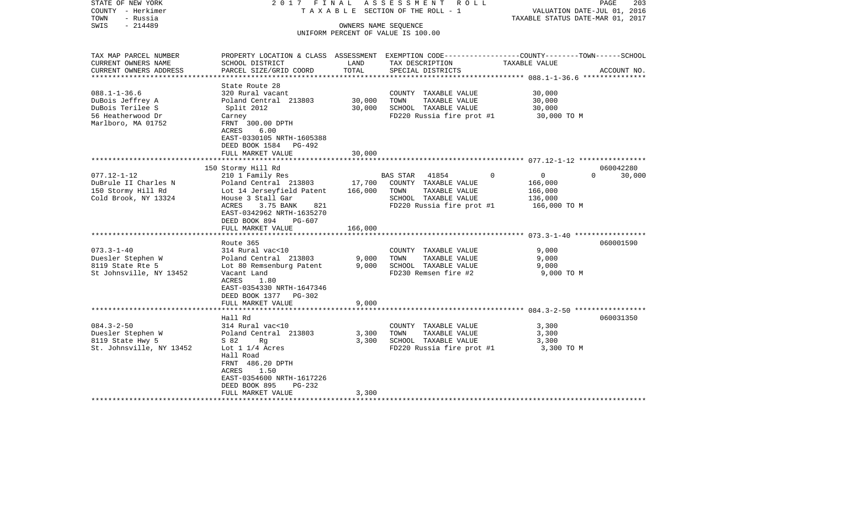| STATE OF NEW YORK<br>COUNTY - Herkimer<br>- Russia<br>TOWN | 2017 FINAL                                           |         | A S S E S S M E N T R O L L<br>TAXABLE SECTION OF THE ROLL - 1 | PAGE<br>203<br>VALUATION DATE-JUL 01, 2016<br>TAXABLE STATUS DATE-MAR 01, 2017                 |  |
|------------------------------------------------------------|------------------------------------------------------|---------|----------------------------------------------------------------|------------------------------------------------------------------------------------------------|--|
| $-214489$<br>SWIS                                          |                                                      |         | OWNERS NAME SEQUENCE                                           |                                                                                                |  |
|                                                            |                                                      |         | UNIFORM PERCENT OF VALUE IS 100.00                             |                                                                                                |  |
|                                                            |                                                      |         |                                                                |                                                                                                |  |
| TAX MAP PARCEL NUMBER                                      |                                                      |         |                                                                | PROPERTY LOCATION & CLASS ASSESSMENT EXEMPTION CODE---------------COUNTY-------TOWN-----SCHOOL |  |
| CURRENT OWNERS NAME                                        | SCHOOL DISTRICT                                      | LAND    | TAX DESCRIPTION                                                | TAXABLE VALUE                                                                                  |  |
| CURRENT OWNERS ADDRESS                                     | PARCEL SIZE/GRID COORD                               | TOTAL   | SPECIAL DISTRICTS                                              | ACCOUNT NO.                                                                                    |  |
| **********************                                     |                                                      |         |                                                                |                                                                                                |  |
|                                                            | State Route 28                                       |         |                                                                |                                                                                                |  |
| $088.1 - 1 - 36.6$                                         | 320 Rural vacant                                     |         | COUNTY TAXABLE VALUE                                           | 30,000                                                                                         |  |
| DuBois Jeffrey A                                           | Poland Central 213803                                | 30,000  | TOWN<br>TAXABLE VALUE                                          | 30,000                                                                                         |  |
| DuBois Terilee S                                           | Split 2012                                           | 30,000  | SCHOOL TAXABLE VALUE                                           | 30,000                                                                                         |  |
| 56 Heatherwood Dr                                          | Carney                                               |         | FD220 Russia fire prot #1                                      | 30,000 TO M                                                                                    |  |
| Marlboro, MA 01752                                         | FRNT 300.00 DPTH                                     |         |                                                                |                                                                                                |  |
|                                                            | ACRES<br>6.00                                        |         |                                                                |                                                                                                |  |
|                                                            | EAST-0330105 NRTH-1605388                            |         |                                                                |                                                                                                |  |
|                                                            | DEED BOOK 1584 PG-492                                |         |                                                                |                                                                                                |  |
|                                                            | FULL MARKET VALUE                                    | 30,000  |                                                                |                                                                                                |  |
|                                                            | 150 Stormy Hill Rd                                   |         |                                                                | 060042280                                                                                      |  |
| $077.12 - 1 - 12$                                          | 210 1 Family Res                                     |         | BAS STAR 41854<br>$\circ$                                      | $\overline{0}$<br>$\Omega$<br>30,000                                                           |  |
| DuBrule II Charles N                                       | Poland Central 213803                                |         | 17,700 COUNTY TAXABLE VALUE                                    | 166,000                                                                                        |  |
| 150 Stormy Hill Rd                                         | Lot 14 Jerseyfield Patent                            | 166,000 | TAXABLE VALUE<br>TOWN                                          | 166,000                                                                                        |  |
| Cold Brook, NY 13324                                       | House 3 Stall Gar                                    |         | SCHOOL TAXABLE VALUE                                           | 136,000                                                                                        |  |
|                                                            | ACRES<br>3.75 BANK<br>821                            |         | FD220 Russia fire prot #1                                      | 166,000 TO M                                                                                   |  |
|                                                            | EAST-0342962 NRTH-1635270                            |         |                                                                |                                                                                                |  |
|                                                            | DEED BOOK 894<br>PG-607                              |         |                                                                |                                                                                                |  |
|                                                            | FULL MARKET VALUE                                    | 166,000 |                                                                |                                                                                                |  |
|                                                            |                                                      |         |                                                                |                                                                                                |  |
|                                                            | Route 365                                            |         |                                                                | 060001590                                                                                      |  |
| $073.3 - 1 - 40$                                           | 314 Rural vac<10                                     |         | COUNTY TAXABLE VALUE                                           | 9,000                                                                                          |  |
| Duesler Stephen W                                          | Poland Central 213803                                | 9,000   | TOWN<br>TAXABLE VALUE                                          | 9,000                                                                                          |  |
| 8119 State Rte 5                                           | Lot 80 Remsenburg Patent                             | 9,000   | SCHOOL TAXABLE VALUE                                           | 9,000                                                                                          |  |
| St Johnsville, NY 13452                                    | Vacant Land                                          |         | FD230 Remsen fire #2                                           | 9,000 TO M                                                                                     |  |
|                                                            | ACRES<br>1.80                                        |         |                                                                |                                                                                                |  |
|                                                            | EAST-0354330 NRTH-1647346                            |         |                                                                |                                                                                                |  |
|                                                            | DEED BOOK 1377 PG-302                                |         |                                                                |                                                                                                |  |
|                                                            | FULL MARKET VALUE                                    | 9,000   |                                                                |                                                                                                |  |
|                                                            | ************************                             |         |                                                                |                                                                                                |  |
|                                                            | Hall Rd                                              |         |                                                                | 060031350                                                                                      |  |
| $084.3 - 2 - 50$                                           | 314 Rural vac<10                                     |         | COUNTY TAXABLE VALUE                                           | 3,300                                                                                          |  |
| Duesler Stephen W                                          | Poland Central 213803                                | 3,300   | TAXABLE VALUE<br>TOWN                                          | 3,300                                                                                          |  |
| 8119 State Hwy 5                                           | S 82<br>Rg                                           | 3,300   | SCHOOL TAXABLE VALUE                                           | 3,300                                                                                          |  |
| St. Johnsville, NY 13452                                   | Lot $1\ 1/4$ Acres                                   |         | FD220 Russia fire prot #1                                      | 3,300 TO M                                                                                     |  |
|                                                            | Hall Road                                            |         |                                                                |                                                                                                |  |
|                                                            | FRNT 486.20 DPTH                                     |         |                                                                |                                                                                                |  |
|                                                            | 1.50<br>ACRES                                        |         |                                                                |                                                                                                |  |
|                                                            | EAST-0354600 NRTH-1617226<br>DEED BOOK 895<br>PG-232 |         |                                                                |                                                                                                |  |
|                                                            | FULL MARKET VALUE                                    | 3,300   |                                                                |                                                                                                |  |
|                                                            |                                                      |         |                                                                |                                                                                                |  |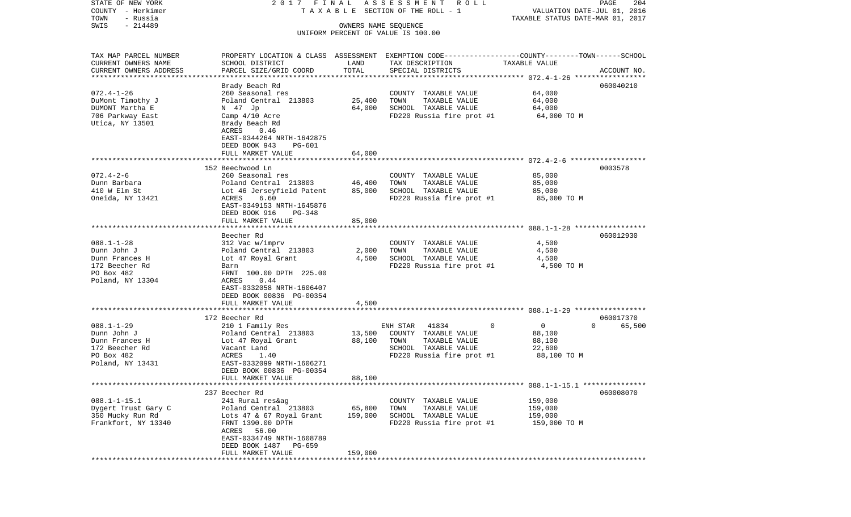| STATE OF NEW YORK<br>COUNTY - Herkimer            | 2017 FINAL                                  |                      | A S S E S S M E N T R O L L<br>TAXABLE SECTION OF THE ROLL - 1                                   | VALUATION DATE-JUL 01, 2016      | PAGE<br>204        |
|---------------------------------------------------|---------------------------------------------|----------------------|--------------------------------------------------------------------------------------------------|----------------------------------|--------------------|
| TOWN<br>- Russia                                  |                                             |                      |                                                                                                  | TAXABLE STATUS DATE-MAR 01, 2017 |                    |
| $-214489$<br>SWIS                                 |                                             | OWNERS NAME SEQUENCE |                                                                                                  |                                  |                    |
|                                                   |                                             |                      | UNIFORM PERCENT OF VALUE IS 100.00                                                               |                                  |                    |
|                                                   |                                             |                      |                                                                                                  |                                  |                    |
| TAX MAP PARCEL NUMBER                             |                                             |                      | PROPERTY LOCATION & CLASS ASSESSMENT EXEMPTION CODE----------------COUNTY-------TOWN------SCHOOL |                                  |                    |
| CURRENT OWNERS NAME                               | SCHOOL DISTRICT                             | LAND                 | TAX DESCRIPTION                                                                                  | TAXABLE VALUE                    |                    |
| CURRENT OWNERS ADDRESS<br>*********************** | PARCEL SIZE/GRID COORD                      | TOTAL                | SPECIAL DISTRICTS                                                                                |                                  | ACCOUNT NO.        |
|                                                   |                                             |                      |                                                                                                  |                                  | 060040210          |
| $072.4 - 1 - 26$                                  | Brady Beach Rd<br>260 Seasonal res          |                      | COUNTY TAXABLE VALUE                                                                             | 64,000                           |                    |
| DuMont Timothy J                                  | Poland Central 213803                       | 25,400               | TAXABLE VALUE<br>TOWN                                                                            | 64,000                           |                    |
| DUMONT Martha E                                   | N 47 Jp                                     | 64,000               | SCHOOL TAXABLE VALUE                                                                             | 64,000                           |                    |
| 706 Parkway East                                  | Camp 4/10 Acre                              |                      | FD220 Russia fire prot #1                                                                        | 64,000 TO M                      |                    |
| Utica, NY 13501                                   | Brady Beach Rd                              |                      |                                                                                                  |                                  |                    |
|                                                   | ACRES<br>0.46                               |                      |                                                                                                  |                                  |                    |
|                                                   | EAST-0344264 NRTH-1642875                   |                      |                                                                                                  |                                  |                    |
|                                                   | DEED BOOK 943<br>PG-601                     |                      |                                                                                                  |                                  |                    |
|                                                   | FULL MARKET VALUE                           | 64,000               |                                                                                                  |                                  |                    |
|                                                   |                                             |                      |                                                                                                  |                                  |                    |
| $072.4 - 2 - 6$                                   | 152 Beechwood Ln<br>260 Seasonal res        |                      | COUNTY TAXABLE VALUE                                                                             |                                  | 0003578            |
| Dunn Barbara                                      | Poland Central 213803                       | 46,400               | TOWN<br>TAXABLE VALUE                                                                            | 85,000<br>85,000                 |                    |
| 410 W Elm St                                      | Lot 46 Jerseyfield Patent                   | 85,000               | SCHOOL TAXABLE VALUE                                                                             | 85,000                           |                    |
| Oneida, NY 13421                                  | ACRES<br>6.60                               |                      | FD220 Russia fire prot #1                                                                        | 85,000 TO M                      |                    |
|                                                   | EAST-0349153 NRTH-1645876                   |                      |                                                                                                  |                                  |                    |
|                                                   | DEED BOOK 916<br>PG-348                     |                      |                                                                                                  |                                  |                    |
|                                                   | FULL MARKET VALUE                           | 85,000               |                                                                                                  |                                  |                    |
|                                                   |                                             |                      |                                                                                                  |                                  |                    |
|                                                   | Beecher Rd                                  |                      |                                                                                                  |                                  | 060012930          |
| $088.1 - 1 - 28$                                  | 312 Vac w/imprv                             |                      | COUNTY TAXABLE VALUE                                                                             | 4,500                            |                    |
| Dunn John J<br>Dunn Frances H                     | Poland Central 213803                       | 2,000<br>4,500       | TAXABLE VALUE<br>TOWN<br>SCHOOL TAXABLE VALUE                                                    | 4,500<br>4,500                   |                    |
| 172 Beecher Rd                                    | Lot 47 Royal Grant<br>Barn                  |                      | FD220 Russia fire prot #1                                                                        | 4,500 TO M                       |                    |
| PO Box 482                                        | FRNT 100.00 DPTH 225.00                     |                      |                                                                                                  |                                  |                    |
| Poland, NY 13304                                  | 0.44<br>ACRES                               |                      |                                                                                                  |                                  |                    |
|                                                   | EAST-0332058 NRTH-1606407                   |                      |                                                                                                  |                                  |                    |
|                                                   | DEED BOOK 00836 PG-00354                    |                      |                                                                                                  |                                  |                    |
|                                                   | FULL MARKET VALUE                           | 4,500                |                                                                                                  |                                  |                    |
|                                                   | ***********************                     |                      |                                                                                                  |                                  |                    |
|                                                   | 172 Beecher Rd                              |                      |                                                                                                  |                                  | 060017370          |
| $088.1 - 1 - 29$                                  | 210 1 Family Res                            |                      | 41834<br>0<br>ENH STAR                                                                           | 0                                | 65,500<br>$\Omega$ |
| Dunn John J<br>Dunn Frances H                     | Poland Central 213803<br>Lot 47 Royal Grant | 13,500<br>88,100     | COUNTY TAXABLE VALUE<br>TOWN<br>TAXABLE VALUE                                                    | 88,100<br>88,100                 |                    |
| 172 Beecher Rd                                    | Vacant Land                                 |                      | SCHOOL TAXABLE VALUE                                                                             | 22,600                           |                    |
| PO Box 482                                        | ACRES<br>1.40                               |                      | FD220 Russia fire prot #1                                                                        | 88,100 TO M                      |                    |
| Poland, NY 13431                                  | EAST-0332099 NRTH-1606271                   |                      |                                                                                                  |                                  |                    |
|                                                   | DEED BOOK 00836 PG-00354                    |                      |                                                                                                  |                                  |                    |
|                                                   | FULL MARKET VALUE                           | 88,100               |                                                                                                  |                                  |                    |
|                                                   |                                             |                      |                                                                                                  |                                  |                    |
|                                                   | 237 Beecher Rd                              |                      |                                                                                                  |                                  | 060008070          |
| $088.1 - 1 - 15.1$                                | 241 Rural res&ag                            |                      | COUNTY TAXABLE VALUE                                                                             | 159,000                          |                    |
| Dygert Trust Gary C                               | Poland Central 213803                       | 65,800               | TAXABLE VALUE<br>TOWN                                                                            | 159,000                          |                    |
| 350 Mucky Run Rd                                  | Lots 47 & 67 Royal Grant                    | 159,000              | SCHOOL TAXABLE VALUE                                                                             | 159,000                          |                    |
| Frankfort, NY 13340                               | FRNT 1390.00 DPTH<br>ACRES 56.00            |                      | FD220 Russia fire prot #1                                                                        | 159,000 TO M                     |                    |
|                                                   | EAST-0334749 NRTH-1608789                   |                      |                                                                                                  |                                  |                    |
|                                                   | DEED BOOK 1487 PG-659                       |                      |                                                                                                  |                                  |                    |
|                                                   | FULL MARKET VALUE                           | 159,000              |                                                                                                  |                                  |                    |
|                                                   |                                             |                      |                                                                                                  |                                  |                    |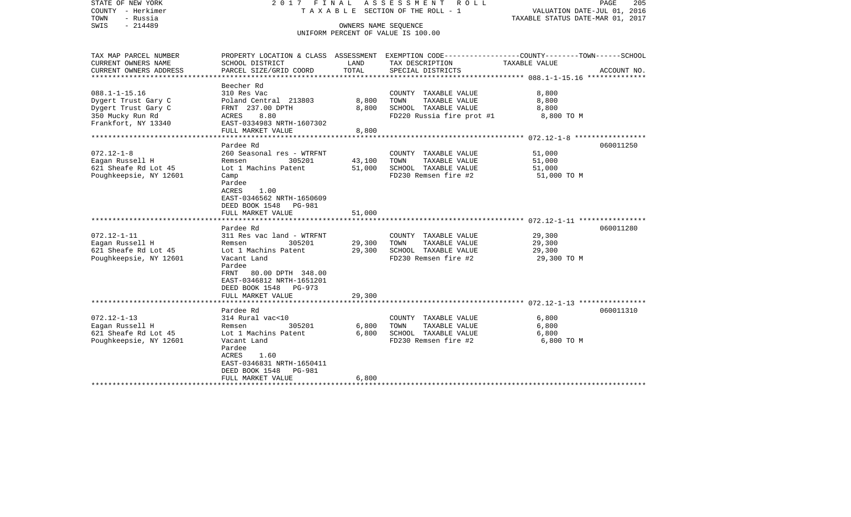| STATE OF NEW YORK<br>COUNTY - Herkimer<br>TOWN<br>- Russia<br>SWIS<br>$-214489$ |                                                   | OWNERS NAME SEQUENCE | 2017 FINAL ASSESSMENT<br>ROLL ROLL<br>T A X A B L E SECTION OF THE ROLL - 1<br>UNIFORM PERCENT OF VALUE IS 100.00   | VALUATION DATE-JUL 01, 2016<br>TAXABLE STATUS DATE-MAR 01, 2017 | PAGE<br>205 |
|---------------------------------------------------------------------------------|---------------------------------------------------|----------------------|---------------------------------------------------------------------------------------------------------------------|-----------------------------------------------------------------|-------------|
| TAX MAP PARCEL NUMBER<br>CURRENT OWNERS NAME                                    | SCHOOL DISTRICT                                   | LAND                 | PROPERTY LOCATION & CLASS ASSESSMENT EXEMPTION CODE----------------COUNTY-------TOWN------SCHOOL<br>TAX DESCRIPTION | TAXABLE VALUE                                                   |             |
| CURRENT OWNERS ADDRESS<br>***********************                               | PARCEL SIZE/GRID COORD                            | TOTAL                | SPECIAL DISTRICTS                                                                                                   |                                                                 | ACCOUNT NO. |
|                                                                                 | Beecher Rd                                        |                      |                                                                                                                     |                                                                 |             |
| $088.1 - 1 - 15.16$                                                             | 310 Res Vac                                       |                      | COUNTY TAXABLE VALUE                                                                                                | 8,800                                                           |             |
| Dygert Trust Gary C                                                             | Poland Central 213803                             | 8,800                | TAXABLE VALUE<br>TOWN                                                                                               | 8,800                                                           |             |
| Dygert Trust Gary C                                                             | FRNT 237.00 DPTH                                  | 8,800                | SCHOOL TAXABLE VALUE                                                                                                | 8,800                                                           |             |
| 350 Mucky Run Rd<br>Frankfort, NY 13340                                         | <b>ACRES</b><br>8.80<br>EAST-0334983 NRTH-1607302 |                      | FD220 Russia fire prot #1                                                                                           | 8,800 TO M                                                      |             |
|                                                                                 | FULL MARKET VALUE                                 | 8,800                |                                                                                                                     |                                                                 |             |
|                                                                                 | *******************                               | ******************** |                                                                                                                     | ********************* 072.12-1-8 ******************             |             |
|                                                                                 | Pardee Rd                                         |                      |                                                                                                                     |                                                                 | 060011250   |
| $072.12 - 1 - 8$                                                                | 260 Seasonal res - WTRFNT                         |                      | COUNTY TAXABLE VALUE                                                                                                | 51,000                                                          |             |
| Eagan Russell H                                                                 | Remsen<br>305201<br>Lot 1 Machins Patent          | 43,100               | TAXABLE VALUE<br>TOWN<br>SCHOOL TAXABLE VALUE                                                                       | 51,000                                                          |             |
| 621 Sheafe Rd Lot 45<br>Poughkeepsie, NY 12601                                  | Camp                                              | 51,000               | FD230 Remsen fire #2                                                                                                | 51,000<br>51,000 TO M                                           |             |
|                                                                                 | Pardee                                            |                      |                                                                                                                     |                                                                 |             |
|                                                                                 | ACRES<br>1.00                                     |                      |                                                                                                                     |                                                                 |             |
|                                                                                 | EAST-0346562 NRTH-1650609                         |                      |                                                                                                                     |                                                                 |             |
|                                                                                 | DEED BOOK 1548 PG-981                             |                      |                                                                                                                     |                                                                 |             |
|                                                                                 | FULL MARKET VALUE                                 | 51,000               |                                                                                                                     |                                                                 |             |
|                                                                                 |                                                   |                      |                                                                                                                     |                                                                 |             |
|                                                                                 | Pardee Rd                                         |                      |                                                                                                                     |                                                                 | 060011280   |
| $072.12 - 1 - 11$                                                               | 311 Res vac land - WTRFNT                         |                      | COUNTY TAXABLE VALUE                                                                                                | 29,300                                                          |             |
| Eagan Russell H                                                                 | Remsen<br>305201                                  | 29,300               | TOWN<br>TAXABLE VALUE                                                                                               | 29,300                                                          |             |
| 621 Sheafe Rd Lot 45                                                            | Lot 1 Machins Patent                              | 29,300               | SCHOOL TAXABLE VALUE                                                                                                | 29,300                                                          |             |
| Poughkeepsie, NY 12601                                                          | Vacant Land                                       |                      | FD230 Remsen fire #2                                                                                                | 29,300 TO M                                                     |             |
|                                                                                 | Pardee                                            |                      |                                                                                                                     |                                                                 |             |
|                                                                                 | FRNT<br>80.00 DPTH 348.00                         |                      |                                                                                                                     |                                                                 |             |
|                                                                                 | EAST-0346812 NRTH-1651201                         |                      |                                                                                                                     |                                                                 |             |
|                                                                                 | DEED BOOK 1548 PG-973                             |                      |                                                                                                                     |                                                                 |             |
|                                                                                 | FULL MARKET VALUE                                 | 29,300               |                                                                                                                     |                                                                 |             |
|                                                                                 | Pardee Rd                                         |                      |                                                                                                                     |                                                                 | 060011310   |
| $072.12 - 1 - 13$                                                               | 314 Rural vac<10                                  |                      | COUNTY TAXABLE VALUE                                                                                                | 6,800                                                           |             |
| Eagan Russell H                                                                 | Remsen<br>305201                                  | 6,800                | TOWN<br>TAXABLE VALUE                                                                                               | 6,800                                                           |             |
| 621 Sheafe Rd Lot 45                                                            | Lot 1 Machins Patent                              | 6,800                | SCHOOL TAXABLE VALUE                                                                                                | 6,800                                                           |             |
| Poughkeepsie, NY 12601                                                          | Vacant Land                                       |                      | FD230 Remsen fire #2                                                                                                | 6,800 TO M                                                      |             |
|                                                                                 | Pardee                                            |                      |                                                                                                                     |                                                                 |             |
|                                                                                 | ACRES<br>1.60                                     |                      |                                                                                                                     |                                                                 |             |
|                                                                                 | EAST-0346831 NRTH-1650411                         |                      |                                                                                                                     |                                                                 |             |
|                                                                                 | DEED BOOK 1548<br><b>PG-981</b>                   |                      |                                                                                                                     |                                                                 |             |
|                                                                                 | FULL MARKET VALUE                                 | 6,800                |                                                                                                                     |                                                                 |             |
|                                                                                 |                                                   |                      |                                                                                                                     |                                                                 |             |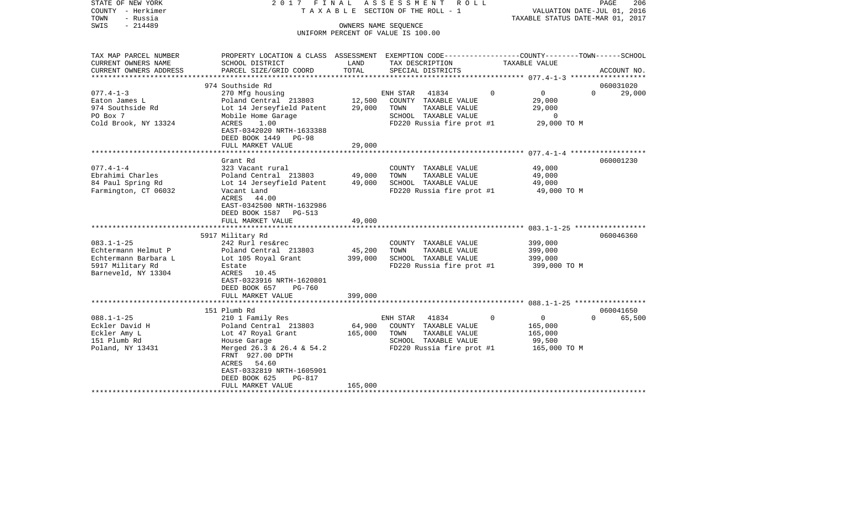| STATE OF NEW YORK<br>COUNTY - Herkimer |                                                                                                |         | 2017 FINAL ASSESSMENT ROLL<br>TAXABLE SECTION OF THE ROLL - 1 | VALUATION DATE-JUL 01, 2016      | PAGE<br>206        |
|----------------------------------------|------------------------------------------------------------------------------------------------|---------|---------------------------------------------------------------|----------------------------------|--------------------|
| TOWN<br>- Russia                       |                                                                                                |         |                                                               | TAXABLE STATUS DATE-MAR 01, 2017 |                    |
| $-214489$<br>SWIS                      |                                                                                                |         | OWNERS NAME SEQUENCE                                          |                                  |                    |
|                                        |                                                                                                |         | UNIFORM PERCENT OF VALUE IS 100.00                            |                                  |                    |
|                                        |                                                                                                |         |                                                               |                                  |                    |
|                                        |                                                                                                |         |                                                               |                                  |                    |
| TAX MAP PARCEL NUMBER                  | PROPERTY LOCATION & CLASS ASSESSMENT EXEMPTION CODE---------------COUNTY-------TOWN-----SCHOOL |         |                                                               |                                  |                    |
| CURRENT OWNERS NAME                    | SCHOOL DISTRICT                                                                                | LAND    | TAX DESCRIPTION                                               | TAXABLE VALUE                    |                    |
| CURRENT OWNERS ADDRESS                 | PARCEL SIZE/GRID COORD                                                                         | TOTAL   | SPECIAL DISTRICTS                                             |                                  | ACCOUNT NO.        |
|                                        |                                                                                                |         |                                                               |                                  |                    |
|                                        | 974 Southside Rd                                                                               |         |                                                               |                                  | 060031020          |
| $077.4 - 1 - 3$                        | 270 Mfg housing                                                                                |         | ENH STAR<br>41834                                             | $\mathbf 0$<br>$\mathbf{0}$      | $\Omega$<br>29,000 |
| Eaton James L                          | Poland Central 213803                                                                          | 12,500  | COUNTY TAXABLE VALUE                                          | 29,000                           |                    |
| 974 Southside Rd                       | Lot 14 Jerseyfield Patent                                                                      | 29,000  | TOWN<br>TAXABLE VALUE                                         | 29,000                           |                    |
| PO Box 7                               | Mobile Home Garage                                                                             |         | SCHOOL TAXABLE VALUE                                          | $\overline{0}$                   |                    |
| Cold Brook, NY 13324                   | ACRES<br>1.00                                                                                  |         | FD220 Russia fire prot #1                                     | 29,000 TO M                      |                    |
|                                        | EAST-0342020 NRTH-1633388                                                                      |         |                                                               |                                  |                    |
|                                        | DEED BOOK 1449 PG-98                                                                           |         |                                                               |                                  |                    |
|                                        | FULL MARKET VALUE                                                                              | 29,000  |                                                               |                                  |                    |
|                                        |                                                                                                |         |                                                               |                                  |                    |
|                                        | Grant Rd                                                                                       |         |                                                               |                                  | 060001230          |
| 077.4-1-4                              | 323 Vacant rural                                                                               |         | COUNTY TAXABLE VALUE                                          | 49,000                           |                    |
| Ebrahimi Charles                       | Poland Central 213803                                                                          | 49,000  | TOWN<br>TAXABLE VALUE                                         | 49,000                           |                    |
| 84 Paul Spring Rd                      | Lot 14 Jerseyfield Patent                                                                      | 49,000  | SCHOOL TAXABLE VALUE                                          | 49,000                           |                    |
| Farmington, CT 06032                   | Vacant Land                                                                                    |         | FD220 Russia fire prot #1                                     | 49,000 TO M                      |                    |
|                                        | ACRES<br>44.00                                                                                 |         |                                                               |                                  |                    |
|                                        | EAST-0342500 NRTH-1632986                                                                      |         |                                                               |                                  |                    |
|                                        | DEED BOOK 1587<br>PG-513                                                                       |         |                                                               |                                  |                    |
|                                        | FULL MARKET VALUE                                                                              | 49,000  |                                                               |                                  |                    |
|                                        |                                                                                                |         |                                                               |                                  |                    |
|                                        | 5917 Military Rd                                                                               |         |                                                               |                                  | 060046360          |
| $083.1 - 1 - 25$                       | 242 Rurl res&rec                                                                               |         | COUNTY TAXABLE VALUE                                          | 399,000                          |                    |
| Echtermann Helmut P                    | Poland Central 213803                                                                          | 45,200  | TAXABLE VALUE<br>TOWN                                         | 399,000                          |                    |
| Echtermann Barbara L                   | Lot 105 Royal Grant                                                                            | 399,000 | SCHOOL TAXABLE VALUE                                          | 399,000                          |                    |
| 5917 Military Rd                       | Estate                                                                                         |         | FD220 Russia fire prot #1                                     | 399,000 TO M                     |                    |
| Barneveld, NY 13304                    | ACRES 10.45                                                                                    |         |                                                               |                                  |                    |
|                                        | EAST-0323916 NRTH-1620801                                                                      |         |                                                               |                                  |                    |
|                                        | DEED BOOK 657<br><b>PG-760</b>                                                                 |         |                                                               |                                  |                    |
|                                        | FULL MARKET VALUE                                                                              | 399,000 |                                                               |                                  |                    |
|                                        |                                                                                                |         |                                                               |                                  |                    |
|                                        | 151 Plumb Rd                                                                                   |         |                                                               |                                  | 060041650          |
| 088.1-1-25                             | 210 1 Family Res                                                                               |         | ENH STAR 41834                                                | $\circ$<br>$\overline{0}$        | 65,500<br>$\Omega$ |
| Eckler David H                         | Poland Central 213803                                                                          | 64,900  | COUNTY TAXABLE VALUE                                          | 165,000                          |                    |
| Eckler Amy L                           | Lot 47 Royal Grant                                                                             | 165,000 | TAXABLE VALUE<br>TOWN                                         | 165,000                          |                    |
| 151 Plumb Rd                           | House Garage                                                                                   |         | SCHOOL TAXABLE VALUE                                          | 99,500                           |                    |
| Poland, NY 13431                       | Merged 26.3 & 26.4 & 54.2                                                                      |         | FD220 Russia fire prot #1                                     | 165,000 TO M                     |                    |
|                                        | FRNT 927.00 DPTH                                                                               |         |                                                               |                                  |                    |
|                                        | ACRES 54.60                                                                                    |         |                                                               |                                  |                    |
|                                        | EAST-0332819 NRTH-1605901                                                                      |         |                                                               |                                  |                    |
|                                        | DEED BOOK 625<br>PG-817                                                                        |         |                                                               |                                  |                    |
|                                        | FULL MARKET VALUE                                                                              | 165,000 |                                                               |                                  |                    |
|                                        |                                                                                                |         |                                                               |                                  |                    |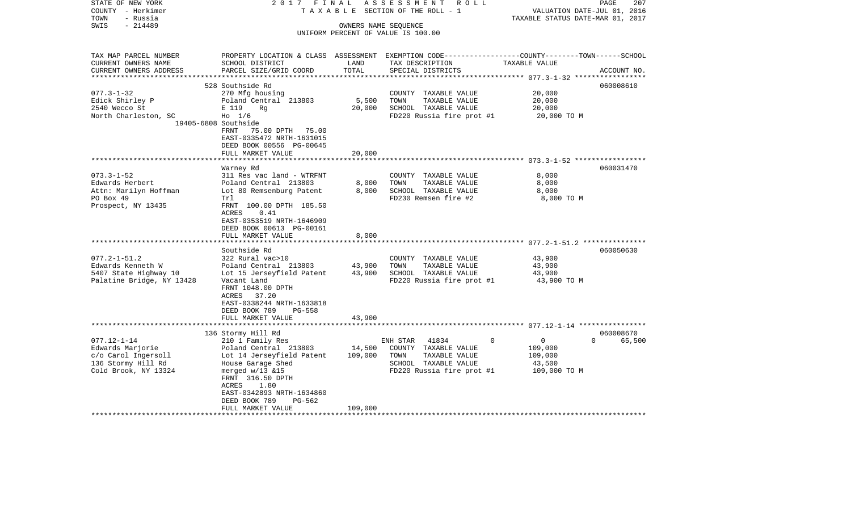| STATE OF NEW YORK<br>COUNTY - Herkimer | 2017 FINAL<br>TAXABLE                          |                      | ASSESSMENT<br>R O L L<br>SECTION OF THE ROLL - 1                                                | VALUATION DATE-JUL 01, 2016      | PAGE<br>207 |
|----------------------------------------|------------------------------------------------|----------------------|-------------------------------------------------------------------------------------------------|----------------------------------|-------------|
| - Russia<br>TOWN                       |                                                |                      |                                                                                                 | TAXABLE STATUS DATE-MAR 01, 2017 |             |
| $-214489$<br>SWIS                      |                                                | OWNERS NAME SEQUENCE | UNIFORM PERCENT OF VALUE IS 100.00                                                              |                                  |             |
|                                        |                                                |                      |                                                                                                 |                                  |             |
|                                        |                                                |                      |                                                                                                 |                                  |             |
| TAX MAP PARCEL NUMBER                  |                                                |                      | PROPERTY LOCATION & CLASS ASSESSMENT EXEMPTION CODE---------------COUNTY-------TOWN------SCHOOL |                                  |             |
| CURRENT OWNERS NAME                    | SCHOOL DISTRICT                                | LAND                 | TAX DESCRIPTION                                                                                 | TAXABLE VALUE                    |             |
| CURRENT OWNERS ADDRESS                 | PARCEL SIZE/GRID COORD                         | TOTAL                | SPECIAL DISTRICTS                                                                               |                                  | ACCOUNT NO. |
|                                        |                                                |                      |                                                                                                 |                                  |             |
| $077.3 - 1 - 32$                       | 528 Southside Rd<br>270 Mfg housing            |                      | COUNTY TAXABLE VALUE                                                                            | 20,000                           | 060008610   |
| Edick Shirley P                        | Poland Central 213803                          | 5,500                | TOWN<br>TAXABLE VALUE                                                                           | 20,000                           |             |
| 2540 Wecco St                          | E 119<br>Rg                                    | 20,000               | SCHOOL TAXABLE VALUE                                                                            | 20,000                           |             |
| North Charleston, SC                   | $H_0$ 1/6                                      |                      | FD220 Russia fire prot #1                                                                       | 20,000 TO M                      |             |
|                                        | 19405-6808 Southside                           |                      |                                                                                                 |                                  |             |
|                                        | FRNT<br>75.00 DPTH 75.00                       |                      |                                                                                                 |                                  |             |
|                                        | EAST-0335472 NRTH-1631015                      |                      |                                                                                                 |                                  |             |
|                                        | DEED BOOK 00556 PG-00645                       |                      |                                                                                                 |                                  |             |
|                                        | FULL MARKET VALUE<br>****************          | 20,000               |                                                                                                 |                                  |             |
|                                        | Warney Rd                                      |                      |                                                                                                 |                                  | 060031470   |
| $073.3 - 1 - 52$                       | 311 Res vac land - WTRFNT                      |                      | COUNTY TAXABLE VALUE                                                                            | 8,000                            |             |
| Edwards Herbert                        | Poland Central 213803                          | 8,000                | TOWN<br>TAXABLE VALUE                                                                           | 8,000                            |             |
| Attn: Marilyn Hoffman                  | Lot 80 Remsenburg Patent                       | 8,000                | SCHOOL TAXABLE VALUE                                                                            | 8,000                            |             |
| PO Box 49                              | Trl                                            |                      | FD230 Remsen fire #2                                                                            | 8,000 TO M                       |             |
| Prospect, NY 13435                     | FRNT 100.00 DPTH 185.50                        |                      |                                                                                                 |                                  |             |
|                                        | ACRES<br>0.41                                  |                      |                                                                                                 |                                  |             |
|                                        | EAST-0353519 NRTH-1646909                      |                      |                                                                                                 |                                  |             |
|                                        | DEED BOOK 00613 PG-00161                       |                      |                                                                                                 |                                  |             |
|                                        | FULL MARKET VALUE<br>************************* | 8,000                |                                                                                                 |                                  |             |
|                                        | Southside Rd                                   |                      |                                                                                                 |                                  | 060050630   |
| $077.2 - 1 - 51.2$                     | 322 Rural vac>10                               |                      | COUNTY TAXABLE VALUE                                                                            | 43,900                           |             |
| Edwards Kenneth W                      | Poland Central 213803                          | 43,900               | TOWN<br>TAXABLE VALUE                                                                           | 43,900                           |             |
| 5407 State Highway 10                  | Lot 15 Jerseyfield Patent                      | 43,900               | SCHOOL TAXABLE VALUE                                                                            | 43,900                           |             |
| Palatine Bridge, NY 13428              | Vacant Land                                    |                      | FD220 Russia fire prot #1                                                                       | 43,900 TO M                      |             |
|                                        | FRNT 1048.00 DPTH                              |                      |                                                                                                 |                                  |             |
|                                        | ACRES 37.20                                    |                      |                                                                                                 |                                  |             |
|                                        | EAST-0338244 NRTH-1633818                      |                      |                                                                                                 |                                  |             |
|                                        | DEED BOOK 789<br><b>PG-558</b>                 |                      |                                                                                                 |                                  |             |
|                                        | FULL MARKET VALUE                              | 43,900               |                                                                                                 |                                  |             |
|                                        | 136 Stormy Hill Rd                             |                      |                                                                                                 |                                  | 060008670   |
| $077.12 - 1 - 14$                      | 210 1 Family Res                               |                      | ENH STAR<br>41834<br>0                                                                          | $\overline{0}$<br>$\Omega$       | 65,500      |
| Edwards Marjorie                       | Poland Central 213803                          | 14,500               | COUNTY TAXABLE VALUE                                                                            | 109,000                          |             |
| c/o Carol Ingersoll                    | Lot 14 Jerseyfield Patent                      | 109,000              | TOWN<br>TAXABLE VALUE                                                                           | 109,000                          |             |
| 136 Stormy Hill Rd                     | House Garage Shed                              |                      | SCHOOL TAXABLE VALUE                                                                            | 43,500                           |             |
| Cold Brook, NY 13324                   | merged $w/13$ &15                              |                      | FD220 Russia fire prot #1                                                                       | 109,000 TO M                     |             |
|                                        | FRNT 316.50 DPTH                               |                      |                                                                                                 |                                  |             |
|                                        | ACRES<br>1.80<br>EAST-0342893 NRTH-1634860     |                      |                                                                                                 |                                  |             |
|                                        | DEED BOOK 789<br>$PG-562$                      |                      |                                                                                                 |                                  |             |
|                                        | FULL MARKET VALUE                              | 109,000              |                                                                                                 |                                  |             |
|                                        |                                                |                      |                                                                                                 |                                  |             |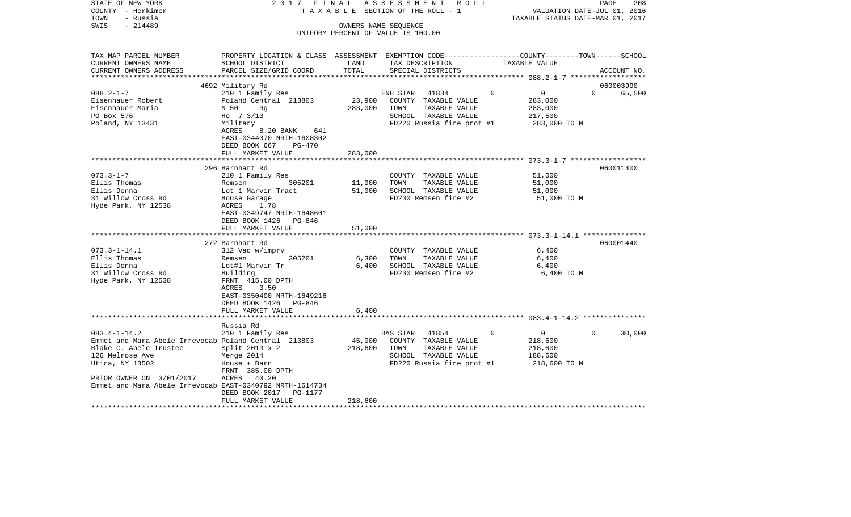| STATE OF NEW YORK<br>COUNTY - Herkimer<br>- Russia<br>TOWN | 2017 FINAL                                    |         | ASSESSMENT ROLL<br>TAXABLE SECTION OF THE ROLL - 1                                              | VALUATION DATE-JUL 01, 2016<br>TAXABLE STATUS DATE-MAR 01, 2017 | PAGE<br>208        |
|------------------------------------------------------------|-----------------------------------------------|---------|-------------------------------------------------------------------------------------------------|-----------------------------------------------------------------|--------------------|
| $-214489$<br>SWIS                                          |                                               |         | OWNERS NAME SEQUENCE                                                                            |                                                                 |                    |
|                                                            |                                               |         | UNIFORM PERCENT OF VALUE IS 100.00                                                              |                                                                 |                    |
|                                                            |                                               |         |                                                                                                 |                                                                 |                    |
|                                                            |                                               |         |                                                                                                 |                                                                 |                    |
| TAX MAP PARCEL NUMBER                                      |                                               |         | PROPERTY LOCATION & CLASS ASSESSMENT EXEMPTION CODE----------------COUNTY-------TOWN-----SCHOOL |                                                                 |                    |
| CURRENT OWNERS NAME                                        | SCHOOL DISTRICT                               | LAND    | TAX DESCRIPTION                                                                                 | TAXABLE VALUE                                                   |                    |
| CURRENT OWNERS ADDRESS<br>**********************           | PARCEL SIZE/GRID COORD                        | TOTAL   | SPECIAL DISTRICTS                                                                               |                                                                 | ACCOUNT NO.        |
|                                                            | 4692 Military Rd                              |         |                                                                                                 |                                                                 | 060003990          |
| $088.2 - 1 - 7$                                            | 210 1 Family Res                              |         | ENH STAR<br>41834                                                                               | $\overline{0}$<br>$\Omega$                                      | $\Omega$<br>65,500 |
| Eisenhauer Robert                                          | Poland Central 213803                         | 23,900  | COUNTY TAXABLE VALUE                                                                            | 283,000                                                         |                    |
| Eisenhauer Maria                                           | N 50<br>Rg                                    | 283,000 | TOWN<br>TAXABLE VALUE                                                                           | 283,000                                                         |                    |
| PO Box 576                                                 | Ho 7 3/10                                     |         | SCHOOL TAXABLE VALUE                                                                            | 217,500                                                         |                    |
| Poland, NY 13431                                           | Military                                      |         | FD220 Russia fire prot #1                                                                       | 283,000 TO M                                                    |                    |
|                                                            | ACRES<br>8.20 BANK 641                        |         |                                                                                                 |                                                                 |                    |
|                                                            | EAST-0344070 NRTH-1608302                     |         |                                                                                                 |                                                                 |                    |
|                                                            | DEED BOOK 667<br>PG-470                       |         |                                                                                                 |                                                                 |                    |
|                                                            | FULL MARKET VALUE                             | 283,000 |                                                                                                 |                                                                 |                    |
|                                                            |                                               |         |                                                                                                 |                                                                 |                    |
|                                                            | 296 Barnhart Rd                               |         |                                                                                                 |                                                                 | 060011400          |
| $073.3 - 1 - 7$                                            | 210 1 Family Res                              |         | COUNTY TAXABLE VALUE                                                                            | 51,000                                                          |                    |
| Ellis Thomas                                               | Remsen<br>305201                              | 11,000  | TAXABLE VALUE<br>TOWN                                                                           | 51,000                                                          |                    |
| Ellis Donna                                                | Lot 1 Marvin Tract                            | 51,000  | SCHOOL TAXABLE VALUE                                                                            | 51,000                                                          |                    |
| 31 Willow Cross Rd                                         | House Garage                                  |         | FD230 Remsen fire #2                                                                            | 51,000 TO M                                                     |                    |
| Hyde Park, NY 12538                                        | ACRES<br>1.78<br>EAST-0349747 NRTH-1648601    |         |                                                                                                 |                                                                 |                    |
|                                                            | DEED BOOK 1426<br>PG-846                      |         |                                                                                                 |                                                                 |                    |
|                                                            | FULL MARKET VALUE                             | 51,000  |                                                                                                 |                                                                 |                    |
|                                                            |                                               |         |                                                                                                 |                                                                 |                    |
|                                                            | 272 Barnhart Rd                               |         |                                                                                                 |                                                                 | 060001440          |
| $073.3 - 1 - 14.1$                                         | 312 Vac w/imprv                               |         | COUNTY TAXABLE VALUE                                                                            | 6,400                                                           |                    |
| Ellis Thomas                                               | Remsen<br>305201                              | 6,300   | TOWN<br>TAXABLE VALUE                                                                           | 6,400                                                           |                    |
| Ellis Donna                                                | Lot#1 Marvin Tr                               | 6.400   | SCHOOL TAXABLE VALUE                                                                            | 6,400                                                           |                    |
| 31 Willow Cross Rd                                         | Building                                      |         | FD230 Remsen fire #2                                                                            | 6,400 TO M                                                      |                    |
| Hyde Park, NY 12538                                        | FRNT 415.00 DPTH                              |         |                                                                                                 |                                                                 |                    |
|                                                            | ACRES<br>3.50                                 |         |                                                                                                 |                                                                 |                    |
|                                                            | EAST-0350400 NRTH-1649216                     |         |                                                                                                 |                                                                 |                    |
|                                                            | DEED BOOK 1426 PG-846                         |         |                                                                                                 |                                                                 |                    |
|                                                            | FULL MARKET VALUE<br>************************ | 6,400   |                                                                                                 |                                                                 |                    |
|                                                            |                                               |         |                                                                                                 |                                                                 |                    |
| $083.4 - 1 - 14.2$                                         | Russia Rd<br>210 1 Family Res                 |         | BAS STAR 41854                                                                                  | $\overline{0}$<br>0                                             | $\Omega$<br>30,000 |
| Emmet and Mara Abele Irrevocab Poland Central 213803       |                                               | 45,000  | COUNTY TAXABLE VALUE                                                                            | 218,600                                                         |                    |
| Blake C. Abele Trustee                                     | Split $2013 \times 2$                         | 218,600 | TOWN<br>TAXABLE VALUE                                                                           | 218,600                                                         |                    |
| 126 Melrose Ave                                            | Merge 2014                                    |         | SCHOOL TAXABLE VALUE                                                                            | 188,600                                                         |                    |
| Utica, NY 13502                                            | House + Barn                                  |         | FD220 Russia fire prot #1                                                                       | 218,600 TO M                                                    |                    |
|                                                            | FRNT 385.00 DPTH                              |         |                                                                                                 |                                                                 |                    |
| PRIOR OWNER ON 3/01/2017                                   | ACRES 40.20                                   |         |                                                                                                 |                                                                 |                    |
| Emmet and Mara Abele Irrevocab EAST-0340792 NRTH-1614734   |                                               |         |                                                                                                 |                                                                 |                    |
|                                                            | DEED BOOK 2017<br>PG-1177                     |         |                                                                                                 |                                                                 |                    |
|                                                            | FULL MARKET VALUE                             | 218,600 |                                                                                                 |                                                                 |                    |
|                                                            |                                               |         |                                                                                                 |                                                                 |                    |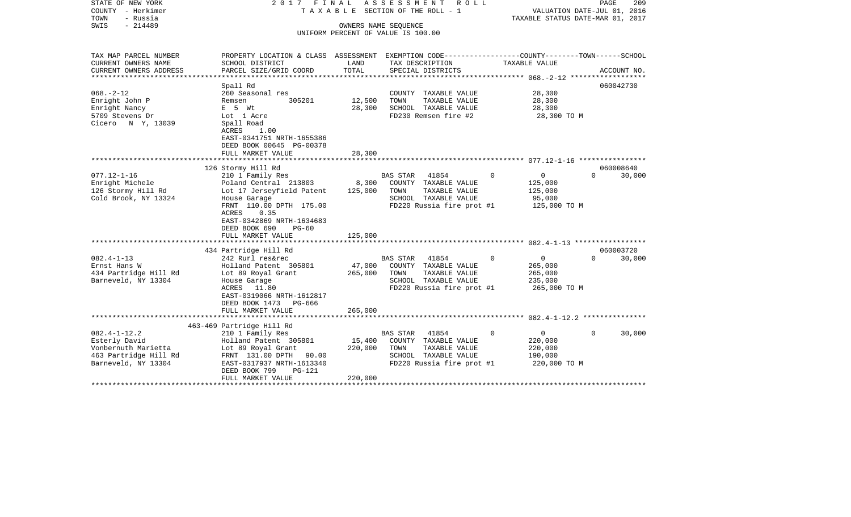| STATE OF NEW YORK<br>COUNTY - Herkimer<br>TOWN<br>- Russia | 2017                                                                                                                   | FINAL   | ASSESSMENT<br>R O L L<br>T A X A B L E SECTION OF THE ROLL - 1 | TAXABLE STATUS DATE-MAR 01, 2017 | PAGE<br>209<br>VALUATION DATE-JUL 01, 2016 |
|------------------------------------------------------------|------------------------------------------------------------------------------------------------------------------------|---------|----------------------------------------------------------------|----------------------------------|--------------------------------------------|
| SWIS<br>$-214489$                                          |                                                                                                                        |         | OWNERS NAME SEQUENCE                                           |                                  |                                            |
|                                                            |                                                                                                                        |         | UNIFORM PERCENT OF VALUE IS 100.00                             |                                  |                                            |
| TAX MAP PARCEL NUMBER                                      | PROPERTY LOCATION & CLASS ASSESSMENT EXEMPTION CODE---------------COUNTY-------TOWN------SCHOOL                        |         |                                                                |                                  |                                            |
| CURRENT OWNERS NAME                                        | SCHOOL DISTRICT                                                                                                        | LAND    | TAX DESCRIPTION                                                | TAXABLE VALUE                    |                                            |
| CURRENT OWNERS ADDRESS                                     | PARCEL SIZE/GRID COORD                                                                                                 | TOTAL   | SPECIAL DISTRICTS                                              |                                  | ACCOUNT NO.                                |
|                                                            | Spall Rd                                                                                                               |         |                                                                |                                  | 060042730                                  |
| $068. - 2 - 12$                                            | 260 Seasonal res                                                                                                       |         | COUNTY TAXABLE VALUE                                           | 28,300                           |                                            |
| Enright John P                                             | 305201<br>Remsen                                                                                                       | 12,500  | TOWN<br>TAXABLE VALUE                                          | 28,300                           |                                            |
| Enright Nancy                                              | $E$ 5 $Wt$                                                                                                             | 28,300  | SCHOOL TAXABLE VALUE                                           | 28,300                           |                                            |
| 5709 Stevens Dr<br>Cicero N Y, 13039                       | Lot 1 Acre<br>Spall Road<br>ACRES<br>1.00                                                                              |         | FD230 Remsen fire #2                                           | 28,300 TO M                      |                                            |
|                                                            | EAST-0341751 NRTH-1655386                                                                                              |         |                                                                |                                  |                                            |
|                                                            | DEED BOOK 00645 PG-00378<br>FULL MARKET VALUE                                                                          | 28,300  |                                                                |                                  |                                            |
|                                                            |                                                                                                                        |         |                                                                |                                  |                                            |
|                                                            | 126 Stormy Hill Rd                                                                                                     |         |                                                                |                                  | 060008640                                  |
| $077.12 - 1 - 16$                                          | 210 1 Family Res                                                                                                       |         | BAS STAR<br>41854                                              | 0<br>$\Omega$                    | $\Omega$<br>30,000                         |
| Enright Michele                                            | Poland Central 213803                                                                                                  | 8,300   | COUNTY TAXABLE VALUE                                           | 125,000                          |                                            |
| 126 Stormy Hill Rd                                         | Lot 17 Jerseyfield Patent                                                                                              | 125,000 | TOWN<br>TAXABLE VALUE                                          | 125,000                          |                                            |
| Cold Brook, NY 13324                                       | House Garage                                                                                                           |         | SCHOOL TAXABLE VALUE                                           | 95,000                           |                                            |
|                                                            | FRNT 110.00 DPTH 175.00<br>ACRES<br>0.35<br>EAST-0342869 NRTH-1634683<br>DEED BOOK 690<br>$PG-60$<br>FULL MARKET VALUE | 125,000 | FD220 Russia fire prot #1                                      | 125,000 TO M                     |                                            |
|                                                            |                                                                                                                        |         |                                                                |                                  |                                            |
|                                                            | 434 Partridge Hill Rd                                                                                                  |         |                                                                |                                  | 060003720                                  |
| $082.4 - 1 - 13$                                           | 242 Rurl res&rec                                                                                                       |         | 41854<br>BAS STAR                                              | $\overline{0}$<br>0              | $\Omega$<br>30,000                         |
| Ernst Hans W                                               | Holland Patent 305801                                                                                                  | 47,000  | COUNTY TAXABLE VALUE                                           | 265,000                          |                                            |
| 434 Partridge Hill Rd                                      | Lot 89 Royal Grant                                                                                                     | 265,000 | TAXABLE VALUE<br>TOWN                                          | 265,000                          |                                            |
| Barneveld, NY 13304                                        | House Garage                                                                                                           |         | SCHOOL TAXABLE VALUE                                           | 235,000                          |                                            |
|                                                            | 11.80<br>ACRES<br>EAST-0319066 NRTH-1612817<br>DEED BOOK 1473<br>PG-666<br>FULL MARKET VALUE                           |         | FD220 Russia fire prot #1                                      | 265,000 TO M                     |                                            |
|                                                            |                                                                                                                        | 265,000 |                                                                |                                  |                                            |
|                                                            | 463-469 Partridge Hill Rd                                                                                              |         |                                                                |                                  |                                            |
| $082.4 - 1 - 12.2$                                         | 210 1 Family Res                                                                                                       |         | 41854<br>BAS STAR                                              | $\mathbf{0}$<br>$\Omega$         | 30,000<br>$\Omega$                         |
| Esterly David                                              | Holland Patent 305801                                                                                                  | 15,400  | COUNTY TAXABLE VALUE                                           | 220,000                          |                                            |
| Vonbernuth Marietta                                        | Lot 89 Royal Grant                                                                                                     | 220,000 | TAXABLE VALUE<br>TOWN                                          | 220,000                          |                                            |
| 463 Partridge Hill Rd                                      | FRNT 131.00 DPTH 90.00                                                                                                 |         | SCHOOL TAXABLE VALUE                                           | 190,000                          |                                            |
| Barneveld, NY 13304                                        | EAST-0317937 NRTH-1613340<br>DEED BOOK 799<br><b>PG-121</b>                                                            |         | FD220 Russia fire prot #1                                      | 220,000 TO M                     |                                            |
|                                                            | FULL MARKET VALUE                                                                                                      | 220,000 |                                                                |                                  |                                            |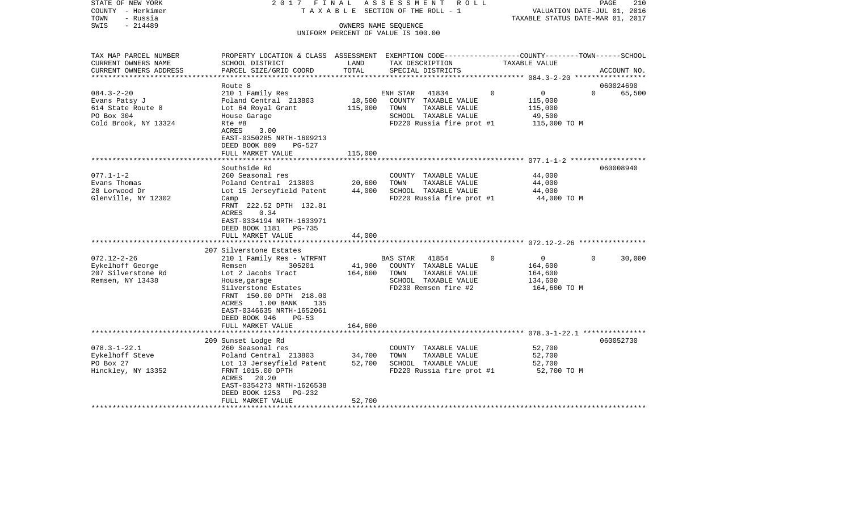| STATE OF NEW YORK<br>COUNTY - Herkimer<br>- Russia<br>TOWN<br>$-214489$<br>SWIS              | 2017 FINAL                                                                                                                                                                                                                     |                            | A S S E S S M E N T R O L L<br>TAXABLE SECTION OF THE ROLL - 1<br>OWNERS NAME SEQUENCE                                    |          | VALUATION DATE-JUL 01, 2016<br>TAXABLE STATUS DATE-MAR 01, 2017 | PAGE<br>210        |
|----------------------------------------------------------------------------------------------|--------------------------------------------------------------------------------------------------------------------------------------------------------------------------------------------------------------------------------|----------------------------|---------------------------------------------------------------------------------------------------------------------------|----------|-----------------------------------------------------------------|--------------------|
|                                                                                              |                                                                                                                                                                                                                                |                            | UNIFORM PERCENT OF VALUE IS 100.00                                                                                        |          |                                                                 |                    |
| TAX MAP PARCEL NUMBER<br>CURRENT OWNERS NAME<br>CURRENT OWNERS ADDRESS                       | PROPERTY LOCATION & CLASS ASSESSMENT EXEMPTION CODE----------------COUNTY-------TOWN------SCHOOL<br>SCHOOL DISTRICT<br>PARCEL SIZE/GRID COORD                                                                                  | LAND<br>TOTAL              | TAX DESCRIPTION<br>SPECIAL DISTRICTS                                                                                      |          | TAXABLE VALUE                                                   | ACCOUNT NO.        |
| **********************                                                                       | Route 8                                                                                                                                                                                                                        |                            |                                                                                                                           |          |                                                                 | 060024690          |
| $084.3 - 2 - 20$<br>Evans Patsy J<br>614 State Route 8<br>PO Box 304<br>Cold Brook, NY 13324 | 210 1 Family Res<br>Poland Central 213803<br>Lot 64 Royal Grant<br>House Garage<br>Rte #8<br>ACRES<br>3.00<br>EAST-0350285 NRTH-1609213                                                                                        | 18,500<br>115,000          | ENH STAR<br>41834<br>COUNTY TAXABLE VALUE<br>TOWN<br>TAXABLE VALUE<br>SCHOOL TAXABLE VALUE<br>FD220 Russia fire prot #1   | 0        | $\overline{0}$<br>115,000<br>115,000<br>49,500<br>115,000 TO M  | $\Omega$<br>65,500 |
|                                                                                              | DEED BOOK 809<br>$PG-527$<br>FULL MARKET VALUE                                                                                                                                                                                 | 115,000                    |                                                                                                                           |          |                                                                 |                    |
|                                                                                              | Southside Rd                                                                                                                                                                                                                   | ***********                |                                                                                                                           |          |                                                                 | 060008940          |
| $077.1 - 1 - 2$<br>Evans Thomas<br>28 Lorwood Dr<br>Glenville, NY 12302                      | 260 Seasonal res<br>Poland Central 213803<br>Lot 15 Jerseyfield Patent<br>Camp<br>FRNT 222.52 DPTH 132.81<br>ACRES<br>0.34<br>EAST-0334194 NRTH-1633971<br>DEED BOOK 1181<br>PG-735                                            | 20,600<br>44,000           | COUNTY TAXABLE VALUE<br>TOWN<br>TAXABLE VALUE<br>SCHOOL TAXABLE VALUE<br>FD220 Russia fire prot #1                        |          | 44,000<br>44,000<br>44,000<br>44,000 TO M                       |                    |
|                                                                                              | FULL MARKET VALUE                                                                                                                                                                                                              | 44,000                     |                                                                                                                           |          |                                                                 |                    |
|                                                                                              | 207 Silverstone Estates                                                                                                                                                                                                        |                            |                                                                                                                           |          |                                                                 |                    |
| $072.12 - 2 - 26$<br>Eykelhoff George<br>207 Silverstone Rd<br>Remsen, NY 13438              | 210 1 Family Res - WTRFNT<br>305201<br>Remsen<br>Lot 2 Jacobs Tract<br>House, garage<br>Silverstone Estates<br>FRNT 150.00 DPTH 218.00<br>ACRES<br>$1.00$ BANK<br>135<br>EAST-0346635 NRTH-1652061<br>DEED BOOK 946<br>$PG-53$ | 41,900<br>164,600          | <b>BAS STAR</b><br>41854<br>COUNTY TAXABLE VALUE<br>TOWN<br>TAXABLE VALUE<br>SCHOOL TAXABLE VALUE<br>FD230 Remsen fire #2 | $\Omega$ | $\overline{0}$<br>164,600<br>164,600<br>134,600<br>164,600 TO M | 30,000<br>$\Omega$ |
|                                                                                              | FULL MARKET VALUE                                                                                                                                                                                                              | 164,600                    |                                                                                                                           |          |                                                                 |                    |
| $078.3 - 1 - 22.1$                                                                           | 209 Sunset Lodge Rd<br>260 Seasonal res                                                                                                                                                                                        |                            | COUNTY TAXABLE VALUE                                                                                                      |          | 52,700                                                          | 060052730          |
| Eykelhoff Steve<br>PO Box 27<br>Hinckley, NY 13352                                           | Poland Central 213803<br>Lot 13 Jerseyfield Patent<br>FRNT 1015.00 DPTH<br>ACRES 20.20<br>EAST-0354273 NRTH-1626538<br>DEED BOOK 1253<br>PG-232<br>FULL MARKET VALUE                                                           | 34,700<br>52,700<br>52,700 | TOWN<br>TAXABLE VALUE<br>SCHOOL TAXABLE VALUE<br>FD220 Russia fire prot #1                                                |          | 52,700<br>52,700<br>52,700 TO M                                 |                    |
|                                                                                              | **********************************                                                                                                                                                                                             |                            |                                                                                                                           |          |                                                                 |                    |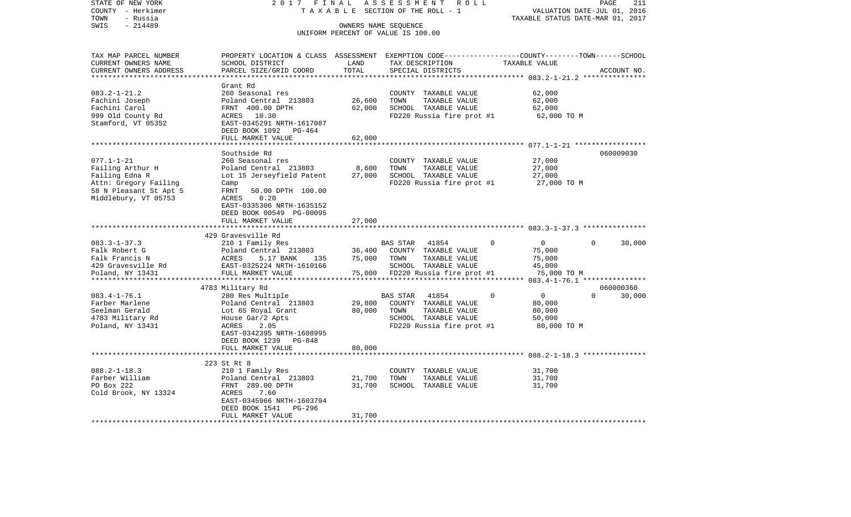| STATE OF NEW YORK        | 2017 FINAL                                                                                      |                                 | ASSESSMENT<br>R O L L              |                                     | PAGE<br>211                      |
|--------------------------|-------------------------------------------------------------------------------------------------|---------------------------------|------------------------------------|-------------------------------------|----------------------------------|
| COUNTY - Herkimer        |                                                                                                 |                                 | TAXABLE SECTION OF THE ROLL - 1    |                                     | VALUATION DATE-JUL 01, 2016      |
| TOWN<br>- Russia         |                                                                                                 |                                 |                                    |                                     | TAXABLE STATUS DATE-MAR 01, 2017 |
| SWIS<br>$-214489$        |                                                                                                 |                                 | OWNERS NAME SEQUENCE               |                                     |                                  |
|                          |                                                                                                 |                                 | UNIFORM PERCENT OF VALUE IS 100.00 |                                     |                                  |
|                          |                                                                                                 |                                 |                                    |                                     |                                  |
| TAX MAP PARCEL NUMBER    | PROPERTY LOCATION & CLASS ASSESSMENT EXEMPTION CODE---------------COUNTY-------TOWN------SCHOOL |                                 |                                    |                                     |                                  |
| CURRENT OWNERS NAME      | SCHOOL DISTRICT                                                                                 | LAND                            | TAX DESCRIPTION                    | TAXABLE VALUE                       |                                  |
| CURRENT OWNERS ADDRESS   | PARCEL SIZE/GRID COORD                                                                          | TOTAL                           | SPECIAL DISTRICTS                  |                                     | ACCOUNT NO.                      |
|                          |                                                                                                 | **********                      |                                    |                                     |                                  |
|                          | Grant Rd                                                                                        |                                 |                                    |                                     |                                  |
| $083.2 - 1 - 21.2$       | 260 Seasonal res                                                                                |                                 | COUNTY TAXABLE VALUE               | 62,000                              |                                  |
| Fachini Joseph           | Poland Central 213803                                                                           | 26,600                          | TOWN<br>TAXABLE VALUE              | 62,000                              |                                  |
| Fachini Carol            | FRNT 400.00 DPTH                                                                                | 62,000                          | SCHOOL TAXABLE VALUE               | 62,000                              |                                  |
| 999 Old County Rd        | ACRES 10.30                                                                                     |                                 | FD220 Russia fire prot #1          | 62,000 TO M                         |                                  |
| Stamford, VT 05352       | EAST-0345291 NRTH-1617087                                                                       |                                 |                                    |                                     |                                  |
|                          | DEED BOOK 1092<br>PG-464                                                                        |                                 |                                    |                                     |                                  |
|                          | FULL MARKET VALUE                                                                               | 62,000                          |                                    |                                     |                                  |
|                          | *******************                                                                             |                                 |                                    | ****** 077.1-1-21 ***************** |                                  |
|                          | Southside Rd                                                                                    |                                 |                                    |                                     | 060009030                        |
| $077.1 - 1 - 21$         | 260 Seasonal res                                                                                |                                 | COUNTY TAXABLE VALUE               | 27,000                              |                                  |
| Failing Arthur H         | Poland Central 213803                                                                           | 8,600                           | TOWN<br>TAXABLE VALUE              | 27,000                              |                                  |
| Failing Edna R           | Lot 15 Jerseyfield Patent                                                                       | 27,000                          | SCHOOL TAXABLE VALUE               | 27,000                              |                                  |
| Attn: Gregory Failing    | Camp                                                                                            |                                 | FD220 Russia fire prot #1          | 27,000 TO M                         |                                  |
| 58 N Pleasant St Apt 5   | FRNT<br>50.00 DPTH 100.00                                                                       |                                 |                                    |                                     |                                  |
| Middlebury, VT 05753     | ACRES<br>0.20                                                                                   |                                 |                                    |                                     |                                  |
|                          | EAST-0335306 NRTH-1635152                                                                       |                                 |                                    |                                     |                                  |
|                          | DEED BOOK 00549 PG-00095                                                                        |                                 |                                    |                                     |                                  |
|                          | FULL MARKET VALUE                                                                               | 27,000                          |                                    |                                     |                                  |
|                          | 429 Gravesville Rd                                                                              |                                 |                                    |                                     |                                  |
| $083.3 - 1 - 37.3$       | 210 1 Family Res                                                                                |                                 | BAS STAR<br>41854                  | $\overline{0}$<br>$\Omega$          | $\Omega$<br>30,000               |
| Falk Robert G            | Poland Central 213803                                                                           | 36,400                          | COUNTY TAXABLE VALUE               | 75,000                              |                                  |
| Falk Francis N           | ACRES<br>5.17 BANK<br>135                                                                       | 75,000                          | TOWN<br>TAXABLE VALUE              | 75,000                              |                                  |
| 429 Gravesville Rd       | EAST-0325224 NRTH-1610166                                                                       |                                 | SCHOOL TAXABLE VALUE               | 45,000                              |                                  |
| Poland, NY 13431         | FULL MARKET VALUE                                                                               |                                 | 75,000 FD220 Russia fire prot #1   | 75,000 TO M                         |                                  |
|                          |                                                                                                 |                                 |                                    |                                     |                                  |
|                          | 4783 Military Rd                                                                                |                                 |                                    |                                     | 060000360                        |
| $083.4 - 1 - 76.1$       | 280 Res Multiple                                                                                |                                 | <b>BAS STAR</b><br>41854           | $\mathbf 0$<br>$\overline{0}$       | $\Omega$<br>30,000               |
| Farber Marlene           | Poland Central 213803                                                                           | 29,800                          | COUNTY TAXABLE VALUE               | 80,000                              |                                  |
| Seelman Gerald           | Lot 65 Royal Grant                                                                              | 80,000                          | TOWN<br>TAXABLE VALUE              | 80,000                              |                                  |
| 4783 Military Rd         | House Gar/2 Apts                                                                                |                                 | SCHOOL TAXABLE VALUE               | 50,000                              |                                  |
| Poland, NY 13431         | 2.05<br>ACRES                                                                                   |                                 | FD220 Russia fire prot #1          | 80,000 TO M                         |                                  |
|                          | EAST-0342395 NRTH-1608995                                                                       |                                 |                                    |                                     |                                  |
|                          | DEED BOOK 1239<br>PG-848                                                                        |                                 |                                    |                                     |                                  |
|                          | FULL MARKET VALUE                                                                               | 80,000                          |                                    |                                     |                                  |
|                          |                                                                                                 |                                 |                                    |                                     |                                  |
|                          | 223 St Rt 8                                                                                     |                                 |                                    |                                     |                                  |
| $088.2 - 1 - 18.3$       | 210 1 Family Res                                                                                |                                 | COUNTY TAXABLE VALUE               | 31,700                              |                                  |
| Farber William           | Poland Central 213803                                                                           | 21,700                          | TOWN<br>TAXABLE VALUE              | 31,700                              |                                  |
| PO Box 222               | FRNT 289.00 DPTH                                                                                | 31,700                          | SCHOOL TAXABLE VALUE               | 31,700                              |                                  |
| Cold Brook, NY 13324     | 7.60<br>ACRES                                                                                   |                                 |                                    |                                     |                                  |
|                          | EAST-0345966 NRTH-1603794                                                                       |                                 |                                    |                                     |                                  |
|                          | DEED BOOK 1541<br>PG-296                                                                        |                                 |                                    |                                     |                                  |
| ************************ | FULL MARKET VALUE                                                                               | 31,700<br>* * * * * * * * * * * |                                    |                                     |                                  |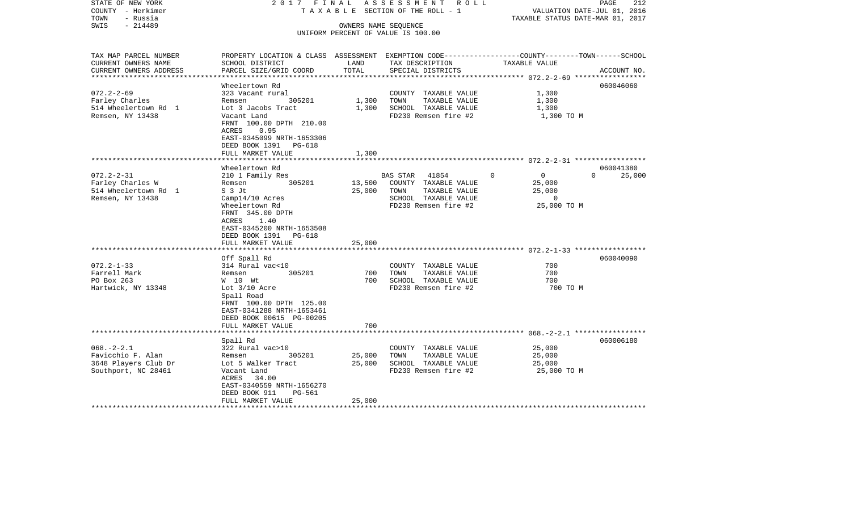| STATE OF NEW YORK<br>COUNTY - Herkimer<br>TOWN<br>- Russia<br>$-214489$<br>SWIS | 2017 FINAL                                                                                                          | OWNERS NAME SEQUENCE | ASSESSMENT ROLL<br>TAXABLE SECTION OF THE ROLL - 1 | VALUATION DATE-JUL 01, 2016<br>TAXABLE STATUS DATE-MAR 01, 2017 | 212<br>PAGE        |
|---------------------------------------------------------------------------------|---------------------------------------------------------------------------------------------------------------------|----------------------|----------------------------------------------------|-----------------------------------------------------------------|--------------------|
|                                                                                 |                                                                                                                     |                      | UNIFORM PERCENT OF VALUE IS 100.00                 |                                                                 |                    |
|                                                                                 |                                                                                                                     |                      |                                                    |                                                                 |                    |
| TAX MAP PARCEL NUMBER<br>CURRENT OWNERS NAME                                    | PROPERTY LOCATION & CLASS ASSESSMENT EXEMPTION CODE----------------COUNTY-------TOWN------SCHOOL<br>SCHOOL DISTRICT | LAND                 | TAX DESCRIPTION                                    | TAXABLE VALUE                                                   |                    |
| CURRENT OWNERS ADDRESS                                                          | PARCEL SIZE/GRID COORD                                                                                              | TOTAL                | SPECIAL DISTRICTS                                  |                                                                 | ACCOUNT NO.        |
|                                                                                 | Wheelertown Rd                                                                                                      |                      |                                                    |                                                                 | 060046060          |
| $072.2 - 2 - 69$                                                                | 323 Vacant rural                                                                                                    |                      | COUNTY TAXABLE VALUE                               | 1,300                                                           |                    |
| Farley Charles                                                                  | 305201<br>Remsen                                                                                                    | 1,300                | TOWN<br>TAXABLE VALUE                              | 1,300                                                           |                    |
| 514 Wheelertown Rd 1                                                            | Lot 3 Jacobs Tract                                                                                                  | 1,300                | SCHOOL TAXABLE VALUE                               | 1,300                                                           |                    |
| Remsen, NY 13438                                                                | Vacant Land<br>FRNT 100.00 DPTH 210.00<br>0.95<br>ACRES<br>EAST-0345099 NRTH-1653306<br>DEED BOOK 1391<br>PG-618    |                      | FD230 Remsen fire #2                               | 1,300 TO M                                                      |                    |
|                                                                                 | FULL MARKET VALUE                                                                                                   | 1,300                |                                                    |                                                                 |                    |
|                                                                                 | Wheelertown Rd                                                                                                      | *******              |                                                    |                                                                 | 060041380          |
| $072.2 - 2 - 31$                                                                | 210 1 Family Res                                                                                                    |                      | 41854<br>BAS STAR                                  | $\mathsf{O}$<br>$\mathbf 0$                                     | $\Omega$<br>25,000 |
| Farley Charles W                                                                | 305201<br>Remsen                                                                                                    | 13,500               | COUNTY TAXABLE VALUE                               | 25,000                                                          |                    |
| 514 Wheelertown Rd 1                                                            | S 3 Jt                                                                                                              | 25,000               | TOWN<br>TAXABLE VALUE                              | 25,000                                                          |                    |
| Remsen, NY 13438                                                                | Camp14/10 Acres                                                                                                     |                      | SCHOOL TAXABLE VALUE                               | $\overline{0}$                                                  |                    |
|                                                                                 | Wheelertown Rd                                                                                                      |                      | FD230 Remsen fire #2                               | 25,000 TO M                                                     |                    |
|                                                                                 | FRNT 345.00 DPTH<br>1.40<br>ACRES                                                                                   |                      |                                                    |                                                                 |                    |
|                                                                                 | EAST-0345200 NRTH-1653508                                                                                           |                      |                                                    |                                                                 |                    |
|                                                                                 | DEED BOOK 1391<br>PG-618                                                                                            |                      |                                                    |                                                                 |                    |
|                                                                                 | FULL MARKET VALUE                                                                                                   | 25,000               |                                                    |                                                                 |                    |
|                                                                                 | ****************************                                                                                        |                      |                                                    |                                                                 |                    |
|                                                                                 | Off Spall Rd                                                                                                        |                      |                                                    |                                                                 | 060040090          |
| $072.2 - 1 - 33$                                                                | 314 Rural vac<10                                                                                                    |                      | COUNTY TAXABLE VALUE                               | 700<br>700                                                      |                    |
| Farrell Mark<br>PO Box 263                                                      | 305201<br>Remsen<br>W 10 Wt                                                                                         | 700<br>700           | TOWN<br>TAXABLE VALUE<br>SCHOOL TAXABLE VALUE      | 700                                                             |                    |
| Hartwick, NY 13348                                                              | Lot $3/10$ Acre                                                                                                     |                      | FD230 Remsen fire #2                               | 700 TO M                                                        |                    |
|                                                                                 | Spall Road                                                                                                          |                      |                                                    |                                                                 |                    |
|                                                                                 | FRNT 100.00 DPTH 125.00                                                                                             |                      |                                                    |                                                                 |                    |
|                                                                                 | EAST-0341288 NRTH-1653461                                                                                           |                      |                                                    |                                                                 |                    |
|                                                                                 | DEED BOOK 00615 PG-00205                                                                                            |                      |                                                    |                                                                 |                    |
|                                                                                 | FULL MARKET VALUE                                                                                                   | 700                  |                                                    |                                                                 |                    |
|                                                                                 | Spall Rd                                                                                                            |                      |                                                    |                                                                 | 060006180          |
| $068. - 2 - 2.1$                                                                | 322 Rural vac>10                                                                                                    |                      | COUNTY TAXABLE VALUE                               | 25,000                                                          |                    |
| Favicchio F. Alan                                                               | 305201<br>Remsen                                                                                                    | 25,000               | TOWN<br>TAXABLE VALUE                              | 25,000                                                          |                    |
| 3648 Players Club Dr                                                            | Lot 5 Walker Tract                                                                                                  | 25,000               | SCHOOL TAXABLE VALUE                               | 25,000                                                          |                    |
| Southport, NC 28461                                                             | Vacant Land                                                                                                         |                      | FD230 Remsen fire #2                               | 25,000 TO M                                                     |                    |
|                                                                                 | ACRES 34.00                                                                                                         |                      |                                                    |                                                                 |                    |
|                                                                                 | EAST-0340559 NRTH-1656270                                                                                           |                      |                                                    |                                                                 |                    |
|                                                                                 | DEED BOOK 911<br><b>PG-561</b><br>FULL MARKET VALUE                                                                 | 25,000               |                                                    |                                                                 |                    |
|                                                                                 | *****************                                                                                                   |                      |                                                    |                                                                 |                    |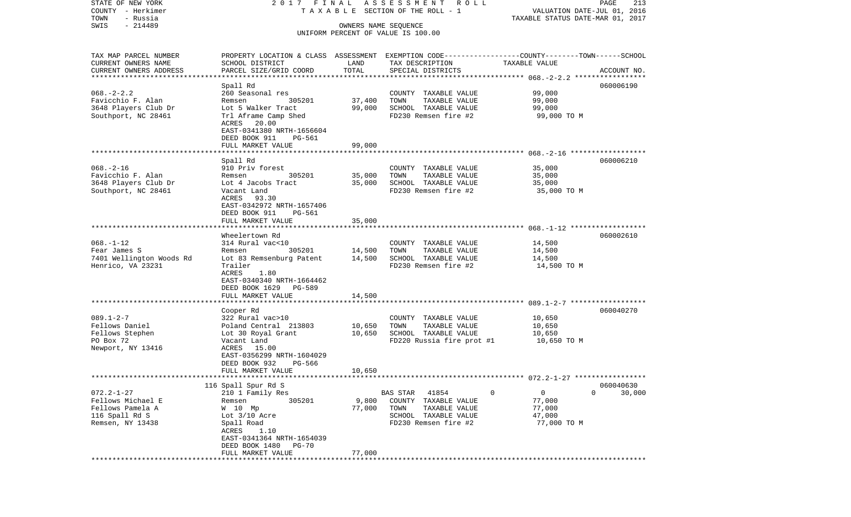| STATE OF NEW YORK                     | 2017 FINAL                                                                                      |                               | ASSESSMENT ROLL                    |                                                                 | PAGE<br>213 |
|---------------------------------------|-------------------------------------------------------------------------------------------------|-------------------------------|------------------------------------|-----------------------------------------------------------------|-------------|
| COUNTY - Herkimer<br>TOWN<br>- Russia |                                                                                                 |                               | TAXABLE SECTION OF THE ROLL - 1    | VALUATION DATE-JUL 01, 2016<br>TAXABLE STATUS DATE-MAR 01, 2017 |             |
| $-214489$<br>SWIS                     |                                                                                                 | OWNERS NAME SEQUENCE          |                                    |                                                                 |             |
|                                       |                                                                                                 |                               | UNIFORM PERCENT OF VALUE IS 100.00 |                                                                 |             |
|                                       |                                                                                                 |                               |                                    |                                                                 |             |
| TAX MAP PARCEL NUMBER                 | PROPERTY LOCATION & CLASS ASSESSMENT EXEMPTION CODE---------------COUNTY-------TOWN------SCHOOL |                               |                                    |                                                                 |             |
| CURRENT OWNERS NAME                   | SCHOOL DISTRICT                                                                                 | LAND<br>TOTAL                 | TAX DESCRIPTION                    | TAXABLE VALUE                                                   |             |
| CURRENT OWNERS ADDRESS                | PARCEL SIZE/GRID COORD                                                                          |                               | SPECIAL DISTRICTS                  |                                                                 | ACCOUNT NO. |
|                                       | Spall Rd                                                                                        |                               |                                    |                                                                 | 060006190   |
| $068. - 2 - 2.2$                      | 260 Seasonal res                                                                                |                               | COUNTY TAXABLE VALUE               | 99,000                                                          |             |
| Favicchio F. Alan                     | 305201<br>Remsen                                                                                | 37,400                        | TOWN<br>TAXABLE VALUE              | 99,000                                                          |             |
| 3648 Players Club Dr                  | Lot 5 Walker Tract                                                                              | 99,000                        | SCHOOL TAXABLE VALUE               | 99,000                                                          |             |
| Southport, NC 28461                   | Trl Aframe Camp Shed                                                                            |                               | FD230 Remsen fire #2               | 99,000 TO M                                                     |             |
|                                       | ACRES<br>20.00                                                                                  |                               |                                    |                                                                 |             |
|                                       | EAST-0341380 NRTH-1656604                                                                       |                               |                                    |                                                                 |             |
|                                       | DEED BOOK 911<br>PG-561                                                                         |                               |                                    |                                                                 |             |
|                                       | FULL MARKET VALUE                                                                               | 99,000                        |                                    |                                                                 |             |
|                                       | Spall Rd                                                                                        |                               |                                    |                                                                 | 060006210   |
| $068. - 2 - 16$                       | 910 Priv forest                                                                                 |                               | COUNTY TAXABLE VALUE               | 35,000                                                          |             |
| Favicchio F. Alan                     | 305201<br>Remsen                                                                                | 35,000                        | TOWN<br>TAXABLE VALUE              | 35,000                                                          |             |
| 3648 Players Club Dr                  | Lot 4 Jacobs Tract                                                                              | 35,000                        | SCHOOL TAXABLE VALUE               | 35,000                                                          |             |
| Southport, NC 28461                   | Vacant Land                                                                                     |                               | FD230 Remsen fire #2               | 35,000 TO M                                                     |             |
|                                       | ACRES 93.30                                                                                     |                               |                                    |                                                                 |             |
|                                       | EAST-0342972 NRTH-1657406                                                                       |                               |                                    |                                                                 |             |
|                                       | DEED BOOK 911<br>PG-561                                                                         |                               |                                    |                                                                 |             |
|                                       | FULL MARKET VALUE                                                                               | 35,000                        |                                    |                                                                 |             |
|                                       | Wheelertown Rd                                                                                  |                               |                                    |                                                                 | 060002610   |
| $068. - 1 - 12$                       | 314 Rural vac<10                                                                                |                               | COUNTY TAXABLE VALUE               | 14,500                                                          |             |
| Fear James S                          | 305201<br>Remsen                                                                                | 14,500                        | TOWN<br>TAXABLE VALUE              | 14,500                                                          |             |
| 7401 Wellington Woods Rd              | Lot 83 Remsenburg Patent                                                                        | 14,500                        | SCHOOL TAXABLE VALUE               | 14,500                                                          |             |
| Henrico, VA 23231                     | Trailer                                                                                         |                               | FD230 Remsen fire #2               | 14,500 TO M                                                     |             |
|                                       | 1.80<br>ACRES                                                                                   |                               |                                    |                                                                 |             |
|                                       | EAST-0340340 NRTH-1664462                                                                       |                               |                                    |                                                                 |             |
|                                       | DEED BOOK 1629 PG-589                                                                           |                               |                                    |                                                                 |             |
|                                       | FULL MARKET VALUE                                                                               | 14,500                        |                                    |                                                                 |             |
|                                       | Cooper Rd                                                                                       |                               |                                    |                                                                 | 060040270   |
| $089.1 - 2 - 7$                       | 322 Rural vac>10                                                                                |                               | COUNTY TAXABLE VALUE               | 10,650                                                          |             |
| Fellows Daniel                        | Poland Central 213803                                                                           | 10,650                        | TOWN<br>TAXABLE VALUE              | 10,650                                                          |             |
| Fellows Stephen                       | Lot 30 Royal Grant                                                                              | 10,650                        | SCHOOL TAXABLE VALUE               | 10,650                                                          |             |
| PO Box 72                             | Vacant Land                                                                                     |                               | FD220 Russia fire prot #1          | 10,650 TO M                                                     |             |
| Newport, NY 13416                     | ACRES 15.00                                                                                     |                               |                                    |                                                                 |             |
|                                       | EAST-0356299 NRTH-1604029                                                                       |                               |                                    |                                                                 |             |
|                                       | DEED BOOK 932<br>PG-566                                                                         |                               |                                    |                                                                 |             |
|                                       | FULL MARKET VALUE                                                                               | 10,650                        |                                    |                                                                 |             |
|                                       | 116 Spall Spur Rd S                                                                             |                               |                                    |                                                                 | 060040630   |
| $072.2 - 1 - 27$                      | 210 1 Family Res                                                                                |                               | 41854<br>BAS STAR                  | 0<br>0                                                          | 0<br>30,000 |
| Fellows Michael E                     | 305201<br>Remsen                                                                                | 9,800                         | COUNTY<br>TAXABLE VALUE            | 77,000                                                          |             |
| Fellows Pamela A                      | W 10 Mp                                                                                         | 77,000                        | TOWN<br>TAXABLE VALUE              | 77,000                                                          |             |
| 116 Spall Rd S                        | Lot $3/10$ Acre                                                                                 |                               | SCHOOL TAXABLE VALUE               | 47,000                                                          |             |
| Remsen, NY 13438                      | Spall Road                                                                                      |                               | FD230 Remsen fire #2               | 77,000 TO M                                                     |             |
|                                       | ACRES<br>1.10                                                                                   |                               |                                    |                                                                 |             |
|                                       | EAST-0341364 NRTH-1654039                                                                       |                               |                                    |                                                                 |             |
|                                       | DEED BOOK 1480<br><b>PG-70</b>                                                                  |                               |                                    |                                                                 |             |
|                                       | FULL MARKET VALUE<br>***********************                                                    | 77,000<br>******************* |                                    |                                                                 |             |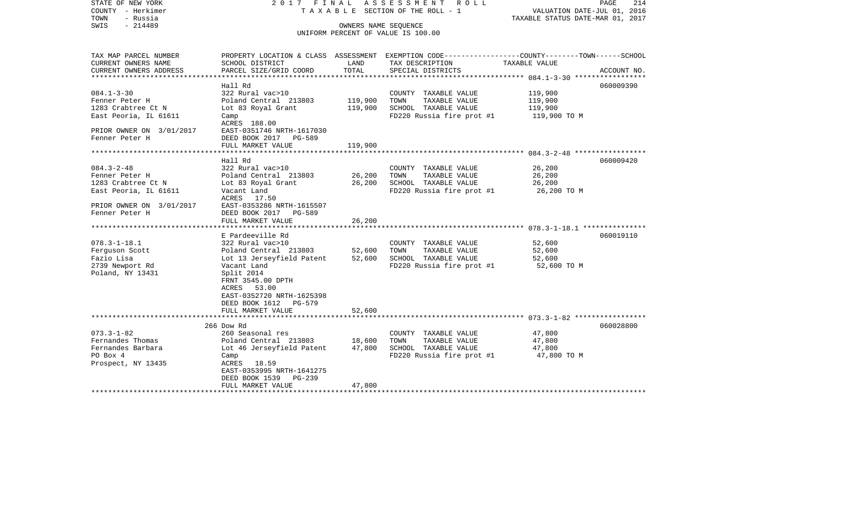STATE OF NEW YORK 2 0 1 7 F I N A L A S S E S S M E N T R O L L PAGE 214COUNTY - Herkimer T A X A B L E SECTION OF THE ROLL - 1 VALUATION DATE-JUL 01, 2016 TOWN - Russia TAXABLE STATUS DATE-MAR 01, 2017 SWIS - 214489 OWNERS NAME SEQUENCE UNIFORM PERCENT OF VALUE IS 100.00TAX MAP PARCEL NUMBER PROPERTY LOCATION & CLASS ASSESSMENT EXEMPTION CODE------------------COUNTY--------TOWN------SCHOOL CURRENT OWNERS NAME SCHOOL DISTRICT LAND TAX DESCRIPTION TAXABLE VALUECURRENT OWNERS ADDRESS PARCEL SIZE/GRID COORD TOTAL SPECIAL DISTRICTS ACCOUNT NO. \*\*\*\*\*\*\*\*\*\*\*\*\*\*\*\*\*\*\*\*\*\*\*\*\*\*\*\*\*\*\*\*\*\*\*\*\*\*\*\*\*\*\*\*\*\*\*\*\*\*\*\*\*\*\*\*\*\*\*\*\*\*\*\*\*\*\*\*\*\*\*\*\*\*\*\*\*\*\*\*\*\*\*\*\*\*\*\*\*\*\*\*\*\*\*\*\*\*\*\*\*\*\* 084.1-3-30 \*\*\*\*\*\*\*\*\*\*\*\*\*\*\*\*\* Hall Rd 060009390060009390 084.1-3-30 322 Rural vac>10 COUNTY TAXABLE VALUE 119,900 Fenner Peter H Poland Central 213803 119,900 TOWN TAXABLE VALUE 119,900 1283 Crabtree Ct N Lot 83 Royal Grant 119,900 SCHOOL TAXABLE VALUE 119,900 East Peoria, IL 61611 Camp Camp Camp Camp FD220 Russia fire prot #1 119,900 TO M ACRES 188.00PRIOR OWNER ON 3/01/2017 EAST-0351746 NRTH-1617030 Fenner Peter H DEED BOOK 2017 PG-589 FULL MARKET VALUE 119,900 \*\*\*\*\*\*\*\*\*\*\*\*\*\*\*\*\*\*\*\*\*\*\*\*\*\*\*\*\*\*\*\*\*\*\*\*\*\*\*\*\*\*\*\*\*\*\*\*\*\*\*\*\*\*\*\*\*\*\*\*\*\*\*\*\*\*\*\*\*\*\*\*\*\*\*\*\*\*\*\*\*\*\*\*\*\*\*\*\*\*\*\*\*\*\*\*\*\*\*\*\*\*\* 084.3-2-48 \*\*\*\*\*\*\*\*\*\*\*\*\*\*\*\*\* Hall Rd 060009420084.3-2-48 322 Rural vac>10 COUNTY TAXABLE VALUE 26,200 Fenner Peter H <sup>Poland</sup> Central 213803 26,200 TOWN TAXABLE VALUE 26,200 1283 Crabtree Ct N Lot 83 Royal Grant 26,200 SCHOOL TAXABLE VALUE 26,200 East Peoria, IL 61611 Vacant Land FD220 Russia fire prot #1 26,200 TO M ACRES 17.50PRIOR OWNER ON 3/01/2017 EAST-0353286 NRTH-1615507 Fenner Peter H BDEED BOOK 2017 PG-589 FULL MARKET VALUE 26,200 \*\*\*\*\*\*\*\*\*\*\*\*\*\*\*\*\*\*\*\*\*\*\*\*\*\*\*\*\*\*\*\*\*\*\*\*\*\*\*\*\*\*\*\*\*\*\*\*\*\*\*\*\*\*\*\*\*\*\*\*\*\*\*\*\*\*\*\*\*\*\*\*\*\*\*\*\*\*\*\*\*\*\*\*\*\*\*\*\*\*\*\*\*\*\*\*\*\*\*\*\*\*\* 078.3-1-18.1 \*\*\*\*\*\*\*\*\*\*\*\*\*\*\* E Pardeeville Rd 060019110078.3-1-18.1 322 Rural vac>10 COUNTY TAXABLE VALUE 52,600 Ferguson Scott Poland Central 213803 52,600 TOWN TAXABLE VALUE 52,600 Fazio Lisa Lot 13 Jerseyfield Patent 52,600 SCHOOL TAXABLE VALUE 52,600 TO M<br>2739 Newport Rd Vacant Land Vacant Land  $\overline{r}D220$  Russia fire prot #1 Poland, NY 13431 Split 2014 FRNT 3545.00 DPTH ACRES 53.00 EAST-0352720 NRTH-1625398 DEED BOOK 1612 PG-579FULL MARKET VALUE 52,600 \*\*\*\*\*\*\*\*\*\*\*\*\*\*\*\*\*\*\*\*\*\*\*\*\*\*\*\*\*\*\*\*\*\*\*\*\*\*\*\*\*\*\*\*\*\*\*\*\*\*\*\*\*\*\*\*\*\*\*\*\*\*\*\*\*\*\*\*\*\*\*\*\*\*\*\*\*\*\*\*\*\*\*\*\*\*\*\*\*\*\*\*\*\*\*\*\*\*\*\*\*\*\* 073.3-1-82 \*\*\*\*\*\*\*\*\*\*\*\*\*\*\*\*\* 266 Dow Rd 060028800073.3-1-82 260 Seasonal res COUNTY TAXABLE VALUE 47,800 Fernandes Thomas Poland Central 213803 18,600 TOWN TAXABLE VALUE 47,800 Fernandes Barbara Lot 46 Jerseyfield Patent 47,800 SCHOOL TAXABLE VALUE 47,800 Camp **FD220** Russia fire prot #1 Prospect, NY 13435 ACRES 18.59 EAST-0353995 NRTH-1641275 DEED BOOK 1539 PG-239FULL MARKET VALUE 47,800 \*\*\*\*\*\*\*\*\*\*\*\*\*\*\*\*\*\*\*\*\*\*\*\*\*\*\*\*\*\*\*\*\*\*\*\*\*\*\*\*\*\*\*\*\*\*\*\*\*\*\*\*\*\*\*\*\*\*\*\*\*\*\*\*\*\*\*\*\*\*\*\*\*\*\*\*\*\*\*\*\*\*\*\*\*\*\*\*\*\*\*\*\*\*\*\*\*\*\*\*\*\*\*\*\*\*\*\*\*\*\*\*\*\*\*\*\*\*\*\*\*\*\*\*\*\*\*\*\*\*\*\*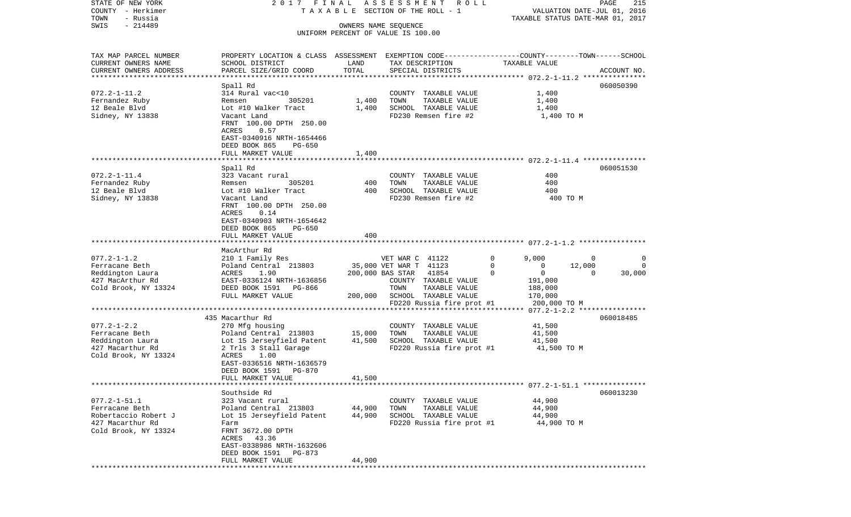| STATE OF NEW YORK<br>COUNTY - Herkimer            |                                                                                                  |                  | 2017 FINAL ASSESSMENT ROLL<br>TAXABLE SECTION OF THE ROLL - 1 |                            | PAGE<br>215<br>VALUATION DATE-JUL 01, 2016 |
|---------------------------------------------------|--------------------------------------------------------------------------------------------------|------------------|---------------------------------------------------------------|----------------------------|--------------------------------------------|
| TOWN<br>- Russia<br>$-214489$<br>SWIS             |                                                                                                  |                  | OWNERS NAME SEQUENCE                                          |                            | TAXABLE STATUS DATE-MAR 01, 2017           |
|                                                   |                                                                                                  |                  | UNIFORM PERCENT OF VALUE IS 100.00                            |                            |                                            |
| TAX MAP PARCEL NUMBER                             | PROPERTY LOCATION & CLASS ASSESSMENT EXEMPTION CODE----------------COUNTY-------TOWN------SCHOOL |                  |                                                               |                            |                                            |
| CURRENT OWNERS NAME                               | SCHOOL DISTRICT                                                                                  | LAND             | TAX DESCRIPTION                                               | TAXABLE VALUE              |                                            |
| CURRENT OWNERS ADDRESS<br>*********************** | PARCEL SIZE/GRID COORD                                                                           | TOTAL            | SPECIAL DISTRICTS                                             |                            | ACCOUNT NO.                                |
|                                                   | Spall Rd                                                                                         |                  |                                                               |                            | 060050390                                  |
| $072.2 - 1 - 11.2$                                | 314 Rural vac<10                                                                                 |                  | COUNTY TAXABLE VALUE                                          | 1,400                      |                                            |
| Fernandez Ruby                                    | 305201<br>Remsen                                                                                 | 1,400            | TOWN<br>TAXABLE VALUE                                         | 1,400                      |                                            |
| 12 Beale Blvd                                     | Lot #10 Walker Tract                                                                             | 1,400            | SCHOOL TAXABLE VALUE                                          | 1,400                      |                                            |
| Sidney, NY 13838                                  | Vacant Land                                                                                      |                  | FD230 Remsen fire #2                                          | 1,400 TO M                 |                                            |
|                                                   | FRNT 100.00 DPTH 250.00                                                                          |                  |                                                               |                            |                                            |
|                                                   | ACRES<br>0.57<br>EAST-0340916 NRTH-1654466                                                       |                  |                                                               |                            |                                            |
|                                                   | DEED BOOK 865<br>PG-650                                                                          |                  |                                                               |                            |                                            |
|                                                   | FULL MARKET VALUE                                                                                | 1,400            |                                                               |                            |                                            |
|                                                   |                                                                                                  |                  |                                                               |                            |                                            |
|                                                   | Spall Rd                                                                                         |                  |                                                               |                            | 060051530                                  |
| $072.2 - 1 - 11.4$                                | 323 Vacant rural                                                                                 |                  | COUNTY TAXABLE VALUE                                          | 400                        |                                            |
| Fernandez Ruby<br>12 Beale Blvd                   | 305201<br>Remsen<br>Lot #10 Walker Tract                                                         | 400<br>400       | TOWN<br>TAXABLE VALUE<br>SCHOOL TAXABLE VALUE                 | 400<br>400                 |                                            |
| Sidney, NY 13838                                  | Vacant Land                                                                                      |                  | FD230 Remsen fire #2                                          | 400 TO M                   |                                            |
|                                                   | FRNT 100.00 DPTH 250.00                                                                          |                  |                                                               |                            |                                            |
|                                                   | ACRES<br>0.14                                                                                    |                  |                                                               |                            |                                            |
|                                                   | EAST-0340903 NRTH-1654642                                                                        |                  |                                                               |                            |                                            |
|                                                   | DEED BOOK 865<br>PG-650                                                                          |                  |                                                               |                            |                                            |
|                                                   | FULL MARKET VALUE                                                                                | 400              |                                                               |                            |                                            |
|                                                   | MacArthur Rd                                                                                     |                  |                                                               |                            |                                            |
| $077.2 - 1 - 1.2$                                 | 210 1 Family Res                                                                                 |                  | VET WAR C 41122                                               | $\mathbf 0$<br>9,000       | $\overline{0}$<br>0                        |
| Ferracane Beth                                    | Poland Central 213803                                                                            |                  | 35,000 VET WAR T 41123                                        | $\mathbf 0$<br>0           | 12,000<br>0                                |
| Reddington Laura                                  | ACRES<br>1.90                                                                                    |                  | 200,000 BAS STAR 41854                                        | $\Omega$<br>$\overline{0}$ | $\mathbf 0$<br>30,000                      |
| 427 MacArthur Rd                                  | EAST-0336124 NRTH-1636856                                                                        |                  | COUNTY TAXABLE VALUE                                          | 191,000                    |                                            |
| Cold Brook, NY 13324                              | DEED BOOK 1591 PG-866<br>FULL MARKET VALUE                                                       |                  | TOWN<br>TAXABLE VALUE                                         | 188,000                    |                                            |
|                                                   |                                                                                                  | 200,000          | SCHOOL TAXABLE VALUE<br>FD220 Russia fire prot #1             | 170,000<br>200,000 TO M    |                                            |
|                                                   |                                                                                                  |                  |                                                               |                            |                                            |
|                                                   | 435 Macarthur Rd                                                                                 |                  |                                                               |                            | 060018485                                  |
| $077.2 - 1 - 2.2$                                 | 270 Mfg housing                                                                                  |                  | COUNTY TAXABLE VALUE                                          | 41,500                     |                                            |
| Ferracane Beth                                    | Poland Central 213803                                                                            | 15,000           | TOWN<br>TAXABLE VALUE                                         | 41,500                     |                                            |
| Reddington Laura                                  | Lot 15 Jerseyfield Patent                                                                        | 41,500           | SCHOOL TAXABLE VALUE                                          | 41,500                     |                                            |
| 427 Macarthur Rd<br>Cold Brook, NY 13324          | 2 Trls 3 Stall Garage<br>1.00                                                                    |                  | FD220 Russia fire prot #1                                     | 41,500 TO M                |                                            |
|                                                   | ACRES<br>EAST-0336516 NRTH-1636579                                                               |                  |                                                               |                            |                                            |
|                                                   | DEED BOOK 1591<br>PG-870                                                                         |                  |                                                               |                            |                                            |
|                                                   | FULL MARKET VALUE                                                                                | 41,500           |                                                               |                            |                                            |
|                                                   |                                                                                                  |                  |                                                               |                            |                                            |
|                                                   | Southside Rd                                                                                     |                  |                                                               |                            | 060013230                                  |
| $077.2 - 1 - 51.1$                                | 323 Vacant rural                                                                                 |                  | COUNTY TAXABLE VALUE                                          | 44,900                     |                                            |
| Ferracane Beth<br>Robertaccio Robert J            | Poland Central 213803<br>Lot 15 Jerseyfield Patent                                               | 44,900<br>44,900 | TOWN<br>TAXABLE VALUE<br>SCHOOL TAXABLE VALUE                 | 44,900<br>44,900           |                                            |
| 427 Macarthur Rd                                  | Farm                                                                                             |                  | FD220 Russia fire prot #1                                     | 44,900 TO M                |                                            |
| Cold Brook, NY 13324                              | FRNT 3672.00 DPTH                                                                                |                  |                                                               |                            |                                            |
|                                                   | ACRES 43.36                                                                                      |                  |                                                               |                            |                                            |
|                                                   | EAST-0338986 NRTH-1632606                                                                        |                  |                                                               |                            |                                            |
|                                                   | DEED BOOK 1591 PG-873                                                                            |                  |                                                               |                            |                                            |
|                                                   | FULL MARKET VALUE                                                                                | 44,900           |                                                               |                            |                                            |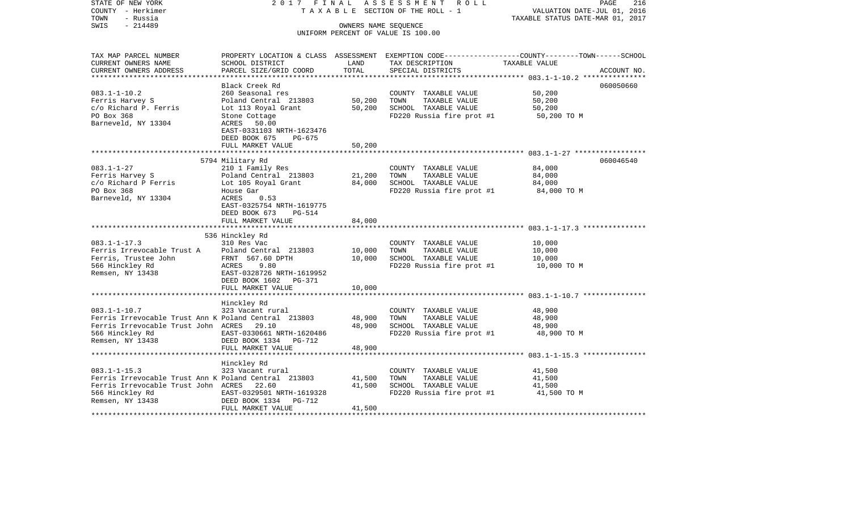| STATE OF NEW YORK<br>COUNTY - Herkimer<br>- Russia<br>TOWN | 2017 FINAL                     |                                       | ASSESSMENT ROLL<br>TAXABLE SECTION OF THE ROLL - 1 | PAGE<br>216<br>VALUATION DATE-JUL 01, 2016<br>TAXABLE STATUS DATE-MAR 01, 2017                 |
|------------------------------------------------------------|--------------------------------|---------------------------------------|----------------------------------------------------|------------------------------------------------------------------------------------------------|
| $-214489$<br>SWIS                                          |                                | OWNERS NAME SEOUENCE                  |                                                    |                                                                                                |
|                                                            |                                |                                       | UNIFORM PERCENT OF VALUE IS 100.00                 |                                                                                                |
|                                                            |                                |                                       |                                                    |                                                                                                |
| TAX MAP PARCEL NUMBER                                      |                                |                                       |                                                    | PROPERTY LOCATION & CLASS ASSESSMENT EXEMPTION CODE---------------COUNTY-------TOWN-----SCHOOL |
| CURRENT OWNERS NAME                                        | SCHOOL DISTRICT                | LAND                                  | TAX DESCRIPTION                                    | TAXABLE VALUE                                                                                  |
| CURRENT OWNERS ADDRESS                                     | PARCEL SIZE/GRID COORD         | TOTAL                                 | SPECIAL DISTRICTS                                  | ACCOUNT NO.                                                                                    |
|                                                            |                                |                                       |                                                    |                                                                                                |
|                                                            | Black Creek Rd                 |                                       |                                                    | 060050660                                                                                      |
| $083.1 - 1 - 10.2$                                         | 260 Seasonal res               |                                       | COUNTY TAXABLE VALUE                               | 50,200                                                                                         |
| Ferris Harvey S                                            | Poland Central 213803          | 50,200                                | TOWN<br>TAXABLE VALUE                              | 50,200                                                                                         |
| c/o Richard P. Ferris                                      | Lot 113 Royal Grant            | 50,200                                | SCHOOL TAXABLE VALUE                               | 50,200                                                                                         |
| PO Box 368                                                 | Stone Cottage                  |                                       | FD220 Russia fire prot #1                          | 50,200 TO M                                                                                    |
| Barneveld, NY 13304                                        | ACRES 50.00                    |                                       |                                                    |                                                                                                |
|                                                            | EAST-0331103 NRTH-1623476      |                                       |                                                    |                                                                                                |
|                                                            | DEED BOOK 675<br>PG-675        |                                       |                                                    |                                                                                                |
|                                                            | FULL MARKET VALUE              | 50,200                                |                                                    |                                                                                                |
|                                                            |                                |                                       |                                                    |                                                                                                |
|                                                            | 5794 Military Rd               |                                       |                                                    | 060046540                                                                                      |
| $083.1 - 1 - 27$                                           | 210 1 Family Res               |                                       | COUNTY TAXABLE VALUE                               | 84,000                                                                                         |
| Ferris Harvey S                                            | Poland Central 213803          | 21,200                                | TOWN<br>TAXABLE VALUE                              | 84,000                                                                                         |
| c/o Richard P Ferris                                       | Lot 105 Royal Grant            | 84,000                                | SCHOOL TAXABLE VALUE                               | 84,000                                                                                         |
| PO Box 368                                                 | House Gar                      |                                       | FD220 Russia fire prot #1                          | 84,000 TO M                                                                                    |
| Barneveld, NY 13304                                        | ACRES<br>0.53                  |                                       |                                                    |                                                                                                |
|                                                            | EAST-0325754 NRTH-1619775      |                                       |                                                    |                                                                                                |
|                                                            | DEED BOOK 673<br><b>PG-514</b> |                                       |                                                    |                                                                                                |
|                                                            | FULL MARKET VALUE              | 84,000                                |                                                    |                                                                                                |
|                                                            | 536 Hinckley Rd                |                                       |                                                    |                                                                                                |
| $083.1 - 1 - 17.3$                                         | 310 Res Vac                    |                                       |                                                    |                                                                                                |
| Ferris Irrevocable Trust A                                 | Poland Central 213803          | 10,000                                | COUNTY TAXABLE VALUE<br>TAXABLE VALUE<br>TOWN      | 10,000<br>10,000                                                                               |
| Ferris, Trustee John                                       | FRNT 567.60 DPTH               | 10,000                                | SCHOOL TAXABLE VALUE                               | 10,000                                                                                         |
| 566 Hinckley Rd                                            | ACRES<br>9.80                  |                                       | FD220 Russia fire prot #1                          | 10,000 TO M                                                                                    |
| Remsen, NY 13438                                           | EAST-0328726 NRTH-1619952      |                                       |                                                    |                                                                                                |
|                                                            | DEED BOOK 1602 PG-371          |                                       |                                                    |                                                                                                |
|                                                            | FULL MARKET VALUE              | 10,000                                |                                                    |                                                                                                |
|                                                            | ************************       | ************                          |                                                    |                                                                                                |
|                                                            | Hinckley Rd                    |                                       |                                                    |                                                                                                |
| $083.1 - 1 - 10.7$                                         | 323 Vacant rural               |                                       | COUNTY TAXABLE VALUE                               | 48,900                                                                                         |
| Ferris Irrevocable Trust Ann K Poland Central 213803       |                                | 48,900                                | TOWN<br>TAXABLE VALUE                              | 48,900                                                                                         |
| Ferris Irrevocable Trust John ACRES 29.10                  |                                | 48,900                                | SCHOOL TAXABLE VALUE                               | 48,900                                                                                         |
| 566 Hinckley Rd                                            | EAST-0330661 NRTH-1620486      |                                       | FD220 Russia fire prot #1                          | 48,900 TO M                                                                                    |
| Remsen, NY 13438                                           | DEED BOOK 1334 PG-712          |                                       |                                                    |                                                                                                |
|                                                            | FULL MARKET VALUE              | 48,900                                |                                                    |                                                                                                |
|                                                            |                                |                                       |                                                    |                                                                                                |
|                                                            | Hinckley Rd                    |                                       |                                                    |                                                                                                |
| $083.1 - 1 - 15.3$                                         | 323 Vacant rural               |                                       | COUNTY TAXABLE VALUE                               | 41,500                                                                                         |
| Ferris Irrevocable Trust Ann K Poland Central 213803       |                                | 41,500                                | TOWN<br>TAXABLE VALUE                              | 41,500                                                                                         |
| Ferris Irrevocable Trust John ACRES 22.60                  |                                | 41,500                                | SCHOOL TAXABLE VALUE                               | 41,500                                                                                         |
| 566 Hinckley Rd                                            | EAST-0329501 NRTH-1619328      |                                       | FD220 Russia fire prot #1                          | 41,500 TO M                                                                                    |
| Remsen, NY 13438                                           | DEED BOOK 1334<br>PG-712       |                                       |                                                    |                                                                                                |
|                                                            | FULL MARKET VALUE              | 41,500                                |                                                    |                                                                                                |
|                                                            |                                | * * * * * * * * * * * * * * * * * * * |                                                    |                                                                                                |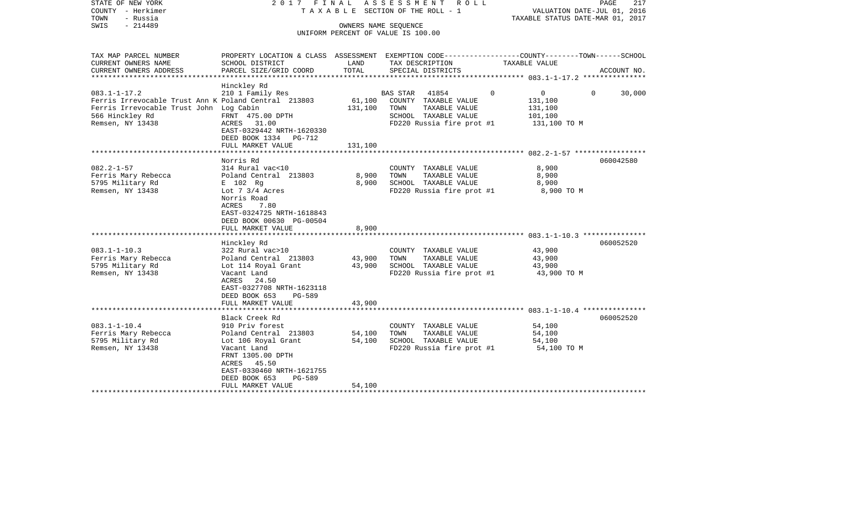| STATE OF NEW YORK<br>COUNTY - Herkimer<br>- Russia<br>TOWN<br>SWIS<br>$-214489$                                                                              | 2017 FINAL                                                                                                                                                                                                               |                            | ASSESSMENT ROLL<br>T A X A B L E SECTION OF THE ROLL - 1<br>OWNERS NAME SEOUENCE<br>UNIFORM PERCENT OF VALUE IS 100.00 | VALUATION DATE-JUL 01, 2016<br>TAXABLE STATUS DATE-MAR 01, 2017                  | PAGE<br>217 |
|--------------------------------------------------------------------------------------------------------------------------------------------------------------|--------------------------------------------------------------------------------------------------------------------------------------------------------------------------------------------------------------------------|----------------------------|------------------------------------------------------------------------------------------------------------------------|----------------------------------------------------------------------------------|-------------|
| TAX MAP PARCEL NUMBER<br>CURRENT OWNERS NAME                                                                                                                 | PROPERTY LOCATION & CLASS ASSESSMENT EXEMPTION CODE----------------COUNTY-------TOWN------SCHOOL<br>SCHOOL DISTRICT                                                                                                      | LAND                       | TAX DESCRIPTION                                                                                                        | TAXABLE VALUE                                                                    |             |
| CURRENT OWNERS ADDRESS<br>**************************                                                                                                         | PARCEL SIZE/GRID COORD                                                                                                                                                                                                   | TOTAL                      | SPECIAL DISTRICTS                                                                                                      |                                                                                  | ACCOUNT NO. |
| $083.1 - 1 - 17.2$<br>Ferris Irrevocable Trust Ann K Poland Central 213803<br>Ferris Irrevocable Trust John Log Cabin<br>566 Hinckley Rd<br>Remsen, NY 13438 | Hinckley Rd<br>210 1 Family Res<br>FRNT 475.00 DPTH<br>ACRES 31.00<br>EAST-0329442 NRTH-1620330                                                                                                                          | 61,100<br>131,100          | BAS STAR 41854<br>COUNTY TAXABLE VALUE<br>TOWN<br>TAXABLE VALUE<br>SCHOOL TAXABLE VALUE<br>FD220 Russia fire prot #1   | $\circ$<br>$\Omega$<br>$\Omega$<br>131,100<br>131,100<br>101,100<br>131,100 TO M | 30,000      |
|                                                                                                                                                              | DEED BOOK 1334 PG-712<br>FULL MARKET VALUE                                                                                                                                                                               | 131,100                    |                                                                                                                        |                                                                                  |             |
| $082.2 - 1 - 57$<br>Ferris Mary Rebecca<br>5795 Military Rd<br>Remsen, NY 13438                                                                              | Norris Rd<br>314 Rural vac<10<br>Poland Central 213803<br>E 102 Rg<br>Lot $7 \frac{3}{4}$ Acres<br>Norris Road<br>ACRES<br>7.80<br>EAST-0324725 NRTH-1618843<br>DEED BOOK 00630 PG-00504<br>FULL MARKET VALUE            | 8,900<br>8,900<br>8,900    | COUNTY TAXABLE VALUE<br>TOWN<br>TAXABLE VALUE<br>SCHOOL TAXABLE VALUE<br>FD220 Russia fire prot #1                     | 8,900<br>8,900<br>8,900<br>8,900 TO M                                            | 060042580   |
| $083.1 - 1 - 10.3$<br>Ferris Mary Rebecca<br>5795 Military Rd<br>Remsen, NY 13438                                                                            | Hinckley Rd<br>322 Rural vac>10<br>Poland Central 213803<br>Lot 114 Royal Grant<br>Vacant Land<br>ACRES 24.50<br>EAST-0327708 NRTH-1623118<br>DEED BOOK 653<br>PG-589<br>FULL MARKET VALUE                               | 43,900<br>43,900<br>43,900 | COUNTY TAXABLE VALUE<br>TOWN<br>TAXABLE VALUE<br>SCHOOL TAXABLE VALUE<br>FD220 Russia fire prot #1                     | 43,900<br>43,900<br>43,900<br>43,900 TO M                                        | 060052520   |
|                                                                                                                                                              |                                                                                                                                                                                                                          |                            |                                                                                                                        |                                                                                  | 060052520   |
| $083.1 - 1 - 10.4$<br>Ferris Mary Rebecca<br>5795 Military Rd<br>Remsen, NY 13438                                                                            | Black Creek Rd<br>910 Priv forest<br>Poland Central 213803<br>Lot 106 Royal Grant<br>Vacant Land<br>FRNT 1305.00 DPTH<br>ACRES 45.50<br>EAST-0330460 NRTH-1621755<br>DEED BOOK 653<br><b>PG-589</b><br>FULL MARKET VALUE | 54,100<br>54,100<br>54,100 | COUNTY TAXABLE VALUE<br>TAXABLE VALUE<br>TOWN<br>SCHOOL TAXABLE VALUE<br>FD220 Russia fire prot #1                     | 54,100<br>54,100<br>54,100<br>54,100 TO M                                        |             |
|                                                                                                                                                              |                                                                                                                                                                                                                          |                            |                                                                                                                        |                                                                                  |             |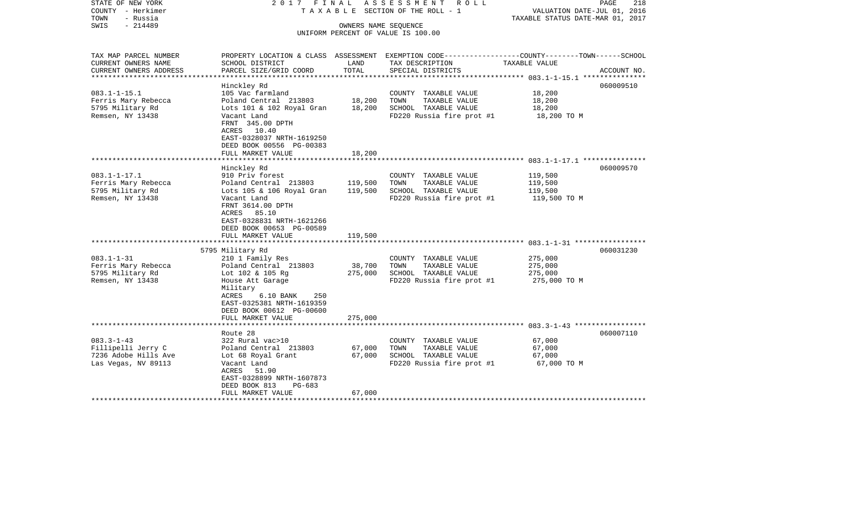| STATE OF NEW YORK<br>COUNTY - Herkimer<br>TOWN<br>- Russia<br>- 214489<br>SWIS                     | 2017 FINAL                                                                                                                                                                                                                     |                              | A S S E S S M E N T R O L L<br>TAXABLE SECTION OF THE ROLL - 1<br>OWNERS NAME SEQUENCE<br>UNIFORM PERCENT OF VALUE IS 100.00 | PAGE<br>218<br>VALUATION DATE-JUL 01, 2016<br>TAXABLE STATUS DATE-MAR 01, 2017                                                   |
|----------------------------------------------------------------------------------------------------|--------------------------------------------------------------------------------------------------------------------------------------------------------------------------------------------------------------------------------|------------------------------|------------------------------------------------------------------------------------------------------------------------------|----------------------------------------------------------------------------------------------------------------------------------|
| TAX MAP PARCEL NUMBER<br>CURRENT OWNERS NAME<br>CURRENT OWNERS ADDRESS<br>************************ | SCHOOL DISTRICT<br>PARCEL SIZE/GRID COORD                                                                                                                                                                                      | LAND<br>TOTAL                | TAX DESCRIPTION<br>SPECIAL DISTRICTS                                                                                         | PROPERTY LOCATION & CLASS ASSESSMENT EXEMPTION CODE----------------COUNTY-------TOWN------SCHOOL<br>TAXABLE VALUE<br>ACCOUNT NO. |
| $083.1 - 1 - 15.1$<br>Ferris Mary Rebecca<br>5795 Military Rd<br>Remsen, NY 13438                  | Hinckley Rd<br>105 Vac farmland<br>Poland Central 213803<br>Lots 101 & 102 Royal Gran<br>Vacant Land<br>FRNT 345.00 DPTH<br>ACRES 10.40<br>EAST-0328037 NRTH-1619250<br>DEED BOOK 00556 PG-00383<br>FULL MARKET VALUE          | 18,200<br>18,200<br>18,200   | COUNTY TAXABLE VALUE<br>TOWN<br>TAXABLE VALUE<br>SCHOOL TAXABLE VALUE<br>FD220 Russia fire prot #1                           | 060009510<br>18,200<br>18,200<br>18,200<br>18,200 TO M                                                                           |
|                                                                                                    |                                                                                                                                                                                                                                |                              |                                                                                                                              |                                                                                                                                  |
| $083.1 - 1 - 17.1$<br>Ferris Mary Rebecca<br>5795 Military Rd<br>Remsen, NY 13438                  | Hinckley Rd<br>910 Priv forest<br>Poland Central 213803<br>Lots 105 & 106 Royal Gran<br>Vacant Land<br>FRNT 3614.00 DPTH<br>ACRES 85.10<br>EAST-0328831 NRTH-1621266<br>DEED BOOK 00653 PG-00589                               | 119,500<br>119,500           | COUNTY TAXABLE VALUE<br>TOWN<br>TAXABLE VALUE<br>SCHOOL TAXABLE VALUE<br>FD220 Russia fire prot #1                           | 060009570<br>119,500<br>119,500<br>119,500<br>119,500 TO M                                                                       |
|                                                                                                    | FULL MARKET VALUE                                                                                                                                                                                                              | 119,500                      |                                                                                                                              |                                                                                                                                  |
| $083.1 - 1 - 31$<br>Ferris Mary Rebecca<br>5795 Military Rd<br>Remsen, NY 13438                    | 5795 Military Rd<br>210 1 Family Res<br>Poland Central 213803<br>Lot 102 & 105 Rg<br>House Att Garage<br>Military<br>ACRES<br>250<br>$6.10$ BANK<br>EAST-0325381 NRTH-1619359<br>DEED BOOK 00612 PG-00600<br>FULL MARKET VALUE | 38,700<br>275,000<br>275,000 | COUNTY TAXABLE VALUE<br>TOWN<br>TAXABLE VALUE<br>SCHOOL TAXABLE VALUE<br>FD220 Russia fire prot #1                           | 060031230<br>275,000<br>275,000<br>275,000<br>275,000 TO M                                                                       |
|                                                                                                    | Route 28                                                                                                                                                                                                                       |                              |                                                                                                                              | 060007110                                                                                                                        |
| $083.3 - 1 - 43$<br>Fillipelli Jerry C<br>7236 Adobe Hills Ave<br>Las Vegas, NV 89113              | 322 Rural vac>10<br>Poland Central 213803<br>Lot 68 Royal Grant<br>Vacant Land<br>ACRES 51.90<br>EAST-0328899 NRTH-1607873<br>DEED BOOK 813<br>PG-683<br>FULL MARKET VALUE                                                     | 67,000<br>67,000<br>67,000   | COUNTY TAXABLE VALUE<br>TAXABLE VALUE<br>TOWN<br>SCHOOL TAXABLE VALUE<br>FD220 Russia fire prot #1                           | 67,000<br>67,000<br>67,000<br>67,000 TO M                                                                                        |
|                                                                                                    |                                                                                                                                                                                                                                |                              |                                                                                                                              |                                                                                                                                  |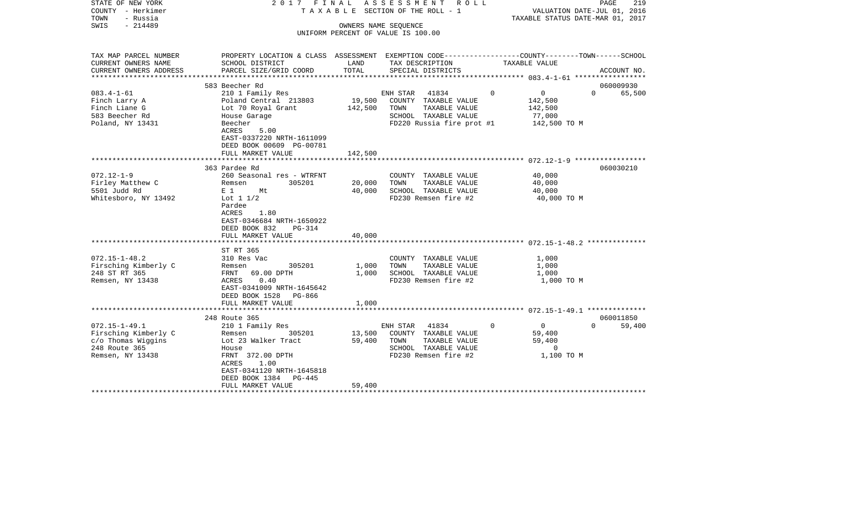| STATE OF NEW YORK<br>COUNTY - Herkimer<br>TOWN<br>- Russia | 2017 FINAL                                                                                      |         | ASSESSMENT ROLL<br>TAXABLE SECTION OF THE ROLL - 1 |                            | 219<br>PAGE<br>VALUATION DATE-JUL 01, 2016<br>TAXABLE STATUS DATE-MAR 01, 2017 |
|------------------------------------------------------------|-------------------------------------------------------------------------------------------------|---------|----------------------------------------------------|----------------------------|--------------------------------------------------------------------------------|
| SWIS<br>$-214489$                                          |                                                                                                 |         | OWNERS NAME SEQUENCE                               |                            |                                                                                |
|                                                            |                                                                                                 |         | UNIFORM PERCENT OF VALUE IS 100.00                 |                            |                                                                                |
|                                                            |                                                                                                 |         |                                                    |                            |                                                                                |
| TAX MAP PARCEL NUMBER                                      | PROPERTY LOCATION & CLASS ASSESSMENT EXEMPTION CODE----------------COUNTY-------TOWN-----SCHOOL |         |                                                    |                            |                                                                                |
| CURRENT OWNERS NAME                                        | SCHOOL DISTRICT                                                                                 | LAND    | TAX DESCRIPTION                                    | TAXABLE VALUE              |                                                                                |
| CURRENT OWNERS ADDRESS                                     | PARCEL SIZE/GRID COORD                                                                          | TOTAL   | SPECIAL DISTRICTS                                  |                            | ACCOUNT NO.                                                                    |
|                                                            |                                                                                                 |         |                                                    |                            |                                                                                |
| $083.4 - 1 - 61$                                           | 583 Beecher Rd<br>210 1 Family Res                                                              |         | ENH STAR 41834                                     | $\Omega$                   | 060009930<br>$\overline{0}$<br>$\Omega$<br>65,500                              |
| Finch Larry A                                              | Poland Central 213803                                                                           |         | 19,500 COUNTY TAXABLE VALUE                        | 142,500                    |                                                                                |
| Finch Liane G                                              | Lot 70 Royal Grant                                                                              | 142,500 | TAXABLE VALUE<br>TOWN                              | 142,500                    |                                                                                |
| 583 Beecher Rd                                             | House Garage                                                                                    |         | SCHOOL TAXABLE VALUE                               | 77,000                     |                                                                                |
| Poland, NY 13431                                           | Beecher                                                                                         |         | $FD220$ Russia fire prot #1 $142,500$ TO M         |                            |                                                                                |
|                                                            | 5.00<br>ACRES                                                                                   |         |                                                    |                            |                                                                                |
|                                                            | EAST-0337220 NRTH-1611099                                                                       |         |                                                    |                            |                                                                                |
|                                                            | DEED BOOK 00609 PG-00781                                                                        |         |                                                    |                            |                                                                                |
|                                                            | FULL MARKET VALUE<br>**************************                                                 | 142,500 |                                                    |                            |                                                                                |
|                                                            | 363 Pardee Rd                                                                                   |         |                                                    |                            | 060030210                                                                      |
| $072.12 - 1 - 9$                                           | 260 Seasonal res - WTRFNT                                                                       |         | COUNTY TAXABLE VALUE                               | 40,000                     |                                                                                |
| Firley Matthew C                                           | 305201<br>Remsen                                                                                | 20,000  | TOWN<br>TAXABLE VALUE                              | 40,000                     |                                                                                |
| 5501 Judd Rd                                               | $E_1$ 1<br>Mt                                                                                   | 40,000  | SCHOOL TAXABLE VALUE                               | 40,000                     |                                                                                |
| Whitesboro, NY 13492                                       | Lot $1\ 1/2$                                                                                    |         | FD230 Remsen fire #2                               |                            | 40,000 TO M                                                                    |
|                                                            | Pardee                                                                                          |         |                                                    |                            |                                                                                |
|                                                            | ACRES<br>1.80                                                                                   |         |                                                    |                            |                                                                                |
|                                                            | EAST-0346684 NRTH-1650922                                                                       |         |                                                    |                            |                                                                                |
|                                                            | DEED BOOK 832<br>$PG-314$<br>FULL MARKET VALUE                                                  | 40,000  |                                                    |                            |                                                                                |
|                                                            |                                                                                                 |         |                                                    |                            |                                                                                |
|                                                            | ST RT 365                                                                                       |         |                                                    |                            |                                                                                |
| $072.15 - 1 - 48.2$                                        | 310 Res Vac                                                                                     |         | COUNTY TAXABLE VALUE                               |                            | 1,000                                                                          |
| Firsching Kimberly C                                       | 305201<br>Remsen                                                                                | 1,000   | TOWN<br>TAXABLE VALUE                              |                            | 1,000                                                                          |
| 248 ST RT 365                                              | FRNT 69.00 DPTH                                                                                 | 1,000   | SCHOOL TAXABLE VALUE                               | 1,000                      |                                                                                |
| Remsen, NY 13438                                           | 0.40<br>ACRES                                                                                   |         | FD230 Remsen fire #2                               |                            | 1,000 TO M                                                                     |
|                                                            | EAST-0341009 NRTH-1645642                                                                       |         |                                                    |                            |                                                                                |
|                                                            | DEED BOOK 1528 PG-866<br>FULL MARKET VALUE                                                      | 1,000   |                                                    |                            |                                                                                |
|                                                            |                                                                                                 |         |                                                    |                            |                                                                                |
|                                                            | 248 Route 365                                                                                   |         |                                                    |                            | 060011850                                                                      |
| $072.15 - 1 - 49.1$                                        | 210 1 Family Res                                                                                |         | 41834<br>ENH STAR                                  | $\Omega$<br>$\overline{0}$ | $\Omega$<br>59,400                                                             |
| Firsching Kimberly C                                       | 305201<br>Remsen                                                                                | 13,500  | COUNTY TAXABLE VALUE                               | 59,400                     |                                                                                |
| c/o Thomas Wiggins                                         | Lot 23 Walker Tract                                                                             | 59,400  | TOWN<br>TAXABLE VALUE                              | 59,400                     |                                                                                |
| 248 Route 365                                              | House                                                                                           |         | SCHOOL TAXABLE VALUE                               |                            | $\overline{0}$                                                                 |
| Remsen, NY 13438                                           | FRNT 372.00 DPTH                                                                                |         | FD230 Remsen fire #2                               |                            | 1,100 TO M                                                                     |
|                                                            | 1.00<br>ACRES<br>EAST-0341120 NRTH-1645818                                                      |         |                                                    |                            |                                                                                |
|                                                            | DEED BOOK 1384 PG-445                                                                           |         |                                                    |                            |                                                                                |
|                                                            | FULL MARKET VALUE                                                                               | 59,400  |                                                    |                            |                                                                                |
|                                                            |                                                                                                 |         |                                                    |                            |                                                                                |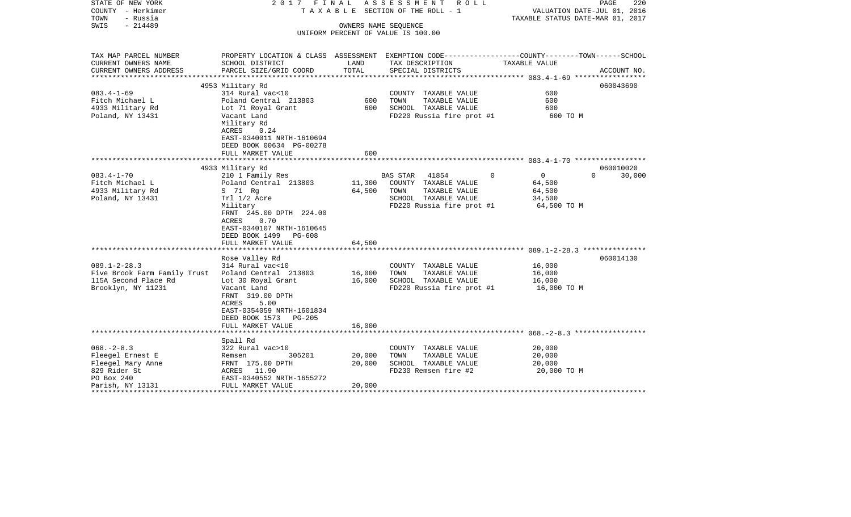| STATE OF NEW YORK<br>COUNTY - Herkimer<br>TOWN<br>- Russia                                                             | 2017 FINAL                                                                                                                                                                                                               |                            | ASSESSMENT ROLL<br>T A X A B L E SECTION OF THE ROLL - 1                                                                | PAGE<br>220<br>VALUATION DATE-JUL 01, 2016<br>TAXABLE STATUS DATE-MAR 01, 2017                                   |  |
|------------------------------------------------------------------------------------------------------------------------|--------------------------------------------------------------------------------------------------------------------------------------------------------------------------------------------------------------------------|----------------------------|-------------------------------------------------------------------------------------------------------------------------|------------------------------------------------------------------------------------------------------------------|--|
| $-214489$<br>SWIS                                                                                                      |                                                                                                                                                                                                                          | OWNERS NAME SEQUENCE       | UNIFORM PERCENT OF VALUE IS 100.00                                                                                      |                                                                                                                  |  |
|                                                                                                                        |                                                                                                                                                                                                                          |                            |                                                                                                                         |                                                                                                                  |  |
| TAX MAP PARCEL NUMBER<br>CURRENT OWNERS NAME                                                                           | SCHOOL DISTRICT                                                                                                                                                                                                          | LAND                       | TAX DESCRIPTION                                                                                                         | PROPERTY LOCATION & CLASS ASSESSMENT EXEMPTION CODE---------------COUNTY-------TOWN------SCHOOL<br>TAXABLE VALUE |  |
| CURRENT OWNERS ADDRESS                                                                                                 | PARCEL SIZE/GRID COORD                                                                                                                                                                                                   | TOTAL                      | SPECIAL DISTRICTS                                                                                                       | ACCOUNT NO.                                                                                                      |  |
|                                                                                                                        | 4953 Military Rd                                                                                                                                                                                                         |                            |                                                                                                                         | 060043690                                                                                                        |  |
| $083.4 - 1 - 69$<br>Fitch Michael L<br>4933 Military Rd<br>Poland, NY 13431                                            | 314 Rural vac<10<br>Poland Central 213803<br>Lot 71 Royal Grant<br>Vacant Land                                                                                                                                           | 600<br>600                 | COUNTY TAXABLE VALUE<br>TAXABLE VALUE<br>TOWN<br>SCHOOL TAXABLE VALUE<br>FD220 Russia fire prot #1                      | 600<br>600<br>600<br>600 TO M                                                                                    |  |
|                                                                                                                        | Military Rd<br>ACRES<br>0.24<br>EAST-0340011 NRTH-1610694<br>DEED BOOK 00634 PG-00278<br>FULL MARKET VALUE                                                                                                               | 600                        |                                                                                                                         |                                                                                                                  |  |
|                                                                                                                        |                                                                                                                                                                                                                          |                            |                                                                                                                         |                                                                                                                  |  |
| $083.4 - 1 - 70$<br>Fitch Michael L<br>4933 Military Rd<br>Poland, NY 13431                                            | 4933 Military Rd<br>210 1 Family Res<br>Poland Central 213803<br>S 71 Rg<br>Trl 1/2 Acre<br>Military<br>FRNT 245.00 DPTH 224.00<br>ACRES 0.70<br>EAST-0340107 NRTH-1610645<br>DEED BOOK 1499 PG-608<br>FULL MARKET VALUE | 11,300<br>64,500<br>64,500 | BAS STAR<br>41854<br>COUNTY TAXABLE VALUE<br>TOWN<br>TAXABLE VALUE<br>SCHOOL TAXABLE VALUE<br>FD220 Russia fire prot #1 | 060010020<br>$\overline{0}$<br>$\mathbf 0$<br>$\Omega$<br>30,000<br>64,500<br>64,500<br>34,500<br>64,500 TO M    |  |
|                                                                                                                        |                                                                                                                                                                                                                          |                            |                                                                                                                         |                                                                                                                  |  |
| $089.1 - 2 - 28.3$<br>Five Brook Farm Family Trust Poland Central 213803<br>115A Second Place Rd<br>Brooklyn, NY 11231 | Rose Valley Rd<br>314 Rural vac<10<br>Lot 30 Royal Grant<br>Vacant Land<br>FRNT 319.00 DPTH<br>5.00<br>ACRES<br>EAST-0354059 NRTH-1601834                                                                                | 16,000<br>16,000           | COUNTY TAXABLE VALUE<br>TOWN<br>TAXABLE VALUE<br>SCHOOL TAXABLE VALUE<br>FD220 Russia fire prot #1                      | 060014130<br>16,000<br>16,000<br>16,000<br>16,000 TO M                                                           |  |
|                                                                                                                        | DEED BOOK 1573 PG-205<br>FULL MARKET VALUE                                                                                                                                                                               | 16,000                     |                                                                                                                         |                                                                                                                  |  |
|                                                                                                                        | Spall Rd                                                                                                                                                                                                                 |                            |                                                                                                                         |                                                                                                                  |  |
| $068. - 2 - 8.3$<br>Fleegel Ernest E<br>Fleegel Mary Anne<br>829 Rider St<br>PO Box 240                                | 322 Rural vac>10<br>305201<br>Remsen<br>FRNT 175.00 DPTH<br>ACRES 11.90<br>EAST-0340552 NRTH-1655272                                                                                                                     | 20,000<br>20,000           | COUNTY TAXABLE VALUE<br>TOWN<br>TAXABLE VALUE<br>SCHOOL TAXABLE VALUE<br>FD230 Remsen fire #2                           | 20,000<br>20,000<br>20,000<br>20,000 TO M                                                                        |  |
| Parish, NY 13131                                                                                                       | FULL MARKET VALUE                                                                                                                                                                                                        | 20,000                     |                                                                                                                         |                                                                                                                  |  |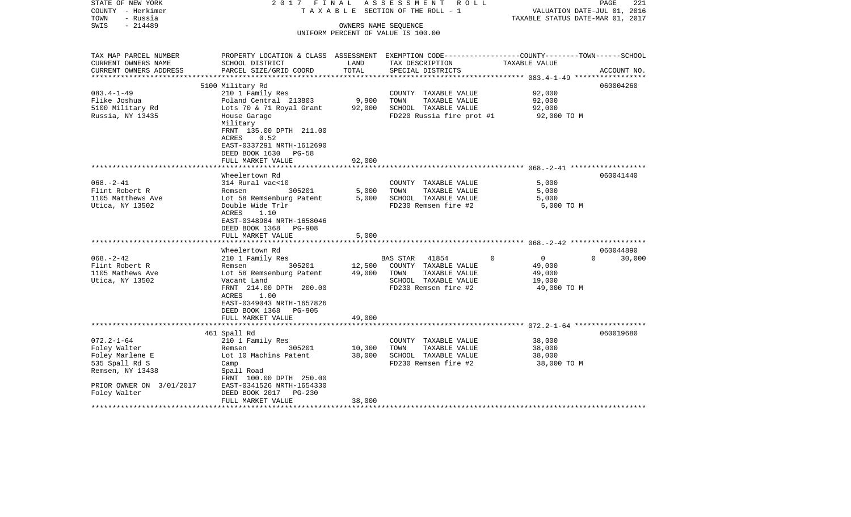| STATE OF NEW YORK<br>COUNTY - Herkimer<br>- Russia<br>TOWN | 2017 FINAL                                                                                     |                      | ASSESSMENT<br>R O L L<br>T A X A B L E SECTION OF THE ROLL - 1 | VALUATION DATE-JUL 01, 2016<br>TAXABLE STATUS DATE-MAR 01, 2017 | 221<br>PAGE        |
|------------------------------------------------------------|------------------------------------------------------------------------------------------------|----------------------|----------------------------------------------------------------|-----------------------------------------------------------------|--------------------|
| $-214489$<br>SWIS                                          |                                                                                                | OWNERS NAME SEQUENCE |                                                                |                                                                 |                    |
|                                                            |                                                                                                |                      | UNIFORM PERCENT OF VALUE IS 100.00                             |                                                                 |                    |
|                                                            |                                                                                                |                      |                                                                |                                                                 |                    |
| TAX MAP PARCEL NUMBER                                      | PROPERTY LOCATION & CLASS ASSESSMENT EXEMPTION CODE---------------COUNTY-------TOWN-----SCHOOL |                      |                                                                |                                                                 |                    |
| CURRENT OWNERS NAME                                        | SCHOOL DISTRICT                                                                                | LAND                 | TAX DESCRIPTION                                                | TAXABLE VALUE                                                   |                    |
| CURRENT OWNERS ADDRESS<br>**********************           | PARCEL SIZE/GRID COORD                                                                         | TOTAL                | SPECIAL DISTRICTS                                              |                                                                 | ACCOUNT NO.        |
|                                                            | 5100 Military Rd                                                                               |                      |                                                                |                                                                 | 060004260          |
| $083.4 - 1 - 49$                                           | 210 1 Family Res                                                                               |                      | COUNTY TAXABLE VALUE                                           | 92,000                                                          |                    |
| Flike Joshua                                               | Poland Central 213803                                                                          | 9,900                | TOWN<br>TAXABLE VALUE                                          | 92,000                                                          |                    |
| 5100 Military Rd                                           | Lots 70 & 71 Royal Grant                                                                       | 92,000               | SCHOOL TAXABLE VALUE                                           | 92,000                                                          |                    |
| Russia, NY 13435                                           | House Garage                                                                                   |                      | FD220 Russia fire prot #1                                      | 92,000 TO M                                                     |                    |
|                                                            | Military                                                                                       |                      |                                                                |                                                                 |                    |
|                                                            | FRNT 135.00 DPTH 211.00                                                                        |                      |                                                                |                                                                 |                    |
|                                                            | ACRES<br>0.52                                                                                  |                      |                                                                |                                                                 |                    |
|                                                            | EAST-0337291 NRTH-1612690                                                                      |                      |                                                                |                                                                 |                    |
|                                                            | DEED BOOK 1630 PG-58                                                                           |                      |                                                                |                                                                 |                    |
|                                                            | FULL MARKET VALUE                                                                              | 92,000               |                                                                |                                                                 |                    |
|                                                            |                                                                                                |                      |                                                                |                                                                 |                    |
|                                                            | Wheelertown Rd                                                                                 |                      |                                                                |                                                                 | 060041440          |
| $068. - 2 - 41$                                            | 314 Rural vac<10                                                                               |                      | COUNTY TAXABLE VALUE                                           | 5.000                                                           |                    |
| Flint Robert R                                             | Remsen<br>305201                                                                               | 5,000                | TOWN<br>TAXABLE VALUE                                          | 5,000                                                           |                    |
| 1105 Matthews Ave                                          | Lot 58 Remsenburg Patent                                                                       | 5,000                | SCHOOL TAXABLE VALUE                                           | 5,000                                                           |                    |
| Utica, NY 13502                                            | Double Wide Trlr                                                                               |                      | FD230 Remsen fire #2                                           | 5,000 TO M                                                      |                    |
|                                                            | ACRES<br>1.10<br>EAST-0348984 NRTH-1658046                                                     |                      |                                                                |                                                                 |                    |
|                                                            | DEED BOOK 1368<br>PG-908                                                                       |                      |                                                                |                                                                 |                    |
|                                                            | FULL MARKET VALUE                                                                              | 5,000                |                                                                |                                                                 |                    |
|                                                            |                                                                                                |                      |                                                                |                                                                 |                    |
|                                                            | Wheelertown Rd                                                                                 |                      |                                                                |                                                                 | 060044890          |
| $068. - 2 - 42$                                            | 210 1 Family Res                                                                               |                      | 41854<br>BAS STAR                                              | $\overline{0}$<br>$\Omega$                                      | $\Omega$<br>30,000 |
| Flint Robert R                                             | 305201<br>Remsen                                                                               | 12,500               | COUNTY TAXABLE VALUE                                           | 49,000                                                          |                    |
| 1105 Mathews Ave                                           | Lot 58 Remsenburg Patent                                                                       | 49,000               | TOWN<br>TAXABLE VALUE                                          | 49,000                                                          |                    |
| Utica, NY 13502                                            | Vacant Land                                                                                    |                      | SCHOOL TAXABLE VALUE                                           | 19,000                                                          |                    |
|                                                            | FRNT 214.00 DPTH 200.00                                                                        |                      | FD230 Remsen fire #2                                           | 49,000 TO M                                                     |                    |
|                                                            | ACRES<br>1.00                                                                                  |                      |                                                                |                                                                 |                    |
|                                                            | EAST-0349043 NRTH-1657826                                                                      |                      |                                                                |                                                                 |                    |
|                                                            | DEED BOOK 1368 PG-905                                                                          |                      |                                                                |                                                                 |                    |
|                                                            | FULL MARKET VALUE                                                                              | 49,000               |                                                                |                                                                 |                    |
|                                                            |                                                                                                |                      |                                                                |                                                                 |                    |
|                                                            | 461 Spall Rd                                                                                   |                      |                                                                |                                                                 | 060019680          |
| $072.2 - 1 - 64$                                           | 210 1 Family Res                                                                               |                      | COUNTY TAXABLE VALUE                                           | 38,000                                                          |                    |
| Foley Walter                                               | 305201<br>Remsen                                                                               | 10,300<br>38,000     | TOWN<br>TAXABLE VALUE<br>SCHOOL TAXABLE VALUE                  | 38,000                                                          |                    |
| Foley Marlene E<br>535 Spall Rd S                          | Lot 10 Machins Patent<br>Camp                                                                  |                      | FD230 Remsen fire #2                                           | 38,000<br>38,000 TO M                                           |                    |
| Remsen, NY 13438                                           | Spall Road                                                                                     |                      |                                                                |                                                                 |                    |
|                                                            | FRNT 100.00 DPTH 250.00                                                                        |                      |                                                                |                                                                 |                    |
| PRIOR OWNER ON 3/01/2017                                   | EAST-0341526 NRTH-1654330                                                                      |                      |                                                                |                                                                 |                    |
| Foley Walter                                               | DEED BOOK 2017 PG-230                                                                          |                      |                                                                |                                                                 |                    |
|                                                            | FULL MARKET VALUE                                                                              | 38,000               |                                                                |                                                                 |                    |
| ********************                                       |                                                                                                |                      |                                                                |                                                                 |                    |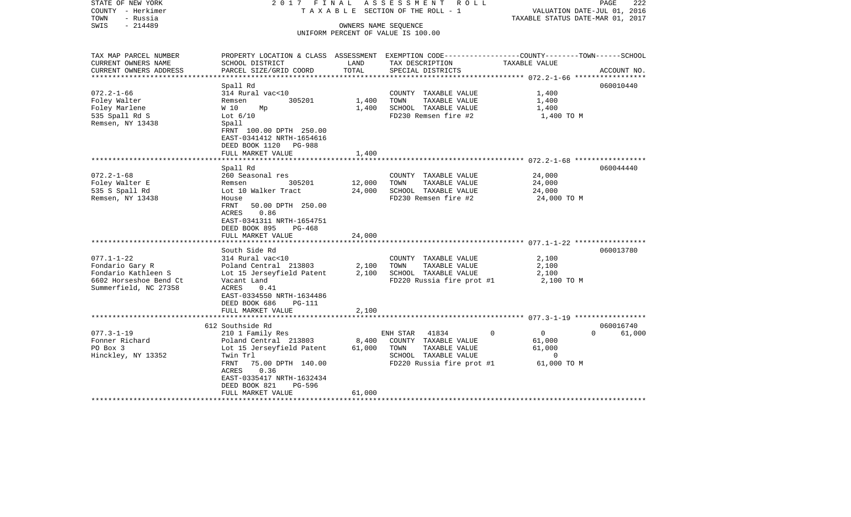| STATE OF NEW YORK<br>COUNTY - Herkimer<br>- Russia<br>TOWN<br>$-214489$<br>SWIS | 2017 FINAL                                                                                     |        | A S S E S S M E N T R O L L<br>TAXABLE SECTION OF THE ROLL - 1<br>OWNERS NAME SEQUENCE | TAXABLE STATUS DATE-MAR 01, 2017 | PAGE<br>222<br>VALUATION DATE-JUL 01, 2016 |
|---------------------------------------------------------------------------------|------------------------------------------------------------------------------------------------|--------|----------------------------------------------------------------------------------------|----------------------------------|--------------------------------------------|
|                                                                                 |                                                                                                |        | UNIFORM PERCENT OF VALUE IS 100.00                                                     |                                  |                                            |
| TAX MAP PARCEL NUMBER                                                           | PROPERTY LOCATION & CLASS ASSESSMENT EXEMPTION CODE---------------COUNTY-------TOWN-----SCHOOL |        |                                                                                        |                                  |                                            |
| CURRENT OWNERS NAME                                                             | SCHOOL DISTRICT                                                                                | LAND   | TAX DESCRIPTION                                                                        | TAXABLE VALUE                    |                                            |
| CURRENT OWNERS ADDRESS<br>**********************                                | PARCEL SIZE/GRID COORD                                                                         | TOTAL  | SPECIAL DISTRICTS                                                                      |                                  | ACCOUNT NO.                                |
|                                                                                 | Spall Rd                                                                                       |        |                                                                                        |                                  | 060010440                                  |
| $072.2 - 1 - 66$                                                                | 314 Rural vac<10                                                                               |        | COUNTY TAXABLE VALUE                                                                   | 1,400                            |                                            |
| Foley Walter                                                                    | 305201<br>Remsen                                                                               | 1,400  | TOWN<br>TAXABLE VALUE                                                                  | 1,400                            |                                            |
| Foley Marlene                                                                   | W 10<br>Мp                                                                                     | 1,400  | SCHOOL TAXABLE VALUE                                                                   | 1,400                            |                                            |
| 535 Spall Rd S                                                                  | Lot $6/10$                                                                                     |        | FD230 Remsen fire #2                                                                   | 1,400 TO M                       |                                            |
| Remsen, NY 13438                                                                | Spall                                                                                          |        |                                                                                        |                                  |                                            |
|                                                                                 | FRNT 100.00 DPTH 250.00                                                                        |        |                                                                                        |                                  |                                            |
|                                                                                 | EAST-0341412 NRTH-1654616                                                                      |        |                                                                                        |                                  |                                            |
|                                                                                 | DEED BOOK 1120 PG-988                                                                          |        |                                                                                        |                                  |                                            |
|                                                                                 | FULL MARKET VALUE                                                                              | 1,400  |                                                                                        |                                  |                                            |
|                                                                                 | Spall Rd                                                                                       |        |                                                                                        |                                  | 060044440                                  |
| $072.2 - 1 - 68$                                                                | 260 Seasonal res                                                                               |        | COUNTY TAXABLE VALUE                                                                   | 24,000                           |                                            |
| Foley Walter E                                                                  | 305201<br>Remsen                                                                               | 12,000 | TOWN<br>TAXABLE VALUE                                                                  | 24,000                           |                                            |
| 535 S Spall Rd                                                                  | Lot 10 Walker Tract                                                                            | 24,000 | SCHOOL TAXABLE VALUE                                                                   | 24,000                           |                                            |
| Remsen, NY 13438                                                                | House                                                                                          |        | FD230 Remsen fire #2                                                                   | 24,000 TO M                      |                                            |
|                                                                                 | 50.00 DPTH 250.00<br>FRNT                                                                      |        |                                                                                        |                                  |                                            |
|                                                                                 | 0.86<br>ACRES                                                                                  |        |                                                                                        |                                  |                                            |
|                                                                                 | EAST-0341311 NRTH-1654751                                                                      |        |                                                                                        |                                  |                                            |
|                                                                                 | DEED BOOK 895<br>PG-468                                                                        |        |                                                                                        |                                  |                                            |
|                                                                                 | FULL MARKET VALUE                                                                              | 24,000 |                                                                                        |                                  |                                            |
|                                                                                 | South Side Rd                                                                                  |        |                                                                                        |                                  | 060013780                                  |
| $077.1 - 1 - 22$                                                                | 314 Rural vac<10                                                                               |        | COUNTY TAXABLE VALUE                                                                   | 2,100                            |                                            |
| Fondario Gary R                                                                 | Poland Central 213803                                                                          | 2,100  | TOWN<br>TAXABLE VALUE                                                                  | 2,100                            |                                            |
| Fondario Kathleen S                                                             | Lot 15 Jerseyfield Patent                                                                      | 2,100  | SCHOOL TAXABLE VALUE                                                                   | 2,100                            |                                            |
| 6602 Horseshoe Bend Ct                                                          | Vacant Land                                                                                    |        | FD220 Russia fire prot #1                                                              | 2,100 TO M                       |                                            |
| Summerfield, NC 27358                                                           | ACRES<br>0.41                                                                                  |        |                                                                                        |                                  |                                            |
|                                                                                 | EAST-0334550 NRTH-1634486                                                                      |        |                                                                                        |                                  |                                            |
|                                                                                 | DEED BOOK 686<br><b>PG-111</b>                                                                 |        |                                                                                        |                                  |                                            |
|                                                                                 | FULL MARKET VALUE<br>*******************************                                           | 2,100  |                                                                                        |                                  |                                            |
|                                                                                 | 612 Southside Rd                                                                               |        |                                                                                        |                                  | 060016740                                  |
| $077.3 - 1 - 19$                                                                | 210 1 Family Res                                                                               |        | ENH STAR<br>41834                                                                      | $\Omega$<br>$\overline{0}$       | $\Omega$<br>61,000                         |
| Fonner Richard                                                                  | Poland Central 213803                                                                          | 8,400  | COUNTY TAXABLE VALUE                                                                   | 61,000                           |                                            |
| PO Box 3                                                                        | Lot 15 Jerseyfield Patent                                                                      | 61,000 | TOWN<br>TAXABLE VALUE                                                                  | 61,000                           |                                            |
| Hinckley, NY 13352                                                              | Twin Trl                                                                                       |        | SCHOOL TAXABLE VALUE                                                                   | $\circ$                          |                                            |
|                                                                                 | FRNT<br>75.00 DPTH 140.00                                                                      |        | FD220 Russia fire prot #1                                                              | 61,000 TO M                      |                                            |
|                                                                                 | ACRES<br>0.36                                                                                  |        |                                                                                        |                                  |                                            |
|                                                                                 | EAST-0335417 NRTH-1632434                                                                      |        |                                                                                        |                                  |                                            |
|                                                                                 | DEED BOOK 821<br>PG-596                                                                        |        |                                                                                        |                                  |                                            |
|                                                                                 | FULL MARKET VALUE                                                                              | 61,000 |                                                                                        |                                  |                                            |
|                                                                                 |                                                                                                |        |                                                                                        |                                  |                                            |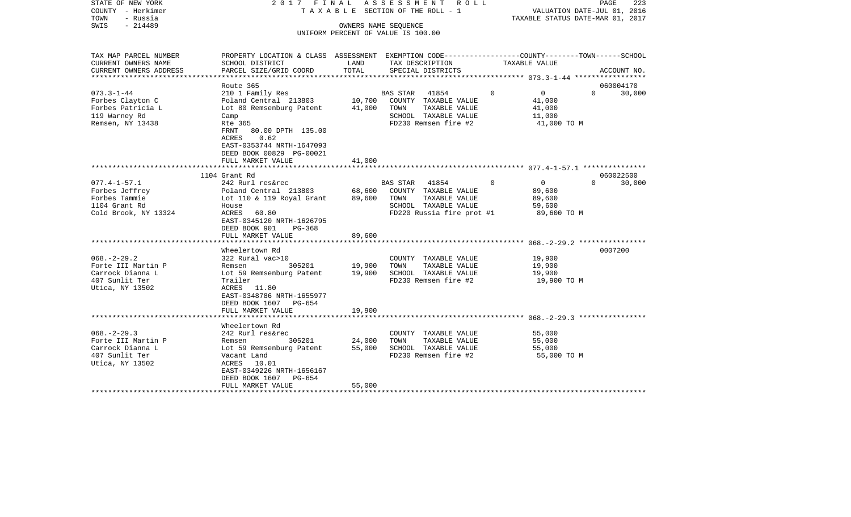| STATE OF NEW YORK<br>COUNTY - Herkimer<br>- Russia<br>TOWN | 2017 FINAL<br>TAXABLE                                                                            |        | ASSESSMENT<br>R O L L<br>SECTION OF THE ROLL - 1 |             | VALUATION DATE-JUL 01, 2016<br>TAXABLE STATUS DATE-MAR 01, 2017 | PAGE     | 223         |
|------------------------------------------------------------|--------------------------------------------------------------------------------------------------|--------|--------------------------------------------------|-------------|-----------------------------------------------------------------|----------|-------------|
| SWIS<br>$-214489$                                          |                                                                                                  |        | OWNERS NAME SEQUENCE                             |             |                                                                 |          |             |
|                                                            |                                                                                                  |        | UNIFORM PERCENT OF VALUE IS 100.00               |             |                                                                 |          |             |
| TAX MAP PARCEL NUMBER                                      | PROPERTY LOCATION & CLASS ASSESSMENT EXEMPTION CODE----------------COUNTY-------TOWN------SCHOOL |        |                                                  |             |                                                                 |          |             |
| CURRENT OWNERS NAME                                        | SCHOOL DISTRICT                                                                                  | LAND   | TAX DESCRIPTION                                  |             | TAXABLE VALUE                                                   |          |             |
| CURRENT OWNERS ADDRESS                                     | PARCEL SIZE/GRID COORD                                                                           | TOTAL  | SPECIAL DISTRICTS                                |             |                                                                 |          | ACCOUNT NO. |
|                                                            | Route 365                                                                                        |        |                                                  |             |                                                                 |          | 060004170   |
| $073.3 - 1 - 44$                                           | 210 1 Family Res                                                                                 |        | 41854<br><b>BAS STAR</b>                         | $\Omega$    | $\circ$                                                         | $\Omega$ | 30,000      |
| Forbes Clayton C                                           | Poland Central 213803                                                                            | 10,700 | COUNTY TAXABLE VALUE                             |             | 41,000                                                          |          |             |
| Forbes Patricia L                                          | Lot 80 Remsenburg Patent                                                                         | 41,000 | TOWN<br>TAXABLE VALUE                            |             | 41,000                                                          |          |             |
| 119 Warney Rd                                              | Camp                                                                                             |        | SCHOOL TAXABLE VALUE                             |             | 11,000                                                          |          |             |
| Remsen, NY 13438                                           | Rte 365                                                                                          |        | FD230 Remsen fire #2                             |             | 41,000 TO M                                                     |          |             |
|                                                            | 80.00 DPTH 135.00<br>FRNT                                                                        |        |                                                  |             |                                                                 |          |             |
|                                                            | 0.62<br>ACRES                                                                                    |        |                                                  |             |                                                                 |          |             |
|                                                            | EAST-0353744 NRTH-1647093                                                                        |        |                                                  |             |                                                                 |          |             |
|                                                            | DEED BOOK 00829 PG-00021                                                                         |        |                                                  |             |                                                                 |          |             |
|                                                            | FULL MARKET VALUE                                                                                | 41,000 |                                                  |             |                                                                 |          |             |
|                                                            | 1104 Grant Rd                                                                                    |        |                                                  |             |                                                                 |          | 060022500   |
| $077.4 - 1 - 57.1$                                         | 242 Rurl res&rec                                                                                 |        | 41854<br>BAS STAR                                | $\mathbf 0$ | $\overline{0}$                                                  | $\Omega$ | 30,000      |
| Forbes Jeffrey                                             | Poland Central 213803                                                                            | 68,600 | COUNTY TAXABLE VALUE                             |             | 89,600                                                          |          |             |
| Forbes Tammie                                              | Lot 110 & 119 Royal Grant                                                                        | 89,600 | TOWN<br>TAXABLE VALUE                            |             | 89,600                                                          |          |             |
| 1104 Grant Rd                                              | House                                                                                            |        | SCHOOL TAXABLE VALUE                             |             | 59,600                                                          |          |             |
| Cold Brook, NY 13324                                       | 60.80<br>ACRES                                                                                   |        | FD220 Russia fire prot #1                        |             | 89,600 TO M                                                     |          |             |
|                                                            | EAST-0345120 NRTH-1626795                                                                        |        |                                                  |             |                                                                 |          |             |
|                                                            | DEED BOOK 901<br>PG-368                                                                          |        |                                                  |             |                                                                 |          |             |
|                                                            | FULL MARKET VALUE                                                                                | 89,600 |                                                  |             |                                                                 |          |             |
|                                                            | ******************                                                                               |        |                                                  |             | $068, -2 - 29, 2$ *****************                             |          |             |
|                                                            | Wheelertown Rd                                                                                   |        |                                                  |             |                                                                 |          | 0007200     |
| $068. - 2 - 29.2$                                          | 322 Rural vac>10                                                                                 |        | COUNTY TAXABLE VALUE                             |             | 19,900                                                          |          |             |
| Forte III Martin P                                         | 305201<br>Remsen                                                                                 | 19,900 | TOWN<br>TAXABLE VALUE                            |             | 19,900                                                          |          |             |
| Carrock Dianna L                                           | Lot 59 Remsenburg Patent                                                                         | 19,900 | SCHOOL TAXABLE VALUE                             |             | 19,900                                                          |          |             |
| 407 Sunlit Ter<br>Utica, NY 13502                          | Trailer<br>ACRES 11.80                                                                           |        | FD230 Remsen fire #2                             |             | 19,900 TO M                                                     |          |             |
|                                                            | EAST-0348786 NRTH-1655977                                                                        |        |                                                  |             |                                                                 |          |             |
|                                                            | DEED BOOK 1607<br>PG-654                                                                         |        |                                                  |             |                                                                 |          |             |
|                                                            | FULL MARKET VALUE                                                                                | 19,900 |                                                  |             |                                                                 |          |             |
|                                                            | *************************                                                                        |        |                                                  |             |                                                                 |          |             |
|                                                            | Wheelertown Rd                                                                                   |        |                                                  |             |                                                                 |          |             |
| $068. - 2 - 29.3$                                          | 242 Rurl res&rec                                                                                 |        | COUNTY TAXABLE VALUE                             |             | 55,000                                                          |          |             |
| Forte III Martin P                                         | Remsen<br>305201                                                                                 | 24,000 | TOWN<br>TAXABLE VALUE                            |             | 55,000                                                          |          |             |
| Carrock Dianna L                                           | Lot 59 Remsenburg Patent                                                                         | 55,000 | SCHOOL TAXABLE VALUE                             |             | 55,000                                                          |          |             |
| 407 Sunlit Ter                                             | Vacant Land                                                                                      |        | FD230 Remsen fire #2                             |             | 55,000 TO M                                                     |          |             |
| Utica, NY 13502                                            | ACRES<br>10.01                                                                                   |        |                                                  |             |                                                                 |          |             |
|                                                            | EAST-0349226 NRTH-1656167                                                                        |        |                                                  |             |                                                                 |          |             |
|                                                            | DEED BOOK 1607<br>$PG-654$                                                                       |        |                                                  |             |                                                                 |          |             |
| *******************                                        | FULL MARKET VALUE                                                                                | 55,000 |                                                  |             |                                                                 |          |             |
|                                                            |                                                                                                  |        |                                                  |             |                                                                 |          |             |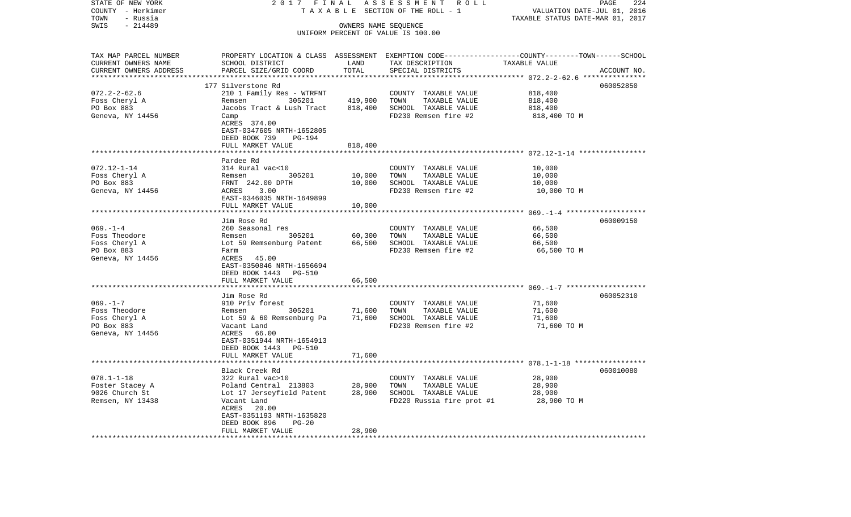| STATE OF NEW YORK                 | 2017 FINAL                                         |                               | ASSESSMENT ROLL                                                                                 |                                          | PAGE<br>224 |
|-----------------------------------|----------------------------------------------------|-------------------------------|-------------------------------------------------------------------------------------------------|------------------------------------------|-------------|
| COUNTY - Herkimer                 |                                                    |                               | TAXABLE SECTION OF THE ROLL - 1                                                                 | VALUATION DATE-JUL 01, 2016              |             |
| TOWN<br>- Russia                  |                                                    |                               |                                                                                                 | TAXABLE STATUS DATE-MAR 01, 2017         |             |
| SWIS<br>$-214489$                 |                                                    |                               | OWNERS NAME SEQUENCE<br>UNIFORM PERCENT OF VALUE IS 100.00                                      |                                          |             |
|                                   |                                                    |                               |                                                                                                 |                                          |             |
| TAX MAP PARCEL NUMBER             |                                                    |                               | PROPERTY LOCATION & CLASS ASSESSMENT EXEMPTION CODE---------------COUNTY-------TOWN------SCHOOL |                                          |             |
| CURRENT OWNERS NAME               | SCHOOL DISTRICT                                    | LAND                          | TAX DESCRIPTION                                                                                 | TAXABLE VALUE                            |             |
| CURRENT OWNERS ADDRESS            | PARCEL SIZE/GRID COORD                             | TOTAL                         | SPECIAL DISTRICTS                                                                               |                                          | ACCOUNT NO. |
|                                   |                                                    | * * * * * * * * *             |                                                                                                 | ********** 072.2-2-62.6 **************** |             |
|                                   | 177 Silverstone Rd                                 |                               |                                                                                                 |                                          | 060052850   |
| $072.2 - 2 - 62.6$                | 210 1 Family Res - WTRFNT                          | 419,900                       | COUNTY TAXABLE VALUE<br>TOWN                                                                    | 818,400                                  |             |
| Foss Cheryl A<br>PO Box 883       | Remsen<br>305201<br>Jacobs Tract & Lush Tract      | 818,400                       | TAXABLE VALUE<br>SCHOOL TAXABLE VALUE                                                           | 818,400<br>818,400                       |             |
| Geneva, NY 14456                  | Camp                                               |                               | FD230 Remsen fire #2                                                                            | 818,400 TO M                             |             |
|                                   | ACRES 374.00                                       |                               |                                                                                                 |                                          |             |
|                                   | EAST-0347605 NRTH-1652805                          |                               |                                                                                                 |                                          |             |
|                                   | DEED BOOK 739<br>PG-194                            |                               |                                                                                                 |                                          |             |
|                                   | FULL MARKET VALUE                                  | 818,400                       |                                                                                                 |                                          |             |
|                                   |                                                    |                               |                                                                                                 |                                          |             |
|                                   | Pardee Rd                                          |                               |                                                                                                 |                                          |             |
| $072.12 - 1 - 14$                 | 314 Rural vac<10                                   |                               | COUNTY TAXABLE VALUE                                                                            | 10,000                                   |             |
| Foss Cheryl A                     | 305201<br>Remsen                                   | 10,000                        | TOWN<br>TAXABLE VALUE                                                                           | 10,000                                   |             |
| PO Box 883                        | FRNT 242.00 DPTH                                   | 10,000                        | SCHOOL TAXABLE VALUE                                                                            | 10,000                                   |             |
| Geneva, NY 14456                  | 3.00<br>ACRES                                      |                               | FD230 Remsen fire #2                                                                            | 10,000 TO M                              |             |
|                                   | EAST-0346035 NRTH-1649899                          |                               |                                                                                                 |                                          |             |
|                                   | FULL MARKET VALUE                                  | 10,000<br>******************* |                                                                                                 |                                          |             |
|                                   | Jim Rose Rd                                        |                               |                                                                                                 |                                          | 060009150   |
| $069. - 1 - 4$                    | 260 Seasonal res                                   |                               | COUNTY TAXABLE VALUE                                                                            | 66,500                                   |             |
| Foss Theodore                     | Remsen<br>305201                                   | 60,300                        | TOWN<br>TAXABLE VALUE                                                                           | 66,500                                   |             |
| Foss Cheryl A                     | Lot 59 Remsenburg Patent                           | 66,500                        | SCHOOL TAXABLE VALUE                                                                            | 66,500                                   |             |
| PO Box 883                        | Farm                                               |                               | FD230 Remsen fire #2                                                                            | 66,500 TO M                              |             |
| Geneva, NY 14456                  | ACRES<br>45.00                                     |                               |                                                                                                 |                                          |             |
|                                   | EAST-0350846 NRTH-1656694                          |                               |                                                                                                 |                                          |             |
|                                   | DEED BOOK 1443 PG-510                              |                               |                                                                                                 |                                          |             |
|                                   | FULL MARKET VALUE                                  | 66,500                        |                                                                                                 |                                          |             |
|                                   |                                                    |                               |                                                                                                 |                                          |             |
| $069. -1 - 7$                     | Jim Rose Rd<br>910 Priv forest                     |                               | COUNTY TAXABLE VALUE                                                                            | 71,600                                   | 060052310   |
| Foss Theodore                     | 305201<br>Remsen                                   | 71,600                        | TAXABLE VALUE<br>TOWN                                                                           | 71,600                                   |             |
| Foss Cheryl A                     | Lot 59 & 60 Remsenburg Pa                          | 71,600                        | SCHOOL TAXABLE VALUE                                                                            | 71,600                                   |             |
| PO Box 883                        | Vacant Land                                        |                               | FD230 Remsen fire #2                                                                            | 71,600 TO M                              |             |
| Geneva, NY 14456                  | ACRES 66.00                                        |                               |                                                                                                 |                                          |             |
|                                   | EAST-0351944 NRTH-1654913                          |                               |                                                                                                 |                                          |             |
|                                   | DEED BOOK 1443 PG-510                              |                               |                                                                                                 |                                          |             |
|                                   | FULL MARKET VALUE                                  | 71,600                        |                                                                                                 |                                          |             |
|                                   | *****************************                      |                               |                                                                                                 |                                          |             |
|                                   | Black Creek Rd                                     |                               |                                                                                                 |                                          | 060010080   |
| $078.1 - 1 - 18$                  | 322 Rural vac>10                                   |                               | COUNTY TAXABLE VALUE                                                                            | 28,900                                   |             |
| Foster Stacey A<br>9026 Church St | Poland Central 213803<br>Lot 17 Jerseyfield Patent | 28,900<br>28,900              | TOWN<br>TAXABLE VALUE<br>SCHOOL TAXABLE VALUE                                                   | 28,900<br>28,900                         |             |
| Remsen, NY 13438                  | Vacant Land                                        |                               | FD220 Russia fire prot #1                                                                       | 28,900 TO M                              |             |
|                                   | ACRES<br>20.00                                     |                               |                                                                                                 |                                          |             |
|                                   | EAST-0351193 NRTH-1635820                          |                               |                                                                                                 |                                          |             |
|                                   | DEED BOOK 896<br>$PG-20$                           |                               |                                                                                                 |                                          |             |
|                                   | FULL MARKET VALUE                                  | 28,900                        |                                                                                                 |                                          |             |
| **************************        | *******************************                    | ************                  |                                                                                                 |                                          |             |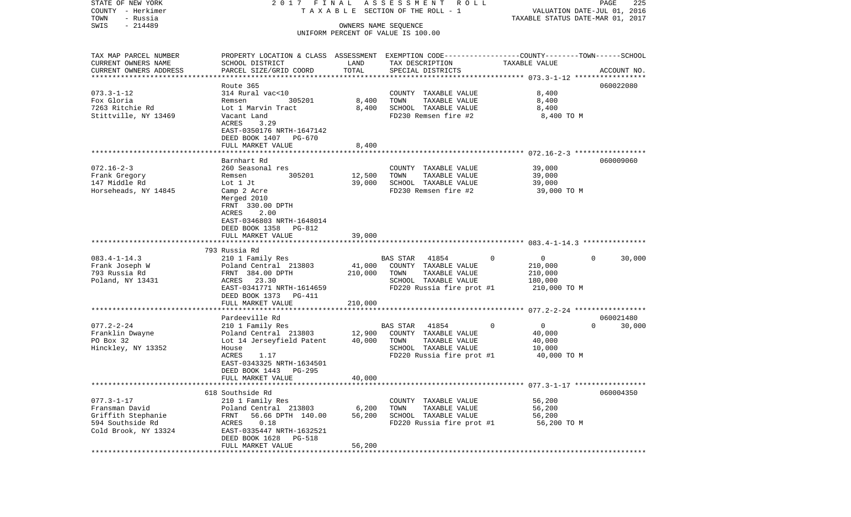| STATE OF NEW YORK<br>COUNTY - Herkimer              | 2017 FINAL                                                                                       |                      | A S S E S S M E N T R O L L<br>T A X A B L E SECTION OF THE ROLL - 1 |                                                        | PAGE<br>225<br>VALUATION DATE-JUL 01, 2016 |
|-----------------------------------------------------|--------------------------------------------------------------------------------------------------|----------------------|----------------------------------------------------------------------|--------------------------------------------------------|--------------------------------------------|
| TOWN<br>- Russia                                    |                                                                                                  |                      |                                                                      | TAXABLE STATUS DATE-MAR 01, 2017                       |                                            |
| $-214489$<br>SWIS                                   |                                                                                                  | OWNERS NAME SEQUENCE |                                                                      |                                                        |                                            |
|                                                     |                                                                                                  |                      | UNIFORM PERCENT OF VALUE IS 100.00                                   |                                                        |                                            |
| TAX MAP PARCEL NUMBER                               | PROPERTY LOCATION & CLASS ASSESSMENT EXEMPTION CODE----------------COUNTY-------TOWN------SCHOOL |                      |                                                                      |                                                        |                                            |
| CURRENT OWNERS NAME                                 | SCHOOL DISTRICT                                                                                  | LAND                 | TAX DESCRIPTION                                                      | TAXABLE VALUE                                          |                                            |
| CURRENT OWNERS ADDRESS<br>************************* | PARCEL SIZE/GRID COORD                                                                           | TOTAL                | SPECIAL DISTRICTS                                                    |                                                        | ACCOUNT NO.                                |
|                                                     |                                                                                                  |                      |                                                                      |                                                        |                                            |
|                                                     | Route 365                                                                                        |                      |                                                                      |                                                        | 060022080                                  |
| $073.3 - 1 - 12$<br>Fox Gloria                      | 314 Rural vac<10<br>305201                                                                       | 8,400                | COUNTY TAXABLE VALUE<br>TOWN                                         | 8,400                                                  |                                            |
| 7263 Ritchie Rd                                     | Remsen<br>Lot 1 Marvin Tract                                                                     |                      | TAXABLE VALUE<br>SCHOOL TAXABLE VALUE                                | 8,400                                                  |                                            |
| Stittville, NY 13469                                |                                                                                                  | 8,400                | FD230 Remsen fire #2                                                 | 8,400                                                  |                                            |
|                                                     | Vacant Land<br>ACRES<br>3.29                                                                     |                      |                                                                      | 8,400 TO M                                             |                                            |
|                                                     | EAST-0350176 NRTH-1647142                                                                        |                      |                                                                      |                                                        |                                            |
|                                                     | DEED BOOK 1407 PG-670                                                                            |                      |                                                                      |                                                        |                                            |
|                                                     | FULL MARKET VALUE                                                                                | 8,400                |                                                                      |                                                        |                                            |
|                                                     |                                                                                                  |                      |                                                                      |                                                        |                                            |
|                                                     | Barnhart Rd                                                                                      |                      |                                                                      |                                                        | 060009060                                  |
| $072.16 - 2 - 3$                                    | 260 Seasonal res                                                                                 |                      | COUNTY TAXABLE VALUE                                                 | 39,000                                                 |                                            |
| Frank Gregory                                       | 305201<br>Remsen                                                                                 | 12,500               | TOWN<br>TAXABLE VALUE                                                | 39,000                                                 |                                            |
| 147 Middle Rd                                       | Lot 1 Jt                                                                                         | 39,000               | SCHOOL TAXABLE VALUE                                                 | 39,000                                                 |                                            |
| Horseheads, NY 14845                                | Camp 2 Acre                                                                                      |                      | FD230 Remsen fire #2                                                 | 39,000 TO M                                            |                                            |
|                                                     | Merged 2010                                                                                      |                      |                                                                      |                                                        |                                            |
|                                                     | FRNT 330.00 DPTH                                                                                 |                      |                                                                      |                                                        |                                            |
|                                                     | ACRES<br>2.00                                                                                    |                      |                                                                      |                                                        |                                            |
|                                                     | EAST-0346803 NRTH-1648014                                                                        |                      |                                                                      |                                                        |                                            |
|                                                     | DEED BOOK 1358 PG-812                                                                            |                      |                                                                      |                                                        |                                            |
|                                                     | FULL MARKET VALUE                                                                                | 39,000               |                                                                      |                                                        |                                            |
|                                                     |                                                                                                  |                      |                                                                      |                                                        |                                            |
|                                                     | 793 Russia Rd                                                                                    |                      |                                                                      |                                                        |                                            |
| $083.4 - 1 - 14.3$                                  | 210 1 Family Res                                                                                 |                      | BAS STAR 41854                                                       | $\Omega$<br>$\overline{0}$                             | $\Omega$<br>30,000                         |
| Frank Joseph W                                      | Poland Central 213803                                                                            | 41,000               | COUNTY TAXABLE VALUE                                                 | 210,000                                                |                                            |
| 793 Russia Rd                                       | FRNT 384.00 DPTH                                                                                 | 210,000              | TOWN<br>TAXABLE VALUE                                                | 210,000                                                |                                            |
| Poland, NY 13431                                    | ACRES 23.30                                                                                      |                      | SCHOOL TAXABLE VALUE                                                 | 180,000                                                |                                            |
|                                                     | EAST-0341771 NRTH-1614659                                                                        |                      | FD220 Russia fire prot #1                                            | 210,000 TO M                                           |                                            |
|                                                     | DEED BOOK 1373 PG-411                                                                            |                      |                                                                      |                                                        |                                            |
|                                                     | FULL MARKET VALUE                                                                                | 210,000              |                                                                      |                                                        |                                            |
|                                                     | *********************                                                                            | **********           |                                                                      | ************************ 077.2-2-24 ****************** |                                            |
|                                                     | Pardeeville Rd                                                                                   |                      |                                                                      |                                                        | 060021480                                  |
| $077.2 - 2 - 24$                                    | 210 1 Family Res                                                                                 |                      | BAS STAR<br>41854                                                    | $\mathbf{0}$<br>0                                      | $\Omega$<br>30,000                         |
| Franklin Dwayne                                     | Poland Central 213803                                                                            | 12,900               | COUNTY TAXABLE VALUE                                                 | 40,000                                                 |                                            |
| PO Box 32                                           | Lot 14 Jerseyfield Patent                                                                        | 40,000               | TOWN<br>TAXABLE VALUE                                                | 40,000                                                 |                                            |
| Hinckley, NY 13352                                  | House                                                                                            |                      | SCHOOL TAXABLE VALUE                                                 | 10,000                                                 |                                            |
|                                                     | ACRES<br>1.17<br>EAST-0343325 NRTH-1634501                                                       |                      | FD220 Russia fire prot #1                                            | 40,000 TO M                                            |                                            |
|                                                     | DEED BOOK 1443 PG-295                                                                            |                      |                                                                      |                                                        |                                            |
|                                                     | FULL MARKET VALUE                                                                                | 40,000               |                                                                      |                                                        |                                            |
|                                                     |                                                                                                  |                      |                                                                      |                                                        |                                            |
|                                                     | 618 Southside Rd                                                                                 |                      |                                                                      |                                                        | 060004350                                  |
| $077.3 - 1 - 17$                                    | 210 1 Family Res                                                                                 |                      | COUNTY TAXABLE VALUE                                                 | 56,200                                                 |                                            |
| Fransman David                                      | Poland Central 213803                                                                            | 6,200                | TAXABLE VALUE<br>TOWN                                                | 56,200                                                 |                                            |
| Griffith Stephanie                                  | 56.66 DPTH 140.00<br>FRNT                                                                        | 56,200               | SCHOOL TAXABLE VALUE                                                 | 56,200                                                 |                                            |
| 594 Southside Rd                                    | 0.18<br>ACRES                                                                                    |                      | FD220 Russia fire prot #1                                            | 56,200 TO M                                            |                                            |
| Cold Brook, NY 13324                                | EAST-0335447 NRTH-1632521                                                                        |                      |                                                                      |                                                        |                                            |
|                                                     | DEED BOOK 1628 PG-518                                                                            |                      |                                                                      |                                                        |                                            |
|                                                     | FULL MARKET VALUE                                                                                | 56,200               |                                                                      |                                                        |                                            |
| ***********                                         |                                                                                                  |                      |                                                                      |                                                        |                                            |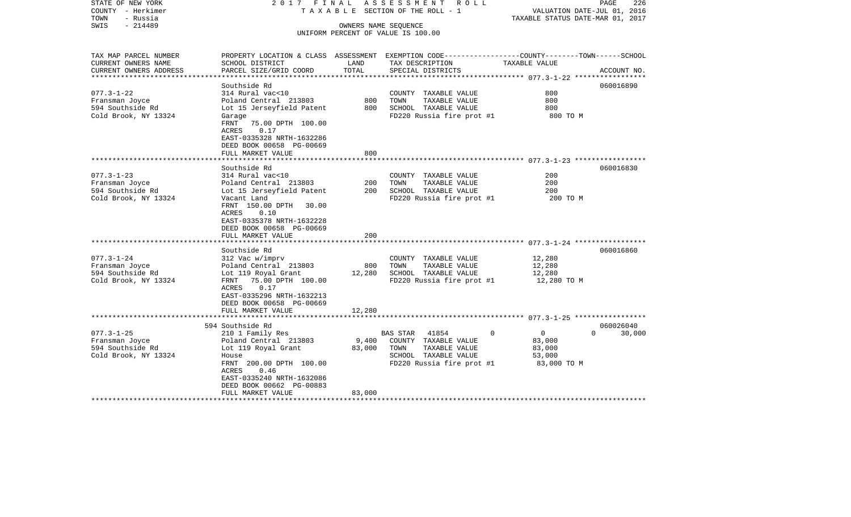| STATE OF NEW YORK<br>COUNTY - Herkimer<br>TOWN<br>- Russia                                       | 2017 FINAL                                                                                                                                                                                                                        |                           | A S S E S S M E N T R O L L<br>TAXABLE SECTION OF THE ROLL - 1                                                                          | VALUATION DATE-JUL 01, 2016<br>TAXABLE STATUS DATE-MAR 01, 2017 | PAGE<br>226                     |
|--------------------------------------------------------------------------------------------------|-----------------------------------------------------------------------------------------------------------------------------------------------------------------------------------------------------------------------------------|---------------------------|-----------------------------------------------------------------------------------------------------------------------------------------|-----------------------------------------------------------------|---------------------------------|
| $-214489$<br>SWIS                                                                                |                                                                                                                                                                                                                                   |                           | OWNERS NAME SEQUENCE<br>UNIFORM PERCENT OF VALUE IS 100.00                                                                              |                                                                 |                                 |
| TAX MAP PARCEL NUMBER<br>CURRENT OWNERS NAME<br>CURRENT OWNERS ADDRESS<br>********************** | SCHOOL DISTRICT<br>PARCEL SIZE/GRID COORD                                                                                                                                                                                         | LAND<br>TOTAL             | PROPERTY LOCATION & CLASS ASSESSMENT EXEMPTION CODE---------------COUNTY-------TOWN------SCHOOL<br>TAX DESCRIPTION<br>SPECIAL DISTRICTS | TAXABLE VALUE                                                   | ACCOUNT NO.                     |
| $077.3 - 1 - 22$<br>Fransman Joyce<br>594 Southside Rd<br>Cold Brook, NY 13324                   | Southside Rd<br>314 Rural vac<10<br>Poland Central 213803<br>Lot 15 Jerseyfield Patent<br>Garage<br>FRNT<br>75.00 DPTH 100.00<br>ACRES<br>0.17<br>EAST-0335328 NRTH-1632286<br>DEED BOOK 00658 PG-00669<br>FULL MARKET VALUE      | 800<br>800<br>800         | COUNTY TAXABLE VALUE<br>TOWN<br>TAXABLE VALUE<br>SCHOOL TAXABLE VALUE<br>FD220 Russia fire prot #1                                      | 800<br>800<br>800<br>800 TO M                                   | 060016890                       |
|                                                                                                  |                                                                                                                                                                                                                                   |                           |                                                                                                                                         |                                                                 |                                 |
| $077.3 - 1 - 23$<br>Fransman Joyce<br>594 Southside Rd<br>Cold Brook, NY 13324                   | Southside Rd<br>314 Rural vac<10<br>Poland Central 213803<br>Lot 15 Jerseyfield Patent<br>Vacant Land<br>FRNT 150.00 DPTH<br>30.00<br>ACRES<br>0.10<br>EAST-0335378 NRTH-1632228<br>DEED BOOK 00658 PG-00669<br>FULL MARKET VALUE | 200<br>200<br>200         | COUNTY TAXABLE VALUE<br>TOWN<br>TAXABLE VALUE<br>SCHOOL TAXABLE VALUE<br>FD220 Russia fire prot #1                                      | 200<br>200<br>200<br>200 TO M                                   | 060016830                       |
|                                                                                                  | Southside Rd                                                                                                                                                                                                                      |                           |                                                                                                                                         |                                                                 | 060016860                       |
| $077.3 - 1 - 24$<br>Fransman Joyce<br>594 Southside Rd<br>Cold Brook, NY 13324                   | 312 Vac w/imprv<br>Poland Central 213803<br>Lot 119 Royal Grant<br>75.00 DPTH 100.00<br>FRNT<br>0.17<br>ACRES<br>EAST-0335296 NRTH-1632213<br>DEED BOOK 00658 PG-00669<br>FULL MARKET VALUE                                       | 800<br>12,280<br>12,280   | COUNTY TAXABLE VALUE<br>TOWN<br>TAXABLE VALUE<br>SCHOOL TAXABLE VALUE<br>FD220 Russia fire prot #1                                      | 12,280<br>12,280<br>12,280<br>12,280 TO M                       |                                 |
|                                                                                                  | *************************                                                                                                                                                                                                         |                           |                                                                                                                                         |                                                                 |                                 |
| $077.3 - 1 - 25$<br>Fransman Joyce<br>594 Southside Rd<br>Cold Brook, NY 13324                   | 594 Southside Rd<br>210 1 Family Res<br>Poland Central 213803<br>Lot 119 Royal Grant<br>House<br>FRNT 200.00 DPTH 100.00<br>0.46<br>ACRES<br>EAST-0335240 NRTH-1632086<br>DEED BOOK 00662 PG-00883<br>FULL MARKET VALUE           | 9,400<br>83,000<br>83,000 | $\Omega$<br>BAS STAR 41854<br>COUNTY TAXABLE VALUE<br>TOWN<br>TAXABLE VALUE<br>SCHOOL TAXABLE VALUE<br>FD220 Russia fire prot #1        | $\mathbf{0}$<br>83,000<br>83,000<br>53,000<br>83,000 TO M       | 060026040<br>$\Omega$<br>30,000 |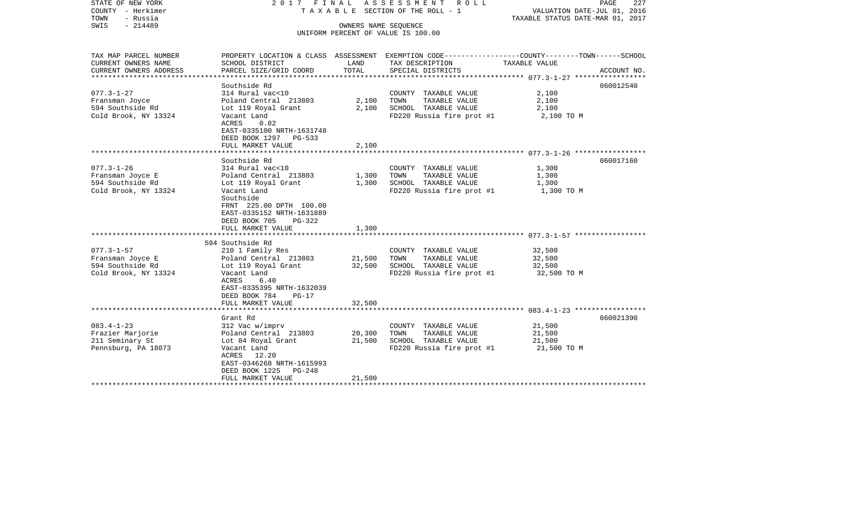| STATE OF NEW YORK<br>COUNTY - Herkimer<br>- Russia<br>TOWN<br>$-214489$<br>SWIS | 2017 FINAL<br>T A X A B L E SECTION OF THE ROLL - 1       | PAGE<br>227<br>VALUATION DATE-JUL 01, 2016<br>TAXABLE STATUS DATE-MAR 01, 2017 |                                    |                                                                                                                   |  |
|---------------------------------------------------------------------------------|-----------------------------------------------------------|--------------------------------------------------------------------------------|------------------------------------|-------------------------------------------------------------------------------------------------------------------|--|
|                                                                                 |                                                           | OWNERS NAME SEQUENCE                                                           | UNIFORM PERCENT OF VALUE IS 100.00 |                                                                                                                   |  |
|                                                                                 |                                                           |                                                                                |                                    |                                                                                                                   |  |
| TAX MAP PARCEL NUMBER<br>CURRENT OWNERS NAME                                    | SCHOOL DISTRICT                                           | LAND                                                                           | TAX DESCRIPTION                    | PROPERTY LOCATION & CLASS ASSESSMENT EXEMPTION CODE----------------COUNTY-------TOWN------SCHOOL<br>TAXABLE VALUE |  |
| CURRENT OWNERS ADDRESS<br>***********************                               | PARCEL SIZE/GRID COORD<br>***********************         | TOTAL                                                                          | SPECIAL DISTRICTS                  | ACCOUNT NO.                                                                                                       |  |
|                                                                                 | Southside Rd                                              |                                                                                |                                    | 060012540                                                                                                         |  |
| $077.3 - 1 - 27$                                                                | 314 Rural vac<10                                          |                                                                                | COUNTY TAXABLE VALUE               | 2,100                                                                                                             |  |
| Fransman Joyce                                                                  | Poland Central 213803                                     | 2,100                                                                          | TAXABLE VALUE<br>TOWN              | 2,100                                                                                                             |  |
| 594 Southside Rd                                                                | Lot 119 Royal Grant                                       | 2,100                                                                          | SCHOOL TAXABLE VALUE               | 2,100                                                                                                             |  |
| Cold Brook, NY 13324                                                            | Vacant Land<br>ACRES<br>0.82<br>EAST-0335100 NRTH-1631748 |                                                                                | FD220 Russia fire prot #1          | 2,100 TO M                                                                                                        |  |
|                                                                                 | DEED BOOK 1297 PG-533                                     |                                                                                |                                    |                                                                                                                   |  |
|                                                                                 | FULL MARKET VALUE                                         | 2,100                                                                          |                                    |                                                                                                                   |  |
|                                                                                 |                                                           |                                                                                |                                    |                                                                                                                   |  |
|                                                                                 | Southside Rd                                              |                                                                                |                                    | 060017160                                                                                                         |  |
| $077.3 - 1 - 26$                                                                | 314 Rural vac<10                                          |                                                                                | COUNTY TAXABLE VALUE               | 1,300                                                                                                             |  |
| Fransman Joyce E                                                                | Poland Central 213803                                     | 1,300                                                                          | TOWN<br>TAXABLE VALUE              | 1,300                                                                                                             |  |
| 594 Southside Rd                                                                | Lot 119 Royal Grant                                       | 1,300                                                                          | SCHOOL TAXABLE VALUE               | 1,300                                                                                                             |  |
| Cold Brook, NY 13324                                                            | Vacant Land                                               |                                                                                | FD220 Russia fire prot #1          | 1,300 TO M                                                                                                        |  |
|                                                                                 | Southside                                                 |                                                                                |                                    |                                                                                                                   |  |
|                                                                                 | FRNT 225.00 DPTH 100.00                                   |                                                                                |                                    |                                                                                                                   |  |
|                                                                                 | EAST-0335152 NRTH-1631889                                 |                                                                                |                                    |                                                                                                                   |  |
|                                                                                 | DEED BOOK 705<br>$PG-322$                                 |                                                                                |                                    |                                                                                                                   |  |
|                                                                                 | FULL MARKET VALUE                                         | 1,300                                                                          |                                    |                                                                                                                   |  |
|                                                                                 |                                                           |                                                                                |                                    |                                                                                                                   |  |
|                                                                                 | 594 Southside Rd                                          |                                                                                |                                    |                                                                                                                   |  |
| $077.3 - 1 - 57$                                                                | 210 1 Family Res                                          |                                                                                | COUNTY TAXABLE VALUE               | 32,500                                                                                                            |  |
| Fransman Joyce E                                                                | Poland Central 213803                                     | 21,500                                                                         | TOWN<br>TAXABLE VALUE              | 32,500                                                                                                            |  |
| 594 Southside Rd                                                                | Lot 119 Royal Grant                                       | 32,500                                                                         | SCHOOL TAXABLE VALUE               | 32,500                                                                                                            |  |
| Cold Brook, NY 13324                                                            | Vacant Land                                               |                                                                                | FD220 Russia fire prot #1          | 32,500 TO M                                                                                                       |  |
|                                                                                 | ACRES<br>6.40                                             |                                                                                |                                    |                                                                                                                   |  |
|                                                                                 | EAST-0335395 NRTH-1632039                                 |                                                                                |                                    |                                                                                                                   |  |
|                                                                                 | DEED BOOK 784<br>$PG-17$                                  |                                                                                |                                    |                                                                                                                   |  |
|                                                                                 | FULL MARKET VALUE                                         | 32,500                                                                         |                                    |                                                                                                                   |  |
|                                                                                 | Grant Rd                                                  |                                                                                |                                    | 060021390                                                                                                         |  |
| $083.4 - 1 - 23$                                                                | 312 Vac w/imprv                                           |                                                                                | COUNTY TAXABLE VALUE               | 21,500                                                                                                            |  |
| Frazier Marjorie                                                                | Poland Central 213803                                     | 20,300                                                                         | TOWN<br>TAXABLE VALUE              | 21,500                                                                                                            |  |
| 211 Seminary St                                                                 | Lot 84 Royal Grant                                        | 21,500                                                                         | SCHOOL TAXABLE VALUE               | 21,500                                                                                                            |  |
| Pennsburg, PA 18073                                                             | Vacant Land                                               |                                                                                | FD220 Russia fire prot #1          | 21,500 TO M                                                                                                       |  |
|                                                                                 | ACRES<br>12.20                                            |                                                                                |                                    |                                                                                                                   |  |
|                                                                                 | EAST-0346268 NRTH-1615993                                 |                                                                                |                                    |                                                                                                                   |  |
|                                                                                 | DEED BOOK 1225<br><b>PG-248</b>                           |                                                                                |                                    |                                                                                                                   |  |
|                                                                                 | FULL MARKET VALUE                                         | 21,500                                                                         |                                    |                                                                                                                   |  |
|                                                                                 |                                                           |                                                                                |                                    |                                                                                                                   |  |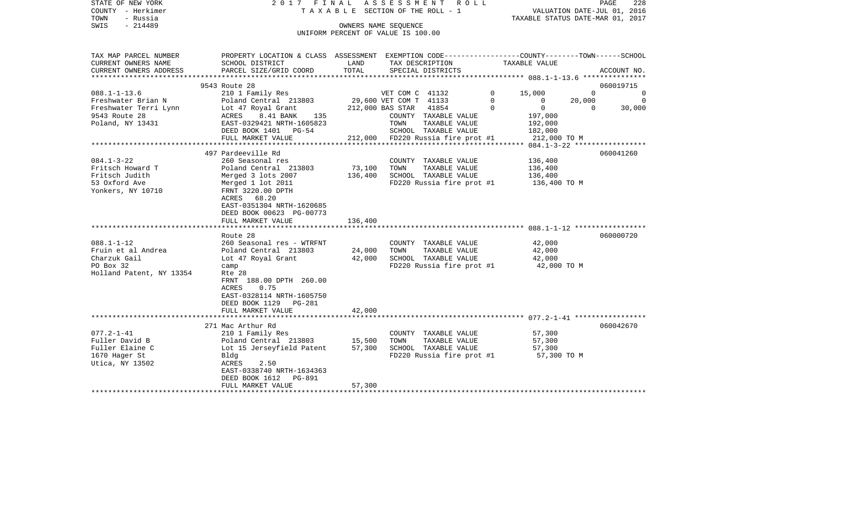STATE OF NEW YORK 2017 FINAL ASSESSMENT ROLL COUNTY - Herkimer T A X A B L E SECTION OF THE ROLL - 1 VALUATION DATE-JUL 01, 2016 TOWN - Russia TAXABLE STATUS DATE-MAR 01, 2017 OWNERS NAME SEQUENCE

UNIFORM PERCENT OF VALUE IS 100.00

| TAX MAP PARCEL NUMBER    | PROPERTY LOCATION & CLASS ASSESSMENT         |                        |                 | EXEMPTION CODE-----------------COUNTY-------TOWN------SCHOOL |          |                |          |                |
|--------------------------|----------------------------------------------|------------------------|-----------------|--------------------------------------------------------------|----------|----------------|----------|----------------|
| CURRENT OWNERS NAME      | SCHOOL DISTRICT                              | LAND                   |                 | TAX DESCRIPTION                                              |          | TAXABLE VALUE  |          |                |
| CURRENT OWNERS ADDRESS   | PARCEL SIZE/GRID COORD                       | TOTAL                  |                 | SPECIAL DISTRICTS                                            |          |                |          | ACCOUNT NO.    |
|                          |                                              |                        |                 |                                                              |          |                |          |                |
|                          | 9543 Route 28                                |                        |                 |                                                              |          |                |          | 060019715      |
| $088.1 - 1 - 13.6$       | 210 1 Family Res                             |                        | VET COM C 41132 |                                                              | $\Omega$ | 15,000         | $\Omega$ | $\Omega$       |
| Freshwater Brian N       | Poland Central 213803 29,600 VET COM T 41133 |                        |                 |                                                              | $\Omega$ | $\overline{0}$ | 20,000   | $\overline{0}$ |
| Freshwater Terri Lynn    | Lot 47 Royal Grant                           | 212,000 BAS STAR 41854 |                 |                                                              | $\Omega$ | $\overline{0}$ | $\Omega$ | 30,000         |
| 9543 Route 28            | ACRES<br>8.41 BANK<br>135                    |                        |                 | COUNTY TAXABLE VALUE                                         |          | 197,000        |          |                |
| Poland, NY 13431         | EAST-0329421 NRTH-1605823                    |                        | TOWN            | TAXABLE VALUE                                                |          | 192,000        |          |                |
|                          | DEED BOOK 1401 PG-54                         |                        |                 | SCHOOL TAXABLE VALUE                                         |          | 182,000        |          |                |
|                          | FULL MARKET VALUE                            |                        |                 | 212,000 FD220 Russia fire prot #1                            |          | 212,000 TO M   |          |                |
|                          |                                              |                        |                 |                                                              |          |                |          |                |
|                          | 497 Pardeeville Rd                           |                        |                 |                                                              |          |                |          | 060041260      |
| $084.1 - 3 - 22$         | 260 Seasonal res                             |                        |                 | COUNTY TAXABLE VALUE                                         |          | 136,400        |          |                |
| Fritsch Howard T         | Poland Central 213803                        | 73,100                 | TOWN            | TAXABLE VALUE                                                |          | 136,400        |          |                |
| Fritsch Judith           | Merged 3 lots 2007                           | 136,400                |                 | SCHOOL TAXABLE VALUE                                         |          | 136,400        |          |                |
| 53 Oxford Ave            | Merged 1 lot 2011                            |                        |                 | FD220 Russia fire prot #1                                    |          | 136,400 TO M   |          |                |
| Yonkers, NY 10710        | FRNT 3220.00 DPTH                            |                        |                 |                                                              |          |                |          |                |
|                          | ACRES 68.20                                  |                        |                 |                                                              |          |                |          |                |
|                          | EAST-0351304 NRTH-1620685                    |                        |                 |                                                              |          |                |          |                |
|                          | DEED BOOK 00623 PG-00773                     |                        |                 |                                                              |          |                |          |                |
|                          | FULL MARKET VALUE                            | 136,400                |                 |                                                              |          |                |          |                |
|                          |                                              |                        |                 |                                                              |          |                |          |                |
|                          | Route 28                                     |                        |                 |                                                              |          |                |          | 060000720      |
| $088.1 - 1 - 12$         | 260 Seasonal res - WTRFNT                    |                        |                 | COUNTY TAXABLE VALUE                                         |          | 42,000         |          |                |
| Fruin et al Andrea       | Poland Central 213803                        | 24,000                 | TOWN            | TAXABLE VALUE                                                |          | 42,000         |          |                |
| Charzuk Gail             | Lot 47 Royal Grant                           | 42,000                 |                 | SCHOOL TAXABLE VALUE                                         |          | 42,000         |          |                |
| PO Box 32                | camp                                         |                        |                 | FD220 Russia fire prot #1 42,000 TO M                        |          |                |          |                |
| Holland Patent, NY 13354 | Rte 28                                       |                        |                 |                                                              |          |                |          |                |
|                          | FRNT 188.00 DPTH 260.00                      |                        |                 |                                                              |          |                |          |                |
|                          | ACRES<br>0.75                                |                        |                 |                                                              |          |                |          |                |
|                          | EAST-0328114 NRTH-1605750                    |                        |                 |                                                              |          |                |          |                |
|                          | DEED BOOK 1129 PG-281                        |                        |                 |                                                              |          |                |          |                |
|                          | FULL MARKET VALUE                            | 42,000                 |                 |                                                              |          |                |          |                |
|                          |                                              |                        |                 |                                                              |          |                |          |                |
|                          | 271 Mac Arthur Rd                            |                        |                 |                                                              |          |                |          | 060042670      |
| $077.2 - 1 - 41$         | 210 1 Family Res                             |                        |                 | COUNTY TAXABLE VALUE                                         |          | 57,300         |          |                |
| Fuller David B           | Poland Central 213803 15,500                 |                        | TOWN            | TAXABLE VALUE                                                |          | 57,300         |          |                |
| Fuller Elaine C          | Lot 15 Jerseyfield Patent                    | 57,300                 |                 | SCHOOL TAXABLE VALUE                                         |          | 57,300         |          |                |
| 1670 Hager St            | Bldg                                         |                        |                 | FD220 Russia fire prot #1                                    |          | 57,300 TO M    |          |                |
| Utica, NY 13502          | ACRES<br>2.50                                |                        |                 |                                                              |          |                |          |                |
|                          | EAST-0338740 NRTH-1634363                    |                        |                 |                                                              |          |                |          |                |
|                          | DEED BOOK 1612 PG-891                        |                        |                 |                                                              |          |                |          |                |
|                          | FULL MARKET VALUE                            | 57,300                 |                 |                                                              |          |                |          |                |
|                          |                                              |                        |                 |                                                              |          |                |          |                |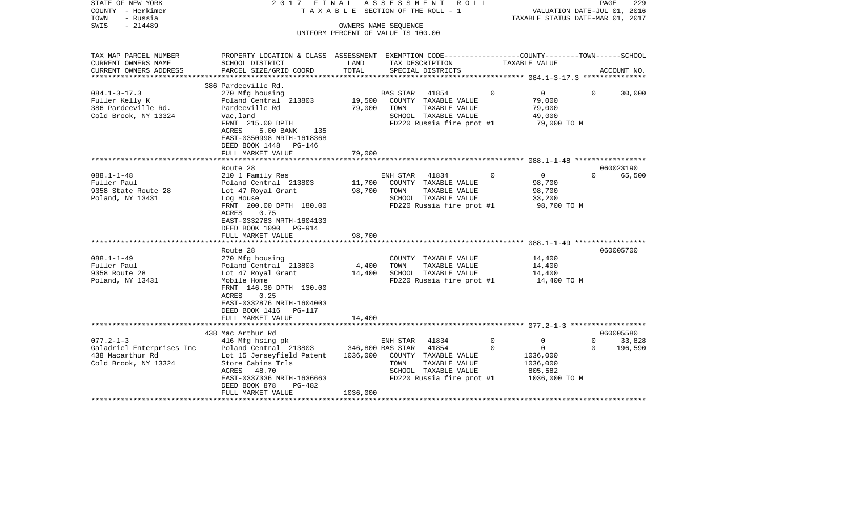| STATE OF NEW YORK<br>COUNTY - Herkimer<br>TOWN<br>- Russia<br>$-214489$<br>SWIS | 2017 FINAL                                                                                                            |               | A S S E S S M E N T R O L L<br>TAXABLE SECTION OF THE ROLL - 1<br>OWNERS NAME SEQUENCE<br>UNIFORM PERCENT OF VALUE IS 100.00 |             | VALUATION DATE-JUL 01, 2016<br>TAXABLE STATUS DATE-MAR 01, 2017 |              | PAGE<br>229 |
|---------------------------------------------------------------------------------|-----------------------------------------------------------------------------------------------------------------------|---------------|------------------------------------------------------------------------------------------------------------------------------|-------------|-----------------------------------------------------------------|--------------|-------------|
| TAX MAP PARCEL NUMBER                                                           | PROPERTY LOCATION & CLASS ASSESSMENT EXEMPTION CODE----------------COUNTY-------TOWN------SCHOOL                      |               |                                                                                                                              |             |                                                                 |              |             |
| CURRENT OWNERS NAME<br>CURRENT OWNERS ADDRESS                                   | SCHOOL DISTRICT<br>PARCEL SIZE/GRID COORD                                                                             | LAND<br>TOTAL | TAX DESCRIPTION<br>SPECIAL DISTRICTS                                                                                         |             | TAXABLE VALUE                                                   |              | ACCOUNT NO. |
|                                                                                 |                                                                                                                       |               |                                                                                                                              |             |                                                                 |              |             |
|                                                                                 | 386 Pardeeville Rd.                                                                                                   |               |                                                                                                                              |             |                                                                 |              |             |
| $084.1 - 3 - 17.3$                                                              | 270 Mfg housing                                                                                                       |               | BAS STAR<br>41854                                                                                                            | $\Omega$    | $\overline{0}$                                                  | $\Omega$     | 30,000      |
| Fuller Kelly K                                                                  | Poland Central 213803                                                                                                 | 19,500        | COUNTY TAXABLE VALUE                                                                                                         |             | 79,000                                                          |              |             |
| 386 Pardeeville Rd.                                                             | Pardeeville Rd                                                                                                        | 79,000        | TOWN<br>TAXABLE VALUE                                                                                                        |             | 79,000                                                          |              |             |
| Cold Brook, NY 13324                                                            | Vac, land<br>FRNT 215.00 DPTH                                                                                         |               | SCHOOL TAXABLE VALUE<br>FD220 Russia fire prot #1                                                                            |             | 49,000<br>79,000 TO M                                           |              |             |
|                                                                                 | ACRES<br>5.00 BANK 135<br>EAST-0350998 NRTH-1618368<br>DEED BOOK 1448 PG-146<br>FULL MARKET VALUE                     | 79,000        |                                                                                                                              |             |                                                                 |              |             |
|                                                                                 |                                                                                                                       |               |                                                                                                                              |             |                                                                 |              |             |
|                                                                                 | Route 28                                                                                                              |               |                                                                                                                              |             |                                                                 |              | 060023190   |
| $088.1 - 1 - 48$                                                                | 210 1 Family Res                                                                                                      |               | ENH STAR 41834 0                                                                                                             |             | $\overline{0}$                                                  | $\Omega$     | 65,500      |
| Fuller Paul                                                                     | Poland Central 213803                                                                                                 |               | 11,700 COUNTY TAXABLE VALUE                                                                                                  |             | 98,700                                                          |              |             |
| 9358 State Route 28                                                             | Lot 47 Royal Grant                                                                                                    | 98,700        | TOWN<br>TAXABLE VALUE                                                                                                        |             | 98,700                                                          |              |             |
| Poland, NY 13431                                                                | Log House<br>FRNT 200.00 DPTH 180.00                                                                                  |               | SCHOOL TAXABLE VALUE<br>FD220 Russia fire prot #1                                                                            |             | 33,200                                                          |              |             |
|                                                                                 | 0.75<br>ACRES<br>EAST-0332783 NRTH-1604133<br>DEED BOOK 1090 PG-914<br>FULL MARKET VALUE                              | 98,700        |                                                                                                                              |             | 98,700 TO M                                                     |              |             |
|                                                                                 |                                                                                                                       |               |                                                                                                                              |             |                                                                 |              |             |
|                                                                                 | Route 28                                                                                                              |               |                                                                                                                              |             |                                                                 |              | 060005700   |
| $088.1 - 1 - 49$                                                                | 270 Mfg housing                                                                                                       |               | COUNTY TAXABLE VALUE                                                                                                         |             | 14,400                                                          |              |             |
| Fuller Paul                                                                     | Poland Central 213803                                                                                                 | 4,400         | TOWN<br>TAXABLE VALUE                                                                                                        |             | 14,400                                                          |              |             |
| 9358 Route 28                                                                   | Lot 47 Royal Grant                                                                                                    | 14,400        | SCHOOL TAXABLE VALUE                                                                                                         |             | 14,400                                                          |              |             |
| Poland, NY 13431                                                                | Mobile Home<br>FRNT 146.30 DPTH 130.00<br>0.25<br>ACRES<br>EAST-0332876 NRTH-1604003<br>DEED BOOK 1416 PG-117         |               | FD220 Russia fire prot #1                                                                                                    |             | 14,400 TO M                                                     |              |             |
|                                                                                 | FULL MARKET VALUE                                                                                                     | 14,400        |                                                                                                                              |             |                                                                 |              |             |
|                                                                                 | 438 Mac Arthur Rd                                                                                                     |               |                                                                                                                              |             |                                                                 |              | 060005580   |
| $077.2 - 1 - 3$                                                                 | 416 Mfg hsing pk                                                                                                      |               | 41834<br>ENH STAR                                                                                                            | $\mathbf 0$ | $\mathbf 0$                                                     | $\mathbf{0}$ | 33,828      |
| Galadriel Enterprises Inc                                                       | Poland Central 213803 346,800 BAS STAR 41854                                                                          |               |                                                                                                                              | $\Omega$    | $\overline{0}$                                                  | $\Omega$     | 196,590     |
| 438 Macarthur Rd<br>Cold Brook, NY 13324                                        | Lot 15 Jerseyfield Patent<br>Store Cabins Trls<br>ACRES 48.70<br>EAST-0337336 NRTH-1636663<br>DEED BOOK 878<br>PG-482 | 1036,000      | COUNTY TAXABLE VALUE<br>TOWN<br>TAXABLE VALUE<br>SCHOOL TAXABLE VALUE<br>FD220 Russia fire prot #1                           |             | 1036,000<br>1036,000<br>805,582<br>1036,000 ТО М                |              |             |
|                                                                                 | FULL MARKET VALUE                                                                                                     | 1036,000      |                                                                                                                              |             |                                                                 |              |             |
|                                                                                 |                                                                                                                       |               |                                                                                                                              |             |                                                                 |              |             |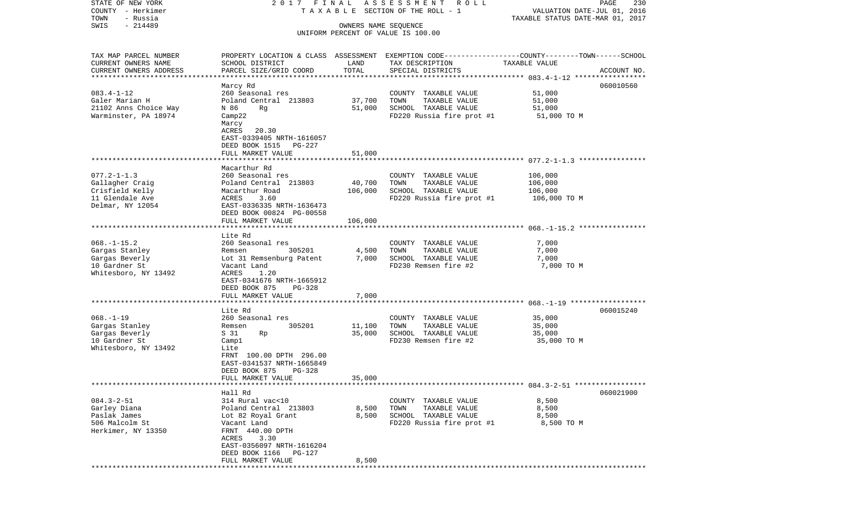| STATE OF NEW YORK<br>COUNTY - Herkimer | 2017 FINAL                     |                      | ASSESSMENT ROLL<br>TAXABLE SECTION OF THE ROLL - 1 | PAGE<br>230<br>VALUATION DATE-JUL 01, 2016                                                      |
|----------------------------------------|--------------------------------|----------------------|----------------------------------------------------|-------------------------------------------------------------------------------------------------|
| TOWN<br>- Russia                       |                                |                      |                                                    | TAXABLE STATUS DATE-MAR 01, 2017                                                                |
| $-214489$<br>SWIS                      |                                | OWNERS NAME SEQUENCE |                                                    |                                                                                                 |
|                                        |                                |                      | UNIFORM PERCENT OF VALUE IS 100.00                 |                                                                                                 |
| TAX MAP PARCEL NUMBER                  |                                |                      |                                                    | PROPERTY LOCATION & CLASS ASSESSMENT EXEMPTION CODE---------------COUNTY-------TOWN------SCHOOL |
| CURRENT OWNERS NAME                    | SCHOOL DISTRICT                | LAND                 | TAX DESCRIPTION                                    | TAXABLE VALUE                                                                                   |
| CURRENT OWNERS ADDRESS                 | PARCEL SIZE/GRID COORD         | TOTAL                | SPECIAL DISTRICTS                                  | ACCOUNT NO.                                                                                     |
| *************************              |                                |                      |                                                    |                                                                                                 |
|                                        | Marcy Rd                       |                      |                                                    | 060010560                                                                                       |
| $083.4 - 1 - 12$                       | 260 Seasonal res               |                      | COUNTY TAXABLE VALUE                               | 51,000                                                                                          |
| Galer Marian H                         | Poland Central 213803          | 37,700               | TOWN<br>TAXABLE VALUE                              | 51,000                                                                                          |
| 21102 Anns Choice Way                  | N 86<br>Rq                     | 51,000               | SCHOOL TAXABLE VALUE                               | 51,000                                                                                          |
| Warminster, PA 18974                   | Camp22                         |                      | FD220 Russia fire prot #1                          | 51,000 TO M                                                                                     |
|                                        | Marcy                          |                      |                                                    |                                                                                                 |
|                                        | ACRES<br>20.30                 |                      |                                                    |                                                                                                 |
|                                        | EAST-0339405 NRTH-1616057      |                      |                                                    |                                                                                                 |
|                                        | DEED BOOK 1515<br>PG-227       |                      |                                                    |                                                                                                 |
|                                        | FULL MARKET VALUE              | 51,000               |                                                    |                                                                                                 |
|                                        |                                |                      |                                                    |                                                                                                 |
|                                        | Macarthur Rd                   |                      |                                                    |                                                                                                 |
| $077.2 - 1 - 1.3$                      | 260 Seasonal res               |                      | COUNTY TAXABLE VALUE                               | 106,000                                                                                         |
| Gallagher Craig                        | Poland Central 213803          | 40,700               | TOWN<br>TAXABLE VALUE                              | 106,000                                                                                         |
| Crisfield Kelly                        | Macarthur Road                 | 106,000              | SCHOOL TAXABLE VALUE                               | 106,000                                                                                         |
| 11 Glendale Ave                        | ACRES<br>3.60                  |                      | FD220 Russia fire prot #1                          | 106,000 TO M                                                                                    |
| Delmar, NY 12054                       | EAST-0336335 NRTH-1636473      |                      |                                                    |                                                                                                 |
|                                        | DEED BOOK 00824 PG-00558       |                      |                                                    |                                                                                                 |
|                                        | FULL MARKET VALUE              | 106,000              |                                                    |                                                                                                 |
|                                        |                                |                      |                                                    |                                                                                                 |
|                                        | Lite Rd                        |                      |                                                    |                                                                                                 |
| $068. - 1 - 15.2$                      | 260 Seasonal res               |                      | COUNTY TAXABLE VALUE                               | 7,000                                                                                           |
| Gargas Stanley                         | 305201<br>Remsen               | 4,500                | TOWN<br>TAXABLE VALUE                              | 7,000                                                                                           |
| Gargas Beverly                         | Lot 31 Remsenburg Patent       | 7,000                | SCHOOL TAXABLE VALUE                               | 7,000                                                                                           |
| 10 Gardner St                          | Vacant Land                    |                      | FD230 Remsen fire #2                               | 7,000 TO M                                                                                      |
| Whitesboro, NY 13492                   | ACRES<br>1.20                  |                      |                                                    |                                                                                                 |
|                                        | EAST-0341676 NRTH-1665912      |                      |                                                    |                                                                                                 |
|                                        | DEED BOOK 875<br><b>PG-328</b> |                      |                                                    |                                                                                                 |
|                                        | FULL MARKET VALUE              | 7,000                |                                                    |                                                                                                 |
|                                        |                                |                      |                                                    |                                                                                                 |
|                                        | Lite Rd                        |                      |                                                    | 060015240                                                                                       |
| $068. -1 - 19$                         | 260 Seasonal res               |                      | COUNTY TAXABLE VALUE                               | 35,000                                                                                          |
| Gargas Stanley                         | 305201<br>Remsen               | 11,100               | TOWN<br>TAXABLE VALUE                              | 35,000                                                                                          |
| Gargas Beverly                         | S 31<br>Rp                     | 35,000               | SCHOOL TAXABLE VALUE                               | 35,000                                                                                          |
| 10 Gardner St                          | Campl                          |                      | FD230 Remsen fire #2                               | 35,000 TO M                                                                                     |
| Whitesboro, NY 13492                   | Lite                           |                      |                                                    |                                                                                                 |
|                                        | FRNT 100.00 DPTH 296.00        |                      |                                                    |                                                                                                 |
|                                        | EAST-0341537 NRTH-1665849      |                      |                                                    |                                                                                                 |
|                                        | <b>PG-328</b><br>DEED BOOK 875 |                      |                                                    |                                                                                                 |
|                                        | FULL MARKET VALUE              | 35,000               |                                                    |                                                                                                 |
|                                        |                                |                      |                                                    |                                                                                                 |
|                                        | Hall Rd                        |                      |                                                    | 060021900                                                                                       |
| $084.3 - 2 - 51$                       | 314 Rural vac<10               |                      | COUNTY TAXABLE VALUE                               | 8,500                                                                                           |
| Garley Diana                           | Poland Central 213803          | 8,500                | TOWN<br>TAXABLE VALUE                              | 8,500                                                                                           |
| Paslak James                           | Lot 82 Royal Grant             | 8,500                | SCHOOL TAXABLE VALUE                               | 8,500                                                                                           |
| 506 Malcolm St                         | Vacant Land                    |                      | FD220 Russia fire prot #1                          | 8,500 TO M                                                                                      |
| Herkimer, NY 13350                     | FRNT 440.00 DPTH               |                      |                                                    |                                                                                                 |
|                                        | ACRES 3.30                     |                      |                                                    |                                                                                                 |
|                                        | EAST-0356097 NRTH-1616204      |                      |                                                    |                                                                                                 |
|                                        | DEED BOOK 1166<br>PG-127       |                      |                                                    |                                                                                                 |
|                                        | FULL MARKET VALUE              | 8,500                |                                                    |                                                                                                 |
|                                        |                                |                      |                                                    |                                                                                                 |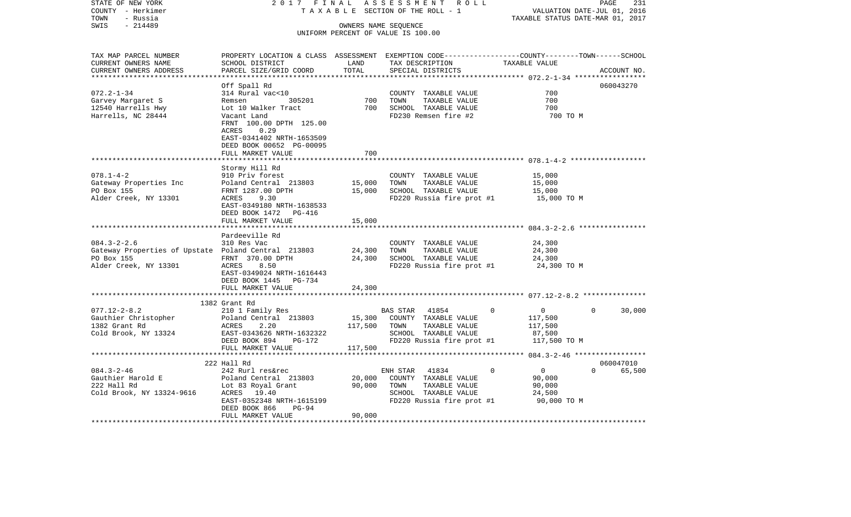| STATE OF NEW YORK                                                 | 2017 FINAL                                                                                                        |         | ASSESSMENT ROLL                                                            |                                                                 | PAGE<br>231           |
|-------------------------------------------------------------------|-------------------------------------------------------------------------------------------------------------------|---------|----------------------------------------------------------------------------|-----------------------------------------------------------------|-----------------------|
| COUNTY - Herkimer<br>- Russia<br>TOWN                             |                                                                                                                   |         | TAXABLE SECTION OF THE ROLL - 1                                            | VALUATION DATE-JUL 01, 2016<br>TAXABLE STATUS DATE-MAR 01, 2017 |                       |
| $-214489$<br>SWIS                                                 |                                                                                                                   |         | OWNERS NAME SEQUENCE                                                       |                                                                 |                       |
|                                                                   |                                                                                                                   |         | UNIFORM PERCENT OF VALUE IS 100.00                                         |                                                                 |                       |
|                                                                   |                                                                                                                   |         |                                                                            |                                                                 |                       |
|                                                                   |                                                                                                                   |         |                                                                            |                                                                 |                       |
| TAX MAP PARCEL NUMBER                                             | PROPERTY LOCATION & CLASS ASSESSMENT EXEMPTION CODE---------------COUNTY-------TOWN-----SCHOOL<br>SCHOOL DISTRICT | LAND    |                                                                            |                                                                 |                       |
| CURRENT OWNERS NAME<br>CURRENT OWNERS ADDRESS                     | PARCEL SIZE/GRID COORD                                                                                            | TOTAL   | THE DESCRIPTION<br>TAXABLE VALUE<br>CRECIAI DISTRICTS<br>SPECIAL DISTRICTS |                                                                 | ACCOUNT NO.           |
| *************************                                         |                                                                                                                   |         |                                                                            |                                                                 |                       |
|                                                                   | Off Spall Rd                                                                                                      |         |                                                                            |                                                                 | 060043270             |
| $072.2 - 1 - 34$                                                  | 314 Rural vac<10                                                                                                  |         | COUNTY TAXABLE VALUE                                                       | 700                                                             |                       |
|                                                                   | 305201<br>Remsen                                                                                                  |         | COUNTY TAXABLE VALUE<br>700 TOWN TAXABLE VALUE                             | 700                                                             |                       |
| Garvey Margaret S<br>12540 Harrells Hwy                           | Lot 10 Walker Tract                                                                                               |         | 700 SCHOOL TAXABLE VALUE                                                   | 700                                                             |                       |
| Harrells, NC 28444                                                | Vacant Land                                                                                                       |         | FD230 Remsen fire #2                                                       | 700 TO M                                                        |                       |
|                                                                   | FRNT 100.00 DPTH 125.00                                                                                           |         |                                                                            |                                                                 |                       |
|                                                                   | 0.29<br>ACRES                                                                                                     |         |                                                                            |                                                                 |                       |
|                                                                   | EAST-0341402 NRTH-1653509                                                                                         |         |                                                                            |                                                                 |                       |
|                                                                   | DEED BOOK 00652 PG-00095                                                                                          |         |                                                                            |                                                                 |                       |
|                                                                   | FULL MARKET VALUE                                                                                                 | 700     |                                                                            |                                                                 |                       |
|                                                                   |                                                                                                                   |         |                                                                            |                                                                 |                       |
| $078.1 - 4 - 2$                                                   | Stormy Hill Rd<br>910 Priv forest                                                                                 |         | COUNTY TAXABLE VALUE                                                       | 15,000                                                          |                       |
| Gateway Properties Inc                                            | Poland Central 213803 15,000                                                                                      |         | TOWN                                                                       | TAXABLE VALUE 15,000                                            |                       |
| PO Box 155                                                        | FRNT 1287.00 DPTH                                                                                                 |         | 15,000 SCHOOL TAXABLE VALUE                                                | 15,000                                                          |                       |
| Alder Creek, NY 13301                                             | ACRES 9.30                                                                                                        |         | FD220 Russia fire prot #1 15,000 TO M                                      |                                                                 |                       |
|                                                                   | EAST-0349180 NRTH-1638533                                                                                         |         |                                                                            |                                                                 |                       |
|                                                                   | DEED BOOK 1472    PG-416                                                                                          |         |                                                                            |                                                                 |                       |
|                                                                   | FULL MARKET VALUE                                                                                                 | 15,000  |                                                                            |                                                                 |                       |
|                                                                   |                                                                                                                   |         |                                                                            |                                                                 |                       |
|                                                                   | Pardeeville Rd                                                                                                    |         |                                                                            |                                                                 |                       |
| $084.3 - 2 - 2.6$                                                 | 310 Res Vac                                                                                                       |         | COUNTY TAXABLE VALUE                                                       | 24,300                                                          |                       |
| Gateway Properties of Upstate Poland Central 213803<br>PO Box 155 |                                                                                                                   |         | 24,300 TOWN TAXABLE VALUE<br>24,300 SCHOOL TAXABLE VALUE                   | 24,300                                                          |                       |
| Alder Creek, NY 13301                                             | FRNT 370.00 DPTH<br>ACRES 8.50                                                                                    |         | FD220 Russia fire prot #1                                                  | 24,300<br>24,300 TO M                                           |                       |
|                                                                   | EAST-0349024 NRTH-1616443                                                                                         |         |                                                                            |                                                                 |                       |
|                                                                   | DEED BOOK 1445 PG-734                                                                                             |         |                                                                            |                                                                 |                       |
|                                                                   | FULL MARKET VALUE                                                                                                 | 24,300  |                                                                            |                                                                 |                       |
|                                                                   |                                                                                                                   |         |                                                                            |                                                                 |                       |
|                                                                   | 1382 Grant Rd                                                                                                     |         |                                                                            |                                                                 |                       |
| $077.12 - 2 - 8.2$                                                | 210 1 Family Res                                                                                                  |         | BAS STAR 41854                                                             | $\Omega$<br>$\overline{0}$                                      | $\Omega$<br>30,000    |
|                                                                   |                                                                                                                   |         |                                                                            | 117,500                                                         |                       |
|                                                                   |                                                                                                                   |         |                                                                            | 117,500                                                         |                       |
| Cold Brook, NY 13324                                              | EAST-0343626 NRTH-1632322<br>PRED BOOK 894 PG-172                                                                 |         | SCHOOL TAXABLE VALUE                                                       | 87,500                                                          |                       |
|                                                                   |                                                                                                                   |         | FD220 Russia fire prot #1 117,500 TO M                                     |                                                                 |                       |
|                                                                   | FULL MARKET VALUE                                                                                                 | 117,500 |                                                                            |                                                                 |                       |
|                                                                   |                                                                                                                   |         |                                                                            |                                                                 |                       |
|                                                                   | 222 Hall Rd                                                                                                       |         |                                                                            | $\overline{0}$<br>$\Omega$                                      | 060047010<br>0 65,500 |
|                                                                   |                                                                                                                   |         |                                                                            | 90,000                                                          |                       |
|                                                                   |                                                                                                                   |         |                                                                            | 90,000                                                          |                       |
|                                                                   |                                                                                                                   |         | SCHOOL TAXABLE VALUE                                                       | 24,500                                                          |                       |
|                                                                   | EAST-0352348 NRTH-1615199                                                                                         |         | FD220 Russia fire prot #1                                                  | 90,000 TO M                                                     |                       |
|                                                                   | PG-94<br>DEED BOOK 866                                                                                            |         |                                                                            |                                                                 |                       |
|                                                                   | FULL MARKET VALUE                                                                                                 | 90,000  |                                                                            |                                                                 |                       |
|                                                                   |                                                                                                                   |         |                                                                            |                                                                 |                       |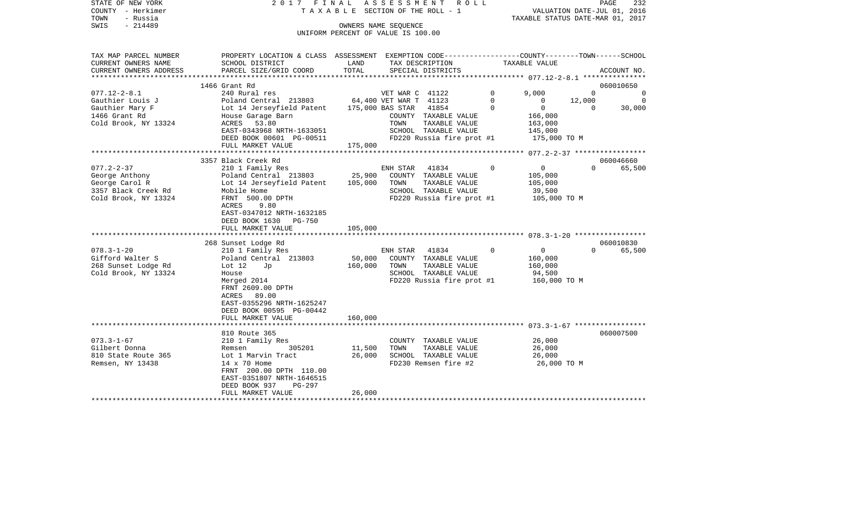|      | STATE OF NEW YORK | 2017 FINAL ASSESSMENT ROLL            |                                  | PAGE | 232 |
|------|-------------------|---------------------------------------|----------------------------------|------|-----|
|      | COUNTY - Herkimer | T A X A B L E SECTION OF THE ROLL - 1 | VALUATION DATE-JUL 01, 2016      |      |     |
| TOWN | - Russia          |                                       | TAXABLE STATUS DATE-MAR 01, 2017 |      |     |
| SWIS | $-214489$         | OWNERS NAME SEOUENCE                  |                                  |      |     |
|      |                   | UNIFORM PERCENT OF VALUE IS 100.00    |                                  |      |     |
|      |                   |                                       |                                  |      |     |

| TAX MAP PARCEL NUMBER  | PROPERTY LOCATION & CLASS ASSESSMENT EXEMPTION CODE---------------COUNTY-------TOWN------SCHOOL |         |                        |                           |          |               |          |                |
|------------------------|-------------------------------------------------------------------------------------------------|---------|------------------------|---------------------------|----------|---------------|----------|----------------|
| CURRENT OWNERS NAME    | SCHOOL DISTRICT                                                                                 | LAND    |                        | TAX DESCRIPTION           |          | TAXABLE VALUE |          |                |
| CURRENT OWNERS ADDRESS | PARCEL SIZE/GRID COORD                                                                          | TOTAL   |                        | SPECIAL DISTRICTS         |          |               |          | ACCOUNT NO.    |
|                        | 1466 Grant Rd                                                                                   |         |                        |                           |          |               |          | 060010650      |
| $077.12 - 2 - 8.1$     | 240 Rural res                                                                                   |         | VET WAR C 41122        |                           | $\Omega$ | 9,000         | $\Omega$ | $\overline{0}$ |
| Gauthier Louis J       | Poland Central 213803                                                                           |         | 64,400 VET WAR T 41123 |                           | 0        | 0             | 12,000   | $\overline{0}$ |
| Gauthier Mary F        | Lot 14 Jerseyfield Patent                                                                       |         | 175,000 BAS STAR       | 41854                     | $\Omega$ | $\mathbf{0}$  | $\Omega$ | 30,000         |
| 1466 Grant Rd          | House Garage Barn                                                                               |         |                        | COUNTY TAXABLE VALUE      |          | 166,000       |          |                |
| Cold Brook, NY 13324   | ACRES<br>53.80                                                                                  |         | TOWN                   | TAXABLE VALUE             |          | 163,000       |          |                |
|                        | EAST-0343968 NRTH-1633051                                                                       |         |                        | SCHOOL TAXABLE VALUE      |          | 145,000       |          |                |
|                        | DEED BOOK 00601 PG-00511                                                                        |         |                        | FD220 Russia fire prot #1 |          | 175,000 TO M  |          |                |
|                        | FULL MARKET VALUE                                                                               | 175,000 |                        |                           |          |               |          |                |
|                        |                                                                                                 |         |                        |                           |          |               |          |                |
|                        | 3357 Black Creek Rd                                                                             |         |                        |                           |          |               |          | 060046660      |
| $077.2 - 2 - 37$       | 210 1 Family Res                                                                                |         | ENH STAR               | 41834                     | $\Omega$ | $\mathbf 0$   | $\Omega$ | 65,500         |
| George Anthony         | Poland Central 213803 25,900                                                                    |         |                        | COUNTY TAXABLE VALUE      |          | 105,000       |          |                |
| George Carol R         | Lot 14 Jerseyfield Patent                                                                       | 105,000 | TOWN                   | TAXABLE VALUE             |          | 105,000       |          |                |
| 3357 Black Creek Rd    | Mobile Home                                                                                     |         |                        | SCHOOL TAXABLE VALUE      |          | 39,500        |          |                |
| Cold Brook, NY 13324   | FRNT 500.00 DPTH                                                                                |         |                        | FD220 Russia fire prot #1 |          | 105,000 TO M  |          |                |
|                        | 9.80<br>ACRES                                                                                   |         |                        |                           |          |               |          |                |
|                        | EAST-0347012 NRTH-1632185                                                                       |         |                        |                           |          |               |          |                |
|                        | DEED BOOK 1630 PG-750                                                                           |         |                        |                           |          |               |          |                |
|                        | FULL MARKET VALUE                                                                               | 105,000 |                        |                           |          |               |          |                |
|                        |                                                                                                 |         |                        |                           |          |               |          |                |
|                        | 268 Sunset Lodge Rd                                                                             |         |                        |                           |          |               |          | 060010830      |
| $078.3 - 1 - 20$       | 210 1 Family Res                                                                                |         | ENH STAR               | 41834                     | $\Omega$ | $\mathbf 0$   | $\Omega$ | 65,500         |
| Gifford Walter S       | Poland Central 213803                                                                           | 50,000  |                        | COUNTY TAXABLE VALUE      |          | 160,000       |          |                |
| 268 Sunset Lodge Rd    | Lot $12$<br>Jp                                                                                  | 160,000 | TOWN                   | TAXABLE VALUE             |          | 160,000       |          |                |
| Cold Brook, NY 13324   | House                                                                                           |         |                        | SCHOOL TAXABLE VALUE      |          | 94,500        |          |                |
|                        | Merged 2014                                                                                     |         |                        | FD220 Russia fire prot #1 |          | 160,000 TO M  |          |                |
|                        | FRNT 2609.00 DPTH                                                                               |         |                        |                           |          |               |          |                |
|                        | ACRES 89.00                                                                                     |         |                        |                           |          |               |          |                |
|                        | EAST-0355296 NRTH-1625247                                                                       |         |                        |                           |          |               |          |                |
|                        | DEED BOOK 00595 PG-00442                                                                        |         |                        |                           |          |               |          |                |
|                        | FULL MARKET VALUE                                                                               | 160,000 |                        |                           |          |               |          |                |
|                        |                                                                                                 |         |                        |                           |          |               |          |                |
|                        | 810 Route 365                                                                                   |         |                        |                           |          |               |          | 060007500      |
| $073.3 - 1 - 67$       | 210 1 Family Res                                                                                |         |                        | COUNTY TAXABLE VALUE      |          | 26,000        |          |                |
| Gilbert Donna          | 305201<br>Remsen                                                                                | 11,500  | TOWN                   | TAXABLE VALUE             |          | 26,000        |          |                |
| 810 State Route 365    | Lot 1 Marvin Tract                                                                              | 26,000  |                        | SCHOOL TAXABLE VALUE      |          | 26,000        |          |                |
| Remsen, NY 13438       | $14 \times 70$ Home                                                                             |         |                        | FD230 Remsen fire #2      |          | 26,000 TO M   |          |                |
|                        | FRNT 200.00 DPTH 110.00                                                                         |         |                        |                           |          |               |          |                |
|                        | EAST-0351807 NRTH-1646515                                                                       |         |                        |                           |          |               |          |                |
|                        | DEED BOOK 937<br>PG-297                                                                         |         |                        |                           |          |               |          |                |
|                        | FULL MARKET VALUE                                                                               | 26,000  |                        |                           |          |               |          |                |
|                        |                                                                                                 |         |                        |                           |          |               |          |                |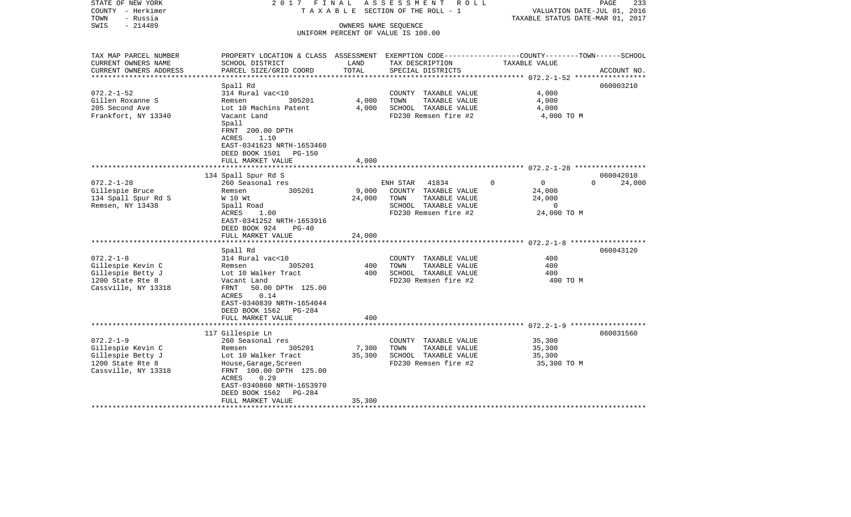| STATE OF NEW YORK<br>COUNTY - Herkimer | 2017 FINAL<br>TAXABLE                                                                            |                      | ASSESSMENT ROLL<br>SECTION OF THE ROLL - 1 |                                  | 233<br>PAGE<br>VALUATION DATE-JUL 01, 2016 |
|----------------------------------------|--------------------------------------------------------------------------------------------------|----------------------|--------------------------------------------|----------------------------------|--------------------------------------------|
| - Russia<br>TOWN                       |                                                                                                  |                      |                                            | TAXABLE STATUS DATE-MAR 01, 2017 |                                            |
| $-214489$<br>SWIS                      |                                                                                                  | OWNERS NAME SEQUENCE |                                            |                                  |                                            |
|                                        |                                                                                                  |                      | UNIFORM PERCENT OF VALUE IS 100.00         |                                  |                                            |
|                                        |                                                                                                  |                      |                                            |                                  |                                            |
|                                        |                                                                                                  |                      |                                            |                                  |                                            |
| TAX MAP PARCEL NUMBER                  | PROPERTY LOCATION & CLASS ASSESSMENT EXEMPTION CODE----------------COUNTY-------TOWN------SCHOOL |                      |                                            |                                  |                                            |
| CURRENT OWNERS NAME                    | SCHOOL DISTRICT                                                                                  | LAND                 | TAX DESCRIPTION                            | TAXABLE VALUE                    |                                            |
| CURRENT OWNERS ADDRESS                 | PARCEL SIZE/GRID COORD                                                                           | TOTAL                | SPECIAL DISTRICTS                          |                                  | ACCOUNT NO.                                |
|                                        |                                                                                                  |                      |                                            |                                  |                                            |
| $072.2 - 1 - 52$                       | Spall Rd<br>314 Rural vac<10                                                                     |                      | COUNTY TAXABLE VALUE                       | 4,000                            | 060003210                                  |
| Gillen Roxanne S                       | 305201<br>Remsen                                                                                 | 4,000                | TAXABLE VALUE<br>TOWN                      | 4,000                            |                                            |
| 205 Second Ave                         | Lot 10 Machins Patent                                                                            | 4,000                | SCHOOL TAXABLE VALUE                       | 4,000                            |                                            |
| Frankfort, NY 13340                    | Vacant Land                                                                                      |                      | FD230 Remsen fire #2                       | 4,000 TO M                       |                                            |
|                                        | Spall                                                                                            |                      |                                            |                                  |                                            |
|                                        | FRNT 200.00 DPTH                                                                                 |                      |                                            |                                  |                                            |
|                                        | ACRES<br>1.10                                                                                    |                      |                                            |                                  |                                            |
|                                        | EAST-0341623 NRTH-1653460                                                                        |                      |                                            |                                  |                                            |
|                                        | DEED BOOK 1501 PG-150                                                                            |                      |                                            |                                  |                                            |
|                                        | FULL MARKET VALUE                                                                                | 4,000                |                                            |                                  |                                            |
|                                        |                                                                                                  |                      |                                            |                                  |                                            |
|                                        | 134 Spall Spur Rd S                                                                              |                      |                                            |                                  | 060042010                                  |
| $072.2 - 1 - 28$                       | 260 Seasonal res                                                                                 |                      | 41834<br>ENH STAR                          | $\Omega$<br>$\bigcirc$           | $\Omega$<br>24,000                         |
| Gillespie Bruce                        | 305201<br>Remsen                                                                                 | 9,000                | COUNTY TAXABLE VALUE                       | 24,000                           |                                            |
| 134 Spall Spur Rd S                    | W 10 Wt                                                                                          | 24,000               | TOWN<br>TAXABLE VALUE                      | 24,000                           |                                            |
| Remsen, NY 13438                       | Spall Road                                                                                       |                      | SCHOOL TAXABLE VALUE                       | $\circ$                          |                                            |
|                                        | ACRES<br>1.00                                                                                    |                      | FD230 Remsen fire #2                       | 24,000 TO M                      |                                            |
|                                        | EAST-0341252 NRTH-1653916                                                                        |                      |                                            |                                  |                                            |
|                                        | DEED BOOK 924<br>$PG-40$                                                                         |                      |                                            |                                  |                                            |
|                                        | FULL MARKET VALUE                                                                                | 24,000               |                                            |                                  |                                            |
|                                        | Spall Rd                                                                                         |                      |                                            |                                  | 060043120                                  |
| $072.2 - 1 - 8$                        | 314 Rural vac<10                                                                                 |                      | COUNTY TAXABLE VALUE                       | 400                              |                                            |
| Gillespie Kevin C                      | 305201<br>Remsen                                                                                 | 400                  | TAXABLE VALUE<br>TOWN                      | 400                              |                                            |
| Gillespie Betty J                      | Lot 10 Walker Tract                                                                              | 400                  | SCHOOL TAXABLE VALUE                       | 400                              |                                            |
| 1200 State Rte 8                       | Vacant Land                                                                                      |                      | FD230 Remsen fire #2                       | 400 TO M                         |                                            |
| Cassville, NY 13318                    | 50.00 DPTH 125.00<br>FRNT                                                                        |                      |                                            |                                  |                                            |
|                                        | 0.14<br>ACRES                                                                                    |                      |                                            |                                  |                                            |
|                                        | EAST-0340839 NRTH-1654044                                                                        |                      |                                            |                                  |                                            |
|                                        | DEED BOOK 1562<br>PG-284                                                                         |                      |                                            |                                  |                                            |
|                                        | FULL MARKET VALUE                                                                                | 400                  |                                            |                                  |                                            |
|                                        |                                                                                                  |                      |                                            |                                  |                                            |
|                                        | 117 Gillespie Ln                                                                                 |                      |                                            |                                  | 060031560                                  |
| $072.2 - 1 - 9$                        | 260 Seasonal res                                                                                 |                      | COUNTY TAXABLE VALUE                       | 35,300                           |                                            |
| Gillespie Kevin C                      | 305201<br>Remsen                                                                                 | 7,300                | TOWN<br>TAXABLE VALUE                      | 35,300                           |                                            |
| Gillespie Betty J                      | Lot 10 Walker Tract                                                                              | 35,300               | SCHOOL TAXABLE VALUE                       | 35,300                           |                                            |
| 1200 State Rte 8                       | House, Garage, Screen                                                                            |                      | FD230 Remsen fire #2                       | 35,300 TO M                      |                                            |
| Cassville, NY 13318                    | FRNT 100.00 DPTH 125.00                                                                          |                      |                                            |                                  |                                            |
|                                        | ACRES<br>0.29                                                                                    |                      |                                            |                                  |                                            |
|                                        | EAST-0340860 NRTH-1653970<br>DEED BOOK 1562<br>PG-284                                            |                      |                                            |                                  |                                            |
|                                        | FULL MARKET VALUE                                                                                | 35,300               |                                            |                                  |                                            |
|                                        | *********************                                                                            |                      |                                            |                                  |                                            |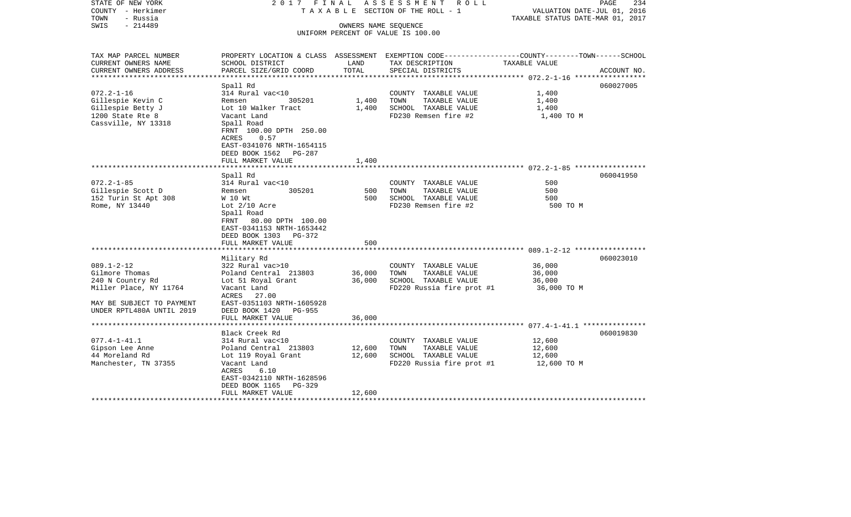| STATE OF NEW YORK<br>COUNTY - Herkimer<br>TOWN<br>- Russia | 2017 FINAL                                         |               | A S S E S S M E N T R O L L<br>TAXABLE SECTION OF THE ROLL - 1                                   | VALUATION DATE-JUL 01, 2016<br>TAXABLE STATUS DATE-MAR 01, 2017 | PAGE<br>234 |
|------------------------------------------------------------|----------------------------------------------------|---------------|--------------------------------------------------------------------------------------------------|-----------------------------------------------------------------|-------------|
| $-214489$<br>SWIS                                          |                                                    |               | OWNERS NAME SEQUENCE<br>UNIFORM PERCENT OF VALUE IS 100.00                                       |                                                                 |             |
|                                                            |                                                    |               |                                                                                                  |                                                                 |             |
| TAX MAP PARCEL NUMBER                                      |                                                    |               | PROPERTY LOCATION & CLASS ASSESSMENT EXEMPTION CODE----------------COUNTY-------TOWN------SCHOOL |                                                                 |             |
| CURRENT OWNERS NAME                                        | SCHOOL DISTRICT                                    | LAND<br>TOTAL | TAX DESCRIPTION                                                                                  | TAXABLE VALUE                                                   |             |
| CURRENT OWNERS ADDRESS<br>**********************           | PARCEL SIZE/GRID COORD                             |               | SPECIAL DISTRICTS                                                                                |                                                                 | ACCOUNT NO. |
|                                                            | Spall Rd                                           |               |                                                                                                  |                                                                 | 060027005   |
| $072.2 - 1 - 16$                                           | 314 Rural vac<10                                   |               | COUNTY TAXABLE VALUE                                                                             | 1,400                                                           |             |
| Gillespie Kevin C                                          | 305201<br>Remsen                                   | 1,400         | TOWN<br>TAXABLE VALUE                                                                            | 1,400                                                           |             |
| Gillespie Betty J                                          | Lot 10 Walker Tract                                | 1,400         | SCHOOL TAXABLE VALUE                                                                             | 1,400                                                           |             |
| 1200 State Rte 8                                           | Vacant Land                                        |               | FD230 Remsen fire #2                                                                             | 1,400 TO M                                                      |             |
| Cassville, NY 13318                                        | Spall Road<br>FRNT 100.00 DPTH 250.00              |               |                                                                                                  |                                                                 |             |
|                                                            | 0.57<br>ACRES                                      |               |                                                                                                  |                                                                 |             |
|                                                            | EAST-0341076 NRTH-1654115                          |               |                                                                                                  |                                                                 |             |
|                                                            | DEED BOOK 1562<br>PG-287                           |               |                                                                                                  |                                                                 |             |
|                                                            | FULL MARKET VALUE                                  | 1,400         |                                                                                                  |                                                                 |             |
|                                                            | Spall Rd                                           |               |                                                                                                  |                                                                 | 060041950   |
| $072.2 - 1 - 85$                                           | 314 Rural vac<10                                   |               | COUNTY TAXABLE VALUE                                                                             | 500                                                             |             |
| Gillespie Scott D                                          | 305201<br>Remsen                                   | 500           | TOWN<br>TAXABLE VALUE                                                                            | 500                                                             |             |
| 152 Turin St Apt 308                                       | W 10 Wt                                            | 500           | SCHOOL TAXABLE VALUE                                                                             | 500                                                             |             |
| Rome, NY 13440                                             | Lot $2/10$ Acre                                    |               | FD230 Remsen fire #2                                                                             | 500 TO M                                                        |             |
|                                                            | Spall Road                                         |               |                                                                                                  |                                                                 |             |
|                                                            | FRNT 80.00 DPTH 100.00                             |               |                                                                                                  |                                                                 |             |
|                                                            | EAST-0341153 NRTH-1653442<br>DEED BOOK 1303 PG-372 |               |                                                                                                  |                                                                 |             |
|                                                            | FULL MARKET VALUE                                  | 500           |                                                                                                  |                                                                 |             |
|                                                            |                                                    |               |                                                                                                  |                                                                 |             |
|                                                            | Military Rd                                        |               |                                                                                                  |                                                                 | 060023010   |
| $089.1 - 2 - 12$                                           | 322 Rural vac>10                                   |               | COUNTY TAXABLE VALUE                                                                             | 36,000                                                          |             |
| Gilmore Thomas                                             | Poland Central 213803                              | 36,000        | TOWN<br>TAXABLE VALUE                                                                            | 36,000                                                          |             |
| 240 N Country Rd<br>Miller Place, NY 11764                 | Lot 51 Royal Grant<br>Vacant Land                  | 36,000        | SCHOOL TAXABLE VALUE<br>FD220 Russia fire prot #1                                                | 36,000<br>36,000 TO M                                           |             |
|                                                            | ACRES 27.00                                        |               |                                                                                                  |                                                                 |             |
| MAY BE SUBJECT TO PAYMENT                                  | EAST-0351103 NRTH-1605928                          |               |                                                                                                  |                                                                 |             |
| UNDER RPTL480A UNTIL 2019                                  | DEED BOOK 1420<br>$PG-955$                         |               |                                                                                                  |                                                                 |             |
|                                                            | FULL MARKET VALUE                                  | 36,000        |                                                                                                  |                                                                 |             |
|                                                            | ********************                               |               |                                                                                                  |                                                                 |             |
| $077.4 - 1 - 41.1$                                         | Black Creek Rd<br>314 Rural vac<10                 |               | COUNTY TAXABLE VALUE                                                                             | 12,600                                                          | 060019830   |
| Gipson Lee Anne                                            | Poland Central 213803                              | 12,600        | TOWN<br>TAXABLE VALUE                                                                            | 12,600                                                          |             |
| 44 Moreland Rd                                             | Lot 119 Royal Grant                                | 12,600        | SCHOOL TAXABLE VALUE                                                                             | 12,600                                                          |             |
| Manchester, TN 37355                                       | Vacant Land                                        |               | FD220 Russia fire prot #1                                                                        | 12,600 TO M                                                     |             |
|                                                            | ACRES<br>6.10                                      |               |                                                                                                  |                                                                 |             |
|                                                            | EAST-0342110 NRTH-1628596                          |               |                                                                                                  |                                                                 |             |
|                                                            | DEED BOOK 1165<br>PG-329                           |               |                                                                                                  |                                                                 |             |
|                                                            | FULL MARKET VALUE                                  | 12,600        |                                                                                                  |                                                                 |             |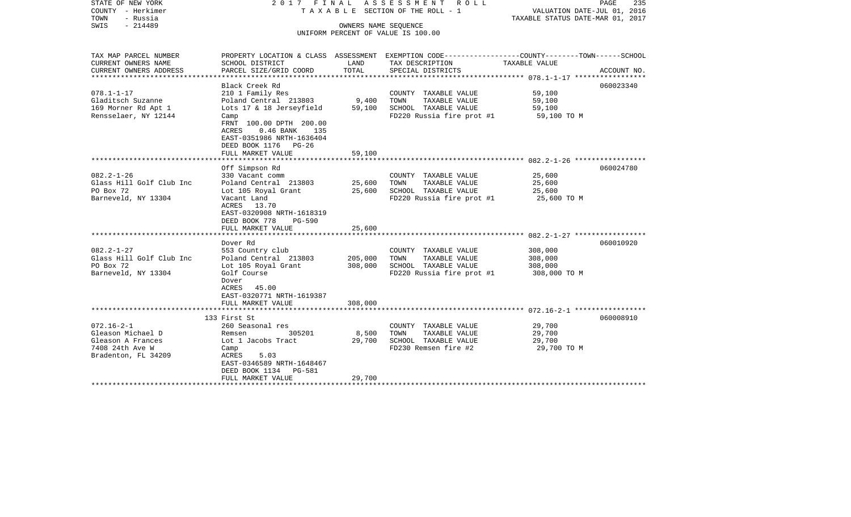| - Russia<br>TOWN<br>$-214489$<br>SWIS<br>OWNERS NAME SEQUENCE<br>UNIFORM PERCENT OF VALUE IS 100.00                                                                                                                                                                                                                                                                                                                                        | TAXABLE STATUS DATE-MAR 01, 2017                                    |
|--------------------------------------------------------------------------------------------------------------------------------------------------------------------------------------------------------------------------------------------------------------------------------------------------------------------------------------------------------------------------------------------------------------------------------------------|---------------------------------------------------------------------|
| TAX MAP PARCEL NUMBER<br>PROPERTY LOCATION & CLASS ASSESSMENT EXEMPTION CODE---------------COUNTY-------TOWN-----SCHOOL<br>CURRENT OWNERS NAME<br>SCHOOL DISTRICT<br>LAND<br>TAX DESCRIPTION<br>TOTAL<br>CURRENT OWNERS ADDRESS<br>PARCEL SIZE/GRID COORD<br>SPECIAL DISTRICTS<br>***********************<br>***********************                                                                                                       | TAXABLE VALUE<br>ACCOUNT NO.                                        |
| Black Creek Rd<br>$078.1 - 1 - 17$<br>210 1 Family Res<br>COUNTY TAXABLE VALUE<br>Gladitsch Suzanne<br>TAXABLE VALUE<br>Poland Central 213803<br>9,400<br>TOWN<br>169 Morner Rd Apt 1<br>Lots 17 & 18 Jerseyfield<br>59,100<br>SCHOOL TAXABLE VALUE<br>Rensselaer, NY 12144<br>FD220 Russia fire prot #1<br>Camp<br>FRNT 100.00 DPTH 200.00<br>ACRES<br>$0.46$ BANK<br>135<br>EAST-0351986 NRTH-1636404<br>DEED BOOK 1176<br>$PG-26$       | 060023340<br>59,100<br>59,100<br>59,100<br>59,100 TO M              |
| FULL MARKET VALUE<br>59,100                                                                                                                                                                                                                                                                                                                                                                                                                |                                                                     |
| Off Simpson Rd<br>$082.2 - 1 - 26$<br>330 Vacant comm<br>COUNTY TAXABLE VALUE<br>Glass Hill Golf Club Inc<br>TAXABLE VALUE<br>Poland Central 213803<br>25,600<br>TOWN<br>PO Box 72<br>25,600<br>SCHOOL TAXABLE VALUE<br>Lot 105 Royal Grant<br>Barneveld, NY 13304<br>FD220 Russia fire prot #1<br>Vacant Land<br>13.70<br>ACRES<br>EAST-0320908 NRTH-1618319<br>DEED BOOK 778<br><b>PG-590</b><br>FULL MARKET VALUE<br>25,600<br>Dover Rd | 060024780<br>25,600<br>25,600<br>25,600<br>25,600 TO M<br>060010920 |
| $082.2 - 1 - 27$<br>553 Country club<br>COUNTY TAXABLE VALUE<br>Glass Hill Golf Club Inc<br>Poland Central 213803<br>205,000<br>TOWN<br>TAXABLE VALUE<br>PO Box 72<br>Lot 105 Royal Grant<br>308,000<br>SCHOOL TAXABLE VALUE<br>Barneveld, NY 13304<br>Golf Course<br>FD220 Russia fire prot #1<br>Dover<br>45.00<br>ACRES<br>EAST-0320771 NRTH-1619387<br>308,000<br>FULL MARKET VALUE                                                    | 308,000<br>308,000<br>308,000<br>308,000 TO M                       |
| 133 First St<br>$072.16 - 2 - 1$<br>260 Seasonal res<br>COUNTY TAXABLE VALUE<br>Gleason Michael D<br>305201<br>8,500<br>TOWN<br>TAXABLE VALUE<br>Remsen<br>Gleason A Frances<br>Lot 1 Jacobs Tract<br>29,700<br>SCHOOL TAXABLE VALUE<br>7408 24th Ave W<br>FD230 Remsen fire #2<br>Camp<br>Bradenton, FL 34209<br>5.03<br>ACRES<br>EAST-0346589 NRTH-1648467<br>DEED BOOK 1134<br><b>PG-581</b><br>29,700<br>FULL MARKET VALUE             | 060008910<br>29,700<br>29,700<br>29,700<br>29,700 TO M              |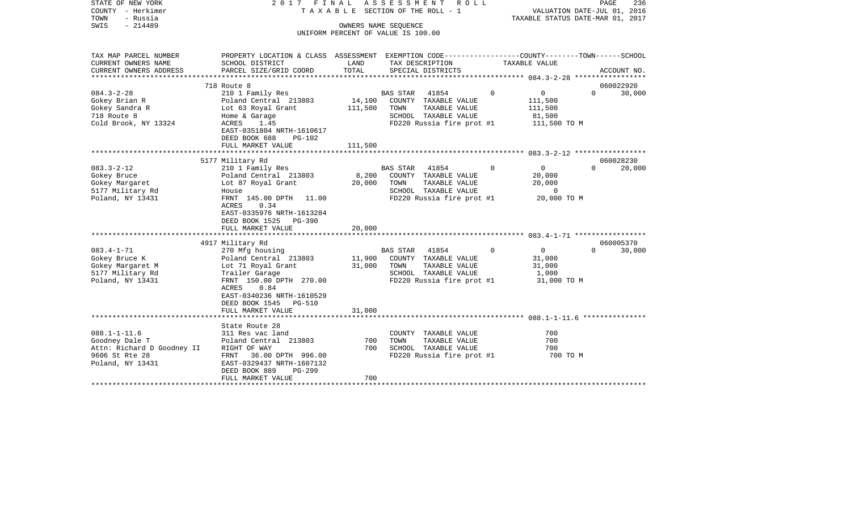| STATE OF NEW YORK<br>COUNTY - Herkimer<br>- Russia<br>TOWN | 2017 FINAL                                                                                                         |         | ASSESSMENT<br>T A X A B L E SECTION OF THE ROLL - 1        | R O L L<br>PAGE<br>236<br>VALUATION DATE-JUL 01, 2016<br>TAXABLE STATUS DATE-MAR 01, 2017 |               |          |             |
|------------------------------------------------------------|--------------------------------------------------------------------------------------------------------------------|---------|------------------------------------------------------------|-------------------------------------------------------------------------------------------|---------------|----------|-------------|
| $-214489$<br>SWIS                                          |                                                                                                                    |         | OWNERS NAME SEQUENCE<br>UNIFORM PERCENT OF VALUE IS 100.00 |                                                                                           |               |          |             |
|                                                            |                                                                                                                    |         |                                                            |                                                                                           |               |          |             |
| TAX MAP PARCEL NUMBER<br>CURRENT OWNERS NAME               | PROPERTY LOCATION & CLASS ASSESSMENT EXEMPTION CODE---------------COUNTY-------TOWN------SCHOOL<br>SCHOOL DISTRICT | LAND    | TAX DESCRIPTION                                            |                                                                                           | TAXABLE VALUE |          |             |
| CURRENT OWNERS ADDRESS<br>**********************           | PARCEL SIZE/GRID COORD                                                                                             | TOTAL   | SPECIAL DISTRICTS                                          |                                                                                           |               |          | ACCOUNT NO. |
|                                                            | 718 Route 8                                                                                                        |         |                                                            |                                                                                           |               |          | 060022920   |
| $084.3 - 2 - 28$                                           | 210 1 Family Res                                                                                                   |         | <b>BAS STAR</b><br>41854                                   | $\Omega$                                                                                  | $\mathbf 0$   | $\Omega$ | 30,000      |
| Gokey Brian R                                              | Poland Central 213803                                                                                              | 14,100  | COUNTY TAXABLE VALUE                                       |                                                                                           | 111,500       |          |             |
| Gokey Sandra R                                             | Lot 63 Royal Grant                                                                                                 | 111,500 | TOWN<br>TAXABLE VALUE                                      |                                                                                           | 111,500       |          |             |
| 718 Route 8                                                | Home & Garage                                                                                                      |         | SCHOOL TAXABLE VALUE                                       |                                                                                           | 81,500        |          |             |
| Cold Brook, NY 13324                                       | ACRES<br>1.45                                                                                                      |         | FD220 Russia fire prot #1                                  |                                                                                           | 111,500 TO M  |          |             |
|                                                            | EAST-0351804 NRTH-1610617                                                                                          |         |                                                            |                                                                                           |               |          |             |
|                                                            | DEED BOOK 688<br>PG-102                                                                                            |         |                                                            |                                                                                           |               |          |             |
|                                                            | FULL MARKET VALUE                                                                                                  | 111,500 |                                                            |                                                                                           |               |          |             |
|                                                            | 5177 Military Rd                                                                                                   |         |                                                            |                                                                                           |               |          | 060028230   |
| $083.3 - 2 - 12$                                           | 210 1 Family Res                                                                                                   |         | 41854<br><b>BAS STAR</b>                                   | $\Omega$                                                                                  | 0             | $\Omega$ | 20,000      |
| Gokey Bruce                                                | Poland Central 213803                                                                                              | 8,200   | COUNTY TAXABLE VALUE                                       |                                                                                           | 20,000        |          |             |
| Gokey Margaret                                             | Lot 87 Royal Grant                                                                                                 | 20,000  | TAXABLE VALUE<br>TOWN                                      |                                                                                           | 20,000        |          |             |
| 5177 Military Rd                                           | House                                                                                                              |         | SCHOOL TAXABLE VALUE                                       |                                                                                           | $\Omega$      |          |             |
| Poland, NY 13431                                           | FRNT 145.00 DPTH<br>11.00                                                                                          |         | FD220 Russia fire prot #1                                  |                                                                                           | 20,000 TO M   |          |             |
|                                                            | ACRES<br>0.34                                                                                                      |         |                                                            |                                                                                           |               |          |             |
|                                                            | EAST-0335976 NRTH-1613284                                                                                          |         |                                                            |                                                                                           |               |          |             |
|                                                            | DEED BOOK 1525<br><b>PG-390</b>                                                                                    |         |                                                            |                                                                                           |               |          |             |
|                                                            | FULL MARKET VALUE                                                                                                  | 20,000  |                                                            |                                                                                           |               |          |             |
|                                                            |                                                                                                                    |         |                                                            |                                                                                           |               |          |             |
|                                                            | 4917 Military Rd                                                                                                   |         |                                                            |                                                                                           |               |          | 060005370   |
| $083.4 - 1 - 71$                                           | 270 Mfg housing                                                                                                    |         | <b>BAS STAR</b><br>41854                                   | $\Omega$                                                                                  | 0             | $\Omega$ | 30,000      |
| Gokey Bruce K                                              | Poland Central 213803                                                                                              | 11,900  | COUNTY TAXABLE VALUE                                       |                                                                                           | 31,000        |          |             |
| Gokey Margaret M                                           | Lot 71 Royal Grant                                                                                                 | 31,000  | TOWN<br>TAXABLE VALUE                                      |                                                                                           | 31,000        |          |             |
| 5177 Military Rd                                           | Trailer Garage                                                                                                     |         | SCHOOL TAXABLE VALUE                                       |                                                                                           | 1,000         |          |             |
| Poland, NY 13431                                           | FRNT 150.00 DPTH 270.00                                                                                            |         | FD220 Russia fire prot #1                                  |                                                                                           | 31,000 TO M   |          |             |
|                                                            | ACRES<br>0.84                                                                                                      |         |                                                            |                                                                                           |               |          |             |
|                                                            | EAST-0340236 NRTH-1610529                                                                                          |         |                                                            |                                                                                           |               |          |             |
|                                                            | DEED BOOK 1545<br><b>PG-510</b><br>FULL MARKET VALUE                                                               | 31,000  |                                                            |                                                                                           |               |          |             |
|                                                            | *******************                                                                                                |         |                                                            |                                                                                           |               |          |             |
|                                                            | State Route 28                                                                                                     |         |                                                            |                                                                                           |               |          |             |
| $088.1 - 1 - 11.6$                                         | 311 Res vac land                                                                                                   |         | COUNTY TAXABLE VALUE                                       |                                                                                           | 700           |          |             |
| Goodney Dale T                                             | Poland Central 213803                                                                                              | 700     | TOWN<br>TAXABLE VALUE                                      |                                                                                           | 700           |          |             |
| Attn: Richard D Goodney II                                 | RIGHT OF WAY                                                                                                       | 700     | SCHOOL TAXABLE VALUE                                       |                                                                                           | 700           |          |             |
| 9606 St Rte 28                                             | FRNT<br>36.00 DPTH 996.00                                                                                          |         | FD220 Russia fire prot #1                                  |                                                                                           | 700 TO M      |          |             |
| Poland, NY 13431                                           | EAST-0329437 NRTH-1607132                                                                                          |         |                                                            |                                                                                           |               |          |             |
|                                                            | DEED BOOK 889<br>PG-299                                                                                            |         |                                                            |                                                                                           |               |          |             |
|                                                            | FULL MARKET VALUE                                                                                                  | 700     |                                                            |                                                                                           |               |          |             |
| *************************                                  |                                                                                                                    |         |                                                            |                                                                                           |               |          |             |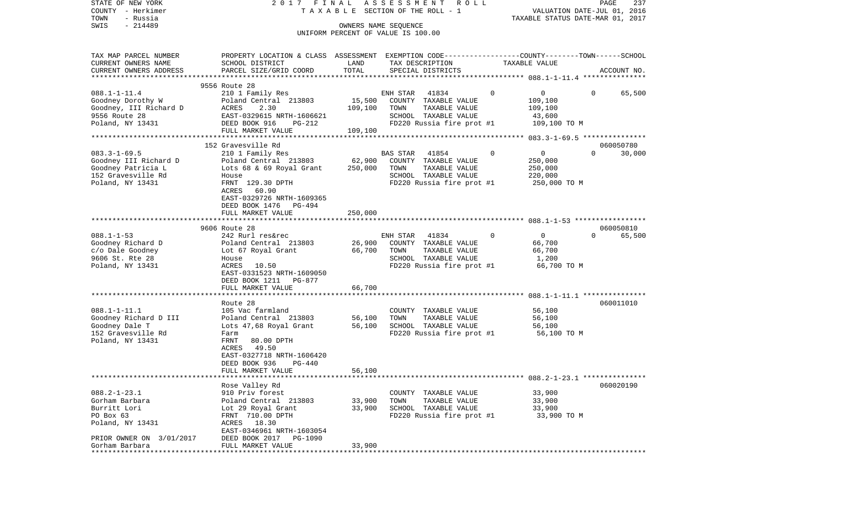| STATE OF NEW YORK<br>COUNTY - Herkimer<br>TOWN<br>- Russia | 2017 FINAL                                                                                       |                     | ASSESSMENT<br>R O L L<br>TAXABLE SECTION OF THE ROLL - 1 |          | VALUATION DATE-JUL 01, 2016<br>TAXABLE STATUS DATE-MAR 01, 2017 | PAGE<br>237        |
|------------------------------------------------------------|--------------------------------------------------------------------------------------------------|---------------------|----------------------------------------------------------|----------|-----------------------------------------------------------------|--------------------|
| $-214489$<br>SWIS                                          |                                                                                                  |                     | OWNERS NAME SEQUENCE                                     |          |                                                                 |                    |
|                                                            |                                                                                                  |                     | UNIFORM PERCENT OF VALUE IS 100.00                       |          |                                                                 |                    |
| TAX MAP PARCEL NUMBER                                      | PROPERTY LOCATION & CLASS ASSESSMENT EXEMPTION CODE----------------COUNTY-------TOWN------SCHOOL |                     |                                                          |          |                                                                 |                    |
| CURRENT OWNERS NAME                                        | SCHOOL DISTRICT                                                                                  | LAND                | TAX DESCRIPTION                                          |          | TAXABLE VALUE                                                   |                    |
| CURRENT OWNERS ADDRESS<br>*********************            | PARCEL SIZE/GRID COORD                                                                           | TOTAL               | SPECIAL DISTRICTS                                        |          |                                                                 | ACCOUNT NO.        |
|                                                            | 9556 Route 28                                                                                    |                     |                                                          |          |                                                                 |                    |
| $088.1 - 1 - 11.4$                                         | 210 1 Family Res                                                                                 |                     | 41834<br>ENH STAR                                        | $\Omega$ | 0                                                               | 65,500<br>0        |
| Goodney Dorothy W                                          | Poland Central 213803                                                                            | 15,500              | COUNTY TAXABLE VALUE                                     |          | 109,100                                                         |                    |
| Goodney, III Richard D                                     | ACRES<br>2.30                                                                                    | 109,100             | TOWN<br>TAXABLE VALUE                                    |          | 109,100                                                         |                    |
| 9556 Route 28                                              | EAST-0329615 NRTH-1606621                                                                        |                     | SCHOOL TAXABLE VALUE                                     |          | 43,600                                                          |                    |
| Poland, NY 13431                                           | DEED BOOK 916<br>$PG-212$                                                                        |                     | FD220 Russia fire prot #1                                |          | 109,100 TO M                                                    |                    |
|                                                            | FULL MARKET VALUE                                                                                | 109,100             |                                                          |          |                                                                 |                    |
|                                                            |                                                                                                  | ******************* |                                                          |          | ************* 083.3-1-69.5 ****************                     |                    |
|                                                            | 152 Gravesville Rd                                                                               |                     |                                                          |          |                                                                 | 060050780          |
| $083.3 - 1 - 69.5$                                         | 210 1 Family Res                                                                                 |                     | BAS STAR<br>41854                                        | 0        | 0                                                               | $\Omega$<br>30,000 |
| Goodney III Richard D                                      | Poland Central 213803                                                                            | 62,900              | COUNTY TAXABLE VALUE                                     |          | 250,000                                                         |                    |
| Goodney Patricia L                                         | Lots 68 & 69 Royal Grant                                                                         | 250,000             | TOWN<br>TAXABLE VALUE                                    |          | 250,000                                                         |                    |
| 152 Gravesville Rd                                         | House                                                                                            |                     | SCHOOL TAXABLE VALUE                                     |          | 220,000                                                         |                    |
| Poland, NY 13431                                           | FRNT 129.30 DPTH                                                                                 |                     | FD220 Russia fire prot #1                                |          | 250,000 TO M                                                    |                    |
|                                                            | ACRES<br>60.90<br>EAST-0329726 NRTH-1609365                                                      |                     |                                                          |          |                                                                 |                    |
|                                                            | DEED BOOK 1476<br>PG-494                                                                         |                     |                                                          |          |                                                                 |                    |
|                                                            | FULL MARKET VALUE                                                                                | 250,000             |                                                          |          |                                                                 |                    |
|                                                            |                                                                                                  |                     |                                                          |          |                                                                 |                    |
|                                                            | 9606 Route 28                                                                                    |                     |                                                          |          |                                                                 | 060050810          |
| $088.1 - 1 - 53$                                           | 242 Rurl res&rec                                                                                 |                     | ENH STAR<br>41834                                        | $\Omega$ | $\mathbf{0}$                                                    | $\Omega$<br>65,500 |
| Goodney Richard D                                          | Poland Central 213803                                                                            | 26,900              | COUNTY TAXABLE VALUE                                     |          | 66,700                                                          |                    |
| c/o Dale Goodney                                           | Lot 67 Royal Grant                                                                               | 66,700              | TOWN<br>TAXABLE VALUE                                    |          | 66,700                                                          |                    |
| 9606 St. Rte 28                                            | House                                                                                            |                     | SCHOOL TAXABLE VALUE                                     |          | 1,200                                                           |                    |
| Poland, NY 13431                                           | ACRES<br>10.50                                                                                   |                     | FD220 Russia fire prot #1                                |          | 66,700 TO M                                                     |                    |
|                                                            | EAST-0331523 NRTH-1609050                                                                        |                     |                                                          |          |                                                                 |                    |
|                                                            | DEED BOOK 1211<br>PG-877                                                                         |                     |                                                          |          |                                                                 |                    |
|                                                            | FULL MARKET VALUE                                                                                | 66,700              |                                                          |          | ********* 088.1-1-11.1 ****                                     |                    |
|                                                            | Route 28                                                                                         |                     |                                                          |          |                                                                 | 060011010          |
| $088.1 - 1 - 11.1$                                         | 105 Vac farmland                                                                                 |                     | COUNTY TAXABLE VALUE                                     |          | 56,100                                                          |                    |
| Goodney Richard D III                                      | Poland Central 213803                                                                            | 56,100              | TOWN<br>TAXABLE VALUE                                    |          | 56,100                                                          |                    |
| Goodney Dale T                                             | Lots 47,68 Royal Grant                                                                           | 56,100              | SCHOOL TAXABLE VALUE                                     |          | 56,100                                                          |                    |
| 152 Gravesville Rd                                         | Farm                                                                                             |                     | FD220 Russia fire prot #1                                |          | 56,100 TO M                                                     |                    |
| Poland, NY 13431                                           | FRNT<br>80.00 DPTH                                                                               |                     |                                                          |          |                                                                 |                    |
|                                                            | 49.50<br>ACRES                                                                                   |                     |                                                          |          |                                                                 |                    |
|                                                            | EAST-0327718 NRTH-1606420                                                                        |                     |                                                          |          |                                                                 |                    |
|                                                            | DEED BOOK 936<br>$PG-440$                                                                        |                     |                                                          |          |                                                                 |                    |
|                                                            | FULL MARKET VALUE                                                                                | 56,100              |                                                          |          |                                                                 |                    |
|                                                            |                                                                                                  |                     |                                                          |          |                                                                 |                    |
|                                                            | Rose Valley Rd                                                                                   |                     |                                                          |          |                                                                 | 060020190          |
| $088.2 - 1 - 23.1$                                         | 910 Priv forest                                                                                  |                     | COUNTY TAXABLE VALUE                                     |          | 33,900                                                          |                    |
| Gorham Barbara<br>Burritt Lori                             | Poland Central 213803<br>Lot 29 Royal Grant                                                      | 33,900<br>33,900    | TOWN<br>TAXABLE VALUE<br>SCHOOL TAXABLE VALUE            |          | 33,900<br>33,900                                                |                    |
| PO Box 63                                                  | FRNT 710.00 DPTH                                                                                 |                     | FD220 Russia fire prot #1                                |          | 33,900 TO M                                                     |                    |
| Poland, NY 13431                                           | ACRES<br>18.30                                                                                   |                     |                                                          |          |                                                                 |                    |
|                                                            | EAST-0346961 NRTH-1603054                                                                        |                     |                                                          |          |                                                                 |                    |
| PRIOR OWNER ON 3/01/2017                                   | DEED BOOK 2017<br>PG-1090                                                                        |                     |                                                          |          |                                                                 |                    |
| Gorham Barbara                                             | FULL MARKET VALUE                                                                                | 33,900              |                                                          |          |                                                                 |                    |
| ***********                                                |                                                                                                  |                     |                                                          |          |                                                                 |                    |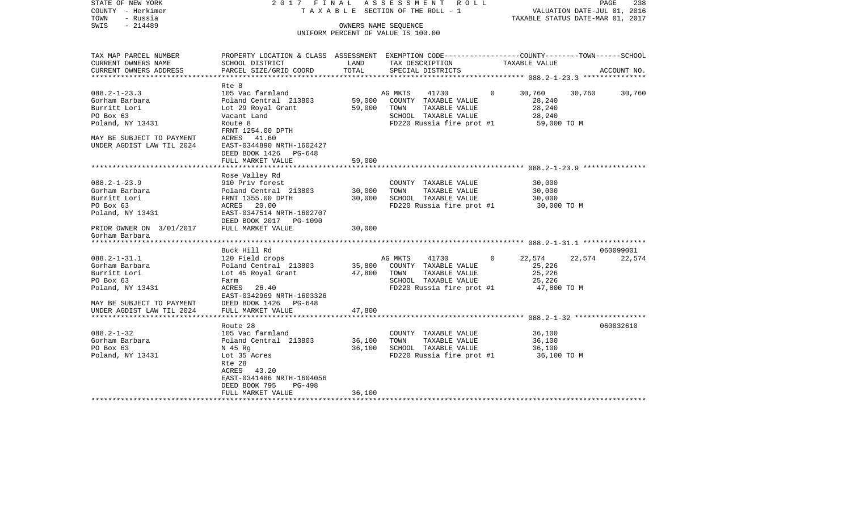| STATE OF NEW YORK<br>COUNTY - Herkimer<br>TOWN<br>- Russia | 2017 FINAL<br>TAXABLE SECTION OF THE ROLL - 1                                                   | ASSESSMENT ROLL<br>PAGE<br>238<br>VALUATION DATE-JUL 01, 2016<br>TAXABLE STATUS DATE-MAR 01, 2017 |                                        |         |                                                   |        |             |
|------------------------------------------------------------|-------------------------------------------------------------------------------------------------|---------------------------------------------------------------------------------------------------|----------------------------------------|---------|---------------------------------------------------|--------|-------------|
| $-214489$<br>SWIS                                          |                                                                                                 |                                                                                                   | OWNERS NAME SEQUENCE                   |         |                                                   |        |             |
|                                                            |                                                                                                 |                                                                                                   | UNIFORM PERCENT OF VALUE IS 100.00     |         |                                                   |        |             |
|                                                            |                                                                                                 |                                                                                                   |                                        |         |                                                   |        |             |
| TAX MAP PARCEL NUMBER                                      | PROPERTY LOCATION & CLASS ASSESSMENT EXEMPTION CODE---------------COUNTY-------TOWN------SCHOOL |                                                                                                   |                                        |         |                                                   |        |             |
| CURRENT OWNERS NAME                                        | SCHOOL DISTRICT                                                                                 | LAND                                                                                              | TAX DESCRIPTION                        |         | TAXABLE VALUE                                     |        |             |
| CURRENT OWNERS ADDRESS                                     | PARCEL SIZE/GRID COORD                                                                          | TOTAL                                                                                             | SPECIAL DISTRICTS                      |         |                                                   |        | ACCOUNT NO. |
|                                                            | *******************************                                                                 |                                                                                                   |                                        |         | ***************** 088.2-1-23.3 ****************   |        |             |
| $088.2 - 1 - 23.3$                                         | Rte 8<br>105 Vac farmland                                                                       |                                                                                                   | AG MKTS<br>41730                       | $\circ$ | 30,760                                            |        |             |
| Gorham Barbara                                             | Poland Central 213803                                                                           | 59,000                                                                                            | COUNTY TAXABLE VALUE                   |         | 28,240                                            | 30,760 | 30,760      |
| Burritt Lori                                               | Lot 29 Royal Grant                                                                              | 59,000                                                                                            | TOWN<br>TAXABLE VALUE                  |         | 28,240                                            |        |             |
| PO Box 63                                                  | Vacant Land                                                                                     |                                                                                                   | SCHOOL TAXABLE VALUE                   |         | 28,240                                            |        |             |
| Poland, NY 13431                                           | Route 8                                                                                         |                                                                                                   | FD220 Russia fire prot #1              |         | 59,000 TO M                                       |        |             |
|                                                            | FRNT 1254.00 DPTH                                                                               |                                                                                                   |                                        |         |                                                   |        |             |
| MAY BE SUBJECT TO PAYMENT                                  | ACRES 41.60                                                                                     |                                                                                                   |                                        |         |                                                   |        |             |
| UNDER AGDIST LAW TIL 2024                                  | EAST-0344890 NRTH-1602427                                                                       |                                                                                                   |                                        |         |                                                   |        |             |
|                                                            | DEED BOOK 1426 PG-648                                                                           |                                                                                                   |                                        |         |                                                   |        |             |
|                                                            | FULL MARKET VALUE                                                                               | 59,000                                                                                            |                                        |         |                                                   |        |             |
|                                                            |                                                                                                 | ******                                                                                            |                                        |         | *********************** 088.2-1-23.9 ************ |        |             |
|                                                            | Rose Valley Rd                                                                                  |                                                                                                   |                                        |         |                                                   |        |             |
| $088.2 - 1 - 23.9$                                         | 910 Priv forest                                                                                 |                                                                                                   | COUNTY TAXABLE VALUE                   |         | 30,000                                            |        |             |
| Gorham Barbara                                             | Poland Central 213803                                                                           | 30,000                                                                                            | TOWN<br>TAXABLE VALUE                  |         | 30,000                                            |        |             |
| Burritt Lori                                               | FRNT 1355.00 DPTH                                                                               | 30,000                                                                                            | SCHOOL TAXABLE VALUE                   |         | 30,000                                            |        |             |
| PO Box 63                                                  | ACRES 20.00                                                                                     |                                                                                                   | FD220 Russia fire prot #1              |         | 30,000 TO M                                       |        |             |
| Poland, NY 13431                                           | EAST-0347514 NRTH-1602707                                                                       |                                                                                                   |                                        |         |                                                   |        |             |
|                                                            | DEED BOOK 2017 PG-1090                                                                          |                                                                                                   |                                        |         |                                                   |        |             |
| PRIOR OWNER ON 3/01/2017                                   | FULL MARKET VALUE                                                                               | 30,000                                                                                            |                                        |         |                                                   |        |             |
| Gorham Barbara                                             |                                                                                                 |                                                                                                   |                                        |         |                                                   |        |             |
| *******************                                        |                                                                                                 |                                                                                                   |                                        |         |                                                   |        |             |
|                                                            | Buck Hill Rd                                                                                    |                                                                                                   |                                        |         |                                                   |        | 060099001   |
| $088.2 - 1 - 31.1$                                         | 120 Field crops                                                                                 |                                                                                                   | 41730<br>AG MKTS                       | 0       | 22,574                                            | 22,574 | 22,574      |
| Gorham Barbara                                             | Poland Central 213803                                                                           | 35,800                                                                                            | COUNTY TAXABLE VALUE                   |         | 25,226                                            |        |             |
| Burritt Lori                                               | Lot 45 Royal Grant                                                                              | 47,800                                                                                            | TOWN<br>TAXABLE VALUE                  |         | 25,226                                            |        |             |
| PO Box 63                                                  | Farm                                                                                            |                                                                                                   | SCHOOL TAXABLE VALUE                   |         | 25,226                                            |        |             |
| Poland, NY 13431                                           | ACRES<br>26.40                                                                                  |                                                                                                   | FD220 Russia fire prot #1              |         | 47,800 TO M                                       |        |             |
|                                                            | EAST-0342969 NRTH-1603326                                                                       |                                                                                                   |                                        |         |                                                   |        |             |
| MAY BE SUBJECT TO PAYMENT                                  | DEED BOOK 1426<br>PG-648                                                                        |                                                                                                   |                                        |         |                                                   |        |             |
| UNDER AGDIST LAW TIL 2024                                  | FULL MARKET VALUE                                                                               | 47,800                                                                                            |                                        |         |                                                   |        |             |
|                                                            |                                                                                                 |                                                                                                   |                                        |         |                                                   |        |             |
|                                                            | Route 28                                                                                        |                                                                                                   |                                        |         |                                                   |        | 060032610   |
| $088.2 - 1 - 32$                                           | 105 Vac farmland                                                                                |                                                                                                   | COUNTY TAXABLE VALUE                   |         | 36,100                                            |        |             |
| Gorham Barbara                                             | Poland Central 213803                                                                           | 36,100                                                                                            | TAXABLE VALUE<br>TOWN                  |         | 36,100                                            |        |             |
| PO Box 63                                                  | N 45 Rq                                                                                         | 36,100                                                                                            | SCHOOL TAXABLE VALUE                   |         | 36,100                                            |        |             |
| Poland, NY 13431                                           | Lot 35 Acres                                                                                    |                                                                                                   | FD220 Russia fire prot #1              |         | 36,100 TO M                                       |        |             |
|                                                            | Rte 28                                                                                          |                                                                                                   |                                        |         |                                                   |        |             |
|                                                            | ACRES<br>43.20                                                                                  |                                                                                                   |                                        |         |                                                   |        |             |
|                                                            | EAST-0341486 NRTH-1604056                                                                       |                                                                                                   |                                        |         |                                                   |        |             |
|                                                            | DEED BOOK 795<br>PG-498                                                                         |                                                                                                   |                                        |         |                                                   |        |             |
|                                                            | FULL MARKET VALUE                                                                               | 36,100                                                                                            |                                        |         |                                                   |        |             |
|                                                            |                                                                                                 |                                                                                                   | ************************************** |         |                                                   |        |             |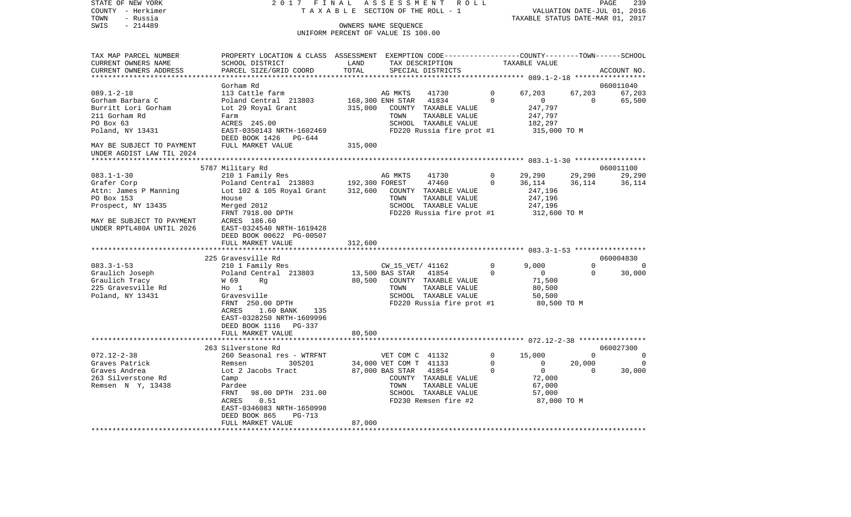| STATE OF NEW YORK                   | 2017 FINAL                                                                                      |                                    | A S S E S S M E N T         | R O L L                               |               |                                  |                | PAGE<br>239 |
|-------------------------------------|-------------------------------------------------------------------------------------------------|------------------------------------|-----------------------------|---------------------------------------|---------------|----------------------------------|----------------|-------------|
| COUNTY - Herkimer                   | T A X A B L E SECTION OF THE ROLL - 1                                                           |                                    | VALUATION DATE-JUL 01, 2016 |                                       |               |                                  |                |             |
| TOWN<br>- Russia                    | OWNERS NAME SEQUENCE                                                                            |                                    |                             |                                       |               | TAXABLE STATUS DATE-MAR 01, 2017 |                |             |
| $-214489$<br>SWIS                   |                                                                                                 | UNIFORM PERCENT OF VALUE IS 100.00 |                             |                                       |               |                                  |                |             |
|                                     |                                                                                                 |                                    |                             |                                       |               |                                  |                |             |
| TAX MAP PARCEL NUMBER               | PROPERTY LOCATION & CLASS ASSESSMENT EXEMPTION CODE---------------COUNTY-------TOWN------SCHOOL |                                    |                             |                                       |               |                                  |                |             |
| CURRENT OWNERS NAME                 | SCHOOL DISTRICT                                                                                 | LAND                               |                             | TAX DESCRIPTION                       |               | TAXABLE VALUE                    |                |             |
| CURRENT OWNERS ADDRESS              | PARCEL SIZE/GRID COORD                                                                          | TOTAL                              |                             | SPECIAL DISTRICTS                     |               |                                  |                | ACCOUNT NO. |
|                                     |                                                                                                 |                                    |                             |                                       |               |                                  |                |             |
|                                     | Gorham Rd                                                                                       |                                    |                             |                                       |               |                                  |                | 060011040   |
| $089.1 - 2 - 18$                    | 113 Cattle farm                                                                                 |                                    | AG MKTS                     | 41730                                 | 0             | 67,203                           | 67,203         | 67,203      |
| Gorham Barbara C                    | Poland Central 213803                                                                           |                                    | 168,300 ENH STAR            | 41834                                 | $\Omega$      | $\mathbf 0$                      | $\overline{0}$ | 65,500      |
| Burritt Lori Gorham                 | Lot 29 Royal Grant                                                                              | 315,000                            |                             | COUNTY TAXABLE VALUE                  |               | 247,797                          |                |             |
| 211 Gorham Rd                       | Farm                                                                                            |                                    | TOWN                        | TAXABLE VALUE                         |               | 247,797                          |                |             |
| PO Box 63                           | ACRES 245.00                                                                                    |                                    |                             | SCHOOL TAXABLE VALUE                  |               | 182,297                          |                |             |
| Poland, NY 13431                    | EAST-0350143 NRTH-1602469                                                                       |                                    |                             | FD220 Russia fire prot #1             |               | 315,000 TO M                     |                |             |
|                                     | DEED BOOK 1426<br>PG-644                                                                        |                                    |                             |                                       |               |                                  |                |             |
| MAY BE SUBJECT TO PAYMENT           | FULL MARKET VALUE                                                                               | 315,000                            |                             |                                       |               |                                  |                |             |
| UNDER AGDIST LAW TIL 2024           |                                                                                                 |                                    |                             |                                       |               |                                  |                |             |
|                                     |                                                                                                 |                                    |                             |                                       |               |                                  |                |             |
|                                     | 5787 Military Rd                                                                                |                                    |                             |                                       |               |                                  |                | 060011100   |
| $083.1 - 1 - 30$                    | 210 1 Family Res                                                                                |                                    | AG MKTS                     | 41730                                 | 0<br>$\Omega$ | 29,290                           | 29,290         | 29,290      |
| Grafer Corp                         | Poland Central 213803                                                                           | 192,300 FOREST                     |                             | 47460                                 |               | 36,114                           | 36,114         | 36,114      |
| Attn: James P Manning<br>PO Box 153 | Lot 102 & 105 Royal Grant<br>House                                                              | 312,600                            | TOWN                        | COUNTY TAXABLE VALUE<br>TAXABLE VALUE |               | 247,196<br>247,196               |                |             |
| Prospect, NY 13435                  | Merged 2012                                                                                     |                                    |                             | SCHOOL TAXABLE VALUE                  |               | 247,196                          |                |             |
|                                     | FRNT 7918.00 DPTH                                                                               |                                    |                             | FD220 Russia fire prot #1             |               | 312,600 TO M                     |                |             |
| MAY BE SUBJECT TO PAYMENT           | ACRES 186.60                                                                                    |                                    |                             |                                       |               |                                  |                |             |
| UNDER RPTL480A UNTIL 2026           | EAST-0324540 NRTH-1619428                                                                       |                                    |                             |                                       |               |                                  |                |             |
|                                     | DEED BOOK 00622 PG-00507                                                                        |                                    |                             |                                       |               |                                  |                |             |
|                                     | FULL MARKET VALUE                                                                               | 312,600                            |                             |                                       |               |                                  |                |             |
| *********************               | *************************                                                                       |                                    |                             |                                       |               |                                  |                |             |
|                                     | 225 Gravesville Rd                                                                              |                                    |                             |                                       |               |                                  |                | 060004830   |
| $083.3 - 1 - 53$                    | 210 1 Family Res                                                                                |                                    | CW_15_VET/ 41162            |                                       | $\Omega$      | 9,000                            | $\Omega$       | - 0         |
| Graulich Joseph                     | Poland Central 213803                                                                           |                                    | 13,500 BAS STAR             | 41854                                 | $\mathbf 0$   | $\mathbf{0}$                     | 0              | 30,000      |
| Graulich Tracy                      | W 69<br>Rg                                                                                      | 80,500                             |                             | COUNTY TAXABLE VALUE                  |               | 71,500                           |                |             |
| 225 Gravesville Rd                  | $H_0$ 1                                                                                         |                                    | TOWN                        | TAXABLE VALUE                         |               | 80,500                           |                |             |
| Poland, NY 13431                    | Gravesville                                                                                     |                                    |                             | SCHOOL TAXABLE VALUE                  |               | 50,500                           |                |             |
|                                     | FRNT 250.00 DPTH                                                                                |                                    |                             | FD220 Russia fire prot #1             |               | 80,500 TO M                      |                |             |
|                                     | ACRES<br>1.60 BANK<br>135                                                                       |                                    |                             |                                       |               |                                  |                |             |
|                                     | EAST-0328250 NRTH-1609996                                                                       |                                    |                             |                                       |               |                                  |                |             |
|                                     | DEED BOOK 1116<br>PG-337                                                                        |                                    |                             |                                       |               |                                  |                |             |
|                                     | FULL MARKET VALUE                                                                               | 80,500                             |                             |                                       |               |                                  |                |             |
|                                     |                                                                                                 |                                    |                             |                                       |               |                                  |                | 060027300   |
| $072.12 - 2 - 38$                   | 263 Silverstone Rd                                                                              |                                    | VET COM C 41132             |                                       | $\mathbf 0$   | 15,000                           | $\Omega$       | $\mathbf 0$ |
| Graves Patrick                      | 260 Seasonal res - WTRFNT<br>Remsen<br>305201                                                   |                                    | 34,000 VET COM T 41133      |                                       | 0             | 0                                | 20,000         | $\Omega$    |
| Graves Andrea                       | Lot 2 Jacobs Tract                                                                              |                                    | 87,000 BAS STAR             | 41854                                 | $\Omega$      | $\mathbf 0$                      | $\Omega$       | 30,000      |
| 263 Silverstone Rd                  | Camp                                                                                            |                                    |                             | COUNTY TAXABLE VALUE                  |               | 72,000                           |                |             |
| Remsen N Y, 13438                   | Pardee                                                                                          |                                    | TOWN                        | TAXABLE VALUE                         |               | 67,000                           |                |             |
|                                     | FRNT<br>98.00 DPTH 231.00                                                                       |                                    |                             | SCHOOL TAXABLE VALUE                  |               | 57,000                           |                |             |
|                                     | 0.51<br>ACRES                                                                                   |                                    |                             | FD230 Remsen fire #2                  |               | 87,000 TO M                      |                |             |
|                                     | EAST-0346083 NRTH-1650998                                                                       |                                    |                             |                                       |               |                                  |                |             |
|                                     | DEED BOOK 865<br>PG-713                                                                         |                                    |                             |                                       |               |                                  |                |             |

\*\*\*\*\*\*\*\*\*\*\*\*\*\*\*\*\*\*\*\*\*\*\*\*\*\*\*\*\*\*\*\*\*\*\*\*\*\*\*\*\*\*\*\*\*\*\*\*\*\*\*\*\*\*\*\*\*\*\*\*\*\*\*\*\*\*\*\*\*\*\*\*\*\*\*\*\*\*\*\*\*\*\*\*\*\*\*\*\*\*\*\*\*\*\*\*\*\*\*\*\*\*\*\*\*\*\*\*\*\*\*\*\*\*\*\*\*\*\*\*\*\*\*\*\*\*\*\*\*\*\*\*

FULL MARKET VALUE 87,000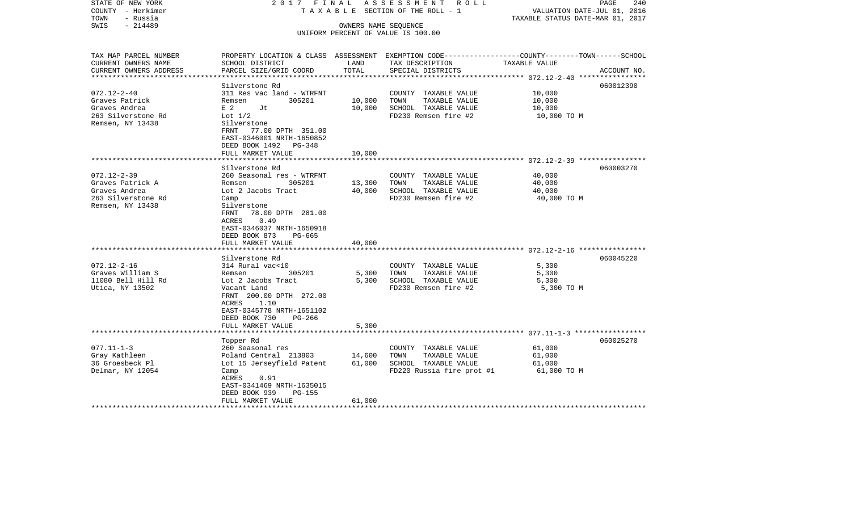| STATE OF NEW YORK<br>COUNTY - Herkimer<br>- Russia<br>TOWN | 2017 FINAL<br>TAXABLE                                                                           |                      | ASSESSMENT ROLL<br>SECTION OF THE ROLL - 1   | VALUATION DATE-JUL 01, 2016<br>TAXABLE STATUS DATE-MAR 01, 2017 | 240<br>PAGE |
|------------------------------------------------------------|-------------------------------------------------------------------------------------------------|----------------------|----------------------------------------------|-----------------------------------------------------------------|-------------|
| $-214489$<br>SWIS                                          |                                                                                                 |                      |                                              |                                                                 |             |
|                                                            |                                                                                                 | OWNERS NAME SEQUENCE | UNIFORM PERCENT OF VALUE IS 100.00           |                                                                 |             |
|                                                            |                                                                                                 |                      |                                              |                                                                 |             |
| TAX MAP PARCEL NUMBER                                      | PROPERTY LOCATION & CLASS ASSESSMENT EXEMPTION CODE---------------COUNTY-------TOWN------SCHOOL |                      |                                              |                                                                 |             |
| CURRENT OWNERS NAME                                        | SCHOOL DISTRICT                                                                                 | LAND                 | TAX DESCRIPTION                              | TAXABLE VALUE                                                   |             |
| CURRENT OWNERS ADDRESS                                     | PARCEL SIZE/GRID COORD                                                                          | TOTAL                | SPECIAL DISTRICTS                            |                                                                 | ACCOUNT NO. |
|                                                            | Silverstone Rd                                                                                  |                      |                                              |                                                                 | 060012390   |
| $072.12 - 2 - 40$                                          | 311 Res vac land - WTRFNT                                                                       |                      | COUNTY TAXABLE VALUE                         | 10,000                                                          |             |
| Graves Patrick                                             | Remsen<br>305201                                                                                | 10,000               | TAXABLE VALUE<br>TOWN                        | 10,000                                                          |             |
| Graves Andrea                                              | E 2<br>Jt                                                                                       | 10,000               | SCHOOL TAXABLE VALUE                         | 10,000                                                          |             |
| 263 Silverstone Rd                                         | Lot $1/2$                                                                                       |                      | FD230 Remsen fire #2                         | 10,000 TO M                                                     |             |
| Remsen, NY 13438                                           | Silverstone                                                                                     |                      |                                              |                                                                 |             |
|                                                            | FRNT 77.00 DPTH 351.00                                                                          |                      |                                              |                                                                 |             |
|                                                            | EAST-0346001 NRTH-1650852                                                                       |                      |                                              |                                                                 |             |
|                                                            | DEED BOOK 1492 PG-348                                                                           |                      |                                              |                                                                 |             |
|                                                            | FULL MARKET VALUE                                                                               | 10,000               |                                              |                                                                 |             |
|                                                            |                                                                                                 | ********             |                                              |                                                                 |             |
|                                                            | Silverstone Rd                                                                                  |                      |                                              |                                                                 | 060003270   |
| $072.12 - 2 - 39$                                          | 260 Seasonal res - WTRFNT                                                                       |                      | COUNTY TAXABLE VALUE                         | 40,000                                                          |             |
| Graves Patrick A                                           | Remsen<br>305201                                                                                | 13,300               | TAXABLE VALUE<br>TOWN                        | 40,000                                                          |             |
| Graves Andrea<br>263 Silverstone Rd                        | Lot 2 Jacobs Tract<br>Camp                                                                      | 40,000               | SCHOOL TAXABLE VALUE<br>FD230 Remsen fire #2 | 40,000<br>40,000 TO M                                           |             |
| Remsen, NY 13438                                           | Silverstone                                                                                     |                      |                                              |                                                                 |             |
|                                                            | 78.00 DPTH 281.00<br>FRNT                                                                       |                      |                                              |                                                                 |             |
|                                                            | 0.49<br>ACRES                                                                                   |                      |                                              |                                                                 |             |
|                                                            | EAST-0346037 NRTH-1650918                                                                       |                      |                                              |                                                                 |             |
|                                                            | DEED BOOK 873<br>PG-665                                                                         |                      |                                              |                                                                 |             |
|                                                            | FULL MARKET VALUE                                                                               | 40,000               |                                              |                                                                 |             |
|                                                            | ******************************                                                                  |                      |                                              |                                                                 |             |
|                                                            | Silverstone Rd                                                                                  |                      |                                              |                                                                 | 060045220   |
| $072.12 - 2 - 16$                                          | 314 Rural vac<10                                                                                |                      | COUNTY TAXABLE VALUE                         | 5,300                                                           |             |
| Graves William S                                           | 305201<br>Remsen                                                                                | 5,300                | TOWN<br>TAXABLE VALUE                        | 5,300                                                           |             |
| 11080 Bell Hill Rd                                         | Lot 2 Jacobs Tract                                                                              | 5,300                | SCHOOL TAXABLE VALUE                         | 5,300                                                           |             |
| Utica, NY 13502                                            | Vacant Land                                                                                     |                      | FD230 Remsen fire #2                         | 5,300 TO M                                                      |             |
|                                                            | FRNT 200.00 DPTH 272.00                                                                         |                      |                                              |                                                                 |             |
|                                                            | 1.10<br>ACRES                                                                                   |                      |                                              |                                                                 |             |
|                                                            | EAST-0345778 NRTH-1651102                                                                       |                      |                                              |                                                                 |             |
|                                                            | DEED BOOK 730<br>PG-266                                                                         |                      |                                              |                                                                 |             |
|                                                            | FULL MARKET VALUE<br>*****************                                                          | 5,300                |                                              |                                                                 |             |
|                                                            |                                                                                                 |                      |                                              |                                                                 | 060025270   |
| $077.11 - 1 - 3$                                           | Topper Rd<br>260 Seasonal res                                                                   |                      | COUNTY TAXABLE VALUE                         | 61,000                                                          |             |
| Gray Kathleen                                              | Poland Central 213803                                                                           | 14,600               | TOWN<br>TAXABLE VALUE                        | 61,000                                                          |             |
| 36 Groesbeck Pl                                            | Lot 15 Jerseyfield Patent                                                                       | 61,000               | SCHOOL TAXABLE VALUE                         | 61,000                                                          |             |
| Delmar, NY 12054                                           | Camp                                                                                            |                      | FD220 Russia fire prot #1                    | 61,000 TO M                                                     |             |
|                                                            | ACRES<br>0.91                                                                                   |                      |                                              |                                                                 |             |
|                                                            | EAST-0341469 NRTH-1635015                                                                       |                      |                                              |                                                                 |             |
|                                                            | DEED BOOK 939<br><b>PG-155</b>                                                                  |                      |                                              |                                                                 |             |
|                                                            | FULL MARKET VALUE                                                                               | 61,000               |                                              |                                                                 |             |
|                                                            |                                                                                                 |                      |                                              |                                                                 |             |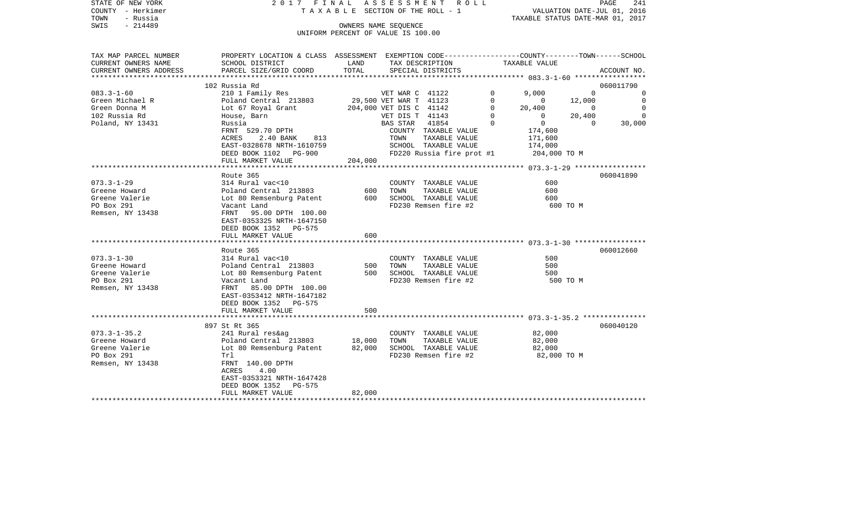|      | STATE OF NEW YORK | 2017 FINAL ASSESSMENT ROLL |                                    |                                  | PAGE                        | -241 |
|------|-------------------|----------------------------|------------------------------------|----------------------------------|-----------------------------|------|
|      | COUNTY - Herkimer |                            | TAXABLE SECTION OF THE ROLL - 1    |                                  | VALUATION DATE-JUL 01, 2016 |      |
| TOWN | - Russia          |                            |                                    | TAXABLE STATUS DATE-MAR 01, 2017 |                             |      |
| SWIS | - 214489          |                            | OWNERS NAME SEOUENCE               |                                  |                             |      |
|      |                   |                            | UNIFORM PERCENT OF VALUE IS 100.00 |                                  |                             |      |

| TAX MAP PARCEL NUMBER  | PROPERTY LOCATION & CLASS ASSESSMENT EXEMPTION CODE---------------COUNTY-------TOWN------SCHOOL |                        |                         |                           |          |                |          |                |
|------------------------|-------------------------------------------------------------------------------------------------|------------------------|-------------------------|---------------------------|----------|----------------|----------|----------------|
| CURRENT OWNERS NAME    | SCHOOL DISTRICT                                                                                 | LAND                   |                         | TAX DESCRIPTION           |          | TAXABLE VALUE  |          |                |
| CURRENT OWNERS ADDRESS | PARCEL SIZE/GRID COORD                                                                          | TOTAL                  |                         | SPECIAL DISTRICTS         |          |                |          | ACCOUNT NO.    |
|                        |                                                                                                 |                        |                         |                           |          |                |          |                |
|                        | 102 Russia Rd                                                                                   |                        |                         |                           |          |                |          | 060011790      |
| $083.3 - 1 - 60$       | 210 1 Family Res                                                                                |                        | VET WAR C 41122         |                           | $\Omega$ | 9,000          | $\Omega$ | $\mathbf 0$    |
| Green Michael R        | Poland Central 213803                                                                           | 29,500 VET WAR T 41123 |                         |                           | $\Omega$ | $\overline{0}$ | 12,000   | $\overline{0}$ |
| Green Donna M          | Lot 67 Royal Grant                                                                              |                        | 204,000 VET DIS C 41142 |                           | $\Omega$ | 20,400         | $\Omega$ | $\overline{0}$ |
| 102 Russia Rd          | House, Barn                                                                                     |                        | VET DIS T 41143         |                           | $\Omega$ | $\mathbf{0}$   | 20,400   | $\Omega$       |
| Poland, NY 13431       | Russia                                                                                          |                        | BAS STAR                | 41854                     | $\Omega$ | $\overline{0}$ | $\Omega$ | 30,000         |
|                        | FRNT 529.70 DPTH                                                                                |                        |                         | COUNTY TAXABLE VALUE      |          | 174,600        |          |                |
|                        | 813<br>ACRES<br>2.40 BANK                                                                       |                        | TOWN                    | TAXABLE VALUE             |          | 171,600        |          |                |
|                        | EAST-0328678 NRTH-1610759                                                                       |                        |                         | SCHOOL TAXABLE VALUE      |          | 174,000        |          |                |
|                        | DEED BOOK 1102 PG-900                                                                           |                        |                         | FD220 Russia fire prot #1 |          | 204,000 TO M   |          |                |
|                        | FULL MARKET VALUE                                                                               | 204,000                |                         |                           |          |                |          |                |
|                        |                                                                                                 |                        |                         |                           |          |                |          |                |
|                        | Route 365                                                                                       |                        |                         |                           |          |                |          | 060041890      |
| $073.3 - 1 - 29$       | 314 Rural vac<10                                                                                |                        |                         | COUNTY TAXABLE VALUE      |          | 600            |          |                |
| Greene Howard          | Poland Central 213803                                                                           | 600                    | TOWN                    | TAXABLE VALUE             |          | 600            |          |                |
| Greene Valerie         | Lot 80 Remsenburg Patent                                                                        | 600                    |                         | SCHOOL TAXABLE VALUE      |          | 600            |          |                |
| PO Box 291             | Vacant Land                                                                                     |                        |                         | FD230 Remsen fire #2      |          |                | 600 TO M |                |
| Remsen, NY 13438       | FRNT 95.00 DPTH 100.00                                                                          |                        |                         |                           |          |                |          |                |
|                        | EAST-0353325 NRTH-1647150                                                                       |                        |                         |                           |          |                |          |                |
|                        | DEED BOOK 1352 PG-575                                                                           |                        |                         |                           |          |                |          |                |
|                        | FULL MARKET VALUE                                                                               | 600                    |                         |                           |          |                |          |                |
|                        |                                                                                                 |                        |                         |                           |          |                |          |                |
|                        | Route 365                                                                                       |                        |                         |                           |          |                |          | 060012660      |
| $073.3 - 1 - 30$       | 314 Rural vac<10                                                                                |                        |                         | COUNTY TAXABLE VALUE      |          | 500            |          |                |
| Greene Howard          | Poland Central 213803                                                                           | 500                    | TOWN                    | TAXABLE VALUE             |          | 500            |          |                |
| Greene Valerie         | Lot 80 Remsenburg Patent                                                                        | 500                    |                         | SCHOOL TAXABLE VALUE      |          | 500            |          |                |
| PO Box 291             | Vacant Land                                                                                     |                        |                         | FD230 Remsen fire #2      |          |                | 500 TO M |                |
| Remsen, NY 13438       | FRNT 85.00 DPTH 100.00                                                                          |                        |                         |                           |          |                |          |                |
|                        | EAST-0353412 NRTH-1647182                                                                       |                        |                         |                           |          |                |          |                |
|                        | DEED BOOK 1352 PG-575                                                                           |                        |                         |                           |          |                |          |                |
|                        | FULL MARKET VALUE                                                                               | 500                    |                         |                           |          |                |          |                |
|                        |                                                                                                 |                        |                         |                           |          |                |          |                |
|                        | 897 St Rt 365                                                                                   |                        |                         |                           |          |                |          | 060040120      |
| $073.3 - 1 - 35.2$     | 241 Rural res&ag                                                                                |                        |                         | COUNTY TAXABLE VALUE      |          | 82,000         |          |                |
| Greene Howard          | Poland Central 213803                                                                           | 18,000                 | TOWN                    | TAXABLE VALUE             |          | 82,000         |          |                |
| Greene Valerie         | Lot 80 Remsenburg Patent                                                                        | 82,000                 |                         | SCHOOL TAXABLE VALUE      |          | 82,000         |          |                |
| PO Box 291             | Trl                                                                                             |                        |                         | FD230 Remsen fire #2      |          | 82,000 TO M    |          |                |
| Remsen, NY 13438       | FRNT 140.00 DPTH                                                                                |                        |                         |                           |          |                |          |                |
|                        | 4.00<br>ACRES                                                                                   |                        |                         |                           |          |                |          |                |
|                        | EAST-0353321 NRTH-1647428                                                                       |                        |                         |                           |          |                |          |                |
|                        | DEED BOOK 1352<br>PG-575                                                                        |                        |                         |                           |          |                |          |                |
|                        | FULL MARKET VALUE                                                                               | 82,000                 |                         |                           |          |                |          |                |
|                        |                                                                                                 |                        |                         |                           |          |                |          |                |
|                        |                                                                                                 |                        |                         |                           |          |                |          |                |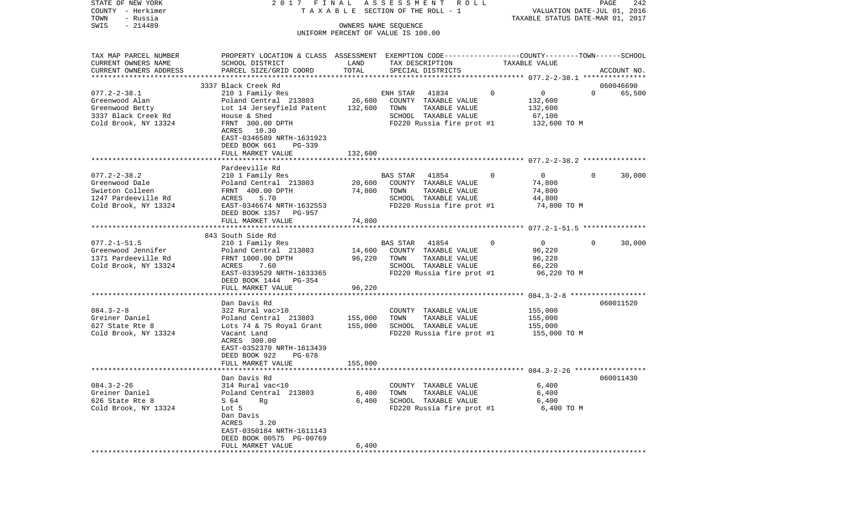| STATE OF NEW YORK                     | 2017 FINAL                                                                                      |                      | A S S E S S M E N T R O L L               |                                        | PAGE<br>242                                                     |
|---------------------------------------|-------------------------------------------------------------------------------------------------|----------------------|-------------------------------------------|----------------------------------------|-----------------------------------------------------------------|
| COUNTY - Herkimer<br>TOWN<br>- Russia |                                                                                                 |                      | TAXABLE SECTION OF THE ROLL - 1           |                                        | VALUATION DATE-JUL 01, 2016<br>TAXABLE STATUS DATE-MAR 01, 2017 |
| $-214489$<br>SWIS                     |                                                                                                 | OWNERS NAME SEQUENCE |                                           |                                        |                                                                 |
|                                       |                                                                                                 |                      | UNIFORM PERCENT OF VALUE IS 100.00        |                                        |                                                                 |
| TAX MAP PARCEL NUMBER                 | PROPERTY LOCATION & CLASS ASSESSMENT EXEMPTION CODE----------------COUNTY-------TOWN-----SCHOOL |                      |                                           |                                        |                                                                 |
| CURRENT OWNERS NAME                   | SCHOOL DISTRICT                                                                                 | LAND                 | TAX DESCRIPTION                           | TAXABLE VALUE                          |                                                                 |
| CURRENT OWNERS ADDRESS                | PARCEL SIZE/GRID COORD                                                                          | TOTAL                | SPECIAL DISTRICTS                         |                                        | ACCOUNT NO.                                                     |
|                                       |                                                                                                 |                      |                                           |                                        |                                                                 |
|                                       | 3337 Black Creek Rd                                                                             |                      |                                           |                                        | 060046690<br>$\Omega$                                           |
| $077.2 - 2 - 38.1$<br>Greenwood Alan  | 210 1 Family Res<br>Poland Central 213803                                                       | 26,600               | 41834<br>ENH STAR<br>COUNTY TAXABLE VALUE | $\mathsf{O}$<br>$\mathbf 0$<br>132,600 | 65,500                                                          |
| Greenwood Betty                       | Lot 14 Jerseyfield Patent                                                                       | 132,600              | TOWN<br>TAXABLE VALUE                     | 132,600                                |                                                                 |
| 3337 Black Creek Rd                   | House & Shed                                                                                    |                      | SCHOOL TAXABLE VALUE                      | 67,100                                 |                                                                 |
| Cold Brook, NY 13324                  | FRNT 300.00 DPTH                                                                                |                      | FD220 Russia fire prot #1                 | 132,600 TO M                           |                                                                 |
|                                       | ACRES 10.30                                                                                     |                      |                                           |                                        |                                                                 |
|                                       | EAST-0346589 NRTH-1631923                                                                       |                      |                                           |                                        |                                                                 |
|                                       | DEED BOOK 661<br>PG-339                                                                         |                      |                                           |                                        |                                                                 |
|                                       | FULL MARKET VALUE                                                                               | 132,600              |                                           |                                        |                                                                 |
|                                       | Pardeeville Rd                                                                                  |                      |                                           |                                        |                                                                 |
| $077.2 - 2 - 38.2$                    | 210 1 Family Res                                                                                |                      | BAS STAR<br>41854                         | $\overline{0}$<br>$\mathbf 0$          | 30,000<br>$\overline{0}$                                        |
| Greenwood Dale                        | Poland Central 213803                                                                           | 20,600               | COUNTY TAXABLE VALUE                      | 74,800                                 |                                                                 |
| Swieton Colleen                       | FRNT 400.00 DPTH                                                                                | 74,800               | TOWN<br>TAXABLE VALUE                     | 74,800                                 |                                                                 |
| 1247 Pardeeville Rd                   | ACRES<br>5.70                                                                                   |                      | SCHOOL TAXABLE VALUE                      | 44,800                                 |                                                                 |
| Cold Brook, NY 13324                  | EAST-0346674 NRTH-1632553                                                                       |                      | FD220 Russia fire prot #1                 | 74,800 TO M                            |                                                                 |
|                                       | DEED BOOK 1357<br>PG-957                                                                        |                      |                                           |                                        |                                                                 |
|                                       | FULL MARKET VALUE                                                                               | 74,800               |                                           |                                        |                                                                 |
|                                       | 843 South Side Rd                                                                               |                      |                                           |                                        |                                                                 |
| $077.2 - 1 - 51.5$                    | 210 1 Family Res                                                                                |                      | 41854<br>BAS STAR                         | $\mathbf{0}$<br>$\Omega$               | $\Omega$<br>30,000                                              |
| Greenwood Jennifer                    | Poland Central 213803                                                                           | 14,600               | COUNTY TAXABLE VALUE                      | 96,220                                 |                                                                 |
| 1371 Pardeeville Rd                   | FRNT 1000.00 DPTH                                                                               | 96,220               | TAXABLE VALUE<br>TOWN                     | 96,220                                 |                                                                 |
| Cold Brook, NY 13324                  | 7.60<br>ACRES                                                                                   |                      | SCHOOL TAXABLE VALUE                      | 66,220                                 |                                                                 |
|                                       | EAST-0339529 NRTH-1633365                                                                       |                      | FD220 Russia fire prot #1                 | 96,220 TO M                            |                                                                 |
|                                       | DEED BOOK 1444 PG-354                                                                           |                      |                                           |                                        |                                                                 |
|                                       | FULL MARKET VALUE<br>************************                                                   | 96,220<br>********** |                                           |                                        |                                                                 |
|                                       | Dan Davis Rd                                                                                    |                      |                                           |                                        | 060011520                                                       |
| $084.3 - 2 - 8$                       | 322 Rural vac>10                                                                                |                      | COUNTY TAXABLE VALUE                      | 155,000                                |                                                                 |
| Greiner Daniel                        | Poland Central 213803                                                                           | 155,000              | TOWN<br>TAXABLE VALUE                     | 155,000                                |                                                                 |
| 627 State Rte 8                       | Lots 74 & 75 Royal Grant                                                                        | 155,000              | SCHOOL TAXABLE VALUE                      | 155,000                                |                                                                 |
| Cold Brook, NY 13324                  | Vacant Land                                                                                     |                      | FD220 Russia fire prot #1                 | 155,000 TO M                           |                                                                 |
|                                       | ACRES 300.00                                                                                    |                      |                                           |                                        |                                                                 |
|                                       | EAST-0352370 NRTH-1613439                                                                       |                      |                                           |                                        |                                                                 |
|                                       | DEED BOOK 922<br>PG-678<br>FULL MARKET VALUE                                                    | 155,000              |                                           |                                        |                                                                 |
|                                       |                                                                                                 |                      |                                           |                                        |                                                                 |
|                                       | Dan Davis Rd                                                                                    |                      |                                           |                                        | 060011430                                                       |
| $084.3 - 2 - 26$                      | 314 Rural vac<10                                                                                |                      | COUNTY TAXABLE VALUE                      | 6,400                                  |                                                                 |
| Greiner Daniel                        | Poland Central 213803                                                                           | 6,400                | TAXABLE VALUE<br>TOWN                     | 6,400                                  |                                                                 |
| 626 State Rte 8                       | S 64<br>Rq                                                                                      | 6,400                | SCHOOL TAXABLE VALUE                      | 6,400                                  |                                                                 |
| Cold Brook, NY 13324                  | Lot 5                                                                                           |                      | FD220 Russia fire prot #1                 | 6,400 TO M                             |                                                                 |
|                                       | Dan Davis                                                                                       |                      |                                           |                                        |                                                                 |
|                                       | ACRES<br>3.20<br>EAST-0350184 NRTH-1611143                                                      |                      |                                           |                                        |                                                                 |
|                                       | DEED BOOK 00575 PG-00769                                                                        |                      |                                           |                                        |                                                                 |
|                                       | FULL MARKET VALUE                                                                               | 6,400                |                                           |                                        |                                                                 |
|                                       |                                                                                                 |                      |                                           |                                        |                                                                 |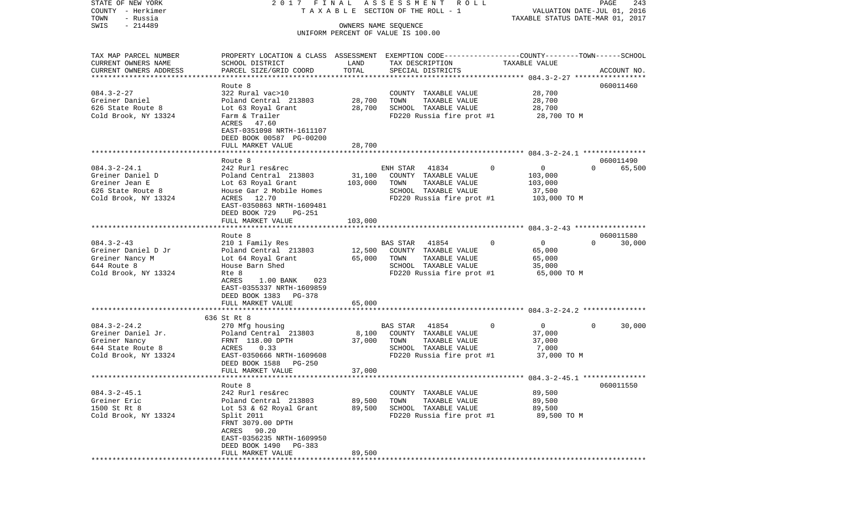STATE OF NEW YORK 2 0 1 7 F I N A L A S S E S S M E N T R O L L PAGE 243COUNTY - Herkimer T A X A B L E SECTION OF THE ROLL - 1 VALUATION DATE-JUL 01, 2016 TOWN - Russia TAXABLE STATUS DATE-MAR 01, 2017 SWIS - 214489 OWNERS NAME SEQUENCE UNIFORM PERCENT OF VALUE IS 100.00TAX MAP PARCEL NUMBER PROPERTY LOCATION & CLASS ASSESSMENT EXEMPTION CODE------------------COUNTY--------TOWN------SCHOOL CURRENT OWNERS NAME SCHOOL DISTRICT LAND TAX DESCRIPTION TAXABLE VALUECURRENT OWNERS ADDRESS PARCEL SIZE/GRID COORD TOTAL SPECIAL DISTRICTS ACCOUNT NO. \*\*\*\*\*\*\*\*\*\*\*\*\*\*\*\*\*\*\*\*\*\*\*\*\*\*\*\*\*\*\*\*\*\*\*\*\*\*\*\*\*\*\*\*\*\*\*\*\*\*\*\*\*\*\*\*\*\*\*\*\*\*\*\*\*\*\*\*\*\*\*\*\*\*\*\*\*\*\*\*\*\*\*\*\*\*\*\*\*\*\*\*\*\*\*\*\*\*\*\*\*\*\* 084.3-2-27 \*\*\*\*\*\*\*\*\*\*\*\*\*\*\*\*\* Route 8 060011460060011460 084.3-2-27 322 Rural vac>10 COUNTY TAXABLE VALUE 28,700 Greiner Daniel Poland Central 213803 28,700 TOWN TAXABLE VALUE 28,700 626 State Route 8 Lot 63 Royal Grant 28,700 SCHOOL TAXABLE VALUE 28,700 Cold Brook, NY 13324 Farm & Trailer FRAGE FD220 Russia fire prot #1 28,700 TO M ACRES 47.60 EAST-0351098 NRTH-1611107 DEED BOOK 00587 PG-00200 FULL MARKET VALUE 28,700 \*\*\*\*\*\*\*\*\*\*\*\*\*\*\*\*\*\*\*\*\*\*\*\*\*\*\*\*\*\*\*\*\*\*\*\*\*\*\*\*\*\*\*\*\*\*\*\*\*\*\*\*\*\*\*\*\*\*\*\*\*\*\*\*\*\*\*\*\*\*\*\*\*\*\*\*\*\*\*\*\*\*\*\*\*\*\*\*\*\*\*\*\*\*\*\*\*\*\*\*\*\*\* 084.3-2-24.1 \*\*\*\*\*\*\*\*\*\*\*\*\*\*\* Route 8 060011490084.3-2-24.1 242 Rurl res&rec ENH STAR 41834 0 0 0 65.500 Greiner Daniel D Poland Central 213803 31,100 COUNTY TAXABLE VALUE 103,000 Greiner Jean E Lot 63 Royal Grant 103,000 TOWN TAXABLE VALUE 103,000 626 State Route 8 The Mouse Gar 2 Mobile Homes TECHOOL TAXABLE VALUE 37,500 Cold Brook, NY 13324 ACRES 12.70 **FD220** Russia fire prot #1 103,000 TO M EAST-0350863 NRTH-1609481 DEED BOOK 729 PG-251FULL MARKET VALUE 103,000 \*\*\*\*\*\*\*\*\*\*\*\*\*\*\*\*\*\*\*\*\*\*\*\*\*\*\*\*\*\*\*\*\*\*\*\*\*\*\*\*\*\*\*\*\*\*\*\*\*\*\*\*\*\*\*\*\*\*\*\*\*\*\*\*\*\*\*\*\*\*\*\*\*\*\*\*\*\*\*\*\*\*\*\*\*\*\*\*\*\*\*\*\*\*\*\*\*\*\*\*\*\*\* 084.3-2-43 \*\*\*\*\*\*\*\*\*\*\*\*\*\*\*\*\* Route 8 060011580084.3-2-43 210 1 Family Res BAS STAR 41854 0 0 0 30,000 Greiner Daniel D Jr **Poland Central 213803** 12,500 COUNTY TAXABLE VALUE 65,000 Greiner Nancy M Lot 64 Royal Grant 65,000 TOWN TAXABLE VALUE 65,000 SCHOOL TAXABLE VALUE Cold Brook, NY 13324 Rte 8 Rte 8 Rte 8 Rte 8 Rte 9 Rte 8 Rte 8 Rte 8 Rte 8 Rte 8 Rte 8 Rte 8 Rte 8 Rte 8 Rte 8 Rte 8 Rte 8 Rte 8 Rte 8 Rte 8 Rte 8 Rte 8 Rte 8 Rte 8 Rte 8 Rte 8 Rte 8 Rte 8 Rte 8 Rte 8 Rte 8 Rte 8 Rte 8 Rte ACRES 1.00 BANK 023 EAST-0355337 NRTH-1609859 DEED BOOK 1383 PG-378 FULL MARKET VALUE 65,000 \*\*\*\*\*\*\*\*\*\*\*\*\*\*\*\*\*\*\*\*\*\*\*\*\*\*\*\*\*\*\*\*\*\*\*\*\*\*\*\*\*\*\*\*\*\*\*\*\*\*\*\*\*\*\*\*\*\*\*\*\*\*\*\*\*\*\*\*\*\*\*\*\*\*\*\*\*\*\*\*\*\*\*\*\*\*\*\*\*\*\*\*\*\*\*\*\*\*\*\*\*\*\* 084.3-2-24.2 \*\*\*\*\*\*\*\*\*\*\*\*\*\*\* 636 St Rt 8084.3-2-24.2 270 Mfg housing BAS STAR 41854 0 0 0 30,000 Greiner Daniel Jr. Poland Central 213803 8,100 COUNTY TAXABLE VALUE 37,000 Greiner Nancy **FRNT 118.00 DPTH** 37,000 TOWN TAXABLE VALUE 37,000 644 State Route 8 ACRES 0.33 SCHOOL TAXABLE VALUE 7,000 Cold Brook, NY 13324 EAST-0350666 NRTH-1609608 FD220 Russia fire prot #1 37,000 TO M DEED BOOK 1588 PG-250 FULL MARKET VALUE 37,000 \*\*\*\*\*\*\*\*\*\*\*\*\*\*\*\*\*\*\*\*\*\*\*\*\*\*\*\*\*\*\*\*\*\*\*\*\*\*\*\*\*\*\*\*\*\*\*\*\*\*\*\*\*\*\*\*\*\*\*\*\*\*\*\*\*\*\*\*\*\*\*\*\*\*\*\*\*\*\*\*\*\*\*\*\*\*\*\*\*\*\*\*\*\*\*\*\*\*\*\*\*\*\* 084.3-2-45.1 \*\*\*\*\*\*\*\*\*\*\*\*\*\*\* Route 8 060011550084.3-2-45.1 242 Rurl res&rec COUNTY TAXABLE VALUE 89.500 Greiner Eric **Eric** Poland Central 213803 89,500 TOWN TAXABLE VALUE 89,500 1500 St Rt 8 Lot 53 & 62 Royal Grant 89,500 SCHOOL TAXABLE VALUE 89,500 Cold Brook, NY 13324 Split 2011 Split Superior Service Russia fire prot #1 89,500 TO M FRNT 3079.00 DPTH ACRES 90.20 EAST-0356235 NRTH-1609950 DEED BOOK 1490 PG-383FULL MARKET VALUE 89,500 \*\*\*\*\*\*\*\*\*\*\*\*\*\*\*\*\*\*\*\*\*\*\*\*\*\*\*\*\*\*\*\*\*\*\*\*\*\*\*\*\*\*\*\*\*\*\*\*\*\*\*\*\*\*\*\*\*\*\*\*\*\*\*\*\*\*\*\*\*\*\*\*\*\*\*\*\*\*\*\*\*\*\*\*\*\*\*\*\*\*\*\*\*\*\*\*\*\*\*\*\*\*\*\*\*\*\*\*\*\*\*\*\*\*\*\*\*\*\*\*\*\*\*\*\*\*\*\*\*\*\*\*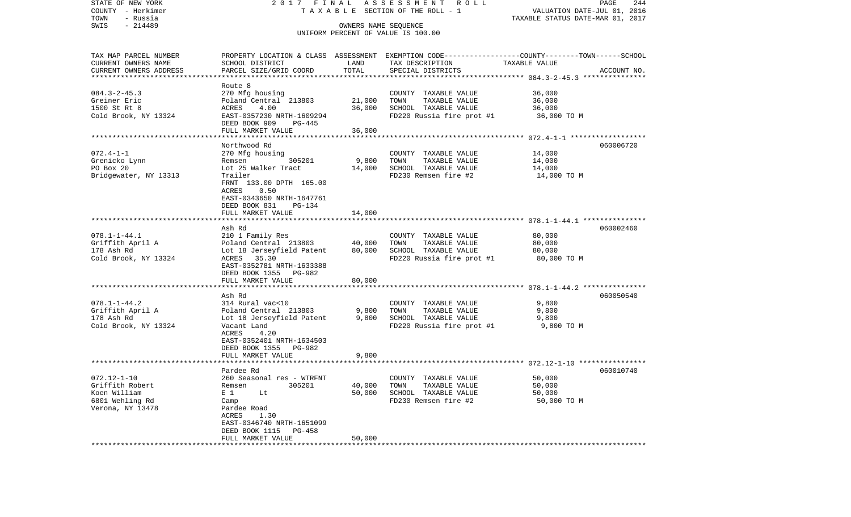| STATE OF NEW YORK<br>COUNTY - Herkimer<br>- Russia<br>TOWN                                          |                                                                                                                                                                                                                                                     |                            | 2017 FINAL ASSESSMENT ROLL<br>TAXABLE SECTION OF THE ROLL - 1                                                                            | VALUATION DATE-JUL 01, 2016<br>TAXABLE STATUS DATE-MAR 01, 2017 | PAGE<br>244 |
|-----------------------------------------------------------------------------------------------------|-----------------------------------------------------------------------------------------------------------------------------------------------------------------------------------------------------------------------------------------------------|----------------------------|------------------------------------------------------------------------------------------------------------------------------------------|-----------------------------------------------------------------|-------------|
| $-214489$<br>SWIS                                                                                   |                                                                                                                                                                                                                                                     | OWNERS NAME SEQUENCE       | UNIFORM PERCENT OF VALUE IS 100.00                                                                                                       |                                                                 |             |
| TAX MAP PARCEL NUMBER<br>CURRENT OWNERS NAME<br>CURRENT OWNERS ADDRESS<br>************************* | SCHOOL DISTRICT<br>PARCEL SIZE/GRID COORD                                                                                                                                                                                                           | LAND<br>TOTAL              | PROPERTY LOCATION & CLASS ASSESSMENT EXEMPTION CODE----------------COUNTY-------TOWN------SCHOOL<br>TAX DESCRIPTION<br>SPECIAL DISTRICTS | TAXABLE VALUE                                                   | ACCOUNT NO. |
| $084.3 - 2 - 45.3$<br>Greiner Eric<br>1500 St Rt 8<br>Cold Brook, NY 13324                          | Route 8<br>270 Mfg housing<br>Poland Central 213803<br>ACRES<br>4.00<br>EAST-0357230 NRTH-1609294<br>DEED BOOK 909<br>PG-445<br>FULL MARKET VALUE                                                                                                   | 21,000<br>36,000<br>36,000 | COUNTY TAXABLE VALUE<br>TOWN<br>TAXABLE VALUE<br>SCHOOL TAXABLE VALUE<br>FD220 Russia fire prot #1                                       | 36,000<br>36,000<br>36,000<br>36,000 TO M                       |             |
| $072.4 - 1 - 1$<br>Grenicko Lynn<br>PO Box 20<br>Bridgewater, NY 13313                              | Northwood Rd<br>270 Mfg housing<br>305201<br>Remsen<br>Lot 25 Walker Tract<br>Trailer<br>FRNT 133.00 DPTH 165.00<br>0.50<br>ACRES<br>EAST-0343650 NRTH-1647761<br>DEED BOOK 831<br>PG-134<br>FULL MARKET VALUE                                      | 9,800<br>14,000<br>14,000  | COUNTY TAXABLE VALUE<br>TOWN<br>TAXABLE VALUE<br>SCHOOL TAXABLE VALUE<br>FD230 Remsen fire #2                                            | 14,000<br>14,000<br>14,000<br>14,000 TO M                       | 060006720   |
| $078.1 - 1 - 44.1$<br>Griffith April A<br>178 Ash Rd<br>Cold Brook, NY 13324                        | Ash Rd<br>210 1 Family Res<br>Poland Central 213803<br>Lot 18 Jerseyfield Patent<br>ACRES 35.30<br>EAST-0352781 NRTH-1633388<br>DEED BOOK 1355 PG-982<br>FULL MARKET VALUE                                                                          | 40,000<br>80,000<br>80,000 | COUNTY TAXABLE VALUE<br>TOWN<br>TAXABLE VALUE<br>SCHOOL TAXABLE VALUE<br>FD220 Russia fire prot #1                                       | 80,000<br>80,000<br>80,000<br>80,000 TO M                       | 060002460   |
| $078.1 - 1 - 44.2$<br>Griffith April A<br>178 Ash Rd<br>Cold Brook, NY 13324                        | ************************<br>Ash Rd<br>314 Rural vac<10<br>Poland Central 213803<br>Lot 18 Jerseyfield Patent<br>Vacant Land<br>ACRES<br>4.20<br>EAST-0352401 NRTH-1634503<br>DEED BOOK 1355 PG-982<br>FULL MARKET VALUE                             | 9,800<br>9,800<br>9,800    | COUNTY TAXABLE VALUE<br>TOWN<br>TAXABLE VALUE<br>SCHOOL TAXABLE VALUE<br>FD220 Russia fire prot #1                                       | 9,800<br>9,800<br>9,800<br>9,800 TO M                           | 060050540   |
| $072.12 - 1 - 10$<br>Griffith Robert<br>Koen William<br>6801 Wehling Rd<br>Verona, NY 13478         | Pardee Rd<br>260 Seasonal res - WTRFNT<br>305201<br>Remsen<br>E <sub>1</sub><br>Lt<br>Camp<br>Pardee Road<br>ACRES<br>1.30<br>EAST-0346740 NRTH-1651099<br>DEED BOOK 1115<br>PG-458<br>FULL MARKET VALUE<br>* * * * * * * * * * * * * * * * * * * * | 40,000<br>50,000<br>50,000 | COUNTY TAXABLE VALUE<br>TOWN<br>TAXABLE VALUE<br>SCHOOL TAXABLE VALUE<br>FD230 Remsen fire #2                                            | 50,000<br>50,000<br>50,000<br>50,000 TO M                       | 060010740   |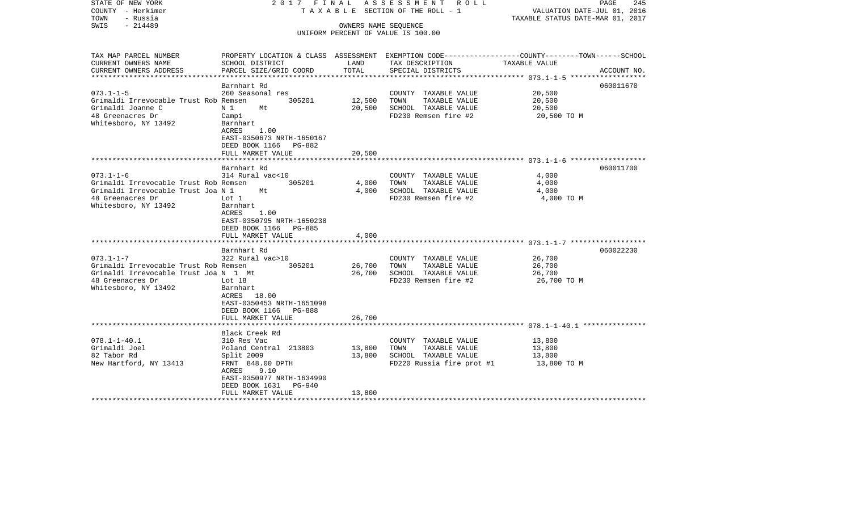| STATE OF NEW YORK<br>COUNTY - Herkimer<br>TOWN<br>- Russia | 2017 FINAL<br>ASSESSMENT ROLL<br>T A X A B L E SECTION OF THE ROLL - 1                           |                      |                                    | PAGE<br>245<br>VALUATION DATE-JUL 01, 2016<br>TAXABLE STATUS DATE-MAR 01, 2017 |             |  |
|------------------------------------------------------------|--------------------------------------------------------------------------------------------------|----------------------|------------------------------------|--------------------------------------------------------------------------------|-------------|--|
| $-214489$<br>SWIS                                          |                                                                                                  | OWNERS NAME SEQUENCE | UNIFORM PERCENT OF VALUE IS 100.00 |                                                                                |             |  |
|                                                            |                                                                                                  |                      |                                    |                                                                                |             |  |
| TAX MAP PARCEL NUMBER                                      | PROPERTY LOCATION & CLASS ASSESSMENT EXEMPTION CODE----------------COUNTY-------TOWN------SCHOOL |                      |                                    |                                                                                |             |  |
| CURRENT OWNERS NAME                                        | SCHOOL DISTRICT                                                                                  | LAND                 | TAX DESCRIPTION                    | TAXABLE VALUE                                                                  |             |  |
| CURRENT OWNERS ADDRESS<br>*****************                | PARCEL SIZE/GRID COORD                                                                           | TOTAL                | SPECIAL DISTRICTS                  |                                                                                | ACCOUNT NO. |  |
|                                                            | **************************<br>Barnhart Rd                                                        | ****************     |                                    |                                                                                | 060011670   |  |
| $073.1 - 1 - 5$                                            | 260 Seasonal res                                                                                 |                      | COUNTY TAXABLE VALUE               | 20,500                                                                         |             |  |
| Grimaldi Irrevocable Trust Rob Remsen                      | 305201                                                                                           | 12,500               | TOWN<br>TAXABLE VALUE              | 20,500                                                                         |             |  |
| Grimaldi Joanne C                                          | N 1<br>Mt                                                                                        | 20,500               | SCHOOL TAXABLE VALUE               | 20,500                                                                         |             |  |
| 48 Greenacres Dr                                           | Camp1                                                                                            |                      | FD230 Remsen fire #2               | 20,500 TO M                                                                    |             |  |
| Whitesboro, NY 13492                                       | Barnhart                                                                                         |                      |                                    |                                                                                |             |  |
|                                                            | ACRES<br>1.00                                                                                    |                      |                                    |                                                                                |             |  |
|                                                            | EAST-0350673 NRTH-1650167                                                                        |                      |                                    |                                                                                |             |  |
|                                                            | DEED BOOK 1166<br>PG-882                                                                         |                      |                                    |                                                                                |             |  |
|                                                            | FULL MARKET VALUE                                                                                | 20,500               |                                    |                                                                                |             |  |
|                                                            |                                                                                                  |                      |                                    |                                                                                |             |  |
|                                                            | Barnhart Rd                                                                                      |                      |                                    |                                                                                | 060011700   |  |
| $073.1 - 1 - 6$                                            | 314 Rural vac<10                                                                                 |                      | COUNTY TAXABLE VALUE               | 4,000                                                                          |             |  |
| Grimaldi Irrevocable Trust Rob Remsen                      | 305201                                                                                           | 4,000                | TAXABLE VALUE<br>TOWN              | 4,000                                                                          |             |  |
| Grimaldi Irrevocable Trust Joa N 1                         | Mt                                                                                               | 4,000                | SCHOOL TAXABLE VALUE               | 4,000                                                                          |             |  |
| 48 Greenacres Dr                                           | Lot 1                                                                                            |                      | FD230 Remsen fire #2               | 4,000 TO M                                                                     |             |  |
| Whitesboro, NY 13492                                       | Barnhart                                                                                         |                      |                                    |                                                                                |             |  |
|                                                            | ACRES<br>1.00                                                                                    |                      |                                    |                                                                                |             |  |
|                                                            | EAST-0350795 NRTH-1650238                                                                        |                      |                                    |                                                                                |             |  |
|                                                            | DEED BOOK 1166<br>PG-885                                                                         |                      |                                    |                                                                                |             |  |
|                                                            | FULL MARKET VALUE<br>******************                                                          | 4,000                |                                    |                                                                                |             |  |
|                                                            | Barnhart Rd                                                                                      |                      |                                    |                                                                                | 060022230   |  |
| $073.1 - 1 - 7$                                            | 322 Rural vac>10                                                                                 |                      | COUNTY TAXABLE VALUE               | 26,700                                                                         |             |  |
| Grimaldi Irrevocable Trust Rob Remsen                      | 305201                                                                                           | 26,700               | TOWN<br>TAXABLE VALUE              | 26,700                                                                         |             |  |
| Grimaldi Irrevocable Trust Joa N 1 Mt                      |                                                                                                  | 26,700               | SCHOOL TAXABLE VALUE               | 26,700                                                                         |             |  |
| 48 Greenacres Dr                                           | Lot $18$                                                                                         |                      | FD230 Remsen fire #2               | 26,700 TO M                                                                    |             |  |
| Whitesboro, NY 13492                                       | Barnhart                                                                                         |                      |                                    |                                                                                |             |  |
|                                                            | 18.00<br>ACRES                                                                                   |                      |                                    |                                                                                |             |  |
|                                                            | EAST-0350453 NRTH-1651098                                                                        |                      |                                    |                                                                                |             |  |
|                                                            | DEED BOOK 1166<br><b>PG-888</b>                                                                  |                      |                                    |                                                                                |             |  |
|                                                            | FULL MARKET VALUE                                                                                | 26,700               |                                    |                                                                                |             |  |
|                                                            | *******************                                                                              |                      |                                    |                                                                                |             |  |
|                                                            | Black Creek Rd                                                                                   |                      |                                    |                                                                                |             |  |
| $078.1 - 1 - 40.1$                                         | 310 Res Vac                                                                                      |                      | COUNTY TAXABLE VALUE               | 13,800                                                                         |             |  |
| Grimaldi Joel                                              | Poland Central 213803                                                                            | 13,800               | TOWN<br>TAXABLE VALUE              | 13,800                                                                         |             |  |
| 82 Tabor Rd                                                | Split 2009                                                                                       | 13,800               | SCHOOL TAXABLE VALUE               | 13,800                                                                         |             |  |
| New Hartford, NY 13413                                     | FRNT 848.00 DPTH                                                                                 |                      | FD220 Russia fire prot #1          | 13,800 TO M                                                                    |             |  |
|                                                            | ACRES<br>9.10                                                                                    |                      |                                    |                                                                                |             |  |
|                                                            | EAST-0350977 NRTH-1634990<br>DEED BOOK 1631<br>PG-940                                            |                      |                                    |                                                                                |             |  |
|                                                            | FULL MARKET VALUE                                                                                | 13,800               |                                    |                                                                                |             |  |
|                                                            |                                                                                                  |                      |                                    |                                                                                |             |  |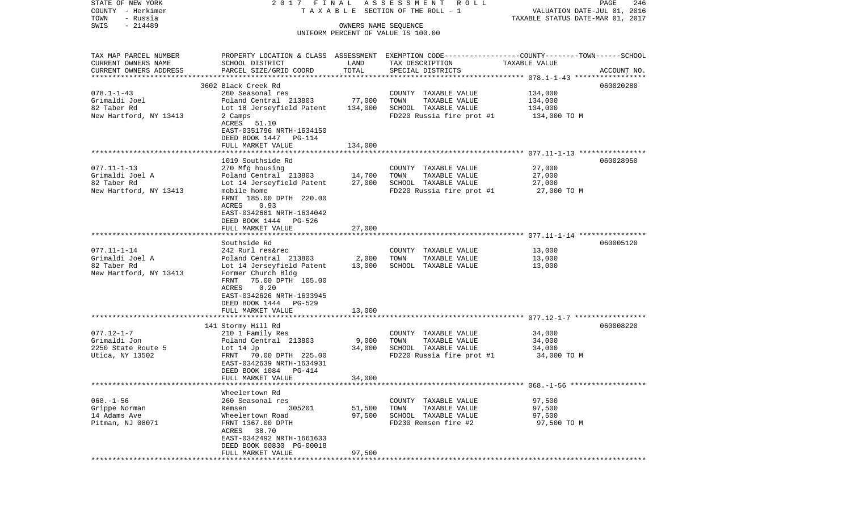| STATE OF NEW YORK<br>COUNTY - Herkimer | 2017 FINAL                                              |                      | ASSESSMENT ROLL<br>TAXABLE SECTION OF THE ROLL - 1                                              | VALUATION DATE-JUL 01, 2016      | PAGE<br>246 |
|----------------------------------------|---------------------------------------------------------|----------------------|-------------------------------------------------------------------------------------------------|----------------------------------|-------------|
| TOWN<br>- Russia                       |                                                         |                      |                                                                                                 | TAXABLE STATUS DATE-MAR 01, 2017 |             |
| $-214489$<br>SWIS                      |                                                         | OWNERS NAME SEQUENCE |                                                                                                 |                                  |             |
|                                        |                                                         |                      | UNIFORM PERCENT OF VALUE IS 100.00                                                              |                                  |             |
|                                        |                                                         |                      |                                                                                                 |                                  |             |
| TAX MAP PARCEL NUMBER                  |                                                         |                      | PROPERTY LOCATION & CLASS ASSESSMENT EXEMPTION CODE---------------COUNTY-------TOWN------SCHOOL |                                  |             |
| CURRENT OWNERS NAME                    | SCHOOL DISTRICT                                         | LAND                 | TAX DESCRIPTION                                                                                 | TAXABLE VALUE                    |             |
| CURRENT OWNERS ADDRESS                 | PARCEL SIZE/GRID COORD                                  | TOTAL                | SPECIAL DISTRICTS                                                                               |                                  | ACCOUNT NO. |
| *************************              |                                                         |                      |                                                                                                 |                                  |             |
|                                        | 3602 Black Creek Rd                                     |                      |                                                                                                 |                                  | 060020280   |
| $078.1 - 1 - 43$                       | 260 Seasonal res                                        |                      | COUNTY TAXABLE VALUE                                                                            | 134,000                          |             |
| Grimaldi Joel                          | Poland Central 213803                                   | 77,000               | TOWN<br>TAXABLE VALUE                                                                           | 134,000                          |             |
| 82 Taber Rd                            | Lot 18 Jerseyfield Patent                               | 134,000              | SCHOOL TAXABLE VALUE                                                                            | 134,000                          |             |
| New Hartford, NY 13413                 | 2 Camps<br>ACRES 51.10                                  |                      | FD220 Russia fire prot #1                                                                       | 134,000 TO M                     |             |
|                                        | EAST-0351796 NRTH-1634150                               |                      |                                                                                                 |                                  |             |
|                                        | DEED BOOK 1447 PG-114                                   |                      |                                                                                                 |                                  |             |
|                                        | FULL MARKET VALUE                                       | 134,000              |                                                                                                 |                                  |             |
|                                        |                                                         |                      |                                                                                                 |                                  |             |
|                                        | 1019 Southside Rd                                       |                      |                                                                                                 |                                  | 060028950   |
| $077.11 - 1 - 13$                      | 270 Mfg housing                                         |                      | COUNTY TAXABLE VALUE                                                                            | 27,000                           |             |
| Grimaldi Joel A                        | Poland Central 213803                                   | 14,700               | TOWN<br>TAXABLE VALUE                                                                           | 27,000                           |             |
| 82 Taber Rd                            | Lot 14 Jerseyfield Patent                               | 27,000               | SCHOOL TAXABLE VALUE                                                                            | 27,000                           |             |
| New Hartford, NY 13413                 | mobile home                                             |                      | FD220 Russia fire prot #1                                                                       | 27,000 TO M                      |             |
|                                        | FRNT 185.00 DPTH 220.00                                 |                      |                                                                                                 |                                  |             |
|                                        | 0.93<br>ACRES                                           |                      |                                                                                                 |                                  |             |
|                                        | EAST-0342681 NRTH-1634042                               |                      |                                                                                                 |                                  |             |
|                                        | DEED BOOK 1444 PG-526                                   |                      |                                                                                                 |                                  |             |
|                                        | FULL MARKET VALUE                                       | 27,000               |                                                                                                 |                                  |             |
|                                        | Southside Rd                                            |                      |                                                                                                 |                                  | 060005120   |
| $077.11 - 1 - 14$                      | 242 Rurl res&rec                                        |                      | COUNTY TAXABLE VALUE                                                                            | 13,000                           |             |
| Grimaldi Joel A                        | Poland Central 213803                                   | 2,000                | TOWN<br>TAXABLE VALUE                                                                           | 13,000                           |             |
| 82 Taber Rd                            | Lot 14 Jerseyfield Patent                               | 13,000               | SCHOOL TAXABLE VALUE                                                                            | 13,000                           |             |
| New Hartford, NY 13413                 | Former Church Bldg                                      |                      |                                                                                                 |                                  |             |
|                                        | 75.00 DPTH 105.00<br>FRNT                               |                      |                                                                                                 |                                  |             |
|                                        | 0.20<br>ACRES                                           |                      |                                                                                                 |                                  |             |
|                                        | EAST-0342626 NRTH-1633945                               |                      |                                                                                                 |                                  |             |
|                                        | DEED BOOK 1444 PG-529                                   |                      |                                                                                                 |                                  |             |
|                                        | FULL MARKET VALUE                                       | 13,000               |                                                                                                 |                                  |             |
|                                        |                                                         |                      |                                                                                                 |                                  |             |
|                                        | 141 Stormy Hill Rd                                      |                      |                                                                                                 |                                  | 060008220   |
| $077.12 - 1 - 7$                       | 210 1 Family Res                                        |                      | COUNTY TAXABLE VALUE                                                                            | 34,000                           |             |
| Grimaldi Jon                           | Poland Central 213803                                   | 9,000                | TOWN<br>TAXABLE VALUE                                                                           | 34,000                           |             |
| 2250 State Route 5                     | Lot 14 Jp                                               | 34,000               | SCHOOL TAXABLE VALUE                                                                            | 34,000                           |             |
| Utica, NY 13502                        | FRNT 70.00 DPTH 225.00                                  |                      | FD220 Russia fire prot #1                                                                       | 34,000 TO M                      |             |
|                                        | EAST-0342639 NRTH-1634931<br>DEED BOOK 1084<br>$PG-414$ |                      |                                                                                                 |                                  |             |
|                                        | FULL MARKET VALUE                                       | 34,000               |                                                                                                 |                                  |             |
|                                        |                                                         |                      |                                                                                                 |                                  |             |
|                                        | Wheelertown Rd                                          |                      |                                                                                                 |                                  |             |
| $068. - 1 - 56$                        | 260 Seasonal res                                        |                      | COUNTY TAXABLE VALUE                                                                            | 97,500                           |             |
| Grippe Norman                          | 305201<br>Remsen                                        | 51,500               | TOWN<br>TAXABLE VALUE                                                                           | 97,500                           |             |
| 14 Adams Ave                           | Wheelertown Road                                        | 97,500               | SCHOOL TAXABLE VALUE                                                                            | 97,500                           |             |
| Pitman, NJ 08071                       | FRNT 1367.00 DPTH                                       |                      | FD230 Remsen fire #2                                                                            | 97,500 TO M                      |             |
|                                        |                                                         |                      |                                                                                                 |                                  |             |
|                                        | ACRES 38.70                                             |                      |                                                                                                 |                                  |             |
|                                        | EAST-0342492 NRTH-1661633                               |                      |                                                                                                 |                                  |             |
|                                        | DEED BOOK 00830 PG-00018<br>FULL MARKET VALUE           | 97,500               |                                                                                                 |                                  |             |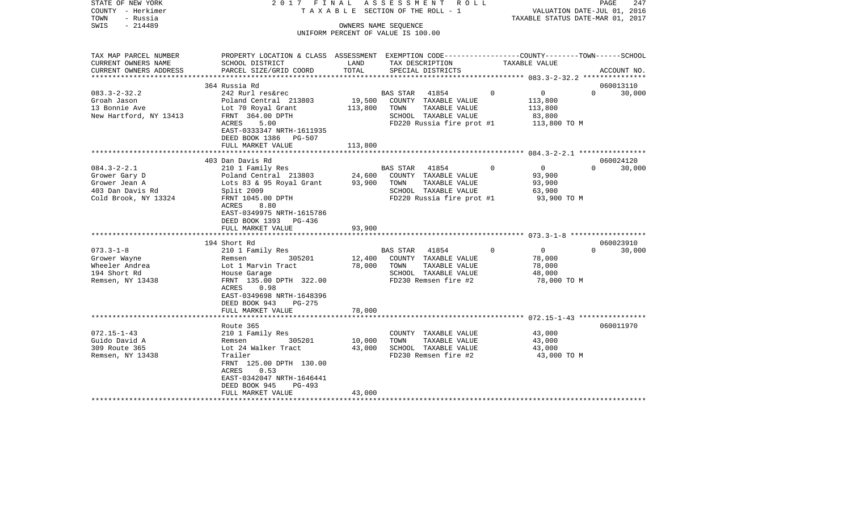| STATE OF NEW YORK<br>COUNTY - Herkimer | 2017 FINAL                                                                                     |           | ASSESSMENT<br>R O L L<br>TAXABLE SECTION OF THE ROLL - 1 |                            | PAGE<br>VALUATION DATE-JUL 01, 2016 | 247    |
|----------------------------------------|------------------------------------------------------------------------------------------------|-----------|----------------------------------------------------------|----------------------------|-------------------------------------|--------|
| TOWN<br>- Russia                       |                                                                                                |           | TAXABLE STATUS DATE-MAR 01, 2017                         |                            |                                     |        |
| $-214489$<br>SWIS                      |                                                                                                |           | OWNERS NAME SEQUENCE                                     |                            |                                     |        |
|                                        |                                                                                                |           | UNIFORM PERCENT OF VALUE IS 100.00                       |                            |                                     |        |
|                                        |                                                                                                |           |                                                          |                            |                                     |        |
| TAX MAP PARCEL NUMBER                  | PROPERTY LOCATION & CLASS ASSESSMENT EXEMPTION CODE---------------COUNTY-------TOWN-----SCHOOL |           |                                                          |                            |                                     |        |
| CURRENT OWNERS NAME                    | SCHOOL DISTRICT                                                                                | LAND      | TAX DESCRIPTION                                          | TAXABLE VALUE              |                                     |        |
| CURRENT OWNERS ADDRESS                 | PARCEL SIZE/GRID COORD                                                                         | TOTAL     | SPECIAL DISTRICTS                                        |                            | ACCOUNT NO.                         |        |
| ***********************                |                                                                                                |           |                                                          |                            |                                     |        |
|                                        | 364 Russia Rd                                                                                  |           |                                                          |                            | 060013110                           |        |
| $083.3 - 2 - 32.2$                     | 242 Rurl res&rec                                                                               |           | BAS STAR<br>41854                                        | 0<br>0                     | $\Omega$                            | 30,000 |
| Groah Jason                            | Poland Central 213803                                                                          | 19,500    | COUNTY TAXABLE VALUE                                     | 113,800                    |                                     |        |
| 13 Bonnie Ave                          | Lot 70 Royal Grant                                                                             | 113,800   | TAXABLE VALUE<br>TOWN                                    | 113,800                    |                                     |        |
| New Hartford, NY 13413                 | FRNT 364.00 DPTH                                                                               |           | SCHOOL TAXABLE VALUE                                     | 83,800                     |                                     |        |
|                                        | 5.00<br>ACRES                                                                                  |           | FD220 Russia fire prot #1                                | 113,800 TO M               |                                     |        |
|                                        | EAST-0333347 NRTH-1611935                                                                      |           |                                                          |                            |                                     |        |
|                                        | DEED BOOK 1386<br>PG-507                                                                       |           |                                                          |                            |                                     |        |
|                                        | FULL MARKET VALUE                                                                              | 113,800   |                                                          |                            |                                     |        |
|                                        |                                                                                                | ********* |                                                          |                            |                                     |        |
|                                        | 403 Dan Davis Rd                                                                               |           |                                                          |                            | 060024120                           |        |
| $084.3 - 2 - 2.1$                      | 210 1 Family Res                                                                               |           | 41854<br>BAS STAR                                        | $\mathbf 0$<br>0           | $\Omega$                            | 30,000 |
| Grower Gary D                          | Poland Central 213803                                                                          | 24,600    | COUNTY TAXABLE VALUE                                     | 93,900                     |                                     |        |
| Grower Jean A                          | Lots 83 & 95 Royal Grant                                                                       | 93,900    | TAXABLE VALUE<br>TOWN                                    | 93,900                     |                                     |        |
| 403 Dan Davis Rd                       | Split 2009                                                                                     |           | SCHOOL TAXABLE VALUE                                     | 63,900                     |                                     |        |
| Cold Brook, NY 13324                   | FRNT 1045.00 DPTH                                                                              |           | FD220 Russia fire prot #1                                | 93,900 TO M                |                                     |        |
|                                        | ACRES<br>8.80                                                                                  |           |                                                          |                            |                                     |        |
|                                        | EAST-0349975 NRTH-1615786                                                                      |           |                                                          |                            |                                     |        |
|                                        | DEED BOOK 1393 PG-436                                                                          |           |                                                          |                            |                                     |        |
|                                        | FULL MARKET VALUE                                                                              | 93,900    |                                                          |                            |                                     |        |
|                                        |                                                                                                |           |                                                          |                            |                                     |        |
|                                        | 194 Short Rd                                                                                   |           |                                                          |                            | 060023910                           |        |
| $073.3 - 1 - 8$                        | 210 1 Family Res                                                                               |           | <b>BAS STAR</b><br>41854                                 | $\Omega$<br>$\overline{0}$ | $\Omega$                            | 30,000 |
| Grower Wayne                           | 305201<br>Remsen                                                                               | 12,400    | COUNTY TAXABLE VALUE                                     | 78,000                     |                                     |        |
| Wheeler Andrea                         | Lot 1 Marvin Tract                                                                             | 78,000    | TAXABLE VALUE<br>TOWN                                    | 78,000                     |                                     |        |
| 194 Short Rd                           | House Garage                                                                                   |           | SCHOOL TAXABLE VALUE                                     | 48,000                     |                                     |        |
| Remsen, NY 13438                       | FRNT 135.00 DPTH 322.00                                                                        |           | FD230 Remsen fire #2                                     | 78,000 TO M                |                                     |        |
|                                        | ACRES<br>0.98                                                                                  |           |                                                          |                            |                                     |        |
|                                        | EAST-0349698 NRTH-1648396                                                                      |           |                                                          |                            |                                     |        |
|                                        | DEED BOOK 943<br>$PG-275$                                                                      |           |                                                          |                            |                                     |        |
|                                        | FULL MARKET VALUE                                                                              | 78,000    |                                                          |                            |                                     |        |
|                                        |                                                                                                |           |                                                          |                            |                                     |        |
|                                        | Route 365                                                                                      |           |                                                          |                            | 060011970                           |        |
| 072.15-1-43                            | 210 1 Family Res                                                                               |           | COUNTY TAXABLE VALUE                                     | 43,000                     |                                     |        |
| Guido David A                          | 305201<br>Remsen                                                                               | 10,000    | TOWN<br>TAXABLE VALUE                                    | 43,000                     |                                     |        |
| 309 Route 365                          | Lot 24 Walker Tract                                                                            | 43,000    | SCHOOL TAXABLE VALUE                                     | 43,000                     |                                     |        |
| Remsen, NY 13438                       | Trailer                                                                                        |           | FD230 Remsen fire #2                                     | 43,000 TO M                |                                     |        |
|                                        | FRNT 125.00 DPTH 130.00                                                                        |           |                                                          |                            |                                     |        |
|                                        | ACRES<br>0.53                                                                                  |           |                                                          |                            |                                     |        |
|                                        | EAST-0342047 NRTH-1646441                                                                      |           |                                                          |                            |                                     |        |
|                                        | PG-493<br>DEED BOOK 945                                                                        |           |                                                          |                            |                                     |        |
|                                        | FULL MARKET VALUE                                                                              | 43,000    |                                                          |                            |                                     |        |
|                                        |                                                                                                |           |                                                          |                            |                                     |        |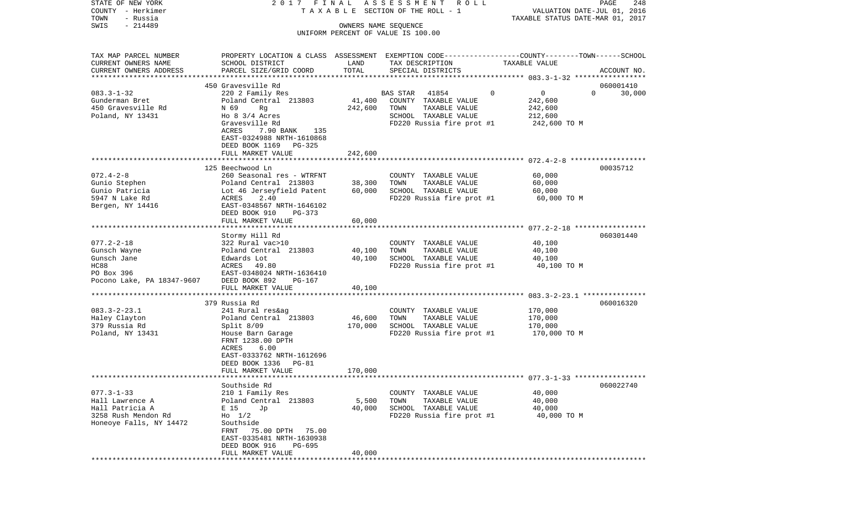| STATE OF NEW YORK                            | 2017 FINAL                                                                                                         |                      | A S S E S S M E N T R O L L                   |                                  | PAGE<br>248                 |
|----------------------------------------------|--------------------------------------------------------------------------------------------------------------------|----------------------|-----------------------------------------------|----------------------------------|-----------------------------|
| COUNTY - Herkimer                            |                                                                                                                    |                      | TAXABLE SECTION OF THE ROLL - 1               |                                  | VALUATION DATE-JUL 01, 2016 |
| TOWN<br>- Russia<br>$-214489$<br>SWIS        |                                                                                                                    |                      |                                               | TAXABLE STATUS DATE-MAR 01, 2017 |                             |
|                                              |                                                                                                                    | OWNERS NAME SEQUENCE | UNIFORM PERCENT OF VALUE IS 100.00            |                                  |                             |
|                                              |                                                                                                                    |                      |                                               |                                  |                             |
|                                              |                                                                                                                    |                      |                                               |                                  |                             |
| TAX MAP PARCEL NUMBER<br>CURRENT OWNERS NAME | PROPERTY LOCATION & CLASS ASSESSMENT EXEMPTION CODE---------------COUNTY-------TOWN------SCHOOL<br>SCHOOL DISTRICT | LAND                 | TAX DESCRIPTION                               | TAXABLE VALUE                    |                             |
| CURRENT OWNERS ADDRESS                       | PARCEL SIZE/GRID COORD                                                                                             | TOTAL                | SPECIAL DISTRICTS                             |                                  | ACCOUNT NO.                 |
|                                              |                                                                                                                    |                      |                                               |                                  |                             |
|                                              | 450 Gravesville Rd                                                                                                 |                      |                                               |                                  | 060001410                   |
| $083.3 - 1 - 32$                             | 220 2 Family Res                                                                                                   |                      | 41854<br>BAS STAR                             | 0<br>0                           | $\Omega$<br>30,000          |
| Gunderman Bret                               | Poland Central 213803                                                                                              | 41,400               | COUNTY TAXABLE VALUE                          | 242,600                          |                             |
| 450 Gravesville Rd                           | N 69<br>Rg                                                                                                         | 242,600              | TOWN<br>TAXABLE VALUE                         | 242,600                          |                             |
| Poland, NY 13431                             | Ho $8 \frac{3}{4}$ Acres                                                                                           |                      | SCHOOL TAXABLE VALUE                          | 212,600                          |                             |
|                                              | Gravesville Rd                                                                                                     |                      | FD220 Russia fire prot #1                     | 242,600 TO M                     |                             |
|                                              | ACRES<br>7.90 BANK<br>135                                                                                          |                      |                                               |                                  |                             |
|                                              | EAST-0324988 NRTH-1610868                                                                                          |                      |                                               |                                  |                             |
|                                              | DEED BOOK 1169 PG-325                                                                                              |                      |                                               |                                  |                             |
|                                              | FULL MARKET VALUE                                                                                                  | 242,600              |                                               |                                  |                             |
|                                              | 125 Beechwood Ln                                                                                                   |                      |                                               |                                  | 00035712                    |
| $072.4 - 2 - 8$                              | 260 Seasonal res - WTRFNT                                                                                          |                      | COUNTY TAXABLE VALUE                          | 60,000                           |                             |
| Gunio Stephen                                | Poland Central 213803                                                                                              | 38,300               | TOWN<br>TAXABLE VALUE                         | 60,000                           |                             |
| Gunio Patricia                               | Lot 46 Jerseyfield Patent                                                                                          | 60,000               | SCHOOL TAXABLE VALUE                          | 60,000                           |                             |
| 5947 N Lake Rd                               | ACRES<br>2.40                                                                                                      |                      | FD220 Russia fire prot #1                     | 60,000 TO M                      |                             |
| Bergen, NY 14416                             | EAST-0348567 NRTH-1646102                                                                                          |                      |                                               |                                  |                             |
|                                              | DEED BOOK 910<br>PG-373                                                                                            |                      |                                               |                                  |                             |
|                                              | FULL MARKET VALUE                                                                                                  | 60,000               |                                               |                                  |                             |
|                                              |                                                                                                                    |                      |                                               |                                  |                             |
|                                              | Stormy Hill Rd                                                                                                     |                      |                                               |                                  | 060301440                   |
| $077.2 - 2 - 18$                             | 322 Rural vac>10                                                                                                   |                      | COUNTY TAXABLE VALUE                          | 40,100                           |                             |
| Gunsch Wayne                                 | Poland Central 213803                                                                                              | 40,100               | TOWN<br>TAXABLE VALUE                         | 40,100                           |                             |
| Gunsch Jane                                  | Edwards Lot                                                                                                        | 40,100               | SCHOOL TAXABLE VALUE                          | 40,100                           |                             |
| HC88                                         | ACRES<br>49.80                                                                                                     |                      | FD220 Russia fire prot #1                     | 40,100 TO M                      |                             |
| PO Box 396                                   | EAST-0348024 NRTH-1636410                                                                                          |                      |                                               |                                  |                             |
| Pocono Lake, PA 18347-9607                   | DEED BOOK 892<br>PG-167<br>FULL MARKET VALUE                                                                       | 40,100               |                                               |                                  |                             |
|                                              | *****************************                                                                                      |                      |                                               |                                  |                             |
|                                              | 379 Russia Rd                                                                                                      |                      |                                               |                                  | 060016320                   |
| $083.3 - 2 - 23.1$                           | 241 Rural res&ag                                                                                                   |                      | COUNTY TAXABLE VALUE                          | 170,000                          |                             |
| Haley Clayton                                | Poland Central 213803                                                                                              | 46,600               | TOWN<br>TAXABLE VALUE                         | 170,000                          |                             |
| 379 Russia Rd                                | Split 8/09                                                                                                         | 170,000              | SCHOOL TAXABLE VALUE                          | 170,000                          |                             |
| Poland, NY 13431                             | House Barn Garage                                                                                                  |                      | FD220 Russia fire prot #1                     | 170,000 TO M                     |                             |
|                                              | FRNT 1238.00 DPTH                                                                                                  |                      |                                               |                                  |                             |
|                                              | 6.00<br>ACRES                                                                                                      |                      |                                               |                                  |                             |
|                                              | EAST-0333762 NRTH-1612696                                                                                          |                      |                                               |                                  |                             |
|                                              | PG-81<br>DEED BOOK 1336                                                                                            |                      |                                               |                                  |                             |
|                                              | FULL MARKET VALUE                                                                                                  | 170,000              |                                               |                                  |                             |
|                                              |                                                                                                                    |                      |                                               |                                  |                             |
|                                              | Southside Rd                                                                                                       |                      |                                               |                                  | 060022740                   |
| $077.3 - 1 - 33$<br>Hall Lawrence A          | 210 1 Family Res                                                                                                   |                      | COUNTY TAXABLE VALUE<br>TOWN<br>TAXABLE VALUE | 40,000                           |                             |
| Hall Patricia A                              | Poland Central 213803<br>E 15<br>Jp                                                                                | 5,500<br>40,000      | SCHOOL TAXABLE VALUE                          | 40,000<br>40,000                 |                             |
| 3258 Rush Mendon Rd                          | $H_0$ 1/2                                                                                                          |                      | FD220 Russia fire prot #1                     | 40,000 TO M                      |                             |
| Honeoye Falls, NY 14472                      | Southside                                                                                                          |                      |                                               |                                  |                             |
|                                              | FRNT<br>75.00 DPTH<br>75.00                                                                                        |                      |                                               |                                  |                             |
|                                              | EAST-0335481 NRTH-1630938                                                                                          |                      |                                               |                                  |                             |
|                                              | DEED BOOK 916<br>PG-695                                                                                            |                      |                                               |                                  |                             |
|                                              | FULL MARKET VALUE                                                                                                  | 40,000               |                                               |                                  |                             |
|                                              | *************************                                                                                          |                      |                                               |                                  |                             |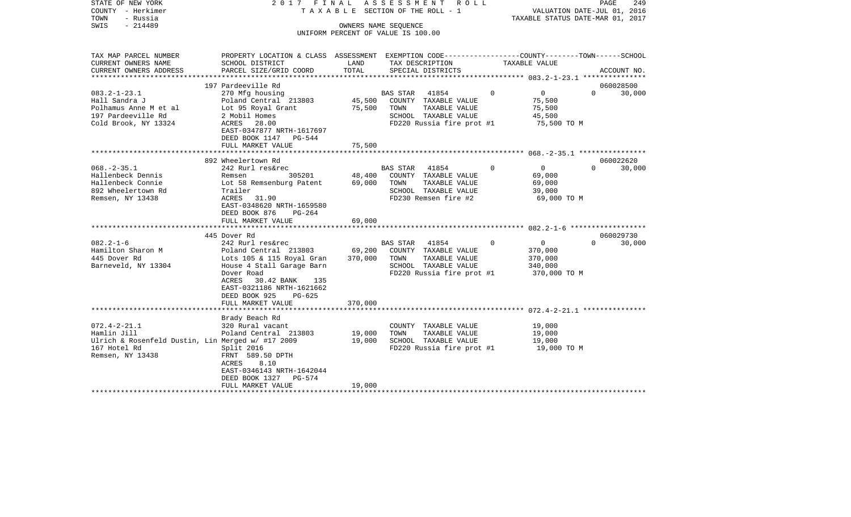| STATE OF NEW YORK<br>COUNTY - Herkimer<br>- Russia<br>TOWN<br>$-214489$<br>SWIS                                            | 2017 FINAL                                                                                                                                                                                                                   |                              | A S S E S S M E N T R O L L<br>TAXABLE SECTION OF THE ROLL - 1<br>OWNERS NAME SEOUENCE<br>UNIFORM PERCENT OF VALUE IS 100.00 |          | VALUATION DATE-JUL 01, 2016<br>TAXABLE STATUS DATE-MAR 01, 2017 | PAGE                  | 249         |
|----------------------------------------------------------------------------------------------------------------------------|------------------------------------------------------------------------------------------------------------------------------------------------------------------------------------------------------------------------------|------------------------------|------------------------------------------------------------------------------------------------------------------------------|----------|-----------------------------------------------------------------|-----------------------|-------------|
| TAX MAP PARCEL NUMBER<br>CURRENT OWNERS NAME<br>CURRENT OWNERS ADDRESS                                                     | PROPERTY LOCATION & CLASS ASSESSMENT EXEMPTION CODE----------------COUNTY-------TOWN------SCHOOL<br>SCHOOL DISTRICT<br>PARCEL SIZE/GRID COORD                                                                                | LAND<br>TOTAL                | TAX DESCRIPTION<br>SPECIAL DISTRICTS                                                                                         |          | TAXABLE VALUE                                                   |                       | ACCOUNT NO. |
|                                                                                                                            |                                                                                                                                                                                                                              |                              |                                                                                                                              |          |                                                                 |                       |             |
|                                                                                                                            | 197 Pardeeville Rd                                                                                                                                                                                                           |                              |                                                                                                                              |          |                                                                 | 060028500             |             |
| $083.2 - 1 - 23.1$<br>Hall Sandra J<br>Polhamus Anne M et al<br>197 Pardeeville Rd<br>Cold Brook, NY 13324                 | 270 Mfg housing<br>Poland Central 213803<br>Lot 95 Royal Grant<br>2 Mobil Homes<br>ACRES 28.00<br>EAST-0347877 NRTH-1617697<br>DEED BOOK 1147<br>PG-544<br>FULL MARKET VALUE                                                 | 45,500<br>75,500<br>75,500   | BAS STAR 41854<br>COUNTY TAXABLE VALUE<br>TOWN<br>TAXABLE VALUE<br>SCHOOL TAXABLE VALUE<br>FD220 Russia fire prot #1         | $\Omega$ | $\overline{0}$<br>75,500<br>75,500<br>45,500<br>75,500 TO M     | $\Omega$              | 30,000      |
|                                                                                                                            |                                                                                                                                                                                                                              |                              |                                                                                                                              |          |                                                                 |                       |             |
| $068. - 2 - 35.1$<br>Hallenbeck Dennis<br>Hallenbeck Connie<br>892 Wheelertown Rd<br>Remsen, NY 13438                      | 892 Wheelertown Rd<br>242 Rurl res&rec<br>Remsen<br>305201<br>Lot 58 Remsenburg Patent<br>Trailer<br>ACRES 31.90<br>EAST-0348620 NRTH-1659580<br>DEED BOOK 876<br>PG-264<br>FULL MARKET VALUE                                | 48,400<br>69,000<br>69,000   | BAS STAR 41854<br>COUNTY TAXABLE VALUE<br>TOWN<br>TAXABLE VALUE<br>SCHOOL TAXABLE VALUE<br>FD230 Remsen fire #2              | $\Omega$ | $\overline{0}$<br>69,000<br>69,000<br>39,000<br>69,000 TO M     | 060022620<br>$\Omega$ | 30,000      |
|                                                                                                                            | 445 Dover Rd                                                                                                                                                                                                                 |                              |                                                                                                                              |          |                                                                 | 060029730             |             |
| $082.2 - 1 - 6$<br>Hamilton Sharon M<br>445 Dover Rd<br>Barneveld, NY 13304                                                | 242 Rurl res&rec<br>Poland Central 213803<br>Lots 105 & 115 Royal Gran<br>House 4 Stall Garage Barn<br>Dover Road<br>ACRES<br>30.42 BANK<br>135<br>EAST-0321186 NRTH-1621662<br>DEED BOOK 925<br>PG-625<br>FULL MARKET VALUE | 69,200<br>370,000<br>370,000 | BAS STAR 41854<br>COUNTY TAXABLE VALUE<br>TOWN<br>TAXABLE VALUE<br>SCHOOL TAXABLE VALUE<br>FD220 Russia fire prot #1         | $\Omega$ | $\overline{0}$<br>370,000<br>370,000<br>340,000<br>370,000 TO M | $\Omega$              | 30,000      |
|                                                                                                                            |                                                                                                                                                                                                                              |                              |                                                                                                                              |          |                                                                 |                       |             |
| $072.4 - 2 - 21.1$<br>Hamlin Jill<br>Ulrich & Rosenfeld Dustin, Lin Merged w/ #17 2009<br>167 Hotel Rd<br>Remsen, NY 13438 | Brady Beach Rd<br>320 Rural vacant<br>Poland Central 213803<br>Split 2016<br>FRNT 589.50 DPTH<br>ACRES<br>8.10<br>EAST-0346143 NRTH-1642044<br>DEED BOOK 1327<br>$PG-574$<br>FULL MARKET VALUE                               | 19,000<br>19,000<br>19,000   | COUNTY TAXABLE VALUE<br>TAXABLE VALUE<br>TOWN<br>SCHOOL TAXABLE VALUE<br>FD220 Russia fire prot #1                           |          | 19,000<br>19,000<br>19,000<br>19,000 TO M                       |                       |             |
|                                                                                                                            |                                                                                                                                                                                                                              |                              |                                                                                                                              |          |                                                                 |                       |             |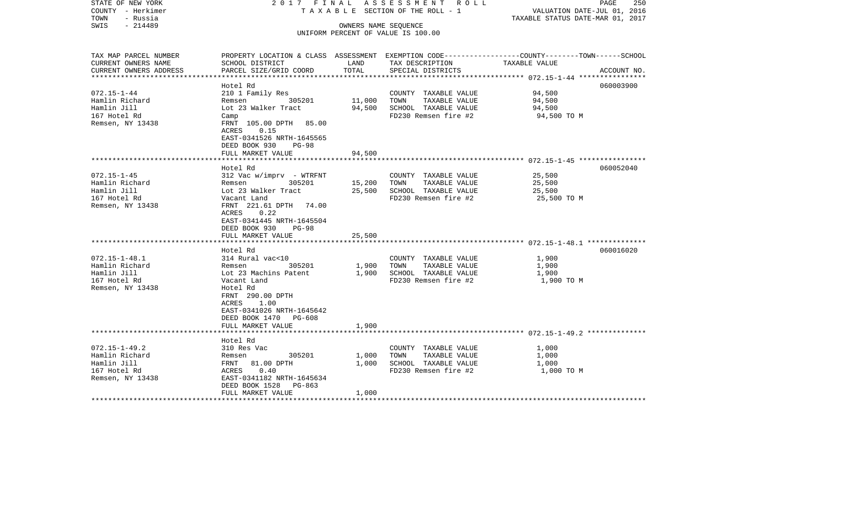| STATE OF NEW YORK<br>COUNTY - Herkimer<br>TOWN<br>- Russia<br>$-214489$<br>SWIS | 2017 FINAL ASSESSMENT ROLL<br>T A X A B L E SECTION OF THE ROLL - 1<br>OWNERS NAME SEQUENCE |        |                                              | PAGE<br>250<br>VALUATION DATE-JUL 01, 2016<br>TAXABLE STATUS DATE-MAR 01, 2017                 |  |  |
|---------------------------------------------------------------------------------|---------------------------------------------------------------------------------------------|--------|----------------------------------------------|------------------------------------------------------------------------------------------------|--|--|
|                                                                                 |                                                                                             |        | UNIFORM PERCENT OF VALUE IS 100.00           |                                                                                                |  |  |
|                                                                                 |                                                                                             |        |                                              |                                                                                                |  |  |
| TAX MAP PARCEL NUMBER                                                           |                                                                                             |        |                                              | PROPERTY LOCATION & CLASS ASSESSMENT EXEMPTION CODE---------------COUNTY-------TOWN-----SCHOOL |  |  |
| CURRENT OWNERS NAME                                                             | SCHOOL DISTRICT                                                                             | LAND   | TAX DESCRIPTION                              | TAXABLE VALUE                                                                                  |  |  |
| CURRENT OWNERS ADDRESS<br>************************                              | PARCEL SIZE/GRID COORD                                                                      | TOTAL  | SPECIAL DISTRICTS                            | ACCOUNT NO.                                                                                    |  |  |
|                                                                                 | Hotel Rd                                                                                    |        |                                              | 060003900                                                                                      |  |  |
| $072.15 - 1 - 44$                                                               | 210 1 Family Res                                                                            |        | COUNTY TAXABLE VALUE                         | 94,500                                                                                         |  |  |
| Hamlin Richard                                                                  | Remsen 305201                                                                               | 11,000 | TOWN<br>TAXABLE VALUE                        | 94,500                                                                                         |  |  |
| Hamlin Jill                                                                     | Lot 23 Walker Tract                                                                         | 94,500 | SCHOOL TAXABLE VALUE                         | 94,500                                                                                         |  |  |
| 167 Hotel Rd                                                                    | Camp                                                                                        |        | FD230 Remsen fire #2                         | 94,500 TO M                                                                                    |  |  |
| Remsen, NY 13438                                                                | FRNT 105.00 DPTH 85.00                                                                      |        |                                              |                                                                                                |  |  |
|                                                                                 | ACRES<br>0.15                                                                               |        |                                              |                                                                                                |  |  |
|                                                                                 | EAST-0341526 NRTH-1645565                                                                   |        |                                              |                                                                                                |  |  |
|                                                                                 | DEED BOOK 930 PG-98                                                                         |        |                                              |                                                                                                |  |  |
|                                                                                 | FULL MARKET VALUE                                                                           | 94,500 |                                              |                                                                                                |  |  |
|                                                                                 |                                                                                             |        |                                              |                                                                                                |  |  |
|                                                                                 | Hotel Rd                                                                                    |        |                                              | 060052040                                                                                      |  |  |
| $072.15 - 1 - 45$                                                               | 312 Vac w/imprv - WTRFNT                                                                    |        | COUNTY TAXABLE VALUE                         | 25,500                                                                                         |  |  |
| Hamlin Richard<br>Hamlin Jill                                                   | Remsen 305201                                                                               | 15,200 | TOWN<br>TAXABLE VALUE                        | 25,500<br>25,500                                                                               |  |  |
| 167 Hotel Rd                                                                    | Lot 23 Walker Tract<br>Vacant Land                                                          | 25,500 | SCHOOL TAXABLE VALUE<br>FD230 Remsen fire #2 | 25,500 TO M                                                                                    |  |  |
| Remsen, NY 13438                                                                | FRNT 221.61 DPTH 74.00                                                                      |        |                                              |                                                                                                |  |  |
|                                                                                 | ACRES 0.22                                                                                  |        |                                              |                                                                                                |  |  |
|                                                                                 | EAST-0341445 NRTH-1645504                                                                   |        |                                              |                                                                                                |  |  |
|                                                                                 | DEED BOOK 930<br>PG-98                                                                      |        |                                              |                                                                                                |  |  |
|                                                                                 | FULL MARKET VALUE                                                                           | 25,500 |                                              |                                                                                                |  |  |
|                                                                                 |                                                                                             |        |                                              |                                                                                                |  |  |
|                                                                                 | Hotel Rd                                                                                    |        |                                              | 060016020                                                                                      |  |  |
| $072.15 - 1 - 48.1$                                                             | 314 Rural vac<10                                                                            |        | COUNTY TAXABLE VALUE                         | 1,900                                                                                          |  |  |
| Hamlin Richard                                                                  | 305201<br>Remsen                                                                            | 1,900  | TOWN<br>TAXABLE VALUE                        | 1,900                                                                                          |  |  |
| Hamlin Jill                                                                     | Lot 23 Machins Patent                                                                       | 1,900  | SCHOOL TAXABLE VALUE                         | 1,900                                                                                          |  |  |
| 167 Hotel Rd                                                                    | Vacant Land                                                                                 |        | FD230 Remsen fire #2                         | 1,900 TO M                                                                                     |  |  |
| Remsen, NY 13438                                                                | Hotel Rd<br>FRNT 290.00 DPTH                                                                |        |                                              |                                                                                                |  |  |
|                                                                                 | ACRES 1.00                                                                                  |        |                                              |                                                                                                |  |  |
|                                                                                 | EAST-0341026 NRTH-1645642                                                                   |        |                                              |                                                                                                |  |  |
|                                                                                 | DEED BOOK 1470 PG-608                                                                       |        |                                              |                                                                                                |  |  |
|                                                                                 | FULL MARKET VALUE                                                                           | 1,900  |                                              |                                                                                                |  |  |
|                                                                                 |                                                                                             |        |                                              |                                                                                                |  |  |
|                                                                                 | Hotel Rd                                                                                    |        |                                              |                                                                                                |  |  |
| $072.15 - 1 - 49.2$                                                             | 310 Res Vac                                                                                 |        | COUNTY TAXABLE VALUE                         | 1,000                                                                                          |  |  |
| Hamlin Richard                                                                  | Remsen 305201                                                                               | 1,000  | TOWN<br>TAXABLE VALUE                        | 1,000                                                                                          |  |  |
| Hamlin Jill                                                                     | FRNT 81.00 DPTH                                                                             | 1,000  | SCHOOL TAXABLE VALUE                         | 1,000                                                                                          |  |  |
| 167 Hotel Rd                                                                    | ACRES 0.40                                                                                  |        | FD230 Remsen fire #2                         | 1,000 TO M                                                                                     |  |  |
| Remsen, NY 13438                                                                | EAST-0341182 NRTH-1645634                                                                   |        |                                              |                                                                                                |  |  |
|                                                                                 | DEED BOOK 1528 PG-863                                                                       | 1,000  |                                              |                                                                                                |  |  |
|                                                                                 | FULL MARKET VALUE                                                                           |        |                                              |                                                                                                |  |  |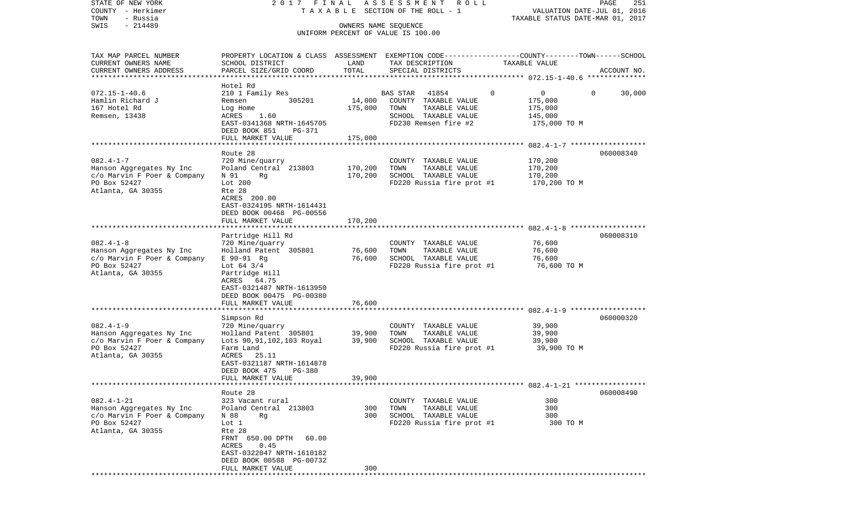| STATE OF NEW YORK<br>COUNTY - Herkimer<br>TOWN<br>- Russia<br>$-214489$<br>SWIS                                  |                                                                                                                                                                                                                    | 2017 FINAL<br>A S S E S S M E N T<br>R O L L<br>TAXABLE SECTION OF THE ROLL - 1<br>OWNERS NAME SEQUENCE<br>UNIFORM PERCENT OF VALUE IS 100.00 |                                                                                                                    |          | PAGE<br>251<br>VALUATION DATE-JUL 01, 2016<br>TAXABLE STATUS DATE-MAR 01, 2017 |             |  |
|------------------------------------------------------------------------------------------------------------------|--------------------------------------------------------------------------------------------------------------------------------------------------------------------------------------------------------------------|-----------------------------------------------------------------------------------------------------------------------------------------------|--------------------------------------------------------------------------------------------------------------------|----------|--------------------------------------------------------------------------------|-------------|--|
|                                                                                                                  |                                                                                                                                                                                                                    |                                                                                                                                               |                                                                                                                    |          |                                                                                |             |  |
| TAX MAP PARCEL NUMBER<br>CURRENT OWNERS NAME<br>CURRENT OWNERS ADDRESS<br>**********************                 | PROPERTY LOCATION & CLASS ASSESSMENT EXEMPTION CODE---------------COUNTY-------TOWN------SCHOOL<br>SCHOOL DISTRICT<br>PARCEL SIZE/GRID COORD                                                                       | LAND<br>TOTAL                                                                                                                                 | TAX DESCRIPTION<br>SPECIAL DISTRICTS                                                                               |          | TAXABLE VALUE                                                                  | ACCOUNT NO. |  |
| $072.15 - 1 - 40.6$<br>Hamlin Richard J<br>167 Hotel Rd<br>Remsen, 13438                                         | Hotel Rd<br>210 1 Family Res<br>305201<br>Remsen<br>Log Home<br>ACRES<br>1.60<br>EAST-0341368 NRTH-1645705<br>DEED BOOK 851<br>PG-371<br>FULL MARKET VALUE                                                         | 14,000<br>175,000<br>175,000                                                                                                                  | 41854<br>BAS STAR<br>COUNTY TAXABLE VALUE<br>TOWN<br>TAXABLE VALUE<br>SCHOOL TAXABLE VALUE<br>FD230 Remsen fire #2 | $\Omega$ | 0<br>175,000<br>175,000<br>145,000<br>175,000 TO M                             | 30,000<br>0 |  |
|                                                                                                                  |                                                                                                                                                                                                                    |                                                                                                                                               |                                                                                                                    |          |                                                                                |             |  |
| $082.4 - 1 - 7$<br>Hanson Aggregates Ny Inc<br>c/o Marvin F Poer & Company<br>PO Box 52427<br>Atlanta, GA 30355  | Route 28<br>720 Mine/quarry<br>Poland Central 213803<br>N 91<br>Rq<br>Lot $200$<br>Rte 28<br>ACRES 200.00<br>EAST-0324195 NRTH-1614431<br>DEED BOOK 00468 PG-00556<br>FULL MARKET VALUE                            | 170,200<br>170,200<br>170,200                                                                                                                 | COUNTY TAXABLE VALUE<br>TOWN<br>TAXABLE VALUE<br>SCHOOL TAXABLE VALUE<br>FD220 Russia fire prot #1                 |          | 170,200<br>170,200<br>170,200<br>170,200 TO M                                  | 060008340   |  |
|                                                                                                                  |                                                                                                                                                                                                                    |                                                                                                                                               |                                                                                                                    |          |                                                                                |             |  |
| $082.4 - 1 - 8$<br>Hanson Aggregates Ny Inc<br>c/o Marvin F Poer & Company<br>PO Box 52427<br>Atlanta, GA 30355  | Partridge Hill Rd<br>720 Mine/quarry<br>Holland Patent 305801<br>E 90-91 Rg<br>Lot $64 \frac{3}{4}$<br>Partridge Hill<br>ACRES 64.75<br>EAST-0321487 NRTH-1613950<br>DEED BOOK 00475 PG-00380<br>FULL MARKET VALUE | 76,600<br>76,600<br>76,600                                                                                                                    | COUNTY TAXABLE VALUE<br>TOWN<br>TAXABLE VALUE<br>SCHOOL TAXABLE VALUE<br>FD220 Russia fire prot #1                 |          | 76,600<br>76,600<br>76,600<br>76,600 TO M                                      | 060008310   |  |
|                                                                                                                  | *****************<br>Simpson Rd                                                                                                                                                                                    | *********                                                                                                                                     |                                                                                                                    |          |                                                                                | 060000320   |  |
| $082.4 - 1 - 9$<br>Hanson Aggregates Ny Inc<br>c/o Marvin F Poer & Company<br>PO Box 52427<br>Atlanta, GA 30355  | 720 Mine/quarry<br>Holland Patent 305801<br>Lots 90,91,102,103 Royal<br>Farm Land<br>ACRES<br>25.11<br>EAST-0321187 NRTH-1614878<br>DEED BOOK 475<br>PG-380<br>FULL MARKET VALUE                                   | 39,900<br>39,900<br>39,900                                                                                                                    | COUNTY TAXABLE VALUE<br>TOWN<br>TAXABLE VALUE<br>SCHOOL TAXABLE VALUE<br>FD220 Russia fire prot #1                 |          | 39,900<br>39,900<br>39,900<br>39,900 TO M                                      |             |  |
|                                                                                                                  |                                                                                                                                                                                                                    |                                                                                                                                               |                                                                                                                    |          |                                                                                |             |  |
| $082.4 - 1 - 21$<br>Hanson Aggregates Ny Inc<br>c/o Marvin F Poer & Company<br>PO Box 52427<br>Atlanta, GA 30355 | Route 28<br>323 Vacant rural<br>Poland Central 213803<br>N 88<br>Rg<br>Lot 1<br>Rte 28<br>FRNT 650.00 DPTH 60.00<br>ACRES<br>0.45<br>EAST-0322047 NRTH-1610182<br>DEED BOOK 00588 PG-00732<br>FULL MARKET VALUE    | 300<br>300<br>300                                                                                                                             | COUNTY TAXABLE VALUE<br>TOWN<br>TAXABLE VALUE<br>SCHOOL TAXABLE VALUE<br>FD220 Russia fire prot #1                 |          | 300<br>300<br>300<br>300 TO M                                                  | 060008490   |  |
|                                                                                                                  |                                                                                                                                                                                                                    |                                                                                                                                               |                                                                                                                    |          |                                                                                |             |  |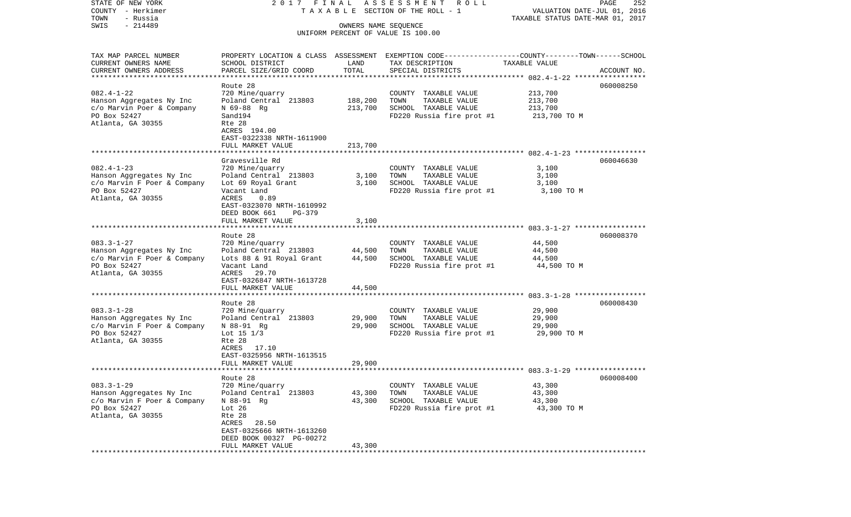| COUNTY - Herkimer<br>TOWN<br>- Russia       |                                          |         | T A X A B L E SECTION OF THE ROLL - 1                                                          | VALUATION DATE-JUL 01, 2016<br>TAXABLE STATUS DATE-MAR 01, 2017 |             |
|---------------------------------------------|------------------------------------------|---------|------------------------------------------------------------------------------------------------|-----------------------------------------------------------------|-------------|
| $-214489$<br>SWIS                           |                                          |         | OWNERS NAME SEQUENCE                                                                           |                                                                 |             |
|                                             |                                          |         | UNIFORM PERCENT OF VALUE IS 100.00                                                             |                                                                 |             |
|                                             |                                          |         |                                                                                                |                                                                 |             |
| TAX MAP PARCEL NUMBER                       |                                          |         | PROPERTY LOCATION & CLASS ASSESSMENT EXEMPTION CODE---------------COUNTY-------TOWN-----SCHOOL |                                                                 |             |
| CURRENT OWNERS NAME                         | SCHOOL DISTRICT                          | LAND    | TAX DESCRIPTION                                                                                | TAXABLE VALUE                                                   |             |
| CURRENT OWNERS ADDRESS                      | PARCEL SIZE/GRID COORD                   | TOTAL   | SPECIAL DISTRICTS                                                                              |                                                                 | ACCOUNT NO. |
|                                             |                                          |         |                                                                                                |                                                                 |             |
|                                             | Route 28                                 |         |                                                                                                |                                                                 | 060008250   |
| $082.4 - 1 - 22$                            | 720 Mine/quarry                          |         | COUNTY TAXABLE VALUE                                                                           | 213,700                                                         |             |
| Hanson Aggregates Ny Inc                    | Poland Central 213803                    | 188,200 | TOWN<br>TAXABLE VALUE                                                                          | 213,700                                                         |             |
| c/o Marvin Poer & Company                   | N 69-88 Rg                               | 213,700 | SCHOOL TAXABLE VALUE                                                                           | 213,700                                                         |             |
| PO Box 52427                                | Sand194                                  |         | FD220 Russia fire prot #1                                                                      | 213,700 TO M                                                    |             |
| Atlanta, GA 30355                           | Rte 28                                   |         |                                                                                                |                                                                 |             |
|                                             | ACRES 194.00                             |         |                                                                                                |                                                                 |             |
|                                             | EAST-0322338 NRTH-1611900                |         |                                                                                                |                                                                 |             |
|                                             | FULL MARKET VALUE                        | 213,700 |                                                                                                |                                                                 |             |
|                                             | Gravesville Rd                           |         |                                                                                                |                                                                 | 060046630   |
| $082.4 - 1 - 23$                            | 720 Mine/quarry                          |         | COUNTY TAXABLE VALUE                                                                           | 3,100                                                           |             |
| Hanson Aggregates Ny Inc                    | Poland Central 213803                    | 3,100   | TOWN<br>TAXABLE VALUE                                                                          | 3,100                                                           |             |
| c/o Marvin F Poer & Company                 | Lot 69 Royal Grant                       | 3,100   | SCHOOL TAXABLE VALUE                                                                           | 3,100                                                           |             |
| PO Box 52427                                | Vacant Land                              |         | FD220 Russia fire prot #1                                                                      | 3,100 TO M                                                      |             |
| Atlanta, GA 30355                           | ACRES<br>0.89                            |         |                                                                                                |                                                                 |             |
|                                             | EAST-0323070 NRTH-1610992                |         |                                                                                                |                                                                 |             |
|                                             | DEED BOOK 661<br>$PG-379$                |         |                                                                                                |                                                                 |             |
|                                             | FULL MARKET VALUE                        | 3,100   |                                                                                                |                                                                 |             |
|                                             |                                          |         |                                                                                                |                                                                 |             |
|                                             | Route 28                                 |         |                                                                                                |                                                                 | 060008370   |
| $083.3 - 1 - 27$                            | 720 Mine/quarry                          |         | COUNTY TAXABLE VALUE                                                                           | 44,500                                                          |             |
| Hanson Aggregates Ny Inc                    | Poland Central 213803                    | 44,500  | TOWN<br>TAXABLE VALUE                                                                          | 44,500                                                          |             |
| c/o Marvin F Poer & Company<br>PO Box 52427 | Lots 88 & 91 Royal Grant                 | 44,500  | SCHOOL TAXABLE VALUE                                                                           | 44,500                                                          |             |
| Atlanta, GA 30355                           | Vacant Land<br>ACRES<br>29.70            |         | FD220 Russia fire prot #1                                                                      | 44,500 TO M                                                     |             |
|                                             | EAST-0326847 NRTH-1613728                |         |                                                                                                |                                                                 |             |
|                                             | FULL MARKET VALUE                        | 44,500  |                                                                                                |                                                                 |             |
|                                             |                                          |         |                                                                                                |                                                                 |             |
|                                             | Route 28                                 |         |                                                                                                |                                                                 | 060008430   |
| $083.3 - 1 - 28$                            | 720 Mine/quarry                          |         | COUNTY TAXABLE VALUE                                                                           | 29,900                                                          |             |
| Hanson Aggregates Ny Inc                    | Poland Central 213803                    | 29,900  | TOWN<br>TAXABLE VALUE                                                                          | 29,900                                                          |             |
| c/o Marvin F Poer & Company                 | N 88-91 Rg                               | 29,900  | SCHOOL TAXABLE VALUE                                                                           | 29,900                                                          |             |
| PO Box 52427                                | Lot $15 \frac{1}{3}$                     |         | FD220 Russia fire prot #1                                                                      | 29,900 TO M                                                     |             |
| Atlanta, GA 30355                           | Rte 28                                   |         |                                                                                                |                                                                 |             |
|                                             | ACRES 17.10                              |         |                                                                                                |                                                                 |             |
|                                             | EAST-0325956 NRTH-1613515                |         |                                                                                                |                                                                 |             |
|                                             | FULL MARKET VALUE                        | 29,900  |                                                                                                |                                                                 |             |
| ***********************************         |                                          |         |                                                                                                |                                                                 |             |
| $083.3 - 1 - 29$                            | Route 28                                 |         |                                                                                                |                                                                 | 060008400   |
| Hanson Aggregates Ny Inc                    | 720 Mine/quarry<br>Poland Central 213803 | 43,300  | COUNTY TAXABLE VALUE<br>TAXABLE VALUE<br>TOWN                                                  | 43,300<br>43,300                                                |             |
| c/o Marvin F Poer & Company                 | N 88-91 Rq                               | 43,300  | SCHOOL TAXABLE VALUE                                                                           | 43,300                                                          |             |
| PO Box 52427                                | Lot $26$                                 |         | FD220 Russia fire prot #1                                                                      | 43,300 TO M                                                     |             |
| Atlanta, GA 30355                           | Rte 28                                   |         |                                                                                                |                                                                 |             |
|                                             | ACRES<br>28.50                           |         |                                                                                                |                                                                 |             |
|                                             | EAST-0325666 NRTH-1613260                |         |                                                                                                |                                                                 |             |
|                                             | DEED BOOK 00327 PG-00272                 |         |                                                                                                |                                                                 |             |
|                                             | FULL MARKET VALUE                        | 43,300  |                                                                                                |                                                                 |             |
|                                             |                                          |         |                                                                                                |                                                                 |             |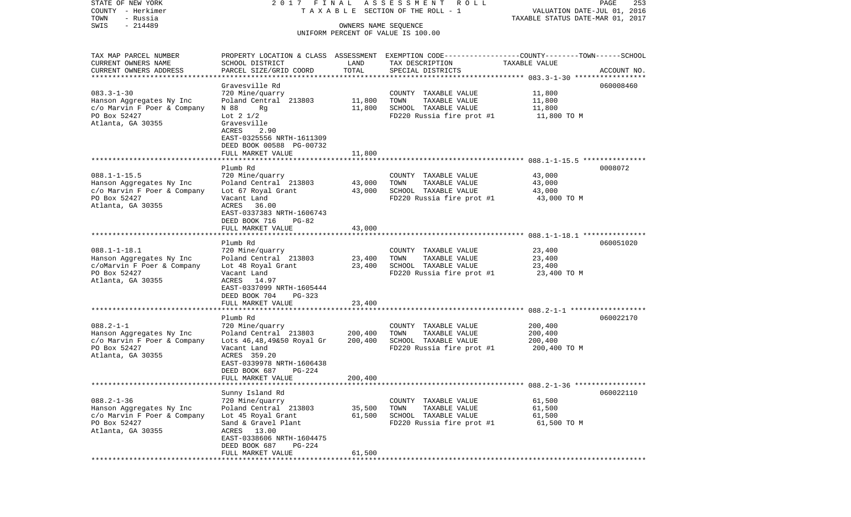| STATE OF NEW YORK<br>COUNTY - Herkimer              | 2017<br>FINAL                                |                      | ASSESSMENT ROLL<br>TAXABLE SECTION OF THE ROLL - 1                                              | VALUATION DATE-JUL 01, 2016      | PAGE<br>253 |
|-----------------------------------------------------|----------------------------------------------|----------------------|-------------------------------------------------------------------------------------------------|----------------------------------|-------------|
| TOWN<br>- Russia                                    |                                              |                      |                                                                                                 | TAXABLE STATUS DATE-MAR 01, 2017 |             |
| $-214489$<br>SWIS                                   |                                              | OWNERS NAME SEQUENCE |                                                                                                 |                                  |             |
|                                                     |                                              |                      | UNIFORM PERCENT OF VALUE IS 100.00                                                              |                                  |             |
| TAX MAP PARCEL NUMBER                               |                                              |                      | PROPERTY LOCATION & CLASS ASSESSMENT EXEMPTION CODE---------------COUNTY-------TOWN------SCHOOL |                                  |             |
| CURRENT OWNERS NAME                                 | SCHOOL DISTRICT                              | LAND                 | TAX DESCRIPTION                                                                                 | TAXABLE VALUE                    |             |
| CURRENT OWNERS ADDRESS<br>************************* | PARCEL SIZE/GRID COORD                       | TOTAL                | SPECIAL DISTRICTS                                                                               |                                  | ACCOUNT NO. |
|                                                     | Gravesville Rd                               |                      |                                                                                                 |                                  | 060008460   |
| $083.3 - 1 - 30$                                    | 720 Mine/quarry                              |                      | COUNTY TAXABLE VALUE                                                                            | 11,800                           |             |
| Hanson Aggregates Ny Inc                            | Poland Central 213803                        | 11,800               | TOWN<br>TAXABLE VALUE                                                                           | 11,800                           |             |
| c/o Marvin F Poer & Company                         | N 88<br>Rq                                   | 11,800               | SCHOOL TAXABLE VALUE                                                                            | 11,800                           |             |
| PO Box 52427                                        | Lot $2\frac{1}{2}$                           |                      | FD220 Russia fire prot #1                                                                       | 11,800 TO M                      |             |
| Atlanta, GA 30355                                   | Gravesville<br>ACRES<br>2.90                 |                      |                                                                                                 |                                  |             |
|                                                     | EAST-0325556 NRTH-1611309                    |                      |                                                                                                 |                                  |             |
|                                                     | DEED BOOK 00588 PG-00732                     |                      |                                                                                                 |                                  |             |
|                                                     | FULL MARKET VALUE                            | 11,800               |                                                                                                 |                                  |             |
|                                                     | Plumb Rd                                     |                      |                                                                                                 |                                  | 0008072     |
| $088.1 - 1 - 15.5$                                  | 720 Mine/quarry                              |                      | COUNTY TAXABLE VALUE                                                                            | 43,000                           |             |
| Hanson Aggregates Ny Inc                            | Poland Central 213803                        | 43,000               | TOWN<br>TAXABLE VALUE                                                                           | 43,000                           |             |
| c/o Marvin F Poer & Company                         | Lot 67 Royal Grant                           | 43,000               | SCHOOL TAXABLE VALUE                                                                            | 43,000                           |             |
| PO Box 52427                                        | Vacant Land                                  |                      | FD220 Russia fire prot #1                                                                       | 43,000 TO M                      |             |
| Atlanta, GA 30355                                   | ACRES<br>36.00<br>EAST-0337383 NRTH-1606743  |                      |                                                                                                 |                                  |             |
|                                                     | DEED BOOK 716<br>$PG-82$                     |                      |                                                                                                 |                                  |             |
|                                                     | FULL MARKET VALUE                            | 43,000               |                                                                                                 |                                  |             |
| ******************************                      |                                              |                      |                                                                                                 |                                  |             |
|                                                     | Plumb Rd                                     |                      |                                                                                                 |                                  | 060051020   |
| $088.1 - 1 - 18.1$<br>Hanson Aggregates Ny Inc      | 720 Mine/quarry<br>Poland Central 213803     | 23,400               | COUNTY TAXABLE VALUE<br>TOWN<br>TAXABLE VALUE                                                   | 23,400<br>23,400                 |             |
| c/oMarvin F Poer & Company                          | Lot 48 Royal Grant                           | 23,400               | SCHOOL TAXABLE VALUE                                                                            | 23,400                           |             |
| PO Box 52427                                        | Vacant Land                                  |                      | FD220 Russia fire prot #1                                                                       | 23,400 TO M                      |             |
| Atlanta, GA 30355                                   | ACRES<br>14.97                               |                      |                                                                                                 |                                  |             |
|                                                     | EAST-0337099 NRTH-1605444                    |                      |                                                                                                 |                                  |             |
|                                                     | DEED BOOK 704<br>PG-323<br>FULL MARKET VALUE | 23,400               |                                                                                                 |                                  |             |
|                                                     | *******************                          | *********            |                                                                                                 |                                  |             |
|                                                     | Plumb Rd                                     |                      |                                                                                                 |                                  | 060022170   |
| $088.2 - 1 - 1$                                     | 720 Mine/quarry                              |                      | COUNTY TAXABLE VALUE                                                                            | 200,400                          |             |
| Hanson Aggregates Ny Inc                            | Poland Central 213803                        | 200,400              | TOWN<br>TAXABLE VALUE                                                                           | 200,400                          |             |
| c/o Marvin F Poer & Company<br>PO Box 52427         | Lots 46,48,49&50 Royal Gr<br>Vacant Land     | 200,400              | SCHOOL TAXABLE VALUE<br>FD220 Russia fire prot #1                                               | 200,400<br>200,400 TO M          |             |
| Atlanta, GA 30355                                   | ACRES 359.20                                 |                      |                                                                                                 |                                  |             |
|                                                     | EAST-0339978 NRTH-1606438                    |                      |                                                                                                 |                                  |             |
|                                                     | DEED BOOK 687<br>PG-224                      |                      |                                                                                                 |                                  |             |
|                                                     | FULL MARKET VALUE                            | 200,400              |                                                                                                 |                                  |             |
|                                                     | Sunny Island Rd                              |                      |                                                                                                 |                                  | 060022110   |
| $088.2 - 1 - 36$                                    | 720 Mine/quarry                              |                      | COUNTY TAXABLE VALUE                                                                            | 61,500                           |             |
| Hanson Aggregates Ny Inc                            | Poland Central 213803                        | 35,500               | TAXABLE VALUE<br>TOWN                                                                           | 61,500                           |             |
| c/o Marvin F Poer & Company                         | Lot 45 Royal Grant                           | 61,500               | SCHOOL TAXABLE VALUE                                                                            | 61,500                           |             |
| PO Box 52427                                        | Sand & Gravel Plant                          |                      | FD220 Russia fire prot #1                                                                       | 61,500 TO M                      |             |
| Atlanta, GA 30355                                   | ACRES 13.00<br>EAST-0338606 NRTH-1604475     |                      |                                                                                                 |                                  |             |
|                                                     | DEED BOOK 687<br>PG-224                      |                      |                                                                                                 |                                  |             |
|                                                     | FULL MARKET VALUE                            | 61,500               |                                                                                                 |                                  |             |
|                                                     |                                              |                      |                                                                                                 |                                  |             |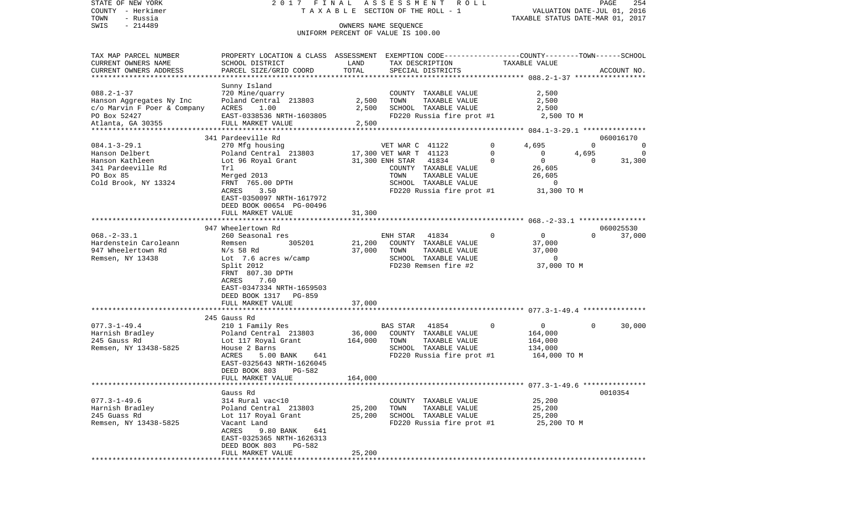| STATE OF NEW YORK<br>COUNTY - Herkimer           | FINAL<br>2017                                                                                    |               | ASSESSMENT<br>R O L L<br>T A X A B L E SECTION OF THE ROLL - 1 |                                                        | PAGE<br>254<br>VALUATION DATE-JUL 01, 2016 |
|--------------------------------------------------|--------------------------------------------------------------------------------------------------|---------------|----------------------------------------------------------------|--------------------------------------------------------|--------------------------------------------|
| TOWN<br>- Russia<br>$-214489$<br>SWIS            |                                                                                                  |               | OWNERS NAME SEOUENCE                                           |                                                        | TAXABLE STATUS DATE-MAR 01, 2017           |
|                                                  |                                                                                                  |               | UNIFORM PERCENT OF VALUE IS 100.00                             |                                                        |                                            |
| TAX MAP PARCEL NUMBER                            | PROPERTY LOCATION & CLASS ASSESSMENT EXEMPTION CODE----------------COUNTY-------TOWN------SCHOOL |               |                                                                |                                                        |                                            |
| CURRENT OWNERS NAME                              | SCHOOL DISTRICT                                                                                  | LAND<br>TOTAL | TAX DESCRIPTION                                                | TAXABLE VALUE                                          |                                            |
| CURRENT OWNERS ADDRESS<br>********************** | PARCEL SIZE/GRID COORD                                                                           |               | SPECIAL DISTRICTS                                              |                                                        | ACCOUNT NO.                                |
|                                                  | Sunny Island                                                                                     |               |                                                                |                                                        |                                            |
| $088.2 - 1 - 37$                                 | 720 Mine/quarry                                                                                  |               | COUNTY TAXABLE VALUE                                           | 2,500                                                  |                                            |
| Hanson Aggregates Ny Inc                         | Poland Central 213803                                                                            | 2,500         | TOWN<br>TAXABLE VALUE                                          | 2,500                                                  |                                            |
| c/o Marvin F Poer & Company                      | ACRES<br>1.00                                                                                    | 2,500         | SCHOOL TAXABLE VALUE                                           | 2,500                                                  |                                            |
| PO Box 52427<br>Atlanta, GA 30355                | EAST-0338536 NRTH-1603805                                                                        |               | FD220 Russia fire prot #1                                      | 2,500 TO M                                             |                                            |
| ********************                             | FULL MARKET VALUE<br>**********************                                                      | 2,500         |                                                                |                                                        |                                            |
|                                                  | 341 Pardeeville Rd                                                                               |               |                                                                |                                                        | 060016170                                  |
| $084.1 - 3 - 29.1$                               | 270 Mfg housing                                                                                  |               | VET WAR C 41122                                                | 0<br>4,695                                             | 0<br>0                                     |
| Hanson Delbert                                   | Poland Central 213803                                                                            |               | 17,300 VET WAR T 41123                                         | 0<br>$\mathbf{0}$                                      | 4,695<br>$\Omega$                          |
| Hanson Kathleen                                  | Lot 96 Royal Grant                                                                               |               | 41834<br>31,300 ENH STAR                                       | $\Omega$<br>0                                          | 31,300<br>$\Omega$                         |
| 341 Pardeeville Rd                               | Trl                                                                                              |               | COUNTY TAXABLE VALUE                                           | 26,605                                                 |                                            |
| PO Box 85                                        | Merged 2013                                                                                      |               | TAXABLE VALUE<br>TOWN                                          | 26,605                                                 |                                            |
| Cold Brook, NY 13324                             | FRNT 765.00 DPTH                                                                                 |               | SCHOOL TAXABLE VALUE                                           | $\mathbf{0}$                                           |                                            |
|                                                  | 3.50<br>ACRES<br>EAST-0350097 NRTH-1617972                                                       |               | FD220 Russia fire prot #1                                      | 31,300 TO M                                            |                                            |
|                                                  | DEED BOOK 00654 PG-00496                                                                         |               |                                                                |                                                        |                                            |
|                                                  | FULL MARKET VALUE                                                                                | 31,300        |                                                                |                                                        |                                            |
|                                                  |                                                                                                  |               |                                                                |                                                        |                                            |
|                                                  | 947 Wheelertown Rd                                                                               |               |                                                                |                                                        | 060025530                                  |
| $068. - 2 - 33.1$                                | 260 Seasonal res                                                                                 |               | 41834<br>ENH STAR                                              | 0<br>0                                                 | 37,000<br>$\Omega$                         |
| Hardenstein Caroleann                            | Remsen<br>305201                                                                                 | 21,200        | COUNTY TAXABLE VALUE                                           | 37,000                                                 |                                            |
| 947 Wheelertown Rd<br>Remsen, NY 13438           | $N/s$ 58 Rd<br>Lot $7.6$ acres w/camp                                                            | 37,000        | TOWN<br>TAXABLE VALUE<br>SCHOOL TAXABLE VALUE                  | 37,000<br>$\Omega$                                     |                                            |
|                                                  | Split 2012                                                                                       |               | FD230 Remsen fire #2                                           | 37,000 TO M                                            |                                            |
|                                                  | FRNT 807.30 DPTH                                                                                 |               |                                                                |                                                        |                                            |
|                                                  | ACRES<br>7.60                                                                                    |               |                                                                |                                                        |                                            |
|                                                  | EAST-0347334 NRTH-1659503                                                                        |               |                                                                |                                                        |                                            |
|                                                  | DEED BOOK 1317<br><b>PG-859</b>                                                                  |               |                                                                |                                                        |                                            |
|                                                  | FULL MARKET VALUE<br><b></b>                                                                     | 37,000        |                                                                |                                                        |                                            |
|                                                  | 245 Gauss Rd                                                                                     |               |                                                                | ************************* 077.3-1-49.4 *************** |                                            |
| $077.3 - 1 - 49.4$                               | 210 1 Family Res                                                                                 |               | 41854<br>BAS STAR                                              | 0<br>0                                                 | 30,000<br>$\mathbf{0}$                     |
| Harnish Bradley                                  | Poland Central 213803                                                                            | 36,000        | COUNTY TAXABLE VALUE                                           | 164,000                                                |                                            |
| 245 Gauss Rd                                     | Lot 117 Royal Grant                                                                              | 164,000       | TAXABLE VALUE<br>TOWN                                          | 164,000                                                |                                            |
| Remsen, NY 13438-5825                            | House 2 Barns                                                                                    |               | SCHOOL TAXABLE VALUE                                           | 134,000                                                |                                            |
|                                                  | ACRES<br>5.00 BANK<br>641                                                                        |               | FD220 Russia fire prot #1                                      | 164,000 TO M                                           |                                            |
|                                                  | EAST-0325643 NRTH-1626045                                                                        |               |                                                                |                                                        |                                            |
|                                                  | DEED BOOK 803<br>PG-582                                                                          |               |                                                                |                                                        |                                            |
|                                                  | FULL MARKET VALUE                                                                                | 164,000       |                                                                |                                                        |                                            |
|                                                  | Gauss Rd                                                                                         |               |                                                                |                                                        | 0010354                                    |
| $077.3 - 1 - 49.6$                               | 314 Rural vac<10                                                                                 |               | COUNTY TAXABLE VALUE                                           | 25,200                                                 |                                            |
| Harnish Bradley                                  | Poland Central 213803                                                                            | 25,200        | TAXABLE VALUE<br>TOWN                                          | 25,200                                                 |                                            |
| 245 Guass Rd                                     | Lot 117 Royal Grant                                                                              | 25,200        | SCHOOL TAXABLE VALUE                                           | 25,200                                                 |                                            |
| Remsen, NY 13438-5825                            | Vacant Land                                                                                      |               | FD220 Russia fire prot #1                                      | 25,200 TO M                                            |                                            |
|                                                  | 9.80 BANK<br>ACRES<br>641                                                                        |               |                                                                |                                                        |                                            |
|                                                  | EAST-0325365 NRTH-1626313                                                                        |               |                                                                |                                                        |                                            |
|                                                  | DEED BOOK 803<br>PG-582<br>FULL MARKET VALUE                                                     | 25,200        |                                                                |                                                        |                                            |
|                                                  |                                                                                                  |               |                                                                |                                                        |                                            |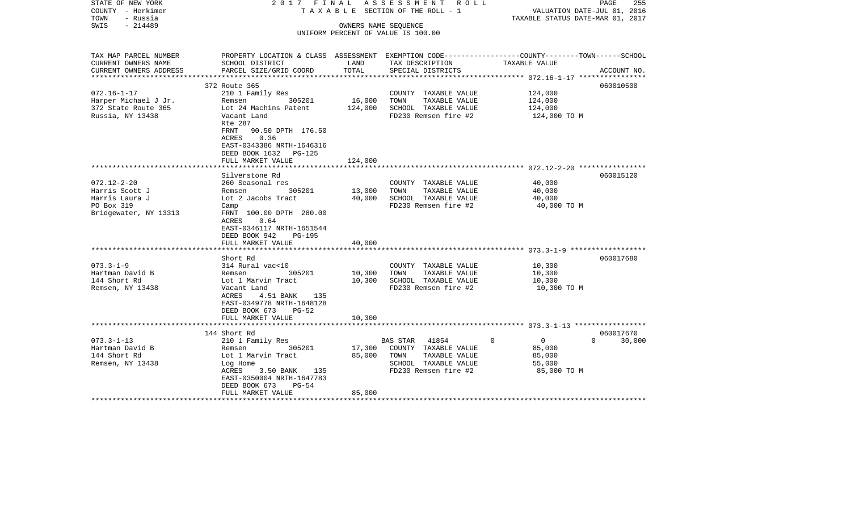| STATE OF NEW YORK<br>COUNTY - Herkimer<br>- Russia<br>TOWN<br>$-214489$<br>SWIS | 2017 FINAL                                                                                                                          |                  | ASSESSMENT ROLL<br>TAXABLE SECTION OF THE ROLL - 1<br>OWNERS NAME SEQUENCE<br>UNIFORM PERCENT OF VALUE IS 100.00 | VALUATION DATE-JUL 01, 2016<br>TAXABLE STATUS DATE-MAR 01, 2017 | PAGE<br>255        |
|---------------------------------------------------------------------------------|-------------------------------------------------------------------------------------------------------------------------------------|------------------|------------------------------------------------------------------------------------------------------------------|-----------------------------------------------------------------|--------------------|
|                                                                                 |                                                                                                                                     |                  |                                                                                                                  |                                                                 |                    |
| TAX MAP PARCEL NUMBER<br>CURRENT OWNERS NAME                                    | PROPERTY LOCATION & CLASS ASSESSMENT EXEMPTION CODE---------------COUNTY-------TOWN------SCHOOL<br>SCHOOL DISTRICT                  | LAND             | TAX DESCRIPTION                                                                                                  | TAXABLE VALUE                                                   |                    |
| CURRENT OWNERS ADDRESS                                                          | PARCEL SIZE/GRID COORD                                                                                                              | TOTAL            | SPECIAL DISTRICTS                                                                                                |                                                                 | ACCOUNT NO.        |
|                                                                                 | 372 Route 365                                                                                                                       |                  |                                                                                                                  |                                                                 | 060010500          |
| $072.16 - 1 - 17$                                                               | 210 1 Family Res                                                                                                                    |                  | COUNTY TAXABLE VALUE                                                                                             | 124,000                                                         |                    |
| Harper Michael J Jr.                                                            | 305201<br>Remsen                                                                                                                    | 16,000           | TOWN<br>TAXABLE VALUE                                                                                            | 124,000                                                         |                    |
| 372 State Route 365                                                             | Lot 24 Machins Patent                                                                                                               | 124,000          | SCHOOL TAXABLE VALUE                                                                                             | 124,000                                                         |                    |
| Russia, NY 13438                                                                | Vacant Land                                                                                                                         |                  | FD230 Remsen fire #2                                                                                             | 124,000 TO M                                                    |                    |
|                                                                                 | Rte 287<br>FRNT<br>90.50 DPTH 176.50<br>0.36<br>ACRES<br>EAST-0343386 NRTH-1646316<br>DEED BOOK 1632<br>PG-125                      |                  |                                                                                                                  |                                                                 |                    |
|                                                                                 | FULL MARKET VALUE                                                                                                                   | 124,000          |                                                                                                                  |                                                                 |                    |
|                                                                                 |                                                                                                                                     |                  |                                                                                                                  |                                                                 |                    |
|                                                                                 | Silverstone Rd                                                                                                                      |                  |                                                                                                                  |                                                                 | 060015120          |
| $072.12 - 2 - 20$<br>Harris Scott J                                             | 260 Seasonal res<br>305201<br>Remsen                                                                                                | 13,000           | COUNTY TAXABLE VALUE<br>TOWN<br>TAXABLE VALUE                                                                    | 40,000<br>40,000                                                |                    |
| Harris Laura J                                                                  | Lot 2 Jacobs Tract                                                                                                                  | 40,000           | SCHOOL TAXABLE VALUE                                                                                             | 40,000                                                          |                    |
| PO Box 319                                                                      | Camp                                                                                                                                |                  | FD230 Remsen fire #2                                                                                             | 40,000 TO M                                                     |                    |
| Bridgewater, NY 13313                                                           | FRNT 100.00 DPTH 280.00<br><b>ACRES</b><br>0.64<br>EAST-0346117 NRTH-1651544<br>DEED BOOK 942<br><b>PG-195</b><br>FULL MARKET VALUE | 40,000           |                                                                                                                  |                                                                 |                    |
|                                                                                 |                                                                                                                                     |                  |                                                                                                                  |                                                                 |                    |
|                                                                                 | Short Rd                                                                                                                            |                  |                                                                                                                  |                                                                 | 060017680          |
| $073.3 - 1 - 9$                                                                 | 314 Rural vac<10                                                                                                                    |                  | COUNTY TAXABLE VALUE                                                                                             | 10,300                                                          |                    |
| Hartman David B<br>144 Short Rd                                                 | 305201<br>Remsen<br>Lot 1 Marvin Tract                                                                                              | 10,300<br>10,300 | TAXABLE VALUE<br>TOWN<br>SCHOOL TAXABLE VALUE                                                                    | 10,300<br>10,300                                                |                    |
| Remsen, NY 13438                                                                | Vacant Land<br>ACRES<br>4.51 BANK 135<br>EAST-0349778 NRTH-1648128<br>DEED BOOK 673<br>$PG-52$                                      |                  | FD230 Remsen fire #2                                                                                             | 10,300 TO M                                                     |                    |
|                                                                                 | FULL MARKET VALUE                                                                                                                   | 10,300           |                                                                                                                  |                                                                 |                    |
|                                                                                 | 144 Short Rd                                                                                                                        |                  |                                                                                                                  |                                                                 | 060017670          |
| $073.3 - 1 - 13$                                                                | 210 1 Family Res                                                                                                                    |                  | 41854<br>BAS STAR                                                                                                | $\Omega$<br>$\overline{0}$                                      | $\Omega$<br>30,000 |
| Hartman David B                                                                 | 305201<br>Remsen                                                                                                                    | 17,300           | COUNTY TAXABLE VALUE                                                                                             | 85,000                                                          |                    |
| 144 Short Rd                                                                    | Lot 1 Marvin Tract                                                                                                                  | 85,000           | TOWN<br>TAXABLE VALUE                                                                                            | 85,000                                                          |                    |
| Remsen, NY 13438                                                                | Log Home<br>ACRES<br>3.50 BANK 135<br>EAST-0350004 NRTH-1647783<br>DEED BOOK 673<br>$PG-54$                                         |                  | SCHOOL TAXABLE VALUE<br>FD230 Remsen fire #2                                                                     | 55,000<br>85,000 TO M                                           |                    |
|                                                                                 | FULL MARKET VALUE                                                                                                                   | 85,000           |                                                                                                                  |                                                                 |                    |
|                                                                                 |                                                                                                                                     |                  |                                                                                                                  |                                                                 |                    |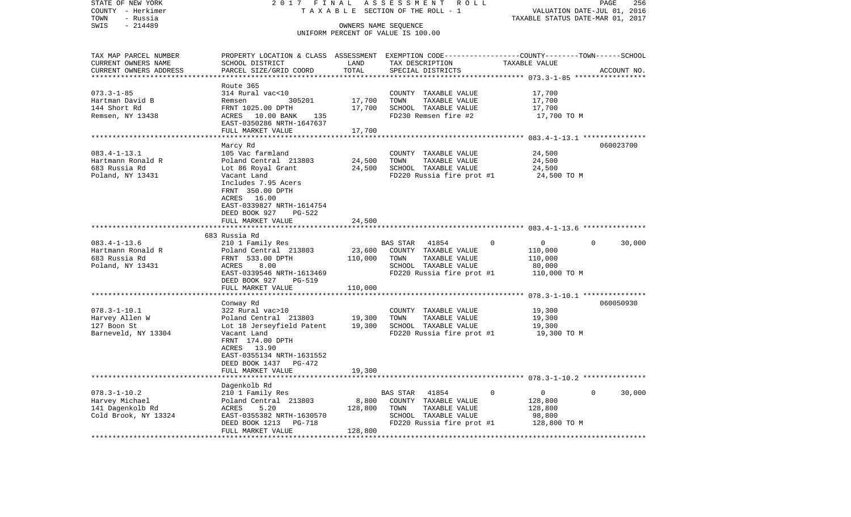| STATE OF NEW YORK                     | 2017 FINAL                                                                                       |                   | ASSESSMENT<br>R O L L                         |                            | PAGE<br>256                              |
|---------------------------------------|--------------------------------------------------------------------------------------------------|-------------------|-----------------------------------------------|----------------------------|------------------------------------------|
| COUNTY - Herkimer                     | TAXABLE                                                                                          |                   | SECTION OF THE ROLL - 1                       |                            | VALUATION DATE-JUL 01, 2016              |
| TOWN<br>- Russia<br>SWIS<br>$-214489$ |                                                                                                  |                   | OWNERS NAME SEQUENCE                          |                            | TAXABLE STATUS DATE-MAR 01, 2017         |
|                                       |                                                                                                  |                   | UNIFORM PERCENT OF VALUE IS 100.00            |                            |                                          |
| TAX MAP PARCEL NUMBER                 | PROPERTY LOCATION & CLASS ASSESSMENT EXEMPTION CODE----------------COUNTY-------TOWN------SCHOOL |                   |                                               |                            |                                          |
| CURRENT OWNERS NAME                   | SCHOOL DISTRICT                                                                                  | LAND              | TAX DESCRIPTION                               | TAXABLE VALUE              |                                          |
| CURRENT OWNERS ADDRESS                | PARCEL SIZE/GRID COORD                                                                           | TOTAL             | SPECIAL DISTRICTS                             |                            | ACCOUNT NO.                              |
|                                       |                                                                                                  |                   |                                               |                            | ********** 073.3-1-85 ****************** |
|                                       | Route 365                                                                                        |                   |                                               |                            |                                          |
| $073.3 - 1 - 85$<br>Hartman David B   | 314 Rural vac<10<br>305201<br>Remsen                                                             | 17,700            | COUNTY TAXABLE VALUE<br>TOWN<br>TAXABLE VALUE | 17,700<br>17,700           |                                          |
| 144 Short Rd                          | FRNT 1025.00 DPTH                                                                                | 17,700            | SCHOOL TAXABLE VALUE                          | 17,700                     |                                          |
| Remsen, NY 13438                      | ACRES 10.00 BANK<br>135                                                                          |                   | FD230 Remsen fire #2                          |                            | 17,700 TO M                              |
|                                       | EAST-0350286 NRTH-1647637                                                                        |                   |                                               |                            |                                          |
|                                       | FULL MARKET VALUE                                                                                | 17,700            |                                               |                            |                                          |
|                                       |                                                                                                  |                   |                                               |                            |                                          |
|                                       | Marcy Rd                                                                                         |                   |                                               |                            | 060023700                                |
| $083.4 - 1 - 13.1$                    | 105 Vac farmland                                                                                 |                   | COUNTY TAXABLE VALUE                          | 24,500                     |                                          |
| Hartmann Ronald R                     | Poland Central 213803                                                                            | 24,500            | TOWN<br>TAXABLE VALUE                         | 24,500                     |                                          |
| 683 Russia Rd                         | Lot 86 Royal Grant                                                                               | 24,500            | SCHOOL TAXABLE VALUE                          | 24,500                     |                                          |
| Poland, NY 13431                      | Vacant Land<br>Includes 7.95 Acers                                                               |                   | FD220 Russia fire prot #1                     |                            | 24,500 TO M                              |
|                                       | FRNT 350.00 DPTH                                                                                 |                   |                                               |                            |                                          |
|                                       | ACRES 16.00                                                                                      |                   |                                               |                            |                                          |
|                                       | EAST-0339827 NRTH-1614754                                                                        |                   |                                               |                            |                                          |
|                                       | DEED BOOK 927<br>PG-522                                                                          |                   |                                               |                            |                                          |
|                                       | FULL MARKET VALUE                                                                                | 24,500            |                                               |                            |                                          |
|                                       |                                                                                                  |                   |                                               |                            |                                          |
|                                       | 683 Russia Rd                                                                                    |                   |                                               |                            |                                          |
| $083.4 - 1 - 13.6$                    | 210 1 Family Res                                                                                 |                   | <b>BAS STAR</b><br>41854                      | $\overline{0}$<br>$\Omega$ | $\Omega$<br>30,000                       |
| Hartmann Ronald R<br>683 Russia Rd    | Poland Central 213803<br>FRNT 533.00 DPTH                                                        | 23,600<br>110,000 | COUNTY TAXABLE VALUE<br>TOWN<br>TAXABLE VALUE | 110,000<br>110,000         |                                          |
| Poland, NY 13431                      | ACRES<br>8.00                                                                                    |                   | SCHOOL TAXABLE VALUE                          | 80,000                     |                                          |
|                                       | EAST-0339546 NRTH-1613469                                                                        |                   | FD220 Russia fire prot #1                     |                            | 110,000 TO M                             |
|                                       | DEED BOOK 927<br>PG-519                                                                          |                   |                                               |                            |                                          |
|                                       | FULL MARKET VALUE                                                                                | 110,000           |                                               |                            |                                          |
|                                       | ********                                                                                         |                   |                                               |                            |                                          |
|                                       | Conway Rd                                                                                        |                   |                                               |                            | 060050930                                |
| $078.3 - 1 - 10.1$                    | 322 Rural vac>10                                                                                 |                   | COUNTY TAXABLE VALUE                          | 19,300                     |                                          |
| Harvey Allen W                        | Poland Central 213803                                                                            | 19,300            | TOWN<br>TAXABLE VALUE                         | 19,300                     |                                          |
| 127 Boon St                           | Lot 18 Jerseyfield Patent                                                                        | 19,300            | SCHOOL TAXABLE VALUE                          | 19,300                     |                                          |
| Barneveld, NY 13304                   | Vacant Land                                                                                      |                   | FD220 Russia fire prot #1                     |                            | 19,300 TO M                              |
|                                       | FRNT 174.00 DPTH                                                                                 |                   |                                               |                            |                                          |
|                                       | ACRES 13.90                                                                                      |                   |                                               |                            |                                          |
|                                       | EAST-0355134 NRTH-1631552<br>DEED BOOK 1437<br>PG-472                                            |                   |                                               |                            |                                          |
|                                       | FULL MARKET VALUE                                                                                | 19,300            |                                               |                            |                                          |
|                                       |                                                                                                  |                   |                                               |                            |                                          |
|                                       | Dagenkolb Rd                                                                                     |                   |                                               |                            |                                          |
| $078.3 - 1 - 10.2$                    | 210 1 Family Res                                                                                 |                   | BAS STAR<br>41854                             | $\Omega$<br>$\Omega$       | $\Omega$<br>30,000                       |
| Harvey Michael                        | Poland Central 213803                                                                            | 8,800             | COUNTY TAXABLE VALUE                          | 128,800                    |                                          |
| 141 Dagenkolb Rd                      | ACRES<br>5.20                                                                                    | 128,800           | TOWN<br>TAXABLE VALUE                         | 128,800                    |                                          |
| Cold Brook, NY 13324                  | EAST-0355382 NRTH-1630570                                                                        |                   | SCHOOL TAXABLE VALUE                          | 98,800                     |                                          |
|                                       | DEED BOOK 1213<br>PG-718                                                                         |                   | FD220 Russia fire prot #1                     |                            | 128,800 TO M                             |
|                                       | FULL MARKET VALUE<br>******************                                                          | 128,800           |                                               |                            |                                          |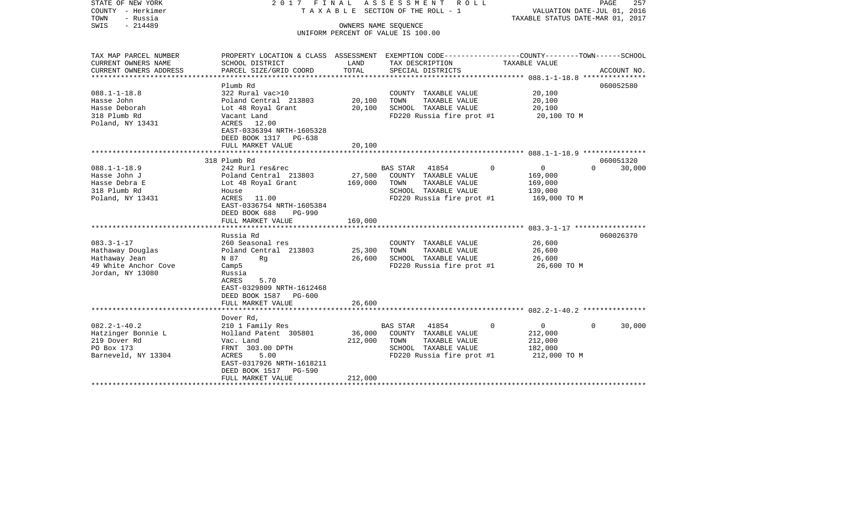| STATE OF NEW YORK<br>COUNTY - Herkimer<br>TOWN<br>- Russia<br>$-214489$<br>SWIS                                                                                                              | 2017 FINAL                                                                                                                                                                                                                                                                                                                                                                | OWNERS NAME SEQUENCE                             | ASSESSMENT<br>R O L L<br>T A X A B L E SECTION OF THE ROLL - 1                                                                                                                                                                                   | PAGE<br>257<br>VALUATION DATE-JUL 01, 2016<br>TAXABLE STATUS DATE-MAR 01, 2017                                                                             |
|----------------------------------------------------------------------------------------------------------------------------------------------------------------------------------------------|---------------------------------------------------------------------------------------------------------------------------------------------------------------------------------------------------------------------------------------------------------------------------------------------------------------------------------------------------------------------------|--------------------------------------------------|--------------------------------------------------------------------------------------------------------------------------------------------------------------------------------------------------------------------------------------------------|------------------------------------------------------------------------------------------------------------------------------------------------------------|
|                                                                                                                                                                                              |                                                                                                                                                                                                                                                                                                                                                                           |                                                  | UNIFORM PERCENT OF VALUE IS 100.00                                                                                                                                                                                                               |                                                                                                                                                            |
| TAX MAP PARCEL NUMBER<br>CURRENT OWNERS NAME<br>CURRENT OWNERS ADDRESS<br>******************************                                                                                     | SCHOOL DISTRICT<br>PARCEL SIZE/GRID COORD                                                                                                                                                                                                                                                                                                                                 | LAND<br>TOTAL                                    | TAX DESCRIPTION<br>SPECIAL DISTRICTS                                                                                                                                                                                                             | PROPERTY LOCATION & CLASS ASSESSMENT EXEMPTION CODE---------------COUNTY-------TOWN-----SCHOOL<br>TAXABLE VALUE<br>ACCOUNT NO.                             |
| $088.1 - 1 - 18.8$<br>Hasse John<br>Hasse Deborah<br>318 Plumb Rd<br>Poland, NY 13431                                                                                                        | Plumb Rd<br>322 Rural vac>10<br>Poland Central 213803<br>Lot 48 Royal Grant<br>Vacant Land<br>ACRES 12.00<br>EAST-0336394 NRTH-1605328<br>DEED BOOK 1317 PG-638<br>FULL MARKET VALUE                                                                                                                                                                                      | 20,100<br>20,100<br>20,100                       | COUNTY TAXABLE VALUE<br>TAXABLE VALUE<br>TOWN<br>SCHOOL TAXABLE VALUE<br>FD220 Russia fire prot #1                                                                                                                                               | 060052580<br>20,100<br>20,100<br>20,100<br>20,100 TO M                                                                                                     |
|                                                                                                                                                                                              |                                                                                                                                                                                                                                                                                                                                                                           |                                                  |                                                                                                                                                                                                                                                  |                                                                                                                                                            |
| $088.1 - 1 - 18.9$<br>Hasse John J<br>Hasse Debra E<br>318 Plumb Rd<br>Poland, NY 13431<br>$083.3 - 1 - 17$<br>Hathaway Douglas<br>Hathaway Jean<br>49 White Anchor Cove<br>Jordan, NY 13080 | 318 Plumb Rd<br>242 Rurl res&rec<br>Poland Central 213803<br>Lot 48 Royal Grant<br>House<br>ACRES 11.00<br>EAST-0336754 NRTH-1605384<br>DEED BOOK 688<br><b>PG-990</b><br>FULL MARKET VALUE<br>Russia Rd<br>260 Seasonal res<br>Poland Central 213803<br>N 87<br>Rg<br>Camp <sub>5</sub><br>Russia<br>5.70<br>ACRES<br>EAST-0329809 NRTH-1612468<br>DEED BOOK 1587 PG-600 | 27,500<br>169,000<br>169,000<br>25,300<br>26,600 | 41854<br><b>BAS STAR</b><br>$\Omega$<br>COUNTY TAXABLE VALUE<br>TOWN<br>TAXABLE VALUE<br>SCHOOL TAXABLE VALUE<br>FD220 Russia fire prot #1<br>COUNTY TAXABLE VALUE<br>TOWN<br>TAXABLE VALUE<br>SCHOOL TAXABLE VALUE<br>FD220 Russia fire prot #1 | 060051320<br>$\mathsf{O}$<br>30,000<br>$\Omega$<br>169,000<br>169,000<br>139,000<br>169,000 TO M<br>060026370<br>26,600<br>26,600<br>26,600<br>26,600 TO M |
|                                                                                                                                                                                              | FULL MARKET VALUE                                                                                                                                                                                                                                                                                                                                                         | 26,600                                           |                                                                                                                                                                                                                                                  |                                                                                                                                                            |
| $082.2 - 1 - 40.2$<br>Hatzinger Bonnie L<br>219 Dover Rd<br>PO Box 173<br>Barneveld, NY 13304                                                                                                | Dover Rd,<br>210 1 Family Res<br>Holland Patent 305801<br>Vac. Land<br>FRNT 303.00 DPTH<br>ACRES<br>5.00<br>EAST-0317926 NRTH-1618211<br>DEED BOOK 1517<br>PG-590<br>FULL MARKET VALUE                                                                                                                                                                                    | 36,000<br>212,000<br>212,000                     | 41854<br><b>BAS STAR</b><br>$\Omega$<br>COUNTY TAXABLE VALUE<br>TOWN<br>TAXABLE VALUE<br>SCHOOL TAXABLE VALUE<br>FD220 Russia fire prot #1                                                                                                       | $\Omega$<br>30,000<br>$\Omega$<br>212,000<br>212,000<br>182,000<br>212,000 TO M                                                                            |
|                                                                                                                                                                                              |                                                                                                                                                                                                                                                                                                                                                                           |                                                  |                                                                                                                                                                                                                                                  |                                                                                                                                                            |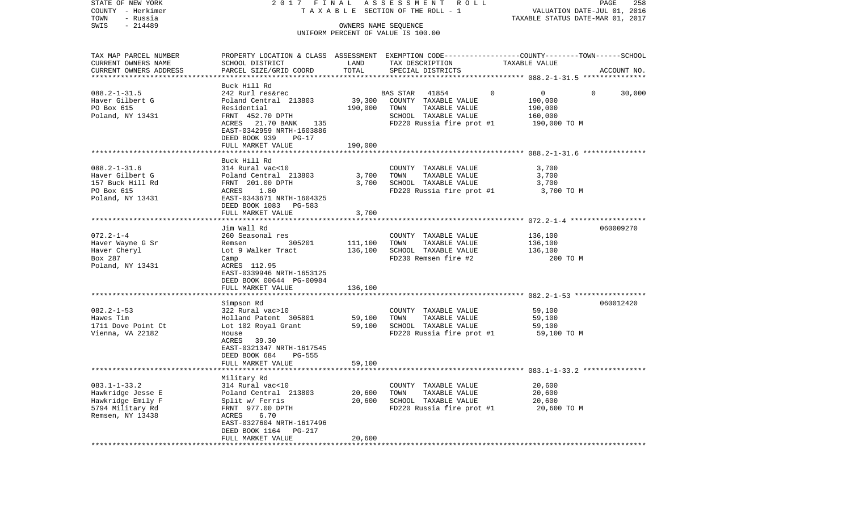| COUNTY - Herkimer      |                                                                                                 |                    | T A X A B L E SECTION OF THE ROLL - 1 |                                | VALUATION DATE-JUL 01, 2016      |
|------------------------|-------------------------------------------------------------------------------------------------|--------------------|---------------------------------------|--------------------------------|----------------------------------|
| TOWN<br>- Russia       |                                                                                                 |                    |                                       |                                | TAXABLE STATUS DATE-MAR 01, 2017 |
| SWIS<br>$-214489$      |                                                                                                 |                    | OWNERS NAME SEQUENCE                  |                                |                                  |
|                        |                                                                                                 |                    | UNIFORM PERCENT OF VALUE IS 100.00    |                                |                                  |
|                        |                                                                                                 |                    |                                       |                                |                                  |
| TAX MAP PARCEL NUMBER  | PROPERTY LOCATION & CLASS ASSESSMENT EXEMPTION CODE---------------COUNTY-------TOWN------SCHOOL |                    |                                       |                                |                                  |
| CURRENT OWNERS NAME    | SCHOOL DISTRICT                                                                                 | LAND               | TAX DESCRIPTION                       | TAXABLE VALUE                  |                                  |
| CURRENT OWNERS ADDRESS | PARCEL SIZE/GRID COORD                                                                          | TOTAL              | SPECIAL DISTRICTS                     |                                | ACCOUNT NO.                      |
|                        |                                                                                                 |                    |                                       |                                |                                  |
|                        | Buck Hill Rd                                                                                    |                    |                                       |                                |                                  |
| $088.2 - 1 - 31.5$     | 242 Rurl res&rec                                                                                |                    | BAS STAR<br>41854                     | $\mathbf{0}$<br>$\overline{0}$ | 30,000<br>$\overline{0}$         |
| Haver Gilbert G        | Poland Central 213803                                                                           |                    | 39,300 COUNTY TAXABLE VALUE           | 190,000                        |                                  |
| PO Box 615             | Residential                                                                                     | 190,000            | TOWN<br>TAXABLE VALUE                 | 190,000                        |                                  |
| Poland, NY 13431       | FRNT 452.70 DPTH                                                                                |                    | SCHOOL TAXABLE VALUE                  | 160,000                        |                                  |
|                        | ACRES 21.70 BANK 135                                                                            |                    | FD220 Russia fire prot #1             | 190,000 TO M                   |                                  |
|                        | EAST-0342959 NRTH-1603886                                                                       |                    |                                       |                                |                                  |
|                        | DEED BOOK 939<br>$PG-17$                                                                        |                    |                                       |                                |                                  |
|                        | FULL MARKET VALUE                                                                               | 190,000            |                                       |                                |                                  |
|                        |                                                                                                 |                    |                                       |                                |                                  |
|                        | Buck Hill Rd                                                                                    |                    |                                       |                                |                                  |
| $088.2 - 1 - 31.6$     | 314 Rural vac<10                                                                                |                    | COUNTY TAXABLE VALUE                  | 3,700                          |                                  |
| Haver Gilbert G        |                                                                                                 | 3,700              | TAXABLE VALUE<br>TOWN                 | 3,700                          |                                  |
| 157 Buck Hill Rd       | Poland Central 213803<br>FRNT 201.00 DPTH<br>ACRES 1.80<br>EAST-0343671 NRTH-1604325            | 3,700              | SCHOOL TAXABLE VALUE                  | 3,700                          |                                  |
| PO Box 615             |                                                                                                 |                    | FD220 Russia fire prot #1             | 3,700 TO M                     |                                  |
| Poland, NY 13431       |                                                                                                 |                    |                                       |                                |                                  |
|                        | DEED BOOK 1083 PG-583                                                                           |                    |                                       |                                |                                  |
|                        | FULL MARKET VALUE                                                                               | 3,700<br>********* |                                       |                                |                                  |
|                        | Jim Wall Rd                                                                                     |                    |                                       |                                | 060009270                        |
| $072.2 - 1 - 4$        | 260 Seasonal res                                                                                |                    | COUNTY TAXABLE VALUE                  | 136,100                        |                                  |
| Haver Wayne G Sr       | Remsen 305201                                                                                   | 111,100            | TOWN<br>TAXABLE VALUE                 | 136,100                        |                                  |
| Haver Cheryl           | Lot 9 Walker Tract                                                                              | 136,100            | SCHOOL TAXABLE VALUE                  | 136,100                        |                                  |
| Box 287                | Camp                                                                                            |                    | FD230 Remsen fire #2                  | 200 TO M                       |                                  |
| Poland, NY 13431       | ACRES 112.95                                                                                    |                    |                                       |                                |                                  |
|                        | EAST-0339946 NRTH-1653125                                                                       |                    |                                       |                                |                                  |
|                        | DEED BOOK 00644 PG-00984                                                                        |                    |                                       |                                |                                  |
|                        | FULL MARKET VALUE                                                                               | 136,100            |                                       |                                |                                  |
|                        |                                                                                                 |                    |                                       |                                |                                  |
|                        | Simpson Rd                                                                                      |                    |                                       |                                | 060012420                        |
| $082.2 - 1 - 53$       | 322 Rural vac>10                                                                                |                    | COUNTY TAXABLE VALUE                  | 59,100                         |                                  |
| Hawes Tim              | Holland Patent 305801                                                                           | 59,100             | TOWN<br>TAXABLE VALUE                 | 59,100                         |                                  |
| 1711 Dove Point Ct     | Lot 102 Royal Grant 59,100                                                                      |                    | SCHOOL TAXABLE VALUE                  | 59,100                         |                                  |
| Vienna, VA 22182       | House                                                                                           |                    | FD220 Russia fire prot #1             | 59,100 TO M                    |                                  |
|                        | ACRES 39.30                                                                                     |                    |                                       |                                |                                  |
|                        | EAST-0321347 NRTH-1617545                                                                       |                    |                                       |                                |                                  |
|                        | DEED BOOK 684<br>PG-555                                                                         |                    |                                       |                                |                                  |
|                        | FULL MARKET VALUE                                                                               | 59,100             |                                       |                                |                                  |
|                        |                                                                                                 |                    |                                       |                                |                                  |
|                        | Military Rd                                                                                     |                    |                                       |                                |                                  |
| $083.1 - 1 - 33.2$     | 314 Rural vac<10                                                                                |                    | COUNTY TAXABLE VALUE                  | 20,600                         |                                  |
| Hawkridge Jesse E      | Poland Central 213803<br>Split w/ Ferris<br>FRNT 977.00 DPTH                                    | 20,600             | TOWN<br>TAXABLE VALUE                 | 20,600                         |                                  |
| Hawkridge Emily F      |                                                                                                 | 20,600             | SCHOOL TAXABLE VALUE                  | 20,600                         |                                  |
| 5794 Military Rd       |                                                                                                 |                    | FD220 Russia fire prot #1             | 20,600 TO M                    |                                  |
| Remsen, NY 13438       | 6.70<br>ACRES                                                                                   |                    |                                       |                                |                                  |
|                        | EAST-0327604 NRTH-1617496                                                                       |                    |                                       |                                |                                  |
|                        | DEED BOOK 1164<br>PG-217                                                                        |                    |                                       |                                |                                  |
|                        | FULL MARKET VALUE                                                                               | 20,600             |                                       |                                |                                  |
|                        |                                                                                                 |                    |                                       |                                |                                  |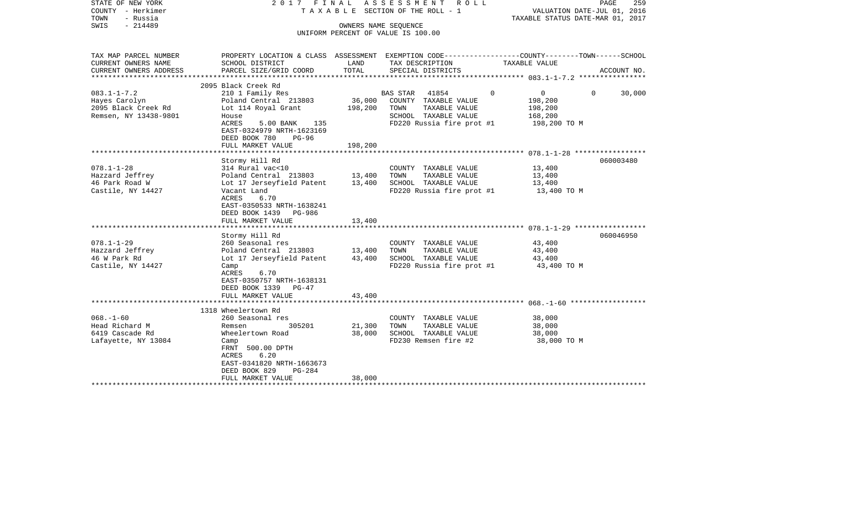| STATE OF NEW YORK<br>COUNTY - Herkimer<br>- Russia<br>TOWN<br>$-214489$<br>SWIS                                                                        | 2017 FINAL                                                                                                                                                                                                                                                                                                                                                                                         | OWNERS NAME SEOUENCE                                     | ASSESSMENT<br>ROLL<br>T A X A B L E SECTION OF THE ROLL - 1<br>UNIFORM PERCENT OF VALUE IS 100.00                                                                                                        | PAGE<br>VALUATION DATE-JUL 01, 2016<br>TAXABLE STATUS DATE-MAR 01, 2017                                           | 259 |
|--------------------------------------------------------------------------------------------------------------------------------------------------------|----------------------------------------------------------------------------------------------------------------------------------------------------------------------------------------------------------------------------------------------------------------------------------------------------------------------------------------------------------------------------------------------------|----------------------------------------------------------|----------------------------------------------------------------------------------------------------------------------------------------------------------------------------------------------------------|-------------------------------------------------------------------------------------------------------------------|-----|
| TAX MAP PARCEL NUMBER<br>CURRENT OWNERS NAME                                                                                                           | SCHOOL DISTRICT                                                                                                                                                                                                                                                                                                                                                                                    | LAND                                                     | TAX DESCRIPTION                                                                                                                                                                                          | PROPERTY LOCATION & CLASS ASSESSMENT EXEMPTION CODE----------------COUNTY-------TOWN------SCHOOL<br>TAXABLE VALUE |     |
| CURRENT OWNERS ADDRESS<br>***********************                                                                                                      | PARCEL SIZE/GRID COORD                                                                                                                                                                                                                                                                                                                                                                             | TOTAL                                                    | SPECIAL DISTRICTS                                                                                                                                                                                        | ACCOUNT NO.                                                                                                       |     |
|                                                                                                                                                        | 2095 Black Creek Rd                                                                                                                                                                                                                                                                                                                                                                                |                                                          |                                                                                                                                                                                                          |                                                                                                                   |     |
| $083.1 - 1 - 7.2$<br>Hayes Carolyn<br>2095 Black Creek Rd<br>Remsen, NY 13438-9801                                                                     | 210 1 Family Res<br>Poland Central 213803<br>Lot 114 Royal Grant<br>House<br>ACRES<br>5.00 BANK<br>135<br>EAST-0324979 NRTH-1623169                                                                                                                                                                                                                                                                | 36,000<br>198,200                                        | BAS STAR 41854<br>COUNTY TAXABLE VALUE<br>TOWN<br>TAXABLE VALUE<br>SCHOOL TAXABLE VALUE<br>FD220 Russia fire prot #1                                                                                     | $\mathbf{0}$<br>$\Omega$<br>$\Omega$<br>30,000<br>198,200<br>198,200<br>168,200<br>198,200 TO M                   |     |
|                                                                                                                                                        | DEED BOOK 780<br>$PG-96$<br>FULL MARKET VALUE                                                                                                                                                                                                                                                                                                                                                      | 198,200                                                  |                                                                                                                                                                                                          |                                                                                                                   |     |
|                                                                                                                                                        | ************************                                                                                                                                                                                                                                                                                                                                                                           |                                                          |                                                                                                                                                                                                          |                                                                                                                   |     |
| $078.1 - 1 - 28$<br>Hazzard Jeffrey<br>46 Park Road W<br>Castile, NY 14427<br>$078.1 - 1 - 29$<br>Hazzard Jeffrey<br>46 W Park Rd<br>Castile, NY 14427 | Stormy Hill Rd<br>314 Rural vac<10<br>Poland Central 213803<br>Lot 17 Jerseyfield Patent<br>Vacant Land<br>ACRES<br>6.70<br>EAST-0350533 NRTH-1638241<br>DEED BOOK 1439 PG-986<br>FULL MARKET VALUE<br>Stormy Hill Rd<br>260 Seasonal res<br>Poland Central 213803<br>Lot 17 Jerseyfield Patent<br>Camp<br>ACRES<br>6.70<br>EAST-0350757 NRTH-1638131<br>DEED BOOK 1339 PG-47<br>FULL MARKET VALUE | 13,400<br>13,400<br>13,400<br>13,400<br>43,400<br>43,400 | COUNTY TAXABLE VALUE<br>TOWN<br>TAXABLE VALUE<br>SCHOOL TAXABLE VALUE<br>FD220 Russia fire prot #1<br>COUNTY TAXABLE VALUE<br>TAXABLE VALUE<br>TOWN<br>SCHOOL TAXABLE VALUE<br>FD220 Russia fire prot #1 | 060003480<br>13,400<br>13,400<br>13,400<br>13,400 TO M<br>060046950<br>43,400<br>43,400<br>43,400<br>43,400 TO M  |     |
|                                                                                                                                                        |                                                                                                                                                                                                                                                                                                                                                                                                    |                                                          |                                                                                                                                                                                                          |                                                                                                                   |     |
|                                                                                                                                                        | 1318 Wheelertown Rd                                                                                                                                                                                                                                                                                                                                                                                |                                                          |                                                                                                                                                                                                          |                                                                                                                   |     |
| $068. - 1 - 60$<br>Head Richard M<br>6419 Cascade Rd<br>Lafayette, NY 13084                                                                            | 260 Seasonal res<br>305201<br>Remsen<br>Wheelertown Road<br>Camp<br>FRNT 500.00 DPTH<br>6.20<br>ACRES<br>EAST-0341820 NRTH-1663673<br>DEED BOOK 829<br>PG-284<br>FULL MARKET VALUE                                                                                                                                                                                                                 | 21,300<br>38,000<br>38,000                               | COUNTY TAXABLE VALUE<br>TAXABLE VALUE<br>TOWN<br>SCHOOL TAXABLE VALUE<br>FD230 Remsen fire #2                                                                                                            | 38,000<br>38,000<br>38,000<br>38,000 TO M                                                                         |     |
|                                                                                                                                                        | ************************                                                                                                                                                                                                                                                                                                                                                                           |                                                          |                                                                                                                                                                                                          |                                                                                                                   |     |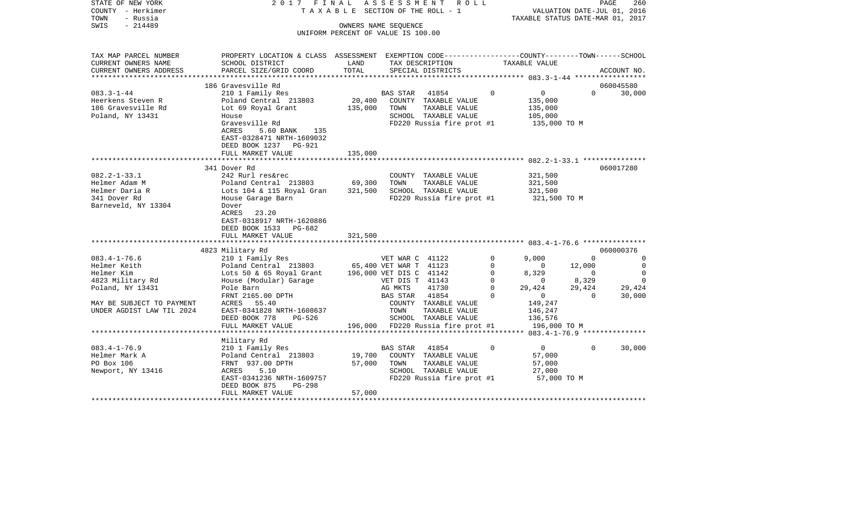| STATE OF NEW YORK<br>COUNTY - Herkimer<br>TOWN<br>- Russia<br>$-214489$<br>SWIS | 2017 FINAL                                                                                        |         | A S S E S S M E N T R O L L<br>TAXABLE SECTION OF THE ROLL - 1<br>OWNERS NAME SEQUENCE<br>UNIFORM PERCENT OF VALUE IS 100.00 |                | VALUATION DATE-JUL 01, 2016<br>TAXABLE STATUS DATE-MAR 01, 2017 |                | PAGE<br>260 |
|---------------------------------------------------------------------------------|---------------------------------------------------------------------------------------------------|---------|------------------------------------------------------------------------------------------------------------------------------|----------------|-----------------------------------------------------------------|----------------|-------------|
| TAX MAP PARCEL NUMBER                                                           | PROPERTY LOCATION & CLASS ASSESSMENT EXEMPTION CODE---------------COUNTY-------TOWN------SCHOOL   | LAND    |                                                                                                                              |                |                                                                 |                |             |
| CURRENT OWNERS NAME<br>CURRENT OWNERS ADDRESS                                   | SCHOOL DISTRICT<br>PARCEL SIZE/GRID COORD                                                         | TOTAL   | TAX DESCRIPTION TAXABLE VALUE<br>SPECIAL DISTRICTS                                                                           |                |                                                                 |                | ACCOUNT NO. |
|                                                                                 |                                                                                                   |         |                                                                                                                              |                |                                                                 |                |             |
|                                                                                 | 186 Gravesville Rd                                                                                |         |                                                                                                                              |                |                                                                 |                | 060045580   |
| $083.3 - 1 - 44$                                                                | 210 1 Family Res                                                                                  |         | BAS STAR 41854                                                                                                               | $\Omega$       | $\overline{0}$                                                  | $\Omega$       | 30,000      |
| Heerkens Steven R                                                               | Poland Central 213803                                                                             |         | 20,400 COUNTY TAXABLE VALUE                                                                                                  |                | 135,000                                                         |                |             |
| 186 Gravesville Rd                                                              | Lot 69 Royal Grant                                                                                |         | 135,000 TOWN<br>TAXABLE VALUE                                                                                                |                | 135,000                                                         |                |             |
| Poland, NY 13431                                                                | House<br>Gravesville Rd                                                                           |         | SCHOOL TAXABLE VALUE<br>FD220 Russia fire prot #1                                                                            |                | 105,000                                                         |                |             |
|                                                                                 | ACRES<br>5.60 BANK 135<br>EAST-0328471 NRTH-1609032<br>DEED BOOK 1237 PG-921<br>FULL MARKET VALUE | 135,000 |                                                                                                                              |                | 135,000 TO M                                                    |                |             |
|                                                                                 |                                                                                                   |         |                                                                                                                              |                |                                                                 |                |             |
|                                                                                 | 341 Dover Rd                                                                                      |         |                                                                                                                              |                |                                                                 |                | 060017280   |
| $082.2 - 1 - 33.1$                                                              | 242 Rurl res&rec                                                                                  |         | COUNTY TAXABLE VALUE                                                                                                         |                | 321,500                                                         |                |             |
| Helmer Adam M                                                                   | Poland Central 213803 69,300                                                                      |         | TOWN<br>TAXABLE VALUE                                                                                                        |                | 321,500                                                         |                |             |
| Helmer Daria R                                                                  | Lots 104 & 115 Royal Gran 321,500                                                                 |         | SCHOOL TAXABLE VALUE                                                                                                         |                | 321,500                                                         |                |             |
| 341 Dover Rd                                                                    | House Garage Barn                                                                                 |         | FD220 Russia fire prot #1                                                                                                    |                | 321,500 TO M                                                    |                |             |
| Barneveld, NY 13304                                                             | Dover<br>23.20<br>ACRES<br>EAST-0318917 NRTH-1620886<br>DEED BOOK 1533 PG-682                     |         |                                                                                                                              |                |                                                                 |                |             |
|                                                                                 | FULL MARKET VALUE                                                                                 | 321,500 |                                                                                                                              |                |                                                                 |                |             |
|                                                                                 | 4823 Military Rd                                                                                  |         |                                                                                                                              |                |                                                                 |                | 060000376   |
| $083.4 - 1 - 76.6$                                                              | 210 1 Family Res                                                                                  |         | VET WAR C 41122                                                                                                              | $\Omega$       | 9,000                                                           | $\overline{0}$ | $\Omega$    |
| Helmer Keith                                                                    | Poland Central 213803 65,400 VET WAR T 41123                                                      |         |                                                                                                                              | $\mathbf 0$    | $\sim$ 0                                                        | 12,000         | $\mathbf 0$ |
| Helmer Kim                                                                      | Lots 50 & 65 Royal Grant                                                                          |         | 196,000 VET DIS C 41142                                                                                                      | 0              | 8,329                                                           | $\overline{0}$ | $\mathbf 0$ |
|                                                                                 | House (Modular) Garage                                                                            |         | VET DIS T 41143                                                                                                              | $\overline{0}$ | $\overline{0}$                                                  | 8,329          | $\Omega$    |
| 4823 Military Rd<br>Poland, NY 13431                                            | Pole Barn                                                                                         |         | AG MKTS<br>41730                                                                                                             | $\Omega$       | 29,424                                                          | 29,424         | 29,424      |
|                                                                                 | FRNT 2165.00 DPTH                                                                                 |         | BAS STAR 41854                                                                                                               | $\Omega$       | $\overline{0}$                                                  | $\overline{0}$ | 30,000      |
| MAY BE SUBJECT TO PAYMENT                                                       | ACRES 55.40                                                                                       |         | COUNTY TAXABLE VALUE                                                                                                         |                | 149,247                                                         |                |             |
| UNDER AGDIST LAW TIL 2024                                                       | EAST-0341828 NRTH-1608637                                                                         |         | TOWN<br>TAXABLE VALUE                                                                                                        |                | 146,247                                                         |                |             |
|                                                                                 | DEED BOOK 778<br>PG-526                                                                           |         | SCHOOL TAXABLE VALUE                                                                                                         |                | 136,576                                                         |                |             |
|                                                                                 | FULL MARKET VALUE                                                                                 |         | 196,000 FD220 Russia fire prot #1                                                                                            |                | 196,000 TO M                                                    |                |             |
|                                                                                 |                                                                                                   |         |                                                                                                                              |                |                                                                 |                |             |
|                                                                                 | Military Rd                                                                                       |         |                                                                                                                              |                |                                                                 |                |             |
| $083.4 - 1 - 76.9$                                                              | 210 1 Family Res                                                                                  |         | BAS STAR 41854                                                                                                               | $\circ$        | $\overline{0}$                                                  | $\overline{0}$ | 30,000      |
| Helmer Mark A                                                                   | Poland Central 213803                                                                             | 19,700  | COUNTY TAXABLE VALUE                                                                                                         |                | 57,000                                                          |                |             |
| PO Box 106                                                                      | FRNT 937.00 DPTH                                                                                  | 57,000  | TOWN<br>TAXABLE VALUE                                                                                                        |                | 57,000                                                          |                |             |
| Newport, NY 13416                                                               | ACRES<br>5.10                                                                                     |         | SCHOOL TAXABLE VALUE                                                                                                         |                | 27,000                                                          |                |             |
|                                                                                 | EAST-0341236 NRTH-1609757                                                                         |         | FD220 Russia fire prot #1 57,000 TO M                                                                                        |                |                                                                 |                |             |
|                                                                                 | DEED BOOK 875<br>PG-298                                                                           |         |                                                                                                                              |                |                                                                 |                |             |
|                                                                                 | FULL MARKET VALUE                                                                                 | 57,000  |                                                                                                                              |                |                                                                 |                |             |
|                                                                                 |                                                                                                   |         |                                                                                                                              |                |                                                                 |                |             |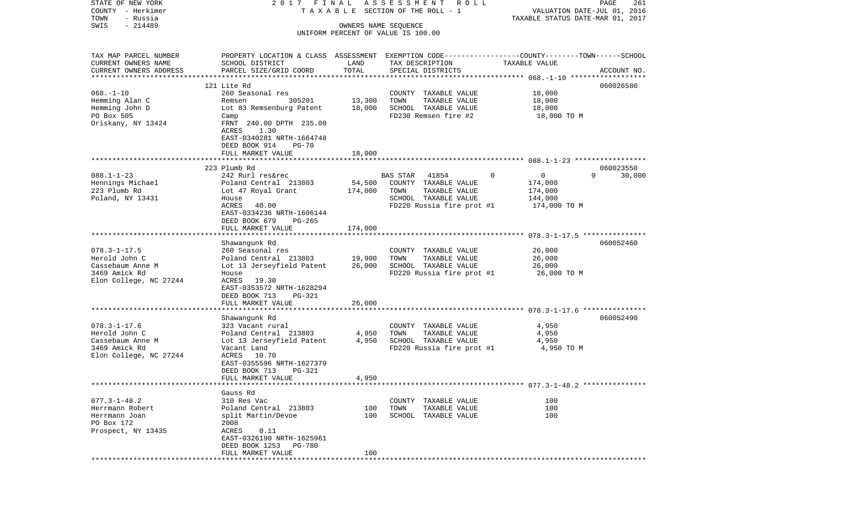| STATE OF NEW YORK                 | 2017 FINAL                                                                                      |                      | ASSESSMENT ROLL                       |                                                             | PAGE<br>261        |
|-----------------------------------|-------------------------------------------------------------------------------------------------|----------------------|---------------------------------------|-------------------------------------------------------------|--------------------|
| COUNTY - Herkimer                 |                                                                                                 |                      | TAXABLE SECTION OF THE ROLL - 1       | VALUATION DATE-JUL 01, 2016                                 |                    |
| TOWN<br>- Russia                  |                                                                                                 |                      |                                       | TAXABLE STATUS DATE-MAR 01, 2017                            |                    |
| $-214489$<br>SWIS                 |                                                                                                 | OWNERS NAME SEQUENCE |                                       |                                                             |                    |
|                                   |                                                                                                 |                      | UNIFORM PERCENT OF VALUE IS 100.00    |                                                             |                    |
| TAX MAP PARCEL NUMBER             | PROPERTY LOCATION & CLASS ASSESSMENT EXEMPTION CODE---------------COUNTY-------TOWN------SCHOOL |                      |                                       |                                                             |                    |
| CURRENT OWNERS NAME               | SCHOOL DISTRICT                                                                                 | LAND                 | TAX DESCRIPTION                       | TAXABLE VALUE                                               |                    |
| CURRENT OWNERS ADDRESS            | PARCEL SIZE/GRID COORD                                                                          | TOTAL                | SPECIAL DISTRICTS                     |                                                             | ACCOUNT NO.        |
| *************************         |                                                                                                 |                      |                                       |                                                             |                    |
|                                   | 121 Lite Rd                                                                                     |                      |                                       |                                                             | 060026580          |
| $068. - 1 - 10$                   | 260 Seasonal res                                                                                |                      | COUNTY TAXABLE VALUE                  | 18,000                                                      |                    |
| Hemming Alan C                    | 305201<br>Remsen                                                                                | 13,300               | TOWN<br>TAXABLE VALUE                 | 18,000                                                      |                    |
| Hemming John D                    | Lot 83 Remsenburg Patent                                                                        | 18,000               | SCHOOL TAXABLE VALUE                  | 18,000                                                      |                    |
| PO Box 505                        | Camp                                                                                            |                      | FD230 Remsen fire #2                  | 18,000 TO M                                                 |                    |
| Oriskany, NY 13424                | FRNT 240.00 DPTH 235.00                                                                         |                      |                                       |                                                             |                    |
|                                   | ACRES<br>1.30                                                                                   |                      |                                       |                                                             |                    |
|                                   | EAST-0340281 NRTH-1664748                                                                       |                      |                                       |                                                             |                    |
|                                   | DEED BOOK 914<br>$PG-70$<br>FULL MARKET VALUE                                                   | 18,000               |                                       |                                                             |                    |
|                                   |                                                                                                 |                      |                                       |                                                             |                    |
|                                   | 223 Plumb Rd                                                                                    |                      |                                       |                                                             | 060023550          |
| $088.1 - 1 - 23$                  | 242 Rurl res&rec                                                                                |                      | BAS STAR<br>41854                     | $\mathbf 0$<br>$\overline{0}$                               | 30,000<br>$\Omega$ |
| Hennings Michael                  | Poland Central 213803                                                                           | 54,500               | COUNTY TAXABLE VALUE                  | 174,000                                                     |                    |
| 223 Plumb Rd                      | Lot 47 Royal Grant                                                                              | 174,000              | TOWN<br>TAXABLE VALUE                 | 174,000                                                     |                    |
| Poland, NY 13431                  | House                                                                                           |                      | SCHOOL TAXABLE VALUE                  | 144,000                                                     |                    |
|                                   | ACRES<br>40.00                                                                                  |                      | FD220 Russia fire prot #1             | 174,000 TO M                                                |                    |
|                                   | EAST-0334236 NRTH-1606144                                                                       |                      |                                       |                                                             |                    |
|                                   | DEED BOOK 679<br>$PG-265$                                                                       |                      |                                       |                                                             |                    |
|                                   | FULL MARKET VALUE                                                                               | 174,000              |                                       |                                                             |                    |
|                                   |                                                                                                 |                      |                                       |                                                             |                    |
|                                   | Shawangunk Rd                                                                                   |                      |                                       |                                                             | 060052460          |
| $078.3 - 1 - 17.5$                | 260 Seasonal res                                                                                |                      | COUNTY TAXABLE VALUE<br>TAXABLE VALUE | 26,000                                                      |                    |
| Herold John C<br>Cassebaum Anne M | Poland Central 213803<br>Lot 13 Jerseyfield Patent                                              | 19,900<br>26,000     | TOWN<br>SCHOOL TAXABLE VALUE          | 26,000<br>26,000                                            |                    |
| 3469 Amick Rd                     | House                                                                                           |                      | FD220 Russia fire prot #1             | 26,000 TO M                                                 |                    |
| Elon College, NC 27244            | ACRES<br>19.30                                                                                  |                      |                                       |                                                             |                    |
|                                   | EAST-0353572 NRTH-1628294                                                                       |                      |                                       |                                                             |                    |
|                                   | DEED BOOK 713<br><b>PG-321</b>                                                                  |                      |                                       |                                                             |                    |
|                                   | FULL MARKET VALUE                                                                               | 26,000               |                                       |                                                             |                    |
|                                   | * * * * * * * * * * * * * * * * * * *                                                           |                      |                                       | ****************************** 078.3-1-17.6 *************** |                    |
|                                   | Shawangunk Rd                                                                                   |                      |                                       |                                                             | 060052490          |
| $078.3 - 1 - 17.6$                | 323 Vacant rural                                                                                |                      | COUNTY TAXABLE VALUE                  | 4,950                                                       |                    |
| Herold John C                     | Poland Central 213803                                                                           | 4,950                | TOWN<br>TAXABLE VALUE                 | 4,950                                                       |                    |
| Cassebaum Anne M                  | Lot 13 Jerseyfield Patent                                                                       | 4,950                | SCHOOL TAXABLE VALUE                  | 4,950                                                       |                    |
| 3469 Amick Rd                     | Vacant Land                                                                                     |                      | FD220 Russia fire prot #1             | 4,950 TO M                                                  |                    |
| Elon College, NC 27244            | ACRES 10.70                                                                                     |                      |                                       |                                                             |                    |
|                                   | EAST-0355596 NRTH-1627379                                                                       |                      |                                       |                                                             |                    |
|                                   | DEED BOOK 713<br><b>PG-321</b>                                                                  | 4,950                |                                       |                                                             |                    |
|                                   | FULL MARKET VALUE                                                                               |                      |                                       |                                                             |                    |
|                                   | Gauss Rd                                                                                        |                      |                                       |                                                             |                    |
| $077.3 - 1 - 48.2$                | 310 Res Vac                                                                                     |                      | COUNTY TAXABLE VALUE                  | 100                                                         |                    |
| Herrmann Robert                   | Poland Central 213803                                                                           | 100                  | TOWN<br>TAXABLE VALUE                 | 100                                                         |                    |
| Herrmann Joan                     | split Martin/Devoe                                                                              | 100                  | SCHOOL TAXABLE VALUE                  | 100                                                         |                    |
| PO Box 172                        | 2008                                                                                            |                      |                                       |                                                             |                    |
| Prospect, NY 13435                | ACRES<br>0.11                                                                                   |                      |                                       |                                                             |                    |
|                                   | EAST-0326190 NRTH-1625961                                                                       |                      |                                       |                                                             |                    |
|                                   | DEED BOOK 1253 PG-780                                                                           |                      |                                       |                                                             |                    |
|                                   | FULL MARKET VALUE                                                                               | 100                  |                                       |                                                             |                    |
|                                   |                                                                                                 |                      |                                       |                                                             |                    |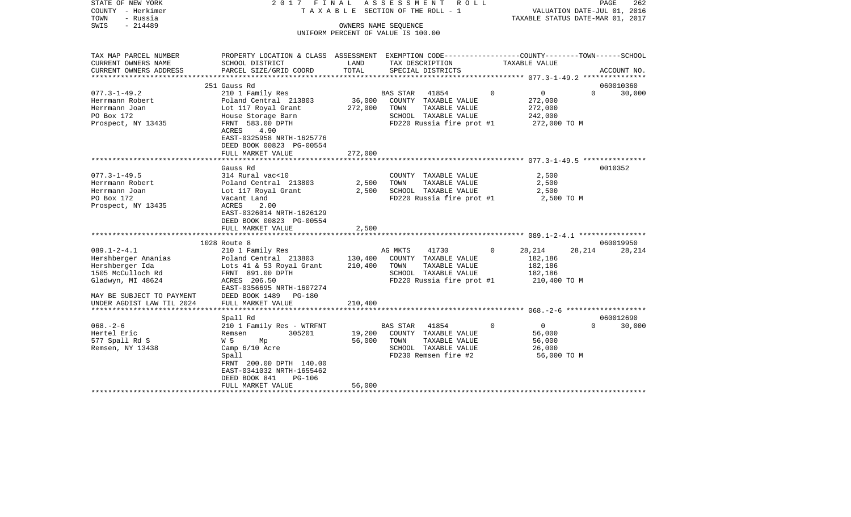| STATE OF NEW YORK<br>COUNTY - Herkimer<br>TOWN<br>- Russia<br>SWIS<br>$-214489$                                                                                 | 2017 FINAL                                                                                                                                                                                           |                               | ASSESSMENT ROLL<br>TAXABLE SECTION OF THE ROLL - 1<br>OWNERS NAME SEOUENCE<br>UNIFORM PERCENT OF VALUE IS 100.00            |          | VALUATION DATE-JUL 01, 2016<br>TAXABLE STATUS DATE-MAR 01, 2017 |          | PAGE<br>262 |
|-----------------------------------------------------------------------------------------------------------------------------------------------------------------|------------------------------------------------------------------------------------------------------------------------------------------------------------------------------------------------------|-------------------------------|-----------------------------------------------------------------------------------------------------------------------------|----------|-----------------------------------------------------------------|----------|-------------|
| TAX MAP PARCEL NUMBER<br>CURRENT OWNERS NAME<br>CURRENT OWNERS ADDRESS                                                                                          | PROPERTY LOCATION & CLASS ASSESSMENT EXEMPTION CODE----------------COUNTY-------TOWN------SCHOOL<br>SCHOOL DISTRICT<br>PARCEL SIZE/GRID COORD                                                        | LAND<br>TOTAL                 | TAX DESCRIPTION<br>SPECIAL DISTRICTS                                                                                        |          | TAXABLE VALUE                                                   |          | ACCOUNT NO. |
|                                                                                                                                                                 |                                                                                                                                                                                                      |                               |                                                                                                                             |          |                                                                 |          |             |
|                                                                                                                                                                 | 251 Gauss Rd                                                                                                                                                                                         |                               |                                                                                                                             |          |                                                                 |          | 060010360   |
| $077.3 - 1 - 49.2$<br>Herrmann Robert<br>Herrmann Joan<br>PO Box 172<br>Prospect, NY 13435                                                                      | 210 1 Family Res<br>Poland Central 213803<br>Lot 117 Royal Grant<br>House Storage Barn<br>FRNT 583.00 DPTH<br>4.90<br>ACRES<br>EAST-0325958 NRTH-1625776<br>DEED BOOK 00823 PG-00554                 | 272,000                       | BAS STAR 41854<br>36,000 COUNTY TAXABLE VALUE<br>TAXABLE VALUE<br>TOWN<br>SCHOOL TAXABLE VALUE<br>FD220 Russia fire prot #1 | $\Omega$ | $\overline{0}$<br>272,000<br>272,000<br>242,000<br>272,000 TO M | $\Omega$ | 30,000      |
|                                                                                                                                                                 | FULL MARKET VALUE                                                                                                                                                                                    | 272,000                       |                                                                                                                             |          |                                                                 |          |             |
| $077.3 - 1 - 49.5$<br>Herrmann Robert<br>Herrmann Joan<br>PO Box 172<br>Prospect, NY 13435                                                                      | Gauss Rd<br>314 Rural vac<10<br>Poland Central 213803<br>Lot 117 Royal Grant<br>Vacant Land<br>ACRES<br>2.00<br>EAST-0326014 NRTH-1626129<br>DEED BOOK 00823 PG-00554<br>FULL MARKET VALUE           | 2,500<br>2,500<br>2,500       | COUNTY TAXABLE VALUE<br>TOWN<br>TAXABLE VALUE<br>SCHOOL TAXABLE VALUE<br>FD220 Russia fire prot #1                          |          | 2,500<br>2,500<br>2,500<br>2,500 TO M                           |          | 0010352     |
|                                                                                                                                                                 | 1028 Route 8                                                                                                                                                                                         |                               |                                                                                                                             |          |                                                                 |          | 060019950   |
| $089.1 - 2 - 4.1$<br>Hershberger Ananias<br>Hershberger Ida<br>1505 McCulloch Rd<br>Gladwyn, MI 48624<br>MAY BE SUBJECT TO PAYMENT<br>UNDER AGDIST LAW TIL 2024 | 210 1 Family Res<br>Poland Central 213803<br>Lots 41 & 53 Royal Grant<br>FRNT 891.00 DPTH<br>ACRES 206.50<br>EAST-0356695 NRTH-1607274<br>DEED BOOK 1489 PG-180<br>FULL MARKET VALUE                 | 130,400<br>210,400<br>210,400 | AG MKTS<br>41730<br>COUNTY TAXABLE VALUE<br>TOWN<br>TAXABLE VALUE<br>SCHOOL TAXABLE VALUE<br>FD220 Russia fire prot #1      | $\Omega$ | 28,214<br>182,186<br>182,186<br>182,186<br>210,400 TO M         | 28,214   | 28,214      |
|                                                                                                                                                                 | Spall Rd                                                                                                                                                                                             |                               |                                                                                                                             |          |                                                                 |          | 060012690   |
| $068. - 2 - 6$<br>Hertel Eric<br>577 Spall Rd S<br>Remsen, NY 13438                                                                                             | 210 1 Family Res - WTRFNT<br>305201<br>Remsen<br>W 5<br>Mp<br>Camp 6/10 Acre<br>Spall<br>FRNT 200.00 DPTH 140.00<br>EAST-0341032 NRTH-1655462<br>DEED BOOK 841<br><b>PG-106</b><br>FULL MARKET VALUE | 19,200<br>56,000<br>56,000    | BAS STAR 41854<br>COUNTY TAXABLE VALUE<br>TOWN<br>TAXABLE VALUE<br>SCHOOL TAXABLE VALUE<br>FD230 Remsen fire #2             | $\Omega$ | $\overline{0}$<br>56,000<br>56,000<br>26,000<br>56,000 TO M     | $\Omega$ | 30,000      |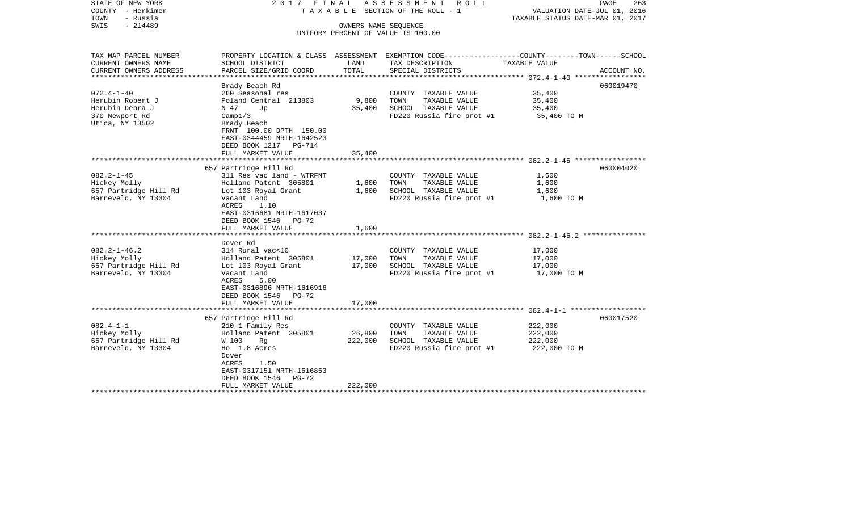| STATE OF NEW YORK<br>COUNTY - Herkimer<br>TOWN<br>- Russia<br>$-214489$<br>SWIS              |                                                                                                                                                                                                              | OWNERS NAME SEOUENCE         | 2017 FINAL ASSESSMENT ROLL<br>TAXABLE SECTION OF THE ROLL - 1<br>UNIFORM PERCENT OF VALUE IS 100.00 | PAGE<br>263<br>VALUATION DATE-JUL 01, 2016<br>TAXABLE STATUS DATE-MAR 01, 2017                                                 |
|----------------------------------------------------------------------------------------------|--------------------------------------------------------------------------------------------------------------------------------------------------------------------------------------------------------------|------------------------------|-----------------------------------------------------------------------------------------------------|--------------------------------------------------------------------------------------------------------------------------------|
| TAX MAP PARCEL NUMBER<br>CURRENT OWNERS NAME<br>CURRENT OWNERS ADDRESS                       | SCHOOL DISTRICT<br>PARCEL SIZE/GRID COORD                                                                                                                                                                    | LAND<br>TOTAL                | TAX DESCRIPTION<br>SPECIAL DISTRICTS                                                                | PROPERTY LOCATION & CLASS ASSESSMENT EXEMPTION CODE---------------COUNTY-------TOWN-----SCHOOL<br>TAXABLE VALUE<br>ACCOUNT NO. |
|                                                                                              |                                                                                                                                                                                                              |                              |                                                                                                     |                                                                                                                                |
| $072.4 - 1 - 40$<br>Herubin Robert J<br>Herubin Debra J<br>370 Newport Rd<br>Utica, NY 13502 | Brady Beach Rd<br>260 Seasonal res<br>Poland Central 213803<br>N 47<br>Jp<br>Campl/3<br>Brady Beach<br>FRNT 100.00 DPTH 150.00<br>EAST-0344459 NRTH-1642523<br>DEED BOOK 1217 PG-714                         | 9,800<br>35,400              | COUNTY TAXABLE VALUE<br>TOWN<br>TAXABLE VALUE<br>SCHOOL TAXABLE VALUE<br>FD220 Russia fire prot #1  | 060019470<br>35,400<br>35,400<br>35,400<br>35,400 TO M                                                                         |
|                                                                                              | FULL MARKET VALUE                                                                                                                                                                                            | 35,400                       |                                                                                                     |                                                                                                                                |
| $082.2 - 1 - 45$<br>Hickey Molly<br>657 Partridge Hill Rd<br>Barneveld, NY 13304             | 657 Partridge Hill Rd<br>311 Res vac land - WTRFNT<br>Holland Patent 305801<br>Lot 103 Royal Grant<br>Vacant Land<br>ACRES<br>1.10<br>EAST-0316681 NRTH-1617037<br>DEED BOOK 1546 PG-72<br>FULL MARKET VALUE | 1,600<br>1,600<br>1,600      | COUNTY TAXABLE VALUE<br>TAXABLE VALUE<br>TOWN<br>SCHOOL TAXABLE VALUE<br>FD220 Russia fire prot #1  | 060004020<br>1,600<br>1,600<br>1,600<br>1,600 TO M                                                                             |
|                                                                                              |                                                                                                                                                                                                              |                              |                                                                                                     |                                                                                                                                |
| $082.2 - 1 - 46.2$<br>Hickey Molly<br>657 Partridge Hill Rd<br>Barneveld, NY 13304           | Dover Rd<br>314 Rural vac<10<br>Holland Patent 305801<br>Lot 103 Royal Grant<br>Vacant Land<br>ACRES<br>5.00<br>EAST-0316896 NRTH-1616916<br>DEED BOOK 1546 PG-72<br>FULL MARKET VALUE                       | 17,000<br>17,000<br>17,000   | COUNTY TAXABLE VALUE<br>TOWN<br>TAXABLE VALUE<br>SCHOOL TAXABLE VALUE<br>FD220 Russia fire prot #1  | 17,000<br>17,000<br>17,000<br>17,000 TO M                                                                                      |
|                                                                                              |                                                                                                                                                                                                              |                              |                                                                                                     |                                                                                                                                |
| $082.4 - 1 - 1$<br>Hickey Molly<br>657 Partridge Hill Rd<br>Barneveld, NY 13304              | 657 Partridge Hill Rd<br>210 1 Family Res<br>Holland Patent 305801<br>W 103<br>Rg<br>Ho 1.8 Acres<br>Dover<br>ACRES<br>1.50<br>EAST-0317151 NRTH-1616853<br>DEED BOOK 1546<br>$PG-72$<br>FULL MARKET VALUE   | 26,800<br>222,000<br>222,000 | COUNTY TAXABLE VALUE<br>TOWN<br>TAXABLE VALUE<br>SCHOOL TAXABLE VALUE<br>FD220 Russia fire prot #1  | 060017520<br>222,000<br>222,000<br>222,000<br>222,000 TO M                                                                     |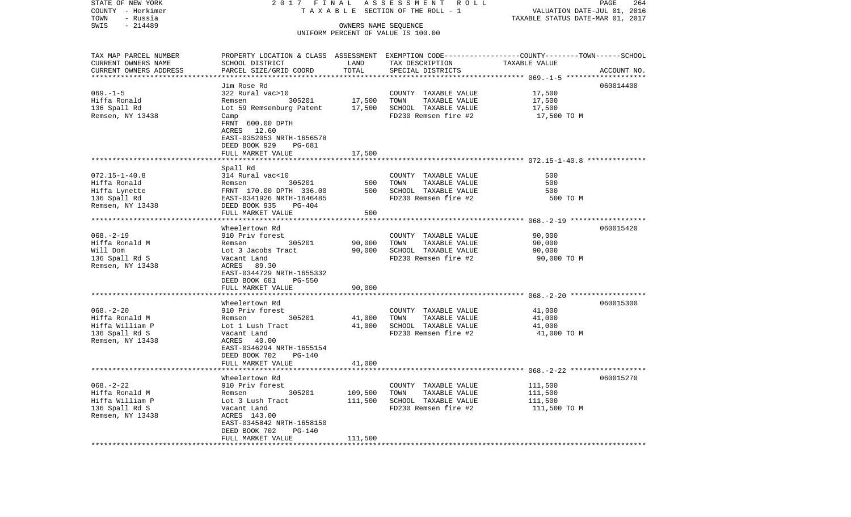| STATE OF NEW YORK                     | 2017 FINAL                                |                             | A S S E S S M E N T R O L L                                                                     |                                                                 | PAGE<br>264 |
|---------------------------------------|-------------------------------------------|-----------------------------|-------------------------------------------------------------------------------------------------|-----------------------------------------------------------------|-------------|
| COUNTY - Herkimer<br>TOWN<br>- Russia |                                           |                             | TAXABLE SECTION OF THE ROLL - 1                                                                 | VALUATION DATE-JUL 01, 2016<br>TAXABLE STATUS DATE-MAR 01, 2017 |             |
| $-214489$<br>SWIS                     |                                           | OWNERS NAME SEQUENCE        |                                                                                                 |                                                                 |             |
|                                       |                                           |                             | UNIFORM PERCENT OF VALUE IS 100.00                                                              |                                                                 |             |
|                                       |                                           |                             |                                                                                                 |                                                                 |             |
| TAX MAP PARCEL NUMBER                 |                                           |                             | PROPERTY LOCATION & CLASS ASSESSMENT EXEMPTION CODE---------------COUNTY-------TOWN------SCHOOL |                                                                 |             |
| CURRENT OWNERS NAME                   | SCHOOL DISTRICT                           | LAND                        | TAX DESCRIPTION                                                                                 | TAXABLE VALUE                                                   |             |
| CURRENT OWNERS ADDRESS                | PARCEL SIZE/GRID COORD                    | TOTAL                       | SPECIAL DISTRICTS                                                                               |                                                                 | ACCOUNT NO. |
| ***********************               |                                           |                             |                                                                                                 |                                                                 |             |
|                                       | Jim Rose Rd                               |                             |                                                                                                 |                                                                 | 060014400   |
| $069. -1 - 5$                         | 322 Rural vac>10                          |                             | COUNTY TAXABLE VALUE                                                                            | 17,500                                                          |             |
| Hiffa Ronald                          | 305201<br>Remsen                          | 17,500                      | TOWN<br>TAXABLE VALUE                                                                           | 17,500                                                          |             |
| 136 Spall Rd                          | Lot 59 Remsenburg Patent                  | 17,500                      | SCHOOL TAXABLE VALUE                                                                            | 17,500                                                          |             |
| Remsen, NY 13438                      | Camp<br>FRNT 600.00 DPTH                  |                             | FD230 Remsen fire #2                                                                            | 17,500 TO M                                                     |             |
|                                       | ACRES 12.60                               |                             |                                                                                                 |                                                                 |             |
|                                       | EAST-0352053 NRTH-1656578                 |                             |                                                                                                 |                                                                 |             |
|                                       | DEED BOOK 929<br>PG-681                   |                             |                                                                                                 |                                                                 |             |
|                                       | FULL MARKET VALUE                         | 17,500                      |                                                                                                 |                                                                 |             |
|                                       |                                           |                             |                                                                                                 |                                                                 |             |
|                                       | Spall Rd                                  |                             |                                                                                                 |                                                                 |             |
| $072.15 - 1 - 40.8$                   | 314 Rural vac<10                          |                             | COUNTY TAXABLE VALUE                                                                            | 500                                                             |             |
| Hiffa Ronald                          | 305201<br>Remsen                          | 500                         | TOWN<br>TAXABLE VALUE                                                                           | 500                                                             |             |
| Hiffa Lynette                         | FRNT 170.00 DPTH 336.00                   | 500                         | SCHOOL TAXABLE VALUE                                                                            | 500                                                             |             |
| 136 Spall Rd                          | EAST-0341926 NRTH-1646485                 |                             | FD230 Remsen fire #2                                                                            | 500 TO M                                                        |             |
| Remsen, NY 13438                      | DEED BOOK 935<br>$PG-404$                 |                             |                                                                                                 |                                                                 |             |
|                                       | FULL MARKET VALUE                         | 500                         |                                                                                                 |                                                                 |             |
|                                       | Wheelertown Rd                            |                             |                                                                                                 |                                                                 | 060015420   |
| $068. - 2 - 19$                       | 910 Priv forest                           |                             | COUNTY TAXABLE VALUE                                                                            | 90,000                                                          |             |
| Hiffa Ronald M                        | 305201<br>Remsen                          | 90,000                      | TOWN<br>TAXABLE VALUE                                                                           | 90,000                                                          |             |
| Will Dom                              | Lot 3 Jacobs Tract                        | 90,000                      | SCHOOL TAXABLE VALUE                                                                            | 90,000                                                          |             |
| 136 Spall Rd S                        | Vacant Land                               |                             | FD230 Remsen fire #2                                                                            | 90,000 TO M                                                     |             |
| Remsen, NY 13438                      | ACRES 89.30                               |                             |                                                                                                 |                                                                 |             |
|                                       | EAST-0344729 NRTH-1655332                 |                             |                                                                                                 |                                                                 |             |
|                                       | DEED BOOK 681<br><b>PG-550</b>            |                             |                                                                                                 |                                                                 |             |
|                                       | FULL MARKET VALUE<br>******************** | 90,000<br>***************** |                                                                                                 |                                                                 |             |
|                                       | Wheelertown Rd                            |                             |                                                                                                 |                                                                 | 060015300   |
| $068. - 2 - 20$                       | 910 Priv forest                           |                             | COUNTY TAXABLE VALUE                                                                            | 41,000                                                          |             |
| Hiffa Ronald M                        | 305201<br>Remsen                          | 41,000                      | TOWN<br>TAXABLE VALUE                                                                           | 41,000                                                          |             |
| Hiffa William P                       | Lot 1 Lush Tract                          | 41,000                      | SCHOOL TAXABLE VALUE                                                                            | 41,000                                                          |             |
| 136 Spall Rd S                        | Vacant Land                               |                             | FD230 Remsen fire #2                                                                            | 41,000 TO M                                                     |             |
| Remsen, NY 13438                      | ACRES 40.00                               |                             |                                                                                                 |                                                                 |             |
|                                       | EAST-0346294 NRTH-1655154                 |                             |                                                                                                 |                                                                 |             |
|                                       | DEED BOOK 702<br>PG-140                   |                             |                                                                                                 |                                                                 |             |
|                                       | FULL MARKET VALUE                         | 41,000                      |                                                                                                 |                                                                 |             |
|                                       |                                           |                             |                                                                                                 |                                                                 |             |
|                                       | Wheelertown Rd                            |                             |                                                                                                 |                                                                 | 060015270   |
| $068. - 2 - 22$                       | 910 Priv forest                           |                             | COUNTY TAXABLE VALUE                                                                            | 111,500                                                         |             |
| Hiffa Ronald M<br>Hiffa William P     | 305201<br>Remsen                          | 109,500                     | TOWN<br>TAXABLE VALUE<br>SCHOOL TAXABLE VALUE                                                   | 111,500<br>111,500                                              |             |
| 136 Spall Rd S                        | Lot 3 Lush Tract<br>Vacant Land           | 111,500                     | FD230 Remsen fire #2                                                                            | 111,500 TO M                                                    |             |
| Remsen, NY 13438                      | ACRES 143.00                              |                             |                                                                                                 |                                                                 |             |
|                                       | EAST-0345842 NRTH-1658150                 |                             |                                                                                                 |                                                                 |             |
|                                       | DEED BOOK 702<br><b>PG-140</b>            |                             |                                                                                                 |                                                                 |             |
|                                       | FULL MARKET VALUE                         | 111,500                     |                                                                                                 |                                                                 |             |
|                                       |                                           |                             |                                                                                                 |                                                                 |             |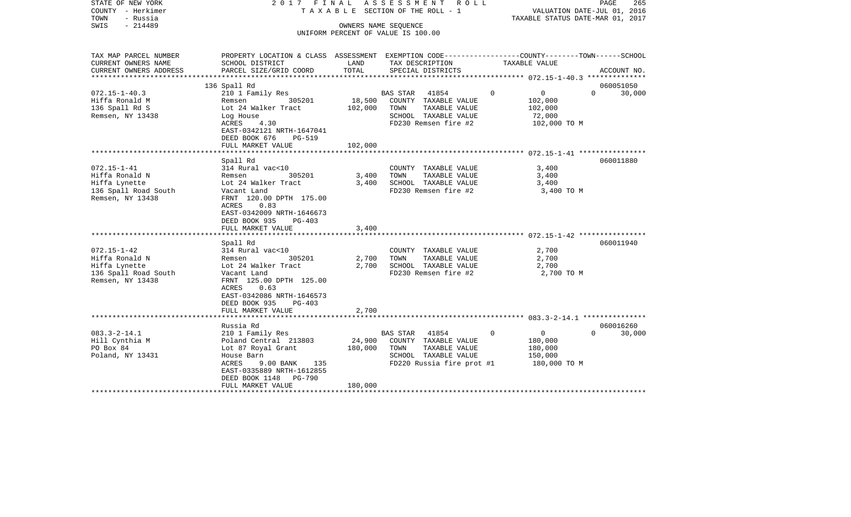| STATE OF NEW YORK<br>COUNTY - Herkimer<br>TOWN<br>- Russia<br>SWIS<br>$-214489$                                                                                                  | 2017 FINAL                                                                                                                                                                                                                                                                                                                         |                                           | ASSESSMENT ROLL<br>TAXABLE SECTION OF THE ROLL - 1<br>OWNERS NAME SEQUENCE                                                                                                                     | PAGE<br>265<br>VALUATION DATE-JUL 01, 2016<br>TAXABLE STATUS DATE-MAR 01, 2017 |                                 |  |  |  |
|----------------------------------------------------------------------------------------------------------------------------------------------------------------------------------|------------------------------------------------------------------------------------------------------------------------------------------------------------------------------------------------------------------------------------------------------------------------------------------------------------------------------------|-------------------------------------------|------------------------------------------------------------------------------------------------------------------------------------------------------------------------------------------------|--------------------------------------------------------------------------------|---------------------------------|--|--|--|
|                                                                                                                                                                                  |                                                                                                                                                                                                                                                                                                                                    |                                           | UNIFORM PERCENT OF VALUE IS 100.00                                                                                                                                                             |                                                                                |                                 |  |  |  |
| TAX MAP PARCEL NUMBER<br>CURRENT OWNERS NAME                                                                                                                                     | PROPERTY LOCATION & CLASS ASSESSMENT EXEMPTION CODE---------------COUNTY-------TOWN-----SCHOOL<br>SCHOOL DISTRICT                                                                                                                                                                                                                  | LAND                                      | TAX DESCRIPTION                                                                                                                                                                                | TAXABLE VALUE                                                                  |                                 |  |  |  |
| CURRENT OWNERS ADDRESS                                                                                                                                                           | PARCEL SIZE/GRID COORD                                                                                                                                                                                                                                                                                                             | TOTAL                                     | SPECIAL DISTRICTS                                                                                                                                                                              |                                                                                | ACCOUNT NO.                     |  |  |  |
|                                                                                                                                                                                  | 136 Spall Rd                                                                                                                                                                                                                                                                                                                       |                                           |                                                                                                                                                                                                |                                                                                | 060051050                       |  |  |  |
| $072.15 - 1 - 40.3$<br>Hiffa Ronald M<br>136 Spall Rd S<br>Remsen, NY 13438                                                                                                      | 210 1 Family Res<br>305201<br>Remsen<br>Lot 24 Walker Tract<br>Log House<br>ACRES<br>4.30<br>EAST-0342121 NRTH-1647041<br>DEED BOOK 676<br>PG-519                                                                                                                                                                                  | 18,500<br>102,000                         | BAS STAR 41854<br>COUNTY TAXABLE VALUE<br>TOWN<br>TAXABLE VALUE<br>SCHOOL TAXABLE VALUE<br>FD230 Remsen fire #2                                                                                | $\overline{0}$<br>$\circ$<br>102,000<br>102,000<br>72,000<br>102,000 TO M      | $\Omega$<br>30,000              |  |  |  |
|                                                                                                                                                                                  | FULL MARKET VALUE                                                                                                                                                                                                                                                                                                                  | 102,000                                   |                                                                                                                                                                                                |                                                                                |                                 |  |  |  |
| $072.15 - 1 - 41$<br>Hiffa Ronald N<br>Hiffa Lynette<br>136 Spall Road South<br>Remsen, NY 13438<br>$072.15 - 1 - 42$<br>Hiffa Ronald N<br>Hiffa Lynette<br>136 Spall Road South | Spall Rd<br>314 Rural vac<10<br>305201<br>Remsen<br>Lot 24 Walker Tract<br>Vacant Land<br>FRNT 120.00 DPTH 175.00<br>0.83<br>ACRES<br>EAST-0342009 NRTH-1646673<br>DEED BOOK 935<br>PG-403<br>FULL MARKET VALUE<br>Spall Rd<br>314 Rural vac<10<br>305201<br>Remsen<br>Lot 24 Walker Tract<br>Vacant Land                          | 3,400<br>3,400<br>3,400<br>2,700<br>2,700 | COUNTY TAXABLE VALUE<br>TOWN<br>TAXABLE VALUE<br>SCHOOL TAXABLE VALUE<br>FD230 Remsen fire #2<br>COUNTY TAXABLE VALUE<br>TOWN<br>TAXABLE VALUE<br>SCHOOL TAXABLE VALUE<br>FD230 Remsen fire #2 | 3,400<br>3,400<br>3,400<br>3,400 TO M<br>2,700<br>2,700<br>2,700<br>2,700 TO M | 060011880<br>060011940          |  |  |  |
| Remsen, NY 13438<br>$083.3 - 2 - 14.1$<br>Hill Cynthia M<br>PO Box 84<br>Poland, NY 13431                                                                                        | FRNT 125.00 DPTH 125.00<br>ACRES<br>0.63<br>EAST-0342086 NRTH-1646573<br>DEED BOOK 935<br>$PG-403$<br>FULL MARKET VALUE<br>Russia Rd<br>210 1 Family Res<br>Poland Central 213803<br>Lot 87 Royal Grant<br>House Barn<br>ACRES<br>$9.00$ BANK<br>135<br>EAST-0335889 NRTH-1612855<br>PG-790<br>DEED BOOK 1148<br>FULL MARKET VALUE | 2,700<br>24,900<br>180,000<br>180,000     | <b>BAS STAR</b><br>41854<br>COUNTY TAXABLE VALUE<br>TOWN<br>TAXABLE VALUE<br>SCHOOL TAXABLE VALUE<br>FD220 Russia fire prot #1                                                                 | $\overline{0}$<br>$\mathbf 0$<br>180,000<br>180,000<br>150,000<br>180,000 TO M | 060016260<br>$\Omega$<br>30,000 |  |  |  |
|                                                                                                                                                                                  |                                                                                                                                                                                                                                                                                                                                    |                                           |                                                                                                                                                                                                |                                                                                |                                 |  |  |  |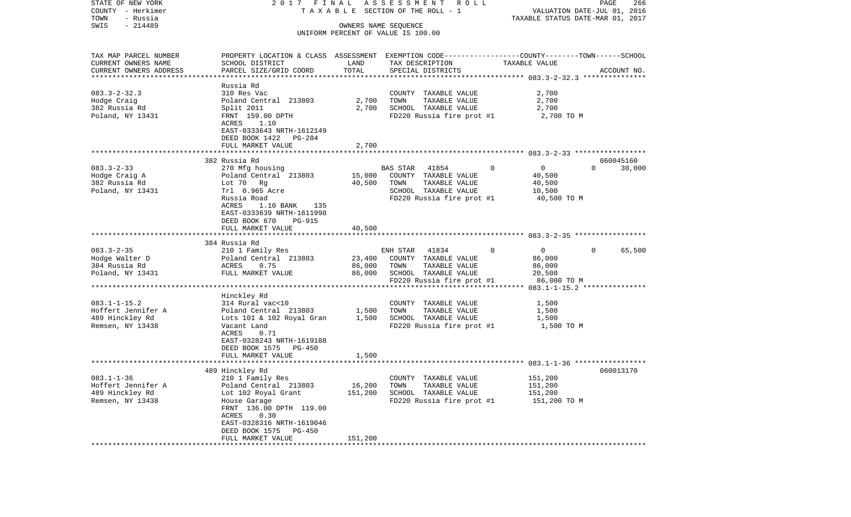| COUNTY<br>– Herkimer               |                                               |         | T A X A B L E SECTION OF THE ROLL - 1                                                           | VALUATION DATE-JUL 01, 2016      |                                 |
|------------------------------------|-----------------------------------------------|---------|-------------------------------------------------------------------------------------------------|----------------------------------|---------------------------------|
| TOWN<br>- Russia                   |                                               |         |                                                                                                 | TAXABLE STATUS DATE-MAR 01, 2017 |                                 |
| SWIS<br>$-214489$                  |                                               |         | OWNERS NAME SEQUENCE<br>UNIFORM PERCENT OF VALUE IS 100.00                                      |                                  |                                 |
|                                    |                                               |         |                                                                                                 |                                  |                                 |
|                                    |                                               |         |                                                                                                 |                                  |                                 |
| TAX MAP PARCEL NUMBER              |                                               |         | PROPERTY LOCATION & CLASS ASSESSMENT EXEMPTION CODE---------------COUNTY-------TOWN------SCHOOL |                                  |                                 |
| CURRENT OWNERS NAME                | SCHOOL DISTRICT                               | LAND    | TAX DESCRIPTION                                                                                 | TAXABLE VALUE                    |                                 |
| CURRENT OWNERS ADDRESS             | PARCEL SIZE/GRID COORD                        | TOTAL   | SPECIAL DISTRICTS                                                                               |                                  | ACCOUNT NO.                     |
|                                    | Russia Rd                                     |         |                                                                                                 |                                  |                                 |
| $083.3 - 2 - 32.3$                 | 310 Res Vac                                   |         | COUNTY TAXABLE VALUE                                                                            | 2,700                            |                                 |
| Hodge Craig                        | Poland Central 213803                         | 2,700   | TOWN<br>TAXABLE VALUE                                                                           | 2,700                            |                                 |
| 382 Russia Rd                      | Split 2011                                    | 2,700   | SCHOOL TAXABLE VALUE                                                                            | 2,700                            |                                 |
| Poland, NY 13431                   | FRNT 159.00 DPTH                              |         | FD220 Russia fire prot #1                                                                       | 2,700 TO M                       |                                 |
|                                    | 1.10<br>ACRES                                 |         |                                                                                                 |                                  |                                 |
|                                    | EAST-0333643 NRTH-1612149                     |         |                                                                                                 |                                  |                                 |
|                                    | DEED BOOK 1422 PG-284                         |         |                                                                                                 |                                  |                                 |
|                                    | FULL MARKET VALUE<br>********************     | 2,700   |                                                                                                 |                                  |                                 |
|                                    |                                               |         |                                                                                                 |                                  |                                 |
| $083.3 - 2 - 33$                   | 382 Russia Rd<br>270 Mfg housing              |         | $\mathbf 0$<br>BAS STAR<br>41854                                                                | $\overline{0}$                   | 060045160<br>$\Omega$<br>30,000 |
| Hodge Craig A                      | Poland Central 213803                         | 15,000  | COUNTY TAXABLE VALUE                                                                            | 40,500                           |                                 |
| 382 Russia Rd                      | Lot 70 Rg                                     | 40,500  | TOWN<br>TAXABLE VALUE                                                                           | 40,500                           |                                 |
| Poland, NY 13431                   | Trl 0.965 Acre                                |         | SCHOOL TAXABLE VALUE                                                                            | 10,500                           |                                 |
|                                    | Russia Road                                   |         | FD220 Russia fire prot #1                                                                       | 40,500 TO M                      |                                 |
|                                    | ACRES<br>1.10 BANK<br>135                     |         |                                                                                                 |                                  |                                 |
|                                    | EAST-0333639 NRTH-1611998                     |         |                                                                                                 |                                  |                                 |
|                                    | DEED BOOK 670<br>PG-915                       |         |                                                                                                 |                                  |                                 |
|                                    | FULL MARKET VALUE                             | 40,500  |                                                                                                 |                                  |                                 |
|                                    |                                               |         |                                                                                                 |                                  |                                 |
|                                    | 384 Russia Rd                                 |         |                                                                                                 |                                  |                                 |
| $083.3 - 2 - 35$<br>Hodge Walter D | 210 1 Family Res                              | 23,400  | ENH STAR<br>41834<br>0<br>COUNTY TAXABLE VALUE                                                  | $\overline{0}$<br>86,000         | $\mathbf{0}$<br>65,500          |
| 384 Russia Rd                      | Poland Central 213803<br>ACRES 0.75           | 86,000  | TAXABLE VALUE<br>TOWN                                                                           | 86,000                           |                                 |
| Poland, NY 13431                   | FULL MARKET VALUE                             | 86,000  | SCHOOL TAXABLE VALUE                                                                            | 20,500                           |                                 |
|                                    |                                               |         | FD220 Russia fire prot #1                                                                       | 86,000 TO M                      |                                 |
|                                    |                                               |         |                                                                                                 |                                  |                                 |
|                                    | Hinckley Rd                                   |         |                                                                                                 |                                  |                                 |
| $083.1 - 1 - 15.2$                 | 314 Rural vac<10                              |         | COUNTY TAXABLE VALUE                                                                            | 1,500                            |                                 |
| Hoffert Jennifer A                 | Poland Central 213803                         | 1,500   | TOWN<br>TAXABLE VALUE                                                                           | 1,500                            |                                 |
| 489 Hinckley Rd                    | Lots 101 & 102 Royal Gran                     | 1,500   | SCHOOL TAXABLE VALUE                                                                            | 1,500                            |                                 |
| Remsen, NY 13438                   | Vacant Land                                   |         | FD220 Russia fire prot #1                                                                       | 1,500 TO M                       |                                 |
|                                    | ACRES<br>0.71                                 |         |                                                                                                 |                                  |                                 |
|                                    | EAST-0328243 NRTH-1619188                     |         |                                                                                                 |                                  |                                 |
|                                    | DEED BOOK 1575<br>PG-450<br>FULL MARKET VALUE | 1,500   |                                                                                                 |                                  |                                 |
|                                    |                                               |         |                                                                                                 |                                  |                                 |
|                                    | 489 Hinckley Rd                               |         |                                                                                                 |                                  | 060013170                       |
| $083.1 - 1 - 36$                   | 210 1 Family Res                              |         | COUNTY TAXABLE VALUE                                                                            | 151,200                          |                                 |
| Hoffert Jennifer A                 | Poland Central 213803                         | 16,200  | TOWN<br>TAXABLE VALUE                                                                           | 151,200                          |                                 |
| 489 Hinckley Rd                    | Lot 102 Royal Grant                           | 151,200 | SCHOOL TAXABLE VALUE                                                                            | 151,200                          |                                 |
| Remsen, NY 13438                   | House Garage                                  |         | FD220 Russia fire prot #1                                                                       | 151,200 TO M                     |                                 |
|                                    | FRNT 136.00 DPTH 119.00                       |         |                                                                                                 |                                  |                                 |
|                                    | 0.30<br>ACRES                                 |         |                                                                                                 |                                  |                                 |
|                                    | EAST-0328316 NRTH-1619046                     |         |                                                                                                 |                                  |                                 |
|                                    | DEED BOOK 1575<br>PG-450                      |         |                                                                                                 |                                  |                                 |
|                                    | FULL MARKET VALUE                             | 151,200 |                                                                                                 |                                  |                                 |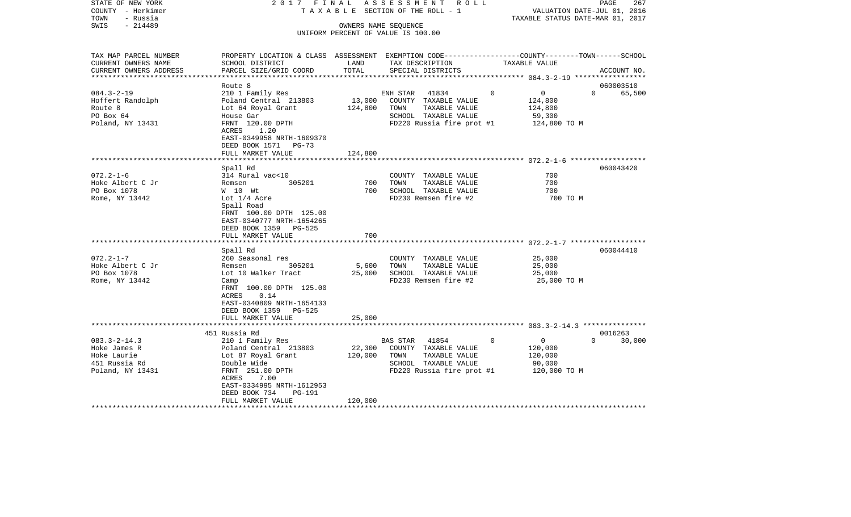| STATE OF NEW YORK<br>COUNTY - Herkimer | 2017 FINAL                                                                                      |               | ASSESSMENT ROLL<br>TAXABLE SECTION OF THE ROLL - 1         |                            | PAGE<br>267<br>VALUATION DATE-JUL 01, 2016 |
|----------------------------------------|-------------------------------------------------------------------------------------------------|---------------|------------------------------------------------------------|----------------------------|--------------------------------------------|
| TOWN<br>- Russia                       |                                                                                                 |               |                                                            |                            | TAXABLE STATUS DATE-MAR 01, 2017           |
| $-214489$<br>SWIS                      |                                                                                                 |               | OWNERS NAME SEQUENCE<br>UNIFORM PERCENT OF VALUE IS 100.00 |                            |                                            |
|                                        |                                                                                                 |               |                                                            |                            |                                            |
| TAX MAP PARCEL NUMBER                  | PROPERTY LOCATION & CLASS ASSESSMENT EXEMPTION CODE---------------COUNTY-------TOWN------SCHOOL |               |                                                            |                            |                                            |
| CURRENT OWNERS NAME                    | SCHOOL DISTRICT                                                                                 | LAND<br>TOTAL | TAX DESCRIPTION                                            | TAXABLE VALUE              |                                            |
| CURRENT OWNERS ADDRESS                 | PARCEL SIZE/GRID COORD                                                                          |               | SPECIAL DISTRICTS                                          |                            | ACCOUNT NO.                                |
|                                        | Route 8                                                                                         |               |                                                            |                            | 060003510                                  |
| $084.3 - 2 - 19$                       | 210 1 Family Res                                                                                |               | 41834<br>ENH STAR                                          | $\Omega$<br>$\overline{0}$ | $\Omega$<br>65,500                         |
| Hoffert Randolph                       | Poland Central 213803                                                                           | 13,000        | COUNTY TAXABLE VALUE                                       | 124,800                    |                                            |
| Route 8                                | Lot 64 Royal Grant                                                                              | 124,800       | TOWN<br>TAXABLE VALUE                                      | 124,800                    |                                            |
| PO Box 64                              | House Gar                                                                                       |               | SCHOOL TAXABLE VALUE                                       | 59,300                     |                                            |
| Poland, NY 13431                       | FRNT 120.00 DPTH<br>ACRES<br>1.20                                                               |               | FD220 Russia fire prot #1                                  | 124,800 TO M               |                                            |
|                                        | EAST-0349958 NRTH-1609370                                                                       |               |                                                            |                            |                                            |
|                                        | DEED BOOK 1571 PG-73                                                                            |               |                                                            |                            |                                            |
|                                        | FULL MARKET VALUE                                                                               | 124,800       |                                                            |                            |                                            |
|                                        | Spall Rd                                                                                        | *********     |                                                            |                            | 060043420                                  |
| $072.2 - 1 - 6$                        | 314 Rural vac<10                                                                                |               | COUNTY TAXABLE VALUE                                       | 700                        |                                            |
| Hoke Albert C Jr                       | 305201<br>Remsen                                                                                | 700           | TAXABLE VALUE<br>TOWN                                      | 700                        |                                            |
| PO Box 1078                            | W 10 Wt                                                                                         | 700           | SCHOOL TAXABLE VALUE                                       | 700                        |                                            |
| Rome, NY 13442                         | Lot $1/4$ Acre                                                                                  |               | FD230 Remsen fire #2                                       |                            | 700 TO M                                   |
|                                        | Spall Road                                                                                      |               |                                                            |                            |                                            |
|                                        | FRNT 100.00 DPTH 125.00                                                                         |               |                                                            |                            |                                            |
|                                        | EAST-0340777 NRTH-1654265                                                                       |               |                                                            |                            |                                            |
|                                        | DEED BOOK 1359 PG-525                                                                           |               |                                                            |                            |                                            |
|                                        | FULL MARKET VALUE                                                                               | 700           |                                                            |                            |                                            |
|                                        |                                                                                                 | ************* |                                                            |                            |                                            |
|                                        | Spall Rd                                                                                        |               |                                                            |                            | 060044410                                  |
| $072.2 - 1 - 7$                        | 260 Seasonal res                                                                                |               | COUNTY TAXABLE VALUE                                       | 25,000                     |                                            |
| Hoke Albert C Jr                       | 305201<br>Remsen                                                                                | 5,600         | TOWN<br>TAXABLE VALUE                                      | 25,000                     |                                            |
| PO Box 1078                            | Lot 10 Walker Tract                                                                             | 25,000        | SCHOOL TAXABLE VALUE                                       | 25,000                     |                                            |
| Rome, NY 13442                         | Camp<br>FRNT 100.00 DPTH 125.00                                                                 |               | FD230 Remsen fire #2                                       | 25,000 TO M                |                                            |
|                                        | ACRES<br>0.14                                                                                   |               |                                                            |                            |                                            |
|                                        | EAST-0340809 NRTH-1654133                                                                       |               |                                                            |                            |                                            |
|                                        | DEED BOOK 1359 PG-525                                                                           |               |                                                            |                            |                                            |
|                                        | FULL MARKET VALUE                                                                               | 25,000        |                                                            |                            |                                            |
|                                        |                                                                                                 |               |                                                            |                            |                                            |
|                                        | 451 Russia Rd                                                                                   |               |                                                            |                            | 0016263                                    |
| $083.3 - 2 - 14.3$                     | 210 1 Family Res                                                                                |               | 41854<br>BAS STAR                                          | $\mathbf 0$<br>$\Omega$    | $\Omega$<br>30,000                         |
| Hoke James R                           | Poland Central 213803                                                                           | 22,300        | COUNTY TAXABLE VALUE                                       | 120,000                    |                                            |
| Hoke Laurie                            | Lot 87 Royal Grant                                                                              | 120,000       | TOWN<br>TAXABLE VALUE                                      | 120,000                    |                                            |
| 451 Russia Rd                          | Double Wide                                                                                     |               | SCHOOL TAXABLE VALUE                                       | 90,000                     |                                            |
| Poland, NY 13431                       | FRNT 251.00 DPTH                                                                                |               | FD220 Russia fire prot #1                                  | 120,000 TO M               |                                            |
|                                        | ACRES<br>7.00                                                                                   |               |                                                            |                            |                                            |
|                                        | EAST-0334995 NRTH-1612953                                                                       |               |                                                            |                            |                                            |
|                                        | DEED BOOK 734<br><b>PG-191</b>                                                                  |               |                                                            |                            |                                            |
|                                        | FULL MARKET VALUE<br>********************                                                       | 120,000       |                                                            |                            |                                            |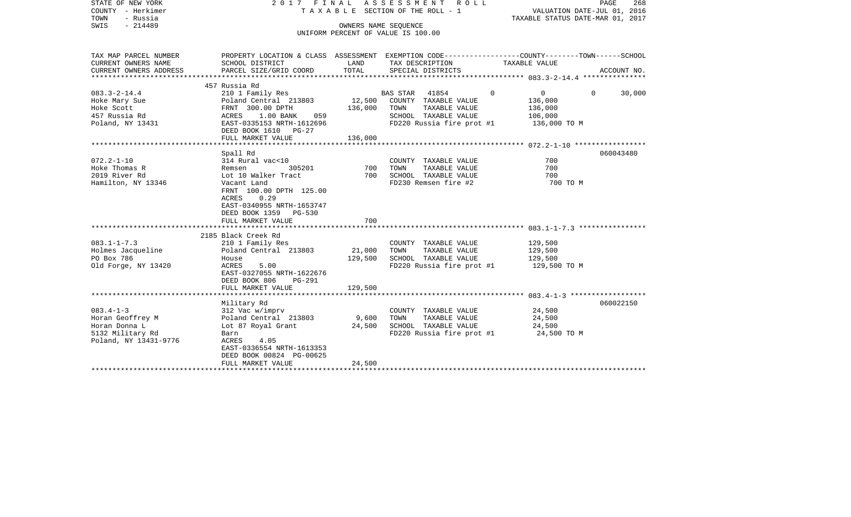| PROPERTY LOCATION & CLASS ASSESSMENT EXEMPTION CODE----------------COUNTY-------TOWN------SCHOOL<br>CURRENT OWNERS NAME<br>SCHOOL DISTRICT<br>LAND<br>TAX DESCRIPTION<br>TAXABLE VALUE<br>PARCEL SIZE/GRID COORD<br>TOTAL<br>SPECIAL DISTRICTS<br>ACCOUNT NO.<br>457 Russia Rd<br>210 1 Family Res<br>$083.3 - 2 - 14.4$<br>BAS STAR 41854<br>$\Omega$<br>$\overline{0}$<br>30,000<br>$\Omega$<br>12,500<br>Poland Central 213803<br>COUNTY TAXABLE VALUE<br>136,000<br>Hoke Mary Sue<br>Hoke Scott<br>FRNT 300.00 DPTH<br>136,000<br>TOWN<br>TAXABLE VALUE<br>136,000<br>ACRES 1.00 BANK<br>SCHOOL TAXABLE VALUE<br>059<br>106,000<br>EAST-0335153 NRTH-1612696<br>FD220 Russia fire prot #1<br>136,000 TO M<br>DEED BOOK 1610 PG-27<br>FULL MARKET VALUE<br>136,000<br>060043480<br>Spall Rd<br>$072.2 - 1 - 10$<br>314 Rural vac<10<br>700<br>COUNTY TAXABLE VALUE<br>700<br>700<br>Hoke Thomas R<br>305201<br>TOWN<br>TAXABLE VALUE<br>Remsen<br>2019 River Rd<br>700<br>SCHOOL TAXABLE VALUE<br>700<br>Lot 10 Walker Tract<br>Hamilton, NY 13346<br>FD230 Remsen fire #2<br>700 TO M<br>Vacant Land<br>FRNT 100.00 DPTH 125.00<br>0.29<br>ACRES<br>EAST-0340955 NRTH-1653747<br>DEED BOOK 1359 PG-530<br>FULL MARKET VALUE<br>700<br>2185 Black Creek Rd<br>210 1 Family Res<br>COUNTY TAXABLE VALUE<br>129,500<br>Poland Central 213803<br>21,000<br>TOWN<br>TAXABLE VALUE<br>129,500<br>129,500<br>SCHOOL TAXABLE VALUE<br>129,500<br>House<br>ACRES<br>5.00<br>FD220 Russia fire prot #1<br>129,500 TO M<br>EAST-0327055 NRTH-1622676<br>DEED BOOK 806<br>PG-291<br>FULL MARKET VALUE<br>129,500<br>060022150<br>Military Rd<br>24,500<br>312 Vac w/imprv<br>COUNTY TAXABLE VALUE<br>Horan Geoffrey M<br>Poland Central 213803<br>9,600<br>TOWN<br>TAXABLE VALUE<br>24,500<br>24,500<br>SCHOOL TAXABLE VALUE<br>Horan Donna L<br>Lot 87 Royal Grant<br>24,500<br>5132 Military Rd<br>24,500 TO M<br>FD220 Russia fire prot #1<br>Barn<br>ACRES<br>4.05<br>EAST-0336554 NRTH-1613353<br>DEED BOOK 00824 PG-00625 | STATE OF NEW YORK<br>COUNTY - Herkimer<br>- Russia<br>TOWN<br>$-214489$<br>SWIS | OWNERS NAME SEOUENCE | 2017 FINAL ASSESSMENT ROLL<br>T A X A B L E SECTION OF THE ROLL - 1<br>UNIFORM PERCENT OF VALUE IS 100.00 | PAGE<br>268<br>VALUATION DATE-JUL 01, 2016<br>TAXABLE STATUS DATE-MAR 01, 2017 |
|-------------------------------------------------------------------------------------------------------------------------------------------------------------------------------------------------------------------------------------------------------------------------------------------------------------------------------------------------------------------------------------------------------------------------------------------------------------------------------------------------------------------------------------------------------------------------------------------------------------------------------------------------------------------------------------------------------------------------------------------------------------------------------------------------------------------------------------------------------------------------------------------------------------------------------------------------------------------------------------------------------------------------------------------------------------------------------------------------------------------------------------------------------------------------------------------------------------------------------------------------------------------------------------------------------------------------------------------------------------------------------------------------------------------------------------------------------------------------------------------------------------------------------------------------------------------------------------------------------------------------------------------------------------------------------------------------------------------------------------------------------------------------------------------------------------------------------------------------------------------------------------------------------------------------------------------------------------------------------------------------------------------------|---------------------------------------------------------------------------------|----------------------|-----------------------------------------------------------------------------------------------------------|--------------------------------------------------------------------------------|
|                                                                                                                                                                                                                                                                                                                                                                                                                                                                                                                                                                                                                                                                                                                                                                                                                                                                                                                                                                                                                                                                                                                                                                                                                                                                                                                                                                                                                                                                                                                                                                                                                                                                                                                                                                                                                                                                                                                                                                                                                         | TAX MAP PARCEL NUMBER                                                           |                      |                                                                                                           |                                                                                |
|                                                                                                                                                                                                                                                                                                                                                                                                                                                                                                                                                                                                                                                                                                                                                                                                                                                                                                                                                                                                                                                                                                                                                                                                                                                                                                                                                                                                                                                                                                                                                                                                                                                                                                                                                                                                                                                                                                                                                                                                                         | CURRENT OWNERS ADDRESS                                                          |                      |                                                                                                           |                                                                                |
|                                                                                                                                                                                                                                                                                                                                                                                                                                                                                                                                                                                                                                                                                                                                                                                                                                                                                                                                                                                                                                                                                                                                                                                                                                                                                                                                                                                                                                                                                                                                                                                                                                                                                                                                                                                                                                                                                                                                                                                                                         |                                                                                 |                      |                                                                                                           |                                                                                |
|                                                                                                                                                                                                                                                                                                                                                                                                                                                                                                                                                                                                                                                                                                                                                                                                                                                                                                                                                                                                                                                                                                                                                                                                                                                                                                                                                                                                                                                                                                                                                                                                                                                                                                                                                                                                                                                                                                                                                                                                                         |                                                                                 |                      |                                                                                                           |                                                                                |
|                                                                                                                                                                                                                                                                                                                                                                                                                                                                                                                                                                                                                                                                                                                                                                                                                                                                                                                                                                                                                                                                                                                                                                                                                                                                                                                                                                                                                                                                                                                                                                                                                                                                                                                                                                                                                                                                                                                                                                                                                         |                                                                                 |                      |                                                                                                           |                                                                                |
|                                                                                                                                                                                                                                                                                                                                                                                                                                                                                                                                                                                                                                                                                                                                                                                                                                                                                                                                                                                                                                                                                                                                                                                                                                                                                                                                                                                                                                                                                                                                                                                                                                                                                                                                                                                                                                                                                                                                                                                                                         |                                                                                 |                      |                                                                                                           |                                                                                |
|                                                                                                                                                                                                                                                                                                                                                                                                                                                                                                                                                                                                                                                                                                                                                                                                                                                                                                                                                                                                                                                                                                                                                                                                                                                                                                                                                                                                                                                                                                                                                                                                                                                                                                                                                                                                                                                                                                                                                                                                                         | 457 Russia Rd                                                                   |                      |                                                                                                           |                                                                                |
|                                                                                                                                                                                                                                                                                                                                                                                                                                                                                                                                                                                                                                                                                                                                                                                                                                                                                                                                                                                                                                                                                                                                                                                                                                                                                                                                                                                                                                                                                                                                                                                                                                                                                                                                                                                                                                                                                                                                                                                                                         | Poland, NY 13431                                                                |                      |                                                                                                           |                                                                                |
|                                                                                                                                                                                                                                                                                                                                                                                                                                                                                                                                                                                                                                                                                                                                                                                                                                                                                                                                                                                                                                                                                                                                                                                                                                                                                                                                                                                                                                                                                                                                                                                                                                                                                                                                                                                                                                                                                                                                                                                                                         |                                                                                 |                      |                                                                                                           |                                                                                |
|                                                                                                                                                                                                                                                                                                                                                                                                                                                                                                                                                                                                                                                                                                                                                                                                                                                                                                                                                                                                                                                                                                                                                                                                                                                                                                                                                                                                                                                                                                                                                                                                                                                                                                                                                                                                                                                                                                                                                                                                                         |                                                                                 |                      |                                                                                                           |                                                                                |
|                                                                                                                                                                                                                                                                                                                                                                                                                                                                                                                                                                                                                                                                                                                                                                                                                                                                                                                                                                                                                                                                                                                                                                                                                                                                                                                                                                                                                                                                                                                                                                                                                                                                                                                                                                                                                                                                                                                                                                                                                         |                                                                                 |                      |                                                                                                           |                                                                                |
|                                                                                                                                                                                                                                                                                                                                                                                                                                                                                                                                                                                                                                                                                                                                                                                                                                                                                                                                                                                                                                                                                                                                                                                                                                                                                                                                                                                                                                                                                                                                                                                                                                                                                                                                                                                                                                                                                                                                                                                                                         |                                                                                 |                      |                                                                                                           |                                                                                |
|                                                                                                                                                                                                                                                                                                                                                                                                                                                                                                                                                                                                                                                                                                                                                                                                                                                                                                                                                                                                                                                                                                                                                                                                                                                                                                                                                                                                                                                                                                                                                                                                                                                                                                                                                                                                                                                                                                                                                                                                                         |                                                                                 |                      |                                                                                                           |                                                                                |
|                                                                                                                                                                                                                                                                                                                                                                                                                                                                                                                                                                                                                                                                                                                                                                                                                                                                                                                                                                                                                                                                                                                                                                                                                                                                                                                                                                                                                                                                                                                                                                                                                                                                                                                                                                                                                                                                                                                                                                                                                         |                                                                                 |                      |                                                                                                           |                                                                                |
|                                                                                                                                                                                                                                                                                                                                                                                                                                                                                                                                                                                                                                                                                                                                                                                                                                                                                                                                                                                                                                                                                                                                                                                                                                                                                                                                                                                                                                                                                                                                                                                                                                                                                                                                                                                                                                                                                                                                                                                                                         |                                                                                 |                      |                                                                                                           |                                                                                |
|                                                                                                                                                                                                                                                                                                                                                                                                                                                                                                                                                                                                                                                                                                                                                                                                                                                                                                                                                                                                                                                                                                                                                                                                                                                                                                                                                                                                                                                                                                                                                                                                                                                                                                                                                                                                                                                                                                                                                                                                                         |                                                                                 |                      |                                                                                                           |                                                                                |
|                                                                                                                                                                                                                                                                                                                                                                                                                                                                                                                                                                                                                                                                                                                                                                                                                                                                                                                                                                                                                                                                                                                                                                                                                                                                                                                                                                                                                                                                                                                                                                                                                                                                                                                                                                                                                                                                                                                                                                                                                         |                                                                                 |                      |                                                                                                           |                                                                                |
|                                                                                                                                                                                                                                                                                                                                                                                                                                                                                                                                                                                                                                                                                                                                                                                                                                                                                                                                                                                                                                                                                                                                                                                                                                                                                                                                                                                                                                                                                                                                                                                                                                                                                                                                                                                                                                                                                                                                                                                                                         |                                                                                 |                      |                                                                                                           |                                                                                |
|                                                                                                                                                                                                                                                                                                                                                                                                                                                                                                                                                                                                                                                                                                                                                                                                                                                                                                                                                                                                                                                                                                                                                                                                                                                                                                                                                                                                                                                                                                                                                                                                                                                                                                                                                                                                                                                                                                                                                                                                                         | $083.1 - 1 - 7.3$                                                               |                      |                                                                                                           |                                                                                |
|                                                                                                                                                                                                                                                                                                                                                                                                                                                                                                                                                                                                                                                                                                                                                                                                                                                                                                                                                                                                                                                                                                                                                                                                                                                                                                                                                                                                                                                                                                                                                                                                                                                                                                                                                                                                                                                                                                                                                                                                                         | Holmes Jacqueline                                                               |                      |                                                                                                           |                                                                                |
|                                                                                                                                                                                                                                                                                                                                                                                                                                                                                                                                                                                                                                                                                                                                                                                                                                                                                                                                                                                                                                                                                                                                                                                                                                                                                                                                                                                                                                                                                                                                                                                                                                                                                                                                                                                                                                                                                                                                                                                                                         | PO Box 786                                                                      |                      |                                                                                                           |                                                                                |
|                                                                                                                                                                                                                                                                                                                                                                                                                                                                                                                                                                                                                                                                                                                                                                                                                                                                                                                                                                                                                                                                                                                                                                                                                                                                                                                                                                                                                                                                                                                                                                                                                                                                                                                                                                                                                                                                                                                                                                                                                         | Old Forge, NY 13420                                                             |                      |                                                                                                           |                                                                                |
|                                                                                                                                                                                                                                                                                                                                                                                                                                                                                                                                                                                                                                                                                                                                                                                                                                                                                                                                                                                                                                                                                                                                                                                                                                                                                                                                                                                                                                                                                                                                                                                                                                                                                                                                                                                                                                                                                                                                                                                                                         |                                                                                 |                      |                                                                                                           |                                                                                |
|                                                                                                                                                                                                                                                                                                                                                                                                                                                                                                                                                                                                                                                                                                                                                                                                                                                                                                                                                                                                                                                                                                                                                                                                                                                                                                                                                                                                                                                                                                                                                                                                                                                                                                                                                                                                                                                                                                                                                                                                                         |                                                                                 |                      |                                                                                                           |                                                                                |
|                                                                                                                                                                                                                                                                                                                                                                                                                                                                                                                                                                                                                                                                                                                                                                                                                                                                                                                                                                                                                                                                                                                                                                                                                                                                                                                                                                                                                                                                                                                                                                                                                                                                                                                                                                                                                                                                                                                                                                                                                         | $083.4 - 1 - 3$                                                                 |                      |                                                                                                           |                                                                                |
|                                                                                                                                                                                                                                                                                                                                                                                                                                                                                                                                                                                                                                                                                                                                                                                                                                                                                                                                                                                                                                                                                                                                                                                                                                                                                                                                                                                                                                                                                                                                                                                                                                                                                                                                                                                                                                                                                                                                                                                                                         |                                                                                 |                      |                                                                                                           |                                                                                |
|                                                                                                                                                                                                                                                                                                                                                                                                                                                                                                                                                                                                                                                                                                                                                                                                                                                                                                                                                                                                                                                                                                                                                                                                                                                                                                                                                                                                                                                                                                                                                                                                                                                                                                                                                                                                                                                                                                                                                                                                                         |                                                                                 |                      |                                                                                                           |                                                                                |
| FULL MARKET VALUE                                                                                                                                                                                                                                                                                                                                                                                                                                                                                                                                                                                                                                                                                                                                                                                                                                                                                                                                                                                                                                                                                                                                                                                                                                                                                                                                                                                                                                                                                                                                                                                                                                                                                                                                                                                                                                                                                                                                                                                                       | Poland, NY 13431-9776                                                           | 24,500               |                                                                                                           |                                                                                |
|                                                                                                                                                                                                                                                                                                                                                                                                                                                                                                                                                                                                                                                                                                                                                                                                                                                                                                                                                                                                                                                                                                                                                                                                                                                                                                                                                                                                                                                                                                                                                                                                                                                                                                                                                                                                                                                                                                                                                                                                                         |                                                                                 |                      |                                                                                                           |                                                                                |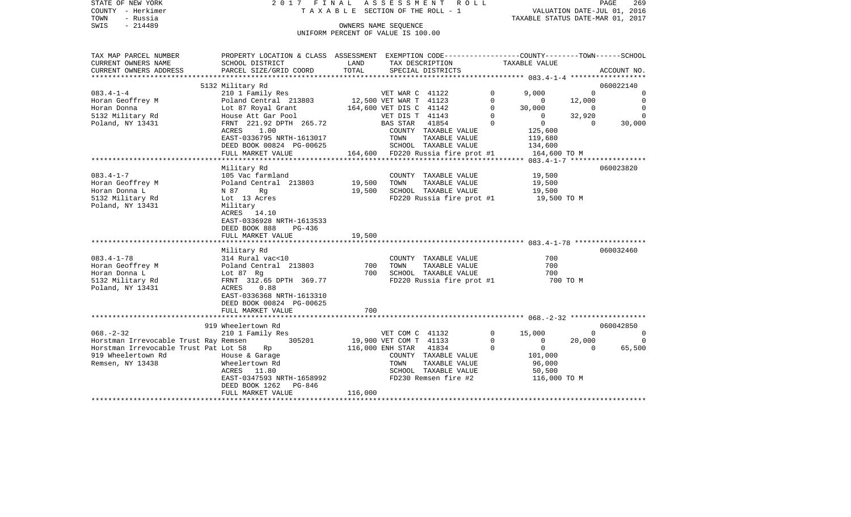|      | STATE OF NEW YORK |  | 2017 FINAL ASSESSMENT ROLL      |                                  | PAGE | 269 |
|------|-------------------|--|---------------------------------|----------------------------------|------|-----|
|      | COUNTY - Herkimer |  | TAXABLE SECTION OF THE ROLL - 1 | VALUATION DATE-JUL 01, 2016      |      |     |
| TOWN | - Russia          |  |                                 | TAXABLE STATUS DATE-MAR 01, 2017 |      |     |
| SWIS | $-214489$         |  | OWNERS NAME SEOUENCE            |                                  |      |     |

UNIFORM PERCENT OF VALUE IS 100.00

| TAX MAP PARCEL NUMBER                 | PROPERTY LOCATION & CLASS ASSESSMENT                              |                               |                 | EXEMPTION CODE-----------------COUNTY-------TOWN------SCHOOL |              |                |                |             |  |
|---------------------------------------|-------------------------------------------------------------------|-------------------------------|-----------------|--------------------------------------------------------------|--------------|----------------|----------------|-------------|--|
| CURRENT OWNERS NAME                   | SCHOOL DISTRICT                                                   | LAND                          |                 | TAX DESCRIPTION                                              |              | TAXABLE VALUE  |                |             |  |
| CURRENT OWNERS ADDRESS                | PARCEL SIZE/GRID COORD                                            | TOTAL                         |                 | SPECIAL DISTRICTS                                            |              |                |                | ACCOUNT NO. |  |
|                                       |                                                                   |                               |                 |                                                              |              |                |                |             |  |
|                                       | 5132 Military Rd                                                  |                               |                 |                                                              |              |                |                | 060022140   |  |
| $083.4 - 1 - 4$                       | 210 1 Family Res                                                  |                               | VET WAR C 41122 |                                                              | $\circ$      | 9,000          | $\mathbf 0$    | $\mathbf 0$ |  |
| Horan Geoffrey M                      | Poland Central 213803 12,500 VET WAR T 41123                      |                               |                 |                                                              | $\mathbf{0}$ | $\overline{0}$ | 12,000         | $\mathbf 0$ |  |
| Horan Donna                           | Lot 87 Royal Grant                                                | 164,600 VET DIS C 41142       |                 |                                                              | $\mathbf 0$  | 30,000         | $\overline{0}$ | $\Omega$    |  |
| 5132 Military Rd                      | House Att Gar Pool                                                |                               | VET DIS T 41143 |                                                              | $\Omega$     | $\circ$        | 32,920         | $\Omega$    |  |
| Poland, NY 13431                      | FRNT 221.92 DPTH 265.72                                           |                               | BAS STAR        | 41854                                                        | $\mathbf 0$  | $\overline{0}$ | $\Omega$       | 30,000      |  |
|                                       | ACRES 1.00                                                        |                               |                 | COUNTY TAXABLE VALUE                                         |              | 125,600        |                |             |  |
|                                       | EAST-0336795 NRTH-1613017                                         |                               | TOWN            | TAXABLE VALUE                                                |              | 119,680        |                |             |  |
|                                       | DEED BOOK 00824 PG-00625                                          |                               |                 | SCHOOL TAXABLE VALUE                                         |              | 134,600        |                |             |  |
|                                       | FULL MARKET VALUE                                                 |                               |                 | 164,600 FD220 Russia fire prot #1                            |              | 164,600 TO M   |                |             |  |
|                                       |                                                                   |                               |                 |                                                              |              |                |                |             |  |
|                                       | Military Rd                                                       |                               |                 |                                                              |              |                |                | 060023820   |  |
| $083.4 - 1 - 7$                       |                                                                   |                               |                 | COUNTY TAXABLE VALUE                                         |              | 19,500         |                |             |  |
| Horan Geoffrey M                      | 105 Vac farmland<br>Poland Central   213803                19,500 |                               | TOWN            | TAXABLE VALUE                                                |              | 19,500         |                |             |  |
| Horan Donna L                         | N 87<br>Rg                                                        | 19,500                        |                 | SCHOOL TAXABLE VALUE                                         |              | 19,500         |                |             |  |
| 5132 Military Rd                      | Lot 13 Acres                                                      |                               |                 | FD220 Russia fire prot #1 19,500 TO M                        |              |                |                |             |  |
| Poland, NY 13431                      | Military                                                          |                               |                 |                                                              |              |                |                |             |  |
|                                       | ACRES 14.10                                                       |                               |                 |                                                              |              |                |                |             |  |
|                                       | EAST-0336928 NRTH-1613533                                         |                               |                 |                                                              |              |                |                |             |  |
|                                       | DEED BOOK 888<br>PG-436                                           |                               |                 |                                                              |              |                |                |             |  |
|                                       | FULL MARKET VALUE                                                 | 19,500                        |                 |                                                              |              |                |                |             |  |
|                                       |                                                                   |                               |                 |                                                              |              |                |                |             |  |
|                                       | Military Rd                                                       |                               |                 |                                                              |              |                |                | 060032460   |  |
| $083.4 - 1 - 78$                      | 314 Rural vac<10                                                  |                               |                 | COUNTY TAXABLE VALUE                                         |              | 700            |                |             |  |
| Horan Geoffrey M                      | Poland Central 213803 700                                         |                               | TOWN            | TAXABLE VALUE                                                |              | 700            |                |             |  |
| Horan Donna L                         | Lot 87 Rg                                                         | 700                           |                 | SCHOOL TAXABLE VALUE                                         |              | 700            |                |             |  |
| 5132 Military Rd                      | FRNT 312.65 DPTH 369.77                                           |                               |                 | FD220 Russia fire prot #1                                    |              | 700 TO M       |                |             |  |
| Poland, NY 13431                      | ACRES 0.88                                                        |                               |                 |                                                              |              |                |                |             |  |
|                                       | EAST-0336368 NRTH-1613310                                         |                               |                 |                                                              |              |                |                |             |  |
|                                       | DEED BOOK 00824 PG-00625                                          |                               |                 |                                                              |              |                |                |             |  |
|                                       | FULL MARKET VALUE                                                 | 700                           |                 |                                                              |              |                |                |             |  |
|                                       |                                                                   |                               |                 |                                                              |              |                |                |             |  |
|                                       | 919 Wheelertown Rd                                                |                               |                 |                                                              |              |                |                | 060042850   |  |
| $068. - 2 - 32$                       | 210 1 Family Res                                                  |                               | VET COM C 41132 |                                                              | $\Omega$     | 15,000         | $\overline{0}$ | $\Omega$    |  |
| Horstman Irrevocable Trust Ray Remsen |                                                                   | 305201 19,900 VET COM T 41133 |                 |                                                              | $\Omega$     | $\mathbf{0}$   | 20,000         | $\Omega$    |  |
| Horstman Irrevocable Trust Pat Lot 58 | Rp                                                                | 116,000 ENH STAR              |                 | 41834                                                        | $\circ$      | $\overline{0}$ | $\Omega$       | 65,500      |  |
| 919 Wheelertown Rd                    | House & Garage                                                    |                               |                 | COUNTY TAXABLE VALUE                                         |              | 101,000        |                |             |  |
| Remsen, NY 13438                      | Wheelertown Rd                                                    |                               | TOWN            | TAXABLE VALUE                                                |              | 96,000         |                |             |  |
|                                       | ACRES 11.80                                                       |                               |                 | SCHOOL TAXABLE VALUE                                         |              | 50,500         |                |             |  |
|                                       | EAST-0347593 NRTH-1658992                                         |                               |                 | FD230 Remsen fire #2                                         |              | 116,000 TO M   |                |             |  |
|                                       | DEED BOOK 1262 PG-846                                             |                               |                 |                                                              |              |                |                |             |  |
|                                       | FULL MARKET VALUE                                                 | 116,000                       |                 |                                                              |              |                |                |             |  |
|                                       |                                                                   |                               |                 |                                                              |              |                |                |             |  |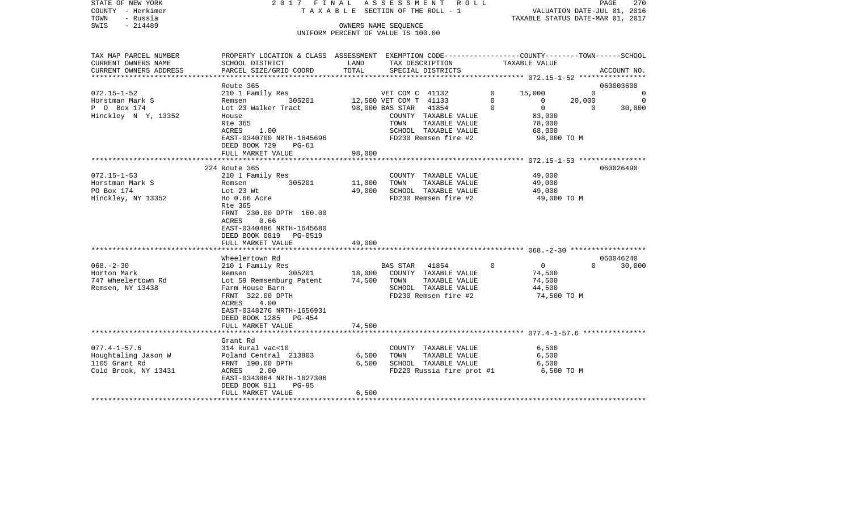| STATE OF NEW YORK<br>COUNTY - Herkimer<br>TOWN<br>- Russia | 2017 FINAL                                                                                     |        | A S S E S S M E N T R O L L<br>TAXABLE SECTION OF THE ROLL - 1 |          | VALUATION DATE-JUL 01, 2016<br>TAXABLE STATUS DATE-MAR 01, 2017 |            | PAGE<br>270    |
|------------------------------------------------------------|------------------------------------------------------------------------------------------------|--------|----------------------------------------------------------------|----------|-----------------------------------------------------------------|------------|----------------|
| $-214489$<br>SWIS                                          |                                                                                                |        | OWNERS NAME SEQUENCE                                           |          |                                                                 |            |                |
|                                                            |                                                                                                |        | UNIFORM PERCENT OF VALUE IS 100.00                             |          |                                                                 |            |                |
|                                                            |                                                                                                |        |                                                                |          |                                                                 |            |                |
| TAX MAP PARCEL NUMBER                                      | PROPERTY LOCATION & CLASS ASSESSMENT EXEMPTION CODE---------------COUNTY-------TOWN-----SCHOOL |        |                                                                |          |                                                                 |            |                |
| CURRENT OWNERS NAME                                        | SCHOOL DISTRICT                                                                                | LAND   | TAX DESCRIPTION                                                |          | TAXABLE VALUE                                                   |            |                |
| CURRENT OWNERS ADDRESS<br>***********************          | PARCEL SIZE/GRID COORD                                                                         | TOTAL  | SPECIAL DISTRICTS                                              |          |                                                                 |            | ACCOUNT NO.    |
|                                                            | Route 365                                                                                      |        |                                                                |          |                                                                 |            | 060003600      |
| $072.15 - 1 - 52$                                          | 210 1 Family Res                                                                               |        | VET COM C 41132                                                | $\Omega$ | 15,000                                                          | $\Omega$   | $\Omega$       |
| Horstman Mark S                                            | Remsen<br>305201                                                                               |        | 12,500 VET COM T 41133                                         | $\Omega$ | $\overline{0}$                                                  | 20,000     | $\overline{0}$ |
| P 0 Box 174                                                | Lot 23 Walker Tract                                                                            |        | 98,000 BAS STAR 41854                                          | $\Omega$ | $\overline{0}$                                                  | $\bigcirc$ | 30,000         |
| Hinckley N Y, 13352                                        | House                                                                                          |        | COUNTY TAXABLE VALUE                                           |          | 83,000                                                          |            |                |
|                                                            | Rte 365                                                                                        |        | TAXABLE VALUE<br>TOWN                                          |          | 78,000                                                          |            |                |
|                                                            | ACRES<br>1.00                                                                                  |        | SCHOOL TAXABLE VALUE                                           |          | 68,000                                                          |            |                |
|                                                            | EAST-0340700 NRTH-1645696<br>DEED BOOK 729<br>PG-61                                            |        | FD230 Remsen fire #2                                           |          | 98,000 TO M                                                     |            |                |
|                                                            | FULL MARKET VALUE                                                                              | 98,000 |                                                                |          |                                                                 |            |                |
|                                                            |                                                                                                |        |                                                                |          |                                                                 |            |                |
|                                                            | 224 Route 365                                                                                  |        |                                                                |          |                                                                 |            | 060026490      |
| $072.15 - 1 - 53$                                          | 210 1 Family Res                                                                               |        | COUNTY TAXABLE VALUE                                           |          | 49,000                                                          |            |                |
| Horstman Mark S                                            | 305201<br>Remsen                                                                               | 11,000 | TOWN<br>TAXABLE VALUE                                          |          | 49,000                                                          |            |                |
| PO Box 174                                                 | Lot 23 Wt                                                                                      | 49,000 | SCHOOL TAXABLE VALUE                                           |          | 49,000                                                          |            |                |
| Hinckley, NY 13352                                         | Ho 0.66 Acre<br>Rte 365                                                                        |        | FD230 Remsen fire #2                                           |          | 49,000 TO M                                                     |            |                |
|                                                            | FRNT 230.00 DPTH 160.00                                                                        |        |                                                                |          |                                                                 |            |                |
|                                                            | ACRES<br>0.66                                                                                  |        |                                                                |          |                                                                 |            |                |
|                                                            | EAST-0340486 NRTH-1645680                                                                      |        |                                                                |          |                                                                 |            |                |
|                                                            | DEED BOOK 0819 PG-0519                                                                         |        |                                                                |          |                                                                 |            |                |
|                                                            | FULL MARKET VALUE                                                                              | 49,000 |                                                                |          |                                                                 |            |                |
|                                                            | Wheelertown Rd                                                                                 |        |                                                                |          |                                                                 |            | 060046240      |
| $068. - 2 - 30$                                            | 210 1 Family Res                                                                               |        | BAS STAR 41854                                                 | $\Omega$ | $\overline{0}$                                                  | $\Omega$   | 30,000         |
| Horton Mark                                                | Remsen 305201                                                                                  |        | 18,000 COUNTY TAXABLE VALUE                                    |          | 74,500                                                          |            |                |
| 747 Wheelertown Rd                                         | Lot 59 Remsenburg Patent 74,500 TOWN                                                           |        | TAXABLE VALUE                                                  |          | 74,500                                                          |            |                |
| Remsen, NY 13438                                           | Farm House Barn                                                                                |        | SCHOOL TAXABLE VALUE                                           |          | 44,500                                                          |            |                |
|                                                            | FRNT 322.00 DPTH                                                                               |        | FD230 Remsen fire #2                                           |          | 74,500 TO M                                                     |            |                |
|                                                            | 4.00<br>ACRES                                                                                  |        |                                                                |          |                                                                 |            |                |
|                                                            | EAST-0348276 NRTH-1656931                                                                      |        |                                                                |          |                                                                 |            |                |
|                                                            | DEED BOOK 1285 PG-454<br>FULL MARKET VALUE                                                     | 74,500 |                                                                |          |                                                                 |            |                |
|                                                            |                                                                                                |        |                                                                |          |                                                                 |            |                |
|                                                            | Grant Rd                                                                                       |        |                                                                |          |                                                                 |            |                |
| $077.4 - 1 - 57.6$                                         | 314 Rural vac<10                                                                               |        | COUNTY TAXABLE VALUE                                           |          | 6,500                                                           |            |                |
| Houghtaling Jason W                                        | Poland Central 213803                                                                          | 6,500  | TOWN<br>TAXABLE VALUE                                          |          | 6,500                                                           |            |                |
| 1105 Grant Rd                                              | FRNT 190.00 DPTH                                                                               | 6,500  | SCHOOL TAXABLE VALUE                                           |          | 6,500                                                           |            |                |
| Cold Brook, NY 13431                                       | ACRES<br>2.00                                                                                  |        | FD220 Russia fire prot #1                                      |          | 6,500 TO M                                                      |            |                |
|                                                            | EAST-0343864 NRTH-1627306<br>DEED BOOK 911<br><b>PG-95</b>                                     |        |                                                                |          |                                                                 |            |                |
|                                                            | FULL MARKET VALUE                                                                              | 6,500  |                                                                |          |                                                                 |            |                |
|                                                            |                                                                                                |        |                                                                |          |                                                                 |            |                |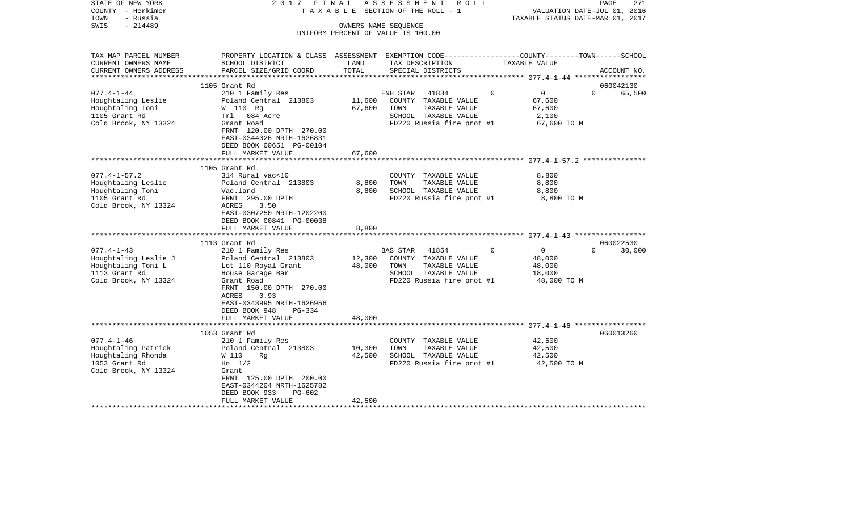| STATE OF NEW YORK<br>COUNTY - Herkimer | 2017 FINAL                                                                                     |          | A S S E S S M E N T R O L L<br>TAXABLE SECTION OF THE ROLL - 1 |                                                            | PAGE<br>271<br>VALUATION DATE-JUL 01, 2016 |
|----------------------------------------|------------------------------------------------------------------------------------------------|----------|----------------------------------------------------------------|------------------------------------------------------------|--------------------------------------------|
| - Russia<br>TOWN                       |                                                                                                |          |                                                                |                                                            | TAXABLE STATUS DATE-MAR 01, 2017           |
| $-214489$<br>SWIS                      |                                                                                                |          | OWNERS NAME SEQUENCE                                           |                                                            |                                            |
|                                        |                                                                                                |          | UNIFORM PERCENT OF VALUE IS 100.00                             |                                                            |                                            |
|                                        |                                                                                                |          |                                                                |                                                            |                                            |
| TAX MAP PARCEL NUMBER                  | PROPERTY LOCATION & CLASS ASSESSMENT EXEMPTION CODE---------------COUNTY-------TOWN-----SCHOOL |          |                                                                |                                                            |                                            |
| CURRENT OWNERS NAME                    | SCHOOL DISTRICT                                                                                | LAND     | TAX DESCRIPTION                                                | TAXABLE VALUE                                              |                                            |
| CURRENT OWNERS ADDRESS                 | PARCEL SIZE/GRID COORD                                                                         | TOTAL    | SPECIAL DISTRICTS                                              |                                                            | ACCOUNT NO.                                |
|                                        |                                                                                                |          |                                                                |                                                            |                                            |
|                                        | 1105 Grant Rd                                                                                  |          |                                                                |                                                            | 060042130                                  |
| $077.4 - 1 - 44$                       | 210 1 Family Res                                                                               |          | ENH STAR<br>41834                                              | $\overline{0}$<br>$\Omega$                                 | $\Omega$<br>65,500                         |
| Houghtaling Leslie                     | Poland Central 213803                                                                          | 11,600   | COUNTY TAXABLE VALUE                                           | 67,600                                                     |                                            |
| Houghtaling Toni                       | W 110 Rg                                                                                       | 67,600   | TAXABLE VALUE<br>TOWN                                          | 67,600                                                     |                                            |
| 1105 Grant Rd                          | Trl 084 Acre                                                                                   |          | SCHOOL TAXABLE VALUE                                           | 2,100                                                      |                                            |
| Cold Brook, NY 13324                   | Grant Road                                                                                     |          | FD220 Russia fire prot #1                                      | 67,600 TO M                                                |                                            |
|                                        | FRNT 120.00 DPTH 270.00                                                                        |          |                                                                |                                                            |                                            |
|                                        | EAST-0344026 NRTH-1626831                                                                      |          |                                                                |                                                            |                                            |
|                                        | DEED BOOK 00651 PG-00104<br>FULL MARKET VALUE                                                  | 67,600   |                                                                |                                                            |                                            |
|                                        | **********************                                                                         | ******** |                                                                | ***************************** 077.4-1-57.2 *************** |                                            |
|                                        | 1105 Grant Rd                                                                                  |          |                                                                |                                                            |                                            |
| $077.4 - 1 - 57.2$                     | 314 Rural vac<10                                                                               |          | COUNTY TAXABLE VALUE                                           | 8,800                                                      |                                            |
| Houghtaling Leslie                     | Poland Central 213803                                                                          | 8,800    | TOWN<br>TAXABLE VALUE                                          | 8,800                                                      |                                            |
| Houghtaling Toni                       | Vac.land                                                                                       | 8,800    | SCHOOL TAXABLE VALUE                                           | 8,800                                                      |                                            |
| 1105 Grant Rd                          | FRNT 295.00 DPTH                                                                               |          | FD220 Russia fire prot #1                                      | 8,800 TO M                                                 |                                            |
| Cold Brook, NY 13324                   | ACRES<br>3.50                                                                                  |          |                                                                |                                                            |                                            |
|                                        | EAST-0307250 NRTH-1202200                                                                      |          |                                                                |                                                            |                                            |
|                                        | DEED BOOK 00841 PG-00038                                                                       |          |                                                                |                                                            |                                            |
|                                        | FULL MARKET VALUE                                                                              | 8,800    |                                                                |                                                            |                                            |
|                                        |                                                                                                |          |                                                                |                                                            |                                            |
|                                        | 1113 Grant Rd                                                                                  |          |                                                                |                                                            | 060022530                                  |
| $077.4 - 1 - 43$                       | 210 1 Family Res                                                                               |          | 41854<br>BAS STAR                                              | $\Omega$<br>$\overline{0}$                                 | $\Omega$<br>30,000                         |
| Houghtaling Leslie J                   | Poland Central 213803                                                                          | 12,300   | COUNTY TAXABLE VALUE                                           | 48,000                                                     |                                            |
| Houghtaling Toni L                     | Lot 110 Royal Grant                                                                            | 48,000   | TOWN<br>TAXABLE VALUE                                          | 48,000                                                     |                                            |
| 1113 Grant Rd<br>Cold Brook, NY 13324  | House Garage Bar<br>Grant Road                                                                 |          | SCHOOL TAXABLE VALUE                                           | 18,000                                                     |                                            |
|                                        | FRNT 150.00 DPTH 270.00                                                                        |          | FD220 Russia fire prot #1                                      | 48,000 TO M                                                |                                            |
|                                        | ACRES<br>0.93                                                                                  |          |                                                                |                                                            |                                            |
|                                        | EAST-0343995 NRTH-1626956                                                                      |          |                                                                |                                                            |                                            |
|                                        | DEED BOOK 948<br>$PG-334$                                                                      |          |                                                                |                                                            |                                            |
|                                        | FULL MARKET VALUE                                                                              | 48,000   |                                                                |                                                            |                                            |
|                                        |                                                                                                |          |                                                                |                                                            |                                            |
|                                        | 1053 Grant Rd                                                                                  |          |                                                                |                                                            | 060013260                                  |
| $077.4 - 1 - 46$                       | 210 1 Family Res                                                                               |          | COUNTY TAXABLE VALUE                                           | 42,500                                                     |                                            |
| Houghtaling Patrick                    | Poland Central 213803                                                                          | 10,300   | TAXABLE VALUE<br>TOWN                                          | 42,500                                                     |                                            |
| Houghtaling Rhonda                     | W 110<br>Rq                                                                                    | 42,500   | SCHOOL TAXABLE VALUE                                           | 42,500                                                     |                                            |
| 1053 Grant Rd                          | $H_0$ 1/2                                                                                      |          | FD220 Russia fire prot #1                                      | 42,500 TO M                                                |                                            |
| Cold Brook, NY 13324                   | Grant                                                                                          |          |                                                                |                                                            |                                            |
|                                        | FRNT 125.00 DPTH 200.00                                                                        |          |                                                                |                                                            |                                            |
|                                        | EAST-0344204 NRTH-1625782                                                                      |          |                                                                |                                                            |                                            |
|                                        | DEED BOOK 933<br>PG-602                                                                        |          |                                                                |                                                            |                                            |
|                                        | FULL MARKET VALUE                                                                              | 42,500   |                                                                |                                                            |                                            |
|                                        |                                                                                                |          |                                                                |                                                            |                                            |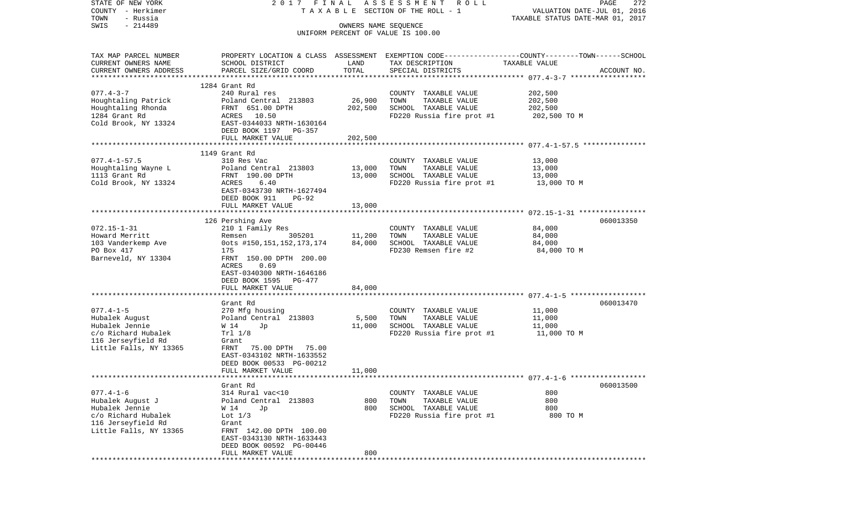| STATE OF NEW YORK                     | 2017 FINAL                                    |                      | A S S E S S M E N T R O L L                                                                     |                                  | 272<br>PAGE |
|---------------------------------------|-----------------------------------------------|----------------------|-------------------------------------------------------------------------------------------------|----------------------------------|-------------|
| COUNTY - Herkimer                     |                                               |                      | T A X A B L E SECTION OF THE ROLL - 1                                                           | VALUATION DATE-JUL 01, 2016      |             |
| TOWN<br>- Russia<br>$-214489$<br>SWIS |                                               | OWNERS NAME SEOUENCE |                                                                                                 | TAXABLE STATUS DATE-MAR 01, 2017 |             |
|                                       |                                               |                      | UNIFORM PERCENT OF VALUE IS 100.00                                                              |                                  |             |
|                                       |                                               |                      |                                                                                                 |                                  |             |
|                                       |                                               |                      |                                                                                                 |                                  |             |
| TAX MAP PARCEL NUMBER                 |                                               |                      | PROPERTY LOCATION & CLASS ASSESSMENT EXEMPTION CODE---------------COUNTY-------TOWN------SCHOOL |                                  |             |
| CURRENT OWNERS NAME                   | SCHOOL DISTRICT                               | LAND<br>TOTAL        | TAX DESCRIPTION                                                                                 | TAXABLE VALUE                    |             |
| CURRENT OWNERS ADDRESS                | PARCEL SIZE/GRID COORD                        |                      | SPECIAL DISTRICTS                                                                               |                                  | ACCOUNT NO. |
|                                       | 1284 Grant Rd                                 |                      |                                                                                                 |                                  |             |
| $077.4 - 3 - 7$                       | 240 Rural res                                 |                      | COUNTY TAXABLE VALUE                                                                            | 202,500                          |             |
| Houghtaling Patrick                   | Poland Central 213803                         | 26,900               | TOWN<br>TAXABLE VALUE                                                                           | 202,500                          |             |
| Houghtaling Rhonda                    | FRNT 651.00 DPTH                              | 202,500              | SCHOOL TAXABLE VALUE                                                                            | 202,500                          |             |
| 1284 Grant Rd                         | ACRES 10.50                                   |                      | FD220 Russia fire prot #1                                                                       | 202,500 TO M                     |             |
| Cold Brook, NY 13324                  | EAST-0344033 NRTH-1630164                     |                      |                                                                                                 |                                  |             |
|                                       | DEED BOOK 1197 PG-357                         |                      |                                                                                                 |                                  |             |
|                                       | FULL MARKET VALUE                             | 202,500              |                                                                                                 |                                  |             |
|                                       | 1149 Grant Rd                                 |                      |                                                                                                 |                                  |             |
| $077.4 - 1 - 57.5$                    | 310 Res Vac                                   |                      | COUNTY TAXABLE VALUE                                                                            | 13,000                           |             |
| Houghtaling Wayne L                   | Poland Central 213803                         | 13,000               | TOWN<br>TAXABLE VALUE                                                                           | 13,000                           |             |
| 1113 Grant Rd                         | FRNT 190.00 DPTH                              | 13,000               | SCHOOL TAXABLE VALUE                                                                            | 13,000                           |             |
| Cold Brook, NY 13324                  | ACRES<br>6.40                                 |                      | FD220 Russia fire prot #1 13,000 TO M                                                           |                                  |             |
|                                       | EAST-0343730 NRTH-1627494                     |                      |                                                                                                 |                                  |             |
|                                       | DEED BOOK 911<br>$PG-92$                      |                      |                                                                                                 |                                  |             |
|                                       | FULL MARKET VALUE                             | 13,000               |                                                                                                 |                                  |             |
|                                       | 126 Pershing Ave                              |                      |                                                                                                 |                                  | 060013350   |
| $072.15 - 1 - 31$                     | 210 1 Family Res                              |                      | COUNTY TAXABLE VALUE                                                                            | 84,000                           |             |
| Howard Merritt                        | Remsen                                        | 305201 11,200        | TAXABLE VALUE<br>TOWN                                                                           | 84,000                           |             |
| 103 Vanderkemp Ave                    | 0ots #150,151,152,173,174                     | 84,000               | SCHOOL TAXABLE VALUE                                                                            | 84,000                           |             |
| PO Box 417                            | 175                                           |                      | FD230 Remsen fire #2                                                                            | 84,000 TO M                      |             |
| Barneveld, NY 13304                   | FRNT 150.00 DPTH 200.00                       |                      |                                                                                                 |                                  |             |
|                                       | ACRES<br>0.69                                 |                      |                                                                                                 |                                  |             |
|                                       | EAST-0340300 NRTH-1646186                     |                      |                                                                                                 |                                  |             |
|                                       | DEED BOOK 1595<br>PG-477                      |                      |                                                                                                 |                                  |             |
|                                       | FULL MARKET VALUE                             | 84,000               |                                                                                                 |                                  |             |
|                                       | Grant Rd                                      |                      |                                                                                                 |                                  | 060013470   |
| $077.4 - 1 - 5$                       | 270 Mfg housing                               |                      | COUNTY TAXABLE VALUE                                                                            | 11,000                           |             |
| Hubalek August                        | Poland Central 213803                         | 5,500                | TOWN<br>TAXABLE VALUE                                                                           | 11,000                           |             |
| Hubalek Jennie                        | W 14<br>Jp                                    | 11,000               | SCHOOL TAXABLE VALUE                                                                            | 11,000                           |             |
| c/o Richard Hubalek                   | Trl 1/8                                       |                      | FD220 Russia fire prot #1                                                                       | 11,000 TO M                      |             |
| 116 Jerseyfield Rd                    | Grant                                         |                      |                                                                                                 |                                  |             |
| Little Falls, NY 13365                | FRNT 75.00 DPTH 75.00                         |                      |                                                                                                 |                                  |             |
|                                       | EAST-0343102 NRTH-1633552                     |                      |                                                                                                 |                                  |             |
|                                       | DEED BOOK 00533 PG-00212                      |                      |                                                                                                 |                                  |             |
|                                       | FULL MARKET VALUE                             | 11,000               |                                                                                                 |                                  |             |
|                                       | Grant Rd                                      |                      |                                                                                                 |                                  | 060013500   |
| $077.4 - 1 - 6$                       | 314 Rural vac<10                              |                      | COUNTY TAXABLE VALUE                                                                            | 800                              |             |
| Hubalek August J                      | Poland Central 213803                         | 800                  | TOWN<br>TAXABLE VALUE                                                                           | 800                              |             |
| Hubalek Jennie                        | W 14<br>Jp                                    | 800                  | SCHOOL TAXABLE VALUE                                                                            | 800                              |             |
| c/o Richard Hubalek                   | Lot $1/3$                                     |                      | FD220 Russia fire prot #1                                                                       | 800 TO M                         |             |
| 116 Jerseyfield Rd                    | Grant                                         |                      |                                                                                                 |                                  |             |
| Little Falls, NY 13365                | FRNT 142.00 DPTH 100.00                       |                      |                                                                                                 |                                  |             |
|                                       | EAST-0343130 NRTH-1633443                     |                      |                                                                                                 |                                  |             |
|                                       | DEED BOOK 00592 PG-00446<br>FULL MARKET VALUE | 800                  |                                                                                                 |                                  |             |
|                                       |                                               |                      |                                                                                                 |                                  |             |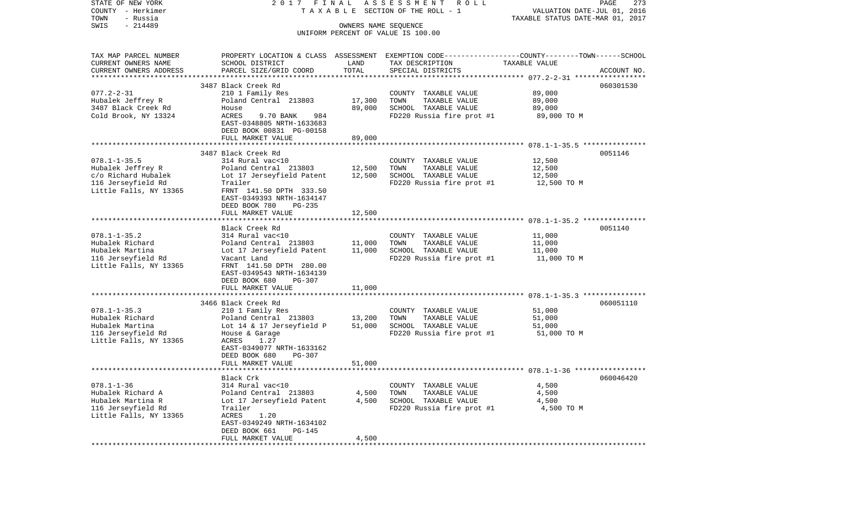| STATE OF NEW YORK                            | 2017 FINAL                                           |                      | ASSESSMENT<br>R O L L                                                                           |                                                                 | PAGE<br>273 |
|----------------------------------------------|------------------------------------------------------|----------------------|-------------------------------------------------------------------------------------------------|-----------------------------------------------------------------|-------------|
| COUNTY - Herkimer<br>- Russia<br>TOWN        |                                                      |                      | T A X A B L E SECTION OF THE ROLL - 1                                                           | VALUATION DATE-JUL 01, 2016<br>TAXABLE STATUS DATE-MAR 01, 2017 |             |
| $-214489$<br>SWIS                            |                                                      | OWNERS NAME SEQUENCE |                                                                                                 |                                                                 |             |
|                                              |                                                      |                      | UNIFORM PERCENT OF VALUE IS 100.00                                                              |                                                                 |             |
|                                              |                                                      |                      |                                                                                                 |                                                                 |             |
|                                              |                                                      |                      | PROPERTY LOCATION & CLASS ASSESSMENT EXEMPTION CODE---------------COUNTY-------TOWN------SCHOOL |                                                                 |             |
| TAX MAP PARCEL NUMBER<br>CURRENT OWNERS NAME | SCHOOL DISTRICT                                      | LAND                 | TAX DESCRIPTION                                                                                 | TAXABLE VALUE                                                   |             |
| CURRENT OWNERS ADDRESS                       | PARCEL SIZE/GRID COORD                               | TOTAL                | SPECIAL DISTRICTS                                                                               |                                                                 | ACCOUNT NO. |
| *************************                    |                                                      |                      |                                                                                                 |                                                                 |             |
|                                              | 3487 Black Creek Rd                                  |                      |                                                                                                 |                                                                 | 060301530   |
| $077.2 - 2 - 31$                             | 210 1 Family Res                                     |                      | COUNTY TAXABLE VALUE                                                                            | 89,000                                                          |             |
| Hubalek Jeffrey R                            | Poland Central 213803                                | 17,300               | TAXABLE VALUE<br>TOWN                                                                           | 89,000                                                          |             |
| 3487 Black Creek Rd                          | House                                                | 89,000               | SCHOOL TAXABLE VALUE                                                                            | 89,000                                                          |             |
| Cold Brook, NY 13324                         | ACRES<br>9.70 BANK<br>984                            |                      | FD220 Russia fire prot #1                                                                       | 89,000 TO M                                                     |             |
|                                              | EAST-0348805 NRTH-1633683                            |                      |                                                                                                 |                                                                 |             |
|                                              | DEED BOOK 00831 PG-00158                             |                      |                                                                                                 |                                                                 |             |
|                                              | FULL MARKET VALUE                                    | 89,000               |                                                                                                 |                                                                 |             |
|                                              |                                                      |                      |                                                                                                 |                                                                 |             |
|                                              | 3487 Black Creek Rd                                  |                      |                                                                                                 |                                                                 | 0051146     |
| $078.1 - 1 - 35.5$                           | 314 Rural vac<10                                     |                      | COUNTY TAXABLE VALUE                                                                            | 12,500                                                          |             |
| Hubalek Jeffrey R                            | Poland Central 213803                                | 12,500               | TAXABLE VALUE<br>TOWN                                                                           | 12,500                                                          |             |
| c/o Richard Hubalek                          | Lot 17 Jerseyfield Patent                            | 12,500               | SCHOOL TAXABLE VALUE                                                                            | 12,500                                                          |             |
| 116 Jerseyfield Rd<br>Little Falls, NY 13365 | Trailer<br>FRNT 141.50 DPTH 333.50                   |                      | FD220 Russia fire prot #1                                                                       | 12,500 TO M                                                     |             |
|                                              | EAST-0349393 NRTH-1634147                            |                      |                                                                                                 |                                                                 |             |
|                                              | DEED BOOK 780<br>PG-235                              |                      |                                                                                                 |                                                                 |             |
|                                              | FULL MARKET VALUE                                    | 12,500               |                                                                                                 |                                                                 |             |
|                                              |                                                      |                      |                                                                                                 |                                                                 |             |
|                                              | Black Creek Rd                                       |                      |                                                                                                 |                                                                 | 0051140     |
| $078.1 - 1 - 35.2$                           | 314 Rural vac<10                                     |                      | COUNTY TAXABLE VALUE                                                                            | 11,000                                                          |             |
| Hubalek Richard                              | Poland Central 213803                                | 11,000               | TAXABLE VALUE<br>TOWN                                                                           | 11,000                                                          |             |
| Hubalek Martina                              | Lot 17 Jerseyfield Patent                            | 11,000               | SCHOOL TAXABLE VALUE                                                                            | 11,000                                                          |             |
| 116 Jerseyfield Rd                           | Vacant Land                                          |                      | FD220 Russia fire prot #1                                                                       | 11,000 TO M                                                     |             |
| Little Falls, NY 13365                       | FRNT 141.50 DPTH 280.00                              |                      |                                                                                                 |                                                                 |             |
|                                              | EAST-0349543 NRTH-1634139                            |                      |                                                                                                 |                                                                 |             |
|                                              | DEED BOOK 680<br>PG-307                              |                      |                                                                                                 |                                                                 |             |
|                                              | FULL MARKET VALUE                                    | 11,000               |                                                                                                 |                                                                 |             |
|                                              |                                                      |                      |                                                                                                 |                                                                 |             |
| $078.1 - 1 - 35.3$                           | 3466 Black Creek Rd                                  |                      |                                                                                                 | 51,000                                                          | 060051110   |
| Hubalek Richard                              | 210 1 Family Res<br>Poland Central 213803            | 13,200               | COUNTY TAXABLE VALUE<br>TOWN<br>TAXABLE VALUE                                                   | 51,000                                                          |             |
| Hubalek Martina                              | Lot 14 & 17 Jerseyfield P                            | 51,000               | SCHOOL TAXABLE VALUE                                                                            | 51,000                                                          |             |
| 116 Jerseyfield Rd                           | House & Garage                                       |                      | FD220 Russia fire prot #1                                                                       | 51,000 TO M                                                     |             |
| Little Falls, NY 13365                       | ACRES<br>1.27                                        |                      |                                                                                                 |                                                                 |             |
|                                              | EAST-0349077 NRTH-1633162                            |                      |                                                                                                 |                                                                 |             |
|                                              | DEED BOOK 680<br>PG-307                              |                      |                                                                                                 |                                                                 |             |
|                                              | FULL MARKET VALUE                                    | 51,000               |                                                                                                 |                                                                 |             |
|                                              |                                                      |                      |                                                                                                 |                                                                 |             |
|                                              | Black Crk                                            |                      |                                                                                                 |                                                                 | 060046420   |
| $078.1 - 1 - 36$                             | 314 Rural vac<10                                     |                      | COUNTY TAXABLE VALUE                                                                            | 4,500                                                           |             |
| Hubalek Richard A                            | Poland Central 213803                                | 4,500                | TOWN<br>TAXABLE VALUE                                                                           | 4,500                                                           |             |
| Hubalek Martina R                            | Lot 17 Jerseyfield Patent                            | 4,500                | SCHOOL TAXABLE VALUE                                                                            | 4,500                                                           |             |
| 116 Jerseyfield Rd                           | Trailer                                              |                      | FD220 Russia fire prot #1                                                                       | 4,500 TO M                                                      |             |
| Little Falls, NY 13365                       | ACRES<br>1.20                                        |                      |                                                                                                 |                                                                 |             |
|                                              | EAST-0349249 NRTH-1634102<br>DEED BOOK 661<br>PG-145 |                      |                                                                                                 |                                                                 |             |
|                                              | FULL MARKET VALUE                                    | 4,500                |                                                                                                 |                                                                 |             |
|                                              | ********************                                 |                      |                                                                                                 |                                                                 |             |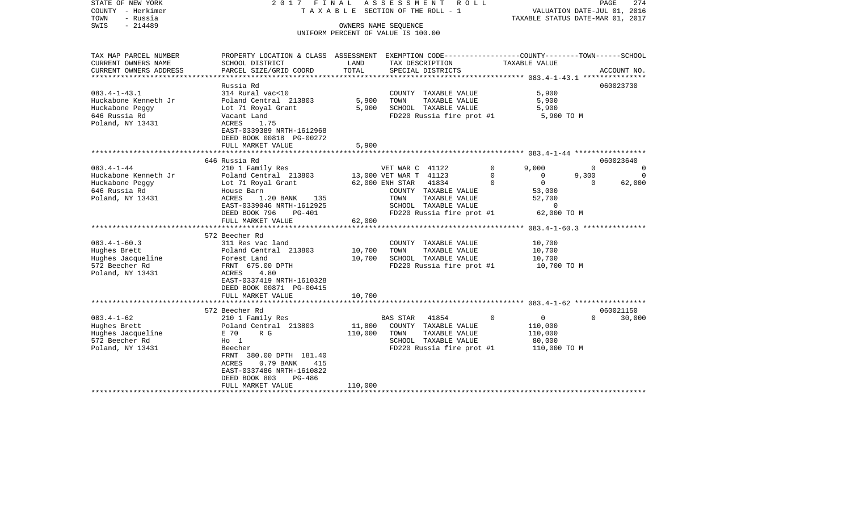| COUNTY<br>– Herkimer<br>TOWN<br>- Russia<br>SWIS<br>$-214489$                                                          |                                                                                                                                                                                                                                                               |                                  | T A X A B L E SECTION OF THE ROLL - 1<br>OWNERS NAME SEOUENCE<br>UNIFORM PERCENT OF VALUE IS 100.00                                                                                                 |                              | VALUATION DATE-JUL 01, 2016<br>TAXABLE STATUS DATE-MAR 01, 2017                                              |                               |                                   |  |
|------------------------------------------------------------------------------------------------------------------------|---------------------------------------------------------------------------------------------------------------------------------------------------------------------------------------------------------------------------------------------------------------|----------------------------------|-----------------------------------------------------------------------------------------------------------------------------------------------------------------------------------------------------|------------------------------|--------------------------------------------------------------------------------------------------------------|-------------------------------|-----------------------------------|--|
| TAX MAP PARCEL NUMBER<br>CURRENT OWNERS NAME<br>CURRENT OWNERS ADDRESS                                                 | PROPERTY LOCATION & CLASS ASSESSMENT EXEMPTION CODE---------------COUNTY-------TOWN-----SCHOOL<br>SCHOOL DISTRICT<br>PARCEL SIZE/GRID COORD                                                                                                                   | LAND<br>TOTAL                    | TAX DESCRIPTION<br>SPECIAL DISTRICTS                                                                                                                                                                |                              | TAXABLE VALUE                                                                                                |                               | ACCOUNT NO.                       |  |
| *********************                                                                                                  |                                                                                                                                                                                                                                                               |                                  |                                                                                                                                                                                                     |                              |                                                                                                              |                               |                                   |  |
| $083.4 - 1 - 43.1$<br>Huckabone Kenneth Jr<br>Huckabone Peggy<br>646 Russia Rd<br>Poland, NY 13431                     | Russia Rd<br>314 Rural vac<10<br>Poland Central 213803<br>Lot 71 Royal Grant<br>Vacant Land<br>ACRES<br>1.75<br>EAST-0339389 NRTH-1612968                                                                                                                     | 5,900<br>5,900                   | COUNTY TAXABLE VALUE<br>TOWN<br>TAXABLE VALUE<br>SCHOOL TAXABLE VALUE<br>FD220 Russia fire prot #1                                                                                                  |                              | 5,900<br>5,900<br>5,900<br>5,900 TO M                                                                        |                               | 060023730                         |  |
|                                                                                                                        | DEED BOOK 00818 PG-00272                                                                                                                                                                                                                                      |                                  |                                                                                                                                                                                                     |                              |                                                                                                              |                               |                                   |  |
|                                                                                                                        | FULL MARKET VALUE                                                                                                                                                                                                                                             | 5,900                            |                                                                                                                                                                                                     |                              |                                                                                                              |                               |                                   |  |
|                                                                                                                        | 646 Russia Rd                                                                                                                                                                                                                                                 |                                  |                                                                                                                                                                                                     |                              |                                                                                                              |                               | 060023640                         |  |
| $083.4 - 1 - 44$<br>Huckabone Kenneth Jr<br>Huckabone Peggy<br>646 Russia Rd<br>Poland, NY 13431<br>$083.4 - 1 - 60.3$ | 210 1 Family Res<br>Poland Central 213803<br>Lot 71 Royal Grant<br>House Barn<br><b>ACRES</b><br>1.20 BANK<br>135<br>EAST-0339046 NRTH-1612925<br>DEED BOOK 796<br>PG-401<br>FULL MARKET VALUE<br>*********************<br>572 Beecher Rd<br>311 Res vac land | 62,000<br>********************** | VET WAR C 41122<br>13,000 VET WAR T 41123<br>41834<br>62,000 ENH STAR<br>COUNTY TAXABLE VALUE<br>TOWN<br>TAXABLE VALUE<br>SCHOOL TAXABLE VALUE<br>FD220 Russia fire prot #1<br>COUNTY TAXABLE VALUE | 0<br>$\mathbf 0$<br>$\Omega$ | 9,000<br>0<br>0<br>53,000<br>52,700<br>0<br>62,000 TO M<br>********* 083.4-1-60.3 ****************<br>10,700 | $\Omega$<br>9,300<br>$\Omega$ | $\Omega$<br>$\mathbf 0$<br>62,000 |  |
| Hughes Brett<br>Hughes Jacqueline<br>572 Beecher Rd<br>Poland, NY 13431                                                | Poland Central 213803<br>Forest Land<br>FRNT 675.00 DPTH<br>4.80<br>ACRES<br>EAST-0337419 NRTH-1610328<br>DEED BOOK 00871 PG-00415<br>FULL MARKET VALUE                                                                                                       | 10,700<br>10,700<br>10,700       | TAXABLE VALUE<br>TOWN<br>SCHOOL TAXABLE VALUE<br>FD220 Russia fire prot #1                                                                                                                          |                              | 10,700<br>10,700<br>10,700 TO M                                                                              |                               |                                   |  |
|                                                                                                                        | 572 Beecher Rd                                                                                                                                                                                                                                                |                                  |                                                                                                                                                                                                     |                              |                                                                                                              |                               | 060021150                         |  |
| $083.4 - 1 - 62$<br>Hughes Brett<br>Hughes Jacqueline<br>572 Beecher Rd<br>Poland, NY 13431                            | 210 1 Family Res<br>Poland Central 213803<br>R G<br>E 70<br>$H_0$ 1<br>Beecher<br>FRNT<br>380.00 DPTH 181.40<br>ACRES<br>0.79 BANK<br>415<br>EAST-0337486 NRTH-1610822<br>DEED BOOK 803<br>PG-486                                                             | 11,800<br>110,000                | 41854<br><b>BAS STAR</b><br>COUNTY TAXABLE VALUE<br>TAXABLE VALUE<br>TOWN<br>SCHOOL TAXABLE VALUE<br>FD220 Russia fire prot #1                                                                      | $\mathbf 0$                  | 0<br>110,000<br>110,000<br>80,000<br>110,000 TO M                                                            | $\Omega$                      | 30,000                            |  |
| *******************                                                                                                    | FULL MARKET VALUE                                                                                                                                                                                                                                             | 110,000                          |                                                                                                                                                                                                     |                              |                                                                                                              |                               |                                   |  |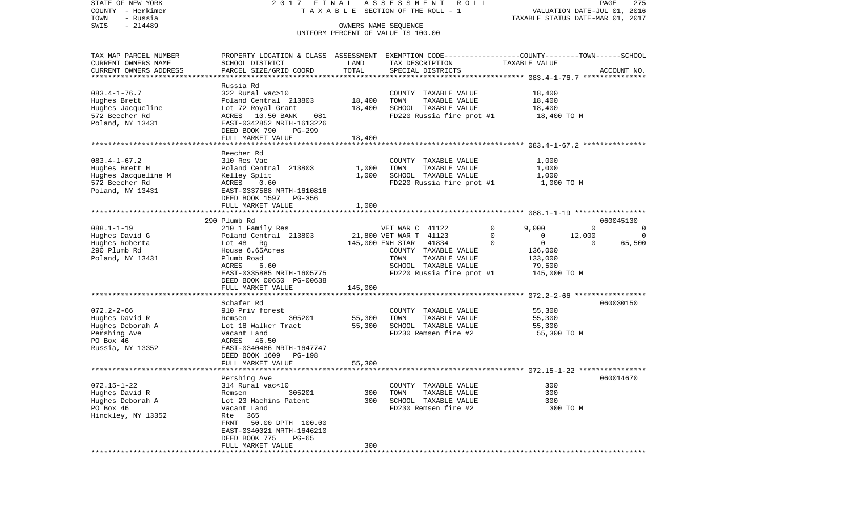| STATE OF NEW YORK                  | 2017 FINAL                                                                                     |                      | ASSESSMENT ROLL                           |                            | PAGE<br>275                      |
|------------------------------------|------------------------------------------------------------------------------------------------|----------------------|-------------------------------------------|----------------------------|----------------------------------|
| COUNTY - Herkimer                  |                                                                                                |                      | TAXABLE SECTION OF THE ROLL - 1           |                            | VALUATION DATE-JUL 01, 2016      |
| TOWN<br>- Russia                   |                                                                                                |                      |                                           |                            | TAXABLE STATUS DATE-MAR 01, 2017 |
| $-214489$<br>SWIS                  |                                                                                                | OWNERS NAME SEQUENCE |                                           |                            |                                  |
|                                    |                                                                                                |                      | UNIFORM PERCENT OF VALUE IS 100.00        |                            |                                  |
| TAX MAP PARCEL NUMBER              | PROPERTY LOCATION & CLASS ASSESSMENT EXEMPTION CODE---------------COUNTY-------TOWN-----SCHOOL |                      |                                           |                            |                                  |
| CURRENT OWNERS NAME                | SCHOOL DISTRICT                                                                                | LAND                 | TAX DESCRIPTION                           | TAXABLE VALUE              |                                  |
| CURRENT OWNERS ADDRESS             | PARCEL SIZE/GRID COORD                                                                         | TOTAL                | SPECIAL DISTRICTS                         |                            | ACCOUNT NO.                      |
|                                    |                                                                                                |                      |                                           |                            |                                  |
|                                    | Russia Rd                                                                                      |                      |                                           |                            |                                  |
| $083.4 - 1 - 76.7$                 | 322 Rural vac>10                                                                               |                      | COUNTY TAXABLE VALUE                      | 18,400                     |                                  |
| Hughes Brett                       | Poland Central 213803                                                                          | 18,400               | TOWN<br>TAXABLE VALUE                     | 18,400                     |                                  |
| Hughes Jacqueline                  | Lot 72 Royal Grant                                                                             | 18,400               | SCHOOL TAXABLE VALUE                      | 18,400                     |                                  |
| 572 Beecher Rd<br>Poland, NY 13431 | ACRES 10.50 BANK<br>081<br>EAST-0342852 NRTH-1613226                                           |                      | FD220 Russia fire prot #1                 | 18,400 TO M                |                                  |
|                                    | DEED BOOK 790<br>PG-299                                                                        |                      |                                           |                            |                                  |
|                                    | FULL MARKET VALUE                                                                              | 18,400               |                                           |                            |                                  |
|                                    |                                                                                                |                      |                                           |                            |                                  |
|                                    | Beecher Rd                                                                                     |                      |                                           |                            |                                  |
| $083.4 - 1 - 67.2$                 | 310 Res Vac                                                                                    |                      | COUNTY TAXABLE VALUE                      | 1,000                      |                                  |
| Hughes Brett H                     | Poland Central 213803                                                                          | 1,000                | TOWN<br>TAXABLE VALUE                     | 1,000                      |                                  |
| Hughes Jacqueline M                | Kelley Split                                                                                   | 1,000                | SCHOOL TAXABLE VALUE                      | 1,000                      |                                  |
| 572 Beecher Rd                     | ACRES<br>0.60                                                                                  |                      | FD220 Russia fire prot #1                 | 1,000 TO M                 |                                  |
| Poland, NY 13431                   | EAST-0337588 NRTH-1610816                                                                      |                      |                                           |                            |                                  |
|                                    | DEED BOOK 1597 PG-356                                                                          |                      |                                           |                            |                                  |
|                                    | FULL MARKET VALUE                                                                              | 1,000                |                                           |                            |                                  |
|                                    |                                                                                                |                      |                                           |                            |                                  |
|                                    | 290 Plumb Rd<br>210 1 Family Res                                                               |                      |                                           | $\mathbf{0}$               | 060045130<br>$\Omega$            |
| $088.1 - 1 - 19$<br>Hughes David G | Poland Central 213803                                                                          |                      | VET WAR C 41122<br>21,800 VET WAR T 41123 | 9,000<br>0<br>0            | 0<br>12,000<br>$\Omega$          |
| Hughes Roberta                     | Lot 48 Rg                                                                                      |                      | 145,000 ENH STAR 41834                    | $\overline{0}$<br>$\Omega$ | 65,500<br>$\Omega$               |
| 290 Plumb Rd                       | House 6.65Acres                                                                                |                      | COUNTY TAXABLE VALUE                      | 136,000                    |                                  |
| Poland, NY 13431                   | Plumb Road                                                                                     |                      | TAXABLE VALUE<br>TOWN                     | 133,000                    |                                  |
|                                    | ACRES<br>6.60                                                                                  |                      | SCHOOL TAXABLE VALUE                      | 79,500                     |                                  |
|                                    | EAST-0335885 NRTH-1605775                                                                      |                      | FD220 Russia fire prot #1                 | 145,000 TO M               |                                  |
|                                    | DEED BOOK 00650 PG-00638                                                                       |                      |                                           |                            |                                  |
|                                    | FULL MARKET VALUE                                                                              | 145,000              |                                           |                            |                                  |
|                                    |                                                                                                |                      |                                           |                            |                                  |
|                                    | Schafer Rd                                                                                     |                      |                                           |                            | 060030150                        |
| $072.2 - 2 - 66$                   | 910 Priv forest                                                                                |                      | COUNTY TAXABLE VALUE                      | 55,300                     |                                  |
| Hughes David R                     | 305201<br>Remsen                                                                               | 55,300               | TOWN<br>TAXABLE VALUE                     | 55,300                     |                                  |
| Hughes Deborah A                   | Lot 18 Walker Tract                                                                            | 55,300               | SCHOOL TAXABLE VALUE                      | 55,300                     |                                  |
| Pershing Ave<br>PO Box 46          | Vacant Land<br>ACRES 46.50                                                                     |                      | FD230 Remsen fire #2                      | 55,300 TO M                |                                  |
| Russia, NY 13352                   | EAST-0340486 NRTH-1647747                                                                      |                      |                                           |                            |                                  |
|                                    | DEED BOOK 1609<br>PG-198                                                                       |                      |                                           |                            |                                  |
|                                    | FULL MARKET VALUE                                                                              | 55,300               |                                           |                            |                                  |
|                                    |                                                                                                |                      |                                           |                            |                                  |
|                                    | Pershing Ave                                                                                   |                      |                                           |                            | 060014670                        |
| $072.15 - 1 - 22$                  | 314 Rural vac<10                                                                               |                      | COUNTY TAXABLE VALUE                      | 300                        |                                  |
| Hughes David R                     | Remsen<br>305201                                                                               | 300                  | TOWN<br>TAXABLE VALUE                     | 300                        |                                  |
| Hughes Deborah A                   | Lot 23 Machins Patent                                                                          | 300                  | SCHOOL TAXABLE VALUE                      | 300                        |                                  |
| PO Box 46                          | Vacant Land                                                                                    |                      | FD230 Remsen fire #2                      | 300 TO M                   |                                  |
| Hinckley, NY 13352                 | 365<br>Rte                                                                                     |                      |                                           |                            |                                  |
|                                    | 50.00 DPTH 100.00<br>FRNT                                                                      |                      |                                           |                            |                                  |
|                                    | EAST-0340021 NRTH-1646210                                                                      |                      |                                           |                            |                                  |
|                                    | DEED BOOK 775<br>$PG-65$                                                                       |                      |                                           |                            |                                  |
|                                    | FULL MARKET VALUE                                                                              | 300                  |                                           |                            |                                  |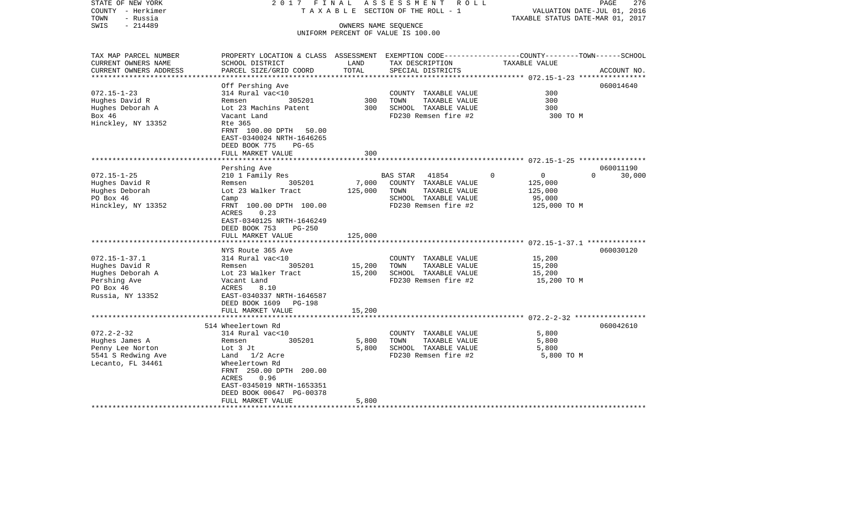| STATE OF NEW YORK<br>COUNTY - Herkimer<br>TOWN<br>- Russia | 2017<br>FINAL<br>T A X A B L E                                                                   |                          | ASSESSMENT<br>R O L L<br>SECTION OF THE ROLL - 1 | TAXABLE STATUS DATE-MAR 01, 2017                        | PAGE<br>276<br>VALUATION DATE-JUL 01, 2016 |
|------------------------------------------------------------|--------------------------------------------------------------------------------------------------|--------------------------|--------------------------------------------------|---------------------------------------------------------|--------------------------------------------|
| $-214489$<br>SWIS                                          |                                                                                                  | OWNERS NAME SEQUENCE     |                                                  |                                                         |                                            |
|                                                            |                                                                                                  |                          | UNIFORM PERCENT OF VALUE IS 100.00               |                                                         |                                            |
|                                                            |                                                                                                  |                          |                                                  |                                                         |                                            |
| TAX MAP PARCEL NUMBER                                      | PROPERTY LOCATION & CLASS ASSESSMENT EXEMPTION CODE----------------COUNTY-------TOWN------SCHOOL |                          |                                                  |                                                         |                                            |
| CURRENT OWNERS NAME                                        | SCHOOL DISTRICT                                                                                  | LAND                     | TAX DESCRIPTION                                  | TAXABLE VALUE                                           |                                            |
| CURRENT OWNERS ADDRESS<br>**********************           | PARCEL SIZE/GRID COORD<br>***********************                                                | TOTAL<br>*************** | SPECIAL DISTRICTS                                |                                                         | ACCOUNT NO.                                |
|                                                            | Off Pershing Ave                                                                                 |                          |                                                  |                                                         | 060014640                                  |
| $072.15 - 1 - 23$                                          | 314 Rural vac<10                                                                                 |                          | COUNTY TAXABLE VALUE                             | 300                                                     |                                            |
| Hughes David R                                             | 305201<br>Remsen                                                                                 | 300                      | TOWN<br>TAXABLE VALUE                            | 300                                                     |                                            |
| Hughes Deborah A                                           | Lot 23 Machins Patent                                                                            | 300                      | SCHOOL TAXABLE VALUE                             | 300                                                     |                                            |
| Box 46                                                     | Vacant Land                                                                                      |                          | FD230 Remsen fire #2                             | 300 TO M                                                |                                            |
| Hinckley, NY 13352                                         | Rte 365                                                                                          |                          |                                                  |                                                         |                                            |
|                                                            | FRNT 100.00 DPTH 50.00                                                                           |                          |                                                  |                                                         |                                            |
|                                                            | EAST-0340024 NRTH-1646265                                                                        |                          |                                                  |                                                         |                                            |
|                                                            | DEED BOOK 775<br>$PG-65$                                                                         |                          |                                                  |                                                         |                                            |
|                                                            | FULL MARKET VALUE                                                                                | 300                      |                                                  |                                                         |                                            |
|                                                            |                                                                                                  | * * * * * * *            |                                                  | ************************* 072.15-1-25 ***************** |                                            |
|                                                            | Pershing Ave                                                                                     |                          |                                                  |                                                         | 060011190                                  |
| $072.15 - 1 - 25$                                          | 210 1 Family Res                                                                                 |                          | <b>BAS STAR</b><br>41854                         | 0<br>$\Omega$                                           | $\Omega$<br>30,000                         |
| Hughes David R                                             | 305201<br>Remsen                                                                                 | 7,000                    | COUNTY TAXABLE VALUE                             | 125,000                                                 |                                            |
| Hughes Deborah<br>PO Box 46                                | Lot 23 Walker Tract                                                                              | 125,000                  | TOWN<br>TAXABLE VALUE<br>SCHOOL TAXABLE VALUE    | 125,000                                                 |                                            |
| Hinckley, NY 13352                                         | Camp<br>FRNT 100.00 DPTH 100.00                                                                  |                          | FD230 Remsen fire #2                             | 95,000<br>125,000 TO M                                  |                                            |
|                                                            | 0.23<br>ACRES                                                                                    |                          |                                                  |                                                         |                                            |
|                                                            | EAST-0340125 NRTH-1646249                                                                        |                          |                                                  |                                                         |                                            |
|                                                            | DEED BOOK 753<br>$PG-250$                                                                        |                          |                                                  |                                                         |                                            |
|                                                            | FULL MARKET VALUE                                                                                | 125,000                  |                                                  |                                                         |                                            |
|                                                            | ******************                                                                               |                          |                                                  |                                                         |                                            |
|                                                            | NYS Route 365 Ave                                                                                |                          |                                                  |                                                         | 060030120                                  |
| $072.15 - 1 - 37.1$                                        | 314 Rural vac<10                                                                                 |                          | COUNTY TAXABLE VALUE                             | 15,200                                                  |                                            |
| Hughes David R                                             | Remsen<br>305201                                                                                 | 15,200                   | TOWN<br>TAXABLE VALUE                            | 15,200                                                  |                                            |
| Hughes Deborah A                                           | Lot 23 Walker Tract                                                                              | 15,200                   | SCHOOL TAXABLE VALUE                             | 15,200                                                  |                                            |
| Pershing Ave                                               | Vacant Land                                                                                      |                          | FD230 Remsen fire #2                             | 15,200 TO M                                             |                                            |
| PO Box 46                                                  | 8.10<br>ACRES                                                                                    |                          |                                                  |                                                         |                                            |
| Russia, NY 13352                                           | EAST-0340337 NRTH-1646587                                                                        |                          |                                                  |                                                         |                                            |
|                                                            | DEED BOOK 1609<br>PG-198                                                                         |                          |                                                  |                                                         |                                            |
|                                                            | FULL MARKET VALUE                                                                                | 15,200                   |                                                  |                                                         |                                            |
|                                                            | ***********************                                                                          |                          |                                                  |                                                         |                                            |
|                                                            | 514 Wheelertown Rd                                                                               |                          |                                                  |                                                         | 060042610                                  |
| $072.2 - 2 - 32$                                           | 314 Rural vac<10                                                                                 |                          | COUNTY TAXABLE VALUE                             | 5,800                                                   |                                            |
| Hughes James A                                             | 305201<br>Remsen                                                                                 | 5,800                    | TOWN<br>TAXABLE VALUE                            | 5,800                                                   |                                            |
| Penny Lee Norton                                           | Lot 3 Jt                                                                                         | 5,800                    | SCHOOL TAXABLE VALUE                             | 5,800                                                   |                                            |
| 5541 S Redwing Ave                                         | Land 1/2 Acre                                                                                    |                          | FD230 Remsen fire #2                             | 5,800 TO M                                              |                                            |
| Lecanto, FL 34461                                          | Wheelertown Rd                                                                                   |                          |                                                  |                                                         |                                            |
|                                                            | FRNT 250.00 DPTH 200.00                                                                          |                          |                                                  |                                                         |                                            |
|                                                            | 0.96<br>ACRES<br>EAST-0345019 NRTH-1653351                                                       |                          |                                                  |                                                         |                                            |
|                                                            | DEED BOOK 00647 PG-00378                                                                         |                          |                                                  |                                                         |                                            |
|                                                            | FULL MARKET VALUE                                                                                | 5,800                    |                                                  |                                                         |                                            |
|                                                            |                                                                                                  |                          |                                                  |                                                         |                                            |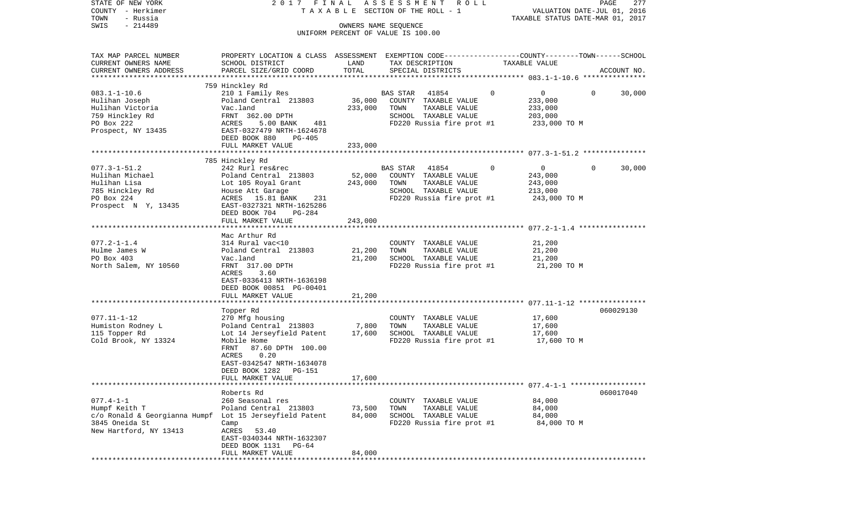| STATE OF NEW YORK<br>COUNTY - Herkimer                                    | 2017 FINAL                                                                                      |               | A S S E S S M E N T R O L L<br>TAXABLE SECTION OF THE ROLL - 1 |               | VALUATION DATE-JUL 01, 2016      | PAGE        | 277    |
|---------------------------------------------------------------------------|-------------------------------------------------------------------------------------------------|---------------|----------------------------------------------------------------|---------------|----------------------------------|-------------|--------|
| TOWN<br>- Russia<br>$-214489$<br>SWIS                                     |                                                                                                 |               | OWNERS NAME SEQUENCE                                           |               | TAXABLE STATUS DATE-MAR 01, 2017 |             |        |
|                                                                           |                                                                                                 |               | UNIFORM PERCENT OF VALUE IS 100.00                             |               |                                  |             |        |
| TAX MAP PARCEL NUMBER                                                     | PROPERTY LOCATION & CLASS ASSESSMENT EXEMPTION CODE---------------COUNTY-------TOWN------SCHOOL |               |                                                                |               |                                  |             |        |
| CURRENT OWNERS NAME<br>CURRENT OWNERS ADDRESS                             | SCHOOL DISTRICT<br>PARCEL SIZE/GRID COORD                                                       | LAND<br>TOTAL | TAX DESCRIPTION<br>SPECIAL DISTRICTS                           | TAXABLE VALUE |                                  | ACCOUNT NO. |        |
|                                                                           |                                                                                                 |               |                                                                |               |                                  |             |        |
|                                                                           | 759 Hinckley Rd                                                                                 |               |                                                                |               |                                  |             |        |
| $083.1 - 1 - 10.6$                                                        | 210 1 Family Res                                                                                |               | 41854<br>BAS STAR                                              | $\mathbf 0$   | $\overline{0}$<br>$\mathbf{0}$   |             | 30,000 |
| Hulihan Joseph                                                            | Poland Central 213803                                                                           |               | 36,000 COUNTY TAXABLE VALUE                                    |               | 233,000                          |             |        |
| Hulihan Victoria<br>759 Hinckley Rd                                       | Vac.land<br>FRNT 362.00 DPTH                                                                    | 233,000       | TOWN<br>TAXABLE VALUE<br>SCHOOL TAXABLE VALUE                  |               | 233,000<br>203,000               |             |        |
| PO Box 222                                                                | ACRES<br>5.00 BANK<br>481                                                                       |               | FD220 Russia fire prot #1                                      |               | 233,000 TO M                     |             |        |
| Prospect, NY 13435                                                        | EAST-0327479 NRTH-1624678<br>DEED BOOK 880<br>PG-405                                            |               |                                                                |               |                                  |             |        |
|                                                                           | FULL MARKET VALUE                                                                               | 233,000       |                                                                |               |                                  |             |        |
|                                                                           |                                                                                                 |               |                                                                |               |                                  |             |        |
|                                                                           | 785 Hinckley Rd                                                                                 |               |                                                                | 0             | $\Omega$                         |             |        |
| $077.3 - 1 - 51.2$<br>Hulihan Michael                                     | 242 Rurl res&rec<br>Poland Central 213803                                                       | 52,000        | BAS STAR<br>41854<br>COUNTY TAXABLE VALUE                      |               | $\overline{0}$<br>243,000        |             | 30,000 |
| Hulihan Lisa                                                              | Lot 105 Royal Grant                                                                             | 243,000       | TOWN<br>TAXABLE VALUE                                          |               | 243,000                          |             |        |
| 785 Hinckley Rd                                                           | House Att Garage                                                                                |               | SCHOOL TAXABLE VALUE                                           |               | 213,000                          |             |        |
| PO Box 224                                                                | ACRES 15.81 BANK<br>231                                                                         |               | FD220 Russia fire prot #1                                      |               | 243,000 TO M                     |             |        |
| Prospect N Y, 13435                                                       | EAST-0327321 NRTH-1625286                                                                       |               |                                                                |               |                                  |             |        |
|                                                                           | DEED BOOK 704<br>PG-284<br>FULL MARKET VALUE                                                    | 243,000       |                                                                |               |                                  |             |        |
|                                                                           |                                                                                                 |               |                                                                |               |                                  |             |        |
|                                                                           | Mac Arthur Rd                                                                                   |               |                                                                |               |                                  |             |        |
| $077.2 - 1 - 1.4$                                                         | 314 Rural vac<10                                                                                |               | COUNTY TAXABLE VALUE                                           |               | 21,200                           |             |        |
| Hulme James W                                                             | Poland Central 213803                                                                           | 21,200        | TOWN<br>TAXABLE VALUE                                          |               | 21,200                           |             |        |
| PO Box 403                                                                | Vac.land                                                                                        | 21,200        | SCHOOL TAXABLE VALUE                                           |               | 21,200                           |             |        |
| North Salem, NY 10560                                                     | FRNT 317.00 DPTH<br>3.60<br>ACRES                                                               |               | FD220 Russia fire prot #1                                      |               | 21,200 TO M                      |             |        |
|                                                                           | EAST-0336413 NRTH-1636198                                                                       |               |                                                                |               |                                  |             |        |
|                                                                           | DEED BOOK 00851 PG-00401                                                                        |               |                                                                |               |                                  |             |        |
|                                                                           | FULL MARKET VALUE                                                                               | 21,200        |                                                                |               |                                  |             |        |
|                                                                           |                                                                                                 |               |                                                                |               |                                  |             |        |
| $077.11 - 1 - 12$                                                         | Topper Rd<br>270 Mfg housing                                                                    |               |                                                                |               | 17,600                           | 060029130   |        |
| Humiston Rodney L                                                         | Poland Central 213803                                                                           | 7,800         | COUNTY TAXABLE VALUE<br>TOWN<br>TAXABLE VALUE                  |               | 17,600                           |             |        |
| 115 Topper Rd                                                             | Lot 14 Jerseyfield Patent                                                                       | 17,600        | SCHOOL TAXABLE VALUE                                           |               | 17,600                           |             |        |
| Cold Brook, NY 13324                                                      | Mobile Home                                                                                     |               | FD220 Russia fire prot #1 17,600 TO M                          |               |                                  |             |        |
|                                                                           | 87.60 DPTH 100.00<br>FRNT                                                                       |               |                                                                |               |                                  |             |        |
|                                                                           | 0.20<br>ACRES                                                                                   |               |                                                                |               |                                  |             |        |
|                                                                           | EAST-0342547 NRTH-1634078<br>PG-151                                                             |               |                                                                |               |                                  |             |        |
|                                                                           | DEED BOOK 1282<br>FULL MARKET VALUE                                                             | 17,600        |                                                                |               |                                  |             |        |
|                                                                           |                                                                                                 |               |                                                                |               |                                  |             |        |
|                                                                           | Roberts Rd                                                                                      |               |                                                                |               |                                  | 060017040   |        |
| $077.4 - 1 - 1$                                                           | 260 Seasonal res                                                                                |               | COUNTY TAXABLE VALUE                                           |               | 84,000                           |             |        |
| Humpf Keith T                                                             | Poland Central 213803                                                                           | 73,500        | TAXABLE VALUE<br>TOWN                                          |               | 84,000                           |             |        |
| c/o Ronald & Georgianna Humpf Lot 15 Jerseyfield Patent<br>3845 Oneida St | Camp                                                                                            | 84,000        | SCHOOL TAXABLE VALUE<br>FD220 Russia fire prot #1              |               | 84,000<br>84,000 TO M            |             |        |
| New Hartford, NY 13413                                                    | ACRES 53.40                                                                                     |               |                                                                |               |                                  |             |        |
|                                                                           | EAST-0340344 NRTH-1632307                                                                       |               |                                                                |               |                                  |             |        |
|                                                                           | DEED BOOK 1131 PG-64                                                                            |               |                                                                |               |                                  |             |        |
|                                                                           | FULL MARKET VALUE                                                                               | 84,000        |                                                                |               |                                  |             |        |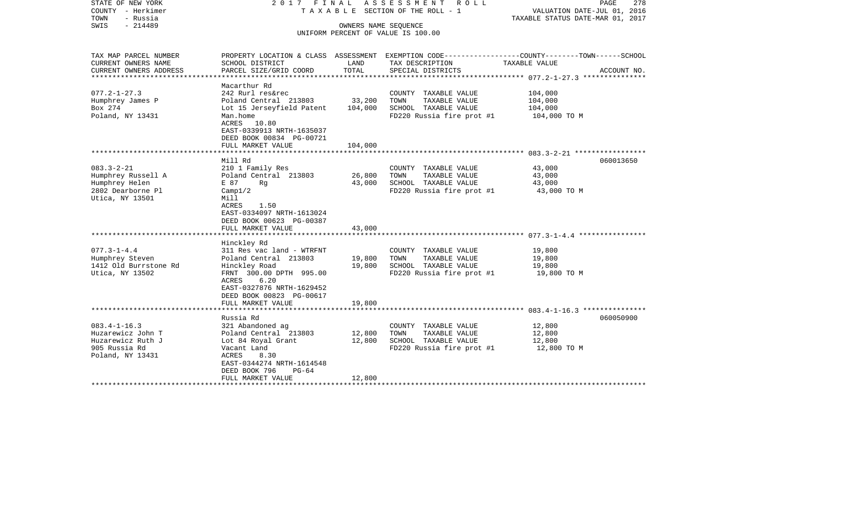| STATE OF NEW YORK<br>COUNTY - Herkimer<br>- Russia<br>TOWN<br>SWIS<br>$-214489$                   | 2017 FINAL                                                                                                                                                                                      | OWNERS NAME SEQUENCE            | A S S E S S M E N T<br>R O L L<br>T A X A B L E SECTION OF THE ROLL - 1<br>UNIFORM PERCENT OF VALUE IS 100.00 | PAGE<br>278<br>VALUATION DATE-JUL 01, 2016<br>TAXABLE STATUS DATE-MAR 01, 2017                                                  |
|---------------------------------------------------------------------------------------------------|-------------------------------------------------------------------------------------------------------------------------------------------------------------------------------------------------|---------------------------------|---------------------------------------------------------------------------------------------------------------|---------------------------------------------------------------------------------------------------------------------------------|
| TAX MAP PARCEL NUMBER<br>CURRENT OWNERS NAME<br>CURRENT OWNERS ADDRESS<br>*******************     | SCHOOL DISTRICT<br>PARCEL SIZE/GRID COORD<br>*******************                                                                                                                                | LAND<br>TOTAL<br>************** | TAX DESCRIPTION<br>SPECIAL DISTRICTS                                                                          | PROPERTY LOCATION & CLASS ASSESSMENT EXEMPTION CODE---------------COUNTY-------TOWN------SCHOOL<br>TAXABLE VALUE<br>ACCOUNT NO. |
| $077.2 - 1 - 27.3$<br>Humphrey James P<br>Box 274<br>Poland, NY 13431                             | Macarthur Rd<br>242 Rurl res&rec<br>Poland Central 213803<br>Lot 15 Jerseyfield Patent<br>Man.home<br>ACRES 10.80<br>EAST-0339913 NRTH-1635037<br>DEED BOOK 00834 PG-00721<br>FULL MARKET VALUE | 33,200<br>104,000<br>104,000    | COUNTY TAXABLE VALUE<br>TAXABLE VALUE<br>TOWN<br>SCHOOL TAXABLE VALUE<br>FD220 Russia fire prot #1            | 104,000<br>104,000<br>104,000<br>104,000 TO M                                                                                   |
|                                                                                                   |                                                                                                                                                                                                 |                                 |                                                                                                               |                                                                                                                                 |
| $083.3 - 2 - 21$<br>Humphrey Russell A<br>Humphrey Helen<br>2802 Dearborne Pl<br>Utica, NY 13501  | Mill Rd<br>210 1 Family Res<br>Poland Central 213803<br>E 87<br>Rq<br>Campl/2<br>Mill<br>ACRES<br>1.50<br>EAST-0334097 NRTH-1613024<br>DEED BOOK 00623 PG-00387<br>FULL MARKET VALUE            | 26,800<br>43,000<br>43,000      | COUNTY TAXABLE VALUE<br>TOWN<br>TAXABLE VALUE<br>SCHOOL TAXABLE VALUE<br>FD220 Russia fire prot #1            | 060013650<br>43,000<br>43,000<br>43,000<br>43,000 TO M                                                                          |
|                                                                                                   | ***************************                                                                                                                                                                     | ************                    |                                                                                                               |                                                                                                                                 |
| $077.3 - 1 - 4.4$<br>Humphrey Steven<br>1412 Old Burrstone Rd<br>Utica, NY 13502                  | Hinckley Rd<br>311 Res vac land - WTRFNT<br>Poland Central 213803<br>Hinckley Road<br>FRNT 300.00 DPTH 995.00<br>ACRES<br>6.20<br>EAST-0327876 NRTH-1629452                                     | 19,800<br>19,800                | COUNTY TAXABLE VALUE<br>TOWN<br>TAXABLE VALUE<br>SCHOOL TAXABLE VALUE<br>FD220 Russia fire prot #1            | 19,800<br>19,800<br>19,800<br>19,800 TO M                                                                                       |
|                                                                                                   | DEED BOOK 00823 PG-00617<br>FULL MARKET VALUE                                                                                                                                                   | 19,800                          |                                                                                                               |                                                                                                                                 |
|                                                                                                   | **********************                                                                                                                                                                          |                                 |                                                                                                               |                                                                                                                                 |
| $083.4 - 1 - 16.3$<br>Huzarewicz John T<br>Huzarewicz Ruth J<br>905 Russia Rd<br>Poland, NY 13431 | Russia Rd<br>321 Abandoned ag<br>Poland Central 213803<br>Lot 84 Royal Grant<br>Vacant Land<br>ACRES<br>8.30<br>EAST-0344274 NRTH-1614548<br>DEED BOOK 796<br>$PG-64$<br>FULL MARKET VALUE      | 12,800<br>12,800<br>12,800      | COUNTY TAXABLE VALUE<br>TOWN<br>TAXABLE VALUE<br>SCHOOL TAXABLE VALUE<br>FD220 Russia fire prot #1            | 060050900<br>12,800<br>12,800<br>12,800<br>12,800 TO M                                                                          |
|                                                                                                   |                                                                                                                                                                                                 |                                 |                                                                                                               |                                                                                                                                 |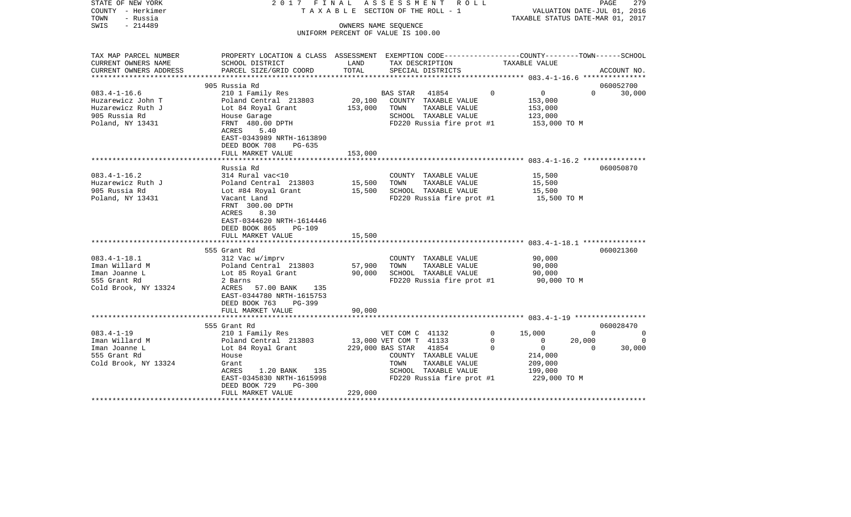| STATE OF NEW YORK<br>COUNTY - Herkimer<br>TOWN<br>- Russia<br>$-214489$<br>SWIS | 2017 FINAL                                                                                      |         | A S S E S S M E N T R O L L<br>TAXABLE SECTION OF THE ROLL - 1<br>OWNERS NAME SEQUENCE |              | VALUATION DATE-JUL 01, 2016<br>TAXABLE STATUS DATE-MAR 01, 2017 | PAGE        | 279      |
|---------------------------------------------------------------------------------|-------------------------------------------------------------------------------------------------|---------|----------------------------------------------------------------------------------------|--------------|-----------------------------------------------------------------|-------------|----------|
|                                                                                 |                                                                                                 |         | UNIFORM PERCENT OF VALUE IS 100.00                                                     |              |                                                                 |             |          |
|                                                                                 |                                                                                                 |         |                                                                                        |              |                                                                 |             |          |
| TAX MAP PARCEL NUMBER                                                           | PROPERTY LOCATION & CLASS ASSESSMENT EXEMPTION CODE---------------COUNTY-------TOWN------SCHOOL |         |                                                                                        |              |                                                                 |             |          |
| CURRENT OWNERS NAME                                                             | SCHOOL DISTRICT                                                                                 | LAND    | TAX DESCRIPTION                                                                        |              | TAXABLE VALUE                                                   |             |          |
| CURRENT OWNERS ADDRESS<br>***********************                               | PARCEL SIZE/GRID COORD                                                                          | TOTAL   | SPECIAL DISTRICTS                                                                      |              |                                                                 | ACCOUNT NO. |          |
|                                                                                 | 905 Russia Rd                                                                                   |         |                                                                                        |              |                                                                 | 060052700   |          |
| $083.4 - 1 - 16.6$                                                              | 210 1 Family Res                                                                                |         | <b>BAS STAR</b><br>41854                                                               | $\mathbf 0$  | 0                                                               | $\Omega$    | 30,000   |
| Huzarewicz John T                                                               | Poland Central 213803                                                                           | 20,100  | COUNTY TAXABLE VALUE                                                                   |              | 153,000                                                         |             |          |
| Huzarewicz Ruth J                                                               | Lot 84 Royal Grant                                                                              | 153,000 | TOWN<br>TAXABLE VALUE                                                                  |              | 153,000                                                         |             |          |
| 905 Russia Rd                                                                   | House Garage                                                                                    |         | SCHOOL TAXABLE VALUE                                                                   |              | 123,000                                                         |             |          |
| Poland, NY 13431                                                                | FRNT 480.00 DPTH                                                                                |         | FD220 Russia fire prot #1                                                              |              | 153,000 TO M                                                    |             |          |
|                                                                                 | ACRES<br>5.40                                                                                   |         |                                                                                        |              |                                                                 |             |          |
|                                                                                 | EAST-0343989 NRTH-1613890                                                                       |         |                                                                                        |              |                                                                 |             |          |
|                                                                                 | DEED BOOK 708<br>$PG-635$                                                                       |         |                                                                                        |              |                                                                 |             |          |
|                                                                                 | FULL MARKET VALUE                                                                               | 153,000 |                                                                                        |              |                                                                 |             |          |
|                                                                                 |                                                                                                 |         |                                                                                        |              |                                                                 |             |          |
|                                                                                 | Russia Rd                                                                                       |         |                                                                                        |              |                                                                 | 060050870   |          |
| $083.4 - 1 - 16.2$                                                              | 314 Rural vac<10                                                                                |         | COUNTY TAXABLE VALUE                                                                   |              | 15,500                                                          |             |          |
| Huzarewicz Ruth J                                                               | Poland Central 213803                                                                           | 15,500  | TOWN<br>TAXABLE VALUE                                                                  |              | 15,500                                                          |             |          |
| 905 Russia Rd                                                                   | Lot #84 Royal Grant                                                                             | 15,500  | SCHOOL TAXABLE VALUE                                                                   |              | 15,500                                                          |             |          |
| Poland, NY 13431                                                                | Vacant Land                                                                                     |         | FD220 Russia fire prot #1                                                              |              | 15,500 TO M                                                     |             |          |
|                                                                                 | FRNT 300.00 DPTH                                                                                |         |                                                                                        |              |                                                                 |             |          |
|                                                                                 | 8.30<br>ACRES                                                                                   |         |                                                                                        |              |                                                                 |             |          |
|                                                                                 | EAST-0344620 NRTH-1614446<br>DEED BOOK 865                                                      |         |                                                                                        |              |                                                                 |             |          |
|                                                                                 | <b>PG-109</b><br>FULL MARKET VALUE                                                              | 15,500  |                                                                                        |              |                                                                 |             |          |
|                                                                                 |                                                                                                 |         |                                                                                        |              |                                                                 |             |          |
|                                                                                 | 555 Grant Rd                                                                                    |         |                                                                                        |              |                                                                 | 060021360   |          |
| $083.4 - 1 - 18.1$                                                              | 312 Vac w/imprv                                                                                 |         | COUNTY TAXABLE VALUE                                                                   |              | 90,000                                                          |             |          |
| Iman Willard M                                                                  | Poland Central 213803                                                                           | 57,900  | TAXABLE VALUE<br>TOWN                                                                  |              | 90,000                                                          |             |          |
| Iman Joanne L                                                                   | Lot 85 Royal Grant                                                                              | 90,000  | SCHOOL TAXABLE VALUE                                                                   |              | 90,000                                                          |             |          |
| 555 Grant Rd                                                                    | 2 Barns                                                                                         |         | FD220 Russia fire prot #1                                                              |              | 90,000 TO M                                                     |             |          |
| Cold Brook, NY 13324                                                            | 57.00 BANK<br>ACRES<br>135                                                                      |         |                                                                                        |              |                                                                 |             |          |
|                                                                                 | EAST-0344780 NRTH-1615753                                                                       |         |                                                                                        |              |                                                                 |             |          |
|                                                                                 | DEED BOOK 763<br>PG-399                                                                         |         |                                                                                        |              |                                                                 |             |          |
|                                                                                 | FULL MARKET VALUE                                                                               | 90,000  |                                                                                        |              |                                                                 |             |          |
|                                                                                 |                                                                                                 |         |                                                                                        |              |                                                                 |             |          |
|                                                                                 | 555 Grant Rd                                                                                    |         |                                                                                        |              |                                                                 | 060028470   |          |
| $083.4 - 1 - 19$                                                                | 210 1 Family Res                                                                                |         | VET COM C 41132                                                                        | $\Omega$     | 15,000                                                          | $\Omega$    | $\Omega$ |
| Iman Willard M                                                                  | Poland Central 213803                                                                           |         | 13,000 VET COM T 41133                                                                 | $\mathbf{0}$ | $\overline{0}$                                                  | 20,000      | 0        |
| Iman Joanne L                                                                   | Lot 84 Royal Grant                                                                              |         | 229,000 BAS STAR<br>41854                                                              | $\Omega$     | $\overline{0}$                                                  | $\Omega$    | 30,000   |
| 555 Grant Rd                                                                    | House                                                                                           |         | COUNTY TAXABLE VALUE                                                                   |              | 214,000                                                         |             |          |
| Cold Brook, NY 13324                                                            | Grant                                                                                           |         | TOWN<br>TAXABLE VALUE                                                                  |              | 209,000                                                         |             |          |
|                                                                                 | ACRES<br>$1.20$ BANK<br>135                                                                     |         | SCHOOL TAXABLE VALUE                                                                   |              | 199,000                                                         |             |          |
|                                                                                 | EAST-0345830 NRTH-1615998<br>DEED BOOK 729<br>PG-300                                            |         | FD220 Russia fire prot #1                                                              |              | 229,000 TO M                                                    |             |          |
|                                                                                 | FULL MARKET VALUE                                                                               | 229,000 |                                                                                        |              |                                                                 |             |          |
|                                                                                 |                                                                                                 |         |                                                                                        |              |                                                                 |             |          |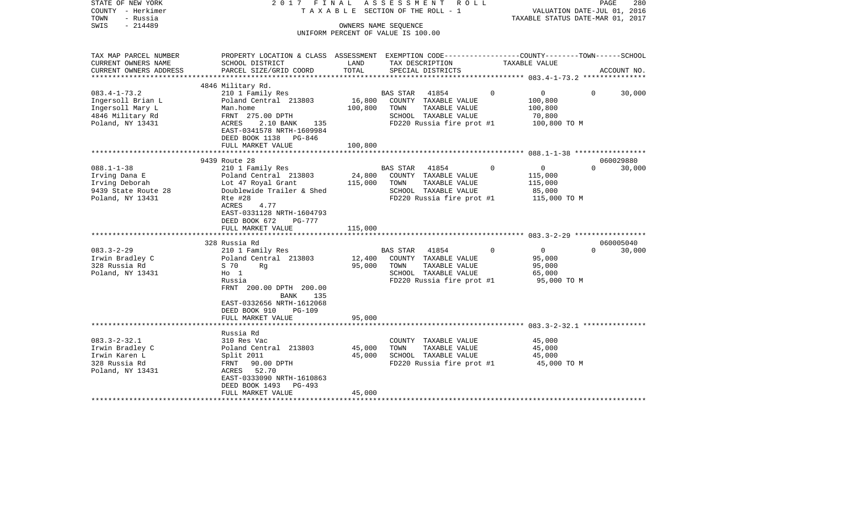| STATE OF NEW YORK<br>COUNTY - Herkimer<br>TOWN<br>- Russia<br>$-214489$<br>SWIS | 2017 FINAL                                                                                       | TAXABLE SECTION OF THE ROLL - 1<br>OWNERS NAME SEQUENCE<br>UNIFORM PERCENT OF VALUE IS 100.00 | ASSESSMENT | R O L L                                           |          | VALUATION DATE-JUL 01, 2016<br>TAXABLE STATUS DATE-MAR 01, 2017 |          | PAGE<br>280 |
|---------------------------------------------------------------------------------|--------------------------------------------------------------------------------------------------|-----------------------------------------------------------------------------------------------|------------|---------------------------------------------------|----------|-----------------------------------------------------------------|----------|-------------|
| TAX MAP PARCEL NUMBER                                                           | PROPERTY LOCATION & CLASS ASSESSMENT EXEMPTION CODE----------------COUNTY-------TOWN------SCHOOL | LAND                                                                                          |            |                                                   |          |                                                                 |          |             |
| CURRENT OWNERS NAME<br>CURRENT OWNERS ADDRESS                                   | SCHOOL DISTRICT<br>PARCEL SIZE/GRID COORD                                                        | TOTAL                                                                                         |            | TAX DESCRIPTION<br>SPECIAL DISTRICTS              |          | TAXABLE VALUE                                                   |          | ACCOUNT NO. |
| ***********************                                                         |                                                                                                  |                                                                                               |            |                                                   |          |                                                                 |          |             |
|                                                                                 | 4846 Military Rd.                                                                                |                                                                                               |            |                                                   |          |                                                                 |          |             |
| $083.4 - 1 - 73.2$                                                              | 210 1 Family Res                                                                                 |                                                                                               | BAS STAR   | 41854                                             | $\Omega$ | $0 \qquad \qquad$                                               | $\Omega$ | 30,000      |
| Ingersoll Brian L                                                               | Poland Central 213803                                                                            | 16,800                                                                                        |            | COUNTY TAXABLE VALUE                              |          | 100,800                                                         |          |             |
| Ingersoll Mary L                                                                | Man.home                                                                                         | 100,800                                                                                       | TOWN       | TAXABLE VALUE                                     |          | 100,800                                                         |          |             |
| 4846 Military Rd<br>Poland, NY 13431                                            | FRNT 275.00 DPTH<br>ACRES<br>2.10 BANK 135                                                       |                                                                                               |            | SCHOOL TAXABLE VALUE<br>FD220 Russia fire prot #1 |          | 70,800<br>100,800 TO M                                          |          |             |
|                                                                                 | EAST-0341578 NRTH-1609984<br>DEED BOOK 1138 PG-846                                               |                                                                                               |            |                                                   |          |                                                                 |          |             |
|                                                                                 | FULL MARKET VALUE                                                                                | 100,800                                                                                       |            |                                                   |          |                                                                 |          |             |
|                                                                                 | **********************                                                                           |                                                                                               |            |                                                   |          |                                                                 |          |             |
| $088.1 - 1 - 38$                                                                | 9439 Route 28                                                                                    |                                                                                               | BAS STAR   | 41854                                             | $\Omega$ | $\overline{0}$                                                  | $\Omega$ | 060029880   |
| Irving Dana E                                                                   | 210 1 Family Res<br>Poland Central 213803                                                        | 24,800                                                                                        |            | COUNTY TAXABLE VALUE                              |          | 115,000                                                         |          | 30,000      |
| Irving Deborah                                                                  | Lot 47 Royal Grant                                                                               | 115,000                                                                                       | TOWN       | TAXABLE VALUE                                     |          | 115,000                                                         |          |             |
| 9439 State Route 28                                                             | Doublewide Trailer & Shed                                                                        |                                                                                               |            | SCHOOL TAXABLE VALUE                              |          | 85,000                                                          |          |             |
| Poland, NY 13431                                                                | Rte #28                                                                                          |                                                                                               |            | FD220 Russia fire prot #1                         |          | 115,000 TO M                                                    |          |             |
|                                                                                 | ACRES<br>4.77<br>EAST-0331128 NRTH-1604793                                                       |                                                                                               |            |                                                   |          |                                                                 |          |             |
|                                                                                 | DEED BOOK 672<br>PG-777                                                                          |                                                                                               |            |                                                   |          |                                                                 |          |             |
|                                                                                 | FULL MARKET VALUE                                                                                | 115,000                                                                                       |            |                                                   |          |                                                                 |          |             |
|                                                                                 | 328 Russia Rd                                                                                    |                                                                                               |            |                                                   |          |                                                                 |          | 060005040   |
| $083.3 - 2 - 29$                                                                | 210 1 Family Res                                                                                 |                                                                                               | BAS STAR   | 41854                                             | $\Omega$ | $\overline{0}$                                                  | $\Omega$ | 30,000      |
| Irwin Bradley C                                                                 | Poland Central 213803                                                                            | 12,400                                                                                        |            | COUNTY TAXABLE VALUE                              |          | 95,000                                                          |          |             |
| 328 Russia Rd                                                                   | S 70<br>Rq                                                                                       | 95,000                                                                                        | TOWN       | TAXABLE VALUE                                     |          | 95,000                                                          |          |             |
| Poland, NY 13431                                                                | $H_0$ 1                                                                                          |                                                                                               |            | SCHOOL TAXABLE VALUE                              |          | 65,000                                                          |          |             |
|                                                                                 | Russia                                                                                           |                                                                                               |            | FD220 Russia fire prot #1                         |          | 95,000 TO M                                                     |          |             |
|                                                                                 | FRNT 200.00 DPTH 200.00                                                                          |                                                                                               |            |                                                   |          |                                                                 |          |             |
|                                                                                 | BANK<br>135                                                                                      |                                                                                               |            |                                                   |          |                                                                 |          |             |
|                                                                                 | EAST-0332656 NRTH-1612068<br>DEED BOOK 910<br>$PG-109$                                           |                                                                                               |            |                                                   |          |                                                                 |          |             |
|                                                                                 | FULL MARKET VALUE                                                                                | 95,000                                                                                        |            |                                                   |          |                                                                 |          |             |
|                                                                                 |                                                                                                  |                                                                                               |            |                                                   |          |                                                                 |          |             |
|                                                                                 | Russia Rd                                                                                        |                                                                                               |            |                                                   |          |                                                                 |          |             |
| $083.3 - 2 - 32.1$                                                              | 310 Res Vac                                                                                      |                                                                                               |            | COUNTY TAXABLE VALUE                              |          | 45,000                                                          |          |             |
| Irwin Bradley C                                                                 | Poland Central 213803                                                                            | 45,000                                                                                        | TOWN       | TAXABLE VALUE                                     |          | 45,000                                                          |          |             |
| Irwin Karen L                                                                   | Split 2011                                                                                       | 45,000                                                                                        |            | SCHOOL TAXABLE VALUE                              |          | 45,000                                                          |          |             |
| 328 Russia Rd                                                                   | FRNT 90.00 DPTH                                                                                  |                                                                                               |            | $FD220$ Russia fire prot #1 $45,000$ TO M         |          |                                                                 |          |             |
| Poland, NY 13431                                                                | ACRES 52.70<br>EAST-0333090 NRTH-1610863                                                         |                                                                                               |            |                                                   |          |                                                                 |          |             |
|                                                                                 | DEED BOOK 1493 PG-493                                                                            |                                                                                               |            |                                                   |          |                                                                 |          |             |
|                                                                                 | FULL MARKET VALUE                                                                                | 45,000                                                                                        |            |                                                   |          |                                                                 |          |             |
|                                                                                 |                                                                                                  |                                                                                               |            |                                                   |          |                                                                 |          |             |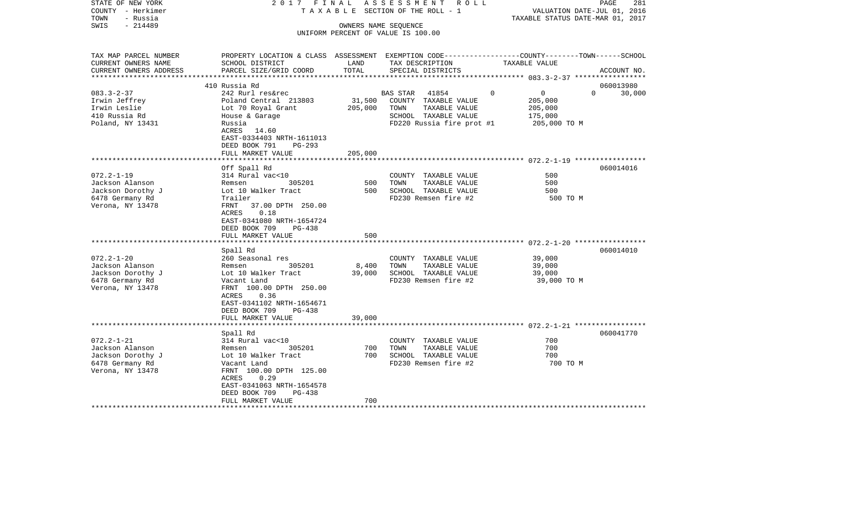| STATE OF NEW YORK<br>COUNTY - Herkimer<br>TOWN<br>- Russia | 2017 FINAL                                                                                       |         | ASSESSMENT<br>R O L L<br>T A X A B L E SECTION OF THE ROLL - 1 | TAXABLE STATUS DATE-MAR 01, 2017 | PAGE<br>281<br>VALUATION DATE-JUL 01, 2016 |
|------------------------------------------------------------|--------------------------------------------------------------------------------------------------|---------|----------------------------------------------------------------|----------------------------------|--------------------------------------------|
| $-214489$<br>SWIS                                          |                                                                                                  |         | OWNERS NAME SEQUENCE                                           |                                  |                                            |
|                                                            |                                                                                                  |         | UNIFORM PERCENT OF VALUE IS 100.00                             |                                  |                                            |
|                                                            |                                                                                                  |         |                                                                |                                  |                                            |
| TAX MAP PARCEL NUMBER                                      | PROPERTY LOCATION & CLASS ASSESSMENT EXEMPTION CODE----------------COUNTY-------TOWN------SCHOOL |         |                                                                |                                  |                                            |
| CURRENT OWNERS NAME                                        | SCHOOL DISTRICT                                                                                  | LAND    | TAX DESCRIPTION                                                | TAXABLE VALUE                    |                                            |
| CURRENT OWNERS ADDRESS                                     | PARCEL SIZE/GRID COORD                                                                           | TOTAL   | SPECIAL DISTRICTS                                              |                                  | ACCOUNT NO.                                |
| **********************                                     |                                                                                                  |         |                                                                |                                  |                                            |
|                                                            | 410 Russia Rd                                                                                    |         |                                                                |                                  | 060013980                                  |
| $083.3 - 2 - 37$                                           | 242 Rurl res&rec                                                                                 |         | <b>BAS STAR</b><br>41854                                       | $\Omega$<br>$\overline{0}$       | $\Omega$<br>30,000                         |
| Irwin Jeffrey                                              | Poland Central 213803                                                                            | 31,500  | COUNTY TAXABLE VALUE                                           | 205,000                          |                                            |
| Irwin Leslie                                               | Lot 70 Royal Grant                                                                               | 205,000 | TOWN<br>TAXABLE VALUE                                          | 205,000                          |                                            |
| 410 Russia Rd                                              | House & Garage                                                                                   |         | SCHOOL TAXABLE VALUE                                           | 175,000                          |                                            |
| Poland, NY 13431                                           | Russia                                                                                           |         | FD220 Russia fire prot #1                                      | 205,000 TO M                     |                                            |
|                                                            | ACRES<br>14.60                                                                                   |         |                                                                |                                  |                                            |
|                                                            | EAST-0334403 NRTH-1611013                                                                        |         |                                                                |                                  |                                            |
|                                                            | DEED BOOK 791<br>$PG-293$                                                                        |         |                                                                |                                  |                                            |
|                                                            | FULL MARKET VALUE                                                                                | 205,000 |                                                                |                                  |                                            |
|                                                            |                                                                                                  |         |                                                                |                                  |                                            |
|                                                            | Off Spall Rd                                                                                     |         |                                                                |                                  | 060014016                                  |
| $072.2 - 1 - 19$                                           | 314 Rural vac<10                                                                                 |         | COUNTY TAXABLE VALUE                                           | 500                              |                                            |
| Jackson Alanson                                            | 305201<br>Remsen                                                                                 | 500     | TAXABLE VALUE<br>TOWN                                          | 500                              |                                            |
| Jackson Dorothy J                                          | Lot 10 Walker Tract<br>Trailer                                                                   | 500     | SCHOOL TAXABLE VALUE<br>FD230 Remsen fire #2                   | 500                              |                                            |
| 6478 Germany Rd<br>Verona, NY 13478                        | 37.00 DPTH 250.00<br>FRNT                                                                        |         |                                                                | 500 TO M                         |                                            |
|                                                            | 0.18<br>ACRES                                                                                    |         |                                                                |                                  |                                            |
|                                                            | EAST-0341080 NRTH-1654724                                                                        |         |                                                                |                                  |                                            |
|                                                            | DEED BOOK 709<br>PG-438                                                                          |         |                                                                |                                  |                                            |
|                                                            | FULL MARKET VALUE                                                                                | 500     |                                                                |                                  |                                            |
|                                                            | *****************                                                                                |         |                                                                |                                  |                                            |
|                                                            | Spall Rd                                                                                         |         |                                                                |                                  | 060014010                                  |
| $072.2 - 1 - 20$                                           | 260 Seasonal res                                                                                 |         | COUNTY TAXABLE VALUE                                           | 39,000                           |                                            |
| Jackson Alanson                                            | Remsen<br>305201                                                                                 | 8,400   | TOWN<br>TAXABLE VALUE                                          | 39,000                           |                                            |
| Jackson Dorothy J                                          | Lot 10 Walker Tract                                                                              | 39,000  | SCHOOL TAXABLE VALUE                                           | 39,000                           |                                            |
| 6478 Germany Rd                                            | Vacant Land                                                                                      |         | FD230 Remsen fire #2                                           | 39,000 TO M                      |                                            |
| Verona, NY 13478                                           | FRNT 100.00 DPTH 250.00                                                                          |         |                                                                |                                  |                                            |
|                                                            | 0.36<br>ACRES                                                                                    |         |                                                                |                                  |                                            |
|                                                            | EAST-0341102 NRTH-1654671                                                                        |         |                                                                |                                  |                                            |
|                                                            | DEED BOOK 709<br><b>PG-438</b>                                                                   |         |                                                                |                                  |                                            |
|                                                            | FULL MARKET VALUE                                                                                | 39,000  |                                                                |                                  |                                            |
|                                                            | *******************                                                                              |         |                                                                |                                  |                                            |
|                                                            | Spall Rd                                                                                         |         |                                                                |                                  | 060041770                                  |
| $072.2 - 1 - 21$                                           | 314 Rural vac<10                                                                                 |         | COUNTY TAXABLE VALUE                                           | 700                              |                                            |
| Jackson Alanson                                            | 305201<br>Remsen                                                                                 | 700     | TOWN<br>TAXABLE VALUE                                          | 700                              |                                            |
| Jackson Dorothy J                                          | Lot 10 Walker Tract                                                                              | 700     | SCHOOL TAXABLE VALUE                                           | 700                              |                                            |
| 6478 Germany Rd                                            | Vacant Land                                                                                      |         | FD230 Remsen fire #2                                           | 700 TO M                         |                                            |
| Verona, NY 13478                                           | FRNT 100.00 DPTH 125.00                                                                          |         |                                                                |                                  |                                            |
|                                                            | ACRES<br>0.29<br>EAST-0341063 NRTH-1654578                                                       |         |                                                                |                                  |                                            |
|                                                            | DEED BOOK 709<br>$PG-438$                                                                        |         |                                                                |                                  |                                            |
|                                                            | FULL MARKET VALUE                                                                                | 700     |                                                                |                                  |                                            |
|                                                            |                                                                                                  |         |                                                                |                                  |                                            |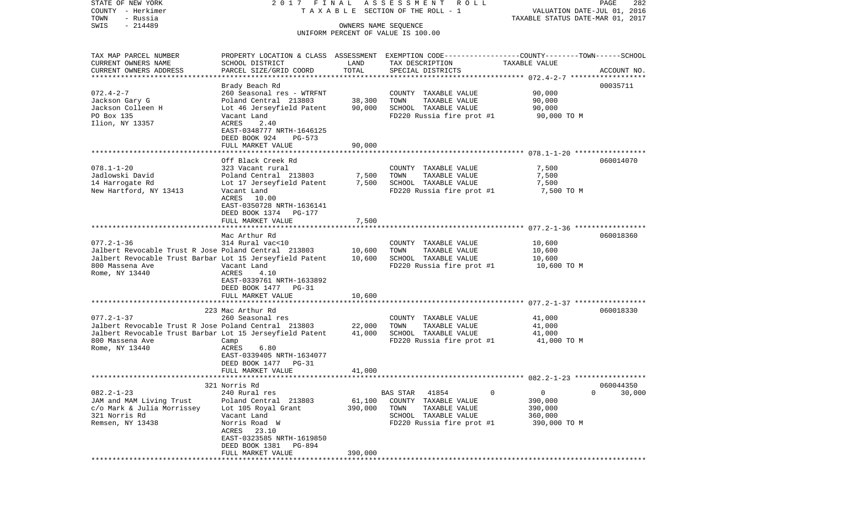VALUATION DATE-JUL 01, 2016 COUNTY - Herkimer T A X A B L E SECTION OF THE ROLL - 1 TOWN - Russia TAXABLE STATUS DATE-MAR 01, 2017 SWIS - 214489 OWNERS NAME SEQUENCE UNIFORM PERCENT OF VALUE IS 100.00TAX MAP PARCEL NUMBER PROPERTY LOCATION & CLASS ASSESSMENT EXEMPTION CODE------------------COUNTY--------TOWN------SCHOOL CURRENT OWNERS NAME SCHOOL DISTRICT LAND TAX DESCRIPTION TAXABLE VALUECURRENT OWNERS ADDRESS PARCEL SIZE/GRID COORD TOTAL SPECIAL DISTRICTS ACCOUNT NO. \*\*\*\*\*\*\*\*\*\*\*\*\*\*\*\*\*\*\*\*\*\*\*\*\*\*\*\*\*\*\*\*\*\*\*\*\*\*\*\*\*\*\*\*\*\*\*\*\*\*\*\*\*\*\*\*\*\*\*\*\*\*\*\*\*\*\*\*\*\*\*\*\*\*\*\*\*\*\*\*\*\*\*\*\*\*\*\*\*\*\*\*\*\*\*\*\*\*\*\*\*\*\* 072.4-2-7 \*\*\*\*\*\*\*\*\*\*\*\*\*\*\*\*\*\* Brady Beach Rd 00035711 072.4-2-7 260 Seasonal res - WTRFNT COUNTY TAXABLE VALUE 90,000 Jackson Gary G **Poland Central 213803** 38,300 TOWN TAXABLE VALUE 90,000 Jackson Colleen H Lot 46 Jerseyfield Patent 90,000 SCHOOL TAXABLE VALUE 90,000 PO Box 135 Vacant Land FD220 Russia fire prot #1 90,000 TO M Ilion, NY 13357 ACRES 2.40 EAST-0348777 NRTH-1646125 DEED BOOK 924 PG-573FULL MARKET VALUE 90,000 \*\*\*\*\*\*\*\*\*\*\*\*\*\*\*\*\*\*\*\*\*\*\*\*\*\*\*\*\*\*\*\*\*\*\*\*\*\*\*\*\*\*\*\*\*\*\*\*\*\*\*\*\*\*\*\*\*\*\*\*\*\*\*\*\*\*\*\*\*\*\*\*\*\*\*\*\*\*\*\*\*\*\*\*\*\*\*\*\*\*\*\*\*\*\*\*\*\*\*\*\*\*\* 078.1-1-20 \*\*\*\*\*\*\*\*\*\*\*\*\*\*\*\*\* Off Black Creek Rd 060014070078.1-1-20 323 Vacant rural COUNTY TAXABLE VALUE 7,500 Jadlowski David Poland Central 213803 7,500 TOWN TAXABLE VALUE 7,500 14 Harrogate Rd Lot 17 Jerseyfield Patent 7,500 SCHOOL TAXABLE VALUE 7,500 New Hartford, NY 13413 Vacant Land FD220 Russia fire prot #1 7,500 TO M ACRES 10.00 EAST-0350728 NRTH-1636141 DEED BOOK 1374 PG-177FULL MARKET VALUE 7,500 \*\*\*\*\*\*\*\*\*\*\*\*\*\*\*\*\*\*\*\*\*\*\*\*\*\*\*\*\*\*\*\*\*\*\*\*\*\*\*\*\*\*\*\*\*\*\*\*\*\*\*\*\*\*\*\*\*\*\*\*\*\*\*\*\*\*\*\*\*\*\*\*\*\*\*\*\*\*\*\*\*\*\*\*\*\*\*\*\*\*\*\*\*\*\*\*\*\*\*\*\*\*\* 077.2-1-36 \*\*\*\*\*\*\*\*\*\*\*\*\*\*\*\*\* Mac Arthur Rd 060018360077.2-1-36 314 Rural vac<10 COUNTY TAXABLE VALUE 10,600 Jalbert Revocable Trust R Jose Poland Central 213803 10,600 TOWN TAXABLE VALUE 10,600 Jalbert Revocable Trust Barbar Lot 15 Jerseyfield Patent 10,600 SCHOOL TAXABLE VALUE 10,600 Vacant Land **FD220** Russia fire prot #1 Rome, NY 13440 <br>
ACRES 4.10 EAST-0339761 NRTH-1633892 DEED BOOK 1477 PG-31FULL MARKET VALUE 10,600 \*\*\*\*\*\*\*\*\*\*\*\*\*\*\*\*\*\*\*\*\*\*\*\*\*\*\*\*\*\*\*\*\*\*\*\*\*\*\*\*\*\*\*\*\*\*\*\*\*\*\*\*\*\*\*\*\*\*\*\*\*\*\*\*\*\*\*\*\*\*\*\*\*\*\*\*\*\*\*\*\*\*\*\*\*\*\*\*\*\*\*\*\*\*\*\*\*\*\*\*\*\*\* 077.2-1-37 \*\*\*\*\*\*\*\*\*\*\*\*\*\*\*\*\* 223 Mac Arthur Rd 060018330077.2-1-37 260 Seasonal res COUNTY TAXABLE VALUE 41,000 Jalbert Revocable Trust R Jose Poland Central 213803 22,000 TOWN TAXABLE VALUE 41,000 Jalbert Revocable Trust Barbar Lot 15 Jerseyfield Patent 41,000 SCHOOL TAXABLE VALUE 41,000 800 Massena Ave Camp FD220 Russia fire prot #1 41,000 TO M Rome, NY 13440 ACRES 6.80 EAST-0339405 NRTH-1634077 DEED BOOK 1477 PG-31 FULL MARKET VALUE 41,000 \*\*\*\*\*\*\*\*\*\*\*\*\*\*\*\*\*\*\*\*\*\*\*\*\*\*\*\*\*\*\*\*\*\*\*\*\*\*\*\*\*\*\*\*\*\*\*\*\*\*\*\*\*\*\*\*\*\*\*\*\*\*\*\*\*\*\*\*\*\*\*\*\*\*\*\*\*\*\*\*\*\*\*\*\*\*\*\*\*\*\*\*\*\*\*\*\*\*\*\*\*\*\* 082.2-1-23 \*\*\*\*\*\*\*\*\*\*\*\*\*\*\*\*\* 321 Norris Rd 060044350082.2-1-23 240 Rural res BAS STAR 41854 0 0 0 30,000 JAM and MAM Living Trust Poland Central 213803 61,100 COUNTY TAXABLE VALUE 390,000 c/o Mark & Julia Morrissey Lot 105 Royal Grant 390,000 TOWN TAXABLE VALUE 390,000 321 Norris Rd Vacant Land SCHOOL TAXABLE VALUE 360,000 Remsen, NY 13438 Norris Road W FD220 Russia fire prot #1 390,000 TO M ACRES 23.10 EAST-0323585 NRTH-1619850 DEED BOOK 1381 PG-894 FULL MARKET VALUE 390,000 \*\*\*\*\*\*\*\*\*\*\*\*\*\*\*\*\*\*\*\*\*\*\*\*\*\*\*\*\*\*\*\*\*\*\*\*\*\*\*\*\*\*\*\*\*\*\*\*\*\*\*\*\*\*\*\*\*\*\*\*\*\*\*\*\*\*\*\*\*\*\*\*\*\*\*\*\*\*\*\*\*\*\*\*\*\*\*\*\*\*\*\*\*\*\*\*\*\*\*\*\*\*\*\*\*\*\*\*\*\*\*\*\*\*\*\*\*\*\*\*\*\*\*\*\*\*\*\*\*\*\*\*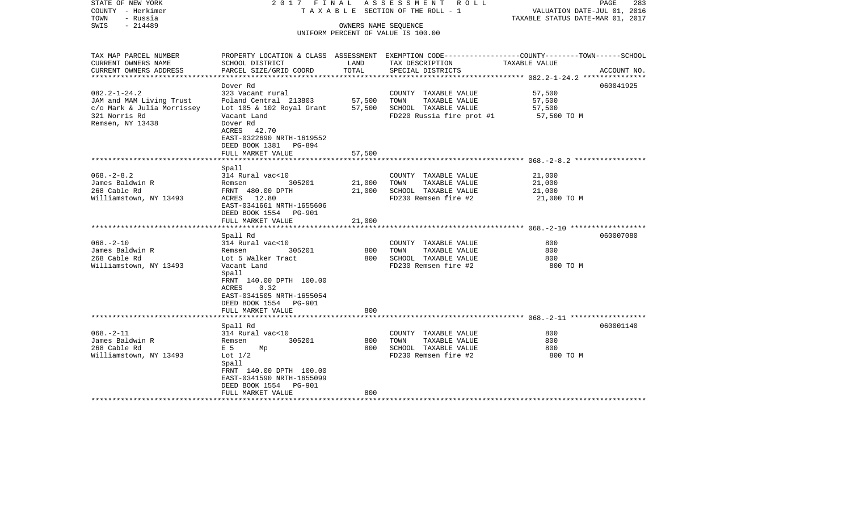| STATE OF NEW YORK<br>COUNTY - Herkimer<br>TOWN<br>- Russia | 2017 FINAL                |                 | A S S E S S M E N T R O L L<br>TAXABLE SECTION OF THE ROLL - 1 | PAGE<br>283<br>VALUATION DATE-JUL 01, 2016<br>TAXABLE STATUS DATE-MAR 01, 2017                  |
|------------------------------------------------------------|---------------------------|-----------------|----------------------------------------------------------------|-------------------------------------------------------------------------------------------------|
| $-214489$<br>SWIS                                          |                           |                 | OWNERS NAME SEQUENCE                                           |                                                                                                 |
|                                                            |                           |                 | UNIFORM PERCENT OF VALUE IS 100.00                             |                                                                                                 |
|                                                            |                           |                 |                                                                |                                                                                                 |
| TAX MAP PARCEL NUMBER                                      |                           |                 |                                                                | PROPERTY LOCATION & CLASS ASSESSMENT EXEMPTION CODE---------------COUNTY-------TOWN------SCHOOL |
| CURRENT OWNERS NAME                                        | SCHOOL DISTRICT           | LAND            | TAX DESCRIPTION                                                | TAXABLE VALUE                                                                                   |
| CURRENT OWNERS ADDRESS                                     | PARCEL SIZE/GRID COORD    | TOTAL           | SPECIAL DISTRICTS                                              | ACCOUNT NO.                                                                                     |
| *********************                                      |                           | *************** |                                                                | ************************** 082.2-1-24.2 ***************                                         |
|                                                            | Dover Rd                  |                 |                                                                | 060041925                                                                                       |
| $082.2 - 1 - 24.2$                                         | 323 Vacant rural          |                 | COUNTY TAXABLE VALUE                                           | 57,500                                                                                          |
| JAM and MAM Living Trust                                   | Poland Central 213803     | 57,500          | TOWN<br>TAXABLE VALUE                                          | 57,500                                                                                          |
| c/o Mark & Julia Morrissey                                 | Lot 105 & 102 Royal Grant | 57,500          | SCHOOL TAXABLE VALUE                                           | 57,500                                                                                          |
| 321 Norris Rd                                              | Vacant Land               |                 | FD220 Russia fire prot #1                                      | 57,500 TO M                                                                                     |
| Remsen, NY 13438                                           | Dover Rd                  |                 |                                                                |                                                                                                 |
|                                                            | ACRES 42.70               |                 |                                                                |                                                                                                 |
|                                                            | EAST-0322690 NRTH-1619552 |                 |                                                                |                                                                                                 |
|                                                            | DEED BOOK 1381 PG-894     |                 |                                                                |                                                                                                 |
|                                                            | FULL MARKET VALUE         | 57,500          |                                                                |                                                                                                 |
|                                                            |                           |                 |                                                                |                                                                                                 |
|                                                            | Spall                     |                 |                                                                |                                                                                                 |
| $068. - 2 - 8.2$                                           | 314 Rural vac<10          |                 | COUNTY TAXABLE VALUE                                           | 21,000                                                                                          |
| James Baldwin R                                            | 305201<br>Remsen          | 21,000          | TOWN<br>TAXABLE VALUE                                          | 21,000                                                                                          |
| 268 Cable Rd                                               | FRNT 480.00 DPTH          | 21,000          | SCHOOL TAXABLE VALUE                                           | 21,000                                                                                          |
| Williamstown, NY 13493                                     | ACRES 12.80               |                 | FD230 Remsen fire #2                                           | 21,000 TO M                                                                                     |
|                                                            | EAST-0341661 NRTH-1655606 |                 |                                                                |                                                                                                 |
|                                                            | DEED BOOK 1554 PG-901     |                 |                                                                |                                                                                                 |
|                                                            | FULL MARKET VALUE         | 21,000          |                                                                |                                                                                                 |
|                                                            |                           |                 |                                                                |                                                                                                 |
|                                                            | Spall Rd                  |                 |                                                                | 060007080                                                                                       |
| $068. - 2 - 10$                                            | 314 Rural vac<10          |                 | COUNTY TAXABLE VALUE                                           | 800                                                                                             |
| James Baldwin R                                            | Remsen<br>305201          | 800             | TOWN<br>TAXABLE VALUE                                          | 800                                                                                             |
| 268 Cable Rd                                               | Lot 5 Walker Tract        | 800             | SCHOOL TAXABLE VALUE                                           | 800                                                                                             |
| Williamstown, NY 13493                                     | Vacant Land               |                 | FD230 Remsen fire #2                                           | 800 TO M                                                                                        |
|                                                            | Spall                     |                 |                                                                |                                                                                                 |
|                                                            | FRNT 140.00 DPTH 100.00   |                 |                                                                |                                                                                                 |
|                                                            | ACRES<br>0.32             |                 |                                                                |                                                                                                 |
|                                                            | EAST-0341505 NRTH-1655054 |                 |                                                                |                                                                                                 |
|                                                            | DEED BOOK 1554 PG-901     |                 |                                                                |                                                                                                 |
|                                                            | FULL MARKET VALUE         | 800             |                                                                |                                                                                                 |
|                                                            |                           |                 |                                                                | *************************** 068.-2-11 ******************                                        |
|                                                            | Spall Rd                  |                 |                                                                | 060001140                                                                                       |
| $068. - 2 - 11$                                            | 314 Rural vac<10          |                 | COUNTY TAXABLE VALUE                                           | 800                                                                                             |
| James Baldwin R                                            | 305201<br>Remsen          | 800             | TAXABLE VALUE<br>TOWN                                          | 800                                                                                             |
| 268 Cable Rd                                               | E 5<br>Mp                 | 800             | SCHOOL TAXABLE VALUE                                           | 800                                                                                             |
| Williamstown, NY 13493                                     | Lot $1/2$                 |                 | FD230 Remsen fire #2                                           | 800 TO M                                                                                        |
|                                                            | Spall                     |                 |                                                                |                                                                                                 |
|                                                            | FRNT 140.00 DPTH 100.00   |                 |                                                                |                                                                                                 |
|                                                            | EAST-0341590 NRTH-1655099 |                 |                                                                |                                                                                                 |
|                                                            | DEED BOOK 1554 PG-901     |                 |                                                                |                                                                                                 |
|                                                            | FULL MARKET VALUE         | 800             |                                                                |                                                                                                 |
|                                                            |                           |                 |                                                                |                                                                                                 |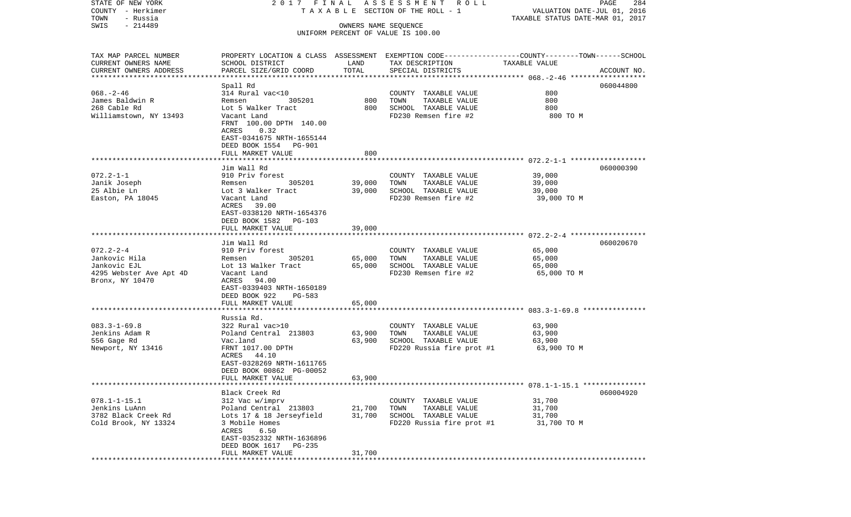| STATE OF NEW YORK<br>COUNTY - Herkimer | 2017 FINAL                                                                                       |                      | A S S E S S M E N T R O L L<br>TAXABLE SECTION OF THE ROLL - 1 | VALUATION DATE-JUL 01, 2016      | PAGE<br>284 |
|----------------------------------------|--------------------------------------------------------------------------------------------------|----------------------|----------------------------------------------------------------|----------------------------------|-------------|
| TOWN<br>- Russia                       |                                                                                                  |                      |                                                                | TAXABLE STATUS DATE-MAR 01, 2017 |             |
| $-214489$<br>SWIS                      |                                                                                                  | OWNERS NAME SEQUENCE |                                                                |                                  |             |
|                                        |                                                                                                  |                      | UNIFORM PERCENT OF VALUE IS 100.00                             |                                  |             |
| TAX MAP PARCEL NUMBER                  | PROPERTY LOCATION & CLASS ASSESSMENT EXEMPTION CODE----------------COUNTY-------TOWN------SCHOOL |                      |                                                                |                                  |             |
| CURRENT OWNERS NAME                    | SCHOOL DISTRICT                                                                                  | LAND                 | TAX DESCRIPTION                                                | TAXABLE VALUE                    |             |
| CURRENT OWNERS ADDRESS                 | PARCEL SIZE/GRID COORD                                                                           | TOTAL                | SPECIAL DISTRICTS                                              |                                  | ACCOUNT NO. |
| *************************              |                                                                                                  |                      |                                                                |                                  |             |
| $068. - 2 - 46$                        | Spall Rd<br>314 Rural vac<10                                                                     |                      | COUNTY TAXABLE VALUE                                           | 800                              | 060044800   |
| James Baldwin R                        | 305201<br>Remsen                                                                                 | 800                  | TOWN<br>TAXABLE VALUE                                          | 800                              |             |
| 268 Cable Rd                           | Lot 5 Walker Tract                                                                               | 800                  | SCHOOL TAXABLE VALUE                                           | 800                              |             |
| Williamstown, NY 13493                 | Vacant Land                                                                                      |                      | FD230 Remsen fire #2                                           | 800 TO M                         |             |
|                                        | FRNT 100.00 DPTH 140.00                                                                          |                      |                                                                |                                  |             |
|                                        | ACRES<br>0.32                                                                                    |                      |                                                                |                                  |             |
|                                        | EAST-0341675 NRTH-1655144                                                                        |                      |                                                                |                                  |             |
|                                        | DEED BOOK 1554 PG-901                                                                            |                      |                                                                |                                  |             |
|                                        | FULL MARKET VALUE                                                                                | 800                  |                                                                |                                  |             |
|                                        |                                                                                                  |                      |                                                                |                                  |             |
| $072.2 - 1 - 1$                        | Jim Wall Rd<br>910 Priv forest                                                                   |                      |                                                                | 39,000                           | 060000390   |
| Janik Joseph                           | 305201<br>Remsen                                                                                 | 39,000               | COUNTY TAXABLE VALUE<br>TOWN<br>TAXABLE VALUE                  | 39,000                           |             |
| 25 Albie Ln                            | Lot 3 Walker Tract                                                                               | 39,000               | SCHOOL TAXABLE VALUE                                           | 39,000                           |             |
| Easton, PA 18045                       | Vacant Land                                                                                      |                      | FD230 Remsen fire #2                                           | 39,000 TO M                      |             |
|                                        | ACRES 39.00                                                                                      |                      |                                                                |                                  |             |
|                                        | EAST-0338120 NRTH-1654376                                                                        |                      |                                                                |                                  |             |
|                                        | DEED BOOK 1582 PG-103                                                                            |                      |                                                                |                                  |             |
|                                        | FULL MARKET VALUE                                                                                | 39,000               |                                                                |                                  |             |
|                                        |                                                                                                  |                      |                                                                |                                  |             |
| $072.2 - 2 - 4$                        | Jim Wall Rd<br>910 Priv forest                                                                   |                      | COUNTY TAXABLE VALUE                                           | 65,000                           | 060020670   |
| Jankovic Hila                          | 305201<br>Remsen                                                                                 | 65,000               | TAXABLE VALUE<br>TOWN                                          | 65,000                           |             |
| Jankovic EJL                           | Lot 13 Walker Tract                                                                              | 65,000               | SCHOOL TAXABLE VALUE                                           | 65,000                           |             |
| 4295 Webster Ave Apt 4D                | Vacant Land                                                                                      |                      | FD230 Remsen fire #2                                           | 65,000 TO M                      |             |
| Bronx, NY 10470                        | ACRES<br>94.00                                                                                   |                      |                                                                |                                  |             |
|                                        | EAST-0339403 NRTH-1650189                                                                        |                      |                                                                |                                  |             |
|                                        | DEED BOOK 922<br>PG-583                                                                          |                      |                                                                |                                  |             |
|                                        | FULL MARKET VALUE                                                                                | 65,000               |                                                                |                                  |             |
|                                        | ******************                                                                               |                      |                                                                |                                  |             |
| $083.3 - 1 - 69.8$                     | Russia Rd.<br>322 Rural vac>10                                                                   |                      | COUNTY TAXABLE VALUE                                           | 63,900                           |             |
| Jenkins Adam R                         | Poland Central 213803                                                                            | 63,900               | TOWN<br>TAXABLE VALUE                                          | 63,900                           |             |
| 556 Gage Rd                            | Vac.land                                                                                         | 63,900               | SCHOOL TAXABLE VALUE                                           | 63,900                           |             |
| Newport, NY 13416                      | FRNT 1017.00 DPTH                                                                                |                      | FD220 Russia fire prot #1                                      | 63,900 TO M                      |             |
|                                        | ACRES 44.10                                                                                      |                      |                                                                |                                  |             |
|                                        | EAST-0328269 NRTH-1611765                                                                        |                      |                                                                |                                  |             |
|                                        | DEED BOOK 00862 PG-00052                                                                         |                      |                                                                |                                  |             |
|                                        | FULL MARKET VALUE                                                                                | 63,900               |                                                                |                                  |             |
|                                        |                                                                                                  |                      |                                                                |                                  |             |
|                                        | Black Creek Rd                                                                                   |                      |                                                                |                                  | 060004920   |
| $078.1 - 1 - 15.1$<br>Jenkins LuAnn    | 312 Vac w/imprv<br>Poland Central 213803                                                         | 21,700               | COUNTY TAXABLE VALUE<br>TOWN<br>TAXABLE VALUE                  | 31,700<br>31,700                 |             |
| 3782 Black Creek Rd                    | Lots 17 & 18 Jerseyfield                                                                         | 31,700               | SCHOOL TAXABLE VALUE                                           | 31,700                           |             |
| Cold Brook, NY 13324                   | 3 Mobile Homes                                                                                   |                      | FD220 Russia fire prot #1                                      | 31,700 TO M                      |             |
|                                        | 6.50<br>ACRES                                                                                    |                      |                                                                |                                  |             |
|                                        | EAST-0352332 NRTH-1636896                                                                        |                      |                                                                |                                  |             |
|                                        | DEED BOOK 1617 PG-235                                                                            |                      |                                                                |                                  |             |
|                                        | FULL MARKET VALUE                                                                                | 31,700               |                                                                |                                  |             |
|                                        |                                                                                                  |                      |                                                                |                                  |             |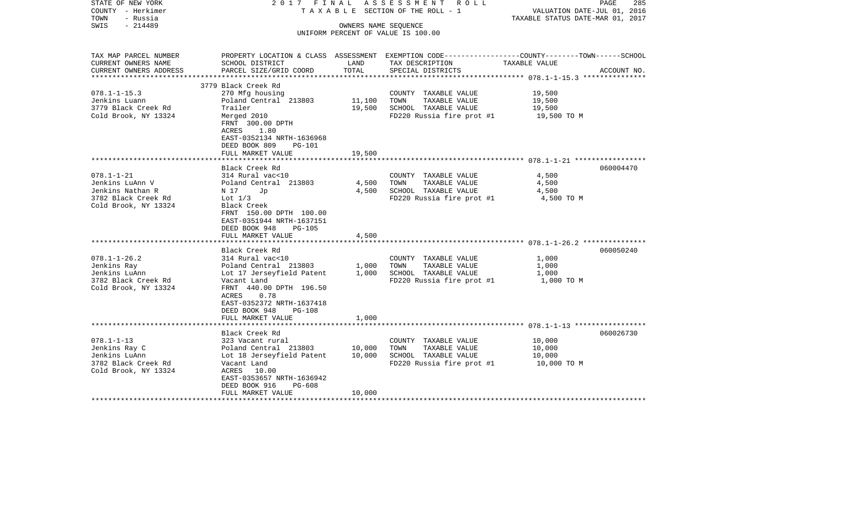| STATE OF NEW YORK<br>COUNTY - Herkimer<br>TOWN<br>- Russia   | 2017 FINAL                                                                                                                             |        | A S S E S S M E N T R O L L<br>T A X A B L E SECTION OF THE ROLL - 1                             | VALUATION DATE-JUL 01, 2016<br>TAXABLE STATUS DATE-MAR 01, 2017 | PAGE<br>285 |  |  |
|--------------------------------------------------------------|----------------------------------------------------------------------------------------------------------------------------------------|--------|--------------------------------------------------------------------------------------------------|-----------------------------------------------------------------|-------------|--|--|
| $-214489$<br>SWIS                                            | OWNERS NAME SEQUENCE                                                                                                                   |        |                                                                                                  |                                                                 |             |  |  |
|                                                              |                                                                                                                                        |        | UNIFORM PERCENT OF VALUE IS 100.00                                                               |                                                                 |             |  |  |
| TAX MAP PARCEL NUMBER                                        |                                                                                                                                        |        | PROPERTY LOCATION & CLASS ASSESSMENT EXEMPTION CODE----------------COUNTY-------TOWN------SCHOOL |                                                                 |             |  |  |
| CURRENT OWNERS NAME                                          | SCHOOL DISTRICT                                                                                                                        | LAND   | TAX DESCRIPTION                                                                                  | TAXABLE VALUE                                                   |             |  |  |
| CURRENT OWNERS ADDRESS                                       | PARCEL SIZE/GRID COORD                                                                                                                 | TOTAL  | SPECIAL DISTRICTS                                                                                |                                                                 | ACCOUNT NO. |  |  |
|                                                              | 3779 Black Creek Rd                                                                                                                    |        |                                                                                                  |                                                                 |             |  |  |
| $078.1 - 1 - 15.3$                                           | 270 Mfg housing                                                                                                                        |        | COUNTY TAXABLE VALUE                                                                             | 19,500                                                          |             |  |  |
| Jenkins Luann                                                | Poland Central 213803                                                                                                                  | 11,100 | TOWN<br>TAXABLE VALUE                                                                            | 19,500                                                          |             |  |  |
| 3779 Black Creek Rd                                          | Trailer                                                                                                                                | 19,500 | SCHOOL TAXABLE VALUE                                                                             | 19,500                                                          |             |  |  |
| Cold Brook, NY 13324                                         | Merged 2010<br>FRNT 300.00 DPTH<br>ACRES<br>1.80                                                                                       |        | FD220 Russia fire prot #1                                                                        | 19,500 TO M                                                     |             |  |  |
|                                                              | EAST-0352134 NRTH-1636968                                                                                                              |        |                                                                                                  |                                                                 |             |  |  |
|                                                              | DEED BOOK 809<br><b>PG-101</b><br>FULL MARKET VALUE                                                                                    | 19,500 |                                                                                                  |                                                                 |             |  |  |
|                                                              | ****************************                                                                                                           |        |                                                                                                  |                                                                 |             |  |  |
|                                                              | Black Creek Rd                                                                                                                         |        |                                                                                                  |                                                                 | 060004470   |  |  |
| $078.1 - 1 - 21$                                             | 314 Rural vac<10                                                                                                                       |        | COUNTY TAXABLE VALUE                                                                             | 4,500                                                           |             |  |  |
| Jenkins LuAnn V                                              | Poland Central 213803                                                                                                                  | 4,500  | TOWN<br>TAXABLE VALUE                                                                            | 4,500                                                           |             |  |  |
| Jenkins Nathan R                                             | N 17<br>Jp                                                                                                                             | 4,500  | SCHOOL TAXABLE VALUE                                                                             | 4,500                                                           |             |  |  |
| 3782 Black Creek Rd<br>Cold Brook, NY 13324                  | Lot $1/3$<br>Black Creek<br>FRNT 150.00 DPTH 100.00<br>EAST-0351944 NRTH-1637151<br>DEED BOOK 948<br><b>PG-105</b>                     |        | FD220 Russia fire prot #1                                                                        | 4,500 TO M                                                      |             |  |  |
|                                                              | FULL MARKET VALUE<br>**************************                                                                                        | 4,500  |                                                                                                  |                                                                 |             |  |  |
|                                                              | Black Creek Rd                                                                                                                         |        |                                                                                                  |                                                                 | 060050240   |  |  |
| $078.1 - 1 - 26.2$                                           | 314 Rural vac<10                                                                                                                       |        | COUNTY TAXABLE VALUE                                                                             | 1,000                                                           |             |  |  |
| Jenkins Ray                                                  | Poland Central 213803                                                                                                                  | 1,000  | TOWN<br>TAXABLE VALUE                                                                            | 1,000                                                           |             |  |  |
| Jenkins LuAnn                                                | Lot 17 Jerseyfield Patent                                                                                                              | 1,000  | SCHOOL TAXABLE VALUE                                                                             | 1,000                                                           |             |  |  |
| 3782 Black Creek Rd<br>Cold Brook, NY 13324                  | Vacant Land<br>FRNT 440.00 DPTH 196.50<br>ACRES<br>0.78<br>EAST-0352372 NRTH-1637418<br>DEED BOOK 948<br>$PG-108$<br>FULL MARKET VALUE | 1,000  | FD220 Russia fire prot #1                                                                        | 1,000 TO M                                                      |             |  |  |
|                                                              |                                                                                                                                        |        |                                                                                                  |                                                                 |             |  |  |
|                                                              | Black Creek Rd                                                                                                                         |        |                                                                                                  |                                                                 | 060026730   |  |  |
| $078.1 - 1 - 13$                                             | 323 Vacant rural                                                                                                                       |        | COUNTY TAXABLE VALUE                                                                             | 10,000                                                          |             |  |  |
| Jenkins Ray C                                                | Poland Central 213803                                                                                                                  | 10,000 | TOWN<br>TAXABLE VALUE                                                                            | 10,000                                                          |             |  |  |
| Jenkins LuAnn<br>3782 Black Creek Rd<br>Cold Brook, NY 13324 | Lot 18 Jerseyfield Patent<br>Vacant Land<br>ACRES 10.00<br>EAST-0353657 NRTH-1636942                                                   | 10,000 | SCHOOL TAXABLE VALUE<br>FD220 Russia fire prot #1                                                | 10,000<br>10,000 TO M                                           |             |  |  |
|                                                              | DEED BOOK 916<br>PG-608<br>FULL MARKET VALUE                                                                                           | 10,000 |                                                                                                  |                                                                 |             |  |  |
|                                                              |                                                                                                                                        |        |                                                                                                  |                                                                 |             |  |  |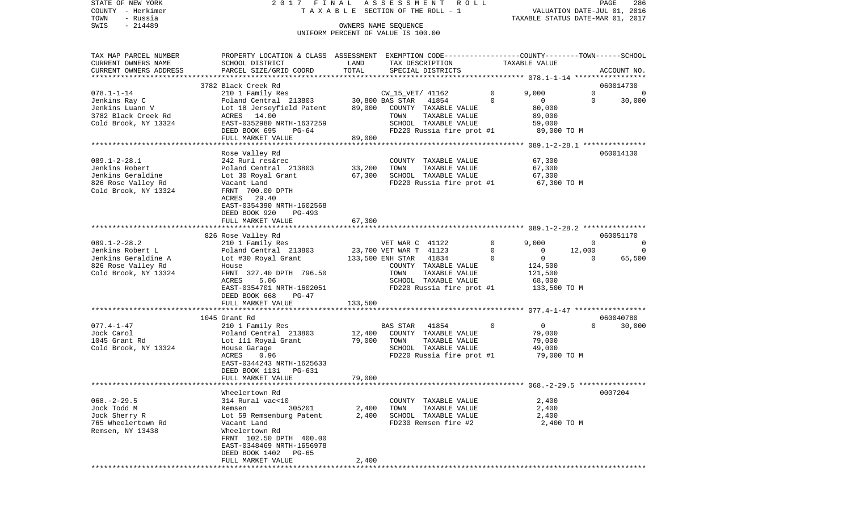STATE OF NEW YORK 2 0 1 7 F I N A L A S S E S S M E N T R O L L PAGE 286COUNTY - Herkimer **T A X A B L E** SECTION OF THE ROLL - 1 VALUATION DATE-JUL 01, 2016 TOWN - Russia TAXABLE STATUS DATE-MAR 01, 2017 SWIS - 214489 OWNERS NAME SEQUENCE UNIFORM PERCENT OF VALUE IS 100.00

TAX MAP PARCEL NUMBER PROPERTY LOCATION & CLASS ASSESSMENT EXEMPTION CODE------------------COUNTY--------TOWN------SCHOOL CURRENT OWNERS NAME SCHOOL DISTRICT LAND TAX DESCRIPTION TAXABLE VALUECURRENT OWNERS ADDRESS PARCEL SIZE/GRID COORD TOTAL SPECIAL DISTRICTS ACCOUNT NO. \*\*\*\*\*\*\*\*\*\*\*\*\*\*\*\*\*\*\*\*\*\*\*\*\*\*\*\*\*\*\*\*\*\*\*\*\*\*\*\*\*\*\*\*\*\*\*\*\*\*\*\*\*\*\*\*\*\*\*\*\*\*\*\*\*\*\*\*\*\*\*\*\*\*\*\*\*\*\*\*\*\*\*\*\*\*\*\*\*\*\*\*\*\*\*\*\*\*\*\*\*\*\* 078.1-1-14 \*\*\*\*\*\*\*\*\*\*\*\*\*\*\*\*\*3782 Black Creek Rd 060014730 078.1-1-14 210 1 Family Res CW\_15\_VET/ 41162 0 9,000 0 0 0 Jenkins Ray C Poland Central 213803 30,800 BAS STAR 41854 0 0 0 30,000 Jenkins Luann V Lot 18 Jerseyfield Patent 89,000 COUNTY TAXABLE VALUE 80,000 3782 Black Creek Rd ACRES 14.00 TOWN TAXABLE VALUE 89,000 Cold Brook, NY 13324 **EAST-0352980 NRTH-1637259** SCHOOL TAXABLE VALUE 59,000 DEED BOOK 695 PG-64 FD220 Russia fire prot #1 89,000 TO M FULL MARKET VALUE 89,000 \*\*\*\*\*\*\*\*\*\*\*\*\*\*\*\*\*\*\*\*\*\*\*\*\*\*\*\*\*\*\*\*\*\*\*\*\*\*\*\*\*\*\*\*\*\*\*\*\*\*\*\*\*\*\*\*\*\*\*\*\*\*\*\*\*\*\*\*\*\*\*\*\*\*\*\*\*\*\*\*\*\*\*\*\*\*\*\*\*\*\*\*\*\*\*\*\*\*\*\*\*\*\* 089.1-2-28.1 \*\*\*\*\*\*\*\*\*\*\*\*\*\*\* Rose Valley Rd 060014130 089.1-2-28.1 242 Rurl res&rec COUNTY TAXABLE VALUE 67,300 Jenkins Robert Poland Central 213803 33,200 TOWN TAXABLE VALUE 67,300 Jenkins Geraldine Lot 30 Royal Grant 67,300 SCHOOL TAXABLE VALUE 67,300 826 Rose Valley Rd Vacant Land FD220 Russia fire prot #1 67,300 TO M Cold Brook, NY 13324 FRNT 700.00 DPTH ACRES 29.40 EAST-0354390 NRTH-1602568 DEED BOOK 920 PG-493FULL MARKET VALUE 67,300 \*\*\*\*\*\*\*\*\*\*\*\*\*\*\*\*\*\*\*\*\*\*\*\*\*\*\*\*\*\*\*\*\*\*\*\*\*\*\*\*\*\*\*\*\*\*\*\*\*\*\*\*\*\*\*\*\*\*\*\*\*\*\*\*\*\*\*\*\*\*\*\*\*\*\*\*\*\*\*\*\*\*\*\*\*\*\*\*\*\*\*\*\*\*\*\*\*\*\*\*\*\*\* 089.1-2-28.2 \*\*\*\*\*\*\*\*\*\*\*\*\*\*\* 826 Rose Valley Rd 060051170 089.1-2-28.2 210 1 Family Res VET WAR C 41122 0 9,000 0 0 Jenkins Robert L <sup>Poland</sup> Central 213803 23,700 VET WAR T 41123 0 0 12,000 0 Jenkins Geraldine A Lot #30 Royal Grant 133,500 ENH STAR 41834 0 0 0 65,500 826 Rose Valley Rd House COUNTY TAXABLE VALUE 124,500 Cold Brook, NY 13324 FRNT 327.40 DPTH 796.50 TOWN TAXABLE VALUE 121,500 ACRES 5.06 SCHOOL TAXABLE VALUE 68,000 EAST-0354701 NRTH-1602051 FD220 Russia fire prot #1 133,500 TO M DEED BOOK 668 PG-47FULL MARKET VALUE 133,500 \*\*\*\*\*\*\*\*\*\*\*\*\*\*\*\*\*\*\*\*\*\*\*\*\*\*\*\*\*\*\*\*\*\*\*\*\*\*\*\*\*\*\*\*\*\*\*\*\*\*\*\*\*\*\*\*\*\*\*\*\*\*\*\*\*\*\*\*\*\*\*\*\*\*\*\*\*\*\*\*\*\*\*\*\*\*\*\*\*\*\*\*\*\*\*\*\*\*\*\*\*\*\* 077.4-1-47 \*\*\*\*\*\*\*\*\*\*\*\*\*\*\*\*\* 1045 Grant Rd 060040780077.4-1-47 210 1 Family Res BAS STAR 41854 0 0 0 30,000 Jock Carol Poland Central 213803 12,400 COUNTY TAXABLE VALUE 79,000 1045 Grant Rd Lot 111 Royal Grant 79,000 TOWN TAXABLE VALUE 79,000 Cold Brook, NY 13324 House Garage SCHOOL TAXABLE VALUE 49,000<br>ACRES 0.96 ACRES 1.96 FD220 Russia fire prot #1 79.000 TO M ACRES 0.96 FD220 Russia fire prot #1 EAST-0344243 NRTH-1625633 DEED BOOK 1131 PG-631FULL MARKET VALUE 79,000 \*\*\*\*\*\*\*\*\*\*\*\*\*\*\*\*\*\*\*\*\*\*\*\*\*\*\*\*\*\*\*\*\*\*\*\*\*\*\*\*\*\*\*\*\*\*\*\*\*\*\*\*\*\*\*\*\*\*\*\*\*\*\*\*\*\*\*\*\*\*\*\*\*\*\*\*\*\*\*\*\*\*\*\*\*\*\*\*\*\*\*\*\*\*\*\*\*\*\*\*\*\*\* 068.-2-29.5 \*\*\*\*\*\*\*\*\*\*\*\*\*\*\*\* Wheelertown Rd 0007204068.-2-29.5 314 Rural vac<10 COUNTY TAXABLE VALUE 2,400 Jock Todd M Remsen 305201 2,400 TOWN TAXABLE VALUE 2,400 Jock Sherry R Lot 59 Remsenburg Patent 2,400 SCHOOL TAXABLE VALUE 2,400 765 Wheelertown Rd Vacant Land FD230 Remsen fire #2 2,400 TO M Remsen, NY 13438 Wheelertown Rd FRNT 102.50 DPTH 400.00 EAST-0348469 NRTH-1656978 DEED BOOK 1402 PG-65FULL MARKET VALUE 2,400 \*\*\*\*\*\*\*\*\*\*\*\*\*\*\*\*\*\*\*\*\*\*\*\*\*\*\*\*\*\*\*\*\*\*\*\*\*\*\*\*\*\*\*\*\*\*\*\*\*\*\*\*\*\*\*\*\*\*\*\*\*\*\*\*\*\*\*\*\*\*\*\*\*\*\*\*\*\*\*\*\*\*\*\*\*\*\*\*\*\*\*\*\*\*\*\*\*\*\*\*\*\*\*\*\*\*\*\*\*\*\*\*\*\*\*\*\*\*\*\*\*\*\*\*\*\*\*\*\*\*\*\*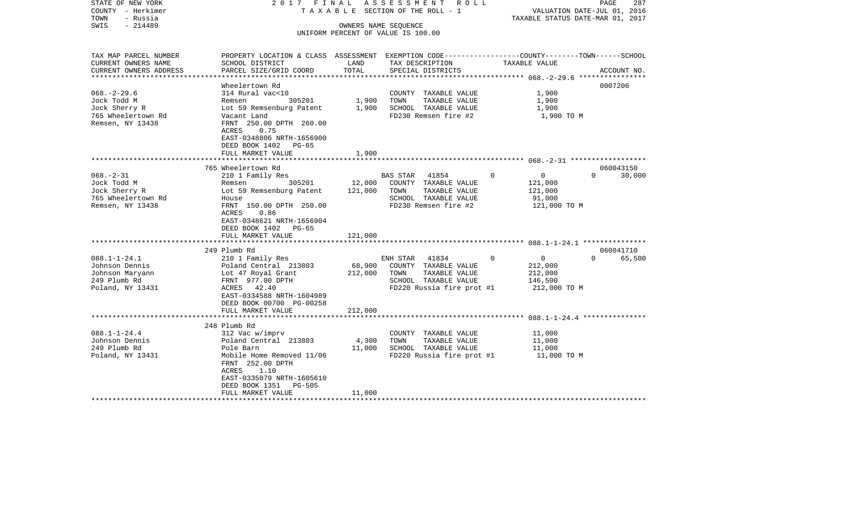| STATE OF NEW YORK<br>COUNTY - Herkimer<br>- Russia<br>TOWN<br>$-214489$<br>SWIS             | 2017 FINAL                                                                                                                                                                                         |                              | ASSESSMENT ROLL<br>TAXABLE SECTION OF THE ROLL - 1<br>OWNERS NAME SEQUENCE<br>UNIFORM PERCENT OF VALUE IS 100.00        | TAXABLE STATUS DATE-MAR 01, 2017                                            | PAGE<br>287<br>VALUATION DATE-JUL 01, 2016 |
|---------------------------------------------------------------------------------------------|----------------------------------------------------------------------------------------------------------------------------------------------------------------------------------------------------|------------------------------|-------------------------------------------------------------------------------------------------------------------------|-----------------------------------------------------------------------------|--------------------------------------------|
| TAX MAP PARCEL NUMBER<br>CURRENT OWNERS NAME<br>CURRENT OWNERS ADDRESS                      | PROPERTY LOCATION & CLASS ASSESSMENT EXEMPTION CODE---------------COUNTY-------TOWN------SCHOOL<br>SCHOOL DISTRICT<br>PARCEL SIZE/GRID COORD                                                       | LAND<br>TOTAL                | TAX DESCRIPTION<br>SPECIAL DISTRICTS                                                                                    | TAXABLE VALUE                                                               | ACCOUNT NO.                                |
| **********************                                                                      |                                                                                                                                                                                                    |                              |                                                                                                                         | ************************** 068.-2-29.6 *****************                    |                                            |
| $068. - 2 - 29.6$<br>Jock Todd M<br>Jock Sherry R<br>765 Wheelertown Rd<br>Remsen, NY 13438 | Wheelertown Rd<br>314 Rural vac<10<br>305201<br>Remsen<br>Lot 59 Remsenburg Patent<br>Vacant Land<br>FRNT 250.00 DPTH 260.00<br>ACRES<br>0.75<br>EAST-0348806 NRTH-1656900                         | 1,900<br>1,900               | COUNTY TAXABLE VALUE<br>TOWN<br>TAXABLE VALUE<br>SCHOOL TAXABLE VALUE<br>FD230 Remsen fire #2                           | 1,900<br>1,900<br>1,900<br>1,900 TO M                                       | 0007206                                    |
|                                                                                             | DEED BOOK 1402<br>$PG-65$<br>FULL MARKET VALUE                                                                                                                                                     | 1,900                        |                                                                                                                         |                                                                             |                                            |
|                                                                                             | 765 Wheelertown Rd                                                                                                                                                                                 |                              |                                                                                                                         |                                                                             | 060043150                                  |
| $068. - 2 - 31$<br>Jock Todd M<br>Jock Sherry R<br>765 Wheelertown Rd<br>Remsen, NY 13438   | 210 1 Family Res<br>305201<br>Remsen<br>Lot 59 Remsenburg Patent<br>House<br>FRNT 150.00 DPTH 250.00<br>ACRES<br>0.86<br>EAST-0348621 NRTH-1656904<br>DEED BOOK 1402<br>PG-65<br>FULL MARKET VALUE | 12,000<br>121,000<br>121,000 | BAS STAR 41854<br>COUNTY TAXABLE VALUE<br>TOWN<br>TAXABLE VALUE<br>SCHOOL TAXABLE VALUE<br>FD230 Remsen fire #2         | $\mathsf{O}$<br>$\mathbf 0$<br>121,000<br>121,000<br>91,000<br>121,000 TO M | $\Omega$<br>30,000                         |
|                                                                                             | 249 Plumb Rd                                                                                                                                                                                       |                              |                                                                                                                         |                                                                             | 060041710                                  |
| $088.1 - 1 - 24.1$<br>Johnson Dennis<br>Johnson Maryann<br>249 Plumb Rd<br>Poland, NY 13431 | 210 1 Family Res<br>Poland Central 213803<br>Lot 47 Royal Grant<br>FRNT 977.00 DPTH<br>ACRES 42.40<br>EAST-0334588 NRTH-1604989<br>DEED BOOK 00700 PG-00258                                        | 68,900<br>212,000            | 41834<br>ENH STAR<br>COUNTY TAXABLE VALUE<br>TOWN<br>TAXABLE VALUE<br>SCHOOL TAXABLE VALUE<br>FD220 Russia fire prot #1 | $\overline{0}$<br>$\Omega$<br>212,000<br>212,000<br>146,500<br>212,000 TO M | $\Omega$<br>65,500                         |
|                                                                                             | FULL MARKET VALUE                                                                                                                                                                                  | 212,000                      |                                                                                                                         |                                                                             |                                            |
| $088.1 - 1 - 24.4$<br>Johnson Dennis<br>249 Plumb Rd<br>Poland, NY 13431                    | 248 Plumb Rd<br>312 Vac w/imprv<br>Poland Central 213803<br>Pole Barn<br>Mobile Home Removed 11/06<br>FRNT 252.00 DPTH<br>ACRES<br>1.10<br>EAST-0335079 NRTH-1605610<br>DEED BOOK 1351<br>PG-505   | 4,300<br>11,000              | COUNTY TAXABLE VALUE<br>TOWN<br>TAXABLE VALUE<br>SCHOOL TAXABLE VALUE<br>FD220 Russia fire prot #1                      | 11,000<br>11,000<br>11,000<br>11,000 TO M                                   |                                            |
| *******************                                                                         | FULL MARKET VALUE                                                                                                                                                                                  | 11,000                       |                                                                                                                         |                                                                             |                                            |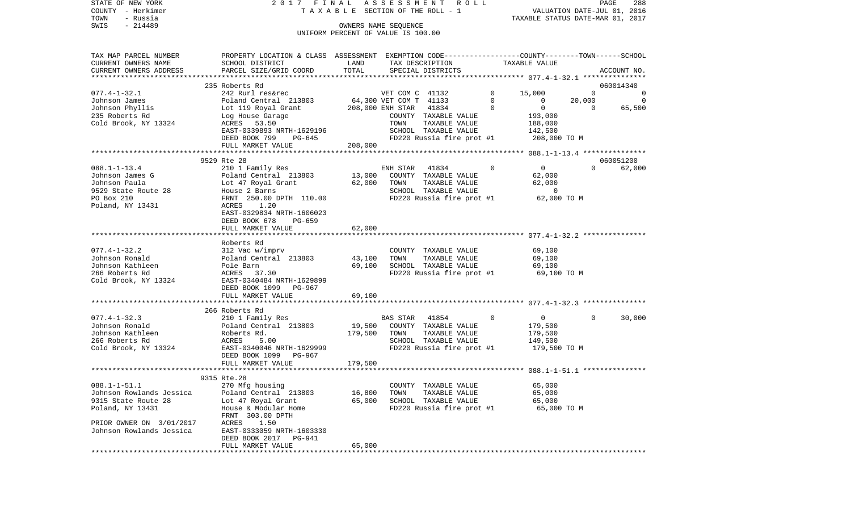| T A X A B L E SECTION OF THE ROLL - 1<br>COUNTY<br>– Herkimer |                                                                                                   |         |                                    | VALUATION DATE-JUL 01, 2016<br>TAXABLE STATUS DATE-MAR 01, 2017 |                |                |                |  |
|---------------------------------------------------------------|---------------------------------------------------------------------------------------------------|---------|------------------------------------|-----------------------------------------------------------------|----------------|----------------|----------------|--|
| TOWN<br>- Russia                                              |                                                                                                   |         |                                    |                                                                 |                |                |                |  |
| SWIS<br>$-214489$                                             |                                                                                                   |         | OWNERS NAME SEQUENCE               |                                                                 |                |                |                |  |
|                                                               |                                                                                                   |         | UNIFORM PERCENT OF VALUE IS 100.00 |                                                                 |                |                |                |  |
|                                                               |                                                                                                   |         |                                    |                                                                 |                |                |                |  |
| TAX MAP PARCEL NUMBER                                         | PROPERTY LOCATION & CLASS ASSESSMENT EXEMPTION CODE----------------COUNTY--------TOWN------SCHOOL |         |                                    |                                                                 |                |                |                |  |
| CURRENT OWNERS NAME                                           | SCHOOL DISTRICT                                                                                   | LAND    | TAX DESCRIPTION                    |                                                                 | TAXABLE VALUE  |                |                |  |
| CURRENT OWNERS ADDRESS                                        | PARCEL SIZE/GRID COORD                                                                            | TOTAL   | SPECIAL DISTRICTS                  |                                                                 |                |                | ACCOUNT NO.    |  |
|                                                               |                                                                                                   |         |                                    |                                                                 |                |                |                |  |
|                                                               | 235 Roberts Rd                                                                                    |         |                                    |                                                                 |                |                | 060014340      |  |
| $077.4 - 1 - 32.1$                                            | 242 Rurl res&rec                                                                                  |         | VET COM C 41132                    | $\circ$                                                         | 15,000         | $\overline{0}$ | $\overline{0}$ |  |
| Johnson James                                                 | Poland Central 213803                                                                             |         | 64,300 VET COM T 41133             | $\overline{0}$                                                  | $\overline{0}$ | 20,000         | $\overline{0}$ |  |
| Johnson Phyllis                                               | Lot 119 Royal Grant                                                                               |         | 208,000 ENH STAR 41834             | $\Omega$                                                        | $\overline{0}$ | $\overline{0}$ | 65,500         |  |
| 235 Roberts Rd                                                | Log House Garage                                                                                  |         | COUNTY TAXABLE VALUE               |                                                                 | 193,000        |                |                |  |
| Cold Brook, NY 13324                                          | ACRES 53.50                                                                                       |         | TOWN<br>TAXABLE VALUE              |                                                                 | 188,000        |                |                |  |
|                                                               | EAST-0339893 NRTH-1629196                                                                         |         | SCHOOL TAXABLE VALUE               |                                                                 | 142,500        |                |                |  |
|                                                               | DEED BOOK 799<br>PG-645                                                                           |         | FD220 Russia fire prot #1          |                                                                 | 208,000 TO M   |                |                |  |
|                                                               | FULL MARKET VALUE                                                                                 | 208,000 |                                    |                                                                 |                |                |                |  |
|                                                               |                                                                                                   |         |                                    |                                                                 |                |                |                |  |
|                                                               | 9529 Rte 28                                                                                       |         |                                    |                                                                 |                |                | 060051200      |  |
| $088.1 - 1 - 13.4$                                            | 210 1 Family Res                                                                                  |         | 41834<br>ENH STAR                  | $\Omega$                                                        | $\overline{0}$ | $\Omega$       | 62,000         |  |
| Johnson James G                                               | Poland Central 213803                                                                             | 13,000  | COUNTY TAXABLE VALUE               |                                                                 | 62,000         |                |                |  |
| Johnson Paula                                                 | Lot 47 Royal Grant                                                                                | 62,000  | TOWN<br>TAXABLE VALUE              |                                                                 | 62,000         |                |                |  |
| 9529 State Route 28                                           | House 2 Barns                                                                                     |         | SCHOOL TAXABLE VALUE               |                                                                 | $\overline{0}$ |                |                |  |
| PO Box 210                                                    | FRNT 250.00 DPTH 110.00                                                                           |         | FD220 Russia fire prot #1          |                                                                 | 62,000 TO M    |                |                |  |
| Poland, NY 13431                                              | 1.20<br>ACRES<br>EAST-0329834 NRTH-1606023                                                        |         |                                    |                                                                 |                |                |                |  |
|                                                               |                                                                                                   |         |                                    |                                                                 |                |                |                |  |
|                                                               | DEED BOOK 678<br>PG-659                                                                           |         |                                    |                                                                 |                |                |                |  |
|                                                               | FULL MARKET VALUE                                                                                 | 62,000  |                                    |                                                                 |                |                |                |  |
|                                                               | Roberts Rd                                                                                        |         |                                    |                                                                 |                |                |                |  |
| $077.4 - 1 - 32.2$                                            | 312 Vac w/imprv                                                                                   |         | COUNTY TAXABLE VALUE               |                                                                 | 69,100         |                |                |  |
| Johnson Ronald                                                | Poland Central 213803                                                                             | 43,100  | TOWN<br>TAXABLE VALUE              |                                                                 | 69,100         |                |                |  |
| Johnson Kathleen                                              | Pole Barn                                                                                         | 69,100  | SCHOOL TAXABLE VALUE               |                                                                 | 69,100         |                |                |  |
| 266 Roberts Rd                                                | ACRES 37.30                                                                                       |         | FD220 Russia fire prot #1          |                                                                 | 69,100 TO M    |                |                |  |
| Cold Brook, NY 13324                                          | EAST-0340484 NRTH-1629899                                                                         |         |                                    |                                                                 |                |                |                |  |
|                                                               | DEED BOOK 1099 PG-967                                                                             |         |                                    |                                                                 |                |                |                |  |
|                                                               | FULL MARKET VALUE                                                                                 | 69,100  |                                    |                                                                 |                |                |                |  |
|                                                               |                                                                                                   |         |                                    |                                                                 |                |                |                |  |
|                                                               | 266 Roberts Rd                                                                                    |         |                                    |                                                                 |                |                |                |  |
| $077.4 - 1 - 32.3$                                            | 210 1 Family Res                                                                                  |         | BAS STAR<br>41854                  | 0                                                               | $\overline{0}$ | $\Omega$       | 30,000         |  |
| Johnson Ronald                                                | Poland Central 213803                                                                             | 19,500  | COUNTY TAXABLE VALUE               |                                                                 | 179,500        |                |                |  |
| Johnson Kathleen                                              | Roberts Rd.                                                                                       | 179,500 | TAXABLE VALUE<br>TOWN              |                                                                 | 179,500        |                |                |  |
| 266 Roberts Rd                                                | ACRES<br>5.00                                                                                     |         | SCHOOL TAXABLE VALUE               |                                                                 | 149,500        |                |                |  |
| Cold Brook, NY 13324                                          | EAST-0340046 NRTH-1629999                                                                         |         | FD220 Russia fire prot #1          |                                                                 | 179,500 TO M   |                |                |  |
|                                                               | DEED BOOK 1099 PG-967                                                                             |         |                                    |                                                                 |                |                |                |  |
|                                                               | FULL MARKET VALUE                                                                                 | 179,500 |                                    |                                                                 |                |                |                |  |
|                                                               |                                                                                                   |         |                                    |                                                                 |                |                |                |  |
|                                                               | 9315 Rte.28                                                                                       |         |                                    |                                                                 |                |                |                |  |
| $088.1 - 1 - 51.1$                                            | 270 Mfg housing                                                                                   |         | COUNTY TAXABLE VALUE               |                                                                 | 65,000         |                |                |  |
| Johnson Rowlands Jessica                                      | Poland Central 213803                                                                             | 16,800  | TOWN<br>TAXABLE VALUE              |                                                                 | 65,000         |                |                |  |
| 9315 State Route 28                                           | Lot 47 Royal Grant                                                                                | 65,000  | SCHOOL TAXABLE VALUE               |                                                                 | 65,000         |                |                |  |
| Poland, NY 13431                                              | House & Modular Home                                                                              |         | FD220 Russia fire prot #1          |                                                                 | 65,000 TO M    |                |                |  |
|                                                               | FRNT 303.00 DPTH                                                                                  |         |                                    |                                                                 |                |                |                |  |
| PRIOR OWNER ON 3/01/2017                                      | ACRES<br>1.50                                                                                     |         |                                    |                                                                 |                |                |                |  |
| Johnson Rowlands Jessica                                      | EAST-0333059 NRTH-1603330                                                                         |         |                                    |                                                                 |                |                |                |  |
|                                                               | DEED BOOK 2017<br>PG-941                                                                          |         |                                    |                                                                 |                |                |                |  |
|                                                               | FULL MARKET VALUE                                                                                 | 65,000  |                                    |                                                                 |                |                |                |  |
|                                                               |                                                                                                   |         |                                    |                                                                 |                |                |                |  |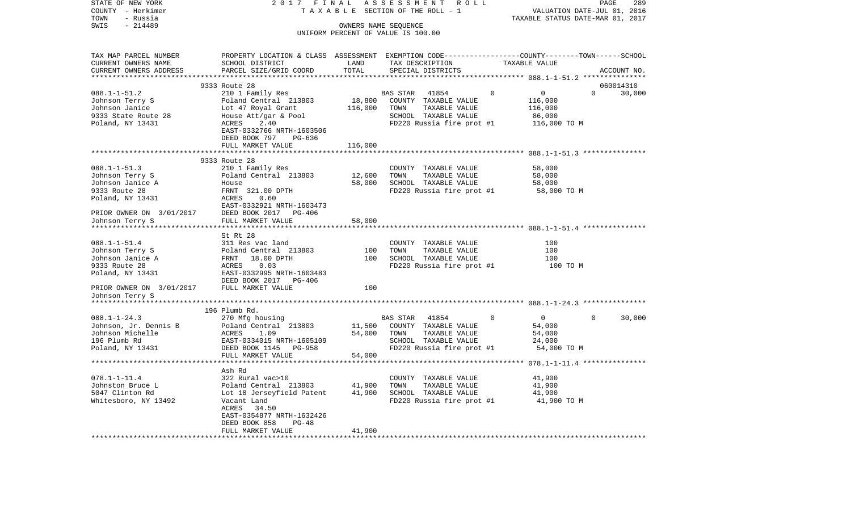| TAXABLE SECTION OF THE ROLL - 1<br>VALUATION DATE-JUL 01, 2016<br>TAXABLE STATUS DATE-MAR 01, 2017<br>- Russia<br>$-214489$<br>OWNERS NAME SEQUENCE<br>UNIFORM PERCENT OF VALUE IS 100.00<br>PROPERTY LOCATION & CLASS ASSESSMENT EXEMPTION CODE----------------COUNTY-------TOWN------SCHOOL<br>TAX MAP PARCEL NUMBER<br>CURRENT OWNERS NAME<br>SCHOOL DISTRICT<br>LAND<br>TAX DESCRIPTION<br>TAXABLE VALUE<br>TOTAL<br>CURRENT OWNERS ADDRESS<br>PARCEL SIZE/GRID COORD<br>SPECIAL DISTRICTS<br>ACCOUNT NO.<br>************<br>9333 Route 28<br>060014310<br>$\overline{0}$<br>$\Omega$<br>$088.1 - 1 - 51.2$<br>210 1 Family Res<br>BAS STAR<br>41854<br>$\Omega$<br>30,000<br>18,800<br>Johnson Terry S<br>Poland Central 213803<br>COUNTY TAXABLE VALUE<br>116,000<br>Johnson Janice<br>Lot 47 Royal Grant<br>116,000<br>TOWN<br>TAXABLE VALUE<br>116,000<br>House Att/gar & Pool<br>SCHOOL TAXABLE VALUE<br>86,000<br>ACRES<br>2.40<br>FD220 Russia fire prot #1<br>116,000 TO M<br>EAST-0332766 NRTH-1603506<br>DEED BOOK 797<br>PG-636<br>FULL MARKET VALUE<br>116,000<br>9333 Route 28<br>$088.1 - 1 - 51.3$<br>210 1 Family Res<br>COUNTY TAXABLE VALUE<br>58,000<br>12,600<br>Johnson Terry S<br>Poland Central 213803<br>TOWN<br>TAXABLE VALUE<br>58,000<br>Johnson Janice A<br>58,000<br>SCHOOL TAXABLE VALUE<br>58,000<br>House<br>9333 Route 28<br>FRNT 321.00 DPTH<br>58,000 TO M<br>FD220 Russia fire prot #1<br>Poland, NY 13431<br>ACRES<br>0.60<br>EAST-0332921 NRTH-16034'<br>PRIOR OWNER ON 3/01/2017 DEED BOOK 2017 PG-406<br>EAST-0332921 NRTH-1603473<br>Johnson Terry S<br>FULL MARKET VALUE<br>58,000<br>St Rt 28<br>311 Res vac land<br>COUNTY TAXABLE VALUE<br>100<br>100<br>Poland Central 213803<br>100<br>TAXABLE VALUE<br>TOWN<br>100<br>Johnson Janice A<br>FRNT 18.00 DPTH<br>ACRES 0.03<br>EAST-0332995 NRTH-1603483<br>SCHOOL TAXABLE VALUE<br>100<br>9333 Route 28<br>FD220 Russia fire prot #1<br>100 TO M<br>Poland, NY 13431<br>DEED BOOK 2017 PG-406<br>PRIOR OWNER ON 3/01/2017<br>FULL MARKET VALUE<br>100<br>Johnson Terry S<br>196 Plumb Rd.<br>$\overline{\phantom{0}}$<br>30,000<br>$088.1 - 1 - 24.3$<br>270 Mfg housing<br>BAS STAR<br>41854<br>$\mathbf{0}$<br>0<br>Johnson, Jr. Dennis B<br>Poland Central 213803<br>11,500<br>COUNTY TAXABLE VALUE<br>54,000<br>54,000<br>Johnson Michelle<br>ACRES<br>TOWN<br>TAXABLE VALUE<br>54,000<br>1.09<br>196 Plumb Rd<br>SCHOOL TAXABLE VALUE<br>24,000<br>EAST-0334015 NRTH-1605109<br>EAST-0334015 NRTH-160510<br>DEED BOOK 1145 PG-958<br>FD220 Russia fire prot #1<br>54,000 TO M<br>54,000<br>FULL MARKET VALUE<br>************************<br>Ash Rd<br>$078.1 - 1 - 11.4$<br>322 Rural vac>10<br>COUNTY TAXABLE VALUE<br>41,900<br>41,900<br>TAXABLE VALUE<br>41,900<br>Poland Central 213803<br>TOWN<br>41,900<br>5047 Clinton Rd<br>Lot 18 Jerseyfield Patent<br>SCHOOL TAXABLE VALUE<br>41,900<br>Whitesboro, NY 13492<br>41,900 TO M<br>Vacant Land<br>FD220 Russia fire prot #1<br>ACRES<br>34.50<br>EAST-0354877 NRTH-1632426<br>DEED BOOK 858<br>$PG-48$<br>FULL MARKET VALUE<br>41,900 | STATE OF NEW YORK        | 2017 FINAL |            | ASSESSMENT ROLL |  | PAGE | 289 |
|-----------------------------------------------------------------------------------------------------------------------------------------------------------------------------------------------------------------------------------------------------------------------------------------------------------------------------------------------------------------------------------------------------------------------------------------------------------------------------------------------------------------------------------------------------------------------------------------------------------------------------------------------------------------------------------------------------------------------------------------------------------------------------------------------------------------------------------------------------------------------------------------------------------------------------------------------------------------------------------------------------------------------------------------------------------------------------------------------------------------------------------------------------------------------------------------------------------------------------------------------------------------------------------------------------------------------------------------------------------------------------------------------------------------------------------------------------------------------------------------------------------------------------------------------------------------------------------------------------------------------------------------------------------------------------------------------------------------------------------------------------------------------------------------------------------------------------------------------------------------------------------------------------------------------------------------------------------------------------------------------------------------------------------------------------------------------------------------------------------------------------------------------------------------------------------------------------------------------------------------------------------------------------------------------------------------------------------------------------------------------------------------------------------------------------------------------------------------------------------------------------------------------------------------------------------------------------------------------------------------------------------------------------------------------------------------------------------------------------------------------------------------------------------------------------------------------------------------------------------------------------------------------------------------------------------------------------------------------------------------------------------------------------------------------------------------------------------------------------|--------------------------|------------|------------|-----------------|--|------|-----|
|                                                                                                                                                                                                                                                                                                                                                                                                                                                                                                                                                                                                                                                                                                                                                                                                                                                                                                                                                                                                                                                                                                                                                                                                                                                                                                                                                                                                                                                                                                                                                                                                                                                                                                                                                                                                                                                                                                                                                                                                                                                                                                                                                                                                                                                                                                                                                                                                                                                                                                                                                                                                                                                                                                                                                                                                                                                                                                                                                                                                                                                                                                     | COUNTY - Herkimer        |            |            |                 |  |      |     |
|                                                                                                                                                                                                                                                                                                                                                                                                                                                                                                                                                                                                                                                                                                                                                                                                                                                                                                                                                                                                                                                                                                                                                                                                                                                                                                                                                                                                                                                                                                                                                                                                                                                                                                                                                                                                                                                                                                                                                                                                                                                                                                                                                                                                                                                                                                                                                                                                                                                                                                                                                                                                                                                                                                                                                                                                                                                                                                                                                                                                                                                                                                     | TOWN                     |            |            |                 |  |      |     |
|                                                                                                                                                                                                                                                                                                                                                                                                                                                                                                                                                                                                                                                                                                                                                                                                                                                                                                                                                                                                                                                                                                                                                                                                                                                                                                                                                                                                                                                                                                                                                                                                                                                                                                                                                                                                                                                                                                                                                                                                                                                                                                                                                                                                                                                                                                                                                                                                                                                                                                                                                                                                                                                                                                                                                                                                                                                                                                                                                                                                                                                                                                     | SWIS                     |            |            |                 |  |      |     |
|                                                                                                                                                                                                                                                                                                                                                                                                                                                                                                                                                                                                                                                                                                                                                                                                                                                                                                                                                                                                                                                                                                                                                                                                                                                                                                                                                                                                                                                                                                                                                                                                                                                                                                                                                                                                                                                                                                                                                                                                                                                                                                                                                                                                                                                                                                                                                                                                                                                                                                                                                                                                                                                                                                                                                                                                                                                                                                                                                                                                                                                                                                     |                          |            |            |                 |  |      |     |
|                                                                                                                                                                                                                                                                                                                                                                                                                                                                                                                                                                                                                                                                                                                                                                                                                                                                                                                                                                                                                                                                                                                                                                                                                                                                                                                                                                                                                                                                                                                                                                                                                                                                                                                                                                                                                                                                                                                                                                                                                                                                                                                                                                                                                                                                                                                                                                                                                                                                                                                                                                                                                                                                                                                                                                                                                                                                                                                                                                                                                                                                                                     |                          |            |            |                 |  |      |     |
|                                                                                                                                                                                                                                                                                                                                                                                                                                                                                                                                                                                                                                                                                                                                                                                                                                                                                                                                                                                                                                                                                                                                                                                                                                                                                                                                                                                                                                                                                                                                                                                                                                                                                                                                                                                                                                                                                                                                                                                                                                                                                                                                                                                                                                                                                                                                                                                                                                                                                                                                                                                                                                                                                                                                                                                                                                                                                                                                                                                                                                                                                                     |                          |            |            |                 |  |      |     |
|                                                                                                                                                                                                                                                                                                                                                                                                                                                                                                                                                                                                                                                                                                                                                                                                                                                                                                                                                                                                                                                                                                                                                                                                                                                                                                                                                                                                                                                                                                                                                                                                                                                                                                                                                                                                                                                                                                                                                                                                                                                                                                                                                                                                                                                                                                                                                                                                                                                                                                                                                                                                                                                                                                                                                                                                                                                                                                                                                                                                                                                                                                     |                          |            |            |                 |  |      |     |
|                                                                                                                                                                                                                                                                                                                                                                                                                                                                                                                                                                                                                                                                                                                                                                                                                                                                                                                                                                                                                                                                                                                                                                                                                                                                                                                                                                                                                                                                                                                                                                                                                                                                                                                                                                                                                                                                                                                                                                                                                                                                                                                                                                                                                                                                                                                                                                                                                                                                                                                                                                                                                                                                                                                                                                                                                                                                                                                                                                                                                                                                                                     |                          |            |            |                 |  |      |     |
|                                                                                                                                                                                                                                                                                                                                                                                                                                                                                                                                                                                                                                                                                                                                                                                                                                                                                                                                                                                                                                                                                                                                                                                                                                                                                                                                                                                                                                                                                                                                                                                                                                                                                                                                                                                                                                                                                                                                                                                                                                                                                                                                                                                                                                                                                                                                                                                                                                                                                                                                                                                                                                                                                                                                                                                                                                                                                                                                                                                                                                                                                                     |                          |            |            |                 |  |      |     |
|                                                                                                                                                                                                                                                                                                                                                                                                                                                                                                                                                                                                                                                                                                                                                                                                                                                                                                                                                                                                                                                                                                                                                                                                                                                                                                                                                                                                                                                                                                                                                                                                                                                                                                                                                                                                                                                                                                                                                                                                                                                                                                                                                                                                                                                                                                                                                                                                                                                                                                                                                                                                                                                                                                                                                                                                                                                                                                                                                                                                                                                                                                     |                          |            |            |                 |  |      |     |
|                                                                                                                                                                                                                                                                                                                                                                                                                                                                                                                                                                                                                                                                                                                                                                                                                                                                                                                                                                                                                                                                                                                                                                                                                                                                                                                                                                                                                                                                                                                                                                                                                                                                                                                                                                                                                                                                                                                                                                                                                                                                                                                                                                                                                                                                                                                                                                                                                                                                                                                                                                                                                                                                                                                                                                                                                                                                                                                                                                                                                                                                                                     |                          |            |            |                 |  |      |     |
|                                                                                                                                                                                                                                                                                                                                                                                                                                                                                                                                                                                                                                                                                                                                                                                                                                                                                                                                                                                                                                                                                                                                                                                                                                                                                                                                                                                                                                                                                                                                                                                                                                                                                                                                                                                                                                                                                                                                                                                                                                                                                                                                                                                                                                                                                                                                                                                                                                                                                                                                                                                                                                                                                                                                                                                                                                                                                                                                                                                                                                                                                                     |                          |            |            |                 |  |      |     |
|                                                                                                                                                                                                                                                                                                                                                                                                                                                                                                                                                                                                                                                                                                                                                                                                                                                                                                                                                                                                                                                                                                                                                                                                                                                                                                                                                                                                                                                                                                                                                                                                                                                                                                                                                                                                                                                                                                                                                                                                                                                                                                                                                                                                                                                                                                                                                                                                                                                                                                                                                                                                                                                                                                                                                                                                                                                                                                                                                                                                                                                                                                     |                          |            |            |                 |  |      |     |
|                                                                                                                                                                                                                                                                                                                                                                                                                                                                                                                                                                                                                                                                                                                                                                                                                                                                                                                                                                                                                                                                                                                                                                                                                                                                                                                                                                                                                                                                                                                                                                                                                                                                                                                                                                                                                                                                                                                                                                                                                                                                                                                                                                                                                                                                                                                                                                                                                                                                                                                                                                                                                                                                                                                                                                                                                                                                                                                                                                                                                                                                                                     |                          |            |            |                 |  |      |     |
|                                                                                                                                                                                                                                                                                                                                                                                                                                                                                                                                                                                                                                                                                                                                                                                                                                                                                                                                                                                                                                                                                                                                                                                                                                                                                                                                                                                                                                                                                                                                                                                                                                                                                                                                                                                                                                                                                                                                                                                                                                                                                                                                                                                                                                                                                                                                                                                                                                                                                                                                                                                                                                                                                                                                                                                                                                                                                                                                                                                                                                                                                                     | 9333 State Route 28      |            |            |                 |  |      |     |
|                                                                                                                                                                                                                                                                                                                                                                                                                                                                                                                                                                                                                                                                                                                                                                                                                                                                                                                                                                                                                                                                                                                                                                                                                                                                                                                                                                                                                                                                                                                                                                                                                                                                                                                                                                                                                                                                                                                                                                                                                                                                                                                                                                                                                                                                                                                                                                                                                                                                                                                                                                                                                                                                                                                                                                                                                                                                                                                                                                                                                                                                                                     | Poland, NY 13431         |            |            |                 |  |      |     |
|                                                                                                                                                                                                                                                                                                                                                                                                                                                                                                                                                                                                                                                                                                                                                                                                                                                                                                                                                                                                                                                                                                                                                                                                                                                                                                                                                                                                                                                                                                                                                                                                                                                                                                                                                                                                                                                                                                                                                                                                                                                                                                                                                                                                                                                                                                                                                                                                                                                                                                                                                                                                                                                                                                                                                                                                                                                                                                                                                                                                                                                                                                     |                          |            |            |                 |  |      |     |
|                                                                                                                                                                                                                                                                                                                                                                                                                                                                                                                                                                                                                                                                                                                                                                                                                                                                                                                                                                                                                                                                                                                                                                                                                                                                                                                                                                                                                                                                                                                                                                                                                                                                                                                                                                                                                                                                                                                                                                                                                                                                                                                                                                                                                                                                                                                                                                                                                                                                                                                                                                                                                                                                                                                                                                                                                                                                                                                                                                                                                                                                                                     |                          |            |            |                 |  |      |     |
|                                                                                                                                                                                                                                                                                                                                                                                                                                                                                                                                                                                                                                                                                                                                                                                                                                                                                                                                                                                                                                                                                                                                                                                                                                                                                                                                                                                                                                                                                                                                                                                                                                                                                                                                                                                                                                                                                                                                                                                                                                                                                                                                                                                                                                                                                                                                                                                                                                                                                                                                                                                                                                                                                                                                                                                                                                                                                                                                                                                                                                                                                                     |                          |            |            |                 |  |      |     |
|                                                                                                                                                                                                                                                                                                                                                                                                                                                                                                                                                                                                                                                                                                                                                                                                                                                                                                                                                                                                                                                                                                                                                                                                                                                                                                                                                                                                                                                                                                                                                                                                                                                                                                                                                                                                                                                                                                                                                                                                                                                                                                                                                                                                                                                                                                                                                                                                                                                                                                                                                                                                                                                                                                                                                                                                                                                                                                                                                                                                                                                                                                     |                          |            |            |                 |  |      |     |
|                                                                                                                                                                                                                                                                                                                                                                                                                                                                                                                                                                                                                                                                                                                                                                                                                                                                                                                                                                                                                                                                                                                                                                                                                                                                                                                                                                                                                                                                                                                                                                                                                                                                                                                                                                                                                                                                                                                                                                                                                                                                                                                                                                                                                                                                                                                                                                                                                                                                                                                                                                                                                                                                                                                                                                                                                                                                                                                                                                                                                                                                                                     |                          |            |            |                 |  |      |     |
|                                                                                                                                                                                                                                                                                                                                                                                                                                                                                                                                                                                                                                                                                                                                                                                                                                                                                                                                                                                                                                                                                                                                                                                                                                                                                                                                                                                                                                                                                                                                                                                                                                                                                                                                                                                                                                                                                                                                                                                                                                                                                                                                                                                                                                                                                                                                                                                                                                                                                                                                                                                                                                                                                                                                                                                                                                                                                                                                                                                                                                                                                                     |                          |            |            |                 |  |      |     |
|                                                                                                                                                                                                                                                                                                                                                                                                                                                                                                                                                                                                                                                                                                                                                                                                                                                                                                                                                                                                                                                                                                                                                                                                                                                                                                                                                                                                                                                                                                                                                                                                                                                                                                                                                                                                                                                                                                                                                                                                                                                                                                                                                                                                                                                                                                                                                                                                                                                                                                                                                                                                                                                                                                                                                                                                                                                                                                                                                                                                                                                                                                     |                          |            |            |                 |  |      |     |
|                                                                                                                                                                                                                                                                                                                                                                                                                                                                                                                                                                                                                                                                                                                                                                                                                                                                                                                                                                                                                                                                                                                                                                                                                                                                                                                                                                                                                                                                                                                                                                                                                                                                                                                                                                                                                                                                                                                                                                                                                                                                                                                                                                                                                                                                                                                                                                                                                                                                                                                                                                                                                                                                                                                                                                                                                                                                                                                                                                                                                                                                                                     |                          |            |            |                 |  |      |     |
|                                                                                                                                                                                                                                                                                                                                                                                                                                                                                                                                                                                                                                                                                                                                                                                                                                                                                                                                                                                                                                                                                                                                                                                                                                                                                                                                                                                                                                                                                                                                                                                                                                                                                                                                                                                                                                                                                                                                                                                                                                                                                                                                                                                                                                                                                                                                                                                                                                                                                                                                                                                                                                                                                                                                                                                                                                                                                                                                                                                                                                                                                                     |                          |            |            |                 |  |      |     |
|                                                                                                                                                                                                                                                                                                                                                                                                                                                                                                                                                                                                                                                                                                                                                                                                                                                                                                                                                                                                                                                                                                                                                                                                                                                                                                                                                                                                                                                                                                                                                                                                                                                                                                                                                                                                                                                                                                                                                                                                                                                                                                                                                                                                                                                                                                                                                                                                                                                                                                                                                                                                                                                                                                                                                                                                                                                                                                                                                                                                                                                                                                     |                          |            |            |                 |  |      |     |
|                                                                                                                                                                                                                                                                                                                                                                                                                                                                                                                                                                                                                                                                                                                                                                                                                                                                                                                                                                                                                                                                                                                                                                                                                                                                                                                                                                                                                                                                                                                                                                                                                                                                                                                                                                                                                                                                                                                                                                                                                                                                                                                                                                                                                                                                                                                                                                                                                                                                                                                                                                                                                                                                                                                                                                                                                                                                                                                                                                                                                                                                                                     |                          |            |            |                 |  |      |     |
|                                                                                                                                                                                                                                                                                                                                                                                                                                                                                                                                                                                                                                                                                                                                                                                                                                                                                                                                                                                                                                                                                                                                                                                                                                                                                                                                                                                                                                                                                                                                                                                                                                                                                                                                                                                                                                                                                                                                                                                                                                                                                                                                                                                                                                                                                                                                                                                                                                                                                                                                                                                                                                                                                                                                                                                                                                                                                                                                                                                                                                                                                                     |                          |            |            |                 |  |      |     |
|                                                                                                                                                                                                                                                                                                                                                                                                                                                                                                                                                                                                                                                                                                                                                                                                                                                                                                                                                                                                                                                                                                                                                                                                                                                                                                                                                                                                                                                                                                                                                                                                                                                                                                                                                                                                                                                                                                                                                                                                                                                                                                                                                                                                                                                                                                                                                                                                                                                                                                                                                                                                                                                                                                                                                                                                                                                                                                                                                                                                                                                                                                     |                          |            |            |                 |  |      |     |
|                                                                                                                                                                                                                                                                                                                                                                                                                                                                                                                                                                                                                                                                                                                                                                                                                                                                                                                                                                                                                                                                                                                                                                                                                                                                                                                                                                                                                                                                                                                                                                                                                                                                                                                                                                                                                                                                                                                                                                                                                                                                                                                                                                                                                                                                                                                                                                                                                                                                                                                                                                                                                                                                                                                                                                                                                                                                                                                                                                                                                                                                                                     |                          |            |            |                 |  |      |     |
|                                                                                                                                                                                                                                                                                                                                                                                                                                                                                                                                                                                                                                                                                                                                                                                                                                                                                                                                                                                                                                                                                                                                                                                                                                                                                                                                                                                                                                                                                                                                                                                                                                                                                                                                                                                                                                                                                                                                                                                                                                                                                                                                                                                                                                                                                                                                                                                                                                                                                                                                                                                                                                                                                                                                                                                                                                                                                                                                                                                                                                                                                                     |                          |            |            |                 |  |      |     |
|                                                                                                                                                                                                                                                                                                                                                                                                                                                                                                                                                                                                                                                                                                                                                                                                                                                                                                                                                                                                                                                                                                                                                                                                                                                                                                                                                                                                                                                                                                                                                                                                                                                                                                                                                                                                                                                                                                                                                                                                                                                                                                                                                                                                                                                                                                                                                                                                                                                                                                                                                                                                                                                                                                                                                                                                                                                                                                                                                                                                                                                                                                     |                          |            |            |                 |  |      |     |
|                                                                                                                                                                                                                                                                                                                                                                                                                                                                                                                                                                                                                                                                                                                                                                                                                                                                                                                                                                                                                                                                                                                                                                                                                                                                                                                                                                                                                                                                                                                                                                                                                                                                                                                                                                                                                                                                                                                                                                                                                                                                                                                                                                                                                                                                                                                                                                                                                                                                                                                                                                                                                                                                                                                                                                                                                                                                                                                                                                                                                                                                                                     | $088.1 - 1 - 51.4$       |            |            |                 |  |      |     |
|                                                                                                                                                                                                                                                                                                                                                                                                                                                                                                                                                                                                                                                                                                                                                                                                                                                                                                                                                                                                                                                                                                                                                                                                                                                                                                                                                                                                                                                                                                                                                                                                                                                                                                                                                                                                                                                                                                                                                                                                                                                                                                                                                                                                                                                                                                                                                                                                                                                                                                                                                                                                                                                                                                                                                                                                                                                                                                                                                                                                                                                                                                     | Johnson Terry S          |            |            |                 |  |      |     |
|                                                                                                                                                                                                                                                                                                                                                                                                                                                                                                                                                                                                                                                                                                                                                                                                                                                                                                                                                                                                                                                                                                                                                                                                                                                                                                                                                                                                                                                                                                                                                                                                                                                                                                                                                                                                                                                                                                                                                                                                                                                                                                                                                                                                                                                                                                                                                                                                                                                                                                                                                                                                                                                                                                                                                                                                                                                                                                                                                                                                                                                                                                     |                          |            |            |                 |  |      |     |
|                                                                                                                                                                                                                                                                                                                                                                                                                                                                                                                                                                                                                                                                                                                                                                                                                                                                                                                                                                                                                                                                                                                                                                                                                                                                                                                                                                                                                                                                                                                                                                                                                                                                                                                                                                                                                                                                                                                                                                                                                                                                                                                                                                                                                                                                                                                                                                                                                                                                                                                                                                                                                                                                                                                                                                                                                                                                                                                                                                                                                                                                                                     |                          |            |            |                 |  |      |     |
|                                                                                                                                                                                                                                                                                                                                                                                                                                                                                                                                                                                                                                                                                                                                                                                                                                                                                                                                                                                                                                                                                                                                                                                                                                                                                                                                                                                                                                                                                                                                                                                                                                                                                                                                                                                                                                                                                                                                                                                                                                                                                                                                                                                                                                                                                                                                                                                                                                                                                                                                                                                                                                                                                                                                                                                                                                                                                                                                                                                                                                                                                                     |                          |            |            |                 |  |      |     |
|                                                                                                                                                                                                                                                                                                                                                                                                                                                                                                                                                                                                                                                                                                                                                                                                                                                                                                                                                                                                                                                                                                                                                                                                                                                                                                                                                                                                                                                                                                                                                                                                                                                                                                                                                                                                                                                                                                                                                                                                                                                                                                                                                                                                                                                                                                                                                                                                                                                                                                                                                                                                                                                                                                                                                                                                                                                                                                                                                                                                                                                                                                     |                          |            |            |                 |  |      |     |
|                                                                                                                                                                                                                                                                                                                                                                                                                                                                                                                                                                                                                                                                                                                                                                                                                                                                                                                                                                                                                                                                                                                                                                                                                                                                                                                                                                                                                                                                                                                                                                                                                                                                                                                                                                                                                                                                                                                                                                                                                                                                                                                                                                                                                                                                                                                                                                                                                                                                                                                                                                                                                                                                                                                                                                                                                                                                                                                                                                                                                                                                                                     |                          |            |            |                 |  |      |     |
|                                                                                                                                                                                                                                                                                                                                                                                                                                                                                                                                                                                                                                                                                                                                                                                                                                                                                                                                                                                                                                                                                                                                                                                                                                                                                                                                                                                                                                                                                                                                                                                                                                                                                                                                                                                                                                                                                                                                                                                                                                                                                                                                                                                                                                                                                                                                                                                                                                                                                                                                                                                                                                                                                                                                                                                                                                                                                                                                                                                                                                                                                                     |                          |            |            |                 |  |      |     |
|                                                                                                                                                                                                                                                                                                                                                                                                                                                                                                                                                                                                                                                                                                                                                                                                                                                                                                                                                                                                                                                                                                                                                                                                                                                                                                                                                                                                                                                                                                                                                                                                                                                                                                                                                                                                                                                                                                                                                                                                                                                                                                                                                                                                                                                                                                                                                                                                                                                                                                                                                                                                                                                                                                                                                                                                                                                                                                                                                                                                                                                                                                     |                          |            |            |                 |  |      |     |
|                                                                                                                                                                                                                                                                                                                                                                                                                                                                                                                                                                                                                                                                                                                                                                                                                                                                                                                                                                                                                                                                                                                                                                                                                                                                                                                                                                                                                                                                                                                                                                                                                                                                                                                                                                                                                                                                                                                                                                                                                                                                                                                                                                                                                                                                                                                                                                                                                                                                                                                                                                                                                                                                                                                                                                                                                                                                                                                                                                                                                                                                                                     |                          |            |            |                 |  |      |     |
|                                                                                                                                                                                                                                                                                                                                                                                                                                                                                                                                                                                                                                                                                                                                                                                                                                                                                                                                                                                                                                                                                                                                                                                                                                                                                                                                                                                                                                                                                                                                                                                                                                                                                                                                                                                                                                                                                                                                                                                                                                                                                                                                                                                                                                                                                                                                                                                                                                                                                                                                                                                                                                                                                                                                                                                                                                                                                                                                                                                                                                                                                                     |                          |            |            |                 |  |      |     |
|                                                                                                                                                                                                                                                                                                                                                                                                                                                                                                                                                                                                                                                                                                                                                                                                                                                                                                                                                                                                                                                                                                                                                                                                                                                                                                                                                                                                                                                                                                                                                                                                                                                                                                                                                                                                                                                                                                                                                                                                                                                                                                                                                                                                                                                                                                                                                                                                                                                                                                                                                                                                                                                                                                                                                                                                                                                                                                                                                                                                                                                                                                     |                          |            |            |                 |  |      |     |
|                                                                                                                                                                                                                                                                                                                                                                                                                                                                                                                                                                                                                                                                                                                                                                                                                                                                                                                                                                                                                                                                                                                                                                                                                                                                                                                                                                                                                                                                                                                                                                                                                                                                                                                                                                                                                                                                                                                                                                                                                                                                                                                                                                                                                                                                                                                                                                                                                                                                                                                                                                                                                                                                                                                                                                                                                                                                                                                                                                                                                                                                                                     |                          |            |            |                 |  |      |     |
|                                                                                                                                                                                                                                                                                                                                                                                                                                                                                                                                                                                                                                                                                                                                                                                                                                                                                                                                                                                                                                                                                                                                                                                                                                                                                                                                                                                                                                                                                                                                                                                                                                                                                                                                                                                                                                                                                                                                                                                                                                                                                                                                                                                                                                                                                                                                                                                                                                                                                                                                                                                                                                                                                                                                                                                                                                                                                                                                                                                                                                                                                                     |                          |            |            |                 |  |      |     |
|                                                                                                                                                                                                                                                                                                                                                                                                                                                                                                                                                                                                                                                                                                                                                                                                                                                                                                                                                                                                                                                                                                                                                                                                                                                                                                                                                                                                                                                                                                                                                                                                                                                                                                                                                                                                                                                                                                                                                                                                                                                                                                                                                                                                                                                                                                                                                                                                                                                                                                                                                                                                                                                                                                                                                                                                                                                                                                                                                                                                                                                                                                     |                          |            |            |                 |  |      |     |
|                                                                                                                                                                                                                                                                                                                                                                                                                                                                                                                                                                                                                                                                                                                                                                                                                                                                                                                                                                                                                                                                                                                                                                                                                                                                                                                                                                                                                                                                                                                                                                                                                                                                                                                                                                                                                                                                                                                                                                                                                                                                                                                                                                                                                                                                                                                                                                                                                                                                                                                                                                                                                                                                                                                                                                                                                                                                                                                                                                                                                                                                                                     | Poland, NY 13431         |            |            |                 |  |      |     |
|                                                                                                                                                                                                                                                                                                                                                                                                                                                                                                                                                                                                                                                                                                                                                                                                                                                                                                                                                                                                                                                                                                                                                                                                                                                                                                                                                                                                                                                                                                                                                                                                                                                                                                                                                                                                                                                                                                                                                                                                                                                                                                                                                                                                                                                                                                                                                                                                                                                                                                                                                                                                                                                                                                                                                                                                                                                                                                                                                                                                                                                                                                     |                          |            |            |                 |  |      |     |
|                                                                                                                                                                                                                                                                                                                                                                                                                                                                                                                                                                                                                                                                                                                                                                                                                                                                                                                                                                                                                                                                                                                                                                                                                                                                                                                                                                                                                                                                                                                                                                                                                                                                                                                                                                                                                                                                                                                                                                                                                                                                                                                                                                                                                                                                                                                                                                                                                                                                                                                                                                                                                                                                                                                                                                                                                                                                                                                                                                                                                                                                                                     |                          |            |            |                 |  |      |     |
|                                                                                                                                                                                                                                                                                                                                                                                                                                                                                                                                                                                                                                                                                                                                                                                                                                                                                                                                                                                                                                                                                                                                                                                                                                                                                                                                                                                                                                                                                                                                                                                                                                                                                                                                                                                                                                                                                                                                                                                                                                                                                                                                                                                                                                                                                                                                                                                                                                                                                                                                                                                                                                                                                                                                                                                                                                                                                                                                                                                                                                                                                                     |                          |            |            |                 |  |      |     |
|                                                                                                                                                                                                                                                                                                                                                                                                                                                                                                                                                                                                                                                                                                                                                                                                                                                                                                                                                                                                                                                                                                                                                                                                                                                                                                                                                                                                                                                                                                                                                                                                                                                                                                                                                                                                                                                                                                                                                                                                                                                                                                                                                                                                                                                                                                                                                                                                                                                                                                                                                                                                                                                                                                                                                                                                                                                                                                                                                                                                                                                                                                     |                          |            |            |                 |  |      |     |
|                                                                                                                                                                                                                                                                                                                                                                                                                                                                                                                                                                                                                                                                                                                                                                                                                                                                                                                                                                                                                                                                                                                                                                                                                                                                                                                                                                                                                                                                                                                                                                                                                                                                                                                                                                                                                                                                                                                                                                                                                                                                                                                                                                                                                                                                                                                                                                                                                                                                                                                                                                                                                                                                                                                                                                                                                                                                                                                                                                                                                                                                                                     | Johnston Bruce L         |            |            |                 |  |      |     |
|                                                                                                                                                                                                                                                                                                                                                                                                                                                                                                                                                                                                                                                                                                                                                                                                                                                                                                                                                                                                                                                                                                                                                                                                                                                                                                                                                                                                                                                                                                                                                                                                                                                                                                                                                                                                                                                                                                                                                                                                                                                                                                                                                                                                                                                                                                                                                                                                                                                                                                                                                                                                                                                                                                                                                                                                                                                                                                                                                                                                                                                                                                     |                          |            |            |                 |  |      |     |
|                                                                                                                                                                                                                                                                                                                                                                                                                                                                                                                                                                                                                                                                                                                                                                                                                                                                                                                                                                                                                                                                                                                                                                                                                                                                                                                                                                                                                                                                                                                                                                                                                                                                                                                                                                                                                                                                                                                                                                                                                                                                                                                                                                                                                                                                                                                                                                                                                                                                                                                                                                                                                                                                                                                                                                                                                                                                                                                                                                                                                                                                                                     |                          |            |            |                 |  |      |     |
|                                                                                                                                                                                                                                                                                                                                                                                                                                                                                                                                                                                                                                                                                                                                                                                                                                                                                                                                                                                                                                                                                                                                                                                                                                                                                                                                                                                                                                                                                                                                                                                                                                                                                                                                                                                                                                                                                                                                                                                                                                                                                                                                                                                                                                                                                                                                                                                                                                                                                                                                                                                                                                                                                                                                                                                                                                                                                                                                                                                                                                                                                                     |                          |            |            |                 |  |      |     |
|                                                                                                                                                                                                                                                                                                                                                                                                                                                                                                                                                                                                                                                                                                                                                                                                                                                                                                                                                                                                                                                                                                                                                                                                                                                                                                                                                                                                                                                                                                                                                                                                                                                                                                                                                                                                                                                                                                                                                                                                                                                                                                                                                                                                                                                                                                                                                                                                                                                                                                                                                                                                                                                                                                                                                                                                                                                                                                                                                                                                                                                                                                     |                          |            |            |                 |  |      |     |
|                                                                                                                                                                                                                                                                                                                                                                                                                                                                                                                                                                                                                                                                                                                                                                                                                                                                                                                                                                                                                                                                                                                                                                                                                                                                                                                                                                                                                                                                                                                                                                                                                                                                                                                                                                                                                                                                                                                                                                                                                                                                                                                                                                                                                                                                                                                                                                                                                                                                                                                                                                                                                                                                                                                                                                                                                                                                                                                                                                                                                                                                                                     |                          |            |            |                 |  |      |     |
|                                                                                                                                                                                                                                                                                                                                                                                                                                                                                                                                                                                                                                                                                                                                                                                                                                                                                                                                                                                                                                                                                                                                                                                                                                                                                                                                                                                                                                                                                                                                                                                                                                                                                                                                                                                                                                                                                                                                                                                                                                                                                                                                                                                                                                                                                                                                                                                                                                                                                                                                                                                                                                                                                                                                                                                                                                                                                                                                                                                                                                                                                                     |                          |            |            |                 |  |      |     |
|                                                                                                                                                                                                                                                                                                                                                                                                                                                                                                                                                                                                                                                                                                                                                                                                                                                                                                                                                                                                                                                                                                                                                                                                                                                                                                                                                                                                                                                                                                                                                                                                                                                                                                                                                                                                                                                                                                                                                                                                                                                                                                                                                                                                                                                                                                                                                                                                                                                                                                                                                                                                                                                                                                                                                                                                                                                                                                                                                                                                                                                                                                     | ************************ |            | ********** |                 |  |      |     |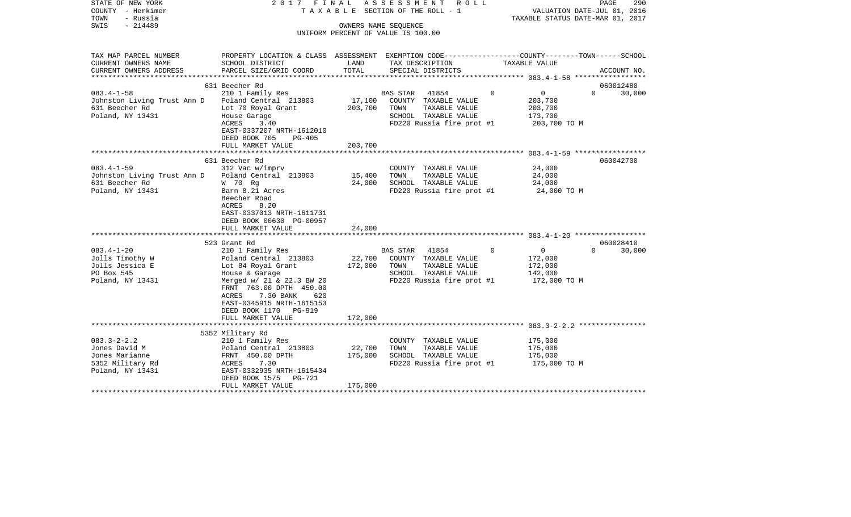| STATE OF NEW YORK<br>COUNTY - Herkimer<br>TOWN<br>- Russia<br>SWIS<br>$-214489$              | 2017 FINAL                                                                                                                                                                                                                   |                              | ASSESSMENT ROLL<br>TAXABLE SECTION OF THE ROLL - 1<br>OWNERS NAME SEQUENCE                                              |             | VALUATION DATE-JUL 01, 2016<br>TAXABLE STATUS DATE-MAR 01, 2017 | PAGE      | 290         |
|----------------------------------------------------------------------------------------------|------------------------------------------------------------------------------------------------------------------------------------------------------------------------------------------------------------------------------|------------------------------|-------------------------------------------------------------------------------------------------------------------------|-------------|-----------------------------------------------------------------|-----------|-------------|
|                                                                                              |                                                                                                                                                                                                                              |                              | UNIFORM PERCENT OF VALUE IS 100.00                                                                                      |             |                                                                 |           |             |
| TAX MAP PARCEL NUMBER<br>CURRENT OWNERS NAME                                                 | PROPERTY LOCATION & CLASS ASSESSMENT EXEMPTION CODE---------------COUNTY-------TOWN------SCHOOL<br>SCHOOL DISTRICT                                                                                                           | LAND<br>TOTAL                | TAX DESCRIPTION                                                                                                         |             | TAXABLE VALUE                                                   |           |             |
| CURRENT OWNERS ADDRESS                                                                       | PARCEL SIZE/GRID COORD                                                                                                                                                                                                       |                              | SPECIAL DISTRICTS                                                                                                       |             |                                                                 |           | ACCOUNT NO. |
|                                                                                              | 631 Beecher Rd                                                                                                                                                                                                               |                              |                                                                                                                         |             |                                                                 |           | 060012480   |
| $083.4 - 1 - 58$<br>Johnston Living Trust Ann D<br>631 Beecher Rd<br>Poland, NY 13431        | 210 1 Family Res<br>Poland Central 213803<br>Lot 70 Royal Grant<br>House Garage<br>ACRES<br>3.40<br>EAST-0337207 NRTH-1612010<br>DEED BOOK 705<br>PG-405                                                                     | 17,100<br>203,700            | 41854<br>BAS STAR<br>COUNTY TAXABLE VALUE<br>TOWN<br>TAXABLE VALUE<br>SCHOOL TAXABLE VALUE<br>FD220 Russia fire prot #1 | $\mathbf 0$ | $\overline{0}$<br>203,700<br>203,700<br>173,700<br>203,700 TO M | $\Omega$  | 30,000      |
|                                                                                              | FULL MARKET VALUE                                                                                                                                                                                                            | 203,700                      |                                                                                                                         |             |                                                                 |           |             |
| $083.4 - 1 - 59$<br>Johnston Living Trust Ann D<br>631 Beecher Rd                            | 631 Beecher Rd<br>312 Vac w/imprv<br>Poland Central 213803<br>W 70 Rg                                                                                                                                                        | 15,400<br>24,000             | COUNTY TAXABLE VALUE<br>TOWN<br>TAXABLE VALUE<br>SCHOOL TAXABLE VALUE                                                   |             | 24,000<br>24,000<br>24,000                                      | 060042700 |             |
| Poland, NY 13431                                                                             | Barn 8.21 Acres<br>Beecher Road<br>8.20<br>ACRES<br>EAST-0337013 NRTH-1611731<br>DEED BOOK 00630 PG-00957<br>FULL MARKET VALUE                                                                                               | 24,000                       | FD220 Russia fire prot #1                                                                                               |             | 24,000 TO M                                                     |           |             |
|                                                                                              | 523 Grant Rd                                                                                                                                                                                                                 |                              |                                                                                                                         |             |                                                                 |           | 060028410   |
| $083.4 - 1 - 20$<br>Jolls Timothy W<br>Jolls Jessica E<br>PO Box 545<br>Poland, NY 13431     | 210 1 Family Res<br>Poland Central 213803<br>Lot 84 Royal Grant<br>House & Garage<br>Merged w/ 21 & 22.3 BW 20<br>FRNT 763.00 DPTH 450.00<br>ACRES<br>7.30 BANK<br>620<br>EAST-0345915 NRTH-1615153<br>DEED BOOK 1170 PG-919 | 22,700<br>172,000            | BAS STAR<br>41854<br>COUNTY TAXABLE VALUE<br>TOWN<br>TAXABLE VALUE<br>SCHOOL TAXABLE VALUE<br>FD220 Russia fire prot #1 | $\Omega$    | $\overline{0}$<br>172,000<br>172,000<br>142,000<br>172,000 TO M | $\Omega$  | 30,000      |
|                                                                                              | FULL MARKET VALUE                                                                                                                                                                                                            | 172,000                      |                                                                                                                         |             |                                                                 |           |             |
|                                                                                              |                                                                                                                                                                                                                              |                              |                                                                                                                         |             |                                                                 |           |             |
| $083.3 - 2 - 2.2$<br>Jones David M<br>Jones Marianne<br>5352 Military Rd<br>Poland, NY 13431 | 5352 Military Rd<br>210 1 Family Res<br>Poland Central 213803<br>FRNT 450.00 DPTH<br>7.30<br>ACRES<br>EAST-0332935 NRTH-1615434<br>DEED BOOK 1575<br>PG-721<br>FULL MARKET VALUE                                             | 22,700<br>175,000<br>175,000 | COUNTY TAXABLE VALUE<br>TOWN<br>TAXABLE VALUE<br>SCHOOL TAXABLE VALUE<br>FD220 Russia fire prot #1                      |             | 175,000<br>175,000<br>175,000<br>175,000 TO M                   |           |             |
|                                                                                              |                                                                                                                                                                                                                              |                              |                                                                                                                         |             |                                                                 |           |             |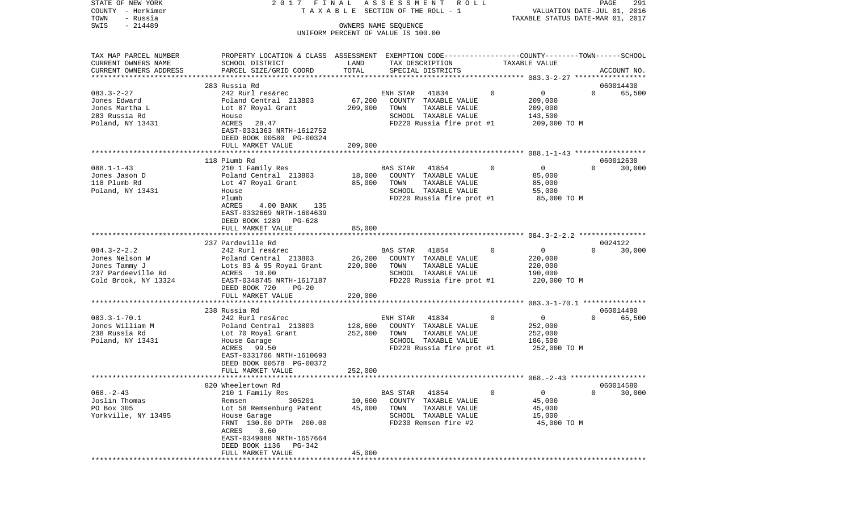| STATE OF NEW YORK<br>COUNTY - Herkimer<br>TOWN<br>- Russia<br>$-214489$<br>SWIS                    | 2017<br>TAXABLE                                                                                                                                                                                                                                                | FINAL                        | ASSESSMENT<br>R O L L<br>SECTION OF THE ROLL - 1<br>OWNERS NAME SEQUENCE<br>UNIFORM PERCENT OF VALUE IS 100.00                                 |   | VALUATION DATE-JUL 01, 2016<br>TAXABLE STATUS DATE-MAR 01, 2017 | PAGE                | 291                 |
|----------------------------------------------------------------------------------------------------|----------------------------------------------------------------------------------------------------------------------------------------------------------------------------------------------------------------------------------------------------------------|------------------------------|------------------------------------------------------------------------------------------------------------------------------------------------|---|-----------------------------------------------------------------|---------------------|---------------------|
| TAX MAP PARCEL NUMBER<br>CURRENT OWNERS NAME<br>CURRENT OWNERS ADDRESS                             | PROPERTY LOCATION & CLASS ASSESSMENT EXEMPTION CODE----------------COUNTY-------TOWN------SCHOOL<br>SCHOOL DISTRICT<br>PARCEL SIZE/GRID COORD                                                                                                                  | LAND<br>TOTAL                | TAX DESCRIPTION<br>SPECIAL DISTRICTS                                                                                                           |   | TAXABLE VALUE                                                   |                     | ACCOUNT NO.         |
| $083.3 - 2 - 27$<br>Jones Edward<br>Jones Martha L<br>283 Russia Rd<br>Poland, NY 13431            | 283 Russia Rd<br>242 Rurl res&rec<br>Poland Central 213803<br>Lot 87 Royal Grant<br>House<br>ACRES<br>28.47<br>EAST-0331363 NRTH-1612752<br>DEED BOOK 00580 PG-00324                                                                                           | 67,200<br>209,000            | ENH STAR<br>41834<br>COUNTY TAXABLE VALUE<br>TOWN<br>TAXABLE VALUE<br>SCHOOL TAXABLE VALUE<br>FD220 Russia fire prot #1                        | 0 | 0<br>209,000<br>209,000<br>143,500<br>209,000 TO M              | $\Omega$            | 060014430<br>65,500 |
|                                                                                                    | FULL MARKET VALUE                                                                                                                                                                                                                                              | 209,000                      |                                                                                                                                                |   |                                                                 |                     |                     |
| $088.1 - 1 - 43$<br>Jones Jason D<br>118 Plumb Rd<br>Poland, NY 13431                              | 118 Plumb Rd<br>210 1 Family Res<br>Poland Central 213803<br>Lot 47 Royal Grant<br>House<br>Plumb<br>ACRES<br>4.00 BANK<br>135<br>EAST-0332669 NRTH-1604639<br>DEED BOOK 1289<br>PG-628                                                                        | 18,000<br>85,000             | BAS STAR<br>41854<br>COUNTY TAXABLE VALUE<br>TOWN<br>TAXABLE VALUE<br>SCHOOL TAXABLE VALUE<br>FD220 Russia fire prot #1                        | 0 | $\mathsf{O}$<br>85,000<br>85,000<br>55,000<br>85,000 TO M       | $\Omega$            | 060012630<br>30,000 |
|                                                                                                    | FULL MARKET VALUE                                                                                                                                                                                                                                              | 85,000                       |                                                                                                                                                |   |                                                                 |                     |                     |
| $084.3 - 2 - 2.2$<br>Jones Nelson W<br>Jones Tammy J<br>237 Pardeeville Rd<br>Cold Brook, NY 13324 | **********************<br>237 Pardeville Rd<br>242 Rurl res&rec<br>Poland Central 213803<br>Lots 83 & 95 Royal Grant<br>ACRES 10.00<br>EAST-0348745 NRTH-1617187<br>DEED BOOK 720<br>$PG-20$<br>FULL MARKET VALUE                                              | 26,200<br>220,000<br>220,000 | BAS STAR<br>41854<br>COUNTY TAXABLE VALUE<br>TOWN<br>TAXABLE VALUE<br>SCHOOL TAXABLE VALUE<br>FD220 Russia fire prot #1                        | 0 | $\mathbf 0$<br>220,000<br>220,000<br>190,000<br>220,000 TO M    | 0024122<br>$\Omega$ | 30,000              |
|                                                                                                    |                                                                                                                                                                                                                                                                |                              |                                                                                                                                                |   |                                                                 |                     |                     |
| $083.3 - 1 - 70.1$<br>Jones William M<br>238 Russia Rd<br>Poland, NY 13431                         | 238 Russia Rd<br>242 Rurl res&rec<br>Poland Central 213803<br>Lot 70 Royal Grant<br>House Garage<br>99.50<br>ACRES<br>EAST-0331706 NRTH-1610693<br>DEED BOOK 00578 PG-00372                                                                                    | 128,600<br>252,000           | 41834<br>ENH STAR<br>COUNTY TAXABLE VALUE<br>TOWN<br>TAXABLE VALUE<br>SCHOOL TAXABLE VALUE<br>FD220 Russia fire prot #1                        | 0 | $\mathbf 0$<br>252,000<br>252,000<br>186,500<br>252,000 TO M    | $\Omega$            | 060014490<br>65,500 |
|                                                                                                    | FULL MARKET VALUE                                                                                                                                                                                                                                              | 252,000<br>***************** |                                                                                                                                                |   |                                                                 |                     |                     |
| $068. - 2 - 43$<br>Joslin Thomas<br>PO Box 305<br>Yorkville, NY 13495                              | 820 Wheelertown Rd<br>210 1 Family Res<br>305201<br>Remsen<br>Lot 58 Remsenburg Patent<br>House Garage<br>FRNT 130.00 DPTH 200.00<br>ACRES<br>0.60<br>EAST-0349088 NRTH-1657664<br>DEED BOOK 1136<br>PG-342<br>FULL MARKET VALUE<br>************************** | 10,600<br>45,000<br>45,000   | 41854<br>BAS STAR<br>COUNTY TAXABLE VALUE<br>TOWN<br>TAXABLE VALUE<br>SCHOOL TAXABLE VALUE<br>FD230 Remsen fire #2<br>************************ | 0 | $\mathbf 0$<br>45,000<br>45,000<br>15,000<br>45,000 TO M        | $\Omega$            | 060014580<br>30,000 |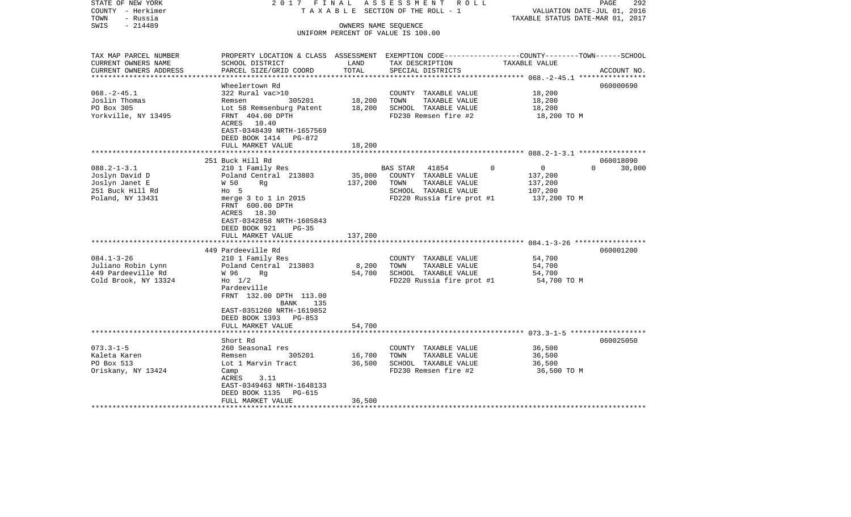| STATE OF NEW YORK<br>COUNTY - Herkimer<br>- Russia<br>TOWN | 2017 FINAL                |                      | ASSESSMENT ROLL<br>TAXABLE SECTION OF THE ROLL - 1 | VALUATION DATE-JUL 01, 2016<br>TAXABLE STATUS DATE-MAR 01, 2017                                  | PAGE<br>292        |
|------------------------------------------------------------|---------------------------|----------------------|----------------------------------------------------|--------------------------------------------------------------------------------------------------|--------------------|
| $-214489$<br>SWIS                                          |                           | OWNERS NAME SEQUENCE |                                                    |                                                                                                  |                    |
|                                                            |                           |                      | UNIFORM PERCENT OF VALUE IS 100.00                 |                                                                                                  |                    |
|                                                            |                           |                      |                                                    |                                                                                                  |                    |
| TAX MAP PARCEL NUMBER                                      |                           |                      |                                                    | PROPERTY LOCATION & CLASS ASSESSMENT EXEMPTION CODE----------------COUNTY-------TOWN------SCHOOL |                    |
| CURRENT OWNERS NAME<br>SCHOOL DISTRICT                     |                           | LAND                 | TAX DESCRIPTION                                    | TAXABLE VALUE                                                                                    |                    |
| CURRENT OWNERS ADDRESS                                     | PARCEL SIZE/GRID COORD    | TOTAL                | SPECIAL DISTRICTS                                  |                                                                                                  | ACCOUNT NO.        |
|                                                            |                           | ***************      |                                                    |                                                                                                  |                    |
| Wheelertown Rd                                             |                           |                      |                                                    |                                                                                                  | 060000690          |
| $068. -2 - 45.1$<br>322 Rural vac>10                       |                           |                      | COUNTY TAXABLE VALUE                               | 18,200                                                                                           |                    |
| Joslin Thomas<br>Remsen                                    | 305201                    | 18,200               | TOWN<br>TAXABLE VALUE                              | 18,200                                                                                           |                    |
| PO Box 305                                                 | Lot 58 Remsenburg Patent  | 18,200               | SCHOOL TAXABLE VALUE                               | 18,200                                                                                           |                    |
| Yorkville, NY 13495<br>FRNT 404.00 DPTH                    |                           |                      | FD230 Remsen fire #2                               | 18,200 TO M                                                                                      |                    |
| ACRES 10.40                                                |                           |                      |                                                    |                                                                                                  |                    |
|                                                            | EAST-0348439 NRTH-1657569 |                      |                                                    |                                                                                                  |                    |
|                                                            | DEED BOOK 1414 PG-872     |                      |                                                    |                                                                                                  |                    |
| FULL MARKET VALUE                                          |                           | 18,200               |                                                    |                                                                                                  |                    |
| 251 Buck Hill Rd                                           |                           |                      |                                                    |                                                                                                  | 060018090          |
| $088.2 - 1 - 3.1$<br>210 1 Family Res                      |                           |                      | BAS STAR 41854                                     | $\Omega$<br>$\overline{0}$                                                                       | $\Omega$<br>30,000 |
| Joslyn David D                                             | Poland Central 213803     | 35,000               | COUNTY TAXABLE VALUE                               | 137,200                                                                                          |                    |
| Joslyn Janet E<br>W 50<br>Rq                               |                           | 137,200              | TAXABLE VALUE<br>TOWN                              | 137,200                                                                                          |                    |
| 251 Buck Hill Rd<br>$HO$ 5                                 |                           |                      | SCHOOL TAXABLE VALUE                               | 107,200                                                                                          |                    |
| Poland, NY 13431                                           | merge $3$ to $1$ in 2015  |                      | FD220 Russia fire prot #1                          | 137,200 TO M                                                                                     |                    |
| FRNT 600.00 DPTH                                           |                           |                      |                                                    |                                                                                                  |                    |
| ACRES 18.30                                                |                           |                      |                                                    |                                                                                                  |                    |
|                                                            | EAST-0342858 NRTH-1605843 |                      |                                                    |                                                                                                  |                    |
| DEED BOOK 921                                              | PG-35                     |                      |                                                    |                                                                                                  |                    |
| FULL MARKET VALUE                                          |                           | 137,200              |                                                    |                                                                                                  |                    |
|                                                            |                           |                      |                                                    |                                                                                                  |                    |
| 449 Pardeeville Rd                                         |                           |                      |                                                    |                                                                                                  | 060001200          |
| $084.1 - 3 - 26$<br>210 1 Family Res                       |                           |                      | COUNTY TAXABLE VALUE                               | 54,700                                                                                           |                    |
| Juliano Robin Lynn                                         | Poland Central 213803     | 8,200                | TAXABLE VALUE<br>TOWN                              | 54,700                                                                                           |                    |
| 449 Pardeeville Rd<br>W 96<br>Rq                           |                           | 54,700               | SCHOOL TAXABLE VALUE                               | 54,700                                                                                           |                    |
| Cold Brook, NY 13324<br>$H_0$ 1/2                          |                           |                      | FD220 Russia fire prot #1                          | 54,700 TO M                                                                                      |                    |
| Pardeeville                                                | FRNT 132.00 DPTH 113.00   |                      |                                                    |                                                                                                  |                    |
|                                                            | BANK<br>135               |                      |                                                    |                                                                                                  |                    |
|                                                            | EAST-0351260 NRTH-1619852 |                      |                                                    |                                                                                                  |                    |
|                                                            | DEED BOOK 1393 PG-853     |                      |                                                    |                                                                                                  |                    |
| FULL MARKET VALUE                                          |                           | 54,700               |                                                    |                                                                                                  |                    |
|                                                            |                           |                      |                                                    |                                                                                                  |                    |
| Short Rd                                                   |                           |                      |                                                    |                                                                                                  | 060025050          |
| $073.3 - 1 - 5$<br>260 Seasonal res                        |                           |                      | COUNTY TAXABLE VALUE                               | 36,500                                                                                           |                    |
| Kaleta Karen<br>Remsen                                     | 305201                    | 16,700               | TOWN<br>TAXABLE VALUE                              | 36,500                                                                                           |                    |
| PO Box 513<br>Lot 1 Marvin Tract                           |                           | 36,500               | SCHOOL TAXABLE VALUE                               | 36,500                                                                                           |                    |
| Oriskany, NY 13424<br>Camp                                 |                           |                      | FD230 Remsen fire #2                               | 36,500 TO M                                                                                      |                    |
| ACRES                                                      | 3.11                      |                      |                                                    |                                                                                                  |                    |
|                                                            | EAST-0349463 NRTH-1648133 |                      |                                                    |                                                                                                  |                    |
| DEED BOOK 1135                                             | PG-615                    |                      |                                                    |                                                                                                  |                    |
| FULL MARKET VALUE                                          |                           | 36,500               |                                                    |                                                                                                  |                    |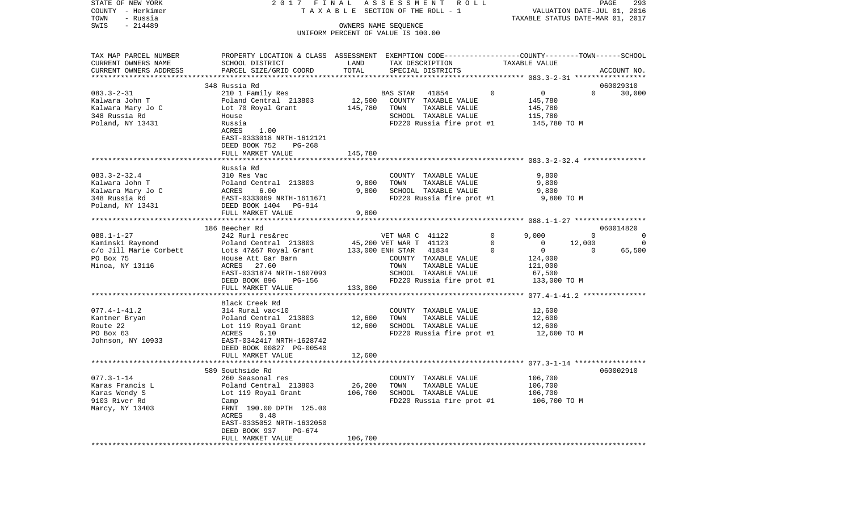| STATE OF NEW YORK                            | 2017 FINAL                                                                                                         |         | ASSESSMENT ROLL                               |             |                                                       | PAGE<br>293 |
|----------------------------------------------|--------------------------------------------------------------------------------------------------------------------|---------|-----------------------------------------------|-------------|-------------------------------------------------------|-------------|
| COUNTY - Herkimer                            |                                                                                                                    |         | T A X A B L E SECTION OF THE ROLL - 1         |             | VALUATION DATE-JUL 01, 2016                           |             |
| TOWN<br>- Russia<br>$-214489$<br>SWIS        |                                                                                                                    |         | OWNERS NAME SEQUENCE                          |             | TAXABLE STATUS DATE-MAR 01, 2017                      |             |
|                                              |                                                                                                                    |         | UNIFORM PERCENT OF VALUE IS 100.00            |             |                                                       |             |
|                                              |                                                                                                                    |         |                                               |             |                                                       |             |
|                                              |                                                                                                                    |         |                                               |             |                                                       |             |
| TAX MAP PARCEL NUMBER<br>CURRENT OWNERS NAME | PROPERTY LOCATION & CLASS ASSESSMENT EXEMPTION CODE---------------COUNTY-------TOWN------SCHOOL<br>SCHOOL DISTRICT | LAND    | TAX DESCRIPTION                               |             | TAXABLE VALUE                                         |             |
| CURRENT OWNERS ADDRESS                       | PARCEL SIZE/GRID COORD                                                                                             | TOTAL   | SPECIAL DISTRICTS                             |             |                                                       | ACCOUNT NO. |
| ************************                     |                                                                                                                    |         |                                               |             |                                                       |             |
|                                              | 348 Russia Rd                                                                                                      |         |                                               |             |                                                       | 060029310   |
| $083.3 - 2 - 31$                             | 210 1 Family Res                                                                                                   |         | 41854<br>BAS STAR                             | 0           | 0<br>$\Omega$                                         | 30,000      |
| Kalwara John T                               | Poland Central 213803                                                                                              | 12,500  | COUNTY TAXABLE VALUE                          |             | 145,780                                               |             |
| Kalwara Mary Jo C                            | Lot 70 Royal Grant                                                                                                 | 145,780 | TOWN<br>TAXABLE VALUE                         |             | 145,780                                               |             |
| 348 Russia Rd                                | House                                                                                                              |         | SCHOOL TAXABLE VALUE                          |             | 115,780                                               |             |
| Poland, NY 13431                             | Russia                                                                                                             |         | FD220 Russia fire prot #1                     |             | 145,780 TO M                                          |             |
|                                              | ACRES<br>1.00                                                                                                      |         |                                               |             |                                                       |             |
|                                              | EAST-0333018 NRTH-1612121                                                                                          |         |                                               |             |                                                       |             |
|                                              | DEED BOOK 752<br>$PG-268$                                                                                          |         |                                               |             |                                                       |             |
|                                              | FULL MARKET VALUE                                                                                                  | 145,780 |                                               |             |                                                       |             |
|                                              |                                                                                                                    |         |                                               |             |                                                       |             |
|                                              | Russia Rd                                                                                                          |         |                                               |             |                                                       |             |
| $083.3 - 2 - 32.4$                           | 310 Res Vac                                                                                                        |         | COUNTY TAXABLE VALUE                          |             | 9,800                                                 |             |
| Kalwara John T                               | Poland Central 213803                                                                                              | 9,800   | TOWN<br>TAXABLE VALUE                         |             | 9,800                                                 |             |
| Kalwara Mary Jo C                            | 6.00<br>ACRES                                                                                                      | 9,800   | SCHOOL TAXABLE VALUE                          |             | 9,800                                                 |             |
| 348 Russia Rd                                | EAST-0333069 NRTH-1611671                                                                                          |         | FD220 Russia fire prot #1                     |             | 9,800 TO M                                            |             |
| Poland, NY 13431                             | DEED BOOK 1404 PG-914                                                                                              |         |                                               |             |                                                       |             |
|                                              | FULL MARKET VALUE                                                                                                  | 9,800   |                                               |             |                                                       |             |
|                                              |                                                                                                                    |         |                                               |             |                                                       |             |
|                                              | 186 Beecher Rd                                                                                                     |         |                                               |             |                                                       | 060014820   |
| $088.1 - 1 - 27$                             | 242 Rurl res&rec                                                                                                   |         | VET WAR C 41122                               | $\mathbf 0$ | 9,000<br>$\Omega$                                     | 0           |
| Kaminski Raymond                             | Poland Central 213803                                                                                              |         | 45,200 VET WAR T 41123                        | 0           | 12,000<br>0                                           | $\Omega$    |
| c/o Jill Marie Corbett                       | Lots 47&67 Royal Grant                                                                                             |         | 41834<br>133,000 ENH STAR                     | $\Omega$    | $\mathbf 0$<br>$\Omega$                               | 65,500      |
| PO Box 75                                    | House Att Gar Barn<br>27.60<br>ACRES                                                                               |         | COUNTY TAXABLE VALUE<br>TOWN<br>TAXABLE VALUE |             | 124,000<br>121,000                                    |             |
| Minoa, NY 13116                              | EAST-0331874 NRTH-1607093                                                                                          |         | SCHOOL TAXABLE VALUE                          |             | 67,500                                                |             |
|                                              | DEED BOOK 896<br>PG-156                                                                                            |         | FD220 Russia fire prot #1                     |             | 133,000 TO M                                          |             |
|                                              | FULL MARKET VALUE                                                                                                  | 133,000 |                                               |             |                                                       |             |
|                                              | *************************                                                                                          |         |                                               |             | ************************ 077.4-1-41.2 *************** |             |
|                                              | Black Creek Rd                                                                                                     |         |                                               |             |                                                       |             |
| $077.4 - 1 - 41.2$                           | 314 Rural vac<10                                                                                                   |         | COUNTY TAXABLE VALUE                          |             | 12,600                                                |             |
| Kantner Bryan                                | Poland Central 213803                                                                                              | 12,600  | TOWN<br>TAXABLE VALUE                         |             | 12,600                                                |             |
| Route 22                                     | Lot 119 Royal Grant                                                                                                | 12,600  | SCHOOL TAXABLE VALUE                          |             | 12,600                                                |             |
| PO Box 63                                    | 6.10<br>ACRES                                                                                                      |         | FD220 Russia fire prot #1                     |             | 12,600 TO M                                           |             |
| Johnson, NY 10933                            | EAST-0342417 NRTH-1628742                                                                                          |         |                                               |             |                                                       |             |
|                                              | DEED BOOK 00827 PG-00540                                                                                           |         |                                               |             |                                                       |             |
|                                              | FULL MARKET VALUE                                                                                                  | 12,600  |                                               |             |                                                       |             |
|                                              |                                                                                                                    |         |                                               |             |                                                       |             |
|                                              | 589 Southside Rd                                                                                                   |         |                                               |             |                                                       | 060002910   |
| $077.3 - 1 - 14$                             | 260 Seasonal res                                                                                                   |         | COUNTY TAXABLE VALUE                          |             | 106,700                                               |             |
| Karas Francis L                              | Poland Central 213803                                                                                              | 26,200  | TOWN<br>TAXABLE VALUE                         |             | 106,700                                               |             |
| Karas Wendy S                                | Lot 119 Royal Grant                                                                                                | 106,700 | SCHOOL TAXABLE VALUE                          |             | 106,700                                               |             |
| 9103 River Rd                                | Camp                                                                                                               |         | FD220 Russia fire prot #1                     |             | 106,700 TO M                                          |             |
| Marcy, NY 13403                              | FRNT 190.00 DPTH 125.00                                                                                            |         |                                               |             |                                                       |             |
|                                              | ACRES<br>0.48                                                                                                      |         |                                               |             |                                                       |             |
|                                              | EAST-0335052 NRTH-1632050                                                                                          |         |                                               |             |                                                       |             |
|                                              | DEED BOOK 937<br>PG-674                                                                                            |         |                                               |             |                                                       |             |
|                                              | FULL MARKET VALUE                                                                                                  | 106,700 |                                               |             |                                                       |             |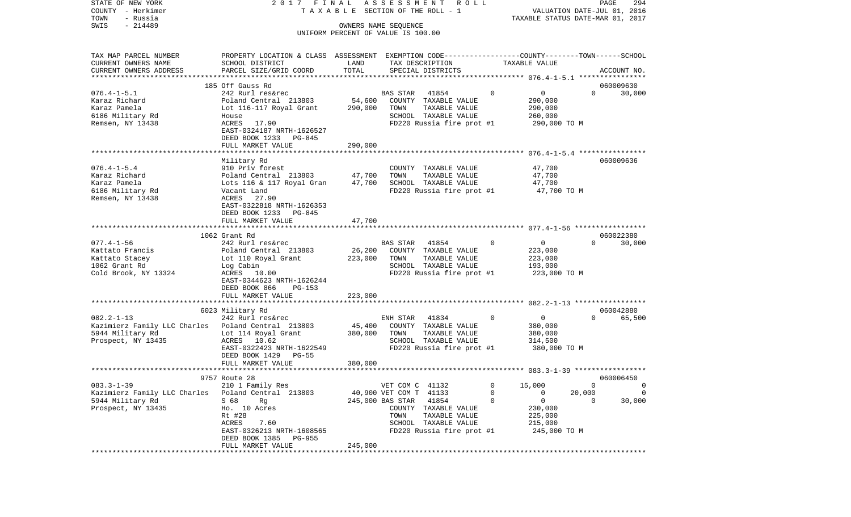| - Herkimer<br>COUNTY                               |                                                                                                  | TAXABLE SECTION OF THE ROLL - 1 |                                               |              | VALUATION DATE-JUL 01, 2016      |                    |  |  |
|----------------------------------------------------|--------------------------------------------------------------------------------------------------|---------------------------------|-----------------------------------------------|--------------|----------------------------------|--------------------|--|--|
| TOWN<br>- Russia                                   |                                                                                                  |                                 |                                               |              | TAXABLE STATUS DATE-MAR 01, 2017 |                    |  |  |
| $-214489$<br>SWIS                                  |                                                                                                  |                                 | OWNERS NAME SEQUENCE                          |              |                                  |                    |  |  |
|                                                    |                                                                                                  |                                 | UNIFORM PERCENT OF VALUE IS 100.00            |              |                                  |                    |  |  |
|                                                    |                                                                                                  |                                 |                                               |              |                                  |                    |  |  |
| TAX MAP PARCEL NUMBER                              | PROPERTY LOCATION & CLASS ASSESSMENT EXEMPTION CODE----------------COUNTY-------TOWN------SCHOOL |                                 |                                               |              |                                  |                    |  |  |
| CURRENT OWNERS NAME                                | SCHOOL DISTRICT                                                                                  | LAND                            | TAX DESCRIPTION                               |              | TAXABLE VALUE                    |                    |  |  |
| CURRENT OWNERS ADDRESS                             | PARCEL SIZE/GRID COORD                                                                           | TOTAL                           | SPECIAL DISTRICTS                             |              |                                  | ACCOUNT NO.        |  |  |
| *******************                                |                                                                                                  |                                 |                                               |              |                                  |                    |  |  |
|                                                    | 185 Off Gauss Rd                                                                                 |                                 |                                               |              |                                  | 060009630          |  |  |
| $076.4 - 1 - 5.1$                                  | 242 Rurl res&rec                                                                                 |                                 | BAS STAR<br>41854                             | $\mathbf{0}$ | $\overline{0}$                   | $\Omega$<br>30,000 |  |  |
| Karaz Richard                                      | Poland Central 213803                                                                            | 54,600                          | COUNTY TAXABLE VALUE                          |              | 290,000                          |                    |  |  |
| Karaz Pamela                                       | Lot 116-117 Royal Grant                                                                          | 290,000                         | TOWN<br>TAXABLE VALUE                         |              | 290,000                          |                    |  |  |
| 6186 Military Rd                                   | House                                                                                            |                                 | SCHOOL TAXABLE VALUE                          |              | 260,000                          |                    |  |  |
| Remsen, NY 13438                                   | 17.90<br>ACRES                                                                                   |                                 | FD220 Russia fire prot #1                     |              | 290,000 TO M                     |                    |  |  |
|                                                    | EAST-0324187 NRTH-1626527                                                                        |                                 |                                               |              |                                  |                    |  |  |
|                                                    | DEED BOOK 1233<br>PG-845                                                                         |                                 |                                               |              |                                  |                    |  |  |
|                                                    | FULL MARKET VALUE                                                                                | 290,000                         |                                               |              |                                  |                    |  |  |
|                                                    |                                                                                                  |                                 |                                               |              |                                  |                    |  |  |
|                                                    | Military Rd                                                                                      |                                 |                                               |              |                                  | 060009636          |  |  |
| $076.4 - 1 - 5.4$<br>Karaz Richard                 | 910 Priv forest<br>Poland Central 213803                                                         | 47,700                          | COUNTY TAXABLE VALUE<br>TOWN<br>TAXABLE VALUE |              | 47,700<br>47,700                 |                    |  |  |
| Karaz Pamela                                       | Lots 116 & 117 Royal Gran                                                                        | 47,700                          | SCHOOL TAXABLE VALUE                          |              | 47,700                           |                    |  |  |
| 6186 Military Rd                                   | Vacant Land                                                                                      |                                 | FD220 Russia fire prot #1                     |              | 47,700 TO M                      |                    |  |  |
| Remsen, NY 13438                                   | 27.90<br>ACRES                                                                                   |                                 |                                               |              |                                  |                    |  |  |
|                                                    | EAST-0322818 NRTH-1626353                                                                        |                                 |                                               |              |                                  |                    |  |  |
|                                                    | DEED BOOK 1233<br>PG-845                                                                         |                                 |                                               |              |                                  |                    |  |  |
|                                                    | FULL MARKET VALUE                                                                                | 47,700                          |                                               |              |                                  |                    |  |  |
|                                                    | ***************************                                                                      |                                 |                                               |              |                                  |                    |  |  |
|                                                    | 1062 Grant Rd                                                                                    |                                 |                                               |              |                                  | 060022380          |  |  |
| $077.4 - 1 - 56$                                   | 242 Rurl res&rec                                                                                 |                                 | <b>BAS STAR</b><br>41854                      | 0            | 0                                | 30,000<br>$\Omega$ |  |  |
| Kattato Francis                                    | Poland Central 213803                                                                            | 26,200                          | COUNTY TAXABLE VALUE                          |              | 223,000                          |                    |  |  |
| Kattato Stacey                                     | Lot 110 Royal Grant                                                                              | 223,000                         | TOWN<br>TAXABLE VALUE                         |              | 223,000                          |                    |  |  |
| 1062 Grant Rd                                      | Log Cabin                                                                                        |                                 | SCHOOL TAXABLE VALUE                          |              | 193,000                          |                    |  |  |
| Cold Brook, NY 13324                               | ACRES 10.00                                                                                      |                                 | FD220 Russia fire prot #1                     |              | 223,000 TO M                     |                    |  |  |
|                                                    | EAST-0344623 NRTH-1626244                                                                        |                                 |                                               |              |                                  |                    |  |  |
|                                                    | DEED BOOK 866<br>$PG-153$                                                                        |                                 |                                               |              |                                  |                    |  |  |
|                                                    | FULL MARKET VALUE                                                                                | 223,000                         |                                               |              |                                  |                    |  |  |
|                                                    |                                                                                                  |                                 |                                               |              |                                  |                    |  |  |
|                                                    | 6023 Military Rd                                                                                 |                                 |                                               |              |                                  | 060042880          |  |  |
| $082.2 - 1 - 13$                                   | 242 Rurl res&rec                                                                                 |                                 | ENH STAR<br>41834                             | 0            | $\overline{0}$                   | 65,500<br>$\Omega$ |  |  |
| Kazimierz Family LLC Charles Poland Central 213803 |                                                                                                  | 45,400                          | COUNTY TAXABLE VALUE                          |              | 380,000                          |                    |  |  |
| 5944 Military Rd                                   | Lot 114 Royal Grant                                                                              | 380,000                         | TOWN<br>TAXABLE VALUE                         |              | 380,000                          |                    |  |  |
| Prospect, NY 13435                                 | ACRES<br>10.62                                                                                   |                                 | SCHOOL TAXABLE VALUE                          |              | 314,500                          |                    |  |  |
|                                                    | EAST-0322423 NRTH-1622549                                                                        |                                 | FD220 Russia fire prot #1                     |              | 380,000 TO M                     |                    |  |  |
|                                                    | DEED BOOK 1429<br>$PG-55$                                                                        |                                 |                                               |              |                                  |                    |  |  |
|                                                    | FULL MARKET VALUE                                                                                | 380,000                         |                                               |              |                                  |                    |  |  |
|                                                    |                                                                                                  |                                 |                                               |              |                                  |                    |  |  |
|                                                    | 9757 Route 28                                                                                    |                                 |                                               |              |                                  | 060006450          |  |  |
| $083.3 - 1 - 39$                                   | 210 1 Family Res                                                                                 |                                 | VET COM C 41132                               | 0            | 15,000                           | $\mathbf{0}$<br>0  |  |  |
| Kazimierz Family LLC Charles                       | Poland Central 213803                                                                            |                                 | 40,900 VET COM T 41133                        | 0            | $\mathbf 0$<br>20,000            | 0                  |  |  |
| 5944 Military Rd                                   | S 68<br>Rg                                                                                       |                                 | 41854<br>245,000 BAS STAR                     | $\Omega$     | 0                                | 30,000<br>$\Omega$ |  |  |
| Prospect, NY 13435                                 | Ho. 10 Acres                                                                                     |                                 | COUNTY TAXABLE VALUE                          |              | 230,000                          |                    |  |  |
|                                                    | Rt #28                                                                                           |                                 | TAXABLE VALUE<br>TOWN                         |              | 225,000                          |                    |  |  |
|                                                    | 7.60<br>ACRES                                                                                    |                                 | SCHOOL TAXABLE VALUE                          |              | 215,000                          |                    |  |  |
|                                                    | EAST-0326213 NRTH-1608565<br>DEED BOOK 1385                                                      |                                 | FD220 Russia fire prot #1                     |              | 245,000 TO M                     |                    |  |  |
|                                                    | PG-955<br>FULL MARKET VALUE                                                                      | 245,000                         |                                               |              |                                  |                    |  |  |
|                                                    |                                                                                                  |                                 |                                               |              |                                  |                    |  |  |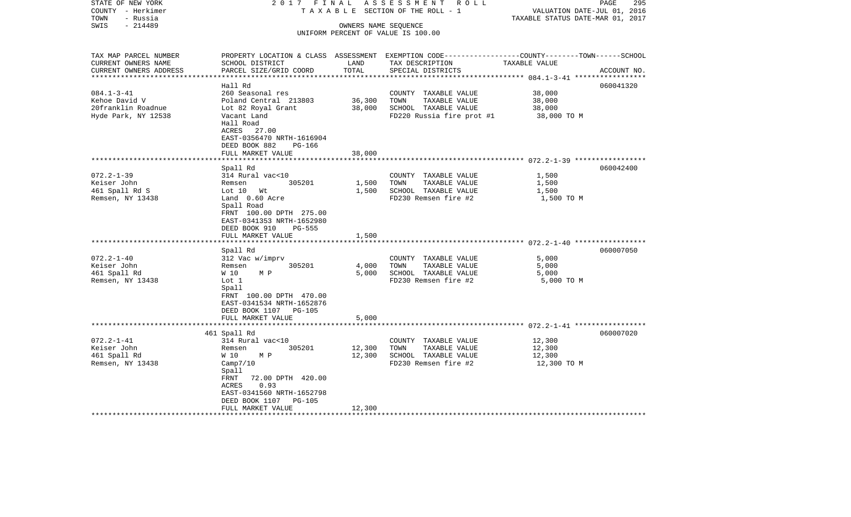| STATE OF NEW YORK<br>COUNTY - Herkimer<br>- Russia<br>TOWN             | 2017 FINAL                                                                                                               |                      | ASSESSMENT<br>R O L L<br>T A X A B L E SECTION OF THE ROLL - 1                                                                          | VALUATION DATE-JUL 01, 2016<br>TAXABLE STATUS DATE-MAR 01, 2017 | 295<br>PAGE |
|------------------------------------------------------------------------|--------------------------------------------------------------------------------------------------------------------------|----------------------|-----------------------------------------------------------------------------------------------------------------------------------------|-----------------------------------------------------------------|-------------|
| $-214489$<br>SWIS                                                      |                                                                                                                          | OWNERS NAME SEQUENCE | UNIFORM PERCENT OF VALUE IS 100.00                                                                                                      |                                                                 |             |
| TAX MAP PARCEL NUMBER<br>CURRENT OWNERS NAME<br>CURRENT OWNERS ADDRESS | SCHOOL DISTRICT<br>PARCEL SIZE/GRID COORD                                                                                | LAND<br>TOTAL        | PROPERTY LOCATION & CLASS ASSESSMENT EXEMPTION CODE---------------COUNTY-------TOWN------SCHOOL<br>TAX DESCRIPTION<br>SPECIAL DISTRICTS | TAXABLE VALUE                                                   | ACCOUNT NO. |
| ************************                                               | Hall Rd                                                                                                                  |                      |                                                                                                                                         |                                                                 |             |
| $084.1 - 3 - 41$                                                       | 260 Seasonal res                                                                                                         |                      | COUNTY TAXABLE VALUE                                                                                                                    | 38,000                                                          | 060041320   |
| Kehoe David V                                                          | Poland Central 213803                                                                                                    | 36,300               | TOWN<br>TAXABLE VALUE                                                                                                                   | 38,000                                                          |             |
| 20franklin Roadnue                                                     | Lot 82 Royal Grant                                                                                                       | 38,000               | SCHOOL TAXABLE VALUE                                                                                                                    | 38,000                                                          |             |
| Hyde Park, NY 12538                                                    | Vacant Land<br>Hall Road<br>ACRES<br>27.00<br>EAST-0356470 NRTH-1616904<br>DEED BOOK 882<br>PG-166                       |                      | FD220 Russia fire prot #1                                                                                                               | 38,000 TO M                                                     |             |
|                                                                        | FULL MARKET VALUE                                                                                                        | 38,000               |                                                                                                                                         |                                                                 |             |
|                                                                        | ****************                                                                                                         |                      |                                                                                                                                         |                                                                 |             |
| $072.2 - 1 - 39$                                                       | Spall Rd<br>314 Rural vac<10                                                                                             |                      | COUNTY TAXABLE VALUE                                                                                                                    | 1,500                                                           | 060042400   |
| Keiser John                                                            | 305201<br>Remsen                                                                                                         | 1,500                | TAXABLE VALUE<br>TOWN                                                                                                                   | 1,500                                                           |             |
| 461 Spall Rd S                                                         | Lot 10 Wt                                                                                                                | 1,500                | SCHOOL TAXABLE VALUE                                                                                                                    | 1,500                                                           |             |
| Remsen, NY 13438                                                       | Land 0.60 Acre<br>Spall Road<br>FRNT 100.00 DPTH 275.00<br>EAST-0341353 NRTH-1652980<br>DEED BOOK 910<br>PG-555          |                      | FD230 Remsen fire #2                                                                                                                    | 1,500 TO M                                                      |             |
|                                                                        | FULL MARKET VALUE                                                                                                        | 1,500                |                                                                                                                                         |                                                                 |             |
|                                                                        | Spall Rd                                                                                                                 |                      |                                                                                                                                         |                                                                 | 060007050   |
| $072.2 - 1 - 40$                                                       | 312 Vac w/imprv                                                                                                          |                      | COUNTY TAXABLE VALUE                                                                                                                    | 5,000                                                           |             |
| Keiser John                                                            | 305201<br>Remsen                                                                                                         | 4,000                | TAXABLE VALUE<br>TOWN                                                                                                                   | 5,000                                                           |             |
| 461 Spall Rd                                                           | W 10<br>M P                                                                                                              | 5,000                | SCHOOL TAXABLE VALUE                                                                                                                    | 5,000                                                           |             |
| Remsen, NY 13438                                                       | Lot 1<br>Spall<br>FRNT 100.00 DPTH 470.00<br>EAST-0341534 NRTH-1652876<br>DEED BOOK 1107 PG-105<br>FULL MARKET VALUE     | 5,000                | FD230 Remsen fire #2                                                                                                                    | 5,000 TO M                                                      |             |
|                                                                        |                                                                                                                          |                      |                                                                                                                                         |                                                                 |             |
|                                                                        | 461 Spall Rd                                                                                                             |                      |                                                                                                                                         |                                                                 | 060007020   |
| $072.2 - 1 - 41$<br>Keiser John                                        | 314 Rural vac<10<br>305201<br>Remsen                                                                                     | 12,300               | COUNTY TAXABLE VALUE<br>TOWN<br>TAXABLE VALUE                                                                                           | 12,300<br>12,300                                                |             |
| 461 Spall Rd                                                           | W 10<br>M P                                                                                                              | 12,300               | SCHOOL TAXABLE VALUE                                                                                                                    | 12,300                                                          |             |
| Remsen, NY 13438                                                       | Camp7/10<br>Spall<br>FRNT<br>72.00 DPTH 420.00<br>0.93<br>ACRES<br>EAST-0341560 NRTH-1652798<br>DEED BOOK 1107<br>PG-105 |                      | FD230 Remsen fire #2                                                                                                                    | 12,300 TO M                                                     |             |
|                                                                        | FULL MARKET VALUE                                                                                                        | 12,300               |                                                                                                                                         |                                                                 |             |
|                                                                        |                                                                                                                          |                      |                                                                                                                                         |                                                                 |             |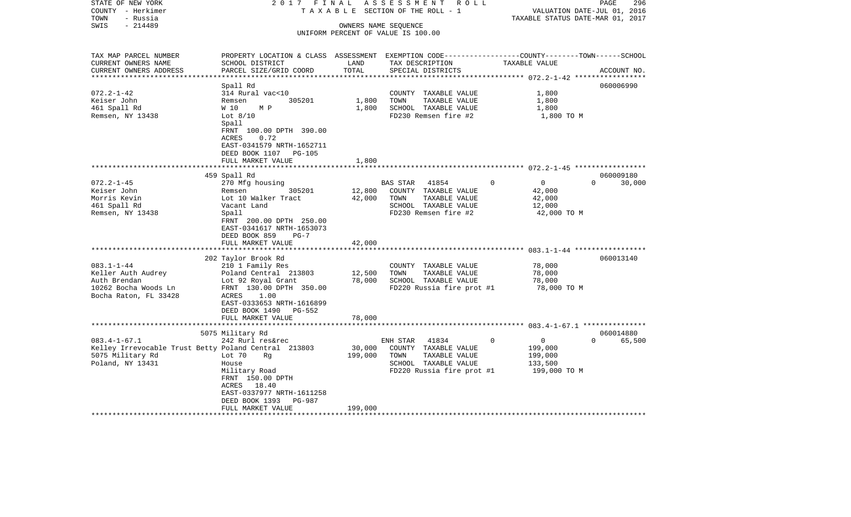| STATE OF NEW YORK                                    | 2017 FINAL                                                                                       |         | ASSESSMENT<br>R O L L                         |                                  | 296<br>PAGE                 |
|------------------------------------------------------|--------------------------------------------------------------------------------------------------|---------|-----------------------------------------------|----------------------------------|-----------------------------|
| COUNTY - Herkimer<br>- Russia<br>TOWN                | TAXABLE                                                                                          |         | SECTION OF THE ROLL - 1                       | TAXABLE STATUS DATE-MAR 01, 2017 | VALUATION DATE-JUL 01, 2016 |
| $-214489$<br>SWIS                                    |                                                                                                  |         | OWNERS NAME SEQUENCE                          |                                  |                             |
|                                                      |                                                                                                  |         | UNIFORM PERCENT OF VALUE IS 100.00            |                                  |                             |
|                                                      |                                                                                                  |         |                                               |                                  |                             |
| TAX MAP PARCEL NUMBER                                | PROPERTY LOCATION & CLASS ASSESSMENT EXEMPTION CODE----------------COUNTY-------TOWN------SCHOOL |         |                                               |                                  |                             |
| CURRENT OWNERS NAME                                  | SCHOOL DISTRICT                                                                                  | LAND    | TAX DESCRIPTION                               | TAXABLE VALUE                    |                             |
| CURRENT OWNERS ADDRESS                               | PARCEL SIZE/GRID COORD                                                                           | TOTAL   | SPECIAL DISTRICTS                             |                                  | ACCOUNT NO.                 |
| ***********************                              |                                                                                                  |         |                                               |                                  |                             |
|                                                      | Spall Rd                                                                                         |         |                                               |                                  | 060006990                   |
| $072.2 - 1 - 42$                                     | 314 Rural vac<10                                                                                 |         | COUNTY TAXABLE VALUE                          | 1,800                            |                             |
| Keiser John                                          | 305201<br>Remsen                                                                                 | 1,800   | TOWN<br>TAXABLE VALUE                         | 1,800                            |                             |
| 461 Spall Rd<br>Remsen, NY 13438                     | W 10<br>M P<br>Lot $8/10$                                                                        | 1,800   | SCHOOL TAXABLE VALUE<br>FD230 Remsen fire #2  | 1,800<br>1,800 TO M              |                             |
|                                                      | Spall                                                                                            |         |                                               |                                  |                             |
|                                                      | FRNT 100.00 DPTH 390.00                                                                          |         |                                               |                                  |                             |
|                                                      | ACRES<br>0.72                                                                                    |         |                                               |                                  |                             |
|                                                      | EAST-0341579 NRTH-1652711                                                                        |         |                                               |                                  |                             |
|                                                      | DEED BOOK 1107 PG-105                                                                            |         |                                               |                                  |                             |
|                                                      | FULL MARKET VALUE                                                                                | 1,800   |                                               |                                  |                             |
|                                                      | 459 Spall Rd                                                                                     |         |                                               |                                  | 060009180                   |
| $072.2 - 1 - 45$                                     | 270 Mfg housing                                                                                  |         | BAS STAR<br>41854                             | $\overline{0}$<br>$\mathbf{0}$   | $\Omega$<br>30,000          |
| Keiser John                                          | 305201<br>Remsen                                                                                 | 12,800  | COUNTY TAXABLE VALUE                          | 42,000                           |                             |
| Morris Kevin                                         | Lot 10 Walker Tract                                                                              | 42,000  | TOWN<br>TAXABLE VALUE                         | 42,000                           |                             |
| 461 Spall Rd                                         | Vacant Land                                                                                      |         | SCHOOL TAXABLE VALUE                          | 12,000                           |                             |
| Remsen, NY 13438                                     | Spall                                                                                            |         | FD230 Remsen fire #2                          | 42,000 TO M                      |                             |
|                                                      | FRNT 200.00 DPTH 250.00                                                                          |         |                                               |                                  |                             |
|                                                      | EAST-0341617 NRTH-1653073                                                                        |         |                                               |                                  |                             |
|                                                      | DEED BOOK 859<br>$PG-7$<br>FULL MARKET VALUE                                                     | 42,000  |                                               |                                  |                             |
|                                                      |                                                                                                  |         |                                               |                                  |                             |
|                                                      | 202 Taylor Brook Rd                                                                              |         |                                               |                                  | 060013140                   |
| $083.1 - 1 - 44$                                     | 210 1 Family Res                                                                                 |         | COUNTY TAXABLE VALUE                          | 78,000                           |                             |
| Keller Auth Audrey                                   | Poland Central 213803                                                                            | 12,500  | TAXABLE VALUE<br>TOWN                         | 78,000                           |                             |
| Auth Brendan                                         | Lot 92 Royal Grant                                                                               | 78,000  | SCHOOL TAXABLE VALUE                          | 78,000                           |                             |
| 10262 Bocha Woods Ln                                 | FRNT 130.00 DPTH 350.00                                                                          |         | FD220 Russia fire prot #1                     | 78,000 TO M                      |                             |
| Bocha Raton, FL 33428                                | ACRES<br>1.00<br>EAST-0333653 NRTH-1616899                                                       |         |                                               |                                  |                             |
|                                                      | DEED BOOK 1490<br>PG-552                                                                         |         |                                               |                                  |                             |
|                                                      | FULL MARKET VALUE                                                                                | 78,000  |                                               |                                  |                             |
|                                                      |                                                                                                  |         |                                               |                                  |                             |
|                                                      | 5075 Military Rd                                                                                 |         |                                               |                                  | 060014880                   |
| $083.4 - 1 - 67.1$                                   | 242 Rurl res&rec                                                                                 |         | 41834<br>ENH STAR                             | $\overline{0}$<br>0              | $\Omega$<br>65,500          |
| Kelley Irrevocable Trust Betty Poland Central 213803 |                                                                                                  | 30,000  | COUNTY TAXABLE VALUE                          | 199,000                          |                             |
| 5075 Military Rd<br>Poland, NY 13431                 | Lot 70<br>Rg<br>House                                                                            | 199,000 | TOWN<br>TAXABLE VALUE<br>SCHOOL TAXABLE VALUE | 199,000<br>133,500               |                             |
|                                                      | Military Road                                                                                    |         | FD220 Russia fire prot #1                     | 199,000 TO M                     |                             |
|                                                      | FRNT 150.00 DPTH                                                                                 |         |                                               |                                  |                             |
|                                                      | ACRES 18.40                                                                                      |         |                                               |                                  |                             |
|                                                      | EAST-0337977 NRTH-1611258                                                                        |         |                                               |                                  |                             |
|                                                      | DEED BOOK 1393<br><b>PG-987</b>                                                                  |         |                                               |                                  |                             |
|                                                      | FULL MARKET VALUE                                                                                | 199,000 |                                               |                                  |                             |
|                                                      |                                                                                                  |         |                                               |                                  |                             |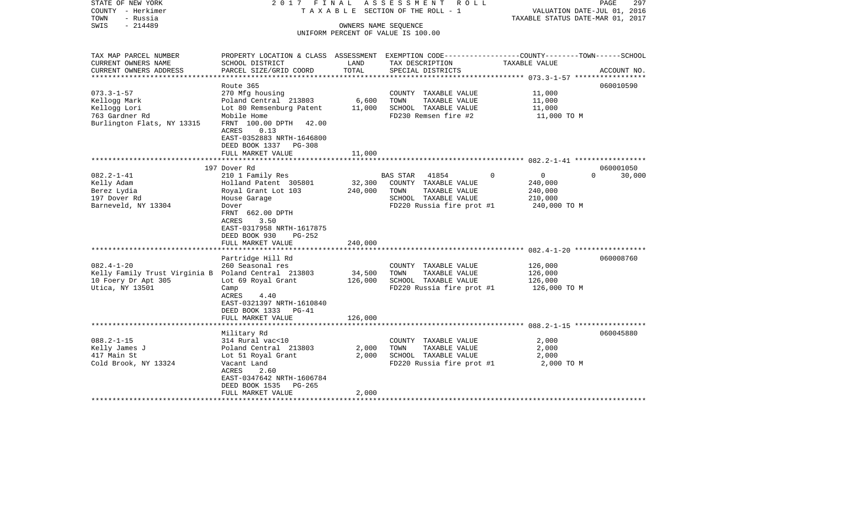| STATE OF NEW YORK<br>COUNTY - Herkimer<br>- Russia<br>TOWN<br>$-214489$<br>SWIS | 2017 FINAL                                                                                                          |         | A S S E S S M E N T<br>R O L L<br>TAXABLE SECTION OF THE ROLL - 1<br>OWNERS NAME SEQUENCE | VALUATION DATE-JUL 01, 2016<br>TAXABLE STATUS DATE-MAR 01, 2017 | PAGE<br>297        |
|---------------------------------------------------------------------------------|---------------------------------------------------------------------------------------------------------------------|---------|-------------------------------------------------------------------------------------------|-----------------------------------------------------------------|--------------------|
|                                                                                 |                                                                                                                     |         | UNIFORM PERCENT OF VALUE IS 100.00                                                        |                                                                 |                    |
|                                                                                 |                                                                                                                     |         |                                                                                           |                                                                 |                    |
| TAX MAP PARCEL NUMBER<br>CURRENT OWNERS NAME                                    | PROPERTY LOCATION & CLASS ASSESSMENT EXEMPTION CODE----------------COUNTY-------TOWN------SCHOOL<br>SCHOOL DISTRICT | LAND    | TAX DESCRIPTION                                                                           | TAXABLE VALUE                                                   |                    |
| CURRENT OWNERS ADDRESS                                                          | PARCEL SIZE/GRID COORD                                                                                              | TOTAL   | SPECIAL DISTRICTS                                                                         |                                                                 | ACCOUNT NO.        |
| **********************                                                          | Route 365                                                                                                           |         |                                                                                           |                                                                 | 060010590          |
| $073.3 - 1 - 57$                                                                | 270 Mfg housing                                                                                                     |         | COUNTY TAXABLE VALUE                                                                      | 11,000                                                          |                    |
| Kellogg Mark                                                                    | Poland Central 213803                                                                                               | 6,600   | TOWN<br>TAXABLE VALUE                                                                     | 11,000                                                          |                    |
| Kellogg Lori                                                                    | Lot 80 Remsenburg Patent                                                                                            | 11,000  | SCHOOL TAXABLE VALUE                                                                      | 11,000                                                          |                    |
| 763 Gardner Rd                                                                  | Mobile Home                                                                                                         |         | FD230 Remsen fire #2                                                                      | 11,000 TO M                                                     |                    |
| Burlington Flats, NY 13315                                                      | FRNT 100.00 DPTH<br>42.00<br>ACRES<br>0.13<br>EAST-0352883 NRTH-1646800<br>DEED BOOK 1337<br>$PG-308$               |         |                                                                                           |                                                                 |                    |
|                                                                                 | FULL MARKET VALUE                                                                                                   | 11,000  |                                                                                           |                                                                 |                    |
|                                                                                 |                                                                                                                     |         |                                                                                           |                                                                 |                    |
|                                                                                 | 197 Dover Rd                                                                                                        |         |                                                                                           |                                                                 | 060001050          |
| $082.2 - 1 - 41$                                                                | 210 1 Family Res                                                                                                    |         | 41854<br>BAS STAR                                                                         | $\mathbf 0$<br>$\mathsf{O}$                                     | 30,000<br>$\Omega$ |
| Kelly Adam                                                                      | Holland Patent 305801                                                                                               | 32,300  | COUNTY TAXABLE VALUE                                                                      | 240,000                                                         |                    |
| Berez Lydia                                                                     | Royal Grant Lot 103                                                                                                 | 240,000 | TAXABLE VALUE<br>TOWN                                                                     | 240,000                                                         |                    |
| 197 Dover Rd                                                                    | House Garage                                                                                                        |         | SCHOOL TAXABLE VALUE                                                                      | 210,000                                                         |                    |
| Barneveld, NY 13304                                                             | Dover<br>FRNT 662.00 DPTH<br>ACRES<br>3.50<br>EAST-0317958 NRTH-1617875<br>DEED BOOK 930<br>PG-252                  |         | FD220 Russia fire prot #1                                                                 | 240,000 TO M                                                    |                    |
|                                                                                 | FULL MARKET VALUE                                                                                                   | 240,000 |                                                                                           |                                                                 |                    |
|                                                                                 | Partridge Hill Rd                                                                                                   |         |                                                                                           |                                                                 | 060008760          |
| $082.4 - 1 - 20$                                                                | 260 Seasonal res                                                                                                    |         | COUNTY TAXABLE VALUE                                                                      | 126,000                                                         |                    |
| Kelly Family Trust Virginia B Poland Central 213803                             |                                                                                                                     | 34,500  | TOWN<br>TAXABLE VALUE                                                                     | 126,000                                                         |                    |
| 10 Foery Dr Apt 305                                                             | Lot 69 Royal Grant                                                                                                  | 126,000 | SCHOOL TAXABLE VALUE                                                                      | 126,000                                                         |                    |
| Utica, NY 13501                                                                 | Camp<br>ACRES<br>4.40<br>EAST-0321397 NRTH-1610840<br>DEED BOOK 1333 PG-41                                          |         | FD220 Russia fire prot #1                                                                 | 126,000 TO M                                                    |                    |
|                                                                                 | FULL MARKET VALUE                                                                                                   | 126,000 |                                                                                           |                                                                 |                    |
|                                                                                 | *******************                                                                                                 |         |                                                                                           |                                                                 |                    |
|                                                                                 | Military Rd                                                                                                         |         |                                                                                           |                                                                 | 060045880          |
| $088.2 - 1 - 15$                                                                | 314 Rural vac<10                                                                                                    |         | COUNTY TAXABLE VALUE                                                                      | 2,000                                                           |                    |
| Kelly James J                                                                   | Poland Central 213803                                                                                               | 2,000   | TOWN<br>TAXABLE VALUE                                                                     | 2,000                                                           |                    |
| 417 Main St                                                                     | Lot 51 Royal Grant                                                                                                  | 2,000   | SCHOOL TAXABLE VALUE                                                                      | 2,000                                                           |                    |
| Cold Brook, NY 13324                                                            | Vacant Land<br>ACRES<br>2.60<br>EAST-0347642 NRTH-1606784<br>DEED BOOK 1535<br>PG-265                               |         | FD220 Russia fire prot #1                                                                 | 2,000 TO M                                                      |                    |
|                                                                                 | FULL MARKET VALUE                                                                                                   | 2,000   |                                                                                           |                                                                 |                    |
|                                                                                 |                                                                                                                     |         |                                                                                           |                                                                 |                    |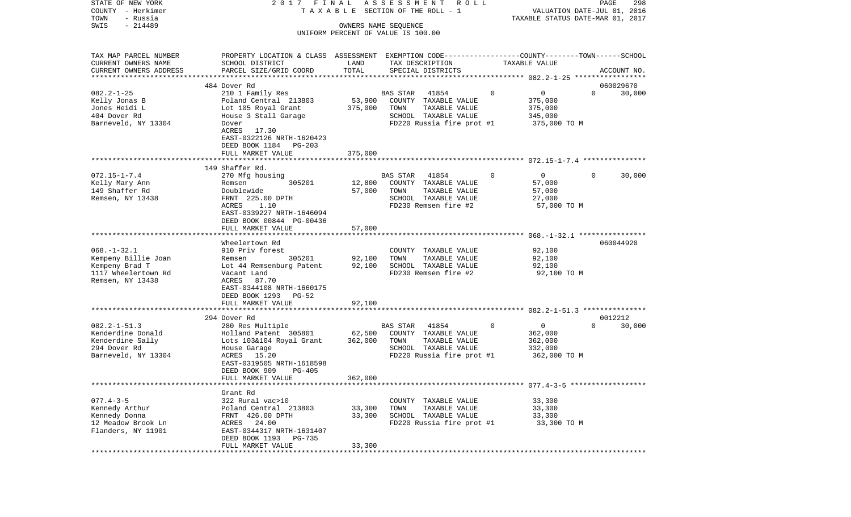| STATE OF NEW YORK<br>COUNTY - Herkimer           | 2017 FINAL                                                                                      |                      | ASSESSMENT<br><b>ROLL</b><br>TAXABLE SECTION OF THE ROLL - 1 |   | VALUATION DATE-JUL 01, 2016      | PAGE     | 298         |
|--------------------------------------------------|-------------------------------------------------------------------------------------------------|----------------------|--------------------------------------------------------------|---|----------------------------------|----------|-------------|
| TOWN<br>- Russia                                 |                                                                                                 |                      |                                                              |   | TAXABLE STATUS DATE-MAR 01, 2017 |          |             |
| $-214489$<br>SWIS                                |                                                                                                 | OWNERS NAME SEQUENCE |                                                              |   |                                  |          |             |
|                                                  |                                                                                                 |                      | UNIFORM PERCENT OF VALUE IS 100.00                           |   |                                  |          |             |
| TAX MAP PARCEL NUMBER                            | PROPERTY LOCATION & CLASS ASSESSMENT EXEMPTION CODE---------------COUNTY-------TOWN------SCHOOL |                      |                                                              |   |                                  |          |             |
| CURRENT OWNERS NAME                              | SCHOOL DISTRICT                                                                                 | LAND                 | TAX DESCRIPTION                                              |   | TAXABLE VALUE                    |          |             |
| CURRENT OWNERS ADDRESS<br>********************** | PARCEL SIZE/GRID COORD                                                                          | TOTAL                | SPECIAL DISTRICTS                                            |   |                                  |          | ACCOUNT NO. |
|                                                  | 484 Dover Rd                                                                                    |                      |                                                              |   |                                  |          | 060029670   |
| $082.2 - 1 - 25$                                 | 210 1 Family Res                                                                                |                      | 41854<br>BAS STAR                                            | 0 | $\overline{0}$                   | $\Omega$ | 30,000      |
| Kelly Jonas B                                    | Poland Central 213803                                                                           | 53,900               | COUNTY TAXABLE VALUE                                         |   | 375,000                          |          |             |
| Jones Heidi L                                    | Lot 105 Royal Grant                                                                             | 375,000              | TOWN<br>TAXABLE VALUE                                        |   | 375,000                          |          |             |
| 404 Dover Rd                                     | House 3 Stall Garage                                                                            |                      | SCHOOL TAXABLE VALUE                                         |   | 345,000                          |          |             |
| Barneveld, NY 13304                              | Dover                                                                                           |                      | FD220 Russia fire prot #1                                    |   | 375,000 TO M                     |          |             |
|                                                  | ACRES<br>17.30                                                                                  |                      |                                                              |   |                                  |          |             |
|                                                  | EAST-0322126 NRTH-1620423                                                                       |                      |                                                              |   |                                  |          |             |
|                                                  | DEED BOOK 1184 PG-203                                                                           |                      |                                                              |   |                                  |          |             |
|                                                  | FULL MARKET VALUE                                                                               | 375,000              |                                                              |   |                                  |          |             |
|                                                  | 149 Shaffer Rd.                                                                                 |                      |                                                              |   |                                  |          |             |
| $072.15 - 1 - 7.4$                               | 270 Mfg housing                                                                                 |                      | <b>BAS STAR</b><br>41854                                     | 0 | $\overline{0}$                   | $\Omega$ | 30,000      |
| Kelly Mary Ann                                   | 305201<br>Remsen                                                                                | 12,800               | COUNTY TAXABLE VALUE                                         |   | 57,000                           |          |             |
| 149 Shaffer Rd                                   | Doublewide                                                                                      | 57,000               | TOWN<br>TAXABLE VALUE                                        |   | 57,000                           |          |             |
| Remsen, NY 13438                                 | FRNT 225.00 DPTH                                                                                |                      | SCHOOL TAXABLE VALUE                                         |   | 27,000                           |          |             |
|                                                  | ACRES<br>1.10                                                                                   |                      | FD230 Remsen fire #2                                         |   | 57,000 TO M                      |          |             |
|                                                  | EAST-0339227 NRTH-1646094                                                                       |                      |                                                              |   |                                  |          |             |
|                                                  | DEED BOOK 00844 PG-00436<br>FULL MARKET VALUE                                                   | 57,000               |                                                              |   |                                  |          |             |
|                                                  |                                                                                                 |                      |                                                              |   |                                  |          |             |
|                                                  | Wheelertown Rd                                                                                  |                      |                                                              |   |                                  |          | 060044920   |
| $068. - 1 - 32.1$                                | 910 Priv forest                                                                                 |                      | COUNTY TAXABLE VALUE                                         |   | 92,100                           |          |             |
| Kempeny Billie Joan                              | 305201<br>Remsen                                                                                | 92,100               | TAXABLE VALUE<br>TOWN                                        |   | 92,100                           |          |             |
| Kempeny Brad T                                   | Lot 44 Remsenburg Patent                                                                        | 92,100               | SCHOOL TAXABLE VALUE                                         |   | 92,100                           |          |             |
| 1117 Wheelertown Rd                              | Vacant Land                                                                                     |                      | FD230 Remsen fire #2                                         |   | 92,100 TO M                      |          |             |
| Remsen, NY 13438                                 | ACRES<br>87.70<br>EAST-0344108 NRTH-1660175                                                     |                      |                                                              |   |                                  |          |             |
|                                                  | DEED BOOK 1293<br>PG-52                                                                         |                      |                                                              |   |                                  |          |             |
|                                                  | FULL MARKET VALUE                                                                               | 92,100               |                                                              |   |                                  |          |             |
|                                                  | *********************                                                                           |                      |                                                              |   |                                  |          |             |
|                                                  | 294 Dover Rd                                                                                    |                      |                                                              |   |                                  |          | 0012212     |
| $082.2 - 1 - 51.3$                               | 280 Res Multiple                                                                                |                      | BAS STAR<br>41854                                            | 0 | $\overline{0}$                   | $\Omega$ | 30,000      |
| Kenderdine Donald                                | Holland Patent 305801                                                                           | 62,500               | COUNTY TAXABLE VALUE                                         |   | 362,000                          |          |             |
| Kenderdine Sally                                 | Lots 103&104 Royal Grant                                                                        | 362,000              | TAXABLE VALUE<br>TOWN                                        |   | 362,000                          |          |             |
| 294 Dover Rd<br>Barneveld, NY 13304              | House Garage<br>ACRES 15.20                                                                     |                      | SCHOOL TAXABLE VALUE<br>FD220 Russia fire prot #1            |   | 332,000<br>362,000 TO M          |          |             |
|                                                  | EAST-0319505 NRTH-1618598                                                                       |                      |                                                              |   |                                  |          |             |
|                                                  | DEED BOOK 909<br>PG-405                                                                         |                      |                                                              |   |                                  |          |             |
|                                                  | FULL MARKET VALUE                                                                               | 362,000              |                                                              |   |                                  |          |             |
|                                                  |                                                                                                 |                      |                                                              |   |                                  |          |             |
|                                                  | Grant Rd                                                                                        |                      |                                                              |   |                                  |          |             |
| $077.4 - 3 - 5$                                  | 322 Rural vac>10                                                                                |                      | COUNTY TAXABLE VALUE                                         |   | 33,300                           |          |             |
| Kennedy Arthur                                   | Poland Central 213803                                                                           | 33,300               | TOWN<br>TAXABLE VALUE                                        |   | 33,300                           |          |             |
| Kennedy Donna<br>12 Meadow Brook Ln              | FRNT 426.00 DPTH<br>ACRES 24.00                                                                 | 33,300               | SCHOOL TAXABLE VALUE<br>FD220 Russia fire prot #1            |   | 33,300<br>33,300 TO M            |          |             |
| Flanders, NY 11901                               | EAST-0344317 NRTH-1631407                                                                       |                      |                                                              |   |                                  |          |             |
|                                                  | DEED BOOK 1193 PG-735                                                                           |                      |                                                              |   |                                  |          |             |
|                                                  | FULL MARKET VALUE                                                                               | 33,300               |                                                              |   |                                  |          |             |
| **********                                       |                                                                                                 |                      |                                                              |   |                                  |          |             |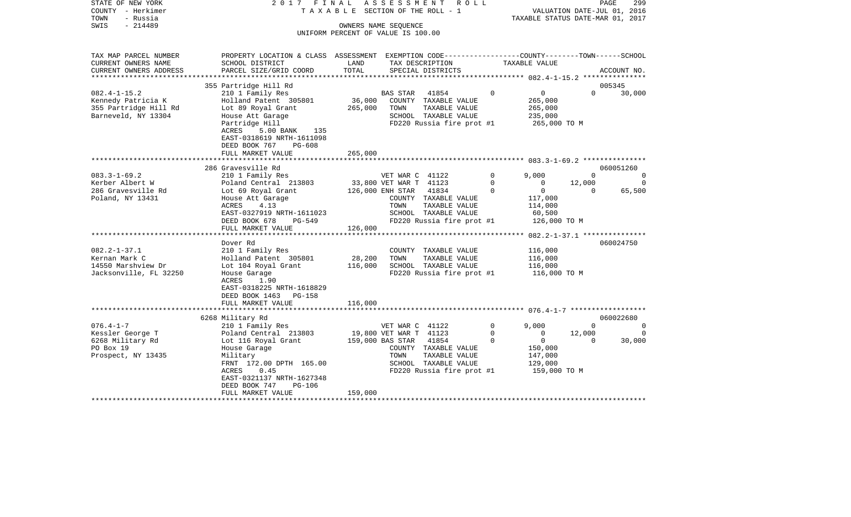| STATE OF NEW YORK<br>COUNTY - Herkimer<br>TOWN<br>- Russia | 2017 FINAL<br>TAXABLE                                                                            |                                    | ASSESSMENT             | R O L L<br>SECTION OF THE ROLL - 1    |             | TAXABLE STATUS DATE-MAR 01, 2017 | VALUATION DATE-JUL 01, 2016 | PAGE<br>299      |
|------------------------------------------------------------|--------------------------------------------------------------------------------------------------|------------------------------------|------------------------|---------------------------------------|-------------|----------------------------------|-----------------------------|------------------|
| SWIS<br>$-214489$                                          |                                                                                                  |                                    | OWNERS NAME SEQUENCE   |                                       |             |                                  |                             |                  |
|                                                            |                                                                                                  | UNIFORM PERCENT OF VALUE IS 100.00 |                        |                                       |             |                                  |                             |                  |
|                                                            |                                                                                                  |                                    |                        |                                       |             |                                  |                             |                  |
| TAX MAP PARCEL NUMBER                                      | PROPERTY LOCATION & CLASS ASSESSMENT EXEMPTION CODE----------------COUNTY-------TOWN------SCHOOL |                                    |                        |                                       |             |                                  |                             |                  |
| CURRENT OWNERS NAME                                        | SCHOOL DISTRICT                                                                                  | LAND                               |                        | TAX DESCRIPTION                       |             | TAXABLE VALUE                    |                             |                  |
| CURRENT OWNERS ADDRESS<br>*********************            | PARCEL SIZE/GRID COORD                                                                           | TOTAL                              |                        | SPECIAL DISTRICTS                     |             |                                  |                             | ACCOUNT NO.      |
|                                                            |                                                                                                  |                                    |                        |                                       |             |                                  |                             |                  |
| $082.4 - 1 - 15.2$                                         | 355 Partridge Hill Rd<br>210 1 Family Res                                                        |                                    |                        | 41854                                 | $\mathbf 0$ | $\overline{0}$                   | $\Omega$                    | 005345<br>30,000 |
| Kennedy Patricia K                                         | Holland Patent 305801                                                                            | 36,000                             | BAS STAR               | COUNTY TAXABLE VALUE                  |             | 265,000                          |                             |                  |
| 355 Partridge Hill Rd                                      | Lot 89 Royal Grant                                                                               | 265,000                            | TOWN                   | TAXABLE VALUE                         |             | 265,000                          |                             |                  |
| Barneveld, NY 13304                                        | House Att Garage                                                                                 |                                    |                        | SCHOOL TAXABLE VALUE                  |             | 235,000                          |                             |                  |
|                                                            | Partridge Hill                                                                                   |                                    |                        | FD220 Russia fire prot #1             |             | 265,000 TO M                     |                             |                  |
|                                                            | ACRES<br>5.00 BANK<br>135                                                                        |                                    |                        |                                       |             |                                  |                             |                  |
|                                                            | EAST-0318619 NRTH-1611098                                                                        |                                    |                        |                                       |             |                                  |                             |                  |
|                                                            | DEED BOOK 767<br>$PG-608$                                                                        |                                    |                        |                                       |             |                                  |                             |                  |
|                                                            | FULL MARKET VALUE                                                                                | 265,000                            |                        |                                       |             |                                  |                             |                  |
|                                                            | *************************                                                                        |                                    |                        |                                       |             |                                  |                             |                  |
|                                                            | 286 Gravesville Rd                                                                               |                                    |                        |                                       |             |                                  |                             | 060051260        |
| $083.3 - 1 - 69.2$                                         | 210 1 Family Res                                                                                 |                                    | VET WAR C 41122        |                                       | $\mathbf 0$ | 9,000                            | $\Omega$                    | 0                |
| Kerber Albert W                                            | Poland Central 213803                                                                            |                                    | 33,800 VET WAR T 41123 |                                       | $\Omega$    | $\Omega$                         | 12,000                      | $\Omega$         |
| 286 Gravesville Rd                                         | Lot 69 Royal Grant                                                                               |                                    | 126,000 ENH STAR       | 41834                                 | $\mathbf 0$ | $\overline{0}$                   | $\Omega$                    | 65,500           |
| Poland, NY 13431                                           | House Att Garage                                                                                 |                                    |                        | COUNTY TAXABLE VALUE                  |             | 117,000                          |                             |                  |
|                                                            | 4.13<br>ACRES                                                                                    |                                    | TOWN                   | TAXABLE VALUE                         |             | 114,000                          |                             |                  |
|                                                            | EAST-0327919 NRTH-1611023                                                                        |                                    |                        | SCHOOL TAXABLE VALUE                  |             | 60,500                           |                             |                  |
|                                                            | DEED BOOK 678<br>PG-549                                                                          |                                    |                        | FD220 Russia fire prot #1             |             | 126,000 TO M                     |                             |                  |
|                                                            | FULL MARKET VALUE                                                                                | 126,000                            |                        |                                       |             |                                  |                             |                  |
|                                                            |                                                                                                  |                                    |                        |                                       |             |                                  |                             |                  |
|                                                            | Dover Rd                                                                                         |                                    |                        |                                       |             |                                  |                             | 060024750        |
| $082.2 - 1 - 37.1$                                         | 210 1 Family Res                                                                                 |                                    |                        | COUNTY TAXABLE VALUE                  |             | 116,000                          |                             |                  |
| Kernan Mark C<br>14550 Marshview Dr                        | Holland Patent 305801<br>Lot 104 Royal Grant                                                     | 28,200<br>116,000                  | TOWN                   | TAXABLE VALUE<br>SCHOOL TAXABLE VALUE |             | 116,000<br>116,000               |                             |                  |
| Jacksonville, FL 32250                                     | House Garage                                                                                     |                                    |                        | FD220 Russia fire prot #1             |             | 116,000 TO M                     |                             |                  |
|                                                            | ACRES<br>1.90                                                                                    |                                    |                        |                                       |             |                                  |                             |                  |
|                                                            | EAST-0318225 NRTH-1618829                                                                        |                                    |                        |                                       |             |                                  |                             |                  |
|                                                            | DEED BOOK 1463<br><b>PG-158</b>                                                                  |                                    |                        |                                       |             |                                  |                             |                  |
|                                                            | FULL MARKET VALUE                                                                                | 116,000                            |                        |                                       |             |                                  |                             |                  |
|                                                            | ***********************                                                                          |                                    |                        |                                       |             |                                  |                             |                  |
|                                                            | 6268 Military Rd                                                                                 |                                    |                        |                                       |             |                                  |                             | 060022680        |
| $076.4 - 1 - 7$                                            | 210 1 Family Res                                                                                 |                                    | VET WAR C 41122        |                                       | $\mathbf 0$ | 9,000                            | $\mathbf{0}$                | 0                |
| Kessler George T                                           | Poland Central 213803                                                                            |                                    | 19,800 VET WAR T 41123 |                                       | $\mathbf 0$ | $\mathbf 0$                      | 12,000                      | $\mathbf 0$      |
| 6268 Military Rd                                           | Lot 116 Royal Grant                                                                              |                                    | 159,000 BAS STAR       | 41854                                 | $\mathbf 0$ | $\mathbf 0$                      | $\Omega$                    | 30,000           |
| PO Box 19                                                  | House Garage                                                                                     |                                    |                        | COUNTY TAXABLE VALUE                  |             | 150,000                          |                             |                  |
| Prospect, NY 13435                                         | Military                                                                                         |                                    | TOWN                   | TAXABLE VALUE                         |             | 147,000                          |                             |                  |
|                                                            | FRNT 172.00 DPTH 165.00                                                                          |                                    |                        | SCHOOL TAXABLE VALUE                  |             | 129,000                          |                             |                  |
|                                                            | 0.45<br>ACRES                                                                                    |                                    |                        | FD220 Russia fire prot #1             |             | 159,000 TO M                     |                             |                  |
|                                                            | EAST-0321137 NRTH-1627348                                                                        |                                    |                        |                                       |             |                                  |                             |                  |
|                                                            | DEED BOOK 747<br><b>PG-106</b>                                                                   |                                    |                        |                                       |             |                                  |                             |                  |
|                                                            | FULL MARKET VALUE                                                                                | 159,000                            |                        |                                       |             |                                  |                             |                  |
|                                                            |                                                                                                  |                                    |                        |                                       |             |                                  |                             |                  |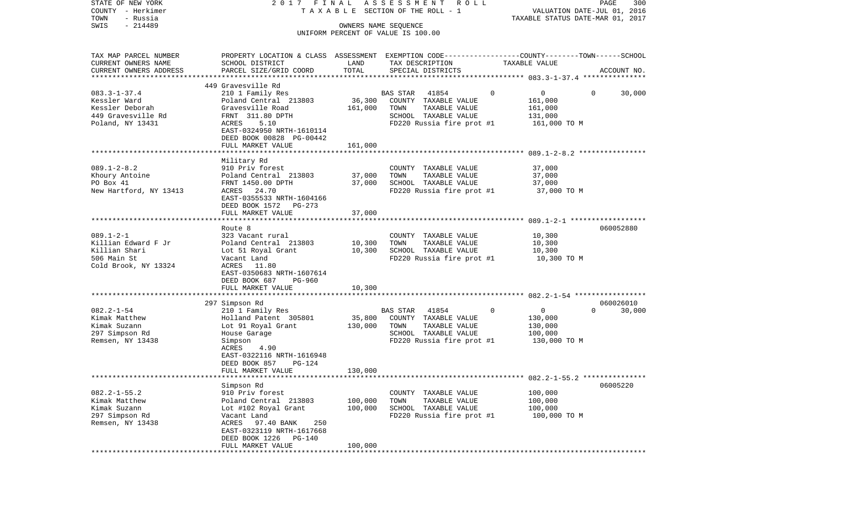| STATE OF NEW YORK<br>COUNTY - Herkimer | 2017 FINAL                                                                                      |                      | A S S E S S M E N T<br>R O L L<br>T A X A B L E SECTION OF THE ROLL - 1 |                               | PAGE<br>300<br>VALUATION DATE-JUL 01, 2016 |
|----------------------------------------|-------------------------------------------------------------------------------------------------|----------------------|-------------------------------------------------------------------------|-------------------------------|--------------------------------------------|
| TOWN<br>- Russia                       |                                                                                                 |                      |                                                                         |                               | TAXABLE STATUS DATE-MAR 01, 2017           |
| $-214489$<br>SWIS                      |                                                                                                 | OWNERS NAME SEQUENCE |                                                                         |                               |                                            |
|                                        |                                                                                                 |                      | UNIFORM PERCENT OF VALUE IS 100.00                                      |                               |                                            |
| TAX MAP PARCEL NUMBER                  | PROPERTY LOCATION & CLASS ASSESSMENT EXEMPTION CODE---------------COUNTY-------TOWN------SCHOOL |                      |                                                                         |                               |                                            |
| CURRENT OWNERS NAME                    | SCHOOL DISTRICT                                                                                 | LAND                 | TAX DESCRIPTION                                                         | TAXABLE VALUE                 |                                            |
| CURRENT OWNERS ADDRESS                 | PARCEL SIZE/GRID COORD                                                                          | TOTAL                | SPECIAL DISTRICTS                                                       |                               | ACCOUNT NO.                                |
| *********************                  |                                                                                                 |                      |                                                                         |                               |                                            |
| $083.3 - 1 - 37.4$                     | 449 Gravesville Rd<br>210 1 Family Res                                                          |                      | 41854<br>BAS STAR                                                       | $\mathbf 0$<br>0              | 30,000<br>$\mathbf{0}$                     |
| Kessler Ward                           | Poland Central 213803                                                                           | 36,300               | COUNTY TAXABLE VALUE                                                    | 161,000                       |                                            |
| Kessler Deborah                        | Gravesville Road                                                                                | 161,000              | TOWN<br>TAXABLE VALUE                                                   | 161,000                       |                                            |
| 449 Gravesville Rd                     | FRNT 311.80 DPTH                                                                                |                      | SCHOOL TAXABLE VALUE                                                    | 131,000                       |                                            |
| Poland, NY 13431                       | ACRES<br>5.10                                                                                   |                      | FD220 Russia fire prot #1                                               | 161,000 TO M                  |                                            |
|                                        | EAST-0324950 NRTH-1610114<br>DEED BOOK 00828 PG-00442                                           |                      |                                                                         |                               |                                            |
|                                        | FULL MARKET VALUE                                                                               | 161,000              |                                                                         |                               |                                            |
|                                        |                                                                                                 |                      |                                                                         |                               |                                            |
|                                        | Military Rd                                                                                     |                      |                                                                         |                               |                                            |
| $089.1 - 2 - 8.2$                      | 910 Priv forest                                                                                 |                      | COUNTY TAXABLE VALUE                                                    | 37,000                        |                                            |
| Khoury Antoine                         | Poland Central 213803                                                                           | 37,000               | TOWN<br>TAXABLE VALUE                                                   | 37,000                        |                                            |
| PO Box 41                              | FRNT 1450.00 DPTH                                                                               | 37,000               | SCHOOL TAXABLE VALUE                                                    | 37,000                        |                                            |
| New Hartford, NY 13413                 | ACRES 24.70                                                                                     |                      | FD220 Russia fire prot #1                                               | 37,000 TO M                   |                                            |
|                                        | EAST-0355533 NRTH-1604166                                                                       |                      |                                                                         |                               |                                            |
|                                        | DEED BOOK 1572 PG-273                                                                           |                      |                                                                         |                               |                                            |
|                                        | FULL MARKET VALUE                                                                               | 37,000               |                                                                         |                               |                                            |
|                                        | Route 8                                                                                         |                      |                                                                         |                               | 060052880                                  |
| $089.1 - 2 - 1$                        | 323 Vacant rural                                                                                |                      | COUNTY TAXABLE VALUE                                                    | 10,300                        |                                            |
| Killian Edward F Jr                    | Poland Central 213803                                                                           | 10,300               | TOWN<br>TAXABLE VALUE                                                   | 10,300                        |                                            |
| Killian Shari                          | Lot 51 Royal Grant                                                                              | 10,300               | SCHOOL TAXABLE VALUE                                                    | 10,300                        |                                            |
| 506 Main St                            | Vacant Land                                                                                     |                      | FD220 Russia fire prot #1                                               | 10,300 TO M                   |                                            |
| Cold Brook, NY 13324                   | ACRES 11.80                                                                                     |                      |                                                                         |                               |                                            |
|                                        | EAST-0350683 NRTH-1607614                                                                       |                      |                                                                         |                               |                                            |
|                                        | DEED BOOK 687<br>PG-960                                                                         |                      |                                                                         |                               |                                            |
|                                        | FULL MARKET VALUE                                                                               | 10,300               |                                                                         |                               |                                            |
|                                        | *********************                                                                           |                      |                                                                         |                               |                                            |
|                                        | 297 Simpson Rd                                                                                  |                      |                                                                         |                               | 060026010                                  |
| $082.2 - 1 - 54$                       | 210 1 Family Res                                                                                |                      | BAS STAR<br>41854                                                       | $\mathbf 0$<br>$\overline{0}$ | $\Omega$<br>30,000                         |
| Kimak Matthew                          | Holland Patent 305801                                                                           | 35,800               | COUNTY TAXABLE VALUE                                                    | 130,000                       |                                            |
| Kimak Suzann                           | Lot 91 Royal Grant                                                                              | 130,000              | TOWN<br>TAXABLE VALUE                                                   | 130,000                       |                                            |
| 297 Simpson Rd                         | House Garage                                                                                    |                      | SCHOOL TAXABLE VALUE                                                    | 100,000                       |                                            |
| Remsen, NY 13438                       | Simpson                                                                                         |                      | FD220 Russia fire prot #1                                               | 130,000 TO M                  |                                            |
|                                        | 4.90<br>ACRES                                                                                   |                      |                                                                         |                               |                                            |
|                                        | EAST-0322116 NRTH-1616948                                                                       |                      |                                                                         |                               |                                            |
|                                        | <b>PG-124</b><br>DEED BOOK 857                                                                  |                      |                                                                         |                               |                                            |
|                                        | FULL MARKET VALUE                                                                               | 130,000              |                                                                         |                               |                                            |
| **********************                 | Simpson Rd                                                                                      |                      |                                                                         |                               | 06005220                                   |
| $082.2 - 1 - 55.2$                     | 910 Priv forest                                                                                 |                      | COUNTY TAXABLE VALUE                                                    | 100,000                       |                                            |
| Kimak Matthew                          | Poland Central 213803                                                                           | 100,000              | TOWN<br>TAXABLE VALUE                                                   | 100,000                       |                                            |
| Kimak Suzann                           | Lot #102 Royal Grant                                                                            | 100,000              | SCHOOL TAXABLE VALUE                                                    | 100,000                       |                                            |
| 297 Simpson Rd                         | Vacant Land                                                                                     |                      | FD220 Russia fire prot #1                                               | 100,000 TO M                  |                                            |
| Remsen, NY 13438                       | ACRES<br>97.40 BANK<br>250                                                                      |                      |                                                                         |                               |                                            |
|                                        | EAST-0323119 NRTH-1617668                                                                       |                      |                                                                         |                               |                                            |
|                                        | DEED BOOK 1226<br>PG-140                                                                        |                      |                                                                         |                               |                                            |
|                                        | FULL MARKET VALUE                                                                               | 100,000              |                                                                         |                               |                                            |
| ********                               |                                                                                                 |                      |                                                                         |                               |                                            |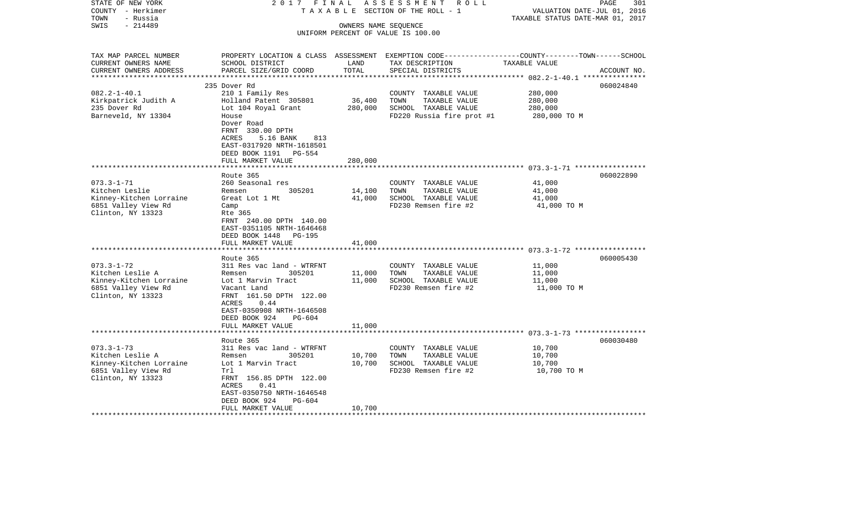| STATE OF NEW YORK<br>COUNTY - Herkimer<br>- Russia<br>TOWN             | 2017 FINAL<br>TAXABLE                                                                                                                           |                      | ASSESSMENT ROLL<br>SECTION OF THE ROLL - 1                                                                                               | VALUATION DATE-JUL 01, 2016<br>TAXABLE STATUS DATE-MAR 01, 2017 | PAGE<br>301 |
|------------------------------------------------------------------------|-------------------------------------------------------------------------------------------------------------------------------------------------|----------------------|------------------------------------------------------------------------------------------------------------------------------------------|-----------------------------------------------------------------|-------------|
| $-214489$<br>SWIS                                                      |                                                                                                                                                 | OWNERS NAME SEQUENCE | UNIFORM PERCENT OF VALUE IS 100.00                                                                                                       |                                                                 |             |
| TAX MAP PARCEL NUMBER<br>CURRENT OWNERS NAME<br>CURRENT OWNERS ADDRESS | SCHOOL DISTRICT<br>PARCEL SIZE/GRID COORD                                                                                                       | LAND<br>TOTAL        | PROPERTY LOCATION & CLASS ASSESSMENT EXEMPTION CODE----------------COUNTY-------TOWN------SCHOOL<br>TAX DESCRIPTION<br>SPECIAL DISTRICTS | TAXABLE VALUE                                                   | ACCOUNT NO. |
|                                                                        | 235 Dover Rd                                                                                                                                    |                      |                                                                                                                                          |                                                                 | 060024840   |
| $082.2 - 1 - 40.1$                                                     | 210 1 Family Res                                                                                                                                |                      | COUNTY TAXABLE VALUE                                                                                                                     | 280,000                                                         |             |
| Kirkpatrick Judith A                                                   | Holland Patent 305801                                                                                                                           | 36,400               | TOWN<br>TAXABLE VALUE                                                                                                                    | 280,000                                                         |             |
| 235 Dover Rd                                                           | Lot 104 Royal Grant                                                                                                                             | 280,000              | SCHOOL TAXABLE VALUE                                                                                                                     | 280,000                                                         |             |
| Barneveld, NY 13304                                                    | House<br>Dover Road<br>FRNT 330.00 DPTH<br>ACRES<br>5.16 BANK<br>813<br>EAST-0317920 NRTH-1618501<br>DEED BOOK 1191 PG-554<br>FULL MARKET VALUE | 280,000              | FD220 Russia fire prot #1                                                                                                                | 280,000 TO M                                                    |             |
|                                                                        |                                                                                                                                                 |                      |                                                                                                                                          |                                                                 |             |
|                                                                        | Route 365                                                                                                                                       |                      |                                                                                                                                          |                                                                 | 060022890   |
| $073.3 - 1 - 71$                                                       | 260 Seasonal res                                                                                                                                |                      | COUNTY TAXABLE VALUE                                                                                                                     | 41,000                                                          |             |
| Kitchen Leslie                                                         | 305201<br>Remsen                                                                                                                                | 14,100               | TOWN<br>TAXABLE VALUE                                                                                                                    | 41,000                                                          |             |
| Kinney-Kitchen Lorraine                                                | Great Lot 1 Mt                                                                                                                                  | 41,000               | SCHOOL TAXABLE VALUE                                                                                                                     | 41,000                                                          |             |
| 6851 Valley View Rd<br>Clinton, NY 13323                               | Camp<br>Rte 365<br>FRNT 240.00 DPTH 140.00<br>EAST-0351105 NRTH-1646468<br>DEED BOOK 1448<br>PG-195<br>FULL MARKET VALUE                        | 41,000               | FD230 Remsen fire #2                                                                                                                     | 41,000 TO M                                                     |             |
|                                                                        | *******************                                                                                                                             |                      |                                                                                                                                          |                                                                 |             |
|                                                                        | Route 365                                                                                                                                       |                      |                                                                                                                                          |                                                                 | 060005430   |
| $073.3 - 1 - 72$                                                       | 311 Res vac land - WTRFNT                                                                                                                       |                      | COUNTY TAXABLE VALUE                                                                                                                     | 11,000                                                          |             |
| Kitchen Leslie A                                                       | Remsen<br>305201                                                                                                                                | 11,000               | TOWN<br>TAXABLE VALUE                                                                                                                    | 11,000                                                          |             |
| Kinney-Kitchen Lorraine<br>6851 Valley View Rd                         | Lot 1 Marvin Tract<br>Vacant Land                                                                                                               | 11,000               | SCHOOL TAXABLE VALUE<br>FD230 Remsen fire #2                                                                                             | 11,000<br>11,000 TO M                                           |             |
| Clinton, NY 13323                                                      | FRNT 161.50 DPTH 122.00<br>ACRES<br>0.44<br>EAST-0350908 NRTH-1646508<br>DEED BOOK 924<br>$PG-604$<br>FULL MARKET VALUE                         | 11,000               |                                                                                                                                          |                                                                 |             |
|                                                                        |                                                                                                                                                 |                      |                                                                                                                                          |                                                                 |             |
|                                                                        | Route 365                                                                                                                                       |                      |                                                                                                                                          |                                                                 | 060030480   |
| $073.3 - 1 - 73$                                                       | 311 Res vac land - WTRFNT                                                                                                                       |                      | COUNTY TAXABLE VALUE                                                                                                                     | 10,700                                                          |             |
| Kitchen Leslie A                                                       | Remsen<br>305201                                                                                                                                | 10,700               | TOWN<br>TAXABLE VALUE                                                                                                                    | 10,700                                                          |             |
| Kinney-Kitchen Lorraine                                                | Lot 1 Marvin Tract                                                                                                                              | 10,700               | SCHOOL TAXABLE VALUE                                                                                                                     | 10,700                                                          |             |
| 6851 Valley View Rd                                                    | Trl                                                                                                                                             |                      | FD230 Remsen fire #2                                                                                                                     | 10,700 TO M                                                     |             |
| Clinton, NY 13323                                                      | FRNT 156.85 DPTH 122.00<br>ACRES<br>0.41<br>EAST-0350750 NRTH-1646548<br>DEED BOOK 924<br>$PG-604$                                              |                      |                                                                                                                                          |                                                                 |             |
|                                                                        | FULL MARKET VALUE                                                                                                                               | 10,700               |                                                                                                                                          |                                                                 |             |
|                                                                        |                                                                                                                                                 |                      |                                                                                                                                          |                                                                 |             |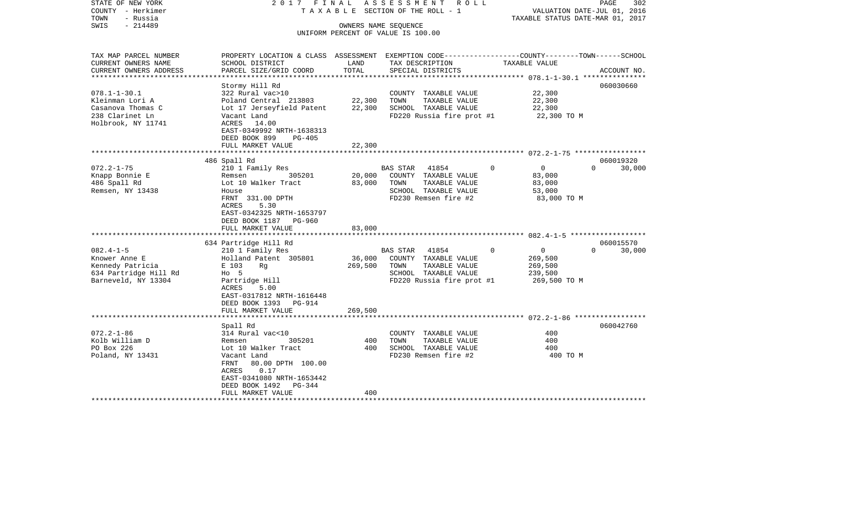| COUNTY<br>– Herkimer<br>- Russia<br>TOWN<br>SWIS<br>$-214489$ |                                                                                                                    |                    | T A X A B L E SECTION OF THE ROLL - 1<br>OWNERS NAME SEQUENCE<br>UNIFORM PERCENT OF VALUE IS 100.00 | VALUATION DATE-JUL 01, 2016<br>TAXABLE STATUS DATE-MAR 01, 2017 |                    |
|---------------------------------------------------------------|--------------------------------------------------------------------------------------------------------------------|--------------------|-----------------------------------------------------------------------------------------------------|-----------------------------------------------------------------|--------------------|
| TAX MAP PARCEL NUMBER<br>CURRENT OWNERS NAME                  | PROPERTY LOCATION & CLASS ASSESSMENT EXEMPTION CODE---------------COUNTY-------TOWN------SCHOOL<br>SCHOOL DISTRICT | LAND               | TAX DESCRIPTION                                                                                     | TAXABLE VALUE                                                   |                    |
| CURRENT OWNERS ADDRESS                                        | PARCEL SIZE/GRID COORD                                                                                             | TOTAL<br>********* | SPECIAL DISTRICTS                                                                                   |                                                                 | ACCOUNT NO.        |
|                                                               | Stormy Hill Rd                                                                                                     |                    |                                                                                                     |                                                                 | 060030660          |
| $078.1 - 1 - 30.1$                                            | 322 Rural vac>10                                                                                                   |                    | COUNTY TAXABLE VALUE                                                                                | 22,300                                                          |                    |
| Kleinman Lori A                                               | Poland Central 213803                                                                                              | 22,300             | TOWN<br>TAXABLE VALUE                                                                               | 22,300                                                          |                    |
| Casanova Thomas C                                             | Lot 17 Jerseyfield Patent                                                                                          | 22,300             | SCHOOL TAXABLE VALUE                                                                                | 22,300                                                          |                    |
| 238 Clarinet Ln                                               | Vacant Land                                                                                                        |                    | FD220 Russia fire prot #1                                                                           | 22,300 TO M                                                     |                    |
| Holbrook, NY 11741                                            | ACRES<br>14.00                                                                                                     |                    |                                                                                                     |                                                                 |                    |
|                                                               | EAST-0349992 NRTH-1638313                                                                                          |                    |                                                                                                     |                                                                 |                    |
|                                                               | DEED BOOK 899<br>$PG-405$                                                                                          |                    |                                                                                                     |                                                                 |                    |
|                                                               | FULL MARKET VALUE                                                                                                  | 22,300             |                                                                                                     |                                                                 |                    |
|                                                               | 486 Spall Rd                                                                                                       |                    |                                                                                                     |                                                                 | 060019320          |
| $072.2 - 1 - 75$                                              | 210 1 Family Res                                                                                                   |                    | <b>BAS STAR</b><br>41854                                                                            | 0<br>$\Omega$                                                   | 30,000<br>$\Omega$ |
| Knapp Bonnie E                                                | 305201<br>Remsen                                                                                                   | 20,000             | COUNTY TAXABLE VALUE                                                                                | 83,000                                                          |                    |
| 486 Spall Rd                                                  | Lot 10 Walker Tract                                                                                                | 83,000             | TOWN<br>TAXABLE VALUE                                                                               | 83,000                                                          |                    |
| Remsen, NY 13438                                              | House                                                                                                              |                    | SCHOOL TAXABLE VALUE                                                                                | 53,000                                                          |                    |
|                                                               | FRNT 331.00 DPTH<br>5.30                                                                                           |                    | FD230 Remsen fire #2                                                                                | 83,000 TO M                                                     |                    |
|                                                               | <b>ACRES</b><br>EAST-0342325 NRTH-1653797                                                                          |                    |                                                                                                     |                                                                 |                    |
|                                                               | DEED BOOK 1187 PG-960                                                                                              |                    |                                                                                                     |                                                                 |                    |
|                                                               | FULL MARKET VALUE                                                                                                  | 83,000             |                                                                                                     |                                                                 |                    |
|                                                               |                                                                                                                    | *******            |                                                                                                     |                                                                 |                    |
|                                                               | 634 Partridge Hill Rd                                                                                              |                    |                                                                                                     |                                                                 | 060015570          |
| $082.4 - 1 - 5$                                               | 210 1 Family Res                                                                                                   |                    | <b>BAS STAR</b><br>41854                                                                            | 0<br>$\Omega$                                                   | 30,000<br>$\Omega$ |
| Knower Anne E<br>Kennedy Patricia                             | Holland Patent 305801<br>E 103                                                                                     | 36,000<br>269,500  | COUNTY TAXABLE VALUE<br>TAXABLE VALUE<br>TOWN                                                       | 269,500<br>269,500                                              |                    |
| 634 Partridge Hill Rd                                         | Rg<br>$H_0$ 5                                                                                                      |                    | SCHOOL TAXABLE VALUE                                                                                | 239,500                                                         |                    |
| Barneveld, NY 13304                                           | Partridge Hill                                                                                                     |                    | FD220 Russia fire prot #1                                                                           | 269,500 TO M                                                    |                    |
|                                                               | ACRES<br>5.00                                                                                                      |                    |                                                                                                     |                                                                 |                    |
|                                                               | EAST-0317812 NRTH-1616448                                                                                          |                    |                                                                                                     |                                                                 |                    |
|                                                               | DEED BOOK 1393<br>PG-914                                                                                           |                    |                                                                                                     |                                                                 |                    |
|                                                               | FULL MARKET VALUE<br>*******************                                                                           | 269,500            |                                                                                                     |                                                                 |                    |
|                                                               |                                                                                                                    |                    |                                                                                                     |                                                                 | 060042760          |
| $072.2 - 1 - 86$                                              | Spall Rd<br>314 Rural vac<10                                                                                       |                    | COUNTY TAXABLE VALUE                                                                                | 400                                                             |                    |
| Kolb William D                                                | 305201<br>Remsen                                                                                                   | 400                | TOWN<br>TAXABLE VALUE                                                                               | 400                                                             |                    |
| PO Box 226                                                    | Lot 10 Walker Tract                                                                                                | 400                | SCHOOL TAXABLE VALUE                                                                                | 400                                                             |                    |
| Poland, NY 13431                                              | Vacant Land                                                                                                        |                    | FD230 Remsen fire #2                                                                                | 400 TO M                                                        |                    |
|                                                               | 80.00 DPTH 100.00<br>FRNT                                                                                          |                    |                                                                                                     |                                                                 |                    |
|                                                               | 0.17<br>ACRES                                                                                                      |                    |                                                                                                     |                                                                 |                    |
|                                                               | EAST-0341080 NRTH-1653442                                                                                          |                    |                                                                                                     |                                                                 |                    |
|                                                               | DEED BOOK 1492<br>PG-344<br>FULL MARKET VALUE                                                                      | 400                |                                                                                                     |                                                                 |                    |
| ********************                                          | ************************                                                                                           | *****************  |                                                                                                     |                                                                 |                    |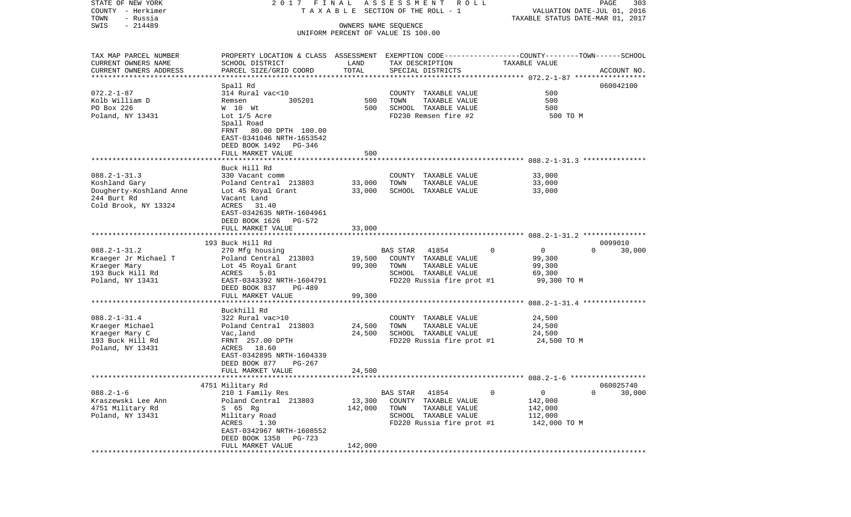| STATE OF NEW YORK<br>COUNTY - Herkimer | 2017 FINAL                                                                                       |                      | ASSESSMENT<br>R O L L<br>T A X A B L E SECTION OF THE ROLL - 1 |                          | PAGE<br>303<br>VALUATION DATE-JUL 01, 2016 |
|----------------------------------------|--------------------------------------------------------------------------------------------------|----------------------|----------------------------------------------------------------|--------------------------|--------------------------------------------|
| TOWN<br>- Russia<br>$-214489$          |                                                                                                  |                      |                                                                |                          | TAXABLE STATUS DATE-MAR 01, 2017           |
| SWIS                                   |                                                                                                  | OWNERS NAME SEQUENCE | UNIFORM PERCENT OF VALUE IS 100.00                             |                          |                                            |
| TAX MAP PARCEL NUMBER                  | PROPERTY LOCATION & CLASS ASSESSMENT EXEMPTION CODE----------------COUNTY-------TOWN------SCHOOL |                      |                                                                |                          |                                            |
| CURRENT OWNERS NAME                    | SCHOOL DISTRICT                                                                                  | LAND                 | TAX DESCRIPTION                                                | TAXABLE VALUE            |                                            |
| CURRENT OWNERS ADDRESS                 | PARCEL SIZE/GRID COORD                                                                           | TOTAL                | SPECIAL DISTRICTS                                              |                          | ACCOUNT NO.                                |
| *************************              |                                                                                                  |                      |                                                                |                          |                                            |
| $072.2 - 1 - 87$                       | Spall Rd<br>314 Rural vac<10                                                                     |                      |                                                                | 500                      | 060042100                                  |
| Kolb William D                         | 305201<br>Remsen                                                                                 | 500                  | COUNTY TAXABLE VALUE<br>TOWN<br>TAXABLE VALUE                  | 500                      |                                            |
| PO Box 226                             | W 10 Wt                                                                                          | 500                  | SCHOOL TAXABLE VALUE                                           | 500                      |                                            |
| Poland, NY 13431                       | Lot 1/5 Acre                                                                                     |                      | FD230 Remsen fire #2                                           | 500 TO M                 |                                            |
|                                        | Spall Road<br>FRNT 80.00 DPTH 100.00<br>EAST-0341046 NRTH-1653542                                |                      |                                                                |                          |                                            |
|                                        | DEED BOOK 1492 PG-346<br>FULL MARKET VALUE                                                       | 500                  |                                                                |                          |                                            |
|                                        |                                                                                                  |                      |                                                                |                          |                                            |
|                                        | Buck Hill Rd                                                                                     |                      |                                                                |                          |                                            |
| $088.2 - 1 - 31.3$                     | 330 Vacant comm                                                                                  |                      | COUNTY TAXABLE VALUE                                           | 33,000                   |                                            |
| Koshland Gary                          | Poland Central 213803                                                                            | 33,000               | TOWN<br>TAXABLE VALUE                                          | 33,000                   |                                            |
| Dougherty-Koshland Anne                | Lot 45 Royal Grant                                                                               | 33,000               | SCHOOL TAXABLE VALUE                                           | 33,000                   |                                            |
| 244 Burt Rd                            | Vacant Land                                                                                      |                      |                                                                |                          |                                            |
| Cold Brook, NY 13324                   | ACRES 31.40<br>EAST-0342635 NRTH-1604961                                                         |                      |                                                                |                          |                                            |
|                                        | DEED BOOK 1626 PG-572                                                                            |                      |                                                                |                          |                                            |
|                                        | FULL MARKET VALUE                                                                                | 33,000               |                                                                |                          |                                            |
|                                        |                                                                                                  |                      |                                                                |                          |                                            |
|                                        | 193 Buck Hill Rd                                                                                 |                      |                                                                |                          | 0099010                                    |
| $088.2 - 1 - 31.2$                     | 270 Mfg housing                                                                                  |                      | BAS STAR<br>41854                                              | $\mathsf{O}$<br>$\Omega$ | $\Omega$<br>30,000                         |
| Kraeger Jr Michael T                   | Poland Central 213803                                                                            | 19,500               | COUNTY TAXABLE VALUE                                           | 99,300                   |                                            |
| Kraeger Mary                           | Lot 45 Royal Grant                                                                               | 99,300               | TOWN<br>TAXABLE VALUE                                          | 99,300                   |                                            |
| 193 Buck Hill Rd<br>Poland, NY 13431   | ACRES<br>5.01<br>EAST-0343392 NRTH-1604791                                                       |                      | SCHOOL TAXABLE VALUE<br>FD220 Russia fire prot #1              | 69,300                   |                                            |
|                                        | DEED BOOK 837<br>PG-489                                                                          |                      |                                                                | 99,300 TO M              |                                            |
|                                        | FULL MARKET VALUE                                                                                | 99,300               |                                                                |                          |                                            |
|                                        | **********************                                                                           |                      |                                                                |                          |                                            |
|                                        | Buckhill Rd                                                                                      |                      |                                                                |                          |                                            |
| $088.2 - 1 - 31.4$                     | 322 Rural vac>10                                                                                 |                      | COUNTY TAXABLE VALUE                                           | 24,500                   |                                            |
| Kraeger Michael                        | Poland Central 213803                                                                            | 24,500               | TOWN<br>TAXABLE VALUE                                          | 24,500                   |                                            |
| Kraeger Mary C                         | Vac,land                                                                                         | 24,500               | SCHOOL TAXABLE VALUE                                           | 24,500                   |                                            |
| 193 Buck Hill Rd                       | FRNT 257.00 DPTH                                                                                 |                      | FD220 Russia fire prot #1                                      | 24,500 TO M              |                                            |
| Poland, NY 13431                       | ACRES 18.60                                                                                      |                      |                                                                |                          |                                            |
|                                        | EAST-0342895 NRTH-1604339                                                                        |                      |                                                                |                          |                                            |
|                                        | DEED BOOK 877<br>PG-267<br>FULL MARKET VALUE                                                     | 24,500               |                                                                |                          |                                            |
|                                        |                                                                                                  |                      |                                                                |                          |                                            |
|                                        | 4751 Military Rd                                                                                 |                      |                                                                |                          | 060025740                                  |
| $088.2 - 1 - 6$                        | 210 1 Family Res                                                                                 |                      | 41854<br>BAS STAR                                              | 0<br>0                   | $\mathbf 0$<br>30,000                      |
| Kraszewski Lee Ann                     | Poland Central 213803                                                                            | 13,300               | COUNTY TAXABLE VALUE                                           | 142,000                  |                                            |
| 4751 Military Rd                       | S 65 Rg                                                                                          | 142,000              | TAXABLE VALUE<br>TOWN                                          | 142,000                  |                                            |
| Poland, NY 13431                       | Military Road                                                                                    |                      | SCHOOL TAXABLE VALUE                                           | 112,000                  |                                            |
|                                        | ACRES<br>1.30                                                                                    |                      | FD220 Russia fire prot #1                                      | 142,000 TO M             |                                            |
|                                        | EAST-0342967 NRTH-1608552                                                                        |                      |                                                                |                          |                                            |
|                                        | DEED BOOK 1358<br>PG-723                                                                         | 142,000              |                                                                |                          |                                            |
|                                        | FULL MARKET VALUE<br>*************************                                                   |                      | ************************************                           |                          |                                            |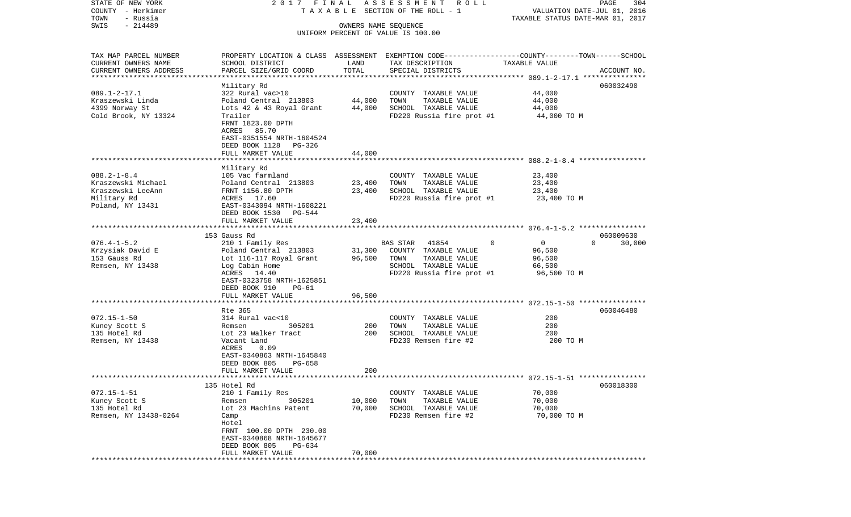| STATE OF NEW YORK                      | 2017 FINAL                                          |                      | A S S E S S M E N T R O L L                   |                                                                                                 | PAGE<br>304 |
|----------------------------------------|-----------------------------------------------------|----------------------|-----------------------------------------------|-------------------------------------------------------------------------------------------------|-------------|
| COUNTY - Herkimer<br>TOWN<br>- Russia  |                                                     |                      | TAXABLE SECTION OF THE ROLL - 1               | VALUATION DATE-JUL 01, 2016<br>TAXABLE STATUS DATE-MAR 01, 2017                                 |             |
| $-214489$<br>SWIS                      |                                                     | OWNERS NAME SEQUENCE |                                               |                                                                                                 |             |
|                                        |                                                     |                      | UNIFORM PERCENT OF VALUE IS 100.00            |                                                                                                 |             |
| TAX MAP PARCEL NUMBER                  |                                                     |                      |                                               | PROPERTY LOCATION & CLASS ASSESSMENT EXEMPTION CODE---------------COUNTY-------TOWN------SCHOOL |             |
| CURRENT OWNERS NAME                    | SCHOOL DISTRICT                                     | LAND                 | TAX DESCRIPTION                               | TAXABLE VALUE                                                                                   |             |
| CURRENT OWNERS ADDRESS                 | PARCEL SIZE/GRID COORD                              | TOTAL                | SPECIAL DISTRICTS                             |                                                                                                 | ACCOUNT NO. |
| **********************                 |                                                     |                      |                                               |                                                                                                 |             |
|                                        | Military Rd                                         |                      |                                               |                                                                                                 | 060032490   |
| $089.1 - 2 - 17.1$<br>Kraszewski Linda | 322 Rural vac>10<br>Poland Central 213803           | 44,000               | COUNTY TAXABLE VALUE<br>TOWN<br>TAXABLE VALUE | 44,000<br>44,000                                                                                |             |
| 4399 Norway St                         | Lots 42 & 43 Royal Grant                            | 44,000               | SCHOOL TAXABLE VALUE                          | 44,000                                                                                          |             |
| Cold Brook, NY 13324                   | Trailer                                             |                      | FD220 Russia fire prot #1                     | 44,000 TO M                                                                                     |             |
|                                        | FRNT 1823.00 DPTH                                   |                      |                                               |                                                                                                 |             |
|                                        | ACRES 85.70                                         |                      |                                               |                                                                                                 |             |
|                                        | EAST-0351554 NRTH-1604524                           |                      |                                               |                                                                                                 |             |
|                                        | DEED BOOK 1128 PG-326                               |                      |                                               |                                                                                                 |             |
|                                        | FULL MARKET VALUE                                   | 44,000               |                                               |                                                                                                 |             |
|                                        | Military Rd                                         |                      |                                               |                                                                                                 |             |
| $088.2 - 1 - 8.4$                      | 105 Vac farmland                                    |                      | COUNTY TAXABLE VALUE                          | 23,400                                                                                          |             |
| Kraszewski Michael                     | Poland Central 213803                               | 23,400               | TOWN<br>TAXABLE VALUE                         | 23,400                                                                                          |             |
| Kraszewski LeeAnn                      | FRNT 1156.80 DPTH                                   | 23,400               | SCHOOL TAXABLE VALUE                          | 23,400                                                                                          |             |
| Military Rd                            | ACRES 17.60                                         |                      | FD220 Russia fire prot #1                     | 23,400 TO M                                                                                     |             |
| Poland, NY 13431                       | EAST-0343094 NRTH-1608221                           |                      |                                               |                                                                                                 |             |
|                                        | DEED BOOK 1530 PG-544                               |                      |                                               |                                                                                                 |             |
|                                        | FULL MARKET VALUE                                   | 23,400               |                                               |                                                                                                 |             |
|                                        | 153 Gauss Rd                                        |                      |                                               |                                                                                                 | 060009630   |
| $076.4 - 1 - 5.2$                      | 210 1 Family Res                                    |                      | BAS STAR 41854                                | $\overline{0}$<br>$\Omega$<br>$\Omega$                                                          | 30,000      |
| Krzysiak David E                       | Poland Central 213803                               | 31,300               | COUNTY TAXABLE VALUE                          | 96,500                                                                                          |             |
| 153 Gauss Rd                           | Lot 116-117 Royal Grant                             | 96,500               | TOWN<br>TAXABLE VALUE                         | 96,500                                                                                          |             |
| Remsen, NY 13438                       | Log Cabin Home                                      |                      | SCHOOL TAXABLE VALUE                          | 66,500                                                                                          |             |
|                                        | ACRES 14.40<br>EAST-0323758 NRTH-1625851            |                      | FD220 Russia fire prot #1                     | 96,500 TO M                                                                                     |             |
|                                        | DEED BOOK 910<br>PG-61                              |                      |                                               |                                                                                                 |             |
|                                        | FULL MARKET VALUE                                   | 96,500               |                                               |                                                                                                 |             |
|                                        |                                                     |                      |                                               |                                                                                                 |             |
|                                        | Rte 365                                             |                      |                                               |                                                                                                 | 060046480   |
| $072.15 - 1 - 50$                      | 314 Rural vac<10                                    |                      | COUNTY TAXABLE VALUE                          | 200                                                                                             |             |
| Kuney Scott S                          | 305201<br>Remsen<br>Lot 23 Walker Tract             | 200<br>200           | TOWN<br>TAXABLE VALUE                         | 200                                                                                             |             |
| 135 Hotel Rd<br>Remsen, NY 13438       | Vacant Land                                         |                      | SCHOOL TAXABLE VALUE<br>FD230 Remsen fire #2  | 200<br>200 TO M                                                                                 |             |
|                                        | 0.09<br>ACRES                                       |                      |                                               |                                                                                                 |             |
|                                        | EAST-0340863 NRTH-1645840                           |                      |                                               |                                                                                                 |             |
|                                        | DEED BOOK 805<br>PG-658                             |                      |                                               |                                                                                                 |             |
|                                        | FULL MARKET VALUE                                   | 200                  |                                               |                                                                                                 |             |
|                                        |                                                     |                      |                                               | ******************************* 072.15-1-51 ****************                                    |             |
| $072.15 - 1 - 51$                      | 135 Hotel Rd                                        |                      |                                               |                                                                                                 | 060018300   |
| Kuney Scott S                          | 210 1 Family Res<br>305201<br>Remsen                | 10,000               | COUNTY TAXABLE VALUE<br>TOWN<br>TAXABLE VALUE | 70,000<br>70,000                                                                                |             |
| 135 Hotel Rd                           | Lot 23 Machins Patent                               | 70,000               | SCHOOL TAXABLE VALUE                          | 70,000                                                                                          |             |
| Remsen, NY 13438-0264                  | Camp                                                |                      | FD230 Remsen fire #2                          | 70,000 TO M                                                                                     |             |
|                                        | Hotel                                               |                      |                                               |                                                                                                 |             |
|                                        | FRNT 100.00 DPTH 230.00                             |                      |                                               |                                                                                                 |             |
|                                        | EAST-0340868 NRTH-1645677                           |                      |                                               |                                                                                                 |             |
|                                        | DEED BOOK 805<br>$PG-634$                           | 70,000               |                                               |                                                                                                 |             |
|                                        | FULL MARKET VALUE<br>****************************** |                      |                                               |                                                                                                 |             |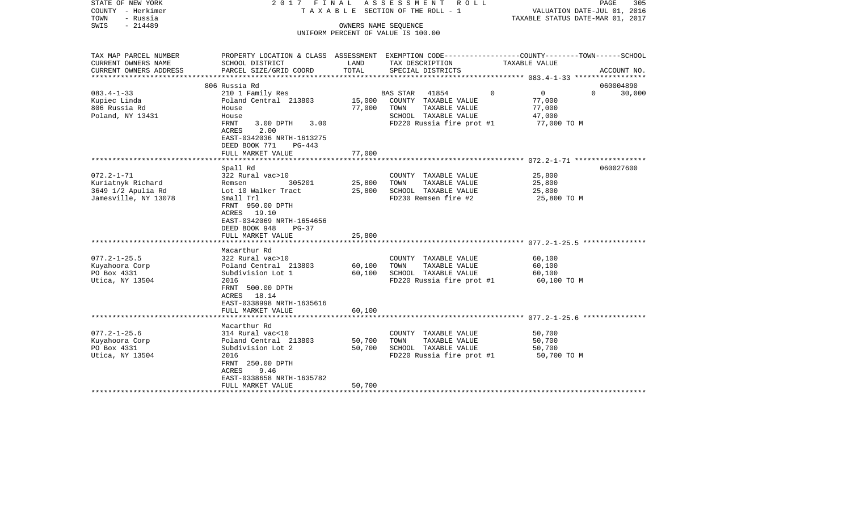| STATE OF NEW YORK<br>COUNTY - Herkimer<br>TOWN<br>- Russia | 2017 FINAL                                             |                         | ASSESSMENT ROLL<br>T A X A B L E SECTION OF THE ROLL - 1 | PAGE<br>305<br>VALUATION DATE-JUL 01, 2016<br>TAXABLE STATUS DATE-MAR 01, 2017                   |
|------------------------------------------------------------|--------------------------------------------------------|-------------------------|----------------------------------------------------------|--------------------------------------------------------------------------------------------------|
| SWIS<br>$-214489$                                          |                                                        | OWNERS NAME SEQUENCE    |                                                          |                                                                                                  |
|                                                            |                                                        |                         | UNIFORM PERCENT OF VALUE IS 100.00                       |                                                                                                  |
|                                                            |                                                        |                         |                                                          |                                                                                                  |
| TAX MAP PARCEL NUMBER                                      |                                                        |                         |                                                          | PROPERTY LOCATION & CLASS ASSESSMENT EXEMPTION CODE----------------COUNTY-------TOWN------SCHOOL |
| CURRENT OWNERS NAME                                        | SCHOOL DISTRICT                                        | LAND                    | TAX DESCRIPTION                                          | TAXABLE VALUE                                                                                    |
| CURRENT OWNERS ADDRESS                                     | PARCEL SIZE/GRID COORD                                 | TOTAL                   | SPECIAL DISTRICTS                                        | ACCOUNT NO.                                                                                      |
|                                                            | 806 Russia Rd                                          |                         |                                                          | 060004890                                                                                        |
| $083.4 - 1 - 33$                                           | 210 1 Family Res                                       |                         | <b>BAS STAR</b><br>41854                                 | $\Omega$<br>$\overline{0}$<br>$\Omega$<br>30,000                                                 |
| Kupiec Linda                                               | Poland Central 213803                                  | 15,000                  | COUNTY TAXABLE VALUE                                     | 77,000                                                                                           |
| 806 Russia Rd                                              | House                                                  | 77,000                  | TOWN<br>TAXABLE VALUE                                    | 77,000                                                                                           |
| Poland, NY 13431                                           | House                                                  |                         | SCHOOL TAXABLE VALUE                                     | 47,000                                                                                           |
|                                                            | FRNT<br>$3.00$ DPTH<br>3.00                            |                         | FD220 Russia fire prot #1                                | 77,000 TO M                                                                                      |
|                                                            | 2.00<br>ACRES                                          |                         |                                                          |                                                                                                  |
|                                                            | EAST-0342036 NRTH-1613275<br>DEED BOOK 771<br>$PG-443$ |                         |                                                          |                                                                                                  |
|                                                            | FULL MARKET VALUE                                      | 77,000                  |                                                          |                                                                                                  |
|                                                            |                                                        | * * * * * * * * * * * * |                                                          |                                                                                                  |
|                                                            | Spall Rd                                               |                         |                                                          | 060027600                                                                                        |
| $072.2 - 1 - 71$                                           | 322 Rural vac>10                                       |                         | COUNTY TAXABLE VALUE                                     | 25,800                                                                                           |
| Kuriatnyk Richard                                          | 305201<br>Remsen                                       | 25,800                  | TAXABLE VALUE<br>TOWN                                    | 25,800                                                                                           |
| 3649 1/2 Apulia Rd                                         | Lot 10 Walker Tract                                    | 25,800                  | SCHOOL TAXABLE VALUE                                     | 25,800                                                                                           |
| Jamesville, NY 13078                                       | Small Trl<br>FRNT 950.00 DPTH                          |                         | FD230 Remsen fire #2                                     | 25,800 TO M                                                                                      |
|                                                            | ACRES 19.10                                            |                         |                                                          |                                                                                                  |
|                                                            | EAST-0342069 NRTH-1654656                              |                         |                                                          |                                                                                                  |
|                                                            | DEED BOOK 948<br>$PG-37$                               |                         |                                                          |                                                                                                  |
|                                                            | FULL MARKET VALUE                                      | 25,800                  |                                                          |                                                                                                  |
|                                                            |                                                        |                         |                                                          |                                                                                                  |
|                                                            | Macarthur Rd                                           |                         |                                                          |                                                                                                  |
| $077.2 - 1 - 25.5$<br>Kuyahoora Corp                       | 322 Rural vac>10<br>Poland Central 213803              | 60,100                  | COUNTY TAXABLE VALUE<br>TOWN<br>TAXABLE VALUE            | 60,100<br>60,100                                                                                 |
| PO Box 4331                                                | Subdivision Lot 1                                      | 60,100                  | SCHOOL TAXABLE VALUE                                     | 60,100                                                                                           |
| Utica, NY 13504                                            | 2016                                                   |                         | FD220 Russia fire prot #1                                | 60,100 TO M                                                                                      |
|                                                            | FRNT 500.00 DPTH                                       |                         |                                                          |                                                                                                  |
|                                                            | ACRES 18.14                                            |                         |                                                          |                                                                                                  |
|                                                            | EAST-0338998 NRTH-1635616                              |                         |                                                          |                                                                                                  |
|                                                            | FULL MARKET VALUE                                      | 60,100                  |                                                          |                                                                                                  |
|                                                            | Macarthur Rd                                           |                         |                                                          |                                                                                                  |
| $077.2 - 1 - 25.6$                                         | 314 Rural vac<10                                       |                         | COUNTY TAXABLE VALUE                                     | 50,700                                                                                           |
| Kuyahoora Corp                                             | Poland Central 213803                                  | 50,700                  | TOWN<br>TAXABLE VALUE                                    | 50,700                                                                                           |
| PO Box 4331                                                | Subdivision Lot 2                                      | 50,700                  | SCHOOL TAXABLE VALUE                                     | 50,700                                                                                           |
| Utica, NY 13504                                            | 2016                                                   |                         | FD220 Russia fire prot #1                                | 50,700 TO M                                                                                      |
|                                                            | FRNT 250.00 DPTH                                       |                         |                                                          |                                                                                                  |
|                                                            | 9.46<br>ACRES                                          |                         |                                                          |                                                                                                  |
|                                                            | EAST-0338658 NRTH-1635782<br>FULL MARKET VALUE         | 50,700                  |                                                          |                                                                                                  |
|                                                            |                                                        |                         |                                                          |                                                                                                  |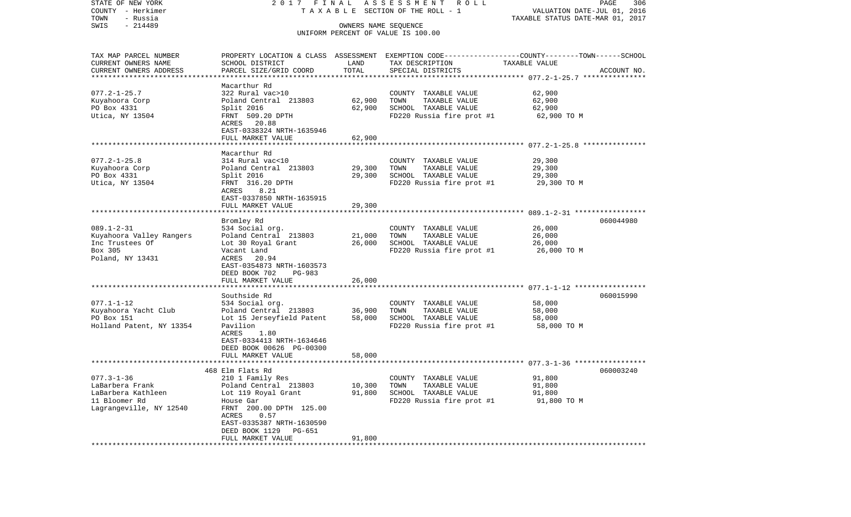| STATE OF NEW YORK         | 2017 FINAL                               |        | ASSESSMENT ROLL                                                                                  |                                  | PAGE<br>306 |
|---------------------------|------------------------------------------|--------|--------------------------------------------------------------------------------------------------|----------------------------------|-------------|
| COUNTY - Herkimer         |                                          |        | T A X A B L E SECTION OF THE ROLL - 1                                                            | VALUATION DATE-JUL 01, 2016      |             |
| TOWN<br>- Russia          |                                          |        |                                                                                                  | TAXABLE STATUS DATE-MAR 01, 2017 |             |
| $-214489$<br>SWIS         |                                          |        | OWNERS NAME SEQUENCE<br>UNIFORM PERCENT OF VALUE IS 100.00                                       |                                  |             |
|                           |                                          |        |                                                                                                  |                                  |             |
| TAX MAP PARCEL NUMBER     |                                          |        | PROPERTY LOCATION & CLASS ASSESSMENT EXEMPTION CODE----------------COUNTY-------TOWN------SCHOOL |                                  |             |
| CURRENT OWNERS NAME       | SCHOOL DISTRICT                          | LAND   | TAX DESCRIPTION                                                                                  | TAXABLE VALUE                    |             |
| CURRENT OWNERS ADDRESS    | PARCEL SIZE/GRID COORD                   | TOTAL  | SPECIAL DISTRICTS                                                                                |                                  | ACCOUNT NO. |
| ************************* |                                          |        |                                                                                                  |                                  |             |
|                           | Macarthur Rd                             |        |                                                                                                  |                                  |             |
| $077.2 - 1 - 25.7$        | 322 Rural vac>10                         |        | COUNTY TAXABLE VALUE                                                                             | 62,900                           |             |
| Kuyahoora Corp            | Poland Central 213803                    | 62,900 | TAXABLE VALUE<br>TOWN                                                                            | 62,900                           |             |
| PO Box 4331               | Split 2016                               | 62,900 | SCHOOL TAXABLE VALUE                                                                             | 62,900                           |             |
| Utica, NY 13504           | FRNT 509.20 DPTH                         |        | FD220 Russia fire prot #1                                                                        | 62,900 TO M                      |             |
|                           | ACRES 20.88                              |        |                                                                                                  |                                  |             |
|                           | EAST-0338324 NRTH-1635946                |        |                                                                                                  |                                  |             |
|                           | FULL MARKET VALUE                        | 62,900 |                                                                                                  |                                  |             |
|                           | Macarthur Rd                             |        |                                                                                                  |                                  |             |
| $077.2 - 1 - 25.8$        | 314 Rural vac<10                         |        | COUNTY TAXABLE VALUE                                                                             | 29,300                           |             |
| Kuyahoora Corp            | Poland Central 213803                    | 29,300 | TOWN<br>TAXABLE VALUE                                                                            | 29,300                           |             |
| PO Box 4331               | Split 2016                               | 29,300 | SCHOOL TAXABLE VALUE                                                                             | 29,300                           |             |
| Utica, NY 13504           | FRNT 316.20 DPTH                         |        | FD220 Russia fire prot #1                                                                        | 29,300 TO M                      |             |
|                           | 8.21<br>ACRES                            |        |                                                                                                  |                                  |             |
|                           | EAST-0337850 NRTH-1635915                |        |                                                                                                  |                                  |             |
|                           | FULL MARKET VALUE                        | 29,300 |                                                                                                  |                                  |             |
|                           |                                          |        |                                                                                                  |                                  |             |
|                           | Bromley Rd                               |        |                                                                                                  |                                  | 060044980   |
| $089.1 - 2 - 31$          | 534 Social org.                          |        | COUNTY TAXABLE VALUE                                                                             | 26,000                           |             |
| Kuyahoora Valley Rangers  | Poland Central 213803                    | 21,000 | TAXABLE VALUE<br>TOWN                                                                            | 26,000                           |             |
| Inc Trustees Of           | Lot 30 Royal Grant                       | 26,000 | SCHOOL TAXABLE VALUE                                                                             | 26,000                           |             |
| Box 305                   | Vacant Land                              |        | FD220 Russia fire prot #1                                                                        | 26,000 TO M                      |             |
| Poland, NY 13431          | ACRES 20.94<br>EAST-0354873 NRTH-1603573 |        |                                                                                                  |                                  |             |
|                           | DEED BOOK 702<br>PG-983                  |        |                                                                                                  |                                  |             |
|                           | FULL MARKET VALUE                        | 26,000 |                                                                                                  |                                  |             |
|                           |                                          |        |                                                                                                  |                                  |             |
|                           | Southside Rd                             |        |                                                                                                  |                                  | 060015990   |
| $077.1 - 1 - 12$          | 534 Social org.                          |        | COUNTY TAXABLE VALUE                                                                             | 58,000                           |             |
| Kuyahoora Yacht Club      | Poland Central 213803                    | 36,900 | TAXABLE VALUE<br>TOWN                                                                            | 58,000                           |             |
| PO Box 151                | Lot 15 Jerseyfield Patent                | 58,000 | SCHOOL TAXABLE VALUE                                                                             | 58,000                           |             |
| Holland Patent, NY 13354  | Pavilion                                 |        | FD220 Russia fire prot #1                                                                        | 58,000 TO M                      |             |
|                           | ACRES<br>1.80                            |        |                                                                                                  |                                  |             |
|                           | EAST-0334413 NRTH-1634646                |        |                                                                                                  |                                  |             |
|                           | DEED BOOK 00626 PG-00300                 |        |                                                                                                  |                                  |             |
|                           | FULL MARKET VALUE                        | 58,000 |                                                                                                  |                                  |             |
|                           | 468 Elm Flats Rd                         |        |                                                                                                  |                                  | 060003240   |
| $077.3 - 1 - 36$          | 210 1 Family Res                         |        | COUNTY TAXABLE VALUE                                                                             | 91,800                           |             |
| LaBarbera Frank           | Poland Central 213803                    | 10,300 | TAXABLE VALUE<br>TOWN                                                                            | 91,800                           |             |
| LaBarbera Kathleen        | Lot 119 Royal Grant                      | 91,800 | SCHOOL TAXABLE VALUE                                                                             | 91,800                           |             |
| 11 Bloomer Rd             | House Gar                                |        | FD220 Russia fire prot #1                                                                        | 91,800 TO M                      |             |
| Lagrangeville, NY 12540   | FRNT 200.00 DPTH 125.00                  |        |                                                                                                  |                                  |             |
|                           | ACRES<br>0.57                            |        |                                                                                                  |                                  |             |
|                           | EAST-0335387 NRTH-1630590                |        |                                                                                                  |                                  |             |
|                           | DEED BOOK 1129<br>PG-651                 |        |                                                                                                  |                                  |             |
|                           | FULL MARKET VALUE                        | 91,800 |                                                                                                  |                                  |             |
|                           |                                          |        |                                                                                                  |                                  |             |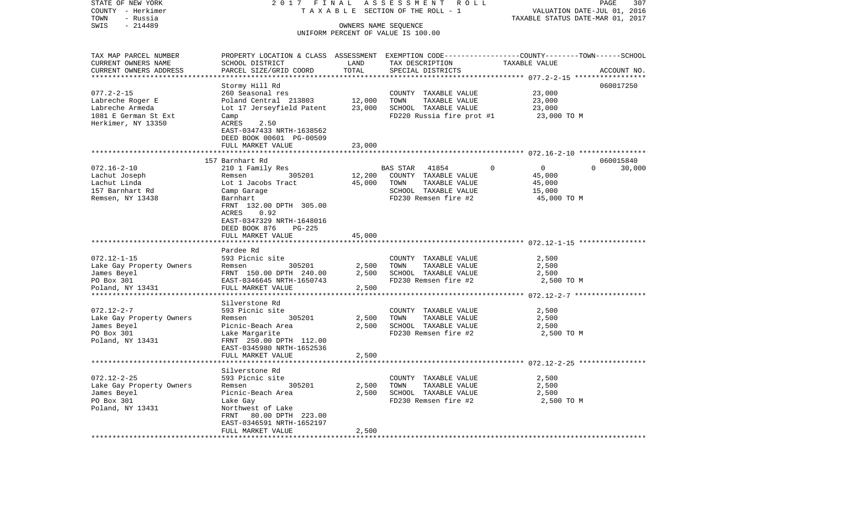| COUNTY - Herkimer           | T A X A B L E SECTION OF THE ROLL - 1      |                      |                                    | VALUATION DATE-JUL 01, 2016                                                                     |
|-----------------------------|--------------------------------------------|----------------------|------------------------------------|-------------------------------------------------------------------------------------------------|
| TOWN<br>- Russia            |                                            |                      |                                    | TAXABLE STATUS DATE-MAR 01, 2017                                                                |
| SWIS<br>$-214489$           |                                            | OWNERS NAME SEOUENCE |                                    |                                                                                                 |
|                             |                                            |                      | UNIFORM PERCENT OF VALUE IS 100.00 |                                                                                                 |
| TAX MAP PARCEL NUMBER       |                                            |                      |                                    | PROPERTY LOCATION & CLASS ASSESSMENT EXEMPTION CODE---------------COUNTY-------TOWN------SCHOOL |
| CURRENT OWNERS NAME         | SCHOOL DISTRICT                            | LAND                 | TAX DESCRIPTION                    | TAXABLE VALUE                                                                                   |
| CURRENT OWNERS ADDRESS      | PARCEL SIZE/GRID COORD                     | TOTAL                | SPECIAL DISTRICTS                  | ACCOUNT NO.                                                                                     |
|                             |                                            |                      |                                    |                                                                                                 |
|                             | Stormy Hill Rd                             |                      |                                    | 060017250                                                                                       |
| $077.2 - 2 - 15$            | 260 Seasonal res                           |                      | COUNTY TAXABLE VALUE               | 23,000                                                                                          |
| Labreche Roger E            | Poland Central 213803                      | 12,000               | TOWN<br>TAXABLE VALUE              | 23,000                                                                                          |
| Labreche Armeda             | Lot 17 Jerseyfield Patent                  | 23,000               | SCHOOL TAXABLE VALUE               | 23,000                                                                                          |
| 1081 E German St Ext        | Camp                                       |                      | FD220 Russia fire prot #1          | 23,000 TO M                                                                                     |
| Herkimer, NY 13350          | ACRES<br>2.50                              |                      |                                    |                                                                                                 |
|                             | EAST-0347433 NRTH-1638562                  |                      |                                    |                                                                                                 |
|                             | DEED BOOK 00601 PG-00509                   |                      |                                    |                                                                                                 |
|                             | FULL MARKET VALUE                          | 23,000               |                                    |                                                                                                 |
|                             |                                            | * * * * * * * *      |                                    | ************************ 072.16-2-10 *****************                                          |
|                             | 157 Barnhart Rd                            |                      |                                    | 060015840                                                                                       |
| $072.16 - 2 - 10$           | 210 1 Family Res                           |                      | BAS STAR<br>41854                  | $\overline{0}$<br>$\Omega$<br>30,000                                                            |
| Lachut Joseph               | Remsen<br>305201                           | 12,200               | COUNTY TAXABLE VALUE               | 45,000                                                                                          |
| Lachut Linda                | Lot 1 Jacobs Tract                         | 45,000               | TOWN<br>TAXABLE VALUE              | 45,000                                                                                          |
| 157 Barnhart Rd             | Camp Garage                                |                      | SCHOOL TAXABLE VALUE               | 15,000                                                                                          |
| Remsen, NY 13438            | Barnhart                                   |                      | FD230 Remsen fire #2               | 45,000 TO M                                                                                     |
|                             | FRNT 132.00 DPTH 305.00                    |                      |                                    |                                                                                                 |
|                             | ACRES<br>0.92<br>EAST-0347329 NRTH-1648016 |                      |                                    |                                                                                                 |
|                             | DEED BOOK 876<br>PG-225                    |                      |                                    |                                                                                                 |
|                             | FULL MARKET VALUE                          | 45,000               |                                    |                                                                                                 |
|                             |                                            |                      |                                    |                                                                                                 |
|                             | Pardee Rd                                  |                      |                                    |                                                                                                 |
| $072.12 - 1 - 15$           | 593 Picnic site                            |                      | COUNTY TAXABLE VALUE               | 2,500                                                                                           |
| Lake Gay Property Owners    | 305201<br>Remsen                           | 2,500                | TOWN<br>TAXABLE VALUE              | 2,500                                                                                           |
| James Beyel                 | FRNT 150.00 DPTH 240.00                    | 2,500                | SCHOOL TAXABLE VALUE               | 2,500                                                                                           |
| PO Box 301                  | EAST-0346645 NRTH-1650743                  |                      | FD230 Remsen fire #2               | 2,500 TO M                                                                                      |
| Poland, NY 13431            | FULL MARKET VALUE                          | 2,500                |                                    |                                                                                                 |
| *************************   | *******************                        |                      |                                    |                                                                                                 |
|                             | Silverstone Rd                             |                      |                                    |                                                                                                 |
| $072.12 - 2 - 7$            | 593 Picnic site                            |                      | COUNTY TAXABLE VALUE               | 2,500                                                                                           |
| Lake Gay Property Owners    | 305201<br>Remsen                           | 2,500                | TAXABLE VALUE<br>TOWN              | 2,500                                                                                           |
| James Beyel                 | Picnic-Beach Area                          | 2,500                | SCHOOL TAXABLE VALUE               | 2,500                                                                                           |
| PO Box 301                  | Lake Margarite                             |                      | FD230 Remsen fire #2               | 2,500 TO M                                                                                      |
| Poland, NY 13431            | FRNT 250.00 DPTH 112.00                    |                      |                                    |                                                                                                 |
|                             | EAST-0345980 NRTH-1652536                  |                      |                                    |                                                                                                 |
|                             | FULL MARKET VALUE                          | 2,500                |                                    |                                                                                                 |
|                             | **************                             |                      |                                    | *********************** 072.12-2-25 ****************                                            |
|                             | Silverstone Rd                             |                      |                                    |                                                                                                 |
| $072.12 - 2 - 25$           | 593 Picnic site                            |                      | COUNTY TAXABLE VALUE               | 2,500                                                                                           |
| Lake Gay Property Owners    | 305201<br>Remsen                           | 2,500                | TOWN<br>TAXABLE VALUE              | 2,500                                                                                           |
| James Beyel                 | Picnic-Beach Area                          | 2,500                | SCHOOL TAXABLE VALUE               | 2,500                                                                                           |
| PO Box 301                  | Lake Gay                                   |                      | FD230 Remsen fire #2               | 2,500 TO M                                                                                      |
| Poland, NY 13431            | Northwest of Lake                          |                      |                                    |                                                                                                 |
|                             | FRNT<br>80.00 DPTH 223.00                  |                      |                                    |                                                                                                 |
|                             | EAST-0346591 NRTH-1652197                  |                      |                                    |                                                                                                 |
| *************************** | FULL MARKET VALUE<br>******************    | 2,500                |                                    |                                                                                                 |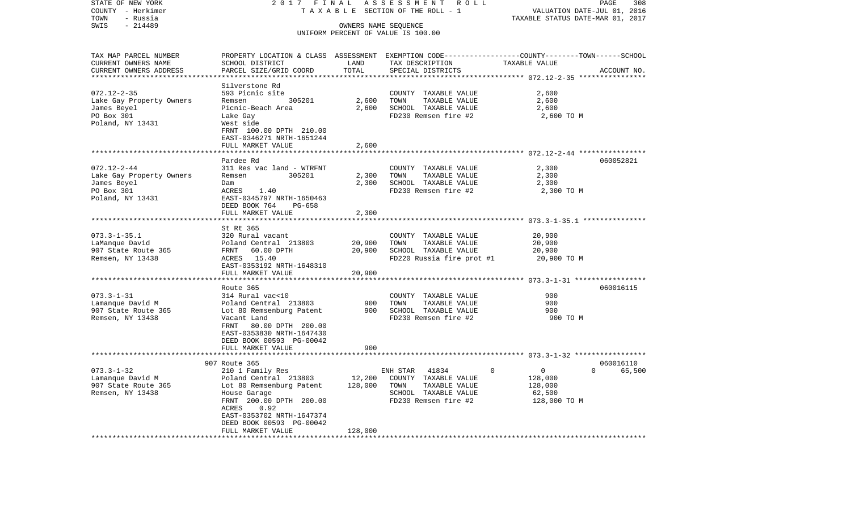| STATE OF NEW YORK         | 2017 FINAL                                                                                       |                | ASSESSMENT ROLL                               |                                  | PAGE<br>308        |
|---------------------------|--------------------------------------------------------------------------------------------------|----------------|-----------------------------------------------|----------------------------------|--------------------|
| COUNTY - Herkimer         |                                                                                                  |                | TAXABLE SECTION OF THE ROLL - 1               | VALUATION DATE-JUL 01, 2016      |                    |
| TOWN<br>- Russia          |                                                                                                  |                |                                               | TAXABLE STATUS DATE-MAR 01, 2017 |                    |
| SWIS<br>$-214489$         |                                                                                                  |                | OWNERS NAME SEQUENCE                          |                                  |                    |
|                           |                                                                                                  |                | UNIFORM PERCENT OF VALUE IS 100.00            |                                  |                    |
| TAX MAP PARCEL NUMBER     | PROPERTY LOCATION & CLASS ASSESSMENT EXEMPTION CODE----------------COUNTY-------TOWN------SCHOOL |                |                                               |                                  |                    |
| CURRENT OWNERS NAME       | SCHOOL DISTRICT                                                                                  | LAND           | TAX DESCRIPTION                               | TAXABLE VALUE                    |                    |
| CURRENT OWNERS ADDRESS    | PARCEL SIZE/GRID COORD                                                                           | TOTAL          | SPECIAL DISTRICTS                             |                                  | ACCOUNT NO.        |
|                           |                                                                                                  |                |                                               |                                  |                    |
|                           | Silverstone Rd                                                                                   |                |                                               |                                  |                    |
| $072.12 - 2 - 35$         | 593 Picnic site                                                                                  |                | COUNTY TAXABLE VALUE                          | 2,600                            |                    |
| Lake Gay Property Owners  | Remsen<br>305201                                                                                 | 2,600          | TOWN<br>TAXABLE VALUE                         | 2,600                            |                    |
| James Beyel               | Picnic-Beach Area                                                                                | 2,600          | SCHOOL TAXABLE VALUE                          | 2,600                            |                    |
| PO Box 301                | Lake Gay                                                                                         |                | FD230 Remsen fire #2                          | 2,600 TO M                       |                    |
| Poland, NY 13431          | West side                                                                                        |                |                                               |                                  |                    |
|                           | FRNT 100.00 DPTH 210.00                                                                          |                |                                               |                                  |                    |
|                           | EAST-0346271 NRTH-1651244                                                                        |                |                                               |                                  |                    |
|                           | FULL MARKET VALUE                                                                                | 2,600          |                                               |                                  |                    |
|                           |                                                                                                  |                |                                               |                                  |                    |
|                           | Pardee Rd                                                                                        |                |                                               |                                  | 060052821          |
| $072.12 - 2 - 44$         | 311 Res vac land - WTRFNT<br>305201                                                              |                | COUNTY TAXABLE VALUE                          | 2,300<br>2,300                   |                    |
| Lake Gay Property Owners  | Remsen                                                                                           | 2,300<br>2,300 | TOWN<br>TAXABLE VALUE<br>SCHOOL TAXABLE VALUE | 2,300                            |                    |
| James Beyel<br>PO Box 301 | Dam<br>ACRES<br>1.40                                                                             |                | FD230 Remsen fire #2                          | 2,300 TO M                       |                    |
| Poland, NY 13431          | EAST-0345797 NRTH-1650463                                                                        |                |                                               |                                  |                    |
|                           | DEED BOOK 764<br>PG-658                                                                          |                |                                               |                                  |                    |
|                           | FULL MARKET VALUE                                                                                | 2,300          |                                               |                                  |                    |
|                           |                                                                                                  |                |                                               |                                  |                    |
|                           | St Rt 365                                                                                        |                |                                               |                                  |                    |
| $073.3 - 1 - 35.1$        | 320 Rural vacant                                                                                 |                | COUNTY TAXABLE VALUE                          | 20,900                           |                    |
| LaManque David            | Poland Central 213803                                                                            | 20,900         | TOWN<br>TAXABLE VALUE                         | 20,900                           |                    |
| 907 State Route 365       | FRNT 60.00 DPTH                                                                                  | 20,900         | SCHOOL TAXABLE VALUE                          | 20,900                           |                    |
| Remsen, NY 13438          | ACRES 15.40                                                                                      |                | FD220 Russia fire prot #1                     | 20,900 TO M                      |                    |
|                           | EAST-0353192 NRTH-1648310                                                                        |                |                                               |                                  |                    |
|                           | FULL MARKET VALUE                                                                                | 20,900         |                                               |                                  |                    |
|                           |                                                                                                  |                |                                               |                                  |                    |
|                           | Route 365                                                                                        |                |                                               |                                  | 060016115          |
| $073.3 - 1 - 31$          | 314 Rural vac<10                                                                                 |                | COUNTY TAXABLE VALUE                          | 900                              |                    |
| Lamanque David M          | Poland Central 213803                                                                            | 900            | TOWN<br>TAXABLE VALUE                         | 900                              |                    |
| 907 State Route 365       | Lot 80 Remsenburg Patent                                                                         | 900            | SCHOOL TAXABLE VALUE                          | 900                              |                    |
| Remsen, NY 13438          | Vacant Land                                                                                      |                | FD230 Remsen fire #2                          | 900 TO M                         |                    |
|                           | FRNT<br>80.00 DPTH 200.00                                                                        |                |                                               |                                  |                    |
|                           | EAST-0353830 NRTH-1647430                                                                        |                |                                               |                                  |                    |
|                           | DEED BOOK 00593 PG-00042                                                                         | 900            |                                               |                                  |                    |
|                           | FULL MARKET VALUE                                                                                | *************  |                                               |                                  |                    |
|                           | 907 Route 365                                                                                    |                |                                               |                                  | 060016110          |
| $073.3 - 1 - 32$          | 210 1 Family Res                                                                                 |                | ENH STAR<br>41834                             | $\mathsf{O}$<br>$\mathbf 0$      | $\Omega$<br>65,500 |
| Lamanque David M          | Poland Central 213803                                                                            | 12,200         | COUNTY TAXABLE VALUE                          | 128,000                          |                    |
| 907 State Route 365       | Lot 80 Remsenburg Patent                                                                         | 128,000        | TOWN<br>TAXABLE VALUE                         | 128,000                          |                    |
| Remsen, NY 13438          | House Garage                                                                                     |                | SCHOOL TAXABLE VALUE                          | 62,500                           |                    |
|                           | FRNT 200.00 DPTH 200.00                                                                          |                | FD230 Remsen fire #2                          | 128,000 TO M                     |                    |
|                           | ACRES<br>0.92                                                                                    |                |                                               |                                  |                    |
|                           | EAST-0353702 NRTH-1647374                                                                        |                |                                               |                                  |                    |
|                           | DEED BOOK 00593 PG-00042                                                                         |                |                                               |                                  |                    |
|                           | FULL MARKET VALUE                                                                                | 128,000        |                                               |                                  |                    |
| ***********************   | ******************                                                                               |                |                                               |                                  |                    |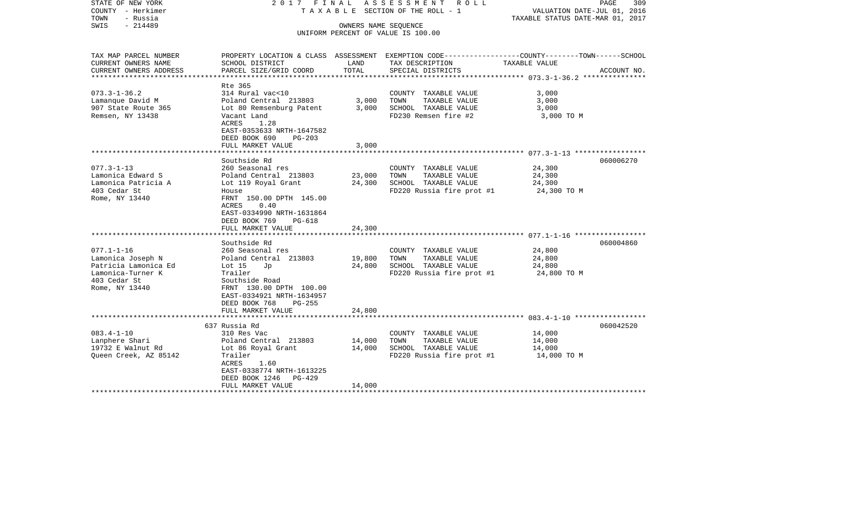| STATE OF NEW YORK<br>COUNTY - Herkimer<br>TOWN<br>- Russia<br>$-214489$<br>SWIS                                      | 2017 FINAL                                                                                                                                                                                                          | OWNERS NAME SEQUENCE       | ASSESSMENT ROLL<br>T A X A B L E SECTION OF THE ROLL - 1<br>UNIFORM PERCENT OF VALUE IS 100.00     | PAGE<br>309<br>VALUATION DATE-JUL 01, 2016<br>TAXABLE STATUS DATE-MAR 01, 2017                                                  |
|----------------------------------------------------------------------------------------------------------------------|---------------------------------------------------------------------------------------------------------------------------------------------------------------------------------------------------------------------|----------------------------|----------------------------------------------------------------------------------------------------|---------------------------------------------------------------------------------------------------------------------------------|
| TAX MAP PARCEL NUMBER<br>CURRENT OWNERS NAME<br>CURRENT OWNERS ADDRESS                                               | SCHOOL DISTRICT<br>PARCEL SIZE/GRID COORD                                                                                                                                                                           | LAND<br>TOTAL              | TAX DESCRIPTION<br>SPECIAL DISTRICTS                                                               | PROPERTY LOCATION & CLASS ASSESSMENT EXEMPTION CODE---------------COUNTY-------TOWN------SCHOOL<br>TAXABLE VALUE<br>ACCOUNT NO. |
| *********************                                                                                                |                                                                                                                                                                                                                     |                            |                                                                                                    |                                                                                                                                 |
| $073.3 - 1 - 36.2$<br>Lamanque David M<br>907 State Route 365<br>Remsen, NY 13438                                    | Rte 365<br>314 Rural vac<10<br>Poland Central 213803<br>Lot 80 Remsenburg Patent<br>Vacant Land<br>ACRES<br>1.28<br>EAST-0353633 NRTH-1647582<br>DEED BOOK 690<br>$PG-203$<br>FULL MARKET VALUE                     | 3,000<br>3,000<br>3,000    | COUNTY TAXABLE VALUE<br>TOWN<br>TAXABLE VALUE<br>SCHOOL TAXABLE VALUE<br>FD230 Remsen fire #2      | 3,000<br>3,000<br>3,000<br>3,000 TO M                                                                                           |
|                                                                                                                      |                                                                                                                                                                                                                     |                            |                                                                                                    |                                                                                                                                 |
| $077.3 - 1 - 13$<br>Lamonica Edward S<br>Lamonica Patricia A<br>403 Cedar St<br>Rome, NY 13440                       | Southside Rd<br>260 Seasonal res<br>Poland Central 213803<br>Lot 119 Royal Grant<br>House<br>FRNT 150.00 DPTH 145.00<br>0.40<br>ACRES<br>EAST-0334990 NRTH-1631864<br>DEED BOOK 769<br>PG-618<br>FULL MARKET VALUE  | 23,000<br>24,300<br>24,300 | COUNTY TAXABLE VALUE<br>TOWN<br>TAXABLE VALUE<br>SCHOOL TAXABLE VALUE<br>FD220 Russia fire prot #1 | 060006270<br>24,300<br>24,300<br>24,300<br>24,300 TO M                                                                          |
|                                                                                                                      |                                                                                                                                                                                                                     |                            |                                                                                                    |                                                                                                                                 |
| $077.1 - 1 - 16$<br>Lamonica Joseph N<br>Patricia Lamonica Ed<br>Lamonica-Turner K<br>403 Cedar St<br>Rome, NY 13440 | Southside Rd<br>260 Seasonal res<br>Poland Central 213803<br>Lot $15$<br>Jp<br>Trailer<br>Southside Road<br>FRNT 130.00 DPTH 100.00<br>EAST-0334921 NRTH-1634957<br>DEED BOOK 768<br>$PG-255$                       | 19,800<br>24,800           | COUNTY TAXABLE VALUE<br>TAXABLE VALUE<br>TOWN<br>SCHOOL TAXABLE VALUE<br>FD220 Russia fire prot #1 | 060004860<br>24,800<br>24,800<br>24,800<br>24,800 TO M                                                                          |
|                                                                                                                      | FULL MARKET VALUE                                                                                                                                                                                                   | 24,800                     |                                                                                                    |                                                                                                                                 |
| $083.4 - 1 - 10$<br>Lanphere Shari<br>19732 E Walnut Rd<br>Queen Creek, AZ 85142                                     | 637 Russia Rd<br>310 Res Vac<br>Poland Central 213803<br>Lot 86 Royal Grant<br>Trailer<br>ACRES<br>1.60<br>EAST-0338774 NRTH-1613225<br>DEED BOOK 1246<br>$PG-429$<br>FULL MARKET VALUE<br>************************ | 14,000<br>14,000<br>14,000 | COUNTY TAXABLE VALUE<br>TAXABLE VALUE<br>TOWN<br>SCHOOL TAXABLE VALUE<br>FD220 Russia fire prot #1 | 060042520<br>14,000<br>14,000<br>14,000<br>14,000 TO M                                                                          |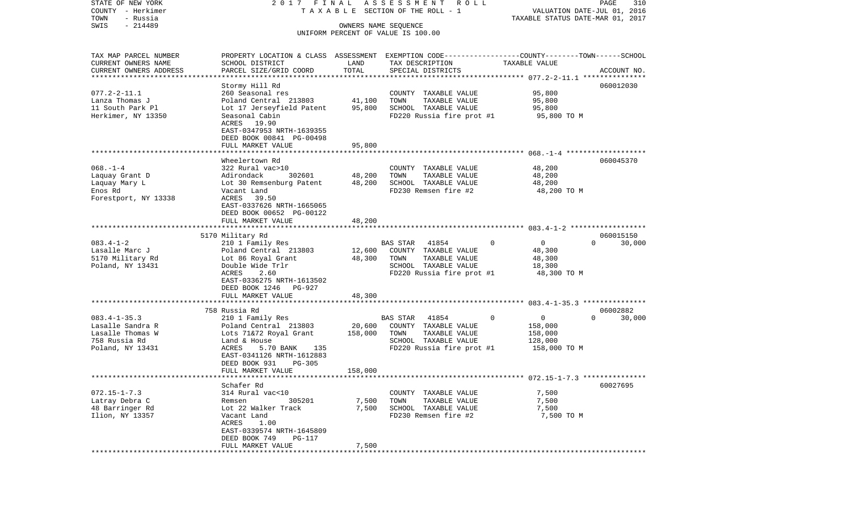COUNTY - Herkimer T A X A B L E SECTION OF THE ROLL - 1 VALUATION DATE-JUL 01, 2016 TOWN - Russia TAXABLE STATUS DATE-MAR 01, 2017 SWIS - 214489 OWNERS NAME SEQUENCE UNIFORM PERCENT OF VALUE IS 100.00TAX MAP PARCEL NUMBER PROPERTY LOCATION & CLASS ASSESSMENT EXEMPTION CODE------------------COUNTY--------TOWN------SCHOOL CURRENT OWNERS NAME SCHOOL DISTRICT LAND TAX DESCRIPTION TAXABLE VALUECURRENT OWNERS ADDRESS PARCEL SIZE/GRID COORD TOTAL SPECIAL DISTRICTS ACCOUNT NO. \*\*\*\*\*\*\*\*\*\*\*\*\*\*\*\*\*\*\*\*\*\*\*\*\*\*\*\*\*\*\*\*\*\*\*\*\*\*\*\*\*\*\*\*\*\*\*\*\*\*\*\*\*\*\*\*\*\*\*\*\*\*\*\*\*\*\*\*\*\*\*\*\*\*\*\*\*\*\*\*\*\*\*\*\*\*\*\*\*\*\*\*\*\*\*\*\*\*\*\*\*\*\* 077.2-2-11.1 \*\*\*\*\*\*\*\*\*\*\*\*\*\*\* Stormy Hill Rd 060012030 077.2-2-11.1 260 Seasonal res COUNTY TAXABLE VALUE 95,800 Lanza Thomas J Poland Central 213803 41,100 TOWN TAXABLE VALUE 95,800 11 South Park Pl Lot 17 Jerseyfield Patent 95,800 SCHOOL TAXABLE VALUE 95,800 Herkimer, NY 13350 Seasonal Cabin FD220 Russia fire prot #1 95,800 TO M ACRES 19.90 EAST-0347953 NRTH-1639355 DEED BOOK 00841 PG-00498 FULL MARKET VALUE 95,800 \*\*\*\*\*\*\*\*\*\*\*\*\*\*\*\*\*\*\*\*\*\*\*\*\*\*\*\*\*\*\*\*\*\*\*\*\*\*\*\*\*\*\*\*\*\*\*\*\*\*\*\*\*\*\*\*\*\*\*\*\*\*\*\*\*\*\*\*\*\*\*\*\*\*\*\*\*\*\*\*\*\*\*\*\*\*\*\*\*\*\*\*\*\*\*\*\*\*\*\*\*\*\* 068.-1-4 \*\*\*\*\*\*\*\*\*\*\*\*\*\*\*\*\*\*\* Wheelertown Rd 060045370068.-1-4 322 Rural vac>10 COUNTY TAXABLE VALUE 48,200 Laquay Grant D Adirondack 302601 48,200 TOWN TAXABLE VALUE 48,200 Laquay Mary L **Lot 30 Remsenburg Patent** 48,200 SCHOOL TAXABLE VALUE 48,200 Enos Rd Vacant Land FD230 Remsen fire #2 48,200 TO M Forestport, NY 13338 ACRES 39.50 EAST-0337626 NRTH-1665065 DEED BOOK 00652 PG-00122FULL MARKET VALUE 48,200 \*\*\*\*\*\*\*\*\*\*\*\*\*\*\*\*\*\*\*\*\*\*\*\*\*\*\*\*\*\*\*\*\*\*\*\*\*\*\*\*\*\*\*\*\*\*\*\*\*\*\*\*\*\*\*\*\*\*\*\*\*\*\*\*\*\*\*\*\*\*\*\*\*\*\*\*\*\*\*\*\*\*\*\*\*\*\*\*\*\*\*\*\*\*\*\*\*\*\*\*\*\*\* 083.4-1-2 \*\*\*\*\*\*\*\*\*\*\*\*\*\*\*\*\*\* 5170 Military Rd 060015150 083.4-1-2 210 1 Family Res BAS STAR 41854 0 0 0 30,000 Lasalle Marc J Poland Central 213803 12,600 COUNTY TAXABLE VALUE 48,300 5170 Military Rd Lot 86 Royal Grant 48,300 TOWN TAXABLE VALUE 48,300 SCHOOL TAXABLE VALUE ACRES 2.60 CHERES 2.60 FD220 Russia fire prot #1 48,300 TO M EAST-0336275 NRTH-1613502 DEED BOOK 1246 PG-927 FULL MARKET VALUE 48,300 \*\*\*\*\*\*\*\*\*\*\*\*\*\*\*\*\*\*\*\*\*\*\*\*\*\*\*\*\*\*\*\*\*\*\*\*\*\*\*\*\*\*\*\*\*\*\*\*\*\*\*\*\*\*\*\*\*\*\*\*\*\*\*\*\*\*\*\*\*\*\*\*\*\*\*\*\*\*\*\*\*\*\*\*\*\*\*\*\*\*\*\*\*\*\*\*\*\*\*\*\*\*\* 083.4-1-35.3 \*\*\*\*\*\*\*\*\*\*\*\*\*\*\* 758 Russia Rd 06002882083.4-1-35.3 210 1 Family Res BAS STAR 41854 0 0 0 30,000 Lasalle Sandra R Poland Central 213803 20,600 COUNTY TAXABLE VALUE 158,000 Lasalle Thomas W Lots 71&72 Royal Grant 158,000 TOWN TAXABLE VALUE 758 Russia Rd Land & House SCHOOL TAXABLE VALUE 128,000 Poland, NY 13431 **ACRES** 5.70 BANK 135 FD220 Russia fire prot #1 158,000 TO M EAST-0341126 NRTH-1612883 DEED BOOK 931 PG-305 FULL MARKET VALUE 158,000 \*\*\*\*\*\*\*\*\*\*\*\*\*\*\*\*\*\*\*\*\*\*\*\*\*\*\*\*\*\*\*\*\*\*\*\*\*\*\*\*\*\*\*\*\*\*\*\*\*\*\*\*\*\*\*\*\*\*\*\*\*\*\*\*\*\*\*\*\*\*\*\*\*\*\*\*\*\*\*\*\*\*\*\*\*\*\*\*\*\*\*\*\*\*\*\*\*\*\*\*\*\*\* 072.15-1-7.3 \*\*\*\*\*\*\*\*\*\*\*\*\*\*\* Schafer Rd 60027695072.15-1-7.3 314 Rural vac<10 COUNTY TAXABLE VALUE 7,500 Latray Debra C **Remsen** 305201 7,500 TOWN TAXABLE VALUE 7,500 48 Barringer Rd Lot 22 Walker Track 7,500 SCHOOL TAXABLE VALUE 7,500 Ilion, NY 13357 Vacant Land FD230 Remsen fire #2 7,500 TO M ACRES 1.00 EAST-0339574 NRTH-1645809 DEED BOOK 749 PG-117FULL MARKET VALUE 7,500 \*\*\*\*\*\*\*\*\*\*\*\*\*\*\*\*\*\*\*\*\*\*\*\*\*\*\*\*\*\*\*\*\*\*\*\*\*\*\*\*\*\*\*\*\*\*\*\*\*\*\*\*\*\*\*\*\*\*\*\*\*\*\*\*\*\*\*\*\*\*\*\*\*\*\*\*\*\*\*\*\*\*\*\*\*\*\*\*\*\*\*\*\*\*\*\*\*\*\*\*\*\*\*\*\*\*\*\*\*\*\*\*\*\*\*\*\*\*\*\*\*\*\*\*\*\*\*\*\*\*\*\*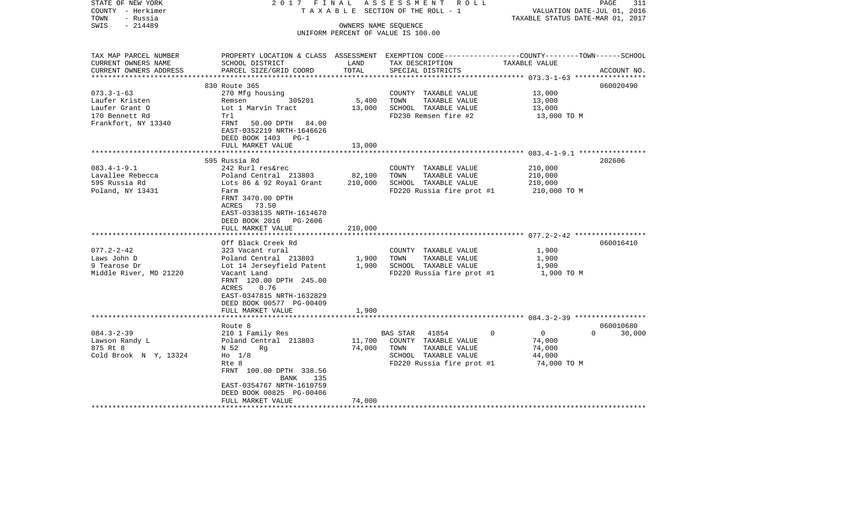| STATE OF NEW YORK<br>COUNTY - Herkimer<br>TOWN<br>- Russia | 2017 FINAL                                                                                       |         | ASSESSMENT ROLL<br>TAXABLE SECTION OF THE ROLL - 1         | VALUATION DATE-JUL 01, 2016<br>TAXABLE STATUS DATE-MAR 01, 2017 | PAGE<br>311        |
|------------------------------------------------------------|--------------------------------------------------------------------------------------------------|---------|------------------------------------------------------------|-----------------------------------------------------------------|--------------------|
| SWIS<br>- 214489                                           |                                                                                                  |         | OWNERS NAME SEQUENCE<br>UNIFORM PERCENT OF VALUE IS 100.00 |                                                                 |                    |
|                                                            |                                                                                                  |         |                                                            |                                                                 |                    |
| TAX MAP PARCEL NUMBER                                      | PROPERTY LOCATION & CLASS ASSESSMENT EXEMPTION CODE----------------COUNTY-------TOWN------SCHOOL |         |                                                            |                                                                 |                    |
| CURRENT OWNERS NAME                                        | SCHOOL DISTRICT                                                                                  | LAND    | TAX DESCRIPTION                                            | TAXABLE VALUE                                                   |                    |
| CURRENT OWNERS ADDRESS                                     | PARCEL SIZE/GRID COORD                                                                           | TOTAL   | SPECIAL DISTRICTS                                          |                                                                 | ACCOUNT NO.        |
|                                                            | 830 Route 365                                                                                    |         |                                                            |                                                                 | 060020490          |
| $073.3 - 1 - 63$                                           | 270 Mfg housing                                                                                  |         | COUNTY TAXABLE VALUE                                       | 13,000                                                          |                    |
| Laufer Kristen                                             | 305201<br>Remsen                                                                                 | 5,400   | TAXABLE VALUE<br>TOWN                                      | 13,000                                                          |                    |
| Laufer Grant O                                             | Lot 1 Marvin Tract                                                                               | 13,000  | SCHOOL TAXABLE VALUE                                       | 13,000                                                          |                    |
| 170 Bennett Rd                                             | Trl                                                                                              |         | FD230 Remsen fire #2                                       | 13,000 TO M                                                     |                    |
| Frankfort, NY 13340                                        | FRNT 50.00 DPTH 84.00                                                                            |         |                                                            |                                                                 |                    |
|                                                            | EAST-0352219 NRTH-1646626                                                                        |         |                                                            |                                                                 |                    |
|                                                            | DEED BOOK 1403 PG-1<br>FULL MARKET VALUE                                                         | 13,000  |                                                            |                                                                 |                    |
|                                                            |                                                                                                  |         |                                                            |                                                                 |                    |
|                                                            | 595 Russia Rd                                                                                    |         |                                                            |                                                                 | 202606             |
| $083.4 - 1 - 9.1$                                          | 242 Rurl res&rec                                                                                 |         | COUNTY TAXABLE VALUE                                       | 210,000                                                         |                    |
| Lavallee Rebecca                                           | Poland Central 213803                                                                            | 82,100  | TAXABLE VALUE<br>TOWN                                      | 210,000                                                         |                    |
| 595 Russia Rd                                              | Lots 86 & 92 Royal Grant                                                                         | 210,000 | SCHOOL TAXABLE VALUE                                       | 210,000                                                         |                    |
| Poland, NY 13431                                           | Farm                                                                                             |         | FD220 Russia fire prot #1                                  | 210,000 TO M                                                    |                    |
|                                                            | FRNT 3470.00 DPTH                                                                                |         |                                                            |                                                                 |                    |
|                                                            | ACRES 73.50                                                                                      |         |                                                            |                                                                 |                    |
|                                                            | EAST-0338135 NRTH-1614670                                                                        |         |                                                            |                                                                 |                    |
|                                                            | DEED BOOK 2016 PG-2606<br>FULL MARKET VALUE                                                      | 210,000 |                                                            |                                                                 |                    |
|                                                            | *************************                                                                        |         |                                                            |                                                                 |                    |
|                                                            | Off Black Creek Rd                                                                               |         |                                                            |                                                                 | 060016410          |
| $077.2 - 2 - 42$                                           | 323 Vacant rural                                                                                 |         | COUNTY TAXABLE VALUE                                       | 1,900                                                           |                    |
| Laws John D                                                | Poland Central 213803                                                                            | 1,900   | TAXABLE VALUE<br>TOWN                                      | 1,900                                                           |                    |
| 9 Tearose Dr                                               | Lot 14 Jerseyfield Patent                                                                        | 1,900   | SCHOOL TAXABLE VALUE                                       | 1,900                                                           |                    |
| Middle River, MD 21220                                     | Vacant Land                                                                                      |         | FD220 Russia fire prot #1                                  | 1,900 TO M                                                      |                    |
|                                                            | FRNT 120.00 DPTH 245.00                                                                          |         |                                                            |                                                                 |                    |
|                                                            | ACRES<br>0.76                                                                                    |         |                                                            |                                                                 |                    |
|                                                            | EAST-0347815 NRTH-1632829                                                                        |         |                                                            |                                                                 |                    |
|                                                            | DEED BOOK 00577 PG-00409                                                                         |         |                                                            |                                                                 |                    |
|                                                            | FULL MARKET VALUE                                                                                | 1,900   |                                                            |                                                                 |                    |
|                                                            | Route 8                                                                                          |         |                                                            |                                                                 | 060010680          |
| $084.3 - 2 - 39$                                           | 210 1 Family Res                                                                                 |         | BAS STAR 41854                                             | $\overline{0}$<br>$\Omega$                                      | $\Omega$<br>30,000 |
| Lawson Randy L                                             | Poland Central 213803                                                                            | 11,700  | COUNTY TAXABLE VALUE                                       | 74,000                                                          |                    |
| 875 Rt 8                                                   | N 52<br>Rq                                                                                       | 74,000  | TOWN<br>TAXABLE VALUE                                      | 74,000                                                          |                    |
| Cold Brook N Y, 13324                                      | $Ho$ 1/8                                                                                         |         | SCHOOL TAXABLE VALUE                                       | 44,000                                                          |                    |
|                                                            | Rte 8                                                                                            |         | FD220 Russia fire prot #1                                  | 74,000 TO M                                                     |                    |
|                                                            | FRNT 100.00 DPTH 338.56                                                                          |         |                                                            |                                                                 |                    |
|                                                            | BANK<br>135                                                                                      |         |                                                            |                                                                 |                    |
|                                                            | EAST-0354767 NRTH-1610759                                                                        |         |                                                            |                                                                 |                    |
|                                                            | DEED BOOK 00825 PG-00406                                                                         |         |                                                            |                                                                 |                    |
|                                                            | FULL MARKET VALUE                                                                                | 74,000  |                                                            |                                                                 |                    |
|                                                            |                                                                                                  |         |                                                            |                                                                 |                    |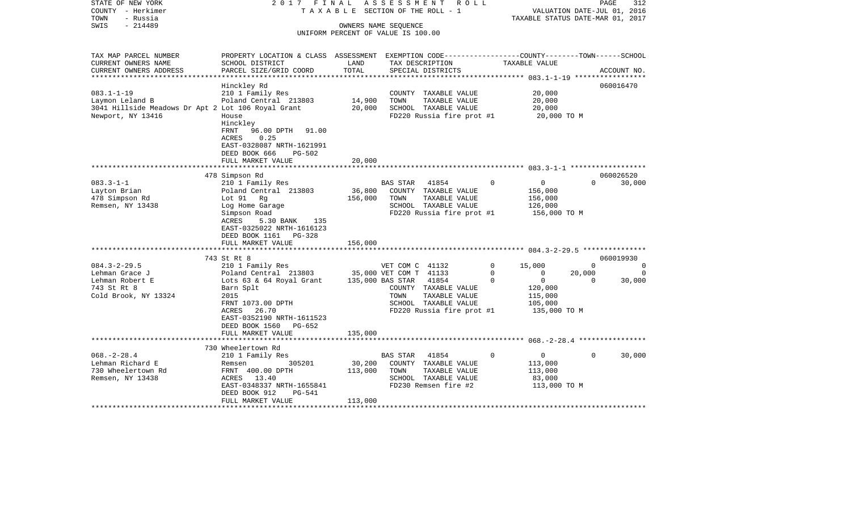| STATE OF NEW YORK                                  | 2017 FINAL                                                                                      |         | ASSESSMENT<br>R O L L                     |                            | PAGE                             | 312         |
|----------------------------------------------------|-------------------------------------------------------------------------------------------------|---------|-------------------------------------------|----------------------------|----------------------------------|-------------|
| COUNTY - Herkimer                                  |                                                                                                 |         | TAXABLE SECTION OF THE ROLL - 1           |                            | VALUATION DATE-JUL 01, 2016      |             |
| TOWN<br>- Russia<br>SWIS<br>$-214489$              |                                                                                                 |         | OWNERS NAME SEQUENCE                      |                            | TAXABLE STATUS DATE-MAR 01, 2017 |             |
|                                                    |                                                                                                 |         | UNIFORM PERCENT OF VALUE IS 100.00        |                            |                                  |             |
|                                                    |                                                                                                 |         |                                           |                            |                                  |             |
|                                                    |                                                                                                 |         |                                           |                            |                                  |             |
| TAX MAP PARCEL NUMBER                              | PROPERTY LOCATION & CLASS ASSESSMENT EXEMPTION CODE---------------COUNTY-------TOWN------SCHOOL |         |                                           |                            |                                  |             |
| CURRENT OWNERS NAME                                | SCHOOL DISTRICT                                                                                 | LAND    | TAX DESCRIPTION                           | TAXABLE VALUE              |                                  |             |
| CURRENT OWNERS ADDRESS<br>***********************  | PARCEL SIZE/GRID COORD                                                                          | TOTAL   | SPECIAL DISTRICTS                         |                            | ACCOUNT NO.                      |             |
|                                                    | Hinckley Rd                                                                                     |         |                                           |                            | 060016470                        |             |
| $083.1 - 1 - 19$                                   | 210 1 Family Res                                                                                |         | COUNTY TAXABLE VALUE                      | 20,000                     |                                  |             |
| Laymon Leland B                                    | Poland Central 213803                                                                           | 14,900  | TOWN<br>TAXABLE VALUE                     | 20,000                     |                                  |             |
| 3041 Hillside Meadows Dr Apt 2 Lot 106 Royal Grant |                                                                                                 | 20,000  | SCHOOL TAXABLE VALUE                      | 20,000                     |                                  |             |
| Newport, NY 13416                                  | House                                                                                           |         | $FD220$ Russia fire prot #1 $20,000$ TO M |                            |                                  |             |
|                                                    | Hinckley                                                                                        |         |                                           |                            |                                  |             |
|                                                    | FRNT<br>96.00 DPTH 91.00                                                                        |         |                                           |                            |                                  |             |
|                                                    | 0.25<br>ACRES                                                                                   |         |                                           |                            |                                  |             |
|                                                    | EAST-0328087 NRTH-1621991                                                                       |         |                                           |                            |                                  |             |
|                                                    | DEED BOOK 666<br>PG-502                                                                         |         |                                           |                            |                                  |             |
|                                                    | FULL MARKET VALUE                                                                               | 20,000  |                                           |                            |                                  |             |
|                                                    |                                                                                                 |         |                                           |                            |                                  |             |
|                                                    | 478 Simpson Rd                                                                                  |         |                                           |                            | 060026520                        |             |
| $083.3 - 1 - 1$                                    | 210 1 Family Res                                                                                |         | BAS STAR<br>41854                         | $\overline{0}$<br>$\Omega$ | $\Omega$<br>30,000               |             |
| Layton Brian                                       | Poland Central 213803                                                                           | 36,800  | COUNTY TAXABLE VALUE                      | 156,000                    |                                  |             |
| 478 Simpson Rd                                     | Lot 91 Rg                                                                                       | 156,000 | TOWN<br>TAXABLE VALUE                     | 156,000                    |                                  |             |
| Remsen, NY 13438                                   | Log Home Garage                                                                                 |         | SCHOOL TAXABLE VALUE                      | 126,000                    |                                  |             |
|                                                    | Simpson Road                                                                                    |         | FD220 Russia fire prot #1                 | 156,000 TO M               |                                  |             |
|                                                    | ACRES<br>5.30 BANK<br>135                                                                       |         |                                           |                            |                                  |             |
|                                                    | EAST-0325022 NRTH-1616123                                                                       |         |                                           |                            |                                  |             |
|                                                    | DEED BOOK 1161 PG-328                                                                           |         |                                           |                            |                                  |             |
|                                                    | FULL MARKET VALUE                                                                               | 156,000 |                                           |                            |                                  |             |
|                                                    | 743 St Rt 8                                                                                     |         |                                           |                            | 060019930                        |             |
| $084.3 - 2 - 29.5$                                 | 210 1 Family Res                                                                                |         | VET COM C 41132                           | $\mathbf{0}$<br>15,000     | $\Omega$                         | $\Omega$    |
| Lehman Grace J                                     |                                                                                                 |         |                                           | $\overline{0}$<br>0        | 20,000                           | $\mathbf 0$ |
| Lehman Robert E                                    | Poland Central 213803 35,000 VET COM T 41133<br>Lots 63 & 64 Royal Grant 135,000 BAS STAR 41854 |         |                                           | $\overline{0}$<br>$\Omega$ | $\Omega$<br>30,000               |             |
| 743 St Rt 8                                        | Barn Splt                                                                                       |         | COUNTY TAXABLE VALUE                      | 120,000                    |                                  |             |
| Cold Brook, NY 13324                               | 2015                                                                                            |         | TOWN<br>TAXABLE VALUE                     | 115,000                    |                                  |             |
|                                                    | FRNT 1073.00 DPTH                                                                               |         | SCHOOL TAXABLE VALUE                      | 105,000                    |                                  |             |
|                                                    | ACRES 26.70                                                                                     |         | FD220 Russia fire prot #1                 | 135,000 TO M               |                                  |             |
|                                                    | EAST-0352190 NRTH-1611523                                                                       |         |                                           |                            |                                  |             |
|                                                    | DEED BOOK 1560 PG-652                                                                           |         |                                           |                            |                                  |             |
|                                                    | FULL MARKET VALUE                                                                               | 135,000 |                                           |                            |                                  |             |
|                                                    |                                                                                                 |         |                                           |                            |                                  |             |
|                                                    | 730 Wheelertown Rd                                                                              |         |                                           |                            |                                  |             |
| $068. - 2 - 28.4$                                  | 210 1 Family Res                                                                                |         | 41854<br>BAS STAR                         | $\overline{0}$<br>0        | $\Omega$<br>30,000               |             |
| Lehman Richard E                                   | 305201<br>Remsen                                                                                | 30,200  | COUNTY TAXABLE VALUE                      | 113,000                    |                                  |             |
| 730 Wheelertown Rd                                 | FRNT 400.00 DPTH                                                                                | 113,000 | TOWN<br>TAXABLE VALUE                     | 113,000                    |                                  |             |
| Remsen, NY 13438                                   | ACRES 13.40                                                                                     |         | SCHOOL TAXABLE VALUE                      | 83,000                     |                                  |             |
|                                                    | EAST-0348337 NRTH-1655841                                                                       |         | FD230 Remsen fire #2                      | 113,000 TO M               |                                  |             |
|                                                    | PG-541<br>DEED BOOK 912                                                                         |         |                                           |                            |                                  |             |
|                                                    | FULL MARKET VALUE                                                                               | 113,000 |                                           |                            |                                  |             |
|                                                    |                                                                                                 |         |                                           |                            |                                  |             |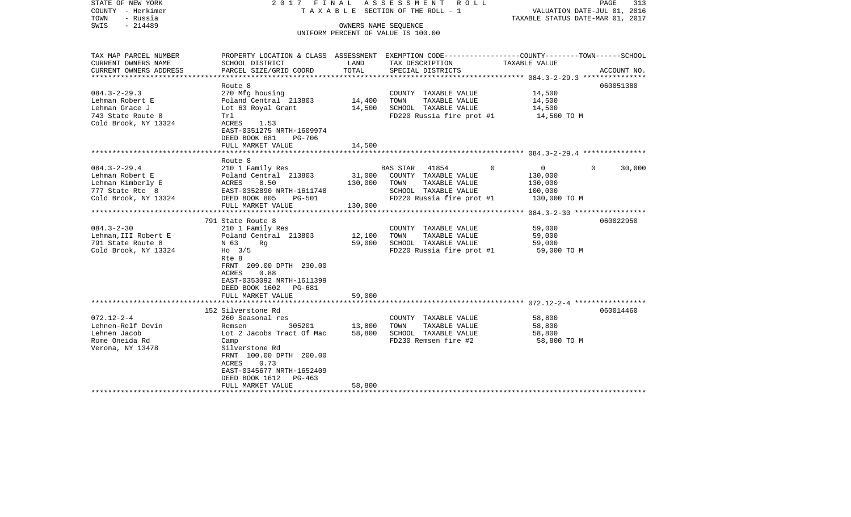| STATE OF NEW YORK<br>COUNTY - Herkimer<br>TOWN<br>- Russia<br>$-214489$<br>SWIS | 2017 FINAL                                  | OWNERS NAME SEQUENCE | ASSESSMENT<br>R O L L<br>T A X A B L E SECTION OF THE ROLL - 1<br>UNIFORM PERCENT OF VALUE IS 100.00               | VALUATION DATE-JUL 01, 2016<br>TAXABLE STATUS DATE-MAR 01, 2017 | PAGE<br>313        |
|---------------------------------------------------------------------------------|---------------------------------------------|----------------------|--------------------------------------------------------------------------------------------------------------------|-----------------------------------------------------------------|--------------------|
| TAX MAP PARCEL NUMBER<br>CURRENT OWNERS NAME                                    | SCHOOL DISTRICT                             | LAND                 | PROPERTY LOCATION & CLASS ASSESSMENT EXEMPTION CODE---------------COUNTY-------TOWN------SCHOOL<br>TAX DESCRIPTION | TAXABLE VALUE                                                   |                    |
| CURRENT OWNERS ADDRESS                                                          | PARCEL SIZE/GRID COORD                      | TOTAL                | SPECIAL DISTRICTS                                                                                                  |                                                                 | ACCOUNT NO.        |
| *********************                                                           |                                             |                      |                                                                                                                    |                                                                 |                    |
|                                                                                 | Route 8                                     |                      |                                                                                                                    |                                                                 | 060051380          |
| $084.3 - 2 - 29.3$                                                              | 270 Mfg housing                             |                      | COUNTY TAXABLE VALUE                                                                                               | 14,500                                                          |                    |
| Lehman Robert E<br>Lehman Grace J                                               | Poland Central 213803<br>Lot 63 Royal Grant | 14,400<br>14,500     | TOWN<br>TAXABLE VALUE<br>SCHOOL TAXABLE VALUE                                                                      | 14,500<br>14,500                                                |                    |
| 743 State Route 8                                                               | Trl                                         |                      | FD220 Russia fire prot #1                                                                                          | 14,500 TO M                                                     |                    |
| Cold Brook, NY 13324                                                            | ACRES<br>1.53                               |                      |                                                                                                                    |                                                                 |                    |
|                                                                                 | EAST-0351275 NRTH-1609974                   |                      |                                                                                                                    |                                                                 |                    |
|                                                                                 | DEED BOOK 681<br>PG-706                     |                      |                                                                                                                    |                                                                 |                    |
|                                                                                 | FULL MARKET VALUE                           | 14,500               |                                                                                                                    |                                                                 |                    |
| *************************                                                       | ***********************                     |                      |                                                                                                                    |                                                                 |                    |
|                                                                                 | Route 8                                     |                      |                                                                                                                    |                                                                 |                    |
| $084.3 - 2 - 29.4$                                                              | 210 1 Family Res                            | 31,000               | <b>BAS STAR</b><br>41854<br>$\Omega$                                                                               | $\mathbf{0}$                                                    | $\Omega$<br>30,000 |
| Lehman Robert E<br>Lehman Kimberly E                                            | Poland Central 213803<br>ACRES<br>8.50      | 130,000              | COUNTY TAXABLE VALUE<br>TAXABLE VALUE<br>TOWN                                                                      | 130,000<br>130,000                                              |                    |
| 777 State Rte 8                                                                 | EAST-0352890 NRTH-1611748                   |                      | SCHOOL TAXABLE VALUE                                                                                               | 100,000                                                         |                    |
| Cold Brook, NY 13324                                                            | DEED BOOK 805<br><b>PG-501</b>              |                      | FD220 Russia fire prot #1                                                                                          | 130,000 TO M                                                    |                    |
|                                                                                 | FULL MARKET VALUE                           | 130,000              |                                                                                                                    |                                                                 |                    |
|                                                                                 |                                             |                      |                                                                                                                    | ****************** 084.3-2-30 ******************                |                    |
|                                                                                 | 791 State Route 8                           |                      |                                                                                                                    |                                                                 | 060022950          |
| $084.3 - 2 - 30$                                                                | 210 1 Family Res                            |                      | COUNTY TAXABLE VALUE                                                                                               | 59,000                                                          |                    |
| Lehman, III Robert E                                                            | Poland Central 213803                       | 12,100               | TOWN<br>TAXABLE VALUE                                                                                              | 59,000                                                          |                    |
| 791 State Route 8                                                               | N 63<br>Rq                                  | 59,000               | SCHOOL TAXABLE VALUE                                                                                               | 59,000                                                          |                    |
| Cold Brook, NY 13324                                                            | $Ho$ 3/5                                    |                      | FD220 Russia fire prot #1                                                                                          | 59,000 TO M                                                     |                    |
|                                                                                 | Rte 8<br>FRNT 209.00 DPTH 230.00            |                      |                                                                                                                    |                                                                 |                    |
|                                                                                 | ACRES<br>0.88                               |                      |                                                                                                                    |                                                                 |                    |
|                                                                                 | EAST-0353092 NRTH-1611399                   |                      |                                                                                                                    |                                                                 |                    |
|                                                                                 | DEED BOOK 1602 PG-681                       |                      |                                                                                                                    |                                                                 |                    |
|                                                                                 | FULL MARKET VALUE                           | 59,000               |                                                                                                                    |                                                                 |                    |
|                                                                                 |                                             |                      |                                                                                                                    |                                                                 |                    |
|                                                                                 | 152 Silverstone Rd                          |                      |                                                                                                                    |                                                                 | 060014460          |
| $072.12 - 2 - 4$                                                                | 260 Seasonal res                            |                      | COUNTY TAXABLE VALUE                                                                                               | 58,800                                                          |                    |
| Lehnen-Relf Devin                                                               | 305201<br>Remsen                            | 13,800               | TOWN<br>TAXABLE VALUE                                                                                              | 58,800                                                          |                    |
| Lehnen Jacob<br>Rome Oneida Rd                                                  | Lot 2 Jacobs Tract Of Mac<br>Camp           | 58,800               | SCHOOL TAXABLE VALUE<br>FD230 Remsen fire #2                                                                       | 58,800<br>58,800 TO M                                           |                    |
| Verona, NY 13478                                                                | Silverstone Rd                              |                      |                                                                                                                    |                                                                 |                    |
|                                                                                 | FRNT 100.00 DPTH 200.00                     |                      |                                                                                                                    |                                                                 |                    |
|                                                                                 | ACRES<br>0.73                               |                      |                                                                                                                    |                                                                 |                    |
|                                                                                 | EAST-0345677 NRTH-1652409                   |                      |                                                                                                                    |                                                                 |                    |
|                                                                                 | DEED BOOK 1612<br>PG-463                    |                      |                                                                                                                    |                                                                 |                    |
|                                                                                 | FULL MARKET VALUE                           | 58,800               |                                                                                                                    |                                                                 |                    |
|                                                                                 |                                             |                      |                                                                                                                    |                                                                 |                    |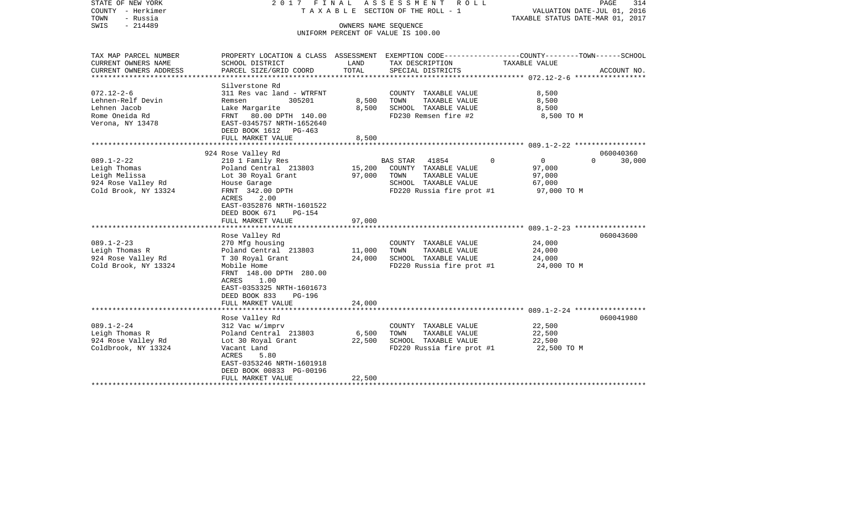| STATE OF NEW YORK<br>COUNTY - Herkimer<br>- Russia<br>TOWN<br>$-214489$<br>SWIS                                                                                                     | 2017 FINAL                                                                                                                                                                                                                                                                                                                                                                                                                                          | OWNERS NAME SEQUENCE                                     | ASSESSMENT<br>R O L L<br>T A X A B L E SECTION OF THE ROLL - 1<br>UNIFORM PERCENT OF VALUE IS 100.00                                                                                                                                 | PAGE<br>314<br>VALUATION DATE-JUL 01, 2016<br>TAXABLE STATUS DATE-MAR 01, 2017                                                                                          |
|-------------------------------------------------------------------------------------------------------------------------------------------------------------------------------------|-----------------------------------------------------------------------------------------------------------------------------------------------------------------------------------------------------------------------------------------------------------------------------------------------------------------------------------------------------------------------------------------------------------------------------------------------------|----------------------------------------------------------|--------------------------------------------------------------------------------------------------------------------------------------------------------------------------------------------------------------------------------------|-------------------------------------------------------------------------------------------------------------------------------------------------------------------------|
| TAX MAP PARCEL NUMBER<br>CURRENT OWNERS NAME<br>CURRENT OWNERS ADDRESS<br>**********************                                                                                    | SCHOOL DISTRICT<br>PARCEL SIZE/GRID COORD<br>***********************                                                                                                                                                                                                                                                                                                                                                                                | LAND<br>TOTAL                                            | TAX DESCRIPTION<br>SPECIAL DISTRICTS                                                                                                                                                                                                 | PROPERTY LOCATION & CLASS ASSESSMENT EXEMPTION CODE----------------COUNTY-------TOWN------SCHOOL<br>TAXABLE VALUE<br>ACCOUNT NO.                                        |
| $072.12 - 2 - 6$<br>Lehnen-Relf Devin<br>Lehnen Jacob<br>Rome Oneida Rd<br>Verona, NY 13478                                                                                         | Silverstone Rd<br>311 Res vac land - WTRFNT<br>305201<br>Remsen<br>Lake Margarite<br>80.00 DPTH 140.00<br>FRNT<br>EAST-0345757 NRTH-1652640<br>DEED BOOK 1612 PG-463<br>FULL MARKET VALUE                                                                                                                                                                                                                                                           | 8,500<br>8,500<br>8,500                                  | COUNTY TAXABLE VALUE<br>TAXABLE VALUE<br>TOWN<br>SCHOOL TAXABLE VALUE<br>FD230 Remsen fire #2                                                                                                                                        | 8,500<br>8,500<br>8,500<br>8,500 TO M                                                                                                                                   |
|                                                                                                                                                                                     |                                                                                                                                                                                                                                                                                                                                                                                                                                                     |                                                          |                                                                                                                                                                                                                                      |                                                                                                                                                                         |
| $089.1 - 2 - 22$<br>Leigh Thomas<br>Leigh Melissa<br>924 Rose Valley Rd<br>Cold Brook, NY 13324<br>$089.1 - 2 - 23$<br>Leigh Thomas R<br>924 Rose Valley Rd<br>Cold Brook, NY 13324 | 924 Rose Valley Rd<br>210 1 Family Res<br>Poland Central 213803<br>Lot 30 Royal Grant<br>House Garage<br>FRNT 342.00 DPTH<br>ACRES<br>2.00<br>EAST-0352876 NRTH-1601522<br>DEED BOOK 671<br>$PG-154$<br>FULL MARKET VALUE<br>Rose Valley Rd<br>270 Mfg housing<br>Poland Central 213803<br>T 30 Royal Grant<br>Mobile Home<br>FRNT 148.00 DPTH 280.00<br>ACRES<br>1.00<br>EAST-0353325 NRTH-1601673<br>DEED BOOK 833<br>PG-196<br>FULL MARKET VALUE | 15,200<br>97,000<br>97,000<br>11,000<br>24,000<br>24,000 | 41854<br><b>BAS STAR</b><br>COUNTY TAXABLE VALUE<br>TOWN<br>TAXABLE VALUE<br>SCHOOL TAXABLE VALUE<br>FD220 Russia fire prot #1<br>COUNTY TAXABLE VALUE<br>TAXABLE VALUE<br>TOWN<br>SCHOOL TAXABLE VALUE<br>FD220 Russia fire prot #1 | 060040360<br>$\mathbf 0$<br>$\overline{0}$<br>30,000<br>$\Omega$<br>97,000<br>97,000<br>67,000<br>97,000 TO M<br>060043600<br>24,000<br>24,000<br>24,000<br>24,000 TO M |
|                                                                                                                                                                                     | ********************                                                                                                                                                                                                                                                                                                                                                                                                                                |                                                          |                                                                                                                                                                                                                                      |                                                                                                                                                                         |
| $089.1 - 2 - 24$<br>Leigh Thomas R<br>924 Rose Valley Rd<br>Coldbrook, NY 13324                                                                                                     | Rose Valley Rd<br>312 Vac w/imprv<br>Poland Central 213803<br>Lot 30 Royal Grant<br>Vacant Land<br>ACRES<br>5.80<br>EAST-0353246 NRTH-1601918<br>DEED BOOK 00833 PG-00196<br>FULL MARKET VALUE                                                                                                                                                                                                                                                      | 6,500<br>22,500<br>22,500                                | COUNTY TAXABLE VALUE<br>TOWN<br>TAXABLE VALUE<br>SCHOOL TAXABLE VALUE<br>FD220 Russia fire prot #1<br>****************************                                                                                                   | 060041980<br>22,500<br>22,500<br>22,500<br>22,500 TO M                                                                                                                  |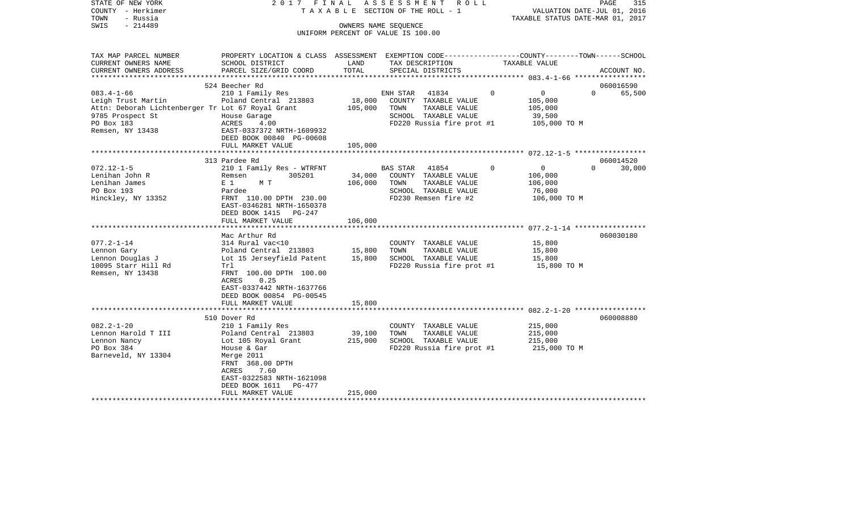| COUNTY<br>– Herkimer<br>TOWN<br>- Russia                              |                                                                                                                     |                   | T A X A B L E SECTION OF THE ROLL - 1                      |               | VALUATION DATE-JUL 01, 2016<br>TAXABLE STATUS DATE-MAR 01, 2017 |                     |
|-----------------------------------------------------------------------|---------------------------------------------------------------------------------------------------------------------|-------------------|------------------------------------------------------------|---------------|-----------------------------------------------------------------|---------------------|
| SWIS<br>$-214489$                                                     |                                                                                                                     |                   | OWNERS NAME SEQUENCE<br>UNIFORM PERCENT OF VALUE IS 100.00 |               |                                                                 |                     |
| TAX MAP PARCEL NUMBER<br>CURRENT OWNERS NAME                          | PROPERTY LOCATION & CLASS ASSESSMENT EXEMPTION CODE----------------COUNTY-------TOWN------SCHOOL<br>SCHOOL DISTRICT | LAND              | TAX DESCRIPTION                                            | TAXABLE VALUE |                                                                 |                     |
| CURRENT OWNERS ADDRESS                                                | PARCEL SIZE/GRID COORD                                                                                              | TOTAL             | SPECIAL DISTRICTS                                          |               |                                                                 | ACCOUNT NO.         |
|                                                                       |                                                                                                                     |                   |                                                            |               |                                                                 |                     |
|                                                                       | 524 Beecher Rd                                                                                                      |                   |                                                            |               |                                                                 | 060016590           |
| $083.4 - 1 - 66$                                                      | 210 1 Family Res                                                                                                    |                   | 41834<br>ENH STAR                                          | $\Omega$      | 0<br>$\Omega$                                                   | 65,500              |
| Leigh Trust Martin                                                    | Poland Central 213803                                                                                               | 18,000<br>105,000 | COUNTY TAXABLE VALUE<br>TAXABLE VALUE<br>TOWN              | 105,000       |                                                                 |                     |
| Attn: Deborah Lichtenberger Tr Lot 67 Royal Grant<br>9785 Prospect St | House Garage                                                                                                        |                   | SCHOOL TAXABLE VALUE                                       | 105,000       | 39,500                                                          |                     |
| PO Box 183                                                            | ACRES<br>4.00                                                                                                       |                   | FD220 Russia fire prot #1                                  |               | 105,000 TO M                                                    |                     |
| Remsen, NY 13438                                                      | EAST-0337372 NRTH-1609932                                                                                           |                   |                                                            |               |                                                                 |                     |
|                                                                       | DEED BOOK 00840 PG-00608                                                                                            |                   |                                                            |               |                                                                 |                     |
|                                                                       | FULL MARKET VALUE                                                                                                   | 105,000           |                                                            |               |                                                                 |                     |
|                                                                       |                                                                                                                     |                   |                                                            |               |                                                                 |                     |
| $072.12 - 1 - 5$                                                      | 313 Pardee Rd                                                                                                       |                   | <b>BAS STAR</b><br>41854                                   | $\Omega$      | 0<br>$\Omega$                                                   | 060014520<br>30,000 |
| Lenihan John R                                                        | 210 1 Family Res - WTRFNT<br>305201<br>Remsen                                                                       | 34,000            | COUNTY TAXABLE VALUE                                       | 106,000       |                                                                 |                     |
| Lenihan James                                                         | E <sub>1</sub><br>МТ                                                                                                | 106,000           | TAXABLE VALUE<br>TOWN                                      | 106,000       |                                                                 |                     |
| PO Box 193                                                            | Pardee                                                                                                              |                   | SCHOOL TAXABLE VALUE                                       |               | 76,000                                                          |                     |
| Hinckley, NY 13352                                                    | FRNT 110.00 DPTH 230.00                                                                                             |                   | FD230 Remsen fire #2                                       |               | 106,000 TO M                                                    |                     |
|                                                                       | EAST-0346281 NRTH-1650378                                                                                           |                   |                                                            |               |                                                                 |                     |
|                                                                       | DEED BOOK 1415<br>PG-247                                                                                            |                   |                                                            |               |                                                                 |                     |
|                                                                       | FULL MARKET VALUE                                                                                                   | 106,000           |                                                            |               |                                                                 |                     |
|                                                                       | Mac Arthur Rd                                                                                                       |                   |                                                            |               |                                                                 | 060030180           |
| $077.2 - 1 - 14$                                                      | 314 Rural vac<10                                                                                                    |                   | COUNTY TAXABLE VALUE                                       |               | 15,800                                                          |                     |
| Lennon Gary                                                           | Poland Central 213803                                                                                               | 15,800            | TOWN<br>TAXABLE VALUE                                      |               | 15,800                                                          |                     |
| Lennon Douglas J                                                      | Lot 15 Jerseyfield Patent                                                                                           | 15,800            | SCHOOL TAXABLE VALUE                                       |               | 15,800                                                          |                     |
| 10095 Starr Hill Rd                                                   | Trl                                                                                                                 |                   | FD220 Russia fire prot #1                                  |               | 15,800 TO M                                                     |                     |
| Remsen, NY 13438                                                      | FRNT 100.00 DPTH 100.00                                                                                             |                   |                                                            |               |                                                                 |                     |
|                                                                       | 0.25<br>ACRES<br>EAST-0337442 NRTH-1637766                                                                          |                   |                                                            |               |                                                                 |                     |
|                                                                       | DEED BOOK 00854 PG-00545                                                                                            |                   |                                                            |               |                                                                 |                     |
|                                                                       | FULL MARKET VALUE                                                                                                   | 15,800            |                                                            |               |                                                                 |                     |
|                                                                       | ********************************                                                                                    |                   |                                                            |               |                                                                 |                     |
|                                                                       | 510 Dover Rd                                                                                                        |                   |                                                            |               |                                                                 | 060008880           |
| $082.2 - 1 - 20$                                                      | 210 1 Family Res                                                                                                    |                   | COUNTY TAXABLE VALUE                                       |               | 215,000                                                         |                     |
| Lennon Harold T III                                                   | Poland Central 213803                                                                                               | 39,100            | TOWN<br>TAXABLE VALUE                                      | 215,000       |                                                                 |                     |
| Lennon Nancy                                                          | Lot 105 Royal Grant                                                                                                 | 215,000           | SCHOOL TAXABLE VALUE                                       | 215,000       |                                                                 |                     |
| PO Box 384<br>Barneveld, NY 13304                                     | House & Gar<br>Merge 2011                                                                                           |                   | FD220 Russia fire prot #1                                  |               | 215,000 TO M                                                    |                     |
|                                                                       | FRNT 368.00 DPTH                                                                                                    |                   |                                                            |               |                                                                 |                     |
|                                                                       | ACRES<br>7.60                                                                                                       |                   |                                                            |               |                                                                 |                     |
|                                                                       | EAST-0322583 NRTH-1621098                                                                                           |                   |                                                            |               |                                                                 |                     |
|                                                                       | DEED BOOK 1611<br>$PG-477$                                                                                          |                   |                                                            |               |                                                                 |                     |
|                                                                       | FULL MARKET VALUE                                                                                                   | 215,000           |                                                            |               |                                                                 |                     |
|                                                                       |                                                                                                                     |                   |                                                            |               |                                                                 |                     |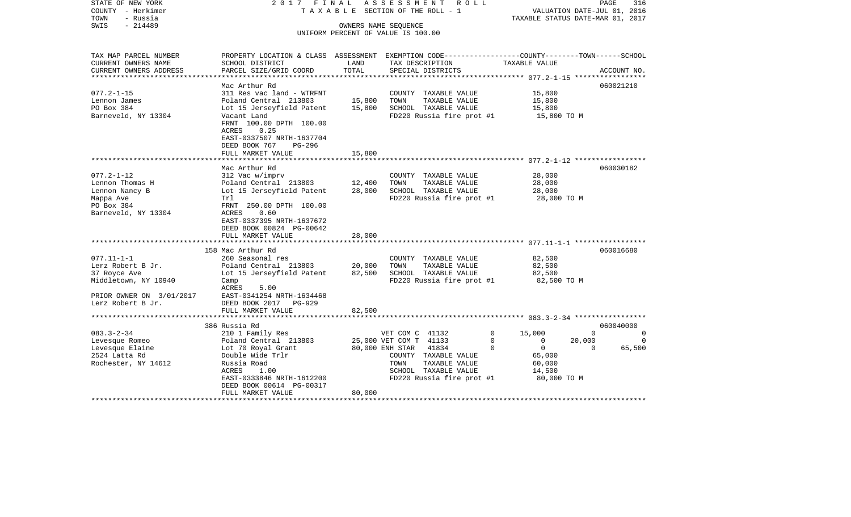| STATE OF NEW YORK<br>COUNTY - Herkimer<br>TOWN<br>- Russia | 2017 FINAL                                                                                       |                           | ASSESSMENT<br>R O L L<br>TAXABLE SECTION OF THE ROLL - 1 |                            | PAGE<br>316<br>VALUATION DATE-JUL 01, 2016<br>TAXABLE STATUS DATE-MAR 01, 2017 |
|------------------------------------------------------------|--------------------------------------------------------------------------------------------------|---------------------------|----------------------------------------------------------|----------------------------|--------------------------------------------------------------------------------|
| $-214489$<br>SWIS                                          |                                                                                                  |                           | OWNERS NAME SEQUENCE                                     |                            |                                                                                |
|                                                            |                                                                                                  |                           | UNIFORM PERCENT OF VALUE IS 100.00                       |                            |                                                                                |
|                                                            |                                                                                                  |                           |                                                          |                            |                                                                                |
| TAX MAP PARCEL NUMBER                                      | PROPERTY LOCATION & CLASS ASSESSMENT EXEMPTION CODE----------------COUNTY-------TOWN------SCHOOL |                           |                                                          |                            |                                                                                |
| CURRENT OWNERS NAME                                        | SCHOOL DISTRICT                                                                                  | LAND                      | TAX DESCRIPTION                                          | TAXABLE VALUE              |                                                                                |
| CURRENT OWNERS ADDRESS                                     | PARCEL SIZE/GRID COORD                                                                           | TOTAL                     | SPECIAL DISTRICTS                                        |                            | ACCOUNT NO.                                                                    |
| ***********************                                    |                                                                                                  |                           |                                                          |                            |                                                                                |
|                                                            | Mac Arthur Rd                                                                                    |                           |                                                          |                            | 060021210                                                                      |
| $077.2 - 1 - 15$                                           | 311 Res vac land - WTRFNT                                                                        |                           | COUNTY TAXABLE VALUE                                     | 15,800                     |                                                                                |
| Lennon James                                               | Poland Central 213803                                                                            | 15,800                    | TOWN<br>TAXABLE VALUE                                    | 15,800                     |                                                                                |
| PO Box 384                                                 | Lot 15 Jerseyfield Patent                                                                        | 15,800                    | SCHOOL TAXABLE VALUE                                     | 15,800                     |                                                                                |
| Barneveld, NY 13304                                        | Vacant Land                                                                                      |                           | FD220 Russia fire prot #1                                | 15,800 TO M                |                                                                                |
|                                                            | FRNT 100.00 DPTH 100.00                                                                          |                           |                                                          |                            |                                                                                |
|                                                            | ACRES<br>0.25                                                                                    |                           |                                                          |                            |                                                                                |
|                                                            | EAST-0337507 NRTH-1637704                                                                        |                           |                                                          |                            |                                                                                |
|                                                            | DEED BOOK 767<br>PG-296                                                                          |                           |                                                          |                            |                                                                                |
|                                                            | FULL MARKET VALUE                                                                                | 15,800                    |                                                          |                            |                                                                                |
|                                                            |                                                                                                  |                           |                                                          |                            |                                                                                |
|                                                            | Mac Arthur Rd                                                                                    |                           |                                                          |                            | 060030182                                                                      |
| $077.2 - 1 - 12$                                           | 312 Vac w/imprv                                                                                  |                           | COUNTY TAXABLE VALUE                                     | 28,000                     |                                                                                |
| Lennon Thomas H                                            | Poland Central 213803                                                                            | 12,400                    | TOWN<br>TAXABLE VALUE                                    | 28,000                     |                                                                                |
| Lennon Nancy B                                             | Lot 15 Jerseyfield Patent<br>Trl                                                                 | 28,000                    | SCHOOL TAXABLE VALUE                                     | 28,000                     |                                                                                |
| Mappa Ave<br>PO Box 384                                    | FRNT 250.00 DPTH 100.00                                                                          |                           | FD220 Russia fire prot #1                                | 28,000 TO M                |                                                                                |
|                                                            | ACRES<br>0.60                                                                                    |                           |                                                          |                            |                                                                                |
| Barneveld, NY 13304                                        | EAST-0337395 NRTH-1637672                                                                        |                           |                                                          |                            |                                                                                |
|                                                            | DEED BOOK 00824 PG-00642                                                                         |                           |                                                          |                            |                                                                                |
|                                                            | FULL MARKET VALUE                                                                                | 28,000                    |                                                          |                            |                                                                                |
|                                                            | ************************                                                                         | * * * * * * * * * * *     |                                                          |                            |                                                                                |
|                                                            | 158 Mac Arthur Rd                                                                                |                           |                                                          |                            | 060016680                                                                      |
| $077.11 - 1 - 1$                                           | 260 Seasonal res                                                                                 |                           | COUNTY TAXABLE VALUE                                     | 82,500                     |                                                                                |
| Lerz Robert B Jr.                                          | Poland Central 213803                                                                            | 20,000                    | TAXABLE VALUE<br>TOWN                                    | 82,500                     |                                                                                |
| 37 Royce Ave                                               | Lot 15 Jerseyfield Patent                                                                        | 82,500                    | SCHOOL TAXABLE VALUE                                     | 82,500                     |                                                                                |
| Middletown, NY 10940                                       | Camp                                                                                             |                           | FD220 Russia fire prot #1                                | 82,500 TO M                |                                                                                |
|                                                            | ACRES<br>5.00                                                                                    |                           |                                                          |                            |                                                                                |
| PRIOR OWNER ON 3/01/2017                                   | EAST-0341254 NRTH-1634468                                                                        |                           |                                                          |                            |                                                                                |
| Lerz Robert B Jr.                                          | DEED BOOK 2017<br>$PG-929$                                                                       |                           |                                                          |                            |                                                                                |
|                                                            | FULL MARKET VALUE                                                                                | 82,500                    |                                                          |                            |                                                                                |
|                                                            |                                                                                                  | * * * * * * * * * * * * * |                                                          |                            |                                                                                |
|                                                            | 386 Russia Rd                                                                                    |                           |                                                          |                            | 060040000                                                                      |
| $083.3 - 2 - 34$                                           | 210 1 Family Res                                                                                 |                           | VET COM C 41132                                          | 15,000<br>0                | $\mathbf 0$<br>0                                                               |
| Levesque Romeo                                             | Poland Central 213803                                                                            |                           | 25,000 VET COM T 41133                                   | $\Omega$<br>$\mathbf{0}$   | 20,000<br>$\Omega$                                                             |
| Levesque Elaine                                            | Lot 70 Royal Grant                                                                               |                           | 80,000 ENH STAR 41834                                    | $\Omega$<br>$\overline{0}$ | $\Omega$<br>65,500                                                             |
| 2524 Latta Rd                                              | Double Wide Trlr                                                                                 |                           | COUNTY TAXABLE VALUE                                     | 65,000                     |                                                                                |
| Rochester, NY 14612                                        | Russia Road                                                                                      |                           | TOWN<br>TAXABLE VALUE                                    | 60,000                     |                                                                                |
|                                                            | ACRES<br>1.00                                                                                    |                           | SCHOOL TAXABLE VALUE                                     | 14,500                     |                                                                                |
|                                                            | EAST-0333846 NRTH-1612200                                                                        |                           | FD220 Russia fire prot #1                                | 80,000 TO M                |                                                                                |
|                                                            | DEED BOOK 00614 PG-00317                                                                         |                           |                                                          |                            |                                                                                |
|                                                            | FULL MARKET VALUE                                                                                | 80,000                    |                                                          |                            |                                                                                |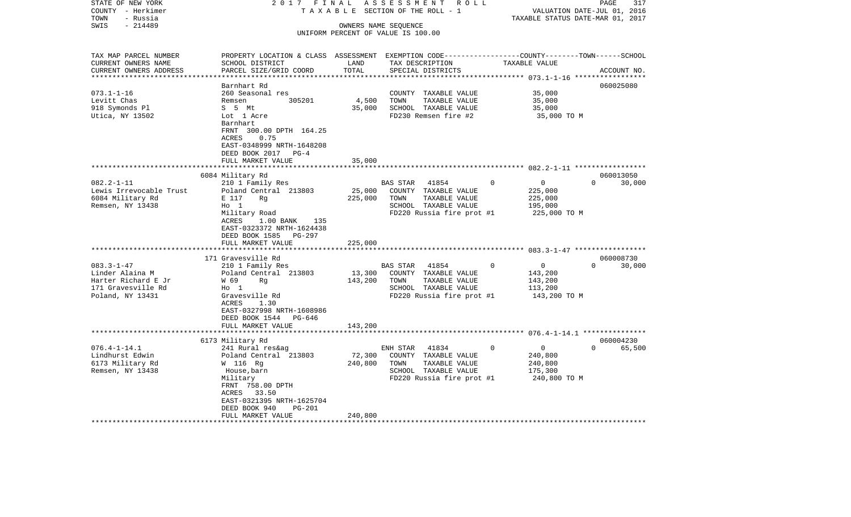| STATE OF NEW YORK       | 2017 FINAL                                                                                       |         | ASSESSMENT<br>R O L L              |                            | 317<br>PAGE                      |
|-------------------------|--------------------------------------------------------------------------------------------------|---------|------------------------------------|----------------------------|----------------------------------|
| COUNTY - Herkimer       | TAXABLE                                                                                          |         | SECTION OF THE ROLL - 1            |                            | VALUATION DATE-JUL 01, 2016      |
| TOWN<br>- Russia        |                                                                                                  |         |                                    |                            | TAXABLE STATUS DATE-MAR 01, 2017 |
| $-214489$<br>SWIS       |                                                                                                  |         | OWNERS NAME SEQUENCE               |                            |                                  |
|                         |                                                                                                  |         | UNIFORM PERCENT OF VALUE IS 100.00 |                            |                                  |
|                         |                                                                                                  |         |                                    |                            |                                  |
| TAX MAP PARCEL NUMBER   | PROPERTY LOCATION & CLASS ASSESSMENT EXEMPTION CODE----------------COUNTY-------TOWN------SCHOOL |         |                                    |                            |                                  |
| CURRENT OWNERS NAME     | SCHOOL DISTRICT                                                                                  | LAND    | TAX DESCRIPTION                    | TAXABLE VALUE              |                                  |
| CURRENT OWNERS ADDRESS  | PARCEL SIZE/GRID COORD                                                                           | TOTAL   | SPECIAL DISTRICTS                  |                            | ACCOUNT NO.                      |
| *********************** |                                                                                                  |         |                                    |                            |                                  |
|                         | Barnhart Rd                                                                                      |         |                                    |                            | 060025080                        |
| $073.1 - 1 - 16$        | 260 Seasonal res                                                                                 |         | COUNTY TAXABLE VALUE               | 35,000                     |                                  |
| Levitt Chas             | 305201<br>Remsen                                                                                 | 4,500   | TOWN<br>TAXABLE VALUE              | 35,000                     |                                  |
| 918 Symonds Pl          | S 5 Mt                                                                                           | 35,000  | SCHOOL TAXABLE VALUE               | 35,000                     |                                  |
| Utica, NY 13502         | Lot 1 Acre                                                                                       |         | FD230 Remsen fire #2               | 35,000 TO M                |                                  |
|                         | Barnhart                                                                                         |         |                                    |                            |                                  |
|                         | FRNT 300.00 DPTH 164.25                                                                          |         |                                    |                            |                                  |
|                         | <b>ACRES</b><br>0.75                                                                             |         |                                    |                            |                                  |
|                         | EAST-0348999 NRTH-1648208                                                                        |         |                                    |                            |                                  |
|                         | DEED BOOK 2017<br>$PG-4$                                                                         |         |                                    |                            |                                  |
|                         | FULL MARKET VALUE                                                                                | 35,000  |                                    |                            |                                  |
|                         |                                                                                                  |         |                                    |                            | 060013050                        |
| $082.2 - 1 - 11$        | 6084 Military Rd                                                                                 |         | <b>BAS STAR</b><br>41854           | $\Omega$<br>$\Omega$       | $\Omega$<br>30,000               |
| Lewis Irrevocable Trust | 210 1 Family Res<br>Poland Central 213803                                                        | 25,000  | COUNTY TAXABLE VALUE               | 225,000                    |                                  |
| 6084 Military Rd        | E 117<br>Rg                                                                                      | 225,000 | TOWN<br>TAXABLE VALUE              | 225,000                    |                                  |
| Remsen, NY 13438        | $HO$ 1                                                                                           |         | SCHOOL TAXABLE VALUE               | 195,000                    |                                  |
|                         | Military Road                                                                                    |         | FD220 Russia fire prot #1          | 225,000 TO M               |                                  |
|                         | ACRES<br>$1.00$ BANK<br>135                                                                      |         |                                    |                            |                                  |
|                         | EAST-0323372 NRTH-1624438                                                                        |         |                                    |                            |                                  |
|                         | DEED BOOK 1585 PG-297                                                                            |         |                                    |                            |                                  |
|                         | FULL MARKET VALUE                                                                                | 225,000 |                                    |                            |                                  |
|                         | ********************                                                                             |         |                                    |                            |                                  |
|                         | 171 Gravesville Rd                                                                               |         |                                    |                            | 060008730                        |
| $083.3 - 1 - 47$        | 210 1 Family Res                                                                                 |         | 41854<br>BAS STAR                  | $\mathbf 0$<br>$\mathbf 0$ | $\Omega$<br>30,000               |
| Linder Alaina M         | Poland Central 213803                                                                            | 13,300  | COUNTY TAXABLE VALUE               | 143,200                    |                                  |
| Harter Richard E Jr     | W 69<br>Rg                                                                                       | 143,200 | TAXABLE VALUE<br>TOWN              | 143,200                    |                                  |
| 171 Gravesville Rd      | $H_0$ 1                                                                                          |         | SCHOOL TAXABLE VALUE               | 113,200                    |                                  |
| Poland, NY 13431        | Gravesville Rd                                                                                   |         | FD220 Russia fire prot #1          | 143,200 TO M               |                                  |
|                         | ACRES<br>1.30                                                                                    |         |                                    |                            |                                  |
|                         | EAST-0327998 NRTH-1608986                                                                        |         |                                    |                            |                                  |
|                         | DEED BOOK 1544<br>PG-646                                                                         |         |                                    |                            |                                  |
|                         | FULL MARKET VALUE                                                                                | 143,200 |                                    |                            |                                  |
|                         | 6173 Military Rd                                                                                 |         |                                    |                            | 060004230                        |
| $076.4 - 1 - 14.1$      | 241 Rural res&ag                                                                                 |         | ENH STAR<br>41834                  | $\Omega$<br>$\Omega$       | $\Omega$<br>65,500               |
| Lindhurst Edwin         | Poland Central 213803                                                                            | 72,300  | COUNTY TAXABLE VALUE               | 240,800                    |                                  |
| 6173 Military Rd        | W 116 Rg                                                                                         | 240,800 | TOWN<br>TAXABLE VALUE              | 240,800                    |                                  |
| Remsen, NY 13438        | House,barn                                                                                       |         | SCHOOL TAXABLE VALUE               | 175,300                    |                                  |
|                         | Military                                                                                         |         | FD220 Russia fire prot #1          | 240,800 TO M               |                                  |
|                         | FRNT 758.00 DPTH                                                                                 |         |                                    |                            |                                  |
|                         | ACRES 33.50                                                                                      |         |                                    |                            |                                  |
|                         | EAST-0321395 NRTH-1625704                                                                        |         |                                    |                            |                                  |
|                         | DEED BOOK 940<br>PG-201                                                                          |         |                                    |                            |                                  |
|                         | FULL MARKET VALUE                                                                                | 240,800 |                                    |                            |                                  |
|                         |                                                                                                  |         |                                    |                            |                                  |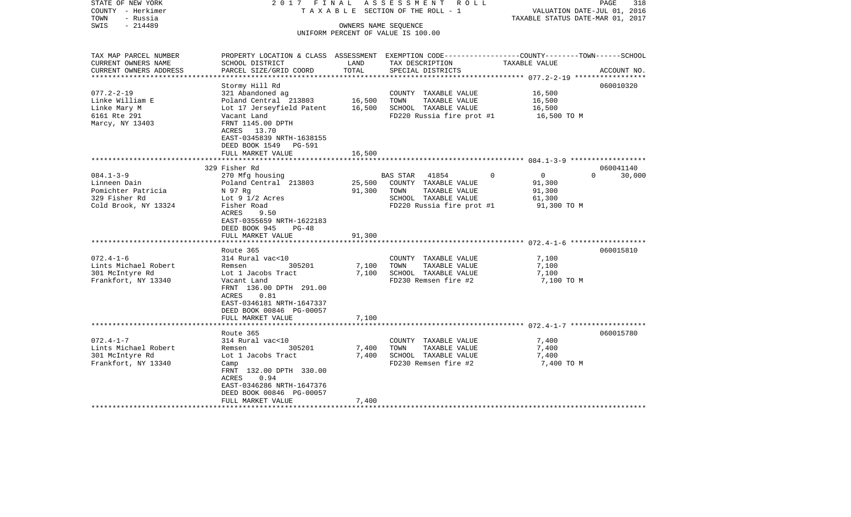| STATE OF NEW YORK<br>COUNTY - Herkimer<br>- Russia<br>TOWN                                                                                                   | 2017 FINAL                                                                                                                                                                                                                                                                                      |                                              | ASSESSMENT<br>R O L L<br>T A X A B L E SECTION OF THE ROLL - 1                                                                                                                                          | TAXABLE STATUS DATE-MAR 01, 2017                                                                   | PAGE<br>318<br>VALUATION DATE-JUL 01, 2016 |
|--------------------------------------------------------------------------------------------------------------------------------------------------------------|-------------------------------------------------------------------------------------------------------------------------------------------------------------------------------------------------------------------------------------------------------------------------------------------------|----------------------------------------------|---------------------------------------------------------------------------------------------------------------------------------------------------------------------------------------------------------|----------------------------------------------------------------------------------------------------|--------------------------------------------|
| $-214489$<br>SWIS                                                                                                                                            |                                                                                                                                                                                                                                                                                                 | OWNERS NAME SEQUENCE                         | UNIFORM PERCENT OF VALUE IS 100.00                                                                                                                                                                      |                                                                                                    |                                            |
| TAX MAP PARCEL NUMBER<br>CURRENT OWNERS NAME<br>CURRENT OWNERS ADDRESS                                                                                       | PROPERTY LOCATION & CLASS ASSESSMENT EXEMPTION CODE----------------COUNTY-------TOWN------SCHOOL<br>SCHOOL DISTRICT<br>PARCEL SIZE/GRID COORD                                                                                                                                                   | LAND<br>TOTAL                                | TAX DESCRIPTION<br>SPECIAL DISTRICTS                                                                                                                                                                    | TAXABLE VALUE                                                                                      | ACCOUNT NO.                                |
| *********************                                                                                                                                        | ***********************                                                                                                                                                                                                                                                                         | ***************                              |                                                                                                                                                                                                         |                                                                                                    |                                            |
| $077.2 - 2 - 19$<br>Linke William E<br>Linke Mary M<br>6161 Rte 291<br>Marcy, NY 13403                                                                       | Stormy Hill Rd<br>321 Abandoned ag<br>Poland Central 213803<br>Lot 17 Jerseyfield Patent<br>Vacant Land<br>FRNT 1145.00 DPTH<br>ACRES 13.70<br>EAST-0345839 NRTH-1638155                                                                                                                        | 16,500<br>16,500                             | COUNTY TAXABLE VALUE<br>TOWN<br>TAXABLE VALUE<br>SCHOOL TAXABLE VALUE<br>FD220 Russia fire prot #1                                                                                                      | 16,500<br>16,500<br>16,500<br>16,500 TO M                                                          | 060010320                                  |
|                                                                                                                                                              | DEED BOOK 1549 PG-591                                                                                                                                                                                                                                                                           |                                              |                                                                                                                                                                                                         |                                                                                                    |                                            |
|                                                                                                                                                              | FULL MARKET VALUE                                                                                                                                                                                                                                                                               | 16,500                                       |                                                                                                                                                                                                         |                                                                                                    |                                            |
|                                                                                                                                                              | 329 Fisher Rd                                                                                                                                                                                                                                                                                   |                                              |                                                                                                                                                                                                         |                                                                                                    | 060041140                                  |
| $084.1 - 3 - 9$<br>Linneen Dain<br>Pomichter Patricia<br>329 Fisher Rd<br>Cold Brook, NY 13324<br>$072.4 - 1 - 6$<br>Lints Michael Robert<br>301 McIntyre Rd | 270 Mfg housing<br>Poland Central 213803<br>N 97 Rq<br>Lot $9 \frac{1}{2}$ Acres<br>Fisher Road<br>ACRES<br>9.50<br>EAST-0355659 NRTH-1622183<br>DEED BOOK 945<br>$PG-48$<br>FULL MARKET VALUE<br>******************<br>Route 365<br>314 Rural vac<10<br>305201<br>Remsen<br>Lot 1 Jacobs Tract | 25,500<br>91,300<br>91,300<br>7,100<br>7,100 | <b>BAS STAR</b><br>41854<br>COUNTY TAXABLE VALUE<br>TAXABLE VALUE<br>TOWN<br>SCHOOL TAXABLE VALUE<br>FD220 Russia fire prot #1<br>COUNTY TAXABLE VALUE<br>TOWN<br>TAXABLE VALUE<br>SCHOOL TAXABLE VALUE | $\Omega$<br>$\overline{0}$<br>91,300<br>91,300<br>61,300<br>91,300 TO M<br>7,100<br>7,100<br>7,100 | $\Omega$<br>30,000<br>060015810            |
| Frankfort, NY 13340                                                                                                                                          | Vacant Land<br>FRNT 136.00 DPTH 291.00<br>ACRES<br>0.81<br>EAST-0346181 NRTH-1647337<br>DEED BOOK 00846 PG-00057<br>FULL MARKET VALUE                                                                                                                                                           | 7,100                                        | FD230 Remsen fire #2                                                                                                                                                                                    | 7,100 TO M                                                                                         |                                            |
|                                                                                                                                                              | ********************                                                                                                                                                                                                                                                                            |                                              |                                                                                                                                                                                                         |                                                                                                    |                                            |
| $072.4 - 1 - 7$<br>Lints Michael Robert<br>301 McIntyre Rd<br>Frankfort, NY 13340                                                                            | Route 365<br>314 Rural vac<10<br>305201<br>Remsen<br>Lot 1 Jacobs Tract<br>Camp<br>FRNT 132.00 DPTH 330.00<br>ACRES<br>0.94<br>EAST-0346286 NRTH-1647376<br>DEED BOOK 00846 PG-00057                                                                                                            | 7,400<br>7,400                               | COUNTY TAXABLE VALUE<br>TOWN<br>TAXABLE VALUE<br>SCHOOL TAXABLE VALUE<br>FD230 Remsen fire #2                                                                                                           | 7,400<br>7,400<br>7,400<br>7,400 TO M                                                              | 060015780                                  |
|                                                                                                                                                              | FULL MARKET VALUE                                                                                                                                                                                                                                                                               | 7,400                                        |                                                                                                                                                                                                         |                                                                                                    |                                            |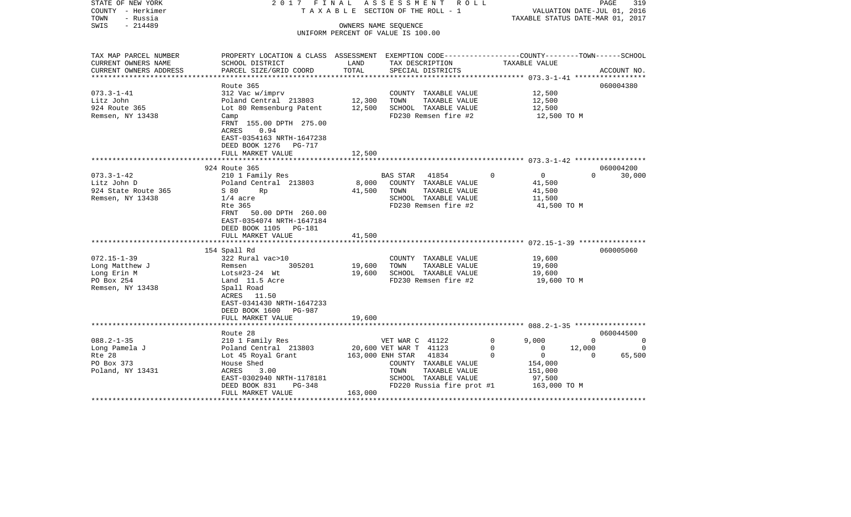| STATE OF NEW YORK<br>COUNTY - Herkimer<br>TOWN<br>- Russia<br>$-214489$<br>SWIS | 2017 FINAL                                                                                       |                   | ASSESSMENT ROLL<br>TAXABLE SECTION OF THE ROLL - 1<br>OWNERS NAME SEOUENCE |                                  | PAGE<br>VALUATION DATE-JUL 01, 2016<br>TAXABLE STATUS DATE-MAR 01, 2017 | 319      |
|---------------------------------------------------------------------------------|--------------------------------------------------------------------------------------------------|-------------------|----------------------------------------------------------------------------|----------------------------------|-------------------------------------------------------------------------|----------|
|                                                                                 |                                                                                                  |                   | UNIFORM PERCENT OF VALUE IS 100.00                                         |                                  |                                                                         |          |
|                                                                                 |                                                                                                  |                   |                                                                            |                                  |                                                                         |          |
| TAX MAP PARCEL NUMBER                                                           | PROPERTY LOCATION & CLASS ASSESSMENT EXEMPTION CODE----------------COUNTY-------TOWN------SCHOOL |                   |                                                                            |                                  |                                                                         |          |
| CURRENT OWNERS NAME                                                             | SCHOOL DISTRICT                                                                                  | LAND              | TAX DESCRIPTION                                                            | TAXABLE VALUE                    |                                                                         |          |
| CURRENT OWNERS ADDRESS<br>******************                                    | PARCEL SIZE/GRID COORD                                                                           | TOTAL             | SPECIAL DISTRICTS                                                          |                                  | ACCOUNT NO.                                                             |          |
|                                                                                 | Route 365                                                                                        |                   |                                                                            |                                  | 060004380                                                               |          |
| $073.3 - 1 - 41$                                                                | 312 Vac w/imprv                                                                                  |                   | COUNTY TAXABLE VALUE                                                       | 12,500                           |                                                                         |          |
| Litz John                                                                       | Poland Central 213803                                                                            | 12,300            | TOWN TAXABLE VALUE                                                         | 12,500                           |                                                                         |          |
| 924 Route 365                                                                   | Lot 80 Remsenburg Patent                                                                         | 12,500            | SCHOOL TAXABLE VALUE                                                       | 12,500                           |                                                                         |          |
| Remsen, NY 13438                                                                | Camp                                                                                             |                   | FD230 Remsen fire #2                                                       | 12,500 TO M                      |                                                                         |          |
|                                                                                 | FRNT 155.00 DPTH 275.00                                                                          |                   |                                                                            |                                  |                                                                         |          |
|                                                                                 | ACRES<br>0.94                                                                                    |                   |                                                                            |                                  |                                                                         |          |
|                                                                                 | EAST-0354163 NRTH-1647238                                                                        |                   |                                                                            |                                  |                                                                         |          |
|                                                                                 | DEED BOOK 1276 PG-717                                                                            |                   |                                                                            |                                  |                                                                         |          |
|                                                                                 | FULL MARKET VALUE                                                                                | 12,500            |                                                                            |                                  |                                                                         |          |
|                                                                                 |                                                                                                  |                   |                                                                            |                                  |                                                                         |          |
|                                                                                 | 924 Route 365                                                                                    |                   |                                                                            |                                  | 060004200                                                               |          |
| $073.3 - 1 - 42$                                                                | 210 1 Family Res                                                                                 |                   | BAS STAR 41854                                                             | $\overline{0}$<br>$\overline{0}$ | $\Omega$                                                                | 30,000   |
| Litz John D                                                                     | Poland Central 213803                                                                            | 8,000             | COUNTY TAXABLE VALUE                                                       | 41,500                           |                                                                         |          |
| 924 State Route 365<br>Remsen, NY 13438                                         | S 80<br>Rp                                                                                       | 41,500            | TOWN<br>TAXABLE VALUE<br>SCHOOL TAXABLE VALUE                              | 41,500                           |                                                                         |          |
|                                                                                 | $1/4$ acre<br>Rte 365                                                                            |                   | FD230 Remsen fire #2                                                       | 11,500<br>41,500 TO M            |                                                                         |          |
|                                                                                 | FRNT<br>50.00 DPTH 260.00                                                                        |                   |                                                                            |                                  |                                                                         |          |
|                                                                                 | EAST-0354074 NRTH-1647184                                                                        |                   |                                                                            |                                  |                                                                         |          |
|                                                                                 | DEED BOOK 1105 PG-181                                                                            |                   |                                                                            |                                  |                                                                         |          |
|                                                                                 | FULL MARKET VALUE                                                                                | 41,500            |                                                                            |                                  |                                                                         |          |
|                                                                                 |                                                                                                  | * * * * * * * * * |                                                                            |                                  |                                                                         |          |
|                                                                                 | 154 Spall Rd                                                                                     |                   |                                                                            |                                  | 060005060                                                               |          |
| $072.15 - 1 - 39$                                                               | 322 Rural vac>10                                                                                 |                   | COUNTY TAXABLE VALUE                                                       | 19,600                           |                                                                         |          |
| Long Matthew J                                                                  | 305201<br>Remsen                                                                                 | 19,600            | TAXABLE VALUE<br>TOWN                                                      | 19,600                           |                                                                         |          |
| Long Erin M                                                                     | Lots#23-24 Wt                                                                                    | 19,600            | SCHOOL TAXABLE VALUE                                                       | 19,600                           |                                                                         |          |
| PO Box 254                                                                      | Land 11.5 Acre                                                                                   |                   | FD230 Remsen fire #2                                                       | 19,600 TO M                      |                                                                         |          |
| Remsen, NY 13438                                                                | Spall Road                                                                                       |                   |                                                                            |                                  |                                                                         |          |
|                                                                                 | ACRES 11.50                                                                                      |                   |                                                                            |                                  |                                                                         |          |
|                                                                                 | EAST-0341430 NRTH-1647233                                                                        |                   |                                                                            |                                  |                                                                         |          |
|                                                                                 | DEED BOOK 1600 PG-987                                                                            |                   |                                                                            |                                  |                                                                         |          |
|                                                                                 | FULL MARKET VALUE                                                                                | 19,600            |                                                                            |                                  |                                                                         |          |
|                                                                                 |                                                                                                  |                   |                                                                            |                                  |                                                                         |          |
|                                                                                 | Route 28                                                                                         |                   |                                                                            |                                  | 060044500                                                               |          |
| $088.2 - 1 - 35$                                                                | 210 1 Family Res                                                                                 |                   | VET WAR C 41122                                                            | 9,000<br>$\Omega$                | $\Omega$                                                                | $\Omega$ |
| Long Pamela J                                                                   | Poland Central 213803                                                                            |                   | 20,600 VET WAR T 41123                                                     | 0<br>$\mathbf{0}$                | 12,000                                                                  | $\Omega$ |
| Rte 28                                                                          | Lot 45 Royal Grant                                                                               |                   | 163,000 ENH STAR 41834                                                     | $\overline{0}$<br>$\Omega$       | $\Omega$                                                                | 65,500   |
| PO Box 373                                                                      | House Shed                                                                                       |                   | COUNTY TAXABLE VALUE                                                       | 154,000                          |                                                                         |          |
| Poland, NY 13431                                                                | ACRES<br>3.00                                                                                    |                   | TOWN<br>TAXABLE VALUE                                                      | 151,000                          |                                                                         |          |
|                                                                                 | EAST-0302940 NRTH-1178181                                                                        |                   | SCHOOL TAXABLE VALUE                                                       | 97,500                           |                                                                         |          |
|                                                                                 | DEED BOOK 831<br>PG-348                                                                          |                   | FD220 Russia fire prot #1                                                  | 163,000 TO M                     |                                                                         |          |
|                                                                                 | FULL MARKET VALUE                                                                                | 163,000           |                                                                            |                                  |                                                                         |          |
|                                                                                 |                                                                                                  |                   |                                                                            |                                  |                                                                         |          |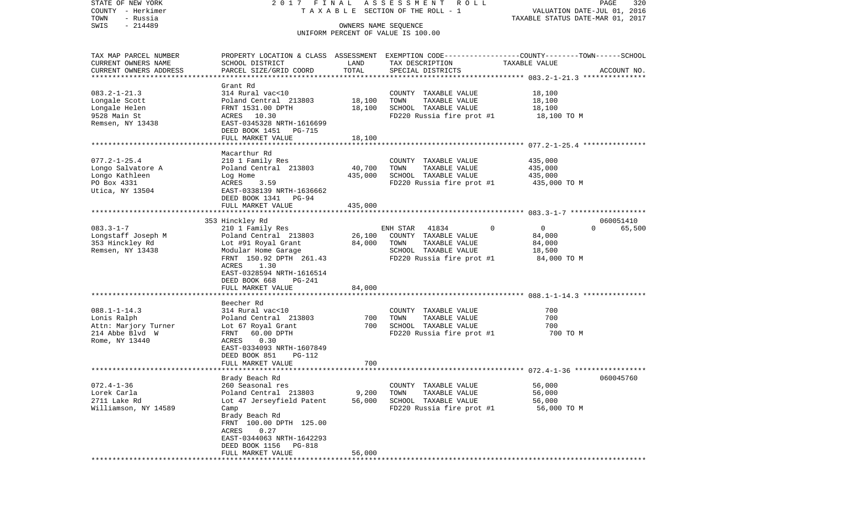| STATE OF NEW YORK                     | 2017 FINAL                                         |                      | ASSESSMENT ROLL                                                                                 |                                  | PAGE<br>320        |
|---------------------------------------|----------------------------------------------------|----------------------|-------------------------------------------------------------------------------------------------|----------------------------------|--------------------|
| COUNTY - Herkimer                     |                                                    |                      | TAXABLE SECTION OF THE ROLL - 1                                                                 | VALUATION DATE-JUL 01, 2016      |                    |
| TOWN<br>- Russia<br>$-214489$<br>SWIS |                                                    | OWNERS NAME SEOUENCE |                                                                                                 | TAXABLE STATUS DATE-MAR 01, 2017 |                    |
|                                       |                                                    |                      | UNIFORM PERCENT OF VALUE IS 100.00                                                              |                                  |                    |
| TAX MAP PARCEL NUMBER                 |                                                    |                      | PROPERTY LOCATION & CLASS ASSESSMENT EXEMPTION CODE---------------COUNTY-------TOWN------SCHOOL |                                  |                    |
| CURRENT OWNERS NAME                   | SCHOOL DISTRICT                                    | LAND                 | TAX DESCRIPTION                                                                                 | TAXABLE VALUE                    |                    |
| CURRENT OWNERS ADDRESS                | PARCEL SIZE/GRID COORD                             | TOTAL                | SPECIAL DISTRICTS                                                                               |                                  | ACCOUNT NO.        |
|                                       | Grant Rd                                           |                      |                                                                                                 |                                  |                    |
| $083.2 - 1 - 21.3$                    | 314 Rural vac<10                                   |                      | COUNTY TAXABLE VALUE                                                                            | 18,100                           |                    |
| Longale Scott                         | Poland Central 213803                              | 18,100               | TOWN<br>TAXABLE VALUE                                                                           | 18,100                           |                    |
| Longale Helen                         | FRNT 1531.00 DPTH                                  | 18,100               | SCHOOL TAXABLE VALUE                                                                            | 18,100                           |                    |
| 9528 Main St                          | ACRES 10.30                                        |                      | FD220 Russia fire prot #1                                                                       | 18,100 TO M                      |                    |
| Remsen, NY 13438                      | EAST-0345328 NRTH-1616699<br>DEED BOOK 1451 PG-715 |                      |                                                                                                 |                                  |                    |
|                                       | FULL MARKET VALUE                                  | 18,100               |                                                                                                 |                                  |                    |
|                                       | Macarthur Rd                                       |                      |                                                                                                 |                                  |                    |
| $077.2 - 1 - 25.4$                    | 210 1 Family Res                                   |                      | COUNTY TAXABLE VALUE                                                                            | 435,000                          |                    |
| Longo Salvatore A                     | Poland Central 213803                              | 40,700               | TOWN<br>TAXABLE VALUE                                                                           | 435,000                          |                    |
| Longo Kathleen                        | Log Home                                           | 435,000              | SCHOOL TAXABLE VALUE                                                                            | 435,000                          |                    |
| PO Box 4331                           | 3.59<br>ACRES                                      |                      | FD220 Russia fire prot #1                                                                       | 435,000 TO M                     |                    |
| Utica, NY 13504                       | EAST-0338139 NRTH-1636662<br>DEED BOOK 1341 PG-94  |                      |                                                                                                 |                                  |                    |
|                                       | FULL MARKET VALUE                                  | 435,000              |                                                                                                 |                                  |                    |
|                                       | 353 Hinckley Rd                                    |                      |                                                                                                 |                                  | 060051410          |
| $083.3 - 1 - 7$                       | 210 1 Family Res                                   |                      | $\mathbf 0$<br>ENH STAR<br>41834                                                                | $\overline{0}$                   | $\Omega$<br>65,500 |
| Longstaff Joseph M                    | Poland Central 213803                              | 26,100               | COUNTY TAXABLE VALUE                                                                            | 84,000                           |                    |
| 353 Hinckley Rd                       | Lot #91 Royal Grant                                | 84,000               | TOWN<br>TAXABLE VALUE                                                                           | 84,000                           |                    |
| Remsen, NY 13438                      | Modular Home Garage                                |                      | SCHOOL TAXABLE VALUE                                                                            | 18,500                           |                    |
|                                       | FRNT 150.92 DPTH 261.43                            |                      | FD220 Russia fire prot #1                                                                       | 84,000 TO M                      |                    |
|                                       | ACRES<br>1.30<br>EAST-0328594 NRTH-1616514         |                      |                                                                                                 |                                  |                    |
|                                       | DEED BOOK 668<br>PG-241                            |                      |                                                                                                 |                                  |                    |
|                                       | FULL MARKET VALUE                                  | 84,000               |                                                                                                 |                                  |                    |
|                                       |                                                    |                      |                                                                                                 |                                  |                    |
|                                       | Beecher Rd                                         |                      |                                                                                                 |                                  |                    |
| $088.1 - 1 - 14.3$                    | 314 Rural vac<10                                   |                      | COUNTY TAXABLE VALUE                                                                            | 700                              |                    |
| Lonis Ralph<br>Attn: Marjory Turner   | Poland Central 213803<br>Lot 67 Royal Grant        | 700<br>700           | TOWN<br>TAXABLE VALUE<br>SCHOOL TAXABLE VALUE                                                   | 700<br>700                       |                    |
| 214 Abbe Blvd W                       | FRNT<br>60.00 DPTH                                 |                      | FD220 Russia fire prot #1                                                                       | 700 TO M                         |                    |
| Rome, NY 13440                        | ACRES<br>0.30                                      |                      |                                                                                                 |                                  |                    |
|                                       | EAST-0334093 NRTH-1607849                          |                      |                                                                                                 |                                  |                    |
|                                       | DEED BOOK 851<br>PG-112                            |                      |                                                                                                 |                                  |                    |
|                                       | FULL MARKET VALUE                                  | 700                  |                                                                                                 |                                  |                    |
|                                       |                                                    |                      |                                                                                                 |                                  |                    |
| $072.4 - 1 - 36$                      | Brady Beach Rd                                     |                      |                                                                                                 | 56,000                           | 060045760          |
| Lorek Carla                           | 260 Seasonal res<br>Poland Central 213803          | 9,200                | COUNTY TAXABLE VALUE<br>TOWN<br>TAXABLE VALUE                                                   | 56,000                           |                    |
| 2711 Lake Rd                          | Lot 47 Jerseyfield Patent                          | 56,000               | SCHOOL TAXABLE VALUE                                                                            | 56,000                           |                    |
| Williamson, NY 14589                  | Camp                                               |                      | FD220 Russia fire prot #1                                                                       | 56,000 TO M                      |                    |
|                                       | Brady Beach Rd                                     |                      |                                                                                                 |                                  |                    |
|                                       | FRNT 100.00 DPTH 125.00                            |                      |                                                                                                 |                                  |                    |
|                                       | ACRES<br>0.27                                      |                      |                                                                                                 |                                  |                    |
|                                       | EAST-0344063 NRTH-1642293                          |                      |                                                                                                 |                                  |                    |
|                                       | DEED BOOK 1156<br>PG-818                           |                      |                                                                                                 |                                  |                    |
|                                       | FULL MARKET VALUE                                  | 56,000               |                                                                                                 |                                  |                    |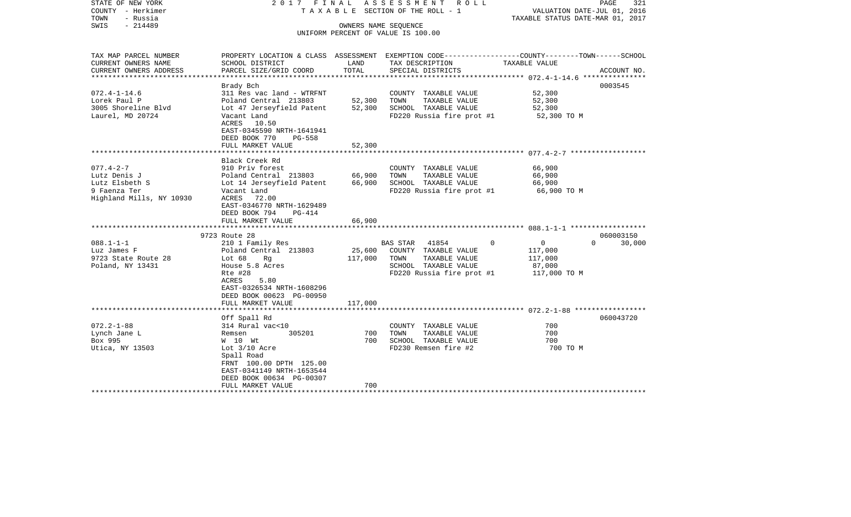| STATE OF NEW YORK<br>COUNTY - Herkimer<br>TOWN<br>- Russia<br>$-214489$<br>SWIS | 2017 FINAL                                                                                                          | OWNERS NAME SEQUENCE                  | A S S E S S M E N T A O L L<br>TAXABLE SECTION OF THE ROLL - 1<br>UNIFORM PERCENT OF VALUE IS 100.00 | VALUATION DATE-JUL 01, 2016<br>TAXABLE STATUS DATE-MAR 01, 2017 | PAGE<br>321        |
|---------------------------------------------------------------------------------|---------------------------------------------------------------------------------------------------------------------|---------------------------------------|------------------------------------------------------------------------------------------------------|-----------------------------------------------------------------|--------------------|
| TAX MAP PARCEL NUMBER<br>CURRENT OWNERS NAME                                    | PROPERTY LOCATION & CLASS ASSESSMENT EXEMPTION CODE----------------COUNTY-------TOWN------SCHOOL<br>SCHOOL DISTRICT | LAND                                  | TAX DESCRIPTION                                                                                      | TAXABLE VALUE                                                   |                    |
| CURRENT OWNERS ADDRESS<br>********************                                  | PARCEL SIZE/GRID COORD                                                                                              | TOTAL                                 | SPECIAL DISTRICTS<br>***********************************                                             |                                                                 | ACCOUNT NO.        |
|                                                                                 |                                                                                                                     |                                       |                                                                                                      | ***************** 072.4-1-14.6 ****************                 | 0003545            |
| $072.4 - 1 - 14.6$                                                              | Brady Bch<br>311 Res vac land - WTRFNT                                                                              |                                       | COUNTY TAXABLE VALUE                                                                                 | 52,300                                                          |                    |
| Lorek Paul P                                                                    | Poland Central 213803                                                                                               | 52,300                                | TOWN<br>TAXABLE VALUE                                                                                | 52,300                                                          |                    |
| 3005 Shoreline Blvd                                                             | Lot 47 Jerseyfield Patent                                                                                           | 52,300                                | SCHOOL TAXABLE VALUE                                                                                 | 52,300                                                          |                    |
| Laurel, MD 20724                                                                | Vacant Land                                                                                                         |                                       | FD220 Russia fire prot #1                                                                            | 52,300 TO M                                                     |                    |
|                                                                                 | ACRES 10.50                                                                                                         |                                       |                                                                                                      |                                                                 |                    |
|                                                                                 | EAST-0345590 NRTH-1641941                                                                                           |                                       |                                                                                                      |                                                                 |                    |
|                                                                                 | DEED BOOK 770<br>PG-558                                                                                             |                                       |                                                                                                      |                                                                 |                    |
| **************************                                                      | FULL MARKET VALUE<br>************************                                                                       | 52,300                                |                                                                                                      |                                                                 |                    |
|                                                                                 | Black Creek Rd                                                                                                      |                                       |                                                                                                      |                                                                 |                    |
| $077.4 - 2 - 7$                                                                 | 910 Priv forest                                                                                                     |                                       | COUNTY TAXABLE VALUE                                                                                 | 66,900                                                          |                    |
| Lutz Denis J                                                                    | Poland Central 213803                                                                                               | 66,900                                | TAXABLE VALUE<br>TOWN                                                                                | 66,900                                                          |                    |
| Lutz Elsbeth S                                                                  | Lot 14 Jerseyfield Patent                                                                                           | 66,900                                | SCHOOL TAXABLE VALUE                                                                                 | 66,900                                                          |                    |
| 9 Faenza Ter                                                                    | Vacant Land                                                                                                         |                                       | FD220 Russia fire prot #1                                                                            | 66,900 TO M                                                     |                    |
| Highland Mills, NY 10930                                                        | ACRES 72.00                                                                                                         |                                       |                                                                                                      |                                                                 |                    |
|                                                                                 | EAST-0346770 NRTH-1629489                                                                                           |                                       |                                                                                                      |                                                                 |                    |
|                                                                                 | DEED BOOK 794<br>$PG-414$                                                                                           |                                       |                                                                                                      |                                                                 |                    |
|                                                                                 | FULL MARKET VALUE                                                                                                   | 66,900<br>* * * * * * * * * * * * * * |                                                                                                      |                                                                 |                    |
|                                                                                 | 9723 Route 28                                                                                                       |                                       |                                                                                                      |                                                                 | 060003150          |
| $088.1 - 1 - 1$                                                                 | 210 1 Family Res                                                                                                    |                                       | BAS STAR<br>41854                                                                                    | $\overline{0}$<br>$\Omega$                                      | 30,000<br>$\Omega$ |
| Luz James F                                                                     | Poland Central 213803                                                                                               | 25,600                                | COUNTY TAXABLE VALUE                                                                                 | 117,000                                                         |                    |
| 9723 State Route 28                                                             | Lot 68<br>Rq                                                                                                        | 117,000                               | TAXABLE VALUE<br>TOWN                                                                                | 117,000                                                         |                    |
| Poland, NY 13431                                                                | House 5.8 Acres                                                                                                     |                                       | SCHOOL TAXABLE VALUE                                                                                 | 87,000                                                          |                    |
|                                                                                 | Rte #28                                                                                                             |                                       | FD220 Russia fire prot #1                                                                            | 117,000 TO M                                                    |                    |
|                                                                                 | ACRES<br>5.80                                                                                                       |                                       |                                                                                                      |                                                                 |                    |
|                                                                                 | EAST-0326534 NRTH-1608296                                                                                           |                                       |                                                                                                      |                                                                 |                    |
|                                                                                 | DEED BOOK 00623 PG-00950                                                                                            |                                       |                                                                                                      |                                                                 |                    |
|                                                                                 | FULL MARKET VALUE                                                                                                   | 117,000                               |                                                                                                      |                                                                 |                    |
|                                                                                 |                                                                                                                     |                                       |                                                                                                      |                                                                 | 060043720          |
| $072.2 - 1 - 88$                                                                | Off Spall Rd<br>314 Rural vac<10                                                                                    |                                       | COUNTY TAXABLE VALUE                                                                                 | 700                                                             |                    |
| Lynch Jane L                                                                    | 305201<br>Remsen                                                                                                    | 700                                   | TOWN<br>TAXABLE VALUE                                                                                | 700                                                             |                    |
| Box 995                                                                         | W 10 Wt                                                                                                             | 700                                   | SCHOOL TAXABLE VALUE                                                                                 | 700                                                             |                    |
| Utica, NY 13503                                                                 | Lot $3/10$ Acre                                                                                                     |                                       | FD230 Remsen fire #2                                                                                 | 700 TO M                                                        |                    |
|                                                                                 | Spall Road                                                                                                          |                                       |                                                                                                      |                                                                 |                    |
|                                                                                 | FRNT 100.00 DPTH 125.00                                                                                             |                                       |                                                                                                      |                                                                 |                    |
|                                                                                 | EAST-0341149 NRTH-1653544                                                                                           |                                       |                                                                                                      |                                                                 |                    |
|                                                                                 | DEED BOOK 00634 PG-00307                                                                                            |                                       |                                                                                                      |                                                                 |                    |
|                                                                                 | FULL MARKET VALUE                                                                                                   | 700                                   |                                                                                                      |                                                                 |                    |
|                                                                                 |                                                                                                                     |                                       |                                                                                                      |                                                                 |                    |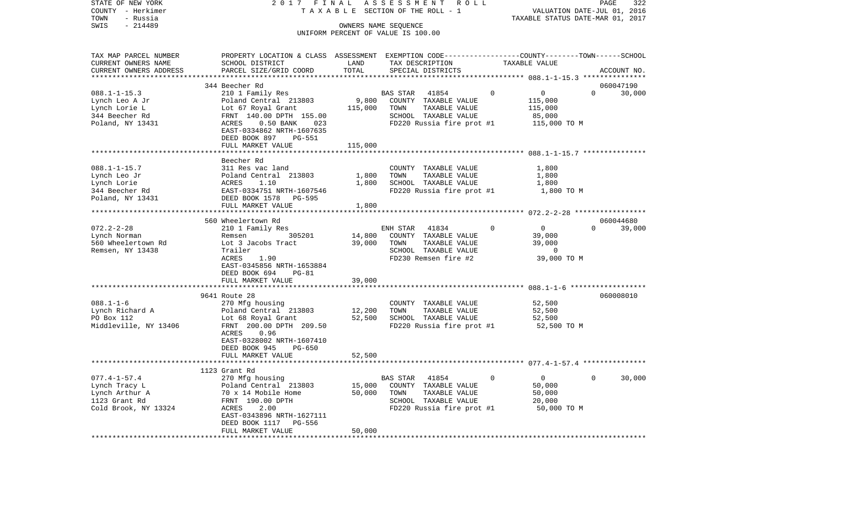| STATE OF NEW YORK               | 2 0 1 7                                                                                         | FINAL                      | ASSESSMENT<br>R O L L                                      |          |                                                    | PAGE        | 322    |
|---------------------------------|-------------------------------------------------------------------------------------------------|----------------------------|------------------------------------------------------------|----------|----------------------------------------------------|-------------|--------|
| COUNTY - Herkimer               | TAXABLE                                                                                         |                            | SECTION OF THE ROLL - 1                                    |          | VALUATION DATE-JUL 01, 2016                        |             |        |
| TOWN<br>- Russia                |                                                                                                 |                            |                                                            |          | TAXABLE STATUS DATE-MAR 01, 2017                   |             |        |
| SWIS<br>$-214489$               |                                                                                                 |                            | OWNERS NAME SEQUENCE<br>UNIFORM PERCENT OF VALUE IS 100.00 |          |                                                    |             |        |
|                                 |                                                                                                 |                            |                                                            |          |                                                    |             |        |
| TAX MAP PARCEL NUMBER           | PROPERTY LOCATION & CLASS ASSESSMENT EXEMPTION CODE---------------COUNTY-------TOWN------SCHOOL |                            |                                                            |          |                                                    |             |        |
| CURRENT OWNERS NAME             | SCHOOL DISTRICT                                                                                 | LAND                       | TAX DESCRIPTION                                            |          | TAXABLE VALUE                                      |             |        |
| CURRENT OWNERS ADDRESS          | PARCEL SIZE/GRID COORD                                                                          | TOTAL                      | SPECIAL DISTRICTS                                          |          |                                                    | ACCOUNT NO. |        |
|                                 |                                                                                                 | *********                  |                                                            |          | ********************* 088.1-1-15.3 *************** |             |        |
|                                 | 344 Beecher Rd                                                                                  |                            |                                                            |          |                                                    | 060047190   |        |
| $088.1 - 1 - 15.3$              | 210 1 Family Res                                                                                |                            | BAS STAR<br>41854                                          | $\Omega$ | $\overline{0}$<br>$\Omega$                         |             | 30,000 |
| Lynch Leo A Jr                  | Poland Central 213803                                                                           | 9,800                      | COUNTY TAXABLE VALUE<br>TOWN<br>TAXABLE VALUE              |          | 115,000<br>115,000                                 |             |        |
| Lynch Lorie L<br>344 Beecher Rd | Lot 67 Royal Grant<br>FRNT 140.00 DPTH 155.00                                                   | 115,000                    | SCHOOL TAXABLE VALUE                                       |          | 85,000                                             |             |        |
| Poland, NY 13431                | ACRES<br>$0.50$ BANK<br>023                                                                     |                            | FD220 Russia fire prot #1                                  |          | 115,000 TO M                                       |             |        |
|                                 | EAST-0334862 NRTH-1607635                                                                       |                            |                                                            |          |                                                    |             |        |
|                                 | DEED BOOK 897<br>PG-551                                                                         |                            |                                                            |          |                                                    |             |        |
|                                 | FULL MARKET VALUE                                                                               | 115,000                    |                                                            |          |                                                    |             |        |
|                                 |                                                                                                 |                            |                                                            |          |                                                    |             |        |
|                                 | Beecher Rd                                                                                      |                            |                                                            |          |                                                    |             |        |
| $088.1 - 1 - 15.7$              | 311 Res vac land                                                                                |                            | COUNTY TAXABLE VALUE                                       |          | 1,800                                              |             |        |
| Lynch Leo Jr                    | Poland Central 213803                                                                           | 1,800                      | TOWN<br>TAXABLE VALUE                                      |          | 1,800                                              |             |        |
| Lynch Lorie                     | ACRES<br>1.10                                                                                   | 1,800                      | SCHOOL TAXABLE VALUE                                       |          | 1,800                                              |             |        |
| 344 Beecher Rd                  | EAST-0334751 NRTH-1607546                                                                       |                            | FD220 Russia fire prot #1                                  |          | 1,800 TO M                                         |             |        |
| Poland, NY 13431                | DEED BOOK 1578<br>PG-595                                                                        |                            |                                                            |          |                                                    |             |        |
|                                 | FULL MARKET VALUE                                                                               | 1,800                      |                                                            |          |                                                    |             |        |
|                                 |                                                                                                 |                            |                                                            |          |                                                    | 060044680   |        |
| $072.2 - 2 - 28$                | 560 Wheelertown Rd<br>210 1 Family Res                                                          |                            | ENH STAR<br>41834                                          | 0        | $\overline{0}$<br>$\Omega$                         |             | 39,000 |
| Lynch Norman                    | 305201<br>Remsen                                                                                | 14,800                     | COUNTY TAXABLE VALUE                                       |          | 39,000                                             |             |        |
| 560 Wheelertown Rd              | Lot 3 Jacobs Tract                                                                              | 39,000                     | TAXABLE VALUE<br>TOWN                                      |          | 39,000                                             |             |        |
| Remsen, NY 13438                | Trailer                                                                                         |                            | SCHOOL TAXABLE VALUE                                       |          | $\mathbf 0$                                        |             |        |
|                                 | 1.90<br>ACRES                                                                                   |                            | FD230 Remsen fire #2                                       |          | 39,000 TO M                                        |             |        |
|                                 | EAST-0345856 NRTH-1653884                                                                       |                            |                                                            |          |                                                    |             |        |
|                                 | DEED BOOK 694<br>$PG-81$                                                                        |                            |                                                            |          |                                                    |             |        |
|                                 | FULL MARKET VALUE                                                                               | 39,000                     |                                                            |          |                                                    |             |        |
|                                 |                                                                                                 |                            |                                                            |          |                                                    |             |        |
|                                 | 9641 Route 28                                                                                   |                            |                                                            |          |                                                    | 060008010   |        |
| $088.1 - 1 - 6$                 | 270 Mfg housing                                                                                 |                            | COUNTY TAXABLE VALUE                                       |          | 52,500                                             |             |        |
| Lynch Richard A                 | Poland Central 213803                                                                           | 12,200                     | TAXABLE VALUE<br>TOWN                                      |          | 52,500                                             |             |        |
| PO Box 112                      | Lot 68 Royal Grant<br>FRNT 200.00 DPTH 209.50                                                   | 52,500                     | SCHOOL TAXABLE VALUE                                       |          | 52,500                                             |             |        |
| Middleville, NY 13406           | ACRES<br>0.96                                                                                   |                            | FD220 Russia fire prot #1                                  |          | 52,500 TO M                                        |             |        |
|                                 | EAST-0328002 NRTH-1607410                                                                       |                            |                                                            |          |                                                    |             |        |
|                                 | DEED BOOK 945<br>PG-650                                                                         |                            |                                                            |          |                                                    |             |        |
|                                 | FULL MARKET VALUE                                                                               | 52,500                     |                                                            |          |                                                    |             |        |
|                                 |                                                                                                 |                            |                                                            |          |                                                    |             |        |
|                                 | 1123 Grant Rd                                                                                   |                            |                                                            |          |                                                    |             |        |
| $077.4 - 1 - 57.4$              | 270 Mfg housing                                                                                 |                            | BAS STAR<br>41854                                          | 0        | $\mathbf{0}$<br>$\overline{0}$                     |             | 30,000 |
| Lynch Tracy L                   | Poland Central 213803                                                                           | 15,000                     | COUNTY TAXABLE VALUE                                       |          | 50,000                                             |             |        |
| Lynch Arthur A                  | 70 x 14 Mobile Home                                                                             | 50,000                     | TOWN<br>TAXABLE VALUE                                      |          | 50,000                                             |             |        |
| 1123 Grant Rd                   | FRNT 190.00 DPTH                                                                                |                            | SCHOOL TAXABLE VALUE                                       |          | 20,000                                             |             |        |
| Cold Brook, NY 13324            | ACRES<br>2.00                                                                                   |                            | FD220 Russia fire prot #1                                  |          | 50,000 TO M                                        |             |        |
|                                 | EAST-0343896 NRTH-1627111                                                                       |                            |                                                            |          |                                                    |             |        |
|                                 | DEED BOOK 1117<br>PG-556                                                                        |                            |                                                            |          |                                                    |             |        |
|                                 | FULL MARKET VALUE                                                                               | 50,000<br>**************** |                                                            |          |                                                    |             |        |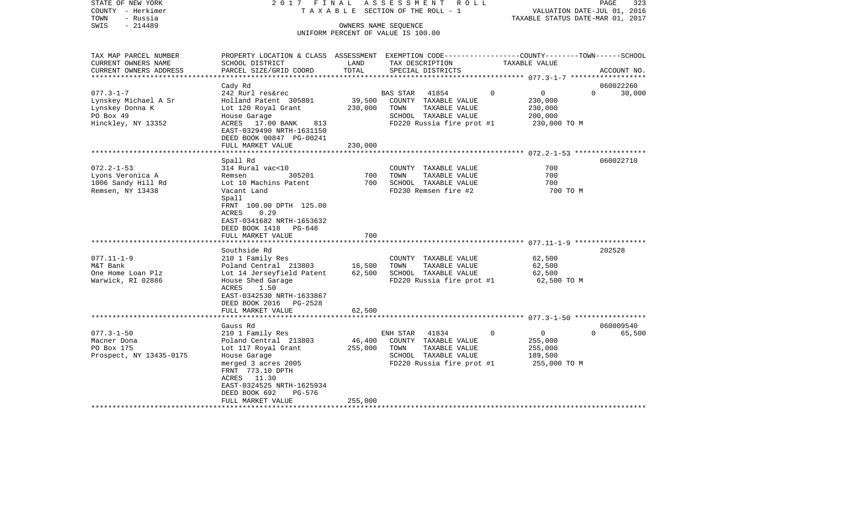| STATE OF NEW YORK                     |                                                                                                  |                  | 2017 FINAL ASSESSMENT<br>ROLL                 |                                  | 323<br>PAGE                        |
|---------------------------------------|--------------------------------------------------------------------------------------------------|------------------|-----------------------------------------------|----------------------------------|------------------------------------|
| COUNTY - Herkimer<br>TOWN<br>- Russia |                                                                                                  |                  | T A X A B L E SECTION OF THE ROLL - 1         | TAXABLE STATUS DATE-MAR 01, 2017 | VALUATION DATE-JUL 01, 2016        |
| $-214489$<br>SWIS                     |                                                                                                  |                  | OWNERS NAME SEOUENCE                          |                                  |                                    |
|                                       |                                                                                                  |                  | UNIFORM PERCENT OF VALUE IS 100.00            |                                  |                                    |
|                                       |                                                                                                  |                  |                                               |                                  |                                    |
| TAX MAP PARCEL NUMBER                 | PROPERTY LOCATION & CLASS ASSESSMENT EXEMPTION CODE----------------COUNTY-------TOWN------SCHOOL |                  |                                               |                                  |                                    |
| CURRENT OWNERS NAME                   | SCHOOL DISTRICT                                                                                  | LAND             | TAX DESCRIPTION                               | TAXABLE VALUE                    |                                    |
| CURRENT OWNERS ADDRESS                | PARCEL SIZE/GRID COORD                                                                           | TOTAL            | SPECIAL DISTRICTS                             |                                  | ACCOUNT NO.                        |
| **********************                |                                                                                                  |                  |                                               |                                  |                                    |
| $077.3 - 1 - 7$                       | Cady Rd<br>242 Rurl res&rec                                                                      |                  | BAS STAR<br>41854                             | $\mathbf 0$<br>$\mathbf 0$       | 060022260<br>$\circ$<br>30,000     |
| Lynskey Michael A Sr                  | Holland Patent 305801                                                                            | 39,500           | COUNTY TAXABLE VALUE                          | 230,000                          |                                    |
| Lynskey Donna K                       | Lot 120 Royal Grant                                                                              | 230,000          | TOWN<br>TAXABLE VALUE                         | 230,000                          |                                    |
| PO Box 49                             | House Garage                                                                                     |                  | SCHOOL TAXABLE VALUE                          | 200,000                          |                                    |
| Hinckley, NY 13352                    | ACRES 17.00 BANK<br>813                                                                          |                  | FD220 Russia fire prot #1                     | 230,000 TO M                     |                                    |
|                                       | EAST-0329490 NRTH-1631150                                                                        |                  |                                               |                                  |                                    |
|                                       | DEED BOOK 00847 PG-00241                                                                         |                  |                                               |                                  |                                    |
|                                       | FULL MARKET VALUE                                                                                | 230,000          |                                               |                                  |                                    |
|                                       | Spall Rd                                                                                         |                  |                                               |                                  | 060022710                          |
| $072.2 - 1 - 53$                      | 314 Rural vac<10                                                                                 |                  | COUNTY TAXABLE VALUE                          | 700                              |                                    |
| Lyons Veronica A                      | 305201<br>Remsen                                                                                 | 700              | TOWN<br>TAXABLE VALUE                         | 700                              |                                    |
| 1006 Sandy Hill Rd                    | Lot 10 Machins Patent                                                                            | 700              | SCHOOL TAXABLE VALUE                          | 700                              |                                    |
| Remsen, NY 13438                      | Vacant Land                                                                                      |                  | FD230 Remsen fire #2                          | 700 TO M                         |                                    |
|                                       | Spall                                                                                            |                  |                                               |                                  |                                    |
|                                       | FRNT 100.00 DPTH 125.00<br>0.29<br>ACRES                                                         |                  |                                               |                                  |                                    |
|                                       | EAST-0341682 NRTH-1653632                                                                        |                  |                                               |                                  |                                    |
|                                       | DEED BOOK 1418<br>PG-648                                                                         |                  |                                               |                                  |                                    |
|                                       | FULL MARKET VALUE                                                                                | 700              |                                               |                                  |                                    |
|                                       |                                                                                                  |                  |                                               |                                  |                                    |
|                                       | Southside Rd                                                                                     |                  |                                               |                                  | 202528                             |
| $077.11 - 1 - 9$                      | 210 1 Family Res                                                                                 |                  | COUNTY TAXABLE VALUE                          | 62,500                           |                                    |
| M&T Bank<br>One Home Loan Plz         | Poland Central 213803<br>Lot 14 Jerseyfield Patent                                               | 16,500<br>62,500 | TOWN<br>TAXABLE VALUE<br>SCHOOL TAXABLE VALUE | 62,500<br>62,500                 |                                    |
| Warwick, RI 02886                     | House Shed Garage                                                                                |                  | FD220 Russia fire prot #1                     | 62,500 TO M                      |                                    |
|                                       | ACRES<br>1.50                                                                                    |                  |                                               |                                  |                                    |
|                                       | EAST-0342530 NRTH-1633867                                                                        |                  |                                               |                                  |                                    |
|                                       | DEED BOOK 2016 PG-2528                                                                           |                  |                                               |                                  |                                    |
|                                       | FULL MARKET VALUE                                                                                | 62,500           |                                               |                                  |                                    |
|                                       |                                                                                                  |                  |                                               |                                  |                                    |
| $077.3 - 1 - 50$                      | Gauss Rd<br>210 1 Family Res                                                                     |                  | ENH STAR<br>41834                             | $\mathbf 0$<br>$\overline{0}$    | 060009540<br>$\mathbf 0$<br>65,500 |
| Macner Dona                           | Poland Central 213803                                                                            | 46,400           | COUNTY TAXABLE VALUE                          | 255,000                          |                                    |
| PO Box 175                            | Lot 117 Royal Grant                                                                              | 255,000          | TAXABLE VALUE<br>TOWN                         | 255,000                          |                                    |
| Prospect, NY 13435-0175               | House Garage                                                                                     |                  | SCHOOL TAXABLE VALUE                          | 189,500                          |                                    |
|                                       | merged 3 acres 2005                                                                              |                  | FD220 Russia fire prot #1                     | 255,000 TO M                     |                                    |
|                                       | FRNT 773.10 DPTH                                                                                 |                  |                                               |                                  |                                    |
|                                       | ACRES 11.30                                                                                      |                  |                                               |                                  |                                    |
|                                       | EAST-0324525 NRTH-1625934                                                                        |                  |                                               |                                  |                                    |
|                                       | PG-576<br>DEED BOOK 692<br>FULL MARKET VALUE                                                     | 255,000          |                                               |                                  |                                    |
|                                       |                                                                                                  |                  |                                               |                                  |                                    |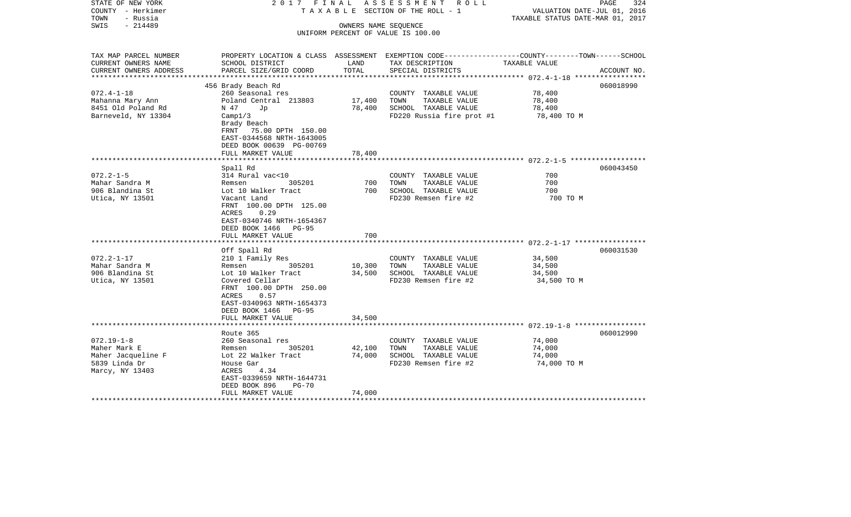| STATE OF NEW YORK<br>COUNTY - Herkimer<br>TOWN<br>- Russia | 2017 FINAL                                |                      | ASSESSMENT ROLL<br>TAXABLE SECTION OF THE ROLL - 1                                              | VALUATION DATE-JUL 01, 2016      | PAGE<br>324 |
|------------------------------------------------------------|-------------------------------------------|----------------------|-------------------------------------------------------------------------------------------------|----------------------------------|-------------|
| $-214489$<br>SWIS                                          |                                           | OWNERS NAME SEQUENCE |                                                                                                 | TAXABLE STATUS DATE-MAR 01, 2017 |             |
|                                                            |                                           |                      | UNIFORM PERCENT OF VALUE IS 100.00                                                              |                                  |             |
|                                                            |                                           |                      |                                                                                                 |                                  |             |
|                                                            |                                           |                      |                                                                                                 |                                  |             |
| TAX MAP PARCEL NUMBER                                      |                                           |                      | PROPERTY LOCATION & CLASS ASSESSMENT EXEMPTION CODE---------------COUNTY-------TOWN------SCHOOL |                                  |             |
| CURRENT OWNERS NAME                                        | SCHOOL DISTRICT                           | LAND                 | TAX DESCRIPTION                                                                                 | TAXABLE VALUE                    |             |
| CURRENT OWNERS ADDRESS                                     | PARCEL SIZE/GRID COORD                    | TOTAL                | SPECIAL DISTRICTS                                                                               |                                  | ACCOUNT NO. |
| **********************                                     |                                           |                      |                                                                                                 |                                  |             |
|                                                            | 456 Brady Beach Rd                        |                      |                                                                                                 |                                  | 060018990   |
| $072.4 - 1 - 18$                                           | 260 Seasonal res<br>Poland Central 213803 | 17,400               | COUNTY TAXABLE VALUE<br>TOWN<br>TAXABLE VALUE                                                   | 78,400<br>78,400                 |             |
| Mahanna Mary Ann<br>8451 Old Poland Rd                     | N 47<br>Jp                                | 78,400               | SCHOOL TAXABLE VALUE                                                                            | 78,400                           |             |
| Barneveld, NY 13304                                        | Campl/3                                   |                      | FD220 Russia fire prot #1                                                                       | 78,400 TO M                      |             |
|                                                            | Brady Beach                               |                      |                                                                                                 |                                  |             |
|                                                            | FRNT 75.00 DPTH 150.00                    |                      |                                                                                                 |                                  |             |
|                                                            | EAST-0344568 NRTH-1643005                 |                      |                                                                                                 |                                  |             |
|                                                            | DEED BOOK 00639 PG-00769                  |                      |                                                                                                 |                                  |             |
|                                                            | FULL MARKET VALUE                         | 78,400               |                                                                                                 |                                  |             |
|                                                            |                                           |                      |                                                                                                 |                                  |             |
|                                                            | Spall Rd                                  |                      |                                                                                                 |                                  | 060043450   |
| $072.2 - 1 - 5$                                            | 314 Rural vac<10                          |                      | COUNTY TAXABLE VALUE                                                                            | 700                              |             |
| Mahar Sandra M                                             | 305201<br>Remsen                          | 700                  | TOWN<br>TAXABLE VALUE                                                                           | 700                              |             |
| 906 Blandina St                                            | Lot 10 Walker Tract                       | 700                  | SCHOOL TAXABLE VALUE                                                                            | 700                              |             |
| Utica, NY 13501                                            | Vacant Land                               |                      | FD230 Remsen fire #2                                                                            | 700 TO M                         |             |
|                                                            | FRNT 100.00 DPTH 125.00                   |                      |                                                                                                 |                                  |             |
|                                                            | 0.29<br>ACRES                             |                      |                                                                                                 |                                  |             |
|                                                            | EAST-0340746 NRTH-1654367                 |                      |                                                                                                 |                                  |             |
|                                                            | DEED BOOK 1466 PG-95                      |                      |                                                                                                 |                                  |             |
|                                                            | FULL MARKET VALUE                         | 700                  |                                                                                                 |                                  |             |
|                                                            | Off Spall Rd                              |                      |                                                                                                 |                                  | 060031530   |
| $072.2 - 1 - 17$                                           | 210 1 Family Res                          |                      | COUNTY TAXABLE VALUE                                                                            | 34,500                           |             |
| Mahar Sandra M                                             | 305201<br>Remsen                          | 10,300               | TAXABLE VALUE<br>TOWN                                                                           | 34,500                           |             |
| 906 Blandina St                                            | Lot 10 Walker Tract                       | 34,500               | SCHOOL TAXABLE VALUE                                                                            | 34,500                           |             |
| Utica, NY 13501                                            | Covered Cellar                            |                      | FD230 Remsen fire #2                                                                            | 34,500 TO M                      |             |
|                                                            | FRNT 100.00 DPTH 250.00                   |                      |                                                                                                 |                                  |             |
|                                                            | ACRES<br>0.57                             |                      |                                                                                                 |                                  |             |
|                                                            | EAST-0340963 NRTH-1654373                 |                      |                                                                                                 |                                  |             |
|                                                            | DEED BOOK 1466 PG-95                      |                      |                                                                                                 |                                  |             |
|                                                            | FULL MARKET VALUE                         | 34,500               |                                                                                                 |                                  |             |
|                                                            |                                           |                      |                                                                                                 |                                  |             |
|                                                            | Route 365                                 |                      |                                                                                                 |                                  | 060012990   |
| $072.19 - 1 - 8$                                           | 260 Seasonal res                          |                      | COUNTY TAXABLE VALUE                                                                            | 74,000                           |             |
| Maher Mark E                                               | 305201<br>Remsen                          | 42,100               | TOWN<br>TAXABLE VALUE                                                                           | 74,000                           |             |
| Maher Jacqueline F                                         | Lot 22 Walker Tract                       | 74,000               | SCHOOL TAXABLE VALUE                                                                            | 74,000                           |             |
| 5839 Linda Dr<br>Marcy, NY 13403                           | House Gar<br>ACRES<br>4.34                |                      | FD230 Remsen fire #2                                                                            | 74,000 TO M                      |             |
|                                                            | EAST-0339659 NRTH-1644731                 |                      |                                                                                                 |                                  |             |
|                                                            | DEED BOOK 896<br>$PG-70$                  |                      |                                                                                                 |                                  |             |
|                                                            | FULL MARKET VALUE                         | 74,000               |                                                                                                 |                                  |             |
|                                                            |                                           |                      |                                                                                                 |                                  |             |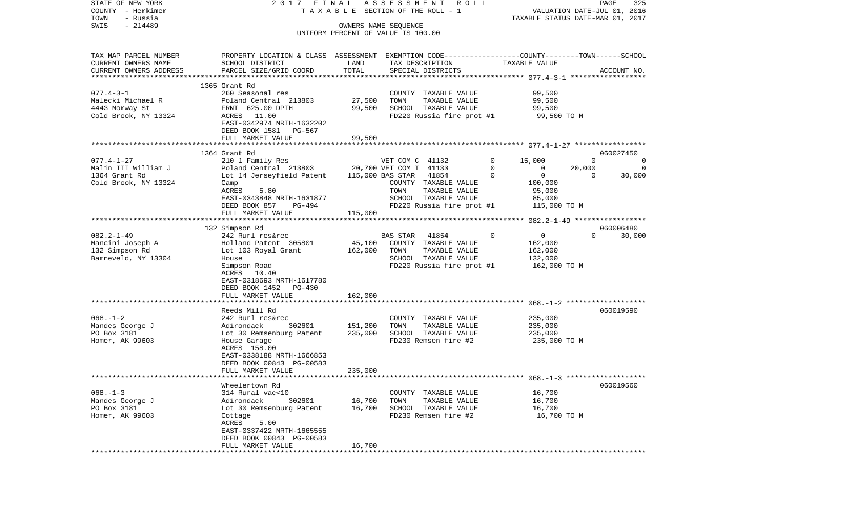| STATE OF NEW YORK<br>COUNTY - Herkimer        | 2017 FINAL                                                                                       |               | ASSESSMENT ROLL<br>TAXABLE SECTION OF THE ROLL - 1         |                                | PAGE<br>325<br>VALUATION DATE-JUL 01, 2016 |
|-----------------------------------------------|--------------------------------------------------------------------------------------------------|---------------|------------------------------------------------------------|--------------------------------|--------------------------------------------|
| TOWN<br>- Russia                              |                                                                                                  |               |                                                            |                                | TAXABLE STATUS DATE-MAR 01, 2017           |
| $-214489$<br>SWIS                             |                                                                                                  |               | OWNERS NAME SEQUENCE<br>UNIFORM PERCENT OF VALUE IS 100.00 |                                |                                            |
|                                               |                                                                                                  |               |                                                            |                                |                                            |
| TAX MAP PARCEL NUMBER                         | PROPERTY LOCATION & CLASS ASSESSMENT EXEMPTION CODE----------------COUNTY-------TOWN------SCHOOL |               |                                                            |                                |                                            |
| CURRENT OWNERS NAME<br>CURRENT OWNERS ADDRESS | SCHOOL DISTRICT                                                                                  | LAND<br>TOTAL | TAX DESCRIPTION                                            | TAXABLE VALUE                  |                                            |
|                                               | PARCEL SIZE/GRID COORD                                                                           |               | SPECIAL DISTRICTS                                          |                                | ACCOUNT NO.                                |
|                                               | 1365 Grant Rd                                                                                    |               |                                                            |                                |                                            |
| $077.4 - 3 - 1$                               | 260 Seasonal res                                                                                 |               | COUNTY TAXABLE VALUE                                       | 99,500                         |                                            |
| Malecki Michael R                             | Poland Central 213803                                                                            | 27,500        | TOWN<br>TAXABLE VALUE                                      | 99,500                         |                                            |
| 4443 Norway St                                | FRNT 625.00 DPTH                                                                                 | 99,500        | SCHOOL TAXABLE VALUE                                       | 99,500                         |                                            |
| Cold Brook, NY 13324                          | ACRES 11.00                                                                                      |               | FD220 Russia fire prot #1                                  | 99,500 TO M                    |                                            |
|                                               | EAST-0342974 NRTH-1632202                                                                        |               |                                                            |                                |                                            |
|                                               | DEED BOOK 1581 PG-567                                                                            |               |                                                            |                                |                                            |
|                                               | FULL MARKET VALUE                                                                                | 99,500        |                                                            |                                |                                            |
|                                               |                                                                                                  |               |                                                            |                                |                                            |
|                                               | 1364 Grant Rd                                                                                    |               |                                                            |                                | 060027450                                  |
| $077.4 - 1 - 27$                              | 210 1 Family Res                                                                                 |               | VET COM C 41132                                            | $\mathbf{0}$<br>15,000         | $\mathbf 0$<br>0                           |
| Malin III William J                           | Poland Central 213803 20,700 VET COM T 41133                                                     |               |                                                            | $\mathbf{0}$<br>$\overline{0}$ | 20,000<br>$\Omega$                         |
| 1364 Grant Rd                                 | Lot 14 Jerseyfield Patent                                                                        |               | 115,000 BAS STAR 41854                                     | $\overline{0}$<br>$\mathbf{0}$ | $\Omega$<br>30,000                         |
| Cold Brook, NY 13324                          | Camp                                                                                             |               | COUNTY TAXABLE VALUE                                       | 100,000                        |                                            |
|                                               | 5.80<br>ACRES                                                                                    |               | TOWN<br>TAXABLE VALUE                                      | 95,000                         |                                            |
|                                               | EAST-0343848 NRTH-1631877                                                                        |               | SCHOOL TAXABLE VALUE                                       | 85,000                         |                                            |
|                                               | DEED BOOK 857<br>PG-494                                                                          |               | FD220 Russia fire prot #1                                  | 115,000 TO M                   |                                            |
|                                               | FULL MARKET VALUE                                                                                | 115,000       |                                                            |                                |                                            |
|                                               | 132 Simpson Rd                                                                                   |               |                                                            |                                | 060006480                                  |
| $082.2 - 1 - 49$                              | 242 Rurl res&rec                                                                                 |               | <b>BAS STAR</b><br>41854                                   | $\mathbf 0$<br>$\overline{0}$  | $\Omega$<br>30,000                         |
| Mancini Joseph A                              | Holland Patent 305801                                                                            | 45,100        | COUNTY TAXABLE VALUE                                       | 162,000                        |                                            |
| 132 Simpson Rd                                | Lot 103 Royal Grant                                                                              | 162,000       | TAXABLE VALUE<br>TOWN                                      | 162,000                        |                                            |
| Barneveld, NY 13304                           | House                                                                                            |               | SCHOOL TAXABLE VALUE                                       | 132,000                        |                                            |
|                                               | Simpson Road                                                                                     |               | FD220 Russia fire prot #1                                  | 162,000 TO M                   |                                            |
|                                               | ACRES 10.40                                                                                      |               |                                                            |                                |                                            |
|                                               | EAST-0318693 NRTH-1617780                                                                        |               |                                                            |                                |                                            |
|                                               | DEED BOOK 1452 PG-430                                                                            |               |                                                            |                                |                                            |
|                                               | FULL MARKET VALUE                                                                                | 162,000       |                                                            |                                |                                            |
|                                               |                                                                                                  |               |                                                            |                                |                                            |
|                                               | Reeds Mill Rd                                                                                    |               |                                                            |                                | 060019590                                  |
| $068. - 1 - 2$                                | 242 Rurl res&rec                                                                                 |               | COUNTY TAXABLE VALUE                                       | 235,000                        |                                            |
| Mandes George J                               | Adirondack<br>302601                                                                             | 151,200       | TOWN<br>TAXABLE VALUE                                      | 235,000                        |                                            |
| PO Box 3181                                   | Lot 30 Remsenburg Patent                                                                         | 235,000       | SCHOOL TAXABLE VALUE                                       | 235,000                        |                                            |
| Homer, AK 99603                               | House Garage                                                                                     |               | FD230 Remsen fire #2                                       | 235,000 TO M                   |                                            |
|                                               | ACRES 158.00                                                                                     |               |                                                            |                                |                                            |
|                                               | EAST-0338188 NRTH-1666853<br>DEED BOOK 00843 PG-00583                                            |               |                                                            |                                |                                            |
|                                               | FULL MARKET VALUE                                                                                | 235,000       |                                                            |                                |                                            |
|                                               |                                                                                                  |               |                                                            |                                |                                            |
|                                               | Wheelertown Rd                                                                                   |               |                                                            |                                | 060019560                                  |
| $068. -1 - 3$                                 | 314 Rural vac<10                                                                                 |               | COUNTY TAXABLE VALUE                                       | 16,700                         |                                            |
| Mandes George J                               | Adirondack<br>302601                                                                             | 16,700        | TOWN<br>TAXABLE VALUE                                      | 16,700                         |                                            |
| PO Box 3181                                   | Lot 30 Remsenburg Patent                                                                         | 16,700        | SCHOOL TAXABLE VALUE                                       | 16,700                         |                                            |
| Homer, AK 99603                               | Cottage                                                                                          |               | FD230 Remsen fire #2                                       | 16,700 TO M                    |                                            |
|                                               | ACRES<br>5.00                                                                                    |               |                                                            |                                |                                            |
|                                               | EAST-0337422 NRTH-1665555                                                                        |               |                                                            |                                |                                            |
|                                               | DEED BOOK 00843 PG-00583                                                                         |               |                                                            |                                |                                            |
|                                               | FULL MARKET VALUE                                                                                | 16,700        | **************************                                 |                                |                                            |
|                                               | ******************************                                                                   |               |                                                            |                                |                                            |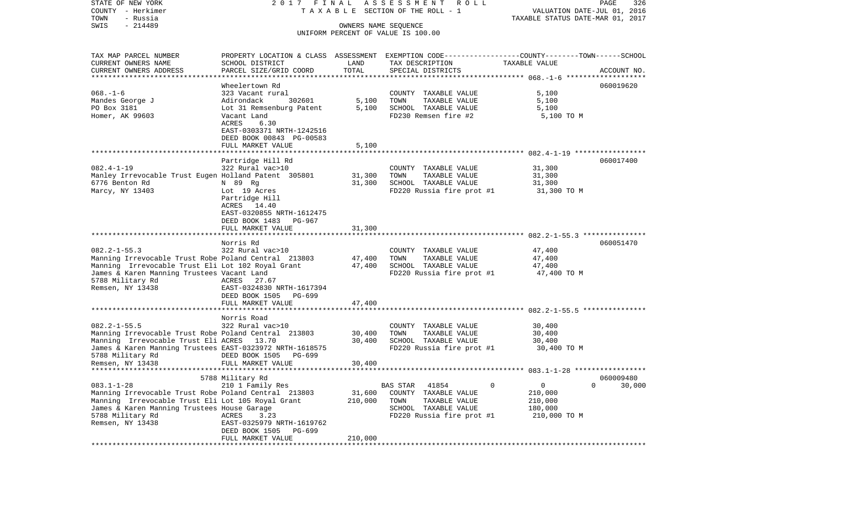COUNTY - Herkimer T A X A B L E SECTION OF THE ROLL - 1 VALUATION DATE-JUL 01, 2016 TOWN - Russia TAXABLE STATUS DATE-MAR 01, 2017 SWIS - 214489 OWNERS NAME SEQUENCE UNIFORM PERCENT OF VALUE IS 100.00TAX MAP PARCEL NUMBER PROPERTY LOCATION & CLASS ASSESSMENT EXEMPTION CODE------------------COUNTY--------TOWN------SCHOOL CURRENT OWNERS NAME SCHOOL DISTRICT LAND TAX DESCRIPTION TAXABLE VALUECURRENT OWNERS ADDRESS PARCEL SIZE/GRID COORD TOTAL SPECIAL DISTRICTS ACCOUNT NO. \*\*\*\*\*\*\*\*\*\*\*\*\*\*\*\*\*\*\*\*\*\*\*\*\*\*\*\*\*\*\*\*\*\*\*\*\*\*\*\*\*\*\*\*\*\*\*\*\*\*\*\*\*\*\*\*\*\*\*\*\*\*\*\*\*\*\*\*\*\*\*\*\*\*\*\*\*\*\*\*\*\*\*\*\*\*\*\*\*\*\*\*\*\*\*\*\*\*\*\*\*\*\* 068.-1-6 \*\*\*\*\*\*\*\*\*\*\*\*\*\*\*\*\*\*\*Wheelertown Rd 060019620 068.-1-6 323 Vacant rural COUNTY TAXABLE VALUE 5,100 Mandes George J Adirondack 302601 5,100 TOWN TAXABLE VALUE 5,100 PO Box 3181 **Lot 31 Remsenburg Patent** 5,100 SCHOOL TAXABLE VALUE 5,100 Homer, AK 99603 Vacant Land FD230 Remsen fire #2 5,100 TO M ACRES 6.30 EAST-0303371 NRTH-1242516 DEED BOOK 00843 PG-00583 FULL MARKET VALUE 5,100 \*\*\*\*\*\*\*\*\*\*\*\*\*\*\*\*\*\*\*\*\*\*\*\*\*\*\*\*\*\*\*\*\*\*\*\*\*\*\*\*\*\*\*\*\*\*\*\*\*\*\*\*\*\*\*\*\*\*\*\*\*\*\*\*\*\*\*\*\*\*\*\*\*\*\*\*\*\*\*\*\*\*\*\*\*\*\*\*\*\*\*\*\*\*\*\*\*\*\*\*\*\*\* 082.4-1-19 \*\*\*\*\*\*\*\*\*\*\*\*\*\*\*\*\* Partridge Hill Rd 060017400 082.4-1-19 322 Rural vac>10 COUNTY TAXABLE VALUE 31,300 Manley Irrevocable Trust Eugen Holland Patent 305801 31,300 TOWN TAXABLE VALUE 31,300 6776 Benton Rd N 89 Rg 31,300 SCHOOL TAXABLE VALUE 31,300 Marcy, NY 13403 Lot 19 Acres The Service Russia fire prot #1 31,300 TO M Partridge Hill ACRES 14.40 EAST-0320855 NRTH-1612475 DEED BOOK 1483 PG-967FULL MARKET VALUE 31,300 \*\*\*\*\*\*\*\*\*\*\*\*\*\*\*\*\*\*\*\*\*\*\*\*\*\*\*\*\*\*\*\*\*\*\*\*\*\*\*\*\*\*\*\*\*\*\*\*\*\*\*\*\*\*\*\*\*\*\*\*\*\*\*\*\*\*\*\*\*\*\*\*\*\*\*\*\*\*\*\*\*\*\*\*\*\*\*\*\*\*\*\*\*\*\*\*\*\*\*\*\*\*\* 082.2-1-55.3 \*\*\*\*\*\*\*\*\*\*\*\*\*\*\* Norris Rd 060051470082.2-1-55.3 322 Rural vac>10 COUNTY TAXABLE VALUE 47,400 Manning Irrevocable Trust Robe Poland Central 213803 47,400 TOWN TAXABLE VALUE 47,400<br>Manning Irrevocable Trust Eli Lot 102 Roval Grant 47,400 SCHOOL TAXABLE VALUE 47,400 Manning Irrevocable Trust Eli Lot 102 Royal Grant 47,400 SCHOOL TAXABLE VALUE James & Karen Manning Trustees Vacant Land Funder FD220 Russia fire prot #1 47,400 TO M 5788 Military Rd **ACRES** 27.67 Remsen, NY 13438 EAST-0324830 NRTH-1617394 DEED BOOK 1505 PG-699FULL MARKET VALUE 47.400 \*\*\*\*\*\*\*\*\*\*\*\*\*\*\*\*\*\*\*\*\*\*\*\*\*\*\*\*\*\*\*\*\*\*\*\*\*\*\*\*\*\*\*\*\*\*\*\*\*\*\*\*\*\*\*\*\*\*\*\*\*\*\*\*\*\*\*\*\*\*\*\*\*\*\*\*\*\*\*\*\*\*\*\*\*\*\*\*\*\*\*\*\*\*\*\*\*\*\*\*\*\*\* 082.2-1-55.5 \*\*\*\*\*\*\*\*\*\*\*\*\*\*\* Norris Road082.2-1-55.5 322 Rural vac>10 COUNTY TAXABLE VALUE 30,400 Manning Irrevocable Trust Robe Poland Central 213803 30,400 TOWN TAXABLE VALUE 30,400 Manning Irrevocable Trust Eli ACRES 13.70 30,400 SCHOOL TAXABLE VALUE 30,400 James & Karen Manning Trustees EAST-0323972 NRTH-1618575 FD220 Russia fire prot #1 30,400 TO M DEED BOOK 1505 PG-699 Remsen, NY 13438 FULL MARKET VALUE 30,400 \*\*\*\*\*\*\*\*\*\*\*\*\*\*\*\*\*\*\*\*\*\*\*\*\*\*\*\*\*\*\*\*\*\*\*\*\*\*\*\*\*\*\*\*\*\*\*\*\*\*\*\*\*\*\*\*\*\*\*\*\*\*\*\*\*\*\*\*\*\*\*\*\*\*\*\*\*\*\*\*\*\*\*\*\*\*\*\*\*\*\*\*\*\*\*\*\*\*\*\*\*\*\* 083.1-1-28 \*\*\*\*\*\*\*\*\*\*\*\*\*\*\*\*\* 5788 Military Rd 060009480 083.1-1-28 210 1 Family Res BAS STAR 41854 0 0 0 30,000 Manning Irrevocable Trust Robe Poland Central 213803 31,600 COUNTY TAXABLE VALUE 210,000 Manning Irrevocable Trust Eli Lot 105 Royal Grant 210,000 TOWN TAXABLE VALUE 210,000 James & Karen Manning Trustees House Garage SCHOOL TAXABLE VALUE 180,000 5788 Military Rd  $ACRES$  3.23 FD220 Russia fire prot #1 210,000 TO M Remsen, NY 13438 EAST-0325979 NRTH-1619762 DEED BOOK 1505 PG-699FULL MARKET VALUE 210,000 \*\*\*\*\*\*\*\*\*\*\*\*\*\*\*\*\*\*\*\*\*\*\*\*\*\*\*\*\*\*\*\*\*\*\*\*\*\*\*\*\*\*\*\*\*\*\*\*\*\*\*\*\*\*\*\*\*\*\*\*\*\*\*\*\*\*\*\*\*\*\*\*\*\*\*\*\*\*\*\*\*\*\*\*\*\*\*\*\*\*\*\*\*\*\*\*\*\*\*\*\*\*\*\*\*\*\*\*\*\*\*\*\*\*\*\*\*\*\*\*\*\*\*\*\*\*\*\*\*\*\*\*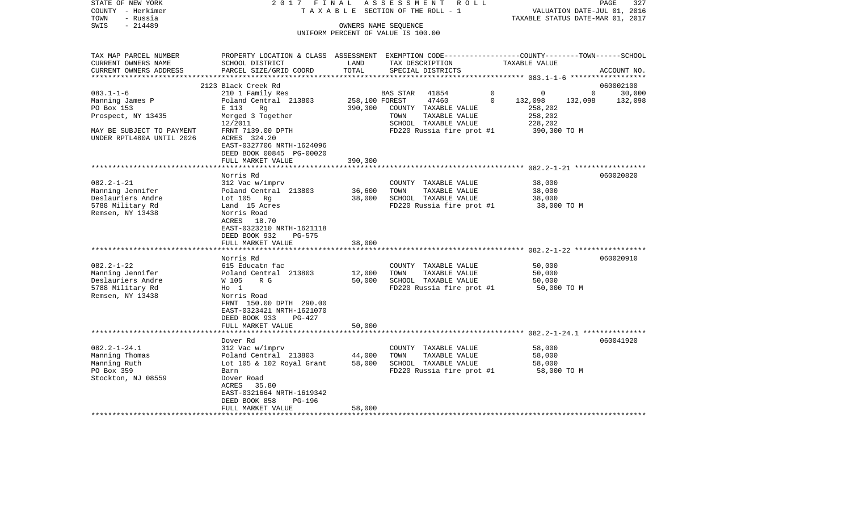| STATE OF NEW YORK<br>COUNTY - Herkimer<br>- Russia<br>TOWN | 2017 FINAL<br>TAXABLE                                                                                              |                                   | ASSESSMENT<br>R O L L<br>SECTION OF THE ROLL - 1 |                            | 327<br>PAGE<br>VALUATION DATE-JUL 01, 2016<br>TAXABLE STATUS DATE-MAR 01, 2017 |
|------------------------------------------------------------|--------------------------------------------------------------------------------------------------------------------|-----------------------------------|--------------------------------------------------|----------------------------|--------------------------------------------------------------------------------|
| $-214489$<br>SWIS                                          |                                                                                                                    |                                   | OWNERS NAME SEQUENCE                             |                            |                                                                                |
|                                                            |                                                                                                                    |                                   | UNIFORM PERCENT OF VALUE IS 100.00               |                            |                                                                                |
|                                                            |                                                                                                                    |                                   |                                                  |                            |                                                                                |
| TAX MAP PARCEL NUMBER<br>CURRENT OWNERS NAME               | PROPERTY LOCATION & CLASS ASSESSMENT EXEMPTION CODE---------------COUNTY-------TOWN------SCHOOL<br>SCHOOL DISTRICT | LAND                              | TAX DESCRIPTION                                  | TAXABLE VALUE              |                                                                                |
| CURRENT OWNERS ADDRESS                                     | PARCEL SIZE/GRID COORD                                                                                             | TOTAL                             | SPECIAL DISTRICTS                                |                            | ACCOUNT NO.                                                                    |
|                                                            |                                                                                                                    |                                   |                                                  |                            |                                                                                |
|                                                            | 2123 Black Creek Rd                                                                                                |                                   |                                                  |                            | 060002100                                                                      |
| $083.1 - 1 - 6$                                            | 210 1 Family Res                                                                                                   |                                   | BAS STAR<br>41854                                | $\mathbf 0$<br>$\mathbf 0$ | $\mathbf{0}$<br>30,000                                                         |
| Manning James P                                            | Poland Central 213803                                                                                              | 258,100 FOREST                    | 47460                                            | $\Omega$<br>132,098        | 132,098<br>132,098                                                             |
| PO Box 153                                                 | E 113<br>Rq                                                                                                        | 390,300                           | COUNTY TAXABLE VALUE                             | 258,202                    |                                                                                |
| Prospect, NY 13435                                         | Merged 3 Together                                                                                                  |                                   | TOWN<br>TAXABLE VALUE                            | 258,202                    |                                                                                |
|                                                            | 12/2011                                                                                                            |                                   | SCHOOL TAXABLE VALUE                             | 228,202                    |                                                                                |
| MAY BE SUBJECT TO PAYMENT                                  | FRNT 7139.00 DPTH                                                                                                  |                                   | FD220 Russia fire prot #1                        | 390,300 TO M               |                                                                                |
| UNDER RPTL480A UNTIL 2026                                  | ACRES 324.20                                                                                                       |                                   |                                                  |                            |                                                                                |
|                                                            | EAST-0327706 NRTH-1624096                                                                                          |                                   |                                                  |                            |                                                                                |
|                                                            | DEED BOOK 00845 PG-00020                                                                                           |                                   |                                                  |                            |                                                                                |
|                                                            | FULL MARKET VALUE                                                                                                  | 390,300                           |                                                  |                            |                                                                                |
|                                                            |                                                                                                                    |                                   |                                                  |                            |                                                                                |
|                                                            | Norris Rd                                                                                                          |                                   |                                                  |                            | 060020820                                                                      |
| $082.2 - 1 - 21$                                           | 312 Vac w/imprv                                                                                                    |                                   | COUNTY TAXABLE VALUE                             | 38,000                     |                                                                                |
| Manning Jennifer                                           | Poland Central 213803                                                                                              | 36,600                            | TAXABLE VALUE<br>TOWN                            | 38,000                     |                                                                                |
| Deslauriers Andre                                          | Lot 105 Rg                                                                                                         | 38,000                            | SCHOOL TAXABLE VALUE                             | 38,000                     |                                                                                |
| 5788 Military Rd                                           | Land 15 Acres                                                                                                      |                                   | FD220 Russia fire prot #1                        | 38,000 TO M                |                                                                                |
| Remsen, NY 13438                                           | Norris Road                                                                                                        |                                   |                                                  |                            |                                                                                |
|                                                            | ACRES 18.70                                                                                                        |                                   |                                                  |                            |                                                                                |
|                                                            | EAST-0323210 NRTH-1621118                                                                                          |                                   |                                                  |                            |                                                                                |
|                                                            |                                                                                                                    |                                   |                                                  |                            |                                                                                |
|                                                            | DEED BOOK 932<br>PG-575                                                                                            |                                   |                                                  |                            |                                                                                |
|                                                            | FULL MARKET VALUE<br>*********************                                                                         | 38,000<br>* * * * * * * * * * * * |                                                  |                            |                                                                                |
|                                                            |                                                                                                                    |                                   |                                                  |                            |                                                                                |
|                                                            | Norris Rd                                                                                                          |                                   |                                                  |                            | 060020910                                                                      |
| $082.2 - 1 - 22$                                           | 615 Educatn fac                                                                                                    |                                   | COUNTY TAXABLE VALUE                             | 50,000                     |                                                                                |
| Manning Jennifer                                           | Poland Central 213803                                                                                              | 12,000                            | TOWN<br>TAXABLE VALUE                            | 50,000                     |                                                                                |
| Deslauriers Andre                                          | W 105<br>R G                                                                                                       | 50,000                            | SCHOOL TAXABLE VALUE                             | 50,000                     |                                                                                |
| 5788 Military Rd                                           | $H_0$ 1                                                                                                            |                                   | FD220 Russia fire prot #1                        | 50,000 TO M                |                                                                                |
| Remsen, NY 13438                                           | Norris Road                                                                                                        |                                   |                                                  |                            |                                                                                |
|                                                            | FRNT 150.00 DPTH 290.00                                                                                            |                                   |                                                  |                            |                                                                                |
|                                                            | EAST-0323421 NRTH-1621070                                                                                          |                                   |                                                  |                            |                                                                                |
|                                                            | DEED BOOK 933<br>PG-427                                                                                            |                                   |                                                  |                            |                                                                                |
|                                                            | FULL MARKET VALUE                                                                                                  | 50,000                            |                                                  |                            |                                                                                |
|                                                            |                                                                                                                    |                                   |                                                  |                            |                                                                                |
|                                                            | Dover Rd                                                                                                           |                                   |                                                  |                            | 060041920                                                                      |
| $082.2 - 1 - 24.1$                                         | 312 Vac w/imprv                                                                                                    |                                   | COUNTY TAXABLE VALUE                             | 58,000                     |                                                                                |
| Manning Thomas                                             | Poland Central 213803                                                                                              | 44,000                            | TOWN<br>TAXABLE VALUE                            | 58,000                     |                                                                                |
| Manning Ruth                                               | Lot 105 & 102 Royal Grant                                                                                          | 58,000                            | SCHOOL TAXABLE VALUE                             | 58,000                     |                                                                                |
| PO Box 359                                                 | Barn                                                                                                               |                                   | FD220 Russia fire prot #1                        | 58,000 TO M                |                                                                                |
| Stockton, NJ 08559                                         | Dover Road                                                                                                         |                                   |                                                  |                            |                                                                                |
|                                                            | ACRES<br>35.80                                                                                                     |                                   |                                                  |                            |                                                                                |
|                                                            | EAST-0321664 NRTH-1619342                                                                                          |                                   |                                                  |                            |                                                                                |
|                                                            | DEED BOOK 858<br>PG-196                                                                                            |                                   |                                                  |                            |                                                                                |
|                                                            | FULL MARKET VALUE                                                                                                  | 58,000                            |                                                  |                            |                                                                                |
|                                                            |                                                                                                                    |                                   |                                                  |                            |                                                                                |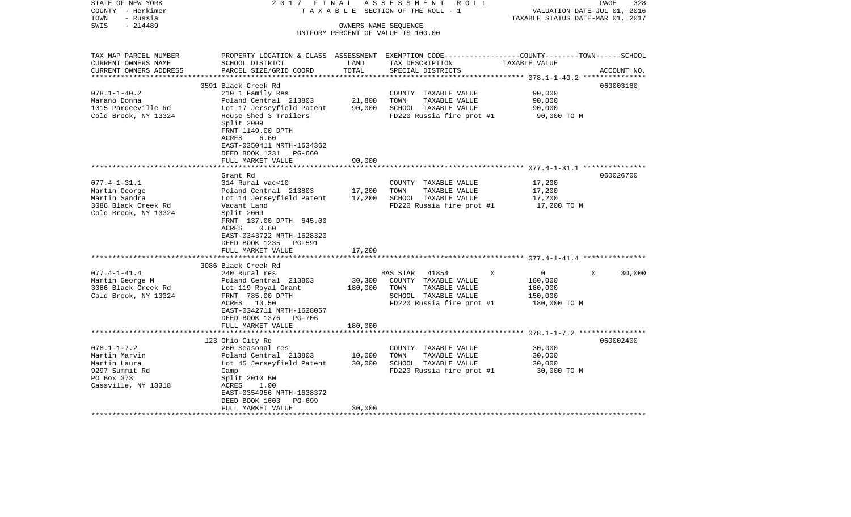| STATE OF NEW YORK<br>COUNTY - Herkimer<br>- Russia<br>TOWN | 2017 FINAL<br>TAXABLE                         |                      | ASSESSMENT ROLL<br>SECTION OF THE ROLL - 1                                                       | VALUATION DATE-JUL 01, 2016<br>TAXABLE STATUS DATE-MAR 01, 2017 | 328<br>PAGE |
|------------------------------------------------------------|-----------------------------------------------|----------------------|--------------------------------------------------------------------------------------------------|-----------------------------------------------------------------|-------------|
| $-214489$<br>SWIS                                          |                                               | OWNERS NAME SEQUENCE |                                                                                                  |                                                                 |             |
|                                                            |                                               |                      | UNIFORM PERCENT OF VALUE IS 100.00                                                               |                                                                 |             |
|                                                            |                                               |                      |                                                                                                  |                                                                 |             |
| TAX MAP PARCEL NUMBER                                      |                                               |                      | PROPERTY LOCATION & CLASS ASSESSMENT EXEMPTION CODE----------------COUNTY-------TOWN------SCHOOL |                                                                 |             |
| CURRENT OWNERS NAME                                        | SCHOOL DISTRICT                               | LAND                 | TAX DESCRIPTION                                                                                  | TAXABLE VALUE                                                   |             |
| CURRENT OWNERS ADDRESS                                     | PARCEL SIZE/GRID COORD                        | TOTAL                | SPECIAL DISTRICTS                                                                                |                                                                 | ACCOUNT NO. |
|                                                            | 3591 Black Creek Rd                           |                      |                                                                                                  |                                                                 | 060003180   |
| $078.1 - 1 - 40.2$                                         | 210 1 Family Res                              |                      | COUNTY TAXABLE VALUE                                                                             | 90,000                                                          |             |
| Marano Donna                                               | Poland Central 213803                         | 21,800               | TOWN<br>TAXABLE VALUE                                                                            | 90,000                                                          |             |
| 1015 Pardeeville Rd                                        | Lot 17 Jerseyfield Patent                     | 90,000               | SCHOOL TAXABLE VALUE                                                                             | 90,000                                                          |             |
| Cold Brook, NY 13324                                       | House Shed 3 Trailers                         |                      | FD220 Russia fire prot #1                                                                        | 90,000 TO M                                                     |             |
|                                                            | Split 2009                                    |                      |                                                                                                  |                                                                 |             |
|                                                            | FRNT 1149.00 DPTH<br>ACRES<br>6.60            |                      |                                                                                                  |                                                                 |             |
|                                                            | EAST-0350411 NRTH-1634362                     |                      |                                                                                                  |                                                                 |             |
|                                                            | DEED BOOK 1331 PG-660                         |                      |                                                                                                  |                                                                 |             |
|                                                            | FULL MARKET VALUE                             | 90,000               |                                                                                                  |                                                                 |             |
|                                                            |                                               |                      |                                                                                                  |                                                                 |             |
|                                                            | Grant Rd                                      |                      |                                                                                                  |                                                                 | 060026700   |
| $077.4 - 1 - 31.1$                                         | 314 Rural vac<10                              |                      | COUNTY TAXABLE VALUE                                                                             | 17,200                                                          |             |
| Martin George                                              | Poland Central 213803                         | 17,200               | TAXABLE VALUE<br>TOWN                                                                            | 17,200                                                          |             |
| Martin Sandra<br>3086 Black Creek Rd                       | Lot 14 Jerseyfield Patent<br>Vacant Land      | 17,200               | SCHOOL TAXABLE VALUE<br>FD220 Russia fire prot #1                                                | 17,200<br>17,200 TO M                                           |             |
| Cold Brook, NY 13324                                       | Split 2009                                    |                      |                                                                                                  |                                                                 |             |
|                                                            | FRNT 137.00 DPTH 645.00                       |                      |                                                                                                  |                                                                 |             |
|                                                            | ACRES<br>0.60                                 |                      |                                                                                                  |                                                                 |             |
|                                                            | EAST-0343722 NRTH-1628320                     |                      |                                                                                                  |                                                                 |             |
|                                                            | DEED BOOK 1235 PG-591                         |                      |                                                                                                  |                                                                 |             |
|                                                            | FULL MARKET VALUE                             | 17,200               |                                                                                                  |                                                                 |             |
|                                                            | 3086 Black Creek Rd                           |                      |                                                                                                  |                                                                 |             |
| $077.4 - 1 - 41.4$                                         | 240 Rural res                                 |                      | 41854<br>$\Omega$<br>BAS STAR                                                                    | $\mathbf 0$<br>$\Omega$                                         | 30,000      |
| Martin George M                                            | Poland Central 213803                         | 30,300               | COUNTY TAXABLE VALUE                                                                             | 180,000                                                         |             |
| 3086 Black Creek Rd                                        | Lot 119 Royal Grant                           | 180,000              | TOWN<br>TAXABLE VALUE                                                                            | 180,000                                                         |             |
| Cold Brook, NY 13324                                       | FRNT 785.00 DPTH                              |                      | SCHOOL TAXABLE VALUE                                                                             | 150,000                                                         |             |
|                                                            | ACRES 13.50                                   |                      | FD220 Russia fire prot #1                                                                        | 180,000 TO M                                                    |             |
|                                                            | EAST-0342711 NRTH-1628057                     |                      |                                                                                                  |                                                                 |             |
|                                                            | DEED BOOK 1376 PG-706                         |                      |                                                                                                  |                                                                 |             |
|                                                            | FULL MARKET VALUE                             | 180,000              |                                                                                                  |                                                                 |             |
|                                                            | 123 Ohio City Rd                              |                      |                                                                                                  |                                                                 | 060002400   |
| $078.1 - 1 - 7.2$                                          | 260 Seasonal res                              |                      | COUNTY TAXABLE VALUE                                                                             | 30,000                                                          |             |
| Martin Marvin                                              | Poland Central 213803                         | 10,000               | TOWN<br>TAXABLE VALUE                                                                            | 30,000                                                          |             |
| Martin Laura                                               | Lot 45 Jerseyfield Patent                     | 30,000               | SCHOOL TAXABLE VALUE                                                                             | 30,000                                                          |             |
| 9297 Summit Rd                                             | Camp                                          |                      | FD220 Russia fire prot #1                                                                        | 30,000 TO M                                                     |             |
| PO Box 373                                                 | Split 2010 BW                                 |                      |                                                                                                  |                                                                 |             |
| Cassville, NY 13318                                        | ACRES<br>1.00                                 |                      |                                                                                                  |                                                                 |             |
|                                                            | EAST-0354956 NRTH-1638372                     |                      |                                                                                                  |                                                                 |             |
|                                                            | DEED BOOK 1603<br>PG-699<br>FULL MARKET VALUE | 30,000               |                                                                                                  |                                                                 |             |
|                                                            |                                               |                      | *******************************                                                                  |                                                                 |             |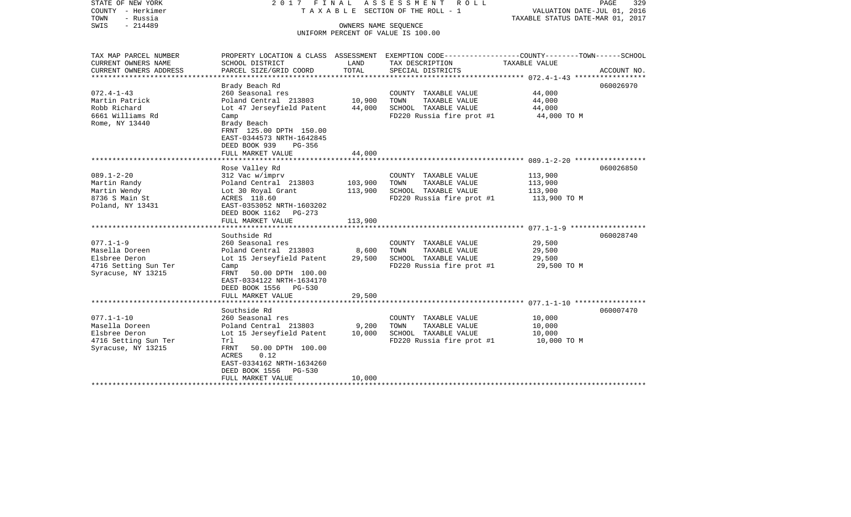| STATE OF NEW YORK<br>COUNTY - Herkimer<br>- Russia<br>TOWN | 2017 FINAL<br>TAXABLE                      | 329<br>PAGE<br>VALUATION DATE-JUL 01, 2016<br>TAXABLE STATUS DATE-MAR 01, 2017 |                                                                                                 |                                                        |             |
|------------------------------------------------------------|--------------------------------------------|--------------------------------------------------------------------------------|-------------------------------------------------------------------------------------------------|--------------------------------------------------------|-------------|
| SWIS<br>$-214489$                                          |                                            |                                                                                | OWNERS NAME SEQUENCE                                                                            |                                                        |             |
|                                                            |                                            |                                                                                | UNIFORM PERCENT OF VALUE IS 100.00                                                              |                                                        |             |
| TAX MAP PARCEL NUMBER                                      |                                            |                                                                                | PROPERTY LOCATION & CLASS ASSESSMENT EXEMPTION CODE---------------COUNTY-------TOWN------SCHOOL |                                                        |             |
| CURRENT OWNERS NAME                                        | SCHOOL DISTRICT                            | LAND                                                                           | TAX DESCRIPTION                                                                                 | TAXABLE VALUE                                          |             |
| CURRENT OWNERS ADDRESS                                     | PARCEL SIZE/GRID COORD                     | TOTAL                                                                          | SPECIAL DISTRICTS                                                                               |                                                        | ACCOUNT NO. |
| ***********************                                    |                                            |                                                                                |                                                                                                 |                                                        |             |
|                                                            | Brady Beach Rd                             |                                                                                |                                                                                                 |                                                        | 060026970   |
| $072.4 - 1 - 43$                                           | 260 Seasonal res                           |                                                                                | COUNTY TAXABLE VALUE                                                                            | 44,000                                                 |             |
| Martin Patrick                                             | Poland Central 213803                      | 10,900                                                                         | TOWN<br>TAXABLE VALUE                                                                           | 44,000                                                 |             |
| Robb Richard<br>6661 Williams Rd                           | Lot 47 Jerseyfield Patent<br>Camp          | 44,000                                                                         | SCHOOL TAXABLE VALUE<br>FD220 Russia fire prot #1                                               | 44,000<br>44,000 TO M                                  |             |
| Rome, NY 13440                                             | Brady Beach                                |                                                                                |                                                                                                 |                                                        |             |
|                                                            | FRNT 125.00 DPTH 150.00                    |                                                                                |                                                                                                 |                                                        |             |
|                                                            | EAST-0344573 NRTH-1642845                  |                                                                                |                                                                                                 |                                                        |             |
|                                                            | DEED BOOK 939<br>PG-356                    |                                                                                |                                                                                                 |                                                        |             |
|                                                            | FULL MARKET VALUE                          | 44,000                                                                         |                                                                                                 |                                                        |             |
|                                                            |                                            |                                                                                |                                                                                                 |                                                        |             |
|                                                            | Rose Valley Rd                             |                                                                                |                                                                                                 |                                                        | 060026850   |
| $089.1 - 2 - 20$                                           | 312 Vac w/imprv                            |                                                                                | COUNTY TAXABLE VALUE                                                                            | 113,900                                                |             |
| Martin Randy                                               | Poland Central 213803                      | 103,900                                                                        | TAXABLE VALUE<br>TOWN                                                                           | 113,900                                                |             |
| Martin Wendy                                               | Lot 30 Royal Grant                         | 113,900                                                                        | SCHOOL TAXABLE VALUE                                                                            | 113,900                                                |             |
| 8736 S Main St<br>Poland, NY 13431                         | ACRES 118.60<br>EAST-0353052 NRTH-1603202  |                                                                                | FD220 Russia fire prot #1                                                                       | 113,900 TO M                                           |             |
|                                                            | DEED BOOK 1162 PG-273                      |                                                                                |                                                                                                 |                                                        |             |
|                                                            | FULL MARKET VALUE                          | 113,900                                                                        |                                                                                                 |                                                        |             |
|                                                            |                                            |                                                                                |                                                                                                 | ************************ 077_1_1_9_******************* |             |
|                                                            | Southside Rd                               |                                                                                |                                                                                                 |                                                        | 060028740   |
| $077.1 - 1 - 9$                                            | 260 Seasonal res                           |                                                                                | COUNTY TAXABLE VALUE                                                                            | 29,500                                                 |             |
| Masella Doreen                                             | Poland Central 213803                      | 8,600                                                                          | TOWN<br>TAXABLE VALUE                                                                           | 29,500                                                 |             |
| Elsbree Deron                                              | Lot 15 Jerseyfield Patent                  | 29,500                                                                         | SCHOOL TAXABLE VALUE                                                                            | 29,500                                                 |             |
| 4716 Setting Sun Ter                                       | Camp                                       |                                                                                | FD220 Russia fire prot #1                                                                       | 29,500 TO M                                            |             |
| Syracuse, NY 13215                                         | 50.00 DPTH 100.00<br>FRNT                  |                                                                                |                                                                                                 |                                                        |             |
|                                                            | EAST-0334122 NRTH-1634170                  |                                                                                |                                                                                                 |                                                        |             |
|                                                            | DEED BOOK 1556 PG-530<br>FULL MARKET VALUE | 29,500                                                                         |                                                                                                 |                                                        |             |
|                                                            | ******************                         | * * * * * * * * * * * * *                                                      |                                                                                                 |                                                        |             |
|                                                            | Southside Rd                               |                                                                                |                                                                                                 |                                                        | 060007470   |
| $077.1 - 1 - 10$                                           | 260 Seasonal res                           |                                                                                | COUNTY TAXABLE VALUE                                                                            | 10,000                                                 |             |
| Masella Doreen                                             | Poland Central 213803                      | 9,200                                                                          | TAXABLE VALUE<br>TOWN                                                                           | 10,000                                                 |             |
| Elsbree Deron                                              | Lot 15 Jerseyfield Patent                  | 10,000                                                                         | SCHOOL TAXABLE VALUE                                                                            | 10,000                                                 |             |
| 4716 Setting Sun Ter                                       | Trl                                        |                                                                                | FD220 Russia fire prot #1                                                                       | 10,000 TO M                                            |             |
| Syracuse, NY 13215                                         | FRNT<br>50.00 DPTH 100.00                  |                                                                                |                                                                                                 |                                                        |             |
|                                                            | ACRES<br>0.12                              |                                                                                |                                                                                                 |                                                        |             |
|                                                            | EAST-0334162 NRTH-1634260                  |                                                                                |                                                                                                 |                                                        |             |
|                                                            | DEED BOOK 1556<br>PG-530                   |                                                                                |                                                                                                 |                                                        |             |
|                                                            | FULL MARKET VALUE                          | 10,000                                                                         |                                                                                                 |                                                        |             |
|                                                            |                                            |                                                                                |                                                                                                 |                                                        |             |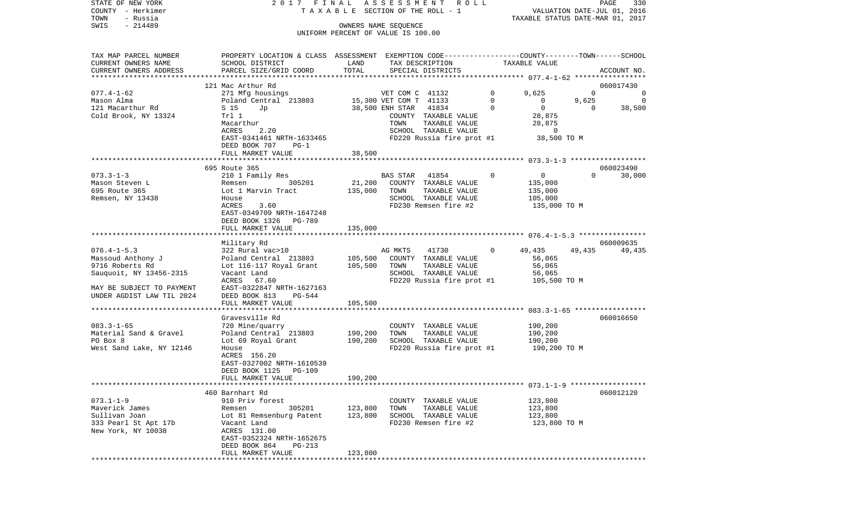| COUNTY<br>- Herkimer      |                                                                                                 |         | T A X A B L E SECTION OF THE ROLL - 1                      |              |                                  | VALUATION DATE-JUL 01, 2016 |             |
|---------------------------|-------------------------------------------------------------------------------------------------|---------|------------------------------------------------------------|--------------|----------------------------------|-----------------------------|-------------|
| TOWN<br>- Russia          |                                                                                                 |         |                                                            |              | TAXABLE STATUS DATE-MAR 01, 2017 |                             |             |
| SWIS<br>$-214489$         |                                                                                                 |         | OWNERS NAME SEQUENCE<br>UNIFORM PERCENT OF VALUE IS 100.00 |              |                                  |                             |             |
|                           |                                                                                                 |         |                                                            |              |                                  |                             |             |
|                           |                                                                                                 |         |                                                            |              |                                  |                             |             |
| TAX MAP PARCEL NUMBER     | PROPERTY LOCATION & CLASS ASSESSMENT EXEMPTION CODE---------------COUNTY-------TOWN------SCHOOL |         |                                                            |              |                                  |                             |             |
| CURRENT OWNERS NAME       | SCHOOL DISTRICT                                                                                 | LAND    | TAX DESCRIPTION                                            |              | TAXABLE VALUE                    |                             |             |
| CURRENT OWNERS ADDRESS    | PARCEL SIZE/GRID COORD                                                                          | TOTAL   | SPECIAL DISTRICTS                                          |              |                                  |                             | ACCOUNT NO. |
|                           |                                                                                                 |         |                                                            |              |                                  |                             |             |
|                           | 121 Mac Arthur Rd                                                                               |         |                                                            |              |                                  |                             | 060017430   |
| $077.4 - 1 - 62$          | 271 Mfg housings                                                                                |         | VET COM C 41132                                            | $\mathbf{0}$ | 9,625                            | $\Omega$                    | 0           |
| Mason Alma                | Poland Central 213803                                                                           |         | 15,300 VET COM T 41133                                     | 0            | $\circ$                          | 9,625                       | 0           |
| 121 Macarthur Rd          | S 15<br>Jp                                                                                      |         | 41834<br>38,500 ENH STAR                                   | $\Omega$     | $\mathbf{0}$                     | 0                           | 38,500      |
| Cold Brook, NY 13324      | Trl 1                                                                                           |         | COUNTY TAXABLE VALUE                                       |              | 28,875                           |                             |             |
|                           | Macarthur                                                                                       |         | TAXABLE VALUE<br>TOWN                                      |              | 28,875                           |                             |             |
|                           | ACRES<br>2.20                                                                                   |         | SCHOOL TAXABLE VALUE                                       |              | 0                                |                             |             |
|                           | EAST-0341461 NRTH-1633465<br>DEED BOOK 707                                                      |         | FD220 Russia fire prot #1                                  |              | 38,500 TO M                      |                             |             |
|                           | $PG-1$<br>FULL MARKET VALUE                                                                     | 38,500  |                                                            |              |                                  |                             |             |
|                           |                                                                                                 |         |                                                            |              |                                  |                             |             |
|                           | 695 Route 365                                                                                   |         |                                                            |              |                                  |                             | 060023490   |
| $073.3 - 1 - 3$           | 210 1 Family Res                                                                                |         | BAS STAR<br>41854                                          | $\mathbf 0$  | $\overline{0}$                   | $\Omega$                    | 30,000      |
| Mason Steven L            | 305201<br>Remsen                                                                                | 21,200  | COUNTY TAXABLE VALUE                                       |              | 135,000                          |                             |             |
| 695 Route 365             | Lot 1 Marvin Tract                                                                              | 135,000 | TOWN<br>TAXABLE VALUE                                      |              | 135,000                          |                             |             |
| Remsen, NY 13438          | House                                                                                           |         | SCHOOL TAXABLE VALUE                                       |              | 105,000                          |                             |             |
|                           | ACRES<br>3.60                                                                                   |         | FD230 Remsen fire #2                                       |              | 135,000 TO M                     |                             |             |
|                           | EAST-0349709 NRTH-1647248                                                                       |         |                                                            |              |                                  |                             |             |
|                           | DEED BOOK 1326<br>PG-789                                                                        |         |                                                            |              |                                  |                             |             |
|                           | FULL MARKET VALUE                                                                               | 135,000 |                                                            |              |                                  |                             |             |
|                           |                                                                                                 |         |                                                            |              |                                  |                             |             |
|                           | Military Rd                                                                                     |         |                                                            |              |                                  |                             | 060009635   |
| $076.4 - 1 - 5.3$         | 322 Rural vac>10                                                                                |         | 41730<br>AG MKTS                                           | $\mathbf{0}$ | 49,435                           | 49,435                      | 49,435      |
| Massoud Anthony J         | Poland Central 213803                                                                           | 105,500 | COUNTY TAXABLE VALUE                                       |              | 56,065                           |                             |             |
| 9716 Roberts Rd           | Lot 116-117 Royal Grant                                                                         | 105,500 | TOWN<br>TAXABLE VALUE                                      |              | 56,065                           |                             |             |
| Sauquoit, NY 13456-2315   | Vacant Land                                                                                     |         | SCHOOL TAXABLE VALUE                                       |              | 56,065                           |                             |             |
|                           | ACRES<br>67.60                                                                                  |         | FD220 Russia fire prot #1                                  |              | 105,500 TO M                     |                             |             |
| MAY BE SUBJECT TO PAYMENT | EAST-0322847 NRTH-1627163                                                                       |         |                                                            |              |                                  |                             |             |
| UNDER AGDIST LAW TIL 2024 | DEED BOOK 813<br>PG-544                                                                         |         |                                                            |              |                                  |                             |             |
|                           | FULL MARKET VALUE                                                                               | 105,500 |                                                            |              |                                  |                             |             |
|                           |                                                                                                 |         |                                                            |              |                                  |                             |             |
|                           | Gravesville Rd                                                                                  |         |                                                            |              |                                  |                             | 060016650   |
| $083.3 - 1 - 65$          | 720 Mine/quarry                                                                                 |         | COUNTY TAXABLE VALUE                                       |              | 190,200                          |                             |             |
| Material Sand & Gravel    | Poland Central 213803                                                                           | 190,200 | TOWN<br>TAXABLE VALUE                                      |              | 190,200                          |                             |             |
| PO Box 8                  | Lot 69 Royal Grant                                                                              | 190,200 | SCHOOL TAXABLE VALUE                                       |              | 190,200                          |                             |             |
| West Sand Lake, NY 12146  | House                                                                                           |         | FD220 Russia fire prot #1                                  |              | 190,200 TO M                     |                             |             |
|                           | ACRES 156.20                                                                                    |         |                                                            |              |                                  |                             |             |
|                           | EAST-0327002 NRTH-1610539                                                                       |         |                                                            |              |                                  |                             |             |
|                           | DEED BOOK 1125<br>PG-109                                                                        |         |                                                            |              |                                  |                             |             |
|                           | FULL MARKET VALUE                                                                               | 190,200 |                                                            |              |                                  |                             |             |
|                           | 460 Barnhart Rd                                                                                 |         |                                                            |              |                                  |                             | 060012120   |
| $073.1 - 1 - 9$           | 910 Priv forest                                                                                 |         |                                                            |              |                                  |                             |             |
| Maverick James            | 305201<br>Remsen                                                                                | 123,800 | COUNTY TAXABLE VALUE<br>TOWN<br>TAXABLE VALUE              |              | 123,800<br>123,800               |                             |             |
| Sullivan Joan             | Lot 81 Remsenburg Patent                                                                        | 123,800 | SCHOOL TAXABLE VALUE                                       |              | 123,800                          |                             |             |
| 333 Pearl St Apt 17b      | Vacant Land                                                                                     |         | FD230 Remsen fire #2                                       |              | 123,800 TO M                     |                             |             |
| New York, NY 10038        | ACRES 131.00                                                                                    |         |                                                            |              |                                  |                             |             |
|                           | EAST-0352324 NRTH-1652675                                                                       |         |                                                            |              |                                  |                             |             |
|                           | DEED BOOK 864<br>PG-213                                                                         |         |                                                            |              |                                  |                             |             |
|                           | FULL MARKET VALUE                                                                               | 123,800 |                                                            |              |                                  |                             |             |
|                           |                                                                                                 |         |                                                            |              |                                  |                             |             |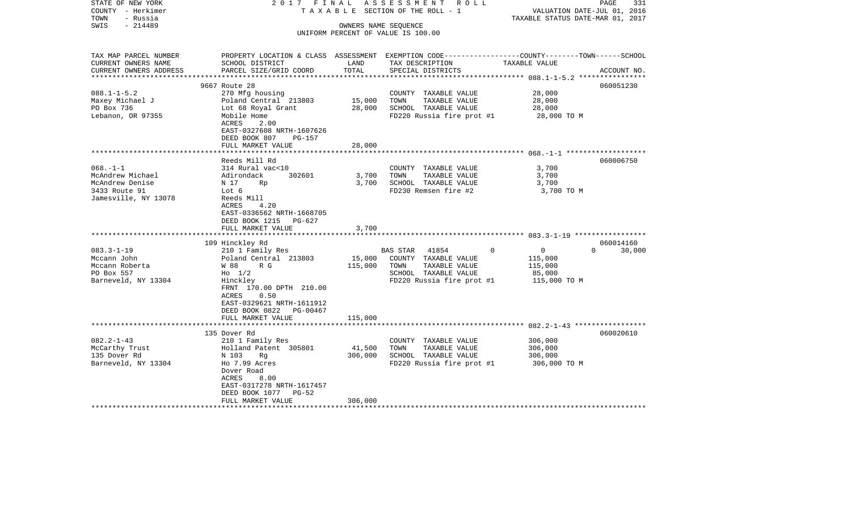| STATE OF NEW YORK<br>COUNTY - Herkimer<br>- Russia<br>TOWN<br>$-214489$<br>SWIS        | 2017 FINAL                                                                                                                                                                                               |                   | ASSESSMENT<br>R O L L<br>TAXABLE SECTION OF THE ROLL - 1<br>OWNERS NAME SEQUENCE<br>UNIFORM PERCENT OF VALUE IS 100.00                   | VALUATION DATE-JUL 01, 2016<br>TAXABLE STATUS DATE-MAR 01, 2017            | PAGE<br>331                     |
|----------------------------------------------------------------------------------------|----------------------------------------------------------------------------------------------------------------------------------------------------------------------------------------------------------|-------------------|------------------------------------------------------------------------------------------------------------------------------------------|----------------------------------------------------------------------------|---------------------------------|
|                                                                                        |                                                                                                                                                                                                          |                   |                                                                                                                                          |                                                                            |                                 |
| TAX MAP PARCEL NUMBER<br>CURRENT OWNERS NAME<br>CURRENT OWNERS ADDRESS                 | SCHOOL DISTRICT<br>PARCEL SIZE/GRID COORD                                                                                                                                                                | LAND<br>TOTAL     | PROPERTY LOCATION & CLASS ASSESSMENT EXEMPTION CODE----------------COUNTY-------TOWN------SCHOOL<br>TAX DESCRIPTION<br>SPECIAL DISTRICTS | TAXABLE VALUE                                                              | ACCOUNT NO.                     |
| **********************                                                                 |                                                                                                                                                                                                          |                   |                                                                                                                                          |                                                                            |                                 |
| $088.1 - 1 - 5.2$<br>Maxey Michael J<br>PO Box 736<br>Lebanon, OR 97355                | 9667 Route 28<br>270 Mfg housing<br>Poland Central 213803<br>Lot 68 Royal Grant<br>Mobile Home<br>ACRES<br>2.00<br>EAST-0327608 NRTH-1607626<br>DEED BOOK 807<br>PG-157                                  | 15,000<br>28,000  | COUNTY TAXABLE VALUE<br>TOWN<br>TAXABLE VALUE<br>SCHOOL TAXABLE VALUE<br>FD220 Russia fire prot #1                                       | 28,000<br>28,000<br>28,000<br>28,000 TO M                                  | 060051230                       |
|                                                                                        | FULL MARKET VALUE                                                                                                                                                                                        | 28,000            |                                                                                                                                          |                                                                            |                                 |
| $068. -1 - 1$<br>McAndrew Michael                                                      | Reeds Mill Rd<br>314 Rural vac<10<br>302601<br>Adirondack                                                                                                                                                | 3,700             | COUNTY TAXABLE VALUE<br>TOWN<br>TAXABLE VALUE                                                                                            | 3,700<br>3,700                                                             | 060006750                       |
| McAndrew Denise<br>3433 Route 91<br>Jamesville, NY 13078                               | N 17<br>Rp<br>Lot 6<br>Reeds Mill<br>4.20<br>ACRES<br>EAST-0336562 NRTH-1668705<br>DEED BOOK 1215 PG-627<br>FULL MARKET VALUE                                                                            | 3,700<br>3,700    | SCHOOL TAXABLE VALUE<br>FD230 Remsen fire #2                                                                                             | 3,700<br>3,700 TO M                                                        |                                 |
|                                                                                        |                                                                                                                                                                                                          |                   |                                                                                                                                          |                                                                            |                                 |
| $083.3 - 1 - 19$<br>Mccann John<br>Mccann Roberta<br>PO Box 557<br>Barneveld, NY 13304 | 109 Hinckley Rd<br>210 1 Family Res<br>Poland Central 213803<br>W 88<br>R G<br>$H_0$ 1/2<br>Hinckley<br>FRNT 170.00 DPTH 210.00<br>ACRES<br>0.50<br>EAST-0329621 NRTH-1611912<br>DEED BOOK 0822 PG-00467 | 15,000<br>115,000 | BAS STAR 41854<br>COUNTY TAXABLE VALUE<br>TOWN<br>TAXABLE VALUE<br>SCHOOL TAXABLE VALUE<br>FD220 Russia fire prot #1                     | $\Omega$<br>$\overline{0}$<br>115,000<br>115,000<br>85,000<br>115,000 TO M | 060014160<br>$\Omega$<br>30,000 |
|                                                                                        | FULL MARKET VALUE                                                                                                                                                                                        | 115,000           |                                                                                                                                          |                                                                            |                                 |
| $082.2 - 1 - 43$<br>McCarthy Trust<br>135 Dover Rd<br>Barneveld, NY 13304              | 135 Dover Rd<br>210 1 Family Res<br>Holland Patent 305801<br>N 103<br>Rg<br>Ho 7.99 Acres<br>Dover Road<br>ACRES<br>8.00<br>EAST-0317278 NRTH-1617457                                                    | 41,500<br>306,000 | COUNTY TAXABLE VALUE<br>TOWN<br>TAXABLE VALUE<br>SCHOOL TAXABLE VALUE<br>FD220 Russia fire prot #1                                       | 306,000<br>306,000<br>306,000<br>306,000 TO M                              | 060020610                       |
|                                                                                        | DEED BOOK 1077 PG-52<br>FULL MARKET VALUE                                                                                                                                                                | 306,000           |                                                                                                                                          |                                                                            |                                 |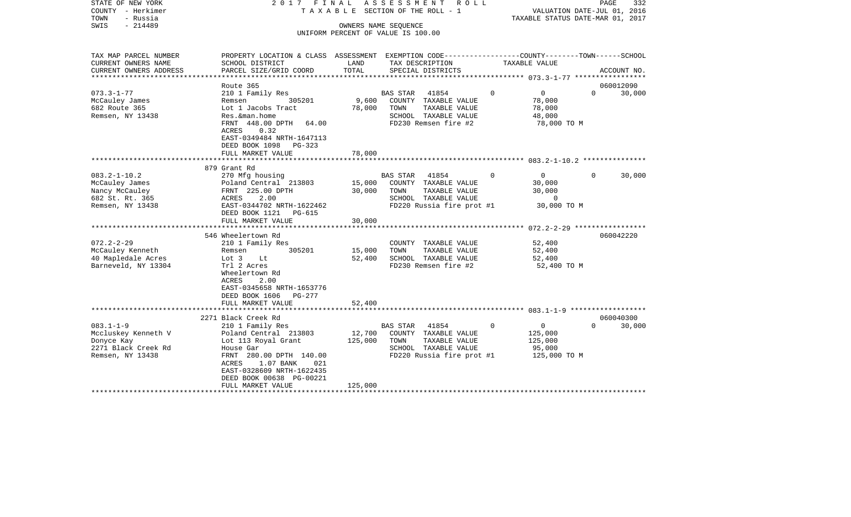| COUNTY<br>– Herkimer<br>TOWN<br>- Russia<br>SWIS<br>$-214489$ |                                                                                                                    |         | TAXABLE SECTION OF THE ROLL - 1<br>OWNERS NAME SEQUENCE<br>UNIFORM PERCENT OF VALUE IS 100.00 |             | VALUATION DATE-JUL 01, 2016<br>TAXABLE STATUS DATE-MAR 01, 2017 |          |             |
|---------------------------------------------------------------|--------------------------------------------------------------------------------------------------------------------|---------|-----------------------------------------------------------------------------------------------|-------------|-----------------------------------------------------------------|----------|-------------|
|                                                               |                                                                                                                    |         |                                                                                               |             |                                                                 |          |             |
| TAX MAP PARCEL NUMBER<br>CURRENT OWNERS NAME                  | PROPERTY LOCATION & CLASS ASSESSMENT EXEMPTION CODE---------------COUNTY-------TOWN------SCHOOL<br>SCHOOL DISTRICT | LAND    | TAX DESCRIPTION                                                                               |             | TAXABLE VALUE                                                   |          |             |
| CURRENT OWNERS ADDRESS<br>********************                | PARCEL SIZE/GRID COORD<br>**********************                                                                   | TOTAL   | SPECIAL DISTRICTS                                                                             |             |                                                                 |          | ACCOUNT NO. |
|                                                               | Route 365                                                                                                          |         |                                                                                               |             |                                                                 |          | 060012090   |
| $073.3 - 1 - 77$                                              | 210 1 Family Res                                                                                                   |         | <b>BAS STAR</b><br>41854                                                                      | $\mathbf 0$ | $\mathbf 0$                                                     | $\Omega$ | 30,000      |
| McCauley James                                                | 305201<br>Remsen                                                                                                   | 9,600   | COUNTY TAXABLE VALUE                                                                          |             | 78,000                                                          |          |             |
| 682 Route 365                                                 | Lot 1 Jacobs Tract                                                                                                 | 78,000  | TOWN<br>TAXABLE VALUE                                                                         |             | 78,000                                                          |          |             |
| Remsen, NY 13438                                              | Res. &man. home                                                                                                    |         | SCHOOL TAXABLE VALUE                                                                          |             | 48,000                                                          |          |             |
|                                                               | FRNT 448.00 DPTH<br>64.00                                                                                          |         | FD230 Remsen fire #2                                                                          |             | 78,000 TO M                                                     |          |             |
|                                                               | 0.32<br>ACRES                                                                                                      |         |                                                                                               |             |                                                                 |          |             |
|                                                               | EAST-0349484 NRTH-1647113                                                                                          |         |                                                                                               |             |                                                                 |          |             |
|                                                               | DEED BOOK 1098<br>PG-323                                                                                           |         |                                                                                               |             |                                                                 |          |             |
|                                                               | FULL MARKET VALUE                                                                                                  | 78,000  |                                                                                               |             |                                                                 |          |             |
|                                                               | 879 Grant Rd                                                                                                       |         |                                                                                               |             |                                                                 |          |             |
| $083.2 - 1 - 10.2$                                            | 270 Mfg housing                                                                                                    |         | <b>BAS STAR</b><br>41854                                                                      | 0           | 0                                                               | $\Omega$ | 30,000      |
| McCauley James                                                | Poland Central 213803                                                                                              | 15,000  | COUNTY TAXABLE VALUE                                                                          |             | 30,000                                                          |          |             |
| Nancy McCauley                                                | FRNT 225.00 DPTH                                                                                                   | 30,000  | TAXABLE VALUE<br>TOWN                                                                         |             | 30,000                                                          |          |             |
| 682 St. Rt. 365                                               | 2.00<br>ACRES                                                                                                      |         | SCHOOL TAXABLE VALUE                                                                          |             | 0                                                               |          |             |
| Remsen, NY 13438                                              | EAST-0344702 NRTH-1622462                                                                                          |         | FD220 Russia fire prot #1                                                                     |             | 30,000 TO M                                                     |          |             |
|                                                               | DEED BOOK 1121<br>PG-615                                                                                           |         |                                                                                               |             |                                                                 |          |             |
|                                                               | FULL MARKET VALUE                                                                                                  | 30,000  |                                                                                               |             |                                                                 |          |             |
|                                                               |                                                                                                                    |         |                                                                                               |             |                                                                 |          |             |
|                                                               | 546 Wheelertown Rd                                                                                                 |         |                                                                                               |             |                                                                 |          | 060042220   |
| $072.2 - 2 - 29$                                              | 210 1 Family Res                                                                                                   |         | COUNTY TAXABLE VALUE                                                                          |             | 52,400                                                          |          |             |
| McCauley Kenneth                                              | 305201<br>Remsen                                                                                                   | 15,000  | TAXABLE VALUE<br>TOWN                                                                         |             | 52,400                                                          |          |             |
| 40 Mapledale Acres                                            | Lot 3<br>Lt                                                                                                        | 52,400  | SCHOOL TAXABLE VALUE                                                                          |             | 52,400                                                          |          |             |
| Barneveld, NY 13304                                           | Trl 2 Acres                                                                                                        |         | FD230 Remsen fire #2                                                                          |             | 52,400 TO M                                                     |          |             |
|                                                               | Wheelertown Rd                                                                                                     |         |                                                                                               |             |                                                                 |          |             |
|                                                               | <b>ACRES</b><br>2.00                                                                                               |         |                                                                                               |             |                                                                 |          |             |
|                                                               | EAST-0345658 NRTH-1653776                                                                                          |         |                                                                                               |             |                                                                 |          |             |
|                                                               | DEED BOOK 1606<br>PG-277<br>FULL MARKET VALUE                                                                      | 52,400  |                                                                                               |             |                                                                 |          |             |
|                                                               |                                                                                                                    |         |                                                                                               |             |                                                                 |          |             |
|                                                               | 2271 Black Creek Rd                                                                                                |         |                                                                                               |             |                                                                 |          | 060040300   |
| $083.1 - 1 - 9$                                               | 210 1 Family Res                                                                                                   |         | 41854<br><b>BAS STAR</b>                                                                      | $\mathbf 0$ | $\circ$                                                         | $\Omega$ | 30,000      |
| Mccluskey Kenneth V                                           | Poland Central 213803                                                                                              | 12,700  | COUNTY TAXABLE VALUE                                                                          |             | 125,000                                                         |          |             |
| Donyce Kay                                                    | Lot 113 Royal Grant                                                                                                | 125,000 | TOWN<br>TAXABLE VALUE                                                                         |             | 125,000                                                         |          |             |
| 2271 Black Creek Rd                                           | House Gar                                                                                                          |         | SCHOOL TAXABLE VALUE                                                                          |             | 95,000                                                          |          |             |
| Remsen, NY 13438                                              | FRNT 280.00 DPTH 140.00                                                                                            |         | FD220 Russia fire prot #1                                                                     |             | 125,000 TO M                                                    |          |             |
|                                                               | 1.07 BANK<br>021<br>ACRES                                                                                          |         |                                                                                               |             |                                                                 |          |             |
|                                                               | EAST-0328609 NRTH-1622435                                                                                          |         |                                                                                               |             |                                                                 |          |             |
|                                                               | DEED BOOK 00638 PG-00221                                                                                           |         |                                                                                               |             |                                                                 |          |             |
|                                                               | FULL MARKET VALUE                                                                                                  | 125,000 |                                                                                               |             |                                                                 |          |             |
|                                                               | ****************                                                                                                   |         |                                                                                               |             |                                                                 |          |             |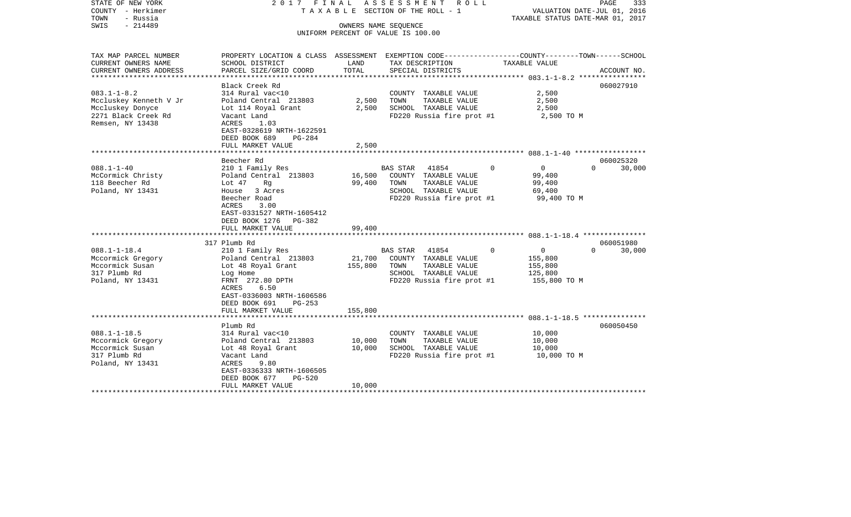| STATE OF NEW YORK<br>COUNTY - Herkimer<br>- Russia<br>TOWN<br>SWIS<br>$-214489$                            | 2017 FINAL                                                                                                                                                                                              |                            | ASSESSMENT<br>ROLL<br>T A X A B L E SECTION OF THE ROLL - 1<br>OWNERS NAME SEQUENCE<br>UNIFORM PERCENT OF VALUE IS 100.00 | TAXABLE STATUS DATE-MAR 01, 2017                                         | PAGE<br>333<br>VALUATION DATE-JUL 01, 2016 |
|------------------------------------------------------------------------------------------------------------|---------------------------------------------------------------------------------------------------------------------------------------------------------------------------------------------------------|----------------------------|---------------------------------------------------------------------------------------------------------------------------|--------------------------------------------------------------------------|--------------------------------------------|
| TAX MAP PARCEL NUMBER<br>CURRENT OWNERS NAME<br>CURRENT OWNERS ADDRESS<br>*********************            | PROPERTY LOCATION & CLASS ASSESSMENT EXEMPTION CODE---------------COUNTY-------TOWN------SCHOOL<br>SCHOOL DISTRICT<br>PARCEL SIZE/GRID COORD                                                            | LAND<br>TOTAL              | TAX DESCRIPTION<br>SPECIAL DISTRICTS                                                                                      | TAXABLE VALUE                                                            | ACCOUNT NO.                                |
| $083.1 - 1 - 8.2$<br>Mccluskey Kenneth V Jr<br>Mccluskey Donyce<br>2271 Black Creek Rd<br>Remsen, NY 13438 | Black Creek Rd<br>314 Rural vac<10<br>Poland Central 213803<br>Lot 114 Royal Grant<br>Vacant Land<br>ACRES<br>1.03<br>EAST-0328619 NRTH-1622591<br>DEED BOOK 689<br>PG-284<br>FULL MARKET VALUE         | 2,500<br>2,500<br>2,500    | COUNTY TAXABLE VALUE<br>TOWN<br>TAXABLE VALUE<br>SCHOOL TAXABLE VALUE<br>FD220 Russia fire prot #1                        | 2,500<br>2,500<br>2,500<br>2,500 TO M                                    | 060027910                                  |
|                                                                                                            |                                                                                                                                                                                                         |                            |                                                                                                                           |                                                                          |                                            |
| $088.1 - 1 - 40$<br>McCormick Christy<br>118 Beecher Rd<br>Poland, NY 13431                                | Beecher Rd<br>210 1 Family Res<br>Poland Central 213803<br>Lot 47<br>Rg<br>House<br>3 Acres<br>Beecher Road<br>ACRES<br>3.00<br>EAST-0331527 NRTH-1605412<br>DEED BOOK 1276 PG-382<br>FULL MARKET VALUE | 16,500<br>99,400<br>99,400 | BAS STAR 41854<br>COUNTY TAXABLE VALUE<br>TAXABLE VALUE<br>TOWN<br>SCHOOL TAXABLE VALUE<br>FD220 Russia fire prot #1      | $\overline{0}$<br>$\Omega$<br>99,400<br>99,400<br>69,400<br>99,400 TO M  | 060025320<br>$\Omega$<br>30,000            |
|                                                                                                            |                                                                                                                                                                                                         |                            |                                                                                                                           |                                                                          |                                            |
| $088.1 - 1 - 18.4$<br>Mccormick Gregory<br>Mccormick Susan<br>317 Plumb Rd<br>Poland, NY 13431             | 317 Plumb Rd<br>210 1 Family Res<br>Poland Central 213803<br>Lot 48 Royal Grant<br>Log Home<br>FRNT 272.80 DPTH<br>6.50<br>ACRES<br>EAST-0336003 NRTH-1606586<br>DEED BOOK 691<br>$PG-253$              | 21,700<br>155,800          | BAS STAR<br>41854<br>COUNTY TAXABLE VALUE<br>TOWN<br>TAXABLE VALUE<br>SCHOOL TAXABLE VALUE<br>FD220 Russia fire prot #1   | $\mathbf 0$<br>$\Omega$<br>155,800<br>155,800<br>125,800<br>155,800 TO M | 060051980<br>$\Omega$<br>30,000            |
|                                                                                                            | FULL MARKET VALUE                                                                                                                                                                                       | 155,800                    |                                                                                                                           |                                                                          |                                            |
| $088.1 - 1 - 18.5$<br>Mccormick Gregory<br>Mccormick Susan<br>317 Plumb Rd<br>Poland, NY 13431             | Plumb Rd<br>314 Rural vac<10<br>Poland Central 213803<br>Lot 48 Royal Grant<br>Vacant Land<br>ACRES<br>9.80<br>EAST-0336333 NRTH-1606505<br>DEED BOOK 677<br>$PG-520$<br>FULL MARKET VALUE              | 10,000<br>10,000<br>10,000 | COUNTY TAXABLE VALUE<br>TOWN<br>TAXABLE VALUE<br>SCHOOL TAXABLE VALUE<br>FD220 Russia fire prot #1                        | 10,000<br>10,000<br>10,000<br>10,000 TO M                                | 060050450                                  |
| **************************                                                                                 |                                                                                                                                                                                                         |                            |                                                                                                                           |                                                                          |                                            |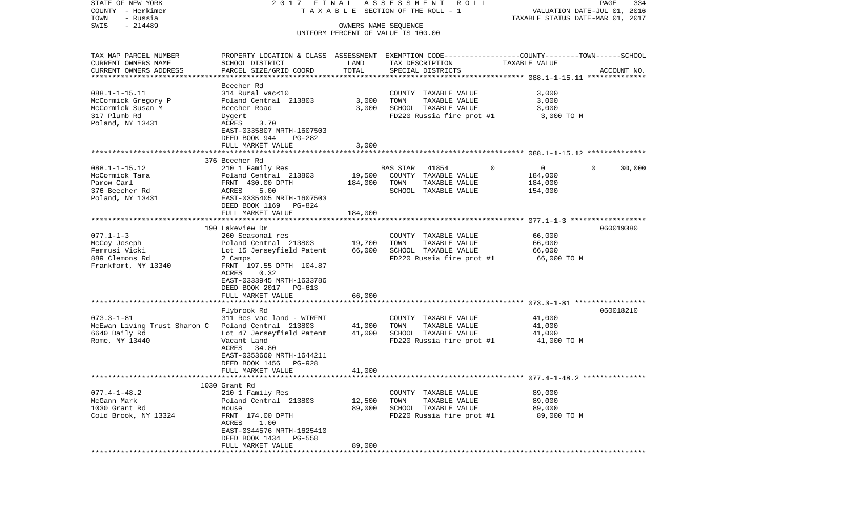| STATE OF NEW YORK                | 2017 FINAL                                                                                       |         | ASSESSMENT ROLL                                            |                   | PAGE<br>334                      |
|----------------------------------|--------------------------------------------------------------------------------------------------|---------|------------------------------------------------------------|-------------------|----------------------------------|
| COUNTY - Herkimer                |                                                                                                  |         | TAXABLE SECTION OF THE ROLL - 1                            |                   | VALUATION DATE-JUL 01, 2016      |
| TOWN<br>- Russia                 |                                                                                                  |         |                                                            |                   | TAXABLE STATUS DATE-MAR 01, 2017 |
| $-214489$<br>SWIS                |                                                                                                  |         | OWNERS NAME SEQUENCE<br>UNIFORM PERCENT OF VALUE IS 100.00 |                   |                                  |
|                                  |                                                                                                  |         |                                                            |                   |                                  |
| TAX MAP PARCEL NUMBER            | PROPERTY LOCATION & CLASS ASSESSMENT EXEMPTION CODE----------------COUNTY-------TOWN------SCHOOL |         |                                                            |                   |                                  |
| CURRENT OWNERS NAME              | SCHOOL DISTRICT                                                                                  | LAND    | TAX DESCRIPTION                                            | TAXABLE VALUE     |                                  |
| CURRENT OWNERS ADDRESS           | PARCEL SIZE/GRID COORD                                                                           | TOTAL   | SPECIAL DISTRICTS                                          |                   | ACCOUNT NO.                      |
| **********************           |                                                                                                  |         |                                                            |                   |                                  |
|                                  | Beecher Rd                                                                                       |         |                                                            |                   |                                  |
| $088.1 - 1 - 15.11$              | 314 Rural vac<10                                                                                 |         | COUNTY TAXABLE VALUE                                       | 3,000             |                                  |
| McCormick Gregory P              | Poland Central 213803                                                                            | 3,000   | TOWN<br>TAXABLE VALUE                                      | 3,000             |                                  |
| McCormick Susan M                | Beecher Road                                                                                     | 3,000   | SCHOOL TAXABLE VALUE                                       | 3,000             |                                  |
| 317 Plumb Rd<br>Poland, NY 13431 | Dygert<br>3.70<br>ACRES                                                                          |         | FD220 Russia fire prot #1                                  | 3,000 TO M        |                                  |
|                                  | EAST-0335807 NRTH-1607503                                                                        |         |                                                            |                   |                                  |
|                                  | DEED BOOK 944<br>PG-282                                                                          |         |                                                            |                   |                                  |
|                                  | FULL MARKET VALUE                                                                                | 3,000   |                                                            |                   |                                  |
|                                  |                                                                                                  |         |                                                            |                   |                                  |
|                                  | 376 Beecher Rd                                                                                   |         |                                                            |                   |                                  |
| $088.1 - 1 - 15.12$              | 210 1 Family Res                                                                                 |         | <b>BAS STAR</b><br>41854                                   | 0<br>$\mathbf{0}$ | $\Omega$<br>30,000               |
| McCormick Tara                   | Poland Central 213803                                                                            | 19,500  | COUNTY TAXABLE VALUE                                       | 184,000           |                                  |
| Parow Carl                       | FRNT 430.00 DPTH                                                                                 | 184,000 | TOWN<br>TAXABLE VALUE                                      | 184,000           |                                  |
| 376 Beecher Rd                   | 5.00<br>ACRES                                                                                    |         | SCHOOL TAXABLE VALUE                                       | 154,000           |                                  |
| Poland, NY 13431                 | EAST-0335405 NRTH-1607503<br>DEED BOOK 1169<br>PG-824                                            |         |                                                            |                   |                                  |
|                                  | FULL MARKET VALUE                                                                                | 184,000 |                                                            |                   |                                  |
|                                  |                                                                                                  |         |                                                            |                   |                                  |
|                                  | 190 Lakeview Dr                                                                                  |         |                                                            |                   | 060019380                        |
| $077.1 - 1 - 3$                  | 260 Seasonal res                                                                                 |         | COUNTY TAXABLE VALUE                                       | 66,000            |                                  |
| McCoy Joseph                     | Poland Central 213803                                                                            | 19,700  | TAXABLE VALUE<br>TOWN                                      | 66,000            |                                  |
| Ferrusi Vicki                    | Lot 15 Jerseyfield Patent                                                                        | 66,000  | SCHOOL TAXABLE VALUE                                       | 66,000            |                                  |
| 889 Clemons Rd                   | 2 Camps                                                                                          |         | FD220 Russia fire prot #1                                  | 66,000 TO M       |                                  |
| Frankfort, NY 13340              | FRNT 197.55 DPTH 104.87                                                                          |         |                                                            |                   |                                  |
|                                  | ACRES<br>0.32<br>EAST-0333945 NRTH-1633786                                                       |         |                                                            |                   |                                  |
|                                  | DEED BOOK 2017 PG-613                                                                            |         |                                                            |                   |                                  |
|                                  | FULL MARKET VALUE                                                                                | 66,000  |                                                            |                   |                                  |
|                                  |                                                                                                  |         |                                                            |                   |                                  |
|                                  | Flybrook Rd                                                                                      |         |                                                            |                   | 060018210                        |
| $073.3 - 1 - 81$                 | 311 Res vac land - WTRFNT                                                                        |         | COUNTY TAXABLE VALUE                                       | 41,000            |                                  |
| McEwan Living Trust Sharon C     | Poland Central 213803                                                                            | 41,000  | TOWN<br>TAXABLE VALUE                                      | 41,000            |                                  |
| 6640 Daily Rd                    | Lot 47 Jerseyfield Patent                                                                        | 41,000  | SCHOOL TAXABLE VALUE                                       | 41,000            |                                  |
| Rome, NY 13440                   | Vacant Land                                                                                      |         | FD220 Russia fire prot #1                                  | 41,000 TO M       |                                  |
|                                  | 34.80<br>ACRES                                                                                   |         |                                                            |                   |                                  |
|                                  | EAST-0353660 NRTH-1644211<br>DEED BOOK 1456<br>PG-928                                            |         |                                                            |                   |                                  |
|                                  | FULL MARKET VALUE                                                                                | 41,000  |                                                            |                   |                                  |
|                                  |                                                                                                  |         |                                                            |                   |                                  |
|                                  | 1030 Grant Rd                                                                                    |         |                                                            |                   |                                  |
| $077.4 - 1 - 48.2$               | 210 1 Family Res                                                                                 |         | COUNTY TAXABLE VALUE                                       | 89,000            |                                  |
| McGann Mark                      | Poland Central 213803                                                                            | 12,500  | TOWN<br>TAXABLE VALUE                                      | 89,000            |                                  |
| 1030 Grant Rd                    | House                                                                                            | 89,000  | SCHOOL TAXABLE VALUE                                       | 89,000            |                                  |
| Cold Brook, NY 13324             | FRNT 174.00 DPTH                                                                                 |         | FD220 Russia fire prot #1                                  | 89,000 TO M       |                                  |
|                                  | ACRES<br>1.00<br>EAST-0344576 NRTH-1625410                                                       |         |                                                            |                   |                                  |
|                                  | DEED BOOK 1434<br>PG-558                                                                         |         |                                                            |                   |                                  |
|                                  | FULL MARKET VALUE                                                                                | 89,000  |                                                            |                   |                                  |
|                                  |                                                                                                  |         |                                                            |                   |                                  |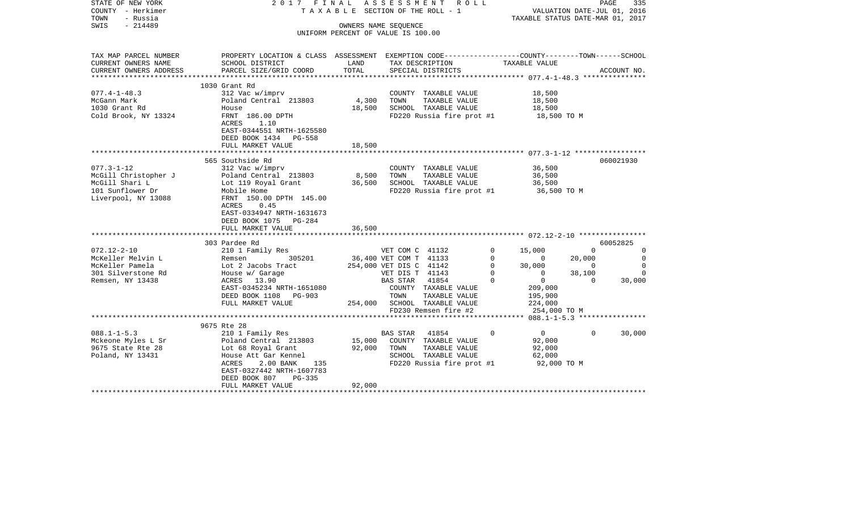| STATE OF NEW YORK<br>COUNTY - Herkimer<br>TOWN<br>- Russia | 2017 FINAL                                                                                                                                                                      |                 | ASSESSMENT ROLL<br>T A X A B L E SECTION OF THE ROLL - 1   | VALUATION DATE-JUL 01, 2016<br>TAXABLE STATUS DATE-MAR 01, 2017 | PAGE           | 335              |
|------------------------------------------------------------|---------------------------------------------------------------------------------------------------------------------------------------------------------------------------------|-----------------|------------------------------------------------------------|-----------------------------------------------------------------|----------------|------------------|
| SWIS<br>$-214489$                                          |                                                                                                                                                                                 |                 | OWNERS NAME SEQUENCE<br>UNIFORM PERCENT OF VALUE IS 100.00 |                                                                 |                |                  |
|                                                            |                                                                                                                                                                                 |                 |                                                            |                                                                 |                |                  |
| TAX MAP PARCEL NUMBER                                      | PROPERTY LOCATION & CLASS ASSESSMENT EXEMPTION CODE----------------COUNTY-------TOWN------SCHOOL                                                                                |                 |                                                            |                                                                 |                |                  |
| CURRENT OWNERS NAME                                        | SCHOOL DISTRICT                                                                                                                                                                 | LAND            | TAX DESCRIPTION                                            | TAXABLE VALUE                                                   |                |                  |
| CURRENT OWNERS ADDRESS                                     | PARCEL SIZE/GRID COORD                                                                                                                                                          | TOTAL           | SPECIAL DISTRICTS                                          |                                                                 |                | ACCOUNT NO.      |
|                                                            | 1030 Grant Rd                                                                                                                                                                   |                 |                                                            |                                                                 |                |                  |
| $077.4 - 1 - 48.3$                                         | 312 Vac w/imprv                                                                                                                                                                 |                 | COUNTY TAXABLE VALUE                                       | 18,500                                                          |                |                  |
| McGann Mark                                                | Poland Central 213803                                                                                                                                                           | 4,300           | TAXABLE VALUE<br>TOWN                                      | 18,500                                                          |                |                  |
| 1030 Grant Rd                                              | House                                                                                                                                                                           | 18,500          | SCHOOL TAXABLE VALUE                                       | 18,500                                                          |                |                  |
| Cold Brook, NY 13324                                       | FRNT 186.00 DPTH<br>ACRES<br>1.10                                                                                                                                               |                 | FD220 Russia fire prot #1 18,500 TO M                      |                                                                 |                |                  |
|                                                            | EAST-0344551 NRTH-1625580                                                                                                                                                       |                 |                                                            |                                                                 |                |                  |
|                                                            | DEED BOOK 1434 PG-558                                                                                                                                                           |                 |                                                            |                                                                 |                |                  |
|                                                            | FULL MARKET VALUE                                                                                                                                                               | 18,500          |                                                            |                                                                 |                |                  |
|                                                            |                                                                                                                                                                                 |                 |                                                            |                                                                 |                |                  |
|                                                            | 565 Southside Rd                                                                                                                                                                |                 |                                                            |                                                                 |                | 060021930        |
| $077.3 - 1 - 12$                                           | 312 Vac w/imprv                                                                                                                                                                 |                 | COUNTY TAXABLE VALUE                                       | 36,500                                                          |                |                  |
| McGill Christopher J                                       |                                                                                                                                                                                 | 8,500<br>36,500 | TAXABLE VALUE<br>TOWN                                      | 36,500                                                          |                |                  |
| McGill Shari L<br>101 Sunflower Dr                         |                                                                                                                                                                                 |                 | SCHOOL TAXABLE VALUE                                       | 36,500                                                          |                |                  |
| Liverpool, NY 13088                                        | Poland Central 213803<br>Lot 119 Royal Grant<br>Mobile Home<br>FRNT 150.00 DPTH 145.00                                                                                          |                 | FD220 Russia fire prot #1 36,500 TO M                      |                                                                 |                |                  |
|                                                            | ACRES 0.45                                                                                                                                                                      |                 |                                                            |                                                                 |                |                  |
|                                                            | EAST-0334947 NRTH-1631673                                                                                                                                                       |                 |                                                            |                                                                 |                |                  |
|                                                            | DEED BOOK 1075 PG-284                                                                                                                                                           |                 |                                                            |                                                                 |                |                  |
|                                                            | FULL MARKET VALUE                                                                                                                                                               | 36,500          |                                                            |                                                                 |                |                  |
|                                                            |                                                                                                                                                                                 |                 |                                                            |                                                                 |                |                  |
|                                                            | 303 Pardee Rd                                                                                                                                                                   |                 |                                                            | $\Omega$                                                        | $\Omega$       | 60052825         |
| $072.12 - 2 - 10$<br>McKeller Melvin L                     |                                                                                                                                                                                 |                 |                                                            | 15,000<br>$\circ$                                               | 20,000         | 0<br>$\mathbf 0$ |
| McKeller Pamela                                            |                                                                                                                                                                                 |                 |                                                            | $\begin{array}{c} 0 \\ 30,000 \\ 0 \end{array}$<br>$\circ$      | $\overline{0}$ | $\Omega$         |
| 301 Silverstone Rd                                         |                                                                                                                                                                                 |                 | VET DIS T 41143                                            | $\Omega$                                                        | 38,100         | $\Omega$         |
| Remsen, NY 13438                                           | 210 1 Family Res<br>Remsen 305201 36,400 VET COM T 41133<br>Lot 2 Jacobs Tract 254,000 VET DIS C 41142<br>House w/ Garage 254,000 VET DIS T 41143<br>ACRES 13.90 BAS STAR 41854 |                 |                                                            | $\overline{0}$<br>$\mathbf 0$                                   | $\overline{0}$ | 30,000           |
|                                                            | EAST-0345234 NRTH-1651080                                                                                                                                                       |                 | COUNTY TAXABLE VALUE                                       | 209,000                                                         |                |                  |
|                                                            | DEED BOOK 1108 PG-903                                                                                                                                                           |                 |                                                            | 195,900                                                         |                |                  |
|                                                            | FULL MARKET VALUE                                                                                                                                                               |                 | PC-903 TOWN TAXABLE VALUE<br>254,000 SCHOOL TAXABLE VALUE  | 224,000                                                         |                |                  |
|                                                            |                                                                                                                                                                                 |                 | FD230 Remsen fire #2                                       | 254,000 TO M                                                    |                |                  |
|                                                            | 9675 Rte 28                                                                                                                                                                     |                 |                                                            |                                                                 |                |                  |
| $088.1 - 1 - 5.3$                                          | 210 1 Family Res                                                                                                                                                                |                 | BAS STAR 41854                                             | $\overline{0}$<br>$\Omega$                                      | $\Omega$       | 30,000           |
|                                                            | Mckeone Myles L Sr Poland Central 213803                                                                                                                                        |                 | 15,000 COUNTY TAXABLE VALUE                                | 92,000                                                          |                |                  |
| 9675 State Rte 28                                          | Lot 68 Royal Grant                                                                                                                                                              | 92,000          | TOWN<br>TAXABLE VALUE                                      | 92,000                                                          |                |                  |
| Poland, NY 13431                                           | 135<br>House Att Gar Kennel                                                                                                                                                     |                 | SCHOOL TAXABLE VALUE                                       | 62,000                                                          |                |                  |
|                                                            | 2.00 BANK<br>ACRES                                                                                                                                                              |                 | FD220 Russia fire prot #1                                  | 92,000 TO M                                                     |                |                  |
|                                                            | EAST-0327442 NRTH-1607783                                                                                                                                                       |                 |                                                            |                                                                 |                |                  |
|                                                            | DEED BOOK 807<br>$PG-335$                                                                                                                                                       |                 |                                                            |                                                                 |                |                  |
|                                                            | FULL MARKET VALUE                                                                                                                                                               | 92,000          |                                                            |                                                                 |                |                  |
|                                                            |                                                                                                                                                                                 |                 |                                                            |                                                                 |                |                  |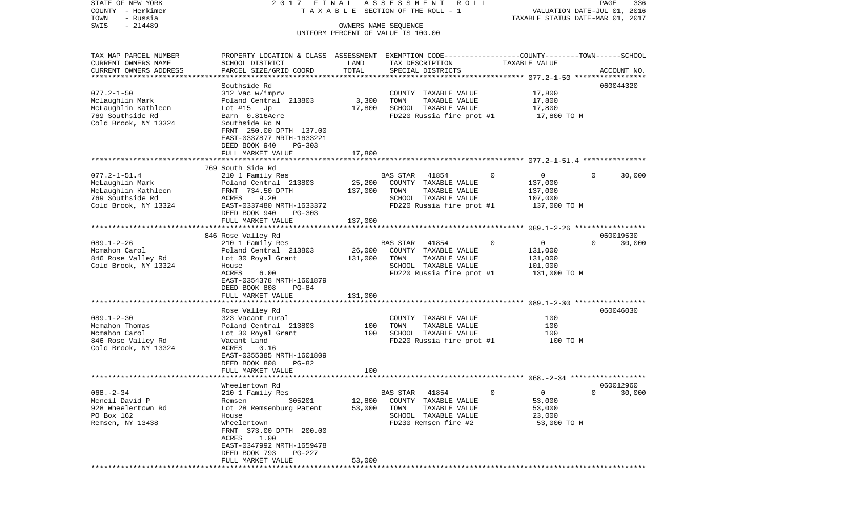| STATE OF NEW YORK<br>COUNTY - Herkimer            | 2017 FINAL                                                                                      |                              | ASSESSMENT<br>R O L L<br>TAXABLE SECTION OF THE ROLL - 1 |                     | PAGE<br>336<br>VALUATION DATE-JUL 01, 2016 |
|---------------------------------------------------|-------------------------------------------------------------------------------------------------|------------------------------|----------------------------------------------------------|---------------------|--------------------------------------------|
| TOWN<br>- Russia                                  |                                                                                                 |                              |                                                          |                     | TAXABLE STATUS DATE-MAR 01, 2017           |
| $-214489$<br>SWIS                                 |                                                                                                 | OWNERS NAME SEQUENCE         | UNIFORM PERCENT OF VALUE IS 100.00                       |                     |                                            |
| TAX MAP PARCEL NUMBER                             | PROPERTY LOCATION & CLASS ASSESSMENT EXEMPTION CODE---------------COUNTY-------TOWN------SCHOOL |                              |                                                          |                     |                                            |
| CURRENT OWNERS NAME                               | SCHOOL DISTRICT                                                                                 | LAND                         | TAX DESCRIPTION                                          | TAXABLE VALUE       |                                            |
| CURRENT OWNERS ADDRESS<br>*********************** | PARCEL SIZE/GRID COORD                                                                          | TOTAL                        | SPECIAL DISTRICTS                                        |                     | ACCOUNT NO.                                |
|                                                   | Southside Rd                                                                                    |                              |                                                          |                     | 060044320                                  |
| $077.2 - 1 - 50$                                  | 312 Vac w/imprv                                                                                 |                              | COUNTY TAXABLE VALUE                                     | 17,800              |                                            |
| Mclaughlin Mark                                   | Poland Central 213803                                                                           | 3,300                        | TOWN<br>TAXABLE VALUE                                    | 17,800              |                                            |
| McLaughlin Kathleen                               | Lot $#15$ Jp                                                                                    | 17,800                       | SCHOOL TAXABLE VALUE                                     | 17,800              |                                            |
| 769 Southside Rd                                  | Barn 0.816Acre                                                                                  |                              | FD220 Russia fire prot #1                                | 17,800 TO M         |                                            |
| Cold Brook, NY 13324                              | Southside Rd N<br>FRNT 250.00 DPTH 137.00<br>EAST-0337877 NRTH-1633221                          |                              |                                                          |                     |                                            |
|                                                   | DEED BOOK 940<br>PG-303                                                                         |                              |                                                          |                     |                                            |
|                                                   | FULL MARKET VALUE                                                                               | 17,800                       |                                                          |                     |                                            |
|                                                   |                                                                                                 |                              |                                                          |                     |                                            |
| $077.2 - 1 - 51.4$                                | 769 South Side Rd<br>210 1 Family Res                                                           |                              | <b>BAS STAR</b><br>41854                                 | 0<br>$\overline{0}$ | 30,000<br>$\Omega$                         |
| McLaughlin Mark                                   | Poland Central 213803                                                                           | 25,200                       | COUNTY TAXABLE VALUE                                     | 137,000             |                                            |
| McLaughlin Kathleen                               | FRNT 734.50 DPTH                                                                                | 137,000                      | TOWN<br>TAXABLE VALUE                                    | 137,000             |                                            |
| 769 Southside Rd                                  | ACRES<br>9.20                                                                                   |                              | SCHOOL TAXABLE VALUE                                     | 107,000             |                                            |
| Cold Brook, NY 13324                              | EAST-0337480 NRTH-1633372                                                                       |                              | FD220 Russia fire prot #1                                | 137,000 TO M        |                                            |
|                                                   | DEED BOOK 940<br>$PG-303$                                                                       |                              |                                                          |                     |                                            |
|                                                   | FULL MARKET VALUE                                                                               | 137,000                      |                                                          |                     |                                            |
|                                                   |                                                                                                 |                              |                                                          |                     |                                            |
|                                                   | 846 Rose Valley Rd                                                                              |                              |                                                          |                     | 060019530                                  |
| $089.1 - 2 - 26$                                  | 210 1 Family Res                                                                                |                              | 41854<br>BAS STAR                                        | 0<br>0              | $\Omega$<br>30,000                         |
| Mcmahon Carol<br>846 Rose Valley Rd               | Poland Central 213803                                                                           | 26,000                       | COUNTY TAXABLE VALUE<br>TOWN<br>TAXABLE VALUE            | 131,000             |                                            |
| Cold Brook, NY 13324                              | Lot 30 Royal Grant<br>House                                                                     | 131,000                      | SCHOOL TAXABLE VALUE                                     | 131,000<br>101,000  |                                            |
|                                                   | ACRES<br>6.00                                                                                   |                              | FD220 Russia fire prot #1                                | 131,000 TO M        |                                            |
|                                                   | EAST-0354378 NRTH-1601879<br>DEED BOOK 808<br>$PG-84$                                           |                              |                                                          |                     |                                            |
|                                                   | FULL MARKET VALUE                                                                               | 131,000                      |                                                          |                     |                                            |
|                                                   | *********************                                                                           |                              |                                                          |                     |                                            |
|                                                   | Rose Valley Rd                                                                                  |                              |                                                          |                     | 060046030                                  |
| $089.1 - 2 - 30$                                  | 323 Vacant rural                                                                                |                              | COUNTY TAXABLE VALUE                                     | 100                 |                                            |
| Mcmahon Thomas                                    | Poland Central 213803                                                                           | 100                          | TOWN<br>TAXABLE VALUE                                    | 100                 |                                            |
| Mcmahon Carol                                     | Lot 30 Royal Grant                                                                              | 100                          | SCHOOL TAXABLE VALUE                                     | 100                 |                                            |
| 846 Rose Valley Rd                                | Vacant Land                                                                                     |                              | FD220 Russia fire prot #1                                | 100 TO M            |                                            |
| Cold Brook, NY 13324                              | ACRES<br>0.16<br>EAST-0355385 NRTH-1601809<br>DEED BOOK 808<br>$PG-82$                          |                              |                                                          |                     |                                            |
|                                                   | FULL MARKET VALUE                                                                               | 100                          |                                                          |                     |                                            |
| ***********************                           |                                                                                                 |                              |                                                          |                     |                                            |
|                                                   | Wheelertown Rd                                                                                  |                              |                                                          |                     | 060012960                                  |
| $068. - 2 - 34$                                   | 210 1 Family Res                                                                                |                              | <b>BAS STAR</b><br>41854                                 | 0<br>0              | 0<br>30,000                                |
| Mcneil David P                                    | 305201<br>Remsen                                                                                | 12,800                       | COUNTY<br>TAXABLE VALUE                                  | 53,000              |                                            |
| 928 Wheelertown Rd                                | Lot 28 Remsenburg Patent                                                                        | 53,000                       | TOWN<br>TAXABLE VALUE                                    | 53,000              |                                            |
| PO Box 162                                        | House                                                                                           |                              | TAXABLE VALUE<br>SCHOOL                                  | 23,000              |                                            |
| Remsen, NY 13438                                  | Wheelertown<br>FRNT 373.00 DPTH 200.00                                                          |                              | FD230 Remsen fire #2                                     | 53,000 TO M         |                                            |
|                                                   | ACRES<br>1.00<br>EAST-0347992 NRTH-1659478                                                      |                              |                                                          |                     |                                            |
|                                                   | DEED BOOK 793<br>PG-227                                                                         |                              |                                                          |                     |                                            |
|                                                   | FULL MARKET VALUE<br>*****************************                                              | 53,000<br>****************** |                                                          |                     |                                            |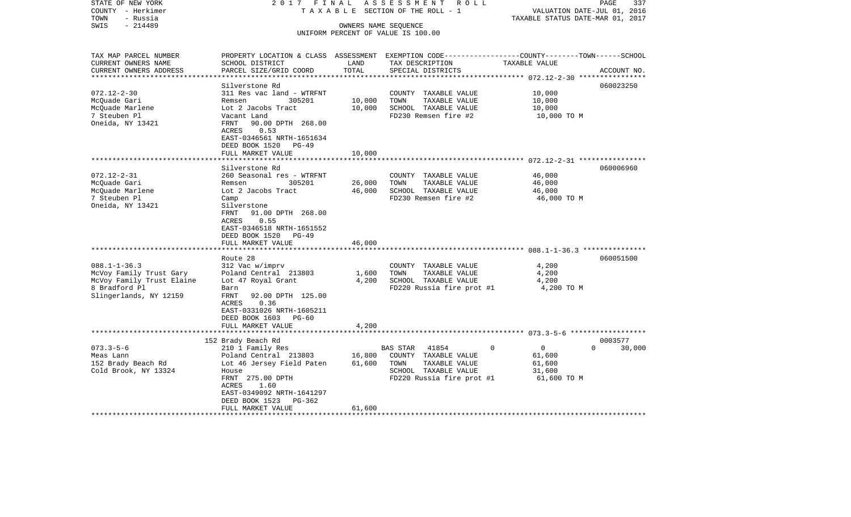| STATE OF NEW YORK<br>COUNTY - Herkimer<br>- Russia<br>TOWN | 2017 FINAL<br>TAXABLE                                                                            |        | ASSESSMENT ROLL<br>SECTION OF THE ROLL - 1    | VALUATION DATE-JUL 01, 2016<br>TAXABLE STATUS DATE-MAR 01, 2017 | PAGE<br>337        |  |
|------------------------------------------------------------|--------------------------------------------------------------------------------------------------|--------|-----------------------------------------------|-----------------------------------------------------------------|--------------------|--|
| $-214489$<br>SWIS                                          | OWNERS NAME SEQUENCE                                                                             |        |                                               |                                                                 |                    |  |
|                                                            |                                                                                                  |        | UNIFORM PERCENT OF VALUE IS 100.00            |                                                                 |                    |  |
|                                                            |                                                                                                  |        |                                               |                                                                 |                    |  |
| TAX MAP PARCEL NUMBER                                      | PROPERTY LOCATION & CLASS ASSESSMENT EXEMPTION CODE----------------COUNTY-------TOWN------SCHOOL |        |                                               |                                                                 |                    |  |
| CURRENT OWNERS NAME                                        | SCHOOL DISTRICT                                                                                  | LAND   | TAX DESCRIPTION                               | TAXABLE VALUE                                                   |                    |  |
| CURRENT OWNERS ADDRESS                                     | PARCEL SIZE/GRID COORD                                                                           | TOTAL  | SPECIAL DISTRICTS                             |                                                                 | ACCOUNT NO.        |  |
|                                                            |                                                                                                  |        |                                               |                                                                 |                    |  |
| $072.12 - 2 - 30$                                          | Silverstone Rd<br>311 Res vac land - WTRFNT                                                      |        |                                               | 10,000                                                          | 060023250          |  |
| McQuade Gari                                               | 305201<br>Remsen                                                                                 | 10,000 | COUNTY TAXABLE VALUE<br>TOWN<br>TAXABLE VALUE | 10,000                                                          |                    |  |
| McQuade Marlene                                            | Lot 2 Jacobs Tract                                                                               | 10,000 | SCHOOL TAXABLE VALUE                          | 10,000                                                          |                    |  |
| 7 Steuben Pl                                               | Vacant Land                                                                                      |        | FD230 Remsen fire #2                          | 10,000 TO M                                                     |                    |  |
| Oneida, NY 13421                                           | 90.00 DPTH 268.00<br>FRNT                                                                        |        |                                               |                                                                 |                    |  |
|                                                            | ACRES<br>0.53                                                                                    |        |                                               |                                                                 |                    |  |
|                                                            | EAST-0346561 NRTH-1651634                                                                        |        |                                               |                                                                 |                    |  |
|                                                            | DEED BOOK 1520<br>PG-49                                                                          |        |                                               |                                                                 |                    |  |
|                                                            | FULL MARKET VALUE                                                                                | 10,000 |                                               |                                                                 |                    |  |
|                                                            |                                                                                                  |        |                                               |                                                                 |                    |  |
|                                                            | Silverstone Rd                                                                                   |        |                                               |                                                                 | 060006960          |  |
| $072.12 - 2 - 31$                                          | 260 Seasonal res - WTRFNT                                                                        |        | COUNTY TAXABLE VALUE                          | 46,000                                                          |                    |  |
| McOuade Gari                                               | 305201<br>Remsen                                                                                 | 26,000 | TOWN<br>TAXABLE VALUE                         | 46,000                                                          |                    |  |
| McQuade Marlene                                            | Lot 2 Jacobs Tract                                                                               | 46,000 | SCHOOL TAXABLE VALUE                          | 46,000                                                          |                    |  |
| 7 Steuben Pl                                               | Camp                                                                                             |        | FD230 Remsen fire #2                          | 46,000 TO M                                                     |                    |  |
| Oneida, NY 13421                                           | Silverstone                                                                                      |        |                                               |                                                                 |                    |  |
|                                                            | FRNT<br>91.00 DPTH 268.00                                                                        |        |                                               |                                                                 |                    |  |
|                                                            | ACRES<br>0.55<br>EAST-0346518 NRTH-1651552                                                       |        |                                               |                                                                 |                    |  |
|                                                            | DEED BOOK 1520 PG-49                                                                             |        |                                               |                                                                 |                    |  |
|                                                            | FULL MARKET VALUE                                                                                | 46,000 |                                               |                                                                 |                    |  |
|                                                            | *********************                                                                            |        |                                               |                                                                 |                    |  |
|                                                            | Route 28                                                                                         |        |                                               |                                                                 | 060051500          |  |
| $088.1 - 1 - 36.3$                                         | 312 Vac w/imprv                                                                                  |        | COUNTY TAXABLE VALUE                          | 4,200                                                           |                    |  |
| McVoy Family Trust Gary                                    | Poland Central 213803                                                                            | 1,600  | TOWN<br>TAXABLE VALUE                         | 4,200                                                           |                    |  |
| McVoy Family Trust Elaine                                  | Lot 47 Royal Grant                                                                               | 4,200  | SCHOOL TAXABLE VALUE                          | 4,200                                                           |                    |  |
| 8 Bradford Pl                                              | Barn                                                                                             |        | FD220 Russia fire prot #1                     | 4,200 TO M                                                      |                    |  |
| Slingerlands, NY 12159                                     | <b>FRNT</b><br>92.00 DPTH 125.00                                                                 |        |                                               |                                                                 |                    |  |
|                                                            | ACRES<br>0.36                                                                                    |        |                                               |                                                                 |                    |  |
|                                                            | EAST-0331026 NRTH-1605211                                                                        |        |                                               |                                                                 |                    |  |
|                                                            | DEED BOOK 1603 PG-60                                                                             |        |                                               |                                                                 |                    |  |
|                                                            | FULL MARKET VALUE                                                                                | 4,200  |                                               |                                                                 |                    |  |
|                                                            |                                                                                                  |        |                                               |                                                                 |                    |  |
|                                                            | 152 Brady Beach Rd                                                                               |        |                                               |                                                                 | 0003577            |  |
| $073.3 - 5 - 6$                                            | 210 1 Family Res                                                                                 |        | 41854<br>BAS STAR                             | $\mathbf 0$<br>0                                                | $\Omega$<br>30,000 |  |
| Meas Lann                                                  | Poland Central 213803                                                                            | 16,800 | COUNTY TAXABLE VALUE                          | 61,600                                                          |                    |  |
| 152 Brady Beach Rd<br>Cold Brook, NY 13324                 | Lot 46 Jersey Field Paten<br>House                                                               | 61,600 | TOWN<br>TAXABLE VALUE<br>SCHOOL TAXABLE VALUE | 61,600<br>31,600                                                |                    |  |
|                                                            | FRNT 275.00 DPTH                                                                                 |        | FD220 Russia fire prot #1                     | 61,600 TO M                                                     |                    |  |
|                                                            | ACRES<br>1.60                                                                                    |        |                                               |                                                                 |                    |  |
|                                                            | EAST-0349092 NRTH-1641297                                                                        |        |                                               |                                                                 |                    |  |
|                                                            | DEED BOOK 1523<br>PG-362                                                                         |        |                                               |                                                                 |                    |  |
|                                                            | FULL MARKET VALUE                                                                                | 61,600 |                                               |                                                                 |                    |  |
|                                                            |                                                                                                  |        |                                               |                                                                 |                    |  |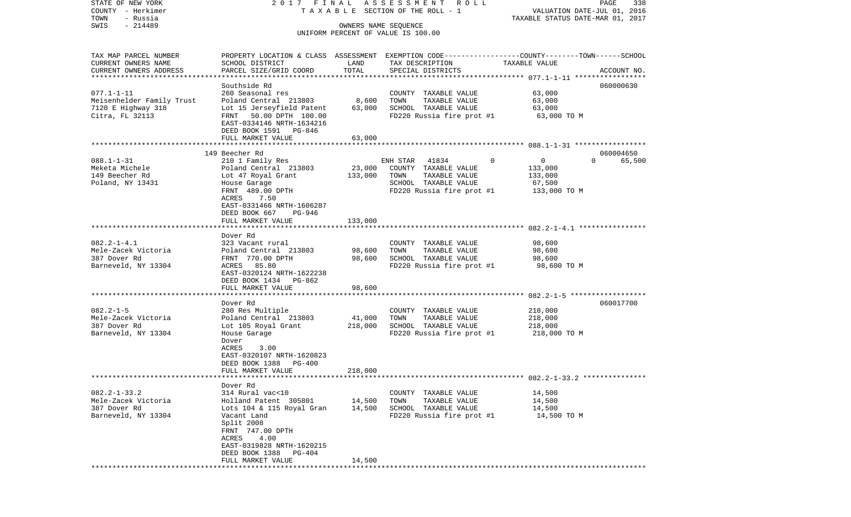STATE OF NEW YORK 2 0 1 7 F I N A L A S S E S S M E N T R O L L PAGE 338COUNTY - Herkimer T A X A B L E SECTION OF THE ROLL - 1 VALUATION DATE-JUL 01, 2016 TOWN - Russia TAXABLE STATUS DATE-MAR 01, 2017 SWIS - 214489 OWNERS NAME SEQUENCE UNIFORM PERCENT OF VALUE IS 100.00TAX MAP PARCEL NUMBER PROPERTY LOCATION & CLASS ASSESSMENT EXEMPTION CODE------------------COUNTY--------TOWN------SCHOOL CURRENT OWNERS NAME SCHOOL DISTRICT LAND TAX DESCRIPTION TAXABLE VALUECURRENT OWNERS ADDRESS PARCEL SIZE/GRID COORD TOTAL SPECIAL DISTRICTS ACCOUNT NO. \*\*\*\*\*\*\*\*\*\*\*\*\*\*\*\*\*\*\*\*\*\*\*\*\*\*\*\*\*\*\*\*\*\*\*\*\*\*\*\*\*\*\*\*\*\*\*\*\*\*\*\*\*\*\*\*\*\*\*\*\*\*\*\*\*\*\*\*\*\*\*\*\*\*\*\*\*\*\*\*\*\*\*\*\*\*\*\*\*\*\*\*\*\*\*\*\*\*\*\*\*\*\* 077.1-1-11 \*\*\*\*\*\*\*\*\*\*\*\*\*\*\*\*\*Southside Rd 060000630 077.1-1-11 260 Seasonal res COUNTY TAXABLE VALUE 63,000 Meisenhelder Family Trust Poland Central 213803 8,600 TOWN TAXABLE VALUE 63,000 7120 E Highway 318 Lot 15 Jerseyfield Patent 63,000 SCHOOL TAXABLE VALUE 63,000 Citra, FL 32113 FRNT 50.00 DPTH 100.00 FD220 Russia fire prot #1 63,000 TO M EAST-0334146 NRTH-1634216 DEED BOOK 1591 PG-846FULL MARKET VALUE 63,000 \*\*\*\*\*\*\*\*\*\*\*\*\*\*\*\*\*\*\*\*\*\*\*\*\*\*\*\*\*\*\*\*\*\*\*\*\*\*\*\*\*\*\*\*\*\*\*\*\*\*\*\*\*\*\*\*\*\*\*\*\*\*\*\*\*\*\*\*\*\*\*\*\*\*\*\*\*\*\*\*\*\*\*\*\*\*\*\*\*\*\*\*\*\*\*\*\*\*\*\*\*\*\* 088.1-1-31 \*\*\*\*\*\*\*\*\*\*\*\*\*\*\*\*\* 149 Beecher Rd 06000465065.500 088.1-1-31 210 1 Family Res ENH STAR 41834 0 0 0 0 Meketa Michele Poland Central 213803 23,000 COUNTY TAXABLE VALUE 133,000 149 Beecher Rd Lot 47 Royal Grant 133,000 TOWN TAXABLE VALUE 133,000 Poland, NY 13431 House Garage SCHOOL TAXABLE VALUE 67,500 FRNT 489.00 DPTH FD220 Russia fire prot #1 133,000 TO M ACRES 7.50 EAST-0331466 NRTH-1606287 DEED BOOK 667 PG-946FULL MARKET VALUE 133,000 \*\*\*\*\*\*\*\*\*\*\*\*\*\*\*\*\*\*\*\*\*\*\*\*\*\*\*\*\*\*\*\*\*\*\*\*\*\*\*\*\*\*\*\*\*\*\*\*\*\*\*\*\*\*\*\*\*\*\*\*\*\*\*\*\*\*\*\*\*\*\*\*\*\*\*\*\*\*\*\*\*\*\*\*\*\*\*\*\*\*\*\*\*\*\*\*\*\*\*\*\*\*\* 082.2-1-4.1 \*\*\*\*\*\*\*\*\*\*\*\*\*\*\*\* Dover Rd082.2-1-4.1 323 Vacant rural COUNTY TAXABLE VALUE 98,600 Mele-Zacek Victoria Poland Central 213803 98,600 TOWN TAXABLE VALUE 98,600 387 Dover Rd FRNT 770.00 DPTH 98,600 SCHOOL TAXABLE VALUE 98,600 Barneveld, NY 13304 ACRES 85.80 **FD220** Russia fire prot #1 98,600 TO M EAST-0320124 NRTH-1622238 DEED BOOK 1434 PG-862FULL MARKET VALUE 98,600 \*\*\*\*\*\*\*\*\*\*\*\*\*\*\*\*\*\*\*\*\*\*\*\*\*\*\*\*\*\*\*\*\*\*\*\*\*\*\*\*\*\*\*\*\*\*\*\*\*\*\*\*\*\*\*\*\*\*\*\*\*\*\*\*\*\*\*\*\*\*\*\*\*\*\*\*\*\*\*\*\*\*\*\*\*\*\*\*\*\*\*\*\*\*\*\*\*\*\*\*\*\*\* 082.2-1-5 \*\*\*\*\*\*\*\*\*\*\*\*\*\*\*\*\*\* Dover Rd 060017700082.2-1-5 280 Res Multiple COUNTY TAXABLE VALUE 218,000 Mele-Zacek Victoria Poland Central 213803 41,000 TOWN TAXABLE VALUE 218,000 387 Dover Rd Lot 105 Royal Grant 218,000 SCHOOL TAXABLE VALUE 218,000 Barneveld, NY 13304 House Garage FD220 Russia fire prot #1 218,000 TO M Dover ACRES 3.00 EAST-0320107 NRTH-1620823 DEED BOOK 1388 PG-400 FULL MARKET VALUE 218,000 \*\*\*\*\*\*\*\*\*\*\*\*\*\*\*\*\*\*\*\*\*\*\*\*\*\*\*\*\*\*\*\*\*\*\*\*\*\*\*\*\*\*\*\*\*\*\*\*\*\*\*\*\*\*\*\*\*\*\*\*\*\*\*\*\*\*\*\*\*\*\*\*\*\*\*\*\*\*\*\*\*\*\*\*\*\*\*\*\*\*\*\*\*\*\*\*\*\*\*\*\*\*\* 082.2-1-33.2 \*\*\*\*\*\*\*\*\*\*\*\*\*\*\* Dover Rd082.2-1-33.2 314 Rural vac<10 COUNTY TAXABLE VALUE 14,500 Mele-Zacek Victoria Holland Patent 305801 14,500 TOWN TAXABLE VALUE 14,500 387 Dover Rd Lots 104 & 115 Royal Gran 14,500 SCHOOL TAXABLE VALUE 14,500 Barneveld, NY 13304 Vacant Land FD220 Russia fire prot #1 14,500 TO M Split 2008 FRNT 747.00 DPTH ACRES 4.00 EAST-0319828 NRTH-1620215 DEED BOOK 1388 PG-404FULL MARKET VALUE 14,500 \*\*\*\*\*\*\*\*\*\*\*\*\*\*\*\*\*\*\*\*\*\*\*\*\*\*\*\*\*\*\*\*\*\*\*\*\*\*\*\*\*\*\*\*\*\*\*\*\*\*\*\*\*\*\*\*\*\*\*\*\*\*\*\*\*\*\*\*\*\*\*\*\*\*\*\*\*\*\*\*\*\*\*\*\*\*\*\*\*\*\*\*\*\*\*\*\*\*\*\*\*\*\*\*\*\*\*\*\*\*\*\*\*\*\*\*\*\*\*\*\*\*\*\*\*\*\*\*\*\*\*\*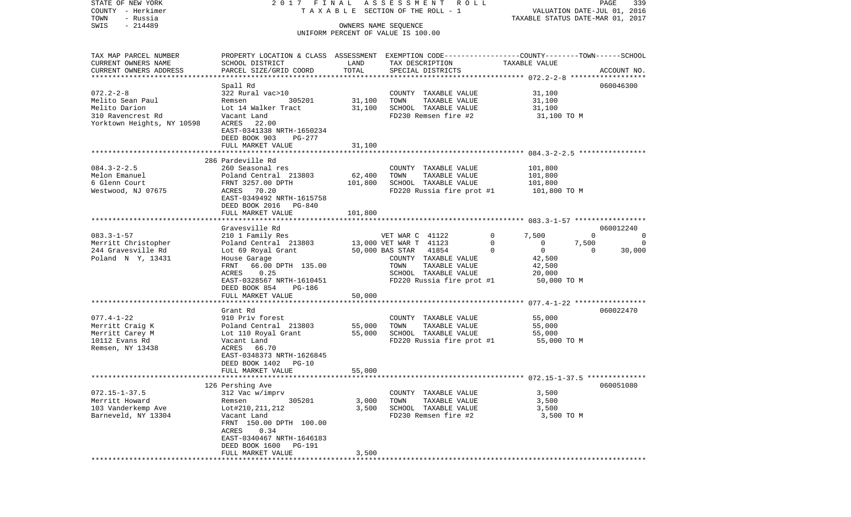| TAXABLE SECTION OF THE ROLL - 1<br>VALUATION DATE-JUL 01, 2016<br>TOWN<br>- Russia<br>TAXABLE STATUS DATE-MAR 01, 2017<br>$-214489$<br>SWIS<br>OWNERS NAME SEQUENCE<br>UNIFORM PERCENT OF VALUE IS 100.00<br>TAX MAP PARCEL NUMBER<br>PROPERTY LOCATION & CLASS ASSESSMENT EXEMPTION CODE---------------COUNTY-------TOWN------SCHOOL<br>CURRENT OWNERS NAME<br>SCHOOL DISTRICT<br>LAND<br>TAX DESCRIPTION<br>TAXABLE VALUE<br>TOTAL<br>PARCEL SIZE/GRID COORD<br>SPECIAL DISTRICTS<br>ACCOUNT NO.<br>Spall Rd<br>060046300<br>31,100<br>322 Rural vac>10<br>COUNTY TAXABLE VALUE<br>31,100<br>Melito Sean Paul<br>305201<br>TOWN<br>TAXABLE VALUE<br>31,100<br>Remsen<br>Melito Darion<br>31,100<br>SCHOOL TAXABLE VALUE<br>Lot 14 Walker Tract<br>31,100<br>FD230 Remsen fire #2<br>310 Ravencrest Rd<br>Vacant Land<br>31,100 TO M<br>Yorktown Heights, NY 10598<br>ACRES 22.00<br>EAST-0341338 NRTH-1650234<br>DEED BOOK 903<br>PG-277<br>FULL MARKET VALUE<br>31,100<br>286 Pardeville Rd<br>$084.3 - 2 - 2.5$<br>260 Seasonal res<br>COUNTY TAXABLE VALUE<br>101,800<br>62,400<br>Poland Central 213803<br>TOWN<br>TAXABLE VALUE<br>101,800<br>101,800<br>SCHOOL TAXABLE VALUE<br>FRNT 3257.00 DPTH<br>101,800<br>ACRES 70.20<br>FD220 Russia fire prot #1<br>101,800 TO M<br>EAST-0349492 NRTH-1615758<br>DEED BOOK 2016<br>PG-840<br>FULL MARKET VALUE<br>101,800<br>Gravesville Rd<br>060012240<br>$083.3 - 1 - 57$<br>210 1 Family Res<br>VET WAR C 41122<br>0<br>7,500<br>$\Omega$<br>0<br>Merritt Christopher<br>Poland Central 213803<br>13,000 VET WAR T 41123<br>$\mathbf 0$<br>7,500<br>0<br>0<br>50,000 BAS STAR<br>$\mathbf 0$<br>30,000<br>244 Gravesville Rd<br>Lot 69 Royal Grant<br>41854<br>$\Omega$<br>$\Omega$<br>Poland N Y, 13431<br>House Garage<br>COUNTY TAXABLE VALUE<br>42,500<br>66.00 DPTH 135.00<br>FRNT<br>TOWN<br>TAXABLE VALUE<br>42,500<br>0.25<br>SCHOOL TAXABLE VALUE<br>ACRES<br>20,000<br>EAST-0328567 NRTH-1610451<br>FD220 Russia fire prot #1<br>50,000 TO M<br>DEED BOOK 854<br>PG-186<br>50,000<br>FULL MARKET VALUE<br>060022470<br>Grant Rd<br>$077.4 - 1 - 22$<br>910 Priv forest<br>COUNTY TAXABLE VALUE<br>55,000<br>Merritt Craig K<br>Poland Central 213803<br>55,000<br>TOWN<br>TAXABLE VALUE<br>55,000<br>Merritt Carey M<br>Lot 110 Royal Grant<br>55,000<br>SCHOOL TAXABLE VALUE<br>55,000<br>10112 Evans Rd<br>FD220 Russia fire prot #1<br>Vacant Land<br>55,000 TO M<br>Remsen, NY 13438<br>ACRES 66.70<br>EAST-0348373 NRTH-1626845<br>DEED BOOK 1402<br>$PG-10$<br>55,000<br>FULL MARKET VALUE<br>126 Pershing Ave<br>060051080<br>312 Vac w/imprv<br>COUNTY TAXABLE VALUE<br>3,500<br>305201<br>3,000<br>TOWN<br>TAXABLE VALUE<br>3,500<br>Remsen<br>3,500<br>SCHOOL TAXABLE VALUE<br>3,500<br>Lot#210,211,212<br>Vacant Land<br>FD230 Remsen fire #2<br>3,500 TO M<br>FRNT 150.00 DPTH 100.00<br>0.34<br>ACRES<br>EAST-0340467 NRTH-1646183<br>DEED BOOK 1600<br>PG-191<br>3,500<br>FULL MARKET VALUE | STATE OF NEW YORK       | 2017 FINAL | ASSESSMENT<br>ROLL | PAGE<br>339 |
|-------------------------------------------------------------------------------------------------------------------------------------------------------------------------------------------------------------------------------------------------------------------------------------------------------------------------------------------------------------------------------------------------------------------------------------------------------------------------------------------------------------------------------------------------------------------------------------------------------------------------------------------------------------------------------------------------------------------------------------------------------------------------------------------------------------------------------------------------------------------------------------------------------------------------------------------------------------------------------------------------------------------------------------------------------------------------------------------------------------------------------------------------------------------------------------------------------------------------------------------------------------------------------------------------------------------------------------------------------------------------------------------------------------------------------------------------------------------------------------------------------------------------------------------------------------------------------------------------------------------------------------------------------------------------------------------------------------------------------------------------------------------------------------------------------------------------------------------------------------------------------------------------------------------------------------------------------------------------------------------------------------------------------------------------------------------------------------------------------------------------------------------------------------------------------------------------------------------------------------------------------------------------------------------------------------------------------------------------------------------------------------------------------------------------------------------------------------------------------------------------------------------------------------------------------------------------------------------------------------------------------------------------------------------------------------------------------------------------------------------------------------------------------------------------------------------------------------------------------------------------------------------------------------------------------------------------------------------------|-------------------------|------------|--------------------|-------------|
|                                                                                                                                                                                                                                                                                                                                                                                                                                                                                                                                                                                                                                                                                                                                                                                                                                                                                                                                                                                                                                                                                                                                                                                                                                                                                                                                                                                                                                                                                                                                                                                                                                                                                                                                                                                                                                                                                                                                                                                                                                                                                                                                                                                                                                                                                                                                                                                                                                                                                                                                                                                                                                                                                                                                                                                                                                                                                                                                                                         | COUNTY - Herkimer       |            |                    |             |
|                                                                                                                                                                                                                                                                                                                                                                                                                                                                                                                                                                                                                                                                                                                                                                                                                                                                                                                                                                                                                                                                                                                                                                                                                                                                                                                                                                                                                                                                                                                                                                                                                                                                                                                                                                                                                                                                                                                                                                                                                                                                                                                                                                                                                                                                                                                                                                                                                                                                                                                                                                                                                                                                                                                                                                                                                                                                                                                                                                         |                         |            |                    |             |
|                                                                                                                                                                                                                                                                                                                                                                                                                                                                                                                                                                                                                                                                                                                                                                                                                                                                                                                                                                                                                                                                                                                                                                                                                                                                                                                                                                                                                                                                                                                                                                                                                                                                                                                                                                                                                                                                                                                                                                                                                                                                                                                                                                                                                                                                                                                                                                                                                                                                                                                                                                                                                                                                                                                                                                                                                                                                                                                                                                         |                         |            |                    |             |
|                                                                                                                                                                                                                                                                                                                                                                                                                                                                                                                                                                                                                                                                                                                                                                                                                                                                                                                                                                                                                                                                                                                                                                                                                                                                                                                                                                                                                                                                                                                                                                                                                                                                                                                                                                                                                                                                                                                                                                                                                                                                                                                                                                                                                                                                                                                                                                                                                                                                                                                                                                                                                                                                                                                                                                                                                                                                                                                                                                         |                         |            |                    |             |
|                                                                                                                                                                                                                                                                                                                                                                                                                                                                                                                                                                                                                                                                                                                                                                                                                                                                                                                                                                                                                                                                                                                                                                                                                                                                                                                                                                                                                                                                                                                                                                                                                                                                                                                                                                                                                                                                                                                                                                                                                                                                                                                                                                                                                                                                                                                                                                                                                                                                                                                                                                                                                                                                                                                                                                                                                                                                                                                                                                         |                         |            |                    |             |
|                                                                                                                                                                                                                                                                                                                                                                                                                                                                                                                                                                                                                                                                                                                                                                                                                                                                                                                                                                                                                                                                                                                                                                                                                                                                                                                                                                                                                                                                                                                                                                                                                                                                                                                                                                                                                                                                                                                                                                                                                                                                                                                                                                                                                                                                                                                                                                                                                                                                                                                                                                                                                                                                                                                                                                                                                                                                                                                                                                         |                         |            |                    |             |
|                                                                                                                                                                                                                                                                                                                                                                                                                                                                                                                                                                                                                                                                                                                                                                                                                                                                                                                                                                                                                                                                                                                                                                                                                                                                                                                                                                                                                                                                                                                                                                                                                                                                                                                                                                                                                                                                                                                                                                                                                                                                                                                                                                                                                                                                                                                                                                                                                                                                                                                                                                                                                                                                                                                                                                                                                                                                                                                                                                         | CURRENT OWNERS ADDRESS  |            |                    |             |
|                                                                                                                                                                                                                                                                                                                                                                                                                                                                                                                                                                                                                                                                                                                                                                                                                                                                                                                                                                                                                                                                                                                                                                                                                                                                                                                                                                                                                                                                                                                                                                                                                                                                                                                                                                                                                                                                                                                                                                                                                                                                                                                                                                                                                                                                                                                                                                                                                                                                                                                                                                                                                                                                                                                                                                                                                                                                                                                                                                         | *********************** |            |                    |             |
|                                                                                                                                                                                                                                                                                                                                                                                                                                                                                                                                                                                                                                                                                                                                                                                                                                                                                                                                                                                                                                                                                                                                                                                                                                                                                                                                                                                                                                                                                                                                                                                                                                                                                                                                                                                                                                                                                                                                                                                                                                                                                                                                                                                                                                                                                                                                                                                                                                                                                                                                                                                                                                                                                                                                                                                                                                                                                                                                                                         |                         |            |                    |             |
|                                                                                                                                                                                                                                                                                                                                                                                                                                                                                                                                                                                                                                                                                                                                                                                                                                                                                                                                                                                                                                                                                                                                                                                                                                                                                                                                                                                                                                                                                                                                                                                                                                                                                                                                                                                                                                                                                                                                                                                                                                                                                                                                                                                                                                                                                                                                                                                                                                                                                                                                                                                                                                                                                                                                                                                                                                                                                                                                                                         | $072.2 - 2 - 8$         |            |                    |             |
|                                                                                                                                                                                                                                                                                                                                                                                                                                                                                                                                                                                                                                                                                                                                                                                                                                                                                                                                                                                                                                                                                                                                                                                                                                                                                                                                                                                                                                                                                                                                                                                                                                                                                                                                                                                                                                                                                                                                                                                                                                                                                                                                                                                                                                                                                                                                                                                                                                                                                                                                                                                                                                                                                                                                                                                                                                                                                                                                                                         |                         |            |                    |             |
|                                                                                                                                                                                                                                                                                                                                                                                                                                                                                                                                                                                                                                                                                                                                                                                                                                                                                                                                                                                                                                                                                                                                                                                                                                                                                                                                                                                                                                                                                                                                                                                                                                                                                                                                                                                                                                                                                                                                                                                                                                                                                                                                                                                                                                                                                                                                                                                                                                                                                                                                                                                                                                                                                                                                                                                                                                                                                                                                                                         |                         |            |                    |             |
|                                                                                                                                                                                                                                                                                                                                                                                                                                                                                                                                                                                                                                                                                                                                                                                                                                                                                                                                                                                                                                                                                                                                                                                                                                                                                                                                                                                                                                                                                                                                                                                                                                                                                                                                                                                                                                                                                                                                                                                                                                                                                                                                                                                                                                                                                                                                                                                                                                                                                                                                                                                                                                                                                                                                                                                                                                                                                                                                                                         |                         |            |                    |             |
|                                                                                                                                                                                                                                                                                                                                                                                                                                                                                                                                                                                                                                                                                                                                                                                                                                                                                                                                                                                                                                                                                                                                                                                                                                                                                                                                                                                                                                                                                                                                                                                                                                                                                                                                                                                                                                                                                                                                                                                                                                                                                                                                                                                                                                                                                                                                                                                                                                                                                                                                                                                                                                                                                                                                                                                                                                                                                                                                                                         |                         |            |                    |             |
|                                                                                                                                                                                                                                                                                                                                                                                                                                                                                                                                                                                                                                                                                                                                                                                                                                                                                                                                                                                                                                                                                                                                                                                                                                                                                                                                                                                                                                                                                                                                                                                                                                                                                                                                                                                                                                                                                                                                                                                                                                                                                                                                                                                                                                                                                                                                                                                                                                                                                                                                                                                                                                                                                                                                                                                                                                                                                                                                                                         |                         |            |                    |             |
|                                                                                                                                                                                                                                                                                                                                                                                                                                                                                                                                                                                                                                                                                                                                                                                                                                                                                                                                                                                                                                                                                                                                                                                                                                                                                                                                                                                                                                                                                                                                                                                                                                                                                                                                                                                                                                                                                                                                                                                                                                                                                                                                                                                                                                                                                                                                                                                                                                                                                                                                                                                                                                                                                                                                                                                                                                                                                                                                                                         |                         |            |                    |             |
|                                                                                                                                                                                                                                                                                                                                                                                                                                                                                                                                                                                                                                                                                                                                                                                                                                                                                                                                                                                                                                                                                                                                                                                                                                                                                                                                                                                                                                                                                                                                                                                                                                                                                                                                                                                                                                                                                                                                                                                                                                                                                                                                                                                                                                                                                                                                                                                                                                                                                                                                                                                                                                                                                                                                                                                                                                                                                                                                                                         |                         |            |                    |             |
|                                                                                                                                                                                                                                                                                                                                                                                                                                                                                                                                                                                                                                                                                                                                                                                                                                                                                                                                                                                                                                                                                                                                                                                                                                                                                                                                                                                                                                                                                                                                                                                                                                                                                                                                                                                                                                                                                                                                                                                                                                                                                                                                                                                                                                                                                                                                                                                                                                                                                                                                                                                                                                                                                                                                                                                                                                                                                                                                                                         |                         |            |                    |             |
|                                                                                                                                                                                                                                                                                                                                                                                                                                                                                                                                                                                                                                                                                                                                                                                                                                                                                                                                                                                                                                                                                                                                                                                                                                                                                                                                                                                                                                                                                                                                                                                                                                                                                                                                                                                                                                                                                                                                                                                                                                                                                                                                                                                                                                                                                                                                                                                                                                                                                                                                                                                                                                                                                                                                                                                                                                                                                                                                                                         |                         |            |                    |             |
|                                                                                                                                                                                                                                                                                                                                                                                                                                                                                                                                                                                                                                                                                                                                                                                                                                                                                                                                                                                                                                                                                                                                                                                                                                                                                                                                                                                                                                                                                                                                                                                                                                                                                                                                                                                                                                                                                                                                                                                                                                                                                                                                                                                                                                                                                                                                                                                                                                                                                                                                                                                                                                                                                                                                                                                                                                                                                                                                                                         | Melon Emanuel           |            |                    |             |
|                                                                                                                                                                                                                                                                                                                                                                                                                                                                                                                                                                                                                                                                                                                                                                                                                                                                                                                                                                                                                                                                                                                                                                                                                                                                                                                                                                                                                                                                                                                                                                                                                                                                                                                                                                                                                                                                                                                                                                                                                                                                                                                                                                                                                                                                                                                                                                                                                                                                                                                                                                                                                                                                                                                                                                                                                                                                                                                                                                         | 6 Glenn Court           |            |                    |             |
|                                                                                                                                                                                                                                                                                                                                                                                                                                                                                                                                                                                                                                                                                                                                                                                                                                                                                                                                                                                                                                                                                                                                                                                                                                                                                                                                                                                                                                                                                                                                                                                                                                                                                                                                                                                                                                                                                                                                                                                                                                                                                                                                                                                                                                                                                                                                                                                                                                                                                                                                                                                                                                                                                                                                                                                                                                                                                                                                                                         | Westwood, NJ 07675      |            |                    |             |
|                                                                                                                                                                                                                                                                                                                                                                                                                                                                                                                                                                                                                                                                                                                                                                                                                                                                                                                                                                                                                                                                                                                                                                                                                                                                                                                                                                                                                                                                                                                                                                                                                                                                                                                                                                                                                                                                                                                                                                                                                                                                                                                                                                                                                                                                                                                                                                                                                                                                                                                                                                                                                                                                                                                                                                                                                                                                                                                                                                         |                         |            |                    |             |
|                                                                                                                                                                                                                                                                                                                                                                                                                                                                                                                                                                                                                                                                                                                                                                                                                                                                                                                                                                                                                                                                                                                                                                                                                                                                                                                                                                                                                                                                                                                                                                                                                                                                                                                                                                                                                                                                                                                                                                                                                                                                                                                                                                                                                                                                                                                                                                                                                                                                                                                                                                                                                                                                                                                                                                                                                                                                                                                                                                         |                         |            |                    |             |
|                                                                                                                                                                                                                                                                                                                                                                                                                                                                                                                                                                                                                                                                                                                                                                                                                                                                                                                                                                                                                                                                                                                                                                                                                                                                                                                                                                                                                                                                                                                                                                                                                                                                                                                                                                                                                                                                                                                                                                                                                                                                                                                                                                                                                                                                                                                                                                                                                                                                                                                                                                                                                                                                                                                                                                                                                                                                                                                                                                         |                         |            |                    |             |
|                                                                                                                                                                                                                                                                                                                                                                                                                                                                                                                                                                                                                                                                                                                                                                                                                                                                                                                                                                                                                                                                                                                                                                                                                                                                                                                                                                                                                                                                                                                                                                                                                                                                                                                                                                                                                                                                                                                                                                                                                                                                                                                                                                                                                                                                                                                                                                                                                                                                                                                                                                                                                                                                                                                                                                                                                                                                                                                                                                         |                         |            |                    |             |
|                                                                                                                                                                                                                                                                                                                                                                                                                                                                                                                                                                                                                                                                                                                                                                                                                                                                                                                                                                                                                                                                                                                                                                                                                                                                                                                                                                                                                                                                                                                                                                                                                                                                                                                                                                                                                                                                                                                                                                                                                                                                                                                                                                                                                                                                                                                                                                                                                                                                                                                                                                                                                                                                                                                                                                                                                                                                                                                                                                         |                         |            |                    |             |
|                                                                                                                                                                                                                                                                                                                                                                                                                                                                                                                                                                                                                                                                                                                                                                                                                                                                                                                                                                                                                                                                                                                                                                                                                                                                                                                                                                                                                                                                                                                                                                                                                                                                                                                                                                                                                                                                                                                                                                                                                                                                                                                                                                                                                                                                                                                                                                                                                                                                                                                                                                                                                                                                                                                                                                                                                                                                                                                                                                         |                         |            |                    |             |
|                                                                                                                                                                                                                                                                                                                                                                                                                                                                                                                                                                                                                                                                                                                                                                                                                                                                                                                                                                                                                                                                                                                                                                                                                                                                                                                                                                                                                                                                                                                                                                                                                                                                                                                                                                                                                                                                                                                                                                                                                                                                                                                                                                                                                                                                                                                                                                                                                                                                                                                                                                                                                                                                                                                                                                                                                                                                                                                                                                         |                         |            |                    |             |
|                                                                                                                                                                                                                                                                                                                                                                                                                                                                                                                                                                                                                                                                                                                                                                                                                                                                                                                                                                                                                                                                                                                                                                                                                                                                                                                                                                                                                                                                                                                                                                                                                                                                                                                                                                                                                                                                                                                                                                                                                                                                                                                                                                                                                                                                                                                                                                                                                                                                                                                                                                                                                                                                                                                                                                                                                                                                                                                                                                         |                         |            |                    |             |
|                                                                                                                                                                                                                                                                                                                                                                                                                                                                                                                                                                                                                                                                                                                                                                                                                                                                                                                                                                                                                                                                                                                                                                                                                                                                                                                                                                                                                                                                                                                                                                                                                                                                                                                                                                                                                                                                                                                                                                                                                                                                                                                                                                                                                                                                                                                                                                                                                                                                                                                                                                                                                                                                                                                                                                                                                                                                                                                                                                         |                         |            |                    |             |
|                                                                                                                                                                                                                                                                                                                                                                                                                                                                                                                                                                                                                                                                                                                                                                                                                                                                                                                                                                                                                                                                                                                                                                                                                                                                                                                                                                                                                                                                                                                                                                                                                                                                                                                                                                                                                                                                                                                                                                                                                                                                                                                                                                                                                                                                                                                                                                                                                                                                                                                                                                                                                                                                                                                                                                                                                                                                                                                                                                         |                         |            |                    |             |
|                                                                                                                                                                                                                                                                                                                                                                                                                                                                                                                                                                                                                                                                                                                                                                                                                                                                                                                                                                                                                                                                                                                                                                                                                                                                                                                                                                                                                                                                                                                                                                                                                                                                                                                                                                                                                                                                                                                                                                                                                                                                                                                                                                                                                                                                                                                                                                                                                                                                                                                                                                                                                                                                                                                                                                                                                                                                                                                                                                         |                         |            |                    |             |
|                                                                                                                                                                                                                                                                                                                                                                                                                                                                                                                                                                                                                                                                                                                                                                                                                                                                                                                                                                                                                                                                                                                                                                                                                                                                                                                                                                                                                                                                                                                                                                                                                                                                                                                                                                                                                                                                                                                                                                                                                                                                                                                                                                                                                                                                                                                                                                                                                                                                                                                                                                                                                                                                                                                                                                                                                                                                                                                                                                         |                         |            |                    |             |
|                                                                                                                                                                                                                                                                                                                                                                                                                                                                                                                                                                                                                                                                                                                                                                                                                                                                                                                                                                                                                                                                                                                                                                                                                                                                                                                                                                                                                                                                                                                                                                                                                                                                                                                                                                                                                                                                                                                                                                                                                                                                                                                                                                                                                                                                                                                                                                                                                                                                                                                                                                                                                                                                                                                                                                                                                                                                                                                                                                         |                         |            |                    |             |
|                                                                                                                                                                                                                                                                                                                                                                                                                                                                                                                                                                                                                                                                                                                                                                                                                                                                                                                                                                                                                                                                                                                                                                                                                                                                                                                                                                                                                                                                                                                                                                                                                                                                                                                                                                                                                                                                                                                                                                                                                                                                                                                                                                                                                                                                                                                                                                                                                                                                                                                                                                                                                                                                                                                                                                                                                                                                                                                                                                         |                         |            |                    |             |
|                                                                                                                                                                                                                                                                                                                                                                                                                                                                                                                                                                                                                                                                                                                                                                                                                                                                                                                                                                                                                                                                                                                                                                                                                                                                                                                                                                                                                                                                                                                                                                                                                                                                                                                                                                                                                                                                                                                                                                                                                                                                                                                                                                                                                                                                                                                                                                                                                                                                                                                                                                                                                                                                                                                                                                                                                                                                                                                                                                         |                         |            |                    |             |
|                                                                                                                                                                                                                                                                                                                                                                                                                                                                                                                                                                                                                                                                                                                                                                                                                                                                                                                                                                                                                                                                                                                                                                                                                                                                                                                                                                                                                                                                                                                                                                                                                                                                                                                                                                                                                                                                                                                                                                                                                                                                                                                                                                                                                                                                                                                                                                                                                                                                                                                                                                                                                                                                                                                                                                                                                                                                                                                                                                         |                         |            |                    |             |
|                                                                                                                                                                                                                                                                                                                                                                                                                                                                                                                                                                                                                                                                                                                                                                                                                                                                                                                                                                                                                                                                                                                                                                                                                                                                                                                                                                                                                                                                                                                                                                                                                                                                                                                                                                                                                                                                                                                                                                                                                                                                                                                                                                                                                                                                                                                                                                                                                                                                                                                                                                                                                                                                                                                                                                                                                                                                                                                                                                         |                         |            |                    |             |
|                                                                                                                                                                                                                                                                                                                                                                                                                                                                                                                                                                                                                                                                                                                                                                                                                                                                                                                                                                                                                                                                                                                                                                                                                                                                                                                                                                                                                                                                                                                                                                                                                                                                                                                                                                                                                                                                                                                                                                                                                                                                                                                                                                                                                                                                                                                                                                                                                                                                                                                                                                                                                                                                                                                                                                                                                                                                                                                                                                         |                         |            |                    |             |
|                                                                                                                                                                                                                                                                                                                                                                                                                                                                                                                                                                                                                                                                                                                                                                                                                                                                                                                                                                                                                                                                                                                                                                                                                                                                                                                                                                                                                                                                                                                                                                                                                                                                                                                                                                                                                                                                                                                                                                                                                                                                                                                                                                                                                                                                                                                                                                                                                                                                                                                                                                                                                                                                                                                                                                                                                                                                                                                                                                         |                         |            |                    |             |
|                                                                                                                                                                                                                                                                                                                                                                                                                                                                                                                                                                                                                                                                                                                                                                                                                                                                                                                                                                                                                                                                                                                                                                                                                                                                                                                                                                                                                                                                                                                                                                                                                                                                                                                                                                                                                                                                                                                                                                                                                                                                                                                                                                                                                                                                                                                                                                                                                                                                                                                                                                                                                                                                                                                                                                                                                                                                                                                                                                         |                         |            |                    |             |
|                                                                                                                                                                                                                                                                                                                                                                                                                                                                                                                                                                                                                                                                                                                                                                                                                                                                                                                                                                                                                                                                                                                                                                                                                                                                                                                                                                                                                                                                                                                                                                                                                                                                                                                                                                                                                                                                                                                                                                                                                                                                                                                                                                                                                                                                                                                                                                                                                                                                                                                                                                                                                                                                                                                                                                                                                                                                                                                                                                         |                         |            |                    |             |
|                                                                                                                                                                                                                                                                                                                                                                                                                                                                                                                                                                                                                                                                                                                                                                                                                                                                                                                                                                                                                                                                                                                                                                                                                                                                                                                                                                                                                                                                                                                                                                                                                                                                                                                                                                                                                                                                                                                                                                                                                                                                                                                                                                                                                                                                                                                                                                                                                                                                                                                                                                                                                                                                                                                                                                                                                                                                                                                                                                         |                         |            |                    |             |
|                                                                                                                                                                                                                                                                                                                                                                                                                                                                                                                                                                                                                                                                                                                                                                                                                                                                                                                                                                                                                                                                                                                                                                                                                                                                                                                                                                                                                                                                                                                                                                                                                                                                                                                                                                                                                                                                                                                                                                                                                                                                                                                                                                                                                                                                                                                                                                                                                                                                                                                                                                                                                                                                                                                                                                                                                                                                                                                                                                         |                         |            |                    |             |
|                                                                                                                                                                                                                                                                                                                                                                                                                                                                                                                                                                                                                                                                                                                                                                                                                                                                                                                                                                                                                                                                                                                                                                                                                                                                                                                                                                                                                                                                                                                                                                                                                                                                                                                                                                                                                                                                                                                                                                                                                                                                                                                                                                                                                                                                                                                                                                                                                                                                                                                                                                                                                                                                                                                                                                                                                                                                                                                                                                         |                         |            |                    |             |
|                                                                                                                                                                                                                                                                                                                                                                                                                                                                                                                                                                                                                                                                                                                                                                                                                                                                                                                                                                                                                                                                                                                                                                                                                                                                                                                                                                                                                                                                                                                                                                                                                                                                                                                                                                                                                                                                                                                                                                                                                                                                                                                                                                                                                                                                                                                                                                                                                                                                                                                                                                                                                                                                                                                                                                                                                                                                                                                                                                         | $072.15 - 1 - 37.5$     |            |                    |             |
|                                                                                                                                                                                                                                                                                                                                                                                                                                                                                                                                                                                                                                                                                                                                                                                                                                                                                                                                                                                                                                                                                                                                                                                                                                                                                                                                                                                                                                                                                                                                                                                                                                                                                                                                                                                                                                                                                                                                                                                                                                                                                                                                                                                                                                                                                                                                                                                                                                                                                                                                                                                                                                                                                                                                                                                                                                                                                                                                                                         | Merritt Howard          |            |                    |             |
|                                                                                                                                                                                                                                                                                                                                                                                                                                                                                                                                                                                                                                                                                                                                                                                                                                                                                                                                                                                                                                                                                                                                                                                                                                                                                                                                                                                                                                                                                                                                                                                                                                                                                                                                                                                                                                                                                                                                                                                                                                                                                                                                                                                                                                                                                                                                                                                                                                                                                                                                                                                                                                                                                                                                                                                                                                                                                                                                                                         | 103 Vanderkemp Ave      |            |                    |             |
|                                                                                                                                                                                                                                                                                                                                                                                                                                                                                                                                                                                                                                                                                                                                                                                                                                                                                                                                                                                                                                                                                                                                                                                                                                                                                                                                                                                                                                                                                                                                                                                                                                                                                                                                                                                                                                                                                                                                                                                                                                                                                                                                                                                                                                                                                                                                                                                                                                                                                                                                                                                                                                                                                                                                                                                                                                                                                                                                                                         | Barneveld, NY 13304     |            |                    |             |
|                                                                                                                                                                                                                                                                                                                                                                                                                                                                                                                                                                                                                                                                                                                                                                                                                                                                                                                                                                                                                                                                                                                                                                                                                                                                                                                                                                                                                                                                                                                                                                                                                                                                                                                                                                                                                                                                                                                                                                                                                                                                                                                                                                                                                                                                                                                                                                                                                                                                                                                                                                                                                                                                                                                                                                                                                                                                                                                                                                         |                         |            |                    |             |
|                                                                                                                                                                                                                                                                                                                                                                                                                                                                                                                                                                                                                                                                                                                                                                                                                                                                                                                                                                                                                                                                                                                                                                                                                                                                                                                                                                                                                                                                                                                                                                                                                                                                                                                                                                                                                                                                                                                                                                                                                                                                                                                                                                                                                                                                                                                                                                                                                                                                                                                                                                                                                                                                                                                                                                                                                                                                                                                                                                         |                         |            |                    |             |
|                                                                                                                                                                                                                                                                                                                                                                                                                                                                                                                                                                                                                                                                                                                                                                                                                                                                                                                                                                                                                                                                                                                                                                                                                                                                                                                                                                                                                                                                                                                                                                                                                                                                                                                                                                                                                                                                                                                                                                                                                                                                                                                                                                                                                                                                                                                                                                                                                                                                                                                                                                                                                                                                                                                                                                                                                                                                                                                                                                         |                         |            |                    |             |
|                                                                                                                                                                                                                                                                                                                                                                                                                                                                                                                                                                                                                                                                                                                                                                                                                                                                                                                                                                                                                                                                                                                                                                                                                                                                                                                                                                                                                                                                                                                                                                                                                                                                                                                                                                                                                                                                                                                                                                                                                                                                                                                                                                                                                                                                                                                                                                                                                                                                                                                                                                                                                                                                                                                                                                                                                                                                                                                                                                         |                         |            |                    |             |
|                                                                                                                                                                                                                                                                                                                                                                                                                                                                                                                                                                                                                                                                                                                                                                                                                                                                                                                                                                                                                                                                                                                                                                                                                                                                                                                                                                                                                                                                                                                                                                                                                                                                                                                                                                                                                                                                                                                                                                                                                                                                                                                                                                                                                                                                                                                                                                                                                                                                                                                                                                                                                                                                                                                                                                                                                                                                                                                                                                         |                         |            |                    |             |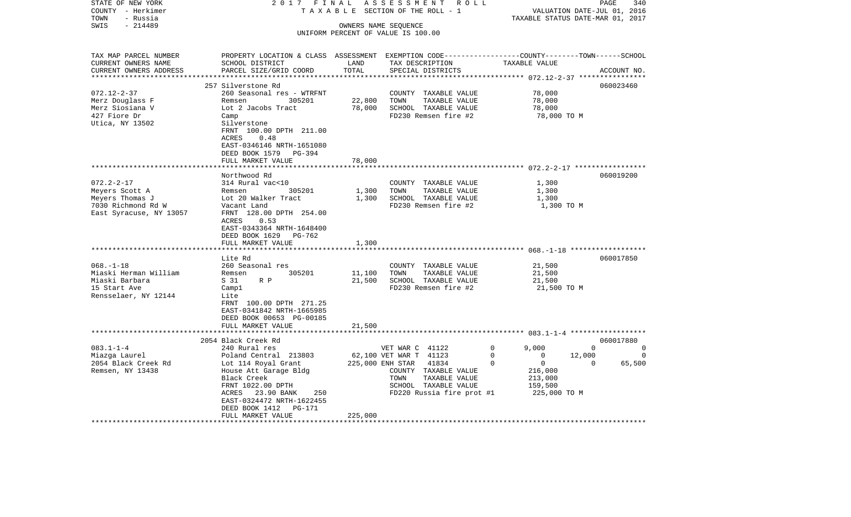| STATE OF NEW YORK       | 2017<br>FINAL                                                                                    |         | ASSESSMENT<br>R O L L              |                      | 340<br>PAGE                 |  |
|-------------------------|--------------------------------------------------------------------------------------------------|---------|------------------------------------|----------------------|-----------------------------|--|
| COUNTY - Herkimer       | TAXABLE                                                                                          |         | SECTION OF THE ROLL - 1            |                      | VALUATION DATE-JUL 01, 2016 |  |
| TOWN<br>- Russia        | TAXABLE STATUS DATE-MAR 01, 2017                                                                 |         |                                    |                      |                             |  |
| $-214489$<br>SWIS       | OWNERS NAME SEQUENCE                                                                             |         |                                    |                      |                             |  |
|                         |                                                                                                  |         | UNIFORM PERCENT OF VALUE IS 100.00 |                      |                             |  |
|                         |                                                                                                  |         |                                    |                      |                             |  |
| TAX MAP PARCEL NUMBER   | PROPERTY LOCATION & CLASS ASSESSMENT EXEMPTION CODE----------------COUNTY-------TOWN------SCHOOL |         |                                    |                      |                             |  |
| CURRENT OWNERS NAME     | SCHOOL DISTRICT                                                                                  | LAND    | TAX DESCRIPTION                    | TAXABLE VALUE        |                             |  |
| CURRENT OWNERS ADDRESS  | PARCEL SIZE/GRID COORD                                                                           | TOTAL   | SPECIAL DISTRICTS                  |                      | ACCOUNT NO.                 |  |
| *********************** |                                                                                                  |         |                                    |                      |                             |  |
|                         | 257 Silverstone Rd                                                                               |         |                                    |                      | 060023460                   |  |
| $072.12 - 2 - 37$       | 260 Seasonal res - WTRFNT                                                                        |         | COUNTY TAXABLE VALUE               | 78,000               |                             |  |
| Merz Douglass F         | 305201<br>Remsen                                                                                 | 22,800  | TOWN<br>TAXABLE VALUE              | 78,000               |                             |  |
| Merz Siosiana V         | Lot 2 Jacobs Tract                                                                               | 78,000  | SCHOOL TAXABLE VALUE               | 78,000               |                             |  |
| 427 Fiore Dr            | Camp                                                                                             |         | FD230 Remsen fire #2               | 78,000 TO M          |                             |  |
| Utica, NY 13502         | Silverstone                                                                                      |         |                                    |                      |                             |  |
|                         | FRNT 100.00 DPTH 211.00                                                                          |         |                                    |                      |                             |  |
|                         | 0.48<br>ACRES                                                                                    |         |                                    |                      |                             |  |
|                         | EAST-0346146 NRTH-1651080                                                                        |         |                                    |                      |                             |  |
|                         | DEED BOOK 1579<br>PG-394                                                                         |         |                                    |                      |                             |  |
|                         | FULL MARKET VALUE                                                                                | 78,000  |                                    |                      |                             |  |
|                         |                                                                                                  |         |                                    |                      |                             |  |
|                         | Northwood Rd                                                                                     |         |                                    |                      | 060019200                   |  |
| $072.2 - 2 - 17$        | 314 Rural vac<10                                                                                 |         | COUNTY TAXABLE VALUE               | 1,300                |                             |  |
| Meyers Scott A          | Remsen<br>305201                                                                                 | 1,300   | TOWN<br>TAXABLE VALUE              | 1,300                |                             |  |
| Meyers Thomas J         | Lot 20 Walker Tract                                                                              | 1,300   | SCHOOL TAXABLE VALUE               | 1,300                |                             |  |
| 7030 Richmond Rd W      | Vacant Land                                                                                      |         | FD230 Remsen fire #2               | 1,300 TO M           |                             |  |
| East Syracuse, NY 13057 | FRNT 128.00 DPTH 254.00<br>0.53                                                                  |         |                                    |                      |                             |  |
|                         | ACRES                                                                                            |         |                                    |                      |                             |  |
|                         | EAST-0343364 NRTH-1648400<br>DEED BOOK 1629<br>PG-762                                            |         |                                    |                      |                             |  |
|                         | FULL MARKET VALUE                                                                                | 1,300   |                                    |                      |                             |  |
|                         |                                                                                                  |         |                                    |                      |                             |  |
|                         | Lite Rd                                                                                          |         |                                    |                      | 060017850                   |  |
| $068. - 1 - 18$         | 260 Seasonal res                                                                                 |         | COUNTY TAXABLE VALUE               | 21,500               |                             |  |
| Miaski Herman William   | 305201<br>Remsen                                                                                 | 11,100  | TOWN<br>TAXABLE VALUE              | 21,500               |                             |  |
| Miaski Barbara          | S 31<br>R P                                                                                      | 21,500  | SCHOOL TAXABLE VALUE               | 21,500               |                             |  |
| 15 Start Ave            | Campl                                                                                            |         | FD230 Remsen fire #2               | 21,500 TO M          |                             |  |
| Rensselaer, NY 12144    | Lite                                                                                             |         |                                    |                      |                             |  |
|                         | FRNT 100.00 DPTH 271.25                                                                          |         |                                    |                      |                             |  |
|                         | EAST-0341842 NRTH-1665985                                                                        |         |                                    |                      |                             |  |
|                         | DEED BOOK 00653 PG-00185                                                                         |         |                                    |                      |                             |  |
|                         | FULL MARKET VALUE                                                                                | 21,500  |                                    |                      |                             |  |
|                         | **************************                                                                       |         |                                    |                      |                             |  |
|                         | 2054 Black Creek Rd                                                                              |         |                                    |                      | 060017880                   |  |
| $083.1 - 1 - 4$         | 240 Rural res                                                                                    |         | VET WAR C 41122                    | 0<br>9,000           | $\Omega$<br>0               |  |
| Miazga Laurel           | Poland Central 213803                                                                            |         | 62,100 VET WAR T 41123             | $\mathbf 0$<br>0     | 12,000<br>0                 |  |
| 2054 Black Creek Rd     | Lot 114 Royal Grant                                                                              |         | 225,000 ENH STAR<br>41834          | $\Omega$<br>$\Omega$ | 65,500<br>$\Omega$          |  |
| Remsen, NY 13438        | House Att Garage Bldg                                                                            |         | COUNTY TAXABLE VALUE               | 216,000              |                             |  |
|                         | Black Creek                                                                                      |         | TAXABLE VALUE<br>TOWN              | 213,000              |                             |  |
|                         | FRNT 1022.00 DPTH                                                                                |         | SCHOOL TAXABLE VALUE               | 159,500              |                             |  |
|                         | ACRES<br>23.90 BANK<br>250                                                                       |         | FD220 Russia fire prot #1          | 225,000 TO M         |                             |  |
|                         | EAST-0324472 NRTH-1622455                                                                        |         |                                    |                      |                             |  |
|                         | DEED BOOK 1412<br>PG-171                                                                         |         |                                    |                      |                             |  |
|                         | FULL MARKET VALUE                                                                                | 225,000 |                                    |                      |                             |  |
|                         |                                                                                                  |         |                                    |                      |                             |  |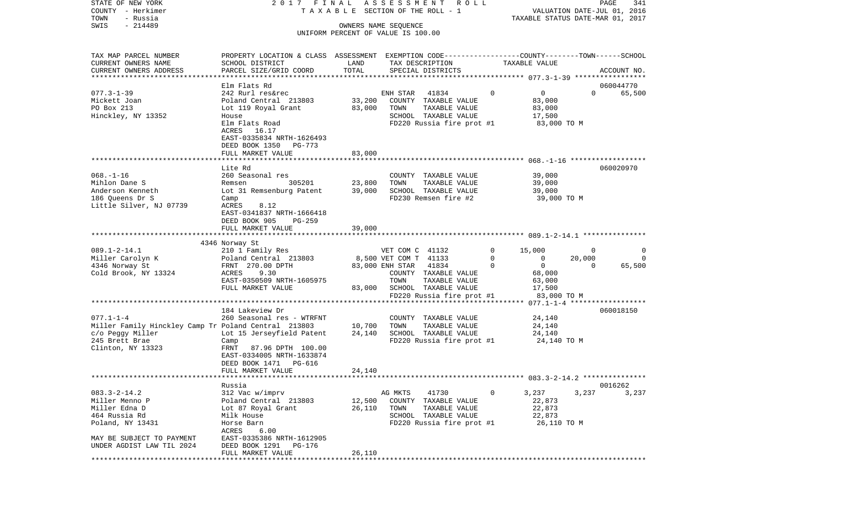| STATE OF NEW YORK<br>COUNTY - Herkimer<br>- Russia<br>TOWN                 |                                                                                                |        | 2017 FINAL ASSESSMENT<br>R O L L<br>T A X A B L E SECTION OF THE ROLL - 1 |             | TAXABLE STATUS DATE-MAR 01, 2017 | PAGE<br>VALUATION DATE-JUL 01, 2016 | 341      |
|----------------------------------------------------------------------------|------------------------------------------------------------------------------------------------|--------|---------------------------------------------------------------------------|-------------|----------------------------------|-------------------------------------|----------|
| $-214489$<br>SWIS                                                          |                                                                                                |        | OWNERS NAME SEQUENCE                                                      |             |                                  |                                     |          |
|                                                                            |                                                                                                |        | UNIFORM PERCENT OF VALUE IS 100.00                                        |             |                                  |                                     |          |
| TAX MAP PARCEL NUMBER                                                      | PROPERTY LOCATION & CLASS ASSESSMENT EXEMPTION CODE---------------COUNTY-------TOWN-----SCHOOL | LAND   |                                                                           |             | TAXABLE VALUE                    |                                     |          |
| CURRENT OWNERS NAME<br>CURRENT OWNERS ADDRESS<br>************************* | SCHOOL DISTRICT<br>PARCEL SIZE/GRID COORD                                                      | TOTAL  | TAX DESCRIPTION<br>SPECIAL DISTRICTS                                      |             |                                  | ACCOUNT NO.                         |          |
|                                                                            | Elm Flats Rd                                                                                   |        |                                                                           |             |                                  | 060044770                           |          |
| $077.3 - 1 - 39$                                                           | 242 Rurl res&rec                                                                               |        | 41834<br>ENH STAR                                                         | $\Omega$    | $\mathbf{0}$                     | $\Omega$                            | 65,500   |
| Mickett Joan                                                               | Poland Central 213803                                                                          | 33,200 | COUNTY TAXABLE VALUE                                                      |             | 83,000                           |                                     |          |
| PO Box 213                                                                 | Lot 119 Royal Grant                                                                            | 83,000 | TOWN<br>TAXABLE VALUE                                                     |             | 83,000                           |                                     |          |
| Hinckley, NY 13352                                                         | House                                                                                          |        | SCHOOL TAXABLE VALUE                                                      |             | 17,500                           |                                     |          |
|                                                                            | Elm Flats Road                                                                                 |        | FD220 Russia fire prot #1                                                 |             | 83,000 TO M                      |                                     |          |
|                                                                            | ACRES 16.17                                                                                    |        |                                                                           |             |                                  |                                     |          |
|                                                                            | EAST-0335834 NRTH-1626493                                                                      |        |                                                                           |             |                                  |                                     |          |
|                                                                            | DEED BOOK 1350 PG-773                                                                          |        |                                                                           |             |                                  |                                     |          |
|                                                                            | FULL MARKET VALUE                                                                              | 83,000 |                                                                           |             |                                  |                                     |          |
|                                                                            | Lite Rd                                                                                        |        |                                                                           |             |                                  | 060020970                           |          |
| $068. - 1 - 16$                                                            | 260 Seasonal res                                                                               |        | COUNTY TAXABLE VALUE                                                      |             | 39,000                           |                                     |          |
| Mihlon Dane S                                                              | 305201<br>Remsen                                                                               | 23,800 | TOWN<br>TAXABLE VALUE                                                     |             | 39,000                           |                                     |          |
| Anderson Kenneth                                                           | Lot 31 Remsenburg Patent                                                                       | 39,000 | SCHOOL TAXABLE VALUE                                                      |             | 39,000                           |                                     |          |
| 186 Queens Dr S                                                            | Camp                                                                                           |        | FD230 Remsen fire #2                                                      |             | 39,000 TO M                      |                                     |          |
| Little Silver, NJ 07739                                                    | ACRES<br>8.12                                                                                  |        |                                                                           |             |                                  |                                     |          |
|                                                                            | EAST-0341837 NRTH-1666418                                                                      |        |                                                                           |             |                                  |                                     |          |
|                                                                            | DEED BOOK 905<br>PG-259                                                                        |        |                                                                           |             |                                  |                                     |          |
|                                                                            | FULL MARKET VALUE                                                                              | 39,000 |                                                                           |             |                                  |                                     |          |
|                                                                            |                                                                                                |        |                                                                           |             |                                  |                                     |          |
|                                                                            |                                                                                                |        |                                                                           |             |                                  |                                     |          |
|                                                                            | 4346 Norway St                                                                                 |        |                                                                           |             |                                  |                                     |          |
| $089.1 - 2 - 14.1$                                                         | 210 1 Family Res                                                                               |        | VET COM C 41132                                                           | $\mathbf 0$ | 15,000                           | 0                                   | $\Omega$ |
| Miller Carolyn K                                                           | Poland Central 213803                                                                          |        | 8,500 VET COM T 41133                                                     | $\mathbf 0$ | $\mathbf{0}$                     | 20,000                              | $\Omega$ |
| 4346 Norway St                                                             | FRNT 270.00 DPTH                                                                               |        | 83,000 ENH STAR 41834                                                     | $\Omega$    | $\mathbf 0$                      | $\Omega$                            | 65,500   |
| Cold Brook, NY 13324                                                       | ACRES<br>9.30                                                                                  |        | COUNTY TAXABLE VALUE                                                      |             | 68,000                           |                                     |          |
|                                                                            | EAST-0350509 NRTH-1605975<br>FULL MARKET VALUE                                                 | 83,000 | TOWN<br>TAXABLE VALUE<br>SCHOOL TAXABLE VALUE                             |             | 63,000<br>17,500                 |                                     |          |
|                                                                            |                                                                                                |        | FD220 Russia fire prot #1                                                 |             | 83,000 TO M                      |                                     |          |
|                                                                            |                                                                                                |        |                                                                           |             |                                  |                                     |          |
|                                                                            | 184 Lakeview Dr                                                                                |        |                                                                           |             |                                  | 060018150                           |          |
| $077.1 - 1 - 4$                                                            | 260 Seasonal res - WTRFNT                                                                      |        | COUNTY TAXABLE VALUE                                                      |             | 24,140                           |                                     |          |
| Miller Family Hinckley Camp Tr Poland Central 213803                       |                                                                                                | 10,700 | TOWN<br>TAXABLE VALUE                                                     |             | 24,140                           |                                     |          |
| c/o Peggy Miller                                                           | Lot 15 Jerseyfield Patent                                                                      | 24,140 | SCHOOL TAXABLE VALUE                                                      |             | 24,140                           |                                     |          |
| 245 Brett Brae                                                             | Camp                                                                                           |        | FD220 Russia fire prot #1                                                 |             | 24,140 TO M                      |                                     |          |
| Clinton, NY 13323                                                          | 87.96 DPTH 100.00<br>FRNT                                                                      |        |                                                                           |             |                                  |                                     |          |
|                                                                            | EAST-0334005 NRTH-1633874                                                                      |        |                                                                           |             |                                  |                                     |          |
|                                                                            | DEED BOOK 1471 PG-616                                                                          |        |                                                                           |             |                                  |                                     |          |
|                                                                            | FULL MARKET VALUE                                                                              | 24,140 |                                                                           |             |                                  |                                     |          |
|                                                                            | Russia                                                                                         |        |                                                                           |             |                                  | 0016262                             |          |
| $083.3 - 2 - 14.2$                                                         | 312 Vac w/imprv                                                                                |        | AG MKTS<br>41730                                                          | 0           | 3,237                            | 3,237                               | 3,237    |
| Miller Menno P                                                             | Poland Central 213803                                                                          | 12,500 | COUNTY<br>TAXABLE VALUE                                                   |             | 22,873                           |                                     |          |
| Miller Edna D                                                              | Lot 87 Royal Grant                                                                             | 26,110 | TOWN<br>TAXABLE VALUE                                                     |             | 22,873                           |                                     |          |
| 464 Russia Rd                                                              | Milk House                                                                                     |        | SCHOOL TAXABLE VALUE                                                      |             | 22,873                           |                                     |          |
| Poland, NY 13431                                                           | Horse Barn                                                                                     |        | FD220 Russia fire prot #1                                                 |             | 26,110 TO M                      |                                     |          |
|                                                                            | 6.00<br>ACRES                                                                                  |        |                                                                           |             |                                  |                                     |          |
| MAY BE SUBJECT TO PAYMENT                                                  | EAST-0335386 NRTH-1612905                                                                      |        |                                                                           |             |                                  |                                     |          |
| UNDER AGDIST LAW TIL 2024                                                  | DEED BOOK 1291<br>PG-176<br>FULL MARKET VALUE                                                  | 26,110 |                                                                           |             |                                  |                                     |          |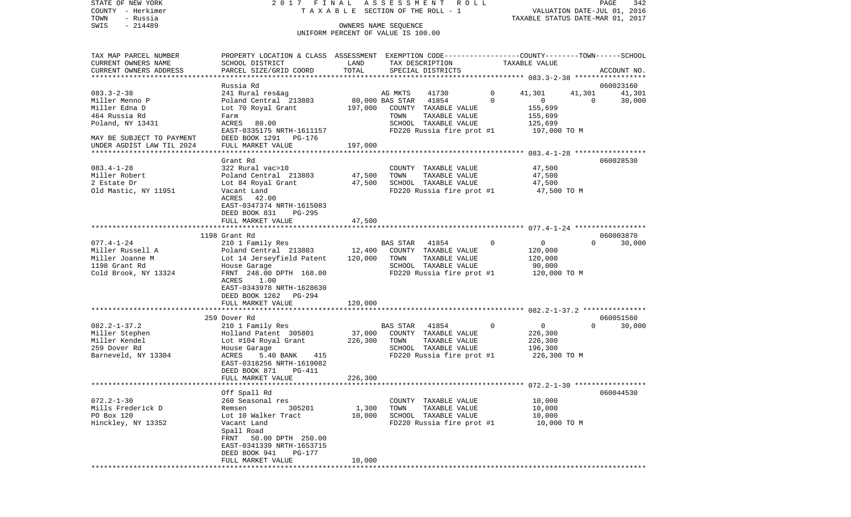STATE OF NEW YORK 2 0 1 7 F I N A L A S S E S S M E N T R O L L PAGE 342PAGE 342 COUNTY - Herkimer  $T A X A B L E$  SECTION OF THE ROLL - 1 TOWN - Russia TAXABLE STATUS DATE-MAR 01, 2017 OWNERS NAME SEQUENCE UNIFORM PERCENT OF VALUE IS 100.00

| TAX MAP PARCEL NUMBER     | PROPERTY LOCATION & CLASS             |           |                       | ASSESSMENT EXEMPTION CODE------------------COUNTY-------TOWN------SCHOOL |              |                                                     |          |             |
|---------------------------|---------------------------------------|-----------|-----------------------|--------------------------------------------------------------------------|--------------|-----------------------------------------------------|----------|-------------|
| CURRENT OWNERS NAME       | SCHOOL DISTRICT                       | LAND      |                       | TAX DESCRIPTION                                                          |              | TAXABLE VALUE                                       |          |             |
| CURRENT OWNERS ADDRESS    | PARCEL SIZE/GRID COORD                | TOTAL     |                       | SPECIAL DISTRICTS                                                        |              |                                                     |          | ACCOUNT NO. |
|                           | ************************************* |           |                       |                                                                          |              | ***************** 083.3-2-38 ******************     |          |             |
|                           | Russia Rd                             |           |                       |                                                                          |              |                                                     |          | 060023160   |
| $083.3 - 2 - 38$          | 241 Rural res&ag                      |           | AG MKTS               | 41730                                                                    | $\mathbf 0$  | 41,301                                              | 41,301   | 41,301      |
| Miller Menno P            | Poland Central 213803                 |           | 80,000 BAS STAR 41854 |                                                                          | $\Omega$     | $\overline{0}$                                      | $\Omega$ | 30,000      |
|                           |                                       |           |                       |                                                                          |              |                                                     |          |             |
| Miller Edna D             | Lot 70 Royal Grant                    | 197,000   |                       | COUNTY TAXABLE VALUE                                                     |              | 155,699                                             |          |             |
| 464 Russia Rd             | Farm                                  |           | TOWN                  | TAXABLE VALUE                                                            |              | 155,699                                             |          |             |
| Poland, NY 13431          | ACRES 80.00                           |           |                       | SCHOOL TAXABLE VALUE                                                     |              | 125,699                                             |          |             |
|                           | EAST-0335175 NRTH-1611157             |           |                       | FD220 Russia fire prot #1                                                |              | 197,000 TO M                                        |          |             |
| MAY BE SUBJECT TO PAYMENT | DEED BOOK 1291 PG-176                 |           |                       |                                                                          |              |                                                     |          |             |
| UNDER AGDIST LAW TIL 2024 | FULL MARKET VALUE                     | 197,000   |                       |                                                                          |              |                                                     |          |             |
|                           | *******************                   |           |                       |                                                                          |              | ********************* 083.4-1-28 ****************** |          |             |
|                           | Grant Rd                              |           |                       |                                                                          |              |                                                     |          | 060028530   |
| $083.4 - 1 - 28$          | 322 Rural vac>10                      |           |                       | COUNTY TAXABLE VALUE                                                     |              | 47,500                                              |          |             |
| Miller Robert             | Poland Central 213803                 | 47,500    | TOWN                  | TAXABLE VALUE                                                            |              | 47,500                                              |          |             |
|                           |                                       |           |                       |                                                                          |              |                                                     |          |             |
| 2 Estate Dr               | Lot 84 Royal Grant                    | 47,500    |                       | SCHOOL TAXABLE VALUE                                                     |              | 47,500                                              |          |             |
| Old Mastic, NY 11951      | Vacant Land                           |           |                       | FD220 Russia fire prot #1                                                |              | 47,500 TO M                                         |          |             |
|                           | ACRES 42.00                           |           |                       |                                                                          |              |                                                     |          |             |
|                           | EAST-0347374 NRTH-1615083             |           |                       |                                                                          |              |                                                     |          |             |
|                           | DEED BOOK 831<br>PG-295               |           |                       |                                                                          |              |                                                     |          |             |
|                           | FULL MARKET VALUE                     | 47,500    |                       |                                                                          |              |                                                     |          |             |
|                           |                                       | ********* |                       | *************************** 077.4-1-24 ******************                |              |                                                     |          |             |
|                           | 1198 Grant Rd                         |           |                       |                                                                          |              |                                                     |          | 060003870   |
| $077.4 - 1 - 24$          | 210 1 Family Res                      |           | BAS STAR 41854        |                                                                          | $\mathbf{0}$ | $\overline{0}$                                      | $\Omega$ | 30,000      |
| Miller Russell A          | Poland Central 213803                 | 12,400    |                       | COUNTY TAXABLE VALUE                                                     |              | 120,000                                             |          |             |
|                           |                                       |           |                       |                                                                          |              |                                                     |          |             |
| Miller Joanne M           | Lot 14 Jerseyfield Patent             | 120,000   | TOWN                  | TAXABLE VALUE                                                            |              | 120,000                                             |          |             |
| 1198 Grant Rd             | House Garage                          |           |                       | SCHOOL TAXABLE VALUE                                                     |              | 90,000                                              |          |             |
| Cold Brook, NY 13324      | FRNT 248.00 DPTH 168.00               |           |                       | FD220 Russia fire prot #1                                                |              | 120,000 TO M                                        |          |             |
|                           | ACRES<br>1.00                         |           |                       |                                                                          |              |                                                     |          |             |
|                           | EAST-0343978 NRTH-1628630             |           |                       |                                                                          |              |                                                     |          |             |
|                           | DEED BOOK 1262 PG-294                 |           |                       |                                                                          |              |                                                     |          |             |
|                           | FULL MARKET VALUE                     | 120,000   |                       |                                                                          |              |                                                     |          |             |
|                           |                                       |           |                       |                                                                          |              |                                                     |          |             |
|                           | 259 Dover Rd                          |           |                       |                                                                          |              |                                                     |          | 060051560   |
| $082.2 - 1 - 37.2$        | 210 1 Family Res                      |           |                       | BAS STAR 41854                                                           | $\mathbf 0$  | $\overline{0}$                                      | $\Omega$ | 30,000      |
| Miller Stephen            | Holland Patent 305801                 | 37,000    |                       | COUNTY TAXABLE VALUE                                                     |              | 226,300                                             |          |             |
| Miller Kendel             |                                       | 226,300   | TOWN                  | TAXABLE VALUE                                                            |              |                                                     |          |             |
|                           | Lot #104 Royal Grant                  |           |                       |                                                                          |              | 226,300                                             |          |             |
| 259 Dover Rd              | House Garage                          |           |                       | SCHOOL TAXABLE VALUE                                                     |              | 196,300                                             |          |             |
| Barneveld, NY 13304       | ACRES<br>5.40 BANK 415                |           |                       | FD220 Russia fire prot #1                                                |              | 226,300 TO M                                        |          |             |
|                           | EAST-0318256 NRTH-1619082             |           |                       |                                                                          |              |                                                     |          |             |
|                           | DEED BOOK 871<br>PG-411               |           |                       |                                                                          |              |                                                     |          |             |
|                           | FULL MARKET VALUE                     | 226,300   |                       |                                                                          |              |                                                     |          |             |
|                           |                                       |           |                       |                                                                          |              |                                                     |          |             |
|                           | Off Spall Rd                          |           |                       |                                                                          |              |                                                     |          | 060044530   |
| $072.2 - 1 - 30$          | 260 Seasonal res                      |           |                       | COUNTY TAXABLE VALUE                                                     |              | 10,000                                              |          |             |
| Mills Frederick D         | 305201<br>Remsen                      | 1,300     | TOWN                  | TAXABLE VALUE                                                            |              | 10,000                                              |          |             |
| PO Box 120                | Lot 10 Walker Tract                   | 10,000    |                       | SCHOOL TAXABLE VALUE                                                     |              | 10,000                                              |          |             |
|                           |                                       |           |                       | FD220 Russia fire prot #1                                                |              | 10,000 TO M                                         |          |             |
| Hinckley, NY 13352        | Vacant Land                           |           |                       |                                                                          |              |                                                     |          |             |
|                           | Spall Road                            |           |                       |                                                                          |              |                                                     |          |             |
|                           | FRNT 50.00 DPTH 250.00                |           |                       |                                                                          |              |                                                     |          |             |
|                           | EAST-0341339 NRTH-1653715             |           |                       |                                                                          |              |                                                     |          |             |
|                           | DEED BOOK 941<br>PG-177               |           |                       |                                                                          |              |                                                     |          |             |
|                           | FULL MARKET VALUE                     | 10,000    |                       |                                                                          |              |                                                     |          |             |
|                           |                                       |           |                       |                                                                          |              |                                                     |          |             |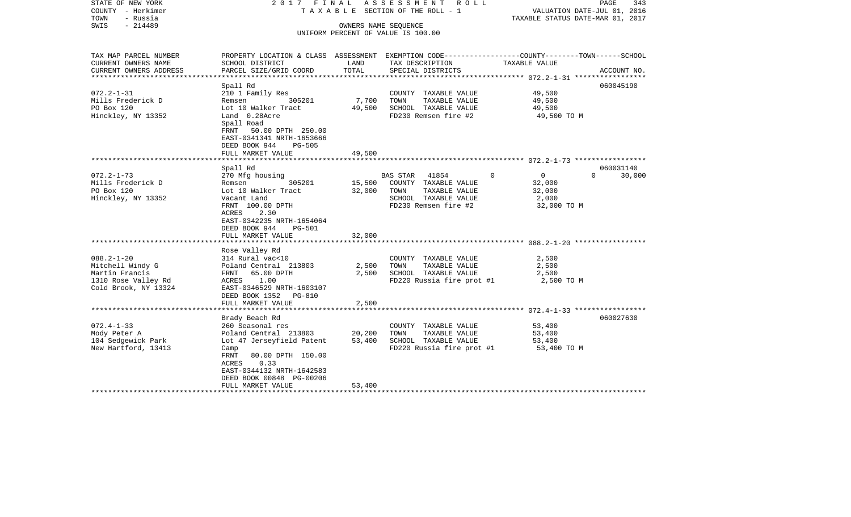| STATE OF NEW YORK<br>COUNTY - Herkimer<br>TOWN<br>- Russia<br>SWIS<br>$-214489$                       | 2017 FINAL<br>TAXABLE SECTION OF THE ROLL - 1                                                                                                                                                           | PAGE<br>343<br>VALUATION DATE-JUL 01, 2016<br>TAXABLE STATUS DATE-MAR 01, 2017 |                                                                                                                    |                                                                        |                    |
|-------------------------------------------------------------------------------------------------------|---------------------------------------------------------------------------------------------------------------------------------------------------------------------------------------------------------|--------------------------------------------------------------------------------|--------------------------------------------------------------------------------------------------------------------|------------------------------------------------------------------------|--------------------|
|                                                                                                       |                                                                                                                                                                                                         |                                                                                | UNIFORM PERCENT OF VALUE IS 100.00                                                                                 |                                                                        |                    |
| TAX MAP PARCEL NUMBER<br>CURRENT OWNERS NAME                                                          | PROPERTY LOCATION & CLASS ASSESSMENT EXEMPTION CODE---------------COUNTY-------TOWN------SCHOOL<br>SCHOOL DISTRICT                                                                                      | LAND                                                                           | TAX DESCRIPTION                                                                                                    | TAXABLE VALUE                                                          |                    |
| CURRENT OWNERS ADDRESS                                                                                | PARCEL SIZE/GRID COORD                                                                                                                                                                                  | TOTAL                                                                          | SPECIAL DISTRICTS                                                                                                  |                                                                        | ACCOUNT NO.        |
| $072.2 - 1 - 31$<br>Mills Frederick D<br>PO Box 120<br>Hinckley, NY 13352                             | Spall Rd<br>210 1 Family Res<br>Remsen 305201<br>Lot 10 Walker Tract<br>Land 0.28Acre<br>Spall Road<br>FRNT 50.00 DPTH 250.00<br>EAST-0341341 NRTH-1653666                                              | 7,700<br>49,500                                                                | COUNTY TAXABLE VALUE<br>TOWN<br>TAXABLE VALUE<br>SCHOOL TAXABLE VALUE<br>FD230 Remsen fire #2                      | 49,500<br>49,500<br>49,500<br>49,500 TO M                              | 060045190          |
|                                                                                                       | DEED BOOK 944<br><b>PG-505</b><br>FULL MARKET VALUE                                                                                                                                                     | 49,500                                                                         |                                                                                                                    |                                                                        |                    |
|                                                                                                       | Spall Rd                                                                                                                                                                                                |                                                                                |                                                                                                                    |                                                                        | 060031140          |
| $072.2 - 1 - 73$<br>Mills Frederick D<br>PO Box 120<br>Hinckley, NY 13352                             | 270 Mfg housing<br>Remsen<br>305201<br>Lot 10 Walker Tract<br>Vacant Land<br>FRNT 100.00 DPTH<br><b>ACRES</b><br>2.30<br>EAST-0342235 NRTH-1654064<br>DEED BOOK 944<br>PG-501<br>FULL MARKET VALUE      | 15,500<br>32,000<br>32,000                                                     | BAS STAR<br>41854<br>COUNTY TAXABLE VALUE<br>TOWN<br>TAXABLE VALUE<br>SCHOOL TAXABLE VALUE<br>FD230 Remsen fire #2 | $\Omega$<br>$\overline{0}$<br>32,000<br>32,000<br>2,000<br>32,000 TO M | $\Omega$<br>30,000 |
|                                                                                                       |                                                                                                                                                                                                         |                                                                                |                                                                                                                    |                                                                        |                    |
| $088.2 - 1 - 20$<br>Mitchell Windy G<br>Martin Francis<br>1310 Rose Valley Rd<br>Cold Brook, NY 13324 | Rose Valley Rd<br>314 Rural vac<10<br>Poland Central 213803<br>FRNT 65.00 DPTH<br>ACRES 1.00<br>EAST-0346529 NRTH-1603107<br>DEED BOOK 1352 PG-810<br>FULL MARKET VALUE                                 | 2,500<br>2,500<br>2,500                                                        | COUNTY TAXABLE VALUE<br>TOWN<br>TAXABLE VALUE<br>SCHOOL TAXABLE VALUE<br>FD220 Russia fire prot #1                 | 2,500<br>2,500<br>2,500<br>2,500 TO M                                  |                    |
|                                                                                                       |                                                                                                                                                                                                         |                                                                                |                                                                                                                    |                                                                        |                    |
| $072.4 - 1 - 33$<br>Mody Peter A<br>104 Sedgewick Park<br>New Hartford, 13413                         | Brady Beach Rd<br>260 Seasonal res<br>Poland Central 213803<br>Lot 47 Jerseyfield Patent<br>Camp<br>FRNT<br>80.00 DPTH 150.00<br>ACRES<br>0.33<br>EAST-0344132 NRTH-1642583<br>DEED BOOK 00848 PG-00206 | 20,200<br>53,400                                                               | COUNTY TAXABLE VALUE<br>TOWN<br>TAXABLE VALUE<br>SCHOOL TAXABLE VALUE<br>FD220 Russia fire prot #1                 | 53,400<br>53,400<br>53,400<br>53,400 TO M                              | 060027630          |
|                                                                                                       | FULL MARKET VALUE                                                                                                                                                                                       | 53,400                                                                         |                                                                                                                    |                                                                        |                    |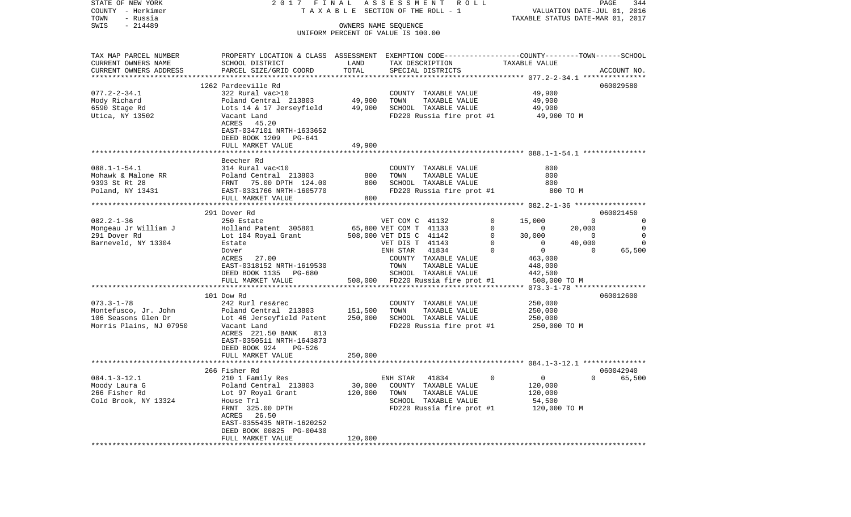| STATE OF NEW YORK                     |                                                                                                 |         | 2017 FINAL ASSESSMENT<br>R O L L<br>T A X A B L E SECTION OF THE ROLL - 1 |                         | PAGE<br>344        |
|---------------------------------------|-------------------------------------------------------------------------------------------------|---------|---------------------------------------------------------------------------|-------------------------|--------------------|
| COUNTY - Herkimer<br>- Russia<br>TOWN |                                                                                                 |         | VALUATION DATE-JUL 01, 2016<br>TAXABLE STATUS DATE-MAR 01, 2017           |                         |                    |
| $-214489$<br>SWIS                     |                                                                                                 |         | OWNERS NAME SEQUENCE                                                      |                         |                    |
|                                       |                                                                                                 |         | UNIFORM PERCENT OF VALUE IS 100.00                                        |                         |                    |
|                                       |                                                                                                 |         |                                                                           |                         |                    |
| TAX MAP PARCEL NUMBER                 | PROPERTY LOCATION & CLASS ASSESSMENT EXEMPTION CODE---------------COUNTY-------TOWN------SCHOOL |         |                                                                           |                         |                    |
| CURRENT OWNERS NAME                   | SCHOOL DISTRICT                                                                                 | LAND    | TAX DESCRIPTION                                                           | TAXABLE VALUE           |                    |
| CURRENT OWNERS ADDRESS                | PARCEL SIZE/GRID COORD                                                                          | TOTAL   | SPECIAL DISTRICTS                                                         |                         | ACCOUNT NO.        |
| *************************             |                                                                                                 |         |                                                                           |                         |                    |
| $077.2 - 2 - 34.1$                    | 1262 Pardeeville Rd<br>322 Rural vac>10                                                         |         | COUNTY TAXABLE VALUE                                                      | 49,900                  | 060029580          |
| Mody Richard                          | Poland Central 213803                                                                           | 49,900  | TOWN<br>TAXABLE VALUE                                                     | 49,900                  |                    |
| 6590 Stage Rd                         | Lots 14 & 17 Jerseyfield                                                                        | 49,900  | SCHOOL TAXABLE VALUE                                                      | 49,900                  |                    |
| Utica, NY 13502                       | Vacant Land                                                                                     |         | FD220 Russia fire prot #1                                                 | 49,900 TO M             |                    |
|                                       | ACRES 45.20                                                                                     |         |                                                                           |                         |                    |
|                                       | EAST-0347101 NRTH-1633652                                                                       |         |                                                                           |                         |                    |
|                                       | DEED BOOK 1209 PG-641                                                                           |         |                                                                           |                         |                    |
|                                       | FULL MARKET VALUE                                                                               | 49,900  |                                                                           |                         |                    |
|                                       |                                                                                                 |         |                                                                           |                         |                    |
|                                       | Beecher Rd                                                                                      |         |                                                                           |                         |                    |
| $088.1 - 1 - 54.1$                    | 314 Rural vac<10                                                                                |         | COUNTY TAXABLE VALUE                                                      | 800                     |                    |
| Mohawk & Malone RR                    | Poland Central 213803                                                                           | 800     | TAXABLE VALUE<br>TOWN                                                     | 800                     |                    |
| 9393 St Rt 28                         | FRNT 75.00 DPTH 124.00                                                                          | 800     | SCHOOL TAXABLE VALUE                                                      | 800                     |                    |
| Poland, NY 13431                      | EAST-0331766 NRTH-1605770<br>FULL MARKET VALUE                                                  | 800     | FD220 Russia fire prot #1                                                 | 800 TO M                |                    |
|                                       |                                                                                                 |         |                                                                           |                         |                    |
|                                       | 291 Dover Rd                                                                                    |         |                                                                           |                         | 060021450          |
| $082.2 - 1 - 36$                      | 250 Estate                                                                                      |         | VET COM C 41132                                                           | 0<br>15,000             | $\Omega$<br>0      |
| Mongeau Jr William J                  | Holland Patent 305801                                                                           |         | 65,800 VET COM T 41133                                                    | 0<br>0                  | 20,000<br>0        |
| 291 Dover Rd                          | Lot 104 Royal Grant                                                                             |         | 508,000 VET DIS C 41142                                                   | $\mathbf 0$<br>30,000   | $\Omega$<br>0      |
| Barneveld, NY 13304                   | Estate                                                                                          |         | VET DIS T 41143                                                           | 0<br>$\mathbf{0}$       | 40,000<br>$\Omega$ |
|                                       | Dover                                                                                           |         | 41834<br>ENH STAR                                                         | $\mathbf 0$<br>$\Omega$ | 65,500<br>$\Omega$ |
|                                       | ACRES<br>27.00                                                                                  |         | COUNTY TAXABLE VALUE                                                      | 463,000                 |                    |
|                                       | EAST-0318152 NRTH-1619530                                                                       |         | TOWN<br>TAXABLE VALUE                                                     | 448,000                 |                    |
|                                       | DEED BOOK 1135 PG-680                                                                           |         | SCHOOL TAXABLE VALUE                                                      | 442,500                 |                    |
|                                       | FULL MARKET VALUE                                                                               |         | 508,000 FD220 Russia fire prot #1                                         | 508,000 TO M            |                    |
|                                       | 101 Dow Rd                                                                                      |         |                                                                           |                         | 060012600          |
| $073.3 - 1 - 78$                      | 242 Rurl res&rec                                                                                |         | COUNTY TAXABLE VALUE                                                      | 250,000                 |                    |
| Montefusco, Jr. John                  | Poland Central 213803                                                                           | 151,500 | TAXABLE VALUE<br>TOWN                                                     | 250,000                 |                    |
| 106 Seasons Glen Dr                   | Lot 46 Jerseyfield Patent                                                                       | 250,000 | SCHOOL TAXABLE VALUE                                                      | 250,000                 |                    |
| Morris Plains, NJ 07950               | Vacant Land                                                                                     |         | FD220 Russia fire prot #1                                                 | 250,000 TO M            |                    |
|                                       | ACRES 221.50 BANK<br>813                                                                        |         |                                                                           |                         |                    |
|                                       | EAST-0350511 NRTH-1643873                                                                       |         |                                                                           |                         |                    |
|                                       | DEED BOOK 924<br>PG-526                                                                         |         |                                                                           |                         |                    |
|                                       | FULL MARKET VALUE                                                                               | 250,000 |                                                                           |                         |                    |
|                                       |                                                                                                 |         |                                                                           |                         |                    |
|                                       | 266 Fisher Rd                                                                                   |         |                                                                           | $\Omega$                | 060042940          |
| $084.1 - 3 - 12.1$<br>Moody Laura G   | 210 1 Family Res<br>Poland Central 213803                                                       | 30,000  | ENH STAR 41834<br>COUNTY TAXABLE VALUE                                    | $\Omega$<br>120,000     | $0 \t 65,500$      |
| 266 Fisher Rd                         | Lot 97 Royal Grant                                                                              | 120,000 | TOWN<br>TAXABLE VALUE                                                     | 120,000                 |                    |
| Cold Brook, NY 13324                  | House Trl                                                                                       |         | SCHOOL TAXABLE VALUE                                                      | 54,500                  |                    |
|                                       | FRNT 325.00 DPTH                                                                                |         | FD220 Russia fire prot #1                                                 | 120,000 TO M            |                    |
|                                       | ACRES 26.50                                                                                     |         |                                                                           |                         |                    |
|                                       | EAST-0355435 NRTH-1620252                                                                       |         |                                                                           |                         |                    |
|                                       | DEED BOOK 00825 PG-00430                                                                        |         |                                                                           |                         |                    |
|                                       | FULL MARKET VALUE                                                                               | 120,000 |                                                                           |                         |                    |
|                                       |                                                                                                 |         |                                                                           |                         |                    |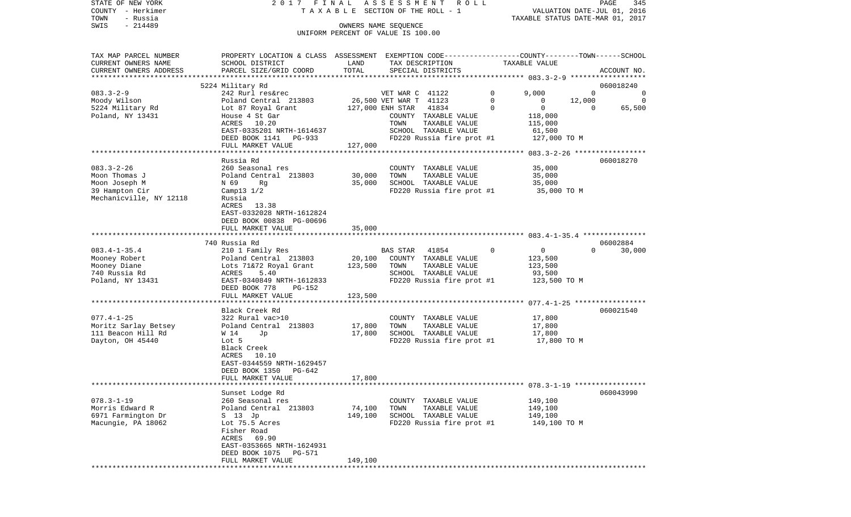STATE OF NEW YORK 2017 FINAL ASSESSMENT ROLL COUNTY - Herkimer T A X A B L E SECTION OF THE ROLL - 1 VALUATION DATE-JUL 01, 2016 TOWN - Russia TAXABLE STATUS DATE-MAR 01, 2017 OWNERS NAME SEQUENCE

UNIFORM PERCENT OF VALUE IS 100.00

| CURRENT OWNERS NAME<br>SCHOOL DISTRICT<br>TAX DESCRIPTION<br>TAXABLE VALUE<br>LAND<br>TOTAL<br>PARCEL SIZE/GRID COORD<br>SPECIAL DISTRICTS<br>CURRENT OWNERS ADDRESS<br>ACCOUNT NO.<br>5224 Military Rd<br>060018240<br>242 Rurl res&rec<br>9.000<br>$\mathbf 0$<br>$\mathbf 0$<br>VET WAR C 41122<br>$\circ$<br>26,500 VET WAR T 41123<br>12,000<br>Moody Wilson<br>Poland Central 213803<br>$\Omega$<br>$\mathbf 0$<br>0<br>5224 Military Rd<br>Lot 87 Royal Grant<br>127,000 ENH STAR<br>41834<br>$\Omega$<br>$\mathbf 0$<br>65,500<br>$\Omega$<br>Poland, NY 13431<br>House 4 St Gar<br>COUNTY TAXABLE VALUE<br>118,000<br>10.20<br>ACRES<br>TOWN<br>TAXABLE VALUE<br>115,000<br>EAST-0335201 NRTH-1614637<br>SCHOOL TAXABLE VALUE<br>61,500<br>FD220 Russia fire prot #1<br>127,000 TO M<br>DEED BOOK 1141 PG-933<br>127,000<br>FULL MARKET VALUE<br>Russia Rd<br>060018270<br>083.3-2-26<br>260 Seasonal res<br>COUNTY TAXABLE VALUE<br>35,000<br>Poland Central 213803<br>30,000<br>Moon Thomas J<br>TOWN<br>TAXABLE VALUE<br>35,000<br>Moon Joseph M<br>35,000<br>SCHOOL TAXABLE VALUE<br>35,000<br>N 69<br>Rq<br>39 Hampton Cir<br>FD220 Russia fire prot #1<br>35,000 TO M<br>Camp $13 \t1/2$<br>Mechanicville, NY 12118<br>Russia<br>ACRES 13.38<br>EAST-0332028 NRTH-1612824<br>DEED BOOK 00838 PG-00696<br>35,000<br>FULL MARKET VALUE<br>***********************<br>740 Russia Rd<br>06002884<br>$\Omega$<br>$083.4 - 1 - 35.4$<br>210 1 Family Res<br>BAS STAR 41854<br>$\Omega$<br>$\mathbf{0}$<br>30,000<br>Mooney Robert<br>Poland Central 213803<br>20,100<br>COUNTY TAXABLE VALUE<br>123,500<br>Lots 71&72 Royal Grant<br>123,500<br>TOWN<br>TAXABLE VALUE<br>123,500<br>Mooney Diane<br>740 Russia Rd<br>ACRES<br>5.40<br>SCHOOL TAXABLE VALUE<br>93,500<br>Poland, NY 13431<br>FD220 Russia fire prot #1<br>123,500 TO M<br>EAST-0340849 NRTH-1612833<br>DEED BOOK 778<br>PG-152<br>FULL MARKET VALUE<br>123,500<br>*****************<br>***************<br>Black Creek Rd<br>060021540<br>$077.4 - 1 - 25$<br>322 Rural vac>10<br>17,800<br>COUNTY TAXABLE VALUE<br>Moritz Sarlay Betsey<br>17,800<br>TAXABLE VALUE<br>Poland Central 213803<br>TOWN<br>17,800<br>111 Beacon Hill Rd<br>17,800<br>SCHOOL TAXABLE VALUE<br>W 14<br>Jp<br>17,800<br>FD220 Russia fire prot #1<br>17,800 TO M<br>Dayton, OH 45440<br>Lot 5<br>Black Creek<br>ACRES<br>10.10<br>EAST-0344559 NRTH-1629457<br>DEED BOOK 1350<br>PG-642<br>FULL MARKET VALUE<br>17,800<br>***************************<br>Sunset Lodge Rd<br>060043990<br>260 Seasonal res<br>COUNTY TAXABLE VALUE<br>149,100<br>74,100<br>TAXABLE VALUE<br>Poland Central 213803<br>TOWN<br>149,100<br>6971 Farmington Dr<br>S 13 Jp<br>149,100<br>SCHOOL TAXABLE VALUE<br>149,100<br>Lot 75.5 Acres<br>FD220 Russia fire prot #1<br>149,100 TO M<br>Fisher Road<br>ACRES 69.90<br>EAST-0353665 NRTH-1624931<br>DEED BOOK 1075<br><b>PG-571</b><br>149,100<br>FULL MARKET VALUE | TAX MAP PARCEL NUMBER | PROPERTY LOCATION & CLASS ASSESSMENT |  |  | EXEMPTION CODE-----------------COUNTY-------TOWN------SCHOOL |  |
|--------------------------------------------------------------------------------------------------------------------------------------------------------------------------------------------------------------------------------------------------------------------------------------------------------------------------------------------------------------------------------------------------------------------------------------------------------------------------------------------------------------------------------------------------------------------------------------------------------------------------------------------------------------------------------------------------------------------------------------------------------------------------------------------------------------------------------------------------------------------------------------------------------------------------------------------------------------------------------------------------------------------------------------------------------------------------------------------------------------------------------------------------------------------------------------------------------------------------------------------------------------------------------------------------------------------------------------------------------------------------------------------------------------------------------------------------------------------------------------------------------------------------------------------------------------------------------------------------------------------------------------------------------------------------------------------------------------------------------------------------------------------------------------------------------------------------------------------------------------------------------------------------------------------------------------------------------------------------------------------------------------------------------------------------------------------------------------------------------------------------------------------------------------------------------------------------------------------------------------------------------------------------------------------------------------------------------------------------------------------------------------------------------------------------------------------------------------------------------------------------------------------------------------------------------------------------------------------------------------------------------------------------------------------------------------------------------------------------------------------------------------------------------------------------------------------------------------------------------------------------------------------------------------------------------------------------|-----------------------|--------------------------------------|--|--|--------------------------------------------------------------|--|
|                                                                                                                                                                                                                                                                                                                                                                                                                                                                                                                                                                                                                                                                                                                                                                                                                                                                                                                                                                                                                                                                                                                                                                                                                                                                                                                                                                                                                                                                                                                                                                                                                                                                                                                                                                                                                                                                                                                                                                                                                                                                                                                                                                                                                                                                                                                                                                                                                                                                                                                                                                                                                                                                                                                                                                                                                                                                                                                                                  |                       |                                      |  |  |                                                              |  |
|                                                                                                                                                                                                                                                                                                                                                                                                                                                                                                                                                                                                                                                                                                                                                                                                                                                                                                                                                                                                                                                                                                                                                                                                                                                                                                                                                                                                                                                                                                                                                                                                                                                                                                                                                                                                                                                                                                                                                                                                                                                                                                                                                                                                                                                                                                                                                                                                                                                                                                                                                                                                                                                                                                                                                                                                                                                                                                                                                  |                       |                                      |  |  |                                                              |  |
|                                                                                                                                                                                                                                                                                                                                                                                                                                                                                                                                                                                                                                                                                                                                                                                                                                                                                                                                                                                                                                                                                                                                                                                                                                                                                                                                                                                                                                                                                                                                                                                                                                                                                                                                                                                                                                                                                                                                                                                                                                                                                                                                                                                                                                                                                                                                                                                                                                                                                                                                                                                                                                                                                                                                                                                                                                                                                                                                                  |                       |                                      |  |  |                                                              |  |
|                                                                                                                                                                                                                                                                                                                                                                                                                                                                                                                                                                                                                                                                                                                                                                                                                                                                                                                                                                                                                                                                                                                                                                                                                                                                                                                                                                                                                                                                                                                                                                                                                                                                                                                                                                                                                                                                                                                                                                                                                                                                                                                                                                                                                                                                                                                                                                                                                                                                                                                                                                                                                                                                                                                                                                                                                                                                                                                                                  |                       |                                      |  |  |                                                              |  |
|                                                                                                                                                                                                                                                                                                                                                                                                                                                                                                                                                                                                                                                                                                                                                                                                                                                                                                                                                                                                                                                                                                                                                                                                                                                                                                                                                                                                                                                                                                                                                                                                                                                                                                                                                                                                                                                                                                                                                                                                                                                                                                                                                                                                                                                                                                                                                                                                                                                                                                                                                                                                                                                                                                                                                                                                                                                                                                                                                  | $083.3 - 2 - 9$       |                                      |  |  |                                                              |  |
|                                                                                                                                                                                                                                                                                                                                                                                                                                                                                                                                                                                                                                                                                                                                                                                                                                                                                                                                                                                                                                                                                                                                                                                                                                                                                                                                                                                                                                                                                                                                                                                                                                                                                                                                                                                                                                                                                                                                                                                                                                                                                                                                                                                                                                                                                                                                                                                                                                                                                                                                                                                                                                                                                                                                                                                                                                                                                                                                                  |                       |                                      |  |  |                                                              |  |
|                                                                                                                                                                                                                                                                                                                                                                                                                                                                                                                                                                                                                                                                                                                                                                                                                                                                                                                                                                                                                                                                                                                                                                                                                                                                                                                                                                                                                                                                                                                                                                                                                                                                                                                                                                                                                                                                                                                                                                                                                                                                                                                                                                                                                                                                                                                                                                                                                                                                                                                                                                                                                                                                                                                                                                                                                                                                                                                                                  |                       |                                      |  |  |                                                              |  |
|                                                                                                                                                                                                                                                                                                                                                                                                                                                                                                                                                                                                                                                                                                                                                                                                                                                                                                                                                                                                                                                                                                                                                                                                                                                                                                                                                                                                                                                                                                                                                                                                                                                                                                                                                                                                                                                                                                                                                                                                                                                                                                                                                                                                                                                                                                                                                                                                                                                                                                                                                                                                                                                                                                                                                                                                                                                                                                                                                  |                       |                                      |  |  |                                                              |  |
|                                                                                                                                                                                                                                                                                                                                                                                                                                                                                                                                                                                                                                                                                                                                                                                                                                                                                                                                                                                                                                                                                                                                                                                                                                                                                                                                                                                                                                                                                                                                                                                                                                                                                                                                                                                                                                                                                                                                                                                                                                                                                                                                                                                                                                                                                                                                                                                                                                                                                                                                                                                                                                                                                                                                                                                                                                                                                                                                                  |                       |                                      |  |  |                                                              |  |
|                                                                                                                                                                                                                                                                                                                                                                                                                                                                                                                                                                                                                                                                                                                                                                                                                                                                                                                                                                                                                                                                                                                                                                                                                                                                                                                                                                                                                                                                                                                                                                                                                                                                                                                                                                                                                                                                                                                                                                                                                                                                                                                                                                                                                                                                                                                                                                                                                                                                                                                                                                                                                                                                                                                                                                                                                                                                                                                                                  |                       |                                      |  |  |                                                              |  |
|                                                                                                                                                                                                                                                                                                                                                                                                                                                                                                                                                                                                                                                                                                                                                                                                                                                                                                                                                                                                                                                                                                                                                                                                                                                                                                                                                                                                                                                                                                                                                                                                                                                                                                                                                                                                                                                                                                                                                                                                                                                                                                                                                                                                                                                                                                                                                                                                                                                                                                                                                                                                                                                                                                                                                                                                                                                                                                                                                  |                       |                                      |  |  |                                                              |  |
|                                                                                                                                                                                                                                                                                                                                                                                                                                                                                                                                                                                                                                                                                                                                                                                                                                                                                                                                                                                                                                                                                                                                                                                                                                                                                                                                                                                                                                                                                                                                                                                                                                                                                                                                                                                                                                                                                                                                                                                                                                                                                                                                                                                                                                                                                                                                                                                                                                                                                                                                                                                                                                                                                                                                                                                                                                                                                                                                                  |                       |                                      |  |  |                                                              |  |
|                                                                                                                                                                                                                                                                                                                                                                                                                                                                                                                                                                                                                                                                                                                                                                                                                                                                                                                                                                                                                                                                                                                                                                                                                                                                                                                                                                                                                                                                                                                                                                                                                                                                                                                                                                                                                                                                                                                                                                                                                                                                                                                                                                                                                                                                                                                                                                                                                                                                                                                                                                                                                                                                                                                                                                                                                                                                                                                                                  |                       |                                      |  |  |                                                              |  |
|                                                                                                                                                                                                                                                                                                                                                                                                                                                                                                                                                                                                                                                                                                                                                                                                                                                                                                                                                                                                                                                                                                                                                                                                                                                                                                                                                                                                                                                                                                                                                                                                                                                                                                                                                                                                                                                                                                                                                                                                                                                                                                                                                                                                                                                                                                                                                                                                                                                                                                                                                                                                                                                                                                                                                                                                                                                                                                                                                  |                       |                                      |  |  |                                                              |  |
|                                                                                                                                                                                                                                                                                                                                                                                                                                                                                                                                                                                                                                                                                                                                                                                                                                                                                                                                                                                                                                                                                                                                                                                                                                                                                                                                                                                                                                                                                                                                                                                                                                                                                                                                                                                                                                                                                                                                                                                                                                                                                                                                                                                                                                                                                                                                                                                                                                                                                                                                                                                                                                                                                                                                                                                                                                                                                                                                                  |                       |                                      |  |  |                                                              |  |
|                                                                                                                                                                                                                                                                                                                                                                                                                                                                                                                                                                                                                                                                                                                                                                                                                                                                                                                                                                                                                                                                                                                                                                                                                                                                                                                                                                                                                                                                                                                                                                                                                                                                                                                                                                                                                                                                                                                                                                                                                                                                                                                                                                                                                                                                                                                                                                                                                                                                                                                                                                                                                                                                                                                                                                                                                                                                                                                                                  |                       |                                      |  |  |                                                              |  |
|                                                                                                                                                                                                                                                                                                                                                                                                                                                                                                                                                                                                                                                                                                                                                                                                                                                                                                                                                                                                                                                                                                                                                                                                                                                                                                                                                                                                                                                                                                                                                                                                                                                                                                                                                                                                                                                                                                                                                                                                                                                                                                                                                                                                                                                                                                                                                                                                                                                                                                                                                                                                                                                                                                                                                                                                                                                                                                                                                  |                       |                                      |  |  |                                                              |  |
|                                                                                                                                                                                                                                                                                                                                                                                                                                                                                                                                                                                                                                                                                                                                                                                                                                                                                                                                                                                                                                                                                                                                                                                                                                                                                                                                                                                                                                                                                                                                                                                                                                                                                                                                                                                                                                                                                                                                                                                                                                                                                                                                                                                                                                                                                                                                                                                                                                                                                                                                                                                                                                                                                                                                                                                                                                                                                                                                                  |                       |                                      |  |  |                                                              |  |
|                                                                                                                                                                                                                                                                                                                                                                                                                                                                                                                                                                                                                                                                                                                                                                                                                                                                                                                                                                                                                                                                                                                                                                                                                                                                                                                                                                                                                                                                                                                                                                                                                                                                                                                                                                                                                                                                                                                                                                                                                                                                                                                                                                                                                                                                                                                                                                                                                                                                                                                                                                                                                                                                                                                                                                                                                                                                                                                                                  |                       |                                      |  |  |                                                              |  |
|                                                                                                                                                                                                                                                                                                                                                                                                                                                                                                                                                                                                                                                                                                                                                                                                                                                                                                                                                                                                                                                                                                                                                                                                                                                                                                                                                                                                                                                                                                                                                                                                                                                                                                                                                                                                                                                                                                                                                                                                                                                                                                                                                                                                                                                                                                                                                                                                                                                                                                                                                                                                                                                                                                                                                                                                                                                                                                                                                  |                       |                                      |  |  |                                                              |  |
|                                                                                                                                                                                                                                                                                                                                                                                                                                                                                                                                                                                                                                                                                                                                                                                                                                                                                                                                                                                                                                                                                                                                                                                                                                                                                                                                                                                                                                                                                                                                                                                                                                                                                                                                                                                                                                                                                                                                                                                                                                                                                                                                                                                                                                                                                                                                                                                                                                                                                                                                                                                                                                                                                                                                                                                                                                                                                                                                                  |                       |                                      |  |  |                                                              |  |
|                                                                                                                                                                                                                                                                                                                                                                                                                                                                                                                                                                                                                                                                                                                                                                                                                                                                                                                                                                                                                                                                                                                                                                                                                                                                                                                                                                                                                                                                                                                                                                                                                                                                                                                                                                                                                                                                                                                                                                                                                                                                                                                                                                                                                                                                                                                                                                                                                                                                                                                                                                                                                                                                                                                                                                                                                                                                                                                                                  |                       |                                      |  |  |                                                              |  |
|                                                                                                                                                                                                                                                                                                                                                                                                                                                                                                                                                                                                                                                                                                                                                                                                                                                                                                                                                                                                                                                                                                                                                                                                                                                                                                                                                                                                                                                                                                                                                                                                                                                                                                                                                                                                                                                                                                                                                                                                                                                                                                                                                                                                                                                                                                                                                                                                                                                                                                                                                                                                                                                                                                                                                                                                                                                                                                                                                  |                       |                                      |  |  |                                                              |  |
|                                                                                                                                                                                                                                                                                                                                                                                                                                                                                                                                                                                                                                                                                                                                                                                                                                                                                                                                                                                                                                                                                                                                                                                                                                                                                                                                                                                                                                                                                                                                                                                                                                                                                                                                                                                                                                                                                                                                                                                                                                                                                                                                                                                                                                                                                                                                                                                                                                                                                                                                                                                                                                                                                                                                                                                                                                                                                                                                                  |                       |                                      |  |  |                                                              |  |
|                                                                                                                                                                                                                                                                                                                                                                                                                                                                                                                                                                                                                                                                                                                                                                                                                                                                                                                                                                                                                                                                                                                                                                                                                                                                                                                                                                                                                                                                                                                                                                                                                                                                                                                                                                                                                                                                                                                                                                                                                                                                                                                                                                                                                                                                                                                                                                                                                                                                                                                                                                                                                                                                                                                                                                                                                                                                                                                                                  |                       |                                      |  |  |                                                              |  |
|                                                                                                                                                                                                                                                                                                                                                                                                                                                                                                                                                                                                                                                                                                                                                                                                                                                                                                                                                                                                                                                                                                                                                                                                                                                                                                                                                                                                                                                                                                                                                                                                                                                                                                                                                                                                                                                                                                                                                                                                                                                                                                                                                                                                                                                                                                                                                                                                                                                                                                                                                                                                                                                                                                                                                                                                                                                                                                                                                  |                       |                                      |  |  |                                                              |  |
|                                                                                                                                                                                                                                                                                                                                                                                                                                                                                                                                                                                                                                                                                                                                                                                                                                                                                                                                                                                                                                                                                                                                                                                                                                                                                                                                                                                                                                                                                                                                                                                                                                                                                                                                                                                                                                                                                                                                                                                                                                                                                                                                                                                                                                                                                                                                                                                                                                                                                                                                                                                                                                                                                                                                                                                                                                                                                                                                                  |                       |                                      |  |  |                                                              |  |
|                                                                                                                                                                                                                                                                                                                                                                                                                                                                                                                                                                                                                                                                                                                                                                                                                                                                                                                                                                                                                                                                                                                                                                                                                                                                                                                                                                                                                                                                                                                                                                                                                                                                                                                                                                                                                                                                                                                                                                                                                                                                                                                                                                                                                                                                                                                                                                                                                                                                                                                                                                                                                                                                                                                                                                                                                                                                                                                                                  |                       |                                      |  |  |                                                              |  |
|                                                                                                                                                                                                                                                                                                                                                                                                                                                                                                                                                                                                                                                                                                                                                                                                                                                                                                                                                                                                                                                                                                                                                                                                                                                                                                                                                                                                                                                                                                                                                                                                                                                                                                                                                                                                                                                                                                                                                                                                                                                                                                                                                                                                                                                                                                                                                                                                                                                                                                                                                                                                                                                                                                                                                                                                                                                                                                                                                  |                       |                                      |  |  |                                                              |  |
|                                                                                                                                                                                                                                                                                                                                                                                                                                                                                                                                                                                                                                                                                                                                                                                                                                                                                                                                                                                                                                                                                                                                                                                                                                                                                                                                                                                                                                                                                                                                                                                                                                                                                                                                                                                                                                                                                                                                                                                                                                                                                                                                                                                                                                                                                                                                                                                                                                                                                                                                                                                                                                                                                                                                                                                                                                                                                                                                                  |                       |                                      |  |  |                                                              |  |
|                                                                                                                                                                                                                                                                                                                                                                                                                                                                                                                                                                                                                                                                                                                                                                                                                                                                                                                                                                                                                                                                                                                                                                                                                                                                                                                                                                                                                                                                                                                                                                                                                                                                                                                                                                                                                                                                                                                                                                                                                                                                                                                                                                                                                                                                                                                                                                                                                                                                                                                                                                                                                                                                                                                                                                                                                                                                                                                                                  |                       |                                      |  |  |                                                              |  |
|                                                                                                                                                                                                                                                                                                                                                                                                                                                                                                                                                                                                                                                                                                                                                                                                                                                                                                                                                                                                                                                                                                                                                                                                                                                                                                                                                                                                                                                                                                                                                                                                                                                                                                                                                                                                                                                                                                                                                                                                                                                                                                                                                                                                                                                                                                                                                                                                                                                                                                                                                                                                                                                                                                                                                                                                                                                                                                                                                  |                       |                                      |  |  |                                                              |  |
|                                                                                                                                                                                                                                                                                                                                                                                                                                                                                                                                                                                                                                                                                                                                                                                                                                                                                                                                                                                                                                                                                                                                                                                                                                                                                                                                                                                                                                                                                                                                                                                                                                                                                                                                                                                                                                                                                                                                                                                                                                                                                                                                                                                                                                                                                                                                                                                                                                                                                                                                                                                                                                                                                                                                                                                                                                                                                                                                                  |                       |                                      |  |  |                                                              |  |
|                                                                                                                                                                                                                                                                                                                                                                                                                                                                                                                                                                                                                                                                                                                                                                                                                                                                                                                                                                                                                                                                                                                                                                                                                                                                                                                                                                                                                                                                                                                                                                                                                                                                                                                                                                                                                                                                                                                                                                                                                                                                                                                                                                                                                                                                                                                                                                                                                                                                                                                                                                                                                                                                                                                                                                                                                                                                                                                                                  |                       |                                      |  |  |                                                              |  |
|                                                                                                                                                                                                                                                                                                                                                                                                                                                                                                                                                                                                                                                                                                                                                                                                                                                                                                                                                                                                                                                                                                                                                                                                                                                                                                                                                                                                                                                                                                                                                                                                                                                                                                                                                                                                                                                                                                                                                                                                                                                                                                                                                                                                                                                                                                                                                                                                                                                                                                                                                                                                                                                                                                                                                                                                                                                                                                                                                  |                       |                                      |  |  |                                                              |  |
|                                                                                                                                                                                                                                                                                                                                                                                                                                                                                                                                                                                                                                                                                                                                                                                                                                                                                                                                                                                                                                                                                                                                                                                                                                                                                                                                                                                                                                                                                                                                                                                                                                                                                                                                                                                                                                                                                                                                                                                                                                                                                                                                                                                                                                                                                                                                                                                                                                                                                                                                                                                                                                                                                                                                                                                                                                                                                                                                                  |                       |                                      |  |  |                                                              |  |
|                                                                                                                                                                                                                                                                                                                                                                                                                                                                                                                                                                                                                                                                                                                                                                                                                                                                                                                                                                                                                                                                                                                                                                                                                                                                                                                                                                                                                                                                                                                                                                                                                                                                                                                                                                                                                                                                                                                                                                                                                                                                                                                                                                                                                                                                                                                                                                                                                                                                                                                                                                                                                                                                                                                                                                                                                                                                                                                                                  |                       |                                      |  |  |                                                              |  |
|                                                                                                                                                                                                                                                                                                                                                                                                                                                                                                                                                                                                                                                                                                                                                                                                                                                                                                                                                                                                                                                                                                                                                                                                                                                                                                                                                                                                                                                                                                                                                                                                                                                                                                                                                                                                                                                                                                                                                                                                                                                                                                                                                                                                                                                                                                                                                                                                                                                                                                                                                                                                                                                                                                                                                                                                                                                                                                                                                  |                       |                                      |  |  |                                                              |  |
|                                                                                                                                                                                                                                                                                                                                                                                                                                                                                                                                                                                                                                                                                                                                                                                                                                                                                                                                                                                                                                                                                                                                                                                                                                                                                                                                                                                                                                                                                                                                                                                                                                                                                                                                                                                                                                                                                                                                                                                                                                                                                                                                                                                                                                                                                                                                                                                                                                                                                                                                                                                                                                                                                                                                                                                                                                                                                                                                                  |                       |                                      |  |  |                                                              |  |
|                                                                                                                                                                                                                                                                                                                                                                                                                                                                                                                                                                                                                                                                                                                                                                                                                                                                                                                                                                                                                                                                                                                                                                                                                                                                                                                                                                                                                                                                                                                                                                                                                                                                                                                                                                                                                                                                                                                                                                                                                                                                                                                                                                                                                                                                                                                                                                                                                                                                                                                                                                                                                                                                                                                                                                                                                                                                                                                                                  |                       |                                      |  |  |                                                              |  |
|                                                                                                                                                                                                                                                                                                                                                                                                                                                                                                                                                                                                                                                                                                                                                                                                                                                                                                                                                                                                                                                                                                                                                                                                                                                                                                                                                                                                                                                                                                                                                                                                                                                                                                                                                                                                                                                                                                                                                                                                                                                                                                                                                                                                                                                                                                                                                                                                                                                                                                                                                                                                                                                                                                                                                                                                                                                                                                                                                  |                       |                                      |  |  |                                                              |  |
|                                                                                                                                                                                                                                                                                                                                                                                                                                                                                                                                                                                                                                                                                                                                                                                                                                                                                                                                                                                                                                                                                                                                                                                                                                                                                                                                                                                                                                                                                                                                                                                                                                                                                                                                                                                                                                                                                                                                                                                                                                                                                                                                                                                                                                                                                                                                                                                                                                                                                                                                                                                                                                                                                                                                                                                                                                                                                                                                                  |                       |                                      |  |  |                                                              |  |
|                                                                                                                                                                                                                                                                                                                                                                                                                                                                                                                                                                                                                                                                                                                                                                                                                                                                                                                                                                                                                                                                                                                                                                                                                                                                                                                                                                                                                                                                                                                                                                                                                                                                                                                                                                                                                                                                                                                                                                                                                                                                                                                                                                                                                                                                                                                                                                                                                                                                                                                                                                                                                                                                                                                                                                                                                                                                                                                                                  |                       |                                      |  |  |                                                              |  |
|                                                                                                                                                                                                                                                                                                                                                                                                                                                                                                                                                                                                                                                                                                                                                                                                                                                                                                                                                                                                                                                                                                                                                                                                                                                                                                                                                                                                                                                                                                                                                                                                                                                                                                                                                                                                                                                                                                                                                                                                                                                                                                                                                                                                                                                                                                                                                                                                                                                                                                                                                                                                                                                                                                                                                                                                                                                                                                                                                  |                       |                                      |  |  |                                                              |  |
|                                                                                                                                                                                                                                                                                                                                                                                                                                                                                                                                                                                                                                                                                                                                                                                                                                                                                                                                                                                                                                                                                                                                                                                                                                                                                                                                                                                                                                                                                                                                                                                                                                                                                                                                                                                                                                                                                                                                                                                                                                                                                                                                                                                                                                                                                                                                                                                                                                                                                                                                                                                                                                                                                                                                                                                                                                                                                                                                                  |                       |                                      |  |  |                                                              |  |
|                                                                                                                                                                                                                                                                                                                                                                                                                                                                                                                                                                                                                                                                                                                                                                                                                                                                                                                                                                                                                                                                                                                                                                                                                                                                                                                                                                                                                                                                                                                                                                                                                                                                                                                                                                                                                                                                                                                                                                                                                                                                                                                                                                                                                                                                                                                                                                                                                                                                                                                                                                                                                                                                                                                                                                                                                                                                                                                                                  |                       |                                      |  |  |                                                              |  |
|                                                                                                                                                                                                                                                                                                                                                                                                                                                                                                                                                                                                                                                                                                                                                                                                                                                                                                                                                                                                                                                                                                                                                                                                                                                                                                                                                                                                                                                                                                                                                                                                                                                                                                                                                                                                                                                                                                                                                                                                                                                                                                                                                                                                                                                                                                                                                                                                                                                                                                                                                                                                                                                                                                                                                                                                                                                                                                                                                  | $078.3 - 1 - 19$      |                                      |  |  |                                                              |  |
|                                                                                                                                                                                                                                                                                                                                                                                                                                                                                                                                                                                                                                                                                                                                                                                                                                                                                                                                                                                                                                                                                                                                                                                                                                                                                                                                                                                                                                                                                                                                                                                                                                                                                                                                                                                                                                                                                                                                                                                                                                                                                                                                                                                                                                                                                                                                                                                                                                                                                                                                                                                                                                                                                                                                                                                                                                                                                                                                                  | Morris Edward R       |                                      |  |  |                                                              |  |
|                                                                                                                                                                                                                                                                                                                                                                                                                                                                                                                                                                                                                                                                                                                                                                                                                                                                                                                                                                                                                                                                                                                                                                                                                                                                                                                                                                                                                                                                                                                                                                                                                                                                                                                                                                                                                                                                                                                                                                                                                                                                                                                                                                                                                                                                                                                                                                                                                                                                                                                                                                                                                                                                                                                                                                                                                                                                                                                                                  |                       |                                      |  |  |                                                              |  |
|                                                                                                                                                                                                                                                                                                                                                                                                                                                                                                                                                                                                                                                                                                                                                                                                                                                                                                                                                                                                                                                                                                                                                                                                                                                                                                                                                                                                                                                                                                                                                                                                                                                                                                                                                                                                                                                                                                                                                                                                                                                                                                                                                                                                                                                                                                                                                                                                                                                                                                                                                                                                                                                                                                                                                                                                                                                                                                                                                  | Macungie, PA 18062    |                                      |  |  |                                                              |  |
|                                                                                                                                                                                                                                                                                                                                                                                                                                                                                                                                                                                                                                                                                                                                                                                                                                                                                                                                                                                                                                                                                                                                                                                                                                                                                                                                                                                                                                                                                                                                                                                                                                                                                                                                                                                                                                                                                                                                                                                                                                                                                                                                                                                                                                                                                                                                                                                                                                                                                                                                                                                                                                                                                                                                                                                                                                                                                                                                                  |                       |                                      |  |  |                                                              |  |
|                                                                                                                                                                                                                                                                                                                                                                                                                                                                                                                                                                                                                                                                                                                                                                                                                                                                                                                                                                                                                                                                                                                                                                                                                                                                                                                                                                                                                                                                                                                                                                                                                                                                                                                                                                                                                                                                                                                                                                                                                                                                                                                                                                                                                                                                                                                                                                                                                                                                                                                                                                                                                                                                                                                                                                                                                                                                                                                                                  |                       |                                      |  |  |                                                              |  |
|                                                                                                                                                                                                                                                                                                                                                                                                                                                                                                                                                                                                                                                                                                                                                                                                                                                                                                                                                                                                                                                                                                                                                                                                                                                                                                                                                                                                                                                                                                                                                                                                                                                                                                                                                                                                                                                                                                                                                                                                                                                                                                                                                                                                                                                                                                                                                                                                                                                                                                                                                                                                                                                                                                                                                                                                                                                                                                                                                  |                       |                                      |  |  |                                                              |  |
|                                                                                                                                                                                                                                                                                                                                                                                                                                                                                                                                                                                                                                                                                                                                                                                                                                                                                                                                                                                                                                                                                                                                                                                                                                                                                                                                                                                                                                                                                                                                                                                                                                                                                                                                                                                                                                                                                                                                                                                                                                                                                                                                                                                                                                                                                                                                                                                                                                                                                                                                                                                                                                                                                                                                                                                                                                                                                                                                                  |                       |                                      |  |  |                                                              |  |
|                                                                                                                                                                                                                                                                                                                                                                                                                                                                                                                                                                                                                                                                                                                                                                                                                                                                                                                                                                                                                                                                                                                                                                                                                                                                                                                                                                                                                                                                                                                                                                                                                                                                                                                                                                                                                                                                                                                                                                                                                                                                                                                                                                                                                                                                                                                                                                                                                                                                                                                                                                                                                                                                                                                                                                                                                                                                                                                                                  |                       |                                      |  |  |                                                              |  |
|                                                                                                                                                                                                                                                                                                                                                                                                                                                                                                                                                                                                                                                                                                                                                                                                                                                                                                                                                                                                                                                                                                                                                                                                                                                                                                                                                                                                                                                                                                                                                                                                                                                                                                                                                                                                                                                                                                                                                                                                                                                                                                                                                                                                                                                                                                                                                                                                                                                                                                                                                                                                                                                                                                                                                                                                                                                                                                                                                  |                       |                                      |  |  |                                                              |  |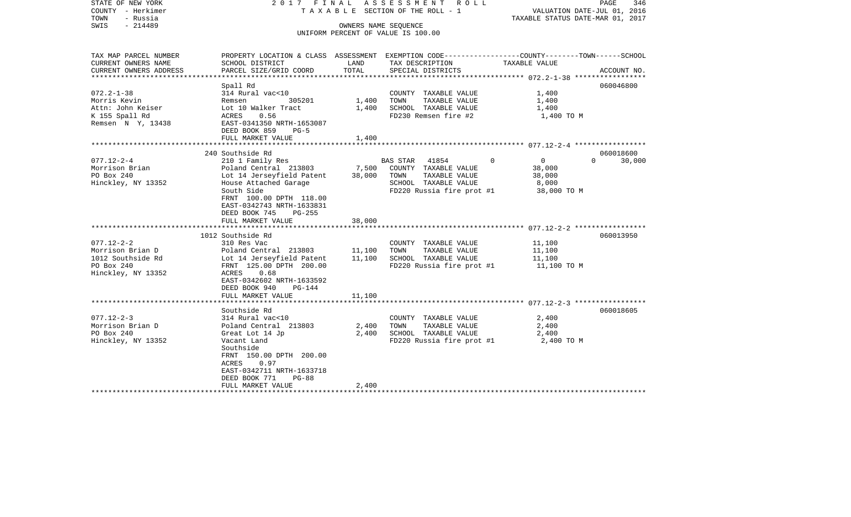| STATE OF NEW YORK<br>COUNTY - Herkimer<br>TOWN<br>- Russia<br>$-214489$<br>SWIS | 2017 FINAL                                                                                                         | ASSESSMENT<br>ROLL ROLL<br>T A X A B L E SECTION OF THE ROLL - 1<br>OWNERS NAME SEQUENCE<br>UNIFORM PERCENT OF VALUE IS 100.00 | PAGE<br>346<br>VALUATION DATE-JUL 01, 2016<br>TAXABLE STATUS DATE-MAR 01, 2017 |                         |                    |
|---------------------------------------------------------------------------------|--------------------------------------------------------------------------------------------------------------------|--------------------------------------------------------------------------------------------------------------------------------|--------------------------------------------------------------------------------|-------------------------|--------------------|
| TAX MAP PARCEL NUMBER<br>CURRENT OWNERS NAME                                    | PROPERTY LOCATION & CLASS ASSESSMENT EXEMPTION CODE---------------COUNTY-------TOWN------SCHOOL<br>SCHOOL DISTRICT | LAND                                                                                                                           | TAX DESCRIPTION                                                                | TAXABLE VALUE           |                    |
| CURRENT OWNERS ADDRESS                                                          | PARCEL SIZE/GRID COORD                                                                                             | TOTAL                                                                                                                          | SPECIAL DISTRICTS                                                              |                         | ACCOUNT NO.        |
| ********************                                                            |                                                                                                                    |                                                                                                                                |                                                                                |                         |                    |
|                                                                                 | Spall Rd                                                                                                           |                                                                                                                                |                                                                                |                         | 060046800          |
| $072.2 - 1 - 38$                                                                | 314 Rural vac<10                                                                                                   |                                                                                                                                | COUNTY TAXABLE VALUE                                                           | 1,400                   |                    |
| Morris Kevin<br>Attn: John Keiser                                               | 305201<br>Remsen<br>Lot 10 Walker Tract                                                                            | 1,400<br>1,400                                                                                                                 | TOWN<br>TAXABLE VALUE<br>SCHOOL TAXABLE VALUE                                  | 1,400<br>1,400          |                    |
| K 155 Spall Rd                                                                  | 0.56<br>ACRES                                                                                                      |                                                                                                                                | FD230 Remsen fire #2                                                           | 1,400 TO M              |                    |
| Remsen N Y, 13438                                                               | EAST-0341350 NRTH-1653087                                                                                          |                                                                                                                                |                                                                                |                         |                    |
|                                                                                 | DEED BOOK 859<br>$PG-5$                                                                                            |                                                                                                                                |                                                                                |                         |                    |
|                                                                                 | FULL MARKET VALUE                                                                                                  | 1,400                                                                                                                          |                                                                                |                         |                    |
|                                                                                 |                                                                                                                    |                                                                                                                                |                                                                                |                         |                    |
|                                                                                 | 240 Southside Rd                                                                                                   |                                                                                                                                |                                                                                |                         | 060018600          |
| $077.12 - 2 - 4$                                                                | 210 1 Family Res                                                                                                   |                                                                                                                                | 41854<br>BAS STAR                                                              | $\Omega$<br>$\mathbf 0$ | 30,000<br>$\Omega$ |
| Morrison Brian<br>PO Box 240                                                    | Poland Central 213803<br>Lot 14 Jerseyfield Patent                                                                 | 7,500<br>38,000                                                                                                                | COUNTY TAXABLE VALUE<br>TAXABLE VALUE<br>TOWN                                  | 38,000<br>38,000        |                    |
| Hinckley, NY 13352                                                              | House Attached Garage                                                                                              |                                                                                                                                | SCHOOL TAXABLE VALUE                                                           | 8,000                   |                    |
|                                                                                 | South Side                                                                                                         |                                                                                                                                | FD220 Russia fire prot #1                                                      | 38,000 TO M             |                    |
|                                                                                 | FRNT 100.00 DPTH 118.00                                                                                            |                                                                                                                                |                                                                                |                         |                    |
|                                                                                 | EAST-0342743 NRTH-1633831                                                                                          |                                                                                                                                |                                                                                |                         |                    |
|                                                                                 | DEED BOOK 745<br>$PG-255$                                                                                          |                                                                                                                                |                                                                                |                         |                    |
|                                                                                 | FULL MARKET VALUE                                                                                                  | 38,000                                                                                                                         |                                                                                |                         |                    |
|                                                                                 |                                                                                                                    | ********                                                                                                                       |                                                                                |                         |                    |
| $077.12 - 2 - 2$                                                                | 1012 Southside Rd<br>310 Res Vac                                                                                   |                                                                                                                                | COUNTY TAXABLE VALUE                                                           | 11,100                  | 060013950          |
| Morrison Brian D                                                                | Poland Central 213803                                                                                              | 11,100                                                                                                                         | TAXABLE VALUE<br>TOWN                                                          | 11,100                  |                    |
| 1012 Southside Rd                                                               | Lot 14 Jerseyfield Patent                                                                                          | 11,100                                                                                                                         | SCHOOL TAXABLE VALUE                                                           | 11,100                  |                    |
| PO Box 240                                                                      | FRNT 125.00 DPTH 200.00                                                                                            |                                                                                                                                | FD220 Russia fire prot #1                                                      | 11,100 TO M             |                    |
| Hinckley, NY 13352                                                              | ACRES<br>0.68                                                                                                      |                                                                                                                                |                                                                                |                         |                    |
|                                                                                 | EAST-0342602 NRTH-1633592                                                                                          |                                                                                                                                |                                                                                |                         |                    |
|                                                                                 | DEED BOOK 940<br>$PG-144$                                                                                          |                                                                                                                                |                                                                                |                         |                    |
|                                                                                 | FULL MARKET VALUE                                                                                                  | 11,100                                                                                                                         |                                                                                |                         |                    |
|                                                                                 | Southside Rd                                                                                                       |                                                                                                                                |                                                                                |                         | 060018605          |
| $077.12 - 2 - 3$                                                                | 314 Rural vac<10                                                                                                   |                                                                                                                                | COUNTY TAXABLE VALUE                                                           | 2,400                   |                    |
| Morrison Brian D                                                                | Poland Central 213803                                                                                              | 2,400                                                                                                                          | TOWN<br>TAXABLE VALUE                                                          | 2,400                   |                    |
| PO Box 240                                                                      | Great Lot 14 Jp                                                                                                    | 2,400                                                                                                                          | SCHOOL TAXABLE VALUE                                                           | 2,400                   |                    |
| Hinckley, NY 13352                                                              | Vacant Land                                                                                                        |                                                                                                                                | FD220 Russia fire prot #1                                                      | 2,400 TO M              |                    |
|                                                                                 | Southside                                                                                                          |                                                                                                                                |                                                                                |                         |                    |
|                                                                                 | FRNT 150.00 DPTH 200.00                                                                                            |                                                                                                                                |                                                                                |                         |                    |
|                                                                                 | ACRES<br>0.97                                                                                                      |                                                                                                                                |                                                                                |                         |                    |
|                                                                                 | EAST-0342711 NRTH-1633718                                                                                          |                                                                                                                                |                                                                                |                         |                    |
|                                                                                 | DEED BOOK 771<br>$PG-88$                                                                                           | 2,400                                                                                                                          |                                                                                |                         |                    |
|                                                                                 | FULL MARKET VALUE                                                                                                  |                                                                                                                                |                                                                                |                         |                    |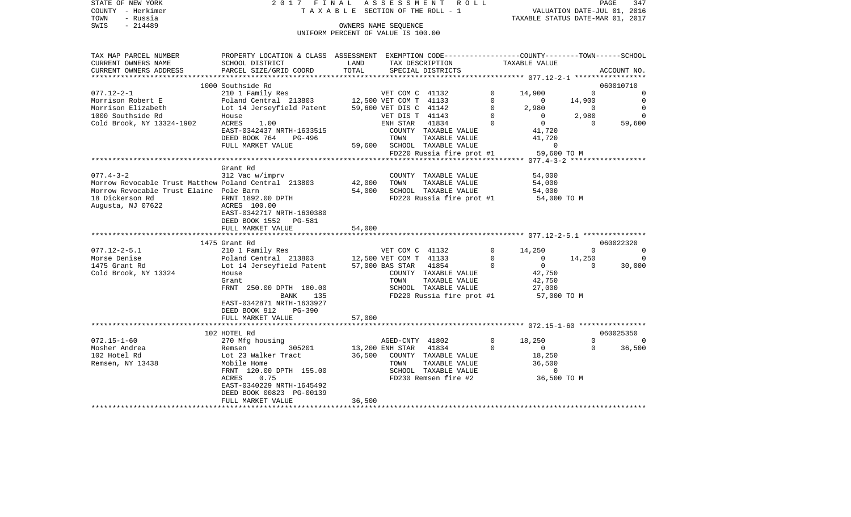| STATE OF NEW YORK | 2017 FINAL ASSESSMENT ROLL         | PAGE                             | 347 |
|-------------------|------------------------------------|----------------------------------|-----|
| COUNTY - Herkimer | TAXABLE SECTION OF THE ROLL - 1    | VALUATION DATE-JUL 01, 2016      |     |
| - Russia<br>TOWN  |                                    | TAXABLE STATUS DATE-MAR 01, 2017 |     |
| SWIS<br>$-214489$ | OWNERS NAME SEOUENCE               |                                  |     |
|                   | UNIFORM PERCENT OF VALUE IS 100.00 |                                  |     |
|                   |                                    |                                  |     |
|                   |                                    |                                  |     |

| TAX MAP PARCEL NUMBER                                | PROPERTY LOCATION & CLASS ASSESSMENT EXEMPTION CODE----------------COUNTY-------TOWN------SCHOOL |                        |                        |                           |          |                    |             |             |
|------------------------------------------------------|--------------------------------------------------------------------------------------------------|------------------------|------------------------|---------------------------|----------|--------------------|-------------|-------------|
| CURRENT OWNERS NAME                                  | SCHOOL DISTRICT                                                                                  | LAND                   |                        | TAX DESCRIPTION           |          | TAXABLE VALUE      |             |             |
| CURRENT OWNERS ADDRESS                               | PARCEL SIZE/GRID COORD                                                                           | TOTAL                  |                        | SPECIAL DISTRICTS         |          |                    |             | ACCOUNT NO. |
|                                                      |                                                                                                  |                        |                        |                           |          |                    |             |             |
|                                                      | 1000 Southside Rd                                                                                |                        |                        |                           |          |                    |             | 060010710   |
| $077.12 - 2 - 1$                                     | 210 1 Family Res                                                                                 |                        | VET COM C 41132        |                           | 0        | 14,900             | $\mathbf 0$ | 0           |
| Morrison Robert E                                    | Poland Central 213803                                                                            |                        | 12,500 VET COM T 41133 |                           | $\Omega$ | $\mathbf 0$        | 14,900      | $\circ$     |
| Morrison Elizabeth                                   | Lot 14 Jerseyfield Patent                                                                        | 59,600 VET DIS C 41142 |                        |                           | $\Omega$ | 2,980              | $\Omega$    | $\Omega$    |
| 1000 Southside Rd                                    | House                                                                                            |                        | VET DIS T 41143        |                           | 0        | $\mathbf 0$        | 2,980       | $\Omega$    |
| Cold Brook, NY 13324-1902                            | ACRES<br>1.00                                                                                    |                        | ENH STAR 41834         |                           | $\Omega$ | $\overline{0}$     | $\Omega$    | 59,600      |
|                                                      | EAST-0342437 NRTH-1633515                                                                        |                        |                        | COUNTY TAXABLE VALUE      |          | 41,720             |             |             |
|                                                      | DEED BOOK 764<br>PG-496                                                                          |                        | TOWN                   | TAXABLE VALUE             |          | 41,720             |             |             |
|                                                      | FULL MARKET VALUE                                                                                | 59,600                 |                        | SCHOOL TAXABLE VALUE      |          | $\Omega$           |             |             |
|                                                      |                                                                                                  |                        |                        | FD220 Russia fire prot #1 |          | 59,600 TO M        |             |             |
|                                                      |                                                                                                  |                        |                        |                           |          |                    |             |             |
|                                                      | Grant Rd                                                                                         |                        |                        |                           |          |                    |             |             |
| $077.4 - 3 - 2$                                      | 312 Vac w/imprv                                                                                  |                        |                        | COUNTY TAXABLE VALUE      |          | 54,000             |             |             |
| Morrow Revocable Trust Matthew Poland Central 213803 |                                                                                                  | 42,000                 | TOWN                   | TAXABLE VALUE             |          | 54,000             |             |             |
| Morrow Revocable Trust Elaine Pole Barn              |                                                                                                  | 54,000                 |                        | SCHOOL TAXABLE VALUE      |          | 54,000             |             |             |
| 18 Dickerson Rd                                      | FRNT 1892.00 DPTH                                                                                |                        |                        | FD220 Russia fire prot #1 |          |                    |             |             |
|                                                      |                                                                                                  |                        |                        |                           |          | 54,000 TO M        |             |             |
| Augusta, NJ 07622                                    | ACRES 100.00                                                                                     |                        |                        |                           |          |                    |             |             |
|                                                      | EAST-0342717 NRTH-1630380                                                                        |                        |                        |                           |          |                    |             |             |
|                                                      | DEED BOOK 1552 PG-581                                                                            |                        |                        |                           |          |                    |             |             |
|                                                      | FULL MARKET VALUE                                                                                | 54,000                 |                        |                           |          |                    |             |             |
|                                                      |                                                                                                  |                        |                        |                           |          |                    |             |             |
|                                                      | 1475 Grant Rd                                                                                    |                        |                        |                           |          |                    |             | 060022320   |
| $077.12 - 2 - 5.1$                                   |                                                                                                  |                        |                        |                           |          |                    |             |             |
|                                                      | 210 1 Family Res                                                                                 |                        | VET COM C 41132        |                           | $\Omega$ | 14,250             | $\Omega$    | $\Omega$    |
| Morse Denise                                         | Poland Central 213803 12,500 VET COM T 41133                                                     |                        |                        |                           | 0        | $\overline{0}$     | 14,250      | $\Omega$    |
| 1475 Grant Rd                                        | Lot 14 Jerseyfield Patent                                                                        |                        | 57,000 BAS STAR 41854  |                           | $\Omega$ | $\overline{0}$     | $\Omega$    | 30,000      |
| Cold Brook, NY 13324                                 | House                                                                                            |                        |                        | COUNTY TAXABLE VALUE      |          | 42,750             |             |             |
|                                                      | Grant                                                                                            |                        | TOWN                   | TAXABLE VALUE             |          | 42,750             |             |             |
|                                                      | FRNT 250.00 DPTH 180.00                                                                          |                        |                        | SCHOOL TAXABLE VALUE      |          | 27,000             |             |             |
|                                                      | BANK<br>135                                                                                      |                        |                        | FD220 Russia fire prot #1 |          | 57,000 TO M        |             |             |
|                                                      | EAST-0342871 NRTH-1633927                                                                        |                        |                        |                           |          |                    |             |             |
|                                                      | DEED BOOK 912<br>$PG-390$                                                                        |                        |                        |                           |          |                    |             |             |
|                                                      | FULL MARKET VALUE                                                                                | 57,000                 |                        |                           |          |                    |             |             |
|                                                      |                                                                                                  |                        |                        |                           |          |                    |             |             |
|                                                      | 102 HOTEL Rd                                                                                     |                        |                        |                           |          |                    |             | 060025350   |
| $072.15 - 1 - 60$                                    | 270 Mfg housing                                                                                  |                        | AGED-CNTY 41802        |                           | $\Omega$ | 18,250             | $\Omega$    |             |
| Mosher Andrea                                        | 305201<br>Remsen                                                                                 |                        | 13,200 ENH STAR 41834  |                           | $\Omega$ | $\mathbf{0}$       | $\Omega$    | 36,500      |
|                                                      |                                                                                                  |                        |                        |                           |          |                    |             |             |
| 102 Hotel Rd                                         | Lot 23 Walker Tract                                                                              | 36,500                 | TOWN                   | COUNTY TAXABLE VALUE      |          | 18,250             |             |             |
| Remsen, NY 13438                                     | Mobile Home                                                                                      |                        |                        | TAXABLE VALUE             |          | 36,500<br>$\Omega$ |             |             |
|                                                      | FRNT 120.00 DPTH 155.00                                                                          |                        |                        | SCHOOL TAXABLE VALUE      |          |                    |             |             |
|                                                      | <b>ACRES</b><br>0.75                                                                             |                        |                        | FD230 Remsen fire #2      |          | 36,500 TO M        |             |             |
|                                                      | EAST-0340229 NRTH-1645492                                                                        |                        |                        |                           |          |                    |             |             |
|                                                      | DEED BOOK 00823 PG-00139<br>FULL MARKET VALUE                                                    | 36,500                 |                        |                           |          |                    |             |             |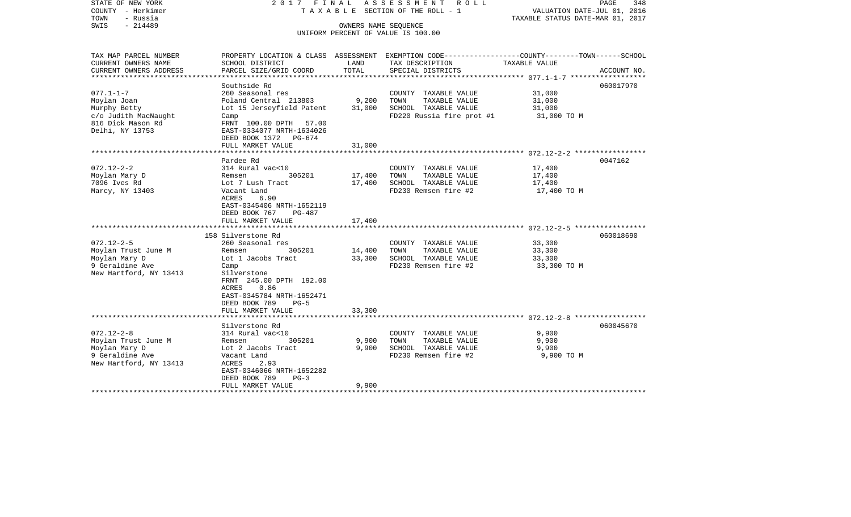| STATE OF NEW YORK<br>COUNTY - Herkimer<br>TOWN<br>- Russia<br>SWIS<br>$-214489$                                                                                               | 2017 FINAL<br>TAXABLE SECTION OF THE ROLL - 1                                                                                                                                                                                                                                                                                                                                                                          | PAGE<br>348<br>VALUATION DATE-JUL 01, 2016<br>TAXABLE STATUS DATE-MAR 01, 2017 |                                                                                                                                                                                                |                                                                                                                   |
|-------------------------------------------------------------------------------------------------------------------------------------------------------------------------------|------------------------------------------------------------------------------------------------------------------------------------------------------------------------------------------------------------------------------------------------------------------------------------------------------------------------------------------------------------------------------------------------------------------------|--------------------------------------------------------------------------------|------------------------------------------------------------------------------------------------------------------------------------------------------------------------------------------------|-------------------------------------------------------------------------------------------------------------------|
|                                                                                                                                                                               |                                                                                                                                                                                                                                                                                                                                                                                                                        |                                                                                | UNIFORM PERCENT OF VALUE IS 100.00                                                                                                                                                             |                                                                                                                   |
| TAX MAP PARCEL NUMBER<br>CURRENT OWNERS NAME                                                                                                                                  | SCHOOL DISTRICT                                                                                                                                                                                                                                                                                                                                                                                                        | LAND                                                                           | TAX DESCRIPTION                                                                                                                                                                                | PROPERTY LOCATION & CLASS ASSESSMENT EXEMPTION CODE----------------COUNTY-------TOWN------SCHOOL<br>TAXABLE VALUE |
| CURRENT OWNERS ADDRESS<br>* * * * * * * * * * * * * * * * *                                                                                                                   | PARCEL SIZE/GRID COORD                                                                                                                                                                                                                                                                                                                                                                                                 | TOTAL                                                                          | SPECIAL DISTRICTS                                                                                                                                                                              | ACCOUNT NO.<br>****************** 077.1-1-7 **************                                                        |
|                                                                                                                                                                               | Southside Rd                                                                                                                                                                                                                                                                                                                                                                                                           |                                                                                |                                                                                                                                                                                                | 060017970                                                                                                         |
| $077.1 - 1 - 7$<br>Moylan Joan<br>Murphy Betty<br>c/o Judith MacNaught<br>816 Dick Mason Rd<br>Delhi, NY 13753                                                                | 260 Seasonal res<br>Poland Central 213803<br>Lot 15 Jerseyfield Patent<br>Camp<br>FRNT 100.00 DPTH 57.00<br>EAST-0334077 NRTH-1634026                                                                                                                                                                                                                                                                                  | 9,200<br>31,000                                                                | COUNTY TAXABLE VALUE<br>TOWN<br>TAXABLE VALUE<br>SCHOOL TAXABLE VALUE<br>FD220 Russia fire prot #1                                                                                             | 31,000<br>31,000<br>31,000<br>31,000 TO M                                                                         |
|                                                                                                                                                                               | DEED BOOK 1372 PG-674<br>FULL MARKET VALUE                                                                                                                                                                                                                                                                                                                                                                             | 31,000                                                                         |                                                                                                                                                                                                |                                                                                                                   |
|                                                                                                                                                                               |                                                                                                                                                                                                                                                                                                                                                                                                                        |                                                                                |                                                                                                                                                                                                |                                                                                                                   |
| $072.12 - 2 - 2$<br>Moylan Mary D<br>7096 Ives Rd<br>Marcy, NY 13403<br>$072.12 - 2 - 5$<br>Moylan Trust June M<br>Moylan Mary D<br>9 Geraldine Ave<br>New Hartford, NY 13413 | Pardee Rd<br>314 Rural vac<10<br>305201<br>Remsen<br>Lot 7 Lush Tract<br>Vacant Land<br>6.90<br>ACRES<br>EAST-0345406 NRTH-1652119<br>DEED BOOK 767<br>PG-487<br>FULL MARKET VALUE<br>158 Silverstone Rd<br>260 Seasonal res<br>Remsen<br>305201<br>Lot 1 Jacobs Tract<br>Camp<br>Silverstone<br>FRNT 245.00 DPTH 192.00<br>0.86<br>ACRES<br>EAST-0345784 NRTH-1652471<br>DEED BOOK 789<br>$PG-5$<br>FULL MARKET VALUE | 17,400<br>17,400<br>17,400<br>14,400<br>33,300<br>33,300                       | COUNTY TAXABLE VALUE<br>TOWN<br>TAXABLE VALUE<br>SCHOOL TAXABLE VALUE<br>FD230 Remsen fire #2<br>COUNTY TAXABLE VALUE<br>TAXABLE VALUE<br>TOWN<br>SCHOOL TAXABLE VALUE<br>FD230 Remsen fire #2 | 0047162<br>17,400<br>17,400<br>17,400<br>17,400 TO M<br>060018690<br>33,300<br>33,300<br>33,300<br>33,300 TO M    |
|                                                                                                                                                                               | ********************                                                                                                                                                                                                                                                                                                                                                                                                   |                                                                                |                                                                                                                                                                                                |                                                                                                                   |
| $072.12 - 2 - 8$<br>Moylan Trust June M<br>Moylan Mary D<br>9 Geraldine Ave<br>New Hartford, NY 13413                                                                         | Silverstone Rd<br>314 Rural vac<10<br>Remsen<br>305201<br>Lot 2 Jacobs Tract<br>Vacant Land<br>ACRES<br>2.93<br>EAST-0346066 NRTH-1652282<br>DEED BOOK 789<br>$PG-3$                                                                                                                                                                                                                                                   | 9,900<br>9,900                                                                 | COUNTY TAXABLE VALUE<br>TOWN<br>TAXABLE VALUE<br>SCHOOL TAXABLE VALUE<br>FD230 Remsen fire #2                                                                                                  | 060045670<br>9,900<br>9,900<br>9,900<br>9,900 TO M                                                                |
| ***********************                                                                                                                                                       | FULL MARKET VALUE<br>********************                                                                                                                                                                                                                                                                                                                                                                              | 9,900                                                                          |                                                                                                                                                                                                |                                                                                                                   |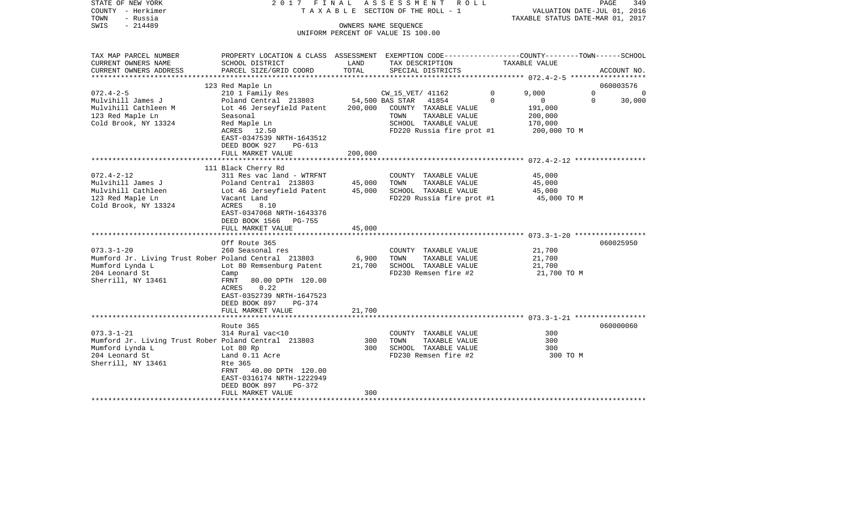| STATE OF NEW YORK<br>COUNTY - Herkimer<br>- Russia<br>TOWN<br>- 214489<br>SWIS | 2017 FINAL                                                                                                                                  |                 | ASSESSMENT ROLL<br>TAXABLE SECTION OF THE ROLL - 1<br>OWNERS NAME SEQUENCE<br>UNIFORM PERCENT OF VALUE IS 100.00 |          | VALUATION DATE-JUL 01, 2016<br>TAXABLE STATUS DATE-MAR 01, 2017 | PAGE<br>349 |
|--------------------------------------------------------------------------------|---------------------------------------------------------------------------------------------------------------------------------------------|-----------------|------------------------------------------------------------------------------------------------------------------|----------|-----------------------------------------------------------------|-------------|
| TAX MAP PARCEL NUMBER<br>CURRENT OWNERS NAME<br>CURRENT OWNERS ADDRESS         | PROPERTY LOCATION & CLASS ASSESSMENT EXEMPTION CODE---------------COUNTY-------TOWN-----SCHOOL<br>SCHOOL DISTRICT<br>PARCEL SIZE/GRID COORD | LAND<br>TOTAL   | TAX DESCRIPTION<br>SPECIAL DISTRICTS                                                                             |          | TAXABLE VALUE                                                   | ACCOUNT NO. |
| *********************                                                          |                                                                                                                                             |                 |                                                                                                                  |          |                                                                 |             |
|                                                                                | 123 Red Maple Ln                                                                                                                            |                 |                                                                                                                  |          |                                                                 | 060003576   |
| $072.4 - 2 - 5$                                                                | 210 1 Family Res                                                                                                                            |                 | CW_15_VET/ 41162                                                                                                 | 0        | 9,000<br>$\mathbf 0$                                            | $\mathbf 0$ |
| Mulvihill James J                                                              | Poland Central 213803                                                                                                                       | 54,500 BAS STAR | 41854                                                                                                            | $\Omega$ | $\overline{0}$<br>$\Omega$                                      | 30,000      |
| Mulvihill Cathleen M                                                           | Lot 46 Jerseyfield Patent                                                                                                                   | 200,000         | COUNTY TAXABLE VALUE                                                                                             |          | 191,000                                                         |             |
| 123 Red Maple Ln                                                               | Seasonal                                                                                                                                    |                 | TOWN<br>TAXABLE VALUE                                                                                            |          | 200,000                                                         |             |
| Cold Brook, NY 13324                                                           | Red Maple Ln                                                                                                                                |                 | SCHOOL TAXABLE VALUE                                                                                             |          | 170,000                                                         |             |
|                                                                                | ACRES 12.50<br>EAST-0347539 NRTH-1643512<br>DEED BOOK 927<br>$PG-613$                                                                       |                 | FD220 Russia fire prot #1                                                                                        |          | 200,000 TO M                                                    |             |
|                                                                                | FULL MARKET VALUE                                                                                                                           | 200,000         |                                                                                                                  |          |                                                                 |             |
|                                                                                | 111 Black Cherry Rd                                                                                                                         |                 |                                                                                                                  |          |                                                                 |             |
| $072.4 - 2 - 12$                                                               | 311 Res vac land - WTRFNT                                                                                                                   |                 | COUNTY TAXABLE VALUE                                                                                             |          | 45,000                                                          |             |
| Mulvihill James J                                                              | Poland Central 213803                                                                                                                       | 45,000          | TOWN<br>TAXABLE VALUE                                                                                            |          | 45,000                                                          |             |
| Mulvihill Cathleen                                                             | Lot 46 Jerseyfield Patent                                                                                                                   | 45,000          | SCHOOL TAXABLE VALUE                                                                                             |          | 45,000                                                          |             |
| 123 Red Maple Ln                                                               | Vacant Land                                                                                                                                 |                 | FD220 Russia fire prot #1                                                                                        |          | 45,000 TO M                                                     |             |
| Cold Brook, NY 13324                                                           | ACRES<br>8.10<br>EAST-0347068 NRTH-1643376<br>DEED BOOK 1566 PG-755                                                                         |                 |                                                                                                                  |          |                                                                 |             |
|                                                                                | FULL MARKET VALUE                                                                                                                           | 45,000          |                                                                                                                  |          |                                                                 |             |
|                                                                                |                                                                                                                                             |                 |                                                                                                                  |          |                                                                 |             |
|                                                                                | Off Route 365                                                                                                                               |                 |                                                                                                                  |          |                                                                 | 060025950   |
| $073.3 - 1 - 20$                                                               | 260 Seasonal res                                                                                                                            |                 | COUNTY TAXABLE VALUE                                                                                             |          | 21,700                                                          |             |
| Mumford Jr. Living Trust Rober Poland Central 213803<br>Mumford Lynda L        | Lot 80 Remsenburg Patent                                                                                                                    | 6,900<br>21,700 | TOWN<br>TAXABLE VALUE<br>SCHOOL TAXABLE VALUE                                                                    |          | 21,700<br>21,700                                                |             |
| 204 Leonard St                                                                 | Camp                                                                                                                                        |                 | FD230 Remsen fire #2                                                                                             |          | 21,700 TO M                                                     |             |
| Sherrill, NY 13461                                                             | FRNT<br>80.00 DPTH 120.00<br>0.22<br>ACRES<br>EAST-0352739 NRTH-1647523<br>DEED BOOK 897<br>$PG-374$<br>FULL MARKET VALUE                   | 21,700          |                                                                                                                  |          |                                                                 |             |
|                                                                                |                                                                                                                                             |                 |                                                                                                                  |          |                                                                 |             |
|                                                                                | Route 365                                                                                                                                   |                 |                                                                                                                  |          |                                                                 | 060000060   |
| $073.3 - 1 - 21$                                                               | 314 Rural vac<10                                                                                                                            |                 | COUNTY TAXABLE VALUE                                                                                             |          | 300                                                             |             |
| Mumford Jr. Living Trust Rober Poland Central 213803                           |                                                                                                                                             | 300             | TOWN<br>TAXABLE VALUE                                                                                            |          | 300                                                             |             |
| Mumford Lynda L                                                                | Lot 80 Rp                                                                                                                                   | 300             | SCHOOL TAXABLE VALUE                                                                                             |          | 300                                                             |             |
| 204 Leonard St<br>Sherrill, NY 13461                                           | Land 0.11 Acre<br>Rte 365<br>FRNT<br>40.00 DPTH 120.00<br>EAST-0316174 NRTH-1222949                                                         |                 | FD230 Remsen fire #2                                                                                             |          | 300 TO M                                                        |             |
|                                                                                | DEED BOOK 897<br>PG-372                                                                                                                     |                 |                                                                                                                  |          |                                                                 |             |
|                                                                                | FULL MARKET VALUE                                                                                                                           | 300             |                                                                                                                  |          |                                                                 |             |
|                                                                                |                                                                                                                                             |                 | ************************                                                                                         |          |                                                                 |             |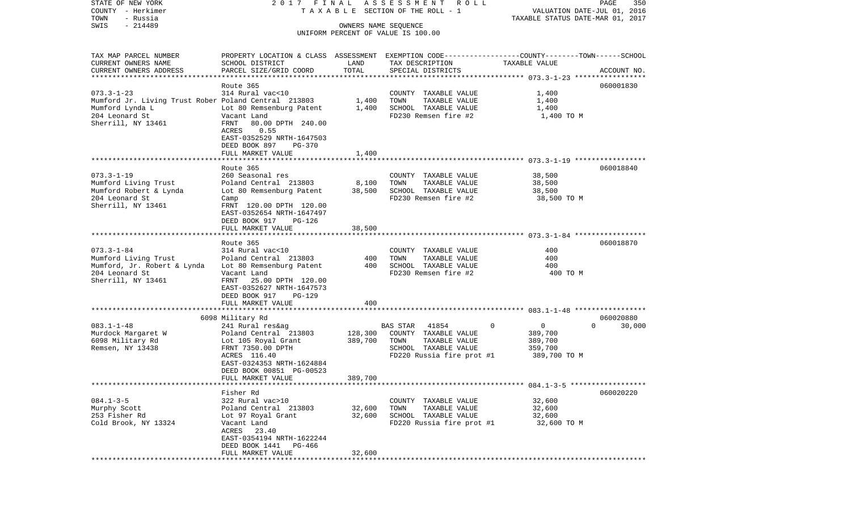COUNTY - Herkimer T A X A B L E SECTION OF THE ROLL - 1 VALUATION DATE-JUL 01, 2016 TOWN - Russia TAXABLE STATUS DATE-MAR 01, 2017 SWIS - 214489 OWNERS NAME SEQUENCE UNIFORM PERCENT OF VALUE IS 100.00TAX MAP PARCEL NUMBER PROPERTY LOCATION & CLASS ASSESSMENT EXEMPTION CODE------------------COUNTY--------TOWN------SCHOOL CURRENT OWNERS NAME SCHOOL DISTRICT LAND TAX DESCRIPTION TAXABLE VALUECURRENT OWNERS ADDRESS PARCEL SIZE/GRID COORD TOTAL SPECIAL DISTRICTS ACCOUNT NO. \*\*\*\*\*\*\*\*\*\*\*\*\*\*\*\*\*\*\*\*\*\*\*\*\*\*\*\*\*\*\*\*\*\*\*\*\*\*\*\*\*\*\*\*\*\*\*\*\*\*\*\*\*\*\*\*\*\*\*\*\*\*\*\*\*\*\*\*\*\*\*\*\*\*\*\*\*\*\*\*\*\*\*\*\*\*\*\*\*\*\*\*\*\*\*\*\*\*\*\*\*\*\* 073.3-1-23 \*\*\*\*\*\*\*\*\*\*\*\*\*\*\*\*\* Route 365 060001830060001830 073.3-1-23 314 Rural vac<10 COUNTY TAXABLE VALUE 1,400 Mumford Jr. Living Trust Rober Poland Central 213803 1,400 TOWN TAXABLE VALUE 1,400 Mumford Lynda Lot 80 Remsenburg Patent 1,400 SCHOOL TAXABLE VALUE 1,400 204 Leonard St Vacant Land FD230 Remsen fire #2 1,400 TO M Sherrill, NY 13461 FRNT 80.00 DPTH 240.00 ACRES 0.55 EAST-0352529 NRTH-1647503 DEED BOOK 897 PG-370FULL MARKET VALUE 1,400 \*\*\*\*\*\*\*\*\*\*\*\*\*\*\*\*\*\*\*\*\*\*\*\*\*\*\*\*\*\*\*\*\*\*\*\*\*\*\*\*\*\*\*\*\*\*\*\*\*\*\*\*\*\*\*\*\*\*\*\*\*\*\*\*\*\*\*\*\*\*\*\*\*\*\*\*\*\*\*\*\*\*\*\*\*\*\*\*\*\*\*\*\*\*\*\*\*\*\*\*\*\*\* 073.3-1-19 \*\*\*\*\*\*\*\*\*\*\*\*\*\*\*\*\* Route 365 060018840073.3-1-19 260 Seasonal res COUNTY TAXABLE VALUE 38,500 Mumford Living Trust **Poland Central 213803** 8,100 TOWN TAXABLE VALUE Mumford Robert & Lynda Lot 80 Remsenburg Patent 38,500 SCHOOL TAXABLE VALUE 38,500 204 Leonard St Camp FD230 Remsen fire #2 38,500 TO M Sherrill, NY 13461 FRNT 120.00 DPTH 120.00 EAST-0352654 NRTH-1647497 DEED BOOK 917 PG-126FULL MARKET VALUE 38,500 \*\*\*\*\*\*\*\*\*\*\*\*\*\*\*\*\*\*\*\*\*\*\*\*\*\*\*\*\*\*\*\*\*\*\*\*\*\*\*\*\*\*\*\*\*\*\*\*\*\*\*\*\*\*\*\*\*\*\*\*\*\*\*\*\*\*\*\*\*\*\*\*\*\*\*\*\*\*\*\*\*\*\*\*\*\*\*\*\*\*\*\*\*\*\*\*\*\*\*\*\*\*\* 073.3-1-84 \*\*\*\*\*\*\*\*\*\*\*\*\*\*\*\*\* Route 365 060018870073.3-1-84 314 Rural vac<10 COUNTY TAXABLE VALUE 400Mumford Living Trust Poland Central 213803 400 TOWN TAXABLE VALUE 400 Lot 80 Remsenburg Patent 400 204 Leonard St Vacant Land FD230 Remsen fire #2 400 TO M Sherrill, NY 13461 FRNT 25.00 DPTH 120.00 EAST-0352627 NRTH-1647573 DEED BOOK 917 PG-129FULL MARKET VALUE 400 \*\*\*\*\*\*\*\*\*\*\*\*\*\*\*\*\*\*\*\*\*\*\*\*\*\*\*\*\*\*\*\*\*\*\*\*\*\*\*\*\*\*\*\*\*\*\*\*\*\*\*\*\*\*\*\*\*\*\*\*\*\*\*\*\*\*\*\*\*\*\*\*\*\*\*\*\*\*\*\*\*\*\*\*\*\*\*\*\*\*\*\*\*\*\*\*\*\*\*\*\*\*\* 083.1-1-48 \*\*\*\*\*\*\*\*\*\*\*\*\*\*\*\*\* 6098 Military Rd 060020880 083.1-1-48 241 Rural res&ag BAS STAR 41854 0 0 0 30,000 Murdock Margaret W **Poland Central 213803** 128,300 COUNTY TAXABLE VALUE 389,700 6098 Military Rd Lot 105 Royal Grant 389,700 TOWN TAXABLE VALUE 389,700 Remsen, NY 13438 FRNT 7350.00 DPTH SCHOOL TAXABLE VALUE 359,700 ACRES 116.40 FD220 Russia fire prot #1 389,700 TO M EAST-0324353 NRTH-1624884 DEED BOOK 00851 PG-00523 FULL MARKET VALUE 389,700 \*\*\*\*\*\*\*\*\*\*\*\*\*\*\*\*\*\*\*\*\*\*\*\*\*\*\*\*\*\*\*\*\*\*\*\*\*\*\*\*\*\*\*\*\*\*\*\*\*\*\*\*\*\*\*\*\*\*\*\*\*\*\*\*\*\*\*\*\*\*\*\*\*\*\*\*\*\*\*\*\*\*\*\*\*\*\*\*\*\*\*\*\*\*\*\*\*\*\*\*\*\*\* 084.1-3-5 \*\*\*\*\*\*\*\*\*\*\*\*\*\*\*\*\*\* Fisher Rd 060020220084.1-3-5 322 Rural vac>10 COUNTY TAXABLE VALUE 32,600 Murphy Scott Poland Central 213803 32,600 TOWN TAXABLE VALUE 32,600 253 Fisher Rd Lot 97 Royal Grant 32,600 SCHOOL TAXABLE VALUE 32,600 Cold Brook, NY 13324 Vacant Land FD220 Russia fire prot #1 32,600 TO M ACRES 23.40 EAST-0354194 NRTH-1622244 DEED BOOK 1441 PG-466 FULL MARKET VALUE 32,600 \*\*\*\*\*\*\*\*\*\*\*\*\*\*\*\*\*\*\*\*\*\*\*\*\*\*\*\*\*\*\*\*\*\*\*\*\*\*\*\*\*\*\*\*\*\*\*\*\*\*\*\*\*\*\*\*\*\*\*\*\*\*\*\*\*\*\*\*\*\*\*\*\*\*\*\*\*\*\*\*\*\*\*\*\*\*\*\*\*\*\*\*\*\*\*\*\*\*\*\*\*\*\*\*\*\*\*\*\*\*\*\*\*\*\*\*\*\*\*\*\*\*\*\*\*\*\*\*\*\*\*\*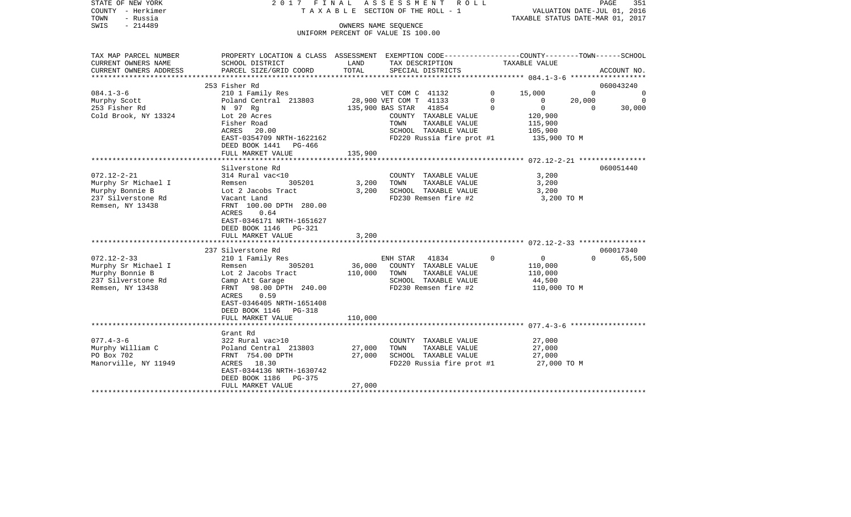| STATE OF NEW YORK<br>COUNTY - Herkimer<br>TOWN<br>- Russia<br>$-214489$<br>SWIS                       |                                                                                                                                                                                                     |                              | 2017 FINAL ASSESSMENT ROLL<br>TAXABLE SECTION OF THE ROLL - 1<br>OWNERS NAME SEQUENCE<br>UNIFORM PERCENT OF VALUE IS 100.00 |                         | VALUATION DATE-JUL 01, 2016<br>TAXABLE STATUS DATE-MAR 01, 2017 | PAGE<br>351                     |
|-------------------------------------------------------------------------------------------------------|-----------------------------------------------------------------------------------------------------------------------------------------------------------------------------------------------------|------------------------------|-----------------------------------------------------------------------------------------------------------------------------|-------------------------|-----------------------------------------------------------------|---------------------------------|
| TAX MAP PARCEL NUMBER<br>CURRENT OWNERS NAME                                                          | PROPERTY LOCATION & CLASS ASSESSMENT EXEMPTION CODE---------------COUNTY-------TOWN------SCHOOL<br>SCHOOL DISTRICT                                                                                  | LAND                         | TAX DESCRIPTION                                                                                                             |                         | TAXABLE VALUE                                                   |                                 |
| CURRENT OWNERS ADDRESS                                                                                | PARCEL SIZE/GRID COORD                                                                                                                                                                              | TOTAL                        | SPECIAL DISTRICTS                                                                                                           |                         |                                                                 | ACCOUNT NO.                     |
|                                                                                                       | 253 Fisher Rd                                                                                                                                                                                       |                              |                                                                                                                             |                         |                                                                 | 060043240                       |
| $084.1 - 3 - 6$                                                                                       | 210 1 Family Res                                                                                                                                                                                    |                              | VET COM C 41132                                                                                                             | $\mathbf 0$             | 15,000                                                          | $\Omega$<br>$\overline{0}$      |
| Murphy Scott<br>253 Fisher Rd                                                                         | Poland Central 213803                                                                                                                                                                               |                              | 28,900 VET COM T 41133<br>135,900 BAS STAR 41854                                                                            | $\mathbf 0$<br>$\Omega$ | 20,000<br>$\overline{0}$<br>$\overline{0}$                      | $\Omega$<br>30,000<br>$\bigcap$ |
| Cold Brook, NY 13324                                                                                  | N 97 Rg<br>Lot 20 Acres<br>Fisher Road<br>ACRES 20.00<br>EAST-0354709 NRTH-1622162                                                                                                                  |                              | COUNTY TAXABLE VALUE<br>TAXABLE VALUE<br>TOWN<br>SCHOOL TAXABLE VALUE<br>FD220 Russia fire prot #1                          |                         | 120,900<br>115,900<br>105,900<br>135,900 TO M                   |                                 |
|                                                                                                       | DEED BOOK 1441 PG-466                                                                                                                                                                               |                              |                                                                                                                             |                         |                                                                 |                                 |
|                                                                                                       | FULL MARKET VALUE                                                                                                                                                                                   | 135,900                      |                                                                                                                             |                         |                                                                 |                                 |
|                                                                                                       | Silverstone Rd                                                                                                                                                                                      |                              |                                                                                                                             |                         |                                                                 | 060051440                       |
| $072.12 - 2 - 21$<br>Murphy Sr Michael I<br>Murphy Bonnie B<br>237 Silverstone Rd                     | 314 Rural vac<10<br>305201<br>Remsen<br>Lot 2 Jacobs Tract<br>Vacant Land                                                                                                                           | 3,200<br>3,200               | COUNTY TAXABLE VALUE<br>TAXABLE VALUE<br>TOWN<br>SCHOOL TAXABLE VALUE<br>FD230 Remsen fire #2                               |                         | 3,200<br>3,200<br>3,200<br>3,200 TO M                           |                                 |
| Remsen, NY 13438                                                                                      | FRNT 100.00 DPTH 280.00<br>ACRES<br>0.64<br>EAST-0346171 NRTH-1651627<br>DEED BOOK 1146 PG-321<br>FULL MARKET VALUE                                                                                 | 3,200                        |                                                                                                                             |                         |                                                                 |                                 |
|                                                                                                       |                                                                                                                                                                                                     |                              |                                                                                                                             |                         |                                                                 |                                 |
|                                                                                                       | 237 Silverstone Rd                                                                                                                                                                                  |                              |                                                                                                                             | $\mathbf 0$             |                                                                 | 060017340<br>$\Omega$           |
| $072.12 - 2 - 33$<br>Murphy Sr Michael I<br>Murphy Bonnie B<br>237 Silverstone Rd<br>Remsen, NY 13438 | 210 1 Family Res<br>305201<br>Remsen<br>Lot 2 Jacobs Tract<br>Camp Att Garage<br>FRNT 98.00 DPTH 240.00<br>0.59<br>ACRES<br>EAST-0346405 NRTH-1651408<br>DEED BOOK 1146 PG-318<br>FULL MARKET VALUE | 36,000<br>110,000<br>110,000 | ENH STAR 41834<br>COUNTY TAXABLE VALUE<br>TAXABLE VALUE<br>TOWN<br>SCHOOL TAXABLE VALUE<br>FD230 Remsen fire #2             |                         | $\overline{0}$<br>110,000<br>110,000<br>44,500<br>110,000 TO M  | 65,500                          |
|                                                                                                       |                                                                                                                                                                                                     |                              |                                                                                                                             |                         |                                                                 |                                 |
| $077.4 - 3 - 6$<br>Murphy William C<br>PO Box 702<br>Manorville, NY 11949                             | Grant Rd<br>322 Rural vac>10<br>Poland Central 213803<br>FRNT 754.00 DPTH<br>ACRES 18.30<br>EAST-0344136 NRTH-1630742<br>DEED BOOK 1186 PG-375                                                      | 27,000<br>27,000             | COUNTY TAXABLE VALUE<br>TAXABLE VALUE<br>TOWN<br>SCHOOL TAXABLE VALUE<br>FD220 Russia fire prot #1                          |                         | 27,000<br>27,000<br>27,000<br>27,000 TO M                       |                                 |
|                                                                                                       | FULL MARKET VALUE                                                                                                                                                                                   | 27,000                       |                                                                                                                             |                         |                                                                 |                                 |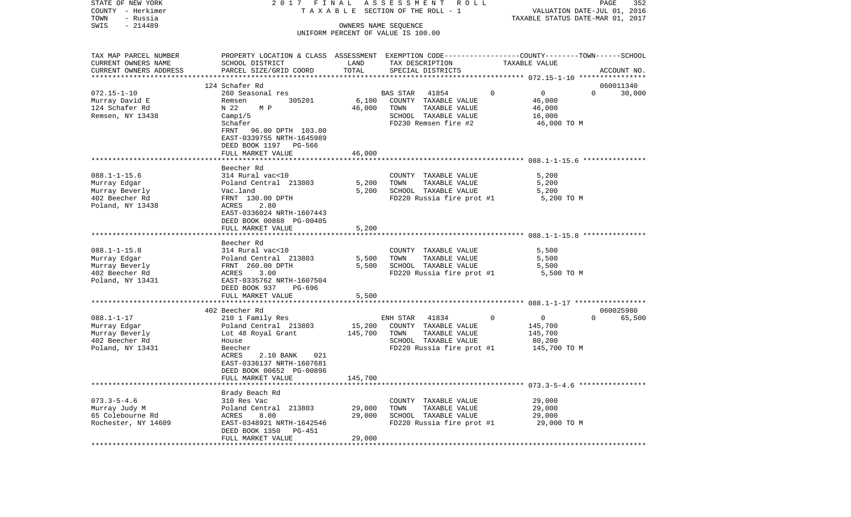| STATE OF NEW YORK         | 2017 FINAL                                                                                       |         | A S S E S S M E N T<br>R O L L     |               |                                  | 352<br>PAGE |
|---------------------------|--------------------------------------------------------------------------------------------------|---------|------------------------------------|---------------|----------------------------------|-------------|
| COUNTY - Herkimer         | TAXABLE SECTION OF THE ROLL - 1                                                                  |         |                                    |               | VALUATION DATE-JUL 01, 2016      |             |
| TOWN<br>- Russia          |                                                                                                  |         |                                    |               | TAXABLE STATUS DATE-MAR 01, 2017 |             |
| $-214489$<br>SWIS         |                                                                                                  |         | OWNERS NAME SEQUENCE               |               |                                  |             |
|                           |                                                                                                  |         | UNIFORM PERCENT OF VALUE IS 100.00 |               |                                  |             |
|                           |                                                                                                  |         |                                    |               |                                  |             |
| TAX MAP PARCEL NUMBER     | PROPERTY LOCATION & CLASS ASSESSMENT EXEMPTION CODE----------------COUNTY-------TOWN------SCHOOL |         |                                    |               |                                  |             |
| CURRENT OWNERS NAME       | SCHOOL DISTRICT                                                                                  | LAND    | TAX DESCRIPTION                    | TAXABLE VALUE |                                  |             |
| CURRENT OWNERS ADDRESS    | PARCEL SIZE/GRID COORD                                                                           | TOTAL   | SPECIAL DISTRICTS                  |               |                                  | ACCOUNT NO. |
| ************************* |                                                                                                  |         |                                    |               |                                  |             |
|                           | 124 Schafer Rd                                                                                   |         |                                    |               |                                  | 060011340   |
| $072.15 - 1 - 10$         | 260 Seasonal res                                                                                 |         | <b>BAS STAR</b><br>41854           | $\Omega$      | $\mathbf 0$<br>$\Omega$          | 30,000      |
| Murray David E            | 305201<br>Remsen                                                                                 | 6,100   | COUNTY TAXABLE VALUE               |               | 46,000                           |             |
| 124 Schafer Rd            | N 22<br>M P                                                                                      | 46,000  | TOWN<br>TAXABLE VALUE              |               | 46,000                           |             |
| Remsen, NY 13438          | Campl/5                                                                                          |         | SCHOOL TAXABLE VALUE               |               | 16,000                           |             |
|                           | Schafer                                                                                          |         | FD230 Remsen fire #2               |               | 46,000 TO M                      |             |
|                           | FRNT<br>96.00 DPTH 103.00                                                                        |         |                                    |               |                                  |             |
|                           | EAST-0339755 NRTH-1645989                                                                        |         |                                    |               |                                  |             |
|                           | DEED BOOK 1197 PG-566                                                                            |         |                                    |               |                                  |             |
|                           | FULL MARKET VALUE                                                                                | 46,000  |                                    |               |                                  |             |
|                           |                                                                                                  |         |                                    |               |                                  |             |
|                           | Beecher Rd                                                                                       |         |                                    |               |                                  |             |
| $088.1 - 1 - 15.6$        | 314 Rural vac<10                                                                                 |         | COUNTY TAXABLE VALUE               |               | 5,200                            |             |
| Murray Edgar              |                                                                                                  |         |                                    |               |                                  |             |
|                           | Poland Central 213803                                                                            | 5,200   | TOWN<br>TAXABLE VALUE              |               | 5,200                            |             |
| Murray Beverly            | Vac.land                                                                                         | 5,200   | SCHOOL TAXABLE VALUE               |               | 5,200                            |             |
| 402 Beecher Rd            | FRNT 130.00 DPTH                                                                                 |         | FD220 Russia fire prot #1          |               | 5,200 TO M                       |             |
| Poland, NY 13438          | 2.80<br>ACRES                                                                                    |         |                                    |               |                                  |             |
|                           | EAST-0336024 NRTH-1607443                                                                        |         |                                    |               |                                  |             |
|                           | DEED BOOK 00868 PG-00405                                                                         |         |                                    |               |                                  |             |
|                           | FULL MARKET VALUE                                                                                | 5,200   |                                    |               |                                  |             |
|                           |                                                                                                  |         |                                    |               |                                  |             |
|                           | Beecher Rd                                                                                       |         |                                    |               |                                  |             |
| $088.1 - 1 - 15.8$        | 314 Rural vac<10                                                                                 |         | COUNTY TAXABLE VALUE               |               | 5,500                            |             |
| Murray Edgar              | Poland Central 213803                                                                            | 5,500   | TAXABLE VALUE<br>TOWN              |               | 5,500                            |             |
| Murray Beverly            | FRNT 260.00 DPTH                                                                                 | 5,500   | SCHOOL TAXABLE VALUE               |               | 5,500                            |             |
| 402 Beecher Rd            | 3.00<br>ACRES                                                                                    |         | FD220 Russia fire prot #1          |               | 5,500 TO M                       |             |
| Poland, NY 13431          | EAST-0335762 NRTH-1607504                                                                        |         |                                    |               |                                  |             |
|                           | DEED BOOK 937<br>PG-696                                                                          |         |                                    |               |                                  |             |
|                           | FULL MARKET VALUE                                                                                | 5,500   |                                    |               |                                  |             |
|                           |                                                                                                  |         |                                    |               |                                  |             |
|                           | 402 Beecher Rd                                                                                   |         |                                    |               |                                  | 060025980   |
| $088.1 - 1 - 17$          | 210 1 Family Res                                                                                 |         | 41834<br>ENH STAR                  | $\circ$       | $\overline{0}$<br>$\Omega$       | 65,500      |
| Murray Edgar              | Poland Central 213803                                                                            | 15,200  | COUNTY TAXABLE VALUE               |               | 145,700                          |             |
| Murray Beverly            | Lot 48 Royal Grant                                                                               | 145,700 | TOWN<br>TAXABLE VALUE              |               | 145,700                          |             |
| 402 Beecher Rd            | House                                                                                            |         | SCHOOL TAXABLE VALUE               |               | 80,200                           |             |
| Poland, NY 13431          | Beecher                                                                                          |         | FD220 Russia fire prot #1          |               | 145,700 TO M                     |             |
|                           | ACRES<br>2.10 BANK<br>021                                                                        |         |                                    |               |                                  |             |
|                           | EAST-0336137 NRTH-1607681                                                                        |         |                                    |               |                                  |             |
|                           | DEED BOOK 00652 PG-00896                                                                         |         |                                    |               |                                  |             |
|                           | FULL MARKET VALUE                                                                                | 145,700 |                                    |               |                                  |             |
|                           |                                                                                                  |         |                                    |               |                                  |             |
|                           | Brady Beach Rd                                                                                   |         |                                    |               |                                  |             |
| $073.3 - 5 - 4.6$         | 310 Res Vac                                                                                      |         | COUNTY TAXABLE VALUE               |               | 29,000                           |             |
| Murray Judy M             | Poland Central 213803                                                                            | 29,000  | TAXABLE VALUE<br>TOWN              |               | 29,000                           |             |
| 65 Colebourne Rd          | ACRES<br>8.00                                                                                    | 29,000  | SCHOOL TAXABLE VALUE               |               | 29,000                           |             |
| Rochester, NY 14609       | EAST-0348921 NRTH-1642546                                                                        |         | FD220 Russia fire prot #1          |               | 29,000 TO M                      |             |
|                           | DEED BOOK 1350<br>PG-451                                                                         |         |                                    |               |                                  |             |
|                           | FULL MARKET VALUE                                                                                | 29,000  |                                    |               |                                  |             |
|                           |                                                                                                  |         |                                    |               |                                  |             |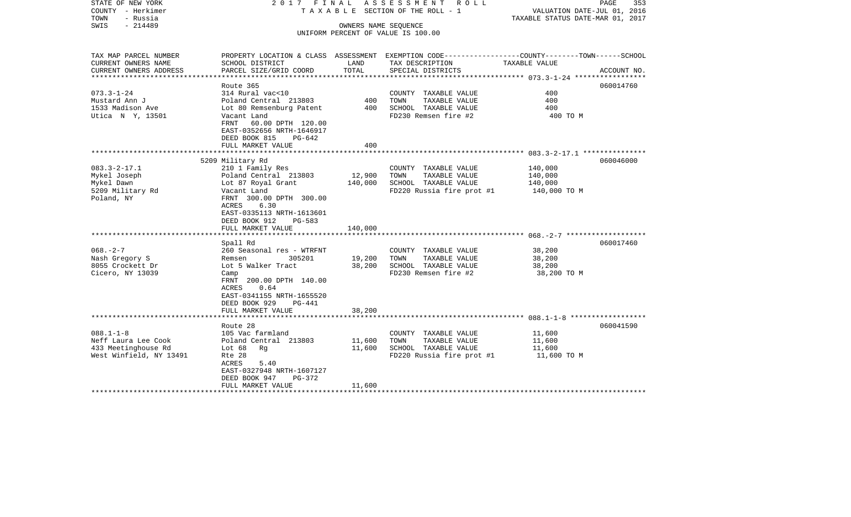| STATE OF NEW YORK<br>COUNTY - Herkimer<br>TOWN<br>- Russia<br>$-214489$<br>SWIS          |                                                                                                                                                                                   | 2017 FINAL ASSESSMENT ROLL<br>TAXABLE SECTION OF THE ROLL - 1<br>OWNERS NAME SEQUENCE | PAGE<br>353<br>VALUATION DATE-JUL 01, 2016<br>TAXABLE STATUS DATE-MAR 01, 2017                                     |                                           |             |
|------------------------------------------------------------------------------------------|-----------------------------------------------------------------------------------------------------------------------------------------------------------------------------------|---------------------------------------------------------------------------------------|--------------------------------------------------------------------------------------------------------------------|-------------------------------------------|-------------|
|                                                                                          |                                                                                                                                                                                   |                                                                                       | UNIFORM PERCENT OF VALUE IS 100.00                                                                                 |                                           |             |
| TAX MAP PARCEL NUMBER<br>CURRENT OWNERS NAME                                             | SCHOOL DISTRICT                                                                                                                                                                   | LAND                                                                                  | PROPERTY LOCATION & CLASS ASSESSMENT EXEMPTION CODE---------------COUNTY-------TOWN------SCHOOL<br>TAX DESCRIPTION | TAXABLE VALUE                             |             |
| CURRENT OWNERS ADDRESS                                                                   | PARCEL SIZE/GRID COORD                                                                                                                                                            | TOTAL                                                                                 | SPECIAL DISTRICTS                                                                                                  |                                           | ACCOUNT NO. |
|                                                                                          |                                                                                                                                                                                   |                                                                                       |                                                                                                                    |                                           |             |
| $073.3 - 1 - 24$                                                                         | Route 365<br>314 Rural vac<10                                                                                                                                                     |                                                                                       | COUNTY TAXABLE VALUE                                                                                               | 400                                       | 060014760   |
| Mustard Ann J                                                                            | Poland Central 213803                                                                                                                                                             | 400                                                                                   | TAXABLE VALUE<br>TOWN                                                                                              | 400                                       |             |
| 1533 Madison Ave                                                                         | Lot 80 Remsenburg Patent                                                                                                                                                          | 400                                                                                   | SCHOOL TAXABLE VALUE                                                                                               | 400                                       |             |
| Utica N Y, 13501                                                                         | Vacant Land<br>FRNT 60.00 DPTH 120.00<br>EAST-0352656 NRTH-1646917<br>DEED BOOK 815<br>PG-642                                                                                     |                                                                                       | FD230 Remsen fire #2                                                                                               | 400 TO M                                  |             |
|                                                                                          | FULL MARKET VALUE                                                                                                                                                                 | 400                                                                                   |                                                                                                                    |                                           |             |
|                                                                                          | 5209 Military Rd                                                                                                                                                                  |                                                                                       |                                                                                                                    |                                           | 060046000   |
| $083.3 - 2 - 17.1$                                                                       | 210 1 Family Res                                                                                                                                                                  |                                                                                       | COUNTY TAXABLE VALUE                                                                                               | 140,000                                   |             |
| Mykel Joseph                                                                             | Poland Central 213803                                                                                                                                                             | 12,900                                                                                | TOWN<br>TAXABLE VALUE                                                                                              | 140,000                                   |             |
| Mykel Dawn                                                                               | Lot 87 Royal Grant                                                                                                                                                                | 140,000                                                                               | SCHOOL TAXABLE VALUE                                                                                               | 140,000                                   |             |
| 5209 Military Rd<br>Poland, NY                                                           | Vacant Land<br>FRNT 300.00 DPTH 300.00<br>6.30<br>ACRES<br>EAST-0335113 NRTH-1613601<br>DEED BOOK 912<br>PG-583                                                                   |                                                                                       | FD220 Russia fire prot #1 140,000 TO M                                                                             |                                           |             |
|                                                                                          | FULL MARKET VALUE                                                                                                                                                                 | 140,000                                                                               |                                                                                                                    |                                           |             |
|                                                                                          | Spall Rd                                                                                                                                                                          |                                                                                       |                                                                                                                    |                                           | 060017460   |
| $068. - 2 - 7$<br>Nash Gregory S<br>8055 Crockett Dr<br>Cicero, NY 13039                 | 260 Seasonal res - WTRFNT<br>Remsen<br>305201<br>Lot 5 Walker Tract<br>Camp<br>FRNT 200.00 DPTH 140.00<br>ACRES<br>0.64<br>EAST-0341155 NRTH-1655520<br>DEED BOOK 929<br>$PG-441$ | 19,200<br>38,200                                                                      | COUNTY TAXABLE VALUE<br>TOWN<br>TAXABLE VALUE<br>SCHOOL TAXABLE VALUE<br>FD230 Remsen fire #2                      | 38,200<br>38,200<br>38,200<br>38,200 TO M |             |
|                                                                                          | FULL MARKET VALUE                                                                                                                                                                 | 38,200                                                                                |                                                                                                                    |                                           |             |
|                                                                                          | Route 28                                                                                                                                                                          |                                                                                       |                                                                                                                    |                                           | 060041590   |
| $088.1 - 1 - 8$<br>Neff Laura Lee Cook<br>433 Meetinghouse Rd<br>West Winfield, NY 13491 | 105 Vac farmland<br>Poland Central 213803<br>Lot $68$<br>Rg<br>Rte 28<br>ACRES<br>5.40<br>EAST-0327948 NRTH-1607127<br>DEED BOOK 947<br>PG-372                                    | 11,600<br>11,600                                                                      | COUNTY TAXABLE VALUE<br>TOWN<br>TAXABLE VALUE<br>SCHOOL TAXABLE VALUE<br>FD220 Russia fire prot #1                 | 11,600<br>11,600<br>11,600<br>11,600 TO M |             |
|                                                                                          | FULL MARKET VALUE                                                                                                                                                                 | 11,600                                                                                |                                                                                                                    |                                           |             |
|                                                                                          |                                                                                                                                                                                   |                                                                                       |                                                                                                                    |                                           |             |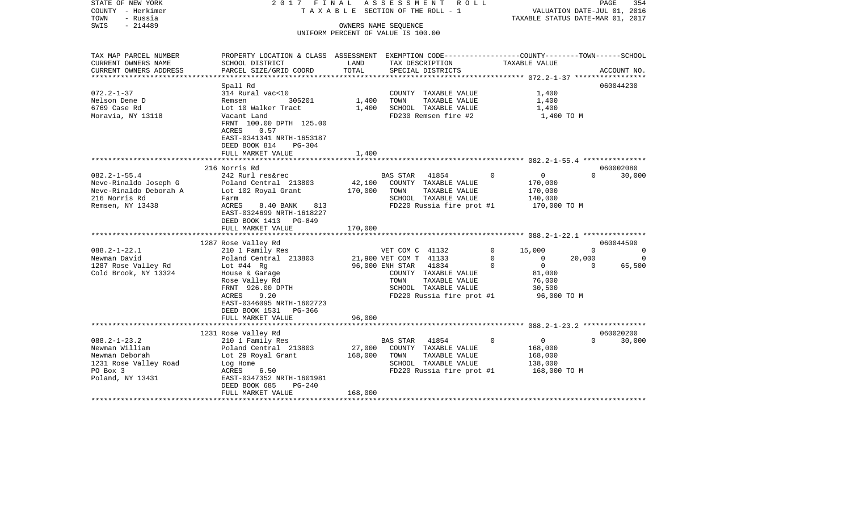| STATE OF NEW YORK<br>COUNTY - Herkimer<br>TOWN<br>- Russia<br>$-214489$<br>SWIS | 2017 FINAL                                                                                                              |         | A S S E S S M E N T<br>R O L L<br>TAXABLE SECTION OF THE ROLL - 1<br>OWNERS NAME SEQUENCE | TAXABLE STATUS DATE-MAR 01, 2017 | PAGE<br>VALUATION DATE-JUL 01, 2016 | 354         |
|---------------------------------------------------------------------------------|-------------------------------------------------------------------------------------------------------------------------|---------|-------------------------------------------------------------------------------------------|----------------------------------|-------------------------------------|-------------|
|                                                                                 |                                                                                                                         |         | UNIFORM PERCENT OF VALUE IS 100.00                                                        |                                  |                                     |             |
| TAX MAP PARCEL NUMBER                                                           | PROPERTY LOCATION & CLASS ASSESSMENT EXEMPTION CODE---------------COUNTY-------TOWN-----SCHOOL                          |         |                                                                                           |                                  |                                     |             |
| CURRENT OWNERS NAME                                                             | SCHOOL DISTRICT                                                                                                         | LAND    | TAX DESCRIPTION                                                                           | TAXABLE VALUE                    |                                     |             |
| CURRENT OWNERS ADDRESS<br>***********************                               | PARCEL SIZE/GRID COORD                                                                                                  | TOTAL   | SPECIAL DISTRICTS                                                                         |                                  |                                     | ACCOUNT NO. |
|                                                                                 | Spall Rd                                                                                                                |         |                                                                                           |                                  |                                     | 060044230   |
| $072.2 - 1 - 37$                                                                | 314 Rural vac<10                                                                                                        |         | COUNTY TAXABLE VALUE                                                                      | 1,400                            |                                     |             |
| Nelson Dene D<br>6769 Case Rd                                                   | 305201<br>Remsen<br>Lot 10 Walker Tract                                                                                 | 1,400   | TOWN<br>TAXABLE VALUE<br>SCHOOL TAXABLE VALUE                                             | 1,400                            |                                     |             |
| Moravia, NY 13118                                                               | Vacant Land                                                                                                             | 1,400   | FD230 Remsen fire #2                                                                      | 1,400<br>1,400 TO M              |                                     |             |
|                                                                                 | FRNT 100.00 DPTH 125.00<br>ACRES<br>0.57<br>EAST-0341341 NRTH-1653187<br>DEED BOOK 814<br>$PG-304$<br>FULL MARKET VALUE | 1,400   |                                                                                           |                                  |                                     |             |
|                                                                                 |                                                                                                                         |         |                                                                                           |                                  |                                     |             |
|                                                                                 | 216 Norris Rd                                                                                                           |         |                                                                                           |                                  |                                     | 060002080   |
| $082.2 - 1 - 55.4$                                                              | 242 Rurl res&rec                                                                                                        |         | BAS STAR 41854                                                                            | $\overline{0}$<br>$\Omega$       | $\Omega$                            | 30,000      |
| Neve-Rinaldo Joseph G                                                           | Poland Central 213803                                                                                                   | 42,100  | COUNTY TAXABLE VALUE                                                                      | 170,000                          |                                     |             |
| Neve-Rinaldo Deborah A                                                          | Lot 102 Royal Grant                                                                                                     | 170,000 | TAXABLE VALUE<br>TOWN                                                                     | 170,000                          |                                     |             |
| 216 Norris Rd                                                                   | Farm                                                                                                                    |         | SCHOOL TAXABLE VALUE                                                                      | 140,000                          |                                     |             |
| Remsen, NY 13438                                                                | ACRES<br>8.40 BANK<br>813<br>EAST-0324699 NRTH-1618227<br>DEED BOOK 1413 PG-849                                         |         | FD220 Russia fire prot #1                                                                 | 170,000 TO M                     |                                     |             |
|                                                                                 | FULL MARKET VALUE                                                                                                       | 170,000 |                                                                                           |                                  |                                     |             |
|                                                                                 |                                                                                                                         |         |                                                                                           |                                  |                                     | 060044590   |
| $088.2 - 1 - 22.1$                                                              | 1287 Rose Valley Rd<br>210 1 Family Res                                                                                 |         | VET COM C 41132                                                                           | $\mathbf 0$<br>15,000            | 0                                   | $\Omega$    |
| Newman David                                                                    | Poland Central 213803                                                                                                   |         | 21,900 VET COM T 41133                                                                    | $\mathbf 0$<br>$\circ$           | 20,000                              | $\Omega$    |
| 1287 Rose Valley Rd                                                             | Lot $#44$ Rg                                                                                                            |         | 96,000 ENH STAR<br>41834                                                                  | $\Omega$<br>$\Omega$             | $\Omega$                            | 65,500      |
| Cold Brook, NY 13324                                                            | House & Garage                                                                                                          |         | COUNTY TAXABLE VALUE                                                                      | 81,000                           |                                     |             |
|                                                                                 | Rose Valley Rd                                                                                                          |         | TOWN<br>TAXABLE VALUE                                                                     | 76,000                           |                                     |             |
|                                                                                 | FRNT 926.00 DPTH                                                                                                        |         | SCHOOL TAXABLE VALUE                                                                      | 30,500                           |                                     |             |
|                                                                                 | ACRES<br>9.20                                                                                                           |         | FD220 Russia fire prot #1                                                                 | 96,000 TO M                      |                                     |             |
|                                                                                 | EAST-0346095 NRTH-1602723<br>DEED BOOK 1531 PG-366<br>FULL MARKET VALUE                                                 | 96,000  |                                                                                           |                                  |                                     |             |
|                                                                                 |                                                                                                                         |         |                                                                                           |                                  |                                     |             |
|                                                                                 | 1231 Rose Valley Rd                                                                                                     |         |                                                                                           |                                  |                                     | 060020200   |
| $088.2 - 1 - 23.2$                                                              | 210 1 Family Res                                                                                                        |         | <b>BAS STAR</b><br>41854                                                                  | $\overline{0}$<br>$\Omega$       | $\Omega$                            | 30,000      |
| Newman William                                                                  | Poland Central 213803                                                                                                   | 27,000  | COUNTY TAXABLE VALUE                                                                      | 168,000                          |                                     |             |
| Newman Deborah                                                                  | Lot 29 Royal Grant                                                                                                      | 168,000 | TOWN<br>TAXABLE VALUE                                                                     | 168,000                          |                                     |             |
| 1231 Rose Valley Road                                                           | Log Home                                                                                                                |         | SCHOOL TAXABLE VALUE                                                                      | 138,000                          |                                     |             |
| PO Box 3                                                                        | ACRES<br>6.50                                                                                                           |         | FD220 Russia fire prot #1                                                                 | 168,000 TO M                     |                                     |             |
| Poland, NY 13431                                                                | EAST-0347352 NRTH-1601981                                                                                               |         |                                                                                           |                                  |                                     |             |
|                                                                                 | DEED BOOK 685<br>PG-240<br>FULL MARKET VALUE                                                                            | 168,000 |                                                                                           |                                  |                                     |             |
|                                                                                 |                                                                                                                         |         |                                                                                           |                                  |                                     |             |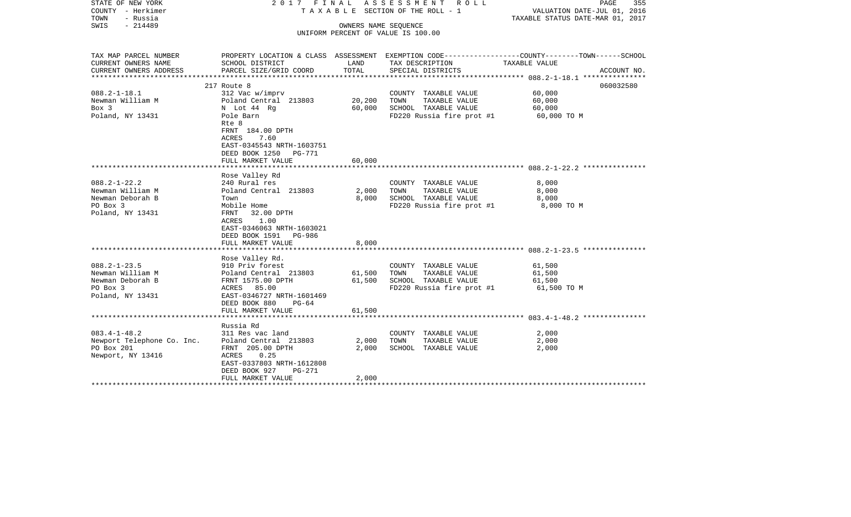| STATE OF NEW YORK<br>COUNTY - Herkimer<br>TOWN<br>- Russia<br>$-214489$<br>SWIS                  | 2017 FINAL<br>T A X A B L E SECTION OF THE ROLL - 1                                                                                                                                                  | PAGE<br>355<br>VALUATION DATE-JUL 01, 2016<br>TAXABLE STATUS DATE-MAR 01, 2017 |                                                                                                    |                                                                                                                                  |
|--------------------------------------------------------------------------------------------------|------------------------------------------------------------------------------------------------------------------------------------------------------------------------------------------------------|--------------------------------------------------------------------------------|----------------------------------------------------------------------------------------------------|----------------------------------------------------------------------------------------------------------------------------------|
|                                                                                                  |                                                                                                                                                                                                      |                                                                                | UNIFORM PERCENT OF VALUE IS 100.00                                                                 |                                                                                                                                  |
| TAX MAP PARCEL NUMBER<br>CURRENT OWNERS NAME<br>CURRENT OWNERS ADDRESS<br>********************** | SCHOOL DISTRICT<br>PARCEL SIZE/GRID COORD                                                                                                                                                            | LAND<br>TOTAL                                                                  | TAX DESCRIPTION<br>SPECIAL DISTRICTS                                                               | PROPERTY LOCATION & CLASS ASSESSMENT EXEMPTION CODE----------------COUNTY-------TOWN------SCHOOL<br>TAXABLE VALUE<br>ACCOUNT NO. |
|                                                                                                  | 217 Route 8                                                                                                                                                                                          |                                                                                |                                                                                                    | 060032580                                                                                                                        |
| $088.2 - 1 - 18.1$<br>Newman William M<br>Box 3<br>Poland, NY 13431                              | 312 Vac w/imprv<br>Poland Central 213803<br>N Lot 44 Rg<br>Pole Barn<br>Rte 8<br>FRNT 184.00 DPTH<br><b>ACRES</b><br>7.60<br>EAST-0345543 NRTH-1603751<br>DEED BOOK 1250 PG-771<br>FULL MARKET VALUE | 20,200<br>60,000<br>60,000                                                     | COUNTY TAXABLE VALUE<br>TOWN<br>TAXABLE VALUE<br>SCHOOL TAXABLE VALUE<br>FD220 Russia fire prot #1 | 60,000<br>60,000<br>60,000<br>60,000 TO M                                                                                        |
|                                                                                                  |                                                                                                                                                                                                      |                                                                                |                                                                                                    |                                                                                                                                  |
| $088.2 - 1 - 22.2$<br>Newman William M<br>Newman Deborah B<br>PO Box 3<br>Poland, NY 13431       | Rose Valley Rd<br>240 Rural res<br>Poland Central 213803<br>Town<br>Mobile Home<br>FRNT<br>32.00 DPTH<br>1.00<br>ACRES<br>EAST-0346063 NRTH-1603021<br>DEED BOOK 1591 PG-986                         | 2,000<br>8,000                                                                 | COUNTY TAXABLE VALUE<br>TAXABLE VALUE<br>TOWN<br>SCHOOL TAXABLE VALUE<br>FD220 Russia fire prot #1 | 8,000<br>8,000<br>8,000<br>8,000 TO M                                                                                            |
|                                                                                                  | FULL MARKET VALUE<br>*******************                                                                                                                                                             | 8,000                                                                          |                                                                                                    |                                                                                                                                  |
| $088.2 - 1 - 23.5$<br>Newman William M<br>Newman Deborah B<br>PO Box 3<br>Poland, NY 13431       | Rose Valley Rd.<br>910 Priv forest<br>Poland Central 213803<br>FRNT 1575.00 DPTH<br>ACRES 85.00<br>EAST-0346727 NRTH-1601469<br>DEED BOOK 880<br>$PG-64$<br>FULL MARKET VALUE                        | 61,500<br>61,500<br>61,500                                                     | COUNTY TAXABLE VALUE<br>TAXABLE VALUE<br>TOWN<br>SCHOOL TAXABLE VALUE<br>FD220 Russia fire prot #1 | ************************ 088.2-1-23.5 **********<br>61,500<br>61,500<br>61,500<br>61,500 TO M                                    |
|                                                                                                  |                                                                                                                                                                                                      |                                                                                |                                                                                                    |                                                                                                                                  |
| $083.4 - 1 - 48.2$<br>Newport Telephone Co. Inc.<br>PO Box 201<br>Newport, NY 13416              | Russia Rd<br>311 Res vac land<br>Poland Central 213803<br>FRNT 205.00 DPTH<br>0.25<br>ACRES<br>EAST-0337803 NRTH-1612808<br>DEED BOOK 927<br>$PG-271$                                                | 2,000<br>2,000                                                                 | COUNTY TAXABLE VALUE<br>TOWN<br>TAXABLE VALUE<br>SCHOOL TAXABLE VALUE                              | 2,000<br>2,000<br>2,000                                                                                                          |
|                                                                                                  | FULL MARKET VALUE                                                                                                                                                                                    | 2,000                                                                          |                                                                                                    |                                                                                                                                  |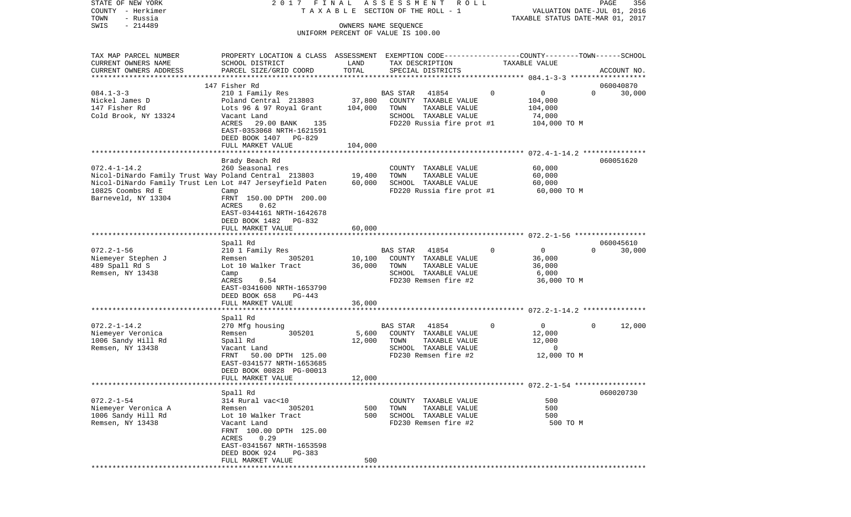COUNTY - Herkimer T A X A B L E SECTION OF THE ROLL - 1 VALUATION DATE-JUL 01, 2016 TOWN - Russia TAXABLE STATUS DATE-MAR 01, 2017 SWIS - 214489 OWNERS NAME SEQUENCE UNIFORM PERCENT OF VALUE IS 100.00TAX MAP PARCEL NUMBER PROPERTY LOCATION & CLASS ASSESSMENT EXEMPTION CODE------------------COUNTY--------TOWN------SCHOOL CURRENT OWNERS NAME SCHOOL DISTRICT LAND TAX DESCRIPTION TAXABLE VALUECURRENT OWNERS ADDRESS PARCEL SIZE/GRID COORD TOTAL SPECIAL DISTRICTS ACCOUNT NO. \*\*\*\*\*\*\*\*\*\*\*\*\*\*\*\*\*\*\*\*\*\*\*\*\*\*\*\*\*\*\*\*\*\*\*\*\*\*\*\*\*\*\*\*\*\*\*\*\*\*\*\*\*\*\*\*\*\*\*\*\*\*\*\*\*\*\*\*\*\*\*\*\*\*\*\*\*\*\*\*\*\*\*\*\*\*\*\*\*\*\*\*\*\*\*\*\*\*\*\*\*\*\* 084.1-3-3 \*\*\*\*\*\*\*\*\*\*\*\*\*\*\*\*\*\*147 Fisher Rd 060040870 084.1-3-3 210 1 Family Res BAS STAR 41854 0 0 0 30,000 Nickel James D Poland Central 213803 37,800 COUNTY TAXABLE VALUE 104,000 147 Fisher Rd Lots 96 & 97 Royal Grant 104,000 TOWN TAXABLE VALUE 104,000 Cold Brook, NY 13324 Vacant Land SCHOOL TAXABLE VALUE 74,000 ACRES 29.00 BANK 135 FD220 Russia fire prot #1 104,000 TO M EAST-0353068 NRTH-1621591 DEED BOOK 1407 PG-829 FULL MARKET VALUE 104,000 \*\*\*\*\*\*\*\*\*\*\*\*\*\*\*\*\*\*\*\*\*\*\*\*\*\*\*\*\*\*\*\*\*\*\*\*\*\*\*\*\*\*\*\*\*\*\*\*\*\*\*\*\*\*\*\*\*\*\*\*\*\*\*\*\*\*\*\*\*\*\*\*\*\*\*\*\*\*\*\*\*\*\*\*\*\*\*\*\*\*\*\*\*\*\*\*\*\*\*\*\*\*\* 072.4-1-14.2 \*\*\*\*\*\*\*\*\*\*\*\*\*\*\* Brady Beach Rd 060051620 072.4-1-14.2 260 Seasonal res COUNTY TAXABLE VALUE 60,000 Nicol-DiNardo Family Trust Way Poland Central 213803 19,400 TOWN TAXABLE VALUE 60,000 Nicol-DiNardo Family Trust Len Lot #47 Jerseyfield Paten 60,000 SCHOOL TAXABLE VALUE 60,000 10825 Coombs Rd E Camp FD220 Russia fire prot #1 60,000 TO M Barneveld, NY 13304 FRNT 150.00 DPTH 200.00 ACRES 0.62 EAST-0344161 NRTH-1642678 DEED BOOK 1482 PG-832FULL MARKET VALUE 60,000 \*\*\*\*\*\*\*\*\*\*\*\*\*\*\*\*\*\*\*\*\*\*\*\*\*\*\*\*\*\*\*\*\*\*\*\*\*\*\*\*\*\*\*\*\*\*\*\*\*\*\*\*\*\*\*\*\*\*\*\*\*\*\*\*\*\*\*\*\*\*\*\*\*\*\*\*\*\*\*\*\*\*\*\*\*\*\*\*\*\*\*\*\*\*\*\*\*\*\*\*\*\*\* 072.2-1-56 \*\*\*\*\*\*\*\*\*\*\*\*\*\*\*\*\* Spall Rd 060045610 072.2-1-56 210 1 Family Res BAS STAR 41854 0 0 0 30,000 Niemeyer Stephen J Remsen 305201 10,100 COUNTY TAXABLE VALUE 36,000 489 Spall Rd S  $Lot 10$  Walker Tract 36,000 TOWN Remsen, NY 13438 Camp Camp Camp Camp SCHOOL TAXABLE VALUE 6,000 ACRES 0.54 FD230 Remsen fire #2 36,000 TO M EAST-0341600 NRTH-1653790 DEED BOOK 658 PG-443 FULL MARKET VALUE 36,000 \*\*\*\*\*\*\*\*\*\*\*\*\*\*\*\*\*\*\*\*\*\*\*\*\*\*\*\*\*\*\*\*\*\*\*\*\*\*\*\*\*\*\*\*\*\*\*\*\*\*\*\*\*\*\*\*\*\*\*\*\*\*\*\*\*\*\*\*\*\*\*\*\*\*\*\*\*\*\*\*\*\*\*\*\*\*\*\*\*\*\*\*\*\*\*\*\*\*\*\*\*\*\* 072.2-1-14.2 \*\*\*\*\*\*\*\*\*\*\*\*\*\*\* Spall Rd 072.2-1-14.2 270 Mfg housing BAS STAR 41854 0 0 0 12,000 Niemeyer Veronica Remsen 305201 5,600 COUNTY TAXABLE VALUE 12,000 1006 Sandy Hill Rd Spall Rd 12,000 TOWN TAXABLE VALUE 12,000 Remsen, NY 13438 Vacant Land SCHOOL TAXABLE VALUE 0 FRNT 50.00 DPTH 125.00 FD230 Remsen fire #2 12,000 TO M EAST-0341577 NRTH-1653685 DEED BOOK 00828 PG-00013FULL MARKET VALUE 12,000 \*\*\*\*\*\*\*\*\*\*\*\*\*\*\*\*\*\*\*\*\*\*\*\*\*\*\*\*\*\*\*\*\*\*\*\*\*\*\*\*\*\*\*\*\*\*\*\*\*\*\*\*\*\*\*\*\*\*\*\*\*\*\*\*\*\*\*\*\*\*\*\*\*\*\*\*\*\*\*\*\*\*\*\*\*\*\*\*\*\*\*\*\*\*\*\*\*\*\*\*\*\*\* 072.2-1-54 \*\*\*\*\*\*\*\*\*\*\*\*\*\*\*\*\* Spall Rd 060020730 072.2-1-54 314 Rural vac<10 COUNTY TAXABLE VALUE 500Niemeyer Veronica A Remsen 305201 500 TOWN TAXABLE VALUE 500 1006 Sandy Hill Rd Lot 10 Walker Tract 500 SCHOOL TAXABLE VALUE 500 Remsen, NY 13438 Vacant Land FD230 Remsen fire #2 500 TO M FRNT 100.00 DPTH 125.00 ACRES 0.29 EAST-0341567 NRTH-1653598 DEED BOOK 924 PG-383FULL MARKET VALUE 500 \*\*\*\*\*\*\*\*\*\*\*\*\*\*\*\*\*\*\*\*\*\*\*\*\*\*\*\*\*\*\*\*\*\*\*\*\*\*\*\*\*\*\*\*\*\*\*\*\*\*\*\*\*\*\*\*\*\*\*\*\*\*\*\*\*\*\*\*\*\*\*\*\*\*\*\*\*\*\*\*\*\*\*\*\*\*\*\*\*\*\*\*\*\*\*\*\*\*\*\*\*\*\*\*\*\*\*\*\*\*\*\*\*\*\*\*\*\*\*\*\*\*\*\*\*\*\*\*\*\*\*\*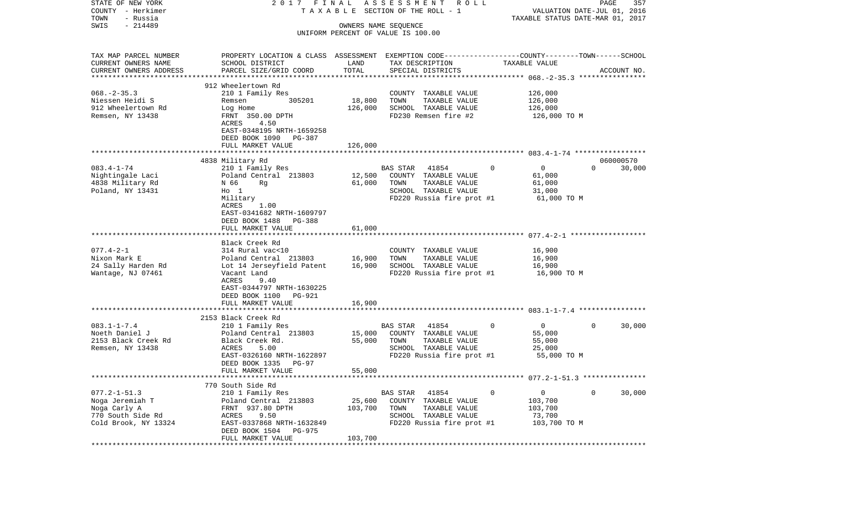| STATE OF NEW YORK                 | 2017 FINAL                                                                                      |                       | A S S E S S M E N T<br>R O L L                   |                                                          | PAGE<br>357                      |
|-----------------------------------|-------------------------------------------------------------------------------------------------|-----------------------|--------------------------------------------------|----------------------------------------------------------|----------------------------------|
| COUNTY - Herkimer                 |                                                                                                 |                       | TAXABLE SECTION OF THE ROLL - 1                  |                                                          | VALUATION DATE-JUL 01, 2016      |
| TOWN<br>- Russia                  |                                                                                                 |                       |                                                  |                                                          | TAXABLE STATUS DATE-MAR 01, 2017 |
| $-214489$<br>SWIS                 |                                                                                                 | OWNERS NAME SEQUENCE  | UNIFORM PERCENT OF VALUE IS 100.00               |                                                          |                                  |
|                                   |                                                                                                 |                       |                                                  |                                                          |                                  |
| TAX MAP PARCEL NUMBER             | PROPERTY LOCATION & CLASS ASSESSMENT EXEMPTION CODE---------------COUNTY-------TOWN------SCHOOL |                       |                                                  |                                                          |                                  |
| CURRENT OWNERS NAME               | SCHOOL DISTRICT                                                                                 | LAND                  | TAX DESCRIPTION                                  | TAXABLE VALUE                                            |                                  |
| CURRENT OWNERS ADDRESS            | PARCEL SIZE/GRID COORD                                                                          | TOTAL                 | SPECIAL DISTRICTS                                |                                                          | ACCOUNT NO.                      |
| ***********************           |                                                                                                 |                       |                                                  |                                                          |                                  |
|                                   | 912 Wheelertown Rd                                                                              |                       |                                                  |                                                          |                                  |
| $068. -2 - 35.3$                  | 210 1 Family Res                                                                                |                       | COUNTY TAXABLE VALUE                             | 126,000                                                  |                                  |
| Niessen Heidi S                   | 305201<br>Remsen                                                                                | 18,800                | TOWN<br>TAXABLE VALUE                            | 126,000                                                  |                                  |
| 912 Wheelertown Rd                | Log Home                                                                                        | 126,000               | SCHOOL TAXABLE VALUE                             | 126,000                                                  |                                  |
| Remsen, NY 13438                  | FRNT 350.00 DPTH<br>4.50                                                                        |                       | FD230 Remsen fire #2                             | 126,000 TO M                                             |                                  |
|                                   | ACRES<br>EAST-0348195 NRTH-1659258                                                              |                       |                                                  |                                                          |                                  |
|                                   | DEED BOOK 1090 PG-387                                                                           |                       |                                                  |                                                          |                                  |
|                                   | FULL MARKET VALUE                                                                               | 126,000               |                                                  |                                                          |                                  |
|                                   |                                                                                                 |                       |                                                  |                                                          |                                  |
|                                   | 4838 Military Rd                                                                                |                       |                                                  |                                                          | 060000570                        |
| $083.4 - 1 - 74$                  | 210 1 Family Res                                                                                |                       | BAS STAR<br>41854                                | $\overline{0}$<br>0                                      | $\Omega$<br>30,000               |
| Nightingale Laci                  | Poland Central 213803                                                                           | 12,500                | COUNTY TAXABLE VALUE                             | 61,000                                                   |                                  |
| 4838 Military Rd                  | Rg<br>N 66                                                                                      | 61,000                | TOWN<br>TAXABLE VALUE                            | 61,000                                                   |                                  |
| Poland, NY 13431                  | $H_0$ 1                                                                                         |                       | SCHOOL TAXABLE VALUE                             | 31,000                                                   |                                  |
|                                   | Military                                                                                        |                       | FD220 Russia fire prot #1                        | 61,000 TO M                                              |                                  |
|                                   | ACRES<br>1.00                                                                                   |                       |                                                  |                                                          |                                  |
|                                   | EAST-0341682 NRTH-1609797                                                                       |                       |                                                  |                                                          |                                  |
|                                   | DEED BOOK 1488 PG-388<br>FULL MARKET VALUE                                                      | 61,000                |                                                  |                                                          |                                  |
|                                   |                                                                                                 |                       |                                                  |                                                          |                                  |
|                                   | Black Creek Rd                                                                                  |                       |                                                  |                                                          |                                  |
| $077.4 - 2 - 1$                   | 314 Rural vac<10                                                                                |                       | COUNTY TAXABLE VALUE                             | 16,900                                                   |                                  |
| Nixon Mark E                      | Poland Central 213803                                                                           | 16,900                | TOWN<br>TAXABLE VALUE                            | 16,900                                                   |                                  |
| 24 Sally Harden Rd                | Lot 14 Jerseyfield Patent                                                                       | 16,900                | SCHOOL TAXABLE VALUE                             | 16,900                                                   |                                  |
| Wantage, NJ 07461                 | Vacant Land                                                                                     |                       | FD220 Russia fire prot #1                        | 16,900 TO M                                              |                                  |
|                                   | ACRES<br>9.40                                                                                   |                       |                                                  |                                                          |                                  |
|                                   | EAST-0344797 NRTH-1630225                                                                       |                       |                                                  |                                                          |                                  |
|                                   | DEED BOOK 1100<br>PG-921                                                                        |                       |                                                  |                                                          |                                  |
|                                   | FULL MARKET VALUE<br>***********************                                                    | 16,900<br>*********** |                                                  |                                                          |                                  |
|                                   |                                                                                                 |                       |                                                  |                                                          |                                  |
| $083.1 - 1 - 7.4$                 | 2153 Black Creek Rd<br>210 1 Family Res                                                         |                       | BAS STAR<br>41854                                | $\mathbf{0}$<br>$\overline{0}$                           | $\mathbf 0$<br>30,000            |
| Noeth Daniel J                    | Poland Central 213803                                                                           | 15,000                | COUNTY TAXABLE VALUE                             | 55,000                                                   |                                  |
| 2153 Black Creek Rd               | Black Creek Rd.                                                                                 | 55,000                | TOWN<br>TAXABLE VALUE                            | 55,000                                                   |                                  |
| Remsen, NY 13438                  | ACRES<br>5.00                                                                                   |                       | SCHOOL TAXABLE VALUE                             | 25,000                                                   |                                  |
|                                   | EAST-0326160 NRTH-1622897                                                                       |                       | FD220 Russia fire prot #1                        | 55,000 TO M                                              |                                  |
|                                   | DEED BOOK 1335<br>PG-97                                                                         |                       |                                                  |                                                          |                                  |
|                                   | FULL MARKET VALUE                                                                               | 55,000                |                                                  |                                                          |                                  |
|                                   |                                                                                                 |                       |                                                  | *************************** 077.2-1-51.3 *************** |                                  |
|                                   | 770 South Side Rd                                                                               |                       |                                                  |                                                          |                                  |
| $077.2 - 1 - 51.3$                | 210 1 Family Res                                                                                |                       | 41854<br><b>BAS STAR</b>                         | 0<br>0                                                   | 30,000<br>0                      |
| Noga Jeremiah T                   | Poland Central 213803                                                                           | 25,600                | COUNTY<br>TAXABLE VALUE                          | 103,700                                                  |                                  |
| Noga Carly A<br>770 South Side Rd | 937.80 DPTH<br>FRNT<br>ACRES<br>9.50                                                            | 103,700               | TOWN<br>TAXABLE VALUE<br>SCHOOL<br>TAXABLE VALUE | 103,700<br>73,700                                        |                                  |
| Cold Brook, NY 13324              | EAST-0337868 NRTH-1632849                                                                       |                       | FD220 Russia fire prot #1                        | 103,700 TO M                                             |                                  |
|                                   | DEED BOOK 1504<br>PG-975                                                                        |                       |                                                  |                                                          |                                  |
|                                   | FULL MARKET VALUE                                                                               | 103,700               |                                                  |                                                          |                                  |
|                                   |                                                                                                 |                       |                                                  |                                                          |                                  |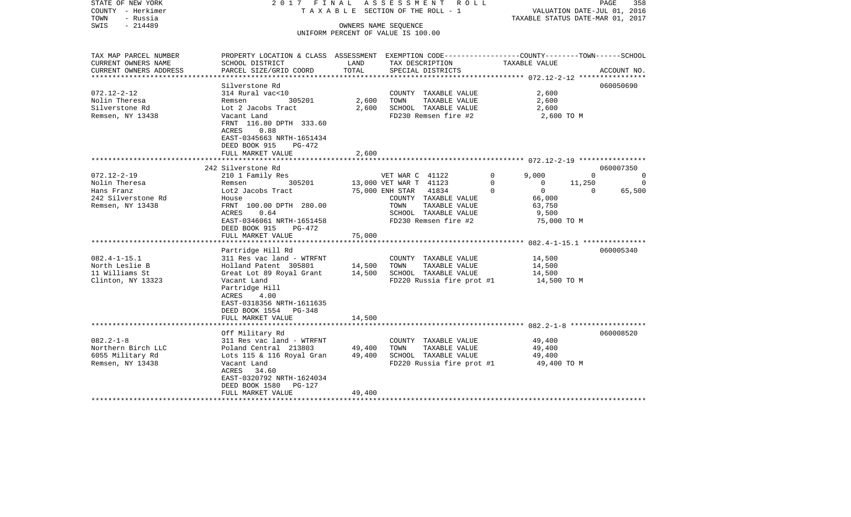| COUNTY<br>– Herkimer<br>TOWN<br>- Russia      |                                                                                                 |                  | T A X A B L E SECTION OF THE ROLL - 1                      | VALUATION DATE-JUL 01, 2016<br>TAXABLE STATUS DATE-MAR 01, 2017 |                                          |  |
|-----------------------------------------------|-------------------------------------------------------------------------------------------------|------------------|------------------------------------------------------------|-----------------------------------------------------------------|------------------------------------------|--|
| SWIS<br>$-214489$                             |                                                                                                 |                  | OWNERS NAME SEQUENCE<br>UNIFORM PERCENT OF VALUE IS 100.00 |                                                                 |                                          |  |
| TAX MAP PARCEL NUMBER                         | PROPERTY LOCATION & CLASS ASSESSMENT EXEMPTION CODE---------------COUNTY-------TOWN------SCHOOL |                  |                                                            |                                                                 |                                          |  |
| CURRENT OWNERS NAME<br>CURRENT OWNERS ADDRESS | SCHOOL DISTRICT<br>PARCEL SIZE/GRID COORD                                                       | LAND<br>TOTAL    | TAX DESCRIPTION<br>SPECIAL DISTRICTS                       | TAXABLE VALUE                                                   | ACCOUNT NO.                              |  |
|                                               |                                                                                                 |                  |                                                            |                                                                 |                                          |  |
|                                               | Silverstone Rd                                                                                  |                  |                                                            |                                                                 | 060050690                                |  |
| $072.12 - 2 - 12$                             | 314 Rural vac<10                                                                                |                  | COUNTY TAXABLE VALUE                                       | 2,600                                                           |                                          |  |
| Nolin Theresa                                 | Remsen<br>305201                                                                                | 2,600            | TOWN<br>TAXABLE VALUE                                      | 2,600                                                           |                                          |  |
| Silverstone Rd                                | Lot 2 Jacobs Tract                                                                              | 2,600            | SCHOOL TAXABLE VALUE                                       | 2,600                                                           |                                          |  |
| Remsen, NY 13438                              | Vacant Land<br>FRNT 116.80 DPTH 333.60<br>0.88<br>ACRES                                         |                  | FD230 Remsen fire #2                                       | 2,600 TO M                                                      |                                          |  |
|                                               | EAST-0345663 NRTH-1651434<br>DEED BOOK 915<br>PG-472<br>FULL MARKET VALUE                       | 2,600            |                                                            |                                                                 |                                          |  |
|                                               |                                                                                                 | *************    |                                                            |                                                                 |                                          |  |
|                                               | 242 Silverstone Rd                                                                              |                  |                                                            |                                                                 | 060007350                                |  |
| $072.12 - 2 - 19$                             | 210 1 Family Res                                                                                |                  | VET WAR C 41122                                            | $\Omega$<br>9,000                                               | $\Omega$<br>$\Omega$                     |  |
| Nolin Theresa<br>Hans Franz                   | 305201<br>Remsen<br>Lot2 Jacobs Tract                                                           |                  | 13,000 VET WAR T 41123<br>75,000 ENH STAR<br>41834         | 0<br>$\mathbf 0$<br>$\mathbf 0$<br>$\Omega$                     | 11,250<br>$\Omega$<br>65,500<br>$\Omega$ |  |
| 242 Silverstone Rd                            | House                                                                                           |                  | COUNTY TAXABLE VALUE                                       | 66,000                                                          |                                          |  |
| Remsen, NY 13438                              | FRNT 100.00 DPTH 280.00                                                                         |                  | TOWN<br>TAXABLE VALUE                                      | 63,750                                                          |                                          |  |
|                                               | ACRES<br>0.64                                                                                   |                  | SCHOOL TAXABLE VALUE                                       | 9,500                                                           |                                          |  |
|                                               | EAST-0346061 NRTH-1651458                                                                       |                  | FD230 Remsen fire #2                                       | 75,000 TO M                                                     |                                          |  |
|                                               | DEED BOOK 915<br>PG-472<br>FULL MARKET VALUE                                                    | 75,000           |                                                            |                                                                 |                                          |  |
|                                               |                                                                                                 |                  |                                                            |                                                                 |                                          |  |
|                                               | Partridge Hill Rd                                                                               |                  |                                                            |                                                                 | 060005340                                |  |
| $082.4 - 1 - 15.1$                            | 311 Res vac land - WTRFNT                                                                       |                  | COUNTY TAXABLE VALUE                                       | 14,500                                                          |                                          |  |
| North Leslie B                                | Holland Patent 305801                                                                           | 14,500           | TOWN<br>TAXABLE VALUE                                      | 14,500                                                          |                                          |  |
| 11 Williams St<br>Clinton, NY 13323           | Great Lot 89 Royal Grant<br>Vacant Land                                                         | 14,500           | SCHOOL TAXABLE VALUE<br>FD220 Russia fire prot #1          | 14,500<br>14,500 TO M                                           |                                          |  |
|                                               | Partridge Hill<br>4.00<br>ACRES<br>EAST-0318356 NRTH-1611635                                    |                  |                                                            |                                                                 |                                          |  |
|                                               | DEED BOOK 1554 PG-348<br>FULL MARKET VALUE                                                      | 14,500           |                                                            |                                                                 |                                          |  |
|                                               |                                                                                                 |                  |                                                            |                                                                 |                                          |  |
|                                               | Off Military Rd                                                                                 |                  |                                                            |                                                                 | 060008520                                |  |
| $082.2 - 1 - 8$                               | 311 Res vac land - WTRFNT                                                                       |                  | COUNTY TAXABLE VALUE                                       | 49,400                                                          |                                          |  |
| Northern Birch LLC<br>6055 Military Rd        | Poland Central 213803<br>Lots 115 & 116 Royal Gran                                              | 49,400<br>49,400 | TOWN<br>TAXABLE VALUE<br>SCHOOL TAXABLE VALUE              | 49,400<br>49,400                                                |                                          |  |
| Remsen, NY 13438                              | Vacant Land<br>ACRES<br>34.60<br>EAST-0320792 NRTH-1624034<br>DEED BOOK 1580<br>PG-127          |                  | FD220 Russia fire prot #1                                  | 49,400 TO M                                                     |                                          |  |
|                                               | FULL MARKET VALUE                                                                               | 49,400           |                                                            |                                                                 |                                          |  |
|                                               |                                                                                                 |                  |                                                            |                                                                 |                                          |  |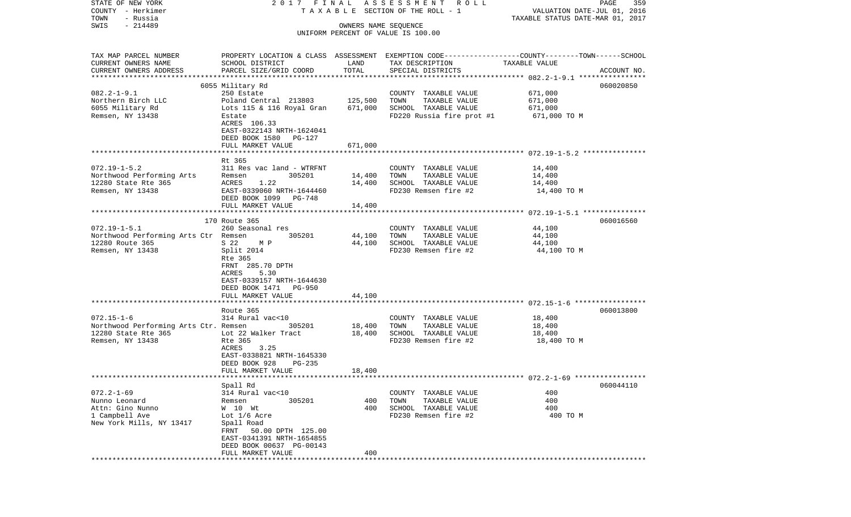| STATE OF NEW YORK                                                               |                                                                                                   |                      | 2017 FINAL ASSESSMENT ROLL                        |                                  | PAGE<br>359 |
|---------------------------------------------------------------------------------|---------------------------------------------------------------------------------------------------|----------------------|---------------------------------------------------|----------------------------------|-------------|
| COUNTY - Herkimer                                                               |                                                                                                   |                      | TAXABLE SECTION OF THE ROLL - 1                   | VALUATION DATE-JUL 01, 2016      |             |
| TOWN<br>- Russia<br>$-214489$<br>SWIS                                           |                                                                                                   |                      |                                                   | TAXABLE STATUS DATE-MAR 01, 2017 |             |
|                                                                                 |                                                                                                   | OWNERS NAME SEQUENCE | UNIFORM PERCENT OF VALUE IS 100.00                |                                  |             |
|                                                                                 |                                                                                                   |                      |                                                   |                                  |             |
| TAX MAP PARCEL NUMBER                                                           | PROPERTY LOCATION & CLASS ASSESSMENT EXEMPTION CODE-----------------COUNTY-------TOWN------SCHOOL |                      |                                                   |                                  |             |
| CURRENT OWNERS NAME                                                             | SCHOOL DISTRICT                                                                                   | LAND                 | TAX DESCRIPTION                                   | TAXABLE VALUE                    |             |
| CURRENT OWNERS ADDRESS                                                          | PARCEL SIZE/GRID COORD                                                                            | TOTAL                | SPECIAL DISTRICTS                                 |                                  | ACCOUNT NO. |
|                                                                                 |                                                                                                   |                      |                                                   |                                  |             |
|                                                                                 | 6055 Military Rd                                                                                  |                      |                                                   |                                  | 060020850   |
| $082.2 - 1 - 9.1$                                                               | 250 Estate                                                                                        |                      | COUNTY TAXABLE VALUE                              | 671,000                          |             |
| Northern Birch LLC                                                              | Poland Central 213803                                                                             | 125,500              | TOWN<br>TAXABLE VALUE                             | 671,000                          |             |
| 6055 Military Rd<br>Remsen, NY 13438                                            | Lots 115 & 116 Royal Gran<br>Estate                                                               | 671,000              | SCHOOL TAXABLE VALUE<br>FD220 Russia fire prot #1 | 671,000<br>671,000 TO M          |             |
|                                                                                 | ACRES 106.33                                                                                      |                      |                                                   |                                  |             |
|                                                                                 | EAST-0322143 NRTH-1624041                                                                         |                      |                                                   |                                  |             |
|                                                                                 | DEED BOOK 1580 PG-127                                                                             |                      |                                                   |                                  |             |
|                                                                                 | FULL MARKET VALUE                                                                                 | 671,000              |                                                   |                                  |             |
|                                                                                 |                                                                                                   |                      |                                                   |                                  |             |
|                                                                                 | Rt 365                                                                                            |                      |                                                   |                                  |             |
| $072.19 - 1 - 5.2$                                                              | 311 Res vac land - WTRFNT                                                                         |                      | COUNTY TAXABLE VALUE                              | 14,400                           |             |
|                                                                                 | 305201<br>1.22                                                                                    | 14,400               | TOWN<br>TAXABLE VALUE<br>SCHOOL TAXABLE VALUE     | 14,400                           |             |
| Northwood Performing Arts<br>12280 State Rte 365<br>Remsen, NY 13438<br>EAST-03 | EAST-0339060 NRTH-1644460                                                                         | 14,400               | FD230 Remsen fire #2                              | 14,400<br>14,400 TO M            |             |
|                                                                                 | DEED BOOK 1099 PG-748                                                                             |                      |                                                   |                                  |             |
|                                                                                 | FULL MARKET VALUE                                                                                 | 14,400               |                                                   |                                  |             |
|                                                                                 |                                                                                                   |                      |                                                   |                                  |             |
|                                                                                 | 170 Route 365                                                                                     |                      |                                                   |                                  | 060016560   |
| $072.19 - 1 - 5.1$                                                              | 260 Seasonal res                                                                                  |                      | COUNTY TAXABLE VALUE                              | 44,100                           |             |
| Northwood Performing Arts Ctr Remsen                                            | 305201                                                                                            | 44,100               | TAXABLE VALUE<br>TOWN                             | 44,100                           |             |
| 12280 Route 365                                                                 | S 22<br>M P                                                                                       | 44,100               | SCHOOL TAXABLE VALUE                              | 44,100                           |             |
| Remsen, NY 13438                                                                | Split 2014                                                                                        |                      | FD230 Remsen fire #2                              | 44,100 TO M                      |             |
|                                                                                 | Rte 365<br>FRNT 285.70 DPTH                                                                       |                      |                                                   |                                  |             |
|                                                                                 | ACRES<br>5.30                                                                                     |                      |                                                   |                                  |             |
|                                                                                 | EAST-0339157 NRTH-1644630                                                                         |                      |                                                   |                                  |             |
|                                                                                 | DEED BOOK 1471 PG-950                                                                             |                      |                                                   |                                  |             |
|                                                                                 | FULL MARKET VALUE                                                                                 | 44,100               |                                                   |                                  |             |
|                                                                                 | *****************************                                                                     |                      |                                                   |                                  |             |
|                                                                                 | Route 365                                                                                         |                      |                                                   |                                  | 060013800   |
| $072.15 - 1 - 6$                                                                | 314 Rural vac<10                                                                                  |                      | COUNTY TAXABLE VALUE                              | 18,400                           |             |
| Northwood Performing Arts Ctr. Remsen 305201                                    |                                                                                                   | 18,400               | TOWN<br>TAXABLE VALUE                             | 18,400                           |             |
| 12280 State Rte 365                                                             | Lot 22 Walker Tract                                                                               | 18,400               | SCHOOL TAXABLE VALUE                              | 18,400                           |             |
| Remsen, NY 13438                                                                | Rte 365<br>3.25<br>ACRES                                                                          |                      | FD230 Remsen fire #2                              | 18,400 TO M                      |             |
|                                                                                 | EAST-0338821 NRTH-1645330                                                                         |                      |                                                   |                                  |             |
|                                                                                 | DEED BOOK 928<br>PG-235                                                                           |                      |                                                   |                                  |             |
|                                                                                 | FULL MARKET VALUE                                                                                 | 18,400               |                                                   |                                  |             |
|                                                                                 |                                                                                                   |                      |                                                   |                                  |             |
|                                                                                 | Spall Rd                                                                                          |                      |                                                   |                                  | 060044110   |
| $072.2 - 1 - 69$                                                                | 314 Rural vac<10                                                                                  |                      | COUNTY TAXABLE VALUE                              | 400                              |             |
| Nunno Leonard                                                                   | Remsen<br>305201                                                                                  | 400                  | TOWN<br>TAXABLE VALUE                             | 400                              |             |
| Attn: Gino Nunno                                                                | W 10 Wt                                                                                           | 400                  | SCHOOL TAXABLE VALUE                              | 400                              |             |
| 1 Campbell Ave<br>New York Mills, NY 13417                                      | Lot 1/6 Acre                                                                                      |                      | FD230 Remsen fire #2                              | 400 TO M                         |             |
|                                                                                 | Spall Road<br>50.00 DPTH 125.00<br>FRNT                                                           |                      |                                                   |                                  |             |
|                                                                                 | EAST-0341391 NRTH-1654855                                                                         |                      |                                                   |                                  |             |
|                                                                                 | DEED BOOK 00637 PG-00143                                                                          |                      |                                                   |                                  |             |
|                                                                                 | FULL MARKET VALUE                                                                                 | 400                  |                                                   |                                  |             |
|                                                                                 |                                                                                                   |                      |                                                   |                                  |             |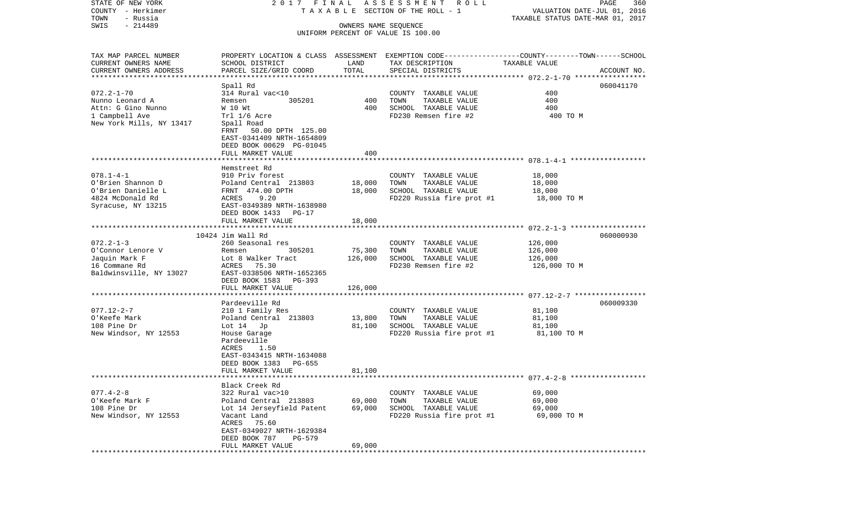| STATE OF NEW YORK        | 2017 FINAL                                                                                      |                      | A S S E S S M E N T R O L L                   |                                  | PAGE<br>360 |
|--------------------------|-------------------------------------------------------------------------------------------------|----------------------|-----------------------------------------------|----------------------------------|-------------|
| COUNTY - Herkimer        |                                                                                                 |                      | TAXABLE SECTION OF THE ROLL - 1               | VALUATION DATE-JUL 01, 2016      |             |
| - Russia<br>TOWN         |                                                                                                 |                      |                                               | TAXABLE STATUS DATE-MAR 01, 2017 |             |
| $-214489$<br>SWIS        |                                                                                                 | OWNERS NAME SEQUENCE | UNIFORM PERCENT OF VALUE IS 100.00            |                                  |             |
|                          |                                                                                                 |                      |                                               |                                  |             |
| TAX MAP PARCEL NUMBER    | PROPERTY LOCATION & CLASS ASSESSMENT EXEMPTION CODE---------------COUNTY-------TOWN------SCHOOL |                      |                                               |                                  |             |
| CURRENT OWNERS NAME      | SCHOOL DISTRICT                                                                                 | LAND                 | TAX DESCRIPTION                               | TAXABLE VALUE                    |             |
| CURRENT OWNERS ADDRESS   | PARCEL SIZE/GRID COORD                                                                          | TOTAL                | SPECIAL DISTRICTS                             |                                  | ACCOUNT NO. |
| ************************ |                                                                                                 |                      |                                               |                                  |             |
|                          | Spall Rd                                                                                        |                      |                                               |                                  | 060041170   |
| $072.2 - 1 - 70$         | 314 Rural vac<10                                                                                |                      | COUNTY TAXABLE VALUE                          | 400                              |             |
| Nunno Leonard A          | 305201<br>Remsen                                                                                | 400                  | TOWN<br>TAXABLE VALUE                         | 400                              |             |
| Attn: G Gino Nunno       | W 10 Wt                                                                                         | 400                  | SCHOOL TAXABLE VALUE                          | 400                              |             |
| 1 Campbell Ave           | Trl 1/6 Acre                                                                                    |                      | FD230 Remsen fire #2                          | 400 TO M                         |             |
| New York Mills, NY 13417 | Spall Road                                                                                      |                      |                                               |                                  |             |
|                          | 50.00 DPTH 125.00<br>FRNT                                                                       |                      |                                               |                                  |             |
|                          | EAST-0341409 NRTH-1654809                                                                       |                      |                                               |                                  |             |
|                          | DEED BOOK 00629 PG-01045                                                                        |                      |                                               |                                  |             |
|                          | FULL MARKET VALUE                                                                               | 400                  |                                               |                                  |             |
|                          |                                                                                                 |                      |                                               |                                  |             |
|                          | Hemstreet Rd                                                                                    |                      |                                               |                                  |             |
| $078.1 - 4 - 1$          | 910 Priv forest                                                                                 |                      | COUNTY TAXABLE VALUE                          | 18,000                           |             |
| O'Brien Shannon D        | Poland Central 213803                                                                           | 18,000               | TOWN<br>TAXABLE VALUE                         | 18,000                           |             |
| O'Brien Danielle L       | FRNT 474.00 DPTH                                                                                | 18,000               | SCHOOL TAXABLE VALUE                          | 18,000                           |             |
| 4824 McDonald Rd         | ACRES<br>9.20                                                                                   |                      | FD220 Russia fire prot #1                     | 18,000 TO M                      |             |
| Syracuse, NY 13215       | EAST-0349389 NRTH-1638980                                                                       |                      |                                               |                                  |             |
|                          | DEED BOOK 1433 PG-17                                                                            |                      |                                               |                                  |             |
|                          | FULL MARKET VALUE                                                                               | 18,000               |                                               |                                  |             |
|                          |                                                                                                 |                      |                                               |                                  |             |
|                          | 10424 Jim Wall Rd                                                                               |                      |                                               |                                  | 060000930   |
| $072.2 - 1 - 3$          | 260 Seasonal res                                                                                |                      | COUNTY TAXABLE VALUE                          | 126,000                          |             |
| O'Connor Lenore V        | 305201<br>Remsen                                                                                | 75,300               | TOWN<br>TAXABLE VALUE                         | 126,000                          |             |
| Jaquin Mark F            | Lot 8 Walker Tract                                                                              | 126,000              | SCHOOL TAXABLE VALUE                          | 126,000                          |             |
| 16 Commane Rd            | ACRES 75.30                                                                                     |                      | FD230 Remsen fire #2                          | 126,000 TO M                     |             |
| Baldwinsville, NY 13027  | EAST-0338506 NRTH-1652365                                                                       |                      |                                               |                                  |             |
|                          | DEED BOOK 1583<br>PG-393                                                                        |                      |                                               |                                  |             |
|                          | FULL MARKET VALUE                                                                               | 126,000              |                                               |                                  |             |
|                          | *************************                                                                       |                      |                                               |                                  |             |
|                          | Pardeeville Rd                                                                                  |                      |                                               |                                  | 060009330   |
| $077.12 - 2 - 7$         | 210 1 Family Res                                                                                |                      | COUNTY TAXABLE VALUE                          | 81,100                           |             |
| O'Keefe Mark             | Poland Central 213803                                                                           | 13,800               | TOWN<br>TAXABLE VALUE                         | 81,100                           |             |
| 108 Pine Dr              | Lot $14$ Jp                                                                                     | 81,100               | SCHOOL TAXABLE VALUE                          | 81,100                           |             |
| New Windsor, NY 12553    | House Garage                                                                                    |                      | FD220 Russia fire prot #1                     | 81,100 TO M                      |             |
|                          | Pardeeville                                                                                     |                      |                                               |                                  |             |
|                          | ACRES<br>1.50                                                                                   |                      |                                               |                                  |             |
|                          | EAST-0343415 NRTH-1634088                                                                       |                      |                                               |                                  |             |
|                          | DEED BOOK 1383<br>PG-655                                                                        |                      |                                               |                                  |             |
|                          | FULL MARKET VALUE                                                                               | 81,100               |                                               |                                  |             |
|                          | Black Creek Rd                                                                                  |                      |                                               |                                  |             |
| $077.4 - 2 - 8$          | 322 Rural vac>10                                                                                |                      |                                               |                                  |             |
| O'Keefe Mark F           | Poland Central 213803                                                                           | 69,000               | COUNTY TAXABLE VALUE<br>TOWN<br>TAXABLE VALUE | 69,000<br>69,000                 |             |
| 108 Pine Dr              | Lot 14 Jerseyfield Patent                                                                       | 69,000               | SCHOOL TAXABLE VALUE                          | 69,000                           |             |
| New Windsor, NY 12553    | Vacant Land                                                                                     |                      | FD220 Russia fire prot #1                     | 69,000 TO M                      |             |
|                          | ACRES<br>75.60                                                                                  |                      |                                               |                                  |             |
|                          | EAST-0349027 NRTH-1629384                                                                       |                      |                                               |                                  |             |
|                          | DEED BOOK 787<br>PG-579                                                                         |                      |                                               |                                  |             |
|                          | FULL MARKET VALUE                                                                               | 69,000               |                                               |                                  |             |
|                          |                                                                                                 |                      |                                               |                                  |             |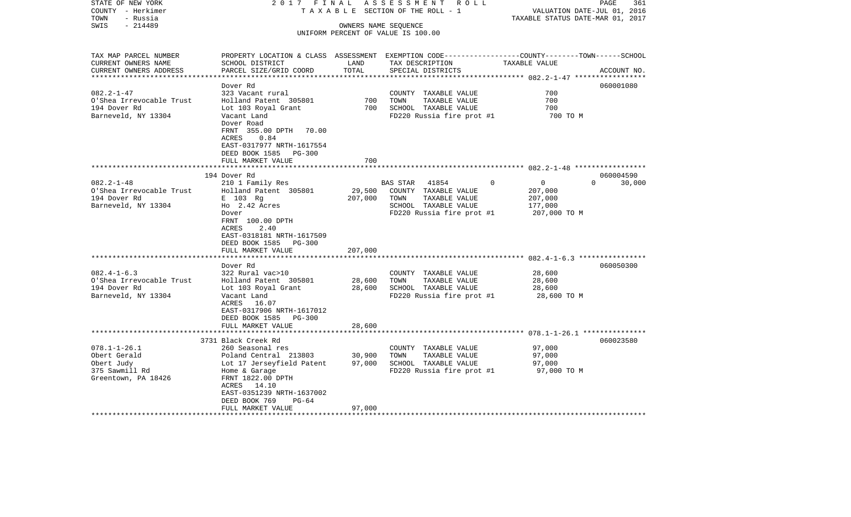| TAXABLE STATUS DATE-MAR 01, 2017<br>$-214489$<br>SWIS<br>OWNERS NAME SEQUENCE<br>UNIFORM PERCENT OF VALUE IS 100.00<br>TAX MAP PARCEL NUMBER<br>PROPERTY LOCATION & CLASS ASSESSMENT EXEMPTION CODE----------------COUNTY-------TOWN------SCHOOL<br>CURRENT OWNERS NAME<br>SCHOOL DISTRICT<br>LAND<br>TAX DESCRIPTION<br>TAXABLE VALUE<br>PARCEL SIZE/GRID COORD<br>TOTAL<br>SPECIAL DISTRICTS<br>CURRENT OWNERS ADDRESS<br>ACCOUNT NO.<br>************************<br>Dover Rd<br>060001080<br>$082.2 - 1 - 47$<br>700<br>323 Vacant rural<br>COUNTY TAXABLE VALUE<br>700<br>O'Shea Irrevocable Trust<br>Holland Patent 305801<br>700<br>TOWN<br>TAXABLE VALUE<br>700<br>700<br>194 Dover Rd<br>Lot 103 Royal Grant<br>SCHOOL TAXABLE VALUE<br>Barneveld, NY 13304<br>Vacant Land<br>FD220 Russia fire prot #1<br>700 TO M<br>Dover Road<br>FRNT 355.00 DPTH<br>70.00<br>ACRES<br>0.84<br>EAST-0317977 NRTH-1617554<br>DEED BOOK 1585<br>PG-300<br>700<br>FULL MARKET VALUE<br>060004590<br>194 Dover Rd<br>$082.2 - 1 - 48$<br>41854<br>30,000<br>210 1 Family Res<br>BAS STAR<br>$\Omega$<br>$\overline{0}$<br>$\Omega$<br>O'Shea Irrevocable Trust<br>29,500<br>Holland Patent 305801<br>COUNTY TAXABLE VALUE<br>207,000<br>194 Dover Rd<br>207,000<br>TAXABLE VALUE<br>E 103 Rg<br>TOWN<br>207,000<br>Barneveld, NY 13304<br>Ho 2.42 Acres<br>SCHOOL TAXABLE VALUE<br>177,000<br>FD220 Russia fire prot #1<br>Dover<br>207,000 TO M<br>FRNT 100.00 DPTH<br>2.40<br>ACRES<br>EAST-0318181 NRTH-1617509<br>DEED BOOK 1585<br><b>PG-300</b><br>FULL MARKET VALUE<br>207,000<br>060050300<br>Dover Rd<br>$082.4 - 1 - 6.3$<br>322 Rural vac>10<br>28,600<br>COUNTY TAXABLE VALUE<br>O'Shea Irrevocable Trust<br>Holland Patent 305801<br>28,600<br>TOWN<br>TAXABLE VALUE<br>28,600<br>194 Dover Rd<br>28,600<br>SCHOOL TAXABLE VALUE<br>28,600<br>Lot 103 Royal Grant<br>Barneveld, NY 13304<br>FD220 Russia fire prot #1<br>Vacant Land<br>28,600 TO M<br>ACRES 16.07<br>EAST-0317906 NRTH-1617012<br>DEED BOOK 1585<br>PG-300<br>28,600<br>FULL MARKET VALUE<br>060023580<br>3731 Black Creek Rd<br>$078.1 - 1 - 26.1$<br>97,000<br>260 Seasonal res<br>COUNTY TAXABLE VALUE<br>Obert Gerald<br>30,900<br>TOWN<br>TAXABLE VALUE<br>97,000<br>Poland Central 213803<br>Obert Judy<br>97,000<br>SCHOOL TAXABLE VALUE<br>97,000<br>Lot 17 Jerseyfield Patent<br>375 Sawmill Rd<br>Home & Garage<br>FD220 Russia fire prot #1<br>97,000 TO M<br>Greentown, PA 18426<br>FRNT 1822.00 DPTH<br>ACRES 14.10<br>EAST-0351239 NRTH-1637002<br>DEED BOOK 769<br>PG-64<br>97,000<br>FULL MARKET VALUE | STATE OF NEW YORK<br>COUNTY - Herkimer | 2017 FINAL | ASSESSMENT ROLL<br>T A X A B L E SECTION OF THE ROLL - 1 | VALUATION DATE-JUL 01, 2016 | 361<br>PAGE |
|----------------------------------------------------------------------------------------------------------------------------------------------------------------------------------------------------------------------------------------------------------------------------------------------------------------------------------------------------------------------------------------------------------------------------------------------------------------------------------------------------------------------------------------------------------------------------------------------------------------------------------------------------------------------------------------------------------------------------------------------------------------------------------------------------------------------------------------------------------------------------------------------------------------------------------------------------------------------------------------------------------------------------------------------------------------------------------------------------------------------------------------------------------------------------------------------------------------------------------------------------------------------------------------------------------------------------------------------------------------------------------------------------------------------------------------------------------------------------------------------------------------------------------------------------------------------------------------------------------------------------------------------------------------------------------------------------------------------------------------------------------------------------------------------------------------------------------------------------------------------------------------------------------------------------------------------------------------------------------------------------------------------------------------------------------------------------------------------------------------------------------------------------------------------------------------------------------------------------------------------------------------------------------------------------------------------------------------------------------------------------------------------------------------------------------------------------------------------------------------------------------------------------------------------------------------------------------------------|----------------------------------------|------------|----------------------------------------------------------|-----------------------------|-------------|
|                                                                                                                                                                                                                                                                                                                                                                                                                                                                                                                                                                                                                                                                                                                                                                                                                                                                                                                                                                                                                                                                                                                                                                                                                                                                                                                                                                                                                                                                                                                                                                                                                                                                                                                                                                                                                                                                                                                                                                                                                                                                                                                                                                                                                                                                                                                                                                                                                                                                                                                                                                                              | - Russia<br>TOWN                       |            |                                                          |                             |             |
|                                                                                                                                                                                                                                                                                                                                                                                                                                                                                                                                                                                                                                                                                                                                                                                                                                                                                                                                                                                                                                                                                                                                                                                                                                                                                                                                                                                                                                                                                                                                                                                                                                                                                                                                                                                                                                                                                                                                                                                                                                                                                                                                                                                                                                                                                                                                                                                                                                                                                                                                                                                              |                                        |            |                                                          |                             |             |
|                                                                                                                                                                                                                                                                                                                                                                                                                                                                                                                                                                                                                                                                                                                                                                                                                                                                                                                                                                                                                                                                                                                                                                                                                                                                                                                                                                                                                                                                                                                                                                                                                                                                                                                                                                                                                                                                                                                                                                                                                                                                                                                                                                                                                                                                                                                                                                                                                                                                                                                                                                                              |                                        |            |                                                          |                             |             |
|                                                                                                                                                                                                                                                                                                                                                                                                                                                                                                                                                                                                                                                                                                                                                                                                                                                                                                                                                                                                                                                                                                                                                                                                                                                                                                                                                                                                                                                                                                                                                                                                                                                                                                                                                                                                                                                                                                                                                                                                                                                                                                                                                                                                                                                                                                                                                                                                                                                                                                                                                                                              |                                        |            |                                                          |                             |             |
|                                                                                                                                                                                                                                                                                                                                                                                                                                                                                                                                                                                                                                                                                                                                                                                                                                                                                                                                                                                                                                                                                                                                                                                                                                                                                                                                                                                                                                                                                                                                                                                                                                                                                                                                                                                                                                                                                                                                                                                                                                                                                                                                                                                                                                                                                                                                                                                                                                                                                                                                                                                              |                                        |            |                                                          |                             |             |
|                                                                                                                                                                                                                                                                                                                                                                                                                                                                                                                                                                                                                                                                                                                                                                                                                                                                                                                                                                                                                                                                                                                                                                                                                                                                                                                                                                                                                                                                                                                                                                                                                                                                                                                                                                                                                                                                                                                                                                                                                                                                                                                                                                                                                                                                                                                                                                                                                                                                                                                                                                                              |                                        |            |                                                          |                             |             |
|                                                                                                                                                                                                                                                                                                                                                                                                                                                                                                                                                                                                                                                                                                                                                                                                                                                                                                                                                                                                                                                                                                                                                                                                                                                                                                                                                                                                                                                                                                                                                                                                                                                                                                                                                                                                                                                                                                                                                                                                                                                                                                                                                                                                                                                                                                                                                                                                                                                                                                                                                                                              |                                        |            |                                                          |                             |             |
|                                                                                                                                                                                                                                                                                                                                                                                                                                                                                                                                                                                                                                                                                                                                                                                                                                                                                                                                                                                                                                                                                                                                                                                                                                                                                                                                                                                                                                                                                                                                                                                                                                                                                                                                                                                                                                                                                                                                                                                                                                                                                                                                                                                                                                                                                                                                                                                                                                                                                                                                                                                              |                                        |            |                                                          |                             |             |
|                                                                                                                                                                                                                                                                                                                                                                                                                                                                                                                                                                                                                                                                                                                                                                                                                                                                                                                                                                                                                                                                                                                                                                                                                                                                                                                                                                                                                                                                                                                                                                                                                                                                                                                                                                                                                                                                                                                                                                                                                                                                                                                                                                                                                                                                                                                                                                                                                                                                                                                                                                                              |                                        |            |                                                          |                             |             |
|                                                                                                                                                                                                                                                                                                                                                                                                                                                                                                                                                                                                                                                                                                                                                                                                                                                                                                                                                                                                                                                                                                                                                                                                                                                                                                                                                                                                                                                                                                                                                                                                                                                                                                                                                                                                                                                                                                                                                                                                                                                                                                                                                                                                                                                                                                                                                                                                                                                                                                                                                                                              |                                        |            |                                                          |                             |             |
|                                                                                                                                                                                                                                                                                                                                                                                                                                                                                                                                                                                                                                                                                                                                                                                                                                                                                                                                                                                                                                                                                                                                                                                                                                                                                                                                                                                                                                                                                                                                                                                                                                                                                                                                                                                                                                                                                                                                                                                                                                                                                                                                                                                                                                                                                                                                                                                                                                                                                                                                                                                              |                                        |            |                                                          |                             |             |
|                                                                                                                                                                                                                                                                                                                                                                                                                                                                                                                                                                                                                                                                                                                                                                                                                                                                                                                                                                                                                                                                                                                                                                                                                                                                                                                                                                                                                                                                                                                                                                                                                                                                                                                                                                                                                                                                                                                                                                                                                                                                                                                                                                                                                                                                                                                                                                                                                                                                                                                                                                                              |                                        |            |                                                          |                             |             |
|                                                                                                                                                                                                                                                                                                                                                                                                                                                                                                                                                                                                                                                                                                                                                                                                                                                                                                                                                                                                                                                                                                                                                                                                                                                                                                                                                                                                                                                                                                                                                                                                                                                                                                                                                                                                                                                                                                                                                                                                                                                                                                                                                                                                                                                                                                                                                                                                                                                                                                                                                                                              |                                        |            |                                                          |                             |             |
|                                                                                                                                                                                                                                                                                                                                                                                                                                                                                                                                                                                                                                                                                                                                                                                                                                                                                                                                                                                                                                                                                                                                                                                                                                                                                                                                                                                                                                                                                                                                                                                                                                                                                                                                                                                                                                                                                                                                                                                                                                                                                                                                                                                                                                                                                                                                                                                                                                                                                                                                                                                              |                                        |            |                                                          |                             |             |
|                                                                                                                                                                                                                                                                                                                                                                                                                                                                                                                                                                                                                                                                                                                                                                                                                                                                                                                                                                                                                                                                                                                                                                                                                                                                                                                                                                                                                                                                                                                                                                                                                                                                                                                                                                                                                                                                                                                                                                                                                                                                                                                                                                                                                                                                                                                                                                                                                                                                                                                                                                                              |                                        |            |                                                          |                             |             |
|                                                                                                                                                                                                                                                                                                                                                                                                                                                                                                                                                                                                                                                                                                                                                                                                                                                                                                                                                                                                                                                                                                                                                                                                                                                                                                                                                                                                                                                                                                                                                                                                                                                                                                                                                                                                                                                                                                                                                                                                                                                                                                                                                                                                                                                                                                                                                                                                                                                                                                                                                                                              |                                        |            |                                                          |                             |             |
|                                                                                                                                                                                                                                                                                                                                                                                                                                                                                                                                                                                                                                                                                                                                                                                                                                                                                                                                                                                                                                                                                                                                                                                                                                                                                                                                                                                                                                                                                                                                                                                                                                                                                                                                                                                                                                                                                                                                                                                                                                                                                                                                                                                                                                                                                                                                                                                                                                                                                                                                                                                              |                                        |            |                                                          |                             |             |
|                                                                                                                                                                                                                                                                                                                                                                                                                                                                                                                                                                                                                                                                                                                                                                                                                                                                                                                                                                                                                                                                                                                                                                                                                                                                                                                                                                                                                                                                                                                                                                                                                                                                                                                                                                                                                                                                                                                                                                                                                                                                                                                                                                                                                                                                                                                                                                                                                                                                                                                                                                                              |                                        |            |                                                          |                             |             |
|                                                                                                                                                                                                                                                                                                                                                                                                                                                                                                                                                                                                                                                                                                                                                                                                                                                                                                                                                                                                                                                                                                                                                                                                                                                                                                                                                                                                                                                                                                                                                                                                                                                                                                                                                                                                                                                                                                                                                                                                                                                                                                                                                                                                                                                                                                                                                                                                                                                                                                                                                                                              |                                        |            |                                                          |                             |             |
|                                                                                                                                                                                                                                                                                                                                                                                                                                                                                                                                                                                                                                                                                                                                                                                                                                                                                                                                                                                                                                                                                                                                                                                                                                                                                                                                                                                                                                                                                                                                                                                                                                                                                                                                                                                                                                                                                                                                                                                                                                                                                                                                                                                                                                                                                                                                                                                                                                                                                                                                                                                              |                                        |            |                                                          |                             |             |
|                                                                                                                                                                                                                                                                                                                                                                                                                                                                                                                                                                                                                                                                                                                                                                                                                                                                                                                                                                                                                                                                                                                                                                                                                                                                                                                                                                                                                                                                                                                                                                                                                                                                                                                                                                                                                                                                                                                                                                                                                                                                                                                                                                                                                                                                                                                                                                                                                                                                                                                                                                                              |                                        |            |                                                          |                             |             |
|                                                                                                                                                                                                                                                                                                                                                                                                                                                                                                                                                                                                                                                                                                                                                                                                                                                                                                                                                                                                                                                                                                                                                                                                                                                                                                                                                                                                                                                                                                                                                                                                                                                                                                                                                                                                                                                                                                                                                                                                                                                                                                                                                                                                                                                                                                                                                                                                                                                                                                                                                                                              |                                        |            |                                                          |                             |             |
|                                                                                                                                                                                                                                                                                                                                                                                                                                                                                                                                                                                                                                                                                                                                                                                                                                                                                                                                                                                                                                                                                                                                                                                                                                                                                                                                                                                                                                                                                                                                                                                                                                                                                                                                                                                                                                                                                                                                                                                                                                                                                                                                                                                                                                                                                                                                                                                                                                                                                                                                                                                              |                                        |            |                                                          |                             |             |
|                                                                                                                                                                                                                                                                                                                                                                                                                                                                                                                                                                                                                                                                                                                                                                                                                                                                                                                                                                                                                                                                                                                                                                                                                                                                                                                                                                                                                                                                                                                                                                                                                                                                                                                                                                                                                                                                                                                                                                                                                                                                                                                                                                                                                                                                                                                                                                                                                                                                                                                                                                                              |                                        |            |                                                          |                             |             |
|                                                                                                                                                                                                                                                                                                                                                                                                                                                                                                                                                                                                                                                                                                                                                                                                                                                                                                                                                                                                                                                                                                                                                                                                                                                                                                                                                                                                                                                                                                                                                                                                                                                                                                                                                                                                                                                                                                                                                                                                                                                                                                                                                                                                                                                                                                                                                                                                                                                                                                                                                                                              |                                        |            |                                                          |                             |             |
|                                                                                                                                                                                                                                                                                                                                                                                                                                                                                                                                                                                                                                                                                                                                                                                                                                                                                                                                                                                                                                                                                                                                                                                                                                                                                                                                                                                                                                                                                                                                                                                                                                                                                                                                                                                                                                                                                                                                                                                                                                                                                                                                                                                                                                                                                                                                                                                                                                                                                                                                                                                              |                                        |            |                                                          |                             |             |
|                                                                                                                                                                                                                                                                                                                                                                                                                                                                                                                                                                                                                                                                                                                                                                                                                                                                                                                                                                                                                                                                                                                                                                                                                                                                                                                                                                                                                                                                                                                                                                                                                                                                                                                                                                                                                                                                                                                                                                                                                                                                                                                                                                                                                                                                                                                                                                                                                                                                                                                                                                                              |                                        |            |                                                          |                             |             |
|                                                                                                                                                                                                                                                                                                                                                                                                                                                                                                                                                                                                                                                                                                                                                                                                                                                                                                                                                                                                                                                                                                                                                                                                                                                                                                                                                                                                                                                                                                                                                                                                                                                                                                                                                                                                                                                                                                                                                                                                                                                                                                                                                                                                                                                                                                                                                                                                                                                                                                                                                                                              |                                        |            |                                                          |                             |             |
|                                                                                                                                                                                                                                                                                                                                                                                                                                                                                                                                                                                                                                                                                                                                                                                                                                                                                                                                                                                                                                                                                                                                                                                                                                                                                                                                                                                                                                                                                                                                                                                                                                                                                                                                                                                                                                                                                                                                                                                                                                                                                                                                                                                                                                                                                                                                                                                                                                                                                                                                                                                              |                                        |            |                                                          |                             |             |
|                                                                                                                                                                                                                                                                                                                                                                                                                                                                                                                                                                                                                                                                                                                                                                                                                                                                                                                                                                                                                                                                                                                                                                                                                                                                                                                                                                                                                                                                                                                                                                                                                                                                                                                                                                                                                                                                                                                                                                                                                                                                                                                                                                                                                                                                                                                                                                                                                                                                                                                                                                                              |                                        |            |                                                          |                             |             |
|                                                                                                                                                                                                                                                                                                                                                                                                                                                                                                                                                                                                                                                                                                                                                                                                                                                                                                                                                                                                                                                                                                                                                                                                                                                                                                                                                                                                                                                                                                                                                                                                                                                                                                                                                                                                                                                                                                                                                                                                                                                                                                                                                                                                                                                                                                                                                                                                                                                                                                                                                                                              |                                        |            |                                                          |                             |             |
|                                                                                                                                                                                                                                                                                                                                                                                                                                                                                                                                                                                                                                                                                                                                                                                                                                                                                                                                                                                                                                                                                                                                                                                                                                                                                                                                                                                                                                                                                                                                                                                                                                                                                                                                                                                                                                                                                                                                                                                                                                                                                                                                                                                                                                                                                                                                                                                                                                                                                                                                                                                              |                                        |            |                                                          |                             |             |
|                                                                                                                                                                                                                                                                                                                                                                                                                                                                                                                                                                                                                                                                                                                                                                                                                                                                                                                                                                                                                                                                                                                                                                                                                                                                                                                                                                                                                                                                                                                                                                                                                                                                                                                                                                                                                                                                                                                                                                                                                                                                                                                                                                                                                                                                                                                                                                                                                                                                                                                                                                                              |                                        |            |                                                          |                             |             |
|                                                                                                                                                                                                                                                                                                                                                                                                                                                                                                                                                                                                                                                                                                                                                                                                                                                                                                                                                                                                                                                                                                                                                                                                                                                                                                                                                                                                                                                                                                                                                                                                                                                                                                                                                                                                                                                                                                                                                                                                                                                                                                                                                                                                                                                                                                                                                                                                                                                                                                                                                                                              |                                        |            |                                                          |                             |             |
|                                                                                                                                                                                                                                                                                                                                                                                                                                                                                                                                                                                                                                                                                                                                                                                                                                                                                                                                                                                                                                                                                                                                                                                                                                                                                                                                                                                                                                                                                                                                                                                                                                                                                                                                                                                                                                                                                                                                                                                                                                                                                                                                                                                                                                                                                                                                                                                                                                                                                                                                                                                              |                                        |            |                                                          |                             |             |
|                                                                                                                                                                                                                                                                                                                                                                                                                                                                                                                                                                                                                                                                                                                                                                                                                                                                                                                                                                                                                                                                                                                                                                                                                                                                                                                                                                                                                                                                                                                                                                                                                                                                                                                                                                                                                                                                                                                                                                                                                                                                                                                                                                                                                                                                                                                                                                                                                                                                                                                                                                                              |                                        |            |                                                          |                             |             |
|                                                                                                                                                                                                                                                                                                                                                                                                                                                                                                                                                                                                                                                                                                                                                                                                                                                                                                                                                                                                                                                                                                                                                                                                                                                                                                                                                                                                                                                                                                                                                                                                                                                                                                                                                                                                                                                                                                                                                                                                                                                                                                                                                                                                                                                                                                                                                                                                                                                                                                                                                                                              |                                        |            |                                                          |                             |             |
|                                                                                                                                                                                                                                                                                                                                                                                                                                                                                                                                                                                                                                                                                                                                                                                                                                                                                                                                                                                                                                                                                                                                                                                                                                                                                                                                                                                                                                                                                                                                                                                                                                                                                                                                                                                                                                                                                                                                                                                                                                                                                                                                                                                                                                                                                                                                                                                                                                                                                                                                                                                              |                                        |            |                                                          |                             |             |
|                                                                                                                                                                                                                                                                                                                                                                                                                                                                                                                                                                                                                                                                                                                                                                                                                                                                                                                                                                                                                                                                                                                                                                                                                                                                                                                                                                                                                                                                                                                                                                                                                                                                                                                                                                                                                                                                                                                                                                                                                                                                                                                                                                                                                                                                                                                                                                                                                                                                                                                                                                                              |                                        |            |                                                          |                             |             |
|                                                                                                                                                                                                                                                                                                                                                                                                                                                                                                                                                                                                                                                                                                                                                                                                                                                                                                                                                                                                                                                                                                                                                                                                                                                                                                                                                                                                                                                                                                                                                                                                                                                                                                                                                                                                                                                                                                                                                                                                                                                                                                                                                                                                                                                                                                                                                                                                                                                                                                                                                                                              |                                        |            |                                                          |                             |             |
|                                                                                                                                                                                                                                                                                                                                                                                                                                                                                                                                                                                                                                                                                                                                                                                                                                                                                                                                                                                                                                                                                                                                                                                                                                                                                                                                                                                                                                                                                                                                                                                                                                                                                                                                                                                                                                                                                                                                                                                                                                                                                                                                                                                                                                                                                                                                                                                                                                                                                                                                                                                              |                                        |            |                                                          |                             |             |
|                                                                                                                                                                                                                                                                                                                                                                                                                                                                                                                                                                                                                                                                                                                                                                                                                                                                                                                                                                                                                                                                                                                                                                                                                                                                                                                                                                                                                                                                                                                                                                                                                                                                                                                                                                                                                                                                                                                                                                                                                                                                                                                                                                                                                                                                                                                                                                                                                                                                                                                                                                                              |                                        |            |                                                          |                             |             |
|                                                                                                                                                                                                                                                                                                                                                                                                                                                                                                                                                                                                                                                                                                                                                                                                                                                                                                                                                                                                                                                                                                                                                                                                                                                                                                                                                                                                                                                                                                                                                                                                                                                                                                                                                                                                                                                                                                                                                                                                                                                                                                                                                                                                                                                                                                                                                                                                                                                                                                                                                                                              |                                        |            |                                                          |                             |             |
|                                                                                                                                                                                                                                                                                                                                                                                                                                                                                                                                                                                                                                                                                                                                                                                                                                                                                                                                                                                                                                                                                                                                                                                                                                                                                                                                                                                                                                                                                                                                                                                                                                                                                                                                                                                                                                                                                                                                                                                                                                                                                                                                                                                                                                                                                                                                                                                                                                                                                                                                                                                              |                                        |            |                                                          |                             |             |
|                                                                                                                                                                                                                                                                                                                                                                                                                                                                                                                                                                                                                                                                                                                                                                                                                                                                                                                                                                                                                                                                                                                                                                                                                                                                                                                                                                                                                                                                                                                                                                                                                                                                                                                                                                                                                                                                                                                                                                                                                                                                                                                                                                                                                                                                                                                                                                                                                                                                                                                                                                                              |                                        |            |                                                          |                             |             |
|                                                                                                                                                                                                                                                                                                                                                                                                                                                                                                                                                                                                                                                                                                                                                                                                                                                                                                                                                                                                                                                                                                                                                                                                                                                                                                                                                                                                                                                                                                                                                                                                                                                                                                                                                                                                                                                                                                                                                                                                                                                                                                                                                                                                                                                                                                                                                                                                                                                                                                                                                                                              |                                        |            |                                                          |                             |             |
|                                                                                                                                                                                                                                                                                                                                                                                                                                                                                                                                                                                                                                                                                                                                                                                                                                                                                                                                                                                                                                                                                                                                                                                                                                                                                                                                                                                                                                                                                                                                                                                                                                                                                                                                                                                                                                                                                                                                                                                                                                                                                                                                                                                                                                                                                                                                                                                                                                                                                                                                                                                              |                                        |            |                                                          |                             |             |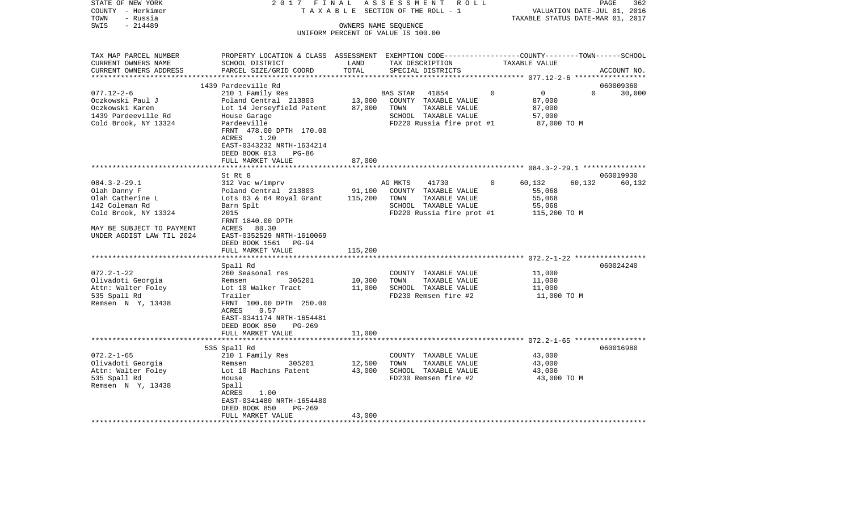| STATE OF NEW YORK         | 2017                                                                                            | FINAL                            | ASSESSMENT<br>R O L L                        |               | 362<br>PAGE                      |
|---------------------------|-------------------------------------------------------------------------------------------------|----------------------------------|----------------------------------------------|---------------|----------------------------------|
| COUNTY - Herkimer         | TAXABLE                                                                                         |                                  | SECTION OF THE ROLL - 1                      |               | VALUATION DATE-JUL 01,<br>2016   |
| TOWN<br>- Russia          |                                                                                                 |                                  |                                              |               | TAXABLE STATUS DATE-MAR 01, 2017 |
| $-214489$<br>SWIS         |                                                                                                 |                                  | OWNERS NAME SEQUENCE                         |               |                                  |
|                           |                                                                                                 |                                  | UNIFORM PERCENT OF VALUE IS 100.00           |               |                                  |
|                           |                                                                                                 |                                  |                                              |               |                                  |
| TAX MAP PARCEL NUMBER     | PROPERTY LOCATION & CLASS ASSESSMENT EXEMPTION CODE---------------COUNTY-------TOWN------SCHOOL |                                  |                                              |               |                                  |
| CURRENT OWNERS NAME       | SCHOOL DISTRICT                                                                                 | LAND                             | TAX DESCRIPTION                              | TAXABLE VALUE |                                  |
| CURRENT OWNERS ADDRESS    | PARCEL SIZE/GRID COORD                                                                          | TOTAL                            | SPECIAL DISTRICTS                            |               | ACCOUNT NO.                      |
| ************************  |                                                                                                 |                                  |                                              |               | *****************                |
|                           | 1439 Pardeeville Rd                                                                             |                                  |                                              |               | 060009360                        |
| $077.12 - 2 - 6$          | 210 1 Family Res                                                                                |                                  | BAS STAR<br>41854                            | 0<br>0        | $\Omega$<br>30,000               |
| Oczkowski Paul J          | Poland Central 213803                                                                           | 13,000                           | COUNTY TAXABLE VALUE                         | 87,000        |                                  |
| Oczkowski Karen           | Lot 14 Jerseyfield Patent                                                                       | 87,000                           | TOWN<br>TAXABLE VALUE                        | 87,000        |                                  |
| 1439 Pardeeville Rd       | House Garage                                                                                    |                                  | SCHOOL TAXABLE VALUE                         | 57,000        |                                  |
| Cold Brook, NY 13324      | Pardeeville                                                                                     |                                  | FD220 Russia fire prot #1                    | 87,000 TO M   |                                  |
|                           | FRNT 478.00 DPTH 170.00                                                                         |                                  |                                              |               |                                  |
|                           | 1.20<br>ACRES                                                                                   |                                  |                                              |               |                                  |
|                           | EAST-0343232 NRTH-1634214                                                                       |                                  |                                              |               |                                  |
|                           | DEED BOOK 913<br>$PG-86$                                                                        |                                  |                                              |               |                                  |
|                           | FULL MARKET VALUE                                                                               | 87,000                           |                                              |               |                                  |
|                           | ******************************                                                                  |                                  |                                              |               |                                  |
|                           | St Rt 8                                                                                         |                                  |                                              |               | 060019930                        |
| $084.3 - 2 - 29.1$        | 312 Vac w/imprv                                                                                 |                                  | AG MKTS<br>41730                             | 60,132<br>0   | 60,132<br>60,132                 |
| Olah Danny F              | Poland Central 213803                                                                           | 91,100                           | COUNTY TAXABLE VALUE                         | 55,068        |                                  |
| Olah Catherine L          | Lots 63 & 64 Royal Grant                                                                        | 115,200                          | TOWN<br>TAXABLE VALUE                        | 55,068        |                                  |
| 142 Coleman Rd            | Barn Splt                                                                                       |                                  | SCHOOL TAXABLE VALUE                         | 55,068        |                                  |
| Cold Brook, NY 13324      | 2015                                                                                            |                                  | FD220 Russia fire prot #1                    | 115,200 TO M  |                                  |
|                           | FRNT 1840.00 DPTH                                                                               |                                  |                                              |               |                                  |
| MAY BE SUBJECT TO PAYMENT | ACRES<br>80.30                                                                                  |                                  |                                              |               |                                  |
| UNDER AGDIST LAW TIL 2024 | EAST-0352529 NRTH-1610069                                                                       |                                  |                                              |               |                                  |
|                           | DEED BOOK 1561<br>PG-94                                                                         |                                  |                                              |               |                                  |
| *******************       | FULL MARKET VALUE<br>***************                                                            | 115,200<br>* * * * * * * * * * * |                                              |               |                                  |
|                           |                                                                                                 |                                  |                                              |               |                                  |
| $072.2 - 1 - 22$          | Spall Rd                                                                                        |                                  |                                              |               | 060024240                        |
|                           | 260 Seasonal res                                                                                |                                  | COUNTY TAXABLE VALUE                         | 11,000        |                                  |
| Olivadoti Georgia         | Remsen<br>305201                                                                                | 10,300                           | TOWN<br>TAXABLE VALUE                        | 11,000        |                                  |
| Attn: Walter Foley        | Lot 10 Walker Tract<br>Trailer                                                                  | 11,000                           | SCHOOL TAXABLE VALUE<br>FD230 Remsen fire #2 | 11,000        |                                  |
| 535 Spall Rd              |                                                                                                 |                                  |                                              | 11,000 TO M   |                                  |
| Remsen N Y, 13438         | FRNT 100.00 DPTH 250.00<br>ACRES<br>0.57                                                        |                                  |                                              |               |                                  |
|                           | EAST-0341174 NRTH-1654481                                                                       |                                  |                                              |               |                                  |
|                           | DEED BOOK 850<br>$PG-269$                                                                       |                                  |                                              |               |                                  |
|                           | FULL MARKET VALUE                                                                               | 11,000                           |                                              |               |                                  |
|                           | ***********************                                                                         |                                  |                                              |               |                                  |
|                           | 535 Spall Rd                                                                                    |                                  |                                              |               | 060016980                        |
| $072.2 - 1 - 65$          | 210 1 Family Res                                                                                |                                  | COUNTY TAXABLE VALUE                         | 43,000        |                                  |
| Olivadoti Georgia         | Remsen<br>305201                                                                                | 12,500                           | TOWN<br>TAXABLE VALUE                        | 43,000        |                                  |
| Attn: Walter Foley        | Lot 10 Machins Patent                                                                           | 43,000                           | SCHOOL TAXABLE VALUE                         | 43,000        |                                  |
| 535 Spall Rd              | House                                                                                           |                                  | FD230 Remsen fire #2                         | 43,000 TO M   |                                  |
| Remsen N Y, 13438         | Spall                                                                                           |                                  |                                              |               |                                  |
|                           | ACRES<br>1.00                                                                                   |                                  |                                              |               |                                  |
|                           | EAST-0341480 NRTH-1654480                                                                       |                                  |                                              |               |                                  |
|                           | DEED BOOK 850<br>$PG-269$                                                                       |                                  |                                              |               |                                  |
|                           | FULL MARKET VALUE                                                                               | 43,000                           |                                              |               |                                  |
|                           |                                                                                                 |                                  |                                              |               |                                  |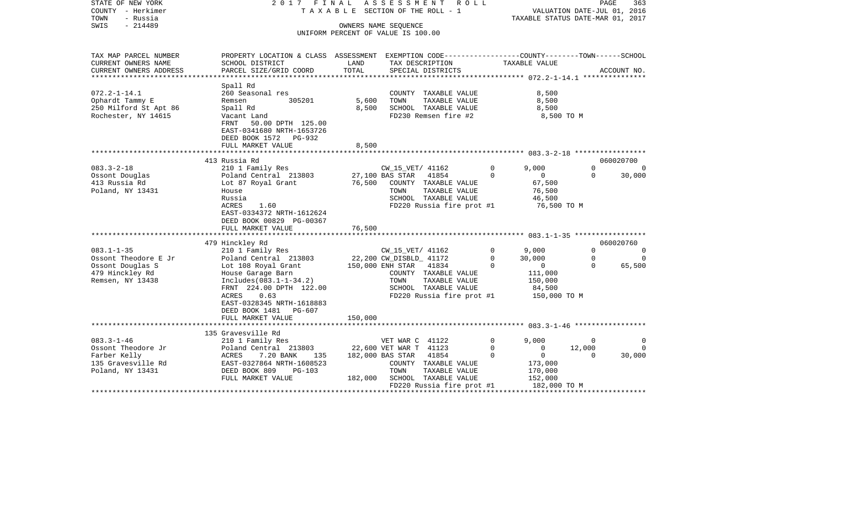| STATE OF NEW YORK<br>COUNTY - Herkimer<br>TOWN<br>- Russia<br>$-214489$<br>SWIS                     | 2017 FINAL                                                                                                                                                                                  | T A X A B L E SECTION OF THE ROLL - 1<br>UNIFORM PERCENT OF VALUE IS 100.00 | ASSESSMENT<br>OWNERS NAME SEQUENCE                                      | R O L L                                                                                             |                           | TAXABLE STATUS DATE-MAR 01, 2017                                                  | PAGE<br>VALUATION DATE-JUL 01, 2016 | 363                            |
|-----------------------------------------------------------------------------------------------------|---------------------------------------------------------------------------------------------------------------------------------------------------------------------------------------------|-----------------------------------------------------------------------------|-------------------------------------------------------------------------|-----------------------------------------------------------------------------------------------------|---------------------------|-----------------------------------------------------------------------------------|-------------------------------------|--------------------------------|
| TAX MAP PARCEL NUMBER<br>CURRENT OWNERS NAME                                                        | PROPERTY LOCATION & CLASS ASSESSMENT EXEMPTION CODE---------------COUNTY-------TOWN------SCHOOL<br>SCHOOL DISTRICT                                                                          | LAND                                                                        | TAX DESCRIPTION                                                         |                                                                                                     |                           | TAXABLE VALUE                                                                     |                                     |                                |
| CURRENT OWNERS ADDRESS<br>*************                                                             | PARCEL SIZE/GRID COORD                                                                                                                                                                      | TOTAL<br>***********************                                            |                                                                         | SPECIAL DISTRICTS                                                                                   |                           | ************** 072.2-1-14.1 ****************                                      |                                     | ACCOUNT NO.                    |
| $072.2 - 1 - 14.1$<br>Ophardt Tammy E<br>250 Milford St Apt 86<br>Rochester, NY 14615               | Spall Rd<br>260 Seasonal res<br>Remsen<br>305201<br>Spall Rd<br>Vacant Land<br>FRNT<br>50.00 DPTH 125.00<br>EAST-0341680 NRTH-1653726<br>DEED BOOK 1572 PG-932                              | 5,600<br>8,500                                                              | TOWN                                                                    | COUNTY TAXABLE VALUE<br>TAXABLE VALUE<br>SCHOOL TAXABLE VALUE<br>FD230 Remsen fire #2               |                           | 8,500<br>8,500<br>8,500<br>8,500 TO M                                             |                                     |                                |
|                                                                                                     | FULL MARKET VALUE<br>************************                                                                                                                                               | 8,500                                                                       |                                                                         |                                                                                                     |                           |                                                                                   |                                     |                                |
| $083.3 - 2 - 18$                                                                                    | 413 Russia Rd<br>210 1 Family Res                                                                                                                                                           |                                                                             | CW_15_VET/ 41162                                                        |                                                                                                     | $\Omega$                  | 9.000                                                                             | $\Omega$                            | 060020700<br>$\Omega$          |
| Ossont Douglas<br>413 Russia Rd<br>Poland, NY 13431                                                 | Poland Central 213803<br>Lot 87 Royal Grant<br>House<br>Russia<br>ACRES<br>1.60<br>EAST-0334372 NRTH-1612624<br>DEED BOOK 00829 PG-00367                                                    | 76,500                                                                      | 27,100 BAS STAR<br>TOWN                                                 | 41854<br>COUNTY TAXABLE VALUE<br>TAXABLE VALUE<br>SCHOOL TAXABLE VALUE<br>FD220 Russia fire prot #1 | $\Omega$                  | $\mathbf{0}$<br>67,500<br>76,500<br>46,500<br>76,500 TO M                         | $\Omega$                            | 30,000                         |
|                                                                                                     | FULL MARKET VALUE                                                                                                                                                                           | 76,500                                                                      |                                                                         |                                                                                                     |                           |                                                                                   |                                     |                                |
|                                                                                                     | 479 Hinckley Rd                                                                                                                                                                             |                                                                             |                                                                         |                                                                                                     |                           |                                                                                   |                                     | 060020760                      |
| $083.1 - 1 - 35$<br>Ossont Theodore E Jr<br>Ossont Douglas S<br>479 Hinckley Rd<br>Remsen, NY 13438 | 210 1 Family Res<br>Poland Central 213803<br>Lot 108 Royal Grant<br>House Garage Barn<br>$Includes (083.1-1-34.2)$<br>FRNT 224.00 DPTH 122.00<br>ACRES<br>0.63<br>EAST-0328345 NRTH-1618883 |                                                                             | CW 15 VET/ 41162<br>22,200 CW_DISBLD_ 41172<br>150,000 ENH STAR<br>TOWN | 41834<br>COUNTY TAXABLE VALUE<br>TAXABLE VALUE<br>SCHOOL TAXABLE VALUE<br>FD220 Russia fire prot #1 | $\Omega$<br>0<br>$\Omega$ | 9,000<br>30,000<br>$\overline{0}$<br>111,000<br>150,000<br>84,500<br>150,000 TO M | $\Omega$<br>$\Omega$<br>$\Omega$    | $\Omega$<br>$\Omega$<br>65,500 |
|                                                                                                     | DEED BOOK 1481 PG-607<br>FULL MARKET VALUE<br>********************                                                                                                                          | 150,000                                                                     |                                                                         |                                                                                                     |                           |                                                                                   |                                     |                                |
|                                                                                                     | 135 Gravesville Rd                                                                                                                                                                          |                                                                             |                                                                         |                                                                                                     |                           |                                                                                   |                                     |                                |
| $083.3 - 1 - 46$<br>Ossont Theodore Jr                                                              | 210 1 Family Res<br>Poland Central 213803                                                                                                                                                   |                                                                             | VET WAR C 41122<br>22,600 VET WAR T 41123                               |                                                                                                     | 0<br>0                    | 9.000<br>$\mathbf{0}$                                                             | 0<br>12,000                         | $\Omega$<br>$\Omega$           |
| Farber Kelly<br>135 Gravesville Rd<br>Poland, NY 13431                                              | ACRES<br>7.20 BANK<br>135<br>EAST-0327864 NRTH-1608523<br>DEED BOOK 809<br>$PG-103$<br>FULL MARKET VALUE                                                                                    | 182,000                                                                     | 182,000 BAS STAR<br>TOWN                                                | 41854<br>COUNTY TAXABLE VALUE<br>TAXABLE VALUE<br>SCHOOL TAXABLE VALUE<br>FD220 Russia fire prot #1 | $\Omega$                  | $\overline{0}$<br>173,000<br>170,000<br>152,000<br>182,000 TO M                   | $\Omega$                            | 30,000                         |
|                                                                                                     |                                                                                                                                                                                             |                                                                             |                                                                         |                                                                                                     |                           |                                                                                   |                                     |                                |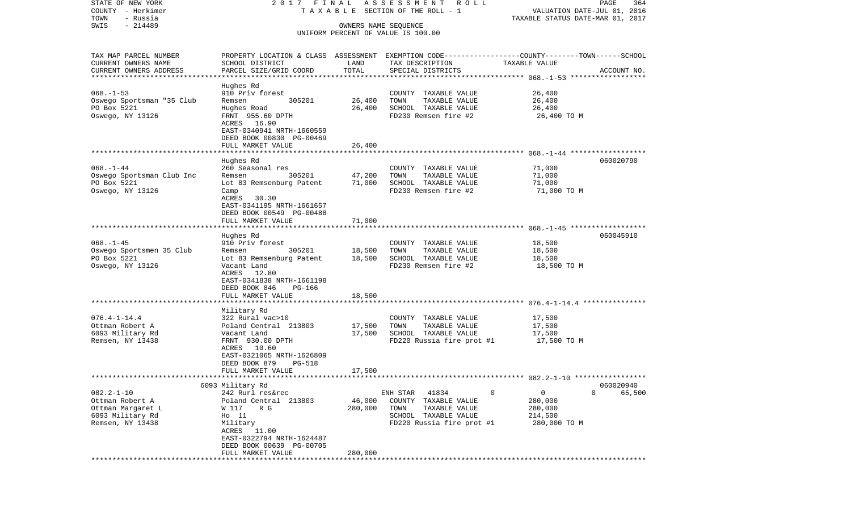| STATE OF NEW YORK                            | 2017 FINAL                                                                                                          |         | A S S E S S M E N T R O L L                                |                                  | PAGE<br>364                 |
|----------------------------------------------|---------------------------------------------------------------------------------------------------------------------|---------|------------------------------------------------------------|----------------------------------|-----------------------------|
| COUNTY - Herkimer                            |                                                                                                                     |         | TAXABLE SECTION OF THE ROLL - 1                            |                                  | VALUATION DATE-JUL 01, 2016 |
| TOWN<br>- Russia<br>$-214489$<br>SWIS        |                                                                                                                     |         |                                                            | TAXABLE STATUS DATE-MAR 01, 2017 |                             |
|                                              |                                                                                                                     |         | OWNERS NAME SEQUENCE<br>UNIFORM PERCENT OF VALUE IS 100.00 |                                  |                             |
|                                              |                                                                                                                     |         |                                                            |                                  |                             |
|                                              |                                                                                                                     |         |                                                            |                                  |                             |
| TAX MAP PARCEL NUMBER<br>CURRENT OWNERS NAME | PROPERTY LOCATION & CLASS ASSESSMENT EXEMPTION CODE----------------COUNTY-------TOWN------SCHOOL<br>SCHOOL DISTRICT | LAND    | TAX DESCRIPTION                                            | TAXABLE VALUE                    |                             |
| CURRENT OWNERS ADDRESS                       | PARCEL SIZE/GRID COORD                                                                                              | TOTAL   | SPECIAL DISTRICTS                                          |                                  | ACCOUNT NO.                 |
| *************************                    |                                                                                                                     |         |                                                            |                                  |                             |
|                                              | Hughes Rd                                                                                                           |         |                                                            |                                  |                             |
| $068. - 1 - 53$                              | 910 Priv forest                                                                                                     |         | COUNTY TAXABLE VALUE                                       | 26,400                           |                             |
| Oswego Sportsman "35 Club                    | 305201<br>Remsen                                                                                                    | 26,400  | TOWN<br>TAXABLE VALUE                                      | 26,400                           |                             |
| PO Box 5221                                  | Hughes Road                                                                                                         | 26,400  | SCHOOL TAXABLE VALUE                                       | 26,400                           |                             |
| Oswego, NY 13126                             | FRNT 955.60 DPTH                                                                                                    |         | FD230 Remsen fire #2                                       | 26,400 TO M                      |                             |
|                                              | ACRES 16.90                                                                                                         |         |                                                            |                                  |                             |
|                                              | EAST-0340941 NRTH-1660559                                                                                           |         |                                                            |                                  |                             |
|                                              | DEED BOOK 00830 PG-00469                                                                                            |         |                                                            |                                  |                             |
|                                              | FULL MARKET VALUE                                                                                                   | 26,400  |                                                            |                                  |                             |
|                                              | Hughes Rd                                                                                                           |         |                                                            |                                  | 060020790                   |
| $068. - 1 - 44$                              | 260 Seasonal res                                                                                                    |         | COUNTY TAXABLE VALUE                                       | 71,000                           |                             |
| Oswego Sportsman Club Inc                    | 305201<br>Remsen                                                                                                    | 47,200  | TAXABLE VALUE<br>TOWN                                      | 71,000                           |                             |
| PO Box 5221                                  | Lot 83 Remsenburg Patent                                                                                            | 71,000  | SCHOOL TAXABLE VALUE                                       | 71,000                           |                             |
| Oswego, NY 13126                             | Camp                                                                                                                |         | FD230 Remsen fire #2                                       | 71,000 TO M                      |                             |
|                                              | ACRES<br>30.30                                                                                                      |         |                                                            |                                  |                             |
|                                              | EAST-0341195 NRTH-1661657                                                                                           |         |                                                            |                                  |                             |
|                                              | DEED BOOK 00549 PG-00488                                                                                            |         |                                                            |                                  |                             |
|                                              | FULL MARKET VALUE                                                                                                   | 71,000  |                                                            |                                  |                             |
|                                              |                                                                                                                     |         |                                                            |                                  |                             |
| $068. -1 - 45$                               | Hughes Rd                                                                                                           |         |                                                            |                                  | 060045910                   |
| Oswego Sportsmen 35 Club                     | 910 Priv forest<br>305201<br>Remsen                                                                                 | 18,500  | COUNTY TAXABLE VALUE<br>TOWN<br>TAXABLE VALUE              | 18,500<br>18,500                 |                             |
| PO Box 5221                                  | Lot 83 Remsenburg Patent                                                                                            | 18,500  | SCHOOL TAXABLE VALUE                                       | 18,500                           |                             |
| Oswego, NY 13126                             | Vacant Land                                                                                                         |         | FD230 Remsen fire #2                                       | 18,500 TO M                      |                             |
|                                              | ACRES 12.80                                                                                                         |         |                                                            |                                  |                             |
|                                              | EAST-0341838 NRTH-1661198                                                                                           |         |                                                            |                                  |                             |
|                                              | DEED BOOK 846<br>PG-166                                                                                             |         |                                                            |                                  |                             |
|                                              | FULL MARKET VALUE                                                                                                   | 18,500  |                                                            |                                  |                             |
|                                              | ************************                                                                                            |         |                                                            |                                  |                             |
|                                              | Military Rd                                                                                                         |         |                                                            |                                  |                             |
| $076.4 - 1 - 14.4$                           | 322 Rural vac>10                                                                                                    |         | COUNTY TAXABLE VALUE                                       | 17,500                           |                             |
| Ottman Robert A                              | Poland Central 213803                                                                                               | 17,500  | TOWN<br>TAXABLE VALUE                                      | 17,500                           |                             |
| 6093 Military Rd                             | Vacant Land                                                                                                         | 17,500  | SCHOOL TAXABLE VALUE                                       | 17,500                           |                             |
| Remsen, NY 13438                             | FRNT 930.00 DPTH                                                                                                    |         | FD220 Russia fire prot #1                                  | 17,500 TO M                      |                             |
|                                              | 10.60<br>ACRES                                                                                                      |         |                                                            |                                  |                             |
|                                              | EAST-0321065 NRTH-1626809<br>DEED BOOK 879<br><b>PG-518</b>                                                         |         |                                                            |                                  |                             |
|                                              | FULL MARKET VALUE                                                                                                   | 17,500  |                                                            |                                  |                             |
|                                              |                                                                                                                     |         |                                                            |                                  |                             |
|                                              | 6093 Military Rd                                                                                                    |         |                                                            |                                  | 060020940                   |
| $082.2 - 1 - 10$                             | 242 Rurl res&rec                                                                                                    |         | ENH STAR<br>41834                                          | 0<br>0                           | $\mathbf 0$<br>65,500       |
| Ottman Robert A                              | Poland Central 213803                                                                                               | 46,000  | COUNTY<br>TAXABLE VALUE                                    | 280,000                          |                             |
| Ottman Margaret L                            | W 117<br>R G                                                                                                        | 280,000 | TOWN<br>TAXABLE VALUE                                      | 280,000                          |                             |
| 6093 Military Rd                             | $HO$ 11                                                                                                             |         | SCHOOL TAXABLE VALUE                                       | 214,500                          |                             |
| Remsen, NY 13438                             | Military                                                                                                            |         | FD220 Russia fire prot #1                                  | 280,000 TO M                     |                             |
|                                              | 11.00<br>ACRES                                                                                                      |         |                                                            |                                  |                             |
|                                              | EAST-0322794 NRTH-1624487                                                                                           |         |                                                            |                                  |                             |
|                                              | DEED BOOK 00639 PG-00705                                                                                            |         |                                                            |                                  |                             |
|                                              | FULL MARKET VALUE<br>* * * * * * * * * * * * * * * * *                                                              | 280,000 |                                                            |                                  |                             |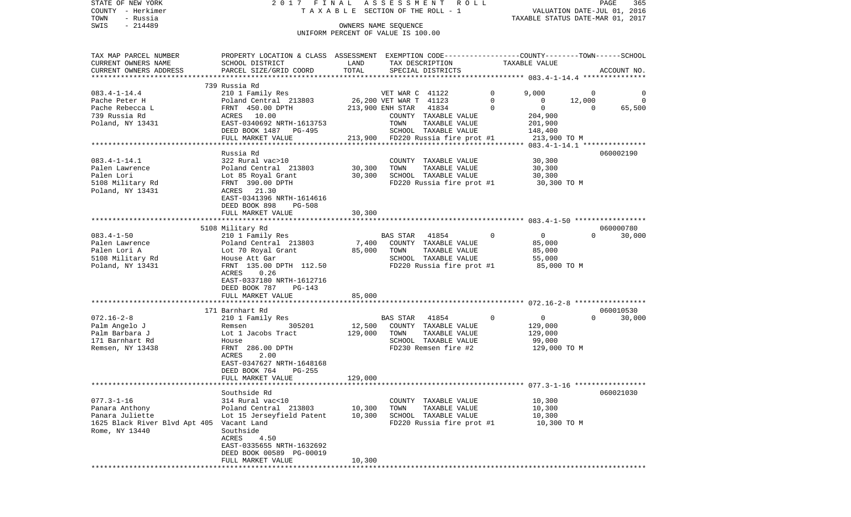| STATE OF NEW YORK<br>COUNTY - Herkimer<br>- Russia<br>TOWN |                                                                                                 |         | 2017 FINAL ASSESSMENT ROLL<br>TAXABLE SECTION OF THE ROLL - 1 |             | VALUATION DATE-JUL 01, 2016<br>TAXABLE STATUS DATE-MAR 01, 2017 | PAGE<br>365                     |
|------------------------------------------------------------|-------------------------------------------------------------------------------------------------|---------|---------------------------------------------------------------|-------------|-----------------------------------------------------------------|---------------------------------|
| SWIS<br>$-214489$                                          |                                                                                                 |         | OWNERS NAME SEQUENCE                                          |             |                                                                 |                                 |
|                                                            |                                                                                                 |         | UNIFORM PERCENT OF VALUE IS 100.00                            |             |                                                                 |                                 |
| TAX MAP PARCEL NUMBER                                      | PROPERTY LOCATION & CLASS ASSESSMENT EXEMPTION CODE---------------COUNTY-------TOWN------SCHOOL |         |                                                               |             |                                                                 |                                 |
| CURRENT OWNERS NAME                                        | SCHOOL DISTRICT                                                                                 | LAND    | TAX DESCRIPTION TAXABLE VALUE                                 |             |                                                                 |                                 |
| CURRENT OWNERS ADDRESS                                     | PARCEL SIZE/GRID COORD                                                                          | TOTAL   | SPECIAL DISTRICTS                                             |             |                                                                 | ACCOUNT NO.                     |
|                                                            | 739 Russia Rd                                                                                   |         |                                                               |             |                                                                 |                                 |
| $083.4 - 1 - 14.4$                                         | 210 1 Family Res                                                                                |         | VET WAR C 41122                                               | $\circ$     | 9,000                                                           | $\mathbf 0$<br>0                |
| Pache Peter H                                              | Poland Central 213803                                                                           |         | 26,200 VET WAR T 41123                                        | $\mathbf 0$ | 12,000<br>$\mathbf 0$                                           | $\Omega$                        |
| Pache Rebecca L                                            | FRNT 450.00 DPTH                                                                                |         | 213,900 ENH STAR 41834                                        | $\mathbf 0$ | $\overline{0}$                                                  | $\Omega$<br>65,500              |
| 739 Russia Rd                                              | ACRES 10.00                                                                                     |         | COUNTY TAXABLE VALUE                                          |             | 204,900                                                         |                                 |
| Poland, NY 13431                                           | EAST-0340692 NRTH-1613753<br>DEED BOOK 1487 PG-495                                              |         | TOWN<br>TAXABLE VALUE<br>SCHOOL TAXABLE VALUE                 |             | 201,900<br>148,400                                              |                                 |
|                                                            | FULL MARKET VALUE                                                                               |         | 213,900 FD220 Russia fire prot #1                             |             | 213,900 TO M                                                    |                                 |
|                                                            |                                                                                                 |         |                                                               |             |                                                                 |                                 |
|                                                            | Russia Rd                                                                                       |         |                                                               |             |                                                                 | 060002190                       |
| $083.4 - 1 - 14.1$                                         | 322 Rural vac>10                                                                                |         | COUNTY TAXABLE VALUE                                          |             | 30,300                                                          |                                 |
| Palen Lawrence                                             | Poland Central 213803                                                                           | 30,300  | TAXABLE VALUE<br>TOWN                                         |             | 30,300                                                          |                                 |
| Palen Lori                                                 | Lot 85 Royal Grant                                                                              | 30,300  | SCHOOL TAXABLE VALUE                                          |             | 30,300                                                          |                                 |
| 5108 Military Rd                                           | FRNT 390.00 DPTH                                                                                |         | FD220 Russia fire prot #1                                     |             | 30,300 TO M                                                     |                                 |
| Poland, NY 13431                                           | ACRES 21.30<br>EAST-0341396 NRTH-1614616                                                        |         |                                                               |             |                                                                 |                                 |
|                                                            | DEED BOOK 898<br>PG-508                                                                         |         |                                                               |             |                                                                 |                                 |
|                                                            | FULL MARKET VALUE                                                                               | 30,300  |                                                               |             |                                                                 |                                 |
|                                                            |                                                                                                 |         |                                                               |             |                                                                 |                                 |
|                                                            | 5108 Military Rd                                                                                |         |                                                               |             |                                                                 | 060000780                       |
| $083.4 - 1 - 50$                                           | 210 1 Family Res                                                                                |         | 41854<br>BAS STAR                                             | $\mathbf 0$ | $\overline{0}$                                                  | 30,000<br>$\Omega$              |
| Palen Lawrence                                             | Poland Central 213803                                                                           | 7,400   | COUNTY TAXABLE VALUE                                          |             | 85,000                                                          |                                 |
| Palen Lori A<br>5108 Military Rd                           | Lot 70 Royal Grant<br>House Att Gar                                                             | 85,000  | TOWN<br>TAXABLE VALUE<br>SCHOOL TAXABLE VALUE                 |             | 85,000<br>55,000                                                |                                 |
| Poland, NY 13431                                           | FRNT 135.00 DPTH 112.50                                                                         |         | FD220 Russia fire prot #1                                     |             | 85,000 TO M                                                     |                                 |
|                                                            | 0.26<br>ACRES                                                                                   |         |                                                               |             |                                                                 |                                 |
|                                                            | EAST-0337180 NRTH-1612716                                                                       |         |                                                               |             |                                                                 |                                 |
|                                                            | DEED BOOK 787<br>PG-143                                                                         |         |                                                               |             |                                                                 |                                 |
|                                                            | FULL MARKET VALUE                                                                               | 85,000  |                                                               |             |                                                                 |                                 |
|                                                            |                                                                                                 |         |                                                               |             |                                                                 |                                 |
| $072.16 - 2 - 8$                                           | 171 Barnhart Rd<br>210 1 Family Res                                                             |         | BAS STAR<br>41854                                             | 0           | $\overline{0}$                                                  | 060010530<br>$\Omega$<br>30,000 |
| Palm Angelo J                                              | 305201<br>Remsen                                                                                | 12,500  | COUNTY TAXABLE VALUE                                          |             | 129,000                                                         |                                 |
| Palm Barbara J                                             | Lot 1 Jacobs Tract                                                                              | 129,000 | TOWN<br>TAXABLE VALUE                                         |             | 129,000                                                         |                                 |
| 171 Barnhart Rd                                            | House                                                                                           |         | SCHOOL TAXABLE VALUE                                          |             | 99,000                                                          |                                 |
| Remsen, NY 13438                                           | FRNT 286.00 DPTH                                                                                |         | FD230 Remsen fire #2                                          |             | 129,000 TO M                                                    |                                 |
|                                                            | ACRES<br>2.00                                                                                   |         |                                                               |             |                                                                 |                                 |
|                                                            | EAST-0347627 NRTH-1648168                                                                       |         |                                                               |             |                                                                 |                                 |
|                                                            | DEED BOOK 764<br><b>PG-255</b>                                                                  |         |                                                               |             |                                                                 |                                 |
|                                                            | FULL MARKET VALUE                                                                               | 129,000 |                                                               |             |                                                                 |                                 |
|                                                            | Southside Rd                                                                                    |         |                                                               |             |                                                                 | 060021030                       |
| $077.3 - 1 - 16$                                           | 314 Rural vac<10                                                                                |         | COUNTY TAXABLE VALUE                                          |             | 10,300                                                          |                                 |
| Panara Anthony                                             | Poland Central 213803                                                                           | 10,300  | TOWN<br>TAXABLE VALUE                                         |             | 10,300                                                          |                                 |
| Panara Juliette                                            | Lot 15 Jerseyfield Patent                                                                       | 10,300  | SCHOOL TAXABLE VALUE                                          |             | 10,300                                                          |                                 |
| 1625 Black River Blvd Apt 405                              | Vacant Land                                                                                     |         | FD220 Russia fire prot #1                                     |             | 10,300 TO M                                                     |                                 |
| Rome, NY 13440                                             | Southside                                                                                       |         |                                                               |             |                                                                 |                                 |
|                                                            | ACRES<br>4.50                                                                                   |         |                                                               |             |                                                                 |                                 |
|                                                            | EAST-0335655 NRTH-1632692<br>DEED BOOK 00589 PG-00019                                           |         |                                                               |             |                                                                 |                                 |
|                                                            | FULL MARKET VALUE                                                                               | 10,300  |                                                               |             |                                                                 |                                 |
|                                                            |                                                                                                 |         |                                                               |             |                                                                 |                                 |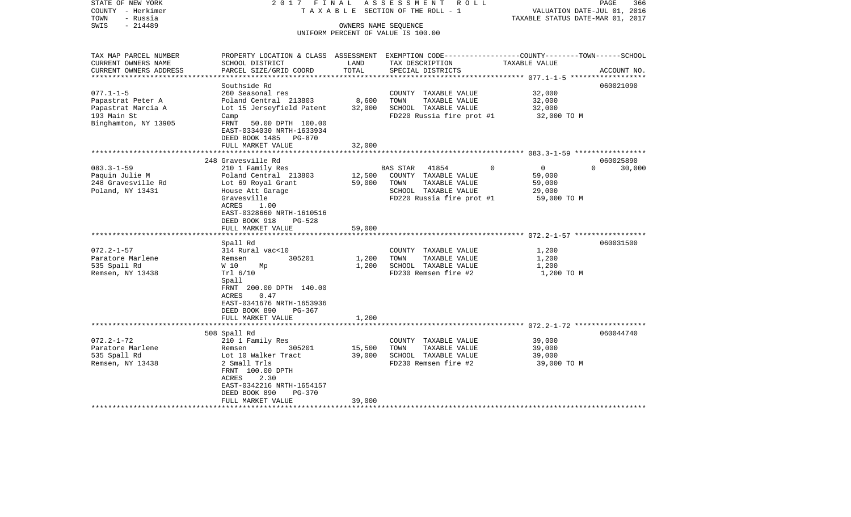| STATE OF NEW YORK<br>COUNTY - Herkimer<br>- Russia<br>TOWN | 2017 FINAL                                                                                       |                 | ASSESSMENT<br>R O L L<br>TAXABLE SECTION OF THE ROLL - 1 | VALUATION DATE-JUL 01, 2016<br>TAXABLE STATUS DATE-MAR 01, 2017 | PAGE<br>366        |
|------------------------------------------------------------|--------------------------------------------------------------------------------------------------|-----------------|----------------------------------------------------------|-----------------------------------------------------------------|--------------------|
| SWIS<br>$-214489$                                          |                                                                                                  |                 | OWNERS NAME SEQUENCE                                     |                                                                 |                    |
|                                                            |                                                                                                  |                 | UNIFORM PERCENT OF VALUE IS 100.00                       |                                                                 |                    |
| TAX MAP PARCEL NUMBER                                      | PROPERTY LOCATION & CLASS ASSESSMENT EXEMPTION CODE----------------COUNTY-------TOWN------SCHOOL |                 |                                                          |                                                                 |                    |
| CURRENT OWNERS NAME<br>CURRENT OWNERS ADDRESS              | SCHOOL DISTRICT<br>PARCEL SIZE/GRID COORD                                                        | LAND<br>TOTAL   | TAX DESCRIPTION<br>SPECIAL DISTRICTS                     | TAXABLE VALUE                                                   | ACCOUNT NO.        |
| ********************                                       |                                                                                                  | *************** |                                                          |                                                                 |                    |
|                                                            | Southside Rd                                                                                     |                 |                                                          |                                                                 | 060021090          |
| $077.1 - 1 - 5$                                            | 260 Seasonal res                                                                                 |                 | COUNTY TAXABLE VALUE                                     | 32,000                                                          |                    |
| Papastrat Peter A                                          | Poland Central 213803                                                                            | 8,600           | TOWN<br>TAXABLE VALUE                                    | 32,000                                                          |                    |
| Papastrat Marcia A                                         | Lot 15 Jerseyfield Patent                                                                        | 32,000          | SCHOOL TAXABLE VALUE                                     | 32,000                                                          |                    |
| 193 Main St                                                | Camp                                                                                             |                 | FD220 Russia fire prot #1                                | 32,000 TO M                                                     |                    |
| Binghamton, NY 13905                                       | FRNT<br>50.00 DPTH 100.00<br>EAST-0334030 NRTH-1633934                                           |                 |                                                          |                                                                 |                    |
|                                                            | DEED BOOK 1485 PG-870                                                                            |                 |                                                          |                                                                 |                    |
|                                                            | FULL MARKET VALUE                                                                                | 32,000          |                                                          |                                                                 |                    |
|                                                            | 248 Gravesville Rd                                                                               |                 |                                                          |                                                                 | 060025890          |
| $083.3 - 1 - 59$                                           | 210 1 Family Res                                                                                 |                 | BAS STAR<br>41854                                        | $\overline{0}$<br>0                                             | 30,000<br>$\Omega$ |
| Paquin Julie M                                             | Poland Central 213803                                                                            | 12,500          | COUNTY TAXABLE VALUE                                     | 59,000                                                          |                    |
| 248 Gravesville Rd                                         | Lot 69 Royal Grant                                                                               | 59,000          | TAXABLE VALUE<br>TOWN                                    | 59,000                                                          |                    |
| Poland, NY 13431                                           | House Att Garage                                                                                 |                 | SCHOOL TAXABLE VALUE                                     | 29,000                                                          |                    |
|                                                            | Gravesville                                                                                      |                 | FD220 Russia fire prot #1                                | 59,000 TO M                                                     |                    |
|                                                            | 1.00<br>ACRES                                                                                    |                 |                                                          |                                                                 |                    |
|                                                            | EAST-0328660 NRTH-1610516                                                                        |                 |                                                          |                                                                 |                    |
|                                                            | DEED BOOK 918<br>PG-528                                                                          |                 |                                                          |                                                                 |                    |
|                                                            | FULL MARKET VALUE                                                                                | 59,000          |                                                          |                                                                 |                    |
|                                                            |                                                                                                  |                 |                                                          |                                                                 |                    |
|                                                            | Spall Rd                                                                                         |                 |                                                          |                                                                 | 060031500          |
| $072.2 - 1 - 57$                                           | 314 Rural vac<10                                                                                 |                 | COUNTY TAXABLE VALUE                                     | 1,200                                                           |                    |
| Paratore Marlene                                           | 305201<br>Remsen                                                                                 | 1,200           | TOWN<br>TAXABLE VALUE                                    | 1,200                                                           |                    |
| 535 Spall Rd                                               | W 10<br>Мp                                                                                       | 1,200           | SCHOOL TAXABLE VALUE                                     | 1,200                                                           |                    |
| Remsen, NY 13438                                           | Trl 6/10                                                                                         |                 | FD230 Remsen fire #2                                     | 1,200 TO M                                                      |                    |
|                                                            | Spall<br>FRNT 200.00 DPTH 140.00                                                                 |                 |                                                          |                                                                 |                    |
|                                                            | ACRES<br>0.47                                                                                    |                 |                                                          |                                                                 |                    |
|                                                            | EAST-0341676 NRTH-1653936                                                                        |                 |                                                          |                                                                 |                    |
|                                                            | DEED BOOK 890<br>$PG-367$                                                                        |                 |                                                          |                                                                 |                    |
|                                                            | FULL MARKET VALUE                                                                                | 1,200           |                                                          |                                                                 |                    |
|                                                            | *******************                                                                              |                 |                                                          |                                                                 |                    |
|                                                            | 508 Spall Rd                                                                                     |                 |                                                          |                                                                 | 060044740          |
| $072.2 - 1 - 72$                                           | 210 1 Family Res                                                                                 |                 | COUNTY TAXABLE VALUE                                     | 39,000                                                          |                    |
| Paratore Marlene                                           | 305201<br>Remsen                                                                                 | 15,500          | TOWN<br>TAXABLE VALUE                                    | 39,000                                                          |                    |
| 535 Spall Rd                                               | Lot 10 Walker Tract                                                                              | 39,000          | SCHOOL TAXABLE VALUE                                     | 39,000                                                          |                    |
| Remsen, NY 13438                                           | 2 Small Trls                                                                                     |                 | FD230 Remsen fire #2                                     | 39,000 TO M                                                     |                    |
|                                                            | FRNT 100.00 DPTH                                                                                 |                 |                                                          |                                                                 |                    |
|                                                            | ACRES<br>2.30                                                                                    |                 |                                                          |                                                                 |                    |
|                                                            | EAST-0342216 NRTH-1654157                                                                        |                 |                                                          |                                                                 |                    |
|                                                            | DEED BOOK 890<br>PG-370                                                                          |                 |                                                          |                                                                 |                    |
|                                                            | FULL MARKET VALUE                                                                                | 39,000          |                                                          |                                                                 |                    |
|                                                            |                                                                                                  |                 |                                                          |                                                                 |                    |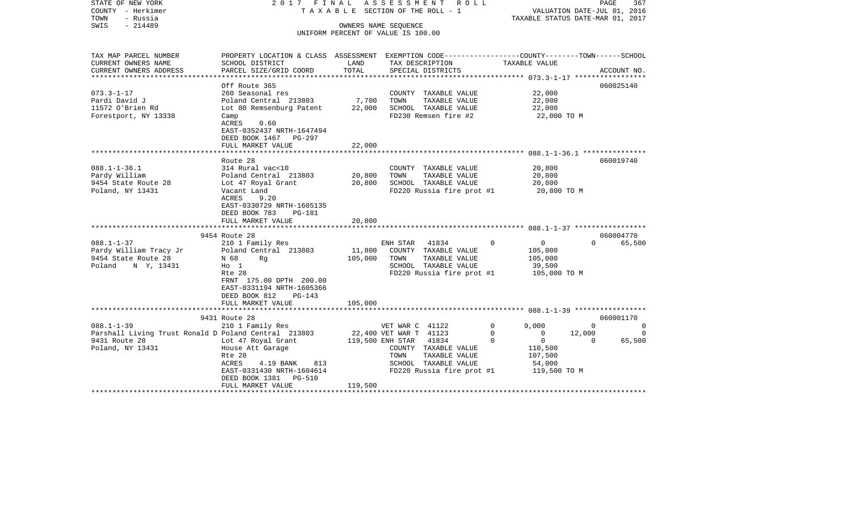| STATE OF NEW YORK<br>COUNTY - Herkimer<br>- Russia<br>TOWN<br>SWIS<br>$-214489$                               | 2017 FINAL                                                                                                                                                                                            |                              | ASSESSMENT ROLL<br>T A X A B L E SECTION OF THE ROLL - 1<br>OWNERS NAME SEQUENCE<br>UNIFORM PERCENT OF VALUE IS 100.00                                                    | VALUATION DATE-JUL 01, 2016<br>TAXABLE STATUS DATE-MAR 01, 2017                                                                     | PAGE                           | 367                                  |
|---------------------------------------------------------------------------------------------------------------|-------------------------------------------------------------------------------------------------------------------------------------------------------------------------------------------------------|------------------------------|---------------------------------------------------------------------------------------------------------------------------------------------------------------------------|-------------------------------------------------------------------------------------------------------------------------------------|--------------------------------|--------------------------------------|
| TAX MAP PARCEL NUMBER<br>CURRENT OWNERS NAME                                                                  | PROPERTY LOCATION & CLASS ASSESSMENT EXEMPTION CODE----------------COUNTY-------TOWN------SCHOOL<br>SCHOOL DISTRICT                                                                                   | LAND                         | TAX DESCRIPTION                                                                                                                                                           | TAXABLE VALUE                                                                                                                       |                                |                                      |
| CURRENT OWNERS ADDRESS                                                                                        | PARCEL SIZE/GRID COORD                                                                                                                                                                                | TOTAL                        | SPECIAL DISTRICTS                                                                                                                                                         |                                                                                                                                     |                                | ACCOUNT NO.                          |
| $073.3 - 1 - 17$<br>Pardi David J<br>11572 O'Brien Rd<br>Forestport, NY 13338                                 | Off Route 365<br>260 Seasonal res<br>Poland Central 213803<br>Lot 80 Remsenburg Patent<br>Camp<br>ACRES<br>0.60<br>EAST-0352437 NRTH-1647494                                                          | 7,700<br>22,000              | COUNTY TAXABLE VALUE<br>TOWN<br>TAXABLE VALUE<br>SCHOOL TAXABLE VALUE<br>FD230 Remsen fire #2                                                                             | 22,000<br>22,000<br>22,000<br>22,000 TO M                                                                                           |                                | 060025140                            |
|                                                                                                               | DEED BOOK 1467 PG-297<br>FULL MARKET VALUE                                                                                                                                                            | 22,000                       |                                                                                                                                                                           |                                                                                                                                     |                                |                                      |
| $088.1 - 1 - 36.1$<br>Pardy William<br>9454 State Route 28<br>Poland, NY 13431                                | Route 28<br>314 Rural vac<10<br>Poland Central 213803<br>Lot 47 Royal Grant<br>Vacant Land<br>ACRES<br>9.20<br>EAST-0330729 NRTH-1605135<br>DEED BOOK 783<br>PG-181                                   | 20,800<br>20,800             | COUNTY TAXABLE VALUE<br>TAXABLE VALUE<br>TOWN<br>SCHOOL TAXABLE VALUE<br>FD220 Russia fire prot #1                                                                        | 20,800<br>20,800<br>20,800<br>20,800 TO M                                                                                           |                                | 060019740                            |
|                                                                                                               | FULL MARKET VALUE                                                                                                                                                                                     | 20,800                       |                                                                                                                                                                           |                                                                                                                                     |                                |                                      |
|                                                                                                               |                                                                                                                                                                                                       |                              |                                                                                                                                                                           |                                                                                                                                     |                                |                                      |
| $088.1 - 1 - 37$<br>Pardy William Tracy Jr<br>9454 State Route 28<br>Poland N Y, 13431                        | 9454 Route 28<br>210 1 Family Res<br>Poland Central 213803<br>N 68<br>Ra<br>$H_0$ 1<br>Rte 28<br>FRNT 175.00 DPTH 200.00<br>EAST-0331194 NRTH-1605366<br>DEED BOOK 812<br>PG-143<br>FULL MARKET VALUE | 11,800<br>105,000<br>105,000 | ENH STAR 41834<br>COUNTY TAXABLE VALUE<br>TOWN<br>TAXABLE VALUE<br>SCHOOL TAXABLE VALUE<br>FD220 Russia fire prot #1                                                      | $\overline{0}$<br>$\Omega$<br>105,000<br>105,000<br>39,500<br>105,000 TO M                                                          | $\Omega$                       | 060004770<br>65,500                  |
|                                                                                                               | 9431 Route 28                                                                                                                                                                                         |                              |                                                                                                                                                                           |                                                                                                                                     |                                | 060001170                            |
| $088.1 - 1 - 39$<br>Parshall Living Trust Ronald D Poland Central 213803<br>9431 Route 28<br>Poland, NY 13431 | 210 1 Family Res<br>Lot 47 Royal Grant<br>House Att Garage<br>Rte 28<br>ACRES<br>4.19 BANK 813<br>EAST-0331430 NRTH-1604614<br>DEED BOOK 1381    PG-510<br>FULL MARKET VALUE                          | 119,500                      | VET WAR C 41122<br>22,400 VET WAR T 41123<br>119,500 ENH STAR 41834<br>COUNTY TAXABLE VALUE<br>TOWN<br>TAXABLE VALUE<br>SCHOOL TAXABLE VALUE<br>FD220 Russia fire prot #1 | 9,000<br>$\mathbf 0$<br>$\mathbf 0$<br>$\overline{0}$<br>$\overline{0}$<br>$\Omega$<br>110,500<br>107,500<br>54,000<br>119,500 TO M | $\Omega$<br>12,000<br>$\Omega$ | $\overline{0}$<br>$\Omega$<br>65,500 |
|                                                                                                               |                                                                                                                                                                                                       |                              |                                                                                                                                                                           |                                                                                                                                     |                                |                                      |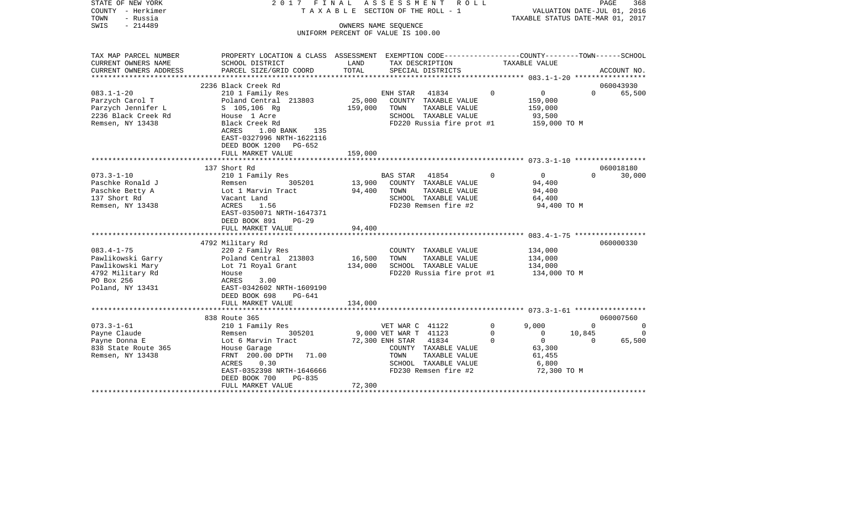| COUNTY<br>- Herkimer<br>TOWN<br>- Russia<br>SWIS<br>$-214489$          | TAXABLE SECTION OF THE ROLL - 1<br>OWNERS NAME SEOUENCE                                                                                     |               |                                                   |                         | VALUATION DATE-JUL 01, 2016<br>TAXABLE STATUS DATE-MAR 01, 2017 |                    |                          |
|------------------------------------------------------------------------|---------------------------------------------------------------------------------------------------------------------------------------------|---------------|---------------------------------------------------|-------------------------|-----------------------------------------------------------------|--------------------|--------------------------|
|                                                                        |                                                                                                                                             |               | UNIFORM PERCENT OF VALUE IS 100.00                |                         |                                                                 |                    |                          |
| TAX MAP PARCEL NUMBER<br>CURRENT OWNERS NAME<br>CURRENT OWNERS ADDRESS | PROPERTY LOCATION & CLASS ASSESSMENT EXEMPTION CODE---------------COUNTY-------TOWN-----SCHOOL<br>SCHOOL DISTRICT<br>PARCEL SIZE/GRID COORD | LAND<br>TOTAL | TAX DESCRIPTION<br>SPECIAL DISTRICTS              |                         | TAXABLE VALUE                                                   |                    | ACCOUNT NO.              |
| ***********************                                                |                                                                                                                                             |               |                                                   |                         |                                                                 |                    |                          |
|                                                                        | 2236 Black Creek Rd                                                                                                                         |               |                                                   |                         |                                                                 |                    | 060043930                |
| $083.1 - 1 - 20$                                                       | 210 1 Family Res                                                                                                                            |               | 41834<br>ENH STAR                                 | $\Omega$                | $\mathbf 0$                                                     | $\Omega$           | 65,500                   |
| Parzych Carol T                                                        | Poland Central 213803                                                                                                                       | 25,000        | COUNTY TAXABLE VALUE                              |                         | 159,000                                                         |                    |                          |
| Parzych Jennifer L                                                     | S 105,106 Rg                                                                                                                                | 159,000       | TAXABLE VALUE<br>TOWN                             |                         | 159,000                                                         |                    |                          |
| 2236 Black Creek Rd                                                    | House 1 Acre                                                                                                                                |               | SCHOOL TAXABLE VALUE                              |                         | 93,500                                                          |                    |                          |
| Remsen, NY 13438                                                       | Black Creek Rd                                                                                                                              |               | FD220 Russia fire prot #1                         |                         | 159,000 TO M                                                    |                    |                          |
|                                                                        | 1.00 BANK<br>ACRES<br>135                                                                                                                   |               |                                                   |                         |                                                                 |                    |                          |
|                                                                        | EAST-0327996 NRTH-1622116<br>DEED BOOK 1200<br>$PG-652$                                                                                     |               |                                                   |                         |                                                                 |                    |                          |
|                                                                        | FULL MARKET VALUE                                                                                                                           | 159,000       |                                                   |                         |                                                                 |                    |                          |
|                                                                        |                                                                                                                                             |               |                                                   |                         |                                                                 |                    |                          |
|                                                                        | 137 Short Rd                                                                                                                                |               |                                                   |                         |                                                                 |                    | 060018180                |
| $073.3 - 1 - 10$                                                       | 210 1 Family Res                                                                                                                            |               | 41854<br>BAS STAR                                 | $\mathbf 0$             | $\overline{0}$                                                  | $\Omega$           | 30,000                   |
| Paschke Ronald J                                                       | Remsen<br>305201                                                                                                                            | 13,900        | COUNTY TAXABLE VALUE                              |                         | 94,400                                                          |                    |                          |
| Paschke Betty A                                                        | Lot 1 Marvin Tract                                                                                                                          | 94,400        | TOWN<br>TAXABLE VALUE                             |                         | 94,400                                                          |                    |                          |
| 137 Short Rd                                                           | Vacant Land                                                                                                                                 |               | SCHOOL TAXABLE VALUE                              |                         | 64,400                                                          |                    |                          |
| Remsen, NY 13438                                                       | ACRES<br>1.56                                                                                                                               |               | FD230 Remsen fire #2                              |                         | 94,400 TO M                                                     |                    |                          |
|                                                                        | EAST-0350071 NRTH-1647371                                                                                                                   |               |                                                   |                         |                                                                 |                    |                          |
|                                                                        | DEED BOOK 891<br>$PG-29$                                                                                                                    |               |                                                   |                         |                                                                 |                    |                          |
|                                                                        | FULL MARKET VALUE                                                                                                                           | 94,400        |                                                   |                         | **************** 083.4-1-75 *****                               |                    |                          |
|                                                                        | 4792 Military Rd                                                                                                                            |               |                                                   |                         |                                                                 |                    | 060000330                |
| $083.4 - 1 - 75$                                                       | 220 2 Family Res                                                                                                                            |               | COUNTY TAXABLE VALUE                              |                         | 134,000                                                         |                    |                          |
| Pawlikowski Garry                                                      | Poland Central 213803                                                                                                                       | 16,500        | TOWN<br>TAXABLE VALUE                             |                         | 134,000                                                         |                    |                          |
| Pawlikowski Mary                                                       | Lot 71 Royal Grant                                                                                                                          | 134,000       | SCHOOL TAXABLE VALUE                              |                         | 134,000                                                         |                    |                          |
| 4792 Military Rd                                                       | House                                                                                                                                       |               | FD220 Russia fire prot #1                         |                         | 134,000 TO M                                                    |                    |                          |
| PO Box 256                                                             | ACRES<br>3.00                                                                                                                               |               |                                                   |                         |                                                                 |                    |                          |
| Poland, NY 13431                                                       | EAST-0342602 NRTH-1609190                                                                                                                   |               |                                                   |                         |                                                                 |                    |                          |
|                                                                        | DEED BOOK 698<br>PG-641                                                                                                                     |               |                                                   |                         |                                                                 |                    |                          |
|                                                                        | FULL MARKET VALUE                                                                                                                           | 134,000       |                                                   |                         |                                                                 |                    |                          |
|                                                                        | ********************                                                                                                                        |               |                                                   |                         |                                                                 |                    |                          |
|                                                                        | 838 Route 365                                                                                                                               |               |                                                   |                         |                                                                 |                    | 060007560                |
| $073.3 - 1 - 61$                                                       | 210 1 Family Res                                                                                                                            |               | VET WAR C 41122                                   | 0                       | 9,000                                                           | $\Omega$           | 0                        |
| Payne Claude<br>Payne Donna E                                          | 305201<br>Remsen<br>Lot 6 Marvin Tract                                                                                                      |               | 9,000 VET WAR T 41123<br>72,300 ENH STAR<br>41834 | $\mathbf 0$<br>$\Omega$ | $\circ$<br>$\circ$                                              | 10,845<br>$\Omega$ | $\overline{0}$<br>65,500 |
| 838 State Route 365                                                    | House Garage                                                                                                                                |               | COUNTY TAXABLE VALUE                              |                         | 63,300                                                          |                    |                          |
| Remsen, NY 13438                                                       | FRNT 200.00 DPTH<br>71.00                                                                                                                   |               | TAXABLE VALUE<br>TOWN                             |                         | 61,455                                                          |                    |                          |
|                                                                        | ACRES<br>0.30                                                                                                                               |               | SCHOOL TAXABLE VALUE                              |                         | 6,800                                                           |                    |                          |
|                                                                        | EAST-0352398 NRTH-1646666                                                                                                                   |               | FD230 Remsen fire #2                              |                         | 72,300 TO M                                                     |                    |                          |
|                                                                        | DEED BOOK 700<br>$PG-835$                                                                                                                   |               |                                                   |                         |                                                                 |                    |                          |
|                                                                        | FULL MARKET VALUE                                                                                                                           | 72,300        |                                                   |                         |                                                                 |                    |                          |
|                                                                        |                                                                                                                                             |               |                                                   |                         |                                                                 |                    |                          |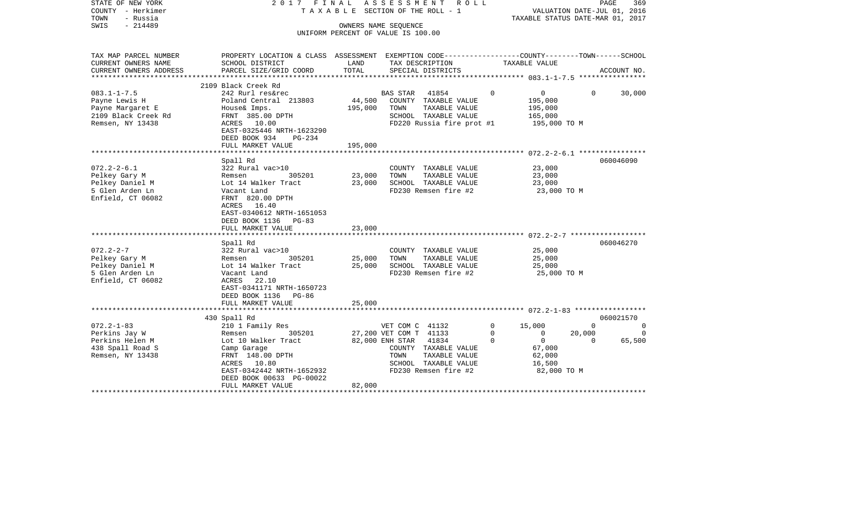| STATE OF NEW YORK<br>COUNTY - Herkimer<br>TOWN<br>- Russia<br>SWIS<br>$-214489$                                                                                                              | 2017 FINAL                                                                                                                                                                                                                                                                                                                                                                             |                                                          | ASSESSMENT ROLL<br>TAXABLE SECTION OF THE ROLL - 1<br>OWNERS NAME SEOUENCE<br>UNIFORM PERCENT OF VALUE IS 100.00                                                                               |                                     | PAGE<br>369<br>VALUATION DATE-JUL 01, 2016<br>TAXABLE STATUS DATE-MAR 01, 2017                                                                                 |
|----------------------------------------------------------------------------------------------------------------------------------------------------------------------------------------------|----------------------------------------------------------------------------------------------------------------------------------------------------------------------------------------------------------------------------------------------------------------------------------------------------------------------------------------------------------------------------------------|----------------------------------------------------------|------------------------------------------------------------------------------------------------------------------------------------------------------------------------------------------------|-------------------------------------|----------------------------------------------------------------------------------------------------------------------------------------------------------------|
| TAX MAP PARCEL NUMBER<br>CURRENT OWNERS NAME                                                                                                                                                 | SCHOOL DISTRICT                                                                                                                                                                                                                                                                                                                                                                        | LAND                                                     | TAX DESCRIPTION                                                                                                                                                                                | TAXABLE VALUE                       | PROPERTY LOCATION & CLASS ASSESSMENT EXEMPTION CODE----------------COUNTY-------TOWN------SCHOOL                                                               |
| CURRENT OWNERS ADDRESS                                                                                                                                                                       | PARCEL SIZE/GRID COORD                                                                                                                                                                                                                                                                                                                                                                 | TOTAL                                                    | SPECIAL DISTRICTS                                                                                                                                                                              |                                     | ACCOUNT NO.                                                                                                                                                    |
|                                                                                                                                                                                              | 2109 Black Creek Rd                                                                                                                                                                                                                                                                                                                                                                    |                                                          |                                                                                                                                                                                                |                                     |                                                                                                                                                                |
| $083.1 - 1 - 7.5$<br>Payne Lewis H<br>Payne Margaret E<br>2109 Black Creek Rd<br>Remsen, NY 13438                                                                                            | 242 Rurl res&rec<br>Poland Central 213803<br>House& Imps.<br>FRNT 385.00 DPTH<br>ACRES 10.00<br>EAST-0325446 NRTH-1623290<br>DEED BOOK 934<br>$PG-234$                                                                                                                                                                                                                                 | 44,500<br>195,000                                        | BAS STAR 41854<br>COUNTY TAXABLE VALUE<br>TOWN<br>TAXABLE VALUE<br>SCHOOL TAXABLE VALUE<br>FD220 Russia fire prot #1                                                                           | $\Omega$                            | 0<br>$\Omega$<br>30,000<br>195,000<br>195,000<br>165,000<br>195,000 TO M                                                                                       |
|                                                                                                                                                                                              | FULL MARKET VALUE                                                                                                                                                                                                                                                                                                                                                                      | 195,000                                                  |                                                                                                                                                                                                |                                     |                                                                                                                                                                |
| $072.2 - 2 - 6.1$<br>Pelkey Gary M<br>Pelkey Daniel M<br>5 Glen Arden Ln<br>Enfield, CT 06082<br>$072.2 - 2 - 7$<br>Pelkey Gary M<br>Pelkey Daniel M<br>5 Glen Arden Ln<br>Enfield, CT 06082 | Spall Rd<br>322 Rural vac>10<br>305201<br>Remsen<br>Lot 14 Walker Tract<br>Vacant Land<br>FRNT 820.00 DPTH<br>ACRES 16.40<br>EAST-0340612 NRTH-1651053<br>DEED BOOK 1136 PG-83<br>FULL MARKET VALUE<br>Spall Rd<br>322 Rural vac>10<br>Remsen<br>305201<br>Lot 14 Walker Tract<br>Vacant Land<br>ACRES 22.10<br>EAST-0341171 NRTH-1650723<br>DEED BOOK 1136 PG-86<br>FULL MARKET VALUE | 23,000<br>23,000<br>23,000<br>25,000<br>25,000<br>25,000 | COUNTY TAXABLE VALUE<br>TOWN<br>TAXABLE VALUE<br>SCHOOL TAXABLE VALUE<br>FD230 Remsen fire #2<br>COUNTY TAXABLE VALUE<br>TOWN<br>TAXABLE VALUE<br>SCHOOL TAXABLE VALUE<br>FD230 Remsen fire #2 |                                     | 060046090<br>23,000<br>23,000<br>23,000<br>23,000 TO M<br>060046270<br>25,000<br>25,000<br>25,000<br>25,000 TO M                                               |
|                                                                                                                                                                                              |                                                                                                                                                                                                                                                                                                                                                                                        |                                                          |                                                                                                                                                                                                |                                     |                                                                                                                                                                |
| $072.2 - 1 - 83$<br>Perkins Jay W<br>Perkins Helen M<br>438 Spall Road S<br>Remsen, NY 13438                                                                                                 | 430 Spall Rd<br>210 1 Family Res<br>305201<br>Remsen<br>Lot 10 Walker Tract<br>Camp Garage<br>FRNT 148.00 DPTH<br>ACRES 10.80<br>EAST-0342442 NRTH-1652932<br>DEED BOOK 00633 PG-00022<br>FULL MARKET VALUE<br>**********************                                                                                                                                                  | 82,000                                                   | VET COM C 41132<br>27,200 VET COM T 41133<br>82,000 ENH STAR 41834<br>COUNTY TAXABLE VALUE<br>TAXABLE VALUE<br>TOWN<br>SCHOOL TAXABLE VALUE<br>FD230 Remsen fire #2                            | 15,000<br>$\Omega$<br>0<br>$\Omega$ | 060021570<br>$\Omega$<br>$\Omega$<br>$\overline{0}$<br>20,000<br>$\Omega$<br>$\overline{0}$<br>65,500<br>$\Omega$<br>67,000<br>62,000<br>16,500<br>82,000 TO M |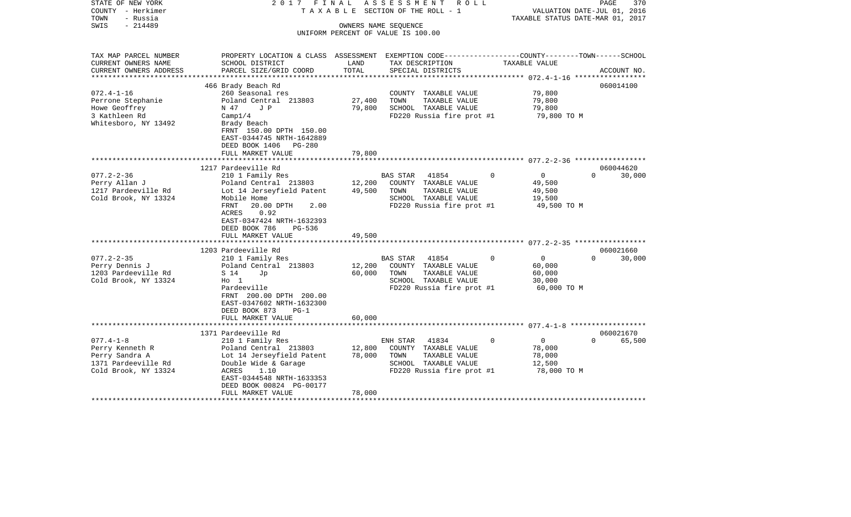| STATE OF NEW YORK<br>COUNTY - Herkimer<br>TOWN<br>- Russia | 2017                                                                                            | FINAL         | ASSESSMENT ROLL<br>T A X A B L E SECTION OF THE ROLL - 1   | TAXABLE STATUS DATE-MAR 01, 2017 | 370<br>PAGE<br>VALUATION DATE-JUL 01, 2016 |
|------------------------------------------------------------|-------------------------------------------------------------------------------------------------|---------------|------------------------------------------------------------|----------------------------------|--------------------------------------------|
| $-214489$<br>SWIS                                          |                                                                                                 |               | OWNERS NAME SEQUENCE<br>UNIFORM PERCENT OF VALUE IS 100.00 |                                  |                                            |
|                                                            |                                                                                                 |               |                                                            |                                  |                                            |
| TAX MAP PARCEL NUMBER                                      | PROPERTY LOCATION & CLASS ASSESSMENT EXEMPTION CODE---------------COUNTY-------TOWN------SCHOOL |               |                                                            |                                  |                                            |
| CURRENT OWNERS NAME                                        | SCHOOL DISTRICT                                                                                 | LAND<br>TOTAL | TAX DESCRIPTION                                            | TAXABLE VALUE                    |                                            |
| CURRENT OWNERS ADDRESS<br>**************                   | PARCEL SIZE/GRID COORD                                                                          |               | SPECIAL DISTRICTS                                          |                                  | ACCOUNT NO.                                |
|                                                            | 466 Brady Beach Rd                                                                              |               |                                                            |                                  | 060014100                                  |
| $072.4 - 1 - 16$                                           | 260 Seasonal res                                                                                |               | COUNTY TAXABLE VALUE                                       | 79,800                           |                                            |
| Perrone Stephanie                                          | Poland Central 213803                                                                           | 27,400        | TOWN<br>TAXABLE VALUE                                      | 79,800                           |                                            |
| Howe Geoffrey                                              | N 47<br>J P                                                                                     | 79,800        | SCHOOL TAXABLE VALUE                                       | 79,800                           |                                            |
| 3 Kathleen Rd                                              | Campl/4                                                                                         |               | FD220 Russia fire prot #1                                  | 79,800 TO M                      |                                            |
| Whitesboro, NY 13492                                       | Brady Beach<br>FRNT 150.00 DPTH 150.00                                                          |               |                                                            |                                  |                                            |
|                                                            | EAST-0344745 NRTH-1642889                                                                       |               |                                                            |                                  |                                            |
|                                                            | DEED BOOK 1406<br>PG-280                                                                        |               |                                                            |                                  |                                            |
|                                                            | FULL MARKET VALUE                                                                               | 79,800        |                                                            |                                  |                                            |
|                                                            |                                                                                                 |               |                                                            |                                  |                                            |
|                                                            | 1217 Pardeeville Rd                                                                             |               |                                                            | $\Omega$                         | 060044620<br>$\Omega$                      |
| $077.2 - 2 - 36$<br>Perry Allan J                          | 210 1 Family Res<br>Poland Central 213803                                                       | 12,200        | 41854<br>BAS STAR<br>COUNTY TAXABLE VALUE                  | 0<br>49,500                      | 30,000                                     |
| 1217 Pardeeville Rd                                        | Lot 14 Jerseyfield Patent                                                                       | 49,500        | TAXABLE VALUE<br>TOWN                                      | 49,500                           |                                            |
| Cold Brook, NY 13324                                       | Mobile Home                                                                                     |               | SCHOOL TAXABLE VALUE                                       | 19,500                           |                                            |
|                                                            | FRNT<br>20.00 DPTH<br>2.00                                                                      |               | FD220 Russia fire prot #1                                  | 49,500 TO M                      |                                            |
|                                                            | 0.92<br>ACRES                                                                                   |               |                                                            |                                  |                                            |
|                                                            | EAST-0347424 NRTH-1632393                                                                       |               |                                                            |                                  |                                            |
|                                                            | DEED BOOK 786<br>PG-536                                                                         |               |                                                            |                                  |                                            |
|                                                            | FULL MARKET VALUE<br>****************************                                               | 49,500        |                                                            |                                  |                                            |
|                                                            | 1203 Pardeeville Rd                                                                             |               |                                                            |                                  | 060021660                                  |
| $077.2 - 2 - 35$                                           | 210 1 Family Res                                                                                |               | 41854<br>BAS STAR                                          | 0<br>0                           | $\Omega$<br>30,000                         |
| Perry Dennis J                                             | Poland Central 213803                                                                           | 12,200        | COUNTY TAXABLE VALUE                                       | 60,000                           |                                            |
| 1203 Pardeeville Rd                                        | S 14<br>Jp                                                                                      | 60,000        | TOWN<br>TAXABLE VALUE                                      | 60,000                           |                                            |
| Cold Brook, NY 13324                                       | $H_0$ 1                                                                                         |               | SCHOOL TAXABLE VALUE                                       | 30,000                           |                                            |
|                                                            | Pardeeville                                                                                     |               | FD220 Russia fire prot #1                                  | 60,000 TO M                      |                                            |
|                                                            | FRNT 200.00 DPTH 200.00                                                                         |               |                                                            |                                  |                                            |
|                                                            | EAST-0347602 NRTH-1632300<br>DEED BOOK 873<br>$PG-1$                                            |               |                                                            |                                  |                                            |
|                                                            | FULL MARKET VALUE                                                                               | 60,000        |                                                            |                                  |                                            |
|                                                            |                                                                                                 |               |                                                            |                                  |                                            |
|                                                            | 1371 Pardeeville Rd                                                                             |               |                                                            |                                  | 060021670                                  |
| $077.4 - 1 - 8$                                            | 210 1 Family Res                                                                                |               | ENH STAR<br>41834                                          | $\overline{0}$<br>0              | $\Omega$<br>65,500                         |
| Perry Kenneth R                                            | Poland Central 213803                                                                           | 12,800        | COUNTY TAXABLE VALUE                                       | 78,000                           |                                            |
| Perry Sandra A                                             | Lot 14 Jerseyfield Patent                                                                       | 78,000        | TAXABLE VALUE<br>TOWN                                      | 78,000                           |                                            |
| 1371 Pardeeville Rd<br>Cold Brook, NY 13324                | Double Wide & Garage<br>ACRES<br>1.10                                                           |               | SCHOOL TAXABLE VALUE<br>FD220 Russia fire prot #1          | 12,500<br>78,000 TO M            |                                            |
|                                                            | EAST-0344548 NRTH-1633353                                                                       |               |                                                            |                                  |                                            |
|                                                            | DEED BOOK 00824 PG-00177                                                                        |               |                                                            |                                  |                                            |
|                                                            | FULL MARKET VALUE                                                                               | 78,000        |                                                            |                                  |                                            |
|                                                            |                                                                                                 |               |                                                            |                                  |                                            |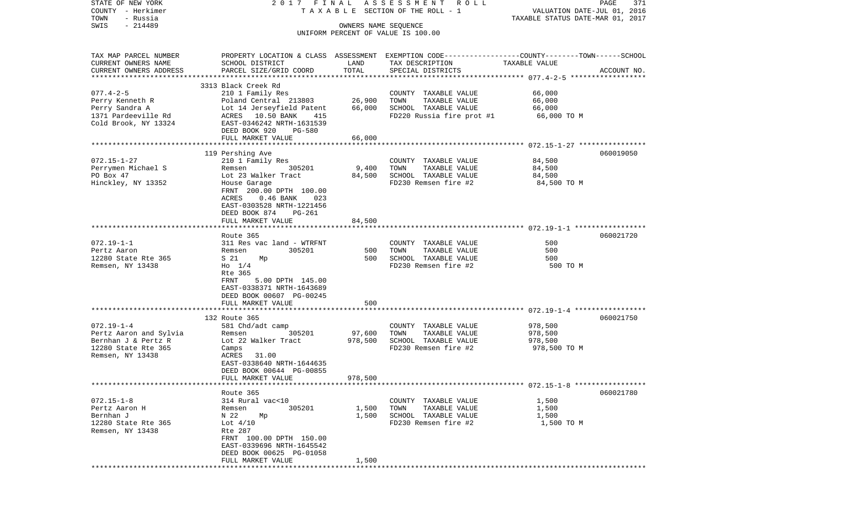| STATE OF NEW YORK<br>COUNTY - Herkimer<br>- Russia<br>TOWN                                                   |                                                                                                                                                                                                                   |                            | 2017 FINAL ASSESSMENT ROLL<br>T A X A B L E SECTION OF THE ROLL - 1                                | VALUATION DATE-JUL 01, 2016<br>TAXABLE STATUS DATE-MAR 01, 2017 | PAGE<br>371 |
|--------------------------------------------------------------------------------------------------------------|-------------------------------------------------------------------------------------------------------------------------------------------------------------------------------------------------------------------|----------------------------|----------------------------------------------------------------------------------------------------|-----------------------------------------------------------------|-------------|
| $-214489$<br>SWIS                                                                                            |                                                                                                                                                                                                                   | OWNERS NAME SEQUENCE       | UNIFORM PERCENT OF VALUE IS 100.00                                                                 |                                                                 |             |
| TAX MAP PARCEL NUMBER<br>CURRENT OWNERS NAME<br>CURRENT OWNERS ADDRESS                                       | PROPERTY LOCATION & CLASS ASSESSMENT EXEMPTION CODE---------------COUNTY-------TOWN------SCHOOL<br>SCHOOL DISTRICT<br>PARCEL SIZE/GRID COORD                                                                      | LAND<br>TOTAL              | TAX DESCRIPTION<br>SPECIAL DISTRICTS                                                               | TAXABLE VALUE                                                   | ACCOUNT NO. |
|                                                                                                              | 3313 Black Creek Rd                                                                                                                                                                                               |                            |                                                                                                    |                                                                 |             |
| $077.4 - 2 - 5$<br>Perry Kenneth R<br>Perry Sandra A<br>1371 Pardeeville Rd<br>Cold Brook, NY 13324          | 210 1 Family Res<br>Poland Central 213803<br>Lot 14 Jerseyfield Patent<br>ACRES 10.50 BANK<br>415<br>EAST-0346242 NRTH-1631539<br>DEED BOOK 920<br>PG-580<br>FULL MARKET VALUE                                    | 26,900<br>66,000<br>66,000 | COUNTY TAXABLE VALUE<br>TAXABLE VALUE<br>TOWN<br>SCHOOL TAXABLE VALUE<br>FD220 Russia fire prot #1 | 66,000<br>66,000<br>66,000<br>66,000 TO M                       |             |
|                                                                                                              |                                                                                                                                                                                                                   |                            |                                                                                                    |                                                                 |             |
| $072.15 - 1 - 27$<br>Perrymen Michael S<br>PO Box 47<br>Hinckley, NY 13352                                   | 119 Pershing Ave<br>210 1 Family Res<br>Remsen<br>305201<br>Lot 23 Walker Tract<br>House Garage<br>FRNT 200.00 DPTH 100.00<br>ACRES<br>$0.46$ BANK<br>023<br>EAST-0303528 NRTH-1221456<br>DEED BOOK 874<br>PG-261 | 9,400<br>84,500            | COUNTY TAXABLE VALUE<br>TAXABLE VALUE<br>TOWN<br>SCHOOL TAXABLE VALUE<br>FD230 Remsen fire #2      | 84,500<br>84,500<br>84,500<br>84,500 TO M                       | 060019050   |
|                                                                                                              | FULL MARKET VALUE                                                                                                                                                                                                 | 84,500                     |                                                                                                    |                                                                 |             |
|                                                                                                              |                                                                                                                                                                                                                   |                            |                                                                                                    |                                                                 |             |
| $072.19 - 1 - 1$<br>Pertz Aaron<br>12280 State Rte 365<br>Remsen, NY 13438                                   | Route 365<br>311 Res vac land - WTRFNT<br>305201<br>Remsen<br>S 21<br>Mp<br>$H_0$ 1/4<br>Rte 365<br>FRNT<br>5.00 DPTH 145.00<br>EAST-0338371 NRTH-1643689<br>DEED BOOK 00607 PG-00245<br>FULL MARKET VALUE        | 500<br>500<br>500          | COUNTY TAXABLE VALUE<br>TAXABLE VALUE<br>TOWN<br>SCHOOL TAXABLE VALUE<br>FD230 Remsen fire #2      | 500<br>500<br>500<br>500 TO M                                   | 060021720   |
|                                                                                                              | ******************************                                                                                                                                                                                    | * * * * * * * * * * * * *  |                                                                                                    |                                                                 |             |
| $072.19 - 1 - 4$<br>Pertz Aaron and Sylvia<br>Bernhan J & Pertz R<br>12280 State Rte 365<br>Remsen, NY 13438 | 132 Route 365<br>581 Chd/adt camp<br>305201<br>Remsen<br>Lot 22 Walker Tract<br>Camps<br>ACRES 31.00<br>EAST-0338640 NRTH-1644635<br>DEED BOOK 00644 PG-00855                                                     | 97,600<br>978,500          | COUNTY TAXABLE VALUE<br>TOWN<br>TAXABLE VALUE<br>SCHOOL TAXABLE VALUE<br>FD230 Remsen fire #2      | 978,500<br>978,500<br>978,500<br>978,500 TO M                   | 060021750   |
|                                                                                                              | FULL MARKET VALUE                                                                                                                                                                                                 | 978,500                    |                                                                                                    |                                                                 |             |
| $072.15 - 1 - 8$                                                                                             | Route 365<br>314 Rural vac<10                                                                                                                                                                                     |                            | COUNTY TAXABLE VALUE                                                                               | 1,500                                                           | 060021780   |
| Pertz Aaron H<br>Bernhan J<br>12280 State Rte 365<br>Remsen, NY 13438                                        | 305201<br>Remsen<br>N 22<br>Мp<br>Lot $4/10$<br>Rte 287<br>FRNT 100.00 DPTH 150.00<br>EAST-0339696 NRTH-1645542<br>DEED BOOK 00625 PG-01058<br>FULL MARKET VALUE                                                  | 1,500<br>1,500<br>1,500    | TOWN TAXABLE VALUE<br>SCHOOL TAXABLE VALUE<br>FD230 Remsen fire #2                                 | 1,500<br>1,500<br>1,500 TO M                                    |             |
|                                                                                                              |                                                                                                                                                                                                                   |                            |                                                                                                    |                                                                 |             |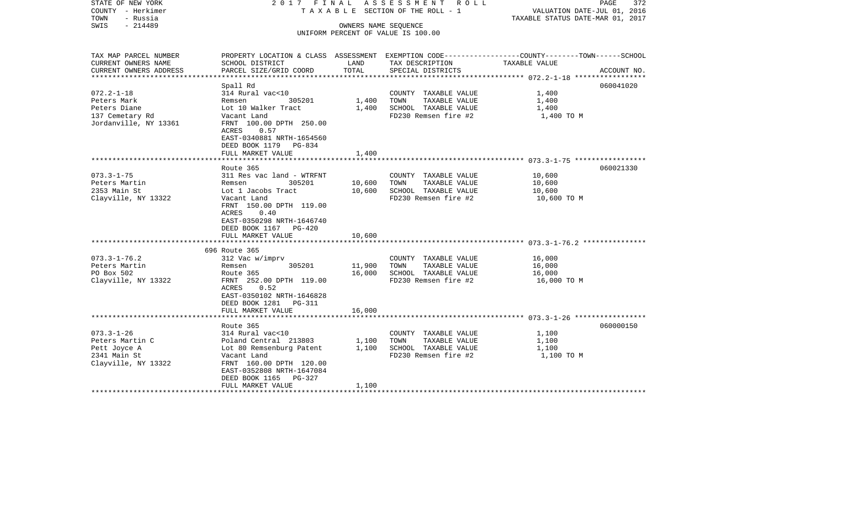| STATE OF NEW YORK<br>COUNTY - Herkimer<br>TOWN<br>- Russia<br>$-214489$<br>SWIS |                                                                                                  |               | 2017 FINAL ASSESSMENT ROLL<br>TAXABLE SECTION OF THE ROLL - 1<br>OWNERS NAME SEOUENCE<br>UNIFORM PERCENT OF VALUE IS 100.00 | PAGE<br>372<br>VALUATION DATE-JUL 01, 2016<br>TAXABLE STATUS DATE-MAR 01, 2017                  |
|---------------------------------------------------------------------------------|--------------------------------------------------------------------------------------------------|---------------|-----------------------------------------------------------------------------------------------------------------------------|-------------------------------------------------------------------------------------------------|
| TAX MAP PARCEL NUMBER                                                           |                                                                                                  |               |                                                                                                                             | PROPERTY LOCATION & CLASS ASSESSMENT EXEMPTION CODE---------------COUNTY-------TOWN------SCHOOL |
| CURRENT OWNERS NAME<br>CURRENT OWNERS ADDRESS                                   | SCHOOL DISTRICT<br>PARCEL SIZE/GRID COORD                                                        | LAND<br>TOTAL | TAX DESCRIPTION<br>SPECIAL DISTRICTS                                                                                        | TAXABLE VALUE<br>ACCOUNT NO.                                                                    |
|                                                                                 |                                                                                                  |               |                                                                                                                             |                                                                                                 |
|                                                                                 | Spall Rd                                                                                         |               |                                                                                                                             | 060041020                                                                                       |
| $072.2 - 1 - 18$                                                                | 314 Rural vac<10                                                                                 |               | COUNTY TAXABLE VALUE                                                                                                        | 1,400                                                                                           |
| Peters Mark                                                                     | Remsen 305201                                                                                    | 1,400         | TAXABLE VALUE<br>TOWN                                                                                                       | 1,400                                                                                           |
| Peters Diane                                                                    | Lot 10 Walker Tract                                                                              | 1,400         | SCHOOL TAXABLE VALUE                                                                                                        | 1,400                                                                                           |
| 137 Cemetary Rd<br>Jordanville, NY 13361                                        | Vacant Land<br>FRNT 100.00 DPTH 250.00<br>ACRES 0.57                                             |               | FD230 Remsen fire #2                                                                                                        | 1,400 TO M                                                                                      |
|                                                                                 | EAST-0340881 NRTH-1654560<br>DEED BOOK 1179 PG-834                                               |               |                                                                                                                             |                                                                                                 |
|                                                                                 | FULL MARKET VALUE                                                                                | 1,400         |                                                                                                                             |                                                                                                 |
|                                                                                 |                                                                                                  |               |                                                                                                                             |                                                                                                 |
| $073.3 - 1 - 75$                                                                | Route 365<br>311 Res vac land - WTRFNT                                                           |               | COUNTY TAXABLE VALUE                                                                                                        | 060021330<br>10,600                                                                             |
| Peters Martin                                                                   | 305201<br>Remsen                                                                                 | 10,600        | TAXABLE VALUE<br>TOWN                                                                                                       | 10,600                                                                                          |
| 2353 Main St                                                                    | Lot 1 Jacobs Tract                                                                               | 10,600        | SCHOOL TAXABLE VALUE                                                                                                        | 10,600                                                                                          |
| Clayville, NY 13322                                                             | Vacant Land                                                                                      |               | FD230 Remsen fire #2                                                                                                        | 10,600 TO M                                                                                     |
|                                                                                 | FRNT 150.00 DPTH 119.00<br>0.40<br>ACRES<br>EAST-0350298 NRTH-1646740<br>DEED BOOK 1167 PG-420   |               |                                                                                                                             |                                                                                                 |
|                                                                                 | FULL MARKET VALUE                                                                                | 10,600        |                                                                                                                             |                                                                                                 |
|                                                                                 | 696 Route 365                                                                                    |               |                                                                                                                             |                                                                                                 |
| $073.3 - 1 - 76.2$                                                              | 312 Vac w/imprv                                                                                  |               | COUNTY TAXABLE VALUE                                                                                                        | 16,000                                                                                          |
| Peters Martin                                                                   | 305201<br>Remsen                                                                                 | 11,900        | TOWN TAXABLE VALUE                                                                                                          | 16,000                                                                                          |
| PO Box 502                                                                      | Route 365                                                                                        | 16,000        | SCHOOL TAXABLE VALUE                                                                                                        | 16,000                                                                                          |
| Clayville, NY 13322                                                             | FRNT 252.00 DPTH 119.00<br>0.52<br>ACRES<br>EAST-0350102 NRTH-1646828<br>DEED BOOK 1281   PG-311 |               | FD230 Remsen fire #2                                                                                                        | 16,000 TO M                                                                                     |
|                                                                                 | FULL MARKET VALUE                                                                                | 16,000        |                                                                                                                             |                                                                                                 |
|                                                                                 |                                                                                                  |               |                                                                                                                             |                                                                                                 |
|                                                                                 | Route 365                                                                                        |               |                                                                                                                             | 060000150                                                                                       |
| $073.3 - 1 - 26$<br>Peters Martin C                                             | 314 Rural vac<10                                                                                 |               | COUNTY TAXABLE VALUE<br>TOWN                                                                                                | 1,100                                                                                           |
| Pett Joyce A                                                                    | Poland Central 213803 1,100<br>Lot 80 Remsenburg Patent                                          | 1,100         | TAXABLE VALUE<br>SCHOOL TAXABLE VALUE                                                                                       | 1,100<br>1,100                                                                                  |
| 2341 Main St<br>Clayville, NY 13322                                             | Vacant Land<br>FRNT 160.00 DPTH 120.00<br>EAST-0352808 NRTH-1647084<br>DEED BOOK 1165 PG-327     |               | FD230 Remsen fire #2                                                                                                        | 1,100 TO M                                                                                      |
|                                                                                 | FULL MARKET VALUE                                                                                | 1,100         |                                                                                                                             |                                                                                                 |
|                                                                                 |                                                                                                  |               |                                                                                                                             |                                                                                                 |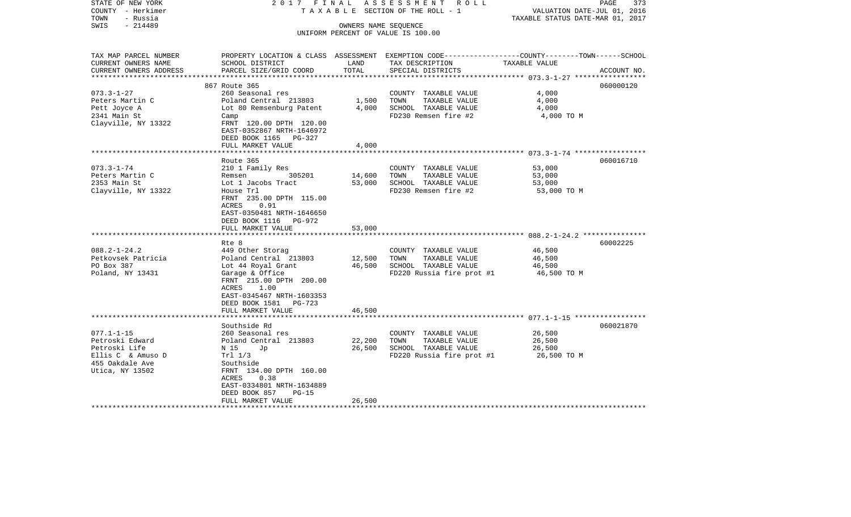| STATE OF NEW YORK<br>COUNTY - Herkimer<br>TOWN<br>- Russia<br>$-214489$<br>SWIS                                                                          | 2017 FINAL                                                                                                                                                                                                                                                                                    | OWNERS NAME SEQUENCE                           | ASSESSMENT ROLL<br>TAXABLE SECTION OF THE ROLL - 1<br>UNIFORM PERCENT OF VALUE IS 100.00                                                                                                            | VALUATION DATE-JUL 01, 2016<br>TAXABLE STATUS DATE-MAR 01, 2017                        | PAGE<br>373 |
|----------------------------------------------------------------------------------------------------------------------------------------------------------|-----------------------------------------------------------------------------------------------------------------------------------------------------------------------------------------------------------------------------------------------------------------------------------------------|------------------------------------------------|-----------------------------------------------------------------------------------------------------------------------------------------------------------------------------------------------------|----------------------------------------------------------------------------------------|-------------|
| TAX MAP PARCEL NUMBER<br>CURRENT OWNERS NAME                                                                                                             | SCHOOL DISTRICT                                                                                                                                                                                                                                                                               | LAND                                           | PROPERTY LOCATION & CLASS ASSESSMENT EXEMPTION CODE---------------COUNTY-------TOWN------SCHOOL<br>TAX DESCRIPTION                                                                                  | TAXABLE VALUE                                                                          |             |
| CURRENT OWNERS ADDRESS<br>***********************                                                                                                        | PARCEL SIZE/GRID COORD                                                                                                                                                                                                                                                                        | TOTAL                                          | SPECIAL DISTRICTS                                                                                                                                                                                   |                                                                                        | ACCOUNT NO. |
|                                                                                                                                                          | 867 Route 365                                                                                                                                                                                                                                                                                 |                                                |                                                                                                                                                                                                     |                                                                                        | 060000120   |
| $073.3 - 1 - 27$<br>Peters Martin C<br>Pett Joyce A<br>2341 Main St<br>Clayville, NY 13322                                                               | 260 Seasonal res<br>Poland Central 213803<br>Lot 80 Remsenburg Patent<br>Camp<br>FRNT 120.00 DPTH 120.00<br>EAST-0352867 NRTH-1646972<br>DEED BOOK 1165 PG-327                                                                                                                                | 1,500<br>4,000                                 | COUNTY TAXABLE VALUE<br>TOWN<br>TAXABLE VALUE<br>SCHOOL TAXABLE VALUE<br>FD230 Remsen fire #2                                                                                                       | 4,000<br>4,000<br>4,000<br>4,000 TO M                                                  |             |
|                                                                                                                                                          | FULL MARKET VALUE                                                                                                                                                                                                                                                                             | 4,000                                          |                                                                                                                                                                                                     |                                                                                        |             |
|                                                                                                                                                          | Route 365                                                                                                                                                                                                                                                                                     |                                                |                                                                                                                                                                                                     |                                                                                        | 060016710   |
| $073.3 - 1 - 74$<br>Peters Martin C<br>2353 Main St<br>Clayville, NY 13322<br>$088.2 - 1 - 24.2$<br>Petkovsek Patricia<br>PO Box 387<br>Poland, NY 13431 | 210 1 Family Res<br>305201<br>Remsen<br>Lot 1 Jacobs Tract<br>House Trl<br>FRNT 235.00 DPTH 115.00<br>0.91<br>ACRES<br>EAST-0350481 NRTH-1646650<br>DEED BOOK 1116 PG-972<br>FULL MARKET VALUE<br>Rte 8<br>449 Other Storag<br>Poland Central 213803<br>Lot 44 Royal Grant<br>Garage & Office | 14,600<br>53,000<br>53,000<br>12,500<br>46,500 | COUNTY TAXABLE VALUE<br>TOWN<br>TAXABLE VALUE<br>SCHOOL TAXABLE VALUE<br>FD230 Remsen fire #2<br>COUNTY TAXABLE VALUE<br>TOWN<br>TAXABLE VALUE<br>SCHOOL TAXABLE VALUE<br>FD220 Russia fire prot #1 | 53,000<br>53,000<br>53,000<br>53,000 TO M<br>46,500<br>46,500<br>46,500<br>46,500 TO M | 60002225    |
|                                                                                                                                                          | FRNT 215.00 DPTH 200.00<br>1.00<br>ACRES<br>EAST-0345467 NRTH-1603353<br>DEED BOOK 1581 PG-723<br>FULL MARKET VALUE<br>Southside Rd                                                                                                                                                           | 46,500                                         |                                                                                                                                                                                                     |                                                                                        | 060021870   |
| $077.1 - 1 - 15$<br>Petroski Edward<br>Petroski Life<br>Ellis C & Amuso D<br>455 Oakdale Ave<br>Utica, NY 13502                                          | 260 Seasonal res<br>Poland Central 213803<br>N 15<br>Jp<br>Tr1 1/3<br>Southside<br>FRNT 134.00 DPTH 160.00<br>0.38<br>ACRES<br>EAST-0334801 NRTH-1634889<br>DEED BOOK 857<br>$PG-15$<br>FULL MARKET VALUE                                                                                     | 22,200<br>26,500<br>26,500                     | COUNTY TAXABLE VALUE<br>TOWN<br>TAXABLE VALUE<br>SCHOOL TAXABLE VALUE<br>FD220 Russia fire prot #1                                                                                                  | 26,500<br>26,500<br>26,500<br>26,500 TO M                                              |             |
| ******************                                                                                                                                       |                                                                                                                                                                                                                                                                                               |                                                |                                                                                                                                                                                                     |                                                                                        |             |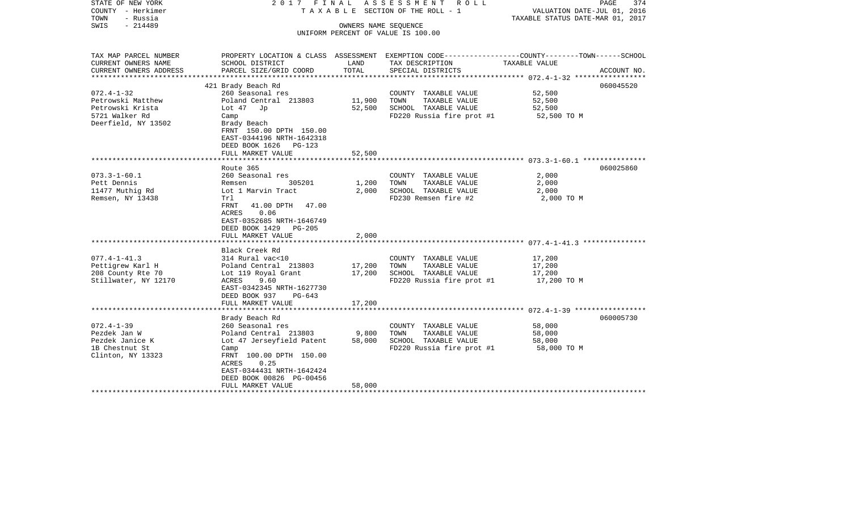| STATE OF NEW YORK<br>COUNTY - Herkimer<br>TOWN<br>- Russia | 2017 FINAL                                |        | ASSESSMENT ROLL<br>T A X A B L E SECTION OF THE ROLL - 1 | PAGE<br>VALUATION DATE-JUL 01, 2016<br>TAXABLE STATUS DATE-MAR 01, 2017                          | 374 |
|------------------------------------------------------------|-------------------------------------------|--------|----------------------------------------------------------|--------------------------------------------------------------------------------------------------|-----|
| $-214489$<br>SWIS                                          |                                           |        | OWNERS NAME SEOUENCE                                     |                                                                                                  |     |
|                                                            |                                           |        | UNIFORM PERCENT OF VALUE IS 100.00                       |                                                                                                  |     |
|                                                            |                                           |        |                                                          |                                                                                                  |     |
| TAX MAP PARCEL NUMBER                                      |                                           |        |                                                          | PROPERTY LOCATION & CLASS ASSESSMENT EXEMPTION CODE----------------COUNTY-------TOWN------SCHOOL |     |
| CURRENT OWNERS NAME                                        | SCHOOL DISTRICT                           | LAND   | TAX DESCRIPTION                                          | TAXABLE VALUE                                                                                    |     |
| CURRENT OWNERS ADDRESS                                     | PARCEL SIZE/GRID COORD                    | TOTAL  | SPECIAL DISTRICTS                                        | ACCOUNT NO.                                                                                      |     |
|                                                            | 421 Brady Beach Rd                        |        |                                                          | 060045520                                                                                        |     |
| $072.4 - 1 - 32$                                           | 260 Seasonal res                          |        | COUNTY TAXABLE VALUE                                     | 52,500                                                                                           |     |
| Petrowski Matthew                                          | Poland Central 213803                     | 11,900 | TAXABLE VALUE<br>TOWN                                    | 52,500                                                                                           |     |
| Petrowski Krista                                           | Lot $47$ Jp                               | 52,500 | SCHOOL TAXABLE VALUE                                     | 52,500                                                                                           |     |
| 5721 Walker Rd                                             | Camp                                      |        | FD220 Russia fire prot #1                                | 52,500 TO M                                                                                      |     |
| Deerfield, NY 13502                                        | Brady Beach                               |        |                                                          |                                                                                                  |     |
|                                                            | FRNT 150.00 DPTH 150.00                   |        |                                                          |                                                                                                  |     |
|                                                            | EAST-0344196 NRTH-1642318                 |        |                                                          |                                                                                                  |     |
|                                                            | DEED BOOK 1626<br>PG-123                  |        |                                                          |                                                                                                  |     |
|                                                            | FULL MARKET VALUE                         | 52,500 |                                                          |                                                                                                  |     |
|                                                            | Route 365                                 |        |                                                          | 060025860                                                                                        |     |
| $073.3 - 1 - 60.1$                                         | 260 Seasonal res                          |        | COUNTY TAXABLE VALUE                                     | 2,000                                                                                            |     |
| Pett Dennis                                                | 305201<br>Remsen                          | 1,200  | TAXABLE VALUE<br>TOWN                                    | 2,000                                                                                            |     |
| 11477 Muthig Rd                                            | Lot 1 Marvin Tract                        | 2,000  | SCHOOL TAXABLE VALUE                                     | 2,000                                                                                            |     |
| Remsen, NY 13438                                           | Trl                                       |        | FD230 Remsen fire #2                                     | 2,000 TO M                                                                                       |     |
|                                                            | FRNT<br>41.00 DPTH 47.00                  |        |                                                          |                                                                                                  |     |
|                                                            | ACRES<br>0.06                             |        |                                                          |                                                                                                  |     |
|                                                            | EAST-0352685 NRTH-1646749                 |        |                                                          |                                                                                                  |     |
|                                                            | DEED BOOK 1429<br>PG-205                  |        |                                                          |                                                                                                  |     |
|                                                            | FULL MARKET VALUE                         | 2,000  |                                                          |                                                                                                  |     |
|                                                            |                                           |        |                                                          |                                                                                                  |     |
| $077.4 - 1 - 41.3$                                         | Black Creek Rd                            |        |                                                          |                                                                                                  |     |
| Pettigrew Karl H                                           | 314 Rural vac<10<br>Poland Central 213803 | 17,200 | COUNTY TAXABLE VALUE<br>TOWN<br>TAXABLE VALUE            | 17,200<br>17,200                                                                                 |     |
| 208 County Rte 70                                          | Lot 119 Royal Grant                       | 17,200 | SCHOOL TAXABLE VALUE                                     | 17,200                                                                                           |     |
| Stillwater, NY 12170                                       | ACRES<br>9.60                             |        | FD220 Russia fire prot #1                                | 17,200 TO M                                                                                      |     |
|                                                            | EAST-0342345 NRTH-1627730                 |        |                                                          |                                                                                                  |     |
|                                                            | DEED BOOK 937<br>PG-643                   |        |                                                          |                                                                                                  |     |
|                                                            | FULL MARKET VALUE                         | 17,200 |                                                          |                                                                                                  |     |
|                                                            |                                           |        |                                                          |                                                                                                  |     |
|                                                            | Brady Beach Rd                            |        |                                                          | 060005730                                                                                        |     |
| $072.4 - 1 - 39$                                           | 260 Seasonal res                          |        | COUNTY TAXABLE VALUE                                     | 58,000                                                                                           |     |
| Pezdek Jan W                                               | Poland Central 213803                     | 9,800  | TAXABLE VALUE<br>TOWN                                    | 58,000                                                                                           |     |
| Pezdek Janice K                                            | Lot 47 Jerseyfield Patent                 | 58,000 | SCHOOL TAXABLE VALUE                                     | 58,000                                                                                           |     |
| 1B Chestnut St<br>Clinton, NY 13323                        | Camp<br>FRNT 100.00 DPTH 150.00           |        | FD220 Russia fire prot #1                                | 58,000 TO M                                                                                      |     |
|                                                            | 0.25<br>ACRES                             |        |                                                          |                                                                                                  |     |
|                                                            | EAST-0344431 NRTH-1642424                 |        |                                                          |                                                                                                  |     |
|                                                            | DEED BOOK 00826 PG-00456                  |        |                                                          |                                                                                                  |     |
|                                                            | FULL MARKET VALUE                         | 58,000 |                                                          |                                                                                                  |     |
|                                                            |                                           |        |                                                          |                                                                                                  |     |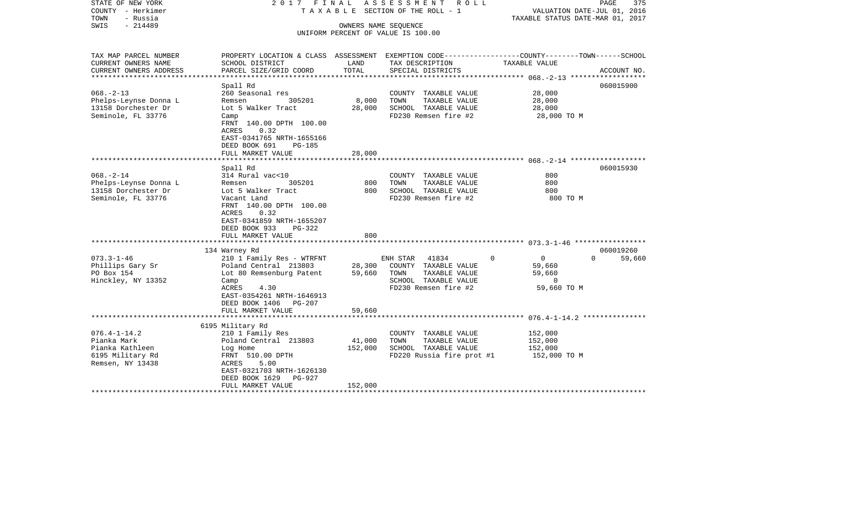| STATE OF NEW YORK<br>COUNTY - Herkimer<br>TOWN<br>- Russia | 2017 FINAL                                                                                                         |         | ASSESSMENT ROLL<br>TAXABLE SECTION OF THE ROLL - 1         | TAXABLE STATUS DATE-MAR 01, 2017     | PAGE<br>375<br>VALUATION DATE-JUL 01, 2016 |
|------------------------------------------------------------|--------------------------------------------------------------------------------------------------------------------|---------|------------------------------------------------------------|--------------------------------------|--------------------------------------------|
| SWIS<br>$-214489$                                          |                                                                                                                    |         | OWNERS NAME SEOUENCE<br>UNIFORM PERCENT OF VALUE IS 100.00 |                                      |                                            |
|                                                            |                                                                                                                    |         |                                                            |                                      |                                            |
| TAX MAP PARCEL NUMBER<br>CURRENT OWNERS NAME               | PROPERTY LOCATION & CLASS ASSESSMENT EXEMPTION CODE---------------COUNTY-------TOWN------SCHOOL<br>SCHOOL DISTRICT | LAND    | TAX DESCRIPTION                                            | TAXABLE VALUE                        |                                            |
| CURRENT OWNERS ADDRESS                                     | PARCEL SIZE/GRID COORD                                                                                             | TOTAL   | SPECIAL DISTRICTS                                          |                                      | ACCOUNT NO.                                |
|                                                            | Spall Rd                                                                                                           |         |                                                            |                                      | 060015900                                  |
| $068. - 2 - 13$                                            | 260 Seasonal res                                                                                                   |         | COUNTY TAXABLE VALUE                                       | 28,000                               |                                            |
| Phelps-Leynse Donna L                                      | Remsen<br>305201                                                                                                   | 8,000   | TAXABLE VALUE<br>TOWN                                      | 28,000                               |                                            |
| 13158 Dorchester Dr                                        | Lot 5 Walker Tract                                                                                                 | 28,000  | SCHOOL TAXABLE VALUE                                       | 28,000                               |                                            |
| Seminole, FL 33776                                         | Camp<br>FRNT 140.00 DPTH 100.00<br>ACRES<br>0.32                                                                   |         | FD230 Remsen fire #2                                       | 28,000 TO M                          |                                            |
|                                                            | EAST-0341765 NRTH-1655166<br>DEED BOOK 691<br><b>PG-185</b>                                                        |         |                                                            |                                      |                                            |
|                                                            | FULL MARKET VALUE                                                                                                  | 28,000  |                                                            |                                      |                                            |
|                                                            | Spall Rd                                                                                                           |         |                                                            |                                      | 060015930                                  |
| $068. - 2 - 14$                                            | 314 Rural vac<10                                                                                                   |         | COUNTY TAXABLE VALUE                                       | 800                                  |                                            |
| Phelps-Leynse Donna L                                      | 305201<br>Remsen                                                                                                   | 800     | TAXABLE VALUE<br>TOWN                                      | 800                                  |                                            |
| 13158 Dorchester Dr                                        | Lot 5 Walker Tract                                                                                                 | 800     | SCHOOL TAXABLE VALUE                                       | 800                                  |                                            |
| Seminole, FL 33776                                         | Vacant Land                                                                                                        |         | FD230 Remsen fire #2                                       | 800 TO M                             |                                            |
|                                                            | FRNT 140.00 DPTH 100.00<br>ACRES<br>0.32<br>EAST-0341859 NRTH-1655207                                              |         |                                                            |                                      |                                            |
|                                                            | DEED BOOK 933<br>$PG-322$                                                                                          |         |                                                            |                                      |                                            |
|                                                            | FULL MARKET VALUE                                                                                                  | 800     |                                                            |                                      |                                            |
|                                                            |                                                                                                                    |         |                                                            |                                      |                                            |
|                                                            | 134 Warney Rd                                                                                                      |         |                                                            |                                      | 060019260                                  |
| $073.3 - 1 - 46$<br>Phillips Gary Sr                       | 210 1 Family Res - WTRFNT<br>Poland Central 213803                                                                 | 28,300  | ENH STAR 41834<br>COUNTY TAXABLE VALUE                     | $\Omega$<br>$\overline{0}$<br>59,660 | 59,660<br>$\Omega$                         |
| PO Box 154                                                 | Lot 80 Remsenburg Patent                                                                                           | 59,660  | TAXABLE VALUE<br>TOWN                                      | 59,660                               |                                            |
| Hinckley, NY 13352                                         | Camp                                                                                                               |         | SCHOOL TAXABLE VALUE                                       | $\Omega$                             |                                            |
|                                                            | ACRES<br>4.30                                                                                                      |         | FD230 Remsen fire #2                                       | 59,660 TO M                          |                                            |
|                                                            | EAST-0354261 NRTH-1646913                                                                                          |         |                                                            |                                      |                                            |
|                                                            | DEED BOOK 1406 PG-207                                                                                              |         |                                                            |                                      |                                            |
|                                                            | FULL MARKET VALUE                                                                                                  | 59,660  |                                                            |                                      |                                            |
|                                                            |                                                                                                                    |         |                                                            |                                      |                                            |
|                                                            | 6195 Military Rd                                                                                                   |         |                                                            |                                      |                                            |
| $076.4 - 1 - 14.2$<br>Pianka Mark                          | 210 1 Family Res                                                                                                   | 41,000  | COUNTY TAXABLE VALUE<br>TOWN<br>TAXABLE VALUE              | 152,000<br>152,000                   |                                            |
| Pianka Kathleen                                            | Poland Central 213803<br>Log Home                                                                                  | 152,000 | SCHOOL TAXABLE VALUE                                       | 152,000                              |                                            |
| 6195 Military Rd                                           | FRNT 510.00 DPTH                                                                                                   |         | FD220 Russia fire prot #1                                  | 152,000 TO M                         |                                            |
| Remsen, NY 13438                                           | 5.00<br>ACRES                                                                                                      |         |                                                            |                                      |                                            |
|                                                            | EAST-0321703 NRTH-1626130                                                                                          |         |                                                            |                                      |                                            |
|                                                            | DEED BOOK 1629<br>PG-927                                                                                           |         |                                                            |                                      |                                            |
|                                                            | FULL MARKET VALUE                                                                                                  | 152,000 |                                                            |                                      |                                            |
|                                                            |                                                                                                                    |         |                                                            |                                      |                                            |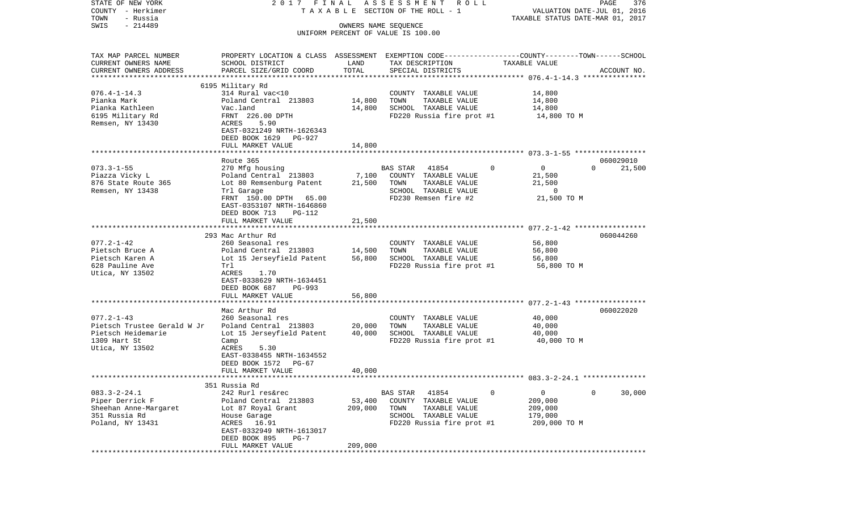| STATE OF NEW YORK<br>COUNTY - Herkimer |                                                                                                 |                      | 2017 FINAL ASSESSMENT ROLL<br>TAXABLE SECTION OF THE ROLL - 1 |                               | PAGE<br>376<br>VALUATION DATE-JUL 01, 2016 |
|----------------------------------------|-------------------------------------------------------------------------------------------------|----------------------|---------------------------------------------------------------|-------------------------------|--------------------------------------------|
| TOWN<br>- Russia                       |                                                                                                 |                      |                                                               |                               | TAXABLE STATUS DATE-MAR 01, 2017           |
| $-214489$<br>SWIS                      |                                                                                                 | OWNERS NAME SEQUENCE |                                                               |                               |                                            |
|                                        |                                                                                                 |                      | UNIFORM PERCENT OF VALUE IS 100.00                            |                               |                                            |
|                                        |                                                                                                 |                      |                                                               |                               |                                            |
| TAX MAP PARCEL NUMBER                  | PROPERTY LOCATION & CLASS ASSESSMENT EXEMPTION CODE---------------COUNTY-------TOWN------SCHOOL |                      |                                                               |                               |                                            |
| CURRENT OWNERS NAME                    | SCHOOL DISTRICT                                                                                 | LAND                 | TAX DESCRIPTION                                               | TAXABLE VALUE                 |                                            |
| CURRENT OWNERS ADDRESS                 | PARCEL SIZE/GRID COORD                                                                          | TOTAL                | SPECIAL DISTRICTS                                             |                               | ACCOUNT NO.                                |
|                                        |                                                                                                 |                      |                                                               |                               |                                            |
|                                        | 6195 Military Rd                                                                                |                      |                                                               |                               |                                            |
| $076.4 - 1 - 14.3$                     | 314 Rural vac<10                                                                                |                      | COUNTY TAXABLE VALUE                                          | 14,800                        |                                            |
| Pianka Mark                            | Poland Central 213803                                                                           | 14,800               | TAXABLE VALUE<br>TOWN                                         | 14,800                        |                                            |
| Pianka Kathleen                        | Vac.land                                                                                        | 14,800               | SCHOOL TAXABLE VALUE                                          | 14,800                        |                                            |
| 6195 Military Rd                       | FRNT 226.00 DPTH                                                                                |                      | FD220 Russia fire prot #1                                     | 14,800 TO M                   |                                            |
| Remsen, NY 13430                       | ACRES<br>5.90                                                                                   |                      |                                                               |                               |                                            |
|                                        | EAST-0321249 NRTH-1626343                                                                       |                      |                                                               |                               |                                            |
|                                        | DEED BOOK 1629 PG-927                                                                           |                      |                                                               |                               |                                            |
|                                        | FULL MARKET VALUE                                                                               | 14,800               |                                                               |                               |                                            |
|                                        |                                                                                                 |                      |                                                               |                               |                                            |
|                                        | Route 365                                                                                       |                      |                                                               |                               | 060029010                                  |
| $073.3 - 1 - 55$                       | 270 Mfg housing                                                                                 |                      | BAS STAR 41854                                                | $\mathbf 0$<br>$\overline{0}$ | $\Omega$<br>21,500                         |
| Piazza Vicky L                         | Poland Central 213803                                                                           |                      | 7,100 COUNTY TAXABLE VALUE                                    | 21,500                        |                                            |
| 876 State Route 365                    | Lot 80 Remsenburg Patent                                                                        | 21,500               | TAXABLE VALUE<br>TOWN                                         | 21,500                        |                                            |
| Remsen, NY 13438                       | Trl Garage                                                                                      |                      | SCHOOL TAXABLE VALUE                                          | $\overline{0}$                |                                            |
|                                        | FRNT 150.00 DPTH 65.00                                                                          |                      | FD230 Remsen fire #2                                          | 21,500 TO M                   |                                            |
|                                        | EAST-0353107 NRTH-1646860                                                                       |                      |                                                               |                               |                                            |
|                                        | DEED BOOK 713<br>$PG-112$                                                                       |                      |                                                               |                               |                                            |
|                                        | FULL MARKET VALUE                                                                               | 21,500               |                                                               |                               |                                            |
|                                        | 293 Mac Arthur Rd                                                                               |                      |                                                               |                               | 060044260                                  |
| $077.2 - 1 - 42$                       | 260 Seasonal res                                                                                |                      | COUNTY TAXABLE VALUE                                          | 56,800                        |                                            |
| Pietsch Bruce A                        | Poland Central 213803                                                                           | 14,500               | TAXABLE VALUE<br>TOWN                                         | 56,800                        |                                            |
| Pietsch Karen A                        | Lot 15 Jerseyfield Patent                                                                       | 56,800               | SCHOOL TAXABLE VALUE                                          | 56,800                        |                                            |
| 628 Pauline Ave                        | Trl                                                                                             |                      | FD220 Russia fire prot #1                                     | 56,800 TO M                   |                                            |
| Utica, NY 13502                        | ACRES<br>1.70                                                                                   |                      |                                                               |                               |                                            |
|                                        | EAST-0338629 NRTH-1634451                                                                       |                      |                                                               |                               |                                            |
|                                        | DEED BOOK 687<br>PG-993                                                                         |                      |                                                               |                               |                                            |
|                                        | FULL MARKET VALUE                                                                               | 56,800               |                                                               |                               |                                            |
|                                        |                                                                                                 |                      |                                                               |                               |                                            |
|                                        | Mac Arthur Rd                                                                                   |                      |                                                               |                               | 060022020                                  |
| $077.2 - 1 - 43$                       | 260 Seasonal res                                                                                |                      | COUNTY TAXABLE VALUE                                          | 40,000                        |                                            |
| Pietsch Trustee Gerald W Jr            | Poland Central 213803                                                                           | 20,000               | TOWN<br>TAXABLE VALUE                                         | 40,000                        |                                            |
| Pietsch Heidemarie                     | Lot 15 Jerseyfield Patent                                                                       | 40,000               | SCHOOL TAXABLE VALUE                                          | 40,000                        |                                            |
| 1309 Hart St                           | Camp                                                                                            |                      | FD220 Russia fire prot #1 40,000 TO M                         |                               |                                            |
| Utica, NY 13502                        | 5.30<br>ACRES                                                                                   |                      |                                                               |                               |                                            |
|                                        | EAST-0338455 NRTH-1634552                                                                       |                      |                                                               |                               |                                            |
|                                        | DEED BOOK 1572 PG-67                                                                            |                      |                                                               |                               |                                            |
|                                        | FULL MARKET VALUE                                                                               | 40,000               |                                                               |                               |                                            |
|                                        |                                                                                                 |                      |                                                               |                               |                                            |
|                                        | 351 Russia Rd                                                                                   |                      |                                                               |                               |                                            |
| $083.3 - 2 - 24.1$                     | 242 Rurl res&rec                                                                                |                      | 41854<br>BAS STAR                                             | 0<br>0                        | 30,000<br>$\mathbf 0$                      |
| Piper Derrick F                        | Poland Central 213803                                                                           | 53,400               | COUNTY<br>TAXABLE VALUE                                       | 209,000                       |                                            |
| Sheehan Anne-Margaret                  | Lot 87 Royal Grant                                                                              | 209,000              | TAXABLE VALUE<br>TOWN                                         | 209,000                       |                                            |
| 351 Russia Rd                          | House Garage                                                                                    |                      | SCHOOL TAXABLE VALUE                                          | 179,000                       |                                            |
| Poland, NY 13431                       | 16.91<br>ACRES                                                                                  |                      | FD220 Russia fire prot #1                                     | 209,000 TO M                  |                                            |
|                                        | EAST-0332949 NRTH-1613017                                                                       |                      |                                                               |                               |                                            |
|                                        | DEED BOOK 895<br>$PG-7$                                                                         | 209,000              |                                                               |                               |                                            |
|                                        | FULL MARKET VALUE                                                                               |                      |                                                               |                               |                                            |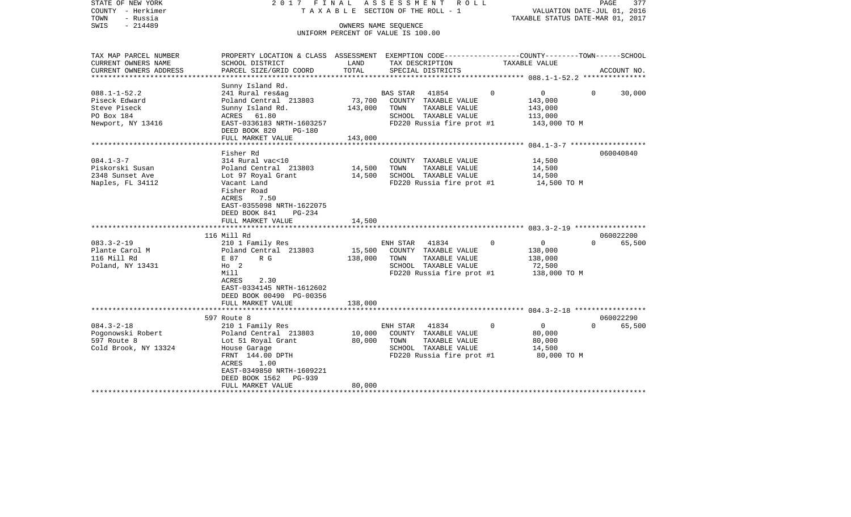| STATE OF NEW YORK<br>COUNTY - Herkimer<br>TOWN<br>- Russia                                        |                                                                                                                                                                                              |                              | 2017 FINAL ASSESSMENT ROLL<br>TAXABLE SECTION OF THE ROLL - 1                                                                  | VALUATION DATE-JUL 01, 2016<br>TAXABLE STATUS DATE-MAR 01, 2017         | PAGE<br>377                     |
|---------------------------------------------------------------------------------------------------|----------------------------------------------------------------------------------------------------------------------------------------------------------------------------------------------|------------------------------|--------------------------------------------------------------------------------------------------------------------------------|-------------------------------------------------------------------------|---------------------------------|
| $-214489$<br>SWIS                                                                                 |                                                                                                                                                                                              |                              | OWNERS NAME SEOUENCE<br>UNIFORM PERCENT OF VALUE IS 100.00                                                                     |                                                                         |                                 |
| TAX MAP PARCEL NUMBER<br>CURRENT OWNERS NAME<br>CURRENT OWNERS ADDRESS<br>*********************** | PROPERTY LOCATION & CLASS ASSESSMENT EXEMPTION CODE---------------COUNTY-------TOWN------SCHOOL<br>SCHOOL DISTRICT<br>PARCEL SIZE/GRID COORD                                                 | LAND<br>TOTAL                | TAX DESCRIPTION<br>SPECIAL DISTRICTS                                                                                           | TAXABLE VALUE                                                           | ACCOUNT NO.                     |
| $088.1 - 1 - 52.2$<br>Piseck Edward<br>Steve Piseck<br>PO Box 184<br>Newport, NY 13416            | Sunny Island Rd.<br>241 Rural res&ag<br>Poland Central 213803<br>Sunny Island Rd.<br>ACRES 61.80<br>EAST-0336183 NRTH-1603257<br>DEED BOOK 820<br>PG-180<br>FULL MARKET VALUE                | 73,700<br>143,000<br>143,000 | <b>BAS STAR</b><br>41854<br>COUNTY TAXABLE VALUE<br>TOWN<br>TAXABLE VALUE<br>SCHOOL TAXABLE VALUE<br>FD220 Russia fire prot #1 | $\circ$<br>0<br>143,000<br>143,000<br>113,000<br>143,000 TO M           | 30,000<br>$\Omega$              |
| $084.1 - 3 - 7$                                                                                   | Fisher Rd<br>314 Rural vac<10                                                                                                                                                                |                              | COUNTY TAXABLE VALUE                                                                                                           | 14,500                                                                  | 060040840                       |
| Piskorski Susan<br>2348 Sunset Ave<br>Naples, FL 34112                                            | Poland Central 213803<br>Lot 97 Royal Grant<br>Vacant Land<br>Fisher Road<br>ACRES<br>7.50<br>EAST-0355098 NRTH-1622075<br>DEED BOOK 841<br>PG-234<br>FULL MARKET VALUE                      | 14,500<br>14,500<br>14,500   | TOWN<br>TAXABLE VALUE<br>SCHOOL TAXABLE VALUE<br>FD220 Russia fire prot #1                                                     | 14,500<br>14,500<br>14,500 TO M                                         |                                 |
|                                                                                                   |                                                                                                                                                                                              |                              |                                                                                                                                |                                                                         |                                 |
| $083.3 - 2 - 19$<br>Plante Carol M<br>116 Mill Rd<br>Poland, NY 13431                             | 116 Mill Rd<br>210 1 Family Res<br>Poland Central 213803<br>E 87<br>R G<br>$HO$ 2<br>Mill<br>2.30<br>ACRES<br>EAST-0334145 NRTH-1612602<br>DEED BOOK 00490 PG-00356<br>FULL MARKET VALUE     | 15,500<br>138,000<br>138,000 | ENH STAR<br>41834<br>COUNTY TAXABLE VALUE<br>TAXABLE VALUE<br>TOWN<br>SCHOOL TAXABLE VALUE<br>FD220 Russia fire prot #1        | $\Omega$<br>$\mathbf 0$<br>138,000<br>138,000<br>72,500<br>138,000 TO M | 060022200<br>65,500<br>$\Omega$ |
|                                                                                                   | *********************                                                                                                                                                                        | *********                    |                                                                                                                                |                                                                         | 060022290                       |
| $084.3 - 2 - 18$<br>Pogonowski Robert<br>597 Route 8<br>Cold Brook, NY 13324                      | 597 Route 8<br>210 1 Family Res<br>Poland Central 213803<br>Lot 51 Royal Grant<br>House Garage<br>FRNT 144.00 DPTH<br>ACRES<br>1.00<br>EAST-0349850 NRTH-1609221<br>DEED BOOK 1562<br>PG-939 | 10,000<br>80,000             | ENH STAR<br>41834<br>COUNTY TAXABLE VALUE<br>TAXABLE VALUE<br>TOWN<br>SCHOOL TAXABLE VALUE<br>FD220 Russia fire prot #1        | $\overline{0}$<br>$\Omega$<br>80,000<br>80,000<br>14,500<br>80,000 TO M | 65,500<br>$\Omega$              |
|                                                                                                   | FULL MARKET VALUE                                                                                                                                                                            | 80,000                       |                                                                                                                                |                                                                         |                                 |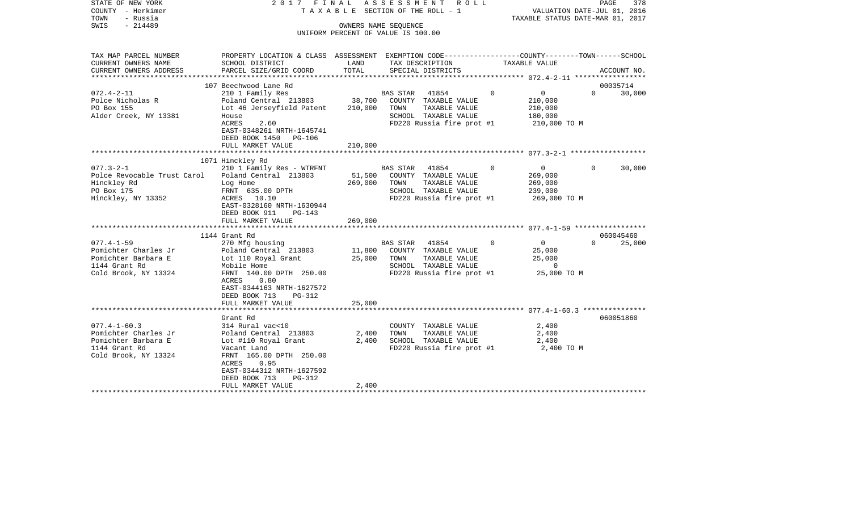| COUNTY<br>– Herkimer<br>TOWN<br>- Russia<br>$-214489$<br>SWIS                                              |                                                                                                                                                                               |                   | TAXABLE SECTION OF THE ROLL - 1<br>OWNERS NAME SEQUENCE<br>UNIFORM PERCENT OF VALUE IS 100.00                                  |          | VALUATION DATE-JUL 01, 2016<br>TAXABLE STATUS DATE-MAR 01, 2017 |          |             |
|------------------------------------------------------------------------------------------------------------|-------------------------------------------------------------------------------------------------------------------------------------------------------------------------------|-------------------|--------------------------------------------------------------------------------------------------------------------------------|----------|-----------------------------------------------------------------|----------|-------------|
| TAX MAP PARCEL NUMBER<br>CURRENT OWNERS NAME<br>CURRENT OWNERS ADDRESS<br>**********************           | PROPERTY LOCATION & CLASS ASSESSMENT EXEMPTION CODE---------------COUNTY-------TOWN------SCHOOL<br>SCHOOL DISTRICT<br>PARCEL SIZE/GRID COORD                                  | LAND<br>TOTAL     | TAX DESCRIPTION<br>SPECIAL DISTRICTS                                                                                           |          | TAXABLE VALUE                                                   |          | ACCOUNT NO. |
|                                                                                                            | 107 Beechwood Lane Rd                                                                                                                                                         |                   |                                                                                                                                |          |                                                                 |          | 00035714    |
| $072.4 - 2 - 11$<br>Polce Nicholas R<br>PO Box 155<br>Alder Creek, NY 13381                                | 210 1 Family Res<br>Poland Central 213803<br>Lot 46 Jerseyfield Patent<br>House<br>ACRES<br>2.60<br>EAST-0348261 NRTH-1645741<br>DEED BOOK 1450<br>PG-106                     | 38,700<br>210,000 | BAS STAR<br>41854<br>COUNTY TAXABLE VALUE<br>TOWN<br>TAXABLE VALUE<br>SCHOOL TAXABLE VALUE<br>FD220 Russia fire prot #1        | $\Omega$ | 0<br>210,000<br>210,000<br>180,000<br>210,000 TO M              | $\Omega$ | 30,000      |
|                                                                                                            | FULL MARKET VALUE                                                                                                                                                             | 210,000           |                                                                                                                                |          |                                                                 |          |             |
|                                                                                                            |                                                                                                                                                                               |                   |                                                                                                                                |          |                                                                 |          |             |
| $077.3 - 2 - 1$<br>Polce Revocable Trust Carol<br>Hinckley Rd<br>PO Box 175<br>Hinckley, NY 13352          | 1071 Hinckley Rd<br>210 1 Family Res - WTRFNT<br>Poland Central 213803<br>Log Home<br>FRNT 635.00 DPTH<br>ACRES 10.10<br>EAST-0328160 NRTH-1630944<br>DEED BOOK 911<br>PG-143 | 51,500<br>269,000 | <b>BAS STAR</b><br>41854<br>COUNTY TAXABLE VALUE<br>TAXABLE VALUE<br>TOWN<br>SCHOOL TAXABLE VALUE<br>FD220 Russia fire prot #1 | 0        | $\overline{0}$<br>269,000<br>269,000<br>239,000<br>269,000 ТО М | $\Omega$ | 30,000      |
|                                                                                                            | FULL MARKET VALUE                                                                                                                                                             | 269,000           |                                                                                                                                |          |                                                                 |          |             |
|                                                                                                            |                                                                                                                                                                               |                   |                                                                                                                                |          |                                                                 |          |             |
|                                                                                                            | 1144 Grant Rd                                                                                                                                                                 |                   |                                                                                                                                |          |                                                                 |          | 060045460   |
| $077.4 - 1 - 59$<br>Pomichter Charles Jr<br>Pomichter Barbara E<br>1144 Grant Rd<br>Cold Brook, NY 13324   | 270 Mfg housing<br>Poland Central 213803<br>Lot 110 Royal Grant<br>Mobile Home<br>FRNT 140.00 DPTH 250.00<br>ACRES<br>0.80<br>EAST-0344163 NRTH-1627572                       | 11,800<br>25,000  | <b>BAS STAR</b><br>41854<br>COUNTY TAXABLE VALUE<br>TOWN<br>TAXABLE VALUE<br>SCHOOL TAXABLE VALUE<br>FD220 Russia fire prot #1 | $\Omega$ | $\mathbf 0$<br>25,000<br>25,000<br>0<br>25,000 TO M             | $\Omega$ | 25,000      |
|                                                                                                            | DEED BOOK 713<br><b>PG-312</b>                                                                                                                                                |                   |                                                                                                                                |          |                                                                 |          |             |
|                                                                                                            | FULL MARKET VALUE<br>*******************                                                                                                                                      | 25,000            |                                                                                                                                |          |                                                                 |          |             |
|                                                                                                            | Grant Rd                                                                                                                                                                      |                   |                                                                                                                                |          |                                                                 |          | 060051860   |
| $077.4 - 1 - 60.3$<br>Pomichter Charles Jr<br>Pomichter Barbara E<br>1144 Grant Rd<br>Cold Brook, NY 13324 | 314 Rural vac<10<br>Poland Central 213803<br>Lot #110 Royal Grant<br>Vacant Land<br>FRNT 165.00 DPTH 250.00<br>0.95<br>ACRES<br>EAST-0344312 NRTH-1627592                     | 2,400<br>2,400    | COUNTY TAXABLE VALUE<br>TOWN<br>TAXABLE VALUE<br>SCHOOL TAXABLE VALUE<br>FD220 Russia fire prot #1                             |          | 2,400<br>2,400<br>2,400<br>2,400 TO M                           |          |             |
|                                                                                                            | DEED BOOK 713<br>$PG-312$<br>FULL MARKET VALUE                                                                                                                                | 2,400             |                                                                                                                                |          |                                                                 |          |             |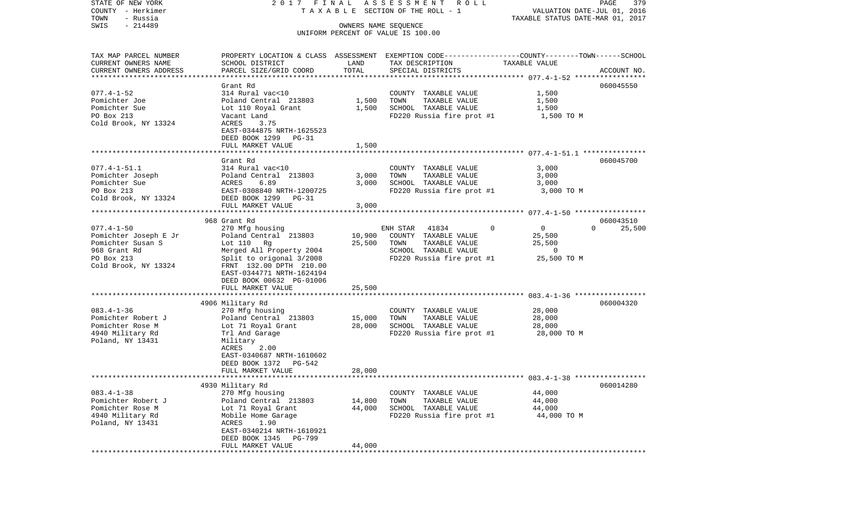COUNTY - Herkimer T A X A B L E SECTION OF THE ROLL - 1 VALUATION DATE-JUL 01, 2016 TOWN - Russia TAXABLE STATUS DATE-MAR 01, 2017 SWIS - 214489 OWNERS NAME SEQUENCE UNIFORM PERCENT OF VALUE IS 100.00TAX MAP PARCEL NUMBER PROPERTY LOCATION & CLASS ASSESSMENT EXEMPTION CODE------------------COUNTY--------TOWN------SCHOOL CURRENT OWNERS NAME SCHOOL DISTRICT LAND TAX DESCRIPTION TAXABLE VALUECURRENT OWNERS ADDRESS PARCEL SIZE/GRID COORD TOTAL SPECIAL DISTRICTS ACCOUNT NO. \*\*\*\*\*\*\*\*\*\*\*\*\*\*\*\*\*\*\*\*\*\*\*\*\*\*\*\*\*\*\*\*\*\*\*\*\*\*\*\*\*\*\*\*\*\*\*\*\*\*\*\*\*\*\*\*\*\*\*\*\*\*\*\*\*\*\*\*\*\*\*\*\*\*\*\*\*\*\*\*\*\*\*\*\*\*\*\*\*\*\*\*\*\*\*\*\*\*\*\*\*\*\* 077.4-1-52 \*\*\*\*\*\*\*\*\*\*\*\*\*\*\*\*\* Grant Rd 060045550060045550 077.4-1-52 314 Rural vac<10 COUNTY TAXABLE VALUE 1,500 Pomichter Joe Poland Central 213803 1,500 TOWN TAXABLE VALUE 1,500 1,500 Pomichter Sue Lot 110 Royal Grant 1,500 SCHOOL TAXABLE VALUE 1,500 PO Box 213 Vacant Land FD220 Russia fire prot #1 1,500 TO M Cold Brook, NY 13324 EAST-0344875 NRTH-1625523 DEED BOOK 1299 PG-31 FULL MARKET VALUE 1,500 \*\*\*\*\*\*\*\*\*\*\*\*\*\*\*\*\*\*\*\*\*\*\*\*\*\*\*\*\*\*\*\*\*\*\*\*\*\*\*\*\*\*\*\*\*\*\*\*\*\*\*\*\*\*\*\*\*\*\*\*\*\*\*\*\*\*\*\*\*\*\*\*\*\*\*\*\*\*\*\*\*\*\*\*\*\*\*\*\*\*\*\*\*\*\*\*\*\*\*\*\*\*\* 077.4-1-51.1 \*\*\*\*\*\*\*\*\*\*\*\*\*\*\* Grant Rd 060045700077.4-1-51.1 314 Rural vac<10 COUNTY TAXABLE VALUE 3,000 Pomichter Joseph Poland Central 213803 3,000 TOWN TAXABLE VALUE 3,000 Pomichter Sue 3,000 ACRES 6.89 3,000 SCHOOL TAXABLE VALUE 3,000 PO Box 213 EAST-0308840 NRTH-1200725 FD220 Russia fire prot #1 3,000 TO M Cold Brook, NY 13324 DEED BOOK 1299 PG-31 FULL MARKET VALUE 3,000 \*\*\*\*\*\*\*\*\*\*\*\*\*\*\*\*\*\*\*\*\*\*\*\*\*\*\*\*\*\*\*\*\*\*\*\*\*\*\*\*\*\*\*\*\*\*\*\*\*\*\*\*\*\*\*\*\*\*\*\*\*\*\*\*\*\*\*\*\*\*\*\*\*\*\*\*\*\*\*\*\*\*\*\*\*\*\*\*\*\*\*\*\*\*\*\*\*\*\*\*\*\*\* 077.4-1-50 \*\*\*\*\*\*\*\*\*\*\*\*\*\*\*\*\* 968 Grant Rd 06004351025,500 077.4-1-50 270 Mfg housing ENH STAR 41834 0 0 0 25,500 Pomichter Joseph E Jr **Poland Central 213803** 10,900 COUNTY TAXABLE VALUE 25,500 Pomichter Susan S Lot 110 Rq 25,500 TOWN TAXABLE VALUE 25,500 968 Grant Rd Merged All Property 2004 SCHOOL TAXABLE VALUE 0 PO Box 213 Split to origonal 3/2008 FD220 Russia fire prot #1 25,500 TO M<br>Cold Brook, NY 13324 FRNT 132.00 DPTH 210.00 FRNT 132.00 DPTH 210.00 EAST-0344771 NRTH-1624194 DEED BOOK 00632 PG-01006FULL MARKET VALUE 25,500 \*\*\*\*\*\*\*\*\*\*\*\*\*\*\*\*\*\*\*\*\*\*\*\*\*\*\*\*\*\*\*\*\*\*\*\*\*\*\*\*\*\*\*\*\*\*\*\*\*\*\*\*\*\*\*\*\*\*\*\*\*\*\*\*\*\*\*\*\*\*\*\*\*\*\*\*\*\*\*\*\*\*\*\*\*\*\*\*\*\*\*\*\*\*\*\*\*\*\*\*\*\*\* 083.4-1-36 \*\*\*\*\*\*\*\*\*\*\*\*\*\*\*\*\* 4906 Military Rd 060004320 083.4-1-36 270 Mfg housing COUNTY TAXABLE VALUE 28,000 Pomichter Robert J <sup>Poland</sup> Central 213803 15,000 TOWN TAXABLE VALUE 28,000 Pomichter Rose M **Lot 71 Royal Grant** 28,000 SCHOOL TAXABLE VALUE 28,000 4940 Military Rd Trl And Garage FD220 Russia fire prot #1 28,000 TO M Poland, NY 13431 Military<br>ACRES 2.00 **ACRES**  EAST-0340687 NRTH-1610602 DEED BOOK 1372 PG-542 FULL MARKET VALUE 28,000 \*\*\*\*\*\*\*\*\*\*\*\*\*\*\*\*\*\*\*\*\*\*\*\*\*\*\*\*\*\*\*\*\*\*\*\*\*\*\*\*\*\*\*\*\*\*\*\*\*\*\*\*\*\*\*\*\*\*\*\*\*\*\*\*\*\*\*\*\*\*\*\*\*\*\*\*\*\*\*\*\*\*\*\*\*\*\*\*\*\*\*\*\*\*\*\*\*\*\*\*\*\*\* 083.4-1-38 \*\*\*\*\*\*\*\*\*\*\*\*\*\*\*\*\* 4930 Military Rd 060014280 083.4-1-38 270 Mfg housing COUNTY TAXABLE VALUE 44,000 Poland Central 213803 14,800 TOWN Pomichter Rose M  $Lot$  71 Royal Grant  $44,000$  SCHOOL TAXABLE VALUE  $44,000$ 4940 Military Rd Mobile Home Garage FD220 Russia fire prot #1 44,000 TO M Poland, NY 13431 ACRES 1.90 EAST-0340214 NRTH-1610921 DEED BOOK 1345 PG-799 FULL MARKET VALUE 44,000 \*\*\*\*\*\*\*\*\*\*\*\*\*\*\*\*\*\*\*\*\*\*\*\*\*\*\*\*\*\*\*\*\*\*\*\*\*\*\*\*\*\*\*\*\*\*\*\*\*\*\*\*\*\*\*\*\*\*\*\*\*\*\*\*\*\*\*\*\*\*\*\*\*\*\*\*\*\*\*\*\*\*\*\*\*\*\*\*\*\*\*\*\*\*\*\*\*\*\*\*\*\*\*\*\*\*\*\*\*\*\*\*\*\*\*\*\*\*\*\*\*\*\*\*\*\*\*\*\*\*\*\*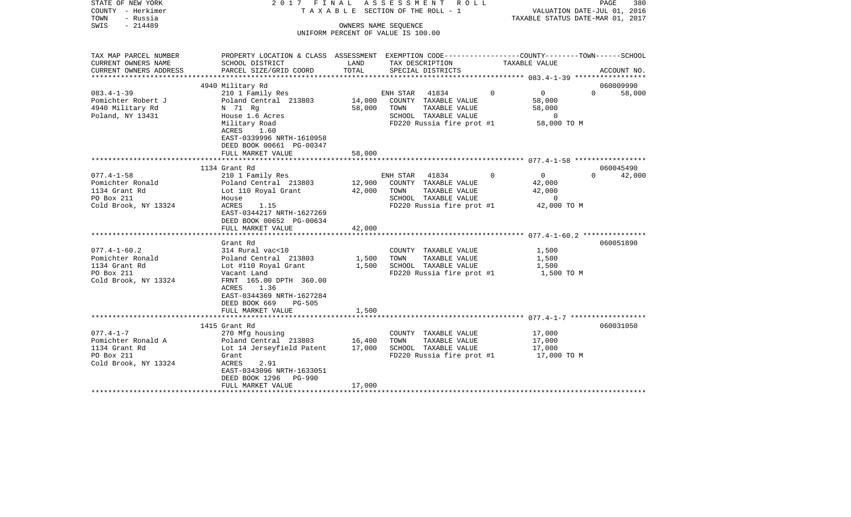| STATE OF NEW YORK<br>COUNTY - Herkimer<br>- Russia<br>TOWN | 2017 FINAL                                                                                                          |        | ASSESSMENT ROLL<br>T A X A B L E SECTION OF THE ROLL - 1   |          | VALUATION DATE-JUL 01, 2016<br>TAXABLE STATUS DATE-MAR 01, 2017 | PAGE     | 380         |
|------------------------------------------------------------|---------------------------------------------------------------------------------------------------------------------|--------|------------------------------------------------------------|----------|-----------------------------------------------------------------|----------|-------------|
| SWIS<br>$-214489$                                          |                                                                                                                     |        | OWNERS NAME SEOUENCE<br>UNIFORM PERCENT OF VALUE IS 100.00 |          |                                                                 |          |             |
|                                                            |                                                                                                                     |        |                                                            |          |                                                                 |          |             |
| TAX MAP PARCEL NUMBER<br>CURRENT OWNERS NAME               | PROPERTY LOCATION & CLASS ASSESSMENT EXEMPTION CODE----------------COUNTY-------TOWN------SCHOOL<br>SCHOOL DISTRICT | LAND   | TAX DESCRIPTION                                            |          | TAXABLE VALUE                                                   |          |             |
| CURRENT OWNERS ADDRESS                                     | PARCEL SIZE/GRID COORD                                                                                              | TOTAL  | SPECIAL DISTRICTS                                          |          |                                                                 |          | ACCOUNT NO. |
|                                                            | 4940 Military Rd                                                                                                    |        |                                                            |          |                                                                 |          | 060009990   |
| $083.4 - 1 - 39$                                           | 210 1 Family Res                                                                                                    |        | ENH STAR 41834                                             | $\Omega$ | $\overline{0}$                                                  | $\Omega$ | 58,000      |
| Pomichter Robert J                                         | Poland Central 213803                                                                                               | 14,000 | COUNTY TAXABLE VALUE                                       |          | 58,000                                                          |          |             |
| 4940 Military Rd                                           | N 71 Rg                                                                                                             | 58,000 | TAXABLE VALUE<br>TOWN                                      |          | 58,000                                                          |          |             |
| Poland, NY 13431                                           | House 1.6 Acres                                                                                                     |        | SCHOOL TAXABLE VALUE                                       |          | $\overline{0}$                                                  |          |             |
|                                                            | Military Road                                                                                                       |        | FD220 Russia fire prot #1                                  |          | 58,000 TO M                                                     |          |             |
|                                                            | ACRES<br>1.60<br>EAST-0339996 NRTH-1610958                                                                          |        |                                                            |          |                                                                 |          |             |
|                                                            | DEED BOOK 00661 PG-00347                                                                                            |        |                                                            |          |                                                                 |          |             |
|                                                            | FULL MARKET VALUE                                                                                                   | 58,000 |                                                            |          |                                                                 |          |             |
|                                                            | ************************                                                                                            |        |                                                            |          |                                                                 |          |             |
|                                                            | 1134 Grant Rd                                                                                                       |        |                                                            |          |                                                                 |          | 060045490   |
| $077.4 - 1 - 58$                                           | 210 1 Family Res                                                                                                    |        | ENH STAR 41834                                             | $\Omega$ | $\overline{0}$                                                  | $\Omega$ | 42,000      |
| Pomichter Ronald                                           | Poland Central 213803                                                                                               | 12,900 | COUNTY TAXABLE VALUE                                       |          | 42,000                                                          |          |             |
| 1134 Grant Rd                                              | Lot 110 Royal Grant                                                                                                 | 42,000 | TOWN<br>TAXABLE VALUE                                      |          | 42,000                                                          |          |             |
| PO Box 211                                                 | House                                                                                                               |        | SCHOOL TAXABLE VALUE                                       |          | $\overline{0}$                                                  |          |             |
| Cold Brook, NY 13324                                       | ACRES<br>1.15                                                                                                       |        | FD220 Russia fire prot #1                                  |          | 42,000 TO M                                                     |          |             |
|                                                            | EAST-0344217 NRTH-1627269                                                                                           |        |                                                            |          |                                                                 |          |             |
|                                                            | DEED BOOK 00652 PG-00634                                                                                            |        |                                                            |          |                                                                 |          |             |
|                                                            | FULL MARKET VALUE                                                                                                   | 42,000 |                                                            |          |                                                                 |          |             |
|                                                            | Grant Rd                                                                                                            |        |                                                            |          |                                                                 |          | 060051890   |
| $077.4 - 1 - 60.2$                                         | 314 Rural vac<10                                                                                                    |        | COUNTY TAXABLE VALUE                                       |          | 1,500                                                           |          |             |
| Pomichter Ronald                                           | Poland Central 213803                                                                                               | 1,500  | TOWN<br>TAXABLE VALUE                                      |          | 1,500                                                           |          |             |
| 1134 Grant Rd                                              | Lot #110 Royal Grant                                                                                                | 1,500  | SCHOOL TAXABLE VALUE                                       |          | 1,500                                                           |          |             |
| PO Box 211                                                 | Vacant Land                                                                                                         |        | FD220 Russia fire prot #1                                  |          | 1,500 TO M                                                      |          |             |
| Cold Brook, NY 13324                                       | FRNT 165.00 DPTH 360.00                                                                                             |        |                                                            |          |                                                                 |          |             |
|                                                            | 1.36<br>ACRES                                                                                                       |        |                                                            |          |                                                                 |          |             |
|                                                            | EAST-0344369 NRTH-1627284                                                                                           |        |                                                            |          |                                                                 |          |             |
|                                                            | DEED BOOK 669<br><b>PG-505</b>                                                                                      |        |                                                            |          |                                                                 |          |             |
|                                                            | FULL MARKET VALUE                                                                                                   | 1,500  |                                                            |          |                                                                 |          |             |
|                                                            |                                                                                                                     |        |                                                            |          |                                                                 |          |             |
|                                                            | 1415 Grant Rd                                                                                                       |        |                                                            |          |                                                                 |          | 060031050   |
| $077.4 - 1 - 7$                                            | 270 Mfg housing                                                                                                     |        | COUNTY TAXABLE VALUE                                       |          | 17,000                                                          |          |             |
| Pomichter Ronald A                                         | Poland Central 213803                                                                                               | 16,400 | TOWN<br>TAXABLE VALUE                                      |          | 17,000                                                          |          |             |
| 1134 Grant Rd<br>PO Box 211                                | Lot 14 Jerseyfield Patent<br>Grant                                                                                  | 17,000 | SCHOOL TAXABLE VALUE                                       |          | 17,000                                                          |          |             |
| Cold Brook, NY 13324                                       | 2.91<br>ACRES                                                                                                       |        | FD220 Russia fire prot $#1$ 17,000 TO M                    |          |                                                                 |          |             |
|                                                            | EAST-0343096 NRTH-1633051                                                                                           |        |                                                            |          |                                                                 |          |             |
|                                                            | DEED BOOK 1296<br>PG-990                                                                                            |        |                                                            |          |                                                                 |          |             |
|                                                            | FULL MARKET VALUE                                                                                                   | 17,000 |                                                            |          |                                                                 |          |             |
|                                                            |                                                                                                                     |        |                                                            |          |                                                                 |          |             |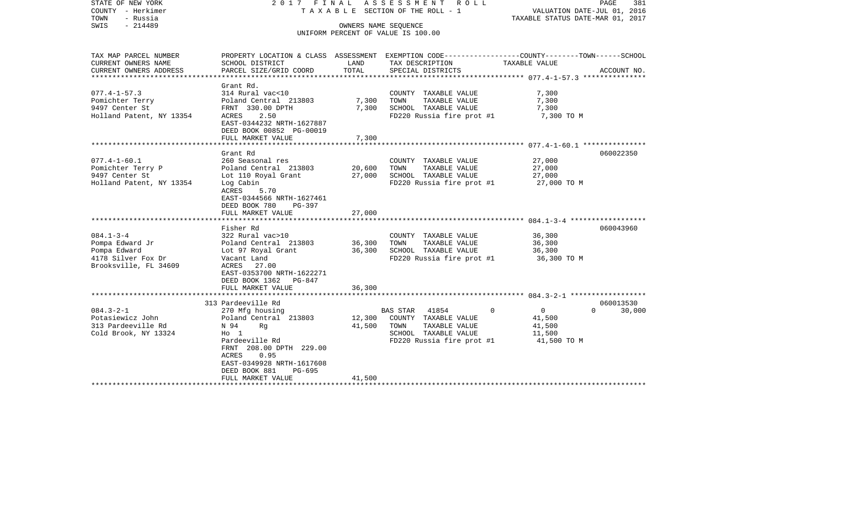| STATE OF NEW YORK<br>COUNTY - Herkimer<br>- Russia<br>TOWN<br>SWIS<br>$-214489$                                             |                                                                                                                                                                                                                                                             |                                      | 2017 FINAL ASSESSMENT ROLL<br>TAXABLE SECTION OF THE ROLL - 1<br>OWNERS NAME SEQUENCE<br>UNIFORM PERCENT OF VALUE IS 100.00                         | PAGE<br>VALUATION DATE-JUL 01, 2016<br>TAXABLE STATUS DATE-MAR 01, 2017                                         | 381                 |
|-----------------------------------------------------------------------------------------------------------------------------|-------------------------------------------------------------------------------------------------------------------------------------------------------------------------------------------------------------------------------------------------------------|--------------------------------------|-----------------------------------------------------------------------------------------------------------------------------------------------------|-----------------------------------------------------------------------------------------------------------------|---------------------|
| TAX MAP PARCEL NUMBER<br>CURRENT OWNERS NAME<br>CURRENT OWNERS ADDRESS                                                      | SCHOOL DISTRICT<br>PARCEL SIZE/GRID COORD                                                                                                                                                                                                                   | LAND<br>TOTAL                        | TAX DESCRIPTION<br>SPECIAL DISTRICTS                                                                                                                | PROPERTY LOCATION & CLASS ASSESSMENT EXEMPTION CODE---------------COUNTY-------TOWN-----SCHOOL<br>TAXABLE VALUE | ACCOUNT NO.         |
| ******************************                                                                                              |                                                                                                                                                                                                                                                             |                                      |                                                                                                                                                     |                                                                                                                 |                     |
| $077.4 - 1 - 57.3$<br>Pomichter Terry<br>9497 Center St<br>Holland Patent, NY 13354                                         | Grant Rd.<br>314 Rural vac<10<br>Poland Central 213803<br>FRNT 330.00 DPTH<br>ACRES<br>2.50<br>EAST-0344232 NRTH-1627887<br>DEED BOOK 00852 PG-00019                                                                                                        | 7,300<br>7,300                       | COUNTY TAXABLE VALUE<br>TAXABLE VALUE<br>TOWN<br>SCHOOL TAXABLE VALUE<br>FD220 Russia fire prot #1                                                  | 7,300<br>7,300<br>7,300<br>7,300 TO M                                                                           |                     |
|                                                                                                                             | FULL MARKET VALUE                                                                                                                                                                                                                                           | 7,300                                |                                                                                                                                                     |                                                                                                                 |                     |
|                                                                                                                             | Grant Rd                                                                                                                                                                                                                                                    |                                      |                                                                                                                                                     |                                                                                                                 | 060022350           |
| $077.4 - 1 - 60.1$<br>Pomichter Terry P<br>9497 Center St<br>Holland Patent, NY 13354<br>$084.1 - 3 - 4$<br>Pompa Edward Jr | 260 Seasonal res<br>Poland Central 213803<br>Lot 110 Royal Grant<br>Log Cabin<br>ACRES<br>5.70<br>EAST-0344566 NRTH-1627461<br>DEED BOOK 780<br>PG-397<br>FULL MARKET VALUE<br>******************<br>Fisher Rd<br>322 Rural vac>10<br>Poland Central 213803 | 20,600<br>27,000<br>27,000<br>36,300 | COUNTY TAXABLE VALUE<br>TOWN<br>TAXABLE VALUE<br>SCHOOL TAXABLE VALUE<br>FD220 Russia fire prot #1<br>COUNTY TAXABLE VALUE<br>TAXABLE VALUE<br>TOWN | 27,000<br>27,000<br>27,000<br>27,000 TO M<br>36,300<br>36,300                                                   | 060043960           |
| Pompa Edward<br>4178 Silver Fox Dr<br>Brooksville, FL 34609                                                                 | Lot 97 Royal Grant<br>Vacant Land<br>ACRES 27.00<br>EAST-0353700 NRTH-1622271<br>DEED BOOK 1362 PG-847<br>FULL MARKET VALUE                                                                                                                                 | 36,300<br>36,300                     | SCHOOL TAXABLE VALUE<br>FD220 Russia fire prot #1                                                                                                   | 36,300<br>36,300 TO M                                                                                           |                     |
|                                                                                                                             |                                                                                                                                                                                                                                                             |                                      |                                                                                                                                                     |                                                                                                                 |                     |
| $084.3 - 2 - 1$<br>Potasiewicz John<br>313 Pardeeville Rd<br>Cold Brook, NY 13324                                           | 313 Pardeeville Rd<br>270 Mfg housing<br>Poland Central 213803<br>N 94<br>Rg<br>$H_0$ 1<br>Pardeeville Rd<br>FRNT 208.00 DPTH 229.00<br><b>ACRES</b><br>0.95<br>EAST-0349928 NRTH-1617608<br>DEED BOOK 881<br>PG-695                                        | 12,300<br>41,500                     | BAS STAR 41854<br>$\Omega$<br>COUNTY TAXABLE VALUE<br>TOWN<br>TAXABLE VALUE<br>SCHOOL TAXABLE VALUE<br>FD220 Russia fire prot #1                    | $\mathbf{0}$<br>$\Omega$<br>41,500<br>41,500<br>11,500<br>41,500 TO M                                           | 060013530<br>30,000 |
|                                                                                                                             | FULL MARKET VALUE                                                                                                                                                                                                                                           | 41,500                               |                                                                                                                                                     |                                                                                                                 |                     |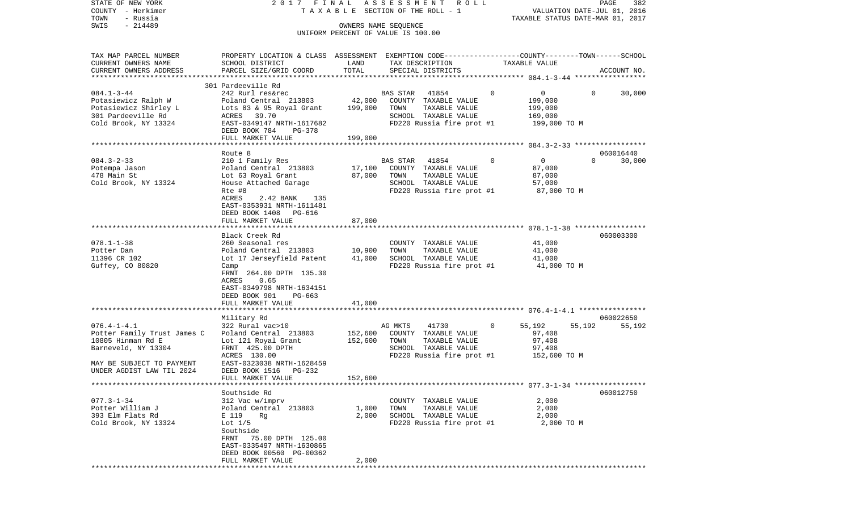| STATE OF NEW YORK<br>COUNTY - Herkimer<br>TOWN<br>- Russia<br>$-214489$<br>SWIS                                                                        | 2017 FINAL                                                                                                                                                                                           |                                   | ASSESSMENT<br>R O L L<br>TAXABLE SECTION OF THE ROLL - 1<br>OWNERS NAME SEQUENCE<br>UNIFORM PERCENT OF VALUE IS 100.00  |              | TAXABLE STATUS DATE-MAR 01, 2017                            |          | PAGE<br>382<br>VALUATION DATE-JUL 01, 2016 |
|--------------------------------------------------------------------------------------------------------------------------------------------------------|------------------------------------------------------------------------------------------------------------------------------------------------------------------------------------------------------|-----------------------------------|-------------------------------------------------------------------------------------------------------------------------|--------------|-------------------------------------------------------------|----------|--------------------------------------------|
| TAX MAP PARCEL NUMBER<br>CURRENT OWNERS NAME<br>CURRENT OWNERS ADDRESS<br>************************                                                     | PROPERTY LOCATION & CLASS ASSESSMENT EXEMPTION CODE---------------COUNTY-------TOWN------SCHOOL<br>SCHOOL DISTRICT<br>PARCEL SIZE/GRID COORD                                                         | LAND<br>TOTAL                     | TAX DESCRIPTION<br>SPECIAL DISTRICTS                                                                                    |              | TAXABLE VALUE                                               |          | ACCOUNT NO.                                |
| $084.1 - 3 - 44$<br>Potasiewicz Ralph W<br>Potasiewicz Shirley L<br>301 Pardeeville Rd<br>Cold Brook, NY 13324                                         | 301 Pardeeville Rd<br>242 Rurl res&rec<br>Poland Central 213803<br>Lots 83 & 95 Royal Grant<br>ACRES 39.70<br>EAST-0349147 NRTH-1617682<br>DEED BOOK 784<br>PG-378<br>FULL MARKET VALUE              | 42,000<br>199,000<br>199,000      | BAS STAR<br>41854<br>COUNTY TAXABLE VALUE<br>TOWN<br>TAXABLE VALUE<br>SCHOOL TAXABLE VALUE<br>FD220 Russia fire prot #1 | $\Omega$     | 0<br>199,000<br>199,000<br>169,000<br>199,000 TO M          | 0        | 30,000                                     |
|                                                                                                                                                        | Route 8                                                                                                                                                                                              |                                   |                                                                                                                         |              |                                                             |          | 060016440                                  |
| $084.3 - 2 - 33$<br>Potempa Jason<br>478 Main St<br>Cold Brook, NY 13324                                                                               | 210 1 Family Res<br>Poland Central 213803<br>Lot 63 Royal Grant<br>House Attached Garage<br>Rte #8<br>ACRES<br>2.42 BANK<br>135<br>EAST-0353931 NRTH-1611481<br>DEED BOOK 1408<br>PG-616             | 17,100<br>87,000                  | 41854<br>BAS STAR<br>COUNTY TAXABLE VALUE<br>TAXABLE VALUE<br>TOWN<br>SCHOOL TAXABLE VALUE<br>FD220 Russia fire prot #1 | $\Omega$     | $\overline{0}$<br>87,000<br>87,000<br>57,000<br>87,000 TO M | $\Omega$ | 30,000                                     |
|                                                                                                                                                        | FULL MARKET VALUE                                                                                                                                                                                    | 87,000                            |                                                                                                                         |              |                                                             |          |                                            |
|                                                                                                                                                        |                                                                                                                                                                                                      |                                   |                                                                                                                         |              |                                                             |          |                                            |
| $078.1 - 1 - 38$<br>Potter Dan<br>11396 CR 102<br>Guffey, CO 80820                                                                                     | Black Creek Rd<br>260 Seasonal res<br>Poland Central 213803<br>Lot 17 Jerseyfield Patent<br>Camp<br>FRNT 264.00 DPTH 135.30<br>ACRES<br>0.65<br>EAST-0349798 NRTH-1634151<br>DEED BOOK 901<br>PG-663 | 10,900<br>41,000                  | COUNTY TAXABLE VALUE<br>TOWN<br>TAXABLE VALUE<br>SCHOOL TAXABLE VALUE<br>FD220 Russia fire prot #1                      |              | 41,000<br>41,000<br>41,000<br>41,000 TO M                   |          | 060003300                                  |
|                                                                                                                                                        | FULL MARKET VALUE<br>******************                                                                                                                                                              | 41,000<br>* * * * * * * * * * * * |                                                                                                                         |              |                                                             |          |                                            |
|                                                                                                                                                        | Military Rd                                                                                                                                                                                          |                                   |                                                                                                                         |              |                                                             |          | 060022650                                  |
| $076.4 - 1 - 4.1$<br>Potter Family Trust James C<br>10805 Hinman Rd E<br>Barneveld, NY 13304<br>MAY BE SUBJECT TO PAYMENT<br>UNDER AGDIST LAW TIL 2024 | 322 Rural vac>10<br>Poland Central 213803<br>Lot 121 Royal Grant<br>FRNT 425.00 DPTH<br>ACRES 130.00<br>EAST-0323038 NRTH-1628459<br>DEED BOOK 1516 PG-232                                           | 152,600<br>152,600                | AG MKTS<br>41730<br>COUNTY TAXABLE VALUE<br>TAXABLE VALUE<br>TOWN<br>SCHOOL TAXABLE VALUE<br>FD220 Russia fire prot #1  | $\mathbf{0}$ | 55,192<br>97,408<br>97,408<br>97,408<br>152,600 TO M        | 55,192   | 55,192                                     |
|                                                                                                                                                        | FULL MARKET VALUE                                                                                                                                                                                    | 152,600                           |                                                                                                                         |              |                                                             |          |                                            |
| $077.3 - 1 - 34$<br>Potter William J<br>393 Elm Flats Rd<br>Cold Brook, NY 13324                                                                       | Southside Rd<br>312 Vac w/imprv<br>Poland Central 213803<br>E 119<br>Rg<br>Lot $1/5$<br>Southside<br>FRNT 75.00 DPTH 125.00                                                                          | 1,000<br>2,000                    | COUNTY TAXABLE VALUE<br>TOWN<br>TAXABLE VALUE<br>SCHOOL TAXABLE VALUE<br>FD220 Russia fire prot #1                      |              | 2,000<br>2,000<br>2,000<br>2,000 TO M                       |          | 060012750                                  |
|                                                                                                                                                        | EAST-0335497 NRTH-1630865<br>DEED BOOK 00560 PG-00362<br>FULL MARKET VALUE                                                                                                                           | 2,000                             |                                                                                                                         |              |                                                             |          |                                            |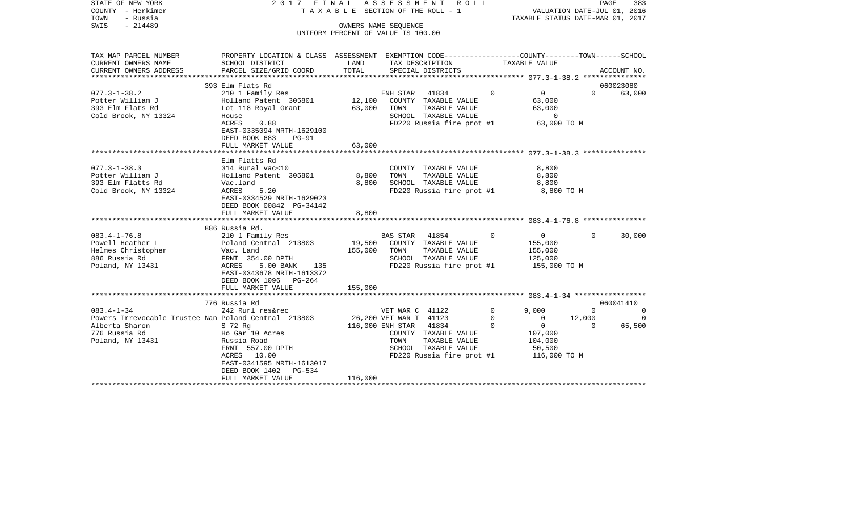| STATE OF NEW YORK<br>COUNTY - Herkimer<br>- Russia<br>TOWN<br>SWIS<br>$-214489$                                                                                                          | 2017 FINAL                                                                                                                                                                                                                                                                                                                      | TAXABLE SECTION OF THE ROLL - 1<br>UNIFORM PERCENT OF VALUE IS 100.00   | ASSESSMENT<br>OWNERS NAME SEQUENCE                                    | R O L L                                                                                                                                                                                           |                              | TAXABLE STATUS DATE-MAR 01, 2017                                                                         | VALUATION DATE-JUL 01, 2016       | PAGE<br>383             |
|------------------------------------------------------------------------------------------------------------------------------------------------------------------------------------------|---------------------------------------------------------------------------------------------------------------------------------------------------------------------------------------------------------------------------------------------------------------------------------------------------------------------------------|-------------------------------------------------------------------------|-----------------------------------------------------------------------|---------------------------------------------------------------------------------------------------------------------------------------------------------------------------------------------------|------------------------------|----------------------------------------------------------------------------------------------------------|-----------------------------------|-------------------------|
| TAX MAP PARCEL NUMBER<br>CURRENT OWNERS NAME                                                                                                                                             | PROPERTY LOCATION & CLASS ASSESSMENT EXEMPTION CODE---------------COUNTY-------TOWN------SCHOOL<br>SCHOOL DISTRICT                                                                                                                                                                                                              | LAND                                                                    | TAX DESCRIPTION                                                       |                                                                                                                                                                                                   |                              | TAXABLE VALUE                                                                                            |                                   |                         |
| CURRENT OWNERS ADDRESS                                                                                                                                                                   | PARCEL SIZE/GRID COORD                                                                                                                                                                                                                                                                                                          | TOTAL                                                                   |                                                                       | SPECIAL DISTRICTS                                                                                                                                                                                 |                              |                                                                                                          |                                   | ACCOUNT NO.             |
|                                                                                                                                                                                          | 393 Elm Flats Rd                                                                                                                                                                                                                                                                                                                |                                                                         |                                                                       |                                                                                                                                                                                                   |                              |                                                                                                          |                                   | 060023080               |
| $077.3 - 1 - 38.2$<br>Potter William J<br>393 Elm Flats Rd<br>Cold Brook, NY 13324                                                                                                       | 210 1 Family Res<br>Holland Patent 305801<br>Lot 118 Royal Grant<br>House<br>ACRES<br>0.88<br>EAST-0335094 NRTH-1629100<br>DEED BOOK 683<br>$PG-91$                                                                                                                                                                             | 12,100<br>63,000                                                        | ENH STAR<br>TOWN                                                      | 41834<br>COUNTY TAXABLE VALUE<br>TAXABLE VALUE<br>SCHOOL TAXABLE VALUE<br>FD220 Russia fire prot #1                                                                                               | $\Omega$                     | $\mathbf 0$<br>63,000<br>63,000<br>0<br>63,000 TO M                                                      | $\Omega$                          | 63,000                  |
|                                                                                                                                                                                          | FULL MARKET VALUE                                                                                                                                                                                                                                                                                                               | 63,000                                                                  |                                                                       |                                                                                                                                                                                                   |                              |                                                                                                          |                                   |                         |
| $077.3 - 1 - 38.3$<br>Potter William J<br>393 Elm Flatts Rd<br>Cold Brook, NY 13324<br>$083.4 - 1 - 76.8$<br>Powell Heather L<br>Helmes Christopher<br>886 Russia Rd<br>Poland, NY 13431 | Elm Flatts Rd<br>314 Rural vac<10<br>Holland Patent 305801<br>Vac.land<br>5.20<br>ACRES<br>EAST-0334529 NRTH-1629023<br>DEED BOOK 00842 PG-34142<br>FULL MARKET VALUE<br>886 Russia Rd.<br>210 1 Family Res<br>Poland Central 213803<br>Vac. Land<br>FRNT 354.00 DPTH<br>ACRES<br>5.00 BANK<br>135<br>EAST-0343678 NRTH-1613372 | * * * * * * * * * * * *<br>8,800<br>8,800<br>8,800<br>19,500<br>155,000 | TOWN<br><b>BAS STAR</b><br>TOWN                                       | COUNTY TAXABLE VALUE<br>TAXABLE VALUE<br>SCHOOL TAXABLE VALUE<br>FD220 Russia fire prot #1<br>41854<br>COUNTY TAXABLE VALUE<br>TAXABLE VALUE<br>SCHOOL TAXABLE VALUE<br>FD220 Russia fire prot #1 | $\Omega$                     | 8,800<br>8,800<br>8,800<br>8,800 TO M<br>$\overline{0}$<br>155,000<br>155,000<br>125,000<br>155,000 TO M | $\Omega$                          | 30,000                  |
|                                                                                                                                                                                          | DEED BOOK 1096<br>$PG-264$                                                                                                                                                                                                                                                                                                      | 155,000                                                                 |                                                                       |                                                                                                                                                                                                   |                              |                                                                                                          |                                   |                         |
|                                                                                                                                                                                          | FULL MARKET VALUE                                                                                                                                                                                                                                                                                                               |                                                                         |                                                                       |                                                                                                                                                                                                   |                              |                                                                                                          |                                   |                         |
|                                                                                                                                                                                          | 776 Russia Rd                                                                                                                                                                                                                                                                                                                   |                                                                         |                                                                       |                                                                                                                                                                                                   |                              |                                                                                                          |                                   | 060041410               |
| $083.4 - 1 - 34$<br>Powers Irrevocable Trustee Nan Poland Central 213803<br>Alberta Sharon<br>776 Russia Rd<br>Poland, NY 13431                                                          | 242 Rurl res&rec<br>S 72 Rg<br>Ho Gar 10 Acres<br>Russia Road<br>FRNT 557.00 DPTH<br>10.00<br>ACRES<br>EAST-0341595 NRTH-1613017<br>DEED BOOK 1402<br>PG-534                                                                                                                                                                    |                                                                         | VET WAR C 41122<br>26,200 VET WAR T 41123<br>116,000 ENH STAR<br>TOWN | 41834<br>COUNTY TAXABLE VALUE<br>TAXABLE VALUE<br>SCHOOL TAXABLE VALUE<br>FD220 Russia fire prot #1                                                                                               | $\mathbf 0$<br>0<br>$\Omega$ | 9,000<br>$\mathbf{0}$<br>$\overline{0}$<br>107,000<br>104,000<br>50,500<br>116,000 TO M                  | $\mathbf 0$<br>12,000<br>$\Omega$ | 0<br>$\Omega$<br>65,500 |
|                                                                                                                                                                                          | FULL MARKET VALUE                                                                                                                                                                                                                                                                                                               | 116,000                                                                 |                                                                       |                                                                                                                                                                                                   |                              |                                                                                                          |                                   |                         |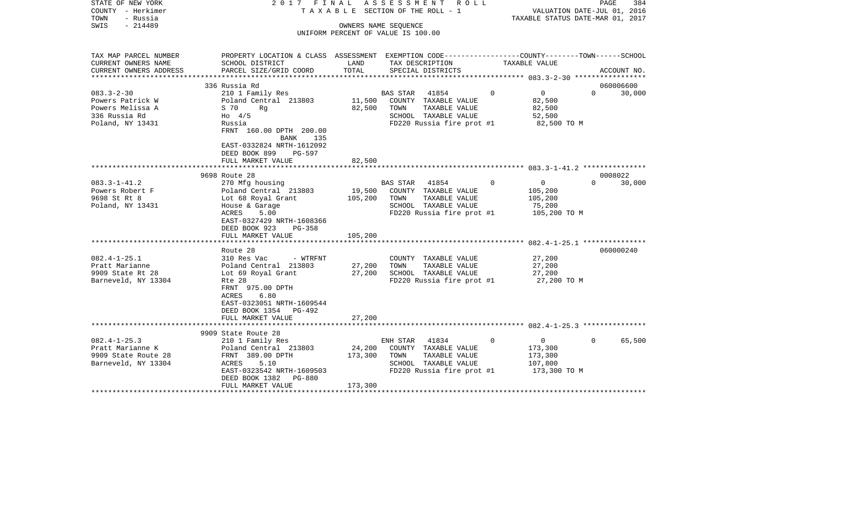| STATE OF NEW YORK<br>COUNTY - Herkimer<br>TOWN<br>- Russia<br>$-214489$<br>SWIS      | 2017 FINAL                                                                                                                                                     |                   | A S S E S S M E N T R O L L<br>T A X A B L E SECTION OF THE ROLL - 1<br>OWNERS NAME SEQUENCE<br>UNIFORM PERCENT OF VALUE IS 100.00 |         | VALUATION DATE-JUL 01, 2016<br>TAXABLE STATUS DATE-MAR 01, 2017 | PAGE     | 384         |
|--------------------------------------------------------------------------------------|----------------------------------------------------------------------------------------------------------------------------------------------------------------|-------------------|------------------------------------------------------------------------------------------------------------------------------------|---------|-----------------------------------------------------------------|----------|-------------|
|                                                                                      |                                                                                                                                                                |                   |                                                                                                                                    |         |                                                                 |          |             |
| TAX MAP PARCEL NUMBER<br>CURRENT OWNERS NAME                                         | PROPERTY LOCATION & CLASS ASSESSMENT EXEMPTION CODE----------------COUNTY-------TOWN------SCHOOL<br>SCHOOL DISTRICT                                            | LAND              | TAX DESCRIPTION                                                                                                                    |         | TAXABLE VALUE                                                   |          |             |
| CURRENT OWNERS ADDRESS                                                               | PARCEL SIZE/GRID COORD                                                                                                                                         | TOTAL             | SPECIAL DISTRICTS                                                                                                                  |         |                                                                 |          | ACCOUNT NO. |
|                                                                                      | 336 Russia Rd                                                                                                                                                  |                   |                                                                                                                                    |         |                                                                 |          | 060006600   |
| $083.3 - 2 - 30$<br>Powers Patrick W<br>Powers Melissa A<br>336 Russia Rd            | 210 1 Family Res<br>Poland Central 213803<br>S 70<br>Rg<br>$H_0$ 4/5                                                                                           | 82,500            | BAS STAR 41854<br>11,500 COUNTY TAXABLE VALUE<br>TAXABLE VALUE<br>TOWN<br>SCHOOL TAXABLE VALUE                                     | $\circ$ | $\overline{0}$<br>82,500<br>82,500<br>52,500                    | $\Omega$ | 30,000      |
| Poland, NY 13431                                                                     | Russia<br>FRNT 160.00 DPTH 200.00<br>135<br>BANK<br>EAST-0332824 NRTH-1612092<br>DEED BOOK 899 PG-597<br>FULL MARKET VALUE                                     | 82,500            | FD220 Russia fire prot #1                                                                                                          |         | 82,500 TO M                                                     |          |             |
|                                                                                      |                                                                                                                                                                |                   |                                                                                                                                    |         |                                                                 |          |             |
| $083.3 - 1 - 41.2$                                                                   | 9698 Route 28                                                                                                                                                  |                   |                                                                                                                                    | $\circ$ |                                                                 | $\Omega$ | 0008022     |
| Powers Robert F<br>9698 St Rt 8<br>Poland, NY 13431                                  | 270 Mfg housing<br>Poland Central 213803<br>Lot 68 Royal Grant<br>House & Garage<br>ACRES<br>5.00<br>EAST-0327429 NRTH-1608366<br>DEED BOOK 923<br>PG-358      | 105,200           | BAS STAR 41854<br>19,500 COUNTY TAXABLE VALUE<br>TOWN<br>TAXABLE VALUE<br>SCHOOL TAXABLE VALUE<br>FD220 Russia fire prot #1        |         | $\overline{0}$<br>105,200<br>105,200<br>75,200<br>105,200 TO M  |          | 30,000      |
|                                                                                      | FULL MARKET VALUE                                                                                                                                              | 105,200           |                                                                                                                                    |         |                                                                 |          |             |
| $082.4 - 1 - 25.1$<br>Pratt Marianne<br>9909 State Rt 28<br>Barneveld, NY 13304      | Route 28<br>310 Res Vac<br>- WTRFNT<br>Poland Central 213803<br>Lot 69 Royal Grant<br>Rte 28<br>FRNT 975.00 DPTH<br>6.80<br>ACRES<br>EAST-0323051 NRTH-1609544 | 27,200<br>27,200  | COUNTY TAXABLE VALUE<br>TAXABLE VALUE<br>TOWN<br>SCHOOL TAXABLE VALUE<br>FD220 Russia fire prot #1                                 |         | 27,200<br>27,200<br>27,200<br>27,200 TO M                       |          | 060000240   |
|                                                                                      | DEED BOOK 1354 PG-492<br>FULL MARKET VALUE                                                                                                                     | 27,200            |                                                                                                                                    |         |                                                                 |          |             |
|                                                                                      |                                                                                                                                                                |                   |                                                                                                                                    |         |                                                                 |          |             |
|                                                                                      | 9909 State Route 28                                                                                                                                            |                   |                                                                                                                                    |         |                                                                 |          |             |
| $082.4 - 1 - 25.3$<br>Pratt Marianne K<br>9909 State Route 28<br>Barneveld, NY 13304 | 210 1 Family Res<br>Poland Central 213803<br>FRNT 389.00 DPTH<br>5.10<br>ACRES<br>EAST-0323542 NRTH-1609503<br>DEED BOOK 1382 PG-880                           | 24,200<br>173,300 | ENH STAR 41834<br>COUNTY TAXABLE VALUE<br>TAXABLE VALUE<br>TOWN<br>SCHOOL TAXABLE VALUE<br>FD220 Russia fire prot #1               | $\circ$ | $\overline{0}$<br>173,300<br>173,300<br>107,800<br>173,300 TO M | $\Omega$ | 65,500      |
|                                                                                      | FULL MARKET VALUE                                                                                                                                              | 173,300           |                                                                                                                                    |         |                                                                 |          |             |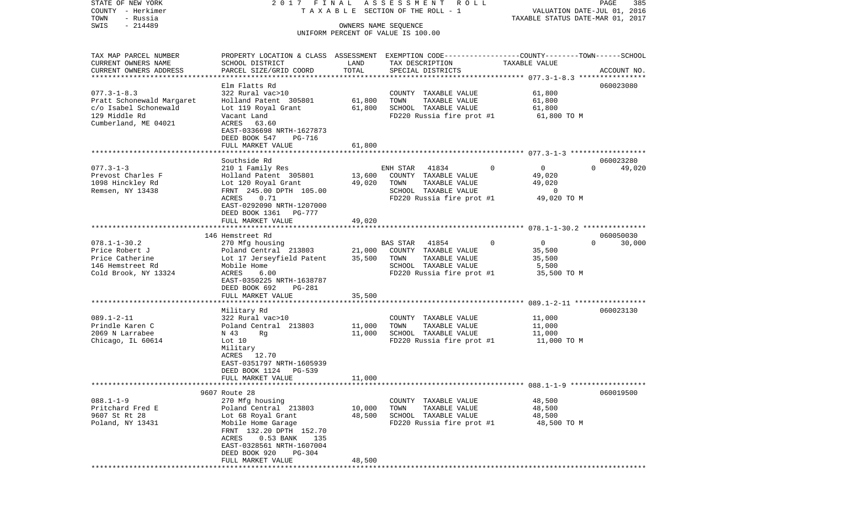COUNTY - Herkimer **T A X A B L E** SECTION OF THE ROLL - 1 VALUATION DATE-JUL 01, 2016 TOWN - Russia TAXABLE STATUS DATE-MAR 01, 2017 SWIS - 214489 OWNERS NAME SEQUENCE UNIFORM PERCENT OF VALUE IS 100.00TAX MAP PARCEL NUMBER PROPERTY LOCATION & CLASS ASSESSMENT EXEMPTION CODE------------------COUNTY--------TOWN------SCHOOL CURRENT OWNERS NAME SCHOOL DISTRICT LAND TAX DESCRIPTION TAXABLE VALUECURRENT OWNERS ADDRESS PARCEL SIZE/GRID COORD TOTAL SPECIAL DISTRICTS ACCOUNT NO. \*\*\*\*\*\*\*\*\*\*\*\*\*\*\*\*\*\*\*\*\*\*\*\*\*\*\*\*\*\*\*\*\*\*\*\*\*\*\*\*\*\*\*\*\*\*\*\*\*\*\*\*\*\*\*\*\*\*\*\*\*\*\*\*\*\*\*\*\*\*\*\*\*\*\*\*\*\*\*\*\*\*\*\*\*\*\*\*\*\*\*\*\*\*\*\*\*\*\*\*\*\*\* 077.3-1-8.3 \*\*\*\*\*\*\*\*\*\*\*\*\*\*\*\*Elm Flatts Rd 060023080 077.3-1-8.3 322 Rural vac>10 COUNTY TAXABLE VALUE 61,800 Pratt Schonewald Margaret Holland Patent 305801 61,800 TOWN TAXABLE VALUE 61,800 61,800 c/o Isabel Schonewald Lot 119 Royal Grant 61,800 SCHOOL TAXABLE VALUE 61,800 129 Middle Rd Vacant Land FD220 Russia fire prot #1 61,800 TO M Cumberland, ME 04021 ACRES 63.60 EAST-0336698 NRTH-1627873 DEED BOOK 547 PG-716FULL MARKET VALUE 61,800 \*\*\*\*\*\*\*\*\*\*\*\*\*\*\*\*\*\*\*\*\*\*\*\*\*\*\*\*\*\*\*\*\*\*\*\*\*\*\*\*\*\*\*\*\*\*\*\*\*\*\*\*\*\*\*\*\*\*\*\*\*\*\*\*\*\*\*\*\*\*\*\*\*\*\*\*\*\*\*\*\*\*\*\*\*\*\*\*\*\*\*\*\*\*\*\*\*\*\*\*\*\*\* 077.3-1-3 \*\*\*\*\*\*\*\*\*\*\*\*\*\*\*\*\*\*Southside Rd 060023280 077.3-1-3 210 1 Family Res ENH STAR 41834 0 0 0 49,020 Prevost Charles F Holland Patent 305801 13,600 COUNTY TAXABLE VALUE 49,020 1098 Hinckley Rd Lot 120 Royal Grant 49,020 TOWN TAXABLE VALUE 49,020 Remsen, NY 13438 FRNT 245.00 DPTH 105.00 SCHOOL TAXABLE VALUE 0 ACRES 0.71 **FD220** Russia fire prot #1 49,020 TO M EAST-0292090 NRTH-1207000 DEED BOOK 1361 PG-777FULL MARKET VALUE 49,020 \*\*\*\*\*\*\*\*\*\*\*\*\*\*\*\*\*\*\*\*\*\*\*\*\*\*\*\*\*\*\*\*\*\*\*\*\*\*\*\*\*\*\*\*\*\*\*\*\*\*\*\*\*\*\*\*\*\*\*\*\*\*\*\*\*\*\*\*\*\*\*\*\*\*\*\*\*\*\*\*\*\*\*\*\*\*\*\*\*\*\*\*\*\*\*\*\*\*\*\*\*\*\* 078.1-1-30.2 \*\*\*\*\*\*\*\*\*\*\*\*\*\*\* 146 Hemstreet Rd 060050030078.1-1-30.2 270 Mfg housing BAS STAR 41854 0 0 0 30,000 Price Robert J <sup>Poland</sup> Central 213803 21,000 COUNTY TAXABLE VALUE 35,500 Price Catherine Lot 17 Jerseyfield Patent 35,500 TOWN TAXABLE VALUE 35,500 146 Hemstreet Rd Mobile Home SCHOOL TAXABLE VALUE Cold Brook, NY 13324 ACRES 6.00 ACRES 6.00 FD220 Russia fire prot #1 35,500 TO M EAST-0350225 NRTH-1638787 DEED BOOK 692 PG-281FULL MARKET VALUE 35,500 \*\*\*\*\*\*\*\*\*\*\*\*\*\*\*\*\*\*\*\*\*\*\*\*\*\*\*\*\*\*\*\*\*\*\*\*\*\*\*\*\*\*\*\*\*\*\*\*\*\*\*\*\*\*\*\*\*\*\*\*\*\*\*\*\*\*\*\*\*\*\*\*\*\*\*\*\*\*\*\*\*\*\*\*\*\*\*\*\*\*\*\*\*\*\*\*\*\*\*\*\*\*\* 089.1-2-11 \*\*\*\*\*\*\*\*\*\*\*\*\*\*\*\*\* Military Rd 060023130 089.1-2-11 322 Rural vac>10 COUNTY TAXABLE VALUE 11,000 Prindle Karen C Poland Central 213803 11,000 TOWN TAXABLE VALUE 11,000 2069 N Larrabee 11,000 N 43 Rg 11,000 SCHOOL TAXABLE VALUE 11,000 Chicago, IL 60614 Lot 10 Lot 10 Russia fire prot #1 11,000 TO M Military ACRES 12.70 EAST-0351797 NRTH-1605939 DEED BOOK 1124 PG-539FULL MARKET VALUE 11,000 \*\*\*\*\*\*\*\*\*\*\*\*\*\*\*\*\*\*\*\*\*\*\*\*\*\*\*\*\*\*\*\*\*\*\*\*\*\*\*\*\*\*\*\*\*\*\*\*\*\*\*\*\*\*\*\*\*\*\*\*\*\*\*\*\*\*\*\*\*\*\*\*\*\*\*\*\*\*\*\*\*\*\*\*\*\*\*\*\*\*\*\*\*\*\*\*\*\*\*\*\*\*\* 088.1-1-9 \*\*\*\*\*\*\*\*\*\*\*\*\*\*\*\*\*\* 9607 Route 28 060019500088.1-1-9 270 Mfg housing 200 COUNTY TAXABLE VALUE 48,500 Pritchard Fred E 3.500 Poland Central 213803 10,000 TOWN TAXABLE VALUE 48,500 9607 St Rt 28 **Lot 68 Royal Grant** 48,500 SCHOOL TAXABLE VALUE 48,500 Poland, NY 13431 Mobile Home Garage FD220 Russia fire prot #1 48,500 TO M FRNT 132.20 DPTH 152.70 ACRES 0.53 BANK 135 EAST-0328561 NRTH-1607004 DEED BOOK 920 PG-304FULL MARKET VALUE 48,500 \*\*\*\*\*\*\*\*\*\*\*\*\*\*\*\*\*\*\*\*\*\*\*\*\*\*\*\*\*\*\*\*\*\*\*\*\*\*\*\*\*\*\*\*\*\*\*\*\*\*\*\*\*\*\*\*\*\*\*\*\*\*\*\*\*\*\*\*\*\*\*\*\*\*\*\*\*\*\*\*\*\*\*\*\*\*\*\*\*\*\*\*\*\*\*\*\*\*\*\*\*\*\*\*\*\*\*\*\*\*\*\*\*\*\*\*\*\*\*\*\*\*\*\*\*\*\*\*\*\*\*\*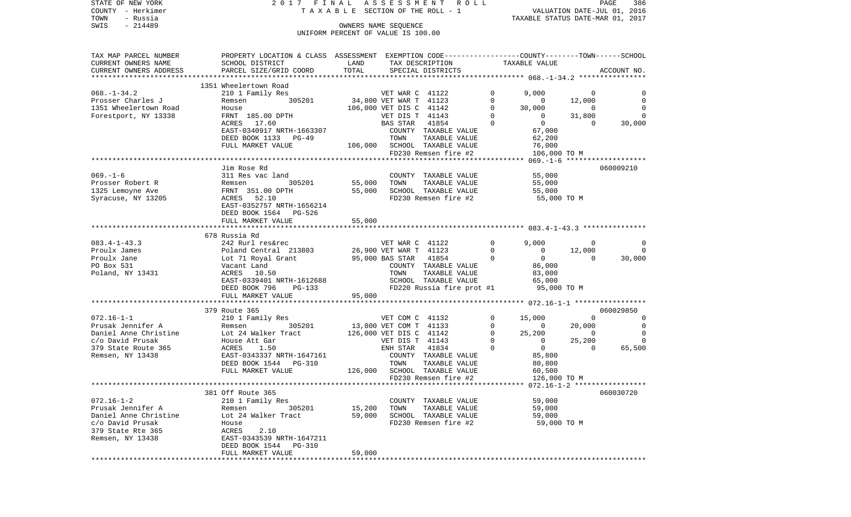| COUNTY<br>– Herkimer<br>TOWN<br>- Russia |                                                                                                  | T A X A B L E SECTION OF THE ROLL - 1<br>VALUATION DATE-JUL 01, 2016<br>TAXABLE STATUS DATE-MAR 01, 2017 |                         |                              |              |                |                |                |
|------------------------------------------|--------------------------------------------------------------------------------------------------|----------------------------------------------------------------------------------------------------------|-------------------------|------------------------------|--------------|----------------|----------------|----------------|
| SWIS<br>$-214489$                        |                                                                                                  |                                                                                                          | OWNERS NAME SEOUENCE    |                              |              |                |                |                |
|                                          |                                                                                                  | UNIFORM PERCENT OF VALUE IS 100.00                                                                       |                         |                              |              |                |                |                |
|                                          |                                                                                                  |                                                                                                          |                         |                              |              |                |                |                |
| TAX MAP PARCEL NUMBER                    | PROPERTY LOCATION & CLASS ASSESSMENT EXEMPTION CODE----------------COUNTY-------TOWN------SCHOOL |                                                                                                          |                         |                              |              |                |                |                |
| CURRENT OWNERS NAME                      | SCHOOL DISTRICT                                                                                  | LAND                                                                                                     |                         | TAX DESCRIPTION              |              | TAXABLE VALUE  |                |                |
| CURRENT OWNERS ADDRESS                   | PARCEL SIZE/GRID COORD                                                                           | TOTAL                                                                                                    |                         | SPECIAL DISTRICTS            |              |                |                | ACCOUNT NO.    |
|                                          |                                                                                                  |                                                                                                          |                         |                              |              |                |                |                |
|                                          | 1351 Wheelertown Road                                                                            |                                                                                                          |                         |                              |              |                |                |                |
| $068. - 1 - 34.2$                        | 210 1 Family Res                                                                                 |                                                                                                          | VET WAR C 41122         |                              | 0            | 9,000          | 0              |                |
| Prosser Charles J                        | 305201<br>Remsen                                                                                 |                                                                                                          | 34,800 VET WAR T 41123  |                              | 0            | 0              | 12,000         | $\overline{0}$ |
| 1351 Wheelertown Road                    | House                                                                                            |                                                                                                          | 106,000 VET DIS C 41142 |                              | $\mathbf 0$  | 30,000         | $\overline{0}$ | $\overline{0}$ |
| Forestport, NY 13338                     | FRNT 185.00 DPTH                                                                                 |                                                                                                          | VET DIS T 41143         |                              | $\mathbf{0}$ | $\mathbf{0}$   | 31,800         | $\Omega$       |
|                                          | 17.60<br>ACRES                                                                                   |                                                                                                          | BAS STAR                | 41854                        | $\mathbf 0$  | $\overline{0}$ | $\Omega$       | 30,000         |
|                                          | EAST-0340917 NRTH-1663307                                                                        |                                                                                                          |                         | COUNTY TAXABLE VALUE         |              | 67,000         |                |                |
|                                          | DEED BOOK 1133 PG-49                                                                             |                                                                                                          | TOWN                    | TAXABLE VALUE                |              | 62,200         |                |                |
|                                          | FULL MARKET VALUE                                                                                |                                                                                                          |                         | 106,000 SCHOOL TAXABLE VALUE |              | 76,000         |                |                |
|                                          |                                                                                                  |                                                                                                          |                         | FD230 Remsen fire #2         |              | 106,000 TO M   |                |                |
|                                          | Jim Rose Rd                                                                                      |                                                                                                          |                         |                              |              |                |                | 060009210      |
| $069. - 1 - 6$                           | 311 Res vac land                                                                                 |                                                                                                          |                         | COUNTY TAXABLE VALUE         |              | 55,000         |                |                |
| Prosser Robert R                         | 305201<br>Remsen                                                                                 | 55,000                                                                                                   | TOWN                    | TAXABLE VALUE                |              | 55,000         |                |                |
| 1325 Lemoyne Ave                         | FRNT 351.00 DPTH                                                                                 | 55,000                                                                                                   |                         | SCHOOL TAXABLE VALUE         |              | 55,000         |                |                |
| Syracuse, NY 13205                       | ACRES 52.10                                                                                      |                                                                                                          |                         | FD230 Remsen fire #2         |              | 55,000 TO M    |                |                |
|                                          | EAST-0352757 NRTH-1656214                                                                        |                                                                                                          |                         |                              |              |                |                |                |
|                                          | DEED BOOK 1564<br>PG-526                                                                         |                                                                                                          |                         |                              |              |                |                |                |
|                                          | FULL MARKET VALUE                                                                                | 55,000                                                                                                   |                         |                              |              |                |                |                |
|                                          | **********************                                                                           | *********                                                                                                |                         |                              |              |                |                |                |
|                                          | 678 Russia Rd                                                                                    |                                                                                                          |                         |                              |              |                |                |                |
| $083.4 - 1 - 43.3$                       | 242 Rurl res&rec                                                                                 |                                                                                                          | VET WAR C 41122         |                              | $\mathbf 0$  | 9,000          | 0              | 0              |
| Proulx James                             | Poland Central 213803                                                                            |                                                                                                          | 26,900 VET WAR T 41123  |                              | $\mathbf 0$  | $\mathbf{0}$   | 12,000         | 0              |
| Proulx Jane                              | Lot 71 Royal Grant                                                                               |                                                                                                          | 95,000 BAS STAR         | 41854                        | 0            | $\overline{0}$ | $\Omega$       | 30,000         |
| PO Box 531                               | Vacant Land                                                                                      |                                                                                                          |                         | COUNTY TAXABLE VALUE         |              | 86,000         |                |                |
| Poland, NY 13431                         | ACRES 10.50                                                                                      |                                                                                                          | TOWN                    | TAXABLE VALUE                |              | 83,000         |                |                |
|                                          | EAST-0339401 NRTH-1612688                                                                        |                                                                                                          |                         | SCHOOL TAXABLE VALUE         |              | 65,000         |                |                |
|                                          | DEED BOOK 796<br>PG-133                                                                          |                                                                                                          |                         | FD220 Russia fire prot #1    |              | 95,000 TO M    |                |                |
|                                          | FULL MARKET VALUE<br>***********************                                                     | 95,000                                                                                                   |                         |                              |              |                |                |                |
|                                          |                                                                                                  |                                                                                                          |                         |                              |              |                |                | 060029850      |
| $072.16 - 1 - 1$                         | 379 Route 365<br>210 1 Family Res                                                                |                                                                                                          | VET COM C 41132         |                              | 0            | 15,000         | 0              | 0              |
| Prusak Jennifer A                        | 305201<br>Remsen                                                                                 |                                                                                                          | 13,800 VET COM T 41133  |                              | 0            | $\mathbf{0}$   | 20,000         | $\overline{0}$ |
| Daniel Anne Christine                    |                                                                                                  |                                                                                                          | 126,000 VET DIS C 41142 |                              | 0            | 25,200         | 0              | 0              |
| c/o David Prusak                         | Lot 24 Walker Tract<br>House Att Gar                                                             |                                                                                                          | VET DIS T 41143         |                              | 0            | $\mathbf{0}$   | 25,200         | $\Omega$       |
| 379 State Route 365                      |                                                                                                  |                                                                                                          | ENH STAR                | 41834                        | $\Omega$     | $\overline{0}$ | $\Omega$       | 65,500         |
| Remsen, NY 13438                         | ACRES 1.50<br>EAST-0343337 NRTH-1647161                                                          |                                                                                                          |                         | COUNTY TAXABLE VALUE         |              | 85,800         |                |                |
|                                          | DEED BOOK 1544<br>PG-310                                                                         |                                                                                                          | TOWN                    | TAXABLE VALUE                |              | 80,800         |                |                |
|                                          | FULL MARKET VALUE                                                                                | 126,000                                                                                                  |                         | SCHOOL TAXABLE VALUE         |              | 60,500         |                |                |
|                                          |                                                                                                  |                                                                                                          |                         | FD230 Remsen fire #2         |              | 126,000 TO M   |                |                |
|                                          |                                                                                                  |                                                                                                          |                         |                              |              |                |                |                |
|                                          | 381 Off Route 365                                                                                |                                                                                                          |                         |                              |              |                |                | 060030720      |
| $072.16 - 1 - 2$                         | 210 1 Family Res                                                                                 |                                                                                                          |                         | COUNTY TAXABLE VALUE         |              | 59,000         |                |                |
| Prusak Jennifer A                        | 305201<br>Remsen                                                                                 | 15,200                                                                                                   | TOWN                    | TAXABLE VALUE                |              | 59,000         |                |                |
| Daniel Anne Christine                    | Lot 24 Walker Tract                                                                              | 59,000                                                                                                   |                         | SCHOOL TAXABLE VALUE         |              | 59,000         |                |                |
| c/o David Prusak                         | House                                                                                            |                                                                                                          |                         | FD230 Remsen fire #2         |              | 59,000 TO M    |                |                |
| 379 State Rte 365                        | ACRES<br>2.10                                                                                    |                                                                                                          |                         |                              |              |                |                |                |
| Remsen, NY 13438                         | EAST-0343539 NRTH-1647211                                                                        |                                                                                                          |                         |                              |              |                |                |                |
|                                          | DEED BOOK 1544<br>PG-310                                                                         |                                                                                                          |                         |                              |              |                |                |                |
|                                          | FULL MARKET VALUE                                                                                | 59,000                                                                                                   |                         |                              |              |                |                |                |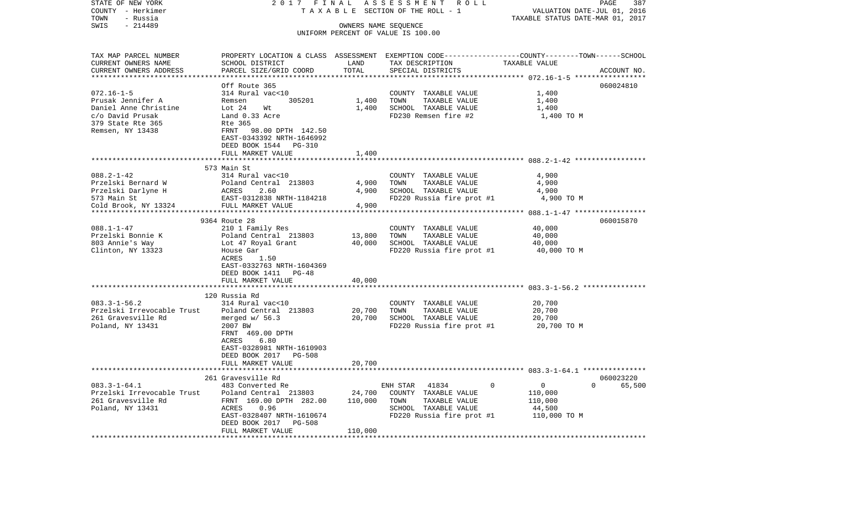| STATE OF NEW YORK          | 2017 FINAL                                                                                      |                      | ASSESSMENT ROLL                    |                                            | PAGE<br>387        |
|----------------------------|-------------------------------------------------------------------------------------------------|----------------------|------------------------------------|--------------------------------------------|--------------------|
| COUNTY - Herkimer          |                                                                                                 |                      | TAXABLE SECTION OF THE ROLL - 1    | VALUATION DATE-JUL 01, 2016                |                    |
| TOWN<br>- Russia           |                                                                                                 |                      |                                    | TAXABLE STATUS DATE-MAR 01, 2017           |                    |
| SWIS<br>$-214489$          |                                                                                                 | OWNERS NAME SEQUENCE |                                    |                                            |                    |
|                            |                                                                                                 |                      | UNIFORM PERCENT OF VALUE IS 100.00 |                                            |                    |
| TAX MAP PARCEL NUMBER      | PROPERTY LOCATION & CLASS ASSESSMENT EXEMPTION CODE---------------COUNTY-------TOWN------SCHOOL |                      |                                    |                                            |                    |
| CURRENT OWNERS NAME        | SCHOOL DISTRICT                                                                                 | LAND                 | TAX DESCRIPTION                    | TAXABLE VALUE                              |                    |
| CURRENT OWNERS ADDRESS     | PARCEL SIZE/GRID COORD                                                                          | TOTAL                | SPECIAL DISTRICTS                  |                                            | ACCOUNT NO.        |
|                            |                                                                                                 | ************         |                                    | ********************* 072.16-1-5 *****     |                    |
|                            | Off Route 365                                                                                   |                      |                                    |                                            | 060024810          |
| $072.16 - 1 - 5$           | 314 Rural vac<10                                                                                |                      | COUNTY TAXABLE VALUE               | 1,400                                      |                    |
| Prusak Jennifer A          | 305201<br>Remsen                                                                                | 1,400                | TOWN<br>TAXABLE VALUE              | 1,400                                      |                    |
| Daniel Anne Christine      | Lot $24$<br>Wt                                                                                  | 1,400                | SCHOOL TAXABLE VALUE               | 1,400                                      |                    |
| c/o David Prusak           | Land 0.33 Acre                                                                                  |                      | FD230 Remsen fire #2               | 1,400 TO M                                 |                    |
| 379 State Rte 365          | Rte 365                                                                                         |                      |                                    |                                            |                    |
| Remsen, NY 13438           | FRNT 98.00 DPTH 142.50                                                                          |                      |                                    |                                            |                    |
|                            | EAST-0343392 NRTH-1646992                                                                       |                      |                                    |                                            |                    |
|                            | DEED BOOK 1544 PG-310                                                                           |                      |                                    |                                            |                    |
|                            | FULL MARKET VALUE                                                                               | 1,400                |                                    |                                            |                    |
|                            | ************************                                                                        |                      |                                    |                                            |                    |
|                            | 573 Main St                                                                                     |                      |                                    |                                            |                    |
| $088.2 - 1 - 42$           | 314 Rural vac<10                                                                                |                      | COUNTY TAXABLE VALUE               | 4,900                                      |                    |
| Przelski Bernard W         | Poland Central 213803                                                                           | 4,900                | TOWN<br>TAXABLE VALUE              | 4,900                                      |                    |
| Przelski Darlyne H         | <b>ACRES</b><br>2.60                                                                            | 4,900                | SCHOOL TAXABLE VALUE               | 4,900                                      |                    |
| 573 Main St                | EAST-0312838 NRTH-1184218                                                                       |                      | FD220 Russia fire prot #1          | 4,900 TO M                                 |                    |
| Cold Brook, NY 13324       | FULL MARKET VALUE                                                                               | 4,900                |                                    |                                            |                    |
|                            | **********************                                                                          | ********             |                                    | ************ 088.1-1-47 ****************** |                    |
|                            | 9364 Route 28                                                                                   |                      |                                    |                                            | 060015870          |
| $088.1 - 1 - 47$           | 210 1 Family Res                                                                                |                      | COUNTY TAXABLE VALUE               | 40,000                                     |                    |
| Przelski Bonnie K          | Poland Central 213803                                                                           | 13,800               | TOWN<br>TAXABLE VALUE              | 40,000                                     |                    |
| 803 Annie's Way            | Lot 47 Royal Grant                                                                              | 40,000               | SCHOOL TAXABLE VALUE               | 40,000                                     |                    |
| Clinton, NY 13323          | House Gar                                                                                       |                      | FD220 Russia fire prot #1          | 40,000 TO M                                |                    |
|                            | ACRES<br>1.50                                                                                   |                      |                                    |                                            |                    |
|                            | EAST-0332763 NRTH-1604369                                                                       |                      |                                    |                                            |                    |
|                            | DEED BOOK 1411 PG-48                                                                            |                      |                                    |                                            |                    |
|                            | FULL MARKET VALUE                                                                               | 40,000               |                                    |                                            |                    |
|                            | **************************                                                                      |                      |                                    |                                            |                    |
|                            | 120 Russia Rd                                                                                   |                      |                                    |                                            |                    |
| $083.3 - 1 - 56.2$         | 314 Rural vac<10                                                                                |                      | COUNTY TAXABLE VALUE               | 20,700                                     |                    |
| Przelski Irrevocable Trust | Poland Central 213803                                                                           | 20,700               | TOWN<br>TAXABLE VALUE              | 20,700                                     |                    |
| 261 Gravesville Rd         | merged $w/56.3$                                                                                 | 20,700               | SCHOOL TAXABLE VALUE               | 20,700                                     |                    |
| Poland, NY 13431           | 2007 BW                                                                                         |                      | FD220 Russia fire prot #1          | 20,700 TO M                                |                    |
|                            | FRNT 469.00 DPTH                                                                                |                      |                                    |                                            |                    |
|                            | ACRES<br>6.80                                                                                   |                      |                                    |                                            |                    |
|                            | EAST-0328981 NRTH-1610903                                                                       |                      |                                    |                                            |                    |
|                            | DEED BOOK 2017 PG-508                                                                           |                      |                                    |                                            |                    |
|                            | FULL MARKET VALUE                                                                               | 20,700               |                                    |                                            |                    |
|                            |                                                                                                 |                      |                                    |                                            |                    |
|                            | 261 Gravesville Rd                                                                              |                      |                                    |                                            | 060023220          |
| $083.3 - 1 - 64.1$         | 483 Converted Re                                                                                |                      | ENH STAR<br>41834                  | $\overline{0}$<br>0                        | $\Omega$<br>65,500 |
| Przelski Irrevocable Trust | Poland Central 213803                                                                           | 24,700               | COUNTY TAXABLE VALUE               | 110,000                                    |                    |
| 261 Gravesville Rd         | FRNT 169.00 DPTH 282.00                                                                         | 110,000              | TOWN<br>TAXABLE VALUE              | 110,000                                    |                    |
| Poland, NY 13431           | ACRES<br>0.96                                                                                   |                      | SCHOOL TAXABLE VALUE               | 44,500                                     |                    |
|                            | EAST-0328407 NRTH-1610674<br>DEED BOOK 2017<br>PG-508                                           |                      | FD220 Russia fire prot #1          | 110,000 TO M                               |                    |
|                            | FULL MARKET VALUE                                                                               | 110,000              |                                    |                                            |                    |
|                            |                                                                                                 |                      |                                    |                                            |                    |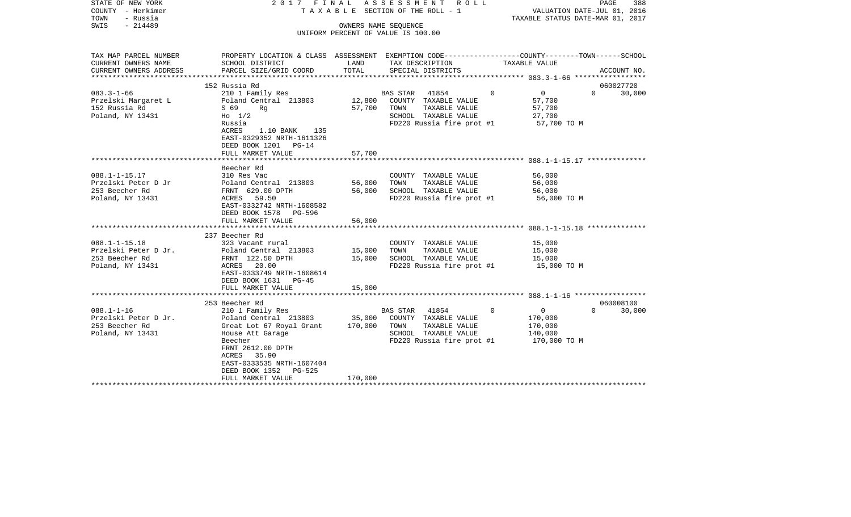| STATE OF NEW YORK<br>COUNTY - Herkimer<br>TOWN<br>- Russia<br>$-214489$<br>SWIS                                                                                       | 2017 FINAL                                                                                                                                                                                                                                                                                                                                        | OWNERS NAME SEQUENCE                                     | ASSESSMENT ROLL<br>TAXABLE SECTION OF THE ROLL - 1<br>UNIFORM PERCENT OF VALUE IS 100.00                                                                                                                 |                                                                                        | PAGE<br>388<br>VALUATION DATE-JUL 01, 2016<br>TAXABLE STATUS DATE-MAR 01, 2017 |
|-----------------------------------------------------------------------------------------------------------------------------------------------------------------------|---------------------------------------------------------------------------------------------------------------------------------------------------------------------------------------------------------------------------------------------------------------------------------------------------------------------------------------------------|----------------------------------------------------------|----------------------------------------------------------------------------------------------------------------------------------------------------------------------------------------------------------|----------------------------------------------------------------------------------------|--------------------------------------------------------------------------------|
| TAX MAP PARCEL NUMBER<br>CURRENT OWNERS NAME<br>CURRENT OWNERS ADDRESS                                                                                                | PROPERTY LOCATION & CLASS ASSESSMENT EXEMPTION CODE---------------COUNTY-------TOWN------SCHOOL<br>SCHOOL DISTRICT<br>PARCEL SIZE/GRID COORD                                                                                                                                                                                                      | LAND<br>TOTAL                                            | TAX DESCRIPTION<br>SPECIAL DISTRICTS                                                                                                                                                                     | TAXABLE VALUE                                                                          | ACCOUNT NO.                                                                    |
|                                                                                                                                                                       | 152 Russia Rd                                                                                                                                                                                                                                                                                                                                     |                                                          |                                                                                                                                                                                                          |                                                                                        | 060027720                                                                      |
| $083.3 - 1 - 66$<br>Przelski Margaret L<br>152 Russia Rd<br>Poland, NY 13431                                                                                          | 210 1 Family Res<br>Poland Central 213803<br>S 69<br>Rq<br>$H_0$ 1/2<br>Russia<br>$1.10$ BANK<br>ACRES<br>135<br>EAST-0329352 NRTH-1611326<br>DEED BOOK 1201<br>$PG-14$                                                                                                                                                                           | 12,800<br>57,700                                         | BAS STAR<br>41854<br>COUNTY TAXABLE VALUE<br>TOWN<br>TAXABLE VALUE<br>SCHOOL TAXABLE VALUE<br>FD220 Russia fire prot #1                                                                                  | $\mathbf 0$<br>$\Omega$<br>57,700<br>57,700<br>27,700<br>57,700 TO M                   | $\Omega$<br>30,000                                                             |
|                                                                                                                                                                       | FULL MARKET VALUE                                                                                                                                                                                                                                                                                                                                 | 57,700                                                   |                                                                                                                                                                                                          |                                                                                        |                                                                                |
| $088.1 - 1 - 15.17$<br>Przelski Peter D Jr<br>253 Beecher Rd<br>Poland, NY 13431<br>$088.1 - 1 - 15.18$<br>Przelski Peter D Jr.<br>253 Beecher Rd<br>Poland, NY 13431 | Beecher Rd<br>310 Res Vac<br>Poland Central 213803<br>FRNT 629.00 DPTH<br>ACRES 59.50<br>EAST-0332742 NRTH-1608582<br>DEED BOOK 1578 PG-596<br>FULL MARKET VALUE<br>237 Beecher Rd<br>323 Vacant rural<br>Poland Central 213803<br>FRNT 122.50 DPTH<br>ACRES 20.00<br>EAST-0333749 NRTH-1608614<br>DEED BOOK 1631<br>$PG-45$<br>FULL MARKET VALUE | 56,000<br>56,000<br>56,000<br>15,000<br>15,000<br>15,000 | COUNTY TAXABLE VALUE<br>TAXABLE VALUE<br>TOWN<br>SCHOOL TAXABLE VALUE<br>FD220 Russia fire prot #1<br>COUNTY TAXABLE VALUE<br>TOWN<br>TAXABLE VALUE<br>SCHOOL TAXABLE VALUE<br>FD220 Russia fire prot #1 | 56,000<br>56,000<br>56,000<br>56,000 TO M<br>15,000<br>15,000<br>15,000<br>15,000 TO M |                                                                                |
|                                                                                                                                                                       |                                                                                                                                                                                                                                                                                                                                                   |                                                          |                                                                                                                                                                                                          |                                                                                        |                                                                                |
| $088.1 - 1 - 16$<br>Przelski Peter D Jr.<br>253 Beecher Rd<br>Poland, NY 13431                                                                                        | 253 Beecher Rd<br>210 1 Family Res<br>Poland Central 213803<br>Great Lot 67 Royal Grant<br>House Att Garage<br>Beecher<br>FRNT 2612.00 DPTH<br>35.90<br>ACRES<br>EAST-0333535 NRTH-1607404<br>DEED BOOK 1352<br>PG-525<br>FULL MARKET VALUE<br>**********************                                                                             | 35,000<br>170,000<br>170,000                             | 41854<br>BAS STAR<br>COUNTY TAXABLE VALUE<br>TOWN<br>TAXABLE VALUE<br>SCHOOL TAXABLE VALUE<br>FD220 Russia fire prot #1                                                                                  | $\mathbf 0$<br>$\Omega$<br>170,000<br>170,000<br>140,000<br>170,000 TO M               | 060008100<br>$\Omega$<br>30,000                                                |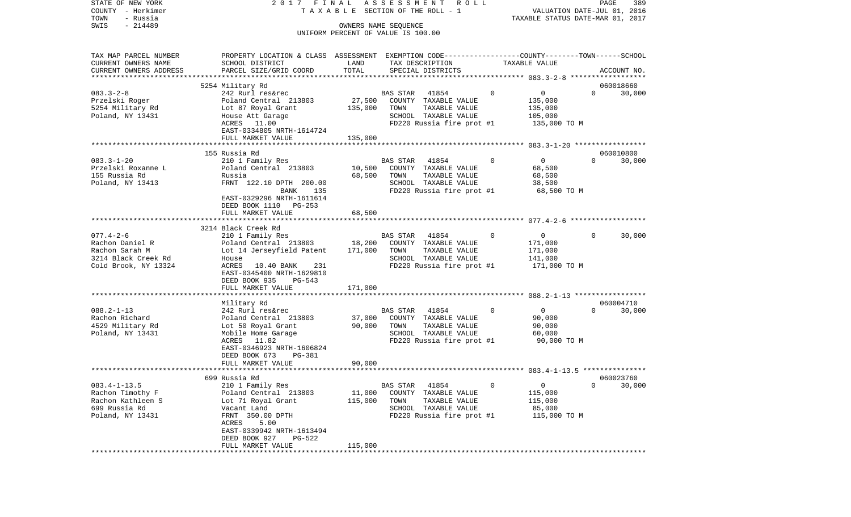| STATE OF NEW YORK      | 2017 FINAL                                                                                      |         | ASSESSMENT ROLL                                            |                               | PAGE<br>389                      |
|------------------------|-------------------------------------------------------------------------------------------------|---------|------------------------------------------------------------|-------------------------------|----------------------------------|
| COUNTY - Herkimer      |                                                                                                 |         | TAXABLE SECTION OF THE ROLL - 1                            |                               | VALUATION DATE-JUL 01, 2016      |
| - Russia<br>TOWN       |                                                                                                 |         |                                                            |                               | TAXABLE STATUS DATE-MAR 01, 2017 |
| $-214489$<br>SWIS      |                                                                                                 |         | OWNERS NAME SEQUENCE<br>UNIFORM PERCENT OF VALUE IS 100.00 |                               |                                  |
|                        |                                                                                                 |         |                                                            |                               |                                  |
| TAX MAP PARCEL NUMBER  | PROPERTY LOCATION & CLASS ASSESSMENT EXEMPTION CODE---------------COUNTY-------TOWN------SCHOOL |         |                                                            |                               |                                  |
| CURRENT OWNERS NAME    | SCHOOL DISTRICT                                                                                 | LAND    | TAX DESCRIPTION                                            | TAXABLE VALUE                 |                                  |
| CURRENT OWNERS ADDRESS | PARCEL SIZE/GRID COORD                                                                          | TOTAL   | SPECIAL DISTRICTS                                          |                               | ACCOUNT NO.                      |
|                        |                                                                                                 |         |                                                            |                               |                                  |
|                        | 5254 Military Rd                                                                                |         |                                                            |                               | 060018660                        |
| $083.3 - 2 - 8$        | 242 Rurl res&rec                                                                                |         | BAS STAR<br>41854                                          | $\mathbf 0$<br>0              | $\mathbf{0}$<br>30,000           |
| Przelski Roger         | Poland Central 213803                                                                           | 27,500  | COUNTY TAXABLE VALUE                                       | 135,000                       |                                  |
| 5254 Military Rd       | Lot 87 Royal Grant                                                                              | 135,000 | TAXABLE VALUE<br>TOWN                                      | 135,000                       |                                  |
| Poland, NY 13431       | House Att Garage                                                                                |         | SCHOOL TAXABLE VALUE                                       | 105,000                       |                                  |
|                        | ACRES 11.00                                                                                     |         | FD220 Russia fire prot #1                                  | 135,000 TO M                  |                                  |
|                        | EAST-0334805 NRTH-1614724                                                                       |         |                                                            |                               |                                  |
|                        | FULL MARKET VALUE                                                                               | 135,000 |                                                            |                               |                                  |
|                        |                                                                                                 |         |                                                            |                               |                                  |
|                        | 155 Russia Rd                                                                                   |         |                                                            |                               | 060010800                        |
| $083.3 - 1 - 20$       | 210 1 Family Res                                                                                |         | BAS STAR 41854                                             | $\overline{0}$<br>$\Omega$    | $\Omega$<br>30,000               |
| Przelski Roxanne L     | Poland Central 213803                                                                           | 10,500  | COUNTY TAXABLE VALUE                                       | 68,500                        |                                  |
| 155 Russia Rd          | Russia                                                                                          | 68,500  | TOWN<br>TAXABLE VALUE                                      | 68,500                        |                                  |
| Poland, NY 13413       | FRNT 122.10 DPTH 200.00                                                                         |         | SCHOOL TAXABLE VALUE                                       | 38,500                        |                                  |
|                        | 135<br>BANK                                                                                     |         | FD220 Russia fire prot #1                                  | 68,500 TO M                   |                                  |
|                        | EAST-0329296 NRTH-1611614                                                                       |         |                                                            |                               |                                  |
|                        | DEED BOOK 1110 PG-253                                                                           |         |                                                            |                               |                                  |
|                        | FULL MARKET VALUE                                                                               | 68,500  |                                                            |                               |                                  |
|                        |                                                                                                 |         |                                                            |                               |                                  |
| $077.4 - 2 - 6$        | 3214 Black Creek Rd<br>210 1 Family Res                                                         |         | BAS STAR 41854                                             | $\mathbf 0$<br>$\overline{0}$ | 30,000<br>$\Omega$               |
| Rachon Daniel R        | Poland Central 213803                                                                           | 18,200  | COUNTY TAXABLE VALUE                                       | 171,000                       |                                  |
| Rachon Sarah M         | Lot 14 Jerseyfield Patent                                                                       | 171,000 | TAXABLE VALUE<br>TOWN                                      | 171,000                       |                                  |
| 3214 Black Creek Rd    | House                                                                                           |         | SCHOOL TAXABLE VALUE                                       | 141,000                       |                                  |
| Cold Brook, NY 13324   | ACRES 10.40 BANK<br>231                                                                         |         | FD220 Russia fire prot #1                                  | 171,000 TO M                  |                                  |
|                        | EAST-0345400 NRTH-1629810                                                                       |         |                                                            |                               |                                  |
|                        | DEED BOOK 935<br>PG-543                                                                         |         |                                                            |                               |                                  |
|                        | FULL MARKET VALUE                                                                               | 171,000 |                                                            |                               |                                  |
|                        | ***********************                                                                         |         |                                                            |                               |                                  |
|                        | Military Rd                                                                                     |         |                                                            |                               | 060004710                        |
| $088.2 - 1 - 13$       | 242 Rurl res&rec                                                                                |         | BAS STAR 41854                                             | $\circ$<br>$\overline{0}$     | 30,000<br>$\mathbf{0}$           |
| Rachon Richard         | Poland Central 213803                                                                           | 37,000  | COUNTY TAXABLE VALUE                                       | 90,000                        |                                  |
| 4529 Military Rd       | Lot 50 Royal Grant                                                                              | 90,000  | TOWN<br>TAXABLE VALUE                                      | 90,000                        |                                  |
| Poland, NY 13431       | Mobile Home Garage                                                                              |         | SCHOOL TAXABLE VALUE                                       | 60,000                        |                                  |
|                        | ACRES 11.82                                                                                     |         | FD220 Russia fire prot #1                                  | 90,000 TO M                   |                                  |
|                        | EAST-0346923 NRTH-1606824                                                                       |         |                                                            |                               |                                  |
|                        | DEED BOOK 673<br>PG-381                                                                         |         |                                                            |                               |                                  |
|                        | FULL MARKET VALUE                                                                               | 90,000  |                                                            |                               |                                  |
|                        |                                                                                                 |         |                                                            |                               |                                  |
|                        | 699 Russia Rd                                                                                   |         |                                                            |                               | 060023760                        |
| $083.4 - 1 - 13.5$     | 210 1 Family Res                                                                                |         | 41854<br><b>BAS STAR</b>                                   | 0<br>0                        | 0<br>30,000                      |
| Rachon Timothy F       | Poland Central 213803                                                                           | 11,000  | COUNTY<br>TAXABLE VALUE                                    | 115,000                       |                                  |
| Rachon Kathleen S      | Lot 71 Royal Grant                                                                              | 115,000 | TOWN<br>TAXABLE VALUE                                      | 115,000                       |                                  |
| 699 Russia Rd          | Vacant Land                                                                                     |         | SCHOOL<br>TAXABLE VALUE                                    | 85,000                        |                                  |
| Poland, NY 13431       | FRNT 350.00 DPTH                                                                                |         | FD220 Russia fire prot #1                                  | 115,000 TO M                  |                                  |
|                        | 5.00<br>ACRES                                                                                   |         |                                                            |                               |                                  |
|                        | EAST-0339942 NRTH-1613494                                                                       |         |                                                            |                               |                                  |
|                        | DEED BOOK 927<br>PG-522                                                                         |         |                                                            |                               |                                  |
|                        | FULL MARKET VALUE                                                                               | 115,000 |                                                            |                               |                                  |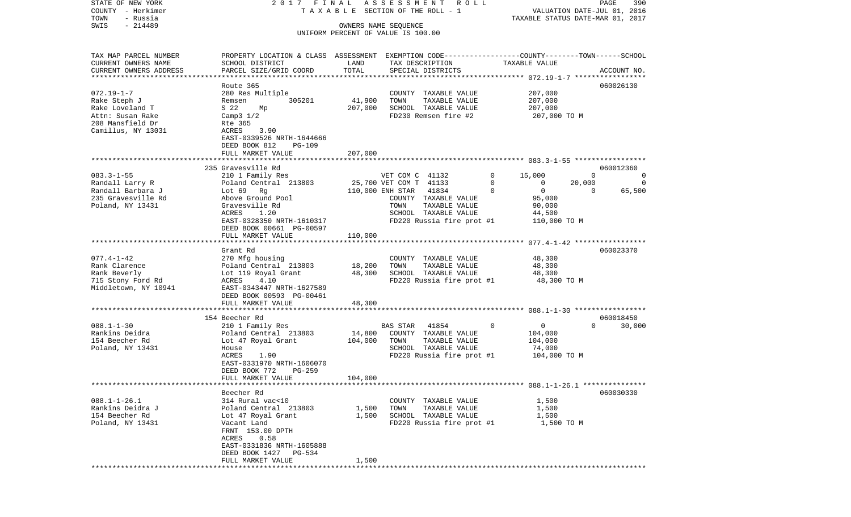| COUNTY<br>– Herkimer                                |                                                                                                 | T A X A B L E SECTION OF THE ROLL - 1 |                                                            |                         |                                                         |
|-----------------------------------------------------|-------------------------------------------------------------------------------------------------|---------------------------------------|------------------------------------------------------------|-------------------------|---------------------------------------------------------|
| TOWN<br>- Russia<br>SWIS<br>$-214489$               |                                                                                                 |                                       | TAXABLE STATUS DATE-MAR 01, 2017                           |                         |                                                         |
|                                                     |                                                                                                 |                                       | OWNERS NAME SEQUENCE<br>UNIFORM PERCENT OF VALUE IS 100.00 |                         |                                                         |
|                                                     |                                                                                                 |                                       |                                                            |                         |                                                         |
| TAX MAP PARCEL NUMBER                               | PROPERTY LOCATION & CLASS ASSESSMENT EXEMPTION CODE---------------COUNTY-------TOWN------SCHOOL |                                       |                                                            |                         |                                                         |
| CURRENT OWNERS NAME                                 | SCHOOL DISTRICT                                                                                 | LAND                                  | TAX DESCRIPTION                                            | TAXABLE VALUE           |                                                         |
| CURRENT OWNERS ADDRESS<br>************************* | PARCEL SIZE/GRID COORD                                                                          | TOTAL                                 | SPECIAL DISTRICTS                                          |                         | ACCOUNT NO.                                             |
|                                                     | Route 365                                                                                       |                                       |                                                            |                         | 060026130                                               |
| $072.19 - 1 - 7$                                    | 280 Res Multiple                                                                                |                                       | COUNTY TAXABLE VALUE                                       | 207,000                 |                                                         |
| Rake Steph J                                        | 305201<br>Remsen                                                                                | 41,900                                | TOWN<br>TAXABLE VALUE                                      | 207,000                 |                                                         |
| Rake Loveland T                                     | S 22<br>Мp                                                                                      | 207,000                               | SCHOOL TAXABLE VALUE                                       | 207,000                 |                                                         |
| Attn: Susan Rake                                    | Camp3 $1/2$                                                                                     |                                       | FD230 Remsen fire #2                                       | 207,000 TO M            |                                                         |
| 208 Mansfield Dr                                    | Rte 365                                                                                         |                                       |                                                            |                         |                                                         |
| Camillus, NY 13031                                  | 3.90<br>ACRES                                                                                   |                                       |                                                            |                         |                                                         |
|                                                     | EAST-0339526 NRTH-1644666                                                                       |                                       |                                                            |                         |                                                         |
|                                                     | DEED BOOK 812<br><b>PG-109</b>                                                                  |                                       |                                                            |                         |                                                         |
|                                                     | FULL MARKET VALUE<br>**************************                                                 | 207,000                               |                                                            |                         |                                                         |
|                                                     | 235 Gravesville Rd                                                                              |                                       |                                                            |                         | 060012360                                               |
| $083.3 - 1 - 55$                                    | 210 1 Family Res                                                                                |                                       | VET COM C 41132                                            | 0<br>15,000             | $\Omega$<br>0                                           |
| Randall Larry R                                     | Poland Central 213803                                                                           |                                       | 25,700 VET COM T 41133                                     | $\Omega$<br>$\mathbf 0$ | 20,000<br>$\Omega$                                      |
| Randall Barbara J                                   | Lot $69$ Rg                                                                                     |                                       | 110,000 ENH STAR<br>41834                                  | $\mathbf 0$<br>$\Omega$ | 65,500<br>0                                             |
| 235 Gravesville Rd                                  | Above Ground Pool                                                                               |                                       | COUNTY TAXABLE VALUE                                       | 95,000                  |                                                         |
| Poland, NY 13431                                    | Gravesville Rd                                                                                  |                                       | TOWN<br>TAXABLE VALUE                                      | 90,000                  |                                                         |
|                                                     | ACRES<br>1.20                                                                                   |                                       | SCHOOL TAXABLE VALUE                                       | 44,500                  |                                                         |
|                                                     | EAST-0328350 NRTH-1610317                                                                       |                                       | FD220 Russia fire prot #1                                  | 110,000 TO M            |                                                         |
|                                                     | DEED BOOK 00661 PG-00597<br>FULL MARKET VALUE                                                   | 110,000                               |                                                            |                         |                                                         |
|                                                     | *******************                                                                             | *********                             |                                                            |                         | ************************* 077.4-1-42 ****************** |
|                                                     | Grant Rd                                                                                        |                                       |                                                            |                         | 060023370                                               |
| $077.4 - 1 - 42$                                    | 270 Mfg housing                                                                                 |                                       | COUNTY TAXABLE VALUE                                       | 48,300                  |                                                         |
| Rank Clarence                                       | Poland Central 213803                                                                           | 18,200                                | TOWN<br>TAXABLE VALUE                                      | 48,300                  |                                                         |
| Rank Beverly                                        | Lot 119 Royal Grant                                                                             | 48,300                                | SCHOOL TAXABLE VALUE                                       | 48,300                  |                                                         |
| 715 Stony Ford Rd                                   | 4.10<br>ACRES                                                                                   |                                       | FD220 Russia fire prot #1                                  | 48,300 TO M             |                                                         |
| Middletown, NY 10941                                | EAST-0343447 NRTH-1627589                                                                       |                                       |                                                            |                         |                                                         |
|                                                     | DEED BOOK 00593 PG-00461                                                                        |                                       |                                                            |                         |                                                         |
|                                                     | FULL MARKET VALUE                                                                               | 48,300                                |                                                            |                         |                                                         |
|                                                     | 154 Beecher Rd                                                                                  |                                       |                                                            |                         | 060018450                                               |
| $088.1 - 1 - 30$                                    | 210 1 Family Res                                                                                |                                       | 41854<br>BAS STAR                                          | 0<br>0                  | $\Omega$<br>30,000                                      |
| Rankins Deidra                                      | Poland Central 213803                                                                           | 14,800                                | COUNTY TAXABLE VALUE                                       | 104,000                 |                                                         |
| 154 Beecher Rd                                      | Lot 47 Royal Grant                                                                              | 104,000                               | TOWN<br>TAXABLE VALUE                                      | 104,000                 |                                                         |
| Poland, NY 13431                                    | House                                                                                           |                                       | SCHOOL TAXABLE VALUE                                       | 74,000                  |                                                         |
|                                                     | 1.90<br>ACRES                                                                                   |                                       | FD220 Russia fire prot #1                                  | 104,000 TO M            |                                                         |
|                                                     | EAST-0331970 NRTH-1606070                                                                       |                                       |                                                            |                         |                                                         |
|                                                     | DEED BOOK 772<br>$PG-259$                                                                       |                                       |                                                            |                         |                                                         |
|                                                     | FULL MARKET VALUE                                                                               | 104,000                               |                                                            |                         |                                                         |
|                                                     | Beecher Rd                                                                                      |                                       |                                                            |                         | 060030330                                               |
| $088.1 - 1 - 26.1$                                  | 314 Rural vac<10                                                                                |                                       | TAXABLE VALUE<br>COUNTY                                    | 1,500                   |                                                         |
| Rankins Deidra J                                    | Poland Central 213803                                                                           | 1,500                                 | TOWN<br>TAXABLE VALUE                                      | 1,500                   |                                                         |
| 154 Beecher Rd                                      | Lot 47 Royal Grant                                                                              | 1,500                                 | SCHOOL TAXABLE VALUE                                       | 1,500                   |                                                         |
| Poland, NY 13431                                    | Vacant Land                                                                                     |                                       | FD220 Russia fire prot #1                                  |                         | 1,500 TO M                                              |
|                                                     | FRNT 153.00 DPTH                                                                                |                                       |                                                            |                         |                                                         |
|                                                     | ACRES<br>0.58                                                                                   |                                       |                                                            |                         |                                                         |
|                                                     | EAST-0331836 NRTH-1605888                                                                       |                                       |                                                            |                         |                                                         |
|                                                     | DEED BOOK 1427<br>PG-534<br>FULL MARKET VALUE                                                   | 1,500                                 |                                                            |                         |                                                         |
|                                                     |                                                                                                 |                                       |                                                            |                         |                                                         |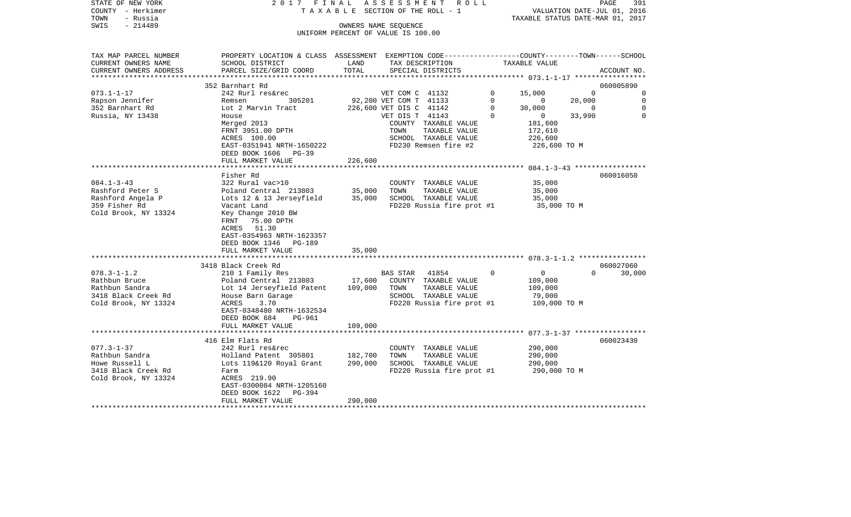| STATE OF NEW YORK                     | 2017 FINAL                                                                                      |         | ASSESSMENT<br>R O L L                                      |                                                                                          | PAGE                             | 391           |
|---------------------------------------|-------------------------------------------------------------------------------------------------|---------|------------------------------------------------------------|------------------------------------------------------------------------------------------|----------------------------------|---------------|
| COUNTY - Herkimer                     |                                                                                                 |         | T A X A B L E SECTION OF THE ROLL - 1                      |                                                                                          | VALUATION DATE-JUL 01, 2016      |               |
| TOWN<br>- Russia<br>SWIS<br>$-214489$ |                                                                                                 |         |                                                            |                                                                                          | TAXABLE STATUS DATE-MAR 01, 2017 |               |
|                                       |                                                                                                 |         | OWNERS NAME SEQUENCE<br>UNIFORM PERCENT OF VALUE IS 100.00 |                                                                                          |                                  |               |
|                                       |                                                                                                 |         |                                                            |                                                                                          |                                  |               |
|                                       |                                                                                                 |         |                                                            |                                                                                          |                                  |               |
| TAX MAP PARCEL NUMBER                 | PROPERTY LOCATION & CLASS ASSESSMENT EXEMPTION CODE---------------COUNTY-------TOWN------SCHOOL |         |                                                            |                                                                                          |                                  |               |
| CURRENT OWNERS NAME                   | SCHOOL DISTRICT                                                                                 | LAND    | TAX DESCRIPTION                                            | TAXABLE VALUE                                                                            |                                  |               |
| CURRENT OWNERS ADDRESS                | PARCEL SIZE/GRID COORD                                                                          | TOTAL   | SPECIAL DISTRICTS                                          |                                                                                          |                                  | ACCOUNT NO.   |
| ***********************               |                                                                                                 |         |                                                            | ********************* 073.1-1-17 ******************                                      |                                  |               |
|                                       | 352 Barnhart Rd                                                                                 |         |                                                            |                                                                                          |                                  | 060005890     |
| $073.1 - 1 - 17$                      | 242 Rurl res&rec                                                                                |         | VET COM C 41132                                            | $\mathbf 0$                                                                              | $\Omega$                         | 0             |
| Rapson Jennifer                       | 305201<br>Remsen                                                                                |         | 92,200 VET COM T 41133                                     | $\mathbf 0$                                                                              | 20,000                           | 0             |
| 352 Barnhart Rd<br>Russia, NY 13438   | Lot 2 Marvin Tract<br>House                                                                     |         | 226,600 VET DIS C 41142<br>VET DIS T 41143                 | $\begin{array}{ccccc}\n & & 15,000 \\ 0 & & & 0\n\end{array}$<br>$\mathbf 0$<br>$\Omega$ | $\sim$ 0<br>33,990               | 0<br>$\Omega$ |
|                                       | Merged 2013                                                                                     |         | COUNTY TAXABLE VALUE                                       | $\begin{array}{c} 0 \\ 181,600 \end{array}$                                              |                                  |               |
|                                       | FRNT 3951.00 DPTH                                                                               |         | TAXABLE VALUE<br>TOWN                                      | 172,610                                                                                  |                                  |               |
|                                       | ACRES 100.00                                                                                    |         | SCHOOL TAXABLE VALUE                                       | 226,600                                                                                  |                                  |               |
|                                       | EAST-0351941 NRTH-1650222                                                                       |         | FD230 Remsen fire #2                                       | 226,600 ТО М                                                                             |                                  |               |
|                                       | DEED BOOK 1606 PG-39                                                                            |         |                                                            |                                                                                          |                                  |               |
|                                       | FULL MARKET VALUE                                                                               | 226,600 |                                                            |                                                                                          |                                  |               |
|                                       |                                                                                                 |         |                                                            |                                                                                          |                                  |               |
|                                       | Fisher Rd                                                                                       |         |                                                            |                                                                                          |                                  | 060016050     |
| $084.1 - 3 - 43$                      | 322 Rural vac>10                                                                                |         | COUNTY TAXABLE VALUE                                       | 35,000                                                                                   |                                  |               |
| Rashford Peter S                      | Poland Central 213803                                                                           | 35,000  | TOWN<br>TAXABLE VALUE                                      | 35,000                                                                                   |                                  |               |
| Rashford Angela P                     | Lots 12 & 13 Jerseyfield 35,000 SCHOOL TAXABLE VALUE                                            |         |                                                            | 35,000                                                                                   |                                  |               |
| 359 Fisher Rd<br>Cold Brook, NY 13324 | Vacant Land<br>Key Change 2010 BW                                                               |         | FD220 Russia fire prot #1                                  | 35,000 TO M                                                                              |                                  |               |
|                                       | FRNT<br>75.00 DPTH                                                                              |         |                                                            |                                                                                          |                                  |               |
|                                       | ACRES 51.30                                                                                     |         |                                                            |                                                                                          |                                  |               |
|                                       | EAST-0354963 NRTH-1623357                                                                       |         |                                                            |                                                                                          |                                  |               |
|                                       | DEED BOOK 1346 PG-189                                                                           |         |                                                            |                                                                                          |                                  |               |
|                                       | FULL MARKET VALUE                                                                               | 35,000  |                                                            |                                                                                          |                                  |               |
|                                       |                                                                                                 |         |                                                            |                                                                                          |                                  |               |
|                                       | 3418 Black Creek Rd                                                                             |         |                                                            |                                                                                          |                                  | 060027060     |
| $078.3 - 1 - 1.2$                     | 210 1 Family Res                                                                                |         | BAS STAR 41854                                             | $\Omega$<br>$\overline{0}$                                                               | $\Omega$                         | 30,000        |
| Rathbun Bruce                         | Poland Central 213803                                                                           | 17,600  | COUNTY TAXABLE VALUE                                       | 109,000                                                                                  |                                  |               |
| Rathbun Sandra                        | Lot 14 Jerseyfield Patent 109,000                                                               |         | TOWN<br>TAXABLE VALUE                                      | 109,000                                                                                  |                                  |               |
| 3418 Black Creek Rd                   | House Barn Garage<br>ACRES<br>3.70                                                              |         | SCHOOL TAXABLE VALUE<br>FD220 Russia fire prot #1          | 79,000                                                                                   |                                  |               |
| Cold Brook, NY 13324                  | EAST-0348480 NRTH-1632534                                                                       |         |                                                            | 109,000 ТО М                                                                             |                                  |               |
|                                       | DEED BOOK 684<br>PG-961                                                                         |         |                                                            |                                                                                          |                                  |               |
|                                       | FULL MARKET VALUE                                                                               | 109,000 |                                                            |                                                                                          |                                  |               |
|                                       |                                                                                                 |         |                                                            |                                                                                          |                                  |               |
|                                       | 416 Elm Flats Rd                                                                                |         |                                                            |                                                                                          |                                  | 060023430     |
| $077.3 - 1 - 37$                      | 242 Rurl res&rec                                                                                |         | COUNTY TAXABLE VALUE                                       | 290,000                                                                                  |                                  |               |
| Rathbun Sandra                        | Holland Patent 305801                                                                           | 182,700 | TAXABLE VALUE<br>TOWN                                      | 290,000                                                                                  |                                  |               |
| Howe Russell L                        | Lots 119&120 Royal Grant                                                                        | 290,000 | SCHOOL TAXABLE VALUE                                       | 290,000                                                                                  |                                  |               |
| 3418 Black Creek Rd                   | Farm                                                                                            |         | FD220 Russia fire prot #1                                  | 290,000 ТО М                                                                             |                                  |               |
| Cold Brook, NY 13324                  | ACRES 219.90                                                                                    |         |                                                            |                                                                                          |                                  |               |
|                                       | EAST-0300084 NRTH-1205160                                                                       |         |                                                            |                                                                                          |                                  |               |
|                                       | DEED BOOK 1622 PG-394<br>FULL MARKET VALUE                                                      | 290,000 |                                                            |                                                                                          |                                  |               |
| *********************                 |                                                                                                 |         |                                                            |                                                                                          |                                  |               |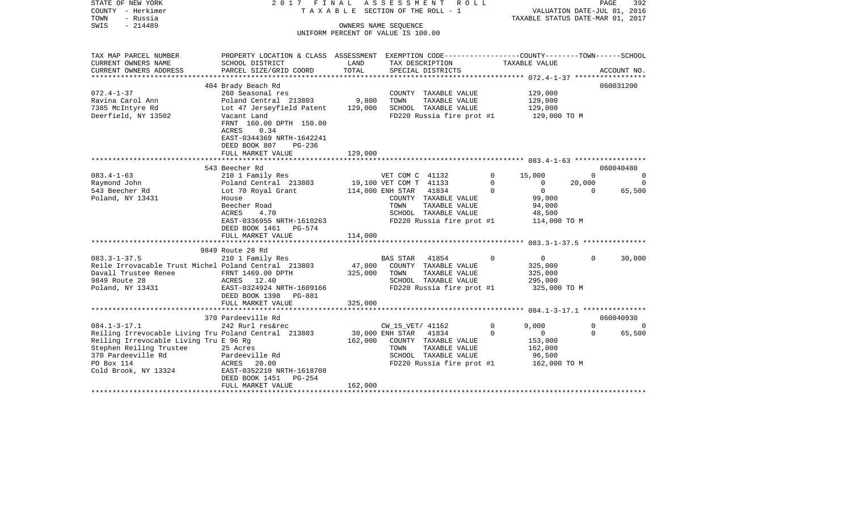| STATE OF NEW YORK<br>COUNTY - Herkimer<br>- Russia<br>TOWN<br>SWIS<br>$-214489$ | 2017 FINAL                                                                                                          |         | ASSESSMENT<br>R O L L<br>T A X A B L E SECTION OF THE ROLL - 1<br>OWNERS NAME SEQUENCE<br>UNIFORM PERCENT OF VALUE IS 100.00 |                         | VALUATION DATE-JUL 01, 2016<br>TAXABLE STATUS DATE-MAR 01, 2017 | PAGE               | 392                   |
|---------------------------------------------------------------------------------|---------------------------------------------------------------------------------------------------------------------|---------|------------------------------------------------------------------------------------------------------------------------------|-------------------------|-----------------------------------------------------------------|--------------------|-----------------------|
| TAX MAP PARCEL NUMBER<br>CURRENT OWNERS NAME                                    | PROPERTY LOCATION & CLASS ASSESSMENT EXEMPTION CODE----------------COUNTY-------TOWN------SCHOOL<br>SCHOOL DISTRICT | LAND    | TAX DESCRIPTION                                                                                                              |                         | TAXABLE VALUE                                                   |                    |                       |
| CURRENT OWNERS ADDRESS                                                          | PARCEL SIZE/GRID COORD                                                                                              | TOTAL   | SPECIAL DISTRICTS                                                                                                            |                         |                                                                 |                    | ACCOUNT NO.           |
|                                                                                 |                                                                                                                     |         |                                                                                                                              |                         |                                                                 |                    |                       |
| $072.4 - 1 - 37$                                                                | 404 Brady Beach Rd<br>260 Seasonal res                                                                              |         | COUNTY TAXABLE VALUE                                                                                                         |                         | 129,000                                                         |                    | 060031200             |
| Ravina Carol Ann                                                                | Poland Central 213803                                                                                               | 9,800   | TOWN<br>TAXABLE VALUE                                                                                                        |                         | 129,000                                                         |                    |                       |
| 7385 McIntyre Rd                                                                | Lot 47 Jerseyfield Patent                                                                                           | 129,000 | SCHOOL TAXABLE VALUE                                                                                                         |                         | 129,000                                                         |                    |                       |
| Deerfield, NY 13502                                                             | Vacant Land<br>FRNT 160.00 DPTH 150.00<br>0.34<br>ACRES<br>EAST-0344369 NRTH-1642241                                |         | FD220 Russia fire prot #1                                                                                                    |                         | 129,000 TO M                                                    |                    |                       |
|                                                                                 | DEED BOOK 807<br>PG-236                                                                                             |         |                                                                                                                              |                         |                                                                 |                    |                       |
|                                                                                 | FULL MARKET VALUE                                                                                                   | 129,000 |                                                                                                                              |                         |                                                                 |                    |                       |
|                                                                                 | ***********************                                                                                             |         |                                                                                                                              |                         |                                                                 |                    |                       |
|                                                                                 | 543 Beecher Rd                                                                                                      |         |                                                                                                                              |                         |                                                                 |                    | 060040480             |
| $083.4 - 1 - 63$<br>Raymond John                                                | 210 1 Family Res<br>Poland Central 213803                                                                           |         | VET COM C 41132<br>19,100 VET COM T 41133                                                                                    | $\mathbf 0$<br>$\Omega$ | 15,000<br>$\mathbf 0$                                           | $\Omega$<br>20,000 | $\Omega$<br>$\Omega$  |
| 543 Beecher Rd                                                                  | Lot 70 Royal Grant                                                                                                  |         | 114,000 ENH STAR<br>41834                                                                                                    | $\Omega$                | $\overline{0}$                                                  | $\Omega$           | 65,500                |
| Poland, NY 13431                                                                | House                                                                                                               |         | COUNTY TAXABLE VALUE                                                                                                         |                         | 99,000                                                          |                    |                       |
|                                                                                 | Beecher Road                                                                                                        |         | TOWN<br>TAXABLE VALUE                                                                                                        |                         | 94,000                                                          |                    |                       |
|                                                                                 | 4.70<br>ACRES                                                                                                       |         | SCHOOL TAXABLE VALUE                                                                                                         |                         | 48,500                                                          |                    |                       |
|                                                                                 | EAST-0336955 NRTH-1610263<br>DEED BOOK 1461 PG-574<br>FULL MARKET VALUE                                             | 114,000 | FD220 Russia fire prot #1                                                                                                    |                         | 114,000 TO M                                                    |                    |                       |
|                                                                                 | ********************                                                                                                |         |                                                                                                                              |                         |                                                                 |                    |                       |
|                                                                                 | 9849 Route 28 Rd                                                                                                    |         |                                                                                                                              |                         |                                                                 |                    |                       |
| $083.3 - 1 - 37.5$                                                              | 210 1 Family Res                                                                                                    |         | 41854<br><b>BAS STAR</b>                                                                                                     | $\mathbf 0$             | $\overline{0}$                                                  | $\Omega$           | 30,000                |
| Reile Irrovacable Trust Michel Poland Central 213803                            |                                                                                                                     | 47,800  | COUNTY TAXABLE VALUE                                                                                                         |                         | 325,000                                                         |                    |                       |
| Davall Trustee Renee<br>9849 Route 28                                           | FRNT 1469.00 DPTH<br>ACRES 12.40                                                                                    | 325,000 | TOWN<br>TAXABLE VALUE<br>SCHOOL TAXABLE VALUE                                                                                |                         | 325,000<br>295,000                                              |                    |                       |
| Poland, NY 13431                                                                | EAST-0324924 NRTH-1609166                                                                                           |         | FD220 Russia fire prot #1                                                                                                    |                         | 325,000 TO M                                                    |                    |                       |
|                                                                                 | DEED BOOK 1398 PG-881                                                                                               |         |                                                                                                                              |                         |                                                                 |                    |                       |
|                                                                                 | FULL MARKET VALUE                                                                                                   | 325,000 |                                                                                                                              |                         |                                                                 |                    |                       |
|                                                                                 |                                                                                                                     |         |                                                                                                                              |                         |                                                                 |                    |                       |
| $084.1 - 3 - 17.1$                                                              | 370 Pardeeville Rd<br>242 Rurl res&rec                                                                              |         | CW_15_VET/ 41162                                                                                                             | $\Omega$                | 9,000                                                           | $\Omega$           | 060040930<br>$\Omega$ |
| Reiling Irrevocable Living Tru Poland Central 213803                            |                                                                                                                     |         | 30,000 ENH STAR<br>41834                                                                                                     | $\mathbf 0$             | $\mathbf 0$                                                     | $\Omega$           | 65,500                |
| Reiling Irrevocable Living Tru E 96 Rg                                          |                                                                                                                     | 162,000 | COUNTY TAXABLE VALUE                                                                                                         |                         | 153,000                                                         |                    |                       |
| Stephen Reiling Trustee                                                         | 25 Acres                                                                                                            |         | TOWN<br>TAXABLE VALUE                                                                                                        |                         | 162,000                                                         |                    |                       |
| 370 Pardeeville Rd                                                              | Pardeeville Rd                                                                                                      |         | SCHOOL TAXABLE VALUE                                                                                                         |                         | 96,500                                                          |                    |                       |
| PO Box 114                                                                      | ACRES<br>20.00<br>EAST-0352210 NRTH-1618708                                                                         |         | FD220 Russia fire prot #1                                                                                                    |                         | 162,000 TO M                                                    |                    |                       |
| Cold Brook, NY 13324                                                            | DEED BOOK 1451<br>PG-254                                                                                            |         |                                                                                                                              |                         |                                                                 |                    |                       |
|                                                                                 | FULL MARKET VALUE                                                                                                   | 162,000 |                                                                                                                              |                         |                                                                 |                    |                       |
|                                                                                 |                                                                                                                     |         |                                                                                                                              |                         |                                                                 |                    |                       |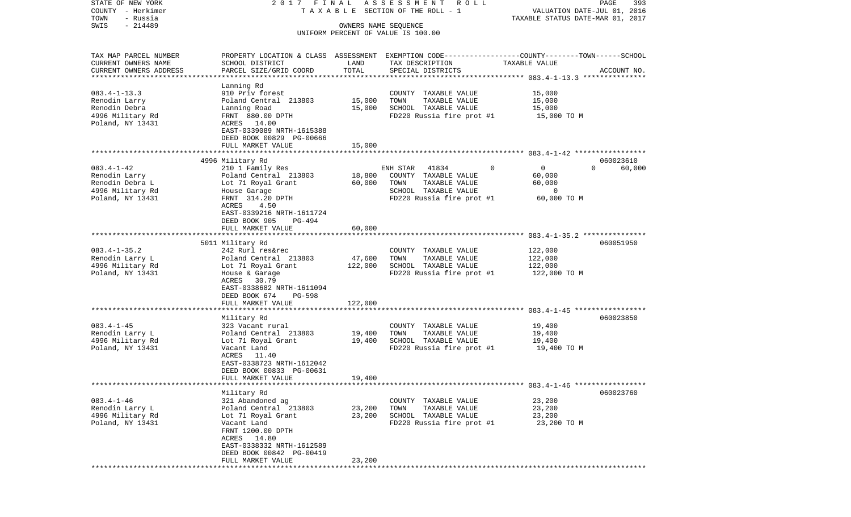| STATE OF NEW YORK<br>COUNTY - Herkimer           | 2017 FINAL                                    |                      | A S S E S S M E N T R O L L<br>TAXABLE SECTION OF THE ROLL - 1                                   | VALUATION DATE-JUL 01, 2016      | PAGE<br>393 |
|--------------------------------------------------|-----------------------------------------------|----------------------|--------------------------------------------------------------------------------------------------|----------------------------------|-------------|
| TOWN<br>- Russia                                 |                                               |                      |                                                                                                  | TAXABLE STATUS DATE-MAR 01, 2017 |             |
| $-214489$<br>SWIS                                |                                               | OWNERS NAME SEQUENCE |                                                                                                  |                                  |             |
|                                                  |                                               |                      | UNIFORM PERCENT OF VALUE IS 100.00                                                               |                                  |             |
|                                                  |                                               |                      |                                                                                                  |                                  |             |
| TAX MAP PARCEL NUMBER                            |                                               |                      | PROPERTY LOCATION & CLASS ASSESSMENT EXEMPTION CODE----------------COUNTY-------TOWN------SCHOOL |                                  |             |
| CURRENT OWNERS NAME                              | SCHOOL DISTRICT                               | LAND<br>TOTAL        | TAX DESCRIPTION                                                                                  | TAXABLE VALUE                    |             |
| CURRENT OWNERS ADDRESS<br>********************** | PARCEL SIZE/GRID COORD                        |                      | SPECIAL DISTRICTS                                                                                |                                  | ACCOUNT NO. |
|                                                  | Lanning Rd                                    |                      |                                                                                                  |                                  |             |
| $083.4 - 1 - 13.3$                               | 910 Priv forest                               |                      | COUNTY TAXABLE VALUE                                                                             | 15,000                           |             |
| Renodin Larry                                    | Poland Central 213803                         | 15,000               | TOWN<br>TAXABLE VALUE                                                                            | 15,000                           |             |
| Renodin Debra                                    | Lanning Road                                  | 15,000               | SCHOOL TAXABLE VALUE                                                                             | 15,000                           |             |
| 4996 Military Rd                                 | FRNT 880.00 DPTH                              |                      | FD220 Russia fire prot #1                                                                        | 15,000 TO M                      |             |
| Poland, NY 13431                                 | ACRES 14.00                                   |                      |                                                                                                  |                                  |             |
|                                                  | EAST-0339089 NRTH-1615388                     |                      |                                                                                                  |                                  |             |
|                                                  | DEED BOOK 00829 PG-00666<br>FULL MARKET VALUE | 15,000               |                                                                                                  |                                  |             |
|                                                  |                                               |                      |                                                                                                  |                                  |             |
|                                                  | 4996 Military Rd                              |                      |                                                                                                  |                                  | 060023610   |
| $083.4 - 1 - 42$                                 | 210 1 Family Res                              |                      | ENH STAR<br>41834<br>0                                                                           | $\overline{0}$<br>$\Omega$       | 60,000      |
| Renodin Larry                                    | Poland Central 213803                         | 18,800               | COUNTY TAXABLE VALUE                                                                             | 60,000                           |             |
| Renodin Debra L                                  | Lot 71 Royal Grant                            | 60,000               | TAXABLE VALUE<br>TOWN                                                                            | 60,000                           |             |
| 4996 Military Rd                                 | House Garage                                  |                      | SCHOOL TAXABLE VALUE                                                                             | $\circ$                          |             |
| Poland, NY 13431                                 | FRNT 314.20 DPTH                              |                      | FD220 Russia fire prot #1                                                                        | 60,000 TO M                      |             |
|                                                  | ACRES<br>4.50<br>EAST-0339216 NRTH-1611724    |                      |                                                                                                  |                                  |             |
|                                                  | DEED BOOK 905<br>PG-494                       |                      |                                                                                                  |                                  |             |
|                                                  | FULL MARKET VALUE                             | 60,000               |                                                                                                  |                                  |             |
|                                                  |                                               |                      |                                                                                                  |                                  |             |
|                                                  | 5011 Military Rd                              |                      |                                                                                                  |                                  | 060051950   |
| $083.4 - 1 - 35.2$                               | 242 Rurl res&rec                              |                      | COUNTY TAXABLE VALUE                                                                             | 122,000                          |             |
| Renodin Larry L                                  | Poland Central 213803                         | 47,600               | TAXABLE VALUE<br>TOWN                                                                            | 122,000                          |             |
| 4996 Military Rd                                 | Lot 71 Royal Grant                            | 122,000              | SCHOOL TAXABLE VALUE                                                                             | 122,000                          |             |
| Poland, NY 13431                                 | House & Garage<br>30.79                       |                      | FD220 Russia fire prot #1                                                                        | 122,000 TO M                     |             |
|                                                  | ACRES<br>EAST-0338682 NRTH-1611094            |                      |                                                                                                  |                                  |             |
|                                                  | DEED BOOK 674<br>PG-598                       |                      |                                                                                                  |                                  |             |
|                                                  | FULL MARKET VALUE                             | 122,000              |                                                                                                  |                                  |             |
|                                                  | *********************                         | *************        |                                                                                                  |                                  |             |
|                                                  | Military Rd                                   |                      |                                                                                                  |                                  | 060023850   |
| $083.4 - 1 - 45$                                 | 323 Vacant rural                              |                      | COUNTY TAXABLE VALUE                                                                             | 19,400                           |             |
| Renodin Larry L                                  | Poland Central 213803                         | 19,400               | TOWN<br>TAXABLE VALUE                                                                            | 19,400                           |             |
| 4996 Military Rd                                 | Lot 71 Royal Grant                            | 19,400               | SCHOOL TAXABLE VALUE                                                                             | 19,400                           |             |
| Poland, NY 13431                                 | Vacant Land<br>ACRES 11.40                    |                      | FD220 Russia fire prot #1                                                                        | 19,400 TO M                      |             |
|                                                  | EAST-0338723 NRTH-1612042                     |                      |                                                                                                  |                                  |             |
|                                                  | DEED BOOK 00833 PG-00631                      |                      |                                                                                                  |                                  |             |
|                                                  | FULL MARKET VALUE                             | 19,400               |                                                                                                  |                                  |             |
|                                                  |                                               |                      |                                                                                                  |                                  |             |
|                                                  | Military Rd                                   |                      |                                                                                                  |                                  | 060023760   |
| $083.4 - 1 - 46$                                 | 321 Abandoned ag                              |                      | COUNTY TAXABLE VALUE                                                                             | 23,200                           |             |
| Renodin Larry L                                  | Poland Central 213803                         | 23,200               | TOWN<br>TAXABLE VALUE                                                                            | 23,200                           |             |
| 4996 Military Rd                                 | Lot 71 Royal Grant                            | 23,200               | SCHOOL TAXABLE VALUE                                                                             | 23,200<br>23,200 TO M            |             |
| Poland, NY 13431                                 | Vacant Land<br>FRNT 1200.00 DPTH              |                      | FD220 Russia fire prot #1                                                                        |                                  |             |
|                                                  | ACRES 14.80                                   |                      |                                                                                                  |                                  |             |
|                                                  | EAST-0338332 NRTH-1612589                     |                      |                                                                                                  |                                  |             |
|                                                  | DEED BOOK 00842 PG-00419                      |                      |                                                                                                  |                                  |             |
|                                                  | FULL MARKET VALUE                             | 23,200               |                                                                                                  |                                  |             |
|                                                  |                                               |                      |                                                                                                  |                                  |             |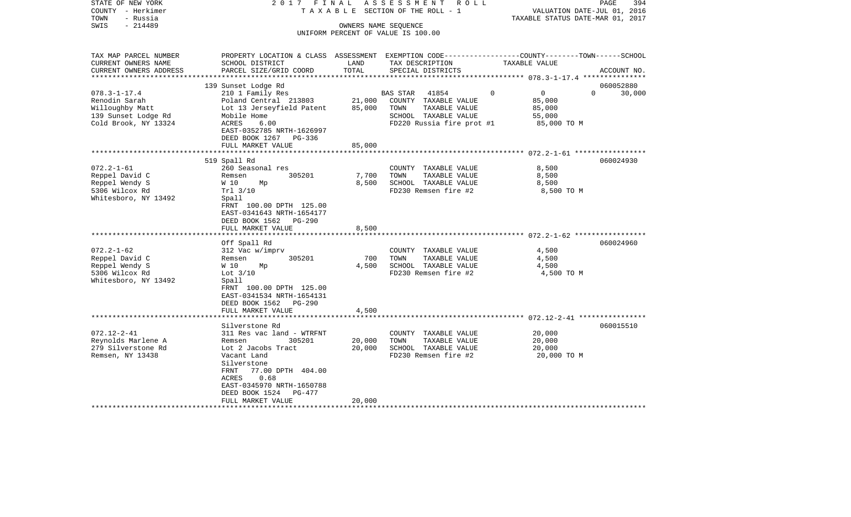| STATE OF NEW YORK<br>COUNTY - Herkimer<br>TOWN<br>- Russia<br>SWIS<br>$-214489$                                                                                                                  | 2017 FINAL                                                                                                                                                                                                                                                                                                                                                                                                                   | OWNERS NAME SEQUENCE                             | ASSESSMENT<br>R O L L<br>T A X A B L E SECTION OF THE ROLL - 1                                                                                                                                 | PAGE<br>394<br>VALUATION DATE-JUL 01, 2016<br>TAXABLE STATUS DATE-MAR 01, 2017                                                  |
|--------------------------------------------------------------------------------------------------------------------------------------------------------------------------------------------------|------------------------------------------------------------------------------------------------------------------------------------------------------------------------------------------------------------------------------------------------------------------------------------------------------------------------------------------------------------------------------------------------------------------------------|--------------------------------------------------|------------------------------------------------------------------------------------------------------------------------------------------------------------------------------------------------|---------------------------------------------------------------------------------------------------------------------------------|
|                                                                                                                                                                                                  |                                                                                                                                                                                                                                                                                                                                                                                                                              |                                                  | UNIFORM PERCENT OF VALUE IS 100.00                                                                                                                                                             |                                                                                                                                 |
| TAX MAP PARCEL NUMBER<br>CURRENT OWNERS NAME<br>CURRENT OWNERS ADDRESS<br>*********************                                                                                                  | SCHOOL DISTRICT<br>PARCEL SIZE/GRID COORD                                                                                                                                                                                                                                                                                                                                                                                    | LAND<br>TOTAL                                    | TAX DESCRIPTION<br>SPECIAL DISTRICTS                                                                                                                                                           | PROPERTY LOCATION & CLASS ASSESSMENT EXEMPTION CODE---------------COUNTY-------TOWN------SCHOOL<br>TAXABLE VALUE<br>ACCOUNT NO. |
| $078.3 - 1 - 17.4$<br>Renodin Sarah<br>Willoughby Matt<br>139 Sunset Lodge Rd<br>Cold Brook, NY 13324                                                                                            | 139 Sunset Lodge Rd<br>210 1 Family Res<br>Poland Central 213803<br>Lot 13 Jerseyfield Patent<br>Mobile Home<br>ACRES<br>6.00<br>EAST-0352785 NRTH-1626997<br>DEED BOOK 1267<br>PG-336<br>FULL MARKET VALUE                                                                                                                                                                                                                  | 21,000<br>85,000<br>85,000                       | <b>BAS STAR</b><br>41854<br>COUNTY TAXABLE VALUE<br>TOWN<br>TAXABLE VALUE<br>SCHOOL TAXABLE VALUE<br>FD220 Russia fire prot #1                                                                 | 060052880<br>$\overline{0}$<br>$\Omega$<br>$\Omega$<br>30,000<br>85,000<br>85,000<br>55,000<br>85,000 TO M                      |
|                                                                                                                                                                                                  |                                                                                                                                                                                                                                                                                                                                                                                                                              |                                                  |                                                                                                                                                                                                |                                                                                                                                 |
| $072.2 - 1 - 61$<br>Reppel David C<br>Reppel Wendy S<br>5306 Wilcox Rd<br>Whitesboro, NY 13492<br>$072.2 - 1 - 62$<br>Reppel David C<br>Reppel Wendy S<br>5306 Wilcox Rd<br>Whitesboro, NY 13492 | 519 Spall Rd<br>260 Seasonal res<br>305201<br>Remsen<br>W 10<br>Mp<br>Trl 3/10<br>Spall<br>FRNT 100.00 DPTH 125.00<br>EAST-0341643 NRTH-1654177<br>DEED BOOK 1562<br>PG-290<br>FULL MARKET VALUE<br>*******************<br>Off Spall Rd<br>312 Vac w/imprv<br>305201<br>Remsen<br>W 10<br>Мp<br>Lot $3/10$<br>Spall<br>FRNT 100.00 DPTH 125.00<br>EAST-0341534 NRTH-1654131<br>DEED BOOK 1562<br>PG-290<br>FULL MARKET VALUE | 7,700<br>8,500<br>8,500<br>700<br>4,500<br>4,500 | COUNTY TAXABLE VALUE<br>TOWN<br>TAXABLE VALUE<br>SCHOOL TAXABLE VALUE<br>FD230 Remsen fire #2<br>COUNTY TAXABLE VALUE<br>TAXABLE VALUE<br>TOWN<br>SCHOOL TAXABLE VALUE<br>FD230 Remsen fire #2 | 060024930<br>8,500<br>8,500<br>8,500<br>8,500 TO M<br>060024960<br>4,500<br>4,500<br>4,500<br>4,500 TO M                        |
|                                                                                                                                                                                                  |                                                                                                                                                                                                                                                                                                                                                                                                                              |                                                  |                                                                                                                                                                                                |                                                                                                                                 |
| $072.12 - 2 - 41$<br>Reynolds Marlene A<br>279 Silverstone Rd<br>Remsen, NY 13438                                                                                                                | Silverstone Rd<br>311 Res vac land - WTRFNT<br>305201<br>Remsen<br>Lot 2 Jacobs Tract<br>Vacant Land<br>Silverstone<br>FRNT<br>77.00 DPTH 404.00<br>0.68<br>ACRES<br>EAST-0345970 NRTH-1650788<br>DEED BOOK 1524<br>PG-477                                                                                                                                                                                                   | 20,000<br>20,000                                 | COUNTY TAXABLE VALUE<br>TOWN<br>TAXABLE VALUE<br>SCHOOL TAXABLE VALUE<br>FD230 Remsen fire #2                                                                                                  | 060015510<br>20,000<br>20,000<br>20,000<br>20,000 TO M                                                                          |
|                                                                                                                                                                                                  | FULL MARKET VALUE                                                                                                                                                                                                                                                                                                                                                                                                            | 20,000                                           |                                                                                                                                                                                                |                                                                                                                                 |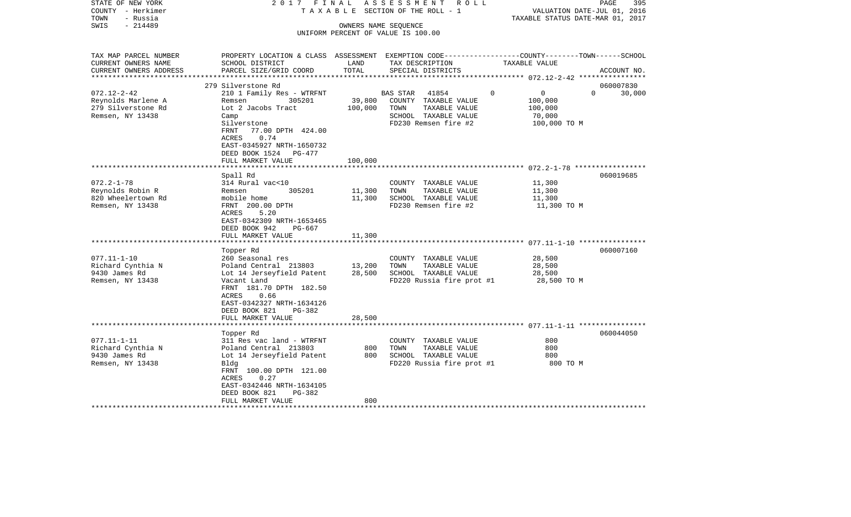| STATE OF NEW YORK<br>COUNTY - Herkimer           | 2017 FINAL<br>TAXABLE                                                                            |                  | ASSESSMENT ROLL<br>SECTION OF THE ROLL - 1 | VALUATION DATE-JUL 01, 2016      | 395<br>PAGE        |
|--------------------------------------------------|--------------------------------------------------------------------------------------------------|------------------|--------------------------------------------|----------------------------------|--------------------|
| - Russia<br>TOWN                                 |                                                                                                  |                  |                                            | TAXABLE STATUS DATE-MAR 01, 2017 |                    |
| SWIS<br>$-214489$                                |                                                                                                  |                  | OWNERS NAME SEQUENCE                       |                                  |                    |
|                                                  |                                                                                                  |                  | UNIFORM PERCENT OF VALUE IS 100.00         |                                  |                    |
|                                                  |                                                                                                  |                  |                                            |                                  |                    |
| TAX MAP PARCEL NUMBER                            | PROPERTY LOCATION & CLASS ASSESSMENT EXEMPTION CODE----------------COUNTY-------TOWN------SCHOOL |                  |                                            |                                  |                    |
| CURRENT OWNERS NAME                              | SCHOOL DISTRICT                                                                                  | LAND             | TAX DESCRIPTION                            | TAXABLE VALUE                    |                    |
| CURRENT OWNERS ADDRESS<br>********************** | PARCEL SIZE/GRID COORD                                                                           | TOTAL            | SPECIAL DISTRICTS                          |                                  | ACCOUNT NO.        |
|                                                  | 279 Silverstone Rd                                                                               |                  |                                            |                                  | 060007830          |
| $072.12 - 2 - 42$                                | 210 1 Family Res - WTRFNT                                                                        |                  | <b>BAS STAR</b><br>41854                   | $\Omega$<br>$\mathbf{0}$         | $\Omega$<br>30,000 |
| Reynolds Marlene A                               | 305201<br>Remsen                                                                                 | 39,800           | COUNTY TAXABLE VALUE                       | 100,000                          |                    |
| 279 Silverstone Rd                               | Lot 2 Jacobs Tract                                                                               | 100,000          | TOWN<br>TAXABLE VALUE                      | 100,000                          |                    |
| Remsen, NY 13438                                 | Camp                                                                                             |                  | SCHOOL TAXABLE VALUE                       | 70,000                           |                    |
|                                                  | Silverstone                                                                                      |                  | FD230 Remsen fire #2                       | 100,000 TO M                     |                    |
|                                                  | FRNT<br>77.00 DPTH 424.00                                                                        |                  |                                            |                                  |                    |
|                                                  | ACRES<br>0.74                                                                                    |                  |                                            |                                  |                    |
|                                                  | EAST-0345927 NRTH-1650732                                                                        |                  |                                            |                                  |                    |
|                                                  | DEED BOOK 1524<br>PG-477                                                                         |                  |                                            |                                  |                    |
|                                                  | FULL MARKET VALUE                                                                                | 100,000          |                                            |                                  |                    |
|                                                  |                                                                                                  |                  |                                            |                                  |                    |
|                                                  | Spall Rd                                                                                         |                  |                                            |                                  | 060019685          |
| $072.2 - 1 - 78$                                 | 314 Rural vac<10                                                                                 |                  | COUNTY TAXABLE VALUE                       | 11,300                           |                    |
| Reynolds Robin R                                 | 305201<br>Remsen                                                                                 | 11,300           | TOWN<br>TAXABLE VALUE                      | 11,300                           |                    |
| 820 Wheelertown Rd                               | mobile home                                                                                      | 11,300           | SCHOOL TAXABLE VALUE                       | 11,300                           |                    |
| Remsen, NY 13438                                 | FRNT 200.00 DPTH                                                                                 |                  | FD230 Remsen fire #2                       | 11,300 TO M                      |                    |
|                                                  | 5.20<br>ACRES                                                                                    |                  |                                            |                                  |                    |
|                                                  | EAST-0342309 NRTH-1653465                                                                        |                  |                                            |                                  |                    |
|                                                  | DEED BOOK 942<br>PG-667                                                                          |                  |                                            |                                  |                    |
|                                                  | FULL MARKET VALUE                                                                                | 11,300           |                                            |                                  |                    |
|                                                  |                                                                                                  |                  |                                            |                                  |                    |
|                                                  | Topper Rd                                                                                        |                  |                                            | 28,500                           | 060007160          |
| $077.11 - 1 - 10$                                | 260 Seasonal res                                                                                 |                  | COUNTY TAXABLE VALUE                       |                                  |                    |
| Richard Cynthia N                                | Poland Central 213803                                                                            | 13,200<br>28,500 | TOWN<br>TAXABLE VALUE                      | 28,500                           |                    |
| 9430 James Rd                                    | Lot 14 Jerseyfield Patent                                                                        |                  | SCHOOL TAXABLE VALUE                       | 28,500                           |                    |
| Remsen, NY 13438                                 | Vacant Land<br>FRNT 181.70 DPTH 182.50                                                           |                  | FD220 Russia fire prot #1                  | 28,500 TO M                      |                    |
|                                                  | ACRES<br>0.66                                                                                    |                  |                                            |                                  |                    |
|                                                  | EAST-0342327 NRTH-1634126                                                                        |                  |                                            |                                  |                    |
|                                                  | DEED BOOK 821<br>PG-382                                                                          |                  |                                            |                                  |                    |
|                                                  | FULL MARKET VALUE                                                                                | 28,500           |                                            |                                  |                    |
|                                                  |                                                                                                  |                  |                                            |                                  |                    |
|                                                  | Topper Rd                                                                                        |                  |                                            |                                  | 060044050          |
| $077.11 - 1 - 11$                                | 311 Res vac land - WTRFNT                                                                        |                  | COUNTY TAXABLE VALUE                       | 800                              |                    |
| Richard Cynthia N                                | Poland Central 213803                                                                            | 800              | TOWN<br>TAXABLE VALUE                      | 800                              |                    |
| 9430 James Rd                                    | Lot 14 Jerseyfield Patent                                                                        | 800              | SCHOOL TAXABLE VALUE                       | 800                              |                    |
| Remsen, NY 13438                                 | Bldg                                                                                             |                  | FD220 Russia fire prot #1                  | 800 TO M                         |                    |
|                                                  | FRNT 100.00 DPTH 121.00                                                                          |                  |                                            |                                  |                    |
|                                                  | <b>ACRES</b><br>0.27                                                                             |                  |                                            |                                  |                    |
|                                                  | EAST-0342446 NRTH-1634105                                                                        |                  |                                            |                                  |                    |
|                                                  | DEED BOOK 821<br>PG-382                                                                          |                  |                                            |                                  |                    |
|                                                  | FULL MARKET VALUE                                                                                | 800              |                                            |                                  |                    |
|                                                  |                                                                                                  |                  |                                            |                                  |                    |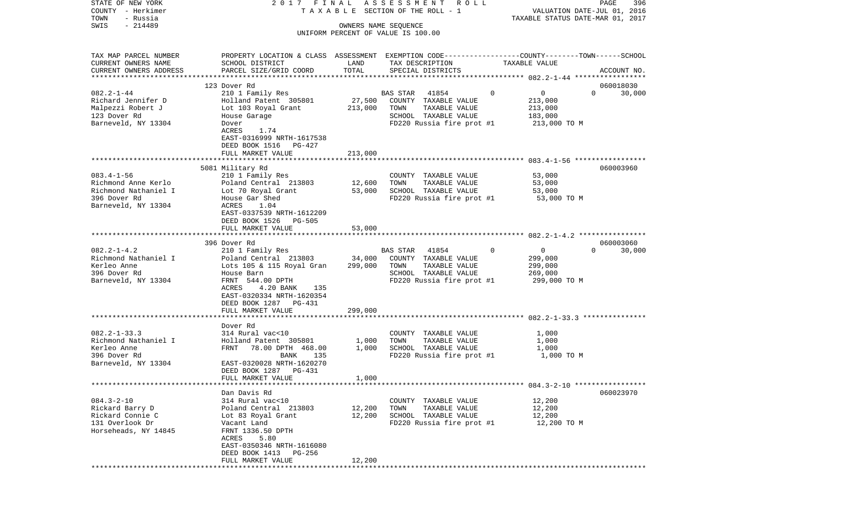| STATE OF NEW YORK<br>COUNTY - Herkimer<br>TOWN<br>- Russia                                             | 2017 FINAL                                                                                                                                                                                  |                      | ASSESSMENT ROLL<br>T A X A B L E SECTION OF THE ROLL - 1                                                                       |                                                                             | PAGE<br>396<br>VALUATION DATE-JUL 01, 2016<br>TAXABLE STATUS DATE-MAR 01, 2017 |
|--------------------------------------------------------------------------------------------------------|---------------------------------------------------------------------------------------------------------------------------------------------------------------------------------------------|----------------------|--------------------------------------------------------------------------------------------------------------------------------|-----------------------------------------------------------------------------|--------------------------------------------------------------------------------|
| $-214489$<br>SWIS                                                                                      |                                                                                                                                                                                             | OWNERS NAME SEQUENCE | UNIFORM PERCENT OF VALUE IS 100.00                                                                                             |                                                                             |                                                                                |
| TAX MAP PARCEL NUMBER<br>CURRENT OWNERS NAME<br>CURRENT OWNERS ADDRESS                                 | PROPERTY LOCATION & CLASS ASSESSMENT EXEMPTION CODE---------------COUNTY-------TOWN------SCHOOL<br>SCHOOL DISTRICT<br>PARCEL SIZE/GRID COORD                                                | LAND<br>TOTAL        | TAX DESCRIPTION<br>SPECIAL DISTRICTS                                                                                           | TAXABLE VALUE                                                               | ACCOUNT NO.                                                                    |
| *************************                                                                              |                                                                                                                                                                                             |                      |                                                                                                                                |                                                                             |                                                                                |
| $082.2 - 1 - 44$<br>Richard Jennifer D<br>Malpezzi Robert J<br>123 Dover Rd<br>Barneveld, NY 13304     | 123 Dover Rd<br>210 1 Family Res<br>Holland Patent 305801<br>Lot 103 Royal Grant<br>House Garage<br>Dover<br>ACRES<br>1.74<br>EAST-0316999 NRTH-1617538                                     | 27,500<br>213,000    | <b>BAS STAR</b><br>41854<br>COUNTY TAXABLE VALUE<br>TAXABLE VALUE<br>TOWN<br>SCHOOL TAXABLE VALUE<br>FD220 Russia fire prot #1 | $\mathbf 0$<br>$\mathbf 0$<br>213,000<br>213,000<br>183,000<br>213,000 TO M | 060018030<br>$\Omega$<br>30,000                                                |
|                                                                                                        | DEED BOOK 1516 PG-427                                                                                                                                                                       |                      |                                                                                                                                |                                                                             |                                                                                |
|                                                                                                        | FULL MARKET VALUE                                                                                                                                                                           | 213,000              |                                                                                                                                |                                                                             |                                                                                |
| $083.4 - 1 - 56$<br>Richmond Anne Kerlo<br>Richmond Nathaniel I<br>396 Dover Rd<br>Barneveld, NY 13304 | 5081 Military Rd<br>210 1 Family Res<br>Poland Central 213803<br>Lot 70 Royal Grant<br>House Gar Shed<br>1.04<br>ACRES<br>EAST-0337539 NRTH-1612209                                         | 12,600<br>53,000     | COUNTY TAXABLE VALUE<br>TAXABLE VALUE<br>TOWN<br>SCHOOL TAXABLE VALUE<br>FD220 Russia fire prot #1                             | 53,000<br>53,000<br>53,000<br>53,000 TO M                                   | 060003960                                                                      |
|                                                                                                        | DEED BOOK 1526 PG-505                                                                                                                                                                       |                      |                                                                                                                                |                                                                             |                                                                                |
|                                                                                                        | FULL MARKET VALUE                                                                                                                                                                           | 53,000               |                                                                                                                                |                                                                             |                                                                                |
|                                                                                                        | 396 Dover Rd                                                                                                                                                                                |                      |                                                                                                                                |                                                                             | 060003060                                                                      |
| $082.2 - 1 - 4.2$<br>Richmond Nathaniel I<br>Kerleo Anne<br>396 Dover Rd<br>Barneveld, NY 13304        | 210 1 Family Res<br>Poland Central 213803<br>Lots 105 & 115 Royal Gran<br>House Barn<br>FRNT 544.00 DPTH<br>ACRES<br>4.20 BANK<br>135<br>EAST-0320334 NRTH-1620354<br>DEED BOOK 1287 PG-431 | 34,000<br>299,000    | BAS STAR<br>41854<br>COUNTY TAXABLE VALUE<br>TOWN<br>TAXABLE VALUE<br>SCHOOL TAXABLE VALUE<br>FD220 Russia fire prot #1        | $\Omega$<br>$\overline{0}$<br>299,000<br>299,000<br>269,000<br>299,000 TO M | $\Omega$<br>30,000                                                             |
|                                                                                                        | FULL MARKET VALUE                                                                                                                                                                           | 299,000              |                                                                                                                                |                                                                             |                                                                                |
| $082.2 - 1 - 33.3$<br>Richmond Nathaniel I<br>Kerleo Anne<br>396 Dover Rd<br>Barneveld, NY 13304       | Dover Rd<br>314 Rural vac<10<br>Holland Patent 305801<br>FRNT<br>78.00 DPTH 468.00<br>BANK<br>135<br>EAST-0320028 NRTH-1620270<br>DEED BOOK 1287 PG-431                                     | 1,000<br>1,000       | COUNTY TAXABLE VALUE<br>TOWN<br>TAXABLE VALUE<br>SCHOOL TAXABLE VALUE<br>FD220 Russia fire prot #1                             | 1,000<br>1,000<br>1,000<br>1,000 TO M                                       |                                                                                |
|                                                                                                        | FULL MARKET VALUE                                                                                                                                                                           | 1,000                |                                                                                                                                |                                                                             |                                                                                |
|                                                                                                        |                                                                                                                                                                                             |                      |                                                                                                                                |                                                                             |                                                                                |
| $084.3 - 2 - 10$<br>Rickard Barry D<br>Rickard Connie C<br>131 Overlook Dr<br>Horseheads, NY 14845     | Dan Davis Rd<br>314 Rural vac<10<br>Poland Central 213803<br>Lot 83 Royal Grant<br>Vacant Land<br>FRNT 1336.50 DPTH<br>5.80<br>ACRES                                                        | 12,200<br>12,200     | COUNTY TAXABLE VALUE<br>TOWN<br>TAXABLE VALUE<br>SCHOOL TAXABLE VALUE<br>FD220 Russia fire prot #1                             | 12,200<br>12,200<br>12,200<br>12,200 TO M                                   | 060023970                                                                      |
|                                                                                                        | EAST-0350346 NRTH-1616080<br>DEED BOOK 1413 PG-256<br>FULL MARKET VALUE                                                                                                                     | 12,200               |                                                                                                                                |                                                                             |                                                                                |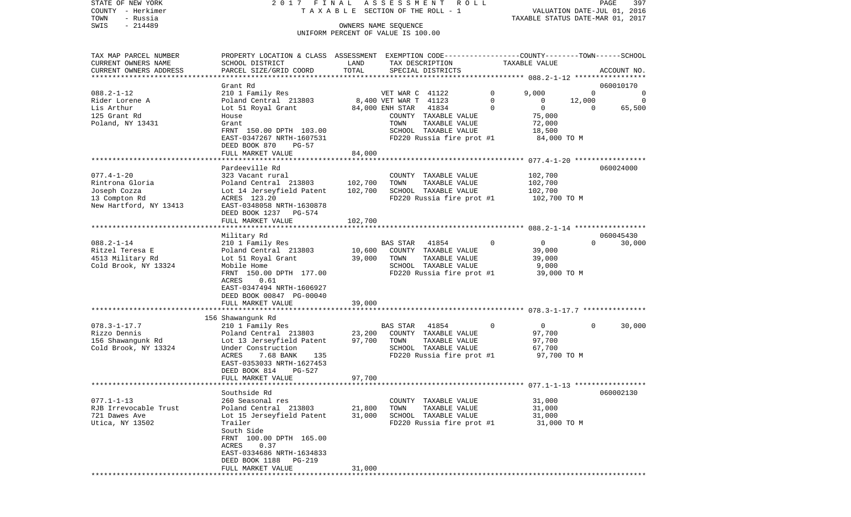STATE OF NEW YORK 2 0 1 7 F I N A L A S S E S S M E N T R O L L PAGE 397 COUNTY - Herkimer T A X A B L E SECTION OF THE ROLL - 1 VALUATION DATE-JUL 01, 2016 TOWN - Russia TAXABLE STATUS DATE-MAR 01, 2017 SWIS - Russia<br>
SWIS - 214489 OWNERS NAME SEQUENCE UNIFORM PERCENT OF VALUE IS 100.00

| ACCOUNT NO.<br>***********************<br>060010170<br>Grant Rd<br>$088.2 - 1 - 12$<br>210 1 Family Res<br>9,000<br>$\mathbf 0$<br>VET WAR C 41122<br>0<br>0<br>8,400 VET WAR T 41123<br>$\mathbf 0$<br>Poland Central 213803<br>$\mathbf{0}$<br>12,000<br>Rider Lorene A<br>0<br>Lot 51 Royal Grant<br>$\mathbf 0$<br>$\mathbf{0}$<br>65,500<br>Lis Arthur<br>84,000 ENH STAR<br>41834<br>$\mathbf 0$<br>75,000<br>125 Grant Rd<br>COUNTY TAXABLE VALUE<br>House<br>Poland, NY 13431<br>TOWN<br>TAXABLE VALUE<br>72,000<br>Grant<br>FRNT 150.00 DPTH 103.00<br>SCHOOL TAXABLE VALUE<br>18,500<br>FD220 Russia fire prot #1<br>EAST-0347267 NRTH-1607531<br>84,000 TO M<br>DEED BOOK 870<br>PG-57<br>84,000<br>FULL MARKET VALUE<br>Pardeeville Rd<br>060024000<br>$077.4 - 1 - 20$<br>102,700<br>323 Vacant rural<br>COUNTY TAXABLE VALUE<br>102,700<br>102,700<br>TOWN<br>TAXABLE VALUE<br>Poland Central 213803<br>Joseph Cozza<br>102,700<br>SCHOOL TAXABLE VALUE<br>102,700<br>Lot 14 Jerseyfield Patent<br>FD220 Russia fire prot #1<br>ACRES 123.20<br>102,700 TO M<br>EAST-0348058 NRTH-1630878<br>DEED BOOK 1237<br>PG-574<br>102,700<br>FULL MARKET VALUE<br>***************<br>***********************<br>060045430<br>Military Rd<br>$088.2 - 1 - 14$<br>$\overline{0}$<br>$\Omega$<br>210 1 Family Res<br>$\Omega$<br>30,000<br>BAS STAR<br>41854<br>Ritzel Teresa E<br>10,600<br>Poland Central 213803<br>COUNTY TAXABLE VALUE<br>39,000<br>4513 Military Rd<br>39,000<br>TAXABLE VALUE<br>39,000<br>Lot 51 Royal Grant<br>TOWN<br>Cold Brook, NY 13324<br>SCHOOL TAXABLE VALUE<br>9,000<br>Mobile Home<br>FRNT 150.00 DPTH 177.00<br>FD220 Russia fire prot #1<br>39,000 TO M<br>ACRES<br>0.61<br>EAST-0347494 NRTH-1606927<br>DEED BOOK 00847 PG-00040<br>39,000<br>FULL MARKET VALUE<br>156 Shawangunk Rd<br>$078.3 - 1 - 17.7$<br>$\overline{0}$<br>210 1 Family Res<br><b>BAS STAR</b><br>0<br>30,000<br>41854<br>$\mathbf{0}$<br>Poland Central 213803<br>23,200<br>Rizzo Dennis<br>COUNTY TAXABLE VALUE<br>97,700<br>TAXABLE VALUE<br>156 Shawangunk Rd<br>Lot 13 Jerseyfield Patent<br>97,700<br>TOWN<br>97,700<br>SCHOOL TAXABLE VALUE<br>Cold Brook, NY 13324<br>Under Construction<br>67,700<br>FD220 Russia fire prot #1<br>ACRES<br>7.68 BANK<br>97,700 TO M<br>135<br>EAST-0353033 NRTH-1627453<br>DEED BOOK 814<br>PG-527<br>FULL MARKET VALUE<br>97,700<br>060002130<br>Southside Rd<br>$077.1 - 1 - 13$<br>31,000<br>260 Seasonal res<br>COUNTY TAXABLE VALUE<br>21,800<br>RJB Irrevocable Trust<br>Poland Central 213803<br>TOWN<br>TAXABLE VALUE<br>31,000<br>31,000<br>SCHOOL TAXABLE VALUE<br>721 Dawes Ave<br>Lot 15 Jerseyfield Patent<br>31,000<br>Trailer<br>FD220 Russia fire prot #1<br>31,000 TO M<br>South Side<br>FRNT 100.00 DPTH 165.00<br>0.37<br>ACRES<br>EAST-0334686 NRTH-1634833<br>DEED BOOK 1188<br><b>PG-219</b><br>FULL MARKET VALUE<br>31,000 | TAX MAP PARCEL NUMBER<br>CURRENT OWNERS NAME | PROPERTY LOCATION & CLASS ASSESSMENT EXEMPTION CODE----------------COUNTY-------TOWN------SCHOOL<br>SCHOOL DISTRICT | LAND  | TAX DESCRIPTION   | TAXABLE VALUE |  |
|-------------------------------------------------------------------------------------------------------------------------------------------------------------------------------------------------------------------------------------------------------------------------------------------------------------------------------------------------------------------------------------------------------------------------------------------------------------------------------------------------------------------------------------------------------------------------------------------------------------------------------------------------------------------------------------------------------------------------------------------------------------------------------------------------------------------------------------------------------------------------------------------------------------------------------------------------------------------------------------------------------------------------------------------------------------------------------------------------------------------------------------------------------------------------------------------------------------------------------------------------------------------------------------------------------------------------------------------------------------------------------------------------------------------------------------------------------------------------------------------------------------------------------------------------------------------------------------------------------------------------------------------------------------------------------------------------------------------------------------------------------------------------------------------------------------------------------------------------------------------------------------------------------------------------------------------------------------------------------------------------------------------------------------------------------------------------------------------------------------------------------------------------------------------------------------------------------------------------------------------------------------------------------------------------------------------------------------------------------------------------------------------------------------------------------------------------------------------------------------------------------------------------------------------------------------------------------------------------------------------------------------------------------------------------------------------------------------------------------------------------------------------------------------------------------------------------------------------------------------------------------------------------------|----------------------------------------------|---------------------------------------------------------------------------------------------------------------------|-------|-------------------|---------------|--|
|                                                                                                                                                                                                                                                                                                                                                                                                                                                                                                                                                                                                                                                                                                                                                                                                                                                                                                                                                                                                                                                                                                                                                                                                                                                                                                                                                                                                                                                                                                                                                                                                                                                                                                                                                                                                                                                                                                                                                                                                                                                                                                                                                                                                                                                                                                                                                                                                                                                                                                                                                                                                                                                                                                                                                                                                                                                                                                       | CURRENT OWNERS ADDRESS                       | PARCEL SIZE/GRID COORD                                                                                              | TOTAL | SPECIAL DISTRICTS |               |  |
|                                                                                                                                                                                                                                                                                                                                                                                                                                                                                                                                                                                                                                                                                                                                                                                                                                                                                                                                                                                                                                                                                                                                                                                                                                                                                                                                                                                                                                                                                                                                                                                                                                                                                                                                                                                                                                                                                                                                                                                                                                                                                                                                                                                                                                                                                                                                                                                                                                                                                                                                                                                                                                                                                                                                                                                                                                                                                                       |                                              |                                                                                                                     |       |                   |               |  |
|                                                                                                                                                                                                                                                                                                                                                                                                                                                                                                                                                                                                                                                                                                                                                                                                                                                                                                                                                                                                                                                                                                                                                                                                                                                                                                                                                                                                                                                                                                                                                                                                                                                                                                                                                                                                                                                                                                                                                                                                                                                                                                                                                                                                                                                                                                                                                                                                                                                                                                                                                                                                                                                                                                                                                                                                                                                                                                       |                                              |                                                                                                                     |       |                   |               |  |
|                                                                                                                                                                                                                                                                                                                                                                                                                                                                                                                                                                                                                                                                                                                                                                                                                                                                                                                                                                                                                                                                                                                                                                                                                                                                                                                                                                                                                                                                                                                                                                                                                                                                                                                                                                                                                                                                                                                                                                                                                                                                                                                                                                                                                                                                                                                                                                                                                                                                                                                                                                                                                                                                                                                                                                                                                                                                                                       |                                              |                                                                                                                     |       |                   |               |  |
|                                                                                                                                                                                                                                                                                                                                                                                                                                                                                                                                                                                                                                                                                                                                                                                                                                                                                                                                                                                                                                                                                                                                                                                                                                                                                                                                                                                                                                                                                                                                                                                                                                                                                                                                                                                                                                                                                                                                                                                                                                                                                                                                                                                                                                                                                                                                                                                                                                                                                                                                                                                                                                                                                                                                                                                                                                                                                                       |                                              |                                                                                                                     |       |                   |               |  |
|                                                                                                                                                                                                                                                                                                                                                                                                                                                                                                                                                                                                                                                                                                                                                                                                                                                                                                                                                                                                                                                                                                                                                                                                                                                                                                                                                                                                                                                                                                                                                                                                                                                                                                                                                                                                                                                                                                                                                                                                                                                                                                                                                                                                                                                                                                                                                                                                                                                                                                                                                                                                                                                                                                                                                                                                                                                                                                       |                                              |                                                                                                                     |       |                   |               |  |
|                                                                                                                                                                                                                                                                                                                                                                                                                                                                                                                                                                                                                                                                                                                                                                                                                                                                                                                                                                                                                                                                                                                                                                                                                                                                                                                                                                                                                                                                                                                                                                                                                                                                                                                                                                                                                                                                                                                                                                                                                                                                                                                                                                                                                                                                                                                                                                                                                                                                                                                                                                                                                                                                                                                                                                                                                                                                                                       |                                              |                                                                                                                     |       |                   |               |  |
|                                                                                                                                                                                                                                                                                                                                                                                                                                                                                                                                                                                                                                                                                                                                                                                                                                                                                                                                                                                                                                                                                                                                                                                                                                                                                                                                                                                                                                                                                                                                                                                                                                                                                                                                                                                                                                                                                                                                                                                                                                                                                                                                                                                                                                                                                                                                                                                                                                                                                                                                                                                                                                                                                                                                                                                                                                                                                                       |                                              |                                                                                                                     |       |                   |               |  |
|                                                                                                                                                                                                                                                                                                                                                                                                                                                                                                                                                                                                                                                                                                                                                                                                                                                                                                                                                                                                                                                                                                                                                                                                                                                                                                                                                                                                                                                                                                                                                                                                                                                                                                                                                                                                                                                                                                                                                                                                                                                                                                                                                                                                                                                                                                                                                                                                                                                                                                                                                                                                                                                                                                                                                                                                                                                                                                       |                                              |                                                                                                                     |       |                   |               |  |
|                                                                                                                                                                                                                                                                                                                                                                                                                                                                                                                                                                                                                                                                                                                                                                                                                                                                                                                                                                                                                                                                                                                                                                                                                                                                                                                                                                                                                                                                                                                                                                                                                                                                                                                                                                                                                                                                                                                                                                                                                                                                                                                                                                                                                                                                                                                                                                                                                                                                                                                                                                                                                                                                                                                                                                                                                                                                                                       |                                              |                                                                                                                     |       |                   |               |  |
|                                                                                                                                                                                                                                                                                                                                                                                                                                                                                                                                                                                                                                                                                                                                                                                                                                                                                                                                                                                                                                                                                                                                                                                                                                                                                                                                                                                                                                                                                                                                                                                                                                                                                                                                                                                                                                                                                                                                                                                                                                                                                                                                                                                                                                                                                                                                                                                                                                                                                                                                                                                                                                                                                                                                                                                                                                                                                                       |                                              |                                                                                                                     |       |                   |               |  |
|                                                                                                                                                                                                                                                                                                                                                                                                                                                                                                                                                                                                                                                                                                                                                                                                                                                                                                                                                                                                                                                                                                                                                                                                                                                                                                                                                                                                                                                                                                                                                                                                                                                                                                                                                                                                                                                                                                                                                                                                                                                                                                                                                                                                                                                                                                                                                                                                                                                                                                                                                                                                                                                                                                                                                                                                                                                                                                       |                                              |                                                                                                                     |       |                   |               |  |
|                                                                                                                                                                                                                                                                                                                                                                                                                                                                                                                                                                                                                                                                                                                                                                                                                                                                                                                                                                                                                                                                                                                                                                                                                                                                                                                                                                                                                                                                                                                                                                                                                                                                                                                                                                                                                                                                                                                                                                                                                                                                                                                                                                                                                                                                                                                                                                                                                                                                                                                                                                                                                                                                                                                                                                                                                                                                                                       |                                              |                                                                                                                     |       |                   |               |  |
|                                                                                                                                                                                                                                                                                                                                                                                                                                                                                                                                                                                                                                                                                                                                                                                                                                                                                                                                                                                                                                                                                                                                                                                                                                                                                                                                                                                                                                                                                                                                                                                                                                                                                                                                                                                                                                                                                                                                                                                                                                                                                                                                                                                                                                                                                                                                                                                                                                                                                                                                                                                                                                                                                                                                                                                                                                                                                                       |                                              |                                                                                                                     |       |                   |               |  |
|                                                                                                                                                                                                                                                                                                                                                                                                                                                                                                                                                                                                                                                                                                                                                                                                                                                                                                                                                                                                                                                                                                                                                                                                                                                                                                                                                                                                                                                                                                                                                                                                                                                                                                                                                                                                                                                                                                                                                                                                                                                                                                                                                                                                                                                                                                                                                                                                                                                                                                                                                                                                                                                                                                                                                                                                                                                                                                       | Rintrona Gloria                              |                                                                                                                     |       |                   |               |  |
|                                                                                                                                                                                                                                                                                                                                                                                                                                                                                                                                                                                                                                                                                                                                                                                                                                                                                                                                                                                                                                                                                                                                                                                                                                                                                                                                                                                                                                                                                                                                                                                                                                                                                                                                                                                                                                                                                                                                                                                                                                                                                                                                                                                                                                                                                                                                                                                                                                                                                                                                                                                                                                                                                                                                                                                                                                                                                                       |                                              |                                                                                                                     |       |                   |               |  |
|                                                                                                                                                                                                                                                                                                                                                                                                                                                                                                                                                                                                                                                                                                                                                                                                                                                                                                                                                                                                                                                                                                                                                                                                                                                                                                                                                                                                                                                                                                                                                                                                                                                                                                                                                                                                                                                                                                                                                                                                                                                                                                                                                                                                                                                                                                                                                                                                                                                                                                                                                                                                                                                                                                                                                                                                                                                                                                       | 13 Compton Rd                                |                                                                                                                     |       |                   |               |  |
|                                                                                                                                                                                                                                                                                                                                                                                                                                                                                                                                                                                                                                                                                                                                                                                                                                                                                                                                                                                                                                                                                                                                                                                                                                                                                                                                                                                                                                                                                                                                                                                                                                                                                                                                                                                                                                                                                                                                                                                                                                                                                                                                                                                                                                                                                                                                                                                                                                                                                                                                                                                                                                                                                                                                                                                                                                                                                                       | New Hartford, NY 13413                       |                                                                                                                     |       |                   |               |  |
|                                                                                                                                                                                                                                                                                                                                                                                                                                                                                                                                                                                                                                                                                                                                                                                                                                                                                                                                                                                                                                                                                                                                                                                                                                                                                                                                                                                                                                                                                                                                                                                                                                                                                                                                                                                                                                                                                                                                                                                                                                                                                                                                                                                                                                                                                                                                                                                                                                                                                                                                                                                                                                                                                                                                                                                                                                                                                                       |                                              |                                                                                                                     |       |                   |               |  |
|                                                                                                                                                                                                                                                                                                                                                                                                                                                                                                                                                                                                                                                                                                                                                                                                                                                                                                                                                                                                                                                                                                                                                                                                                                                                                                                                                                                                                                                                                                                                                                                                                                                                                                                                                                                                                                                                                                                                                                                                                                                                                                                                                                                                                                                                                                                                                                                                                                                                                                                                                                                                                                                                                                                                                                                                                                                                                                       |                                              |                                                                                                                     |       |                   |               |  |
|                                                                                                                                                                                                                                                                                                                                                                                                                                                                                                                                                                                                                                                                                                                                                                                                                                                                                                                                                                                                                                                                                                                                                                                                                                                                                                                                                                                                                                                                                                                                                                                                                                                                                                                                                                                                                                                                                                                                                                                                                                                                                                                                                                                                                                                                                                                                                                                                                                                                                                                                                                                                                                                                                                                                                                                                                                                                                                       |                                              |                                                                                                                     |       |                   |               |  |
|                                                                                                                                                                                                                                                                                                                                                                                                                                                                                                                                                                                                                                                                                                                                                                                                                                                                                                                                                                                                                                                                                                                                                                                                                                                                                                                                                                                                                                                                                                                                                                                                                                                                                                                                                                                                                                                                                                                                                                                                                                                                                                                                                                                                                                                                                                                                                                                                                                                                                                                                                                                                                                                                                                                                                                                                                                                                                                       |                                              |                                                                                                                     |       |                   |               |  |
|                                                                                                                                                                                                                                                                                                                                                                                                                                                                                                                                                                                                                                                                                                                                                                                                                                                                                                                                                                                                                                                                                                                                                                                                                                                                                                                                                                                                                                                                                                                                                                                                                                                                                                                                                                                                                                                                                                                                                                                                                                                                                                                                                                                                                                                                                                                                                                                                                                                                                                                                                                                                                                                                                                                                                                                                                                                                                                       |                                              |                                                                                                                     |       |                   |               |  |
|                                                                                                                                                                                                                                                                                                                                                                                                                                                                                                                                                                                                                                                                                                                                                                                                                                                                                                                                                                                                                                                                                                                                                                                                                                                                                                                                                                                                                                                                                                                                                                                                                                                                                                                                                                                                                                                                                                                                                                                                                                                                                                                                                                                                                                                                                                                                                                                                                                                                                                                                                                                                                                                                                                                                                                                                                                                                                                       |                                              |                                                                                                                     |       |                   |               |  |
|                                                                                                                                                                                                                                                                                                                                                                                                                                                                                                                                                                                                                                                                                                                                                                                                                                                                                                                                                                                                                                                                                                                                                                                                                                                                                                                                                                                                                                                                                                                                                                                                                                                                                                                                                                                                                                                                                                                                                                                                                                                                                                                                                                                                                                                                                                                                                                                                                                                                                                                                                                                                                                                                                                                                                                                                                                                                                                       |                                              |                                                                                                                     |       |                   |               |  |
|                                                                                                                                                                                                                                                                                                                                                                                                                                                                                                                                                                                                                                                                                                                                                                                                                                                                                                                                                                                                                                                                                                                                                                                                                                                                                                                                                                                                                                                                                                                                                                                                                                                                                                                                                                                                                                                                                                                                                                                                                                                                                                                                                                                                                                                                                                                                                                                                                                                                                                                                                                                                                                                                                                                                                                                                                                                                                                       |                                              |                                                                                                                     |       |                   |               |  |
|                                                                                                                                                                                                                                                                                                                                                                                                                                                                                                                                                                                                                                                                                                                                                                                                                                                                                                                                                                                                                                                                                                                                                                                                                                                                                                                                                                                                                                                                                                                                                                                                                                                                                                                                                                                                                                                                                                                                                                                                                                                                                                                                                                                                                                                                                                                                                                                                                                                                                                                                                                                                                                                                                                                                                                                                                                                                                                       |                                              |                                                                                                                     |       |                   |               |  |
|                                                                                                                                                                                                                                                                                                                                                                                                                                                                                                                                                                                                                                                                                                                                                                                                                                                                                                                                                                                                                                                                                                                                                                                                                                                                                                                                                                                                                                                                                                                                                                                                                                                                                                                                                                                                                                                                                                                                                                                                                                                                                                                                                                                                                                                                                                                                                                                                                                                                                                                                                                                                                                                                                                                                                                                                                                                                                                       |                                              |                                                                                                                     |       |                   |               |  |
|                                                                                                                                                                                                                                                                                                                                                                                                                                                                                                                                                                                                                                                                                                                                                                                                                                                                                                                                                                                                                                                                                                                                                                                                                                                                                                                                                                                                                                                                                                                                                                                                                                                                                                                                                                                                                                                                                                                                                                                                                                                                                                                                                                                                                                                                                                                                                                                                                                                                                                                                                                                                                                                                                                                                                                                                                                                                                                       |                                              |                                                                                                                     |       |                   |               |  |
|                                                                                                                                                                                                                                                                                                                                                                                                                                                                                                                                                                                                                                                                                                                                                                                                                                                                                                                                                                                                                                                                                                                                                                                                                                                                                                                                                                                                                                                                                                                                                                                                                                                                                                                                                                                                                                                                                                                                                                                                                                                                                                                                                                                                                                                                                                                                                                                                                                                                                                                                                                                                                                                                                                                                                                                                                                                                                                       |                                              |                                                                                                                     |       |                   |               |  |
|                                                                                                                                                                                                                                                                                                                                                                                                                                                                                                                                                                                                                                                                                                                                                                                                                                                                                                                                                                                                                                                                                                                                                                                                                                                                                                                                                                                                                                                                                                                                                                                                                                                                                                                                                                                                                                                                                                                                                                                                                                                                                                                                                                                                                                                                                                                                                                                                                                                                                                                                                                                                                                                                                                                                                                                                                                                                                                       |                                              |                                                                                                                     |       |                   |               |  |
|                                                                                                                                                                                                                                                                                                                                                                                                                                                                                                                                                                                                                                                                                                                                                                                                                                                                                                                                                                                                                                                                                                                                                                                                                                                                                                                                                                                                                                                                                                                                                                                                                                                                                                                                                                                                                                                                                                                                                                                                                                                                                                                                                                                                                                                                                                                                                                                                                                                                                                                                                                                                                                                                                                                                                                                                                                                                                                       |                                              |                                                                                                                     |       |                   |               |  |
|                                                                                                                                                                                                                                                                                                                                                                                                                                                                                                                                                                                                                                                                                                                                                                                                                                                                                                                                                                                                                                                                                                                                                                                                                                                                                                                                                                                                                                                                                                                                                                                                                                                                                                                                                                                                                                                                                                                                                                                                                                                                                                                                                                                                                                                                                                                                                                                                                                                                                                                                                                                                                                                                                                                                                                                                                                                                                                       |                                              |                                                                                                                     |       |                   |               |  |
|                                                                                                                                                                                                                                                                                                                                                                                                                                                                                                                                                                                                                                                                                                                                                                                                                                                                                                                                                                                                                                                                                                                                                                                                                                                                                                                                                                                                                                                                                                                                                                                                                                                                                                                                                                                                                                                                                                                                                                                                                                                                                                                                                                                                                                                                                                                                                                                                                                                                                                                                                                                                                                                                                                                                                                                                                                                                                                       |                                              |                                                                                                                     |       |                   |               |  |
|                                                                                                                                                                                                                                                                                                                                                                                                                                                                                                                                                                                                                                                                                                                                                                                                                                                                                                                                                                                                                                                                                                                                                                                                                                                                                                                                                                                                                                                                                                                                                                                                                                                                                                                                                                                                                                                                                                                                                                                                                                                                                                                                                                                                                                                                                                                                                                                                                                                                                                                                                                                                                                                                                                                                                                                                                                                                                                       |                                              |                                                                                                                     |       |                   |               |  |
|                                                                                                                                                                                                                                                                                                                                                                                                                                                                                                                                                                                                                                                                                                                                                                                                                                                                                                                                                                                                                                                                                                                                                                                                                                                                                                                                                                                                                                                                                                                                                                                                                                                                                                                                                                                                                                                                                                                                                                                                                                                                                                                                                                                                                                                                                                                                                                                                                                                                                                                                                                                                                                                                                                                                                                                                                                                                                                       |                                              |                                                                                                                     |       |                   |               |  |
|                                                                                                                                                                                                                                                                                                                                                                                                                                                                                                                                                                                                                                                                                                                                                                                                                                                                                                                                                                                                                                                                                                                                                                                                                                                                                                                                                                                                                                                                                                                                                                                                                                                                                                                                                                                                                                                                                                                                                                                                                                                                                                                                                                                                                                                                                                                                                                                                                                                                                                                                                                                                                                                                                                                                                                                                                                                                                                       |                                              |                                                                                                                     |       |                   |               |  |
|                                                                                                                                                                                                                                                                                                                                                                                                                                                                                                                                                                                                                                                                                                                                                                                                                                                                                                                                                                                                                                                                                                                                                                                                                                                                                                                                                                                                                                                                                                                                                                                                                                                                                                                                                                                                                                                                                                                                                                                                                                                                                                                                                                                                                                                                                                                                                                                                                                                                                                                                                                                                                                                                                                                                                                                                                                                                                                       |                                              |                                                                                                                     |       |                   |               |  |
|                                                                                                                                                                                                                                                                                                                                                                                                                                                                                                                                                                                                                                                                                                                                                                                                                                                                                                                                                                                                                                                                                                                                                                                                                                                                                                                                                                                                                                                                                                                                                                                                                                                                                                                                                                                                                                                                                                                                                                                                                                                                                                                                                                                                                                                                                                                                                                                                                                                                                                                                                                                                                                                                                                                                                                                                                                                                                                       |                                              |                                                                                                                     |       |                   |               |  |
|                                                                                                                                                                                                                                                                                                                                                                                                                                                                                                                                                                                                                                                                                                                                                                                                                                                                                                                                                                                                                                                                                                                                                                                                                                                                                                                                                                                                                                                                                                                                                                                                                                                                                                                                                                                                                                                                                                                                                                                                                                                                                                                                                                                                                                                                                                                                                                                                                                                                                                                                                                                                                                                                                                                                                                                                                                                                                                       |                                              |                                                                                                                     |       |                   |               |  |
|                                                                                                                                                                                                                                                                                                                                                                                                                                                                                                                                                                                                                                                                                                                                                                                                                                                                                                                                                                                                                                                                                                                                                                                                                                                                                                                                                                                                                                                                                                                                                                                                                                                                                                                                                                                                                                                                                                                                                                                                                                                                                                                                                                                                                                                                                                                                                                                                                                                                                                                                                                                                                                                                                                                                                                                                                                                                                                       |                                              |                                                                                                                     |       |                   |               |  |
|                                                                                                                                                                                                                                                                                                                                                                                                                                                                                                                                                                                                                                                                                                                                                                                                                                                                                                                                                                                                                                                                                                                                                                                                                                                                                                                                                                                                                                                                                                                                                                                                                                                                                                                                                                                                                                                                                                                                                                                                                                                                                                                                                                                                                                                                                                                                                                                                                                                                                                                                                                                                                                                                                                                                                                                                                                                                                                       |                                              |                                                                                                                     |       |                   |               |  |
|                                                                                                                                                                                                                                                                                                                                                                                                                                                                                                                                                                                                                                                                                                                                                                                                                                                                                                                                                                                                                                                                                                                                                                                                                                                                                                                                                                                                                                                                                                                                                                                                                                                                                                                                                                                                                                                                                                                                                                                                                                                                                                                                                                                                                                                                                                                                                                                                                                                                                                                                                                                                                                                                                                                                                                                                                                                                                                       |                                              |                                                                                                                     |       |                   |               |  |
|                                                                                                                                                                                                                                                                                                                                                                                                                                                                                                                                                                                                                                                                                                                                                                                                                                                                                                                                                                                                                                                                                                                                                                                                                                                                                                                                                                                                                                                                                                                                                                                                                                                                                                                                                                                                                                                                                                                                                                                                                                                                                                                                                                                                                                                                                                                                                                                                                                                                                                                                                                                                                                                                                                                                                                                                                                                                                                       |                                              |                                                                                                                     |       |                   |               |  |
|                                                                                                                                                                                                                                                                                                                                                                                                                                                                                                                                                                                                                                                                                                                                                                                                                                                                                                                                                                                                                                                                                                                                                                                                                                                                                                                                                                                                                                                                                                                                                                                                                                                                                                                                                                                                                                                                                                                                                                                                                                                                                                                                                                                                                                                                                                                                                                                                                                                                                                                                                                                                                                                                                                                                                                                                                                                                                                       |                                              |                                                                                                                     |       |                   |               |  |
|                                                                                                                                                                                                                                                                                                                                                                                                                                                                                                                                                                                                                                                                                                                                                                                                                                                                                                                                                                                                                                                                                                                                                                                                                                                                                                                                                                                                                                                                                                                                                                                                                                                                                                                                                                                                                                                                                                                                                                                                                                                                                                                                                                                                                                                                                                                                                                                                                                                                                                                                                                                                                                                                                                                                                                                                                                                                                                       | Utica, NY 13502                              |                                                                                                                     |       |                   |               |  |
|                                                                                                                                                                                                                                                                                                                                                                                                                                                                                                                                                                                                                                                                                                                                                                                                                                                                                                                                                                                                                                                                                                                                                                                                                                                                                                                                                                                                                                                                                                                                                                                                                                                                                                                                                                                                                                                                                                                                                                                                                                                                                                                                                                                                                                                                                                                                                                                                                                                                                                                                                                                                                                                                                                                                                                                                                                                                                                       |                                              |                                                                                                                     |       |                   |               |  |
|                                                                                                                                                                                                                                                                                                                                                                                                                                                                                                                                                                                                                                                                                                                                                                                                                                                                                                                                                                                                                                                                                                                                                                                                                                                                                                                                                                                                                                                                                                                                                                                                                                                                                                                                                                                                                                                                                                                                                                                                                                                                                                                                                                                                                                                                                                                                                                                                                                                                                                                                                                                                                                                                                                                                                                                                                                                                                                       |                                              |                                                                                                                     |       |                   |               |  |
|                                                                                                                                                                                                                                                                                                                                                                                                                                                                                                                                                                                                                                                                                                                                                                                                                                                                                                                                                                                                                                                                                                                                                                                                                                                                                                                                                                                                                                                                                                                                                                                                                                                                                                                                                                                                                                                                                                                                                                                                                                                                                                                                                                                                                                                                                                                                                                                                                                                                                                                                                                                                                                                                                                                                                                                                                                                                                                       |                                              |                                                                                                                     |       |                   |               |  |
|                                                                                                                                                                                                                                                                                                                                                                                                                                                                                                                                                                                                                                                                                                                                                                                                                                                                                                                                                                                                                                                                                                                                                                                                                                                                                                                                                                                                                                                                                                                                                                                                                                                                                                                                                                                                                                                                                                                                                                                                                                                                                                                                                                                                                                                                                                                                                                                                                                                                                                                                                                                                                                                                                                                                                                                                                                                                                                       |                                              |                                                                                                                     |       |                   |               |  |
|                                                                                                                                                                                                                                                                                                                                                                                                                                                                                                                                                                                                                                                                                                                                                                                                                                                                                                                                                                                                                                                                                                                                                                                                                                                                                                                                                                                                                                                                                                                                                                                                                                                                                                                                                                                                                                                                                                                                                                                                                                                                                                                                                                                                                                                                                                                                                                                                                                                                                                                                                                                                                                                                                                                                                                                                                                                                                                       |                                              |                                                                                                                     |       |                   |               |  |
| ***********************                                                                                                                                                                                                                                                                                                                                                                                                                                                                                                                                                                                                                                                                                                                                                                                                                                                                                                                                                                                                                                                                                                                                                                                                                                                                                                                                                                                                                                                                                                                                                                                                                                                                                                                                                                                                                                                                                                                                                                                                                                                                                                                                                                                                                                                                                                                                                                                                                                                                                                                                                                                                                                                                                                                                                                                                                                                                               |                                              |                                                                                                                     |       |                   |               |  |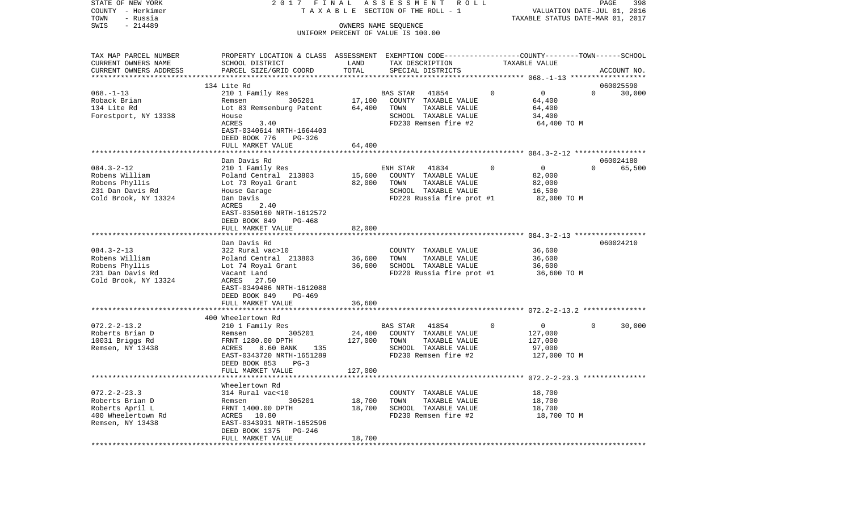| COUNTY<br>- Herkimer   |                                                                                                |                      | T A X A B L E SECTION OF THE ROLL - 1        |          | VALUATION DATE-JUL 01, 2016      |          |             |
|------------------------|------------------------------------------------------------------------------------------------|----------------------|----------------------------------------------|----------|----------------------------------|----------|-------------|
| TOWN<br>- Russia       |                                                                                                |                      |                                              |          | TAXABLE STATUS DATE-MAR 01, 2017 |          |             |
| SWIS<br>$-214489$      |                                                                                                | OWNERS NAME SEQUENCE | UNIFORM PERCENT OF VALUE IS 100.00           |          |                                  |          |             |
|                        |                                                                                                |                      |                                              |          |                                  |          |             |
|                        |                                                                                                |                      |                                              |          |                                  |          |             |
| TAX MAP PARCEL NUMBER  | PROPERTY LOCATION & CLASS ASSESSMENT EXEMPTION CODE---------------COUNTY-------TOWN-----SCHOOL |                      |                                              |          |                                  |          |             |
| CURRENT OWNERS NAME    | SCHOOL DISTRICT                                                                                | LAND                 | TAX DESCRIPTION                              |          | TAXABLE VALUE                    |          |             |
| CURRENT OWNERS ADDRESS | PARCEL SIZE/GRID COORD                                                                         | TOTAL                | SPECIAL DISTRICTS                            |          |                                  |          | ACCOUNT NO. |
|                        |                                                                                                |                      |                                              |          |                                  |          |             |
|                        | 134 Lite Rd                                                                                    |                      |                                              |          |                                  |          | 060025590   |
| $068. -1 - 13$         | 210 1 Family Res                                                                               |                      | BAS STAR<br>41854                            | $\Omega$ | $\overline{0}$                   | $\Omega$ | 30,000      |
| Roback Brian           | 305201<br>Remsen                                                                               |                      | 17,100 COUNTY TAXABLE VALUE                  |          | 64,400                           |          |             |
| 134 Lite Rd            | Lot 83 Remsenburg Patent                                                                       | 64,400               | TOWN<br>TAXABLE VALUE                        |          | 64,400                           |          |             |
| Forestport, NY 13338   | House<br>3.40<br>ACRES                                                                         |                      | SCHOOL TAXABLE VALUE<br>FD230 Remsen fire #2 |          | 34,400<br>64,400 TO M            |          |             |
|                        | EAST-0340614 NRTH-1664403                                                                      |                      |                                              |          |                                  |          |             |
|                        | DEED BOOK 776<br>PG-326                                                                        |                      |                                              |          |                                  |          |             |
|                        | FULL MARKET VALUE                                                                              | 64,400               |                                              |          |                                  |          |             |
|                        |                                                                                                |                      |                                              |          |                                  |          |             |
|                        | Dan Davis Rd                                                                                   |                      |                                              |          |                                  |          | 060024180   |
| $084.3 - 2 - 12$       | 210 1 Family Res                                                                               |                      | ENH STAR<br>41834                            | $\Omega$ | $\overline{0}$                   | $\Omega$ | 65,500      |
| Robens William         | Poland Central 213803                                                                          | 15,600               | COUNTY TAXABLE VALUE                         |          | 82,000                           |          |             |
| Robens Phyllis         | Lot 73 Royal Grant                                                                             | 82,000               | TOWN<br>TAXABLE VALUE                        |          | 82,000                           |          |             |
| 231 Dan Davis Rd       | House Garage                                                                                   |                      | SCHOOL TAXABLE VALUE                         |          | 16,500                           |          |             |
| Cold Brook, NY 13324   | Dan Davis                                                                                      |                      | FD220 Russia fire prot #1                    |          | 82,000 TO M                      |          |             |
|                        | ACRES<br>2.40                                                                                  |                      |                                              |          |                                  |          |             |
|                        | EAST-0350160 NRTH-1612572                                                                      |                      |                                              |          |                                  |          |             |
|                        | DEED BOOK 849<br>PG-468                                                                        |                      |                                              |          |                                  |          |             |
|                        | FULL MARKET VALUE                                                                              | 82,000               |                                              |          |                                  |          |             |
|                        | Dan Davis Rd                                                                                   |                      |                                              |          |                                  |          | 060024210   |
| $084.3 - 2 - 13$       | 322 Rural vac>10                                                                               |                      | COUNTY TAXABLE VALUE                         |          | 36,600                           |          |             |
| Robens William         | Poland Central 213803                                                                          | 36,600               | TAXABLE VALUE<br>TOWN                        |          | 36,600                           |          |             |
| Robens Phyllis         | Lot 74 Royal Grant                                                                             | 36,600               | SCHOOL TAXABLE VALUE                         |          | 36,600                           |          |             |
| 231 Dan Davis Rd       | Vacant Land                                                                                    |                      | FD220 Russia fire prot #1                    |          | 36,600 TO M                      |          |             |
| Cold Brook, NY 13324   | ACRES 27.50                                                                                    |                      |                                              |          |                                  |          |             |
|                        | EAST-0349486 NRTH-1612088                                                                      |                      |                                              |          |                                  |          |             |
|                        | DEED BOOK 849<br>PG-469                                                                        |                      |                                              |          |                                  |          |             |
|                        | FULL MARKET VALUE                                                                              | 36,600               |                                              |          |                                  |          |             |
|                        |                                                                                                |                      |                                              |          |                                  |          |             |
|                        | 400 Wheelertown Rd                                                                             |                      |                                              |          |                                  |          |             |
| $072.2 - 2 - 13.2$     | 210 1 Family Res                                                                               |                      | BAS STAR<br>41854                            | $\Omega$ | $\overline{0}$                   | $\Omega$ | 30,000      |
| Roberts Brian D        | 305201<br>Remsen                                                                               | 24,400               | COUNTY TAXABLE VALUE                         |          | 127,000                          |          |             |
| 10031 Briggs Rd        | FRNT 1280.00 DPTH                                                                              | 127,000              | TOWN<br>TAXABLE VALUE                        |          | 127,000                          |          |             |
| Remsen, NY 13438       | ACRES<br>8.60 BANK<br>135                                                                      |                      | SCHOOL TAXABLE VALUE                         |          | 97,000                           |          |             |
|                        | EAST-0343720 NRTH-1651289<br>DEED BOOK 853<br>$PG-3$                                           |                      | FD230 Remsen fire #2                         |          | 127,000 TO M                     |          |             |
|                        | FULL MARKET VALUE                                                                              | 127,000              |                                              |          |                                  |          |             |
|                        |                                                                                                |                      |                                              |          |                                  |          |             |
|                        | Wheelertown Rd                                                                                 |                      |                                              |          |                                  |          |             |
| $072.2 - 2 - 23.3$     | 314 Rural vac<10                                                                               |                      | COUNTY TAXABLE VALUE                         |          | 18,700                           |          |             |
| Roberts Brian D        | 305201<br>Remsen                                                                               | 18,700               | TAXABLE VALUE<br>TOWN                        |          | 18,700                           |          |             |
| Roberts April L        | FRNT 1400.00 DPTH                                                                              | 18,700               | SCHOOL TAXABLE VALUE                         |          | 18,700                           |          |             |
| 400 Wheelertown Rd     | ACRES 10.80                                                                                    |                      | FD230 Remsen fire #2                         |          | 18,700 TO M                      |          |             |
| Remsen, NY 13438       | EAST-0343931 NRTH-1652596                                                                      |                      |                                              |          |                                  |          |             |
|                        | PG-246<br>DEED BOOK 1375                                                                       |                      |                                              |          |                                  |          |             |
|                        | FULL MARKET VALUE                                                                              | 18,700               |                                              |          |                                  |          |             |
|                        |                                                                                                |                      |                                              |          |                                  |          |             |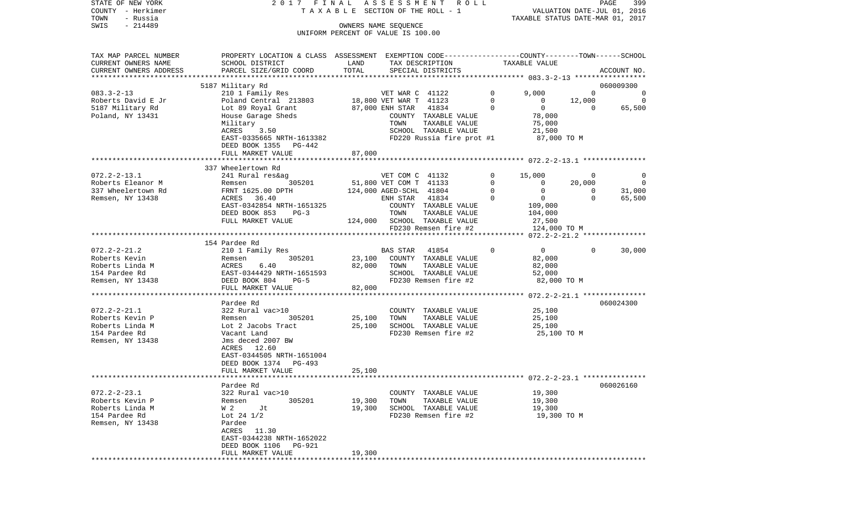| STATE OF NEW YORK<br>COUNTY - Herkimer<br>- Russia<br>TOWN | 2017 FINAL                                                                                       |                        | ASSESSMENT<br>R O L L<br>T A X A B L E SECTION OF THE ROLL - 1 |                        | VALUATION DATE-JUL 01, 2016<br>TAXABLE STATUS DATE-MAR 01, 2017 |                                    | PAGE<br>399       |
|------------------------------------------------------------|--------------------------------------------------------------------------------------------------|------------------------|----------------------------------------------------------------|------------------------|-----------------------------------------------------------------|------------------------------------|-------------------|
| SWIS<br>$-214489$                                          |                                                                                                  |                        | OWNERS NAME SEQUENCE                                           |                        |                                                                 |                                    |                   |
|                                                            |                                                                                                  |                        | UNIFORM PERCENT OF VALUE IS 100.00                             |                        |                                                                 |                                    |                   |
| TAX MAP PARCEL NUMBER                                      | PROPERTY LOCATION & CLASS ASSESSMENT EXEMPTION CODE----------------COUNTY-------TOWN------SCHOOL |                        |                                                                |                        |                                                                 |                                    |                   |
| CURRENT OWNERS NAME                                        | SCHOOL DISTRICT                                                                                  | LAND                   | TAX DESCRIPTION                                                |                        | TAXABLE VALUE                                                   |                                    |                   |
| CURRENT OWNERS ADDRESS                                     | PARCEL SIZE/GRID COORD                                                                           | TOTAL                  | SPECIAL DISTRICTS                                              |                        |                                                                 |                                    | ACCOUNT NO.       |
|                                                            | 5187 Military Rd                                                                                 |                        |                                                                |                        |                                                                 |                                    | 060009300         |
| $083.3 - 2 - 13$                                           | 210 1 Family Res                                                                                 |                        | VET WAR C 41122<br>18,800 VET WAR T 41123                      | $\circ$                | 9,000                                                           | $\Omega$                           | 0                 |
| Roberts David E Jr                                         | Poland Central 213803                                                                            |                        |                                                                | $\mathbf 0$            | $\overline{0}$                                                  | 12,000                             | $\mathbf 0$       |
| 5187 Military Rd                                           | Lot 89 Royal Grant                                                                               |                        | 87,000 ENH STAR 41834                                          | $\mathbf 0$            | $\overline{0}$                                                  | $\overline{\phantom{0}}$           | 65,500            |
| Poland, NY 13431                                           | House Garage Sheds                                                                               |                        | COUNTY TAXABLE VALUE                                           |                        | 78,000                                                          |                                    |                   |
|                                                            | Military<br>ACRES<br>3.50                                                                        |                        | TOWN<br>TAXABLE VALUE<br>SCHOOL TAXABLE VALUE                  |                        | 75,000<br>21,500                                                |                                    |                   |
|                                                            | EAST-0335665 NRTH-1613382                                                                        |                        | FD220 Russia fire prot #1                                      |                        | 87,000 TO M                                                     |                                    |                   |
|                                                            | DEED BOOK 1355 PG-442                                                                            |                        |                                                                |                        |                                                                 |                                    |                   |
|                                                            | FULL MARKET VALUE                                                                                | 87,000                 |                                                                |                        |                                                                 |                                    |                   |
|                                                            |                                                                                                  |                        |                                                                |                        |                                                                 |                                    |                   |
|                                                            | 337 Wheelertown Rd                                                                               |                        |                                                                |                        |                                                                 |                                    |                   |
| $072.2 - 2 - 13.1$                                         | 241 Rural res&ag<br>305201                                                                       |                        | VET COM C 41132                                                | $\mathbf{0}$           | 15,000                                                          | $\overline{\phantom{0}}$           | 0                 |
| Roberts Eleanor M<br>337 Wheelertown Rd                    | Remsen<br>FRNT 1625.00 DPTH                                                                      |                        | 51,800 VET COM T 41133<br>124,000 AGED-SCHL 41804              | $\mathbf 0$<br>$\circ$ | $\overline{0}$<br>$\overline{0}$                                | 20,000<br>$\overline{\phantom{0}}$ | $\circ$<br>31,000 |
| Remsen, NY 13438                                           | ACRES 36.40                                                                                      |                        | 41834<br>ENH STAR                                              | $\circ$                | $\overline{0}$                                                  | $\Omega$                           | 65,500            |
|                                                            | EAST-0342854 NRTH-1651325                                                                        |                        | COUNTY TAXABLE VALUE                                           |                        | 109,000                                                         |                                    |                   |
|                                                            | DEED BOOK 853<br>$PG-3$                                                                          |                        | TOWN<br>TAXABLE VALUE                                          |                        | 104,000                                                         |                                    |                   |
|                                                            | FULL MARKET VALUE                                                                                |                        | 124,000 SCHOOL TAXABLE VALUE                                   |                        | 27,500                                                          |                                    |                   |
|                                                            |                                                                                                  |                        | FD230 Remsen fire #2                                           |                        | 124,000 TO M                                                    |                                    |                   |
|                                                            |                                                                                                  |                        |                                                                |                        |                                                                 |                                    |                   |
| $072.2 - 2 - 21.2$                                         | 154 Pardee Rd<br>210 1 Family Res                                                                |                        | 41854<br>BAS STAR                                              | $\Omega$               | $\overline{0}$                                                  | $\Omega$                           | 30,000            |
| Roberts Kevin                                              | 305201<br>Remsen                                                                                 | 23,100                 | COUNTY TAXABLE VALUE                                           |                        | 82,000                                                          |                                    |                   |
| Roberts Linda M                                            | ACRES<br>6.40                                                                                    | 82,000                 | TOWN<br>TAXABLE VALUE                                          |                        | 82,000                                                          |                                    |                   |
| 154 Pardee Rd                                              | EAST-0344429 NRTH-1651593                                                                        |                        | SCHOOL TAXABLE VALUE                                           |                        | 52,000                                                          |                                    |                   |
| Remsen, NY 13438                                           | DEED BOOK 804<br>$PG-5$                                                                          |                        | FD230 Remsen fire #2                                           |                        | 82,000 TO M                                                     |                                    |                   |
|                                                            | FULL MARKET VALUE                                                                                | 82,000<br>************ |                                                                |                        | *********************** 072.2-2-21.1 ***************            |                                    |                   |
|                                                            | Pardee Rd                                                                                        |                        |                                                                |                        |                                                                 |                                    | 060024300         |
| $072.2 - 2 - 21.1$                                         | 322 Rural vac>10                                                                                 |                        | COUNTY TAXABLE VALUE                                           |                        | 25,100                                                          |                                    |                   |
| Roberts Kevin P                                            | Remsen<br>305201                                                                                 | 25,100                 | TOWN<br>TAXABLE VALUE                                          |                        | 25,100                                                          |                                    |                   |
| Roberts Linda M                                            | Lot 2 Jacobs Tract                                                                               | 25,100                 | SCHOOL TAXABLE VALUE                                           |                        | 25,100                                                          |                                    |                   |
| 154 Pardee Rd                                              | Vacant Land                                                                                      |                        | FD230 Remsen fire #2                                           |                        | 25,100 TO M                                                     |                                    |                   |
| Remsen, NY 13438                                           | Jms deced 2007 BW                                                                                |                        |                                                                |                        |                                                                 |                                    |                   |
|                                                            | ACRES 12.60                                                                                      |                        |                                                                |                        |                                                                 |                                    |                   |
|                                                            | EAST-0344505 NRTH-1651004<br>DEED BOOK 1374<br>PG-493                                            |                        |                                                                |                        |                                                                 |                                    |                   |
|                                                            | FULL MARKET VALUE                                                                                | 25,100                 |                                                                |                        |                                                                 |                                    |                   |
|                                                            |                                                                                                  |                        |                                                                |                        |                                                                 |                                    |                   |
|                                                            | Pardee Rd                                                                                        |                        |                                                                |                        |                                                                 |                                    | 060026160         |
| $072.2 - 2 - 23.1$                                         | 322 Rural vac>10                                                                                 |                        | COUNTY TAXABLE VALUE                                           |                        | 19,300                                                          |                                    |                   |
| Roberts Kevin P                                            | Remsen<br>305201                                                                                 | 19,300                 | TOWN<br>TAXABLE VALUE                                          |                        | 19,300                                                          |                                    |                   |
| Roberts Linda M<br>154 Pardee Rd                           | W 2<br>Jt                                                                                        | 19,300                 | SCHOOL TAXABLE VALUE                                           |                        | 19,300                                                          |                                    |                   |
| Remsen, NY 13438                                           | Lot 24 $1/2$<br>Pardee                                                                           |                        | FD230 Remsen fire #2                                           |                        | 19,300 TO M                                                     |                                    |                   |
|                                                            | ACRES<br>11.30                                                                                   |                        |                                                                |                        |                                                                 |                                    |                   |
|                                                            | EAST-0344238 NRTH-1652022                                                                        |                        |                                                                |                        |                                                                 |                                    |                   |
|                                                            | DEED BOOK 1106<br>PG-921                                                                         |                        |                                                                |                        |                                                                 |                                    |                   |
|                                                            | FULL MARKET VALUE                                                                                | 19,300                 |                                                                |                        |                                                                 |                                    |                   |
|                                                            |                                                                                                  |                        |                                                                |                        |                                                                 |                                    |                   |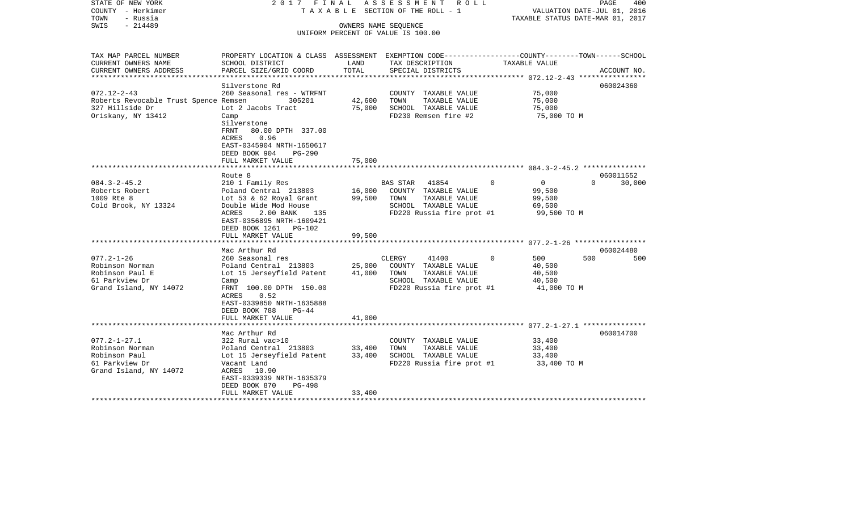| STATE OF NEW YORK<br>COUNTY - Herkimer<br>TOWN<br>- Russia | 2017 FINAL                                                                                       |                  | ASSESSMENT ROLL<br>T A X A B L E SECTION OF THE ROLL - 1 |                            | PAGE<br>400<br>VALUATION DATE-JUL 01, 2016<br>TAXABLE STATUS DATE-MAR 01, 2017 |
|------------------------------------------------------------|--------------------------------------------------------------------------------------------------|------------------|----------------------------------------------------------|----------------------------|--------------------------------------------------------------------------------|
| $-214489$<br>SWIS                                          |                                                                                                  |                  | OWNERS NAME SEQUENCE                                     |                            |                                                                                |
|                                                            |                                                                                                  |                  | UNIFORM PERCENT OF VALUE IS 100.00                       |                            |                                                                                |
|                                                            |                                                                                                  |                  |                                                          |                            |                                                                                |
| TAX MAP PARCEL NUMBER                                      | PROPERTY LOCATION & CLASS ASSESSMENT EXEMPTION CODE----------------COUNTY-------TOWN------SCHOOL |                  |                                                          |                            |                                                                                |
| CURRENT OWNERS NAME                                        | SCHOOL DISTRICT                                                                                  | LAND             | TAX DESCRIPTION                                          | TAXABLE VALUE              |                                                                                |
| CURRENT OWNERS ADDRESS                                     | PARCEL SIZE/GRID COORD                                                                           | TOTAL            | SPECIAL DISTRICTS                                        |                            | ACCOUNT NO.                                                                    |
| **********************                                     |                                                                                                  |                  |                                                          |                            |                                                                                |
| $072.12 - 2 - 43$                                          | Silverstone Rd<br>260 Seasonal res - WTRFNT                                                      |                  | COUNTY TAXABLE VALUE                                     | 75,000                     | 060024360                                                                      |
| Roberts Revocable Trust Spence Remsen                      | 305201                                                                                           | 42,600           | TAXABLE VALUE<br>TOWN                                    | 75,000                     |                                                                                |
| 327 Hillside Dr                                            | Lot 2 Jacobs Tract                                                                               | 75,000           | SCHOOL TAXABLE VALUE                                     | 75,000                     |                                                                                |
| Oriskany, NY 13412                                         | Camp                                                                                             |                  | FD230 Remsen fire #2                                     | 75,000 TO M                |                                                                                |
|                                                            | Silverstone                                                                                      |                  |                                                          |                            |                                                                                |
|                                                            | FRNT<br>80.00 DPTH 337.00                                                                        |                  |                                                          |                            |                                                                                |
|                                                            | 0.96<br>ACRES                                                                                    |                  |                                                          |                            |                                                                                |
|                                                            | EAST-0345904 NRTH-1650617                                                                        |                  |                                                          |                            |                                                                                |
|                                                            | DEED BOOK 904<br>PG-290                                                                          |                  |                                                          |                            |                                                                                |
|                                                            | FULL MARKET VALUE                                                                                | 75,000           |                                                          |                            |                                                                                |
|                                                            |                                                                                                  |                  |                                                          |                            |                                                                                |
| $084.3 - 2 - 45.2$                                         | Route 8                                                                                          |                  |                                                          | $\overline{0}$<br>$\Omega$ | 060011552<br>$\Omega$<br>30,000                                                |
| Roberts Robert                                             | 210 1 Family Res<br>Poland Central 213803                                                        | 16,000           | BAS STAR<br>41854<br>COUNTY TAXABLE VALUE                | 99,500                     |                                                                                |
| 1009 Rte 8                                                 | Lot 53 & 62 Royal Grant                                                                          | 99,500           | TOWN<br>TAXABLE VALUE                                    | 99,500                     |                                                                                |
| Cold Brook, NY 13324                                       | Double Wide Mod House                                                                            |                  | SCHOOL TAXABLE VALUE                                     | 69,500                     |                                                                                |
|                                                            | ACRES<br>2.00 BANK<br>135                                                                        |                  | FD220 Russia fire prot #1                                | 99,500 TO M                |                                                                                |
|                                                            | EAST-0356895 NRTH-1609421                                                                        |                  |                                                          |                            |                                                                                |
|                                                            | DEED BOOK 1261 PG-102                                                                            |                  |                                                          |                            |                                                                                |
|                                                            | FULL MARKET VALUE                                                                                | 99,500           |                                                          |                            |                                                                                |
|                                                            | ************************                                                                         |                  |                                                          |                            |                                                                                |
|                                                            | Mac Arthur Rd                                                                                    |                  |                                                          |                            | 060024480                                                                      |
| $077.2 - 1 - 26$                                           | 260 Seasonal res                                                                                 |                  | CLERGY<br>41400                                          | 500<br>$\Omega$            | 500<br>500                                                                     |
| Robinson Norman<br>Robinson Paul E                         | Poland Central 213803<br>Lot 15 Jerseyfield Patent                                               | 25,000<br>41,000 | COUNTY TAXABLE VALUE<br>TOWN<br>TAXABLE VALUE            | 40,500                     |                                                                                |
| 61 Parkview Dr                                             | Camp                                                                                             |                  | SCHOOL TAXABLE VALUE                                     | 40,500<br>40,500           |                                                                                |
| Grand Island, NY 14072                                     | FRNT 100.00 DPTH 150.00                                                                          |                  | FD220 Russia fire prot #1                                | 41,000 TO M                |                                                                                |
|                                                            | 0.52<br>ACRES                                                                                    |                  |                                                          |                            |                                                                                |
|                                                            | EAST-0339850 NRTH-1635888                                                                        |                  |                                                          |                            |                                                                                |
|                                                            | DEED BOOK 788<br>$PG-44$                                                                         |                  |                                                          |                            |                                                                                |
|                                                            | FULL MARKET VALUE                                                                                | 41,000           |                                                          |                            |                                                                                |
|                                                            |                                                                                                  |                  |                                                          |                            |                                                                                |
|                                                            | Mac Arthur Rd                                                                                    |                  |                                                          |                            | 060014700                                                                      |
| $077.2 - 1 - 27.1$                                         | 322 Rural vac>10                                                                                 |                  | COUNTY TAXABLE VALUE                                     | 33,400                     |                                                                                |
| Robinson Norman                                            | Poland Central 213803                                                                            | 33,400           | TOWN<br>TAXABLE VALUE                                    | 33,400                     |                                                                                |
| Robinson Paul<br>61 Parkview Dr                            | Lot 15 Jerseyfield Patent                                                                        | 33,400           | SCHOOL TAXABLE VALUE                                     | 33,400                     |                                                                                |
| Grand Island, NY 14072                                     | Vacant Land<br>ACRES 10.90                                                                       |                  | FD220 Russia fire prot #1                                | 33,400 TO M                |                                                                                |
|                                                            | EAST-0339339 NRTH-1635379                                                                        |                  |                                                          |                            |                                                                                |
|                                                            | DEED BOOK 870<br>$PG-498$                                                                        |                  |                                                          |                            |                                                                                |
|                                                            | FULL MARKET VALUE                                                                                | 33,400           |                                                          |                            |                                                                                |
|                                                            |                                                                                                  |                  |                                                          |                            |                                                                                |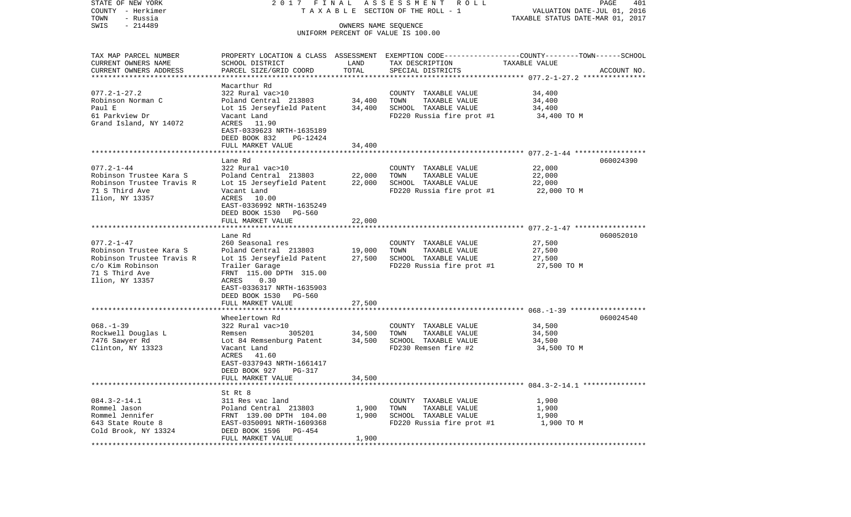| COUNTY - Herkimer                   |                                                    |                                  | TAXABLE SECTION OF THE ROLL - 1              | VALUATION DATE-JUL 01, 2016                                                                      |
|-------------------------------------|----------------------------------------------------|----------------------------------|----------------------------------------------|--------------------------------------------------------------------------------------------------|
| TOWN<br>- Russia                    |                                                    |                                  |                                              | TAXABLE STATUS DATE-MAR 01, 2017                                                                 |
| SWIS<br>$-214489$                   |                                                    | OWNERS NAME SEQUENCE             | UNIFORM PERCENT OF VALUE IS 100.00           |                                                                                                  |
|                                     |                                                    |                                  |                                              |                                                                                                  |
| TAX MAP PARCEL NUMBER               |                                                    |                                  |                                              | PROPERTY LOCATION & CLASS ASSESSMENT EXEMPTION CODE----------------COUNTY-------TOWN------SCHOOL |
| CURRENT OWNERS NAME                 | SCHOOL DISTRICT                                    | LAND                             | TAX DESCRIPTION                              | TAXABLE VALUE                                                                                    |
| CURRENT OWNERS ADDRESS              | PARCEL SIZE/GRID COORD                             | TOTAL                            | SPECIAL DISTRICTS                            | ACCOUNT NO.                                                                                      |
| ************************            |                                                    |                                  |                                              |                                                                                                  |
|                                     | Macarthur Rd                                       |                                  |                                              |                                                                                                  |
| $077.2 - 1 - 27.2$                  | 322 Rural vac>10                                   |                                  | COUNTY TAXABLE VALUE                         | 34,400                                                                                           |
| Robinson Norman C                   | Poland Central 213803                              | 34,400                           | TOWN<br>TAXABLE VALUE                        | 34,400                                                                                           |
| Paul E                              | Lot 15 Jerseyfield Patent                          | 34,400                           | SCHOOL TAXABLE VALUE                         | 34,400                                                                                           |
| 61 Parkview Dr                      | Vacant Land                                        |                                  | FD220 Russia fire prot #1                    | 34,400 TO M                                                                                      |
| Grand Island, NY 14072              | ACRES<br>11.90                                     |                                  |                                              |                                                                                                  |
|                                     | EAST-0339623 NRTH-1635189                          |                                  |                                              |                                                                                                  |
|                                     | DEED BOOK 832<br>PG-12424                          |                                  |                                              |                                                                                                  |
|                                     | FULL MARKET VALUE                                  | 34,400                           |                                              |                                                                                                  |
|                                     | Lane Rd                                            |                                  |                                              | 060024390                                                                                        |
| $077.2 - 1 - 44$                    | 322 Rural vac>10                                   |                                  | COUNTY TAXABLE VALUE                         | 22,000                                                                                           |
| Robinson Trustee Kara S             | Poland Central 213803                              | 22,000                           | TOWN<br>TAXABLE VALUE                        | 22,000                                                                                           |
| Robinson Trustee Travis R           | Lot 15 Jerseyfield Patent                          | 22,000                           | SCHOOL TAXABLE VALUE                         | 22,000                                                                                           |
| 71 S Third Ave                      | Vacant Land                                        |                                  | FD220 Russia fire prot #1                    | 22,000 TO M                                                                                      |
| Ilion, NY 13357                     | ACRES 10.00                                        |                                  |                                              |                                                                                                  |
|                                     | EAST-0336992 NRTH-1635249                          |                                  |                                              |                                                                                                  |
|                                     | DEED BOOK 1530<br>PG-560                           |                                  |                                              |                                                                                                  |
|                                     | FULL MARKET VALUE                                  | 22,000                           |                                              |                                                                                                  |
|                                     | *******************************                    |                                  |                                              |                                                                                                  |
| $077.2 - 1 - 47$                    | Lane Rd<br>260 Seasonal res                        |                                  | COUNTY TAXABLE VALUE                         | 060052010<br>27,500                                                                              |
| Robinson Trustee Kara S             | Poland Central 213803                              | 19,000                           | TOWN<br>TAXABLE VALUE                        | 27,500                                                                                           |
| Robinson Trustee Travis R           | Lot 15 Jerseyfield Patent                          | 27,500                           | SCHOOL TAXABLE VALUE                         | 27,500                                                                                           |
| c/o Kim Robinson                    | Trailer Garage                                     |                                  | FD220 Russia fire prot #1                    | 27,500 TO M                                                                                      |
| 71 S Third Ave                      | FRNT 115.00 DPTH 315.00                            |                                  |                                              |                                                                                                  |
| Ilion, NY 13357                     | 0.30<br>ACRES                                      |                                  |                                              |                                                                                                  |
|                                     | EAST-0336317 NRTH-1635903                          |                                  |                                              |                                                                                                  |
|                                     | DEED BOOK 1530<br>PG-560                           |                                  |                                              |                                                                                                  |
|                                     | FULL MARKET VALUE                                  | 27,500                           |                                              |                                                                                                  |
|                                     | ********************                               |                                  |                                              |                                                                                                  |
|                                     | Wheelertown Rd                                     |                                  |                                              | 060024540                                                                                        |
| $068. -1 - 39$                      | 322 Rural vac>10                                   |                                  | COUNTY TAXABLE VALUE                         | 34,500                                                                                           |
| Rockwell Douglas L                  | 305201<br>Remsen                                   | 34,500                           | TOWN<br>TAXABLE VALUE                        | 34,500                                                                                           |
| 7476 Sawyer Rd<br>Clinton, NY 13323 | Lot 84 Remsenburg Patent                           | 34,500                           | SCHOOL TAXABLE VALUE<br>FD230 Remsen fire #2 | 34,500                                                                                           |
|                                     | Vacant Land<br>ACRES<br>41.60                      |                                  |                                              | 34,500 TO M                                                                                      |
|                                     | EAST-0337943 NRTH-1661417                          |                                  |                                              |                                                                                                  |
|                                     | DEED BOOK 927<br>PG-317                            |                                  |                                              |                                                                                                  |
|                                     | FULL MARKET VALUE                                  | 34,500                           |                                              |                                                                                                  |
|                                     |                                                    |                                  |                                              |                                                                                                  |
|                                     | St Rt 8                                            |                                  |                                              |                                                                                                  |
| $084.3 - 2 - 14.1$                  | 311 Res vac land                                   |                                  | COUNTY TAXABLE VALUE                         | 1,900                                                                                            |
| Rommel Jason                        | Poland Central 213803                              | 1,900                            | TAXABLE VALUE<br>TOWN                        | 1,900                                                                                            |
| Rommel Jennifer                     | FRNT 139.00 DPTH 104.00                            | 1,900                            | SCHOOL TAXABLE VALUE                         | 1,900                                                                                            |
| 643 State Route 8                   | EAST-0350091 NRTH-1609368                          |                                  | FD220 Russia fire prot #1                    | 1,900 TO M                                                                                       |
| Cold Brook, NY 13324                | DEED BOOK 1596<br>PG-454                           |                                  |                                              |                                                                                                  |
| ***********                         | FULL MARKET VALUE<br>***************************** | 1,900<br>* * * * * * * * * * * * |                                              |                                                                                                  |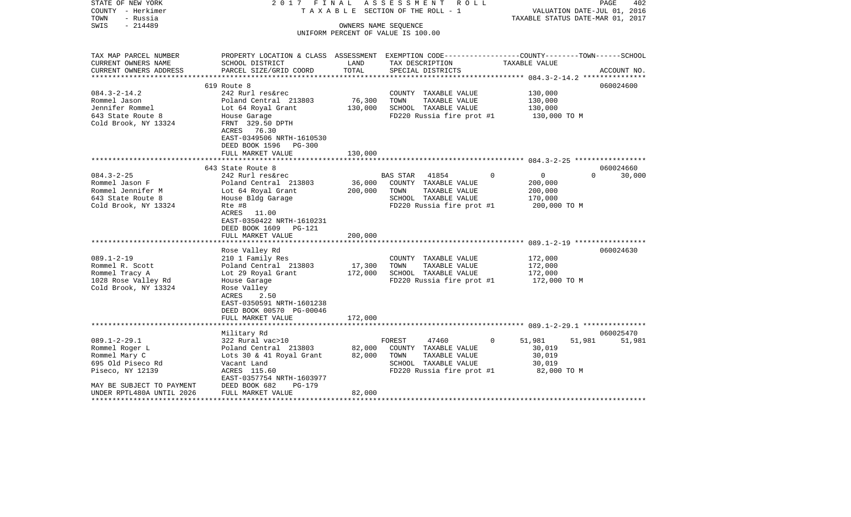| STATE OF NEW YORK<br>COUNTY - Herkimer | 2017                                                                                            | FINAL   | A S S E S S M E N T<br>ROLL ROLL<br>TAXABLE SECTION OF THE ROLL - 1 |                    | VALUATION DATE-JUL 01, 2016                       | 402<br>PAGE |
|----------------------------------------|-------------------------------------------------------------------------------------------------|---------|---------------------------------------------------------------------|--------------------|---------------------------------------------------|-------------|
| TOWN<br>- Russia                       |                                                                                                 |         |                                                                     |                    | TAXABLE STATUS DATE-MAR 01, 2017                  |             |
| $-214489$<br>SWIS                      |                                                                                                 |         | OWNERS NAME SEQUENCE<br>UNIFORM PERCENT OF VALUE IS 100.00          |                    |                                                   |             |
|                                        |                                                                                                 |         |                                                                     |                    |                                                   |             |
| TAX MAP PARCEL NUMBER                  | PROPERTY LOCATION & CLASS ASSESSMENT EXEMPTION CODE---------------COUNTY-------TOWN------SCHOOL |         |                                                                     |                    |                                                   |             |
| CURRENT OWNERS NAME                    | SCHOOL DISTRICT                                                                                 | LAND    | TAX DESCRIPTION                                                     | TAXABLE VALUE      |                                                   |             |
| CURRENT OWNERS ADDRESS                 | PARCEL SIZE/GRID COORD                                                                          | TOTAL   | SPECIAL DISTRICTS                                                   |                    | ******************* 084.3-2-14.2 **************** | ACCOUNT NO. |
|                                        | 619 Route 8                                                                                     |         |                                                                     |                    |                                                   | 060024600   |
| $084.3 - 2 - 14.2$                     | 242 Rurl res&rec                                                                                |         | COUNTY TAXABLE VALUE                                                |                    | 130,000                                           |             |
| Rommel Jason                           | Poland Central 213803                                                                           | 76,300  | TOWN<br>TAXABLE VALUE                                               |                    | 130,000                                           |             |
| Jennifer Rommel                        | Lot 64 Royal Grant                                                                              | 130,000 | SCHOOL TAXABLE VALUE                                                |                    | 130,000                                           |             |
| 643 State Route 8                      | House Garage                                                                                    |         | FD220 Russia fire prot #1                                           |                    | 130,000 TO M                                      |             |
| Cold Brook, NY 13324                   | FRNT 329.50 DPTH<br>ACRES<br>76.30                                                              |         |                                                                     |                    |                                                   |             |
|                                        | EAST-0349506 NRTH-1610530                                                                       |         |                                                                     |                    |                                                   |             |
|                                        | DEED BOOK 1596<br>PG-300                                                                        |         |                                                                     |                    |                                                   |             |
|                                        | FULL MARKET VALUE                                                                               | 130,000 |                                                                     |                    |                                                   |             |
|                                        | **************************                                                                      |         |                                                                     |                    |                                                   |             |
|                                        | 643 State Route 8                                                                               |         |                                                                     |                    |                                                   | 060024660   |
| $084.3 - 2 - 25$                       | 242 Rurl res&rec                                                                                |         | <b>BAS STAR</b><br>41854                                            | $\Omega$           | $\mathbf{0}$<br>$\Omega$                          | 30,000      |
| Rommel Jason F                         | Poland Central 213803                                                                           | 36,000  | COUNTY TAXABLE VALUE                                                |                    | 200,000                                           |             |
| Rommel Jennifer M                      | Lot 64 Royal Grant                                                                              | 200,000 | TOWN<br>TAXABLE VALUE                                               |                    | 200,000                                           |             |
| 643 State Route 8                      | House Bldg Garage                                                                               |         | SCHOOL TAXABLE VALUE                                                |                    | 170,000                                           |             |
| Cold Brook, NY 13324                   | Rte #8                                                                                          |         | FD220 Russia fire prot #1                                           |                    | 200,000 TO M                                      |             |
|                                        | ACRES<br>11.00                                                                                  |         |                                                                     |                    |                                                   |             |
|                                        | EAST-0350422 NRTH-1610231                                                                       |         |                                                                     |                    |                                                   |             |
|                                        | DEED BOOK 1609<br>PG-121                                                                        |         |                                                                     |                    |                                                   |             |
|                                        | FULL MARKET VALUE                                                                               | 200,000 |                                                                     |                    |                                                   |             |
|                                        |                                                                                                 |         |                                                                     |                    |                                                   |             |
|                                        | Rose Valley Rd                                                                                  |         |                                                                     |                    |                                                   | 060024630   |
| $089.1 - 2 - 19$                       | 210 1 Family Res                                                                                |         | COUNTY TAXABLE VALUE                                                |                    | 172,000                                           |             |
| Rommel R. Scott                        | Poland Central 213803                                                                           | 17,300  | TAXABLE VALUE<br>TOWN                                               |                    | 172,000                                           |             |
| Rommel Tracy A                         | Lot 29 Royal Grant                                                                              | 172,000 | SCHOOL TAXABLE VALUE                                                |                    | 172,000                                           |             |
| 1028 Rose Valley Rd                    | House Garage                                                                                    |         | FD220 Russia fire prot #1                                           |                    | 172,000 TO M                                      |             |
| Cold Brook, NY 13324                   | Rose Valley                                                                                     |         |                                                                     |                    |                                                   |             |
|                                        | ACRES<br>2.50<br>EAST-0350591 NRTH-1601238                                                      |         |                                                                     |                    |                                                   |             |
|                                        |                                                                                                 |         |                                                                     |                    |                                                   |             |
|                                        | DEED BOOK 00570 PG-00046<br>FULL MARKET VALUE                                                   | 172,000 |                                                                     |                    |                                                   |             |
|                                        | *********************                                                                           |         |                                                                     |                    |                                                   |             |
|                                        | Military Rd                                                                                     |         |                                                                     |                    |                                                   | 060025470   |
| $089.1 - 2 - 29.1$                     | 322 Rural vac>10                                                                                |         | FOREST<br>47460                                                     | $\Omega$<br>51,981 | 51,981                                            | 51,981      |
| Rommel Roger L                         | Poland Central 213803                                                                           | 82,000  | COUNTY TAXABLE VALUE                                                |                    | 30,019                                            |             |
| Rommel Mary C                          | Lots 30 & 41 Royal Grant                                                                        | 82,000  | TOWN<br>TAXABLE VALUE                                               |                    | 30,019                                            |             |
| 695 Old Piseco Rd                      | Vacant Land                                                                                     |         | SCHOOL TAXABLE VALUE                                                |                    | 30,019                                            |             |
| Piseco, NY 12139                       | ACRES 115.60                                                                                    |         | FD220 Russia fire prot #1                                           |                    | 82,000 TO M                                       |             |
|                                        | EAST-0357754 NRTH-1603977                                                                       |         |                                                                     |                    |                                                   |             |
| MAY BE SUBJECT TO PAYMENT              | DEED BOOK 682<br>PG-179                                                                         |         |                                                                     |                    |                                                   |             |
| UNDER RPTL480A UNTIL 2026              | FULL MARKET VALUE                                                                               | 82,000  |                                                                     |                    |                                                   |             |
| *********************                  | *****************                                                                               |         |                                                                     |                    |                                                   |             |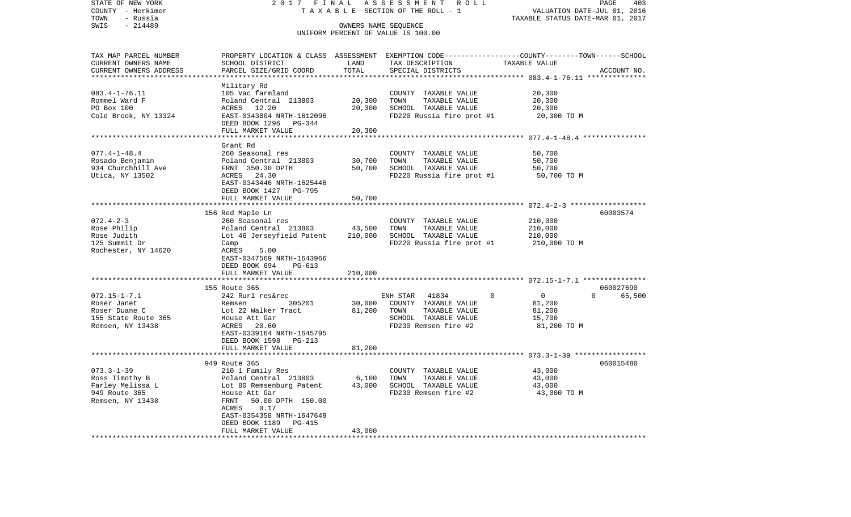| STATE OF NEW YORK<br>COUNTY - Herkimer | 2017 FINAL<br>TAXABLE                                 |                              | ASSESSMENT<br>R O L L<br>SECTION OF THE ROLL - 1                                                 | VALUATION DATE-JUL 01, 2016                            | PAGE<br>403        |
|----------------------------------------|-------------------------------------------------------|------------------------------|--------------------------------------------------------------------------------------------------|--------------------------------------------------------|--------------------|
| - Russia<br>TOWN                       |                                                       |                              |                                                                                                  | TAXABLE STATUS DATE-MAR 01, 2017                       |                    |
| SWIS<br>$-214489$                      |                                                       | OWNERS NAME SEQUENCE         | UNIFORM PERCENT OF VALUE IS 100.00                                                               |                                                        |                    |
| TAX MAP PARCEL NUMBER                  |                                                       |                              | PROPERTY LOCATION & CLASS ASSESSMENT EXEMPTION CODE----------------COUNTY-------TOWN------SCHOOL |                                                        |                    |
| CURRENT OWNERS NAME                    | SCHOOL DISTRICT                                       | LAND                         | TAX DESCRIPTION                                                                                  | TAXABLE VALUE                                          |                    |
| CURRENT OWNERS ADDRESS                 | PARCEL SIZE/GRID COORD                                | TOTAL<br>* * * * * * * * * * | SPECIAL DISTRICTS                                                                                | *********** 083.4-1-76.11 ***************              | ACCOUNT NO.        |
|                                        | Military Rd                                           |                              |                                                                                                  |                                                        |                    |
| $083.4 - 1 - 76.11$                    | 105 Vac farmland                                      |                              | COUNTY TAXABLE VALUE                                                                             | 20,300                                                 |                    |
| Rommel Ward F                          | Poland Central 213803                                 | 20,300                       | TOWN<br>TAXABLE VALUE                                                                            | 20,300                                                 |                    |
| PO Box 100                             | ACRES 12.20                                           | 20,300                       | SCHOOL TAXABLE VALUE                                                                             | 20,300                                                 |                    |
| Cold Brook, NY 13324                   | EAST-0343804 NRTH-1612096<br>DEED BOOK 1296 PG-344    |                              | FD220 Russia fire prot #1                                                                        | 20,300 TO M                                            |                    |
|                                        | FULL MARKET VALUE<br>*************************        | 20,300<br>***********        |                                                                                                  |                                                        |                    |
|                                        |                                                       |                              |                                                                                                  | ************************ 077.4-1-48.4 **************** |                    |
| $077.4 - 1 - 48.4$                     | Grant Rd<br>260 Seasonal res                          |                              | COUNTY TAXABLE VALUE                                                                             | 50,700                                                 |                    |
| Rosado Benjamin                        | Poland Central 213803                                 | 30,700                       | TAXABLE VALUE<br>TOWN                                                                            | 50,700                                                 |                    |
| 934 Churchhill Ave                     | FRNT 350.30 DPTH                                      | 50,700                       | SCHOOL TAXABLE VALUE                                                                             | 50,700                                                 |                    |
| Utica, NY 13502                        | ACRES 24.30                                           |                              | FD220 Russia fire prot #1                                                                        | 50,700 TO M                                            |                    |
|                                        | EAST-0343446 NRTH-1625446                             |                              |                                                                                                  |                                                        |                    |
|                                        | DEED BOOK 1427 PG-795                                 |                              |                                                                                                  |                                                        |                    |
|                                        | FULL MARKET VALUE                                     | 50,700                       |                                                                                                  |                                                        |                    |
|                                        | 156 Red Maple Ln                                      | ************                 |                                                                                                  |                                                        | 60003574           |
| $072.4 - 2 - 3$                        | 260 Seasonal res                                      |                              | COUNTY TAXABLE VALUE                                                                             | 210,000                                                |                    |
| Rose Philip                            | Poland Central 213803                                 | 43,500                       | TOWN<br>TAXABLE VALUE                                                                            | 210,000                                                |                    |
| Rose Judith                            | Lot 46 Jerseyfield Patent                             | 210,000                      | SCHOOL TAXABLE VALUE                                                                             | 210,000                                                |                    |
| 125 Summit Dr                          | Camp                                                  |                              | FD220 Russia fire prot #1                                                                        | 210,000 TO M                                           |                    |
| Rochester, NY 14620                    | ACRES<br>5.00                                         |                              |                                                                                                  |                                                        |                    |
|                                        | EAST-0347569 NRTH-1643966                             |                              |                                                                                                  |                                                        |                    |
|                                        | DEED BOOK 694<br>PG-613                               | 210,000                      |                                                                                                  |                                                        |                    |
|                                        | FULL MARKET VALUE                                     |                              |                                                                                                  | ********** 072.15-1-7.1 ****************               |                    |
|                                        | 155 Route 365                                         |                              |                                                                                                  |                                                        | 060027690          |
| $072.15 - 1 - 7.1$                     | 242 Rurl res&rec                                      |                              | $\mathbf 0$<br>ENH STAR<br>41834                                                                 | $\mathbf 0$                                            | $\Omega$<br>65,500 |
| Roser Janet                            | 305201<br>Remsen                                      | 30,000                       | COUNTY TAXABLE VALUE                                                                             | 81,200                                                 |                    |
| Roser Duane C                          | Lot 22 Walker Tract                                   | 81,200                       | TAXABLE VALUE<br>TOWN                                                                            | 81,200                                                 |                    |
| 155 State Route 365                    | House Att Gar                                         |                              | SCHOOL TAXABLE VALUE                                                                             | 15,700                                                 |                    |
| Remsen, NY 13438                       | ACRES 20.60                                           |                              | FD230 Remsen fire #2                                                                             | 81,200 TO M                                            |                    |
|                                        | EAST-0339164 NRTH-1645795<br>DEED BOOK 1598<br>PG-213 |                              |                                                                                                  |                                                        |                    |
|                                        | FULL MARKET VALUE                                     | 81,200                       |                                                                                                  |                                                        |                    |
|                                        |                                                       |                              |                                                                                                  |                                                        |                    |
|                                        | 949 Route 365                                         |                              |                                                                                                  |                                                        | 060015480          |
| $073.3 - 1 - 39$                       | 210 1 Family Res                                      |                              | COUNTY TAXABLE VALUE                                                                             | 43,000                                                 |                    |
| Ross Timothy B                         | Poland Central 213803                                 | 6,100                        | TOWN<br>TAXABLE VALUE                                                                            | 43,000                                                 |                    |
| Farley Melissa L                       | Lot 80 Remsenburg Patent                              | 43,000                       | SCHOOL TAXABLE VALUE                                                                             | 43,000                                                 |                    |
| 949 Route 365                          | House Att Gar                                         |                              | FD230 Remsen fire #2                                                                             | 43,000 TO M                                            |                    |
| Remsen, NY 13438                       | FRNT<br>50.00 DPTH 150.00<br>ACRES<br>0.17            |                              |                                                                                                  |                                                        |                    |
|                                        | EAST-0354358 NRTH-1647649                             |                              |                                                                                                  |                                                        |                    |
|                                        | DEED BOOK 1189<br>PG-415                              |                              |                                                                                                  |                                                        |                    |
|                                        | FULL MARKET VALUE                                     | 43,000                       |                                                                                                  |                                                        |                    |
| **********************                 | *****************************                         |                              |                                                                                                  |                                                        |                    |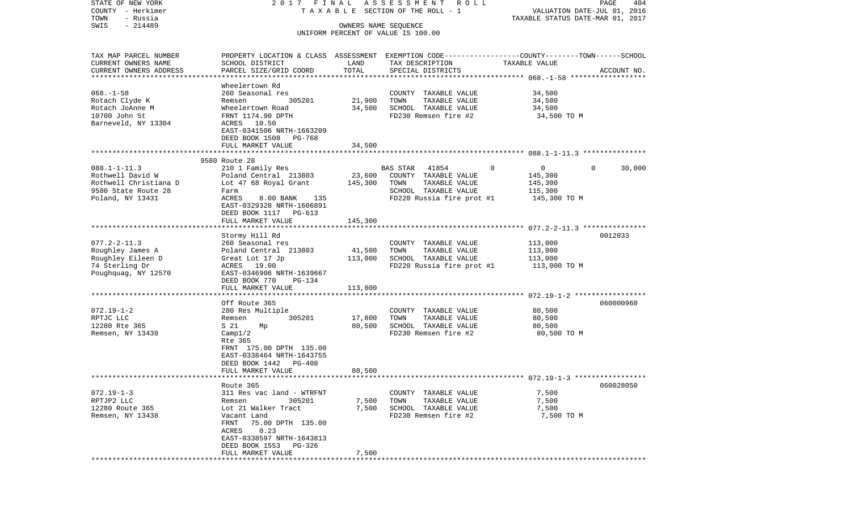| STATE OF NEW YORK                                   | 2017 FINAL                                                                                       |                      | ASSESSMENT ROLL                                   |                                                                 | PAGE<br>404 |
|-----------------------------------------------------|--------------------------------------------------------------------------------------------------|----------------------|---------------------------------------------------|-----------------------------------------------------------------|-------------|
| COUNTY - Herkimer<br>TOWN<br>- Russia               |                                                                                                  |                      | TAXABLE SECTION OF THE ROLL - 1                   | VALUATION DATE-JUL 01, 2016<br>TAXABLE STATUS DATE-MAR 01, 2017 |             |
| $-214489$<br>SWIS                                   |                                                                                                  | OWNERS NAME SEQUENCE |                                                   |                                                                 |             |
|                                                     |                                                                                                  |                      | UNIFORM PERCENT OF VALUE IS 100.00                |                                                                 |             |
| TAX MAP PARCEL NUMBER                               | PROPERTY LOCATION & CLASS ASSESSMENT EXEMPTION CODE----------------COUNTY-------TOWN------SCHOOL |                      |                                                   |                                                                 |             |
| CURRENT OWNERS NAME                                 | SCHOOL DISTRICT                                                                                  | LAND                 | TAX DESCRIPTION                                   | TAXABLE VALUE                                                   |             |
| CURRENT OWNERS ADDRESS<br>************************* | PARCEL SIZE/GRID COORD                                                                           | TOTAL                | SPECIAL DISTRICTS                                 |                                                                 | ACCOUNT NO. |
|                                                     | Wheelertown Rd                                                                                   |                      |                                                   |                                                                 |             |
| $068. - 1 - 58$                                     | 260 Seasonal res                                                                                 |                      | COUNTY TAXABLE VALUE                              | 34,500                                                          |             |
| Rotach Clyde K                                      | 305201<br>Remsen                                                                                 | 21,900               | TOWN<br>TAXABLE VALUE                             | 34,500                                                          |             |
| Rotach JoAnne M                                     | Wheelertown Road                                                                                 | 34,500               | SCHOOL TAXABLE VALUE                              | 34,500                                                          |             |
| 10700 John St<br>Barneveld, NY 13304                | FRNT 1174.90 DPTH<br>ACRES 10.50                                                                 |                      | FD230 Remsen fire #2                              | 34,500 TO M                                                     |             |
|                                                     | EAST-0341506 NRTH-1663209<br>DEED BOOK 1508<br>PG-768                                            |                      |                                                   |                                                                 |             |
|                                                     | FULL MARKET VALUE                                                                                | 34,500               |                                                   |                                                                 |             |
|                                                     |                                                                                                  |                      |                                                   |                                                                 |             |
| $088.1 - 1 - 11.3$                                  | 9580 Route 28<br>210 1 Family Res                                                                |                      | <b>BAS STAR</b><br>41854                          | 0<br>$\overline{0}$                                             | $\Omega$    |
| Rothwell David W                                    | Poland Central 213803                                                                            | 23,600               | COUNTY TAXABLE VALUE                              | 145,300                                                         | 30,000      |
| Rothwell Christiana D                               | Lot 47 68 Royal Grant                                                                            | 145,300              | TOWN<br>TAXABLE VALUE                             | 145,300                                                         |             |
| 9580 State Route 28                                 | Farm                                                                                             |                      | SCHOOL TAXABLE VALUE                              | 115,300                                                         |             |
| Poland, NY 13431                                    | ACRES<br>8.00 BANK 135                                                                           |                      | FD220 Russia fire prot #1                         | 145,300 TO M                                                    |             |
|                                                     | EAST-0329328 NRTH-1606891                                                                        |                      |                                                   |                                                                 |             |
|                                                     | DEED BOOK 1117 PG-613<br>FULL MARKET VALUE                                                       | 145,300              |                                                   |                                                                 |             |
|                                                     |                                                                                                  |                      |                                                   |                                                                 |             |
|                                                     | Stormy Hill Rd                                                                                   |                      |                                                   |                                                                 | 0012033     |
| $077.2 - 2 - 11.3$                                  | 260 Seasonal res                                                                                 |                      | COUNTY TAXABLE VALUE                              | 113,000                                                         |             |
| Roughley James A                                    | Poland Central 213803                                                                            | 41,500               | TOWN<br>TAXABLE VALUE                             | 113,000                                                         |             |
| Roughley Eileen D<br>74 Sterling Dr                 | Great Lot 17 Jp<br>ACRES 19.00                                                                   | 113,000              | SCHOOL TAXABLE VALUE<br>FD220 Russia fire prot #1 | 113,000<br>113,000 TO M                                         |             |
| Poughquag, NY 12570                                 | EAST-0346906 NRTH-1639667                                                                        |                      |                                                   |                                                                 |             |
|                                                     | DEED BOOK 770<br>PG-134                                                                          |                      |                                                   |                                                                 |             |
|                                                     | FULL MARKET VALUE                                                                                | 113,000              |                                                   |                                                                 |             |
|                                                     | Off Route 365                                                                                    |                      |                                                   |                                                                 | 060000960   |
| $072.19 - 1 - 2$                                    | 280 Res Multiple                                                                                 |                      | COUNTY TAXABLE VALUE                              | 80,500                                                          |             |
| RPTJC LLC                                           | 305201<br>Remsen                                                                                 | 17,800               | TOWN<br>TAXABLE VALUE                             | 80,500                                                          |             |
| 12280 Rte 365                                       | S 21<br>Мp                                                                                       | 80,500               | SCHOOL TAXABLE VALUE                              | 80,500                                                          |             |
| Remsen, NY 13438                                    | Campl/2                                                                                          |                      | FD230 Remsen fire #2                              | 80,500 TO M                                                     |             |
|                                                     | Rte 365<br>FRNT 175.00 DPTH 135.00                                                               |                      |                                                   |                                                                 |             |
|                                                     | EAST-0338464 NRTH-1643755                                                                        |                      |                                                   |                                                                 |             |
|                                                     | DEED BOOK 1442<br>PG-408                                                                         |                      |                                                   |                                                                 |             |
|                                                     | FULL MARKET VALUE                                                                                | 80,500               |                                                   |                                                                 |             |
|                                                     |                                                                                                  |                      |                                                   |                                                                 |             |
| $072.19 - 1 - 3$                                    | Route 365<br>311 Res vac land - WTRFNT                                                           |                      | COUNTY TAXABLE VALUE                              |                                                                 | 060028050   |
| RPTJP2 LLC                                          | 305201<br>Remsen                                                                                 | 7,500                | TOWN<br>TAXABLE VALUE                             | 7,500<br>7,500                                                  |             |
| 12280 Route 365                                     | Lot 21 Walker Tract                                                                              | 7,500                | SCHOOL TAXABLE VALUE                              | 7,500                                                           |             |
| Remsen, NY 13438                                    | Vacant Land                                                                                      |                      | FD230 Remsen fire #2                              | 7,500 TO M                                                      |             |
|                                                     | 75.00 DPTH 135.00<br>FRNT                                                                        |                      |                                                   |                                                                 |             |
|                                                     | 0.23<br>ACRES<br>EAST-0338597 NRTH-1643813                                                       |                      |                                                   |                                                                 |             |
|                                                     | DEED BOOK 1553<br>PG-326                                                                         |                      |                                                   |                                                                 |             |
|                                                     | FULL MARKET VALUE                                                                                | 7,500                |                                                   |                                                                 |             |
|                                                     |                                                                                                  |                      |                                                   |                                                                 |             |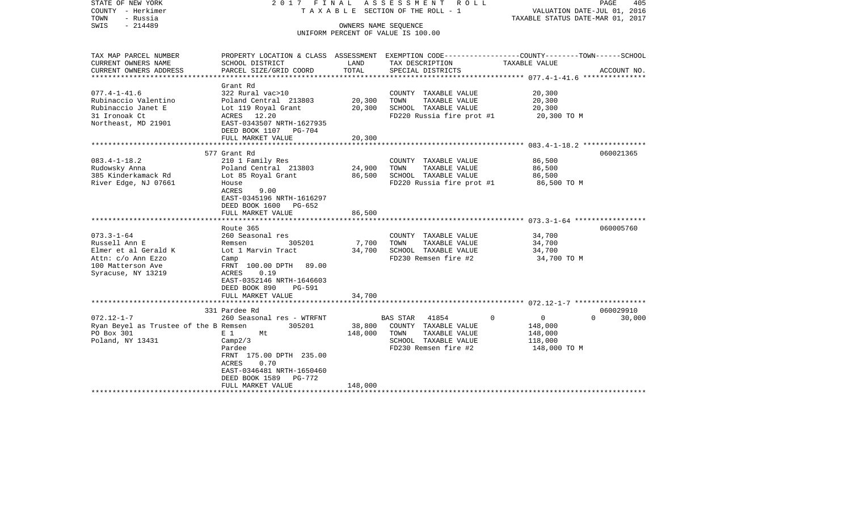| STATE OF NEW YORK<br>COUNTY - Herkimer<br>- Russia<br>TOWN<br>$-214489$<br>SWIS | 2017 FINAL                                                                                                          |                   | A S S E S S M E N T<br>R O L L<br>T A X A B L E SECTION OF THE ROLL - 1<br>OWNERS NAME SEQUENCE<br>UNIFORM PERCENT OF VALUE IS 100.00 | TAXABLE STATUS DATE-MAR 01, 2017 | PAGE<br>405<br>VALUATION DATE-JUL 01, 2016 |
|---------------------------------------------------------------------------------|---------------------------------------------------------------------------------------------------------------------|-------------------|---------------------------------------------------------------------------------------------------------------------------------------|----------------------------------|--------------------------------------------|
| TAX MAP PARCEL NUMBER<br>CURRENT OWNERS NAME                                    | PROPERTY LOCATION & CLASS ASSESSMENT EXEMPTION CODE----------------COUNTY-------TOWN------SCHOOL<br>SCHOOL DISTRICT | LAND              | TAX DESCRIPTION                                                                                                                       | TAXABLE VALUE                    |                                            |
| CURRENT OWNERS ADDRESS                                                          | PARCEL SIZE/GRID COORD                                                                                              | TOTAL             | SPECIAL DISTRICTS                                                                                                                     |                                  | ACCOUNT NO.                                |
| ********************                                                            |                                                                                                                     |                   |                                                                                                                                       |                                  |                                            |
| $077.4 - 1 - 41.6$                                                              | Grant Rd<br>322 Rural vac>10                                                                                        |                   | COUNTY TAXABLE VALUE                                                                                                                  | 20,300                           |                                            |
| Rubinaccio Valentino                                                            | Poland Central 213803                                                                                               | 20,300            | TAXABLE VALUE<br>TOWN                                                                                                                 | 20,300                           |                                            |
| Rubinaccio Janet E                                                              | Lot 119 Royal Grant                                                                                                 | 20,300            | SCHOOL TAXABLE VALUE                                                                                                                  | 20,300                           |                                            |
| 31 Ironoak Ct                                                                   | ACRES 12.20                                                                                                         |                   | FD220 Russia fire prot #1                                                                                                             | 20,300 TO M                      |                                            |
| Northeast, MD 21901                                                             | EAST-0343507 NRTH-1627935                                                                                           |                   |                                                                                                                                       |                                  |                                            |
|                                                                                 | DEED BOOK 1107 PG-704                                                                                               |                   |                                                                                                                                       |                                  |                                            |
|                                                                                 | FULL MARKET VALUE                                                                                                   | 20,300            |                                                                                                                                       |                                  |                                            |
|                                                                                 | 577 Grant Rd                                                                                                        |                   |                                                                                                                                       |                                  | 060021365                                  |
| $083.4 - 1 - 18.2$                                                              | 210 1 Family Res                                                                                                    |                   | COUNTY TAXABLE VALUE                                                                                                                  | 86,500                           |                                            |
| Rudowsky Anna                                                                   | Poland Central 213803                                                                                               | 24,900            | TOWN<br>TAXABLE VALUE                                                                                                                 | 86,500                           |                                            |
| 385 Kinderkamack Rd                                                             | Lot 85 Royal Grant                                                                                                  | 86,500            | SCHOOL TAXABLE VALUE                                                                                                                  | 86,500                           |                                            |
| River Edge, NJ 07661                                                            | House                                                                                                               |                   | FD220 Russia fire prot #1                                                                                                             | 86,500 TO M                      |                                            |
|                                                                                 | ACRES<br>9.00                                                                                                       |                   |                                                                                                                                       |                                  |                                            |
|                                                                                 | EAST-0345196 NRTH-1616297                                                                                           |                   |                                                                                                                                       |                                  |                                            |
|                                                                                 | DEED BOOK 1600 PG-652<br>FULL MARKET VALUE                                                                          | 86,500            |                                                                                                                                       |                                  |                                            |
|                                                                                 |                                                                                                                     |                   |                                                                                                                                       |                                  |                                            |
|                                                                                 | Route 365                                                                                                           |                   |                                                                                                                                       |                                  | 060005760                                  |
| $073.3 - 1 - 64$                                                                | 260 Seasonal res                                                                                                    |                   | COUNTY TAXABLE VALUE                                                                                                                  | 34,700                           |                                            |
| Russell Ann E                                                                   | 305201<br>Remsen                                                                                                    | 7,700             | TOWN<br>TAXABLE VALUE                                                                                                                 | 34,700                           |                                            |
| Elmer et al Gerald K                                                            | Lot 1 Marvin Tract                                                                                                  | 34,700            | SCHOOL TAXABLE VALUE                                                                                                                  | 34,700                           |                                            |
| Attn: c/o Ann Ezzo                                                              | Camp                                                                                                                |                   | FD230 Remsen fire #2                                                                                                                  | 34,700 TO M                      |                                            |
| 100 Matterson Ave<br>Syracuse, NY 13219                                         | FRNT 100.00 DPTH<br>89.00<br>ACRES<br>0.19                                                                          |                   |                                                                                                                                       |                                  |                                            |
|                                                                                 | EAST-0352146 NRTH-1646603                                                                                           |                   |                                                                                                                                       |                                  |                                            |
|                                                                                 | DEED BOOK 890<br>PG-591                                                                                             |                   |                                                                                                                                       |                                  |                                            |
|                                                                                 | FULL MARKET VALUE                                                                                                   | 34,700            |                                                                                                                                       |                                  |                                            |
|                                                                                 |                                                                                                                     |                   |                                                                                                                                       |                                  |                                            |
|                                                                                 | 331 Pardee Rd                                                                                                       |                   |                                                                                                                                       |                                  | 060029910                                  |
| $072.12 - 1 - 7$                                                                | 260 Seasonal res - WTRFNT                                                                                           |                   | <b>BAS STAR</b><br>41854                                                                                                              | $\Omega$<br>0                    | $\Omega$<br>30,000                         |
| Ryan Beyel as Trustee of the B Remsen<br>PO Box 301                             | 305201<br>E 1<br>Mt                                                                                                 | 38,800<br>148,000 | COUNTY TAXABLE VALUE<br>TOWN<br>TAXABLE VALUE                                                                                         | 148,000<br>148,000               |                                            |
| Poland, NY 13431                                                                | Camp2/3                                                                                                             |                   | SCHOOL TAXABLE VALUE                                                                                                                  | 118,000                          |                                            |
|                                                                                 | Pardee                                                                                                              |                   | FD230 Remsen fire #2                                                                                                                  | 148,000 TO M                     |                                            |
|                                                                                 | FRNT 175.00 DPTH 235.00                                                                                             |                   |                                                                                                                                       |                                  |                                            |
|                                                                                 | ACRES<br>0.70                                                                                                       |                   |                                                                                                                                       |                                  |                                            |
|                                                                                 | EAST-0346481 NRTH-1650460                                                                                           |                   |                                                                                                                                       |                                  |                                            |
|                                                                                 | DEED BOOK 1589<br>PG-772                                                                                            |                   |                                                                                                                                       |                                  |                                            |
|                                                                                 | FULL MARKET VALUE                                                                                                   | 148,000           |                                                                                                                                       |                                  |                                            |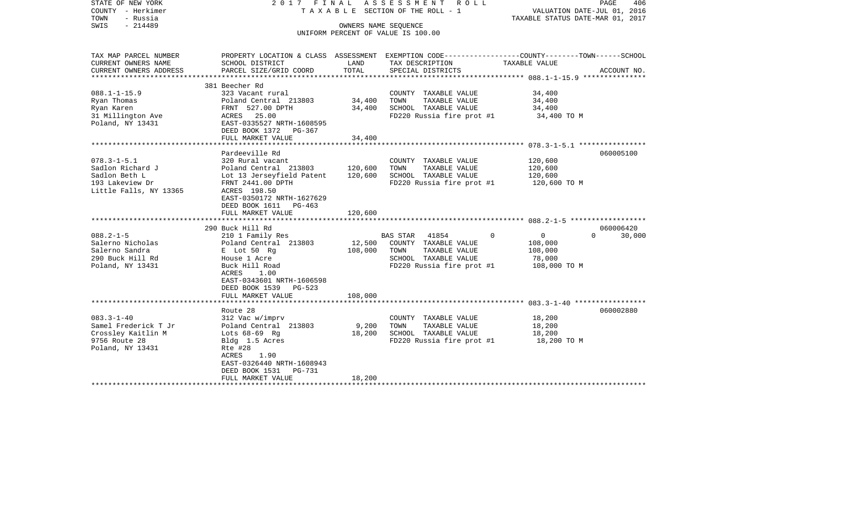| STATE OF NEW YORK<br>COUNTY - Herkimer<br>- Russia<br>TOWN<br>$-214489$<br>SWIS                     |                                                                                                                                                                                        | OWNERS NAME SEQUENCE          | 2017 FINAL ASSESSMENT ROLL<br>T A X A B L E SECTION OF THE ROLL - 1                                                              | PAGE<br>406<br>VALUATION DATE-JUL 01, 2016<br>TAXABLE STATUS DATE-MAR 01, 2017                                   |
|-----------------------------------------------------------------------------------------------------|----------------------------------------------------------------------------------------------------------------------------------------------------------------------------------------|-------------------------------|----------------------------------------------------------------------------------------------------------------------------------|------------------------------------------------------------------------------------------------------------------|
|                                                                                                     |                                                                                                                                                                                        |                               | UNIFORM PERCENT OF VALUE IS 100.00                                                                                               |                                                                                                                  |
| TAX MAP PARCEL NUMBER<br>CURRENT OWNERS NAME                                                        | SCHOOL DISTRICT                                                                                                                                                                        | LAND                          | TAX DESCRIPTION                                                                                                                  | PROPERTY LOCATION & CLASS ASSESSMENT EXEMPTION CODE---------------COUNTY-------TOWN------SCHOOL<br>TAXABLE VALUE |
| CURRENT OWNERS ADDRESS                                                                              | PARCEL SIZE/GRID COORD                                                                                                                                                                 | TOTAL                         | SPECIAL DISTRICTS                                                                                                                | ACCOUNT NO.                                                                                                      |
|                                                                                                     | 381 Beecher Rd                                                                                                                                                                         |                               |                                                                                                                                  |                                                                                                                  |
| $088.1 - 1 - 15.9$<br>Ryan Thomas<br>Ryan Karen<br>31 Millington Ave<br>Poland, NY 13431            | 323 Vacant rural<br>Poland Central 213803<br>FRNT 527.00 DPTH<br>ACRES 25.00<br>EAST-0335527 NRTH-1608595                                                                              | 34,400<br>34,400              | COUNTY TAXABLE VALUE<br>TAXABLE VALUE<br>TOWN<br>SCHOOL TAXABLE VALUE<br>FD220 Russia fire prot #1                               | 34,400<br>34,400<br>34,400<br>34,400 TO M                                                                        |
|                                                                                                     | DEED BOOK 1372 PG-367                                                                                                                                                                  |                               |                                                                                                                                  |                                                                                                                  |
|                                                                                                     | FULL MARKET VALUE<br>Pardeeville Rd                                                                                                                                                    | 34,400                        |                                                                                                                                  |                                                                                                                  |
| $078.3 - 1 - 5.1$<br>Sadlon Richard J<br>Sadlon Beth L<br>193 Lakeview Dr<br>Little Falls, NY 13365 | 320 Rural vacant<br>Poland Central 213803<br>Lot 13 Jerseyfield Patent<br>FRNT 2441.00 DPTH<br>ACRES 198.50<br>EAST-0350172 NRTH-1627629<br>DEED BOOK 1611 PG-463<br>FULL MARKET VALUE | 120,600<br>120,600<br>120,600 | COUNTY TAXABLE VALUE<br>TOWN<br>TAXABLE VALUE<br>SCHOOL TAXABLE VALUE<br>FD220 Russia fire prot #1                               | 060005100<br>120,600<br>120,600<br>120,600<br>120,600 TO M                                                       |
|                                                                                                     | 290 Buck Hill Rd                                                                                                                                                                       |                               |                                                                                                                                  | 060006420                                                                                                        |
| $088.2 - 1 - 5$<br>Salerno Nicholas<br>Salerno Sandra<br>290 Buck Hill Rd<br>Poland, NY 13431       | 210 1 Family Res<br>Poland Central 213803<br>E Lot 50 Rq<br>House 1 Acre<br>Buck Hill Road<br>ACRES<br>1.00<br>EAST-0343601 NRTH-1606598<br>DEED BOOK 1539 PG-523<br>FULL MARKET VALUE | 12,500<br>108,000<br>108,000  | BAS STAR 41854<br>$\Omega$<br>COUNTY TAXABLE VALUE<br>TOWN<br>TAXABLE VALUE<br>SCHOOL TAXABLE VALUE<br>FD220 Russia fire prot #1 | $\overline{0}$<br>30,000<br>$\Omega$<br>108,000<br>108,000<br>78,000<br>108,000 TO M                             |
|                                                                                                     |                                                                                                                                                                                        |                               |                                                                                                                                  |                                                                                                                  |
| $083.3 - 1 - 40$<br>Samel Frederick T Jr<br>Crossley Kaitlin M<br>9756 Route 28<br>Poland, NY 13431 | Route 28<br>312 Vac w/imprv<br>Poland Central 213803<br>Lots $68-69$ Rq<br>Bldg 1.5 Acres<br>Rte #28<br>ACRES<br>1.90<br>EAST-0326440 NRTH-1608943<br>DEED BOOK 1531 PG-731            | 9,200<br>18,200               | COUNTY TAXABLE VALUE<br>TAXABLE VALUE<br>TOWN<br>SCHOOL TAXABLE VALUE<br>FD220 Russia fire prot #1                               | 060002880<br>18,200<br>18,200<br>18,200<br>18,200 TO M                                                           |
|                                                                                                     | FULL MARKET VALUE                                                                                                                                                                      | 18,200                        |                                                                                                                                  |                                                                                                                  |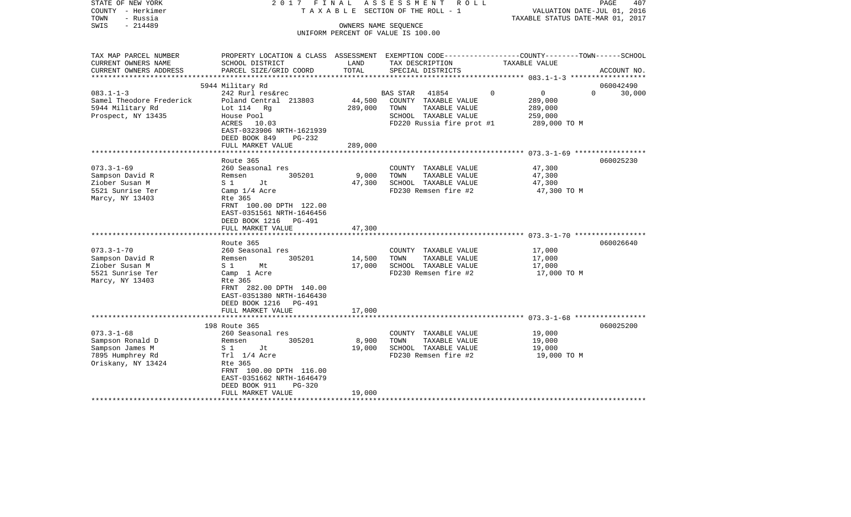| - Herkimer<br>COUNTY<br>TOWN<br>- Russia<br>SWIS<br>$-214489$ |                                                                                                 |                  | T A X A B L E SECTION OF THE ROLL - 1<br>OWNERS NAME SEQUENCE<br>UNIFORM PERCENT OF VALUE IS 100.00 | TAXABLE STATUS DATE-MAR 01, 2017                        | VALUATION DATE-JUL 01, 2016 |
|---------------------------------------------------------------|-------------------------------------------------------------------------------------------------|------------------|-----------------------------------------------------------------------------------------------------|---------------------------------------------------------|-----------------------------|
| TAX MAP PARCEL NUMBER                                         | PROPERTY LOCATION & CLASS ASSESSMENT EXEMPTION CODE----------------COUNTY-------TOWN-----SCHOOL |                  |                                                                                                     |                                                         |                             |
| CURRENT OWNERS NAME<br>CURRENT OWNERS ADDRESS                 | SCHOOL DISTRICT<br>PARCEL SIZE/GRID COORD                                                       | LAND<br>TOTAL    | TAX DESCRIPTION<br>SPECIAL DISTRICTS                                                                | TAXABLE VALUE                                           |                             |
|                                                               |                                                                                                 | ***********      |                                                                                                     |                                                         | ACCOUNT NO.                 |
|                                                               | 5944 Military Rd                                                                                |                  |                                                                                                     |                                                         | 060042490                   |
| $083.1 - 1 - 3$                                               | 242 Rurl res&rec                                                                                |                  | 41854<br><b>BAS STAR</b>                                                                            | $\Omega$<br>$\Omega$                                    | $\Omega$<br>30,000          |
| Samel Theodore Frederick                                      | Poland Central 213803                                                                           | 44,500           | COUNTY TAXABLE VALUE                                                                                | 289,000                                                 |                             |
| 5944 Military Rd                                              | Lot $114$ Rg                                                                                    | 289,000          | TOWN<br>TAXABLE VALUE                                                                               | 289,000                                                 |                             |
| Prospect, NY 13435                                            | House Pool                                                                                      |                  | SCHOOL TAXABLE VALUE                                                                                | 259,000                                                 |                             |
|                                                               | ACRES<br>10.03<br>EAST-0323906 NRTH-1621939                                                     |                  | FD220 Russia fire prot #1                                                                           | 289,000 TO M                                            |                             |
|                                                               | DEED BOOK 849<br>PG-232                                                                         |                  |                                                                                                     |                                                         |                             |
|                                                               | FULL MARKET VALUE                                                                               | 289,000          |                                                                                                     |                                                         |                             |
|                                                               | ******************                                                                              |                  |                                                                                                     |                                                         |                             |
|                                                               | Route 365                                                                                       |                  |                                                                                                     |                                                         | 060025230                   |
| $073.3 - 1 - 69$                                              | 260 Seasonal res                                                                                |                  | COUNTY TAXABLE VALUE                                                                                | 47,300                                                  |                             |
| Sampson David R                                               | 305201<br>Remsen                                                                                | 9,000            | TOWN<br>TAXABLE VALUE                                                                               | 47,300                                                  |                             |
| Ziober Susan M                                                | S <sub>1</sub><br>Jt                                                                            | 47,300           | SCHOOL TAXABLE VALUE                                                                                | 47,300                                                  |                             |
| 5521 Sunrise Ter<br>Marcy, NY 13403                           | Camp 1/4 Acre<br>Rte 365                                                                        |                  | FD230 Remsen fire #2                                                                                | 47,300 TO M                                             |                             |
|                                                               | FRNT 100.00 DPTH 122.00<br>EAST-0351561 NRTH-1646456<br>DEED BOOK 1216<br>PG-491                |                  |                                                                                                     |                                                         |                             |
|                                                               | FULL MARKET VALUE<br>* * * * * * * * * * * * * * * * *                                          | 47,300<br>****** |                                                                                                     |                                                         |                             |
|                                                               | Route 365                                                                                       |                  |                                                                                                     | ************************* 073.3-1-70 ****************** | 060026640                   |
| $073.3 - 1 - 70$                                              | 260 Seasonal res                                                                                |                  | COUNTY TAXABLE VALUE                                                                                | 17,000                                                  |                             |
| Sampson David R                                               | Remsen<br>305201                                                                                | 14,500           | TAXABLE VALUE<br>TOWN                                                                               | 17,000                                                  |                             |
| Ziober Susan M                                                | S 1<br>Mt                                                                                       | 17,000           | SCHOOL TAXABLE VALUE                                                                                | 17,000                                                  |                             |
| 5521 Sunrise Ter                                              | Camp 1 Acre                                                                                     |                  | FD230 Remsen fire #2                                                                                | 17,000 TO M                                             |                             |
| Marcy, NY 13403                                               | Rte 365                                                                                         |                  |                                                                                                     |                                                         |                             |
|                                                               | FRNT 282.00 DPTH 140.00                                                                         |                  |                                                                                                     |                                                         |                             |
|                                                               | EAST-0351380 NRTH-1646430                                                                       |                  |                                                                                                     |                                                         |                             |
|                                                               | DEED BOOK 1216<br>PG-491<br>FULL MARKET VALUE                                                   | 17,000           |                                                                                                     |                                                         |                             |
|                                                               |                                                                                                 |                  |                                                                                                     |                                                         |                             |
|                                                               | 198 Route 365                                                                                   |                  |                                                                                                     |                                                         | 060025200                   |
| $073.3 - 1 - 68$                                              | 260 Seasonal res                                                                                |                  | COUNTY TAXABLE VALUE                                                                                | 19,000                                                  |                             |
| Sampson Ronald D                                              | 305201<br>Remsen                                                                                | 8,900            | TOWN<br>TAXABLE VALUE                                                                               | 19,000                                                  |                             |
| Sampson James M                                               | S <sub>1</sub><br>Jt                                                                            | 19,000           | SCHOOL TAXABLE VALUE                                                                                | 19,000                                                  |                             |
| 7895 Humphrey Rd                                              | Trl 1/4 Acre                                                                                    |                  | FD230 Remsen fire #2                                                                                | 19,000 TO M                                             |                             |
| Oriskany, NY 13424                                            | Rte 365<br>FRNT 100.00 DPTH 116.00                                                              |                  |                                                                                                     |                                                         |                             |
|                                                               | EAST-0351662 NRTH-1646479                                                                       |                  |                                                                                                     |                                                         |                             |
|                                                               | DEED BOOK 911<br>PG-320                                                                         |                  |                                                                                                     |                                                         |                             |
|                                                               | FULL MARKET VALUE                                                                               | 19,000           |                                                                                                     |                                                         |                             |
| *********************                                         | **************************************                                                          |                  |                                                                                                     |                                                         |                             |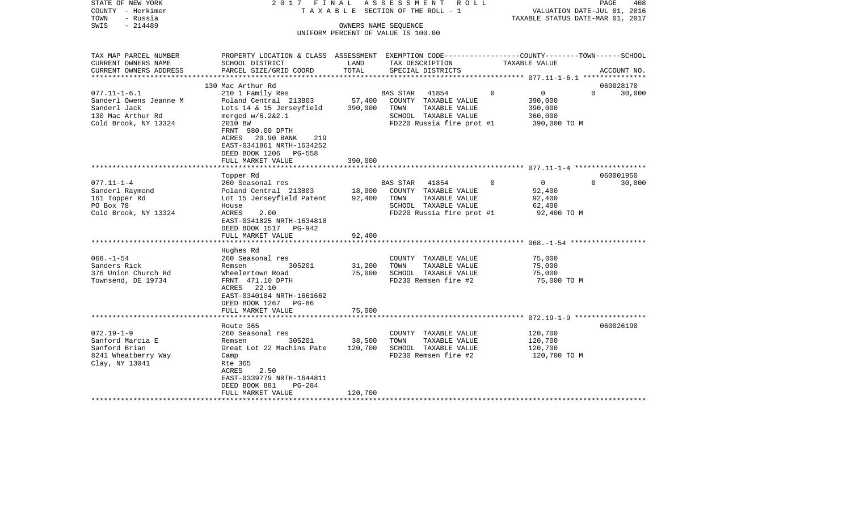| STATE OF NEW YORK<br>COUNTY - Herkimer<br>TOWN<br>- Russia<br>$-214489$<br>SWIS                           | 2017 FINAL                                                                                                                                                                                                      |                            | A S S E S S M E N T R O L L<br>T A X A B L E SECTION OF THE ROLL - 1<br>OWNERS NAME SEQUENCE                                   | VALUATION DATE-JUL 01, 2016<br>TAXABLE STATUS DATE-MAR 01, 2017                | PAGE<br>408        |
|-----------------------------------------------------------------------------------------------------------|-----------------------------------------------------------------------------------------------------------------------------------------------------------------------------------------------------------------|----------------------------|--------------------------------------------------------------------------------------------------------------------------------|--------------------------------------------------------------------------------|--------------------|
|                                                                                                           |                                                                                                                                                                                                                 |                            | UNIFORM PERCENT OF VALUE IS 100.00                                                                                             |                                                                                |                    |
| TAX MAP PARCEL NUMBER<br>CURRENT OWNERS NAME                                                              | PROPERTY LOCATION & CLASS ASSESSMENT EXEMPTION CODE----------------COUNTY-------TOWN------SCHOOL<br>SCHOOL DISTRICT                                                                                             | LAND<br>TOTAL              | TAX DESCRIPTION                                                                                                                | TAXABLE VALUE                                                                  |                    |
| CURRENT OWNERS ADDRESS<br>**********************                                                          | PARCEL SIZE/GRID COORD                                                                                                                                                                                          |                            | SPECIAL DISTRICTS                                                                                                              |                                                                                | ACCOUNT NO.        |
|                                                                                                           | 130 Mac Arthur Rd                                                                                                                                                                                               |                            |                                                                                                                                |                                                                                | 060028170          |
| $077.11 - 1 - 6.1$<br>Sanderl Owens Jeanne M<br>Sanderl Jack<br>130 Mac Arthur Rd<br>Cold Brook, NY 13324 | 210 1 Family Res<br>Poland Central 213803<br>Lots 14 & 15 Jerseyfield<br>merged w/6.2&2.1<br>2010 BW<br>FRNT 980.00 DPTH<br>20.90 BANK<br>219<br>ACRES<br>EAST-0341861 NRTH-1634252<br>DEED BOOK 1206<br>PG-558 | 57,400<br>390,000          | <b>BAS STAR</b><br>41854<br>COUNTY TAXABLE VALUE<br>TAXABLE VALUE<br>TOWN<br>SCHOOL TAXABLE VALUE<br>FD220 Russia fire prot #1 | $\mathbf 0$<br>$\overline{0}$<br>390,000<br>390,000<br>360,000<br>390,000 TO M | $\Omega$<br>30,000 |
|                                                                                                           | FULL MARKET VALUE                                                                                                                                                                                               | 390,000                    |                                                                                                                                |                                                                                |                    |
|                                                                                                           | Topper Rd                                                                                                                                                                                                       |                            |                                                                                                                                |                                                                                | 060001950          |
| $077.11 - 1 - 4$<br>Sanderl Raymond<br>161 Topper Rd<br>PO Box 78<br>Cold Brook, NY 13324                 | 260 Seasonal res<br>Poland Central 213803<br>Lot 15 Jerseyfield Patent<br>House<br><b>ACRES</b><br>2.00<br>EAST-0341825 NRTH-1634818<br>DEED BOOK 1517 PG-942<br>FULL MARKET VALUE                              | 18,000<br>92,400<br>92,400 | BAS STAR<br>41854<br>COUNTY TAXABLE VALUE<br>TOWN<br>TAXABLE VALUE<br>SCHOOL TAXABLE VALUE<br>FD220 Russia fire prot #1        | $\Omega$<br>$\Omega$<br>92,400<br>92,400<br>62,400<br>92,400 TO M              | $\Omega$<br>30,000 |
|                                                                                                           | **********************                                                                                                                                                                                          |                            |                                                                                                                                |                                                                                |                    |
| $068. - 1 - 54$<br>Sanders Rick<br>376 Union Church Rd<br>Townsend, DE 19734                              | Hughes Rd<br>260 Seasonal res<br>305201<br>Remsen<br>Wheelertown Road<br>FRNT 471.10 DPTH<br>ACRES 22.10<br>EAST-0340184 NRTH-1661662<br>DEED BOOK 1267<br>PG-86                                                | 31,200<br>75,000           | COUNTY TAXABLE VALUE<br>TAXABLE VALUE<br>TOWN<br>SCHOOL TAXABLE VALUE<br>FD230 Remsen fire #2                                  | 75,000<br>75,000<br>75,000<br>75,000 TO M                                      |                    |
|                                                                                                           | FULL MARKET VALUE                                                                                                                                                                                               | 75,000                     |                                                                                                                                |                                                                                |                    |
| $072.19 - 1 - 9$<br>Sanford Marcia E<br>Sanford Brian<br>8241 Wheatberry Way<br>Clay, NY 13041            | Route 365<br>260 Seasonal res<br>305201<br>Remsen<br>Great Lot 22 Machins Pate<br>Camp<br>Rte 365<br>2.50<br>ACRES<br>EAST-0339779 NRTH-1644811<br>DEED BOOK 881<br>$PG-284$                                    | 38,500<br>120,700          | COUNTY TAXABLE VALUE<br>TOWN<br>TAXABLE VALUE<br>SCHOOL TAXABLE VALUE<br>FD230 Remsen fire #2                                  | 120,700<br>120,700<br>120,700<br>120,700 TO M                                  | 060026190          |
|                                                                                                           | FULL MARKET VALUE                                                                                                                                                                                               | 120,700                    | *********************************                                                                                              |                                                                                |                    |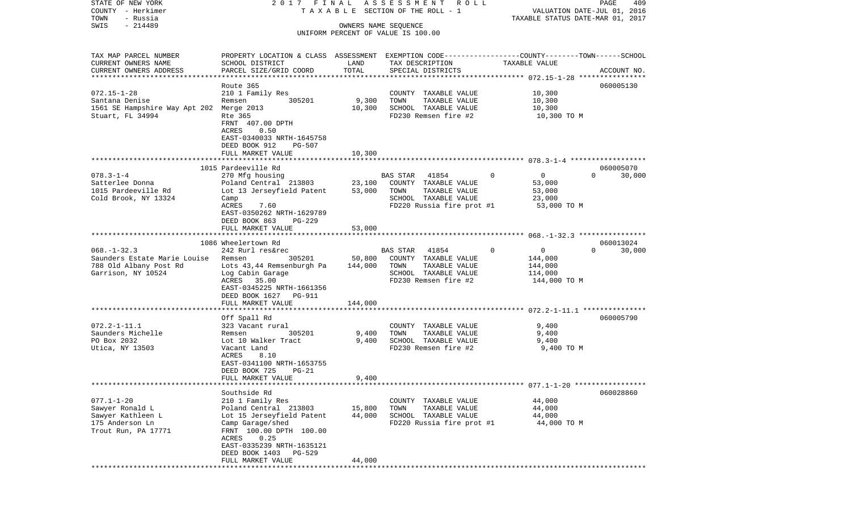| STATE OF NEW YORK<br>COUNTY - Herkimer                                                              | 2017 FINAL                                                                                                                                                                                                      |                              | ASSESSMENT ROLL<br>TAXABLE SECTION OF THE ROLL - 1                                                                   | VALUATION DATE-JUL 01, 2016                                                 | PAGE<br>409                     |
|-----------------------------------------------------------------------------------------------------|-----------------------------------------------------------------------------------------------------------------------------------------------------------------------------------------------------------------|------------------------------|----------------------------------------------------------------------------------------------------------------------|-----------------------------------------------------------------------------|---------------------------------|
| TOWN<br>- Russia                                                                                    |                                                                                                                                                                                                                 |                              |                                                                                                                      | TAXABLE STATUS DATE-MAR 01, 2017                                            |                                 |
| $-214489$<br>SWIS                                                                                   |                                                                                                                                                                                                                 | OWNERS NAME SEQUENCE         | UNIFORM PERCENT OF VALUE IS 100.00                                                                                   |                                                                             |                                 |
| TAX MAP PARCEL NUMBER<br>CURRENT OWNERS NAME<br>CURRENT OWNERS ADDRESS<br>************************* | PROPERTY LOCATION & CLASS ASSESSMENT EXEMPTION CODE---------------COUNTY-------TOWN------SCHOOL<br>SCHOOL DISTRICT<br>PARCEL SIZE/GRID COORD                                                                    | LAND<br>TOTAL                | TAX DESCRIPTION<br>SPECIAL DISTRICTS                                                                                 | TAXABLE VALUE                                                               | ACCOUNT NO.                     |
|                                                                                                     |                                                                                                                                                                                                                 |                              |                                                                                                                      |                                                                             |                                 |
| $072.15 - 1 - 28$<br>Santana Denise<br>1561 SE Hampshire Way Apt 202 Merge 2013<br>Stuart, FL 34994 | Route 365<br>210 1 Family Res<br>305201<br>Remsen<br>Rte 365<br>FRNT 407.00 DPTH<br>ACRES<br>0.50<br>EAST-0340033 NRTH-1645758<br>DEED BOOK 912<br>PG-507                                                       | 9,300<br>10,300              | COUNTY TAXABLE VALUE<br>TOWN<br>TAXABLE VALUE<br>SCHOOL TAXABLE VALUE<br>FD230 Remsen fire #2                        | 10,300<br>10,300<br>10,300<br>10,300 TO M                                   | 060005130                       |
|                                                                                                     | FULL MARKET VALUE                                                                                                                                                                                               | 10,300                       |                                                                                                                      |                                                                             |                                 |
| $078.3 - 1 - 4$<br>Satterlee Donna<br>1015 Pardeeville Rd<br>Cold Brook, NY 13324                   | 1015 Pardeeville Rd<br>270 Mfg housing<br>Poland Central 213803<br>Lot 13 Jerseyfield Patent<br>Camp<br>ACRES<br>7.60<br>EAST-0350262 NRTH-1629789                                                              | 23,100<br>53,000             | BAS STAR 41854<br>COUNTY TAXABLE VALUE<br>TOWN<br>TAXABLE VALUE<br>SCHOOL TAXABLE VALUE<br>FD220 Russia fire prot #1 | $\mathbf{0}$<br>$\overline{0}$<br>53,000<br>53,000<br>23,000<br>53,000 TO M | 060005070<br>$\Omega$<br>30,000 |
|                                                                                                     | DEED BOOK 863<br>PG-229<br>FULL MARKET VALUE                                                                                                                                                                    | 53,000                       |                                                                                                                      |                                                                             |                                 |
| $068. - 1 - 32.3$<br>Saunders Estate Marie Louise<br>788 Old Albany Post Rd<br>Garrison, NY 10524   | 1086 Wheelertown Rd<br>242 Rurl res&rec<br>305201<br>Remsen<br>Lots 43,44 Remsenburgh Pa<br>Log Cabin Garage<br>ACRES 35.00<br>EAST-0345225 NRTH-1661356<br>DEED BOOK 1627 PG-911<br>FULL MARKET VALUE          | 50,800<br>144,000<br>144,000 | BAS STAR<br>41854<br>COUNTY TAXABLE VALUE<br>TOWN<br>TAXABLE VALUE<br>SCHOOL TAXABLE VALUE<br>FD230 Remsen fire #2   | 0<br>$\Omega$<br>144,000<br>144,000<br>114,000<br>144,000 TO M              | 060013024<br>$\Omega$<br>30,000 |
|                                                                                                     | *******************                                                                                                                                                                                             | ***********                  |                                                                                                                      |                                                                             |                                 |
| $072.2 - 1 - 11.1$<br>Saunders Michelle<br>PO Box 2032<br>Utica, NY 13503                           | Off Spall Rd<br>323 Vacant rural<br>305201<br>Remsen<br>Lot 10 Walker Tract<br>Vacant Land<br>ACRES<br>8.10<br>EAST-0341100 NRTH-1653755<br>DEED BOOK 725<br>$PG-21$                                            | 9,400<br>9,400               | COUNTY TAXABLE VALUE<br>TOWN<br>TAXABLE VALUE<br>SCHOOL TAXABLE VALUE<br>FD230 Remsen fire #2                        | 9,400<br>9,400<br>9,400<br>9,400 TO M                                       | 060005790                       |
|                                                                                                     | FULL MARKET VALUE                                                                                                                                                                                               | 9,400                        |                                                                                                                      |                                                                             |                                 |
| $077.1 - 1 - 20$<br>Sawyer Ronald L<br>Sawyer Kathleen L<br>175 Anderson Ln<br>Trout Run, PA 17771  | Southside Rd<br>210 1 Family Res<br>Poland Central 213803<br>Lot 15 Jerseyfield Patent<br>Camp Garage/shed<br>FRNT 100.00 DPTH 100.00<br>0.25<br>ACRES<br>EAST-0335239 NRTH-1635121<br>DEED BOOK 1403<br>PG-529 | 15,800<br>44,000             | COUNTY TAXABLE VALUE<br>TOWN<br>TAXABLE VALUE<br>SCHOOL TAXABLE VALUE<br>FD220 Russia fire prot #1                   | 44,000<br>44,000<br>44,000<br>44,000 TO M                                   | 060028860                       |
|                                                                                                     | FULL MARKET VALUE                                                                                                                                                                                               | 44,000                       |                                                                                                                      |                                                                             |                                 |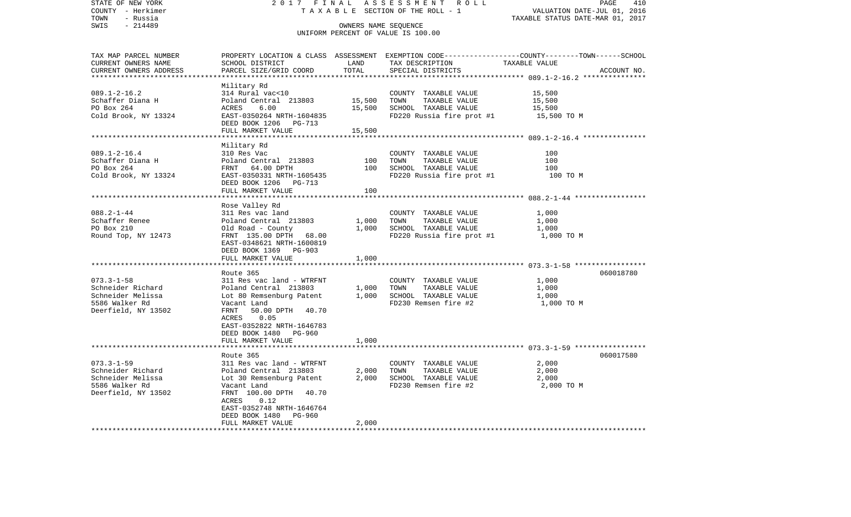| STATE OF NEW YORK                                 | 2017 FINAL                                         |                      | ASSESSMENT ROLL                               | PAGE<br>410                                                                                      |
|---------------------------------------------------|----------------------------------------------------|----------------------|-----------------------------------------------|--------------------------------------------------------------------------------------------------|
| COUNTY - Herkimer                                 |                                                    |                      | TAXABLE SECTION OF THE ROLL - 1               | VALUATION DATE-JUL 01, 2016                                                                      |
| - Russia<br>TOWN                                  |                                                    |                      |                                               | TAXABLE STATUS DATE-MAR 01, 2017                                                                 |
| SWIS<br>$-214489$                                 |                                                    | OWNERS NAME SEQUENCE |                                               |                                                                                                  |
|                                                   |                                                    |                      | UNIFORM PERCENT OF VALUE IS 100.00            |                                                                                                  |
|                                                   |                                                    |                      |                                               |                                                                                                  |
|                                                   |                                                    |                      |                                               |                                                                                                  |
| TAX MAP PARCEL NUMBER                             |                                                    |                      |                                               | PROPERTY LOCATION & CLASS ASSESSMENT EXEMPTION CODE----------------COUNTY-------TOWN------SCHOOL |
| CURRENT OWNERS NAME                               | SCHOOL DISTRICT                                    | LAND<br>TOTAL        | TAX DESCRIPTION                               | TAXABLE VALUE                                                                                    |
| CURRENT OWNERS ADDRESS<br>*********************** | PARCEL SIZE/GRID COORD                             |                      | SPECIAL DISTRICTS                             | ACCOUNT NO.                                                                                      |
|                                                   | Military Rd                                        |                      |                                               |                                                                                                  |
| $089.1 - 2 - 16.2$                                | 314 Rural vac<10                                   |                      | COUNTY TAXABLE VALUE                          | 15,500                                                                                           |
| Schaffer Diana H                                  | Poland Central 213803                              | 15,500               | TAXABLE VALUE<br>TOWN                         | 15,500                                                                                           |
| PO Box 264                                        | ACRES<br>6.00                                      | 15,500               | SCHOOL TAXABLE VALUE                          | 15,500                                                                                           |
| Cold Brook, NY 13324                              | EAST-0350264 NRTH-1604835                          |                      | FD220 Russia fire prot #1                     | 15,500 TO M                                                                                      |
|                                                   | DEED BOOK 1206 PG-713                              |                      |                                               |                                                                                                  |
|                                                   | FULL MARKET VALUE                                  | 15,500               |                                               |                                                                                                  |
|                                                   |                                                    |                      |                                               |                                                                                                  |
|                                                   | Military Rd                                        |                      |                                               |                                                                                                  |
| $089.1 - 2 - 16.4$                                | 310 Res Vac                                        |                      | COUNTY TAXABLE VALUE                          | 100                                                                                              |
| Schaffer Diana H                                  | Poland Central 213803                              | 100                  | TOWN<br>TAXABLE VALUE                         | 100                                                                                              |
| PO Box 264                                        | FRNT 64.00 DPTH                                    | 100                  | SCHOOL TAXABLE VALUE                          | 100                                                                                              |
| Cold Brook, NY 13324                              | EAST-0350331 NRTH-1605435                          |                      | FD220 Russia fire prot #1                     | 100 TO M                                                                                         |
|                                                   | DEED BOOK 1206 PG-713                              |                      |                                               |                                                                                                  |
|                                                   | FULL MARKET VALUE                                  | 100                  |                                               |                                                                                                  |
|                                                   | ***********************                            |                      |                                               |                                                                                                  |
|                                                   | Rose Valley Rd                                     |                      |                                               |                                                                                                  |
| $088.2 - 1 - 44$                                  | 311 Res vac land                                   |                      | COUNTY TAXABLE VALUE                          | 1,000                                                                                            |
| Schaffer Renee                                    | Poland Central 213803                              | 1,000                | TAXABLE VALUE<br>TOWN                         | 1,000                                                                                            |
| PO Box 210                                        | Old Road - County                                  | 1,000                | SCHOOL TAXABLE VALUE                          | 1,000                                                                                            |
| Round Top, NY 12473                               | FRNT 135.00 DPTH<br>68.00                          |                      | FD220 Russia fire prot #1                     | 1,000 TO M                                                                                       |
|                                                   | EAST-0348621 NRTH-1600819                          |                      |                                               |                                                                                                  |
|                                                   | DEED BOOK 1369 PG-903                              |                      |                                               |                                                                                                  |
|                                                   | FULL MARKET VALUE                                  | 1,000                |                                               |                                                                                                  |
|                                                   |                                                    |                      |                                               |                                                                                                  |
|                                                   | Route 365                                          |                      |                                               | 060018780                                                                                        |
| $073.3 - 1 - 58$<br>Schneider Richard             | 311 Res vac land - WTRFNT<br>Poland Central 213803 | 1,000                | COUNTY TAXABLE VALUE<br>TOWN<br>TAXABLE VALUE | 1,000<br>1,000                                                                                   |
| Schneider Melissa                                 | Lot 80 Remsenburg Patent                           | 1,000                | SCHOOL TAXABLE VALUE                          | 1,000                                                                                            |
| 5586 Walker Rd                                    | Vacant Land                                        |                      | FD230 Remsen fire #2                          | 1,000 TO M                                                                                       |
| Deerfield, NY 13502                               | FRNT<br>50.00 DPTH 40.70                           |                      |                                               |                                                                                                  |
|                                                   | ACRES<br>0.05                                      |                      |                                               |                                                                                                  |
|                                                   | EAST-0352822 NRTH-1646783                          |                      |                                               |                                                                                                  |
|                                                   | DEED BOOK 1480 PG-960                              |                      |                                               |                                                                                                  |
|                                                   | FULL MARKET VALUE                                  | 1,000                |                                               |                                                                                                  |
|                                                   |                                                    |                      |                                               |                                                                                                  |
|                                                   | Route 365                                          |                      |                                               | 060017580                                                                                        |
| $073.3 - 1 - 59$                                  | 311 Res vac land - WTRFNT                          |                      | COUNTY TAXABLE VALUE                          | 2,000                                                                                            |
| Schneider Richard                                 | Poland Central 213803                              | 2,000                | TOWN<br>TAXABLE VALUE                         | 2,000                                                                                            |
| Schneider Melissa                                 | Lot 30 Remsenburg Patent                           | 2,000                | SCHOOL TAXABLE VALUE                          | 2,000                                                                                            |
| 5586 Walker Rd                                    | Vacant Land                                        |                      | FD230 Remsen fire #2                          | 2,000 TO M                                                                                       |
| Deerfield, NY 13502                               | FRNT 100.00 DPTH<br>40.70                          |                      |                                               |                                                                                                  |
|                                                   | 0.12<br>ACRES                                      |                      |                                               |                                                                                                  |
|                                                   | EAST-0352748 NRTH-1646764                          |                      |                                               |                                                                                                  |
|                                                   | DEED BOOK 1480<br>PG-960                           |                      |                                               |                                                                                                  |
|                                                   | FULL MARKET VALUE                                  | 2,000                |                                               |                                                                                                  |
|                                                   |                                                    |                      |                                               |                                                                                                  |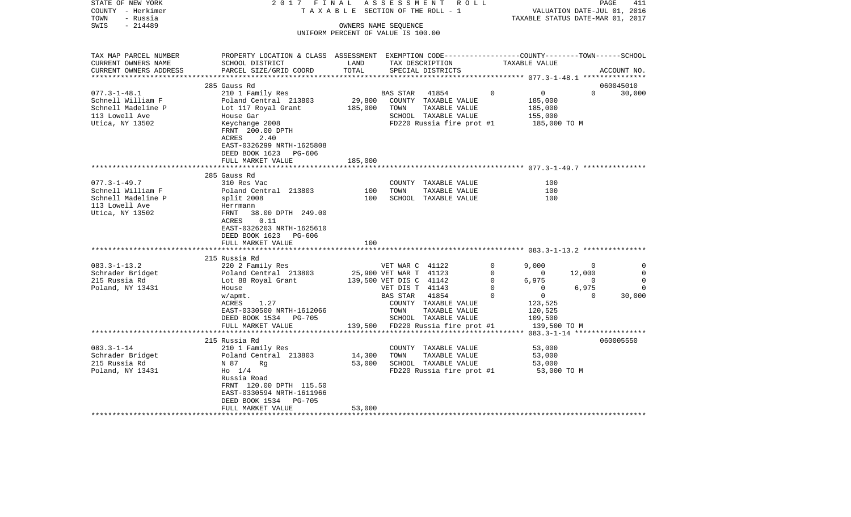| STATE OF NEW YORK<br>COUNTY - Herkimer<br>- Russia<br>TOWN | 2017 FINAL                                                                                                         | TAXABLE SECTION OF THE ROLL - 1    |                         | ASSESSMENT ROLL                       |              | VALUATION DATE-JUL 01, 2016<br>TAXABLE STATUS DATE-MAR 01, 2017 |                | 411<br>PAGE |
|------------------------------------------------------------|--------------------------------------------------------------------------------------------------------------------|------------------------------------|-------------------------|---------------------------------------|--------------|-----------------------------------------------------------------|----------------|-------------|
| $-214489$<br>SWIS                                          |                                                                                                                    | OWNERS NAME SEQUENCE               |                         |                                       |              |                                                                 |                |             |
|                                                            |                                                                                                                    | UNIFORM PERCENT OF VALUE IS 100.00 |                         |                                       |              |                                                                 |                |             |
| TAX MAP PARCEL NUMBER<br>CURRENT OWNERS NAME               | PROPERTY LOCATION & CLASS ASSESSMENT EXEMPTION CODE---------------COUNTY-------TOWN------SCHOOL<br>SCHOOL DISTRICT | LAND                               |                         | TAX DESCRIPTION                       |              | TAXABLE VALUE                                                   |                |             |
| CURRENT OWNERS ADDRESS                                     | PARCEL SIZE/GRID COORD                                                                                             | TOTAL                              |                         | SPECIAL DISTRICTS                     |              |                                                                 |                | ACCOUNT NO. |
|                                                            | 285 Gauss Rd                                                                                                       |                                    |                         |                                       |              |                                                                 |                | 060045010   |
| $077.3 - 1 - 48.1$                                         | 210 1 Family Res                                                                                                   |                                    | BAS STAR                | 41854                                 | $\Omega$     | $\overline{0}$                                                  | $\Omega$       | 30,000      |
| Schnell William F                                          | Poland Central 213803                                                                                              | 29,800                             |                         | COUNTY TAXABLE VALUE                  |              | 185,000                                                         |                |             |
| Schnell Madeline P                                         | Lot 117 Royal Grant                                                                                                | 185,000                            | TOWN                    | TAXABLE VALUE                         |              | 185,000                                                         |                |             |
| 113 Lowell Ave                                             | House Gar                                                                                                          |                                    |                         | SCHOOL TAXABLE VALUE                  |              | 155,000                                                         |                |             |
| Utica, NY 13502                                            | Keychange 2008<br>FRNT 200.00 DPTH                                                                                 |                                    |                         | FD220 Russia fire prot #1             |              | 185,000 TO M                                                    |                |             |
|                                                            | 2.40<br>ACRES<br>EAST-0326299 NRTH-1625808<br>DEED BOOK 1623 PG-606                                                |                                    |                         |                                       |              |                                                                 |                |             |
|                                                            | FULL MARKET VALUE                                                                                                  | 185,000                            |                         |                                       |              |                                                                 |                |             |
|                                                            |                                                                                                                    |                                    |                         |                                       |              |                                                                 |                |             |
|                                                            | 285 Gauss Rd                                                                                                       |                                    |                         |                                       |              |                                                                 |                |             |
| $077.3 - 1 - 49.7$                                         | 310 Res Vac                                                                                                        |                                    |                         | COUNTY TAXABLE VALUE                  |              | 100                                                             |                |             |
| Schnell William F                                          | Poland Central 213803                                                                                              | 100<br>100                         | TOWN                    | TAXABLE VALUE<br>SCHOOL TAXABLE VALUE |              | 100<br>100                                                      |                |             |
| Schnell Madeline P<br>113 Lowell Ave                       | split 2008<br>Herrmann                                                                                             |                                    |                         |                                       |              |                                                                 |                |             |
| Utica, NY 13502                                            | 38.00 DPTH 249.00<br>FRNT<br>0.11<br>ACRES                                                                         |                                    |                         |                                       |              |                                                                 |                |             |
|                                                            | EAST-0326203 NRTH-1625610<br>DEED BOOK 1623<br>PG-606                                                              |                                    |                         |                                       |              |                                                                 |                |             |
|                                                            | FULL MARKET VALUE                                                                                                  | 100                                |                         |                                       |              |                                                                 |                |             |
|                                                            | 215 Russia Rd                                                                                                      |                                    |                         |                                       |              |                                                                 |                |             |
| $083.3 - 1 - 13.2$                                         | 220 2 Family Res                                                                                                   |                                    | VET WAR C 41122         |                                       | 0            | 9,000                                                           | $\mathbf 0$    | 0           |
| Schrader Bridget                                           | Poland Central 213803                                                                                              |                                    | 25,900 VET WAR T 41123  |                                       | $\mathbf 0$  | $\overline{0}$                                                  | 12,000         | $\mathbf 0$ |
| 215 Russia Rd                                              | Lot 88 Royal Grant                                                                                                 |                                    | 139,500 VET DIS C 41142 |                                       | $\mathbf{0}$ | 6,975                                                           | $\overline{0}$ | $\mathbf 0$ |
| Poland, NY 13431                                           | House                                                                                                              |                                    | VET DIS T 41143         |                                       | $\Omega$     | $\overline{0}$                                                  | 6,975          | $\Omega$    |
|                                                            | w/apmt.                                                                                                            |                                    | BAS STAR                | 41854                                 | $\Omega$     | $\mathbf{0}$                                                    | $\Omega$       | 30,000      |
|                                                            | 1.27<br>ACRES                                                                                                      |                                    |                         | COUNTY TAXABLE VALUE                  |              | 123,525                                                         |                |             |
|                                                            | EAST-0330500 NRTH-1612066                                                                                          |                                    | TOWN                    | TAXABLE VALUE                         |              | 120,525                                                         |                |             |
|                                                            | DEED BOOK 1534 PG-705                                                                                              |                                    |                         | SCHOOL TAXABLE VALUE                  |              | 109,500                                                         |                |             |
|                                                            | FULL MARKET VALUE                                                                                                  |                                    |                         | 139,500 FD220 Russia fire prot #1     |              | 139,500 TO M                                                    |                |             |
|                                                            |                                                                                                                    |                                    |                         |                                       |              |                                                                 |                |             |
|                                                            | 215 Russia Rd                                                                                                      |                                    |                         |                                       |              |                                                                 |                | 060005550   |
| $083.3 - 1 - 14$                                           | 210 1 Family Res                                                                                                   |                                    |                         | COUNTY TAXABLE VALUE                  |              | 53,000                                                          |                |             |
| Schrader Bridget                                           | Poland Central 213803                                                                                              | 14,300                             | TOWN                    | TAXABLE VALUE                         |              | 53,000                                                          |                |             |
| 215 Russia Rd                                              | N 87<br>Rq                                                                                                         | 53,000                             |                         | SCHOOL TAXABLE VALUE                  |              | 53,000                                                          |                |             |
| Poland, NY 13431                                           | $H_0$ 1/4<br>Russia Road<br>FRNT 120.00 DPTH 115.50                                                                |                                    |                         | FD220 Russia fire prot #1             |              | 53,000 TO M                                                     |                |             |
|                                                            | EAST-0330594 NRTH-1611966                                                                                          |                                    |                         |                                       |              |                                                                 |                |             |
|                                                            | DEED BOOK 1534<br>PG-705                                                                                           |                                    |                         |                                       |              |                                                                 |                |             |
|                                                            | FULL MARKET VALUE                                                                                                  | 53,000                             |                         |                                       |              |                                                                 |                |             |
|                                                            |                                                                                                                    |                                    |                         |                                       |              |                                                                 |                |             |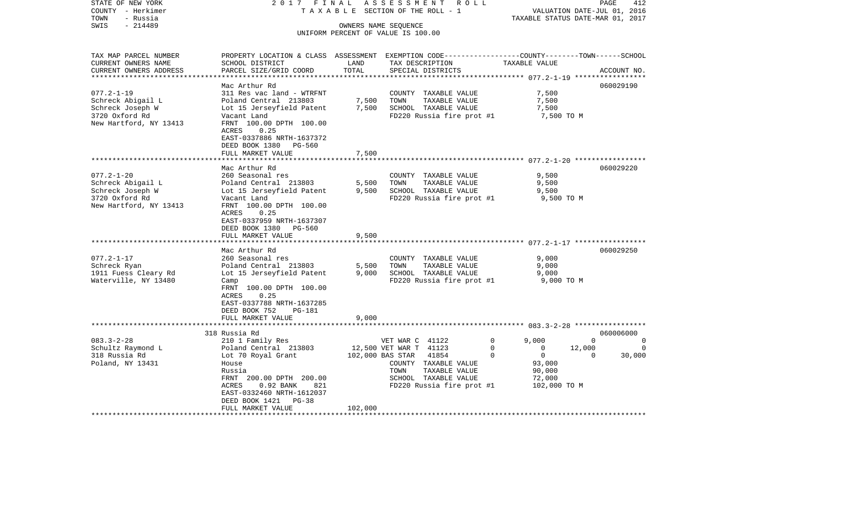| STATE OF NEW YORK<br>COUNTY - Herkimer<br>- Russia<br>TOWN | 2017 FINAL<br>TAXABLE                                                                                               |                  | ASSESSMENT<br>R O L L<br>SECTION OF THE ROLL - 1           |                             | PAGE<br>412<br>VALUATION DATE-JUL 01, 2016<br>TAXABLE STATUS DATE-MAR 01, 2017 |
|------------------------------------------------------------|---------------------------------------------------------------------------------------------------------------------|------------------|------------------------------------------------------------|-----------------------------|--------------------------------------------------------------------------------|
| $-214489$<br>SWIS                                          |                                                                                                                     |                  | OWNERS NAME SEQUENCE<br>UNIFORM PERCENT OF VALUE IS 100.00 |                             |                                                                                |
|                                                            |                                                                                                                     |                  |                                                            |                             |                                                                                |
| TAX MAP PARCEL NUMBER<br>CURRENT OWNERS NAME               | PROPERTY LOCATION & CLASS ASSESSMENT EXEMPTION CODE----------------COUNTY-------TOWN------SCHOOL<br>SCHOOL DISTRICT | LAND             | TAX DESCRIPTION                                            | TAXABLE VALUE               |                                                                                |
| CURRENT OWNERS ADDRESS<br>**************************       | PARCEL SIZE/GRID COORD                                                                                              | TOTAL            | SPECIAL DISTRICTS                                          |                             | ACCOUNT NO.                                                                    |
|                                                            | Mac Arthur Rd                                                                                                       |                  |                                                            |                             | 060029190                                                                      |
| $077.2 - 1 - 19$                                           | 311 Res vac land - WTRFNT                                                                                           |                  | COUNTY TAXABLE VALUE                                       | 7,500                       |                                                                                |
| Schreck Abigail L                                          | Poland Central 213803                                                                                               | 7,500            | TOWN<br>TAXABLE VALUE                                      | 7,500                       |                                                                                |
| Schreck Joseph W                                           | Lot 15 Jerseyfield Patent                                                                                           | 7,500            | SCHOOL TAXABLE VALUE                                       | 7,500                       |                                                                                |
| 3720 Oxford Rd                                             | Vacant Land                                                                                                         |                  | FD220 Russia fire prot #1                                  | 7,500 TO M                  |                                                                                |
| New Hartford, NY 13413                                     | FRNT 100.00 DPTH 100.00                                                                                             |                  |                                                            |                             |                                                                                |
|                                                            | 0.25<br>ACRES                                                                                                       |                  |                                                            |                             |                                                                                |
|                                                            | EAST-0337886 NRTH-1637372                                                                                           |                  |                                                            |                             |                                                                                |
|                                                            | DEED BOOK 1380<br>PG-560<br>FULL MARKET VALUE                                                                       | 7,500            |                                                            |                             |                                                                                |
|                                                            | *****************                                                                                                   |                  |                                                            |                             |                                                                                |
|                                                            | Mac Arthur Rd                                                                                                       |                  |                                                            |                             | 060029220                                                                      |
| $077.2 - 1 - 20$                                           | 260 Seasonal res                                                                                                    |                  | COUNTY TAXABLE VALUE                                       | 9,500                       |                                                                                |
| Schreck Abigail L                                          | Poland Central 213803                                                                                               | 5,500            | TOWN<br>TAXABLE VALUE                                      | 9,500                       |                                                                                |
| Schreck Joseph W                                           | Lot 15 Jerseyfield Patent                                                                                           | 9,500            | SCHOOL TAXABLE VALUE                                       | 9,500                       |                                                                                |
| 3720 Oxford Rd                                             | Vacant Land                                                                                                         |                  | FD220 Russia fire prot #1                                  | 9,500 TO M                  |                                                                                |
| New Hartford, NY 13413                                     | FRNT 100.00 DPTH 100.00                                                                                             |                  |                                                            |                             |                                                                                |
|                                                            | ACRES<br>0.25                                                                                                       |                  |                                                            |                             |                                                                                |
|                                                            | EAST-0337959 NRTH-1637307<br>DEED BOOK 1380 PG-560                                                                  |                  |                                                            |                             |                                                                                |
|                                                            | FULL MARKET VALUE                                                                                                   | 9,500            |                                                            |                             |                                                                                |
|                                                            | *************************                                                                                           |                  |                                                            |                             |                                                                                |
|                                                            | Mac Arthur Rd                                                                                                       |                  |                                                            |                             | 060029250                                                                      |
| $077.2 - 1 - 17$                                           | 260 Seasonal res                                                                                                    |                  | COUNTY TAXABLE VALUE                                       | 9,000                       |                                                                                |
| Schreck Ryan                                               | Poland Central 213803                                                                                               | 5,500            | TAXABLE VALUE<br>TOWN                                      | 9,000                       |                                                                                |
| 1911 Fuess Cleary Rd                                       | Lot 15 Jerseyfield Patent                                                                                           | 9,000            | SCHOOL TAXABLE VALUE                                       | 9,000                       |                                                                                |
| Waterville, NY 13480                                       | Camp                                                                                                                |                  | FD220 Russia fire prot #1                                  | 9,000 TO M                  |                                                                                |
|                                                            | FRNT 100.00 DPTH 100.00                                                                                             |                  |                                                            |                             |                                                                                |
|                                                            | ACRES<br>0.25<br>EAST-0337788 NRTH-1637285                                                                          |                  |                                                            |                             |                                                                                |
|                                                            | DEED BOOK 752<br>PG-181                                                                                             |                  |                                                            |                             |                                                                                |
|                                                            | FULL MARKET VALUE                                                                                                   | 9,000            |                                                            |                             |                                                                                |
|                                                            |                                                                                                                     |                  |                                                            |                             |                                                                                |
|                                                            | 318 Russia Rd                                                                                                       |                  |                                                            |                             | 060006000                                                                      |
| $083.3 - 2 - 28$                                           | 210 1 Family Res                                                                                                    |                  | VET WAR C 41122                                            | 9,000<br>0                  | $\overline{0}$<br>0                                                            |
| Schultz Raymond L                                          | Poland Central 213803                                                                                               |                  | 12,500 VET WAR T 41123                                     | $\Omega$<br>$\Omega$        | 12,000<br>$\Omega$                                                             |
| 318 Russia Rd                                              | Lot 70 Royal Grant                                                                                                  | 102,000 BAS STAR | 41854                                                      | $\mathbf 0$<br>$\mathbf{0}$ | 30,000<br>$\Omega$                                                             |
| Poland, NY 13431                                           | House                                                                                                               |                  | COUNTY TAXABLE VALUE                                       | 93,000                      |                                                                                |
|                                                            | Russia                                                                                                              |                  | TAXABLE VALUE<br>TOWN                                      | 90,000                      |                                                                                |
|                                                            | FRNT 200.00 DPTH 200.00<br>$0.92$ BANK<br>ACRES<br>821                                                              |                  | SCHOOL TAXABLE VALUE<br>FD220 Russia fire prot #1          | 72,000<br>102,000 TO M      |                                                                                |
|                                                            | EAST-0332460 NRTH-1612037                                                                                           |                  |                                                            |                             |                                                                                |
|                                                            | DEED BOOK 1421<br>$PG-38$                                                                                           |                  |                                                            |                             |                                                                                |
|                                                            | FULL MARKET VALUE                                                                                                   | 102,000          |                                                            |                             |                                                                                |
|                                                            |                                                                                                                     |                  |                                                            |                             |                                                                                |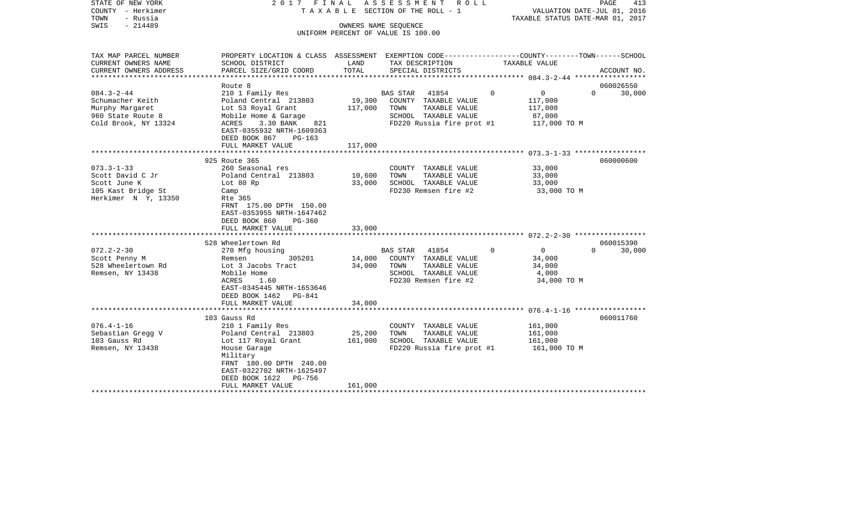STATE OF NEW YORK 2017 FINAL ASSESSMENT ROLL COUNTY - Herkimer T A X A B L E SECTION OF THE ROLL - 1 VALUATION DATE-JUL 01, 2016 TOWN - Russia TAXABLE STATUS DATE-MAR 01, 2017 OWNERS NAME SEQUENCE

UNIFORM PERCENT OF VALUE IS 100.00

| TAX MAP PARCEL NUMBER          | PROPERTY LOCATION & CLASS ASSESSMENT EXEMPTION CODE---------------COUNTY-------TOWN------SCHOOL |             |                             |                |                |          |             |
|--------------------------------|-------------------------------------------------------------------------------------------------|-------------|-----------------------------|----------------|----------------|----------|-------------|
| CURRENT OWNERS NAME            | SCHOOL DISTRICT                                                                                 | LAND        | TAX DESCRIPTION             |                | TAXABLE VALUE  |          |             |
| CURRENT OWNERS ADDRESS         | PARCEL SIZE/GRID COORD                                                                          | TOTAL       | SPECIAL DISTRICTS           |                |                |          | ACCOUNT NO. |
| ****************************** |                                                                                                 |             |                             |                |                |          |             |
|                                | Route 8                                                                                         |             |                             |                |                |          | 060026550   |
| $084.3 - 2 - 44$               | 210 1 Family Res                                                                                |             | BAS STAR 41854              | $\overline{0}$ | $\overline{0}$ | $\Omega$ | 30,000      |
| Schumacher Keith               | Poland Central 213803 19,300                                                                    |             | COUNTY TAXABLE VALUE        |                | 117,000        |          |             |
| Murphy Margaret                | Lot 53 Royal Grant                                                                              | 117,000     | TOWN<br>TAXABLE VALUE       |                | 117,000        |          |             |
| 960 State Route 8              | Mobile Home & Garage                                                                            |             | SCHOOL TAXABLE VALUE        |                | 87,000         |          |             |
| Cold Brook, NY 13324           | 3.30 BANK<br>821<br>ACRES                                                                       |             | FD220 Russia fire prot #1   |                | 117,000 TO M   |          |             |
|                                | EAST-0355932 NRTH-1609363                                                                       |             |                             |                |                |          |             |
|                                | DEED BOOK 867<br>PG-163                                                                         |             |                             |                |                |          |             |
|                                | FULL MARKET VALUE                                                                               | 117,000     |                             |                |                |          |             |
|                                |                                                                                                 |             |                             |                |                |          |             |
|                                | 925 Route 365                                                                                   |             |                             |                |                |          | 060000600   |
| $073.3 - 1 - 33$               | 260 Seasonal res                                                                                |             | COUNTY TAXABLE VALUE        |                | 33,000         |          |             |
| Scott David C Jr               | Poland Central 213803                                                                           | 10,600      | TAXABLE VALUE<br>TOWN       |                | 33,000         |          |             |
| Scott June K                   | Lot 80 Rp                                                                                       | 33,000      | SCHOOL TAXABLE VALUE        |                | 33,000         |          |             |
| 105 Kast Bridge St             | Camp                                                                                            |             | FD230 Remsen fire #2        |                | 33,000 TO M    |          |             |
| Herkimer N Y, 13350            | Rte 365                                                                                         |             |                             |                |                |          |             |
|                                | FRNT 175.00 DPTH 150.00                                                                         |             |                             |                |                |          |             |
|                                | EAST-0353955 NRTH-1647462                                                                       |             |                             |                |                |          |             |
|                                | DEED BOOK 860<br>PG-360                                                                         | 33,000      |                             |                |                |          |             |
|                                | FULL MARKET VALUE                                                                               |             |                             |                |                |          |             |
|                                | 528 Wheelertown Rd                                                                              |             |                             |                |                |          | 060015390   |
| $072.2 - 2 - 30$               | 270 Mfg housing                                                                                 |             | BAS STAR 41854              | $\overline{0}$ | $\overline{0}$ | $\Omega$ | 30,000      |
| Scott Penny M                  | 305201<br>Remsen                                                                                |             | 14,000 COUNTY TAXABLE VALUE |                | 34,000         |          |             |
| 528 Wheelertown Rd             | Lot 3 Jacobs Tract                                                                              | 34,000 TOWN | TAXABLE VALUE               |                | 34,000         |          |             |
| Remsen, NY 13438               | Mobile Home                                                                                     |             | SCHOOL TAXABLE VALUE        |                | 4,000          |          |             |
|                                | ACRES<br>1.60                                                                                   |             | FD230 Remsen fire #2        |                | 34,000 TO M    |          |             |
|                                | EAST-0345445 NRTH-1653646                                                                       |             |                             |                |                |          |             |
|                                | DEED BOOK 1462 PG-841                                                                           |             |                             |                |                |          |             |
|                                | FULL MARKET VALUE                                                                               | 34,000      |                             |                |                |          |             |
|                                |                                                                                                 |             |                             |                |                |          |             |
|                                | 103 Gauss Rd                                                                                    |             |                             |                |                |          | 060011760   |
| $076.4 - 1 - 16$               | 210 1 Family Res                                                                                |             | COUNTY TAXABLE VALUE        |                | 161,000        |          |             |
| Sebastian Gregg V              | Poland Central 213803                                                                           | 25,200      | TAXABLE VALUE<br>TOWN       |                | 161,000        |          |             |
| 103 Gauss Rd                   | Lot 117 Royal Grant                                                                             | 161,000     | SCHOOL TAXABLE VALUE        |                | 161,000        |          |             |
| Remsen, NY 13438               | House Garage                                                                                    |             | FD220 Russia fire prot #1   |                | 161,000 TO M   |          |             |
|                                | Military                                                                                        |             |                             |                |                |          |             |
|                                | FRNT 180.00 DPTH 240.00                                                                         |             |                             |                |                |          |             |
|                                | EAST-0322702 NRTH-1625497                                                                       |             |                             |                |                |          |             |
|                                | DEED BOOK 1622 PG-756                                                                           |             |                             |                |                |          |             |
|                                | FULL MARKET VALUE                                                                               | 161,000     |                             |                |                |          |             |
|                                |                                                                                                 |             |                             |                |                |          |             |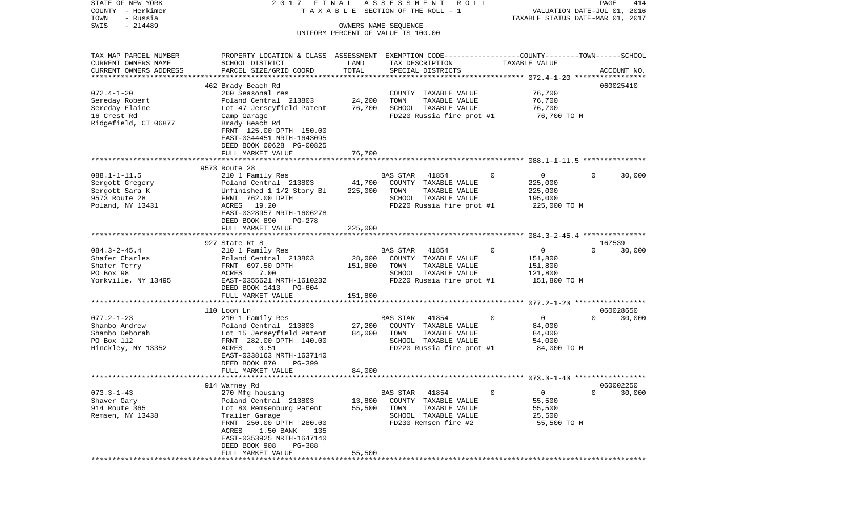| STATE OF NEW YORK      | 2017 FINAL                                                                                      |         | A S S E S S M E N T<br>R O L L     |                                | PAGE                             | 414    |
|------------------------|-------------------------------------------------------------------------------------------------|---------|------------------------------------|--------------------------------|----------------------------------|--------|
| COUNTY - Herkimer      |                                                                                                 |         | TAXABLE SECTION OF THE ROLL - 1    |                                | VALUATION DATE-JUL 01, 2016      |        |
| TOWN<br>- Russia       |                                                                                                 |         |                                    |                                | TAXABLE STATUS DATE-MAR 01, 2017 |        |
| $-214489$<br>SWIS      |                                                                                                 |         | OWNERS NAME SEOUENCE               |                                |                                  |        |
|                        |                                                                                                 |         | UNIFORM PERCENT OF VALUE IS 100.00 |                                |                                  |        |
| TAX MAP PARCEL NUMBER  | PROPERTY LOCATION & CLASS ASSESSMENT EXEMPTION CODE---------------COUNTY-------TOWN------SCHOOL |         |                                    |                                |                                  |        |
| CURRENT OWNERS NAME    | SCHOOL DISTRICT                                                                                 | LAND    | TAX DESCRIPTION                    | TAXABLE VALUE                  |                                  |        |
| CURRENT OWNERS ADDRESS | PARCEL SIZE/GRID COORD                                                                          | TOTAL   | SPECIAL DISTRICTS                  |                                | ACCOUNT NO.                      |        |
| ********************** |                                                                                                 |         |                                    |                                |                                  |        |
|                        | 462 Brady Beach Rd                                                                              |         |                                    |                                | 060025410                        |        |
| $072.4 - 1 - 20$       | 260 Seasonal res                                                                                |         | COUNTY TAXABLE VALUE               | 76,700                         |                                  |        |
| Sereday Robert         | Poland Central 213803                                                                           | 24,200  | TOWN<br>TAXABLE VALUE              | 76,700                         |                                  |        |
| Sereday Elaine         | Lot 47 Jerseyfield Patent                                                                       | 76,700  | SCHOOL TAXABLE VALUE               | 76,700                         |                                  |        |
| 16 Crest Rd            | Camp Garage                                                                                     |         | FD220 Russia fire prot #1          | 76,700 TO M                    |                                  |        |
| Ridgefield, CT 06877   | Brady Beach Rd                                                                                  |         |                                    |                                |                                  |        |
|                        | FRNT 125.00 DPTH 150.00                                                                         |         |                                    |                                |                                  |        |
|                        | EAST-0344451 NRTH-1643095                                                                       |         |                                    |                                |                                  |        |
|                        | DEED BOOK 00628 PG-00825                                                                        |         |                                    |                                |                                  |        |
|                        | FULL MARKET VALUE                                                                               | 76,700  |                                    |                                |                                  |        |
|                        |                                                                                                 |         |                                    |                                |                                  |        |
|                        | 9573 Route 28                                                                                   |         |                                    |                                |                                  |        |
| $088.1 - 1 - 11.5$     | 210 1 Family Res                                                                                |         | BAS STAR<br>41854                  | 0<br>$\overline{0}$            | $\Omega$                         | 30,000 |
| Sergott Gregory        | Poland Central 213803                                                                           | 41,700  | COUNTY TAXABLE VALUE               | 225,000                        |                                  |        |
| Sergott Sara K         | Unfinished 1 1/2 Story Bl                                                                       | 225,000 | TOWN<br>TAXABLE VALUE              | 225,000                        |                                  |        |
| 9573 Route 28          | FRNT 762.00 DPTH                                                                                |         | SCHOOL TAXABLE VALUE               | 195,000                        |                                  |        |
| Poland, NY 13431       | ACRES 19.20                                                                                     |         | FD220 Russia fire prot #1          | 225,000 TO M                   |                                  |        |
|                        | EAST-0328957 NRTH-1606278<br>DEED BOOK 890<br>$PG-278$                                          |         |                                    |                                |                                  |        |
|                        | FULL MARKET VALUE                                                                               | 225,000 |                                    |                                |                                  |        |
|                        |                                                                                                 |         |                                    |                                |                                  |        |
|                        | 927 State Rt 8                                                                                  |         |                                    |                                | 167539                           |        |
| $084.3 - 2 - 45.4$     | 210 1 Family Res                                                                                |         | 41854<br>BAS STAR                  | $\mathsf{O}$<br>$\Omega$       | $\Omega$                         | 30,000 |
| Shafer Charles         | Poland Central 213803                                                                           | 28,000  | COUNTY TAXABLE VALUE               | 151,800                        |                                  |        |
| Shafer Terry           | FRNT 697.50 DPTH                                                                                | 151,800 | TOWN<br>TAXABLE VALUE              | 151,800                        |                                  |        |
| PO Box 98              | ACRES<br>7.00                                                                                   |         | SCHOOL TAXABLE VALUE               | 121,800                        |                                  |        |
| Yorkville, NY 13495    | EAST-0355621 NRTH-1610232                                                                       |         | FD220 Russia fire prot #1          | 151,800 TO M                   |                                  |        |
|                        | DEED BOOK 1413 PG-604                                                                           |         |                                    |                                |                                  |        |
|                        | FULL MARKET VALUE                                                                               | 151,800 |                                    |                                |                                  |        |
|                        |                                                                                                 |         |                                    |                                |                                  |        |
|                        | 110 Loon Ln                                                                                     |         |                                    |                                | 060028650                        |        |
| $077.2 - 1 - 23$       | 210 1 Family Res                                                                                |         | BAS STAR<br>41854                  | $\mathbf{0}$<br>$\overline{0}$ | $\Omega$                         | 30,000 |
| Shambo Andrew          | Poland Central 213803                                                                           | 27,200  | COUNTY TAXABLE VALUE               | 84,000                         |                                  |        |
| Shambo Deborah         | Lot 15 Jerseyfield Patent                                                                       | 84,000  | TOWN<br>TAXABLE VALUE              | 84,000                         |                                  |        |
| PO Box 112             | FRNT 282.00 DPTH 140.00                                                                         |         | SCHOOL TAXABLE VALUE               | 54,000                         |                                  |        |
| Hinckley, NY 13352     | 0.51<br>ACRES                                                                                   |         | FD220 Russia fire prot #1          | 84,000 TO M                    |                                  |        |
|                        | EAST-0338163 NRTH-1637140                                                                       |         |                                    |                                |                                  |        |
|                        | DEED BOOK 870<br>PG-399                                                                         |         |                                    |                                |                                  |        |
|                        | FULL MARKET VALUE                                                                               | 84,000  |                                    |                                |                                  |        |
| ********************** |                                                                                                 |         |                                    |                                |                                  |        |
|                        | 914 Warney Rd                                                                                   |         |                                    |                                | 060002250                        |        |
| $073.3 - 1 - 43$       | 270 Mfg housing                                                                                 |         | BAS STAR<br>41854                  | 0<br>0                         | 0                                | 30,000 |
| Shaver Gary            | Poland Central 213803                                                                           | 13,800  | COUNTY<br>TAXABLE VALUE            | 55,500                         |                                  |        |
| 914 Route 365          | Lot 80 Remsenburg Patent                                                                        | 55,500  | TOWN<br>TAXABLE VALUE              | 55,500                         |                                  |        |
| Remsen, NY 13438       | Trailer Garage                                                                                  |         | SCHOOL TAXABLE VALUE               | 25,500                         |                                  |        |
|                        | FRNT 250.00 DPTH 280.00                                                                         |         | FD230 Remsen fire #2               | 55,500 TO M                    |                                  |        |
|                        | ACRES<br>1.50 BANK<br>135                                                                       |         |                                    |                                |                                  |        |
|                        | EAST-0353925 NRTH-1647140                                                                       |         |                                    |                                |                                  |        |
|                        | DEED BOOK 908<br>PG-388                                                                         |         |                                    |                                |                                  |        |
|                        | FULL MARKET VALUE<br>* * * * * * * * * * * * * * * * * *                                        | 55,500  |                                    |                                |                                  |        |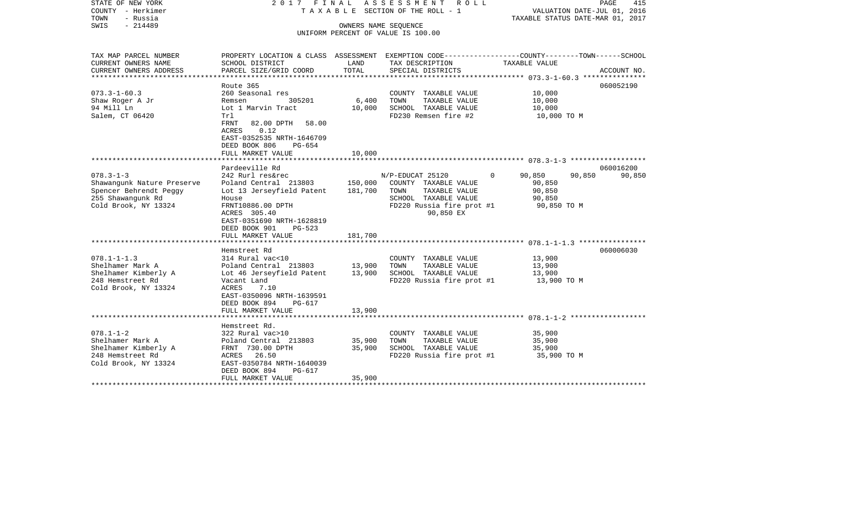| STATE OF NEW YORK<br>COUNTY - Herkimer<br>- Russia<br>TOWN<br>$-214489$<br>SWIS | 2017 FINAL                                                                                                                                | OWNERS NAME SEOUENCE      | ASSESSMENT<br>R O L L<br>T A X A B L E SECTION OF THE ROLL - 1<br>UNIFORM PERCENT OF VALUE IS 100.00 | VALUATION DATE-JUL 01, 2016<br>TAXABLE STATUS DATE-MAR 01, 2017 | PAGE<br>415 |
|---------------------------------------------------------------------------------|-------------------------------------------------------------------------------------------------------------------------------------------|---------------------------|------------------------------------------------------------------------------------------------------|-----------------------------------------------------------------|-------------|
| TAX MAP PARCEL NUMBER<br>CURRENT OWNERS NAME                                    | PROPERTY LOCATION & CLASS ASSESSMENT EXEMPTION CODE---------------COUNTY-------TOWN-----SCHOOL<br>SCHOOL DISTRICT                         | LAND                      | TAX DESCRIPTION                                                                                      | TAXABLE VALUE                                                   |             |
| CURRENT OWNERS ADDRESS<br>******************                                    | PARCEL SIZE/GRID COORD<br>**********************                                                                                          | TOTAL                     | SPECIAL DISTRICTS                                                                                    |                                                                 | ACCOUNT NO. |
|                                                                                 | Route 365                                                                                                                                 |                           |                                                                                                      |                                                                 | 060052190   |
| $073.3 - 1 - 60.3$                                                              | 260 Seasonal res                                                                                                                          |                           | COUNTY TAXABLE VALUE                                                                                 | 10,000                                                          |             |
| Shaw Roger A Jr                                                                 | 305201<br>Remsen                                                                                                                          | 6,400                     | TAXABLE VALUE<br>TOWN                                                                                | 10,000                                                          |             |
| 94 Mill Ln                                                                      | Lot 1 Marvin Tract                                                                                                                        | 10,000                    | SCHOOL TAXABLE VALUE                                                                                 | 10,000                                                          |             |
| Salem, CT 06420                                                                 | Trl<br><b>FRNT</b><br>82.00 DPTH<br>58.00<br>ACRES<br>0.12<br>EAST-0352535 NRTH-1646709<br>DEED BOOK 806<br>$PG-654$<br>FULL MARKET VALUE | 10,000                    | FD230 Remsen fire #2                                                                                 | 10,000 TO M                                                     |             |
|                                                                                 | ******************                                                                                                                        | * * * * * * * * * * * * * |                                                                                                      |                                                                 |             |
|                                                                                 | Pardeeville Rd                                                                                                                            |                           |                                                                                                      |                                                                 | 060016200   |
| $078.3 - 1 - 3$                                                                 | 242 Rurl res&rec                                                                                                                          |                           | N/P-EDUCAT 25120                                                                                     | 90,850<br>90,850<br>$\Omega$                                    | 90,850      |
| Shawangunk Nature Preserve<br>Spencer Behrendt Peggy                            | Poland Central 213803<br>Lot 13 Jerseyfield Patent                                                                                        | 150,000<br>181,700        | COUNTY TAXABLE VALUE<br>TOWN<br>TAXABLE VALUE                                                        | 90,850<br>90,850                                                |             |
| 255 Shawanqunk Rd                                                               | House                                                                                                                                     |                           | SCHOOL TAXABLE VALUE                                                                                 | 90,850                                                          |             |
| Cold Brook, NY 13324                                                            | FRNT10886.00 DPTH<br>ACRES 305.40<br>EAST-0351690 NRTH-1628819<br>DEED BOOK 901<br>$PG-523$                                               |                           | FD220 Russia fire prot #1<br>90,850 EX                                                               | 90,850 TO M                                                     |             |
|                                                                                 | FULL MARKET VALUE                                                                                                                         | 181,700                   |                                                                                                      |                                                                 |             |
|                                                                                 | Hemstreet Rd                                                                                                                              |                           |                                                                                                      |                                                                 | 060006030   |
| $078.1 - 1 - 1.3$                                                               | 314 Rural vac<10                                                                                                                          |                           | COUNTY TAXABLE VALUE                                                                                 | 13,900                                                          |             |
| Shelhamer Mark A                                                                | Poland Central 213803                                                                                                                     | 13,900                    | TOWN<br>TAXABLE VALUE                                                                                | 13,900                                                          |             |
| Shelhamer Kimberly A                                                            | Lot 46 Jerseyfield Patent                                                                                                                 | 13,900                    | SCHOOL TAXABLE VALUE                                                                                 | 13,900                                                          |             |
| 248 Hemstreet Rd<br>Cold Brook, NY 13324                                        | Vacant Land<br>7.10<br>ACRES<br>EAST-0350096 NRTH-1639591<br>DEED BOOK 894<br>$PG-617$                                                    | 13,900                    | FD220 Russia fire prot #1                                                                            | 13,900 TO M                                                     |             |
|                                                                                 | FULL MARKET VALUE<br>****************************                                                                                         |                           |                                                                                                      |                                                                 |             |
|                                                                                 | Hemstreet Rd.                                                                                                                             |                           |                                                                                                      |                                                                 |             |
| $078.1 - 1 - 2$                                                                 | 322 Rural vac>10                                                                                                                          |                           | COUNTY TAXABLE VALUE                                                                                 | 35,900                                                          |             |
| Shelhamer Mark A                                                                | Poland Central 213803                                                                                                                     | 35,900                    | TOWN<br>TAXABLE VALUE                                                                                | 35,900                                                          |             |
| Shelhamer Kimberly A                                                            | FRNT 730.00 DPTH                                                                                                                          | 35,900                    | SCHOOL TAXABLE VALUE                                                                                 | 35,900                                                          |             |
| 248 Hemstreet Rd<br>Cold Brook, NY 13324                                        | ACRES<br>26.50<br>EAST-0350784 NRTH-1640039<br>DEED BOOK 894<br>$PG-617$                                                                  |                           | FD220 Russia fire prot #1                                                                            | 35,900 TO M                                                     |             |
|                                                                                 | FULL MARKET VALUE                                                                                                                         | 35,900                    |                                                                                                      |                                                                 |             |
|                                                                                 |                                                                                                                                           |                           |                                                                                                      |                                                                 |             |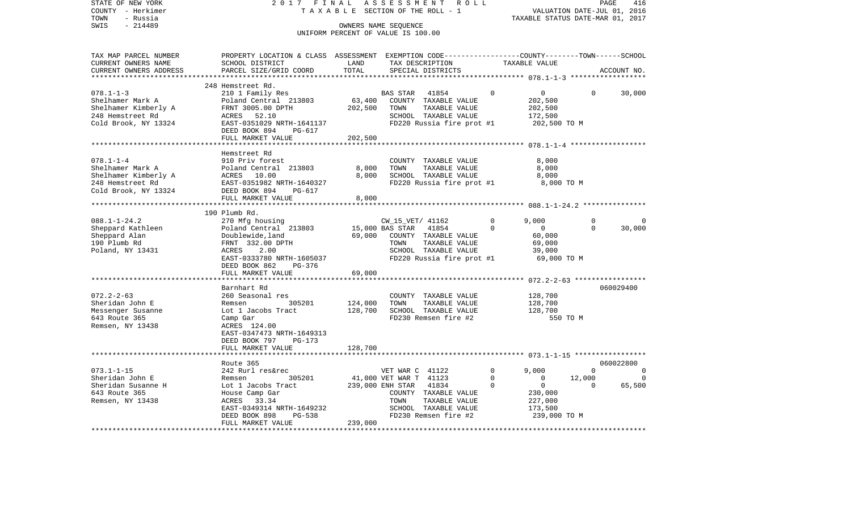| STATE OF NEW YORK      | 2017<br>FINAL                                                                                   |                                 | ASSESSMENT<br>ROLL                 |             |                                      |             | PAGE<br>416 |
|------------------------|-------------------------------------------------------------------------------------------------|---------------------------------|------------------------------------|-------------|--------------------------------------|-------------|-------------|
| COUNTY - Herkimer      | TAXABLE                                                                                         |                                 | SECTION OF THE ROLL - 1            |             | VALUATION DATE-JUL 01, 2016          |             |             |
| TOWN<br>- Russia       |                                                                                                 |                                 |                                    |             | TAXABLE STATUS DATE-MAR 01, 2017     |             |             |
| $-214489$<br>SWIS      |                                                                                                 |                                 | OWNERS NAME SEQUENCE               |             |                                      |             |             |
|                        |                                                                                                 |                                 | UNIFORM PERCENT OF VALUE IS 100.00 |             |                                      |             |             |
|                        |                                                                                                 |                                 |                                    |             |                                      |             |             |
| TAX MAP PARCEL NUMBER  | PROPERTY LOCATION & CLASS ASSESSMENT EXEMPTION CODE---------------COUNTY-------TOWN------SCHOOL |                                 |                                    |             |                                      |             |             |
| CURRENT OWNERS NAME    | SCHOOL DISTRICT                                                                                 | LAND                            | TAX DESCRIPTION                    |             | TAXABLE VALUE                        |             |             |
| CURRENT OWNERS ADDRESS | PARCEL SIZE/GRID COORD                                                                          | TOTAL                           | SPECIAL DISTRICTS                  |             |                                      |             | ACCOUNT NO. |
| ********************** |                                                                                                 |                                 |                                    |             |                                      |             |             |
|                        | 248 Hemstreet Rd.                                                                               |                                 |                                    |             |                                      |             |             |
| $078.1 - 1 - 3$        | 210 1 Family Res                                                                                |                                 | <b>BAS STAR</b><br>41854           | 0           | 0                                    | 0           | 30,000      |
| Shelhamer Mark A       | Poland Central 213803                                                                           | 63,400                          | COUNTY TAXABLE VALUE               |             | 202,500                              |             |             |
| Shelhamer Kimberly A   | FRNT 3005.00 DPTH                                                                               | 202,500                         | TOWN<br>TAXABLE VALUE              |             | 202,500                              |             |             |
| 248 Hemstreet Rd       | ACRES<br>52.10                                                                                  |                                 | SCHOOL TAXABLE VALUE               |             | 172,500                              |             |             |
| Cold Brook, NY 13324   | EAST-0351029 NRTH-1641137                                                                       |                                 | FD220 Russia fire prot #1          |             | 202,500 TO M                         |             |             |
|                        | DEED BOOK 894<br>$PG-617$                                                                       |                                 |                                    |             |                                      |             |             |
|                        | FULL MARKET VALUE                                                                               | 202,500                         |                                    |             |                                      |             |             |
|                        |                                                                                                 |                                 |                                    |             | ********* 078.1-1-4 **************** |             |             |
|                        | Hemstreet Rd                                                                                    |                                 |                                    |             |                                      |             |             |
| $078.1 - 1 - 4$        | 910 Priv forest                                                                                 |                                 | COUNTY TAXABLE VALUE               |             | 8,000                                |             |             |
| Shelhamer Mark A       | Poland Central 213803                                                                           | 8,000                           | TOWN<br>TAXABLE VALUE              |             | 8,000                                |             |             |
| Shelhamer Kimberly A   | ACRES 10.00                                                                                     | 8,000                           | SCHOOL TAXABLE VALUE               |             | 8,000                                |             |             |
| 248 Hemstreet Rd       | EAST-0351982 NRTH-1640327                                                                       |                                 | FD220 Russia fire prot #1          |             | 8,000 TO M                           |             |             |
| Cold Brook, NY 13324   | DEED BOOK 894<br>PG-617                                                                         |                                 |                                    |             |                                      |             |             |
|                        | FULL MARKET VALUE                                                                               | 8,000                           |                                    |             |                                      |             |             |
|                        |                                                                                                 |                                 |                                    |             |                                      |             |             |
|                        | 190 Plumb Rd.                                                                                   |                                 |                                    |             |                                      |             |             |
| $088.1 - 1 - 24.2$     | 270 Mfg housing                                                                                 |                                 | CW_15_VET/ 41162                   | 0           | 9,000                                | $\mathbf 0$ | $\Omega$    |
| Sheppard Kathleen      | Poland Central 213803                                                                           |                                 | 41854<br>15,000 BAS STAR           | $\Omega$    | $\mathbf 0$                          | $\Omega$    | 30,000      |
| Sheppard Alan          | Doublewide, land                                                                                | 69,000                          | COUNTY TAXABLE VALUE               |             | 60,000                               |             |             |
| 190 Plumb Rd           | FRNT 332.00 DPTH                                                                                |                                 | TOWN<br>TAXABLE VALUE              |             | 69,000                               |             |             |
| Poland, NY 13431       | ACRES<br>2.00                                                                                   |                                 | SCHOOL TAXABLE VALUE               |             | 39,000                               |             |             |
|                        | EAST-0333780 NRTH-1605037                                                                       |                                 | FD220 Russia fire prot #1          |             | 69,000 TO M                          |             |             |
|                        | DEED BOOK 862<br>PG-376                                                                         |                                 |                                    |             |                                      |             |             |
|                        | FULL MARKET VALUE                                                                               | 69,000                          |                                    |             |                                      |             |             |
|                        |                                                                                                 |                                 |                                    |             |                                      |             |             |
|                        | Barnhart Rd                                                                                     |                                 |                                    |             |                                      |             | 060029400   |
| $072.2 - 2 - 63$       | 260 Seasonal res                                                                                |                                 | COUNTY TAXABLE VALUE               |             | 128,700                              |             |             |
| Sheridan John E        | Remsen<br>305201                                                                                | 124,000                         | TOWN<br>TAXABLE VALUE              |             | 128,700                              |             |             |
| Messenger Susanne      | Lot 1 Jacobs Tract                                                                              | 128,700                         | SCHOOL TAXABLE VALUE               |             | 128,700                              |             |             |
| 643 Route 365          | Camp Gar                                                                                        |                                 | FD230 Remsen fire #2               |             | 550 TO M                             |             |             |
| Remsen, NY 13438       | ACRES 124.00                                                                                    |                                 |                                    |             |                                      |             |             |
|                        | EAST-0347473 NRTH-1649313                                                                       |                                 |                                    |             |                                      |             |             |
|                        | DEED BOOK 797<br>$PG-173$                                                                       |                                 |                                    |             |                                      |             |             |
|                        | FULL MARKET VALUE                                                                               | 128,700                         |                                    |             |                                      |             |             |
|                        |                                                                                                 |                                 |                                    |             | ****** 073.1-1-15 ****************** |             |             |
|                        | Route 365                                                                                       |                                 |                                    |             |                                      |             | 060022800   |
| $073.1 - 1 - 15$       | 242 Rurl res&rec                                                                                |                                 | VET WAR C 41122                    | $\mathbf 0$ | 9,000                                | $\mathbf 0$ | $\Omega$    |
| Sheridan John E        | 305201<br>Remsen                                                                                |                                 | 41,000 VET WAR T 41123             | $\mathbf 0$ | $\mathbf 0$                          | 12,000      | 0           |
| Sheridan Susanne H     | Lot 1 Jacobs Tract                                                                              |                                 | 239,000 ENH STAR<br>41834          | 0           | 0                                    | $\Omega$    | 65,500      |
| 643 Route 365          | House Camp Gar                                                                                  |                                 | COUNTY TAXABLE VALUE               |             | 230,000                              |             |             |
| Remsen, NY 13438       | 33.34<br>ACRES                                                                                  |                                 | TOWN<br>TAXABLE VALUE              |             | 227,000                              |             |             |
|                        | EAST-0349314 NRTH-1649232                                                                       |                                 | SCHOOL TAXABLE VALUE               |             | 173,500                              |             |             |
|                        | $PG-538$<br>DEED BOOK 898                                                                       |                                 | FD230 Remsen fire #2               |             | 239,000 TO M                         |             |             |
|                        | FULL MARKET VALUE                                                                               | 239,000                         |                                    |             |                                      |             |             |
|                        |                                                                                                 | * * * * * * * * * * * * * * * * |                                    |             | ****************************         |             |             |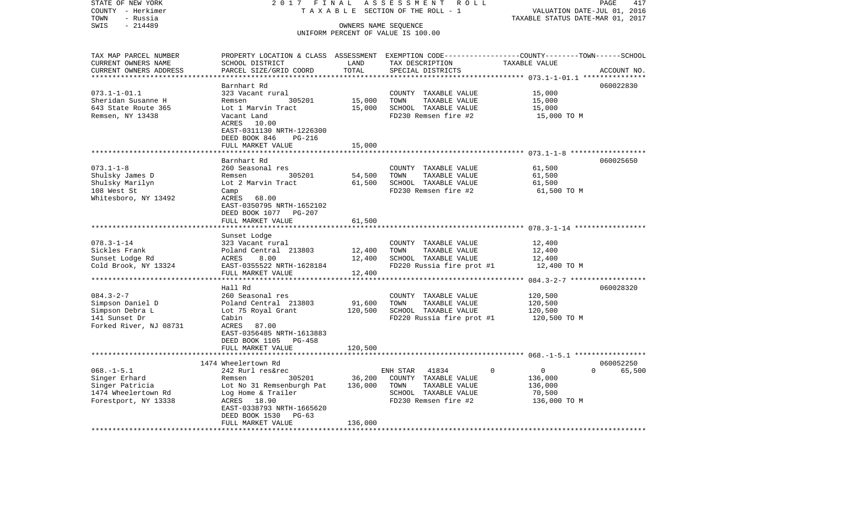| STATE OF NEW YORK      | 2017                                                 | FINAL       | ASSESSMENT<br>R O L L                                                                            |                                  | PAGE<br>417        |
|------------------------|------------------------------------------------------|-------------|--------------------------------------------------------------------------------------------------|----------------------------------|--------------------|
| COUNTY - Herkimer      |                                                      |             | TAXABLE SECTION OF THE ROLL - 1                                                                  | VALUATION DATE-JUL 01, 2016      |                    |
| - Russia<br>TOWN       |                                                      |             |                                                                                                  | TAXABLE STATUS DATE-MAR 01, 2017 |                    |
| SWIS<br>$-214489$      |                                                      |             | OWNERS NAME SEQUENCE<br>UNIFORM PERCENT OF VALUE IS 100.00                                       |                                  |                    |
|                        |                                                      |             |                                                                                                  |                                  |                    |
| TAX MAP PARCEL NUMBER  |                                                      |             | PROPERTY LOCATION & CLASS ASSESSMENT EXEMPTION CODE----------------COUNTY-------TOWN------SCHOOL |                                  |                    |
| CURRENT OWNERS NAME    | SCHOOL DISTRICT                                      | LAND        | TAX DESCRIPTION                                                                                  | TAXABLE VALUE                    |                    |
| CURRENT OWNERS ADDRESS | PARCEL SIZE/GRID COORD                               | TOTAL       | SPECIAL DISTRICTS                                                                                |                                  | ACCOUNT NO.        |
| ********************** | ************************                             | *********** | ********************************* 073.1-1-01.1 ***************                                   |                                  |                    |
|                        | Barnhart Rd                                          |             |                                                                                                  |                                  | 060022830          |
| $073.1 - 1 - 01.1$     | 323 Vacant rural                                     |             | COUNTY TAXABLE VALUE                                                                             | 15,000                           |                    |
| Sheridan Susanne H     | Remsen<br>305201                                     | 15,000      | TOWN<br>TAXABLE VALUE                                                                            | 15,000                           |                    |
| 643 State Route 365    | Lot 1 Marvin Tract                                   | 15,000      | SCHOOL TAXABLE VALUE                                                                             | 15,000                           |                    |
| Remsen, NY 13438       | Vacant Land                                          |             | FD230 Remsen fire #2                                                                             | 15,000 TO M                      |                    |
|                        | ACRES<br>10.00                                       |             |                                                                                                  |                                  |                    |
|                        | EAST-0311130 NRTH-1226300                            |             |                                                                                                  |                                  |                    |
|                        | DEED BOOK 846<br>PG-216                              |             |                                                                                                  |                                  |                    |
|                        | FULL MARKET VALUE                                    | 15,000      |                                                                                                  |                                  |                    |
|                        |                                                      |             |                                                                                                  |                                  |                    |
|                        | Barnhart Rd                                          |             |                                                                                                  |                                  | 060025650          |
| $073.1 - 1 - 8$        | 260 Seasonal res                                     |             | COUNTY TAXABLE VALUE                                                                             | 61,500                           |                    |
| Shulsky James D        | 305201<br>Remsen                                     | 54,500      | TOWN<br>TAXABLE VALUE                                                                            | 61,500                           |                    |
| Shulsky Marilyn        | Lot 2 Marvin Tract                                   | 61,500      | SCHOOL TAXABLE VALUE                                                                             | 61,500                           |                    |
| 108 West St            | Camp                                                 |             | FD230 Remsen fire #2                                                                             | 61,500 TO M                      |                    |
| Whitesboro, NY 13492   | ACRES<br>68.00                                       |             |                                                                                                  |                                  |                    |
|                        | EAST-0350795 NRTH-1652102                            |             |                                                                                                  |                                  |                    |
|                        | DEED BOOK 1077<br><b>PG-207</b>                      |             |                                                                                                  |                                  |                    |
|                        | FULL MARKET VALUE                                    | 61,500      |                                                                                                  |                                  |                    |
|                        | *********************                                |             |                                                                                                  |                                  |                    |
|                        | Sunset Lodge                                         |             |                                                                                                  |                                  |                    |
| $078.3 - 1 - 14$       | 323 Vacant rural                                     |             | COUNTY TAXABLE VALUE                                                                             | 12,400                           |                    |
| Sickles Frank          | Poland Central 213803                                | 12,400      | TOWN<br>TAXABLE VALUE                                                                            | 12,400                           |                    |
| Sunset Lodge Rd        | ACRES<br>8.00                                        | 12,400      | SCHOOL TAXABLE VALUE                                                                             | 12,400                           |                    |
| Cold Brook, NY 13324   | EAST-0355522 NRTH-1628184                            |             | FD220 Russia fire prot #1                                                                        | 12,400 TO M                      |                    |
|                        | FULL MARKET VALUE                                    | 12,400      |                                                                                                  |                                  |                    |
|                        |                                                      |             |                                                                                                  |                                  |                    |
|                        | Hall Rd                                              |             |                                                                                                  |                                  | 060028320          |
| $084.3 - 2 - 7$        | 260 Seasonal res                                     |             | COUNTY TAXABLE VALUE                                                                             | 120,500                          |                    |
| Simpson Daniel D       | Poland Central 213803                                | 91,600      | TOWN<br>TAXABLE VALUE                                                                            | 120,500                          |                    |
| Simpson Debra L        | Lot 75 Royal Grant                                   | 120,500     | SCHOOL TAXABLE VALUE                                                                             | 120,500                          |                    |
| 141 Sunset Dr          | Cabin                                                |             | FD220 Russia fire prot #1                                                                        | 120,500 TO M                     |                    |
| Forked River, NJ 08731 | ACRES<br>87.00                                       |             |                                                                                                  |                                  |                    |
|                        | EAST-0356485 NRTH-1613883<br>PG-458                  |             |                                                                                                  |                                  |                    |
|                        | DEED BOOK 1105                                       | 120,500     |                                                                                                  |                                  |                    |
|                        | FULL MARKET VALUE<br>******************************* |             |                                                                                                  |                                  |                    |
|                        | 1474 Wheelertown Rd                                  |             |                                                                                                  |                                  | 060052250          |
| $068. -1 - 5.1$        | 242 Rurl res&rec                                     |             | ENH STAR<br>41834                                                                                | 0<br>0                           | 65,500<br>$\Omega$ |
| Singer Erhard          | 305201<br>Remsen                                     | 36,200      | COUNTY TAXABLE VALUE                                                                             | 136,000                          |                    |
| Singer Patricia        | Lot No 31 Remsenburgh Pat                            | 136,000     | TOWN<br>TAXABLE VALUE                                                                            | 136,000                          |                    |
| 1474 Wheelertown Rd    | Log Home & Trailer                                   |             | SCHOOL TAXABLE VALUE                                                                             | 70,500                           |                    |
| Forestport, NY 13338   | ACRES<br>18.90                                       |             | FD230 Remsen fire #2                                                                             | 136,000 TO M                     |                    |
|                        | EAST-0338793 NRTH-1665620                            |             |                                                                                                  |                                  |                    |
|                        | DEED BOOK 1530<br>$PG-63$                            |             |                                                                                                  |                                  |                    |
|                        | FULL MARKET VALUE                                    | 136,000     |                                                                                                  |                                  |                    |
|                        |                                                      |             |                                                                                                  |                                  |                    |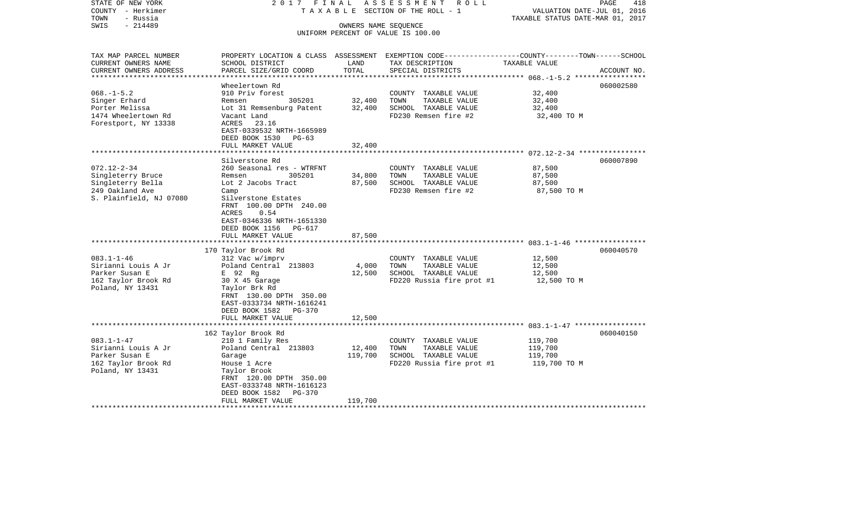| STATE OF NEW YORK<br>COUNTY - Herkimer<br>- Russia<br>TOWN | 2017 FINAL<br>TAXABLE                                 |                      | ASSESSMENT<br>R O L L<br>SECTION OF THE ROLL - 1                                                 | VALUATION DATE-JUL 01, 2016<br>TAXABLE STATUS DATE-MAR 01, 2017 | PAGE<br>418               |
|------------------------------------------------------------|-------------------------------------------------------|----------------------|--------------------------------------------------------------------------------------------------|-----------------------------------------------------------------|---------------------------|
| $-214489$<br>SWIS                                          |                                                       | OWNERS NAME SEQUENCE |                                                                                                  |                                                                 |                           |
|                                                            |                                                       |                      | UNIFORM PERCENT OF VALUE IS 100.00                                                               |                                                                 |                           |
|                                                            |                                                       |                      |                                                                                                  |                                                                 |                           |
| TAX MAP PARCEL NUMBER                                      |                                                       |                      | PROPERTY LOCATION & CLASS ASSESSMENT EXEMPTION CODE----------------COUNTY-------TOWN------SCHOOL |                                                                 |                           |
| CURRENT OWNERS NAME                                        | SCHOOL DISTRICT                                       | LAND                 | TAX DESCRIPTION                                                                                  | TAXABLE VALUE                                                   |                           |
| CURRENT OWNERS ADDRESS<br>**********************           | PARCEL SIZE/GRID COORD<br>***********************     | TOTAL                | SPECIAL DISTRICTS                                                                                |                                                                 | ACCOUNT NO.               |
|                                                            | Wheelertown Rd                                        | ****************     |                                                                                                  |                                                                 | ************<br>060002580 |
| $068. -1 - 5.2$                                            | 910 Priv forest                                       |                      | COUNTY TAXABLE VALUE                                                                             | 32,400                                                          |                           |
| Singer Erhard                                              | 305201<br>Remsen                                      | 32,400               | TOWN<br>TAXABLE VALUE                                                                            | 32,400                                                          |                           |
| Porter Melissa                                             | Lot 31 Remsenburg Patent                              | 32,400               | SCHOOL TAXABLE VALUE                                                                             | 32,400                                                          |                           |
| 1474 Wheelertown Rd                                        | Vacant Land                                           |                      | FD230 Remsen fire #2                                                                             | 32,400 TO M                                                     |                           |
| Forestport, NY 13338                                       | ACRES<br>23.16                                        |                      |                                                                                                  |                                                                 |                           |
|                                                            | EAST-0339532 NRTH-1665989                             |                      |                                                                                                  |                                                                 |                           |
|                                                            | DEED BOOK 1530<br>$PG-63$                             |                      |                                                                                                  |                                                                 |                           |
|                                                            | FULL MARKET VALUE                                     | 32,400               |                                                                                                  |                                                                 |                           |
|                                                            |                                                       |                      |                                                                                                  |                                                                 |                           |
|                                                            | Silverstone Rd                                        |                      |                                                                                                  |                                                                 | 060007890                 |
| $072.12 - 2 - 34$                                          | 260 Seasonal res - WTRFNT                             |                      | COUNTY TAXABLE VALUE                                                                             | 87,500                                                          |                           |
| Singleterry Bruce                                          | 305201<br>Remsen                                      | 34,800               | TOWN<br>TAXABLE VALUE                                                                            | 87,500                                                          |                           |
| Singleterry Bella                                          | Lot 2 Jacobs Tract                                    | 87,500               | SCHOOL TAXABLE VALUE                                                                             | 87,500                                                          |                           |
| 249 Oakland Ave                                            | Camp                                                  |                      | FD230 Remsen fire #2                                                                             | 87,500 TO M                                                     |                           |
| S. Plainfield, NJ 07080                                    | Silverstone Estates                                   |                      |                                                                                                  |                                                                 |                           |
|                                                            | FRNT 100.00 DPTH 240.00                               |                      |                                                                                                  |                                                                 |                           |
|                                                            | ACRES<br>0.54                                         |                      |                                                                                                  |                                                                 |                           |
|                                                            | EAST-0346336 NRTH-1651330<br>DEED BOOK 1156<br>PG-617 |                      |                                                                                                  |                                                                 |                           |
|                                                            | FULL MARKET VALUE                                     | 87,500               |                                                                                                  |                                                                 |                           |
|                                                            |                                                       |                      |                                                                                                  |                                                                 |                           |
|                                                            | 170 Taylor Brook Rd                                   |                      |                                                                                                  |                                                                 | 060040570                 |
| $083.1 - 1 - 46$                                           | 312 Vac w/imprv                                       |                      | COUNTY TAXABLE VALUE                                                                             | 12,500                                                          |                           |
| Sirianni Louis A Jr                                        | Poland Central 213803                                 | 4,000                | TAXABLE VALUE<br>TOWN                                                                            | 12,500                                                          |                           |
| Parker Susan E                                             | E 92 Rg                                               | 12,500               | SCHOOL TAXABLE VALUE                                                                             | 12,500                                                          |                           |
| 162 Taylor Brook Rd                                        | 30 X 45 Garage                                        |                      | FD220 Russia fire prot #1                                                                        | 12,500 TO M                                                     |                           |
| Poland, NY 13431                                           | Taylor Brk Rd                                         |                      |                                                                                                  |                                                                 |                           |
|                                                            | FRNT 130.00 DPTH 350.00                               |                      |                                                                                                  |                                                                 |                           |
|                                                            | EAST-0333734 NRTH-1616241                             |                      |                                                                                                  |                                                                 |                           |
|                                                            | DEED BOOK 1582<br>PG-370                              |                      |                                                                                                  |                                                                 |                           |
|                                                            | FULL MARKET VALUE                                     | 12,500               |                                                                                                  |                                                                 |                           |
|                                                            | ************************                              | *********            |                                                                                                  |                                                                 |                           |
|                                                            | 162 Taylor Brook Rd                                   |                      |                                                                                                  |                                                                 | 060040150                 |
| $083.1 - 1 - 47$                                           | 210 1 Family Res                                      |                      | COUNTY TAXABLE VALUE                                                                             | 119,700                                                         |                           |
| Sirianni Louis A Jr                                        | Poland Central 213803                                 | 12,400               | TOWN<br>TAXABLE VALUE                                                                            | 119,700                                                         |                           |
| Parker Susan E                                             | Garage                                                | 119,700              | SCHOOL TAXABLE VALUE                                                                             | 119,700                                                         |                           |
| 162 Taylor Brook Rd                                        | House 1 Acre                                          |                      | FD220 Russia fire prot #1                                                                        | 119,700 TO M                                                    |                           |
| Poland, NY 13431                                           | Taylor Brook                                          |                      |                                                                                                  |                                                                 |                           |
|                                                            | FRNT 120.00 DPTH 350.00                               |                      |                                                                                                  |                                                                 |                           |
|                                                            | EAST-0333748 NRTH-1616123                             |                      |                                                                                                  |                                                                 |                           |
|                                                            | DEED BOOK 1582<br><b>PG-370</b><br>FULL MARKET VALUE  | 119,700              |                                                                                                  |                                                                 |                           |
|                                                            |                                                       |                      |                                                                                                  |                                                                 |                           |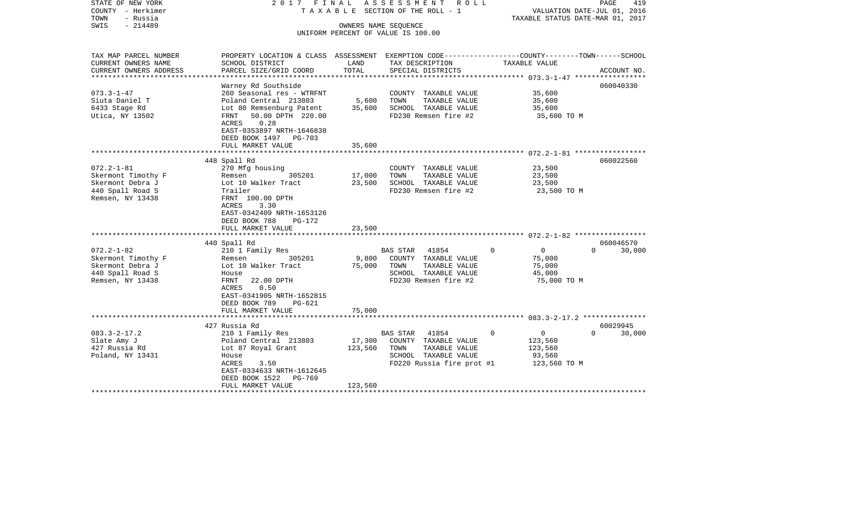| STATE OF NEW YORK<br>COUNTY - Herkimer<br>TOWN<br>- Russia<br>$-214489$<br>SWIS                                                                                                                          | 2017 FINAL                                                                                                                                                                                                                                                                                                                                                                                     |                                               | A S S E S S M E N T R O L L<br>T A X A B L E SECTION OF THE ROLL - 1<br>OWNERS NAME SEQUENCE                                                                                                                     | TAXABLE STATUS DATE-MAR 01, 2017                                                                                        | PAGE<br>419<br>VALUATION DATE-JUL 01, 2016   |
|----------------------------------------------------------------------------------------------------------------------------------------------------------------------------------------------------------|------------------------------------------------------------------------------------------------------------------------------------------------------------------------------------------------------------------------------------------------------------------------------------------------------------------------------------------------------------------------------------------------|-----------------------------------------------|------------------------------------------------------------------------------------------------------------------------------------------------------------------------------------------------------------------|-------------------------------------------------------------------------------------------------------------------------|----------------------------------------------|
|                                                                                                                                                                                                          |                                                                                                                                                                                                                                                                                                                                                                                                |                                               | UNIFORM PERCENT OF VALUE IS 100.00                                                                                                                                                                               |                                                                                                                         |                                              |
| TAX MAP PARCEL NUMBER<br>CURRENT OWNERS NAME                                                                                                                                                             | PROPERTY LOCATION & CLASS ASSESSMENT EXEMPTION CODE---------------COUNTY-------TOWN------SCHOOL<br>SCHOOL DISTRICT                                                                                                                                                                                                                                                                             | LAND                                          | TAX DESCRIPTION                                                                                                                                                                                                  | TAXABLE VALUE                                                                                                           |                                              |
| CURRENT OWNERS ADDRESS                                                                                                                                                                                   | PARCEL SIZE/GRID COORD                                                                                                                                                                                                                                                                                                                                                                         | TOTAL                                         | SPECIAL DISTRICTS                                                                                                                                                                                                |                                                                                                                         | ACCOUNT NO.                                  |
|                                                                                                                                                                                                          | Warney Rd Southside                                                                                                                                                                                                                                                                                                                                                                            |                                               |                                                                                                                                                                                                                  |                                                                                                                         | 060040330                                    |
| $073.3 - 1 - 47$<br>Siuta Daniel T<br>6433 Stage Rd<br>Utica, NY 13502                                                                                                                                   | 260 Seasonal res - WTRFNT<br>Poland Central 213803<br>Lot 80 Remsenburg Patent<br>50.00 DPTH 220.00<br>FRNT<br>ACRES<br>0.28                                                                                                                                                                                                                                                                   | 5,600<br>35,600                               | COUNTY TAXABLE VALUE<br>TOWN<br>TAXABLE VALUE<br>SCHOOL TAXABLE VALUE<br>FD230 Remsen fire #2                                                                                                                    | 35,600<br>35,600<br>35,600<br>35,600 TO M                                                                               |                                              |
|                                                                                                                                                                                                          | EAST-0353897 NRTH-1646838<br>DEED BOOK 1497 PG-703<br>FULL MARKET VALUE                                                                                                                                                                                                                                                                                                                        | 35,600                                        |                                                                                                                                                                                                                  |                                                                                                                         |                                              |
|                                                                                                                                                                                                          |                                                                                                                                                                                                                                                                                                                                                                                                |                                               |                                                                                                                                                                                                                  |                                                                                                                         |                                              |
| $072.2 - 1 - 81$<br>Skermont Timothy F<br>Skermont Debra J<br>440 Spall Road S<br>Remsen, NY 13438<br>$072.2 - 1 - 82$<br>Skermont Timothy F<br>Skermont Debra J<br>440 Spall Road S<br>Remsen, NY 13438 | 448 Spall Rd<br>270 Mfg housing<br>305201<br>Remsen<br>Lot 10 Walker Tract<br>Trailer<br>FRNT 100.00 DPTH<br>ACRES<br>3.30<br>EAST-0342409 NRTH-1653126<br>DEED BOOK 788<br>PG-172<br>FULL MARKET VALUE<br>440 Spall Rd<br>210 1 Family Res<br>305201<br>Remsen<br>Lot 10 Walker Tract<br>House<br>FRNT<br>22.00 DPTH<br>0.50<br>ACRES<br>EAST-0341905 NRTH-1652815<br>DEED BOOK 789<br>PG-621 | 17,000<br>23,500<br>23,500<br>9,800<br>75,000 | COUNTY TAXABLE VALUE<br>TOWN<br>TAXABLE VALUE<br>SCHOOL TAXABLE VALUE<br>FD230 Remsen fire #2<br>BAS STAR 41854<br>COUNTY TAXABLE VALUE<br>TOWN<br>TAXABLE VALUE<br>SCHOOL TAXABLE VALUE<br>FD230 Remsen fire #2 | 23,500<br>23,500<br>23,500<br>23,500 TO M<br>$\mathbf 0$<br>$\overline{0}$<br>75,000<br>75,000<br>45,000<br>75,000 TO M | 060022560<br>060046570<br>$\Omega$<br>30,000 |
|                                                                                                                                                                                                          | FULL MARKET VALUE                                                                                                                                                                                                                                                                                                                                                                              | 75,000                                        |                                                                                                                                                                                                                  |                                                                                                                         |                                              |
|                                                                                                                                                                                                          | 427 Russia Rd                                                                                                                                                                                                                                                                                                                                                                                  |                                               |                                                                                                                                                                                                                  |                                                                                                                         | 60029945                                     |
| $083.3 - 2 - 17.2$<br>Slate Amy J<br>427 Russia Rd<br>Poland, NY 13431                                                                                                                                   | 210 1 Family Res<br>Poland Central 213803<br>Lot 87 Royal Grant<br>House<br>ACRES<br>3.50<br>EAST-0334633 NRTH-1612645<br>DEED BOOK 1522<br>PG-769<br>FULL MARKET VALUE                                                                                                                                                                                                                        | 17,300<br>123,560<br>123,560                  | 41854<br>BAS STAR<br>COUNTY TAXABLE VALUE<br>TOWN<br>TAXABLE VALUE<br>SCHOOL TAXABLE VALUE<br>FD220 Russia fire prot #1                                                                                          | $\overline{0}$<br>0<br>123,560<br>123,560<br>93,560<br>123,560 TO M                                                     | $\Omega$<br>30,000                           |
|                                                                                                                                                                                                          |                                                                                                                                                                                                                                                                                                                                                                                                |                                               |                                                                                                                                                                                                                  |                                                                                                                         |                                              |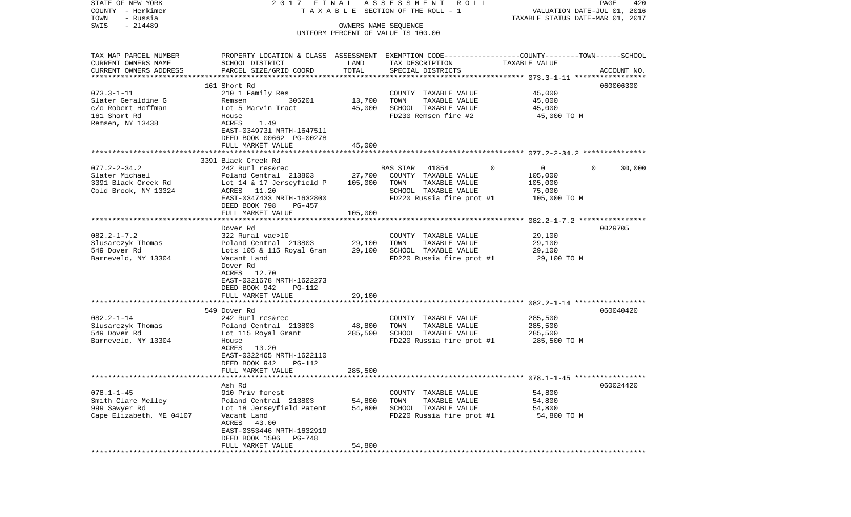| STATE OF NEW YORK                     | 2017 FINAL                                                                                      |                      | ASSESSMENT ROLL                       |                                  | PAGE<br>420                 |
|---------------------------------------|-------------------------------------------------------------------------------------------------|----------------------|---------------------------------------|----------------------------------|-----------------------------|
| COUNTY - Herkimer<br>- Russia<br>TOWN |                                                                                                 |                      | T A X A B L E SECTION OF THE ROLL - 1 | TAXABLE STATUS DATE-MAR 01, 2017 | VALUATION DATE-JUL 01, 2016 |
| $-214489$<br>SWIS                     |                                                                                                 | OWNERS NAME SEQUENCE |                                       |                                  |                             |
|                                       |                                                                                                 |                      | UNIFORM PERCENT OF VALUE IS 100.00    |                                  |                             |
|                                       |                                                                                                 |                      |                                       |                                  |                             |
| TAX MAP PARCEL NUMBER                 | PROPERTY LOCATION & CLASS ASSESSMENT EXEMPTION CODE---------------COUNTY-------TOWN------SCHOOL |                      |                                       |                                  |                             |
| CURRENT OWNERS NAME                   | SCHOOL DISTRICT                                                                                 | LAND                 | TAX DESCRIPTION                       | TAXABLE VALUE                    |                             |
| CURRENT OWNERS ADDRESS                | PARCEL SIZE/GRID COORD                                                                          | TOTAL                | SPECIAL DISTRICTS                     |                                  | ACCOUNT NO.                 |
| **********************                |                                                                                                 |                      |                                       |                                  |                             |
|                                       | 161 Short Rd                                                                                    |                      |                                       |                                  | 060006300                   |
| $073.3 - 1 - 11$                      | 210 1 Family Res                                                                                |                      | COUNTY TAXABLE VALUE                  | 45,000                           |                             |
| Slater Geraldine G                    | 305201<br>Remsen                                                                                | 13,700               | TAXABLE VALUE<br>TOWN                 | 45,000                           |                             |
| c/o Robert Hoffman                    | Lot 5 Marvin Tract                                                                              | 45,000               | SCHOOL TAXABLE VALUE                  | 45,000                           |                             |
| 161 Short Rd                          | House                                                                                           |                      | FD230 Remsen fire #2                  | 45,000 TO M                      |                             |
| Remsen, NY 13438                      | ACRES<br>1.49                                                                                   |                      |                                       |                                  |                             |
|                                       | EAST-0349731 NRTH-1647511                                                                       |                      |                                       |                                  |                             |
|                                       | DEED BOOK 00662 PG-00278                                                                        |                      |                                       |                                  |                             |
|                                       | FULL MARKET VALUE                                                                               | 45,000               |                                       |                                  |                             |
|                                       |                                                                                                 |                      |                                       |                                  |                             |
|                                       | 3391 Black Creek Rd                                                                             |                      |                                       |                                  |                             |
| $077.2 - 2 - 34.2$                    | 242 Rurl res&rec                                                                                |                      | <b>BAS STAR</b><br>41854              | 0<br>$\overline{0}$              | 30,000<br>$\Omega$          |
| Slater Michael                        | Poland Central 213803                                                                           | 27,700               | COUNTY TAXABLE VALUE                  | 105,000                          |                             |
| 3391 Black Creek Rd                   | Lot 14 & 17 Jerseyfield P                                                                       | 105,000              | TAXABLE VALUE<br>TOWN                 | 105,000                          |                             |
| Cold Brook, NY 13324                  | ACRES 11.20                                                                                     |                      | SCHOOL TAXABLE VALUE                  | 75,000                           |                             |
|                                       | EAST-0347433 NRTH-1632800                                                                       |                      | FD220 Russia fire prot #1             | 105,000 TO M                     |                             |
|                                       | DEED BOOK 798<br>PG-457                                                                         |                      |                                       |                                  |                             |
|                                       | FULL MARKET VALUE                                                                               | 105,000              |                                       |                                  |                             |
|                                       |                                                                                                 |                      |                                       |                                  |                             |
|                                       | Dover Rd                                                                                        |                      |                                       |                                  | 0029705                     |
| $082.2 - 1 - 7.2$                     | 322 Rural vac>10                                                                                |                      | COUNTY TAXABLE VALUE                  | 29,100                           |                             |
| Slusarczyk Thomas                     | Poland Central 213803                                                                           | 29,100               | TAXABLE VALUE<br>TOWN                 | 29,100                           |                             |
| 549 Dover Rd                          | Lots 105 & 115 Royal Gran                                                                       | 29,100               | SCHOOL TAXABLE VALUE                  | 29,100                           |                             |
| Barneveld, NY 13304                   | Vacant Land                                                                                     |                      | FD220 Russia fire prot #1             | 29,100 TO M                      |                             |
|                                       | Dover Rd                                                                                        |                      |                                       |                                  |                             |
|                                       | ACRES 12.70                                                                                     |                      |                                       |                                  |                             |
|                                       | EAST-0321678 NRTH-1622273                                                                       |                      |                                       |                                  |                             |
|                                       | DEED BOOK 942<br>PG-112                                                                         |                      |                                       |                                  |                             |
|                                       | FULL MARKET VALUE<br>****************************                                               | 29,100               |                                       |                                  |                             |
|                                       | 549 Dover Rd                                                                                    |                      |                                       |                                  | 060040420                   |
| $082.2 - 1 - 14$                      | 242 Rurl res&rec                                                                                |                      | COUNTY TAXABLE VALUE                  | 285,500                          |                             |
| Slusarczyk Thomas                     | Poland Central 213803                                                                           | 48,800               | TOWN<br>TAXABLE VALUE                 | 285,500                          |                             |
| 549 Dover Rd                          | Lot 115 Royal Grant                                                                             | 285,500              | SCHOOL TAXABLE VALUE                  | 285,500                          |                             |
| Barneveld, NY 13304                   | House                                                                                           |                      | FD220 Russia fire prot #1             | 285,500 TO M                     |                             |
|                                       | ACRES 13.20                                                                                     |                      |                                       |                                  |                             |
|                                       | EAST-0322465 NRTH-1622110                                                                       |                      |                                       |                                  |                             |
|                                       | DEED BOOK 942<br><b>PG-112</b>                                                                  |                      |                                       |                                  |                             |
|                                       | FULL MARKET VALUE                                                                               | 285,500              |                                       |                                  |                             |
| **********************                |                                                                                                 |                      |                                       |                                  |                             |
|                                       | Ash Rd                                                                                          |                      |                                       |                                  | 060024420                   |
| $078.1 - 1 - 45$                      | 910 Priv forest                                                                                 |                      | COUNTY TAXABLE VALUE                  | 54,800                           |                             |
| Smith Clare Melley                    | Poland Central 213803                                                                           | 54,800               | TOWN<br>TAXABLE VALUE                 | 54,800                           |                             |
| 999 Sawyer Rd                         | Lot 18 Jerseyfield Patent                                                                       | 54,800               | SCHOOL TAXABLE VALUE                  | 54,800                           |                             |
| Cape Elizabeth, ME 04107              | Vacant Land                                                                                     |                      | FD220 Russia fire prot #1             | 54,800 TO M                      |                             |
|                                       | ACRES<br>43.00                                                                                  |                      |                                       |                                  |                             |
|                                       | EAST-0353446 NRTH-1632919                                                                       |                      |                                       |                                  |                             |
|                                       | DEED BOOK 1506 PG-748                                                                           |                      |                                       |                                  |                             |
|                                       | FULL MARKET VALUE                                                                               | 54,800               |                                       |                                  |                             |
|                                       | ****************************                                                                    |                      |                                       |                                  |                             |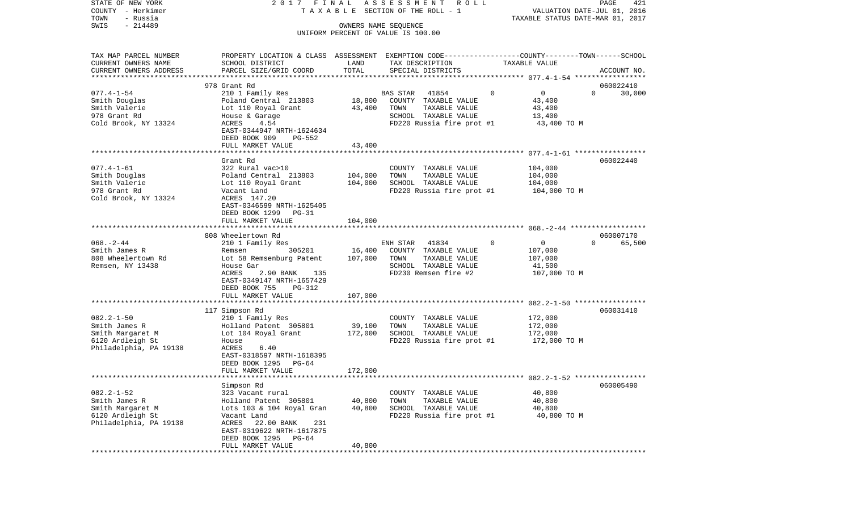| – Herkimer<br>COUNTY              |                                        |         | TAXABLE SECTION OF THE ROLL - 1                                        |               | VALUATION DATE-JUL 01, 2016      |             |
|-----------------------------------|----------------------------------------|---------|------------------------------------------------------------------------|---------------|----------------------------------|-------------|
| TOWN<br>- Russia                  |                                        |         |                                                                        |               | TAXABLE STATUS DATE-MAR 01, 2017 |             |
| $-214489$<br>SWIS                 |                                        |         | OWNERS NAME SEQUENCE<br>UNIFORM PERCENT OF VALUE IS 100.00             |               |                                  |             |
|                                   |                                        |         |                                                                        |               |                                  |             |
|                                   |                                        |         |                                                                        |               |                                  |             |
| TAX MAP PARCEL NUMBER             | PROPERTY LOCATION & CLASS              |         | ASSESSMENT EXEMPTION CODE----------------COUNTY-------TOWN------SCHOOL |               |                                  |             |
| CURRENT OWNERS NAME               | SCHOOL DISTRICT                        | LAND    | TAX DESCRIPTION                                                        | TAXABLE VALUE |                                  |             |
| CURRENT OWNERS ADDRESS            | PARCEL SIZE/GRID COORD                 | TOTAL   | SPECIAL DISTRICTS                                                      |               |                                  | ACCOUNT NO. |
| ********************              |                                        |         |                                                                        |               |                                  |             |
|                                   | 978 Grant Rd                           |         |                                                                        |               |                                  | 060022410   |
| $077.4 - 1 - 54$                  | 210 1 Family Res                       |         | BAS STAR<br>41854                                                      | $\mathbf 0$   | $\overline{0}$<br>$\Omega$       | 30,000      |
| Smith Douglas                     | Poland Central 213803                  | 18,800  | COUNTY TAXABLE VALUE                                                   |               | 43,400                           |             |
| Smith Valerie                     | Lot 110 Royal Grant                    | 43,400  | TAXABLE VALUE<br>TOWN                                                  |               | 43,400                           |             |
| 978 Grant Rd                      | House & Garage<br>4.54                 |         | SCHOOL TAXABLE VALUE                                                   |               | 13,400<br>43,400 TO M            |             |
| Cold Brook, NY 13324              | ACRES<br>EAST-0344947 NRTH-1624634     |         | FD220 Russia fire prot #1                                              |               |                                  |             |
|                                   | DEED BOOK 909<br>PG-552                |         |                                                                        |               |                                  |             |
|                                   | FULL MARKET VALUE                      | 43,400  |                                                                        |               |                                  |             |
|                                   | ********************                   |         |                                                                        |               |                                  |             |
|                                   | Grant Rd                               |         |                                                                        |               |                                  | 060022440   |
| $077.4 - 1 - 61$                  | 322 Rural vac>10                       |         | COUNTY TAXABLE VALUE                                                   |               | 104,000                          |             |
| Smith Douglas                     | Poland Central 213803                  | 104,000 | TOWN<br>TAXABLE VALUE                                                  |               | 104,000                          |             |
| Smith Valerie                     | Lot 110 Royal Grant                    | 104,000 | SCHOOL TAXABLE VALUE                                                   |               | 104,000                          |             |
| 978 Grant Rd                      | Vacant Land                            |         | FD220 Russia fire prot #1                                              |               | 104,000 TO M                     |             |
| Cold Brook, NY 13324              | ACRES 147.20                           |         |                                                                        |               |                                  |             |
|                                   | EAST-0346599 NRTH-1625405              |         |                                                                        |               |                                  |             |
|                                   | DEED BOOK 1299<br>PG-31                |         |                                                                        |               |                                  |             |
|                                   | FULL MARKET VALUE                      | 104,000 |                                                                        |               |                                  |             |
|                                   |                                        |         |                                                                        |               |                                  |             |
|                                   | 808 Wheelertown Rd                     |         |                                                                        |               |                                  | 060007170   |
| $068. - 2 - 44$                   | 210 1 Family Res                       |         | ENH STAR<br>41834                                                      | $\mathbf 0$   | 0<br>$\Omega$                    | 65,500      |
| Smith James R                     | 305201<br>Remsen                       | 16,400  | COUNTY TAXABLE VALUE                                                   |               | 107,000                          |             |
| 808 Wheelertown Rd                | Lot 58 Remsenburg Patent               | 107,000 | TAXABLE VALUE<br>TOWN<br>SCHOOL TAXABLE VALUE                          |               | 107,000<br>41,500                |             |
| Remsen, NY 13438                  | House Gar<br>ACRES<br>2.90 BANK<br>135 |         | FD230 Remsen fire #2                                                   |               | 107,000 TO M                     |             |
|                                   | EAST-0349147 NRTH-1657429              |         |                                                                        |               |                                  |             |
|                                   | DEED BOOK 755<br>PG-312                |         |                                                                        |               |                                  |             |
|                                   | FULL MARKET VALUE                      | 107,000 |                                                                        |               |                                  |             |
|                                   |                                        |         |                                                                        |               |                                  |             |
|                                   | 117 Simpson Rd                         |         |                                                                        |               |                                  | 060031410   |
| $082.2 - 1 - 50$                  | 210 1 Family Res                       |         | COUNTY TAXABLE VALUE                                                   |               | 172,000                          |             |
| Smith James R                     | Holland Patent 305801                  | 39,100  | TOWN<br>TAXABLE VALUE                                                  |               | 172,000                          |             |
| Smith Margaret M                  | Lot 104 Royal Grant                    | 172,000 | SCHOOL TAXABLE VALUE                                                   |               | 172,000                          |             |
| 6120 Ardleigh St                  | House                                  |         | FD220 Russia fire prot #1                                              |               | 172,000 TO M                     |             |
| Philadelphia, PA 19138            | ACRES<br>6.40                          |         |                                                                        |               |                                  |             |
|                                   | EAST-0318597 NRTH-1618395              |         |                                                                        |               |                                  |             |
|                                   | DEED BOOK 1295<br>PG-64                |         |                                                                        |               |                                  |             |
|                                   | FULL MARKET VALUE                      | 172,000 |                                                                        |               |                                  |             |
|                                   |                                        |         |                                                                        |               |                                  |             |
|                                   | Simpson Rd<br>323 Vacant rural         |         | COUNTY TAXABLE VALUE                                                   |               |                                  | 060005490   |
| $082.2 - 1 - 52$<br>Smith James R | Holland Patent 305801                  | 40,800  | TAXABLE VALUE<br>TOWN                                                  |               | 40,800<br>40,800                 |             |
| Smith Margaret M                  | Lots 103 & 104 Royal Gran              | 40,800  | SCHOOL TAXABLE VALUE                                                   |               | 40,800                           |             |
| 6120 Ardleigh St                  | Vacant Land                            |         | FD220 Russia fire prot #1                                              |               | 40,800 TO M                      |             |
| Philadelphia, PA 19138            | ACRES<br>22.00 BANK<br>231             |         |                                                                        |               |                                  |             |
|                                   | EAST-0319622 NRTH-1617875              |         |                                                                        |               |                                  |             |
|                                   | DEED BOOK 1295<br>PG-64                |         |                                                                        |               |                                  |             |
|                                   | FULL MARKET VALUE                      | 40,800  |                                                                        |               |                                  |             |
|                                   |                                        |         |                                                                        |               |                                  |             |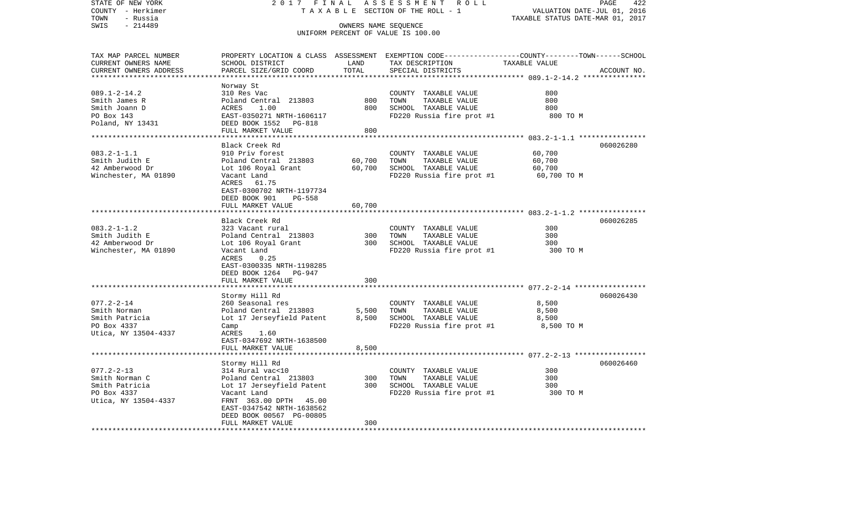| STATE OF NEW YORK       | 2017 FINAL                      |                                  | ASSESSMENT<br>R O L L              | PAGE<br>422                                                                                     |
|-------------------------|---------------------------------|----------------------------------|------------------------------------|-------------------------------------------------------------------------------------------------|
| COUNTY - Herkimer       | TAXABLE SECTION OF THE ROLL - 1 | VALUATION DATE-JUL 01, 2016      |                                    |                                                                                                 |
| - Russia<br>TOWN        |                                 | TAXABLE STATUS DATE-MAR 01, 2017 |                                    |                                                                                                 |
| SWIS<br>$-214489$       |                                 |                                  |                                    |                                                                                                 |
|                         |                                 |                                  | UNIFORM PERCENT OF VALUE IS 100.00 |                                                                                                 |
|                         |                                 |                                  |                                    |                                                                                                 |
|                         |                                 |                                  |                                    |                                                                                                 |
| TAX MAP PARCEL NUMBER   |                                 |                                  |                                    | PROPERTY LOCATION & CLASS ASSESSMENT EXEMPTION CODE---------------COUNTY-------TOWN------SCHOOL |
| CURRENT OWNERS NAME     | SCHOOL DISTRICT                 | LAND                             | TAX DESCRIPTION                    | TAXABLE VALUE                                                                                   |
| CURRENT OWNERS ADDRESS  | PARCEL SIZE/GRID COORD          | TOTAL                            | SPECIAL DISTRICTS                  | ACCOUNT NO.                                                                                     |
| **********************  |                                 |                                  |                                    |                                                                                                 |
|                         | Norway St                       |                                  |                                    |                                                                                                 |
| $089.1 - 2 - 14.2$      | 310 Res Vac                     |                                  | COUNTY TAXABLE VALUE               | 800                                                                                             |
| Smith James R           | Poland Central 213803           | 800                              | TOWN<br>TAXABLE VALUE              | 800                                                                                             |
| Smith Joann D           | ACRES<br>1.00                   | 800                              | SCHOOL TAXABLE VALUE               | 800                                                                                             |
| PO Box 143              | EAST-0350271 NRTH-1606117       |                                  | FD220 Russia fire prot #1          | 800 TO M                                                                                        |
| Poland, NY 13431        | DEED BOOK 1552 PG-818           |                                  |                                    |                                                                                                 |
|                         | FULL MARKET VALUE               | 800                              |                                    |                                                                                                 |
|                         |                                 |                                  |                                    |                                                                                                 |
|                         | Black Creek Rd                  |                                  |                                    | 060026280                                                                                       |
| $083.2 - 1 - 1.1$       | 910 Priv forest                 |                                  | COUNTY TAXABLE VALUE               | 60,700                                                                                          |
| Smith Judith E          | Poland Central 213803           | 60,700                           | TOWN<br>TAXABLE VALUE              | 60,700                                                                                          |
| 42 Amberwood Dr         | Lot 106 Royal Grant             | 60,700                           | SCHOOL TAXABLE VALUE               | 60,700                                                                                          |
| Winchester, MA 01890    | Vacant Land                     |                                  | FD220 Russia fire prot #1          | 60,700 TO M                                                                                     |
|                         | ACRES<br>61.75                  |                                  |                                    |                                                                                                 |
|                         | EAST-0300702 NRTH-1197734       |                                  |                                    |                                                                                                 |
|                         | DEED BOOK 901<br>PG-558         |                                  |                                    |                                                                                                 |
|                         | FULL MARKET VALUE               | 60,700                           |                                    |                                                                                                 |
|                         | *******************             |                                  |                                    |                                                                                                 |
|                         | Black Creek Rd                  |                                  |                                    | 060026285                                                                                       |
| $083.2 - 1 - 1.2$       | 323 Vacant rural                |                                  | COUNTY TAXABLE VALUE               | 300                                                                                             |
| Smith Judith E          | Poland Central 213803           | 300                              | TAXABLE VALUE<br>TOWN              | 300                                                                                             |
| 42 Amberwood Dr         | Lot 106 Royal Grant             | 300                              | SCHOOL TAXABLE VALUE               | 300                                                                                             |
| Winchester, MA 01890    | Vacant Land                     |                                  | FD220 Russia fire prot #1          | 300 TO M                                                                                        |
|                         | ACRES<br>0.25                   |                                  |                                    |                                                                                                 |
|                         | EAST-0300335 NRTH-1198285       |                                  |                                    |                                                                                                 |
|                         | DEED BOOK 1264 PG-947           |                                  |                                    |                                                                                                 |
|                         | FULL MARKET VALUE               | 300                              |                                    |                                                                                                 |
|                         |                                 |                                  |                                    |                                                                                                 |
|                         | Stormy Hill Rd                  |                                  |                                    | 060026430                                                                                       |
| $077.2 - 2 - 14$        | 260 Seasonal res                |                                  | COUNTY TAXABLE VALUE               | 8,500                                                                                           |
| Smith Norman            | Poland Central 213803           | 5,500                            | TOWN<br>TAXABLE VALUE              | 8,500                                                                                           |
| Smith Patricia          | Lot 17 Jerseyfield Patent       | 8,500                            | SCHOOL TAXABLE VALUE               | 8,500                                                                                           |
| PO Box 4337             | Camp                            |                                  | FD220 Russia fire prot #1          | 8,500 TO M                                                                                      |
| Utica, NY 13504-4337    | ACRES<br>1.60                   |                                  |                                    |                                                                                                 |
|                         | EAST-0347692 NRTH-1638500       |                                  |                                    |                                                                                                 |
|                         | FULL MARKET VALUE               | 8,500                            |                                    |                                                                                                 |
|                         |                                 |                                  |                                    | ******************* 077.2-2-13 ******************                                               |
|                         | Stormy Hill Rd                  |                                  |                                    | 060026460                                                                                       |
| $077.2 - 2 - 13$        | 314 Rural vac<10                |                                  | COUNTY TAXABLE VALUE               | 300                                                                                             |
| Smith Norman C          | Poland Central 213803           | 300                              | TOWN<br>TAXABLE VALUE              | 300                                                                                             |
| Smith Patricia          | Lot 17 Jerseyfield Patent       | 300                              | SCHOOL TAXABLE VALUE               | 300                                                                                             |
| PO Box 4337             | Vacant Land                     |                                  | FD220 Russia fire prot #1          | 300 TO M                                                                                        |
| Utica, NY 13504-4337    | FRNT 363.00 DPTH 45.00          |                                  |                                    |                                                                                                 |
|                         | EAST-0347542 NRTH-1638562       |                                  |                                    |                                                                                                 |
|                         | DEED BOOK 00567 PG-00805        |                                  |                                    |                                                                                                 |
|                         | FULL MARKET VALUE               | 300                              |                                    |                                                                                                 |
| *********************** | ********************            | ***********                      |                                    |                                                                                                 |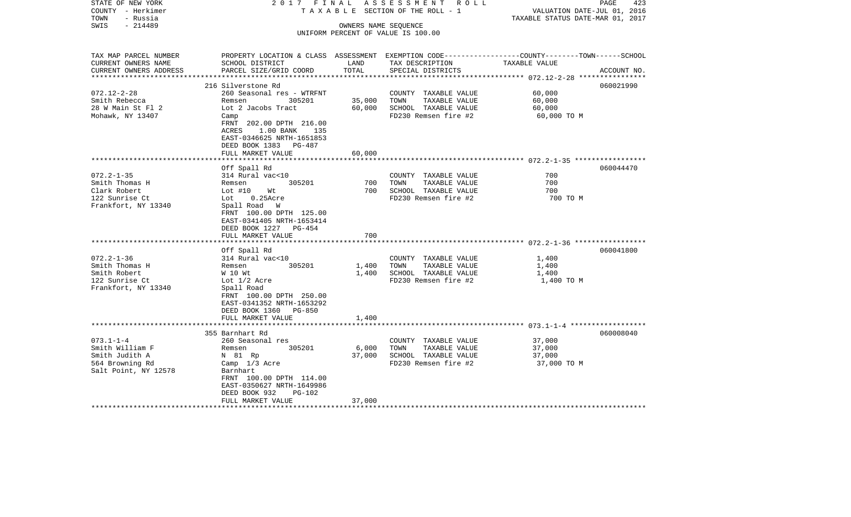| STATE OF NEW YORK<br>COUNTY - Herkimer<br>TOWN<br>- Russia | 2017 FINAL                                                                                      |                      | ASSESSMENT ROLL<br>TAXABLE SECTION OF THE ROLL - 1 | VALUATION DATE-JUL 01, 2016<br>TAXABLE STATUS DATE-MAR 01, 2017 | PAGE<br>423 |
|------------------------------------------------------------|-------------------------------------------------------------------------------------------------|----------------------|----------------------------------------------------|-----------------------------------------------------------------|-------------|
| $-214489$<br>SWIS                                          |                                                                                                 | OWNERS NAME SEQUENCE |                                                    |                                                                 |             |
|                                                            |                                                                                                 |                      | UNIFORM PERCENT OF VALUE IS 100.00                 |                                                                 |             |
|                                                            |                                                                                                 |                      |                                                    |                                                                 |             |
| TAX MAP PARCEL NUMBER                                      | PROPERTY LOCATION & CLASS ASSESSMENT EXEMPTION CODE---------------COUNTY-------TOWN------SCHOOL |                      |                                                    |                                                                 |             |
| CURRENT OWNERS NAME                                        | SCHOOL DISTRICT                                                                                 | LAND                 | TAX DESCRIPTION                                    | TAXABLE VALUE                                                   |             |
| CURRENT OWNERS ADDRESS<br>**********************           | PARCEL SIZE/GRID COORD                                                                          | TOTAL                | SPECIAL DISTRICTS                                  |                                                                 | ACCOUNT NO. |
|                                                            | 216 Silverstone Rd                                                                              |                      |                                                    |                                                                 | 060021990   |
| $072.12 - 2 - 28$                                          | 260 Seasonal res - WTRFNT                                                                       |                      | COUNTY TAXABLE VALUE                               | 60,000                                                          |             |
| Smith Rebecca                                              | 305201<br>Remsen                                                                                | 35,000               | TOWN<br>TAXABLE VALUE                              | 60,000                                                          |             |
| 28 W Main St Fl 2                                          | Lot 2 Jacobs Tract                                                                              | 60,000               | SCHOOL TAXABLE VALUE                               | 60,000                                                          |             |
| Mohawk, NY 13407                                           | Camp                                                                                            |                      | FD230 Remsen fire #2                               | 60,000 TO M                                                     |             |
|                                                            | FRNT 202.00 DPTH 216.00                                                                         |                      |                                                    |                                                                 |             |
|                                                            | ACRES<br>1.00 BANK 135                                                                          |                      |                                                    |                                                                 |             |
|                                                            | EAST-0346625 NRTH-1651853                                                                       |                      |                                                    |                                                                 |             |
|                                                            | DEED BOOK 1383<br>PG-487                                                                        |                      |                                                    |                                                                 |             |
|                                                            | FULL MARKET VALUE                                                                               | 60,000               |                                                    |                                                                 |             |
|                                                            | Off Spall Rd                                                                                    |                      |                                                    |                                                                 | 060044470   |
| $072.2 - 1 - 35$                                           | 314 Rural vac<10                                                                                |                      | COUNTY TAXABLE VALUE                               | 700                                                             |             |
| Smith Thomas H                                             | 305201<br>Remsen                                                                                | 700                  | TOWN<br>TAXABLE VALUE                              | 700                                                             |             |
| Clark Robert                                               | Lot $#10$<br>Wt                                                                                 | 700                  | SCHOOL TAXABLE VALUE                               | 700                                                             |             |
| 122 Sunrise Ct                                             | $0.25$ Acre<br>Lot                                                                              |                      | FD230 Remsen fire #2                               | 700 TO M                                                        |             |
| Frankfort, NY 13340                                        | Spall Road W                                                                                    |                      |                                                    |                                                                 |             |
|                                                            | FRNT 100.00 DPTH 125.00                                                                         |                      |                                                    |                                                                 |             |
|                                                            | EAST-0341405 NRTH-1653414                                                                       |                      |                                                    |                                                                 |             |
|                                                            | DEED BOOK 1227 PG-454                                                                           |                      |                                                    |                                                                 |             |
|                                                            | FULL MARKET VALUE                                                                               | 700                  |                                                    |                                                                 |             |
|                                                            |                                                                                                 | ***********          |                                                    |                                                                 |             |
|                                                            | Off Spall Rd                                                                                    |                      |                                                    |                                                                 | 060041800   |
| $072.2 - 1 - 36$                                           | 314 Rural vac<10                                                                                |                      | COUNTY TAXABLE VALUE                               | 1,400                                                           |             |
| Smith Thomas H                                             | 305201<br>Remsen                                                                                | 1,400                | TAXABLE VALUE<br>TOWN                              | 1,400                                                           |             |
| Smith Robert                                               | W 10 Wt                                                                                         | 1,400                | SCHOOL TAXABLE VALUE                               | 1,400                                                           |             |
| 122 Sunrise Ct<br>Frankfort, NY 13340                      | Lot 1/2 Acre<br>Spall Road                                                                      |                      | FD230 Remsen fire #2                               | 1,400 TO M                                                      |             |
|                                                            | FRNT 100.00 DPTH 250.00                                                                         |                      |                                                    |                                                                 |             |
|                                                            | EAST-0341352 NRTH-1653292                                                                       |                      |                                                    |                                                                 |             |
|                                                            | DEED BOOK 1360<br>PG-850                                                                        |                      |                                                    |                                                                 |             |
|                                                            | FULL MARKET VALUE                                                                               | 1,400                |                                                    |                                                                 |             |
|                                                            | ******************************                                                                  |                      |                                                    |                                                                 |             |
|                                                            | 355 Barnhart Rd                                                                                 |                      |                                                    |                                                                 | 060008040   |
| $073.1 - 1 - 4$                                            | 260 Seasonal res                                                                                |                      | COUNTY TAXABLE VALUE                               | 37,000                                                          |             |
| Smith William F                                            | 305201<br>Remsen                                                                                | 6,000                | TOWN<br>TAXABLE VALUE                              | 37,000                                                          |             |
| Smith Judith A                                             | N 81 Rp                                                                                         | 37,000               | SCHOOL TAXABLE VALUE                               | 37,000                                                          |             |
| 564 Browning Rd                                            | Camp 1/3 Acre                                                                                   |                      | FD230 Remsen fire #2                               | 37,000 TO M                                                     |             |
| Salt Point, NY 12578                                       | Barnhart                                                                                        |                      |                                                    |                                                                 |             |
|                                                            | FRNT 100.00 DPTH 114.00                                                                         |                      |                                                    |                                                                 |             |
|                                                            | EAST-0350627 NRTH-1649986                                                                       |                      |                                                    |                                                                 |             |
|                                                            | DEED BOOK 932<br>PG-102                                                                         |                      |                                                    |                                                                 |             |
|                                                            | FULL MARKET VALUE                                                                               | 37,000               |                                                    |                                                                 |             |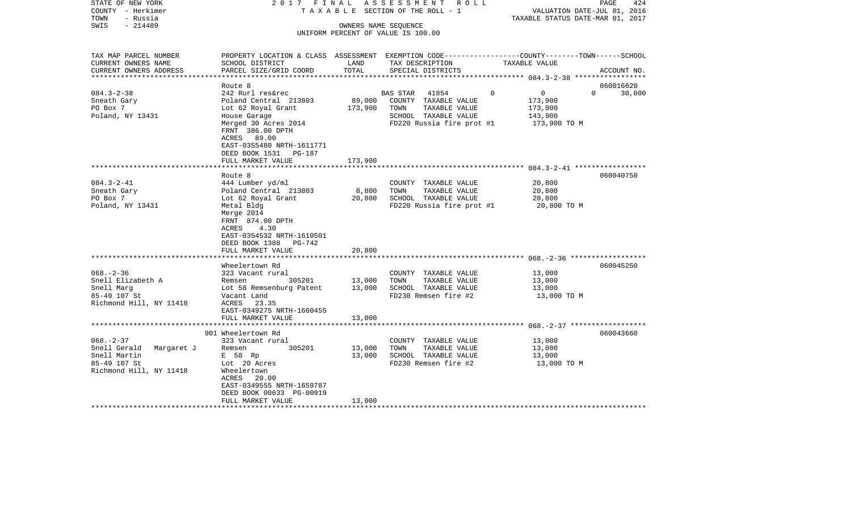| STATE OF NEW YORK          | 2017 FINAL                                                                                       |         | ASSESSMENT ROLL                    |                            | PAGE<br>424                      |
|----------------------------|--------------------------------------------------------------------------------------------------|---------|------------------------------------|----------------------------|----------------------------------|
| COUNTY - Herkimer          | TAXABLE                                                                                          |         | SECTION OF THE ROLL - 1            |                            | VALUATION DATE-JUL 01, 2016      |
| - Russia<br>TOWN           |                                                                                                  |         |                                    |                            | TAXABLE STATUS DATE-MAR 01, 2017 |
| $-214489$<br>SWIS          |                                                                                                  |         | OWNERS NAME SEQUENCE               |                            |                                  |
|                            |                                                                                                  |         | UNIFORM PERCENT OF VALUE IS 100.00 |                            |                                  |
| TAX MAP PARCEL NUMBER      | PROPERTY LOCATION & CLASS ASSESSMENT EXEMPTION CODE----------------COUNTY-------TOWN------SCHOOL |         |                                    |                            |                                  |
| CURRENT OWNERS NAME        | SCHOOL DISTRICT                                                                                  | LAND    | TAX DESCRIPTION                    | TAXABLE VALUE              |                                  |
| CURRENT OWNERS ADDRESS     | PARCEL SIZE/GRID COORD                                                                           | TOTAL   | SPECIAL DISTRICTS                  |                            | ACCOUNT NO.                      |
|                            | Route 8                                                                                          |         |                                    |                            | 060016620                        |
| $084.3 - 2 - 38$           | 242 Rurl res&rec                                                                                 |         | <b>BAS STAR</b><br>41854           | $\overline{0}$<br>$\Omega$ | $\cap$<br>30,000                 |
| Sneath Gary                | Poland Central 213803                                                                            | 89,000  | COUNTY TAXABLE VALUE               | 173,900                    |                                  |
| PO Box 7                   | Lot 62 Royal Grant                                                                               | 173,900 | TOWN<br>TAXABLE VALUE              | 173,900                    |                                  |
| Poland, NY 13431           | House Garage                                                                                     |         | SCHOOL TAXABLE VALUE               | 143,900                    |                                  |
|                            | Merged 30 Acres 2014                                                                             |         | FD220 Russia fire prot #1          | 173,900 TO M               |                                  |
|                            | FRNT 386.00 DPTH                                                                                 |         |                                    |                            |                                  |
|                            | ACRES 89.00                                                                                      |         |                                    |                            |                                  |
|                            | EAST-0355480 NRTH-1611771                                                                        |         |                                    |                            |                                  |
|                            | DEED BOOK 1531<br>PG-187                                                                         |         |                                    |                            |                                  |
|                            | FULL MARKET VALUE                                                                                | 173,900 |                                    |                            |                                  |
|                            |                                                                                                  |         |                                    |                            |                                  |
|                            | Route 8                                                                                          |         |                                    |                            | 060040750                        |
| $084.3 - 2 - 41$           | 444 Lumber yd/ml                                                                                 |         | COUNTY TAXABLE VALUE               | 20,800                     |                                  |
| Sneath Gary                | Poland Central 213803                                                                            | 8,800   | TOWN<br>TAXABLE VALUE              | 20,800                     |                                  |
| PO Box 7                   | Lot 62 Royal Grant                                                                               | 20,800  | SCHOOL TAXABLE VALUE               | 20,800                     |                                  |
| Poland, NY 13431           | Metal Bldg                                                                                       |         | FD220 Russia fire prot #1          | 20,800 TO M                |                                  |
|                            | Merge 2014                                                                                       |         |                                    |                            |                                  |
|                            | FRNT 874.00 DPTH                                                                                 |         |                                    |                            |                                  |
|                            | 4.30<br>ACRES                                                                                    |         |                                    |                            |                                  |
|                            | EAST-0354532 NRTH-1610501                                                                        |         |                                    |                            |                                  |
|                            | DEED BOOK 1388<br>PG-742                                                                         |         |                                    |                            |                                  |
|                            | FULL MARKET VALUE                                                                                | 20,800  |                                    |                            |                                  |
|                            |                                                                                                  |         |                                    |                            |                                  |
|                            | Wheelertown Rd                                                                                   |         |                                    |                            | 060045250                        |
| $068. - 2 - 36$            | 323 Vacant rural                                                                                 |         | COUNTY TAXABLE VALUE               | 13,000                     |                                  |
| Snell Elizabeth A          | 305201<br>Remsen                                                                                 | 13,000  | TAXABLE VALUE<br>TOWN              | 13,000                     |                                  |
| Snell Marg                 | Lot 58 Remsenburg Patent                                                                         | 13,000  | SCHOOL TAXABLE VALUE               | 13,000                     |                                  |
| 85-49 107 St               | Vacant Land                                                                                      |         | FD230 Remsen fire #2               | 13,000 TO M                |                                  |
| Richmond Hill, NY 11418    | ACRES 23.35                                                                                      |         |                                    |                            |                                  |
|                            | EAST-0349275 NRTH-1660455                                                                        |         |                                    |                            |                                  |
|                            | FULL MARKET VALUE                                                                                | 13,000  |                                    |                            |                                  |
|                            | *****************************                                                                    |         |                                    |                            |                                  |
|                            | 901 Wheelertown Rd                                                                               |         |                                    |                            | 060043660                        |
| $068. - 2 - 37$            | 323 Vacant rural                                                                                 |         | COUNTY TAXABLE VALUE               | 13,000                     |                                  |
| Snell Gerald<br>Margaret J | 305201<br>Remsen                                                                                 | 13,000  | TOWN<br>TAXABLE VALUE              | 13,000                     |                                  |
| Snell Martin               | E 58 Rp                                                                                          | 13,000  | SCHOOL TAXABLE VALUE               | 13,000                     |                                  |
| 85-49 107 St               | Lot 20 Acres                                                                                     |         | FD230 Remsen fire #2               | 13,000 TO M                |                                  |
| Richmond Hill, NY 11418    | Wheelertown                                                                                      |         |                                    |                            |                                  |
|                            | ACRES 20.00                                                                                      |         |                                    |                            |                                  |
|                            | EAST-0349555 NRTH-1659787                                                                        |         |                                    |                            |                                  |
|                            | DEED BOOK 00633 PG-00919                                                                         |         |                                    |                            |                                  |
|                            | FULL MARKET VALUE                                                                                | 13,000  |                                    |                            |                                  |
| *******************        |                                                                                                  |         |                                    |                            |                                  |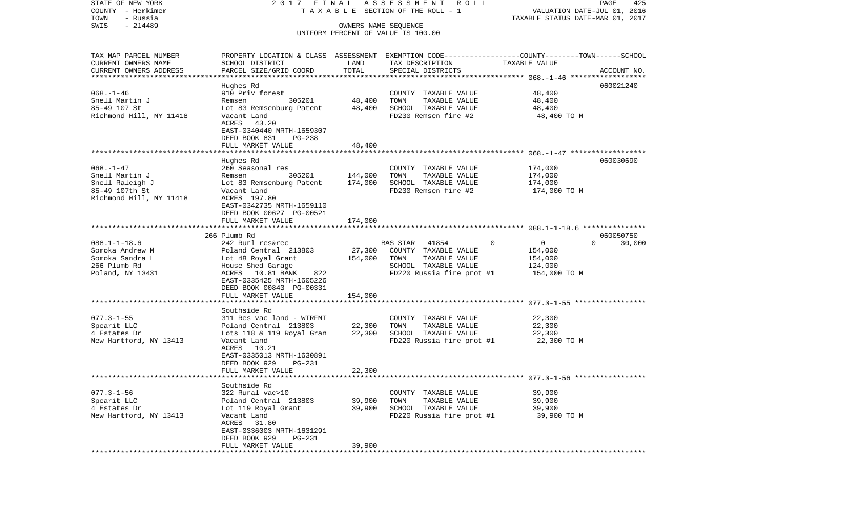| STATE OF NEW YORK                     | 2017 FINAL                                                                                       |                      | A S S E S S M E N T R O L L                       |                                                                 | PAGE<br>425        |
|---------------------------------------|--------------------------------------------------------------------------------------------------|----------------------|---------------------------------------------------|-----------------------------------------------------------------|--------------------|
| COUNTY - Herkimer<br>TOWN<br>- Russia |                                                                                                  |                      | TAXABLE SECTION OF THE ROLL - 1                   | VALUATION DATE-JUL 01, 2016<br>TAXABLE STATUS DATE-MAR 01, 2017 |                    |
| $-214489$<br>SWIS                     |                                                                                                  | OWNERS NAME SEQUENCE |                                                   |                                                                 |                    |
|                                       |                                                                                                  |                      | UNIFORM PERCENT OF VALUE IS 100.00                |                                                                 |                    |
| TAX MAP PARCEL NUMBER                 | PROPERTY LOCATION & CLASS ASSESSMENT EXEMPTION CODE----------------COUNTY-------TOWN------SCHOOL |                      |                                                   |                                                                 |                    |
| CURRENT OWNERS NAME                   | SCHOOL DISTRICT                                                                                  | LAND                 | TAX DESCRIPTION                                   | TAXABLE VALUE                                                   |                    |
| CURRENT OWNERS ADDRESS                | PARCEL SIZE/GRID COORD                                                                           | TOTAL                | SPECIAL DISTRICTS                                 |                                                                 | ACCOUNT NO.        |
|                                       |                                                                                                  |                      |                                                   |                                                                 |                    |
|                                       | Hughes Rd                                                                                        |                      |                                                   |                                                                 | 060021240          |
| $068. - 1 - 46$                       | 910 Priv forest<br>305201<br>Remsen                                                              | 48,400               | COUNTY TAXABLE VALUE<br>TOWN                      | 48,400                                                          |                    |
| Snell Martin J<br>85-49 107 St        | Lot 83 Remsenburg Patent                                                                         | 48,400               | TAXABLE VALUE<br>SCHOOL TAXABLE VALUE             | 48,400<br>48,400                                                |                    |
| Richmond Hill, NY 11418               | Vacant Land                                                                                      |                      | FD230 Remsen fire #2                              | 48,400 TO M                                                     |                    |
|                                       | ACRES 43.20                                                                                      |                      |                                                   |                                                                 |                    |
|                                       | EAST-0340440 NRTH-1659307<br>DEED BOOK 831<br>PG-238                                             |                      |                                                   |                                                                 |                    |
|                                       | FULL MARKET VALUE                                                                                | 48,400               |                                                   |                                                                 |                    |
|                                       |                                                                                                  |                      |                                                   |                                                                 |                    |
|                                       | Hughes Rd                                                                                        |                      |                                                   |                                                                 | 060030690          |
| $068. - 1 - 47$                       | 260 Seasonal res                                                                                 |                      | COUNTY TAXABLE VALUE                              | 174,000                                                         |                    |
| Snell Martin J                        | 305201<br>Remsen                                                                                 | 144,000              | TOWN<br>TAXABLE VALUE                             | 174,000                                                         |                    |
| Snell Raleigh J                       | Lot 83 Remsenburg Patent                                                                         | 174,000              | SCHOOL TAXABLE VALUE                              | 174,000                                                         |                    |
| 85-49 107th St                        | Vacant Land                                                                                      |                      | FD230 Remsen fire #2                              | 174,000 TO M                                                    |                    |
| Richmond Hill, NY 11418               | ACRES 197.80<br>EAST-0342735 NRTH-1659110                                                        |                      |                                                   |                                                                 |                    |
|                                       | DEED BOOK 00627 PG-00521                                                                         |                      |                                                   |                                                                 |                    |
|                                       | FULL MARKET VALUE                                                                                | 174,000              |                                                   |                                                                 |                    |
|                                       |                                                                                                  |                      |                                                   |                                                                 |                    |
|                                       | 266 Plumb Rd                                                                                     |                      |                                                   |                                                                 | 060050750          |
| $088.1 - 1 - 18.6$                    | 242 Rurl res&rec                                                                                 |                      | BAS STAR 41854                                    | $\Omega$<br>$\mathbf{0}$                                        | $\Omega$<br>30,000 |
| Soroka Andrew M                       | Poland Central 213803                                                                            | 27,300               | COUNTY TAXABLE VALUE                              | 154,000                                                         |                    |
| Soroka Sandra L                       | Lot 48 Royal Grant                                                                               | 154,000              | TOWN<br>TAXABLE VALUE                             | 154,000                                                         |                    |
| 266 Plumb Rd                          | House Shed Garage<br>ACRES 10.81 BANK                                                            |                      | SCHOOL TAXABLE VALUE<br>FD220 Russia fire prot #1 | 124,000                                                         |                    |
| Poland, NY 13431                      | 822<br>EAST-0335425 NRTH-1605226                                                                 |                      |                                                   | 154,000 TO M                                                    |                    |
|                                       | DEED BOOK 00843 PG-00331                                                                         |                      |                                                   |                                                                 |                    |
|                                       | FULL MARKET VALUE                                                                                | 154,000              |                                                   |                                                                 |                    |
|                                       |                                                                                                  |                      |                                                   |                                                                 |                    |
|                                       | Southside Rd                                                                                     |                      |                                                   |                                                                 |                    |
| $077.3 - 1 - 55$                      | 311 Res vac land - WTRFNT                                                                        |                      | COUNTY TAXABLE VALUE                              | 22,300                                                          |                    |
| Spearit LLC                           | Poland Central 213803                                                                            | 22,300               | TOWN<br>TAXABLE VALUE                             | 22,300                                                          |                    |
| 4 Estates Dr                          | Lots 118 & 119 Royal Gran                                                                        | 22,300               | SCHOOL TAXABLE VALUE                              | 22,300                                                          |                    |
| New Hartford, NY 13413                | Vacant Land<br>ACRES 10.21                                                                       |                      | FD220 Russia fire prot #1                         | 22,300 TO M                                                     |                    |
|                                       | EAST-0335013 NRTH-1630891                                                                        |                      |                                                   |                                                                 |                    |
|                                       | DEED BOOK 929<br>PG-231                                                                          |                      |                                                   |                                                                 |                    |
|                                       | FULL MARKET VALUE                                                                                | 22,300               |                                                   |                                                                 |                    |
|                                       |                                                                                                  |                      |                                                   |                                                                 |                    |
|                                       | Southside Rd                                                                                     |                      |                                                   |                                                                 |                    |
| $077.3 - 1 - 56$                      | 322 Rural vac>10                                                                                 |                      | COUNTY TAXABLE VALUE                              | 39,900                                                          |                    |
| Spearit LLC                           | Poland Central 213803                                                                            | 39,900               | TOWN<br>TAXABLE VALUE                             | 39,900                                                          |                    |
| 4 Estates Dr                          | Lot 119 Royal Grant                                                                              | 39,900               | SCHOOL TAXABLE VALUE                              | 39,900                                                          |                    |
| New Hartford, NY 13413                | Vacant Land<br>ACRES<br>31.80                                                                    |                      | FD220 Russia fire prot #1                         | 39,900 TO M                                                     |                    |
|                                       | EAST-0336003 NRTH-1631291                                                                        |                      |                                                   |                                                                 |                    |
|                                       | DEED BOOK 929<br><b>PG-231</b>                                                                   |                      |                                                   |                                                                 |                    |
|                                       | FULL MARKET VALUE                                                                                | 39,900               |                                                   |                                                                 |                    |
|                                       |                                                                                                  |                      |                                                   |                                                                 |                    |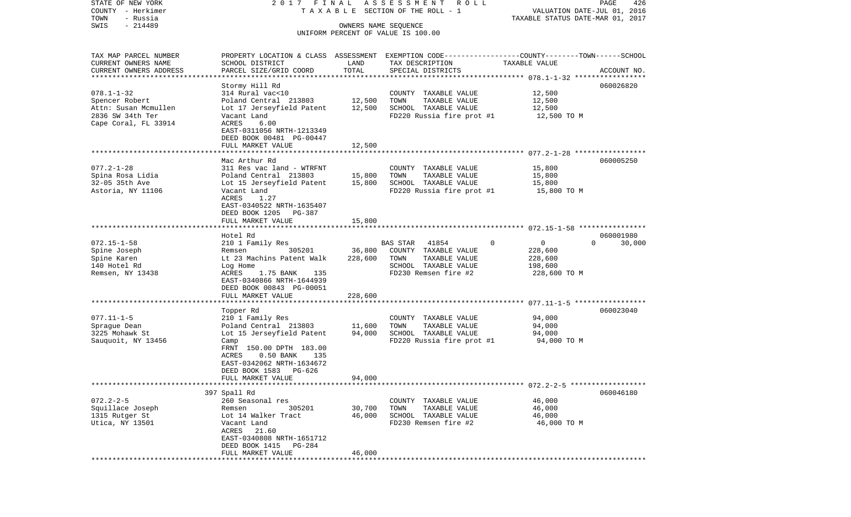| COUNTY - Herkimer<br>TOWN<br>- Russia |                             |         | TAXABLE SECTION OF THE ROLL - 1                                                                | VALUATION DATE-JUL 01, 2016<br>TAXABLE STATUS DATE-MAR 01, 2017 |                    |  |  |
|---------------------------------------|-----------------------------|---------|------------------------------------------------------------------------------------------------|-----------------------------------------------------------------|--------------------|--|--|
| $-214489$<br>SWIS                     |                             |         | OWNERS NAME SEQUENCE                                                                           |                                                                 |                    |  |  |
|                                       |                             |         | UNIFORM PERCENT OF VALUE IS 100.00                                                             |                                                                 |                    |  |  |
|                                       |                             |         |                                                                                                |                                                                 |                    |  |  |
| TAX MAP PARCEL NUMBER                 |                             |         | PROPERTY LOCATION & CLASS ASSESSMENT EXEMPTION CODE---------------COUNTY-------TOWN-----SCHOOL |                                                                 |                    |  |  |
| CURRENT OWNERS NAME                   | SCHOOL DISTRICT             | LAND    | TAX DESCRIPTION                                                                                | TAXABLE VALUE                                                   |                    |  |  |
| CURRENT OWNERS ADDRESS                | PARCEL SIZE/GRID COORD      | TOTAL   | SPECIAL DISTRICTS                                                                              |                                                                 | ACCOUNT NO.        |  |  |
|                                       |                             |         |                                                                                                |                                                                 |                    |  |  |
|                                       | Stormy Hill Rd              |         |                                                                                                |                                                                 | 060026820          |  |  |
| $078.1 - 1 - 32$                      | 314 Rural vac<10            |         | COUNTY TAXABLE VALUE                                                                           | 12,500                                                          |                    |  |  |
| Spencer Robert                        | Poland Central 213803       | 12,500  | TOWN<br>TAXABLE VALUE                                                                          | 12,500                                                          |                    |  |  |
| Attn: Susan Mcmullen                  | Lot 17 Jerseyfield Patent   | 12,500  | SCHOOL TAXABLE VALUE                                                                           | 12,500                                                          |                    |  |  |
| 2836 SW 34th Ter                      | Vacant Land                 |         | FD220 Russia fire prot #1                                                                      | 12,500 TO M                                                     |                    |  |  |
| Cape Coral, FL 33914                  | ACRES<br>6.00               |         |                                                                                                |                                                                 |                    |  |  |
|                                       | EAST-0311056 NRTH-1213349   |         |                                                                                                |                                                                 |                    |  |  |
|                                       | DEED BOOK 00481 PG-00447    |         |                                                                                                |                                                                 |                    |  |  |
|                                       | FULL MARKET VALUE           | 12,500  |                                                                                                |                                                                 |                    |  |  |
|                                       |                             |         |                                                                                                |                                                                 |                    |  |  |
|                                       | Mac Arthur Rd               |         |                                                                                                |                                                                 | 060005250          |  |  |
| $077.2 - 1 - 28$                      | 311 Res vac land - WTRFNT   |         | COUNTY TAXABLE VALUE                                                                           | 15,800                                                          |                    |  |  |
| Spina Rosa Lidia                      | Poland Central 213803       | 15,800  | TAXABLE VALUE<br>TOWN                                                                          | 15,800                                                          |                    |  |  |
| 32-05 35th Ave                        | Lot 15 Jerseyfield Patent   | 15,800  | SCHOOL TAXABLE VALUE                                                                           | 15,800                                                          |                    |  |  |
| Astoria, NY 11106                     | Vacant Land                 |         | FD220 Russia fire prot #1                                                                      | 15,800 TO M                                                     |                    |  |  |
|                                       | 1.27<br>ACRES               |         |                                                                                                |                                                                 |                    |  |  |
|                                       | EAST-0340522 NRTH-1635407   |         |                                                                                                |                                                                 |                    |  |  |
|                                       | DEED BOOK 1205<br>PG-387    |         |                                                                                                |                                                                 |                    |  |  |
|                                       | FULL MARKET VALUE           | 15,800  |                                                                                                |                                                                 |                    |  |  |
|                                       |                             |         |                                                                                                |                                                                 |                    |  |  |
|                                       | Hotel Rd                    |         |                                                                                                |                                                                 | 060001980          |  |  |
| $072.15 - 1 - 58$                     | 210 1 Family Res            |         | BAS STAR<br>41854<br>0                                                                         | 0                                                               | $\Omega$<br>30,000 |  |  |
| Spine Joseph                          | 305201<br>Remsen            | 36,800  | COUNTY TAXABLE VALUE                                                                           | 228,600                                                         |                    |  |  |
| Spine Karen                           | Lt 23 Machins Patent Walk   | 228,600 | TOWN<br>TAXABLE VALUE                                                                          | 228,600                                                         |                    |  |  |
| 140 Hotel Rd                          | Log Home                    |         | SCHOOL TAXABLE VALUE                                                                           | 198,600                                                         |                    |  |  |
| Remsen, NY 13438                      | ACRES<br>1.75 BANK<br>135   |         | FD230 Remsen fire #2                                                                           | 228,600 TO M                                                    |                    |  |  |
|                                       | EAST-0340866 NRTH-1644939   |         |                                                                                                |                                                                 |                    |  |  |
|                                       | DEED BOOK 00843 PG-00051    |         |                                                                                                |                                                                 |                    |  |  |
|                                       | FULL MARKET VALUE           | 228,600 |                                                                                                |                                                                 |                    |  |  |
|                                       | Topper Rd                   |         |                                                                                                |                                                                 | 060023040          |  |  |
| $077.11 - 1 - 5$                      | 210 1 Family Res            |         | COUNTY TAXABLE VALUE                                                                           | 94,000                                                          |                    |  |  |
| Spraque Dean                          | Poland Central 213803       | 11,600  | TAXABLE VALUE<br>TOWN                                                                          | 94,000                                                          |                    |  |  |
| 3225 Mohawk St                        | Lot 15 Jerseyfield Patent   | 94,000  | SCHOOL TAXABLE VALUE                                                                           | 94,000                                                          |                    |  |  |
| Sauquoit, NY 13456                    | Camp                        |         | FD220 Russia fire prot #1                                                                      | 94,000 TO M                                                     |                    |  |  |
|                                       | FRNT 150.00 DPTH 183.00     |         |                                                                                                |                                                                 |                    |  |  |
|                                       | $0.50$ BANK<br>135<br>ACRES |         |                                                                                                |                                                                 |                    |  |  |
|                                       | EAST-0342062 NRTH-1634672   |         |                                                                                                |                                                                 |                    |  |  |
|                                       | DEED BOOK 1583<br>PG-626    |         |                                                                                                |                                                                 |                    |  |  |
|                                       | FULL MARKET VALUE           | 94,000  |                                                                                                |                                                                 |                    |  |  |
|                                       |                             |         |                                                                                                | ***************************** 072.2-2-5 ***************         |                    |  |  |
|                                       | 397 Spall Rd                |         |                                                                                                |                                                                 | 060046180          |  |  |
| $072.2 - 2 - 5$                       | 260 Seasonal res            |         | COUNTY TAXABLE VALUE                                                                           | 46,000                                                          |                    |  |  |
| Squillace Joseph                      | 305201<br>Remsen            | 30,700  | TAXABLE VALUE<br>TOWN                                                                          | 46,000                                                          |                    |  |  |
| 1315 Rutger St                        | Lot 14 Walker Tract         | 46,000  | SCHOOL TAXABLE VALUE                                                                           | 46,000                                                          |                    |  |  |
| Utica, NY 13501                       | Vacant Land                 |         | FD230 Remsen fire #2                                                                           | 46,000 TO M                                                     |                    |  |  |
|                                       | ACRES<br>21.60              |         |                                                                                                |                                                                 |                    |  |  |
|                                       | EAST-0340808 NRTH-1651712   |         |                                                                                                |                                                                 |                    |  |  |
|                                       | DEED BOOK 1415<br>$PG-284$  |         |                                                                                                |                                                                 |                    |  |  |
|                                       | FULL MARKET VALUE           | 46,000  |                                                                                                |                                                                 |                    |  |  |
|                                       |                             |         |                                                                                                |                                                                 |                    |  |  |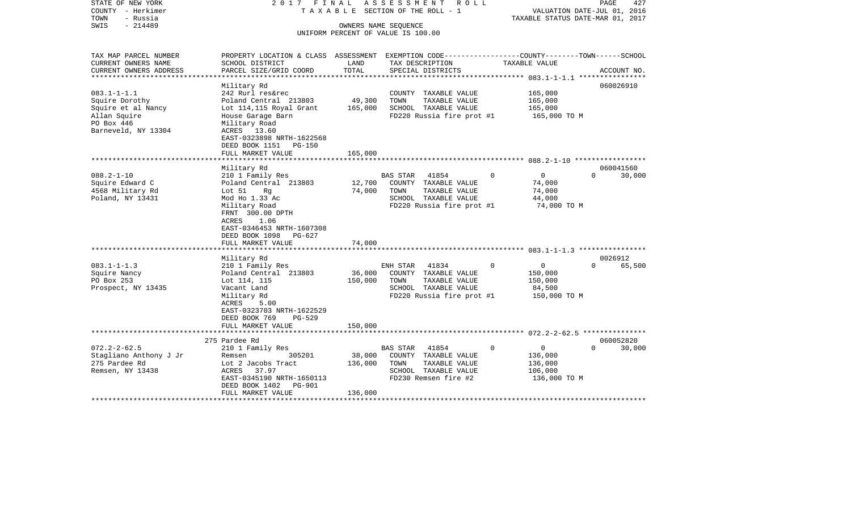| PROPERTY LOCATION & CLASS ASSESSMENT EXEMPTION CODE----------------COUNTY-------TOWN------SCHOOL<br>SCHOOL DISTRICT<br>PARCEL SIZE/GRID COORD<br>Military Rd<br>242 Rurl res&rec<br>Poland Central 213803                      | LAND<br>TOTAL                                                                                                                                         | TAX DESCRIPTION<br>SPECIAL DISTRICTS                                                                                      | TAXABLE VALUE                     |                                                                                     |          |                                                             |
|--------------------------------------------------------------------------------------------------------------------------------------------------------------------------------------------------------------------------------|-------------------------------------------------------------------------------------------------------------------------------------------------------|---------------------------------------------------------------------------------------------------------------------------|-----------------------------------|-------------------------------------------------------------------------------------|----------|-------------------------------------------------------------|
|                                                                                                                                                                                                                                |                                                                                                                                                       |                                                                                                                           |                                   |                                                                                     |          |                                                             |
|                                                                                                                                                                                                                                |                                                                                                                                                       |                                                                                                                           |                                   |                                                                                     |          | ACCOUNT NO.                                                 |
|                                                                                                                                                                                                                                |                                                                                                                                                       |                                                                                                                           |                                   | ********* 083.1-1-1.1 ****************                                              |          |                                                             |
| Lot 114,115 Royal Grant<br>House Garage Barn<br>Military Road<br>ACRES 13.60                                                                                                                                                   | 49,300<br>165,000                                                                                                                                     | COUNTY TAXABLE VALUE<br>TOWN<br>TAXABLE VALUE<br>SCHOOL TAXABLE VALUE                                                     |                                   | 165,000<br>165,000<br>165,000                                                       |          | 060026910                                                   |
|                                                                                                                                                                                                                                |                                                                                                                                                       |                                                                                                                           |                                   |                                                                                     |          |                                                             |
| FULL MARKET VALUE                                                                                                                                                                                                              | 165,000                                                                                                                                               |                                                                                                                           |                                   |                                                                                     |          |                                                             |
| ****************                                                                                                                                                                                                               |                                                                                                                                                       |                                                                                                                           |                                   |                                                                                     |          |                                                             |
| Military Rd<br>210 1 Family Res<br>Poland Central 213803<br>Lot 51<br>Rq<br>Mod Ho 1.33 Ac<br>Military Road<br>FRNT 300.00 DPTH<br>1.06<br>ACRES<br>EAST-0346453 NRTH-1607308<br>DEED BOOK 1098<br>PG-627<br>FULL MARKET VALUE | 12,700<br>74,000<br>74,000                                                                                                                            | BAS STAR<br>41854<br>COUNTY TAXABLE VALUE<br>TOWN<br>TAXABLE VALUE<br>SCHOOL TAXABLE VALUE                                |                                   | $\mathbf 0$<br>74,000<br>74,000<br>44,000                                           | $\Omega$ | 060041560<br>30,000                                         |
|                                                                                                                                                                                                                                |                                                                                                                                                       |                                                                                                                           |                                   |                                                                                     |          | 0026912                                                     |
| 210 1 Family Res<br>Poland Central 213803<br>Lot 114, 115<br>Vacant Land<br>Military Rd<br>ACRES<br>5.00<br>EAST-0323703 NRTH-1622529<br>DEED BOOK 769<br>$PG-529$                                                             | 36,000<br>150,000                                                                                                                                     | ENH STAR<br>41834<br>COUNTY TAXABLE VALUE<br>TOWN<br>TAXABLE VALUE<br>SCHOOL TAXABLE VALUE                                | 0                                 | 0<br>150,000<br>150,000<br>84,500                                                   | $\Omega$ | 65,500                                                      |
| ********************                                                                                                                                                                                                           |                                                                                                                                                       |                                                                                                                           |                                   |                                                                                     |          |                                                             |
|                                                                                                                                                                                                                                |                                                                                                                                                       |                                                                                                                           |                                   |                                                                                     |          | 060052820                                                   |
| 210 1 Family Res<br>305201<br>Remsen<br>Lot 2 Jacobs Tract<br>ACRES<br>37.97<br>EAST-0345190 NRTH-1650113<br>DEED BOOK 1402<br>PG-901                                                                                          | 38,000<br>136,000                                                                                                                                     | <b>BAS STAR</b><br>41854<br>COUNTY TAXABLE VALUE<br>TOWN<br>TAXABLE VALUE<br>SCHOOL TAXABLE VALUE<br>FD230 Remsen fire #2 | $\Omega$                          | 0<br>136,000<br>136,000<br>106,000                                                  | $\Omega$ | 30,000                                                      |
|                                                                                                                                                                                                                                | EAST-0323898 NRTH-1622568<br>DEED BOOK 1151<br>PG-150<br>******************<br>Military Rd<br>FULL MARKET VALUE<br>275 Pardee Rd<br>FULL MARKET VALUE | 150,000<br>136,000                                                                                                        | ***********<br>****************** | FD220 Russia fire prot #1<br>FD220 Russia fire prot #1<br>FD220 Russia fire prot #1 |          | 165,000 TO M<br>74,000 TO M<br>150,000 TO M<br>136,000 TO M |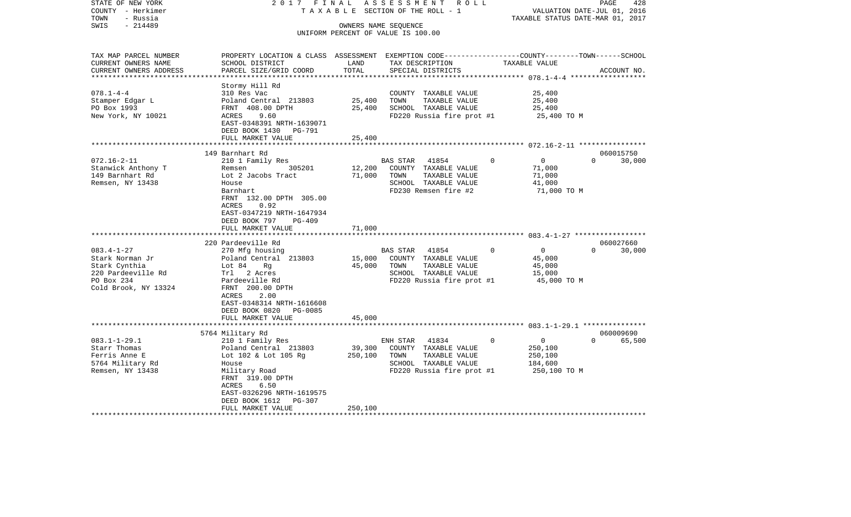| STATE OF NEW YORK<br>COUNTY - Herkimer<br>- Russia<br>TOWN<br>$-214489$<br>SWIS                                  | 2017 FINAL                                                                                                                                                                                                                         |                              | ASSESSMENT<br>R O L L<br>TAXABLE SECTION OF THE ROLL - 1<br>OWNERS NAME SEQUENCE<br>UNIFORM PERCENT OF VALUE IS 100.00  | TAXABLE STATUS DATE-MAR 01, 2017                                            | PAGE<br>428<br>VALUATION DATE-JUL 01, 2016 |
|------------------------------------------------------------------------------------------------------------------|------------------------------------------------------------------------------------------------------------------------------------------------------------------------------------------------------------------------------------|------------------------------|-------------------------------------------------------------------------------------------------------------------------|-----------------------------------------------------------------------------|--------------------------------------------|
| TAX MAP PARCEL NUMBER<br>CURRENT OWNERS NAME<br>CURRENT OWNERS ADDRESS                                           | PROPERTY LOCATION & CLASS ASSESSMENT EXEMPTION CODE----------------COUNTY-------TOWN------SCHOOL<br>SCHOOL DISTRICT<br>PARCEL SIZE/GRID COORD                                                                                      | LAND<br>TOTAL                | TAX DESCRIPTION<br>SPECIAL DISTRICTS                                                                                    | TAXABLE VALUE                                                               | ACCOUNT NO.                                |
| $078.1 - 4 - 4$<br>Stamper Edgar L<br>PO Box 1993<br>New York, NY 10021                                          | Stormy Hill Rd<br>310 Res Vac<br>Poland Central 213803<br>FRNT 408.00 DPTH<br>ACRES<br>9.60<br>EAST-0348391 NRTH-1639071<br>DEED BOOK 1430 PG-791<br>FULL MARKET VALUE                                                             | 25,400<br>25,400<br>25,400   | COUNTY TAXABLE VALUE<br>TOWN<br>TAXABLE VALUE<br>SCHOOL TAXABLE VALUE<br>FD220 Russia fire prot #1                      | 25,400<br>25,400<br>25,400<br>25,400 TO M                                   |                                            |
|                                                                                                                  |                                                                                                                                                                                                                                    |                              |                                                                                                                         |                                                                             |                                            |
| $072.16 - 2 - 11$<br>Stanwick Anthony T<br>149 Barnhart Rd<br>Remsen, NY 13438                                   | 149 Barnhart Rd<br>210 1 Family Res<br>Remsen<br>305201<br>Lot 2 Jacobs Tract<br>House<br>Barnhart<br>FRNT 132.00 DPTH 305.00<br>0.92<br>ACRES<br>EAST-0347219 NRTH-1647934<br>DEED BOOK 797<br><b>PG-409</b><br>FULL MARKET VALUE | 12,200<br>71,000<br>71,000   | BAS STAR 41854<br>COUNTY TAXABLE VALUE<br>TOWN<br>TAXABLE VALUE<br>SCHOOL TAXABLE VALUE<br>FD230 Remsen fire #2         | $\overline{0}$<br>$\mathbf 0$<br>71,000<br>71,000<br>41,000<br>71,000 TO M  | 060015750<br>$\Omega$<br>30,000            |
|                                                                                                                  |                                                                                                                                                                                                                                    |                              |                                                                                                                         |                                                                             |                                            |
| $083.4 - 1 - 27$<br>Stark Norman Jr<br>Stark Cynthia<br>220 Pardeeville Rd<br>PO Box 234<br>Cold Brook, NY 13324 | 220 Pardeeville Rd<br>270 Mfg housing<br>Poland Central 213803<br>Lot 84<br>Rg<br>Trl 2 Acres<br>Pardeeville Rd<br>FRNT 200.00 DPTH<br>ACRES<br>2.00<br>EAST-0348314 NRTH-1616608                                                  | 15,000<br>45,000             | BAS STAR 41854<br>COUNTY TAXABLE VALUE<br>TOWN<br>TAXABLE VALUE<br>SCHOOL TAXABLE VALUE<br>FD220 Russia fire prot #1    | $\Omega$<br>$\overline{0}$<br>45,000<br>45,000<br>15,000<br>45,000 TO M     | 060027660<br>$\Omega$<br>30,000            |
|                                                                                                                  | DEED BOOK 0820 PG-0085<br>FULL MARKET VALUE                                                                                                                                                                                        | 45,000                       |                                                                                                                         |                                                                             |                                            |
|                                                                                                                  | ********************                                                                                                                                                                                                               |                              |                                                                                                                         |                                                                             |                                            |
| $083.1 - 1 - 29.1$<br>Starr Thomas<br>Ferris Anne E<br>5764 Military Rd<br>Remsen, NY 13438                      | 5764 Military Rd<br>210 1 Family Res<br>Poland Central 213803<br>Lot 102 & Lot 105 Rg<br>House<br>Military Road<br>FRNT 319.00 DPTH<br>ACRES<br>6.50<br>EAST-0326296 NRTH-1619575<br>DEED BOOK 1612<br>PG-307<br>FULL MARKET VALUE | 39,300<br>250,100<br>250,100 | ENH STAR<br>41834<br>COUNTY TAXABLE VALUE<br>TOWN<br>TAXABLE VALUE<br>SCHOOL TAXABLE VALUE<br>FD220 Russia fire prot #1 | $\overline{0}$<br>$\Omega$<br>250,100<br>250,100<br>184,600<br>250,100 TO M | 060009690<br>$\Omega$<br>65,500            |
|                                                                                                                  |                                                                                                                                                                                                                                    |                              |                                                                                                                         |                                                                             |                                            |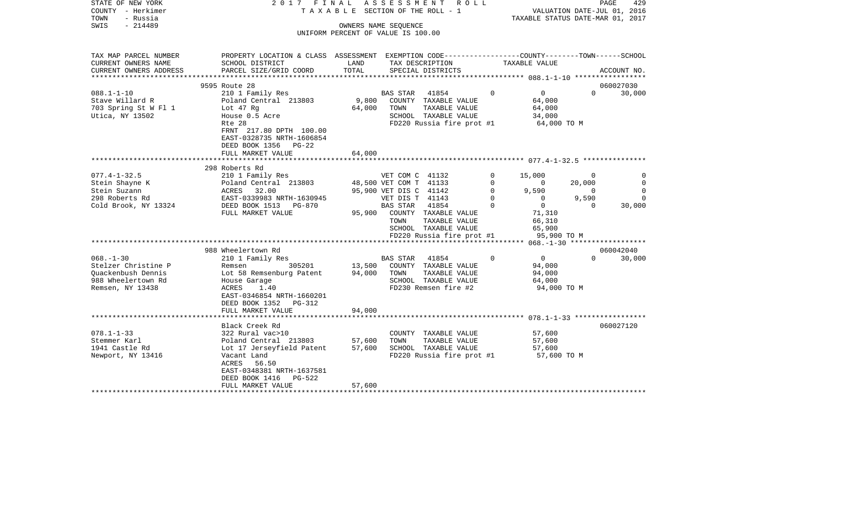| STATE OF NEW YORK<br>COUNTY - Herkimer<br>TOWN<br>- Russia<br>$-214489$<br>SWIS                        | 2017 FINAL                                                                                                                                                       | TAXABLE SECTION OF THE ROLL - 1    | A S S E S S M E N T<br>OWNERS NAME SEOUENCE                                            | ROLL ROLL                                                                                                  |                                          | TAXABLE STATUS DATE-MAR 01, 2017                            | VALUATION DATE-JUL 01, 2016                   | PAGE<br>429                      |
|--------------------------------------------------------------------------------------------------------|------------------------------------------------------------------------------------------------------------------------------------------------------------------|------------------------------------|----------------------------------------------------------------------------------------|------------------------------------------------------------------------------------------------------------|------------------------------------------|-------------------------------------------------------------|-----------------------------------------------|----------------------------------|
|                                                                                                        |                                                                                                                                                                  | UNIFORM PERCENT OF VALUE IS 100.00 |                                                                                        |                                                                                                            |                                          |                                                             |                                               |                                  |
| TAX MAP PARCEL NUMBER<br>CURRENT OWNERS NAME                                                           | PROPERTY LOCATION & CLASS ASSESSMENT EXEMPTION CODE---------------COUNTY-------TOWN------SCHOOL<br>SCHOOL DISTRICT                                               | LAND                               |                                                                                        | TAX DESCRIPTION                                                                                            |                                          | TAXABLE VALUE                                               |                                               |                                  |
| CURRENT OWNERS ADDRESS                                                                                 | PARCEL SIZE/GRID COORD                                                                                                                                           | TOTAL                              |                                                                                        | SPECIAL DISTRICTS                                                                                          |                                          |                                                             |                                               | ACCOUNT NO.                      |
| ****************                                                                                       | 9595 Route 28                                                                                                                                                    |                                    |                                                                                        |                                                                                                            |                                          |                                                             |                                               | 060027030                        |
| $088.1 - 1 - 10$                                                                                       | 210 1 Family Res                                                                                                                                                 |                                    | <b>BAS STAR</b>                                                                        | 41854                                                                                                      | $\Omega$                                 | $\overline{0}$                                              | $\Omega$                                      | 30,000                           |
| Stave Willard R<br>703 Spring St W Fl 1<br>Utica, NY 13502                                             | Poland Central 213803<br>Lot 47 Rg<br>House 0.5 Acre                                                                                                             | 9,800<br>64,000                    | TOWN                                                                                   | COUNTY TAXABLE VALUE<br>TAXABLE VALUE<br>SCHOOL TAXABLE VALUE                                              |                                          | 64,000<br>64,000<br>34,000                                  |                                               |                                  |
|                                                                                                        | Rte 28<br>FRNT 217.80 DPTH 100.00<br>EAST-0328735 NRTH-1606854<br>DEED BOOK 1356 PG-22<br>FULL MARKET VALUE                                                      | 64,000                             |                                                                                        | FD220 Russia fire prot #1                                                                                  |                                          | 64,000 TO M                                                 |                                               |                                  |
|                                                                                                        |                                                                                                                                                                  |                                    |                                                                                        |                                                                                                            |                                          |                                                             |                                               |                                  |
| $077.4 - 1 - 32.5$<br>Stein Shayne K<br>Stein Suzann<br>298 Roberts Rd                                 | 298 Roberts Rd<br>210 1 Family Res<br>Poland Central 213803<br>ACRES 32.00<br>EAST-0339983 NRTH-1630945                                                          |                                    | VET COM C 41132<br>48,500 VET COM T 41133<br>95,900 VET DIS C 41142<br>VET DIS T 41143 |                                                                                                            | 0<br>$\Omega$<br>$\mathbf 0$<br>$\Omega$ | 15,000<br>$\overline{0}$<br>9,590<br>$\mathbf{0}$           | $\mathbf 0$<br>20,000<br>$\mathbf 0$<br>9,590 | $\Omega$<br>$\Omega$<br>$\Omega$ |
| Cold Brook, NY 13324                                                                                   | DEED BOOK 1513 PG-870<br>FULL MARKET VALUE                                                                                                                       |                                    | BAS STAR<br>TOWN                                                                       | 41854<br>95,900 COUNTY TAXABLE VALUE<br>TAXABLE VALUE<br>SCHOOL TAXABLE VALUE<br>FD220 Russia fire prot #1 | $\Omega$                                 | $\overline{0}$<br>71,310<br>66,310<br>65,900<br>95,900 TO M | $\Omega$                                      | 30,000                           |
|                                                                                                        |                                                                                                                                                                  |                                    |                                                                                        |                                                                                                            |                                          |                                                             |                                               |                                  |
|                                                                                                        | 988 Wheelertown Rd                                                                                                                                               |                                    |                                                                                        |                                                                                                            |                                          |                                                             |                                               | 060042040                        |
| $068. - 1 - 30$<br>Stelzer Christine P<br>Ouackenbush Dennis<br>988 Wheelertown Rd<br>Remsen, NY 13438 | 210 1 Family Res<br>305201<br>Remsen<br>Lot 58 Remsenburg Patent<br>House Garage<br>ACRES<br>1.40<br>EAST-0346854 NRTH-1660201<br>DEED BOOK 1352 PG-312          | 13,500<br>94,000                   | <b>BAS STAR</b><br>TOWN                                                                | 41854<br>COUNTY TAXABLE VALUE<br>TAXABLE VALUE<br>SCHOOL TAXABLE VALUE<br>FD230 Remsen fire #2             | $\Omega$                                 | $\overline{0}$<br>94,000<br>94,000<br>64,000<br>94,000 TO M | $\Omega$                                      | 30,000                           |
|                                                                                                        | FULL MARKET VALUE                                                                                                                                                | 94,000                             |                                                                                        |                                                                                                            |                                          |                                                             |                                               |                                  |
|                                                                                                        | Black Creek Rd                                                                                                                                                   |                                    |                                                                                        |                                                                                                            |                                          |                                                             |                                               | 060027120                        |
| $078.1 - 1 - 33$<br>Stemmer Karl<br>1941 Castle Rd<br>Newport, NY 13416                                | 322 Rural vac>10<br>Poland Central 213803<br>Lot 17 Jerseyfield Patent<br>Vacant Land<br>ACRES<br>56.50<br>EAST-0348381 NRTH-1637581<br>DEED BOOK 1416<br>PG-522 | 57,600<br>57,600                   | TOWN                                                                                   | COUNTY TAXABLE VALUE<br>TAXABLE VALUE<br>SCHOOL TAXABLE VALUE<br>FD220 Russia fire prot #1                 |                                          | 57,600<br>57,600<br>57,600<br>57,600 TO M                   |                                               |                                  |
|                                                                                                        | FULL MARKET VALUE                                                                                                                                                | 57,600                             |                                                                                        |                                                                                                            |                                          |                                                             |                                               |                                  |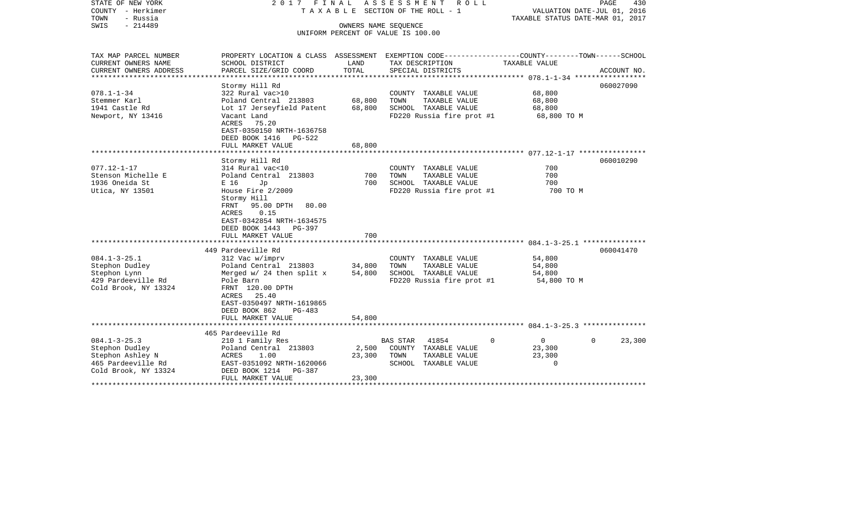| STATE OF NEW YORK<br>COUNTY - Herkimer<br>TOWN<br>- Russia<br>$-214489$<br>SWIS                                             | 2017<br>FINAL                                                                                                                                                                                                                 | OWNERS NAME SEQUENCE      | ASSESSMENT<br>R O L L<br>T A X A B L E SECTION OF THE ROLL - 1<br>UNIFORM PERCENT OF VALUE IS 100.00                                   | VALUATION DATE-JUL 01, 2016<br>TAXABLE STATUS DATE-MAR 01, 2017 | PAGE<br>430        |
|-----------------------------------------------------------------------------------------------------------------------------|-------------------------------------------------------------------------------------------------------------------------------------------------------------------------------------------------------------------------------|---------------------------|----------------------------------------------------------------------------------------------------------------------------------------|-----------------------------------------------------------------|--------------------|
| TAX MAP PARCEL NUMBER<br>CURRENT OWNERS NAME<br>CURRENT OWNERS ADDRESS<br>************************                          | SCHOOL DISTRICT<br>PARCEL SIZE/GRID COORD                                                                                                                                                                                     | LAND<br>TOTAL             | PROPERTY LOCATION & CLASS ASSESSMENT EXEMPTION CODE---------------COUNTY-------TOWN-----SCHOOL<br>TAX DESCRIPTION<br>SPECIAL DISTRICTS | TAXABLE VALUE                                                   | ACCOUNT NO.        |
| $078.1 - 1 - 34$<br>Stemmer Karl<br>1941 Castle Rd<br>Newport, NY 13416                                                     | Stormy Hill Rd<br>322 Rural vac>10<br>Poland Central 213803<br>Lot 17 Jerseyfield Patent<br>Vacant Land<br>ACRES<br>75.20<br>EAST-0350150 NRTH-1636758<br>DEED BOOK 1416<br>PG-522<br>FULL MARKET VALUE                       | 68,800<br>68,800          | COUNTY TAXABLE VALUE<br>TOWN<br>TAXABLE VALUE<br>SCHOOL TAXABLE VALUE<br>FD220 Russia fire prot #1                                     | 68,800<br>68,800<br>68,800<br>68,800 TO M                       | 060027090          |
|                                                                                                                             |                                                                                                                                                                                                                               | 68,800                    |                                                                                                                                        |                                                                 |                    |
| $077.12 - 1 - 17$<br>Stenson Michelle E<br>1936 Oneida St<br>Utica, NY 13501                                                | Stormy Hill Rd<br>314 Rural vac<10<br>Poland Central 213803<br>E 16<br>Jp<br>House Fire 2/2009<br>Stormy Hill<br>FRNT<br>95.00 DPTH<br>80.00<br>0.15<br>ACRES<br>EAST-0342854 NRTH-1634575<br>DEED BOOK 1443<br><b>PG-397</b> | 700<br>700                | COUNTY TAXABLE VALUE<br>TOWN<br>TAXABLE VALUE<br>SCHOOL TAXABLE VALUE<br>FD220 Russia fire prot #1                                     | 700<br>700<br>700<br>700 TO M                                   | 060010290          |
|                                                                                                                             | FULL MARKET VALUE                                                                                                                                                                                                             | 700                       |                                                                                                                                        |                                                                 |                    |
| $084.1 - 3 - 25.1$<br>Stephon Dudley<br>Stephon Lynn<br>429 Pardeeville Rd<br>Cold Brook, NY 13324                          | 449 Pardeeville Rd<br>312 Vac w/imprv<br>Poland Central 213803<br>Merged $w/24$ then split x<br>Pole Barn<br>FRNT 120.00 DPTH<br>25.40<br>ACRES<br>EAST-0350497 NRTH-1619865<br>DEED BOOK 862<br>PG-483                       | 34,800<br>54,800          | COUNTY TAXABLE VALUE<br>TAXABLE VALUE<br>TOWN<br>SCHOOL TAXABLE VALUE<br>FD220 Russia fire prot #1                                     | 54,800<br>54,800<br>54,800<br>54,800 TO M                       | 060041470          |
|                                                                                                                             | FULL MARKET VALUE                                                                                                                                                                                                             | 54,800                    |                                                                                                                                        |                                                                 |                    |
| $084.1 - 3 - 25.3$<br>Stephon Dudley<br>Stephon Ashley N<br>465 Pardeeville Rd<br>Cold Brook, NY 13324<br>***************** | 465 Pardeeville Rd<br>210 1 Family Res<br>Poland Central 213803<br>ACRES<br>1.00<br>EAST-0351092 NRTH-1620066<br>DEED BOOK 1214<br>PG-387<br>FULL MARKET VALUE                                                                | 2,500<br>23,300<br>23,300 | 41854<br>$\Omega$<br><b>BAS STAR</b><br>COUNTY TAXABLE VALUE<br>TAXABLE VALUE<br>TOWN<br>SCHOOL TAXABLE VALUE                          | $\mathbf 0$<br>23,300<br>23,300<br>$\Omega$                     | 23,300<br>$\Omega$ |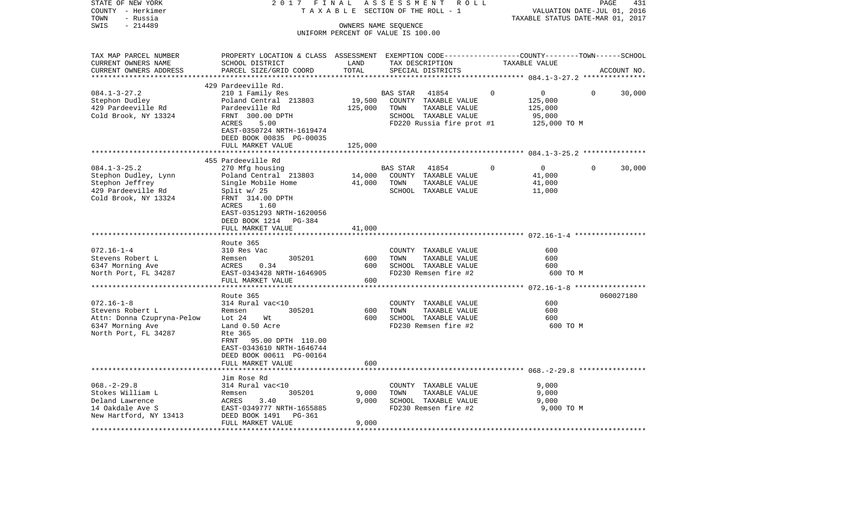| STATE OF NEW YORK<br>COUNTY - Herkimer<br>- Russia<br>TOWN                                                     | 2017 FINAL<br>TAXABLE                                                                                                                                                                              |                                                            | ASSESSMENT              | R O L L<br>SECTION OF THE ROLL - 1                                                                  |          | VALUATION DATE-JUL 01, 2016<br>TAXABLE STATUS DATE-MAR 01, 2017 |              | PAGE<br>431 |
|----------------------------------------------------------------------------------------------------------------|----------------------------------------------------------------------------------------------------------------------------------------------------------------------------------------------------|------------------------------------------------------------|-------------------------|-----------------------------------------------------------------------------------------------------|----------|-----------------------------------------------------------------|--------------|-------------|
| $-214489$<br>SWIS                                                                                              |                                                                                                                                                                                                    | OWNERS NAME SEQUENCE<br>UNIFORM PERCENT OF VALUE IS 100.00 |                         |                                                                                                     |          |                                                                 |              |             |
| TAX MAP PARCEL NUMBER<br>CURRENT OWNERS NAME<br>CURRENT OWNERS ADDRESS<br>***********************              | PROPERTY LOCATION & CLASS ASSESSMENT EXEMPTION CODE---------------COUNTY-------TOWN------SCHOOL<br>SCHOOL DISTRICT<br>PARCEL SIZE/GRID COORD                                                       | LAND<br>TOTAL                                              |                         | TAX DESCRIPTION<br>SPECIAL DISTRICTS                                                                |          | TAXABLE VALUE                                                   |              | ACCOUNT NO. |
|                                                                                                                | 429 Pardeeville Rd.                                                                                                                                                                                |                                                            |                         |                                                                                                     |          |                                                                 |              |             |
| $084.1 - 3 - 27.2$<br>Stephon Dudley<br>429 Pardeeville Rd<br>Cold Brook, NY 13324                             | 210 1 Family Res<br>Poland Central 213803<br>Pardeeville Rd<br>FRNT 300.00 DPTH<br>ACRES<br>5.00<br>EAST-0350724 NRTH-1619474<br>DEED BOOK 00835 PG-00035                                          | 19,500<br>125,000                                          | BAS STAR<br>TOWN        | 41854<br>COUNTY TAXABLE VALUE<br>TAXABLE VALUE<br>SCHOOL TAXABLE VALUE<br>FD220 Russia fire prot #1 | 0        | 0<br>125,000<br>125,000<br>95,000<br>125,000 TO M               | $\mathbf{0}$ | 30,000      |
|                                                                                                                | FULL MARKET VALUE<br>***********************                                                                                                                                                       | 125,000                                                    |                         |                                                                                                     |          |                                                                 |              |             |
| $084.1 - 3 - 25.2$<br>Stephon Dudley, Lynn<br>Stephon Jeffrey<br>429 Pardeeville Rd<br>Cold Brook, NY 13324    | 455 Pardeeville Rd<br>270 Mfg housing<br>Poland Central 213803<br>Single Mobile Home<br>Split $w/25$<br>FRNT 314.00 DPTH<br>1.60<br>ACRES<br>EAST-0351293 NRTH-1620056<br>DEED BOOK 1214<br>PG-384 | 14,000<br>41,000                                           | <b>BAS STAR</b><br>TOWN | 41854<br>COUNTY TAXABLE VALUE<br>TAXABLE VALUE<br>SCHOOL TAXABLE VALUE                              | $\Omega$ | $\overline{0}$<br>41,000<br>41,000<br>11,000                    | $\Omega$     | 30,000      |
|                                                                                                                | FULL MARKET VALUE                                                                                                                                                                                  | 41,000                                                     |                         |                                                                                                     |          |                                                                 |              |             |
|                                                                                                                | Route 365                                                                                                                                                                                          |                                                            |                         |                                                                                                     |          |                                                                 |              |             |
| $072.16 - 1 - 4$<br>Stevens Robert L<br>6347 Morning Ave<br>North Port, FL 34287                               | 310 Res Vac<br>305201<br>Remsen<br>ACRES<br>0.34<br>EAST-0343428 NRTH-1646905<br>FULL MARKET VALUE<br>***************                                                                              | 600<br>600<br>600                                          | TOWN                    | COUNTY TAXABLE VALUE<br>TAXABLE VALUE<br>SCHOOL TAXABLE VALUE<br>FD230 Remsen fire #2               |          | 600<br>600<br>600<br>600 TO M                                   |              |             |
|                                                                                                                | Route 365                                                                                                                                                                                          |                                                            |                         | ********************************** 072.16-1-8 *****************                                     |          |                                                                 |              | 060027180   |
| $072.16 - 1 - 8$<br>Stevens Robert L<br>Attn: Donna Czupryna-Pelow<br>6347 Morning Ave<br>North Port, FL 34287 | 314 Rural vac<10<br>Remsen<br>305201<br>Lot $24$<br>Wt<br>Land 0.50 Acre<br>Rte 365<br>FRNT 95.00 DPTH 110.00<br>EAST-0343610 NRTH-1646744<br>DEED BOOK 00611 PG-00164                             | 600<br>600                                                 | TOWN                    | COUNTY TAXABLE VALUE<br>TAXABLE VALUE<br>SCHOOL TAXABLE VALUE<br>FD230 Remsen fire #2               |          | 600<br>600<br>600<br>600 TO M                                   |              |             |
|                                                                                                                | FULL MARKET VALUE                                                                                                                                                                                  | 600                                                        |                         |                                                                                                     |          |                                                                 |              |             |
| $068. - 2 - 29.8$<br>Stokes William L<br>Deland Lawrence<br>14 Oakdale Ave S<br>New Hartford, NY 13413         | Jim Rose Rd<br>314 Rural vac<10<br>305201<br>Remsen<br>ACRES<br>3.40<br>EAST-0349777 NRTH-1655885<br>DEED BOOK 1491<br>PG-361<br>FULL MARKET VALUE                                                 | 9,000<br>9,000<br>9,000                                    | TOWN                    | COUNTY TAXABLE VALUE<br>TAXABLE VALUE<br>SCHOOL TAXABLE VALUE<br>FD230 Remsen fire #2               |          | 9,000<br>9,000<br>9,000<br>9,000 TO M                           |              |             |
|                                                                                                                |                                                                                                                                                                                                    |                                                            |                         |                                                                                                     |          |                                                                 |              |             |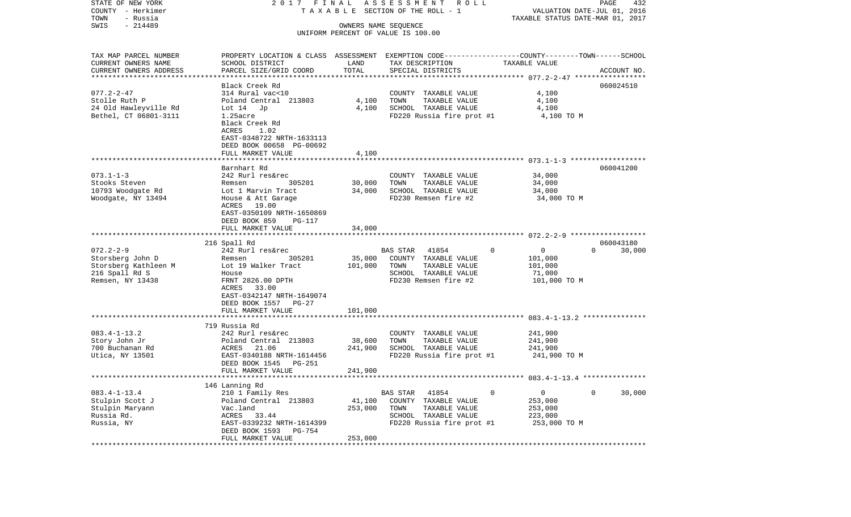| STATE OF NEW YORK                                   | 2017 FINAL                                                                                       |         | A S S E S S M E N T R O L L        |               | PAGE<br>432                                                     |
|-----------------------------------------------------|--------------------------------------------------------------------------------------------------|---------|------------------------------------|---------------|-----------------------------------------------------------------|
| COUNTY - Herkimer<br>TOWN<br>- Russia               |                                                                                                  |         | TAXABLE SECTION OF THE ROLL - 1    |               | VALUATION DATE-JUL 01, 2016<br>TAXABLE STATUS DATE-MAR 01, 2017 |
| $-214489$<br>SWIS                                   |                                                                                                  |         | OWNERS NAME SEQUENCE               |               |                                                                 |
|                                                     |                                                                                                  |         | UNIFORM PERCENT OF VALUE IS 100.00 |               |                                                                 |
|                                                     |                                                                                                  |         |                                    |               |                                                                 |
| TAX MAP PARCEL NUMBER                               | PROPERTY LOCATION & CLASS ASSESSMENT EXEMPTION CODE----------------COUNTY-------TOWN------SCHOOL |         |                                    |               |                                                                 |
| CURRENT OWNERS NAME                                 | SCHOOL DISTRICT                                                                                  | LAND    | TAX DESCRIPTION                    | TAXABLE VALUE |                                                                 |
| CURRENT OWNERS ADDRESS<br>************************* | PARCEL SIZE/GRID COORD                                                                           | TOTAL   | SPECIAL DISTRICTS                  |               | ACCOUNT NO.                                                     |
|                                                     | Black Creek Rd                                                                                   |         |                                    |               | 060024510                                                       |
| $077.2 - 2 - 47$                                    | 314 Rural vac<10                                                                                 |         | COUNTY TAXABLE VALUE               | 4,100         |                                                                 |
| Stolle Ruth P                                       | Poland Central 213803                                                                            | 4,100   | TOWN<br>TAXABLE VALUE              | 4,100         |                                                                 |
| 24 Old Hawleyville Rd                               | Lot $14$ Jp                                                                                      | 4,100   | SCHOOL TAXABLE VALUE               | 4,100         |                                                                 |
| Bethel, CT 06801-3111                               | $1.25$ acre                                                                                      |         | FD220 Russia fire prot #1          | 4,100 TO M    |                                                                 |
|                                                     | Black Creek Rd                                                                                   |         |                                    |               |                                                                 |
|                                                     | ACRES<br>1.02                                                                                    |         |                                    |               |                                                                 |
|                                                     | EAST-0348722 NRTH-1633113                                                                        |         |                                    |               |                                                                 |
|                                                     | DEED BOOK 00658 PG-00692                                                                         |         |                                    |               |                                                                 |
|                                                     | FULL MARKET VALUE                                                                                | 4,100   |                                    |               |                                                                 |
|                                                     |                                                                                                  |         |                                    |               |                                                                 |
|                                                     | Barnhart Rd                                                                                      |         |                                    |               | 060041200                                                       |
| $073.1 - 1 - 3$                                     | 242 Rurl res&rec                                                                                 |         | COUNTY TAXABLE VALUE               | 34,000        |                                                                 |
| Stooks Steven                                       | 305201<br>Remsen                                                                                 | 30,000  | TOWN<br>TAXABLE VALUE              | 34,000        |                                                                 |
| 10793 Woodgate Rd                                   | Lot 1 Marvin Tract                                                                               | 34,000  | SCHOOL TAXABLE VALUE               | 34,000        |                                                                 |
| Woodgate, NY 13494                                  | House & Att Garage                                                                               |         | FD230 Remsen fire #2               | 34,000 TO M   |                                                                 |
|                                                     | ACRES 19.00<br>EAST-0350109 NRTH-1650869                                                         |         |                                    |               |                                                                 |
|                                                     | DEED BOOK 859<br>PG-117                                                                          |         |                                    |               |                                                                 |
|                                                     | FULL MARKET VALUE                                                                                | 34,000  |                                    |               |                                                                 |
|                                                     |                                                                                                  |         |                                    |               |                                                                 |
|                                                     | 216 Spall Rd                                                                                     |         |                                    |               | 060043180                                                       |
| $072.2 - 2 - 9$                                     | 242 Rurl res&rec                                                                                 |         | 41854<br>BAS STAR                  | $\Omega$<br>0 | $\Omega$<br>30,000                                              |
| Storsberg John D                                    | 305201<br>Remsen                                                                                 | 35,000  | COUNTY TAXABLE VALUE               | 101,000       |                                                                 |
| Storsberg Kathleen M                                | Lot 19 Walker Tract                                                                              | 101,000 | TOWN<br>TAXABLE VALUE              | 101,000       |                                                                 |
| 216 Spall Rd S                                      | House                                                                                            |         | SCHOOL TAXABLE VALUE               | 71,000        |                                                                 |
| Remsen, NY 13438                                    | FRNT 2826.00 DPTH                                                                                |         | FD230 Remsen fire #2               | 101,000 TO M  |                                                                 |
|                                                     | ACRES<br>33.00                                                                                   |         |                                    |               |                                                                 |
|                                                     | EAST-0342147 NRTH-1649074                                                                        |         |                                    |               |                                                                 |
|                                                     | DEED BOOK 1557 PG-27                                                                             |         |                                    |               |                                                                 |
|                                                     | FULL MARKET VALUE                                                                                | 101,000 |                                    |               |                                                                 |
|                                                     |                                                                                                  |         |                                    |               |                                                                 |
|                                                     | 719 Russia Rd                                                                                    |         |                                    |               |                                                                 |
| $083.4 - 1 - 13.2$                                  | 242 Rurl res&rec                                                                                 |         | COUNTY TAXABLE VALUE               | 241,900       |                                                                 |
| Story John Jr                                       | Poland Central 213803                                                                            | 38,600  | TAXABLE VALUE<br>TOWN              | 241,900       |                                                                 |
| 700 Buchanan Rd                                     | 21.06<br>ACRES                                                                                   | 241,900 | SCHOOL TAXABLE VALUE               | 241,900       |                                                                 |
| Utica, NY 13501                                     | EAST-0340188 NRTH-1614456<br>PG-251                                                              |         | FD220 Russia fire prot #1          | 241,900 TO M  |                                                                 |
|                                                     | DEED BOOK 1545<br>FULL MARKET VALUE                                                              | 241,900 |                                    |               |                                                                 |
|                                                     |                                                                                                  |         |                                    |               |                                                                 |
|                                                     | 146 Lanning Rd                                                                                   |         |                                    |               |                                                                 |
| $083.4 - 1 - 13.4$                                  | 210 1 Family Res                                                                                 |         | BAS STAR<br>41854                  | 0<br>0        | 30,000<br>0                                                     |
| Stulpin Scott J                                     | Poland Central 213803                                                                            | 41,100  | COUNTY<br>TAXABLE VALUE            | 253,000       |                                                                 |
| Stulpin Maryann                                     | Vac.land                                                                                         | 253,000 | TOWN<br>TAXABLE VALUE              | 253,000       |                                                                 |
| Russia Rd.                                          | ACRES<br>33.44                                                                                   |         | SCHOOL TAXABLE VALUE               | 223,000       |                                                                 |
| Russia, NY                                          | EAST-0339232 NRTH-1614399                                                                        |         | FD220 Russia fire prot #1          | 253,000 TO M  |                                                                 |
|                                                     | DEED BOOK 1593<br>PG-754                                                                         |         |                                    |               |                                                                 |
|                                                     | FULL MARKET VALUE                                                                                | 253,000 |                                    |               |                                                                 |
|                                                     |                                                                                                  |         |                                    |               |                                                                 |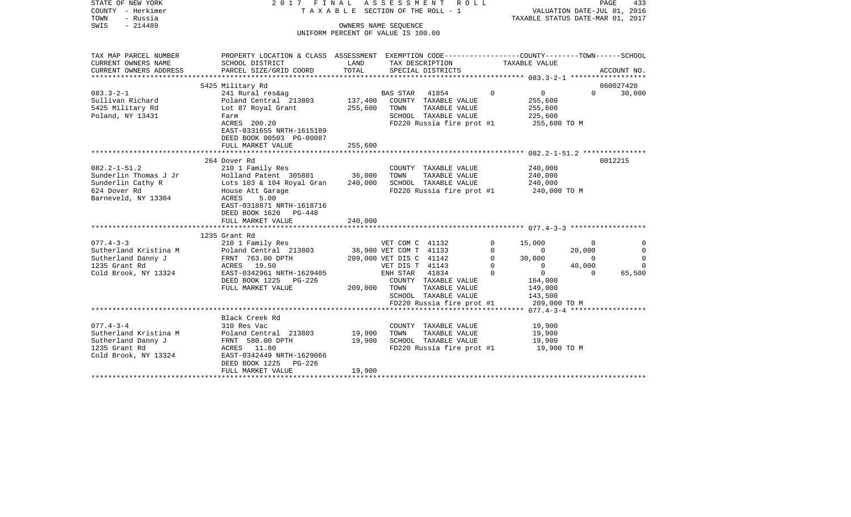| STATE OF NEW YORK<br>COUNTY - Herkimer<br>- Russia<br>TOWN<br>$-214489$<br>SWIS | 2017 FINAL                                                                                                         | T A X A B L E SECTION OF THE ROLL - 1<br>UNIFORM PERCENT OF VALUE IS 100.00 | ASSESSMENT<br>OWNERS NAME SEQUENCE | R O L L                               |          | VALUATION DATE-JUL 01, 2016<br>TAXABLE STATUS DATE-MAR 01, 2017 |          | PAGE<br>433 |
|---------------------------------------------------------------------------------|--------------------------------------------------------------------------------------------------------------------|-----------------------------------------------------------------------------|------------------------------------|---------------------------------------|----------|-----------------------------------------------------------------|----------|-------------|
| TAX MAP PARCEL NUMBER<br>CURRENT OWNERS NAME                                    | PROPERTY LOCATION & CLASS ASSESSMENT EXEMPTION CODE---------------COUNTY-------TOWN------SCHOOL<br>SCHOOL DISTRICT | LAND                                                                        |                                    | TAX DESCRIPTION                       |          | TAXABLE VALUE                                                   |          |             |
| CURRENT OWNERS ADDRESS                                                          | PARCEL SIZE/GRID COORD                                                                                             | TOTAL                                                                       |                                    | SPECIAL DISTRICTS                     |          |                                                                 |          | ACCOUNT NO. |
| ************************                                                        |                                                                                                                    |                                                                             |                                    |                                       |          |                                                                 |          |             |
|                                                                                 | 5425 Military Rd                                                                                                   |                                                                             |                                    |                                       |          |                                                                 |          | 060027420   |
| $083.3 - 2 - 1$                                                                 | 241 Rural res&ag                                                                                                   |                                                                             | <b>BAS STAR</b>                    | 41854                                 | $\Omega$ | 0                                                               | $\Omega$ | 30,000      |
| Sullivan Richard<br>5425 Military Rd                                            | Poland Central 213803<br>Lot 87 Royal Grant                                                                        | 137,400<br>255,600                                                          | TOWN                               | COUNTY TAXABLE VALUE<br>TAXABLE VALUE |          | 255,600<br>255,600                                              |          |             |
| Poland, NY 13431                                                                | Farm                                                                                                               |                                                                             |                                    | SCHOOL TAXABLE VALUE                  |          | 225,600                                                         |          |             |
|                                                                                 | ACRES 200.20                                                                                                       |                                                                             |                                    | FD220 Russia fire prot #1             |          | 255,600 TO M                                                    |          |             |
|                                                                                 | EAST-0331655 NRTH-1615189                                                                                          |                                                                             |                                    |                                       |          |                                                                 |          |             |
|                                                                                 | DEED BOOK 00503 PG-00087                                                                                           |                                                                             |                                    |                                       |          |                                                                 |          |             |
|                                                                                 | FULL MARKET VALUE                                                                                                  | 255,600                                                                     |                                    |                                       |          |                                                                 |          |             |
|                                                                                 |                                                                                                                    |                                                                             |                                    |                                       |          |                                                                 |          |             |
|                                                                                 | 264 Dover Rd                                                                                                       |                                                                             |                                    |                                       |          |                                                                 |          | 0012215     |
| $082.2 - 1 - 51.2$                                                              | 210 1 Family Res                                                                                                   |                                                                             |                                    | COUNTY TAXABLE VALUE                  |          | 240,000                                                         |          |             |
| Sunderlin Thomas J Jr                                                           | Holland Patent 305801                                                                                              | 36,000                                                                      | TOWN                               | TAXABLE VALUE                         |          | 240,000                                                         |          |             |
| Sunderlin Cathy R                                                               | Lots 103 & 104 Royal Gran                                                                                          | 240,000                                                                     |                                    | SCHOOL TAXABLE VALUE                  |          | 240,000                                                         |          |             |
| 624 Dover Rd<br>Barneveld, NY 13304                                             | House Att Garage<br>5.00<br>ACRES                                                                                  |                                                                             |                                    | FD220 Russia fire prot #1             |          | 240,000 TO M                                                    |          |             |
|                                                                                 | EAST-0318871 NRTH-1618716                                                                                          |                                                                             |                                    |                                       |          |                                                                 |          |             |
|                                                                                 | DEED BOOK 1620 PG-448                                                                                              |                                                                             |                                    |                                       |          |                                                                 |          |             |
|                                                                                 | FULL MARKET VALUE                                                                                                  | 240,000                                                                     |                                    |                                       |          |                                                                 |          |             |
|                                                                                 |                                                                                                                    |                                                                             |                                    |                                       |          |                                                                 |          |             |
|                                                                                 | 1235 Grant Rd                                                                                                      |                                                                             |                                    |                                       |          |                                                                 |          |             |
| $077.4 - 3 - 3$                                                                 | 210 1 Family Res                                                                                                   |                                                                             | VET COM C 41132                    |                                       | $\Omega$ | 15,000                                                          | $\Omega$ | $\Omega$    |
| Sutherland Kristina M                                                           | Poland Central 213803                                                                                              |                                                                             | 36,900 VET COM T 41133             |                                       | $\Omega$ | $\Omega$                                                        | 20,000   | $\Omega$    |
| Sutherland Danny J                                                              | FRNT 763.00 DPTH                                                                                                   |                                                                             | 209,000 VET DIS C 41142            |                                       | $\Omega$ | 30,000                                                          | $\Omega$ | $\Omega$    |
| 1235 Grant Rd                                                                   | ACRES 19.50                                                                                                        |                                                                             | VET DIS T 41143                    |                                       | $\Omega$ | $\Omega$                                                        | 40,000   | $\Omega$    |
| Cold Brook, NY 13324                                                            | EAST-0342961 NRTH-1629405                                                                                          |                                                                             | ENH STAR 41834                     |                                       | $\Omega$ | $\overline{0}$                                                  | $\Omega$ | 65,500      |
|                                                                                 | DEED BOOK 1225<br>PG-226<br>FULL MARKET VALUE                                                                      | 209,000                                                                     | TOWN                               | COUNTY TAXABLE VALUE<br>TAXABLE VALUE |          | 164,000<br>149,000                                              |          |             |
|                                                                                 |                                                                                                                    |                                                                             |                                    | SCHOOL TAXABLE VALUE                  |          | 143,500                                                         |          |             |
|                                                                                 |                                                                                                                    |                                                                             |                                    | FD220 Russia fire prot #1             |          | 209,000 TO M                                                    |          |             |
|                                                                                 |                                                                                                                    |                                                                             |                                    |                                       |          |                                                                 |          |             |
|                                                                                 | Black Creek Rd                                                                                                     |                                                                             |                                    |                                       |          |                                                                 |          |             |
| $077.4 - 3 - 4$                                                                 | 310 Res Vac                                                                                                        |                                                                             |                                    | COUNTY TAXABLE VALUE                  |          | 19,900                                                          |          |             |
| Sutherland Kristina M                                                           | Poland Central 213803                                                                                              | 19,900                                                                      | TOWN                               | TAXABLE VALUE                         |          | 19,900                                                          |          |             |
| Sutherland Danny J                                                              | FRNT 580.00 DPTH                                                                                                   | 19,900                                                                      |                                    | SCHOOL TAXABLE VALUE                  |          | 19,900                                                          |          |             |
| 1235 Grant Rd                                                                   | ACRES 11.80                                                                                                        |                                                                             |                                    | FD220 Russia fire prot #1             |          | 19,900 TO M                                                     |          |             |
| Cold Brook, NY 13324                                                            | EAST-0342449 NRTH-1629066                                                                                          |                                                                             |                                    |                                       |          |                                                                 |          |             |
|                                                                                 | DEED BOOK 1225<br>$PG-226$                                                                                         |                                                                             |                                    |                                       |          |                                                                 |          |             |
|                                                                                 | FULL MARKET VALUE                                                                                                  | 19,900                                                                      |                                    |                                       |          |                                                                 |          |             |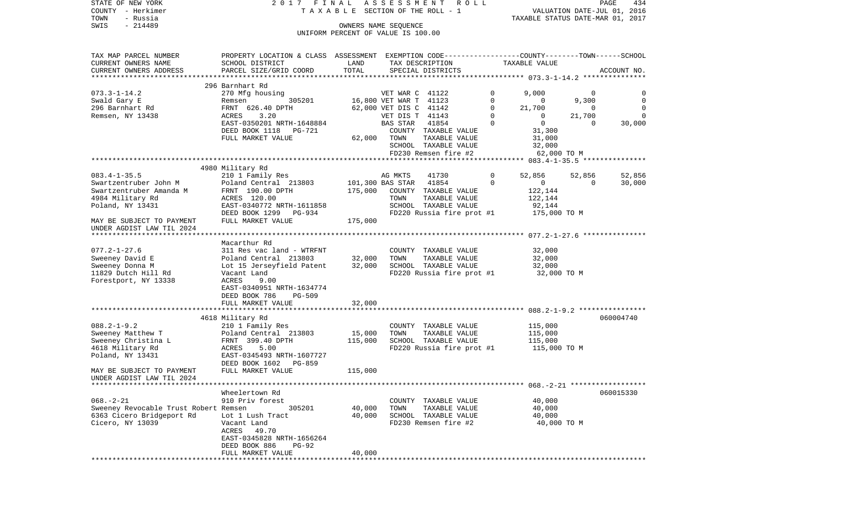| STATE OF NEW YORK<br>COUNTY - Herkimer<br>- Russia<br>TOWN | 2017 FINAL                                                                                                         | TAXABLE SECTION OF THE ROLL - 1    |                        | ASSESSMENT ROLL                       |                         | TAXABLE STATUS DATE-MAR 01, 2017 |                    | PAGE<br>434<br>VALUATION DATE-JUL 01, 2016 |
|------------------------------------------------------------|--------------------------------------------------------------------------------------------------------------------|------------------------------------|------------------------|---------------------------------------|-------------------------|----------------------------------|--------------------|--------------------------------------------|
| SWIS<br>$-214489$                                          |                                                                                                                    | UNIFORM PERCENT OF VALUE IS 100.00 | OWNERS NAME SEQUENCE   |                                       |                         |                                  |                    |                                            |
| TAX MAP PARCEL NUMBER<br>CURRENT OWNERS NAME               | PROPERTY LOCATION & CLASS ASSESSMENT EXEMPTION CODE---------------COUNTY-------TOWN------SCHOOL<br>SCHOOL DISTRICT | LAND                               |                        | TAX DESCRIPTION                       |                         | TAXABLE VALUE                    |                    |                                            |
| CURRENT OWNERS ADDRESS<br>*************************        | PARCEL SIZE/GRID COORD                                                                                             | TOTAL                              |                        | SPECIAL DISTRICTS                     |                         |                                  |                    | ACCOUNT NO.                                |
|                                                            | 296 Barnhart Rd                                                                                                    |                                    |                        |                                       |                         |                                  |                    |                                            |
| $073.3 - 1 - 14.2$                                         | 270 Mfg housing                                                                                                    |                                    | VET WAR C 41122        |                                       | $\Omega$                | 9,000                            | 0                  | 0                                          |
| Swald Gary E                                               | 305201<br>Remsen                                                                                                   |                                    | 16,800 VET WAR T 41123 |                                       | 0                       | $\mathbf{0}$                     | 9,300              | $\mathbf 0$                                |
| 296 Barnhart Rd                                            | FRNT 626.40 DPTH                                                                                                   |                                    | 62,000 VET DIS C 41142 |                                       | 0                       | 21,700                           | $\mathbf 0$        | $\mathbf 0$                                |
| Remsen, NY 13438                                           | ACRES<br>3.20                                                                                                      |                                    | VET DIS T 41143        | 41854                                 | $\mathbf 0$<br>$\Omega$ | $\mathbf 0$<br>$\circ$           | 21,700<br>$\Omega$ | $\mathbf 0$                                |
|                                                            | EAST-0350201 NRTH-1648884<br>DEED BOOK 1118 PG-721                                                                 |                                    | BAS STAR               | COUNTY TAXABLE VALUE                  |                         | 31,300                           |                    | 30,000                                     |
|                                                            | FULL MARKET VALUE                                                                                                  |                                    | 62,000 TOWN            | TAXABLE VALUE                         |                         | 31,000                           |                    |                                            |
|                                                            |                                                                                                                    |                                    |                        | SCHOOL TAXABLE VALUE                  |                         | 32,000                           |                    |                                            |
|                                                            |                                                                                                                    |                                    |                        | FD230 Remsen fire #2                  |                         | 62,000 TO M                      |                    |                                            |
|                                                            |                                                                                                                    |                                    |                        |                                       |                         |                                  |                    |                                            |
|                                                            | 4980 Military Rd                                                                                                   |                                    |                        |                                       |                         |                                  |                    |                                            |
| $083.4 - 1 - 35.5$                                         | 210 1 Family Res                                                                                                   |                                    | AG MKTS                | 41730                                 | $\circ$                 | 52,856                           | 52,856             | 52,856                                     |
| Swartzentruber John M                                      | Poland Central 213803                                                                                              |                                    | 101,300 BAS STAR 41854 |                                       | $\Omega$                | $\mathbf{0}$                     | $\mathbf{0}$       | 30,000                                     |
| Swartzentruber Amanda M                                    | FRNT 190.00 DPTH                                                                                                   | 175,000                            |                        | COUNTY TAXABLE VALUE                  |                         | 122,144                          |                    |                                            |
| 4984 Military Rd                                           | ACRES 120.00                                                                                                       |                                    | TOWN                   | TAXABLE VALUE                         |                         | 122,144                          |                    |                                            |
| Poland, NY 13431                                           | EAST-0340772 NRTH-1611858                                                                                          |                                    |                        | SCHOOL TAXABLE VALUE                  |                         | 92,144                           |                    |                                            |
| MAY BE SUBJECT TO PAYMENT                                  | DEED BOOK 1299 PG-934<br>FULL MARKET VALUE                                                                         | 175,000                            |                        | FD220 Russia fire prot #1             |                         | 175,000 TO M                     |                    |                                            |
| UNDER AGDIST LAW TIL 2024                                  |                                                                                                                    |                                    |                        |                                       |                         |                                  |                    |                                            |
|                                                            |                                                                                                                    |                                    |                        |                                       |                         |                                  |                    |                                            |
|                                                            | Macarthur Rd                                                                                                       |                                    |                        |                                       |                         |                                  |                    |                                            |
| $077.2 - 1 - 27.6$                                         | 311 Res vac land - WTRFNT                                                                                          |                                    |                        | COUNTY TAXABLE VALUE                  |                         | 32,000                           |                    |                                            |
| Sweeney David E                                            | Poland Central 213803                                                                                              | 32,000                             | TOWN                   | TAXABLE VALUE                         |                         | 32,000                           |                    |                                            |
| Sweeney Donna M                                            | Lot 15 Jerseyfield Patent                                                                                          | 32,000                             |                        | SCHOOL TAXABLE VALUE                  |                         | 32,000                           |                    |                                            |
| 11829 Dutch Hill Rd                                        | Vacant Land                                                                                                        |                                    |                        | FD220 Russia fire prot #1             |                         | 32,000 TO M                      |                    |                                            |
| Forestport, NY 13338                                       | <b>ACRES</b><br>9.00                                                                                               |                                    |                        |                                       |                         |                                  |                    |                                            |
|                                                            | EAST-0340951 NRTH-1634774                                                                                          |                                    |                        |                                       |                         |                                  |                    |                                            |
|                                                            | DEED BOOK 786<br><b>PG-509</b>                                                                                     |                                    |                        |                                       |                         |                                  |                    |                                            |
|                                                            | FULL MARKET VALUE<br>********************                                                                          | 32,000<br>* * * * * * * * * * *    |                        |                                       |                         |                                  |                    |                                            |
|                                                            | 4618 Military Rd                                                                                                   |                                    |                        |                                       |                         |                                  |                    | 060004740                                  |
| $088.2 - 1 - 9.2$                                          | 210 1 Family Res                                                                                                   |                                    |                        | COUNTY TAXABLE VALUE                  |                         | 115,000                          |                    |                                            |
| Sweeney Matthew T                                          | Poland Central 213803                                                                                              | 15,000                             | TOWN                   | TAXABLE VALUE                         |                         | 115,000                          |                    |                                            |
| Sweeney Christina L                                        | FRNT 399.40 DPTH                                                                                                   | 115,000                            |                        | SCHOOL TAXABLE VALUE                  |                         | 115,000                          |                    |                                            |
| 4618 Military Rd                                           | ACRES<br>5.00                                                                                                      |                                    |                        | FD220 Russia fire prot #1             |                         | 115,000 TO M                     |                    |                                            |
| Poland, NY 13431                                           | EAST-0345493 NRTH-1607727                                                                                          |                                    |                        |                                       |                         |                                  |                    |                                            |
|                                                            | DEED BOOK 1602<br>PG-859                                                                                           |                                    |                        |                                       |                         |                                  |                    |                                            |
| MAY BE SUBJECT TO PAYMENT<br>UNDER AGDIST LAW TIL 2024     | FULL MARKET VALUE                                                                                                  | 115,000                            |                        |                                       |                         |                                  |                    |                                            |
|                                                            |                                                                                                                    |                                    |                        |                                       |                         |                                  |                    |                                            |
| $068. - 2 - 21$                                            | Wheelertown Rd                                                                                                     |                                    |                        |                                       |                         |                                  |                    | 060015330                                  |
| Sweeney Revocable Trust Robert Remsen                      | 910 Priv forest<br>305201                                                                                          | 40,000                             | TOWN                   | COUNTY TAXABLE VALUE<br>TAXABLE VALUE |                         | 40,000<br>40,000                 |                    |                                            |
| 6363 Cicero Bridgeport Rd                                  | Lot 1 Lush Tract                                                                                                   | 40,000                             |                        | SCHOOL TAXABLE VALUE                  |                         | 40,000                           |                    |                                            |
| Cicero, NY 13039                                           | Vacant Land                                                                                                        |                                    |                        | FD230 Remsen fire #2                  |                         | 40,000 TO M                      |                    |                                            |
|                                                            | ACRES 49.70                                                                                                        |                                    |                        |                                       |                         |                                  |                    |                                            |
|                                                            | EAST-0345828 NRTH-1656264                                                                                          |                                    |                        |                                       |                         |                                  |                    |                                            |
|                                                            | DEED BOOK 886<br>PG-92                                                                                             |                                    |                        |                                       |                         |                                  |                    |                                            |
|                                                            | FULL MARKET VALUE                                                                                                  | 40,000                             |                        |                                       |                         |                                  |                    |                                            |
|                                                            |                                                                                                                    |                                    |                        |                                       |                         |                                  |                    |                                            |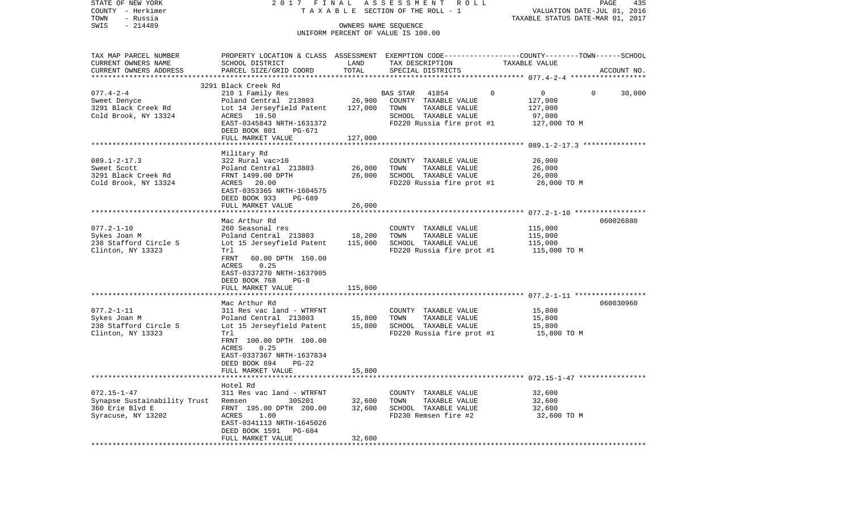| TAXABLE SECTION OF THE ROLL - 1<br>VALUATION DATE-JUL 01, 2016<br>TOWN<br>- Russia<br>TAXABLE STATUS DATE-MAR 01, 2017<br>$-214489$<br>SWIS<br>OWNERS NAME SEQUENCE<br>UNIFORM PERCENT OF VALUE IS 100.00<br>PROPERTY LOCATION & CLASS ASSESSMENT EXEMPTION CODE----------------COUNTY-------TOWN------SCHOOL<br>TAX MAP PARCEL NUMBER<br>CURRENT OWNERS NAME<br>SCHOOL DISTRICT<br>LAND<br>TAX DESCRIPTION<br>TAXABLE VALUE<br>TOTAL<br>CURRENT OWNERS ADDRESS<br>PARCEL SIZE/GRID COORD<br>SPECIAL DISTRICTS<br>ACCOUNT NO.<br>3291 Black Creek Rd<br>$077.4 - 2 - 4$<br>210 1 Family Res<br>41854<br>$\mathbf 0$<br>0<br>$\mathbf{0}$<br>30,000<br>BAS STAR<br>26,900<br>Poland Central 213803<br>COUNTY TAXABLE VALUE<br>127,000<br>Sweet Denyce<br>Lot 14 Jerseyfield Patent<br>127,000<br>TOWN<br>TAXABLE VALUE<br>127,000<br>SCHOOL TAXABLE VALUE<br>ACRES 10.50<br>97,000<br>EAST-0345843 NRTH-1631372<br>$FD220$ Russia fire prot #1 $127,000$ TO M<br>DEED BOOK 801<br>PG-671<br>FULL MARKET VALUE<br>127,000<br>Military Rd<br>322 Rural vac>10<br>26,000<br>COUNTY TAXABLE VALUE<br>26,000<br>Poland Central 213803<br>TAXABLE VALUE<br>26,000<br>TOWN<br>26,000<br>3291 Black Creek Rd<br>SCHOOL TAXABLE VALUE<br>26,000<br>FRNT 1499.00 DPTH<br>FD220 Russia fire prot #1<br>Cold Brook, NY 13324<br>ACRES 20.00<br>26,000 TO M<br>EAST-0353365 NRTH-1604575<br>DEED BOOK 933<br>PG-689<br>26,000<br>FULL MARKET VALUE<br>Mac Arthur Rd<br>060026880<br>$077.2 - 1 - 10$<br>260 Seasonal res<br>COUNTY TAXABLE VALUE<br>115,000<br>18,200<br>TAXABLE VALUE<br>Sykes Joan M<br>Poland Central 213803<br>TOWN<br>115,000<br>SCHOOL TAXABLE VALUE<br>238 Stafford Circle S<br>Lot 15 Jerseyfield Patent<br>115,000<br>115,000<br>Clinton, NY 13323<br>FD220 Russia fire prot #1<br>Trl<br>115,000 TO M<br>FRNT<br>60.00 DPTH 150.00<br>0.25<br>ACRES<br>EAST-0337270 NRTH-1637905<br>DEED BOOK 768<br>$PG-8$<br>FULL MARKET VALUE<br>115,000<br>********************<br>Mac Arthur Rd<br>060030960<br>$077.2 - 1 - 11$<br>311 Res vac land - WTRFNT<br>COUNTY TAXABLE VALUE<br>15,800<br>Poland Central 213803<br>15,800<br>TOWN<br>TAXABLE VALUE<br>15,800<br>Lot 15 Jerseyfield Patent<br>15,800<br>SCHOOL TAXABLE VALUE<br>15,800<br>Clinton, NY 13323<br>FD220 Russia fire prot #1<br>15,800 TO M<br>Trl<br>FRNT 100.00 DPTH 100.00<br>0.25<br>ACRES<br>EAST-0337367 NRTH-1637834<br>DEED BOOK 694<br>PG-22<br>15,800<br>FULL MARKET VALUE<br>Hotel Rd<br>$072.15 - 1 - 47$<br>311 Res vac land - WTRFNT<br>32,600<br>COUNTY TAXABLE VALUE<br>Synapse Sustainability Trust<br>305201<br>32,600<br>TOWN<br>TAXABLE VALUE<br>32,600<br>Remsen<br>360 Erie Blvd E<br>FRNT 195.00 DPTH 200.00<br>32,600<br>SCHOOL TAXABLE VALUE<br>32,600<br>ACRES<br>1.00<br>FD230 Remsen fire #2<br>32,600 TO M<br>EAST-0341113 NRTH-1645026<br>DEED BOOK 1591<br>PG-684<br>32,600<br>FULL MARKET VALUE | STATE OF NEW YORK     | 2017 FINAL | A S S E S S M E N T R O L L | PAGE<br>435 |
|------------------------------------------------------------------------------------------------------------------------------------------------------------------------------------------------------------------------------------------------------------------------------------------------------------------------------------------------------------------------------------------------------------------------------------------------------------------------------------------------------------------------------------------------------------------------------------------------------------------------------------------------------------------------------------------------------------------------------------------------------------------------------------------------------------------------------------------------------------------------------------------------------------------------------------------------------------------------------------------------------------------------------------------------------------------------------------------------------------------------------------------------------------------------------------------------------------------------------------------------------------------------------------------------------------------------------------------------------------------------------------------------------------------------------------------------------------------------------------------------------------------------------------------------------------------------------------------------------------------------------------------------------------------------------------------------------------------------------------------------------------------------------------------------------------------------------------------------------------------------------------------------------------------------------------------------------------------------------------------------------------------------------------------------------------------------------------------------------------------------------------------------------------------------------------------------------------------------------------------------------------------------------------------------------------------------------------------------------------------------------------------------------------------------------------------------------------------------------------------------------------------------------------------------------------------------------------------------------------------------------------------------------------------------------------------------------------------------------------------------------------------------------------------------------------------------------------------------------------------------------------------------------|-----------------------|------------|-----------------------------|-------------|
|                                                                                                                                                                                                                                                                                                                                                                                                                                                                                                                                                                                                                                                                                                                                                                                                                                                                                                                                                                                                                                                                                                                                                                                                                                                                                                                                                                                                                                                                                                                                                                                                                                                                                                                                                                                                                                                                                                                                                                                                                                                                                                                                                                                                                                                                                                                                                                                                                                                                                                                                                                                                                                                                                                                                                                                                                                                                                                      | COUNTY - Herkimer     |            |                             |             |
|                                                                                                                                                                                                                                                                                                                                                                                                                                                                                                                                                                                                                                                                                                                                                                                                                                                                                                                                                                                                                                                                                                                                                                                                                                                                                                                                                                                                                                                                                                                                                                                                                                                                                                                                                                                                                                                                                                                                                                                                                                                                                                                                                                                                                                                                                                                                                                                                                                                                                                                                                                                                                                                                                                                                                                                                                                                                                                      |                       |            |                             |             |
|                                                                                                                                                                                                                                                                                                                                                                                                                                                                                                                                                                                                                                                                                                                                                                                                                                                                                                                                                                                                                                                                                                                                                                                                                                                                                                                                                                                                                                                                                                                                                                                                                                                                                                                                                                                                                                                                                                                                                                                                                                                                                                                                                                                                                                                                                                                                                                                                                                                                                                                                                                                                                                                                                                                                                                                                                                                                                                      |                       |            |                             |             |
|                                                                                                                                                                                                                                                                                                                                                                                                                                                                                                                                                                                                                                                                                                                                                                                                                                                                                                                                                                                                                                                                                                                                                                                                                                                                                                                                                                                                                                                                                                                                                                                                                                                                                                                                                                                                                                                                                                                                                                                                                                                                                                                                                                                                                                                                                                                                                                                                                                                                                                                                                                                                                                                                                                                                                                                                                                                                                                      |                       |            |                             |             |
|                                                                                                                                                                                                                                                                                                                                                                                                                                                                                                                                                                                                                                                                                                                                                                                                                                                                                                                                                                                                                                                                                                                                                                                                                                                                                                                                                                                                                                                                                                                                                                                                                                                                                                                                                                                                                                                                                                                                                                                                                                                                                                                                                                                                                                                                                                                                                                                                                                                                                                                                                                                                                                                                                                                                                                                                                                                                                                      |                       |            |                             |             |
|                                                                                                                                                                                                                                                                                                                                                                                                                                                                                                                                                                                                                                                                                                                                                                                                                                                                                                                                                                                                                                                                                                                                                                                                                                                                                                                                                                                                                                                                                                                                                                                                                                                                                                                                                                                                                                                                                                                                                                                                                                                                                                                                                                                                                                                                                                                                                                                                                                                                                                                                                                                                                                                                                                                                                                                                                                                                                                      |                       |            |                             |             |
|                                                                                                                                                                                                                                                                                                                                                                                                                                                                                                                                                                                                                                                                                                                                                                                                                                                                                                                                                                                                                                                                                                                                                                                                                                                                                                                                                                                                                                                                                                                                                                                                                                                                                                                                                                                                                                                                                                                                                                                                                                                                                                                                                                                                                                                                                                                                                                                                                                                                                                                                                                                                                                                                                                                                                                                                                                                                                                      |                       |            |                             |             |
|                                                                                                                                                                                                                                                                                                                                                                                                                                                                                                                                                                                                                                                                                                                                                                                                                                                                                                                                                                                                                                                                                                                                                                                                                                                                                                                                                                                                                                                                                                                                                                                                                                                                                                                                                                                                                                                                                                                                                                                                                                                                                                                                                                                                                                                                                                                                                                                                                                                                                                                                                                                                                                                                                                                                                                                                                                                                                                      |                       |            |                             |             |
|                                                                                                                                                                                                                                                                                                                                                                                                                                                                                                                                                                                                                                                                                                                                                                                                                                                                                                                                                                                                                                                                                                                                                                                                                                                                                                                                                                                                                                                                                                                                                                                                                                                                                                                                                                                                                                                                                                                                                                                                                                                                                                                                                                                                                                                                                                                                                                                                                                                                                                                                                                                                                                                                                                                                                                                                                                                                                                      |                       |            |                             |             |
|                                                                                                                                                                                                                                                                                                                                                                                                                                                                                                                                                                                                                                                                                                                                                                                                                                                                                                                                                                                                                                                                                                                                                                                                                                                                                                                                                                                                                                                                                                                                                                                                                                                                                                                                                                                                                                                                                                                                                                                                                                                                                                                                                                                                                                                                                                                                                                                                                                                                                                                                                                                                                                                                                                                                                                                                                                                                                                      | 3291 Black Creek Rd   |            |                             |             |
|                                                                                                                                                                                                                                                                                                                                                                                                                                                                                                                                                                                                                                                                                                                                                                                                                                                                                                                                                                                                                                                                                                                                                                                                                                                                                                                                                                                                                                                                                                                                                                                                                                                                                                                                                                                                                                                                                                                                                                                                                                                                                                                                                                                                                                                                                                                                                                                                                                                                                                                                                                                                                                                                                                                                                                                                                                                                                                      | Cold Brook, NY 13324  |            |                             |             |
|                                                                                                                                                                                                                                                                                                                                                                                                                                                                                                                                                                                                                                                                                                                                                                                                                                                                                                                                                                                                                                                                                                                                                                                                                                                                                                                                                                                                                                                                                                                                                                                                                                                                                                                                                                                                                                                                                                                                                                                                                                                                                                                                                                                                                                                                                                                                                                                                                                                                                                                                                                                                                                                                                                                                                                                                                                                                                                      |                       |            |                             |             |
|                                                                                                                                                                                                                                                                                                                                                                                                                                                                                                                                                                                                                                                                                                                                                                                                                                                                                                                                                                                                                                                                                                                                                                                                                                                                                                                                                                                                                                                                                                                                                                                                                                                                                                                                                                                                                                                                                                                                                                                                                                                                                                                                                                                                                                                                                                                                                                                                                                                                                                                                                                                                                                                                                                                                                                                                                                                                                                      |                       |            |                             |             |
|                                                                                                                                                                                                                                                                                                                                                                                                                                                                                                                                                                                                                                                                                                                                                                                                                                                                                                                                                                                                                                                                                                                                                                                                                                                                                                                                                                                                                                                                                                                                                                                                                                                                                                                                                                                                                                                                                                                                                                                                                                                                                                                                                                                                                                                                                                                                                                                                                                                                                                                                                                                                                                                                                                                                                                                                                                                                                                      |                       |            |                             |             |
|                                                                                                                                                                                                                                                                                                                                                                                                                                                                                                                                                                                                                                                                                                                                                                                                                                                                                                                                                                                                                                                                                                                                                                                                                                                                                                                                                                                                                                                                                                                                                                                                                                                                                                                                                                                                                                                                                                                                                                                                                                                                                                                                                                                                                                                                                                                                                                                                                                                                                                                                                                                                                                                                                                                                                                                                                                                                                                      |                       |            |                             |             |
|                                                                                                                                                                                                                                                                                                                                                                                                                                                                                                                                                                                                                                                                                                                                                                                                                                                                                                                                                                                                                                                                                                                                                                                                                                                                                                                                                                                                                                                                                                                                                                                                                                                                                                                                                                                                                                                                                                                                                                                                                                                                                                                                                                                                                                                                                                                                                                                                                                                                                                                                                                                                                                                                                                                                                                                                                                                                                                      | $089.1 - 2 - 17.3$    |            |                             |             |
|                                                                                                                                                                                                                                                                                                                                                                                                                                                                                                                                                                                                                                                                                                                                                                                                                                                                                                                                                                                                                                                                                                                                                                                                                                                                                                                                                                                                                                                                                                                                                                                                                                                                                                                                                                                                                                                                                                                                                                                                                                                                                                                                                                                                                                                                                                                                                                                                                                                                                                                                                                                                                                                                                                                                                                                                                                                                                                      | Sweet Scott           |            |                             |             |
|                                                                                                                                                                                                                                                                                                                                                                                                                                                                                                                                                                                                                                                                                                                                                                                                                                                                                                                                                                                                                                                                                                                                                                                                                                                                                                                                                                                                                                                                                                                                                                                                                                                                                                                                                                                                                                                                                                                                                                                                                                                                                                                                                                                                                                                                                                                                                                                                                                                                                                                                                                                                                                                                                                                                                                                                                                                                                                      |                       |            |                             |             |
|                                                                                                                                                                                                                                                                                                                                                                                                                                                                                                                                                                                                                                                                                                                                                                                                                                                                                                                                                                                                                                                                                                                                                                                                                                                                                                                                                                                                                                                                                                                                                                                                                                                                                                                                                                                                                                                                                                                                                                                                                                                                                                                                                                                                                                                                                                                                                                                                                                                                                                                                                                                                                                                                                                                                                                                                                                                                                                      |                       |            |                             |             |
|                                                                                                                                                                                                                                                                                                                                                                                                                                                                                                                                                                                                                                                                                                                                                                                                                                                                                                                                                                                                                                                                                                                                                                                                                                                                                                                                                                                                                                                                                                                                                                                                                                                                                                                                                                                                                                                                                                                                                                                                                                                                                                                                                                                                                                                                                                                                                                                                                                                                                                                                                                                                                                                                                                                                                                                                                                                                                                      |                       |            |                             |             |
|                                                                                                                                                                                                                                                                                                                                                                                                                                                                                                                                                                                                                                                                                                                                                                                                                                                                                                                                                                                                                                                                                                                                                                                                                                                                                                                                                                                                                                                                                                                                                                                                                                                                                                                                                                                                                                                                                                                                                                                                                                                                                                                                                                                                                                                                                                                                                                                                                                                                                                                                                                                                                                                                                                                                                                                                                                                                                                      |                       |            |                             |             |
|                                                                                                                                                                                                                                                                                                                                                                                                                                                                                                                                                                                                                                                                                                                                                                                                                                                                                                                                                                                                                                                                                                                                                                                                                                                                                                                                                                                                                                                                                                                                                                                                                                                                                                                                                                                                                                                                                                                                                                                                                                                                                                                                                                                                                                                                                                                                                                                                                                                                                                                                                                                                                                                                                                                                                                                                                                                                                                      |                       |            |                             |             |
|                                                                                                                                                                                                                                                                                                                                                                                                                                                                                                                                                                                                                                                                                                                                                                                                                                                                                                                                                                                                                                                                                                                                                                                                                                                                                                                                                                                                                                                                                                                                                                                                                                                                                                                                                                                                                                                                                                                                                                                                                                                                                                                                                                                                                                                                                                                                                                                                                                                                                                                                                                                                                                                                                                                                                                                                                                                                                                      |                       |            |                             |             |
|                                                                                                                                                                                                                                                                                                                                                                                                                                                                                                                                                                                                                                                                                                                                                                                                                                                                                                                                                                                                                                                                                                                                                                                                                                                                                                                                                                                                                                                                                                                                                                                                                                                                                                                                                                                                                                                                                                                                                                                                                                                                                                                                                                                                                                                                                                                                                                                                                                                                                                                                                                                                                                                                                                                                                                                                                                                                                                      |                       |            |                             |             |
|                                                                                                                                                                                                                                                                                                                                                                                                                                                                                                                                                                                                                                                                                                                                                                                                                                                                                                                                                                                                                                                                                                                                                                                                                                                                                                                                                                                                                                                                                                                                                                                                                                                                                                                                                                                                                                                                                                                                                                                                                                                                                                                                                                                                                                                                                                                                                                                                                                                                                                                                                                                                                                                                                                                                                                                                                                                                                                      |                       |            |                             |             |
|                                                                                                                                                                                                                                                                                                                                                                                                                                                                                                                                                                                                                                                                                                                                                                                                                                                                                                                                                                                                                                                                                                                                                                                                                                                                                                                                                                                                                                                                                                                                                                                                                                                                                                                                                                                                                                                                                                                                                                                                                                                                                                                                                                                                                                                                                                                                                                                                                                                                                                                                                                                                                                                                                                                                                                                                                                                                                                      |                       |            |                             |             |
|                                                                                                                                                                                                                                                                                                                                                                                                                                                                                                                                                                                                                                                                                                                                                                                                                                                                                                                                                                                                                                                                                                                                                                                                                                                                                                                                                                                                                                                                                                                                                                                                                                                                                                                                                                                                                                                                                                                                                                                                                                                                                                                                                                                                                                                                                                                                                                                                                                                                                                                                                                                                                                                                                                                                                                                                                                                                                                      |                       |            |                             |             |
|                                                                                                                                                                                                                                                                                                                                                                                                                                                                                                                                                                                                                                                                                                                                                                                                                                                                                                                                                                                                                                                                                                                                                                                                                                                                                                                                                                                                                                                                                                                                                                                                                                                                                                                                                                                                                                                                                                                                                                                                                                                                                                                                                                                                                                                                                                                                                                                                                                                                                                                                                                                                                                                                                                                                                                                                                                                                                                      |                       |            |                             |             |
|                                                                                                                                                                                                                                                                                                                                                                                                                                                                                                                                                                                                                                                                                                                                                                                                                                                                                                                                                                                                                                                                                                                                                                                                                                                                                                                                                                                                                                                                                                                                                                                                                                                                                                                                                                                                                                                                                                                                                                                                                                                                                                                                                                                                                                                                                                                                                                                                                                                                                                                                                                                                                                                                                                                                                                                                                                                                                                      |                       |            |                             |             |
|                                                                                                                                                                                                                                                                                                                                                                                                                                                                                                                                                                                                                                                                                                                                                                                                                                                                                                                                                                                                                                                                                                                                                                                                                                                                                                                                                                                                                                                                                                                                                                                                                                                                                                                                                                                                                                                                                                                                                                                                                                                                                                                                                                                                                                                                                                                                                                                                                                                                                                                                                                                                                                                                                                                                                                                                                                                                                                      |                       |            |                             |             |
|                                                                                                                                                                                                                                                                                                                                                                                                                                                                                                                                                                                                                                                                                                                                                                                                                                                                                                                                                                                                                                                                                                                                                                                                                                                                                                                                                                                                                                                                                                                                                                                                                                                                                                                                                                                                                                                                                                                                                                                                                                                                                                                                                                                                                                                                                                                                                                                                                                                                                                                                                                                                                                                                                                                                                                                                                                                                                                      |                       |            |                             |             |
|                                                                                                                                                                                                                                                                                                                                                                                                                                                                                                                                                                                                                                                                                                                                                                                                                                                                                                                                                                                                                                                                                                                                                                                                                                                                                                                                                                                                                                                                                                                                                                                                                                                                                                                                                                                                                                                                                                                                                                                                                                                                                                                                                                                                                                                                                                                                                                                                                                                                                                                                                                                                                                                                                                                                                                                                                                                                                                      |                       |            |                             |             |
|                                                                                                                                                                                                                                                                                                                                                                                                                                                                                                                                                                                                                                                                                                                                                                                                                                                                                                                                                                                                                                                                                                                                                                                                                                                                                                                                                                                                                                                                                                                                                                                                                                                                                                                                                                                                                                                                                                                                                                                                                                                                                                                                                                                                                                                                                                                                                                                                                                                                                                                                                                                                                                                                                                                                                                                                                                                                                                      |                       |            |                             |             |
|                                                                                                                                                                                                                                                                                                                                                                                                                                                                                                                                                                                                                                                                                                                                                                                                                                                                                                                                                                                                                                                                                                                                                                                                                                                                                                                                                                                                                                                                                                                                                                                                                                                                                                                                                                                                                                                                                                                                                                                                                                                                                                                                                                                                                                                                                                                                                                                                                                                                                                                                                                                                                                                                                                                                                                                                                                                                                                      | Sykes Joan M          |            |                             |             |
|                                                                                                                                                                                                                                                                                                                                                                                                                                                                                                                                                                                                                                                                                                                                                                                                                                                                                                                                                                                                                                                                                                                                                                                                                                                                                                                                                                                                                                                                                                                                                                                                                                                                                                                                                                                                                                                                                                                                                                                                                                                                                                                                                                                                                                                                                                                                                                                                                                                                                                                                                                                                                                                                                                                                                                                                                                                                                                      | 238 Stafford Circle S |            |                             |             |
|                                                                                                                                                                                                                                                                                                                                                                                                                                                                                                                                                                                                                                                                                                                                                                                                                                                                                                                                                                                                                                                                                                                                                                                                                                                                                                                                                                                                                                                                                                                                                                                                                                                                                                                                                                                                                                                                                                                                                                                                                                                                                                                                                                                                                                                                                                                                                                                                                                                                                                                                                                                                                                                                                                                                                                                                                                                                                                      |                       |            |                             |             |
|                                                                                                                                                                                                                                                                                                                                                                                                                                                                                                                                                                                                                                                                                                                                                                                                                                                                                                                                                                                                                                                                                                                                                                                                                                                                                                                                                                                                                                                                                                                                                                                                                                                                                                                                                                                                                                                                                                                                                                                                                                                                                                                                                                                                                                                                                                                                                                                                                                                                                                                                                                                                                                                                                                                                                                                                                                                                                                      |                       |            |                             |             |
|                                                                                                                                                                                                                                                                                                                                                                                                                                                                                                                                                                                                                                                                                                                                                                                                                                                                                                                                                                                                                                                                                                                                                                                                                                                                                                                                                                                                                                                                                                                                                                                                                                                                                                                                                                                                                                                                                                                                                                                                                                                                                                                                                                                                                                                                                                                                                                                                                                                                                                                                                                                                                                                                                                                                                                                                                                                                                                      |                       |            |                             |             |
|                                                                                                                                                                                                                                                                                                                                                                                                                                                                                                                                                                                                                                                                                                                                                                                                                                                                                                                                                                                                                                                                                                                                                                                                                                                                                                                                                                                                                                                                                                                                                                                                                                                                                                                                                                                                                                                                                                                                                                                                                                                                                                                                                                                                                                                                                                                                                                                                                                                                                                                                                                                                                                                                                                                                                                                                                                                                                                      |                       |            |                             |             |
|                                                                                                                                                                                                                                                                                                                                                                                                                                                                                                                                                                                                                                                                                                                                                                                                                                                                                                                                                                                                                                                                                                                                                                                                                                                                                                                                                                                                                                                                                                                                                                                                                                                                                                                                                                                                                                                                                                                                                                                                                                                                                                                                                                                                                                                                                                                                                                                                                                                                                                                                                                                                                                                                                                                                                                                                                                                                                                      |                       |            |                             |             |
|                                                                                                                                                                                                                                                                                                                                                                                                                                                                                                                                                                                                                                                                                                                                                                                                                                                                                                                                                                                                                                                                                                                                                                                                                                                                                                                                                                                                                                                                                                                                                                                                                                                                                                                                                                                                                                                                                                                                                                                                                                                                                                                                                                                                                                                                                                                                                                                                                                                                                                                                                                                                                                                                                                                                                                                                                                                                                                      |                       |            |                             |             |
|                                                                                                                                                                                                                                                                                                                                                                                                                                                                                                                                                                                                                                                                                                                                                                                                                                                                                                                                                                                                                                                                                                                                                                                                                                                                                                                                                                                                                                                                                                                                                                                                                                                                                                                                                                                                                                                                                                                                                                                                                                                                                                                                                                                                                                                                                                                                                                                                                                                                                                                                                                                                                                                                                                                                                                                                                                                                                                      |                       |            |                             |             |
|                                                                                                                                                                                                                                                                                                                                                                                                                                                                                                                                                                                                                                                                                                                                                                                                                                                                                                                                                                                                                                                                                                                                                                                                                                                                                                                                                                                                                                                                                                                                                                                                                                                                                                                                                                                                                                                                                                                                                                                                                                                                                                                                                                                                                                                                                                                                                                                                                                                                                                                                                                                                                                                                                                                                                                                                                                                                                                      |                       |            |                             |             |
|                                                                                                                                                                                                                                                                                                                                                                                                                                                                                                                                                                                                                                                                                                                                                                                                                                                                                                                                                                                                                                                                                                                                                                                                                                                                                                                                                                                                                                                                                                                                                                                                                                                                                                                                                                                                                                                                                                                                                                                                                                                                                                                                                                                                                                                                                                                                                                                                                                                                                                                                                                                                                                                                                                                                                                                                                                                                                                      |                       |            |                             |             |
|                                                                                                                                                                                                                                                                                                                                                                                                                                                                                                                                                                                                                                                                                                                                                                                                                                                                                                                                                                                                                                                                                                                                                                                                                                                                                                                                                                                                                                                                                                                                                                                                                                                                                                                                                                                                                                                                                                                                                                                                                                                                                                                                                                                                                                                                                                                                                                                                                                                                                                                                                                                                                                                                                                                                                                                                                                                                                                      | Syracuse, NY 13202    |            |                             |             |
|                                                                                                                                                                                                                                                                                                                                                                                                                                                                                                                                                                                                                                                                                                                                                                                                                                                                                                                                                                                                                                                                                                                                                                                                                                                                                                                                                                                                                                                                                                                                                                                                                                                                                                                                                                                                                                                                                                                                                                                                                                                                                                                                                                                                                                                                                                                                                                                                                                                                                                                                                                                                                                                                                                                                                                                                                                                                                                      |                       |            |                             |             |
|                                                                                                                                                                                                                                                                                                                                                                                                                                                                                                                                                                                                                                                                                                                                                                                                                                                                                                                                                                                                                                                                                                                                                                                                                                                                                                                                                                                                                                                                                                                                                                                                                                                                                                                                                                                                                                                                                                                                                                                                                                                                                                                                                                                                                                                                                                                                                                                                                                                                                                                                                                                                                                                                                                                                                                                                                                                                                                      |                       |            |                             |             |
|                                                                                                                                                                                                                                                                                                                                                                                                                                                                                                                                                                                                                                                                                                                                                                                                                                                                                                                                                                                                                                                                                                                                                                                                                                                                                                                                                                                                                                                                                                                                                                                                                                                                                                                                                                                                                                                                                                                                                                                                                                                                                                                                                                                                                                                                                                                                                                                                                                                                                                                                                                                                                                                                                                                                                                                                                                                                                                      |                       |            |                             |             |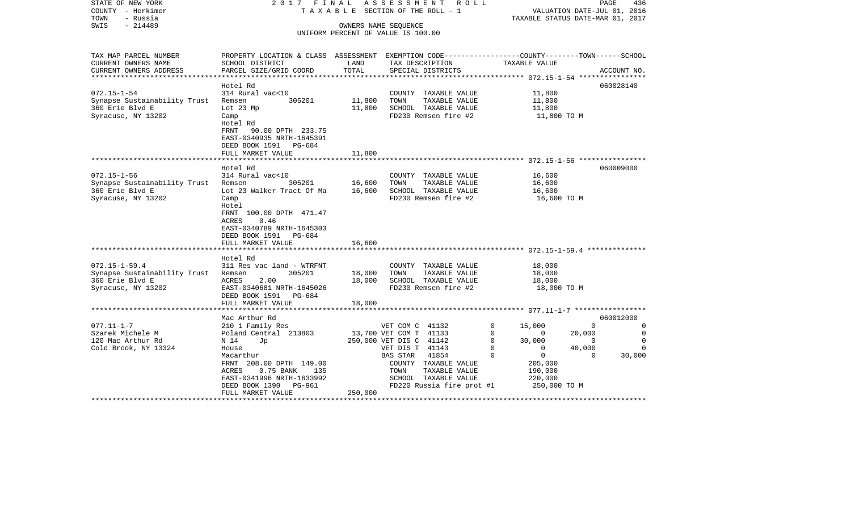| STATE OF NEW YORK<br>COUNTY - Herkimer       | 2017 FINAL                                                                                                         |         | ASSESSMENT ROLL<br>T A X A B L E SECTION OF THE ROLL - 1 |             |                | VALUATION DATE-JUL 01, 2016      | PAGE<br>436 |
|----------------------------------------------|--------------------------------------------------------------------------------------------------------------------|---------|----------------------------------------------------------|-------------|----------------|----------------------------------|-------------|
| TOWN<br>- Russia                             |                                                                                                                    |         |                                                          |             |                | TAXABLE STATUS DATE-MAR 01, 2017 |             |
| $-214489$<br>SWIS                            |                                                                                                                    |         | OWNERS NAME SEQUENCE                                     |             |                |                                  |             |
|                                              |                                                                                                                    |         | UNIFORM PERCENT OF VALUE IS 100.00                       |             |                |                                  |             |
|                                              |                                                                                                                    |         |                                                          |             |                |                                  |             |
|                                              |                                                                                                                    |         |                                                          |             |                |                                  |             |
| TAX MAP PARCEL NUMBER<br>CURRENT OWNERS NAME | PROPERTY LOCATION & CLASS ASSESSMENT EXEMPTION CODE---------------COUNTY-------TOWN------SCHOOL<br>SCHOOL DISTRICT | LAND    | TAX DESCRIPTION                                          |             | TAXABLE VALUE  |                                  |             |
| CURRENT OWNERS ADDRESS                       | PARCEL SIZE/GRID COORD                                                                                             | TOTAL   | SPECIAL DISTRICTS                                        |             |                |                                  | ACCOUNT NO. |
|                                              |                                                                                                                    |         |                                                          |             |                |                                  |             |
|                                              | Hotel Rd                                                                                                           |         |                                                          |             |                |                                  | 060028140   |
| $072.15 - 1 - 54$                            | 314 Rural vac<10                                                                                                   |         | COUNTY TAXABLE VALUE                                     |             | 11,800         |                                  |             |
| Synapse Sustainability Trust                 | 305201<br>Remsen                                                                                                   | 11,800  | TOWN<br>TAXABLE VALUE                                    |             | 11,800         |                                  |             |
| 360 Erie Blvd E                              | Lot 23 Mp                                                                                                          | 11,800  | SCHOOL TAXABLE VALUE                                     |             | 11,800         |                                  |             |
| Syracuse, NY 13202                           | Camp                                                                                                               |         | FD230 Remsen fire #2                                     |             | 11,800 TO M    |                                  |             |
|                                              | Hotel Rd                                                                                                           |         |                                                          |             |                |                                  |             |
|                                              | <b>FRNT</b><br>90.00 DPTH 233.75                                                                                   |         |                                                          |             |                |                                  |             |
|                                              | EAST-0340935 NRTH-1645391                                                                                          |         |                                                          |             |                |                                  |             |
|                                              | DEED BOOK 1591 PG-684                                                                                              |         |                                                          |             |                |                                  |             |
|                                              | FULL MARKET VALUE                                                                                                  | 11,800  |                                                          |             |                |                                  |             |
|                                              |                                                                                                                    |         |                                                          |             |                |                                  |             |
|                                              | Hotel Rd                                                                                                           |         |                                                          |             |                |                                  | 060009000   |
| $072.15 - 1 - 56$                            | 314 Rural vac<10                                                                                                   |         | COUNTY TAXABLE VALUE                                     |             | 16,600         |                                  |             |
| Synapse Sustainability Trust                 | 305201<br>Remsen                                                                                                   | 16,600  | TOWN<br>TAXABLE VALUE                                    |             | 16,600         |                                  |             |
| 360 Erie Blvd E                              | Lot 23 Walker Tract Of Ma                                                                                          | 16,600  | SCHOOL TAXABLE VALUE                                     |             | 16,600         |                                  |             |
| Syracuse, NY 13202                           | Camp                                                                                                               |         | FD230 Remsen fire #2                                     |             | 16,600 TO M    |                                  |             |
|                                              | Hotel                                                                                                              |         |                                                          |             |                |                                  |             |
|                                              | FRNT 100.00 DPTH 471.47                                                                                            |         |                                                          |             |                |                                  |             |
|                                              | ACRES<br>0.46                                                                                                      |         |                                                          |             |                |                                  |             |
|                                              | EAST-0340789 NRTH-1645303                                                                                          |         |                                                          |             |                |                                  |             |
|                                              | DEED BOOK 1591 PG-684                                                                                              |         |                                                          |             |                |                                  |             |
|                                              | FULL MARKET VALUE                                                                                                  | 16,600  |                                                          |             |                |                                  |             |
|                                              |                                                                                                                    |         |                                                          |             |                |                                  |             |
|                                              | Hotel Rd                                                                                                           |         |                                                          |             |                |                                  |             |
| $072.15 - 1 - 59.4$                          | 311 Res vac land - WTRFNT                                                                                          |         | COUNTY TAXABLE VALUE                                     |             | 18,000         |                                  |             |
| Synapse Sustainability Trust                 | 305201<br>Remsen                                                                                                   | 18,000  | TOWN<br>TAXABLE VALUE                                    |             | 18,000         |                                  |             |
| 360 Erie Blvd E                              | ACRES<br>2.00                                                                                                      | 18,000  | SCHOOL TAXABLE VALUE<br>FD230 Remsen fire #2             |             | 18,000         |                                  |             |
| Syracuse, NY 13202                           | EAST-0340681 NRTH-1645026<br>DEED BOOK 1591 PG-684                                                                 |         |                                                          |             | 18,000 TO M    |                                  |             |
|                                              | FULL MARKET VALUE                                                                                                  | 18,000  |                                                          |             |                |                                  |             |
|                                              | ***********************************                                                                                |         |                                                          |             |                |                                  |             |
|                                              | Mac Arthur Rd                                                                                                      |         |                                                          |             |                |                                  | 060012000   |
| $077.11 - 1 - 7$                             | 210 1 Family Res                                                                                                   |         | VET COM C 41132                                          | $\mathbf 0$ | 15,000         | $\Omega$                         | $\Omega$    |
| Szarek Michele M                             | Poland Central 213803                                                                                              |         | 13,700 VET COM T 41133                                   | 0           | $\mathbf{0}$   | 20,000                           | 0           |
| 120 Mac Arthur Rd                            | N 14<br>Jp                                                                                                         |         | 250,000 VET DIS C 41142                                  | $\mathbf 0$ | 30,000         | $\Omega$                         | 0           |
| Cold Brook, NY 13324                         | House                                                                                                              |         | VET DIS T 41143                                          | $\mathbf 0$ | $\mathbf{0}$   | 40,000                           | $\Omega$    |
|                                              | Macarthur                                                                                                          |         | BAS STAR<br>41854                                        | 0           | $\overline{0}$ | $\Omega$                         | 30,000      |
|                                              | FRNT 208.00 DPTH 149.00                                                                                            |         | COUNTY TAXABLE VALUE                                     |             | 205,000        |                                  |             |
|                                              | ACRES<br>$0.75$ BANK<br>135                                                                                        |         | TOWN<br>TAXABLE VALUE                                    |             | 190,000        |                                  |             |
|                                              | EAST-0341996 NRTH-1633992                                                                                          |         | SCHOOL TAXABLE VALUE                                     |             | 220,000        |                                  |             |
|                                              | DEED BOOK 1390 PG-961                                                                                              |         | FD220 Russia fire prot #1                                |             | 250,000 TO M   |                                  |             |
|                                              | FULL MARKET VALUE                                                                                                  | 250,000 |                                                          |             |                |                                  |             |
|                                              |                                                                                                                    |         |                                                          |             |                |                                  |             |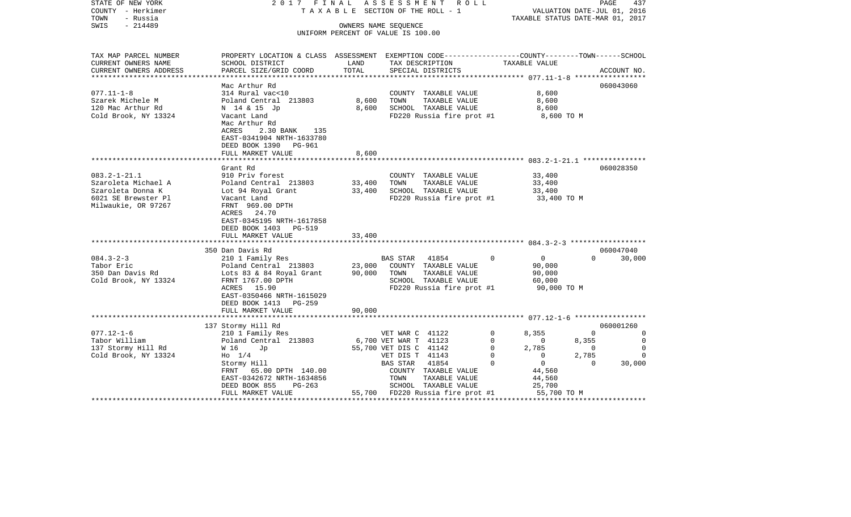| STATE OF NEW YORK<br>COUNTY - Herkimer<br>TOWN<br>- Russia | 2017 FINAL                                                                                      |                  | ASSESSMENT<br>R O L L<br>TAXABLE SECTION OF THE ROLL - 1 |                               | PAGE<br>VALUATION DATE-JUL 01, 2016<br>TAXABLE STATUS DATE-MAR 01, 2017 | 437            |
|------------------------------------------------------------|-------------------------------------------------------------------------------------------------|------------------|----------------------------------------------------------|-------------------------------|-------------------------------------------------------------------------|----------------|
| $-214489$<br>SWIS                                          |                                                                                                 |                  | OWNERS NAME SEOUENCE                                     |                               |                                                                         |                |
|                                                            |                                                                                                 |                  | UNIFORM PERCENT OF VALUE IS 100.00                       |                               |                                                                         |                |
|                                                            |                                                                                                 |                  |                                                          |                               |                                                                         |                |
| TAX MAP PARCEL NUMBER                                      | PROPERTY LOCATION & CLASS ASSESSMENT EXEMPTION CODE---------------COUNTY-------TOWN------SCHOOL |                  |                                                          |                               |                                                                         |                |
| CURRENT OWNERS NAME                                        | SCHOOL DISTRICT                                                                                 | LAND             | TAX DESCRIPTION                                          | TAXABLE VALUE                 |                                                                         |                |
| CURRENT OWNERS ADDRESS                                     | PARCEL SIZE/GRID COORD                                                                          | TOTAL            | SPECIAL DISTRICTS                                        |                               |                                                                         | ACCOUNT NO.    |
| *****************                                          |                                                                                                 |                  |                                                          |                               |                                                                         |                |
|                                                            | Mac Arthur Rd                                                                                   |                  |                                                          |                               |                                                                         | 060043060      |
| $077.11 - 1 - 8$                                           | 314 Rural vac<10                                                                                |                  | COUNTY TAXABLE VALUE                                     | 8,600                         |                                                                         |                |
| Szarek Michele M                                           | Poland Central 213803                                                                           | 8,600            | TOWN<br>TAXABLE VALUE                                    | 8,600                         |                                                                         |                |
| 120 Mac Arthur Rd                                          | N 14 & 15 Jp                                                                                    | 8,600            | SCHOOL TAXABLE VALUE                                     | 8,600                         |                                                                         |                |
| Cold Brook, NY 13324                                       | Vacant Land                                                                                     |                  | FD220 Russia fire prot #1                                | 8,600 TO M                    |                                                                         |                |
|                                                            | Mac Arthur Rd                                                                                   |                  |                                                          |                               |                                                                         |                |
|                                                            | ACRES<br>2.30 BANK<br>135                                                                       |                  |                                                          |                               |                                                                         |                |
|                                                            | EAST-0341904 NRTH-1633780                                                                       |                  |                                                          |                               |                                                                         |                |
|                                                            | DEED BOOK 1390 PG-961                                                                           |                  |                                                          |                               |                                                                         |                |
|                                                            | FULL MARKET VALUE                                                                               | 8,600            |                                                          |                               |                                                                         |                |
|                                                            |                                                                                                 |                  |                                                          |                               |                                                                         |                |
| $083.2 - 1 - 21.1$                                         | Grant Rd<br>910 Priv forest                                                                     |                  | COUNTY TAXABLE VALUE                                     | 33,400                        |                                                                         | 060028350      |
| Szaroleta Michael A                                        |                                                                                                 |                  |                                                          |                               |                                                                         |                |
| Szaroleta Donna K                                          | Poland Central 213803<br>Lot 94 Royal Grant                                                     | 33,400<br>33,400 | TOWN<br>TAXABLE VALUE<br>SCHOOL TAXABLE VALUE            | 33,400<br>33,400              |                                                                         |                |
| 6021 SE Brewster Pl                                        | Vacant Land                                                                                     |                  | FD220 Russia fire prot #1                                | 33,400 TO M                   |                                                                         |                |
| Milwaukie, OR 97267                                        | FRNT 969.00 DPTH                                                                                |                  |                                                          |                               |                                                                         |                |
|                                                            | 24.70<br>ACRES                                                                                  |                  |                                                          |                               |                                                                         |                |
|                                                            | EAST-0345195 NRTH-1617858                                                                       |                  |                                                          |                               |                                                                         |                |
|                                                            | DEED BOOK 1403<br><b>PG-519</b>                                                                 |                  |                                                          |                               |                                                                         |                |
|                                                            | FULL MARKET VALUE                                                                               | 33,400           |                                                          |                               |                                                                         |                |
|                                                            |                                                                                                 |                  |                                                          |                               |                                                                         |                |
|                                                            | 350 Dan Davis Rd                                                                                |                  |                                                          |                               |                                                                         | 060047040      |
| $084.3 - 2 - 3$                                            | 210 1 Family Res                                                                                |                  | 41854<br><b>BAS STAR</b>                                 | $\mathbf 0$<br>$\mathbf{0}$   | $\Omega$                                                                | 30,000         |
| Tabor Eric                                                 | Poland Central 213803                                                                           | 23,000           | COUNTY TAXABLE VALUE                                     | 90,000                        |                                                                         |                |
| 350 Dan Davis Rd                                           | Lots 83 & 84 Royal Grant                                                                        | 90,000           | TAXABLE VALUE<br>TOWN                                    | 90,000                        |                                                                         |                |
| Cold Brook, NY 13324                                       | FRNT 1767.00 DPTH                                                                               |                  | SCHOOL TAXABLE VALUE                                     | 60,000                        |                                                                         |                |
|                                                            | ACRES 15.90                                                                                     |                  | FD220 Russia fire prot #1                                | 90,000 TO M                   |                                                                         |                |
|                                                            | EAST-0350466 NRTH-1615029                                                                       |                  |                                                          |                               |                                                                         |                |
|                                                            | DEED BOOK 1413<br>$PG-259$                                                                      |                  |                                                          |                               |                                                                         |                |
|                                                            | FULL MARKET VALUE                                                                               | 90,000           |                                                          |                               |                                                                         |                |
|                                                            |                                                                                                 |                  |                                                          |                               |                                                                         | 060001260      |
| $077.12 - 1 - 6$                                           | 137 Stormy Hill Rd<br>210 1 Family Res                                                          |                  | VET WAR C 41122                                          | 8,355<br>0                    | $\mathbf 0$                                                             | 0              |
| Tabor William                                              | Poland Central 213803                                                                           |                  | 6,700 VET WAR T 41123                                    | 0<br>$\mathbf 0$              | 8,355                                                                   | $\overline{0}$ |
| 137 Stormy Hill Rd                                         | W 16<br>Jp                                                                                      |                  | 55,700 VET DIS C 41142                                   | 2,785<br>0                    | 0                                                                       | $\Omega$       |
| Cold Brook, NY 13324                                       | $H_0$ 1/4                                                                                       |                  | VET DIS T 41143                                          | $\Omega$<br>$\Omega$          | 2,785                                                                   | $\Omega$       |
|                                                            | Stormy Hill                                                                                     |                  | 41854<br>BAS STAR                                        | $\mathbf 0$<br>$\overline{0}$ | 0                                                                       | 30,000         |
|                                                            | FRNT 65.00 DPTH 140.00                                                                          |                  | COUNTY TAXABLE VALUE                                     | 44,560                        |                                                                         |                |
|                                                            | EAST-0342672 NRTH-1634856                                                                       |                  | TAXABLE VALUE<br>TOWN                                    | 44,560                        |                                                                         |                |
|                                                            | DEED BOOK 855<br>PG-263                                                                         |                  | SCHOOL TAXABLE VALUE                                     | 25,700                        |                                                                         |                |
|                                                            | FULL MARKET VALUE                                                                               |                  | 55,700 FD220 Russia fire prot #1                         | 55,700 TO M                   |                                                                         |                |
|                                                            |                                                                                                 |                  |                                                          |                               |                                                                         |                |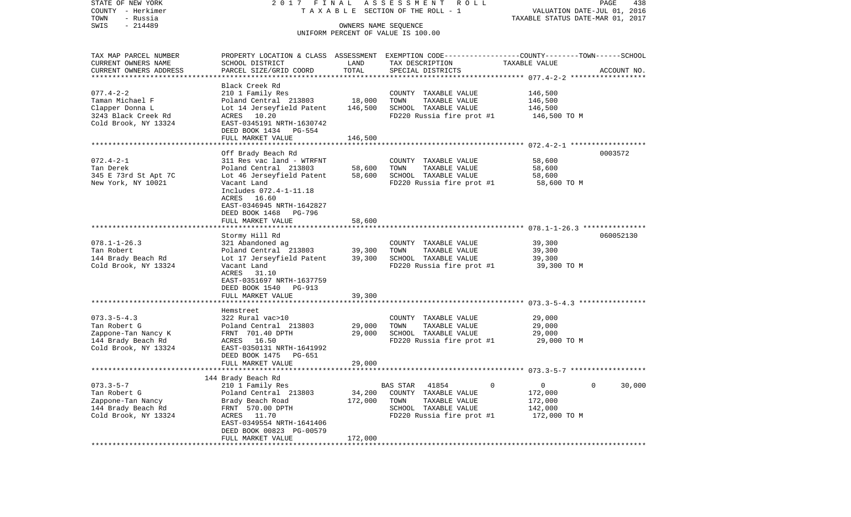| $-214489$<br>SWIS<br>OWNERS NAME SEQUENCE<br>UNIFORM PERCENT OF VALUE IS 100.00<br>PROPERTY LOCATION & CLASS ASSESSMENT EXEMPTION CODE---------------COUNTY-------TOWN-----SCHOOL<br>TAX MAP PARCEL NUMBER<br>CURRENT OWNERS NAME<br>LAND<br>TAXABLE VALUE<br>SCHOOL DISTRICT<br>TAX DESCRIPTION<br>TOTAL<br>CURRENT OWNERS ADDRESS<br>PARCEL SIZE/GRID COORD<br>SPECIAL DISTRICTS<br>ACCOUNT NO.<br>Black Creek Rd<br>146,500<br>$077.4 - 2 - 2$<br>210 1 Family Res<br>COUNTY TAXABLE VALUE<br>18,000<br>TOWN<br>Taman Michael F<br>Poland Central 213803<br>TAXABLE VALUE<br>146,500<br>146,500<br>SCHOOL TAXABLE VALUE<br>Clapper Donna L<br>Lot 14 Jerseyfield Patent<br>146,500<br>ACRES 10.20<br>FD220 Russia fire prot #1<br>3243 Black Creek Rd<br>146,500 TO M<br>Cold Brook, NY 13324<br>EAST-0345191 NRTH-1630742<br>DEED BOOK 1434 PG-554<br>FULL MARKET VALUE<br>146,500<br>Off Brady Beach Rd<br>0003572<br>$072.4 - 2 - 1$<br>311 Res vac land - WTRFNT<br>COUNTY TAXABLE VALUE<br>58,600<br>TAXABLE VALUE<br>Tan Derek<br>Poland Central 213803<br>58,600<br>TOWN<br>58,600<br>345 E 73rd St Apt 7C<br>58,600<br>SCHOOL TAXABLE VALUE<br>58,600<br>Lot 46 Jerseyfield Patent<br>New York, NY 10021<br>FD220 Russia fire prot #1<br>Vacant Land<br>58,600 TO M<br>Includes 072.4-1-11.18<br>ACRES 16.60<br>EAST-0346945 NRTH-1642827<br>DEED BOOK 1468 PG-796<br>FULL MARKET VALUE<br>58,600<br>060052130<br>Stormy Hill Rd<br>$078.1 - 1 - 26.3$<br>39,300<br>321 Abandoned ag<br>COUNTY TAXABLE VALUE<br>TAXABLE VALUE<br>Tan Robert<br>Poland Central 213803<br>39,300<br>TOWN<br>39,300<br>144 Brady Beach Rd<br>39,300<br>SCHOOL TAXABLE VALUE<br>39,300<br>Lot 17 Jerseyfield Patent<br>Cold Brook, NY 13324<br>FD220 Russia fire prot #1<br>Vacant Land<br>39,300 TO M<br>ACRES 31.10<br>EAST-0351697 NRTH-1637759<br>DEED BOOK 1540 PG-913<br>39,300<br>FULL MARKET VALUE<br>Hemstreet<br>$073.3 - 5 - 4.3$<br>322 Rural vac>10<br>COUNTY TAXABLE VALUE<br>29,000<br>Tan Robert G<br>Poland Central 213803<br>29,000<br>TOWN<br>TAXABLE VALUE<br>29,000<br>29,000<br>Zappone-Tan Nancy K<br>FRNT 701.40 DPTH<br>SCHOOL TAXABLE VALUE<br>29,000<br>144 Brady Beach Rd<br>ACRES 16.50<br>FD220 Russia fire prot #1<br>29,000 TO M<br>Cold Brook, NY 13324<br>EAST-0350131 NRTH-1641992<br>DEED BOOK 1475 PG-651<br>29,000<br>FULL MARKET VALUE<br>144 Brady Beach Rd<br>$073.3 - 5 - 7$<br>0<br>0<br>210 1 Family Res<br>BAS STAR<br>41854<br>0<br>30,000<br>Tan Robert G<br>Poland Central 213803<br>34,200<br>172,000<br>COUNTY<br>TAXABLE VALUE | STATE OF NEW YORK<br>COUNTY - Herkimer<br>TOWN<br>- Russia | 2017 FINAL ASSESSMENT ROLL<br>T A X A B L E SECTION OF THE ROLL - 1 | PAGE<br>438<br>VALUATION DATE-JUL 01, 2016<br>TAXABLE STATUS DATE-MAR 01, 2017 |                       |         |  |  |  |  |
|--------------------------------------------------------------------------------------------------------------------------------------------------------------------------------------------------------------------------------------------------------------------------------------------------------------------------------------------------------------------------------------------------------------------------------------------------------------------------------------------------------------------------------------------------------------------------------------------------------------------------------------------------------------------------------------------------------------------------------------------------------------------------------------------------------------------------------------------------------------------------------------------------------------------------------------------------------------------------------------------------------------------------------------------------------------------------------------------------------------------------------------------------------------------------------------------------------------------------------------------------------------------------------------------------------------------------------------------------------------------------------------------------------------------------------------------------------------------------------------------------------------------------------------------------------------------------------------------------------------------------------------------------------------------------------------------------------------------------------------------------------------------------------------------------------------------------------------------------------------------------------------------------------------------------------------------------------------------------------------------------------------------------------------------------------------------------------------------------------------------------------------------------------------------------------------------------------------------------------------------------------------------------------------------------------------------------------------------------------------------------------------------------------------------------------------------------------------------------------------------------------------------------------------------------------------------------|------------------------------------------------------------|---------------------------------------------------------------------|--------------------------------------------------------------------------------|-----------------------|---------|--|--|--|--|
|                                                                                                                                                                                                                                                                                                                                                                                                                                                                                                                                                                                                                                                                                                                                                                                                                                                                                                                                                                                                                                                                                                                                                                                                                                                                                                                                                                                                                                                                                                                                                                                                                                                                                                                                                                                                                                                                                                                                                                                                                                                                                                                                                                                                                                                                                                                                                                                                                                                                                                                                                                          |                                                            |                                                                     |                                                                                |                       |         |  |  |  |  |
|                                                                                                                                                                                                                                                                                                                                                                                                                                                                                                                                                                                                                                                                                                                                                                                                                                                                                                                                                                                                                                                                                                                                                                                                                                                                                                                                                                                                                                                                                                                                                                                                                                                                                                                                                                                                                                                                                                                                                                                                                                                                                                                                                                                                                                                                                                                                                                                                                                                                                                                                                                          |                                                            |                                                                     |                                                                                |                       |         |  |  |  |  |
|                                                                                                                                                                                                                                                                                                                                                                                                                                                                                                                                                                                                                                                                                                                                                                                                                                                                                                                                                                                                                                                                                                                                                                                                                                                                                                                                                                                                                                                                                                                                                                                                                                                                                                                                                                                                                                                                                                                                                                                                                                                                                                                                                                                                                                                                                                                                                                                                                                                                                                                                                                          |                                                            |                                                                     |                                                                                |                       |         |  |  |  |  |
|                                                                                                                                                                                                                                                                                                                                                                                                                                                                                                                                                                                                                                                                                                                                                                                                                                                                                                                                                                                                                                                                                                                                                                                                                                                                                                                                                                                                                                                                                                                                                                                                                                                                                                                                                                                                                                                                                                                                                                                                                                                                                                                                                                                                                                                                                                                                                                                                                                                                                                                                                                          |                                                            |                                                                     |                                                                                |                       |         |  |  |  |  |
|                                                                                                                                                                                                                                                                                                                                                                                                                                                                                                                                                                                                                                                                                                                                                                                                                                                                                                                                                                                                                                                                                                                                                                                                                                                                                                                                                                                                                                                                                                                                                                                                                                                                                                                                                                                                                                                                                                                                                                                                                                                                                                                                                                                                                                                                                                                                                                                                                                                                                                                                                                          |                                                            |                                                                     |                                                                                |                       |         |  |  |  |  |
|                                                                                                                                                                                                                                                                                                                                                                                                                                                                                                                                                                                                                                                                                                                                                                                                                                                                                                                                                                                                                                                                                                                                                                                                                                                                                                                                                                                                                                                                                                                                                                                                                                                                                                                                                                                                                                                                                                                                                                                                                                                                                                                                                                                                                                                                                                                                                                                                                                                                                                                                                                          |                                                            |                                                                     |                                                                                |                       |         |  |  |  |  |
|                                                                                                                                                                                                                                                                                                                                                                                                                                                                                                                                                                                                                                                                                                                                                                                                                                                                                                                                                                                                                                                                                                                                                                                                                                                                                                                                                                                                                                                                                                                                                                                                                                                                                                                                                                                                                                                                                                                                                                                                                                                                                                                                                                                                                                                                                                                                                                                                                                                                                                                                                                          |                                                            |                                                                     |                                                                                |                       |         |  |  |  |  |
|                                                                                                                                                                                                                                                                                                                                                                                                                                                                                                                                                                                                                                                                                                                                                                                                                                                                                                                                                                                                                                                                                                                                                                                                                                                                                                                                                                                                                                                                                                                                                                                                                                                                                                                                                                                                                                                                                                                                                                                                                                                                                                                                                                                                                                                                                                                                                                                                                                                                                                                                                                          |                                                            |                                                                     |                                                                                |                       |         |  |  |  |  |
|                                                                                                                                                                                                                                                                                                                                                                                                                                                                                                                                                                                                                                                                                                                                                                                                                                                                                                                                                                                                                                                                                                                                                                                                                                                                                                                                                                                                                                                                                                                                                                                                                                                                                                                                                                                                                                                                                                                                                                                                                                                                                                                                                                                                                                                                                                                                                                                                                                                                                                                                                                          |                                                            |                                                                     |                                                                                |                       |         |  |  |  |  |
|                                                                                                                                                                                                                                                                                                                                                                                                                                                                                                                                                                                                                                                                                                                                                                                                                                                                                                                                                                                                                                                                                                                                                                                                                                                                                                                                                                                                                                                                                                                                                                                                                                                                                                                                                                                                                                                                                                                                                                                                                                                                                                                                                                                                                                                                                                                                                                                                                                                                                                                                                                          |                                                            |                                                                     |                                                                                |                       |         |  |  |  |  |
|                                                                                                                                                                                                                                                                                                                                                                                                                                                                                                                                                                                                                                                                                                                                                                                                                                                                                                                                                                                                                                                                                                                                                                                                                                                                                                                                                                                                                                                                                                                                                                                                                                                                                                                                                                                                                                                                                                                                                                                                                                                                                                                                                                                                                                                                                                                                                                                                                                                                                                                                                                          |                                                            |                                                                     |                                                                                |                       |         |  |  |  |  |
|                                                                                                                                                                                                                                                                                                                                                                                                                                                                                                                                                                                                                                                                                                                                                                                                                                                                                                                                                                                                                                                                                                                                                                                                                                                                                                                                                                                                                                                                                                                                                                                                                                                                                                                                                                                                                                                                                                                                                                                                                                                                                                                                                                                                                                                                                                                                                                                                                                                                                                                                                                          |                                                            |                                                                     |                                                                                |                       |         |  |  |  |  |
|                                                                                                                                                                                                                                                                                                                                                                                                                                                                                                                                                                                                                                                                                                                                                                                                                                                                                                                                                                                                                                                                                                                                                                                                                                                                                                                                                                                                                                                                                                                                                                                                                                                                                                                                                                                                                                                                                                                                                                                                                                                                                                                                                                                                                                                                                                                                                                                                                                                                                                                                                                          |                                                            |                                                                     |                                                                                |                       |         |  |  |  |  |
|                                                                                                                                                                                                                                                                                                                                                                                                                                                                                                                                                                                                                                                                                                                                                                                                                                                                                                                                                                                                                                                                                                                                                                                                                                                                                                                                                                                                                                                                                                                                                                                                                                                                                                                                                                                                                                                                                                                                                                                                                                                                                                                                                                                                                                                                                                                                                                                                                                                                                                                                                                          |                                                            |                                                                     |                                                                                |                       |         |  |  |  |  |
|                                                                                                                                                                                                                                                                                                                                                                                                                                                                                                                                                                                                                                                                                                                                                                                                                                                                                                                                                                                                                                                                                                                                                                                                                                                                                                                                                                                                                                                                                                                                                                                                                                                                                                                                                                                                                                                                                                                                                                                                                                                                                                                                                                                                                                                                                                                                                                                                                                                                                                                                                                          |                                                            |                                                                     |                                                                                |                       |         |  |  |  |  |
|                                                                                                                                                                                                                                                                                                                                                                                                                                                                                                                                                                                                                                                                                                                                                                                                                                                                                                                                                                                                                                                                                                                                                                                                                                                                                                                                                                                                                                                                                                                                                                                                                                                                                                                                                                                                                                                                                                                                                                                                                                                                                                                                                                                                                                                                                                                                                                                                                                                                                                                                                                          |                                                            |                                                                     |                                                                                |                       |         |  |  |  |  |
|                                                                                                                                                                                                                                                                                                                                                                                                                                                                                                                                                                                                                                                                                                                                                                                                                                                                                                                                                                                                                                                                                                                                                                                                                                                                                                                                                                                                                                                                                                                                                                                                                                                                                                                                                                                                                                                                                                                                                                                                                                                                                                                                                                                                                                                                                                                                                                                                                                                                                                                                                                          |                                                            |                                                                     |                                                                                |                       |         |  |  |  |  |
|                                                                                                                                                                                                                                                                                                                                                                                                                                                                                                                                                                                                                                                                                                                                                                                                                                                                                                                                                                                                                                                                                                                                                                                                                                                                                                                                                                                                                                                                                                                                                                                                                                                                                                                                                                                                                                                                                                                                                                                                                                                                                                                                                                                                                                                                                                                                                                                                                                                                                                                                                                          |                                                            |                                                                     |                                                                                |                       |         |  |  |  |  |
|                                                                                                                                                                                                                                                                                                                                                                                                                                                                                                                                                                                                                                                                                                                                                                                                                                                                                                                                                                                                                                                                                                                                                                                                                                                                                                                                                                                                                                                                                                                                                                                                                                                                                                                                                                                                                                                                                                                                                                                                                                                                                                                                                                                                                                                                                                                                                                                                                                                                                                                                                                          |                                                            |                                                                     |                                                                                |                       |         |  |  |  |  |
|                                                                                                                                                                                                                                                                                                                                                                                                                                                                                                                                                                                                                                                                                                                                                                                                                                                                                                                                                                                                                                                                                                                                                                                                                                                                                                                                                                                                                                                                                                                                                                                                                                                                                                                                                                                                                                                                                                                                                                                                                                                                                                                                                                                                                                                                                                                                                                                                                                                                                                                                                                          |                                                            |                                                                     |                                                                                |                       |         |  |  |  |  |
|                                                                                                                                                                                                                                                                                                                                                                                                                                                                                                                                                                                                                                                                                                                                                                                                                                                                                                                                                                                                                                                                                                                                                                                                                                                                                                                                                                                                                                                                                                                                                                                                                                                                                                                                                                                                                                                                                                                                                                                                                                                                                                                                                                                                                                                                                                                                                                                                                                                                                                                                                                          |                                                            |                                                                     |                                                                                |                       |         |  |  |  |  |
|                                                                                                                                                                                                                                                                                                                                                                                                                                                                                                                                                                                                                                                                                                                                                                                                                                                                                                                                                                                                                                                                                                                                                                                                                                                                                                                                                                                                                                                                                                                                                                                                                                                                                                                                                                                                                                                                                                                                                                                                                                                                                                                                                                                                                                                                                                                                                                                                                                                                                                                                                                          |                                                            |                                                                     |                                                                                |                       |         |  |  |  |  |
|                                                                                                                                                                                                                                                                                                                                                                                                                                                                                                                                                                                                                                                                                                                                                                                                                                                                                                                                                                                                                                                                                                                                                                                                                                                                                                                                                                                                                                                                                                                                                                                                                                                                                                                                                                                                                                                                                                                                                                                                                                                                                                                                                                                                                                                                                                                                                                                                                                                                                                                                                                          |                                                            |                                                                     |                                                                                |                       |         |  |  |  |  |
|                                                                                                                                                                                                                                                                                                                                                                                                                                                                                                                                                                                                                                                                                                                                                                                                                                                                                                                                                                                                                                                                                                                                                                                                                                                                                                                                                                                                                                                                                                                                                                                                                                                                                                                                                                                                                                                                                                                                                                                                                                                                                                                                                                                                                                                                                                                                                                                                                                                                                                                                                                          |                                                            |                                                                     |                                                                                |                       |         |  |  |  |  |
|                                                                                                                                                                                                                                                                                                                                                                                                                                                                                                                                                                                                                                                                                                                                                                                                                                                                                                                                                                                                                                                                                                                                                                                                                                                                                                                                                                                                                                                                                                                                                                                                                                                                                                                                                                                                                                                                                                                                                                                                                                                                                                                                                                                                                                                                                                                                                                                                                                                                                                                                                                          |                                                            |                                                                     |                                                                                |                       |         |  |  |  |  |
|                                                                                                                                                                                                                                                                                                                                                                                                                                                                                                                                                                                                                                                                                                                                                                                                                                                                                                                                                                                                                                                                                                                                                                                                                                                                                                                                                                                                                                                                                                                                                                                                                                                                                                                                                                                                                                                                                                                                                                                                                                                                                                                                                                                                                                                                                                                                                                                                                                                                                                                                                                          |                                                            |                                                                     |                                                                                |                       |         |  |  |  |  |
|                                                                                                                                                                                                                                                                                                                                                                                                                                                                                                                                                                                                                                                                                                                                                                                                                                                                                                                                                                                                                                                                                                                                                                                                                                                                                                                                                                                                                                                                                                                                                                                                                                                                                                                                                                                                                                                                                                                                                                                                                                                                                                                                                                                                                                                                                                                                                                                                                                                                                                                                                                          |                                                            |                                                                     |                                                                                |                       |         |  |  |  |  |
|                                                                                                                                                                                                                                                                                                                                                                                                                                                                                                                                                                                                                                                                                                                                                                                                                                                                                                                                                                                                                                                                                                                                                                                                                                                                                                                                                                                                                                                                                                                                                                                                                                                                                                                                                                                                                                                                                                                                                                                                                                                                                                                                                                                                                                                                                                                                                                                                                                                                                                                                                                          |                                                            |                                                                     |                                                                                |                       |         |  |  |  |  |
|                                                                                                                                                                                                                                                                                                                                                                                                                                                                                                                                                                                                                                                                                                                                                                                                                                                                                                                                                                                                                                                                                                                                                                                                                                                                                                                                                                                                                                                                                                                                                                                                                                                                                                                                                                                                                                                                                                                                                                                                                                                                                                                                                                                                                                                                                                                                                                                                                                                                                                                                                                          |                                                            |                                                                     |                                                                                |                       |         |  |  |  |  |
|                                                                                                                                                                                                                                                                                                                                                                                                                                                                                                                                                                                                                                                                                                                                                                                                                                                                                                                                                                                                                                                                                                                                                                                                                                                                                                                                                                                                                                                                                                                                                                                                                                                                                                                                                                                                                                                                                                                                                                                                                                                                                                                                                                                                                                                                                                                                                                                                                                                                                                                                                                          |                                                            |                                                                     |                                                                                |                       |         |  |  |  |  |
|                                                                                                                                                                                                                                                                                                                                                                                                                                                                                                                                                                                                                                                                                                                                                                                                                                                                                                                                                                                                                                                                                                                                                                                                                                                                                                                                                                                                                                                                                                                                                                                                                                                                                                                                                                                                                                                                                                                                                                                                                                                                                                                                                                                                                                                                                                                                                                                                                                                                                                                                                                          |                                                            |                                                                     |                                                                                |                       |         |  |  |  |  |
|                                                                                                                                                                                                                                                                                                                                                                                                                                                                                                                                                                                                                                                                                                                                                                                                                                                                                                                                                                                                                                                                                                                                                                                                                                                                                                                                                                                                                                                                                                                                                                                                                                                                                                                                                                                                                                                                                                                                                                                                                                                                                                                                                                                                                                                                                                                                                                                                                                                                                                                                                                          |                                                            |                                                                     |                                                                                |                       |         |  |  |  |  |
|                                                                                                                                                                                                                                                                                                                                                                                                                                                                                                                                                                                                                                                                                                                                                                                                                                                                                                                                                                                                                                                                                                                                                                                                                                                                                                                                                                                                                                                                                                                                                                                                                                                                                                                                                                                                                                                                                                                                                                                                                                                                                                                                                                                                                                                                                                                                                                                                                                                                                                                                                                          |                                                            |                                                                     |                                                                                |                       |         |  |  |  |  |
|                                                                                                                                                                                                                                                                                                                                                                                                                                                                                                                                                                                                                                                                                                                                                                                                                                                                                                                                                                                                                                                                                                                                                                                                                                                                                                                                                                                                                                                                                                                                                                                                                                                                                                                                                                                                                                                                                                                                                                                                                                                                                                                                                                                                                                                                                                                                                                                                                                                                                                                                                                          |                                                            |                                                                     |                                                                                |                       |         |  |  |  |  |
|                                                                                                                                                                                                                                                                                                                                                                                                                                                                                                                                                                                                                                                                                                                                                                                                                                                                                                                                                                                                                                                                                                                                                                                                                                                                                                                                                                                                                                                                                                                                                                                                                                                                                                                                                                                                                                                                                                                                                                                                                                                                                                                                                                                                                                                                                                                                                                                                                                                                                                                                                                          |                                                            |                                                                     |                                                                                |                       |         |  |  |  |  |
|                                                                                                                                                                                                                                                                                                                                                                                                                                                                                                                                                                                                                                                                                                                                                                                                                                                                                                                                                                                                                                                                                                                                                                                                                                                                                                                                                                                                                                                                                                                                                                                                                                                                                                                                                                                                                                                                                                                                                                                                                                                                                                                                                                                                                                                                                                                                                                                                                                                                                                                                                                          |                                                            |                                                                     |                                                                                |                       |         |  |  |  |  |
|                                                                                                                                                                                                                                                                                                                                                                                                                                                                                                                                                                                                                                                                                                                                                                                                                                                                                                                                                                                                                                                                                                                                                                                                                                                                                                                                                                                                                                                                                                                                                                                                                                                                                                                                                                                                                                                                                                                                                                                                                                                                                                                                                                                                                                                                                                                                                                                                                                                                                                                                                                          |                                                            |                                                                     |                                                                                |                       |         |  |  |  |  |
|                                                                                                                                                                                                                                                                                                                                                                                                                                                                                                                                                                                                                                                                                                                                                                                                                                                                                                                                                                                                                                                                                                                                                                                                                                                                                                                                                                                                                                                                                                                                                                                                                                                                                                                                                                                                                                                                                                                                                                                                                                                                                                                                                                                                                                                                                                                                                                                                                                                                                                                                                                          |                                                            |                                                                     |                                                                                |                       |         |  |  |  |  |
|                                                                                                                                                                                                                                                                                                                                                                                                                                                                                                                                                                                                                                                                                                                                                                                                                                                                                                                                                                                                                                                                                                                                                                                                                                                                                                                                                                                                                                                                                                                                                                                                                                                                                                                                                                                                                                                                                                                                                                                                                                                                                                                                                                                                                                                                                                                                                                                                                                                                                                                                                                          | Zappone-Tan Nancy                                          | Brady Beach Road                                                    | 172,000                                                                        | TOWN<br>TAXABLE VALUE | 172,000 |  |  |  |  |
| 144 Brady Beach Rd<br>FRNT 570.00 DPTH<br>SCHOOL TAXABLE VALUE<br>142,000                                                                                                                                                                                                                                                                                                                                                                                                                                                                                                                                                                                                                                                                                                                                                                                                                                                                                                                                                                                                                                                                                                                                                                                                                                                                                                                                                                                                                                                                                                                                                                                                                                                                                                                                                                                                                                                                                                                                                                                                                                                                                                                                                                                                                                                                                                                                                                                                                                                                                                |                                                            |                                                                     |                                                                                |                       |         |  |  |  |  |
| ACRES 11.70<br>FD220 Russia fire prot #1<br>Cold Brook, NY 13324<br>172,000 TO M<br>EAST-0349554 NRTH-1641406                                                                                                                                                                                                                                                                                                                                                                                                                                                                                                                                                                                                                                                                                                                                                                                                                                                                                                                                                                                                                                                                                                                                                                                                                                                                                                                                                                                                                                                                                                                                                                                                                                                                                                                                                                                                                                                                                                                                                                                                                                                                                                                                                                                                                                                                                                                                                                                                                                                            |                                                            |                                                                     |                                                                                |                       |         |  |  |  |  |
| DEED BOOK 00823 PG-00579                                                                                                                                                                                                                                                                                                                                                                                                                                                                                                                                                                                                                                                                                                                                                                                                                                                                                                                                                                                                                                                                                                                                                                                                                                                                                                                                                                                                                                                                                                                                                                                                                                                                                                                                                                                                                                                                                                                                                                                                                                                                                                                                                                                                                                                                                                                                                                                                                                                                                                                                                 |                                                            |                                                                     |                                                                                |                       |         |  |  |  |  |
| 172,000<br>FULL MARKET VALUE<br>************************<br>*********                                                                                                                                                                                                                                                                                                                                                                                                                                                                                                                                                                                                                                                                                                                                                                                                                                                                                                                                                                                                                                                                                                                                                                                                                                                                                                                                                                                                                                                                                                                                                                                                                                                                                                                                                                                                                                                                                                                                                                                                                                                                                                                                                                                                                                                                                                                                                                                                                                                                                                    |                                                            |                                                                     |                                                                                |                       |         |  |  |  |  |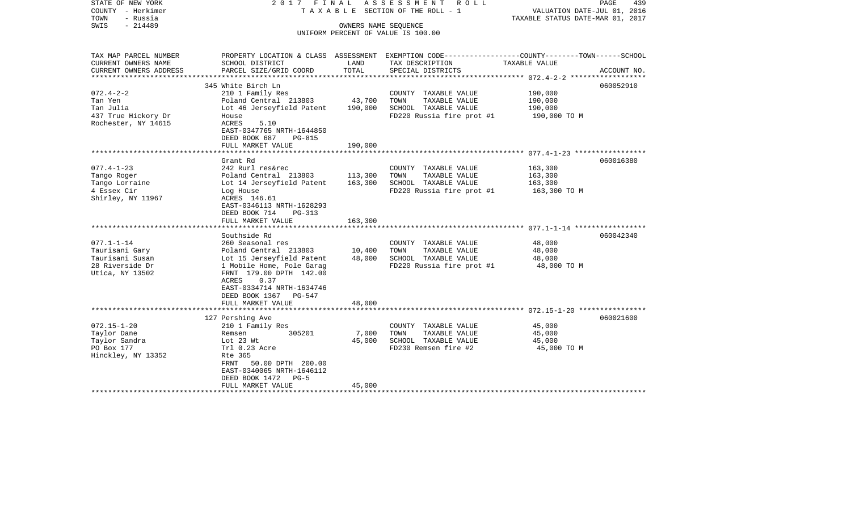| STATE OF NEW YORK<br>COUNTY - Herkimer<br>- Russia<br>TOWN<br>$-214489$<br>SWIS             | 2017 FINAL                                                                                                                                                                                                                                 | OWNERS NAME SEOUENCE          | ASSESSMENT<br>R O L L<br>T A X A B L E SECTION OF THE ROLL - 1                                     | PAGE<br>439<br>VALUATION DATE-JUL 01, 2016<br>TAXABLE STATUS DATE-MAR 01, 2017                                   |
|---------------------------------------------------------------------------------------------|--------------------------------------------------------------------------------------------------------------------------------------------------------------------------------------------------------------------------------------------|-------------------------------|----------------------------------------------------------------------------------------------------|------------------------------------------------------------------------------------------------------------------|
|                                                                                             |                                                                                                                                                                                                                                            |                               | UNIFORM PERCENT OF VALUE IS 100.00                                                                 |                                                                                                                  |
| TAX MAP PARCEL NUMBER<br>CURRENT OWNERS NAME                                                | SCHOOL DISTRICT                                                                                                                                                                                                                            | LAND                          | TAX DESCRIPTION                                                                                    | PROPERTY LOCATION & CLASS ASSESSMENT EXEMPTION CODE---------------COUNTY-------TOWN------SCHOOL<br>TAXABLE VALUE |
| CURRENT OWNERS ADDRESS                                                                      | PARCEL SIZE/GRID COORD                                                                                                                                                                                                                     | TOTAL                         | SPECIAL DISTRICTS                                                                                  | ACCOUNT NO.                                                                                                      |
|                                                                                             | 345 White Birch Ln                                                                                                                                                                                                                         |                               |                                                                                                    | 060052910                                                                                                        |
| $072.4 - 2 - 2$<br>Tan Yen<br>Tan Julia<br>437 True Hickory Dr<br>Rochester, NY 14615       | 210 1 Family Res<br>Poland Central 213803<br>Lot 46 Jerseyfield Patent<br>House<br>ACRES<br>5.10<br>EAST-0347765 NRTH-1644850<br>DEED BOOK 687<br><b>PG-815</b>                                                                            | 43,700<br>190,000             | COUNTY TAXABLE VALUE<br>TAXABLE VALUE<br>TOWN<br>SCHOOL TAXABLE VALUE<br>FD220 Russia fire prot #1 | 190,000<br>190,000<br>190,000<br>190,000 TO M                                                                    |
|                                                                                             | FULL MARKET VALUE                                                                                                                                                                                                                          | 190,000                       |                                                                                                    |                                                                                                                  |
|                                                                                             | Grant Rd                                                                                                                                                                                                                                   |                               |                                                                                                    | 060016380                                                                                                        |
| $077.4 - 1 - 23$<br>Tango Roger<br>Tango Lorraine<br>4 Essex Cir<br>Shirley, NY 11967       | 242 Rurl res&rec<br>Poland Central 213803<br>Lot 14 Jerseyfield Patent<br>Log House<br>ACRES 146.61<br>EAST-0346113 NRTH-1628293<br>DEED BOOK 714<br>$PG-313$<br>FULL MARKET VALUE                                                         | 113,300<br>163,300<br>163,300 | COUNTY TAXABLE VALUE<br>TAXABLE VALUE<br>TOWN<br>SCHOOL TAXABLE VALUE<br>FD220 Russia fire prot #1 | 163,300<br>163,300<br>163,300<br>163,300 TO M                                                                    |
|                                                                                             |                                                                                                                                                                                                                                            |                               |                                                                                                    |                                                                                                                  |
| $077.1 - 1 - 14$<br>Taurisani Gary<br>Taurisani Susan<br>28 Riverside Dr<br>Utica, NY 13502 | Southside Rd<br>260 Seasonal res<br>Poland Central 213803<br>Lot 15 Jerseyfield Patent<br>1 Mobile Home, Pole Garag<br>FRNT 179.00 DPTH 142.00<br>ACRES<br>0.37<br>EAST-0334714 NRTH-1634746<br>DEED BOOK 1367 PG-547<br>FULL MARKET VALUE | 10,400<br>48,000<br>48,000    | COUNTY TAXABLE VALUE<br>TOWN<br>TAXABLE VALUE<br>SCHOOL TAXABLE VALUE<br>FD220 Russia fire prot #1 | 060042340<br>48,000<br>48,000<br>48,000<br>48,000 TO M                                                           |
|                                                                                             |                                                                                                                                                                                                                                            |                               |                                                                                                    |                                                                                                                  |
| $072.15 - 1 - 20$<br>Taylor Dane<br>Taylor Sandra<br>PO Box 177<br>Hinckley, NY 13352       | 127 Pershing Ave<br>210 1 Family Res<br>Remsen<br>305201<br>Lot 23 Wt<br>Trl 0.23 Acre<br>Rte 365<br>50.00 DPTH 200.00<br>FRNT<br>EAST-0340065 NRTH-1646112<br>DEED BOOK 1472 PG-5                                                         | 7,000<br>45,000               | COUNTY TAXABLE VALUE<br>TOWN<br>TAXABLE VALUE<br>SCHOOL TAXABLE VALUE<br>FD230 Remsen fire #2      | 060021600<br>45,000<br>45,000<br>45,000<br>45,000 TO M                                                           |
|                                                                                             | FULL MARKET VALUE                                                                                                                                                                                                                          | 45,000                        |                                                                                                    |                                                                                                                  |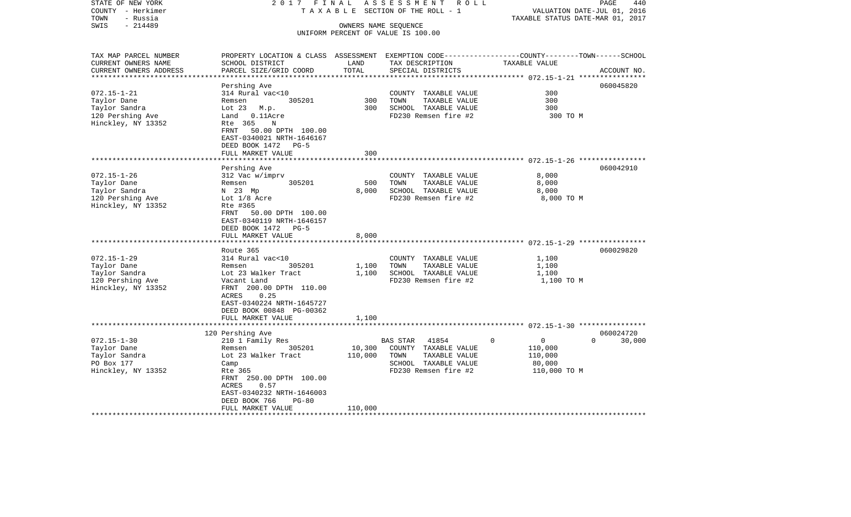| STATE OF NEW YORK<br>COUNTY - Herkimer<br>- Russia<br>TOWN             | 2017 FINAL                                                                                                                                  |                               | ASSESSMENT<br>R O L L<br>T A X A B L E SECTION OF THE ROLL - 1            | VALUATION DATE-JUL 01, 2016<br>TAXABLE STATUS DATE-MAR 01, 2017 | PAGE<br>440 |
|------------------------------------------------------------------------|---------------------------------------------------------------------------------------------------------------------------------------------|-------------------------------|---------------------------------------------------------------------------|-----------------------------------------------------------------|-------------|
| $-214489$<br>SWIS                                                      |                                                                                                                                             | OWNERS NAME SEQUENCE          | UNIFORM PERCENT OF VALUE IS 100.00                                        |                                                                 |             |
| TAX MAP PARCEL NUMBER<br>CURRENT OWNERS NAME<br>CURRENT OWNERS ADDRESS | PROPERTY LOCATION & CLASS ASSESSMENT EXEMPTION CODE---------------COUNTY-------TOWN-----SCHOOL<br>SCHOOL DISTRICT<br>PARCEL SIZE/GRID COORD | LAND<br>TOTAL                 | TAX DESCRIPTION<br>SPECIAL DISTRICTS                                      | TAXABLE VALUE                                                   | ACCOUNT NO. |
|                                                                        |                                                                                                                                             |                               |                                                                           |                                                                 |             |
|                                                                        | Pershing Ave                                                                                                                                |                               |                                                                           |                                                                 | 060045820   |
| $072.15 - 1 - 21$                                                      | 314 Rural vac<10                                                                                                                            |                               | COUNTY TAXABLE VALUE                                                      | 300                                                             |             |
| Taylor Dane                                                            | Remsen<br>305201                                                                                                                            | 300                           | TOWN<br>TAXABLE VALUE                                                     | 300                                                             |             |
| Taylor Sandra                                                          | Lot 23 M.p.                                                                                                                                 | 300                           | SCHOOL TAXABLE VALUE                                                      | 300                                                             |             |
| 120 Pershing Ave<br>Hinckley, NY 13352                                 | Land 0.11Acre<br>Rte 365<br>N<br>FRNT<br>50.00 DPTH 100.00<br>EAST-0340021 NRTH-1646167<br>DEED BOOK 1472 PG-5                              |                               | FD230 Remsen fire #2                                                      | 300 TO M                                                        |             |
|                                                                        | FULL MARKET VALUE                                                                                                                           | 300                           |                                                                           |                                                                 |             |
|                                                                        | ******************                                                                                                                          | * * * * * * * * * * * * * * * |                                                                           | ********************************* 072.15-1-26 ****************  |             |
| $072.15 - 1 - 26$                                                      | Pershing Ave                                                                                                                                |                               |                                                                           | 8,000                                                           | 060042910   |
| Taylor Dane                                                            | 312 Vac w/imprv<br>Remsen<br>305201                                                                                                         | 500                           | COUNTY TAXABLE VALUE<br>TAXABLE VALUE<br>TOWN                             | 8,000                                                           |             |
| Taylor Sandra                                                          | N 23 Mp                                                                                                                                     | 8,000                         | SCHOOL TAXABLE VALUE                                                      | 8,000                                                           |             |
| 120 Pershing Ave                                                       | Lot 1/8 Acre                                                                                                                                |                               | FD230 Remsen fire #2                                                      | 8,000 TO M                                                      |             |
| Hinckley, NY 13352                                                     | Rte #365<br>50.00 DPTH 100.00<br>FRNT<br>EAST-0340119 NRTH-1646157<br>DEED BOOK 1472 PG-5<br>FULL MARKET VALUE                              | 8,000                         |                                                                           |                                                                 |             |
|                                                                        | ********************                                                                                                                        | ************                  |                                                                           |                                                                 |             |
|                                                                        | Route 365                                                                                                                                   |                               |                                                                           |                                                                 | 060029820   |
| $072.15 - 1 - 29$                                                      | 314 Rural vac<10                                                                                                                            |                               | COUNTY TAXABLE VALUE                                                      | 1,100                                                           |             |
| Taylor Dane                                                            | 305201<br>Remsen                                                                                                                            | 1,100                         | TAXABLE VALUE<br>TOWN                                                     | 1,100                                                           |             |
| Taylor Sandra                                                          | Lot 23 Walker Tract                                                                                                                         | 1,100                         | SCHOOL TAXABLE VALUE                                                      | 1,100                                                           |             |
| 120 Pershing Ave<br>Hinckley, NY 13352                                 | Vacant Land<br>FRNT 200.00 DPTH 110.00<br>0.25<br>ACRES<br>EAST-0340224 NRTH-1645727<br>DEED BOOK 00848 PG-00362                            |                               | FD230 Remsen fire #2                                                      | 1,100 TO M                                                      |             |
|                                                                        | FULL MARKET VALUE<br>.                                                                                                                      | 1,100                         |                                                                           |                                                                 |             |
|                                                                        | 120 Pershing Ave                                                                                                                            |                               |                                                                           |                                                                 | 060024720   |
| $072.15 - 1 - 30$<br>Taylor Dane<br>Taylor Sandra                      | 210 1 Family Res<br>305201<br>Remsen<br>Lot 23 Walker Tract                                                                                 | 10,300<br>110,000             | <b>BAS STAR</b><br>41854<br>COUNTY TAXABLE VALUE<br>TOWN<br>TAXABLE VALUE | $\Omega$<br>$\mathbf{0}$<br>$\Omega$<br>110,000<br>110,000      | 30,000      |
| PO Box 177<br>Hinckley, NY 13352                                       | Camp<br>Rte 365<br>FRNT 250.00 DPTH 100.00<br>0.57<br>ACRES<br>EAST-0340232 NRTH-1646003<br>DEED BOOK 766<br>$PG-80$<br>FULL MARKET VALUE   | 110,000                       | SCHOOL TAXABLE VALUE<br>FD230 Remsen fire #2                              | 80,000<br>110,000 TO M                                          |             |
|                                                                        |                                                                                                                                             |                               |                                                                           |                                                                 |             |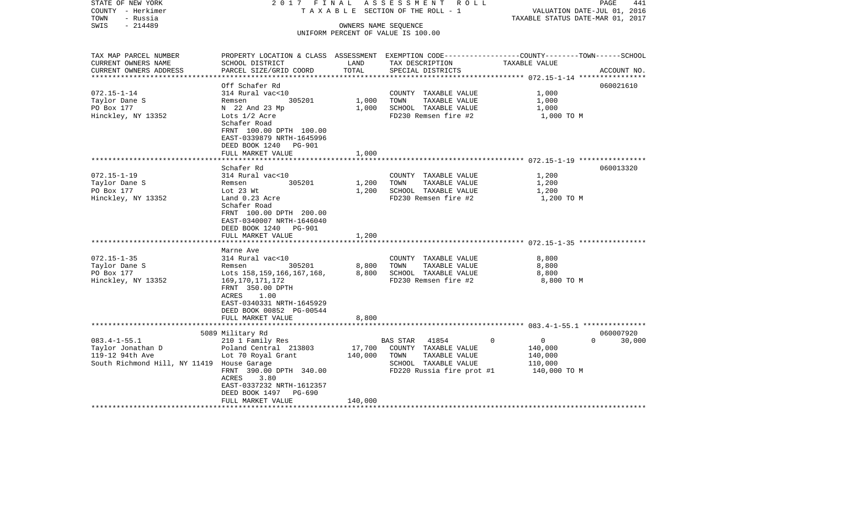| STATE OF NEW YORK<br>COUNTY - Herkimer<br>- Russia<br>TOWN<br>SWIS<br>$-214489$                                                                  | 2017 FINAL                                                                                                                                                                                                                                                                                                                                                                                                  |                                           | ASSESSMENT<br>ROLL<br>TAXABLE SECTION OF THE ROLL - 1<br>OWNERS NAME SEQUENCE                                                                                                                  | VALUATION DATE-JUL 01, 2016<br>TAXABLE STATUS DATE-MAR 01, 2017                | PAGE<br>441        |
|--------------------------------------------------------------------------------------------------------------------------------------------------|-------------------------------------------------------------------------------------------------------------------------------------------------------------------------------------------------------------------------------------------------------------------------------------------------------------------------------------------------------------------------------------------------------------|-------------------------------------------|------------------------------------------------------------------------------------------------------------------------------------------------------------------------------------------------|--------------------------------------------------------------------------------|--------------------|
|                                                                                                                                                  |                                                                                                                                                                                                                                                                                                                                                                                                             |                                           | UNIFORM PERCENT OF VALUE IS 100.00                                                                                                                                                             |                                                                                |                    |
| TAX MAP PARCEL NUMBER<br>CURRENT OWNERS NAME                                                                                                     | PROPERTY LOCATION & CLASS ASSESSMENT EXEMPTION CODE---------------COUNTY-------TOWN------SCHOOL<br>SCHOOL DISTRICT                                                                                                                                                                                                                                                                                          | LAND                                      | TAX DESCRIPTION                                                                                                                                                                                | TAXABLE VALUE                                                                  |                    |
| CURRENT OWNERS ADDRESS<br>**********************                                                                                                 | PARCEL SIZE/GRID COORD                                                                                                                                                                                                                                                                                                                                                                                      | TOTAL                                     | SPECIAL DISTRICTS                                                                                                                                                                              |                                                                                | ACCOUNT NO.        |
|                                                                                                                                                  | Off Schafer Rd                                                                                                                                                                                                                                                                                                                                                                                              |                                           |                                                                                                                                                                                                |                                                                                | 060021610          |
| $072.15 - 1 - 14$<br>Taylor Dane S<br>PO Box 177<br>Hinckley, NY 13352                                                                           | 314 Rural vac<10<br>305201<br>Remsen<br>N 22 And 23 Mp<br>Lots 1/2 Acre<br>Schafer Road                                                                                                                                                                                                                                                                                                                     | 1,000<br>1,000                            | COUNTY TAXABLE VALUE<br>TOWN<br>TAXABLE VALUE<br>SCHOOL TAXABLE VALUE<br>FD230 Remsen fire #2                                                                                                  | 1,000<br>1,000<br>1,000<br>1,000 TO M                                          |                    |
|                                                                                                                                                  | FRNT 100.00 DPTH 100.00<br>EAST-0339879 NRTH-1645996<br>DEED BOOK 1240<br>PG-901<br>FULL MARKET VALUE                                                                                                                                                                                                                                                                                                       | 1,000                                     |                                                                                                                                                                                                |                                                                                |                    |
|                                                                                                                                                  |                                                                                                                                                                                                                                                                                                                                                                                                             |                                           |                                                                                                                                                                                                |                                                                                |                    |
| $072.15 - 1 - 19$<br>Taylor Dane S<br>PO Box 177<br>Hinckley, NY 13352<br>$072.15 - 1 - 35$<br>Taylor Dane S<br>PO Box 177<br>Hinckley, NY 13352 | Schafer Rd<br>314 Rural vac<10<br>Remsen<br>305201<br>Lot 23 Wt<br>Land 0.23 Acre<br>Schafer Road<br>FRNT 100.00 DPTH 200.00<br>EAST-0340007 NRTH-1646040<br>DEED BOOK 1240 PG-901<br>FULL MARKET VALUE<br>******************<br>Marne Ave<br>314 Rural vac<10<br>305201<br>Remsen<br>Lots 158, 159, 166, 167, 168,<br>169, 170, 171, 172<br>FRNT 350.00 DPTH<br>ACRES<br>1.00<br>EAST-0340331 NRTH-1645929 | 1,200<br>1,200<br>1,200<br>8,800<br>8,800 | COUNTY TAXABLE VALUE<br>TOWN<br>TAXABLE VALUE<br>SCHOOL TAXABLE VALUE<br>FD230 Remsen fire #2<br>COUNTY TAXABLE VALUE<br>TAXABLE VALUE<br>TOWN<br>SCHOOL TAXABLE VALUE<br>FD230 Remsen fire #2 | 1,200<br>1,200<br>1,200<br>1,200 TO M<br>8,800<br>8,800<br>8,800<br>8,800 TO M | 060013320          |
|                                                                                                                                                  | DEED BOOK 00852 PG-00544<br>FULL MARKET VALUE                                                                                                                                                                                                                                                                                                                                                               | 8,800                                     |                                                                                                                                                                                                |                                                                                |                    |
|                                                                                                                                                  | 5089 Military Rd                                                                                                                                                                                                                                                                                                                                                                                            |                                           |                                                                                                                                                                                                |                                                                                | 060007920          |
| $083.4 - 1 - 55.1$<br>Taylor Jonathan D<br>119-12 94th Ave<br>South Richmond Hill, NY 11419 House Garage                                         | 210 1 Family Res<br>Poland Central 213803<br>Lot 70 Royal Grant<br>FRNT 390.00 DPTH 340.00<br>ACRES<br>3.80<br>EAST-0337232 NRTH-1612357<br>DEED BOOK 1497 PG-690                                                                                                                                                                                                                                           | 17,700<br>140,000                         | 41854<br><b>BAS STAR</b><br>COUNTY TAXABLE VALUE<br>TAXABLE VALUE<br>TOWN<br>SCHOOL TAXABLE VALUE<br>FD220 Russia fire prot #1                                                                 | $\Omega$<br>$\overline{0}$<br>140,000<br>140,000<br>110,000<br>140,000 TO M    | 30,000<br>$\Omega$ |
|                                                                                                                                                  | FULL MARKET VALUE                                                                                                                                                                                                                                                                                                                                                                                           | 140,000                                   |                                                                                                                                                                                                |                                                                                |                    |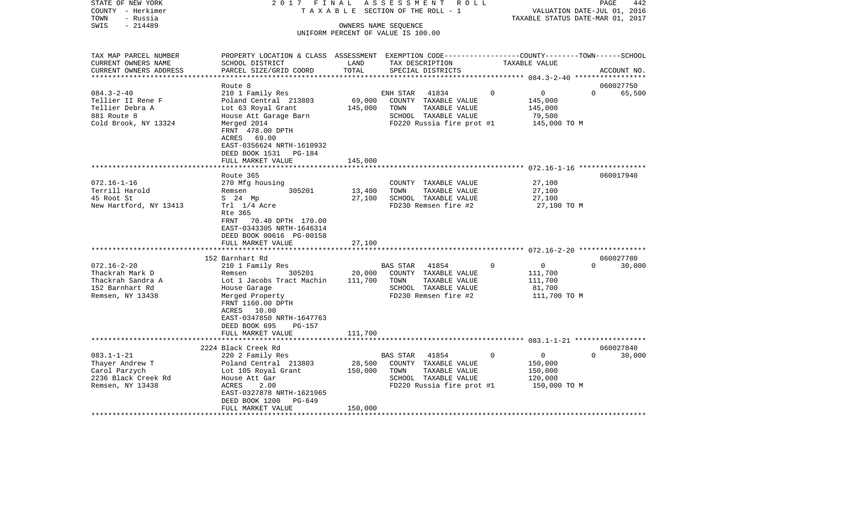| STATE OF NEW YORK<br>COUNTY - Herkimer<br>- Russia<br>TOWN | 2017 FINAL<br>TAXABLE                                                                                               |                                    | ASSESSMENT | R O L L<br>SECTION OF THE ROLL - 1 |             | VALUATION DATE-JUL 01, 2016<br>TAXABLE STATUS DATE-MAR 01, 2017 | PAGE     | 442         |
|------------------------------------------------------------|---------------------------------------------------------------------------------------------------------------------|------------------------------------|------------|------------------------------------|-------------|-----------------------------------------------------------------|----------|-------------|
| $-214489$<br>SWIS                                          |                                                                                                                     | OWNERS NAME SEQUENCE               |            |                                    |             |                                                                 |          |             |
|                                                            |                                                                                                                     | UNIFORM PERCENT OF VALUE IS 100.00 |            |                                    |             |                                                                 |          |             |
|                                                            |                                                                                                                     |                                    |            |                                    |             |                                                                 |          |             |
| TAX MAP PARCEL NUMBER<br>CURRENT OWNERS NAME               | PROPERTY LOCATION & CLASS ASSESSMENT EXEMPTION CODE----------------COUNTY-------TOWN------SCHOOL<br>SCHOOL DISTRICT | LAND                               |            | TAX DESCRIPTION                    |             | TAXABLE VALUE                                                   |          |             |
| CURRENT OWNERS ADDRESS<br>**************************       | PARCEL SIZE/GRID COORD                                                                                              | TOTAL                              |            | SPECIAL DISTRICTS                  |             |                                                                 |          | ACCOUNT NO. |
|                                                            | Route 8                                                                                                             |                                    |            |                                    |             |                                                                 |          | 060027750   |
| $084.3 - 2 - 40$                                           | 210 1 Family Res                                                                                                    |                                    | ENH STAR   | 41834                              | $\Omega$    | $\overline{0}$                                                  | $\Omega$ | 65,500      |
| Tellier II Rene F                                          | Poland Central 213803                                                                                               | 69,000                             |            | COUNTY TAXABLE VALUE               |             | 145,000                                                         |          |             |
| Tellier Debra A                                            | Lot 63 Royal Grant                                                                                                  | 145,000                            | TOWN       | TAXABLE VALUE                      |             | 145,000                                                         |          |             |
| 881 Route 8                                                | House Att Garage Barn                                                                                               |                                    |            | SCHOOL TAXABLE VALUE               |             | 79,500                                                          |          |             |
| Cold Brook, NY 13324                                       | Merged 2014                                                                                                         |                                    |            | FD220 Russia fire prot #1          |             | 145,000 TO M                                                    |          |             |
|                                                            | FRNT 478.00 DPTH                                                                                                    |                                    |            |                                    |             |                                                                 |          |             |
|                                                            | ACRES 69.00                                                                                                         |                                    |            |                                    |             |                                                                 |          |             |
|                                                            | EAST-0356624 NRTH-1610932                                                                                           |                                    |            |                                    |             |                                                                 |          |             |
|                                                            | DEED BOOK 1531<br>PG-184                                                                                            |                                    |            |                                    |             |                                                                 |          |             |
|                                                            | FULL MARKET VALUE                                                                                                   | 145,000                            |            |                                    |             |                                                                 |          |             |
|                                                            |                                                                                                                     |                                    |            |                                    |             |                                                                 |          |             |
|                                                            | Route 365                                                                                                           |                                    |            |                                    |             |                                                                 |          | 060017940   |
| $072.16 - 1 - 16$                                          | 270 Mfg housing                                                                                                     |                                    |            | COUNTY TAXABLE VALUE               |             | 27,100                                                          |          |             |
| Terrill Harold                                             | 305201<br>Remsen                                                                                                    | 13,400                             | TOWN       | TAXABLE VALUE                      |             | 27,100                                                          |          |             |
| 45 Root St                                                 | S 24 Mp                                                                                                             | 27,100                             |            | SCHOOL TAXABLE VALUE               |             | 27,100                                                          |          |             |
| New Hartford, NY 13413                                     | Trl 1/4 Acre                                                                                                        |                                    |            | FD230 Remsen fire #2               |             | 27,100 TO M                                                     |          |             |
|                                                            | Rte 365                                                                                                             |                                    |            |                                    |             |                                                                 |          |             |
|                                                            | FRNT 70.40 DPTH 170.00                                                                                              |                                    |            |                                    |             |                                                                 |          |             |
|                                                            | EAST-0343305 NRTH-1646314                                                                                           |                                    |            |                                    |             |                                                                 |          |             |
|                                                            | DEED BOOK 00616 PG-00158                                                                                            |                                    |            |                                    |             |                                                                 |          |             |
|                                                            | FULL MARKET VALUE                                                                                                   | 27,100                             |            |                                    |             |                                                                 |          |             |
|                                                            |                                                                                                                     |                                    |            |                                    |             |                                                                 |          |             |
|                                                            | 152 Barnhart Rd                                                                                                     |                                    |            |                                    |             |                                                                 |          | 060027780   |
| $072.16 - 2 - 20$                                          | 210 1 Family Res                                                                                                    |                                    | BAS STAR   | 41854                              | $\Omega$    | $\overline{0}$                                                  | $\Omega$ | 30,000      |
| Thackrah Mark D                                            | 305201<br>Remsen                                                                                                    | 20,000                             |            | COUNTY TAXABLE VALUE               |             | 111,700                                                         |          |             |
| Thackrah Sandra A                                          | Lot 1 Jacobs Tract Machin                                                                                           | 111,700                            | TOWN       | TAXABLE VALUE                      |             | 111,700                                                         |          |             |
| 152 Barnhart Rd                                            |                                                                                                                     |                                    |            | SCHOOL TAXABLE VALUE               |             |                                                                 |          |             |
|                                                            | House Garage                                                                                                        |                                    |            |                                    |             | 81,700                                                          |          |             |
| Remsen, NY 13438                                           | Merged Property                                                                                                     |                                    |            | FD230 Remsen fire #2               |             | 111,700 TO M                                                    |          |             |
|                                                            | FRNT 1160.00 DPTH                                                                                                   |                                    |            |                                    |             |                                                                 |          |             |
|                                                            | ACRES 10.00                                                                                                         |                                    |            |                                    |             |                                                                 |          |             |
|                                                            | EAST-0347850 NRTH-1647763                                                                                           |                                    |            |                                    |             |                                                                 |          |             |
|                                                            | DEED BOOK 695<br>PG-157                                                                                             |                                    |            |                                    |             |                                                                 |          |             |
|                                                            | FULL MARKET VALUE                                                                                                   | 111,700                            |            |                                    |             |                                                                 |          |             |
|                                                            |                                                                                                                     |                                    |            |                                    |             |                                                                 |          |             |
|                                                            | 2224 Black Creek Rd                                                                                                 |                                    |            |                                    |             |                                                                 |          | 060027840   |
| $083.1 - 1 - 21$                                           | 220 2 Family Res                                                                                                    |                                    | BAS STAR   | 41854                              | $\mathbf 0$ | $\overline{0}$                                                  | $\Omega$ | 30,000      |
| Thayer Andrew T                                            | Poland Central 213803                                                                                               | 28,500                             |            | COUNTY TAXABLE VALUE               |             | 150,000                                                         |          |             |
| Carol Parzych                                              | Lot 105 Royal Grant                                                                                                 | 150,000                            | TOWN       | TAXABLE VALUE                      |             | 150,000                                                         |          |             |
| 2236 Black Creek Rd                                        | House Att Gar                                                                                                       |                                    |            | SCHOOL TAXABLE VALUE               |             | 120,000                                                         |          |             |
| Remsen, NY 13438                                           | ACRES<br>2.00                                                                                                       |                                    |            | FD220 Russia fire prot #1          |             | 150,000 TO M                                                    |          |             |
|                                                            | EAST-0327878 NRTH-1621965                                                                                           |                                    |            |                                    |             |                                                                 |          |             |
|                                                            | DEED BOOK 1200<br>PG-649                                                                                            |                                    |            |                                    |             |                                                                 |          |             |
|                                                            | FULL MARKET VALUE                                                                                                   | 150,000                            |            |                                    |             |                                                                 |          |             |
|                                                            |                                                                                                                     |                                    |            |                                    |             |                                                                 |          |             |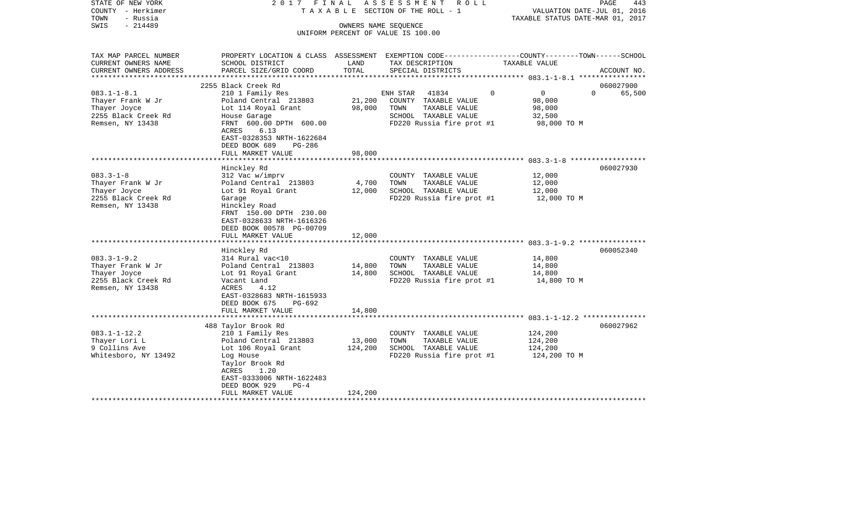| STATE OF NEW YORK<br>COUNTY - Herkimer<br>TOWN<br>- Russia<br>$-214489$<br>SWIS | 2017 FINAL                                                                                                                 | OWNERS NAME SEQUENCE | ASSESSMENT ROLL<br>TAXABLE SECTION OF THE ROLL - 1<br>UNIFORM PERCENT OF VALUE IS 100.00 | TAXABLE STATUS DATE-MAR 01, 2017 | PAGE<br>443<br>VALUATION DATE-JUL 01, 2016 |
|---------------------------------------------------------------------------------|----------------------------------------------------------------------------------------------------------------------------|----------------------|------------------------------------------------------------------------------------------|----------------------------------|--------------------------------------------|
| TAX MAP PARCEL NUMBER                                                           | PROPERTY LOCATION & CLASS ASSESSMENT EXEMPTION CODE---------------COUNTY-------TOWN------SCHOOL                            |                      |                                                                                          |                                  |                                            |
| CURRENT OWNERS NAME                                                             | SCHOOL DISTRICT                                                                                                            | LAND                 | TAX DESCRIPTION                                                                          | TAXABLE VALUE                    |                                            |
| CURRENT OWNERS ADDRESS<br>**********************                                | PARCEL SIZE/GRID COORD                                                                                                     | TOTAL                | SPECIAL DISTRICTS                                                                        |                                  | ACCOUNT NO.                                |
|                                                                                 | 2255 Black Creek Rd                                                                                                        |                      |                                                                                          |                                  | 060027900                                  |
| $083.1 - 1 - 8.1$                                                               | 210 1 Family Res                                                                                                           |                      | 41834<br>ENH STAR                                                                        | $\mathbf 0$<br>$\overline{0}$    | $\Omega$<br>65,500                         |
| Thayer Frank W Jr                                                               | Poland Central 213803                                                                                                      | 21,200               | COUNTY TAXABLE VALUE                                                                     | 98,000                           |                                            |
| Thayer Joyce                                                                    | Lot 114 Royal Grant                                                                                                        | 98,000               | TOWN<br>TAXABLE VALUE                                                                    | 98,000                           |                                            |
| 2255 Black Creek Rd                                                             | House Garage                                                                                                               |                      | SCHOOL TAXABLE VALUE                                                                     | 32,500                           |                                            |
| Remsen, NY 13438                                                                | FRNT 600.00 DPTH 600.00<br>ACRES<br>6.13<br>EAST-0328353 NRTH-1622684<br>DEED BOOK 689<br>PG-286                           |                      | FD220 Russia fire prot #1                                                                | 98,000 TO M                      |                                            |
|                                                                                 | FULL MARKET VALUE                                                                                                          | 98,000               |                                                                                          |                                  |                                            |
|                                                                                 |                                                                                                                            |                      |                                                                                          |                                  |                                            |
|                                                                                 | Hinckley Rd                                                                                                                |                      |                                                                                          |                                  | 060027930                                  |
| $083.3 - 1 - 8$                                                                 | 312 Vac w/imprv                                                                                                            |                      | COUNTY TAXABLE VALUE                                                                     | 12,000                           |                                            |
| Thayer Frank W Jr<br>Thayer Joyce                                               | Poland Central 213803<br>Lot 91 Royal Grant                                                                                | 4,700<br>12,000      | TOWN<br>TAXABLE VALUE<br>SCHOOL TAXABLE VALUE                                            | 12,000<br>12,000                 |                                            |
| 2255 Black Creek Rd                                                             | Garage                                                                                                                     |                      | FD220 Russia fire prot #1                                                                | 12,000 TO M                      |                                            |
| Remsen, NY 13438                                                                | Hinckley Road<br>FRNT 150.00 DPTH 230.00<br>EAST-0328633 NRTH-1616326<br>DEED BOOK 00578 PG-00709<br>FULL MARKET VALUE     | 12,000               |                                                                                          |                                  |                                            |
| *************************                                                       | ***********************                                                                                                    |                      |                                                                                          |                                  |                                            |
|                                                                                 | Hinckley Rd                                                                                                                |                      |                                                                                          |                                  | 060052340                                  |
| $083.3 - 1 - 9.2$                                                               | 314 Rural vac<10                                                                                                           |                      | COUNTY TAXABLE VALUE                                                                     | 14,800                           |                                            |
| Thayer Frank W Jr                                                               | Poland Central 213803                                                                                                      | 14,800               | TOWN<br>TAXABLE VALUE                                                                    | 14,800                           |                                            |
| Thayer Joyce                                                                    | Lot 91 Royal Grant                                                                                                         | 14,800               | SCHOOL TAXABLE VALUE                                                                     | 14,800                           |                                            |
| 2255 Black Creek Rd<br>Remsen, NY 13438                                         | Vacant Land<br>ACRES<br>4.12<br>EAST-0328683 NRTH-1615933<br>DEED BOOK 675<br>PG-692<br>FULL MARKET VALUE                  | 14,800               | FD220 Russia fire prot #1                                                                | 14,800 TO M                      |                                            |
|                                                                                 |                                                                                                                            |                      |                                                                                          |                                  |                                            |
|                                                                                 | 488 Taylor Brook Rd                                                                                                        |                      |                                                                                          |                                  | 060027962                                  |
| $083.1 - 1 - 12.2$                                                              | 210 1 Family Res                                                                                                           |                      | COUNTY TAXABLE VALUE                                                                     | 124,200                          |                                            |
| Thayer Lori L                                                                   | Poland Central 213803                                                                                                      | 13,000               | TOWN<br>TAXABLE VALUE                                                                    | 124,200                          |                                            |
| 9 Collins Ave                                                                   | Lot 106 Royal Grant                                                                                                        | 124,200              | SCHOOL TAXABLE VALUE                                                                     | 124,200                          |                                            |
| Whitesboro, NY 13492                                                            | Log House<br>Taylor Brook Rd<br>ACRES<br>1.20<br>EAST-0333006 NRTH-1622483<br>DEED BOOK 929<br>$PG-4$<br>FULL MARKET VALUE | 124,200              | FD220 Russia fire prot #1                                                                | 124,200 TO M                     |                                            |
|                                                                                 |                                                                                                                            |                      | ************************                                                                 |                                  |                                            |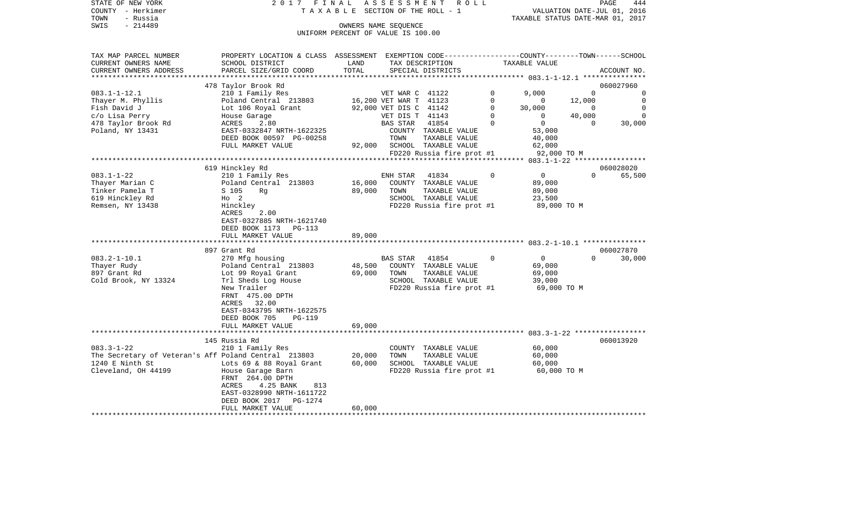| STATE OF NEW YORK      | 2017 FINAL ASSESSMENT ROLL                                                                       |                                       |                        |                             |             |                                  |          | PAGE<br>444                 |
|------------------------|--------------------------------------------------------------------------------------------------|---------------------------------------|------------------------|-----------------------------|-------------|----------------------------------|----------|-----------------------------|
| COUNTY - Herkimer      |                                                                                                  | T A X A B L E SECTION OF THE ROLL - 1 |                        |                             |             |                                  |          | VALUATION DATE-JUL 01, 2016 |
| TOWN<br>- Russia       |                                                                                                  |                                       |                        |                             |             | TAXABLE STATUS DATE-MAR 01, 2017 |          |                             |
| $-214489$<br>SWIS      |                                                                                                  |                                       | OWNERS NAME SEOUENCE   |                             |             |                                  |          |                             |
|                        |                                                                                                  | UNIFORM PERCENT OF VALUE IS 100.00    |                        |                             |             |                                  |          |                             |
|                        |                                                                                                  |                                       |                        |                             |             |                                  |          |                             |
| TAX MAP PARCEL NUMBER  | PROPERTY LOCATION & CLASS ASSESSMENT EXEMPTION CODE----------------COUNTY-------TOWN------SCHOOL |                                       |                        |                             |             |                                  |          |                             |
| CURRENT OWNERS NAME    | SCHOOL DISTRICT                                                                                  | LAND                                  |                        | TAX DESCRIPTION             |             | TAXABLE VALUE                    |          |                             |
| CURRENT OWNERS ADDRESS | PARCEL SIZE/GRID COORD                                                                           | TOTAL                                 |                        | SPECIAL DISTRICTS           |             |                                  |          | ACCOUNT NO.                 |
|                        |                                                                                                  |                                       |                        |                             |             |                                  |          |                             |
|                        | 478 Taylor Brook Rd                                                                              |                                       |                        |                             |             |                                  |          | 060027960                   |
| $083.1 - 1 - 12.1$     | 210 1 Family Res                                                                                 |                                       | VET WAR C 41122        |                             | $\Omega$    | 9.000                            | $\Omega$ | $\mathbf 0$                 |
| Thayer M. Phyllis      | Poland Central 213803                                                                            |                                       | 16,200 VET WAR T 41123 |                             | $\Omega$    | $\Omega$                         | 12,000   | $\circ$                     |
| Fish David J           | Lot 106 Royal Grant                                                                              |                                       | 92,000 VET DIS C 41142 |                             | $\mathbf 0$ | 30,000                           | $\sim$ 0 | $\overline{0}$              |
| c/o Lisa Perry         | House Garage                                                                                     |                                       | VET DIS T 41143        |                             | $\Omega$    | $\Omega$                         | 40,000   | $\Omega$                    |
| 478 Taylor Brook Rd    | <b>ACRES</b><br>2.80                                                                             |                                       | BAS STAR               | 41854                       | $\Omega$    | $\overline{0}$                   | $\Omega$ | 30,000                      |
| Poland, NY 13431       | EAST-0332847 NRTH-1622325                                                                        |                                       |                        | COUNTY TAXABLE VALUE        |             | 53,000                           |          |                             |
|                        | DEED BOOK 00597 PG-00258                                                                         |                                       | TOWN                   | TAXABLE VALUE               |             | 40,000                           |          |                             |
|                        | FULL MARKET VALUE                                                                                |                                       |                        | 92,000 SCHOOL TAXABLE VALUE |             | 62,000                           |          |                             |
|                        |                                                                                                  |                                       |                        | FD220 Russia fire prot #1   |             | 92,000 TO M                      |          |                             |
|                        |                                                                                                  |                                       |                        |                             |             |                                  |          |                             |
|                        | 619 Hinckley Rd                                                                                  |                                       |                        |                             |             |                                  |          | 060028020                   |
| 083.1-1-22             | 210 1 Family Res                                                                                 |                                       | ENH STAR 41834         |                             | $\Omega$    | $\overline{0}$                   | $\Omega$ | 65,500                      |
| Thayer Marian C        | Poland Central 213803                                                                            | 16,000                                |                        | COUNTY TAXABLE VALUE        |             | 89,000                           |          |                             |
| Tinker Pamela T        | S 105<br>Rg                                                                                      | 89,000                                | TOWN                   | TAXABLE VALUE               |             | 89,000                           |          |                             |
| 619 Hinckley Rd        | $HO$ 2                                                                                           |                                       |                        | SCHOOL TAXABLE VALUE        |             | 23,500                           |          |                             |
| Remsen, NY 13438       | Hinckley                                                                                         |                                       |                        | FD220 Russia fire prot #1   |             | 89,000 TO M                      |          |                             |
|                        | ACRES<br>2.00                                                                                    |                                       |                        |                             |             |                                  |          |                             |
|                        | EAST-0327885 NRTH-1621740                                                                        |                                       |                        |                             |             |                                  |          |                             |
|                        | DEED BOOK 1173 PG-113                                                                            |                                       |                        |                             |             |                                  |          |                             |
|                        | FULL MARKET VALUE<br>***************************                                                 | 89,000                                |                        |                             |             |                                  |          |                             |
|                        | 897 Grant Rd                                                                                     |                                       |                        |                             |             |                                  |          | 060027870                   |
| 083.2-1-10.1           | 270 Mfg housing                                                                                  |                                       | BAS STAR               | 41854                       | 0           | $\overline{0}$                   | $\Omega$ | 30,000                      |
| Thayer Rudy            | Poland Central 213803                                                                            | 48,500                                |                        | COUNTY TAXABLE VALUE        |             | 69,000                           |          |                             |
| 897 Grant Rd           | Lot 99 Royal Grant                                                                               | 69,000                                | TOWN                   | TAXABLE VALUE               |             | 69,000                           |          |                             |
| Cold Brook, NY 13324   | Trl Sheds Log House                                                                              |                                       |                        | SCHOOL TAXABLE VALUE        |             | 39,000                           |          |                             |
|                        | New Trailer                                                                                      |                                       |                        | FD220 Russia fire prot #1   |             | 69,000 TO M                      |          |                             |
|                        | FRNT 475.00 DPTH                                                                                 |                                       |                        |                             |             |                                  |          |                             |
|                        | ACRES 32.00                                                                                      |                                       |                        |                             |             |                                  |          |                             |
|                        | EAST-0343795 NRTH-1622575                                                                        |                                       |                        |                             |             |                                  |          |                             |
|                        | DEED BOOK 705<br>PG-119                                                                          |                                       |                        |                             |             |                                  |          |                             |
|                        | FULL MARKET VALUE                                                                                | 69,000                                |                        |                             |             |                                  |          |                             |
|                        |                                                                                                  |                                       |                        |                             |             |                                  |          |                             |
|                        | 145 Russia Rd                                                                                    |                                       |                        |                             |             |                                  |          | 060013920                   |
| 083.3-1-22             | 210 1 Family Res                                                                                 |                                       |                        | COUNTY TAXABLE VALUE        |             | 60,000                           |          |                             |
|                        | The Secretary of Veteran's Aff Poland Central 213803                                             | 20,000                                | TOWN                   | TAXABLE VALUE               |             | 60,000                           |          |                             |
| 1240 E Ninth St        | Lots 69 & 88 Royal Grant                                                                         | 60,000                                |                        | SCHOOL TAXABLE VALUE        |             | 60,000                           |          |                             |
| Cleveland, OH 44199    | House Garage Barn                                                                                |                                       |                        | FD220 Russia fire prot #1   |             | 60,000 TO M                      |          |                             |
|                        | FRNT 264.00 DPTH                                                                                 |                                       |                        |                             |             |                                  |          |                             |
|                        | ACRES<br>4.25 BANK<br>813                                                                        |                                       |                        |                             |             |                                  |          |                             |
|                        | EAST-0328990 NRTH-1611722                                                                        |                                       |                        |                             |             |                                  |          |                             |
|                        | DEED BOOK 2017 PG-1274                                                                           |                                       |                        |                             |             |                                  |          |                             |
|                        | DIITT MADISDE ISTITU                                                                             | $\sim$ 000                            |                        |                             |             |                                  |          |                             |

FULL MARKET VALUE 60,000 \*\*\*\*\*\*\*\*\*\*\*\*\*\*\*\*\*\*\*\*\*\*\*\*\*\*\*\*\*\*\*\*\*\*\*\*\*\*\*\*\*\*\*\*\*\*\*\*\*\*\*\*\*\*\*\*\*\*\*\*\*\*\*\*\*\*\*\*\*\*\*\*\*\*\*\*\*\*\*\*\*\*\*\*\*\*\*\*\*\*\*\*\*\*\*\*\*\*\*\*\*\*\*\*\*\*\*\*\*\*\*\*\*\*\*\*\*\*\*\*\*\*\*\*\*\*\*\*\*\*\*\*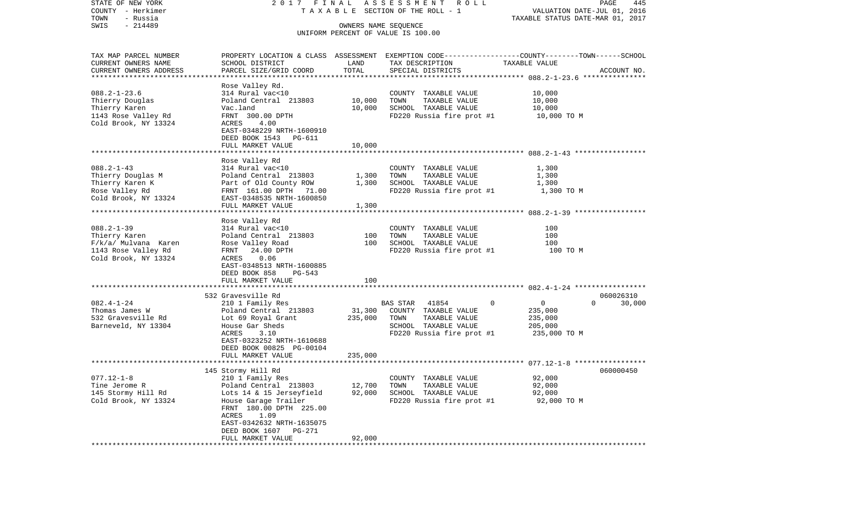| STATE OF NEW YORK<br>COUNTY - Herkimer              | 2017 FINAL                                       |         | ASSESSMENT ROLL<br>T A X A B L E SECTION OF THE ROLL - 1                                         | VALUATION DATE-JUL 01, 2016      | PAGE<br>445        |
|-----------------------------------------------------|--------------------------------------------------|---------|--------------------------------------------------------------------------------------------------|----------------------------------|--------------------|
| TOWN<br>- Russia                                    |                                                  |         |                                                                                                  | TAXABLE STATUS DATE-MAR 01, 2017 |                    |
| $-214489$<br>SWIS                                   |                                                  |         |                                                                                                  |                                  |                    |
|                                                     |                                                  |         | UNIFORM PERCENT OF VALUE IS 100.00                                                               |                                  |                    |
|                                                     |                                                  |         |                                                                                                  |                                  |                    |
| TAX MAP PARCEL NUMBER                               |                                                  |         | PROPERTY LOCATION & CLASS ASSESSMENT EXEMPTION CODE----------------COUNTY-------TOWN------SCHOOL |                                  |                    |
| CURRENT OWNERS NAME                                 | SCHOOL DISTRICT                                  | LAND    | TAX DESCRIPTION                                                                                  | TAXABLE VALUE                    |                    |
| CURRENT OWNERS ADDRESS<br>************************* | PARCEL SIZE/GRID COORD                           | TOTAL   | SPECIAL DISTRICTS                                                                                |                                  | ACCOUNT NO.        |
|                                                     | Rose Valley Rd.                                  |         |                                                                                                  |                                  |                    |
| $088.2 - 1 - 23.6$                                  | 314 Rural vac<10                                 |         | COUNTY TAXABLE VALUE                                                                             | 10,000                           |                    |
| Thierry Douglas                                     | Poland Central 213803                            | 10,000  | TOWN<br>TAXABLE VALUE                                                                            | 10,000                           |                    |
| Thierry Karen                                       | Vac.land                                         | 10,000  | SCHOOL TAXABLE VALUE                                                                             | 10,000                           |                    |
| 1143 Rose Valley Rd                                 | FRNT 300.00 DPTH                                 |         | FD220 Russia fire prot #1                                                                        | 10,000 TO M                      |                    |
| Cold Brook, NY 13324                                | ACRES<br>4.00                                    |         |                                                                                                  |                                  |                    |
|                                                     | EAST-0348229 NRTH-1600910                        |         |                                                                                                  |                                  |                    |
|                                                     | DEED BOOK 1543 PG-611                            |         |                                                                                                  |                                  |                    |
|                                                     | FULL MARKET VALUE                                | 10,000  |                                                                                                  |                                  |                    |
|                                                     |                                                  |         |                                                                                                  |                                  |                    |
|                                                     | Rose Valley Rd                                   |         |                                                                                                  |                                  |                    |
| $088.2 - 1 - 43$                                    | 314 Rural vac<10                                 |         | COUNTY TAXABLE VALUE                                                                             | 1,300                            |                    |
| Thierry Douglas M                                   | Poland Central 213803                            | 1,300   | TOWN<br>TAXABLE VALUE                                                                            | 1,300                            |                    |
| Thierry Karen K                                     | Part of Old County ROW                           | 1,300   | SCHOOL TAXABLE VALUE                                                                             | 1,300                            |                    |
| Rose Valley Rd                                      | FRNT 161.00 DPTH<br>71.00                        |         | FD220 Russia fire prot #1                                                                        | 1,300 TO M                       |                    |
| Cold Brook, NY 13324                                | EAST-0348535 NRTH-1600850                        |         |                                                                                                  |                                  |                    |
|                                                     | FULL MARKET VALUE                                | 1,300   |                                                                                                  |                                  |                    |
|                                                     | Rose Valley Rd                                   |         |                                                                                                  |                                  |                    |
| $088.2 - 1 - 39$                                    | 314 Rural vac<10                                 |         | COUNTY TAXABLE VALUE                                                                             | 100                              |                    |
| Thierry Karen                                       | Poland Central 213803                            | 100     | TAXABLE VALUE<br>TOWN                                                                            | 100                              |                    |
| F/k/a/ Mulvana Karen                                | Rose Valley Road                                 | 100     | SCHOOL TAXABLE VALUE                                                                             | 100                              |                    |
| 1143 Rose Valley Rd                                 | FRNT<br>24.00 DPTH                               |         | FD220 Russia fire prot #1                                                                        | 100 TO M                         |                    |
| Cold Brook, NY 13324                                | 0.06<br>ACRES                                    |         |                                                                                                  |                                  |                    |
|                                                     | EAST-0348513 NRTH-1600885                        |         |                                                                                                  |                                  |                    |
|                                                     | DEED BOOK 858<br>PG-543                          |         |                                                                                                  |                                  |                    |
|                                                     | FULL MARKET VALUE                                | 100     |                                                                                                  |                                  |                    |
|                                                     | 532 Gravesville Rd                               |         |                                                                                                  |                                  | 060026310          |
| $082.4 - 1 - 24$                                    | 210 1 Family Res                                 |         | $\mathbf 0$<br>BAS STAR<br>41854                                                                 | 0                                | $\Omega$<br>30,000 |
| Thomas James W                                      | Poland Central 213803                            | 31,300  | COUNTY TAXABLE VALUE                                                                             | 235,000                          |                    |
| 532 Gravesville Rd                                  | Lot 69 Royal Grant                               | 235,000 | TOWN<br>TAXABLE VALUE                                                                            | 235,000                          |                    |
| Barneveld, NY 13304                                 | House Gar Sheds                                  |         | SCHOOL TAXABLE VALUE                                                                             | 205,000                          |                    |
|                                                     | ACRES<br>3.10                                    |         | FD220 Russia fire prot #1                                                                        | 235,000 TO M                     |                    |
|                                                     | EAST-0323252 NRTH-1610688                        |         |                                                                                                  |                                  |                    |
|                                                     | DEED BOOK 00825 PG-00104                         |         |                                                                                                  |                                  |                    |
|                                                     | FULL MARKET VALUE                                | 235,000 |                                                                                                  |                                  |                    |
|                                                     |                                                  |         |                                                                                                  |                                  |                    |
|                                                     | 145 Stormy Hill Rd                               |         |                                                                                                  |                                  | 060000450          |
| $077.12 - 1 - 8$                                    | 210 1 Family Res                                 |         | COUNTY TAXABLE VALUE                                                                             | 92,000                           |                    |
| Tine Jerome R                                       | Poland Central 213803                            | 12,700  | TAXABLE VALUE<br>TOWN                                                                            | 92,000                           |                    |
| 145 Stormy Hill Rd<br>Cold Brook, NY 13324          | Lots 14 & 15 Jerseyfield<br>House Garage Trailer | 92,000  | SCHOOL TAXABLE VALUE<br>FD220 Russia fire prot #1                                                | 92,000<br>92,000 TO M            |                    |
|                                                     | FRNT 180.00 DPTH 225.00                          |         |                                                                                                  |                                  |                    |
|                                                     | ACRES<br>1.09                                    |         |                                                                                                  |                                  |                    |
|                                                     | EAST-0342632 NRTH-1635075                        |         |                                                                                                  |                                  |                    |
|                                                     | DEED BOOK 1607<br>PG-271                         |         |                                                                                                  |                                  |                    |
|                                                     | FULL MARKET VALUE                                | 92,000  |                                                                                                  |                                  |                    |
|                                                     |                                                  |         |                                                                                                  |                                  |                    |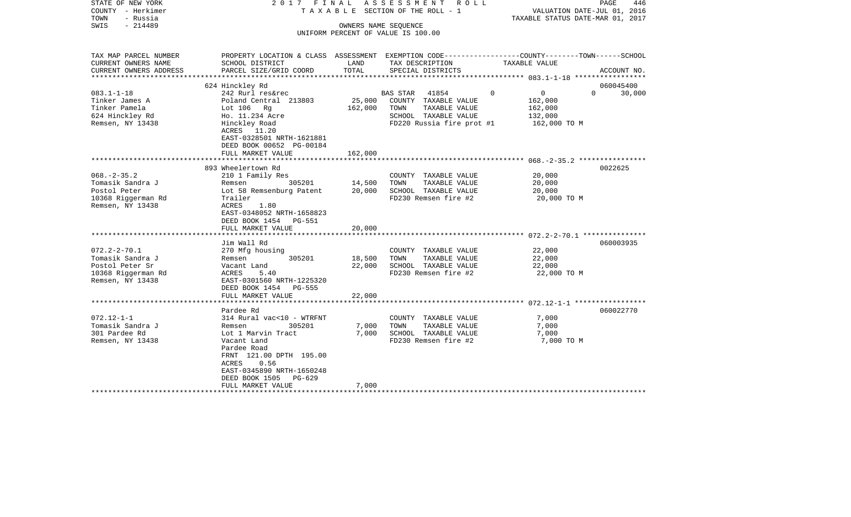| STATE OF NEW YORK<br>COUNTY - Herkimer<br>TOWN<br>- Russia<br>$-214489$<br>SWIS                     | 2017 FINAL                                                                                                                                                                                                                               | OWNERS NAME SEQUENCE       | ASSESSMENT<br>R O L L<br>T A X A B L E SECTION OF THE ROLL - 1<br>UNIFORM PERCENT OF VALUE IS 100.00                           | VALUATION DATE-JUL 01, 2016<br>TAXABLE STATUS DATE-MAR 01, 2017             | PAGE<br>446                     |
|-----------------------------------------------------------------------------------------------------|------------------------------------------------------------------------------------------------------------------------------------------------------------------------------------------------------------------------------------------|----------------------------|--------------------------------------------------------------------------------------------------------------------------------|-----------------------------------------------------------------------------|---------------------------------|
| TAX MAP PARCEL NUMBER<br>CURRENT OWNERS NAME<br>CURRENT OWNERS ADDRESS                              | PROPERTY LOCATION & CLASS ASSESSMENT EXEMPTION CODE---------------COUNTY-------TOWN-----SCHOOL<br>SCHOOL DISTRICT<br>PARCEL SIZE/GRID COORD                                                                                              | LAND<br>TOTAL              | TAX DESCRIPTION<br>SPECIAL DISTRICTS                                                                                           | TAXABLE VALUE                                                               | ACCOUNT NO.                     |
|                                                                                                     |                                                                                                                                                                                                                                          |                            |                                                                                                                                |                                                                             |                                 |
| $083.1 - 1 - 18$<br>Tinker James A<br>Tinker Pamela<br>624 Hinckley Rd<br>Remsen, NY 13438          | 624 Hinckley Rd<br>242 Rurl res&rec<br>Poland Central 213803<br>Lot $106$ Rg<br>Ho. 11.234 Acre<br>Hinckley Road<br>ACRES 11.20<br>EAST-0328501 NRTH-1621881                                                                             | 25,000<br>162,000          | <b>BAS STAR</b><br>41854<br>COUNTY TAXABLE VALUE<br>TAXABLE VALUE<br>TOWN<br>SCHOOL TAXABLE VALUE<br>FD220 Russia fire prot #1 | $\overline{0}$<br>$\Omega$<br>162,000<br>162,000<br>132,000<br>162,000 TO M | 060045400<br>$\Omega$<br>30,000 |
|                                                                                                     | DEED BOOK 00652 PG-00184<br>FULL MARKET VALUE                                                                                                                                                                                            | 162,000                    |                                                                                                                                |                                                                             |                                 |
| $068. - 2 - 35.2$<br>Tomasik Sandra J<br>Postol Peter<br>10368 Riggerman Rd<br>Remsen, NY 13438     | 893 Wheelertown Rd<br>210 1 Family Res<br>305201<br>Remsen<br>Lot 58 Remsenburg Patent<br>Trailer<br>ACRES<br>1.80<br>EAST-0348052 NRTH-1658823<br>DEED BOOK 1454 PG-551<br>FULL MARKET VALUE                                            | 14,500<br>20,000<br>20,000 | COUNTY TAXABLE VALUE<br>TOWN<br>TAXABLE VALUE<br>SCHOOL TAXABLE VALUE<br>FD230 Remsen fire #2                                  | 20,000<br>20,000<br>20,000<br>20,000 TO M                                   | 0022625                         |
|                                                                                                     |                                                                                                                                                                                                                                          |                            |                                                                                                                                |                                                                             |                                 |
| $072.2 - 2 - 70.1$<br>Tomasik Sandra J<br>Postol Peter Sr<br>10368 Riggerman Rd<br>Remsen, NY 13438 | Jim Wall Rd<br>270 Mfg housing<br>305201<br>Remsen<br>Vacant Land<br>ACRES<br>5.40<br>EAST-0301560 NRTH-1225320<br>DEED BOOK 1454 PG-555                                                                                                 | 18,500<br>22,000           | COUNTY TAXABLE VALUE<br>TOWN<br>TAXABLE VALUE<br>SCHOOL TAXABLE VALUE<br>FD230 Remsen fire #2                                  | 22,000<br>22,000<br>22,000<br>22,000 TO M                                   | 060003935                       |
|                                                                                                     | FULL MARKET VALUE<br>******************************                                                                                                                                                                                      | 22,000                     |                                                                                                                                |                                                                             |                                 |
| $072.12 - 1 - 1$<br>Tomasik Sandra J<br>301 Pardee Rd<br>Remsen, NY 13438                           | Pardee Rd<br>314 Rural vac<10 - WTRFNT<br>Remsen<br>305201<br>Lot 1 Marvin Tract<br>Vacant Land<br>Pardee Road<br>FRNT 121.00 DPTH 195.00<br>ACRES<br>0.56<br>EAST-0345890 NRTH-1650248<br>DEED BOOK 1505<br>PG-629<br>FULL MARKET VALUE | 7,000<br>7,000<br>7,000    | COUNTY TAXABLE VALUE<br>TOWN<br>TAXABLE VALUE<br>SCHOOL TAXABLE VALUE<br>FD230 Remsen fire #2                                  | 7,000<br>7,000<br>7,000<br>7,000 TO M                                       | 060022770                       |
|                                                                                                     |                                                                                                                                                                                                                                          |                            |                                                                                                                                |                                                                             |                                 |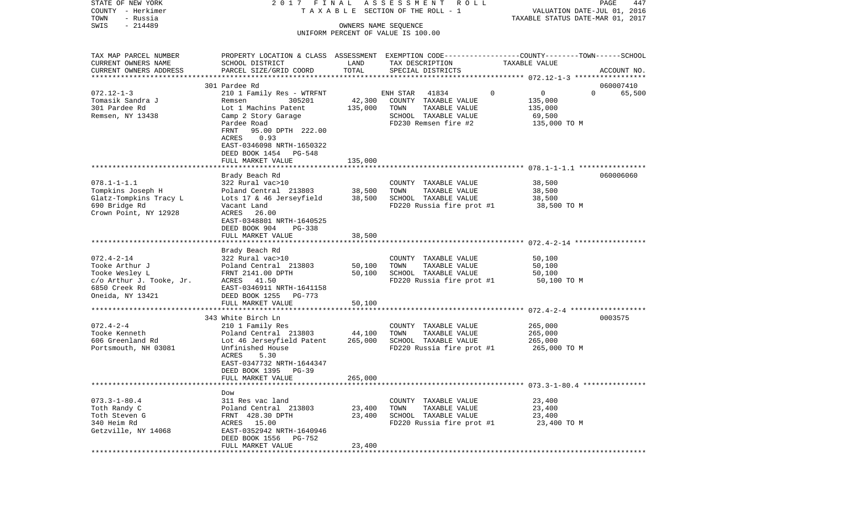| STATE OF NEW YORK                                   | 2017 FINAL                                                                                      |                      | A S S E S S M E N T R O L L                       |                                                        | PAGE<br>447                      |
|-----------------------------------------------------|-------------------------------------------------------------------------------------------------|----------------------|---------------------------------------------------|--------------------------------------------------------|----------------------------------|
| COUNTY - Herkimer                                   |                                                                                                 |                      | TAXABLE SECTION OF THE ROLL - 1                   |                                                        | VALUATION DATE-JUL 01, 2016      |
| TOWN<br>- Russia<br>$-214489$<br>SWIS               |                                                                                                 | OWNERS NAME SEQUENCE |                                                   |                                                        | TAXABLE STATUS DATE-MAR 01, 2017 |
|                                                     |                                                                                                 |                      | UNIFORM PERCENT OF VALUE IS 100.00                |                                                        |                                  |
|                                                     |                                                                                                 |                      |                                                   |                                                        |                                  |
| TAX MAP PARCEL NUMBER                               | PROPERTY LOCATION & CLASS ASSESSMENT EXEMPTION CODE---------------COUNTY-------TOWN------SCHOOL |                      |                                                   |                                                        |                                  |
| CURRENT OWNERS NAME                                 | SCHOOL DISTRICT                                                                                 | LAND                 | TAX DESCRIPTION                                   | TAXABLE VALUE                                          |                                  |
| CURRENT OWNERS ADDRESS<br>************************* | PARCEL SIZE/GRID COORD                                                                          | TOTAL                | SPECIAL DISTRICTS                                 |                                                        | ACCOUNT NO.                      |
|                                                     | 301 Pardee Rd                                                                                   |                      |                                                   |                                                        | 060007410                        |
| $072.12 - 1 - 3$                                    | 210 1 Family Res - WTRFNT                                                                       |                      | 41834<br>ENH STAR                                 | 0<br>$\overline{0}$                                    | $\Omega$<br>65,500               |
| Tomasik Sandra J                                    | 305201<br>Remsen                                                                                | 42,300               | COUNTY TAXABLE VALUE                              | 135,000                                                |                                  |
| 301 Pardee Rd                                       | Lot 1 Machins Patent                                                                            | 135,000              | TOWN<br>TAXABLE VALUE                             | 135,000                                                |                                  |
| Remsen, NY 13438                                    | Camp 2 Story Garage                                                                             |                      | SCHOOL TAXABLE VALUE                              | 69,500                                                 |                                  |
|                                                     | Pardee Road                                                                                     |                      | FD230 Remsen fire #2                              | 135,000 TO M                                           |                                  |
|                                                     | FRNT<br>95.00 DPTH 222.00                                                                       |                      |                                                   |                                                        |                                  |
|                                                     | ACRES<br>0.93                                                                                   |                      |                                                   |                                                        |                                  |
|                                                     | EAST-0346098 NRTH-1650322                                                                       |                      |                                                   |                                                        |                                  |
|                                                     | DEED BOOK 1454<br>PG-548                                                                        |                      |                                                   |                                                        |                                  |
|                                                     | FULL MARKET VALUE                                                                               | 135,000              |                                                   |                                                        |                                  |
|                                                     |                                                                                                 |                      |                                                   |                                                        |                                  |
|                                                     | Brady Beach Rd                                                                                  |                      |                                                   |                                                        | 060006060                        |
| $078.1 - 1 - 1.1$                                   | 322 Rural vac>10                                                                                |                      | COUNTY TAXABLE VALUE                              | 38,500                                                 |                                  |
| Tompkins Joseph H                                   | Poland Central 213803                                                                           | 38,500               | TOWN<br>TAXABLE VALUE                             | 38,500                                                 |                                  |
| Glatz-Tompkins Tracy L<br>690 Bridge Rd             | Lots 17 & 46 Jerseyfield<br>Vacant Land                                                         | 38,500               | SCHOOL TAXABLE VALUE<br>FD220 Russia fire prot #1 | 38,500<br>38,500 TO M                                  |                                  |
| Crown Point, NY 12928                               | ACRES<br>26.00                                                                                  |                      |                                                   |                                                        |                                  |
|                                                     | EAST-0348801 NRTH-1640525                                                                       |                      |                                                   |                                                        |                                  |
|                                                     | DEED BOOK 904<br><b>PG-338</b>                                                                  |                      |                                                   |                                                        |                                  |
|                                                     | FULL MARKET VALUE                                                                               | 38,500               |                                                   |                                                        |                                  |
|                                                     |                                                                                                 |                      |                                                   |                                                        |                                  |
|                                                     | Brady Beach Rd                                                                                  |                      |                                                   |                                                        |                                  |
| $072.4 - 2 - 14$                                    | 322 Rural vac>10                                                                                |                      | COUNTY TAXABLE VALUE                              | 50,100                                                 |                                  |
| Tooke Arthur J                                      | Poland Central 213803                                                                           | 50,100               | TOWN<br>TAXABLE VALUE                             | 50,100                                                 |                                  |
| Tooke Wesley L                                      | FRNT 2141.00 DPTH                                                                               | 50,100               | SCHOOL TAXABLE VALUE                              | 50,100                                                 |                                  |
| c/o Arthur J. Tooke, Jr.                            | ACRES 41.50                                                                                     |                      | FD220 Russia fire prot #1                         | 50,100 TO M                                            |                                  |
| 6850 Creek Rd                                       | EAST-0346911 NRTH-1641158                                                                       |                      |                                                   |                                                        |                                  |
| Oneida, NY 13421                                    | DEED BOOK 1255<br>PG-773                                                                        |                      |                                                   |                                                        |                                  |
|                                                     | FULL MARKET VALUE<br>************************                                                   | 50,100               |                                                   | ************************* 072.4-2-4 ****************** |                                  |
|                                                     | 343 White Birch Ln                                                                              |                      |                                                   |                                                        | 0003575                          |
| $072.4 - 2 - 4$                                     | 210 1 Family Res                                                                                |                      | COUNTY TAXABLE VALUE                              | 265,000                                                |                                  |
| Tooke Kenneth                                       | Poland Central 213803                                                                           | 44,100               | TOWN<br>TAXABLE VALUE                             | 265,000                                                |                                  |
| 606 Greenland Rd                                    | Lot 46 Jerseyfield Patent                                                                       | 265,000              | SCHOOL TAXABLE VALUE                              | 265,000                                                |                                  |
| Portsmouth, NH 03081                                | Unfinished House                                                                                |                      | FD220 Russia fire prot #1                         | 265,000 TO M                                           |                                  |
|                                                     | 5.30<br>ACRES                                                                                   |                      |                                                   |                                                        |                                  |
|                                                     | EAST-0347732 NRTH-1644347                                                                       |                      |                                                   |                                                        |                                  |
|                                                     | DEED BOOK 1395<br>PG-39                                                                         |                      |                                                   |                                                        |                                  |
|                                                     | FULL MARKET VALUE                                                                               | 265,000              |                                                   |                                                        |                                  |
|                                                     |                                                                                                 |                      |                                                   |                                                        |                                  |
|                                                     | Dow                                                                                             |                      |                                                   |                                                        |                                  |
| $073.3 - 1 - 80.4$                                  | 311 Res vac land                                                                                |                      | COUNTY TAXABLE VALUE                              | 23,400                                                 |                                  |
| Toth Randy C                                        | Poland Central 213803                                                                           | 23,400               | TOWN<br>TAXABLE VALUE                             | 23,400                                                 |                                  |
| Toth Steven G<br>340 Heim Rd                        | FRNT 428.30 DPTH                                                                                | 23,400               | SCHOOL TAXABLE VALUE                              | 23,400                                                 |                                  |
| Getzville, NY 14068                                 | ACRES 15.00<br>EAST-0352942 NRTH-1640946                                                        |                      | FD220 Russia fire prot #1                         | 23,400 TO M                                            |                                  |
|                                                     | DEED BOOK 1556<br>PG-752                                                                        |                      |                                                   |                                                        |                                  |
|                                                     | FULL MARKET VALUE                                                                               | 23,400               |                                                   |                                                        |                                  |
| **************                                      |                                                                                                 |                      |                                                   |                                                        |                                  |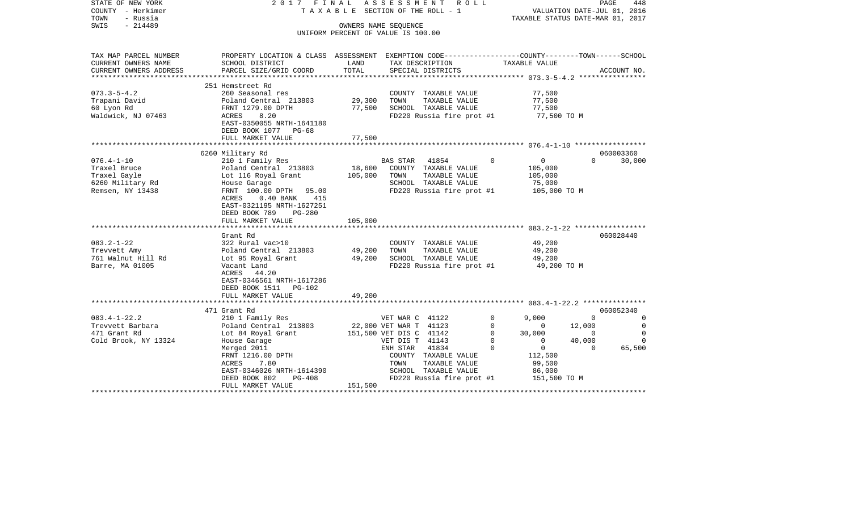| STATE OF NEW YORK<br>COUNTY - Herkimer<br>TOWN<br>- Russia<br>$-214489$<br>SWIS | 2017 FINAL                                                                                                                              | T A X A B L E SECTION OF THE ROLL - 1<br>OWNERS NAME SEQUENCE<br>UNIFORM PERCENT OF VALUE IS 100.00 | ASSESSMENT              | R O L L                   |             | VALUATION DATE-JUL 01, 2016<br>TAXABLE STATUS DATE-MAR 01, 2017 |                | PAGE        | 448            |
|---------------------------------------------------------------------------------|-----------------------------------------------------------------------------------------------------------------------------------------|-----------------------------------------------------------------------------------------------------|-------------------------|---------------------------|-------------|-----------------------------------------------------------------|----------------|-------------|----------------|
| TAX MAP PARCEL NUMBER<br>CURRENT OWNERS NAME                                    | PROPERTY LOCATION & CLASS ASSESSMENT EXEMPTION CODE----------------COUNTY-------TOWN------SCHOOL<br>SCHOOL DISTRICT                     | LAND                                                                                                |                         | TAX DESCRIPTION           |             | TAXABLE VALUE                                                   |                |             |                |
| CURRENT OWNERS ADDRESS                                                          | PARCEL SIZE/GRID COORD                                                                                                                  | TOTAL                                                                                               |                         | SPECIAL DISTRICTS         |             |                                                                 |                | ACCOUNT NO. |                |
|                                                                                 |                                                                                                                                         |                                                                                                     |                         |                           |             |                                                                 |                |             |                |
|                                                                                 | 251 Hemstreet Rd                                                                                                                        |                                                                                                     |                         |                           |             |                                                                 |                |             |                |
| $073.3 - 5 - 4.2$                                                               | 260 Seasonal res                                                                                                                        |                                                                                                     |                         | COUNTY TAXABLE VALUE      |             | 77,500                                                          |                |             |                |
| Trapani David                                                                   | Poland Central 213803                                                                                                                   | 29,300                                                                                              | TOWN                    | TAXABLE VALUE             |             | 77,500                                                          |                |             |                |
| 60 Lyon Rd                                                                      | FRNT 1279.00 DPTH                                                                                                                       | 77,500                                                                                              |                         | SCHOOL TAXABLE VALUE      |             | 77,500                                                          |                |             |                |
| Waldwick, NJ 07463                                                              | ACRES<br>8.20                                                                                                                           |                                                                                                     |                         | FD220 Russia fire prot #1 |             | 77,500 TO M                                                     |                |             |                |
|                                                                                 | EAST-0350055 NRTH-1641180<br>DEED BOOK 1077 PG-68                                                                                       |                                                                                                     |                         |                           |             |                                                                 |                |             |                |
|                                                                                 | FULL MARKET VALUE                                                                                                                       | 77,500                                                                                              |                         |                           |             |                                                                 |                |             |                |
|                                                                                 |                                                                                                                                         |                                                                                                     |                         |                           |             |                                                                 |                |             |                |
|                                                                                 | 6260 Military Rd                                                                                                                        |                                                                                                     |                         |                           |             |                                                                 |                | 060003360   |                |
| $076.4 - 1 - 10$                                                                | 210 1 Family Res                                                                                                                        |                                                                                                     | <b>BAS STAR</b>         | 41854                     | $\Omega$    | $\overline{0}$                                                  | $\Omega$       | 30,000      |                |
| Traxel Bruce                                                                    | Poland Central 213803                                                                                                                   | 18,600                                                                                              |                         | COUNTY TAXABLE VALUE      |             | 105,000                                                         |                |             |                |
| Traxel Gayle                                                                    | Lot 116 Royal Grant                                                                                                                     | 105,000                                                                                             | TOWN                    | TAXABLE VALUE             |             | 105,000                                                         |                |             |                |
| 6260 Military Rd                                                                | House Garage                                                                                                                            |                                                                                                     |                         | SCHOOL TAXABLE VALUE      |             | 75,000                                                          |                |             |                |
| Remsen, NY 13438                                                                | FRNT 100.00 DPTH<br>95.00<br>ACRES<br>$0.40$ BANK<br>415<br>EAST-0321195 NRTH-1627251<br>DEED BOOK 789<br>$PG-280$<br>FULL MARKET VALUE | 105,000                                                                                             |                         | FD220 Russia fire prot #1 |             | 105,000 TO M                                                    |                |             |                |
|                                                                                 |                                                                                                                                         |                                                                                                     |                         |                           |             |                                                                 |                |             |                |
|                                                                                 | Grant Rd                                                                                                                                |                                                                                                     |                         |                           |             |                                                                 |                | 060028440   |                |
| $083.2 - 1 - 22$                                                                | 322 Rural vac>10                                                                                                                        |                                                                                                     |                         | COUNTY TAXABLE VALUE      |             | 49,200                                                          |                |             |                |
| Trevvett Amy                                                                    | Poland Central 213803                                                                                                                   | 49,200                                                                                              | TOWN                    | TAXABLE VALUE             |             | 49,200                                                          |                |             |                |
| 761 Walnut Hill Rd                                                              | Lot 95 Royal Grant                                                                                                                      | 49,200                                                                                              |                         | SCHOOL TAXABLE VALUE      |             | 49,200                                                          |                |             |                |
| Barre, MA 01005                                                                 | Vacant Land<br>ACRES 44.20<br>EAST-0346561 NRTH-1617286<br>DEED BOOK 1511 PG-102                                                        |                                                                                                     |                         | FD220 Russia fire prot #1 |             | 49,200 TO M                                                     |                |             |                |
|                                                                                 | FULL MARKET VALUE                                                                                                                       | 49,200                                                                                              |                         |                           |             |                                                                 |                |             |                |
|                                                                                 | 471 Grant Rd                                                                                                                            |                                                                                                     |                         |                           |             |                                                                 |                | 060052340   |                |
| $083.4 - 1 - 22.2$                                                              | 210 1 Family Res                                                                                                                        |                                                                                                     | VET WAR C 41122         |                           | 0           | 9,000                                                           | $\Omega$       |             | $\Omega$       |
| Trevvett Barbara                                                                | Poland Central 213803                                                                                                                   |                                                                                                     | 22,000 VET WAR T 41123  |                           | $\mathbf 0$ | $\overline{0}$                                                  | 12,000         |             | $\overline{0}$ |
| 471 Grant Rd                                                                    | Lot 84 Royal Grant                                                                                                                      |                                                                                                     | 151,500 VET DIS C 41142 |                           | $\mathbf 0$ | 30,000                                                          | $\overline{0}$ |             | $\overline{0}$ |
| Cold Brook, NY 13324                                                            | House Garage                                                                                                                            |                                                                                                     | VET DIS T 41143         |                           | $\mathbf 0$ | $\overline{0}$                                                  | 40,000         |             | $\overline{0}$ |
|                                                                                 | Merged 2011                                                                                                                             |                                                                                                     | ENH STAR                | 41834                     | $\Omega$    | $\overline{0}$                                                  | $\Omega$       | 65,500      |                |
|                                                                                 | FRNT 1216.00 DPTH                                                                                                                       |                                                                                                     |                         | COUNTY TAXABLE VALUE      |             | 112,500                                                         |                |             |                |
|                                                                                 | ACRES<br>7.80                                                                                                                           |                                                                                                     | TOWN                    | TAXABLE VALUE             |             | 99,500                                                          |                |             |                |
|                                                                                 | EAST-0346026 NRTH-1614390                                                                                                               |                                                                                                     |                         | SCHOOL TAXABLE VALUE      |             | 86,000                                                          |                |             |                |
|                                                                                 | DEED BOOK 802<br>$PG-408$                                                                                                               |                                                                                                     |                         | FD220 Russia fire prot #1 |             | 151,500 TO M                                                    |                |             |                |
|                                                                                 | FULL MARKET VALUE                                                                                                                       | 151,500                                                                                             |                         |                           |             |                                                                 |                |             |                |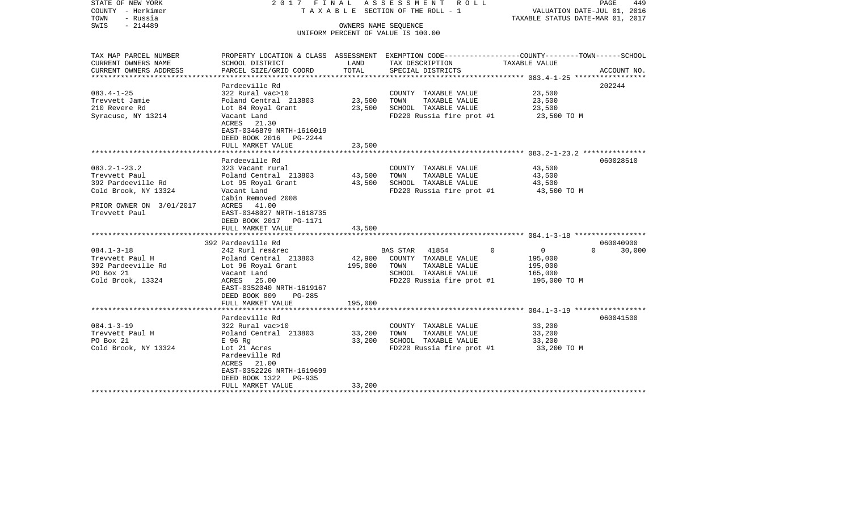| STATE OF NEW YORK<br>COUNTY - Herkimer<br>TOWN<br>- Russia<br>$-214489$<br>SWIS |                                                                                                                     | 2017 FINAL ASSESSMENT ROLL<br>PAGE<br>TAXABLE SECTION OF THE ROLL - 1<br>VALUATION DATE-JUL 01, 2016<br>TAXABLE STATUS DATE-MAR 01, 2017<br>OWNERS NAME SEOUENCE |                                                   |                            |                    |  |  |
|---------------------------------------------------------------------------------|---------------------------------------------------------------------------------------------------------------------|------------------------------------------------------------------------------------------------------------------------------------------------------------------|---------------------------------------------------|----------------------------|--------------------|--|--|
|                                                                                 |                                                                                                                     |                                                                                                                                                                  | UNIFORM PERCENT OF VALUE IS 100.00                |                            |                    |  |  |
| TAX MAP PARCEL NUMBER<br>CURRENT OWNERS NAME                                    | PROPERTY LOCATION & CLASS ASSESSMENT EXEMPTION CODE----------------COUNTY-------TOWN------SCHOOL<br>SCHOOL DISTRICT | LAND                                                                                                                                                             | TAX DESCRIPTION                                   | TAXABLE VALUE              |                    |  |  |
| CURRENT OWNERS ADDRESS                                                          | PARCEL SIZE/GRID COORD                                                                                              | TOTAL                                                                                                                                                            | SPECIAL DISTRICTS                                 |                            | ACCOUNT NO.        |  |  |
|                                                                                 | Pardeeville Rd                                                                                                      |                                                                                                                                                                  |                                                   |                            | 202244             |  |  |
| $083.4 - 1 - 25$                                                                | 322 Rural vac>10                                                                                                    |                                                                                                                                                                  | COUNTY TAXABLE VALUE                              | 23,500                     |                    |  |  |
| Trevvett Jamie                                                                  | Poland Central 213803                                                                                               | 23,500                                                                                                                                                           | TAXABLE VALUE<br>TOWN                             | 23,500                     |                    |  |  |
| 210 Revere Rd                                                                   | Lot 84 Royal Grant                                                                                                  | 23,500                                                                                                                                                           | SCHOOL TAXABLE VALUE                              | 23,500                     |                    |  |  |
| Syracuse, NY 13214                                                              | Vacant Land<br>ACRES 21.30<br>EAST-0346879 NRTH-1616019<br>DEED BOOK 2016 PG-2244                                   |                                                                                                                                                                  | FD220 Russia fire prot #1                         | 23,500 TO M                |                    |  |  |
|                                                                                 | FULL MARKET VALUE                                                                                                   | 23,500                                                                                                                                                           |                                                   |                            |                    |  |  |
|                                                                                 |                                                                                                                     |                                                                                                                                                                  |                                                   |                            |                    |  |  |
|                                                                                 | Pardeeville Rd                                                                                                      |                                                                                                                                                                  |                                                   |                            | 060028510          |  |  |
| 083.2-1-23.2                                                                    | 323 Vacant rural                                                                                                    |                                                                                                                                                                  | COUNTY TAXABLE VALUE                              | 43,500                     |                    |  |  |
| Trevvett Paul                                                                   | Poland Central 213803                                                                                               | 43,500                                                                                                                                                           | TAXABLE VALUE<br>TOWN                             | 43,500                     |                    |  |  |
| 392 Pardeeville Rd<br>Cold Brook, NY 13324                                      | Lot 95 Royal Grant<br>Vacant Land                                                                                   | 43,500                                                                                                                                                           | SCHOOL TAXABLE VALUE<br>FD220 Russia fire prot #1 | 43,500<br>43,500 TO M      |                    |  |  |
|                                                                                 | Cabin Removed 2008                                                                                                  |                                                                                                                                                                  |                                                   |                            |                    |  |  |
| PRIOR OWNER ON 3/01/2017                                                        | ACRES 41.00                                                                                                         |                                                                                                                                                                  |                                                   |                            |                    |  |  |
| Trevvett Paul                                                                   | EAST-0348027 NRTH-1618735                                                                                           |                                                                                                                                                                  |                                                   |                            |                    |  |  |
|                                                                                 | DEED BOOK 2017 PG-1171                                                                                              |                                                                                                                                                                  |                                                   |                            |                    |  |  |
|                                                                                 | FULL MARKET VALUE                                                                                                   | 43,500                                                                                                                                                           |                                                   |                            |                    |  |  |
|                                                                                 |                                                                                                                     |                                                                                                                                                                  |                                                   |                            |                    |  |  |
|                                                                                 | 392 Pardeeville Rd                                                                                                  |                                                                                                                                                                  |                                                   |                            | 060040900          |  |  |
| 084.1-3-18                                                                      | 242 Rurl res&rec                                                                                                    |                                                                                                                                                                  | BAS STAR 41854                                    | $\Omega$<br>$\overline{0}$ | $\Omega$<br>30,000 |  |  |
| Trevvett Paul H                                                                 | Poland Central 213803                                                                                               | 42,900                                                                                                                                                           | COUNTY TAXABLE VALUE                              | 195,000                    |                    |  |  |
| 392 Pardeeville Rd                                                              | Lot 96 Royal Grant                                                                                                  | 195,000                                                                                                                                                          | TOWN<br>TAXABLE VALUE                             | 195,000                    |                    |  |  |
| PO Box 21                                                                       | Vacant Land                                                                                                         |                                                                                                                                                                  | SCHOOL TAXABLE VALUE                              | 165,000                    |                    |  |  |
| Cold Brook, 13324                                                               | ACRES<br>25.00                                                                                                      |                                                                                                                                                                  | FD220 Russia fire prot #1                         | 195,000 TO M               |                    |  |  |
|                                                                                 | EAST-0352040 NRTH-1619167                                                                                           |                                                                                                                                                                  |                                                   |                            |                    |  |  |
|                                                                                 | DEED BOOK 809<br>PG-285                                                                                             |                                                                                                                                                                  |                                                   |                            |                    |  |  |
|                                                                                 | FULL MARKET VALUE                                                                                                   | 195,000                                                                                                                                                          |                                                   |                            |                    |  |  |
|                                                                                 | Pardeeville Rd                                                                                                      |                                                                                                                                                                  |                                                   |                            | 060041500          |  |  |
| 084.1-3-19                                                                      | 322 Rural vac>10                                                                                                    |                                                                                                                                                                  | COUNTY TAXABLE VALUE                              | 33,200                     |                    |  |  |
| Trevvett Paul H                                                                 | Poland Central 213803                                                                                               | 33,200                                                                                                                                                           | TAXABLE VALUE<br>TOWN                             | 33,200                     |                    |  |  |
| PO Box 21                                                                       | E 96 Rq                                                                                                             | 33,200                                                                                                                                                           | SCHOOL TAXABLE VALUE                              | 33,200                     |                    |  |  |
| Cold Brook, NY 13324                                                            | Lot 21 Acres                                                                                                        |                                                                                                                                                                  | FD220 Russia fire prot #1                         | 33,200 TO M                |                    |  |  |
|                                                                                 | Pardeeville Rd                                                                                                      |                                                                                                                                                                  |                                                   |                            |                    |  |  |
|                                                                                 | ACRES 21.00                                                                                                         |                                                                                                                                                                  |                                                   |                            |                    |  |  |
|                                                                                 | EAST-0352226 NRTH-1619699                                                                                           |                                                                                                                                                                  |                                                   |                            |                    |  |  |
|                                                                                 | DEED BOOK 1322<br>PG-935                                                                                            |                                                                                                                                                                  |                                                   |                            |                    |  |  |
|                                                                                 | FULL MARKET VALUE                                                                                                   | 33,200                                                                                                                                                           |                                                   |                            |                    |  |  |
|                                                                                 |                                                                                                                     |                                                                                                                                                                  |                                                   |                            |                    |  |  |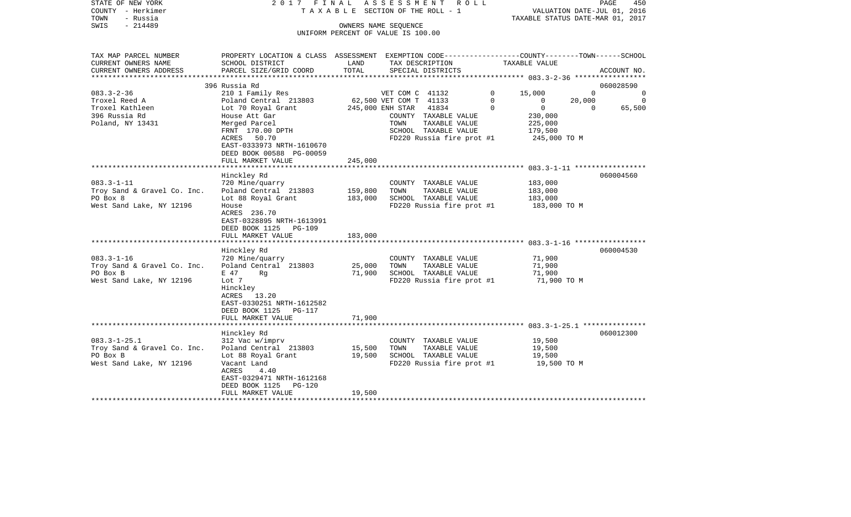| STATE OF NEW YORK<br>COUNTY - Herkimer | 2017 FINAL                                                                                       |         | A S S E S S M E N T A O L L<br>TAXABLE SECTION OF THE ROLL - 1 |                | VALUATION DATE-JUL 01, 2016      |                | 450<br>PAGE    |
|----------------------------------------|--------------------------------------------------------------------------------------------------|---------|----------------------------------------------------------------|----------------|----------------------------------|----------------|----------------|
| - Russia<br>TOWN                       |                                                                                                  |         |                                                                |                | TAXABLE STATUS DATE-MAR 01, 2017 |                |                |
| $-214489$<br>SWIS                      |                                                                                                  |         | OWNERS NAME SEQUENCE                                           |                |                                  |                |                |
|                                        |                                                                                                  |         | UNIFORM PERCENT OF VALUE IS 100.00                             |                |                                  |                |                |
|                                        |                                                                                                  |         |                                                                |                |                                  |                |                |
| TAX MAP PARCEL NUMBER                  | PROPERTY LOCATION & CLASS ASSESSMENT EXEMPTION CODE----------------COUNTY-------TOWN------SCHOOL |         |                                                                |                |                                  |                |                |
| CURRENT OWNERS NAME                    | SCHOOL DISTRICT                                                                                  | LAND    | TAX DESCRIPTION                                                |                | TAXABLE VALUE                    |                |                |
| CURRENT OWNERS ADDRESS                 | PARCEL SIZE/GRID COORD                                                                           | TOTAL   | SPECIAL DISTRICTS                                              |                |                                  |                | ACCOUNT NO.    |
| *******************                    | 396 Russia Rd                                                                                    |         |                                                                |                |                                  |                | 060028590      |
| $083.3 - 2 - 36$                       | 210 1 Family Res                                                                                 |         | VET COM C 41132                                                | $\overline{0}$ | 15,000                           | $\Omega$       | $\overline{0}$ |
| Troxel Reed A                          | Poland Central 213803                                                                            |         | 62,500 VET COM T 41133                                         | $\Omega$       | $\Omega$                         | 20,000         | 0              |
| Troxel Kathleen                        | Lot 70 Royal Grant                                                                               |         | 245,000 ENH STAR<br>41834                                      | $\mathbf 0$    | $\overline{0}$                   | $\overline{0}$ | 65,500         |
| 396 Russia Rd                          | House Att Gar                                                                                    |         | COUNTY TAXABLE VALUE                                           |                | 230,000                          |                |                |
| Poland, NY 13431                       | Merged Parcel                                                                                    |         | TOWN<br>TAXABLE VALUE                                          |                | 225,000                          |                |                |
|                                        | FRNT 170.00 DPTH                                                                                 |         | SCHOOL TAXABLE VALUE                                           |                | 179,500                          |                |                |
|                                        | 50.70<br>ACRES                                                                                   |         | FD220 Russia fire prot #1                                      |                | 245,000 TO M                     |                |                |
|                                        | EAST-0333973 NRTH-1610670                                                                        |         |                                                                |                |                                  |                |                |
|                                        | DEED BOOK 00588 PG-00059                                                                         |         |                                                                |                |                                  |                |                |
|                                        | FULL MARKET VALUE                                                                                | 245,000 |                                                                |                |                                  |                |                |
|                                        |                                                                                                  |         |                                                                |                |                                  |                |                |
|                                        | Hinckley Rd                                                                                      |         |                                                                |                |                                  |                | 060004560      |
| $083.3 - 1 - 11$                       | 720 Mine/quarry                                                                                  |         | COUNTY TAXABLE VALUE                                           |                | 183,000                          |                |                |
| Troy Sand & Gravel Co. Inc.            | Poland Central 213803                                                                            | 159,800 | TOWN<br>TAXABLE VALUE                                          |                | 183,000                          |                |                |
| PO Box 8                               | Lot 88 Royal Grant                                                                               | 183,000 | SCHOOL TAXABLE VALUE                                           |                | 183,000                          |                |                |
| West Sand Lake, NY 12196               | House                                                                                            |         | FD220 Russia fire prot #1                                      |                | 183,000 TO M                     |                |                |
|                                        | ACRES 236.70                                                                                     |         |                                                                |                |                                  |                |                |
|                                        | EAST-0328895 NRTH-1613991                                                                        |         |                                                                |                |                                  |                |                |
|                                        | DEED BOOK 1125 PG-109                                                                            |         |                                                                |                |                                  |                |                |
|                                        | FULL MARKET VALUE                                                                                | 183,000 |                                                                |                |                                  |                |                |
|                                        |                                                                                                  |         |                                                                |                |                                  |                |                |
|                                        | Hinckley Rd                                                                                      |         |                                                                |                |                                  |                | 060004530      |
| $083.3 - 1 - 16$                       | 720 Mine/quarry                                                                                  |         | COUNTY TAXABLE VALUE                                           |                | 71,900                           |                |                |
| Troy Sand & Gravel Co. Inc.            | Poland Central 213803                                                                            | 25,000  | TOWN<br>TAXABLE VALUE                                          |                | 71,900                           |                |                |
| PO Box B                               | E 47<br>Rq                                                                                       | 71,900  | SCHOOL TAXABLE VALUE                                           |                | 71,900                           |                |                |
| West Sand Lake, NY 12196               | Lot 7                                                                                            |         | FD220 Russia fire prot #1                                      |                | 71,900 TO M                      |                |                |
|                                        |                                                                                                  |         |                                                                |                |                                  |                |                |
|                                        | Hinckley<br>ACRES<br>13.20                                                                       |         |                                                                |                |                                  |                |                |
|                                        |                                                                                                  |         |                                                                |                |                                  |                |                |
|                                        | EAST-0330251 NRTH-1612582                                                                        |         |                                                                |                |                                  |                |                |
|                                        | DEED BOOK 1125 PG-117                                                                            |         |                                                                |                |                                  |                |                |
|                                        | FULL MARKET VALUE                                                                                | 71,900  |                                                                |                |                                  |                |                |
|                                        |                                                                                                  |         |                                                                |                |                                  |                | 060012300      |
| $083.3 - 1 - 25.1$                     | Hinckley Rd                                                                                      |         |                                                                |                |                                  |                |                |
|                                        | 312 Vac w/imprv                                                                                  |         | COUNTY TAXABLE VALUE                                           |                | 19,500                           |                |                |
| Troy Sand & Gravel Co. Inc.            | Poland Central 213803                                                                            | 15,500  | TAXABLE VALUE<br>TOWN                                          |                | 19,500                           |                |                |
| PO Box B                               | Lot 88 Royal Grant                                                                               | 19,500  | SCHOOL TAXABLE VALUE                                           |                | 19,500                           |                |                |
| West Sand Lake, NY 12196               | Vacant Land                                                                                      |         | FD220 Russia fire prot #1                                      |                | 19,500 TO M                      |                |                |
|                                        | ACRES<br>4.40                                                                                    |         |                                                                |                |                                  |                |                |
|                                        | EAST-0329471 NRTH-1612168                                                                        |         |                                                                |                |                                  |                |                |
|                                        | DEED BOOK 1125<br>PG-120                                                                         |         |                                                                |                |                                  |                |                |
|                                        | FULL MARKET VALUE                                                                                | 19,500  |                                                                |                |                                  |                |                |
|                                        |                                                                                                  |         |                                                                |                |                                  |                |                |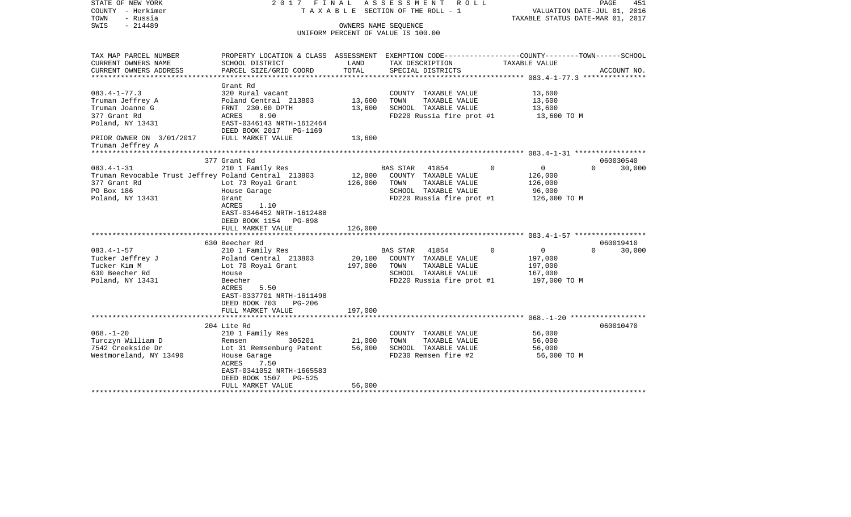| STATE OF NEW YORK<br>COUNTY - Herkimer<br>TOWN<br>- Russia<br>$-214489$<br>SWIS | 2017 FINAL                                                                                       | ASSESSMENT<br>R O L L<br>PAGE<br>T A X A B L E SECTION OF THE ROLL - 1<br>VALUATION DATE-JUL 01, 2016<br>TAXABLE STATUS DATE-MAR 01, 2017<br>OWNERS NAME SEQUENCE |                                    |                          |                    |
|---------------------------------------------------------------------------------|--------------------------------------------------------------------------------------------------|-------------------------------------------------------------------------------------------------------------------------------------------------------------------|------------------------------------|--------------------------|--------------------|
|                                                                                 |                                                                                                  |                                                                                                                                                                   | UNIFORM PERCENT OF VALUE IS 100.00 |                          |                    |
|                                                                                 |                                                                                                  |                                                                                                                                                                   |                                    |                          |                    |
| TAX MAP PARCEL NUMBER                                                           | PROPERTY LOCATION & CLASS ASSESSMENT EXEMPTION CODE----------------COUNTY-------TOWN------SCHOOL |                                                                                                                                                                   |                                    |                          |                    |
| CURRENT OWNERS NAME                                                             | SCHOOL DISTRICT                                                                                  | LAND                                                                                                                                                              | TAX DESCRIPTION                    | TAXABLE VALUE            |                    |
| CURRENT OWNERS ADDRESS                                                          | PARCEL SIZE/GRID COORD                                                                           | TOTAL                                                                                                                                                             | SPECIAL DISTRICTS                  |                          | ACCOUNT NO.        |
|                                                                                 | Grant Rd                                                                                         |                                                                                                                                                                   |                                    |                          |                    |
| $083.4 - 1 - 77.3$                                                              | 320 Rural vacant                                                                                 |                                                                                                                                                                   | COUNTY TAXABLE VALUE               | 13,600                   |                    |
| Truman Jeffrey A                                                                | Poland Central 213803                                                                            | 13,600                                                                                                                                                            | TAXABLE VALUE<br>TOWN              | 13,600                   |                    |
| Truman Joanne G                                                                 | FRNT 230.60 DPTH                                                                                 | 13,600                                                                                                                                                            | SCHOOL TAXABLE VALUE               | 13,600                   |                    |
| 377 Grant Rd                                                                    | 8.90<br>ACRES                                                                                    |                                                                                                                                                                   | FD220 Russia fire prot #1          | 13,600 TO M              |                    |
| Poland, NY 13431                                                                | EAST-0346143 NRTH-1612464<br>DEED BOOK 2017<br>PG-1169                                           |                                                                                                                                                                   |                                    |                          |                    |
| PRIOR OWNER ON 3/01/2017                                                        | FULL MARKET VALUE                                                                                | 13,600                                                                                                                                                            |                                    |                          |                    |
| Truman Jeffrey A                                                                |                                                                                                  |                                                                                                                                                                   |                                    |                          |                    |
|                                                                                 | 377 Grant Rd                                                                                     |                                                                                                                                                                   |                                    |                          | 060030540          |
| $083.4 - 1 - 31$                                                                | 210 1 Family Res                                                                                 |                                                                                                                                                                   | 41854<br>BAS STAR                  | $\mathbf{0}$<br>$\Omega$ | $\Omega$<br>30,000 |
| Truman Revocable Trust Jeffrey Poland Central 213803                            |                                                                                                  | 12,800                                                                                                                                                            | COUNTY TAXABLE VALUE               | 126,000                  |                    |
| 377 Grant Rd                                                                    | Lot 73 Royal Grant                                                                               | 126,000                                                                                                                                                           | TOWN<br>TAXABLE VALUE              | 126,000                  |                    |
| PO Box 186                                                                      | House Garage                                                                                     |                                                                                                                                                                   | SCHOOL TAXABLE VALUE               | 96,000                   |                    |
| Poland, NY 13431                                                                | Grant                                                                                            |                                                                                                                                                                   | FD220 Russia fire prot #1          | 126,000 TO M             |                    |
|                                                                                 | ACRES<br>1.10                                                                                    |                                                                                                                                                                   |                                    |                          |                    |
|                                                                                 | EAST-0346452 NRTH-1612488                                                                        |                                                                                                                                                                   |                                    |                          |                    |
|                                                                                 | DEED BOOK 1154 PG-898                                                                            |                                                                                                                                                                   |                                    |                          |                    |
|                                                                                 | FULL MARKET VALUE                                                                                | 126,000                                                                                                                                                           |                                    |                          |                    |
|                                                                                 | 630 Beecher Rd                                                                                   |                                                                                                                                                                   |                                    |                          | 060019410          |
| $083.4 - 1 - 57$                                                                | 210 1 Family Res                                                                                 |                                                                                                                                                                   | 41854<br><b>BAS STAR</b>           | $\Omega$<br>$\mathbf 0$  | $\Omega$<br>30,000 |
| Tucker Jeffrey J                                                                | Poland Central 213803                                                                            | 20,100                                                                                                                                                            | COUNTY TAXABLE VALUE               | 197,000                  |                    |
| Tucker Kim M                                                                    | Lot 70 Royal Grant                                                                               | 197,000                                                                                                                                                           | TOWN<br>TAXABLE VALUE              | 197,000                  |                    |
| 630 Beecher Rd                                                                  | House                                                                                            |                                                                                                                                                                   | SCHOOL TAXABLE VALUE               | 167,000                  |                    |
| Poland, NY 13431                                                                | Beecher                                                                                          |                                                                                                                                                                   | FD220 Russia fire prot #1          | 197,000 TO M             |                    |
|                                                                                 | ACRES<br>5.50                                                                                    |                                                                                                                                                                   |                                    |                          |                    |
|                                                                                 | EAST-0337701 NRTH-1611498                                                                        |                                                                                                                                                                   |                                    |                          |                    |
|                                                                                 | DEED BOOK 703<br>$PG-206$                                                                        |                                                                                                                                                                   |                                    |                          |                    |
|                                                                                 | FULL MARKET VALUE                                                                                | 197,000                                                                                                                                                           |                                    |                          |                    |
|                                                                                 | 204 Lite Rd                                                                                      |                                                                                                                                                                   |                                    |                          | 060010470          |
| $068. - 1 - 20$                                                                 | 210 1 Family Res                                                                                 |                                                                                                                                                                   | COUNTY TAXABLE VALUE               | 56,000                   |                    |
| Turczyn William D                                                               | 305201<br>Remsen                                                                                 | 21,000                                                                                                                                                            | TOWN<br>TAXABLE VALUE              | 56,000                   |                    |
| 7542 Creekside Dr                                                               | Lot 31 Remsenburg Patent                                                                         | 56,000                                                                                                                                                            | SCHOOL TAXABLE VALUE               | 56,000                   |                    |
| Westmoreland, NY 13490                                                          | House Garage                                                                                     |                                                                                                                                                                   | FD230 Remsen fire #2               | 56,000 TO M              |                    |
|                                                                                 | ACRES<br>7.50                                                                                    |                                                                                                                                                                   |                                    |                          |                    |
|                                                                                 | EAST-0341052 NRTH-1665583                                                                        |                                                                                                                                                                   |                                    |                          |                    |
|                                                                                 | DEED BOOK 1507<br>$PG-525$                                                                       |                                                                                                                                                                   |                                    |                          |                    |
|                                                                                 | FULL MARKET VALUE                                                                                | 56,000                                                                                                                                                            |                                    |                          |                    |
|                                                                                 |                                                                                                  |                                                                                                                                                                   |                                    |                          |                    |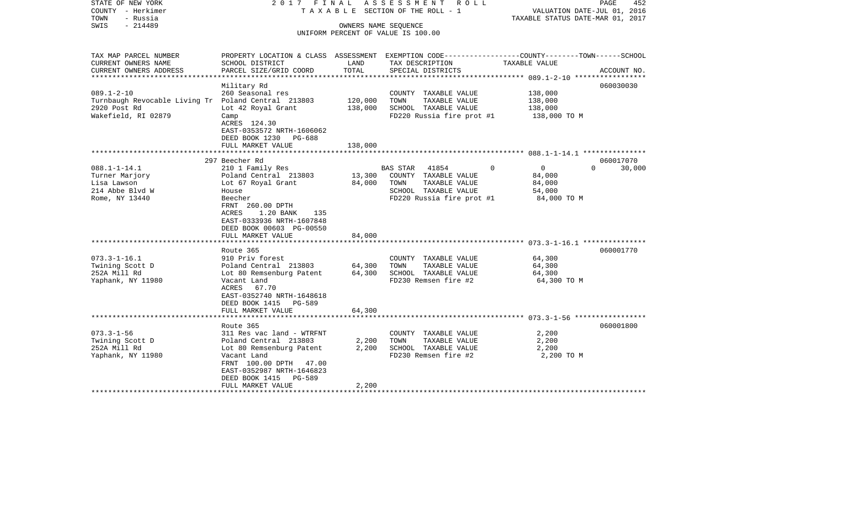| STATE OF NEW YORK<br>COUNTY - Herkimer<br>TOWN<br>- Russia<br>SWIS<br>$-214489$                                | 2017 FINAL                                                                                                                                                                                                                                        |                               | ASSESSMENT ROLL<br>TAXABLE SECTION OF THE ROLL - 1<br>OWNERS NAME SEQUENCE<br>UNIFORM PERCENT OF VALUE IS 100.00     | VALUATION DATE-JUL 01, 2016<br>TAXABLE STATUS DATE-MAR 01, 2017         | PAGE<br>452                     |
|----------------------------------------------------------------------------------------------------------------|---------------------------------------------------------------------------------------------------------------------------------------------------------------------------------------------------------------------------------------------------|-------------------------------|----------------------------------------------------------------------------------------------------------------------|-------------------------------------------------------------------------|---------------------------------|
| TAX MAP PARCEL NUMBER<br>CURRENT OWNERS NAME<br>CURRENT OWNERS ADDRESS                                         | PROPERTY LOCATION & CLASS ASSESSMENT EXEMPTION CODE---------------COUNTY-------TOWN------SCHOOL<br>SCHOOL DISTRICT<br>PARCEL SIZE/GRID COORD                                                                                                      | LAND<br>TOTAL                 | TAX DESCRIPTION<br>SPECIAL DISTRICTS                                                                                 | TAXABLE VALUE                                                           | ACCOUNT NO.                     |
| *****************                                                                                              |                                                                                                                                                                                                                                                   |                               |                                                                                                                      | **************** 089.1-2-10 ******************                          |                                 |
| $089.1 - 2 - 10$<br>Turnbaugh Revocable Living Tr Poland Central 213803<br>2920 Post Rd<br>Wakefield, RI 02879 | Military Rd<br>260 Seasonal res<br>Lot 42 Royal Grant<br>Camp<br>ACRES 124.30<br>EAST-0353572 NRTH-1606062<br>DEED BOOK 1230<br>PG-688<br>FULL MARKET VALUE                                                                                       | 120,000<br>138,000<br>138,000 | COUNTY TAXABLE VALUE<br>TAXABLE VALUE<br>TOWN<br>SCHOOL TAXABLE VALUE<br>FD220 Russia fire prot #1                   | 138,000<br>138,000<br>138,000<br>138,000 TO M                           | 060030030                       |
|                                                                                                                |                                                                                                                                                                                                                                                   |                               |                                                                                                                      |                                                                         |                                 |
| $088.1 - 1 - 14.1$<br>Turner Marjory<br>Lisa Lawson<br>214 Abbe Blvd W<br>Rome, NY 13440                       | 297 Beecher Rd<br>210 1 Family Res<br>Poland Central 213803<br>Lot 67 Royal Grant<br>House<br>Beecher<br>FRNT 260.00 DPTH<br>1.20 BANK<br>ACRES<br>135<br>EAST-0333936 NRTH-1607848<br>DEED BOOK 00603 PG-00550<br>FULL MARKET VALUE              | 13,300<br>84,000<br>84,000    | BAS STAR 41854<br>COUNTY TAXABLE VALUE<br>TAXABLE VALUE<br>TOWN<br>SCHOOL TAXABLE VALUE<br>FD220 Russia fire prot #1 | $\overline{0}$<br>$\Omega$<br>84,000<br>84,000<br>54,000<br>84,000 TO M | 060017070<br>$\Omega$<br>30,000 |
| $073.3 - 1 - 16.1$<br>Twining Scott D<br>252A Mill Rd<br>Yaphank, NY 11980                                     | Route 365<br>910 Priv forest<br>Poland Central 213803<br>Lot 80 Remsenburg Patent<br>Vacant Land<br>ACRES 67.70<br>EAST-0352740 NRTH-1648618<br>DEED BOOK 1415 PG-589<br>FULL MARKET VALUE                                                        | 64,300<br>64,300<br>64,300    | COUNTY TAXABLE VALUE<br>TAXABLE VALUE<br>TOWN<br>SCHOOL TAXABLE VALUE<br>FD230 Remsen fire #2                        | 64,300<br>64,300<br>64,300<br>64,300 TO M                               | 060001770                       |
| $073.3 - 1 - 56$<br>Twining Scott D<br>252A Mill Rd<br>Yaphank, NY 11980                                       | ********************<br>Route 365<br>311 Res vac land - WTRFNT<br>Poland Central 213803<br>Lot 80 Remsenburg Patent<br>Vacant Land<br>FRNT 100.00 DPTH 47.00<br>EAST-0352987 NRTH-1646823<br><b>PG-589</b><br>DEED BOOK 1415<br>FULL MARKET VALUE | 2,200<br>2,200<br>2,200       | COUNTY TAXABLE VALUE<br>TAXABLE VALUE<br>TOWN<br>SCHOOL TAXABLE VALUE<br>FD230 Remsen fire #2                        | 2,200<br>2,200<br>2,200<br>2,200 TO M                                   | 060001800                       |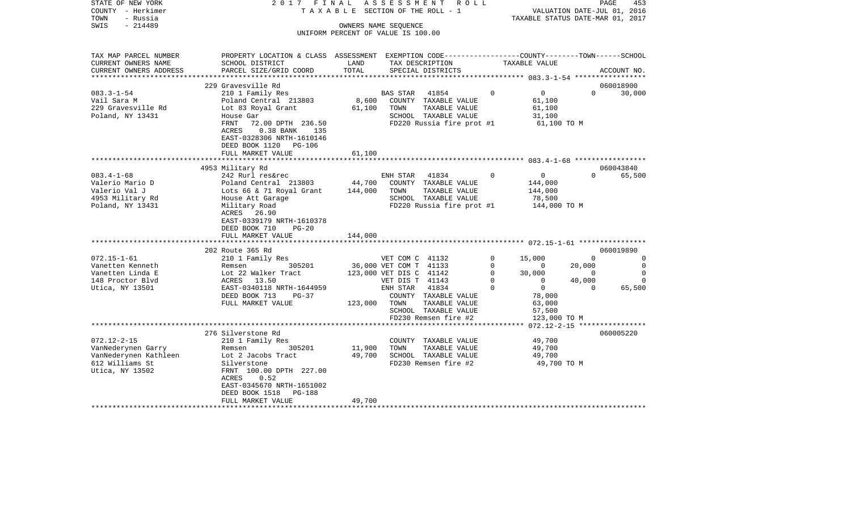| STATE OF NEW YORK       | 2017 FINAL                                                                                      |         | A S S E S S M E N T A O L L                                |               |                                       |                             | PAGE<br>453    |
|-------------------------|-------------------------------------------------------------------------------------------------|---------|------------------------------------------------------------|---------------|---------------------------------------|-----------------------------|----------------|
| COUNTY - Herkimer       |                                                                                                 |         | T A X A B L E SECTION OF THE ROLL - 1                      |               |                                       | VALUATION DATE-JUL 01, 2016 |                |
| TOWN<br>- Russia        |                                                                                                 |         |                                                            |               | TAXABLE STATUS DATE-MAR 01, 2017      |                             |                |
| $-214489$<br>SWIS       |                                                                                                 |         | OWNERS NAME SEQUENCE<br>UNIFORM PERCENT OF VALUE IS 100.00 |               |                                       |                             |                |
|                         |                                                                                                 |         |                                                            |               |                                       |                             |                |
| TAX MAP PARCEL NUMBER   | PROPERTY LOCATION & CLASS ASSESSMENT EXEMPTION CODE---------------COUNTY-------TOWN------SCHOOL |         |                                                            |               |                                       |                             |                |
| CURRENT OWNERS NAME     | SCHOOL DISTRICT                                                                                 | LAND    | TAX DESCRIPTION                                            |               | TAXABLE VALUE                         |                             |                |
| CURRENT OWNERS ADDRESS  | PARCEL SIZE/GRID COORD                                                                          | TOTAL   | SPECIAL DISTRICTS                                          |               |                                       |                             | ACCOUNT NO.    |
| *********************** |                                                                                                 |         |                                                            |               |                                       |                             |                |
|                         | 229 Gravesville Rd                                                                              |         |                                                            |               |                                       |                             | 060018900      |
| $083.3 - 1 - 54$        | 210 1 Family Res                                                                                |         | BAS STAR<br>41854                                          | $\Omega$      | $\overline{0}$                        | $\Omega$                    | 30,000         |
| Vail Sara M             | Poland Central 213803                                                                           |         | 8,600 COUNTY TAXABLE VALUE                                 |               | 61,100                                |                             |                |
| 229 Gravesville Rd      | Lot 83 Royal Grant                                                                              | 61,100  | TOWN                                                       | TAXABLE VALUE | 61,100                                |                             |                |
| Poland, NY 13431        | House Gar                                                                                       |         | SCHOOL TAXABLE VALUE                                       |               | 31,100                                |                             |                |
|                         | FRNT<br>72.00 DPTH 236.50                                                                       |         |                                                            |               | FD220 Russia fire prot #1 61,100 TO M |                             |                |
|                         | 0.38 BANK 135<br>ACRES                                                                          |         |                                                            |               |                                       |                             |                |
|                         | EAST-0328306 NRTH-1610146                                                                       |         |                                                            |               |                                       |                             |                |
|                         | DEED BOOK 1120 PG-106                                                                           |         |                                                            |               |                                       |                             |                |
|                         | FULL MARKET VALUE                                                                               | 61,100  |                                                            |               |                                       |                             |                |
|                         |                                                                                                 |         |                                                            |               |                                       |                             |                |
|                         | 4953 Military Rd                                                                                |         |                                                            |               |                                       |                             | 060043840      |
| $083.4 - 1 - 68$        | 242 Rurl res&rec                                                                                |         | ENH STAR 41834                                             | $\Omega$      | 0                                     |                             | 0 65,500       |
| Valerio Mario D         | Poland Central 213803                                                                           | 44,700  | COUNTY TAXABLE VALUE                                       |               | 144,000                               |                             |                |
| Valerio Val J           | Lots 66 & 71 Royal Grant<br>House Att Garage                                                    | 144,000 | TOWN                                                       | TAXABLE VALUE | 144,000                               |                             |                |
| 4953 Military Rd        |                                                                                                 |         | SCHOOL TAXABLE VALUE                                       |               | 78,500                                |                             |                |
| Poland, NY 13431        | Military Road                                                                                   |         | FD220 Russia fire prot #1                                  |               | 144,000 TO M                          |                             |                |
|                         | ACRES 26.90                                                                                     |         |                                                            |               |                                       |                             |                |
|                         | EAST-0339179 NRTH-1610378                                                                       |         |                                                            |               |                                       |                             |                |
|                         | DEED BOOK 710<br>PG-20                                                                          |         |                                                            |               |                                       |                             |                |
|                         | FULL MARKET VALUE                                                                               | 144,000 |                                                            |               |                                       |                             |                |
|                         |                                                                                                 |         |                                                            |               |                                       |                             |                |
|                         | 202 Route 365 Rd                                                                                |         |                                                            |               |                                       |                             | 060019890      |
| $072.15 - 1 - 61$       | 210 1 Family Res                                                                                |         | VET COM C 41132                                            | $\mathbf 0$   | 15,000                                | $\Omega$                    | 0              |
| Vanetten Kenneth        | 305201<br>Remsen                                                                                |         | 36,000 VET COM T 41133                                     | $\mathbf 0$   | $\mathbf{0}$                          | 20,000                      | $\overline{0}$ |
| Vanetten Linda E        | Lot 22 Walker Tract                                                                             |         | 123,000 VET DIS C 41142                                    | $\mathbf 0$   | 30,000                                | $\overline{0}$              | $\mathbf 0$    |
| 148 Proctor Blvd        | ACRES 13.50                                                                                     |         | VET DIS T 41143                                            | $\mathbf{0}$  | $\overline{0}$                        | 40,000                      | $\Omega$       |
| Utica, NY 13501         | EAST-0340118 NRTH-1644959                                                                       |         | ENH STAR<br>41834                                          | $\Omega$      | $\overline{0}$                        | $\Omega$                    | 65,500         |
|                         | DEED BOOK 713<br>PG-37                                                                          |         | COUNTY TAXABLE VALUE                                       |               | 78,000                                |                             |                |
|                         | FULL MARKET VALUE                                                                               | 123,000 | TOWN                                                       | TAXABLE VALUE | 63,000                                |                             |                |
|                         |                                                                                                 |         | SCHOOL TAXABLE VALUE                                       |               | 57,500                                |                             |                |
|                         |                                                                                                 |         | FD230 Remsen fire #2                                       |               | 123,000 TO M                          |                             |                |
|                         | ******************************                                                                  |         |                                                            |               | ******* 072.12-2-15 ***************** |                             |                |
|                         | 276 Silverstone Rd                                                                              |         |                                                            |               |                                       |                             | 060005220      |
| $072.12 - 2 - 15$       | 210 1 Family Res                                                                                |         | COUNTY TAXABLE VALUE                                       |               | 49,700                                |                             |                |
| VanNederynen Garry      | 305201<br>Remsen                                                                                | 11,900  | TOWN                                                       | TAXABLE VALUE | 49,700                                |                             |                |
| VanNederynen Kathleen   | Lot 2 Jacobs Tract                                                                              | 49,700  | SCHOOL TAXABLE VALUE                                       |               | 49,700                                |                             |                |
| 612 Williams St         | Silverstone                                                                                     |         | FD230 Remsen fire #2                                       |               | 49,700 TO M                           |                             |                |
| Utica, NY 13502         | FRNT 100.00 DPTH 227.00                                                                         |         |                                                            |               |                                       |                             |                |
|                         | ACRES<br>0.52                                                                                   |         |                                                            |               |                                       |                             |                |
|                         | EAST-0345670 NRTH-1651002                                                                       |         |                                                            |               |                                       |                             |                |
|                         | DEED BOOK 1518<br>PG-188                                                                        |         |                                                            |               |                                       |                             |                |
|                         | FULL MARKET VALUE                                                                               | 49,700  |                                                            |               |                                       |                             |                |
|                         |                                                                                                 |         |                                                            |               |                                       |                             |                |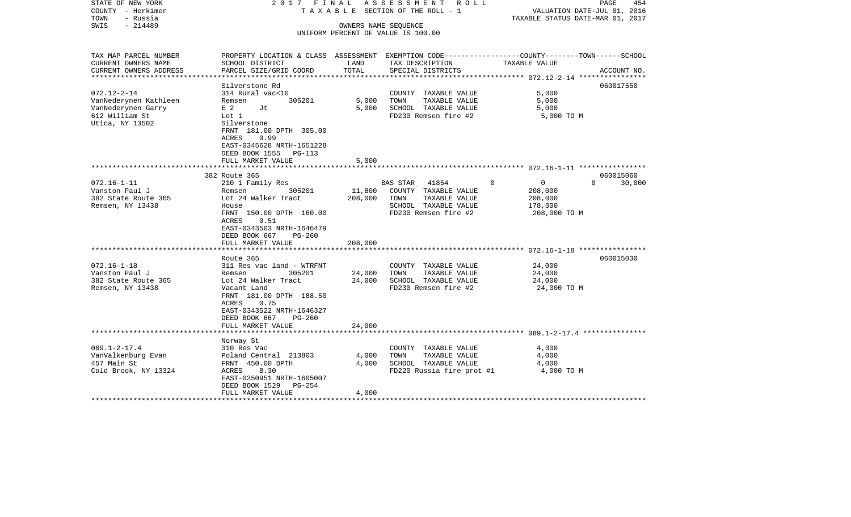| STATE OF NEW YORK<br>COUNTY - Herkimer<br>TOWN<br>- Russia<br>$-214489$<br>SWIS | 2017 FINAL<br>TAXABLE                                                                            |                   | ASSESSMENT ROLL<br>SECTION OF THE ROLL - 1<br>OWNERS NAME SEQUENCE | VALUATION DATE-JUL 01, 2016<br>TAXABLE STATUS DATE-MAR 01, 2017 | 454<br>PAGE        |
|---------------------------------------------------------------------------------|--------------------------------------------------------------------------------------------------|-------------------|--------------------------------------------------------------------|-----------------------------------------------------------------|--------------------|
|                                                                                 |                                                                                                  |                   | UNIFORM PERCENT OF VALUE IS 100.00                                 |                                                                 |                    |
|                                                                                 |                                                                                                  |                   |                                                                    |                                                                 |                    |
| TAX MAP PARCEL NUMBER                                                           | PROPERTY LOCATION & CLASS ASSESSMENT EXEMPTION CODE----------------COUNTY-------TOWN------SCHOOL |                   |                                                                    |                                                                 |                    |
| CURRENT OWNERS NAME                                                             | SCHOOL DISTRICT                                                                                  | LAND<br>TOTAL     | TAX DESCRIPTION                                                    | TAXABLE VALUE                                                   |                    |
| CURRENT OWNERS ADDRESS<br>**********************                                | PARCEL SIZE/GRID COORD                                                                           |                   | SPECIAL DISTRICTS                                                  |                                                                 | ACCOUNT NO.        |
|                                                                                 | Silverstone Rd                                                                                   |                   |                                                                    |                                                                 | 060017550          |
| $072.12 - 2 - 14$                                                               | 314 Rural vac<10                                                                                 |                   | COUNTY TAXABLE VALUE                                               | 5,000                                                           |                    |
| VanNederynen Kathleen                                                           | 305201<br>Remsen                                                                                 | 5,000             | TAXABLE VALUE<br>TOWN                                              | 5,000                                                           |                    |
| VanNederynen Garry                                                              | E 2<br>Jt                                                                                        | 5,000             | SCHOOL TAXABLE VALUE                                               | 5,000                                                           |                    |
| 612 William St                                                                  | Lot 1                                                                                            |                   | FD230 Remsen fire #2                                               | 5,000 TO M                                                      |                    |
| Utica, NY 13502                                                                 | Silverstone<br>FRNT 181.00 DPTH 305.00                                                           |                   |                                                                    |                                                                 |                    |
|                                                                                 | 0.99<br>ACRES<br>EAST-0345628 NRTH-1651228                                                       |                   |                                                                    |                                                                 |                    |
|                                                                                 | DEED BOOK 1555<br>PG-113                                                                         |                   |                                                                    |                                                                 |                    |
|                                                                                 | FULL MARKET VALUE                                                                                | 5,000             |                                                                    |                                                                 |                    |
|                                                                                 |                                                                                                  |                   |                                                                    |                                                                 |                    |
|                                                                                 | 382 Route 365                                                                                    |                   |                                                                    |                                                                 | 060015060          |
| $072.16 - 1 - 11$                                                               | 210 1 Family Res                                                                                 |                   | BAS STAR<br>41854                                                  | $\Omega$<br>$\mathbf{0}$                                        | $\Omega$<br>30,000 |
| Vanston Paul J<br>382 State Route 365                                           | 305201<br>Remsen<br>Lot 24 Walker Tract                                                          | 11,800<br>208,000 | COUNTY TAXABLE VALUE<br>TOWN<br>TAXABLE VALUE                      | 208,000<br>208,000                                              |                    |
| Remsen, NY 13438                                                                | House                                                                                            |                   | SCHOOL TAXABLE VALUE                                               | 178,000                                                         |                    |
|                                                                                 | FRNT 150.00 DPTH 160.00                                                                          |                   | FD230 Remsen fire #2                                               | 208,000 TO M                                                    |                    |
|                                                                                 | ACRES<br>0.51                                                                                    |                   |                                                                    |                                                                 |                    |
|                                                                                 | EAST-0343503 NRTH-1646479                                                                        |                   |                                                                    |                                                                 |                    |
|                                                                                 | DEED BOOK 667<br>PG-260                                                                          |                   |                                                                    |                                                                 |                    |
|                                                                                 | FULL MARKET VALUE<br>********************                                                        | 208,000           |                                                                    |                                                                 |                    |
|                                                                                 | Route 365                                                                                        |                   |                                                                    |                                                                 | 060015030          |
| $072.16 - 1 - 18$                                                               | 311 Res vac land - WTRFNT                                                                        |                   | COUNTY TAXABLE VALUE                                               | 24,000                                                          |                    |
| Vanston Paul J                                                                  | 305201<br>Remsen                                                                                 | 24,000            | TAXABLE VALUE<br>TOWN                                              | 24,000                                                          |                    |
| 382 State Route 365                                                             | Lot 24 Walker Tract                                                                              | 24,000            | SCHOOL TAXABLE VALUE                                               | 24,000                                                          |                    |
| Remsen, NY 13438                                                                | Vacant Land                                                                                      |                   | FD230 Remsen fire #2                                               | 24,000 TO M                                                     |                    |
|                                                                                 | FRNT 181.00 DPTH 188.50                                                                          |                   |                                                                    |                                                                 |                    |
|                                                                                 | ACRES<br>0.75                                                                                    |                   |                                                                    |                                                                 |                    |
|                                                                                 | EAST-0343522 NRTH-1646327                                                                        |                   |                                                                    |                                                                 |                    |
|                                                                                 | DEED BOOK 667<br>$PG-260$<br>FULL MARKET VALUE                                                   | 24,000            |                                                                    |                                                                 |                    |
|                                                                                 |                                                                                                  |                   |                                                                    |                                                                 |                    |
|                                                                                 | Norway St                                                                                        |                   |                                                                    |                                                                 |                    |
| $089.1 - 2 - 17.4$                                                              | 310 Res Vac                                                                                      |                   | COUNTY TAXABLE VALUE                                               | 4,000                                                           |                    |
| VanValkenburg Evan                                                              | Poland Central 213803                                                                            | 4,000             | TOWN<br>TAXABLE VALUE                                              | 4,000                                                           |                    |
| 457 Main St                                                                     | FRNT 450.00 DPTH                                                                                 | 4,000             | SCHOOL TAXABLE VALUE                                               | 4,000                                                           |                    |
| Cold Brook, NY 13324                                                            | 8.30<br>ACRES                                                                                    |                   | FD220 Russia fire prot #1                                          | 4,000 TO M                                                      |                    |
|                                                                                 | EAST-0350951 NRTH-1605007<br>DEED BOOK 1529<br>PG-254                                            |                   |                                                                    |                                                                 |                    |
|                                                                                 | FULL MARKET VALUE                                                                                | 4,000             |                                                                    |                                                                 |                    |
|                                                                                 |                                                                                                  |                   |                                                                    |                                                                 |                    |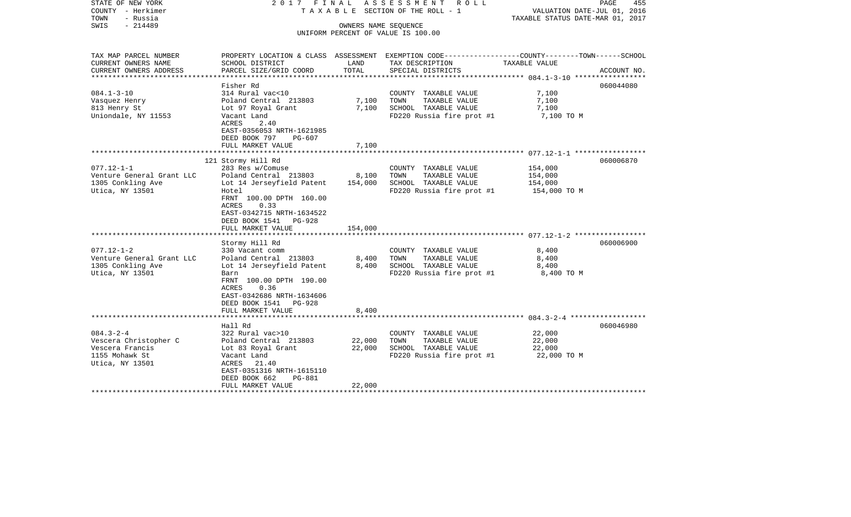| STATE OF NEW YORK<br>COUNTY - Herkimer<br>TOWN<br>- Russia<br>$-214489$<br>SWIS                                                                             | 2017 FINAL<br>T A X A B L E SECTION OF THE ROLL - 1                                                                                                                                                                                                                                                                     | PAGE<br>455<br>VALUATION DATE-JUL 01, 2016<br>TAXABLE STATUS DATE-MAR 01, 2017 |                                                                                                                                                                             |                                                                          |                        |
|-------------------------------------------------------------------------------------------------------------------------------------------------------------|-------------------------------------------------------------------------------------------------------------------------------------------------------------------------------------------------------------------------------------------------------------------------------------------------------------------------|--------------------------------------------------------------------------------|-----------------------------------------------------------------------------------------------------------------------------------------------------------------------------|--------------------------------------------------------------------------|------------------------|
|                                                                                                                                                             |                                                                                                                                                                                                                                                                                                                         |                                                                                | OWNERS NAME SEQUENCE<br>UNIFORM PERCENT OF VALUE IS 100.00                                                                                                                  |                                                                          |                        |
| TAX MAP PARCEL NUMBER<br>CURRENT OWNERS NAME                                                                                                                | SCHOOL DISTRICT                                                                                                                                                                                                                                                                                                         | LAND                                                                           | PROPERTY LOCATION & CLASS ASSESSMENT EXEMPTION CODE----------------COUNTY-------TOWN------SCHOOL<br>TAX DESCRIPTION                                                         | TAXABLE VALUE                                                            |                        |
| CURRENT OWNERS ADDRESS                                                                                                                                      | PARCEL SIZE/GRID COORD                                                                                                                                                                                                                                                                                                  | TOTAL                                                                          | SPECIAL DISTRICTS                                                                                                                                                           |                                                                          | ACCOUNT NO.            |
| ********************                                                                                                                                        | Fisher Rd                                                                                                                                                                                                                                                                                                               |                                                                                |                                                                                                                                                                             |                                                                          | 060044080              |
| $084.1 - 3 - 10$<br>Vasquez Henry<br>813 Henry St<br>Uniondale, NY 11553                                                                                    | 314 Rural vac<10<br>Poland Central 213803<br>Lot 97 Royal Grant<br>Vacant Land<br>ACRES<br>2.40                                                                                                                                                                                                                         | 7,100<br>7,100                                                                 | COUNTY TAXABLE VALUE<br>TAXABLE VALUE<br>TOWN<br>SCHOOL TAXABLE VALUE<br>FD220 Russia fire prot #1                                                                          | 7,100<br>7,100<br>7,100<br>7,100 TO M                                    |                        |
|                                                                                                                                                             | EAST-0356053 NRTH-1621985<br>DEED BOOK 797<br>PG-607<br>FULL MARKET VALUE                                                                                                                                                                                                                                               | 7,100                                                                          |                                                                                                                                                                             |                                                                          |                        |
|                                                                                                                                                             |                                                                                                                                                                                                                                                                                                                         |                                                                                |                                                                                                                                                                             |                                                                          |                        |
| $077.12 - 1 - 1$<br>Venture General Grant LLC<br>1305 Conkling Ave<br>Utica, NY 13501<br>$077.12 - 1 - 2$<br>Venture General Grant LLC<br>1305 Conkling Ave | 121 Stormy Hill Rd<br>283 Res w/Comuse<br>Poland Central 213803<br>Lot 14 Jerseyfield Patent<br>Hotel<br>FRNT 100.00 DPTH 160.00<br>ACRES<br>0.33<br>EAST-0342715 NRTH-1634522<br>DEED BOOK 1541 PG-928<br>FULL MARKET VALUE<br>Stormy Hill Rd<br>330 Vacant comm<br>Poland Central 213803<br>Lot 14 Jerseyfield Patent | 8,100<br>154,000<br>154,000<br>8,400<br>8,400                                  | COUNTY TAXABLE VALUE<br>TAXABLE VALUE<br>TOWN<br>SCHOOL TAXABLE VALUE<br>FD220 Russia fire prot #1<br>COUNTY TAXABLE VALUE<br>TAXABLE VALUE<br>TOWN<br>SCHOOL TAXABLE VALUE | 154,000<br>154,000<br>154,000<br>154,000 TO M<br>8,400<br>8,400<br>8,400 | 060006870<br>060006900 |
| Utica, NY 13501                                                                                                                                             | Barn<br>FRNT 100.00 DPTH 190.00<br>0.36<br>ACRES<br>EAST-0342686 NRTH-1634606<br>DEED BOOK 1541 PG-928<br>FULL MARKET VALUE                                                                                                                                                                                             | 8,400                                                                          | FD220 Russia fire prot #1                                                                                                                                                   | 8,400 TO M                                                               |                        |
| $084.3 - 2 - 4$                                                                                                                                             | Hall Rd<br>322 Rural vac>10                                                                                                                                                                                                                                                                                             |                                                                                | COUNTY TAXABLE VALUE                                                                                                                                                        | 22,000                                                                   | 060046980              |
| Vescera Christopher C<br>Vescera Francis<br>1155 Mohawk St<br>Utica, NY 13501                                                                               | Poland Central 213803<br>Lot 83 Royal Grant<br>Vacant Land<br>ACRES 21.40<br>EAST-0351316 NRTH-1615110<br>DEED BOOK 662<br><b>PG-881</b>                                                                                                                                                                                | 22,000<br>22,000                                                               | TOWN<br>TAXABLE VALUE<br>SCHOOL TAXABLE VALUE<br>FD220 Russia fire prot #1                                                                                                  | 22,000<br>22,000<br>22,000 TO M                                          |                        |
|                                                                                                                                                             | FULL MARKET VALUE                                                                                                                                                                                                                                                                                                       | 22,000                                                                         |                                                                                                                                                                             |                                                                          |                        |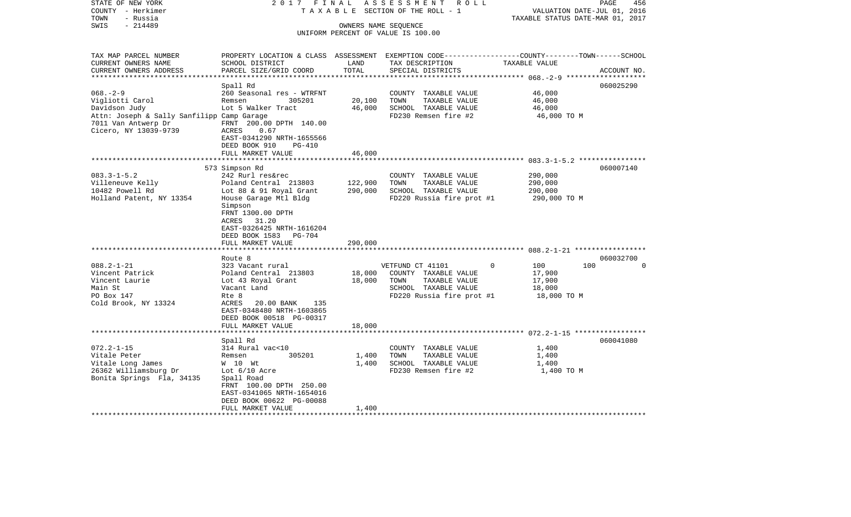| STATE OF NEW YORK<br>COUNTY - Herkimer<br>- Russia<br>TOWN                                 | 2017 FINAL                                                                                                             |                      | ASSESSMENT ROLL<br>T A X A B L E SECTION OF THE ROLL - 1 |                  | PAGE<br>456<br>VALUATION DATE-JUL 01, 2016<br>TAXABLE STATUS DATE-MAR 01, 2017 |
|--------------------------------------------------------------------------------------------|------------------------------------------------------------------------------------------------------------------------|----------------------|----------------------------------------------------------|------------------|--------------------------------------------------------------------------------|
| $-214489$<br>SWIS                                                                          |                                                                                                                        | OWNERS NAME SEQUENCE | UNIFORM PERCENT OF VALUE IS 100.00                       |                  |                                                                                |
| TAX MAP PARCEL NUMBER                                                                      | PROPERTY LOCATION & CLASS ASSESSMENT EXEMPTION CODE----------------COUNTY-------TOWN------SCHOOL                       |                      |                                                          |                  |                                                                                |
| CURRENT OWNERS NAME<br>CURRENT OWNERS ADDRESS                                              | SCHOOL DISTRICT<br>PARCEL SIZE/GRID COORD                                                                              | LAND<br>TOTAL        | TAX DESCRIPTION<br>SPECIAL DISTRICTS                     | TAXABLE VALUE    | ACCOUNT NO.                                                                    |
|                                                                                            |                                                                                                                        |                      |                                                          |                  |                                                                                |
|                                                                                            | Spall Rd                                                                                                               |                      |                                                          |                  | 060025290                                                                      |
| $068. - 2 - 9$                                                                             | 260 Seasonal res - WTRFNT                                                                                              |                      | COUNTY TAXABLE VALUE                                     | 46,000           |                                                                                |
| Vigliotti Carol                                                                            | Remsen<br>305201                                                                                                       | 20,100               | TOWN<br>TAXABLE VALUE                                    | 46,000           |                                                                                |
| Davidson Judy                                                                              | Lot 5 Walker Tract                                                                                                     | 46,000               | SCHOOL TAXABLE VALUE                                     | 46,000           |                                                                                |
| Attn: Joseph & Sally Sanfilipp Camp Garage<br>7011 Van Antwerp Dr<br>Cicero, NY 13039-9739 | FRNT 200.00 DPTH 140.00<br>ACRES<br>0.67<br>EAST-0341290 NRTH-1655566<br>DEED BOOK 910<br>PG-410                       |                      | FD230 Remsen fire #2                                     | 46,000 TO M      |                                                                                |
|                                                                                            | FULL MARKET VALUE                                                                                                      | 46,000               |                                                          |                  |                                                                                |
|                                                                                            | *************************                                                                                              |                      |                                                          |                  |                                                                                |
| $083.3 - 1 - 5.2$                                                                          | 573 Simpson Rd<br>242 Rurl res&rec                                                                                     |                      | COUNTY TAXABLE VALUE                                     | 290,000          | 060007140                                                                      |
| Villeneuve Kelly                                                                           | Poland Central 213803                                                                                                  | 122,900              | TOWN<br>TAXABLE VALUE                                    | 290,000          |                                                                                |
| 10482 Powell Rd                                                                            | Lot 88 & 91 Royal Grant                                                                                                | 290,000              | SCHOOL TAXABLE VALUE                                     | 290,000          |                                                                                |
| Holland Patent, NY 13354                                                                   | House Garage Mtl Bldg                                                                                                  |                      | FD220 Russia fire prot #1                                | 290,000 TO M     |                                                                                |
|                                                                                            | Simpson<br>FRNT 1300.00 DPTH<br>ACRES 31.20<br>EAST-0326425 NRTH-1616204<br>DEED BOOK 1583 PG-704<br>FULL MARKET VALUE | 290,000              |                                                          |                  |                                                                                |
|                                                                                            |                                                                                                                        |                      |                                                          |                  |                                                                                |
|                                                                                            | Route 8                                                                                                                |                      |                                                          |                  | 060032700                                                                      |
| $088.2 - 1 - 21$                                                                           | 323 Vacant rural                                                                                                       |                      | VETFUND CT 41101                                         | $\Omega$<br>100  | 100<br>$\Omega$                                                                |
| Vincent Patrick<br>Vincent Laurie                                                          | Poland Central 213803<br>Lot 43 Royal Grant                                                                            | 18,000<br>18,000     | COUNTY TAXABLE VALUE<br>TOWN<br>TAXABLE VALUE            | 17,900<br>17,900 |                                                                                |
| Main St                                                                                    | Vacant Land                                                                                                            |                      | SCHOOL TAXABLE VALUE                                     | 18,000           |                                                                                |
| PO Box 147                                                                                 | Rte 8                                                                                                                  |                      | FD220 Russia fire prot #1                                | 18,000 TO M      |                                                                                |
| Cold Brook, NY 13324                                                                       | ACRES<br>20.00 BANK<br>135<br>EAST-0348480 NRTH-1603865<br>DEED BOOK 00518 PG-00317                                    |                      |                                                          |                  |                                                                                |
|                                                                                            | FULL MARKET VALUE<br>***********************                                                                           | 18,000               |                                                          |                  |                                                                                |
|                                                                                            | Spall Rd                                                                                                               |                      |                                                          |                  | 060041080                                                                      |
| $072.2 - 1 - 15$                                                                           | 314 Rural vac<10                                                                                                       |                      | COUNTY TAXABLE VALUE                                     | 1,400            |                                                                                |
| Vitale Peter                                                                               | 305201<br>Remsen                                                                                                       | 1,400                | TOWN<br>TAXABLE VALUE                                    | 1,400            |                                                                                |
| Vitale Long James                                                                          | W 10 Wt                                                                                                                | 1,400                | SCHOOL TAXABLE VALUE                                     | 1,400            |                                                                                |
| 26362 Williamsburg Dr                                                                      | Lot $6/10$ Acre                                                                                                        |                      | FD230 Remsen fire #2                                     | 1,400 TO M       |                                                                                |
| Bonita Springs Fla, 34135                                                                  | Spall Road<br>FRNT 100.00 DPTH 250.00<br>EAST-0341065 NRTH-1654016<br>DEED BOOK 00622 PG-00088                         |                      |                                                          |                  |                                                                                |
|                                                                                            | FULL MARKET VALUE                                                                                                      | 1,400                |                                                          |                  |                                                                                |
| *******************                                                                        |                                                                                                                        |                      |                                                          |                  |                                                                                |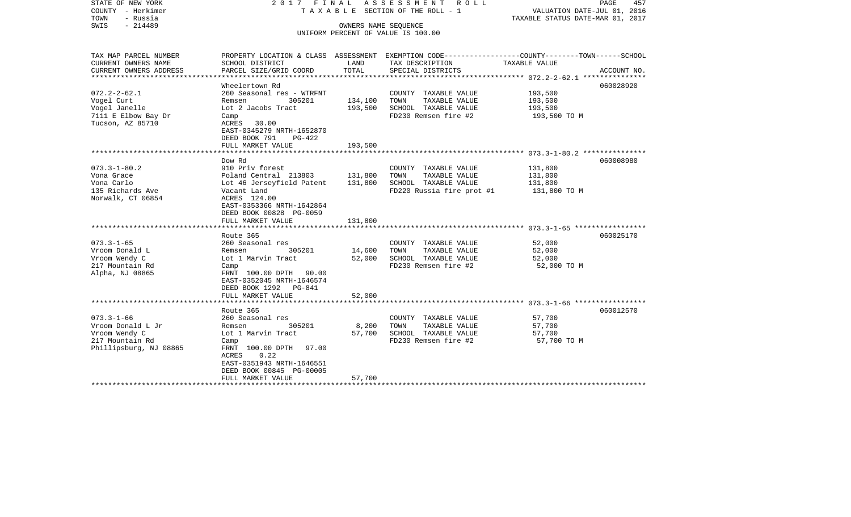| STATE OF NEW YORK<br>COUNTY - Herkimer<br>- Russia<br>TOWN<br>$-214489$<br>SWIS | 2017 FINAL<br>ASSESSMENT ROLL<br>T A X A B L E SECTION OF THE ROLL - 1<br>OWNERS NAME SEQUENCE<br>UNIFORM PERCENT OF VALUE IS 100.00 |         |                                                                                                                    |                  | PAGE<br>457<br>VALUATION DATE-JUL 01, 2016<br>TAXABLE STATUS DATE-MAR 01, 2017 |  |  |
|---------------------------------------------------------------------------------|--------------------------------------------------------------------------------------------------------------------------------------|---------|--------------------------------------------------------------------------------------------------------------------|------------------|--------------------------------------------------------------------------------|--|--|
| TAX MAP PARCEL NUMBER<br>CURRENT OWNERS NAME                                    | SCHOOL DISTRICT                                                                                                                      | LAND    | PROPERTY LOCATION & CLASS ASSESSMENT EXEMPTION CODE---------------COUNTY-------TOWN------SCHOOL<br>TAX DESCRIPTION | TAXABLE VALUE    |                                                                                |  |  |
| CURRENT OWNERS ADDRESS<br>*************************                             | PARCEL SIZE/GRID COORD                                                                                                               | TOTAL   | SPECIAL DISTRICTS                                                                                                  |                  | ACCOUNT NO.                                                                    |  |  |
|                                                                                 | Wheelertown Rd                                                                                                                       |         |                                                                                                                    |                  | 060028920                                                                      |  |  |
| $072.2 - 2 - 62.1$                                                              | 260 Seasonal res - WTRFNT                                                                                                            |         | COUNTY TAXABLE VALUE                                                                                               | 193,500          |                                                                                |  |  |
| Vogel Curt                                                                      | 305201<br>Remsen                                                                                                                     | 134,100 | TOWN<br>TAXABLE VALUE                                                                                              | 193,500          |                                                                                |  |  |
| Vogel Janelle                                                                   | Lot 2 Jacobs Tract                                                                                                                   | 193,500 | SCHOOL TAXABLE VALUE                                                                                               | 193,500          |                                                                                |  |  |
| 7111 E Elbow Bay Dr                                                             | Camp                                                                                                                                 |         | FD230 Remsen fire #2                                                                                               | 193,500 TO M     |                                                                                |  |  |
| Tucson, AZ 85710                                                                | ACRES<br>30.00                                                                                                                       |         |                                                                                                                    |                  |                                                                                |  |  |
|                                                                                 | EAST-0345279 NRTH-1652870                                                                                                            |         |                                                                                                                    |                  |                                                                                |  |  |
|                                                                                 | DEED BOOK 791<br>PG-422<br>FULL MARKET VALUE                                                                                         | 193,500 |                                                                                                                    |                  |                                                                                |  |  |
|                                                                                 | ****************************                                                                                                         |         |                                                                                                                    |                  |                                                                                |  |  |
|                                                                                 | Dow Rd                                                                                                                               |         |                                                                                                                    |                  | 060008980                                                                      |  |  |
| $073.3 - 1 - 80.2$                                                              | 910 Priv forest                                                                                                                      |         | COUNTY TAXABLE VALUE                                                                                               | 131,800          |                                                                                |  |  |
| Vona Grace                                                                      | Poland Central 213803                                                                                                                | 131,800 | TOWN<br>TAXABLE VALUE                                                                                              | 131,800          |                                                                                |  |  |
| Vona Carlo                                                                      | Lot 46 Jerseyfield Patent                                                                                                            | 131,800 | SCHOOL TAXABLE VALUE                                                                                               | 131,800          |                                                                                |  |  |
| 135 Richards Ave                                                                | Vacant Land                                                                                                                          |         | FD220 Russia fire prot #1                                                                                          | 131,800 TO M     |                                                                                |  |  |
| Norwalk, CT 06854                                                               | ACRES 124.00                                                                                                                         |         |                                                                                                                    |                  |                                                                                |  |  |
|                                                                                 | EAST-0353366 NRTH-1642864                                                                                                            |         |                                                                                                                    |                  |                                                                                |  |  |
|                                                                                 | DEED BOOK 00828 PG-0059                                                                                                              |         |                                                                                                                    |                  |                                                                                |  |  |
|                                                                                 | FULL MARKET VALUE                                                                                                                    | 131,800 |                                                                                                                    |                  |                                                                                |  |  |
|                                                                                 | Route 365                                                                                                                            |         |                                                                                                                    |                  | 060025170                                                                      |  |  |
| $073.3 - 1 - 65$                                                                | 260 Seasonal res                                                                                                                     |         | COUNTY TAXABLE VALUE                                                                                               | 52,000           |                                                                                |  |  |
| Vroom Donald L                                                                  | 305201<br>Remsen                                                                                                                     | 14,600  | TOWN<br>TAXABLE VALUE                                                                                              | 52,000           |                                                                                |  |  |
| Vroom Wendy C                                                                   | Lot 1 Marvin Tract                                                                                                                   | 52,000  | SCHOOL TAXABLE VALUE                                                                                               | 52,000           |                                                                                |  |  |
| 217 Mountain Rd                                                                 | Camp                                                                                                                                 |         | FD230 Remsen fire #2                                                                                               | 52,000 TO M      |                                                                                |  |  |
| Alpha, NJ 08865                                                                 | FRNT 100.00 DPTH 90.00                                                                                                               |         |                                                                                                                    |                  |                                                                                |  |  |
|                                                                                 | EAST-0352045 NRTH-1646574                                                                                                            |         |                                                                                                                    |                  |                                                                                |  |  |
|                                                                                 | DEED BOOK 1292 PG-841                                                                                                                |         |                                                                                                                    |                  |                                                                                |  |  |
|                                                                                 | FULL MARKET VALUE                                                                                                                    | 52,000  |                                                                                                                    |                  |                                                                                |  |  |
|                                                                                 |                                                                                                                                      |         |                                                                                                                    |                  |                                                                                |  |  |
| $073.3 - 1 - 66$                                                                | Route 365                                                                                                                            |         |                                                                                                                    |                  | 060012570                                                                      |  |  |
| Vroom Donald L Jr                                                               | 260 Seasonal res<br>305201<br>Remsen                                                                                                 | 8,200   | COUNTY TAXABLE VALUE<br>TAXABLE VALUE<br>TOWN                                                                      | 57,700<br>57,700 |                                                                                |  |  |
| Vroom Wendy C                                                                   | Lot 1 Marvin Tract                                                                                                                   | 57,700  | SCHOOL TAXABLE VALUE                                                                                               | 57,700           |                                                                                |  |  |
| 217 Mountain Rd                                                                 | Camp                                                                                                                                 |         | FD230 Remsen fire #2                                                                                               | 57,700 TO M      |                                                                                |  |  |
| Phillipsburg, NJ 08865                                                          | FRNT 100.00 DPTH<br>97.00                                                                                                            |         |                                                                                                                    |                  |                                                                                |  |  |
|                                                                                 | ACRES<br>0.22                                                                                                                        |         |                                                                                                                    |                  |                                                                                |  |  |
|                                                                                 | EAST-0351943 NRTH-1646551                                                                                                            |         |                                                                                                                    |                  |                                                                                |  |  |
|                                                                                 | DEED BOOK 00845 PG-00005                                                                                                             |         |                                                                                                                    |                  |                                                                                |  |  |
|                                                                                 | FULL MARKET VALUE                                                                                                                    | 57,700  |                                                                                                                    |                  |                                                                                |  |  |
|                                                                                 | ************************                                                                                                             |         |                                                                                                                    |                  |                                                                                |  |  |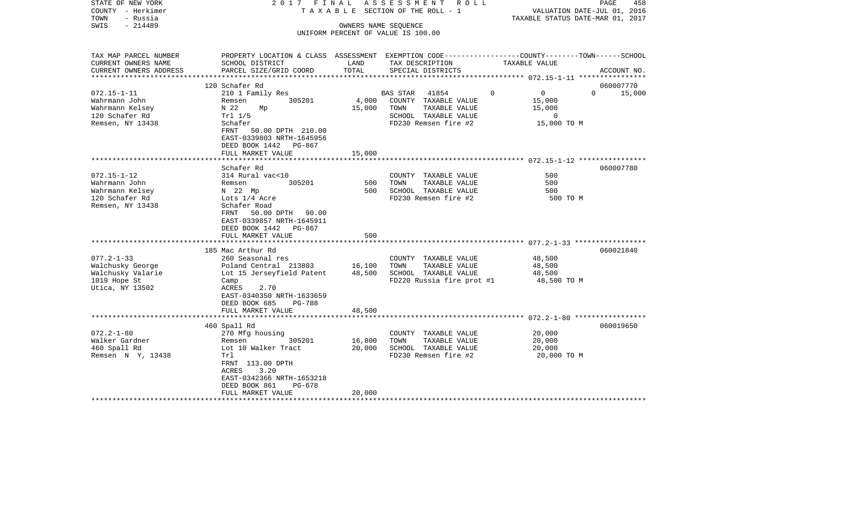| STATE OF NEW YORK<br>COUNTY - Herkimer<br>TOWN<br>- Russia<br>$-214489$<br>SWIS | 2017 FINAL                                                                                                      | OWNERS NAME SEQUENCE | ASSESSMENT ROLL<br>T A X A B L E SECTION OF THE ROLL - 1<br>UNIFORM PERCENT OF VALUE IS 100.00 | VALUATION DATE-JUL 01, 2016<br>TAXABLE STATUS DATE-MAR 01, 2017 | PAGE<br>458        |
|---------------------------------------------------------------------------------|-----------------------------------------------------------------------------------------------------------------|----------------------|------------------------------------------------------------------------------------------------|-----------------------------------------------------------------|--------------------|
| TAX MAP PARCEL NUMBER                                                           | PROPERTY LOCATION & CLASS ASSESSMENT EXEMPTION CODE----------------COUNTY-------TOWN------SCHOOL                |                      |                                                                                                |                                                                 |                    |
| CURRENT OWNERS NAME<br>CURRENT OWNERS ADDRESS                                   | SCHOOL DISTRICT<br>PARCEL SIZE/GRID COORD                                                                       | LAND<br>TOTAL        | TAX DESCRIPTION<br>SPECIAL DISTRICTS                                                           | TAXABLE VALUE                                                   | ACCOUNT NO.        |
| **********************                                                          |                                                                                                                 |                      |                                                                                                |                                                                 |                    |
|                                                                                 | 120 Schafer Rd                                                                                                  |                      |                                                                                                |                                                                 | 060007770          |
| $072.15 - 1 - 11$                                                               | 210 1 Family Res                                                                                                |                      | BAS STAR<br>41854                                                                              | $\overline{0}$<br>$\Omega$                                      | $\Omega$<br>15,000 |
| Wahrmann John                                                                   | 305201<br>Remsen                                                                                                | 4,000                | COUNTY TAXABLE VALUE                                                                           | 15,000                                                          |                    |
| Wahrmann Kelsey<br>120 Schafer Rd                                               | N 22<br>Mp<br>Trl 1/5                                                                                           | 15,000               | TOWN<br>TAXABLE VALUE<br>SCHOOL TAXABLE VALUE                                                  | 15,000<br>$\mathbf{0}$                                          |                    |
| Remsen, NY 13438                                                                | Schafer                                                                                                         |                      | FD230 Remsen fire #2                                                                           | 15,000 TO M                                                     |                    |
|                                                                                 | FRNT<br>50.00 DPTH 210.00<br>EAST-0339803 NRTH-1645956<br>DEED BOOK 1442 PG-867                                 |                      |                                                                                                |                                                                 |                    |
|                                                                                 | FULL MARKET VALUE<br>*********************                                                                      | 15,000               |                                                                                                |                                                                 |                    |
|                                                                                 | Schafer Rd                                                                                                      |                      |                                                                                                |                                                                 | 060007780          |
| $072.15 - 1 - 12$                                                               | 314 Rural vac<10                                                                                                |                      | COUNTY TAXABLE VALUE                                                                           | 500                                                             |                    |
| Wahrmann John                                                                   | Remsen<br>305201                                                                                                | 500                  | TAXABLE VALUE<br>TOWN                                                                          | 500                                                             |                    |
| Wahrmann Kelsey                                                                 | N 22 Mp                                                                                                         | 500                  | SCHOOL TAXABLE VALUE                                                                           | 500                                                             |                    |
| 120 Schafer Rd<br>Remsen, NY 13438                                              | Lots 1/4 Acre<br>Schafer Road<br>50.00 DPTH 90.00<br>FRNT<br>EAST-0339857 NRTH-1645911<br>DEED BOOK 1442 PG-867 |                      | FD230 Remsen fire #2                                                                           | 500 TO M                                                        |                    |
|                                                                                 | FULL MARKET VALUE                                                                                               | 500                  |                                                                                                |                                                                 |                    |
|                                                                                 | 185 Mac Arthur Rd                                                                                               |                      |                                                                                                |                                                                 | 060021840          |
| $077.2 - 1 - 33$                                                                | 260 Seasonal res                                                                                                |                      | COUNTY TAXABLE VALUE                                                                           | 48,500                                                          |                    |
| Walchusky George                                                                | Poland Central 213803                                                                                           | 16,100               | TOWN<br>TAXABLE VALUE                                                                          | 48,500                                                          |                    |
| Walchusky Valarie                                                               | Lot 15 Jerseyfield Patent                                                                                       | 48,500               | SCHOOL TAXABLE VALUE                                                                           | 48,500                                                          |                    |
| 1019 Hope St<br>Utica, NY 13502                                                 | Camp<br>2.70<br>ACRES<br>EAST-0340350 NRTH-1633659<br>DEED BOOK 685<br>PG-788<br>FULL MARKET VALUE              | 48,500               | FD220 Russia fire prot #1                                                                      | 48,500 TO M                                                     |                    |
|                                                                                 |                                                                                                                 |                      |                                                                                                |                                                                 |                    |
|                                                                                 | 460 Spall Rd                                                                                                    |                      |                                                                                                |                                                                 | 060019650          |
| $072.2 - 1 - 80$                                                                | 270 Mfg housing                                                                                                 |                      | COUNTY TAXABLE VALUE                                                                           | 20,000                                                          |                    |
| Walker Gardner                                                                  | 305201<br>Remsen                                                                                                | 16,800               | TOWN<br>TAXABLE VALUE                                                                          | 20,000                                                          |                    |
| 460 Spall Rd<br>Remsen N Y, 13438                                               | Lot 10 Walker Tract<br>Trl                                                                                      | 20,000               | SCHOOL TAXABLE VALUE<br>FD230 Remsen fire #2                                                   | 20,000<br>20,000 TO M                                           |                    |
|                                                                                 | FRNT 113.00 DPTH<br>ACRES<br>3.20<br>EAST-0342366 NRTH-1653218<br>DEED BOOK 861<br>PG-678<br>FULL MARKET VALUE  | 20,000               |                                                                                                |                                                                 |                    |
|                                                                                 |                                                                                                                 |                      |                                                                                                |                                                                 |                    |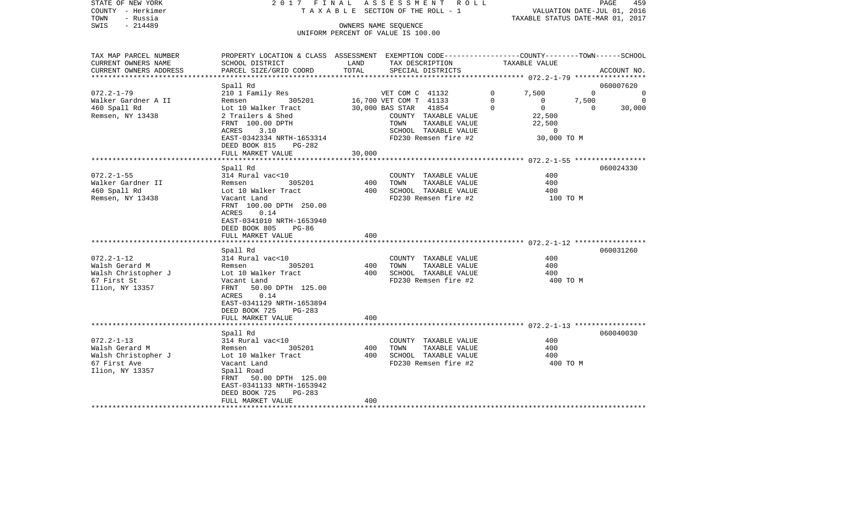|                           |                                                                                                                                                                                                                                                                                                                                                                                                                                                                                                                                                       |                                                                           |                                                                        |                                                                                                                                                                                                                                                                                                                                                                                                                                                                                                                                                               |                                           |                                                          | PAGE<br>459                                                                                                                                                                                                                                                                                       |
|---------------------------|-------------------------------------------------------------------------------------------------------------------------------------------------------------------------------------------------------------------------------------------------------------------------------------------------------------------------------------------------------------------------------------------------------------------------------------------------------------------------------------------------------------------------------------------------------|---------------------------------------------------------------------------|------------------------------------------------------------------------|---------------------------------------------------------------------------------------------------------------------------------------------------------------------------------------------------------------------------------------------------------------------------------------------------------------------------------------------------------------------------------------------------------------------------------------------------------------------------------------------------------------------------------------------------------------|-------------------------------------------|----------------------------------------------------------|---------------------------------------------------------------------------------------------------------------------------------------------------------------------------------------------------------------------------------------------------------------------------------------------------|
|                           |                                                                                                                                                                                                                                                                                                                                                                                                                                                                                                                                                       |                                                                           |                                                                        |                                                                                                                                                                                                                                                                                                                                                                                                                                                                                                                                                               |                                           |                                                          |                                                                                                                                                                                                                                                                                                   |
|                           |                                                                                                                                                                                                                                                                                                                                                                                                                                                                                                                                                       |                                                                           |                                                                        |                                                                                                                                                                                                                                                                                                                                                                                                                                                                                                                                                               |                                           |                                                          |                                                                                                                                                                                                                                                                                                   |
|                           |                                                                                                                                                                                                                                                                                                                                                                                                                                                                                                                                                       |                                                                           |                                                                        |                                                                                                                                                                                                                                                                                                                                                                                                                                                                                                                                                               |                                           |                                                          |                                                                                                                                                                                                                                                                                                   |
|                           |                                                                                                                                                                                                                                                                                                                                                                                                                                                                                                                                                       |                                                                           |                                                                        |                                                                                                                                                                                                                                                                                                                                                                                                                                                                                                                                                               |                                           |                                                          |                                                                                                                                                                                                                                                                                                   |
|                           |                                                                                                                                                                                                                                                                                                                                                                                                                                                                                                                                                       |                                                                           |                                                                        |                                                                                                                                                                                                                                                                                                                                                                                                                                                                                                                                                               |                                           |                                                          |                                                                                                                                                                                                                                                                                                   |
|                           |                                                                                                                                                                                                                                                                                                                                                                                                                                                                                                                                                       |                                                                           |                                                                        |                                                                                                                                                                                                                                                                                                                                                                                                                                                                                                                                                               |                                           |                                                          |                                                                                                                                                                                                                                                                                                   |
|                           |                                                                                                                                                                                                                                                                                                                                                                                                                                                                                                                                                       |                                                                           |                                                                        |                                                                                                                                                                                                                                                                                                                                                                                                                                                                                                                                                               |                                           |                                                          | ACCOUNT NO.                                                                                                                                                                                                                                                                                       |
|                           |                                                                                                                                                                                                                                                                                                                                                                                                                                                                                                                                                       |                                                                           |                                                                        |                                                                                                                                                                                                                                                                                                                                                                                                                                                                                                                                                               |                                           |                                                          |                                                                                                                                                                                                                                                                                                   |
| Spall Rd                  |                                                                                                                                                                                                                                                                                                                                                                                                                                                                                                                                                       |                                                                           |                                                                        |                                                                                                                                                                                                                                                                                                                                                                                                                                                                                                                                                               |                                           |                                                          | 060007620                                                                                                                                                                                                                                                                                         |
| 210 1 Family Res          |                                                                                                                                                                                                                                                                                                                                                                                                                                                                                                                                                       |                                                                           |                                                                        | 0                                                                                                                                                                                                                                                                                                                                                                                                                                                                                                                                                             | 7,500                                     | $\mathbf 0$                                              | $\overline{0}$                                                                                                                                                                                                                                                                                    |
| 305201<br>Remsen          |                                                                                                                                                                                                                                                                                                                                                                                                                                                                                                                                                       |                                                                           |                                                                        | $\mathbf 0$                                                                                                                                                                                                                                                                                                                                                                                                                                                                                                                                                   | $\overline{0}$                            | 7,500                                                    | $\overline{\phantom{0}}$                                                                                                                                                                                                                                                                          |
|                           |                                                                                                                                                                                                                                                                                                                                                                                                                                                                                                                                                       |                                                                           |                                                                        |                                                                                                                                                                                                                                                                                                                                                                                                                                                                                                                                                               |                                           |                                                          | 30,000                                                                                                                                                                                                                                                                                            |
|                           |                                                                                                                                                                                                                                                                                                                                                                                                                                                                                                                                                       |                                                                           |                                                                        |                                                                                                                                                                                                                                                                                                                                                                                                                                                                                                                                                               |                                           |                                                          |                                                                                                                                                                                                                                                                                                   |
|                           |                                                                                                                                                                                                                                                                                                                                                                                                                                                                                                                                                       |                                                                           |                                                                        |                                                                                                                                                                                                                                                                                                                                                                                                                                                                                                                                                               |                                           |                                                          |                                                                                                                                                                                                                                                                                                   |
|                           |                                                                                                                                                                                                                                                                                                                                                                                                                                                                                                                                                       |                                                                           |                                                                        |                                                                                                                                                                                                                                                                                                                                                                                                                                                                                                                                                               |                                           |                                                          |                                                                                                                                                                                                                                                                                                   |
|                           |                                                                                                                                                                                                                                                                                                                                                                                                                                                                                                                                                       |                                                                           |                                                                        |                                                                                                                                                                                                                                                                                                                                                                                                                                                                                                                                                               |                                           |                                                          |                                                                                                                                                                                                                                                                                                   |
|                           |                                                                                                                                                                                                                                                                                                                                                                                                                                                                                                                                                       |                                                                           |                                                                        |                                                                                                                                                                                                                                                                                                                                                                                                                                                                                                                                                               |                                           |                                                          |                                                                                                                                                                                                                                                                                                   |
|                           |                                                                                                                                                                                                                                                                                                                                                                                                                                                                                                                                                       |                                                                           |                                                                        |                                                                                                                                                                                                                                                                                                                                                                                                                                                                                                                                                               |                                           |                                                          |                                                                                                                                                                                                                                                                                                   |
|                           |                                                                                                                                                                                                                                                                                                                                                                                                                                                                                                                                                       |                                                                           |                                                                        |                                                                                                                                                                                                                                                                                                                                                                                                                                                                                                                                                               |                                           |                                                          | 060024330                                                                                                                                                                                                                                                                                         |
| 314 Rural vac<10          |                                                                                                                                                                                                                                                                                                                                                                                                                                                                                                                                                       |                                                                           |                                                                        |                                                                                                                                                                                                                                                                                                                                                                                                                                                                                                                                                               | 400                                       |                                                          |                                                                                                                                                                                                                                                                                                   |
| 305201<br>Remsen          |                                                                                                                                                                                                                                                                                                                                                                                                                                                                                                                                                       | TOWN                                                                      |                                                                        |                                                                                                                                                                                                                                                                                                                                                                                                                                                                                                                                                               | 400                                       |                                                          |                                                                                                                                                                                                                                                                                                   |
| Lot 10 Walker Tract       |                                                                                                                                                                                                                                                                                                                                                                                                                                                                                                                                                       |                                                                           |                                                                        |                                                                                                                                                                                                                                                                                                                                                                                                                                                                                                                                                               | 400                                       |                                                          |                                                                                                                                                                                                                                                                                                   |
| Vacant Land               |                                                                                                                                                                                                                                                                                                                                                                                                                                                                                                                                                       |                                                                           |                                                                        |                                                                                                                                                                                                                                                                                                                                                                                                                                                                                                                                                               |                                           |                                                          |                                                                                                                                                                                                                                                                                                   |
|                           |                                                                                                                                                                                                                                                                                                                                                                                                                                                                                                                                                       |                                                                           |                                                                        |                                                                                                                                                                                                                                                                                                                                                                                                                                                                                                                                                               |                                           |                                                          |                                                                                                                                                                                                                                                                                                   |
|                           |                                                                                                                                                                                                                                                                                                                                                                                                                                                                                                                                                       |                                                                           |                                                                        |                                                                                                                                                                                                                                                                                                                                                                                                                                                                                                                                                               |                                           |                                                          |                                                                                                                                                                                                                                                                                                   |
|                           |                                                                                                                                                                                                                                                                                                                                                                                                                                                                                                                                                       |                                                                           |                                                                        |                                                                                                                                                                                                                                                                                                                                                                                                                                                                                                                                                               |                                           |                                                          |                                                                                                                                                                                                                                                                                                   |
|                           |                                                                                                                                                                                                                                                                                                                                                                                                                                                                                                                                                       |                                                                           |                                                                        |                                                                                                                                                                                                                                                                                                                                                                                                                                                                                                                                                               |                                           |                                                          |                                                                                                                                                                                                                                                                                                   |
|                           |                                                                                                                                                                                                                                                                                                                                                                                                                                                                                                                                                       |                                                                           |                                                                        |                                                                                                                                                                                                                                                                                                                                                                                                                                                                                                                                                               |                                           |                                                          |                                                                                                                                                                                                                                                                                                   |
|                           |                                                                                                                                                                                                                                                                                                                                                                                                                                                                                                                                                       |                                                                           |                                                                        |                                                                                                                                                                                                                                                                                                                                                                                                                                                                                                                                                               |                                           |                                                          | 060031260                                                                                                                                                                                                                                                                                         |
|                           |                                                                                                                                                                                                                                                                                                                                                                                                                                                                                                                                                       |                                                                           |                                                                        |                                                                                                                                                                                                                                                                                                                                                                                                                                                                                                                                                               | 400                                       |                                                          |                                                                                                                                                                                                                                                                                                   |
| 305201<br>Remsen          |                                                                                                                                                                                                                                                                                                                                                                                                                                                                                                                                                       | TOWN                                                                      |                                                                        |                                                                                                                                                                                                                                                                                                                                                                                                                                                                                                                                                               | 400                                       |                                                          |                                                                                                                                                                                                                                                                                                   |
| Lot 10 Walker Tract       |                                                                                                                                                                                                                                                                                                                                                                                                                                                                                                                                                       |                                                                           |                                                                        |                                                                                                                                                                                                                                                                                                                                                                                                                                                                                                                                                               | 400                                       |                                                          |                                                                                                                                                                                                                                                                                                   |
| Vacant Land               |                                                                                                                                                                                                                                                                                                                                                                                                                                                                                                                                                       |                                                                           |                                                                        |                                                                                                                                                                                                                                                                                                                                                                                                                                                                                                                                                               |                                           |                                                          |                                                                                                                                                                                                                                                                                                   |
|                           |                                                                                                                                                                                                                                                                                                                                                                                                                                                                                                                                                       |                                                                           |                                                                        |                                                                                                                                                                                                                                                                                                                                                                                                                                                                                                                                                               |                                           |                                                          |                                                                                                                                                                                                                                                                                                   |
|                           |                                                                                                                                                                                                                                                                                                                                                                                                                                                                                                                                                       |                                                                           |                                                                        |                                                                                                                                                                                                                                                                                                                                                                                                                                                                                                                                                               |                                           |                                                          |                                                                                                                                                                                                                                                                                                   |
|                           |                                                                                                                                                                                                                                                                                                                                                                                                                                                                                                                                                       |                                                                           |                                                                        |                                                                                                                                                                                                                                                                                                                                                                                                                                                                                                                                                               |                                           |                                                          |                                                                                                                                                                                                                                                                                                   |
|                           |                                                                                                                                                                                                                                                                                                                                                                                                                                                                                                                                                       |                                                                           |                                                                        |                                                                                                                                                                                                                                                                                                                                                                                                                                                                                                                                                               |                                           |                                                          |                                                                                                                                                                                                                                                                                                   |
|                           |                                                                                                                                                                                                                                                                                                                                                                                                                                                                                                                                                       |                                                                           |                                                                        |                                                                                                                                                                                                                                                                                                                                                                                                                                                                                                                                                               |                                           |                                                          |                                                                                                                                                                                                                                                                                                   |
|                           |                                                                                                                                                                                                                                                                                                                                                                                                                                                                                                                                                       |                                                                           |                                                                        |                                                                                                                                                                                                                                                                                                                                                                                                                                                                                                                                                               |                                           |                                                          | 060040030                                                                                                                                                                                                                                                                                         |
|                           |                                                                                                                                                                                                                                                                                                                                                                                                                                                                                                                                                       |                                                                           |                                                                        |                                                                                                                                                                                                                                                                                                                                                                                                                                                                                                                                                               | 400                                       |                                                          |                                                                                                                                                                                                                                                                                                   |
| 305201<br>Remsen          |                                                                                                                                                                                                                                                                                                                                                                                                                                                                                                                                                       | TOWN                                                                      |                                                                        |                                                                                                                                                                                                                                                                                                                                                                                                                                                                                                                                                               | 400                                       |                                                          |                                                                                                                                                                                                                                                                                                   |
| Lot 10 Walker Tract       |                                                                                                                                                                                                                                                                                                                                                                                                                                                                                                                                                       |                                                                           |                                                                        |                                                                                                                                                                                                                                                                                                                                                                                                                                                                                                                                                               | 400                                       |                                                          |                                                                                                                                                                                                                                                                                                   |
| Vacant Land               |                                                                                                                                                                                                                                                                                                                                                                                                                                                                                                                                                       |                                                                           |                                                                        |                                                                                                                                                                                                                                                                                                                                                                                                                                                                                                                                                               |                                           |                                                          |                                                                                                                                                                                                                                                                                                   |
| Spall Road                |                                                                                                                                                                                                                                                                                                                                                                                                                                                                                                                                                       |                                                                           |                                                                        |                                                                                                                                                                                                                                                                                                                                                                                                                                                                                                                                                               |                                           |                                                          |                                                                                                                                                                                                                                                                                                   |
| 50.00 DPTH 125.00<br>FRNT |                                                                                                                                                                                                                                                                                                                                                                                                                                                                                                                                                       |                                                                           |                                                                        |                                                                                                                                                                                                                                                                                                                                                                                                                                                                                                                                                               |                                           |                                                          |                                                                                                                                                                                                                                                                                                   |
| EAST-0341133 NRTH-1653942 |                                                                                                                                                                                                                                                                                                                                                                                                                                                                                                                                                       |                                                                           |                                                                        |                                                                                                                                                                                                                                                                                                                                                                                                                                                                                                                                                               |                                           |                                                          |                                                                                                                                                                                                                                                                                                   |
|                           |                                                                                                                                                                                                                                                                                                                                                                                                                                                                                                                                                       |                                                                           |                                                                        |                                                                                                                                                                                                                                                                                                                                                                                                                                                                                                                                                               |                                           |                                                          |                                                                                                                                                                                                                                                                                                   |
|                           |                                                                                                                                                                                                                                                                                                                                                                                                                                                                                                                                                       |                                                                           |                                                                        |                                                                                                                                                                                                                                                                                                                                                                                                                                                                                                                                                               |                                           |                                                          |                                                                                                                                                                                                                                                                                                   |
|                           | SCHOOL DISTRICT<br>PARCEL SIZE/GRID COORD<br>Lot 10 Walker Tract<br>2 Trailers & Shed<br>FRNT 100.00 DPTH<br>ACRES<br>3.10<br>DEED BOOK 815<br>PG-282<br>FULL MARKET VALUE<br>Spall Rd<br>FRNT 100.00 DPTH 250.00<br>ACRES<br>0.14<br>EAST-0341010 NRTH-1653940<br>DEED BOOK 805<br>PG-86<br>FULL MARKET VALUE<br>Spall Rd<br>314 Rural vac<10<br>FRNT 50.00 DPTH 125.00<br>ACRES 0.14<br>EAST-0341129 NRTH-1653894<br>DEED BOOK 725<br>$PG-283$<br>FULL MARKET VALUE<br>Spall Rd<br>314 Rural vac<10<br>DEED BOOK 725<br>PG-283<br>FULL MARKET VALUE | LAND<br>TOTAL<br>EAST-0342334 NRTH-1653314<br>30,000<br>400<br>400<br>400 | OWNERS NAME SEQUENCE<br>TOWN<br>400<br>400<br>400<br>400<br>400<br>400 | T A X A B L E SECTION OF THE ROLL - 1<br>UNIFORM PERCENT OF VALUE IS 100.00<br>TAX DESCRIPTION<br>SPECIAL DISTRICTS<br>VET COM C 41132<br>16,700 VET COM T 41133<br>30,000 BAS STAR 41854<br>COUNTY TAXABLE VALUE<br>TAXABLE VALUE<br>SCHOOL TAXABLE VALUE<br>FD230 Remsen fire #2<br>COUNTY TAXABLE VALUE<br>TAXABLE VALUE<br>SCHOOL TAXABLE VALUE<br>FD230 Remsen fire #2<br>COUNTY TAXABLE VALUE<br>TAXABLE VALUE<br>SCHOOL TAXABLE VALUE<br>FD230 Remsen fire #2<br>COUNTY TAXABLE VALUE<br>TAXABLE VALUE<br>SCHOOL TAXABLE VALUE<br>FD230 Remsen fire #2 | 2017 FINAL ASSESSMENT ROLL<br>$\mathbf 0$ | TAXABLE VALUE<br>$\overline{0}$<br>22,500<br>22,500<br>0 | VALUATION DATE-JUL 01, 2016<br>TAXABLE STATUS DATE-MAR 01, 2017<br>PROPERTY LOCATION & CLASS ASSESSMENT EXEMPTION CODE---------------COUNTY-------TOWN------SCHOOL<br>$\overline{0}$<br>30,000 TO M<br>************************ 072.2-1-55 ******************<br>100 TO M<br>400 TO M<br>400 TO M |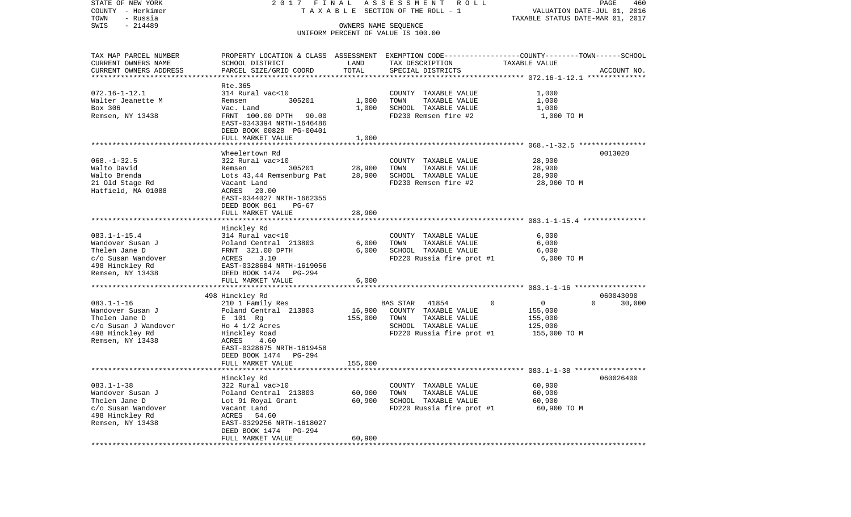| STATE OF NEW YORK<br>COUNTY - Herkimer              | 2017 FINAL                                                                                       |                      | A S S E S S M E N T R O L L<br>T A X A B L E SECTION OF THE ROLL - 1 | VALUATION DATE-JUL 01, 2016      | PAGE<br>460        |
|-----------------------------------------------------|--------------------------------------------------------------------------------------------------|----------------------|----------------------------------------------------------------------|----------------------------------|--------------------|
| TOWN<br>- Russia                                    |                                                                                                  |                      |                                                                      | TAXABLE STATUS DATE-MAR 01, 2017 |                    |
| $-214489$<br>SWIS                                   |                                                                                                  | OWNERS NAME SEQUENCE | UNIFORM PERCENT OF VALUE IS 100.00                                   |                                  |                    |
| TAX MAP PARCEL NUMBER                               | PROPERTY LOCATION & CLASS ASSESSMENT EXEMPTION CODE----------------COUNTY-------TOWN------SCHOOL |                      |                                                                      |                                  |                    |
| CURRENT OWNERS NAME                                 | SCHOOL DISTRICT                                                                                  | LAND                 | TAX DESCRIPTION                                                      | TAXABLE VALUE                    |                    |
| CURRENT OWNERS ADDRESS<br>************************* | PARCEL SIZE/GRID COORD                                                                           | TOTAL                | SPECIAL DISTRICTS                                                    |                                  | ACCOUNT NO.        |
|                                                     | Rte.365                                                                                          |                      |                                                                      |                                  |                    |
| $072.16 - 1 - 12.1$                                 | 314 Rural vac<10                                                                                 |                      | COUNTY TAXABLE VALUE                                                 | 1,000                            |                    |
| Walter Jeanette M                                   | 305201<br>Remsen                                                                                 | 1,000                | TOWN<br>TAXABLE VALUE                                                | 1,000                            |                    |
| Box 306                                             | Vac. Land                                                                                        | 1,000                | SCHOOL TAXABLE VALUE                                                 | 1,000                            |                    |
| Remsen, NY 13438                                    | FRNT 100.00 DPTH 90.00                                                                           |                      | FD230 Remsen fire #2                                                 | 1,000 TO M                       |                    |
|                                                     | EAST-0343394 NRTH-1646486                                                                        |                      |                                                                      |                                  |                    |
|                                                     | DEED BOOK 00828 PG-00401                                                                         |                      |                                                                      |                                  |                    |
|                                                     | FULL MARKET VALUE                                                                                | 1,000                |                                                                      |                                  |                    |
|                                                     |                                                                                                  |                      |                                                                      |                                  |                    |
|                                                     | Wheelertown Rd                                                                                   |                      |                                                                      |                                  | 0013020            |
| $068. - 1 - 32.5$<br>Walto David                    | 322 Rural vac>10<br>Remsen<br>305201                                                             | 28,900               | COUNTY TAXABLE VALUE<br>TAXABLE VALUE<br>TOWN                        | 28,900<br>28,900                 |                    |
| Walto Brenda                                        | Lots 43,44 Remsenburg Pat                                                                        | 28,900               | SCHOOL TAXABLE VALUE                                                 | 28,900                           |                    |
| 21 Old Stage Rd                                     | Vacant Land                                                                                      |                      | FD230 Remsen fire #2                                                 | 28,900 TO M                      |                    |
| Hatfield, MA 01088                                  | 20.00<br>ACRES                                                                                   |                      |                                                                      |                                  |                    |
|                                                     | EAST-0344027 NRTH-1662355                                                                        |                      |                                                                      |                                  |                    |
|                                                     | DEED BOOK 861<br>$PG-67$                                                                         |                      |                                                                      |                                  |                    |
|                                                     | FULL MARKET VALUE                                                                                | 28,900               |                                                                      |                                  |                    |
|                                                     |                                                                                                  |                      |                                                                      |                                  |                    |
|                                                     | Hinckley Rd                                                                                      |                      |                                                                      |                                  |                    |
| $083.1 - 1 - 15.4$<br>Wandover Susan J              | 314 Rural vac<10<br>Poland Central 213803                                                        | 6,000                | COUNTY TAXABLE VALUE<br>TAXABLE VALUE<br>TOWN                        | 6,000<br>6,000                   |                    |
| Thelen Jane D                                       | FRNT 321.00 DPTH                                                                                 | 6,000                | SCHOOL TAXABLE VALUE                                                 | 6,000                            |                    |
| c/o Susan Wandover                                  | 3.10<br>ACRES                                                                                    |                      | FD220 Russia fire prot #1                                            | 6,000 TO M                       |                    |
| 498 Hinckley Rd                                     | EAST-0328684 NRTH-1619056                                                                        |                      |                                                                      |                                  |                    |
| Remsen, NY 13438                                    | DEED BOOK 1474 PG-294                                                                            |                      |                                                                      |                                  |                    |
|                                                     | FULL MARKET VALUE                                                                                | 6,000                |                                                                      |                                  |                    |
|                                                     |                                                                                                  |                      |                                                                      |                                  |                    |
|                                                     | 498 Hinckley Rd                                                                                  |                      |                                                                      |                                  | 060043090          |
| $083.1 - 1 - 16$                                    | 210 1 Family Res                                                                                 |                      | BAS STAR 41854                                                       | $\mathbf 0$<br>0                 | $\Omega$<br>30,000 |
| Wandover Susan J<br>Thelen Jane D                   | Poland Central 213803<br>E 101 Rg                                                                | 16,900<br>155,000    | COUNTY TAXABLE VALUE<br>TOWN<br>TAXABLE VALUE                        | 155,000<br>155,000               |                    |
| c/o Susan J Wandover                                | Ho $4 \frac{1}{2}$ Acres                                                                         |                      | SCHOOL TAXABLE VALUE                                                 | 125,000                          |                    |
| 498 Hinckley Rd                                     | Hinckley Road                                                                                    |                      | FD220 Russia fire prot #1                                            | 155,000 TO M                     |                    |
| Remsen, NY 13438                                    | 4.60<br>ACRES                                                                                    |                      |                                                                      |                                  |                    |
|                                                     | EAST-0328675 NRTH-1619458                                                                        |                      |                                                                      |                                  |                    |
|                                                     | PG-294<br>DEED BOOK 1474                                                                         |                      |                                                                      |                                  |                    |
|                                                     | FULL MARKET VALUE                                                                                | 155,000              |                                                                      |                                  |                    |
|                                                     |                                                                                                  |                      |                                                                      |                                  |                    |
|                                                     | Hinckley Rd                                                                                      |                      |                                                                      |                                  | 060026400          |
| $083.1 - 1 - 38$<br>Wandover Susan J                | 322 Rural vac>10<br>Poland Central 213803                                                        | 60,900               | COUNTY TAXABLE VALUE<br>TOWN<br>TAXABLE VALUE                        | 60,900<br>60,900                 |                    |
| Thelen Jane D                                       | Lot 91 Royal Grant                                                                               | 60,900               | SCHOOL TAXABLE VALUE                                                 | 60,900                           |                    |
| c/o Susan Wandover                                  | Vacant Land                                                                                      |                      | FD220 Russia fire prot #1                                            | 60,900 TO M                      |                    |
| 498 Hinckley Rd                                     | ACRES 54.60                                                                                      |                      |                                                                      |                                  |                    |
| Remsen, NY 13438                                    | EAST-0329256 NRTH-1618027                                                                        |                      |                                                                      |                                  |                    |
|                                                     | DEED BOOK 1474<br><b>PG-294</b>                                                                  |                      |                                                                      |                                  |                    |
|                                                     | FULL MARKET VALUE                                                                                | 60,900               |                                                                      |                                  |                    |
|                                                     |                                                                                                  |                      |                                                                      |                                  |                    |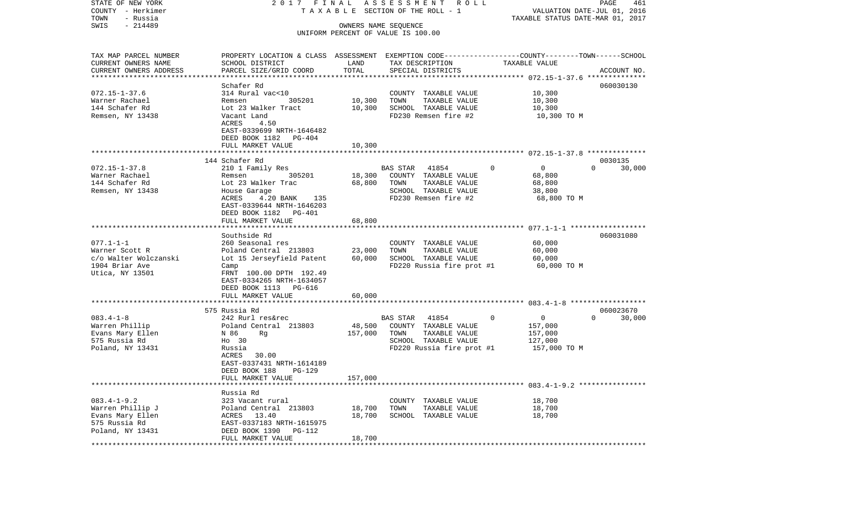| TOWN<br>- Russia<br>TAXABLE STATUS DATE-MAR 01, 2017<br>- 214489<br>SWIS<br>OWNERS NAME SEQUENCE<br>UNIFORM PERCENT OF VALUE IS 100.00<br>TAX MAP PARCEL NUMBER<br>PROPERTY LOCATION & CLASS ASSESSMENT EXEMPTION CODE----------------COUNTY-------TOWN------SCHOOL<br>CURRENT OWNERS NAME<br>SCHOOL DISTRICT<br>LAND<br>TAXABLE VALUE<br>TAX DESCRIPTION<br>TOTAL<br>CURRENT OWNERS ADDRESS<br>PARCEL SIZE/GRID COORD<br>SPECIAL DISTRICTS<br>ACCOUNT NO.<br>*************************<br>060030130<br>Schafer Rd<br>$072.15 - 1 - 37.6$<br>10,300<br>314 Rural vac<10<br>COUNTY TAXABLE VALUE<br>10,300<br>Warner Rachael<br>305201<br>TOWN<br>TAXABLE VALUE<br>10,300<br>Remsen<br>144 Schafer Rd<br>SCHOOL TAXABLE VALUE<br>Lot 23 Walker Tract<br>10,300<br>10,300<br>Remsen, NY 13438<br>FD230 Remsen fire #2<br>Vacant Land<br>10,300 TO M<br>ACRES<br>4.50<br>EAST-0339699 NRTH-1646482<br>DEED BOOK 1182 PG-404<br>FULL MARKET VALUE<br>10,300<br>144 Schafer Rd<br>0030135<br>$072.15 - 1 - 37.8$<br>BAS STAR 41854<br>$\overline{0}$<br>$\Omega$<br>$\mathbf{0}$<br>30,000<br>210 1 Family Res<br>305201<br>Warner Rachael<br>18,300<br>COUNTY TAXABLE VALUE<br>68,800<br>Remsen<br>144 Schafer Rd<br>Lot 23 Walker Trac<br>68,800<br>TOWN<br>TAXABLE VALUE<br>68,800<br>SCHOOL TAXABLE VALUE<br>Remsen, NY 13438<br>38,800<br>House Garage<br>FD230 Remsen fire #2<br>ACRES<br>4.20 BANK 135<br>68,800 TO M<br>EAST-0339644 NRTH-1646203<br>DEED BOOK 1182 PG-401<br>FULL MARKET VALUE<br>68,800<br>060031080<br>Southside Rd<br>$077.1 - 1 - 1$<br>260 Seasonal res<br>COUNTY TAXABLE VALUE<br>60,000<br>TAXABLE VALUE<br>Warner Scott R<br>Poland Central 213803<br>23,000<br>TOWN<br>60,000<br>60,000<br>SCHOOL TAXABLE VALUE<br>c/o Walter Wolczanski<br>Lot 15 Jerseyfield Patent<br>60,000<br>1904 Briar Ave<br>FD220 Russia fire prot #1<br>60,000 TO M<br>Camp<br>Utica, NY 13501<br>FRNT 100.00 DPTH 192.49<br>EAST-0334265 NRTH-1634057<br>DEED BOOK 1113 PG-616<br>60,000<br>FULL MARKET VALUE<br>060023670<br>575 Russia Rd<br>$083.4 - 1 - 8$<br>242 Rurl res&rec<br>BAS STAR 41854<br>$\mathbf{0}$<br>$\overline{0}$<br>$\Omega$<br>30,000<br>Warren Phillip<br>Poland Central 213803<br>48,500<br>COUNTY TAXABLE VALUE<br>157,000<br>Evans Mary Ellen<br>N 86<br>Rg<br>157,000<br>TOWN<br>TAXABLE VALUE<br>157,000<br>575 Russia Rd<br>SCHOOL TAXABLE VALUE<br>127,000<br>Ho 30<br>Poland, NY 13431<br>FD220 Russia fire prot #1<br>157,000 TO M<br>Russia<br>ACRES 30.00<br>EAST-0337431 NRTH-1614189<br>DEED BOOK 188<br><b>PG-129</b><br>FULL MARKET VALUE<br>157,000<br>Russia Rd<br>$083.4 - 1 - 9.2$<br>18,700<br>323 Vacant rural<br>COUNTY TAXABLE VALUE<br>Warren Phillip J<br>18,700<br>TAXABLE VALUE<br>18,700<br>Poland Central 213803<br>TOWN<br>Evans Mary Ellen<br>ACRES 13.40<br>18,700<br>SCHOOL TAXABLE VALUE<br>18,700<br>575 Russia Rd<br>EAST-0337183 NRTH-1615975<br>Poland, NY 13431<br>DEED BOOK 1390 PG-112<br>18,700<br>FULL MARKET VALUE | STATE OF NEW YORK<br>COUNTY - Herkimer | 2017 FINAL | A S S E S S M E N T R O L L<br>TAXABLE SECTION OF THE ROLL - 1 | VALUATION DATE-JUL 01, 2016 | PAGE | 461 |
|------------------------------------------------------------------------------------------------------------------------------------------------------------------------------------------------------------------------------------------------------------------------------------------------------------------------------------------------------------------------------------------------------------------------------------------------------------------------------------------------------------------------------------------------------------------------------------------------------------------------------------------------------------------------------------------------------------------------------------------------------------------------------------------------------------------------------------------------------------------------------------------------------------------------------------------------------------------------------------------------------------------------------------------------------------------------------------------------------------------------------------------------------------------------------------------------------------------------------------------------------------------------------------------------------------------------------------------------------------------------------------------------------------------------------------------------------------------------------------------------------------------------------------------------------------------------------------------------------------------------------------------------------------------------------------------------------------------------------------------------------------------------------------------------------------------------------------------------------------------------------------------------------------------------------------------------------------------------------------------------------------------------------------------------------------------------------------------------------------------------------------------------------------------------------------------------------------------------------------------------------------------------------------------------------------------------------------------------------------------------------------------------------------------------------------------------------------------------------------------------------------------------------------------------------------------------------------------------------------------------------------------------------------------------------------------------------------------------------------------------------------------------------------------------------------------------------------------------------------------------------------------------------------------------------------------------------------------------------------------------|----------------------------------------|------------|----------------------------------------------------------------|-----------------------------|------|-----|
|                                                                                                                                                                                                                                                                                                                                                                                                                                                                                                                                                                                                                                                                                                                                                                                                                                                                                                                                                                                                                                                                                                                                                                                                                                                                                                                                                                                                                                                                                                                                                                                                                                                                                                                                                                                                                                                                                                                                                                                                                                                                                                                                                                                                                                                                                                                                                                                                                                                                                                                                                                                                                                                                                                                                                                                                                                                                                                                                                                                                |                                        |            |                                                                |                             |      |     |
|                                                                                                                                                                                                                                                                                                                                                                                                                                                                                                                                                                                                                                                                                                                                                                                                                                                                                                                                                                                                                                                                                                                                                                                                                                                                                                                                                                                                                                                                                                                                                                                                                                                                                                                                                                                                                                                                                                                                                                                                                                                                                                                                                                                                                                                                                                                                                                                                                                                                                                                                                                                                                                                                                                                                                                                                                                                                                                                                                                                                |                                        |            |                                                                |                             |      |     |
|                                                                                                                                                                                                                                                                                                                                                                                                                                                                                                                                                                                                                                                                                                                                                                                                                                                                                                                                                                                                                                                                                                                                                                                                                                                                                                                                                                                                                                                                                                                                                                                                                                                                                                                                                                                                                                                                                                                                                                                                                                                                                                                                                                                                                                                                                                                                                                                                                                                                                                                                                                                                                                                                                                                                                                                                                                                                                                                                                                                                |                                        |            |                                                                |                             |      |     |
|                                                                                                                                                                                                                                                                                                                                                                                                                                                                                                                                                                                                                                                                                                                                                                                                                                                                                                                                                                                                                                                                                                                                                                                                                                                                                                                                                                                                                                                                                                                                                                                                                                                                                                                                                                                                                                                                                                                                                                                                                                                                                                                                                                                                                                                                                                                                                                                                                                                                                                                                                                                                                                                                                                                                                                                                                                                                                                                                                                                                |                                        |            |                                                                |                             |      |     |
|                                                                                                                                                                                                                                                                                                                                                                                                                                                                                                                                                                                                                                                                                                                                                                                                                                                                                                                                                                                                                                                                                                                                                                                                                                                                                                                                                                                                                                                                                                                                                                                                                                                                                                                                                                                                                                                                                                                                                                                                                                                                                                                                                                                                                                                                                                                                                                                                                                                                                                                                                                                                                                                                                                                                                                                                                                                                                                                                                                                                |                                        |            |                                                                |                             |      |     |
|                                                                                                                                                                                                                                                                                                                                                                                                                                                                                                                                                                                                                                                                                                                                                                                                                                                                                                                                                                                                                                                                                                                                                                                                                                                                                                                                                                                                                                                                                                                                                                                                                                                                                                                                                                                                                                                                                                                                                                                                                                                                                                                                                                                                                                                                                                                                                                                                                                                                                                                                                                                                                                                                                                                                                                                                                                                                                                                                                                                                |                                        |            |                                                                |                             |      |     |
|                                                                                                                                                                                                                                                                                                                                                                                                                                                                                                                                                                                                                                                                                                                                                                                                                                                                                                                                                                                                                                                                                                                                                                                                                                                                                                                                                                                                                                                                                                                                                                                                                                                                                                                                                                                                                                                                                                                                                                                                                                                                                                                                                                                                                                                                                                                                                                                                                                                                                                                                                                                                                                                                                                                                                                                                                                                                                                                                                                                                |                                        |            |                                                                |                             |      |     |
|                                                                                                                                                                                                                                                                                                                                                                                                                                                                                                                                                                                                                                                                                                                                                                                                                                                                                                                                                                                                                                                                                                                                                                                                                                                                                                                                                                                                                                                                                                                                                                                                                                                                                                                                                                                                                                                                                                                                                                                                                                                                                                                                                                                                                                                                                                                                                                                                                                                                                                                                                                                                                                                                                                                                                                                                                                                                                                                                                                                                |                                        |            |                                                                |                             |      |     |
|                                                                                                                                                                                                                                                                                                                                                                                                                                                                                                                                                                                                                                                                                                                                                                                                                                                                                                                                                                                                                                                                                                                                                                                                                                                                                                                                                                                                                                                                                                                                                                                                                                                                                                                                                                                                                                                                                                                                                                                                                                                                                                                                                                                                                                                                                                                                                                                                                                                                                                                                                                                                                                                                                                                                                                                                                                                                                                                                                                                                |                                        |            |                                                                |                             |      |     |
|                                                                                                                                                                                                                                                                                                                                                                                                                                                                                                                                                                                                                                                                                                                                                                                                                                                                                                                                                                                                                                                                                                                                                                                                                                                                                                                                                                                                                                                                                                                                                                                                                                                                                                                                                                                                                                                                                                                                                                                                                                                                                                                                                                                                                                                                                                                                                                                                                                                                                                                                                                                                                                                                                                                                                                                                                                                                                                                                                                                                |                                        |            |                                                                |                             |      |     |
|                                                                                                                                                                                                                                                                                                                                                                                                                                                                                                                                                                                                                                                                                                                                                                                                                                                                                                                                                                                                                                                                                                                                                                                                                                                                                                                                                                                                                                                                                                                                                                                                                                                                                                                                                                                                                                                                                                                                                                                                                                                                                                                                                                                                                                                                                                                                                                                                                                                                                                                                                                                                                                                                                                                                                                                                                                                                                                                                                                                                |                                        |            |                                                                |                             |      |     |
|                                                                                                                                                                                                                                                                                                                                                                                                                                                                                                                                                                                                                                                                                                                                                                                                                                                                                                                                                                                                                                                                                                                                                                                                                                                                                                                                                                                                                                                                                                                                                                                                                                                                                                                                                                                                                                                                                                                                                                                                                                                                                                                                                                                                                                                                                                                                                                                                                                                                                                                                                                                                                                                                                                                                                                                                                                                                                                                                                                                                |                                        |            |                                                                |                             |      |     |
|                                                                                                                                                                                                                                                                                                                                                                                                                                                                                                                                                                                                                                                                                                                                                                                                                                                                                                                                                                                                                                                                                                                                                                                                                                                                                                                                                                                                                                                                                                                                                                                                                                                                                                                                                                                                                                                                                                                                                                                                                                                                                                                                                                                                                                                                                                                                                                                                                                                                                                                                                                                                                                                                                                                                                                                                                                                                                                                                                                                                |                                        |            |                                                                |                             |      |     |
|                                                                                                                                                                                                                                                                                                                                                                                                                                                                                                                                                                                                                                                                                                                                                                                                                                                                                                                                                                                                                                                                                                                                                                                                                                                                                                                                                                                                                                                                                                                                                                                                                                                                                                                                                                                                                                                                                                                                                                                                                                                                                                                                                                                                                                                                                                                                                                                                                                                                                                                                                                                                                                                                                                                                                                                                                                                                                                                                                                                                |                                        |            |                                                                |                             |      |     |
|                                                                                                                                                                                                                                                                                                                                                                                                                                                                                                                                                                                                                                                                                                                                                                                                                                                                                                                                                                                                                                                                                                                                                                                                                                                                                                                                                                                                                                                                                                                                                                                                                                                                                                                                                                                                                                                                                                                                                                                                                                                                                                                                                                                                                                                                                                                                                                                                                                                                                                                                                                                                                                                                                                                                                                                                                                                                                                                                                                                                |                                        |            |                                                                |                             |      |     |
|                                                                                                                                                                                                                                                                                                                                                                                                                                                                                                                                                                                                                                                                                                                                                                                                                                                                                                                                                                                                                                                                                                                                                                                                                                                                                                                                                                                                                                                                                                                                                                                                                                                                                                                                                                                                                                                                                                                                                                                                                                                                                                                                                                                                                                                                                                                                                                                                                                                                                                                                                                                                                                                                                                                                                                                                                                                                                                                                                                                                |                                        |            |                                                                |                             |      |     |
|                                                                                                                                                                                                                                                                                                                                                                                                                                                                                                                                                                                                                                                                                                                                                                                                                                                                                                                                                                                                                                                                                                                                                                                                                                                                                                                                                                                                                                                                                                                                                                                                                                                                                                                                                                                                                                                                                                                                                                                                                                                                                                                                                                                                                                                                                                                                                                                                                                                                                                                                                                                                                                                                                                                                                                                                                                                                                                                                                                                                |                                        |            |                                                                |                             |      |     |
|                                                                                                                                                                                                                                                                                                                                                                                                                                                                                                                                                                                                                                                                                                                                                                                                                                                                                                                                                                                                                                                                                                                                                                                                                                                                                                                                                                                                                                                                                                                                                                                                                                                                                                                                                                                                                                                                                                                                                                                                                                                                                                                                                                                                                                                                                                                                                                                                                                                                                                                                                                                                                                                                                                                                                                                                                                                                                                                                                                                                |                                        |            |                                                                |                             |      |     |
|                                                                                                                                                                                                                                                                                                                                                                                                                                                                                                                                                                                                                                                                                                                                                                                                                                                                                                                                                                                                                                                                                                                                                                                                                                                                                                                                                                                                                                                                                                                                                                                                                                                                                                                                                                                                                                                                                                                                                                                                                                                                                                                                                                                                                                                                                                                                                                                                                                                                                                                                                                                                                                                                                                                                                                                                                                                                                                                                                                                                |                                        |            |                                                                |                             |      |     |
|                                                                                                                                                                                                                                                                                                                                                                                                                                                                                                                                                                                                                                                                                                                                                                                                                                                                                                                                                                                                                                                                                                                                                                                                                                                                                                                                                                                                                                                                                                                                                                                                                                                                                                                                                                                                                                                                                                                                                                                                                                                                                                                                                                                                                                                                                                                                                                                                                                                                                                                                                                                                                                                                                                                                                                                                                                                                                                                                                                                                |                                        |            |                                                                |                             |      |     |
|                                                                                                                                                                                                                                                                                                                                                                                                                                                                                                                                                                                                                                                                                                                                                                                                                                                                                                                                                                                                                                                                                                                                                                                                                                                                                                                                                                                                                                                                                                                                                                                                                                                                                                                                                                                                                                                                                                                                                                                                                                                                                                                                                                                                                                                                                                                                                                                                                                                                                                                                                                                                                                                                                                                                                                                                                                                                                                                                                                                                |                                        |            |                                                                |                             |      |     |
|                                                                                                                                                                                                                                                                                                                                                                                                                                                                                                                                                                                                                                                                                                                                                                                                                                                                                                                                                                                                                                                                                                                                                                                                                                                                                                                                                                                                                                                                                                                                                                                                                                                                                                                                                                                                                                                                                                                                                                                                                                                                                                                                                                                                                                                                                                                                                                                                                                                                                                                                                                                                                                                                                                                                                                                                                                                                                                                                                                                                |                                        |            |                                                                |                             |      |     |
|                                                                                                                                                                                                                                                                                                                                                                                                                                                                                                                                                                                                                                                                                                                                                                                                                                                                                                                                                                                                                                                                                                                                                                                                                                                                                                                                                                                                                                                                                                                                                                                                                                                                                                                                                                                                                                                                                                                                                                                                                                                                                                                                                                                                                                                                                                                                                                                                                                                                                                                                                                                                                                                                                                                                                                                                                                                                                                                                                                                                |                                        |            |                                                                |                             |      |     |
|                                                                                                                                                                                                                                                                                                                                                                                                                                                                                                                                                                                                                                                                                                                                                                                                                                                                                                                                                                                                                                                                                                                                                                                                                                                                                                                                                                                                                                                                                                                                                                                                                                                                                                                                                                                                                                                                                                                                                                                                                                                                                                                                                                                                                                                                                                                                                                                                                                                                                                                                                                                                                                                                                                                                                                                                                                                                                                                                                                                                |                                        |            |                                                                |                             |      |     |
|                                                                                                                                                                                                                                                                                                                                                                                                                                                                                                                                                                                                                                                                                                                                                                                                                                                                                                                                                                                                                                                                                                                                                                                                                                                                                                                                                                                                                                                                                                                                                                                                                                                                                                                                                                                                                                                                                                                                                                                                                                                                                                                                                                                                                                                                                                                                                                                                                                                                                                                                                                                                                                                                                                                                                                                                                                                                                                                                                                                                |                                        |            |                                                                |                             |      |     |
|                                                                                                                                                                                                                                                                                                                                                                                                                                                                                                                                                                                                                                                                                                                                                                                                                                                                                                                                                                                                                                                                                                                                                                                                                                                                                                                                                                                                                                                                                                                                                                                                                                                                                                                                                                                                                                                                                                                                                                                                                                                                                                                                                                                                                                                                                                                                                                                                                                                                                                                                                                                                                                                                                                                                                                                                                                                                                                                                                                                                |                                        |            |                                                                |                             |      |     |
|                                                                                                                                                                                                                                                                                                                                                                                                                                                                                                                                                                                                                                                                                                                                                                                                                                                                                                                                                                                                                                                                                                                                                                                                                                                                                                                                                                                                                                                                                                                                                                                                                                                                                                                                                                                                                                                                                                                                                                                                                                                                                                                                                                                                                                                                                                                                                                                                                                                                                                                                                                                                                                                                                                                                                                                                                                                                                                                                                                                                |                                        |            |                                                                |                             |      |     |
|                                                                                                                                                                                                                                                                                                                                                                                                                                                                                                                                                                                                                                                                                                                                                                                                                                                                                                                                                                                                                                                                                                                                                                                                                                                                                                                                                                                                                                                                                                                                                                                                                                                                                                                                                                                                                                                                                                                                                                                                                                                                                                                                                                                                                                                                                                                                                                                                                                                                                                                                                                                                                                                                                                                                                                                                                                                                                                                                                                                                |                                        |            |                                                                |                             |      |     |
|                                                                                                                                                                                                                                                                                                                                                                                                                                                                                                                                                                                                                                                                                                                                                                                                                                                                                                                                                                                                                                                                                                                                                                                                                                                                                                                                                                                                                                                                                                                                                                                                                                                                                                                                                                                                                                                                                                                                                                                                                                                                                                                                                                                                                                                                                                                                                                                                                                                                                                                                                                                                                                                                                                                                                                                                                                                                                                                                                                                                |                                        |            |                                                                |                             |      |     |
|                                                                                                                                                                                                                                                                                                                                                                                                                                                                                                                                                                                                                                                                                                                                                                                                                                                                                                                                                                                                                                                                                                                                                                                                                                                                                                                                                                                                                                                                                                                                                                                                                                                                                                                                                                                                                                                                                                                                                                                                                                                                                                                                                                                                                                                                                                                                                                                                                                                                                                                                                                                                                                                                                                                                                                                                                                                                                                                                                                                                |                                        |            |                                                                |                             |      |     |
|                                                                                                                                                                                                                                                                                                                                                                                                                                                                                                                                                                                                                                                                                                                                                                                                                                                                                                                                                                                                                                                                                                                                                                                                                                                                                                                                                                                                                                                                                                                                                                                                                                                                                                                                                                                                                                                                                                                                                                                                                                                                                                                                                                                                                                                                                                                                                                                                                                                                                                                                                                                                                                                                                                                                                                                                                                                                                                                                                                                                |                                        |            |                                                                |                             |      |     |
|                                                                                                                                                                                                                                                                                                                                                                                                                                                                                                                                                                                                                                                                                                                                                                                                                                                                                                                                                                                                                                                                                                                                                                                                                                                                                                                                                                                                                                                                                                                                                                                                                                                                                                                                                                                                                                                                                                                                                                                                                                                                                                                                                                                                                                                                                                                                                                                                                                                                                                                                                                                                                                                                                                                                                                                                                                                                                                                                                                                                |                                        |            |                                                                |                             |      |     |
|                                                                                                                                                                                                                                                                                                                                                                                                                                                                                                                                                                                                                                                                                                                                                                                                                                                                                                                                                                                                                                                                                                                                                                                                                                                                                                                                                                                                                                                                                                                                                                                                                                                                                                                                                                                                                                                                                                                                                                                                                                                                                                                                                                                                                                                                                                                                                                                                                                                                                                                                                                                                                                                                                                                                                                                                                                                                                                                                                                                                |                                        |            |                                                                |                             |      |     |
|                                                                                                                                                                                                                                                                                                                                                                                                                                                                                                                                                                                                                                                                                                                                                                                                                                                                                                                                                                                                                                                                                                                                                                                                                                                                                                                                                                                                                                                                                                                                                                                                                                                                                                                                                                                                                                                                                                                                                                                                                                                                                                                                                                                                                                                                                                                                                                                                                                                                                                                                                                                                                                                                                                                                                                                                                                                                                                                                                                                                |                                        |            |                                                                |                             |      |     |
|                                                                                                                                                                                                                                                                                                                                                                                                                                                                                                                                                                                                                                                                                                                                                                                                                                                                                                                                                                                                                                                                                                                                                                                                                                                                                                                                                                                                                                                                                                                                                                                                                                                                                                                                                                                                                                                                                                                                                                                                                                                                                                                                                                                                                                                                                                                                                                                                                                                                                                                                                                                                                                                                                                                                                                                                                                                                                                                                                                                                |                                        |            |                                                                |                             |      |     |
|                                                                                                                                                                                                                                                                                                                                                                                                                                                                                                                                                                                                                                                                                                                                                                                                                                                                                                                                                                                                                                                                                                                                                                                                                                                                                                                                                                                                                                                                                                                                                                                                                                                                                                                                                                                                                                                                                                                                                                                                                                                                                                                                                                                                                                                                                                                                                                                                                                                                                                                                                                                                                                                                                                                                                                                                                                                                                                                                                                                                |                                        |            |                                                                |                             |      |     |
|                                                                                                                                                                                                                                                                                                                                                                                                                                                                                                                                                                                                                                                                                                                                                                                                                                                                                                                                                                                                                                                                                                                                                                                                                                                                                                                                                                                                                                                                                                                                                                                                                                                                                                                                                                                                                                                                                                                                                                                                                                                                                                                                                                                                                                                                                                                                                                                                                                                                                                                                                                                                                                                                                                                                                                                                                                                                                                                                                                                                |                                        |            |                                                                |                             |      |     |
|                                                                                                                                                                                                                                                                                                                                                                                                                                                                                                                                                                                                                                                                                                                                                                                                                                                                                                                                                                                                                                                                                                                                                                                                                                                                                                                                                                                                                                                                                                                                                                                                                                                                                                                                                                                                                                                                                                                                                                                                                                                                                                                                                                                                                                                                                                                                                                                                                                                                                                                                                                                                                                                                                                                                                                                                                                                                                                                                                                                                |                                        |            |                                                                |                             |      |     |
|                                                                                                                                                                                                                                                                                                                                                                                                                                                                                                                                                                                                                                                                                                                                                                                                                                                                                                                                                                                                                                                                                                                                                                                                                                                                                                                                                                                                                                                                                                                                                                                                                                                                                                                                                                                                                                                                                                                                                                                                                                                                                                                                                                                                                                                                                                                                                                                                                                                                                                                                                                                                                                                                                                                                                                                                                                                                                                                                                                                                |                                        |            |                                                                |                             |      |     |
|                                                                                                                                                                                                                                                                                                                                                                                                                                                                                                                                                                                                                                                                                                                                                                                                                                                                                                                                                                                                                                                                                                                                                                                                                                                                                                                                                                                                                                                                                                                                                                                                                                                                                                                                                                                                                                                                                                                                                                                                                                                                                                                                                                                                                                                                                                                                                                                                                                                                                                                                                                                                                                                                                                                                                                                                                                                                                                                                                                                                |                                        |            |                                                                |                             |      |     |
|                                                                                                                                                                                                                                                                                                                                                                                                                                                                                                                                                                                                                                                                                                                                                                                                                                                                                                                                                                                                                                                                                                                                                                                                                                                                                                                                                                                                                                                                                                                                                                                                                                                                                                                                                                                                                                                                                                                                                                                                                                                                                                                                                                                                                                                                                                                                                                                                                                                                                                                                                                                                                                                                                                                                                                                                                                                                                                                                                                                                |                                        |            |                                                                |                             |      |     |
|                                                                                                                                                                                                                                                                                                                                                                                                                                                                                                                                                                                                                                                                                                                                                                                                                                                                                                                                                                                                                                                                                                                                                                                                                                                                                                                                                                                                                                                                                                                                                                                                                                                                                                                                                                                                                                                                                                                                                                                                                                                                                                                                                                                                                                                                                                                                                                                                                                                                                                                                                                                                                                                                                                                                                                                                                                                                                                                                                                                                |                                        |            |                                                                |                             |      |     |
|                                                                                                                                                                                                                                                                                                                                                                                                                                                                                                                                                                                                                                                                                                                                                                                                                                                                                                                                                                                                                                                                                                                                                                                                                                                                                                                                                                                                                                                                                                                                                                                                                                                                                                                                                                                                                                                                                                                                                                                                                                                                                                                                                                                                                                                                                                                                                                                                                                                                                                                                                                                                                                                                                                                                                                                                                                                                                                                                                                                                |                                        |            |                                                                |                             |      |     |
|                                                                                                                                                                                                                                                                                                                                                                                                                                                                                                                                                                                                                                                                                                                                                                                                                                                                                                                                                                                                                                                                                                                                                                                                                                                                                                                                                                                                                                                                                                                                                                                                                                                                                                                                                                                                                                                                                                                                                                                                                                                                                                                                                                                                                                                                                                                                                                                                                                                                                                                                                                                                                                                                                                                                                                                                                                                                                                                                                                                                |                                        |            |                                                                |                             |      |     |
|                                                                                                                                                                                                                                                                                                                                                                                                                                                                                                                                                                                                                                                                                                                                                                                                                                                                                                                                                                                                                                                                                                                                                                                                                                                                                                                                                                                                                                                                                                                                                                                                                                                                                                                                                                                                                                                                                                                                                                                                                                                                                                                                                                                                                                                                                                                                                                                                                                                                                                                                                                                                                                                                                                                                                                                                                                                                                                                                                                                                |                                        |            |                                                                |                             |      |     |
|                                                                                                                                                                                                                                                                                                                                                                                                                                                                                                                                                                                                                                                                                                                                                                                                                                                                                                                                                                                                                                                                                                                                                                                                                                                                                                                                                                                                                                                                                                                                                                                                                                                                                                                                                                                                                                                                                                                                                                                                                                                                                                                                                                                                                                                                                                                                                                                                                                                                                                                                                                                                                                                                                                                                                                                                                                                                                                                                                                                                |                                        |            |                                                                |                             |      |     |
|                                                                                                                                                                                                                                                                                                                                                                                                                                                                                                                                                                                                                                                                                                                                                                                                                                                                                                                                                                                                                                                                                                                                                                                                                                                                                                                                                                                                                                                                                                                                                                                                                                                                                                                                                                                                                                                                                                                                                                                                                                                                                                                                                                                                                                                                                                                                                                                                                                                                                                                                                                                                                                                                                                                                                                                                                                                                                                                                                                                                |                                        |            |                                                                |                             |      |     |
|                                                                                                                                                                                                                                                                                                                                                                                                                                                                                                                                                                                                                                                                                                                                                                                                                                                                                                                                                                                                                                                                                                                                                                                                                                                                                                                                                                                                                                                                                                                                                                                                                                                                                                                                                                                                                                                                                                                                                                                                                                                                                                                                                                                                                                                                                                                                                                                                                                                                                                                                                                                                                                                                                                                                                                                                                                                                                                                                                                                                |                                        |            |                                                                |                             |      |     |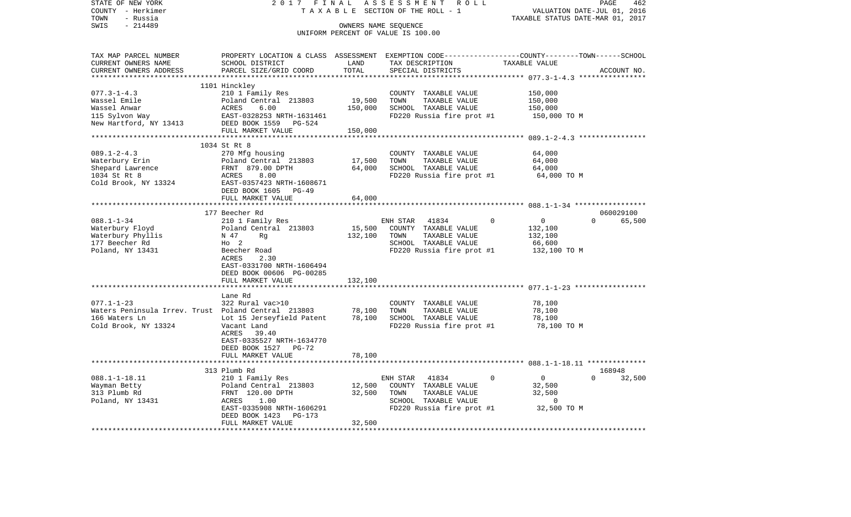| STATE OF NEW YORK                                   | 2017                       | FINAL                         | ASSESSMENT<br>ROLL                                                                              |                                  | PAGE<br>462        |
|-----------------------------------------------------|----------------------------|-------------------------------|-------------------------------------------------------------------------------------------------|----------------------------------|--------------------|
| COUNTY - Herkimer                                   | TAXABLE                    |                               | SECTION OF THE ROLL - 1                                                                         | VALUATION DATE-JUL 01,           | 2016               |
| TOWN<br>- Russia                                    |                            |                               |                                                                                                 | TAXABLE STATUS DATE-MAR 01, 2017 |                    |
| $-214489$<br>SWIS                                   |                            |                               | OWNERS NAME SEQUENCE                                                                            |                                  |                    |
|                                                     |                            |                               | UNIFORM PERCENT OF VALUE IS 100.00                                                              |                                  |                    |
|                                                     |                            |                               |                                                                                                 |                                  |                    |
|                                                     |                            |                               |                                                                                                 |                                  |                    |
| TAX MAP PARCEL NUMBER                               |                            |                               | PROPERTY LOCATION & CLASS ASSESSMENT EXEMPTION CODE----------------COUNTY-------TOWN-----SCHOOL |                                  |                    |
| CURRENT OWNERS NAME                                 | SCHOOL DISTRICT            | LAND                          | TAX DESCRIPTION                                                                                 | TAXABLE VALUE                    |                    |
| CURRENT OWNERS ADDRESS                              | PARCEL SIZE/GRID COORD     | TOTAL                         | SPECIAL DISTRICTS                                                                               |                                  | ACCOUNT NO.        |
| **********************                              |                            | *************                 |                                                                                                 |                                  |                    |
|                                                     | 1101 Hinckley              |                               |                                                                                                 |                                  |                    |
| $077.3 - 1 - 4.3$                                   | 210 1 Family Res           |                               | COUNTY TAXABLE VALUE                                                                            | 150,000                          |                    |
| Wassel Emile                                        | Poland Central 213803      | 19,500                        | TAXABLE VALUE<br>TOWN                                                                           | 150,000                          |                    |
| Wassel Anwar                                        | 6.00<br>ACRES              | 150,000                       | SCHOOL TAXABLE VALUE                                                                            | 150,000                          |                    |
| 115 Sylvon Way                                      | EAST-0328253 NRTH-1631461  |                               | FD220 Russia fire prot #1                                                                       | 150,000 TO M                     |                    |
| New Hartford, NY 13413                              | DEED BOOK 1559<br>PG-524   |                               |                                                                                                 |                                  |                    |
|                                                     | FULL MARKET VALUE          | 150,000                       |                                                                                                 |                                  |                    |
|                                                     | ************               |                               |                                                                                                 | $089.1 - 2 - 4.3$ **             |                    |
|                                                     | 1034 St Rt 8               |                               |                                                                                                 |                                  |                    |
| $089.1 - 2 - 4.3$                                   | 270 Mfg housing            |                               | COUNTY TAXABLE VALUE                                                                            | 64,000                           |                    |
| Waterbury Erin                                      | Poland Central 213803      | 17,500                        | TOWN<br>TAXABLE VALUE                                                                           | 64,000                           |                    |
| Shepard Lawrence                                    | FRNT 879.00 DPTH           | 64,000                        | SCHOOL TAXABLE VALUE                                                                            | 64,000                           |                    |
| 1034 St Rt 8                                        | 8.00<br>ACRES              |                               | FD220 Russia fire prot #1                                                                       |                                  |                    |
|                                                     | EAST-0357423 NRTH-1608671  |                               |                                                                                                 | 64,000 TO M                      |                    |
| Cold Brook, NY 13324                                |                            |                               |                                                                                                 |                                  |                    |
|                                                     | DEED BOOK 1605<br>PG-49    |                               |                                                                                                 |                                  |                    |
|                                                     | FULL MARKET VALUE          | 64,000<br>* * * * * * * * * * |                                                                                                 |                                  |                    |
|                                                     |                            |                               |                                                                                                 |                                  |                    |
|                                                     | 177 Beecher Rd             |                               |                                                                                                 |                                  | 060029100          |
| $088.1 - 1 - 34$                                    | 210 1 Family Res           |                               | ENH STAR<br>41834                                                                               | $\mathbf 0$<br>$\Omega$          | 65,500<br>$\Omega$ |
| Waterbury Floyd                                     | Poland Central 213803      | 15,500                        | COUNTY TAXABLE VALUE                                                                            | 132,100                          |                    |
| Waterbury Phyllis                                   | N 47<br>Rq                 | 132,100                       | TOWN<br>TAXABLE VALUE                                                                           | 132,100                          |                    |
| 177 Beecher Rd                                      | $HO$ 2                     |                               | SCHOOL TAXABLE VALUE                                                                            | 66,600                           |                    |
| Poland, NY 13431                                    | Beecher Road               |                               | FD220 Russia fire prot #1                                                                       | 132,100 TO M                     |                    |
|                                                     | 2.30<br>ACRES              |                               |                                                                                                 |                                  |                    |
|                                                     | EAST-0331700 NRTH-1606494  |                               |                                                                                                 |                                  |                    |
|                                                     | DEED BOOK 00606 PG-00285   |                               |                                                                                                 |                                  |                    |
|                                                     | FULL MARKET VALUE          | 132,100                       |                                                                                                 |                                  |                    |
|                                                     | ************************** |                               |                                                                                                 |                                  |                    |
|                                                     | Lane Rd                    |                               |                                                                                                 |                                  |                    |
| $077.1 - 1 - 23$                                    | 322 Rural vac>10           |                               | COUNTY TAXABLE VALUE                                                                            | 78,100                           |                    |
| Waters Peninsula Irrev. Trust Poland Central 213803 |                            | 78,100                        | TOWN<br>TAXABLE VALUE                                                                           | 78,100                           |                    |
| 166 Waters Ln                                       | Lot 15 Jerseyfield Patent  | 78,100                        | SCHOOL TAXABLE VALUE                                                                            | 78,100                           |                    |
| Cold Brook, NY 13324                                | Vacant Land                |                               | FD220 Russia fire prot #1                                                                       | 78,100 TO M                      |                    |
|                                                     | ACRES<br>39.40             |                               |                                                                                                 |                                  |                    |
|                                                     | EAST-0335527 NRTH-1634770  |                               |                                                                                                 |                                  |                    |
|                                                     | DEED BOOK 1527<br>PG-72    |                               |                                                                                                 |                                  |                    |
|                                                     | FULL MARKET VALUE          | 78,100                        |                                                                                                 |                                  |                    |
|                                                     |                            |                               |                                                                                                 |                                  |                    |
|                                                     | 313 Plumb Rd               |                               |                                                                                                 |                                  | 168948             |
| $088.1 - 1 - 18.11$                                 | 210 1 Family Res           |                               | ENH STAR<br>41834                                                                               | $\mathbf 0$<br>$\Omega$          | $\Omega$<br>32,500 |
| Wayman Betty                                        | Poland Central 213803      | 12,500                        | COUNTY TAXABLE VALUE                                                                            | 32,500                           |                    |
| 313 Plumb Rd                                        | FRNT 120.00 DPTH           | 32,500                        | TOWN<br>TAXABLE VALUE                                                                           | 32,500                           |                    |
| Poland, NY 13431                                    | ACRES<br>1.00              |                               | SCHOOL TAXABLE VALUE                                                                            | $\Omega$                         |                    |
|                                                     |                            |                               | FD220 Russia fire prot #1                                                                       | 32,500 TO M                      |                    |
|                                                     | EAST-0335908 NRTH-1606291  |                               |                                                                                                 |                                  |                    |
|                                                     | DEED BOOK 1423<br>$PG-173$ |                               |                                                                                                 |                                  |                    |
|                                                     | FULL MARKET VALUE          | 32,500                        |                                                                                                 |                                  |                    |
|                                                     |                            |                               |                                                                                                 |                                  |                    |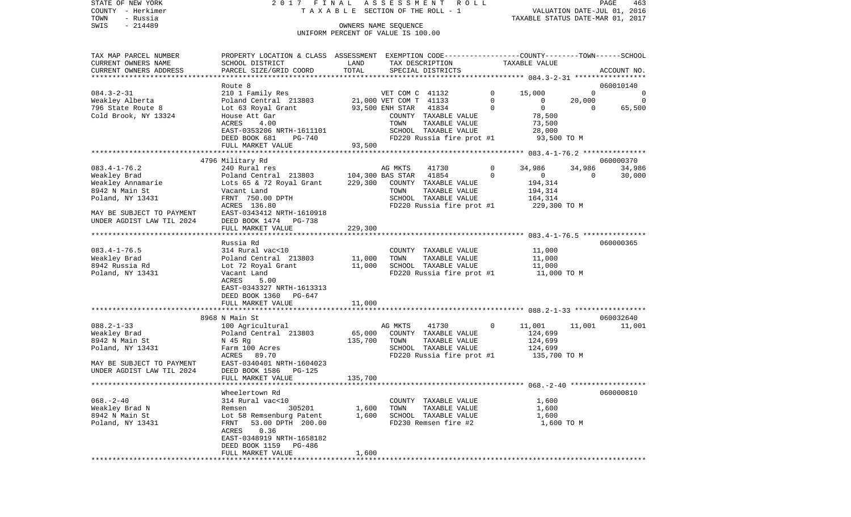STATE OF NEW YORK 2017 FINAL ASSESSMENT ROLL COUNTY - Herkimer T A X A B L E SECTION OF THE ROLL - 1 VALUATION DATE-JUL 01, 2016 TOWN - Russia TAXABLE STATUS DATE-MAR 01, 2017 OWNERS NAME SEQUENCE

UNIFORM PERCENT OF VALUE IS 100.00

| TAX MAP PARCEL NUMBER<br>CURRENT OWNERS NAME | PROPERTY LOCATION & CLASS ASSESSMENT EXEMPTION CODE---------------COUNTY-------TOWN-----SCHOOL<br>SCHOOL DISTRICT | LAND      |                                           | TAX DESCRIPTION                       |          | TAXABLE VALUE  |              |                          |
|----------------------------------------------|-------------------------------------------------------------------------------------------------------------------|-----------|-------------------------------------------|---------------------------------------|----------|----------------|--------------|--------------------------|
| CURRENT OWNERS ADDRESS                       | PARCEL SIZE/GRID COORD                                                                                            | TOTAL     |                                           | SPECIAL DISTRICTS                     |          |                |              | ACCOUNT NO.              |
|                                              |                                                                                                                   |           |                                           |                                       |          |                |              |                          |
| $084.3 - 2 - 31$                             | Route 8                                                                                                           |           |                                           |                                       | $\Omega$ | 15,000         | $\Omega$     | 060010140<br>$\mathbf 0$ |
| Weakley Alberta                              | 210 1 Family Res<br>Poland Central 213803                                                                         |           | VET COM C 41132<br>21,000 VET COM T 41133 |                                       | $\Omega$ | $\Omega$       | 20,000       | $\overline{0}$           |
| 796 State Route 8                            | Lot 63 Royal Grant                                                                                                |           | 93,500 ENH STAR                           | 41834                                 | $\Omega$ | $\overline{0}$ | $\Omega$     | 65,500                   |
| Cold Brook, NY 13324                         |                                                                                                                   |           |                                           |                                       |          | 78,500         |              |                          |
|                                              | House Att Gar<br>ACRES<br>4.00                                                                                    |           | TOWN                                      | COUNTY TAXABLE VALUE<br>TAXABLE VALUE |          | 73,500         |              |                          |
|                                              | EAST-0353206 NRTH-1611101                                                                                         |           |                                           | SCHOOL TAXABLE VALUE                  |          | 28,000         |              |                          |
|                                              | DEED BOOK 681<br>PG-740                                                                                           |           |                                           | FD220 Russia fire prot #1             |          | 93,500 TO M    |              |                          |
|                                              | FULL MARKET VALUE                                                                                                 | 93,500    |                                           |                                       |          |                |              |                          |
|                                              |                                                                                                                   |           |                                           |                                       |          |                |              |                          |
|                                              | 4796 Military Rd                                                                                                  |           |                                           |                                       |          |                |              | 060000370                |
| $083.4 - 1 - 76.2$                           | 240 Rural res                                                                                                     |           | AG MKTS                                   | 41730                                 | 0        | 34,986         | 34,986       | 34,986                   |
| Weakley Brad                                 | Poland Central 213803                                                                                             |           | 104,300 BAS STAR                          | 41854                                 | 0        | $\overline{0}$ | $\mathbf{0}$ | 30,000                   |
| Weakley Annamarie                            | Lots 65 & 72 Royal Grant                                                                                          | 229,300   |                                           | COUNTY TAXABLE VALUE                  |          | 194,314        |              |                          |
| 8942 N Main St                               | Vacant Land                                                                                                       |           | TOWN                                      | TAXABLE VALUE                         |          | 194,314        |              |                          |
| Poland, NY 13431                             | FRNT 750.00 DPTH                                                                                                  |           |                                           | SCHOOL TAXABLE VALUE                  |          | 164,314        |              |                          |
|                                              | ACRES 136.80                                                                                                      |           |                                           | FD220 Russia fire prot #1             |          | 229,300 TO M   |              |                          |
| MAY BE SUBJECT TO PAYMENT                    | EAST-0343412 NRTH-1610918                                                                                         |           |                                           |                                       |          |                |              |                          |
| UNDER AGDIST LAW TIL 2024                    | DEED BOOK 1474 PG-738                                                                                             |           |                                           |                                       |          |                |              |                          |
|                                              | FULL MARKET VALUE                                                                                                 | 229,300   |                                           |                                       |          |                |              |                          |
|                                              |                                                                                                                   |           |                                           |                                       |          |                |              |                          |
|                                              | Russia Rd                                                                                                         |           |                                           |                                       |          |                |              | 060000365                |
| $083.4 - 1 - 76.5$                           | 314 Rural vac<10                                                                                                  |           |                                           | COUNTY TAXABLE VALUE                  |          | 11,000         |              |                          |
| Weakley Brad                                 | Poland Central 213803                                                                                             | 11,000    | TOWN                                      | TAXABLE VALUE                         |          | 11,000         |              |                          |
| 8942 Russia Rd                               | Lot 72 Royal Grant                                                                                                | 11,000    |                                           | SCHOOL TAXABLE VALUE                  |          | 11,000         |              |                          |
| Poland, NY 13431                             | Vacant Land                                                                                                       |           |                                           | FD220 Russia fire prot #1             |          | 11,000 TO M    |              |                          |
|                                              | ACRES<br>5.00                                                                                                     |           |                                           |                                       |          |                |              |                          |
|                                              | EAST-0343327 NRTH-1613313                                                                                         |           |                                           |                                       |          |                |              |                          |
|                                              | DEED BOOK 1360<br>PG-647                                                                                          |           |                                           |                                       |          |                |              |                          |
|                                              | FULL MARKET VALUE                                                                                                 | 11,000    |                                           |                                       |          |                |              |                          |
|                                              |                                                                                                                   | ********* |                                           |                                       |          |                |              |                          |
|                                              | 8968 N Main St                                                                                                    |           |                                           |                                       |          |                |              | 060032640                |
| $088.2 - 1 - 33$                             | 100 Agricultural                                                                                                  |           | AG MKTS                                   | 41730                                 | $\Omega$ | 11,001         | 11,001       | 11,001                   |
| Weakley Brad                                 | Poland Central 213803                                                                                             | 65,000    |                                           | COUNTY TAXABLE VALUE                  |          | 124,699        |              |                          |
| 8942 N Main St                               | N 45 Rg                                                                                                           | 135,700   | TOWN                                      | TAXABLE VALUE                         |          | 124,699        |              |                          |
| Poland, NY 13431                             | Farm 100 Acres                                                                                                    |           |                                           | SCHOOL TAXABLE VALUE                  |          | 124,699        |              |                          |
|                                              | ACRES<br>89.70                                                                                                    |           |                                           | FD220 Russia fire prot #1             |          | 135,700 TO M   |              |                          |
| MAY BE SUBJECT TO PAYMENT                    | EAST-0340401 NRTH-1604023                                                                                         |           |                                           |                                       |          |                |              |                          |
| UNDER AGDIST LAW TIL 2024                    | DEED BOOK 1586<br>PG-125                                                                                          |           |                                           |                                       |          |                |              |                          |
|                                              | FULL MARKET VALUE                                                                                                 | 135,700   |                                           |                                       |          |                |              |                          |
|                                              |                                                                                                                   |           |                                           |                                       |          |                |              |                          |
|                                              | Wheelertown Rd                                                                                                    |           |                                           |                                       |          |                |              | 060000810                |
| $068. - 2 - 40$                              | 314 Rural vac<10                                                                                                  |           |                                           | COUNTY TAXABLE VALUE                  |          | 1,600          |              |                          |
| Weakley Brad N                               | 305201<br>Remsen                                                                                                  | 1,600     | TOWN                                      | TAXABLE VALUE                         |          | 1,600          |              |                          |
| 8942 N Main St                               | Lot 58 Remsenburg Patent                                                                                          | 1,600     |                                           | SCHOOL TAXABLE VALUE                  |          | 1,600          |              |                          |
| Poland, NY 13431                             | 53.00 DPTH 200.00<br>FRNT                                                                                         |           |                                           | FD230 Remsen fire #2                  |          | 1,600 TO M     |              |                          |
|                                              | ACRES<br>0.36                                                                                                     |           |                                           |                                       |          |                |              |                          |
|                                              | EAST-0348919 NRTH-1658182                                                                                         |           |                                           |                                       |          |                |              |                          |
|                                              | DEED BOOK 1159<br>PG-486                                                                                          |           |                                           |                                       |          |                |              |                          |
|                                              | FULL MARKET VALUE                                                                                                 | 1,600     |                                           |                                       |          |                |              |                          |
|                                              |                                                                                                                   |           |                                           |                                       |          |                |              |                          |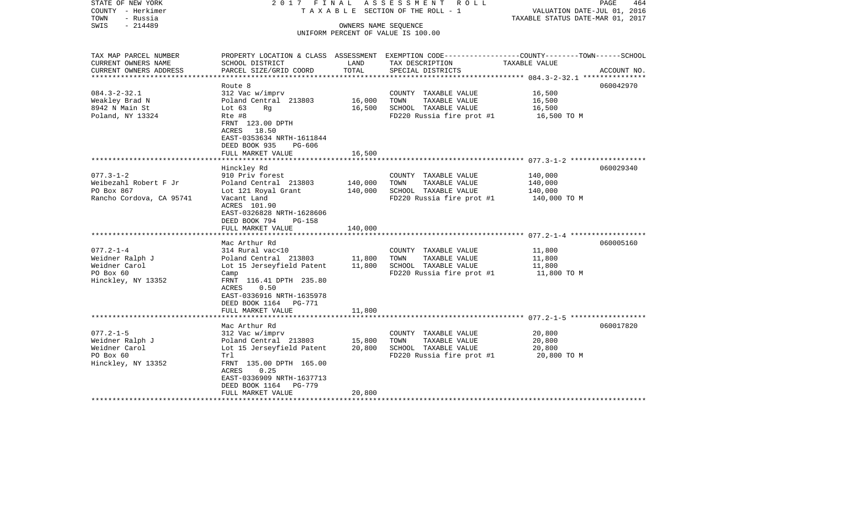| STATE OF NEW YORK<br>COUNTY - Herkimer<br>TOWN<br>- Russia<br>$-214489$<br>SWIS | 2017 FINAL                                                                                                                    | OWNERS NAME SEQUENCE | ASSESSMENT ROLL<br>TAXABLE SECTION OF THE ROLL - 1<br>UNIFORM PERCENT OF VALUE IS 100.00        | VALUATION DATE-JUL 01, 2016<br>TAXABLE STATUS DATE-MAR 01, 2017 | PAGE<br>464 |
|---------------------------------------------------------------------------------|-------------------------------------------------------------------------------------------------------------------------------|----------------------|-------------------------------------------------------------------------------------------------|-----------------------------------------------------------------|-------------|
|                                                                                 |                                                                                                                               |                      |                                                                                                 |                                                                 |             |
| TAX MAP PARCEL NUMBER                                                           |                                                                                                                               |                      | PROPERTY LOCATION & CLASS ASSESSMENT EXEMPTION CODE---------------COUNTY-------TOWN------SCHOOL |                                                                 |             |
| CURRENT OWNERS NAME<br>CURRENT OWNERS ADDRESS<br>************************       | SCHOOL DISTRICT<br>PARCEL SIZE/GRID COORD                                                                                     | LAND<br>TOTAL        | TAX DESCRIPTION<br>SPECIAL DISTRICTS                                                            | TAXABLE VALUE                                                   | ACCOUNT NO. |
|                                                                                 | Route 8                                                                                                                       |                      |                                                                                                 |                                                                 | 060042970   |
| $084.3 - 2 - 32.1$                                                              | 312 Vac w/imprv                                                                                                               |                      | COUNTY TAXABLE VALUE                                                                            | 16,500                                                          |             |
| Weakley Brad N                                                                  | Poland Central 213803                                                                                                         | 16,000               | TOWN<br>TAXABLE VALUE                                                                           | 16,500                                                          |             |
| 8942 N Main St                                                                  | Lot $63$<br>Rq                                                                                                                | 16,500               | SCHOOL TAXABLE VALUE                                                                            | 16,500                                                          |             |
| Poland, NY 13324                                                                | Rte #8<br>FRNT 123.00 DPTH<br>ACRES 18.50<br>EAST-0353634 NRTH-1611844<br>DEED BOOK 935<br>PG-606                             |                      | FD220 Russia fire prot #1                                                                       | 16,500 TO M                                                     |             |
|                                                                                 | FULL MARKET VALUE                                                                                                             | 16,500               |                                                                                                 |                                                                 |             |
|                                                                                 | Hinckley Rd                                                                                                                   |                      |                                                                                                 |                                                                 | 060029340   |
| $077.3 - 1 - 2$                                                                 | 910 Priv forest                                                                                                               |                      | COUNTY TAXABLE VALUE                                                                            | 140,000                                                         |             |
| Weibezahl Robert F Jr                                                           | Poland Central 213803                                                                                                         | 140,000              | TOWN<br>TAXABLE VALUE                                                                           | 140,000                                                         |             |
| PO Box 867                                                                      | Lot 121 Royal Grant                                                                                                           | 140,000              | SCHOOL TAXABLE VALUE                                                                            | 140,000                                                         |             |
| Rancho Cordova, CA 95741                                                        | Vacant Land<br>ACRES 101.90<br>EAST-0326828 NRTH-1628606<br>DEED BOOK 794<br>PG-158                                           |                      | FD220 Russia fire prot #1                                                                       | 140,000 TO M                                                    |             |
|                                                                                 | FULL MARKET VALUE                                                                                                             | 140,000              |                                                                                                 |                                                                 |             |
|                                                                                 | ***************************<br>Mac Arthur Rd                                                                                  |                      |                                                                                                 |                                                                 | 060005160   |
| $077.2 - 1 - 4$                                                                 | 314 Rural vac<10                                                                                                              |                      | COUNTY TAXABLE VALUE                                                                            | 11,800                                                          |             |
| Weidner Ralph J                                                                 | Poland Central 213803                                                                                                         | 11,800               | TOWN<br>TAXABLE VALUE                                                                           | 11,800                                                          |             |
| Weidner Carol                                                                   | Lot 15 Jerseyfield Patent                                                                                                     | 11,800               | SCHOOL TAXABLE VALUE                                                                            | 11,800                                                          |             |
| PO Box 60<br>Hinckley, NY 13352                                                 | Camp<br>FRNT 116.41 DPTH 235.80<br>ACRES<br>0.50<br>EAST-0336916 NRTH-1635978<br>DEED BOOK 1164 PG-771<br>FULL MARKET VALUE   | 11,800               | FD220 Russia fire prot #1                                                                       | 11,800 TO M                                                     |             |
| *************************                                                       | ****************************                                                                                                  |                      |                                                                                                 |                                                                 |             |
|                                                                                 | Mac Arthur Rd                                                                                                                 |                      |                                                                                                 |                                                                 | 060017820   |
| $077.2 - 1 - 5$                                                                 | 312 Vac w/imprv                                                                                                               |                      | COUNTY TAXABLE VALUE                                                                            | 20,800                                                          |             |
| Weidner Ralph J                                                                 | Poland Central 213803                                                                                                         | 15,800               | TOWN<br>TAXABLE VALUE                                                                           | 20,800                                                          |             |
| Weidner Carol<br>PO Box 60                                                      | Lot 15 Jerseyfield Patent                                                                                                     | 20,800               | SCHOOL TAXABLE VALUE                                                                            | 20,800                                                          |             |
| Hinckley, NY 13352                                                              | Trl<br>FRNT 135.00 DPTH 165.00<br>ACRES<br>0.25<br>EAST-0336909 NRTH-1637713<br>DEED BOOK 1164<br>PG-779<br>FULL MARKET VALUE | 20,800               | FD220 Russia fire prot #1                                                                       | 20,800 TO M                                                     |             |
|                                                                                 |                                                                                                                               |                      |                                                                                                 |                                                                 |             |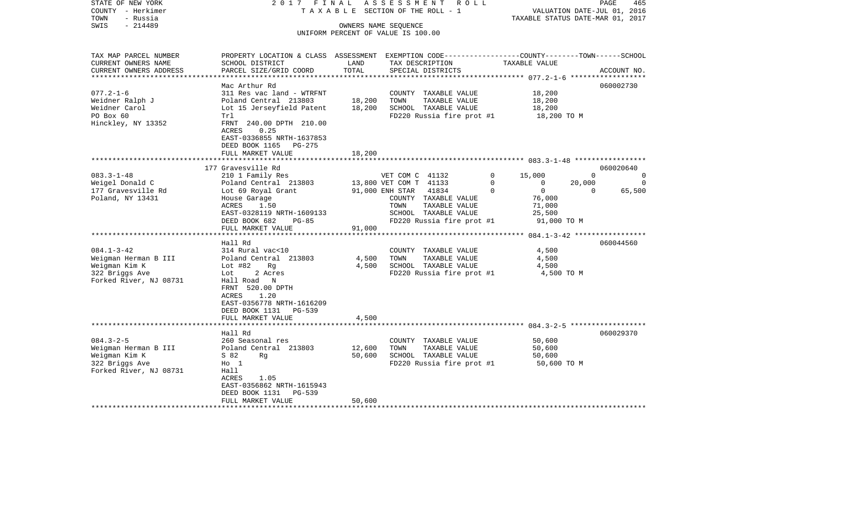| STATE OF NEW YORK<br>COUNTY - Herkimer<br>- Russia<br>TOWN      | 2017 FINAL<br>TAXABLE                                                                                     |                                            | ASSESSMENT<br>R O L L<br>SECTION OF THE ROLL - 1           |                                                        | PAGE<br>VALUATION DATE-JUL 01, 2016<br>TAXABLE STATUS DATE-MAR 01, 2017 | 465 |
|-----------------------------------------------------------------|-----------------------------------------------------------------------------------------------------------|--------------------------------------------|------------------------------------------------------------|--------------------------------------------------------|-------------------------------------------------------------------------|-----|
| $-214489$<br>SWIS                                               |                                                                                                           |                                            | OWNERS NAME SEQUENCE<br>UNIFORM PERCENT OF VALUE IS 100.00 |                                                        |                                                                         |     |
|                                                                 |                                                                                                           |                                            |                                                            |                                                        |                                                                         |     |
| TAX MAP PARCEL NUMBER                                           | PROPERTY LOCATION & CLASS ASSESSMENT EXEMPTION CODE----------------COUNTY-------TOWN------SCHOOL          |                                            |                                                            |                                                        |                                                                         |     |
| CURRENT OWNERS NAME<br>CURRENT OWNERS ADDRESS<br>************** | SCHOOL DISTRICT<br>PARCEL SIZE/GRID COORD                                                                 | LAND<br>TOTAL<br>* * * * * * * * * * * * * | TAX DESCRIPTION<br>SPECIAL DISTRICTS                       | TAXABLE VALUE<br>******************** 077.2-1-6 ****** | ACCOUNT NO.                                                             |     |
|                                                                 | Mac Arthur Rd                                                                                             |                                            |                                                            |                                                        | 060002730                                                               |     |
| $077.2 - 1 - 6$                                                 | 311 Res vac land - WTRFNT                                                                                 |                                            | COUNTY TAXABLE VALUE                                       | 18,200                                                 |                                                                         |     |
| Weidner Ralph J                                                 | Poland Central 213803                                                                                     | 18,200                                     | TOWN<br>TAXABLE VALUE                                      | 18,200                                                 |                                                                         |     |
| Weidner Carol<br>PO Box 60                                      | Lot 15 Jerseyfield Patent<br>Trl                                                                          | 18,200                                     | SCHOOL TAXABLE VALUE<br>FD220 Russia fire prot #1          | 18,200<br>18,200 TO M                                  |                                                                         |     |
| Hinckley, NY 13352                                              | FRNT 240.00 DPTH 210.00<br>0.25<br>ACRES<br>EAST-0336855 NRTH-1637853<br>DEED BOOK 1165<br>PG-275         |                                            |                                                            |                                                        |                                                                         |     |
|                                                                 | FULL MARKET VALUE                                                                                         | 18,200                                     |                                                            |                                                        |                                                                         |     |
|                                                                 | 177 Gravesville Rd                                                                                        |                                            |                                                            |                                                        | 060020640                                                               |     |
| $083.3 - 1 - 48$                                                | 210 1 Family Res                                                                                          |                                            | VET COM C 41132                                            | 0<br>15,000                                            | $\Omega$                                                                | 0   |
| Weigel Donald C                                                 | Poland Central 213803                                                                                     |                                            | 13,800 VET COM T 41133                                     | 0<br>0                                                 | 20,000                                                                  | 0   |
| 177 Gravesville Rd<br>Poland, NY 13431                          | Lot 69 Royal Grant<br>House Garage                                                                        |                                            | 41834<br>91,000 ENH STAR<br>COUNTY TAXABLE VALUE           | $\mathbf 0$<br>$\Omega$<br>76,000                      | 65,500<br>$\Omega$                                                      |     |
|                                                                 | 1.50<br>ACRES                                                                                             |                                            | TOWN<br>TAXABLE VALUE                                      | 71,000                                                 |                                                                         |     |
|                                                                 | EAST-0328119 NRTH-1609133                                                                                 |                                            | SCHOOL TAXABLE VALUE                                       | 25,500                                                 |                                                                         |     |
|                                                                 | DEED BOOK 682<br>$PG-85$                                                                                  |                                            | FD220 Russia fire prot #1                                  | 91,000 TO M                                            |                                                                         |     |
|                                                                 | FULL MARKET VALUE                                                                                         | 91,000                                     |                                                            |                                                        |                                                                         |     |
|                                                                 | Hall Rd                                                                                                   |                                            |                                                            |                                                        | 060044560                                                               |     |
| $084.1 - 3 - 42$                                                | 314 Rural vac<10                                                                                          |                                            | COUNTY TAXABLE VALUE                                       | 4,500                                                  |                                                                         |     |
| Weigman Herman B III                                            | Poland Central 213803                                                                                     | 4,500                                      | TOWN<br>TAXABLE VALUE                                      | 4,500                                                  |                                                                         |     |
| Weigman Kim K<br>322 Briggs Ave                                 | Lot $#82$<br>Rq<br>Lot<br>2 Acres                                                                         | 4,500                                      | SCHOOL TAXABLE VALUE<br>FD220 Russia fire prot #1          | 4,500<br>4,500 TO M                                    |                                                                         |     |
| Forked River, NJ 08731                                          | Hall Road N<br>FRNT 520.00 DPTH<br>ACRES<br>1.20<br>EAST-0356778 NRTH-1616209<br>DEED BOOK 1131<br>PG-539 |                                            |                                                            |                                                        |                                                                         |     |
|                                                                 | FULL MARKET VALUE                                                                                         | 4,500                                      |                                                            |                                                        |                                                                         |     |
|                                                                 |                                                                                                           |                                            |                                                            |                                                        |                                                                         |     |
|                                                                 | Hall Rd                                                                                                   |                                            |                                                            |                                                        | 060029370                                                               |     |
| $084.3 - 2 - 5$<br>Weigman Herman B III                         | 260 Seasonal res<br>Poland Central 213803                                                                 | 12,600                                     | COUNTY TAXABLE VALUE<br>TOWN<br>TAXABLE VALUE              | 50,600<br>50,600                                       |                                                                         |     |
| Weigman Kim K                                                   | S 82<br>Rq                                                                                                | 50,600                                     | SCHOOL TAXABLE VALUE                                       | 50,600                                                 |                                                                         |     |
| 322 Briggs Ave                                                  | $H_0$ 1                                                                                                   |                                            | FD220 Russia fire prot #1                                  | 50,600 TO M                                            |                                                                         |     |
| Forked River, NJ 08731                                          | Hall                                                                                                      |                                            |                                                            |                                                        |                                                                         |     |
|                                                                 | ACRES<br>1.05                                                                                             |                                            |                                                            |                                                        |                                                                         |     |
|                                                                 | EAST-0356862 NRTH-1615943<br>DEED BOOK 1131<br>PG-539                                                     |                                            |                                                            |                                                        |                                                                         |     |
|                                                                 | FULL MARKET VALUE                                                                                         | 50,600                                     |                                                            |                                                        |                                                                         |     |
|                                                                 |                                                                                                           |                                            |                                                            |                                                        |                                                                         |     |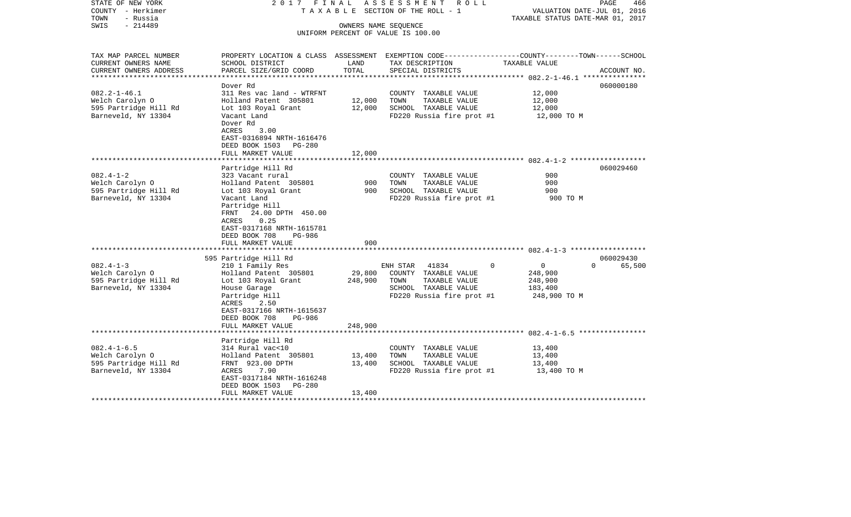| STATE OF NEW YORK<br>COUNTY - Herkimer<br>- Russia<br>TOWN                            | 2017 FINAL                                                                                                                                                                                                                                        |                              | A S S E S S M E N T R O L L<br>TAXABLE SECTION OF THE ROLL - 1                                                                          | VALUATION DATE-JUL 01, 2016<br>TAXABLE STATUS DATE-MAR 01, 2017             | PAGE<br>466                     |
|---------------------------------------------------------------------------------------|---------------------------------------------------------------------------------------------------------------------------------------------------------------------------------------------------------------------------------------------------|------------------------------|-----------------------------------------------------------------------------------------------------------------------------------------|-----------------------------------------------------------------------------|---------------------------------|
| $-214489$<br>SWIS                                                                     |                                                                                                                                                                                                                                                   |                              | OWNERS NAME SEQUENCE<br>UNIFORM PERCENT OF VALUE IS 100.00                                                                              |                                                                             |                                 |
|                                                                                       |                                                                                                                                                                                                                                                   |                              |                                                                                                                                         |                                                                             |                                 |
| TAX MAP PARCEL NUMBER<br>CURRENT OWNERS NAME<br>CURRENT OWNERS ADDRESS                | SCHOOL DISTRICT<br>PARCEL SIZE/GRID COORD                                                                                                                                                                                                         | LAND<br>TOTAL                | PROPERTY LOCATION & CLASS ASSESSMENT EXEMPTION CODE---------------COUNTY-------TOWN------SCHOOL<br>TAX DESCRIPTION<br>SPECIAL DISTRICTS | TAXABLE VALUE                                                               | ACCOUNT NO.                     |
| ************************                                                              |                                                                                                                                                                                                                                                   |                              |                                                                                                                                         |                                                                             |                                 |
| $082.2 - 1 - 46.1$<br>Welch Carolyn O<br>595 Partridge Hill Rd<br>Barneveld, NY 13304 | Dover Rd<br>311 Res vac land - WTRFNT<br>Holland Patent 305801<br>Lot 103 Royal Grant<br>Vacant Land<br>Dover Rd<br>ACRES<br>3.00<br>EAST-0316894 NRTH-1616476<br>DEED BOOK 1503 PG-280<br>FULL MARKET VALUE                                      | 12,000<br>12,000<br>12,000   | COUNTY TAXABLE VALUE<br>TOWN<br>TAXABLE VALUE<br>SCHOOL TAXABLE VALUE<br>FD220 Russia fire prot #1                                      | 12,000<br>12,000<br>12,000<br>12,000 TO M                                   | 060000180                       |
|                                                                                       |                                                                                                                                                                                                                                                   |                              |                                                                                                                                         |                                                                             |                                 |
| $082.4 - 1 - 2$<br>Welch Carolyn O<br>595 Partridge Hill Rd<br>Barneveld, NY 13304    | Partridge Hill Rd<br>323 Vacant rural<br>Holland Patent 305801<br>Lot 103 Royal Grant<br>Vacant Land<br>Partridge Hill<br>24.00 DPTH 450.00<br>FRNT<br>ACRES<br>0.25<br>EAST-0317168 NRTH-1615781<br>DEED BOOK 708<br>PG-986<br>FULL MARKET VALUE | 900<br>900<br>900            | COUNTY TAXABLE VALUE<br>TOWN<br>TAXABLE VALUE<br>SCHOOL TAXABLE VALUE<br>FD220 Russia fire prot #1                                      | 900<br>900<br>900<br>900 TO M                                               | 060029460                       |
|                                                                                       |                                                                                                                                                                                                                                                   |                              |                                                                                                                                         |                                                                             |                                 |
| $082.4 - 1 - 3$<br>Welch Carolyn O<br>595 Partridge Hill Rd<br>Barneveld, NY 13304    | 595 Partridge Hill Rd<br>210 1 Family Res<br>Holland Patent 305801<br>Lot 103 Royal Grant<br>House Garage<br>Partridge Hill<br>2.50<br>ACRES<br>EAST-0317166 NRTH-1615637<br>DEED BOOK 708<br>PG-986<br>FULL MARKET VALUE                         | 29,800<br>248,900<br>248,900 | 41834<br>ENH STAR<br>COUNTY TAXABLE VALUE<br>TOWN<br>TAXABLE VALUE<br>SCHOOL TAXABLE VALUE<br>FD220 Russia fire prot #1                 | $\Omega$<br>$\overline{0}$<br>248,900<br>248,900<br>183,400<br>248,900 TO M | 060029430<br>$\Omega$<br>65,500 |
|                                                                                       |                                                                                                                                                                                                                                                   |                              |                                                                                                                                         |                                                                             |                                 |
| $082.4 - 1 - 6.5$<br>Welch Carolyn O<br>595 Partridge Hill Rd<br>Barneveld, NY 13304  | Partridge Hill Rd<br>314 Rural vac<10<br>Holland Patent 305801<br>FRNT 923.00 DPTH<br>ACRES<br>7.90<br>EAST-0317184 NRTH-1616248<br>DEED BOOK 1503<br>PG-280<br>FULL MARKET VALUE                                                                 | 13,400<br>13,400<br>13,400   | COUNTY TAXABLE VALUE<br>TOWN<br>TAXABLE VALUE<br>SCHOOL TAXABLE VALUE<br>FD220 Russia fire prot #1                                      | 13,400<br>13,400<br>13,400<br>13,400 TO M                                   |                                 |
| ********************                                                                  |                                                                                                                                                                                                                                                   |                              |                                                                                                                                         |                                                                             |                                 |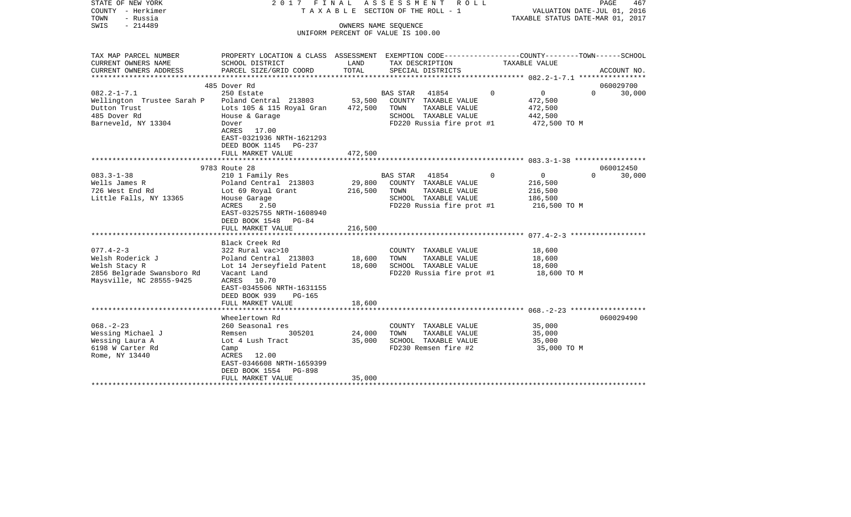| STATE OF NEW YORK<br>COUNTY - Herkimer<br>- Russia<br>TOWN<br>$-214489$<br>SWIS                                | 2017 FINAL                                                                                                                                                                                                    |                            | ASSESSMENT<br>R O L L<br>TAXABLE SECTION OF THE ROLL - 1<br>OWNERS NAME SEQUENCE<br>UNIFORM PERCENT OF VALUE IS 100.00  |                                                                          | PAGE<br>467<br>VALUATION DATE-JUL 01, 2016<br>TAXABLE STATUS DATE-MAR 01, 2017 |
|----------------------------------------------------------------------------------------------------------------|---------------------------------------------------------------------------------------------------------------------------------------------------------------------------------------------------------------|----------------------------|-------------------------------------------------------------------------------------------------------------------------|--------------------------------------------------------------------------|--------------------------------------------------------------------------------|
| TAX MAP PARCEL NUMBER<br>CURRENT OWNERS NAME<br>CURRENT OWNERS ADDRESS                                         | PROPERTY LOCATION & CLASS ASSESSMENT EXEMPTION CODE---------------COUNTY-------TOWN------SCHOOL<br>SCHOOL DISTRICT<br>PARCEL SIZE/GRID COORD                                                                  | LAND<br>TOTAL              | TAX DESCRIPTION<br>SPECIAL DISTRICTS                                                                                    | TAXABLE VALUE                                                            | ACCOUNT NO.                                                                    |
|                                                                                                                |                                                                                                                                                                                                               |                            |                                                                                                                         |                                                                          |                                                                                |
|                                                                                                                | 485 Dover Rd                                                                                                                                                                                                  |                            |                                                                                                                         |                                                                          | 060029700                                                                      |
| $082.2 - 1 - 7.1$<br>Wellington Trustee Sarah P<br>Dutton Trust<br>485 Dover Rd<br>Barneveld, NY 13304         | 250 Estate<br>Poland Central 213803<br>Lots 105 & 115 Royal Gran<br>House & Garage<br>Dover<br>ACRES 17.00<br>EAST-0321936 NRTH-1621293<br>DEED BOOK 1145<br>PG-237                                           | 53,500<br>472,500          | BAS STAR<br>41854<br>COUNTY TAXABLE VALUE<br>TOWN<br>TAXABLE VALUE<br>SCHOOL TAXABLE VALUE<br>FD220 Russia fire prot #1 | $\mathbf 0$<br>$\Omega$<br>472,500<br>472,500<br>442,500<br>472,500 TO M | $\Omega$<br>30,000                                                             |
|                                                                                                                | FULL MARKET VALUE                                                                                                                                                                                             | 472,500                    |                                                                                                                         |                                                                          |                                                                                |
|                                                                                                                | 9783 Route 28                                                                                                                                                                                                 |                            |                                                                                                                         |                                                                          | 060012450                                                                      |
| $083.3 - 1 - 38$<br>Wells James R<br>726 West End Rd<br>Little Falls, NY 13365                                 | 210 1 Family Res<br>Poland Central 213803<br>Lot 69 Royal Grant<br>House Garage<br>ACRES<br>2.50<br>EAST-0325755 NRTH-1608940<br>DEED BOOK 1548<br>PG-84                                                      | 29,800<br>216,500          | BAS STAR 41854<br>COUNTY TAXABLE VALUE<br>TOWN<br>TAXABLE VALUE<br>SCHOOL TAXABLE VALUE<br>FD220 Russia fire prot #1    | $\mathbf 0$<br>0<br>216,500<br>216,500<br>186,500<br>216,500 TO M        | $\Omega$<br>30,000                                                             |
|                                                                                                                | FULL MARKET VALUE                                                                                                                                                                                             | 216,500                    |                                                                                                                         |                                                                          |                                                                                |
| $077.4 - 2 - 3$<br>Welsh Roderick J<br>Welsh Stacy R<br>2856 Belgrade Swansboro Rd<br>Maysville, NC 28555-9425 | Black Creek Rd<br>322 Rural vac>10<br>Poland Central 213803<br>Lot 14 Jerseyfield Patent<br>Vacant Land<br>ACRES<br>10.70<br>EAST-0345506 NRTH-1631155<br>DEED BOOK 939<br><b>PG-165</b><br>FULL MARKET VALUE | 18,600<br>18,600<br>18,600 | COUNTY TAXABLE VALUE<br>TOWN<br>TAXABLE VALUE<br>SCHOOL TAXABLE VALUE<br>FD220 Russia fire prot #1                      | 18,600<br>18,600<br>18,600<br>18,600 TO M                                |                                                                                |
|                                                                                                                |                                                                                                                                                                                                               |                            |                                                                                                                         |                                                                          |                                                                                |
| $068. - 2 - 23$<br>Wessing Michael J<br>Wessing Laura A<br>6198 W Carter Rd<br>Rome, NY 13440                  | Wheelertown Rd<br>260 Seasonal res<br>305201<br>Remsen<br>Lot 4 Lush Tract<br>Camp<br>ACRES 12.00<br>EAST-0346608 NRTH-1659399<br>DEED BOOK 1554<br>PG-898<br>FULL MARKET VALUE<br>*******************        | 24,000<br>35,000<br>35,000 | COUNTY TAXABLE VALUE<br>TOWN<br>TAXABLE VALUE<br>SCHOOL TAXABLE VALUE<br>FD230 Remsen fire #2                           | 35,000<br>35,000<br>35,000<br>35,000 TO M                                | 060029490                                                                      |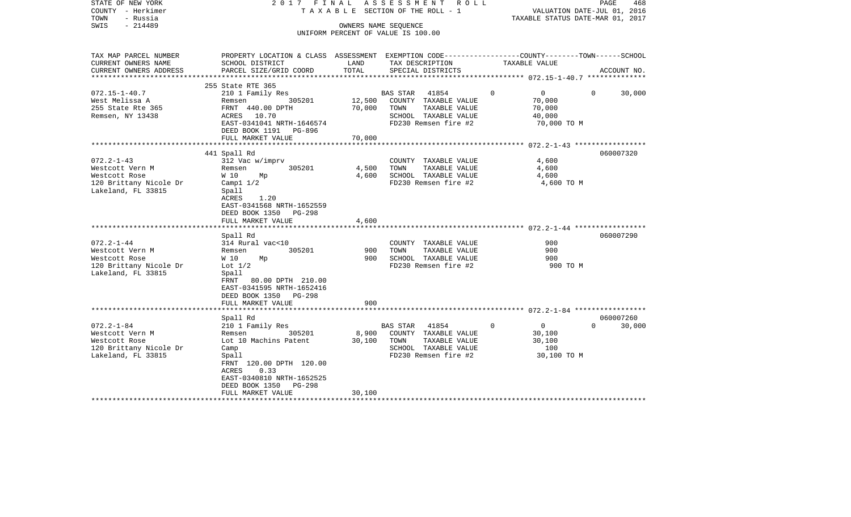| STATE OF NEW YORK<br>COUNTY - Herkimer<br>TOWN<br>- Russia<br>- 214489<br>SWIS | 2017 FINAL                                                                                      |               | A S S E S S M E N T R O L L<br>TAXABLE SECTION OF THE ROLL - 1<br>OWNERS NAME SEQUENCE<br>UNIFORM PERCENT OF VALUE IS 100.00 |               | VALUATION DATE-JUL 01, 2016<br>TAXABLE STATUS DATE-MAR 01, 2017 | PAGE<br>468 |
|--------------------------------------------------------------------------------|-------------------------------------------------------------------------------------------------|---------------|------------------------------------------------------------------------------------------------------------------------------|---------------|-----------------------------------------------------------------|-------------|
| TAX MAP PARCEL NUMBER                                                          | PROPERTY LOCATION & CLASS ASSESSMENT EXEMPTION CODE---------------COUNTY-------TOWN------SCHOOL |               |                                                                                                                              |               |                                                                 |             |
| CURRENT OWNERS NAME<br>CURRENT OWNERS ADDRESS                                  | SCHOOL DISTRICT<br>PARCEL SIZE/GRID COORD                                                       | LAND<br>TOTAL | TAX DESCRIPTION<br>SPECIAL DISTRICTS                                                                                         | TAXABLE VALUE |                                                                 | ACCOUNT NO. |
|                                                                                |                                                                                                 |               | **************************** 072.15-1-40.7 ***************                                                                   |               |                                                                 |             |
|                                                                                | 255 State RTE 365                                                                               |               |                                                                                                                              |               |                                                                 |             |
| $072.15 - 1 - 40.7$                                                            | 210 1 Family Res                                                                                |               | BAS STAR 41854                                                                                                               | $\Omega$      | $\overline{0}$<br>$\Omega$                                      | 30,000      |
| West Melissa A                                                                 | 305201<br>Remsen                                                                                | 12,500        | COUNTY TAXABLE VALUE                                                                                                         |               | 70,000                                                          |             |
| 255 State Rte 365                                                              | FRNT 440.00 DPTH                                                                                | 70,000        | TOWN<br>TAXABLE VALUE                                                                                                        |               | 70,000                                                          |             |
| Remsen, NY 13438                                                               | ACRES 10.70                                                                                     |               | SCHOOL TAXABLE VALUE                                                                                                         |               | 40,000                                                          |             |
|                                                                                | EAST-0341041 NRTH-1646574<br>DEED BOOK 1191 PG-896                                              |               | FD230 Remsen fire #2                                                                                                         |               | 70,000 TO M                                                     |             |
|                                                                                | FULL MARKET VALUE                                                                               | 70,000        |                                                                                                                              |               |                                                                 |             |
|                                                                                |                                                                                                 |               |                                                                                                                              |               |                                                                 |             |
|                                                                                | 441 Spall Rd                                                                                    |               |                                                                                                                              |               |                                                                 | 060007320   |
| $072.2 - 1 - 43$                                                               | 312 Vac w/imprv                                                                                 |               | COUNTY TAXABLE VALUE                                                                                                         |               | 4,600                                                           |             |
| Westcott Vern M                                                                | 305201<br>Remsen                                                                                | 4,500         | TAXABLE VALUE<br>TOWN                                                                                                        |               | 4,600                                                           |             |
| Westcott Rose                                                                  | W 10<br>Мp                                                                                      | 4,600         | SCHOOL TAXABLE VALUE                                                                                                         |               | 4,600                                                           |             |
| 120 Brittany Nicole Dr                                                         | Camp $1\ 1/2$                                                                                   |               | FD230 Remsen fire #2                                                                                                         |               | 4,600 TO M                                                      |             |
| Lakeland, FL 33815                                                             | Spall<br>ACRES<br>1.20                                                                          |               |                                                                                                                              |               |                                                                 |             |
|                                                                                | EAST-0341568 NRTH-1652559                                                                       |               |                                                                                                                              |               |                                                                 |             |
|                                                                                | DEED BOOK 1350<br>PG-298                                                                        |               |                                                                                                                              |               |                                                                 |             |
|                                                                                | FULL MARKET VALUE                                                                               | 4,600         |                                                                                                                              |               |                                                                 |             |
|                                                                                |                                                                                                 |               |                                                                                                                              |               |                                                                 |             |
|                                                                                | Spall Rd                                                                                        |               |                                                                                                                              |               |                                                                 | 060007290   |
| $072.2 - 1 - 44$                                                               | 314 Rural vac<10                                                                                |               | COUNTY TAXABLE VALUE                                                                                                         |               | 900                                                             |             |
| Westcott Vern M                                                                | 305201<br>Remsen                                                                                | 900           | TAXABLE VALUE<br>TOWN                                                                                                        |               | 900                                                             |             |
| Westcott Rose                                                                  | W 10<br>Мp                                                                                      | 900           | SCHOOL TAXABLE VALUE<br>FD230 Remsen fire #2                                                                                 |               | 900                                                             |             |
| 120 Brittany Nicole Dr<br>Lakeland, FL 33815                                   | Lot $1/2$<br>Spall                                                                              |               |                                                                                                                              |               | 900 TO M                                                        |             |
|                                                                                | FRNT 80.00 DPTH 210.00                                                                          |               |                                                                                                                              |               |                                                                 |             |
|                                                                                | EAST-0341595 NRTH-1652416                                                                       |               |                                                                                                                              |               |                                                                 |             |
|                                                                                | DEED BOOK 1350 PG-298                                                                           |               |                                                                                                                              |               |                                                                 |             |
|                                                                                | FULL MARKET VALUE                                                                               | 900           |                                                                                                                              |               |                                                                 |             |
|                                                                                |                                                                                                 |               |                                                                                                                              |               |                                                                 |             |
|                                                                                | Spall Rd                                                                                        |               |                                                                                                                              |               |                                                                 | 060007260   |
| $072.2 - 1 - 84$                                                               | 210 1 Family Res                                                                                |               | BAS STAR 41854                                                                                                               | $\mathbf 0$   | $\overline{0}$<br>$\Omega$                                      | 30,000      |
| Westcott Vern M                                                                | 305201<br>Remsen                                                                                | 8,900         | COUNTY TAXABLE VALUE                                                                                                         |               | 30,100                                                          |             |
| Westcott Rose<br>120 Brittany Nicole Dr                                        | Lot 10 Machins Patent<br>Camp                                                                   | 30,100        | TAXABLE VALUE<br>TOWN<br>SCHOOL TAXABLE VALUE                                                                                |               | 30,100<br>100                                                   |             |
| Lakeland, FL 33815                                                             | Spall                                                                                           |               | FD230 Remsen fire #2                                                                                                         |               | 30,100 TO M                                                     |             |
|                                                                                | FRNT 120.00 DPTH 120.00                                                                         |               |                                                                                                                              |               |                                                                 |             |
|                                                                                | 0.33<br>ACRES                                                                                   |               |                                                                                                                              |               |                                                                 |             |
|                                                                                | EAST-0340810 NRTH-1652525                                                                       |               |                                                                                                                              |               |                                                                 |             |
|                                                                                | DEED BOOK 1350<br>PG-298                                                                        |               |                                                                                                                              |               |                                                                 |             |
|                                                                                | FULL MARKET VALUE                                                                               | 30,100        |                                                                                                                              |               |                                                                 |             |
| *******************                                                            |                                                                                                 |               |                                                                                                                              |               |                                                                 |             |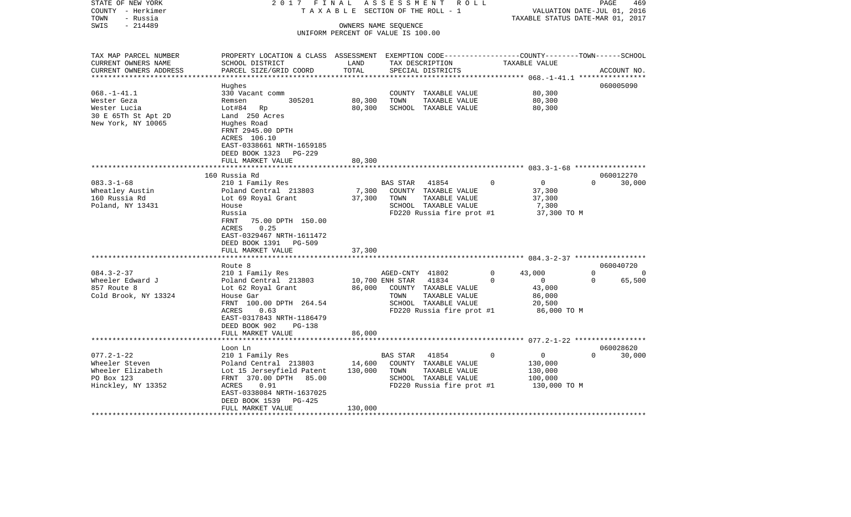| STATE OF NEW YORK<br>COUNTY - Herkimer<br>TOWN<br>- Russia                                  | 2017 FINAL<br>TAXABLE                                                                                                                                                      |                   | ASSESSMENT ROLL<br>SECTION OF THE ROLL - 1                                                                                                        |                                                                          | PAGE<br>469<br>VALUATION DATE-JUL 01, 2016<br>TAXABLE STATUS DATE-MAR 01, 2017 |
|---------------------------------------------------------------------------------------------|----------------------------------------------------------------------------------------------------------------------------------------------------------------------------|-------------------|---------------------------------------------------------------------------------------------------------------------------------------------------|--------------------------------------------------------------------------|--------------------------------------------------------------------------------|
| $-214489$<br>SWIS                                                                           |                                                                                                                                                                            |                   | OWNERS NAME SEQUENCE<br>UNIFORM PERCENT OF VALUE IS 100.00                                                                                        |                                                                          |                                                                                |
| TAX MAP PARCEL NUMBER<br>CURRENT OWNERS NAME<br>CURRENT OWNERS ADDRESS                      | PROPERTY LOCATION & CLASS ASSESSMENT EXEMPTION CODE----------------COUNTY-------TOWN------SCHOOL<br>SCHOOL DISTRICT<br>PARCEL SIZE/GRID COORD                              | LAND<br>TOTAL     | TAX DESCRIPTION<br>SPECIAL DISTRICTS                                                                                                              | TAXABLE VALUE                                                            | ACCOUNT NO.                                                                    |
| ***********************                                                                     |                                                                                                                                                                            |                   |                                                                                                                                                   |                                                                          |                                                                                |
| $068. -1 - 41.1$                                                                            | Hughes<br>330 Vacant comm                                                                                                                                                  |                   | COUNTY TAXABLE VALUE                                                                                                                              | 80,300                                                                   | 060005090                                                                      |
| Wester Geza                                                                                 | 305201<br>Remsen                                                                                                                                                           | 80,300            | TOWN<br>TAXABLE VALUE                                                                                                                             | 80,300                                                                   |                                                                                |
| Wester Lucia<br>30 E 65Th St Apt 2D<br>New York, NY 10065                                   | Lot#84 Rp<br>Land 250 Acres<br>Hughes Road<br>FRNT 2945.00 DPTH<br>ACRES 106.10<br>EAST-0338661 NRTH-1659185<br>DEED BOOK 1323<br>PG-229                                   | 80,300            | SCHOOL TAXABLE VALUE                                                                                                                              | 80,300                                                                   |                                                                                |
|                                                                                             | FULL MARKET VALUE                                                                                                                                                          | 80,300            |                                                                                                                                                   |                                                                          |                                                                                |
|                                                                                             | 160 Russia Rd                                                                                                                                                              |                   |                                                                                                                                                   |                                                                          | 060012270                                                                      |
| $083.3 - 1 - 68$<br>Wheatley Austin<br>160 Russia Rd<br>Poland, NY 13431                    | 210 1 Family Res<br>Poland Central 213803<br>Lot 69 Royal Grant<br>House                                                                                                   | 7,300<br>37,300   | 41854<br>BAS STAR<br>COUNTY TAXABLE VALUE<br>TOWN<br>TAXABLE VALUE<br>SCHOOL TAXABLE VALUE                                                        | $\overline{0}$<br>0<br>37,300<br>37,300<br>7,300                         | $\Omega$<br>30,000                                                             |
|                                                                                             | Russia<br>75.00 DPTH 150.00<br>FRNT<br>0.25<br>ACRES<br>EAST-0329467 NRTH-1611472<br>DEED BOOK 1391<br>PG-509<br>FULL MARKET VALUE                                         | 37,300            | FD220 Russia fire prot #1                                                                                                                         | 37,300 TO M                                                              |                                                                                |
|                                                                                             |                                                                                                                                                                            |                   |                                                                                                                                                   |                                                                          |                                                                                |
| $084.3 - 2 - 37$                                                                            | Route 8<br>210 1 Family Res                                                                                                                                                |                   |                                                                                                                                                   | $\mathbf 0$<br>43,000                                                    | 060040720<br>$\Omega$<br>0                                                     |
| Wheeler Edward J<br>857 Route 8<br>Cold Brook, NY 13324                                     | Poland Central 213803<br>Lot 62 Royal Grant<br>House Gar<br>FRNT 100.00 DPTH 264.54<br>ACRES<br>0.63<br>EAST-0317843 NRTH-1186479<br>DEED BOOK 902<br>PG-138               | 86,000            | AGED-CNTY 41802<br>10,700 ENH STAR<br>41834<br>COUNTY TAXABLE VALUE<br>TOWN<br>TAXABLE VALUE<br>SCHOOL TAXABLE VALUE<br>FD220 Russia fire prot #1 | $\overline{0}$<br>0<br>43,000<br>86,000<br>20,500<br>86,000 TO M         | 65,500<br>$\mathbf 0$                                                          |
|                                                                                             | FULL MARKET VALUE<br>*******************                                                                                                                                   | 86,000            |                                                                                                                                                   |                                                                          |                                                                                |
|                                                                                             | Loon Ln                                                                                                                                                                    |                   |                                                                                                                                                   |                                                                          | 060028620                                                                      |
| $077.2 - 1 - 22$<br>Wheeler Steven<br>Wheeler Elizabeth<br>PO Box 123<br>Hinckley, NY 13352 | 210 1 Family Res<br>Poland Central 213803<br>Lot 15 Jerseyfield Patent<br>FRNT 370.00 DPTH 85.00<br>ACRES<br>0.91<br>EAST-0338084 NRTH-1637025<br>DEED BOOK 1539<br>PG-425 | 14,600<br>130,000 | BAS STAR<br>41854<br>COUNTY TAXABLE VALUE<br>TAXABLE VALUE<br>TOWN<br>SCHOOL TAXABLE VALUE<br>FD220 Russia fire prot #1                           | $\mathbf 0$<br>$\Omega$<br>130,000<br>130,000<br>100,000<br>130,000 TO M | $\Omega$<br>30,000                                                             |
|                                                                                             | FULL MARKET VALUE                                                                                                                                                          | 130,000           |                                                                                                                                                   |                                                                          |                                                                                |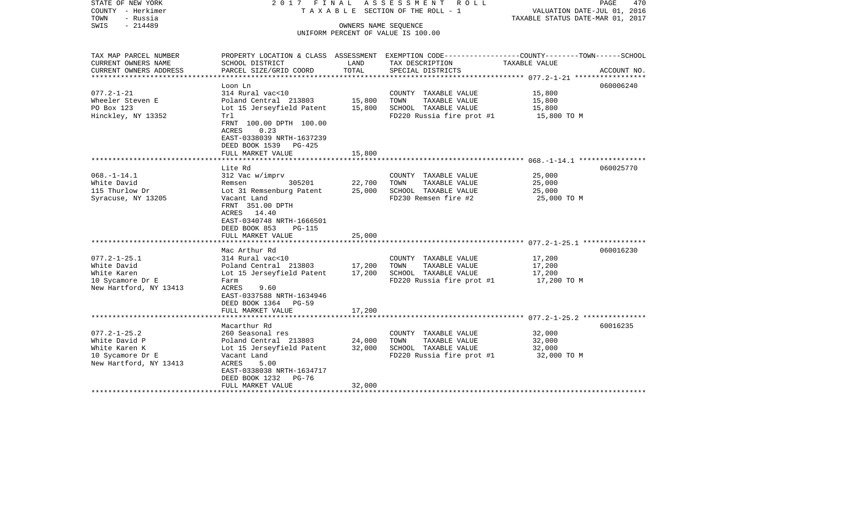| STATE OF NEW YORK<br>COUNTY - Herkimer<br>TOWN<br>- Russia<br>$-214489$<br>SWIS                    |                                                                                                                                                                                                                  | OWNERS NAME SEQUENCE       | 2017 FINAL ASSESSMENT ROLL<br>TAXABLE SECTION OF THE ROLL - 1<br>UNIFORM PERCENT OF VALUE IS 100.00               | VALUATION DATE-JUL 01, 2016<br>TAXABLE STATUS DATE-MAR 01, 2017 | PAGE<br>470 |
|----------------------------------------------------------------------------------------------------|------------------------------------------------------------------------------------------------------------------------------------------------------------------------------------------------------------------|----------------------------|-------------------------------------------------------------------------------------------------------------------|-----------------------------------------------------------------|-------------|
|                                                                                                    |                                                                                                                                                                                                                  |                            |                                                                                                                   |                                                                 |             |
| TAX MAP PARCEL NUMBER<br>CURRENT OWNERS NAME                                                       | SCHOOL DISTRICT                                                                                                                                                                                                  | LAND                       | PROPERTY LOCATION & CLASS ASSESSMENT EXEMPTION CODE---------------COUNTY-------TOWN-----SCHOOL<br>TAX DESCRIPTION | TAXABLE VALUE                                                   |             |
| CURRENT OWNERS ADDRESS                                                                             | PARCEL SIZE/GRID COORD                                                                                                                                                                                           | TOTAL                      | SPECIAL DISTRICTS                                                                                                 |                                                                 | ACCOUNT NO. |
|                                                                                                    | Loon Ln                                                                                                                                                                                                          |                            |                                                                                                                   |                                                                 | 060006240   |
| $077.2 - 1 - 21$<br>Wheeler Steven E<br>PO Box 123<br>Hinckley, NY 13352                           | 314 Rural vac<10<br>Poland Central 213803<br>Lot 15 Jerseyfield Patent<br>Trl                                                                                                                                    | 15,800<br>15,800           | COUNTY TAXABLE VALUE<br>TOWN<br>TAXABLE VALUE<br>SCHOOL TAXABLE VALUE<br>FD220 Russia fire prot #1                | 15,800<br>15,800<br>15,800<br>15,800 TO M                       |             |
|                                                                                                    | FRNT 100.00 DPTH 100.00<br>0.23<br>ACRES<br>EAST-0338039 NRTH-1637239<br>DEED BOOK 1539 PG-425<br>FULL MARKET VALUE                                                                                              | 15,800                     |                                                                                                                   |                                                                 |             |
|                                                                                                    |                                                                                                                                                                                                                  |                            |                                                                                                                   |                                                                 |             |
| $068. -1 - 14.1$<br>White David<br>115 Thurlow Dr<br>Syracuse, NY 13205                            | Lite Rd<br>312 Vac w/imprv<br>305201<br>Remsen<br>Lot 31 Remsenburg Patent<br>Vacant Land<br>FRNT 351.00 DPTH<br>ACRES 14.40<br>EAST-0340748 NRTH-1666501<br>DEED BOOK 853<br><b>PG-115</b><br>FULL MARKET VALUE | 22,700<br>25,000<br>25,000 | COUNTY TAXABLE VALUE<br>TOWN<br>TAXABLE VALUE<br>SCHOOL TAXABLE VALUE<br>FD230 Remsen fire #2                     | 25,000<br>25,000<br>25,000<br>25,000 TO M                       | 060025770   |
|                                                                                                    | Mac Arthur Rd                                                                                                                                                                                                    |                            |                                                                                                                   |                                                                 | 060016230   |
| $077.2 - 1 - 25.1$<br>White David<br>White Karen<br>10 Sycamore Dr E<br>New Hartford, NY 13413     | 314 Rural vac<10<br>Poland Central 213803<br>Lot 15 Jerseyfield Patent<br>Farm<br>ACRES<br>9.60<br>EAST-0337588 NRTH-1634946<br>DEED BOOK 1364 PG-59                                                             | 17,200<br>17,200           | COUNTY TAXABLE VALUE<br>TOWN<br>TAXABLE VALUE<br>SCHOOL TAXABLE VALUE<br>FD220 Russia fire prot #1                | 17,200<br>17,200<br>17,200<br>17,200 TO M                       |             |
|                                                                                                    | FULL MARKET VALUE                                                                                                                                                                                                | 17,200                     |                                                                                                                   |                                                                 |             |
|                                                                                                    | Macarthur Rd                                                                                                                                                                                                     |                            |                                                                                                                   |                                                                 | 60016235    |
| $077.2 - 1 - 25.2$<br>White David P<br>White Karen K<br>10 Sycamore Dr E<br>New Hartford, NY 13413 | 260 Seasonal res<br>Poland Central 213803<br>Lot 15 Jerseyfield Patent<br>Vacant Land<br>ACRES<br>5.00<br>EAST-0338038 NRTH-1634717<br>DEED BOOK 1232<br>PG-76                                                   | 24,000<br>32,000           | COUNTY TAXABLE VALUE<br>TOWN<br>TAXABLE VALUE<br>SCHOOL TAXABLE VALUE<br>FD220 Russia fire prot #1                | 32,000<br>32,000<br>32,000<br>32,000 TO M                       |             |
| ***********************                                                                            | FULL MARKET VALUE                                                                                                                                                                                                | 32,000                     |                                                                                                                   |                                                                 |             |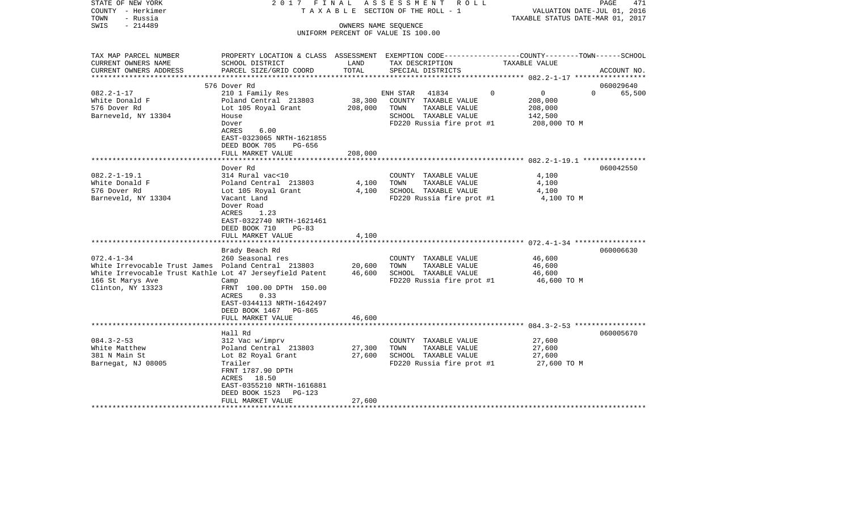| STATE OF NEW YORK<br>COUNTY - Herkimer<br>- Russia<br>TOWN | 2017 FINAL                                                                                      |         | ASSESSMENT ROLL<br>TAXABLE SECTION OF THE ROLL - 1 | VALUATION DATE-JUL 01, 2016<br>TAXABLE STATUS DATE-MAR 01, 2017 | PAGE<br>471        |
|------------------------------------------------------------|-------------------------------------------------------------------------------------------------|---------|----------------------------------------------------|-----------------------------------------------------------------|--------------------|
| SWIS<br>$-214489$                                          |                                                                                                 |         | OWNERS NAME SEQUENCE                               |                                                                 |                    |
|                                                            |                                                                                                 |         | UNIFORM PERCENT OF VALUE IS 100.00                 |                                                                 |                    |
|                                                            |                                                                                                 |         |                                                    |                                                                 |                    |
| TAX MAP PARCEL NUMBER                                      | PROPERTY LOCATION & CLASS ASSESSMENT EXEMPTION CODE---------------COUNTY-------TOWN------SCHOOL |         |                                                    |                                                                 |                    |
| CURRENT OWNERS NAME                                        | SCHOOL DISTRICT                                                                                 | LAND    | TAX DESCRIPTION                                    | TAXABLE VALUE                                                   |                    |
| CURRENT OWNERS ADDRESS<br>*******************              | PARCEL SIZE/GRID COORD                                                                          | TOTAL   | SPECIAL DISTRICTS                                  |                                                                 | ACCOUNT NO.        |
|                                                            | 576 Dover Rd                                                                                    |         |                                                    |                                                                 | 060029640          |
| $082.2 - 1 - 17$                                           | 210 1 Family Res                                                                                |         | 41834<br>ENH STAR                                  | $\Omega$<br>$\overline{0}$                                      | $\Omega$<br>65,500 |
| White Donald F                                             | Poland Central 213803                                                                           | 38,300  | COUNTY TAXABLE VALUE                               | 208,000                                                         |                    |
| 576 Dover Rd                                               | Lot 105 Royal Grant                                                                             | 208,000 | TOWN<br>TAXABLE VALUE                              | 208,000                                                         |                    |
| Barneveld, NY 13304                                        | House                                                                                           |         | SCHOOL TAXABLE VALUE                               | 142,500                                                         |                    |
|                                                            | Dover                                                                                           |         | FD220 Russia fire prot #1                          | 208,000 TO M                                                    |                    |
|                                                            | ACRES<br>6.00                                                                                   |         |                                                    |                                                                 |                    |
|                                                            | EAST-0323065 NRTH-1621855                                                                       |         |                                                    |                                                                 |                    |
|                                                            | DEED BOOK 705<br>PG-656                                                                         |         |                                                    |                                                                 |                    |
|                                                            | FULL MARKET VALUE                                                                               | 208,000 |                                                    |                                                                 |                    |
|                                                            | Dover Rd                                                                                        |         |                                                    |                                                                 | 060042550          |
| $082.2 - 1 - 19.1$                                         | 314 Rural vac<10                                                                                |         | COUNTY TAXABLE VALUE                               | 4,100                                                           |                    |
| White Donald F                                             | Poland Central 213803                                                                           | 4,100   | TAXABLE VALUE<br>TOWN                              | 4,100                                                           |                    |
| 576 Dover Rd                                               | Lot 105 Royal Grant                                                                             | 4,100   | SCHOOL TAXABLE VALUE                               | 4,100                                                           |                    |
| Barneveld, NY 13304                                        | Vacant Land                                                                                     |         | FD220 Russia fire prot #1                          | 4,100 TO M                                                      |                    |
|                                                            | Dover Road                                                                                      |         |                                                    |                                                                 |                    |
|                                                            | ACRES<br>1.23                                                                                   |         |                                                    |                                                                 |                    |
|                                                            | EAST-0322740 NRTH-1621461                                                                       |         |                                                    |                                                                 |                    |
|                                                            | DEED BOOK 710<br>$PG-83$                                                                        |         |                                                    |                                                                 |                    |
|                                                            | FULL MARKET VALUE                                                                               | 4,100   |                                                    |                                                                 |                    |
|                                                            | Brady Beach Rd                                                                                  |         |                                                    |                                                                 | 060006630          |
| $072.4 - 1 - 34$                                           | 260 Seasonal res                                                                                |         | COUNTY TAXABLE VALUE                               | 46,600                                                          |                    |
| White Irrevocable Trust James Poland Central 213803        |                                                                                                 | 20,600  | TAXABLE VALUE<br>TOWN                              | 46,600                                                          |                    |
| White Irrevocable Trust Kathle Lot 47 Jerseyfield Patent   |                                                                                                 | 46,600  | SCHOOL TAXABLE VALUE                               | 46,600                                                          |                    |
| 166 St Marys Ave                                           | Camp                                                                                            |         | FD220 Russia fire prot #1                          | 46,600 TO M                                                     |                    |
| Clinton, NY 13323                                          | FRNT 100.00 DPTH 150.00                                                                         |         |                                                    |                                                                 |                    |
|                                                            | ACRES<br>0.33                                                                                   |         |                                                    |                                                                 |                    |
|                                                            | EAST-0344113 NRTH-1642497                                                                       |         |                                                    |                                                                 |                    |
|                                                            | DEED BOOK 1467<br>PG-865                                                                        |         |                                                    |                                                                 |                    |
|                                                            | FULL MARKET VALUE                                                                               | 46,600  |                                                    |                                                                 |                    |
|                                                            | *********************                                                                           |         |                                                    |                                                                 |                    |
|                                                            | Hall Rd                                                                                         |         |                                                    |                                                                 | 060005670          |
| $084.3 - 2 - 53$                                           | 312 Vac w/imprv                                                                                 |         | COUNTY TAXABLE VALUE                               | 27,600                                                          |                    |
| White Matthew                                              | Poland Central 213803                                                                           | 27,300  | TOWN<br>TAXABLE VALUE                              | 27,600                                                          |                    |
| 381 N Main St                                              | Lot 82 Royal Grant<br>Trailer                                                                   | 27,600  | SCHOOL TAXABLE VALUE                               | 27,600                                                          |                    |
| Barnegat, NJ 08005                                         | FRNT 1787.90 DPTH                                                                               |         | FD220 Russia fire prot #1                          | 27,600 TO M                                                     |                    |
|                                                            | ACRES 18.50                                                                                     |         |                                                    |                                                                 |                    |
|                                                            | EAST-0355210 NRTH-1616881                                                                       |         |                                                    |                                                                 |                    |
|                                                            | DEED BOOK 1523<br>$PG-123$                                                                      |         |                                                    |                                                                 |                    |
|                                                            | FULL MARKET VALUE                                                                               | 27,600  |                                                    |                                                                 |                    |
| **********************                                     |                                                                                                 |         |                                                    |                                                                 |                    |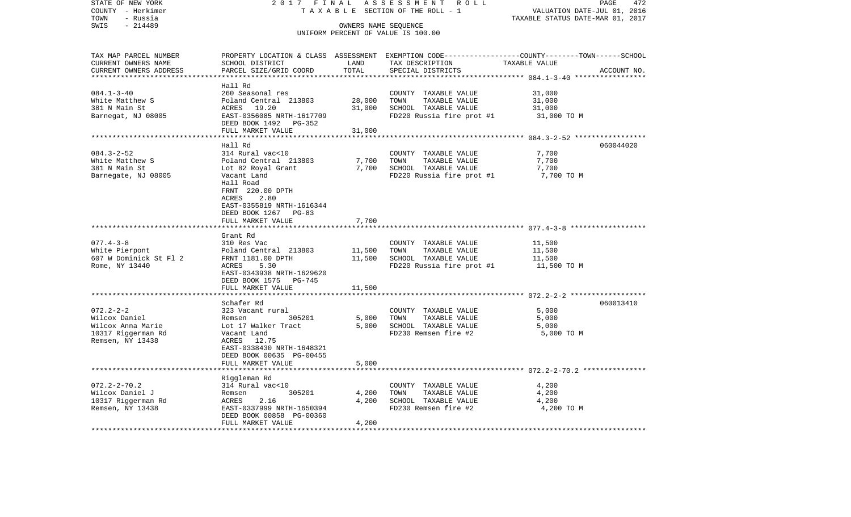| STATE OF NEW YORK      | 2017 FINAL                           |                   | ASSESSMENT<br>R O L L                                      | PAGE<br>472                                                  |
|------------------------|--------------------------------------|-------------------|------------------------------------------------------------|--------------------------------------------------------------|
| COUNTY - Herkimer      |                                      |                   | TAXABLE SECTION OF THE ROLL - 1                            | VALUATION DATE-JUL 01, 2016                                  |
| - Russia<br>TOWN       |                                      |                   |                                                            | TAXABLE STATUS DATE-MAR 01, 2017                             |
| SWIS<br>$-214489$      |                                      |                   | OWNERS NAME SEQUENCE<br>UNIFORM PERCENT OF VALUE IS 100.00 |                                                              |
|                        |                                      |                   |                                                            |                                                              |
| TAX MAP PARCEL NUMBER  | PROPERTY LOCATION & CLASS ASSESSMENT |                   |                                                            | EXEMPTION CODE-----------------COUNTY-------TOWN------SCHOOL |
| CURRENT OWNERS NAME    | SCHOOL DISTRICT                      | LAND              | TAX DESCRIPTION                                            | TAXABLE VALUE                                                |
| CURRENT OWNERS ADDRESS | PARCEL SIZE/GRID COORD               | TOTAL             | SPECIAL DISTRICTS                                          | ACCOUNT NO.                                                  |
| *********************  |                                      | * * * * * * * * * |                                                            |                                                              |
|                        | Hall Rd                              |                   |                                                            |                                                              |
| $084.1 - 3 - 40$       | 260 Seasonal res                     |                   | COUNTY TAXABLE VALUE                                       | 31,000                                                       |
| White Matthew S        | Poland Central 213803                | 28,000            | TOWN<br>TAXABLE VALUE                                      | 31,000                                                       |
| 381 N Main St          | ACRES<br>19.20                       | 31,000            | SCHOOL TAXABLE VALUE                                       | 31,000                                                       |
| Barnegat, NJ 08005     | EAST-0356085 NRTH-1617709            |                   | FD220 Russia fire prot #1                                  | 31,000 TO M                                                  |
|                        | DEED BOOK 1492 PG-352                |                   |                                                            |                                                              |
|                        | FULL MARKET VALUE                    | 31,000            |                                                            |                                                              |
|                        |                                      |                   |                                                            |                                                              |
| $084.3 - 2 - 52$       | Hall Rd<br>314 Rural vac<10          |                   |                                                            | 060044020                                                    |
| White Matthew S        | Poland Central 213803                | 7,700             | COUNTY TAXABLE VALUE<br>TOWN<br>TAXABLE VALUE              | 7,700<br>7,700                                               |
| 381 N Main St          | Lot 82 Royal Grant                   | 7,700             | SCHOOL TAXABLE VALUE                                       | 7,700                                                        |
| Barnegate, NJ 08005    | Vacant Land                          |                   | FD220 Russia fire prot #1                                  | 7,700 TO M                                                   |
|                        | Hall Road                            |                   |                                                            |                                                              |
|                        | FRNT 220.00 DPTH                     |                   |                                                            |                                                              |
|                        | 2.80<br>ACRES                        |                   |                                                            |                                                              |
|                        | EAST-0355819 NRTH-1616344            |                   |                                                            |                                                              |
|                        | DEED BOOK 1267<br>$PG-83$            |                   |                                                            |                                                              |
|                        | FULL MARKET VALUE                    | 7,700             |                                                            |                                                              |
|                        |                                      |                   |                                                            |                                                              |
|                        | Grant Rd                             |                   |                                                            |                                                              |
| $077.4 - 3 - 8$        | 310 Res Vac                          |                   | COUNTY TAXABLE VALUE                                       | 11,500                                                       |
| White Pierpont         | Poland Central 213803                | 11,500            | TOWN<br>TAXABLE VALUE                                      | 11,500                                                       |
| 607 W Dominick St Fl 2 | FRNT 1181.00 DPTH                    | 11,500            | SCHOOL TAXABLE VALUE                                       | 11,500                                                       |
| Rome, NY 13440         | ACRES<br>5.30                        |                   | FD220 Russia fire prot #1                                  | 11,500 TO M                                                  |
|                        | EAST-0343938 NRTH-1629620            |                   |                                                            |                                                              |
|                        | DEED BOOK 1575<br>PG-745             |                   |                                                            |                                                              |
|                        | FULL MARKET VALUE                    | 11,500            |                                                            |                                                              |
|                        | Schafer Rd                           |                   |                                                            | 060013410                                                    |
| $072.2 - 2 - 2$        | 323 Vacant rural                     |                   | COUNTY TAXABLE VALUE                                       | 5,000                                                        |
| Wilcox Daniel          | 305201<br>Remsen                     | 5,000             | TAXABLE VALUE<br>TOWN                                      | 5,000                                                        |
| Wilcox Anna Marie      | Lot 17 Walker Tract                  | 5,000             | SCHOOL TAXABLE VALUE                                       | 5,000                                                        |
| 10317 Riggerman Rd     | Vacant Land                          |                   | FD230 Remsen fire #2                                       | 5,000 TO M                                                   |
| Remsen, NY 13438       | 12.75<br>ACRES                       |                   |                                                            |                                                              |
|                        | EAST-0338430 NRTH-1648321            |                   |                                                            |                                                              |
|                        | DEED BOOK 00635 PG-00455             |                   |                                                            |                                                              |
|                        | FULL MARKET VALUE                    | 5,000             |                                                            |                                                              |
|                        | *******************                  | ***********       |                                                            |                                                              |
|                        | Riggleman Rd                         |                   |                                                            |                                                              |
| $072.2 - 2 - 70.2$     | 314 Rural vac<10                     |                   | COUNTY TAXABLE VALUE                                       | 4,200                                                        |
| Wilcox Daniel J        | 305201<br>Remsen                     | 4,200             | TOWN<br>TAXABLE VALUE                                      | 4,200                                                        |
| 10317 Riggerman Rd     | 2.16<br>ACRES                        | 4,200             | SCHOOL TAXABLE VALUE                                       | 4,200                                                        |
| Remsen, NY 13438       | EAST-0337999 NRTH-1650394            |                   | FD230 Remsen fire #2                                       | 4,200 TO M                                                   |
|                        | DEED BOOK 00858 PG-00360             |                   |                                                            |                                                              |
|                        | FULL MARKET VALUE                    | 4,200             |                                                            |                                                              |
|                        |                                      |                   |                                                            |                                                              |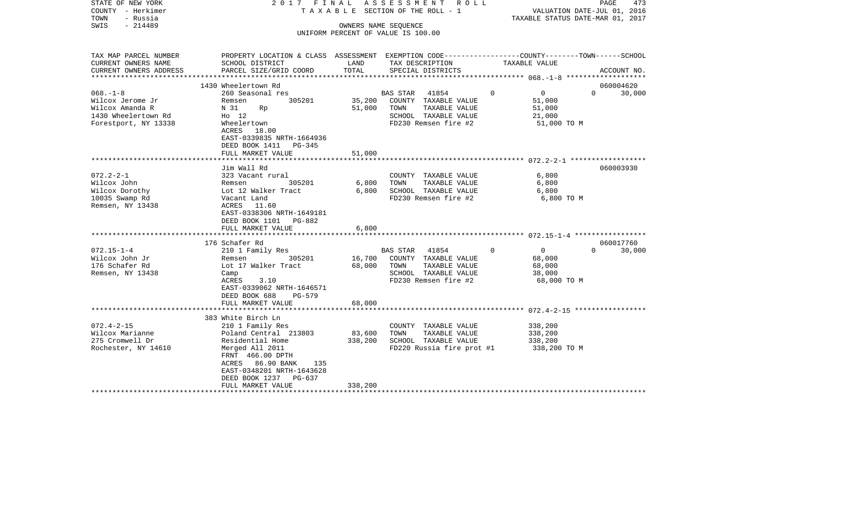| STATE OF NEW YORK<br>COUNTY - Herkimer<br>TOWN<br>- Russia<br>$-214489$<br>SWIS                     |                                                                                                                                                                                                                                  |                              | 2017 FINAL ASSESSMENT ROLL<br>T A X A B L E SECTION OF THE ROLL - 1<br>OWNERS NAME SEQUENCE<br>UNIFORM PERCENT OF VALUE IS 100.00 |          | VALUATION DATE-JUL 01, 2016<br>TAXABLE STATUS DATE-MAR 01, 2017 | PAGE     | 473         |
|-----------------------------------------------------------------------------------------------------|----------------------------------------------------------------------------------------------------------------------------------------------------------------------------------------------------------------------------------|------------------------------|-----------------------------------------------------------------------------------------------------------------------------------|----------|-----------------------------------------------------------------|----------|-------------|
| TAX MAP PARCEL NUMBER<br>CURRENT OWNERS NAME<br>CURRENT OWNERS ADDRESS                              | PROPERTY LOCATION & CLASS ASSESSMENT EXEMPTION CODE----------------COUNTY-------TOWN------SCHOOL<br>SCHOOL DISTRICT<br>PARCEL SIZE/GRID COORD                                                                                    | LAND<br>TOTAL                | TAX DESCRIPTION<br>SPECIAL DISTRICTS                                                                                              |          | TAXABLE VALUE                                                   |          | ACCOUNT NO. |
|                                                                                                     |                                                                                                                                                                                                                                  |                              |                                                                                                                                   |          |                                                                 |          |             |
|                                                                                                     | 1430 Wheelertown Rd                                                                                                                                                                                                              |                              |                                                                                                                                   |          |                                                                 | $\Omega$ | 060004620   |
| $068. -1 - 8$<br>Wilcox Jerome Jr<br>Wilcox Amanda R<br>1430 Wheelertown Rd<br>Forestport, NY 13338 | 260 Seasonal res<br>305201<br>Remsen<br>N 31<br>Rp<br>$H0$ 12<br>Wheelertown<br>ACRES 18.00<br>EAST-0339835 NRTH-1664936<br>DEED BOOK 1411 PG-345                                                                                | 51,000                       | BAS STAR 41854<br>35,200 COUNTY TAXABLE VALUE<br>TOWN<br>TAXABLE VALUE<br>SCHOOL TAXABLE VALUE<br>FD230 Remsen fire #2            | $\Omega$ | $\overline{0}$<br>51,000<br>51,000<br>21,000<br>51,000 TO M     |          | 30,000      |
|                                                                                                     | FULL MARKET VALUE                                                                                                                                                                                                                | 51,000                       |                                                                                                                                   |          |                                                                 |          |             |
|                                                                                                     |                                                                                                                                                                                                                                  |                              |                                                                                                                                   |          |                                                                 |          |             |
| $072.2 - 2 - 1$<br>Wilcox John<br>Wilcox Dorothy<br>10035 Swamp Rd<br>Remsen, NY 13438              | Jim Wall Rd<br>323 Vacant rural<br>305201<br>Remsen<br>Lot 12 Walker Tract<br>Vacant Land<br>ACRES 11.60<br>EAST-0338306 NRTH-1649181<br>DEED BOOK 1101 PG-882                                                                   | 6,800<br>6,800               | COUNTY TAXABLE VALUE<br>TAXABLE VALUE<br>TOWN<br>SCHOOL TAXABLE VALUE<br>FD230 Remsen fire #2                                     |          | 6,800<br>6,800<br>6,800<br>6,800 TO M                           |          | 060003930   |
|                                                                                                     | FULL MARKET VALUE                                                                                                                                                                                                                | 6,800                        |                                                                                                                                   |          |                                                                 |          |             |
|                                                                                                     | 176 Schafer Rd                                                                                                                                                                                                                   |                              |                                                                                                                                   |          |                                                                 |          | 060017760   |
| $072.15 - 1 - 4$<br>Wilcox John Jr<br>176 Schafer Rd<br>Remsen, NY 13438                            | 210 1 Family Res<br>Remsen<br>305201<br>Lot 17 Walker Tract<br>Camp<br>ACRES<br>3.10<br>EAST-0339062 NRTH-1646571<br>DEED BOOK 688<br>PG-579<br>FULL MARKET VALUE                                                                | 68,000<br>68,000             | BAS STAR 41854<br>16,700 COUNTY TAXABLE VALUE<br>TOWN<br>TAXABLE VALUE<br>SCHOOL TAXABLE VALUE<br>FD230 Remsen fire #2            | $\Omega$ | $\overline{0}$<br>68,000<br>68,000<br>38,000<br>68,000 TO M     | $\Omega$ | 30,000      |
|                                                                                                     |                                                                                                                                                                                                                                  |                              |                                                                                                                                   |          |                                                                 |          |             |
| $072.4 - 2 - 15$<br>Wilcox Marianne<br>275 Cromwell Dr<br>Rochester, NY 14610                       | 383 White Birch Ln<br>210 1 Family Res<br>Poland Central 213803<br>Residential Home<br>Merged All 2011<br>FRNT 466.00 DPTH<br>ACRES 86.90 BANK<br>135<br>EAST-0348201 NRTH-1643628<br>DEED BOOK 1237 PG-637<br>FULL MARKET VALUE | 83,600<br>338,200<br>338,200 | COUNTY TAXABLE VALUE<br>TAXABLE VALUE<br>TOWN<br>SCHOOL TAXABLE VALUE<br>FD220 Russia fire prot #1                                |          | 338,200<br>338,200<br>338,200<br>338,200 TO M                   |          |             |
|                                                                                                     |                                                                                                                                                                                                                                  |                              |                                                                                                                                   |          |                                                                 |          |             |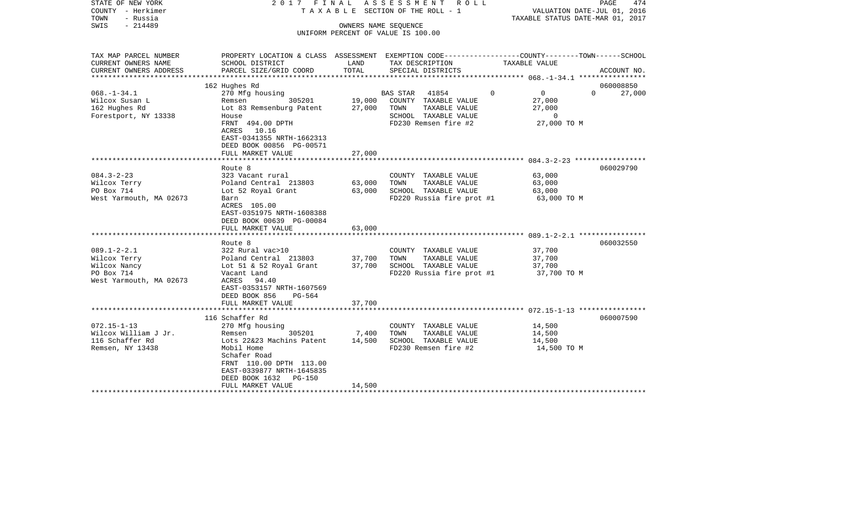| STATE OF NEW YORK<br>COUNTY - Herkimer<br>TOWN<br>- Russia<br>$-214489$<br>SWIS            | 2017 FINAL                                                                                                                                                                                           |                           | ASSESSMENT ROLL<br>TAXABLE SECTION OF THE ROLL - 1<br>OWNERS NAME SEOUENCE<br>UNIFORM PERCENT OF VALUE IS 100.00 | VALUATION DATE-JUL 01, 2016<br>TAXABLE STATUS DATE-MAR 01, 2017                 | PAGE<br>474   |
|--------------------------------------------------------------------------------------------|------------------------------------------------------------------------------------------------------------------------------------------------------------------------------------------------------|---------------------------|------------------------------------------------------------------------------------------------------------------|---------------------------------------------------------------------------------|---------------|
| TAX MAP PARCEL NUMBER<br>CURRENT OWNERS NAME                                               | PROPERTY LOCATION & CLASS ASSESSMENT EXEMPTION CODE----------------COUNTY-------TOWN------SCHOOL<br>SCHOOL DISTRICT                                                                                  | LAND                      | TAX DESCRIPTION                                                                                                  | TAXABLE VALUE                                                                   |               |
| CURRENT OWNERS ADDRESS                                                                     | PARCEL SIZE/GRID COORD                                                                                                                                                                               | TOTAL                     | SPECIAL DISTRICTS                                                                                                |                                                                                 | ACCOUNT NO.   |
|                                                                                            | 162 Hughes Rd                                                                                                                                                                                        |                           |                                                                                                                  |                                                                                 | 060008850     |
| $068. - 1 - 34.1$<br>Wilcox Susan L<br>162 Hughes Rd<br>Forestport, NY 13338               | 270 Mfg housing<br>Remsen 305201<br>Lot 83 Remsenburg Patent 27,000 TOWN<br>House<br>FRNT 494.00 DPTH<br>ACRES 10.16<br>EAST-0341355 NRTH-1662313<br>DEED BOOK 00856 PG-00571                        |                           | BAS STAR 41854<br>19,000 COUNTY TAXABLE VALUE<br>TAXABLE VALUE<br>SCHOOL TAXABLE VALUE<br>FD230 Remsen fire #2   | $\overline{0}$<br>$\Omega$<br>27,000<br>27,000<br>$\overline{0}$<br>27,000 TO M | $0 \t 27,000$ |
|                                                                                            | FULL MARKET VALUE                                                                                                                                                                                    | 27,000                    |                                                                                                                  |                                                                                 |               |
| $084.3 - 2 - 23$<br>Wilcox Terry<br>PO Box 714                                             | Route 8<br>323 Vacant rural<br>Poland Central 213803<br>Lot 52 Royal Grant                                                                                                                           | 63,000<br>63,000          | COUNTY TAXABLE VALUE<br>TOWN<br>TAXABLE VALUE<br>SCHOOL TAXABLE VALUE                                            | 63,000<br>63,000<br>63,000                                                      | 060029790     |
| West Yarmouth, MA 02673                                                                    | Barn<br>ACRES 105.00<br>EAST-0351975 NRTH-1608388<br>DEED BOOK 00639 PG-00084<br>FULL MARKET VALUE                                                                                                   | 63,000                    | FD220 Russia fire prot #1                                                                                        | 63,000 TO M                                                                     |               |
|                                                                                            |                                                                                                                                                                                                      |                           |                                                                                                                  |                                                                                 |               |
| $089.1 - 2 - 2.1$<br>Wilcox Terry<br>Wilcox Nancy<br>PO Box 714<br>West Yarmouth, MA 02673 | Route 8<br>322 Rural vac>10<br>Poland Central 213803<br>Lot 51 & 52 Royal Grant 37,700<br>Vacant Land<br>ACRES 94.40<br>EAST-0353157 NRTH-1607569<br>DEED BOOK 856<br>PG-564                         | 37,700                    | COUNTY TAXABLE VALUE<br>TOWN<br>TAXABLE VALUE<br>SCHOOL TAXABLE VALUE<br>FD220 Russia fire prot #1               | 37,700<br>37,700<br>37,700<br>37,700 TO M                                       | 060032550     |
|                                                                                            | FULL MARKET VALUE                                                                                                                                                                                    | 37,700                    |                                                                                                                  |                                                                                 |               |
|                                                                                            | 116 Schaffer Rd                                                                                                                                                                                      |                           |                                                                                                                  |                                                                                 | 060007590     |
| $072.15 - 1 - 13$<br>Wilcox William J Jr.<br>116 Schaffer Rd<br>Remsen, NY 13438           | 270 Mfg housing<br>305201<br>Remsen<br>Lots 22&23 Machins Patent<br>Mobil Home<br>Schafer Road<br>FRNT 110.00 DPTH 113.00<br>EAST-0339877 NRTH-1645835<br>DEED BOOK 1632 PG-150<br>FULL MARKET VALUE | 7,400<br>14,500<br>14,500 | COUNTY TAXABLE VALUE<br>TOWN<br>TAXABLE VALUE<br>SCHOOL TAXABLE VALUE<br>FD230 Remsen fire #2                    | 14,500<br>14,500<br>14,500<br>14,500 TO M                                       |               |
|                                                                                            |                                                                                                                                                                                                      |                           |                                                                                                                  |                                                                                 |               |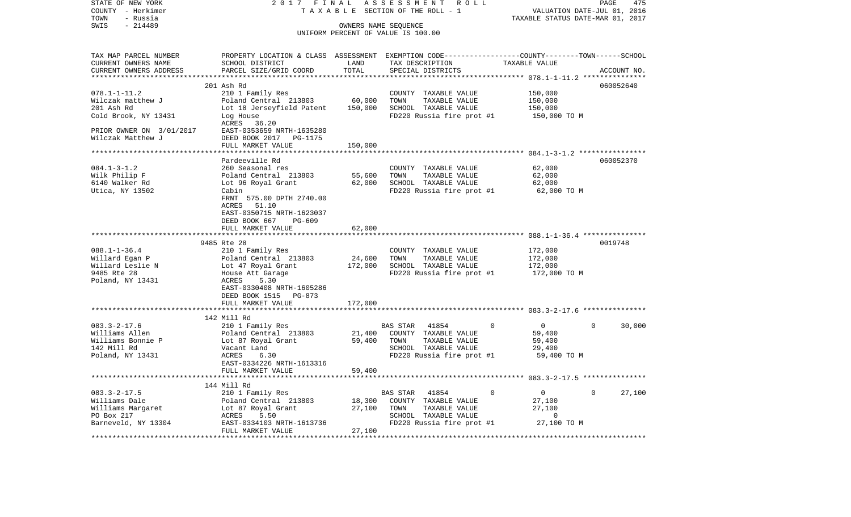| STATE OF NEW YORK                     | 2017 FINAL                                                                                       |                      | ASSESSMENT ROLL                           |                                  | PAGE                                                            | 475    |
|---------------------------------------|--------------------------------------------------------------------------------------------------|----------------------|-------------------------------------------|----------------------------------|-----------------------------------------------------------------|--------|
| COUNTY - Herkimer<br>- Russia<br>TOWN |                                                                                                  |                      | TAXABLE SECTION OF THE ROLL - 1           |                                  | VALUATION DATE-JUL 01, 2016<br>TAXABLE STATUS DATE-MAR 01, 2017 |        |
| $-214489$<br>SWIS                     |                                                                                                  | OWNERS NAME SEQUENCE |                                           |                                  |                                                                 |        |
|                                       |                                                                                                  |                      | UNIFORM PERCENT OF VALUE IS 100.00        |                                  |                                                                 |        |
|                                       |                                                                                                  |                      |                                           |                                  |                                                                 |        |
| TAX MAP PARCEL NUMBER                 | PROPERTY LOCATION & CLASS ASSESSMENT EXEMPTION CODE----------------COUNTY-------TOWN------SCHOOL |                      |                                           |                                  |                                                                 |        |
| CURRENT OWNERS NAME                   | SCHOOL DISTRICT                                                                                  | LAND                 | TAX DESCRIPTION                           | TAXABLE VALUE                    |                                                                 |        |
| CURRENT OWNERS ADDRESS                | PARCEL SIZE/GRID COORD                                                                           | TOTAL                | SPECIAL DISTRICTS                         |                                  | ACCOUNT NO.                                                     |        |
| **********************                |                                                                                                  |                      |                                           |                                  |                                                                 |        |
|                                       | 201 Ash Rd                                                                                       |                      |                                           |                                  | 060052640                                                       |        |
| $078.1 - 1 - 11.2$                    | 210 1 Family Res                                                                                 |                      | COUNTY TAXABLE VALUE                      | 150,000                          |                                                                 |        |
| Wilczak matthew J                     | Poland Central 213803                                                                            | 60,000               | TOWN<br>TAXABLE VALUE                     | 150,000                          |                                                                 |        |
| 201 Ash Rd                            | Lot 18 Jerseyfield Patent                                                                        | 150,000              | SCHOOL TAXABLE VALUE                      | 150,000                          |                                                                 |        |
| Cold Brook, NY 13431                  | Log House                                                                                        |                      | FD220 Russia fire prot #1                 |                                  | 150,000 TO M                                                    |        |
|                                       | ACRES 36.20                                                                                      |                      |                                           |                                  |                                                                 |        |
| PRIOR OWNER ON 3/01/2017              | EAST-0353659 NRTH-1635280                                                                        |                      |                                           |                                  |                                                                 |        |
| Wilczak Matthew J                     | DEED BOOK 2017 PG-1175                                                                           |                      |                                           |                                  |                                                                 |        |
|                                       | FULL MARKET VALUE                                                                                | 150,000              |                                           |                                  |                                                                 |        |
|                                       |                                                                                                  |                      |                                           |                                  |                                                                 |        |
|                                       | Pardeeville Rd                                                                                   |                      |                                           |                                  | 060052370                                                       |        |
| $084.1 - 3 - 1.2$                     | 260 Seasonal res                                                                                 |                      | COUNTY TAXABLE VALUE                      | 62,000                           |                                                                 |        |
| Wilk Philip F                         | Poland Central 213803                                                                            | 55,600               | TOWN<br>TAXABLE VALUE                     | 62,000                           |                                                                 |        |
| 6140 Walker Rd                        | Lot 96 Royal Grant                                                                               | 62,000               | SCHOOL TAXABLE VALUE                      | 62,000                           |                                                                 |        |
| Utica, NY 13502                       | Cabin                                                                                            |                      | FD220 Russia fire prot #1                 |                                  | 62,000 TO M                                                     |        |
|                                       | FRNT 575.00 DPTH 2740.00                                                                         |                      |                                           |                                  |                                                                 |        |
|                                       | ACRES 51.10                                                                                      |                      |                                           |                                  |                                                                 |        |
|                                       | EAST-0350715 NRTH-1623037                                                                        |                      |                                           |                                  |                                                                 |        |
|                                       | DEED BOOK 667<br>PG-609                                                                          |                      |                                           |                                  |                                                                 |        |
|                                       | FULL MARKET VALUE                                                                                | 62,000               |                                           |                                  |                                                                 |        |
|                                       |                                                                                                  |                      |                                           |                                  |                                                                 |        |
|                                       | 9485 Rte 28                                                                                      |                      |                                           |                                  | 0019748                                                         |        |
| $088.1 - 1 - 36.4$                    | 210 1 Family Res                                                                                 |                      | COUNTY TAXABLE VALUE                      | 172,000                          |                                                                 |        |
| Willard Egan P                        | Poland Central 213803                                                                            | 24,600               | TOWN<br>TAXABLE VALUE                     | 172,000                          |                                                                 |        |
| Willard Leslie N                      | Lot 47 Royal Grant                                                                               | 172,000              | SCHOOL TAXABLE VALUE                      | 172,000                          |                                                                 |        |
| 9485 Rte 28                           | House Att Garage                                                                                 |                      | FD220 Russia fire prot #1                 |                                  | 172,000 TO M                                                    |        |
| Poland, NY 13431                      | ACRES<br>5.30                                                                                    |                      |                                           |                                  |                                                                 |        |
|                                       | EAST-0330408 NRTH-1605286                                                                        |                      |                                           |                                  |                                                                 |        |
|                                       | DEED BOOK 1515 PG-873                                                                            |                      |                                           |                                  |                                                                 |        |
|                                       | FULL MARKET VALUE                                                                                | 172,000              |                                           |                                  |                                                                 |        |
|                                       | *******************************                                                                  |                      |                                           |                                  |                                                                 |        |
|                                       | 142 Mill Rd                                                                                      |                      |                                           |                                  |                                                                 |        |
| $083.3 - 2 - 17.6$                    | 210 1 Family Res                                                                                 |                      | BAS STAR<br>41854                         | $\mathbf 0$<br>$\overline{0}$    | $\Omega$                                                        | 30,000 |
| Williams Allen                        | Poland Central 213803                                                                            | 21,400               | COUNTY TAXABLE VALUE                      | 59,400                           |                                                                 |        |
| Williams Bonnie P                     | Lot 87 Royal Grant                                                                               | 59,400               | TOWN<br>TAXABLE VALUE                     | 59,400                           |                                                                 |        |
| 142 Mill Rd                           | Vacant Land                                                                                      |                      | SCHOOL TAXABLE VALUE                      | 29,400                           |                                                                 |        |
| Poland, NY 13431                      | ACRES<br>6.30                                                                                    |                      | FD220 Russia fire prot #1                 |                                  | 59,400 TO M                                                     |        |
|                                       | EAST-0334226 NRTH-1613316                                                                        |                      |                                           |                                  |                                                                 |        |
|                                       | FULL MARKET VALUE<br>********************                                                        | 59,400               |                                           |                                  |                                                                 |        |
|                                       |                                                                                                  |                      |                                           |                                  |                                                                 |        |
| $083.3 - 2 - 17.5$                    | 144 Mill Rd                                                                                      |                      |                                           | $\overline{0}$<br>$\overline{0}$ | $\mathbf{0}$                                                    |        |
| Williams Dale                         | 210 1 Family Res<br>Poland Central 213803                                                        | 18,300               | BAS STAR<br>41854<br>COUNTY TAXABLE VALUE | 27,100                           |                                                                 | 27,100 |
|                                       | Poland Central 213<br>Lot 87 Royal Grant                                                         | 27,100               | TAXABLE VALUE<br>TOWN                     | 27,100                           |                                                                 |        |
| Williams Margaret<br>PO Box 217       | ACRES<br>5.50                                                                                    |                      | SCHOOL TAXABLE VALUE                      |                                  | $\overline{0}$                                                  |        |
| Barneveld, NY 13304                   | EAST-0334103 NRTH-1613736                                                                        |                      | FD220 Russia fire prot #1                 |                                  | 27,100 TO M                                                     |        |
|                                       | FULL MARKET VALUE                                                                                | 27,100               |                                           |                                  |                                                                 |        |
|                                       |                                                                                                  |                      |                                           |                                  | ******************************                                  |        |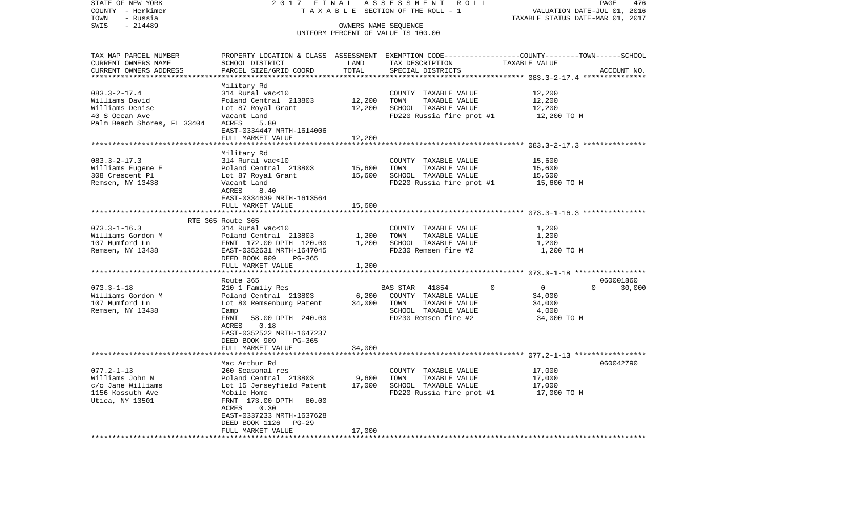| STATE OF NEW YORK           | 2017 FINAL                                                                                      |                      | ASSESSMENT ROLL                    |                                                     | 476<br>PAGE        |
|-----------------------------|-------------------------------------------------------------------------------------------------|----------------------|------------------------------------|-----------------------------------------------------|--------------------|
| COUNTY - Herkimer           |                                                                                                 |                      | TAXABLE SECTION OF THE ROLL - 1    | VALUATION DATE-JUL 01, 2016                         |                    |
| TOWN<br>- Russia            |                                                                                                 |                      |                                    | TAXABLE STATUS DATE-MAR 01, 2017                    |                    |
| $-214489$<br>SWIS           |                                                                                                 | OWNERS NAME SEQUENCE | UNIFORM PERCENT OF VALUE IS 100.00 |                                                     |                    |
|                             |                                                                                                 |                      |                                    |                                                     |                    |
| TAX MAP PARCEL NUMBER       | PROPERTY LOCATION & CLASS ASSESSMENT EXEMPTION CODE---------------COUNTY-------TOWN------SCHOOL |                      |                                    |                                                     |                    |
| CURRENT OWNERS NAME         | SCHOOL DISTRICT                                                                                 | LAND                 | TAX DESCRIPTION                    | TAXABLE VALUE                                       |                    |
| CURRENT OWNERS ADDRESS      | PARCEL SIZE/GRID COORD                                                                          | TOTAL                | SPECIAL DISTRICTS                  |                                                     | ACCOUNT NO.        |
|                             |                                                                                                 | ************         |                                    | ********************* 083.3-2-17.4 **************** |                    |
|                             | Military Rd                                                                                     |                      |                                    |                                                     |                    |
| $083.3 - 2 - 17.4$          | 314 Rural vac<10                                                                                |                      | COUNTY TAXABLE VALUE               | 12,200                                              |                    |
| Williams David              | Poland Central 213803                                                                           | 12,200               | TOWN<br>TAXABLE VALUE              | 12,200                                              |                    |
| Williams Denise             | Lot 87 Royal Grant                                                                              | 12,200               | SCHOOL TAXABLE VALUE               | 12,200                                              |                    |
| 40 S Ocean Ave              | Vacant Land                                                                                     |                      | FD220 Russia fire prot #1          | 12,200 TO M                                         |                    |
| Palm Beach Shores, FL 33404 | ACRES<br>5.80                                                                                   |                      |                                    |                                                     |                    |
|                             | EAST-0334447 NRTH-1614006                                                                       |                      |                                    |                                                     |                    |
|                             | FULL MARKET VALUE                                                                               | 12,200               |                                    |                                                     |                    |
|                             | *******************                                                                             | **************       |                                    |                                                     |                    |
|                             | Military Rd                                                                                     |                      |                                    |                                                     |                    |
| $083.3 - 2 - 17.3$          | 314 Rural vac<10                                                                                |                      | COUNTY TAXABLE VALUE               | 15,600                                              |                    |
| Williams Eugene E           | Poland Central 213803                                                                           | 15,600               | TOWN<br>TAXABLE VALUE              | 15,600                                              |                    |
| 308 Crescent Pl             | Lot 87 Royal Grant                                                                              | 15,600               | SCHOOL TAXABLE VALUE               | 15,600                                              |                    |
| Remsen, NY 13438            | Vacant Land                                                                                     |                      | FD220 Russia fire prot #1          | 15,600 TO M                                         |                    |
|                             | ACRES<br>8.40                                                                                   |                      |                                    |                                                     |                    |
|                             | EAST-0334639 NRTH-1613564                                                                       |                      |                                    |                                                     |                    |
|                             | FULL MARKET VALUE                                                                               | 15,600               |                                    |                                                     |                    |
|                             |                                                                                                 | * * * * * * * :      |                                    |                                                     |                    |
|                             | RTE 365 Route 365                                                                               |                      |                                    |                                                     |                    |
| $073.3 - 1 - 16.3$          | 314 Rural vac<10                                                                                |                      | COUNTY TAXABLE VALUE               | 1,200                                               |                    |
| Williams Gordon M           | Poland Central 213803                                                                           | 1,200<br>1,200       | TOWN<br>TAXABLE VALUE              | 1,200                                               |                    |
| 107 Mumford Ln              | FRNT 172.00 DPTH 120.00                                                                         |                      | SCHOOL TAXABLE VALUE               | 1,200                                               |                    |
| Remsen, NY 13438            | EAST-0352631 NRTH-1647045<br>DEED BOOK 909<br>PG-365                                            |                      | FD230 Remsen fire #2               | 1,200 TO M                                          |                    |
|                             | FULL MARKET VALUE                                                                               | 1,200                |                                    |                                                     |                    |
|                             | ***********************                                                                         |                      |                                    |                                                     |                    |
|                             | Route 365                                                                                       |                      |                                    |                                                     | 060001860          |
| $073.3 - 1 - 18$            | 210 1 Family Res                                                                                |                      | BAS STAR<br>41854                  | $\Omega$<br>$\overline{0}$                          | $\Omega$<br>30,000 |
| Williams Gordon M           | Poland Central 213803                                                                           | 6,200                | COUNTY TAXABLE VALUE               | 34,000                                              |                    |
| 107 Mumford Ln              | Lot 80 Remsenburg Patent                                                                        | 34,000               | TOWN<br>TAXABLE VALUE              | 34,000                                              |                    |
| Remsen, NY 13438            | Camp                                                                                            |                      | SCHOOL TAXABLE VALUE               | 4,000                                               |                    |
|                             | FRNT<br>58.00 DPTH 240.00                                                                       |                      | FD230 Remsen fire #2               | 34,000 TO M                                         |                    |
|                             | ACRES<br>0.18                                                                                   |                      |                                    |                                                     |                    |
|                             | EAST-0352522 NRTH-1647237                                                                       |                      |                                    |                                                     |                    |
|                             | DEED BOOK 909<br>PG-365                                                                         |                      |                                    |                                                     |                    |
|                             | FULL MARKET VALUE                                                                               | 34,000               |                                    |                                                     |                    |
|                             |                                                                                                 |                      |                                    |                                                     |                    |
|                             | Mac Arthur Rd                                                                                   |                      |                                    |                                                     | 060042790          |
| $077.2 - 1 - 13$            | 260 Seasonal res                                                                                |                      | COUNTY TAXABLE VALUE               | 17,000                                              |                    |
| Williams John N             | Poland Central 213803                                                                           | 9,600                | TOWN<br>TAXABLE VALUE              | 17,000                                              |                    |
| c/o Jane Williams           | Lot 15 Jerseyfield Patent                                                                       | 17,000               | SCHOOL TAXABLE VALUE               | 17,000                                              |                    |
| 1156 Kossuth Ave            | Mobile Home                                                                                     |                      | FD220 Russia fire prot #1          | 17,000 TO M                                         |                    |
| Utica, NY 13501             | FRNT 173.00 DPTH 80.00                                                                          |                      |                                    |                                                     |                    |
|                             | ACRES<br>0.30                                                                                   |                      |                                    |                                                     |                    |
|                             | EAST-0337233 NRTH-1637628                                                                       |                      |                                    |                                                     |                    |
|                             | DEED BOOK 1126<br>$PG-29$                                                                       |                      |                                    |                                                     |                    |
| ************************    | FULL MARKET VALUE                                                                               | 17,000               |                                    |                                                     |                    |
|                             |                                                                                                 |                      |                                    |                                                     |                    |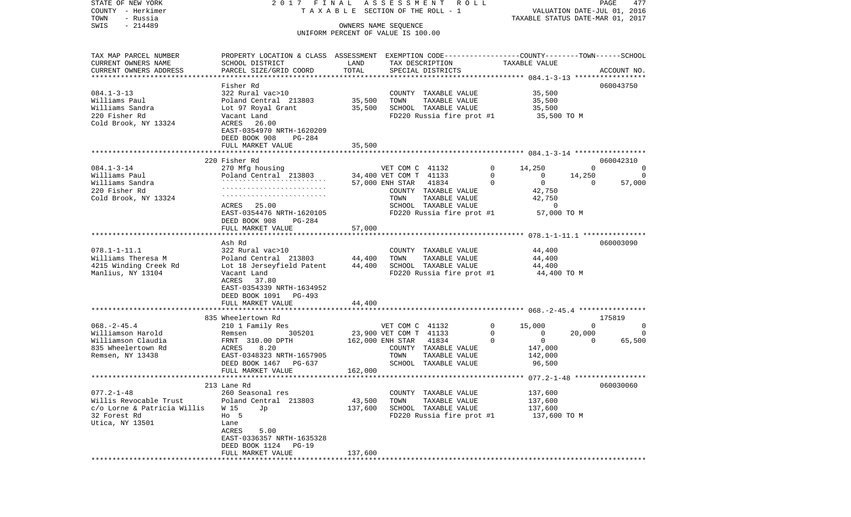VALUATION DATE-JUL 01, 2016 COUNTY - Herkimer T A X A B L E SECTION OF THE ROLL - 1 TOWN - Russia TAXABLE STATUS DATE-MAR 01, 2017 SWIS - 214489 OWNERS NAME SEQUENCE UNIFORM PERCENT OF VALUE IS 100.00TAX MAP PARCEL NUMBER PROPERTY LOCATION & CLASS ASSESSMENT EXEMPTION CODE------------------COUNTY--------TOWN------SCHOOL CURRENT OWNERS NAME SCHOOL DISTRICT LAND TAX DESCRIPTION TAXABLE VALUECURRENT OWNERS ADDRESS PARCEL SIZE/GRID COORD TOTAL SPECIAL DISTRICTS ACCOUNT NO. \*\*\*\*\*\*\*\*\*\*\*\*\*\*\*\*\*\*\*\*\*\*\*\*\*\*\*\*\*\*\*\*\*\*\*\*\*\*\*\*\*\*\*\*\*\*\*\*\*\*\*\*\*\*\*\*\*\*\*\*\*\*\*\*\*\*\*\*\*\*\*\*\*\*\*\*\*\*\*\*\*\*\*\*\*\*\*\*\*\*\*\*\*\*\*\*\*\*\*\*\*\*\* 084.1-3-13 \*\*\*\*\*\*\*\*\*\*\*\*\*\*\*\*\* Fisher Rd 060043750060043750 084.1-3-13 322 Rural vac>10 COUNTY TAXABLE VALUE 35,500 Williams Paul **Poland Central 213803** 35,500 TOWN TAXABLE VALUE 35,500 Williams Sandra Lot 97 Royal Grant 35,500 SCHOOL TAXABLE VALUE 35,500 220 Fisher Rd Vacant Land FD220 Russia fire prot #1 35,500 TO M Cold Brook, NY 13324 EAST-0354970 NRTH-1620209 DEED BOOK 908 PG-284FULL MARKET VALUE 35,500 \*\*\*\*\*\*\*\*\*\*\*\*\*\*\*\*\*\*\*\*\*\*\*\*\*\*\*\*\*\*\*\*\*\*\*\*\*\*\*\*\*\*\*\*\*\*\*\*\*\*\*\*\*\*\*\*\*\*\*\*\*\*\*\*\*\*\*\*\*\*\*\*\*\*\*\*\*\*\*\*\*\*\*\*\*\*\*\*\*\*\*\*\*\*\*\*\*\*\*\*\*\*\* 084.1-3-14 \*\*\*\*\*\*\*\*\*\*\*\*\*\*\*\*\* 220 Fisher Rd 060042310084.1-3-14 270 Mfg housing VET COM C 41132 0 14,250 0 0 Williams Paul Poland Central 213803 34,400 VET COM T 41133 0 0 14,250 0<br>Williams Sandra (1994) (1995) (1996) 213903 0 0 14,250 0 0 14,250 0 0 14,250 0 0 15 Williams Sandra ````````````````````````` 57,000 ENH STAR 41834 0 0 0 57,000  $220$  Fisher Rd  $\hspace{1.5em}$   $220$  Fisher Rd  $\hspace{1.5em}$   $42,750$ Cold Brook, NY 13324 ````````````````````````` TOWN TAXABLE VALUE 42,750 ACRES 25.00 SCHOOL TAXABLE VALUE 0 EAST-0354476 NRTH-1620105 FD220 Russia fire prot #1 57,000 TO M DEED BOOK 908 PG-284FULL MARKET VALUE 57,000 \*\*\*\*\*\*\*\*\*\*\*\*\*\*\*\*\*\*\*\*\*\*\*\*\*\*\*\*\*\*\*\*\*\*\*\*\*\*\*\*\*\*\*\*\*\*\*\*\*\*\*\*\*\*\*\*\*\*\*\*\*\*\*\*\*\*\*\*\*\*\*\*\*\*\*\*\*\*\*\*\*\*\*\*\*\*\*\*\*\*\*\*\*\*\*\*\*\*\*\*\*\*\* 078.1-1-11.1 \*\*\*\*\*\*\*\*\*\*\*\*\*\*\* Ash Rd 060003090078.1-1-11.1 322 Rural vac>10 COUNTY TAXABLE VALUE 44,400 Williams Theresa M **Poland Central 213803** 44,400 TOWN TAXABLE VALUE 44,400 4215 Winding Creek Rd Lot 18 Jerseyfield Patent 44,400 SCHOOL TAXABLE VALUE 44,400 Manlius, NY 13104 Vacant Land FD220 Russia fire prot #1 44,400 TO M ACRES 37.80 EAST-0354339 NRTH-1634952 DEED BOOK 1091 PG-493 FULL MARKET VALUE 44,400 \*\*\*\*\*\*\*\*\*\*\*\*\*\*\*\*\*\*\*\*\*\*\*\*\*\*\*\*\*\*\*\*\*\*\*\*\*\*\*\*\*\*\*\*\*\*\*\*\*\*\*\*\*\*\*\*\*\*\*\*\*\*\*\*\*\*\*\*\*\*\*\*\*\*\*\*\*\*\*\*\*\*\*\*\*\*\*\*\*\*\*\*\*\*\*\*\*\*\*\*\*\*\* 068.-2-45.4 \*\*\*\*\*\*\*\*\*\*\*\*\*\*\*\*835 Wheelertown Rd 175819 068.-2-45.4 210 1 Family Res VET COM C 41132 0 15,000 0 0 Williamson Harold **Remsen** 205201 23,900 VET COM T 41133 0 0 20,000 0 Williamson Claudia FRNT 310.00 DPTH 162,000 ENH STAR 41834 0 0 0 65,500 835 Wheelertown Rd ACRES 8.20 COUNTY TAXABLE VALUE 147,000 Remsen, NY 13438 **EAST-0348323 NRTH-1657905** TOWN TAXABLE VALUE 142,000 DEED BOOK 1467 PG-637 SCHOOL TAXABLE VALUE 96,500 FULL MARKET VALUE 162,000 \*\*\*\*\*\*\*\*\*\*\*\*\*\*\*\*\*\*\*\*\*\*\*\*\*\*\*\*\*\*\*\*\*\*\*\*\*\*\*\*\*\*\*\*\*\*\*\*\*\*\*\*\*\*\*\*\*\*\*\*\*\*\*\*\*\*\*\*\*\*\*\*\*\*\*\*\*\*\*\*\*\*\*\*\*\*\*\*\*\*\*\*\*\*\*\*\*\*\*\*\*\*\* 077.2-1-48 \*\*\*\*\*\*\*\*\*\*\*\*\*\*\*\*\* 213 Lane Rd 060030060077.2-1-48 260 Seasonal res COUNTY TAXABLE VALUE 137.600 Willis Revocable Trust  $P$ Oland Central 213803 43,500 TOWN TAXABLE VALUE 137,600 c/o Lorne & Patricia Willis W 15 Jp 137,600 SCHOOL TAXABLE VALUE 137,600 32 Forest Rd Ho 5 FD220 Russia fire prot #1 137,600 TO M Utica, NY 13501 Lane ACRES 5.00 EAST-0336357 NRTH-1635328 DEED BOOK 1124 PG-19FULL MARKET VALUE 137,600 \*\*\*\*\*\*\*\*\*\*\*\*\*\*\*\*\*\*\*\*\*\*\*\*\*\*\*\*\*\*\*\*\*\*\*\*\*\*\*\*\*\*\*\*\*\*\*\*\*\*\*\*\*\*\*\*\*\*\*\*\*\*\*\*\*\*\*\*\*\*\*\*\*\*\*\*\*\*\*\*\*\*\*\*\*\*\*\*\*\*\*\*\*\*\*\*\*\*\*\*\*\*\*\*\*\*\*\*\*\*\*\*\*\*\*\*\*\*\*\*\*\*\*\*\*\*\*\*\*\*\*\*

STATE OF NEW YORK 2 0 1 7 F I N A L A S S E S S M E N T R O L L PAGE 477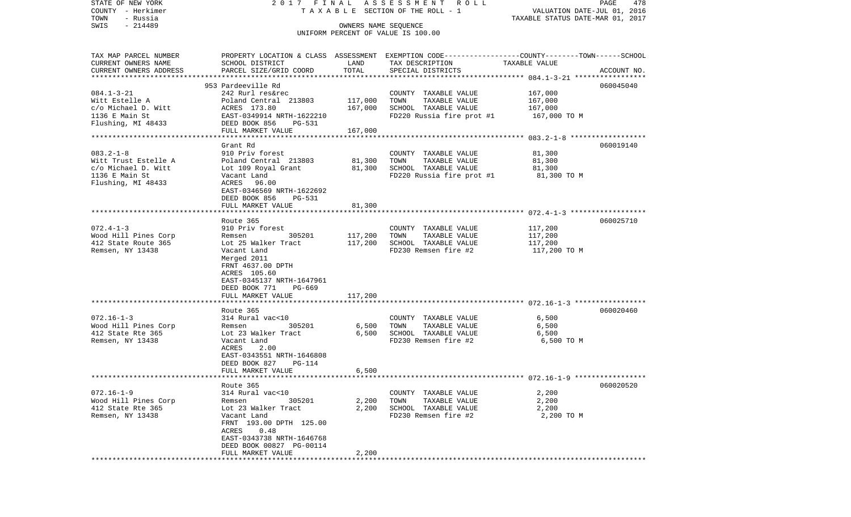| STATE OF NEW YORK                     | 2017 FINAL                                                                                      |                      | ASSESSMENT ROLL                    |                                                                 | PAGE<br>478 |
|---------------------------------------|-------------------------------------------------------------------------------------------------|----------------------|------------------------------------|-----------------------------------------------------------------|-------------|
| COUNTY - Herkimer<br>- Russia<br>TOWN |                                                                                                 |                      | TAXABLE SECTION OF THE ROLL - 1    | VALUATION DATE-JUL 01, 2016<br>TAXABLE STATUS DATE-MAR 01, 2017 |             |
| $-214489$<br>SWIS                     |                                                                                                 | OWNERS NAME SEQUENCE |                                    |                                                                 |             |
|                                       |                                                                                                 |                      | UNIFORM PERCENT OF VALUE IS 100.00 |                                                                 |             |
|                                       |                                                                                                 |                      |                                    |                                                                 |             |
| TAX MAP PARCEL NUMBER                 | PROPERTY LOCATION & CLASS ASSESSMENT EXEMPTION CODE---------------COUNTY-------TOWN------SCHOOL |                      |                                    |                                                                 |             |
| CURRENT OWNERS NAME                   | SCHOOL DISTRICT                                                                                 | LAND                 | TAX DESCRIPTION                    | TAXABLE VALUE                                                   |             |
| CURRENT OWNERS ADDRESS                | PARCEL SIZE/GRID COORD                                                                          | TOTAL                | SPECIAL DISTRICTS                  |                                                                 | ACCOUNT NO. |
|                                       |                                                                                                 |                      |                                    |                                                                 |             |
|                                       | 953 Pardeeville Rd                                                                              |                      |                                    |                                                                 | 060045040   |
| $084.1 - 3 - 21$                      | 242 Rurl res&rec                                                                                |                      | COUNTY TAXABLE VALUE               | 167,000                                                         |             |
| Witt Estelle A                        | Poland Central 213803                                                                           | 117,000              | TAXABLE VALUE<br>TOWN              | 167,000                                                         |             |
| c/o Michael D. Witt                   | ACRES 173.80                                                                                    | 167,000              | SCHOOL TAXABLE VALUE               | 167,000                                                         |             |
| 1136 E Main St                        | EAST-0349914 NRTH-1622210                                                                       |                      | FD220 Russia fire prot #1          | 167,000 TO M                                                    |             |
| Flushing, MI 48433                    | DEED BOOK 856<br>PG-531<br>FULL MARKET VALUE                                                    | 167,000              |                                    |                                                                 |             |
|                                       |                                                                                                 |                      |                                    |                                                                 |             |
|                                       | Grant Rd                                                                                        |                      |                                    |                                                                 | 060019140   |
| $083.2 - 1 - 8$                       | 910 Priv forest                                                                                 |                      | COUNTY TAXABLE VALUE               | 81,300                                                          |             |
| Witt Trust Estelle A                  | Poland Central 213803                                                                           | 81,300               | TOWN<br>TAXABLE VALUE              | 81,300                                                          |             |
| c/o Michael D. Witt                   | Lot 109 Royal Grant                                                                             | 81,300               | SCHOOL TAXABLE VALUE               | 81,300                                                          |             |
| 1136 E Main St                        | Vacant Land                                                                                     |                      | FD220 Russia fire prot #1          | 81,300 TO M                                                     |             |
| Flushing, MI 48433                    | ACRES 96.00                                                                                     |                      |                                    |                                                                 |             |
|                                       | EAST-0346569 NRTH-1622692                                                                       |                      |                                    |                                                                 |             |
|                                       | DEED BOOK 856<br>PG-531                                                                         |                      |                                    |                                                                 |             |
|                                       | FULL MARKET VALUE                                                                               | 81,300               |                                    |                                                                 |             |
|                                       | Route 365                                                                                       |                      |                                    |                                                                 | 060025710   |
| $072.4 - 1 - 3$                       | 910 Priv forest                                                                                 |                      | COUNTY TAXABLE VALUE               | 117,200                                                         |             |
| Wood Hill Pines Corp                  | 305201<br>Remsen                                                                                | 117,200              | TAXABLE VALUE<br>TOWN              | 117,200                                                         |             |
| 412 State Route 365                   | Lot 25 Walker Tract                                                                             | 117,200              | SCHOOL TAXABLE VALUE               | 117,200                                                         |             |
| Remsen, NY 13438                      | Vacant Land                                                                                     |                      | FD230 Remsen fire #2               | 117,200 TO M                                                    |             |
|                                       | Merged 2011                                                                                     |                      |                                    |                                                                 |             |
|                                       | FRNT 4637.00 DPTH                                                                               |                      |                                    |                                                                 |             |
|                                       | ACRES 105.60                                                                                    |                      |                                    |                                                                 |             |
|                                       | EAST-0345137 NRTH-1647961                                                                       |                      |                                    |                                                                 |             |
|                                       | DEED BOOK 771 PG-669<br>FULL MARKET VALUE                                                       | 117,200              |                                    |                                                                 |             |
|                                       |                                                                                                 |                      |                                    |                                                                 |             |
|                                       | Route 365                                                                                       |                      |                                    |                                                                 | 060020460   |
| $072.16 - 1 - 3$                      | 314 Rural vac<10                                                                                |                      | COUNTY TAXABLE VALUE               | 6,500                                                           |             |
| Wood Hill Pines Corp                  | 305201<br>Remsen                                                                                | 6,500                | TOWN<br>TAXABLE VALUE              | 6,500                                                           |             |
| 412 State Rte 365                     | Lot 23 Walker Tract                                                                             | 6,500                | SCHOOL TAXABLE VALUE               | 6,500                                                           |             |
| Remsen, NY 13438                      | Vacant Land                                                                                     |                      | FD230 Remsen fire #2               | 6,500 ТО М                                                      |             |
|                                       | ACRES<br>2.00                                                                                   |                      |                                    |                                                                 |             |
|                                       | EAST-0343551 NRTH-1646808                                                                       |                      |                                    |                                                                 |             |
|                                       | DEED BOOK 827<br>PG-114                                                                         |                      |                                    |                                                                 |             |
|                                       | FULL MARKET VALUE                                                                               | 6,500                |                                    |                                                                 |             |
|                                       | Route 365                                                                                       |                      |                                    |                                                                 | 060020520   |
| $072.16 - 1 - 9$                      | 314 Rural vac<10                                                                                |                      | COUNTY TAXABLE VALUE               | 2,200                                                           |             |
| Wood Hill Pines Corp                  | 305201<br>Remsen                                                                                | 2,200                | TOWN<br>TAXABLE VALUE              | 2,200                                                           |             |
| 412 State Rte 365                     | Lot 23 Walker Tract                                                                             | 2,200                | SCHOOL TAXABLE VALUE               | 2,200                                                           |             |
| Remsen, NY 13438                      | Vacant Land                                                                                     |                      | FD230 Remsen fire #2               | 2,200 TO M                                                      |             |
|                                       | FRNT 193.00 DPTH 125.00                                                                         |                      |                                    |                                                                 |             |
|                                       | 0.48<br>ACRES                                                                                   |                      |                                    |                                                                 |             |
|                                       | EAST-0343738 NRTH-1646768                                                                       |                      |                                    |                                                                 |             |
|                                       | DEED BOOK 00827 PG-00114<br>FULL MARKET VALUE                                                   | 2,200                |                                    |                                                                 |             |
|                                       |                                                                                                 |                      |                                    |                                                                 |             |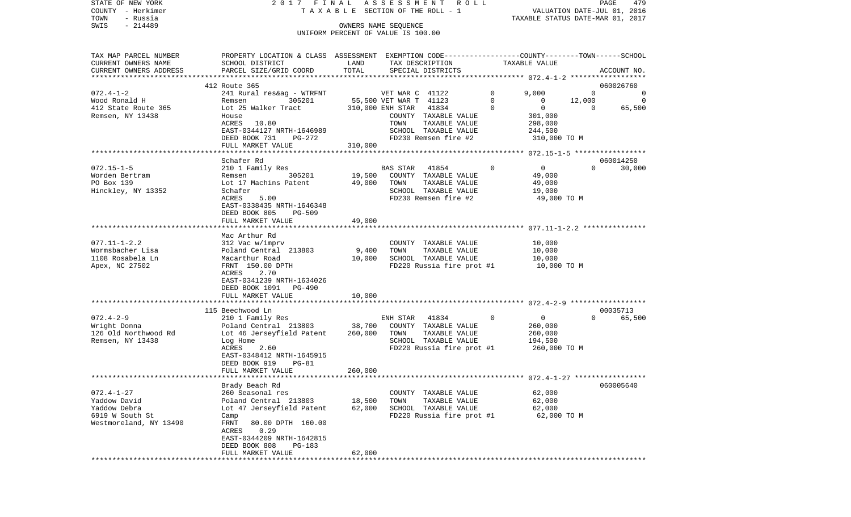| STATE OF NEW YORK<br>COUNTY - Herkimer<br>TOWN<br>- Russia                                    | 2017 FINAL                                                                                                                                                                                             |                           | ASSESSMENT ROLL<br>T A X A B L E SECTION OF THE ROLL - 1                                                                |             | TAXABLE STATUS DATE-MAR 01, 2017                                | VALUATION DATE-JUL 01, 2016 | PAGE<br>479         |
|-----------------------------------------------------------------------------------------------|--------------------------------------------------------------------------------------------------------------------------------------------------------------------------------------------------------|---------------------------|-------------------------------------------------------------------------------------------------------------------------|-------------|-----------------------------------------------------------------|-----------------------------|---------------------|
| SWIS<br>- 214489                                                                              |                                                                                                                                                                                                        |                           | OWNERS NAME SEQUENCE<br>UNIFORM PERCENT OF VALUE IS 100.00                                                              |             |                                                                 |                             |                     |
| TAX MAP PARCEL NUMBER<br>CURRENT OWNERS NAME<br>CURRENT OWNERS ADDRESS                        | PROPERTY LOCATION & CLASS ASSESSMENT EXEMPTION CODE----------------COUNTY-------TOWN------SCHOOL<br>SCHOOL DISTRICT<br>PARCEL SIZE/GRID COORD                                                          | LAND<br>TOTAL             | TAX DESCRIPTION<br>SPECIAL DISTRICTS                                                                                    |             | TAXABLE VALUE                                                   |                             | ACCOUNT NO.         |
|                                                                                               | 412 Route 365                                                                                                                                                                                          |                           |                                                                                                                         |             |                                                                 |                             | 060026760           |
| $072.4 - 1 - 2$                                                                               | 241 Rural res&ag - WTRFNT                                                                                                                                                                              |                           | VET WAR C 41122                                                                                                         | $\circ$     | 9,000                                                           | $\Omega$                    |                     |
| Wood Ronald H                                                                                 | 305201<br>Remsen                                                                                                                                                                                       |                           | 55,500 VET WAR T 41123                                                                                                  | 0           | $\overline{0}$                                                  | 12,000                      | 0                   |
| 412 State Route 365<br>Remsen, NY 13438                                                       | Lot 25 Walker Tract<br>House<br>ACRES<br>10.80<br>EAST-0344127 NRTH-1646989<br>DEED BOOK 731<br>PG-272                                                                                                 |                           | 310,000 ENH STAR 41834<br>COUNTY TAXABLE VALUE<br>TAXABLE VALUE<br>TOWN<br>SCHOOL TAXABLE VALUE<br>FD230 Remsen fire #2 | 0           | $\overline{0}$<br>301,000<br>298,000<br>244,500<br>310,000 TO M | $\overline{0}$              | 65,500              |
|                                                                                               | FULL MARKET VALUE                                                                                                                                                                                      | 310,000                   |                                                                                                                         |             |                                                                 |                             |                     |
|                                                                                               |                                                                                                                                                                                                        |                           |                                                                                                                         |             |                                                                 |                             |                     |
| $072.15 - 1 - 5$<br>Worden Bertram<br>PO Box 139<br>Hinckley, NY 13352                        | Schafer Rd<br>210 1 Family Res<br>305201<br>Remsen<br>Lot 17 Machins Patent<br>Schafer<br>ACRES<br>5.00<br>EAST-0338435 NRTH-1646348<br>DEED BOOK 805<br>PG-509                                        | 19,500<br>49,000          | BAS STAR<br>41854<br>COUNTY TAXABLE VALUE<br>TAXABLE VALUE<br>TOWN<br>SCHOOL TAXABLE VALUE<br>FD230 Remsen fire #2      | $\Omega$    | $\overline{0}$<br>49,000<br>49,000<br>19,000<br>49,000 TO M     | $\Omega$                    | 060014250<br>30,000 |
|                                                                                               | FULL MARKET VALUE<br>*********************                                                                                                                                                             | 49,000                    |                                                                                                                         |             |                                                                 |                             |                     |
| $077.11 - 1 - 2.2$<br>Wormsbacher Lisa<br>1108 Rosabela Ln<br>Apex, NC 27502                  | Mac Arthur Rd<br>312 Vac w/imprv<br>Poland Central 213803<br>Macarthur Road<br>FRNT 150.00 DPTH<br>2.70<br>ACRES<br>EAST-0341239 NRTH-1634026<br>DEED BOOK 1091<br>PG-490<br>FULL MARKET VALUE         | 9,400<br>10,000<br>10,000 | COUNTY TAXABLE VALUE<br>TAXABLE VALUE<br>TOWN<br>SCHOOL TAXABLE VALUE<br>FD220 Russia fire prot #1                      |             | 10,000<br>10,000<br>10,000<br>10,000 TO M                       |                             |                     |
|                                                                                               | *************************                                                                                                                                                                              |                           |                                                                                                                         |             |                                                                 |                             |                     |
| $072.4 - 2 - 9$<br>Wright Donna<br>126 Old Northwood Rd<br>Remsen, NY 13438                   | 115 Beechwood Ln<br>210 1 Family Res<br>Poland Central 213803<br>Lot 46 Jerseyfield Patent<br>Log Home<br>ACRES<br>2.60<br>EAST-0348412 NRTH-1645915<br>DEED BOOK 919<br>PG-81                         | 38,700<br>260,000         | 41834<br>ENH STAR<br>COUNTY TAXABLE VALUE<br>TOWN<br>TAXABLE VALUE<br>SCHOOL TAXABLE VALUE<br>FD220 Russia fire prot #1 | $\mathbf 0$ | $\overline{0}$<br>260,000<br>260,000<br>194,500<br>260,000 TO M | $\Omega$                    | 00035713<br>65,500  |
|                                                                                               | FULL MARKET VALUE                                                                                                                                                                                      | 260,000                   |                                                                                                                         |             |                                                                 |                             |                     |
|                                                                                               |                                                                                                                                                                                                        |                           |                                                                                                                         |             |                                                                 |                             |                     |
| $072.4 - 1 - 27$<br>Yaddow David<br>Yaddow Debra<br>6919 W South St<br>Westmoreland, NY 13490 | Brady Beach Rd<br>260 Seasonal res<br>Poland Central 213803<br>Lot 47 Jerseyfield Patent<br>Camp<br>FRNT<br>80.00 DPTH 160.00<br>0.29<br>ACRES<br>EAST-0344209 NRTH-1642815<br>DEED BOOK 808<br>PG-183 | 18,500<br>62,000          | COUNTY<br>TAXABLE VALUE<br>TOWN<br>TAXABLE VALUE<br>SCHOOL TAXABLE VALUE<br>FD220 Russia fire prot #1                   |             | 62,000<br>62,000<br>62,000<br>62,000 TO M                       |                             | 060005640           |
|                                                                                               | FULL MARKET VALUE                                                                                                                                                                                      | 62,000                    |                                                                                                                         |             |                                                                 |                             |                     |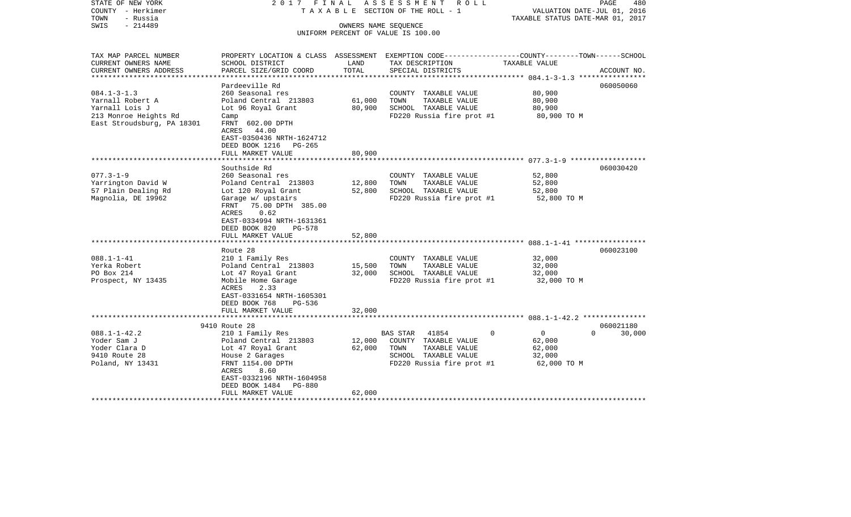| STATE OF NEW YORK<br>COUNTY - Herkimer<br>- Russia<br>TOWN<br>- 214489<br>SWIS | 2017 FINAL                              | OWNERS NAME SEQUENCE | ASSESSMENT ROLL<br>TAXABLE SECTION OF THE ROLL - 1                                              | VALUATION DATE-JUL 01, 2016<br>TAXABLE STATUS DATE-MAR 01, 2017 | PAGE<br>480        |
|--------------------------------------------------------------------------------|-----------------------------------------|----------------------|-------------------------------------------------------------------------------------------------|-----------------------------------------------------------------|--------------------|
|                                                                                |                                         |                      | UNIFORM PERCENT OF VALUE IS 100.00                                                              |                                                                 |                    |
|                                                                                |                                         |                      |                                                                                                 |                                                                 |                    |
| TAX MAP PARCEL NUMBER                                                          |                                         |                      | PROPERTY LOCATION & CLASS ASSESSMENT EXEMPTION CODE---------------COUNTY-------TOWN------SCHOOL |                                                                 |                    |
| CURRENT OWNERS NAME                                                            | SCHOOL DISTRICT                         | LAND                 | TAX DESCRIPTION                                                                                 | TAXABLE VALUE                                                   |                    |
| CURRENT OWNERS ADDRESS                                                         | PARCEL SIZE/GRID COORD                  | TOTAL                | SPECIAL DISTRICTS                                                                               |                                                                 | ACCOUNT NO.        |
|                                                                                | Pardeeville Rd                          |                      |                                                                                                 |                                                                 | 060050060          |
| $084.1 - 3 - 1.3$                                                              | 260 Seasonal res                        |                      | COUNTY TAXABLE VALUE                                                                            | 80,900                                                          |                    |
| Yarnall Robert A                                                               | Poland Central 213803                   | 61,000               | TOWN<br>TAXABLE VALUE                                                                           | 80,900                                                          |                    |
| Yarnall Lois J                                                                 | Lot 96 Royal Grant                      | 80,900               | SCHOOL TAXABLE VALUE                                                                            | 80,900                                                          |                    |
| 213 Monroe Heights Rd                                                          | Camp                                    |                      | FD220 Russia fire prot #1                                                                       | 80,900 TO M                                                     |                    |
| East Stroudsburg, PA 18301                                                     | FRNT 602.00 DPTH                        |                      |                                                                                                 |                                                                 |                    |
|                                                                                | ACRES 44.00                             |                      |                                                                                                 |                                                                 |                    |
|                                                                                | EAST-0350436 NRTH-1624712               |                      |                                                                                                 |                                                                 |                    |
|                                                                                | DEED BOOK 1216 PG-265                   |                      |                                                                                                 |                                                                 |                    |
|                                                                                | FULL MARKET VALUE                       | 80,900               |                                                                                                 |                                                                 |                    |
|                                                                                |                                         |                      |                                                                                                 |                                                                 |                    |
|                                                                                | Southside Rd                            |                      |                                                                                                 |                                                                 | 060030420          |
| $077.3 - 1 - 9$                                                                | 260 Seasonal res                        |                      | COUNTY TAXABLE VALUE                                                                            | 52,800                                                          |                    |
| Yarrington David W                                                             | Poland Central 213803                   | 12,800               | TOWN<br>TAXABLE VALUE                                                                           | 52,800                                                          |                    |
| 57 Plain Dealing Rd                                                            | Lot 120 Royal Grant                     | 52,800               | SCHOOL TAXABLE VALUE                                                                            | 52,800                                                          |                    |
| Magnolia, DE 19962                                                             | Garage w/ upstairs                      |                      | FD220 Russia fire prot #1                                                                       | 52,800 TO M                                                     |                    |
|                                                                                | FRNT 75.00 DPTH 385.00<br>0.62<br>ACRES |                      |                                                                                                 |                                                                 |                    |
|                                                                                | EAST-0334994 NRTH-1631361               |                      |                                                                                                 |                                                                 |                    |
|                                                                                | DEED BOOK 820<br>$PG-578$               |                      |                                                                                                 |                                                                 |                    |
|                                                                                | FULL MARKET VALUE                       | 52,800               |                                                                                                 |                                                                 |                    |
|                                                                                |                                         |                      |                                                                                                 |                                                                 |                    |
|                                                                                | Route 28                                |                      |                                                                                                 |                                                                 | 060023100          |
| $088.1 - 1 - 41$                                                               | 210 1 Family Res                        |                      | COUNTY TAXABLE VALUE                                                                            | 32,000                                                          |                    |
| Yerka Robert                                                                   | Poland Central 213803                   | 15,500               | TAXABLE VALUE<br>TOWN                                                                           | 32,000                                                          |                    |
| PO Box 214                                                                     | Lot 47 Royal Grant                      | 32,000               | SCHOOL TAXABLE VALUE                                                                            | 32,000                                                          |                    |
| Prospect, NY 13435                                                             | Mobile Home Garage                      |                      | FD220 Russia fire prot #1                                                                       | 32,000 TO M                                                     |                    |
|                                                                                | 2.33<br>ACRES                           |                      |                                                                                                 |                                                                 |                    |
|                                                                                | EAST-0331654 NRTH-1605301               |                      |                                                                                                 |                                                                 |                    |
|                                                                                | DEED BOOK 768<br>PG-536                 |                      |                                                                                                 |                                                                 |                    |
|                                                                                | FULL MARKET VALUE                       | 32,000               |                                                                                                 |                                                                 |                    |
|                                                                                |                                         |                      |                                                                                                 |                                                                 |                    |
|                                                                                | 9410 Route 28                           |                      |                                                                                                 |                                                                 | 060021180          |
| $088.1 - 1 - 42.2$                                                             | 210 1 Family Res                        |                      | $\Omega$<br>BAS STAR<br>41854                                                                   | $\overline{0}$                                                  | $\Omega$<br>30,000 |
| Yoder Sam J                                                                    | Poland Central 213803                   | 12,000               | COUNTY TAXABLE VALUE                                                                            | 62,000                                                          |                    |
| Yoder Clara D                                                                  | Lot 47 Royal Grant                      | 62,000               | TOWN<br>TAXABLE VALUE                                                                           | 62,000                                                          |                    |
| 9410 Route 28                                                                  | House 2 Garages                         |                      | SCHOOL TAXABLE VALUE                                                                            | 32,000                                                          |                    |
| Poland, NY 13431                                                               | FRNT 1154.00 DPTH<br>8.60<br>ACRES      |                      | FD220 Russia fire prot #1                                                                       | 62,000 TO M                                                     |                    |
|                                                                                | EAST-0332196 NRTH-1604958               |                      |                                                                                                 |                                                                 |                    |
|                                                                                | DEED BOOK 1484<br>PG-880                |                      |                                                                                                 |                                                                 |                    |
|                                                                                | FULL MARKET VALUE                       | 62,000               |                                                                                                 |                                                                 |                    |
| *********************                                                          |                                         |                      |                                                                                                 |                                                                 |                    |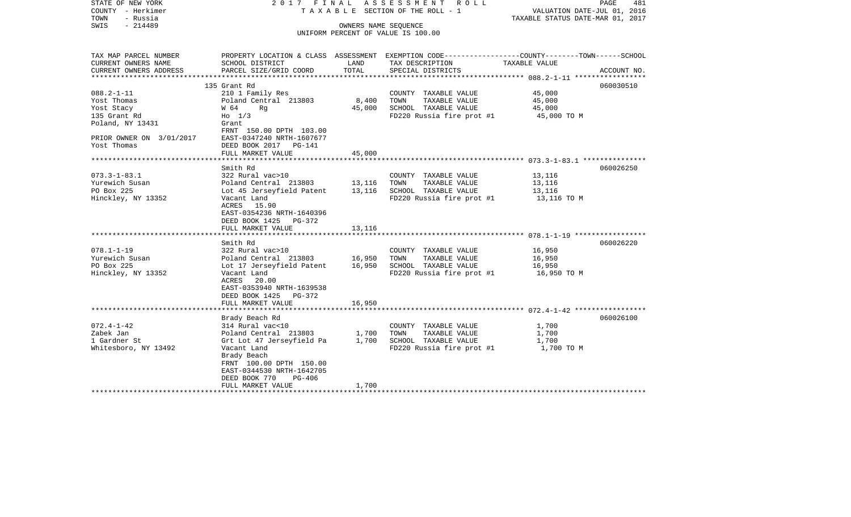| STATE OF NEW YORK<br>COUNTY - Herkimer<br>TOWN<br>- Russia<br>$-214489$<br>SWIS   |                                                                                                                                                                                                                                                                                                                | OWNERS NAME SEOUENCE | 2017 FINAL ASSESSMENT ROLL<br>TAXABLE SECTION OF THE ROLL - 1<br>UNIFORM PERCENT OF VALUE IS 100.00               | VALUATION DATE-JUL 01, 2016<br>TAXABLE STATUS DATE-MAR 01, 2017 | PAGE<br>481 |
|-----------------------------------------------------------------------------------|----------------------------------------------------------------------------------------------------------------------------------------------------------------------------------------------------------------------------------------------------------------------------------------------------------------|----------------------|-------------------------------------------------------------------------------------------------------------------|-----------------------------------------------------------------|-------------|
| TAX MAP PARCEL NUMBER<br>CURRENT OWNERS NAME                                      | SCHOOL DISTRICT                                                                                                                                                                                                                                                                                                | LAND<br>TOTAL        | PROPERTY LOCATION & CLASS ASSESSMENT EXEMPTION CODE---------------COUNTY-------TOWN-----SCHOOL<br>TAX DESCRIPTION | TAXABLE VALUE                                                   |             |
| CURRENT OWNERS ADDRESS                                                            | PARCEL SIZE/GRID COORD                                                                                                                                                                                                                                                                                         |                      | SPECIAL DISTRICTS                                                                                                 |                                                                 | ACCOUNT NO. |
|                                                                                   | 135 Grant Rd                                                                                                                                                                                                                                                                                                   |                      |                                                                                                                   |                                                                 | 060030510   |
| $088.2 - 1 - 11$<br>Yost Thomas<br>Yost Stacy<br>135 Grant Rd<br>Poland, NY 13431 | 210 1 Family Res<br>Poland Central 213803<br>W 64<br>Rg<br>$H_0$ 1/3<br>Grant                                                                                                                                                                                                                                  | 8,400<br>45,000      | COUNTY TAXABLE VALUE<br>TOWN<br>TAXABLE VALUE<br>SCHOOL TAXABLE VALUE<br>FD220 Russia fire prot #1                | 45,000<br>45,000<br>45,000<br>45,000 TO M                       |             |
| PRIOR OWNER ON 3/01/2017<br>Yost Thomas                                           | FRNT 150.00 DPTH 103.00<br>EAST-0347240 NRTH-1607677<br>DEED BOOK 2017    PG-141<br>FULL MARKET VALUE                                                                                                                                                                                                          | 45,000               |                                                                                                                   |                                                                 |             |
|                                                                                   | Smith Rd                                                                                                                                                                                                                                                                                                       |                      |                                                                                                                   |                                                                 | 060026250   |
| $073.3 - 1 - 83.1$<br>Yurewich Susan<br>PO Box 225<br>Hinckley, NY 13352          | 322 Rural vac>10<br>Poland Central 213803 13,116<br>Lot 45 Jerseyfield Patent 13,116 SCHOOL TAXABLE VALUE<br>Vacant Land<br>ACRES 15.90<br>EAST-0354236 NRTH-1640396<br>DEED BOOK 1425 PG-372                                                                                                                  |                      | COUNTY TAXABLE VALUE<br>TOWN<br>TAXABLE VALUE<br>FD220 Russia fire prot #1                                        | 13,116<br>13,116<br>13,116<br>13,116 TO M                       |             |
|                                                                                   | FULL MARKET VALUE                                                                                                                                                                                                                                                                                              | 13,116               |                                                                                                                   |                                                                 |             |
| $078.1 - 1 - 19$<br>Yurewich Susan<br>PO Box 225<br>Hinckley, NY 13352            | Smith Rd<br>322 Rural vac>10<br>Poland Central 213803 16,950<br>Lot 17 Jerseyfield Patent 16,950 SCHOOL TAXABLE VALUE<br>Vacant Land<br>ACRES 20.00<br>EAST-0353940 NRTH-1639538<br>DEED BOOK 1425 PG-372<br>FULL MARKET VALUE                                                                                 | 16,950               | COUNTY TAXABLE VALUE<br>TOWN<br>TAXABLE VALUE<br>FD220 Russia fire prot #1                                        | 16,950<br>16,950<br>16,950<br>16,950 TO M                       | 060026220   |
|                                                                                   |                                                                                                                                                                                                                                                                                                                |                      |                                                                                                                   |                                                                 |             |
| $072.4 - 1 - 42$<br>Zabek Jan<br>1 Gardner St<br>Whitesboro, NY 13492             | Brady Beach Rd<br>314 Rural vac<10<br>$\begin{tabular}{llll} \texttt{Poland Central} & 213803 & & 1,700 \\ \texttt{Grt Lot 47 Jerseyfield Pa} & & 1,700 \end{tabular}$<br>Vacant Land<br>Brady Beach<br>FRNT 100.00 DPTH 150.00<br>EAST-0344530 NRTH-1642705<br>$PG-406$<br>DEED BOOK 770<br>FULL MARKET VALUE | 1,700<br>1,700       | COUNTY TAXABLE VALUE<br>TAXABLE VALUE<br>TOWN<br>SCHOOL TAXABLE VALUE<br>FD220 Russia fire prot #1                | 1,700<br>1,700<br>1,700<br>1,700 TO M                           | 060026100   |
|                                                                                   |                                                                                                                                                                                                                                                                                                                |                      |                                                                                                                   |                                                                 |             |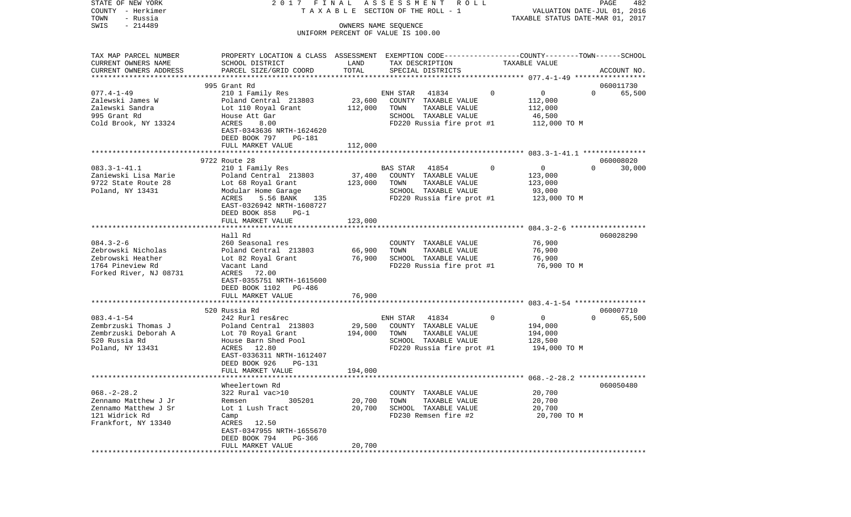| COUNTY<br>– Herkimer                        |                                                                                                |         | T A X A B L E SECTION OF THE ROLL - 1                      |   | VALUATION DATE-JUL 01, 2016         |          |             |
|---------------------------------------------|------------------------------------------------------------------------------------------------|---------|------------------------------------------------------------|---|-------------------------------------|----------|-------------|
| TOWN<br>- Russia                            |                                                                                                |         |                                                            |   | TAXABLE STATUS DATE-MAR 01, 2017    |          |             |
| SWIS<br>$-214489$                           |                                                                                                |         | OWNERS NAME SEQUENCE<br>UNIFORM PERCENT OF VALUE IS 100.00 |   |                                     |          |             |
|                                             |                                                                                                |         |                                                            |   |                                     |          |             |
|                                             |                                                                                                |         |                                                            |   |                                     |          |             |
| TAX MAP PARCEL NUMBER                       | PROPERTY LOCATION & CLASS ASSESSMENT EXEMPTION CODE---------------COUNTY-------TOWN-----SCHOOL |         |                                                            |   |                                     |          |             |
| CURRENT OWNERS NAME                         | SCHOOL DISTRICT                                                                                | LAND    | TAX DESCRIPTION                                            |   | TAXABLE VALUE                       |          |             |
| CURRENT OWNERS ADDRESS                      | PARCEL SIZE/GRID COORD                                                                         | TOTAL   | SPECIAL DISTRICTS                                          |   |                                     |          | ACCOUNT NO. |
|                                             |                                                                                                |         |                                                            |   |                                     |          |             |
|                                             | 995 Grant Rd                                                                                   |         |                                                            |   |                                     |          | 060011730   |
| $077.4 - 1 - 49$                            | 210 1 Family Res                                                                               |         | 41834<br>ENH STAR                                          | 0 | $\overline{0}$                      | $\Omega$ | 65,500      |
| Zalewski James W                            | Poland Central 213803                                                                          | 23,600  | COUNTY TAXABLE VALUE                                       |   | 112,000                             |          |             |
| Zalewski Sandra                             | Lot 110 Royal Grant                                                                            | 112,000 | TAXABLE VALUE<br>TOWN                                      |   | 112,000                             |          |             |
| 995 Grant Rd                                | House Att Gar                                                                                  |         | SCHOOL TAXABLE VALUE                                       |   | 46,500                              |          |             |
| Cold Brook, NY 13324                        | ACRES<br>8.00                                                                                  |         | FD220 Russia fire prot #1                                  |   | 112,000 TO M                        |          |             |
|                                             | EAST-0343636 NRTH-1624620                                                                      |         |                                                            |   |                                     |          |             |
|                                             | DEED BOOK 797<br>PG-181                                                                        |         |                                                            |   |                                     |          |             |
|                                             | FULL MARKET VALUE                                                                              | 112,000 |                                                            |   |                                     |          |             |
|                                             | 9722 Route 28                                                                                  |         |                                                            |   |                                     |          | 060008020   |
| $083.3 - 1 - 41.1$                          | 210 1 Family Res                                                                               |         | 41854<br>BAS STAR                                          | 0 | $\overline{0}$                      | $\Omega$ | 30,000      |
| Zaniewski Lisa Marie                        | Poland Central 213803                                                                          | 37,400  | COUNTY TAXABLE VALUE                                       |   | 123,000                             |          |             |
| 9722 State Route 28                         | Lot 68 Royal Grant                                                                             | 123,000 | TOWN<br>TAXABLE VALUE                                      |   | 123,000                             |          |             |
| Poland, NY 13431                            | Modular Home Garage                                                                            |         | SCHOOL TAXABLE VALUE                                       |   | 93,000                              |          |             |
|                                             | ACRES<br>5.56 BANK<br>135                                                                      |         | FD220 Russia fire prot #1                                  |   | 123,000 TO M                        |          |             |
|                                             | EAST-0326942 NRTH-1608727                                                                      |         |                                                            |   |                                     |          |             |
|                                             | DEED BOOK 858<br>$PG-1$                                                                        |         |                                                            |   |                                     |          |             |
|                                             | FULL MARKET VALUE                                                                              | 123,000 |                                                            |   |                                     |          |             |
|                                             | * * * * * * * * * * * * * * * *                                                                |         |                                                            |   | $084.3 - 2 - 6$ ******************* |          |             |
|                                             | Hall Rd                                                                                        |         |                                                            |   |                                     |          | 060028290   |
| $084.3 - 2 - 6$                             | 260 Seasonal res                                                                               |         | COUNTY TAXABLE VALUE                                       |   | 76,900                              |          |             |
| Zebrowski Nicholas                          | Poland Central 213803                                                                          | 66,900  | TOWN<br>TAXABLE VALUE                                      |   | 76,900                              |          |             |
| Zebrowski Heather                           | Lot 82 Royal Grant                                                                             | 76,900  | SCHOOL TAXABLE VALUE                                       |   | 76,900                              |          |             |
| 1764 Pineview Rd                            | Vacant Land                                                                                    |         | FD220 Russia fire prot #1                                  |   | 76,900 то м                         |          |             |
| Forked River, NJ 08731                      | ACRES 72.00                                                                                    |         |                                                            |   |                                     |          |             |
|                                             | EAST-0355751 NRTH-1615600                                                                      |         |                                                            |   |                                     |          |             |
|                                             | DEED BOOK 1102<br>PG-486                                                                       |         |                                                            |   |                                     |          |             |
|                                             | FULL MARKET VALUE                                                                              | 76,900  |                                                            |   |                                     |          |             |
|                                             |                                                                                                |         |                                                            |   |                                     |          |             |
|                                             | 520 Russia Rd                                                                                  |         |                                                            |   |                                     | $\Omega$ | 060007710   |
| $083.4 - 1 - 54$                            | 242 Rurl res&rec                                                                               |         | ENH STAR<br>41834                                          | 0 | $\overline{0}$                      |          | 65,500      |
| Zembrzuski Thomas J<br>Zembrzuski Deborah A | Poland Central 213803                                                                          | 29,500  | COUNTY TAXABLE VALUE<br>TOWN<br>TAXABLE VALUE              |   | 194,000                             |          |             |
| 520 Russia Rd                               | Lot 70 Royal Grant<br>House Barn Shed Pool                                                     | 194,000 | SCHOOL TAXABLE VALUE                                       |   | 194,000<br>128,500                  |          |             |
| Poland, NY 13431                            | ACRES<br>12.80                                                                                 |         | FD220 Russia fire prot #1                                  |   | 194,000 TO M                        |          |             |
|                                             | EAST-0336311 NRTH-1612407                                                                      |         |                                                            |   |                                     |          |             |
|                                             | DEED BOOK 926<br>PG-131                                                                        |         |                                                            |   |                                     |          |             |
|                                             | FULL MARKET VALUE                                                                              | 194,000 |                                                            |   |                                     |          |             |
|                                             |                                                                                                |         |                                                            |   |                                     |          |             |
|                                             | Wheelertown Rd                                                                                 |         |                                                            |   |                                     |          | 060050480   |
| $068. - 2 - 28.2$                           | 322 Rural vac>10                                                                               |         | COUNTY TAXABLE VALUE                                       |   | 20,700                              |          |             |
| Zennamo Matthew J Jr                        | Remsen<br>305201                                                                               | 20,700  | TOWN<br>TAXABLE VALUE                                      |   | 20,700                              |          |             |
| Zennamo Matthew J Sr                        | Lot 1 Lush Tract                                                                               | 20,700  | SCHOOL TAXABLE VALUE                                       |   | 20,700                              |          |             |
| 121 Widrick Rd                              | Camp                                                                                           |         | FD230 Remsen fire #2                                       |   | 20,700 TO M                         |          |             |
| Frankfort, NY 13340                         | 12.50<br>ACRES                                                                                 |         |                                                            |   |                                     |          |             |
|                                             | EAST-0347955 NRTH-1655670                                                                      |         |                                                            |   |                                     |          |             |
|                                             | DEED BOOK 794<br>PG-366                                                                        |         |                                                            |   |                                     |          |             |
|                                             | FULL MARKET VALUE                                                                              | 20,700  |                                                            |   |                                     |          |             |
|                                             |                                                                                                |         |                                                            |   |                                     |          |             |

PAGE 482

STATE OF NEW YORK 2 0 1 7 F I N A L A S S E S S M E N T R O L L PAGE 482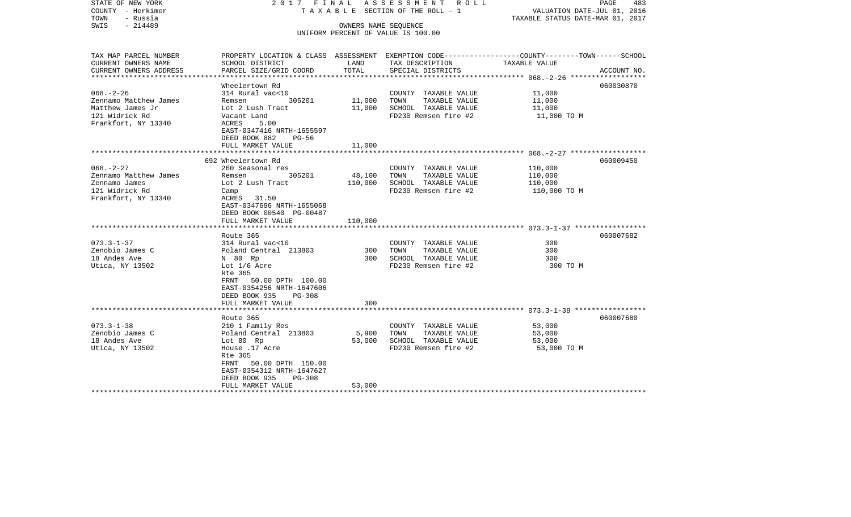| UNIFORM PERCENT OF VALUE IS 100.00<br>TAX MAP PARCEL NUMBER<br>PROPERTY LOCATION & CLASS ASSESSMENT EXEMPTION CODE---------------COUNTY-------TOWN------SCHOOL<br>SCHOOL DISTRICT<br>LAND<br>TAX DESCRIPTION<br>TAXABLE VALUE<br>TOTAL<br>PARCEL SIZE/GRID COORD<br>SPECIAL DISTRICTS<br>ACCOUNT NO.<br>Wheelertown Rd<br>060030870<br>314 Rural vac<10<br>11,000<br>COUNTY TAXABLE VALUE<br>305201<br>11,000<br>TAXABLE VALUE<br>11,000<br>Remsen<br>TOWN<br>SCHOOL TAXABLE VALUE<br>Lot 2 Lush Tract<br>11,000<br>11,000<br>FD230 Remsen fire #2<br>Vacant Land<br>11,000 TO M<br>Frankfort, NY 13340<br>ACRES<br>5.00<br>EAST-0347416 NRTH-1655597<br>DEED BOOK 882<br>PG-56<br>FULL MARKET VALUE<br>11,000<br>692 Wheelertown Rd<br>060009450<br>$068. - 2 - 27$<br>260 Seasonal res<br>COUNTY TAXABLE VALUE<br>110,000<br>305201<br>48,100<br>TOWN<br>TAXABLE VALUE<br>110,000<br>Remsen<br>110,000<br>SCHOOL TAXABLE VALUE<br>Lot 2 Lush Tract<br>110,000<br>FD230 Remsen fire #2<br>Camp<br>110,000 TO M<br>31.50<br>ACRES<br>EAST-0347696 NRTH-1655068<br>DEED BOOK 00540 PG-00487<br>110,000<br>FULL MARKET VALUE<br>060007682<br>Route 365<br>$073.3 - 1 - 37$<br>300<br>314 Rural vac<10<br>COUNTY TAXABLE VALUE<br>Zenobio James C<br>Poland Central 213803<br>300<br>TAXABLE VALUE<br>300<br>TOWN<br>300<br>SCHOOL TAXABLE VALUE<br>300<br>N 80 Rp<br>Lot 1/6 Acre<br>FD230 Remsen fire #2<br>300 TO M<br>Rte 365<br>FRNT 50.00 DPTH 100.00<br>EAST-0354256 NRTH-1647606<br>DEED BOOK 935<br>PG-308<br>FULL MARKET VALUE<br>300<br>Route 365<br>060007680<br>$073.3 - 1 - 38$<br>53,000<br>210 1 Family Res<br>COUNTY TAXABLE VALUE<br>Zenobio James C<br>Poland Central 213803<br>5,900<br>TAXABLE VALUE<br>53,000<br>TOWN<br>18 Andes Ave<br>53,000<br>SCHOOL TAXABLE VALUE<br>53,000<br>Lot 80 Rp<br>House .17 Acre<br>FD230 Remsen fire #2<br>53,000 TO M<br>Rte 365<br>FRNT 50.00 DPTH 150.00<br>EAST-0354312 NRTH-1647627<br>DEED BOOK 935<br>$PG-308$<br>FULL MARKET VALUE<br>53,000 | STATE OF NEW YORK<br>COUNTY - Herkimer<br>TOWN<br>- Russia<br>$-214489$<br>SWIS | 2017 FINAL ASSESSMENT ROLL<br>TAXABLE SECTION OF THE ROLL - 1<br>OWNERS NAME SEQUENCE | PAGE<br>483<br>VALUATION DATE-JUL 01, 2016<br>TAXABLE STATUS DATE-MAR 01, 2017 |  |  |
|----------------------------------------------------------------------------------------------------------------------------------------------------------------------------------------------------------------------------------------------------------------------------------------------------------------------------------------------------------------------------------------------------------------------------------------------------------------------------------------------------------------------------------------------------------------------------------------------------------------------------------------------------------------------------------------------------------------------------------------------------------------------------------------------------------------------------------------------------------------------------------------------------------------------------------------------------------------------------------------------------------------------------------------------------------------------------------------------------------------------------------------------------------------------------------------------------------------------------------------------------------------------------------------------------------------------------------------------------------------------------------------------------------------------------------------------------------------------------------------------------------------------------------------------------------------------------------------------------------------------------------------------------------------------------------------------------------------------------------------------------------------------------------------------------------------------------------------------------------------------------------------------------------------------------------------------------------------------------------------------------------|---------------------------------------------------------------------------------|---------------------------------------------------------------------------------------|--------------------------------------------------------------------------------|--|--|
|                                                                                                                                                                                                                                                                                                                                                                                                                                                                                                                                                                                                                                                                                                                                                                                                                                                                                                                                                                                                                                                                                                                                                                                                                                                                                                                                                                                                                                                                                                                                                                                                                                                                                                                                                                                                                                                                                                                                                                                                          |                                                                                 |                                                                                       |                                                                                |  |  |
|                                                                                                                                                                                                                                                                                                                                                                                                                                                                                                                                                                                                                                                                                                                                                                                                                                                                                                                                                                                                                                                                                                                                                                                                                                                                                                                                                                                                                                                                                                                                                                                                                                                                                                                                                                                                                                                                                                                                                                                                          |                                                                                 |                                                                                       |                                                                                |  |  |
|                                                                                                                                                                                                                                                                                                                                                                                                                                                                                                                                                                                                                                                                                                                                                                                                                                                                                                                                                                                                                                                                                                                                                                                                                                                                                                                                                                                                                                                                                                                                                                                                                                                                                                                                                                                                                                                                                                                                                                                                          | CURRENT OWNERS NAME                                                             |                                                                                       |                                                                                |  |  |
|                                                                                                                                                                                                                                                                                                                                                                                                                                                                                                                                                                                                                                                                                                                                                                                                                                                                                                                                                                                                                                                                                                                                                                                                                                                                                                                                                                                                                                                                                                                                                                                                                                                                                                                                                                                                                                                                                                                                                                                                          | CURRENT OWNERS ADDRESS                                                          |                                                                                       |                                                                                |  |  |
|                                                                                                                                                                                                                                                                                                                                                                                                                                                                                                                                                                                                                                                                                                                                                                                                                                                                                                                                                                                                                                                                                                                                                                                                                                                                                                                                                                                                                                                                                                                                                                                                                                                                                                                                                                                                                                                                                                                                                                                                          |                                                                                 |                                                                                       |                                                                                |  |  |
|                                                                                                                                                                                                                                                                                                                                                                                                                                                                                                                                                                                                                                                                                                                                                                                                                                                                                                                                                                                                                                                                                                                                                                                                                                                                                                                                                                                                                                                                                                                                                                                                                                                                                                                                                                                                                                                                                                                                                                                                          | $068. - 2 - 26$                                                                 |                                                                                       |                                                                                |  |  |
|                                                                                                                                                                                                                                                                                                                                                                                                                                                                                                                                                                                                                                                                                                                                                                                                                                                                                                                                                                                                                                                                                                                                                                                                                                                                                                                                                                                                                                                                                                                                                                                                                                                                                                                                                                                                                                                                                                                                                                                                          | Zennamo Matthew James                                                           |                                                                                       |                                                                                |  |  |
|                                                                                                                                                                                                                                                                                                                                                                                                                                                                                                                                                                                                                                                                                                                                                                                                                                                                                                                                                                                                                                                                                                                                                                                                                                                                                                                                                                                                                                                                                                                                                                                                                                                                                                                                                                                                                                                                                                                                                                                                          | Matthew James Jr                                                                |                                                                                       |                                                                                |  |  |
|                                                                                                                                                                                                                                                                                                                                                                                                                                                                                                                                                                                                                                                                                                                                                                                                                                                                                                                                                                                                                                                                                                                                                                                                                                                                                                                                                                                                                                                                                                                                                                                                                                                                                                                                                                                                                                                                                                                                                                                                          | 121 Widrick Rd                                                                  |                                                                                       |                                                                                |  |  |
|                                                                                                                                                                                                                                                                                                                                                                                                                                                                                                                                                                                                                                                                                                                                                                                                                                                                                                                                                                                                                                                                                                                                                                                                                                                                                                                                                                                                                                                                                                                                                                                                                                                                                                                                                                                                                                                                                                                                                                                                          |                                                                                 |                                                                                       |                                                                                |  |  |
|                                                                                                                                                                                                                                                                                                                                                                                                                                                                                                                                                                                                                                                                                                                                                                                                                                                                                                                                                                                                                                                                                                                                                                                                                                                                                                                                                                                                                                                                                                                                                                                                                                                                                                                                                                                                                                                                                                                                                                                                          |                                                                                 |                                                                                       |                                                                                |  |  |
|                                                                                                                                                                                                                                                                                                                                                                                                                                                                                                                                                                                                                                                                                                                                                                                                                                                                                                                                                                                                                                                                                                                                                                                                                                                                                                                                                                                                                                                                                                                                                                                                                                                                                                                                                                                                                                                                                                                                                                                                          |                                                                                 |                                                                                       |                                                                                |  |  |
|                                                                                                                                                                                                                                                                                                                                                                                                                                                                                                                                                                                                                                                                                                                                                                                                                                                                                                                                                                                                                                                                                                                                                                                                                                                                                                                                                                                                                                                                                                                                                                                                                                                                                                                                                                                                                                                                                                                                                                                                          |                                                                                 |                                                                                       |                                                                                |  |  |
|                                                                                                                                                                                                                                                                                                                                                                                                                                                                                                                                                                                                                                                                                                                                                                                                                                                                                                                                                                                                                                                                                                                                                                                                                                                                                                                                                                                                                                                                                                                                                                                                                                                                                                                                                                                                                                                                                                                                                                                                          |                                                                                 |                                                                                       |                                                                                |  |  |
|                                                                                                                                                                                                                                                                                                                                                                                                                                                                                                                                                                                                                                                                                                                                                                                                                                                                                                                                                                                                                                                                                                                                                                                                                                                                                                                                                                                                                                                                                                                                                                                                                                                                                                                                                                                                                                                                                                                                                                                                          |                                                                                 |                                                                                       |                                                                                |  |  |
|                                                                                                                                                                                                                                                                                                                                                                                                                                                                                                                                                                                                                                                                                                                                                                                                                                                                                                                                                                                                                                                                                                                                                                                                                                                                                                                                                                                                                                                                                                                                                                                                                                                                                                                                                                                                                                                                                                                                                                                                          | Zennamo Matthew James                                                           |                                                                                       |                                                                                |  |  |
|                                                                                                                                                                                                                                                                                                                                                                                                                                                                                                                                                                                                                                                                                                                                                                                                                                                                                                                                                                                                                                                                                                                                                                                                                                                                                                                                                                                                                                                                                                                                                                                                                                                                                                                                                                                                                                                                                                                                                                                                          | Zennamo James                                                                   |                                                                                       |                                                                                |  |  |
|                                                                                                                                                                                                                                                                                                                                                                                                                                                                                                                                                                                                                                                                                                                                                                                                                                                                                                                                                                                                                                                                                                                                                                                                                                                                                                                                                                                                                                                                                                                                                                                                                                                                                                                                                                                                                                                                                                                                                                                                          | 121 Widrick Rd                                                                  |                                                                                       |                                                                                |  |  |
|                                                                                                                                                                                                                                                                                                                                                                                                                                                                                                                                                                                                                                                                                                                                                                                                                                                                                                                                                                                                                                                                                                                                                                                                                                                                                                                                                                                                                                                                                                                                                                                                                                                                                                                                                                                                                                                                                                                                                                                                          | Frankfort, NY 13340                                                             |                                                                                       |                                                                                |  |  |
|                                                                                                                                                                                                                                                                                                                                                                                                                                                                                                                                                                                                                                                                                                                                                                                                                                                                                                                                                                                                                                                                                                                                                                                                                                                                                                                                                                                                                                                                                                                                                                                                                                                                                                                                                                                                                                                                                                                                                                                                          |                                                                                 |                                                                                       |                                                                                |  |  |
|                                                                                                                                                                                                                                                                                                                                                                                                                                                                                                                                                                                                                                                                                                                                                                                                                                                                                                                                                                                                                                                                                                                                                                                                                                                                                                                                                                                                                                                                                                                                                                                                                                                                                                                                                                                                                                                                                                                                                                                                          |                                                                                 |                                                                                       |                                                                                |  |  |
|                                                                                                                                                                                                                                                                                                                                                                                                                                                                                                                                                                                                                                                                                                                                                                                                                                                                                                                                                                                                                                                                                                                                                                                                                                                                                                                                                                                                                                                                                                                                                                                                                                                                                                                                                                                                                                                                                                                                                                                                          |                                                                                 |                                                                                       |                                                                                |  |  |
|                                                                                                                                                                                                                                                                                                                                                                                                                                                                                                                                                                                                                                                                                                                                                                                                                                                                                                                                                                                                                                                                                                                                                                                                                                                                                                                                                                                                                                                                                                                                                                                                                                                                                                                                                                                                                                                                                                                                                                                                          |                                                                                 |                                                                                       |                                                                                |  |  |
|                                                                                                                                                                                                                                                                                                                                                                                                                                                                                                                                                                                                                                                                                                                                                                                                                                                                                                                                                                                                                                                                                                                                                                                                                                                                                                                                                                                                                                                                                                                                                                                                                                                                                                                                                                                                                                                                                                                                                                                                          |                                                                                 |                                                                                       |                                                                                |  |  |
|                                                                                                                                                                                                                                                                                                                                                                                                                                                                                                                                                                                                                                                                                                                                                                                                                                                                                                                                                                                                                                                                                                                                                                                                                                                                                                                                                                                                                                                                                                                                                                                                                                                                                                                                                                                                                                                                                                                                                                                                          |                                                                                 |                                                                                       |                                                                                |  |  |
|                                                                                                                                                                                                                                                                                                                                                                                                                                                                                                                                                                                                                                                                                                                                                                                                                                                                                                                                                                                                                                                                                                                                                                                                                                                                                                                                                                                                                                                                                                                                                                                                                                                                                                                                                                                                                                                                                                                                                                                                          | 18 Andes Ave                                                                    |                                                                                       |                                                                                |  |  |
|                                                                                                                                                                                                                                                                                                                                                                                                                                                                                                                                                                                                                                                                                                                                                                                                                                                                                                                                                                                                                                                                                                                                                                                                                                                                                                                                                                                                                                                                                                                                                                                                                                                                                                                                                                                                                                                                                                                                                                                                          | Utica, NY 13502                                                                 |                                                                                       |                                                                                |  |  |
|                                                                                                                                                                                                                                                                                                                                                                                                                                                                                                                                                                                                                                                                                                                                                                                                                                                                                                                                                                                                                                                                                                                                                                                                                                                                                                                                                                                                                                                                                                                                                                                                                                                                                                                                                                                                                                                                                                                                                                                                          |                                                                                 |                                                                                       |                                                                                |  |  |
|                                                                                                                                                                                                                                                                                                                                                                                                                                                                                                                                                                                                                                                                                                                                                                                                                                                                                                                                                                                                                                                                                                                                                                                                                                                                                                                                                                                                                                                                                                                                                                                                                                                                                                                                                                                                                                                                                                                                                                                                          |                                                                                 |                                                                                       |                                                                                |  |  |
|                                                                                                                                                                                                                                                                                                                                                                                                                                                                                                                                                                                                                                                                                                                                                                                                                                                                                                                                                                                                                                                                                                                                                                                                                                                                                                                                                                                                                                                                                                                                                                                                                                                                                                                                                                                                                                                                                                                                                                                                          |                                                                                 |                                                                                       |                                                                                |  |  |
|                                                                                                                                                                                                                                                                                                                                                                                                                                                                                                                                                                                                                                                                                                                                                                                                                                                                                                                                                                                                                                                                                                                                                                                                                                                                                                                                                                                                                                                                                                                                                                                                                                                                                                                                                                                                                                                                                                                                                                                                          |                                                                                 |                                                                                       |                                                                                |  |  |
|                                                                                                                                                                                                                                                                                                                                                                                                                                                                                                                                                                                                                                                                                                                                                                                                                                                                                                                                                                                                                                                                                                                                                                                                                                                                                                                                                                                                                                                                                                                                                                                                                                                                                                                                                                                                                                                                                                                                                                                                          |                                                                                 |                                                                                       |                                                                                |  |  |
|                                                                                                                                                                                                                                                                                                                                                                                                                                                                                                                                                                                                                                                                                                                                                                                                                                                                                                                                                                                                                                                                                                                                                                                                                                                                                                                                                                                                                                                                                                                                                                                                                                                                                                                                                                                                                                                                                                                                                                                                          |                                                                                 |                                                                                       |                                                                                |  |  |
|                                                                                                                                                                                                                                                                                                                                                                                                                                                                                                                                                                                                                                                                                                                                                                                                                                                                                                                                                                                                                                                                                                                                                                                                                                                                                                                                                                                                                                                                                                                                                                                                                                                                                                                                                                                                                                                                                                                                                                                                          |                                                                                 |                                                                                       |                                                                                |  |  |
|                                                                                                                                                                                                                                                                                                                                                                                                                                                                                                                                                                                                                                                                                                                                                                                                                                                                                                                                                                                                                                                                                                                                                                                                                                                                                                                                                                                                                                                                                                                                                                                                                                                                                                                                                                                                                                                                                                                                                                                                          |                                                                                 |                                                                                       |                                                                                |  |  |
|                                                                                                                                                                                                                                                                                                                                                                                                                                                                                                                                                                                                                                                                                                                                                                                                                                                                                                                                                                                                                                                                                                                                                                                                                                                                                                                                                                                                                                                                                                                                                                                                                                                                                                                                                                                                                                                                                                                                                                                                          |                                                                                 |                                                                                       |                                                                                |  |  |
|                                                                                                                                                                                                                                                                                                                                                                                                                                                                                                                                                                                                                                                                                                                                                                                                                                                                                                                                                                                                                                                                                                                                                                                                                                                                                                                                                                                                                                                                                                                                                                                                                                                                                                                                                                                                                                                                                                                                                                                                          | Utica, NY 13502                                                                 |                                                                                       |                                                                                |  |  |
|                                                                                                                                                                                                                                                                                                                                                                                                                                                                                                                                                                                                                                                                                                                                                                                                                                                                                                                                                                                                                                                                                                                                                                                                                                                                                                                                                                                                                                                                                                                                                                                                                                                                                                                                                                                                                                                                                                                                                                                                          |                                                                                 |                                                                                       |                                                                                |  |  |
|                                                                                                                                                                                                                                                                                                                                                                                                                                                                                                                                                                                                                                                                                                                                                                                                                                                                                                                                                                                                                                                                                                                                                                                                                                                                                                                                                                                                                                                                                                                                                                                                                                                                                                                                                                                                                                                                                                                                                                                                          |                                                                                 |                                                                                       |                                                                                |  |  |
|                                                                                                                                                                                                                                                                                                                                                                                                                                                                                                                                                                                                                                                                                                                                                                                                                                                                                                                                                                                                                                                                                                                                                                                                                                                                                                                                                                                                                                                                                                                                                                                                                                                                                                                                                                                                                                                                                                                                                                                                          |                                                                                 |                                                                                       |                                                                                |  |  |
|                                                                                                                                                                                                                                                                                                                                                                                                                                                                                                                                                                                                                                                                                                                                                                                                                                                                                                                                                                                                                                                                                                                                                                                                                                                                                                                                                                                                                                                                                                                                                                                                                                                                                                                                                                                                                                                                                                                                                                                                          |                                                                                 |                                                                                       |                                                                                |  |  |
|                                                                                                                                                                                                                                                                                                                                                                                                                                                                                                                                                                                                                                                                                                                                                                                                                                                                                                                                                                                                                                                                                                                                                                                                                                                                                                                                                                                                                                                                                                                                                                                                                                                                                                                                                                                                                                                                                                                                                                                                          |                                                                                 |                                                                                       |                                                                                |  |  |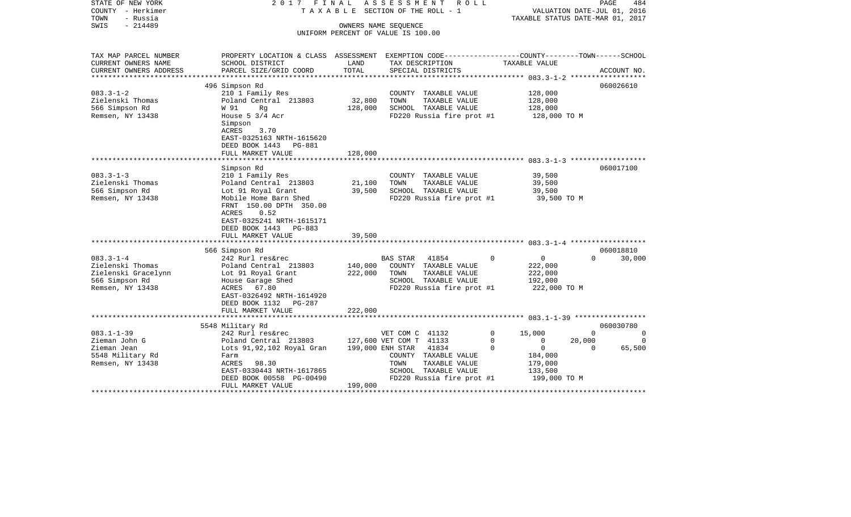| STATE OF NEW YORK<br>COUNTY - Herkimer<br>- Russia<br>TOWN<br>$-214489$<br>SWIS | 2017 FINAL<br>ASSESSMENT<br>ROLL<br>PAGE<br>T A X A B L E SECTION OF THE ROLL - 1<br>VALUATION DATE-JUL 01, 2016<br>TAXABLE STATUS DATE-MAR 01, 2017<br>OWNERS NAME SEQUENCE<br>UNIFORM PERCENT OF VALUE IS 100.00 |                    |                                               |                               | 484      |             |
|---------------------------------------------------------------------------------|--------------------------------------------------------------------------------------------------------------------------------------------------------------------------------------------------------------------|--------------------|-----------------------------------------------|-------------------------------|----------|-------------|
| TAX MAP PARCEL NUMBER<br>CURRENT OWNERS NAME                                    | PROPERTY LOCATION & CLASS ASSESSMENT EXEMPTION CODE----------------COUNTY-------TOWN------SCHOOL<br>SCHOOL DISTRICT                                                                                                | LAND               | TAX DESCRIPTION                               | TAXABLE VALUE                 |          |             |
| CURRENT OWNERS ADDRESS                                                          | PARCEL SIZE/GRID COORD                                                                                                                                                                                             | TOTAL              | SPECIAL DISTRICTS                             |                               |          | ACCOUNT NO. |
| ********************                                                            | *****************************<br>496 Simpson Rd                                                                                                                                                                    |                    |                                               |                               |          | 060026610   |
| $083.3 - 1 - 2$                                                                 | 210 1 Family Res                                                                                                                                                                                                   |                    | COUNTY TAXABLE VALUE                          | 128,000                       |          |             |
| Zielenski Thomas                                                                | Poland Central 213803                                                                                                                                                                                              | 32,800             | TOWN<br>TAXABLE VALUE                         | 128,000                       |          |             |
| 566 Simpson Rd                                                                  | W 91<br>Rq                                                                                                                                                                                                         | 128,000            | SCHOOL TAXABLE VALUE                          | 128,000                       |          |             |
| Remsen, NY 13438                                                                | House $5 \frac{3}{4}$ Acr<br>Simpson                                                                                                                                                                               |                    | FD220 Russia fire prot #1                     | 128,000 TO M                  |          |             |
|                                                                                 | ACRES<br>3.70<br>EAST-0325163 NRTH-1615620<br>DEED BOOK 1443 PG-881<br>FULL MARKET VALUE                                                                                                                           | 128,000            |                                               |                               |          |             |
|                                                                                 |                                                                                                                                                                                                                    |                    |                                               |                               |          |             |
|                                                                                 | Simpson Rd                                                                                                                                                                                                         |                    |                                               |                               |          | 060017100   |
| $083.3 - 1 - 3$                                                                 | 210 1 Family Res                                                                                                                                                                                                   |                    | COUNTY TAXABLE VALUE                          | 39,500                        |          |             |
| Zielenski Thomas                                                                | Poland Central 213803                                                                                                                                                                                              | 21,100             | TAXABLE VALUE<br>TOWN                         | 39,500                        |          |             |
| 566 Simpson Rd                                                                  | Lot 91 Royal Grant                                                                                                                                                                                                 | 39,500             | SCHOOL TAXABLE VALUE                          | 39,500                        |          |             |
| Remsen, NY 13438                                                                | Mobile Home Barn Shed<br>FRNT 150.00 DPTH 350.00<br>ACRES<br>0.52<br>EAST-0325241 NRTH-1615171<br>DEED BOOK 1443 PG-883<br>FULL MARKET VALUE                                                                       | 39,500             | FD220 Russia fire prot #1                     | 39,500 TO M                   |          |             |
|                                                                                 |                                                                                                                                                                                                                    |                    |                                               |                               |          |             |
|                                                                                 | 566 Simpson Rd                                                                                                                                                                                                     |                    |                                               |                               |          | 060018810   |
| $083.3 - 1 - 4$                                                                 | 242 Rurl res&rec                                                                                                                                                                                                   |                    | <b>BAS STAR</b><br>41854                      | $\overline{0}$<br>$\mathbf 0$ | $\Omega$ | 30,000      |
| Zielenski Thomas                                                                | Poland Central 213803                                                                                                                                                                                              | 140,000<br>222,000 | COUNTY TAXABLE VALUE<br>TOWN<br>TAXABLE VALUE | 222,000                       |          |             |
| Zielenski Gracelynn<br>566 Simpson Rd                                           | Lot 91 Royal Grant<br>House Garage Shed                                                                                                                                                                            |                    | SCHOOL TAXABLE VALUE                          | 222,000<br>192,000            |          |             |
| Remsen, NY 13438                                                                | ACRES 67.80                                                                                                                                                                                                        |                    | FD220 Russia fire prot #1                     | 222,000 TO M                  |          |             |
|                                                                                 | EAST-0326492 NRTH-1614920<br>DEED BOOK 1132 PG-287                                                                                                                                                                 |                    |                                               |                               |          |             |
|                                                                                 | FULL MARKET VALUE                                                                                                                                                                                                  | 222,000            |                                               |                               |          |             |
|                                                                                 | 5548 Military Rd                                                                                                                                                                                                   |                    |                                               |                               |          | 060030780   |
| $083.1 - 1 - 39$                                                                | 242 Rurl res&rec                                                                                                                                                                                                   |                    | VET COM C 41132                               | $\mathbf 0$<br>15,000         | 0        | 0           |
| Zieman John G                                                                   | Poland Central 213803                                                                                                                                                                                              |                    | 127,600 VET COM T 41133                       | $\Omega$<br>$\Omega$          | 20,000   | $\Omega$    |
| Zieman Jean                                                                     | Lots 91,92,102 Royal Gran                                                                                                                                                                                          |                    | 199,000 ENH STAR<br>41834                     | $\mathbf 0$<br>$\Omega$       | $\Omega$ | 65,500      |
| 5548 Military Rd                                                                | Farm                                                                                                                                                                                                               |                    | COUNTY TAXABLE VALUE                          | 184,000                       |          |             |
| Remsen, NY 13438                                                                | ACRES<br>98.30                                                                                                                                                                                                     |                    | TOWN<br>TAXABLE VALUE                         | 179,000                       |          |             |
|                                                                                 | EAST-0330443 NRTH-1617865                                                                                                                                                                                          |                    | SCHOOL TAXABLE VALUE                          | 133,500                       |          |             |
|                                                                                 | DEED BOOK 00558 PG-00490<br>FULL MARKET VALUE                                                                                                                                                                      | 199,000            | FD220 Russia fire prot #1                     | 199,000 TO M                  |          |             |
|                                                                                 |                                                                                                                                                                                                                    |                    |                                               |                               |          |             |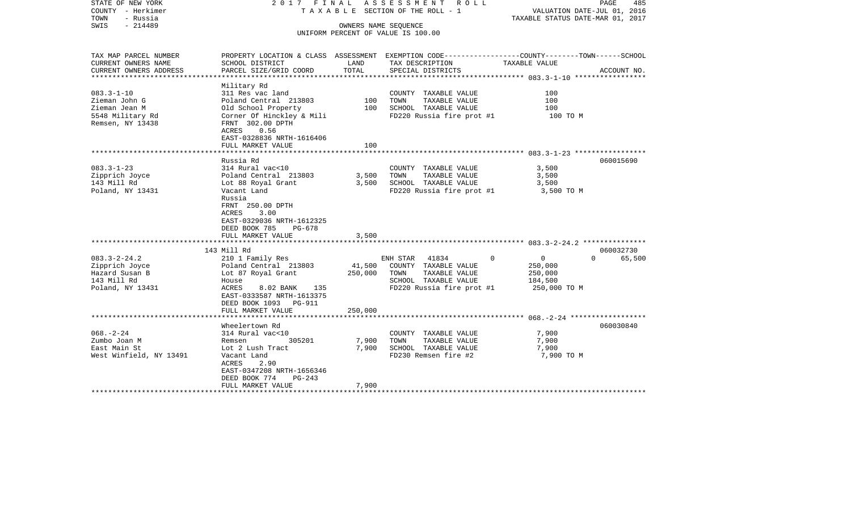| STATE OF NEW YORK<br>COUNTY - Herkimer<br>TOWN<br>- Russia<br>$-214489$<br>SWIS            |                                                                                                                                                                                                                                |                         | 2017 FINAL ASSESSMENT ROLL<br>T A X A B L E SECTION OF THE ROLL - 1<br>OWNERS NAME SEQUENCE                                      | PAGE<br>485<br>VALUATION DATE-JUL 01, 2016<br>TAXABLE STATUS DATE-MAR 01, 2017                                   |  |  |
|--------------------------------------------------------------------------------------------|--------------------------------------------------------------------------------------------------------------------------------------------------------------------------------------------------------------------------------|-------------------------|----------------------------------------------------------------------------------------------------------------------------------|------------------------------------------------------------------------------------------------------------------|--|--|
|                                                                                            |                                                                                                                                                                                                                                |                         | UNIFORM PERCENT OF VALUE IS 100.00                                                                                               |                                                                                                                  |  |  |
| TAX MAP PARCEL NUMBER<br>CURRENT OWNERS NAME                                               | SCHOOL DISTRICT                                                                                                                                                                                                                | LAND                    | TAX DESCRIPTION                                                                                                                  | PROPERTY LOCATION & CLASS ASSESSMENT EXEMPTION CODE---------------COUNTY-------TOWN------SCHOOL<br>TAXABLE VALUE |  |  |
| CURRENT OWNERS ADDRESS<br>*****************                                                | PARCEL SIZE/GRID COORD                                                                                                                                                                                                         | TOTAL                   | SPECIAL DISTRICTS                                                                                                                | ACCOUNT NO.                                                                                                      |  |  |
| $083.3 - 1 - 10$<br>Zieman John G<br>Zieman Jean M<br>5548 Military Rd<br>Remsen, NY 13438 | Military Rd<br>311 Res vac land<br>Poland Central 213803<br>Old School Property<br>Corner Of Hinckley & Mili<br>FRNT 302.00 DPTH<br>ACRES<br>0.56<br>EAST-0328836 NRTH-1616406<br>FULL MARKET VALUE                            | 100<br>100<br>100       | COUNTY TAXABLE VALUE<br>TAXABLE VALUE<br>TOWN<br>SCHOOL TAXABLE VALUE<br>FD220 Russia fire prot #1                               | 100<br>100<br>100<br>100 TO M                                                                                    |  |  |
|                                                                                            |                                                                                                                                                                                                                                |                         |                                                                                                                                  |                                                                                                                  |  |  |
| $083.3 - 1 - 23$<br>Zipprich Joyce<br>143 Mill Rd<br>Poland, NY 13431                      | Russia Rd<br>314 Rural vac<10<br>Poland Central 213803<br>Lot 88 Royal Grant<br>Vacant Land<br>Russia<br>FRNT 250.00 DPTH<br><b>ACRES</b><br>3.00<br>EAST-0329036 NRTH-1612325<br>DEED BOOK 785<br>PG-678<br>FULL MARKET VALUE | 3,500<br>3,500<br>3,500 | COUNTY TAXABLE VALUE<br>TOWN<br>TAXABLE VALUE<br>SCHOOL TAXABLE VALUE<br>FD220 Russia fire prot #1                               | 060015690<br>3,500<br>3,500<br>3,500<br>3,500 TO M                                                               |  |  |
|                                                                                            | 143 Mill Rd                                                                                                                                                                                                                    |                         |                                                                                                                                  | 060032730                                                                                                        |  |  |
| $083.3 - 2 - 24.2$<br>Zipprich Joyce<br>Hazard Susan B<br>143 Mill Rd<br>Poland, NY 13431  | 210 1 Family Res<br>Poland Central 213803<br>Lot 87 Royal Grant<br>House<br>ACRES<br>8.02 BANK<br>135<br>EAST-0333587 NRTH-1613375<br>DEED BOOK 1093 PG-911                                                                    | 41,500<br>250,000       | ENH STAR 41834<br>$\Omega$<br>COUNTY TAXABLE VALUE<br>TOWN<br>TAXABLE VALUE<br>SCHOOL TAXABLE VALUE<br>FD220 Russia fire prot #1 | $\overline{0}$<br>$\Omega$<br>65,500<br>250,000<br>250,000<br>184,500<br>250,000 TO M                            |  |  |
|                                                                                            | FULL MARKET VALUE                                                                                                                                                                                                              | 250,000                 |                                                                                                                                  |                                                                                                                  |  |  |
| $068. - 2 - 24$<br>Zumbo Joan M<br>East Main St<br>West Winfield, NY 13491                 | Wheelertown Rd<br>314 Rural vac<10<br>305201<br>Remsen<br>Lot 2 Lush Tract<br>Vacant Land<br>ACRES<br>2.90<br>EAST-0347208 NRTH-1656346<br>DEED BOOK 774<br>$PG-243$                                                           | 7,900<br>7,900          | COUNTY TAXABLE VALUE<br>TAXABLE VALUE<br>TOWN<br>SCHOOL TAXABLE VALUE<br>FD230 Remsen fire #2                                    | 060030840<br>7,900<br>7,900<br>7,900<br>7,900 TO M                                                               |  |  |
|                                                                                            | FULL MARKET VALUE<br>************************                                                                                                                                                                                  | 7,900                   |                                                                                                                                  |                                                                                                                  |  |  |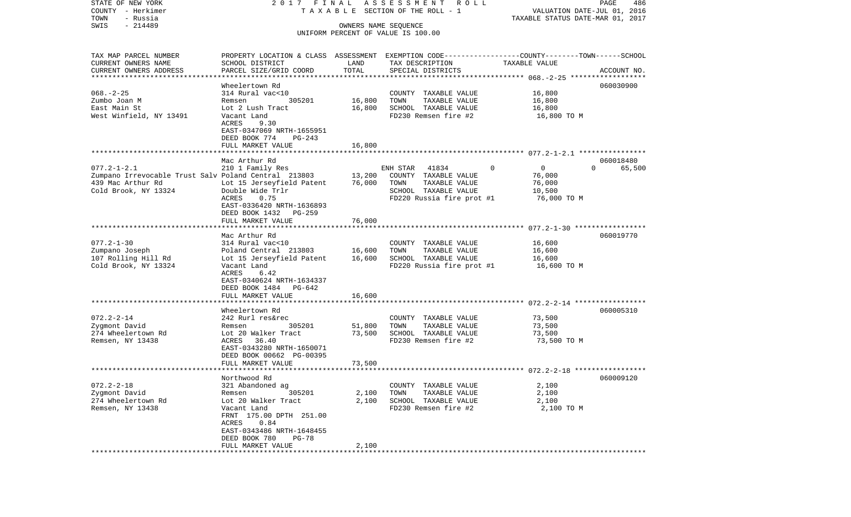| COUNTY - Herkimer<br>TOWN<br>- Russia                | T A X A B L E SECTION OF THE ROLL - 1                                                                              | VALUATION DATE-JUL 01, 2016<br>TAXABLE STATUS DATE-MAR 01, 2017 |                                               |                          |                    |
|------------------------------------------------------|--------------------------------------------------------------------------------------------------------------------|-----------------------------------------------------------------|-----------------------------------------------|--------------------------|--------------------|
| $-214489$<br>SWIS                                    |                                                                                                                    |                                                                 |                                               |                          |                    |
|                                                      |                                                                                                                    | OWNERS NAME SEQUENCE                                            | UNIFORM PERCENT OF VALUE IS 100.00            |                          |                    |
|                                                      |                                                                                                                    |                                                                 |                                               |                          |                    |
|                                                      |                                                                                                                    |                                                                 |                                               |                          |                    |
| TAX MAP PARCEL NUMBER<br>CURRENT OWNERS NAME         | PROPERTY LOCATION & CLASS ASSESSMENT EXEMPTION CODE---------------COUNTY-------TOWN------SCHOOL<br>SCHOOL DISTRICT | LAND                                                            | TAX DESCRIPTION                               | TAXABLE VALUE            |                    |
| CURRENT OWNERS ADDRESS                               | PARCEL SIZE/GRID COORD                                                                                             | TOTAL                                                           | SPECIAL DISTRICTS                             |                          | ACCOUNT NO.        |
|                                                      | **********************                                                                                             |                                                                 |                                               |                          |                    |
|                                                      | Wheelertown Rd                                                                                                     |                                                                 |                                               |                          | 060030900          |
| $068. - 2 - 25$                                      | 314 Rural vac<10                                                                                                   |                                                                 | COUNTY TAXABLE VALUE                          | 16,800                   |                    |
| Zumbo Joan M                                         | 305201<br>Remsen                                                                                                   | 16,800                                                          | TOWN<br>TAXABLE VALUE                         | 16,800                   |                    |
| East Main St                                         | Lot 2 Lush Tract                                                                                                   | 16,800                                                          | SCHOOL TAXABLE VALUE                          | 16,800                   |                    |
| West Winfield, NY 13491                              | Vacant Land                                                                                                        |                                                                 | FD230 Remsen fire #2                          | 16,800 TO M              |                    |
|                                                      | 9.30<br>ACRES                                                                                                      |                                                                 |                                               |                          |                    |
|                                                      | EAST-0347069 NRTH-1655951                                                                                          |                                                                 |                                               |                          |                    |
|                                                      | DEED BOOK 774<br>PG-243                                                                                            |                                                                 |                                               |                          |                    |
|                                                      | FULL MARKET VALUE                                                                                                  | 16,800                                                          |                                               |                          |                    |
|                                                      |                                                                                                                    |                                                                 |                                               |                          |                    |
|                                                      | Mac Arthur Rd                                                                                                      |                                                                 |                                               |                          | 060018480          |
| $077.2 - 1 - 2.1$                                    | 210 1 Family Res                                                                                                   |                                                                 | 41834<br>ENH STAR                             | $\mathbf{0}$<br>$\Omega$ | $\Omega$<br>65,500 |
| Zumpano Irrevocable Trust Salv Poland Central 213803 |                                                                                                                    | 13,200                                                          | COUNTY TAXABLE VALUE                          | 76,000                   |                    |
| 439 Mac Arthur Rd<br>Cold Brook, NY 13324            | Lot 15 Jerseyfield Patent<br>Double Wide Trlr                                                                      | 76,000                                                          | TOWN<br>TAXABLE VALUE<br>SCHOOL TAXABLE VALUE | 76,000<br>10,500         |                    |
|                                                      | ACRES<br>0.75                                                                                                      |                                                                 | FD220 Russia fire prot #1                     | 76,000 TO M              |                    |
|                                                      | EAST-0336420 NRTH-1636893                                                                                          |                                                                 |                                               |                          |                    |
|                                                      | DEED BOOK 1432<br>PG-259                                                                                           |                                                                 |                                               |                          |                    |
|                                                      | FULL MARKET VALUE                                                                                                  | 76,000                                                          |                                               |                          |                    |
|                                                      |                                                                                                                    |                                                                 |                                               |                          |                    |
|                                                      | Mac Arthur Rd                                                                                                      |                                                                 |                                               |                          | 060019770          |
| $077.2 - 1 - 30$                                     | 314 Rural vac<10                                                                                                   |                                                                 | COUNTY TAXABLE VALUE                          | 16,600                   |                    |
| Zumpano Joseph                                       | Poland Central 213803                                                                                              | 16,600                                                          | TOWN<br>TAXABLE VALUE                         | 16,600                   |                    |
| 107 Rolling Hill Rd                                  | Lot 15 Jerseyfield Patent                                                                                          | 16,600                                                          | SCHOOL TAXABLE VALUE                          | 16,600                   |                    |
| Cold Brook, NY 13324                                 | Vacant Land                                                                                                        |                                                                 | FD220 Russia fire prot #1                     | 16,600 TO M              |                    |
|                                                      | ACRES<br>6.42                                                                                                      |                                                                 |                                               |                          |                    |
|                                                      | EAST-0340624 NRTH-1634337                                                                                          |                                                                 |                                               |                          |                    |
|                                                      | DEED BOOK 1484 PG-642                                                                                              |                                                                 |                                               |                          |                    |
|                                                      | FULL MARKET VALUE                                                                                                  | 16,600                                                          |                                               |                          |                    |
|                                                      | Wheelertown Rd                                                                                                     |                                                                 |                                               |                          | 060005310          |
| $072.2 - 2 - 14$                                     | 242 Rurl res&rec                                                                                                   |                                                                 | COUNTY TAXABLE VALUE                          | 73,500                   |                    |
| Zygmont David                                        | 305201<br>Remsen                                                                                                   | 51,800                                                          | TOWN<br>TAXABLE VALUE                         | 73,500                   |                    |
| 274 Wheelertown Rd                                   | Lot 20 Walker Tract                                                                                                | 73,500                                                          | SCHOOL TAXABLE VALUE                          | 73,500                   |                    |
| Remsen, NY 13438                                     | 36.40<br>ACRES                                                                                                     |                                                                 | FD230 Remsen fire #2                          | 73,500 TO M              |                    |
|                                                      | EAST-0343280 NRTH-1650071                                                                                          |                                                                 |                                               |                          |                    |
|                                                      | DEED BOOK 00662 PG-00395                                                                                           |                                                                 |                                               |                          |                    |
|                                                      | FULL MARKET VALUE                                                                                                  | 73,500                                                          |                                               |                          |                    |
|                                                      |                                                                                                                    |                                                                 |                                               |                          |                    |
|                                                      | Northwood Rd                                                                                                       |                                                                 |                                               |                          | 060009120          |
| $072.2 - 2 - 18$                                     | 321 Abandoned ag                                                                                                   |                                                                 | COUNTY<br>TAXABLE VALUE                       | 2,100                    |                    |
| Zygmont David                                        | 305201<br>Remsen                                                                                                   | 2,100                                                           | TAXABLE VALUE<br>TOWN                         | 2,100                    |                    |
| 274 Wheelertown Rd                                   | Lot 20 Walker Tract                                                                                                | 2,100                                                           | SCHOOL TAXABLE VALUE                          | 2,100                    |                    |
| Remsen, NY 13438                                     | Vacant Land                                                                                                        |                                                                 | FD230 Remsen fire #2                          | 2,100 TO M               |                    |
|                                                      | FRNT 175.00 DPTH 251.00<br>0.84<br>ACRES                                                                           |                                                                 |                                               |                          |                    |
|                                                      | EAST-0343486 NRTH-1648455                                                                                          |                                                                 |                                               |                          |                    |
|                                                      | DEED BOOK 780<br>$PG-78$                                                                                           |                                                                 |                                               |                          |                    |
|                                                      | FULL MARKET VALUE                                                                                                  | 2,100                                                           |                                               |                          |                    |
|                                                      |                                                                                                                    | ******                                                          |                                               |                          |                    |

PAGE 486

STATE OF NEW YORK 2 0 1 7 F I N A L A S S E S S M E N T R O L L PAGE 486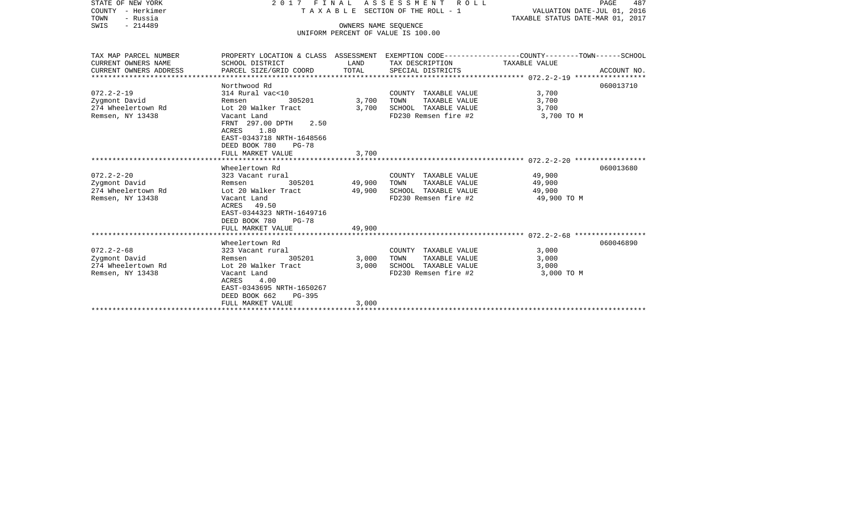| STATE OF NEW YORK      |                                              |                             | 2017 FINAL ASSESSMENT ROLL                                                                      |                                  | PAGE<br>487 |
|------------------------|----------------------------------------------|-----------------------------|-------------------------------------------------------------------------------------------------|----------------------------------|-------------|
| COUNTY - Herkimer      | TAXABLE SECTION OF THE ROLL - 1              | VALUATION DATE-JUL 01, 2016 |                                                                                                 |                                  |             |
| - Russia<br>TOWN       |                                              |                             |                                                                                                 | TAXABLE STATUS DATE-MAR 01, 2017 |             |
| $-214489$<br>SWIS      |                                              | OWNERS NAME SEQUENCE        | UNIFORM PERCENT OF VALUE IS 100.00                                                              |                                  |             |
|                        |                                              |                             |                                                                                                 |                                  |             |
| TAX MAP PARCEL NUMBER  |                                              |                             | PROPERTY LOCATION & CLASS ASSESSMENT EXEMPTION CODE---------------COUNTY-------TOWN------SCHOOL |                                  |             |
| CURRENT OWNERS NAME    | SCHOOL DISTRICT                              | LAND                        | TAX DESCRIPTION                                                                                 | TAXABLE VALUE                    |             |
| CURRENT OWNERS ADDRESS | PARCEL SIZE/GRID COORD                       | TOTAL                       | SPECIAL DISTRICTS                                                                               |                                  | ACCOUNT NO. |
|                        |                                              |                             |                                                                                                 |                                  |             |
|                        | Northwood Rd                                 |                             |                                                                                                 |                                  | 060013710   |
| $072.2 - 2 - 19$       | 314 Rural vac<10                             |                             | COUNTY TAXABLE VALUE                                                                            | 3,700                            |             |
| Zygmont David          | 305201<br>Remsen                             | 3,700                       | TAXABLE VALUE<br>TOWN                                                                           | 3,700                            |             |
| 274 Wheelertown Rd     | Lot 20 Walker Tract                          | 3,700                       | SCHOOL TAXABLE VALUE                                                                            | 3,700                            |             |
| Remsen, NY 13438       | Vacant Land                                  |                             | FD230 Remsen fire #2                                                                            | 3,700 TO M                       |             |
|                        | FRNT 297.00 DPTH<br>2.50                     |                             |                                                                                                 |                                  |             |
|                        | ACRES 1.80<br>EAST-0343718 NRTH-1648566      |                             |                                                                                                 |                                  |             |
|                        |                                              |                             |                                                                                                 |                                  |             |
|                        | DEED BOOK 780<br>PG-78<br>FULL MARKET VALUE  | 3,700                       |                                                                                                 |                                  |             |
|                        |                                              |                             |                                                                                                 |                                  |             |
|                        | Wheelertown Rd                               |                             |                                                                                                 |                                  | 060013680   |
| $072.2 - 2 - 20$       | 323 Vacant rural                             |                             | COUNTY TAXABLE VALUE                                                                            | 49,900                           |             |
| Zygmont David          | 305201<br>Remsen                             | 49,900                      | TAXABLE VALUE<br>TOWN                                                                           | 49,900                           |             |
| 274 Wheelertown Rd     | Lot 20 Walker Tract                          | 49,900                      | SCHOOL TAXABLE VALUE                                                                            | 49,900                           |             |
| Remsen, NY 13438       | Vacant Land                                  |                             | FD230 Remsen fire #2                                                                            | 49,900 TO M                      |             |
|                        | ACRES 49.50                                  |                             |                                                                                                 |                                  |             |
|                        | EAST-0344323 NRTH-1649716                    |                             |                                                                                                 |                                  |             |
|                        | DEED BOOK 780<br>PG-78                       |                             |                                                                                                 |                                  |             |
|                        | FULL MARKET VALUE                            | 49,900                      |                                                                                                 |                                  |             |
|                        |                                              |                             |                                                                                                 |                                  |             |
|                        | Wheelertown Rd                               |                             |                                                                                                 |                                  | 060046890   |
| $072.2 - 2 - 68$       | 323 Vacant rural                             |                             | COUNTY TAXABLE VALUE                                                                            | 3,000                            |             |
| Zygmont David          | 305201<br>Remsen                             | 3,000                       | TOWN<br>TAXABLE VALUE                                                                           | 3,000                            |             |
| 274 Wheelertown Rd     | Lot 20 Walker Tract                          | 3,000                       | SCHOOL TAXABLE VALUE                                                                            | 3,000                            |             |
| Remsen, NY 13438       | Vacant Land                                  |                             | FD230 Remsen fire #2                                                                            | 3,000 TO M                       |             |
|                        | 4.00<br>ACRES                                |                             |                                                                                                 |                                  |             |
|                        | EAST-0343695 NRTH-1650267                    |                             |                                                                                                 |                                  |             |
|                        |                                              |                             |                                                                                                 |                                  |             |
|                        | DEED BOOK 662<br>PG-395<br>FULL MARKET VALUE | 3,000                       |                                                                                                 |                                  |             |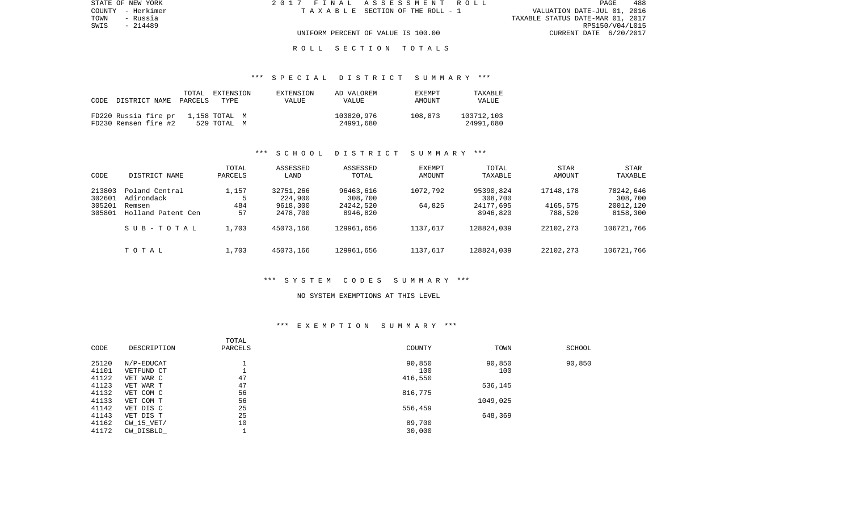| STATE OF NEW YORK | 2017 FINAL ASSESSMENT ROLL            | 488<br>PAGE                      |
|-------------------|---------------------------------------|----------------------------------|
| COUNTY - Herkimer | T A X A B L E SECTION OF THE ROLL - 1 | VALUATION DATE-JUL 01, 2016      |
| TOWN<br>- Russia  |                                       | TAXABLE STATUS DATE-MAR 01, 2017 |
| SWIS<br>- 214489  |                                       | RPS150/V04/L015                  |
|                   | UNIFORM PERCENT OF VALUE IS 100.00    | CURRENT DATE 6/20/2017           |
|                   |                                       |                                  |

### \*\*\* S P E C I A L D I S T R I C T S U M M A R Y \*\*\*

| CODE | DISTRICT NAME                                | TOTAL<br>PARCELS | EXTENSION<br>TYPE            | EXTENSION<br><b>VALUE</b> | AD VALOREM<br>VALUE     | EXEMPT<br>AMOUNT | TAXABLE<br><b>VALUE</b> |
|------|----------------------------------------------|------------------|------------------------------|---------------------------|-------------------------|------------------|-------------------------|
|      | FD220 Russia fire pr<br>FD230 Remsen fire #2 |                  | 1,158 TOTAL M<br>529 TOTAL M |                           | 103820,976<br>24991,680 | 108,873          | 103712,103<br>24991,680 |

### \*\*\* S C H O O L D I S T R I C T S U M M A R Y \*\*\*

| CODE                                 | DISTRICT NAME                                                | TOTAL<br>PARCELS   | ASSESSED<br>LAND                             | ASSESSED<br>TOTAL                             | <b>EXEMPT</b><br>AMOUNT | TOTAL<br>TAXABLE                              | <b>STAR</b><br>AMOUNT            | STAR<br>TAXABLE                               |
|--------------------------------------|--------------------------------------------------------------|--------------------|----------------------------------------------|-----------------------------------------------|-------------------------|-----------------------------------------------|----------------------------------|-----------------------------------------------|
| 213803<br>302601<br>305201<br>305801 | Poland Central<br>Adirondack<br>Remsen<br>Holland Patent Cen | 1,157<br>484<br>57 | 32751,266<br>224,900<br>9618,300<br>2478,700 | 96463,616<br>308,700<br>24242,520<br>8946,820 | 1072,792<br>64,825      | 95390,824<br>308,700<br>24177,695<br>8946,820 | 17148,178<br>4165,575<br>788,520 | 78242,646<br>308,700<br>20012,120<br>8158,300 |
|                                      | SUB-TOTAL                                                    | 1,703              | 45073,166                                    | 129961,656                                    | 1137,617                | 128824,039                                    | 22102,273                        | 106721,766                                    |
|                                      | TOTAL                                                        | 1,703              | 45073,166                                    | 129961,656                                    | 1137,617                | 128824,039                                    | 22102,273                        | 106721,766                                    |

#### \*\*\* S Y S T E M C O D E S S U M M A R Y \*\*\*

#### NO SYSTEM EXEMPTIONS AT THIS LEVEL

### \*\*\* E X E M P T I O N S U M M A R Y \*\*\*

|       |              | TOTAL   |         |          |        |
|-------|--------------|---------|---------|----------|--------|
| CODE  | DESCRIPTION  | PARCELS | COUNTY  | TOWN     | SCHOOL |
| 25120 | N/P-EDUCAT   |         | 90,850  | 90,850   | 90,850 |
| 41101 | VETFUND CT   |         | 100     | 100      |        |
| 41122 | VET WAR C    | 47      | 416,550 |          |        |
| 41123 | VET WAR T    | 47      |         | 536,145  |        |
| 41132 | VET COM C    | 56      | 816,775 |          |        |
| 41133 | VET COM T    | 56      |         | 1049,025 |        |
| 41142 | VET DIS C    | 25      | 556,459 |          |        |
| 41143 | VET DIS T    | 25      |         | 648,369  |        |
| 41162 | $CW_15_VET/$ | 10      | 89,700  |          |        |
| 41172 | CW DISBLD    |         | 30,000  |          |        |
|       |              |         |         |          |        |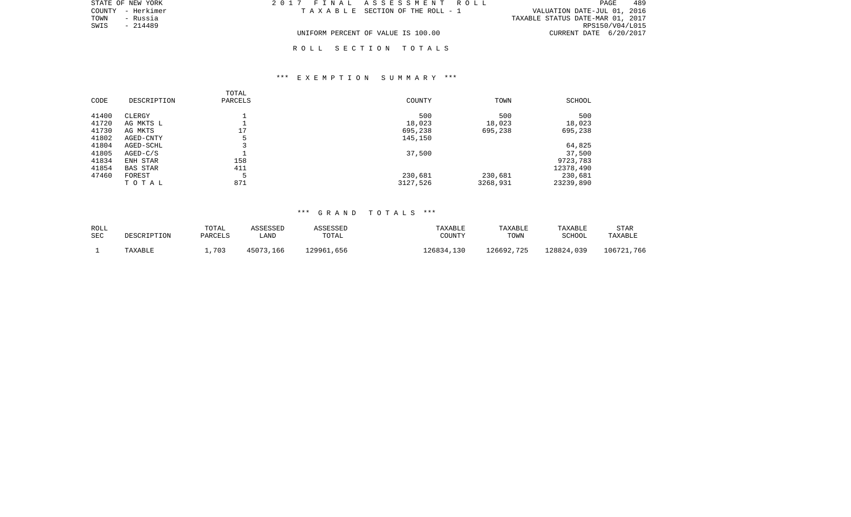| STATE OF NEW YORK | 2017 FINAL ASSESSMENT ROLL         | 489<br>PAGE                      |
|-------------------|------------------------------------|----------------------------------|
| COUNTY - Herkimer | TAXABLE SECTION OF THE ROLL - 1    | VALUATION DATE-JUL 01, 2016      |
| TOWN<br>- Russia  |                                    | TAXABLE STATUS DATE-MAR 01, 2017 |
| - 214489<br>SWIS  |                                    | RPS150/V04/L015                  |
|                   | UNIFORM PERCENT OF VALUE IS 100.00 | CURRENT DATE 6/20/2017           |

## \*\*\* E X E M P T I O N S U M M A R Y \*\*\*

| CODE  | DESCRIPTION     | TOTAL<br>PARCELS | COUNTY   | TOWN     | SCHOOL    |
|-------|-----------------|------------------|----------|----------|-----------|
| 41400 | CLERGY          |                  | 500      | 500      | 500       |
| 41720 | AG MKTS L       |                  | 18,023   | 18,023   | 18,023    |
| 41730 | AG MKTS         | 17               | 695,238  | 695,238  | 695,238   |
| 41802 | AGED-CNTY       | 5                | 145,150  |          |           |
| 41804 | AGED-SCHL       |                  |          |          | 64,825    |
| 41805 | $AGED-C/S$      |                  | 37,500   |          | 37,500    |
| 41834 | ENH STAR        | 158              |          |          | 9723,783  |
| 41854 | <b>BAS STAR</b> | 411              |          |          | 12378,490 |
| 47460 | FOREST          | 5                | 230,681  | 230,681  | 230,681   |
|       | TOTAL           | 871              | 3127,526 | 3268,931 | 23239,890 |

# \*\*\* G R A N D T O T A L S \*\*\*

| ROLL |             | TOTAL   | ASSESSED  | ASSESSED   | TAXABLE    | TAXABLE    | TAXABLE    | <b>STAR</b> |
|------|-------------|---------|-----------|------------|------------|------------|------------|-------------|
| SEC  | DESCRIPTION | PARCELS | LAND      | TOTAL      | COUNTY     | TOWN       | SCHOOL     | TAXABLE     |
|      | TAXABLE     | 1,703   | 45073,166 | 129961,656 | 126834,130 | 126692,725 | 128824,039 | 106721,766  |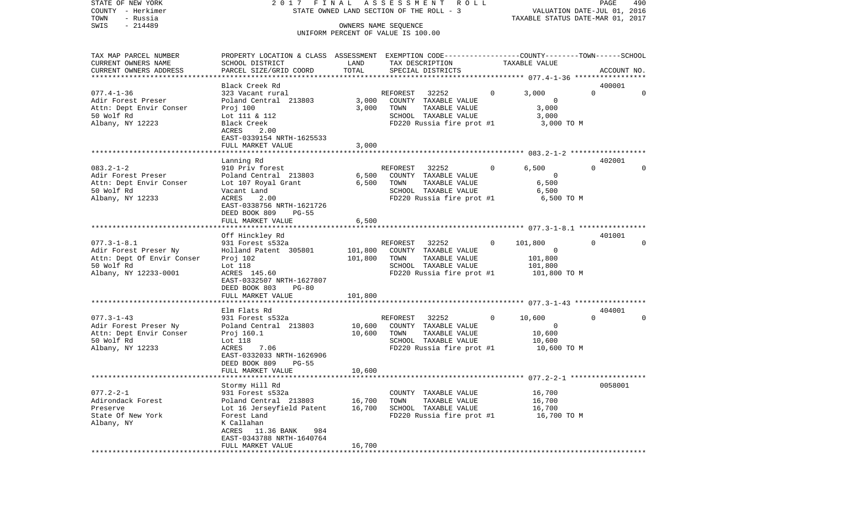| STATE OF NEW YORK<br>COUNTY - Herkimer<br>- Russia<br>TOWN                                                      |                                                                                                                                                                                  |                    | 2017 FINAL ASSESSMENT<br>R O L L<br>STATE OWNED LAND SECTION OF THE ROLL - 3                                            |              | VALUATION DATE-JUL 01, 2016<br>TAXABLE STATUS DATE-MAR 01, 2017 | PAGE               | 490      |
|-----------------------------------------------------------------------------------------------------------------|----------------------------------------------------------------------------------------------------------------------------------------------------------------------------------|--------------------|-------------------------------------------------------------------------------------------------------------------------|--------------|-----------------------------------------------------------------|--------------------|----------|
| $-214489$<br>SWIS                                                                                               |                                                                                                                                                                                  |                    | OWNERS NAME SEOUENCE<br>UNIFORM PERCENT OF VALUE IS 100.00                                                              |              |                                                                 |                    |          |
| TAX MAP PARCEL NUMBER<br>CURRENT OWNERS NAME<br>CURRENT OWNERS ADDRESS<br>************************              | PROPERTY LOCATION & CLASS ASSESSMENT EXEMPTION CODE---------------COUNTY-------TOWN-----SCHOOL<br>SCHOOL DISTRICT<br>PARCEL SIZE/GRID COORD                                      | LAND<br>TOTAL      | TAX DESCRIPTION<br>SPECIAL DISTRICTS                                                                                    |              | TAXABLE VALUE                                                   | ACCOUNT NO.        |          |
| $077.4 - 1 - 36$<br>Adir Forest Preser<br>Attn: Dept Envir Conser<br>50 Wolf Rd<br>Albany, NY 12223             | Black Creek Rd<br>323 Vacant rural<br>Poland Central 213803<br>Proj 100<br>Lot 111 & 112<br>Black Creek<br>ACRES<br>2.00<br>EAST-0339154 NRTH-1625533                            | 3,000<br>3,000     | REFOREST<br>32252<br>COUNTY TAXABLE VALUE<br>TOWN<br>TAXABLE VALUE<br>SCHOOL TAXABLE VALUE<br>FD220 Russia fire prot #1 | $\circ$      | 3,000<br>$\circ$<br>3,000<br>3,000<br>3,000 TO M                | 400001<br>$\Omega$ | $\Omega$ |
|                                                                                                                 | FULL MARKET VALUE                                                                                                                                                                | 3,000              |                                                                                                                         |              |                                                                 |                    |          |
| $083.2 - 1 - 2$<br>Adir Forest Preser<br>Attn: Dept Envir Conser<br>50 Wolf Rd<br>Albany, NY 12233              | Lanning Rd<br>910 Priv forest<br>Poland Central 213803<br>Lot 107 Royal Grant<br>Vacant Land<br>ACRES<br>2.00<br>EAST-0338756 NRTH-1621726                                       | 6,500<br>6,500     | REFOREST 32252<br>COUNTY TAXABLE VALUE<br>TAXABLE VALUE<br>TOWN<br>SCHOOL TAXABLE VALUE<br>FD220 Russia fire prot #1    | 0            | 6,500<br>$\mathbf 0$<br>6,500<br>6,500<br>6,500 TO M            | 402001<br>$\Omega$ | $\Omega$ |
|                                                                                                                 | DEED BOOK 809<br>$PG-55$<br>FULL MARKET VALUE                                                                                                                                    | 6,500              |                                                                                                                         |              |                                                                 |                    |          |
| $077.3 - 1 - 8.1$<br>Adir Forest Preser Ny<br>Attn: Dept Of Envir Conser<br>50 Wolf Rd<br>Albany, NY 12233-0001 | Off Hinckley Rd<br>931 Forest s532a<br>Holland Patent 305801<br>Proj 102<br>Lot 118<br>ACRES 145.60<br>EAST-0332507 NRTH-1627807<br>DEED BOOK 803<br>$PG-80$                     | 101,800<br>101,800 | REFOREST 32252<br>COUNTY TAXABLE VALUE<br>TOWN<br>TAXABLE VALUE<br>SCHOOL TAXABLE VALUE<br>FD220 Russia fire prot #1    | 0            | 101,800<br>$\Omega$<br>101,800<br>101,800<br>101,800 TO M       | 401001<br>$\Omega$ | $\Omega$ |
|                                                                                                                 | FULL MARKET VALUE                                                                                                                                                                | 101,800            |                                                                                                                         |              |                                                                 |                    |          |
|                                                                                                                 | Elm Flats Rd                                                                                                                                                                     |                    |                                                                                                                         |              |                                                                 | 404001             |          |
| $077.3 - 1 - 43$<br>Adir Forest Preser Ny<br>Attn: Dept Envir Conser<br>50 Wolf Rd<br>Albany, NY 12233          | 931 Forest s532a<br>Poland Central 213803<br>Proj 160.1<br>Lot 118<br>7.06<br>ACRES<br>EAST-0332033 NRTH-1626906<br>DEED BOOK 809<br>$PG-55$                                     | 10,600<br>10,600   | REFOREST 32252<br>COUNTY TAXABLE VALUE<br>TAXABLE VALUE<br>TOWN<br>SCHOOL TAXABLE VALUE<br>FD220 Russia fire prot #1    | $\mathbf{0}$ | 10,600<br>$\circ$<br>10,600<br>10,600<br>10,600 TO M            | $\Omega$           | $\Omega$ |
|                                                                                                                 | FULL MARKET VALUE                                                                                                                                                                | 10,600             |                                                                                                                         |              |                                                                 |                    |          |
| $077.2 - 2 - 1$<br>Adirondack Forest<br>Preserve<br>State Of New York<br>Albany, NY                             | Stormy Hill Rd<br>931 Forest s532a<br>Poland Central 213803<br>Lot 16 Jerseyfield Patent<br>Forest Land<br>K Callahan<br>11.36 BANK<br>ACRES<br>984<br>EAST-0343788 NRTH-1640764 | 16,700<br>16,700   | COUNTY TAXABLE VALUE<br>TOWN<br>TAXABLE VALUE<br>SCHOOL TAXABLE VALUE<br>FD220 Russia fire prot #1                      |              | 16,700<br>16,700<br>16,700<br>16,700 TO M                       | 0058001            |          |
|                                                                                                                 | FULL MARKET VALUE                                                                                                                                                                | 16,700             |                                                                                                                         |              |                                                                 |                    |          |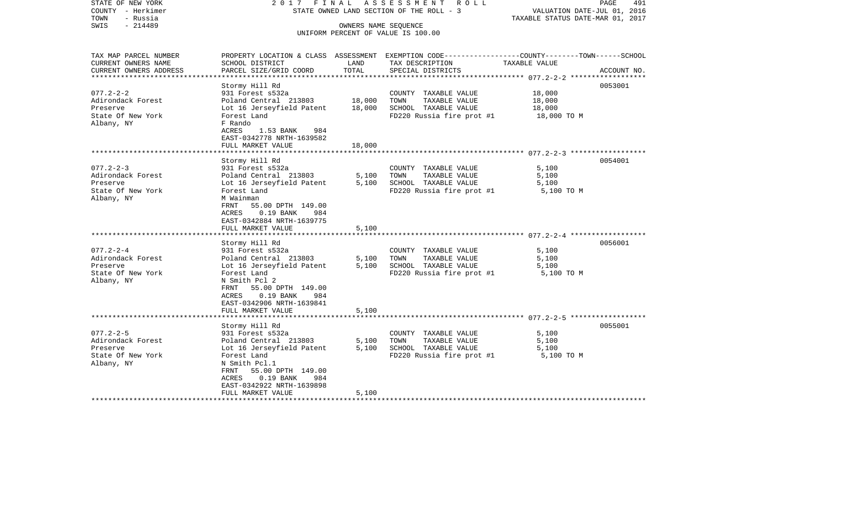STATE OF NEW YORK 2017 FINAL ASSESSMENT ROLL COUNTY - Herkimer STATE OWNED LAND SECTION OF THE ROLL - 3 VALUATION DATE-JUL 01, 2016 TOWN - Russia TAXABLE STATUS DATE-MAR 01, 2017 OWNERS NAME SEQUENCE UNIFORM PERCENT OF VALUE IS 100.00

| TAX MAP PARCEL NUMBER                         | PROPERTY LOCATION & CLASS ASSESSMENT EXEMPTION CODE--------------COUNTY-------TOWN------SCHOOL |               |                                       |               |             |
|-----------------------------------------------|------------------------------------------------------------------------------------------------|---------------|---------------------------------------|---------------|-------------|
| CURRENT OWNERS NAME<br>CURRENT OWNERS ADDRESS | SCHOOL DISTRICT<br>PARCEL SIZE/GRID COORD                                                      | LAND<br>TOTAL | TAX DESCRIPTION<br>SPECIAL DISTRICTS  | TAXABLE VALUE | ACCOUNT NO. |
|                                               |                                                                                                |               |                                       |               |             |
|                                               | Stormy Hill Rd                                                                                 |               |                                       |               | 0053001     |
| $077.2 - 2 - 2$                               | 931 Forest s532a                                                                               |               | COUNTY TAXABLE VALUE                  | 18,000        |             |
| Adirondack Forest                             | Poland Central 213803                                                                          | 18,000        | TOWN<br>TAXABLE VALUE                 | 18,000        |             |
| Preserve                                      | Lot 16 Jerseyfield Patent                                                                      | 18,000        | SCHOOL TAXABLE VALUE                  | 18,000        |             |
| State Of New York                             | Forest Land                                                                                    |               | FD220 Russia fire prot #1 18,000 TO M |               |             |
| Albany, NY                                    | F Rando                                                                                        |               |                                       |               |             |
|                                               | ACRES<br>1.53 BANK<br>984                                                                      |               |                                       |               |             |
|                                               | EAST-0342778 NRTH-1639582                                                                      |               |                                       |               |             |
|                                               | FULL MARKET VALUE                                                                              | 18,000        |                                       |               |             |
|                                               |                                                                                                |               |                                       |               |             |
|                                               | Stormy Hill Rd                                                                                 |               |                                       |               | 0054001     |
| $077.2 - 2 - 3$                               | 931 Forest s532a                                                                               |               | COUNTY TAXABLE VALUE                  | 5,100         |             |
| Adirondack Forest                             | Poland Central 213803                                                                          | 5,100         | TOWN<br>TAXABLE VALUE                 | 5,100         |             |
| Preserve                                      | Lot 16 Jerseyfield Patent                                                                      | 5,100         | SCHOOL TAXABLE VALUE                  | 5,100         |             |
| State Of New York                             | Forest Land                                                                                    |               | FD220 Russia fire prot #1             | 5,100 TO M    |             |
| Albany, NY                                    | M Wainman                                                                                      |               |                                       |               |             |
|                                               | FRNT<br>55.00 DPTH 149.00                                                                      |               |                                       |               |             |
|                                               | ACRES<br>$0.19$ BANK<br>984<br>EAST-0342884 NRTH-1639775                                       |               |                                       |               |             |
|                                               | FULL MARKET VALUE                                                                              | 5,100         |                                       |               |             |
|                                               |                                                                                                |               |                                       |               |             |
|                                               | Stormy Hill Rd                                                                                 |               |                                       |               | 0056001     |
| $077.2 - 2 - 4$                               | 931 Forest s532a                                                                               |               | COUNTY TAXABLE VALUE                  | 5,100         |             |
| Adirondack Forest                             | Poland Central 213803                                                                          | 5,100         | TOWN<br>TAXABLE VALUE                 | 5,100         |             |
| Preserve                                      | Lot 16 Jerseyfield Patent                                                                      | 5,100         | SCHOOL TAXABLE VALUE                  | 5,100         |             |
| State Of New York                             | Forest Land                                                                                    |               | FD220 Russia fire prot #1             | 5,100 TO M    |             |
| Albany, NY                                    | N Smith Pcl 2                                                                                  |               |                                       |               |             |
|                                               | FRNT 55.00 DPTH 149.00                                                                         |               |                                       |               |             |
|                                               | $0.19$ BANK<br>ACRES<br>984                                                                    |               |                                       |               |             |
|                                               | EAST-0342906 NRTH-1639841                                                                      |               |                                       |               |             |
|                                               | FULL MARKET VALUE                                                                              | 5,100         |                                       |               |             |
|                                               |                                                                                                |               |                                       |               |             |
|                                               | Stormy Hill Rd                                                                                 |               |                                       |               | 0055001     |
| $077.2 - 2 - 5$                               | 931 Forest s532a                                                                               |               | COUNTY TAXABLE VALUE                  | 5,100         |             |
| Adirondack Forest                             | Poland Central 213803                                                                          | 5,100         | TOWN<br>TAXABLE VALUE                 | 5,100         |             |
| Preserve                                      | Lot 16 Jerseyfield Patent                                                                      | 5,100         | SCHOOL TAXABLE VALUE                  | 5,100         |             |
| State Of New York<br>Albany, NY               | Forest Land<br>N Smith Pcl.1                                                                   |               | FD220 Russia fire prot #1             | 5,100 TO M    |             |
|                                               | FRNT<br>55.00 DPTH 149.00                                                                      |               |                                       |               |             |
|                                               |                                                                                                |               |                                       |               |             |
|                                               |                                                                                                |               |                                       |               |             |
|                                               | ACRES<br>$0.19$ BANK<br>984                                                                    |               |                                       |               |             |
|                                               | EAST-0342922 NRTH-1639898<br>FULL MARKET VALUE                                                 | 5,100         |                                       |               |             |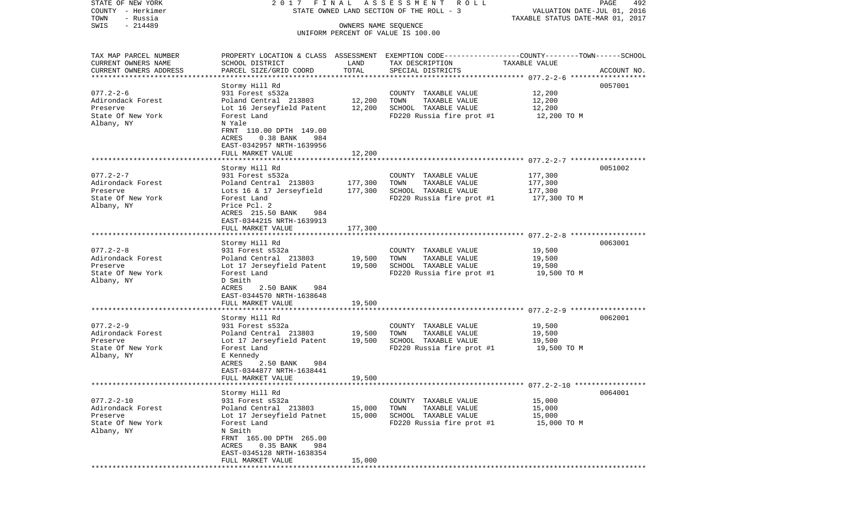STATE OF NEW YORK 2 0 1 7 F I N A L A S S E S S M E N T R O L L PAGE 492COUNTY - Herkimer STATE OWNED LAND SECTION OF THE ROLL - 3 WALUATION DATE-JUL 01, 2016 TOWN - Russia TAXABLE STATUS DATE-MAR 01, 2017 SWIS - 214489 OWNERS NAME SEQUENCE UNIFORM PERCENT OF VALUE IS 100.00TAX MAP PARCEL NUMBER PROPERTY LOCATION & CLASS ASSESSMENT EXEMPTION CODE------------------COUNTY--------TOWN------SCHOOL CURRENT OWNERS NAME SCHOOL DISTRICT LAND TAX DESCRIPTION TAXABLE VALUECURRENT OWNERS ADDRESS PARCEL SIZE/GRID COORD TOTAL SPECIAL DISTRICTS ACCOUNT NO. \*\*\*\*\*\*\*\*\*\*\*\*\*\*\*\*\*\*\*\*\*\*\*\*\*\*\*\*\*\*\*\*\*\*\*\*\*\*\*\*\*\*\*\*\*\*\*\*\*\*\*\*\*\*\*\*\*\*\*\*\*\*\*\*\*\*\*\*\*\*\*\*\*\*\*\*\*\*\*\*\*\*\*\*\*\*\*\*\*\*\*\*\*\*\*\*\*\*\*\*\*\*\* 077.2-2-6 \*\*\*\*\*\*\*\*\*\*\*\*\*\*\*\*\*\* Stormy Hill Rd 0057001 077.2-2-6 931 Forest s532a COUNTY TAXABLE VALUE 12,200 Adirondack Forest **Poland Central 213803** 12,200 TOWN TAXABLE VALUE 12,200 Preserve Lot 16 Jerseyfield Patent 12,200 SCHOOL TAXABLE VALUE 12,200 State Of New York Forest Land Forest Land FD220 Russia fire prot #1 12,200 TO M Albany, NY N Yale FRNT 110.00 DPTH 149.00 ACRES 0.38 BANK 984 EAST-0342957 NRTH-1639956 FULL MARKET VALUE 12,200 \*\*\*\*\*\*\*\*\*\*\*\*\*\*\*\*\*\*\*\*\*\*\*\*\*\*\*\*\*\*\*\*\*\*\*\*\*\*\*\*\*\*\*\*\*\*\*\*\*\*\*\*\*\*\*\*\*\*\*\*\*\*\*\*\*\*\*\*\*\*\*\*\*\*\*\*\*\*\*\*\*\*\*\*\*\*\*\*\*\*\*\*\*\*\*\*\*\*\*\*\*\*\* 077.2-2-7 \*\*\*\*\*\*\*\*\*\*\*\*\*\*\*\*\*\* Stormy Hill Rd 0051002 077.2-2-7 931 Forest s532a COUNTY TAXABLE VALUE 177,300 Adirondack Forest **Poland Central 213803** 177,300 TOWN TAXABLE VALUE 177,300 Preserve Lots 16 & 17 Jerseyfield 177,300 SCHOOL TAXABLE VALUE 177,300 State Of New York Forest Land Forest Land FD220 Russia fire prot #1 177,300 TO M Albany, NY Price Pcl. 2 ACRES 215.50 BANK 984 EAST-0344215 NRTH-1639913FULL MARKET VALUE 177,300 \*\*\*\*\*\*\*\*\*\*\*\*\*\*\*\*\*\*\*\*\*\*\*\*\*\*\*\*\*\*\*\*\*\*\*\*\*\*\*\*\*\*\*\*\*\*\*\*\*\*\*\*\*\*\*\*\*\*\*\*\*\*\*\*\*\*\*\*\*\*\*\*\*\*\*\*\*\*\*\*\*\*\*\*\*\*\*\*\*\*\*\*\*\*\*\*\*\*\*\*\*\*\* 077.2-2-8 \*\*\*\*\*\*\*\*\*\*\*\*\*\*\*\*\*\* Stormy Hill Rd 0063001 077.2-2-8 931 Forest s532a COUNTY TAXABLE VALUE 19,500 Adirondack Forest **Poland Central 213803** 19,500 TOWN TAXABLE VALUE 19,500 Preserve Lot 17 Jerseyfield Patent 19,500 SCHOOL TAXABLE VALUE 19,500 State Of New York Forest Land Forest Land FD220 Russia fire prot #1 19,500 TO M Albany, NY D Smith ACRES 2.50 BANK 984 EAST-0344570 NRTH-1638648FULL MARKET VALUE 19,500 \*\*\*\*\*\*\*\*\*\*\*\*\*\*\*\*\*\*\*\*\*\*\*\*\*\*\*\*\*\*\*\*\*\*\*\*\*\*\*\*\*\*\*\*\*\*\*\*\*\*\*\*\*\*\*\*\*\*\*\*\*\*\*\*\*\*\*\*\*\*\*\*\*\*\*\*\*\*\*\*\*\*\*\*\*\*\*\*\*\*\*\*\*\*\*\*\*\*\*\*\*\*\* 077.2-2-9 \*\*\*\*\*\*\*\*\*\*\*\*\*\*\*\*\*\* Stormy Hill Rd 0062001 077.2-2-9 931 Forest s532a COUNTY TAXABLE VALUE 19,500 Adirondack Forest **Poland Central 213803** 19,500 TOWN TAXABLE VALUE 19,500 Preserve Lot 17 Jerseyfield Patent 19,500 SCHOOL TAXABLE VALUE 19,500 State Of New York Forest Land Forest Land FD220 Russia fire prot #1 19,500 TO M Albany, NY E Kennedy ACRES 2.50 BANK 984 EAST-0344877 NRTH-1638441FULL MARKET VALUE 19,500 \*\*\*\*\*\*\*\*\*\*\*\*\*\*\*\*\*\*\*\*\*\*\*\*\*\*\*\*\*\*\*\*\*\*\*\*\*\*\*\*\*\*\*\*\*\*\*\*\*\*\*\*\*\*\*\*\*\*\*\*\*\*\*\*\*\*\*\*\*\*\*\*\*\*\*\*\*\*\*\*\*\*\*\*\*\*\*\*\*\*\*\*\*\*\*\*\*\*\*\*\*\*\* 077.2-2-10 \*\*\*\*\*\*\*\*\*\*\*\*\*\*\*\*\* Stormy Hill Rd 0064001 077.2-2-10 931 Forest s532a COUNTY TAXABLE VALUE 15,000 Adirondack Forest Poland Central 213803 15,000 TOWN TAXABLE VALUE 15,000 Preserve Lot 17 Jerseyfield Patnet 15,000 SCHOOL TAXABLE VALUE 15,000 State Of New York Forest Land Forest Land FD220 Russia fire prot #1 15,000 TO M Albany, NY N Smith FRNT 165.00 DPTH 265.00 ACRES 0.35 BANK 984 EAST-0345128 NRTH-1638354FULL MARKET VALUE 15,000 \*\*\*\*\*\*\*\*\*\*\*\*\*\*\*\*\*\*\*\*\*\*\*\*\*\*\*\*\*\*\*\*\*\*\*\*\*\*\*\*\*\*\*\*\*\*\*\*\*\*\*\*\*\*\*\*\*\*\*\*\*\*\*\*\*\*\*\*\*\*\*\*\*\*\*\*\*\*\*\*\*\*\*\*\*\*\*\*\*\*\*\*\*\*\*\*\*\*\*\*\*\*\*\*\*\*\*\*\*\*\*\*\*\*\*\*\*\*\*\*\*\*\*\*\*\*\*\*\*\*\*\*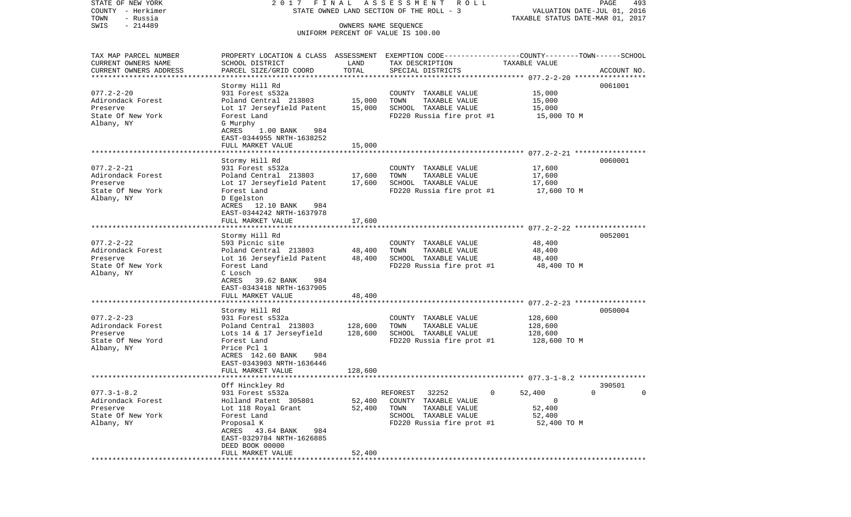STATE OF NEW YORK 2 0 1 7 F I N A L A S S E S S M E N T R O L L PAGE 493COUNTY - Herkimer STATE OWNED LAND SECTION OF THE ROLL - 3 WALUATION DATE-JUL 01, 2016 TOWN - Russia TAXABLE STATUS DATE-MAR 01, 2017 SWIS - 214489 OWNERS NAME SEQUENCE UNIFORM PERCENT OF VALUE IS 100.00TAX MAP PARCEL NUMBER PROPERTY LOCATION & CLASS ASSESSMENT EXEMPTION CODE------------------COUNTY--------TOWN------SCHOOL CURRENT OWNERS NAME SCHOOL DISTRICT LAND TAX DESCRIPTION TAXABLE VALUECURRENT OWNERS ADDRESS PARCEL SIZE/GRID COORD TOTAL SPECIAL DISTRICTS ACCOUNT NO. \*\*\*\*\*\*\*\*\*\*\*\*\*\*\*\*\*\*\*\*\*\*\*\*\*\*\*\*\*\*\*\*\*\*\*\*\*\*\*\*\*\*\*\*\*\*\*\*\*\*\*\*\*\*\*\*\*\*\*\*\*\*\*\*\*\*\*\*\*\*\*\*\*\*\*\*\*\*\*\*\*\*\*\*\*\*\*\*\*\*\*\*\*\*\*\*\*\*\*\*\*\*\* 077.2-2-20 \*\*\*\*\*\*\*\*\*\*\*\*\*\*\*\*\* Stormy Hill Rd 0061001 077.2-2-20 931 Forest s532a COUNTY TAXABLE VALUE 15,000 Adirondack Forest Poland Central 213803 15,000 TOWN TAXABLE VALUE 15,000 Preserve Lot 17 Jerseyfield Patent 15,000 SCHOOL TAXABLE VALUE 15,000 State Of New York Forest Land Forest Land FD220 Russia fire prot #1 15,000 TO M Albany, NY G Murphy ACRES 1.00 BANK 984 EAST-0344955 NRTH-1638252 FULL MARKET VALUE 15,000 \*\*\*\*\*\*\*\*\*\*\*\*\*\*\*\*\*\*\*\*\*\*\*\*\*\*\*\*\*\*\*\*\*\*\*\*\*\*\*\*\*\*\*\*\*\*\*\*\*\*\*\*\*\*\*\*\*\*\*\*\*\*\*\*\*\*\*\*\*\*\*\*\*\*\*\*\*\*\*\*\*\*\*\*\*\*\*\*\*\*\*\*\*\*\*\*\*\*\*\*\*\*\* 077.2-2-21 \*\*\*\*\*\*\*\*\*\*\*\*\*\*\*\*\* Stormy Hill Rd 0060001 077.2-2-21 931 Forest s532a COUNTY TAXABLE VALUE 17,600 Adirondack Forest Poland Central 213803 17,600 TOWN TAXABLE VALUE 17,600 Preserve Lot 17 Jerseyfield Patent 17,600 SCHOOL TAXABLE VALUE 17,600 State Of New York Forest Land Forest Land FD220 Russia fire prot #1 17,600 TO M Albany, NY D Egelston ACRES 12.10 BANK 984 EAST-0344242 NRTH-1637978FULL MARKET VALUE 17,600 \*\*\*\*\*\*\*\*\*\*\*\*\*\*\*\*\*\*\*\*\*\*\*\*\*\*\*\*\*\*\*\*\*\*\*\*\*\*\*\*\*\*\*\*\*\*\*\*\*\*\*\*\*\*\*\*\*\*\*\*\*\*\*\*\*\*\*\*\*\*\*\*\*\*\*\*\*\*\*\*\*\*\*\*\*\*\*\*\*\*\*\*\*\*\*\*\*\*\*\*\*\*\* 077.2-2-22 \*\*\*\*\*\*\*\*\*\*\*\*\*\*\*\*\* Stormy Hill Rd 0052001 077.2-2-22 593 Picnic site COUNTY TAXABLE VALUE 48,400 Adirondack Forest **Poland Central 213803** 48,400 TOWN TAXABLE VALUE 48,400 Preserve Lot 16 Jerseyfield Patent 48,400 SCHOOL TAXABLE VALUE 48,400 FD220 Russia fire prot #1 Albany, NY C Losch ACRES 39.62 BANK 984 EAST-0343418 NRTH-1637905FULL MARKET VALUE 48,400 \*\*\*\*\*\*\*\*\*\*\*\*\*\*\*\*\*\*\*\*\*\*\*\*\*\*\*\*\*\*\*\*\*\*\*\*\*\*\*\*\*\*\*\*\*\*\*\*\*\*\*\*\*\*\*\*\*\*\*\*\*\*\*\*\*\*\*\*\*\*\*\*\*\*\*\*\*\*\*\*\*\*\*\*\*\*\*\*\*\*\*\*\*\*\*\*\*\*\*\*\*\*\* 077.2-2-23 \*\*\*\*\*\*\*\*\*\*\*\*\*\*\*\*\* Stormy Hill Rd 0050004 077.2-2-23 931 Forest s532a COUNTY TAXABLE VALUE 128,600 Adirondack Forest Poland Central 213803 128,600 TOWN TAXABLE VALUE 128,600 Preserve Lots 14 & 17 Jerseyfield 128,600 SCHOOL TAXABLE VALUE 128,600 State Of New Yord Forest Land Forest Land FD220 Russia fire prot #1 128,600 TO M Albany, NY Price Pcl 1 ACRES 142.60 BANK 984 EAST-0343903 NRTH-1636446 FULL MARKET VALUE 128,600 \*\*\*\*\*\*\*\*\*\*\*\*\*\*\*\*\*\*\*\*\*\*\*\*\*\*\*\*\*\*\*\*\*\*\*\*\*\*\*\*\*\*\*\*\*\*\*\*\*\*\*\*\*\*\*\*\*\*\*\*\*\*\*\*\*\*\*\*\*\*\*\*\*\*\*\*\*\*\*\*\*\*\*\*\*\*\*\*\*\*\*\*\*\*\*\*\*\*\*\*\*\*\* 077.3-1-8.2 \*\*\*\*\*\*\*\*\*\*\*\*\*\*\*\* Off Hinckley Rd 390501 077.3-1-8.2 931 Forest s532a REFOREST 32252 0 52,400 0 0 Adirondack Forest Holland Patent 305801 52,400 COUNTY TAXABLE VALUE 0 Preserve Lot 118 Royal Grant 52,400 TOWN TAXABLE VALUE 52,400 State Of New York **SCHOOL TAXABLE VALUE** 52,400 Albany, NY Proposal K FD220 Russia fire prot #1 52,400 TO M ACRES 43.64 BANK 984 EAST-0329784 NRTH-1626885 DEED BOOK 00000FULL MARKET VALUE 52,400 \*\*\*\*\*\*\*\*\*\*\*\*\*\*\*\*\*\*\*\*\*\*\*\*\*\*\*\*\*\*\*\*\*\*\*\*\*\*\*\*\*\*\*\*\*\*\*\*\*\*\*\*\*\*\*\*\*\*\*\*\*\*\*\*\*\*\*\*\*\*\*\*\*\*\*\*\*\*\*\*\*\*\*\*\*\*\*\*\*\*\*\*\*\*\*\*\*\*\*\*\*\*\*\*\*\*\*\*\*\*\*\*\*\*\*\*\*\*\*\*\*\*\*\*\*\*\*\*\*\*\*\*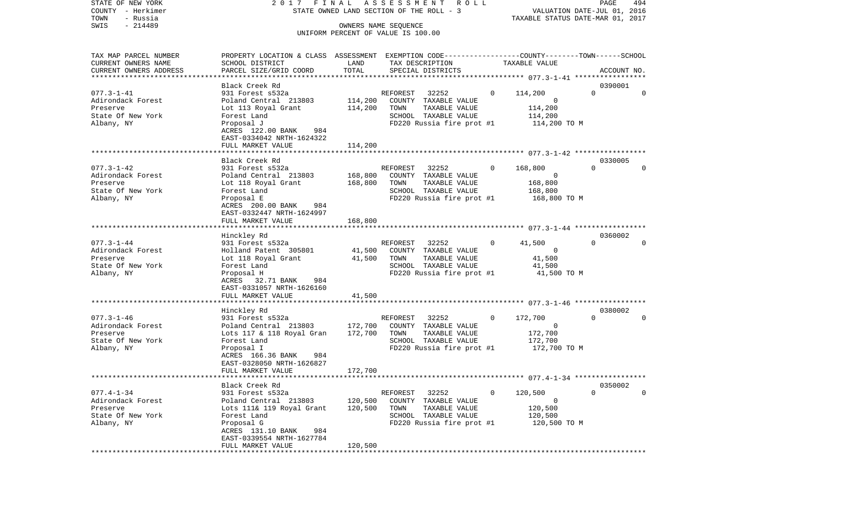STATE OF NEW YORK 2 0 1 7 F I N A L A S S E S S M E N T R O L L PAGE 494COUNTY - Herkimer STATE OWNED LAND SECTION OF THE ROLL - 3 WALUATION DATE-JUL 01, 2016 TOWN - Russia TAXABLE STATUS DATE-MAR 01, 2017 SWIS - 214489 CONNERS NAME SEQUENCE

 UNIFORM PERCENT OF VALUE IS 100.00TAX MAP PARCEL NUMBER PROPERTY LOCATION & CLASS ASSESSMENT EXEMPTION CODE------------------COUNTY--------TOWN------SCHOOL CURRENT OWNERS NAME SCHOOL DISTRICT LAND TAX DESCRIPTION TAXABLE VALUECURRENT OWNERS ADDRESS PARCEL SIZE/GRID COORD TOTAL SPECIAL DISTRICTS ACCOUNT NO. \*\*\*\*\*\*\*\*\*\*\*\*\*\*\*\*\*\*\*\*\*\*\*\*\*\*\*\*\*\*\*\*\*\*\*\*\*\*\*\*\*\*\*\*\*\*\*\*\*\*\*\*\*\*\*\*\*\*\*\*\*\*\*\*\*\*\*\*\*\*\*\*\*\*\*\*\*\*\*\*\*\*\*\*\*\*\*\*\*\*\*\*\*\*\*\*\*\*\*\*\*\*\* 077.3-1-41 \*\*\*\*\*\*\*\*\*\*\*\*\*\*\*\*\*Black Creek Rd 0390001

077.3-1-41 931 Forest s532a REFOREST 32252 0 114,200 0 0 Adirondack Forest Poland Central 213803 114,200 COUNTY TAXABLE VALUE 0 Preserve Lot 113 Royal Grant 114,200 TOWN TAXABLE VALUE 114,200 State Of New York **Forest Land** SCHOOL TAXABLE VALUE 114,200 Albany, NY Proposal J FD220 Russia fire prot #1 114,200 TO M ACRES 122.00 BANK 984 EAST-0334042 NRTH-1624322 FULL MARKET VALUE 114,200 \*\*\*\*\*\*\*\*\*\*\*\*\*\*\*\*\*\*\*\*\*\*\*\*\*\*\*\*\*\*\*\*\*\*\*\*\*\*\*\*\*\*\*\*\*\*\*\*\*\*\*\*\*\*\*\*\*\*\*\*\*\*\*\*\*\*\*\*\*\*\*\*\*\*\*\*\*\*\*\*\*\*\*\*\*\*\*\*\*\*\*\*\*\*\*\*\*\*\*\*\*\*\* 077.3-1-42 \*\*\*\*\*\*\*\*\*\*\*\*\*\*\*\*\* Black Creek Rd 0330005077.3-1-42 931 Forest s532a REFOREST 32252 0 168,800 0 0 Adirondack Forest Poland Central 213803 168,800 COUNTY TAXABLE VALUE 0 Preserve Lot 118 Royal Grant 168,800 TOWN TAXABLE VALUE 168,800 State Of New York **Forest Land** SCHOOL TAXABLE VALUE 168,800 Albany, NY Proposal E FD220 Russia fire prot #1 168,800 TO M ACRES 200.00 BANK 984 EAST-0332447 NRTH-1624997FULL MARKET VALUE 168,800 \*\*\*\*\*\*\*\*\*\*\*\*\*\*\*\*\*\*\*\*\*\*\*\*\*\*\*\*\*\*\*\*\*\*\*\*\*\*\*\*\*\*\*\*\*\*\*\*\*\*\*\*\*\*\*\*\*\*\*\*\*\*\*\*\*\*\*\*\*\*\*\*\*\*\*\*\*\*\*\*\*\*\*\*\*\*\*\*\*\*\*\*\*\*\*\*\*\*\*\*\*\*\* 077.3-1-44 \*\*\*\*\*\*\*\*\*\*\*\*\*\*\*\*\* Hinckley Rd 0360002 077.3-1-44 931 Forest s532a REFOREST 32252 0 41,500 0 0 Adirondack Forest Holland Patent 305801 41,500 COUNTY TAXABLE VALUE 0 Preserve Lot 118 Royal Grant 41,500 TOWN TAXABLE VALUE 41,500 SCHOOL TAXABLE VALUE Albany, NY Proposal H FD220 Russia fire prot #1 41,500 TO M ACRES 32.71 BANK 984 EAST-0331057 NRTH-1626160 FULL MARKET VALUE 41,500 \*\*\*\*\*\*\*\*\*\*\*\*\*\*\*\*\*\*\*\*\*\*\*\*\*\*\*\*\*\*\*\*\*\*\*\*\*\*\*\*\*\*\*\*\*\*\*\*\*\*\*\*\*\*\*\*\*\*\*\*\*\*\*\*\*\*\*\*\*\*\*\*\*\*\*\*\*\*\*\*\*\*\*\*\*\*\*\*\*\*\*\*\*\*\*\*\*\*\*\*\*\*\* 077.3-1-46 \*\*\*\*\*\*\*\*\*\*\*\*\*\*\*\*\* Hinckley Rd 0380002 077.3-1-46 931 Forest s532a REFOREST 32252 0 172,700 0 0 Adirondack Forest Poland Central 213803 172,700 COUNTY TAXABLE VALUE 0 Preserve Lots 117 & 118 Royal Gran 172,700 TOWN TAXABLE VALUE 172,700 State Of New York **Forest Land Forest Land** SCHOOL TAXABLE VALUE 172,700 Albany, NY Proposal I FD220 Russia fire prot #1 172,700 TO M  $ACRES$  166.36 BANK EAST-0328050 NRTH-1626827 FULL MARKET VALUE 172,700 \*\*\*\*\*\*\*\*\*\*\*\*\*\*\*\*\*\*\*\*\*\*\*\*\*\*\*\*\*\*\*\*\*\*\*\*\*\*\*\*\*\*\*\*\*\*\*\*\*\*\*\*\*\*\*\*\*\*\*\*\*\*\*\*\*\*\*\*\*\*\*\*\*\*\*\*\*\*\*\*\*\*\*\*\*\*\*\*\*\*\*\*\*\*\*\*\*\*\*\*\*\*\* 077.4-1-34 \*\*\*\*\*\*\*\*\*\*\*\*\*\*\*\*\* Black Creek Rd 0350002077.4-1-34 931 Forest s532a REFOREST 32252 0 120,500 0 0 Adirondack Forest **Poland Central 213803** 120,500 COUNTY TAXABLE VALUE 0 Preserve Lots 111& 119 Royal Grant 120,500 TOWN TAXABLE VALUE 120,500 State Of New York **Forest Land** SCHOOL TAXABLE VALUE 120,500 Albany, NY Proposal G FD220 Russia fire prot #1 120,500 TO M ACRES 131.10 BANK 984 EAST-0339554 NRTH-1627784 FULL MARKET VALUE 120,500 \*\*\*\*\*\*\*\*\*\*\*\*\*\*\*\*\*\*\*\*\*\*\*\*\*\*\*\*\*\*\*\*\*\*\*\*\*\*\*\*\*\*\*\*\*\*\*\*\*\*\*\*\*\*\*\*\*\*\*\*\*\*\*\*\*\*\*\*\*\*\*\*\*\*\*\*\*\*\*\*\*\*\*\*\*\*\*\*\*\*\*\*\*\*\*\*\*\*\*\*\*\*\*\*\*\*\*\*\*\*\*\*\*\*\*\*\*\*\*\*\*\*\*\*\*\*\*\*\*\*\*\*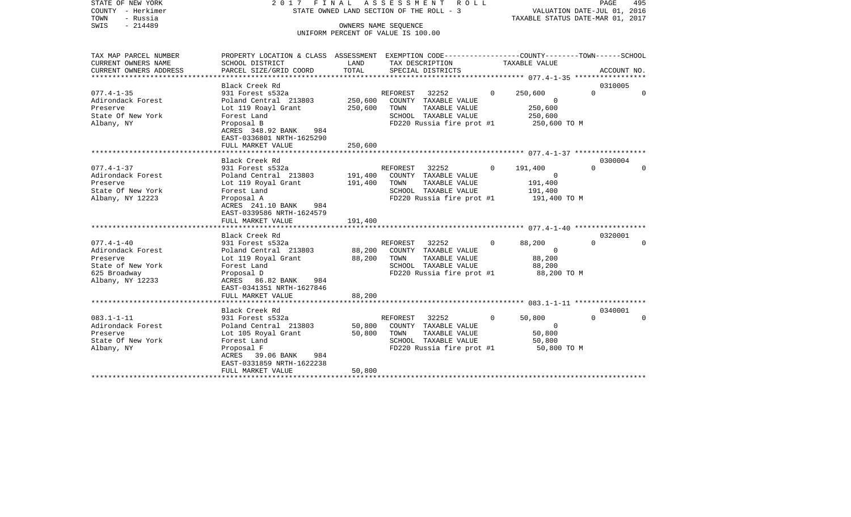STATE OF NEW YORK 2 0 1 7 F I N A L A S S E S S M E N T R O L L PAGE 495COUNTY - Herkimer STATE OWNED LAND SECTION OF THE ROLL - 3 WALUATION DATE-JUL 01, 2016 TOWN - Russia TAXABLE STATUS DATE-MAR 01, 2017 SWIS - 214489 CONNERS NAME SEQUENCE UNIFORM PERCENT OF VALUE IS 100.00

TAX MAP PARCEL NUMBER PROPERTY LOCATION & CLASS ASSESSMENT EXEMPTION CODE------------------COUNTY--------TOWN------SCHOOL

CURRENT OWNERS NAME SCHOOL DISTRICT LAND TAX DESCRIPTION TAXABLE VALUECURRENT OWNERS ADDRESS PARCEL SIZE/GRID COORD TOTAL SPECIAL DISTRICTS ACCOUNT NO. \*\*\*\*\*\*\*\*\*\*\*\*\*\*\*\*\*\*\*\*\*\*\*\*\*\*\*\*\*\*\*\*\*\*\*\*\*\*\*\*\*\*\*\*\*\*\*\*\*\*\*\*\*\*\*\*\*\*\*\*\*\*\*\*\*\*\*\*\*\*\*\*\*\*\*\*\*\*\*\*\*\*\*\*\*\*\*\*\*\*\*\*\*\*\*\*\*\*\*\*\*\*\* 077.4-1-35 \*\*\*\*\*\*\*\*\*\*\*\*\*\*\*\*\*Black Creek Rd 0310005 077.4-1-35 931 Forest s532a REFOREST 32252 0 250,600 0 0 Adirondack Forest Poland Central 213803 250,600 COUNTY TAXABLE VALUE 0 Preserve Lot 119 Roayl Grant 250,600 TOWN TAXABLE VALUE 250,600 State Of New York **Forest Land** SCHOOL TAXABLE VALUE 250,600 Albany, NY Proposal B FD220 Russia fire prot #1 250,600 TO M ACRES 348.92 BANK 984 EAST-0336801 NRTH-1625290 FULL MARKET VALUE 250,600 \*\*\*\*\*\*\*\*\*\*\*\*\*\*\*\*\*\*\*\*\*\*\*\*\*\*\*\*\*\*\*\*\*\*\*\*\*\*\*\*\*\*\*\*\*\*\*\*\*\*\*\*\*\*\*\*\*\*\*\*\*\*\*\*\*\*\*\*\*\*\*\*\*\*\*\*\*\*\*\*\*\*\*\*\*\*\*\*\*\*\*\*\*\*\*\*\*\*\*\*\*\*\* 077.4-1-37 \*\*\*\*\*\*\*\*\*\*\*\*\*\*\*\*\* Black Creek Rd 0300004077.4-1-37 931 Forest s532a REFOREST 32252 0 191,400 0 0 Adirondack Forest Poland Central 213803 191,400 COUNTY TAXABLE VALUE 0 Preserve Lot 119 Royal Grant 191,400 TOWN TAXABLE VALUE 191,400 State Of New York **Forest Land Forest Land** SCHOOL TAXABLE VALUE 191,400 Albany, NY 12223 **Proposal A** FD220 Russia fire prot #1 191,400 TO M ACRES 241.10 BANK 984 EAST-0339586 NRTH-1624579FULL MARKET VALUE 191,400 \*\*\*\*\*\*\*\*\*\*\*\*\*\*\*\*\*\*\*\*\*\*\*\*\*\*\*\*\*\*\*\*\*\*\*\*\*\*\*\*\*\*\*\*\*\*\*\*\*\*\*\*\*\*\*\*\*\*\*\*\*\*\*\*\*\*\*\*\*\*\*\*\*\*\*\*\*\*\*\*\*\*\*\*\*\*\*\*\*\*\*\*\*\*\*\*\*\*\*\*\*\*\* 077.4-1-40 \*\*\*\*\*\*\*\*\*\*\*\*\*\*\*\*\* Black Creek Rd 0320001077.4-1-40 931 Forest s532a REFOREST 32252 0 88,200 0 0 Adirondack Forest Poland Central 213803 88,200 COUNTY TAXABLE VALUE 0 Preserve Lot 119 Royal Grant 88,200 TOWN TAXABLE VALUE 88,200<br>State of New York Forest Land SCHOOL TAXABLE VALUE 625 Broadway Proposal D FD220 Russia fire prot #1 88,200 TO M Albany, NY 12233 ACRES 86.82 BANK 984 EAST-0341351 NRTH-1627846 FULL MARKET VALUE 88,200 \*\*\*\*\*\*\*\*\*\*\*\*\*\*\*\*\*\*\*\*\*\*\*\*\*\*\*\*\*\*\*\*\*\*\*\*\*\*\*\*\*\*\*\*\*\*\*\*\*\*\*\*\*\*\*\*\*\*\*\*\*\*\*\*\*\*\*\*\*\*\*\*\*\*\*\*\*\*\*\*\*\*\*\*\*\*\*\*\*\*\*\*\*\*\*\*\*\*\*\*\*\*\* 083.1-1-11 \*\*\*\*\*\*\*\*\*\*\*\*\*\*\*\*\* Black Creek Rd 0340001083.1-1-11 931 Forest s532a REFOREST 32252 0 50,800 0 0 Adirondack Forest Poland Central 213803 50,800 COUNTY TAXABLE VALUE 0 Preserve Lot 105 Royal Grant 50,800 TOWN TAXABLE VALUE 50,800 State Of New York **Forest Land** SCHOOL TAXABLE VALUE 50,800 Albany, NY Proposal F FD220 Russia fire prot #1 50,800 TO M  $ACRES$  39.06 BANK EAST-0331859 NRTH-1622238 FULL MARKET VALUE 50,800 \*\*\*\*\*\*\*\*\*\*\*\*\*\*\*\*\*\*\*\*\*\*\*\*\*\*\*\*\*\*\*\*\*\*\*\*\*\*\*\*\*\*\*\*\*\*\*\*\*\*\*\*\*\*\*\*\*\*\*\*\*\*\*\*\*\*\*\*\*\*\*\*\*\*\*\*\*\*\*\*\*\*\*\*\*\*\*\*\*\*\*\*\*\*\*\*\*\*\*\*\*\*\*\*\*\*\*\*\*\*\*\*\*\*\*\*\*\*\*\*\*\*\*\*\*\*\*\*\*\*\*\*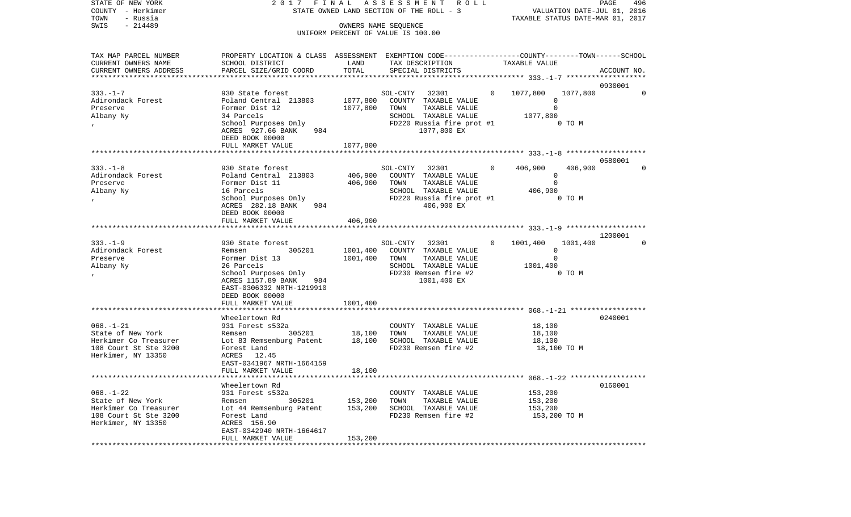| STATE OF NEW YORK<br>COUNTY - Herkimer<br>- Russia<br>TOWN    | 2017 FINAL ASSESSMENT<br>STATE OWNED LAND SECTION OF THE ROLL - 3                                                  |                    | PAGE<br>496<br>VALUATION DATE-JUL 01, 2016<br>TAXABLE STATUS DATE-MAR 01, 2017 |                                                 |                        |
|---------------------------------------------------------------|--------------------------------------------------------------------------------------------------------------------|--------------------|--------------------------------------------------------------------------------|-------------------------------------------------|------------------------|
| SWIS<br>$-214489$                                             |                                                                                                                    |                    | OWNERS NAME SEQUENCE<br>UNIFORM PERCENT OF VALUE IS 100.00                     |                                                 |                        |
|                                                               |                                                                                                                    |                    |                                                                                |                                                 |                        |
| TAX MAP PARCEL NUMBER<br>CURRENT OWNERS NAME                  | PROPERTY LOCATION & CLASS ASSESSMENT EXEMPTION CODE---------------COUNTY-------TOWN------SCHOOL<br>SCHOOL DISTRICT | LAND               | TAX DESCRIPTION                                                                | TAXABLE VALUE                                   |                        |
| CURRENT OWNERS ADDRESS<br>*************************           | PARCEL SIZE/GRID COORD                                                                                             | TOTAL              | SPECIAL DISTRICTS                                                              |                                                 | ACCOUNT NO.            |
|                                                               |                                                                                                                    |                    |                                                                                |                                                 | 0930001                |
| $333. - 1 - 7$<br>Adirondack Forest                           | 930 State forest<br>Poland Central 213803                                                                          | 1077,800           | SOL-CNTY 32301<br>COUNTY TAXABLE VALUE                                         | 0 1077,800<br>1077,800<br>$\circ$               | $\mathbf 0$            |
| Preserve                                                      | Former Dist 12<br>34 Parcels                                                                                       | 1077,800           | TOWN<br>TAXABLE VALUE<br>SCHOOL TAXABLE VALUE                                  | $\mathbf 0$                                     |                        |
| Albany Ny                                                     | School Purposes Only<br>ACRES 927.66 BANK<br>984<br>DEED BOOK 00000                                                |                    | FD220 Russia fire prot #1<br>1077,800 EX                                       | 1077,800<br>0 TO M                              |                        |
|                                                               | FULL MARKET VALUE                                                                                                  | 1077,800           |                                                                                |                                                 |                        |
|                                                               |                                                                                                                    |                    |                                                                                |                                                 |                        |
| $333. - 1 - 8$<br>Adirondack Forest<br>Preserve               | 930 State forest<br>Poland Central 213803<br>Former Dist 11                                                        | 406,900<br>406,900 | SOL-CNTY<br>32301<br>COUNTY TAXABLE VALUE<br>TOWN<br>TAXABLE VALUE             | 406,900<br>$\Omega$<br>406,900<br>0<br>$\Omega$ | 0580001<br>$\mathbf 0$ |
| Albany Ny<br>$\prime$                                         | 16 Parcels<br>School Purposes Only<br>ACRES 282.18 BANK<br>984                                                     |                    | SCHOOL TAXABLE VALUE<br>FD220 Russia fire prot #1<br>406,900 EX                | 406,900<br>0 TO M                               |                        |
|                                                               | DEED BOOK 00000<br>FULL MARKET VALUE                                                                               | 406,900            |                                                                                |                                                 |                        |
|                                                               |                                                                                                                    |                    |                                                                                |                                                 | 1200001                |
| $333. - 1 - 9$                                                | 930 State forest                                                                                                   |                    | SOL-CNTY<br>32301                                                              | $\Omega$<br>1001,400<br>1001,400                | $\mathbf 0$            |
| Adirondack Forest                                             | 305201<br>Remsen                                                                                                   | 1001,400           | COUNTY TAXABLE VALUE                                                           | 0                                               |                        |
| Preserve                                                      | Former Dist 13                                                                                                     | 1001,400           | TAXABLE VALUE<br>TOWN                                                          | $\mathbf 0$                                     |                        |
| Albany Ny                                                     | 26 Parcels                                                                                                         |                    | SCHOOL TAXABLE VALUE                                                           | 1001,400                                        |                        |
|                                                               | School Purposes Only<br>ACRES 1157.89 BANK<br>984<br>EAST-0306332 NRTH-1219910<br>DEED BOOK 00000                  |                    | FD230 Remsen fire #2<br>1001,400 EX                                            | 0 TO M                                          |                        |
|                                                               | FULL MARKET VALUE                                                                                                  | 1001,400           |                                                                                |                                                 |                        |
|                                                               | Wheelertown Rd                                                                                                     |                    |                                                                                |                                                 | 0240001                |
| $068. - 1 - 21$<br>State of New York<br>Herkimer Co Treasurer | 931 Forest s532a<br>305201<br>Remsen<br>Lot 83 Remsenburg Patent                                                   | 18,100<br>18,100   | COUNTY TAXABLE VALUE<br>TOWN<br>TAXABLE VALUE<br>SCHOOL TAXABLE VALUE          | 18,100<br>18,100<br>18,100                      |                        |
| 108 Court St Ste 3200<br>Herkimer, NY 13350                   | Forest Land<br>ACRES 12.45<br>EAST-0341967 NRTH-1664159                                                            |                    | FD230 Remsen fire #2                                                           | 18,100 TO M                                     |                        |
|                                                               | FULL MARKET VALUE                                                                                                  | 18,100             |                                                                                |                                                 |                        |
|                                                               | Wheelertown Rd                                                                                                     |                    |                                                                                |                                                 | 0160001                |
| $068. - 1 - 22$                                               | 931 Forest s532a                                                                                                   |                    | COUNTY TAXABLE VALUE                                                           | 153,200                                         |                        |
| State of New York                                             | 305201<br>Remsen                                                                                                   | 153,200            | TOWN<br>TAXABLE VALUE                                                          | 153,200                                         |                        |
| Herkimer Co Treasurer                                         | Lot 44 Remsenburg Patent                                                                                           | 153,200            | SCHOOL TAXABLE VALUE                                                           | 153,200                                         |                        |
| 108 Court St Ste 3200<br>Herkimer, NY 13350                   | Forest Land<br>ACRES 156.90<br>EAST-0342940 NRTH-1664617                                                           |                    | FD230 Remsen fire #2                                                           | 153,200 TO M                                    |                        |
| **************                                                | FULL MARKET VALUE                                                                                                  | 153,200            |                                                                                |                                                 |                        |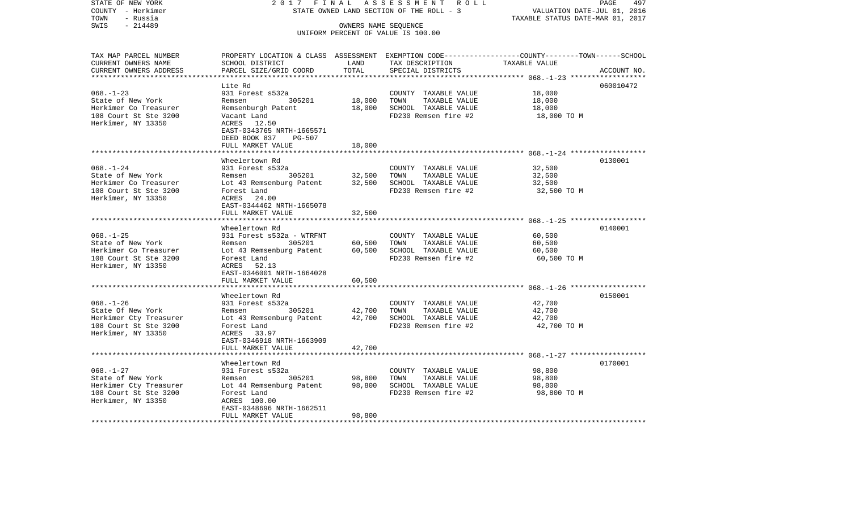| STATE OF NEW YORK<br>COUNTY - Herkimer               | 2017 FINAL<br>STATE OWNED LAND SECTION OF THE ROLL - 3     | PAGE<br>497<br>VALUATION DATE-JUL 01, 2016 |                                                                                                 |             |             |
|------------------------------------------------------|------------------------------------------------------------|--------------------------------------------|-------------------------------------------------------------------------------------------------|-------------|-------------|
| TOWN<br>- Russia                                     |                                                            | TAXABLE STATUS DATE-MAR 01, 2017           |                                                                                                 |             |             |
| $-214489$<br>SWIS                                    |                                                            |                                            |                                                                                                 |             |             |
|                                                      | OWNERS NAME SEQUENCE<br>UNIFORM PERCENT OF VALUE IS 100.00 |                                            |                                                                                                 |             |             |
|                                                      |                                                            |                                            |                                                                                                 |             |             |
|                                                      |                                                            |                                            |                                                                                                 |             |             |
| TAX MAP PARCEL NUMBER                                |                                                            |                                            | PROPERTY LOCATION & CLASS ASSESSMENT EXEMPTION CODE---------------COUNTY-------TOWN------SCHOOL |             |             |
| CURRENT OWNERS NAME                                  | SCHOOL DISTRICT                                            | LAND                                       | TAX DESCRIPTION TAXABLE VALUE                                                                   |             |             |
| CURRENT OWNERS ADDRESS<br>************************** | PARCEL SIZE/GRID COORD                                     | TOTAL                                      | SPECIAL DISTRICTS                                                                               |             | ACCOUNT NO. |
|                                                      |                                                            |                                            |                                                                                                 |             |             |
|                                                      | Lite Rd                                                    |                                            |                                                                                                 |             | 060010472   |
| $068. - 1 - 23$                                      | 931 Forest s532a                                           |                                            | COUNTY TAXABLE VALUE                                                                            | 18,000      |             |
| State of New York                                    | Remsen 305201                                              | 18,000                                     | TOWN TAXABLE VALUE                                                                              | 18,000      |             |
| Herkimer Co Treasurer                                | Remsenburgh Patent                                         | 18,000                                     | SCHOOL TAXABLE VALUE                                                                            | 18,000      |             |
| 108 Court St Ste 3200                                | Vacant Land                                                |                                            | FD230 Remsen fire #2                                                                            | 18,000 TO M |             |
| Herkimer, NY 13350                                   | ACRES 12.50                                                |                                            |                                                                                                 |             |             |
|                                                      | EAST-0343765 NRTH-1665571<br>DEED BOOK 837 PG-507          |                                            |                                                                                                 |             |             |
|                                                      | FULL MARKET VALUE                                          | 18,000                                     |                                                                                                 |             |             |
|                                                      |                                                            |                                            |                                                                                                 |             |             |
|                                                      | Wheelertown Rd                                             |                                            |                                                                                                 |             | 0130001     |
| $068. - 1 - 24$                                      | 931 Forest s532a                                           |                                            | COUNTY TAXABLE VALUE                                                                            | 32,500      |             |
| State of New York                                    | Remsen 305201                                              | 32,500                                     | TOWN<br>TAXABLE VALUE                                                                           | 32,500      |             |
| Herkimer Co Treasurer                                | Lot 43 Remsenburg Patent 32,500 SCHOOL TAXABLE VALUE       |                                            |                                                                                                 | 32,500      |             |
| 108 Court St Ste 3200                                | Forest Land                                                |                                            | FD230 Remsen fire #2                                                                            | 32,500 TO M |             |
| Herkimer, NY 13350                                   | ACRES 24.00                                                |                                            |                                                                                                 |             |             |
|                                                      | EAST-0344462 NRTH-1665078                                  |                                            |                                                                                                 |             |             |
|                                                      | FULL MARKET VALUE                                          | 32,500                                     |                                                                                                 |             |             |
|                                                      |                                                            |                                            |                                                                                                 |             |             |
|                                                      | Wheelertown Rd                                             |                                            |                                                                                                 |             | 0140001     |
| $068. - 1 - 25$                                      | 931 Forest s532a - WTRFNT                                  |                                            | COUNTY TAXABLE VALUE                                                                            | 60,500      |             |
| State of New York                                    | Remsen 305201                                              | 60,500                                     | TAXABLE VALUE<br>TOWN                                                                           | 60,500      |             |
| Herkimer Co Treasurer                                | Lot 43 Remsenburg Patent 60,500                            |                                            | SCHOOL TAXABLE VALUE                                                                            | 60,500      |             |
| 108 Court St Ste 3200                                | Forest Land                                                |                                            | FD230 Remsen fire #2                                                                            | 60,500 TO M |             |
| Herkimer, NY 13350                                   | ACRES 52.13                                                |                                            |                                                                                                 |             |             |
|                                                      | EAST-0346001 NRTH-1664028                                  |                                            |                                                                                                 |             |             |
|                                                      | FULL MARKET VALUE                                          | 60,500                                     |                                                                                                 |             |             |
|                                                      |                                                            |                                            |                                                                                                 |             |             |
|                                                      | Wheelertown Rd                                             |                                            |                                                                                                 |             | 0150001     |
| $068. - 1 - 26$                                      | 931 Forest s532a                                           |                                            | COUNTY TAXABLE VALUE                                                                            | 42,700      |             |
| State Of New York                                    | Remsen 305201                                              | 42,700                                     | TOWN<br>TAXABLE VALUE                                                                           | 42,700      |             |
| Herkimer Cty Treasurer<br>108 Court St Ste 3200      | Lot 43 Remsenburg Patent 42,700                            |                                            | SCHOOL TAXABLE VALUE                                                                            | 42,700      |             |
| 108 Court St Ste 3200                                | Forest Land                                                |                                            | FD230 Remsen fire #2                                                                            | 42,700 TO M |             |
| Herkimer, NY 13350                                   | ACRES 33.97                                                |                                            |                                                                                                 |             |             |
|                                                      | EAST-0346918 NRTH-1663909                                  |                                            |                                                                                                 |             |             |
|                                                      | FULL MARKET VALUE                                          | 42,700                                     |                                                                                                 |             |             |
|                                                      |                                                            |                                            |                                                                                                 |             |             |
|                                                      | Wheelertown Rd                                             |                                            |                                                                                                 |             | 0170001     |
| $068. - 1 - 27$                                      | 931 Forest s532a                                           |                                            | COUNTY TAXABLE VALUE                                                                            | 98,800      |             |
| State of New York                                    | Remsen 305201                                              | 98,800                                     | TOWN<br>TAXABLE VALUE                                                                           | 98,800      |             |
| Herkimer Cty Treasurer<br>108 Court St Ste 3200      | Lot 44 Remsenburg Patent 98,800                            |                                            | SCHOOL TAXABLE VALUE                                                                            | 98,800      |             |
|                                                      | Forest Land                                                |                                            | FD230 Remsen fire #2                                                                            | 98,800 TO M |             |
| Herkimer, NY 13350                                   | ACRES 100.00                                               |                                            |                                                                                                 |             |             |
|                                                      | EAST-0348696 NRTH-1662511                                  |                                            |                                                                                                 |             |             |
|                                                      | FULL MARKET VALUE                                          | 98,800                                     |                                                                                                 |             |             |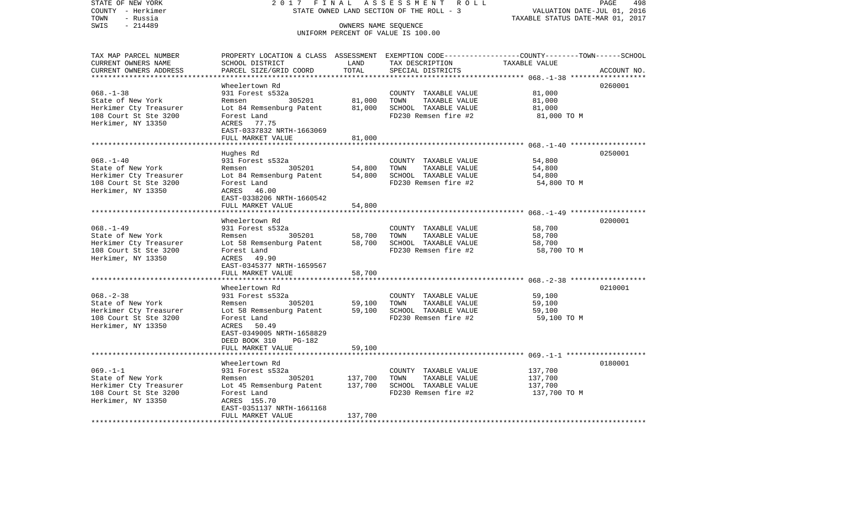| STATE OF NEW YORK                             | 2017<br>FINAL                                                                                  | 498<br>PAGE<br>VALUATION DATE-JUL 01, 2016 |                                                            |                                                        |             |
|-----------------------------------------------|------------------------------------------------------------------------------------------------|--------------------------------------------|------------------------------------------------------------|--------------------------------------------------------|-------------|
| COUNTY - Herkimer                             | STATE OWNED LAND SECTION OF THE ROLL - 3                                                       |                                            |                                                            |                                                        |             |
| TOWN<br>- Russia<br>$-214489$<br>SWIS         |                                                                                                | TAXABLE STATUS DATE-MAR 01, 2017           |                                                            |                                                        |             |
|                                               |                                                                                                |                                            | OWNERS NAME SEQUENCE<br>UNIFORM PERCENT OF VALUE IS 100.00 |                                                        |             |
|                                               |                                                                                                |                                            |                                                            |                                                        |             |
|                                               |                                                                                                |                                            |                                                            |                                                        |             |
| TAX MAP PARCEL NUMBER                         | PROPERTY LOCATION & CLASS ASSESSMENT EXEMPTION CODE---------------COUNTY-------TOWN-----SCHOOL | LAND                                       |                                                            |                                                        |             |
| CURRENT OWNERS NAME<br>CURRENT OWNERS ADDRESS | SCHOOL DISTRICT<br>PARCEL SIZE/GRID COORD                                                      | TOTAL                                      | TAX DESCRIPTION<br>SPECIAL DISTRICTS                       | TAXABLE VALUE                                          | ACCOUNT NO. |
| ***********************                       |                                                                                                |                                            |                                                            |                                                        |             |
|                                               | Wheelertown Rd                                                                                 |                                            |                                                            |                                                        | 0260001     |
| $068. - 1 - 38$                               | 931 Forest s532a                                                                               |                                            | COUNTY TAXABLE VALUE                                       | 81,000                                                 |             |
| State of New York                             | Remsen<br>305201                                                                               | 81,000                                     | TOWN<br>TAXABLE VALUE                                      | 81,000                                                 |             |
| Herkimer Cty Treasurer                        | Lot 84 Remsenburg Patent                                                                       | 81,000                                     | SCHOOL TAXABLE VALUE                                       | 81,000                                                 |             |
| 108 Court St Ste 3200                         | Forest Land                                                                                    |                                            | FD230 Remsen fire #2                                       | 81,000 TO M                                            |             |
| Herkimer, NY 13350                            | ACRES 77.75                                                                                    |                                            |                                                            |                                                        |             |
|                                               | EAST-0337832 NRTH-1663069                                                                      |                                            |                                                            |                                                        |             |
|                                               | FULL MARKET VALUE                                                                              | 81,000                                     |                                                            |                                                        |             |
|                                               | ***************************                                                                    |                                            |                                                            | ************************ 068.-1-40 ******************* |             |
|                                               | Hughes Rd                                                                                      |                                            |                                                            |                                                        | 0250001     |
| $068. - 1 - 40$                               | 931 Forest s532a                                                                               |                                            | COUNTY TAXABLE VALUE                                       | 54,800                                                 |             |
| State of New York                             | 305201<br>Remsen                                                                               | 54,800                                     | TOWN<br>TAXABLE VALUE                                      | 54,800                                                 |             |
| Herkimer Cty Treasurer                        | Lot 84 Remsenburg Patent                                                                       | 54,800                                     | SCHOOL TAXABLE VALUE                                       | 54,800                                                 |             |
| 108 Court St Ste 3200                         | Forest Land                                                                                    |                                            | FD230 Remsen fire #2                                       | 54,800 TO M                                            |             |
| Herkimer, NY 13350                            | ACRES 46.00                                                                                    |                                            |                                                            |                                                        |             |
|                                               | EAST-0338206 NRTH-1660542                                                                      |                                            |                                                            |                                                        |             |
|                                               | FULL MARKET VALUE                                                                              | 54,800                                     |                                                            |                                                        |             |
|                                               | Wheelertown Rd                                                                                 |                                            |                                                            |                                                        | 0200001     |
| $068. - 1 - 49$                               | 931 Forest s532a                                                                               |                                            | COUNTY TAXABLE VALUE                                       | 58,700                                                 |             |
| State of New York                             | 305201<br>Remsen                                                                               | 58,700                                     | TOWN<br>TAXABLE VALUE                                      | 58,700                                                 |             |
| Herkimer Cty Treasurer                        | Lot 58 Remsenburg Patent                                                                       | 58,700                                     | SCHOOL TAXABLE VALUE                                       | 58,700                                                 |             |
| 108 Court St Ste 3200                         | Forest Land                                                                                    |                                            | FD230 Remsen fire #2                                       | 58,700 TO M                                            |             |
| Herkimer, NY 13350                            | ACRES 49.90                                                                                    |                                            |                                                            |                                                        |             |
|                                               | EAST-0345377 NRTH-1659567                                                                      |                                            |                                                            |                                                        |             |
|                                               | FULL MARKET VALUE                                                                              | 58,700                                     |                                                            |                                                        |             |
|                                               |                                                                                                |                                            |                                                            |                                                        |             |
|                                               | Wheelertown Rd                                                                                 |                                            |                                                            |                                                        | 0210001     |
| $068. - 2 - 38$                               | 931 Forest s532a                                                                               |                                            | COUNTY TAXABLE VALUE                                       | 59,100                                                 |             |
| State of New York                             | 305201<br>Remsen                                                                               | 59,100                                     | TOWN<br>TAXABLE VALUE                                      | 59,100                                                 |             |
| Herkimer Cty Treasurer                        | Lot 58 Remsenburg Patent                                                                       | 59,100                                     | SCHOOL TAXABLE VALUE                                       | 59,100                                                 |             |
| 108 Court St Ste 3200                         | Forest Land                                                                                    |                                            | FD230 Remsen fire #2                                       | 59,100 TO M                                            |             |
| Herkimer, NY 13350                            | ACRES<br>50.49                                                                                 |                                            |                                                            |                                                        |             |
|                                               | EAST-0349005 NRTH-1658829                                                                      |                                            |                                                            |                                                        |             |
|                                               | DEED BOOK 310<br>PG-182                                                                        |                                            |                                                            |                                                        |             |
|                                               | FULL MARKET VALUE                                                                              | 59,100                                     |                                                            |                                                        |             |
|                                               |                                                                                                |                                            |                                                            |                                                        |             |
|                                               | Wheelertown Rd                                                                                 |                                            |                                                            |                                                        | 0180001     |
| $069. -1 -1$                                  | 931 Forest s532a                                                                               |                                            | COUNTY TAXABLE VALUE                                       | 137,700                                                |             |
| State of New York                             | 305201<br>Remsen                                                                               | 137,700                                    | TOWN<br>TAXABLE VALUE                                      | 137,700                                                |             |
| Herkimer Cty Treasurer                        | Lot 45 Remsenburg Patent                                                                       | 137,700                                    | SCHOOL TAXABLE VALUE                                       | 137,700                                                |             |
| 108 Court St Ste 3200                         | Forest Land                                                                                    |                                            | FD230 Remsen fire #2                                       | 137,700 TO M                                           |             |
| Herkimer, NY 13350                            | ACRES 155.70                                                                                   |                                            |                                                            |                                                        |             |
|                                               | EAST-0351137 NRTH-1661168                                                                      |                                            |                                                            |                                                        |             |
|                                               | FULL MARKET VALUE                                                                              | 137,700                                    |                                                            |                                                        |             |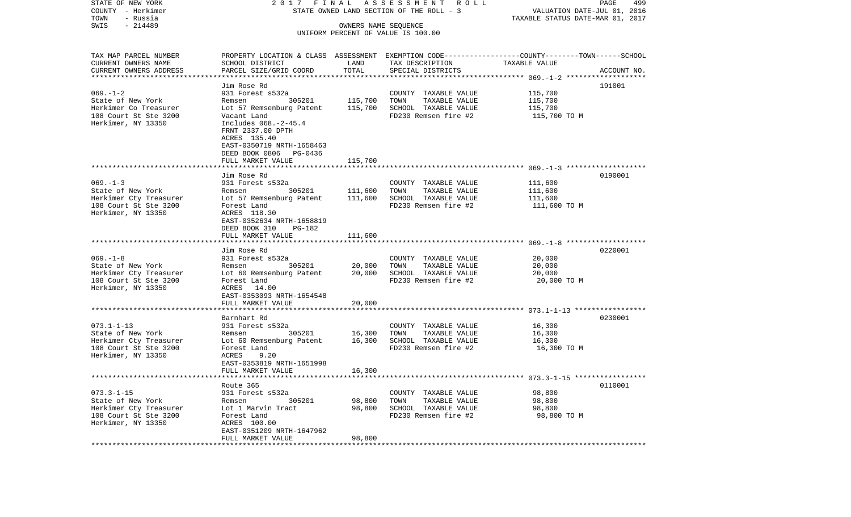| STATE OF NEW YORK                     |                                                                                                  |                         | 2017 FINAL ASSESSMENT ROLL               |                                                                 | PAGE<br>499 |
|---------------------------------------|--------------------------------------------------------------------------------------------------|-------------------------|------------------------------------------|-----------------------------------------------------------------|-------------|
| COUNTY - Herkimer<br>TOWN<br>- Russia |                                                                                                  |                         | STATE OWNED LAND SECTION OF THE ROLL - 3 | VALUATION DATE-JUL 01, 2016<br>TAXABLE STATUS DATE-MAR 01, 2017 |             |
| $-214489$<br>SWIS                     |                                                                                                  | OWNERS NAME SEQUENCE    |                                          |                                                                 |             |
|                                       |                                                                                                  |                         | UNIFORM PERCENT OF VALUE IS 100.00       |                                                                 |             |
|                                       |                                                                                                  |                         |                                          |                                                                 |             |
| TAX MAP PARCEL NUMBER                 | PROPERTY LOCATION & CLASS ASSESSMENT EXEMPTION CODE----------------COUNTY-------TOWN------SCHOOL |                         |                                          |                                                                 |             |
| CURRENT OWNERS NAME                   | SCHOOL DISTRICT                                                                                  | LAND                    | TAX DESCRIPTION                          | TAXABLE VALUE                                                   |             |
| CURRENT OWNERS ADDRESS                | PARCEL SIZE/GRID COORD                                                                           | TOTAL                   | SPECIAL DISTRICTS                        |                                                                 | ACCOUNT NO. |
| ************************              |                                                                                                  |                         |                                          |                                                                 |             |
|                                       | Jim Rose Rd                                                                                      |                         |                                          |                                                                 | 191001      |
| $069. - 1 - 2$                        | 931 Forest s532a                                                                                 |                         | COUNTY TAXABLE VALUE                     | 115,700                                                         |             |
| State of New York                     | 305201<br>Remsen                                                                                 | 115,700                 | TOWN<br>TAXABLE VALUE                    | 115,700                                                         |             |
| Herkimer Co Treasurer                 | Lot 57 Remsenburg Patent                                                                         | 115,700                 | SCHOOL TAXABLE VALUE                     | 115,700                                                         |             |
| 108 Court St Ste 3200                 | Vacant Land                                                                                      |                         | FD230 Remsen fire #2                     | 115,700 TO M                                                    |             |
| Herkimer, NY 13350                    | Includes 068.-2-45.4                                                                             |                         |                                          |                                                                 |             |
|                                       | FRNT 2337.00 DPTH                                                                                |                         |                                          |                                                                 |             |
|                                       | ACRES 135.40<br>EAST-0350719 NRTH-1658463                                                        |                         |                                          |                                                                 |             |
|                                       | DEED BOOK 0806 PG-0436                                                                           |                         |                                          |                                                                 |             |
|                                       | FULL MARKET VALUE                                                                                | 115,700                 |                                          |                                                                 |             |
|                                       |                                                                                                  |                         |                                          |                                                                 |             |
|                                       | Jim Rose Rd                                                                                      |                         |                                          |                                                                 | 0190001     |
| $069. -1 - 3$                         | 931 Forest s532a                                                                                 |                         | COUNTY TAXABLE VALUE                     | 111,600                                                         |             |
| State of New York                     | 305201<br>Remsen                                                                                 | 111,600                 | TOWN<br>TAXABLE VALUE                    | 111,600                                                         |             |
| Herkimer Cty Treasurer                | Lot 57 Remsenburg Patent                                                                         | 111,600                 | SCHOOL TAXABLE VALUE                     | 111,600                                                         |             |
| 108 Court St Ste 3200                 | Forest Land                                                                                      |                         | FD230 Remsen fire #2                     | 111,600 TO M                                                    |             |
| Herkimer, NY 13350                    | ACRES 118.30                                                                                     |                         |                                          |                                                                 |             |
|                                       | EAST-0352634 NRTH-1658819                                                                        |                         |                                          |                                                                 |             |
|                                       | DEED BOOK 310<br>PG-182                                                                          |                         |                                          |                                                                 |             |
|                                       | FULL MARKET VALUE                                                                                | 111,600                 |                                          |                                                                 |             |
|                                       |                                                                                                  |                         |                                          |                                                                 | 0220001     |
| $069. -1 - 8$                         | Jim Rose Rd<br>931 Forest s532a                                                                  |                         | COUNTY TAXABLE VALUE                     | 20,000                                                          |             |
| State of New York                     | 305201<br>Remsen                                                                                 | 20,000                  | TAXABLE VALUE<br>TOWN                    | 20,000                                                          |             |
| Herkimer Cty Treasurer                | Lot 60 Remsenburg Patent                                                                         | 20,000                  | SCHOOL TAXABLE VALUE                     | 20,000                                                          |             |
| 108 Court St Ste 3200                 | Forest Land                                                                                      |                         | FD230 Remsen fire #2                     | 20,000 TO M                                                     |             |
| Herkimer, NY 13350                    | ACRES 14.00                                                                                      |                         |                                          |                                                                 |             |
|                                       | EAST-0353093 NRTH-1654548                                                                        |                         |                                          |                                                                 |             |
|                                       | FULL MARKET VALUE                                                                                | 20,000                  |                                          |                                                                 |             |
|                                       | *********************                                                                            | *******                 |                                          | *************************** 073.1-1-13 *****************        |             |
|                                       | Barnhart Rd                                                                                      |                         |                                          |                                                                 | 0230001     |
| $073.1 - 1 - 13$                      | 931 Forest s532a                                                                                 |                         | COUNTY TAXABLE VALUE                     | 16,300                                                          |             |
| State of New York                     | 305201<br>Remsen                                                                                 | 16,300                  | TOWN<br>TAXABLE VALUE                    | 16,300                                                          |             |
| Herkimer Cty Treasurer                | Lot 60 Remsenburg Patent                                                                         | 16,300                  | SCHOOL TAXABLE VALUE                     | 16,300                                                          |             |
| 108 Court St Ste 3200                 | Forest Land                                                                                      |                         | FD230 Remsen fire #2                     | 16,300 TO M                                                     |             |
| Herkimer, NY 13350                    | ACRES<br>9.20<br>EAST-0353819 NRTH-1651998                                                       |                         |                                          |                                                                 |             |
|                                       | FULL MARKET VALUE                                                                                | 16,300                  |                                          |                                                                 |             |
|                                       |                                                                                                  |                         |                                          |                                                                 |             |
|                                       | Route 365                                                                                        |                         |                                          |                                                                 | 0110001     |
| $073.3 - 1 - 15$                      | 931 Forest s532a                                                                                 |                         | COUNTY TAXABLE VALUE                     | 98,800                                                          |             |
| State of New York                     | 305201<br>Remsen                                                                                 | 98,800                  | TOWN<br>TAXABLE VALUE                    | 98,800                                                          |             |
| Herkimer Cty Treasurer                | Lot 1 Marvin Tract                                                                               | 98,800                  | SCHOOL TAXABLE VALUE                     | 98,800                                                          |             |
| 108 Court St Ste 3200                 | Forest Land                                                                                      |                         | FD230 Remsen fire #2                     | 98,800 TO M                                                     |             |
| Herkimer, NY 13350                    | ACRES 100.00                                                                                     |                         |                                          |                                                                 |             |
|                                       | EAST-0351209 NRTH-1647962                                                                        |                         |                                          |                                                                 |             |
|                                       | FULL MARKET VALUE                                                                                | 98,800<br>************* |                                          |                                                                 |             |
|                                       | *********************                                                                            |                         |                                          |                                                                 |             |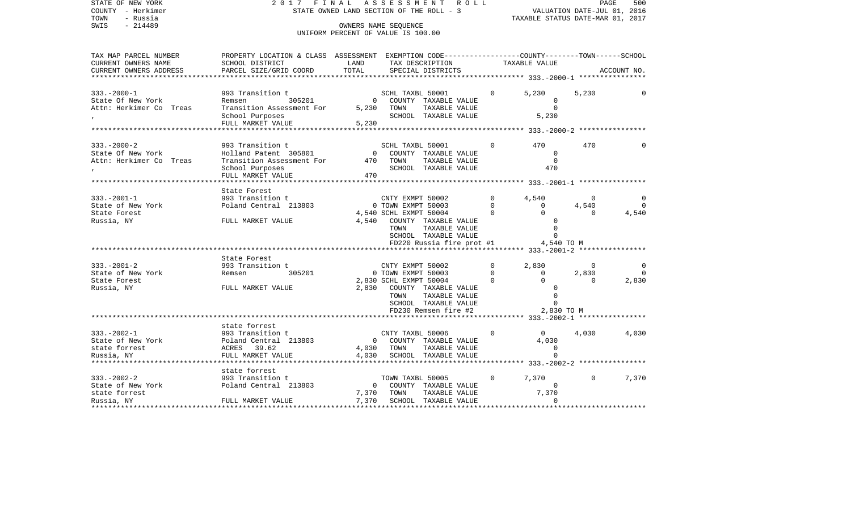| STATE OF NEW YORK<br>COUNTY - Herkimer<br>TOWN<br>- Russia | FINAL<br>ASSESSMENT<br>2017<br>R O L L<br>STATE OWNED LAND SECTION OF THE ROLL - 3                                  |                |                                       |             | PAGE<br>500<br>VALUATION DATE-JUL 01, 2016<br>TAXABLE STATUS DATE-MAR 01, 2017 |              |             |  |
|------------------------------------------------------------|---------------------------------------------------------------------------------------------------------------------|----------------|---------------------------------------|-------------|--------------------------------------------------------------------------------|--------------|-------------|--|
| $-214489$<br>SWIS                                          | OWNERS NAME SEQUENCE                                                                                                |                |                                       |             |                                                                                |              |             |  |
|                                                            |                                                                                                                     |                | UNIFORM PERCENT OF VALUE IS 100.00    |             |                                                                                |              |             |  |
|                                                            |                                                                                                                     |                |                                       |             |                                                                                |              |             |  |
| TAX MAP PARCEL NUMBER<br>CURRENT OWNERS NAME               | PROPERTY LOCATION & CLASS ASSESSMENT EXEMPTION CODE----------------COUNTY-------TOWN------SCHOOL<br>SCHOOL DISTRICT | LAND           | TAX DESCRIPTION                       |             | TAXABLE VALUE                                                                  |              |             |  |
| CURRENT OWNERS ADDRESS                                     | PARCEL SIZE/GRID COORD                                                                                              | TOTAL          | SPECIAL DISTRICTS                     |             |                                                                                |              | ACCOUNT NO. |  |
| ***********************                                    |                                                                                                                     |                |                                       |             |                                                                                |              |             |  |
|                                                            |                                                                                                                     |                |                                       |             |                                                                                |              |             |  |
| $333. - 2000 - 1$                                          | 993 Transition t                                                                                                    |                | SCHL TAXBL 50001                      | $\Omega$    | 5,230                                                                          | 5,230        |             |  |
| State Of New York                                          | 305201<br>Remsen                                                                                                    | $\overline{0}$ | COUNTY TAXABLE VALUE                  |             | $\mathbf 0$<br>$\Omega$                                                        |              |             |  |
| Attn: Herkimer Co Treas                                    | Transition Assessment For                                                                                           | 5,230          | TOWN<br>TAXABLE VALUE                 |             |                                                                                |              |             |  |
|                                                            | School Purposes<br>FULL MARKET VALUE                                                                                | 5,230          | SCHOOL TAXABLE VALUE                  |             | 5,230                                                                          |              |             |  |
|                                                            |                                                                                                                     |                |                                       |             |                                                                                |              |             |  |
|                                                            |                                                                                                                     |                |                                       |             |                                                                                |              |             |  |
| $333. - 2000 - 2$                                          | 993 Transition t                                                                                                    |                | SCHL TAXBL 50001                      | $\Omega$    | 470                                                                            | 470          | $\Omega$    |  |
| State Of New York                                          | Holland Patent 305801                                                                                               |                | 0 COUNTY TAXABLE VALUE                |             | $\Omega$                                                                       |              |             |  |
| Attn: Herkimer Co Treas                                    | Transition Assessment For                                                                                           | 470            | TAXABLE VALUE<br>TOWN                 |             | $\overline{0}$                                                                 |              |             |  |
|                                                            | School Purposes                                                                                                     |                | SCHOOL TAXABLE VALUE                  |             | 470                                                                            |              |             |  |
|                                                            | FULL MARKET VALUE                                                                                                   | 470            |                                       |             |                                                                                |              |             |  |
|                                                            | **********************                                                                                              |                |                                       |             |                                                                                |              |             |  |
|                                                            | State Forest                                                                                                        |                |                                       |             |                                                                                |              |             |  |
| $333. - 2001 - 1$                                          | 993 Transition t                                                                                                    |                | CNTY EXMPT 50002                      | $\Omega$    | 4,540                                                                          | $\Omega$     |             |  |
| State of New York                                          | Poland Central 213803                                                                                               |                | 0 TOWN EXMPT 50003                    | $\Omega$    | $\mathbf{0}$                                                                   | 4,540        | $\Omega$    |  |
| State Forest                                               |                                                                                                                     |                | 4,540 SCHL EXMPT 50004                | $\Omega$    | $\Omega$                                                                       |              | 4,540       |  |
| Russia, NY                                                 | FULL MARKET VALUE                                                                                                   |                | 4,540 COUNTY TAXABLE VALUE            |             |                                                                                |              |             |  |
|                                                            |                                                                                                                     |                | TAXABLE VALUE<br>TOWN                 |             | $\Omega$                                                                       |              |             |  |
|                                                            |                                                                                                                     |                | SCHOOL TAXABLE VALUE                  |             | $\Omega$                                                                       |              |             |  |
|                                                            |                                                                                                                     |                | FD220 Russia fire prot #1             |             | 4,540 TO M                                                                     |              |             |  |
|                                                            | State Forest                                                                                                        |                |                                       |             |                                                                                |              |             |  |
| $333 - 2001 - 2$                                           | 993 Transition t                                                                                                    |                | CNTY EXMPT 50002                      | $\Omega$    | 2,830                                                                          | $\Omega$     | $\Omega$    |  |
| State of New York                                          | 305201<br>Remsen                                                                                                    |                | 0 TOWN EXMPT 50003                    | $\mathbf 0$ | $\mathbf 0$                                                                    | 2,830        | $\Omega$    |  |
| State Forest                                               |                                                                                                                     |                | 2,830 SCHL EXMPT 50004                | 0           | $\overline{0}$                                                                 | $\Omega$     | 2,830       |  |
| Russia, NY                                                 | FULL MARKET VALUE                                                                                                   | 2,830          | COUNTY TAXABLE VALUE                  |             | $\Omega$                                                                       |              |             |  |
|                                                            |                                                                                                                     |                | TOWN<br>TAXABLE VALUE                 |             | $\Omega$                                                                       |              |             |  |
|                                                            |                                                                                                                     |                | SCHOOL TAXABLE VALUE                  |             |                                                                                |              |             |  |
|                                                            |                                                                                                                     |                | FD230 Remsen fire #2                  |             | 2,830 TO M                                                                     |              |             |  |
|                                                            |                                                                                                                     |                |                                       |             |                                                                                |              |             |  |
|                                                            | state forrest                                                                                                       |                |                                       |             |                                                                                |              |             |  |
| $333 - 2002 - 1$                                           | 993 Transition t                                                                                                    |                | CNTY TAXBL 50006                      | $\Omega$    | $\overline{0}$                                                                 | 4,030        | 4,030       |  |
| State of New York                                          | Poland Central 213803                                                                                               | $\overline{0}$ | COUNTY TAXABLE VALUE                  |             | 4,030                                                                          |              |             |  |
| state forrest                                              | ACRES 39.62                                                                                                         | 4,030          | TOWN<br>TAXABLE VALUE                 |             | $\mathbf 0$                                                                    |              |             |  |
| Russia, NY                                                 | FULL MARKET VALUE                                                                                                   | 4,030          | SCHOOL TAXABLE VALUE                  |             | $\Omega$                                                                       |              |             |  |
|                                                            |                                                                                                                     |                |                                       |             | ******* 333. - 2002 - 2 *************                                          |              |             |  |
|                                                            | state forrest                                                                                                       |                |                                       |             |                                                                                |              |             |  |
| $333 - 2002 - 2$                                           | 993 Transition t                                                                                                    |                | TOWN TAXBL 50005                      | 0           | 7,370<br>$\Omega$                                                              | $\mathbf{0}$ | 7,370       |  |
| State of New York                                          | Poland Central 213803                                                                                               | 0<br>7,370     | COUNTY TAXABLE VALUE<br>TOWN          |             | 7,370                                                                          |              |             |  |
| state forrest<br>Russia, NY                                | FULL MARKET VALUE                                                                                                   | 7,370          | TAXABLE VALUE<br>SCHOOL TAXABLE VALUE |             |                                                                                |              |             |  |
|                                                            |                                                                                                                     |                |                                       |             |                                                                                |              |             |  |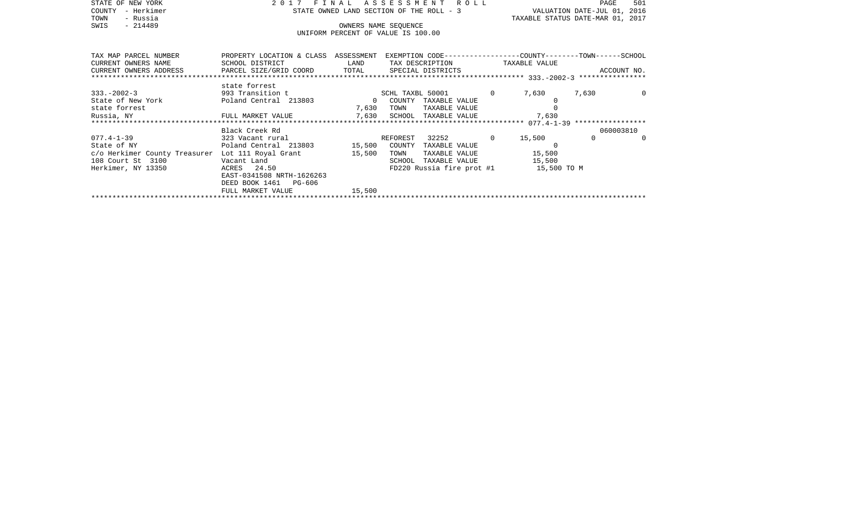| STATE OF NEW YORK                             | 2017<br>FINAL                                                                                    |                                          | 501<br>PAGE                           |                |                             |                                  |
|-----------------------------------------------|--------------------------------------------------------------------------------------------------|------------------------------------------|---------------------------------------|----------------|-----------------------------|----------------------------------|
| - Herkimer<br>COUNTY                          |                                                                                                  | STATE OWNED LAND SECTION OF THE ROLL - 3 |                                       |                | VALUATION DATE-JUL 01, 2016 |                                  |
| - Russia<br>TOWN                              |                                                                                                  |                                          |                                       |                |                             | TAXABLE STATUS DATE-MAR 01, 2017 |
| $-214489$<br>SWIS                             |                                                                                                  |                                          | OWNERS NAME SEQUENCE                  |                |                             |                                  |
|                                               |                                                                                                  |                                          | UNIFORM PERCENT OF VALUE IS 100.00    |                |                             |                                  |
|                                               |                                                                                                  |                                          |                                       |                |                             |                                  |
| TAX MAP PARCEL NUMBER                         | PROPERTY LOCATION & CLASS ASSESSMENT EXEMPTION CODE----------------COUNTY-------TOWN------SCHOOL |                                          |                                       |                |                             |                                  |
| CURRENT OWNERS NAME                           | SCHOOL DISTRICT                                                                                  | LAND                                     | TAX DESCRIPTION TAXABLE VALUE         |                |                             |                                  |
| CURRENT OWNERS ADDRESS PARCEL SIZE/GRID COORD |                                                                                                  | TOTAL                                    | SPECIAL DISTRICTS                     |                |                             | ACCOUNT NO.                      |
|                                               |                                                                                                  |                                          |                                       |                |                             |                                  |
|                                               | state forrest                                                                                    |                                          |                                       |                |                             |                                  |
| $333. - 2002 - 3$                             | 993 Transition t                                                                                 |                                          | SCHL TAXBL 50001                      | $\overline{0}$ | 7,630                       | 7,630<br>$\Omega$                |
| State of New York                             | Poland Central 213803                                                                            | $\overline{0}$                           | COUNTY<br>TAXABLE VALUE               |                |                             |                                  |
| state forrest                                 |                                                                                                  | 7,630                                    | TOWN<br>TAXABLE VALUE                 |                |                             |                                  |
| Russia, NY                                    | FULL MARKET VALUE                                                                                | 7,630                                    | SCHOOL TAXABLE VALUE                  |                | 7,630                       |                                  |
|                                               | Black Creek Rd                                                                                   |                                          |                                       |                |                             | 060003810                        |
| $077.4 - 1 - 39$                              | 323 Vacant rural                                                                                 |                                          | 32252 0<br>REFOREST                   |                | 15,500                      | $\Omega$<br>$\Omega$             |
| State of NY                                   | Poland Central 213803 15,500                                                                     |                                          | COUNTY<br>TAXABLE VALUE               |                | $\Omega$                    |                                  |
| c/o Herkimer County Treasurer                 | Lot 111 Royal Grant                                                                              | 15,500                                   | TAXABLE VALUE<br>TOWN                 |                | 15,500                      |                                  |
| 108 Court St 3100                             | Vacant Land                                                                                      |                                          | TAXABLE VALUE<br>SCHOOL               |                | 15,500                      |                                  |
| Herkimer, NY 13350                            | ACRES 24.50                                                                                      |                                          | FD220 Russia fire prot #1 15,500 TO M |                |                             |                                  |
|                                               | EAST-0341508 NRTH-1626263                                                                        |                                          |                                       |                |                             |                                  |
|                                               | DEED BOOK 1461 PG-606                                                                            |                                          |                                       |                |                             |                                  |
|                                               | FULL MARKET VALUE                                                                                | 15,500                                   |                                       |                |                             |                                  |
|                                               |                                                                                                  |                                          |                                       |                |                             |                                  |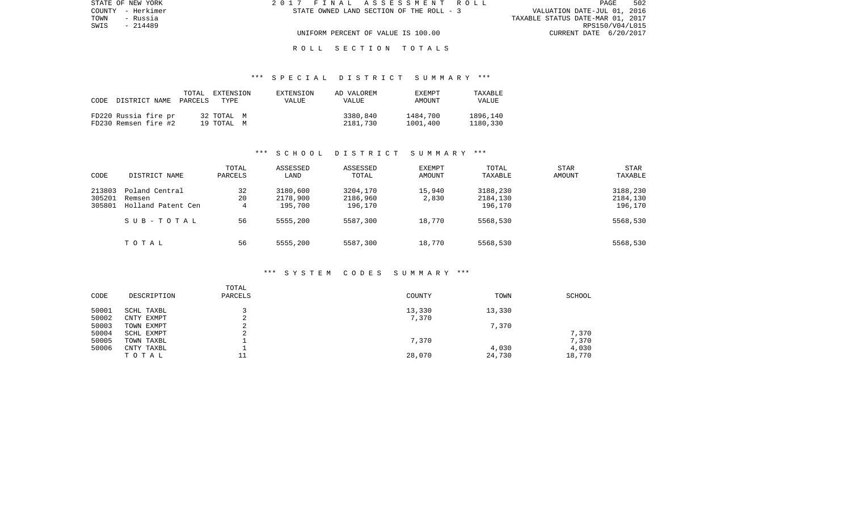| STATE OF NEW YORK | 2017 FINAL ASSESSMENT ROLL               | 502<br><b>PAGE</b>               |
|-------------------|------------------------------------------|----------------------------------|
| COUNTY - Herkimer | STATE OWNED LAND SECTION OF THE ROLL - 3 | VALUATION DATE-JUL 01, 2016      |
| TOWN<br>- Russia  |                                          | TAXABLE STATUS DATE-MAR 01, 2017 |
| SWIS<br>- 214489  |                                          | RPS150/V04/L015                  |
|                   | UNIFORM PERCENT OF VALUE IS 100.00       | CURRENT DATE 6/20/2017           |
|                   |                                          |                                  |

### \*\*\* S P E C I A L D I S T R I C T S U M M A R Y \*\*\*

| CODE | DISTRICT NAME PARCELS                        | TOTAL | EXTENSION<br>TYPE.       | EXTENSION<br>VALUE | AD VALOREM<br>VALUE  | EXEMPT<br>AMOUNT     | TAXABLE<br><b>VALUE</b> |
|------|----------------------------------------------|-------|--------------------------|--------------------|----------------------|----------------------|-------------------------|
|      | FD220 Russia fire pr<br>FD230 Remsen fire #2 |       | 32 TOTAL M<br>19 TOTAL M |                    | 3380,840<br>2181,730 | 1484,700<br>1001,400 | 1896,140<br>1180,330    |

### \*\*\* S C H O O L D I S T R I C T S U M M A R Y \*\*\*

| CODE                       | DISTRICT NAME                                  | TOTAL<br>PARCELS | ASSESSED<br>LAND                | ASSESSED<br>TOTAL               | <b>EXEMPT</b><br>AMOUNT | TOTAL<br>TAXABLE                | <b>STAR</b><br>AMOUNT | STAR<br>TAXABLE                 |
|----------------------------|------------------------------------------------|------------------|---------------------------------|---------------------------------|-------------------------|---------------------------------|-----------------------|---------------------------------|
| 213803<br>305201<br>305801 | Poland Central<br>Remsen<br>Holland Patent Cen | 32<br>20<br>4    | 3180,600<br>2178,900<br>195,700 | 3204,170<br>2186,960<br>196,170 | 15,940<br>2,830         | 3188,230<br>2184,130<br>196,170 |                       | 3188,230<br>2184,130<br>196,170 |
|                            | SUB-TOTAL                                      | 56               | 5555,200                        | 5587,300                        | 18,770                  | 5568,530                        |                       | 5568,530                        |
|                            | TOTAL                                          | 56               | 5555,200                        | 5587,300                        | 18,770                  | 5568,530                        |                       | 5568,530                        |

#### \*\*\* S Y S T E M C O D E S S U M M A R Y \*\*\*

| DESCRIPTION | TOTAL<br>PARCELS | COUNTY | TOWN   | SCHOOL |
|-------------|------------------|--------|--------|--------|
| SCHL TAXBL  |                  | 13,330 | 13,330 |        |
| CNTY EXMPT  |                  | 7,370  |        |        |
| TOWN EXMPT  | ⌒<br>▵           |        | 7,370  |        |
| SCHL EXMPT  | $\sim$           |        |        | 7,370  |
| TOWN TAXBL  |                  | 7,370  |        | 7,370  |
| CNTY TAXBL  |                  |        | 4,030  | 4,030  |
| TOTAL       | ᆂᆂ               | 28,070 | 24,730 | 18,770 |
|             |                  |        |        |        |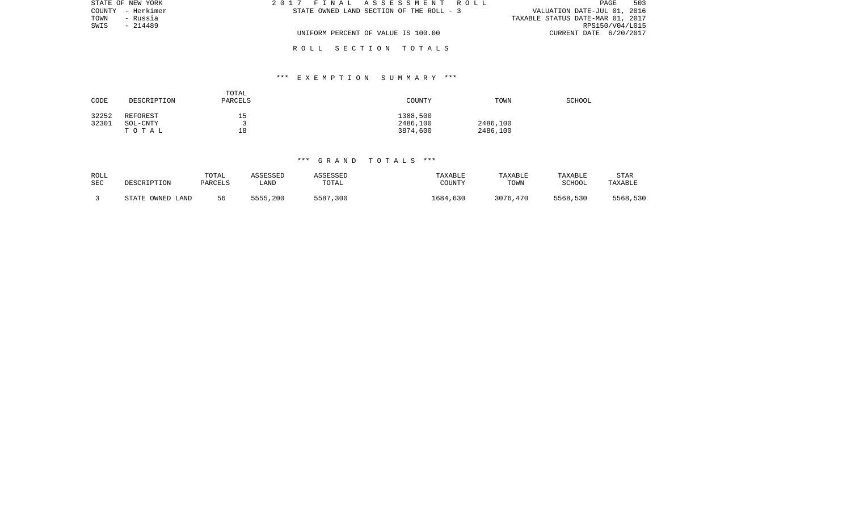| STATE OF NEW YORK | 2017 FINAL ASSESSMENT ROLL               | 503<br>PAGE                      |
|-------------------|------------------------------------------|----------------------------------|
| COUNTY - Herkimer | STATE OWNED LAND SECTION OF THE ROLL - 3 | VALUATION DATE-JUL 01, 2016      |
| TOWN<br>- Russia  |                                          | TAXABLE STATUS DATE-MAR 01, 2017 |
| SWIS<br>- 214489  |                                          | RPS150/V04/L015                  |
|                   | UNIFORM PERCENT OF VALUE IS 100.00       | CURRENT DATE 6/20/2017           |
|                   |                                          |                                  |

## \*\*\* E X E M P T I O N S U M M A R Y \*\*\*

| CODE           | DESCRIPTION          | TOTAL<br>PARCELS | COUNTY               | TOWN     | <b>SCHOOL</b> |
|----------------|----------------------|------------------|----------------------|----------|---------------|
| 32252<br>32301 | REFOREST<br>SOL-CNTY | 15               | 1388,500<br>2486,100 | 2486,100 |               |
|                | TOTAL                | 18               | 3874,600             | 2486,100 |               |

# \*\*\* G R A N D T O T A L S \*\*\*

| ROLL | DESCRIPTION      | TOTAL   | ASSESSED   | ASSESSED | TAXABLE  | TAXABLE  | TAXABLE  | <b>STAR</b> |
|------|------------------|---------|------------|----------|----------|----------|----------|-------------|
| SEC  |                  | PARCELS | <b>AND</b> | TOTAL    | COUNTY   | TOWN     | SCHOOL   | TAXABLE     |
|      | STATE OWNED LAND | 56      | 5555,200   | 5587,300 | 1684,630 | 3076,470 | 5568,530 | 5568,530    |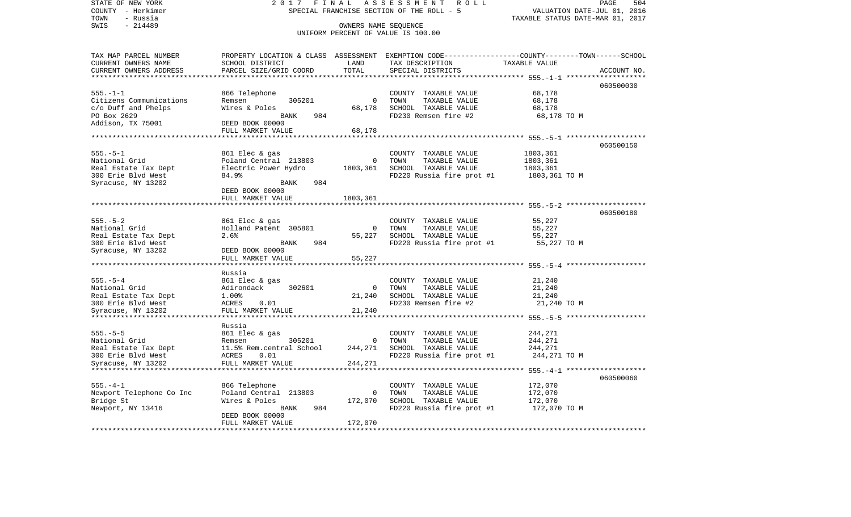STATE OF NEW YORK 2 0 1 7 F I N A L A S S E S S M E N T R O L L PAGE 504COUNTY - Herkimer SPECIAL FRANCHISE SECTION OF THE ROLL - 5 VALUATION DATE-JUL 01, 2016 TOWN - Russia TAXABLE STATUS DATE-MAR 01, 2017 SWIS - 214489 CONNERS NAME SEQUENCE UNIFORM PERCENT OF VALUE IS 100.00TAX MAP PARCEL NUMBER PROPERTY LOCATION & CLASS ASSESSMENT EXEMPTION CODE------------------COUNTY--------TOWN------SCHOOL CURRENT OWNERS NAME SCHOOL DISTRICT LAND TAX DESCRIPTION TAXABLE VALUECURRENT OWNERS ADDRESS PARCEL SIZE/GRID COORD TOTAL SPECIAL DISTRICTS ACCOUNT NO. \*\*\*\*\*\*\*\*\*\*\*\*\*\*\*\*\*\*\*\*\*\*\*\*\*\*\*\*\*\*\*\*\*\*\*\*\*\*\*\*\*\*\*\*\*\*\*\*\*\*\*\*\*\*\*\*\*\*\*\*\*\*\*\*\*\*\*\*\*\*\*\*\*\*\*\*\*\*\*\*\*\*\*\*\*\*\*\*\*\*\*\*\*\*\*\*\*\*\*\*\*\*\* 555.-1-1 \*\*\*\*\*\*\*\*\*\*\*\*\*\*\*\*\*\*\* 060500030555.-1-1 866 Telephone COUNTY TAXABLE VALUE 68,178 Citizens Communications and Remsen and 205201 0 TOWN TAXABLE VALUE 68,178 c/o Duff and Phelps Wires & Poles 68,178 SCHOOL TAXABLE VALUE 68,178 PO Box 2629 BANK 984 FD230 Remsen fire #2 68,178 TO M Addison, TX 75001 DEED BOOK 00000 FULL MARKET VALUE 68,178 \*\*\*\*\*\*\*\*\*\*\*\*\*\*\*\*\*\*\*\*\*\*\*\*\*\*\*\*\*\*\*\*\*\*\*\*\*\*\*\*\*\*\*\*\*\*\*\*\*\*\*\*\*\*\*\*\*\*\*\*\*\*\*\*\*\*\*\*\*\*\*\*\*\*\*\*\*\*\*\*\*\*\*\*\*\*\*\*\*\*\*\*\*\*\*\*\*\*\*\*\*\*\* 555.-5-1 \*\*\*\*\*\*\*\*\*\*\*\*\*\*\*\*\*\*\* 060500150555.-5-1 861 Elec & gas COUNTY TAXABLE VALUE 1803,361 0 TOWN TAXABLE VALUE Real Estate Tax Dept **Electric Power Hydro** 1803,361 SCHOOL TAXABLE VALUE 1803,361 300 Erie Blvd West 84.9% FD220 Russia fire prot #1 1803,361 TO M Syracuse, NY 13202 BANK 984 DEED BOOK 00000 FULL MARKET VALUE 1803,361 \*\*\*\*\*\*\*\*\*\*\*\*\*\*\*\*\*\*\*\*\*\*\*\*\*\*\*\*\*\*\*\*\*\*\*\*\*\*\*\*\*\*\*\*\*\*\*\*\*\*\*\*\*\*\*\*\*\*\*\*\*\*\*\*\*\*\*\*\*\*\*\*\*\*\*\*\*\*\*\*\*\*\*\*\*\*\*\*\*\*\*\*\*\*\*\*\*\*\*\*\*\*\* 555.-5-2 \*\*\*\*\*\*\*\*\*\*\*\*\*\*\*\*\*\*\* 060500180555.-5-2 861 Elec & gas COUNTY TAXABLE VALUE 55,227 National Grid **Holland Patent 305801** 0 TOWN TAXABLE VALUE 55,227 Real Estate Tax Dept  $2.6\%$  3.5% 55,227 SCHOOL TAXABLE VALUE 55,227 SCHOOL TAXABLE STRAINE 55,227 300 Erie Blvd West BANK 984 FD220 Russia fire prot #1 55,227 TO M Syracuse, NY 13202 DEED BOOK 00000 FULL MARKET VALUE 55,227 \*\*\*\*\*\*\*\*\*\*\*\*\*\*\*\*\*\*\*\*\*\*\*\*\*\*\*\*\*\*\*\*\*\*\*\*\*\*\*\*\*\*\*\*\*\*\*\*\*\*\*\*\*\*\*\*\*\*\*\*\*\*\*\*\*\*\*\*\*\*\*\*\*\*\*\*\*\*\*\*\*\*\*\*\*\*\*\*\*\*\*\*\*\*\*\*\*\*\*\*\*\*\* 555.-5-4 \*\*\*\*\*\*\*\*\*\*\*\*\*\*\*\*\*\*\* Russia555.-5-4 861 Elec & gas COUNTY TAXABLE VALUE 21,240 National Grid **Call Adirondack** 302601 0 TOWN TAXABLE VALUE 21,240 Real Estate Tax Dept  $1.00\%$ <br>1.00% 21,240 SCHOOL TAXABLE VALUE 21,240 21.240<br>21.240 Frie Blyd West 21.240 21.240 FD230 Remsen fire #2 300 Erie Blvd West ACRES 0.01 FD230 Remsen fire #2 21,240 TO M Syracuse, NY 13202 FULL MARKET VALUE 21,240 \*\*\*\*\*\*\*\*\*\*\*\*\*\*\*\*\*\*\*\*\*\*\*\*\*\*\*\*\*\*\*\*\*\*\*\*\*\*\*\*\*\*\*\*\*\*\*\*\*\*\*\*\*\*\*\*\*\*\*\*\*\*\*\*\*\*\*\*\*\*\*\*\*\*\*\*\*\*\*\*\*\*\*\*\*\*\*\*\*\*\*\*\*\*\*\*\*\*\*\*\*\*\* 555.-5-5 \*\*\*\*\*\*\*\*\*\*\*\*\*\*\*\*\*\*\* Russia555.-5-5 861 Elec & gas COUNTY TAXABLE VALUE 244,271 National Grid **Remsen** 305201 0 TOWN TAXABLE VALUE 244,271 Real Estate Tax Dept 11.5% Rem.central School 244,271 SCHOOL TAXABLE VALUE 244,271 FD220 Russia fire prot #1 Syracuse, NY 13202 FULL MARKET VALUE 244,271 \*\*\*\*\*\*\*\*\*\*\*\*\*\*\*\*\*\*\*\*\*\*\*\*\*\*\*\*\*\*\*\*\*\*\*\*\*\*\*\*\*\*\*\*\*\*\*\*\*\*\*\*\*\*\*\*\*\*\*\*\*\*\*\*\*\*\*\*\*\*\*\*\*\*\*\*\*\*\*\*\*\*\*\*\*\*\*\*\*\*\*\*\*\*\*\*\*\*\*\*\*\*\* 555.-4-1 \*\*\*\*\*\*\*\*\*\*\*\*\*\*\*\*\*\*\* 060500060555.-4-1 866 Telephone COUNTY TAXABLE VALUE 172,070 Newport Telephone Co Inc 172,070 Central 213803 0 TOWN TAXABLE VALUE 172,070<br>Bridge St. 172.070 SCHOOL TAXABLE VALUE 172.070 Bridge St and Mires & Poles 172,070 SCHOOL TAXABLE VALUE 172,070 Newport, NY 13416 BANK 984 FD220 Russia fire prot #1 172,070 TO M DEED BOOK 00000FULL MARKET VALUE 172,070 \*\*\*\*\*\*\*\*\*\*\*\*\*\*\*\*\*\*\*\*\*\*\*\*\*\*\*\*\*\*\*\*\*\*\*\*\*\*\*\*\*\*\*\*\*\*\*\*\*\*\*\*\*\*\*\*\*\*\*\*\*\*\*\*\*\*\*\*\*\*\*\*\*\*\*\*\*\*\*\*\*\*\*\*\*\*\*\*\*\*\*\*\*\*\*\*\*\*\*\*\*\*\*\*\*\*\*\*\*\*\*\*\*\*\*\*\*\*\*\*\*\*\*\*\*\*\*\*\*\*\*\*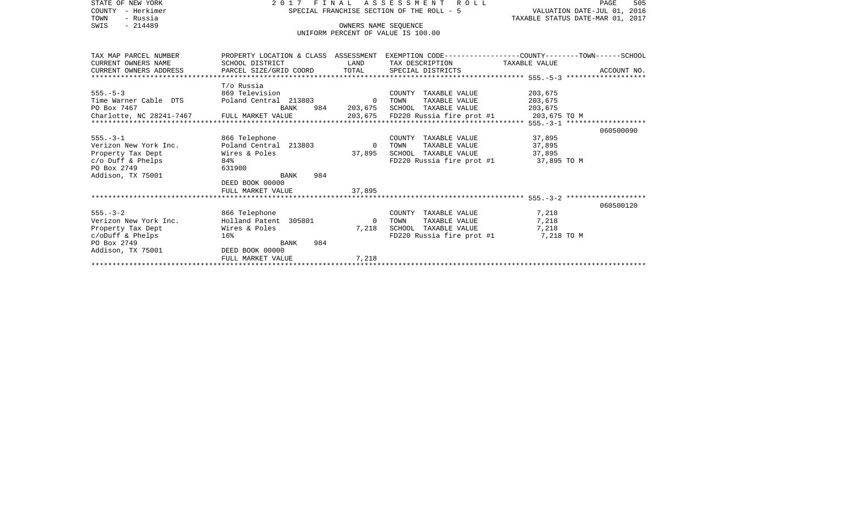| STATE OF NEW YORK                                        |                                                                          |                      | 2017 FINAL ASSESSMENT ROLL                                                                     |            | 505<br>PAGE |
|----------------------------------------------------------|--------------------------------------------------------------------------|----------------------|------------------------------------------------------------------------------------------------|------------|-------------|
| COUNTY - Herkimer                                        | VALUATION DATE-JUL 01, 2016<br>SPECIAL FRANCHISE SECTION OF THE ROLL - 5 |                      |                                                                                                |            |             |
| TOWN<br>- Russia                                         | TAXABLE STATUS DATE-MAR 01, 2017                                         |                      |                                                                                                |            |             |
| $-214489$<br>SWIS                                        |                                                                          | OWNERS NAME SEOUENCE |                                                                                                |            |             |
|                                                          |                                                                          |                      | UNIFORM PERCENT OF VALUE IS 100.00                                                             |            |             |
|                                                          |                                                                          |                      |                                                                                                |            |             |
|                                                          |                                                                          |                      |                                                                                                |            |             |
| TAX MAP PARCEL NUMBER                                    |                                                                          |                      | PROPERTY LOCATION & CLASS ASSESSMENT EXEMPTION CODE---------------COUNTY-------TOWN-----SCHOOL |            |             |
| CURRENT OWNERS NAME                                      | SCHOOL DISTRICT                                                          | LAND                 | TAX DESCRIPTION TAXABLE VALUE                                                                  |            |             |
| CURRENT OWNERS ADDRESS                                   | PARCEL SIZE/GRID COORD                                                   |                      | TOTAL SPECIAL DISTRICTS                                                                        |            | ACCOUNT NO. |
|                                                          |                                                                          |                      |                                                                                                |            |             |
|                                                          | T/o Russia                                                               |                      |                                                                                                |            |             |
| $555. - 5 - 3$                                           | 869 Television                                                           |                      | COUNTY TAXABLE VALUE                                                                           | 203,675    |             |
| Time Warner Cable DTS    Poland Central 213803    0 TOWN |                                                                          |                      | TAXABLE VALUE                                                                                  | 203,675    |             |
| PO Box 7467                                              | BANK                                                                     |                      | 984 203,675 SCHOOL TAXABLE VALUE                                                               | 203,675    |             |
| Charlotte, NC 28241-7467 FULL MARKET VALUE               |                                                                          |                      |                                                                                                |            |             |
|                                                          |                                                                          |                      |                                                                                                |            |             |
|                                                          |                                                                          |                      |                                                                                                |            | 060500090   |
| $555. - 3 - 1$                                           | 866 Telephone                                                            |                      | COUNTY TAXABLE VALUE                                                                           | 37,895     |             |
| Verizon New York Inc.                                    | Poland Central 213803                                                    | $\Omega$             | TAXABLE VALUE<br>TOWN                                                                          | 37,895     |             |
| Property Tax Dept                                        | Wires & Poles                                                            | 37,895               | SCHOOL TAXABLE VALUE                                                                           | 37,895     |             |
| $c$ /o Duff & Phelps                                     | 84%                                                                      |                      | FD220 Russia fire prot #1 37,895 TO M                                                          |            |             |
| PO Box 2749                                              | 631900                                                                   |                      |                                                                                                |            |             |
| Addison, TX 75001                                        | 984<br>BANK                                                              |                      |                                                                                                |            |             |
|                                                          | DEED BOOK 00000                                                          |                      |                                                                                                |            |             |
|                                                          | FULL MARKET VALUE                                                        | 37,895               |                                                                                                |            |             |
|                                                          |                                                                          |                      |                                                                                                |            |             |
|                                                          |                                                                          |                      |                                                                                                |            | 060500120   |
| $555 - 3 - 2$                                            | 866 Telephone                                                            |                      | COUNTY TAXABLE VALUE                                                                           | 7,218      |             |
| Verizon New York Inc.                                    | Holland Patent 305801                                                    | $\overline{0}$       | TOWN<br>TAXABLE VALUE                                                                          | 7,218      |             |
| Property Tax Dept                                        | Wires & Poles                                                            | 7,218                | SCHOOL TAXABLE VALUE                                                                           | 7,218      |             |
| $c$ /oDuff & Phelps                                      | 16%                                                                      |                      | FD220 Russia fire prot #1                                                                      | 7,218 TO M |             |
| PO Box 2749                                              | 984<br>BANK                                                              |                      |                                                                                                |            |             |
| Addison, TX 75001                                        | DEED BOOK 00000                                                          |                      |                                                                                                |            |             |
|                                                          | FULL MARKET VALUE                                                        | 7,218                |                                                                                                |            |             |
|                                                          |                                                                          |                      |                                                                                                |            |             |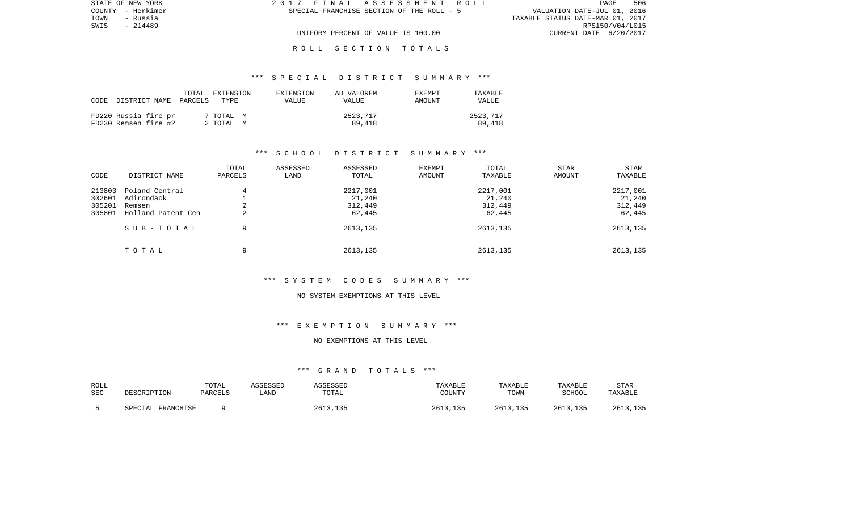| STATE OF NEW YORK | 2017 FINAL ASSESSMENT ROLL                | 506<br><b>PAGE</b>               |
|-------------------|-------------------------------------------|----------------------------------|
| COUNTY - Herkimer | SPECIAL FRANCHISE SECTION OF THE ROLL - 5 | VALUATION DATE-JUL 01, 2016      |
| TOWN<br>- Russia  |                                           | TAXABLE STATUS DATE-MAR 01, 2017 |
| SWIS<br>$-214489$ |                                           | RPS150/V04/L015                  |
|                   | UNIFORM PERCENT OF VALUE IS 100.00        | CURRENT DATE 6/20/2017           |

#### \*\*\* S P E C I A L D I S T R I C T S U M M A R Y \*\*\*

| CODE | DISTRICT NAME PARCELS                        | TOTAL EXTENSION<br>TYPE | EXTENSION<br><b>VALUE</b> | AD VALOREM<br><b>VALUE</b> | <b>EXEMPT</b><br>AMOUNT | TAXABLE<br><b>VALUE</b> |
|------|----------------------------------------------|-------------------------|---------------------------|----------------------------|-------------------------|-------------------------|
|      | FD220 Russia fire pr<br>FD230 Remsen fire #2 | 7 TOTAL M<br>2 ТОТАЬ М  |                           | 2523,717<br>89,418         |                         | 2523,717<br>89,418      |

#### \*\*\* S C H O O L D I S T R I C T S U M M A R Y \*\*\*

| CODE                                 | DISTRICT NAME                                                             | TOTAL<br>PARCELS | ASSESSED<br>LAND | ASSESSED<br>TOTAL                                   | <b>EXEMPT</b><br>AMOUNT | TOTAL<br>TAXABLE                                    | STAR<br>AMOUNT | <b>STAR</b><br>TAXABLE                              |
|--------------------------------------|---------------------------------------------------------------------------|------------------|------------------|-----------------------------------------------------|-------------------------|-----------------------------------------------------|----------------|-----------------------------------------------------|
| 213803<br>302601<br>305201<br>305801 | Poland Central<br>Adirondack<br>Remsen<br>Holland Patent Cen<br>SUB-TOTAL | 4<br>2<br>2<br>9 |                  | 2217,001<br>21,240<br>312,449<br>62,445<br>2613,135 |                         | 2217,001<br>21,240<br>312,449<br>62,445<br>2613,135 |                | 2217,001<br>21,240<br>312,449<br>62,445<br>2613,135 |
|                                      | TOTAL                                                                     | 9                |                  | 2613,135                                            |                         | 2613,135                                            |                | 2613,135                                            |

#### \*\*\* S Y S T E M C O D E S S U M M A R Y \*\*\*

#### NO SYSTEM EXEMPTIONS AT THIS LEVEL

### \*\*\* E X E M P T I O N S U M M A R Y \*\*\*

#### NO EXEMPTIONS AT THIS LEVEL

| ROLL       | DESCRIPTION       | TOTAL   | ASSESSED | ASSESSED | TAXABLE  | TAXABLE  | TAXABLE  | STAR     |
|------------|-------------------|---------|----------|----------|----------|----------|----------|----------|
| <b>SEC</b> |                   | PARCELS | LAND     | TOTAL    | COUNTY   | TOWN     | SCHOOL   | TAXABLE  |
|            | SPECIAL FRANCHISE |         |          | 2613,135 | 2613,135 | 2613,135 | 2613,135 | 2613,135 |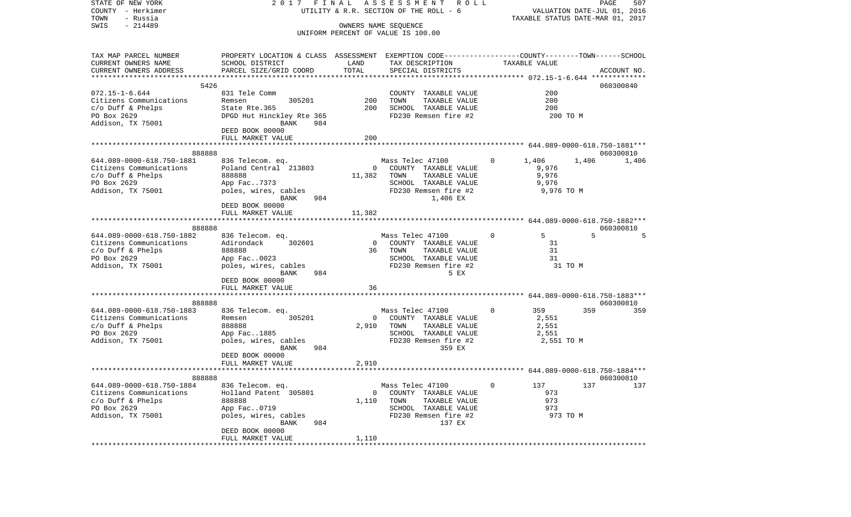| STATE OF NEW YORK<br>COUNTY - Herkimer<br>- Russia<br>TOWN |                                                                                                |             | 2017 FINAL ASSESSMENT ROLL<br>UTILITY & R.R. SECTION OF THE ROLL - 6         | TAXABLE STATUS DATE-MAR 01, 2017 | PAGE<br>VALUATION DATE-JUL 01, 2016 | 507         |
|------------------------------------------------------------|------------------------------------------------------------------------------------------------|-------------|------------------------------------------------------------------------------|----------------------------------|-------------------------------------|-------------|
| $-214489$<br>SWIS                                          |                                                                                                |             | OWNERS NAME SEQUENCE                                                         |                                  |                                     |             |
|                                                            |                                                                                                |             | UNIFORM PERCENT OF VALUE IS 100.00                                           |                                  |                                     |             |
| TAX MAP PARCEL NUMBER                                      | PROPERTY LOCATION & CLASS ASSESSMENT EXEMPTION CODE---------------COUNTY-------TOWN-----SCHOOL |             |                                                                              |                                  |                                     |             |
| CURRENT OWNERS NAME                                        | SCHOOL DISTRICT                                                                                | LAND        | TAX DESCRIPTION                                                              | TAXABLE VALUE                    |                                     |             |
| CURRENT OWNERS ADDRESS                                     | PARCEL SIZE/GRID COORD                                                                         | TOTAL       | SPECIAL DISTRICTS                                                            |                                  |                                     | ACCOUNT NO. |
|                                                            |                                                                                                |             |                                                                              |                                  |                                     |             |
| 5426<br>$072.15 - 1 - 6.644$                               | 831 Tele Comm                                                                                  |             | COUNTY TAXABLE VALUE                                                         | 200                              | 060300840                           |             |
| Citizens Communications                                    | 305201<br>Remsen                                                                               | 200         | TOWN<br>TAXABLE VALUE                                                        | 200                              |                                     |             |
| $c/o$ Duff & Phelps                                        | State Rte.365                                                                                  | 200         | SCHOOL TAXABLE VALUE                                                         | 200                              |                                     |             |
| PO Box 2629                                                | DPGD Hut Hinckley Rte 365                                                                      |             | FD230 Remsen fire #2                                                         |                                  | 200 TO M                            |             |
| Addison, TX 75001                                          | BANK<br>984                                                                                    |             |                                                                              |                                  |                                     |             |
|                                                            | DEED BOOK 00000                                                                                |             |                                                                              |                                  |                                     |             |
|                                                            | FULL MARKET VALUE                                                                              | 200         |                                                                              |                                  |                                     |             |
|                                                            |                                                                                                |             |                                                                              |                                  |                                     |             |
| 888888                                                     |                                                                                                |             |                                                                              | $0 \qquad \qquad$                | 060300810                           |             |
| 644.089-0000-618.750-1881<br>Citizens Communications       | 836 Telecom. eq.<br>Poland Central 213803                                                      |             | Mass Telec 47100<br>0 COUNTY TAXABLE VALUE                                   | 1,406<br>9,976                   | 1,406                               | 1,406       |
| $c/o$ Duff & Phelps                                        | 888888                                                                                         | 11,382 TOWN | TAXABLE VALUE                                                                | 9,976                            |                                     |             |
| PO Box 2629                                                | App Fac7373                                                                                    |             | SCHOOL TAXABLE VALUE                                                         | 9,976                            |                                     |             |
| Addison, TX 75001                                          | poles, wires, cables                                                                           |             | FD230 Remsen fire #2                                                         | 9,976 TO M                       |                                     |             |
|                                                            | BANK<br>984                                                                                    |             | 1,406 EX                                                                     |                                  |                                     |             |
|                                                            | DEED BOOK 00000                                                                                |             |                                                                              |                                  |                                     |             |
|                                                            | FULL MARKET VALUE                                                                              | 11,382      |                                                                              |                                  |                                     |             |
| 888888                                                     |                                                                                                |             |                                                                              |                                  |                                     |             |
| 644.089-0000-618.750-1882                                  | 836 Telecom. eq.                                                                               |             | Mass Telec 47100                                                             | $\circ$<br>$5 -$                 | 060300810<br>5                      | -5          |
| Citizens Communications                                    | Adirondack 302601                                                                              |             | Mass Telec 47100<br>0   COUNTY  TAXABLE VALUE<br>36   TOWN     TAXABLE VALUE | 31                               |                                     |             |
| c/o Duff & Phelps                                          | 888888                                                                                         |             | TAXABLE VALUE                                                                | 31                               |                                     |             |
| PO Box 2629                                                | App Fac0023                                                                                    |             | SCHOOL TAXABLE VALUE                                                         | 31                               |                                     |             |
| Addison, TX 75001                                          | poles, wires, cables                                                                           |             | FD230 Remsen fire #2                                                         |                                  | 31 TO M                             |             |
|                                                            | BANK<br>984                                                                                    |             | 5 EX                                                                         |                                  |                                     |             |
|                                                            | DEED BOOK 00000                                                                                |             |                                                                              |                                  |                                     |             |
|                                                            | FULL MARKET VALUE                                                                              | 36          |                                                                              |                                  |                                     |             |
| 888888                                                     |                                                                                                |             |                                                                              |                                  | 060300810                           |             |
|                                                            | 836 Telecom. eq.                                                                               |             | Mass Telec 47100                                                             | $\circ$<br>359 35                | 359                                 | 359         |
| 644.089-0000-618.750-1883<br>Citizens Communications       | Remsen<br>305201                                                                               |             | 0 COUNTY TAXABLE VALUE                                                       | 2,551                            |                                     |             |
| $c/O$ Duff & Phelps                                        |                                                                                                | 2,910       | TOWN<br>TAXABLE VALUE                                                        | 2,551                            |                                     |             |
| PO Box 2629                                                | 888888<br>App Fac1885                                                                          |             | SCHOOL TAXABLE VALUE                                                         | 2,551                            |                                     |             |
| Addison, TX 75001                                          | poles, wires, cables                                                                           |             | FD230 Remsen fire #2                                                         | 2,551 TO M                       |                                     |             |
|                                                            | BANK<br>984                                                                                    |             | 359 EX                                                                       |                                  |                                     |             |
|                                                            | DEED BOOK 00000                                                                                |             |                                                                              |                                  |                                     |             |
|                                                            | FULL MARKET VALUE                                                                              | 2,910       |                                                                              |                                  |                                     |             |
| 888888                                                     |                                                                                                |             |                                                                              |                                  | 060300810                           |             |
| 644.089-0000-618.750-1884                                  | 836 Telecom. eq.                                                                               |             | Mass Telec 47100                                                             | 0<br>137                         | 137                                 | 137         |
| Citizens Communications                                    | Holland Patent 305801                                                                          | 0           | COUNTY TAXABLE VALUE                                                         | 973                              |                                     |             |
| $c/O$ Duff & Phelps                                        | 888888                                                                                         | 1,110       | TAXABLE VALUE<br>TOWN                                                        | 973                              |                                     |             |
| PO Box 2629                                                | App Fac0719                                                                                    |             | SCHOOL TAXABLE VALUE                                                         | 973                              |                                     |             |
| Addison, TX 75001                                          | poles, wires, cables                                                                           |             | FD230 Remsen fire #2                                                         |                                  | 973 TO M                            |             |
|                                                            | 984<br>BANK                                                                                    |             | 137 EX                                                                       |                                  |                                     |             |
|                                                            | DEED BOOK 00000<br>FULL MARKET VALUE                                                           | 1,110       |                                                                              |                                  |                                     |             |
|                                                            | *******************************                                                                |             |                                                                              |                                  |                                     |             |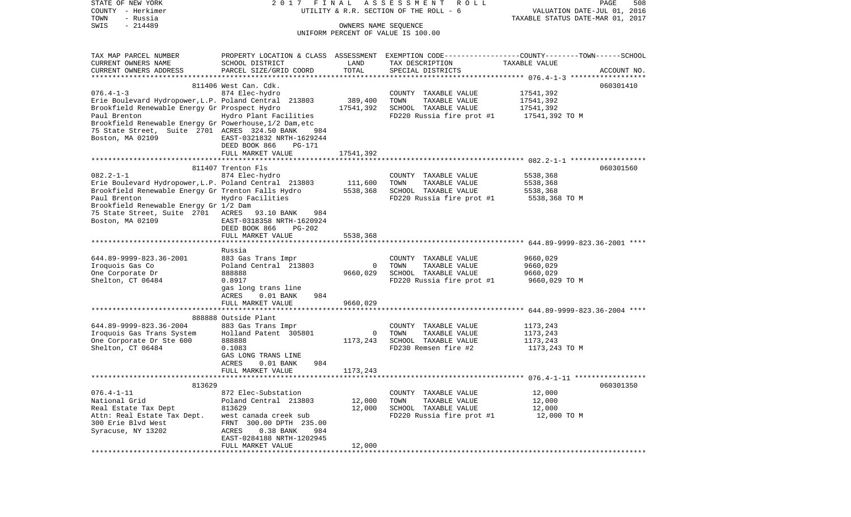| STATE OF NEW YORK<br>COUNTY - Herkimer                  | 2017                                                        | FINAL                | ASSESSMENT<br>R O L L<br>UTILITY & R.R. SECTION OF THE ROLL - 6                                  | VALUATION DATE-JUL 01, 2016                              | PAGE<br>508 |
|---------------------------------------------------------|-------------------------------------------------------------|----------------------|--------------------------------------------------------------------------------------------------|----------------------------------------------------------|-------------|
| TOWN<br>- Russia                                        |                                                             |                      |                                                                                                  | TAXABLE STATUS DATE-MAR 01, 2017                         |             |
| $-214489$<br>SWIS                                       |                                                             | OWNERS NAME SEQUENCE | UNIFORM PERCENT OF VALUE IS 100.00                                                               |                                                          |             |
|                                                         |                                                             |                      |                                                                                                  |                                                          |             |
| TAX MAP PARCEL NUMBER                                   |                                                             |                      | PROPERTY LOCATION & CLASS ASSESSMENT EXEMPTION CODE----------------COUNTY-------TOWN------SCHOOL |                                                          |             |
| CURRENT OWNERS NAME                                     | SCHOOL DISTRICT                                             | LAND                 | TAX DESCRIPTION                                                                                  | TAXABLE VALUE                                            |             |
| CURRENT OWNERS ADDRESS                                  | PARCEL SIZE/GRID COORD                                      | TOTAL                | SPECIAL DISTRICTS                                                                                |                                                          | ACCOUNT NO. |
|                                                         |                                                             |                      |                                                                                                  |                                                          |             |
|                                                         | 811406 West Can. Cdk.                                       |                      |                                                                                                  |                                                          | 060301410   |
| $076.4 - 1 - 3$                                         | 874 Elec-hydro                                              |                      | COUNTY TAXABLE VALUE                                                                             | 17541,392                                                |             |
| Erie Boulevard Hydropower, L.P. Poland Central 213803   |                                                             | 389,400              | TOWN<br>TAXABLE VALUE                                                                            | 17541,392                                                |             |
| Brookfield Renewable Energy Gr Prospect Hydro           |                                                             | 17541,392            | SCHOOL TAXABLE VALUE                                                                             | 17541,392                                                |             |
| Paul Brenton                                            | Hydro Plant Facilities                                      |                      | FD220 Russia fire prot #1                                                                        | 17541,392 TO M                                           |             |
| Brookfield Renewable Energy Gr Powerhouse, 1/2 Dam, etc |                                                             |                      |                                                                                                  |                                                          |             |
| 75 State Street, Suite 2701 ACRES 324.50 BANK           | 984                                                         |                      |                                                                                                  |                                                          |             |
| Boston, MA 02109                                        | EAST-0321832 NRTH-1629244<br>DEED BOOK 866<br><b>PG-171</b> |                      |                                                                                                  |                                                          |             |
|                                                         | FULL MARKET VALUE                                           | 17541,392            |                                                                                                  |                                                          |             |
|                                                         |                                                             |                      |                                                                                                  |                                                          |             |
|                                                         | 811407 Trenton Fls                                          |                      |                                                                                                  |                                                          | 060301560   |
| $082.2 - 1 - 1$                                         | 874 Elec-hydro                                              |                      | COUNTY TAXABLE VALUE                                                                             | 5538,368                                                 |             |
| Erie Boulevard Hydropower, L.P. Poland Central 213803   |                                                             | 111,600              | TOWN<br>TAXABLE VALUE                                                                            | 5538,368                                                 |             |
| Brookfield Renewable Energy Gr Trenton Falls Hydro      |                                                             | 5538,368             | SCHOOL TAXABLE VALUE                                                                             | 5538,368                                                 |             |
| Paul Brenton                                            | Hydro Facilities                                            |                      | FD220 Russia fire prot #1                                                                        | 5538,368 TO M                                            |             |
| Brookfield Renewable Energy Gr 1/2 Dam                  |                                                             |                      |                                                                                                  |                                                          |             |
| 75 State Street, Suite 2701 ACRES                       | 93.10 BANK<br>984                                           |                      |                                                                                                  |                                                          |             |
| Boston, MA 02109                                        | EAST-0318358 NRTH-1620924                                   |                      |                                                                                                  |                                                          |             |
|                                                         | DEED BOOK 866<br><b>PG-202</b>                              |                      |                                                                                                  |                                                          |             |
|                                                         | FULL MARKET VALUE                                           | 5538,368             |                                                                                                  |                                                          |             |
|                                                         | Russia                                                      |                      |                                                                                                  |                                                          |             |
| 644.89-9999-823.36-2001                                 | 883 Gas Trans Impr                                          |                      | COUNTY TAXABLE VALUE                                                                             | 9660,029                                                 |             |
| Iroquois Gas Co                                         | Poland Central 213803                                       | $\mathbf 0$          | TOWN<br>TAXABLE VALUE                                                                            | 9660,029                                                 |             |
| One Corporate Dr                                        | 888888                                                      | 9660,029             | SCHOOL TAXABLE VALUE                                                                             | 9660,029                                                 |             |
| Shelton, CT 06484                                       | 0.8917                                                      |                      | FD220 Russia fire prot #1                                                                        | 9660,029 TO M                                            |             |
|                                                         | gas long trans line                                         |                      |                                                                                                  |                                                          |             |
|                                                         | $0.01$ BANK<br>984<br>ACRES                                 |                      |                                                                                                  |                                                          |             |
|                                                         | FULL MARKET VALUE                                           | 9660,029             |                                                                                                  |                                                          |             |
|                                                         | *****************************                               | **********           |                                                                                                  | *************************** 644.89-9999-823.36-2004 **** |             |
|                                                         | 888888 Outside Plant                                        |                      |                                                                                                  |                                                          |             |
| 644.89-9999-823.36-2004<br>Iroquois Gas Trans System    | 883 Gas Trans Impr<br>Holland Patent 305801                 | $\circ$              | COUNTY TAXABLE VALUE<br>TOWN<br>TAXABLE VALUE                                                    | 1173,243<br>1173,243                                     |             |
| One Corporate Dr Ste 600                                | 888888                                                      | 1173,243             | SCHOOL TAXABLE VALUE                                                                             | 1173,243                                                 |             |
| Shelton, CT 06484                                       | 0.1083                                                      |                      | FD230 Remsen fire #2                                                                             | 1173,243 TO M                                            |             |
|                                                         | GAS LONG TRANS LINE                                         |                      |                                                                                                  |                                                          |             |
|                                                         | 984<br>ACRES<br>$0.01$ BANK                                 |                      |                                                                                                  |                                                          |             |
|                                                         | FULL MARKET VALUE                                           | 1173,243             |                                                                                                  |                                                          |             |
|                                                         |                                                             |                      |                                                                                                  |                                                          |             |
| 813629                                                  |                                                             |                      |                                                                                                  |                                                          | 060301350   |
| $076.4 - 1 - 11$                                        | 872 Elec-Substation                                         |                      | COUNTY TAXABLE VALUE                                                                             | 12,000                                                   |             |
| National Grid                                           | Poland Central 213803                                       | 12,000               | TOWN<br>TAXABLE VALUE                                                                            | 12,000                                                   |             |
| Real Estate Tax Dept                                    | 813629                                                      | 12,000               | SCHOOL TAXABLE VALUE                                                                             | 12,000                                                   |             |
| Attn: Real Estate Tax Dept.                             | west canada creek sub                                       |                      | FD220 Russia fire prot #1                                                                        | 12,000 TO M                                              |             |
| 300 Erie Blvd West<br>Syracuse, NY 13202                | 300.00 DPTH 235.00<br>FRNT<br>0.38 BANK<br>984<br>ACRES     |                      |                                                                                                  |                                                          |             |
|                                                         | EAST-0284188 NRTH-1202945                                   |                      |                                                                                                  |                                                          |             |
|                                                         | FULL MARKET VALUE                                           | 12,000               |                                                                                                  |                                                          |             |
| ******************                                      |                                                             |                      |                                                                                                  |                                                          |             |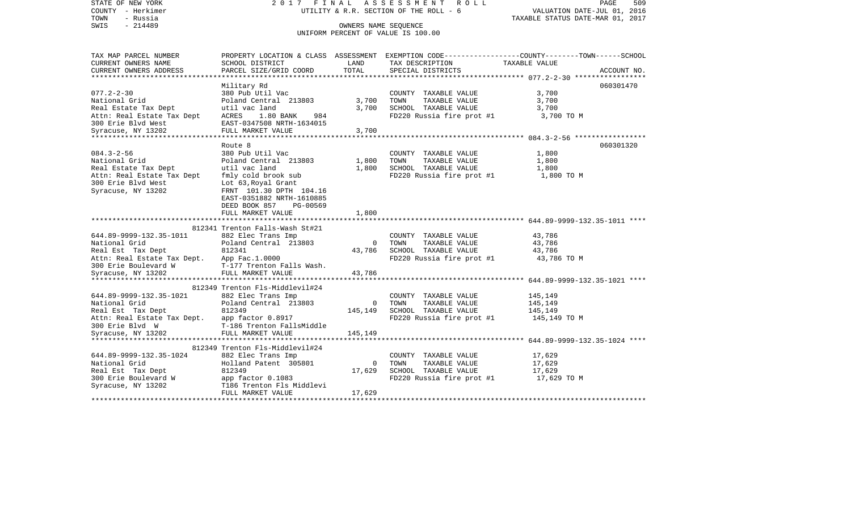STATE OF NEW YORK 2 0 1 7 F I N A L A S S E S S M E N T R O L L PAGE 509VALUATION DATE-JUL 01, 2016 COUNTY - Herkimer **COUNTY** - Herkimer **VELUATION** OF THE ROLL - 6 TOWN - Russia TAXABLE STATUS DATE-MAR 01, 2017 SWIS - 214489 CONNERS NAME SEQUENCE UNIFORM PERCENT OF VALUE IS 100.00TAX MAP PARCEL NUMBER PROPERTY LOCATION & CLASS ASSESSMENT EXEMPTION CODE------------------COUNTY--------TOWN------SCHOOL CURRENT OWNERS NAME SCHOOL DISTRICT LAND TAX DESCRIPTION TAXABLE VALUECURRENT OWNERS ADDRESS PARCEL SIZE/GRID COORD TOTAL SPECIAL DISTRICTS ACCOUNT NO. \*\*\*\*\*\*\*\*\*\*\*\*\*\*\*\*\*\*\*\*\*\*\*\*\*\*\*\*\*\*\*\*\*\*\*\*\*\*\*\*\*\*\*\*\*\*\*\*\*\*\*\*\*\*\*\*\*\*\*\*\*\*\*\*\*\*\*\*\*\*\*\*\*\*\*\*\*\*\*\*\*\*\*\*\*\*\*\*\*\*\*\*\*\*\*\*\*\*\*\*\*\*\* 077.2-2-30 \*\*\*\*\*\*\*\*\*\*\*\*\*\*\*\*\* Military Rd 060301470 077.2-2-30 380 Pub Util Vac COUNTY TAXABLE VALUE 3,700 National Grid **Poland Central 213803** 3,700 TOWN TAXABLE VALUE 3,700 Real Estate Tax Dept  $u$ til vac land  $3,700$  SCHOOL TAXABLE VALUE  $3,700$ Attn: Real Estate Tax Dept ACRES 1.80 BANK 984 FD220 Russia fire prot #1 3,700 TO M 300 Erie Blvd West EAST-0347508 NRTH-1634015Syracuse, NY 13202 FULL MARKET VALUE 3,700 \*\*\*\*\*\*\*\*\*\*\*\*\*\*\*\*\*\*\*\*\*\*\*\*\*\*\*\*\*\*\*\*\*\*\*\*\*\*\*\*\*\*\*\*\*\*\*\*\*\*\*\*\*\*\*\*\*\*\*\*\*\*\*\*\*\*\*\*\*\*\*\*\*\*\*\*\*\*\*\*\*\*\*\*\*\*\*\*\*\*\*\*\*\*\*\*\*\*\*\*\*\*\* 084.3-2-56 \*\*\*\*\*\*\*\*\*\*\*\*\*\*\*\*\* Route 8 060301320084.3-2-56 380 Pub Util Vac COUNTY TAXABLE VALUE 1,800 National Grid Poland Central 213803 1,800 TOWN TAXABLE VALUE 1,800 Real Estate Tax Dept **1,800** util vac land 1,800 SCHOOL TAXABLE VALUE 1,800 Attn: Real Estate Tax Dept fmly cold brook sub FD220 Russia fire prot #1 1,800 TO M 300 Erie Blvd West Lot 63, Royal Grant Syracuse, NY 13202 FRNT 101.30 DPTH 104.16 EAST-0351882 NRTH-1610885 DEED BOOK 857 PG-00569FULL MARKET VALUE 1,800 \*\*\*\*\*\*\*\*\*\*\*\*\*\*\*\*\*\*\*\*\*\*\*\*\*\*\*\*\*\*\*\*\*\*\*\*\*\*\*\*\*\*\*\*\*\*\*\*\*\*\*\*\*\*\*\*\*\*\*\*\*\*\*\*\*\*\*\*\*\*\*\*\*\*\*\*\*\*\*\*\*\*\*\*\*\*\*\*\*\*\*\*\*\*\*\*\*\*\*\*\*\*\* 644.89-9999-132.35-1011 \*\*\*\*812341 Trenton Falls-Wash St#21 644.89-9999-132.35-1011 882 Elec Trans Imp COUNTY TAXABLE VALUE 43,786 National Grid **Poland Central 213803** 0 TOWN TAXABLE VALUE 43,786 Real Est Tax Dept  $812341$  812341 43,786 SCHOOL TAXABLE VALUE 43,786 43,786 Attn: Real Estate Tax Dept. App Fac.1.0000<br>300 Erie Boulevard W F-177 Trenton Falls Wash. Follow FD220 Russia fire prot #1 43,786 TO M T-177 Trenton Falls Wash. Syracuse, NY 13202 FULL MARKET VALUE 43,786 \*\*\*\*\*\*\*\*\*\*\*\*\*\*\*\*\*\*\*\*\*\*\*\*\*\*\*\*\*\*\*\*\*\*\*\*\*\*\*\*\*\*\*\*\*\*\*\*\*\*\*\*\*\*\*\*\*\*\*\*\*\*\*\*\*\*\*\*\*\*\*\*\*\*\*\*\*\*\*\*\*\*\*\*\*\*\*\*\*\*\*\*\*\*\*\*\*\*\*\*\*\*\* 644.89-9999-132.35-1021 \*\*\*\*812349 Trenton Fls-Middlevil#24 644.89-9999-132.35-1021 882 Elec Trans Imp COUNTY TAXABLE VALUE 145,149 National Grid Poland Central 213803 0 TOWN TAXABLE VALUE 145,149 Real Est Tax Dept 612349 812349 145,149 SCHOOL TAXABLE VALUE 145,149 145,149 Attn: Real Estate Tax Dept. app factor 0.8917 FD220 Russia fire prot #1 145,149 TO M 300 Erie Blvd W T-186 Trenton FallsMiddleSyracuse, NY 13202 FULL MARKET VALUE 145,149 \*\*\*\*\*\*\*\*\*\*\*\*\*\*\*\*\*\*\*\*\*\*\*\*\*\*\*\*\*\*\*\*\*\*\*\*\*\*\*\*\*\*\*\*\*\*\*\*\*\*\*\*\*\*\*\*\*\*\*\*\*\*\*\*\*\*\*\*\*\*\*\*\*\*\*\*\*\*\*\*\*\*\*\*\*\*\*\*\*\*\*\*\*\*\*\*\*\*\*\*\*\*\* 644.89-9999-132.35-1024 \*\*\*\* 812349 Trenton Fls-Middlevil#24 644.89-9999-132.35-1024 882 Elec Trans Imp COUNTY TAXABLE VALUE 17,629 National Grid **Holland Patent 305801** 0 TOWN TAXABLE VALUE 17,629 Real Est Tax Dept 612349 812349 17,629 SCHOOL TAXABLE VALUE 17,629 17,629 300 Erie Boulevard W app factor 0.1083 FD220 Russia fire prot #1 17,629 TO M Syracuse, NY 13202 T186 Trenton Fls Middlevi FULL MARKET VALUE 17.629 \*\*\*\*\*\*\*\*\*\*\*\*\*\*\*\*\*\*\*\*\*\*\*\*\*\*\*\*\*\*\*\*\*\*\*\*\*\*\*\*\*\*\*\*\*\*\*\*\*\*\*\*\*\*\*\*\*\*\*\*\*\*\*\*\*\*\*\*\*\*\*\*\*\*\*\*\*\*\*\*\*\*\*\*\*\*\*\*\*\*\*\*\*\*\*\*\*\*\*\*\*\*\*\*\*\*\*\*\*\*\*\*\*\*\*\*\*\*\*\*\*\*\*\*\*\*\*\*\*\*\*\*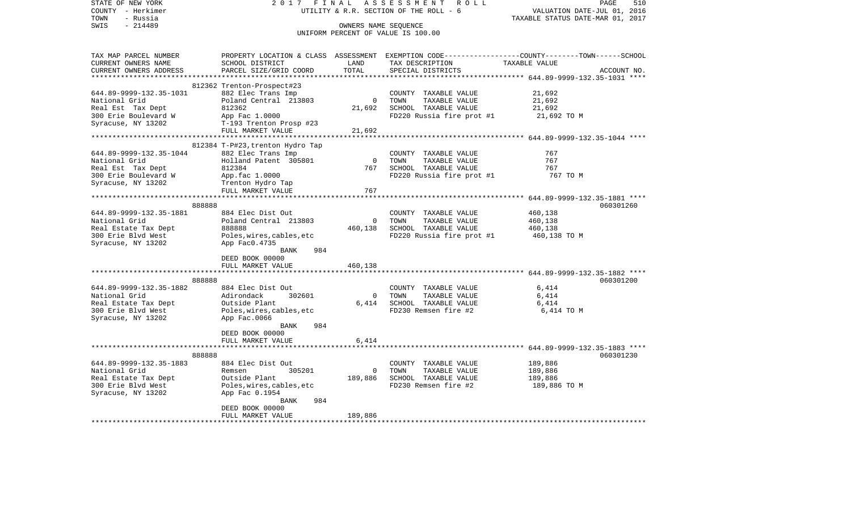| STATE OF NEW YORK        | 2017                             | FINAL          | ASSESSMENT ROLL                        | PAGE<br>510                                                                                     |
|--------------------------|----------------------------------|----------------|----------------------------------------|-------------------------------------------------------------------------------------------------|
| COUNTY - Herkimer        |                                  |                | UTILITY & R.R. SECTION OF THE ROLL - 6 | VALUATION DATE-JUL 01, 2016                                                                     |
| TOWN<br>- Russia         |                                  |                |                                        | TAXABLE STATUS DATE-MAR 01, 2017                                                                |
| $-214489$<br>SWIS        |                                  |                | OWNERS NAME SEQUENCE                   |                                                                                                 |
|                          |                                  |                | UNIFORM PERCENT OF VALUE IS 100.00     |                                                                                                 |
|                          |                                  |                |                                        |                                                                                                 |
| TAX MAP PARCEL NUMBER    |                                  |                |                                        | PROPERTY LOCATION & CLASS ASSESSMENT EXEMPTION CODE---------------COUNTY-------TOWN------SCHOOL |
| CURRENT OWNERS NAME      | SCHOOL DISTRICT                  | LAND           | TAX DESCRIPTION TAXABLE VALUE          |                                                                                                 |
| CURRENT OWNERS ADDRESS   | PARCEL SIZE/GRID COORD           | TOTAL          | SPECIAL DISTRICTS                      | ACCOUNT NO.                                                                                     |
|                          |                                  |                |                                        |                                                                                                 |
|                          | 812362 Trenton-Prospect#23       |                |                                        |                                                                                                 |
| 644.89-9999-132.35-1031  | 882 Elec Trans Imp               |                | COUNTY TAXABLE VALUE                   | 21,692                                                                                          |
| National Grid            | Poland Central 213803            | $\overline{0}$ | TOWN<br>TAXABLE VALUE                  | 21,692                                                                                          |
| Real Est Tax Dept        | 812362                           | 21,692         | SCHOOL TAXABLE VALUE                   | 21,692                                                                                          |
| 300 Erie Boulevard W     | App Fac 1.0000                   |                | FD220 Russia fire prot #1              | 21,692 TO M                                                                                     |
| Syracuse, NY 13202       | T-193 Trenton Prosp #23          |                |                                        |                                                                                                 |
|                          | FULL MARKET VALUE                | 21,692         |                                        |                                                                                                 |
|                          |                                  | *************  |                                        | ***************************** 644.89-9999-132.35-1044 ****                                      |
|                          | 812384 T-P#23, trenton Hydro Tap |                |                                        |                                                                                                 |
| 644.89-9999-132.35-1044  | 882 Elec Trans Imp               |                | COUNTY TAXABLE VALUE                   | 767                                                                                             |
| National Grid            | Holland Patent 305801            | $\overline{0}$ | TOWN<br>TAXABLE VALUE                  | 767                                                                                             |
| Real Est Tax Dept        | 812384                           | 767            | SCHOOL TAXABLE VALUE                   | 767                                                                                             |
| 300 Erie Boulevard W     | App.fac 1.0000                   |                | FD220 Russia fire prot #1              | 767 TO M                                                                                        |
| Syracuse, NY 13202       | Trenton Hydro Tap                |                |                                        |                                                                                                 |
|                          | FULL MARKET VALUE                | 767            |                                        |                                                                                                 |
|                          |                                  |                |                                        |                                                                                                 |
| 888888                   |                                  |                |                                        | 060301260                                                                                       |
| 644.89-9999-132.35-1881  | 884 Elec Dist Out                |                | COUNTY TAXABLE VALUE                   | 460,138                                                                                         |
| National Grid            | Poland Central 213803            | $\overline{0}$ | TOWN<br>TAXABLE VALUE                  | 460,138                                                                                         |
| Real Estate Tax Dept     | 888888                           | 460,138        | SCHOOL TAXABLE VALUE                   | 460,138                                                                                         |
| 300 Erie Blvd West       | Poles,wires,cables,etc           |                | FD220 Russia fire prot #1              | 460,138 TO M                                                                                    |
| Syracuse, NY 13202       | App Fac0.4735                    |                |                                        |                                                                                                 |
|                          | BANK<br>984                      |                |                                        |                                                                                                 |
|                          | DEED BOOK 00000                  |                |                                        |                                                                                                 |
|                          | FULL MARKET VALUE                | 460,138        |                                        |                                                                                                 |
|                          |                                  |                |                                        |                                                                                                 |
| 888888                   |                                  |                |                                        | 060301200                                                                                       |
| 644.89-9999-132.35-1882  | 884 Elec Dist Out                |                | COUNTY TAXABLE VALUE                   | 6,414                                                                                           |
| National Grid            | 302601<br>Adirondack             | $\overline{0}$ | TOWN<br>TAXABLE VALUE                  | 6,414                                                                                           |
| Real Estate Tax Dept     | Outside Plant                    | 6,414          | SCHOOL TAXABLE VALUE                   | 6,414                                                                                           |
| 300 Erie Blvd West       | Poles, wires, cables, etc        |                | FD230 Remsen fire #2                   | 6,414 TO M                                                                                      |
| Syracuse, NY 13202       | App Fac.0066                     |                |                                        |                                                                                                 |
|                          | BANK<br>984                      |                |                                        |                                                                                                 |
|                          | DEED BOOK 00000                  |                |                                        |                                                                                                 |
|                          | FULL MARKET VALUE                | 6,414          |                                        |                                                                                                 |
|                          |                                  |                |                                        |                                                                                                 |
| 888888                   |                                  |                |                                        | 060301230                                                                                       |
| 644.89-9999-132.35-1883  | 884 Elec Dist Out                |                | COUNTY TAXABLE VALUE                   | 189,886                                                                                         |
| National Grid            | 305201<br>Remsen                 | $\overline{0}$ | TOWN<br>TAXABLE VALUE                  | 189,886                                                                                         |
| Real Estate Tax Dept     | Outside Plant                    | 189,886        | SCHOOL TAXABLE VALUE                   | 189,886                                                                                         |
| 300 Erie Blvd West       | Poles, wires, cables, etc        |                | FD230 Remsen fire #2                   | 189,886 TO M                                                                                    |
| Syracuse, NY 13202       | App Fac 0.1954                   |                |                                        |                                                                                                 |
|                          | 984<br>BANK                      |                |                                        |                                                                                                 |
|                          | DEED BOOK 00000                  |                |                                        |                                                                                                 |
|                          | FULL MARKET VALUE                | 189,886        |                                        |                                                                                                 |
| ************************ | ***************************      |                |                                        |                                                                                                 |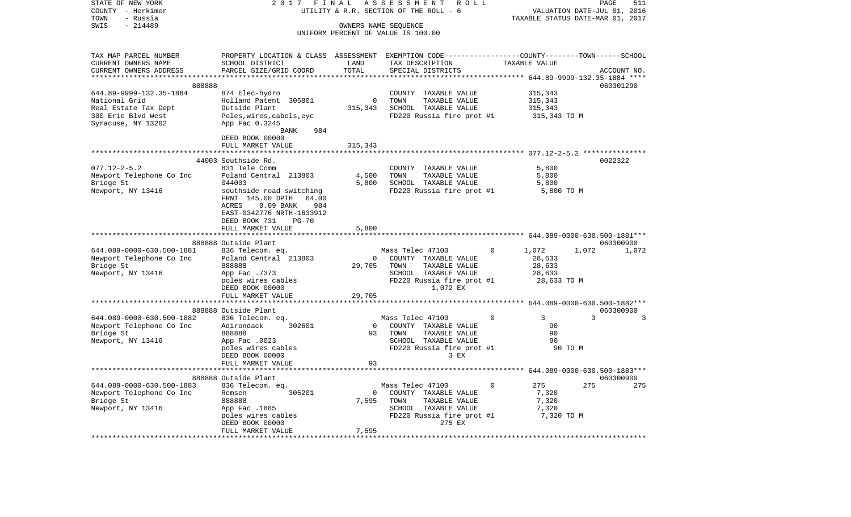| STATE OF NEW YORK<br>COUNTY - Herkimer<br>TOWN<br>- Russia | 2 0 1 7                                                                                         | FINAL          | ASSESSMENT<br>ROLL<br>UTILITY & R.R. SECTION OF THE ROLL - 6 |          | VALUATION DATE-JUL 01,<br>TAXABLE STATUS DATE-MAR 01, 2017 |               | PAGE<br>511<br>2016 |
|------------------------------------------------------------|-------------------------------------------------------------------------------------------------|----------------|--------------------------------------------------------------|----------|------------------------------------------------------------|---------------|---------------------|
| SWIS<br>$-214489$                                          |                                                                                                 |                | OWNERS NAME SEQUENCE<br>UNIFORM PERCENT OF VALUE IS 100.00   |          |                                                            |               |                     |
| TAX MAP PARCEL NUMBER                                      | PROPERTY LOCATION & CLASS ASSESSMENT EXEMPTION CODE---------------COUNTY-------TOWN------SCHOOL |                |                                                              |          |                                                            |               |                     |
| CURRENT OWNERS NAME<br>CURRENT OWNERS ADDRESS              | SCHOOL DISTRICT<br>PARCEL SIZE/GRID COORD                                                       | LAND<br>TOTAL  | TAX DESCRIPTION<br>SPECIAL DISTRICTS                         |          | TAXABLE VALUE                                              |               | ACCOUNT NO.         |
|                                                            |                                                                                                 | *******        |                                                              |          | ********* 644.89-9999-132.35-1884 ****                     |               |                     |
| 888888                                                     |                                                                                                 |                |                                                              |          |                                                            |               | 060301290           |
| 644.89-9999-132.35-1884                                    | 874 Elec-hydro                                                                                  |                | COUNTY TAXABLE VALUE                                         |          | 315,343                                                    |               |                     |
| National Grid                                              | Holland Patent 305801                                                                           | $\mathbf{0}$   | TOWN<br>TAXABLE VALUE                                        |          | 315,343                                                    |               |                     |
| Real Estate Tax Dept                                       | Outside Plant                                                                                   | 315,343        | SCHOOL TAXABLE VALUE                                         |          | 315,343                                                    |               |                     |
| 300 Erie Blvd West<br>Syracuse, NY 13202                   | Poles, wires, cabels, eyc<br>App Fac 0.3245<br>BANK<br>984                                      |                | FD220 Russia fire prot #1                                    |          | 315,343 TO M                                               |               |                     |
|                                                            | DEED BOOK 00000                                                                                 |                |                                                              |          |                                                            |               |                     |
|                                                            | FULL MARKET VALUE                                                                               | 315,343        |                                                              |          |                                                            |               |                     |
|                                                            | ********************                                                                            | **********     |                                                              |          |                                                            |               |                     |
|                                                            | 44003 Southside Rd.                                                                             |                |                                                              |          |                                                            |               | 0022322             |
| $077.12 - 2 - 5.2$                                         | 831 Tele Comm                                                                                   |                | COUNTY TAXABLE VALUE                                         |          | 5,800                                                      |               |                     |
| Newport Telephone Co Inc<br>Bridge St                      | Poland Central 213803<br>044003                                                                 | 4,500<br>5,800 | TOWN<br>TAXABLE VALUE<br>SCHOOL TAXABLE VALUE                |          | 5,800<br>5,800                                             |               |                     |
| Newport, NY 13416                                          | southside road switching                                                                        |                | FD220 Russia fire prot #1                                    |          | 5,800 TO M                                                 |               |                     |
|                                                            | FRNT 145.00 DPTH<br>64.00                                                                       |                |                                                              |          |                                                            |               |                     |
|                                                            | ACRES<br>$0.09$ BANK<br>984                                                                     |                |                                                              |          |                                                            |               |                     |
|                                                            | EAST-0342776 NRTH-1633912                                                                       |                |                                                              |          |                                                            |               |                     |
|                                                            | DEED BOOK 731<br>$PG-70$<br>FULL MARKET VALUE                                                   | 5,800          |                                                              |          |                                                            |               |                     |
|                                                            |                                                                                                 |                |                                                              |          |                                                            |               |                     |
|                                                            | 888888 Outside Plant                                                                            |                |                                                              |          |                                                            |               | 060300900           |
| 644.089-0000-630.500-1881                                  | 836 Telecom. eq.                                                                                |                | Mass Telec 47100                                             |          | 1,072                                                      | 1,072         | 1,072               |
| Newport Telephone Co Inc                                   | Poland Central 213803                                                                           | $\mathbf{0}$   | COUNTY TAXABLE VALUE                                         |          | 28,633                                                     |               |                     |
| Bridge St                                                  | 888888<br>App Fac .7373                                                                         | 29,705         | TOWN<br>TAXABLE VALUE<br>SCHOOL TAXABLE VALUE                |          | 28,633<br>28,633                                           |               |                     |
| Newport, NY 13416                                          | poles wires cables                                                                              |                | FD220 Russia fire prot #1                                    |          | 28,633 TO M                                                |               |                     |
|                                                            | DEED BOOK 00000                                                                                 |                | 1,072 EX                                                     |          |                                                            |               |                     |
|                                                            | FULL MARKET VALUE                                                                               | 29,705         |                                                              |          |                                                            |               |                     |
|                                                            |                                                                                                 |                |                                                              |          |                                                            |               |                     |
|                                                            | 888888 Outside Plant                                                                            |                |                                                              | $\Omega$ |                                                            | $\mathcal{L}$ | 060300900<br>3      |
| 644.089-0000-630.500-1882<br>Newport Telephone Co Inc      | 836 Telecom. eq.<br>Adirondack<br>302601                                                        | $\circ$        | Mass Telec 47100<br>COUNTY TAXABLE VALUE                     |          | 3<br>90                                                    |               |                     |
| Bridge St                                                  | 888888                                                                                          | 93             | TOWN<br>TAXABLE VALUE                                        |          | 90                                                         |               |                     |
| Newport, NY 13416                                          | App Fac .0023                                                                                   |                | SCHOOL TAXABLE VALUE                                         |          | 90                                                         |               |                     |
|                                                            | poles wires cables                                                                              |                | FD220 Russia fire prot #1                                    |          | 90 TO M                                                    |               |                     |
|                                                            | DEED BOOK 00000                                                                                 |                | 3 EX                                                         |          |                                                            |               |                     |
|                                                            | FULL MARKET VALUE<br>*************************                                                  | 93             | *****************                                            |          | ****************** 644.089-0000-630.500-1883***            |               |                     |
|                                                            | 888888 Outside Plant                                                                            |                |                                                              |          |                                                            |               | 060300900           |
| 644.089-0000-630.500-1883                                  | 836 Telecom. eq.                                                                                |                | Mass Telec 47100                                             | 0        | 275                                                        | 275           | 275                 |
| Newport Telephone Co Inc                                   | Remsen<br>305201                                                                                | $\mathbf 0$    | COUNTY TAXABLE VALUE                                         |          | 7,320                                                      |               |                     |
| Bridge St                                                  | 888888                                                                                          | 7,595          | TOWN<br>TAXABLE VALUE                                        |          | 7,320                                                      |               |                     |
| Newport, NY 13416                                          | App Fac .1885                                                                                   |                | SCHOOL TAXABLE VALUE                                         |          | 7,320                                                      |               |                     |
|                                                            | poles wires cables<br>DEED BOOK 00000                                                           |                | FD220 Russia fire prot #1<br>275 EX                          |          | 7,320 TO M                                                 |               |                     |
|                                                            | FULL MARKET VALUE                                                                               | 7,595          |                                                              |          |                                                            |               |                     |
|                                                            |                                                                                                 |                |                                                              |          |                                                            |               |                     |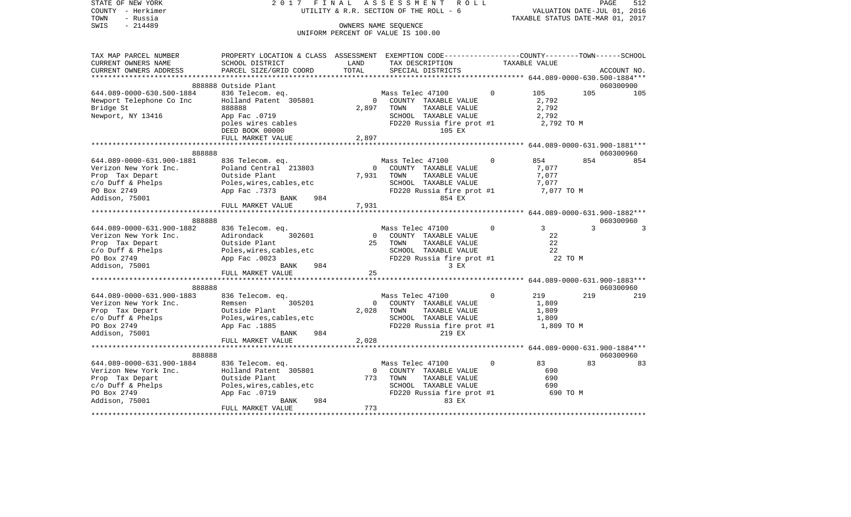| STATE OF NEW YORK                | 2017 FINAL                                                                                       |                | ASSESSMENT<br>R O L L                                      |              |                                  | PAGE | 512         |
|----------------------------------|--------------------------------------------------------------------------------------------------|----------------|------------------------------------------------------------|--------------|----------------------------------|------|-------------|
| COUNTY - Herkimer                |                                                                                                  |                | UTILITY & R.R. SECTION OF THE ROLL - 6                     |              | VALUATION DATE-JUL 01, 2016      |      |             |
| TOWN<br>- Russia                 |                                                                                                  |                |                                                            |              | TAXABLE STATUS DATE-MAR 01, 2017 |      |             |
| $-214489$<br>SWIS                |                                                                                                  |                | OWNERS NAME SEQUENCE<br>UNIFORM PERCENT OF VALUE IS 100.00 |              |                                  |      |             |
|                                  |                                                                                                  |                |                                                            |              |                                  |      |             |
| TAX MAP PARCEL NUMBER            | PROPERTY LOCATION & CLASS ASSESSMENT EXEMPTION CODE----------------COUNTY-------TOWN------SCHOOL |                |                                                            |              |                                  |      |             |
| CURRENT OWNERS NAME              | SCHOOL DISTRICT                                                                                  | LAND           | TAX DESCRIPTION                                            |              | TAXABLE VALUE                    |      |             |
| CURRENT OWNERS ADDRESS           | PARCEL SIZE/GRID COORD                                                                           | TOTAL          | SPECIAL DISTRICTS                                          |              |                                  |      | ACCOUNT NO. |
|                                  |                                                                                                  |                |                                                            |              |                                  |      |             |
|                                  | 888888 Outside Plant                                                                             |                |                                                            |              |                                  |      | 060300900   |
| 644.089-0000-630.500-1884        | 836 Telecom. eq.                                                                                 |                | Mass Telec 47100                                           | $\circ$      | 105                              | 105  | 105         |
| Newport Telephone Co Inc         | Holland Patent 305801                                                                            |                | 0 COUNTY TAXABLE VALUE                                     |              | 2,792                            |      |             |
| Bridge St                        | 888888                                                                                           | 2,897          | TAXABLE VALUE<br>TOWN                                      |              | 2,792                            |      |             |
| Newport, NY 13416                | App Fac .0719                                                                                    |                | SCHOOL TAXABLE VALUE<br>FD220 Russia fire prot #1          |              | 2,792<br>2,792 TO M              |      |             |
|                                  | poles wires cables<br>DEED BOOK 00000                                                            |                | 105 EX                                                     |              |                                  |      |             |
|                                  | FULL MARKET VALUE                                                                                | 2,897          |                                                            |              |                                  |      |             |
|                                  |                                                                                                  |                |                                                            |              |                                  |      |             |
| 888888                           |                                                                                                  |                |                                                            |              |                                  |      | 060300960   |
| 644.089-0000-631.900-1881        | 836 Telecom. eq.                                                                                 |                | Mass Telec 47100                                           | $\circ$      | 854                              | 854  | 854         |
| Verizon New York Inc.            | Poland Central 213803                                                                            | $\Omega$       | COUNTY TAXABLE VALUE                                       |              | 7,077                            |      |             |
| Prop Tax Depart                  | Outside Plant                                                                                    | 7,931          | TAXABLE VALUE<br>TOWN                                      |              | 7,077                            |      |             |
| c/o Duff & Phelps                | Poles,wires,cables,etc                                                                           |                | SCHOOL TAXABLE VALUE                                       |              | 7,077                            |      |             |
| PO Box 2749                      | App Fac .7373                                                                                    |                | FD220 Russia fire prot #1                                  |              | 7,077 TO M                       |      |             |
| Addison, 75001                   | BANK<br>984                                                                                      |                | 854 EX                                                     |              |                                  |      |             |
|                                  | FULL MARKET VALUE                                                                                | 7,931          |                                                            |              |                                  |      |             |
| 888888                           |                                                                                                  |                | ***************************** 644.089-0000-631.900-1882*** |              |                                  |      | 060300960   |
| 644.089-0000-631.900-1882        | 836 Telecom. eq.                                                                                 |                | Mass Telec 47100                                           | $\mathbf{0}$ | 3 <sup>7</sup>                   | 3    | 3           |
| Verizon New York Inc.            | Adirondack<br>302601                                                                             | $\overline{0}$ | COUNTY TAXABLE VALUE                                       |              | 22                               |      |             |
| Prop Tax Depart                  | Outside Plant                                                                                    |                | 25 TOWN<br>TAXABLE VALUE                                   |              | 22                               |      |             |
|                                  |                                                                                                  |                | SCHOOL TAXABLE VALUE                                       |              | 22                               |      |             |
| c/o Duff & Phelps<br>PO Box 2749 | Poles,wires,cables,etc<br>App Fac .0023<br>App Fac .0023                                         |                | FD220 Russia fire prot #1 22 TO M                          |              |                                  |      |             |
| Addison, 75001                   | 984<br>BANK                                                                                      |                | 3 EX                                                       |              |                                  |      |             |
|                                  | FULL MARKET VALUE                                                                                | 25             |                                                            |              |                                  |      |             |
|                                  |                                                                                                  |                |                                                            |              |                                  |      |             |
| 888888                           |                                                                                                  |                |                                                            |              |                                  |      | 060300960   |
| 644.089-0000-631.900-1883        | 836 Telecom. eq.                                                                                 |                | Mass Telec 47100                                           | $\mathbf 0$  | 219                              | 219  | 219         |
| Verizon New York Inc.            | 305201<br>Remsen                                                                                 |                | COUNTY TAXABLE VALUE                                       |              | 1,809                            |      |             |
| Prop Tax Depart                  | Outside Plant                                                                                    | 2,028          | TOWN<br>TAXABLE VALUE                                      |              | 1,809                            |      |             |
| $c/O$ Duff & Phelps              | Poles, wires, cables, etc                                                                        |                | SCHOOL TAXABLE VALUE                                       |              | 1,809                            |      |             |
| PO Box 2749                      | App Fac . 1885                                                                                   |                | FD220 Russia fire prot #1<br>219 EX                        |              | 1,809 TO M                       |      |             |
| Addison, 75001                   | 984<br>BANK<br>FULL MARKET VALUE                                                                 | 2,028          |                                                            |              |                                  |      |             |
|                                  |                                                                                                  |                |                                                            |              |                                  |      |             |
| 888888                           |                                                                                                  |                |                                                            |              |                                  |      | 060300960   |
| 644.089-0000-631.900-1884        | 836 Telecom. eq.                                                                                 |                | Mass Telec 47100                                           | $\mathbf 0$  | 83                               | 83   | 83          |
| Verizon New York Inc.            | Holland Patent 305801                                                                            |                | 0 COUNTY TAXABLE VALUE                                     |              | 690                              |      |             |
| Prop Tax Depart                  | Outside Plant                                                                                    |                | 773 TOWN<br>TAXABLE VALUE                                  |              | 690                              |      |             |
| $c/o$ Duff & Phelps              | Poles, wires, cables, etc                                                                        |                | SCHOOL TAXABLE VALUE                                       |              | 690                              |      |             |
|                                  | App Fac .0719                                                                                    |                | FD220 Russia fire prot #1                                  |              | 690 TO M                         |      |             |
| PO Box 2749<br>Addison, 75001    | 984<br>BANK                                                                                      |                | 83 EX                                                      |              |                                  |      |             |
|                                  | FULL MARKET VALUE                                                                                | 773            |                                                            |              |                                  |      |             |
|                                  |                                                                                                  |                |                                                            |              |                                  |      |             |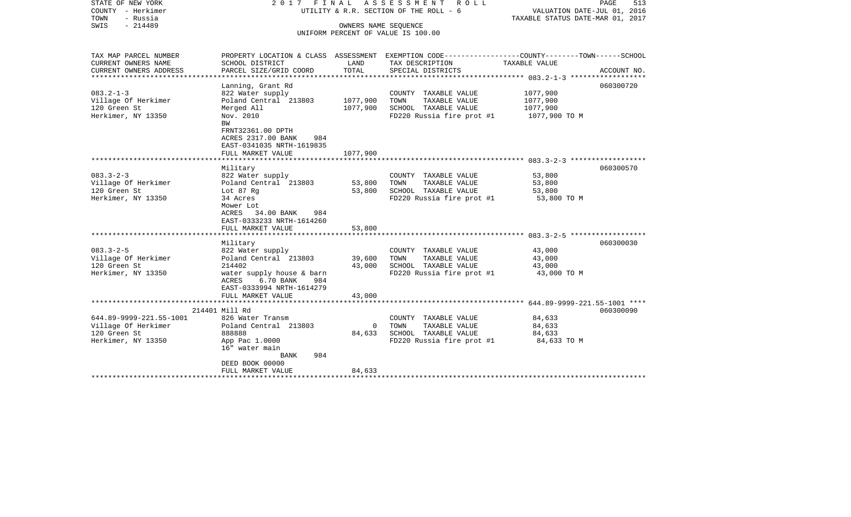| STATE OF NEW YORK<br>COUNTY - Herkimer<br>- Russia<br>TOWN<br>$-214489$<br>SWIS |                                                                                                        |                | 2017 FINAL ASSESSMENT<br>R O L L<br>UTILITY & R.R. SECTION OF THE ROLL - 6<br>OWNERS NAME SEQUENCE<br>UNIFORM PERCENT OF VALUE IS 100.00 | VALUATION DATE-JUL 01, 2016<br>TAXABLE STATUS DATE-MAR 01, 2017 | PAGE<br>513 |
|---------------------------------------------------------------------------------|--------------------------------------------------------------------------------------------------------|----------------|------------------------------------------------------------------------------------------------------------------------------------------|-----------------------------------------------------------------|-------------|
| TAX MAP PARCEL NUMBER<br>CURRENT OWNERS NAME                                    | SCHOOL DISTRICT                                                                                        | LAND           | PROPERTY LOCATION & CLASS ASSESSMENT EXEMPTION CODE---------------COUNTY-------TOWN-----SCHOOL<br>TAX DESCRIPTION                        | TAXABLE VALUE                                                   |             |
| CURRENT OWNERS ADDRESS                                                          | PARCEL SIZE/GRID COORD                                                                                 | TOTAL          | SPECIAL DISTRICTS                                                                                                                        |                                                                 | ACCOUNT NO. |
| *********************                                                           |                                                                                                        |                |                                                                                                                                          |                                                                 |             |
|                                                                                 | Lanning, Grant Rd                                                                                      |                |                                                                                                                                          |                                                                 | 060300720   |
| $083.2 - 1 - 3$                                                                 | 822 Water supply<br>Poland Central 213803                                                              | 1077,900       | COUNTY TAXABLE VALUE<br>TOWN<br>TAXABLE VALUE                                                                                            | 1077,900<br>1077,900                                            |             |
| Village Of Herkimer<br>120 Green St                                             | Merged All                                                                                             | 1077,900       | SCHOOL TAXABLE VALUE                                                                                                                     | 1077,900                                                        |             |
| Herkimer, NY 13350                                                              | Nov. 2010                                                                                              |                | FD220 Russia fire prot #1                                                                                                                | 1077,900 TO M                                                   |             |
|                                                                                 | BW<br>FRNT32361.00 DPTH<br>ACRES 2317.00 BANK<br>984<br>EAST-0341035 NRTH-1619835<br>FULL MARKET VALUE | 1077,900       |                                                                                                                                          |                                                                 |             |
|                                                                                 |                                                                                                        |                |                                                                                                                                          |                                                                 |             |
| $083.3 - 2 - 3$                                                                 | Military                                                                                               |                |                                                                                                                                          |                                                                 | 060300570   |
| Village Of Herkimer                                                             | 822 Water supply<br>Poland Central 213803                                                              | 53,800         | COUNTY TAXABLE VALUE<br>TOWN<br>TAXABLE VALUE                                                                                            | 53,800<br>53,800                                                |             |
| 120 Green St                                                                    | Lot 87 Rg                                                                                              | 53,800         | SCHOOL TAXABLE VALUE                                                                                                                     | 53,800                                                          |             |
| Herkimer, NY 13350                                                              | 34 Acres<br>Mower Lot<br>ACRES 34.00 BANK<br>984<br>EAST-0333233 NRTH-1614260<br>FULL MARKET VALUE     | 53,800         | FD220 Russia fire prot #1                                                                                                                | 53,800 TO M                                                     |             |
|                                                                                 |                                                                                                        |                |                                                                                                                                          |                                                                 |             |
|                                                                                 | Military                                                                                               |                |                                                                                                                                          |                                                                 | 060300030   |
| $083.3 - 2 - 5$                                                                 | 822 Water supply                                                                                       |                | COUNTY TAXABLE VALUE                                                                                                                     | 43,000                                                          |             |
| Village Of Herkimer                                                             | Poland Central 213803                                                                                  | 39,600         | TOWN<br>TAXABLE VALUE                                                                                                                    | 43,000                                                          |             |
| 120 Green St                                                                    | 214402                                                                                                 | 43,000         | SCHOOL TAXABLE VALUE                                                                                                                     | 43,000                                                          |             |
| Herkimer, NY 13350                                                              | water supply house & barn<br>6.70 BANK<br>ACRES<br>984<br>EAST-0333994 NRTH-1614279                    |                | FD220 Russia fire prot #1                                                                                                                | 43,000 TO M                                                     |             |
|                                                                                 | FULL MARKET VALUE                                                                                      | 43,000         |                                                                                                                                          |                                                                 |             |
|                                                                                 | 214401 Mill Rd                                                                                         |                |                                                                                                                                          |                                                                 | 060300090   |
| 644.89-9999-221.55-1001                                                         | 826 Water Transm                                                                                       |                | COUNTY TAXABLE VALUE                                                                                                                     | 84,633                                                          |             |
| Village Of Herkimer                                                             | Poland Central 213803                                                                                  | $\overline{0}$ | TOWN<br>TAXABLE VALUE                                                                                                                    | 84,633                                                          |             |
| 120 Green St                                                                    | 888888                                                                                                 | 84,633         | SCHOOL TAXABLE VALUE                                                                                                                     | 84,633                                                          |             |
| Herkimer, NY 13350                                                              | App Pac 1.0000<br>16" water main<br><b>BANK</b><br>984                                                 |                | FD220 Russia fire prot #1                                                                                                                | 84,633 TO M                                                     |             |
|                                                                                 | DEED BOOK 00000                                                                                        |                |                                                                                                                                          |                                                                 |             |
|                                                                                 | FULL MARKET VALUE                                                                                      | 84,633         |                                                                                                                                          |                                                                 |             |
|                                                                                 |                                                                                                        |                |                                                                                                                                          |                                                                 |             |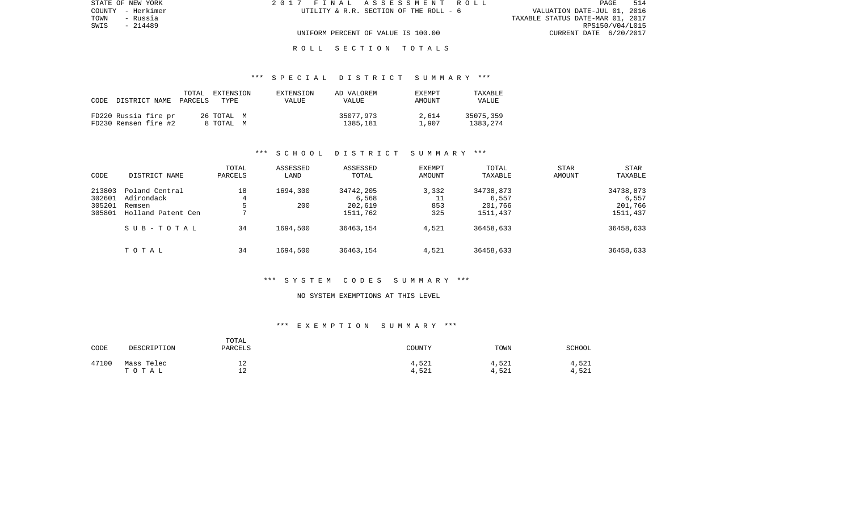| STATE OF NEW YORK | 2017 FINAL ASSESSMENT ROLL             | 514<br>PAGE                      |
|-------------------|----------------------------------------|----------------------------------|
| COUNTY - Herkimer | UTILITY & R.R. SECTION OF THE ROLL - 6 | VALUATION DATE-JUL 01, 2016      |
| TOWN<br>- Russia  |                                        | TAXABLE STATUS DATE-MAR 01, 2017 |
| SWIS<br>- 214489  |                                        | RPS150/V04/L015                  |
|                   | UNIFORM PERCENT OF VALUE IS 100.00     | CURRENT DATE 6/20/2017           |
|                   |                                        |                                  |

#### \*\*\* S P E C I A L D I S T R I C T S U M M A R Y \*\*\*

| CODE | DISTRICT NAME                                | TOTAL<br>PARCELS | EXTENSION<br>TYPE.      | EXTENSION<br>VALUE | AD VALOREM<br>VALUE   | EXEMPT<br>AMOUNT | TAXABLE<br><b>VALUE</b> |
|------|----------------------------------------------|------------------|-------------------------|--------------------|-----------------------|------------------|-------------------------|
|      | FD220 Russia fire pr<br>FD230 Remsen fire #2 |                  | 26 ТОТАL М<br>8 ТОТАL М |                    | 35077,973<br>1385,181 | 2.614<br>1,907   | 35075,359<br>1383,274   |

#### \*\*\* S C H O O L D I S T R I C T S U M M A R Y \*\*\*

| CODE                                 | DISTRICT NAME                                                | TOTAL<br>PARCELS  | ASSESSED<br>LAND | ASSESSED<br>TOTAL                         | <b>EXEMPT</b><br>AMOUNT   | TOTAL<br>TAXABLE                          | STAR<br>AMOUNT | <b>STAR</b><br>TAXABLE                    |
|--------------------------------------|--------------------------------------------------------------|-------------------|------------------|-------------------------------------------|---------------------------|-------------------------------------------|----------------|-------------------------------------------|
| 213803<br>302601<br>305201<br>305801 | Poland Central<br>Adirondack<br>Remsen<br>Holland Patent Cen | 18<br>4<br>ל<br>⇁ | 1694,300<br>200  | 34742,205<br>6,568<br>202,619<br>1511,762 | 3,332<br>11<br>853<br>325 | 34738,873<br>6,557<br>201,766<br>1511,437 |                | 34738,873<br>6,557<br>201,766<br>1511,437 |
|                                      | SUB-TOTAL                                                    | 34                | 1694,500         | 36463,154                                 | 4,521                     | 36458,633                                 |                | 36458,633                                 |
|                                      | TOTAL                                                        | 34                | 1694,500         | 36463,154                                 | 4,521                     | 36458,633                                 |                | 36458,633                                 |

#### \*\*\* S Y S T E M C O D E S S U M M A R Y \*\*\*

#### NO SYSTEM EXEMPTIONS AT THIS LEVEL

| CODE  | DESCRIPTION         | TOTAL<br>PARCELS           | COUNTY         | TOWN           | SCHOOL         |
|-------|---------------------|----------------------------|----------------|----------------|----------------|
| 47100 | Mass Telec<br>TOTAL | ᅩᇫ<br>1 <sub>0</sub><br>ᅩᇫ | 4,521<br>4,521 | 4,521<br>4,521 | 4,521<br>4,521 |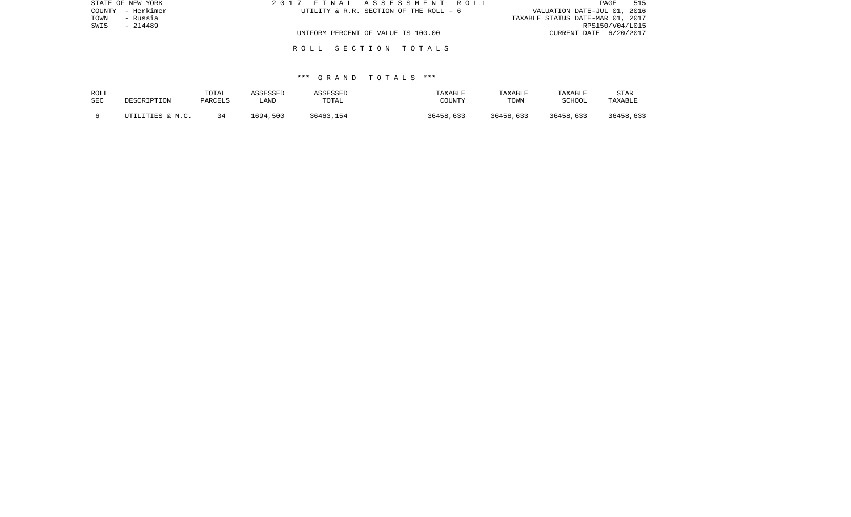| STATE OF NEW YORK | 2017 FINAL ASSESSMENT ROLL             | 515<br>PAGE                      |
|-------------------|----------------------------------------|----------------------------------|
| COUNTY - Herkimer | UTILITY & R.R. SECTION OF THE ROLL - 6 | VALUATION DATE-JUL 01, 2016      |
| TOWN<br>- Russia  |                                        | TAXABLE STATUS DATE-MAR 01, 2017 |
| SWIS<br>- 214489  |                                        | RPS150/V04/L015                  |
|                   | UNIFORM PERCENT OF VALUE IS 100.00     | CURRENT DATE 6/20/2017           |
|                   |                                        |                                  |

| ROLL | DESCRIPTION      | TOTAL   | ASSESSED | ASSESSED  | TAXABLE   | TAXABLE   | TAXABLE   | <b>STAR</b> |
|------|------------------|---------|----------|-----------|-----------|-----------|-----------|-------------|
| SEC  |                  | PARCELS | LAND     | TOTAL     | COUNTY    | TOWN      | SCHOOL    | TAXABLE     |
|      | UTILITIES & N.C. |         | 1694,500 | 36463,154 | 36458,633 | 36458,633 | 36458,633 | 36458,633   |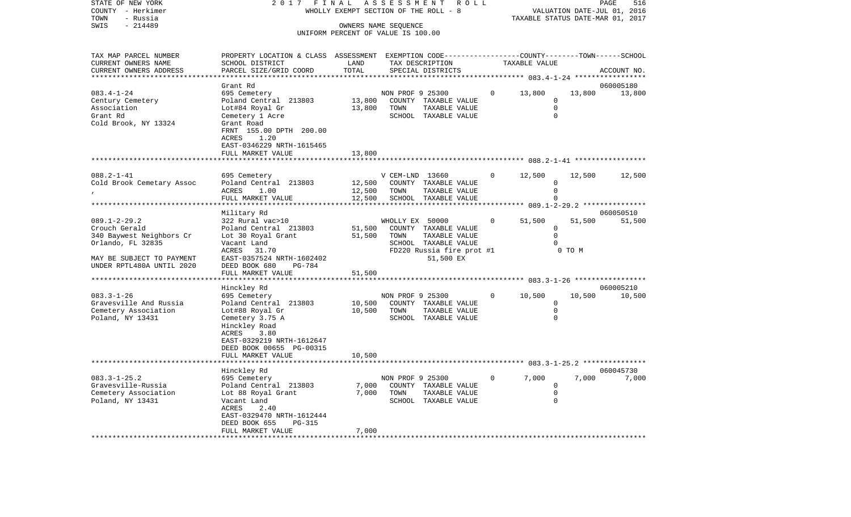| STATE OF NEW YORK<br>COUNTY - Herkimer<br>TOWN<br>- Russia                                                                                     | 2 0 1 7                                                                                                                                                                                        | FINAL<br>ASSESSMENT<br>WHOLLY EXEMPT SECTION OF THE ROLL - 8 | ROLL                                                                                                                               | PAGE<br>516<br>VALUATION DATE-JUL 01, 2016<br>TAXABLE STATUS DATE-MAR 01, 2017 |                                                                                              |                  |                     |  |
|------------------------------------------------------------------------------------------------------------------------------------------------|------------------------------------------------------------------------------------------------------------------------------------------------------------------------------------------------|--------------------------------------------------------------|------------------------------------------------------------------------------------------------------------------------------------|--------------------------------------------------------------------------------|----------------------------------------------------------------------------------------------|------------------|---------------------|--|
| SWIS<br>$-214489$                                                                                                                              |                                                                                                                                                                                                |                                                              | OWNERS NAME SEQUENCE<br>UNIFORM PERCENT OF VALUE IS 100.00                                                                         |                                                                                |                                                                                              |                  |                     |  |
| TAX MAP PARCEL NUMBER<br>CURRENT OWNERS NAME<br>CURRENT OWNERS ADDRESS                                                                         | PROPERTY LOCATION & CLASS ASSESSMENT EXEMPTION CODE----------------COUNTY-------TOWN------SCHOOL<br>SCHOOL DISTRICT<br>PARCEL SIZE/GRID COORD                                                  | LAND<br>TOTAL<br>* * * * * *                                 | TAX DESCRIPTION<br>SPECIAL DISTRICTS                                                                                               |                                                                                | TAXABLE VALUE<br>******** 083.4-1-24 ****                                                    |                  | ACCOUNT NO.         |  |
| $083.4 - 1 - 24$<br>Century Cemetery<br>Association<br>Grant Rd<br>Cold Brook, NY 13324                                                        | Grant Rd<br>695 Cemetery<br>Poland Central 213803<br>Lot#84 Royal Gr<br>Cemetery 1 Acre<br>Grant Road<br>FRNT 155.00 DPTH 200.00<br>1.20<br>ACRES<br>EAST-0346229 NRTH-1615465                 | 13,800<br>13,800                                             | NON PROF 9 25300<br>COUNTY TAXABLE VALUE<br>TOWN<br>TAXABLE VALUE<br>SCHOOL TAXABLE VALUE                                          |                                                                                | 13,800<br>0<br>$\mathbf 0$<br>$\Omega$                                                       | 13,800           | 060005180<br>13,800 |  |
|                                                                                                                                                | FULL MARKET VALUE                                                                                                                                                                              | 13,800                                                       |                                                                                                                                    |                                                                                |                                                                                              |                  |                     |  |
| $088.2 - 1 - 41$<br>Cold Brook Cemetary Assoc                                                                                                  | 695 Cemetery<br>Poland Central 213803<br><b>ACRES</b><br>1.00<br>FULL MARKET VALUE<br>****************                                                                                         | 12,500<br>12,500<br>12,500<br>*********                      | V CEM-LND 13660<br>COUNTY TAXABLE VALUE<br>TOWN<br>TAXABLE VALUE<br>SCHOOL TAXABLE VALUE<br>* * * * * * * * * * * *                |                                                                                | 12,500<br>0<br>$\mathbf 0$<br>$\Omega$<br>********************* 089.1-2-29.2 *************** | 12,500           | 12,500              |  |
| $089.1 - 2 - 29.2$<br>Crouch Gerald<br>340 Baywest Neighbors Cr<br>Orlando, FL 32835<br>MAY BE SUBJECT TO PAYMENT<br>UNDER RPTL480A UNTIL 2020 | Military Rd<br>322 Rural vac>10<br>Poland Central 213803<br>Lot 30 Royal Grant<br>Vacant Land<br>ACRES<br>31.70<br>EAST-0357524 NRTH-1602402<br>DEED BOOK 680<br><b>PG-784</b>                 | 51,500<br>51,500                                             | WHOLLY EX 50000<br>COUNTY TAXABLE VALUE<br>TOWN<br>TAXABLE VALUE<br>SCHOOL TAXABLE VALUE<br>FD220 Russia fire prot #1<br>51,500 EX | 0                                                                              | 51,500<br>$\mathbf 0$<br>$\mathbf 0$<br>$\Omega$                                             | 51,500<br>0 TO M | 060050510<br>51,500 |  |
|                                                                                                                                                | FULL MARKET VALUE                                                                                                                                                                              | 51,500                                                       |                                                                                                                                    |                                                                                | *********** 083.3-1-26 *****************                                                     |                  |                     |  |
| $083.3 - 1 - 26$<br>Gravesville And Russia<br>Cemetery Association<br>Poland, NY 13431                                                         | Hinckley Rd<br>695 Cemetery<br>Poland Central 213803<br>Lot#88 Royal Gr<br>Cemetery 3.75 A<br>Hinckley Road<br>ACRES<br>3.80<br>EAST-0329219 NRTH-1612647<br>DEED BOOK 00655 PG-00315          | 10,500<br>10,500<br>10,500                                   | NON PROF 9 25300<br>COUNTY TAXABLE VALUE<br>TOWN<br>TAXABLE VALUE<br>SCHOOL TAXABLE VALUE                                          | 0                                                                              | 10,500<br>0<br>$\mathbf 0$<br>$\mathbf 0$                                                    | 10,500           | 060005210<br>10,500 |  |
|                                                                                                                                                | FULL MARKET VALUE                                                                                                                                                                              |                                                              |                                                                                                                                    |                                                                                | ********* 083.3-1-25.2 ****************                                                      |                  |                     |  |
| $083.3 - 1 - 25.2$<br>Gravesville-Russia<br>Cemetery Association<br>Poland, NY 13431<br>*********************                                  | Hinckley Rd<br>695 Cemetery<br>Poland Central 213803<br>Lot 88 Royal Grant<br>Vacant Land<br>ACRES<br>2.40<br>EAST-0329470 NRTH-1612444<br>DEED BOOK 655<br><b>PG-315</b><br>FULL MARKET VALUE | 7,000<br>7,000<br>7,000                                      | NON PROF 9 25300<br>COUNTY TAXABLE VALUE<br>TOWN<br>TAXABLE VALUE<br>SCHOOL TAXABLE VALUE                                          | 0                                                                              | 7,000<br>0<br>$\mathbf 0$<br>$\mathbf 0$                                                     | 7,000            | 060045730<br>7,000  |  |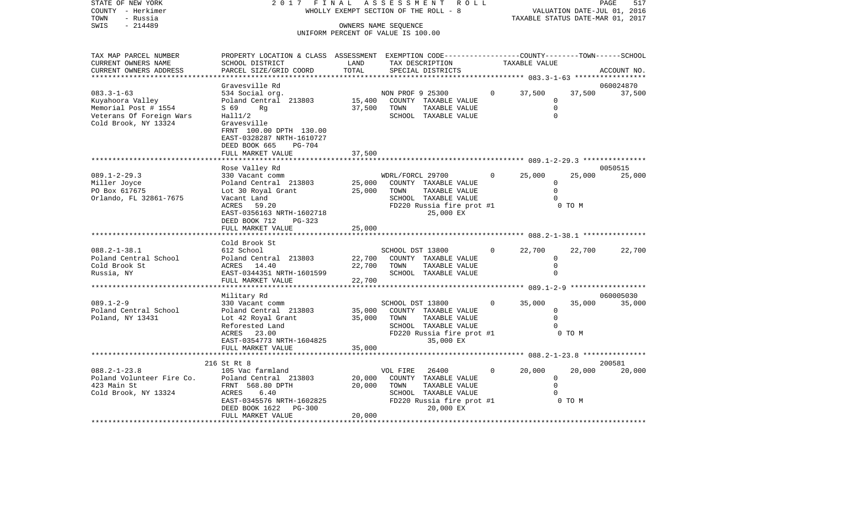|                           |                                                           |                                 |                                                                                                                                                          |                                                                               |               | 517                                                                                                                                     |  |  |
|---------------------------|-----------------------------------------------------------|---------------------------------|----------------------------------------------------------------------------------------------------------------------------------------------------------|-------------------------------------------------------------------------------|---------------|-----------------------------------------------------------------------------------------------------------------------------------------|--|--|
|                           |                                                           |                                 |                                                                                                                                                          |                                                                               |               |                                                                                                                                         |  |  |
|                           |                                                           |                                 |                                                                                                                                                          |                                                                               |               |                                                                                                                                         |  |  |
|                           |                                                           |                                 |                                                                                                                                                          |                                                                               |               |                                                                                                                                         |  |  |
|                           |                                                           |                                 |                                                                                                                                                          |                                                                               |               |                                                                                                                                         |  |  |
|                           |                                                           |                                 |                                                                                                                                                          |                                                                               |               |                                                                                                                                         |  |  |
| PROPERTY LOCATION & CLASS | ASSESSMENT                                                |                                 |                                                                                                                                                          |                                                                               |               |                                                                                                                                         |  |  |
| SCHOOL DISTRICT           | LAND                                                      |                                 |                                                                                                                                                          |                                                                               |               |                                                                                                                                         |  |  |
|                           | TOTAL                                                     | SPECIAL DISTRICTS               |                                                                                                                                                          |                                                                               |               | ACCOUNT NO.                                                                                                                             |  |  |
|                           |                                                           |                                 |                                                                                                                                                          |                                                                               |               |                                                                                                                                         |  |  |
| Gravesville Rd            |                                                           |                                 |                                                                                                                                                          |                                                                               |               | 060024870                                                                                                                               |  |  |
| 534 Social org.           |                                                           |                                 | $\Omega$                                                                                                                                                 | 37,500                                                                        | 37,500        | 37,500                                                                                                                                  |  |  |
| Poland Central 213803     | 15,400                                                    | COUNTY                          |                                                                                                                                                          | $\Omega$                                                                      |               |                                                                                                                                         |  |  |
| S 69<br>Rq                | 37,500                                                    | TOWN                            |                                                                                                                                                          |                                                                               |               |                                                                                                                                         |  |  |
|                           |                                                           |                                 |                                                                                                                                                          |                                                                               |               |                                                                                                                                         |  |  |
|                           |                                                           |                                 |                                                                                                                                                          |                                                                               |               |                                                                                                                                         |  |  |
|                           |                                                           |                                 |                                                                                                                                                          |                                                                               |               |                                                                                                                                         |  |  |
|                           |                                                           |                                 |                                                                                                                                                          |                                                                               |               |                                                                                                                                         |  |  |
|                           |                                                           |                                 |                                                                                                                                                          |                                                                               |               |                                                                                                                                         |  |  |
| EAST-0328287 NRTH-1610727 |                                                           |                                 |                                                                                                                                                          |                                                                               |               |                                                                                                                                         |  |  |
| DEED BOOK 665<br>PG-704   |                                                           |                                 |                                                                                                                                                          |                                                                               |               |                                                                                                                                         |  |  |
| FULL MARKET VALUE         | 37,500                                                    |                                 |                                                                                                                                                          |                                                                               |               | ***************                                                                                                                         |  |  |
|                           | 2017<br>Hall1/2<br>Gravesville<br>FRNT 100.00 DPTH 130.00 | FINAL<br>PARCEL SIZE/GRID COORD | A S S E S S M E N T<br>WHOLLY EXEMPT SECTION OF THE ROLL - 8<br>OWNERS NAME SEQUENCE<br>UNIFORM PERCENT OF VALUE IS 100.00<br>NON PROF 9 25300<br>SCHOOL | R O L L<br>TAX DESCRIPTION<br>TAXABLE VALUE<br>TAXABLE VALUE<br>TAXABLE VALUE | TAXABLE VALUE | PAGE<br>VALUATION DATE-JUL 01, 2016<br>TAXABLE STATUS DATE-MAR 01, 2017<br>EXEMPTION CODE-----------------COUNTY-------TOWN------SCHOOL |  |  |

089.1-2-29.3 330 Vacant comm WDRL/FORCL 29700 0 25,000 25,000 25,000

| Miller Joyce<br>PO Box 617675<br>Orlando, FL 32861-7675                                | Poland Central 213803<br>Lot 30 Royal Grant<br>Vacant Land<br>ACRES 59.20<br>EAST-0356163 NRTH-1602718<br>DEED BOOK 712<br>$PG-323$<br>FULL MARKET VALUE                                 | 25,000<br>25,000<br>25,000 | TOWN                            | COUNTY TAXABLE VALUE<br>TAXABLE VALUE<br>SCHOOL TAXABLE VALUE<br>FD220 Russia fire prot #1<br>25,000 EX                 |                | $\Omega$<br>$0$ TO M |                  |                  |
|----------------------------------------------------------------------------------------|------------------------------------------------------------------------------------------------------------------------------------------------------------------------------------------|----------------------------|---------------------------------|-------------------------------------------------------------------------------------------------------------------------|----------------|----------------------|------------------|------------------|
| $088.2 - 1 - 38.1$<br>Cold Brook St<br>Russia, NY                                      | Cold Brook St<br>612 School<br>Poland Central School 6. Poland Central 213803 22,700 COUNTY TAXABLE VALUE<br>ACRES 14.40<br>EAST-0344351 NRTH-1601599                                    |                            | SCHOOL DST 13800<br>22,700 TOWN | TAXABLE VALUE<br>SCHOOL TAXABLE VALUE                                                                                   | $\overline{0}$ | 22,700               | 22,700           | 22,700           |
|                                                                                        | Military Rd                                                                                                                                                                              |                            |                                 |                                                                                                                         |                |                      |                  | 060005030        |
| $089.1 - 2 - 9$<br>Poland Central School<br>Poland, NY 13431                           | 330 Vacant comm<br>Poland Central 213803 35,000 COUNTY TAXABLE VALUE<br>Lot 42 Royal Grant<br>Reforested Land<br>ACRES 23.00<br>EAST-0354773 NRTH-1604825<br>35,000<br>FULL MARKET VALUE |                            | SCHOOL DST 13800<br>35,000 TOWN | TAXABLE VALUE<br>SCHOOL TAXABLE VALUE<br>FD220 Russia fire prot #1<br>35,000 EX                                         | $\overline{0}$ | 35,000               | 35,000<br>0 TO M | 35,000           |
|                                                                                        |                                                                                                                                                                                          |                            |                                 |                                                                                                                         |                |                      |                  |                  |
| $088.2 - 1 - 23.8$<br>Poland Volunteer Fire Co.<br>423 Main St<br>Cold Brook, NY 13324 | 216 St Rt 8<br>105 Vac farmland<br>Poland Central 213803<br>FRNT 568.80 DPTH<br>6.40<br>ACRES<br>EAST-0345576 NRTH-1602825<br>DEED BOOK 1622<br><b>PG-300</b><br>FULL MARKET VALUE       | 20,000                     | VOL FIRE<br>20,000 TOWN         | 26400<br>20,000 COUNTY TAXABLE VALUE<br>TAXABLE VALUE<br>SCHOOL TAXABLE VALUE<br>FD220 Russia fire prot #1<br>20,000 EX | $\Omega$       | 20,000<br>$\Omega$   | 20,000<br>0 TO M | 200581<br>20,000 |
|                                                                                        |                                                                                                                                                                                          |                            |                                 |                                                                                                                         |                |                      |                  |                  |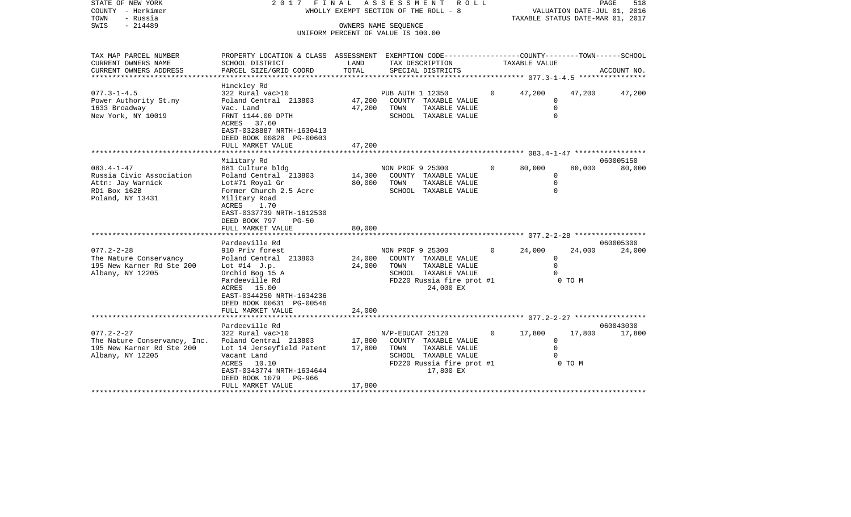|      | STATE OF NEW YORK | 2017 FINAL ASSESSMENT ROLL                                           | PAGE | 518 |
|------|-------------------|----------------------------------------------------------------------|------|-----|
|      | COUNTY - Herkimer | VALUATION DATE-JUL 01, 2016<br>WHOLLY EXEMPT SECTION OF THE ROLL - 8 |      |     |
| TOWN | - Russia          | TAXABLE STATUS DATE-MAR 01, 2017                                     |      |     |
| SWIS | - 214489          | OWNERS NAME SEOUENCE                                                 |      |     |
|      |                   | UNIFORM PERCENT OF VALUE IS 100.00                                   |      |     |

| CURRENT OWNERS NAME<br>SCHOOL DISTRICT<br>LAND<br>TAX DESCRIPTION<br>TAXABLE VALUE<br>TOTAL<br>CURRENT OWNERS ADDRESS<br>PARCEL SIZE/GRID COORD<br>SPECIAL DISTRICTS<br>ACCOUNT NO.<br>Hinckley Rd<br>322 Rural vac>10<br>$\Omega$<br>PUB AUTH 1 12350<br>47,200<br>47,200<br>47,200<br>47,200<br>$\Omega$<br>Poland Central 213803<br>COUNTY TAXABLE VALUE<br>$\mathbf 0$<br>47,200<br>TOWN<br>Vac. Land<br>TAXABLE VALUE<br>FRNT 1144.00 DPTH<br>SCHOOL TAXABLE VALUE<br>$\Omega$<br>ACRES 37.60<br>EAST-0328887 NRTH-1630413<br>DEED BOOK 00828 PG-00603<br>47,200<br>FULL MARKET VALUE<br>060005150<br>Military Rd<br>$083.4 - 1 - 47$<br>681 Culture bldg<br>NON PROF 9 25300<br>$\overline{0}$<br>80,000<br>80,000<br>80,000<br>Russia Civic Association<br>Poland Central 213803<br>14,300<br>COUNTY TAXABLE VALUE<br>0<br>Attn: Jay Warnick<br>Lot#71 Royal Gr<br>80,000<br>TOWN<br>TAXABLE VALUE<br>$\Omega$<br>RD1 Box 162B<br>Former Church 2.5 Acre<br>SCHOOL TAXABLE VALUE<br>$\Omega$<br>Poland, NY 13431<br>Military Road<br>1.70<br>ACRES<br>EAST-0337739 NRTH-1612530<br>DEED BOOK 797<br>$PG-50$<br>FULL MARKET VALUE<br>80,000<br>Pardeeville Rd<br>060005300<br>$\Omega$<br>24,000<br>24,000<br>$077.2 - 2 - 28$<br>910 Priv forest<br>NON PROF 9 25300<br>24,000<br>24,000<br>The Nature Conservancy<br>Poland Central 213803<br>COUNTY TAXABLE VALUE<br>$\mathbf 0$<br>$\Omega$<br>24,000<br>TOWN<br>195 New Karner Rd Ste 200<br>Lot $#14$ J.p.<br>TAXABLE VALUE<br>Albany, NY 12205<br>Orchid Bog 15 A<br>SCHOOL TAXABLE VALUE<br>$\cap$<br>FD220 Russia fire prot #1<br>0 TO M<br>Pardeeville Rd<br>24,000 EX<br>ACRES 15.00<br>EAST-0344250 NRTH-1634236<br>DEED BOOK 00631 PG-00546<br>24,000<br>FULL MARKET VALUE<br>Pardeeville Rd<br>060043030<br>17,800<br>322 Rural vac>10<br>N/P-EDUCAT 25120<br>$\overline{0}$<br>17,800<br>17,800<br>17,800<br>The Nature Conservancy, Inc.<br>Poland Central 213803<br>COUNTY TAXABLE VALUE<br>$\Omega$<br>195 New Karner Rd Ste 200<br>17,800<br>TOWN<br>TAXABLE VALUE<br>$\Omega$<br>Lot 14 Jerseyfield Patent<br>Albany, NY 12205<br>SCHOOL TAXABLE VALUE<br>Vacant Land<br>FD220 Russia fire prot #1<br>0 TO M<br>ACRES<br>10.10<br>EAST-0343774 NRTH-1634644<br>17,800 EX<br>DEED BOOK 1079 PG-966<br>17,800<br>FULL MARKET VALUE | TAX MAP PARCEL NUMBER | PROPERTY LOCATION & CLASS ASSESSMENT | EXEMPTION CODE-----------------COUNTY--------TOWN------SCHOOL |  |  |
|------------------------------------------------------------------------------------------------------------------------------------------------------------------------------------------------------------------------------------------------------------------------------------------------------------------------------------------------------------------------------------------------------------------------------------------------------------------------------------------------------------------------------------------------------------------------------------------------------------------------------------------------------------------------------------------------------------------------------------------------------------------------------------------------------------------------------------------------------------------------------------------------------------------------------------------------------------------------------------------------------------------------------------------------------------------------------------------------------------------------------------------------------------------------------------------------------------------------------------------------------------------------------------------------------------------------------------------------------------------------------------------------------------------------------------------------------------------------------------------------------------------------------------------------------------------------------------------------------------------------------------------------------------------------------------------------------------------------------------------------------------------------------------------------------------------------------------------------------------------------------------------------------------------------------------------------------------------------------------------------------------------------------------------------------------------------------------------------------------------------------------------------------------------------------------------------------------------------------------------------------------------------------------------------------------|-----------------------|--------------------------------------|---------------------------------------------------------------|--|--|
|                                                                                                                                                                                                                                                                                                                                                                                                                                                                                                                                                                                                                                                                                                                                                                                                                                                                                                                                                                                                                                                                                                                                                                                                                                                                                                                                                                                                                                                                                                                                                                                                                                                                                                                                                                                                                                                                                                                                                                                                                                                                                                                                                                                                                                                                                                            |                       |                                      |                                                               |  |  |
|                                                                                                                                                                                                                                                                                                                                                                                                                                                                                                                                                                                                                                                                                                                                                                                                                                                                                                                                                                                                                                                                                                                                                                                                                                                                                                                                                                                                                                                                                                                                                                                                                                                                                                                                                                                                                                                                                                                                                                                                                                                                                                                                                                                                                                                                                                            |                       |                                      |                                                               |  |  |
|                                                                                                                                                                                                                                                                                                                                                                                                                                                                                                                                                                                                                                                                                                                                                                                                                                                                                                                                                                                                                                                                                                                                                                                                                                                                                                                                                                                                                                                                                                                                                                                                                                                                                                                                                                                                                                                                                                                                                                                                                                                                                                                                                                                                                                                                                                            |                       |                                      |                                                               |  |  |
|                                                                                                                                                                                                                                                                                                                                                                                                                                                                                                                                                                                                                                                                                                                                                                                                                                                                                                                                                                                                                                                                                                                                                                                                                                                                                                                                                                                                                                                                                                                                                                                                                                                                                                                                                                                                                                                                                                                                                                                                                                                                                                                                                                                                                                                                                                            | $077.3 - 1 - 4.5$     |                                      |                                                               |  |  |
|                                                                                                                                                                                                                                                                                                                                                                                                                                                                                                                                                                                                                                                                                                                                                                                                                                                                                                                                                                                                                                                                                                                                                                                                                                                                                                                                                                                                                                                                                                                                                                                                                                                                                                                                                                                                                                                                                                                                                                                                                                                                                                                                                                                                                                                                                                            | Power Authority St.ny |                                      |                                                               |  |  |
|                                                                                                                                                                                                                                                                                                                                                                                                                                                                                                                                                                                                                                                                                                                                                                                                                                                                                                                                                                                                                                                                                                                                                                                                                                                                                                                                                                                                                                                                                                                                                                                                                                                                                                                                                                                                                                                                                                                                                                                                                                                                                                                                                                                                                                                                                                            | 1633 Broadway         |                                      |                                                               |  |  |
|                                                                                                                                                                                                                                                                                                                                                                                                                                                                                                                                                                                                                                                                                                                                                                                                                                                                                                                                                                                                                                                                                                                                                                                                                                                                                                                                                                                                                                                                                                                                                                                                                                                                                                                                                                                                                                                                                                                                                                                                                                                                                                                                                                                                                                                                                                            | New York, NY 10019    |                                      |                                                               |  |  |
|                                                                                                                                                                                                                                                                                                                                                                                                                                                                                                                                                                                                                                                                                                                                                                                                                                                                                                                                                                                                                                                                                                                                                                                                                                                                                                                                                                                                                                                                                                                                                                                                                                                                                                                                                                                                                                                                                                                                                                                                                                                                                                                                                                                                                                                                                                            |                       |                                      |                                                               |  |  |
|                                                                                                                                                                                                                                                                                                                                                                                                                                                                                                                                                                                                                                                                                                                                                                                                                                                                                                                                                                                                                                                                                                                                                                                                                                                                                                                                                                                                                                                                                                                                                                                                                                                                                                                                                                                                                                                                                                                                                                                                                                                                                                                                                                                                                                                                                                            |                       |                                      |                                                               |  |  |
|                                                                                                                                                                                                                                                                                                                                                                                                                                                                                                                                                                                                                                                                                                                                                                                                                                                                                                                                                                                                                                                                                                                                                                                                                                                                                                                                                                                                                                                                                                                                                                                                                                                                                                                                                                                                                                                                                                                                                                                                                                                                                                                                                                                                                                                                                                            |                       |                                      |                                                               |  |  |
|                                                                                                                                                                                                                                                                                                                                                                                                                                                                                                                                                                                                                                                                                                                                                                                                                                                                                                                                                                                                                                                                                                                                                                                                                                                                                                                                                                                                                                                                                                                                                                                                                                                                                                                                                                                                                                                                                                                                                                                                                                                                                                                                                                                                                                                                                                            |                       |                                      |                                                               |  |  |
|                                                                                                                                                                                                                                                                                                                                                                                                                                                                                                                                                                                                                                                                                                                                                                                                                                                                                                                                                                                                                                                                                                                                                                                                                                                                                                                                                                                                                                                                                                                                                                                                                                                                                                                                                                                                                                                                                                                                                                                                                                                                                                                                                                                                                                                                                                            |                       |                                      |                                                               |  |  |
|                                                                                                                                                                                                                                                                                                                                                                                                                                                                                                                                                                                                                                                                                                                                                                                                                                                                                                                                                                                                                                                                                                                                                                                                                                                                                                                                                                                                                                                                                                                                                                                                                                                                                                                                                                                                                                                                                                                                                                                                                                                                                                                                                                                                                                                                                                            |                       |                                      |                                                               |  |  |
|                                                                                                                                                                                                                                                                                                                                                                                                                                                                                                                                                                                                                                                                                                                                                                                                                                                                                                                                                                                                                                                                                                                                                                                                                                                                                                                                                                                                                                                                                                                                                                                                                                                                                                                                                                                                                                                                                                                                                                                                                                                                                                                                                                                                                                                                                                            |                       |                                      |                                                               |  |  |
|                                                                                                                                                                                                                                                                                                                                                                                                                                                                                                                                                                                                                                                                                                                                                                                                                                                                                                                                                                                                                                                                                                                                                                                                                                                                                                                                                                                                                                                                                                                                                                                                                                                                                                                                                                                                                                                                                                                                                                                                                                                                                                                                                                                                                                                                                                            |                       |                                      |                                                               |  |  |
|                                                                                                                                                                                                                                                                                                                                                                                                                                                                                                                                                                                                                                                                                                                                                                                                                                                                                                                                                                                                                                                                                                                                                                                                                                                                                                                                                                                                                                                                                                                                                                                                                                                                                                                                                                                                                                                                                                                                                                                                                                                                                                                                                                                                                                                                                                            |                       |                                      |                                                               |  |  |
|                                                                                                                                                                                                                                                                                                                                                                                                                                                                                                                                                                                                                                                                                                                                                                                                                                                                                                                                                                                                                                                                                                                                                                                                                                                                                                                                                                                                                                                                                                                                                                                                                                                                                                                                                                                                                                                                                                                                                                                                                                                                                                                                                                                                                                                                                                            |                       |                                      |                                                               |  |  |
|                                                                                                                                                                                                                                                                                                                                                                                                                                                                                                                                                                                                                                                                                                                                                                                                                                                                                                                                                                                                                                                                                                                                                                                                                                                                                                                                                                                                                                                                                                                                                                                                                                                                                                                                                                                                                                                                                                                                                                                                                                                                                                                                                                                                                                                                                                            |                       |                                      |                                                               |  |  |
|                                                                                                                                                                                                                                                                                                                                                                                                                                                                                                                                                                                                                                                                                                                                                                                                                                                                                                                                                                                                                                                                                                                                                                                                                                                                                                                                                                                                                                                                                                                                                                                                                                                                                                                                                                                                                                                                                                                                                                                                                                                                                                                                                                                                                                                                                                            |                       |                                      |                                                               |  |  |
|                                                                                                                                                                                                                                                                                                                                                                                                                                                                                                                                                                                                                                                                                                                                                                                                                                                                                                                                                                                                                                                                                                                                                                                                                                                                                                                                                                                                                                                                                                                                                                                                                                                                                                                                                                                                                                                                                                                                                                                                                                                                                                                                                                                                                                                                                                            |                       |                                      |                                                               |  |  |
|                                                                                                                                                                                                                                                                                                                                                                                                                                                                                                                                                                                                                                                                                                                                                                                                                                                                                                                                                                                                                                                                                                                                                                                                                                                                                                                                                                                                                                                                                                                                                                                                                                                                                                                                                                                                                                                                                                                                                                                                                                                                                                                                                                                                                                                                                                            |                       |                                      |                                                               |  |  |
|                                                                                                                                                                                                                                                                                                                                                                                                                                                                                                                                                                                                                                                                                                                                                                                                                                                                                                                                                                                                                                                                                                                                                                                                                                                                                                                                                                                                                                                                                                                                                                                                                                                                                                                                                                                                                                                                                                                                                                                                                                                                                                                                                                                                                                                                                                            |                       |                                      |                                                               |  |  |
|                                                                                                                                                                                                                                                                                                                                                                                                                                                                                                                                                                                                                                                                                                                                                                                                                                                                                                                                                                                                                                                                                                                                                                                                                                                                                                                                                                                                                                                                                                                                                                                                                                                                                                                                                                                                                                                                                                                                                                                                                                                                                                                                                                                                                                                                                                            |                       |                                      |                                                               |  |  |
|                                                                                                                                                                                                                                                                                                                                                                                                                                                                                                                                                                                                                                                                                                                                                                                                                                                                                                                                                                                                                                                                                                                                                                                                                                                                                                                                                                                                                                                                                                                                                                                                                                                                                                                                                                                                                                                                                                                                                                                                                                                                                                                                                                                                                                                                                                            |                       |                                      |                                                               |  |  |
|                                                                                                                                                                                                                                                                                                                                                                                                                                                                                                                                                                                                                                                                                                                                                                                                                                                                                                                                                                                                                                                                                                                                                                                                                                                                                                                                                                                                                                                                                                                                                                                                                                                                                                                                                                                                                                                                                                                                                                                                                                                                                                                                                                                                                                                                                                            |                       |                                      |                                                               |  |  |
|                                                                                                                                                                                                                                                                                                                                                                                                                                                                                                                                                                                                                                                                                                                                                                                                                                                                                                                                                                                                                                                                                                                                                                                                                                                                                                                                                                                                                                                                                                                                                                                                                                                                                                                                                                                                                                                                                                                                                                                                                                                                                                                                                                                                                                                                                                            |                       |                                      |                                                               |  |  |
|                                                                                                                                                                                                                                                                                                                                                                                                                                                                                                                                                                                                                                                                                                                                                                                                                                                                                                                                                                                                                                                                                                                                                                                                                                                                                                                                                                                                                                                                                                                                                                                                                                                                                                                                                                                                                                                                                                                                                                                                                                                                                                                                                                                                                                                                                                            |                       |                                      |                                                               |  |  |
|                                                                                                                                                                                                                                                                                                                                                                                                                                                                                                                                                                                                                                                                                                                                                                                                                                                                                                                                                                                                                                                                                                                                                                                                                                                                                                                                                                                                                                                                                                                                                                                                                                                                                                                                                                                                                                                                                                                                                                                                                                                                                                                                                                                                                                                                                                            |                       |                                      |                                                               |  |  |
|                                                                                                                                                                                                                                                                                                                                                                                                                                                                                                                                                                                                                                                                                                                                                                                                                                                                                                                                                                                                                                                                                                                                                                                                                                                                                                                                                                                                                                                                                                                                                                                                                                                                                                                                                                                                                                                                                                                                                                                                                                                                                                                                                                                                                                                                                                            |                       |                                      |                                                               |  |  |
|                                                                                                                                                                                                                                                                                                                                                                                                                                                                                                                                                                                                                                                                                                                                                                                                                                                                                                                                                                                                                                                                                                                                                                                                                                                                                                                                                                                                                                                                                                                                                                                                                                                                                                                                                                                                                                                                                                                                                                                                                                                                                                                                                                                                                                                                                                            |                       |                                      |                                                               |  |  |
|                                                                                                                                                                                                                                                                                                                                                                                                                                                                                                                                                                                                                                                                                                                                                                                                                                                                                                                                                                                                                                                                                                                                                                                                                                                                                                                                                                                                                                                                                                                                                                                                                                                                                                                                                                                                                                                                                                                                                                                                                                                                                                                                                                                                                                                                                                            |                       |                                      |                                                               |  |  |
|                                                                                                                                                                                                                                                                                                                                                                                                                                                                                                                                                                                                                                                                                                                                                                                                                                                                                                                                                                                                                                                                                                                                                                                                                                                                                                                                                                                                                                                                                                                                                                                                                                                                                                                                                                                                                                                                                                                                                                                                                                                                                                                                                                                                                                                                                                            |                       |                                      |                                                               |  |  |
|                                                                                                                                                                                                                                                                                                                                                                                                                                                                                                                                                                                                                                                                                                                                                                                                                                                                                                                                                                                                                                                                                                                                                                                                                                                                                                                                                                                                                                                                                                                                                                                                                                                                                                                                                                                                                                                                                                                                                                                                                                                                                                                                                                                                                                                                                                            |                       |                                      |                                                               |  |  |
|                                                                                                                                                                                                                                                                                                                                                                                                                                                                                                                                                                                                                                                                                                                                                                                                                                                                                                                                                                                                                                                                                                                                                                                                                                                                                                                                                                                                                                                                                                                                                                                                                                                                                                                                                                                                                                                                                                                                                                                                                                                                                                                                                                                                                                                                                                            | $077.2 - 2 - 27$      |                                      |                                                               |  |  |
|                                                                                                                                                                                                                                                                                                                                                                                                                                                                                                                                                                                                                                                                                                                                                                                                                                                                                                                                                                                                                                                                                                                                                                                                                                                                                                                                                                                                                                                                                                                                                                                                                                                                                                                                                                                                                                                                                                                                                                                                                                                                                                                                                                                                                                                                                                            |                       |                                      |                                                               |  |  |
|                                                                                                                                                                                                                                                                                                                                                                                                                                                                                                                                                                                                                                                                                                                                                                                                                                                                                                                                                                                                                                                                                                                                                                                                                                                                                                                                                                                                                                                                                                                                                                                                                                                                                                                                                                                                                                                                                                                                                                                                                                                                                                                                                                                                                                                                                                            |                       |                                      |                                                               |  |  |
|                                                                                                                                                                                                                                                                                                                                                                                                                                                                                                                                                                                                                                                                                                                                                                                                                                                                                                                                                                                                                                                                                                                                                                                                                                                                                                                                                                                                                                                                                                                                                                                                                                                                                                                                                                                                                                                                                                                                                                                                                                                                                                                                                                                                                                                                                                            |                       |                                      |                                                               |  |  |
|                                                                                                                                                                                                                                                                                                                                                                                                                                                                                                                                                                                                                                                                                                                                                                                                                                                                                                                                                                                                                                                                                                                                                                                                                                                                                                                                                                                                                                                                                                                                                                                                                                                                                                                                                                                                                                                                                                                                                                                                                                                                                                                                                                                                                                                                                                            |                       |                                      |                                                               |  |  |
|                                                                                                                                                                                                                                                                                                                                                                                                                                                                                                                                                                                                                                                                                                                                                                                                                                                                                                                                                                                                                                                                                                                                                                                                                                                                                                                                                                                                                                                                                                                                                                                                                                                                                                                                                                                                                                                                                                                                                                                                                                                                                                                                                                                                                                                                                                            |                       |                                      |                                                               |  |  |
|                                                                                                                                                                                                                                                                                                                                                                                                                                                                                                                                                                                                                                                                                                                                                                                                                                                                                                                                                                                                                                                                                                                                                                                                                                                                                                                                                                                                                                                                                                                                                                                                                                                                                                                                                                                                                                                                                                                                                                                                                                                                                                                                                                                                                                                                                                            |                       |                                      |                                                               |  |  |
|                                                                                                                                                                                                                                                                                                                                                                                                                                                                                                                                                                                                                                                                                                                                                                                                                                                                                                                                                                                                                                                                                                                                                                                                                                                                                                                                                                                                                                                                                                                                                                                                                                                                                                                                                                                                                                                                                                                                                                                                                                                                                                                                                                                                                                                                                                            |                       |                                      |                                                               |  |  |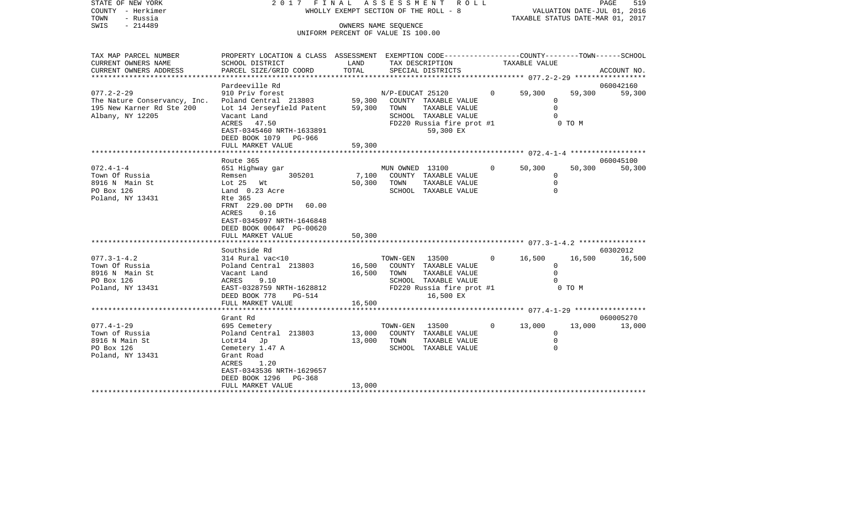|      | STATE OF NEW YORK |  | 2017 FINAL ASSESSMENT ROLL            |                                  | PAGE | 519 |
|------|-------------------|--|---------------------------------------|----------------------------------|------|-----|
|      | COUNTY - Herkimer |  | WHOLLY EXEMPT SECTION OF THE ROLL - 8 | VALUATION DATE-JUL 01, 2016      |      |     |
| TOWN | - Russia          |  |                                       | TAXABLE STATUS DATE-MAR 01, 2017 |      |     |
| SWIS | - 214489          |  | OWNERS NAME SEOUENCE                  |                                  |      |     |

UNIFORM PERCENT OF VALUE IS 100.00

| TAX MAP PARCEL NUMBER                                                                             | PROPERTY LOCATION & CLASS ASSESSMENT EXEMPTION CODE---------------COUNTY-------TOWN-----SCHOOL                                                                                |                  |                                |                                                                                        |                |               |                                                  |                     |
|---------------------------------------------------------------------------------------------------|-------------------------------------------------------------------------------------------------------------------------------------------------------------------------------|------------------|--------------------------------|----------------------------------------------------------------------------------------|----------------|---------------|--------------------------------------------------|---------------------|
| CURRENT OWNERS NAME                                                                               | SCHOOL DISTRICT                                                                                                                                                               | LAND             |                                | TAX DESCRIPTION                                                                        |                | TAXABLE VALUE |                                                  |                     |
| CURRENT OWNERS ADDRESS                                                                            | PARCEL SIZE/GRID COORD                                                                                                                                                        | TOTAL            |                                | SPECIAL DISTRICTS                                                                      |                |               |                                                  | ACCOUNT NO.         |
|                                                                                                   |                                                                                                                                                                               |                  |                                |                                                                                        |                |               |                                                  |                     |
| $077.2 - 2 - 29$<br>The Nature Conservancy, Inc.<br>195 New Karner Rd Ste 200<br>Albany, NY 12205 | Pardeeville Rd<br>910 Priv forest<br>Poland Central 213803 59,300 COUNTY TAXABLE VALUE<br>Lot 14 Jerseyfield Patent 59,300 TOWN<br>Vacant Land                                |                  | N/P-EDUCAT 25120               | TAXABLE VALUE<br>SCHOOL TAXABLE VALUE                                                  |                | 0 59,300      | 59,300<br>$\Omega$<br>$\mathbf 0$<br>$\Omega$    | 060042160<br>59,300 |
|                                                                                                   | ACRES 47.50<br>EAST-0345460 NRTH-1633891<br>DEED BOOK 1079 PG-966<br>FULL MARKET VALUE                                                                                        | 59,300           |                                | FD220 Russia fire prot #1<br>59,300 EX                                                 |                |               | O TO M                                           |                     |
|                                                                                                   |                                                                                                                                                                               |                  |                                |                                                                                        |                |               |                                                  |                     |
| $072.4 - 1 - 4$<br>Town Of Russia<br>8916 N Main St<br>PO Box 126                                 | Route 365<br>651 Highway gar<br>305201<br>Remsen<br>Lot 25 Wt<br>Land 0.23 Acre                                                                                               | 7,100            | MUN OWNED 13100<br>50,300 TOWN | COUNTY TAXABLE VALUE<br>TAXABLE VALUE<br>SCHOOL TAXABLE VALUE                          | $\overline{0}$ | 50,300        | 50,300<br>0<br>$\Omega$<br>$\Omega$              | 060045100<br>50,300 |
| Poland, NY 13431                                                                                  | Rte 365<br>FRNT 229.00 DPTH 60.00<br>ACRES<br>0.16<br>EAST-0345097 NRTH-1646848<br>DEED BOOK 00647 PG-00620<br>FULL MARKET VALUE                                              | 50,300           |                                |                                                                                        |                |               |                                                  |                     |
|                                                                                                   |                                                                                                                                                                               |                  |                                |                                                                                        |                |               |                                                  |                     |
| $077.3 - 1 - 4.2$<br>Town Of Russia<br>8916 N Main St<br>PO Box 126<br>Poland, NY 13431           | Southside Rd<br>314 Rural vac<10<br>Poland Central 213803 16,500 COUNTY TAXABLE VALUE<br>Vacant Land<br>ACRES<br>9.10<br>EAST-0328759 NRTH-1628812<br>DEED BOOK 778<br>PG-514 | 16,500 TOWN      | TOWN-GEN 13500                 | TAXABLE VALUE<br>SCHOOL TAXABLE VALUE<br>FD220 Russia fire prot #1 0 TO M<br>16,500 EX |                | $0 \t 16,500$ | 16,500<br>$\Omega$<br>$\overline{0}$<br>$\Omega$ | 60302012<br>16,500  |
|                                                                                                   | FULL MARKET VALUE                                                                                                                                                             | 16,500           |                                |                                                                                        |                |               |                                                  |                     |
|                                                                                                   |                                                                                                                                                                               |                  |                                |                                                                                        |                |               |                                                  |                     |
| $077.4 - 1 - 29$<br>Town of Russia<br>8916 N Main St<br>PO Box 126<br>Poland, NY 13431            | Grant Rd<br>695 Cemetery<br>Poland Central 213803<br>Lot#14 Jp<br>Cemetery 1.47 A<br>Grant Road<br>1.20<br>ACRES<br>EAST-0343536 NRTH-1629657<br>DEED BOOK 1296 PG-368        | 13,000<br>13,000 | TOWN-GEN<br>TOWN               | 13500<br>COUNTY TAXABLE VALUE<br>TAXABLE VALUE<br>SCHOOL TAXABLE VALUE                 | $\overline{0}$ | 13,000        | 13,000<br>0<br>$\mathbf 0$<br>$\Omega$           | 060005270<br>13,000 |
|                                                                                                   | FULL MARKET VALUE                                                                                                                                                             | 13,000           |                                |                                                                                        |                |               |                                                  |                     |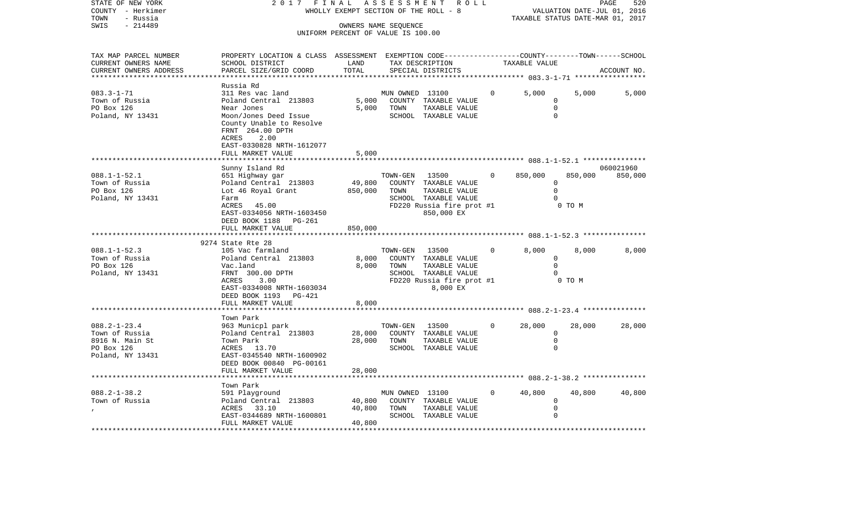| STATE OF NEW YORK      | 2017                      | FINAL                                 | ASSESSMENT           | R O L L                                                      |          |               | PAGE                             | 520         |
|------------------------|---------------------------|---------------------------------------|----------------------|--------------------------------------------------------------|----------|---------------|----------------------------------|-------------|
| - Herkimer<br>COUNTY   |                           | WHOLLY EXEMPT SECTION OF THE ROLL - 8 |                      |                                                              |          |               | VALUATION DATE-JUL 01, 2016      |             |
| - Russia<br>TOWN       |                           |                                       |                      |                                                              |          |               | TAXABLE STATUS DATE-MAR 01, 2017 |             |
| $-214489$<br>SWIS      |                           |                                       | OWNERS NAME SEOUENCE |                                                              |          |               |                                  |             |
|                        |                           | UNIFORM PERCENT OF VALUE IS 100.00    |                      |                                                              |          |               |                                  |             |
|                        |                           |                                       |                      |                                                              |          |               |                                  |             |
|                        |                           |                                       |                      |                                                              |          |               |                                  |             |
| TAX MAP PARCEL NUMBER  | PROPERTY LOCATION & CLASS | ASSESSMENT                            |                      | EXEMPTION CODE-----------------COUNTY-------TOWN------SCHOOL |          |               |                                  |             |
| CURRENT OWNERS NAME    | SCHOOL DISTRICT           | LAND                                  |                      | TAX DESCRIPTION                                              |          | TAXABLE VALUE |                                  |             |
| CURRENT OWNERS ADDRESS | PARCEL SIZE/GRID COORD    | TOTAL                                 |                      | SPECIAL DISTRICTS                                            |          |               |                                  | ACCOUNT NO. |
|                        |                           |                                       |                      |                                                              |          |               |                                  |             |
|                        | Russia Rd                 |                                       |                      |                                                              |          |               |                                  |             |
| $083.3 - 1 - 71$       | 311 Res vac land          |                                       | MUN OWNED            | 13100                                                        | $\Omega$ | 5,000         | 5,000                            | 5,000       |
| Town of Russia         | Poland Central<br>213803  | 5,000                                 | COUNTY               | TAXABLE VALUE                                                |          |               |                                  |             |
| PO Box 126             | Near Jones                | 5.000                                 | TOWN                 | TAXABLE VALUE                                                |          |               |                                  |             |
| Poland, NY 13431       | Moon/Jones Deed Issue     |                                       | SCHOOL               | TAXABLE VALUE                                                |          |               |                                  |             |

\*\*\*\*\*\*\*\*\*\*\*\*\*\*\*\*\*\*\*\*\*\*\*\*\*\*\*\*\*\*\*\*\*\*\*\*\*\*\*\*\*\*\*\*\*\*\*\*\*\*\*\*\*\*\*\*\*\*\*\*\*\*\*\*\*\*\*\*\*\*\*\*\*\*\*\*\*\*\*\*\*\*\*\*\*\*\*\*\*\*\*\*\*\*\*\*\*\*\*\*\*\*\* 088.1-1-52.1 \*\*\*\*\*\*\*\*\*\*\*\*\*\*\*

 County Unable to Resolve FRNT 264.00 DPTH

 EAST-0330828 NRTH-1612077FULL MARKET VALUE 5,000

ACRES 2.00

| $088.1 - 1 - 52.1$<br>Town of Russia<br>PO Box 126<br>Poland, NY 13431                    | Sunny Island Rd<br>651 Highway gar<br>Lot 46 Royal Grant<br>Farm<br>ACRES 45.00<br>EAST-0334056 NRTH-1603450<br>DEED BOOK 1188 PG-261<br>FULL MARKET VALUE            | 13500<br>TOWN-GEN<br>Poland Central 213803 49,800 COUNTY TAXABLE VALUE<br>850,000<br>TOWN<br>TAXABLE VALUE<br>SCHOOL TAXABLE VALUE<br>FD220 Russia fire prot #1<br>850,000 EX<br>850,000 | $\overline{0}$ | 850,000<br>850,000<br>$\Omega$<br>$\Omega$<br>0 TO M | 060021960<br>850,000 |
|-------------------------------------------------------------------------------------------|-----------------------------------------------------------------------------------------------------------------------------------------------------------------------|------------------------------------------------------------------------------------------------------------------------------------------------------------------------------------------|----------------|------------------------------------------------------|----------------------|
|                                                                                           | 9274 State Rte 28                                                                                                                                                     |                                                                                                                                                                                          |                |                                                      |                      |
| $088.1 - 1 - 52.3$<br>Town of Russia<br>PO Box 126<br>Poland, NY 13431                    | 105 Vac farmland<br>Poland Central 213803<br>Vac.land<br>FRNT 300.00 DPTH<br>3.00<br>ACRES<br>EAST-0334008 NRTH-1603034<br>DEED BOOK 1193 PG-421<br>FULL MARKET VALUE | TOWN-GEN<br>13500<br>8,000 COUNTY TAXABLE VALUE<br>8,000<br>TOWN<br>TAXABLE VALUE<br>SCHOOL TAXABLE VALUE<br>FD220 Russia fire prot #1<br>8,000 EX<br>8,000                              | $\overline{0}$ | 8,000<br>8,000<br>$\Omega$<br>$0$ TO M               | 8,000                |
|                                                                                           | Town Park                                                                                                                                                             |                                                                                                                                                                                          |                |                                                      |                      |
| $088.2 - 1 - 23.4$<br>Town of Russia<br>8916 N. Main St<br>PO Box 126<br>Poland, NY 13431 | 963 Municpl park<br>Poland Central 213803<br>Town Park<br>ACRES 13.70<br>EAST-0345540 NRTH-1600902<br>DEED BOOK 00840 PG-00161<br>FULL MARKET VALUE                   | 13500<br>TOWN-GEN<br>28,000 COUNTY TAXABLE VALUE<br>28,000 TOWN<br>TAXABLE VALUE<br>SCHOOL TAXABLE VALUE<br>28,000                                                                       | $\Omega$       | 28,000<br>28,000<br>$\Omega$                         | 28,000               |
|                                                                                           | Town Park                                                                                                                                                             |                                                                                                                                                                                          |                |                                                      |                      |
| $088.2 - 1 - 38.2$<br>Town of Russia                                                      | 591 Playground<br>Poland Central 213803<br>ACRES 33.10<br>EAST-0344689 NRTH-1600801<br>FULL MARKET VALUE                                                              | MUN OWNED 13100<br>40,800 COUNTY TAXABLE VALUE<br>40,800 TOWN<br>TAXABLE VALUE<br>SCHOOL TAXABLE VALUE<br>40,800                                                                         | $\overline{0}$ | 40,800<br>40,800<br>$\Omega$                         | 40,800               |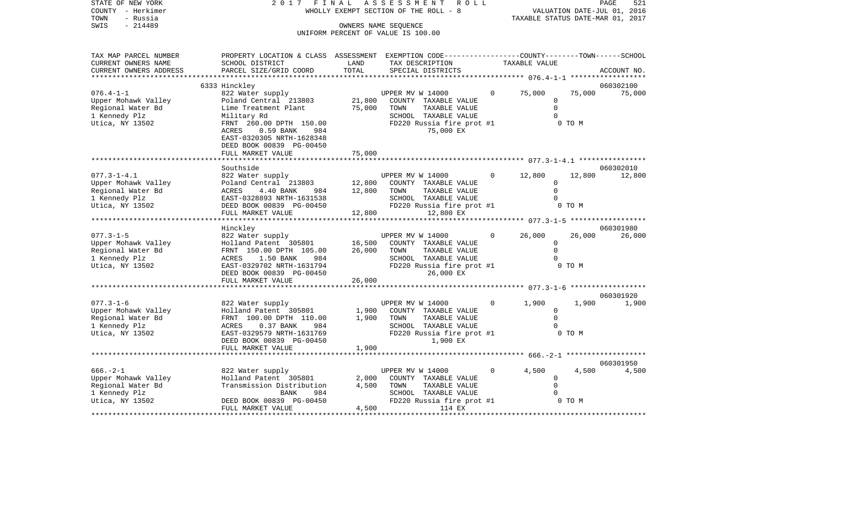| STATE OF NEW YORK<br>COUNTY - Herkimer | 2 0 1 7                                                                                         |        | FINAL ASSESSMENT<br>ROLL<br>WHOLLY EXEMPT SECTION OF THE ROLL - 8 |              |                                            |        | PAGE<br>521<br>VALUATION DATE-JUL 01, 2016 |
|----------------------------------------|-------------------------------------------------------------------------------------------------|--------|-------------------------------------------------------------------|--------------|--------------------------------------------|--------|--------------------------------------------|
| - Russia<br>TOWN                       |                                                                                                 |        |                                                                   |              |                                            |        | TAXABLE STATUS DATE-MAR 01, 2017           |
| SWIS<br>$-214489$                      |                                                                                                 |        | OWNERS NAME SEQUENCE                                              |              |                                            |        |                                            |
|                                        |                                                                                                 |        | UNIFORM PERCENT OF VALUE IS 100.00                                |              |                                            |        |                                            |
|                                        |                                                                                                 |        |                                                                   |              |                                            |        |                                            |
| TAX MAP PARCEL NUMBER                  | PROPERTY LOCATION & CLASS ASSESSMENT EXEMPTION CODE---------------COUNTY-------TOWN------SCHOOL |        |                                                                   |              |                                            |        |                                            |
| CURRENT OWNERS NAME                    | SCHOOL DISTRICT                                                                                 | LAND   | TAX DESCRIPTION                                                   |              | TAXABLE VALUE                              |        |                                            |
| CURRENT OWNERS ADDRESS                 | PARCEL SIZE/GRID COORD<br>* * * * * * * * *                                                     | TOTAL  | SPECIAL DISTRICTS                                                 |              |                                            |        | ACCOUNT NO.                                |
|                                        | 6333 Hinckley                                                                                   |        |                                                                   |              |                                            |        | 060302100                                  |
| $076.4 - 1 - 1$                        | 822 Water supply                                                                                |        | UPPER MV W 14000                                                  | $\mathbf{0}$ | 75,000                                     | 75,000 | 75,000                                     |
| Upper Mohawk Valley                    | Poland Central 213803                                                                           | 21,800 | COUNTY TAXABLE VALUE                                              |              | $\mathbf 0$                                |        |                                            |
| Regional Water Bd                      | Lime Treatment Plant                                                                            | 75,000 | TOWN<br>TAXABLE VALUE                                             |              | $\mathbf 0$                                |        |                                            |
| 1 Kennedy Plz                          | Military Rd                                                                                     |        | SCHOOL TAXABLE VALUE                                              |              | $\Omega$                                   |        |                                            |
| Utica, NY 13502                        | FRNT 260.00 DPTH 150.00                                                                         |        | FD220 Russia fire prot #1                                         |              |                                            | 0 TO M |                                            |
|                                        | 0.59 BANK<br>ACRES<br>984                                                                       |        | 75,000 EX                                                         |              |                                            |        |                                            |
|                                        | EAST-0320305 NRTH-1628348                                                                       |        |                                                                   |              |                                            |        |                                            |
|                                        | DEED BOOK 00839 PG-00450                                                                        |        |                                                                   |              |                                            |        |                                            |
|                                        | FULL MARKET VALUE                                                                               | 75,000 |                                                                   |              |                                            |        |                                            |
|                                        | Southside                                                                                       |        |                                                                   |              |                                            |        | 060302010                                  |
| $077.3 - 1 - 4.1$                      | 822 Water supply                                                                                |        | UPPER MV W 14000                                                  | 0            | 12,800                                     | 12,800 | 12,800                                     |
| Upper Mohawk Valley                    | Poland Central 213803                                                                           | 12,800 | COUNTY TAXABLE VALUE                                              |              | $\mathbf 0$                                |        |                                            |
| Regional Water Bd                      | ACRES<br>4.40 BANK<br>984                                                                       | 12,800 | TOWN<br>TAXABLE VALUE                                             |              | $\Omega$                                   |        |                                            |
| 1 Kennedy Plz                          | EAST-0328893 NRTH-1631538                                                                       |        | SCHOOL TAXABLE VALUE                                              |              | $\Omega$                                   |        |                                            |
| Utica, NY 13502                        | DEED BOOK 00839 PG-00450                                                                        |        | FD220 Russia fire prot #1                                         |              |                                            | 0 TO M |                                            |
|                                        | FULL MARKET VALUE                                                                               | 12,800 | 12,800 EX                                                         |              | ******** 077.3-1-5 ******************      |        |                                            |
|                                        | Hinckley                                                                                        |        |                                                                   |              |                                            |        | 060301980                                  |
| $077.3 - 1 - 5$                        | 822 Water supply                                                                                |        | UPPER MV W 14000                                                  | $\Omega$     | 26,000                                     | 26,000 | 26,000                                     |
| Upper Mohawk Valley                    | Holland Patent 305801                                                                           | 16,500 | COUNTY TAXABLE VALUE                                              |              | $\mathsf{O}$                               |        |                                            |
| Regional Water Bd                      | FRNT 150.00 DPTH 105.00                                                                         | 26,000 | TOWN<br>TAXABLE VALUE                                             |              | $\Omega$                                   |        |                                            |
| 1 Kennedy Plz                          | ACRES<br>1.50 BANK<br>984                                                                       |        | SCHOOL TAXABLE VALUE                                              |              | $\mathbf 0$                                |        |                                            |
| Utica, NY 13502                        | EAST-0329702 NRTH-1631794                                                                       |        | FD220 Russia fire prot #1                                         |              |                                            | 0 TO M |                                            |
|                                        | DEED BOOK 00839 PG-00450<br>FULL MARKET VALUE                                                   | 26,000 | 26,000 EX                                                         |              |                                            |        |                                            |
|                                        |                                                                                                 |        | ************************* 077.3-1-6 *******************           |              |                                            |        |                                            |
|                                        |                                                                                                 |        |                                                                   |              |                                            |        | 060301920                                  |
| $077.3 - 1 - 6$                        | 822 Water supply                                                                                |        | UPPER MV W 14000                                                  | $\circ$      | 1,900                                      | 1,900  | 1,900                                      |
| Upper Mohawk Valley                    | Holland Patent 305801                                                                           | 1,900  | COUNTY TAXABLE VALUE                                              |              | $\Omega$                                   |        |                                            |
| Regional Water Bd                      | FRNT 100.00 DPTH 110.00                                                                         | 1,900  | TOWN<br>TAXABLE VALUE                                             |              | $\Omega$                                   |        |                                            |
| 1 Kennedy Plz                          | 984<br>ACRES<br>$0.37$ BANK                                                                     |        | SCHOOL TAXABLE VALUE                                              |              | 0                                          |        |                                            |
| Utica, NY 13502                        | EAST-0329579 NRTH-1631769                                                                       |        | FD220 Russia fire prot #1<br>1,900 EX                             |              |                                            | 0 TO M |                                            |
|                                        | DEED BOOK 00839 PG-00450<br>FULL MARKET VALUE                                                   | 1,900  |                                                                   |              |                                            |        |                                            |
|                                        |                                                                                                 |        |                                                                   |              | ********** 666. - 2-1 ******************** |        |                                            |
|                                        |                                                                                                 |        |                                                                   |              |                                            |        | 060301950                                  |
| $666. - 2 - 1$                         | 822 Water supply                                                                                |        | UPPER MV W 14000                                                  | $\circ$      | 4,500                                      | 4,500  | 4,500                                      |
| Upper Mohawk Valley                    | Holland Patent 305801                                                                           | 2,000  | COUNTY TAXABLE VALUE                                              |              | $\Omega$                                   |        |                                            |
| Regional Water Bd                      | Transmission Distribution                                                                       | 4,500  | TOWN<br>TAXABLE VALUE                                             |              | 0                                          |        |                                            |
| 1 Kennedy Plz                          | 984<br>BANK                                                                                     |        | SCHOOL TAXABLE VALUE                                              |              | $\mathbf 0$                                |        |                                            |

1 Kennedy Plz BANK 984 SCHOOL TAXABLE VALUE 0 Utica, NY 13502 DEED BOOK 00839 PG-00450 FD220 Russia fire prot #1 0 TO M

FULL MARKET VALUE 4,500 114 EX \*\*\*\*\*\*\*\*\*\*\*\*\*\*\*\*\*\*\*\*\*\*\*\*\*\*\*\*\*\*\*\*\*\*\*\*\*\*\*\*\*\*\*\*\*\*\*\*\*\*\*\*\*\*\*\*\*\*\*\*\*\*\*\*\*\*\*\*\*\*\*\*\*\*\*\*\*\*\*\*\*\*\*\*\*\*\*\*\*\*\*\*\*\*\*\*\*\*\*\*\*\*\*\*\*\*\*\*\*\*\*\*\*\*\*\*\*\*\*\*\*\*\*\*\*\*\*\*\*\*\*\*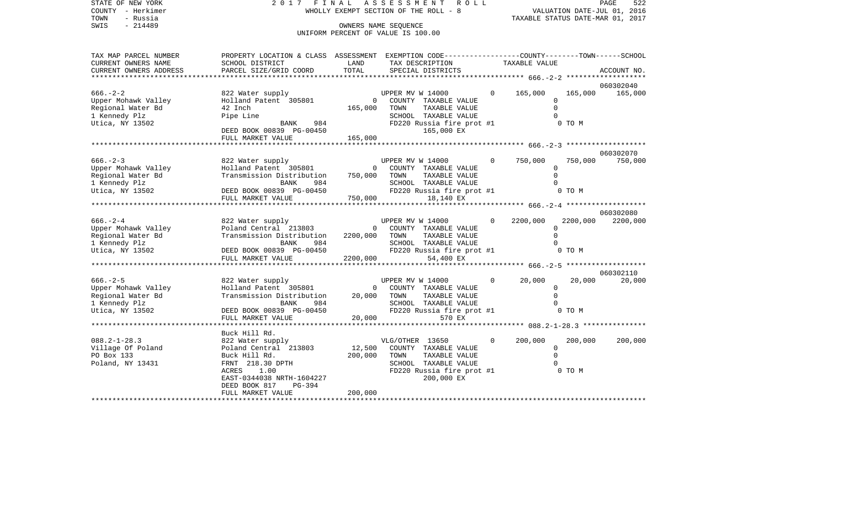| TOWN<br>- Russia<br>SWIS<br>$-214489$        | OWNERS NAME SEOUENCE<br>UNIFORM PERCENT OF VALUE IS 100.00                                                         |                |                  |                                       |             |                                                    |                     | TAXABLE STATUS DATE-MAR 01, 2017   |
|----------------------------------------------|--------------------------------------------------------------------------------------------------------------------|----------------|------------------|---------------------------------------|-------------|----------------------------------------------------|---------------------|------------------------------------|
|                                              |                                                                                                                    |                |                  |                                       |             |                                                    |                     |                                    |
| TAX MAP PARCEL NUMBER<br>CURRENT OWNERS NAME | PROPERTY LOCATION & CLASS ASSESSMENT EXEMPTION CODE---------------COUNTY-------TOWN------SCHOOL<br>SCHOOL DISTRICT | LAND           |                  | TAX DESCRIPTION                       |             | TAXABLE VALUE                                      |                     |                                    |
| CURRENT OWNERS ADDRESS                       | PARCEL SIZE/GRID COORD                                                                                             | TOTAL          |                  | SPECIAL DISTRICTS                     |             | ********************* 666.-2-2                     |                     | ACCOUNT NO.<br>******************* |
|                                              |                                                                                                                    |                |                  |                                       |             |                                                    |                     | 060302040                          |
| $666. - 2 - 2$                               | 822 Water supply                                                                                                   |                | UPPER MV W 14000 |                                       | $\circ$     | 165,000                                            | 165,000<br>$\Omega$ | 165,000                            |
| Upper Mohawk Valley                          | Holland Patent 305801                                                                                              | $\overline{0}$ |                  | COUNTY TAXABLE VALUE                  |             |                                                    | $\Omega$            |                                    |
| Regional Water Bd                            | 42 Inch                                                                                                            | 165,000        | TOWN             | TAXABLE VALUE<br>SCHOOL TAXABLE VALUE |             |                                                    | $\cap$              |                                    |
| 1 Kennedy Plz<br>Utica, NY 13502             | Pipe Line<br>984<br>BANK                                                                                           |                |                  | FD220 Russia fire prot #1             |             |                                                    | 0 TO M              |                                    |
|                                              | DEED BOOK 00839 PG-00450                                                                                           |                |                  | 165,000 EX                            |             |                                                    |                     |                                    |
|                                              | FULL MARKET VALUE                                                                                                  | 165,000        |                  |                                       |             |                                                    |                     |                                    |
|                                              |                                                                                                                    |                |                  |                                       |             |                                                    |                     |                                    |
|                                              |                                                                                                                    |                |                  |                                       |             |                                                    |                     | 060302070                          |
| $666. - 2 - 3$                               | 822 Water supply                                                                                                   |                |                  | UPPER MV W 14000                      | $\circ$     | 750,000                                            | 750,000             | 750,000                            |
| Upper Mohawk Valley                          | Holland Patent 305801                                                                                              | $\mathbf 0$    |                  | COUNTY TAXABLE VALUE                  |             |                                                    | 0                   |                                    |
| Regional Water Bd                            | Transmission Distribution                                                                                          | 750,000        | TOWN             | TAXABLE VALUE                         |             |                                                    | $\Omega$            |                                    |
| 1 Kennedy Plz                                | 984<br>BANK                                                                                                        |                |                  | SCHOOL TAXABLE VALUE                  |             |                                                    |                     |                                    |
| Utica, NY 13502                              | rana DEED BOOK 00839 PG-00450                                                                                      |                |                  | FD220 Russia fire prot #1             |             |                                                    | 0 TO M              |                                    |
|                                              | FULL MARKET VALUE                                                                                                  | 750,000        |                  | 18,140 EX                             |             |                                                    |                     |                                    |
|                                              |                                                                                                                    |                |                  |                                       |             |                                                    |                     |                                    |
|                                              |                                                                                                                    |                |                  |                                       |             |                                                    |                     | 060302080                          |
| $666. - 2 - 4$                               | 822 Water supply                                                                                                   |                | UPPER MV W 14000 |                                       | $\Omega$    | 2200,000                                           | 2200,000            | 2200,000                           |
| Upper Mohawk Valley                          | Poland Central 213803                                                                                              | $\Omega$       |                  | COUNTY TAXABLE VALUE                  |             |                                                    | $\Omega$            |                                    |
| Regional Water Bd                            | Transmission Distribution                                                                                          | 2200,000       | TOWN             | TAXABLE VALUE                         |             |                                                    | $\Omega$            |                                    |
| 1 Kennedy Plz                                | BANK<br>984                                                                                                        |                |                  | SCHOOL TAXABLE VALUE                  |             |                                                    |                     |                                    |
| Utica, NY 13502                              | DEED BOOK 00839 PG-00450                                                                                           |                |                  | FD220 Russia fire prot #1             |             |                                                    | 0 TO M              |                                    |
|                                              | FULL MARKET VALUE                                                                                                  | 2200,000       |                  | 54,400 EX                             |             |                                                    |                     |                                    |
|                                              |                                                                                                                    |                |                  |                                       |             | ******************** 666.-2-5 ******************** |                     |                                    |
|                                              |                                                                                                                    |                |                  |                                       |             |                                                    |                     | 060302110                          |
| $666. - 2 - 5$                               | 822 Water supply                                                                                                   |                | UPPER MV W 14000 |                                       | $\mathbf 0$ | 20,000                                             | 20,000              | 20,000                             |
| Upper Mohawk Valley                          | Holland Patent 305801                                                                                              | $\overline{0}$ |                  | COUNTY TAXABLE VALUE                  |             |                                                    | $\Omega$            |                                    |
| Regional Water Bd                            | Transmission Distribution                                                                                          | 20,000         | TOWN             | TAXABLE VALUE                         |             |                                                    | $\Omega$            |                                    |
| 1 Kennedy Plz                                | BANK<br>984                                                                                                        |                |                  | SCHOOL TAXABLE VALUE                  |             |                                                    |                     |                                    |
| Utica, NY 13502                              | DEED BOOK 00839 PG-00450                                                                                           | 20.005         |                  | FD220 Russia fire prot #1             |             |                                                    | 0 TO M              |                                    |
|                                              | FULL MARKET VALUE                                                                                                  |                | 20,000           | 570 EX                                |             |                                                    |                     |                                    |
|                                              |                                                                                                                    |                |                  |                                       |             |                                                    |                     |                                    |
|                                              | Buck Hill Rd.                                                                                                      |                |                  |                                       |             |                                                    |                     |                                    |
| $088.2 - 1 - 28.3$                           | 822 Water supply                                                                                                   |                | VLG/OTHER 13650  |                                       | $\mathbf 0$ | 200,000                                            | 200,000             | 200,000                            |
| Village Of Poland                            | Poland Central 213803                                                                                              | 12,500         |                  | COUNTY TAXABLE VALUE                  |             |                                                    | $\mathbf 0$         |                                    |
| PO Box 133                                   | Buck Hill Rd.                                                                                                      | 200,000        | TOWN             | TAXABLE VALUE                         |             |                                                    | $\Omega$            |                                    |
| Poland, NY 13431                             | FRNT 218.30 DPTH                                                                                                   |                |                  | SCHOOL TAXABLE VALUE                  |             |                                                    |                     |                                    |
|                                              | 1.00<br>ACRES                                                                                                      |                |                  | FD220 Russia fire prot #1             |             |                                                    | 0 TO M              |                                    |
|                                              | EAST-0344038 NRTH-1604227<br>DEED BOOK 817<br>PG-394                                                               |                |                  | 200,000 EX                            |             |                                                    |                     |                                    |
|                                              | FULL MARKET VALUE                                                                                                  | 200,000        |                  |                                       |             |                                                    |                     |                                    |
|                                              |                                                                                                                    |                |                  |                                       |             |                                                    |                     |                                    |

STATE OF NEW YORK 2 0 1 7 F I N A L A S S E S S M E N T R O L L PAGE 522 COUNTY - Herkimer WHOLLY EXEMPT SECTION OF THE ROLL - 8 VALUATION DATE-JUL 01, 2016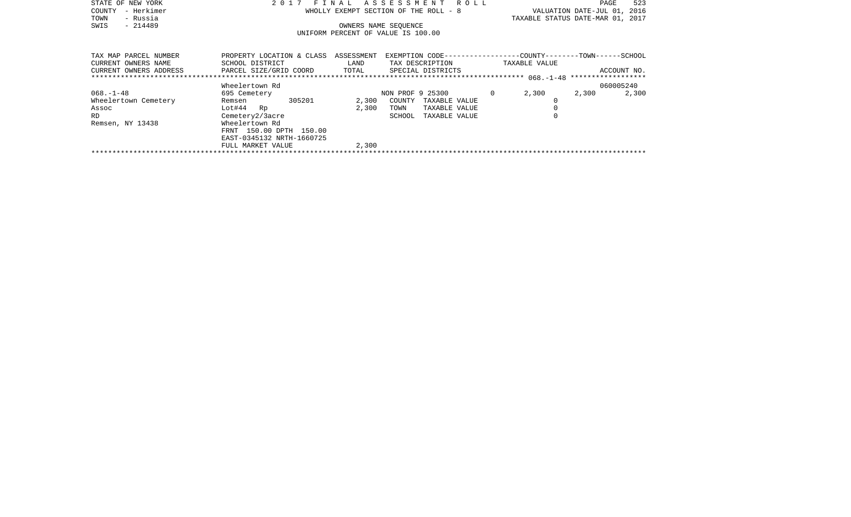| STATE OF NEW YORK     | 2017 FINAL ASSESSMENT ROLL                                                                       | 523<br>PAGE                      |
|-----------------------|--------------------------------------------------------------------------------------------------|----------------------------------|
| - Herkimer<br>COUNTY  | WHOLLY EXEMPT SECTION OF THE ROLL - 8                                                            | VALUATION DATE-JUL 01, 2016      |
| - Russia<br>TOWN      |                                                                                                  | TAXABLE STATUS DATE-MAR 01, 2017 |
| $-214489$<br>SWIS     | OWNERS NAME SEOUENCE                                                                             |                                  |
|                       | UNIFORM PERCENT OF VALUE IS 100.00                                                               |                                  |
|                       |                                                                                                  |                                  |
|                       |                                                                                                  |                                  |
| TAX MAP PARCEL NUMBER | PROPERTY LOCATION & CLASS ASSESSMENT EXEMPTION CODE----------------COUNTY-------TOWN------SCHOOL |                                  |

| CURRENT OWNERS NAME    | SCHOOL DISTRICT           |        | LAND  |                  | TAX DESCRIPTION   | TAXABLE VALUE |       |             |
|------------------------|---------------------------|--------|-------|------------------|-------------------|---------------|-------|-------------|
| CURRENT OWNERS ADDRESS | PARCEL SIZE/GRID COORD    |        | TOTAL |                  | SPECIAL DISTRICTS |               |       | ACCOUNT NO. |
|                        |                           |        |       |                  |                   |               |       |             |
|                        | Wheelertown Rd            |        |       |                  |                   |               |       | 060005240   |
| $068. - 1 - 48$        | 695 Cemetery              |        |       | NON PROF 9 25300 |                   | 2,300         | 2,300 | 2,300       |
| Wheelertown Cemetery   | Remsen                    | 305201 | 2,300 | COUNTY           | TAXABLE VALUE     |               |       |             |
| Assoc                  | Lot#44<br>R p             |        | 2,300 | TOWN             | TAXABLE VALUE     |               |       |             |
| <b>RD</b>              | Cemetery2/3acre           |        |       | SCHOOL           | TAXABLE VALUE     |               |       |             |
| Remsen, NY 13438       | Wheelertown Rd            |        |       |                  |                   |               |       |             |
|                        | FRNT 150.00 DPTH 150.00   |        |       |                  |                   |               |       |             |
|                        | EAST-0345132 NRTH-1660725 |        |       |                  |                   |               |       |             |
|                        | FULL MARKET VALUE         |        | 2,300 |                  |                   |               |       |             |
|                        |                           |        |       |                  |                   |               |       |             |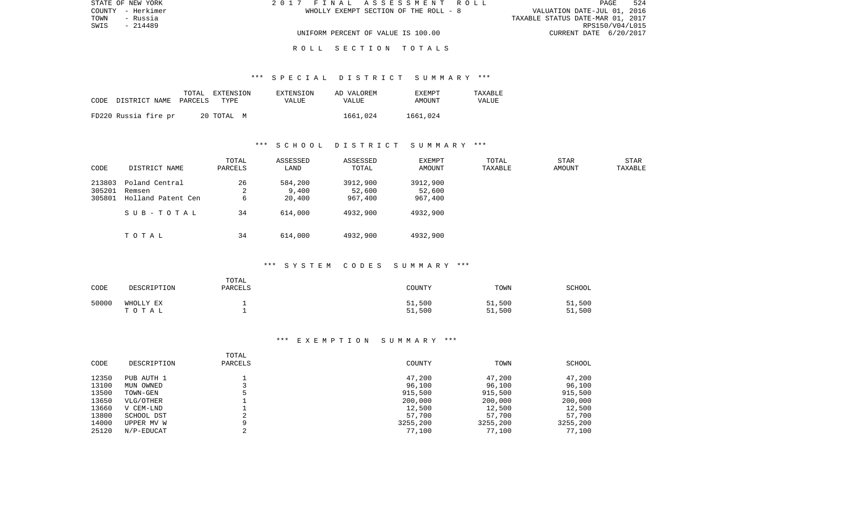| STATE OF NEW YORK | 2017 FINAL ASSESSMENT ROLL            | 524<br>PAGE                      |
|-------------------|---------------------------------------|----------------------------------|
| COUNTY - Herkimer | WHOLLY EXEMPT SECTION OF THE ROLL - 8 | VALUATION DATE-JUL 01, 2016      |
| TOWN<br>- Russia  |                                       | TAXABLE STATUS DATE-MAR 01, 2017 |
| SWIS<br>- 214489  |                                       | RPS150/V04/L015                  |
|                   | UNIFORM PERCENT OF VALUE IS 100.00    | CURRENT DATE 6/20/2017           |
|                   |                                       |                                  |

# \*\*\* S P E C I A L D I S T R I C T S U M M A R Y \*\*\*

| CODE | DISTRICT NAME PARCELS | TOTAL | EXTENSION<br>TYPE | EXTENSION<br>VALUE | AD VALOREM<br><b>VALUE</b> | <b>EXEMPT</b><br>AMOUNT | TAXABLE<br>VALUE |
|------|-----------------------|-------|-------------------|--------------------|----------------------------|-------------------------|------------------|
|      | FD220 Russia fire pr  |       | 20 TOTAL M        |                    | 1661,024                   | 1661.024                |                  |

# \*\*\* S C H O O L D I S T R I C T S U M M A R Y \*\*\*

| CODE                       | DISTRICT NAME                                  | TOTAL<br>PARCELS | ASSESSED<br>LAND           | ASSESSED<br>TOTAL             | EXEMPT<br>AMOUNT              | TOTAL<br>TAXABLE | STAR<br>AMOUNT | <b>STAR</b><br>TAXABLE |
|----------------------------|------------------------------------------------|------------------|----------------------------|-------------------------------|-------------------------------|------------------|----------------|------------------------|
| 213803<br>305201<br>305801 | Poland Central<br>Remsen<br>Holland Patent Cen | 26<br>∠<br>6     | 584,200<br>9.400<br>20,400 | 3912,900<br>52,600<br>967,400 | 3912,900<br>52,600<br>967,400 |                  |                |                        |
|                            | SUB-TOTAL                                      | 34               | 614,000                    | 4932,900                      | 4932,900                      |                  |                |                        |
|                            | TOTAL                                          | 34               | 614,000                    | 4932,900                      | 4932,900                      |                  |                |                        |

# \*\*\* S Y S T E M C O D E S S U M M A R Y \*\*\*

| CODE  | DESCRIPTION        | TOTAL<br>PARCELS | COUNTY           | TOWN             | SCHOOL           |
|-------|--------------------|------------------|------------------|------------------|------------------|
| 50000 | WHOLLY EX<br>TOTAL |                  | 51,500<br>51,500 | 51,500<br>51,500 | 51,500<br>51,500 |

| CODE  | DESCRIPTION | TOTAL<br>PARCELS | COUNTY   | TOWN     | SCHOOL   |
|-------|-------------|------------------|----------|----------|----------|
| 12350 | PUB AUTH 1  |                  | 47,200   | 47,200   | 47,200   |
| 13100 | MUN OWNED   |                  | 96,100   | 96,100   | 96,100   |
| 13500 | TOWN-GEN    |                  | 915,500  | 915,500  | 915,500  |
| 13650 | VLG/OTHER   |                  | 200,000  | 200,000  | 200,000  |
| 13660 | V CEM-LND   |                  | 12,500   | 12,500   | 12,500   |
| 13800 | SCHOOL DST  | ◠                | 57,700   | 57,700   | 57,700   |
| 14000 | UPPER MV W  | Q                | 3255,200 | 3255,200 | 3255,200 |
| 25120 | N/P-EDUCAT  |                  | 77,100   | 77,100   | 77,100   |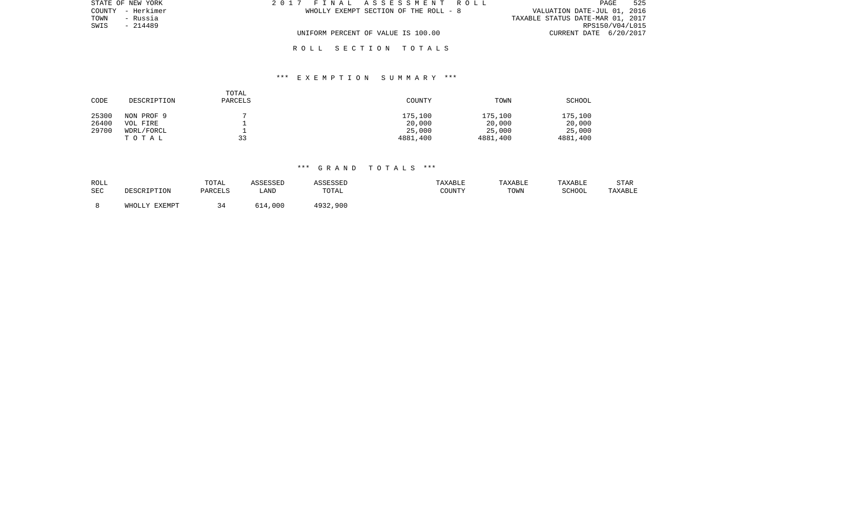| STATE OF NEW YORK | 2017 FINAL ASSESSMENT ROLL            | 525<br>PAGE                      |
|-------------------|---------------------------------------|----------------------------------|
| COUNTY - Herkimer | WHOLLY EXEMPT SECTION OF THE ROLL - 8 | VALUATION DATE-JUL 01, 2016      |
| TOWN<br>- Russia  |                                       | TAXABLE STATUS DATE-MAR 01, 2017 |
| - 214489<br>SWIS  |                                       | RPS150/V04/L015                  |
|                   | UNIFORM PERCENT OF VALUE IS 100.00    | CURRENT DATE 6/20/2017           |
|                   |                                       |                                  |

# \*\*\* E X E M P T I O N S U M M A R Y \*\*\*

| CODE  | DESCRIPTION | TOTAL<br>PARCELS | COUNTY   | TOWN     | SCHOOL   |
|-------|-------------|------------------|----------|----------|----------|
| 25300 | NON PROF 9  |                  | 175,100  | 175,100  | 175,100  |
| 26400 | VOL FIRE    |                  | 20,000   | 20,000   | 20,000   |
| 29700 | WDRL/FORCL  |                  | 25,000   | 25,000   | 25,000   |
|       | TOTAL       | 33               | 4881,400 | 4881,400 | 4881,400 |

| ROLL       |            | TOTAL          | ASSESSED |                         | TAXABLE | TAXABLE | TAXABLE | STAR    |
|------------|------------|----------------|----------|-------------------------|---------|---------|---------|---------|
| <b>SEC</b> | MRSCRIPTON | <b>DARCELS</b> | LAND     | TOTAL                   | COUNTY  | TOWN    | SCHOOL  | TAXABLE |
|            | J.V RYRMDT | 34             | ,000     | $102^\circ$<br>4932,900 |         |         |         |         |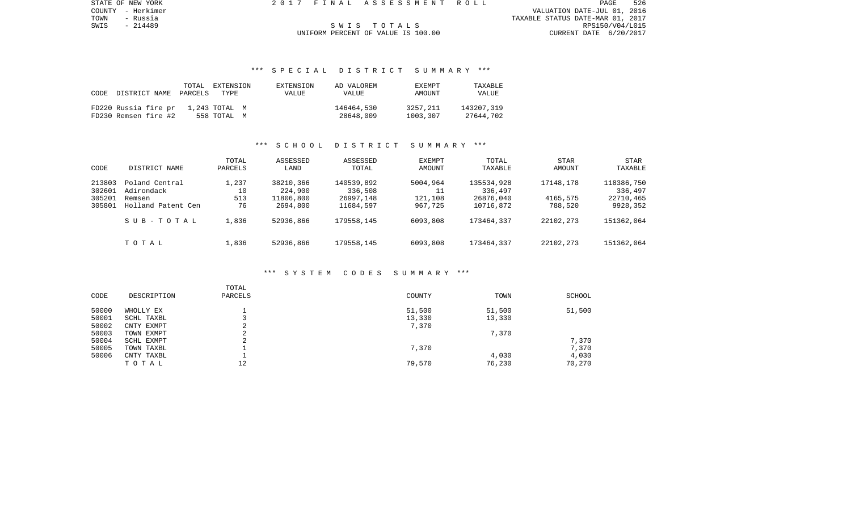COUNTY - Herkimer VALUATION DATE-JUL 01, 2016 TOWN - Russia TAXABLE STATUS DATE-MAR 01, 2017 SWIS - 214489 S W I S T O T A L S RPS150/V04/L015

STATE OF NEW YORK 2 0 1 7 F I N A L A S S E S S M E N T R O L L PAGE 526

# UNIFORM PERCENT OF VALUE IS 100.00

# \*\*\* S P E C I A L D I S T R I C T S U M M A R Y \*\*\*

| CODE | DISTRICT NAME                                | PARCELS | TOTAL EXTENSION<br>TYPE      | EXTENSION<br>VALUE | AD VALOREM<br><b>VALUE</b> | <b>EXEMPT</b><br>AMOUNT | <b>TAXARLE</b><br>VALUE |
|------|----------------------------------------------|---------|------------------------------|--------------------|----------------------------|-------------------------|-------------------------|
|      | FD220 Russia fire pr<br>FD230 Remsen fire #2 |         | 1,243 TOTAL M<br>558 TOTAL M |                    | 146464,530<br>28648,009    | 3257,211<br>1003,307    | 143207,319<br>27644,702 |

# \*\*\* S C H O O L D I S T R I C T S U M M A R Y \*\*\*

| CODE                                 | DISTRICT NAME                                                | TOTAL<br>PARCELS         | ASSESSED<br>LAND                              | ASSESSED<br>TOTAL                               | <b>EXEMPT</b><br>AMOUNT        | TOTAL<br>TAXABLE                                | STAR<br>AMOUNT                   | STAR<br>TAXABLE                                |
|--------------------------------------|--------------------------------------------------------------|--------------------------|-----------------------------------------------|-------------------------------------------------|--------------------------------|-------------------------------------------------|----------------------------------|------------------------------------------------|
| 213803<br>302601<br>305201<br>305801 | Poland Central<br>Adirondack<br>Remsen<br>Holland Patent Cen | 1,237<br>10<br>513<br>76 | 38210,366<br>224,900<br>11806,800<br>2694,800 | 140539,892<br>336,508<br>26997,148<br>11684,597 | 5004,964<br>121,108<br>967,725 | 135534,928<br>336,497<br>26876,040<br>10716,872 | 17148,178<br>4165,575<br>788,520 | 118386,750<br>336,497<br>22710,465<br>9928,352 |
|                                      | SUB-TOTAL                                                    | 1,836                    | 52936,866                                     | 179558,145                                      | 6093,808                       | 173464,337                                      | 22102,273                        | 151362,064                                     |
|                                      | TOTAL                                                        | 1,836                    | 52936,866                                     | 179558,145                                      | 6093,808                       | 173464,337                                      | 22102,273                        | 151362,064                                     |

# \*\*\* S Y S T E M C O D E S S U M M A R Y \*\*\*

| CODE  | DESCRIPTION | TOTAL<br>PARCELS | COUNTY | TOWN   | SCHOOL |
|-------|-------------|------------------|--------|--------|--------|
| 50000 | WHOLLY EX   |                  | 51,500 | 51,500 | 51,500 |
| 50001 | SCHL TAXBL  |                  | 13,330 | 13,330 |        |
| 50002 | CNTY EXMPT  | ⌒<br>∠           | 7,370  |        |        |
| 50003 | TOWN EXMPT  | ⌒<br>∠           |        | 7,370  |        |
| 50004 | SCHL EXMPT  | $\sim$           |        |        | 7,370  |
| 50005 | TOWN TAXBL  |                  | 7,370  |        | 7,370  |
| 50006 | CNTY TAXBL  |                  |        | 4,030  | 4,030  |
|       | TOTAL       | 12               | 79,570 | 76,230 | 70,270 |
|       |             |                  |        |        |        |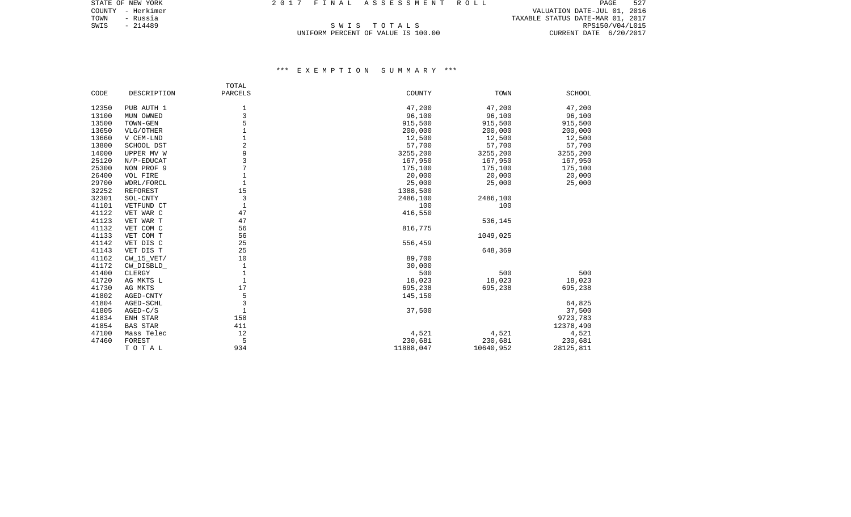COUNTY - Herkimer VALUATION DATE-JUL 01, 2016 TOWN - Russia TAXABLE STATUS DATE-MAR 01, 2017 SWIS - 214489<br>SWIS - 214489 SWIS - 214489 SWIS - 214489 SWIS - 214489 SWIS - 214489 SWIS - 214489 SWIS - 214489 SWIS - 2017<br>UNIFORM PERCENT OF VALUE IS 100.00 SWIS CURRENT DATE 6/20/2017

# UNIFORM PERCENT OF VALUE IS 100.00

|       |                 | TOTAL        |           |           |           |
|-------|-----------------|--------------|-----------|-----------|-----------|
| CODE  | DESCRIPTION     | PARCELS      | COUNTY    | TOWN      | SCHOOL    |
| 12350 | PUB AUTH 1      | 1            | 47,200    | 47,200    | 47,200    |
| 13100 | MUN OWNED       | 3            | 96,100    | 96,100    | 96,100    |
| 13500 | TOWN-GEN        | 5            | 915,500   | 915,500   | 915,500   |
| 13650 | VLG/OTHER       |              | 200,000   | 200,000   | 200,000   |
| 13660 | V CEM-LND       |              | 12,500    | 12,500    | 12,500    |
| 13800 | SCHOOL DST      | 2            | 57,700    | 57,700    | 57,700    |
| 14000 | UPPER MV W      | 9            | 3255,200  | 3255,200  | 3255,200  |
| 25120 | $N/P$ -EDUCAT   | 3            | 167,950   | 167,950   | 167,950   |
| 25300 | NON PROF 9      | 7            | 175,100   | 175,100   | 175,100   |
| 26400 | VOL FIRE        |              | 20,000    | 20,000    | 20,000    |
| 29700 | WDRL/FORCL      |              | 25,000    | 25,000    | 25,000    |
| 32252 | <b>REFOREST</b> | 15           | 1388,500  |           |           |
| 32301 | SOL-CNTY        | 3            | 2486,100  | 2486,100  |           |
| 41101 | VETFUND CT      | $\mathbf 1$  | 100       | 100       |           |
| 41122 | VET WAR C       | 47           | 416,550   |           |           |
| 41123 | VET WAR T       | 47           |           | 536,145   |           |
| 41132 | VET COM C       | 56           | 816,775   |           |           |
| 41133 | VET COM T       | 56           |           | 1049,025  |           |
| 41142 | VET DIS C       | 25           | 556,459   |           |           |
| 41143 | VET DIS T       | 25           |           | 648,369   |           |
| 41162 | CW 15 VET/      | 10           | 89,700    |           |           |
| 41172 | CW_DISBLD_      | 1            | 30,000    |           |           |
| 41400 | CLERGY          | 1            | 500       | 500       | 500       |
| 41720 | AG MKTS L       | $\mathbf{1}$ | 18,023    | 18,023    | 18,023    |
| 41730 | AG MKTS         | 17           | 695,238   | 695,238   | 695,238   |
| 41802 | AGED-CNTY       | 5            | 145,150   |           |           |
| 41804 | AGED-SCHL       | 3            |           |           | 64,825    |
| 41805 | $AGED-C/S$      | $\mathbf{1}$ | 37,500    |           | 37,500    |
| 41834 | ENH STAR        | 158          |           |           | 9723,783  |
| 41854 | <b>BAS STAR</b> | 411          |           |           | 12378,490 |
| 47100 | Mass Telec      | 12           | 4,521     | 4,521     | 4,521     |
| 47460 | FOREST          | 5            | 230,681   | 230,681   | 230,681   |
|       | TOTAL           | 934          | 11888,047 | 10640,952 | 28125,811 |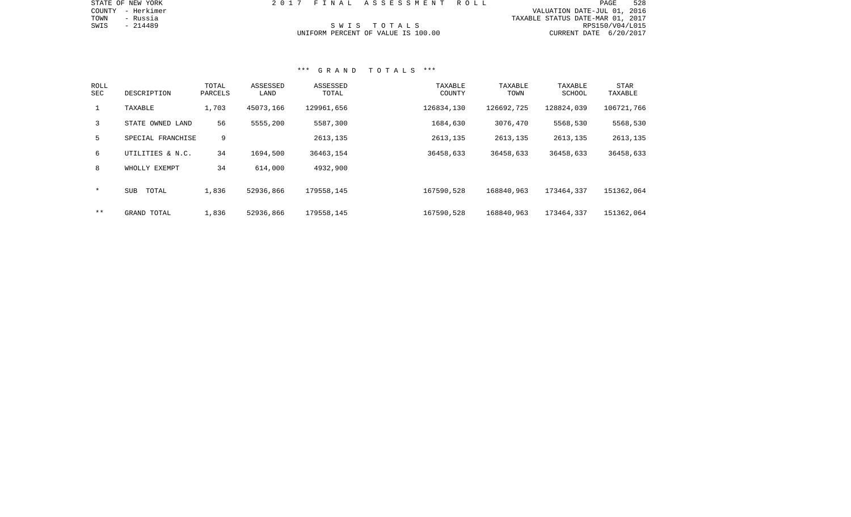|  | NAL ASSESSMENT ROLL        |  |  |  |  |  |  |  |                                  |                             | PAGE. | 528             |
|--|----------------------------|--|--|--|--|--|--|--|----------------------------------|-----------------------------|-------|-----------------|
|  |                            |  |  |  |  |  |  |  |                                  | VALUATION DATE-JUL 01, 2016 |       |                 |
|  |                            |  |  |  |  |  |  |  | TAXABLE STATUS DATE-MAR 01, 2017 |                             |       |                 |
|  | SWIS TOTALS                |  |  |  |  |  |  |  |                                  |                             |       | RPS150/V04/L015 |
|  | PERCENT OF VALUE IS 100.00 |  |  |  |  |  |  |  |                                  | CURRENT DATE 6/20/2017      |       |                 |

STATE OF NEW YORK  $2017$  F I

COUNTY - Herkimer TOWN - Russia  $SWIS$  - 214489

# UNIFORM

| ROLL<br>SEC  | DESCRIPTION         | TOTAL<br>PARCELS | ASSESSED<br>LAND | ASSESSED<br>TOTAL | TAXABLE<br>COUNTY | TAXABLE<br>TOWN | TAXABLE<br>SCHOOL | STAR<br>TAXABLE |
|--------------|---------------------|------------------|------------------|-------------------|-------------------|-----------------|-------------------|-----------------|
| $\mathbf{1}$ | TAXABLE             | 1,703            | 45073,166        | 129961,656        | 126834,130        | 126692,725      | 128824,039        | 106721,766      |
| 3            | STATE OWNED LAND    | 56               | 5555,200         | 5587,300          | 1684,630          | 3076,470        | 5568,530          | 5568,530        |
| 5            | SPECIAL FRANCHISE   | 9                |                  | 2613,135          | 2613,135          | 2613,135        | 2613,135          | 2613,135        |
| 6            | UTILITIES & N.C.    | 34               | 1694,500         | 36463,154         | 36458,633         | 36458,633       | 36458,633         | 36458,633       |
| 8            | WHOLLY EXEMPT       | 34               | 614,000          | 4932,900          |                   |                 |                   |                 |
| $\star$      | <b>SUB</b><br>TOTAL | 1,836            | 52936,866        | 179558,145        | 167590,528        | 168840,963      | 173464,337        | 151362,064      |
| $* *$        | GRAND TOTAL         | 1,836            | 52936,866        | 179558,145        | 167590,528        | 168840,963      | 173464,337        | 151362,064      |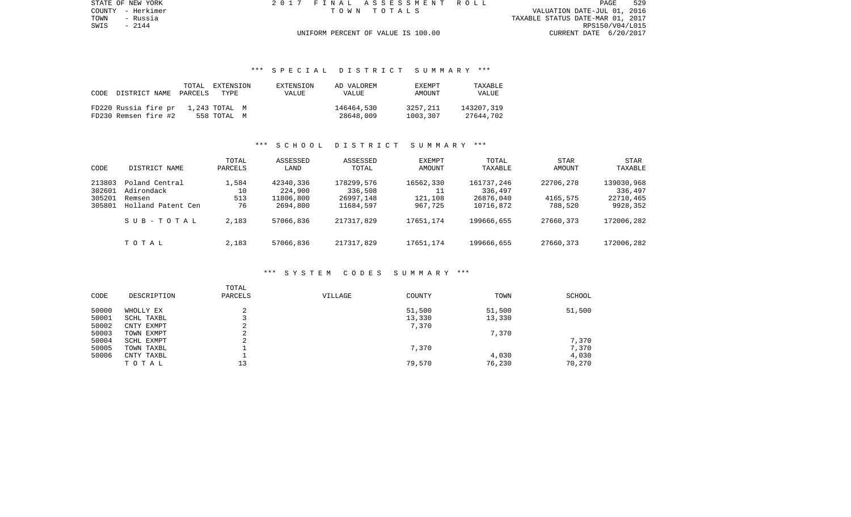TOWN - Russia TAXABLE STATUS DATE-MAR 01, 2017 SWIS - 2144 RPS150/V04/L015

STATE OF NEW YORK 2 0 1 7 F I N A L A S S E S S M E N T R O L L PAGE 529COUNTY - Herkimer T O W N T O T A L S VALUATION DATE-JUL 01, 2016

# UNIFORM PERCENT OF VALUE IS 100.00

# \*\*\* S P E C I A L D I S T R I C T S U M M A R Y \*\*\*

|      |                      | TOTAL   | EXTENSION     | EXTENSION | AD VALOREM   | <b>EXEMPT</b> | TAXABLE    |
|------|----------------------|---------|---------------|-----------|--------------|---------------|------------|
| CODE | DISTRICT NAME        | PARCELS | TYPE.         | VALUE     | <b>VALUE</b> | AMOUNT        | VALUE      |
|      |                      |         |               |           |              |               |            |
|      | FD220 Russia fire pr |         | 1,243 TOTAL M |           | 146464,530   | 3257,211      | 143207,319 |
|      | FD230 Remsen fire #2 |         | 558 TOTAL M   |           | 28648,009    | 1003,307      | 27644,702  |

# \*\*\* S C H O O L D I S T R I C T S U M M A R Y \*\*\*

| CODE                                 | DISTRICT NAME                                                | TOTAL<br>PARCELS         | ASSESSED<br>LAND                              | ASSESSED<br>TOTAL                               | <b>EXEMPT</b><br>AMOUNT         | TOTAL<br>TAXABLE                                | <b>STAR</b><br>AMOUNT            | STAR<br>TAXABLE                                |
|--------------------------------------|--------------------------------------------------------------|--------------------------|-----------------------------------------------|-------------------------------------------------|---------------------------------|-------------------------------------------------|----------------------------------|------------------------------------------------|
| 213803<br>302601<br>305201<br>305801 | Poland Central<br>Adirondack<br>Remsen<br>Holland Patent Cen | 1,584<br>10<br>513<br>76 | 42340,336<br>224,900<br>11806,800<br>2694,800 | 178299,576<br>336,508<br>26997,148<br>11684,597 | 16562,330<br>121,108<br>967,725 | 161737,246<br>336,497<br>26876,040<br>10716,872 | 22706,278<br>4165,575<br>788,520 | 139030,968<br>336,497<br>22710,465<br>9928,352 |
|                                      | SUB-TOTAL                                                    | 2,183                    | 57066,836                                     | 217317,829                                      | 17651,174                       | 199666,655                                      | 27660,373                        | 172006,282                                     |
|                                      | TOTAL                                                        | 2,183                    | 57066,836                                     | 217317,829                                      | 17651,174                       | 199666,655                                      | 27660,373                        | 172006,282                                     |

#### \*\*\* S Y S T E M C O D E S S U M M A R Y \*\*\*

| CODE  | DESCRIPTION | TOTAL<br>PARCELS | VILLAGE | COUNTY | TOWN   | SCHOOL |
|-------|-------------|------------------|---------|--------|--------|--------|
| 50000 | WHOLLY EX   | ∠                |         | 51,500 | 51,500 | 51,500 |
| 50001 | SCHL TAXBL  |                  |         | 13,330 | 13,330 |        |
| 50002 | CNTY EXMPT  | ⌒<br>z.          |         | 7,370  |        |        |
| 50003 | TOWN EXMPT  | ◠<br>z.          |         |        | 7,370  |        |
| 50004 | SCHL EXMPT  | ◠                |         |        |        | 7,370  |
| 50005 | TOWN TAXBL  |                  |         | 7,370  |        | 7,370  |
| 50006 | CNTY TAXBL  |                  |         |        | 4,030  | 4,030  |
|       | TOTAL       | 13               |         | 79,570 | 76,230 | 70,270 |
|       |             |                  |         |        |        |        |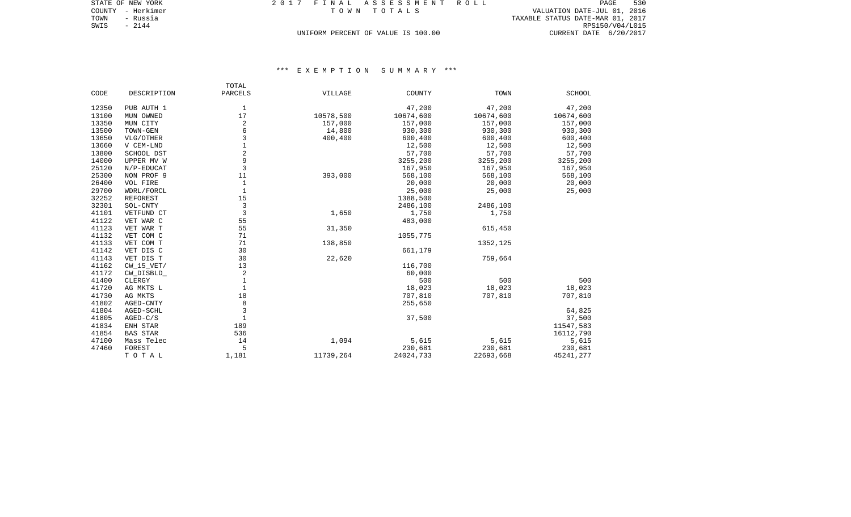| STATE OF NEW YORK |          |  | 2017 FINAL ASSESSMENT ROLL         |                                  | PAGE            | 530 |
|-------------------|----------|--|------------------------------------|----------------------------------|-----------------|-----|
| COUNTY - Herkimer |          |  | TOWN TOTALS                        | VALUATION DATE-JUL 01, 2016      |                 |     |
| TOWN              | - Russia |  |                                    | TAXABLE STATUS DATE-MAR 01, 2017 |                 |     |
| SWIS<br>$-2144$   |          |  |                                    |                                  | RPS150/V04/L015 |     |
|                   |          |  | UNIFORM PERCENT OF VALUE IS 100.00 | CURRENT DATE 6/20/2017           |                 |     |

|       |                 | TOTAL          |           |           |           |               |
|-------|-----------------|----------------|-----------|-----------|-----------|---------------|
| CODE  | DESCRIPTION     | PARCELS        | VILLAGE   | COUNTY    | TOWN      | <b>SCHOOL</b> |
| 12350 | PUB AUTH 1      | 1              |           | 47,200    | 47,200    | 47,200        |
| 13100 | MUN OWNED       | 17             | 10578,500 | 10674,600 | 10674,600 | 10674,600     |
| 13350 | MUN CITY        | 2              | 157,000   | 157,000   | 157,000   | 157,000       |
| 13500 | TOWN-GEN        | 6              | 14,800    | 930,300   | 930,300   | 930,300       |
| 13650 | VLG/OTHER       | 3              | 400,400   | 600,400   | 600,400   | 600,400       |
| 13660 | V CEM-LND       | $1\,$          |           | 12,500    | 12,500    | 12,500        |
| 13800 | SCHOOL DST      | 2              |           | 57,700    | 57,700    | 57,700        |
| 14000 | UPPER MV W      | 9              |           | 3255,200  | 3255,200  | 3255,200      |
| 25120 | $N/P$ -EDUCAT   | $\overline{3}$ |           | 167,950   | 167,950   | 167,950       |
| 25300 | NON PROF 9      | 11             | 393,000   | 568,100   | 568,100   | 568,100       |
| 26400 | VOL FIRE        | $\mathbf{1}$   |           | 20,000    | 20,000    | 20,000        |
| 29700 | WDRL/FORCL      | $\mathbf{1}$   |           | 25,000    | 25,000    | 25,000        |
| 32252 | REFOREST        | 15             |           | 1388,500  |           |               |
| 32301 | SOL-CNTY        | 3              |           | 2486,100  | 2486,100  |               |
| 41101 | VETFUND CT      | $\overline{3}$ | 1,650     | 1,750     | 1,750     |               |
| 41122 | VET WAR C       | 55             |           | 483,000   |           |               |
| 41123 | VET WAR T       | 55             | 31,350    |           | 615,450   |               |
| 41132 | VET COM C       | 71             |           | 1055,775  |           |               |
| 41133 | VET COM T       | 71             | 138,850   |           | 1352,125  |               |
| 41142 | VET DIS C       | 30             |           | 661,179   |           |               |
| 41143 | VET DIS T       | 30             | 22,620    |           | 759,664   |               |
| 41162 | $CW_15_VET/$    | 13             |           | 116,700   |           |               |
| 41172 | CW DISBLD       | $\overline{2}$ |           | 60,000    |           |               |
| 41400 | CLERGY          | $\mathbf{1}$   |           | 500       | 500       | 500           |
| 41720 | AG MKTS L       | $\mathbf{1}$   |           | 18,023    | 18,023    | 18,023        |
| 41730 | AG MKTS         | 18             |           | 707,810   | 707,810   | 707,810       |
| 41802 | AGED-CNTY       | 8              |           | 255,650   |           |               |
| 41804 | AGED-SCHL       | $\overline{3}$ |           |           |           | 64,825        |
| 41805 | $AGED-C/S$      | $\mathbf{1}$   |           | 37,500    |           | 37,500        |
| 41834 | ENH STAR        | 189            |           |           |           | 11547,583     |
| 41854 | <b>BAS STAR</b> | 536            |           |           |           | 16112,790     |
| 47100 | Mass Telec      | 14             | 1,094     | 5,615     | 5,615     | 5,615         |
| 47460 | FOREST          | 5              |           | 230,681   | 230,681   | 230,681       |
|       | TOTAL           | 1,181          | 11739,264 | 24024,733 | 22693,668 | 45241,277     |